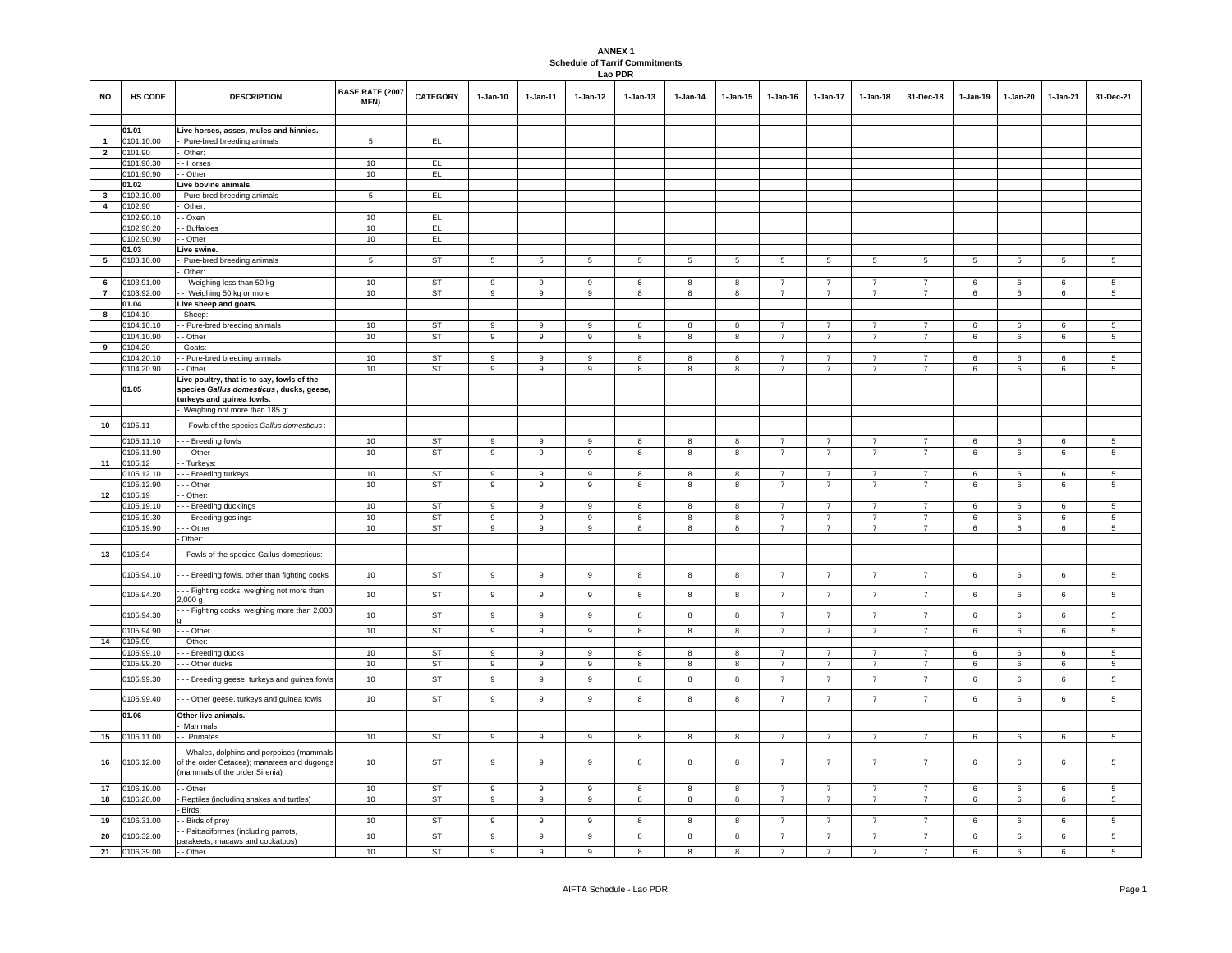## **ANNEX 1 Schedule of Tarrif Commitments Lao PDR**

| <b>NO</b>                      | <b>HS CODE</b>           | <b>DESCRIPTION</b>                                                                                                         | <b>BASE RATE (2007</b><br>MFN) | <b>CATEGORY</b>        | $1 - Jan-10$               | $1 - Jan-11$        | $1 - Jan-12$        | $1-Jan-13$     | 1-Jan-14       | $1-Jan-15$                   | $1-Jan-16$                       | $1-Jan-17$                       | $1-Jan-18$                       | 31-Dec-18                        | 1-Jan-19           | 1-Jan-20             | 1-Jan-21 | 31-Dec-21       |
|--------------------------------|--------------------------|----------------------------------------------------------------------------------------------------------------------------|--------------------------------|------------------------|----------------------------|---------------------|---------------------|----------------|----------------|------------------------------|----------------------------------|----------------------------------|----------------------------------|----------------------------------|--------------------|----------------------|----------|-----------------|
|                                |                          |                                                                                                                            |                                |                        |                            |                     |                     |                |                |                              |                                  |                                  |                                  |                                  |                    |                      |          |                 |
|                                | 01.01                    | Live horses, asses, mules and hinnies.                                                                                     |                                |                        |                            |                     |                     |                |                |                              |                                  |                                  |                                  |                                  |                    |                      |          |                 |
| $\mathbf{1}$<br>$\overline{2}$ | 0101.10.00<br>0101.90    | Pure-bred breeding animals<br>Other:                                                                                       | 5                              | EL.                    |                            |                     |                     |                |                |                              |                                  |                                  |                                  |                                  |                    |                      |          |                 |
|                                | 0101.90.30               | - Horses                                                                                                                   | 10                             | EL                     |                            |                     |                     |                |                |                              |                                  |                                  |                                  |                                  |                    |                      |          |                 |
|                                | 0101.90.90               | - Other                                                                                                                    | 10                             | EL                     |                            |                     |                     |                |                |                              |                                  |                                  |                                  |                                  |                    |                      |          |                 |
|                                | 01.02                    | Live bovine animals.                                                                                                       |                                |                        |                            |                     |                     |                |                |                              |                                  |                                  |                                  |                                  |                    |                      |          |                 |
| 3                              | 0102.10.00               | Pure-bred breeding animals                                                                                                 | 5                              | EL                     |                            |                     |                     |                |                |                              |                                  |                                  |                                  |                                  |                    |                      |          |                 |
| $\overline{4}$                 | 0102.90                  | Other:                                                                                                                     |                                |                        |                            |                     |                     |                |                |                              |                                  |                                  |                                  |                                  |                    |                      |          |                 |
|                                | 0102.90.10               | - Oxen                                                                                                                     | 10                             | EL                     |                            |                     |                     |                |                |                              |                                  |                                  |                                  |                                  |                    |                      |          |                 |
|                                | 0102.90.20               | - Buffaloes                                                                                                                | 10                             | EL                     |                            |                     |                     |                |                |                              |                                  |                                  |                                  |                                  |                    |                      |          |                 |
|                                | 0102.90.90               | - Other                                                                                                                    | 10                             | EL                     |                            |                     |                     |                |                |                              |                                  |                                  |                                  |                                  |                    |                      |          |                 |
|                                | 01.03                    | Live swine.                                                                                                                |                                |                        |                            |                     |                     |                |                |                              |                                  |                                  |                                  |                                  |                    |                      |          |                 |
| 5                              | 0103.10.00               | Pure-bred breeding animals<br>Other:                                                                                       | 5                              | ST                     | 5                          | 5                   | 5                   | 5              | $\overline{5}$ | 5                            | 5                                | 5                                | 5                                | 5                                | 5                  | 5                    | 5        | 5               |
| 6                              | 0103.91.00               | - Weighing less than 50 kg                                                                                                 | 10                             | ST                     | 9                          | 9                   | 9                   | 8              | 8              | 8                            | $\overline{7}$                   | $\overline{7}$                   | $\overline{7}$                   | $\overline{7}$                   | $\,6\,$            | 6                    | 6        | 5               |
| $\mathbf{7}$                   | 0103.92.00               | - Weighing 50 kg or more                                                                                                   | 10                             | ST                     | 9                          | 9                   | 9                   | 8              | 8              | 8                            | $\overline{7}$                   | $\overline{7}$                   | $\overline{7}$                   | $\overline{7}$                   | 6                  | 6                    | $\,6\,$  | $5\phantom{.0}$ |
|                                | 01.04                    | Live sheep and goats.                                                                                                      |                                |                        |                            |                     |                     |                |                |                              |                                  |                                  |                                  |                                  |                    |                      |          |                 |
| 8                              | 0104.10                  | Sheep:                                                                                                                     |                                |                        |                            |                     |                     |                |                |                              |                                  |                                  |                                  |                                  |                    |                      |          |                 |
|                                | 0104.10.10               | - Pure-bred breeding animals                                                                                               | 10                             | <b>ST</b>              | $\mathsf g$                | 9                   | 9                   | 8              | 8              | 8                            | $\overline{7}$                   | $\overline{7}$                   | $\overline{7}$                   | $\overline{7}$                   | 6                  | 6                    | 6        | 5               |
|                                | 0104.10.90               | - Other                                                                                                                    | 10                             | ST                     | 9                          | 9                   | 9                   | 8              | 8              | 8                            | $\overline{7}$                   | $\overline{7}$                   | $\overline{7}$                   | $\overline{7}$                   | 6                  | 6                    | 6        | $5\overline{5}$ |
| 9                              | 0104.20                  | Goats:                                                                                                                     |                                |                        |                            |                     |                     |                |                |                              |                                  |                                  |                                  |                                  |                    |                      |          |                 |
|                                | 0104.20.10               | Pure-bred breeding animals                                                                                                 | 10<br>10                       | ST<br><b>ST</b>        | 9<br>$\overline{9}$        | 9<br>$\overline{9}$ | 9<br>$\overline{9}$ | 8<br>8         | 8              | 8<br>$\overline{\mathbf{8}}$ | $\overline{7}$<br>$\overline{7}$ | $\overline{7}$<br>7              | $\overline{7}$<br>$\overline{7}$ | $\overline{7}$<br>$\overline{7}$ | $\,6\,$<br>$\,6\,$ | 6<br>$6\overline{6}$ | 6<br>6   | 5<br>5          |
|                                | 0104.20.90<br>01.05      | - Other<br>Live poultry, that is to say, fowls of the<br>species Gallus domesticus, ducks, geese,                          |                                |                        |                            |                     |                     |                | 8              |                              |                                  |                                  |                                  |                                  |                    |                      |          |                 |
|                                |                          | turkeys and guinea fowls.<br>Weighing not more than 185 g:                                                                 |                                |                        |                            |                     |                     |                |                |                              |                                  |                                  |                                  |                                  |                    |                      |          |                 |
|                                |                          |                                                                                                                            |                                |                        |                            |                     |                     |                |                |                              |                                  |                                  |                                  |                                  |                    |                      |          |                 |
| 10                             | 0105.11                  | - Fowls of the species Gallus domesticus:                                                                                  |                                |                        |                            |                     |                     |                |                |                              |                                  |                                  |                                  |                                  |                    |                      |          |                 |
|                                | 0105.11.10               | - - Breeding fowls                                                                                                         | 10                             | <b>ST</b>              | 9                          | 9                   | 9                   | 8              | 8              | 8                            | $\overline{7}$                   | $\overline{7}$                   | $\overline{7}$                   | $\overline{7}$                   | 6                  | 6                    | 6        | 5               |
|                                | 0105.11.90               | - - Other                                                                                                                  | 10                             | ST                     | 9                          | 9                   | 9                   | 8              | 8              | $\overline{\mathbf{8}}$      | $\overline{7}$                   | $\overline{7}$                   | $\overline{7}$                   | $\overline{7}$                   | 6                  | 6                    | 6        | $5\phantom{.0}$ |
| 11                             | 0105.12                  | - Turkeys:                                                                                                                 |                                |                        |                            |                     |                     |                |                |                              |                                  |                                  |                                  |                                  |                    |                      |          |                 |
|                                | 105.12.10<br>0105.12.90  | - - Breeding turkeys<br>- - Other                                                                                          | 10<br>10                       | <b>ST</b><br><b>ST</b> | 9<br>9                     | 9<br>9              | 9                   | 8              | 8              | 8<br>8                       | $\overline{7}$<br>$\overline{7}$ | $\overline{7}$<br>$\overline{7}$ | $\overline{7}$<br>$\overline{7}$ | $\overline{7}$                   | 6                  | 6                    | 6        | 5<br>5          |
| 12                             | 0105.19                  | - Other:                                                                                                                   |                                |                        |                            |                     | 9                   | 8              | 8              |                              |                                  |                                  |                                  |                                  | 6                  | 6                    | 6        |                 |
|                                | 0105.19.10               | - - Breeding ducklings                                                                                                     | 10                             | <b>ST</b>              | 9                          | 9                   | 9                   | 8              | 8              | 8                            | $\overline{7}$                   | $\overline{7}$                   | 7                                | $\overline{7}$                   | 6                  | 6                    | 6        | 5               |
|                                | 0105.19.30               | - - Breeding goslings                                                                                                      | 10                             | ST                     | 9                          | 9                   | 9                   | 8              | 8              | 8                            | $\overline{7}$                   | $\overline{7}$                   | $\overline{7}$                   | $\overline{7}$                   | 6                  | 6                    | 6        | $5\phantom{.0}$ |
|                                | 0105.19.90               | - - Other                                                                                                                  | 10                             | ST                     | 9                          | 9                   | 9                   | 8              | $^{\rm 8}$     | 8                            | $\overline{7}$                   | $\overline{7}$                   | $\overline{7}$                   | $\overline{7}$                   | 6                  | 6                    | 6        | 5               |
|                                |                          | Other:                                                                                                                     |                                |                        |                            |                     |                     |                |                |                              |                                  |                                  |                                  |                                  |                    |                      |          |                 |
| 13                             | 0105.94                  | - Fowls of the species Gallus domesticus:                                                                                  |                                |                        |                            |                     |                     |                |                |                              |                                  |                                  |                                  |                                  |                    |                      |          |                 |
|                                | 0105.94.10               | - - Breeding fowls, other than fighting cocks                                                                              | 10                             | ST                     | $\boldsymbol{9}$           | 9                   | $\boldsymbol{9}$    | 8              | $^{\rm 8}$     | 8                            | $\overline{7}$                   | $\overline{7}$                   | $\overline{7}$                   | $\overline{7}$                   | $\,6\,$            | 6                    | 6        | 5               |
|                                | 0105.94.20               | - - Fighting cocks, weighing not more than<br>2,000 g                                                                      | 10                             | ST                     | $\mathsf g$                | 9                   | 9                   | 8              | 8              | 8                            | $\overline{7}$                   | $\overline{7}$                   | $\overline{7}$                   | $\overline{7}$                   | 6                  | 6                    | 6        | 5               |
|                                | 0105.94.30<br>0105.94.90 | - - Fighting cocks, weighing more than 2,000<br>- - Other                                                                  | $10$<br>10                     | <b>ST</b><br>ST        | $\boldsymbol{9}$<br>9      | 9<br>9              | 9<br>9              | 8<br>8         | 8<br>8         | 8<br>8                       | $\overline{7}$<br>$\overline{7}$ | $\overline{7}$<br>$\overline{7}$ | $\overline{7}$<br>$\overline{7}$ | $\overline{7}$<br>$\overline{7}$ | 6<br>6             | 6<br>6               | 6<br>6   | 5<br>5          |
| 14                             | 0105.99                  | - Other:                                                                                                                   |                                |                        |                            |                     |                     |                |                |                              |                                  |                                  |                                  |                                  |                    |                      |          |                 |
|                                | 0105.99.10               | - - Breeding ducks                                                                                                         | 10                             | <b>ST</b>              | 9                          | 9                   | 9                   | 8              | 8              | 8                            | $\overline{7}$                   | $\overline{7}$                   | $\overline{7}$                   | $\overline{7}$                   | 6                  | 6                    | 6        | 5               |
|                                | 0105.99.20               | --- Other ducks                                                                                                            | 10                             | <b>ST</b>              | $\mathsf g$                | 9                   | 9                   | 8              | 8              | 8                            | $\overline{7}$                   | $\overline{7}$                   | $\overline{7}$                   | $\overline{7}$                   | 6                  | 6                    | 6        | 5               |
|                                | 0105.99.30               | - - Breeding geese, turkeys and guinea fowls                                                                               | 10                             | <b>ST</b>              | $\mathsf g$                | 9                   | 9                   | 8              | 8              | 8                            | $\overline{7}$                   | $\overline{7}$                   | $\overline{7}$                   | $\overline{7}$                   | 6                  | 6                    | 6        | 5               |
|                                | 0105.99.40               | - - Other geese, turkeys and guinea fowls                                                                                  | 10                             | ST                     | $\boldsymbol{9}$           | 9                   | 9                   | 8              | $^{\rm 8}$     | 8                            | $\overline{7}$                   | $\overline{7}$                   | $\overline{7}$                   | $\overline{7}$                   | $\,6\,$            | 6                    | 6        | 5               |
|                                | 01.06                    | Other live animals.                                                                                                        |                                |                        |                            |                     |                     |                |                |                              |                                  |                                  |                                  |                                  |                    |                      |          |                 |
|                                |                          | Mammals                                                                                                                    |                                |                        |                            |                     |                     |                |                |                              |                                  |                                  |                                  |                                  |                    |                      |          |                 |
| 15                             | 0106.11.00               | - Primates                                                                                                                 | 10                             | <b>ST</b>              | 9                          | 9                   | 9                   | 8              | 8              | 8                            | $\overline{7}$                   | $\overline{7}$                   | $\overline{7}$                   | $\overline{7}$                   | 6                  | 6                    | 6        | $5\overline{5}$ |
| 16                             | 0106.12.00               | - Whales, dolphins and porpoises (mammals<br>of the order Cetacea); manatees and dugongs<br>(mammals of the order Sirenia) | 10                             | ST                     | $\boldsymbol{9}$           | 9                   | 9                   | 8              | 8              | 8                            | $\overline{7}$                   | $\overline{7}$                   | $\overline{7}$                   | $\overline{7}$                   | $\,6\,$            | 6                    | 6        | 5               |
| 17                             | 0106.19.00               | - Other                                                                                                                    | 10                             | <b>ST</b>              | $\mathsf g$                | 9                   | $\mathsf g$         | 8              | 8              | 8                            | $\overline{7}$                   | $\overline{7}$                   | $\overline{7}$                   | $\overline{7}$                   | 6                  | 6                    | 6        | $\overline{5}$  |
| 18                             | 0106.20.00               | Reptiles (including snakes and turtles)                                                                                    | 10                             | ST                     | 9                          | 9                   | 9                   | 8              | 8              | 8                            | $\overline{7}$                   | $\overline{7}$                   | $\overline{7}$                   | $\overline{7}$                   | 6                  | 6                    | 6        | 5               |
|                                |                          | Birds:                                                                                                                     |                                |                        |                            |                     |                     |                |                |                              |                                  |                                  |                                  |                                  |                    |                      |          |                 |
| 19<br>20                       | 0106.31.00<br>0106.32.00 | - Birds of prey<br>- Psittaciformes (including parrots,                                                                    | 10<br>10                       | <b>ST</b><br><b>ST</b> | $\mathsf g$<br>$\mathsf g$ | 9<br>9              | 9<br>9              | 8<br>8         | 8<br>8         | 8<br>8                       | $\overline{7}$<br>$\overline{7}$ | $\overline{7}$<br>$\overline{7}$ | $\overline{7}$<br>$\overline{7}$ | $\overline{7}$<br>$\overline{7}$ | 6<br>6             | 6<br>6               | 6<br>6   | 5<br>5          |
| 21                             | 0106.39.00               | parakeets, macaws and cockatoos)<br>- - Other                                                                              | 10                             | ST                     | $\mathbf{q}$               | $\overline{9}$      | $\mathsf{Q}$        | $\overline{8}$ | $\mathbf{R}$   | $\overline{8}$               | $\overline{7}$                   | $\overline{7}$                   | $\overline{\phantom{a}}$         | $\overline{7}$                   | 6                  | 6                    | 6        | $\overline{5}$  |
|                                |                          |                                                                                                                            |                                |                        |                            |                     |                     |                |                |                              |                                  |                                  |                                  |                                  |                    |                      |          |                 |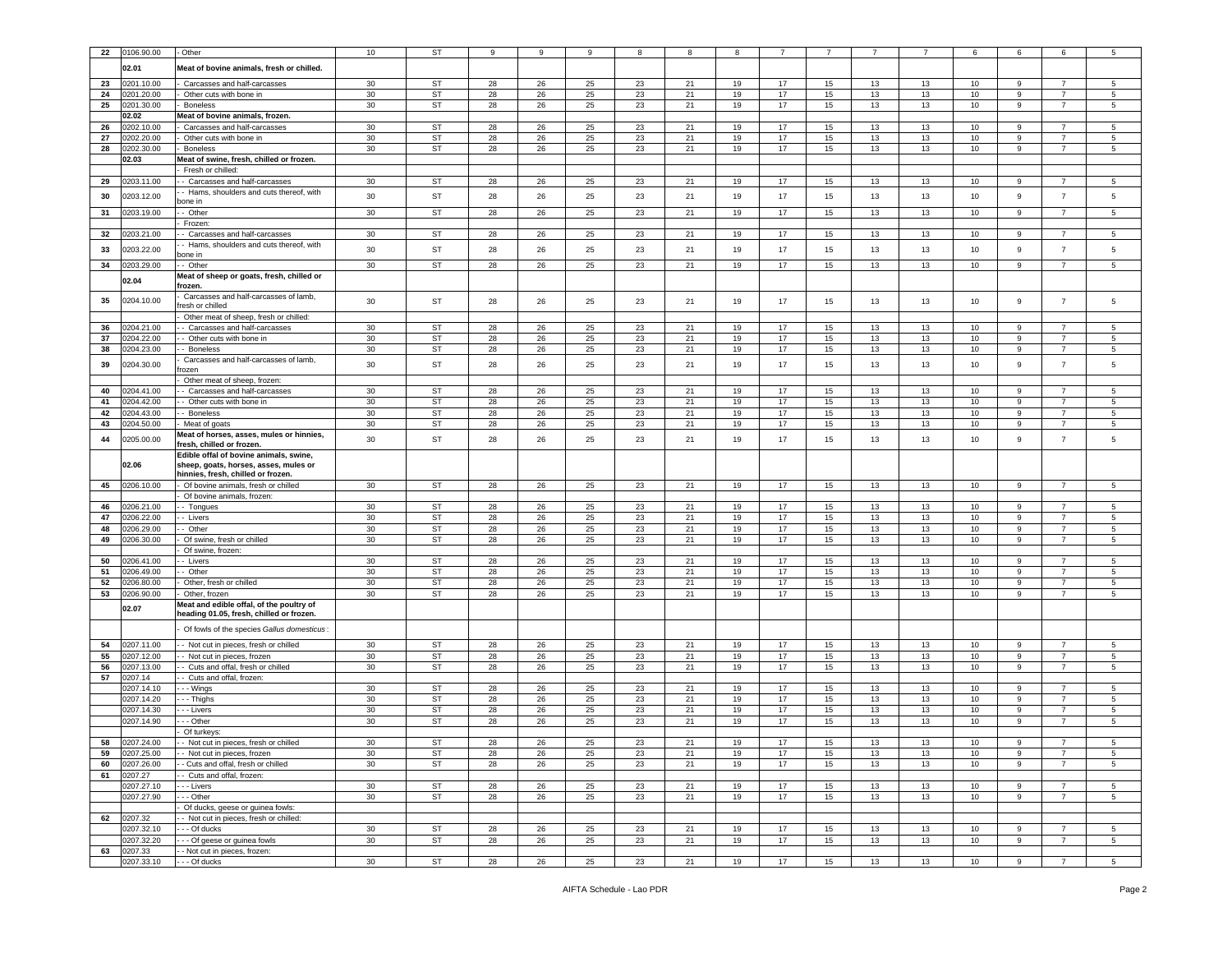| 22         | 0106.90.00               | - Other                                                                         | 10              | <b>ST</b>       | 9        | 9        | 9        | 8        | 8        | 8        |          |          |          |          | 6          | 6      | 6                                | 5                                |
|------------|--------------------------|---------------------------------------------------------------------------------|-----------------|-----------------|----------|----------|----------|----------|----------|----------|----------|----------|----------|----------|------------|--------|----------------------------------|----------------------------------|
|            | 02.01                    | Meat of bovine animals, fresh or chilled.                                       |                 |                 |          |          |          |          |          |          |          |          |          |          |            |        |                                  |                                  |
| 23         | 0201.10.00               | Carcasses and half-carcasses                                                    | 30              | ST              | 28       | 26       | 25       | 23       | 21       | 19       | 17       | 15       | 13       | 13       | 10         | 9      | $\overline{7}$                   | 5                                |
| 24         | 0201.20.00               | Other cuts with bone in                                                         | 30              | <b>ST</b>       | 28       | 26       | 25       | 23       | 21       | 19       | 17       | 15       | 13       | 13       | 10         | 9      | $\overline{7}$                   | 5                                |
| 25         | 0201.30.00               | <b>Boneless</b>                                                                 | 30              | ST              | 28       | 26       | 25       | 23       | 21       | 19       | 17       | 15       | 13       | 13       | 10         | 9      | $\overline{7}$                   | $5^{\circ}$                      |
|            | 02.02                    | Meat of bovine animals, frozen.                                                 |                 |                 |          |          |          |          |          |          |          |          |          |          |            |        |                                  |                                  |
| 26         | 202.10.00                | Carcasses and half-carcasses                                                    | 30              | ST              | 28       | 26       | 25       | 23       | 21       | 19       | 17       | 15       | 13       | 13       | 10         | 9      |                                  | 5                                |
| ${\bf 27}$ | 0202.20.00               | Other cuts with bone in                                                         | 30              | <b>ST</b>       | 28       | 26       | 25       | 23       | 21       | 19       | 17       | 15       | 13       | 13       | 10         | 9      | 7                                | 5                                |
| 28         | 0202.30.00               | <b>Boneless</b>                                                                 | 30              | ST              | 28       | 26       | 25       | 23       | 21       | 19       | 17       | 15       | 13       | 13       | 10         | 9      | $\overline{7}$                   | 5                                |
|            | 02.03                    | Meat of swine, fresh, chilled or frozen.<br>Fresh or chilled:                   |                 |                 |          |          |          |          |          |          |          |          |          |          |            |        |                                  |                                  |
| 29         | 203.11.00                | - Carcasses and half-carcasses                                                  | 30              | ST              | 28       | 26       | 25       | 23       | 21       | 19       | 17       | 15       | 13       | 13       | 10         | 9      | $\overline{7}$                   | 5                                |
| 30         | 0203.12.00               | - Hams, shoulders and cuts thereof, with                                        | 30              | ST              | 28       | 26       | 25       | 23       | 21       | 19       | 17       | 15       | 13       | 13       | 10         | 9      | $\overline{7}$                   | 5                                |
|            |                          | oone in                                                                         |                 |                 |          |          |          |          |          |          |          |          |          |          |            |        |                                  |                                  |
| 31         | 0203.19.00               | - Other                                                                         | 30              | ST              | 28       | 26       | 25       | 23       | 21       | 19       | 17       | 15       | 13       | 13       | 10         | 9      | 7                                | 5                                |
| 32         | 1203.21.00               | Frozen:<br>- Carcasses and half-carcasses                                       | 30              | ST              | 28       | 26       | 25       | 23       | 21       | 19       | 17       | 15       | 13       | 13       | 10         | 9      | $\overline{7}$                   | 5                                |
|            |                          | - Hams, shoulders and cuts thereof, with                                        |                 |                 |          |          |          |          |          |          |          |          |          |          |            |        |                                  |                                  |
| 33         | 0203.22.00               | oone in                                                                         | 30              | <b>ST</b>       | 28       | 26       | 25       | 23       | 21       | 19       | 17       | 15       | 13       | 13       | 10         | 9      | $\overline{7}$                   | 5                                |
| 34         | 0203.29.00               | - Other                                                                         | 30              | ST              | 28       | 26       | 25       | 23       | 21       | 19       | 17       | 15       | 13       | 13       | 10         | 9      | $\overline{7}$                   | 5                                |
|            | 02.04                    | Meat of sheep or goats, fresh, chilled or<br>frozen.                            |                 |                 |          |          |          |          |          |          |          |          |          |          |            |        |                                  |                                  |
|            |                          | Carcasses and half-carcasses of lamb,                                           |                 |                 |          |          |          |          |          |          |          |          |          |          |            |        |                                  |                                  |
| 35         | 0204.10.00               | resh or chilled                                                                 | 30              | ST              | 28       | 26       | 25       | 23       | 21       | 19       | 17       | 15       | 13       | 13       | 10         | 9      | $\overline{7}$                   | 5                                |
|            |                          | Other meat of sheep, fresh or chilled:                                          |                 |                 |          |          |          |          |          |          |          |          |          |          |            |        |                                  |                                  |
| 36         | 0204.21.00               | - Carcasses and half-carcasses                                                  | 30              | <b>ST</b>       | 28       | 26       | 25       | 23       | 21       | 19       | 17       | 15       | 13       | 13       | 10         | 9      | 7                                | 5                                |
| 37<br>38   | 0204.22.00<br>204.23.00  | - Other cuts with bone in<br>- Boneless                                         | 30<br>30        | ST<br>ST        | 28<br>28 | 26<br>26 | 25<br>25 | 23<br>23 | 21<br>21 | 19<br>19 | 17<br>17 | 15<br>15 | 13<br>13 | 13<br>13 | 10<br>10   | 9<br>9 | $\overline{7}$<br>$\overline{7}$ | 5<br>5                           |
|            |                          | Carcasses and half-carcasses of lamb,                                           |                 |                 |          |          |          |          |          |          |          |          |          |          |            |        |                                  |                                  |
| 39         | 0204.30.00               | rozen                                                                           | 30              | ST              | 28       | 26       | 25       | 23       | 21       | 19       | 17       | 15       | 13       | 13       | 10         | 9      | $\overline{7}$                   | 5                                |
|            |                          | Other meat of sheep, frozen                                                     |                 |                 |          |          |          |          |          |          |          |          |          |          |            |        |                                  |                                  |
| 40         | 0204.41.00               | - Carcasses and half-carcasses                                                  | 30              | ST              | 28       | 26       | 25       | 23       | 21       | 19       | 17       | 15       | 13       | 13       | 10         | 9      | $\overline{7}$                   | 5                                |
| 41<br>42   | 0204.42.00<br>0204.43.00 | - Other cuts with bone in<br>- Boneless                                         | 30<br>30        | ST<br><b>ST</b> | 28<br>28 | 26<br>26 | 25<br>25 | 23<br>23 | 21<br>21 | 19<br>19 | 17<br>17 | 15<br>15 | 13<br>13 | 13<br>13 | 10<br>10   | 9<br>9 | $\overline{7}$<br>$\overline{7}$ | 5<br>5                           |
| 43         | 204.50.00                | Meat of goats                                                                   | 30              | <b>ST</b>       | 28       | 26       | 25       | 23       | 21       | 19       | 17       | 15       | 13       | 13       | 10         | 9      | $\overline{7}$                   | 5                                |
| 44         | 0205.00.00               | Meat of horses, asses, mules or hinnies,                                        | 30              | ST              | 28       | 26       | 25       | 23       | 21       | 19       | 17       | 15       | 13       | 13       | 10         | 9      | $\overline{7}$                   | 5                                |
|            |                          | fresh, chilled or frozen.                                                       |                 |                 |          |          |          |          |          |          |          |          |          |          |            |        |                                  |                                  |
|            | 02.06                    | Edible offal of bovine animals, swine,<br>sheep, goats, horses, asses, mules or |                 |                 |          |          |          |          |          |          |          |          |          |          |            |        |                                  |                                  |
|            |                          | hinnies, fresh, chilled or frozen.                                              |                 |                 |          |          |          |          |          |          |          |          |          |          |            |        |                                  |                                  |
| 45         | 0206.10.00               | Of bovine animals, fresh or chilled                                             | 30              | ST              | 28       | 26       | 25       | 23       | 21       | 19       | 17       | 15       | 13       | 13       | 10         | 9      | $\overline{7}$                   | 5                                |
|            |                          | Of bovine animals, frozen:                                                      |                 |                 |          |          |          |          |          |          |          |          |          |          |            |        |                                  |                                  |
| 46<br>47   | 0206.21.00<br>0206.22.00 | - Tongues<br>- Livers                                                           | 30<br>30        | ST<br>ST        | 28<br>28 | 26<br>26 | 25<br>25 | 23<br>23 | 21<br>21 | 19<br>19 | 17<br>17 | 15<br>15 | 13<br>13 | 13<br>13 | 10<br>10   | 9<br>9 | $\overline{7}$<br>7              | 5<br>5                           |
| 48         | 0206.29.00               | - Other                                                                         | 30              | <b>ST</b>       | 28       | 26       | 25       | 23       | 21       | 19       | 17       | 15       | 13       | 13       | 10         | 9      | $\overline{7}$                   | 5                                |
| 49         | 0206.30.00               | Of swine, fresh or chilled                                                      | 30              | ST              | 28       | 26       | 25       | 23       | 21       | 19       | 17       | 15       | 13       | 13       | 10         | 9      | $\overline{7}$                   | 5                                |
|            |                          | Of swine, frozen:                                                               |                 |                 |          |          |          |          |          |          |          |          |          |          |            |        |                                  |                                  |
| 50         | 206.41.00                | - Livers                                                                        | 30              | <b>ST</b>       | 28       | 26       | 25       | 23       | 21       | 19       | 17       | 15       | 13       | 13       | 10         | 9      | 7                                | 5                                |
| 51         | 1206.49.00<br>206.80.00  | - Other                                                                         | 30              | <b>ST</b>       | 28       | 26       | 25       | 23       | 21       | 19       | 17<br>17 | 15       | 13       | 13       | 10         | 9<br>9 | 7<br>$\overline{7}$              | 5                                |
| 52<br>53   | 0206.90.00               | Other, fresh or chilled<br>Other, frozen                                        | 30<br>30        | ST<br><b>ST</b> | 28<br>28 | 26<br>26 | 25<br>25 | 23<br>23 | 21<br>21 | 19<br>19 | 17       | 15<br>15 | 13<br>13 | 13<br>13 | $10$<br>10 | 9      | $\overline{7}$                   | 5<br>5                           |
|            |                          | Meat and edible offal, of the poultry of                                        |                 |                 |          |          |          |          |          |          |          |          |          |          |            |        |                                  |                                  |
|            | 02.07                    | heading 01.05, fresh, chilled or frozen.                                        |                 |                 |          |          |          |          |          |          |          |          |          |          |            |        |                                  |                                  |
|            |                          | Of fowls of the species Gallus domesticus:                                      |                 |                 |          |          |          |          |          |          |          |          |          |          |            |        |                                  |                                  |
| 54         | 0207.11.00               | - Not cut in pieces, fresh or chilled                                           | 30              | <b>ST</b>       | 28       | 26       | 25       | 23       | 21       | 19       | 17       | 15       | 13       | 13       | 10         | 9      | 7                                | 5                                |
| 55         | 0207.12.00               | - Not cut in pieces, frozen                                                     | 30              | <b>ST</b>       | 28       | 26       | 25       | 23       | 21       | 19       | 17       | 15       | 13       | 13       | 10         | 9      | $\overline{7}$                   | 5                                |
| 56         | 0207.13.00               | Cuts and offal, fresh or chilled                                                | 30              | ST              | 28       | 26       | 25       | 23       | 21       | 19       | 17       | 15       | 13       | 13       | 10         | 9      | $\overline{7}$                   | 5                                |
| 57         | 0207.14                  | - Cuts and offal, frozen:                                                       |                 |                 |          |          |          |          |          |          |          |          |          |          |            |        |                                  |                                  |
|            | 0207.14.10<br>0207.14.20 | · - - Wings<br>- - Thighs                                                       | 30<br>30        | ST<br>ST        | 28<br>28 | 26<br>26 | 25<br>25 | 23<br>23 | 21<br>21 | 19<br>19 | 17<br>17 | 15<br>15 | 13<br>13 | 13<br>13 | 10<br>10   | 9<br>9 | $\overline{7}$                   | 5<br>5                           |
|            | 0207.14.30               | - - Livers                                                                      | 30              | <b>ST</b>       | 28       | 26       | 25       | 23       | 21       | 19       | 17       | 15       | 13       | 13       | 10         | 9      | $\overline{7}$                   | 5                                |
|            | 0207.14.90               | --- Other                                                                       | 30 <sup>°</sup> | ST              | 28       | 26       | 25       | 23       | 21       | 19       | 17       | 15       | 13       | 13       | 10         | 9      | $\overline{7}$                   | $5^{\circ}$                      |
|            |                          | Of turkeys:                                                                     |                 |                 |          |          |          |          |          |          |          |          |          |          |            |        |                                  |                                  |
| 58         | 0207.24.00               | - - Not cut in pieces, fresh or chilied                                         | 30              | 51              | 28       | 26       | 25       | 23       | 21       | 19       | 17       | 15       | 13       | 13       | 1υ.        | У      |                                  |                                  |
| 59         | 0207.25.00               | - - Not cut in pieces, frozen                                                   | 30              | ST              | 28       | 26       | 25       | 23       | 21       | 19       | 17       | 15       | 13       | 13       | 10         | 9      | $\overline{7}$                   | $5\overline{)}$                  |
| 60<br>61   | 0207.26.00<br>0207.27    | - Cuts and offal, fresh or chilled<br>- Cuts and offal, frozen:                 | 30              | ST              | 28       | 26       | 25       | 23       | 21       | 19       | 17       | 15       | 13       | 13       | 10         | 9      | $\overline{7}$                   | $5^{\circ}$                      |
|            | 0207.27.10               | - - - Livers                                                                    | 30              | ST              | 28       | 26       | 25       | 23       | 21       | 19       | 17       | 15       | 13       | 13       | 10         | 9      | $\overline{7}$                   | 5 <sub>5</sub>                   |
|            | 0207.27.90               | - - - Other                                                                     | 30              | ST              | 28       | 26       | 25       | 23       | 21       | 19       | 17       | 15       | 13       | 13       | 10         | 9      | $\overline{7}$                   | 5 <sub>5</sub>                   |
|            |                          | Of ducks, geese or guinea fowls:                                                |                 |                 |          |          |          |          |          |          |          |          |          |          |            |        |                                  |                                  |
|            | 62 0207.32               | - Not cut in pieces, fresh or chilled:                                          |                 |                 |          |          |          |          |          |          |          |          |          |          |            |        |                                  |                                  |
|            | 0207.32.10<br>0207.32.20 | - - - Of ducks<br>- - - Of geese or guinea fowls                                | 30<br>30        | ST<br><b>ST</b> | 28<br>28 | 26<br>26 | 25<br>25 | 23<br>23 | 21<br>21 | 19<br>19 | 17<br>17 | 15<br>15 | 13<br>13 | 13<br>13 | 10<br>10   | 9<br>9 | $\overline{7}$<br>$\overline{7}$ | 5 <sub>5</sub><br>5 <sub>5</sub> |
| 63         | 0207.33                  | - Not cut in pieces, frozen:                                                    |                 |                 |          |          |          |          |          |          |          |          |          |          |            |        |                                  |                                  |
|            | 0207.33.10               | $- -$ Of ducks                                                                  | 30              | ST              | 28       | 26       | 25       | 23       | 21       | 19       | 17       | 15       | 13       | 13       | 10         | 9      | $\overline{7}$                   | 5 <sup>5</sup>                   |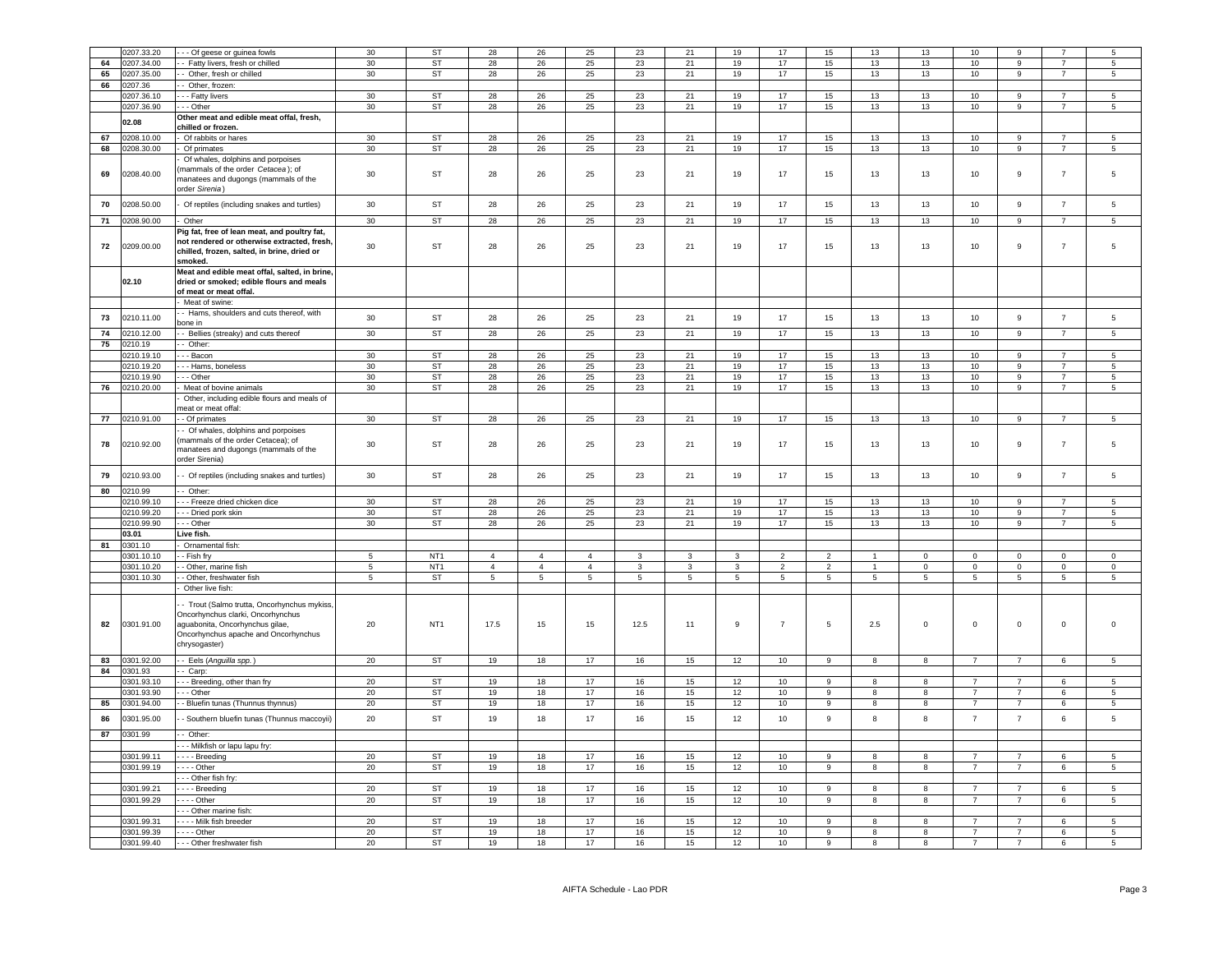|    | 0207.33.20 | - Of geese or guinea fowls                                                       | 30          | <b>ST</b>       | 28             | 26             | 25             | 23             | 21           | 19           | 17              | 15             | 13           | 13           | 10               |                  |                 |                 |
|----|------------|----------------------------------------------------------------------------------|-------------|-----------------|----------------|----------------|----------------|----------------|--------------|--------------|-----------------|----------------|--------------|--------------|------------------|------------------|-----------------|-----------------|
| 64 | 0207.34.00 | - Fatty livers, fresh or chilled                                                 | 30          | <b>ST</b>       | 28             | 26             | 25             | 23             | 21           | 19           | 17              | 15             | 13           | 13           | 10               | q                | $\overline{7}$  | 5               |
| 65 | 0207.35.00 | - Other, fresh or chilled                                                        | 30          | ST              | 28             | 26             | 25             | 23             | 21           | 19           | 17              | 15             | 13           | 13           | 10               | $\overline{9}$   | $\overline{7}$  | 5               |
|    |            |                                                                                  |             |                 |                |                |                |                |              |              |                 |                |              |              |                  |                  |                 |                 |
| 66 | 0207.36    | - Other, frozen:                                                                 |             |                 |                |                |                |                |              |              |                 |                |              |              |                  |                  |                 |                 |
|    | 0207.36.10 | - - Fatty livers                                                                 | 30          | <b>ST</b>       | 28             | 26             | 25             | 23             | 21           | 19           | 17              | 15             | 13           | 13           | 10               | $\mathbf{9}$     | $\overline{7}$  | 5               |
|    | 0207.36.90 | -- Other                                                                         | 30          | <b>ST</b>       | 28             | 26             | 25             | 23             | 21           | 19           | 17              | 15             | 13           | 13           | 10 <sup>10</sup> | 9                | $\overline{7}$  | 5               |
|    | 02.08      | Other meat and edible meat offal, fresh,                                         |             |                 |                |                |                |                |              |              |                 |                |              |              |                  |                  |                 |                 |
|    |            | chilled or frozen.                                                               |             |                 |                |                |                |                |              |              |                 |                |              |              |                  |                  |                 |                 |
| 67 | 0208.10.00 | Of rabbits or hares                                                              | 30          | ST              | 28             | 26             | 25             | 23             | 21           | 19           | 17              | 15             | 13           | 13           | 10               | 9                | $\overline{7}$  | 5               |
| 68 | 0208.30.00 | Of primates                                                                      | 30          | ST              | 28             | 26             | 25             | 23             | 21           | 19           | 17              | 15             | 13           | 13           | 10 <sub>1</sub>  | 9                | $\overline{7}$  | $5\overline{5}$ |
|    |            | Of whales, dolphins and porpoises                                                |             |                 |                |                |                |                |              |              |                 |                |              |              |                  |                  |                 |                 |
| 69 | 0208.40.00 | mammals of the order Cetacea); of                                                | 30          | <b>ST</b>       | 28             | 26             | 25             | 23             | 21           | 19           | 17              | 15             | 13           | 13           | 10               | $\mathsf g$      | $\overline{7}$  | 5               |
|    |            | nanatees and dugongs (mammals of the                                             |             |                 |                |                |                |                |              |              |                 |                |              |              |                  |                  |                 |                 |
|    |            | order Sirenia)                                                                   |             |                 |                |                |                |                |              |              |                 |                |              |              |                  |                  |                 |                 |
| 70 | 0208.50.00 | Of reptiles (including snakes and turtles)                                       | 30          | ST              | 28             | 26             | 25             | 23             | 21           | 19           | 17              | 15             | 13           | 13           | 10               | 9                | $\overline{7}$  | 5               |
|    |            |                                                                                  |             |                 |                |                |                |                |              |              |                 |                |              |              |                  |                  |                 |                 |
| 71 | 0208.90.00 | Other                                                                            | 30          | <b>ST</b>       | 28             | 26             | 25             | 23             | $21\,$       | 19           | 17              | 15             | 13           | 13           | $10\,$           | 9                | $\overline{7}$  | 5               |
|    |            | Pig fat, free of lean meat, and poultry fat,                                     |             |                 |                |                |                |                |              |              |                 |                |              |              |                  |                  |                 |                 |
| 72 | 0209.00.00 | not rendered or otherwise extracted, fresh,                                      | 30          | <b>ST</b>       | 28             | 26             | 25             | 23             | 21           | 19           | 17              | 15             | 13           | 13           | 10               | $\boldsymbol{9}$ | $\overline{7}$  | 5               |
|    |            | chilled, frozen, salted, in brine, dried or                                      |             |                 |                |                |                |                |              |              |                 |                |              |              |                  |                  |                 |                 |
|    |            | smoked.                                                                          |             |                 |                |                |                |                |              |              |                 |                |              |              |                  |                  |                 |                 |
|    |            | Meat and edible meat offal, salted, in brine,                                    |             |                 |                |                |                |                |              |              |                 |                |              |              |                  |                  |                 |                 |
|    | 02.10      | dried or smoked: edible flours and meals                                         |             |                 |                |                |                |                |              |              |                 |                |              |              |                  |                  |                 |                 |
|    |            | of meat or meat offal.                                                           |             |                 |                |                |                |                |              |              |                 |                |              |              |                  |                  |                 |                 |
|    |            | Meat of swine:                                                                   |             |                 |                |                |                |                |              |              |                 |                |              |              |                  |                  |                 |                 |
|    |            | - Hams, shoulders and cuts thereof, with                                         |             |                 |                |                |                |                |              |              |                 |                |              |              |                  |                  | $\overline{7}$  |                 |
| 73 | 0210.11.00 | oone in                                                                          | 30          | <b>ST</b>       | 28             | 26             | 25             | 23             | 21           | 19           | 17              | 15             | 13           | 13           | 10               | 9                |                 | 5               |
| 74 | 0210.12.00 | Bellies (streaky) and cuts thereof                                               | 30          | <b>ST</b>       | 28             | 26             | 25             | 23             | 21           | 19           | 17              | 15             | 13           | 13           | 10               | $\mathsf g$      | $\overline{7}$  | 5               |
| 75 | 0210.19    | - Other:                                                                         |             |                 |                |                |                |                |              |              |                 |                |              |              |                  |                  |                 |                 |
|    | 0210.19.10 | - - Bacon                                                                        | 30          | <b>ST</b>       | 28             | 26             | 25             | 23             | 21           | 19           | 17              | 15             | 13           | 13           | 10               | 9                | $\overline{7}$  | 5               |
|    | 0210.19.20 | - Hams, boneless                                                                 | 30          | ST              | 28             | 26             | 25             | 23             | 21           | 19           | 17              | 15             | 13           | 13           | 10               | 9                |                 | 5               |
|    | 0210.19.90 | - Other                                                                          | 30          | ST              | 28             | 26             | 25             | 23             | 21           | 19           | 17              | 15             | 13           | 13           | 10               | 9                | $\overline{7}$  | 5               |
| 76 | 0210.20.00 | Meat of bovine animals                                                           | 30          | ST              | 28             | 26             | 25             | 23             | 21           | 19           | 17              | 15             | 13           | 13           | 10               | 9                | $\overline{7}$  | 5               |
|    |            | Other, including edible flours and meals of                                      |             |                 |                |                |                |                |              |              |                 |                |              |              |                  |                  |                 |                 |
|    |            | neat or meat offal:                                                              |             |                 |                |                |                |                |              |              |                 |                |              |              |                  |                  |                 |                 |
| 77 | 0210.91.00 | - Of primates                                                                    | 30          | <b>ST</b>       | 28             | 26             | 25             | 23             | 21           | 19           | 17              | 15             | 13           | 13           | 10               | 9                | $\overline{7}$  | $5\overline{5}$ |
|    |            | - Of whales, dolphins and porpoises                                              |             |                 |                |                |                |                |              |              |                 |                |              |              |                  |                  |                 |                 |
|    |            | mammals of the order Cetacea): of                                                |             |                 |                |                |                |                |              |              |                 |                |              |              |                  |                  |                 |                 |
| 78 | 0210.92.00 | manatees and dugongs (mammals of the                                             | 30          | <b>ST</b>       | 28             | 26             | 25             | 23             | 21           | 19           | 17              | 15             | 13           | 13           | $10$             | $\boldsymbol{9}$ | $\overline{7}$  | 5               |
|    |            | order Sirenia)                                                                   |             |                 |                |                |                |                |              |              |                 |                |              |              |                  |                  |                 |                 |
|    |            |                                                                                  |             |                 |                |                |                |                |              |              |                 |                |              |              |                  |                  |                 |                 |
| 79 | 0210.93.00 | - Of reptiles (including snakes and turtles)                                     | 30          | <b>ST</b>       | 28             | 26             | 25             | 23             | 21           | 19           | 17              | 15             | 13           | 13           | 10               | $\overline{9}$   | $\overline{7}$  | 5               |
| 80 | 0210.99    | - Other:                                                                         |             |                 |                |                |                |                |              |              |                 |                |              |              |                  |                  |                 |                 |
|    | 0210.99.10 | - - Freeze dried chicken dice                                                    | 30          | <b>ST</b>       | 28             | 26             | 25             | 23             | 21           | 19           | 17              | 15             | 13           | 13           | 10               | 9                |                 | 5               |
|    |            |                                                                                  |             |                 |                |                |                |                |              |              |                 |                |              |              |                  |                  | $\overline{7}$  | $\overline{5}$  |
|    | 0210.99.20 | - Dried pork skin                                                                | 30          | <b>ST</b>       | 28             | 26             | 25             | 23             | 21           | 19           | 17              | 15             | 13           | 13           | 10               | $\mathsf g$      |                 |                 |
|    | 0210.99.90 | - Other                                                                          | 30          | <b>ST</b>       | 28             | 26             | 25             | 23             | 21           | 19           | 17              | 15             | 13           | 13           | 10               | $\mathsf g$      | $\overline{7}$  | 5               |
|    | 03.01      | Live fish.                                                                       |             |                 |                |                |                |                |              |              |                 |                |              |              |                  |                  |                 |                 |
| 81 | 0301.10    | Ornamental fish:                                                                 |             |                 |                |                |                |                |              |              |                 |                |              |              |                  |                  |                 |                 |
|    | 0301.10.10 | - Fish fry                                                                       | $5^{\circ}$ | NT <sub>1</sub> | $\overline{4}$ | $\overline{4}$ | $\overline{a}$ | 3              | 3            | $\mathbf{3}$ | $\overline{2}$  | $\overline{2}$ |              | $\Omega$     | $\Omega$         | $\Omega$         | $\Omega$        | $\Omega$        |
|    | 0301.10.20 | Other, marine fish                                                               | 5           | NT <sub>1</sub> | $\overline{4}$ | $\overline{4}$ | $\overline{4}$ | 3              | $\mathbf{3}$ | $\mathbf{3}$ | $\overline{2}$  | $\overline{2}$ | -1           | $\mathbf 0$  | $\mathsf 0$      | $\mathbf 0$      | $\mathbf 0$     | $\mathsf 0$     |
|    | 0301.10.30 | - Other, freshwater fish                                                         | $\,$ 5 $\,$ | ST              | $\overline{5}$ | $\,$ 5 $\,$    | $\,$ 5 $\,$    | $\overline{5}$ | $\,$ 5 $\,$  | $\,$ 5 $\,$  | $\,$ 5 $\,$     | $\,$ 5 $\,$    | $\,$ 5 $\,$  | $\,$ 5 $\,$  | $\overline{5}$   | $\,$ 5 $\,$      | $5\phantom{.0}$ | $\,$ 5 $\,$     |
|    |            | Other live fish:                                                                 |             |                 |                |                |                |                |              |              |                 |                |              |              |                  |                  |                 |                 |
|    |            |                                                                                  |             |                 |                |                |                |                |              |              |                 |                |              |              |                  |                  |                 |                 |
|    |            | - Trout (Salmo trutta, Oncorhynchus mykiss,<br>Oncorhynchus clarki, Oncorhynchus |             |                 |                |                |                |                |              |              |                 |                |              |              |                  |                  |                 |                 |
| 82 | 0301.91.00 | aguabonita, Oncorhynchus gilae,                                                  | 20          | NT <sub>1</sub> | 17.5           | 15             | 15             | 12.5           | 11           | 9            | $\overline{7}$  | $\overline{5}$ | 2.5          | $\pmb{0}$    | $\mathbf 0$      | $\mathbf 0$      | $\mathsf 0$     | $\mathsf 0$     |
|    |            | Oncorhynchus apache and Oncorhynchus                                             |             |                 |                |                |                |                |              |              |                 |                |              |              |                  |                  |                 |                 |
|    |            | chrysogaster)                                                                    |             |                 |                |                |                |                |              |              |                 |                |              |              |                  |                  |                 |                 |
|    |            |                                                                                  |             |                 |                |                |                |                |              |              |                 |                |              |              |                  |                  |                 |                 |
| 83 | 0301.92.00 | - Eels (Anguilla spp.)                                                           | 20          | <b>ST</b>       | 19             | 18             | 17             | 16             | 15           | 12           | 10              | $\mathsf g$    |              | $\mathbf{g}$ | $\overline{7}$   |                  | 6               | 5               |
| 84 | 0301.93    | Carp:                                                                            |             |                 |                |                |                |                |              |              |                 |                |              |              |                  |                  |                 |                 |
|    | 0301.93.10 | - Breeding, other than fry                                                       | 20          | <b>ST</b>       | 19             | 18             | 17             | 16             | 15           | 12           | 10              | 9              |              | 8            | $\overline{7}$   |                  | 6               | 5               |
|    | 0301.93.90 | - - Other                                                                        | 20          | <b>ST</b>       | 19             | 18             | 17             | 16             | 15           | 12           | 10              | 9              |              | 8            | $\overline{7}$   |                  | 6               | 5               |
| 85 | 0301.94.00 | - Bluefin tunas (Thunnus thynnus)                                                | 20          | ST              | 19             | 18             | 17             | 16             | 15           | 12           | 10              | $\mathsf g$    | 8            | 8            | $\overline{7}$   | $\overline{7}$   | 6               | 5               |
|    |            |                                                                                  |             |                 |                |                |                |                |              |              |                 |                |              |              |                  |                  |                 |                 |
| 86 | 0301.95.00 | Southern bluefin tunas (Thunnus maccoyii)                                        | 20          | <b>ST</b>       | 19             | 18             | 17             | 16             | 15           | 12           | 10              | 9              | 8            | 8            | $\overline{7}$   | $\overline{7}$   | 6               | 5               |
| 87 | 0301.99    | - Other:                                                                         |             |                 |                |                |                |                |              |              |                 |                |              |              |                  |                  |                 |                 |
|    |            | - - Milkfish or lapu lapu fry:                                                   |             |                 |                |                |                |                |              |              |                 |                |              |              |                  |                  |                 |                 |
|    | 0301.99.11 | Breeding                                                                         | 20          | ST              | 19             | 18             | 17             | 16             | 15           | 12           | 10              | 9              | 8            | 8            | $\overline{7}$   | $\overline{7}$   | 6               | $5\phantom{.0}$ |
|    | 0301.99.19 | $- -$ Other                                                                      | 20          | ST              | 19             | 18             | 17             | 16             | 15           | 12           | 10              | 9              | 8            | 8            | $\overline{7}$   | $\overline{7}$   | 6               | 5               |
|    |            | -- Other fish fry:                                                               |             |                 |                |                |                |                |              |              |                 |                |              |              |                  |                  |                 |                 |
|    | 0301.99.21 | ---- Breeding                                                                    | 20          | ST              | 19             | 18             | 17             | 16             | 15           | 12           | 10              | 9              |              | 8            | $\overline{7}$   |                  | 6               | 5               |
|    | 0301.99.29 | $- -$ Other                                                                      | 20          | ST              | 19             | 18             | 17             | 16             | 15           | 12           | $10$            | 9              | $\mathbf{R}$ | 8            | $\overline{7}$   | $\overline{7}$   | 6               | 5               |
|    |            | - - Other marine fish:                                                           |             |                 |                |                |                |                |              |              |                 |                |              |              |                  |                  |                 |                 |
|    |            |                                                                                  |             |                 |                |                |                |                |              |              |                 | $\mathsf q$    |              | $\mathbf{R}$ | $\overline{ }$   |                  |                 | 5.              |
|    | 0301.99.31 | - - - Milk fish breeder                                                          | 20          | <b>ST</b>       | 19             | 18             | 17             | 16             | 15           | 12           | 10 <sup>1</sup> |                |              |              |                  |                  | 6               |                 |
|    | 0301.99.39 | $- - -$ Other                                                                    | 20          | ST              | 19             | 18             | 17             | 16             | 15           | 12           | 10              | 9              | 8            | 8            | $\overline{7}$   | $\overline{7}$   | 6               | 5               |
|    | 0301.99.40 | - - - Other freshwater fish                                                      | 20          | ST              | 19             | 18             | 17             | 16             | 15           | 12           | 10              | 9              | 8            | 8            | $\overline{7}$   |                  | 6               | 5.              |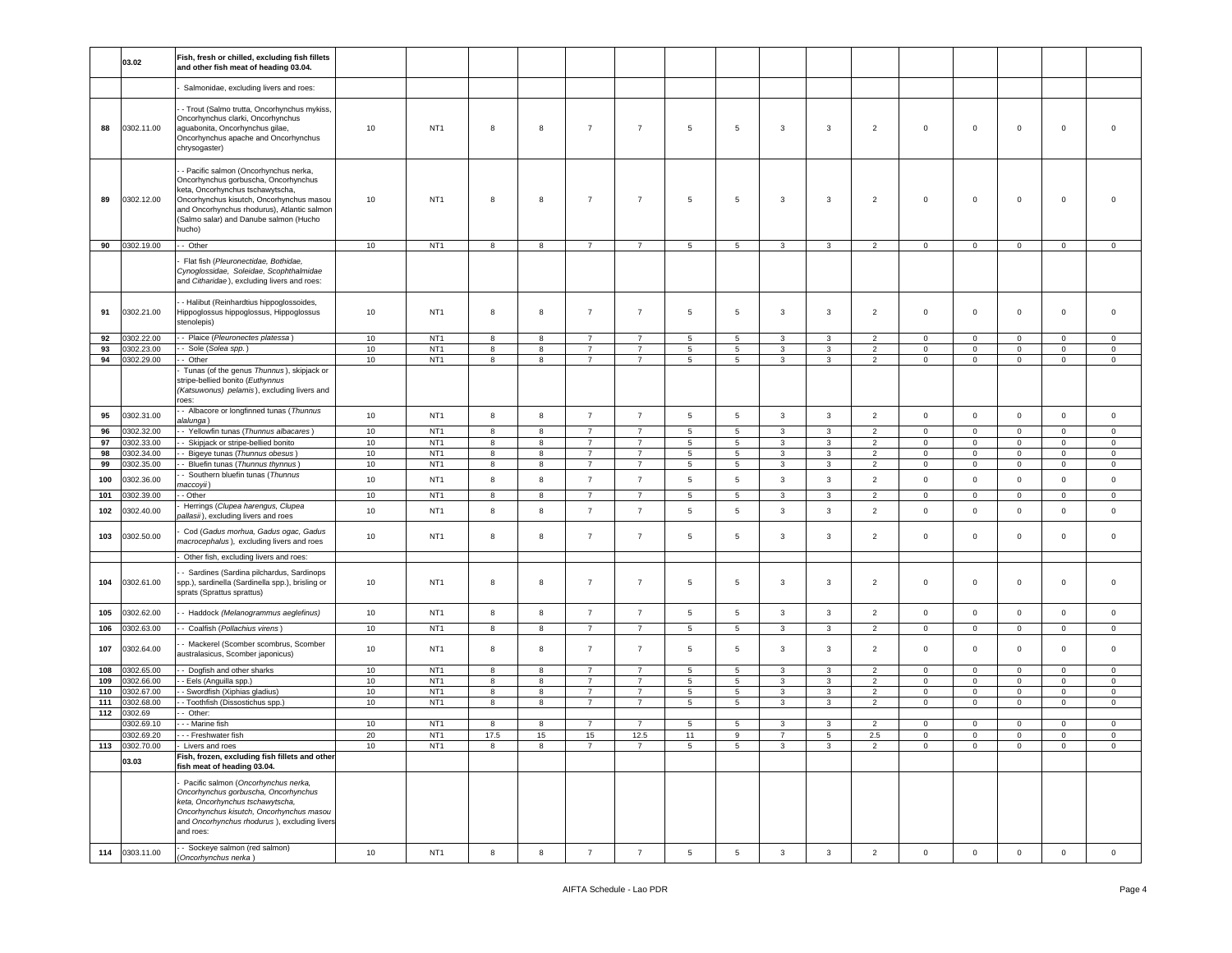|            | 03.02                    | Fish, fresh or chilled, excluding fish fillets<br>and other fish meat of heading 03.04.                                                                                                                                                                          |          |                                    |        |                  |                                  |                                  |                 |                     |                |                   |                                  |                            |                              |                            |                         |                            |
|------------|--------------------------|------------------------------------------------------------------------------------------------------------------------------------------------------------------------------------------------------------------------------------------------------------------|----------|------------------------------------|--------|------------------|----------------------------------|----------------------------------|-----------------|---------------------|----------------|-------------------|----------------------------------|----------------------------|------------------------------|----------------------------|-------------------------|----------------------------|
|            |                          | Salmonidae, excluding livers and roes:                                                                                                                                                                                                                           |          |                                    |        |                  |                                  |                                  |                 |                     |                |                   |                                  |                            |                              |                            |                         |                            |
| 88         | 0302.11.00               | - Trout (Salmo trutta, Oncorhynchus mykiss,<br>Oncorhynchus clarki, Oncorhynchus<br>aguabonita, Oncorhynchus gilae,<br>Oncorhynchus apache and Oncorhynchus<br>chrysogaster)                                                                                     | 10       | NT <sub>1</sub>                    | 8      | 8                | $\overline{7}$                   | $\overline{7}$                   | 5               | 5                   | 3              | 3                 | $\overline{2}$                   | $\mathbf 0$                | $\mathsf 0$                  | $\mathbf 0$                | $\mathbf 0$             | $\mathbf 0$                |
| 89         | 0302.12.00               | - Pacific salmon (Oncorhynchus nerka,<br>Oncorhynchus gorbuscha, Oncorhynchus<br>keta, Oncorhynchus tschawytscha,<br>Oncorhynchus kisutch, Oncorhynchus masou<br>and Oncorhynchus rhodurus), Atlantic salmon<br>(Salmo salar) and Danube salmon (Hucho<br>hucho) | 10       | NT <sub>1</sub>                    | 8      | 8                | $\overline{7}$                   | $\overline{7}$                   | $\sqrt{5}$      | $\overline{5}$      | 3              | $\mathbf{3}$      | $\overline{2}$                   | $\mathsf 0$                | $\mathbf 0$                  | $\mathbf 0$                | $\mathsf 0$             | $\mathbf 0$                |
| 90         | 0302.19.00               | - Other                                                                                                                                                                                                                                                          | 10       | NT <sub>1</sub>                    | 8      | 8                | $\overline{7}$                   | $\overline{7}$                   | 5               | $5\overline{)}$     | 3              | 3                 | $\overline{2}$                   | $\overline{0}$             | $\mathbf 0$                  | $\mathbf 0$                | $\mathbf 0$             | $\mathbf 0$                |
|            |                          | Flat fish (Pleuronectidae, Bothidae,<br>Cynoglossidae, Soleidae, Scophthalmidae<br>and Citharidae), excluding livers and roes:                                                                                                                                   |          |                                    |        |                  |                                  |                                  |                 |                     |                |                   |                                  |                            |                              |                            |                         |                            |
| 91         | 0302.21.00               | - Halibut (Reinhardtius hippoglossoides,<br>Hippoglossus hippoglossus, Hippoglossus<br>stenolepis)                                                                                                                                                               | 10       | NT <sub>1</sub>                    | 8      | 8                | $\overline{7}$                   | $\overline{7}$                   | 5               | $5\phantom{.0}$     | 3              | 3                 | $\overline{2}$                   | $\mathbf 0$                | $\mathbf 0$                  | $\mathbf 0$                | $\mathbf 0$             | $\mathbf 0$                |
| 92         | 0302.22.00               | - Plaice (Pleuronectes platessa)                                                                                                                                                                                                                                 | 10       | NT <sub>1</sub>                    | 8      | 8                | $\overline{7}$                   | $\overline{7}$                   | $\overline{5}$  | 5                   | 3              | 3                 | $\overline{2}$                   | $\mathbf 0$                | $\mathbf 0$                  | 0                          | $\mathbf 0$             | $\mathbf 0$                |
| 93         | 0302.23.00               | Sole (Solea spp.)                                                                                                                                                                                                                                                | 10       | NT <sub>1</sub><br>NT <sub>1</sub> | 8      | 8                | $\overline{7}$                   | $\overline{7}$                   | 5               | $\,$ 5 $\,$         | 3              | $\mathbf{3}$      | $\overline{2}$                   | $\mathsf{O}\xspace$        | $\mathsf 0$                  | $\mathbf 0$                | $\circ$                 | $\mathbf 0$                |
| 94         | 0302.29.00               | - Other<br>Tunas (of the genus Thunnus), skipjack or<br>stripe-bellied bonito (Euthynnus<br>(Katsuwonus) pelamis), excluding livers and<br>oes:                                                                                                                  | 10       |                                    | 8      | 8                | $\overline{7}$                   | $\overline{7}$                   | $5^{\circ}$     | 5                   | 3              | 3                 | $\overline{2}$                   | $\mathbf{0}$               | $\mathbf{0}$                 | $\mathbf 0$                | $\overline{0}$          | $\mathbf 0$                |
| 95         | 0302.31.00               | - Albacore or longfinned tunas (Thunnus<br>alalunga)                                                                                                                                                                                                             | 10       | NT <sub>1</sub>                    | 8      | $\boldsymbol{8}$ | $\overline{7}$                   | $\overline{7}$                   | $5\phantom{.0}$ | $\,$ 5 $\,$         | 3              | $\mathbf{3}$      | $\overline{2}$                   | $\mathbf 0$                | $\mathbf 0$                  | $\mathbf 0$                | $\mathbf 0$             | $\mathbf 0$                |
| 96         | 302.32.00                | - Yellowfin tunas (Thunnus albacares)                                                                                                                                                                                                                            | 10       | NT <sub>1</sub>                    | 8      | 8                | $\overline{7}$                   | $\overline{7}$                   | 5               | 5                   | 3              | 3                 | $\overline{2}$                   | $\mathbf 0$                | $\mathbf 0$                  | $\mathbf 0$                | $\mathbf 0$             | $\mathbf 0$                |
| 97<br>98   | 0302.33.00<br>0302.34.00 | Skipjack or stripe-bellied bonito<br>- Bigeye tunas (Thunnus obesus)                                                                                                                                                                                             | 10<br>10 | NT <sub>1</sub><br>NT <sub>1</sub> | 8<br>8 | 8<br>8           | $\overline{7}$<br>$\overline{7}$ | 7<br>$\overline{7}$              | 5<br>5          | $\overline{5}$<br>5 | 3<br>3         | $\mathbf{3}$<br>3 | $\overline{2}$<br>2              | $\mathsf 0$<br>$\circ$     | $\mathbf 0$<br>$\mathbf{0}$  | $\mathbf 0$<br>$\circ$     | $\mathbf{0}$<br>$\circ$ | $\mathbf 0$<br>$\mathbf 0$ |
| 99         | 0302.35.00               | Bluefin tunas (Thunnus thynnus)                                                                                                                                                                                                                                  | 10       | NT <sub>1</sub>                    | 8      | 8                | $\overline{7}$                   | $\overline{7}$                   | 5               | 5                   | 3              | 3                 | $\overline{2}$                   | 0                          | $\mathbf 0$                  | 0                          | 0                       | 0                          |
| 100        | 0302.36.00               | Southern bluefin tunas (Thunnus<br>maccoyii)                                                                                                                                                                                                                     | 10       | NT <sub>1</sub>                    | 8      | 8                | $\overline{7}$                   | $\overline{7}$                   | $\sqrt{5}$      | $\,$ 5 $\,$         | 3              | $\mathbf{3}$      | $\overline{2}$                   | $\mathsf 0$                | $\mathsf 0$                  | $\mathbf 0$                | $\mathbf 0$             | $\mathbf 0$                |
| 101        | 0302.39.00               | - Other                                                                                                                                                                                                                                                          | 10       | NT <sub>1</sub>                    | 8      | 8                | $\overline{7}$                   | $\overline{7}$                   | 5               | 5                   | 3              | 3                 | $\overline{2}$                   | $\mathbf 0$                | $\mathbf 0$                  | $\circ$                    | $\mathbf 0$             | $\mathbf 0$                |
| 102        | 0302.40.00               | Herrings (Clupea harengus, Clupea<br>ballasii), excluding livers and roes                                                                                                                                                                                        | 10       | NT <sub>1</sub>                    | 8      | 8                | $\overline{7}$                   | $\overline{7}$                   | 5               | 5                   | 3              | $\mathbf{3}$      | $\overline{2}$                   | $\mathbf 0$                | $\mathsf 0$                  | $\mathsf 0$                | $\mathbf 0$             | $\mathbf 0$                |
| 103        | 0302.50.00               | Cod (Gadus morhua, Gadus ogac, Gadus<br>macrocephalus), excluding livers and roes                                                                                                                                                                                | 10       | NT <sub>1</sub>                    | 8      | 8                | $\overline{7}$                   | $\overline{7}$                   | 5               | 5                   | 3              | 3                 | $\overline{2}$                   | $\mathbf 0$                | 0                            | $\mathbf 0$                | $\mathbf 0$             | 0                          |
|            |                          | Other fish, excluding livers and roes:                                                                                                                                                                                                                           |          |                                    |        |                  |                                  |                                  |                 |                     |                |                   |                                  |                            |                              |                            |                         |                            |
| 104        | 0302.61.00               | Sardines (Sardina pilchardus, Sardinops<br>spp.), sardinella (Sardinella spp.), brisling or<br>sprats (Sprattus sprattus)                                                                                                                                        | 10       | NT <sub>1</sub>                    | 8      | 8                | $\overline{7}$                   | $\overline{7}$                   | 5               | 5                   | 3              | 3                 | $\overline{2}$                   | $\mathbf 0$                | $\mathbf 0$                  | $\mathbf 0$                | $\mathbf 0$             | 0                          |
| 105        | 0302.62.00               | - Haddock (Melanogrammus aeglefinus)                                                                                                                                                                                                                             | 10       | NT <sub>1</sub>                    | 8      | 8                | $\overline{7}$                   | $\overline{7}$                   | 5               | 5                   | 3              | $\mathbf{3}$      | $\overline{2}$                   | $\mathbf 0$                | $\mathbf 0$                  | $\mathbf 0$                | $\mathbf 0$             | $\mathbf 0$                |
| 106        | 0302.63.00               | - Coalfish (Pollachius virens)                                                                                                                                                                                                                                   | 10       | NT <sub>1</sub>                    | 8      | 8                | $\overline{7}$                   | $\overline{7}$                   | 5               | $5\overline{)}$     | 3              | $\mathbf{3}$      | $\overline{2}$                   | $\mathsf 0$                | $\mathbf 0$                  | $\mathbf 0$                | $\mathbf 0$             | $\circ$                    |
| 107        | 0302.64.00               | Mackerel (Scomber scombrus, Scomber<br>australasicus, Scomber japonicus)                                                                                                                                                                                         | 10       | NT <sub>1</sub>                    | 8      | 8                | $\overline{7}$                   | $\overline{7}$                   | 5               | 5                   | 3              | 3                 | $\overline{2}$                   | $\mathbf 0$                | $\mathbf 0$                  | $\mathbf 0$                | $\mathbf 0$             | $\mathbf 0$                |
| 108        | 0302.65.00               | - Dogfish and other sharks                                                                                                                                                                                                                                       | 10       | NT <sub>1</sub>                    | 8      | 8                | $\overline{7}$                   | $\overline{7}$                   | 5               | 5                   | 3              | 3                 | $\overline{2}$                   | $\mathbf 0$                | $\mathbf 0$                  | $\mathbf 0$                | $\mathbf 0$             | $\mathbf 0$                |
| 109        | 0302.66.00               | - Eels (Anguilla spp.)                                                                                                                                                                                                                                           | 10       | NT <sub>1</sub>                    | 8      | 8                | $\overline{7}$                   | $\overline{7}$                   | 5               | 5                   | 3              | 3                 | $\overline{2}$                   | $\mathbf 0$                | $\mathbf{0}$                 | $\mathbf 0$                | $\mathbf 0$             | $\mathbf 0$                |
| 110<br>111 | 0302.67.00<br>0302.68.00 | - Swordfish (Xiphias gladius)<br>- Toothfish (Dissostichus spp.)                                                                                                                                                                                                 | 10<br>10 | NT <sub>1</sub><br>NT <sub>1</sub> | 8<br>8 | 8<br>8           | $\overline{7}$<br>$\overline{7}$ | $\overline{7}$<br>$\overline{7}$ | 5<br>5          | 5<br>5              | 3<br>3         | 3<br>3            | $\overline{2}$<br>$\overline{2}$ | $\mathbf 0$<br>$\mathbf 0$ | $\mathbf{0}$<br>$\mathbf{0}$ | $\mathbf 0$<br>$\mathbf 0$ | $\circ$<br>$\mathbf 0$  | $\mathbf 0$<br>$\mathbf 0$ |
| 112        | 0302.69                  | Other:                                                                                                                                                                                                                                                           |          |                                    |        |                  |                                  |                                  |                 |                     |                |                   |                                  |                            |                              |                            |                         |                            |
|            | 0302.69.10               | - - Marine fish                                                                                                                                                                                                                                                  | 10       | NT <sub>1</sub>                    | 8      | 8                | $\overline{7}$                   | $\overline{7}$                   | 5               | 5                   | 3              | 3                 | $\overline{2}$                   | $\mathbf 0$                | $\overline{0}$               | $\mathbf 0$                | $\circ$                 | $\mathbf 0$                |
|            | 0302.69.20               | - - Freshwater fish                                                                                                                                                                                                                                              | 20       | NT <sub>1</sub>                    | 17.5   | 15               | 15                               | 12.5                             | 11              | 9                   | $\overline{7}$ | 5                 | 2.5                              | $\mathbf 0$                | $\mathbf 0$                  | $\mathbf 0$                | $\mathbf 0$             | $\mathbf 0$                |
|            | 113 0302.70.00           | · Livers and roes                                                                                                                                                                                                                                                | 10       | NT1                                |        |                  |                                  |                                  |                 |                     |                |                   |                                  | 0                          | 0                            |                            | 0                       | 0                          |
|            | 03.03                    | Fish, frozen, excluding fish fillets and other<br>fish meat of heading 03.04.                                                                                                                                                                                    |          |                                    |        |                  |                                  |                                  |                 |                     |                |                   |                                  |                            |                              |                            |                         |                            |
|            |                          | Pacific salmon (Oncorhynchus nerka,<br>Oncorhynchus gorbuscha, Oncorhynchus<br>keta, Oncorhynchus tschawytscha,<br>Oncorhynchus kisutch, Oncorhynchus masou<br>and Oncorhynchus rhodurus), excluding livers<br>and roes:                                         |          |                                    |        |                  |                                  |                                  |                 |                     |                |                   |                                  |                            |                              |                            |                         |                            |
|            |                          |                                                                                                                                                                                                                                                                  |          |                                    |        |                  |                                  |                                  |                 |                     |                |                   |                                  |                            |                              |                            |                         |                            |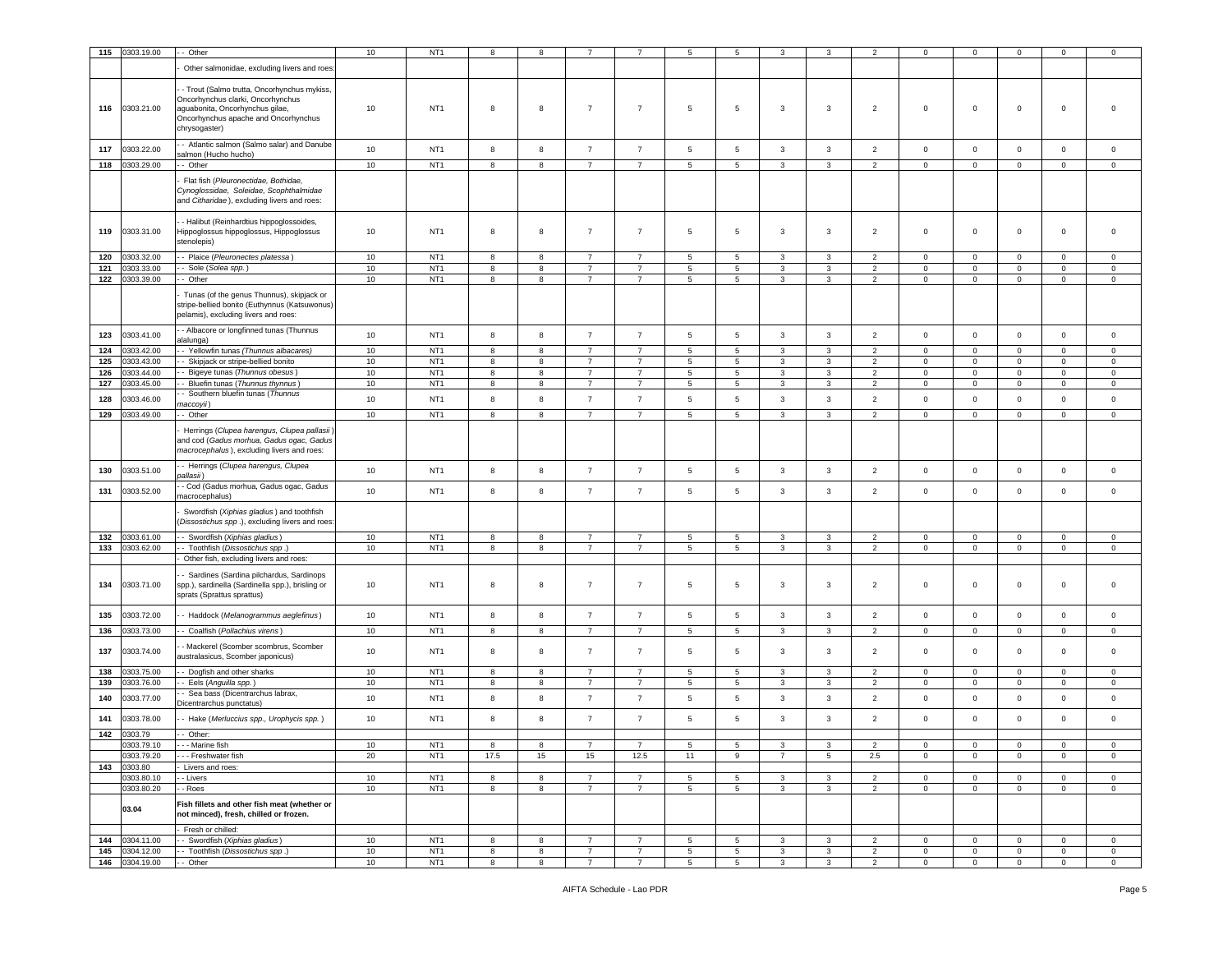| 115 | 0303.19.00     | - Other                                                                                                                                                                      | 10 | NT <sub>1</sub> |            | 8  |                |                | 5               | 5               | 3              |                 |                | $\mathbf 0$    | 0              | 0           | $\mathsf 0$    | $\mathbf 0$    |
|-----|----------------|------------------------------------------------------------------------------------------------------------------------------------------------------------------------------|----|-----------------|------------|----|----------------|----------------|-----------------|-----------------|----------------|-----------------|----------------|----------------|----------------|-------------|----------------|----------------|
|     |                |                                                                                                                                                                              |    |                 |            |    |                |                |                 |                 |                |                 |                |                |                |             |                |                |
|     |                | Other salmonidae, excluding livers and roes                                                                                                                                  |    |                 |            |    |                |                |                 |                 |                |                 |                |                |                |             |                |                |
| 116 | 0303.21.00     | - Trout (Salmo trutta, Oncorhynchus mykiss,<br>Oncorhynchus clarki, Oncorhynchus<br>aguabonita, Oncorhynchus gilae,<br>Oncorhynchus apache and Oncorhynchus<br>chrysogaster) | 10 | NT <sub>1</sub> | 8          | 8  | $\overline{7}$ | $\overline{7}$ | $\overline{5}$  | 5               | 3              | 3               | $\overline{2}$ | $\mathbf 0$    | $\mathsf 0$    | $\mathbf 0$ | $\mathsf 0$    | $\Omega$       |
| 117 | 0303.22.00     | - Atlantic salmon (Salmo salar) and Danube                                                                                                                                   | 10 | NT <sub>1</sub> | 8          | 8  | $\overline{7}$ | $\overline{7}$ | 5               | $\sqrt{5}$      | 3              | $\mathbf{3}$    | $\overline{2}$ | $\mathsf 0$    | $\mathbf 0$    | $\mathsf 0$ | $\mathbf 0$    | $\mathsf 0$    |
|     |                | salmon (Hucho hucho)                                                                                                                                                         |    |                 |            |    |                |                |                 |                 |                |                 |                |                |                |             |                |                |
| 118 | 0303.29.00     | - Other                                                                                                                                                                      | 10 | NT <sub>1</sub> | 8          | 8  | $\overline{7}$ | $\overline{7}$ | 5               | 5               | 3              | 3               | $\overline{2}$ | $\mathbf 0$    | $\mathbf 0$    | $\mathbf 0$ | $\mathbf 0$    | $\mathsf 0$    |
|     |                | Flat fish (Pleuronectidae, Bothidae,<br>Cynoglossidae, Soleidae, Scophthalmidae<br>and Citharidae), excluding livers and roes:                                               |    |                 |            |    |                |                |                 |                 |                |                 |                |                |                |             |                |                |
| 119 | 0303.31.00     | - Halibut (Reinhardtius hippoglossoides,<br>Hippoglossus hippoglossus, Hippoglossus<br>stenolepis)                                                                           | 10 | NT <sub>1</sub> | 8          | 8  | $\overline{7}$ | $\overline{7}$ | $\overline{5}$  | 5               | 3              | $\mathbf{3}$    | $\overline{2}$ | $\mathbf 0$    | $\mathbf 0$    | $\mathbf 0$ | $\mathsf 0$    | $\mathbf 0$    |
| 120 | 0303.32.00     | - Plaice (Pleuronectes platessa)                                                                                                                                             | 10 | NT <sub>1</sub> | 8          | 8  | $\overline{7}$ | $\overline{7}$ | 5               | 5               | 3              | 3               | $\overline{2}$ | $\mathbf 0$    | 0              | $\mathbf 0$ | 0              | $\mathbf 0$    |
| 121 | 0303.33.00     | - Sole (Solea spp.)                                                                                                                                                          | 10 | NT <sub>1</sub> | 8          | 8  | $\overline{7}$ | $\overline{7}$ | 5               | 5               | 3              | 3               | $\overline{2}$ | $\circ$        | $\mathbf{0}$   | 0           | $\mathbf 0$    | $\mathbf 0$    |
| 122 | 0303.39.00     | - Other                                                                                                                                                                      | 10 | NT <sub>1</sub> | 8          | 8  | $\overline{7}$ | $\overline{7}$ | 5               | 5               | 3              | 3               | $\overline{2}$ | $\mathbf 0$    | $\circ$        | $\mathbf 0$ | $\mathbf 0$    | $\mathbf 0$    |
|     |                | Tunas (of the genus Thunnus), skipjack or<br>stripe-bellied bonito (Euthynnus (Katsuwonus)<br>pelamis), excluding livers and roes:                                           |    |                 |            |    |                |                |                 |                 |                |                 |                |                |                |             |                |                |
| 123 | 0303.41.00     | - Albacore or longfinned tunas (Thunnus                                                                                                                                      | 10 | NT <sub>1</sub> | $^{\rm 8}$ | 8  | $\overline{7}$ | $\overline{7}$ | $5\phantom{.0}$ | $\sqrt{5}$      | 3              | $\mathbf{3}$    | $\overline{2}$ | $\mathbf 0$    | $\mathbf 0$    | $\mathbf 0$ | $\mathbf 0$    | $\mathsf 0$    |
| 124 | 0303.42.00     | alalunga)<br>- Yellowfin tunas (Thunnus albacares)                                                                                                                           | 10 | NT <sub>1</sub> | 8          | 8  | $\overline{7}$ | $\overline{7}$ | 5               | 5               | 3              | 3               | $\overline{2}$ | $\mathbf 0$    | $\circ$        | $\mathbf 0$ | $\mathbf 0$    | $\mathbf 0$    |
| 125 | 0303.43.00     | - Skipjack or stripe-bellied bonito                                                                                                                                          | 10 | NT <sub>1</sub> | 8          | 8  | $\overline{7}$ | $\overline{7}$ | 5               | 5               | 3              | 3               | $\overline{2}$ | $\mathbf 0$    | $\mathbf{0}$   | 0           | $\mathbf 0$    | $\mathbf 0$    |
| 126 | 0303.44.00     | - Bigeye tunas (Thunnus obesus)                                                                                                                                              | 10 | NT <sub>1</sub> | 8          | 8  | $\overline{7}$ | $\overline{7}$ | $\,$ 5 $\,$     | 5               | 3              | $\mathbf{3}$    | $\overline{2}$ | $\mathsf 0$    | $\mathbf 0$    | $\mathbf 0$ | $\mathsf 0$    | $\mathsf 0$    |
| 127 | 0303.45.00     | - Bluefin tunas (Thunnus thynnus)                                                                                                                                            | 10 | NT <sub>1</sub> | 8          | 8  | $\overline{7}$ | $\overline{7}$ | 5               | $5\phantom{.0}$ | 3              | 3               | $\overline{2}$ | $\circ$        | $\circ$        | $\mathbf 0$ | $\mathbf 0$    | $\mathbf 0$    |
|     |                | - Southern bluefin tunas (Thunnus                                                                                                                                            |    |                 |            |    |                |                |                 |                 |                |                 |                |                |                |             |                |                |
| 128 | 0303.46.00     | naccoyii)                                                                                                                                                                    | 10 | NT <sub>1</sub> | 8          | 8  | $\overline{7}$ | $\overline{7}$ | 5               | 5               | 3              | 3               | $\overline{2}$ | $\mathbf 0$    | $\mathsf 0$    | $\mathsf 0$ | $\mathsf 0$    | $\mathsf 0$    |
| 129 | 0303.49.00     | - Other                                                                                                                                                                      | 10 | NT <sub>1</sub> | 8          | 8  | $\overline{7}$ | $\overline{7}$ | 5               | 5               | $\mathbf{3}$   | $\overline{3}$  | $\overline{2}$ | $\mathbf 0$    | $\mathbf 0$    | $\mathsf 0$ | $\mathsf 0$    | $\mathsf 0$    |
|     |                | Herrings (Clupea harengus, Clupea pallasii)<br>and cod (Gadus morhua, Gadus ogac, Gadus<br>macrocephalus), excluding livers and roes:                                        |    |                 |            |    |                |                |                 |                 |                |                 |                |                |                |             |                |                |
| 130 | 0303.51.00     | - Herrings (Clupea harengus, Clupea<br>allasii)                                                                                                                              | 10 | NT <sub>1</sub> | 8          | 8  | $\overline{7}$ | $\overline{7}$ | $5\phantom{.0}$ | $\sqrt{5}$      | 3              | $\mathbf{3}$    | $\overline{2}$ | $\,0\,$        | $\mathbf 0$    | $\mathbf 0$ | $\mathbf 0$    | $\mathsf 0$    |
| 131 | 0303.52.00     | - Cod (Gadus morhua, Gadus ogac, Gadus<br>nacrocephalus)                                                                                                                     | 10 | NT <sub>1</sub> | 8          | 8  | $\overline{7}$ | $\overline{7}$ | $5\phantom{.0}$ | 5               | 3              | 3               | $\overline{2}$ | $\circ$        | $\mathsf 0$    | $\mathbf 0$ | $\mathsf 0$    | $\mathbf 0$    |
|     |                | Swordfish (Xiphias gladius) and toothfish<br>Dissostichus spp.), excluding livers and roes:                                                                                  |    |                 |            |    |                |                |                 |                 |                |                 |                |                |                |             |                |                |
| 132 | 0303.61.00     | - Swordfish (Xiphias gladius)                                                                                                                                                | 10 | NT <sub>1</sub> | 8          | 8  | 7              | $\overline{7}$ | 5               | 5               | 3              | 3               | $\overline{2}$ | $\mathbf 0$    | $\circ$        | $\mathbf 0$ | $\mathbf 0$    | $\mathbf 0$    |
| 133 | 0303.62.00     | - Toothfish (Dissostichus spp.                                                                                                                                               | 10 | NT <sub>1</sub> | 8          | 8  | 7              | $\overline{7}$ | $5\phantom{.0}$ | $\sqrt{5}$      | 3              | 3               | $\overline{2}$ | $\mathbf 0$    | $\mathbf 0$    | $\mathbf 0$ | $\mathbf 0$    | $\mathsf 0$    |
|     |                | Other fish, excluding livers and roes:                                                                                                                                       |    |                 |            |    |                |                |                 |                 |                |                 |                |                |                |             |                |                |
| 134 | 0303.71.00     | - Sardines (Sardina pilchardus, Sardinops<br>spp.), sardinella (Sardinella spp.), brisling or<br>sprats (Sprattus sprattus)                                                  | 10 | NT <sub>1</sub> | 8          | 8  | $\overline{7}$ | $\overline{7}$ | $\overline{5}$  | 5               | 3              | 3               | $\overline{2}$ | $\mathbf 0$    | $\mathsf 0$    | $\,0\,$     | $\mathsf 0$    | $\mathsf 0$    |
| 135 | 0303.72.00     | - Haddock (Melanogrammus aeglefinus)                                                                                                                                         | 10 | NT <sub>1</sub> | 8          | 8  | $\overline{7}$ | $\overline{7}$ | $5\phantom{.0}$ | 5               | 3              | $\mathbf{3}$    | $\overline{2}$ | $\circ$        | $\mathsf 0$    | $\mathbf 0$ | $\mathbf 0$    | $\mathbf 0$    |
| 136 | 0303.73.00     | - Coalfish (Pollachius virens)                                                                                                                                               | 10 | NT <sub>1</sub> | 8          | 8  | $\overline{7}$ | $\overline{7}$ | 5               | 5               | 3              | 3               | $\overline{2}$ | $\circ$        | $\mathbf 0$    | $\mathbf 0$ | $\mathbf 0$    | $\mathbf 0$    |
|     |                |                                                                                                                                                                              |    |                 |            |    |                |                |                 |                 |                |                 |                |                |                |             |                |                |
| 137 | 0303.74.00     | - Mackerel (Scomber scombrus, Scomber<br>australasicus, Scomber japonicus)                                                                                                   | 10 | NT <sub>1</sub> | 8          | 8  | $\overline{7}$ | $\overline{7}$ | $\overline{5}$  | 5               | 3              | 3               | $\overline{2}$ | $\mathbf 0$    | $\mathbf 0$    | $\mathbf 0$ | 0              | $\mathbf 0$    |
| 138 | 303.75.00      | - Dogfish and other sharks                                                                                                                                                   | 10 | NT <sub>1</sub> | 8          | 8  | $\overline{7}$ | $\overline{7}$ | 5               | 5               | 3              | 3               | $\overline{2}$ | $\mathbf 0$    | $\mathbf 0$    | 0           | $\mathbf 0$    | $\mathbf 0$    |
| 139 | 0303.76.00     | - Eels (Anguilla spp.)                                                                                                                                                       | 10 | NT <sub>1</sub> | 8          | 8  | $\overline{7}$ | $\overline{7}$ | 5               | $5\phantom{.0}$ | 3              | $\mathbf{3}$    | $\overline{2}$ | $\mathbf 0$    | $\mathsf 0$    | $\mathbf 0$ | $\mathbf 0$    | $\mathsf 0$    |
| 140 | 0303.77.00     | - Sea bass (Dicentrarchus labrax,<br>Dicentrarchus punctatus)                                                                                                                | 10 | NT <sub>1</sub> | 8          | 8  | $\overline{7}$ | $\overline{7}$ | 5               | 5               | 3              | 3               | $\overline{2}$ | $\mathbf 0$    | $\mathsf 0$    | $\mathbf 0$ | $\mathsf 0$    | $\mathbf 0$    |
| 141 | 0303.78.00     | - Hake (Merluccius spp., Urophycis spp.)                                                                                                                                     | 10 | NT <sub>1</sub> | 8          | 8  | $\overline{7}$ | $\overline{7}$ | 5               | 5               | 3              | 3               | $\overline{2}$ | $\mathsf 0$    | $\mathbf 0$    | $\mathbf 0$ | $\mathsf 0$    | $\mathsf 0$    |
| 142 | 0303.79        | - Other:                                                                                                                                                                     |    |                 |            |    |                |                |                 |                 |                |                 |                |                |                |             |                |                |
|     | 0303.79.10     | - - - Marine fish                                                                                                                                                            | 10 | NT <sub>1</sub> | 8          | 8  | $\overline{7}$ | $\overline{7}$ | 5               | 5               | 3              | 3               | $\overline{2}$ | $\mathbf 0$    | $\mathbf 0$    | 0           | 0              | $\mathbf 0$    |
|     | 0303.79.20     | --- Freshwater fish                                                                                                                                                          | 20 | NT <sub>1</sub> | 17.5       | 15 | 15             | 12.5           | 11              | 9               | $\overline{7}$ | $5\phantom{.0}$ | 2.5            | $\mathbf 0$    | $\mathbf 0$    | $\mathbf 0$ | $\mathbf 0$    | $\mathsf 0$    |
| 143 | 0303.80        | Livers and roes:                                                                                                                                                             |    |                 |            |    |                |                |                 |                 |                |                 |                |                |                |             |                |                |
|     | 0303.80.10     | - Livers                                                                                                                                                                     | 10 | NT <sub>1</sub> | 8          | 8  | $\overline{7}$ | $\overline{7}$ | $5\overline{5}$ | 5               | 3              | 3               | $\overline{2}$ | $\overline{0}$ | $\overline{0}$ | $\mathbf 0$ | $\mathbf 0$    | $\circ$        |
|     | 0303.80.20     | - Roes                                                                                                                                                                       | 10 | NT <sub>1</sub> | 8          | 8  | $\overline{7}$ | $\overline{7}$ | $5\phantom{.0}$ | $\sqrt{5}$      | 3              | 3               | $\overline{2}$ | $\mathbf 0$    | $\mathbf 0$    | $\mathbf 0$ | $\mathbf 0$    | $\mathsf 0$    |
|     |                |                                                                                                                                                                              |    |                 |            |    |                |                |                 |                 |                |                 |                |                |                |             |                |                |
|     | 03.04          | Fish fillets and other fish meat (whether or<br>not minced), fresh, chilled or frozen.                                                                                       |    |                 |            |    |                |                |                 |                 |                |                 |                |                |                |             |                |                |
|     |                | Fresh or chilled:                                                                                                                                                            |    |                 |            |    |                |                |                 |                 |                |                 |                |                |                |             |                |                |
| 144 | 0304.11.00     | - Swordfish (Xiphias gladius)                                                                                                                                                | 10 | NT <sub>1</sub> | 8          | 8  | $\overline{7}$ | $\overline{7}$ | 5               | 5               | 3              | 3               | $\overline{2}$ | $\mathbf 0$    | $\mathbf 0$    | $\mathbf 0$ | $\mathbf 0$    | $\mathbf 0$    |
| 145 | 0304.12.00     | - Toothfish (Dissostichus spp.)                                                                                                                                              | 10 | NT <sub>1</sub> | 8          | 8  | $\overline{7}$ | $\overline{7}$ | 5               | $\sqrt{5}$      | 3              | $\mathbf{3}$    | $\overline{2}$ | $\mathbf 0$    | $\mathbf 0$    | $\mathsf 0$ | $\mathbf 0$    | $\mathbf 0$    |
|     | 146 0304.19.00 | -- Other                                                                                                                                                                     | 10 | NT <sub>1</sub> | 8          | 8  | $\overline{7}$ | $\overline{7}$ | $5\overline{5}$ | 5               | $\mathbf{3}$   | 3               | $\overline{2}$ | $\overline{0}$ | $\overline{0}$ | $\mathbf 0$ | $\overline{0}$ | $\overline{0}$ |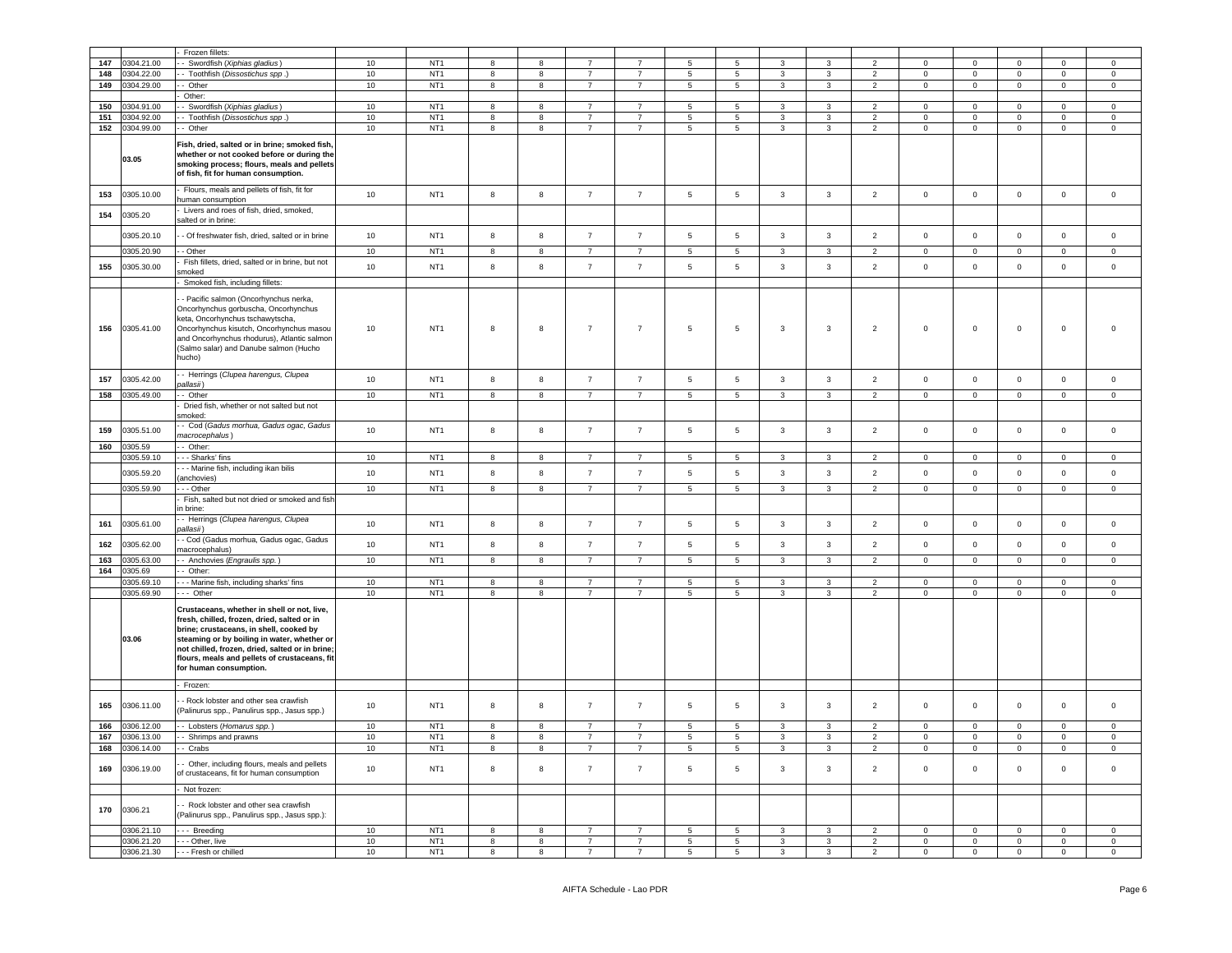|     |            | Frozen fillets:                                                                                                                                                                                                                                                                                                    |                 |                 |                         |                         |                |                |                 |                 |                |                |                |                |                     |                |                     |                     |
|-----|------------|--------------------------------------------------------------------------------------------------------------------------------------------------------------------------------------------------------------------------------------------------------------------------------------------------------------------|-----------------|-----------------|-------------------------|-------------------------|----------------|----------------|-----------------|-----------------|----------------|----------------|----------------|----------------|---------------------|----------------|---------------------|---------------------|
|     |            |                                                                                                                                                                                                                                                                                                                    |                 |                 | 8                       |                         |                |                | 5               | 5               | 3              |                | $\mathcal{D}$  | $\Omega$       |                     | $\Omega$       |                     |                     |
| 147 | 0304.21.00 | - Swordfish (Xiphias gladius)                                                                                                                                                                                                                                                                                      | 10              | NT <sub>1</sub> |                         | 8                       | $\overline{7}$ |                |                 |                 |                |                |                |                | 0                   |                |                     | 0                   |
| 148 | 0304.22.00 | - Toothfish (Dissostichus spp.)                                                                                                                                                                                                                                                                                    | 10              | NT <sub>1</sub> | 8                       | 8                       |                | $\overline{7}$ | 5               | $\,$ 5 $\,$     | 3              | 3              | 2              | $\Omega$       | $\mathbf 0$         | $^{\circ}$     | $^{\circ}$          | $\mathbf 0$         |
| 149 | 0304.29.00 | - Other                                                                                                                                                                                                                                                                                                            | 10              | NT <sub>1</sub> | $\boldsymbol{8}$        | 8                       | $\overline{7}$ | $\overline{7}$ | $5\phantom{.0}$ | $\sqrt{5}$      | 3              | $\mathbf{3}$   | $\overline{2}$ | $\mathbf 0$    | $\mathbf 0$         | $\mathbf 0$    | $\mathbf 0$         | $\overline{0}$      |
|     |            | Other:                                                                                                                                                                                                                                                                                                             |                 |                 |                         |                         |                |                |                 |                 |                |                |                |                |                     |                |                     |                     |
| 150 | 0304.91.00 | - Swordfish (Xiphias gladius)                                                                                                                                                                                                                                                                                      | 10              | NT <sub>1</sub> | 8                       | 8                       | $\overline{7}$ | $\overline{7}$ | 5 <sup>5</sup>  | $\overline{5}$  | $\mathbf{3}$   | $\mathcal{R}$  | $\overline{2}$ | $\Omega$       | $\circ$             | $\Omega$       | $\Omega$            | $\Omega$            |
| 151 | 0304.92.00 | - Toothfish (Dissostichus spp.)                                                                                                                                                                                                                                                                                    | 10              | NT <sub>1</sub> | 8                       | 8                       | $\overline{7}$ | $\overline{7}$ | $\sqrt{5}$      | $\sqrt{5}$      | 3              | 3              | $\overline{2}$ | $\mathbf 0$    | $\mathsf{O}\xspace$ | $\mathbf 0$    | $\mathbf 0$         | $\mathsf 0$         |
| 152 | 0304.99.00 | - Other                                                                                                                                                                                                                                                                                                            | 10              | NT <sub>1</sub> | $\boldsymbol{8}$        | 8                       | $\overline{7}$ | $\overline{7}$ | 5               | $\overline{5}$  | 3              | 3              | $\overline{2}$ | $\mathbf 0$    | $\mathbf 0$         | $\mathbf 0$    | $\mathsf 0$         | $\mathsf 0$         |
|     | 03.05      | Fish, dried, salted or in brine; smoked fish,<br>whether or not cooked before or during the<br>smoking process; flours, meals and pellets<br>of fish, fit for human consumption.                                                                                                                                   |                 |                 |                         |                         |                |                |                 |                 |                |                |                |                |                     |                |                     |                     |
| 153 | 0305.10.00 | Flours, meals and pellets of fish, fit for<br>numan consumption                                                                                                                                                                                                                                                    | 10              | NT <sub>1</sub> | $^{\rm 8}$              | 8                       | $\overline{7}$ | $\overline{7}$ | $\sqrt{5}$      | $\sqrt{5}$      | $\mathbf{3}$   | $\mathbf{3}$   | $\overline{2}$ | $\mathbf 0$    | $\mathbf 0$         | $\mathbf 0$    | $\mathsf{O}\xspace$ | $\mathsf 0$         |
| 154 | 0305.20    | Livers and roes of fish, dried, smoked,<br>salted or in brine:                                                                                                                                                                                                                                                     |                 |                 |                         |                         |                |                |                 |                 |                |                |                |                |                     |                |                     |                     |
|     | 0305.20.10 | - Of freshwater fish, dried, salted or in brine                                                                                                                                                                                                                                                                    | 10              | NT <sub>1</sub> | $^{\rm 8}$              | 8                       | $\overline{7}$ | $\overline{7}$ | $5\phantom{.0}$ | $\sqrt{5}$      | $\mathbf{3}$   | $\mathbf{3}$   | $\overline{2}$ | $\mathbf 0$    | $\mathbf 0$         | $\mathbf 0$    | $\mathbf 0$         | $\mathsf{O}\xspace$ |
|     | 0305.20.90 | - Other                                                                                                                                                                                                                                                                                                            | 10              | NT <sub>1</sub> | 8                       | 8                       | $\overline{7}$ | $\overline{7}$ | 5               | 5               | $\mathbf{3}$   | 3              | $\overline{2}$ | $\pmb{0}$      | $\overline{0}$      | $\mathbf 0$    | $\mathbf 0$         | $\mathsf 0$         |
| 155 | 0305.30.00 | Fish fillets, dried, salted or in brine, but not                                                                                                                                                                                                                                                                   | 10              | NT <sub>1</sub> | 8                       | 8                       | $\overline{7}$ | $\overline{7}$ | $5\phantom{.0}$ | $5\phantom{.0}$ | 3              | 3              | $\overline{2}$ | $\mathsf 0$    | $\mathsf 0$         | $\mathbf 0$    | $\Omega$            | $\circ$             |
|     |            | moked                                                                                                                                                                                                                                                                                                              |                 |                 |                         |                         |                |                |                 |                 |                |                |                |                |                     |                |                     |                     |
|     |            | Smoked fish, including fillets:                                                                                                                                                                                                                                                                                    |                 |                 |                         |                         |                |                |                 |                 |                |                |                |                |                     |                |                     |                     |
| 156 | 0305.41.00 | - Pacific salmon (Oncorhynchus nerka,<br>Oncorhynchus gorbuscha, Oncorhynchus<br>keta, Oncorhynchus tschawytscha,<br>Oncorhynchus kisutch, Oncorhynchus masou<br>and Oncorhynchus rhodurus), Atlantic salmon<br>Salmo salar) and Danube salmon (Hucho<br>เนcho)                                                    | 10              | NT <sub>1</sub> | 8                       | 8                       | $\overline{7}$ | $\overline{7}$ | 5               | 5               | 3              | 3              | $\overline{2}$ | $\mathsf 0$    | $\mathbf 0$         | $\mathbf 0$    | $\mathbf 0$         | $\mathbf 0$         |
| 157 | 0305.42.00 | - Herrings (Clupea harengus, Clupea                                                                                                                                                                                                                                                                                | 10              | NT <sub>1</sub> | $^{\rm 8}$              | 8                       | $\overline{7}$ | $\overline{7}$ | $\sqrt{5}$      | $\sqrt{5}$      | 3              | 3              | $\overline{2}$ | $\mathsf 0$    | $\mathsf 0$         | $\mathbf 0$    | $\mathbf 0$         | $\mathsf 0$         |
|     |            | (pallasii                                                                                                                                                                                                                                                                                                          |                 |                 |                         |                         |                |                |                 |                 |                |                |                |                |                     |                |                     |                     |
| 158 | 0305.49.00 | - Other                                                                                                                                                                                                                                                                                                            | 10              | NT <sub>1</sub> | 8                       | $\overline{\mathbf{8}}$ | $\overline{7}$ | $\overline{7}$ | $\overline{5}$  | $\overline{5}$  | $\mathbf{3}$   | $\overline{3}$ | $\overline{2}$ | $\overline{0}$ | $\overline{0}$      | $\overline{0}$ | $\mathbf 0$         | $\mathbf 0$         |
|     |            | Dried fish, whether or not salted but not<br>moked:                                                                                                                                                                                                                                                                |                 |                 |                         |                         |                |                |                 |                 |                |                |                |                |                     |                |                     |                     |
| 159 | 0305.51.00 | - Cod (Gadus morhua, Gadus ogac, Gadus<br>nacrocephalus)                                                                                                                                                                                                                                                           | 10              | NT <sub>1</sub> | $\bf8$                  | $\bf8$                  | $\overline{7}$ | $\overline{7}$ | $\overline{5}$  | 5               | $\mathbf{3}$   | 3              | $\overline{2}$ | $\mathbf 0$    | $\mathbf 0$         | $\mathbf 0$    | $\mathbf 0$         | $\mathbf 0$         |
| 160 | 0305.59    | - Other:                                                                                                                                                                                                                                                                                                           |                 |                 |                         |                         |                |                |                 |                 |                |                |                |                |                     |                |                     |                     |
|     | 0305.59.10 | - - Sharks' fins                                                                                                                                                                                                                                                                                                   | 10              | NT <sub>1</sub> | 8                       | 8                       | $\overline{7}$ | $\overline{7}$ | $5\phantom{.0}$ | $\sqrt{5}$      | 3              | 3              | 2              | $\mathbf 0$    | $\mathbf 0$         | $\mathbf 0$    | $\mathbf{0}$        | $\overline{0}$      |
|     | 0305.59.20 | - - Marine fish, including ikan bilis                                                                                                                                                                                                                                                                              | 10              | NT <sub>1</sub> | 8                       | 8                       | $\overline{7}$ | $\overline{7}$ | $\sqrt{5}$      | $\sqrt{5}$      | 3              | $\mathbf{3}$   | $\overline{2}$ | $\mathbf 0$    | $\mathsf{O}\xspace$ | $\mathbf 0$    | $\mathsf{O}\xspace$ | $\mathsf{O}\xspace$ |
|     |            | anchovies)                                                                                                                                                                                                                                                                                                         |                 |                 |                         |                         |                |                |                 |                 |                |                |                |                |                     |                |                     |                     |
|     | 0305.59.90 | - - Other                                                                                                                                                                                                                                                                                                          | $10$            | NT <sub>1</sub> | 8                       | 8                       | $\overline{7}$ | $\overline{7}$ | 5               | 5               | 3              | 3              | $\overline{2}$ | $\mathbf 0$    | $\mathbf 0$         | $\mathbf 0$    | $\mathsf 0$         | $\mathsf 0$         |
|     |            | Fish, salted but not dried or smoked and fish<br>n brine:                                                                                                                                                                                                                                                          |                 |                 |                         |                         |                |                |                 |                 |                |                |                |                |                     |                |                     |                     |
| 161 | 0305.61.00 | - Herrings (Clupea harengus, Clupea<br>allasii)                                                                                                                                                                                                                                                                    | 10              | NT <sub>1</sub> | 8                       | 8                       | $\overline{7}$ | $\overline{7}$ | $\sqrt{5}$      | $\sqrt{5}$      | $\mathbf{3}$   | $\mathbf{3}$   | $\overline{2}$ | $\mathbf 0$    | $\mathbf 0$         | $\mathbf 0$    | $\mathsf{O}\xspace$ | $\mathsf 0$         |
| 162 | 0305.62.00 | - Cod (Gadus morhua, Gadus ogac, Gadus<br>nacrocephalus)                                                                                                                                                                                                                                                           | 10              | NT <sub>1</sub> | 8                       | $\boldsymbol{8}$        | $\overline{7}$ | $\overline{7}$ | $5\phantom{.0}$ | 5               | 3              | $\mathbf{3}$   | $\overline{2}$ | $\mathbf 0$    | $\mathbf 0$         | $\mathbf 0$    | $\Omega$            | $\mathsf 0$         |
| 163 | 0305.63.00 | - Anchovies (Engraulis spp.)                                                                                                                                                                                                                                                                                       | 10              | NT <sub>1</sub> | $\overline{\mathbf{8}}$ | $\overline{\mathbf{8}}$ | $\overline{7}$ | $\overline{7}$ | $\overline{5}$  | $\sqrt{5}$      | 3              | $\overline{3}$ | $\overline{2}$ | $\mathsf 0$    | $\overline{0}$      | $\mathsf 0$    | $\mathsf 0$         | $\mathsf 0$         |
| 164 | 0305.69    | Other:                                                                                                                                                                                                                                                                                                             |                 |                 |                         |                         |                |                |                 |                 |                |                |                |                |                     |                |                     |                     |
|     | 0305.69.10 | - - Marine fish, including sharks' fins                                                                                                                                                                                                                                                                            | 10              | NT <sub>1</sub> | 8                       | 8                       | $\overline{7}$ | $\overline{7}$ | 5               | $\sqrt{5}$      | 3              | 3              | $\overline{2}$ | $\Omega$       | $\mathsf{O}\xspace$ | $\mathsf 0$    | $\Omega$            | $\mathsf 0$         |
|     | 0305.69.90 | - Other                                                                                                                                                                                                                                                                                                            | $10$            | NT <sub>1</sub> | 8                       | 8                       | $\overline{7}$ | $\overline{7}$ | 5               | 5               | 3              | 3              | $\overline{2}$ | $\mathsf 0$    | $\mathbf 0$         | $\mathsf 0$    | $\mathsf 0$         | $\mathsf 0$         |
|     | 03.06      | Crustaceans, whether in shell or not, live,<br>fresh, chilled, frozen, dried, salted or in<br>brine; crustaceans, in shell, cooked by<br>steaming or by boiling in water, whether or<br>not chilled, frozen, dried, salted or in brine;<br>flours, meals and pellets of crustaceans, fit<br>for human consumption. |                 |                 |                         |                         |                |                |                 |                 |                |                |                |                |                     |                |                     |                     |
|     |            | Frozen:                                                                                                                                                                                                                                                                                                            |                 |                 |                         |                         |                |                |                 |                 |                |                |                |                |                     |                |                     |                     |
| 165 | 0306.11.00 | - Rock lobster and other sea crawfish<br>Palinurus spp., Panulirus spp., Jasus spp.)                                                                                                                                                                                                                               | 10              | NT <sub>1</sub> | 8                       | 8                       | $\overline{7}$ | $\overline{7}$ | $\sqrt{5}$      | $\sqrt{5}$      | 3              | $\mathbf{3}$   | $\overline{2}$ | $\mathsf 0$    | $\mathsf 0$         | $\mathbf 0$    | $\mathsf 0$         | $\mathsf 0$         |
| 166 | 0306.12.00 | - Lobsters (Homarus spp.)                                                                                                                                                                                                                                                                                          | 10 <sub>1</sub> | NT <sub>1</sub> | 8                       | 8                       | $\overline{7}$ | $\overline{7}$ | 5               | 5               | $\mathbf{3}$   | $\mathbf{3}$   | $\overline{2}$ | $\mathbf 0$    | $\circ$             | $\mathsf 0$    | $\mathsf 0$         | $\mathsf 0$         |
| 167 | 0306.13.00 | - Shrimps and prawns                                                                                                                                                                                                                                                                                               | $10$            | NT <sub>1</sub> | $\mathbf{g}$            | 8                       | $\overline{7}$ | $\overline{7}$ | $\sqrt{5}$      | $\sqrt{5}$      | 3              | 3              | $\mathcal{P}$  | $\Omega$       | $\mathbf 0$         | $\mathbf 0$    | $\Omega$            | $\mathsf 0$         |
| 168 | 0306.14.00 | - Crabs                                                                                                                                                                                                                                                                                                            | 10              | NT <sub>1</sub> | $\overline{8}$          | $\overline{8}$          | $\overline{7}$ | $\overline{7}$ | $\overline{5}$  | $\overline{5}$  | 3              | 3              | $\overline{2}$ | $\mathsf 0$    | $\overline{0}$      | $\overline{0}$ | $\mathbf 0$         | $\mathsf 0$         |
| 169 | 0306.19.00 | - Other, including flours, meals and pellets                                                                                                                                                                                                                                                                       | 10              | NT <sub>1</sub> | 8                       | $\bf8$                  | $\overline{7}$ | $\overline{7}$ | $\,$ 5          | $\sqrt{5}$      | 3              | $\mathbf{3}$   | $\overline{2}$ | $\mathbf 0$    | $\mathsf{O}\xspace$ | $\mathbf 0$    | $\mathsf 0$         | 0                   |
|     |            | of crustaceans, fit for human consumption<br>Not frozen:                                                                                                                                                                                                                                                           |                 |                 |                         |                         |                |                |                 |                 |                |                |                |                |                     |                |                     |                     |
| 170 | 0306.21    | - Rock lobster and other sea crawfish                                                                                                                                                                                                                                                                              |                 |                 |                         |                         |                |                |                 |                 |                |                |                |                |                     |                |                     |                     |
|     |            | (Palinurus spp., Panulirus spp., Jasus spp.):                                                                                                                                                                                                                                                                      |                 |                 |                         |                         |                |                |                 |                 |                |                |                |                |                     |                |                     |                     |
|     | 0306.21.10 | --- Breeding                                                                                                                                                                                                                                                                                                       | 10              | NT <sub>1</sub> | 8                       | $\overline{\mathbf{8}}$ | $\overline{7}$ | $\overline{7}$ | $\overline{5}$  | $\overline{5}$  | $\overline{3}$ | 3              | $\overline{2}$ | $\Omega$       | $\overline{0}$      | $\Omega$       | $\Omega$            | $\Omega$            |
|     | 0306.21.20 | --- Other, live                                                                                                                                                                                                                                                                                                    | 10              | NT <sub>1</sub> | $\overline{\mathbf{8}}$ | $\overline{\mathbf{8}}$ | $\overline{7}$ | $\overline{7}$ | $\overline{5}$  | $\overline{5}$  | $\overline{3}$ | $\overline{3}$ | $\overline{2}$ | $\overline{0}$ | $\overline{0}$      | $\overline{0}$ | $\mathsf 0$         | $\overline{0}$      |
|     | 0306.21.30 | --- Fresh or chilled                                                                                                                                                                                                                                                                                               | 10              | NT <sub>1</sub> | $\mathbf{R}$            | $\mathbf{R}$            | $\overline{7}$ | $\overline{7}$ | $\overline{5}$  | $\overline{5}$  | $\mathcal{R}$  | $\overline{3}$ | $\overline{2}$ | $\mathsf 0$    | $\overline{0}$      | $\Omega$       | $\Omega$            | $\Omega$            |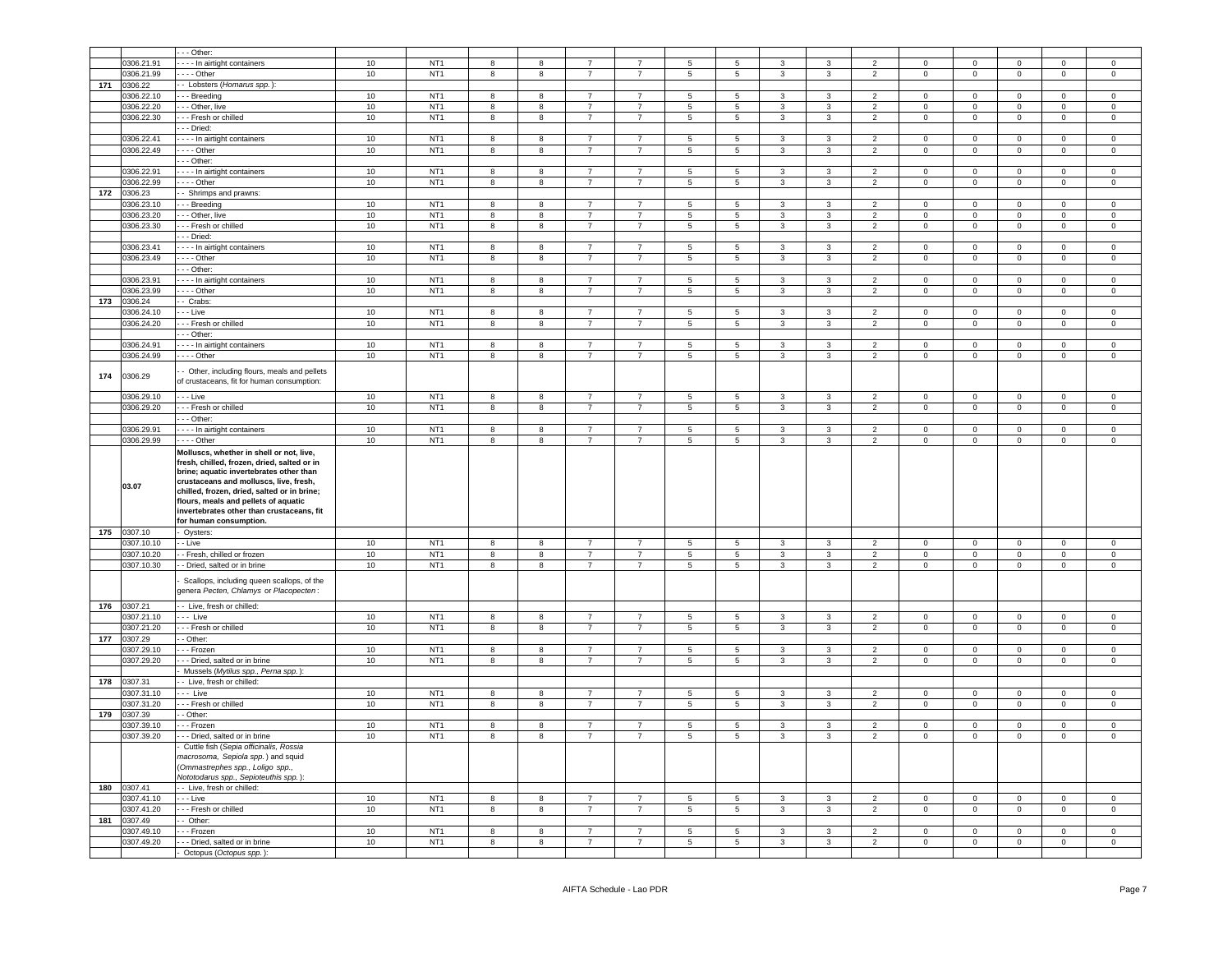|     |                          | - - Other:                                                                                                                                                                                                            |        |                 |                |                         |                |                                  |                 |                                            |                |                |                |                |                     |                |                |                     |
|-----|--------------------------|-----------------------------------------------------------------------------------------------------------------------------------------------------------------------------------------------------------------------|--------|-----------------|----------------|-------------------------|----------------|----------------------------------|-----------------|--------------------------------------------|----------------|----------------|----------------|----------------|---------------------|----------------|----------------|---------------------|
|     | 0306.21.91               | --- In airtight containers                                                                                                                                                                                            | 10     | NT <sub>1</sub> | $\mathbf{g}$   | 8                       |                |                                  | $\overline{5}$  | 5                                          | 3              | $\mathbf{3}$   | $\overline{2}$ | $\Omega$       | $\Omega$            | $\Omega$       | $\Omega$       | $\Omega$            |
|     | 0306.21.99               | - - - - Other                                                                                                                                                                                                         | 10     | NT <sub>1</sub> | 8              | 8                       | $\overline{7}$ | $\overline{7}$                   | $5\overline{5}$ | 5                                          | $\mathbf{3}$   | $\mathbf{3}$   | $\overline{2}$ | $\mathsf 0$    | $\mathsf 0$         | $\circ$        | $\mathbf{0}$   | $\circ$             |
| 171 | 0306.22                  | - - Lobsters (Homarus spp.):                                                                                                                                                                                          |        |                 |                |                         |                |                                  |                 |                                            |                |                |                |                |                     |                |                |                     |
|     | 0306.22.10               | --- Breeding                                                                                                                                                                                                          | 10     | NT <sub>1</sub> | 8              | 8                       | $\overline{7}$ | $\overline{7}$                   | 5               | 5                                          | $\mathbf{3}$   | $\mathbf{3}$   | $\overline{2}$ | $\mathbf 0$    | $\mathsf 0$         | $\mathsf 0$    | $\Omega$       | $\mathsf 0$         |
|     | 0306.22.20               | - - - Other, live                                                                                                                                                                                                     | 10     | NT <sub>1</sub> | 8              | 8                       | $\overline{7}$ | $\overline{7}$                   | $5\overline{5}$ | 5                                          | 3              | $\mathbf{3}$   | $\overline{2}$ | $\mathbf 0$    | $\mathsf 0$         | $\mathsf 0$    | $\Omega$       | $\mathsf 0$         |
|     | 0306.22.30               | --- Fresh or chilled                                                                                                                                                                                                  | 10     | NT <sub>1</sub> | 8              | $\overline{\mathbf{8}}$ | $\overline{7}$ | $\overline{7}$                   | $\overline{5}$  | $\overline{5}$                             | 3              | $\overline{3}$ | $\overline{2}$ | $\mathbf 0$    | $\overline{0}$      | $\overline{0}$ | $\Omega$       | $\mathbf 0$         |
|     |                          | - - - Dried:                                                                                                                                                                                                          |        |                 |                |                         |                |                                  |                 |                                            |                |                |                |                |                     |                |                |                     |
|     | 0306.22.41               | In airtight containers                                                                                                                                                                                                | 10     | NT <sub>1</sub> | 8              | 8                       | $\overline{7}$ | $\overline{7}$                   | 5               | 5                                          | $\mathbf{3}$   | $\mathbf{3}$   | $\overline{2}$ | $\mathbf 0$    | $\mathsf 0$         | $\mathsf 0$    | $\Omega$       | $\mathsf 0$         |
|     | 0306.22.49               | - - - - Other                                                                                                                                                                                                         | 10     | NT <sub>1</sub> | 8              | 8                       | $\overline{7}$ | $\overline{7}$                   | 5               | $\overline{5}$                             | 3              | 3              | $\overline{2}$ | $\mathbf 0$    | $\mathbf 0$         | $\mathbf 0$    | $\Omega$       | $\mathbf 0$         |
|     |                          |                                                                                                                                                                                                                       |        |                 |                |                         |                |                                  |                 |                                            |                |                |                |                |                     |                |                |                     |
|     |                          | - - - Other:                                                                                                                                                                                                          |        |                 | 8              |                         | $\overline{7}$ | $\overline{7}$                   |                 |                                            | 3              | $\mathbf{3}$   |                | $\Omega$       |                     |                | $\Omega$       | $\Omega$            |
|     | 0306.22.91               | - - - - In airtight containers                                                                                                                                                                                        | 10     | NT <sub>1</sub> |                | 8                       |                |                                  | $5\overline{5}$ | $5\phantom{.0}$                            |                |                | $\overline{2}$ |                | $\mathbf 0$         | $\mathbf 0$    |                |                     |
|     | 0306.22.99               | $--$ Other                                                                                                                                                                                                            | 10     | NT <sub>1</sub> | 8              | $\overline{8}$          | $\overline{7}$ | $\overline{7}$                   | $5^{\circ}$     | $\overline{5}$                             | 3              | $\mathbf{3}$   | $\overline{2}$ | $\mathbf 0$    | $\mathbf 0$         | $\mathbf 0$    | $\Omega$       | $\mathbf 0$         |
| 172 | 0306.23                  | - - Shrimps and prawns:                                                                                                                                                                                               |        |                 |                |                         |                |                                  |                 |                                            |                |                |                |                |                     |                |                |                     |
|     | 0306.23.10               | --- Breeding                                                                                                                                                                                                          | 10     | NT <sub>1</sub> | 8              | 8                       | $\overline{7}$ | $\overline{7}$                   | 5               | 5                                          | 3              | 3              | $\overline{2}$ | $\Omega$       | $\Omega$            | $\Omega$       | $\Omega$       | $\Omega$            |
|     | 0306.23.20               | - - - Other, live                                                                                                                                                                                                     | 10     | NT <sub>1</sub> | 8              | 8                       | $\overline{7}$ | $\overline{7}$                   | $5\overline{5}$ | 5                                          | 3              | $\mathbf{3}$   | $\overline{2}$ | $\mathbf 0$    | $\mathsf 0$         | $\circ$        | $\mathbf 0$    | $\circ$             |
|     | 0306.23.30               | - - - Fresh or chilled                                                                                                                                                                                                | 10     | NT <sub>1</sub> | 8              | 8                       | $\overline{7}$ | $\overline{7}$                   | $5\overline{5}$ | $5\overline{5}$                            | $\mathbf{3}$   | $\mathbf{3}$   | $\overline{2}$ | $\mathbf 0$    | $\mathsf 0$         | $\mathbf{0}$   | $\mathbf{0}$   | $\overline{0}$      |
|     |                          | - - - Dried:                                                                                                                                                                                                          |        |                 |                |                         |                |                                  |                 |                                            |                |                |                |                |                     |                |                |                     |
|     | 0306.23.41               | - - - - In airtight containers                                                                                                                                                                                        | 10     | NT <sub>1</sub> | 8              | 8                       | $\overline{7}$ | $\overline{7}$                   | $5\overline{5}$ | 5                                          | 3              | $\mathbf{3}$   | $\overline{2}$ | $\mathsf 0$    | $\mathsf 0$         | $\circ$        | $\mathbf 0$    | $\circ$             |
|     | 0306.23.49               | $- - -$ Other                                                                                                                                                                                                         | 10     | NT <sub>1</sub> | 8              | 8                       | $\overline{7}$ | $\overline{7}$                   | $5\overline{5}$ | 5                                          | $\mathbf{3}$   | $\mathbf{3}$   | $\overline{2}$ | $\mathbf 0$    | $\mathsf 0$         | $\mathbf 0$    | $\mathbf{0}$   | $\overline{0}$      |
|     |                          | - - - Other:                                                                                                                                                                                                          |        |                 |                |                         |                |                                  |                 |                                            |                |                |                |                |                     |                |                |                     |
|     | 0306.23.91               | - - - - In airtight containers                                                                                                                                                                                        | 10     | NT <sub>1</sub> | 8              | 8                       | $\overline{7}$ | $\overline{7}$                   | $5\overline{5}$ | $5\phantom{.0}$                            | $\mathbf{3}$   | $\mathbf{3}$   | $\overline{2}$ | $\mathsf 0$    | $\mathbf{0}$        | $\circ$        | $\circ$        | $\mathsf 0$         |
|     | 0306.23.99               | - - - - Other                                                                                                                                                                                                         | 10     | NT <sub>1</sub> | 8              | 8                       | $\overline{7}$ | $\overline{7}$                   | $5^{\circ}$     | $5\overline{5}$                            | $\mathbf{3}$   | $\mathbf{3}$   | $\overline{2}$ | $\mathsf 0$    | $\mathbf 0$         | $\overline{0}$ | $\overline{0}$ | $\overline{0}$      |
| 173 | 0306.24                  | - Crabs:                                                                                                                                                                                                              |        |                 |                |                         |                |                                  |                 |                                            |                |                |                |                |                     |                |                |                     |
|     | 0306.24.10               | - - - Live                                                                                                                                                                                                            | 10     | NT <sub>1</sub> | 8              | 8                       | $\overline{7}$ | $\overline{7}$                   | $5^{\circ}$     | $5\overline{5}$                            | $\mathbf{3}$   | $\mathbf{3}$   | $\overline{2}$ | $\mathbf 0$    | $\overline{0}$      | $\overline{0}$ | $\overline{0}$ | $\mathbf{0}$        |
|     | 0306.24.20               | - - - Fresh or chilled                                                                                                                                                                                                | 10     | NT <sub>1</sub> | 8              | 8                       | $\overline{7}$ | $\overline{7}$                   | $5^{\circ}$     | $5\overline{5}$                            | $\mathbf{3}$   | $\mathbf{3}$   | $\overline{2}$ | $\mathsf 0$    | $\mathbf 0$         | $\overline{0}$ | $\overline{0}$ | $\overline{0}$      |
|     |                          | - - - Other:                                                                                                                                                                                                          |        |                 |                |                         |                |                                  |                 |                                            |                |                |                |                |                     |                |                |                     |
|     | 0306.24.91               | - - - - In airtight containers                                                                                                                                                                                        | 10     | NT <sub>1</sub> | 8              | 8                       | $\overline{7}$ | $\overline{7}$                   | $5^{\circ}$     | $5\overline{5}$                            | $\mathbf{3}$   | $\mathbf{3}$   | $\overline{2}$ | $\mathbf 0$    | $\overline{0}$      | $\overline{0}$ | $\overline{0}$ | $\mathbf{0}$        |
|     | 0306.24.99               | $--$ Other                                                                                                                                                                                                            | 10     | NT <sub>1</sub> | 8              | 8                       | $\overline{7}$ | $\overline{7}$                   | $5^{\circ}$     | $5\overline{5}$                            | $\mathbf{3}$   | $\mathbf{3}$   | $\overline{2}$ | $\mathsf 0$    | $\overline{0}$      | $\overline{0}$ | $\overline{0}$ | $\overline{0}$      |
|     |                          |                                                                                                                                                                                                                       |        |                 |                |                         |                |                                  |                 |                                            |                |                |                |                |                     |                |                |                     |
| 174 | 0306.29                  | - Other, including flours, meals and pellets<br>of crustaceans, fit for human consumption:                                                                                                                            |        |                 |                |                         |                |                                  |                 |                                            |                |                |                |                |                     |                |                |                     |
|     |                          |                                                                                                                                                                                                                       |        |                 |                |                         |                |                                  |                 |                                            |                |                |                |                |                     |                |                |                     |
|     | 0306.29.10               | - - - Live                                                                                                                                                                                                            | 10     | NT <sub>1</sub> | 8              | 8                       | $\overline{7}$ | $\overline{7}$                   | 5               | $5\phantom{.0}$                            | 3              | 3              | $\overline{2}$ | $\mathbf 0$    | $\mathsf 0$         | $\mathbf 0$    | $\pmb{0}$      | $\mathsf 0$         |
|     | 0306.29.20               | - - - Fresh or chilled                                                                                                                                                                                                | 10     | NT <sub>1</sub> | 8              | 8                       | $\overline{7}$ | $\overline{7}$                   | $5\phantom{.0}$ | $5\phantom{.0}$                            | $\mathbf{3}$   | $\mathbf{3}$   | $\overline{2}$ | $\mathsf 0$    | $\mathsf 0$         | $\mathbf 0$    | $\mathbf 0$    | $\mathbf 0$         |
|     |                          | - - Other:                                                                                                                                                                                                            |        |                 |                |                         |                |                                  |                 |                                            |                |                |                |                |                     |                |                |                     |
|     | 0306.29.91               | --- In airtight containers                                                                                                                                                                                            | 10     | NT <sub>1</sub> | 8              | 8                       | $\overline{7}$ | $\overline{7}$                   | 5               | $\overline{5}$                             | 3              | 3              | $\overline{2}$ | $\mathbf 0$    | $\mathsf 0$         | $\,0\,$        | $\mathbf 0$    | $\mathsf 0$         |
|     | 0306.29.99               | - - - - Other                                                                                                                                                                                                         | $10$   | NT <sub>1</sub> | 8              | 8                       | $\overline{7}$ | $\overline{7}$                   | 5               | 5                                          | 3              | $\mathbf{3}$   | $\overline{2}$ | $\mathsf 0$    | $\mathsf 0$         | $\mathsf 0$    | $\mathsf 0$    | $\mathsf 0$         |
|     |                          | Molluscs, whether in shell or not, live,<br>fresh, chilled, frozen, dried, salted or in                                                                                                                               |        |                 |                |                         |                |                                  |                 |                                            |                |                |                |                |                     |                |                |                     |
|     | 03.07                    | brine: aquatic invertebrates other than<br>crustaceans and molluscs, live, fresh,<br>chilled, frozen, dried, salted or in brine;<br>flours, meals and pellets of aquatic<br>invertebrates other than crustaceans, fit |        |                 |                |                         |                |                                  |                 |                                            |                |                |                |                |                     |                |                |                     |
|     |                          | for human consumption.                                                                                                                                                                                                |        |                 |                |                         |                |                                  |                 |                                            |                |                |                |                |                     |                |                |                     |
| 175 | 0307.10                  | Oysters:                                                                                                                                                                                                              |        |                 |                |                         |                |                                  |                 |                                            |                |                |                |                |                     |                |                |                     |
|     | 0307.10.10               | - Live                                                                                                                                                                                                                | 10     | NT <sub>1</sub> | 8              | $^{\rm 8}$              | $\overline{7}$ | $\overline{7}$                   | 5               | $\overline{\phantom{a}}$                   | $\mathbf{3}$   | $\mathbf{3}$   | $\overline{2}$ | $\mathbf 0$    | $\mathsf 0$         | $\mathbf 0$    | $\mathbf 0$    | $\mathsf 0$         |
|     | 0307.10.20               | - Fresh, chilled or frozen                                                                                                                                                                                            | 10     | NT <sub>1</sub> | 8              | $^{\rm 8}$              | $\overline{7}$ | $\overline{7}$<br>$\overline{7}$ | $5\overline{)}$ | $5\phantom{.0}$                            | 3              | $\mathbf{3}$   | $\overline{2}$ | $\mathsf 0$    | $\mathsf 0$         | $\mathbf 0$    | $\mathbf 0$    | $\overline{0}$      |
|     | 0307.10.30               | - Dried, salted or in brine<br>Scallops, including queen scallops, of the<br>genera Pecten, Chlamys or Placopecten:                                                                                                   | 10     | NT <sub>1</sub> | 8              | $^{\rm 8}$              | $\overline{7}$ |                                  | $5\phantom{.0}$ | $\overline{5}$                             | $\mathbf{3}$   | $\mathbf{3}$   | $\overline{2}$ | $\mathsf 0$    | $\mathsf{O}\xspace$ | $\mathbf 0$    | $\mathsf 0$    | $\mathsf{O}\xspace$ |
| 176 | 0307.21                  | - - Live, fresh or chilled:                                                                                                                                                                                           |        |                 |                |                         |                |                                  |                 |                                            |                |                |                |                |                     |                |                |                     |
|     | 0307.21.10               | - - - Live                                                                                                                                                                                                            | 10     | NT <sub>1</sub> | 8              | 8                       | $\overline{7}$ | $\overline{7}$                   | $5\overline{5}$ | 5                                          | $\mathbf{3}$   | $\mathbf{3}$   | $\overline{2}$ | $\mathbf 0$    | $\mathsf 0$         | $\circ$        | $\mathbf{0}$   | $\mathsf 0$         |
|     | 0307.21.20               | --- Fresh or chilled                                                                                                                                                                                                  | 10     | NT <sub>1</sub> | 8              | 8                       | $\overline{7}$ | $\overline{7}$                   | $5^{\circ}$     | $5\overline{5}$                            | $\mathbf{3}$   | $\mathbf{3}$   | $\overline{2}$ | $\mathbf 0$    | $\overline{0}$      | $\overline{0}$ | $\overline{0}$ | $\overline{0}$      |
| 177 | 0307.29                  | - Other:                                                                                                                                                                                                              |        |                 |                |                         |                |                                  |                 |                                            |                |                |                |                |                     |                |                |                     |
|     | 0307.29.10               | - - Frozen                                                                                                                                                                                                            | 10     | NT <sub>1</sub> | 8              | 8                       | $\overline{7}$ | $\overline{7}$                   | $5\overline{)}$ | $5\overline{5}$                            | $\mathbf{3}$   | $\mathbf{3}$   | $\overline{2}$ | $\mathbf 0$    | $\overline{0}$      | $\overline{0}$ | $\mathbf 0$    | $\circ$             |
|     | 0307.29.20               | --- Dried, salted or in brine                                                                                                                                                                                         | 10     | NT <sub>1</sub> | 8              | 8                       | $\overline{7}$ | $\overline{7}$                   | $5\overline{5}$ | $5\overline{5}$                            | $\mathbf{3}$   | $\mathbf{3}$   | $\overline{2}$ | $\overline{0}$ | $\overline{0}$      | $\overline{0}$ | $\overline{0}$ | $\overline{0}$      |
|     |                          |                                                                                                                                                                                                                       |        |                 |                |                         |                |                                  |                 |                                            |                |                |                |                |                     |                |                |                     |
| 178 | 0307.31                  | Mussels (Mytilus spp., Perna spp.):<br>- Live, fresh or chilled:                                                                                                                                                      |        |                 |                |                         |                |                                  |                 |                                            |                |                |                |                |                     |                |                |                     |
|     |                          |                                                                                                                                                                                                                       |        |                 |                |                         | $\overline{7}$ | $\overline{7}$                   |                 |                                            |                |                |                |                |                     |                |                |                     |
|     | 0307.31.10               | $--$ Live                                                                                                                                                                                                             | 10     | NT <sub>1</sub> | 8              | 8                       | $\overline{7}$ | $\overline{7}$                   | $5\overline{5}$ | $5\overline{5}$                            | $\mathbf{3}$   | $\mathbf{3}$   | $\overline{2}$ | $\mathbf 0$    | $\overline{0}$      | $\overline{0}$ | $\overline{0}$ | $\overline{0}$      |
|     | 0307.31.20               | - - - Fresh or chilled                                                                                                                                                                                                | 10     | NT <sub>1</sub> | 8              | 8                       |                |                                  | 5               | $5\phantom{.0}$                            | $\mathbf{3}$   | $\mathbf{3}$   | $\overline{2}$ | $\overline{0}$ | $\overline{0}$      | $\overline{0}$ | $\overline{0}$ | $\overline{0}$      |
| 179 | 0307.39                  | - Other:                                                                                                                                                                                                              |        |                 |                |                         |                |                                  |                 |                                            |                |                |                |                |                     |                |                |                     |
|     | 0307.39.10               | - - Frozen                                                                                                                                                                                                            | 10     | NT <sub>1</sub> | 8              | 8                       | $\overline{7}$ | $\overline{7}$                   | $5\overline{)}$ | $5\phantom{.0}$                            | 3              | 3              | $\overline{2}$ | $\mathbf{0}$   | $\mathbf{0}$        | $\overline{0}$ | $\mathbf{0}$   | $\mathbf{0}$        |
|     | 0307.39.20               | --- Dried, salted or in brine                                                                                                                                                                                         | 10     | NT <sub>1</sub> | 8              | 8                       | $\overline{7}$ | $\overline{7}$                   | $5\phantom{.0}$ | $\overline{\phantom{0}}$                   | 3              | $\mathbf{3}$   | $\overline{2}$ | $\mathsf 0$    | $\mathsf 0$         | $\mathbf 0$    | $\overline{0}$ | $\mathbf 0$         |
|     |                          | Cuttle fish (Sepia officinalis, Rossia<br>macrosoma, Sepiola spp.) and squid<br>(Ommastrephes spp., Loligo spp.,<br>Nototodarus spp., Sepioteuthis spp.):                                                             |        |                 |                |                         |                |                                  |                 |                                            |                |                |                |                |                     |                |                |                     |
| 180 | 0307.41                  | - - Live, fresh or chilled:                                                                                                                                                                                           |        |                 |                |                         |                |                                  |                 |                                            |                |                |                |                |                     |                |                |                     |
|     | 0307.41.10               | - - - Live                                                                                                                                                                                                            | $10\,$ | NT <sub>1</sub> | 8              | 8                       | $\overline{7}$ | $\overline{7}$                   | -5              | $\,$ 5 $\,$                                | $\mathbf{3}$   | $\mathbf{3}$   | 2              | $\Omega$       | $\Omega$            | $\mathbf 0$    | $\pmb{0}$      | $\mathsf 0$         |
|     | 0307.41.20               | - - - Fresh or chilled                                                                                                                                                                                                | 10     | NT <sub>1</sub> | $\overline{8}$ | $\overline{8}$          | $\overline{7}$ | $\overline{7}$                   | $\overline{5}$  | $\overline{\phantom{0}}$                   | $\mathbf{3}$   | $\overline{3}$ | $\overline{2}$ | $\Omega$       | $\overline{0}$      | $\overline{0}$ | $\mathbf 0$    | $\mathsf{O}\xspace$ |
| 181 | 0307.49                  |                                                                                                                                                                                                                       |        |                 |                |                         |                |                                  |                 |                                            |                |                |                |                |                     |                |                |                     |
|     |                          | $-$ Other:<br>- - - Frozen                                                                                                                                                                                            | 10     | NT <sub>1</sub> | 8              | 8                       | $\overline{7}$ | $\overline{7}$                   | -5              |                                            | 3              | 3              | $\overline{2}$ | $\Omega$       | $\Omega$            | $\mathbf 0$    | $\Omega$       | $\mathbf 0$         |
|     | 0307.49.10<br>0307.49.20 |                                                                                                                                                                                                                       | 10     | NT <sub>1</sub> | $\mathbf{g}$   | $\overline{8}$          | $\overline{7}$ | $\overline{7}$                   | $\overline{5}$  | $\overline{\phantom{a}}$<br>$\overline{5}$ | $\overline{3}$ | $\overline{3}$ | $\overline{2}$ | $\overline{0}$ | $\overline{0}$      | $\overline{0}$ | $\Omega$       | $\mathsf 0$         |
|     |                          | - - - Dried, salted or in brine<br>Octopus (Octopus spp.):                                                                                                                                                            |        |                 |                |                         |                |                                  |                 |                                            |                |                |                |                |                     |                |                |                     |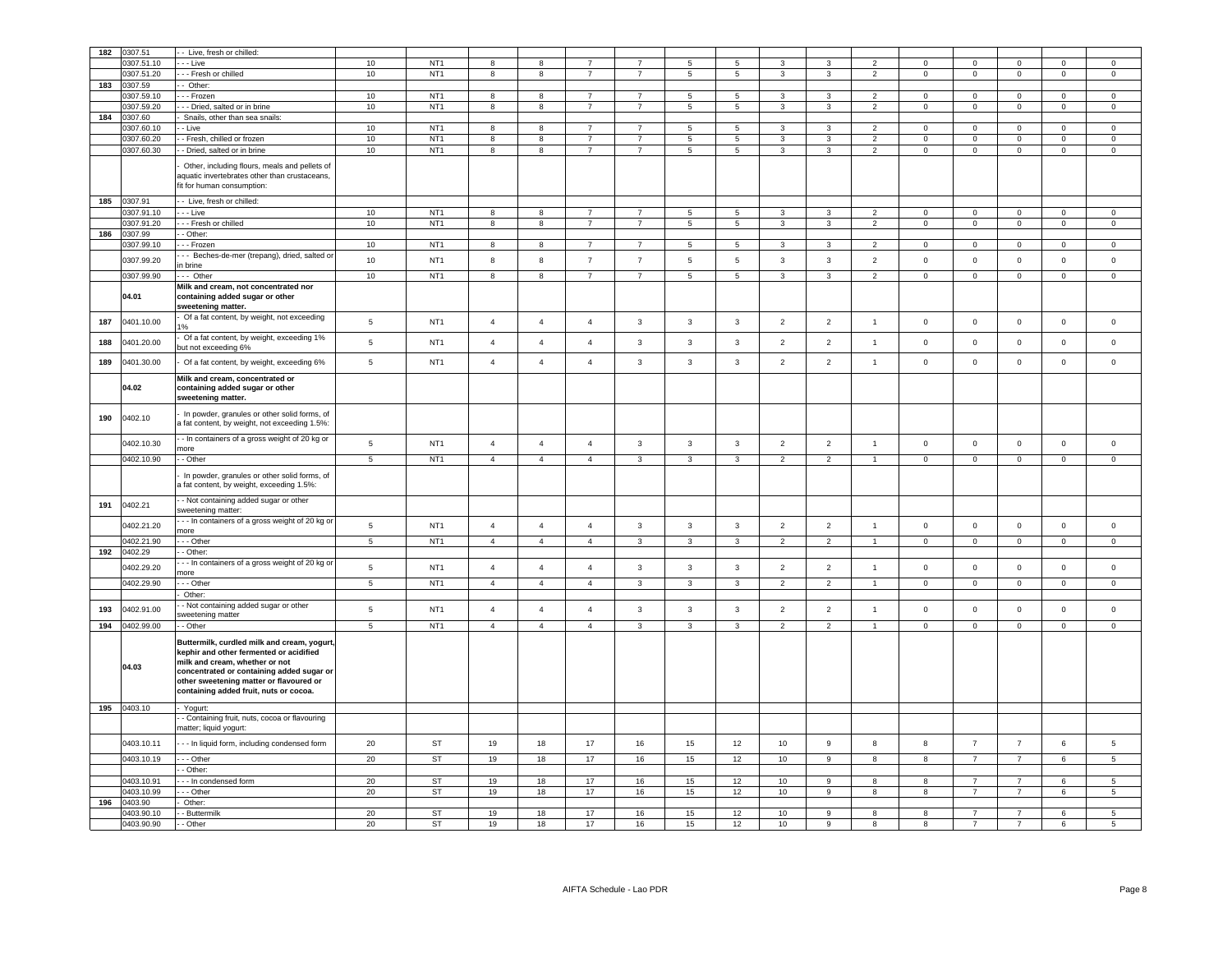| 182 | 0307.51                  | - Live, fresh or chilled:                                                            |                          |                 |                |                         |                |                |                |                          |                |                         |                         |                |                     |                |                |                |
|-----|--------------------------|--------------------------------------------------------------------------------------|--------------------------|-----------------|----------------|-------------------------|----------------|----------------|----------------|--------------------------|----------------|-------------------------|-------------------------|----------------|---------------------|----------------|----------------|----------------|
|     | 0307.51.10               | - - Live                                                                             | 10                       | NT <sub>1</sub> | -8             | 8                       |                | 7              | -5             | 5                        | 3              | 3                       | $\overline{2}$          | $\Omega$       | $\Omega$            | $\Omega$       | $\Omega$       | $\Omega$       |
|     | 0307.51.20               | -- Fresh or chilled                                                                  | 10                       | NT <sub>1</sub> | 8              | $\overline{\mathbf{8}}$ | $\overline{7}$ | $\overline{7}$ | $\overline{5}$ | $\overline{\phantom{a}}$ | 3              | $\overline{\mathbf{3}}$ | $\overline{2}$          | $\overline{0}$ | $\overline{0}$      | $\,0\,$        | $\overline{0}$ | $\overline{0}$ |
| 183 | 0307.59                  | - Other:                                                                             |                          |                 |                |                         |                |                |                |                          |                |                         |                         |                |                     |                |                |                |
|     | 0307.59.10               | - - Frozen                                                                           | 10                       | NT <sub>1</sub> | 8              | 8                       | $\overline{7}$ | $\overline{7}$ | -5             | 5                        | 3              | 3                       | $\overline{2}$          | $\Omega$       | $\mathbf 0$         | $\mathbf 0$    | $\Omega$       | $\Omega$       |
|     | 0307.59.20               | - Dried, salted or in brine                                                          | 10                       | NT <sub>1</sub> | 8              | 8                       | $\overline{7}$ |                | 5              | $5\phantom{.0}$          | 3              | 3                       | $\overline{2}$          | 0              | $\mathbf 0$         | $\mathbf 0$    | $^{\circ}$     | $\mathbf 0$    |
| 184 | 0307.60                  | Snails, other than sea snails:                                                       |                          |                 |                |                         |                |                |                |                          |                |                         |                         |                |                     |                |                |                |
|     | 0307.60.10               | - Live                                                                               | 10                       | NT <sub>1</sub> | 8              | 8                       | $\overline{7}$ | $\overline{7}$ | 5              | 5                        | 3              | 3                       | 2                       | $\mathbf 0$    | $\mathbf 0$         | $\mathsf 0$    | $\Omega$       | $\mathbf 0$    |
|     | 0307.60.20               | - Fresh, chilled or frozen                                                           | 10                       | NT <sub>1</sub> | 8              | 8                       | $\overline{7}$ | $\overline{7}$ | 5              | 5                        | 3              | 3                       | $\overline{2}$          | $\Omega$       | $\mathbf{0}$        | $\mathbf 0$    | $\Omega$       | $\mathbf 0$    |
|     | 0307.60.30               | - Dried, salted or in brine                                                          | 10                       | NT <sub>1</sub> | 8              | 8                       | $\overline{7}$ | $\overline{7}$ | $\,$ 5 $\,$    | $\,$ 5 $\,$              | 3              | 3                       | $\overline{\mathbf{c}}$ | $\mathbf 0$    | $\mathsf{O}\xspace$ | $\mathbf 0$    | $\mathbf 0$    | $\mathsf 0$    |
|     |                          |                                                                                      |                          |                 |                |                         |                |                |                |                          |                |                         |                         |                |                     |                |                |                |
|     |                          | Other, including flours, meals and pellets of                                        |                          |                 |                |                         |                |                |                |                          |                |                         |                         |                |                     |                |                |                |
|     |                          | aquatic invertebrates other than crustaceans,                                        |                          |                 |                |                         |                |                |                |                          |                |                         |                         |                |                     |                |                |                |
|     |                          | fit for human consumption:                                                           |                          |                 |                |                         |                |                |                |                          |                |                         |                         |                |                     |                |                |                |
| 185 | 0307.91                  | - Live, fresh or chilled:                                                            |                          |                 |                |                         |                |                |                |                          |                |                         |                         |                |                     |                |                |                |
|     | 0307.91.10               | - - Live                                                                             | 10                       | NT <sub>1</sub> | 8              | 8                       | $\overline{7}$ | $\overline{7}$ | 5              | 5                        | 3              | 3                       | $\overline{2}$          | $\mathbf 0$    | $\mathbf 0$         | $\mathbf 0$    | $\mathbf 0$    | $\mathbf 0$    |
|     | 0307.91.20               | - - Fresh or chilled                                                                 | 10                       | NT <sub>1</sub> | 8              | 8                       | $\overline{7}$ | $\overline{7}$ | 5              | 5                        | 3              | $\overline{3}$          | $\overline{2}$          | $\mathbf 0$    | $\mathbf 0$         | $\mathsf 0$    | $\Omega$       | $\mathsf 0$    |
| 186 | 0307.99                  | - Other:                                                                             |                          |                 |                |                         |                |                |                |                          |                |                         |                         |                |                     |                |                |                |
|     | 0307.99.10               | - Frozen                                                                             | 10                       | NT <sub>1</sub> | 8              | 8                       | $\overline{7}$ | $\overline{7}$ | 5              | $\overline{5}$           | $\mathbf{3}$   | 3                       | $\overline{2}$          | $\mathbf{0}$   | $\mathbf 0$         | $\mathbf 0$    | $\mathsf 0$    | $\mathsf 0$    |
|     |                          | - - Beches-de-mer (trepang), dried, salted or                                        |                          |                 |                |                         |                |                |                |                          |                |                         |                         |                |                     |                |                |                |
|     | 0307.99.20               | n brine                                                                              | 10                       | NT <sub>1</sub> | 8              | 8                       | $\overline{7}$ | $\overline{7}$ | 5              | 5                        | $\mathbf{3}$   | $\mathbf{3}$            | $\overline{2}$          | $\mathsf 0$    | $\mathbf 0$         | $\mathsf 0$    | $\mathbf{0}$   | $\mathsf 0$    |
|     | 0307.99.90               | - Other                                                                              | 10                       | NT <sub>1</sub> | 8              | 8                       | $\overline{7}$ | $\overline{7}$ | 5              | $\overline{5}$           | $\mathbf{3}$   | $\mathbf{3}$            | $\overline{2}$          | $\mathsf 0$    | $\mathbf 0$         | $\mathsf 0$    | $\mathbf{0}$   | $\mathsf 0$    |
|     |                          | Milk and cream, not concentrated nor                                                 |                          |                 |                |                         |                |                |                |                          |                |                         |                         |                |                     |                |                |                |
|     | 04.01                    | containing added sugar or other                                                      |                          |                 |                |                         |                |                |                |                          |                |                         |                         |                |                     |                |                |                |
|     |                          | sweetening matter.                                                                   |                          |                 |                |                         |                |                |                |                          |                |                         |                         |                |                     |                |                |                |
| 187 | 00.01 10.00              | Of a fat content, by weight, not exceeding<br>$1\%$                                  | $5\phantom{.0}$          | NT <sub>1</sub> | $\overline{4}$ | $\overline{4}$          | $\overline{4}$ | $\mathbf{3}$   | 3              | 3                        | $\overline{2}$ | $\overline{2}$          | $\mathbf{1}$            | $\mathsf 0$    | $\mathbf 0$         | $\,0\,$        | $\mathbf 0$    | $\mathsf 0$    |
|     |                          | Of a fat content, by weight, exceeding 1%                                            |                          |                 |                |                         |                |                |                |                          |                |                         |                         |                |                     |                |                |                |
| 188 | 0401.20.00               | out not exceeding 6%                                                                 | $5\phantom{.0}$          | NT <sub>1</sub> | $\overline{4}$ | $\overline{4}$          | $\overline{4}$ | 3              | 3              | $\mathbf{3}$             | $\overline{2}$ | $\overline{2}$          | $\overline{1}$          | $\mathsf 0$    | $\mathsf 0$         | $\mathbf 0$    | $\mathbf 0$    | $\mathsf 0$    |
| 189 | 0401.30.00               | Of a fat content, by weight, exceeding 6%                                            | $\sqrt{5}$               | NT <sub>1</sub> | $\overline{4}$ | $\overline{4}$          | $\overline{4}$ | $\mathbf{3}$   | 3              | $\mathbf{3}$             | $\overline{2}$ | $\overline{2}$          | $\overline{1}$          | $\mathsf 0$    | $\mathsf{o}\,$      | $\mathsf 0$    | $\mathbf 0$    | $\mathsf 0$    |
|     |                          | Milk and cream, concentrated or                                                      |                          |                 |                |                         |                |                |                |                          |                |                         |                         |                |                     |                |                |                |
|     | 04.02                    | containing added sugar or other                                                      |                          |                 |                |                         |                |                |                |                          |                |                         |                         |                |                     |                |                |                |
|     |                          | sweetening matter.                                                                   |                          |                 |                |                         |                |                |                |                          |                |                         |                         |                |                     |                |                |                |
|     |                          |                                                                                      |                          |                 |                |                         |                |                |                |                          |                |                         |                         |                |                     |                |                |                |
| 190 | 0402.10                  | In powder, granules or other solid forms, of                                         |                          |                 |                |                         |                |                |                |                          |                |                         |                         |                |                     |                |                |                |
|     |                          | a fat content, by weight, not exceeding 1.5%:                                        |                          |                 |                |                         |                |                |                |                          |                |                         |                         |                |                     |                |                |                |
|     | 0402.10.30               | - In containers of a gross weight of 20 kg or                                        | $5\phantom{.0}$          | NT <sub>1</sub> | $\overline{4}$ | $\overline{4}$          | $\overline{4}$ | $\mathbf{3}$   | $\overline{3}$ | $\overline{3}$           | 2              | $\overline{2}$          | $\overline{1}$          | $\mathbf 0$    | $\mathbf 0$         | $\mathsf 0$    | $\mathbf{0}$   | $\mathsf 0$    |
|     |                          | nore                                                                                 |                          |                 |                |                         |                |                |                |                          |                |                         |                         |                |                     |                |                |                |
|     | 0402.10.90               | - Other                                                                              | 5                        | NT <sub>1</sub> | $\overline{4}$ | $\overline{4}$          | $\overline{4}$ | $\mathbf{3}$   | $\mathbf{3}$   | $\mathbf{3}$             | $\overline{2}$ | $\overline{2}$          | $\overline{1}$          | $\mathbf 0$    | $\mathsf 0$         | $\mathbf{0}$   | $\mathbf 0$    | $\mathbf 0$    |
|     |                          | In powder, granules or other solid forms, of                                         |                          |                 |                |                         |                |                |                |                          |                |                         |                         |                |                     |                |                |                |
|     |                          | a fat content, by weight, exceeding 1.5%:                                            |                          |                 |                |                         |                |                |                |                          |                |                         |                         |                |                     |                |                |                |
|     |                          |                                                                                      |                          |                 |                |                         |                |                |                |                          |                |                         |                         |                |                     |                |                |                |
| 191 | 0402.21                  | - Not containing added sugar or other                                                |                          |                 |                |                         |                |                |                |                          |                |                         |                         |                |                     |                |                |                |
|     |                          | sweetening matter.                                                                   |                          |                 |                |                         |                |                |                |                          |                |                         |                         |                |                     |                |                |                |
|     | 0402.21.20               | -- In containers of a gross weight of 20 kg or                                       | $\,$ 5 $\,$              | NT <sub>1</sub> | $\overline{4}$ | $\overline{4}$          | $\overline{4}$ | $\mathbf{3}$   | $\mathbf{3}$   | $\mathbf{3}$             | $\overline{2}$ | $\overline{2}$          | $\overline{1}$          | $\mathbb O$    | $\mathsf 0$         | $\mathbf 0$    | $\mathbf 0$    | $\mathsf 0$    |
|     |                          | more                                                                                 |                          |                 | $\overline{4}$ | $\overline{4}$          | $\overline{4}$ | $\overline{3}$ | $\overline{3}$ |                          | $\overline{2}$ | $\overline{2}$          |                         | $\overline{0}$ |                     |                | $\overline{0}$ | $\overline{0}$ |
|     | 0402.21.90               | - - Other                                                                            | $\overline{5}$           | NT <sub>1</sub> |                |                         |                |                |                | $\overline{3}$           |                |                         | $\overline{1}$          |                | $\overline{0}$      | $\overline{0}$ |                |                |
| 192 | 0402.29                  | - Other:                                                                             |                          |                 |                |                         |                |                |                |                          |                |                         |                         |                |                     |                |                |                |
|     | 0402.29.20               | - - In containers of a gross weight of 20 kg or<br>more                              | $\,$ 5 $\,$              | NT <sub>1</sub> | $\overline{4}$ | $\overline{4}$          | $\overline{4}$ | $\mathbf{3}$   | $\mathbf{3}$   | $\mathbf{3}$             | $\overline{2}$ | $\overline{2}$          | $\overline{1}$          | $\mathsf 0$    | $\mathsf 0$         | $\mathbf 0$    | $\mathbf 0$    | $\mathsf 0$    |
|     | 0402.29.90               | - - Other                                                                            | $\overline{\phantom{a}}$ | NT <sub>1</sub> | $\overline{4}$ | $\overline{4}$          | $\overline{4}$ | $\overline{3}$ | $\overline{3}$ | $\overline{3}$           | $\overline{2}$ | $\overline{2}$          | $\overline{1}$          | $\overline{0}$ | $\overline{0}$      | $\overline{0}$ | $\overline{0}$ | $\overline{0}$ |
|     |                          | Other:                                                                               |                          |                 |                |                         |                |                |                |                          |                |                         |                         |                |                     |                |                |                |
|     |                          | - Not containing added sugar or other                                                |                          |                 |                |                         |                |                |                |                          |                |                         |                         |                |                     |                |                |                |
| 193 | 0402.91.00               | sweetening matter                                                                    | $\,$ 5 $\,$              | NT <sub>1</sub> | $\overline{4}$ | $\overline{4}$          | $\overline{4}$ | $\mathbf{3}$   | $\mathbf{3}$   | $\mathbf{3}$             | $\overline{2}$ | $\overline{2}$          | $\overline{1}$          | $\mathsf 0$    | $\mathbf 0$         | $\mathbf 0$    | $\mathsf 0$    | $\mathsf 0$    |
| 194 | 0402.99.00               | - Other                                                                              | $\overline{5}$           | NT <sub>1</sub> | $\overline{4}$ | $\overline{4}$          | $\overline{4}$ | $\overline{3}$ | $\overline{3}$ | $\overline{\mathbf{3}}$  | $\overline{2}$ | $\overline{2}$          | $\overline{1}$          | $\overline{0}$ | $\overline{0}$      | $\overline{0}$ | $\overline{0}$ | $\overline{0}$ |
|     |                          |                                                                                      |                          |                 |                |                         |                |                |                |                          |                |                         |                         |                |                     |                |                |                |
|     |                          | Buttermilk, curdled milk and cream, yogurt,                                          |                          |                 |                |                         |                |                |                |                          |                |                         |                         |                |                     |                |                |                |
|     |                          | kephir and other fermented or acidified                                              |                          |                 |                |                         |                |                |                |                          |                |                         |                         |                |                     |                |                |                |
|     | 04.03                    | milk and cream, whether or not                                                       |                          |                 |                |                         |                |                |                |                          |                |                         |                         |                |                     |                |                |                |
|     |                          | concentrated or containing added sugar or<br>other sweetening matter or flavoured or |                          |                 |                |                         |                |                |                |                          |                |                         |                         |                |                     |                |                |                |
|     |                          |                                                                                      |                          |                 |                |                         |                |                |                |                          |                |                         |                         |                |                     |                |                |                |
|     |                          |                                                                                      |                          |                 |                |                         |                |                |                |                          |                |                         |                         |                |                     |                |                |                |
|     |                          | containing added fruit, nuts or cocoa.                                               |                          |                 |                |                         |                |                |                |                          |                |                         |                         |                |                     |                |                |                |
|     | 195 0403.10              | Yogurt:                                                                              |                          |                 |                |                         |                |                |                |                          |                |                         |                         |                |                     |                |                |                |
|     |                          | - Containing fruit, nuts, cocoa or flavouring                                        |                          |                 |                |                         |                |                |                |                          |                |                         |                         |                |                     |                |                |                |
|     |                          | natter; liquid yogurt:                                                               |                          |                 |                |                         |                |                |                |                          |                |                         |                         |                |                     |                |                |                |
|     | 0403.10.11               | --- In liquid form, including condensed form                                         | 20                       | <b>ST</b>       | 19             | 18                      | 17             | 16             | 15             | 12                       | 10             | $\,9$                   | 8                       | 8              | $\overline{7}$      | $\overline{7}$ | 6              | 5              |
|     | 0403.10.19               | $-$ - Other                                                                          | 20                       | ST              | 19             | 18                      | 17             | 16             | 15             | 12                       | 10             | $\,9$                   | 8                       | 8              | $\overline{7}$      | $\overline{7}$ | 6              | 5              |
|     |                          | - Other:                                                                             |                          |                 |                |                         |                |                |                |                          |                |                         |                         |                |                     |                |                |                |
|     | 0403.10.91               | - - In condensed form                                                                | 20                       | <b>ST</b>       | 19             | 18                      | 17             | 16             | 15             | 12                       | 10             | 9                       | 8                       | 8              | $\overline{7}$      | $\overline{7}$ | 6              | 5              |
|     | 0403.10.99               | - - Other                                                                            | 20                       | ST              | 19             | 18                      | 17             | 16             | 15             | 12                       | 10             | 9                       | 8                       | 8              | $\overline{7}$      | $\overline{7}$ | 6              | 5              |
| 196 | 0403.90                  | Other:                                                                               |                          |                 |                |                         |                |                |                |                          |                |                         |                         |                |                     |                |                |                |
|     | 0403.90.10<br>0403.90.90 | - Buttermilk<br>- Other                                                              | 20<br>20                 | ST<br><b>ST</b> | 19<br>19       | 18<br>18                | 17<br>17       | 16<br>16       | 15<br>15       | 12<br>12                 | 10<br>10       | 9<br>$\overline{9}$     | 8<br>8                  | 8<br>8         | $\overline{7}$      |                |                | 5<br>5         |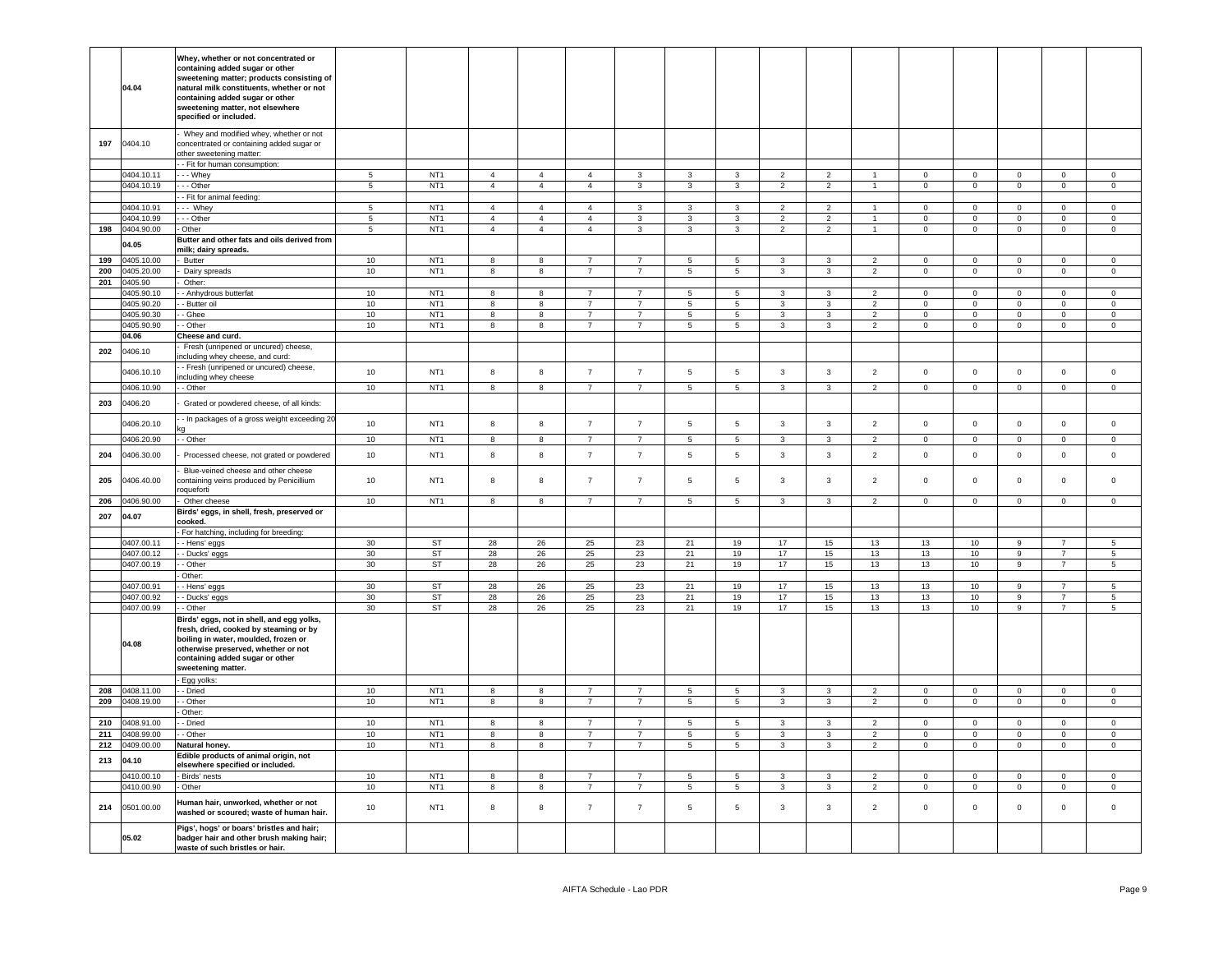|     | 04.04                    | Whey, whether or not concentrated or<br>containing added sugar or other<br>sweetening matter; products consisting of<br>natural milk constituents, whether or not<br>containing added sugar or other<br>sweetening matter, not elsewhere<br>specified or included. |                               |                                    |                                  |                                  |                                  |                                   |                               |                              |                                  |                                  |                                            |                            |                               |                               |                                  |                            |
|-----|--------------------------|--------------------------------------------------------------------------------------------------------------------------------------------------------------------------------------------------------------------------------------------------------------------|-------------------------------|------------------------------------|----------------------------------|----------------------------------|----------------------------------|-----------------------------------|-------------------------------|------------------------------|----------------------------------|----------------------------------|--------------------------------------------|----------------------------|-------------------------------|-------------------------------|----------------------------------|----------------------------|
| 197 | 0404.10                  | Whey and modified whey, whether or not<br>concentrated or containing added sugar or<br>other sweetening matter:                                                                                                                                                    |                               |                                    |                                  |                                  |                                  |                                   |                               |                              |                                  |                                  |                                            |                            |                               |                               |                                  |                            |
|     |                          | - Fit for human consumption:                                                                                                                                                                                                                                       |                               |                                    |                                  |                                  |                                  |                                   |                               |                              |                                  |                                  |                                            |                            |                               |                               |                                  |                            |
|     | 0404.10.11               | . - - Whey                                                                                                                                                                                                                                                         | 5                             | NT <sub>1</sub>                    | $\overline{4}$                   | $\overline{4}$                   | $\overline{4}$                   | 3                                 | 3                             | 3                            | $\overline{2}$                   | 2                                | $\blacktriangleleft$                       | $\mathbf 0$                | $\mathbf{0}$                  | $\mathbf 0$                   | $\mathbf 0$                      | $\overline{0}$             |
|     | 0404.10.19               | --- Other                                                                                                                                                                                                                                                          | $\overline{5}$                | NT <sub>1</sub>                    | $\overline{4}$                   | $\overline{4}$                   | $\overline{4}$                   | $\mathbf{3}$                      | $\mathbf{3}$                  | $\mathbf{3}$                 | $\overline{2}$                   | $\overline{a}$                   | $\overline{1}$                             | $\overline{0}$             | $\overline{0}$                | $\mathbf 0$                   | $\overline{0}$                   | $\circ$                    |
|     |                          | - Fit for animal feeding:                                                                                                                                                                                                                                          |                               | NT <sub>1</sub>                    |                                  |                                  |                                  |                                   |                               |                              |                                  |                                  |                                            |                            |                               |                               |                                  |                            |
|     | 0404.10.91               | -- Whey                                                                                                                                                                                                                                                            | $5\phantom{.0}$               | NT <sub>1</sub>                    | $\overline{4}$<br>$\overline{4}$ | $\overline{4}$                   | $\overline{4}$                   | 3                                 | 3                             | 3                            | $\overline{2}$                   | $\overline{2}$                   | $\overline{1}$                             | $\Omega$                   | $\mathbf 0$                   | $\Omega$                      | $\pmb{0}$                        | $\Omega$                   |
| 198 | 0404.10.99<br>0404.90.00 | - - Other<br>- Other                                                                                                                                                                                                                                               | $\sqrt{5}$<br>$5\phantom{.0}$ | NT <sub>1</sub>                    | $\overline{4}$                   | $\overline{4}$<br>$\overline{4}$ | $\overline{4}$<br>$\overline{4}$ | 3<br>$\mathbf{3}$                 | $\mathbf{3}$<br>$\mathbf{3}$  | $\mathbf{3}$<br>$\mathbf{3}$ | $\overline{2}$<br>$\overline{2}$ | $\overline{2}$<br>$\overline{2}$ | $\mathbf{1}$<br>$\mathbf{1}$               | $\mathbf 0$<br>$\mathbf 0$ | $\mathbf 0$<br>$\overline{0}$ | $\mathsf 0$<br>$\overline{0}$ | $\mathbf 0$<br>$\overline{0}$    | $\mathbf 0$<br>$\mathbf 0$ |
|     |                          | Butter and other fats and oils derived from                                                                                                                                                                                                                        |                               |                                    |                                  |                                  |                                  |                                   |                               |                              |                                  |                                  |                                            |                            |                               |                               |                                  |                            |
|     | 04.05                    | milk; dairy spreads.                                                                                                                                                                                                                                               |                               |                                    |                                  |                                  |                                  |                                   |                               |                              |                                  |                                  |                                            |                            |                               |                               |                                  |                            |
| 199 | 1405.10.00               | Butter                                                                                                                                                                                                                                                             | 10                            | NT <sub>1</sub>                    | 8                                | 8                                | $\overline{7}$                   | $\overline{7}$                    | 5                             | 5                            | 3                                | 3                                | $\overline{2}$                             | $\mathsf 0$                | $\mathsf 0$                   | $\mathsf 0$                   | $\mathsf 0$                      | $\mathsf 0$                |
| 200 | 0405.20.00               | Dairy spreads                                                                                                                                                                                                                                                      | 10                            | NT <sub>1</sub>                    | 8                                | 8                                | $\overline{7}$                   | $\overline{7}$                    | $\,$ 5 $\,$                   | $\,$ 5 $\,$                  | 3                                | 3                                | $\overline{2}$                             | $\mathsf 0$                | $\mathbf 0$                   | $\mathsf 0$                   | $\pmb{0}$                        | $\,0\,$                    |
| 201 | 0405.90                  | Other:                                                                                                                                                                                                                                                             |                               |                                    |                                  |                                  |                                  |                                   |                               |                              |                                  |                                  |                                            |                            |                               |                               |                                  |                            |
|     | 1405.90.10               | - Anhydrous butterfat                                                                                                                                                                                                                                              | 10                            | NT <sub>1</sub>                    | 8                                | 8                                | $\overline{7}$                   | $\overline{7}$                    | 5                             | 5                            | 3                                | 3                                | $\overline{2}$                             | $\mathbf 0$                | $\mathsf 0$                   | $\mathsf 0$                   | $\pmb{0}$                        | $\,0\,$                    |
|     | 1405.90.20<br>0405.90.30 | - Butter oil                                                                                                                                                                                                                                                       | $10$                          | NT <sub>1</sub>                    | 8<br>8                           | 8                                | $\overline{7}$                   | $\overline{7}$                    | 5                             | 5                            | 3                                | 3                                | $\overline{\phantom{a}}$<br>$\overline{2}$ | $\Omega$<br>$\mathbf 0$    | $\mathbf 0$                   | $\mathsf 0$                   | $\mathbf 0$                      | $\mathbf 0$                |
|     |                          | - Ghee                                                                                                                                                                                                                                                             | $10$                          | NT <sub>1</sub>                    | 8                                | 8                                | $\overline{7}$                   | $\overline{7}$                    | $\,$ 5 $\,$<br>$\overline{5}$ | $\,$ 5 $\,$                  | 3<br>$\mathbf{3}$                | 3                                | $\overline{2}$                             |                            | $\mathbf 0$                   | $\mathsf 0$                   | $\mathbf 0$                      | $\mathsf{O}$               |
|     | 1405.90.90<br>04.06      | - Other<br>Cheese and curd.                                                                                                                                                                                                                                        | $10$                          | NT <sub>1</sub>                    |                                  | 8                                |                                  |                                   |                               | $\,$ 5 $\,$                  |                                  | 3                                |                                            | $\mathsf 0$                | $\mathsf{O}\xspace$           | $\mathsf 0$                   | $\pmb{0}$                        | $\,0\,$                    |
| 202 | 0406.10                  | Fresh (unripened or uncured) cheese,<br>ncluding whey cheese, and curd:                                                                                                                                                                                            |                               |                                    |                                  |                                  |                                  |                                   |                               |                              |                                  |                                  |                                            |                            |                               |                               |                                  |                            |
|     | 0406.10.10               | - Fresh (unripened or uncured) cheese,                                                                                                                                                                                                                             | 10                            | NT <sub>1</sub>                    | 8                                | 8                                | $\overline{7}$                   | $\overline{7}$                    | 5                             | 5                            | $\mathbf{3}$                     | $\mathbf{3}$                     | $\overline{2}$                             | $\mathbf 0$                | $\mathsf 0$                   | $\mathsf 0$                   | $\mathsf 0$                      | $\mathsf 0$                |
|     | 0406.10.90               | ncluding whey cheese<br>- Other                                                                                                                                                                                                                                    | 10                            | NT <sub>1</sub>                    | 8                                | 8                                | $\overline{7}$                   | $\overline{7}$                    | 5 <sup>5</sup>                | 5                            | $\overline{3}$                   | $\mathbf{3}$                     | $\overline{2}$                             | $\overline{0}$             | $\mathbf 0$                   | $\mathbf 0$                   | $\mathbf 0$                      | $\overline{0}$             |
| 203 | 0406.20                  | Grated or powdered cheese, of all kinds:                                                                                                                                                                                                                           |                               |                                    |                                  |                                  |                                  |                                   |                               |                              |                                  |                                  |                                            |                            |                               |                               |                                  |                            |
|     | 0406.20.10               | - In packages of a gross weight exceeding 20                                                                                                                                                                                                                       | 10                            | NT <sub>1</sub>                    | 8                                | $\bf{8}$                         | $\overline{7}$                   | $\overline{7}$                    | 5                             | 5                            | $\mathbf{3}$                     | $\mathbf{3}$                     | $\overline{2}$                             | $\mathsf 0$                | $\mathsf 0$                   | $\mathbf 0$                   | $\mathsf 0$                      | $\mathbf 0$                |
|     | 0406.20.90               | - Other                                                                                                                                                                                                                                                            | $10$                          | NT <sub>1</sub>                    | 8                                | $^{\rm 8}$                       | $\overline{7}$                   | $\overline{7}$                    | $\overline{5}$                | 5                            | $\mathbf{3}$                     | 3                                | $\overline{2}$                             | $\mathbf 0$                | $\mathsf{O}\xspace$           | $\mathsf 0$                   | $\mathbf 0$                      | $\,0\,$                    |
| 204 | 0406.30.00               | Processed cheese, not grated or powdered                                                                                                                                                                                                                           | 10                            | NT <sub>1</sub>                    | 8                                | 8                                | $\overline{7}$                   | $\overline{7}$                    | $5\phantom{.0}$               | 5                            | $\mathbf{3}$                     | $\mathbf{3}$                     | $\overline{c}$                             | $\mathsf 0$                | $\mathbf 0$                   | $\mathbf 0$                   | $\pmb{0}$                        | $\mathbf 0$                |
| 205 | 0406.40.00               | Blue-veined cheese and other cheese<br>containing veins produced by Penicillium<br>oqueforti                                                                                                                                                                       | $10$                          | NT <sub>1</sub>                    | 8                                | 8                                | $\overline{7}$                   | $\overline{7}$                    | 5                             | 5                            | $_{\rm 3}$                       | 3                                | $\overline{c}$                             | $\,0\,$                    | $\mathbf 0$                   | $\mathsf 0$                   | $\mathbf 0$                      | $\overline{0}$             |
| 206 | 0406.90.00               | Other cheese                                                                                                                                                                                                                                                       | 10                            | NT <sub>1</sub>                    | 8                                | 8                                | $\overline{7}$                   | $\overline{7}$                    | 5                             | 5                            | $\mathbf{3}$                     | 3                                | $\overline{c}$                             | $\mathbf 0$                | $\mathsf 0$                   | $\mathbf 0$                   | $\overline{0}$                   | $\overline{0}$             |
| 207 | 04.07                    | Birds' eggs, in shell, fresh, preserved or                                                                                                                                                                                                                         |                               |                                    |                                  |                                  |                                  |                                   |                               |                              |                                  |                                  |                                            |                            |                               |                               |                                  |                            |
|     |                          | cooked.                                                                                                                                                                                                                                                            |                               |                                    |                                  |                                  |                                  |                                   |                               |                              |                                  |                                  |                                            |                            |                               |                               |                                  |                            |
|     |                          | For hatching, including for breeding:                                                                                                                                                                                                                              |                               |                                    |                                  |                                  |                                  |                                   |                               |                              |                                  |                                  |                                            |                            |                               |                               |                                  |                            |
|     | 0407.00.11               | - Hens' eggs                                                                                                                                                                                                                                                       | 30                            | ST                                 | 28                               | 26                               | 25                               | 23                                | 21                            | 19                           | 17                               | 15                               | 13                                         | 13                         | 10 <sup>10</sup>              | 9                             | $\overline{7}$                   | $\sqrt{5}$                 |
|     | 0407.00.12<br>0407.00.19 | - Ducks' eggs<br>- Other                                                                                                                                                                                                                                           | 30<br>30                      | ST<br>ST                           | 28<br>28                         | 26                               | 25<br>25                         | 23<br>23                          | 21                            | 19                           | 17<br>17                         | 15                               | 13<br>13                                   | 13<br>13                   | 10<br>10                      | 9<br>9                        | $\overline{7}$<br>$\overline{7}$ | 5                          |
|     |                          | Other:                                                                                                                                                                                                                                                             |                               |                                    |                                  | 26                               |                                  |                                   | 21                            | 19                           |                                  | 15                               |                                            |                            |                               |                               |                                  | $5\overline{5}$            |
|     | 0407.00.91               | - Hens' eggs                                                                                                                                                                                                                                                       | 30                            | <b>ST</b>                          | 28                               | 26                               | 25                               | 23                                | 21                            | 19                           | 17                               | 15                               | 13                                         | 13                         | 10                            | 9                             | $\overline{7}$                   | 5                          |
|     | 0407.00.92               | - Ducks' eggs                                                                                                                                                                                                                                                      | 30                            | <b>ST</b>                          | 28                               | 26                               | 25                               | 23                                | 21                            | 19                           | 17                               | 15                               | 13                                         | 13                         | 10                            | 9                             |                                  | 5                          |
|     | 0407.00.99               | - Other                                                                                                                                                                                                                                                            | 30                            | <b>ST</b>                          | 28                               | 26                               | 25                               | 23                                | 21                            | 19                           | 17                               | 15                               | 13                                         | 13                         | 10                            | 9                             | $\overline{7}$                   | $\,$ 5 $\,$                |
|     | 04.08                    | Birds' eggs, not in shell, and egg yolks,<br>fresh, dried, cooked by steaming or by<br>boiling in water, moulded, frozen or<br>otherwise preserved, whether or not<br>containing added sugar or other<br>sweetening matter.                                        |                               |                                    |                                  |                                  |                                  |                                   |                               |                              |                                  |                                  |                                            |                            |                               |                               |                                  |                            |
|     |                          | Egg yolks:                                                                                                                                                                                                                                                         |                               |                                    |                                  |                                  |                                  |                                   |                               |                              |                                  |                                  |                                            |                            |                               |                               |                                  |                            |
| 208 | 0408.11.00               | - Dried                                                                                                                                                                                                                                                            | 10                            | NT <sub>1</sub><br>NT <sub>1</sub> | 8                                | 8                                | $\overline{7}$<br>$\overline{7}$ | $7\overline{ }$<br>$\overline{7}$ | $5\overline{5}$               | 5                            | $\mathbf{3}$                     | 3                                | $\overline{2}$                             | $\overline{0}$             | $\overline{0}$                | $\overline{0}$                | $\overline{0}$                   | $\overline{0}$             |
| 209 | 0408.19.00               | - Other<br>Other:                                                                                                                                                                                                                                                  | 10                            |                                    | 8                                | 8                                |                                  |                                   | $5\overline{5}$               | 5                            | $\mathbf{3}$                     | 3                                | $\overline{2}$                             | $\overline{0}$             | $\overline{0}$                | $\overline{0}$                | $\overline{0}$                   | $\overline{0}$             |
| 210 | 0408.91.00               | - Dried                                                                                                                                                                                                                                                            | 10                            | NT <sub>1</sub>                    | 8                                | 8                                | 7                                | $\overline{7}$                    | 5                             | 5                            | 3                                | 3                                | 2                                          | $\Omega$                   | $\mathbf 0$                   | $\mathbf{0}$                  | $\mathbf{0}$                     | $\overline{0}$             |
| 211 | 0408.99.00               | - Other                                                                                                                                                                                                                                                            | 10                            | NT <sub>1</sub>                    | 8                                | 8                                | $\overline{7}$                   | $\overline{7}$                    | $5\overline{5}$               | 5                            | $\mathbf{3}$                     | 3                                | $\overline{2}$                             | $\mathbf 0$                | $\mathbf 0$                   | $\overline{0}$                | $\overline{0}$                   | $\overline{0}$             |
| 212 | 0409.00.00               | Natural honey.                                                                                                                                                                                                                                                     | 10                            | NT <sub>1</sub>                    | 8                                | 8                                | $\overline{7}$                   | $7\overline{ }$                   | $5\overline{5}$               | 5                            | $\mathbf{3}$                     | 3                                | $\overline{2}$                             | $\overline{0}$             | $\overline{0}$                | $\overline{0}$                | $\overline{0}$                   | $\overline{0}$             |
| 213 | 04.10                    | Edible products of animal origin, not                                                                                                                                                                                                                              |                               |                                    |                                  |                                  |                                  |                                   |                               |                              |                                  |                                  |                                            |                            |                               |                               |                                  |                            |
|     |                          | elsewhere specified or included.                                                                                                                                                                                                                                   |                               |                                    |                                  |                                  |                                  |                                   |                               |                              |                                  |                                  |                                            |                            |                               |                               |                                  |                            |
|     | 0410.00.10<br>0410.00.90 | Birds' nests<br>Other                                                                                                                                                                                                                                              | 10<br>10                      | NT <sub>1</sub><br>NT <sub>1</sub> | 8<br>8                           | 8<br>8                           | $\overline{7}$<br>$\overline{7}$ | $\overline{7}$<br>$\overline{7}$  | 5<br>$5\overline{5}$          | 5<br>5                       | 3<br>3                           | 3<br>3                           | $\overline{2}$<br>$\overline{2}$           | $\mathsf 0$<br>$\Omega$    | $\mathsf 0$<br>$\circ$        | $\mathbf 0$<br>$\mathbf 0$    | $\mathbf 0$<br>$\mathbf{0}$      | $\mathbf 0$<br>$\mathbf 0$ |
| 214 | 0501.00.00               | Human hair, unworked, whether or not<br>washed or scoured; waste of human hair.                                                                                                                                                                                    | 10                            | NT <sub>1</sub>                    | 8                                | 8                                | $\overline{7}$                   | $\overline{7}$                    | $5\phantom{.0}$               | 5                            | 3                                | 3                                | $\overline{c}$                             | $\,0\,$                    | $\mathbf 0$                   | $\mathbf 0$                   | $\pmb{0}$                        | $\overline{0}$             |
|     | 05.02                    | Pigs', hogs' or boars' bristles and hair;<br>badger hair and other brush making hair;<br>waste of such bristles or hair.                                                                                                                                           |                               |                                    |                                  |                                  |                                  |                                   |                               |                              |                                  |                                  |                                            |                            |                               |                               |                                  |                            |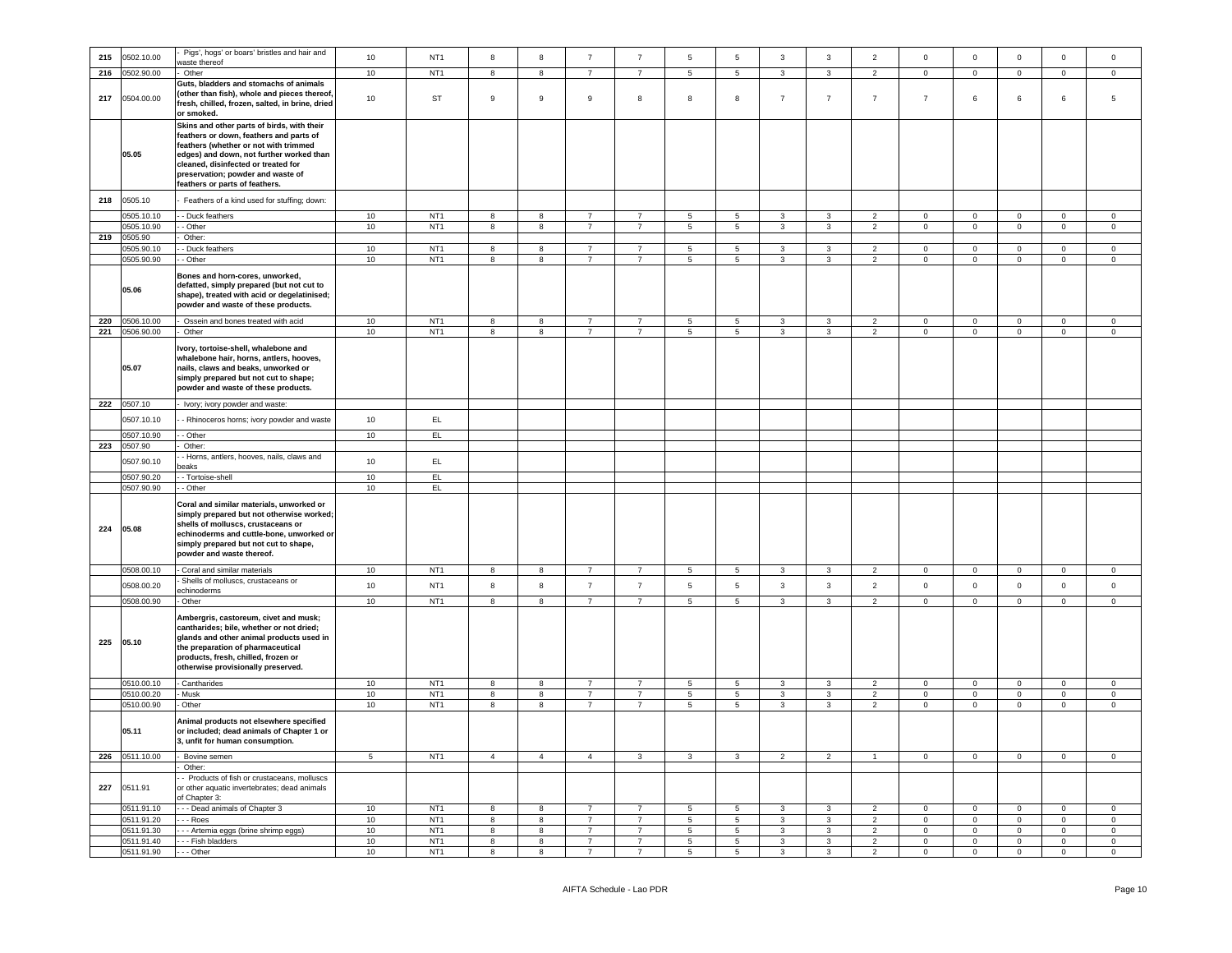| 215 | 0502.10.00               | Pigs', hogs' or boars' bristles and hair and                                                                                                                                                                                                                                            | 10       | NT <sub>1</sub>                    | 8                            | 8                                 | $\overline{7}$                   | $\overline{7}$                   | $5\phantom{.0}$                  | $\,$ 5 $\,$                                | $\mathbf{3}$                 | $\mathbf{3}$                                       | $\overline{2}$                   | $\mathsf{O}\xspace$        | $\mathsf 0$                   | $\mathsf 0$            | $\mathsf 0$                        | $\mathsf{O}\xspace$           |
|-----|--------------------------|-----------------------------------------------------------------------------------------------------------------------------------------------------------------------------------------------------------------------------------------------------------------------------------------|----------|------------------------------------|------------------------------|-----------------------------------|----------------------------------|----------------------------------|----------------------------------|--------------------------------------------|------------------------------|----------------------------------------------------|----------------------------------|----------------------------|-------------------------------|------------------------|------------------------------------|-------------------------------|
|     |                          | vaste thereof                                                                                                                                                                                                                                                                           |          |                                    |                              |                                   | $\overline{7}$                   | $\overline{7}$                   |                                  |                                            |                              |                                                    |                                  |                            |                               |                        |                                    |                               |
| 216 | 0502.90.00               | Other                                                                                                                                                                                                                                                                                   | 10       | NT <sub>1</sub>                    | 8                            | 8                                 |                                  |                                  | $5\phantom{.0}$                  | $5\phantom{.0}$                            | $\mathbf{3}$                 | $\mathbf{3}$                                       | $\overline{2}$                   | $\mathsf 0$                | $\mathsf 0$                   | $\mathbf 0$            | $\mathsf 0$                        | $\mathsf 0$                   |
| 217 | 0504.00.00               | Guts, bladders and stomachs of animals<br>(other than fish), whole and pieces thereof,<br>fresh, chilled, frozen, salted, in brine, dried<br>or smoked.                                                                                                                                 | 10       | ST                                 | $\mathsf g$                  | $\boldsymbol{9}$                  | $\boldsymbol{9}$                 | 8                                | 8                                | 8                                          | $\overline{7}$               | $\overline{7}$                                     | $\overline{7}$                   | $\overline{7}$             | 6                             | $\,6\,$                | 6                                  | 5                             |
|     | 05.05                    | Skins and other parts of birds, with their<br>feathers or down, feathers and parts of<br>feathers (whether or not with trimmed<br>edges) and down, not further worked than<br>cleaned, disinfected or treated for<br>preservation; powder and waste of<br>eathers or parts of feathers. |          |                                    |                              |                                   |                                  |                                  |                                  |                                            |                              |                                                    |                                  |                            |                               |                        |                                    |                               |
| 218 | 0505.10                  | Feathers of a kind used for stuffing; down:                                                                                                                                                                                                                                             |          |                                    |                              |                                   |                                  |                                  |                                  |                                            |                              |                                                    |                                  |                            |                               |                        |                                    |                               |
|     | 0505.10.10               | - Duck feathers                                                                                                                                                                                                                                                                         | 10       | NT <sub>1</sub>                    | 8                            | 8                                 | $\overline{7}$                   | $\overline{7}$                   | $\overline{5}$                   | $\overline{5}$                             | $\mathbf{3}$                 | $\mathbf{3}$                                       | $\overline{2}$                   | $\Omega$                   | $\mathbf{O}$                  | $\mathbf{0}$           | $\Omega$                           | $\Omega$                      |
|     | 0505.10.90               | - Other                                                                                                                                                                                                                                                                                 | 10       | NT <sub>1</sub>                    | $\overline{\mathbf{8}}$      | $\overline{\mathbf{8}}$           | $\overline{7}$                   | $\overline{7}$                   | $5\overline{)}$                  | $\overline{5}$                             | $\mathbf{3}$                 | $\overline{3}$                                     | $\overline{2}$                   | $\mathbf 0$                | $\overline{0}$                | $\mathbf{0}$           | $\Omega$                           | $\overline{0}$                |
| 219 | 0505.90                  | Other:                                                                                                                                                                                                                                                                                  |          |                                    |                              |                                   |                                  |                                  |                                  |                                            |                              |                                                    |                                  |                            |                               |                        |                                    |                               |
|     | 0505.90.10               | - Duck feathers                                                                                                                                                                                                                                                                         | 10       | NT <sub>1</sub>                    | $\overline{\mathbf{8}}$      | $\overline{\mathbf{8}}$           | $\overline{7}$                   | $\overline{7}$                   | $\overline{5}$                   | $\overline{5}$                             | $\overline{3}$               | $\overline{3}$                                     | $\overline{2}$                   | $\Omega$                   | $\overline{0}$                | $\overline{0}$         | $\overline{0}$                     | $\circ$                       |
|     | 0505.90.90               | - Other                                                                                                                                                                                                                                                                                 | 10       | NT <sub>1</sub>                    | $\overline{\mathbf{8}}$      | 8                                 | $\overline{7}$                   | $\overline{7}$                   | $\overline{\phantom{0}}$         | $\overline{5}$                             | $\mathbf{3}$                 | $\overline{3}$                                     | $\overline{2}$                   | $\mathbf 0$                | $\overline{0}$                | $\overline{0}$         | $\circ$                            | $\mathbf 0$                   |
|     | 05.06                    | Bones and horn-cores, unworked,<br>defatted, simply prepared (but not cut to<br>shape), treated with acid or degelatinised;<br>powder and waste of these products.                                                                                                                      |          |                                    |                              |                                   |                                  |                                  |                                  |                                            |                              |                                                    |                                  |                            |                               |                        |                                    |                               |
| 220 | 0506.10.00               | Ossein and bones treated with acid                                                                                                                                                                                                                                                      | 10       | NT <sub>1</sub>                    | 8                            | 8                                 | $\overline{7}$                   | $\overline{7}$                   | $5\phantom{.0}$                  | $\overline{5}$                             | $\mathbf{3}$                 | $\mathbf{3}$                                       | $\overline{2}$                   | $\mathsf 0$                | $\mathsf 0$                   | $\mathbf 0$            | $\mathsf 0$                        | $\circ$                       |
|     | 221 0506.90.00           | Other                                                                                                                                                                                                                                                                                   | 10       | NT <sub>1</sub>                    | 8                            | $^{\rm 8}$                        | $\overline{7}$                   | $\overline{7}$                   | 5 <sup>5</sup>                   | $\overline{5}$                             | $\mathbf{3}$                 | $\mathbf{3}$                                       | $\overline{2}$                   | $\mathbf{0}$               | $\mathsf 0$                   | $\overline{0}$         | $\mathbf{0}$                       | $\mathbf 0$                   |
|     | 05.07                    | vory, tortoise-shell, whalebone and<br>whalebone hair, horns, antlers, hooves,<br>nails, claws and beaks, unworked or<br>simply prepared but not cut to shape;<br>powder and waste of these products.                                                                                   |          |                                    |                              |                                   |                                  |                                  |                                  |                                            |                              |                                                    |                                  |                            |                               |                        |                                    |                               |
|     | 222 0507.10              | Ivory; ivory powder and waste:                                                                                                                                                                                                                                                          |          |                                    |                              |                                   |                                  |                                  |                                  |                                            |                              |                                                    |                                  |                            |                               |                        |                                    |                               |
|     | 0507.10.10               |                                                                                                                                                                                                                                                                                         | 10       | EL                                 |                              |                                   |                                  |                                  |                                  |                                            |                              |                                                    |                                  |                            |                               |                        |                                    |                               |
|     |                          | - Rhinoceros horns; ivory powder and waste                                                                                                                                                                                                                                              |          |                                    |                              |                                   |                                  |                                  |                                  |                                            |                              |                                                    |                                  |                            |                               |                        |                                    |                               |
|     | 0507.10.90               | - Other                                                                                                                                                                                                                                                                                 | 10       | EL                                 |                              |                                   |                                  |                                  |                                  |                                            |                              |                                                    |                                  |                            |                               |                        |                                    |                               |
| 223 | 0507.90                  | Other:                                                                                                                                                                                                                                                                                  |          |                                    |                              |                                   |                                  |                                  |                                  |                                            |                              |                                                    |                                  |                            |                               |                        |                                    |                               |
|     | 0507.90.10               | - Horns, antlers, hooves, nails, claws and<br>eaks                                                                                                                                                                                                                                      | 10       | EL                                 |                              |                                   |                                  |                                  |                                  |                                            |                              |                                                    |                                  |                            |                               |                        |                                    |                               |
|     | 0507.90.20               | - Tortoise-shell                                                                                                                                                                                                                                                                        | 10<br>10 | EL                                 |                              |                                   |                                  |                                  |                                  |                                            |                              |                                                    |                                  |                            |                               |                        |                                    |                               |
| 224 | 0507.90.90<br>05.08      | - Other<br>Coral and similar materials, unworked or<br>simply prepared but not otherwise worked;<br>shells of molluscs, crustaceans or<br>echinoderms and cuttle-bone, unworked or<br>simply prepared but not cut to shape,<br>powder and waste thereof.                                |          | EL                                 |                              |                                   |                                  |                                  |                                  |                                            |                              |                                                    |                                  |                            |                               |                        |                                    |                               |
|     | 0508.00.10               | Coral and similar materials                                                                                                                                                                                                                                                             | 10       | NT <sub>1</sub>                    | 8                            | 8                                 | $\overline{7}$                   | $\overline{7}$                   | 5                                | $5\phantom{.0}$                            | 3                            | 3                                                  | $\overline{2}$                   | 0                          | $\mathbf 0$                   | $\mathbf{0}$           | $\mathbf 0$                        | $^{\circ}$                    |
|     | 0508.00.20               | Shells of molluscs, crustaceans or                                                                                                                                                                                                                                                      | 10       | NT <sub>1</sub>                    | 8                            | 8                                 | $\overline{7}$                   | $\overline{7}$                   | $5\overline{5}$                  | $\overline{5}$                             | $\mathbf{3}$                 | $\mathbf{3}$                                       | $\sqrt{2}$                       | $\mathsf{O}\xspace$        | $\mathsf 0$                   | $\mathsf 0$            | $\mathsf{O}\xspace$                | $\mathsf{O}\xspace$           |
|     |                          | echinoderms                                                                                                                                                                                                                                                                             |          |                                    |                              |                                   |                                  |                                  |                                  |                                            |                              |                                                    |                                  |                            |                               |                        |                                    |                               |
| 225 | 0508.00.90<br>05.10      | Other<br>Ambergris, castoreum, civet and musk;<br>cantharides; bile, whether or not dried;<br>glands and other animal products used in<br>the preparation of pharmaceutical<br>products, fresh, chilled, frozen or<br>otherwise provisionally preserved.                                | 10       | NT <sub>1</sub>                    | 8                            | 8                                 | $\overline{7}$                   | $\overline{7}$                   | $5\overline{5}$                  | $5\overline{5}$                            | $\overline{3}$               | $\mathbf{3}$                                       | $\overline{2}$                   | $\mathbf{0}$               | $\mathbf{0}$                  | $\mathbf 0$            | $\mathbf{0}$                       | $\mathsf 0$                   |
|     | 0510.00.10               | Cantharides                                                                                                                                                                                                                                                                             | 10       | NT <sub>1</sub>                    | 8                            | 8                                 | $\overline{7}$                   | $\overline{7}$                   | $\overline{5}$                   | $\overline{5}$                             | $\mathbf{3}$                 | $\overline{\mathbf{3}}$                            | $\overline{2}$                   | $\mathbf 0$                | $\overline{0}$                | $\overline{0}$         | $\overline{0}$                     | $\overline{0}$                |
|     | 0510.00.20               | Musk                                                                                                                                                                                                                                                                                    | 10       | NT <sub>1</sub>                    | 8                            | 8                                 | $\overline{7}$                   | $\overline{7}$                   | $\overline{5}$                   | $\overline{5}$                             | $\mathbf{3}$                 | $\mathbf{3}$                                       | $\overline{2}$                   | $\mathbf{0}$               | $\overline{0}$                | $\mathsf 0$            | $\mathbf{0}$                       | $\mathsf 0$                   |
|     | 0510.00.90               | Other                                                                                                                                                                                                                                                                                   | 10       | NT <sub>1</sub>                    | $\overline{8}$               | $\overline{\mathbf{8}}$           | $\overline{7}$                   | $\overline{7}$                   | $\overline{5}$                   | $\overline{\phantom{0}}$                   | $\mathbf{3}$                 | $\overline{3}$                                     | $\overline{2}$                   | $\mathbf{0}$               | $\overline{0}$                | $\overline{0}$         | $\overline{0}$                     | $\mathsf 0$                   |
|     | 05.11                    | Animal products not elsewhere specified<br>or included; dead animals of Chapter 1 or<br>3, unfit for human consumption.                                                                                                                                                                 |          |                                    |                              |                                   |                                  |                                  |                                  |                                            |                              |                                                    |                                  |                            |                               |                        |                                    |                               |
|     | 226 0511.10.00           | Bovine semen                                                                                                                                                                                                                                                                            | 5        | NT <sub>1</sub>                    | $\overline{4}$               | $\overline{4}$                    | $\overline{4}$                   | $\mathbf{3}$                     | $\mathbf{3}$                     | $\mathbf{3}$                               | $\overline{2}$               | $\overline{2}$                                     | $\mathbf{1}$                     | $\overline{0}$             | $\overline{0}$                | $\overline{0}$         | $\overline{0}$                     | $\overline{0}$                |
| 227 | 0511.91                  | Other:<br>- Products of fish or crustaceans, molluscs<br>or other aquatic invertebrates; dead animals<br>of Chapter 3:                                                                                                                                                                  | 10       | NT <sub>1</sub>                    |                              |                                   | $\overline{7}$                   | $\overline{7}$                   | $5\overline{)}$                  |                                            | $\mathbf{3}$                 |                                                    | $\overline{2}$                   |                            |                               |                        | $\overline{0}$                     |                               |
|     | 0511.91.10               | --- Dead animals of Chapter 3                                                                                                                                                                                                                                                           |          |                                    | 8                            | $\overline{\mathbf{8}}$           |                                  |                                  |                                  | $\overline{\phantom{0}}$                   |                              | $\mathbf{3}$                                       |                                  | $\Omega$                   | $\mathsf 0$                   | $\overline{0}$         |                                    | $\mathbf 0$                   |
|     | 0511.91.20<br>0511.91.30 | - Roes                                                                                                                                                                                                                                                                                  | 10<br>10 | NT <sub>1</sub><br>NT <sub>1</sub> | $\overline{\mathbf{8}}$<br>8 | $\overline{\mathbf{8}}$<br>$\bf8$ | $\overline{7}$<br>$\overline{7}$ | $\overline{7}$<br>$\overline{7}$ | $\overline{5}$<br>$\overline{5}$ | $\overline{\phantom{0}}$<br>$\overline{5}$ | $\mathbf{3}$<br>$\mathbf{3}$ | $\overline{\mathbf{3}}$<br>$\overline{\mathbf{3}}$ | $\overline{2}$<br>$\overline{2}$ | $\mathsf 0$<br>$\mathsf 0$ | $\overline{0}$<br>$\mathsf 0$ | $\,0\,$<br>$\mathbf 0$ | $\mathbb O$<br>$\mathsf{O}\xspace$ | $\overline{0}$<br>$\mathbf 0$ |
|     | 0511.91.40               | - - Artemia eggs (brine shrimp eggs)<br>-- Fish bladders                                                                                                                                                                                                                                | 10       | NT <sub>1</sub>                    | 8                            | $^{\rm 8}$                        | $\overline{7}$                   | $\overline{7}$                   | $\overline{5}$                   | $\overline{\phantom{0}}$                   | 3                            | $\overline{3}$                                     | $\overline{2}$                   | $\mathbf 0$                | $\overline{0}$                | $\mathbf 0$            | $\Omega$                           | $\mathbf 0$                   |
|     |                          |                                                                                                                                                                                                                                                                                         |          | NT <sub>1</sub>                    | 8                            |                                   | $\overline{7}$                   | $\overline{7}$                   | $\overline{5}$                   |                                            | $\mathcal{R}$                |                                                    |                                  | $\Omega$                   |                               |                        | $\Omega$                           |                               |
|     | 0511.91.90               | --- Other                                                                                                                                                                                                                                                                               | 10       |                                    |                              | 8                                 |                                  |                                  |                                  | 5                                          |                              | $\mathbf{3}$                                       | $\overline{2}$                   |                            | $\mathbf 0$                   | $\mathbf 0$            |                                    | $\mathsf{O}\xspace$           |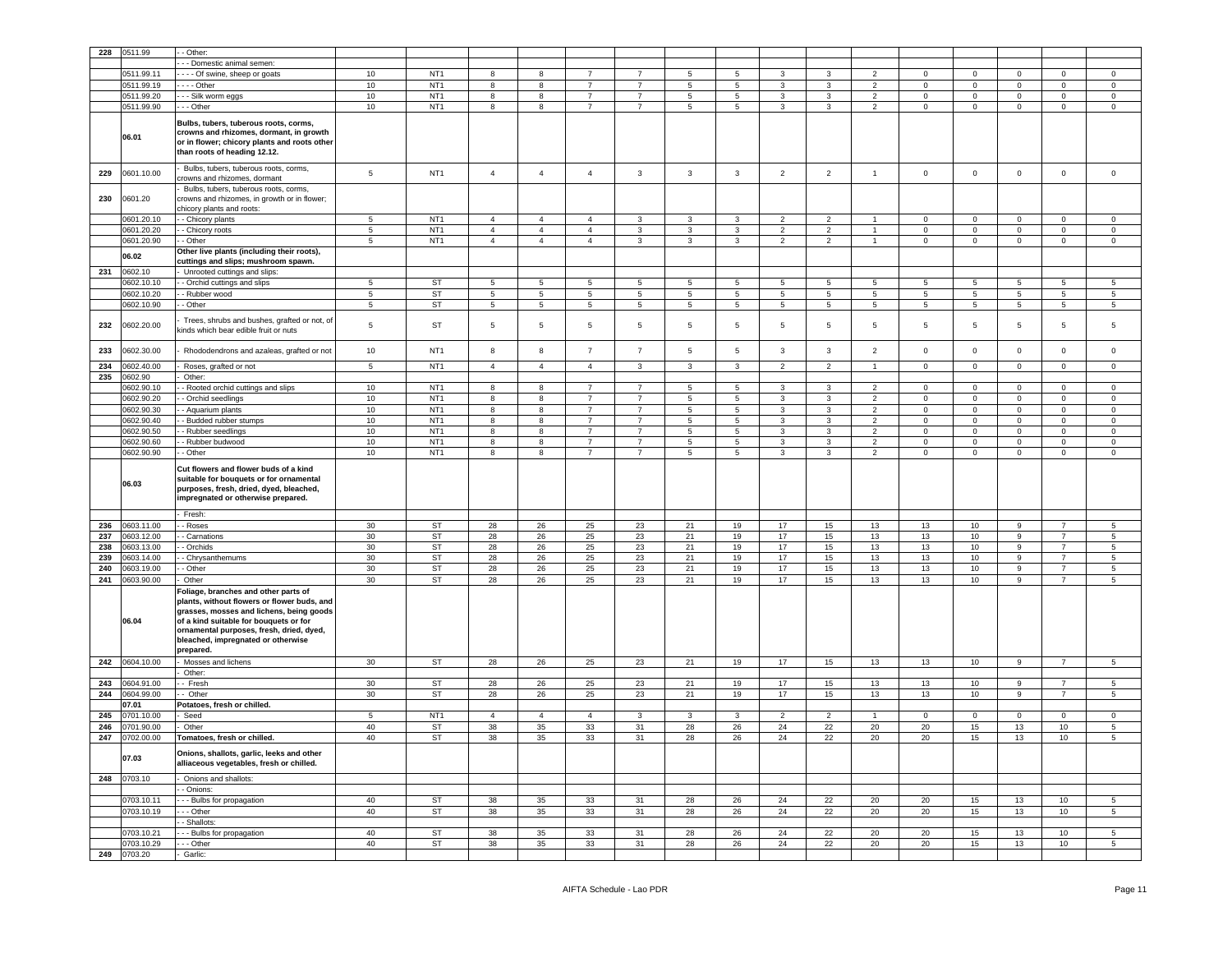| 228 | 0511.99               | - Other:                                                                                                                                                                                                                                                                 |                 |                 |                 |                 |                 |                 |                 |              |                 |                 |                |                 |                 |                 |                 |                     |
|-----|-----------------------|--------------------------------------------------------------------------------------------------------------------------------------------------------------------------------------------------------------------------------------------------------------------------|-----------------|-----------------|-----------------|-----------------|-----------------|-----------------|-----------------|--------------|-----------------|-----------------|----------------|-----------------|-----------------|-----------------|-----------------|---------------------|
|     |                       | - - Domestic animal semen:                                                                                                                                                                                                                                               |                 |                 |                 |                 |                 |                 |                 |              |                 |                 |                |                 |                 |                 |                 |                     |
|     |                       |                                                                                                                                                                                                                                                                          |                 |                 |                 |                 |                 |                 |                 |              |                 |                 |                |                 |                 |                 |                 |                     |
|     | 0511.99.11            | - - - Of swine, sheep or goats                                                                                                                                                                                                                                           | 10              | NT <sub>1</sub> | 8               | 8               | $\overline{7}$  | $\overline{7}$  | 5               | 5            | 3               | 3               | $\overline{2}$ | $\mathbf 0$     | $\mathbf{0}$    | $\mathbf 0$     | $\mathbf{0}$    | $\mathbf 0$         |
|     | 0511.99.19            | - - - Other                                                                                                                                                                                                                                                              | $10$            | NT <sub>1</sub> | 8               | 8               | $\overline{7}$  | $\overline{7}$  | 5               | 5            | 3               | 3               | $\overline{2}$ | $\mathbf 0$     | $\mathbf 0$     | $\mathbf 0$     | $\mathbf 0$     | $\mathbf 0$         |
|     | 0511.99.20            | - - - Silk worm eggs                                                                                                                                                                                                                                                     | $10$            | NT <sub>1</sub> | 8               | 8               | $\overline{7}$  | $\overline{7}$  | $\overline{5}$  | 5            | 3               | 3               | $\overline{2}$ | 0               | $\mathbf 0$     | $\mathbf 0$     | 0               | $\mathbf 0$         |
|     | 0511.99.90            | - - Other                                                                                                                                                                                                                                                                | $10$            | NT <sub>1</sub> | 8               | 8               | $\overline{7}$  | $\overline{7}$  | 5               | 5            | 3               | 3               | $\overline{2}$ | $\mathbf{0}$    | $\mathbf{O}$    | $\mathbf 0$     | $\mathbf 0$     | $\mathbf 0$         |
|     | 06.01                 | Bulbs, tubers, tuberous roots, corms,<br>crowns and rhizomes, dormant, in growth<br>or in flower; chicory plants and roots other<br>than roots of heading 12.12.                                                                                                         |                 |                 |                 |                 |                 |                 |                 |              |                 |                 |                |                 |                 |                 |                 |                     |
| 229 | 0601.10.00            | Bulbs, tubers, tuberous roots, corms,<br>crowns and rhizomes, dormant                                                                                                                                                                                                    | 5               | NT <sub>1</sub> | $\sqrt{4}$      | $\overline{4}$  | $\overline{4}$  | $\mathbf{3}$    | $\mathbf{3}$    | $\mathbf{3}$ | $\overline{2}$  | $\overline{2}$  | $\mathbf{1}$   | $\mathsf 0$     | $\mathbf 0$     | $\mathbf 0$     | $\mathbf 0$     | $\mathsf{O}\xspace$ |
| 230 | 0601.20               | Bulbs, tubers, tuberous roots, corms,<br>crowns and rhizomes, in growth or in flower;<br>chicory plants and roots:                                                                                                                                                       |                 |                 |                 |                 |                 |                 |                 |              |                 |                 |                |                 |                 |                 |                 |                     |
|     | 0601.20.10            | - Chicory plants                                                                                                                                                                                                                                                         | 5               | NT <sub>1</sub> | $\overline{4}$  | $\overline{4}$  | $\overline{4}$  | 3               | 3               | 3            | 2               | $\overline{2}$  | -1             | $\mathbf 0$     | $\mathbf 0$     | $\mathbf 0$     | $\mathbf 0$     | $\mathbf 0$         |
|     | 0601.20.20            | - Chicory roots                                                                                                                                                                                                                                                          | $\overline{5}$  | NT <sub>1</sub> | $\overline{4}$  | $\overline{4}$  | $\overline{4}$  | $\mathbf{3}$    | 3               | $\mathbf{3}$ | $\overline{2}$  | $\overline{2}$  | $\overline{1}$ | $\mathbf 0$     | $\mathbf 0$     | $\mathbf 0$     | $\mathbf 0$     | $\mathsf 0$         |
|     | 0601.20.90            |                                                                                                                                                                                                                                                                          | $5\phantom{.0}$ | NT <sub>1</sub> | $\sqrt{4}$      | $\overline{4}$  | $\overline{4}$  | $\mathbf{3}$    | $\mathbf{3}$    | 3            | $\overline{2}$  | $\overline{2}$  | $\overline{1}$ | $\mathbf 0$     | $\mathbf 0$     | $\mathbf 0$     | $\mathbf{0}$    | $\circ$             |
|     |                       | - Other                                                                                                                                                                                                                                                                  |                 |                 |                 |                 |                 |                 |                 |              |                 |                 |                |                 |                 |                 |                 |                     |
|     | 06.02                 | Other live plants (including their roots),<br>cuttings and slips; mushroom spawn.                                                                                                                                                                                        |                 |                 |                 |                 |                 |                 |                 |              |                 |                 |                |                 |                 |                 |                 |                     |
| 231 | 0602.10               | Unrooted cuttings and slips:                                                                                                                                                                                                                                             |                 |                 |                 |                 |                 |                 |                 |              |                 |                 |                |                 |                 |                 |                 |                     |
|     | 0602.10.10            | - Orchid cuttings and slips                                                                                                                                                                                                                                              | 5               | ST              | $5\phantom{.0}$ | 5               | 5               | 5               | $5\overline{5}$ | 5            | 5               | 5               | 5              | 5               | $5\overline{5}$ | 5               | 5               | 5                   |
|     | 0602.10.20            | - Rubber wood                                                                                                                                                                                                                                                            | 5               | <b>ST</b>       | $5\phantom{.0}$ | $5\phantom{.0}$ | 5               | $5\phantom{.0}$ | $5\phantom{.0}$ | 5            | 5               | $5\overline{5}$ | 5              | 5               | $5\overline{5}$ | $5\phantom{.0}$ | 5               | 5                   |
|     | 0602.10.90            | - Other                                                                                                                                                                                                                                                                  | $5\phantom{.0}$ | <b>ST</b>       | 5               | $\,$ 5 $\,$     | $5\phantom{.0}$ | $\,$ 5 $\,$     | $5\phantom{.0}$ | 5            | $5\phantom{.0}$ | $\overline{5}$  | $\sqrt{5}$     | $5\phantom{.0}$ | $5\phantom{.0}$ | $\,$ 5 $\,$     | $5\phantom{.0}$ | 5                   |
|     |                       |                                                                                                                                                                                                                                                                          |                 |                 |                 |                 |                 |                 |                 |              |                 |                 |                |                 |                 |                 |                 |                     |
| 232 | 0602.20.00            | Trees, shrubs and bushes, grafted or not, of<br>sinds which bear edible fruit or nuts                                                                                                                                                                                    | 5               | <b>ST</b>       | 5               | $5\phantom{.0}$ | 5               | $\overline{5}$  | 5               | 5            | 5               | 5               | 5              | $5\phantom{.0}$ | 5               | $5\phantom{.0}$ | 5               | 5                   |
| 233 | 0602.30.00            | Rhododendrons and azaleas, grafted or not                                                                                                                                                                                                                                | 10              | NT <sub>1</sub> | 8               | $^{\rm 8}$      | $\overline{7}$  | $\overline{7}$  | $\,$ 5 $\,$     | 5            | 3               | $\mathbf{3}$    | $\overline{2}$ | $\mathbf 0$     | $\mathbf 0$     | $\mathbf 0$     | $\mathbf 0$     | $\mathsf 0$         |
| 234 | 0602.40.00            | Roses, grafted or not                                                                                                                                                                                                                                                    | 5               | NT <sub>1</sub> | $\overline{4}$  | $\overline{4}$  | $\overline{4}$  | $\mathbf{3}$    | 3               | 3            | $\overline{2}$  | $\overline{2}$  | $\overline{1}$ | $\mathbf 0$     | $\mathbf{O}$    | $\mathbf 0$     | $\mathbf{0}$    | $\mathbf 0$         |
| 235 | 0602.90               | Other:                                                                                                                                                                                                                                                                   |                 |                 |                 |                 |                 |                 |                 |              |                 |                 |                |                 |                 |                 |                 |                     |
|     | 0602.90.10            | Rooted orchid cuttings and slips                                                                                                                                                                                                                                         | $10$            | NT <sub>1</sub> | 8               | $^{\rm 8}$      | $\overline{7}$  | $\overline{7}$  | $\,$ 5 $\,$     | 5            | $\mathbf{3}$    | $\mathbf{3}$    | $\overline{2}$ | $\mathbf 0$     | $\circ$         | $\mathsf 0$     | $\mathbf{0}$    | $\mathbf 0$         |
|     | 0602.90.20            | - Orchid seedlings                                                                                                                                                                                                                                                       | 10              | NT <sub>1</sub> | 8               | 8               | $\overline{7}$  | $\overline{7}$  | 5               | 5            | 3               | 3               | $\overline{2}$ | $\mathbf 0$     | $\mathbf 0$     | $\mathbf 0$     | $\mathbf 0$     | $\mathbf 0$         |
|     | 0602.90.30            | - Aquarium plants                                                                                                                                                                                                                                                        | 10              | NT <sub>1</sub> | 8               | 8               | $\overline{7}$  | $\overline{7}$  | 5               | 5            | 3               | 3               | $\overline{2}$ | $\mathbf 0$     | $\mathbf{0}$    | $\mathbf 0$     | $\mathbf 0$     | 0                   |
|     | 0602.90.40            | - Budded rubber stumps                                                                                                                                                                                                                                                   | 10              | NT <sub>1</sub> | 8               | 8               | $\overline{7}$  | $\overline{7}$  | $\overline{5}$  | 5            | 3               | 3               | $\overline{2}$ | $\mathbf 0$     | $\mathbf 0$     | $\mathbf 0$     | $\mathbf 0$     | $\mathbf 0$         |
|     | 0602.90.50            | - Rubber seedlings                                                                                                                                                                                                                                                       | 10              | NT <sub>1</sub> | 8               | 8               | $\overline{7}$  | $\overline{7}$  | 5               | 5            | 3               | 3               | $\overline{2}$ | $\mathbf 0$     | $\mathbf 0$     | $\mathbf 0$     | 0               | $\mathbf 0$         |
|     | 0602.90.60            | - Rubber budwood                                                                                                                                                                                                                                                         | $10$            | NT <sub>1</sub> | 8               | 8               | $\overline{7}$  | $\overline{7}$  | $5\phantom{.0}$ | 5            | 3               | 3               | $\overline{2}$ | 0               | $\mathbf 0$     | $\mathsf 0$     | 0               | $\mathbf 0$         |
|     | 0602.90.90            | - Other                                                                                                                                                                                                                                                                  | $10$            | NT <sub>1</sub> | 8               | 8               | $\overline{7}$  | $\overline{7}$  | $\overline{5}$  | 5            | 3               | 3               | $\overline{2}$ | $\mathbf 0$     | $\mathbf 0$     | $\mathbf 0$     | $\mathbf 0$     | $\mathbf 0$         |
|     | 06.03                 | Cut flowers and flower buds of a kind<br>suitable for bouquets or for ornamental<br>purposes, fresh, dried, dyed, bleached,<br>impregnated or otherwise prepared.                                                                                                        |                 |                 |                 |                 |                 |                 |                 |              |                 |                 |                |                 |                 |                 |                 |                     |
|     |                       |                                                                                                                                                                                                                                                                          |                 |                 |                 |                 |                 |                 |                 |              |                 |                 |                |                 |                 |                 |                 |                     |
|     |                       | Fresh:                                                                                                                                                                                                                                                                   |                 |                 |                 |                 |                 |                 |                 |              |                 |                 |                |                 |                 |                 |                 |                     |
| 236 | 0603.11.00            | - Roses                                                                                                                                                                                                                                                                  | 30              | ST              | 28              | 26              | 25              | 23              | 21              | 19           | 17              | 15              | 13             | 13              | 10              | 9               | 7               | 5                   |
| 237 | 0603.12.00            | - Carnations                                                                                                                                                                                                                                                             | 30              | ST              | 28              | 26              | 25              | 23              | 21              | 19           | 17              | 15              | 13             | 13              | 10              | 9               | $\overline{7}$  | 5                   |
| 238 | 0603.13.00            | - Orchids                                                                                                                                                                                                                                                                | 30              | <b>ST</b>       | 28              | 26              | 25              | 23              | 21              | 19           | 17              | 15              | 13             | 13              | 10              | $\mathsf g$     | $\overline{7}$  | 5                   |
| 239 | 0603.14.00            | - Chrysanthemums                                                                                                                                                                                                                                                         | 30              | <b>ST</b>       | 28              | 26              | 25              | 23              | 21              | 19           | 17              | 15              | 13             | 13              | 10              | 9               | $\overline{7}$  | 5                   |
| 240 | 0603.19.00            | - Other                                                                                                                                                                                                                                                                  | 30              | <b>ST</b>       | 28              | 26              | 25              | 23              | 21              | 19           | 17              | 15              | 13             | 13              | 10              | 9               | $\overline{7}$  | 5                   |
| 241 | 0603.90.00            | Other                                                                                                                                                                                                                                                                    | 30              | <b>ST</b>       | 28              | 26              | 25              | 23              | 21              | 19           | 17              | 15              | 13             | 13              | 10              | 9               | $\overline{7}$  | 5                   |
|     | 06.04                 | Foliage, branches and other parts of<br>plants, without flowers or flower buds, and<br>grasses, mosses and lichens, being goods<br>of a kind suitable for bouquets or for<br>ornamental purposes, fresh, dried, dyed,<br>bleached, impregnated or otherwise<br>prepared. |                 |                 |                 |                 |                 |                 |                 |              |                 |                 |                |                 |                 |                 |                 |                     |
| 242 | 0604.10.00            | Mosses and lichens<br>Other:                                                                                                                                                                                                                                             | 30              | <b>ST</b>       | 28              | 26              | 25              | 23              | 21              | 19           | 17              | 15              | 13             | 13              | 10              | 9               | $\overline{7}$  | 5                   |
| 243 | 0604.91.00            | - Fresh                                                                                                                                                                                                                                                                  | 30              | <b>ST</b>       | 28              | 26              | 25              | 23              | 21              | 19           | 17              | 15              | 13             | 13              | 10              | 9               | $\overline{7}$  | 5                   |
| 244 | 0604.99.00            | - Other                                                                                                                                                                                                                                                                  | 30              | ST              | 28              | 26              | 25              | 23              | 21              | 19           | 17              | 15              | 13             | 13              | 10              | 9               | $\overline{7}$  | 5 <sup>5</sup>      |
|     | 07.01                 | Potatoes, fresh or chilled.                                                                                                                                                                                                                                              |                 |                 |                 |                 |                 |                 |                 |              |                 |                 |                |                 |                 |                 |                 |                     |
| 245 | 0701.10.00            | Seed                                                                                                                                                                                                                                                                     | 5               | NT <sub>1</sub> | $\overline{4}$  | $\overline{4}$  | $\overline{4}$  | 3               | 3               | 3            | $\overline{2}$  | $\overline{2}$  |                | $\mathbf 0$     | $\mathbf 0$     | $\mathbf 0$     | $\mathbf 0$     | 0                   |
|     |                       |                                                                                                                                                                                                                                                                          |                 |                 |                 |                 |                 |                 |                 |              |                 |                 |                |                 |                 |                 |                 |                     |
| 246 | 0701.90.00            | Other                                                                                                                                                                                                                                                                    | 40              | ST              | 38              | 35              | 33              | 31              | 28              | 26           | 24              | 22              | 20             | 20              | 15              | 13              | 10              | 5                   |
| 247 | 0702.00.00<br>07.03   | Tomatoes, fresh or chilled.<br>Onions, shallots, garlic, leeks and other<br>alliaceous vegetables, fresh or chilled.                                                                                                                                                     | 40              | <b>ST</b>       | 38              | 35              | 33              | 31              | 28              | 26           | 24              | 22              | 20             | 20              | 15              | 13              | 10              | 5                   |
|     | 248 0703.10           | Onions and shallots:                                                                                                                                                                                                                                                     |                 |                 |                 |                 |                 |                 |                 |              |                 |                 |                |                 |                 |                 |                 |                     |
|     |                       | - Onions:                                                                                                                                                                                                                                                                |                 |                 |                 |                 |                 |                 |                 |              |                 |                 |                |                 |                 |                 |                 |                     |
|     | 0703.10.11            | -- Bulbs for propagation                                                                                                                                                                                                                                                 | 40              | ST              | 38              | 35              | 33              | 31              | 28              | 26           | 24              | $22\,$          | 20             | 20              | 15              | 13              | 10              | 5                   |
|     | 0703.10.19            | -- Other                                                                                                                                                                                                                                                                 | 40              | <b>ST</b>       | 38              | 35              | 33              | 31              | 28              | 26           | 24              | 22              | 20             | 20              | 15              | 13              | 10              | 5 <sup>5</sup>      |
|     |                       | - Shallots:                                                                                                                                                                                                                                                              |                 |                 |                 |                 |                 |                 |                 |              |                 |                 |                |                 |                 |                 |                 |                     |
|     | 0703.10.21            | - - Bulbs for propagation                                                                                                                                                                                                                                                | 40              | ST              | 38              | 35              | 33              | 31              | 28              | ${\bf 26}$   | 24              | $22\,$          | 20             | 20              | 15              | 13              | 10              | 5                   |
| 249 | 0703.10.29<br>0703.20 | - - Other<br>Garlic:                                                                                                                                                                                                                                                     | 40              | <b>ST</b>       | 38              | 35              | 33              | 31              | 28              | 26           | 24              | 22              | 20             | 20              | 15              | 13              | 10              | 5 <sub>5</sub>      |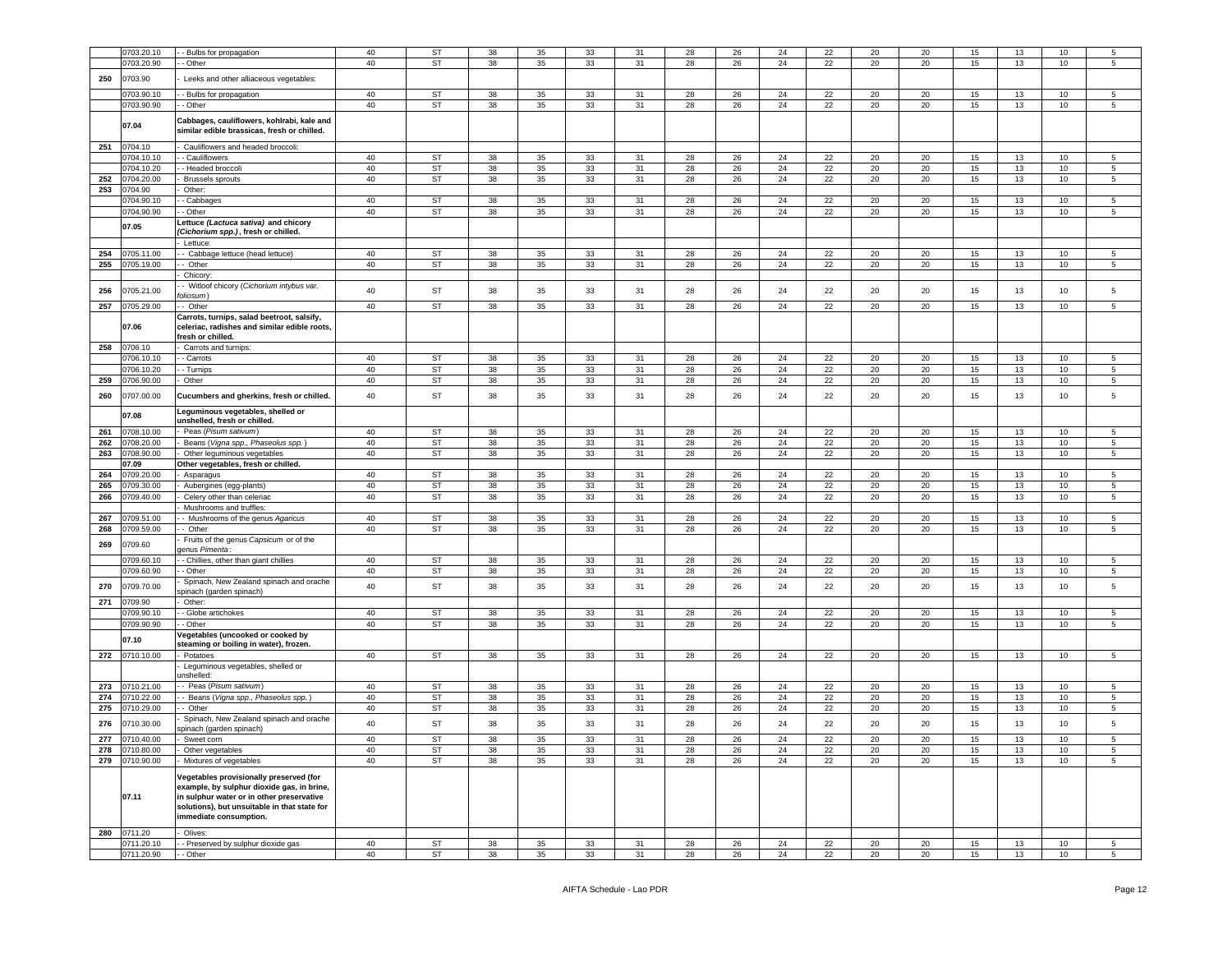|     |             |                                                                                                                                                                                                              |    | ST        |    |    |    | 31 |    |    | 24 |    | 20 | 20 |    |    | 10 | 5               |
|-----|-------------|--------------------------------------------------------------------------------------------------------------------------------------------------------------------------------------------------------------|----|-----------|----|----|----|----|----|----|----|----|----|----|----|----|----|-----------------|
|     | 0703.20.10  | - Bulbs for propagation                                                                                                                                                                                      | 40 |           | 38 | 35 | 33 |    | 28 | 26 |    | 22 |    |    | 15 | 13 |    |                 |
|     | 0703.20.90  | Other                                                                                                                                                                                                        | 40 | <b>ST</b> | 38 | 35 | 33 | 31 | 28 | 26 | 24 | 22 | 20 | 20 | 15 | 13 | 10 | 5               |
| 250 | 0703.90     | Leeks and other alliaceous vegetables:                                                                                                                                                                       |    |           |    |    |    |    |    |    |    |    |    |    |    |    |    |                 |
|     |             |                                                                                                                                                                                                              |    |           |    |    |    |    |    |    |    |    |    |    |    |    |    |                 |
|     | 0703.90.10  | - Bulbs for propagation                                                                                                                                                                                      | 40 | <b>ST</b> | 38 | 35 | 33 | 31 | 28 | 26 | 24 | 22 | 20 | 20 | 15 | 13 | 10 | 5               |
|     | 0703.90.90  | Other                                                                                                                                                                                                        | 40 | <b>ST</b> | 38 | 35 | 33 | 31 | 28 | 26 | 24 | 22 | 20 | 20 | 15 | 13 | 10 | 5               |
|     |             |                                                                                                                                                                                                              |    |           |    |    |    |    |    |    |    |    |    |    |    |    |    |                 |
|     | 07.04       | Cabbages, cauliflowers, kohlrabi, kale and<br>similar edible brassicas, fresh or chilled.                                                                                                                    |    |           |    |    |    |    |    |    |    |    |    |    |    |    |    |                 |
| 251 | 0704.10     | Cauliflowers and headed broccoli:                                                                                                                                                                            |    |           |    |    |    |    |    |    |    |    |    |    |    |    |    |                 |
|     | 0704.10.10  | Cauliflowers                                                                                                                                                                                                 | 40 | ST        | 38 | 35 | 33 | 31 | 28 | 26 | 24 | 22 | 20 | 20 | 15 | 13 | 10 | 5               |
|     | 0704.10.20  | - Headed broccoli                                                                                                                                                                                            | 40 | ST        | 38 | 35 | 33 | 31 | 28 | 26 | 24 | 22 | 20 | 20 | 15 | 13 | 10 | 5               |
| 252 | 0704.20.00  | <b>Brussels sprouts</b>                                                                                                                                                                                      | 40 | ST        | 38 | 35 | 33 | 31 | 28 | 26 | 24 | 22 | 20 | 20 | 15 | 13 | 10 | 5               |
| 253 | 0704.90     | Other:                                                                                                                                                                                                       |    |           |    |    |    |    |    |    |    |    |    |    |    |    |    |                 |
|     | 0704.90.10  | Cabbages                                                                                                                                                                                                     | 40 | ST        | 38 | 35 | 33 | 31 | 28 | 26 | 24 | 22 | 20 | 20 | 15 | 13 | 10 | 5               |
|     | 0704.90.90  |                                                                                                                                                                                                              | 40 | ST        | 38 | 35 |    | 31 | 28 | 26 |    | 22 |    |    |    | 13 |    |                 |
|     |             | - Other                                                                                                                                                                                                      |    |           |    |    | 33 |    |    |    | 24 |    | 20 | 20 | 15 |    | 10 | 5               |
|     | 07.05       | ettuce (Lactuca sativa) and chicory.<br>Cichorium spp.), fresh or chilled.                                                                                                                                   |    |           |    |    |    |    |    |    |    |    |    |    |    |    |    |                 |
|     |             | Lettuce:                                                                                                                                                                                                     |    |           |    |    |    |    |    |    |    |    |    |    |    |    |    |                 |
| 254 | 0705.11.00  | Cabbage lettuce (head lettuce)                                                                                                                                                                               | 40 | ST        | 38 | 35 | 33 | 31 | 28 | 26 | 24 | 22 | 20 | 20 | 15 | 13 | 10 | 5               |
| 255 | 0705.19.00  | - Other                                                                                                                                                                                                      | 40 | ST        | 38 | 35 | 33 | 31 | 28 | 26 | 24 | 22 | 20 | 20 | 15 | 13 | 10 | 5               |
|     |             | Chicory                                                                                                                                                                                                      |    |           |    |    |    |    |    |    |    |    |    |    |    |    |    |                 |
|     |             | - Witloof chicory (Cichorium intybus var.                                                                                                                                                                    |    |           |    |    |    |    |    |    |    |    |    |    |    |    |    |                 |
| 256 | 0705.21.00  | oliosum)                                                                                                                                                                                                     | 40 | ST        | 38 | 35 | 33 | 31 | 28 | 26 | 24 | 22 | 20 | 20 | 15 | 13 | 10 | 5               |
| 257 | 0705.29.00  | Other                                                                                                                                                                                                        | 40 | <b>ST</b> | 38 | 35 | 33 | 31 | 28 | 26 | 24 | 22 | 20 | 20 | 15 | 13 | 10 | 5               |
|     |             | Carrots, turnips, salad beetroot, salsify,                                                                                                                                                                   |    |           |    |    |    |    |    |    |    |    |    |    |    |    |    |                 |
|     | 07.06       | celeriac, radishes and similar edible roots,                                                                                                                                                                 |    |           |    |    |    |    |    |    |    |    |    |    |    |    |    |                 |
|     |             | resh or chilled.                                                                                                                                                                                             |    |           |    |    |    |    |    |    |    |    |    |    |    |    |    |                 |
| 258 | 0706.10     | Carrots and turnips:                                                                                                                                                                                         |    |           |    |    |    |    |    |    |    |    |    |    |    |    |    |                 |
|     | 0706.10.10  | Carrots                                                                                                                                                                                                      | 40 | ST        | 38 | 35 | 33 | 31 | 28 | 26 | 24 | 22 | 20 | 20 | 15 | 13 | 10 | 5               |
|     | 0706.10.20  |                                                                                                                                                                                                              | 40 | ST        |    |    |    |    |    |    | 24 |    | 20 | 20 |    |    | 10 |                 |
|     |             | - Turnips                                                                                                                                                                                                    |    |           | 38 | 35 | 33 | 31 | 28 | 26 |    | 22 |    |    | 15 | 13 |    | 5               |
| 259 | 0706.90.00  | Other                                                                                                                                                                                                        | 40 | ST        | 38 | 35 | 33 | 31 | 28 | 26 | 24 | 22 | 20 | 20 | 15 | 13 | 10 | 5               |
| 260 | 0707.00.00  | Cucumbers and gherkins, fresh or chilled.                                                                                                                                                                    | 40 | ST        | 38 | 35 | 33 | 31 | 28 | 26 | 24 | 22 | 20 | 20 | 15 | 13 | 10 | 5               |
|     | 07.08       | Leguminous vegetables, shelled or<br>unshelled, fresh or chilled.                                                                                                                                            |    |           |    |    |    |    |    |    |    |    |    |    |    |    |    |                 |
| 261 | 0708.10.00  | Peas (Pisum sativum)                                                                                                                                                                                         | 40 | ST        | 38 | 35 | 33 | 31 | 28 | 26 | 24 | 22 | 20 | 20 | 15 | 13 | 10 | 5               |
| 262 | 0708.20.00  | Beans (Vigna spp., Phaseolus spp.)                                                                                                                                                                           | 40 | ST        | 38 | 35 | 33 | 31 | 28 | 26 | 24 | 22 | 20 | 20 | 15 | 13 | 10 | 5               |
| 263 | 0708.90.00  | Other leguminous vegetables                                                                                                                                                                                  | 40 | ST        | 38 | 35 | 33 | 31 | 28 | 26 | 24 | 22 | 20 | 20 | 15 | 13 | 10 | 5               |
|     | 07.09       | Other vegetables, fresh or chilled.                                                                                                                                                                          |    |           |    |    |    |    |    |    |    |    |    |    |    |    |    |                 |
| 264 | 0709.20.00  | Asparagus                                                                                                                                                                                                    | 40 | ST        | 38 | 35 | 33 | 31 | 28 | 26 | 24 | 22 | 20 | 20 | 15 | 13 | 10 | 5               |
| 265 | 0709.30.00  |                                                                                                                                                                                                              | 40 | ST        | 38 | 35 | 33 | 31 | 28 | 26 | 24 | 22 | 20 | 20 | 15 | 13 | 10 | 5               |
| 266 | 0709.40.00  | Aubergines (egg-plants)                                                                                                                                                                                      | 40 | ST        | 38 | 35 | 33 | 31 | 28 | 26 | 24 | 22 |    |    | 15 | 13 |    |                 |
|     |             | Celery other than celeriac                                                                                                                                                                                   |    |           |    |    |    |    |    |    |    |    | 20 | 20 |    |    | 10 | 5               |
|     |             | Mushrooms and truffles:                                                                                                                                                                                      |    |           |    |    |    |    |    |    |    |    |    |    |    |    |    |                 |
| 267 | 0709.51.00  | Mushrooms of the genus Agaricus                                                                                                                                                                              | 40 | ST        | 38 | 35 | 33 | 31 | 28 | 26 | 24 | 22 | 20 | 20 | 15 | 13 | 10 | 5               |
| 268 | 0709.59.00  | - Other                                                                                                                                                                                                      | 40 | ST        | 38 | 35 | 33 | 31 | 28 | 26 | 24 | 22 | 20 | 20 | 15 | 13 | 10 | 5               |
| 269 | 0709.60     | Fruits of the genus Capsicum or of the<br>enus Pimenta:                                                                                                                                                      |    |           |    |    |    |    |    |    |    |    |    |    |    |    |    |                 |
|     | 0709.60.10  | - Chillies, other than giant chillies                                                                                                                                                                        | 40 | ST        | 38 | 35 | 33 | 31 | 28 | 26 | 24 | 22 | 20 | 20 | 15 | 13 | 10 | 5               |
|     | 0709.60.90  | - Other                                                                                                                                                                                                      | 40 | ST        | 38 | 35 | 33 | 31 | 28 | 26 | 24 | 22 | 20 | 20 | 15 | 13 | 10 | $5\phantom{.0}$ |
| 270 | 0709.70.00  | Spinach, New Zealand spinach and orache                                                                                                                                                                      | 40 | ST        | 38 | 35 | 33 | 31 | 28 | 26 | 24 | 22 | 20 | 20 | 15 | 13 | 10 | 5               |
|     |             | pinach (garden spinach)                                                                                                                                                                                      |    |           |    |    |    |    |    |    |    |    |    |    |    |    |    |                 |
| 271 | 0709.90     | Other:                                                                                                                                                                                                       |    |           |    |    |    |    |    |    |    |    |    |    |    |    |    |                 |
|     | 0709.90.10  | - Globe artichokes                                                                                                                                                                                           | 40 | ST        | 38 | 35 | 33 | 31 | 28 | 26 | 24 | 22 | 20 | 20 | 15 | 13 | 10 | 5               |
|     | 0709.90.90  | Other                                                                                                                                                                                                        | 40 | ST        | 38 | 35 | 33 | 31 | 28 | 26 | 24 | 22 | 20 | 20 | 15 | 13 | 10 | 5               |
|     | 07.10       | egetables (uncooked or cooked by<br>steaming or boiling in water), frozen.                                                                                                                                   |    |           |    |    |    |    |    |    |    |    |    |    |    |    |    |                 |
| 272 | 0710.10.00  | Potatoes                                                                                                                                                                                                     | 40 | ST        | 38 | 35 | 33 | 31 | 28 | 26 | 24 | 22 | 20 | 20 | 15 | 13 | 10 | 5               |
|     |             | Leguminous vegetables, shelled or                                                                                                                                                                            |    |           |    |    |    |    |    |    |    |    |    |    |    |    |    |                 |
|     |             | inshelled:                                                                                                                                                                                                   |    |           |    |    |    |    |    |    |    |    |    |    |    |    |    |                 |
| 273 | 0710.21.00  | - Peas (Pisum sativum)                                                                                                                                                                                       | 40 | ST        | 38 | 35 | 33 | 31 | 28 | 26 | 24 | 22 | 20 | 20 | 15 | 13 | 10 | 5               |
| 274 | 0710.22.00  | Beans (Vigna spp., Phaseolus spp.)                                                                                                                                                                           | 40 | ST        | 38 | 35 | 33 | 31 | 28 | 26 | 24 | 22 | 20 | 20 | 15 | 13 | 10 | 5               |
| 275 | 0710.29.00  | Other                                                                                                                                                                                                        | 40 | <b>ST</b> | 38 | 35 | 33 | 31 | 28 | 26 | 24 | 22 | 20 | 20 | 15 | 13 | 10 | 5               |
|     |             | Spinach, New Zealand spinach and orache                                                                                                                                                                      |    |           |    |    |    |    |    |    |    |    |    |    |    |    |    |                 |
| 276 | 0710.30.00  | spinach (garden spinach)                                                                                                                                                                                     | 40 | ST        | 38 | 35 | 33 | 31 | 28 | 26 | 24 | 22 | 20 | 20 | 15 | 13 | 10 | 5               |
| 277 | 0710.40.00  | Sweet corn                                                                                                                                                                                                   | 40 | ST        | 38 | 35 | 33 | 31 | 28 | 26 | 24 | 22 | 20 | 20 | 15 | 13 | 10 | 5               |
| 278 | 0710.80.00  | Other vegetables                                                                                                                                                                                             | 40 | ST        | 38 | 35 | 33 | 31 | 28 | 26 | 24 | 22 | 20 | 20 | 15 | 13 | 10 | 5               |
| 279 | 0710.90.00  | Mixtures of vegetables                                                                                                                                                                                       | 40 | ST        | 38 | 35 | 33 | 31 | 28 | 26 | 24 | 22 | 20 | 20 | 15 | 13 | 10 | 5               |
|     |             |                                                                                                                                                                                                              |    |           |    |    |    |    |    |    |    |    |    |    |    |    |    |                 |
|     | 07.11       | Vegetables provisionally preserved (for<br>example, by sulphur dioxide gas, in brine,<br>in sulphur water or in other preservative<br>solutions), but unsuitable in that state for<br>immediate consumption. |    |           |    |    |    |    |    |    |    |    |    |    |    |    |    |                 |
|     | 280 0711.20 | Olives:                                                                                                                                                                                                      |    |           |    |    |    |    |    |    |    |    |    |    |    |    |    |                 |
|     | 0711.20.10  | - Preserved by sulphur dioxide gas                                                                                                                                                                           | 40 | ST        | 38 | 35 | 33 | 31 | 28 | 26 | 24 | 22 | 20 | 20 | 15 | 13 | 10 | 5 <sub>5</sub>  |
|     | 0711.20.90  | - Other                                                                                                                                                                                                      | 40 | <b>ST</b> | 38 | 35 | 33 | 31 | 28 | 26 | 24 | 22 | 20 | 20 | 15 | 13 | 10 | 5 <sub>5</sub>  |
|     |             |                                                                                                                                                                                                              |    |           |    |    |    |    |    |    |    |    |    |    |    |    |    |                 |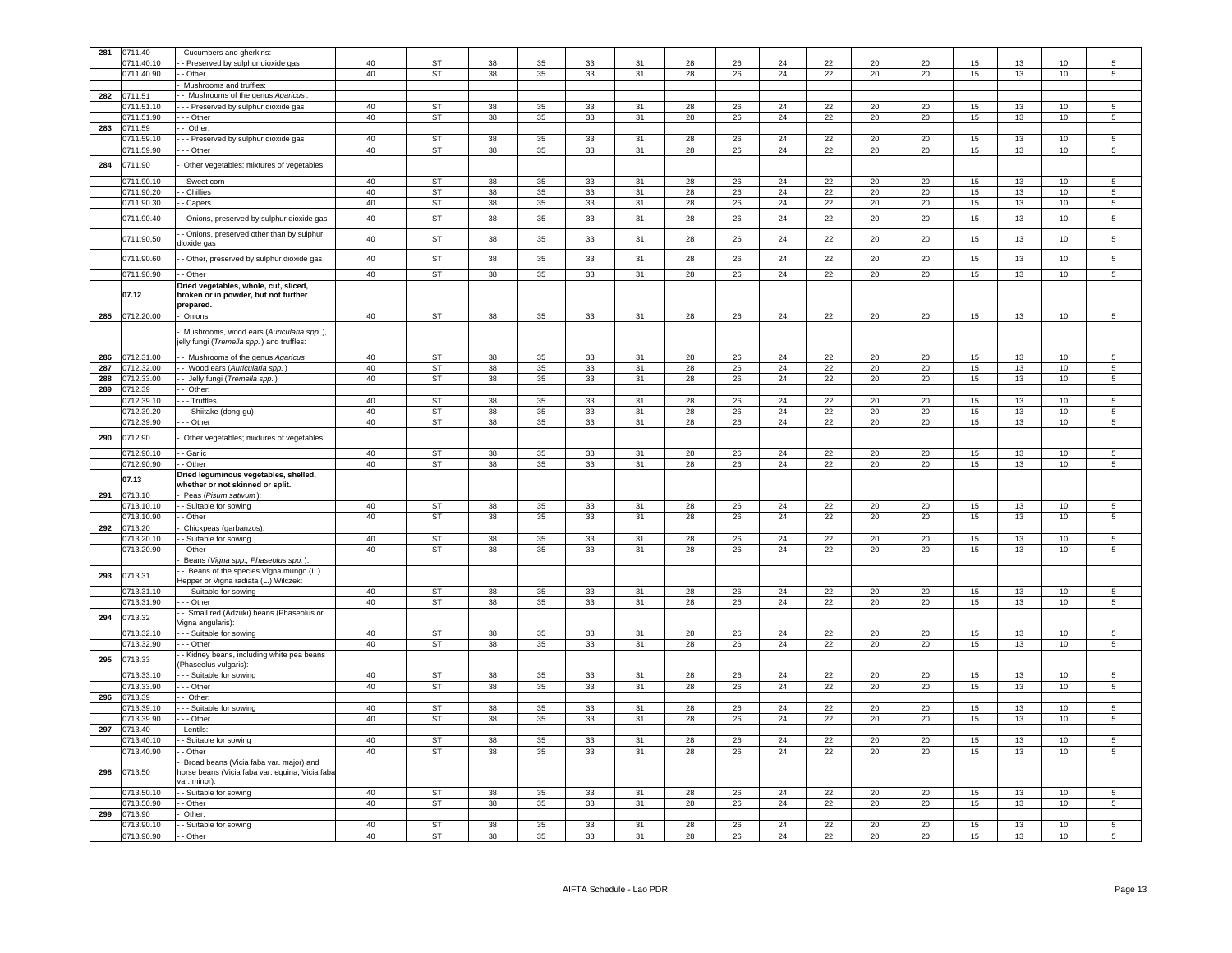| 281 | 0711.40                  | Cucumbers and gherkins:                                       |          |                        |          |          |          |          |          |          |          |          |          |          |          |          |          |                 |
|-----|--------------------------|---------------------------------------------------------------|----------|------------------------|----------|----------|----------|----------|----------|----------|----------|----------|----------|----------|----------|----------|----------|-----------------|
|     | 0711.40.10               | - Preserved by sulphur dioxide gas                            | 40       | <b>ST</b>              | 38       | 35       | 33       | 31       | 28       | 26       | 24       | 22       | 20       | 20       | 15       | 13       | 10       | 5               |
|     | 0711.40.90               | - Other                                                       | 40       | <b>ST</b>              | 38       | 35       | 33       | 31       | 28       | 26       | 24       | 22       | 20       | 20       | 15       | 13       | 10       | 5               |
|     |                          | Mushrooms and truffles:                                       |          |                        |          |          |          |          |          |          |          |          |          |          |          |          |          |                 |
| 282 | 0711.51                  | Mushrooms of the genus Agaricus:                              |          |                        |          |          |          |          |          |          |          |          |          |          |          |          |          |                 |
|     | 0711.51.10               | - Preserved by sulphur dioxide gas                            | 40       | <b>ST</b>              | 38       | 35       | 33       | 31       | 28       | 26       | 24       | 22       | 20       | 20       | 15       | 13       | 10       | 5               |
|     | 0711.51.90               | - Other                                                       | 40       | ST                     | 38       | 35       | 33       | 31       | 28       | 26       | 24       | 22       | 20       | 20       | 15       | 13       | 10       | 5               |
| 283 | 0711.59                  | Other:                                                        |          |                        |          |          |          |          |          |          |          |          |          |          |          |          |          |                 |
|     | 711.59.10                | - Preserved by sulphur dioxide gas                            | 40       | ST                     | 38       | 35       | 33       | 31       | 28       | 26       | 24       | 22       | 20       | 20       | 15       | 13       | $10$     | 5               |
|     | 0711.59.90               | - - Other                                                     | 40       | ST                     | 38       | 35       | 33       | 31       | 28       | 26       | 24       | 22       | 20       | 20       | 15       | 13       | 10       | 5               |
|     |                          |                                                               |          |                        |          |          |          |          |          |          |          |          |          |          |          |          |          |                 |
| 284 | 0711.90                  | Other vegetables; mixtures of vegetables:                     |          |                        |          |          |          |          |          |          |          |          |          |          |          |          |          |                 |
|     | 0711.90.10               | - Sweet corn                                                  | 40       | ST                     | 38       | 35       | 33       | 31       | 28       | 26       | 24       | 22       | 20       | 20       | 15       | 13       | 10       | 5               |
|     | 0711.90.20               | - Chillies                                                    | 40       | ST                     | 38       | 35       | 33       | 31       | 28       | 26       | 24       | 22       | 20       | 20       | 15       | 13       | 10       | 5               |
|     | 0711.90.30               | - Capers                                                      | 40       | <b>ST</b>              | 38       | 35       | 33       | 31       | 28       | 26       | 24       | 22       | 20       | 20       | 15       | 13       | 10       | 5               |
|     |                          |                                                               |          |                        |          |          |          |          |          |          |          |          |          |          |          |          |          |                 |
|     | 0711.90.40               | - Onions, preserved by sulphur dioxide gas                    | 40       | ST                     | 38       | $35\,$   | 33       | 31       | 28       | 26       | 24       | 22       | 20       | 20       | 15       | 13       | 10       | 5               |
|     |                          | - Onions, preserved other than by sulphur                     |          |                        |          |          |          |          |          |          |          |          |          |          |          |          |          |                 |
|     | 0711.90.50               | dioxide gas                                                   | 40       | <b>ST</b>              | 38       | 35       | 33       | 31       | 28       | 26       | 24       | 22       | 20       | 20       | 15       | 13       | 10       | 5               |
|     |                          |                                                               |          |                        |          |          |          |          |          |          |          |          |          |          |          |          |          |                 |
|     | 0711.90.60               | - Other, preserved by sulphur dioxide gas                     | 40       | ST                     | 38       | 35       | 33       | 31       | 28       | 26       | 24       | 22       | 20       | 20       | 15       | 13       | 10       | 5               |
|     | 0711.90.90               | - Other                                                       | 40       | <b>ST</b>              | 38       | 35       | 33       | 31       | 28       | 26       | 24       | 22       | 20       | 20       | 15       | 13       | 10       | 5               |
|     |                          | Dried vegetables, whole, cut, sliced,                         |          |                        |          |          |          |          |          |          |          |          |          |          |          |          |          |                 |
|     | 07.12                    | broken or in powder, but not further                          |          |                        |          |          |          |          |          |          |          |          |          |          |          |          |          |                 |
|     |                          | prepared.                                                     |          |                        |          |          |          |          |          |          |          |          |          |          |          |          |          |                 |
| 285 | 0712.20.00               | Onions                                                        | 40       | ST                     | 38       | 35       | 33       | 31       | 28       | 26       | 24       | 22       | 20       | 20       | 15       | 13       | 10       |                 |
|     |                          | Mushrooms, wood ears (Auricularia spp.),                      |          |                        |          |          |          |          |          |          |          |          |          |          |          |          |          |                 |
|     |                          | elly fungi (Tremella spp.) and truffles:                      |          |                        |          |          |          |          |          |          |          |          |          |          |          |          |          |                 |
|     |                          |                                                               |          |                        |          |          |          |          |          |          |          |          |          |          |          |          |          |                 |
| 286 | 0712.31.00               | - Mushrooms of the genus Agaricus                             | 40       | <b>ST</b>              | 38       | 35       | 33       | 31       | 28       | 26       | 24       | 22       | 20       | 20       | 15       | 13       | 10       | 5               |
| 287 | 0712.32.00               | Wood ears (Auricularia spp.                                   | 40       | <b>ST</b>              | 38       | 35       | 33       | 31       | 28       | 26       | 24       | 22       | 20       | 20       | 15       | 13       | 10       | $5\overline{)}$ |
| 288 | 0712.33.00               | Jelly fungi (Tremella spp.)                                   | 40       | <b>ST</b>              | 38       | 35       | 33       | 31       | 28       | 26       | 24       | 22       | 20       | 20       | 15       | 13       | 10       | $\overline{5}$  |
| 289 | 0712.39                  | - Other:                                                      |          |                        |          |          |          |          |          |          |          |          |          |          |          |          |          |                 |
|     | 0712.39.10               | - Truffles                                                    | 40       | ST                     | 38       | 35       | 33       | 31       | 28       | 26       | 24       | 22       | 20       | 20       | 15       | 13       | 10       | 5               |
|     | 0712.39.20               | - Shiitake (dong-gu)                                          | 40       | <b>ST</b>              | 38       | 35       | 33       | 31       | 28       | 26       | 24       | 22       | 20       | 20       | 15       | 13       | 10       | $\overline{5}$  |
|     | 0712.39.90               | - - Other                                                     | 40       | <b>ST</b>              | 38       | 35       | 33       | 31       | 28       | 26       | 24       | 22       | 20       | 20       | 15       | 13       | 10       | $\,$ 5 $\,$     |
| 290 | 0712.90                  | Other vegetables; mixtures of vegetables:                     |          |                        |          |          |          |          |          |          |          |          |          |          |          |          |          |                 |
|     |                          |                                                               |          |                        |          |          |          |          |          |          |          |          |          |          |          |          |          |                 |
|     | 0712.90.10               | - Garlic                                                      | 40       | <b>ST</b>              | 38       | 35       | 33       | 31       | 28       | 26       | 24       | 22       | 20       | 20       | 15       | 13       | 10       | 5               |
|     | 0712.90.90               | - Other                                                       | 40       | <b>ST</b>              | 38       | 35       | 33       | 31       | 28       | 26       | 24       | 22       | 20       | 20       | 15       | 13       | 10       | $\overline{5}$  |
|     | 07.13                    | Dried leguminous vegetables, shelled,                         |          |                        |          |          |          |          |          |          |          |          |          |          |          |          |          |                 |
|     |                          | whether or not skinned or split.                              |          |                        |          |          |          |          |          |          |          |          |          |          |          |          |          |                 |
| 291 | 0713.10                  | Peas (Pisum sativum):                                         |          |                        |          |          |          |          |          |          |          |          |          |          |          |          |          |                 |
|     | 0713.10.10               | Suitable for sowing                                           | 40       | <b>ST</b>              | 38       | 35       | 33       | 31       | 28       | 26       | 24       | 22       | 20       | 20       | 15       | 13       | 10       |                 |
|     | 0713.10.90               | - Other                                                       | 40       | <b>ST</b>              | 38       | 35       | 33       | 31       | 28       | 26       | 24       | 22       | 20       | 20       | 15       | 13       | 10       | 5               |
| 292 | 0713.20                  | Chickpeas (garbanzos):                                        |          |                        |          |          |          |          |          |          |          |          |          |          |          |          |          |                 |
|     | 0713.20.10               | Suitable for sowing                                           | 40       | <b>ST</b>              | 38       | 35       | 33       | 31       | 28       | 26       | 24       | 22       | 20       | 20       | 15       | 13       | 10       | 5               |
|     | 0713.20.90               | Other                                                         | 40       | <b>ST</b>              | 38       | 35       | 33       | 31       | 28       | 26       | 24       | 22       | 20       | 20       | 15       | 13       | 10       | 5               |
|     |                          | Beans (Vigna spp., Phaseolus spp.)                            |          |                        |          |          |          |          |          |          |          |          |          |          |          |          |          |                 |
| 293 | 0713.31                  | - Beans of the species Vigna mungo (L.)                       |          |                        |          |          |          |          |          |          |          |          |          |          |          |          |          |                 |
|     |                          | lepper or Vigna radiata (L.) Wilczek:                         |          |                        |          |          |          |          |          |          |          |          |          |          |          |          |          |                 |
|     | 0713.31.10               | - - Suitable for sowing                                       | 40       | <b>ST</b>              | 38       | 35       | 33       | 31       | 28       | 26       | 24       | 22       | 20       | 20       | 15       | 13       | 10       |                 |
|     | 0713.31.90               | - - Other                                                     | 40       | <b>ST</b>              | 38       | 35       | 33       | 31       | 28       | 26       | 24       | 22       | 20       | 20       | 15       | 13       | 10       | 5               |
| 294 | 0713.32                  | - Small red (Adzuki) beans (Phaseolus or<br>/igna angularis): |          |                        |          |          |          |          |          |          |          |          |          |          |          |          |          |                 |
|     | 0713.32.10               | - - Suitable for sowing                                       | 40       | ST                     | 38       | 35       | 33       | 31       | 28       | 26       | 24       | 22       | 20       | 20       | 15       | 13       | 10       | 5               |
|     | 0713.32.90               | - - Other                                                     | 40       | <b>ST</b>              | 38       | 35       | 33       | 31       | 28       | 26       | 24       | 22       | 20       | 20       | 15       | 13       | 10       | 5               |
|     |                          | - Kidney beans, including white pea beans                     |          |                        |          |          |          |          |          |          |          |          |          |          |          |          |          |                 |
| 295 | 0713.33                  | Phaseolus vulgaris):                                          |          |                        |          |          |          |          |          |          |          |          |          |          |          |          |          |                 |
|     | 0713.33.10               | - - Suitable for sowing                                       | 40       | ST                     | 38       | 35       | 33       | 31       | 28       | 26       | 24       | 22       | 20       | 20       | 15       | 13       | 10       | 5               |
|     | 0713.33.90               | - - Other                                                     | 40       | ST                     | 38       | 35       | 33       | 31       | 28       | 26       | 24       | 22       | 20       | 20       | 15       | 13       | 10       | $5\phantom{.0}$ |
| 296 | 0713.39                  | - Other:                                                      |          |                        |          |          |          |          |          |          |          |          |          |          |          |          |          |                 |
|     | 0713.39.10               | - Suitable for sowing                                         | 40       | ST                     | 38       | 35       | 33       | 31       | 28       | 26       | 24       | 22       | 20       | 20       | 15       | 13       | 10       | 5               |
|     | 0713.39.90               | - - Other                                                     | 40       | ST                     | 38       | 35       | 33       | 31       | 28       | 26       | 24       | 22       | 20       | 20       | 15       | 13       | 10       | 5               |
| 297 | 0713.40                  | Lentils:                                                      |          |                        |          |          |          |          |          |          |          |          |          |          |          |          |          |                 |
|     |                          |                                                               | 40       | <b>ST</b>              | 38       | 35       | 33       | 31       | 28       | 26       | 24       | 22       | 20       | 20       | 15       | 13       | 10       | 5               |
|     |                          |                                                               |          |                        |          |          |          |          |          |          |          | 22       |          |          |          |          |          |                 |
|     | 0713.40.10               | - Suitable for sowing                                         |          |                        |          |          |          |          |          |          |          |          |          |          |          |          |          |                 |
|     | 0713.40.90               | - Other                                                       | 40       | ST                     | 38       | 35       | 33       | 31       | 28       | 26       | 24       |          | 20       | 20       | 15       | 13       | 10       | 5               |
|     |                          | Broad beans (Vicia faba var. major) and                       |          |                        |          |          |          |          |          |          |          |          |          |          |          |          |          |                 |
| 298 | 0713.50                  | norse beans (Vicia faba var. equina, Vicia faba               |          |                        |          |          |          |          |          |          |          |          |          |          |          |          |          |                 |
|     |                          | ar. minor):                                                   |          |                        |          |          |          |          |          |          |          |          |          |          |          |          |          |                 |
|     | 0713.50.10               | - Suitable for sowing                                         | 40       | ST                     | 38       | 35       | 33       | 31       | 28       | 26       | 24       | 22       | 20       | 20       | 15       | 13       | 10       | 5               |
|     | 0713.50.90               | - Other<br>Other:                                             | 40       | <b>ST</b>              | 38       | 35       | 33       | 31       | 28       | 26       | 24       | 22       | 20       | 20       | 15       | 13       | 10       | 5               |
| 299 | 0713.90                  |                                                               |          |                        |          |          |          |          |          |          |          |          |          |          |          |          |          |                 |
|     | 0713.90.10<br>0713.90.90 | Suitable for sowing<br>- Other                                | 40<br>40 | <b>ST</b><br><b>ST</b> | 38<br>38 | 35<br>35 | 33<br>33 | 31<br>31 | 28<br>28 | 26<br>26 | 24<br>24 | 22<br>22 | 20<br>20 | 20<br>20 | 15<br>15 | 13<br>13 | 10<br>10 | 5<br>5          |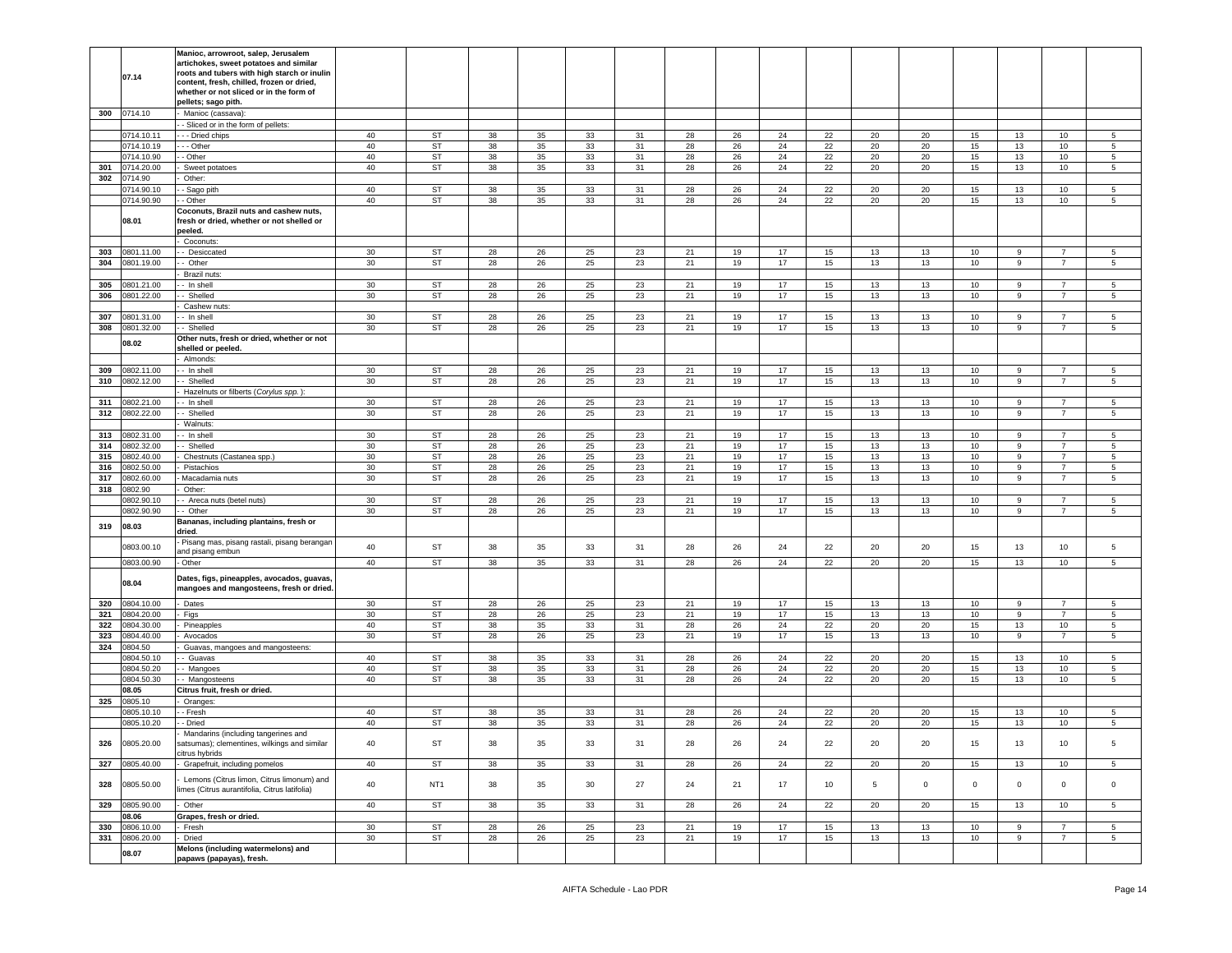|            | 07.14                    | Manioc, arrowroot, salep, Jerusalem<br>artichokes, sweet potatoes and similar<br>roots and tubers with high starch or inulin<br>content, fresh, chilled, frozen or dried,<br>whether or not sliced or in the form of<br>pellets; sago pith. |                 |                        |          |          |                 |          |          |          |          |          |          |          |                |                  |                                  |                |
|------------|--------------------------|---------------------------------------------------------------------------------------------------------------------------------------------------------------------------------------------------------------------------------------------|-----------------|------------------------|----------|----------|-----------------|----------|----------|----------|----------|----------|----------|----------|----------------|------------------|----------------------------------|----------------|
| 300        | 0714.10                  | Manioc (cassava):                                                                                                                                                                                                                           |                 |                        |          |          |                 |          |          |          |          |          |          |          |                |                  |                                  |                |
|            |                          | - Sliced or in the form of pellets:                                                                                                                                                                                                         |                 |                        | 38       |          |                 |          |          |          |          |          |          |          |                |                  |                                  | 5              |
|            | 0714.10.11<br>0714.10.19 | - - Dried chips<br>- - Other                                                                                                                                                                                                                | 40<br>40        | ST<br><b>ST</b>        | 38       | 35<br>35 | 33<br>33        | 31<br>31 | 28<br>28 | 26<br>26 | 24<br>24 | 22<br>22 | 20<br>20 | 20<br>20 | 15<br>15       | 13<br>13         | 10<br>10                         | 5              |
|            | 0714.10.90               | - Other                                                                                                                                                                                                                                     | 40              | <b>ST</b>              | 38       | 35       | 33              | 31       | 28       | 26       | 24       | 22       | 20       | 20       | 15             | 13               | 10                               | 5              |
| 301        | 0714.20.00               | Sweet potatoes                                                                                                                                                                                                                              | 40              | ST                     | 38       | 35       | 33              | 31       | 28       | 26       | 24       | 22       | 20       | 20       | 15             | 13               | 10                               | 5              |
| 302        | 0714.90                  | Other:                                                                                                                                                                                                                                      |                 |                        |          |          |                 |          |          |          |          |          |          |          |                |                  |                                  |                |
|            | 0714.90.10               | - Sago pith                                                                                                                                                                                                                                 | 40              | ST                     | 38       | 35       | 33              | 31       | 28       | 26       | 24       | 22       | 20       | 20       | 15             | 13               | 10                               | 5              |
|            | 0714.90.90               | - Other                                                                                                                                                                                                                                     | 40              | ST                     | 38       | 35       | 33              | 31       | 28       | 26       | 24       | 22       | 20       | 20       | 15             | 13               | 10                               | 5              |
|            | 08.01                    | Coconuts, Brazil nuts and cashew nuts,<br>resh or dried, whether or not shelled or<br>peeled.                                                                                                                                               |                 |                        |          |          |                 |          |          |          |          |          |          |          |                |                  |                                  |                |
|            |                          | Coconuts:                                                                                                                                                                                                                                   |                 |                        |          |          |                 |          |          |          |          |          |          |          |                |                  |                                  |                |
| 303        | 0801.11.00               | - Desiccated                                                                                                                                                                                                                                | 30              | ST                     | 28       | 26       | 25              | 23       | 21       | 19       | 17       | 15       | 13       | 13       | 10             | 9                | $\overline{7}$                   | 5              |
| 304        | 0801.19.00               | - Other                                                                                                                                                                                                                                     | 30              | <b>ST</b>              | 28       | 26       | 25              | 23       | 21       | 19       | 17       | 15       | 13       | 13       | 10             | 9                | $\overline{7}$                   | 5              |
|            |                          | Brazil nuts:                                                                                                                                                                                                                                |                 |                        |          |          |                 |          |          |          |          |          |          |          |                | 9                | $\overline{7}$                   |                |
| 305<br>306 | 00.21.00<br>0801.22.00   | - In shell<br>Shelled                                                                                                                                                                                                                       | 30<br>30        | ST<br><b>ST</b>        | 28<br>28 | 26<br>26 | 25<br>25        | 23<br>23 | 21<br>21 | 19<br>19 | 17<br>17 | 15<br>15 | 13<br>13 | 13<br>13 | 10<br>10       | 9                | $\overline{7}$                   | 5<br>5         |
|            |                          | Cashew nuts:                                                                                                                                                                                                                                |                 |                        |          |          |                 |          |          |          |          |          |          |          |                |                  |                                  |                |
| 307        | 001.31.00                | - In shell                                                                                                                                                                                                                                  | $30\,$          | ST                     | 28       | 26       | 25              | 23       | 21       | 19       | 17       | 15       | 13       | 13       | 10             | 9                | $\overline{7}$                   | 5              |
| 308        | 0801.32.00               | - Shelled                                                                                                                                                                                                                                   | 30              | <b>ST</b>              | 28       | 26       | 25              | 23       | 21       | 19       | 17       | 15       | 13       | 13       | 10             | 9                | $\overline{7}$                   | 5              |
|            | 08.02                    | Other nuts, fresh or dried, whether or not<br>shelled or peeled.<br>Almonds:                                                                                                                                                                |                 |                        |          |          |                 |          |          |          |          |          |          |          |                |                  |                                  |                |
| 309        | 0802.11.00               | - In shell                                                                                                                                                                                                                                  | 30              | <b>ST</b>              | 28       | 26       | 25              | 23       | 21       | 19       | 17       | 15       | 13       | 13       | 10             | 9                | $\overline{7}$                   | 5              |
| 310        | 0802.12.00               | Shelled                                                                                                                                                                                                                                     | 30              | ST                     | 28       | 26       | 25              | 23       | 21       | 19       | 17       | 15       | 13       | 13       | 10             | 9                | $\overline{7}$                   | 5              |
|            |                          | Hazelnuts or filberts (Corylus spp.)                                                                                                                                                                                                        |                 |                        |          |          |                 |          |          |          |          |          |          |          |                |                  |                                  |                |
| 311        | 0802.21.00               | - In shell                                                                                                                                                                                                                                  | 30              | <b>ST</b>              | 28       | 26       | 25              | 23       | 21       | 19       | 17       | 15       | 13       | 13       | 10             | 9                | $\overline{7}$                   | 5              |
| 312        | 0802.22.00               | Shelled                                                                                                                                                                                                                                     | 30              | ST                     | 28       | 26       | 25              | 23       | 21       | 19       | 17       | 15       | 13       | 13       | 10             | $\boldsymbol{9}$ | $\overline{7}$                   | 5              |
|            |                          | Walnuts:                                                                                                                                                                                                                                    |                 |                        |          |          |                 |          |          |          |          |          |          |          |                |                  |                                  |                |
| 313        | 0802.31.00               | - In shell                                                                                                                                                                                                                                  | 30              | ST                     | 28       | 26       | 25              | 23       | 21       | 19       | 17       | 15       | 13       | 13       | 10             | 9                | $\overline{7}$                   | 5              |
| 314        | 0802.32.00               | Shelled                                                                                                                                                                                                                                     | 30              | <b>ST</b>              | 28       | 26       | 25              | 23       | 21       | 19       | 17       | 15       | 13       | 13       | 10             | 9                | $\overline{7}$                   | 5              |
| 315        | 0802.40.00               | Chestnuts (Castanea spp.)                                                                                                                                                                                                                   | 30              | <b>ST</b>              | 28       | 26       | 25              | 23       | 21       | 19       | 17       | 15       | 13       | 13       | 10             | 9                | $\overline{7}$<br>$\overline{7}$ | 5              |
| 316<br>317 | 0802.50.00<br>00.00.00   | Pistachios<br>Macadamia nuts                                                                                                                                                                                                                | $30\,$<br>30    | <b>ST</b><br>ST        | 28<br>28 | 26<br>26 | 25<br>25        | 23<br>23 | 21<br>21 | 19<br>19 | 17<br>17 | 15<br>15 | 13<br>13 | 13<br>13 | 10<br>10       | 9<br>9           | $\overline{7}$                   | 5<br>5         |
| 318        | 0802.90                  | Other:                                                                                                                                                                                                                                      |                 |                        |          |          |                 |          |          |          |          |          |          |          |                |                  |                                  |                |
|            | 0802.90.10               | Areca nuts (betel nuts)                                                                                                                                                                                                                     | 30              | <b>ST</b>              | 28       | 26       | 25              | 23       | 21       | 19       | 17       | 15       | 13       | 13       | 10             | 9                | $\overline{7}$                   | 5              |
|            | 0802.90.90               | - Other                                                                                                                                                                                                                                     | 30              | <b>ST</b>              | 28       | 26       | 25              | 23       | 21       | 19       | 17       | 15       | 13       | 13       | 10             | 9                | $\overline{7}$                   | 5              |
| 319        | 08.03                    | Bananas, including plantains, fresh or<br>dried.                                                                                                                                                                                            |                 |                        |          |          |                 |          |          |          |          |          |          |          |                |                  |                                  |                |
|            | 0803.00.10               | Pisang mas, pisang rastali, pisang berangan<br>and pisang embun                                                                                                                                                                             | 40              | ST                     | 38       | 35       | 33              | 31       | 28       | 26       | 24       | 22       | 20       | 20       | 15             | 13               | 10                               | 5              |
|            | 0803.00.90               | - Other                                                                                                                                                                                                                                     | 40              | ST                     | 38       | 35       | 33              | 31       | 28       | 26       | 24       | 22       | 20       | 20       | 15             | 13               | 10                               | 5              |
|            | 08.04                    | Dates, figs, pineapples, avocados, guavas,<br>mangoes and mangosteens, fresh or dried.                                                                                                                                                      |                 |                        |          |          |                 |          |          |          |          |          |          |          |                |                  |                                  |                |
| 320        | 0804.10.00               | Dates                                                                                                                                                                                                                                       | 30              | ST                     | 28       | 26       | 25              | 23       | 21       | 19       | 17       | 15       | 13       | 13       | 10             | 9                | $\overline{7}$                   | 5              |
| 321        | 0804.20.00               | Figs                                                                                                                                                                                                                                        | 30<br>40        | <b>ST</b>              | 28       | 26       | 25              | 23       | 21       | 19       | 17       | 15       | 13       | 13       | 10             | 9                | 7                                | 5              |
| 322<br>323 | 0804.30.00<br>00.04.40   | Pineapples<br>Avocados                                                                                                                                                                                                                      | 30              | <b>ST</b><br><b>ST</b> | 38<br>28 | 35<br>26 | 33<br>25        | 31<br>23 | 28<br>21 | 26<br>19 | 24<br>17 | 22<br>15 | 20<br>13 | 20<br>13 | 15<br>10       | 13<br>9          | 10<br>$\overline{7}$             | 5<br>5         |
| 324        | 0804.50                  | Guavas, mangoes and mangosteens:                                                                                                                                                                                                            |                 |                        |          |          |                 |          |          |          |          |          |          |          |                |                  |                                  |                |
|            | 0804.50.10               | - Guavas                                                                                                                                                                                                                                    | 40              | ST                     | 38       | 35       | 33              | 31       | 28       | 26       | 24       | 22       | 20       | 20       | 15             | 13               | 10                               | 5              |
|            | 0804.50.20               | Mangoes                                                                                                                                                                                                                                     | 40              | <b>ST</b>              | 38       | 35       | 33              | 31       | 28       | 26       | 24       | 22       | 20       | 20       | 15             | 13               | 10                               | 5              |
|            | 0804.50.30               | Mangosteens                                                                                                                                                                                                                                 | 40              | ST                     | 38       | 35       | 33              | 31       | 28       | 26       | 24       | 22       | 20       | 20       | 15             | 13               | 10                               | 5              |
|            | 08.05                    | Citrus fruit, fresh or dried.                                                                                                                                                                                                               |                 |                        |          |          |                 |          |          |          |          |          |          |          |                |                  |                                  |                |
| 325        | 0805.10                  | Oranges                                                                                                                                                                                                                                     |                 |                        |          |          |                 |          |          |          |          |          |          |          |                |                  |                                  |                |
|            | 0805.10.10               | - Fresh                                                                                                                                                                                                                                     | 40              | <b>ST</b>              | 38       | 35       | 33              | 31       | 28       | 26       | 24       | 22       | 20       | 20       | 15             | 13               | 10                               | 5              |
|            | 0805.10.20               | - Dried                                                                                                                                                                                                                                     | 40              | ST                     | 38       | 35       | 33              | 31       | 28       | 26       | 24       | 22       | 20       | 20       | 15             | 13               | 10                               | 5              |
| 326        | 0805.20.00               | Mandarins (including tangerines and<br>satsumas); clementines, wilkings and similar<br>citrus hybrids                                                                                                                                       | 40              | ST                     | 38       | 35       | 33              | 31       | 28       | 26       | 24       | 22       | 20       | 20       | 15             | 13               | 10                               |                |
|            | 327 0805.40.00           | Grapefruit, including pomelos                                                                                                                                                                                                               | 40              | ST                     | 38       | 35       | 33              | 31       | 28       | 26       | 24       | 22       | 20       | 20       | 15             | 13               | 10                               | 5 <sub>5</sub> |
|            | 328 0805.50.00           | Lemons (Citrus limon, Citrus limonum) and<br>limes (Citrus aurantifolia, Citrus latifolia)                                                                                                                                                  | 40              | NT <sub>1</sub>        | 38       | 35       | 30 <sup>°</sup> | 27       | 24       | 21       | 17       | 10       | 5        | $\circ$  | $\overline{0}$ | $\mathbf 0$      | $\overline{0}$                   | $\circ$        |
|            | 329 0805.90.00           | Other                                                                                                                                                                                                                                       | 40              | ST                     | 38       | 35       | 33              | 31       | 28       | 26       | 24       | 22       | 20       | 20       | 15             | 13               | 10 <sup>1</sup>                  | $5^{\circ}$    |
|            | 08.06                    | Grapes, fresh or dried.                                                                                                                                                                                                                     |                 |                        |          |          |                 |          |          |          |          |          |          |          |                |                  |                                  |                |
| 330        | 0806.10.00               | Fresh                                                                                                                                                                                                                                       | 30 <sup>°</sup> | ST                     | 28       | 26       | 25              | 23       | 21       | 19       | 17       | 15       | 13       | 13       | 10             | $\boldsymbol{9}$ | $\overline{7}$                   | $5 -$          |
|            | 331 0806.20.00           | Dried<br>Melons (including watermelons) and                                                                                                                                                                                                 | 30 <sup>°</sup> | ST                     | 28       | 26       | 25              | 23       | 21       | 19       | 17       | 15       | 13       | 13       | 10             | $\boldsymbol{9}$ | $\overline{7}$                   | $5^{\circ}$    |
|            | 08.07                    | papaws (papayas), fresh.                                                                                                                                                                                                                    |                 |                        |          |          |                 |          |          |          |          |          |          |          |                |                  |                                  |                |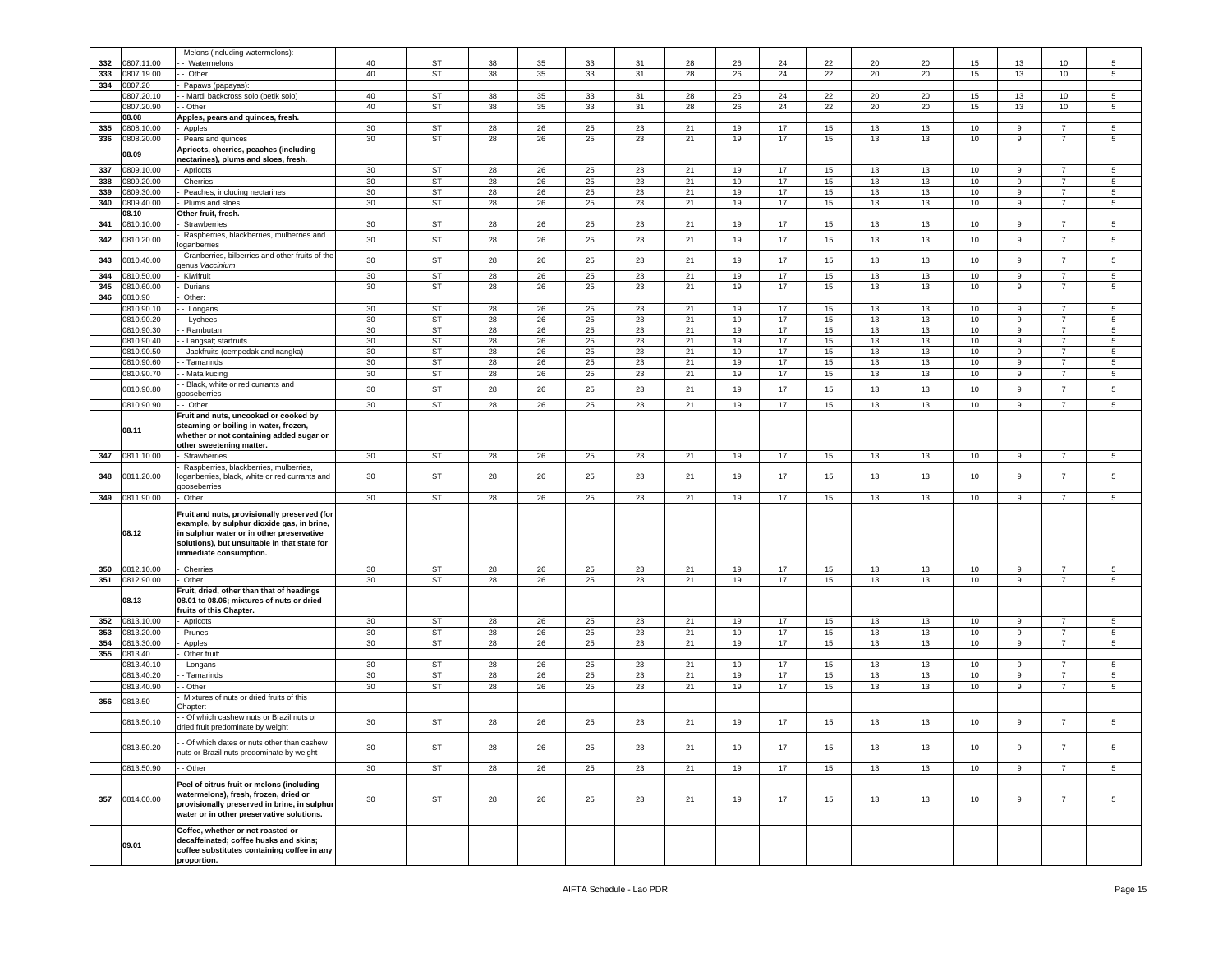|     |            | Melons (including watermelons):                            |    |               |    |            |    |    |      |    |    |    |    |    |    |                  |                |                |
|-----|------------|------------------------------------------------------------|----|---------------|----|------------|----|----|------|----|----|----|----|----|----|------------------|----------------|----------------|
| 332 | 0807.11.00 | Watermelons                                                | 40 | <b>ST</b>     | 38 | 35         | 33 | 31 | 28   | 26 | 24 | 22 | 20 | 20 | 15 | 13               | 10             | 5              |
| 333 | 0807.19.00 | Other                                                      | 40 | <b>ST</b>     | 38 | 35         | 33 | 31 | 28   | 26 | 24 | 22 | 20 | 20 | 15 | 13               | 10             | $5^{\circ}$    |
| 334 | 0807.20    | Papaws (papayas):                                          |    |               |    |            |    |    |      |    |    |    |    |    |    |                  |                |                |
|     | 0807.20.10 | - Mardi backcross solo (betik solo)                        | 40 | <b>ST</b>     | 38 | 35         | 33 | 31 | 28   | 26 | 24 | 22 | 20 | 20 | 15 | 13               | 10             | 5              |
|     | 0807.20.90 | - Other                                                    | 40 | ST            | 38 | 35         | 33 | 31 | 28   | 26 | 24 | 22 | 20 | 20 | 15 | 13               | 10             | $5^{\circ}$    |
|     | 08.08      | Apples, pears and quinces, fresh.                          |    |               |    |            |    |    |      |    |    |    |    |    |    |                  |                |                |
| 335 | 0808.10.00 | Apples                                                     | 30 | <b>ST</b>     | 28 | 26         | 25 | 23 | 21   | 19 | 17 | 15 | 13 | 13 | 10 | 9                | $\overline{7}$ | 5              |
| 336 | 0808.20.00 | Pears and quinces                                          | 30 | <b>ST</b>     | 28 | 26         | 25 | 23 | 21   | 19 | 17 | 15 | 13 | 13 | 10 | 9                | $\overline{7}$ | 5              |
|     |            | Apricots, cherries, peaches (including                     |    |               |    |            |    |    |      |    |    |    |    |    |    |                  |                |                |
|     | 08.09      | nectarines), plums and sloes, fresh.                       |    |               |    |            |    |    |      |    |    |    |    |    |    |                  |                |                |
| 337 | 0809.10.00 | Apricots                                                   | 30 | <b>ST</b>     | 28 | 26         | 25 | 23 | 21   | 19 | 17 | 15 | 13 | 13 | 10 | 9                | $\overline{7}$ | 5              |
| 338 | 0809.20.00 | Cherries                                                   | 30 | <b>ST</b>     | 28 | 26         | 25 | 23 | 21   | 19 | 17 | 15 | 13 | 13 | 10 | 9                | $\overline{7}$ | $5^{\circ}$    |
| 339 | 0809.30.00 | Peaches, including nectarines                              | 30 | ST            | 28 | 26         | 25 | 23 | 21   | 19 | 17 | 15 | 13 | 13 | 10 | 9                | $\overline{7}$ | 5              |
| 340 | 0809.40.00 | Plums and sloes                                            | 30 | <b>ST</b>     | 28 | 26         | 25 | 23 | 21   | 19 | 17 | 15 | 13 | 13 | 10 | 9                | $\overline{7}$ | 5              |
|     | 08.10      | Other fruit, fresh.                                        |    |               |    |            |    |    |      |    |    |    |    |    |    |                  |                |                |
| 341 | 0810.10.00 | Strawberries                                               | 30 | <b>ST</b>     | 28 | 26         | 25 | 23 | 21   | 19 | 17 | 15 | 13 | 13 | 10 | 9                | $\overline{7}$ | 5              |
|     |            | Raspberries, blackberries, mulberries and                  |    |               |    |            |    |    |      |    |    |    |    |    |    |                  |                |                |
| 342 | 0810.20.00 | oganberries                                                | 30 | <b>ST</b>     | 28 | 26         | 25 | 23 | 21   | 19 | 17 | 15 | 13 | 13 | 10 | 9                | $\overline{7}$ | 5              |
|     |            | Cranberries, bilberries and other fruits of the            |    |               |    |            |    |    |      |    |    |    |    |    |    |                  |                |                |
| 343 | 0810.40.00 | enus Vaccinium                                             | 30 | <b>ST</b>     | 28 | 26         | 25 | 23 | 21   | 19 | 17 | 15 | 13 | 13 | 10 | 9                | $\overline{7}$ | 5              |
| 344 | 0810.50.00 | Kiwifruit                                                  | 30 | <b>ST</b>     | 28 | 26         | 25 | 23 | 21   | 19 | 17 | 15 | 13 | 13 | 10 | 9                | $\overline{7}$ | 5              |
| 345 | 0810.60.00 | Durians                                                    | 30 | ST            | 28 | 26         | 25 | 23 | 21   | 19 | 17 | 15 | 13 | 13 | 10 | 9                | $\overline{7}$ | 5              |
| 346 | 0810.90    | Other:                                                     |    |               |    |            |    |    |      |    |    |    |    |    |    |                  |                |                |
|     | 0810.90.1  | Longans                                                    | 30 | <b>ST</b>     | 28 | 26         | 25 | 23 | 21   | 19 | 17 | 15 | 13 | 13 | 10 | 9                | $\overline{7}$ | 5              |
|     | 0810.90.20 | - Lychees                                                  | 30 | <b>ST</b>     | 28 | 26         | 25 | 23 | 21   | 19 | 17 | 15 | 13 | 13 | 10 | 9                | $\overline{7}$ | 5              |
|     |            |                                                            |    |               |    |            |    |    |      |    |    |    |    |    |    |                  |                |                |
|     | 0810.90.30 | - Rambutan                                                 | 30 | <b>ST</b>     | 28 | 26         | 25 | 23 | 21   | 19 | 17 | 15 | 13 | 13 | 10 | 9                | $\overline{7}$ | 5              |
|     | 0810.90.40 | - Langsat; starfruits                                      | 30 | <b>ST</b>     | 28 | 26         | 25 | 23 | 21   | 19 | 17 | 15 | 13 | 13 | 10 | 9                | $\overline{7}$ | 5              |
|     | 0810.90.50 | - Jackfruits (cempedak and nangka)                         | 30 | <b>ST</b>     | 28 | 26         | 25 | 23 | 21   | 19 | 17 | 15 | 13 | 13 | 10 | 9                | $\overline{7}$ | 5              |
|     | 0810.90.60 | - Tamarinds                                                | 30 | <b>ST</b>     | 28 | 26         | 25 | 23 | 21   | 19 | 17 | 15 | 13 | 13 | 10 | 9                | $\overline{7}$ | 5              |
|     | 0810.90.70 | - Mata kucing                                              | 30 | <b>ST</b>     | 28 | 26         | 25 | 23 | 21   | 19 | 17 | 15 | 13 | 13 | 10 | 9                | $\overline{7}$ | 5              |
|     |            | - Black, white or red currants and                         |    |               |    |            |    |    |      |    |    |    |    |    |    |                  |                |                |
|     | 0810.90.80 | ooseberries                                                | 30 | <b>ST</b>     | 28 | 26         | 25 | 23 | 21   | 19 | 17 | 15 | 13 | 13 | 10 | 9                | $\overline{7}$ | 5              |
|     | 0810.90.90 | - Other                                                    | 30 | ST            | 28 | 26         | 25 | 23 | 21   | 19 | 17 | 15 | 13 | 13 | 10 | 9                | $\overline{7}$ | 5              |
|     |            | Fruit and nuts, uncooked or cooked by                      |    |               |    |            |    |    |      |    |    |    |    |    |    |                  |                |                |
|     |            | steaming or boiling in water, frozen,                      |    |               |    |            |    |    |      |    |    |    |    |    |    |                  |                |                |
|     | 08.11      | whether or not containing added sugar or                   |    |               |    |            |    |    |      |    |    |    |    |    |    |                  |                |                |
|     |            | other sweetening matter.                                   |    |               |    |            |    |    |      |    |    |    |    |    |    |                  |                |                |
| 347 | 0811.10.00 | Strawberries                                               | 30 | ST            | 28 | 26         | 25 | 23 | 21   | 19 | 17 | 15 | 13 | 13 | 10 | 9                | 7              | 5              |
|     |            | Raspberries, blackberries, mulberries,                     |    |               |    |            |    |    |      |    |    |    |    |    |    |                  |                |                |
| 348 | 0811.20.00 |                                                            |    |               |    |            |    |    |      |    |    |    |    |    |    |                  |                |                |
|     |            |                                                            |    |               |    |            |    |    |      |    |    |    |    |    |    |                  |                |                |
|     |            | oganberries, black, white or red currants and              | 30 | ST            | 28 | 26         | 25 | 23 | 21   | 19 | 17 | 15 | 13 | 13 | 10 | 9                | $\overline{7}$ | 5              |
|     |            | poseberries                                                |    |               |    |            |    |    |      |    |    |    |    |    |    |                  |                |                |
| 349 | 0811.90.00 | Other                                                      | 30 | ST            | 28 | 26         | 25 | 23 | 21   | 19 | 17 | 15 | 13 | 13 | 10 | 9                | $\overline{7}$ | 5              |
|     |            | Fruit and nuts, provisionally preserved (for               |    |               |    |            |    |    |      |    |    |    |    |    |    |                  |                |                |
|     |            | example, by sulphur dioxide gas, in brine,                 |    |               |    |            |    |    |      |    |    |    |    |    |    |                  |                |                |
|     | 08.12      | in sulphur water or in other preservative                  |    |               |    |            |    |    |      |    |    |    |    |    |    |                  |                |                |
|     |            | solutions), but unsuitable in that state for               |    |               |    |            |    |    |      |    |    |    |    |    |    |                  |                |                |
|     |            | immediate consumption.                                     |    |               |    |            |    |    |      |    |    |    |    |    |    |                  |                |                |
|     |            |                                                            |    |               |    |            |    |    |      |    |    |    |    |    |    |                  |                |                |
| 350 | 0812.10.00 | Cherries                                                   | 30 | <b>ST</b>     | 28 | 26         | 25 | 23 | 21   | 19 | 17 | 15 | 13 | 13 | 10 | 9                | $\overline{7}$ | 5              |
| 351 | 0812.90.00 | Other                                                      | 30 | ST            | 28 | 26         | 25 | 23 | 21   | 19 | 17 | 15 | 13 | 13 | 10 | 9                | $\overline{7}$ | $\sqrt{5}$     |
|     |            | Fruit, dried, other than that of headings                  |    |               |    |            |    |    |      |    |    |    |    |    |    |                  |                |                |
|     | 08.13      | 08.01 to 08.06; mixtures of nuts or dried                  |    |               |    |            |    |    |      |    |    |    |    |    |    |                  |                |                |
|     |            | ruits of this Chapter.                                     |    |               |    |            |    |    |      |    |    |    |    |    |    |                  |                |                |
| 352 | 0813.10.00 | Apricots                                                   | 30 | <b>ST</b>     | 28 | ${\bf 26}$ | 25 | 23 | $21$ | 19 | 17 | 15 | 13 | 13 | 10 | 9                | $\overline{7}$ | 5              |
| 353 | 0813.20.00 | Prunes                                                     | 30 | <b>ST</b>     | 28 | 26         | 25 | 23 | 21   | 19 | 17 | 15 | 13 | 13 | 10 | 9                | $\overline{7}$ | 5              |
| 354 | 0813.30.00 | Apples                                                     | 30 | <b>ST</b>     | 28 | 26         | 25 | 23 | 21   | 19 | 17 | 15 | 13 | 13 | 10 | 9                | $\overline{7}$ | 5              |
| 355 | 0813.40    | Other fruit:                                               |    |               |    |            |    |    |      |    |    |    |    |    |    |                  |                |                |
|     | 0813.40.10 | - Longans                                                  | 30 | <b>ST</b>     | 28 | 26         | 25 | 23 | 21   | 19 | 17 | 15 | 13 | 13 | 10 | 9                | 7              | 5              |
|     | 0813.40.20 | - Tamarinds                                                | 30 | ST            | 28 | 26         | 25 | 23 | 21   | 19 | 17 | 15 | 13 | 13 | 10 | 9                | $\overline{7}$ | $5^{\circ}$    |
|     | 0813.40.90 | - Other                                                    | 30 | $\mathsf{ST}$ | 28 | 26         | 25 | 23 | 21   | 19 | 17 | 15 | 13 | 13 | 10 | 9                | $\overline{7}$ | 5              |
|     |            | Mixtures of nuts or dried fruits of this                   |    |               |    |            |    |    |      |    |    |    |    |    |    |                  |                |                |
| 356 | 0813.50    | hapter:                                                    |    |               |    |            |    |    |      |    |    |    |    |    |    |                  |                |                |
|     |            | - Of which cashew nuts or Brazil nuts or                   |    |               |    |            |    |    |      |    |    |    |    |    |    |                  |                |                |
|     | 0813.50.10 | dried fruit predominate by weight                          | 30 | <b>ST</b>     | 28 | 26         | 25 | 23 | 21   | 19 | 17 | 15 | 13 | 13 | 10 | $\mathsf g$      | $\overline{7}$ | 5              |
|     |            |                                                            |    |               |    |            |    |    |      |    |    |    |    |    |    |                  |                |                |
|     | 0813.50.20 | - Of which dates or nuts other than cashew                 | 30 | <b>ST</b>     | 28 | 26         | 25 | 23 | 21   | 19 | 17 | 15 | 13 | 13 | 10 | 9                | $\overline{7}$ | 5              |
|     |            | nuts or Brazil nuts predominate by weight                  |    |               |    |            |    |    |      |    |    |    |    |    |    |                  |                |                |
|     | 0813.50.90 | - Other                                                    | 30 | ST            | 28 | 26         | 25 | 23 | 21   | 19 | 17 | 15 | 13 | 13 | 10 | 9                | $\overline{7}$ | 5 <sub>5</sub> |
|     |            |                                                            |    |               |    |            |    |    |      |    |    |    |    |    |    |                  |                |                |
|     |            | Peel of citrus fruit or melons (including                  |    |               |    |            |    |    |      |    |    |    |    |    |    |                  |                |                |
|     |            | watermelons), fresh, frozen, dried or                      |    |               |    |            |    |    |      |    |    |    |    |    |    |                  |                |                |
| 357 | 0814.00.00 | provisionally preserved in brine, in sulphur               | 30 | ST            | 28 | 26         | 25 | 23 | 21   | 19 | 17 | 15 | 13 | 13 | 10 | $\boldsymbol{9}$ | $\overline{7}$ | 5              |
|     |            | water or in other preservative solutions.                  |    |               |    |            |    |    |      |    |    |    |    |    |    |                  |                |                |
|     |            |                                                            |    |               |    |            |    |    |      |    |    |    |    |    |    |                  |                |                |
|     |            | Coffee, whether or not roasted or                          |    |               |    |            |    |    |      |    |    |    |    |    |    |                  |                |                |
|     | 09.01      | decaffeinated; coffee husks and skins;                     |    |               |    |            |    |    |      |    |    |    |    |    |    |                  |                |                |
|     |            | coffee substitutes containing coffee in any<br>proportion. |    |               |    |            |    |    |      |    |    |    |    |    |    |                  |                |                |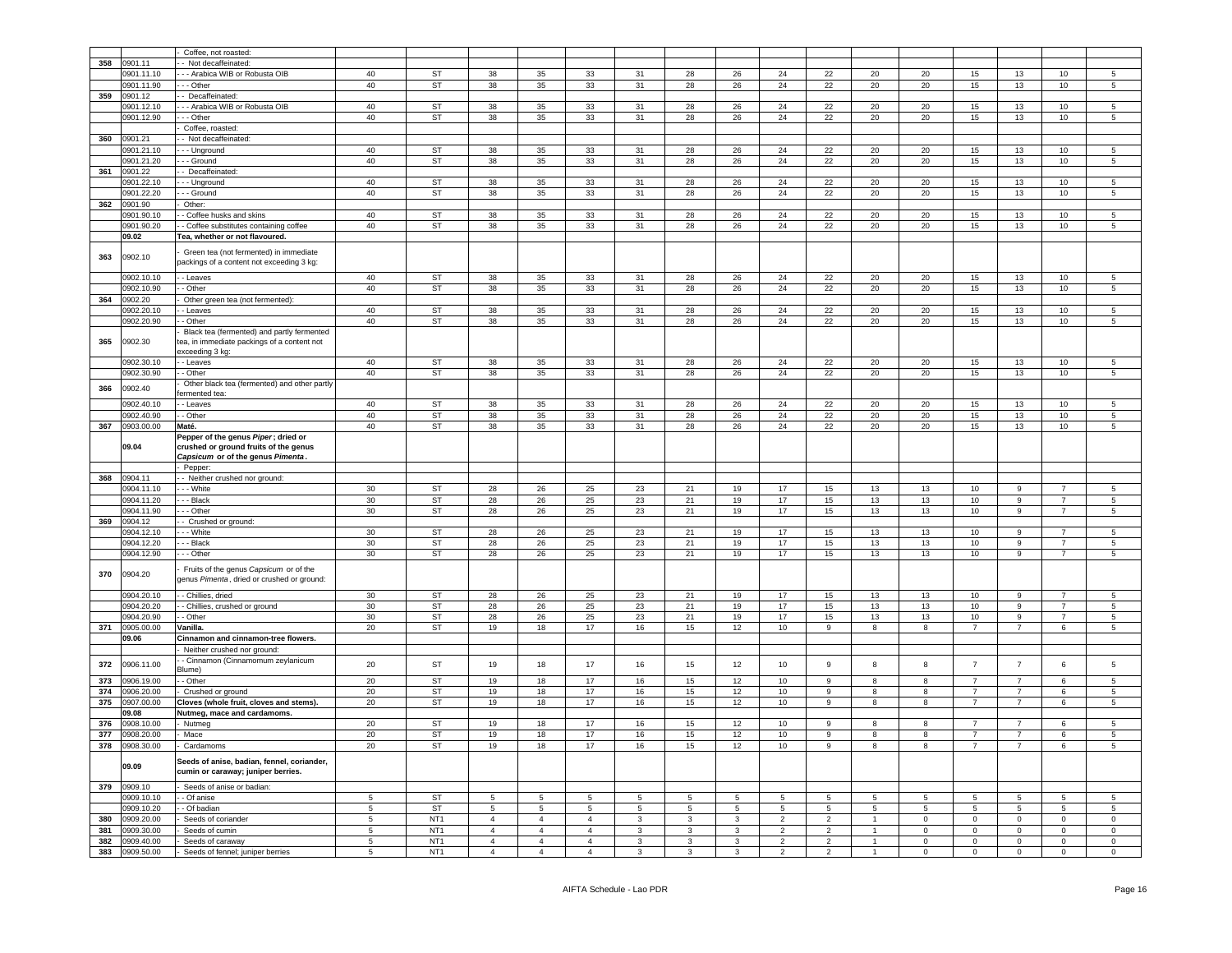|     |                     | Coffee, not roasted                                                                                               |        |                 |                 |                 |                |                 |                 |              |                 |                 |                |              |                 |                 |                 |                     |
|-----|---------------------|-------------------------------------------------------------------------------------------------------------------|--------|-----------------|-----------------|-----------------|----------------|-----------------|-----------------|--------------|-----------------|-----------------|----------------|--------------|-----------------|-----------------|-----------------|---------------------|
| 358 | 0901.11             | Not decaffeinated:                                                                                                |        |                 |                 |                 |                |                 |                 |              |                 |                 |                |              |                 |                 |                 |                     |
|     | 0901.11.10          | - - Arabica WIB or Robusta OIB                                                                                    | 40     | <b>ST</b>       | 38              | 35              | 33             | 31              | 28              | 26           | 24              | 22              | 20             | 20           | 15              | 13              | 10              | 5                   |
|     | 0901.11.90          | - - Other                                                                                                         | 40     | <b>ST</b>       | 38              | 35              | 33             | 31              | 28              | 26           | 24              | 22              | 20             | 20           | 15              | 13              | 10              | 5                   |
| 359 | 0901.12             | - Decaffeinated:                                                                                                  |        |                 |                 |                 |                |                 |                 |              |                 |                 |                |              |                 |                 |                 |                     |
|     | 0901.12.10          | - - Arabica WIB or Robusta OIB                                                                                    | 40     | <b>ST</b>       | 38              | 35              | 33             | 31              | 28              | 26           | 24              | 22              | 20             | 20           | 15              | 13              | 10              | 5                   |
|     | 0901.12.90          | - - Other                                                                                                         | 40     | ST              | 38              | 35              | 33             | 31              | 28              | 26           | 24              | 22              | 20             | 20           | 15              | 13              | 10              | 5                   |
|     |                     | Coffee, roasted:                                                                                                  |        |                 |                 |                 |                |                 |                 |              |                 |                 |                |              |                 |                 |                 |                     |
| 360 | 0901.21             | - Not decaffeinated:                                                                                              |        |                 |                 |                 |                |                 |                 |              |                 |                 |                |              |                 |                 |                 |                     |
|     | 0901.21.10          | - - Unground                                                                                                      | 40     | <b>ST</b>       | 38              | 35              | 33             | 31              | 28              | 26           | 24              | 22              | 20             | 20           | 15              | 13              | 10              | 5                   |
|     | 0901.21.20          | - - Ground                                                                                                        | 40     | <b>ST</b>       | 38              | 35              | 33             | 31              | 28              | 26           | 24              | 22              | 20             | 20           | 15              | 13              | 10              | 5                   |
| 361 | 0901.22             | - Decaffeinated:                                                                                                  |        |                 |                 |                 |                |                 |                 |              |                 |                 |                |              |                 |                 |                 |                     |
|     | 0901.22.10          | - - Unground                                                                                                      | 40     | ST              | 38              | 35              | 33             | 31              | 28              | 26           | 24              | 22              | 20             | 20           | 15              | 13              | 10              | 5                   |
|     | 0901.22.20          | - - Ground                                                                                                        | 40     | <b>ST</b>       | 38              | 35              | 33             | 31              | 28              | 26           | 24              | 22              | 20             | 20           | 15              | 13              | 10              | 5                   |
| 362 | 0901.90             | Other:                                                                                                            |        |                 |                 |                 |                |                 |                 |              |                 |                 |                |              |                 |                 |                 |                     |
|     | 0901.90.10          | - Coffee husks and skins                                                                                          | 40     | <b>ST</b>       | 38              | 35              | 33             | 31              | 28              | 26           | 24              | 22              | 20             | 20           | 15              | 13              | 10              | 5                   |
|     | 0901.90.20          | - Coffee substitutes containing coffee                                                                            | 40     | <b>ST</b>       | 38              | 35              | 33             | 31              | 28              | 26           | 24              | 22              | 20             | 20           | 15              | 13              | 10              | 5                   |
|     | 09.02               | <b>Fea, whether or not flavoured.</b>                                                                             |        |                 |                 |                 |                |                 |                 |              |                 |                 |                |              |                 |                 |                 |                     |
| 363 | 0902.10             | Green tea (not fermented) in immediate<br>packings of a content not exceeding 3 kg:                               |        |                 |                 |                 |                |                 |                 |              |                 |                 |                |              |                 |                 |                 |                     |
|     | 0902.10.10          | - Leaves                                                                                                          | 40     | ST              | 38              | 35              | 33             | 31              | 28              | 26           | 24              | 22              | 20             | 20           | 15              | 13              | 10              | 5                   |
|     | 0902.10.90          | - Other                                                                                                           | 40     | ST              | 38              | 35              | 33             | 31              | 28              | 26           | 24              | 22              | 20             | 20           | 15              | 13              | 10              | 5                   |
| 364 | 0902.20             | Other green tea (not fermented):                                                                                  |        |                 |                 |                 |                |                 |                 |              |                 |                 |                |              |                 |                 |                 |                     |
|     | 0902.20.10          | - Leaves                                                                                                          | 40     | ST              | 38              | 35              | 33             | 31              | 28              | 26           | 24              | 22              | 20             | 20           | 15              | 13              | 10              | 5                   |
|     | 0902.20.90          | - Other                                                                                                           | 40     | ST              | 38              | 35              | 33             | 31              | 28              | 26           | 24              | 22              | 20             | 20           | 15              | 13              | 10              | 5                   |
| 365 | 0902.30             | Black tea (fermented) and partly fermented<br>ea, in immediate packings of a content not<br>exceeding 3 kg:       |        |                 |                 |                 |                |                 |                 |              |                 |                 |                |              |                 |                 |                 |                     |
|     | 0902.30.10          | - Leaves                                                                                                          | 40     | ST              | 38              | 35              | 33             | 31              | 28              | 26           | 24              | 22              | 20             | 20           | 15              | 13              | 10              | 5                   |
|     | 0902.30.90          | - Other                                                                                                           | 40     | ST              | 38              | 35              | 33             | 31              | 28              | ${\bf 26}$   | ${\bf 24}$      | 22              | 20             | 20           | 15              | 13              | 10              | 5                   |
| 366 | 0902.40             | Other black tea (fermented) and other partly<br>ermented tea:                                                     |        |                 |                 |                 |                |                 |                 |              |                 |                 |                |              |                 |                 |                 |                     |
|     | 0902.40.10          | - Leaves                                                                                                          | 40     | ST              | 38              | 35              | 33             | 31              | 28              | 26           | 24              | 22              | 20             | 20           | 15              | 13              | 10              | 5                   |
|     | 0902.40.90          | - Other                                                                                                           | 40     | <b>ST</b>       | 38              | 35              | 33             | 31              | 28              | 26           | 24              | 22              | 20             | 20           | 15              | 13              | 10              | 5                   |
| 367 | 0903.00.00          | Maté.                                                                                                             | 40     | <b>ST</b>       | 38              | 35              | 33             | 31              | 28              | 26           | 24              | 22              | 20             | 20           | 15              | 13              | 10              | 5                   |
|     | 09.04               | Pepper of the genus Piper; dried or<br>crushed or ground fruits of the genus<br>Capsicum or of the genus Pimenta. |        |                 |                 |                 |                |                 |                 |              |                 |                 |                |              |                 |                 |                 |                     |
|     | 0904.11             | Pepper:<br>- Neither crushed nor ground:                                                                          |        |                 |                 |                 |                |                 |                 |              |                 |                 |                |              |                 |                 |                 |                     |
| 368 | 0904.11.10          | - - White                                                                                                         | 30     | <b>ST</b>       | 28              | 26              | 25             | 23              | 21              | 19           | 17              | 15              | 13             | 13           | 10              | 9               | $\overline{7}$  | 5                   |
|     | 0904.11.20          | - - Black                                                                                                         | $30\,$ | ST              | 28              | 26              | 25             | 23              | 21              | 19           | 17              | 15              | 13             | 13           | 10              | 9               | $\overline{7}$  | 5                   |
|     | 0904.11.90          | - - Other                                                                                                         | 30     | <b>ST</b>       | 28              | 26              | 25             | 23              | 21              | 19           | 17              | 15              | 13             | 13           | 10              | 9               | $\overline{7}$  | 5                   |
| 369 | 0904.12             | - Crushed or ground:                                                                                              |        |                 |                 |                 |                |                 |                 |              |                 |                 |                |              |                 |                 |                 |                     |
|     | 0904.12.10          | - - White                                                                                                         | 30     | <b>ST</b>       | 28              | 26              | 25             | 23              | 21              | 19           | 17              | 15              | 13             | 13           | 10              | 9               | 7               | 5                   |
|     | 0904.12.20          | - - Black                                                                                                         | 30     | <b>ST</b>       | 28              | 26              | 25             | 23              | 21              | 19           | 17              | 15              | 13             | 13           | 10              | 9               | $\overline{7}$  | 5                   |
|     | 0904.12.90          | - - Other                                                                                                         | $30\,$ | ST              | 28              | 26              | 25             | 23              | 21              | 19           | 17              | 15              | 13             | 13           | 10              | 9               | $\overline{7}$  | 5                   |
| 370 | 0904.20             | Fruits of the genus Capsicum or of the<br>genus Pimenta, dried or crushed or ground:                              |        |                 |                 |                 |                |                 |                 |              |                 |                 |                |              |                 |                 |                 |                     |
|     | 0904.20.10          | - Chillies, dried                                                                                                 | 30     | ST              | 28              | 26              | 25             | 23              | 21              | 19           | 17              | 15              | 13             | 13           | 10              | 9               | $\overline{7}$  | 5                   |
|     | 0904.20.20          | - Chillies, crushed or ground                                                                                     | 30     | <b>ST</b>       | 28              | 26              | 25             | 23              | 21              | 19           | 17              | 15              | 13             | 13           | 10              | 9               | $\overline{7}$  | 5                   |
|     | 0904.20.90          | - Other                                                                                                           | $30\,$ | <b>ST</b>       | 28              | 26              | 25             | 23              | 21              | 19           | 17              | 15              | 13             | 13           | 10              | 9               | 7               | 5                   |
| 371 | 0905.00.00          | /anilla.                                                                                                          | 20     | ST              | 19              | 18              | 17             | 16              | 15              | 12           | 10              | 9               | 8              | 8            | $\overline{7}$  | $\overline{7}$  | 6               | 5                   |
|     | 09.06               | Cinnamon and cinnamon-tree flowers.                                                                               |        |                 |                 |                 |                |                 |                 |              |                 |                 |                |              |                 |                 |                 |                     |
|     |                     | Neither crushed nor ground:                                                                                       |        |                 |                 |                 |                |                 |                 |              |                 |                 |                |              |                 |                 |                 |                     |
| 372 | 0906.11.00          | - Cinnamon (Cinnamomum zeylanicum<br>3lume)                                                                       | 20     | <b>ST</b>       | 19              | 18              | 17             | 16              | 15              | 12           | 10              | 9               | 8              | 8            | $\overline{7}$  | $\overline{7}$  | 6               | 5                   |
| 373 | 0906.19.00          | - Other                                                                                                           | 20     | <b>ST</b>       | 19              | 18              | 17             | 16              | 15              | 12           | 10              | 9               | 8              | 8            | $\overline{7}$  | $\overline{7}$  | 6               | 5                   |
| 374 | 0906.20.00          | Crushed or ground                                                                                                 | 20     | <b>ST</b>       | 19              | 18              | 17             | 16              | 15              | 12           | 10              | 9               | 8              | 8            | 7               | 7               | 6               | 5                   |
| 375 | 0907.00.00<br>09.08 | Cloves (whole fruit, cloves and stems).                                                                           | 20     | ST              | 19              | 18              | 17             | 16              | 15              | 12           | 10              | 9               | 8              | 8            | $\overline{7}$  | $\overline{7}$  | 6               | 5                   |
| 376 | 0908.10.00          | Nutmeg, mace and cardamoms.<br>Nutmeg                                                                             | 20     | <b>ST</b>       | 19              | 18              | 17             | 16              | 15              | 12           | 10              | 9               | 8              | 8            | 7               | 7               | 6               | 5                   |
| 377 | 0908.20.00          | Mace                                                                                                              | 20     | <b>ST</b>       | 19              | 18              | 17             | 16              | 15              | 12           | 10              | 9               | 8              | 8            | $\overline{7}$  | $\overline{7}$  | 6               | 5                   |
|     | 378 0908.30.00      | Cardamoms                                                                                                         | 20     | ST              | 19              | 18              | 17             | 16              | 15              | 12           | 10              | 9               | 8              | 8            | $\overline{7}$  | $\overline{7}$  | 6               | 5                   |
|     | 09.09               | Seeds of anise, badian, fennel, coriander,<br>cumin or caraway; juniper berries.                                  |        |                 |                 |                 |                |                 |                 |              |                 |                 |                |              |                 |                 |                 |                     |
| 379 | 0909.10             | Seeds of anise or badian:                                                                                         |        |                 |                 |                 |                |                 |                 |              |                 |                 |                |              |                 |                 |                 |                     |
|     | 0909.10.10          | - Of anise                                                                                                        | 5      | ST              | $5\phantom{.0}$ | $5\phantom{.0}$ | 5              | $5\phantom{.0}$ | $5\overline{5}$ | 5            | $5\overline{5}$ | $5\overline{5}$ | 5              | 5            | $5\overline{5}$ | $5\phantom{.0}$ | $5\overline{5}$ | 5                   |
|     | 0909.10.20          | - Of badian                                                                                                       | 5      | ST              | 5               | 5               | 5              | $5\overline{5}$ | $5\overline{5}$ | 5            | 5               | 5               | 5              | 5            | 5               | 5               | 5               | 5                   |
| 380 | 0909.20.00          | Seeds of coriander                                                                                                | 5      | NT <sub>1</sub> | $\overline{4}$  | $\overline{4}$  | $\overline{4}$ | 3               | 3               | 3            | $\overline{2}$  | $\overline{2}$  | $\overline{1}$ | $\mathbf 0$  | $\overline{0}$  | $\mathbf 0$     | $\mathbf{0}$    | $\mathbf 0$         |
| 381 | 0909.30.00          | Seeds of cumin                                                                                                    | 5      | NT <sub>1</sub> | $\overline{4}$  | $\overline{4}$  | $\overline{4}$ | 3               | 3               | 3            | $\overline{2}$  | $\overline{2}$  |                | $\mathbf 0$  | $\mathbf{O}$    | $\mathbf 0$     | $\mathbf 0$     | $\mathbf 0$         |
| 382 | 0909.40.00          | Seeds of caraway                                                                                                  | 5      | NT <sub>1</sub> | $\overline{4}$  | $\overline{4}$  | $\overline{4}$ | $\mathbf{3}$    | $\mathbf{3}$    | 3            | $\overline{2}$  | $\overline{2}$  | $\overline{1}$ | $\mathbf{0}$ | $\mathbf 0$     | $\mathbf 0$     | $\overline{0}$  | $\mathbf{0}$        |
| 383 | 0909.50.00          | Seeds of fennel; juniper berries                                                                                  | 5      | NT <sub>1</sub> | $\overline{4}$  | $\overline{4}$  | $\overline{4}$ | $\mathbf{3}$    | 3               | $\mathbf{3}$ | $\overline{2}$  | $\overline{2}$  | $\mathbf{1}$   | $\mathbf 0$  | $\mathbf 0$     | $\mathbf 0$     | $\mathbf 0$     | $\mathsf{O}\xspace$ |
|     |                     |                                                                                                                   |        |                 |                 |                 |                |                 |                 |              |                 |                 |                |              |                 |                 |                 |                     |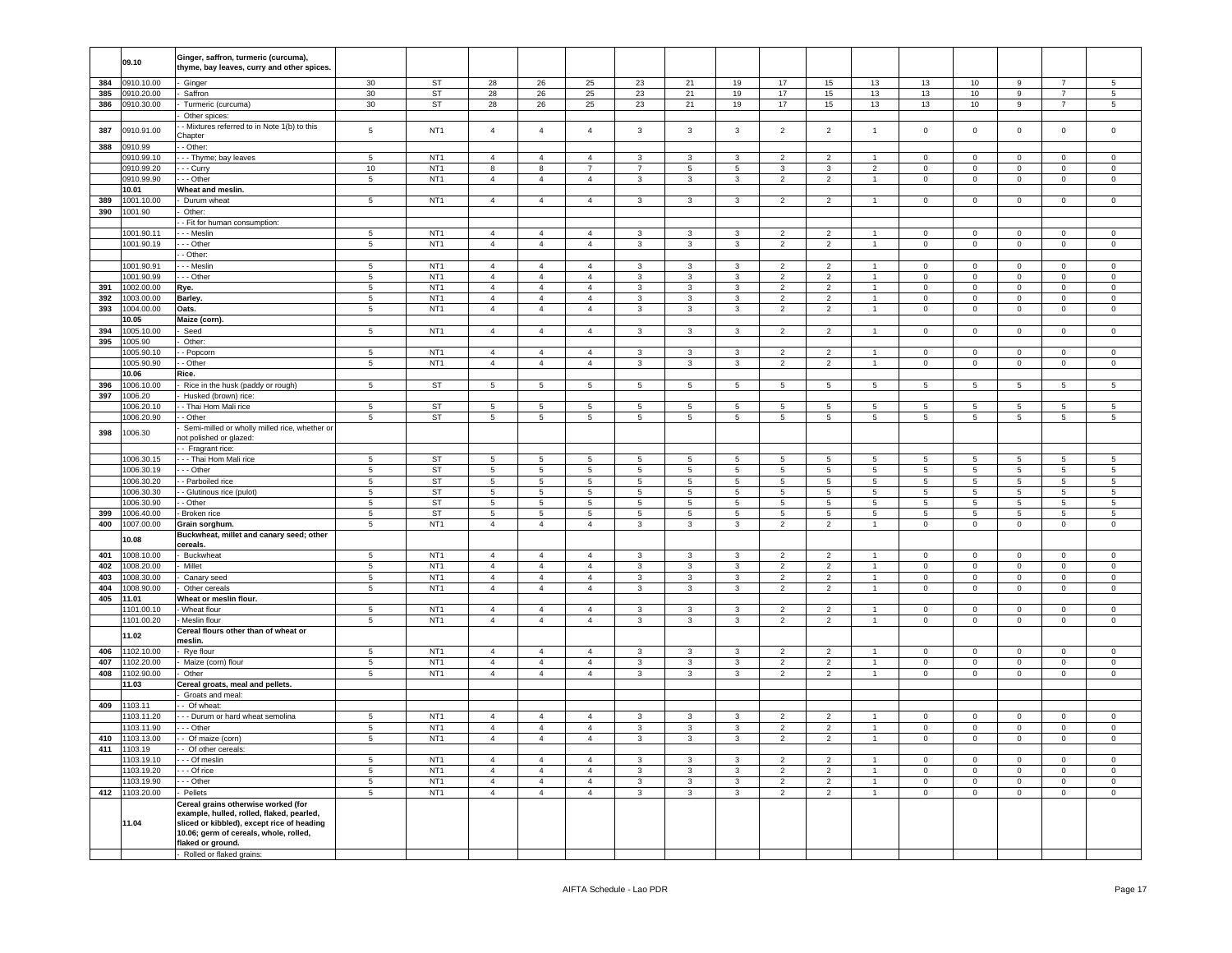|     | 09.10      | Ginger, saffron, turmeric (curcuma),<br>thyme, bay leaves, curry and other spices.                                                                                                            |                 |                 |                                  |                                  |                                  |                         |                              |                          |                                  |                          |                                  |                     |                     |                     |                      |                     |
|-----|------------|-----------------------------------------------------------------------------------------------------------------------------------------------------------------------------------------------|-----------------|-----------------|----------------------------------|----------------------------------|----------------------------------|-------------------------|------------------------------|--------------------------|----------------------------------|--------------------------|----------------------------------|---------------------|---------------------|---------------------|----------------------|---------------------|
| 384 | 0910.10.00 | Ginger                                                                                                                                                                                        | 30              | ST              | 28                               | 26                               | 25                               | 23                      | 21                           | 19                       | 17                               | 15                       | 13                               | 13                  | 10                  | 9                   | $\overline{7}$       | 5                   |
| 385 | 0910.20.00 | Saffron                                                                                                                                                                                       | 30              | ST              | 28                               | 26                               | 25                               | 23                      | 21                           | 19                       | 17                               | 15                       | 13                               | 13                  | 10 <sup>10</sup>    | 9                   | $\overline{7}$       | $5^{\circ}$         |
| 386 | 0910.30.00 | Turmeric (curcuma)                                                                                                                                                                            | 30              | ST              | 28                               | 26                               | 25                               | 23                      | 21                           | 19                       | 17                               | 15                       | 13                               | 13                  | 10                  | 9                   | $\overline{7}$       | $5\phantom{.0}$     |
|     |            | Other spices:                                                                                                                                                                                 |                 |                 |                                  |                                  |                                  |                         |                              |                          |                                  |                          |                                  |                     |                     |                     |                      |                     |
| 387 | 0910.91.00 | - Mixtures referred to in Note 1(b) to this                                                                                                                                                   | 5               | NT <sub>1</sub> | $\overline{4}$                   | $\overline{4}$                   | $\overline{4}$                   | $\mathbf{3}$            | $\mathbf{3}$                 | $\mathbf{3}$             | $\overline{2}$                   | $\overline{2}$           | $\overline{1}$                   | $\mathbf 0$         | $\overline{0}$      | $\mathbf 0$         | $\mathbf 0$          | $\mathsf 0$         |
|     |            | Chapter                                                                                                                                                                                       |                 |                 |                                  |                                  |                                  |                         |                              |                          |                                  |                          |                                  |                     |                     |                     |                      |                     |
| 388 | 0910.99    | - Other:                                                                                                                                                                                      |                 |                 |                                  |                                  |                                  |                         |                              |                          |                                  |                          |                                  |                     |                     |                     |                      |                     |
|     | 0910.99.10 | - - Thyme; bay leaves                                                                                                                                                                         | 5               | NT <sub>1</sub> | $\overline{4}$                   | $\overline{4}$                   | $\overline{4}$                   | 3                       | 3                            | 3                        | $\overline{2}$                   | 2                        |                                  | $\mathbf 0$         | 0                   | $\mathbf 0$         | $\mathsf 0$          | $\mathsf 0$         |
|     | 0910.99.20 | - - Curry                                                                                                                                                                                     | 10              | NT <sub>1</sub> | 8                                | 8                                | $\overline{7}$                   | $\overline{7}$          | $\,$ 5 $\,$                  | 5                        | 3                                | 3                        | $\overline{2}$                   | $\pmb{0}$           | $\mathsf{O}\xspace$ | $\mathbf 0$         | $\mathsf 0$          | $\mathsf 0$         |
|     | 0910.99.90 | - - Other                                                                                                                                                                                     | $\sqrt{5}$      | NT <sub>1</sub> | $\overline{4}$                   | $\overline{4}$                   | $\overline{4}$                   | $\mathbf{3}$            | 3                            | $\mathbf{3}$             | $\overline{2}$                   | $\overline{2}$           | $\mathbf{1}$                     | $\mathsf 0$         | $\mathsf{O}\xspace$ | $\mathsf{O}\xspace$ | $\mathsf 0$          | $\mathsf{O}\xspace$ |
|     | 10.01      | Wheat and meslin.                                                                                                                                                                             |                 |                 |                                  |                                  |                                  |                         |                              |                          |                                  |                          |                                  |                     |                     |                     |                      |                     |
| 389 | 1001.10.00 | Durum wheat                                                                                                                                                                                   | $\,$ 5 $\,$     | NT <sub>1</sub> | $\overline{4}$                   | $\overline{4}$                   | $\overline{4}$                   | $\mathbf{3}$            | 3                            | $\mathbf{3}$             | $\overline{2}$                   | $\overline{2}$           |                                  | $\mathbf 0$         | $\mathsf{O}\xspace$ | $\mathbf 0$         | $\pmb{0}$            | $\mathsf 0$         |
| 390 | 1001.90    | Other:                                                                                                                                                                                        |                 |                 |                                  |                                  |                                  |                         |                              |                          |                                  |                          |                                  |                     |                     |                     |                      |                     |
|     |            | - Fit for human consumption:                                                                                                                                                                  |                 |                 |                                  |                                  |                                  |                         |                              |                          |                                  |                          |                                  |                     |                     |                     |                      |                     |
|     | 1001.90.11 | - - Meslin                                                                                                                                                                                    | 5               | NT <sub>1</sub> | $\overline{4}$                   | $\overline{4}$                   | $\overline{4}$                   | $\mathbf{3}$            | 3                            | 3                        | $\overline{2}$                   | $\overline{2}$           | $\overline{1}$                   | $\mathbf 0$         | $\mathsf 0$         | $\mathbf 0$         | $\mathbf 0$          | $\mathbf 0$         |
|     | 1001.90.19 | - - Other                                                                                                                                                                                     | 5               | NT <sub>1</sub> | $\overline{4}$                   | $\overline{4}$                   | $\overline{4}$                   | 3                       | 3                            | 3                        | $\overline{2}$                   | $\overline{2}$           | $\overline{1}$                   | $\mathbf 0$         | $\mathsf 0$         | $\mathbf 0$         | $\pmb{0}$            | $\mathsf 0$         |
|     |            | - Other:                                                                                                                                                                                      |                 |                 |                                  |                                  |                                  |                         |                              |                          |                                  |                          |                                  |                     |                     |                     |                      |                     |
|     | 1001.90.91 | - - Meslin                                                                                                                                                                                    | 5               | NT <sub>1</sub> | $\overline{4}$                   | $\overline{4}$                   | $\overline{4}$                   | $\mathbf{3}$            | $\mathbf{3}$                 | 3                        | $\overline{2}$                   | $\overline{2}$           |                                  | $\overline{0}$      | $\mathbf 0$         | $\mathbf 0$         | $\mathbf 0$          | $\mathsf 0$         |
|     | 1001.90.99 | - - Other                                                                                                                                                                                     | 5               | NT <sub>1</sub> | $\overline{4}$                   | $\overline{4}$                   | $\overline{4}$                   | $\mathbf{3}$            | 3                            | 3                        | $\overline{2}$                   | $\overline{2}$           |                                  | $\mathbf 0$         | $\mathsf 0$         | $\mathbf 0$         | $\mathbf 0$          | $\mathsf 0$         |
| 391 | 1002.00.00 | Rye.                                                                                                                                                                                          | 5               | NT <sub>1</sub> | $\overline{4}$                   | $\overline{4}$                   | $\overline{4}$                   | $\mathbf{3}$            | 3                            | 3                        | $\overline{2}$                   | $\overline{2}$           |                                  | $\mathbf 0$         | $\mathbf 0$         | $\mathbf 0$         | $\mathbf 0$          | $\mathbf 0$         |
| 392 | 1003.00.00 | Barley.                                                                                                                                                                                       | $\sqrt{5}$      | NT <sub>1</sub> | $\sqrt{4}$                       | $\overline{4}$                   | $\overline{4}$                   | $\mathbf{3}$            | $\mathbf{3}$                 | 3                        | $\overline{2}$                   | $\overline{2}$           |                                  | $\mathsf 0$         | $\mathbf 0$         | $\mathbf 0$         | $\pmb{0}$            | $\mathsf 0$         |
| 393 | 1004.00.00 | Oats.                                                                                                                                                                                         | 5               | NT <sub>1</sub> | $\overline{4}$                   | $\overline{4}$                   | $\overline{4}$                   | $\mathbf{3}$            | 3                            | 3                        | $\overline{2}$                   | $\overline{\phantom{a}}$ | $\overline{1}$                   | $\bf 0$             | $\mathsf{O}\xspace$ | $\mathbf 0$         | $\pmb{0}$            | $\mathsf 0$         |
|     | 10.05      | Maize (corn).                                                                                                                                                                                 |                 |                 |                                  |                                  |                                  |                         |                              |                          |                                  |                          |                                  |                     |                     |                     |                      |                     |
| 394 | 1005.10.00 | Seed                                                                                                                                                                                          | $5\phantom{.0}$ | NT <sub>1</sub> | $\overline{4}$                   | $\overline{4}$                   | $\overline{4}$                   | 3                       | $\mathbf{3}$                 | 3                        | $\overline{2}$                   | $\overline{2}$           | $\mathbf{1}$                     | $\mathbf 0$         | $\mathbf 0$         | $\mathsf 0$         | $\mathbf 0$          | $\mathbf 0$         |
| 395 | 1005.90    | Other:                                                                                                                                                                                        |                 |                 |                                  |                                  |                                  |                         |                              |                          |                                  |                          |                                  |                     |                     |                     |                      |                     |
|     | 1005.90.10 | - Popcorr                                                                                                                                                                                     | $\sqrt{5}$      | NT <sub>1</sub> | $\overline{4}$                   | $\overline{4}$                   | $\overline{4}$                   | $\mathbf{3}$            | $\mathbf{3}$                 | 3                        | $\overline{2}$                   | $\overline{2}$           | $\overline{1}$                   | $\mathsf 0$         | $\overline{0}$      | 0                   | $\overline{0}$       | $\mathsf 0$         |
|     | 1005.90.90 | - Other                                                                                                                                                                                       | $\,$ 5 $\,$     | NT <sub>1</sub> | $\overline{4}$                   | $\overline{4}$                   | $\overline{4}$                   | $\mathbf{3}$            | $\mathbf{3}$                 | $\mathbf{3}$             | $\overline{2}$                   | $\overline{2}$           | $\mathbf{1}$                     | $\mathsf{O}\xspace$ | $\mathbf 0$         | $\mathbf 0$         | $\mathbf 0$          | $\mathsf 0$         |
|     | 10.06      | Rice.                                                                                                                                                                                         |                 |                 |                                  |                                  |                                  |                         |                              |                          |                                  |                          |                                  |                     |                     |                     |                      |                     |
| 396 | 1006.10.00 | Rice in the husk (paddy or rough)                                                                                                                                                             | $\overline{5}$  | <b>ST</b>       | $\overline{5}$                   | $\overline{\phantom{a}}$         | 5                                | $\,$ 5 $\,$             | 5                            | $\sqrt{5}$               | $\sqrt{5}$                       | $5\phantom{.0}$          | $5\phantom{.0}$                  | 5                   | $\overline{5}$      | $\sqrt{5}$          | 5                    | $\overline{5}$      |
| 397 | 1006.20    | Husked (brown) rice:                                                                                                                                                                          |                 |                 |                                  |                                  |                                  |                         |                              |                          |                                  |                          |                                  |                     |                     |                     |                      |                     |
|     | 1006.20.10 | - Thai Hom Mali rice                                                                                                                                                                          | 5               | <b>ST</b>       | $5\phantom{.0}$                  | $\,$ 5 $\,$                      | -5                               | $\overline{5}$          | 5                            | 5                        | $5^{\circ}$                      | $\sqrt{5}$               | $5^{\circ}$                      | $5^{\circ}$         | $5\phantom{.0}$     | $\,$ 5 $\,$         | 5                    | 5 <sub>5</sub>      |
|     | 1006.20.90 | - Other                                                                                                                                                                                       | $\overline{5}$  | <b>ST</b>       | $\overline{5}$                   | $\overline{\phantom{a}}$         | $\sqrt{5}$                       | $\,$ 5 $\,$             | $\,$ 5 $\,$                  | $\overline{\phantom{0}}$ | 5                                | $\overline{5}$           | $\overline{5}$                   | $\overline{5}$      | $5\overline{)}$     | $\sqrt{5}$          | $\overline{5}$       | $\overline{5}$      |
| 398 | 1006.30    | Semi-milled or wholly milled rice, whether or                                                                                                                                                 |                 |                 |                                  |                                  |                                  |                         |                              |                          |                                  |                          |                                  |                     |                     |                     |                      |                     |
|     |            | not polished or glazed:                                                                                                                                                                       |                 |                 |                                  |                                  |                                  |                         |                              |                          |                                  |                          |                                  |                     |                     |                     |                      |                     |
|     |            | - Fragrant rice:                                                                                                                                                                              |                 |                 |                                  |                                  |                                  |                         |                              |                          |                                  |                          |                                  |                     |                     |                     |                      |                     |
|     | 1006.30.15 | -- Thai Hom Mali rice                                                                                                                                                                         | 5               | ST              | 5                                | 5                                | 5                                | 5                       | 5                            | 5                        | 5                                | 5                        | $5\overline{5}$                  | 5                   | 5                   | 5                   | 5                    | 5                   |
|     | 1006.30.19 | - - Other                                                                                                                                                                                     | 5               | ST              | 5                                | 5                                | 5                                | 5                       | 5                            | 5                        | $5\phantom{.0}$                  | $5\phantom{.0}$          | 5                                | 5                   | 5                   | 5                   | 5                    | $5\overline{5}$     |
|     | 1006.30.20 | - Parboiled rice                                                                                                                                                                              | $5\phantom{.0}$ | ST              | 5                                | $5\phantom{.0}$                  | $5\phantom{.0}$                  | $5\phantom{.0}$         | $5\overline{5}$              | $5\phantom{.0}$          | $5\phantom{.0}$                  | $5\phantom{.0}$          | $5\phantom{.0}$                  | 5                   | $5\overline{ }$     | $5\overline{)}$     | 5                    | $5\overline{)}$     |
|     | 1006.30.30 | - Glutinous rice (pulot)                                                                                                                                                                      | 5               | ST              | 5                                | 5                                | 5                                | 5                       | 5                            | 5                        | 5                                | 5                        | $5\overline{5}$                  | 5                   | 5 <sub>5</sub>      | 5                   | -5                   | $5^{\circ}$         |
|     | 1006.30.90 | - Other                                                                                                                                                                                       | 5               | ST              | 5                                | $\,$ 5 $\,$                      | $\,$ 5 $\,$                      | 5                       | 5                            | 5                        | 5                                | $5\phantom{.0}$          | 5                                | 5                   | $\sqrt{5}$          | $\sqrt{5}$          | 5                    | 5                   |
| 399 | 1006.40.00 | Broken rice                                                                                                                                                                                   | $5\phantom{.0}$ | ST              | 5                                | $\overline{5}$                   | $5\phantom{.0}$                  | $\overline{5}$          | $5\overline{5}$              | $5\phantom{.0}$          | 5                                | $5\phantom{.0}$          | $5\phantom{.0}$                  | 5                   | $5\overline{ }$     | $5\overline{)}$     | 5                    | $5\overline{)}$     |
| 400 | 1007.00.00 | Grain sorghum.                                                                                                                                                                                | 5               | NT <sub>1</sub> | $\overline{4}$                   | $\overline{4}$                   | $\overline{4}$                   | $\mathbf{3}$            | $\mathbf{3}$                 | 3                        | $\overline{2}$                   | $\overline{2}$           | $\mathbf{1}$                     | $\mathbf 0$         | $\mathbf{0}$        | $\mathbf{0}$        | $\mathbf 0$          | $\circ$             |
|     | 10.08      | Buckwheat, millet and canary seed; other                                                                                                                                                      |                 |                 |                                  |                                  |                                  |                         |                              |                          |                                  |                          |                                  |                     |                     |                     |                      |                     |
|     |            | cereals.                                                                                                                                                                                      |                 |                 |                                  |                                  |                                  |                         |                              |                          |                                  |                          |                                  |                     |                     |                     |                      |                     |
| 401 | 1008.10.00 | Buckwheat                                                                                                                                                                                     | 5               | NT <sub>1</sub> | $\overline{4}$                   | $\overline{4}$                   | $\overline{4}$                   | $\mathbf{3}$            | $\mathbf{3}$                 | $\mathbf{3}$             | $\overline{2}$                   | $\overline{2}$           | $\mathbf{1}$                     | $\mathbf 0$         | $\mathsf 0$         | $\mathbf 0$         | $\mathbf 0$          | $\mathsf 0$         |
| 402 | 008.20.00  | Millet                                                                                                                                                                                        | $5\phantom{.0}$ | NT <sub>1</sub> | $\overline{4}$                   | $\overline{4}$                   | $\overline{4}$                   | 3                       | $\mathbf{3}$                 | 3                        | $\overline{2}$                   | $\overline{2}$           | $\overline{1}$                   | $\Omega$            | $\mathsf 0$         | $\Omega$            | $\Omega$             | $\mathsf 0$         |
| 403 | 008.30.00  | Canary seed                                                                                                                                                                                   | $5\phantom{.0}$ | NT <sub>1</sub> | $\overline{4}$                   | $\overline{4}$                   | $\sqrt{4}$                       | $\mathbf{3}$            | $\overline{3}$               | $\mathbf{3}$             | $\overline{2}$                   | $\overline{2}$           | $\overline{1}$                   | $\mathbf 0$         | $\overline{0}$      | $\mathbf 0$         | $\mathsf 0$          | $\mathsf 0$         |
| 404 | 008.90.00  | Other cereals                                                                                                                                                                                 | $5\phantom{.0}$ | NT <sub>1</sub> | $\overline{4}$                   | $\overline{4}$                   | $\overline{4}$                   | $\mathbf{3}$            | $\mathbf{3}$                 | $\mathbf{3}$             | $\overline{2}$                   | $\overline{2}$           | $\mathbf{1}$                     | $\mathsf 0$         | $\mathbf 0$         | $\mathbf 0$         | $\circ$              | $\mathsf 0$         |
| 405 | 11.01      | Wheat or meslin flour.                                                                                                                                                                        |                 |                 |                                  |                                  |                                  |                         |                              |                          |                                  |                          |                                  |                     |                     |                     |                      |                     |
|     | 101.00.10  | Wheat flour                                                                                                                                                                                   | 5               | NT <sub>1</sub> | $\overline{4}$                   | $\overline{4}$                   | $\overline{4}$                   | $\mathbf{3}$            | 3                            | 3                        | $\overline{2}$                   | $\overline{2}$           |                                  | $\mathbf 0$         | $\mathsf 0$         | $\mathsf 0$         | $\mathsf 0$          | $\mathsf 0$         |
|     | 1101.00.20 | Meslin flour                                                                                                                                                                                  | $\,$ 5 $\,$     | NT <sub>1</sub> | $\sqrt{4}$                       | $\overline{4}$                   | $\sqrt{4}$                       | $\mathbf{3}$            | 3                            | $\mathbf{3}$             | $\overline{2}$                   | $\overline{2}$           | $\overline{1}$                   | $\mathsf 0$         | $\mathsf{O}\xspace$ | $\mathbf 0$         | $\mathbf 0$          | $\mathsf 0$         |
|     | 11.02      | Cereal flours other than of wheat or                                                                                                                                                          |                 |                 |                                  |                                  |                                  |                         |                              |                          |                                  |                          |                                  |                     |                     |                     |                      |                     |
|     |            | meslin.                                                                                                                                                                                       |                 |                 |                                  |                                  |                                  |                         |                              |                          |                                  |                          |                                  |                     |                     |                     |                      |                     |
| 406 | 1102.10.00 | Rye flour                                                                                                                                                                                     | $\sqrt{5}$      | NT <sub>1</sub> | $\overline{4}$<br>$\overline{4}$ | $\overline{4}$<br>$\overline{4}$ | $\overline{4}$<br>$\overline{4}$ | 3                       | 3<br>$\overline{\mathbf{3}}$ | 3                        | $\overline{2}$<br>$\overline{2}$ | 2<br>$\overline{2}$      | $\overline{1}$<br>$\overline{1}$ | $\Omega$            | $\mathbf 0$         | $\mathbf 0$         | $\Omega$<br>$\Omega$ | $\Omega$            |
| 407 | 1102.20.00 | Maize (corn) flour                                                                                                                                                                            | $\overline{5}$  | NT <sub>1</sub> |                                  |                                  |                                  | $\mathbf{3}$            |                              | $\overline{3}$           |                                  |                          |                                  | $\mathbf 0$         | $\overline{0}$      | $\mathsf 0$         |                      | $\overline{0}$      |
| 408 | 1102.90.00 | Other                                                                                                                                                                                         | $\overline{5}$  | NT <sub>1</sub> | $\overline{4}$                   | $\overline{4}$                   | $\overline{4}$                   | $\mathbf{3}$            | $\overline{3}$               | $\mathbf{3}$             | $\overline{2}$                   | $\overline{2}$           | $\mathbf{1}$                     | $\mathsf 0$         | $\mathbf 0$         | $\mathbf 0$         | $\mathbf 0$          | $\mathsf{O}\xspace$ |
|     | 11.03      | Cereal groats, meal and pellets.                                                                                                                                                              |                 |                 |                                  |                                  |                                  |                         |                              |                          |                                  |                          |                                  |                     |                     |                     |                      |                     |
|     |            | Groats and meal:                                                                                                                                                                              |                 |                 |                                  |                                  |                                  |                         |                              |                          |                                  |                          |                                  |                     |                     |                     |                      |                     |
| 409 | 1103.11    | - Of wheat                                                                                                                                                                                    |                 |                 | $\overline{4}$                   | $\overline{4}$                   | $\overline{4}$                   |                         |                              | $\overline{3}$           | $\overline{2}$                   | $\overline{2}$           |                                  | $\overline{0}$      |                     |                     |                      | $\overline{0}$      |
|     | 1103.11.20 | - - Durum or hard wheat semolina                                                                                                                                                              | $\overline{5}$  | NT <sub>1</sub> |                                  |                                  |                                  | 3                       | 3                            |                          |                                  |                          |                                  |                     | $\overline{0}$      | $\mathbf 0$         | $\Omega$             |                     |
|     | 1103.11.90 | - - Other                                                                                                                                                                                     | $\overline{5}$  | NT <sub>1</sub> | $\overline{4}$                   | $\overline{4}$                   | $\overline{4}$                   | $\mathbf{3}$            | $\mathbf{3}$                 | $\overline{3}$           | $\overline{2}$                   | $\overline{2}$           | $\overline{1}$                   | $\Omega$            | $\overline{0}$      | $\mathsf 0$         | $\Omega$             | $\Omega$            |
| 410 | 1103.13.00 | - Of maize (corn)                                                                                                                                                                             | $\sqrt{5}$      | NT <sub>1</sub> | $\overline{4}$                   | $\overline{4}$                   | $\overline{4}$                   | $\mathbf{3}$            | $\mathbf{3}$                 | $\mathbf{3}$             | $\overline{2}$                   | $\overline{2}$           | $\overline{1}$                   | $\mathbf 0$         | $\mathbf 0$         | $\mathbf 0$         | $\mathbf 0$          | $\mathsf 0$         |
| 411 | 1103.19    | - Of other cereals                                                                                                                                                                            |                 |                 |                                  |                                  |                                  |                         |                              |                          |                                  |                          |                                  |                     |                     |                     |                      |                     |
|     | 1103.19.10 | - - Of meslin                                                                                                                                                                                 | 5 <sup>1</sup>  | NT <sub>1</sub> | $\overline{4}$                   | $\overline{4}$                   | $\overline{4}$                   | $\mathbf{3}$            | 3                            | $\mathbf{3}$             | $\overline{2}$                   | $\overline{2}$           | $\overline{1}$                   | $\Omega$            | $\Omega$            | $\Omega$            | $\Omega$             | $\Omega$            |
|     | 1103.19.20 | - - Of rice                                                                                                                                                                                   | $\sqrt{5}$      | NT <sub>1</sub> | $\overline{4}$                   | $\overline{4}$                   | $\overline{4}$                   | $\mathbf{3}$            | $\mathbf{3}$                 | $\mathbf{3}$             | $\overline{2}$                   | $\overline{2}$           |                                  | $\Omega$            | $\mathbf 0$         | $\Omega$            | $\mathsf 0$          | $\mathsf 0$         |
|     | 1103.19.90 | $-$ Other                                                                                                                                                                                     | $\overline{5}$  | NT <sub>1</sub> | $\overline{4}$                   | $\overline{4}$                   | $\overline{4}$                   | $\overline{\mathbf{3}}$ | $\overline{\mathbf{3}}$      | $\overline{3}$           | $\overline{2}$                   | $\overline{2}$           |                                  | $\overline{0}$      | $\overline{0}$      | $\mathbf 0$         | $\overline{0}$       | $\overline{0}$      |
| 412 | 1103.20.00 | Pellets                                                                                                                                                                                       | 5               | NT <sub>1</sub> | $\overline{4}$                   | $\overline{4}$                   | $\overline{4}$                   | $\mathbf{3}$            | $\mathbf{3}$                 | $\mathbf{3}$             | $\overline{2}$                   | $\overline{2}$           | $\overline{1}$                   | $\mathbf 0$         | $\mathsf 0$         | $\mathsf 0$         | $\mathbf 0$          | $\mathsf 0$         |
|     | 11.04      | Cereal grains otherwise worked (for<br>example, hulled, rolled, flaked, pearled,<br>sliced or kibbled), except rice of heading<br>10.06; germ of cereals, whole, rolled,<br>flaked or ground. |                 |                 |                                  |                                  |                                  |                         |                              |                          |                                  |                          |                                  |                     |                     |                     |                      |                     |
|     |            | Rolled or flaked grains:                                                                                                                                                                      |                 |                 |                                  |                                  |                                  |                         |                              |                          |                                  |                          |                                  |                     |                     |                     |                      |                     |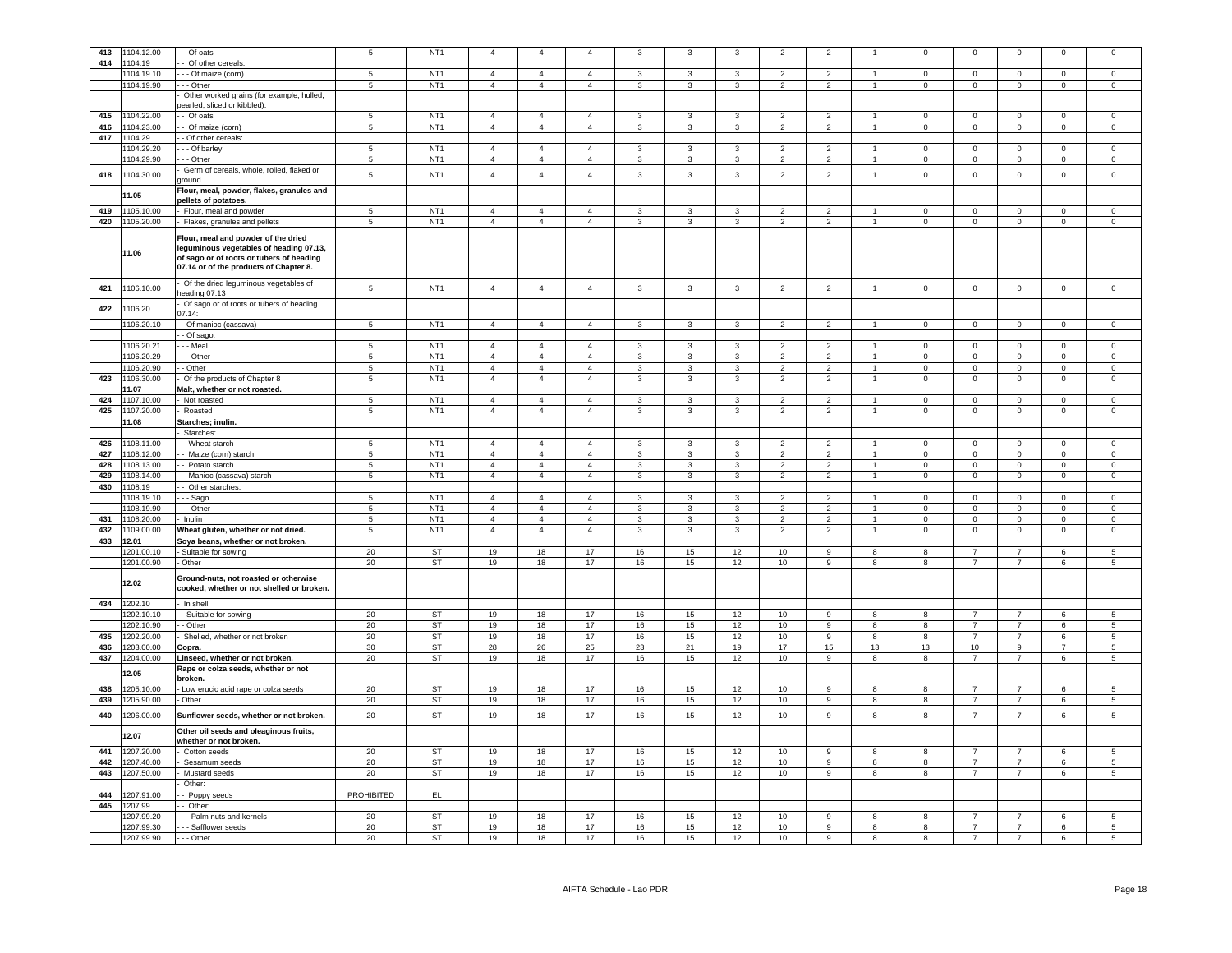| 413 | 1104.12.00     | - Of oats                                                                                                                                                            | $5\phantom{.0}$   | NT <sub>1</sub> | $\overline{4}$ | $\overline{4}$ | $\overline{4}$ |                         |                         | 3              | $\overline{2}$           | $\overline{\phantom{a}}$ |                      | $\overline{0}$ | $^{\circ}$          | $\Omega$            | $\mathbf 0$    | $\Omega$            |
|-----|----------------|----------------------------------------------------------------------------------------------------------------------------------------------------------------------|-------------------|-----------------|----------------|----------------|----------------|-------------------------|-------------------------|----------------|--------------------------|--------------------------|----------------------|----------------|---------------------|---------------------|----------------|---------------------|
|     |                |                                                                                                                                                                      |                   |                 |                |                |                |                         |                         |                |                          |                          |                      |                |                     |                     |                |                     |
| 414 | 1104.19        | Of other cereals:                                                                                                                                                    |                   |                 |                |                |                |                         |                         |                |                          |                          |                      |                |                     |                     |                |                     |
|     | 1104.19.10     | - - Of maize (corn)                                                                                                                                                  | 5                 | NT <sub>1</sub> | $\overline{4}$ | $\overline{4}$ | $\overline{4}$ | 3                       | 3                       | 3              | $\overline{2}$           | $\overline{2}$           | $\overline{1}$       | $\mathbf 0$    | $\mathbf 0$         | $\mathbf 0$         | $\mathbf 0$    | $\mathbf 0$         |
|     | 1104.19.90     | - - Other                                                                                                                                                            | 5                 | NT <sub>1</sub> | $\overline{4}$ | $\overline{4}$ | $\overline{4}$ | $\mathbf{3}$            | $\mathbf{3}$            | $\mathbf{3}$   | $\overline{2}$           | $\overline{2}$           | $\mathbf{1}$         | $\mathbf 0$    | $\mathsf{O}\xspace$ | $\mathbf 0$         | $\mathbf 0$    | $\mathsf{O}\xspace$ |
|     |                | Other worked grains (for example, hulled,                                                                                                                            |                   |                 |                |                |                |                         |                         |                |                          |                          |                      |                |                     |                     |                |                     |
|     |                | earled, sliced or kibbled):                                                                                                                                          |                   |                 |                |                |                |                         |                         |                |                          |                          |                      |                |                     |                     |                |                     |
|     |                |                                                                                                                                                                      |                   |                 |                |                |                |                         |                         |                |                          |                          |                      |                |                     |                     |                |                     |
| 415 | 1104.22.00     | - Of oats                                                                                                                                                            | $5\phantom{.0}$   | NT <sub>1</sub> | $\overline{4}$ | $\overline{4}$ | $\Delta$       | $\mathbf{3}$            | 3                       | 3              | $\overline{2}$           | $\overline{2}$           | $\overline{1}$       | $\mathbf 0$    | $\mathbf 0$         | $\mathbf 0$         | $\mathbb O$    | $\mathbf 0$         |
| 416 | 1104.23.00     | Of maize (corn)                                                                                                                                                      | $\overline{5}$    | NT <sub>1</sub> | $\overline{4}$ | $\overline{4}$ | $\overline{4}$ | $\mathbf{3}$            | $\overline{3}$          | $\overline{3}$ | $\overline{2}$           | $\overline{2}$           | $\overline{1}$       | $\mathbf 0$    | $\mathbf 0$         | $\mathbf 0$         | $\overline{0}$ | $\mathsf 0$         |
| 417 | 1104.29        | - Of other cereals:                                                                                                                                                  |                   |                 |                |                |                |                         |                         |                |                          |                          |                      |                |                     |                     |                |                     |
|     |                |                                                                                                                                                                      | $\overline{5}$    | NT <sub>1</sub> | $\overline{4}$ | $\overline{4}$ | $\overline{4}$ | $\mathbf{3}$            |                         | 3              | $\overline{2}$           | $\overline{2}$           | $\mathbf{1}$         | $\mathbf 0$    | $\overline{0}$      |                     | $\mathbf 0$    | $\circ$             |
|     | 104.29.20      | - Of barley                                                                                                                                                          |                   |                 |                |                |                |                         | $\mathbf{3}$            |                |                          |                          |                      |                |                     | $\mathsf 0$         |                |                     |
|     | 1104.29.90     | - - Other                                                                                                                                                            | $\overline{5}$    | NT <sub>1</sub> | $\overline{4}$ | $\overline{4}$ | $\overline{4}$ | 3                       | 3                       | $\overline{3}$ | $\overline{2}$           | $\overline{2}$           | $\overline{1}$       | $^{\circ}$     | $\mathbf 0$         | $\mathbf 0$         | $\mathbf 0$    | $\mathbf 0$         |
| 418 | 1104.30.00     | Germ of cereals, whole, rolled, flaked or                                                                                                                            | $\sqrt{5}$        | NT <sub>1</sub> | $\overline{4}$ | $\overline{4}$ | $\overline{4}$ | $\mathbf{3}$            | $\mathbf{3}$            | $\mathbf{3}$   | $\overline{2}$           | $\overline{2}$           | $\mathbf{1}$         | $\mathsf 0$    | $\mathbf 0$         | $\mathsf{O}\xspace$ | $\mathbf 0$    | $\mathbf 0$         |
|     |                | round                                                                                                                                                                |                   |                 |                |                |                |                         |                         |                |                          |                          |                      |                |                     |                     |                |                     |
|     |                | Flour, meal, powder, flakes, granules and                                                                                                                            |                   |                 |                |                |                |                         |                         |                |                          |                          |                      |                |                     |                     |                |                     |
|     | 11.05          | pellets of potatoes.                                                                                                                                                 |                   |                 |                |                |                |                         |                         |                |                          |                          |                      |                |                     |                     |                |                     |
|     |                |                                                                                                                                                                      |                   |                 |                |                |                |                         |                         |                |                          |                          |                      |                |                     |                     |                |                     |
|     | 419 1105.10.00 | Flour, meal and powder                                                                                                                                               | 5                 | NT <sub>1</sub> | $\overline{4}$ | $\overline{4}$ | $\overline{4}$ | 3                       | 3                       | 3              | $\overline{2}$           | $\overline{2}$           | $\overline{1}$       | $\mathbf 0$    | $\mathsf 0$         | $\mathsf 0$         | $\circ$        | $\mathbf 0$         |
|     | 420 1105.20.00 | - Flakes, granules and pellets                                                                                                                                       | 5                 | NT <sub>1</sub> | $\overline{4}$ | $\overline{4}$ | $\overline{4}$ | 3                       | 3                       | $\mathbf{3}$   | $\overline{2}$           | $\overline{2}$           | $\overline{1}$       | $\circ$        | $\overline{0}$      | $\mathbf 0$         | $\overline{0}$ | $\circ$             |
|     | 11.06          | Flour, meal and powder of the dried<br>leguminous vegetables of heading 07.13,<br>of sago or of roots or tubers of heading<br>07.14 or of the products of Chapter 8. |                   |                 |                |                |                |                         |                         |                |                          |                          |                      |                |                     |                     |                |                     |
| 421 | 1106.10.00     | Of the dried leguminous vegetables of                                                                                                                                | $\overline{5}$    | NT <sub>1</sub> | $\overline{4}$ | $\overline{4}$ | $\overline{4}$ | $\mathbf{3}$            | $\mathbf{3}$            | $\mathbf{3}$   | $\overline{2}$           | $\overline{2}$           | $\mathbf{1}$         | $\mathsf 0$    | $\mathbf 0$         | $\mathbf 0$         | $\,0\,$        | $\mathsf 0$         |
| 422 | 1106.20        | eading 07.13<br>Of sago or of roots or tubers of heading                                                                                                             |                   |                 |                |                |                |                         |                         |                |                          |                          |                      |                |                     |                     |                |                     |
|     |                | 7.14:                                                                                                                                                                |                   |                 |                |                |                |                         |                         |                |                          |                          |                      |                |                     |                     |                |                     |
|     | 1106.20.10     | - Of manioc (cassava)                                                                                                                                                | $\overline{5}$    | NT <sub>1</sub> | $\overline{4}$ | $\overline{4}$ | $\overline{4}$ | 3                       | 3                       | 3              | $\overline{2}$           | $\overline{2}$           |                      | $\Omega$       | $\Omega$            | $\mathsf 0$         | $\mathbf 0$    | $\Omega$            |
|     |                | - Of sago:                                                                                                                                                           |                   |                 |                |                |                |                         |                         |                |                          |                          |                      |                |                     |                     |                |                     |
|     | 1106.20.21     | - - Meal                                                                                                                                                             | 5                 | NT <sub>1</sub> | $\overline{4}$ | $\overline{4}$ | $\overline{4}$ | $\mathbf{3}$            | $\mathbf{3}$            | 3              | $\overline{2}$           | $\overline{2}$           |                      | $\mathsf 0$    | $\mathsf 0$         | $\mathsf 0$         | $\mathbf 0$    | $\mathbf 0$         |
|     |                |                                                                                                                                                                      |                   |                 |                |                |                |                         |                         |                |                          |                          |                      |                |                     |                     |                |                     |
|     | 1106.20.29     | - Other                                                                                                                                                              | 5                 | NT <sub>1</sub> | $\overline{4}$ | $\overline{4}$ | $\overline{4}$ | $\overline{3}$          | $\mathbf{3}$            | 3              | $\overline{2}$           | $\mathfrak{p}$           | $\ddot{\phantom{0}}$ | $\Omega$       | $\mathbf 0$         | $\mathbf 0$         | $\mathbf{0}$   | $\mathbf 0$         |
|     | 1106.20.90     | - Other                                                                                                                                                              | 5                 | NT <sub>1</sub> | $\overline{4}$ | $\overline{4}$ | $\overline{4}$ | $\mathbf{3}$            | $\mathbf{3}$            | $\overline{3}$ | $\overline{2}$           | $\overline{2}$           | $\overline{1}$       | $\mathbf 0$    | $\mathsf 0$         | $\mathsf 0$         | $\mathbf 0$    | $\mathsf 0$         |
| 423 | 1106.30.00     | Of the products of Chapter 8                                                                                                                                         | $\overline{5}$    | NT <sub>1</sub> | $\overline{4}$ | $\overline{4}$ | $\overline{4}$ | $\overline{\mathbf{3}}$ | $\overline{\mathbf{3}}$ | $\overline{3}$ | $\overline{2}$           | $\overline{2}$           | $\overline{1}$       | $\Omega$       | $\overline{0}$      | $\overline{0}$      | $\overline{0}$ | $\overline{0}$      |
|     | 11.07          | Malt, whether or not roasted.                                                                                                                                        |                   |                 |                |                |                |                         |                         |                |                          |                          |                      |                |                     |                     |                |                     |
| 424 | 1107.10.00     |                                                                                                                                                                      | $\overline{5}$    | NT <sub>1</sub> | $\overline{4}$ | $\overline{4}$ | $\overline{4}$ | $\mathbf{3}$            | $\mathbf{3}$            | $\overline{3}$ | $\overline{2}$           | $\overline{2}$           | $\overline{1}$       | $\Omega$       | $\Omega$            | $\Omega$            | $\overline{0}$ | $\Omega$            |
|     |                | Not roasted                                                                                                                                                          |                   |                 |                |                |                |                         |                         |                |                          |                          |                      |                |                     |                     |                |                     |
| 425 | 1107.20.00     | Roasted                                                                                                                                                              | $\overline{5}$    | NT <sub>1</sub> | $\overline{4}$ | $\overline{4}$ | $\overline{4}$ | $\overline{3}$          | $\overline{3}$          | $\overline{3}$ | $\overline{2}$           | $\overline{2}$           | $\overline{1}$       | $\Omega$       | $\overline{0}$      | $\overline{0}$      | $\overline{0}$ | $\overline{0}$      |
|     | 11.08          | Starches; inulin.                                                                                                                                                    |                   |                 |                |                |                |                         |                         |                |                          |                          |                      |                |                     |                     |                |                     |
|     |                | <b>Starches</b>                                                                                                                                                      |                   |                 |                |                |                |                         |                         |                |                          |                          |                      |                |                     |                     |                |                     |
|     |                |                                                                                                                                                                      |                   |                 | $\overline{4}$ | $\overline{4}$ | $\overline{4}$ | $\mathbf{3}$            |                         | 3              | $\overline{2}$           | $\overline{2}$           | $\overline{1}$       | $\Omega$       |                     | $\Omega$            |                | $\Omega$            |
| 426 | 1108.11.00     | Wheat starch                                                                                                                                                         | $\,$ 5 $\,$       | NT <sub>1</sub> |                |                |                |                         | $\mathbf{3}$            |                |                          |                          |                      |                | $\mathbf 0$         |                     | $\,0\,$        |                     |
| 427 | 1108.12.00     | Maize (corn) starch                                                                                                                                                  | $\overline{5}$    | NT <sub>1</sub> | $\overline{4}$ | $\overline{4}$ | $\overline{4}$ | $\mathbf{3}$            | $\overline{\mathbf{3}}$ | $\overline{3}$ | $\overline{2}$           | $\overline{2}$           | $\mathbf{1}$         | $\mathbf 0$    | $\mathsf{O}\xspace$ | $\mathsf{O}\xspace$ | $\,0\,$        | $\overline{0}$      |
| 428 | 1108.13.00     | - Potato starch                                                                                                                                                      | $\overline{5}$    | NT <sub>1</sub> | $\overline{4}$ | $\overline{4}$ | $\overline{4}$ | $\overline{3}$          | $\mathbf{3}$            | $\overline{3}$ | $\overline{2}$           | $\overline{2}$           | $\mathbf{1}$         | $\Omega$       | $\mathsf 0$         | $\mathsf 0$         | $\mathbf 0$    | $\mathbf 0$         |
| 429 | 1108.14.00     | - Manioc (cassava) starch                                                                                                                                            | $5\phantom{.0}$   | NT <sub>1</sub> | $\sqrt{4}$     | $\overline{4}$ | $\overline{4}$ | $\mathbf{3}$            | $\mathbf{3}$            | $\overline{3}$ | $\overline{2}$           | $\overline{2}$           | $\mathbf{1}$         | $\mathbf 0$    | $\mathsf{O}\xspace$ | $\mathsf 0$         | $\mathbb O$    | $\mathbf 0$         |
|     |                |                                                                                                                                                                      |                   |                 |                |                |                |                         |                         |                |                          |                          |                      |                |                     |                     |                |                     |
| 430 | 1108.19        | - Other starches:                                                                                                                                                    |                   |                 |                |                |                |                         |                         |                |                          |                          |                      |                |                     |                     |                |                     |
|     | 1108.19.10     | - Sago                                                                                                                                                               | $5\phantom{.0}$   | NT <sub>1</sub> | $\overline{4}$ | $\overline{4}$ | $\overline{4}$ | $\mathbf{3}$            | $\mathbf{3}$            | 3              | $\mathcal{P}$            | $\overline{\phantom{0}}$ | $\overline{1}$       | $\Omega$       | $\mathbf 0$         | $\mathsf 0$         | $\mathbf 0$    | $\mathsf 0$         |
|     | 1108.19.90     | - - Other                                                                                                                                                            | $\overline{5}$    | NT <sub>1</sub> | $\overline{4}$ | $\overline{4}$ | $\overline{4}$ | $\mathbf{3}$            | $\mathbf{3}$            | $\overline{3}$ | $\overline{2}$           | $\overline{2}$           | $\overline{1}$       | $\mathbf 0$    | $\mathsf 0$         | $\mathsf 0$         | $\mathbf 0$    | $\mathbf 0$         |
| 431 | 1108.20.00     | Inulin                                                                                                                                                               | 5                 | NT <sub>1</sub> | $\overline{4}$ | $\overline{4}$ | $\overline{4}$ | 3                       | 3                       | 3              | $\overline{\phantom{0}}$ | $\overline{2}$           | $\overline{1}$       | $^{\circ}$     | $\mathbf 0$         | $\mathbf 0$         | $\mathbf 0$    | $\mathbf 0$         |
|     |                |                                                                                                                                                                      | 5                 |                 | $\overline{4}$ | $\overline{4}$ | $\overline{4}$ | $\mathbf{3}$            | $\mathbf{3}$            |                | $\overline{2}$           | $\overline{2}$           | $\overline{1}$       | $\mathsf 0$    | $\mathsf 0$         |                     |                | $\mathbf 0$         |
| 432 | 1109.00.00     | Wheat gluten, whether or not dried.                                                                                                                                  |                   | NT <sub>1</sub> |                |                |                |                         |                         | 3              |                          |                          |                      |                |                     | $\mathbf 0$         | $\,0\,$        |                     |
| 433 | 12.01          | Soya beans, whether or not broken.                                                                                                                                   |                   |                 |                |                |                |                         |                         |                |                          |                          |                      |                |                     |                     |                |                     |
|     | 1201.00.10     | Suitable for sowing                                                                                                                                                  | 20                | ST              | 19             | 18             | 17             | 16                      | 15                      | 12             | 10                       | 9                        | 8                    | 8              | $\overline{7}$      | $\overline{7}$      | 6              | 5                   |
|     | 1201.00.90     | Other                                                                                                                                                                | 20                | ST              | 19             | 18             | 17             | 16                      | 15                      | 12             | 10                       | 9                        | 8                    | 8              | $\overline{7}$      | $\overline{7}$      | $\,6\,$        | 5                   |
|     | 12.02          | Ground-nuts, not roasted or otherwise                                                                                                                                |                   |                 |                |                |                |                         |                         |                |                          |                          |                      |                |                     |                     |                |                     |
|     |                | cooked, whether or not shelled or broken.                                                                                                                            |                   |                 |                |                |                |                         |                         |                |                          |                          |                      |                |                     |                     |                |                     |
| 434 | 1202.10        | In shell:                                                                                                                                                            |                   |                 |                |                |                |                         |                         |                |                          |                          |                      |                |                     |                     |                |                     |
|     | 202.10.10      | - Suitable for sowing                                                                                                                                                | 20                | <b>ST</b>       | 19             | 18             | 17             | $16\,$                  | 15                      | 12             | 10                       | $\mathbf{q}$             | $\mathbf{R}$         | $\mathbf{R}$   | $\overline{7}$      | $\overline{7}$      | 6              | 5                   |
|     |                |                                                                                                                                                                      |                   |                 |                |                |                |                         |                         |                |                          |                          |                      |                |                     |                     |                |                     |
|     | 1202.10.90     | - Other                                                                                                                                                              | 20                | <b>ST</b>       | 19             | 18             | 17             | 16                      | 15                      | 12             | 10                       | $\overline{9}$           | $\overline{8}$       | 8              | $\overline{7}$      | $\overline{7}$      | 6              | $\overline{5}$      |
| 435 | 1202.20.00     | Shelled, whether or not broken                                                                                                                                       | 20                | <b>ST</b>       | 19             | 18             | 17             | 16                      | 15                      | 12             | $10\,$                   | $\overline{9}$           | $\boldsymbol{8}$     | 8              | $\overline{7}$      | $\overline{7}$      | $\,6\,$        | $\overline{5}$      |
| 436 | 1203.00.00     | Copra.                                                                                                                                                               | 30                | <b>ST</b>       | 28             | 26             | 25             | 23                      | 21                      | 19             | 17                       | 15                       | 13                   | 13             | 10                  | $\overline{9}$      | $\overline{7}$ | $5\phantom{.0}$     |
| 437 | 1204.00.00     | Linseed, whether or not broken.                                                                                                                                      | 20                | <b>ST</b>       | 19             | 18             | 17             | 16                      | 15                      | 12             | 10                       | $\overline{9}$           | 8                    | 8              | $\overline{7}$      | $\overline{7}$      | 6              | $5^{\circ}$         |
|     | 2.05           | Rape or colza seeds, whether or not                                                                                                                                  |                   |                 |                |                |                |                         |                         |                |                          |                          |                      |                |                     |                     |                |                     |
|     |                | broken.                                                                                                                                                              |                   |                 |                |                |                |                         |                         |                |                          |                          |                      |                |                     |                     |                |                     |
| 438 | 1205.10.00     | Low erucic acid rape or colza seeds                                                                                                                                  | 20                | <b>ST</b>       | 19             | 18             | 17             | 16                      | 15                      | 12             | 10                       | 9                        | 8                    | 8              |                     |                     | 6              | 5                   |
| 439 | 1205.90.00     | Other                                                                                                                                                                | 20                | <b>ST</b>       | 19             | 18             | 17             | 16                      | 15                      | 12             | 10                       | 9                        | $\mathbf{8}$         | $\mathbf{R}$   | $\overline{7}$      | $\overline{7}$      | 6              | 5                   |
| 440 | 1206.00.00     | Sunflower seeds, whether or not broken.                                                                                                                              | 20                | ST              | 19             | 18             | 17             | 16                      | 15                      | 12             | 10                       | 9                        | 8                    | 8              | $\overline{7}$      | $\overline{7}$      | 6              | 5                   |
|     | 12.07          | Other oil seeds and oleaginous fruits,                                                                                                                               |                   |                 |                |                |                |                         |                         |                |                          |                          |                      |                |                     |                     |                |                     |
|     |                | whether or not broken.                                                                                                                                               |                   |                 |                |                |                |                         |                         |                |                          |                          |                      |                |                     |                     |                |                     |
| 441 | 1207.20.00     | Cotton seeds                                                                                                                                                         | 20                | <b>ST</b>       | 19             | 18             | 17             | 16                      | 15                      | 12             | 10                       | 9                        | 8                    | 8              | 7                   | $\overline{7}$      | 6              | 5                   |
| 442 | 1207.40.00     | Sesamum seeds                                                                                                                                                        | 20                | <b>ST</b>       | 19             | 18             | $17$           | 16                      | 15                      | $12\,$         | 10                       | 9                        | 8                    | 8              | $\overline{7}$      | $\overline{7}$      | 6              | 5                   |
| 443 | 1207.50.00     | Mustard seeds                                                                                                                                                        | 20                | <b>ST</b>       | 19             | 18             | 17             | 16                      | 15                      | 12             | $10\,$                   | 9                        | 8                    | 8              | $\overline{7}$      | $\overline{7}$      | $\,6\,$        | $\,$ 5 $\,$         |
|     |                |                                                                                                                                                                      |                   |                 |                |                |                |                         |                         |                |                          |                          |                      |                |                     |                     |                |                     |
|     |                | Other:                                                                                                                                                               |                   |                 |                |                |                |                         |                         |                |                          |                          |                      |                |                     |                     |                |                     |
| 444 | 1207.91.00     | - Poppy seeds                                                                                                                                                        | <b>PROHIBITED</b> | EL              |                |                |                |                         |                         |                |                          |                          |                      |                |                     |                     |                |                     |
| 445 | 1207.99        | - Other:                                                                                                                                                             |                   |                 |                |                |                |                         |                         |                |                          |                          |                      |                |                     |                     |                |                     |
|     | 1207.99.20     | - - Palm nuts and kernels                                                                                                                                            | 20                | <b>ST</b>       | 19             | 18             | 17             | 16                      | 15                      | 12             | 10                       | 9                        | 8                    | 8              |                     | 7                   | 6              | 5                   |
|     | 1207.99.30     | --- Safflower seeds                                                                                                                                                  | 20                | ST              | 19             | 18             | 17             | 16                      | 15                      | 12             | 10                       | 9                        | 8                    | 8              | $\overline{7}$      | $\overline{7}$      | 6              | $5\phantom{.0}$     |
|     |                |                                                                                                                                                                      |                   |                 |                |                |                |                         |                         |                |                          |                          |                      |                |                     |                     |                |                     |
|     | 1207.99.90     | --- Other                                                                                                                                                            | 20                | ST              | 19             | 18             | 17             | 16                      | 15                      | 12             | 10                       | 9                        | 8                    | 8              | $\overline{7}$      | $\overline{7}$      | 6              | 5                   |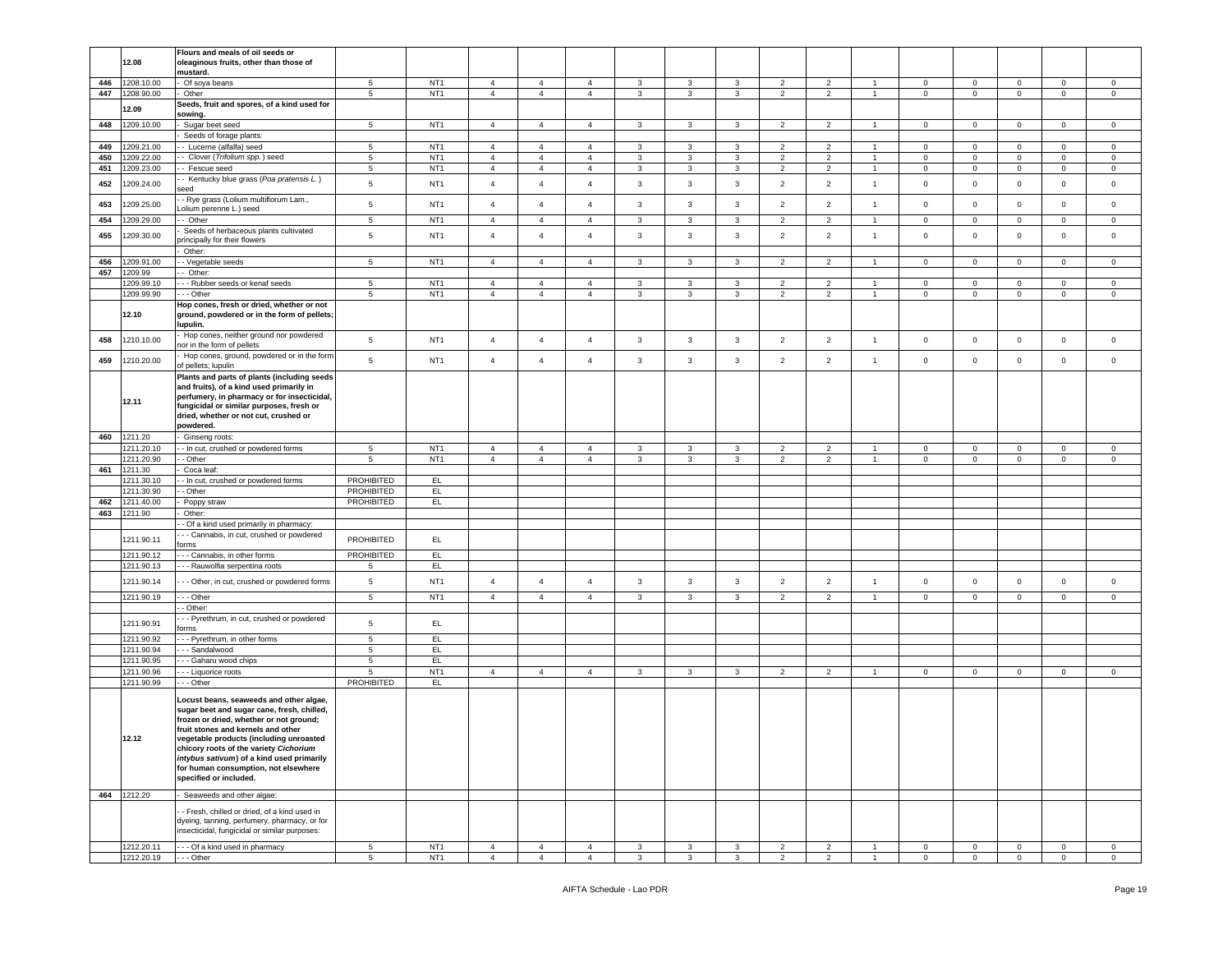|     |                          | Flours and meals of oil seeds or                                                             |                   |                                    |                                  |                                  |                                  |                   |                   |                              |                     |                                  |                                |                              |                                |                            |                                |                                |
|-----|--------------------------|----------------------------------------------------------------------------------------------|-------------------|------------------------------------|----------------------------------|----------------------------------|----------------------------------|-------------------|-------------------|------------------------------|---------------------|----------------------------------|--------------------------------|------------------------------|--------------------------------|----------------------------|--------------------------------|--------------------------------|
|     | 12.08                    | oleaginous fruits, other than those of                                                       |                   |                                    |                                  |                                  |                                  |                   |                   |                              |                     |                                  |                                |                              |                                |                            |                                |                                |
|     |                          | mustard.                                                                                     |                   |                                    |                                  |                                  |                                  |                   |                   |                              |                     |                                  |                                |                              |                                |                            |                                |                                |
| 446 | 1208.10.00               | Of soya beans                                                                                | $5^{\circ}$       | NT <sub>1</sub><br>NT <sub>1</sub> | $\overline{4}$                   | $\overline{4}$                   | $\overline{4}$                   | $\mathbf{3}$      | $\mathbf{3}$      | 3                            | $\overline{2}$      | $\overline{2}$                   | $\overline{1}$                 | $\mathbf{0}$                 | $\overline{0}$<br>$\circ$      | $\mathbf 0$                | $\mathbf{0}$                   | $\mathbf 0$                    |
| 447 | 1208.90.00               | Other<br>Seeds, fruit and spores, of a kind used for                                         | 5                 |                                    | $\overline{4}$                   | $\overline{4}$                   | $\overline{4}$                   | 3                 | $\mathbf{3}$      | 3                            | $\overline{2}$      | $\overline{2}$                   | $\mathbf{1}$                   | $\mathbf{0}$                 |                                | $\mathbf 0$                | $\mathbf 0$                    | $\circ$                        |
|     | 12.09                    | sowing.                                                                                      |                   |                                    |                                  |                                  |                                  |                   |                   |                              |                     |                                  |                                |                              |                                |                            |                                |                                |
| 448 | 1209.10.00               | Sugar beet seed                                                                              | $5\phantom{.0}$   | NT <sub>1</sub>                    | $\overline{4}$                   | $\overline{4}$                   | $\overline{4}$                   | 3                 | $\mathbf{3}$      | 3                            | $\overline{2}$      | $\overline{2}$                   | $\mathbf{1}$                   | $\mathbf{0}$                 | $\overline{0}$                 | $\mathsf 0$                | $\mathbf{0}$                   | $\mathbf 0$                    |
|     |                          | Seeds of forage plants:                                                                      |                   |                                    |                                  |                                  |                                  |                   |                   |                              |                     |                                  |                                |                              |                                |                            |                                |                                |
| 449 | 1209.21.00               | - Lucerne (alfalfa) seed                                                                     | 5                 | NT <sub>1</sub>                    | $\overline{4}$                   | $\overline{4}$                   | $\overline{4}$                   | 3                 | 3                 | 3                            | $\overline{2}$      | $\overline{2}$                   | -1.                            | $\mathbf 0$                  | $\mathbf 0$                    | $\mathbf 0$                | $\mathbf{0}$                   | $\circ$                        |
| 450 | 1209.22.00               | Clover (Trifolium spp.) seed                                                                 | 5                 | NT <sub>1</sub>                    | $\overline{4}$                   | $\overline{4}$                   | $\overline{4}$                   | 3                 | 3                 | 3                            | $\overline{2}$      | $\overline{2}$                   | $\mathbf{1}$                   | $\mathbf 0$                  | $\mathbf 0$                    | $\mathbf 0$                | $\mathbf{0}$                   | $\mathbf 0$                    |
| 451 | 1209.23.00               | - Fescue seed                                                                                | $5\phantom{.0}$   | NT <sub>1</sub>                    | $\overline{4}$                   | $\overline{4}$                   | $\overline{4}$                   | 3                 | 3                 | $\mathbf{3}$                 | $\overline{2}$      | $\overline{2}$                   | $\mathbf{1}$                   | $\pmb{0}$                    | $\mathbf 0$                    | $\mathbf 0$                | $\mathsf 0$                    | $\mathbf 0$                    |
| 452 | 1209.24.00               | - Kentucky blue grass (Poa pratensis L.)<br>eed                                              | $5\phantom{.0}$   | NT <sub>1</sub>                    | $\overline{4}$                   | $\overline{4}$                   | $\overline{4}$                   | $\mathbf{3}$      | $\mathbf{3}$      | $\mathbf{3}$                 | $\overline{2}$      | $\overline{2}$                   | $\mathbf{1}$                   | $\mathsf 0$                  | $\mathbf 0$                    | $\mathbf 0$                | $\mathsf 0$                    | $\mathbf 0$                    |
|     |                          | - Rye grass (Lolium multiflorum Lam.,                                                        |                   |                                    |                                  |                                  |                                  |                   |                   |                              |                     |                                  |                                |                              |                                |                            |                                |                                |
| 453 | 1209.25.00               | olium perenne L.) seed                                                                       | $5\phantom{.0}$   | NT <sub>1</sub>                    | $\overline{4}$                   | $\overline{4}$                   | $\overline{4}$                   | $\mathbf{3}$      | $\mathbf{3}$      | 3                            | $\overline{2}$      | $\overline{2}$                   | $\mathbf{1}$                   | $\mathbf 0$                  | $\mathbf 0$                    | $\mathbf 0$                | $\mathbf{0}$                   | $\mathbf 0$                    |
| 454 | 209.29.00                | - Other                                                                                      | $5\phantom{.0}$   | NT <sub>1</sub>                    | $\overline{4}$                   | $\overline{4}$                   | $\overline{4}$                   | 3                 | $\mathbf{3}$      | 3                            | $\overline{2}$      | $\overline{2}$                   | $\overline{1}$                 | $\mathbf 0$                  | $\mathbf 0$                    | $\mathbf 0$                | $\mathbf 0$                    | $\mathbf 0$                    |
| 455 | 1209.30.00               | Seeds of herbaceous plants cultivated                                                        | $5\phantom{.0}$   | NT <sub>1</sub>                    | $\overline{4}$                   | $\overline{4}$                   | $\overline{4}$                   | $\mathbf{3}$      | $\mathbf{3}$      | $\mathbf{3}$                 | $\overline{2}$      | $\overline{2}$                   | $\mathbf{1}$                   | $\mathsf 0$                  | $\circ$                        | $\mathbf 0$                | $\mathbf 0$                    | $\mathsf 0$                    |
|     |                          | rincipally for their flowers                                                                 |                   |                                    |                                  |                                  |                                  |                   |                   |                              |                     |                                  |                                |                              |                                |                            |                                |                                |
| 456 | 1209.91.00               | Other:<br>- Vegetable seeds                                                                  | $5^{\circ}$       | NT <sub>1</sub>                    | $\overline{4}$                   | $\overline{4}$                   | $\overline{4}$                   | 3                 | 3                 | 3                            | $\overline{2}$      | $\overline{2}$                   | $\overline{1}$                 | $\mathbf 0$                  | $\overline{0}$                 | $\mathbf 0$                | $\mathbf 0$                    | 0                              |
| 457 | 1209.99                  | - Other:                                                                                     |                   |                                    |                                  |                                  |                                  |                   |                   |                              |                     |                                  |                                |                              |                                |                            |                                |                                |
|     | 1209.99.10               | - - Rubber seeds or kenaf seeds                                                              | $5^{\circ}$       | NT <sub>1</sub>                    | $\overline{4}$                   | $\overline{4}$                   | $\overline{4}$                   | $\mathbf{3}$      | 3                 | $\mathbf{3}$                 | 2                   | $\overline{2}$                   | $\overline{1}$                 | $\circ$                      | $\mathbf 0$                    | $\mathbf 0$                | $\circ$                        | $\mathbf 0$                    |
|     | 1209.99.90               | - - Other                                                                                    | $\,$ 5 $\,$       | NT <sub>1</sub>                    | $\overline{4}$                   | $\sqrt{4}$                       | $\overline{4}$                   | 3                 | 3                 | 3                            | $\overline{c}$      | $\overline{2}$                   | $\overline{1}$                 | $\mathbf 0$                  | $\mathbf 0$                    | $\mathbf 0$                | $\mathbf 0$                    | 0                              |
|     |                          | Hop cones, fresh or dried, whether or not                                                    |                   |                                    |                                  |                                  |                                  |                   |                   |                              |                     |                                  |                                |                              |                                |                            |                                |                                |
|     | 12.10                    | ground, powdered or in the form of pellets;                                                  |                   |                                    |                                  |                                  |                                  |                   |                   |                              |                     |                                  |                                |                              |                                |                            |                                |                                |
|     |                          | upulin.                                                                                      |                   |                                    |                                  |                                  |                                  |                   |                   |                              |                     |                                  |                                |                              |                                |                            |                                |                                |
| 458 | 1210.10.00               | Hop cones, neither ground nor powdered<br>or in the form of pellets                          | $5\phantom{.0}$   | NT <sub>1</sub>                    | $\overline{4}$                   | $\overline{4}$                   | $\overline{4}$                   | $\mathbf{3}$      | $\mathbf{3}$      | $\mathbf{3}$                 | $\overline{2}$      | $\overline{2}$                   | $\mathbf{1}$                   | $\mathbf 0$                  | $\mathbf 0$                    | $\mathbf 0$                | $\mathbf 0$                    | $\mathsf 0$                    |
| 459 | 1210.20.00               | Hop cones, ground, powdered or in the form<br>of pellets; lupulin                            | 5                 | NT <sub>1</sub>                    | $\overline{4}$                   | $\overline{4}$                   | $\overline{4}$                   | 3                 | $\mathbf{3}$      | 3                            | $\overline{2}$      | $\overline{2}$                   | $\overline{1}$                 | $\mathbf 0$                  | $\overline{0}$                 | $\mathbf 0$                | $\mathbf 0$                    | $\circ$                        |
|     |                          | Plants and parts of plants (including seeds                                                  |                   |                                    |                                  |                                  |                                  |                   |                   |                              |                     |                                  |                                |                              |                                |                            |                                |                                |
|     |                          | and fruits), of a kind used primarily in                                                     |                   |                                    |                                  |                                  |                                  |                   |                   |                              |                     |                                  |                                |                              |                                |                            |                                |                                |
|     | 12.11                    | perfumery, in pharmacy or for insecticidal,<br>fungicidal or similar purposes, fresh or      |                   |                                    |                                  |                                  |                                  |                   |                   |                              |                     |                                  |                                |                              |                                |                            |                                |                                |
|     |                          | dried, whether or not cut, crushed or                                                        |                   |                                    |                                  |                                  |                                  |                   |                   |                              |                     |                                  |                                |                              |                                |                            |                                |                                |
|     |                          | powdered.                                                                                    |                   |                                    |                                  |                                  |                                  |                   |                   |                              |                     |                                  |                                |                              |                                |                            |                                |                                |
| 460 | 1211.20                  | Ginseng roots:                                                                               |                   |                                    |                                  |                                  |                                  |                   |                   |                              |                     |                                  |                                |                              |                                |                            |                                |                                |
|     | 1211.20.10               | - In cut, crushed or powdered forms                                                          | 5                 | NT <sub>1</sub>                    | $\overline{4}$                   | $\overline{4}$                   | 4                                | 3                 | 3                 | 3                            | $\overline{2}$      | $\overline{2}$                   | $\mathbf{1}$                   | $\mathbf 0$                  | $\mathbf 0$                    | $\mathbf 0$                | $\mathbf 0$                    | $\mathbf 0$                    |
|     | 1211.20.90               | - Other                                                                                      | 5                 | NT <sub>1</sub>                    | $\overline{4}$                   | $\overline{4}$                   | $\overline{4}$                   | $\mathbf{3}$      | $\mathbf{3}$      | $\mathbf{3}$                 | $\overline{2}$      | $\overline{2}$                   | $\mathbf{1}$                   | $\mathbf{0}$                 | $\overline{0}$                 | $\mathbf 0$                | $\overline{0}$                 | $\overline{0}$                 |
| 461 | 1211.30                  | Coca leaf:                                                                                   |                   |                                    |                                  |                                  |                                  |                   |                   |                              |                     |                                  |                                |                              |                                |                            |                                |                                |
|     |                          |                                                                                              |                   |                                    |                                  |                                  |                                  |                   |                   |                              |                     |                                  |                                |                              |                                |                            |                                |                                |
|     | 1211.30.10               | - In cut, crushed or powdered forms                                                          | PROHIBITED        | EL                                 |                                  |                                  |                                  |                   |                   |                              |                     |                                  |                                |                              |                                |                            |                                |                                |
|     | 1211.30.90               | - Other                                                                                      | <b>PROHIBITED</b> | EL.                                |                                  |                                  |                                  |                   |                   |                              |                     |                                  |                                |                              |                                |                            |                                |                                |
| 462 | 1211.40.00               | Poppy straw                                                                                  | PROHIBITED        | EL.                                |                                  |                                  |                                  |                   |                   |                              |                     |                                  |                                |                              |                                |                            |                                |                                |
| 463 | 1211.90                  | Other:                                                                                       |                   |                                    |                                  |                                  |                                  |                   |                   |                              |                     |                                  |                                |                              |                                |                            |                                |                                |
|     |                          | - Of a kind used primarily in pharmacy:                                                      |                   |                                    |                                  |                                  |                                  |                   |                   |                              |                     |                                  |                                |                              |                                |                            |                                |                                |
|     | 1211.90.11               | - - Cannabis, in cut, crushed or powdered<br>orms                                            | <b>PROHIBITED</b> | EL.                                |                                  |                                  |                                  |                   |                   |                              |                     |                                  |                                |                              |                                |                            |                                |                                |
|     | 1211.90.12               | - - Cannabis, in other forms                                                                 | PROHIBITED        | EL.                                |                                  |                                  |                                  |                   |                   |                              |                     |                                  |                                |                              |                                |                            |                                |                                |
|     | 1211.90.13               | - - Rauwolfia serpentina roots                                                               | 5                 | EL.                                |                                  |                                  |                                  |                   |                   |                              |                     |                                  |                                |                              |                                |                            |                                |                                |
|     |                          |                                                                                              |                   |                                    |                                  |                                  | $\overline{4}$                   |                   |                   |                              |                     |                                  | $\overline{1}$                 |                              |                                |                            |                                |                                |
|     | 1211.90.14               | - - Other, in cut, crushed or powdered forms                                                 | 5                 | NT <sub>1</sub>                    | $\overline{4}$                   | $\overline{4}$                   |                                  | 3                 | 3                 | 3                            | $\overline{2}$      | $\overline{2}$                   |                                | $\mathbf 0$                  | $\mathbf 0$                    | $\mathbf 0$                | $\mathbf 0$                    | $\mathbf 0$                    |
|     | 1211.90.19               | - - Other                                                                                    | $5\phantom{.0}$   | NT <sub>1</sub>                    | $\overline{4}$                   | $\overline{4}$                   | $\overline{4}$                   | $\mathbf{3}$      | $\mathbf{3}$      | $\mathbf{3}$                 | $\overline{2}$      | $\overline{2}$                   | $\overline{1}$                 | $\mathsf 0$                  | $\mathbf 0$                    | $\mathsf 0$                | $\mathsf 0$                    | $\circ$                        |
|     |                          | - Other:                                                                                     |                   |                                    |                                  |                                  |                                  |                   |                   |                              |                     |                                  |                                |                              |                                |                            |                                |                                |
|     | 1211.90.91               | - - Pyrethrum, in cut, crushed or powdered<br>orms                                           | 5                 | EL.                                |                                  |                                  |                                  |                   |                   |                              |                     |                                  |                                |                              |                                |                            |                                |                                |
|     | 1211.90.92               | - - Pyrethrum, in other forms                                                                | $5\phantom{.0}$   | EL.                                |                                  |                                  |                                  |                   |                   |                              |                     |                                  |                                |                              |                                |                            |                                |                                |
|     | 1211.90.94               | - - Sandalwood                                                                               | 5                 | EL.                                |                                  |                                  |                                  |                   |                   |                              |                     |                                  |                                |                              |                                |                            |                                |                                |
|     | 1211.90.95               | - Gaharu wood chips                                                                          | $5^{\circ}$       | EL.                                |                                  |                                  |                                  |                   |                   |                              |                     |                                  |                                |                              |                                |                            |                                |                                |
|     | 1211.90.96               | - - Liquorice roots                                                                          | 5                 | NT <sub>1</sub>                    | $\overline{4}$                   | $\overline{4}$                   | $\overline{4}$                   | 3                 | 3                 | 3                            | $\overline{c}$      | $\overline{2}$                   | $\mathbf{1}$                   | $\pmb{0}$                    | $\mathbf 0$                    | $\mathbf 0$                | $\mathsf 0$                    | $\mathsf 0$                    |
|     | 1211.90.99               | - - Other                                                                                    | PROHIBITED        | EL.                                |                                  |                                  |                                  |                   |                   |                              |                     |                                  |                                |                              |                                |                            |                                |                                |
|     |                          | ocust beans, seaweeds and other algae,                                                       |                   |                                    |                                  |                                  |                                  |                   |                   |                              |                     |                                  |                                |                              |                                |                            |                                |                                |
|     |                          | sugar beet and sugar cane, fresh, chilled,                                                   |                   |                                    |                                  |                                  |                                  |                   |                   |                              |                     |                                  |                                |                              |                                |                            |                                |                                |
|     |                          | frozen or dried, whether or not ground;                                                      |                   |                                    |                                  |                                  |                                  |                   |                   |                              |                     |                                  |                                |                              |                                |                            |                                |                                |
|     |                          | fruit stones and kernels and other                                                           |                   |                                    |                                  |                                  |                                  |                   |                   |                              |                     |                                  |                                |                              |                                |                            |                                |                                |
|     | 12.12                    | vegetable products (including unroasted                                                      |                   |                                    |                                  |                                  |                                  |                   |                   |                              |                     |                                  |                                |                              |                                |                            |                                |                                |
|     |                          | chicory roots of the variety Cichorium<br>intybus sativum) of a kind used primarily          |                   |                                    |                                  |                                  |                                  |                   |                   |                              |                     |                                  |                                |                              |                                |                            |                                |                                |
|     |                          | for human consumption, not elsewhere                                                         |                   |                                    |                                  |                                  |                                  |                   |                   |                              |                     |                                  |                                |                              |                                |                            |                                |                                |
|     |                          | specified or included.                                                                       |                   |                                    |                                  |                                  |                                  |                   |                   |                              |                     |                                  |                                |                              |                                |                            |                                |                                |
|     | 464 1212.20              | Seaweeds and other algae:                                                                    |                   |                                    |                                  |                                  |                                  |                   |                   |                              |                     |                                  |                                |                              |                                |                            |                                |                                |
|     |                          |                                                                                              |                   |                                    |                                  |                                  |                                  |                   |                   |                              |                     |                                  |                                |                              |                                |                            |                                |                                |
|     |                          | - Fresh, chilled or dried, of a kind used in<br>dyeing, tanning, perfumery, pharmacy, or for |                   |                                    |                                  |                                  |                                  |                   |                   |                              |                     |                                  |                                |                              |                                |                            |                                |                                |
|     |                          | insecticidal, fungicidal or similar purposes:                                                |                   |                                    |                                  |                                  |                                  |                   |                   |                              |                     |                                  |                                |                              |                                |                            |                                |                                |
|     | 1212.20.11<br>1212.20.19 | -- Of a kind used in pharmacy<br>-- Other                                                    | 5<br>5            | NT <sub>1</sub><br>NT <sub>1</sub> | $\overline{4}$<br>$\overline{4}$ | $\overline{4}$<br>$\overline{4}$ | $\overline{4}$<br>$\overline{4}$ | 3<br>$\mathbf{3}$ | 3<br>$\mathbf{3}$ | $\mathbf{3}$<br>$\mathbf{3}$ | $\overline{2}$<br>2 | $\overline{2}$<br>$\overline{2}$ | $\overline{1}$<br>$\mathbf{1}$ | $\mathbf{0}$<br>$\mathbf{0}$ | $\overline{0}$<br>$\mathbf{0}$ | $\mathbf 0$<br>$\mathsf 0$ | $\overline{0}$<br>$\mathbf{0}$ | $\mathbf{0}$<br>$\overline{0}$ |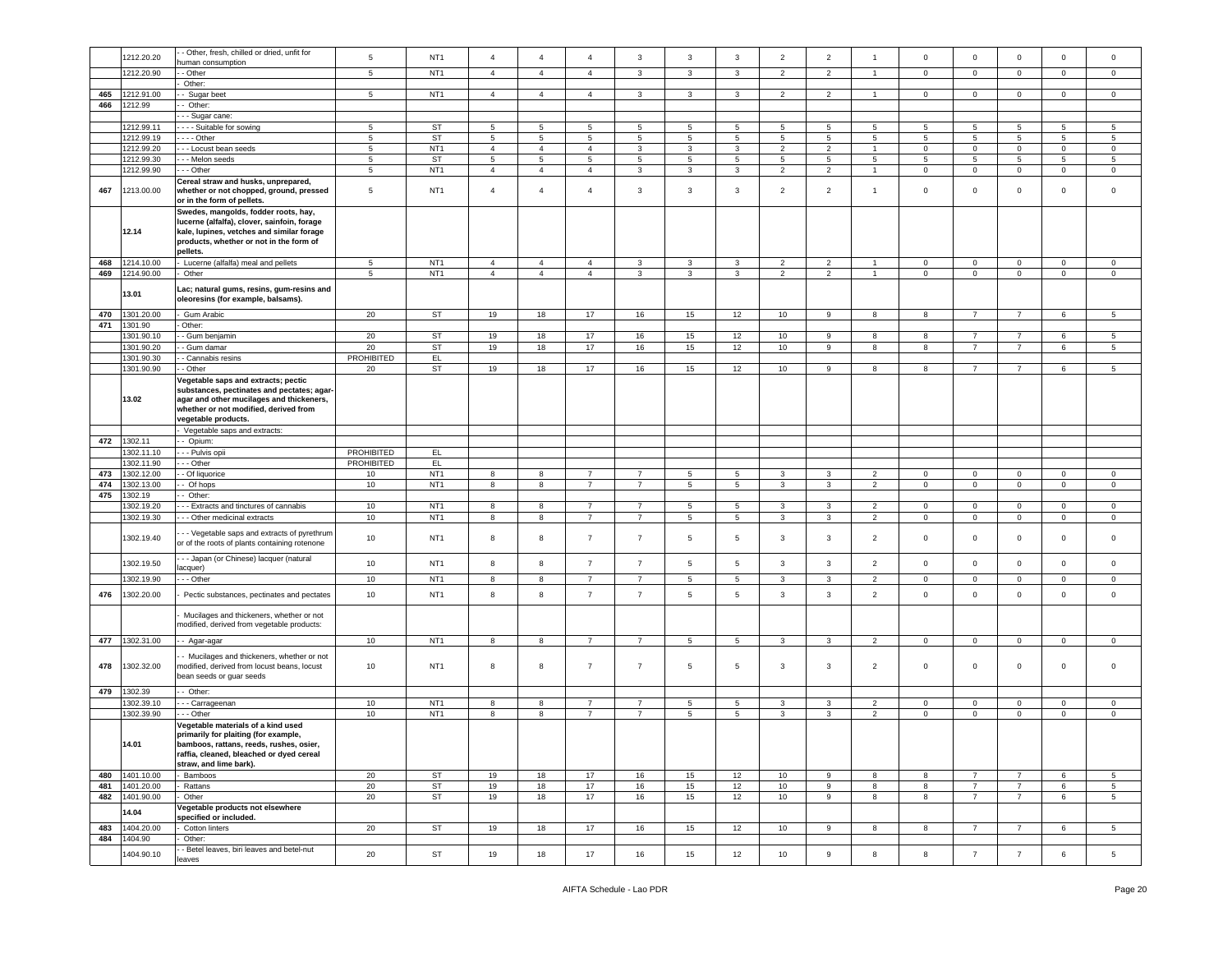|     | 1212.20.20     | - Other, fresh, chilled or dried, unfit for   | 5                 | NT <sub>1</sub> | $\overline{4}$ | $\overline{4}$ | $\overline{4}$  | 3              | 3               | 3               | $\overline{2}$   | $\overline{c}$ | $\overline{1}$ | $\mathsf 0$ | $\mathbf 0$     | $\mathbf 0$     | $\mathbf 0$  | $\mathbf 0$     |
|-----|----------------|-----------------------------------------------|-------------------|-----------------|----------------|----------------|-----------------|----------------|-----------------|-----------------|------------------|----------------|----------------|-------------|-----------------|-----------------|--------------|-----------------|
|     |                | numan consumption                             |                   |                 |                |                |                 |                |                 |                 |                  |                |                |             |                 |                 |              |                 |
|     | 1212.20.90     | - Other                                       | 5                 | NT <sub>1</sub> | $\overline{4}$ | $\overline{4}$ | $\overline{4}$  | $\mathbf{3}$   | 3               | 3               | $\overline{2}$   | $\overline{2}$ | $\overline{1}$ | $\mathbf 0$ | $\mathbf 0$     | $\mathbf 0$     | $\mathbf 0$  | $\mathbf 0$     |
|     |                | Other:                                        |                   |                 |                |                |                 |                |                 |                 |                  |                |                |             |                 |                 |              |                 |
| 465 | 1212.91.00     | - Sugar beet                                  | $5\phantom{.0}$   | NT <sub>1</sub> | $\overline{4}$ | $\overline{4}$ | $\overline{4}$  | 3              | 3               | 3               | $\overline{2}$   | $\overline{2}$ | $\overline{1}$ | $\mathbf 0$ | $\mathbf 0$     | $\mathbf 0$     | $\circ$      | $\mathbf 0$     |
| 466 | 1212.99        | - Other:                                      |                   |                 |                |                |                 |                |                 |                 |                  |                |                |             |                 |                 |              |                 |
|     |                |                                               |                   |                 |                |                |                 |                |                 |                 |                  |                |                |             |                 |                 |              |                 |
|     |                | - - Sugar cane:                               |                   |                 |                |                |                 |                |                 |                 |                  |                |                |             |                 |                 |              |                 |
|     | 1212.99.11     | ---- Suitable for sowing                      | 5                 | <b>ST</b>       | $\overline{5}$ | 5              | 5               | 5              | $5\phantom{.0}$ | 5               | 5                | 5              | 5              | 5           | 5               | 5               | 5            | 5               |
|     | 1212.99.19     | . - - - Other                                 | 5                 | <b>ST</b>       | 5              | 5              | 5               | 5              | 5               | 5               | 5                | 5              | 5              | 5           | 5               | 5               | 5            | 5               |
|     | 1212.99.20     | - - Locust bean seeds                         | $\sqrt{5}$        | NT <sub>1</sub> | $\sqrt{4}$     | $\overline{4}$ | $\overline{4}$  | $\mathbf{3}$   | $\mathbf{3}$    | $\mathbf{3}$    | $\overline{2}$   | $\overline{2}$ | $\overline{1}$ | $\mathbf 0$ | $\mathbf 0$     | $\mathbf 0$     | $\mathbf 0$  | $\mathsf 0$     |
|     | 1212.99.30     | - - Melon seeds                               | $5\phantom{.0}$   | <b>ST</b>       | $\overline{5}$ | $\overline{5}$ | $5\phantom{.0}$ | $\overline{5}$ | $\overline{5}$  | 5               | 5                | 5              | 5              | 5           | 5               | $5\phantom{.0}$ | 5            | 5               |
|     | 1212.99.90     | - - - Other                                   | $5\phantom{.0}$   | NT <sub>1</sub> | $\overline{4}$ | $\overline{4}$ | $\overline{4}$  | 3              | 3               | 3               | $\overline{2}$   | $\overline{2}$ | $\overline{1}$ | $\mathbf 0$ | $\overline{0}$  | $\mathbf 0$     | $\mathbf{0}$ | $\mathbf 0$     |
|     |                |                                               |                   |                 |                |                |                 |                |                 |                 |                  |                |                |             |                 |                 |              |                 |
|     |                | Cereal straw and husks, unprepared,           |                   | NT <sub>1</sub> |                | $\overline{4}$ |                 |                |                 | $\mathbf{3}$    |                  | $\overline{2}$ |                |             |                 | $\mathbf 0$     |              |                 |
| 467 | 1213.00.00     | whether or not chopped, ground, pressed       | 5                 |                 | $\overline{4}$ |                | $\overline{4}$  | 3              | $\mathbf{3}$    |                 | $\overline{2}$   |                | $\overline{1}$ | $\mathsf 0$ | $\mathsf 0$     |                 | $\mathsf 0$  | $\mathsf 0$     |
|     |                | or in the form of pellets.                    |                   |                 |                |                |                 |                |                 |                 |                  |                |                |             |                 |                 |              |                 |
|     |                | Swedes, mangolds, fodder roots, hay,          |                   |                 |                |                |                 |                |                 |                 |                  |                |                |             |                 |                 |              |                 |
|     |                | lucerne (alfalfa), clover, sainfoin, forage   |                   |                 |                |                |                 |                |                 |                 |                  |                |                |             |                 |                 |              |                 |
|     | 12.14          | kale, lupines, vetches and similar forage     |                   |                 |                |                |                 |                |                 |                 |                  |                |                |             |                 |                 |              |                 |
|     |                | products, whether or not in the form of       |                   |                 |                |                |                 |                |                 |                 |                  |                |                |             |                 |                 |              |                 |
|     |                | pellets.                                      |                   |                 |                |                |                 |                |                 |                 |                  |                |                |             |                 |                 |              |                 |
| 468 | 1214.10.00     | Lucerne (alfalfa) meal and pellets            | $5\phantom{.0}$   | NT <sub>1</sub> | $\overline{4}$ | $\overline{4}$ | $\overline{4}$  | 3              | $\mathbf{3}$    | 3               | $\overline{2}$   | $\overline{2}$ |                | $\mathbf 0$ | $\mathsf 0$     | $\mathbf 0$     | 0            | $\mathbf 0$     |
| 469 | 1214.90.00     | Other                                         | 5                 | NT <sub>1</sub> | $\overline{4}$ | $\overline{4}$ | $\overline{4}$  | $\mathbf{3}$   | 3               | 3               | $\overline{2}$   | $\overline{2}$ | $\overline{1}$ | $\mathbf 0$ | $\mathbf 0$     | $\mathbf 0$     | $\mathbf{0}$ | $\circ$         |
|     |                |                                               |                   |                 |                |                |                 |                |                 |                 |                  |                |                |             |                 |                 |              |                 |
|     | 13.01          | Lac; natural gums, resins, gum-resins and     |                   |                 |                |                |                 |                |                 |                 |                  |                |                |             |                 |                 |              |                 |
|     |                | oleoresins (for example, balsams).            |                   |                 |                |                |                 |                |                 |                 |                  |                |                |             |                 |                 |              |                 |
|     |                |                                               |                   |                 |                |                |                 |                |                 |                 |                  |                |                |             |                 |                 |              |                 |
| 470 | 1301.20.00     | Gum Arabic                                    | 20                | ST              | 19             | 18             | 17              | 16             | 15              | 12              | 10               | 9              | 8              | 8           | 7               | 7               | 6            | 5               |
| 471 | 1301.90        | Other:                                        |                   |                 |                |                |                 |                |                 |                 |                  |                |                |             |                 |                 |              |                 |
|     | 1301.90.10     | - Gum benjamin                                | 20                | <b>ST</b>       | 19             | 18             | 17              | 16             | 15              | 12              | 10               | 9              | 8              | 8           | $\overline{7}$  | $\overline{7}$  | 6            | 5               |
|     | 1301.90.20     | - Gum damar                                   | 20                | ST              | 19             | 18             | 17              | 16             | 15              | 12              | 10               | 9              | 8              | 8           | $\overline{7}$  | $\overline{7}$  | $\,6\,$      | 5               |
|     | 1301.90.30     | - Cannabis resins                             | PROHIBITED        | EL.             |                |                |                 |                |                 |                 |                  |                |                |             |                 |                 |              |                 |
|     | 1301.90.90     | - Other                                       | 20                | ST              | 19             | 18             | 17              | 16             | 15              | 12              | 10               | 9              | 8              | 8           | $\overline{7}$  | $\overline{7}$  | 6            | 5               |
|     |                | Vegetable saps and extracts; pectic           |                   |                 |                |                |                 |                |                 |                 |                  |                |                |             |                 |                 |              |                 |
|     |                |                                               |                   |                 |                |                |                 |                |                 |                 |                  |                |                |             |                 |                 |              |                 |
|     |                | substances, pectinates and pectates; agar-    |                   |                 |                |                |                 |                |                 |                 |                  |                |                |             |                 |                 |              |                 |
|     | 13.02          | agar and other mucilages and thickeners,      |                   |                 |                |                |                 |                |                 |                 |                  |                |                |             |                 |                 |              |                 |
|     |                | whether or not modified, derived from         |                   |                 |                |                |                 |                |                 |                 |                  |                |                |             |                 |                 |              |                 |
|     |                | vegetable products.                           |                   |                 |                |                |                 |                |                 |                 |                  |                |                |             |                 |                 |              |                 |
|     |                | Vegetable saps and extracts:                  |                   |                 |                |                |                 |                |                 |                 |                  |                |                |             |                 |                 |              |                 |
| 472 | 1302.11        | - Opium:                                      |                   |                 |                |                |                 |                |                 |                 |                  |                |                |             |                 |                 |              |                 |
|     | 1302.11.10     | - - Pulvis opii                               | <b>PROHIBITED</b> | EL.             |                |                |                 |                |                 |                 |                  |                |                |             |                 |                 |              |                 |
|     | 1302.11.90     | --- Other                                     | <b>PROHIBITED</b> | EL              |                |                |                 |                |                 |                 |                  |                |                |             |                 |                 |              |                 |
| 473 | 1302.12.00     | - Of liquorice                                | 10                | NT <sub>1</sub> | 8              | 8              | 7               | $\overline{7}$ | 5               | 5               | 3                | 3              | $\overline{2}$ | $\mathbf 0$ | $\mathbf 0$     | $\mathbf 0$     | $\mathbf 0$  | 0               |
| 474 | 1302.13.00     | Of hops                                       | 10                | NT <sub>1</sub> | 8              | 8              | $\overline{7}$  | $\overline{7}$ | $\,$ 5 $\,$     | 5               | 3                | 3              | $\overline{2}$ | $\mathbf 0$ | $\mathbf{0}$    | $\mathsf 0$     | $\mathbf 0$  | $\mathbf 0$     |
| 475 | 1302.19        | - Other:                                      |                   |                 |                |                |                 |                |                 |                 |                  |                |                |             |                 |                 |              |                 |
|     |                |                                               |                   |                 |                |                |                 |                |                 |                 |                  |                |                |             |                 |                 |              |                 |
|     | 1302.19.20     | --- Extracts and tinctures of cannabis        | 10                | NT <sub>1</sub> | 8              | 8              | 7               | $\overline{7}$ | 5               | 5               | 3                | 3              | $\overline{2}$ | $\mathbf 0$ | $\overline{0}$  | $\mathbf 0$     | $\mathbf 0$  | $\circ$         |
|     | 1302.19.30     | - - Other medicinal extracts                  | 10                | NT <sub>1</sub> | 8              | 8              | $\overline{7}$  | $\overline{7}$ | $\sqrt{5}$      | 5               | $_{\rm 3}$       | 3              | $\overline{2}$ | $\mathbf 0$ | $\mathbf 0$     | $\mathsf 0$     | $\mathbf 0$  | $\mathsf 0$     |
|     |                | - - Vegetable saps and extracts of pyrethrum  |                   |                 |                |                |                 |                |                 |                 |                  |                |                |             |                 |                 |              |                 |
|     | 1302.19.40     |                                               |                   |                 |                |                |                 |                |                 |                 |                  |                |                |             |                 |                 |              |                 |
|     |                |                                               | 10                | NT <sub>1</sub> | 8              | 8              | $\overline{7}$  | $\overline{7}$ | $5\phantom{.0}$ | 5               | 3                | 3              | $\overline{2}$ | $\mathsf 0$ | $\mathbf 0$     | $\mathbf 0$     | 0            | $\mathbf 0$     |
|     |                | or of the roots of plants containing rotenone |                   |                 |                |                |                 |                |                 |                 |                  |                |                |             |                 |                 |              |                 |
|     |                | --- Japan (or Chinese) lacquer (natural       |                   |                 |                |                |                 |                |                 |                 |                  |                |                |             |                 |                 |              |                 |
|     | 1302.19.50     | acquer)                                       | 10                | NT <sub>1</sub> | 8              | 8              | $\overline{7}$  | $\overline{7}$ | $\overline{5}$  | 5               | 3                | 3              | $\overline{2}$ | $\mathbf 0$ | $\circ$         | $\mathbf 0$     | $\mathbf 0$  | $\mathbf 0$     |
|     | 1302.19.90     | - - Other                                     | 10                | NT <sub>1</sub> | 8              | 8              | $\overline{7}$  | $\overline{7}$ | $5\phantom{.0}$ | 5               | $\mathbf{3}$     | 3              | $\overline{2}$ | $\pmb{0}$   | $\mathbf 0$     | $\mathbf 0$     | $\mathbf 0$  | 0               |
|     |                |                                               |                   |                 |                |                |                 |                |                 |                 |                  |                |                |             |                 |                 |              |                 |
| 476 | 1302.20.00     | Pectic substances, pectinates and pectates    | 10                | NT <sub>1</sub> | 8              | 8              | $\overline{7}$  | $\overline{7}$ | 5               | 5               | 3                | 3              | $\overline{2}$ | $\mathbf 0$ | $\mathbf{0}$    | $\mathsf 0$     | $\mathsf 0$  | $\mathbf 0$     |
|     |                |                                               |                   |                 |                |                |                 |                |                 |                 |                  |                |                |             |                 |                 |              |                 |
|     |                | Mucilages and thickeners, whether or not      |                   |                 |                |                |                 |                |                 |                 |                  |                |                |             |                 |                 |              |                 |
|     |                | modified, derived from vegetable products:    |                   |                 |                |                |                 |                |                 |                 |                  |                |                |             |                 |                 |              |                 |
|     |                |                                               |                   |                 |                |                |                 |                |                 |                 |                  |                |                |             |                 |                 |              |                 |
| 477 | 1302.31.00     | -- Agar-agar                                  | 10                | NT <sub>1</sub> | 8              | 8              | $\overline{7}$  | $\overline{7}$ | $5\phantom{.0}$ | $5\phantom{.0}$ | 3                | 3              | $\overline{2}$ | $\pmb{0}$   | $\mathsf 0$     | $\mathbf 0$     | $\mathbf 0$  | $\circ$         |
|     |                | Mucilages and thickeners, whether or not      |                   |                 |                |                |                 |                |                 |                 |                  |                |                |             |                 |                 |              |                 |
| 478 | 1302.32.00     | modified, derived from locust beans, locust   | 10                | NT <sub>1</sub> | 8              | 8              | $\overline{7}$  | $\overline{7}$ | $5\phantom{.0}$ | 5               | $\mathbf{3}$     | 3              | $\overline{2}$ | $\circ$     | $\mathsf 0$     | $\mathbf 0$     | $\mathbf 0$  | $\mathbf 0$     |
|     |                | bean seeds or quar seeds                      |                   |                 |                |                |                 |                |                 |                 |                  |                |                |             |                 |                 |              |                 |
|     |                |                                               |                   |                 |                |                |                 |                |                 |                 |                  |                |                |             |                 |                 |              |                 |
| 479 | 1302.39        | - Other:                                      |                   |                 |                |                |                 |                |                 |                 |                  |                |                |             |                 |                 |              |                 |
|     | 1302.39.10     | - - Carrageenan                               | 10                | NT <sub>1</sub> | 8              | 8              | 7               | $\overline{7}$ | 5               | 5               | 3                | 3              | $\overline{2}$ | $\mathbf 0$ | $\mathbf{0}$    | $\mathbf 0$     | $\mathbf 0$  | $\circ$         |
|     | 1302.39.90     | - - Other                                     | 10                | NT <sub>1</sub> | 8              | 8              | $\overline{7}$  | $\overline{7}$ | $\sqrt{5}$      | 5               | $\mathbf{3}$     | 3              | $\overline{2}$ | $\pmb{0}$   | $\mathbf 0$     | $\mathbf 0$     | $\mathbf 0$  | $\mathsf 0$     |
|     |                |                                               |                   |                 |                |                |                 |                |                 |                 |                  |                |                |             |                 |                 |              |                 |
|     |                | Vegetable materials of a kind used            |                   |                 |                |                |                 |                |                 |                 |                  |                |                |             |                 |                 |              |                 |
|     |                | primarily for plaiting (for example,          |                   |                 |                |                |                 |                |                 |                 |                  |                |                |             |                 |                 |              |                 |
|     | 14.01          | bamboos, rattans, reeds, rushes, osier,       |                   |                 |                |                |                 |                |                 |                 |                  |                |                |             |                 |                 |              |                 |
|     |                | raffia, cleaned, bleached or dyed cereal      |                   |                 |                |                |                 |                |                 |                 |                  |                |                |             |                 |                 |              |                 |
|     |                | straw, and lime bark).                        |                   |                 |                |                |                 |                |                 |                 |                  |                |                |             |                 |                 |              |                 |
|     | 480 1401.10.00 | Bamboos                                       | 20                | ST              | 19             | 18             | 17              | 16             | 15              | 12              | 10 <sup>10</sup> | 9              | 8              | 8           | $\overline{7}$  | $\overline{7}$  | 6            | $5^{\circ}$     |
| 481 | 1401.20.00     | Rattans                                       | 20                | <b>ST</b>       | 19             | 18             | 17              | 16             | 15              | 12              | 10               | 9              | 8              | 8           | $\overline{7}$  | $\overline{7}$  | 6            | 5 <sub>5</sub>  |
| 482 | 1401.90.00     | Other                                         | 20                | ST              | 19             | 18             | 17              | 16             | 15              | 12              | 10               | 9              | 8              | 8           | $\overline{7}$  | $\overline{7}$  | 6            | $5\overline{5}$ |
|     |                | Vegetable products not elsewhere              |                   |                 |                |                |                 |                |                 |                 |                  |                |                |             |                 |                 |              |                 |
|     | 14.04          | specified or included.                        |                   |                 |                |                |                 |                |                 |                 |                  |                |                |             |                 |                 |              |                 |
| 483 | 1404.20.00     | Cotton linters                                | 20                | ST              | 19             | 18             | 17              | 16             | 15              | 12              | 10 <sup>10</sup> | 9              | 8              | 8           | $\overline{7}$  | $\overline{7}$  | 6            | 5 <sub>5</sub>  |
| 484 | 1404.90        | Other:                                        |                   |                 |                |                |                 |                |                 |                 |                  |                |                |             |                 |                 |              |                 |
|     | 1404.90.10     | - Betel leaves, biri leaves and betel-nut     | 20                | ST              | 19             | 18             | 17              | 16             | 15              | 12              | 10               | $\mathsf g$    | 8              | 8           | $7\overline{ }$ | $\overline{7}$  | 6            | $5\phantom{.0}$ |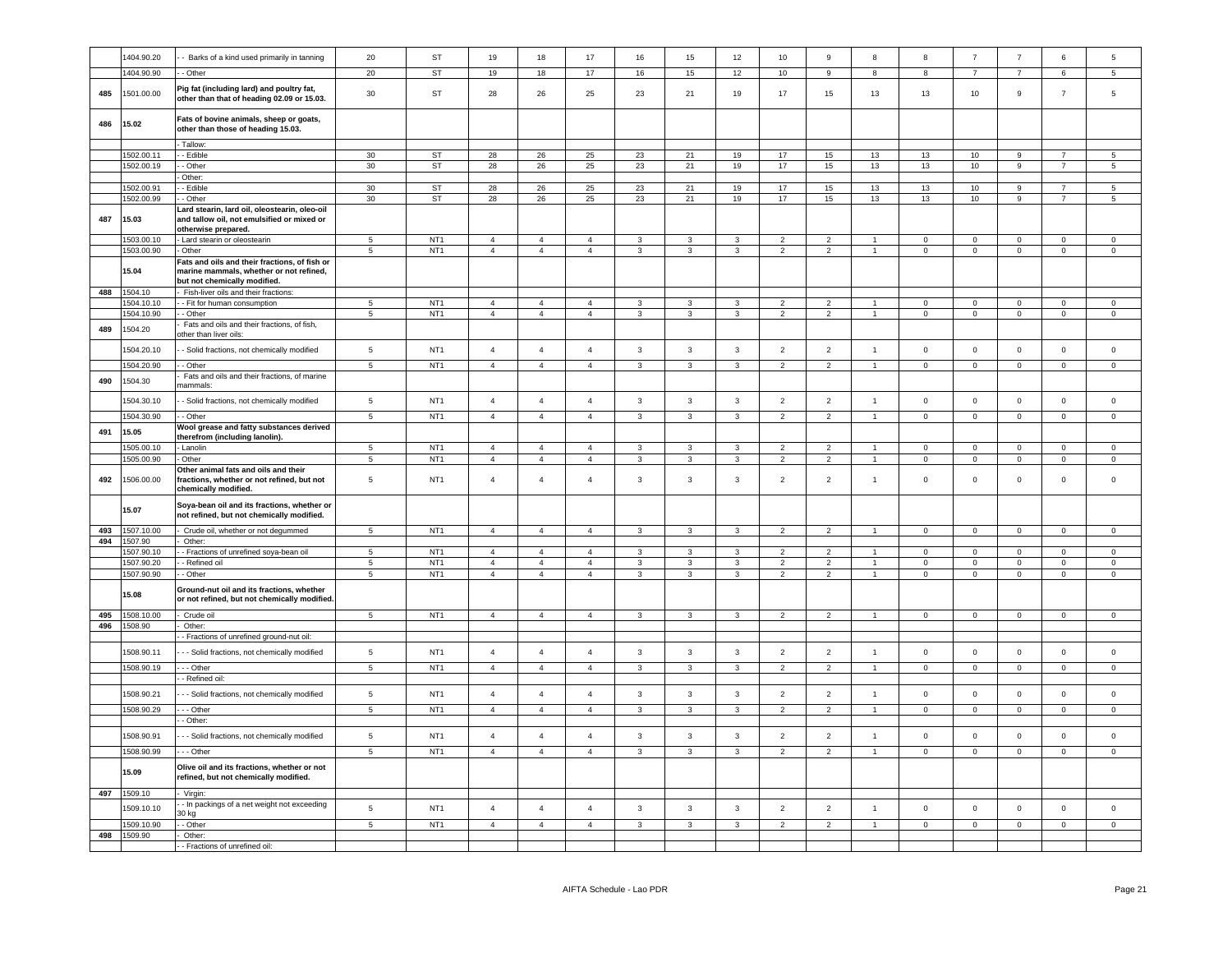|     | 1404.90.20               | - Barks of a kind used primarily in tanning                                                                              | 20                            | <b>ST</b>       | 19                               | 18                               | 17                               | 16                           | 15                           | 12                | 10                               | $\mathsf g$                      | 8              | 8                             | $\overline{7}$                | $\overline{7}$             | 6                   | 5                   |
|-----|--------------------------|--------------------------------------------------------------------------------------------------------------------------|-------------------------------|-----------------|----------------------------------|----------------------------------|----------------------------------|------------------------------|------------------------------|-------------------|----------------------------------|----------------------------------|----------------|-------------------------------|-------------------------------|----------------------------|---------------------|---------------------|
|     | 1404.90.90               | - Other                                                                                                                  | 20                            | ST              | 19                               | 18                               | 17                               | 16                           | 15                           | 12                | 10                               | 9                                | 8              | 8                             | $\overline{7}$                | $\overline{7}$             | 6                   | 5                   |
| 485 | 1501.00.00               | Pig fat (including lard) and poultry fat,<br>other than that of heading 02.09 or 15.03.                                  | 30                            | ST              | 28                               | 26                               | 25                               | 23                           | 21                           | 19                | 17                               | 15                               | 13             | 13                            | 10                            | 9                          | $\overline{7}$      | 5                   |
| 486 | 15.02                    | Fats of bovine animals, sheep or goats,<br>other than those of heading 15.03.                                            |                               |                 |                                  |                                  |                                  |                              |                              |                   |                                  |                                  |                |                               |                               |                            |                     |                     |
|     |                          | - Tallow:                                                                                                                |                               |                 |                                  |                                  |                                  |                              |                              |                   |                                  |                                  |                |                               |                               |                            |                     |                     |
|     | 1502.00.11               | - Edible                                                                                                                 | 30                            | $\mathsf{ST}$   | 28                               | ${\bf 26}$                       | $25\,$                           | 23                           | 21                           | 19                | 17                               | 15                               | 13             | 13                            | 10                            | 9                          | $\overline{7}$      | 5                   |
|     | 1502.00.19               | - Other                                                                                                                  | 30                            | ST              | 28                               | ${\bf 26}$                       | 25                               | 23                           | $21$                         | $19$              | 17                               | $15\,$                           | 13             | 13                            | 10                            | 9                          | $\overline{7}$      | 5                   |
|     |                          | Other:                                                                                                                   |                               |                 |                                  |                                  |                                  |                              |                              |                   |                                  |                                  |                |                               |                               |                            |                     |                     |
|     | 1502.00.91               | - Edible                                                                                                                 | 30                            | ST              | 28                               | 26                               | 25                               | 23                           | 21                           | 19                | 17                               | 15                               | 13             | 13                            | 10                            | 9                          |                     | 5                   |
|     | 1502.00.99               | - Other                                                                                                                  | 30                            | ST              | 28                               | 26                               | 25                               | 23                           | 21                           | 19                | 17                               | 15                               | 13             | 13                            | 10                            | $\mathsf g$                | $\overline{7}$      | $\sqrt{5}$          |
| 487 | 15.03                    | Lard stearin, lard oil, oleostearin, oleo-oil<br>and tallow oil, not emulsified or mixed or<br>otherwise prepared.       |                               |                 |                                  |                                  |                                  |                              |                              |                   |                                  |                                  |                |                               |                               |                            |                     |                     |
|     | 1503.00.10               | - Lard stearin or oleostearin                                                                                            | $5^{\circ}$                   | NT <sub>1</sub> | $\overline{4}$                   | $\overline{4}$                   | $\overline{4}$                   | 3                            | 3                            | 3                 | $\overline{2}$                   | $\overline{2}$                   |                | $\Omega$                      | $\Omega$                      | $\Omega$                   | $\Omega$            | $\Omega$            |
|     | 1503.00.90               | Other                                                                                                                    | $\overline{5}$                | NT <sub>1</sub> | $\overline{4}$                   | $\overline{4}$                   | $\overline{4}$                   | $\mathbf{3}$                 | $\overline{3}$               | $\overline{3}$    | $\overline{2}$                   | $\overline{2}$                   | $\overline{1}$ | $\overline{0}$                | $\overline{0}$                | $\overline{0}$             | $\mathbf 0$         | $\overline{0}$      |
|     | 15.04                    | Fats and oils and their fractions, of fish or<br>marine mammals, whether or not refined,<br>but not chemically modified. |                               |                 |                                  |                                  |                                  |                              |                              |                   |                                  |                                  |                |                               |                               |                            |                     |                     |
| 488 | 1504.10                  | Fish-liver oils and their fractions:                                                                                     |                               |                 |                                  |                                  |                                  |                              |                              |                   |                                  |                                  |                |                               |                               |                            |                     |                     |
|     | 504.10.10                | - Fit for human consumption                                                                                              | 5                             | NT <sub>1</sub> | $\overline{4}$                   | $\overline{4}$                   | $\overline{4}$                   | $\mathbf{3}$                 | $\mathbf{3}$                 | $\mathbf{3}$      | $\overline{2}$                   | $\overline{2}$                   | $\mathbf{1}$   | $\mathbf 0$                   | $\circ$                       | $\mathsf 0$                | $\circ$             | $\circ$             |
|     | 1504.10.90               | - Other                                                                                                                  | $\overline{5}$                | NT <sub>1</sub> | $\overline{4}$                   | $\overline{4}$                   | $\overline{4}$                   | $\mathbf{3}$                 | $\overline{3}$               | $\mathbf{3}$      | $\overline{2}$                   | $\overline{2}$                   | $\overline{1}$ | $\overline{0}$                | $\overline{0}$                | $\overline{0}$             | $\mathbf 0$         | $\mathbf 0$         |
| 489 | 1504.20                  | Fats and oils and their fractions, of fish,<br>ther than liver oils:                                                     |                               |                 |                                  |                                  |                                  |                              |                              |                   |                                  |                                  |                |                               |                               |                            |                     |                     |
|     | 1504.20.10               | - Solid fractions, not chemically modified                                                                               | $5\phantom{.0}$               | NT <sub>1</sub> | $\overline{4}$                   | $\overline{4}$                   | $\overline{a}$                   | 3                            | $\mathbf{3}$                 | 3                 | $\overline{2}$                   | $\overline{2}$                   | $\overline{1}$ | $\mathsf 0$                   | $\,$ 0 $\,$                   | $\mathbf 0$                | $\mathbf 0$         | $\mathbf 0$         |
|     | 1504.20.90               | - Other                                                                                                                  | $\overline{5}$                | NT <sub>1</sub> | $\overline{4}$                   | $\overline{4}$                   | $\overline{4}$                   | $\overline{\mathbf{3}}$      | $\overline{3}$               | $\overline{3}$    | $\overline{2}$                   | $\overline{2}$                   | $\overline{1}$ | $\overline{0}$                | $\overline{0}$                | $\overline{0}$             | $\overline{0}$      | $\overline{0}$      |
|     |                          | Fats and oils and their fractions, of marine                                                                             |                               |                 |                                  |                                  |                                  |                              |                              |                   |                                  |                                  |                |                               |                               |                            |                     |                     |
| 490 | 1504.30                  | nammals:                                                                                                                 |                               | NT <sub>1</sub> | $\overline{4}$                   | $\overline{4}$                   |                                  |                              | $\overline{3}$               |                   |                                  |                                  | $\overline{1}$ |                               |                               |                            |                     |                     |
|     | 1504.30.10               | - Solid fractions, not chemically modified                                                                               | $\,$ 5 $\,$                   |                 |                                  |                                  | $\overline{4}$                   | $\mathbf 3$                  |                              | $\mathsf 3$       | $\overline{2}$                   | $\overline{2}$                   |                | $\mathbf 0$                   | $\mathbf 0$                   | $\mathbf 0$                | $\mathbf 0$         | $\mathbf 0$         |
|     | 1504.30.90               | - Other                                                                                                                  | $\overline{5}$                | NT <sub>1</sub> | $\overline{4}$                   | $\overline{4}$                   | $\overline{4}$                   | $\overline{3}$               | $\overline{3}$               | $\overline{3}$    | $\overline{2}$                   | $\overline{2}$                   | $\overline{1}$ | $\overline{0}$                | $\overline{0}$                | $\overline{0}$             | $\overline{0}$      | $\overline{0}$      |
| 491 | 15.05                    | Wool grease and fatty substances derived                                                                                 |                               |                 |                                  |                                  |                                  |                              |                              |                   |                                  |                                  |                |                               |                               |                            |                     |                     |
|     |                          | therefrom (including lanolin).                                                                                           |                               |                 |                                  |                                  |                                  |                              |                              |                   |                                  |                                  |                |                               |                               |                            |                     |                     |
|     | 1505.00.10               | Lanolin                                                                                                                  | 5                             | NT <sub>1</sub> | $\overline{4}$                   | $\overline{4}$                   | $\overline{4}$                   | 3                            | 3                            | 3                 | $\mathfrak{p}$                   | 2                                |                | $\mathbf 0$                   | $\mathbf 0$                   | $\mathbf 0$                | 0                   | $\mathbf 0$         |
|     |                          |                                                                                                                          |                               |                 |                                  |                                  |                                  |                              |                              |                   |                                  |                                  |                |                               |                               |                            |                     |                     |
|     | 1505.00.90               | Other                                                                                                                    | $\sqrt{5}$                    | NT <sub>1</sub> | $\overline{4}$                   | $\overline{4}$                   | $\sqrt{4}$                       | $\mathbf{3}$                 | $\mathbf{3}$                 | $\mathbf{3}$      | $\overline{2}$                   | $\overline{2}$                   | $\overline{1}$ | $\mathsf{O}\xspace$           | $\mathbf 0$                   | $\mathbf 0$                | $\mathsf{O}\xspace$ | $\mathsf{O}\xspace$ |
| 492 | 1506.00.00               | Other animal fats and oils and their<br>ractions, whether or not refined, but not<br>chemically modified.                | $\,$ 5 $\,$                   | NT <sub>1</sub> | $\overline{4}$                   | $\overline{4}$                   | $\overline{4}$                   | $\mathbf{3}$                 | 3                            | $\mathbf{3}$      | $\overline{2}$                   | $\overline{2}$                   | $\overline{1}$ | $\mathsf 0$                   | $\mathsf{O}\xspace$           | $\mathbf 0$                | 0                   | $\mathsf 0$         |
|     | 15.07                    | Soya-bean oil and its fractions, whether or<br>not refined, but not chemically modified.                                 |                               |                 |                                  |                                  |                                  |                              |                              |                   |                                  |                                  |                |                               |                               |                            |                     |                     |
|     |                          |                                                                                                                          |                               |                 |                                  |                                  | 4                                |                              |                              | 3                 |                                  |                                  |                |                               |                               |                            | 0                   |                     |
| 493 | 1507.10.00               | Crude oil, whether or not degummed                                                                                       | $\overline{5}$                | NT <sub>1</sub> | $\overline{4}$                   | $\overline{4}$                   |                                  | 3                            | 3                            |                   | $\overline{2}$                   | $\overline{2}$                   |                | $\mathsf 0$                   | $\mathbf 0$                   | $\mathbf 0$                |                     | $\mathsf 0$         |
| 494 | 1507.90<br>1507.90.10    | Other:                                                                                                                   | $5\phantom{.0}$               | NT <sub>1</sub> | $\overline{4}$                   | $\overline{4}$                   | $\overline{4}$                   | $\mathbf{3}$                 | $\mathbf{3}$                 | $\mathbf{3}$      | 2                                | $\overline{2}$                   | $\overline{1}$ | $\overline{0}$                | $\mathbf 0$                   | $\mathsf 0$                | $\mathbf{0}$        | $\overline{0}$      |
|     |                          | - Fractions of unrefined soya-bean oil                                                                                   |                               | NT <sub>1</sub> |                                  |                                  |                                  |                              |                              |                   |                                  |                                  | $\overline{1}$ |                               |                               |                            | $\mathbf{0}$        | $\mathbf{0}$        |
|     | 1507.90.20<br>1507.90.90 | - Refined oil<br>- Other                                                                                                 | $\overline{5}$<br>$\,$ 5 $\,$ | NT <sub>1</sub> | $\overline{4}$<br>$\overline{4}$ | $\overline{4}$<br>$\overline{4}$ | $\overline{4}$<br>$\overline{4}$ | $\mathbf{3}$<br>$\mathbf{3}$ | $\mathbf{3}$<br>$\mathbf{3}$ | 3<br>$\mathbf{3}$ | $\overline{2}$<br>$\overline{2}$ | $\overline{2}$<br>$\overline{2}$ | $\overline{1}$ | $\overline{0}$<br>$\mathbf 0$ | $\overline{0}$<br>$\mathbf 0$ | $\mathbf 0$<br>$\mathbf 0$ | $\mathbf 0$         | $\mathsf 0$         |
|     | 15.08                    | Ground-nut oil and its fractions, whether<br>or not refined, but not chemically modified.                                |                               |                 |                                  |                                  |                                  |                              |                              |                   |                                  |                                  |                |                               |                               |                            |                     |                     |
| 495 | 1508.10.00               | Crude oil                                                                                                                | $5\phantom{.0}$               | NT <sub>1</sub> | $\overline{4}$                   | $\overline{4}$                   | $\overline{4}$                   | 3                            | 3                            | 3                 | $\overline{2}$                   | $\overline{2}$                   | $\overline{1}$ | $\mathbf 0$                   | $\mathbf 0$                   | $\mathbf 0$                | $\mathsf 0$         | $\mathsf 0$         |
| 496 | 1508.90                  | Other:                                                                                                                   |                               |                 |                                  |                                  |                                  |                              |                              |                   |                                  |                                  |                |                               |                               |                            |                     |                     |
|     |                          | - Fractions of unrefined ground-nut oil:                                                                                 |                               |                 |                                  |                                  |                                  |                              |                              |                   |                                  |                                  |                |                               |                               |                            |                     |                     |
|     | 1508.90.11               | - - Solid fractions, not chemically modified                                                                             | 5                             | NT <sub>1</sub> | $\overline{4}$                   | $\overline{4}$                   | $\overline{4}$                   | 3                            | $\mathbf{3}$                 | 3                 | $\overline{2}$                   | $\overline{2}$                   | $\overline{1}$ | $\mathsf 0$                   | $\,0\,$                       | $\mathbf 0$                | $\mathbf 0$         | $\mathsf 0$         |
|     | 1508.90.19               | --- Other                                                                                                                | $\overline{5}$                | NT <sub>1</sub> | $\overline{4}$                   | $\overline{4}$                   | $\overline{4}$                   | $\mathbf{3}$                 | $\mathbf{3}$                 | $\overline{3}$    | $\overline{2}$                   | $\overline{2}$                   | $\overline{1}$ | $\overline{0}$                | $\overline{0}$                | $\overline{0}$             | $\mathbf{0}$        | $\Omega$            |
|     | 1508.90.21               | - Refined oil:<br>- - Solid fractions, not chemically modified                                                           | 5                             | NT <sub>1</sub> | $\overline{4}$                   | $\overline{4}$                   | $\overline{4}$                   | $\mathbf{3}$                 | $\mathbf{3}$                 | $\mathbf{3}$      | $\overline{2}$                   | $\overline{2}$                   | $\mathbf{1}$   | $\mathbf 0$                   | $\mathbf 0$                   | $\mathbf 0$                | $\mathsf 0$         | $\mathsf 0$         |
|     |                          |                                                                                                                          |                               |                 |                                  |                                  |                                  |                              |                              |                   |                                  |                                  | $\sim$         |                               |                               |                            |                     |                     |
|     | 1508.90.29               | - - - Other                                                                                                              | 5                             | NT <sub>1</sub> | $\overline{4}$                   | $\overline{4}$                   | $\overline{4}$                   | $\mathbf{3}$                 | $\mathbf{3}$                 | $\mathbf{3}$      | $\overline{2}$                   | $\overline{2}$                   |                | $\mathbf 0$                   | $\overline{0}$                | $\mathbf{0}$               | $\mathbf 0$         | $\circ$             |
|     |                          | - - Other:                                                                                                               |                               |                 |                                  |                                  |                                  |                              |                              |                   |                                  |                                  |                |                               |                               |                            |                     |                     |
|     | 1508.90.91               | - - Solid fractions, not chemically modified                                                                             | $\sqrt{5}$                    | NT <sub>1</sub> | $\overline{4}$                   | $\overline{4}$                   | $\overline{4}$                   | $\mathbf{3}$                 | $\mathbf{3}$                 | $\mathbf{3}$      | $\overline{2}$                   | $\overline{2}$                   | $\overline{1}$ | $\mathbb O$                   | $\mathbf 0$                   | $\mathbf 0$                | $\mathsf 0$         | $\mathsf 0$         |
|     | 1508.90.99               | $- -$ Other                                                                                                              | $5\phantom{.0}$               | NT <sub>1</sub> | $\overline{4}$                   | $\overline{4}$                   | $\overline{4}$                   | $\overline{3}$               | $\overline{3}$               | $\overline{3}$    | $\overline{2}$                   | $\overline{2}$                   | $\mathbf{1}$   | $\overline{0}$                | $\overline{0}$                | $\overline{0}$             | $\mathbf{0}$        | $\mathsf{O}\xspace$ |
|     | 15.09                    | Olive oil and its fractions, whether or not<br>refined, but not chemically modified.                                     |                               |                 |                                  |                                  |                                  |                              |                              |                   |                                  |                                  |                |                               |                               |                            |                     |                     |
|     |                          |                                                                                                                          |                               |                 |                                  |                                  |                                  |                              |                              |                   |                                  |                                  |                |                               |                               |                            |                     |                     |
|     | 497 1509.10              | Virgin:                                                                                                                  |                               |                 |                                  |                                  |                                  |                              |                              |                   |                                  |                                  |                |                               |                               |                            |                     |                     |
|     | 1509.10.10               | - In packings of a net weight not exceeding<br>30 ka                                                                     | $\,$ 5 $\,$                   | NT <sub>1</sub> | $\overline{4}$                   | $\overline{4}$                   | $\overline{4}$                   | $\mathbf{3}$                 | $\mathbf{3}$                 | $\mathbf{3}$      | $\overline{2}$                   | $\overline{2}$                   | $\overline{1}$ | $\mathsf 0$                   | $\mathbf 0$                   | $\mathbf 0$                | $\mathbf 0$         | $\mathsf{O}\xspace$ |
|     | 1509.10.90               | - Other                                                                                                                  | $\overline{5}$                | NT <sub>1</sub> | $\overline{a}$                   | $\Delta$                         | $\overline{4}$                   | $\overline{3}$               | $\mathcal{R}$                | $\mathbf{R}$      | 2                                | $\mathcal{P}$                    |                | $\mathbf{0}$                  | $\mathbf{0}$                  | $\mathbf 0$                | $\overline{0}$      | $\circ$             |
| 498 | 1509.90                  | Other:<br>- Fractions of unrefined oil:                                                                                  |                               |                 |                                  |                                  |                                  |                              |                              |                   |                                  |                                  |                |                               |                               |                            |                     |                     |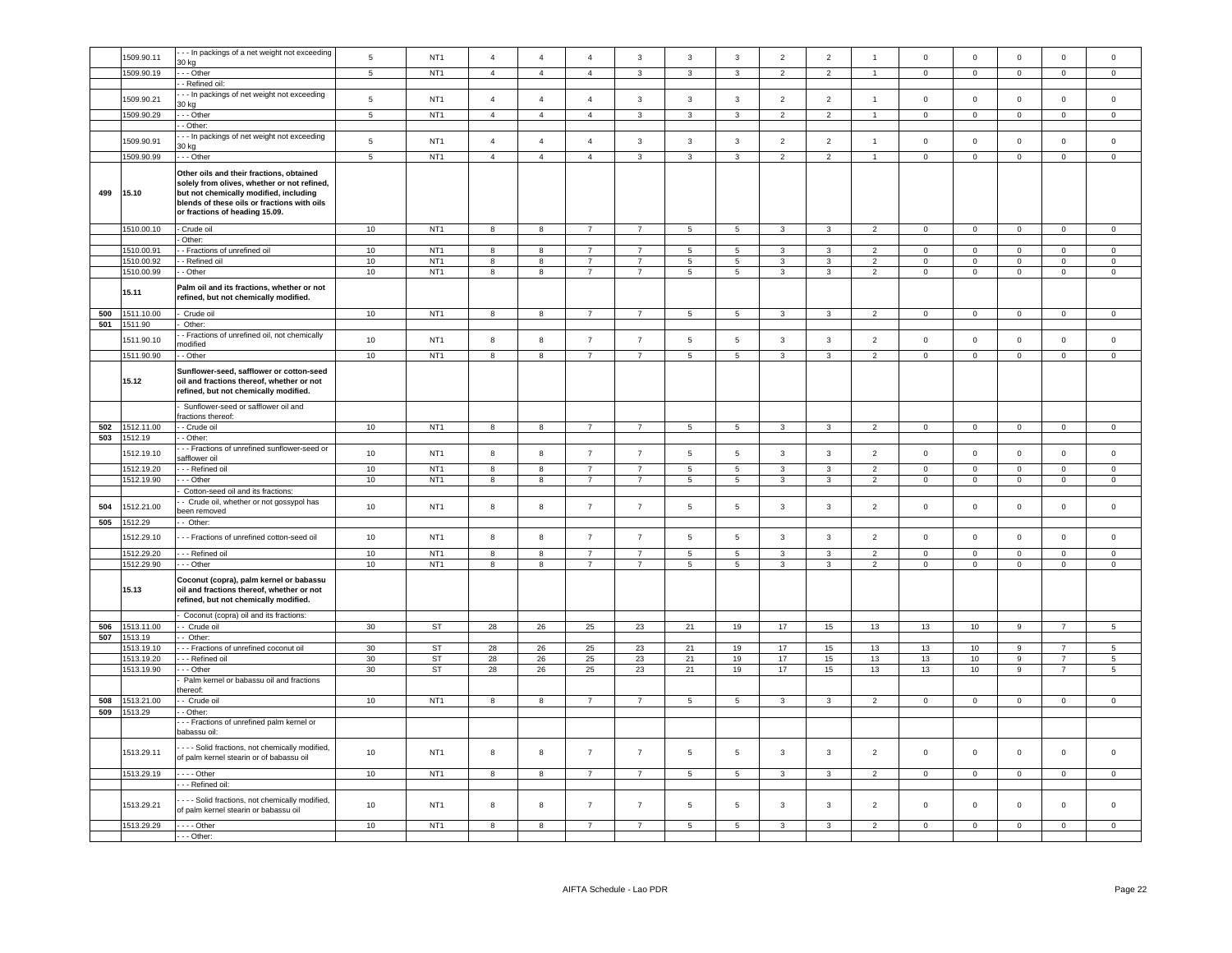|            | 1509.90.11               | - - In packings of a net weight not exceeding                                                                                                                                                                      | $\,$ 5 $\,$     | NT <sub>1</sub>                    | $\overline{4}$          | $\overline{4}$               | $\overline{4}$                   | $\mathbf{3}$                     | $\mathbf{3}$             | $\mathsf 3$                             | $\overline{2}$               | $\sqrt{2}$                   | $\overline{1}$                   | $\,0\,$                       | $\mathbf 0$               | $\mathbf 0$                   | $\mathbf 0$                | $\mathsf 0$                |
|------------|--------------------------|--------------------------------------------------------------------------------------------------------------------------------------------------------------------------------------------------------------------|-----------------|------------------------------------|-------------------------|------------------------------|----------------------------------|----------------------------------|--------------------------|-----------------------------------------|------------------------------|------------------------------|----------------------------------|-------------------------------|---------------------------|-------------------------------|----------------------------|----------------------------|
|            | 1509.90.19               | 30 kg<br>$-$ Other                                                                                                                                                                                                 | $\overline{5}$  | NT <sub>1</sub>                    | $\overline{4}$          | $\overline{4}$               | $\overline{4}$                   | $\overline{\mathbf{3}}$          | $\overline{\mathbf{3}}$  | $\overline{3}$                          | $\overline{2}$               | $\overline{2}$               | $\overline{1}$                   | $\overline{0}$                | $\overline{0}$            | $\overline{0}$                | $\overline{0}$             | $\overline{0}$             |
|            |                          | - Refined oil:                                                                                                                                                                                                     |                 |                                    |                         |                              |                                  |                                  |                          |                                         |                              |                              |                                  |                               |                           |                               |                            |                            |
|            | 1509.90.21               | - - In packings of net weight not exceeding                                                                                                                                                                        | 5               | NT <sub>1</sub>                    | $\overline{4}$          | $\overline{4}$               | $\overline{4}$                   | $\mathbf{3}$                     | $\overline{3}$           | $\mathbf{3}$                            | $\overline{2}$               | $\overline{2}$               | $\mathbf{1}$                     | $\mathsf 0$                   | $\mathbf 0$               | $\mathbf 0$                   | $\mathsf 0$                | $\mathsf 0$                |
|            |                          | 30 kg                                                                                                                                                                                                              |                 |                                    |                         |                              |                                  |                                  |                          |                                         |                              |                              |                                  |                               |                           |                               |                            |                            |
|            | 1509.90.29               | - - Other<br>- Other:                                                                                                                                                                                              | $\overline{5}$  | NT <sub>1</sub>                    | $\overline{4}$          | $\overline{4}$               | $\overline{4}$                   | $\overline{\mathbf{3}}$          | $\overline{3}$           | $\overline{3}$                          | $\overline{2}$               | $\overline{2}$               |                                  | $\overline{0}$                | $\overline{0}$            | $\overline{0}$                | 0                          | $\overline{0}$             |
|            |                          | - - In packings of net weight not exceeding                                                                                                                                                                        |                 |                                    |                         |                              |                                  |                                  |                          |                                         |                              |                              |                                  |                               |                           |                               |                            |                            |
|            | 1509.90.91               | 30 kg                                                                                                                                                                                                              | $\sqrt{5}$      | NT <sub>1</sub>                    | $\overline{4}$          | $\overline{4}$               | $\overline{4}$                   | $\mathbf{3}$                     | $\overline{3}$           | $\mathbf{3}$                            | $\overline{2}$               | $\overline{2}$               | $\mathbf{1}$                     | $\mathsf 0$                   | $\mathbf 0$               | $\mathsf 0$                   | $\mathsf 0$                | $\mathsf 0$                |
|            | 1509.90.99               | - - - Other                                                                                                                                                                                                        | 5               | NT <sub>1</sub>                    | $\overline{4}$          | $\overline{4}$               | $\overline{4}$                   | $\mathbf{3}$                     | $\mathbf{3}$             | 3                                       | $\overline{2}$               | $\overline{2}$               | $\overline{1}$                   | $\overline{0}$                | $\circ$                   | $\mathbf{0}$                  | $\circ$                    | $\circ$                    |
| 499        | 15.10                    | Other oils and their fractions, obtained<br>solely from olives, whether or not refined,<br>but not chemically modified, including<br>blends of these oils or fractions with oils<br>or fractions of heading 15.09. |                 |                                    |                         |                              |                                  |                                  |                          |                                         |                              |                              |                                  |                               |                           |                               |                            |                            |
|            | 1510.00.10               | - Crude oil                                                                                                                                                                                                        | 10              | NT <sub>1</sub>                    | $\overline{\mathbf{8}}$ | $\overline{\mathbf{8}}$      | $\overline{7}$                   | $\overline{7}$                   | $\overline{\phantom{0}}$ | $\overline{\phantom{0}}$                | $\overline{3}$               | 3                            | $\overline{2}$                   | $\overline{0}$                | $\overline{0}$            | $\overline{0}$                | $\overline{0}$             | $\mathbf{0}$               |
|            | 1510.00.91               | Other:<br>- Fractions of unrefined oil                                                                                                                                                                             | 10              | NT <sub>1</sub>                    | $^{\rm 8}$              | 8                            | $\overline{7}$                   | $\overline{7}$                   | $\overline{\phantom{a}}$ | $\sqrt{5}$                              | $\mathbf{3}$                 | 3                            | $\overline{2}$                   | $\mathbf 0$                   | $\overline{0}$            | $\mathbf 0$                   | $\mathsf 0$                | $\mathbf 0$                |
|            | 1510.00.92               | - Refined oil                                                                                                                                                                                                      | 10              | NT <sub>1</sub>                    | 8                       | 8                            | $\overline{7}$                   | $\overline{7}$                   | 5                        | 5                                       | 3                            | 3                            | $\overline{2}$                   | $\mathbf 0$                   | $\circ$                   | $\mathbf 0$                   | $\mathbf 0$                | $\mathbf 0$                |
|            | 1510.00.99               | - Other                                                                                                                                                                                                            | 10              | NT <sub>1</sub>                    | 8                       | 8                            | $\overline{7}$                   | $\overline{7}$                   | $\,$ 5 $\,$              | $\overline{\phantom{0}}$                | $\mathbf{3}$                 | 3                            | $\overline{2}$                   | $\mathbb O$                   | $\overline{0}$            | $\mathbf 0$                   | $\mathsf 0$                | $\overline{0}$             |
|            | 15.11                    | Palm oil and its fractions, whether or not<br>refined, but not chemically modified.                                                                                                                                |                 |                                    |                         |                              |                                  |                                  |                          |                                         |                              |                              |                                  |                               |                           |                               |                            |                            |
| 500        | 1511.10.00<br>1511.90    | Crude oil<br>Other:                                                                                                                                                                                                | 10              | NT <sub>1</sub>                    | 8                       | 8                            | $\overline{7}$                   | $\overline{7}$                   | 5                        | 5                                       | $\mathbf{3}$                 | $\mathbf{3}$                 | $\overline{2}$                   | $\mathbf 0$                   | $\mathbf 0$               | $\mathsf 0$                   | $\mathsf 0$                | $\mathsf 0$                |
| 501        |                          | - Fractions of unrefined oil, not chemically                                                                                                                                                                       |                 |                                    |                         |                              |                                  |                                  |                          |                                         |                              |                              |                                  |                               |                           |                               |                            |                            |
|            | 1511.90.10               | nodified                                                                                                                                                                                                           | 10              | NT <sub>1</sub>                    | 8                       | 8                            | $\overline{7}$                   | $\overline{7}$                   | $\,$ 5 $\,$              | $\sqrt{5}$                              | $\mathbf{3}$                 | $\mathbf{3}$                 | $\overline{2}$                   | $\,0\,$                       | $\mathbf 0$               | $\mathbf 0$                   | $\mathsf 0$                | $\mathsf 0$                |
|            | 1511.90.90               | - Other                                                                                                                                                                                                            | 10              | NT <sub>1</sub>                    | 8                       | 8                            | $\overline{7}$                   | $\overline{7}$                   | $5\phantom{.0}$          | 5                                       | $\mathbf{3}$                 | 3                            | $\overline{2}$                   | $\overline{0}$                | $\mathbf 0$               | $\mathbf 0$                   | $\mathsf{O}\xspace$        | $\mathsf 0$                |
|            | 15.12                    | Sunflower-seed, safflower or cotton-seed<br>oil and fractions thereof, whether or not<br>refined, but not chemically modified.                                                                                     |                 |                                    |                         |                              |                                  |                                  |                          |                                         |                              |                              |                                  |                               |                           |                               |                            |                            |
|            |                          | Sunflower-seed or safflower oil and                                                                                                                                                                                |                 |                                    |                         |                              |                                  |                                  |                          |                                         |                              |                              |                                  |                               |                           |                               |                            |                            |
| 502        | 1512.11.00               | ractions thereof:<br>- Crude oil                                                                                                                                                                                   | 10              | NT <sub>1</sub>                    | 8                       | 8                            | $\overline{7}$                   | $\overline{7}$                   | 5                        | 5                                       | $\mathbf{3}$                 | 3                            | $\overline{2}$                   | $\overline{0}$                | $\mathbf{0}$              | $\mathbf 0$                   | $\overline{0}$             | $\overline{0}$             |
| 503        | 1512.19                  | - Other:                                                                                                                                                                                                           |                 |                                    |                         |                              |                                  |                                  |                          |                                         |                              |                              |                                  |                               |                           |                               |                            |                            |
|            | 1512.19.10               | - - Fractions of unrefined sunflower-seed or<br>safflower oil                                                                                                                                                      | $10$            | NT <sub>1</sub><br>NT <sub>1</sub> | 8                       | $\bf8$                       | $\overline{7}$<br>$\overline{7}$ | $\overline{7}$<br>$\overline{7}$ | $\,$ 5 $\,$              | $\,$ 5 $\,$<br>$\overline{\phantom{0}}$ | $\mathbf{3}$<br>$\mathbf{3}$ | $\mathbf{3}$<br>$\mathbf{3}$ | $\overline{2}$<br>$\overline{2}$ | $\mathbf 0$<br>$\overline{0}$ | $\,0\,$<br>$\overline{0}$ | $\mathbf 0$<br>$\overline{0}$ | $\mathbf 0$<br>$\mathbf 0$ | $\mathsf 0$<br>$\mathsf 0$ |
|            | 1512.19.20<br>1512.19.90 | - - Refined oil<br>- - Other                                                                                                                                                                                       | 10<br>10        | NT <sub>1</sub>                    | 8<br>8                  | $\overline{\mathbf{8}}$<br>8 | $\overline{7}$                   | $\overline{7}$                   | $5\phantom{.0}$<br>5     | 5                                       | 3                            | 3                            | $\overline{2}$                   | $\mathbf 0$                   | $\mathbf 0$               | $\mathbf 0$                   | $\mathbf{0}$               | $\mathbf{0}$               |
|            |                          | Cotton-seed oil and its fractions:                                                                                                                                                                                 |                 |                                    |                         |                              |                                  |                                  |                          |                                         |                              |                              |                                  |                               |                           |                               |                            |                            |
| 504        | 1512.21.00               | - Crude oil, whether or not gossypol has<br>been removed                                                                                                                                                           | 10              | NT <sub>1</sub>                    | 8                       | $\bf8$                       | $\overline{7}$                   | $\overline{7}$                   | $\,$ 5 $\,$              | $5\phantom{.0}$                         | $\mathbf{3}$                 | $\mathbf{3}$                 | $\overline{2}$                   | $\mathsf 0$                   | $\mathbf 0$               | $\mathbf 0$                   | $\mathbf 0$                | $\mathsf 0$                |
| 505        | 512.29                   | - Other:                                                                                                                                                                                                           |                 |                                    |                         |                              |                                  |                                  |                          |                                         |                              |                              |                                  |                               |                           |                               |                            |                            |
|            | 1512.29.10               | -- Fractions of unrefined cotton-seed oil                                                                                                                                                                          | 10              | NT <sub>1</sub>                    | 8                       | 8                            | $\overline{7}$                   | $\overline{7}$                   | $\sqrt{5}$               | $\sqrt{5}$                              | $\mathbf{3}$                 | $_{\rm 3}$                   | $\overline{2}$                   | $\mathsf 0$                   | $\mathbf 0$               | $\mathbf 0$                   | $\mathsf 0$                | $\mathsf 0$                |
|            | 1512.29.20               | - - - Refined oil                                                                                                                                                                                                  | 10              | NT <sub>1</sub>                    | 8                       | 8                            | $\overline{7}$                   | $\overline{7}$                   | 5                        | 5                                       | 3                            | 3                            | $\overline{2}$                   | $\mathbf 0$                   | $\mathbf{0}$              | $\mathbf 0$                   | 0                          | $\circ$                    |
|            | 1512.29.90               | $--$ Other                                                                                                                                                                                                         | 10              | NT <sub>1</sub>                    | 8                       | 8                            | $\overline{7}$                   | $\overline{7}$                   | 5                        | 5                                       | 3                            | 3                            | $\overline{2}$                   | $\circ$                       | $\mathbf 0$               | $\mathsf 0$                   | $\mathbf 0$                | $\mathbf 0$                |
|            | 15.13                    | Coconut (copra), palm kernel or babassu<br>oil and fractions thereof, whether or not<br>refined, but not chemically modified.                                                                                      |                 |                                    |                         |                              |                                  |                                  |                          |                                         |                              |                              |                                  |                               |                           |                               |                            |                            |
|            |                          | Coconut (copra) oil and its fractions:                                                                                                                                                                             |                 |                                    |                         |                              |                                  |                                  |                          |                                         |                              |                              |                                  |                               |                           |                               |                            |                            |
| 506<br>507 | 1513.11.00<br>1513.19    | - Crude oil<br>- Other:                                                                                                                                                                                            | 30 <sup>°</sup> | ST                                 | 28                      | 26                           | 25                               | 23                               | 21                       | 19                                      | 17                           | 15                           | 13                               | 13                            | 10                        | $\mathsf g$                   | $\overline{7}$             | 5                          |
|            | 1513.19.10               | - - Fractions of unrefined coconut oil                                                                                                                                                                             | 30              | ST                                 | 28                      | 26                           | 25                               | 23                               | 21                       | 19                                      | 17                           | 15                           | 13                               | 13                            | 10                        | $\overline{9}$                | $\overline{7}$             | 5                          |
|            | 1513.19.20               | - - Refined oil                                                                                                                                                                                                    | 30 <sup>°</sup> | ST                                 | 28                      | ${\bf 26}$                   | $25\,$                           | 23                               | 21                       | 19                                      | 17                           | 15                           | 13                               | 13                            | 10                        | $\mathsf g$                   | $\overline{7}$             | $\,$ 5 $\,$                |
|            | 1513.19.90               | $-$ - Other                                                                                                                                                                                                        | 30              | ST                                 | 28                      | 26                           | 25                               | 23                               | 21                       | 19                                      | 17                           | 15                           | 13                               | 13                            | 10                        | $\overline{9}$                | $\overline{7}$             | $\overline{5}$             |
|            |                          | Palm kernel or babassu oil and fractions                                                                                                                                                                           |                 |                                    |                         |                              |                                  |                                  |                          |                                         |                              |                              |                                  |                               |                           |                               |                            |                            |
| 508        | 1513.21.00               | hereof:<br>- Crude oil                                                                                                                                                                                             | 10              | NT <sub>1</sub>                    | 8                       | 8                            | $\overline{7}$                   | $\overline{7}$                   | $\,$ 5 $\,$              | $\sqrt{5}$                              | $\mathbf{3}$                 | 3                            | $\overline{2}$                   | $\mathbb O$                   | $\mathbf 0$               | $\mathbf 0$                   | $\mathsf{O}\xspace$        | $\mathsf{O}\xspace$        |
| 509        | 1513.29                  | - Other:                                                                                                                                                                                                           |                 |                                    |                         |                              |                                  |                                  |                          |                                         |                              |                              |                                  |                               |                           |                               |                            |                            |
|            |                          | - Fractions of unrefined palm kernel or<br>babassu oil                                                                                                                                                             |                 |                                    |                         |                              |                                  |                                  |                          |                                         |                              |                              |                                  |                               |                           |                               |                            |                            |
|            | 1513.29.11               | - - - Solid fractions, not chemically modified,<br>of palm kernel stearin or of babassu oil                                                                                                                        | $10$            | NT <sub>1</sub>                    | 8                       | $\bf8$                       | $\overline{7}$                   | $\overline{7}$                   | $\,$ 5 $\,$              | $\sqrt{5}$                              | $\mathbf{3}$                 | 3                            | $\overline{2}$                   | $\mathsf 0$                   | $\mathbf 0$               | $\mathbf 0$                   | $\mathsf 0$                | $\mathsf 0$                |
|            | 1513.29.19               | $- -$ Other<br>- - Refined oil:                                                                                                                                                                                    | 10              | NT <sub>1</sub>                    | 8                       | 8                            | $\overline{7}$                   | $\overline{7}$                   | 5                        | 5                                       | $\mathbf{3}$                 | $\mathbf{3}$                 | $\mathcal{P}$                    | $\mathbf 0$                   | $\mathsf 0$               | $\Omega$                      | $\Omega$                   | $\mathsf 0$                |
|            | 1513.29.21               | - - - Solid fractions, not chemically modified,<br>of palm kernel stearin or babassu oil                                                                                                                           | 10              | NT <sub>1</sub>                    | 8                       | 8                            | $\overline{7}$                   | $\overline{7}$                   | 5                        | 5                                       | 3                            | 3                            | $\overline{2}$                   | $\mathsf 0$                   | $\mathbf 0$               | $\mathbf 0$                   | 0                          | $\mathbf 0$                |
|            | 1513.29.29               | $---$ Other                                                                                                                                                                                                        | 10              | NT <sub>1</sub>                    | 8                       | 8                            | $\overline{7}$                   | $\overline{7}$                   | -5                       | 5                                       | 3                            | 3                            | $\overline{2}$                   | $\overline{0}$                | $\overline{0}$            | $^{\circ}$                    | $^{\circ}$                 | $\mathbf 0$                |
|            |                          | - - - Other:                                                                                                                                                                                                       |                 |                                    |                         |                              |                                  |                                  |                          |                                         |                              |                              |                                  |                               |                           |                               |                            |                            |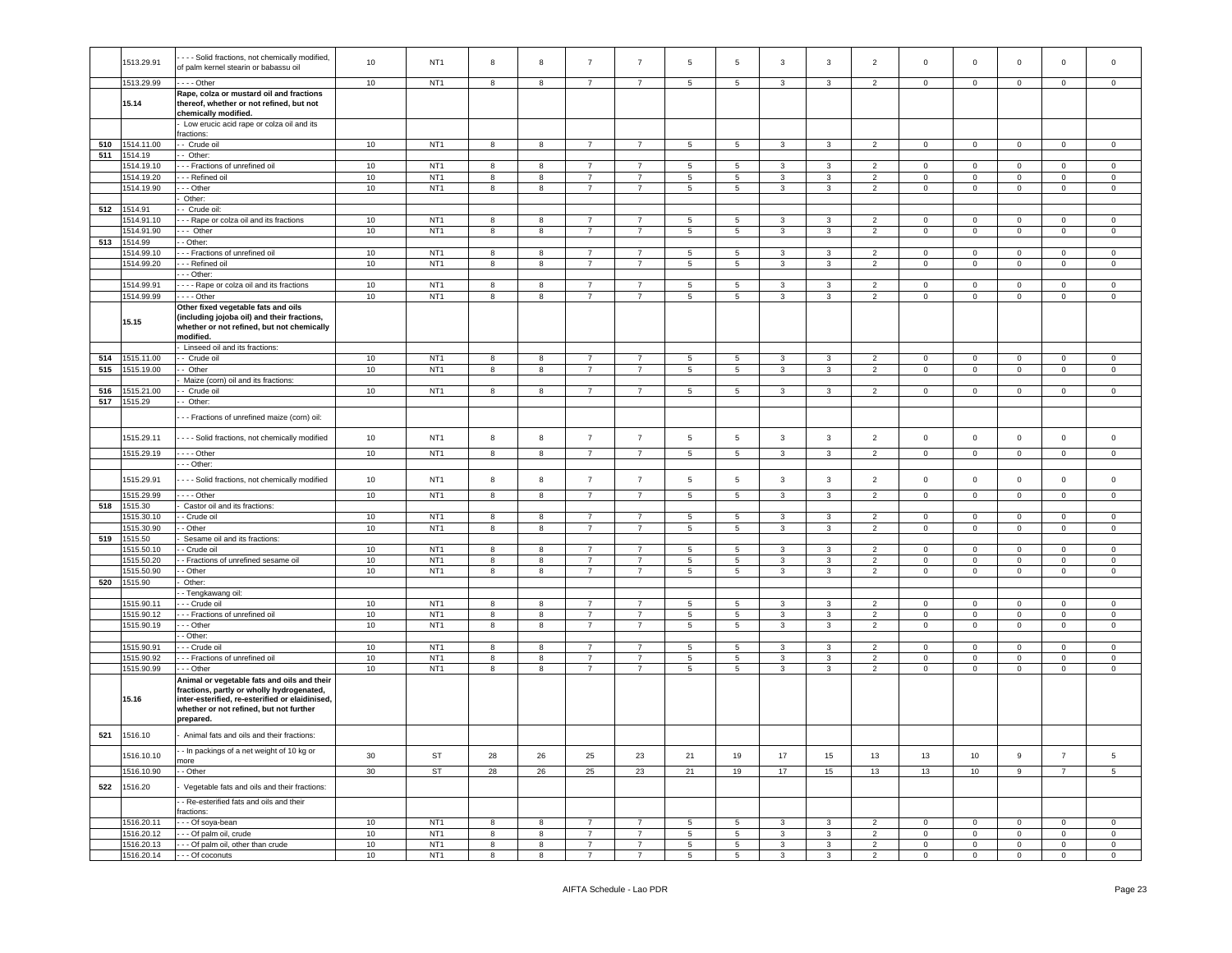|     | 1513.29.91 | - - - Solid fractions, not chemically modified, | 10     | NT <sub>1</sub> | 8          | 8                | $\overline{7}$ | $\overline{7}$ | $\sqrt{5}$      | 5          | 3            | 3            | 2                        | $\mathsf 0$         | $\mathbf 0$    | $\mathbf 0$  | 0              | $\mathbf 0$    |
|-----|------------|-------------------------------------------------|--------|-----------------|------------|------------------|----------------|----------------|-----------------|------------|--------------|--------------|--------------------------|---------------------|----------------|--------------|----------------|----------------|
|     |            | of palm kernel stearin or babassu oil           |        |                 |            |                  |                |                |                 |            |              |              |                          |                     |                |              |                |                |
|     | 1513.29.99 | $- -$ Other                                     | 10     | NT <sub>1</sub> |            |                  | 7              | 7              |                 |            |              |              |                          |                     |                |              |                |                |
|     |            |                                                 |        |                 | 8          | 8                |                |                | 5               | 5          | 3            | 3            | $\overline{2}$           | $\mathbf 0$         | $\overline{0}$ | $\mathbf 0$  | 0              | $\mathbf 0$    |
|     |            | Rape, colza or mustard oil and fractions        |        |                 |            |                  |                |                |                 |            |              |              |                          |                     |                |              |                |                |
|     | 15.14      | thereof, whether or not refined, but not        |        |                 |            |                  |                |                |                 |            |              |              |                          |                     |                |              |                |                |
|     |            | chemically modified.                            |        |                 |            |                  |                |                |                 |            |              |              |                          |                     |                |              |                |                |
|     |            | Low erucic acid rape or colza oil and its       |        |                 |            |                  |                |                |                 |            |              |              |                          |                     |                |              |                |                |
|     |            | ractions:                                       |        |                 |            |                  |                |                |                 |            |              |              |                          |                     |                |              |                |                |
| 510 | 1514.11.00 | - Crude oil                                     | 10     | NT <sub>1</sub> | 8          | 8                | $\overline{7}$ | $\overline{7}$ | 5               | 5          | $\mathbf{3}$ | 3            | $\overline{2}$           | $\mathbf{0}$        | $\mathbf{0}$   | $\mathbf{0}$ | $\mathbf{0}$   | $\circ$        |
| 511 | 1514.19    | - Other:                                        |        |                 |            |                  |                |                |                 |            |              |              |                          |                     |                |              |                |                |
|     | 1514.19.10 | - - Fractions of unrefined oil                  | 10     | NT <sub>1</sub> | 8          | 8                | $\overline{7}$ | $\overline{7}$ | 5               | 5          | 3            | 3            | $\overline{\phantom{a}}$ | $\mathbf 0$         | $\mathbf 0$    | $\mathbf 0$  | $\circ$        | $\mathbf 0$    |
|     | 1514.19.20 | - - Refined oil                                 | $10$   | NT <sub>1</sub> | 8          | 8                | $\overline{7}$ | 7              | $5\phantom{.0}$ | 5          | 3            | 3            | $\overline{2}$           | $\mathbf 0$         | $\mathbf{0}$   | $\mathbf 0$  | $\mathbf 0$    | $\mathbf{0}$   |
|     | 1514.19.90 | - - Other                                       | $10\,$ | NT <sub>1</sub> | 8          | 8                | $\overline{7}$ | $\overline{7}$ | $\sqrt{5}$      | $\sqrt{5}$ | 3            | 3            | $\overline{2}$           | $\mathsf{O}\xspace$ | $\mathbf 0$    | $\mathbf 0$  | $\mathbf 0$    | $\mathsf 0$    |
|     |            | Other:                                          |        |                 |            |                  |                |                |                 |            |              |              |                          |                     |                |              |                |                |
| 512 | 1514.91    | - Crude oil:                                    |        |                 |            |                  |                |                |                 |            |              |              |                          |                     |                |              |                |                |
|     | 1514.91.10 | - - Rape or colza oil and its fractions         | 10     | NT <sub>1</sub> | $^{\rm 8}$ | 8                | $\overline{7}$ | $\overline{7}$ | 5               | 5          | 3            | 3            | 2                        | $\mathbf 0$         | $\circ$        | $\mathbf 0$  | $\mathbf 0$    | $\mathbf 0$    |
|     |            |                                                 |        |                 |            |                  |                | $\overline{7}$ |                 |            |              |              |                          |                     |                |              |                |                |
|     | 1514.91.90 | -- Other                                        | $10$   | NT <sub>1</sub> | 8          | 8                | $\overline{7}$ |                | 5               | 5          | 3            | 3            | 2                        | $\mathbf 0$         | $\mathsf 0$    | $\mathbf 0$  | 0              | $\mathbf 0$    |
| 513 | 1514.99    | - Other:                                        |        |                 |            |                  |                |                |                 |            |              |              |                          |                     |                |              |                |                |
|     | 1514.99.10 | - - Fractions of unrefined oil                  | $10$   | NT <sub>1</sub> | 8          | 8                | $\overline{7}$ | $\overline{7}$ | 5               | 5          | 3            | 3            | 2                        | $\circ$             | $\mathbf 0$    | $\circ$      | $\mathbf 0$    | $\mathbf 0$    |
|     | 1514.99.20 | - - Refined oil                                 | 10     | NT <sub>1</sub> | 8          | 8                | $\overline{7}$ | $\overline{7}$ | 5               | 5          | 3            | 3            | $\overline{2}$           | $\mathbf 0$         | $\overline{0}$ | $\mathbf 0$  | 0              | $\mathbf 0$    |
|     |            | - - Other:                                      |        |                 |            |                  |                |                |                 |            |              |              |                          |                     |                |              |                |                |
|     | 1514.99.91 | - - - Rape or colza oil and its fractions       | 10     | NT <sub>1</sub> | 8          | $\boldsymbol{8}$ | $\overline{7}$ | $\overline{7}$ | 5               | 5          | 3            | 3            | 2                        | $\mathbf 0$         | $\mathbf 0$    | $\mathbf 0$  | $\mathbf{0}$   | $\mathbf 0$    |
|     | 1514.99.99 | $\cdots$ - Other                                | 10     | NT <sub>1</sub> | 8          | 8                | $\overline{7}$ | $\overline{7}$ | 5               | 5          | 3            | 3            | $\overline{2}$           | $\mathbf 0$         | $\overline{0}$ | $\mathbf 0$  | 0              | $\mathbf 0$    |
|     |            | Other fixed vegetable fats and oils             |        |                 |            |                  |                |                |                 |            |              |              |                          |                     |                |              |                |                |
|     |            | (including jojoba oil) and their fractions,     |        |                 |            |                  |                |                |                 |            |              |              |                          |                     |                |              |                |                |
|     | 15.15      | whether or not refined, but not chemically      |        |                 |            |                  |                |                |                 |            |              |              |                          |                     |                |              |                |                |
|     |            | modified.                                       |        |                 |            |                  |                |                |                 |            |              |              |                          |                     |                |              |                |                |
|     |            |                                                 |        |                 |            |                  |                |                |                 |            |              |              |                          |                     |                |              |                |                |
|     |            | Linseed oil and its fractions:                  |        |                 |            |                  |                |                |                 |            |              |              |                          |                     |                |              |                |                |
| 514 | 1515.11.00 | - Crude oil                                     | 10     | NT <sub>1</sub> | 8          | 8                | $\overline{7}$ | 7              | $5\phantom{.0}$ | 5          | 3            | 3            | $\overline{2}$           | $\mathbf 0$         | $\mathbf{O}$   | $\mathbf 0$  | $\circ$        | $\circ$        |
| 515 | 1515.19.00 | - Other                                         | $10$   | NT <sub>1</sub> | 8          | $\boldsymbol{8}$ | $\overline{7}$ | $\overline{7}$ | 5               | 5          | 3            | 3            | $\overline{2}$           | $\mathbf 0$         | $\overline{0}$ | $\mathbf 0$  | $\mathbf 0$    | $\mathbf 0$    |
|     |            | Maize (corn) oil and its fractions:             |        |                 |            |                  |                |                |                 |            |              |              |                          |                     |                |              |                |                |
| 516 | 1515.21.00 | - Crude oil                                     | 10     | NT <sub>1</sub> | 8          | 8                | 7              | $\overline{7}$ | 5               | 5          | 3            | 3            | $\overline{2}$           | $\mathbf 0$         | $\mathbf 0$    | $\mathbf 0$  | 0              | $\mathbf 0$    |
| 517 | 1515.29    | - Other:                                        |        |                 |            |                  |                |                |                 |            |              |              |                          |                     |                |              |                |                |
|     |            |                                                 |        |                 |            |                  |                |                |                 |            |              |              |                          |                     |                |              |                |                |
|     |            | - - Fractions of unrefined maize (corn) oil:    |        |                 |            |                  |                |                |                 |            |              |              |                          |                     |                |              |                |                |
|     |            |                                                 |        |                 |            |                  |                |                |                 |            |              |              |                          |                     |                |              |                |                |
|     | 1515.29.11 | - - - Solid fractions, not chemically modified  | 10     | NT <sub>1</sub> | 8          | $\boldsymbol{8}$ | $\overline{7}$ | $\overline{7}$ | $5\phantom{.0}$ | $\sqrt{5}$ | 3            | 3            | $\overline{2}$           | $\mathbf 0$         | $\mathbf 0$    | $\mathbf 0$  | $\mathbf 0$    | $\mathbf 0$    |
|     | 1515.29.19 | - - - - Other                                   | 10     | NT <sub>1</sub> | 8          | 8                | $\overline{7}$ | $\overline{7}$ | 5               | 5          | $\mathbf{3}$ | $\mathbf{3}$ | 2                        | $\mathbf 0$         | $\circ$        | $\mathsf 0$  | $\mathbf{0}$   | $\mathbf 0$    |
|     |            |                                                 |        |                 |            |                  |                |                |                 |            |              |              |                          |                     |                |              |                |                |
|     |            | - - Other:                                      |        |                 |            |                  |                |                |                 |            |              |              |                          |                     |                |              |                |                |
|     | 1515.29.91 | - - - Solid fractions, not chemically modified  | 10     | NT <sub>1</sub> | 8          | $\bf8$           | $\overline{7}$ | $\overline{7}$ | $\,$ 5          | $\sqrt{5}$ | 3            | 3            | $\overline{2}$           | $\mathbf 0$         | $\mathsf 0$    | $\mathbf 0$  | $\mathsf 0$    | $\mathsf 0$    |
|     |            |                                                 |        |                 |            |                  |                |                |                 |            |              |              |                          |                     |                |              |                |                |
|     | 1515.29.99 | $- -$ Other                                     | 10     | NT <sub>1</sub> | 8          | 8                | $\overline{7}$ | $\overline{7}$ | 5               | 5          | 3            | 3            | $\overline{\phantom{a}}$ | $\circ$             | $\mathbf 0$    | $\circ$      | $\mathbf 0$    | $\mathbf 0$    |
| 518 | 1515.30    | Castor oil and its fractions:                   |        |                 |            |                  |                |                |                 |            |              |              |                          |                     |                |              |                |                |
|     | 1515.30.10 | - Crude oil                                     | 10     | NT <sub>1</sub> | 8          | 8                | 7              | 7              | 5               | 5          | 3            | 3            | $\overline{2}$           | $\mathbf 0$         | $\mathbf 0$    | $\mathbf 0$  | $\mathbf{0}$   | $\mathbf 0$    |
|     | 1515.30.90 | - Other                                         | 10     | NT <sub>1</sub> | 8          | 8                | $\overline{7}$ | $\overline{7}$ | 5               | 5          | 3            | 3            | 2                        | $\circ$             | $\mathsf 0$    | $\circ$      | $\circ$        | $\mathbf 0$    |
| 519 | 1515.50    | Sesame oil and its fractions:                   |        |                 |            |                  |                |                |                 |            |              |              |                          |                     |                |              |                |                |
|     | 1515.50.10 | - Crude oil                                     | 10     | NT <sub>1</sub> | 8          | 8                | 7              | 7              | 5               | 5          | 3            | 3            | $\overline{2}$           | $\mathbf{0}$        | $\mathbf{O}$   | $\mathbf 0$  | $\mathbf 0$    | $\mathbf 0$    |
|     | 1515.50.20 | - Fractions of unrefined sesame oil             | $10$   | NT <sub>1</sub> | 8          | 8                | $\overline{7}$ | $\overline{7}$ | 5               | 5          | 3            | 3            | $\overline{2}$           | $\mathbf{0}$        | $\mathbf{O}$   | $\mathbf 0$  | $\mathbf 0$    | $\mathbf 0$    |
|     | 1515.50.90 | - Other                                         | 10     | NT <sub>1</sub> | 8          | 8                | $\overline{7}$ | $\overline{7}$ | 5               | 5          | 3            | 3            | $\overline{2}$           | $\mathsf 0$         | $\circ$        | $\mathsf 0$  | $\mathbf 0$    | $\mathsf 0$    |
|     |            |                                                 |        |                 |            |                  |                |                |                 |            |              |              |                          |                     |                |              |                |                |
| 520 | 1515.90    | Other:                                          |        |                 |            |                  |                |                |                 |            |              |              |                          |                     |                |              |                |                |
|     |            | - Tengkawang oil:                               |        |                 |            |                  |                |                |                 |            |              |              |                          |                     |                |              |                |                |
|     | 1515.90.11 | - - Crude oil                                   | 10     | NT <sub>1</sub> | $^{\rm 8}$ | 8                | $\overline{7}$ | $\overline{7}$ | 5               | $\sqrt{5}$ | 3            | 3            | $\overline{2}$           | $\mathbf{0}$        | $\circ$        | $\mathsf 0$  | $\mathbf{0}$   | $\overline{0}$ |
|     | 1515.90.12 | - - Fractions of unrefined oil                  | 10     | NT <sub>1</sub> | 8          | 8                | $\overline{7}$ | $\overline{7}$ | 5               | 5          | 3            | 3            | $\overline{2}$           | 0                   | $\mathbf 0$    | $\mathbf 0$  | 0              | $\mathbf 0$    |
|     | 1515.90.19 | - - Other                                       | 10     | NT <sub>1</sub> | 8          | 8                | $\overline{7}$ | $\overline{7}$ | 5               | 5          | 3            | 3            | $\overline{2}$           | $\mathbf 0$         | $\mathbf{O}$   | $\mathbf 0$  | $\mathbf 0$    | $\mathbf 0$    |
|     |            | - Other:                                        |        |                 |            |                  |                |                |                 |            |              |              |                          |                     |                |              |                |                |
|     | 1515.90.91 | - - Crude oil                                   | 10     | NT <sub>1</sub> | 8          | 8                | $\overline{7}$ | $\overline{7}$ | 5               | 5          | 3            | 3            | 2                        | $\mathbf 0$         | $\mathbf 0$    | $\mathbf 0$  | 0              | $\mathbf 0$    |
|     | 1515.90.92 | -- Fractions of unrefined oil                   | 10     | NT <sub>1</sub> | 8          | 8                | $\overline{7}$ | $\overline{7}$ | $5\phantom{.0}$ | 5          | 3            | 3            | $\overline{2}$           | $\mathbf 0$         | $\mathbf{0}$   | $\mathbf 0$  | $\mathbf 0$    | $\mathbf 0$    |
|     | 1515.90.99 | - - Other                                       | 10     | NT <sub>1</sub> | 8          | 8                | $\overline{7}$ | $\overline{7}$ | $\sqrt{5}$      | $\sqrt{5}$ | 3            | 3            | $\overline{2}$           | $\mathsf 0$         | $\mathbf 0$    | $\mathbf 0$  | $\mathsf 0$    | $\mathsf 0$    |
|     |            | Animal or vegetable fats and oils and their     |        |                 |            |                  |                |                |                 |            |              |              |                          |                     |                |              |                |                |
|     |            | fractions, partly or wholly hydrogenated,       |        |                 |            |                  |                |                |                 |            |              |              |                          |                     |                |              |                |                |
|     | 15.16      | inter-esterified, re-esterified or elaidinised, |        |                 |            |                  |                |                |                 |            |              |              |                          |                     |                |              |                |                |
|     |            | whether or not refined, but not further         |        |                 |            |                  |                |                |                 |            |              |              |                          |                     |                |              |                |                |
|     |            | prepared.                                       |        |                 |            |                  |                |                |                 |            |              |              |                          |                     |                |              |                |                |
|     |            |                                                 |        |                 |            |                  |                |                |                 |            |              |              |                          |                     |                |              |                |                |
| 521 | 1516.10    | Animal fats and oils and their fractions:       |        |                 |            |                  |                |                |                 |            |              |              |                          |                     |                |              |                |                |
|     |            |                                                 |        |                 |            |                  |                |                |                 |            |              |              |                          |                     |                |              |                |                |
|     | 1516.10.10 | - In packings of a net weight of 10 kg or       | 30     | ST              | 28         | 26               | 25             | 23             | 21              | 19         | 17           | 15           | 13                       | 13                  | 10             | $\mathsf g$  | $\overline{7}$ | 5              |
|     |            | more                                            |        |                 |            |                  |                |                |                 |            |              |              |                          |                     |                |              |                |                |
|     | 1516.10.90 | - Other                                         | 30     | <b>ST</b>       | 28         | 26               | 25             | 23             | 21              | 19         | 17           | 15           | 13                       | 13                  | 10             | $\mathsf g$  | $\overline{7}$ | 5 <sub>5</sub> |
| 522 | 1516.20    | Vegetable fats and oils and their fractions:    |        |                 |            |                  |                |                |                 |            |              |              |                          |                     |                |              |                |                |
|     |            |                                                 |        |                 |            |                  |                |                |                 |            |              |              |                          |                     |                |              |                |                |
|     |            | - Re-esterified fats and oils and their         |        |                 |            |                  |                |                |                 |            |              |              |                          |                     |                |              |                |                |
|     |            | ractions:                                       |        |                 |            |                  |                |                |                 |            |              |              |                          |                     |                |              |                |                |
|     | 1516.20.11 | - - Of soya-bean                                | $10\,$ | NT <sub>1</sub> | $^{\rm 8}$ | 8                | $\overline{7}$ | $\overline{7}$ | 5               | 5          | 3            | 3            | $\overline{2}$           | $\mathbf 0$         | $\overline{0}$ | $\mathbf 0$  | $\mathbf 0$    | $\mathsf 0$    |
|     | 1516.20.12 | - - Of palm oil, crude                          | 10     | NT <sub>1</sub> | 8          | 8                | $\overline{7}$ | $\overline{7}$ | $5\phantom{.0}$ | $\sqrt{5}$ | 3            | 3            | $\overline{2}$           | $\mathbf{0}$        | $\mathsf 0$    | $\mathbf 0$  | $\circ$        | $\circ$        |
|     | 1516.20.13 | - - Of palm oil, other than crude               | 10     | NT <sub>1</sub> | 8          | 8                | $\overline{7}$ | $\overline{7}$ | $5\phantom{.0}$ | 5          | 3            | 3            | $\overline{2}$           | $\mathbf 0$         | $\overline{0}$ | $\mathbf 0$  | $\overline{0}$ | $\overline{0}$ |
|     | 1516.20.14 | - - Of coconuts                                 | 10     | NT <sub>1</sub> | 8          | 8                | $\overline{7}$ | $\overline{7}$ | 5               | $\sqrt{5}$ | 3            | 3            | $\overline{2}$           | $\mathbf{0}$        | $\mathbf 0$    | $\mathbf 0$  | $\mathbf{0}$   | $\circ$        |
|     |            |                                                 |        |                 |            |                  |                |                |                 |            |              |              |                          |                     |                |              |                |                |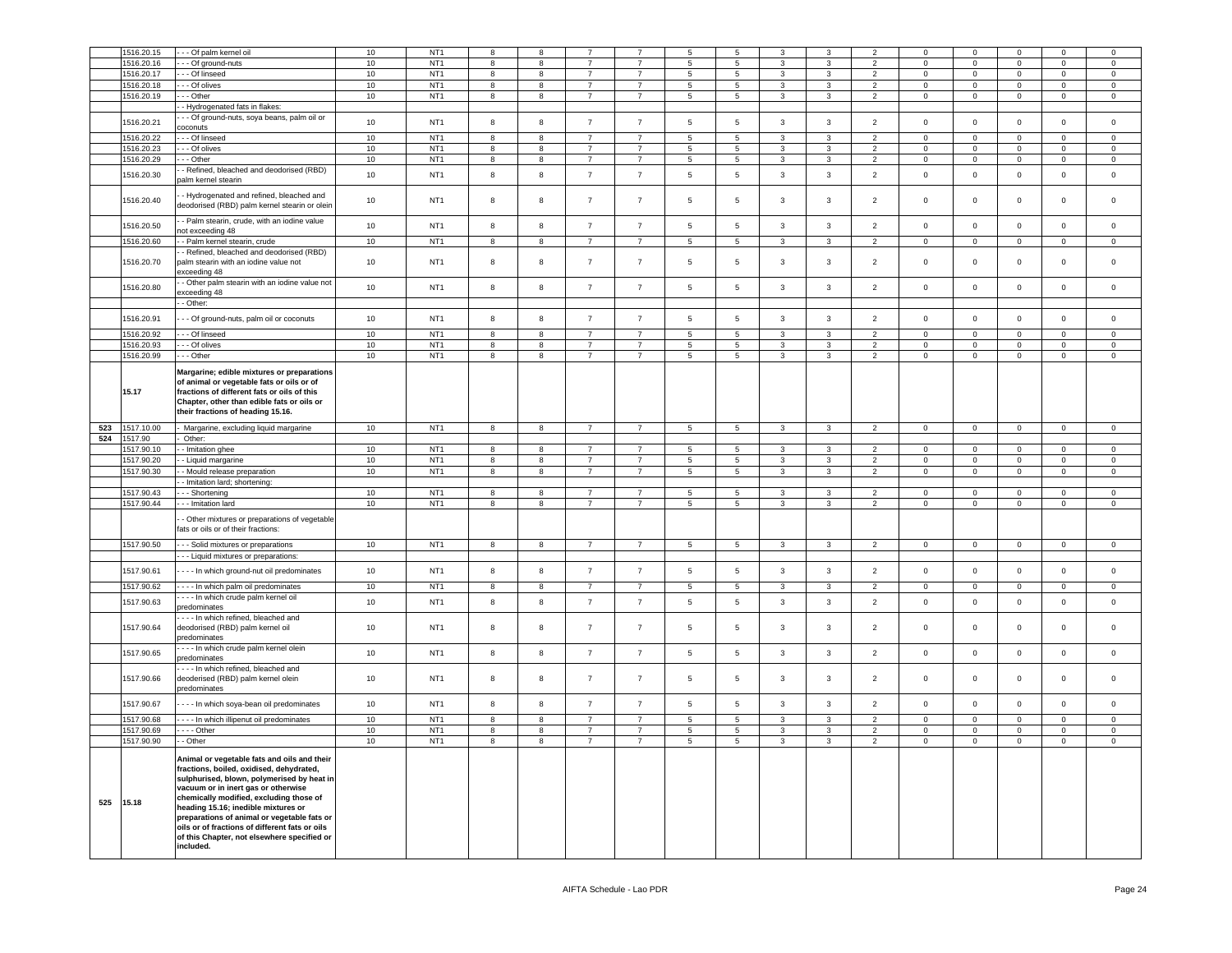|     | 1516.20.15          | - - Of palm kernel oil                                                                                                                                                                                                                                                                                                                                                                                                                | 10   | NT <sub>1</sub> | 8                       | 8                       |                |                | 5               | 5                   | 3              | 3              | $\mathcal{P}$  | $\mathbf 0$    | $\mathbf 0$                   | $\Omega$       | $\Omega$            | $\mathbf 0$         |
|-----|---------------------|---------------------------------------------------------------------------------------------------------------------------------------------------------------------------------------------------------------------------------------------------------------------------------------------------------------------------------------------------------------------------------------------------------------------------------------|------|-----------------|-------------------------|-------------------------|----------------|----------------|-----------------|---------------------|----------------|----------------|----------------|----------------|-------------------------------|----------------|---------------------|---------------------|
|     |                     |                                                                                                                                                                                                                                                                                                                                                                                                                                       |      |                 |                         |                         | $\overline{7}$ | $\overline{7}$ | 5               |                     | 3              | 3              | $\mathcal{P}$  | $\Omega$       |                               | $\Omega$       | $\Omega$            |                     |
|     | 1516.20.16          | - - Of ground-nuts                                                                                                                                                                                                                                                                                                                                                                                                                    | 10   | NT <sub>1</sub> | 8                       | 8                       | $\overline{7}$ | $\overline{7}$ |                 | 5<br>$\overline{5}$ | 3              | $\overline{3}$ | $\overline{2}$ | $\Omega$       | $\mathsf 0$<br>$\overline{0}$ |                | $\Omega$            | $\mathsf 0$         |
|     | 1516.20.17          | - - Of linseed                                                                                                                                                                                                                                                                                                                                                                                                                        | 10   | NT <sub>1</sub> | 8                       | 8                       |                |                | 5               |                     |                |                |                |                |                               | $\mathsf 0$    |                     | $\mathsf 0$         |
|     | 1516.20.18          | - - Of olives                                                                                                                                                                                                                                                                                                                                                                                                                         | 10   | NT <sub>1</sub> | 8                       | 8                       | $\overline{7}$ | $\overline{7}$ | 5               | 5                   | $\mathcal{R}$  | $\mathcal{R}$  | $\overline{2}$ | $\Omega$       | $\mathbf 0$                   | $\mathsf 0$    | $\Omega$            | $\Omega$            |
|     | 1516.20.19          | $-$ Other                                                                                                                                                                                                                                                                                                                                                                                                                             | 10   | NT <sub>1</sub> | $\overline{8}$          | $\overline{\mathbf{8}}$ | $\overline{7}$ | $\overline{7}$ | $\overline{5}$  | $\overline{5}$      | $\overline{3}$ | $\overline{3}$ | $\overline{2}$ | $\overline{0}$ | $\overline{0}$                | $\overline{0}$ | $\Omega$            | $\Omega$            |
|     |                     | - Hydrogenated fats in flakes:                                                                                                                                                                                                                                                                                                                                                                                                        |      |                 |                         |                         |                |                |                 |                     |                |                |                |                |                               |                |                     |                     |
|     | 1516.20.21          | - - Of ground-nuts, soya beans, palm oil or                                                                                                                                                                                                                                                                                                                                                                                           | 10   | NT <sub>1</sub> | 8                       | 8                       | $\overline{7}$ | $\overline{7}$ | $\,$ 5          | $\sqrt{5}$          | $\mathbf{3}$   | $\mathbf{3}$   | $\overline{2}$ | $\mathsf 0$    | $\mathbf 0$                   | $\mathsf 0$    | $\mathsf 0$         | $\mathbf 0$         |
|     |                     | coconuts                                                                                                                                                                                                                                                                                                                                                                                                                              |      |                 |                         |                         |                |                |                 |                     |                |                |                |                |                               |                |                     |                     |
|     | 1516.20.22          | - - Of linseed                                                                                                                                                                                                                                                                                                                                                                                                                        | 10   | NT <sub>1</sub> | 8                       | 8                       | $\overline{7}$ | $\overline{7}$ | $5\phantom{.0}$ | 5                   | 3              | 3              | $\overline{2}$ | $\mathbf 0$    | $\overline{0}$                | $\mathbf 0$    | $\mathbf 0$         | $\mathsf 0$         |
|     | 1516.20.23          | - - Of olives                                                                                                                                                                                                                                                                                                                                                                                                                         | 10   | NT <sub>1</sub> | 8                       | 8                       | $\overline{7}$ | $\overline{7}$ | 5               | 5                   | 3              | 3              | $\overline{2}$ | $\mathbf{0}$   | $\overline{0}$                | $\mathbf 0$    | $\circ$             | $\circ$             |
|     | 1516.20.29          | - - Other                                                                                                                                                                                                                                                                                                                                                                                                                             | 10   | NT <sub>1</sub> | 8                       | 8                       | $\overline{7}$ | $7^{\circ}$    | 5               | $5\overline{)}$     | $\mathbf{3}$   | 3              | $\overline{2}$ | $\overline{0}$ | $\overline{0}$                | $\mathbf 0$    | $\mathbf 0$         | $\overline{0}$      |
|     |                     | Refined, bleached and deodorised (RBD)                                                                                                                                                                                                                                                                                                                                                                                                |      |                 |                         |                         |                |                |                 |                     |                |                |                |                |                               |                |                     |                     |
|     | 1516.20.30          | palm kernel stearin                                                                                                                                                                                                                                                                                                                                                                                                                   | 10   | NT <sub>1</sub> | 8                       | 8                       | $\overline{7}$ | $\overline{7}$ | 5               | $\sqrt{5}$          | 3              | 3              | $\overline{2}$ | $\mathbf 0$    | $\mathbf 0$                   | $\mathbf 0$    | $\circ$             | $\mathsf 0$         |
|     | 1516.20.40          | - Hydrogenated and refined, bleached and<br>deodorised (RBD) palm kernel stearin or oleir                                                                                                                                                                                                                                                                                                                                             | $10$ | NT <sub>1</sub> | 8                       | 8                       | $\overline{7}$ | $\overline{7}$ | 5               | $\sqrt{5}$          | 3              | 3              | $\overline{2}$ | $\mathsf 0$    | $\mathsf 0$                   | $\mathbf 0$    | 0                   | $\mathsf 0$         |
|     | 1516.20.50          | - Palm stearin, crude, with an iodine value<br>ot exceeding 48                                                                                                                                                                                                                                                                                                                                                                        | 10   | NT <sub>1</sub> | 8                       | 8                       | $\overline{7}$ | $\overline{7}$ | $\,$ 5          | $5\phantom{.0}$     | $\mathbf{3}$   | $\mathbf{3}$   | $\overline{2}$ | $\mathsf 0$    | $\mathbf 0$                   | $\mathbf 0$    | $\mathsf 0$         | $\mathsf 0$         |
|     | 1516.20.60          | - Palm kernel stearin, crude                                                                                                                                                                                                                                                                                                                                                                                                          | 10   | NT <sub>1</sub> | 8                       | 8                       | $\overline{7}$ | $\overline{7}$ | 5               | 5                   | $\mathbf{3}$   | 3              | $\overline{2}$ | $\mathbf 0$    | $\circ$                       | $\mathbf 0$    | $\mathbf{0}$        | $\mathsf 0$         |
|     |                     | - Refined, bleached and deodorised (RBD)                                                                                                                                                                                                                                                                                                                                                                                              |      |                 |                         |                         |                |                |                 |                     |                |                |                |                |                               |                |                     |                     |
|     | 1516.20.70          | palm stearin with an iodine value not<br>exceeding 48                                                                                                                                                                                                                                                                                                                                                                                 | 10   | NT <sub>1</sub> | 8                       | 8                       | $\overline{7}$ | $\overline{7}$ | 5               | 5                   | 3              | 3              | 2              | $\mathsf 0$    | $\mathsf 0$                   | $\mathsf 0$    | $\Omega$            | $\mathsf 0$         |
|     | 1516.20.80          | - Other palm stearin with an iodine value not                                                                                                                                                                                                                                                                                                                                                                                         | 10   | NT <sub>1</sub> | 8                       | 8                       | $\overline{7}$ | $\overline{7}$ | 5               | 5                   | 3              | 3              | $\overline{2}$ | $\mathbf 0$    | $\mathbf 0$                   | $\mathbf 0$    | $\mathbf 0$         | $\mathbf 0$         |
|     |                     | xceeding 48                                                                                                                                                                                                                                                                                                                                                                                                                           |      |                 |                         |                         |                |                |                 |                     |                |                |                |                |                               |                |                     |                     |
|     |                     | - Other:                                                                                                                                                                                                                                                                                                                                                                                                                              |      |                 |                         |                         |                |                |                 |                     |                |                |                |                |                               |                |                     |                     |
|     | 1516.20.91          | - - Of ground-nuts, palm oil or coconuts                                                                                                                                                                                                                                                                                                                                                                                              | 10   | NT <sub>1</sub> | 8                       | 8                       | $\overline{7}$ | $\overline{7}$ | 5               | 5                   | $\mathbf{3}$   | $\mathbf{3}$   | $\overline{2}$ | $\mathbf 0$    | $\mathbf 0$                   | $\mathbf 0$    | $\mathbf 0$         | $\mathsf 0$         |
|     |                     |                                                                                                                                                                                                                                                                                                                                                                                                                                       |      |                 |                         |                         |                |                |                 |                     |                |                |                |                |                               |                |                     |                     |
|     | 1516.20.92          | - - Of linseed                                                                                                                                                                                                                                                                                                                                                                                                                        | 10   | NT <sub>1</sub> | 8                       | 8                       | $\overline{7}$ | $\overline{7}$ | 5               | $\overline{5}$      | 3              | $\mathbf{R}$   | $\mathcal{P}$  | $\mathbf 0$    | $\mathsf 0$                   | $\mathsf 0$    | $\mathbf 0$         | $\mathbf 0$         |
|     | 1516.20.93          | - - Of olives                                                                                                                                                                                                                                                                                                                                                                                                                         | 10   | NT <sub>1</sub> | 8                       | 8                       | $\overline{7}$ | $\overline{7}$ | 5               | 5                   | 3              | 3              | $\overline{2}$ | $\mathbf 0$    | $\mathbf{0}$                  | $\mathbf 0$    | 0                   | $\circ$             |
|     | 1516.20.99          | - - - Other                                                                                                                                                                                                                                                                                                                                                                                                                           | 10   | NT <sub>1</sub> | 8                       | 8                       | $\overline{7}$ | $\overline{7}$ | 5               | 5                   | $\mathbf{3}$   | 3              | $\overline{2}$ | $\circ$        | $\overline{0}$                | $\mathbf 0$    | $\mathbf 0$         | $\overline{0}$      |
|     |                     |                                                                                                                                                                                                                                                                                                                                                                                                                                       |      |                 |                         |                         |                |                |                 |                     |                |                |                |                |                               |                |                     |                     |
|     | 15.17               | Margarine; edible mixtures or preparations<br>of animal or vegetable fats or oils or of<br>ractions of different fats or oils of this<br>Chapter, other than edible fats or oils or<br>their fractions of heading 15.16.                                                                                                                                                                                                              |      |                 |                         |                         |                |                |                 |                     |                |                |                |                |                               |                |                     |                     |
| 523 | 1517.10.00          | Margarine, excluding liquid margarine                                                                                                                                                                                                                                                                                                                                                                                                 | 10   | NT <sub>1</sub> | 8                       | 8                       | $\overline{7}$ | $\overline{7}$ | 5               | 5                   | $\mathbf{3}$   | $\mathbf{3}$   | $\overline{2}$ | $\mathbf 0$    | $\mathsf 0$                   | $\mathsf 0$    | $\mathbf 0$         | $\mathsf 0$         |
| 524 | 1517.90             | Other:                                                                                                                                                                                                                                                                                                                                                                                                                                |      |                 |                         |                         |                |                |                 |                     |                |                |                |                |                               |                |                     |                     |
|     | 1517.90.10          | - Imitation ghee                                                                                                                                                                                                                                                                                                                                                                                                                      | 10   | NT <sub>1</sub> | 8                       | 8                       | $\overline{7}$ | $\overline{7}$ | 5               | 5                   | 3              | $\mathbf{3}$   | $\overline{2}$ | $\mathbf 0$    | $\mathbf 0$                   | $\mathsf 0$    | $\mathsf 0$         | $\mathsf 0$         |
|     |                     |                                                                                                                                                                                                                                                                                                                                                                                                                                       |      |                 |                         |                         |                |                |                 |                     |                |                |                |                |                               |                |                     |                     |
|     | 1517.90.20          | Liquid margarine                                                                                                                                                                                                                                                                                                                                                                                                                      | 10   | NT <sub>1</sub> | 8                       | 8                       | $\overline{7}$ | $\overline{7}$ | 5               | 5                   | 3              | $\mathbf{3}$   | $\overline{2}$ | $\mathsf 0$    | $\mathsf 0$                   | $\mathsf 0$    | $\mathbf 0$         | $\mathsf 0$         |
|     | 1517.90.30          | - Mould release preparation                                                                                                                                                                                                                                                                                                                                                                                                           | 10   | NT <sub>1</sub> | 8                       | 8                       | $\overline{7}$ | $\overline{7}$ | 5               | $\overline{5}$      | 3              | $\mathbf{3}$   | $\overline{2}$ | $\mathbf 0$    | $\mathsf 0$                   | $\mathsf 0$    | $\mathbf 0$         | $\mathsf 0$         |
|     |                     | - Imitation lard; shortening:                                                                                                                                                                                                                                                                                                                                                                                                         |      |                 |                         |                         |                |                |                 |                     |                |                |                |                |                               |                |                     |                     |
|     | 1517.90.43          | - Shortening                                                                                                                                                                                                                                                                                                                                                                                                                          | 10   | NT <sub>1</sub> | $\mathbf{R}$            | 8                       | $\overline{7}$ | $\overline{7}$ | 5               | 5                   | 3              | $\mathbf{R}$   | $\mathcal{P}$  | $\Omega$       | $\mathsf 0$                   | $\mathsf 0$    | $\Omega$            | $\Omega$            |
|     | 1517.90.44          | - - Imitation lard                                                                                                                                                                                                                                                                                                                                                                                                                    | 10   | NT <sub>1</sub> | 8                       | 8                       | $\overline{7}$ | $\overline{7}$ | 5               | 5                   | 3              | $\mathbf{3}$   | $\overline{2}$ | $\mathbf 0$    | $\mathsf 0$                   | $\mathsf 0$    | $\mathbf 0$         | $\mathsf 0$         |
|     |                     | Other mixtures or preparations of vegetable<br>fats or oils or of their fractions:                                                                                                                                                                                                                                                                                                                                                    |      |                 |                         |                         |                |                |                 |                     |                |                |                |                |                               |                |                     |                     |
|     | 1517.90.50          | - - Solid mixtures or preparations                                                                                                                                                                                                                                                                                                                                                                                                    | 10   | NT <sub>1</sub> | $\overline{\mathbf{8}}$ | $\overline{\mathbf{8}}$ | $\overline{7}$ | $\overline{7}$ | $\overline{5}$  | $\overline{5}$      | 3              | 3              | $\overline{2}$ | $\overline{0}$ | $\overline{0}$                | $\overline{0}$ | $\overline{0}$      | $\circ$             |
|     |                     | - - Liquid mixtures or preparations:                                                                                                                                                                                                                                                                                                                                                                                                  |      |                 |                         |                         |                |                |                 |                     |                |                |                |                |                               |                |                     |                     |
|     | 1517.90.61          | - - - In which ground-nut oil predominates                                                                                                                                                                                                                                                                                                                                                                                            | 10   | NT <sub>1</sub> | $^{\rm 8}$              | 8                       | $\overline{7}$ | $\overline{7}$ | $\sqrt{5}$      | $\sqrt{5}$          | $\mathbf{3}$   | $\mathbf{3}$   | $\overline{2}$ | $\mathbf 0$    | $\mathsf{O}\xspace$           | $\mathbf 0$    | $\mathsf 0$         | $\mathsf 0$         |
|     | 1517.90.62          | - - - In which palm oil predominates                                                                                                                                                                                                                                                                                                                                                                                                  | 10   | NT <sub>1</sub> | 8                       | 8                       | $\overline{7}$ | $\overline{7}$ | 5               | 5                   | 3              | 3              | $\overline{2}$ | $\pmb{0}$      | $\mathbf 0$                   | $\Omega$       | $\mathsf 0$         | $\mathsf 0$         |
|     | 1517.90.63          | - - - In which crude palm kernel oil<br>oredominates                                                                                                                                                                                                                                                                                                                                                                                  | 10   | NT <sub>1</sub> | 8                       | 8                       | $\overline{7}$ | $\overline{7}$ | $\,$ 5 $\,$     | $5\phantom{.0}$     | 3              | $\mathbf{3}$   | $\overline{2}$ | $\mathsf 0$    | $\mathbf 0$                   | $\mathbf 0$    | $\mathbf{0}$        | $\mathbf 0$         |
|     | 1517.90.64          | --- In which refined, bleached and<br>deodorised (RBD) palm kernel oil<br>oredominates                                                                                                                                                                                                                                                                                                                                                | 10   | NT <sub>1</sub> | 8                       | 8                       | $\overline{7}$ | $\overline{7}$ | 5               | 5                   | 3              | 3              | $\overline{2}$ | $\mathsf 0$    | $\mathsf 0$                   | $\mathbf 0$    | 0                   | $\mathsf 0$         |
|     | 1517.90.65          | - - - In which crude palm kernel olein<br>redominates                                                                                                                                                                                                                                                                                                                                                                                 | 10   | NT <sub>1</sub> | $^{\rm 8}$              | 8                       | $\overline{7}$ | $\overline{7}$ | $\sqrt{5}$      | $\sqrt{5}$          | $\mathbf{3}$   | $\mathbf{3}$   | $\overline{2}$ | $\mathbf 0$    | $\mathsf{O}\xspace$           | $\mathbf 0$    | $\mathsf{O}\xspace$ | $\mathsf 0$         |
|     | 1517.90.66          | - - - In which refined, bleached and<br>deoderised (RBD) palm kernel olein<br>predominates                                                                                                                                                                                                                                                                                                                                            | 10   | NT <sub>1</sub> | 8                       | 8                       | $\overline{7}$ | $\overline{7}$ | $\sqrt{5}$      | $\sqrt{5}$          | 3              | $\mathbf{3}$   | $\overline{2}$ | $\mathsf 0$    | $\mathsf{O}\xspace$           | $\mathsf 0$    | $\mathsf 0$         | $\mathsf 0$         |
|     | 1517.90.67          | --- In which soya-bean oil predominates                                                                                                                                                                                                                                                                                                                                                                                               | 10   | NT <sub>1</sub> | 8                       | 8                       | $\overline{7}$ | $\overline{7}$ | 5               | 5                   | 3              | 3              | $\overline{2}$ | $\mathbf 0$    | $\mathbf 0$                   | $\mathbf 0$    | $\mathbf{0}$        | $\mathbf 0$         |
|     | 1517.90.68          | --- In which illipenut oil predominates                                                                                                                                                                                                                                                                                                                                                                                               | 10   | NT <sub>1</sub> | $\overline{\mathbf{8}}$ | 8                       | $\overline{7}$ | $\overline{7}$ | 5               | 5                   | $\mathbf{3}$   | 3              | $\overline{2}$ | $\mathbf{0}$   | $\overline{0}$                | $\mathsf 0$    | $\mathbf{0}$        | $\Omega$            |
|     | 1517.90.69          | $- -$ Other                                                                                                                                                                                                                                                                                                                                                                                                                           | 10   | NT <sub>1</sub> | $\boldsymbol{8}$        | 8                       | $\overline{7}$ | $\overline{7}$ | $5\phantom{.0}$ | 5                   | 3              | 3              | $\overline{2}$ | $\mathbf 0$    | $\mathbf 0$                   | $\mathbf 0$    | $\mathbf{0}$        | $\mathsf 0$         |
| 525 | 1517.90.90<br>15.18 | - Other<br>Animal or vegetable fats and oils and their<br>ractions, boiled, oxidised, dehydrated,<br>sulphurised, blown, polymerised by heat in<br>vacuum or in inert gas or otherwise<br>chemically modified, excluding those of<br>heading 15.16; inedible mixtures or<br>preparations of animal or vegetable fats or<br>oils or of fractions of different fats or oils<br>of this Chapter, not elsewhere specified or<br>included. | 10   | NT <sub>1</sub> | $\boldsymbol{8}$        | $\bf8$                  | $\overline{7}$ | $\overline{7}$ | $\,$ 5 $\,$     | $\,$ 5 $\,$         | 3              | $\mathbf{3}$   | $\overline{2}$ | $\mathbf 0$    | $\mathbf 0$                   | $\mathbf 0$    | $\mathbf 0$         | $\mathsf{O}\xspace$ |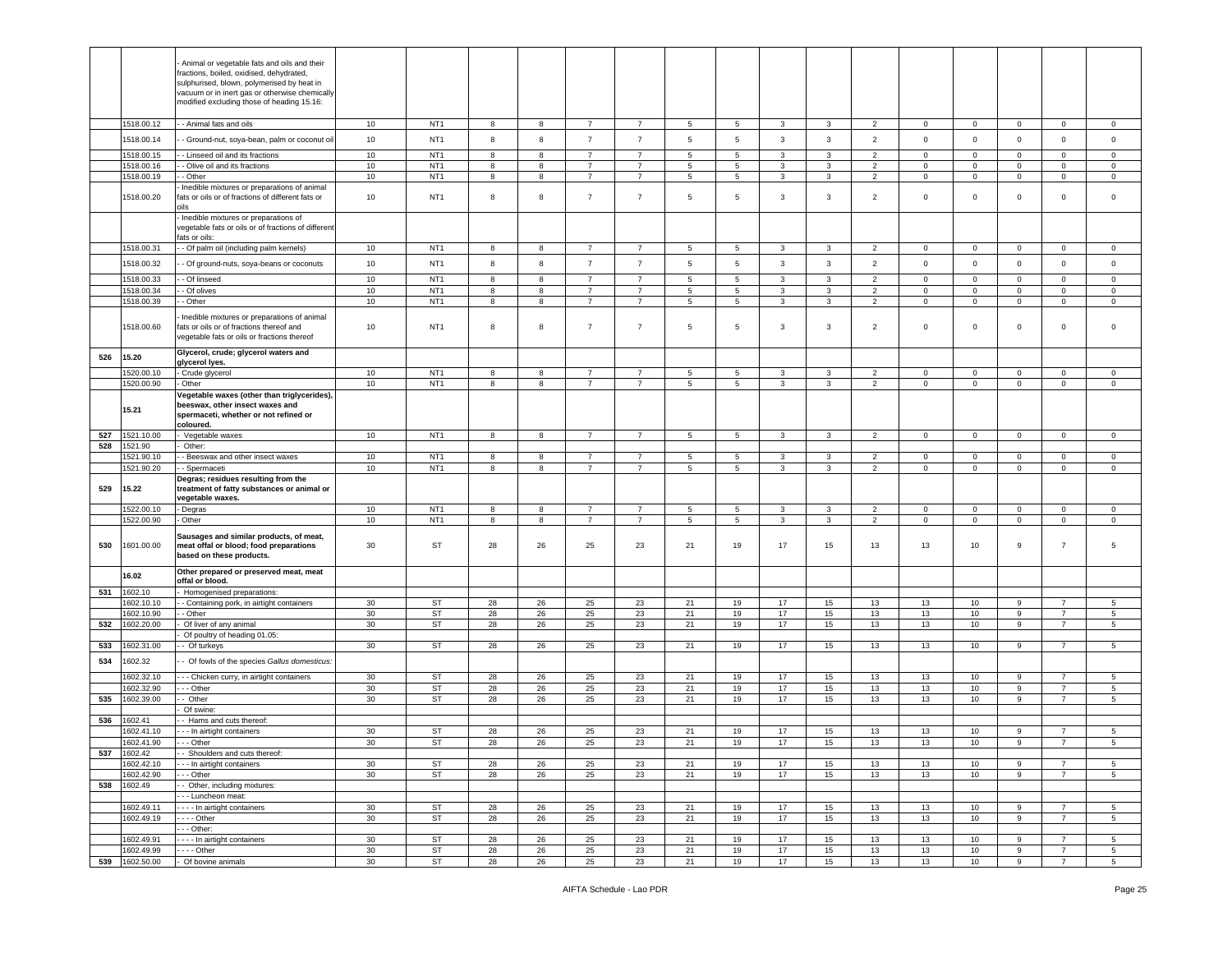|     |                              | Animal or vegetable fats and oils and their<br>ractions, boiled, oxidised, dehydrated,<br>sulphurised, blown, polymerised by heat in<br>vacuum or in inert gas or otherwise chemically<br>modified excluding those of heading 15.16: |                       |                       |          |          |                      |                      |                       |          |              |              |                      |                   |                   |                  |                                   |                                    |
|-----|------------------------------|--------------------------------------------------------------------------------------------------------------------------------------------------------------------------------------------------------------------------------------|-----------------------|-----------------------|----------|----------|----------------------|----------------------|-----------------------|----------|--------------|--------------|----------------------|-------------------|-------------------|------------------|-----------------------------------|------------------------------------|
|     | 1518.00.12                   | - Animal fats and oils                                                                                                                                                                                                               | 10                    | NT <sub>1</sub>       | 8        | 8        | $\overline{7}$       | 7                    | 5                     | 5        | $\mathbf{3}$ | 3            | $\overline{2}$       | $\mathbf 0$       | $\mathbf 0$       | $\mathbf{0}$     | $\mathbf 0$                       | $\mathbf 0$                        |
|     | 1518.00.14                   | - Ground-nut, soya-bean, palm or coconut oil                                                                                                                                                                                         | 10                    | NT <sub>1</sub>       | 8        | 8        | $\overline{7}$       | $\overline{7}$       | 5                     | 5        | 3            | 3            | $\overline{2}$       | $\mathbf 0$       | $\mathbf 0$       | $\mathbf 0$      | $\mathbf 0$                       | $\overline{0}$                     |
|     | 1518.00.15                   | - Linseed oil and its fractions                                                                                                                                                                                                      | $10$                  | NT <sub>1</sub>       | 8        | 8        | $\overline{7}$       | $\overline{7}$       | $\overline{5}$        | 5        | 3            | $\mathbf{3}$ | $\overline{2}$       | $\mathbf 0$       | $\mathbf 0$       | $\mathbf 0$      | $\mathbf 0$                       | $\,0\,$                            |
|     | 1518.00.16                   | - Olive oil and its fractions                                                                                                                                                                                                        | 10                    | NT <sub>1</sub>       | 8        | 8        | $\overline{7}$       | $\overline{7}$       | 5                     | 5        | 3            | 3            | $\overline{2}$       | $\mathbf 0$       | $\mathbf 0$       | $\mathbf 0$      | $\mathbf 0$                       | $\overline{0}$                     |
|     | 1518.00.19                   | - Other                                                                                                                                                                                                                              | 10                    | NT <sub>1</sub>       | 8        | 8        | $\overline{7}$       | 7                    | 5                     | 5        | 3            | 3            | 2                    | $\mathbf 0$       | $\mathbf{0}$      | 0                | $\mathbf 0$                       | $\mathbf 0$                        |
|     | 1518.00.20                   | Inedible mixtures or preparations of animal<br>ats or oils or of fractions of different fats or                                                                                                                                      | 10                    | NT <sub>1</sub>       | 8        | 8        | $\overline{7}$       | $\overline{7}$       | $\overline{5}$        | 5        | 3            | 3            | $\overline{2}$       | $\,0\,$           | 0                 | 0                | $\pmb{0}$                         | $\overline{0}$                     |
|     |                              | Inedible mixtures or preparations of<br>vegetable fats or oils or of fractions of different<br>fats or oils:                                                                                                                         |                       |                       |          |          |                      |                      |                       |          |              |              |                      |                   |                   |                  |                                   |                                    |
|     | 1518.00.31                   | - Of palm oil (including palm kernels)                                                                                                                                                                                               | 10                    | NT <sub>1</sub>       | 8        | 8        | $\overline{7}$       | $\overline{7}$       | 5                     | 5        | $\mathbf{3}$ | $\mathbf{3}$ | $\overline{2}$       | $\mathsf 0$       | $\mathsf 0$       | $\mathbf 0$      | $\mathbf 0$                       | $\,0\,$                            |
|     | 1518.00.32                   | - Of ground-nuts, soya-beans or coconuts                                                                                                                                                                                             | 10                    | NT <sub>1</sub>       | 8        | 8        | $\overline{7}$       | $\overline{7}$       | 5                     | 5        | 3            | 3            | $\overline{2}$       | $\mathbf 0$       | $\mathbf 0$       | $\mathbf 0$      | $\mathbf 0$                       | $\overline{0}$                     |
|     | 1518.00.33                   | - Of linseed                                                                                                                                                                                                                         | 10                    | NT <sub>1</sub>       | 8        | 8        | $\overline{7}$       | $\overline{7}$       | 5                     | 5        | 3            | 3            | 2                    | $\mathbf 0$       | 0                 | 0                | $\mathbf 0$                       | $\overline{0}$                     |
|     | 1518.00.34                   | - Of olives                                                                                                                                                                                                                          | 10                    | NT <sub>1</sub>       | 8        | 8        | $\overline{7}$       | $\overline{7}$       | $5\phantom{.0}$       | 5        | $\mathbf{3}$ | 3            | $\overline{2}$       | $\mathbf 0$       | $\mathsf 0$       | $\mathbf 0$      | $\mathbf 0$                       | $\,0\,$                            |
|     | 1518.00.39                   | - Other                                                                                                                                                                                                                              | 10                    | NT <sub>1</sub>       | 8        | 8        | $\overline{7}$       | $\overline{7}$       | 5                     | 5        | 3            | 3            | $\overline{2}$       | $\mathbf 0$       | $\mathsf 0$       | $\mathbf 0$      | $\pmb{0}$                         | $\,0\,$                            |
|     | 1518.00.60                   | Inedible mixtures or preparations of animal<br>fats or oils or of fractions thereof and<br>vegetable fats or oils or fractions thereof                                                                                               | 10                    | NT <sub>1</sub>       | 8        | 8        | $\overline{7}$       | $\overline{7}$       | 5                     | 5        | 3            | 3            | $\overline{2}$       | $\mathsf 0$       | 0                 | $\mathbf 0$      | $\mathbf 0$                       | $\overline{0}$                     |
| 526 | 15.20                        | Glycerol, crude; glycerol waters and                                                                                                                                                                                                 |                       |                       |          |          |                      |                      |                       |          |              |              |                      |                   |                   |                  |                                   |                                    |
|     |                              | glycerol lyes.                                                                                                                                                                                                                       |                       |                       |          |          |                      |                      |                       |          |              |              |                      |                   |                   |                  |                                   |                                    |
|     | 1520.00.10                   | Crude glycerol                                                                                                                                                                                                                       | 10                    | NT <sub>1</sub>       | 8        | 8        | $\overline{7}$       | 7                    | 5                     | 5        | 3            | 3            | 2                    | $\mathbf 0$       | 0                 | 0                | $\mathbf 0$                       | $\overline{0}$                     |
|     | 1520.00.90                   | Other                                                                                                                                                                                                                                | 10                    | NT <sub>1</sub>       | 8        | 8        | $\overline{7}$       | $\overline{7}$       | $\,$ 5 $\,$           | 5        | $_{\rm 3}$   | 3            | $\overline{2}$       | $\mathsf 0$       | $\mathsf 0$       | $\mathsf 0$      | $\mathbf 0$                       | $\,0\,$                            |
|     | 15.21                        | Vegetable waxes (other than triglycerides),<br>beeswax, other insect waxes and<br>spermaceti, whether or not refined or<br>coloured.                                                                                                 |                       |                       |          |          |                      |                      |                       |          |              |              |                      |                   |                   |                  |                                   |                                    |
| 527 | 1521.10.00                   | Vegetable waxes                                                                                                                                                                                                                      | 10                    | NT <sub>1</sub>       | 8        | 8        | $\overline{7}$       | $\overline{7}$       | 5                     | 5        | $\mathbf{3}$ | $\mathbf{3}$ | $\overline{2}$       | $\mathsf 0$       | $\mathsf 0$       | $\mathbf 0$      | $\mathbf 0$                       | $\,0\,$                            |
| 528 | 1521.90                      | Other:                                                                                                                                                                                                                               |                       |                       |          |          |                      |                      |                       |          |              |              |                      |                   |                   |                  |                                   |                                    |
|     | 1521.90.10                   | - Beeswax and other insect waxes                                                                                                                                                                                                     | 10                    | NT <sub>1</sub>       | 8        | 8        | $\overline{7}$       | $\overline{7}$       | 5                     | 5        | 3            | 3            | 2                    | $\mathbf 0$       | 0                 | 0                | $\mathbf 0$                       | $\overline{0}$                     |
|     | 521.90.20                    | - Spermaceti                                                                                                                                                                                                                         | 10                    | NT <sub>1</sub>       | 8        | 8        | $\overline{7}$       | $\overline{7}$       | $\sqrt{5}$            | 5        | 3            | 3            | $\overline{2}$       | $\mathsf 0$       | $\mathbf 0$       | $\mathsf 0$      | $\mathbf 0$                       | $\,0\,$                            |
| 529 | 15.22                        | Degras; residues resulting from the<br>treatment of fatty substances or animal or<br>vegetable waxes.                                                                                                                                |                       |                       |          |          |                      |                      |                       |          |              |              |                      |                   |                   |                  |                                   |                                    |
|     | 1522.00.10                   | - Degras                                                                                                                                                                                                                             | $10\,$                | NT <sub>1</sub>       | 8        | 8        | $\overline{7}$       | $\overline{7}$       | 5                     | 5        | 3            | $\mathbf{3}$ | $\overline{2}$       | $\mathbf 0$       | $\mathbf 0$       | $\mathbf 0$      | $\mathbf 0$                       | $\circ$                            |
| 530 | 1522.00.90<br>601.00.00      | Other<br>Sausages and similar products, of meat,<br>meat offal or blood; food preparations<br>based on these products.                                                                                                               | $10$<br>30            | NT <sub>1</sub><br>ST | 8<br>28  | 8<br>26  | $\overline{7}$<br>25 | $\overline{7}$<br>23 | $5\phantom{.0}$<br>21 | 5<br>19  | 3<br>17      | 3<br>15      | $\overline{c}$<br>13 | $\mathbf 0$<br>13 | $\mathsf 0$<br>10 | $\mathbf 0$<br>9 | $\mathbf 0$<br>$\overline{7}$     | $\,0\,$<br>5                       |
|     | 16.02                        | Other prepared or preserved meat, meat<br>offal or blood.                                                                                                                                                                            |                       |                       |          |          |                      |                      |                       |          |              |              |                      |                   |                   |                  |                                   |                                    |
| 531 | 1602.10                      | Homogenised preparations:                                                                                                                                                                                                            |                       |                       |          |          |                      |                      |                       |          |              |              |                      |                   |                   |                  |                                   |                                    |
|     | 1602.10.10                   | - Containing pork, in airtight containers                                                                                                                                                                                            | 30                    | ST                    | 28       | 26       | 25                   | 23                   | 21                    | 19       | 17           | 15           | 13                   | 13                | 10                | 9                | $\overline{7}$                    | 5                                  |
|     | 1602.10.90                   | - Other                                                                                                                                                                                                                              | 30                    | ST                    | 28       | 26       | 25                   | 23                   | 21                    | 19       | 17           | 15           | 13                   | 13                | 10                | 9                | $\overline{7}$                    | 5                                  |
| 532 | 1602.20.00                   | Of liver of any animal                                                                                                                                                                                                               | 30                    | ST                    | 28       | 26       | 25                   | 23                   | 21                    | 19       | 17           | 15           | 13                   | 13                | 10                | 9                | -7                                | 5                                  |
| 533 | 1602.31.00                   | Of poultry of heading 01.05:<br>- Of turkeys                                                                                                                                                                                         | 30                    | ST                    | 28       | 26       | 25                   | 23                   | 21                    | 19       | 17           | 15           | 13                   | 13                | 10                | 9                | $\overline{7}$                    | 5                                  |
| 534 | 1602.32                      | - Of fowls of the species Gallus domesticus:                                                                                                                                                                                         |                       |                       |          |          |                      |                      |                       |          |              |              |                      |                   |                   |                  |                                   |                                    |
|     | 1602.32.10                   | - - - Chicken curry, in airtight containers                                                                                                                                                                                          | 30                    | ST                    | 28       | 26       | 25                   | 23                   | 21                    | 19       | 17           | 15           | 13                   | 13                | 10                | 9                | $\overline{7}$                    | 5                                  |
|     | 1602.32.90                   | - - Other                                                                                                                                                                                                                            | 30                    | ST                    | 28       | 26       | 25                   | 23                   | 21                    | 19       | 17           | 15           | 13                   | 13                | 10                | 9                | $\overline{7}$                    | $5\phantom{.0}$                    |
| 535 | 1602.39.00                   | - Other                                                                                                                                                                                                                              | 30                    | ST                    | 28       | 26       | 25                   | 23                   | 21                    | 19       | 17           | 15           | 13                   | 13                | 10                | 9                | $\overline{7}$                    | $5\phantom{.0}$                    |
|     |                              | Of swine:                                                                                                                                                                                                                            |                       |                       |          |          |                      |                      |                       |          |              |              |                      |                   |                   |                  |                                   |                                    |
| 536 | 1602.41                      | - Hams and cuts thereof:                                                                                                                                                                                                             |                       |                       |          |          |                      |                      |                       |          |              |              |                      |                   |                   |                  |                                   |                                    |
|     | 1602.41.10                   | - - - In airtight containers                                                                                                                                                                                                         | 30                    | ST                    | 28       | 26       | 25                   | 23                   | 21                    | 19       | 17           | 15           | 13                   | 13                | 10                | 9                | $\overline{7}$                    | $\overline{5}$                     |
|     | 1602.41.90                   | $- -$ Other                                                                                                                                                                                                                          | 30                    | <b>ST</b>             | 28       | 26       | 25                   | 23                   | 21                    | 19       | 17           | 15           | 13                   | 13                | 10                | 9                | 7                                 | 5                                  |
| 537 | 1602.42                      | - Shoulders and cuts thereof:                                                                                                                                                                                                        |                       |                       |          |          |                      |                      |                       |          |              |              |                      |                   |                   |                  |                                   |                                    |
|     | 1602.42.10                   | --- In airtight containers                                                                                                                                                                                                           | 30                    | ST                    | 28       | 26       | 25                   | 23                   | 21                    | 19       | 17           | 15           | 13                   | 13                | 10                | 9                | $\overline{7}$                    | $5\overline{5}$                    |
|     | 1602.42.90                   | - - Other                                                                                                                                                                                                                            | 30                    | <b>ST</b>             | 28       | 26       | 25                   | 23                   | 21                    | 19       | 17           | 15           | 13                   | 13                | 10                | 9                | $\overline{7}$                    | 5                                  |
| 538 | 1602.49                      | - Other, including mixtures:<br>- - - Luncheon meat:                                                                                                                                                                                 |                       |                       |          |          |                      |                      |                       |          |              |              |                      |                   |                   |                  |                                   |                                    |
|     | 1602.49.11                   | - - - - In airtight containers                                                                                                                                                                                                       | 30                    | ST                    | 28       | 26       | 25                   | 23                   | 21                    | 19       | 17           | 15           | 13                   | 13                | 10                | 9                | $\overline{7}$                    | 5                                  |
|     | 1602.49.19                   | $---$ Other                                                                                                                                                                                                                          | $30\,$                | <b>ST</b>             | 28       | 26       | 25                   | 23                   | 21                    | 19       | 17           | 15           | 13                   | 13                | 10                | 9                | $\overline{7}$                    | $\sqrt{5}$                         |
|     |                              | - - - Other:                                                                                                                                                                                                                         |                       |                       |          |          |                      |                      |                       |          |              |              |                      |                   |                   |                  |                                   |                                    |
|     | 1602.49.91                   | In airtight containers                                                                                                                                                                                                               | 30                    | ST                    | 28       | 26       | 25                   | 23                   | 21                    | 19       | 17           | 15           | 13                   | 13                | 10                | 9                | $\overline{7}$                    | 5                                  |
|     | 1602.49.99<br>539 1602.50.00 | $---$ Other<br>Of bovine animals                                                                                                                                                                                                     | 30<br>30 <sup>°</sup> | <b>ST</b><br>ST       | 28<br>28 | 26<br>26 | 25<br>25             | 23<br>23             | 21<br>21              | 19<br>19 | 17<br>17     | 15<br>15     | 13<br>13             | 13<br>13          | 10<br>10          | 9<br>9           | $\overline{7}$<br>$7\overline{ }$ | $5\phantom{.0}$<br>$5\overline{5}$ |
|     |                              |                                                                                                                                                                                                                                      |                       |                       |          |          |                      |                      |                       |          |              |              |                      |                   |                   |                  |                                   |                                    |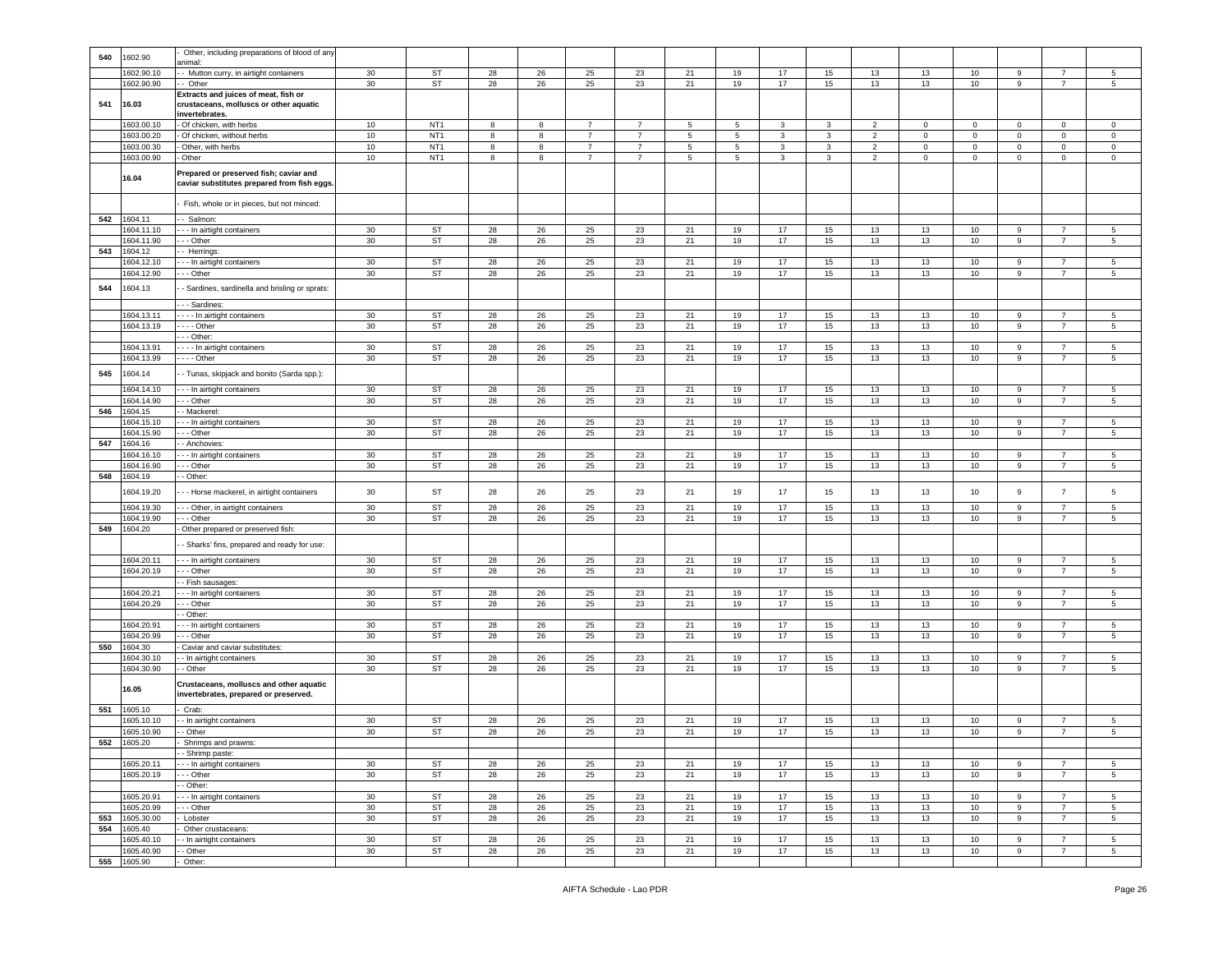| 540 | 1602.90                   | Other, including preparations of blood of any<br>animal:                                  |                 |                        |          |            |                |                |                 |            |          |          |                |             |              |                  |                                  |                 |
|-----|---------------------------|-------------------------------------------------------------------------------------------|-----------------|------------------------|----------|------------|----------------|----------------|-----------------|------------|----------|----------|----------------|-------------|--------------|------------------|----------------------------------|-----------------|
|     | 1602.90.10                | - Mutton curry, in airtight containers                                                    | 30              | <b>ST</b>              | 28       | 26         | 25             | 23             | 21              | 19         | 17       | 15       | 13             | 13          | 10           | 9                | $\overline{7}$                   | 5               |
| 541 | 1602.90.90<br>16.03       | - Other<br>Extracts and juices of meat, fish or<br>crustaceans, molluscs or other aquatic | 30              | ST                     | 28       | 26         | 25             | 23             | 21              | 19         | 17       | 15       | 13             | 13          | 10           | $\mathsf g$      | $\overline{7}$                   | 5               |
|     | 1603.00.10                | invertebrates.<br>Of chicken, with herbs                                                  | $10\,$          | NT <sub>1</sub>        | 8        | 8          | $\overline{7}$ | $\overline{7}$ | 5               | 5          | 3        | 3        | 2              | $\mathbf 0$ | $\mathbf 0$  | $\mathbf 0$      | $\mathbf 0$                      | $\mathbf 0$     |
|     | 1603.00.20                | Of chicken, without herbs                                                                 | 10              | NT <sub>1</sub>        | 8        | 8          | $\overline{7}$ | $\overline{7}$ | 5               | 5          | 3        | 3        | $\overline{2}$ | $\mathbf 0$ | $\mathbf{0}$ | $\mathbf 0$      | 0                                | $\mathbf 0$     |
|     | 1603.00.30                | Other, with herbs                                                                         | 10              | NT <sub>1</sub>        | 8        | 8          | 7              | 7              | 5               | 5          | 3        | 3        | $\overline{2}$ | $\mathbf 0$ | $\mathbf 0$  | $\mathbf 0$      | 0                                | $\mathbf 0$     |
|     | 1603.00.90                | Other                                                                                     | 10              | NT <sub>1</sub>        | 8        | 8          | $\overline{7}$ | $\overline{7}$ | $5\phantom{.0}$ | $\sqrt{5}$ | 3        | 3        | $\overline{2}$ | $\mathbf 0$ | $\mathsf 0$  | $\mathbf 0$      | 0                                | $\mathbf 0$     |
|     | 16.04                     | Prepared or preserved fish; caviar and<br>caviar substitutes prepared from fish eggs      |                 |                        |          |            |                |                |                 |            |          |          |                |             |              |                  |                                  |                 |
|     |                           | Fish, whole or in pieces, but not minced:                                                 |                 |                        |          |            |                |                |                 |            |          |          |                |             |              |                  |                                  |                 |
| 542 | 1604.11                   | - Salmon:                                                                                 |                 |                        |          |            |                |                |                 |            |          |          |                |             |              |                  |                                  |                 |
|     | 1604.11.10<br>1604.11.90  | - - In airtight containers<br>- - Other                                                   | 30<br>30        | ST<br><b>ST</b>        | 28<br>28 | 26<br>26   | 25<br>25       | 23<br>23       | 21<br>21        | 19<br>19   | 17<br>17 | 15<br>15 | 13<br>13       | 13<br>13    | 10<br>10     | 9<br>9           | $\overline{7}$<br>$\overline{7}$ | 5<br>5          |
| 543 | 1604.12                   | - Herrings                                                                                |                 |                        |          |            |                |                |                 |            |          |          |                |             |              |                  |                                  |                 |
|     | 1604.12.10                | - - In airtight containers                                                                | 30              | ST                     | 28       | 26         | 25             | 23             | 21              | 19         | 17       | 15       | 13             | 13          | 10           | 9                | $\overline{7}$                   | 5               |
|     | 1604.12.90                | - - Other                                                                                 | 30              | <b>ST</b>              | 28       | 26         | 25             | 23             | 21              | 19         | 17       | 15       | 13             | 13          | 10           | 9                | $\overline{7}$                   | 5               |
| 544 | 1604.13                   | - Sardines, sardinella and brisling or sprats:                                            |                 |                        |          |            |                |                |                 |            |          |          |                |             |              |                  |                                  |                 |
|     |                           | - - Sardines:                                                                             |                 |                        |          |            |                |                |                 |            |          |          |                |             |              |                  |                                  |                 |
|     | 1604.13.11<br>1604.13.19  | - - - In airtight containers<br>$- -$ Other                                               | 30<br>30        | <b>ST</b><br><b>ST</b> | 28<br>28 | 26<br>26   | 25<br>25       | 23<br>23       | 21<br>21        | 19<br>19   | 17<br>17 | 15<br>15 | 13<br>13       | 13<br>13    | 10<br>10     | 9<br>$\mathsf g$ | $\overline{7}$                   | 5<br>5          |
|     |                           | - - Other:                                                                                |                 |                        |          |            |                |                |                 |            |          |          |                |             |              |                  |                                  |                 |
|     | 1604.13.91                | - - - In airtight containers                                                              | 30              | <b>ST</b>              | 28       | 26         | 25             | 23             | 21              | 19         | 17       | 15       | 13             | 13          | 10           | 9                | $\overline{7}$                   | 5               |
|     | 1604.13.99                | $--$ Other                                                                                | 30              | ST                     | 28       | 26         | 25             | 23             | 21              | 19         | 17       | 15       | 13             | 13          | 10           | $\boldsymbol{9}$ | $\overline{7}$                   | 5               |
| 545 | 1604.14                   | - Tunas, skipjack and bonito (Sarda spp.):                                                |                 |                        |          |            |                |                |                 |            |          |          |                |             |              |                  |                                  |                 |
|     | 1604.14.10                | - - In airtight containers                                                                | 30              | ST                     | 28       | 26         | 25             | 23             | 21              | 19         | 17       | 15       | 13             | 13          | 10           | 9                | 7                                | 5               |
|     | 1604.14.90                | - - Other                                                                                 | 30              | ST                     | 28       | 26         | 25             | 23             | 21              | 19         | 17       | 15       | 13             | 13          | 10           | $\mathsf g$      | $\overline{7}$                   | 5               |
| 546 | 1604.15<br>1604.15.10     | - Mackerel:<br>- - In airtight containers                                                 | 30              | ST                     | 28       | 26         | 25             | 23             | 21              | 19         | 17       | 15       | 13             | 13          | 10           | 9                | $\overline{7}$                   | 5               |
|     | 1604.15.90                | - - Other                                                                                 | 30              | ST                     | 28       | 26         | 25             | 23             | 21              | 19         | 17       | 15       | 13             | 13          | 10           | 9                | $\overline{7}$                   | 5               |
| 547 | 1604.16                   | - Anchovies:                                                                              |                 |                        |          |            |                |                |                 |            |          |          |                |             |              |                  |                                  |                 |
|     | 1604.16.10                | - - In airtight containers                                                                | 30              | ST                     | 28       | 26         | 25             | 23             | 21              | 19         | 17       | 15       | 13             | 13          | 10           | 9                | 7                                | 5               |
|     | 1604.16.90                | - - Other                                                                                 | 30              | ST                     | 28       | ${\bf 26}$ | 25             | 23             | 21              | 19         | 17       | $15\,$   | 13             | 13          | 10           | 9                | $\overline{7}$                   | 5               |
| 548 | 1604.19                   | - Other:                                                                                  |                 |                        |          |            |                |                |                 |            |          |          |                |             |              |                  |                                  |                 |
|     | 1604.19.20                | - - Horse mackerel, in airtight containers                                                | 30              | ST                     | 28       | 26         | 25             | 23             | 21              | 19         | 17       | 15       | 13             | 13          | 10           | $\mathsf g$      | $\overline{7}$                   | 5               |
|     | 1604.19.30<br>1604.19.90  | --- Other, in airtight containers<br>- - Other                                            | 30<br>30        | ST<br><b>ST</b>        | 28<br>28 | 26<br>26   | 25<br>25       | 23<br>23       | 21<br>21        | 19<br>19   | 17<br>17 | 15<br>15 | 13<br>13       | 13<br>13    | 10<br>10     | 9<br>9           | $\overline{7}$<br>$\overline{7}$ | 5<br>5          |
|     | 549 1604.20               | Other prepared or preserved fish:                                                         |                 |                        |          |            |                |                |                 |            |          |          |                |             |              |                  |                                  |                 |
|     |                           |                                                                                           |                 |                        |          |            |                |                |                 |            |          |          |                |             |              |                  |                                  |                 |
|     |                           | - Sharks' fins, prepared and ready for use:                                               |                 |                        |          |            |                |                |                 |            |          |          |                |             |              |                  |                                  |                 |
|     | 1604.20.11                | - - In airtight containers                                                                | 30              | <b>ST</b>              | 28       | 26         | 25             | 23             | 21              | 19         | 17       | 15       | 13             | 13          | 10           | 9                | $\overline{7}$                   | 5               |
|     | 1604.20.19                | - - Other<br>- Fish sausages:                                                             | 30 <sup>°</sup> | ST                     | 28       | 26         | 25             | 23             | 21              | 19         | 17       | 15       | 13             | 13          | 10           | $\boldsymbol{9}$ | $\overline{7}$                   | $5\phantom{.0}$ |
|     | 1604.20.21                | - - In airtight containers                                                                | 30              | ST                     | 28       | 26         | 25             | 23             | 21              | 19         | 17       | 15       | 13             | 13          | 10           | 9                | $\overline{7}$                   | 5               |
|     | 1604.20.29                | - - Other                                                                                 | 30              | ST                     | 28       | 26         | 25             | 23             | 21              | 19         | 17       | 15       | 13             | 13          | 10           | 9                | $\overline{7}$                   | $5\phantom{.0}$ |
|     |                           | Other:                                                                                    |                 |                        |          |            |                |                |                 |            |          |          |                |             |              |                  |                                  |                 |
|     | 1604.20.91                | - In airtight containers                                                                  | 30              | ST                     | 28       | 26         | 25             | 23             | 21              | 19         | 17       | 15       | 13             | 13          | 10           | 9                | $\overline{7}$<br>$\overline{7}$ | 5               |
| 550 | 1604.20.99<br>1604.30     | - - Other<br>Caviar and caviar substitutes:                                               | 30              | ST                     | 28       | 26         | 25             | 23             | 21              | 19         | 17       | 15       | 13             | 13          | 10           | 9                |                                  | 5               |
|     | 1604.30.10                | - In airtight containers                                                                  | 30              | ST                     | 28       | 26         | 25             | 23             | 21              | 19         | 17       | 15       | 13             | 13          | 10           | 9                | $\overline{7}$                   | 5               |
|     | 1604.30.90                | - Other                                                                                   | 30              | ST                     | 28       | 26         | 25             | 23             | 21              | 19         | 17       | 15       | 13             | 13          | 10           | 9                | $\overline{7}$                   | 5               |
|     | 16.05                     | Crustaceans, molluscs and other aquatic<br>invertebrates, prepared or preserved.          |                 |                        |          |            |                |                |                 |            |          |          |                |             |              |                  |                                  |                 |
| 551 | 1605.10                   | Crab:                                                                                     |                 |                        |          |            |                |                |                 |            |          |          |                |             |              |                  |                                  |                 |
|     | 1605.10.10                | - In airtight containers                                                                  | 30              | <b>ST</b>              | 28       | 26         | 25             | 23             | 21              | 19         | 17       | 15       | 13             | 13          | 10           | 9                | 7                                | 5               |
|     | 1605.10.90                | - Other                                                                                   | 30              | ST                     | 28       | 26         | 25             | 23             | 21              | 19         | 17       | 15       | 13             | 13          | 10           | 9                | $\overline{7}$                   | 5               |
|     | 552 1605.20               | Shrimps and prawns:<br>- Shrimp paste:                                                    |                 |                        |          |            |                |                |                 |            |          |          |                |             |              |                  |                                  |                 |
|     | 1605.20.11                | -- In airtight containers                                                                 | 30              | ST                     | 28       | 26         | 25             | 23             | 21              | 19         | 17       | 15       | 13             | 13          | 10           | 9                | $\overline{7}$                   | $5\overline{5}$ |
|     | 1605.20.19                | - - Other                                                                                 | 30              | ST                     | 28       | 26         | 25             | 23             | 21              | 19         | 17       | 15       | 13             | 13          | 10           | $\boldsymbol{9}$ | $\overline{7}$                   | $5\phantom{.0}$ |
|     |                           | - Other:                                                                                  |                 |                        |          |            |                |                |                 |            |          |          |                |             |              |                  |                                  |                 |
|     | 1605.20.91                | -- In airtight containers                                                                 | 30              | ST                     | 28       | 26         | 25             | 23             | 21              | 19         | 17       | 15       | 13             | 13          | 10           | 9                | $\overline{7}$                   | $5\overline{5}$ |
|     | 1605.20.99                | - - Other                                                                                 | 30              | <b>ST</b>              | 28       | 26         | 25             | 23             | 21              | 19         | 17       | 15       | 13             | 13          | 10           | 9                | $\overline{7}$<br>$\overline{7}$ | $5\phantom{.0}$ |
| 553 | 1605.30.00<br>554 1605.40 | Lobster<br>Other crustaceans:                                                             | 30 <sup>°</sup> | ST                     | 28       | 26         | 25             | 23             | 21              | 19         | 17       | 15       | 13             | 13          | 10           | 9                |                                  | $5\phantom{.0}$ |
|     | 1605.40.10                | - In airtight containers                                                                  | 30              | ST                     | 28       | 26         | 25             | 23             | 21              | 19         | 17       | 15       | 13             | 13          | 10           | 9                | $\overline{7}$                   | $5\phantom{.0}$ |
|     | 1605.40.90                | - Other                                                                                   | 30              | ST                     | 28       | 26         | 25             | 23             | 21              | 19         | 17       | 15       | 13             | 13          | 10           | 9                | $\overline{7}$                   | 5 <sub>5</sub>  |
|     | 555 1605.90               | Other:                                                                                    |                 |                        |          |            |                |                |                 |            |          |          |                |             |              |                  |                                  |                 |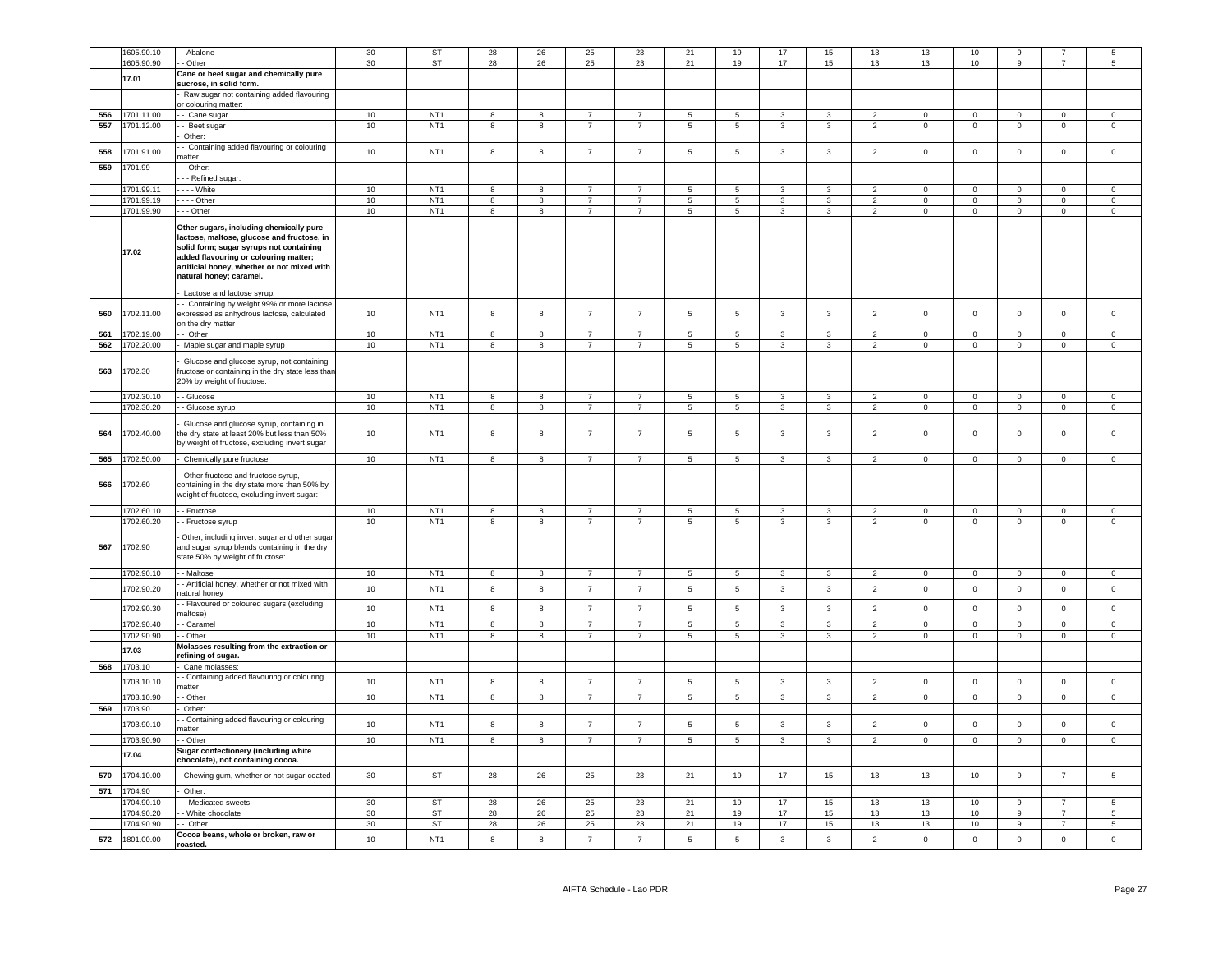|            | 1605.90.10              | - Abalone                                                                                                                                                                                                                                           | 30 | <b>ST</b>              | 28             | 26                      | 25             | 23              | 21              | 19              | 17             | 15                      | 13             | 13             | 10             |                |                     |                |
|------------|-------------------------|-----------------------------------------------------------------------------------------------------------------------------------------------------------------------------------------------------------------------------------------------------|----|------------------------|----------------|-------------------------|----------------|-----------------|-----------------|-----------------|----------------|-------------------------|----------------|----------------|----------------|----------------|---------------------|----------------|
|            | 1605.90.90              | - Other                                                                                                                                                                                                                                             | 30 | <b>ST</b>              | 28             | 26                      | 25             | 23              | 21              | 19              | 17             | 15                      | 13             | 13             | 10             | 9              | $\overline{7}$      | 5              |
|            |                         | Cane or beet sugar and chemically pure                                                                                                                                                                                                              |    |                        |                |                         |                |                 |                 |                 |                |                         |                |                |                |                |                     |                |
|            | 17.01                   | sucrose, in solid form.                                                                                                                                                                                                                             |    |                        |                |                         |                |                 |                 |                 |                |                         |                |                |                |                |                     |                |
|            |                         | Raw sugar not containing added flavouring<br>or colouring matter:                                                                                                                                                                                   |    |                        |                |                         |                |                 |                 |                 |                |                         |                |                |                |                |                     |                |
| 556        | 1701.11.00              | - Cane sugar                                                                                                                                                                                                                                        | 10 | NT <sub>1</sub>        | 8              | 8                       |                |                 | $5\overline{5}$ | $\overline{5}$  |                |                         | $\overline{2}$ | $\Omega$       | $\Omega$       | $\Omega$       | $\Omega$            | $\Omega$       |
| 557        | 1701.12.00              | - Beet sugar                                                                                                                                                                                                                                        | 10 | NT <sub>1</sub>        | 8              | 8                       | $\overline{7}$ | $\overline{7}$  | $5\overline{5}$ | $5\phantom{.0}$ | 3              | 3                       | $\overline{2}$ | $\circ$        | $\overline{0}$ | $\mathsf 0$    | $\mathbf 0$         | $\mathsf 0$    |
|            |                         | Other:                                                                                                                                                                                                                                              |    |                        |                |                         |                |                 |                 |                 |                |                         |                |                |                |                |                     |                |
| 558        | 1701.91.00              | - Containing added flavouring or colouring<br>natter                                                                                                                                                                                                | 10 | NT <sub>1</sub>        | 8              | 8                       | $\overline{7}$ | $\overline{7}$  | 5               | 5               | 3              | $\mathbf{3}$            | $\overline{2}$ | $\mathsf 0$    | $\circ$        | $\mathsf 0$    | $\circ$             | $\mathsf 0$    |
| 559        | 1701.99                 | - Other:                                                                                                                                                                                                                                            |    |                        |                |                         |                |                 |                 |                 |                |                         |                |                |                |                |                     |                |
|            |                         | - - Refined sugar:                                                                                                                                                                                                                                  |    |                        |                |                         |                |                 |                 |                 |                |                         |                |                |                |                |                     |                |
|            | 1701.99.11              | --- White                                                                                                                                                                                                                                           | 10 | NT <sub>1</sub>        | 8              | 8                       | $\overline{7}$ | $\overline{7}$  | $5\overline{5}$ | 5 <sub>5</sub>  | $\mathbf{3}$   | 3                       | $2^{\circ}$    | $\overline{0}$ | $\overline{0}$ | $\overline{0}$ | $\mathbf{0}$        | $\overline{0}$ |
|            | 1701.99.19              | $- -$ Other                                                                                                                                                                                                                                         | 10 | NT <sub>1</sub>        | 8              | 8                       | $\overline{7}$ | $\overline{7}$  | $5\overline{5}$ | $5\overline{5}$ | 3              | 3                       | $\overline{2}$ | $\overline{0}$ | $\overline{0}$ | $\mathsf 0$    | $\mathbf{0}$        | $\mathbf{0}$   |
|            | 1701.99.90              | $-$ Other                                                                                                                                                                                                                                           | 10 | NT <sub>1</sub>        | 8              | 8                       | $\overline{7}$ | $\overline{7}$  | $5\overline{5}$ | $5\overline{5}$ | $\mathbf{3}$   | $\mathbf{3}$            | $\overline{2}$ | $\overline{0}$ | $\overline{0}$ | $\overline{0}$ | $\overline{0}$      | $\overline{0}$ |
|            | 17.02                   | Other sugars, including chemically pure<br>lactose, maltose, glucose and fructose, in<br>solid form; sugar syrups not containing<br>added flavouring or colouring matter;<br>artificial honey, whether or not mixed with<br>natural honey; caramel. |    |                        |                |                         |                |                 |                 |                 |                |                         |                |                |                |                |                     |                |
|            |                         | Lactose and lactose syrup:                                                                                                                                                                                                                          |    |                        |                |                         |                |                 |                 |                 |                |                         |                |                |                |                |                     |                |
| 560        | 1702.11.00              | - Containing by weight 99% or more lactose<br>expressed as anhydrous lactose, calculated<br>on the dry matter                                                                                                                                       | 10 | NT <sub>1</sub>        | 8              | 8                       | $\overline{7}$ | $\overline{7}$  | 5               | 5               | 3              | $\mathbf{3}$            | $\overline{2}$ | $\mathsf 0$    | $\mathbf 0$    | $\mathbf 0$    | $\mathsf 0$         | $\mathbf 0$    |
| 561        | 1702.19.00              | - Other                                                                                                                                                                                                                                             | 10 | NT <sub>1</sub>        | 8              | 8                       | $\overline{7}$ | $\overline{7}$  | $\sqrt{5}$      | $5\phantom{.0}$ | 3              | $\mathbf{3}$            | $\overline{2}$ | $\mathbf{0}$   | $\mathbf{0}$   | $\mathbf 0$    | $\mathbf{0}$        | $\circ$        |
| 562        | 1702.20.00              | Maple sugar and maple syrup                                                                                                                                                                                                                         | 10 | NT <sub>1</sub>        | $\overline{8}$ | 8                       | $\overline{7}$ | $\overline{7}$  | $5\overline{5}$ | 5               | 3              | $\mathbf{3}$            | $\overline{2}$ | $\circ$        | $\circ$        | $\mathsf 0$    | $\Omega$            | $\mathsf 0$    |
| 563        | 1702.30                 | Glucose and glucose syrup, not containing<br>ructose or containing in the dry state less than<br>20% by weight of fructose:                                                                                                                         |    |                        |                |                         |                |                 |                 |                 |                |                         |                |                |                |                |                     |                |
|            | 1702.30.10              |                                                                                                                                                                                                                                                     |    | NT <sub>1</sub>        | $\overline{8}$ | $\overline{\mathbf{8}}$ | $\overline{7}$ | $\overline{7}$  | $\overline{5}$  | $\overline{5}$  | 3              | $\overline{3}$          | $\overline{2}$ | $\overline{0}$ | $\overline{0}$ | $\overline{0}$ | $\overline{0}$      | $\Omega$       |
|            |                         | - Glucose                                                                                                                                                                                                                                           | 10 |                        |                |                         |                | $\overline{7}$  |                 |                 |                |                         |                |                |                |                |                     |                |
|            | 1702.30.20              | - Glucose syrup                                                                                                                                                                                                                                     | 10 | NT <sub>1</sub>        | $\overline{8}$ | $\overline{\mathbf{8}}$ | $\overline{7}$ |                 | $5\overline{)}$ | $\overline{5}$  | $\overline{3}$ | $\overline{3}$          | $\overline{2}$ | $\overline{0}$ | $\overline{0}$ | $\mathsf 0$    | $\circ$             | $\mathsf 0$    |
| 564        | 1702.40.00              | Glucose and glucose syrup, containing in<br>the dry state at least 20% but less than 50%<br>by weight of fructose, excluding invert sugar                                                                                                           | 10 | NT <sub>1</sub>        | 8              | 8                       | $\overline{7}$ | $\overline{7}$  | $\,$ 5 $\,$     | $\,$ 5 $\,$     | $_{\rm 3}$     | $\mathbf{3}$            | $\overline{2}$ | $\mathsf 0$    | $\mathbf 0$    | $\mathbf 0$    | $\mathsf 0$         | $\Omega$       |
| 565        | 1702.50.00              | Chemically pure fructose                                                                                                                                                                                                                            | 10 | NT <sub>1</sub>        | 8              | 8                       | $\overline{7}$ | $\overline{7}$  | $5\overline{5}$ | $5\overline{ }$ | $\mathbf{3}$   | $\mathbf{3}$            | $\overline{2}$ | $\mathsf 0$    | $\overline{0}$ | $\overline{0}$ | $\overline{0}$      | $\overline{0}$ |
| 566        | 1702.60                 | Other fructose and fructose syrup,<br>containing in the dry state more than 50% by<br>weight of fructose, excluding invert sugar:                                                                                                                   |    |                        |                |                         |                |                 |                 |                 |                |                         |                |                |                |                |                     |                |
|            | 1702.60.10              | - Fructose                                                                                                                                                                                                                                          | 10 | NT <sub>1</sub>        | 8              | 8                       | $\overline{7}$ | $\overline{7}$  | $5\overline{5}$ | $5\phantom{.0}$ | 3              | $\mathbf{3}$            | $\overline{2}$ | $\mathsf 0$    | $\mathbf 0$    | $\mathbf 0$    | $\overline{0}$      | $\overline{0}$ |
|            | 1702.60.20              | - Fructose syrup                                                                                                                                                                                                                                    | 10 | NT <sub>1</sub>        | $\overline{8}$ | $\overline{\mathbf{8}}$ | $\overline{7}$ | $\overline{7}$  | 5               | $\overline{5}$  | $\overline{3}$ | $\overline{3}$          | $\overline{2}$ | $\overline{0}$ | $\overline{0}$ | $\overline{0}$ | $\overline{0}$      | $\overline{0}$ |
| 567        | 1702.90                 | Other, including invert sugar and other sugar<br>and sugar syrup blends containing in the dry<br>state 50% by weight of fructose:                                                                                                                   |    |                        |                |                         |                |                 |                 |                 |                |                         |                |                |                |                |                     |                |
|            | 1702.90.10              | - Maltose                                                                                                                                                                                                                                           | 10 | NT <sub>1</sub>        | 8              | 8                       | -7             | $\overline{7}$  | 5               | 5               | 3              | 3                       | $\overline{2}$ | $\mathbf{0}$   | $\overline{0}$ | $\mathbf 0$    | $\overline{0}$      | $\mathbf{0}$   |
|            | 1702.90.20              | - Artificial honey, whether or not mixed with                                                                                                                                                                                                       | 10 | NT <sub>1</sub>        | 8              | $\boldsymbol{8}$        | $\overline{7}$ | $\overline{7}$  | $\overline{5}$  | $5\phantom{.0}$ | $\mathbf{3}$   | $\mathbf{3}$            | $\overline{2}$ | $\mathbf 0$    | $\mathbf 0$    | $\mathbf 0$    | $\mathbf{0}$        | $\circ$        |
|            | 1702.90.30              | atural honev<br>- Flavoured or coloured sugars (excluding                                                                                                                                                                                           | 10 | NT <sub>1</sub>        | 8              | 8                       | $\overline{7}$ | $\overline{7}$  | $\sqrt{5}$      | 5               | $\mathbf{3}$   | $\mathbf{3}$            | $\overline{2}$ | $\mathsf 0$    | $\mathbf 0$    | $\mathbf 0$    | $\mathsf 0$         | $\mathsf 0$    |
|            | 1702.90.40              | maltose)<br>- Caramel                                                                                                                                                                                                                               | 10 | NT <sub>1</sub>        | 8              | 8                       | $\overline{7}$ | $\overline{7}$  | $5\phantom{.0}$ | $\sqrt{5}$      | 3              | $\mathbf{3}$            | 2              | $\mathbf 0$    | $\mathsf 0$    | $\mathbf 0$    | $\mathbf 0$         | $\mathbf 0$    |
|            | 1702.90.90              | - Other                                                                                                                                                                                                                                             | 10 | NT <sub>1</sub>        | 8              | 8                       | $\overline{7}$ | $\overline{7}$  | $\sqrt{5}$      | 5               | 3              | 3                       | $\overline{2}$ | $\mathsf 0$    | $\mathbf 0$    | $\mathbf 0$    | $\mathsf 0$         | $\mathsf 0$    |
|            | 17.03                   | Molasses resulting from the extraction or                                                                                                                                                                                                           |    |                        |                |                         |                |                 |                 |                 |                |                         |                |                |                |                |                     |                |
| 568        | 1703.10                 | refining of sugar.<br>Cane molasses                                                                                                                                                                                                                 |    |                        |                |                         |                |                 |                 |                 |                |                         |                |                |                |                |                     |                |
|            |                         | - Containing added flavouring or colouring                                                                                                                                                                                                          |    |                        |                |                         |                |                 |                 |                 |                |                         |                |                |                |                |                     |                |
|            | 703.10.10               | natter                                                                                                                                                                                                                                              | 10 | NT <sub>1</sub>        | 8              | 8                       | $\overline{7}$ | $\overline{7}$  | $5\phantom{.0}$ | $5\phantom{.0}$ | 3              | $\mathbf{3}$            | $\overline{2}$ | $\mathsf 0$    | $\mathbf 0$    | $\mathbf 0$    | $\mathsf{O}\xspace$ | $\mathsf 0$    |
|            | 1703.10.90              | - Other                                                                                                                                                                                                                                             | 10 | NT <sub>1</sub>        | 8              | 8                       | $\overline{7}$ | $7\overline{ }$ | 5               | $5\overline{5}$ | 3              | 3                       | $\overline{2}$ | $\overline{0}$ | $\overline{0}$ | $\mathbf 0$    | $\overline{0}$      | $\overline{0}$ |
| 569        | 1703.90                 | Other:                                                                                                                                                                                                                                              |    |                        |                |                         |                |                 |                 |                 |                |                         |                |                |                |                |                     |                |
|            |                         | - Containing added flavouring or colouring                                                                                                                                                                                                          | 10 | NT <sub>1</sub>        | 8              | $^{\rm 8}$              | $\overline{7}$ | $\overline{7}$  | $\,$ 5 $\,$     | $\,$ 5 $\,$     | $\mathbf{3}$   | $\mathbf{3}$            | $\overline{2}$ | $\mathsf 0$    | $\mathbf 0$    | $\mathbf 0$    | $\mathbb O$         | $\mathsf 0$    |
|            | 1703.90.10              | natter                                                                                                                                                                                                                                              |    |                        |                |                         |                |                 |                 |                 |                |                         |                |                |                |                |                     |                |
|            | 1703.90.90              | - Other                                                                                                                                                                                                                                             | 10 | NT <sub>1</sub>        | $\overline{8}$ | $\overline{\mathbf{8}}$ | $\overline{7}$ | $\overline{7}$  | $5\overline{)}$ | $\overline{5}$  | $\overline{3}$ | $\overline{\mathbf{3}}$ | $\overline{2}$ | $\overline{0}$ | $\overline{0}$ | $\overline{0}$ | $\overline{0}$      | $\overline{0}$ |
|            | 17.04                   | Sugar confectionery (including white<br>chocolate), not containing cocoa.                                                                                                                                                                           |    |                        |                |                         |                |                 |                 |                 |                |                         |                |                |                |                |                     |                |
| 570<br>571 | 1704.10.00<br>1704.90   | Chewing gum, whether or not sugar-coated<br>Other:                                                                                                                                                                                                  | 30 | ST                     | 28             | 26                      | 25             | 23              | 21              | 19              | 17             | 15                      | 13             | 13             | 10             | $\mathsf g$    | $\overline{7}$      | $\,$ 5 $\,$    |
|            |                         |                                                                                                                                                                                                                                                     | 30 |                        |                |                         |                | 23              |                 |                 | 17             |                         | 13             |                |                | $\alpha$       | $\overline{7}$      | 5.             |
|            | 1704.90.10<br>704.90.20 | - Medicated sweets<br>- White chocolate                                                                                                                                                                                                             | 30 | <b>ST</b><br><b>ST</b> | 28             | 26<br>26                | 25             | 23              | 21              | 19<br>19        | 17             | 15                      | 13             | 13<br>13       | 10             | 9              | $\overline{7}$      | 5              |
|            | 1704.90.90              | - Other                                                                                                                                                                                                                                             |    |                        | 28             |                         | 25             |                 | 21              |                 | 17             | 15                      |                |                | 10             | $\overline{9}$ | $\overline{7}$      | 5.             |
|            |                         |                                                                                                                                                                                                                                                     | 30 | <b>ST</b>              | 28             | 26                      | 25             | 23              | 21              | 19              |                | 15                      | 13             | 13             | $10\,$         |                |                     |                |
| 572        | 1801.00.00              | Cocoa beans, whole or broken, raw or<br>roasted.                                                                                                                                                                                                    | 10 | NT <sub>1</sub>        | 8              | $\mathbf{g}$            | $\overline{7}$ | $\overline{7}$  | 5               | 5               | 3              | $\overline{3}$          | $\overline{2}$ | $\Omega$       | $\mathbf 0$    | $\mathbf 0$    | $\mathbf 0$         | $\mathbf 0$    |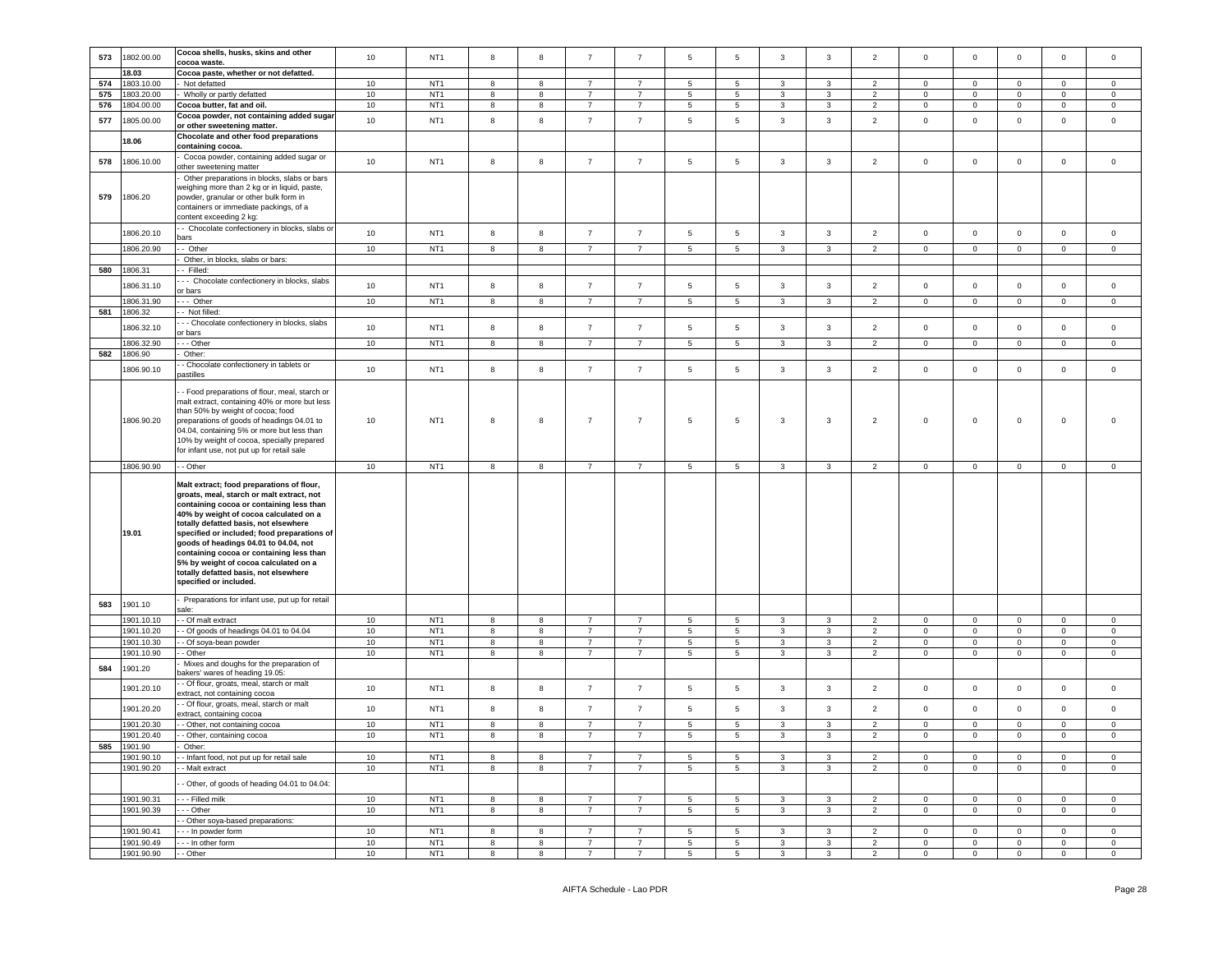|     |                       | Cocoa shells, husks, skins and other                                                                                                                                                                                                                                                                                                                                                                                                                                  |    |                 |            |            |                |                |                 |                 |              |   |                |                |                |                |                |              |
|-----|-----------------------|-----------------------------------------------------------------------------------------------------------------------------------------------------------------------------------------------------------------------------------------------------------------------------------------------------------------------------------------------------------------------------------------------------------------------------------------------------------------------|----|-----------------|------------|------------|----------------|----------------|-----------------|-----------------|--------------|---|----------------|----------------|----------------|----------------|----------------|--------------|
| 573 | 1802.00.00            | cocoa waste.                                                                                                                                                                                                                                                                                                                                                                                                                                                          | 10 | NT <sub>1</sub> | 8          | 8          | $\overline{7}$ | $\overline{7}$ | 5               | 5               | 3            | 3 | $\overline{2}$ | $\mathbf 0$    | $\mathbf 0$    | $\mathbf 0$    | $\mathbf 0$    | $\mathsf 0$  |
|     | 18.03                 | Cocoa paste, whether or not defatted.                                                                                                                                                                                                                                                                                                                                                                                                                                 |    |                 |            |            |                |                |                 |                 |              |   |                |                |                |                |                |              |
| 574 | 1803.10.00            | Not defatted                                                                                                                                                                                                                                                                                                                                                                                                                                                          | 10 | NT <sub>1</sub> | 8          | 8          | $\overline{7}$ | $\overline{7}$ | $5\phantom{.0}$ | 5               | 3            | 3 | 2              | $\mathbf 0$    | $\mathbf{0}$   | $\mathbf 0$    | $\circ$        | $\circ$      |
| 575 | 1803.20.00            | Wholly or partly defatted                                                                                                                                                                                                                                                                                                                                                                                                                                             | 10 | NT <sub>1</sub> | 8          | 8          | $\overline{7}$ | $\overline{7}$ | 5               | 5               | 3            | 3 | $\overline{2}$ | $\mathbf 0$    | $\mathbf 0$    | $\mathbf 0$    | $\mathbf 0$    | $\mathbf 0$  |
| 576 | 1804.00.00            | Cocoa butter, fat and oil.                                                                                                                                                                                                                                                                                                                                                                                                                                            | 10 | NT <sub>1</sub> | 8          | 8          | $\overline{7}$ | $\overline{7}$ | $5\overline{5}$ | 5               | 3            | 3 | $\overline{2}$ | $\mathbf{0}$   | $\mathbf{0}$   | $\mathbf{0}$   | $\mathbf 0$    | $\mathbf{0}$ |
| 577 | 1805.00.00            | Cocoa powder, not containing added sugar<br>or other sweetening matter.                                                                                                                                                                                                                                                                                                                                                                                               | 10 | NT <sub>1</sub> | 8          | 8          | $\overline{7}$ | $\overline{7}$ | $\overline{5}$  | 5               | 3            | 3 | $\overline{2}$ | $\mathbf 0$    | $\overline{0}$ | $\mathbf 0$    | $\pmb{0}$      | $\mathsf 0$  |
|     | 18.06                 | Chocolate and other food preparations<br>containing cocoa.                                                                                                                                                                                                                                                                                                                                                                                                            |    |                 |            |            |                |                |                 |                 |              |   |                |                |                |                |                |              |
| 578 | 1806.10.00            | Cocoa powder, containing added sugar or<br>other sweetening matter                                                                                                                                                                                                                                                                                                                                                                                                    | 10 | NT <sub>1</sub> | 8          | 8          | $\overline{7}$ | $\overline{7}$ | $\,$ 5 $\,$     | $\sqrt{5}$      | 3            | 3 | $\overline{2}$ | $\mathbf 0$    | $\circ$        | $\mathsf 0$    | $\mathbf 0$    | $\mathsf 0$  |
| 579 | 1806.20               | Other preparations in blocks, slabs or bars<br>weighing more than 2 kg or in liquid, paste,<br>powder, granular or other bulk form in<br>containers or immediate packings, of a<br>content exceeding 2 kg:                                                                                                                                                                                                                                                            |    |                 |            |            |                |                |                 |                 |              |   |                |                |                |                |                |              |
|     | 1806.20.10            | - Chocolate confectionery in blocks, slabs or<br>bars                                                                                                                                                                                                                                                                                                                                                                                                                 | 10 | NT <sub>1</sub> | 8          | 8          | $\overline{7}$ | $\overline{7}$ | $\overline{5}$  | 5               | 3            | 3 | $\overline{2}$ | $\mathbf 0$    | $\mathbf 0$    | $\mathbf 0$    | $\mathbf 0$    | $\mathbf 0$  |
|     | 1806.20.90            | - Other                                                                                                                                                                                                                                                                                                                                                                                                                                                               | 10 | NT <sub>1</sub> | 8          | 8          | $\overline{7}$ | $\overline{7}$ | 5               | 5               | 3            | 3 | $\overline{2}$ | $\mathbf 0$    | $\mathbf{0}$   | $\mathbf 0$    | $\mathbf{0}$   | $\mathbf 0$  |
|     |                       | Other, in blocks, slabs or bars:                                                                                                                                                                                                                                                                                                                                                                                                                                      |    |                 |            |            |                |                |                 |                 |              |   |                |                |                |                |                |              |
| 580 | 1806.31               | - Filled:                                                                                                                                                                                                                                                                                                                                                                                                                                                             |    |                 |            |            |                |                |                 |                 |              |   |                |                |                |                |                |              |
|     | 1806.31.10            | - - Chocolate confectionery in blocks, slabs<br>or bars                                                                                                                                                                                                                                                                                                                                                                                                               | 10 | NT <sub>1</sub> | 8          | 8          | $\overline{7}$ | $\overline{7}$ | $5\phantom{.0}$ | 5               | 3            | 3 | $\overline{2}$ | $\mathbf 0$    | $\mathbf 0$    | $\mathbf 0$    | $\mathbf 0$    | $\mathbf 0$  |
|     | 1806.31.90            | --- Other                                                                                                                                                                                                                                                                                                                                                                                                                                                             | 10 | NT <sub>1</sub> | 8          | 8          | $\overline{7}$ | $\overline{7}$ | $5\overline{5}$ | 5               | $\mathbf{3}$ | 3 | $\overline{2}$ | $\mathbf{0}$   | $\mathbf{0}$   | $\mathbf{0}$   | $\mathbf 0$    | $\mathbf{0}$ |
| 581 | 1806.32               | - Not filled:                                                                                                                                                                                                                                                                                                                                                                                                                                                         |    |                 |            |            |                |                |                 |                 |              |   |                |                |                |                |                |              |
|     | 1806.32.10            | - - Chocolate confectionery in blocks, slabs<br>or bars                                                                                                                                                                                                                                                                                                                                                                                                               | 10 | NT <sub>1</sub> | 8          | 8          | $\overline{7}$ | $\overline{7}$ | 5               | 5               | 3            | 3 | $\overline{2}$ | $\mathbf 0$    | $\mathbf 0$    | $\mathsf 0$    | $\mathbf 0$    | $\mathbf 0$  |
|     | 1806.32.90            | - - Other                                                                                                                                                                                                                                                                                                                                                                                                                                                             | 10 | NT <sub>1</sub> | 8          | 8          | $\overline{7}$ | $\overline{7}$ | 5               | 5               | 3            | 3 | $\overline{2}$ | $\mathbf 0$    | $\mathbf{0}$   | 0              | $\mathbf 0$    | $\mathbf 0$  |
| 582 | 1806.90               | Other:                                                                                                                                                                                                                                                                                                                                                                                                                                                                |    |                 |            |            |                |                |                 |                 |              |   |                |                |                |                |                |              |
|     | 1806.90.10            | - Chocolate confectionery in tablets or                                                                                                                                                                                                                                                                                                                                                                                                                               | 10 | NT <sub>1</sub> | 8          | 8          | $\overline{7}$ | $\overline{7}$ | 5               | 5               | 3            | 3 | $\overline{2}$ | $\mathbf 0$    | $\mathbf{0}$   | $\mathbf 0$    | $\mathbf 0$    | $\mathbf 0$  |
|     |                       | pastilles                                                                                                                                                                                                                                                                                                                                                                                                                                                             |    |                 |            |            |                |                |                 |                 |              |   |                |                |                |                |                |              |
|     | 1806.90.20            | - Food preparations of flour, meal, starch or<br>malt extract, containing 40% or more but less<br>than 50% by weight of cocoa; food<br>preparations of goods of headings 04.01 to<br>04.04, containing 5% or more but less than<br>10% by weight of cocoa, specially prepared<br>for infant use, not put up for retail sale                                                                                                                                           | 10 | NT <sub>1</sub> | 8          | 8          | $\overline{7}$ | $\overline{7}$ | 5               | 5               | 3            | 3 | $\overline{2}$ | $\mathbf 0$    | $\mathbf 0$    | $\mathbf 0$    | 0              | $\Omega$     |
|     | 1806.90.90            | - Other                                                                                                                                                                                                                                                                                                                                                                                                                                                               | 10 | NT <sub>1</sub> | 8          | $^{\rm 8}$ | $\overline{7}$ | $\overline{7}$ | $\sqrt{5}$      | $\sqrt{5}$      | 3            | 3 | $\overline{2}$ | $\mathbb O$    | $\mathbf 0$    | $\mathsf 0$    | $\pmb{0}$      | $\mathbf 0$  |
|     | 19.01                 | Malt extract; food preparations of flour,<br>groats, meal, starch or malt extract, not<br>containing cocoa or containing less than<br>40% by weight of cocoa calculated on a<br>totally defatted basis, not elsewhere<br>specified or included; food preparations of<br>goods of headings 04.01 to 04.04, not<br>containing cocoa or containing less than<br>5% by weight of cocoa calculated on a<br>totally defatted basis, not elsewhere<br>specified or included. |    |                 |            |            |                |                |                 |                 |              |   |                |                |                |                |                |              |
| 583 | 1901.10               | Preparations for infant use, put up for retail<br>ale:                                                                                                                                                                                                                                                                                                                                                                                                                |    |                 |            |            |                |                |                 |                 |              |   |                |                |                |                |                |              |
|     | 1901.10.10            | - Of malt extract                                                                                                                                                                                                                                                                                                                                                                                                                                                     | 10 | NT <sub>1</sub> | 8          | 8          | $\overline{7}$ | $\overline{7}$ | $5\phantom{.0}$ | 5               | 3            | 3 | 2              | $\mathbf 0$    | $\mathbf{0}$   | $\mathbf 0$    | $\mathbf 0$    | $\mathbf 0$  |
|     | 1901.10.20            | - Of goods of headings 04.01 to 04.04                                                                                                                                                                                                                                                                                                                                                                                                                                 | 10 | NT <sub>1</sub> | 8          | 8          | $\overline{7}$ | $\overline{7}$ | 5               | 5               | 3            | 3 | $\overline{2}$ | $\mathbf 0$    | $\mathbf 0$    | $\mathbf 0$    | $\mathbf 0$    | $\mathbf 0$  |
|     | 1901.10.30            | - Of soya-bean powder                                                                                                                                                                                                                                                                                                                                                                                                                                                 | 10 | NT <sub>1</sub> | 8          | 8          | $\overline{7}$ | $\overline{7}$ | $5\phantom{.0}$ | 5               | 3            | 3 | $\overline{2}$ | $\mathbf{0}$   | $\mathbf 0$    | $\mathbf 0$    | $\mathbf{0}$   | $\mathsf 0$  |
| 584 | 1901.10.90<br>1901.20 | - Other<br>Mixes and doughs for the preparation of                                                                                                                                                                                                                                                                                                                                                                                                                    | 10 | NT <sub>1</sub> | 8          | 8          | $\overline{7}$ | $\overline{7}$ | $5\phantom{.0}$ | 5               | 3            | 3 | 2              | $\circ$        | $\mathbf{0}$   | $\mathbf 0$    | $\circ$        | $\circ$      |
|     | 1901.20.10            | pakers' wares of heading 19.05:<br>- Of flour, groats, meal, starch or malt                                                                                                                                                                                                                                                                                                                                                                                           | 10 | NT <sub>1</sub> | $^{\rm 8}$ | 8          | $\overline{7}$ | $\overline{7}$ | $5\phantom{.0}$ | 5               | 3            | 3 | $\overline{2}$ | $\mathbf{0}$   | $\mathbf{0}$   | $\mathbf 0$    | $\mathbf 0$    | $\mathbf 0$  |
|     | 1901.20.20            | extract, not containing cocoa<br>- Of flour, groats, meal, starch or malt                                                                                                                                                                                                                                                                                                                                                                                             | 10 | NT <sub>1</sub> | 8          | 8          | $\overline{7}$ | $\overline{7}$ | 5               | 5               | 3            | 3 | $\overline{2}$ | $\mathbf 0$    | $\mathbf 0$    | $\mathbf 0$    | $\mathbf 0$    | $\mathbf 0$  |
|     | 1901.20.30            | extract, containing cocoa<br>- Other, not containing cocoa                                                                                                                                                                                                                                                                                                                                                                                                            | 10 | NT <sub>1</sub> | 8          | 8          | $\overline{7}$ | $\overline{7}$ | 5               | 5               | 3            | 3 | $\overline{2}$ | $\mathbf 0$    | $\mathbf 0$    | $\mathbf 0$    | $\mathsf 0$    | 0            |
|     | 1901.20.40            | - - Other, containing cocoa                                                                                                                                                                                                                                                                                                                                                                                                                                           | 10 | NT <sub>1</sub> | 8          | 8          | $\overline{7}$ | $\overline{7}$ | 5               | 5               | 3            | 3 | 2              | $\mathbf 0$    | $\mathbf 0$    | 0              | 0              | 0            |
| 585 | 1901.90               | Other:                                                                                                                                                                                                                                                                                                                                                                                                                                                                |    |                 |            |            |                |                |                 |                 |              |   |                |                |                |                |                |              |
|     | 1901.90.10            | - Infant food, not put up for retail sale                                                                                                                                                                                                                                                                                                                                                                                                                             | 10 | NT <sub>1</sub> | 8          | 8          | $\overline{7}$ | $\overline{7}$ | 5               | 5               | 3            | 3 | $\overline{2}$ | $\mathbf 0$    | $\mathbf{0}$   | $\mathbf 0$    | $\mathbf 0$    | $\mathbf 0$  |
|     | 1901.90.20            | - Malt extract                                                                                                                                                                                                                                                                                                                                                                                                                                                        | 10 | NT <sub>1</sub> | 8          | 8          | $\overline{7}$ | $\overline{7}$ | $5\overline{5}$ | $5\overline{)}$ | $\mathbf{3}$ | 3 | $\overline{2}$ | $\overline{0}$ | $\overline{0}$ | $\overline{0}$ | $\overline{0}$ | $\mathbf{0}$ |
|     |                       | - Other, of goods of heading 04.01 to 04.04:                                                                                                                                                                                                                                                                                                                                                                                                                          |    |                 |            |            |                |                |                 |                 |              |   |                |                |                |                |                |              |
|     | 1901.90.31            | - - - Filled milk                                                                                                                                                                                                                                                                                                                                                                                                                                                     | 10 | NT <sub>1</sub> | 8          | 8          | $\overline{7}$ | $\overline{7}$ | 5               | 5               | 3            | 3 | $\overline{2}$ | $\mathbf 0$    | $\overline{0}$ | $\mathbf 0$    | $\mathbf 0$    | $\mathbf 0$  |
|     | 1901.90.39            | - - - Other                                                                                                                                                                                                                                                                                                                                                                                                                                                           | 10 | NT <sub>1</sub> | 8          | 8          | $\overline{7}$ | $\overline{7}$ | $5\overline{5}$ | 5               | 3            | 3 | $\overline{2}$ | $\overline{0}$ | $\mathbf 0$    | $\mathsf 0$    | $\mathbf 0$    | $\mathsf 0$  |
|     | 1901.90.41            | - Other soya-based preparations:<br>- - - In powder form                                                                                                                                                                                                                                                                                                                                                                                                              | 10 | NT <sub>1</sub> | 8          | 8          | $\overline{7}$ | $\overline{7}$ | $\overline{5}$  | 5               | 3            | 3 | 2              | $\mathbf 0$    | $\mathbf 0$    | 0              | $\mathbf 0$    | $\mathbf 0$  |
|     |                       | In other form                                                                                                                                                                                                                                                                                                                                                                                                                                                         | 10 | NT <sub>1</sub> | 8          | 8          | $\overline{7}$ | $\overline{7}$ | $5\phantom{.0}$ | $5\overline{5}$ | $\mathbf{3}$ | 3 | $\overline{2}$ | $\overline{0}$ | $\overline{0}$ | $\overline{0}$ | $\mathbf{0}$   | $\mathbf{0}$ |
|     | 1901.90.49            |                                                                                                                                                                                                                                                                                                                                                                                                                                                                       |    |                 |            |            |                |                |                 |                 |              |   |                |                |                |                |                |              |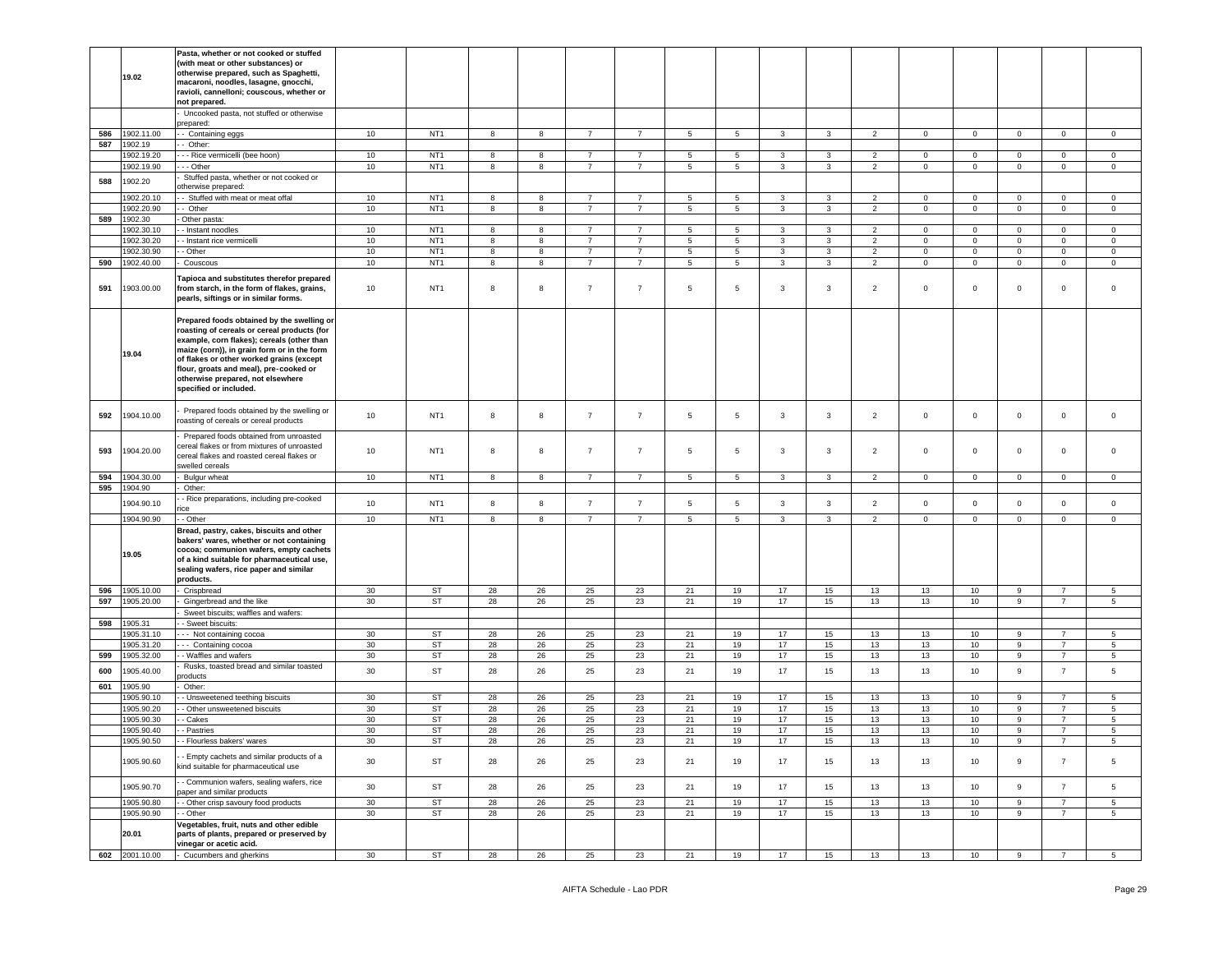|            | 19.02                    | Pasta, whether or not cooked or stuffed<br>(with meat or other substances) or<br>otherwise prepared, such as Spaghetti,<br>macaroni, noodles, lasagne, gnocchi,<br>ravioli, cannelloni; couscous, whether or<br>not prepared.                                                                                                               |          |                                    |          |          |                                  |                |                     |                |                         |          |                |             |                 |             |                                  |                              |
|------------|--------------------------|---------------------------------------------------------------------------------------------------------------------------------------------------------------------------------------------------------------------------------------------------------------------------------------------------------------------------------------------|----------|------------------------------------|----------|----------|----------------------------------|----------------|---------------------|----------------|-------------------------|----------|----------------|-------------|-----------------|-------------|----------------------------------|------------------------------|
|            |                          | Uncooked pasta, not stuffed or otherwise<br>prepared:                                                                                                                                                                                                                                                                                       |          |                                    |          |          |                                  |                |                     |                |                         |          |                |             |                 |             |                                  |                              |
| 586        | 1902.11.00               | - Containing eggs                                                                                                                                                                                                                                                                                                                           | 10       | NT <sub>1</sub>                    | 8        | 8        | $\overline{7}$                   | $\overline{7}$ | 5                   | 5              | $\mathbf{3}$            | 3        | $\overline{2}$ | $\mathbf 0$ | $\mathbf 0$     | $\circ$     | $\overline{0}$                   | $\circ$                      |
| 587        | 1902.19<br>902.19.20     | - Other:<br>- - Rice vermicelli (bee hoon)                                                                                                                                                                                                                                                                                                  |          | NT <sub>1</sub>                    | 8        |          | $\overline{7}$                   | $\overline{7}$ |                     | 5              | 3                       | 3        | 2              | $\mathbf 0$ | $\mathbf 0$     | $\mathbf 0$ | $\mathbf 0$                      |                              |
|            | 1902.19.90               | - - Other                                                                                                                                                                                                                                                                                                                                   | 10<br>10 | NT <sub>1</sub>                    | 8        | 8<br>8   | $\overline{7}$                   | 7              | $\overline{5}$<br>5 | 5              | 3                       | 3        | 2              | 0           | $\mathbf 0$     | 0           | $\mathbf 0$                      | $\mathsf 0$<br>$\mathbf 0$   |
|            |                          | Stuffed pasta, whether or not cooked or                                                                                                                                                                                                                                                                                                     |          |                                    |          |          |                                  |                |                     |                |                         |          |                |             |                 |             |                                  |                              |
| 588        | 1902.20                  | otherwise prepared:                                                                                                                                                                                                                                                                                                                         |          |                                    |          |          |                                  |                |                     |                |                         |          |                |             |                 |             |                                  |                              |
|            | 902.20.10                | - Stuffed with meat or meat offal                                                                                                                                                                                                                                                                                                           | 10       | NT <sub>1</sub><br>NT <sub>1</sub> | 8<br>8   | 8        | $\overline{7}$<br>$\overline{7}$ | $\overline{7}$ | $\overline{5}$      | 5              | 3                       | 3        | $\overline{2}$ | 0           | $\mathbf 0$     | $\mathbf 0$ | $\mathbf 0$                      | $\mathsf 0$<br>$\mathbf 0$   |
| 589        | 1902.20.90<br>1902.30    | - Other<br>Other pasta:                                                                                                                                                                                                                                                                                                                     | 10       |                                    |          | 8        |                                  | 7              | 5                   | 5              | 3                       | 3        | $\overline{2}$ | $\mathbf 0$ | $\mathbf 0$     | 0           | $\overline{0}$                   |                              |
|            | 1902.30.10               | - Instant noodles                                                                                                                                                                                                                                                                                                                           | 10       | NT <sub>1</sub>                    | 8        | 8        | $\overline{7}$                   | $\overline{7}$ | 5                   | 5              | 3                       | 3        | 2              | $\mathbf 0$ | $\mathbf 0$     | $\mathbf 0$ | $\mathbf 0$                      | $\mathsf 0$                  |
|            | 1902.30.20               | - Instant rice vermicelli                                                                                                                                                                                                                                                                                                                   | 10       | NT <sub>1</sub>                    | 8        | 8        | $\overline{7}$                   | 7              | 5                   | 5              | 3                       | 3        | 2              | $\mathbf 0$ | 0               | 0           | $\mathbf 0$                      | $\mathbf 0$                  |
|            | 1902.30.90               | - Other                                                                                                                                                                                                                                                                                                                                     | 10       | NT <sub>1</sub>                    | 8        | 8        | $\overline{7}$                   | $\overline{7}$ | $\sqrt{5}$          | 5              | 3                       | 3        | $\overline{2}$ | $\circ$     | $\mathbf 0$     | $\mathbf 0$ | $\mathbf 0$                      | $\mathsf 0$                  |
| 590        | 1902.40.00               | Couscous                                                                                                                                                                                                                                                                                                                                    | 10       | NT <sub>1</sub>                    | 8        | 8        | $\overline{7}$                   | $\overline{7}$ | 5                   | 5              | 3                       | 3        | $\overline{2}$ | $\mathbf 0$ | $\mathbf 0$     | $\circ$     | $\mathbf 0$                      | $\mathsf 0$                  |
| 591        | 1903.00.00               | Tapioca and substitutes therefor prepared<br>from starch, in the form of flakes, grains,<br>pearls, siftings or in similar forms.                                                                                                                                                                                                           | 10       | NT <sub>1</sub>                    | 8        | 8        | $\overline{7}$                   | $\overline{7}$ | 5                   | 5              | 3                       | 3        | $\overline{2}$ | $\mathsf 0$ | $\mathbf 0$     | $\mathbf 0$ | $\mathbf 0$                      | $\mathsf 0$                  |
|            | 19.04                    | Prepared foods obtained by the swelling or<br>roasting of cereals or cereal products (for<br>example, corn flakes); cereals (other than<br>maize (corn)), in grain form or in the form<br>of flakes or other worked grains (except<br>flour, groats and meal), pre-cooked or<br>otherwise prepared, not elsewhere<br>specified or included. |          |                                    |          |          |                                  |                |                     |                |                         |          |                |             |                 |             |                                  |                              |
| 592        | 1904.10.00               | Prepared foods obtained by the swelling or<br>roasting of cereals or cereal products                                                                                                                                                                                                                                                        | 10       | NT <sub>1</sub>                    | 8        | 8        | $\overline{7}$                   | $\overline{7}$ | $\overline{5}$      | 5              | $\mathbf{3}$            | 3        | $\overline{2}$ | $\mathbf 0$ | $\mathbf 0$     | $\mathbf 0$ | $\mathsf 0$                      | $\mathsf 0$                  |
| 593        | 1904.20.00               | Prepared foods obtained from unroasted<br>cereal flakes or from mixtures of unroasted<br>cereal flakes and roasted cereal flakes or<br>swelled cereals                                                                                                                                                                                      | 10       | NT <sub>1</sub>                    | 8        | 8        | $\overline{7}$                   | $\overline{7}$ | 5                   | 5              | $\mathbf{3}$            | 3        | $\overline{2}$ | $\mathsf 0$ | 0               | $\mathbf 0$ | $\mathbf 0$                      | $\mathsf 0$                  |
| 594        | 1904.30.00               | Bulgur wheat                                                                                                                                                                                                                                                                                                                                | 10       | NT <sub>1</sub>                    | 8        | 8        | $\overline{7}$                   | $\overline{7}$ | 5                   | 5              | 3                       | 3        | $\overline{2}$ | $\mathbf 0$ | $\mathbf 0$     | $\mathbf 0$ | $\mathbf 0$                      | $\mathbf 0$                  |
| 595        | 1904.90                  | Other:<br>- Rice preparations, including pre-cooked                                                                                                                                                                                                                                                                                         |          |                                    |          |          |                                  |                |                     |                |                         |          |                |             |                 |             |                                  |                              |
|            | 1904.90.10               | rice                                                                                                                                                                                                                                                                                                                                        | 10       | NT <sub>1</sub>                    | 8        | 8        | $\overline{7}$                   | $\overline{7}$ | $5\phantom{.0}$     | 5              | $\mathbf{3}$            | 3        | $\overline{2}$ | $\mathsf 0$ | $\mathbf 0$     | $\mathbf 0$ | $\mathbf 0$                      | $\mathsf 0$                  |
|            | 1904.90.90               | - Other                                                                                                                                                                                                                                                                                                                                     | 10       | NT <sub>1</sub>                    | 8        | 8        | $\overline{7}$                   | $\overline{7}$ | 5                   | $\overline{5}$ | $\overline{\mathbf{3}}$ | 3        | $\overline{2}$ | $\mathbf 0$ | $\mathbf 0$     | $\mathsf 0$ | $\mathsf 0$                      | $\mathsf 0$                  |
|            | 19.05                    | Bread, pastry, cakes, biscuits and other<br>bakers' wares, whether or not containing<br>cocoa; communion wafers, empty cachets<br>of a kind suitable for pharmaceutical use,<br>sealing wafers, rice paper and similar<br>products.                                                                                                         |          |                                    |          |          |                                  |                |                     |                |                         |          |                |             |                 |             |                                  |                              |
| 596        | 1905.10.00               | Crispbread                                                                                                                                                                                                                                                                                                                                  | 30       | ST                                 | 28       | 26       | 25                               | 23             | 21                  | 19             | 17                      | 15       | 13             | 13          | 10 <sub>1</sub> | 9           | 7                                | $5\phantom{.0}$              |
| 597        | 1905.20.00               | Gingerbread and the like<br>Sweet biscuits; waffles and wafers:                                                                                                                                                                                                                                                                             | 30       | ST                                 | 28       | 26       | 25                               | 23             | 21                  | 19             | 17                      | 15       | 13             | 13          | 10              | 9           | $\overline{7}$                   | 5                            |
| 598        | 1905.31                  | - Sweet biscuits:                                                                                                                                                                                                                                                                                                                           |          |                                    |          |          |                                  |                |                     |                |                         |          |                |             |                 |             |                                  |                              |
|            | 1905.31.10               | -- Not containing cocoa                                                                                                                                                                                                                                                                                                                     | 30       | ST                                 | 28       | 26       | 25                               | 23             | 21                  | 19             | 17                      | 15       | 13             | 13          | 10              | 9           | $\overline{7}$                   | 5                            |
|            | 905.31.20                | -- Containing cocoa                                                                                                                                                                                                                                                                                                                         | 30       | <b>ST</b>                          | 28       | 26       | 25                               | 23             | 21                  | 19             | 17                      | 15       | 13             | 13          | 10              | 9           | $\overline{7}$                   | $5\phantom{.0}$              |
| 599<br>600 | 1905.32.00<br>1905.40.00 | - Waffles and wafers<br>Rusks, toasted bread and similar toasted                                                                                                                                                                                                                                                                            | 30<br>30 | ST<br><b>ST</b>                    | 28<br>28 | 26<br>26 | 25<br>25                         | 23<br>23       | 21<br>21            | 19<br>19       | 17<br>17                | 15<br>15 | 13<br>13       | 13<br>13    | 10<br>10        | 9<br>9      | $\overline{7}$<br>$\overline{7}$ | $5\phantom{.0}$<br>5         |
| 601        | 1905.90                  | products<br>Other:                                                                                                                                                                                                                                                                                                                          |          |                                    |          |          |                                  |                |                     |                |                         |          |                |             |                 |             |                                  |                              |
|            | 1905.90.10               | - Unsweetened teething biscuits                                                                                                                                                                                                                                                                                                             | 30       | <b>ST</b>                          | 28       | 26       | 25                               | 23             | 21                  | 19             | 17                      | 15       | 13             | 13          | 10              | 9           | $\overline{7}$                   | $5\phantom{.0}$              |
|            | 1905.90.20               | - Other unsweetened biscuits                                                                                                                                                                                                                                                                                                                | 30       | <b>ST</b>                          | 28       | 26       | 25                               | 23             | 21                  | 19             | 17                      | 15       | 13             | 13          | 10              | 9           | $\overline{7}$                   | $5\phantom{.0}$              |
|            | 1905.90.30               | - Cakes                                                                                                                                                                                                                                                                                                                                     | 30       | ST                                 | 28       | 26       | 25                               | 23             | 21                  | 19             | 17                      | 15       | 13             | 13          | 10              | 9           | 7                                | $5\phantom{.0}$              |
|            | 1905.90.40               | - - Pastries                                                                                                                                                                                                                                                                                                                                | 30       | ST                                 | 28       | 26       | 25                               | 23             | 21                  | 19             | 17                      | 15       | 13             | 13          | 10              | 9           | $\overline{7}$                   | $\sqrt{5}$                   |
|            | 1905.90.50               | - - Flourless bakers' wares                                                                                                                                                                                                                                                                                                                 | 30       | <b>ST</b>                          | 28       | 26       | 25                               | 23             | 21                  | 19             | 17                      | 15       | 13             | 13          | 10              | 9           | $\overline{7}$                   | 5                            |
|            | 1905.90.60               | - Empty cachets and similar products of a<br>kind suitable for pharmaceutical use                                                                                                                                                                                                                                                           | 30       | <b>ST</b>                          | 28       | 26       | 25                               | 23             | 21                  | 19             | 17                      | 15       | 13             | 13          | 10              | 9           | $\overline{7}$                   | $5\phantom{.0}$              |
|            | 1905.90.70               | - Communion wafers, sealing wafers, rice<br>paper and similar products                                                                                                                                                                                                                                                                      | 30       | ST                                 | 28       | 26       | 25                               | 23             | 21                  | 19             | 17                      | 15       | 13             | 13          | 10              | 9           | $\overline{7}$                   | 5                            |
|            | 1905.90.80<br>1905.90.90 | - Other crisp savoury food products<br>- Other                                                                                                                                                                                                                                                                                              | 30<br>30 | ST<br><b>ST</b>                    | 28<br>28 | 26<br>26 | 25<br>25                         | 23<br>23       | 21<br>21            | 19<br>19       | 17<br>17                | 15<br>15 | 13<br>13       | 13<br>13    | 10<br>10        | 9<br>9      | $\overline{7}$<br>$\overline{7}$ | $\sqrt{5}$<br>5 <sub>5</sub> |
|            | 20.01                    | Vegetables, fruit, nuts and other edible<br>parts of plants, prepared or preserved by<br>vinegar or acetic acid.                                                                                                                                                                                                                            |          |                                    |          |          |                                  |                |                     |                |                         |          |                |             |                 |             |                                  |                              |
| 602        | 2001.10.00               | - Cucumbers and gherkins                                                                                                                                                                                                                                                                                                                    | 30       | ST                                 | 28       | 26       | 25                               | 23             | 21                  | 19             | 17                      | 15       | 13             | 13          | 10              | 9           | $\overline{7}$                   | 5 <sub>5</sub>               |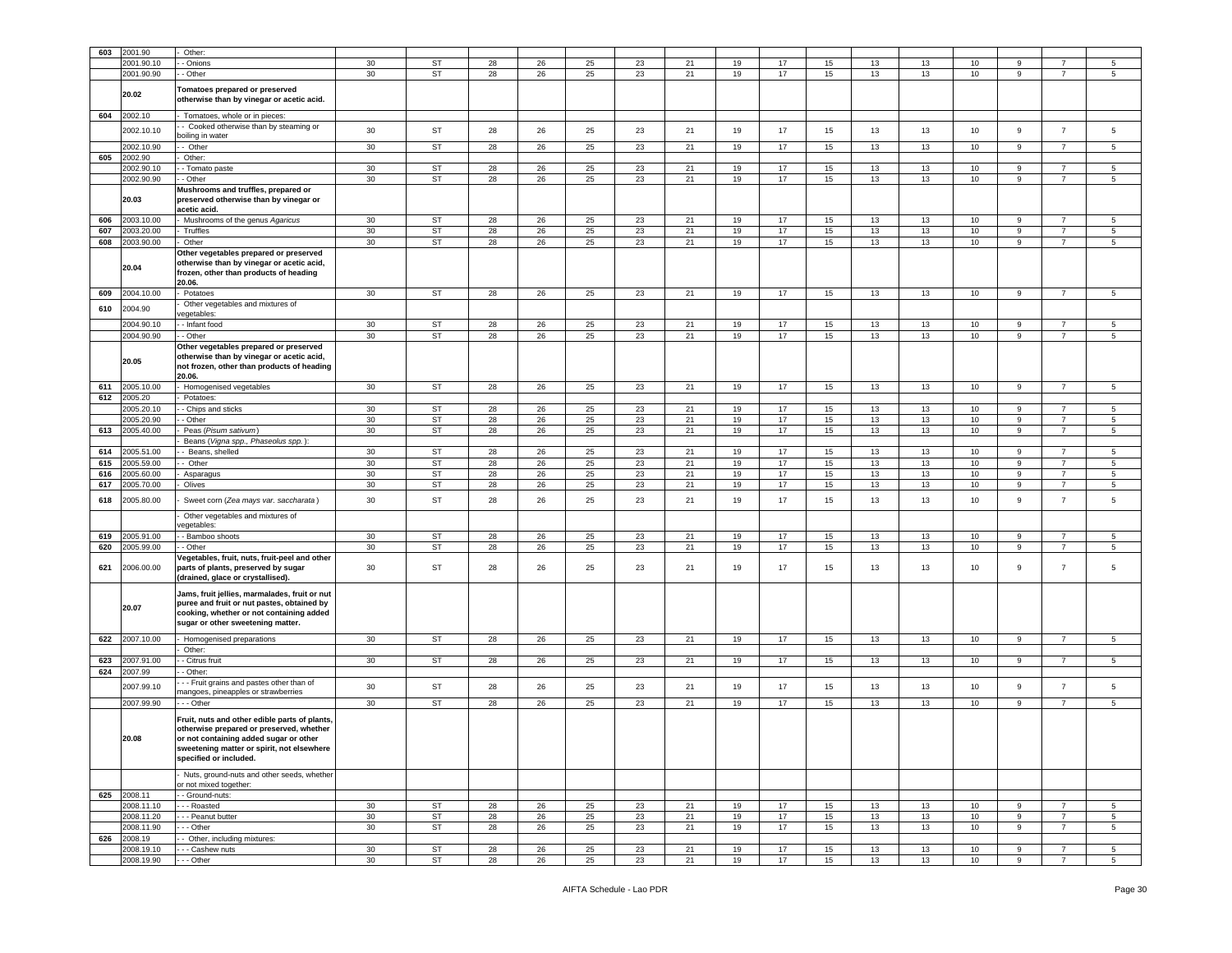| 603 | 2001.90     | Other:                                                                                                                                                                                                      |                 |           |    |    |    |    |    |    |    |    |    |    |                 |   |                |                 |
|-----|-------------|-------------------------------------------------------------------------------------------------------------------------------------------------------------------------------------------------------------|-----------------|-----------|----|----|----|----|----|----|----|----|----|----|-----------------|---|----------------|-----------------|
|     | 2001.90.10  | Onions                                                                                                                                                                                                      | 30              | <b>ST</b> | 28 | 26 | 25 | 23 | 21 | 19 | 17 | 15 | 13 | 13 | 10              | 9 | 7              | 5               |
|     | 2001.90.90  | - Other                                                                                                                                                                                                     | 30              | <b>ST</b> | 28 | 26 | 25 | 23 | 21 | 19 | 17 | 15 | 13 | 13 | 10              | 9 | $\overline{7}$ | $5\overline{5}$ |
|     | 20.02       | Tomatoes prepared or preserved<br>otherwise than by vinegar or acetic acid.                                                                                                                                 |                 |           |    |    |    |    |    |    |    |    |    |    |                 |   |                |                 |
| 604 | 2002.10     | Tomatoes, whole or in pieces:                                                                                                                                                                               |                 |           |    |    |    |    |    |    |    |    |    |    |                 |   |                |                 |
|     | 2002.10.10  | - Cooked otherwise than by steaming or<br>poiling in water                                                                                                                                                  | 30              | ST        | 28 | 26 | 25 | 23 | 21 | 19 | 17 | 15 | 13 | 13 | 10              | 9 | $\overline{7}$ | $5\phantom{.0}$ |
|     | 2002.10.90  | - Other                                                                                                                                                                                                     | 30              | <b>ST</b> | 28 | 26 | 25 | 23 | 21 | 19 | 17 | 15 | 13 | 13 | 10              | 9 | $\overline{7}$ | 5               |
| 605 | 2002.90     | Other:                                                                                                                                                                                                      |                 |           |    |    |    |    |    |    |    |    |    |    |                 |   |                |                 |
|     | 2002.90.1   | - Tomato paste                                                                                                                                                                                              | 30              | <b>ST</b> | 28 | 26 | 25 | 23 | 21 | 19 | 17 | 15 | 13 | 13 | 10              | 9 | $\overline{7}$ | 5               |
|     | 2002.90.90  | - Other                                                                                                                                                                                                     | 30              | <b>ST</b> | 28 | 26 | 25 | 23 | 21 | 19 | 17 | 15 | 13 | 13 | 10 <sub>1</sub> | 9 | $\overline{7}$ | 5               |
|     | 20.03       | Mushrooms and truffles, prepared or<br>preserved otherwise than by vinegar or<br>acetic acid.                                                                                                               |                 |           |    |    |    |    |    |    |    |    |    |    |                 |   |                |                 |
| 606 | 2003.10.00  | Mushrooms of the genus Agaricus                                                                                                                                                                             | $30\,$          | <b>ST</b> | 28 | 26 | 25 | 23 | 21 | 19 | 17 | 15 | 13 | 13 | 10              | 9 | $\overline{7}$ | 5               |
| 607 | 2003.20.00  | Truffles                                                                                                                                                                                                    | $30\,$          | <b>ST</b> | 28 | 26 | 25 | 23 | 21 | 19 | 17 | 15 | 13 | 13 | 10              | 9 | $\overline{7}$ | 5               |
| 608 | 2003.90.00  | Other                                                                                                                                                                                                       | 30              | <b>ST</b> | 28 | 26 | 25 | 23 | 21 | 19 | 17 | 15 | 13 | 13 | 10              | 9 | $\overline{7}$ | 5               |
|     | 20.04       | Other vegetables prepared or preserved<br>otherwise than by vinegar or acetic acid,<br>frozen, other than products of heading<br>20.06.                                                                     |                 |           |    |    |    |    |    |    |    |    |    |    |                 |   |                |                 |
| 609 | 2004.10.00  | Potatoes                                                                                                                                                                                                    | 30              | ST        | 28 | 26 | 25 | 23 | 21 | 19 | 17 | 15 | 13 | 13 | 10              | 9 | $\overline{7}$ | 5               |
|     |             | Other vegetables and mixtures of                                                                                                                                                                            |                 |           |    |    |    |    |    |    |    |    |    |    |                 |   |                |                 |
| 610 | 2004.90     | egetables:                                                                                                                                                                                                  |                 |           |    |    |    |    |    |    |    |    |    |    |                 |   |                |                 |
|     | 2004.90.10  | - Infant food                                                                                                                                                                                               | $30\,$          | <b>ST</b> | 28 | 26 | 25 | 23 | 21 | 19 | 17 | 15 | 13 | 13 | 10              | 9 | 7              | 5               |
|     | 2004.90.90  | - Other                                                                                                                                                                                                     | 30              | <b>ST</b> | 28 | 26 | 25 | 23 | 21 | 19 | 17 | 15 | 13 | 13 | 10              | 9 | $\overline{7}$ | $5^{\circ}$     |
|     | 20.05       | Other vegetables prepared or preserved<br>otherwise than by vinegar or acetic acid,<br>not frozen, other than products of heading<br>20.06.                                                                 |                 |           |    |    |    |    |    |    |    |    |    |    |                 |   |                |                 |
| 611 | 2005.10.00  | Homogenised vegetables                                                                                                                                                                                      | 30              | ST        | 28 | 26 | 25 | 23 | 21 | 19 | 17 | 15 | 13 | 13 | 10              | 9 | $\overline{7}$ | 5               |
| 612 | 2005.20     | Potatoes:                                                                                                                                                                                                   |                 |           |    |    |    |    |    |    |    |    |    |    |                 |   |                |                 |
|     | 2005.20.10  | - Chips and sticks                                                                                                                                                                                          | $30\,$          | ST        | 28 | 26 | 25 | 23 | 21 | 19 | 17 | 15 | 13 | 13 | 10              | 9 | 7              | 5               |
|     | 2005.20.90  | - Other                                                                                                                                                                                                     | 30              | <b>ST</b> | 28 | 26 | 25 | 23 | 21 | 19 | 17 | 15 | 13 | 13 | 10              | 9 | $\overline{7}$ | $5\overline{5}$ |
| 613 | 2005.40.00  | Peas (Pisum sativum)                                                                                                                                                                                        | $30\,$          | <b>ST</b> | 28 | 26 | 25 | 23 | 21 | 19 | 17 | 15 | 13 | 13 | 10              | 9 | $\overline{7}$ | 5               |
|     |             |                                                                                                                                                                                                             |                 |           |    |    |    |    |    |    |    |    |    |    |                 |   |                |                 |
|     |             | Beans (Vigna spp., Phaseolus spp.):                                                                                                                                                                         |                 |           |    |    |    |    |    |    |    |    |    |    |                 |   |                |                 |
| 614 | 2005.51.00  | - Beans, shelled                                                                                                                                                                                            | 30              | <b>ST</b> | 28 | 26 | 25 | 23 | 21 | 19 | 17 | 15 | 13 | 13 | 10              | 9 | $\overline{7}$ | 5               |
| 615 | 2005.59.00  | - Other                                                                                                                                                                                                     | $30\,$          | ST        | 28 | 26 | 25 | 23 | 21 | 19 | 17 | 15 | 13 | 13 | 10              | 9 | $\overline{7}$ | 5               |
| 616 | 2005.60.00  | Asparagus                                                                                                                                                                                                   | $30\,$          | ST        | 28 | 26 | 25 | 23 | 21 | 19 | 17 | 15 | 13 | 13 | 10              | 9 | $\overline{7}$ | 5               |
| 617 | 2005.70.00  | Olives                                                                                                                                                                                                      | 30              | <b>ST</b> | 28 | 26 | 25 | 23 | 21 | 19 | 17 | 15 | 13 | 13 | 10              | 9 | $\overline{7}$ | 5               |
| 618 | 2005.80.00  | Sweet corn (Zea mays var. saccharata)                                                                                                                                                                       | 30              | ST        | 28 | 26 | 25 | 23 | 21 | 19 | 17 | 15 | 13 | 13 | 10              | 9 | $\overline{7}$ | 5               |
|     |             | Other vegetables and mixtures of<br>regetables:                                                                                                                                                             |                 |           |    |    |    |    |    |    |    |    |    |    |                 |   |                |                 |
| 619 | 2005.91.00  | - Bamboo shoots                                                                                                                                                                                             | 30              | <b>ST</b> | 28 | 26 | 25 | 23 | 21 | 19 | 17 | 15 | 13 | 13 | 10              | 9 | 7              | 5               |
| 620 | 2005.99.00  | · Other                                                                                                                                                                                                     | $30\,$          | ST        | 28 | 26 | 25 | 23 | 21 | 19 | 17 | 15 | 13 | 13 | 10              | 9 | $\overline{7}$ | 5               |
| 621 | 2006.00.00  | /egetables, fruit, nuts, fruit-peel and other<br>parts of plants, preserved by sugar<br>(drained, glace or crystallised).                                                                                   | 30              | <b>ST</b> | 28 | 26 | 25 | 23 | 21 | 19 | 17 | 15 | 13 | 13 | 10              | 9 | $\overline{7}$ | 5               |
|     | 20.07       | Jams, fruit jellies, marmalades, fruit or nut<br>puree and fruit or nut pastes, obtained by<br>cooking, whether or not containing added<br>sugar or other sweetening matter.                                |                 |           |    |    |    |    |    |    |    |    |    |    |                 |   |                |                 |
| 622 | 2007.10.00  | Homogenised preparations<br>Other:                                                                                                                                                                          | 30              | ST        | 28 | 26 | 25 | 23 | 21 | 19 | 17 | 15 | 13 | 13 | 10              | 9 | $\overline{7}$ | $5\overline{5}$ |
| 623 | 2007.91.00  | - Citrus fruit                                                                                                                                                                                              | 30              | ST        | 28 | 26 | 25 | 23 | 21 | 19 | 17 | 15 | 13 | 13 | 10              | 9 | $\overline{7}$ | $5\overline{5}$ |
| 624 | 2007.99     | - Other:                                                                                                                                                                                                    |                 |           |    |    |    |    |    |    |    |    |    |    |                 |   |                |                 |
|     | 2007.99.10  | - - Fruit grains and pastes other than of<br>nangoes, pineapples or strawberries                                                                                                                            | 30              | ST        | 28 | 26 | 25 | 23 | 21 | 19 | 17 | 15 | 13 | 13 | 10              | 9 | $\overline{7}$ | 5               |
|     | 2007.99.90  | - - Other                                                                                                                                                                                                   | 30              | ST        | 28 | 26 | 25 | 23 | 21 | 19 | 17 | 15 | 13 | 13 | 10              | 9 | $\overline{7}$ | $5\phantom{.0}$ |
|     | 20.08       | Fruit, nuts and other edible parts of plants,<br>otherwise prepared or preserved, whether<br>or not containing added sugar or other<br>sweetening matter or spirit, not elsewhere<br>specified or included. |                 |           |    |    |    |    |    |    |    |    |    |    |                 |   |                |                 |
|     |             | Nuts, ground-nuts and other seeds, whether<br>or not mixed together:                                                                                                                                        |                 |           |    |    |    |    |    |    |    |    |    |    |                 |   |                |                 |
|     | 625 2008.11 | - Ground-nuts:                                                                                                                                                                                              |                 |           |    |    |    |    |    |    |    |    |    |    |                 |   |                |                 |
|     | 2008.11.10  | - - Roasted                                                                                                                                                                                                 | 30 <sup>°</sup> | ST        | 28 | 26 | 25 | 23 | 21 | 19 | 17 | 15 | 13 | 13 | 10              | 9 | $\overline{7}$ | 5               |
|     | 2008.11.20  | - - Peanut butter                                                                                                                                                                                           | 30              | ST        | 28 | 26 | 25 | 23 | 21 | 19 | 17 | 15 | 13 | 13 | 10 <sub>1</sub> | 9 | $\overline{7}$ | $5\overline{5}$ |
|     | 2008.11.90  | - - Other                                                                                                                                                                                                   | 30              | <b>ST</b> | 28 | 26 | 25 | 23 | 21 | 19 | 17 | 15 | 13 | 13 | 10              | 9 | $\overline{7}$ | $5\phantom{.0}$ |
|     | 626 2008.19 | - Other, including mixtures:                                                                                                                                                                                |                 |           |    |    |    |    |    |    |    |    |    |    |                 |   |                |                 |
|     | 2008.19.10  | - - Cashew nuts                                                                                                                                                                                             | 30              | ST        | 28 | 26 | 25 | 23 | 21 | 19 | 17 | 15 | 13 | 13 | 10              | 9 | $\overline{7}$ | 5               |
|     | 2008.19.90  | - - Other                                                                                                                                                                                                   | 30              | <b>ST</b> | 28 | 26 | 25 | 23 | 21 | 19 | 17 | 15 | 13 | 13 | 10              | 9 | $\overline{7}$ | $5\phantom{.0}$ |
|     |             |                                                                                                                                                                                                             |                 |           |    |    |    |    |    |    |    |    |    |    |                 |   |                |                 |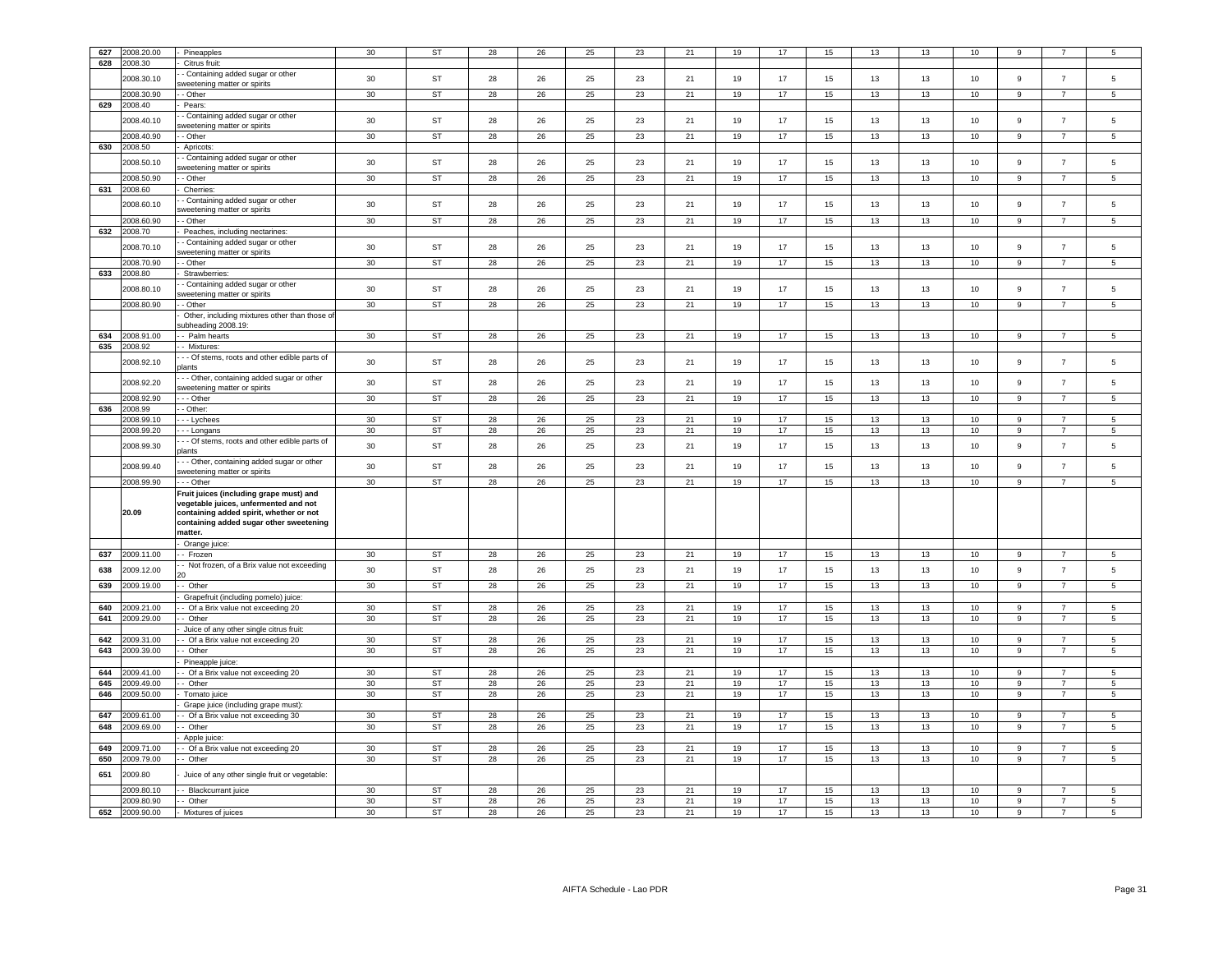| 627 | 2008.20.00     | Pineapples                                    | 30     | <b>ST</b> | 28 | 26 | 25 | 23 | 21 | 19 | 17 | 15 | 13 | 13 | 10              | 9                |                | 5               |
|-----|----------------|-----------------------------------------------|--------|-----------|----|----|----|----|----|----|----|----|----|----|-----------------|------------------|----------------|-----------------|
|     |                |                                               |        |           |    |    |    |    |    |    |    |    |    |    |                 |                  |                |                 |
| 628 | 2008.30        | Citrus fruit:                                 |        |           |    |    |    |    |    |    |    |    |    |    |                 |                  |                |                 |
|     | 2008.30.10     | - Containing added sugar or other             | 30     | <b>ST</b> | 28 | 26 | 25 | 23 | 21 | 19 | 17 | 15 | 13 | 13 | 10              | 9                | $\overline{7}$ | 5               |
|     |                | weetening matter or spirits                   |        |           |    |    |    |    |    |    |    |    |    |    |                 |                  |                |                 |
|     | 2008.30.90     | - Other                                       | 30     | ST        | 28 | 26 | 25 | 23 | 21 | 19 | 17 | 15 | 13 | 13 | 10              | 9                | $\overline{7}$ | 5               |
| 629 | 2008.40        | Pears:                                        |        |           |    |    |    |    |    |    |    |    |    |    |                 |                  |                |                 |
|     |                | - Containing added sugar or other             |        |           |    |    |    |    |    |    |    |    |    |    |                 |                  |                |                 |
|     | 008.40.10      | weetening matter or spirits                   | 30     | <b>ST</b> | 28 | 26 | 25 | 23 | 21 | 19 | 17 | 15 | 13 | 13 | 10              | $\mathsf g$      | $\overline{7}$ | 5               |
|     | 2008.40.90     | - Other                                       | 30     | <b>ST</b> | 28 | 26 | 25 | 23 | 21 | 19 | 17 | 15 | 13 | 13 | 10              | $\mathsf g$      | $\overline{7}$ | 5               |
| 630 | 2008.50        |                                               |        |           |    |    |    |    |    |    |    |    |    |    |                 |                  |                |                 |
|     |                | Apricots:                                     |        |           |    |    |    |    |    |    |    |    |    |    |                 |                  |                |                 |
|     | 2008.50.10     | - Containing added sugar or other             | 30     | <b>ST</b> | 28 | 26 | 25 | 23 | 21 | 19 | 17 | 15 | 13 | 13 | 10              | $\boldsymbol{9}$ | $\overline{7}$ | 5               |
|     |                | weetening matter or spirits                   |        |           |    |    |    |    |    |    |    |    |    |    |                 |                  |                |                 |
|     | 2008.50.90     | - Other                                       | 30     | <b>ST</b> | 28 | 26 | 25 | 23 | 21 | 19 | 17 | 15 | 13 | 13 | 10              | 9                | $\overline{7}$ | 5               |
| 631 | 2008.60        | Cherries:                                     |        |           |    |    |    |    |    |    |    |    |    |    |                 |                  |                |                 |
|     |                | - Containing added sugar or other             |        |           |    |    |    |    |    |    |    |    |    |    |                 |                  |                |                 |
|     | 2008.60.10     | sweetening matter or spirits                  | $30\,$ | <b>ST</b> | 28 | 26 | 25 | 23 | 21 | 19 | 17 | 15 | 13 | 13 | 10              | $\boldsymbol{9}$ | $\overline{7}$ | 5               |
|     | 2008.60.90     | - Other                                       | 30     | <b>ST</b> | 28 | 26 | 25 | 23 | 21 | 19 | 17 | 15 | 13 | 13 | 10              | $\boldsymbol{9}$ | $\overline{7}$ | 5               |
|     |                |                                               |        |           |    |    |    |    |    |    |    |    |    |    |                 |                  |                |                 |
| 632 | 2008.70        | Peaches, including nectarines:                |        |           |    |    |    |    |    |    |    |    |    |    |                 |                  |                |                 |
|     | 2008.70.10     | - Containing added sugar or other             | 30     | <b>ST</b> | 28 | 26 | 25 | 23 | 21 | 19 | 17 | 15 | 13 | 13 | 10              | $\boldsymbol{9}$ | $\overline{7}$ | 5               |
|     |                | sweetening matter or spirits                  |        |           |    |    |    |    |    |    |    |    |    |    |                 |                  |                |                 |
|     | 2008.70.90     | - Other                                       | 30     | ST        | 28 | 26 | 25 | 23 | 21 | 19 | 17 | 15 | 13 | 13 | 10              | 9                | 7              | 5               |
| 633 | 2008.80        | Strawberries:                                 |        |           |    |    |    |    |    |    |    |    |    |    |                 |                  |                |                 |
|     |                | - Containing added sugar or other             |        |           |    |    |    |    |    |    |    |    |    |    |                 |                  |                |                 |
|     | 2008.80.10     | sweetening matter or spirits                  | 30     | <b>ST</b> | 28 | 26 | 25 | 23 | 21 | 19 | 17 | 15 | 13 | 13 | 10              | 9                | $\overline{7}$ | 5               |
|     | 2008.80.90     | - Other                                       | 30     | <b>ST</b> | 28 | 26 | 25 | 23 | 21 | 19 | 17 | 15 | 13 | 13 | 10              | 9                | $\overline{7}$ | 5               |
|     |                |                                               |        |           |    |    |    |    |    |    |    |    |    |    |                 |                  |                |                 |
|     |                | Other, including mixtures other than those o  |        |           |    |    |    |    |    |    |    |    |    |    |                 |                  |                |                 |
|     |                | subheading 2008.19:                           |        |           |    |    |    |    |    |    |    |    |    |    |                 |                  |                |                 |
| 634 | 2008.91.00     | - Palm hearts                                 | 30     | ST        | 28 | 26 | 25 | 23 | 21 | 19 | 17 | 15 | 13 | 13 | 10              | 9                | $\overline{7}$ | 5               |
| 635 | 2008.92        | - Mixtures:                                   |        |           |    |    |    |    |    |    |    |    |    |    |                 |                  |                |                 |
|     |                | - - Of stems, roots and other edible parts of |        |           |    |    |    |    |    |    |    |    |    |    |                 |                  |                |                 |
|     | 2008.92.10     | <b>dants</b>                                  | 30     | ST        | 28 | 26 | 25 | 23 | 21 | 19 | 17 | 15 | 13 | 13 | 10              | $\mathsf g$      | $\overline{7}$ | 5               |
|     |                | - - Other, containing added sugar or other    |        |           |    |    |    |    |    |    |    |    |    |    |                 |                  |                |                 |
|     | 2008.92.20     | sweetening matter or spirits                  | 30     | <b>ST</b> | 28 | 26 | 25 | 23 | 21 | 19 | 17 | 15 | 13 | 13 | 10              | $\mathsf g$      | $\overline{7}$ | 5               |
|     |                |                                               |        |           |    |    |    |    |    |    |    |    |    |    |                 |                  |                |                 |
|     | 2008.92.90     | - - Other                                     | 30     | <b>ST</b> | 28 | 26 | 25 | 23 | 21 | 19 | 17 | 15 | 13 | 13 | 10              | 9                | $\overline{7}$ | 5               |
| 636 | 2008.99        | - Other:                                      |        |           |    |    |    |    |    |    |    |    |    |    |                 |                  |                |                 |
|     | 2008.99.10     | - - Lychees                                   | 30     | <b>ST</b> | 28 | 26 | 25 | 23 | 21 | 19 | 17 | 15 | 13 | 13 | 10              | 9                | 7              | 5               |
|     | 2008.99.20     | - - Longans                                   | 30     | ST        | 28 | 26 | 25 | 23 | 21 | 19 | 17 | 15 | 13 | 13 | 10              | $\mathsf g$      | 7              | 5               |
|     |                | - - Of stems, roots and other edible parts of |        |           |    |    |    |    |    |    |    |    |    |    |                 |                  |                |                 |
|     | 2008.99.30     | olants                                        | 30     | ST        | 28 | 26 | 25 | 23 | 21 | 19 | 17 | 15 | 13 | 13 | 10              | $\boldsymbol{9}$ | $\overline{7}$ | $\overline{5}$  |
|     |                |                                               |        |           |    |    |    |    |    |    |    |    |    |    |                 |                  |                |                 |
|     | 2008.99.40     | - - Other, containing added sugar or other    | $30\,$ | <b>ST</b> | 28 | 26 | 25 | 23 | 21 | 19 | 17 | 15 | 13 | 13 | 10              | $\overline{9}$   | $\overline{7}$ | 5               |
|     |                | sweetening matter or spirits                  |        |           |    |    |    |    |    |    |    |    |    |    |                 |                  |                |                 |
|     | 2008.99.90     | - - Other                                     | 30     | <b>ST</b> | 28 | 26 | 25 | 23 | 21 | 19 | 17 | 15 | 13 | 13 | 10              | 9                | $\overline{7}$ | 5               |
|     |                | Fruit juices (including grape must) and       |        |           |    |    |    |    |    |    |    |    |    |    |                 |                  |                |                 |
|     |                | vegetable juices, unfermented and not         |        |           |    |    |    |    |    |    |    |    |    |    |                 |                  |                |                 |
|     | 20.09          | containing added spirit, whether or not       |        |           |    |    |    |    |    |    |    |    |    |    |                 |                  |                |                 |
|     |                | containing added sugar other sweetening       |        |           |    |    |    |    |    |    |    |    |    |    |                 |                  |                |                 |
|     |                | matter.                                       |        |           |    |    |    |    |    |    |    |    |    |    |                 |                  |                |                 |
|     |                | Orange juice:                                 |        |           |    |    |    |    |    |    |    |    |    |    |                 |                  |                |                 |
| 637 | 2009.11.00     |                                               | 30     | <b>ST</b> | 28 | 26 | 25 | 23 | 21 | 19 | 17 | 15 | 13 | 13 | 10              | <b>Q</b>         | $\overline{7}$ | 5               |
|     |                | - Frozen                                      |        |           |    |    |    |    |    |    |    |    |    |    |                 |                  |                |                 |
| 638 | 2009.12.00     | Not frozen, of a Brix value not exceeding     | 30     | <b>ST</b> | 28 | 26 | 25 | 23 | 21 | 19 | 17 | 15 | 13 | 13 | 10              | $\mathsf g$      | $\overline{7}$ | 5               |
|     |                |                                               |        |           |    |    |    |    |    |    |    |    |    |    |                 |                  |                |                 |
| 639 | 2009.19.00     | - Other                                       | 30     | ST        | 28 | 26 | 25 | 23 | 21 | 19 | 17 | 15 | 13 | 13 | 10              | $\mathsf g$      | $\overline{7}$ | 5               |
|     |                | Grapefruit (including pomelo) juice:          |        |           |    |    |    |    |    |    |    |    |    |    |                 |                  |                |                 |
| 640 | 2009.21.00     | - Of a Brix value not exceeding 20            | 30     | <b>ST</b> | 28 | 26 | 25 | 23 | 21 | 19 | 17 | 15 | 13 | 13 | 10              | 9                | 7              | 5               |
| 641 | 009.29.00      | - Other                                       | 30     | ST        | 28 | 26 | 25 | 23 | 21 | 19 | 17 | 15 | 13 | 13 | 10              | $\boldsymbol{9}$ | $\overline{7}$ | 5               |
|     |                |                                               |        |           |    |    |    |    |    |    |    |    |    |    |                 |                  |                |                 |
|     |                | Juice of any other single citrus fruit:       |        |           |    |    |    |    |    |    |    |    |    |    |                 |                  |                |                 |
| 642 | 009.31.00      | Of a Brix value not exceeding 20              | 30     | <b>ST</b> | 28 | 26 | 25 | 23 | 21 | 19 | 17 | 15 | 13 | 13 | 10              | 9                | 7              | 5               |
| 643 | 2009.39.00     | - Other                                       | 30     | <b>ST</b> | 28 | 26 | 25 | 23 | 21 | 19 | 17 | 15 | 13 | 13 | 10              | 9                | $\overline{7}$ | $5\overline{)}$ |
|     |                | Pineapple juice:                              |        |           |    |    |    |    |    |    |    |    |    |    |                 |                  |                |                 |
| 644 | 009.41.00      | - Of a Brix value not exceeding 20            | 30     | ST        | 28 | 26 | 25 | 23 | 21 | 19 | 17 | 15 | 13 | 13 | 10 <sub>1</sub> | 9                |                | 5               |
| 645 | 2009.49.00     | - Other                                       | 30     | ST        | 28 | 26 | 25 | 23 | 21 | 19 | 17 | 15 | 13 | 13 | 10              | $\boldsymbol{9}$ |                | -5              |
| 646 | 009.50.00      |                                               | 30     | <b>ST</b> | 28 | 26 | 25 | 23 | 21 | 19 | 17 | 15 | 13 | 13 | 10              | 9                |                | 5               |
|     |                | Tomato juice                                  |        |           |    |    |    |    |    |    |    |    |    |    |                 |                  |                |                 |
|     |                | Grape juice (including grape must)            |        |           |    |    |    |    |    |    |    |    |    |    |                 |                  |                |                 |
| 647 | 2009.61.00     | - Of a Brix value not exceeding 30            | 30     | <b>ST</b> | 28 | 26 | 25 | 23 | 21 | 19 | 17 | 15 | 13 | 13 | 10              | 9                | $\overline{7}$ | 5.              |
| 648 | 009.69.00      | - Other                                       | 30     | ST        | 28 | 26 | 25 | 23 | 21 | 19 | 17 | 15 | 13 | 13 | 10              | 9                |                | 5               |
|     |                | Apple juice:                                  |        |           |    |    |    |    |    |    |    |    |    |    |                 |                  |                |                 |
| 649 | 009.71.00      | Of a Brix value not exceeding 20              | 30     | <b>ST</b> | 28 | 26 | 25 | 23 | 21 | 19 | 17 | 15 | 13 | 13 | 10              | 9                | $\overline{7}$ | 5               |
|     |                |                                               |        |           |    |    |    |    |    |    | 17 |    |    |    |                 |                  |                |                 |
| 650 | 009.79.00      | Other                                         | 30     | ST        | 28 | 26 | 25 | 23 | 21 | 19 |    | 15 | 13 | 13 | 10              | 9                | 7              | 5               |
| 651 | 2009.80        | Juice of any other single fruit or vegetable: |        |           |    |    |    |    |    |    |    |    |    |    |                 |                  |                |                 |
|     |                |                                               |        |           |    |    |    |    |    |    |    |    |    |    |                 |                  |                |                 |
|     | 2009.80.10     | Blackcurrant juice                            | 30     | <b>ST</b> | 28 | 26 | 25 | 23 | 21 | 19 | 17 | 15 | 13 | 13 | 10              | 9                | $\overline{7}$ | $5\overline{5}$ |
|     | 2009.80.90     | - Other                                       | 30     | <b>ST</b> | 28 | 26 | 25 | 23 | 21 | 19 | 17 | 15 | 13 | 13 | 10              | 9                | $\overline{7}$ | 5               |
|     | 652 2009.90.00 | - Mixtures of juices                          | 30     | ST        | 28 | 26 | 25 | 23 | 21 | 19 | 17 | 15 | 13 | 13 | 10              | 9                | $\overline{7}$ | 5               |
|     |                |                                               |        |           |    |    |    |    |    |    |    |    |    |    |                 |                  |                |                 |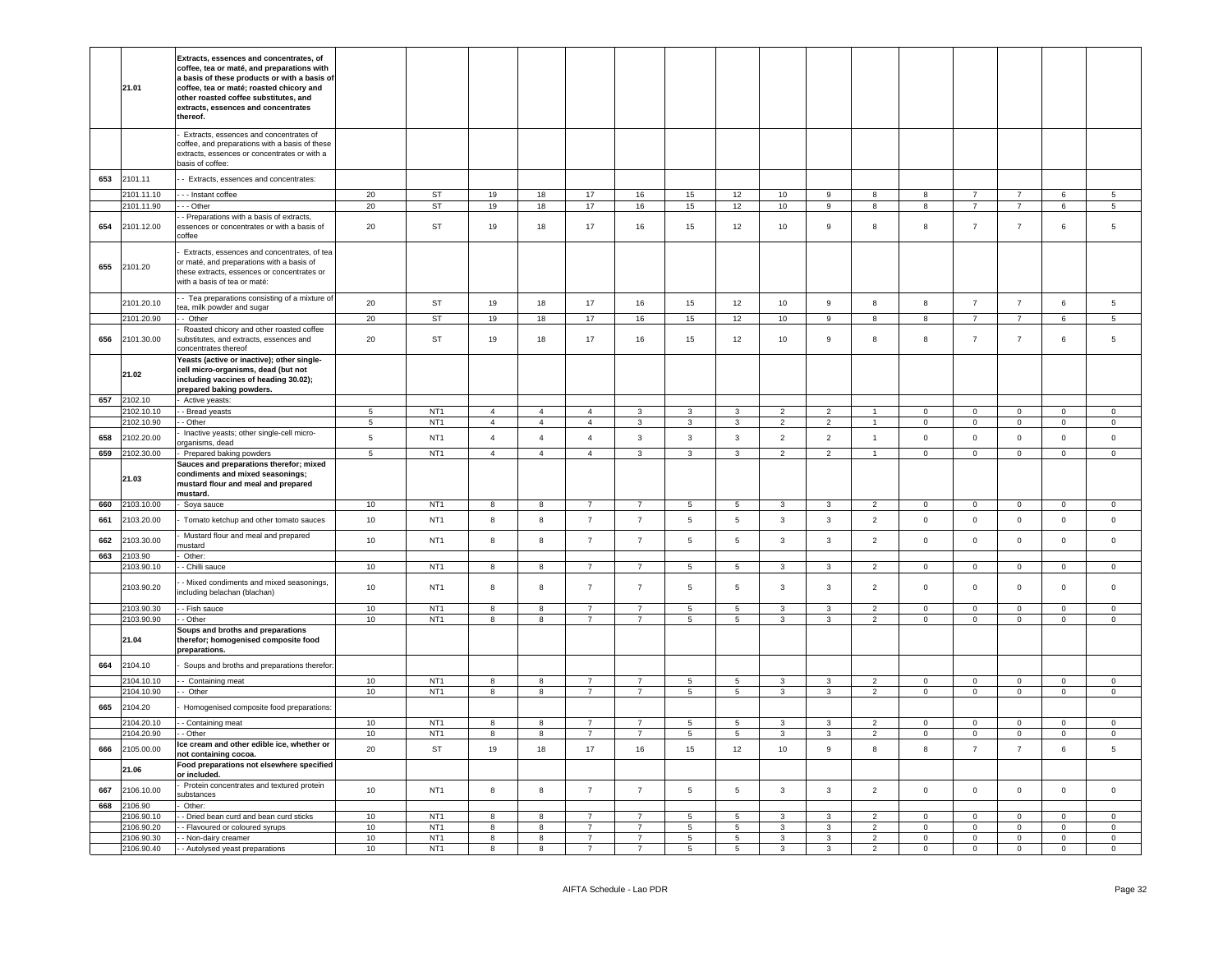|            | 21.01                    | Extracts, essences and concentrates, of<br>coffee, tea or maté, and preparations with<br>a basis of these products or with a basis of<br>coffee, tea or maté; roasted chicory and<br>other roasted coffee substitutes, and<br>extracts, essences and concentrates<br>thereof. |                        |                                    |                                                    |                                                    |                                  |                                  |                                  |                                  |                                  |                                  |                                              |                            |                                  |                                  |                                  |                               |
|------------|--------------------------|-------------------------------------------------------------------------------------------------------------------------------------------------------------------------------------------------------------------------------------------------------------------------------|------------------------|------------------------------------|----------------------------------------------------|----------------------------------------------------|----------------------------------|----------------------------------|----------------------------------|----------------------------------|----------------------------------|----------------------------------|----------------------------------------------|----------------------------|----------------------------------|----------------------------------|----------------------------------|-------------------------------|
|            |                          | Extracts, essences and concentrates of<br>coffee, and preparations with a basis of these<br>extracts, essences or concentrates or with a<br>basis of coffee:                                                                                                                  |                        |                                    |                                                    |                                                    |                                  |                                  |                                  |                                  |                                  |                                  |                                              |                            |                                  |                                  |                                  |                               |
| 653        | 2101.11                  | - Extracts, essences and concentrates:                                                                                                                                                                                                                                        |                        |                                    |                                                    |                                                    |                                  |                                  |                                  |                                  |                                  |                                  |                                              |                            |                                  |                                  |                                  |                               |
|            | 2101.11.10               | --- Instant coffee                                                                                                                                                                                                                                                            | 20                     | <b>ST</b>                          | 19                                                 | $18\,$                                             | 17                               | 16                               | 15                               | $12\,$                           | 10                               | 9                                | 8                                            | R.                         | $\overline{7}$                   | $\overline{7}$                   | 6                                | $5\phantom{.0}$               |
|            | 2101.11.90               | --- Other                                                                                                                                                                                                                                                                     | 20                     | <b>ST</b>                          | 19                                                 | 18                                                 | 17                               | 16                               | 15                               | 12                               | 10                               | $\overline{9}$                   | $\overline{8}$                               | $\mathbf{g}$               | $\overline{7}$                   | $\overline{7}$                   | 6                                | $\overline{5}$                |
| 654        | 2101.12.00               | - Preparations with a basis of extracts,<br>essences or concentrates or with a basis of<br>coffee                                                                                                                                                                             | 20                     | <b>ST</b>                          | 19                                                 | 18                                                 | 17                               | 16                               | 15                               | 12                               | 10                               | 9                                | 8                                            | 8                          | $\overline{7}$                   | $\overline{7}$                   | 6                                | 5                             |
| 655        | 2101.20                  | Extracts, essences and concentrates, of tea<br>or maté, and preparations with a basis of<br>these extracts, essences or concentrates or<br>with a basis of tea or maté:                                                                                                       |                        |                                    |                                                    |                                                    |                                  |                                  |                                  |                                  |                                  |                                  |                                              |                            |                                  |                                  |                                  |                               |
|            | 2101.20.10               | - Tea preparations consisting of a mixture of<br>tea, milk powder and sugar                                                                                                                                                                                                   | 20                     | ST                                 | 19                                                 | 18                                                 | 17                               | 16                               | 15                               | 12                               | 10                               | $\boldsymbol{9}$                 | $\bf8$                                       | 8                          | $\overline{7}$                   | $\overline{7}$                   | $\,6\,$                          | $\,$ 5 $\,$                   |
|            | 2101.20.90               | - Other                                                                                                                                                                                                                                                                       | 20                     | <b>ST</b>                          | 19                                                 | 18                                                 | 17                               | 16                               | 15                               | 12                               | 10                               | 9                                | 8                                            | 8                          | $\overline{7}$                   | $\overline{7}$                   | 6                                | 5                             |
| 656        | 2101.30.00               | Roasted chicory and other roasted coffee<br>substitutes, and extracts, essences and<br>concentrates thereof                                                                                                                                                                   | 20                     | <b>ST</b>                          | 19                                                 | 18                                                 | 17                               | 16                               | 15                               | 12                               | 10                               | 9                                | 8                                            | 8                          | $\overline{7}$                   | $\overline{7}$                   | 6                                | 5                             |
|            | 21.02                    | Yeasts (active or inactive); other single-<br>cell micro-organisms, dead (but not<br>including vaccines of heading 30.02);<br>prepared baking powders.                                                                                                                        |                        |                                    |                                                    |                                                    |                                  |                                  |                                  |                                  |                                  |                                  |                                              |                            |                                  |                                  |                                  |                               |
| 657        | 2102.10                  | - Active yeasts:                                                                                                                                                                                                                                                              |                        |                                    |                                                    |                                                    |                                  |                                  |                                  |                                  |                                  |                                  |                                              |                            |                                  |                                  |                                  |                               |
|            | 2102.10.10               | - Bread yeasts                                                                                                                                                                                                                                                                | -5                     | NT <sub>1</sub>                    | $\overline{4}$<br>$\overline{4}$                   | $\overline{4}$                                     | $\overline{4}$<br>$\mathbf{A}$   | $\mathbf{3}$                     | $\mathbf{3}$                     | $\overline{\mathbf{3}}$          | $\overline{2}$                   | $\overline{2}$                   | $\blacktriangleleft$<br>$\blacktriangleleft$ | $\Omega$<br>$\Omega$       | $\overline{0}$                   | $\mathbf 0$                      | $\mathbf 0$                      | $\mathbf 0$                   |
|            | 2102.10.90               | - Other<br>Inactive yeasts; other single-cell micro-                                                                                                                                                                                                                          | $\overline{5}$         | NT <sub>1</sub>                    |                                                    | $\overline{4}$                                     |                                  | 3                                | $\mathbf{3}$                     | $\overline{3}$                   | $\overline{2}$                   | $\overline{2}$                   |                                              |                            | $\mathsf 0$                      | $\mathsf{O}\xspace$              | $\mathbb O$                      | $\mathbf 0$                   |
| 658        | 2102.20.00               | organisms, dead                                                                                                                                                                                                                                                               | 5                      | NT <sub>1</sub>                    | $\overline{4}$                                     | $\overline{4}$                                     | $\overline{4}$                   | $\overline{3}$                   | $\overline{3}$                   | $\mathbf{3}$                     | 2                                | 2                                | $\mathbf{1}$                                 | $\mathbf 0$                | $\mathbf 0$                      | $\mathbf 0$                      | $\mathbf 0$                      | $\mathbf 0$                   |
| 659        | 2102.30.00               | Prepared baking powders                                                                                                                                                                                                                                                       | $\overline{5}$         | NT <sub>1</sub>                    | $\overline{4}$                                     | $\overline{4}$                                     | $\overline{4}$                   | $\overline{3}$                   | $\overline{\mathbf{3}}$          | $\overline{3}$                   | $\overline{2}$                   | $\overline{2}$                   | $\mathbf{1}$                                 | $\Omega$                   | $\overline{0}$                   | $\overline{0}$                   | $\overline{0}$                   | $\overline{0}$                |
|            | 21.03                    | Sauces and preparations therefor; mixed<br>condiments and mixed seasonings;<br>mustard flour and meal and prepared<br>mustard.                                                                                                                                                |                        |                                    |                                                    |                                                    |                                  |                                  |                                  |                                  |                                  |                                  |                                              |                            |                                  |                                  |                                  |                               |
| 660        | 2103.10.00               | Soya sauce                                                                                                                                                                                                                                                                    | 10 <sup>10</sup>       | NT <sub>1</sub>                    | 8                                                  | 8                                                  | $\overline{7}$                   | $\overline{7}$                   | 5                                | $\overline{5}$                   | $\overline{3}$                   | $\mathbf{3}$                     | $\overline{2}$                               | $\mathsf 0$                | $\mathsf 0$                      | $\mathbf 0$                      | $\mathsf 0$                      | $\mathsf 0$                   |
| 661        | 2103.20.00               | Tomato ketchup and other tomato sauces<br>Mustard flour and meal and prepared                                                                                                                                                                                                 | 10                     | NT <sub>1</sub>                    | $\bf8$                                             | 8                                                  | $\overline{7}$                   | $\overline{7}$                   | $\,$ 5 $\,$                      | 5                                | $\mathbf{3}$                     | $\mathbf{3}$                     | $\overline{2}$                               | $\mathbf 0$                | $\mathbf 0$                      | $\mathsf 0$                      | $\mathsf{O}\xspace$              | $\mathbb O$                   |
| 662<br>663 | 2103.30.00<br>2103.90    | nustard                                                                                                                                                                                                                                                                       | 10                     | NT <sub>1</sub>                    | 8                                                  | $\bf8$                                             | $\overline{7}$                   | $\overline{7}$                   | $\,$ 5 $\,$                      | 5                                | $\mathbf{3}$                     | $\mathbf{3}$                     | $\overline{2}$                               | $\mathsf 0$                | $\mathsf 0$                      | $\mathsf{O}\xspace$              | $\mathsf 0$                      | $\mathsf 0$                   |
|            | 2103.90.10               | Other:<br>- Chilli sauce                                                                                                                                                                                                                                                      | 10 <sup>10</sup>       | NT <sub>1</sub>                    | 8                                                  | 8                                                  | $\overline{7}$                   | $\overline{7}$                   | 5                                | 5                                | 3                                | 3                                | $\overline{2}$                               | $\mathbf 0$                | $\mathsf 0$                      | $\mathbf 0$                      | $\mathsf 0$                      | $\mathsf 0$                   |
|            | 2103.90.20               | - Mixed condiments and mixed seasonings,<br>including belachan (blachan)                                                                                                                                                                                                      | 10                     | NT <sub>1</sub>                    | 8                                                  | 8                                                  | $\overline{7}$                   | $\overline{7}$                   | 5                                | 5                                | 3                                | 3                                | $\overline{2}$                               | $\mathsf 0$                | $\mathsf 0$                      | $\mathbf 0$                      | $\mathsf 0$                      | $\Omega$                      |
|            | 2103.90.30               | - - Fish sauce                                                                                                                                                                                                                                                                | 10                     | NT <sub>1</sub>                    | 8                                                  | 8                                                  | $\overline{7}$                   | $\overline{7}$                   | $5\phantom{.0}$                  | 5                                | $\mathbf{3}$                     | 3                                | $\overline{2}$                               | $\Omega$                   | $\Omega$                         | $\Omega$                         | $\overline{0}$                   | $\mathbf 0$                   |
|            | 2103.90.90               | - Other<br>Soups and broths and preparations                                                                                                                                                                                                                                  | 10                     | NT <sub>1</sub>                    | 8                                                  | 8                                                  | $\overline{7}$                   | $\overline{7}$                   | $\overline{5}$                   | $\,$ 5 $\,$                      | $\mathbf{3}$                     | 3                                | $\overline{2}$                               | $\mathbf 0$                | $\overline{0}$                   | $\mathbf 0$                      | $\mathbb O$                      | $\mathsf 0$                   |
|            | 21.04                    | therefor; homogenised composite food<br>preparations.                                                                                                                                                                                                                         |                        |                                    |                                                    |                                                    |                                  |                                  |                                  |                                  |                                  |                                  |                                              |                            |                                  |                                  |                                  |                               |
| 664        | 2104.10                  | Soups and broths and preparations therefor                                                                                                                                                                                                                                    |                        |                                    |                                                    |                                                    |                                  |                                  |                                  |                                  |                                  |                                  |                                              |                            |                                  |                                  |                                  |                               |
|            | 2104.10.10<br>2104.10.90 | - Containing meat<br>- Other                                                                                                                                                                                                                                                  | 10 <sup>10</sup><br>10 | NT <sub>1</sub><br>NT <sub>1</sub> | $\mathbf{g}$<br>8                                  | 8<br>8                                             | $\overline{7}$<br>$\overline{7}$ | $\overline{7}$<br>$\overline{7}$ | 5<br>$5\phantom{.0}$             | 5<br>5                           | 3<br>$\mathbf{3}$                | 3<br>$\mathbf{3}$                | $\overline{2}$<br>$\overline{2}$             | $\Omega$<br>$\mathbf 0$    | $\mathbf 0$<br>$\mathbf{0}$      | $\Omega$<br>$\mathbf 0$          | $\mathbf 0$<br>$\mathbf 0$       | $\circ$<br>$\mathbf 0$        |
| 665        | 2104.20                  | Homogenised composite food preparations:                                                                                                                                                                                                                                      |                        |                                    |                                                    |                                                    |                                  |                                  |                                  |                                  |                                  |                                  |                                              |                            |                                  |                                  |                                  |                               |
|            | 2104.20.10               | - Containing meat                                                                                                                                                                                                                                                             | 10                     | NT1                                | 8                                                  | 8                                                  | $\overline{7}$                   | $\overline{7}$                   | 5                                | 5                                | 3                                | 3                                | $\overline{2}$                               | $\mathbf 0$                | $\mathbf 0$                      | $\mathbf{0}$                     | $\mathbf{0}$                     | $\circ$                       |
|            | 2104.20.90               | - Other                                                                                                                                                                                                                                                                       | 10                     | NT <sub>1</sub>                    | 8                                                  | 8                                                  | $\overline{7}$                   | $\overline{7}$                   | $5\phantom{.0}$                  | $5\overline{5}$                  | $\overline{\mathbf{3}}$          | $\mathbf{3}$                     | $\overline{2}$                               | $\overline{0}$             | $\overline{0}$                   | $\mathbf 0$                      | $\overline{0}$                   | $\overline{0}$                |
| 666        | 2105.00.00               | Ice cream and other edible ice, whether or<br>not containing cocoa.                                                                                                                                                                                                           | 20                     | ST                                 | 19                                                 | 18                                                 | 17                               | 16                               | 15                               | 12                               | 10                               | 9                                | 8                                            | 8                          | $\overline{7}$                   | $\overline{7}$                   | 6                                | $5\phantom{.0}$               |
|            | 21.06                    | Food preparations not elsewhere specified<br>or included.                                                                                                                                                                                                                     |                        |                                    |                                                    |                                                    |                                  |                                  |                                  |                                  |                                  |                                  |                                              |                            |                                  |                                  |                                  |                               |
| 667        | 2106.10.00               | Protein concentrates and textured protein<br>substances                                                                                                                                                                                                                       | 10                     | NT <sub>1</sub>                    | 8                                                  | 8                                                  | $\overline{7}$                   | $\overline{7}$                   | $\,$ 5 $\,$                      | 5                                | $\mathbf{3}$                     | $\mathbf{3}$                     | $\overline{2}$                               | $\mathsf 0$                | $\mathbf 0$                      | $\mathsf{O}\xspace$              | $\mathbf 0$                      | $\mathbb O$                   |
| 668        | 2106.90                  | Other:<br>- Dried bean curd and bean curd sticks                                                                                                                                                                                                                              | 10                     | NT <sub>1</sub>                    | 8                                                  | $\overline{\mathbf{8}}$                            | $\overline{7}$                   | $\overline{7}$                   | $\overline{5}$                   | $\overline{5}$                   | $\mathbf{3}$                     | $\overline{3}$                   | $\overline{2}$                               |                            | $\mathsf 0$                      | $\mathbf 0$                      | $\mathbf 0$                      |                               |
|            |                          |                                                                                                                                                                                                                                                                               |                        |                                    |                                                    |                                                    |                                  |                                  |                                  |                                  |                                  |                                  |                                              | $\Omega$                   |                                  |                                  |                                  | $\mathsf 0$                   |
|            | 106.90.10                |                                                                                                                                                                                                                                                                               |                        |                                    |                                                    |                                                    |                                  |                                  |                                  |                                  |                                  |                                  |                                              |                            |                                  |                                  |                                  |                               |
|            | 2106.90.20<br>2106.90.30 | - - Flavoured or coloured syrups<br>- - Non-dairy creamer                                                                                                                                                                                                                     | 10<br>10               | NT <sub>1</sub><br>NT <sub>1</sub> | $\overline{\mathbf{8}}$<br>$\overline{\mathbf{8}}$ | $\overline{\mathbf{8}}$<br>$\overline{\mathbf{8}}$ | $\overline{7}$<br>$\overline{7}$ | $\overline{7}$<br>$\overline{7}$ | $\overline{5}$<br>$\overline{5}$ | $\overline{5}$<br>$\overline{5}$ | $\overline{3}$<br>$\overline{3}$ | $\overline{3}$<br>$\overline{3}$ | $\overline{2}$<br>$\overline{2}$             | $\mathbf 0$<br>$\mathbf 0$ | $\overline{0}$<br>$\overline{0}$ | $\overline{0}$<br>$\overline{0}$ | $\overline{0}$<br>$\overline{0}$ | $\mathbb O$<br>$\overline{0}$ |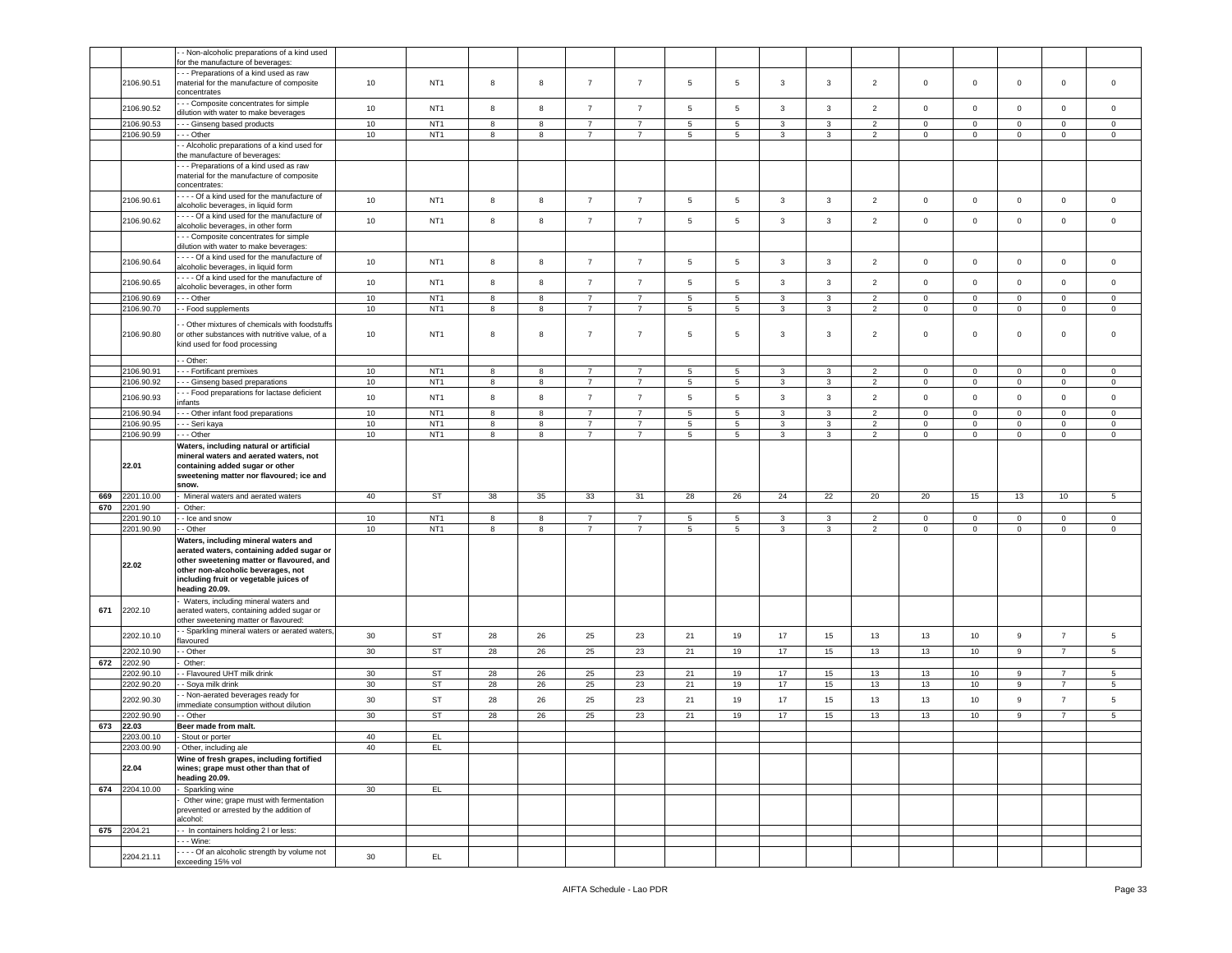|     |            | - Non-alcoholic preparations of a kind used<br>for the manufacture of beverages:  |        |                 |    |            |                |                |                 |    |              |              |                |              |                |                     |                |                 |
|-----|------------|-----------------------------------------------------------------------------------|--------|-----------------|----|------------|----------------|----------------|-----------------|----|--------------|--------------|----------------|--------------|----------------|---------------------|----------------|-----------------|
|     |            | - - Preparations of a kind used as raw                                            |        |                 |    |            |                |                |                 |    |              |              |                |              |                |                     |                |                 |
|     | 2106.90.51 | material for the manufacture of composite                                         | 10     | NT <sub>1</sub> | 8  | 8          | $\overline{7}$ | $\overline{7}$ | 5               | 5  | 3            | 3            | $\overline{2}$ | $\circ$      | $\mathbf{0}$   | $\mathbf 0$         | $\mathbf 0$    | $\circ$         |
|     |            | concentrates                                                                      |        |                 |    |            |                |                |                 |    |              |              |                |              |                |                     |                |                 |
|     |            | - - Composite concentrates for simple                                             |        |                 |    |            |                |                |                 |    |              |              |                |              |                |                     |                |                 |
|     | 2106.90.52 | dilution with water to make beverages                                             | 10     | NT <sub>1</sub> | 8  | 8          | $\overline{7}$ | $\overline{7}$ | 5               | 5  | 3            | $\mathbf{3}$ | $\overline{2}$ | $\mathbf 0$  | $\mathbf 0$    | $\mathbf 0$         | $\mathbf 0$    | $\mathbf 0$     |
|     | 2106.90.53 | - - Ginseng based products                                                        | 10     | NT <sub>1</sub> | 8  | 8          | $\overline{7}$ | 7              | 5               | 5  | 3            | 3            | $\overline{2}$ | $\mathbf 0$  | $\mathbf{0}$   | $\mathbf{0}$        | $\mathbf{0}$   | $\circ$         |
|     | 2106.90.59 | - - Other                                                                         | $10$   | NT <sub>1</sub> | 8  | 8          | $\overline{7}$ | $\overline{7}$ | 5               | 5  | 3            | 3            | $\overline{2}$ | $\mathbf{0}$ | $\mathbf 0$    | $\mathsf 0$         | $\mathbf 0$    | $\mathsf 0$     |
|     |            | - Alcoholic preparations of a kind used for                                       |        |                 |    |            |                |                |                 |    |              |              |                |              |                |                     |                |                 |
|     |            | he manufacture of beverages:                                                      |        |                 |    |            |                |                |                 |    |              |              |                |              |                |                     |                |                 |
|     |            | - - Preparations of a kind used as raw                                            |        |                 |    |            |                |                |                 |    |              |              |                |              |                |                     |                |                 |
|     |            | material for the manufacture of composite                                         |        |                 |    |            |                |                |                 |    |              |              |                |              |                |                     |                |                 |
|     |            | concentrates:                                                                     |        |                 |    |            |                |                |                 |    |              |              |                |              |                |                     |                |                 |
|     | 2106.90.61 | --- Of a kind used for the manufacture of                                         | 10     | NT <sub>1</sub> | 8  | 8          | $\overline{7}$ | $\overline{7}$ | $\sqrt{5}$      | 5  | $\mathbf{3}$ | $\mathbf{3}$ | $\overline{2}$ | $\mathsf 0$  | $\mathbf 0$    | $\mathsf 0$         | $\mathbf 0$    | $\mathbf 0$     |
|     |            | alcoholic beverages, in liquid form                                               |        |                 |    |            |                |                |                 |    |              |              |                |              |                |                     |                |                 |
|     | 2106.90.62 | - - - Of a kind used for the manufacture of<br>alcoholic beverages, in other form | 10     | NT <sub>1</sub> | 8  | 8          | $\overline{7}$ | $\overline{7}$ | 5               | 5  | $\mathbf{3}$ | 3            | $\overline{2}$ | $\mathbf 0$  | $\mathbf 0$    | $\mathsf 0$         | $\mathbf 0$    | $\mathbf 0$     |
|     |            | - - Composite concentrates for simple                                             |        |                 |    |            |                |                |                 |    |              |              |                |              |                |                     |                |                 |
|     |            | dilution with water to make beverages:                                            |        |                 |    |            |                |                |                 |    |              |              |                |              |                |                     |                |                 |
|     |            | - - - Of a kind used for the manufacture of                                       |        |                 |    |            |                |                |                 |    |              |              |                |              |                |                     |                |                 |
|     | 2106.90.64 | alcoholic beverages, in liquid form                                               | 10     | NT <sub>1</sub> | 8  | 8          | $\overline{7}$ | $\overline{7}$ | 5               | 5  | 3            | $\mathbf{3}$ | $\overline{2}$ | $\mathbf 0$  | $\mathbf{0}$   | $\mathbf 0$         | $\mathbf 0$    | $\mathbf 0$     |
|     |            | - - - Of a kind used for the manufacture of                                       | 10     |                 | 8  | 8          | $\overline{7}$ | $\overline{7}$ | 5               | 5  | $\mathbf{3}$ | $\mathbf{3}$ | $\overline{2}$ | $\mathbf 0$  | $\mathbf 0$    | $\mathsf 0$         | $\mathbf 0$    | $\mathbf 0$     |
|     | 2106.90.65 | alcoholic beverages, in other form                                                |        | NT <sub>1</sub> |    |            |                |                |                 |    |              |              |                |              |                |                     |                |                 |
|     | 2106.90.69 | - - Other                                                                         | $10$   | NT <sub>1</sub> | 8  | $^{\rm 8}$ | $\overline{7}$ | $\overline{7}$ | $\sqrt{5}$      | 5  | $\mathbf{3}$ | 3            | $\overline{2}$ | $\mathbf 0$  | $\mathsf 0$    | $\mathbf 0$         | $\mathbf 0$    | $\mathsf 0$     |
|     | 2106.90.70 | - Food supplements                                                                | 10     | NT <sub>1</sub> | 8  | 8          | $\overline{7}$ | $\overline{7}$ | $\overline{5}$  | 5  | 3            | 3            | $\overline{2}$ | $\mathbf 0$  | $\mathbf 0$    | $\mathsf 0$         | $\mathbf 0$    | $\mathbf 0$     |
|     |            | Other mixtures of chemicals with foodstuffs                                       |        |                 |    |            |                |                |                 |    |              |              |                |              |                |                     |                |                 |
|     | 2106.90.80 | or other substances with nutritive value, of a                                    | 10     | NT <sub>1</sub> | 8  | 8          | $\overline{7}$ | $\overline{7}$ | 5               | 5  | 3            | 3            | $\overline{2}$ | $\mathbf 0$  | $\mathbf 0$    | $\mathbf 0$         | $\mathbf 0$    | $\mathbf 0$     |
|     |            | kind used for food processing                                                     |        |                 |    |            |                |                |                 |    |              |              |                |              |                |                     |                |                 |
|     |            | - Other:                                                                          |        |                 |    |            |                |                |                 |    |              |              |                |              |                |                     |                |                 |
|     | 2106.90.91 | - - Fortificant premixes                                                          | 10     | NT <sub>1</sub> | 8  | 8          | $\overline{7}$ | $\overline{7}$ | 5               | 5  | 3            | 3            | $\overline{2}$ | $\mathbf 0$  | $\mathbf{0}$   | $\mathbf 0$         | $\mathbf{0}$   | $\circ$         |
|     | 2106.90.92 | - Ginseng based preparations                                                      | $10$   | NT <sub>1</sub> | 8  | $^{\rm 8}$ | $\overline{7}$ | $\overline{7}$ | $\,$ 5 $\,$     | 5  | $\mathbf{3}$ | 3            | $\overline{2}$ | $\mathbf 0$  | $\mathbf 0$    | $\mathsf{O}\xspace$ | $\,0\,$        | $\mathsf 0$     |
|     |            | - - Food preparations for lactase deficient                                       |        |                 |    |            |                |                |                 |    |              |              |                |              |                |                     |                |                 |
|     | 2106.90.93 | nfants                                                                            | 10     | NT <sub>1</sub> | 8  | 8          | $\overline{7}$ | $\overline{7}$ | 5               | 5  | 3            | 3            | $\overline{2}$ | $\mathbf 0$  | $\mathbf 0$    | $\mathsf 0$         | $\mathbf 0$    | $\mathbf 0$     |
|     | 2106.90.94 | - - Other infant food preparations                                                | 10     | NT <sub>1</sub> | 8  | 8          | $\overline{7}$ | 7              | 5               | 5  | 3            | 3            | $\overline{2}$ | $\mathbf 0$  | $\mathbf{0}$   | $\mathbf 0$         | $\overline{0}$ | $\circ$         |
|     | 2106.90.95 | - - Seri kaya                                                                     | $10$   | NT <sub>1</sub> | 8  | $^{\rm 8}$ | $\overline{7}$ | $\overline{7}$ | $\,$ 5 $\,$     | 5  | $\mathbf{3}$ | 3            | $\overline{2}$ | $\mathbf 0$  | $\mathsf 0$    | $\mathsf 0$         | $\mathbf 0$    | $\mathsf 0$     |
|     | 2106.90.99 | - - Other                                                                         | $10$   | NT <sub>1</sub> | 8  | 8          | $\overline{7}$ | $\overline{7}$ | 5               | 5  | 3            | 3            | $\overline{2}$ | $\mathbf 0$  | $\mathbf{0}$   | $\mathbf 0$         | $\mathbf 0$    | $\mathbf 0$     |
|     |            | Waters, including natural or artificial                                           |        |                 |    |            |                |                |                 |    |              |              |                |              |                |                     |                |                 |
|     |            | mineral waters and aerated waters, not                                            |        |                 |    |            |                |                |                 |    |              |              |                |              |                |                     |                |                 |
|     |            |                                                                                   |        |                 |    |            |                |                |                 |    |              |              |                |              |                |                     |                |                 |
|     | 22.01      | containing added sugar or other                                                   |        |                 |    |            |                |                |                 |    |              |              |                |              |                |                     |                |                 |
|     |            | sweetening matter nor flavoured; ice and                                          |        |                 |    |            |                |                |                 |    |              |              |                |              |                |                     |                |                 |
|     |            | snow.                                                                             |        |                 |    |            |                |                |                 |    |              |              |                |              |                |                     |                |                 |
| 669 | 2201.10.00 | Mineral waters and aerated waters                                                 | 40     | ST              | 38 | 35         | 33             | 31             | 28              | 26 | 24           | 22           | 20             | 20           | 15             | 13                  | 10             | $5\phantom{.0}$ |
| 670 | 2201.90    | Other:                                                                            |        |                 |    |            |                |                |                 |    |              |              |                |              |                |                     |                |                 |
|     | 2201.90.10 | - Ice and snow                                                                    | 10     | NT <sub>1</sub> | 8  | 8          | $\overline{7}$ | 7              | $5\phantom{.0}$ | 5  | $\mathbf{3}$ | $\mathbf{3}$ | $\overline{2}$ | $\mathbf 0$  | $\overline{0}$ | $\mathsf 0$         | $\mathbf 0$    | $\mathbf 0$     |
|     | 2201.90.90 | - Other                                                                           | 10     | NT <sub>1</sub> | 8  | 8          | $\overline{7}$ | $\overline{7}$ | $\sqrt{5}$      | 5  | 3            | 3            | $\overline{2}$ | $\mathbf 0$  | $\mathbf{0}$   | $\mathsf{O}\xspace$ | $\circ$        | $\mathbf 0$     |
|     |            | Waters, including mineral waters and                                              |        |                 |    |            |                |                |                 |    |              |              |                |              |                |                     |                |                 |
|     |            | aerated waters, containing added sugar or                                         |        |                 |    |            |                |                |                 |    |              |              |                |              |                |                     |                |                 |
|     | 22.02      | other sweetening matter or flavoured, and                                         |        |                 |    |            |                |                |                 |    |              |              |                |              |                |                     |                |                 |
|     |            | other non-alcoholic beverages, not                                                |        |                 |    |            |                |                |                 |    |              |              |                |              |                |                     |                |                 |
|     |            | including fruit or vegetable juices of<br>heading 20.09.                          |        |                 |    |            |                |                |                 |    |              |              |                |              |                |                     |                |                 |
|     |            | Waters, including mineral waters and                                              |        |                 |    |            |                |                |                 |    |              |              |                |              |                |                     |                |                 |
| 671 | 2202.10    | aerated waters, containing added sugar or                                         |        |                 |    |            |                |                |                 |    |              |              |                |              |                |                     |                |                 |
|     |            | other sweetening matter or flavoured:                                             |        |                 |    |            |                |                |                 |    |              |              |                |              |                |                     |                |                 |
|     |            | - Sparkling mineral waters or aerated waters,                                     | 30     | <b>ST</b>       | 28 | 26         | 25             |                | 21              |    | 17           |              | 13             | 13           | 10             | 9                   | $\overline{7}$ |                 |
|     | 2202.10.10 | lavoured                                                                          |        |                 |    |            |                | 23             |                 | 19 |              | 15           |                |              |                |                     |                | 5               |
|     | 2202.10.90 | Other                                                                             | 30     | <b>ST</b>       | 28 | 26         | 25             | 23             | 21              | 19 | 17           | 15           | 13             | 13           | 10             | 9                   | $\overline{7}$ | 5               |
| 672 | 2202.90    | Other:                                                                            |        |                 |    |            |                |                |                 |    |              |              |                |              |                |                     |                |                 |
|     | 2202.90.10 | - Flavoured UHT milk drink                                                        | $30\,$ | <b>ST</b>       | 28 | 26         | 25             | 23             | 21              | 19 | 17           | 15           | 13             | 13           | 10             | 9                   | $\overline{7}$ | 5               |
|     | 2202.90.20 | - Soya milk drink                                                                 | 30     | ST              | 28 | 26         | 25             | 23             | 21              | 19 | 17           | 15           | 13             | 13           | 10             | 9                   | $\overline{7}$ | $5\overline{5}$ |
|     | 2202.90.30 | Non-aerated beverages ready for                                                   | 30     | ST              | 28 | 26         | 25             | 23             | 21              | 19 | 17           | 15           | 13             | 13           | 10             | 9                   | $\overline{7}$ | 5               |
|     |            | nmediate consumption without dilution                                             |        |                 |    |            |                |                |                 |    |              |              |                |              |                |                     |                |                 |
|     | 2202.90.90 | - Other                                                                           | $30\,$ | ST              | 28 | 26         | 25             | 23             | 21              | 19 | 17           | 15           | 13             | 13           | 10             | 9                   | $\overline{7}$ | 5               |
| 673 | 22.03      | Beer made from malt.                                                              |        |                 |    |            |                |                |                 |    |              |              |                |              |                |                     |                |                 |
|     | 2203.00.10 | Stout or porter                                                                   | 40     | EL              |    |            |                |                |                 |    |              |              |                |              |                |                     |                |                 |
|     | 2203.00.90 | Other, including ale<br>Wine of fresh grapes, including fortified                 | 40     | EL.             |    |            |                |                |                 |    |              |              |                |              |                |                     |                |                 |
|     | 22.04      | wines; grape must other than that of                                              |        |                 |    |            |                |                |                 |    |              |              |                |              |                |                     |                |                 |
|     |            | heading 20.09.                                                                    |        |                 |    |            |                |                |                 |    |              |              |                |              |                |                     |                |                 |
| 674 | 2204.10.00 | Sparkling wine                                                                    | 30     | EL              |    |            |                |                |                 |    |              |              |                |              |                |                     |                |                 |
|     |            | Other wine; grape must with fermentation                                          |        |                 |    |            |                |                |                 |    |              |              |                |              |                |                     |                |                 |
|     |            | prevented or arrested by the addition of                                          |        |                 |    |            |                |                |                 |    |              |              |                |              |                |                     |                |                 |
|     |            | alcohol:                                                                          |        |                 |    |            |                |                |                 |    |              |              |                |              |                |                     |                |                 |
| 675 | 2204.21    | - In containers holding 2 I or less:                                              |        |                 |    |            |                |                |                 |    |              |              |                |              |                |                     |                |                 |
|     |            | - - Wine:                                                                         |        |                 |    |            |                |                |                 |    |              |              |                |              |                |                     |                |                 |
|     | 2204.21.11 | --- Of an alcoholic strength by volume not<br>exceeding 15% vol                   | 30     | EL.             |    |            |                |                |                 |    |              |              |                |              |                |                     |                |                 |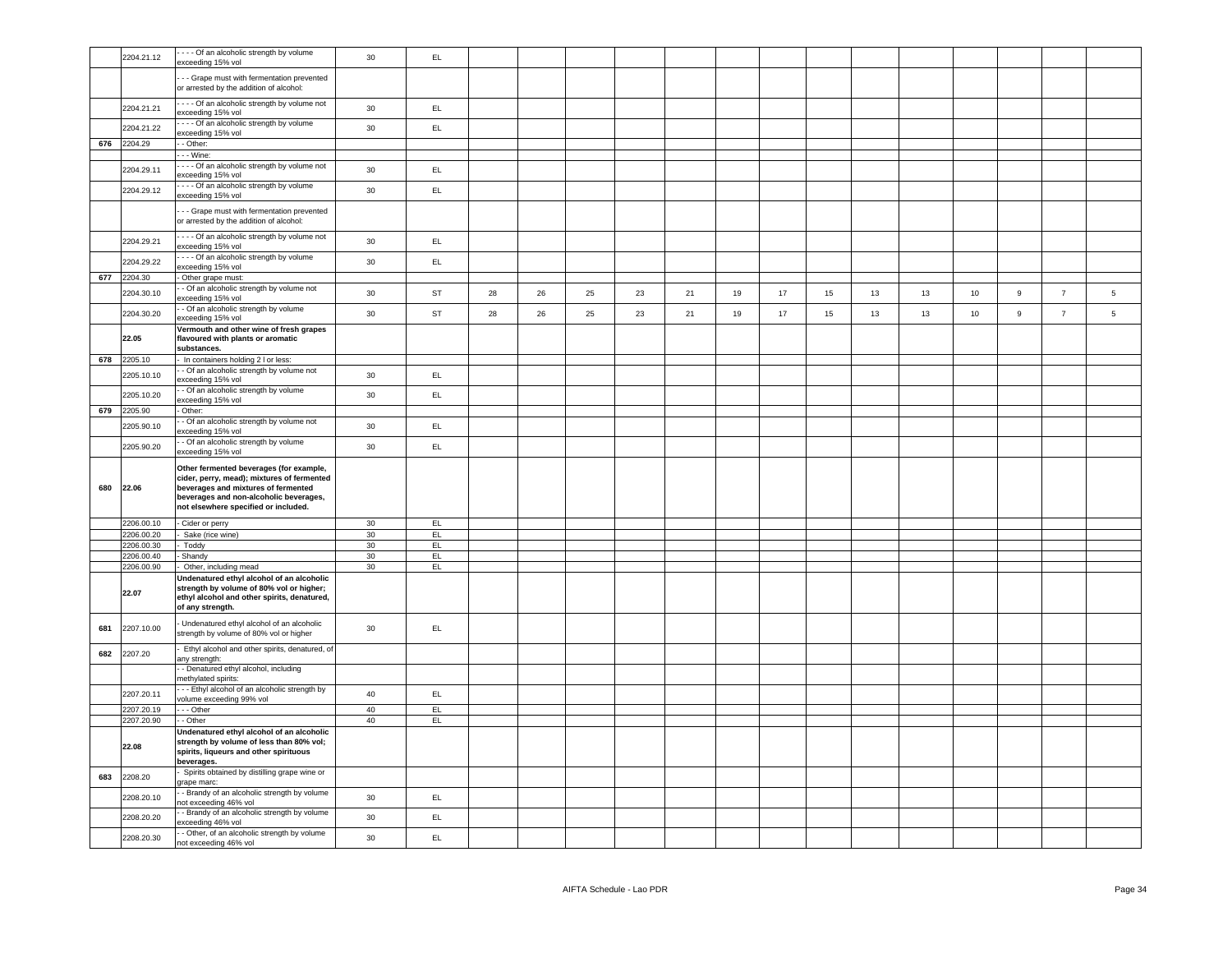|     | 2204.21.12               | - - - Of an alcoholic strength by volume<br>exceeding 15% vol                                                                                                                                                  | 30              | EL            |    |    |    |    |    |    |    |    |    |    |    |             |                |                 |
|-----|--------------------------|----------------------------------------------------------------------------------------------------------------------------------------------------------------------------------------------------------------|-----------------|---------------|----|----|----|----|----|----|----|----|----|----|----|-------------|----------------|-----------------|
|     |                          | - - Grape must with fermentation prevented                                                                                                                                                                     |                 |               |    |    |    |    |    |    |    |    |    |    |    |             |                |                 |
|     |                          | or arrested by the addition of alcohol:                                                                                                                                                                        |                 |               |    |    |    |    |    |    |    |    |    |    |    |             |                |                 |
|     | 2204.21.21               | --- Of an alcoholic strength by volume not<br>xceeding 15% vol                                                                                                                                                 | 30              | EL            |    |    |    |    |    |    |    |    |    |    |    |             |                |                 |
|     | 2204.21.22               | - - - Of an alcoholic strength by volume<br>exceeding 15% vol                                                                                                                                                  | 30              | $\mathsf{EL}$ |    |    |    |    |    |    |    |    |    |    |    |             |                |                 |
| 676 | 2204.29                  | - Other:                                                                                                                                                                                                       |                 |               |    |    |    |    |    |    |    |    |    |    |    |             |                |                 |
|     |                          | $-$ Wine:<br>- - - Of an alcoholic strength by volume not                                                                                                                                                      |                 |               |    |    |    |    |    |    |    |    |    |    |    |             |                |                 |
|     | 2204.29.11               | exceeding 15% vol                                                                                                                                                                                              | 30              | $\mathsf{EL}$ |    |    |    |    |    |    |    |    |    |    |    |             |                |                 |
|     | 2204.29.12               | - - - Of an alcoholic strength by volume<br>exceeding 15% vol                                                                                                                                                  | 30              | EL            |    |    |    |    |    |    |    |    |    |    |    |             |                |                 |
|     |                          | - - Grape must with fermentation prevented<br>or arrested by the addition of alcohol:                                                                                                                          |                 |               |    |    |    |    |    |    |    |    |    |    |    |             |                |                 |
|     | 2204.29.21               | --- Of an alcoholic strength by volume not<br>xceeding 15% vol                                                                                                                                                 | 30              | EL.           |    |    |    |    |    |    |    |    |    |    |    |             |                |                 |
|     | 2204.29.22               | ---- Of an alcoholic strength by volume<br>exceeding 15% vol                                                                                                                                                   | $30\,$          | $\mathsf{EL}$ |    |    |    |    |    |    |    |    |    |    |    |             |                |                 |
| 677 | 2204.30                  | Other grape must:                                                                                                                                                                                              |                 |               |    |    |    |    |    |    |    |    |    |    |    |             |                |                 |
|     | 2204.30.10               | - Of an alcoholic strength by volume not<br>exceeding 15% vol                                                                                                                                                  | 30              | <b>ST</b>     | 28 | 26 | 25 | 23 | 21 | 19 | 17 | 15 | 13 | 13 | 10 | $\mathsf g$ | $\overline{7}$ | 5               |
|     | 2204.30.20               | - Of an alcoholic strength by volume<br>exceeding 15% vol                                                                                                                                                      | 30              | <b>ST</b>     | 28 | 26 | 25 | 23 | 21 | 19 | 17 | 15 | 13 | 13 | 10 | $\mathsf g$ | $\overline{7}$ | $5\phantom{.0}$ |
|     | 22.05                    | Vermouth and other wine of fresh grapes<br>flavoured with plants or aromatic<br>substances.                                                                                                                    |                 |               |    |    |    |    |    |    |    |    |    |    |    |             |                |                 |
| 678 | 2205.10                  | In containers holding 2 I or less:                                                                                                                                                                             |                 |               |    |    |    |    |    |    |    |    |    |    |    |             |                |                 |
|     | 2205.10.10               | - Of an alcoholic strength by volume not<br>exceeding 15% vol                                                                                                                                                  | 30              | EL            |    |    |    |    |    |    |    |    |    |    |    |             |                |                 |
|     | 2205.10.20               | - Of an alcoholic strength by volume<br>xceeding 15% vol                                                                                                                                                       | 30              | EL            |    |    |    |    |    |    |    |    |    |    |    |             |                |                 |
|     | 679 2205.90              | Other:                                                                                                                                                                                                         |                 |               |    |    |    |    |    |    |    |    |    |    |    |             |                |                 |
|     | 2205.90.10               | - Of an alcoholic strength by volume not<br>exceeding 15% vol                                                                                                                                                  | 30              | EL            |    |    |    |    |    |    |    |    |    |    |    |             |                |                 |
|     | 2205.90.20               | - Of an alcoholic strength by volume<br>exceeding 15% vol                                                                                                                                                      | 30              | EL.           |    |    |    |    |    |    |    |    |    |    |    |             |                |                 |
| 680 | 22.06                    | Other fermented beverages (for example,<br>cider, perry, mead); mixtures of fermented<br>beverages and mixtures of fermented<br>beverages and non-alcoholic beverages,<br>not elsewhere specified or included. |                 |               |    |    |    |    |    |    |    |    |    |    |    |             |                |                 |
|     | 2206.00.10               | Cider or perry                                                                                                                                                                                                 | 30              | EL.           |    |    |    |    |    |    |    |    |    |    |    |             |                |                 |
|     | 2206.00.20               | Sake (rice wine)                                                                                                                                                                                               | 30              | EL.           |    |    |    |    |    |    |    |    |    |    |    |             |                |                 |
|     | 2206.00.30               | Toddy                                                                                                                                                                                                          | 30 <sup>°</sup> | EL.           |    |    |    |    |    |    |    |    |    |    |    |             |                |                 |
|     | 2206.00.40<br>2206.00.90 | Shandy<br>Other, including mead                                                                                                                                                                                | 30<br>30        | EL<br>EL.     |    |    |    |    |    |    |    |    |    |    |    |             |                |                 |
|     | 22.07                    | Undenatured ethyl alcohol of an alcoholic<br>strength by volume of 80% vol or higher;<br>ethyl alcohol and other spirits, denatured,<br>of any strength.                                                       |                 |               |    |    |    |    |    |    |    |    |    |    |    |             |                |                 |
| 681 | 2207.10.00               | Undenatured ethyl alcohol of an alcoholic<br>strength by volume of 80% vol or higher                                                                                                                           | 30              | EL.           |    |    |    |    |    |    |    |    |    |    |    |             |                |                 |
| 682 | 2207.20                  | Ethyl alcohol and other spirits, denatured, of<br>any strength:                                                                                                                                                |                 |               |    |    |    |    |    |    |    |    |    |    |    |             |                |                 |
|     |                          | - Denatured ethyl alcohol, including<br>nethylated spirits:                                                                                                                                                    |                 |               |    |    |    |    |    |    |    |    |    |    |    |             |                |                 |
|     | 2207.20.11               | - - Ethyl alcohol of an alcoholic strength by<br>olume exceeding 99% vol                                                                                                                                       | 40              | EL            |    |    |    |    |    |    |    |    |    |    |    |             |                |                 |
|     | 2207.20.19               | - - Other                                                                                                                                                                                                      | 40              | EL.           |    |    |    |    |    |    |    |    |    |    |    |             |                |                 |
|     | 2207.20.90               | - Other<br>Jndenatured ethyl alcohol of an alcoholic                                                                                                                                                           | 40              | EL.           |    |    |    |    |    |    |    |    |    |    |    |             |                |                 |
|     | 22.08                    | strength by volume of less than 80% vol;<br>spirits, liqueurs and other spirituous<br>beverages.                                                                                                               |                 |               |    |    |    |    |    |    |    |    |    |    |    |             |                |                 |
| 683 | 2208.20                  | Spirits obtained by distilling grape wine or<br>grape marc:                                                                                                                                                    |                 |               |    |    |    |    |    |    |    |    |    |    |    |             |                |                 |
|     | 2208.20.10               | - Brandy of an alcoholic strength by volume<br>ot exceeding 46% vol                                                                                                                                            | 30              | EL            |    |    |    |    |    |    |    |    |    |    |    |             |                |                 |
|     | 2208.20.20               | Brandy of an alcoholic strength by volume<br>xceeding 46% vol                                                                                                                                                  | 30              | EL.           |    |    |    |    |    |    |    |    |    |    |    |             |                |                 |
|     | 2208.20.30               | - Other, of an alcoholic strength by volume<br>not exceeding 46% vol                                                                                                                                           | 30              | EL            |    |    |    |    |    |    |    |    |    |    |    |             |                |                 |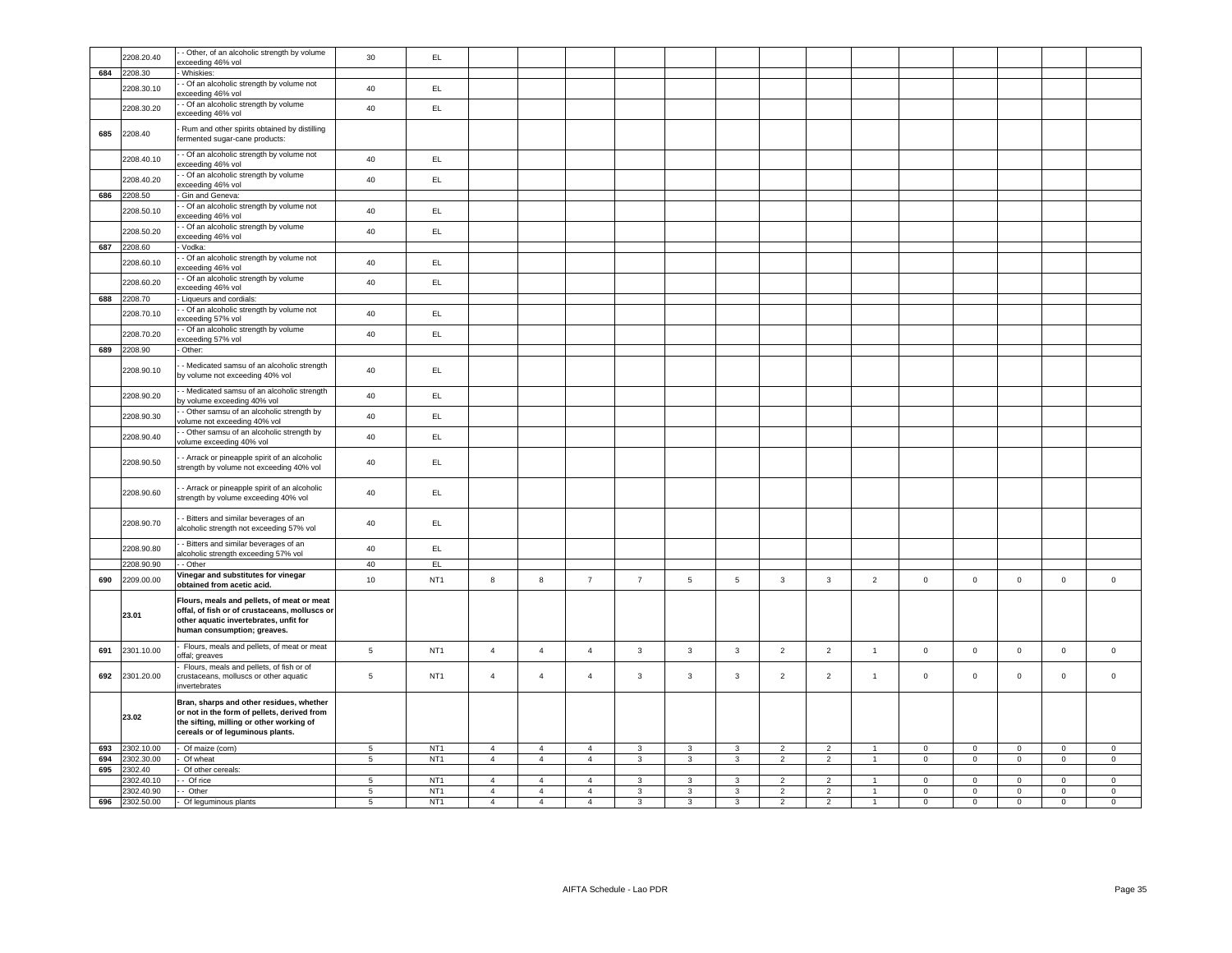|     | 2208.20.40            | - Other, of an alcoholic strength by volume<br>exceeding 46% vol                                                                                                        | 30              | EL.             |                |                |                |                         |                         |                         |                |                |                |                |                |             |                     |                     |
|-----|-----------------------|-------------------------------------------------------------------------------------------------------------------------------------------------------------------------|-----------------|-----------------|----------------|----------------|----------------|-------------------------|-------------------------|-------------------------|----------------|----------------|----------------|----------------|----------------|-------------|---------------------|---------------------|
| 684 | 2208.30               | Whiskies:                                                                                                                                                               |                 |                 |                |                |                |                         |                         |                         |                |                |                |                |                |             |                     |                     |
|     |                       | - Of an alcoholic strength by volume not                                                                                                                                |                 |                 |                |                |                |                         |                         |                         |                |                |                |                |                |             |                     |                     |
|     | 2208.30.10            | exceeding 46% vol                                                                                                                                                       | 40              | EL.             |                |                |                |                         |                         |                         |                |                |                |                |                |             |                     |                     |
|     | 2208.30.20            | - Of an alcoholic strength by volume                                                                                                                                    | 40              | EL.             |                |                |                |                         |                         |                         |                |                |                |                |                |             |                     |                     |
|     |                       | exceeding 46% vol                                                                                                                                                       |                 |                 |                |                |                |                         |                         |                         |                |                |                |                |                |             |                     |                     |
| 685 | 2208.40               | Rum and other spirits obtained by distilling<br>fermented sugar-cane products:                                                                                          |                 |                 |                |                |                |                         |                         |                         |                |                |                |                |                |             |                     |                     |
|     | 2208.40.10            | - Of an alcoholic strength by volume not<br>xceeding 46% vol                                                                                                            | 40              | EL.             |                |                |                |                         |                         |                         |                |                |                |                |                |             |                     |                     |
|     | 2208.40.20            | - Of an alcoholic strength by volume<br>xceeding 46% vol                                                                                                                | 40              | EL.             |                |                |                |                         |                         |                         |                |                |                |                |                |             |                     |                     |
| 686 | 2208.50               | Gin and Geneva:                                                                                                                                                         |                 |                 |                |                |                |                         |                         |                         |                |                |                |                |                |             |                     |                     |
|     | 2208.50.10            | - Of an alcoholic strength by volume not<br>exceeding 46% vol                                                                                                           | 40              | EL.             |                |                |                |                         |                         |                         |                |                |                |                |                |             |                     |                     |
|     | 2208.50.20            | - Of an alcoholic strength by volume                                                                                                                                    | 40              | EL.             |                |                |                |                         |                         |                         |                |                |                |                |                |             |                     |                     |
| 687 | 2208.60               | exceeding 46% vol<br>Vodka:                                                                                                                                             |                 |                 |                |                |                |                         |                         |                         |                |                |                |                |                |             |                     |                     |
|     |                       | - Of an alcoholic strength by volume not                                                                                                                                |                 |                 |                |                |                |                         |                         |                         |                |                |                |                |                |             |                     |                     |
|     | 2208.60.10            | exceeding 46% vol                                                                                                                                                       | 40              | EL              |                |                |                |                         |                         |                         |                |                |                |                |                |             |                     |                     |
|     | 2208.60.20            | - Of an alcoholic strength by volume<br>exceeding 46% vol                                                                                                               | 40              | EL              |                |                |                |                         |                         |                         |                |                |                |                |                |             |                     |                     |
|     | 688 2208.70           | Liqueurs and cordials:                                                                                                                                                  |                 |                 |                |                |                |                         |                         |                         |                |                |                |                |                |             |                     |                     |
|     | 2208.70.10            | - Of an alcoholic strength by volume not<br>exceeding 57% vol                                                                                                           | 40              | EL              |                |                |                |                         |                         |                         |                |                |                |                |                |             |                     |                     |
|     | 2208.70.20            | - Of an alcoholic strength by volume<br>exceeding 57% vol                                                                                                               | 40              | EL              |                |                |                |                         |                         |                         |                |                |                |                |                |             |                     |                     |
| 689 | 2208.90               | Other:                                                                                                                                                                  |                 |                 |                |                |                |                         |                         |                         |                |                |                |                |                |             |                     |                     |
|     |                       | - Medicated samsu of an alcoholic strength                                                                                                                              |                 |                 |                |                |                |                         |                         |                         |                |                |                |                |                |             |                     |                     |
|     | 2208.90.10            | by volume not exceeding 40% vol                                                                                                                                         | 40              | EL.             |                |                |                |                         |                         |                         |                |                |                |                |                |             |                     |                     |
|     | 2208.90.20            | - Medicated samsu of an alcoholic strength<br>by volume exceeding 40% vol                                                                                               | 40              | EL.             |                |                |                |                         |                         |                         |                |                |                |                |                |             |                     |                     |
|     | 2208.90.30            | - Other samsu of an alcoholic strength by<br>volume not exceeding 40% vol                                                                                               | 40              | EL.             |                |                |                |                         |                         |                         |                |                |                |                |                |             |                     |                     |
|     | 2208.90.40            | - Other samsu of an alcoholic strength by<br>volume exceeding 40% vol                                                                                                   | 40              | EL.             |                |                |                |                         |                         |                         |                |                |                |                |                |             |                     |                     |
|     |                       | - Arrack or pineapple spirit of an alcoholic                                                                                                                            |                 |                 |                |                |                |                         |                         |                         |                |                |                |                |                |             |                     |                     |
|     | 2208.90.50            | strength by volume not exceeding 40% vol                                                                                                                                | 40              | EL              |                |                |                |                         |                         |                         |                |                |                |                |                |             |                     |                     |
|     |                       |                                                                                                                                                                         |                 |                 |                |                |                |                         |                         |                         |                |                |                |                |                |             |                     |                     |
|     | 2208.90.60            | - Arrack or pineapple spirit of an alcoholic<br>strength by volume exceeding 40% vol                                                                                    | 40              | EL              |                |                |                |                         |                         |                         |                |                |                |                |                |             |                     |                     |
|     | 2208.90.70            | Bitters and similar beverages of an                                                                                                                                     | 40              | EL.             |                |                |                |                         |                         |                         |                |                |                |                |                |             |                     |                     |
|     |                       | alcoholic strength not exceeding 57% vol<br>- Bitters and similar beverages of an                                                                                       |                 |                 |                |                |                |                         |                         |                         |                |                |                |                |                |             |                     |                     |
|     | 2208.90.80            | alcoholic strength exceeding 57% vol                                                                                                                                    | 40              | EL              |                |                |                |                         |                         |                         |                |                |                |                |                |             |                     |                     |
|     | 2208.90.90            | - Other                                                                                                                                                                 | 40              | EL              |                |                |                |                         |                         |                         |                |                |                |                |                |             |                     |                     |
| 690 | 2209.00.00            | Vinegar and substitutes for vinegar<br>obtained from acetic acid.                                                                                                       | 10              | NT <sub>1</sub> | 8              | $\bf8$         | $\overline{7}$ | $\overline{7}$          | $5\phantom{.0}$         | $\sqrt{5}$              | $\mathbf{3}$   | $\mathbf{3}$   | $\overline{2}$ | $\mathbf 0$    | $\mathsf 0$    | $\mathbf 0$ | $\mathsf 0$         | $\mathsf{O}\xspace$ |
|     | 23.01                 | Flours, meals and pellets, of meat or meat<br>offal, of fish or of crustaceans, molluscs or<br>other aquatic invertebrates, unfit for<br>human consumption; greaves.    |                 |                 |                |                |                |                         |                         |                         |                |                |                |                |                |             |                     |                     |
| 691 | 2301.10.00            | Flours, meals and pellets, of meat or meat<br>offal; greaves                                                                                                            | $5\phantom{.0}$ | NT <sub>1</sub> | $\overline{4}$ | $\overline{4}$ | $\overline{4}$ | $\mathbf{3}$            | $\mathbf{3}$            | $\mathbf{3}$            | $\overline{2}$ | $\overline{2}$ | $\overline{1}$ | $\mathsf 0$    | $\mathbf 0$    | $\mathbf 0$ | $\overline{0}$      | $\mathsf 0$         |
|     |                       | Flours, meals and pellets, of fish or of                                                                                                                                |                 |                 |                |                |                |                         |                         |                         |                |                |                |                |                |             |                     |                     |
| 692 | 2301.20.00            | crustaceans, molluscs or other aquatic<br>invertebrates                                                                                                                 | $\,$ 5 $\,$     | NT <sub>1</sub> | $\overline{4}$ | $\overline{4}$ | $\overline{4}$ | $\mathbf{3}$            | 3                       | $\mathbf{3}$            | $\overline{2}$ | $\overline{2}$ | $\overline{1}$ | $\mathsf 0$    | $\mathsf 0$    | $\mathbf 0$ | $\mathsf{O}\xspace$ | $\mathsf 0$         |
|     | 23.02                 | Bran, sharps and other residues, whether<br>or not in the form of pellets, derived from<br>the sifting, milling or other working of<br>cereals or of leguminous plants. |                 |                 |                |                |                |                         |                         |                         |                |                |                |                |                |             |                     |                     |
| 693 | 2302.10.00            | Of maize (corn)                                                                                                                                                         | $5\overline{)}$ | NT <sub>1</sub> | $\overline{4}$ | $\overline{4}$ | $\overline{4}$ | $\mathbf{3}$            | $\mathbf{3}$            | 3                       | $\overline{2}$ | $\overline{2}$ | $\overline{1}$ | $\overline{0}$ | $\circ$        | $\mathsf 0$ | $\mathbf 0$         | $\mathsf 0$         |
| 694 | 2302.30.00            | Of wheat                                                                                                                                                                | $5\overline{)}$ | NT <sub>1</sub> | $\overline{4}$ | $\overline{4}$ | $\overline{4}$ | $\mathbf{3}$            | $\mathbf{3}$            | 3                       | $\overline{2}$ | $\overline{2}$ | $\overline{1}$ | $\overline{0}$ | $\overline{0}$ | $\mathbf 0$ | $\overline{0}$      | $\mathbf{0}$        |
| 695 | 2302.40<br>2302.40.10 | Of other cereals:<br>- Of rice                                                                                                                                          | 5               | NT <sub>1</sub> | $\overline{4}$ | $\overline{4}$ | $\overline{4}$ | $\overline{3}$          | $\mathbf{3}$            | $\overline{3}$          | 2              | $\overline{2}$ |                | $\circ$        | $\mathbf{0}$   | $\mathbf 0$ | $\overline{0}$      | $\circ$             |
|     | 2302.40.90            | - Other                                                                                                                                                                 | $\overline{5}$  | NT <sub>1</sub> | $\overline{4}$ | $\overline{4}$ | $\overline{4}$ | 3                       | $\mathbf{3}$            | $\overline{3}$          | $\overline{2}$ | $\overline{2}$ |                | $\overline{0}$ | $\overline{0}$ | $\mathbf 0$ | $\mathsf 0$         | $\mathsf 0$         |
|     | 696 2302.50.00        | - Of leguminous plants                                                                                                                                                  | 5               | NT <sub>1</sub> | $\overline{4}$ | $\overline{4}$ | $\overline{4}$ | $\overline{\mathbf{3}}$ | $\overline{\mathbf{3}}$ | $\overline{\mathbf{3}}$ | 2              | $\overline{2}$ | $\overline{1}$ | $\mathbf 0$    | $\overline{0}$ | $\mathsf 0$ | $\mathbf 0$         | $\mathbf 0$         |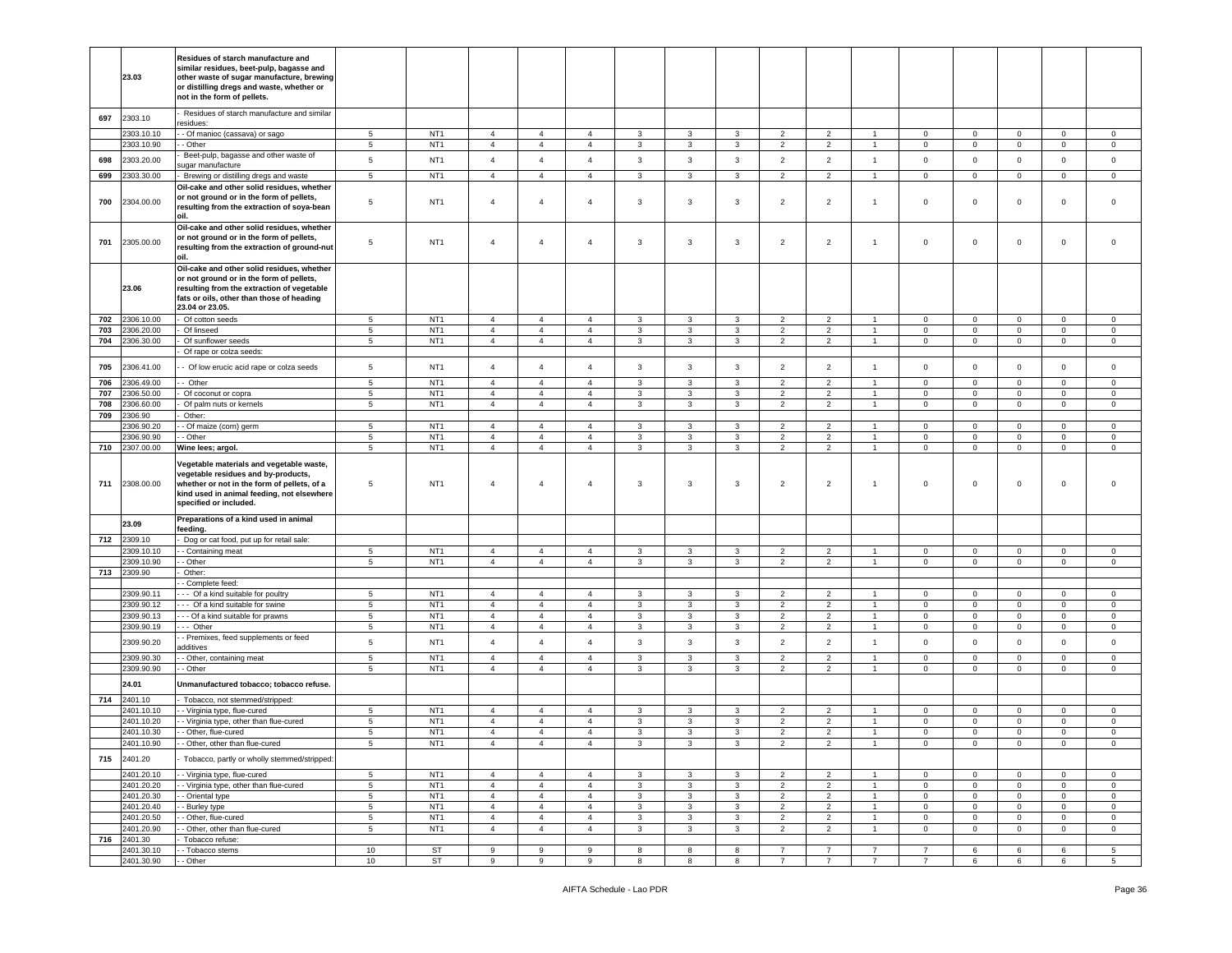|            | 23.03                    | Residues of starch manufacture and<br>similar residues, beet-pulp, bagasse and<br>other waste of sugar manufacture, brewing<br>or distilling dregs and waste, whether or<br>not in the form of pellets. |                               |                                    |                                  |                                  |                                  |                              |                              |                              |                                  |                                  |                                  |                               |                                |                             |                                  |                                    |
|------------|--------------------------|---------------------------------------------------------------------------------------------------------------------------------------------------------------------------------------------------------|-------------------------------|------------------------------------|----------------------------------|----------------------------------|----------------------------------|------------------------------|------------------------------|------------------------------|----------------------------------|----------------------------------|----------------------------------|-------------------------------|--------------------------------|-----------------------------|----------------------------------|------------------------------------|
| 697        | 2303.10                  | Residues of starch manufacture and similar<br>esidues:                                                                                                                                                  |                               |                                    |                                  |                                  |                                  |                              |                              |                              |                                  |                                  |                                  |                               |                                |                             |                                  |                                    |
|            | 2303.10.10<br>2303.10.90 | - Of manioc (cassava) or sago<br>- Other                                                                                                                                                                | 5<br>5                        | NT <sub>1</sub><br>NT <sub>1</sub> | $\overline{4}$<br>$\overline{4}$ | $\overline{4}$<br>$\overline{4}$ | $\overline{4}$<br>$\overline{4}$ | 3<br>3                       | 3<br>3                       | $\mathbf{3}$<br>3            | $\overline{2}$<br>$\overline{2}$ | $\overline{2}$<br>$\overline{2}$ | $\overline{1}$<br>$\overline{1}$ | $\mathbf 0$<br>$\mathbf 0$    | $\mathbf{0}$<br>$\overline{0}$ | $\mathbf 0$<br>$\mathsf 0$  | $\overline{0}$<br>$\overline{0}$ | $\circ$<br>$\mathbf 0$             |
| 698        | 2303.20.00               | Beet-pulp, bagasse and other waste of<br>sugar manufacture                                                                                                                                              | $\sqrt{5}$                    | NT <sub>1</sub>                    | $\overline{4}$                   | $\sqrt{4}$                       | $\overline{4}$                   | $\mathbf{3}$                 | $\mathbf{3}$                 | $\mathbf{3}$                 | $\overline{2}$                   | $\overline{2}$                   | $\overline{1}$                   | $\mathsf 0$                   | $\mathsf 0$                    | $\mathsf{O}\xspace$         | $\mathbf 0$                      | $\mathbf 0$                        |
| 699        | 303.30.00                | Brewing or distilling dregs and waste                                                                                                                                                                   | 5                             | NT <sub>1</sub>                    | $\overline{4}$                   | $\overline{4}$                   | $\overline{4}$                   | 3                            | 3                            | $\mathbf{3}$                 | $\overline{2}$                   | $\overline{2}$                   | $\overline{1}$                   | $\mathbf 0$                   | $\mathbf{0}$                   | $\mathbf 0$                 | $\overline{0}$                   | $\circ$                            |
| 700        | 2304.00.00               | Oil-cake and other solid residues, whether<br>or not ground or in the form of pellets,<br>resulting from the extraction of soya-bean<br>nil                                                             | $5\phantom{.0}$               | NT <sub>1</sub>                    | $\overline{4}$                   | $\overline{4}$                   | $\overline{4}$                   | 3                            | $\overline{3}$               | 3                            | $\overline{2}$                   | $\overline{2}$                   | $\overline{1}$                   | $\mathbf 0$                   | $\mathbf 0$                    | $\mathsf 0$                 | $\mathbf 0$                      | $\mathsf 0$                        |
| 701        | 2305.00.00               | Oil-cake and other solid residues, whether<br>or not ground or in the form of pellets,<br>resulting from the extraction of ground-nut<br>oil.                                                           | 5                             | NT <sub>1</sub>                    | $\overline{4}$                   | $\overline{4}$                   | 4                                | 3                            | $\overline{3}$               | $\mathbf{3}$                 | $\overline{2}$                   | $\overline{c}$                   | $\overline{1}$                   | $\mathbf 0$                   | $\mathbf{0}$                   | $\mathbf 0$                 | $\mathbf 0$                      | $\circ$                            |
|            | 23.06                    | Oil-cake and other solid residues, whether<br>or not ground or in the form of pellets,<br>resulting from the extraction of vegetable<br>fats or oils, other than those of heading<br>23.04 or 23.05.    |                               |                                    |                                  |                                  |                                  |                              |                              |                              |                                  |                                  |                                  |                               |                                |                             |                                  |                                    |
| 702        | 2306.10.00               | Of cotton seeds                                                                                                                                                                                         | $5\phantom{.0}$               | NT <sub>1</sub>                    | $\overline{4}$                   | $\overline{4}$                   | $\overline{4}$                   | 3                            | $\mathbf{3}$                 | $\mathbf{3}$                 | $\overline{2}$                   | $\overline{2}$                   | $\overline{1}$                   | $\mathbf 0$                   | $\mathbf{0}$                   | $\mathsf 0$                 | $\circ$                          | $\circ$                            |
| 703<br>704 | 306.20.00<br>306.30.00   | Of linseed<br>Of sunflower seeds                                                                                                                                                                        | $\sqrt{5}$<br>$5\phantom{.0}$ | NT <sub>1</sub><br>NT <sub>1</sub> | $\overline{4}$<br>$\overline{4}$ | $\overline{4}$<br>$\overline{4}$ | $\overline{4}$<br>$\overline{4}$ | $\mathbf{3}$<br>$\mathbf{3}$ | $\mathbf{3}$<br>$\mathbf{3}$ | $\mathbf{3}$<br>$\mathbf{3}$ | $\overline{2}$<br>$\overline{2}$ | $\overline{2}$<br>$\overline{2}$ | $\overline{1}$<br>$\overline{1}$ | $\mathbf 0$<br>$\mathbf 0$    | $\mathbf 0$<br>$\overline{0}$  | $\mathsf 0$<br>$\mathsf 0$  | $\mathbf{0}$<br>$\mathbf{0}$     | $\mathbf 0$<br>$\overline{0}$      |
|            |                          | Of rape or colza seeds:                                                                                                                                                                                 |                               |                                    |                                  |                                  |                                  |                              |                              |                              |                                  |                                  |                                  |                               |                                |                             |                                  |                                    |
| 705        | 2306.41.00               | - Of low erucic acid rape or colza seeds                                                                                                                                                                | 5                             | NT <sub>1</sub>                    | $\overline{4}$                   | $\overline{4}$                   | $\overline{4}$                   | 3                            | 3                            | $\mathbf{3}$                 | $\overline{2}$                   | $\overline{2}$                   | $\overline{1}$                   | $\mathbf 0$                   | $\mathbf 0$                    | $\mathbf 0$                 | $\mathbf 0$                      | $\mathbf 0$                        |
| 706<br>707 | 306.49.00<br>306.50.00   | - Other<br>Of coconut or copra                                                                                                                                                                          | 5<br>$\sqrt{5}$               | NT <sub>1</sub><br>NT <sub>1</sub> | $\overline{4}$<br>$\overline{4}$ | $\overline{4}$<br>$\overline{4}$ | $\overline{4}$<br>$\overline{4}$ | 3<br>$\mathbf{3}$            | 3<br>$\overline{\mathbf{3}}$ | 3<br>$\mathbf{3}$            | $\overline{2}$<br>$\overline{2}$ | $\overline{2}$<br>$\overline{2}$ | $\mathbf{1}$<br>$\overline{1}$   | $\mathbf 0$<br>$\mathbf 0$    | $\mathbf 0$<br>$\mathsf 0$     | $\mathbf 0$<br>$\mathsf 0$  | $\mathbf 0$<br>$\mathbf 0$       | 0<br>$\mathsf 0$                   |
| 708        | 306.60.00                | Of palm nuts or kernels                                                                                                                                                                                 | $5\phantom{.0}$               | NT <sub>1</sub>                    | $\overline{4}$                   | $\overline{4}$                   | $\overline{4}$                   | 3                            | 3                            | 3                            | $\overline{2}$                   | $\overline{2}$                   | $\overline{1}$                   | $\mathbf 0$                   | $\mathbf{0}$                   | $\mathbf 0$                 | $\mathbf 0$                      | $\mathbf 0$                        |
| 709        | 306.90                   | Other:                                                                                                                                                                                                  |                               |                                    |                                  |                                  |                                  |                              |                              |                              |                                  |                                  |                                  |                               |                                |                             |                                  |                                    |
|            | 306.90.20                | - Of maize (corn) germ                                                                                                                                                                                  | 5                             | NT <sub>1</sub>                    | $\overline{4}$                   | $\overline{4}$                   | $\overline{4}$                   | 3                            | 3                            | 3                            | $\overline{2}$                   | $\overline{2}$                   | $\overline{1}$                   | $\mathbf 0$                   | $\mathbf 0$                    | $\mathbf 0$                 | $\mathbf 0$                      | $\mathbf 0$                        |
| 710        | 2306.90.90<br>2307.00.00 | - Other<br>Wine lees; argol.                                                                                                                                                                            | 5<br>$5\phantom{.0}$          | NT <sub>1</sub><br>NT <sub>1</sub> | $\overline{4}$<br>$\overline{4}$ | $\overline{4}$<br>$\overline{4}$ | $\overline{4}$<br>$\overline{4}$ | 3<br>3                       | 3<br>3                       | 3<br>3                       | $\overline{2}$<br>$\overline{2}$ | $\overline{2}$<br>$\overline{2}$ | $\overline{1}$<br>$\overline{1}$ | $\mathbf 0$<br>0              | $\mathbf 0$<br>$\mathbf{0}$    | $\mathbf 0$<br>$\mathsf 0$  | $\mathbf 0$<br>$\mathbf{0}$      | $\mathbf 0$<br>$\mathbf 0$         |
| 711        | 2308.00.00               | /egetable materials and vegetable waste,<br>vegetable residues and by-products,<br>whether or not in the form of pellets, of a<br>kind used in animal feeding, not elsewhere<br>specified or included.  | 5                             | NT <sub>1</sub>                    | $\overline{4}$                   | $\overline{4}$                   | $\overline{4}$                   | 3                            | 3                            | 3                            | $\overline{2}$                   | $\overline{2}$                   | $\mathbf{1}$                     | $\mathbf 0$                   | $\mathbf 0$                    | $\mathbf 0$                 | $\overline{0}$                   | $\Omega$                           |
|            | 23.09                    | Preparations of a kind used in animal<br>feeding.                                                                                                                                                       |                               |                                    |                                  |                                  |                                  |                              |                              |                              |                                  |                                  |                                  |                               |                                |                             |                                  |                                    |
| 712        | 2309.10                  | Dog or cat food, put up for retail sale:                                                                                                                                                                |                               |                                    |                                  |                                  |                                  |                              |                              |                              |                                  |                                  |                                  |                               |                                |                             |                                  |                                    |
|            | 2309.10.10               | - Containing meat                                                                                                                                                                                       | 5                             | NT <sub>1</sub><br>NT <sub>1</sub> | $\overline{4}$<br>$\overline{4}$ | $\overline{4}$<br>$\overline{4}$ | $\overline{4}$<br>$\overline{4}$ | 3<br>$\mathbf{3}$            | 3<br>$\mathbf{3}$            | 3<br>$\mathbf{3}$            | $\overline{2}$<br>$\overline{2}$ | $\overline{2}$<br>$\overline{2}$ | $\overline{1}$                   | $\mathbf 0$                   | $\mathbf 0$<br>$\mathbf 0$     | $\mathbf{0}$<br>$\mathsf 0$ | $\mathbf 0$<br>$\mathbf 0$       | $\mathbf 0$<br>$\mathsf{O}\xspace$ |
| 713        | 309.10.90<br>309.90      | - Other<br>Other:                                                                                                                                                                                       | $5\phantom{.0}$               |                                    |                                  |                                  |                                  |                              |                              |                              |                                  |                                  |                                  | $\mathbf 0$                   |                                |                             |                                  |                                    |
|            |                          | - Complete feed:                                                                                                                                                                                        |                               |                                    |                                  |                                  |                                  |                              |                              |                              |                                  |                                  |                                  |                               |                                |                             |                                  |                                    |
|            | 2309.90.11<br>2309.90.12 | -- Of a kind suitable for poultry<br>- - Of a kind suitable for swine                                                                                                                                   | $5\phantom{.0}$<br>5          | NT <sub>1</sub><br>NT <sub>1</sub> | $\overline{4}$<br>$\overline{4}$ | $\overline{4}$<br>$\overline{4}$ | $\overline{4}$<br>$\overline{4}$ | 3<br>3                       | $\overline{3}$<br>3          | 3<br>3                       | $\overline{2}$<br>$\overline{2}$ | $\overline{2}$<br>$\overline{2}$ | $\overline{1}$<br>$\overline{1}$ | $\mathbf 0$<br>$\mathbf 0$    | $\mathbf 0$<br>$\mathbf{0}$    | $\mathbf 0$<br>$\mathbf 0$  | $\mathbf 0$<br>$\mathbf 0$       | $\circ$<br>$\mathbf 0$             |
|            | 2309.90.13               | -- Of a kind suitable for prawns                                                                                                                                                                        | $5\phantom{.0}$               | NT <sub>1</sub>                    | $\overline{4}$                   | $\overline{4}$                   | $\overline{4}$                   | 3                            | 3                            | $\mathbf{3}$                 | $\overline{2}$                   | $\overline{2}$                   | $\overline{1}$                   | $\mathbf{0}$                  | $\overline{0}$                 | $\mathsf 0$                 | $\mathbf{0}$                     | $\mathbf 0$                        |
|            | 2309.90.19               | - Other                                                                                                                                                                                                 | 5                             | NT <sub>1</sub>                    | $\overline{4}$                   | $\overline{4}$                   | $\overline{4}$                   | 3                            | 3                            | 3                            | $\overline{2}$                   | $\overline{2}$                   | $\overline{1}$                   | $\mathbf 0$                   | $\mathbf{0}$                   | $\mathbf 0$                 | $\mathbf 0$                      | $\mathsf 0$                        |
|            | 2309.90.20               | - Premixes, feed supplements or feed<br>dditives                                                                                                                                                        | 5                             | NT <sub>1</sub>                    | $\overline{4}$                   | $\overline{4}$                   | $\overline{4}$                   | $\mathbf{3}$                 | $\mathbf{3}$                 | $\mathbf{3}$                 | $\overline{2}$                   | $\overline{2}$                   | $\mathbf{1}$                     | $\mathbf 0$                   | $\mathbf 0$                    | $\mathbf 0$                 | $\mathbf 0$                      | $\mathbf 0$                        |
|            | 2309.90.30<br>2309.90.90 | - Other, containing meat                                                                                                                                                                                | $5\phantom{.0}$<br>5          | NT <sub>1</sub><br>NT <sub>1</sub> | $\overline{4}$<br>$\overline{4}$ | $\overline{4}$<br>$\overline{4}$ | 4<br>$\overline{4}$              | 3<br>3                       | 3<br>3                       | 3<br>3                       | $\overline{2}$<br>$\overline{2}$ | $\overline{2}$<br>$\overline{2}$ | -1<br>$\overline{1}$             | $\overline{0}$<br>$\mathbf 0$ | $\mathbf{0}$<br>$\mathbf{0}$   | $\mathbf 0$<br>$\mathbf 0$  | $\mathbf{0}$<br>$\mathbf 0$      | 0<br>$\mathbf 0$                   |
|            |                          | - Other                                                                                                                                                                                                 |                               |                                    |                                  |                                  |                                  |                              |                              |                              |                                  |                                  |                                  |                               |                                |                             |                                  |                                    |
|            | 24.01                    | Unmanufactured tobacco; tobacco refuse.                                                                                                                                                                 |                               |                                    |                                  |                                  |                                  |                              |                              |                              |                                  |                                  |                                  |                               |                                |                             |                                  |                                    |
| 714        | 2401.10<br>2401.10.10    | Tobacco, not stemmed/stripped:                                                                                                                                                                          | 5                             | NT <sub>1</sub>                    | $\overline{4}$                   | $\overline{4}$                   | $\overline{4}$                   | 3                            | $\mathbf{3}$                 | 3                            | $\overline{2}$                   | $\overline{2}$                   |                                  | $\mathbf 0$                   | $\mathbf 0$                    | $\mathbf 0$                 | $\mathbf 0$                      | $\mathbf 0$                        |
|            | 2401.10.20               | - Virginia type, flue-cured<br>- Virginia type, other than flue-cured                                                                                                                                   | 5                             | NT <sub>1</sub>                    | $\overline{4}$                   | $\overline{4}$                   | $\overline{4}$                   | 3                            | 3                            | 3                            | $\overline{2}$                   | $\overline{2}$                   |                                  | $\mathbf 0$                   | $\mathbf 0$                    | $\mathbf 0$                 | $\mathbf{0}$                     | $\mathbf 0$                        |
|            | 2401.10.30               | - Other, flue-cured                                                                                                                                                                                     | $\sqrt{5}$                    | NT <sub>1</sub>                    | $\overline{4}$                   | $\overline{4}$                   | $\overline{4}$                   | 3                            | 3                            | $\mathbf{3}$                 | $\overline{2}$                   | $\overline{c}$                   | $\overline{1}$                   | $\mathbf 0$                   | $\mathbf{0}$                   | $\mathsf{O}\xspace$         | $\mathbf 0$                      | $\mathbf 0$                        |
|            | 2401.10.90               | . Other other than flue-cured                                                                                                                                                                           | 5                             | NT <sub>1</sub>                    |                                  |                                  |                                  |                              |                              |                              |                                  | $\mathcal{P}$                    |                                  |                               | n                              | $\Omega$                    |                                  |                                    |
| 715        | 2401.20                  | Tobacco, partly or wholly stemmed/stripped:                                                                                                                                                             |                               |                                    |                                  |                                  |                                  |                              |                              |                              |                                  |                                  |                                  |                               |                                |                             |                                  |                                    |
|            | 2401.20.10<br>2401.20.20 | - Virginia type, flue-cured<br>- Virginia type, other than flue-cured                                                                                                                                   | $5\phantom{.0}$<br>$\sqrt{5}$ | NT <sub>1</sub><br>NT <sub>1</sub> | $\overline{4}$<br>$\overline{4}$ | $\overline{4}$<br>$\overline{4}$ | $\overline{4}$<br>$\overline{4}$ | 3<br>$\mathbf{3}$            | 3<br>$\mathbf{3}$            | 3<br>$\mathbf{3}$            | $\overline{2}$<br>$\overline{2}$ | $\overline{2}$<br>$\overline{2}$ | $\overline{1}$<br>$\overline{1}$ | $\mathbf 0$<br>$\mathbf 0$    | $\mathbf{0}$<br>$\overline{0}$ | $\mathbf 0$<br>$\mathbf 0$  | $\overline{0}$<br>$\mathbf{0}$   | $\mathbf{0}$<br>$\mathbf{0}$       |
|            | 2401.20.30               | - Oriental type                                                                                                                                                                                         | $\sqrt{5}$                    | NT <sub>1</sub>                    | $\overline{4}$                   | $\overline{4}$                   | $\overline{4}$                   | $\mathbf{3}$                 | $\mathbf{3}$                 | $\mathbf{3}$                 | $\overline{2}$                   | $\overline{2}$                   | $\overline{1}$                   | $\mathbf 0$                   | $\mathbf 0$                    | $\mathsf 0$                 | $\overline{0}$                   | $\mathbf 0$                        |
|            | 2401.20.40               | - Burley type                                                                                                                                                                                           | $5\phantom{.0}$               | NT <sub>1</sub>                    | $\overline{4}$                   | $\overline{4}$                   | $\overline{4}$                   | $\mathbf{3}$                 | $\mathbf{3}$                 | $\mathbf{3}$                 | $\overline{2}$                   | $\overline{2}$                   | $\overline{1}$                   | $\mathbf{0}$                  | $\mathbf{0}$                   | $\mathbf 0$                 | $\overline{0}$                   | $\overline{0}$                     |
|            | 2401.20.50<br>2401.20.90 | - Other, flue-cured                                                                                                                                                                                     | 5<br>$\sqrt{5}$               | NT <sub>1</sub><br>NT <sub>1</sub> | $\overline{4}$<br>$\overline{4}$ | $\overline{4}$<br>$\overline{4}$ | $\overline{4}$<br>$\overline{4}$ | $\mathbf{3}$                 | $\mathbf{3}$                 | 3                            | $\overline{2}$<br>$\overline{2}$ | $\overline{2}$                   | $\mathbf{1}$<br>$\overline{1}$   | $\mathbf 0$<br>$\mathbf{0}$   | $\mathbf{0}$                   | $\mathbf 0$                 | $\mathbf{0}$<br>$\mathbf{0}$     | $\circ$                            |
| 716        | 2401.30                  | - Other, other than flue-cured<br>Tobacco refuse:                                                                                                                                                       |                               |                                    |                                  |                                  |                                  | 3                            | $\mathbf{3}$                 | $\mathbf{3}$                 |                                  | $\overline{c}$                   |                                  |                               | $\overline{0}$                 | $\mathsf 0$                 |                                  | $\mathbf 0$                        |
|            | 2401.30.10               | - - Tobacco stems                                                                                                                                                                                       | 10                            | ST                                 | 9                                | 9                                | 9                                | 8                            | 8                            | 8                            | $\overline{7}$                   | $\overline{7}$                   | $\overline{7}$                   | $\overline{7}$                | 6                              | 6                           | 6                                | $5\overline{5}$                    |
|            | 2401.30.90               | - Other                                                                                                                                                                                                 | 10                            | <b>ST</b>                          | 9                                | $\boldsymbol{9}$                 | 9                                | 8                            | $\boldsymbol{8}$             | 8                            | $\overline{7}$                   | $\overline{7}$                   | $\overline{7}$                   | $\overline{7}$                | 6                              | 6                           | 6                                | $5\phantom{.0}$                    |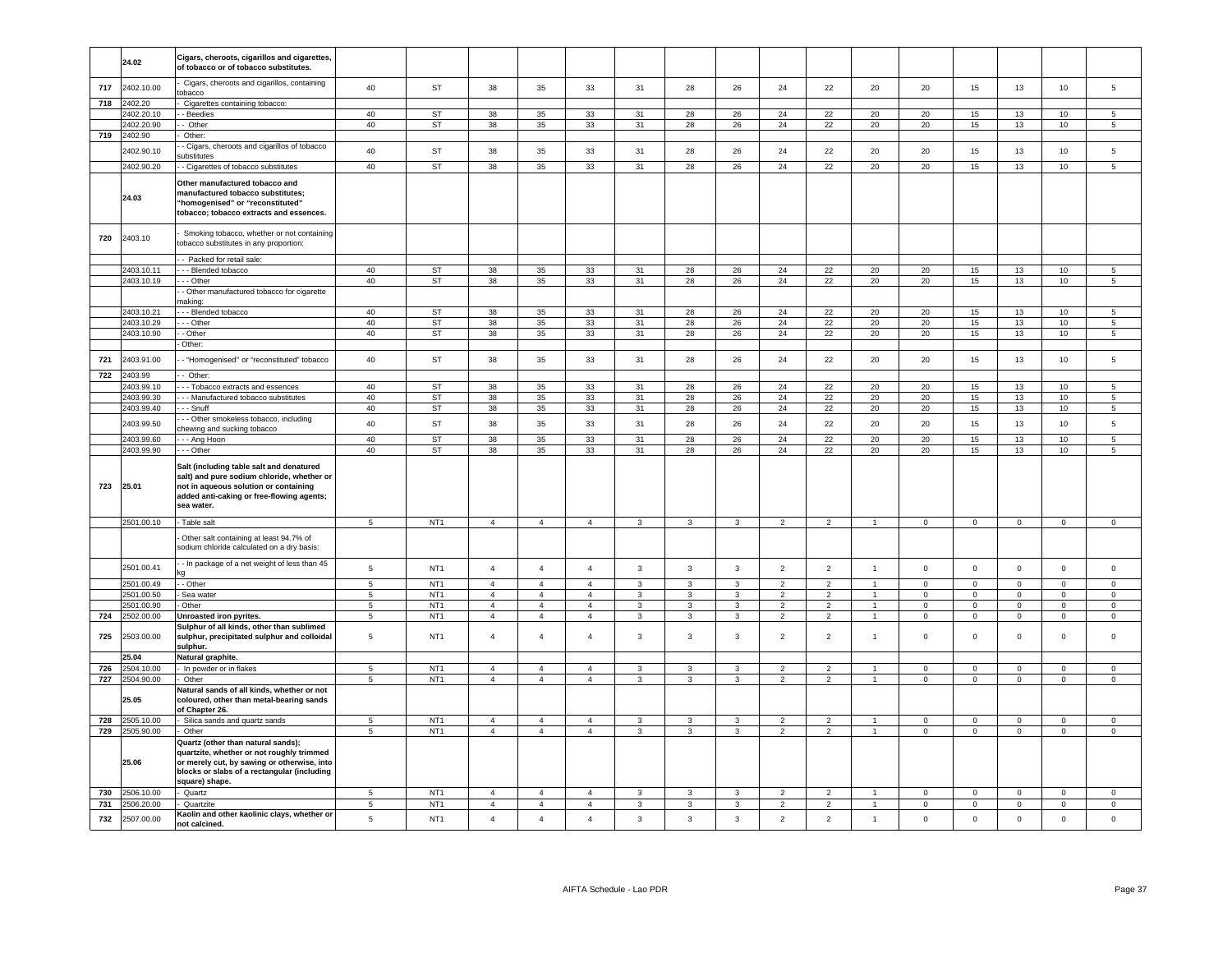|     | 24.02      | Cigars, cheroots, cigarillos and cigarettes,<br>of tobacco or of tobacco substitutes.                                                                                                           |                 |                 |                |                |                |                |                |                         |                |                |                |                |                     |                     |                |                     |
|-----|------------|-------------------------------------------------------------------------------------------------------------------------------------------------------------------------------------------------|-----------------|-----------------|----------------|----------------|----------------|----------------|----------------|-------------------------|----------------|----------------|----------------|----------------|---------------------|---------------------|----------------|---------------------|
| 717 | 2402.10.00 | Cigars, cheroots and cigarillos, containing<br>obacco                                                                                                                                           | 40              | <b>ST</b>       | 38             | 35             | 33             | 31             | 28             | 26                      | 24             | 22             | 20             | 20             | 15                  | 13                  | 10             | 5                   |
| 718 | 2402.20    | Cigarettes containing tobacco:                                                                                                                                                                  |                 |                 |                |                |                |                |                |                         |                |                |                |                |                     |                     |                |                     |
|     | 2402.20.10 | - Beedies                                                                                                                                                                                       | 40              | ST              | 38             | 35             | 33             | 31             | 28             | 26                      | 24             | 22             | 20             | 20             | 15                  | 13                  | 10             | -5                  |
|     | 2402.20.90 | Other                                                                                                                                                                                           | 40              | <b>ST</b>       | 38             | $35\,$         | 33             | 31             | 28             | ${\bf 26}$              | 24             | 22             | 20             | $20\,$         | 15                  | $13\,$              | 10             | 5                   |
| 719 | 2402.90    | Other:                                                                                                                                                                                          |                 |                 |                |                |                |                |                |                         |                |                |                |                |                     |                     |                |                     |
|     |            | - Cigars, cheroots and cigarillos of tobacco                                                                                                                                                    |                 |                 |                |                |                |                |                |                         |                |                |                |                |                     |                     |                |                     |
|     | 2402.90.10 | ubstitutes                                                                                                                                                                                      | 40              | ST              | 38             | 35             | 33             | 31             | 28             | 26                      | 24             | 22             | 20             | 20             | 15                  | 13                  | 10             | 5                   |
|     | 2402.90.20 | - Cigarettes of tobacco substitutes                                                                                                                                                             | 40              | <b>ST</b>       | 38             | 35             | 33             | 31             | 28             | 26                      | 24             | 22             | 20             | 20             | 15                  | 13                  | 10             | $\overline{5}$      |
|     | 24.03      | Other manufactured tobacco and<br>nanufactured tobacco substitutes;<br>"homogenised" or "reconstituted"<br>tobacco; tobacco extracts and essences.                                              |                 |                 |                |                |                |                |                |                         |                |                |                |                |                     |                     |                |                     |
| 720 | 2403.10    | Smoking tobacco, whether or not containing<br>obacco substitutes in any proportion:                                                                                                             |                 |                 |                |                |                |                |                |                         |                |                |                |                |                     |                     |                |                     |
|     |            | - Packed for retail sale:                                                                                                                                                                       |                 |                 |                |                |                |                |                |                         |                |                |                |                |                     |                     |                |                     |
|     | 2403.10.11 | -- Blended tobacco                                                                                                                                                                              | 40              | <b>ST</b>       | 38             | 35             | 33             | 31             | 28             | 26                      | 24             | 22             | 20             | 20             | 15                  | 13                  | 10             | 5                   |
|     | 2403.10.19 | - - Other                                                                                                                                                                                       | 40              | ST              | 38             | 35             | 33             | 31             | 28             | 26                      | 24             | 22             | 20             | 20             | 15                  | 13                  | 10             | $5\phantom{.0}$     |
|     |            | - Other manufactured tobacco for cigarette                                                                                                                                                      |                 |                 |                |                |                |                |                |                         |                |                |                |                |                     |                     |                |                     |
|     |            | naking:                                                                                                                                                                                         |                 |                 |                |                |                |                |                |                         |                |                |                |                |                     |                     |                |                     |
|     | 2403.10.21 | - - Blended tobacco                                                                                                                                                                             | 40              | ST              | 38             | 35             | 33             | 31             | 28             | 26                      | 24             | 22             | 20             | 20             | 15                  | 13                  | 10             | 5                   |
|     | 2403.10.29 | - - Other                                                                                                                                                                                       | 40              | ST              | 38             | 35             | 33             | 31             | 28             | 26                      | 24             | 22             | 20             | 20             | 15                  | 13                  | 10             | $5^{\circ}$         |
|     | 2403.10.90 | - Other                                                                                                                                                                                         | 40              | <b>ST</b>       | 38             | 35             | 33             | 31             | 28             | 26                      | 24             | 22             | 20             | 20             | 15                  | 13                  | 10             | 5 <sup>1</sup>      |
|     |            | Other:                                                                                                                                                                                          |                 |                 |                |                |                |                |                |                         |                |                |                |                |                     |                     |                |                     |
|     |            |                                                                                                                                                                                                 |                 |                 |                |                |                |                |                |                         |                |                |                |                |                     |                     |                |                     |
| 721 | 2403.91.00 | - "Homogenised" or "reconstituted" tobacco                                                                                                                                                      | 40              | ST              | 38             | 35             | 33             | 31             | 28             | 26                      | 24             | 22             | 20             | 20             | 15                  | 13                  | 10             | 5                   |
| 722 | 2403.99    | - Other:                                                                                                                                                                                        |                 |                 |                |                |                |                |                |                         |                |                |                |                |                     |                     |                |                     |
|     | 2403.99.10 | - - Tobacco extracts and essences                                                                                                                                                               | 40              | <b>ST</b>       | 38             | 35             | 33             | 31             | 28             | 26                      | 24             | 22             | 20             | 20             | 15                  | 13                  | 10             | 5                   |
|     | 2403.99.30 | - - Manufactured tobacco substitutes                                                                                                                                                            | 40              | <b>ST</b>       | 38             | 35             | 33             | 31             | 28             | 26                      | 24             | 22             | 20             | 20             | 15                  | 13                  | 10             | $5\overline{5}$     |
|     | 2403.99.40 | - - Snuff                                                                                                                                                                                       | 40              | <b>ST</b>       | 38             | 35             | 33             | 31             | 28             | 26                      | 24             | 22             | 20             | 20             | 15                  | 13                  | 10             | $\overline{5}$      |
|     |            | - - Other smokeless tobacco, including                                                                                                                                                          |                 |                 |                |                |                |                |                |                         |                |                |                |                |                     |                     |                |                     |
|     | 2403.99.50 | hewing and sucking tobacco                                                                                                                                                                      | 40              | <b>ST</b>       | 38             | 35             | 33             | 31             | 28             | 26                      | 24             | 22             | 20             | 20             | 15                  | 13                  | 10             | 5                   |
|     | 2403.99.60 | - - Ang Hoon                                                                                                                                                                                    | 40              | <b>ST</b>       | 38             | 35             | 33             | 31             | 28             | 26                      | 24             | 22             | 20             | 20             | 15                  | 13                  | 10             | $\overline{5}$      |
|     | 2403.99.90 | $-$ Other                                                                                                                                                                                       | 40              | <b>ST</b>       | 38             | 35             | 33             | 31             | 28             | 26                      | 24             | 22             | 20             | 20             | 15                  | 13                  | 10             | $\overline{5}$      |
| 723 | 25.01      | Salt (including table salt and denatured<br>salt) and pure sodium chloride, whether or<br>not in aqueous solution or containing<br>added anti-caking or free-flowing agents;<br>sea water.      |                 |                 |                |                |                |                |                |                         |                |                |                |                |                     |                     |                |                     |
|     | 2501.00.10 | Table salt                                                                                                                                                                                      | $5\phantom{.0}$ | NT <sub>1</sub> | $\overline{4}$ | $\overline{4}$ | $\overline{4}$ | $\overline{3}$ | $\overline{3}$ | $\overline{\mathbf{3}}$ | $\overline{2}$ | $\overline{2}$ | $\overline{1}$ | $\overline{0}$ | $\overline{0}$      | $\overline{0}$      | $\overline{0}$ | $\overline{0}$      |
|     |            | Other salt containing at least 94.7% of<br>sodium chloride calculated on a dry basis:                                                                                                           |                 |                 |                |                |                |                |                |                         |                |                |                |                |                     |                     |                |                     |
|     | 2501.00.41 | - In package of a net weight of less than 45                                                                                                                                                    | 5               | NT <sub>1</sub> | $\overline{4}$ | $\overline{4}$ | $\overline{4}$ | $\mathbf{3}$   | $\mathbf{3}$   | 3                       | $\overline{2}$ | $\overline{2}$ | $\overline{1}$ | $\mathbf{0}$   | $\mathbf 0$         | $\mathbf 0$         | $\mathbf 0$    | $\mathbf 0$         |
|     | 2501.00.49 | - Other                                                                                                                                                                                         | $5\phantom{.0}$ | NT <sub>1</sub> | $\overline{4}$ | $\overline{4}$ | $\overline{4}$ | $\mathbf{3}$   | $\mathbf{3}$   | $\mathbf{3}$            | $\overline{2}$ | $\overline{2}$ | $\mathbf{1}$   | $\mathbf 0$    | $\mathbf 0$         | $\mathsf{O}\xspace$ | $\mathbf 0$    | $\mathsf 0$         |
|     | 2501.00.50 | Sea water                                                                                                                                                                                       | 5               | NT <sub>1</sub> | $\overline{4}$ | $\overline{4}$ | $\overline{4}$ | 3              | 3              | 3                       | $\overline{2}$ | $\overline{2}$ | $\overline{1}$ | $\mathbf{0}$   | $\mathbf 0$         | $\mathbf 0$         | $\mathbf 0$    | $\mathbf 0$         |
|     | 2501.00.90 | Other                                                                                                                                                                                           | $5\phantom{.0}$ | NT <sub>1</sub> | $\sqrt{4}$     | $\overline{4}$ | $\overline{4}$ | 3              | $\mathbf{3}$   | $\mathbf{3}$            | $\overline{2}$ | $\overline{2}$ | $\overline{1}$ | $\mathbf 0$    | $\mathsf{O}\xspace$ | $\mathbf{0}$        | $\mathsf 0$    | $\mathsf 0$         |
| 724 | 2502.00.00 | <b>Jnroasted iron pyrites.</b>                                                                                                                                                                  | $\sqrt{5}$      | NT <sub>1</sub> | $\overline{4}$ | $\overline{4}$ | $\overline{4}$ | $\mathbf{3}$   | $\mathbf{3}$   | $\mathbf{3}$            | $\overline{2}$ | $\overline{2}$ | $\mathbf{1}$   | $\mathbf 0$    | $\mathbf 0$         | $\overline{0}$      | $\circ$        | $\mathsf 0$         |
| 725 | 2503.00.00 | Sulphur of all kinds, other than sublimed<br>sulphur, precipitated sulphur and colloidal<br>sulphur.                                                                                            | 5               | NT <sub>1</sub> | $\overline{4}$ | $\overline{4}$ | $\overline{4}$ | $\mathbf{3}$   | $\mathbf{3}$   | $\mathbf{3}$            | $\overline{2}$ | $\overline{2}$ | $\overline{1}$ | $\mathsf 0$    | $\mathsf 0$         | $\mathsf 0$         | $\mathsf 0$    | $\mathsf 0$         |
|     | 25.04      | Natural graphite.                                                                                                                                                                               |                 |                 |                |                |                |                |                |                         |                |                |                |                |                     |                     |                |                     |
| 726 | 2504.10.00 | In powder or in flakes                                                                                                                                                                          | 5               | NT <sub>1</sub> | $\overline{4}$ | $\overline{4}$ | $\overline{4}$ | 3              | $\mathbf{3}$   | 3                       | $\overline{2}$ | $\overline{2}$ |                | $\mathbf 0$    | $\mathsf 0$         | $\mathbf 0$         | $\mathsf 0$    | $\mathbf 0$         |
| 727 | 2504.90.00 | Other                                                                                                                                                                                           | 5               | NT1             | $\overline{4}$ | $\overline{4}$ | $\overline{4}$ | $\overline{3}$ | 3              | $\overline{3}$          | 2              | $\overline{2}$ | $\overline{1}$ | $\mathbf{0}$   | $\mathbf 0$         | $\mathbf 0$         | $\mathbf{0}$   | $\mathbf 0$         |
|     | 25.05      | Natural sands of all kinds, whether or not<br>coloured, other than metal-bearing sands<br>of Chapter 26.                                                                                        |                 |                 |                |                |                |                |                |                         |                |                |                |                |                     |                     |                |                     |
| 728 | 2505.10.00 | Silica sands and quartz sands                                                                                                                                                                   | $5\phantom{.0}$ | NT <sub>1</sub> | $\overline{4}$ | $\overline{4}$ | $\overline{4}$ | $\mathbf{3}$   | 3              | $\mathbf{3}$            | $\overline{2}$ | $\overline{2}$ |                | $\mathbf 0$    | $\mathbf 0$         | $\mathsf{O}\xspace$ | $\mathbf 0$    | $\mathsf 0$         |
| 729 | 2505.90.00 | Other                                                                                                                                                                                           | $\,$ 5 $\,$     | NT <sub>1</sub> | $\overline{4}$ | $\overline{4}$ | $\overline{4}$ | $\mathbf{3}$   | $\mathbf{3}$   | $\mathbf{3}$            | $\overline{2}$ | $\overline{2}$ | $\overline{1}$ | $\mathsf 0$    | $\mathbf 0$         | $\mathbf 0$         | $\mathbf 0$    | $\mathsf 0$         |
|     | 25.06      | Quartz (other than natural sands);<br>quartzite, whether or not roughly trimmed<br>or merely cut, by sawing or otherwise, into<br>blocks or slabs of a rectangular (including<br>square) shape. |                 |                 |                |                |                |                |                |                         |                |                |                |                |                     |                     |                |                     |
| 730 | 2506.10.00 | Quartz                                                                                                                                                                                          | 5               | NT <sub>1</sub> | $\overline{4}$ | $\overline{4}$ | $\mathbf{A}$   | 3              | $\mathbf{3}$   | $\mathbf{3}$            | $\overline{2}$ | $\overline{2}$ | $\overline{1}$ | $\mathbf 0$    | $\mathbf 0$         | $\mathbf 0$         | $\mathbf 0$    | $\mathsf 0$         |
| 731 | 2506.20.00 | Quartzite                                                                                                                                                                                       | $\overline{5}$  | NT <sub>1</sub> | $\overline{4}$ | $\overline{4}$ | $\overline{4}$ | $\mathbf{3}$   | $\overline{3}$ | $\mathbf{3}$            | $\overline{2}$ | $\overline{2}$ | $\mathbf{1}$   | $\mathbf 0$    | $\overline{0}$      | $\mathbf 0$         | $\overline{0}$ | $\mathsf 0$         |
| 732 | 2507.00.00 | Kaolin and other kaolinic clays, whether or<br>not calcined.                                                                                                                                    | $\,$ 5 $\,$     | NT <sub>1</sub> | $\overline{4}$ | $\overline{4}$ | $\overline{4}$ | $\mathbf{3}$   | $\overline{3}$ | $\mathbf{3}$            | $\overline{2}$ | $\overline{2}$ | $\overline{1}$ | $\mathbf 0$    | $\mathbf 0$         | $\mathbf 0$         | $\mathsf{o}\,$ | $\mathsf{O}\xspace$ |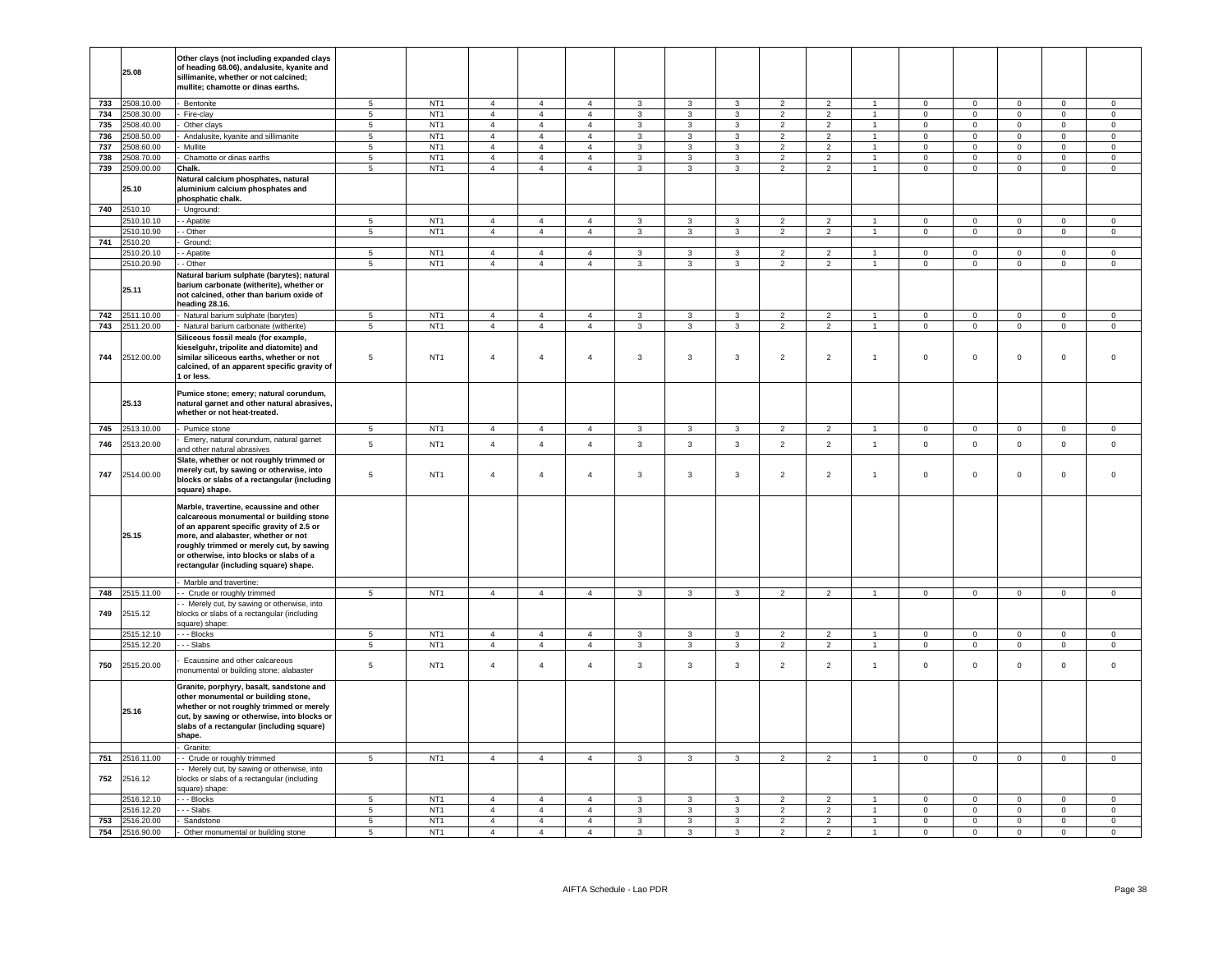|     | 25.08          | Other clays (not including expanded clays<br>of heading 68.06), andalusite, kyanite and<br>sillimanite, whether or not calcined;<br>mullite; chamotte or dinas earths.                                                                                                                                 |                 |                 |                |                |                |                         |                         |                |                |                |                      |                |                     |                |                |                     |
|-----|----------------|--------------------------------------------------------------------------------------------------------------------------------------------------------------------------------------------------------------------------------------------------------------------------------------------------------|-----------------|-----------------|----------------|----------------|----------------|-------------------------|-------------------------|----------------|----------------|----------------|----------------------|----------------|---------------------|----------------|----------------|---------------------|
| 733 | 2508.10.00     | Bentonite                                                                                                                                                                                                                                                                                              | 5               | NT <sub>1</sub> | $\overline{4}$ | $\overline{4}$ | $\overline{4}$ | $\mathbf{3}$            | $\mathbf{3}$            | $\mathbf{3}$   | $\overline{2}$ | $\overline{2}$ | $\mathbf{1}$         | $\overline{0}$ | $\overline{0}$      | $\mathsf 0$    | $\Omega$       | $\Omega$            |
| 734 | 2508.30.00     | Fire-clay                                                                                                                                                                                                                                                                                              | $5\overline{5}$ | NT <sub>1</sub> | $\overline{4}$ | $\overline{4}$ | $\overline{4}$ | $\mathbf{3}$            | $\mathbf{3}$            | $\mathbf{3}$   | $\overline{2}$ | $\overline{2}$ | $\overline{1}$       | $\overline{0}$ | $\overline{0}$      | $\overline{0}$ | $\overline{0}$ | $\overline{0}$      |
| 735 | 2508.40.00     | Other clays                                                                                                                                                                                                                                                                                            | $5\overline{5}$ | NT <sub>1</sub> | $\overline{4}$ | $\overline{4}$ | $\overline{4}$ | $\mathbf{3}$            | $\mathbf{3}$            | $\mathbf{3}$   | $\overline{2}$ | $\overline{2}$ | $\mathbf{1}$         | $\mathbf{0}$   | $\overline{0}$      | $\mathbf 0$    | $\mathbf{0}$   | $\overline{0}$      |
| 736 | 2508.50.00     | Andalusite, kyanite and sillimanite                                                                                                                                                                                                                                                                    | $5\overline{5}$ | NT <sub>1</sub> | $\overline{4}$ | $\overline{4}$ | $\overline{4}$ | 3                       | 3                       | 3              | $\overline{2}$ | $\overline{2}$ | $\mathbf{1}$         | $\mathbf{0}$   | $\overline{0}$      | $\mathbf 0$    | $\circ$        | $\circ$             |
| 737 | 2508.60.00     | Mullite                                                                                                                                                                                                                                                                                                | 5 <sup>5</sup>  | NT <sub>1</sub> | $\overline{4}$ | $\overline{4}$ | $\overline{4}$ | $\mathbf{3}$            | $\mathbf{3}$            | $\overline{3}$ | $\overline{2}$ | 2              | $\blacktriangleleft$ | $\Omega$       | $\mathsf 0$         | $\mathbf 0$    | $\Omega$       | $\Omega$            |
| 738 | 2508.70.00     | Chamotte or dinas earths                                                                                                                                                                                                                                                                               | $5\phantom{.0}$ | NT <sub>1</sub> | $\overline{4}$ | $\overline{4}$ | $\overline{4}$ | $\mathbf{3}$            | $\mathbf{3}$            | $\mathbf{3}$   | $\overline{2}$ | $\overline{2}$ | $\mathbf{1}$         | $\Omega$       | $\overline{0}$      | $\mathsf 0$    | $\mathsf 0$    | $\circ$             |
| 739 | 2509.00.00     | Chalk.                                                                                                                                                                                                                                                                                                 | 5               | NT <sub>1</sub> | $\overline{4}$ | $\overline{4}$ | $\overline{4}$ | $\mathbf{3}$            | 3                       | $\mathbf{3}$   | $\overline{2}$ | $\overline{2}$ | $\mathbf{1}$         | $\mathbf 0$    | $\circ$             | $\mathsf 0$    | $\mathbf{0}$   | $\mathsf 0$         |
|     | 25.10          | Natural calcium phosphates, natural<br>aluminium calcium phosphates and<br>phosphatic chalk.                                                                                                                                                                                                           |                 |                 |                |                |                |                         |                         |                |                |                |                      |                |                     |                |                |                     |
| 740 | 2510.10        | Unground:                                                                                                                                                                                                                                                                                              |                 |                 |                |                |                |                         |                         |                |                |                |                      |                |                     |                |                |                     |
|     | 2510.10.10     | - Apatite                                                                                                                                                                                                                                                                                              | 5               | NT <sub>1</sub> | $\overline{4}$ | $\overline{4}$ | $\overline{4}$ | $\mathbf{3}$            | 3                       | 3              | $\overline{2}$ | $\overline{2}$ | $\mathbf{1}$         | $\overline{0}$ | $\overline{0}$      | $\mathbf 0$    | $\mathbf 0$    | $\mathsf 0$         |
|     | 2510.10.90     | - Other                                                                                                                                                                                                                                                                                                | $5\phantom{.0}$ | NT <sub>1</sub> | $\overline{4}$ | $\overline{4}$ | $\overline{4}$ | $\mathbf{3}$            | $\mathbf{3}$            | $\mathbf{3}$   | $\overline{2}$ | $\overline{2}$ | $\blacksquare$       | $\mathbf{0}$   | $\overline{0}$      | $\mathbf{0}$   | $\mathbf{0}$   | $\circ$             |
| 741 | 2510.20        | Ground:                                                                                                                                                                                                                                                                                                |                 |                 |                |                |                |                         |                         |                |                |                |                      |                |                     |                |                |                     |
|     | 2510.20.10     | - Apatite                                                                                                                                                                                                                                                                                              | 5               | NT <sub>1</sub> | $\overline{4}$ | $\overline{4}$ | $\overline{4}$ | $\mathbf{3}$            | 3                       | 3              | $\mathcal{P}$  | $\mathfrak{p}$ |                      | $\Omega$       | $\mathbf 0$         | $\mathbf 0$    | $\Omega$       | $\Omega$            |
|     | 2510.20.90     | - Other                                                                                                                                                                                                                                                                                                | 5               | NT <sub>1</sub> | $\overline{4}$ | $\overline{4}$ | $\overline{4}$ | $\mathbf{3}$            | 3                       | $\mathbf{3}$   | $\overline{2}$ | $\overline{2}$ | $\overline{1}$       | $\mathbf 0$    | $\circ$             | $\mathsf 0$    | $\mathbf 0$    | $\mathbf 0$         |
|     | 25.11          | Natural barium sulphate (barytes); natural<br>barium carbonate (witherite), whether or<br>not calcined, other than barium oxide of<br>heading 28.16.                                                                                                                                                   |                 |                 |                |                |                |                         |                         |                |                |                |                      |                |                     |                |                |                     |
| 742 | 2511.10.00     | Natural barium sulphate (barytes)                                                                                                                                                                                                                                                                      | 5               | NT <sub>1</sub> | $\overline{4}$ | $\overline{4}$ | $\overline{4}$ | $\mathbf{3}$            | $\mathbf{3}$            | $\mathbf{3}$   | $\overline{2}$ | 2              | $\mathbf{1}$         | $\overline{0}$ | $\overline{0}$      | $\overline{0}$ | $^{\circ}$     | $\mathbf{0}$        |
| 743 | 2511.20.00     | Natural barium carbonate (witherite)                                                                                                                                                                                                                                                                   | $5\phantom{.0}$ | NT <sub>1</sub> | $\overline{4}$ | $\overline{4}$ | $\overline{4}$ | $\mathbf{3}$            | $\mathbf{3}$            | $\mathbf{3}$   | $\overline{2}$ | $\overline{2}$ | $\mathbf{1}$         | $\overline{0}$ | $\overline{0}$      | $\mathbf 0$    | $\overline{0}$ | $\overline{0}$      |
| 744 | 2512.00.00     | Siliceous fossil meals (for example,<br>kieselguhr, tripolite and diatomite) and<br>similar siliceous earths, whether or not<br>calcined, of an apparent specific gravity of<br>1 or less.                                                                                                             | 5               | NT <sub>1</sub> | $\overline{4}$ | $\overline{4}$ | $\overline{4}$ | $\mathbf{3}$            | $\mathbf{3}$            | $\overline{3}$ | $\overline{2}$ | $\overline{2}$ | $\mathbf{1}$         | $\mathbf 0$    | $\mathbf 0$         | $\mathbf 0$    | $\mathbf{0}$   | $\mathbf 0$         |
|     | 25.13          | Pumice stone; emery; natural corundum,<br>natural garnet and other natural abrasives,<br>whether or not heat-treated.                                                                                                                                                                                  |                 |                 |                |                |                |                         |                         |                |                |                |                      |                |                     |                |                |                     |
| 745 | 2513.10.00     | Pumice stone                                                                                                                                                                                                                                                                                           | 5               | NT <sub>1</sub> | $\overline{4}$ | $\overline{4}$ | $\overline{4}$ | $\mathbf{3}$            | 3                       | $\overline{3}$ | $\overline{2}$ | $\overline{2}$ |                      | $\mathbf{0}$   | $\mathbf 0$         | $\mathbf 0$    | $\Omega$       | $\Omega$            |
| 746 | 2513.20.00     | Emery, natural corundum, natural garnet                                                                                                                                                                                                                                                                | 5               | NT <sub>1</sub> | $\overline{4}$ | $\overline{4}$ | $\overline{4}$ | $\mathbf{3}$            | $\mathbf{3}$            | $\mathbf{3}$   | $\overline{2}$ | $\overline{2}$ | $\mathbf{1}$         | $\mathsf 0$    | $\mathbf 0$         | $\mathsf 0$    | $\mathsf 0$    | $\mathsf 0$         |
|     |                | and other natural abrasives                                                                                                                                                                                                                                                                            |                 |                 |                |                |                |                         |                         |                |                |                |                      |                |                     |                |                |                     |
| 747 | 2514.00.00     | Slate, whether or not roughly trimmed or<br>merely cut, by sawing or otherwise, into<br>blocks or slabs of a rectangular (including<br>square) shape.                                                                                                                                                  | $\,$ 5 $\,$     | NT <sub>1</sub> | $\overline{4}$ | $\sqrt{4}$     | $\overline{4}$ | $\mathbf{3}$            | $\overline{\mathbf{3}}$ | $\mathbf{3}$   | $\overline{2}$ | $\overline{2}$ | $\mathbf{1}$         | $\mathbb O$    | $\mathsf{O}\xspace$ | $\mathbf 0$    | $\mathsf 0$    | $\mathsf 0$         |
|     | 25.15          | Marble, travertine, ecaussine and other<br>calcareous monumental or building stone<br>of an apparent specific gravity of 2.5 or<br>more, and alabaster, whether or not<br>roughly trimmed or merely cut, by sawing<br>or otherwise, into blocks or slabs of a<br>rectangular (including square) shape. |                 |                 |                |                |                |                         |                         |                |                |                |                      |                |                     |                |                |                     |
|     |                | Marble and travertine:                                                                                                                                                                                                                                                                                 |                 |                 |                |                |                |                         |                         |                |                |                |                      |                |                     |                |                |                     |
| 748 | 2515.11.00     | - Crude or roughly trimmed                                                                                                                                                                                                                                                                             | 5               | NT <sub>1</sub> | $\overline{4}$ | $\overline{4}$ | $\overline{4}$ | $\mathbf{3}$            | $\overline{3}$          | $\overline{3}$ | $\overline{2}$ | $\overline{2}$ | $\mathbf{1}$         | $\mathbf{0}$   | $\circ$             | $\mathsf 0$    | $\mathbf 0$    | $\mathsf 0$         |
| 749 | 2515.12        | - Merely cut, by sawing or otherwise, into<br>blocks or slabs of a rectangular (including<br>square) shape:                                                                                                                                                                                            |                 |                 |                |                |                |                         |                         |                |                |                |                      |                |                     |                |                |                     |
|     | 2515.12.10     | - - Blocks                                                                                                                                                                                                                                                                                             | 5               | NT <sub>1</sub> | $\overline{4}$ | $\overline{4}$ | $\overline{4}$ | $\mathbf{3}$            | $\mathbf{3}$            | $\mathbf{3}$   | $\overline{2}$ | $\overline{2}$ | $\overline{1}$       | $\mathbf{0}$   | $\mathbf{0}$        | $\mathbf{0}$   | $\circ$        | $\circ$             |
|     | 2515.12.20     | -- Slabs                                                                                                                                                                                                                                                                                               | $5\overline{5}$ | NT <sub>1</sub> | $\overline{4}$ | $\overline{4}$ | $\overline{4}$ | $\mathbf{3}$            | $\mathbf{3}$            | $\mathbf{3}$   | $\overline{2}$ | $\overline{2}$ | $\mathbf{1}$         | $\overline{0}$ | $\overline{0}$      | $\overline{0}$ | $\overline{0}$ | $\overline{0}$      |
| 750 | 2515.20.00     | Ecaussine and other calcareous<br>monumental or building stone; alabaster                                                                                                                                                                                                                              | $\,$ 5 $\,$     | NT <sub>1</sub> | $\overline{4}$ | $\sqrt{4}$     | $\overline{4}$ | $\mathbf{3}$            | $\mathbf{3}$            | $\mathbf{3}$   | $\overline{2}$ | $\overline{2}$ | $\mathbf{1}$         | $\mathbf 0$    | $\mathsf 0$         | $\mathbf 0$    | $\mathsf 0$    | $\mathsf{O}\xspace$ |
|     | 25.16          | Granite, porphyry, basalt, sandstone and<br>other monumental or building stone,<br>whether or not roughly trimmed or merely<br>cut, by sawing or otherwise, into blocks or<br>slabs of a rectangular (including square)<br>shape.                                                                      |                 |                 |                |                |                |                         |                         |                |                |                |                      |                |                     |                |                |                     |
|     | 2516.11.00     | Granite:                                                                                                                                                                                                                                                                                               | $\overline{5}$  | NT <sub>1</sub> | $\overline{4}$ | $\overline{4}$ | $\overline{4}$ | $\overline{\mathbf{3}}$ | $\overline{\mathbf{3}}$ | $\overline{3}$ | $\overline{2}$ | $\overline{2}$ | $\mathbf{1}$         | $\overline{0}$ | $\overline{0}$      | $\overline{0}$ | $\mathbf{0}$   | $\mathsf 0$         |
| 751 |                | - Crude or roughly trimmed                                                                                                                                                                                                                                                                             |                 |                 |                |                |                |                         |                         |                |                |                |                      |                |                     |                |                |                     |
| 752 | 2516.12        | - Merely cut, by sawing or otherwise, into<br>blocks or slabs of a rectangular (including<br>square) shape:                                                                                                                                                                                            |                 |                 |                |                |                |                         |                         |                |                |                |                      |                |                     |                |                |                     |
|     | 2516.12.10     | - - Blocks                                                                                                                                                                                                                                                                                             | 5               | NT <sub>1</sub> | $\overline{4}$ | $\overline{4}$ | $\overline{4}$ | 3                       | 3                       | 3              | $\overline{2}$ | $\overline{2}$ |                      | $\mathbf 0$    | $\mathbf 0$         | $\mathbf 0$    | $\mathbf 0$    | $\mathbf 0$         |
|     | 2516.12.20     | - Slabs                                                                                                                                                                                                                                                                                                | 5               | NT <sub>1</sub> | $\overline{4}$ | $\overline{4}$ | $\overline{4}$ | $\mathbf{3}$            | 3                       | $\overline{3}$ | $\overline{2}$ | $\overline{2}$ | $\blacktriangleleft$ | $\mathbf{0}$   | $\mathsf 0$         | $\mathbf 0$    | $\mathbf{0}$   | $\mathbf 0$         |
| 753 | 2516.20.00     | Sandstone                                                                                                                                                                                                                                                                                              | 5               | NT <sub>1</sub> | $\overline{4}$ | $\overline{4}$ | $\overline{4}$ | $\mathbf{3}$            | 3                       | $\mathbf{3}$   | $\overline{2}$ | $\overline{2}$ | $\mathbf{1}$         | $\mathsf 0$    | $\overline{0}$      | $\mathsf 0$    | $\mathbf 0$    | $\mathsf 0$         |
|     | 754 2516.90.00 | Other monumental or building stone                                                                                                                                                                                                                                                                     | $\overline{5}$  | NT <sub>1</sub> | $\overline{4}$ | $\overline{4}$ | $\overline{4}$ | $\overline{\mathbf{3}}$ | $\overline{3}$          | $\overline{3}$ | $\overline{2}$ | $\overline{2}$ | $\overline{1}$       | $\overline{0}$ | $\overline{0}$      | $\overline{0}$ | $\overline{0}$ | $\overline{0}$      |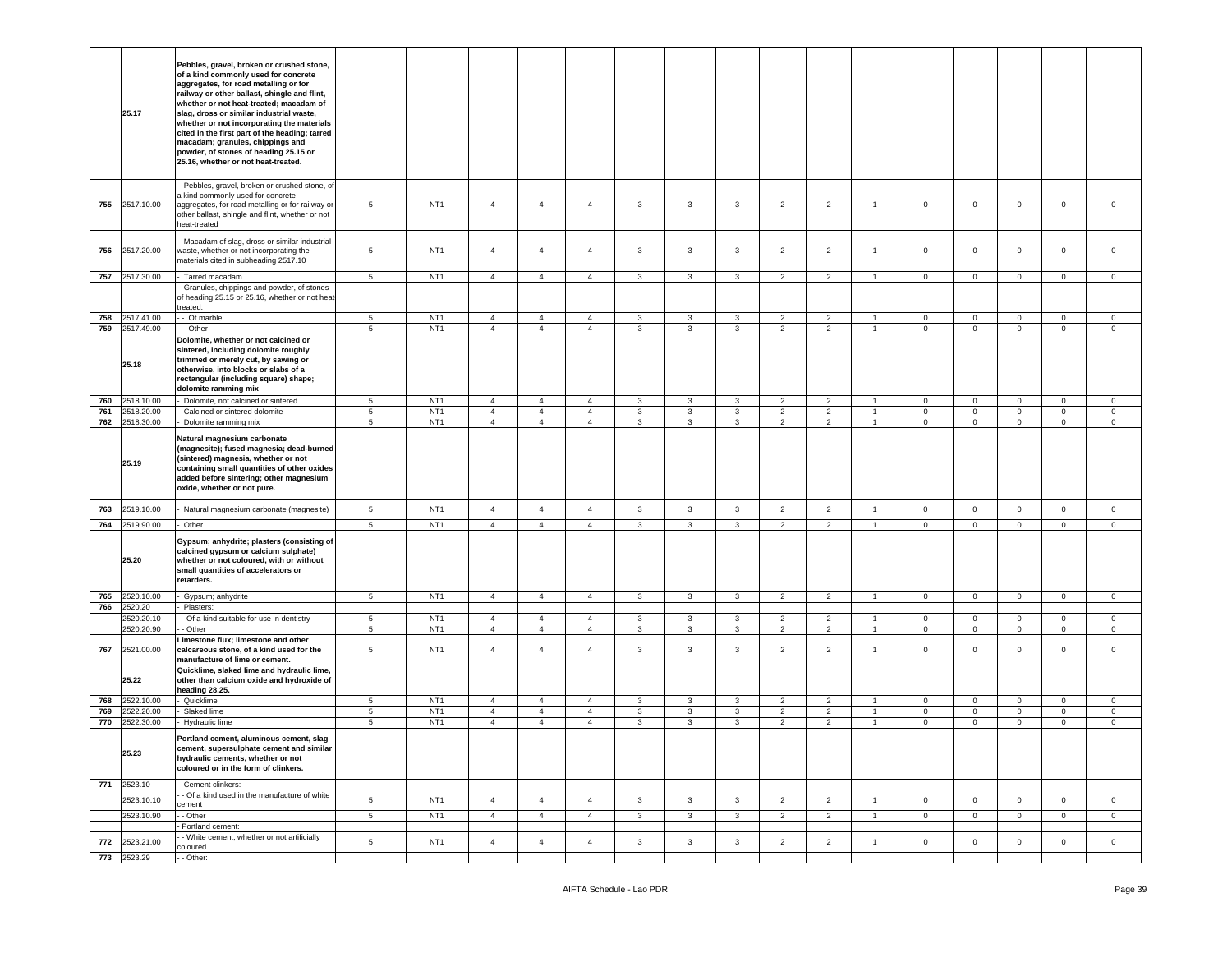|     | 25.17                     | Pebbles, gravel, broken or crushed stone,<br>of a kind commonly used for concrete<br>aggregates, for road metalling or for<br>railway or other ballast, shingle and flint,<br>whether or not heat-treated; macadam of<br>slag, dross or similar industrial waste,<br>whether or not incorporating the materials<br>cited in the first part of the heading; tarred<br>macadam; granules, chippings and<br>powder, of stones of heading 25.15 or<br>25.16, whether or not heat-treated. |                      |                                    |                                  |                                  |                                  |              |                         |                              |                                  |                                  |                                  |                            |                            |                                    |                               |                             |
|-----|---------------------------|---------------------------------------------------------------------------------------------------------------------------------------------------------------------------------------------------------------------------------------------------------------------------------------------------------------------------------------------------------------------------------------------------------------------------------------------------------------------------------------|----------------------|------------------------------------|----------------------------------|----------------------------------|----------------------------------|--------------|-------------------------|------------------------------|----------------------------------|----------------------------------|----------------------------------|----------------------------|----------------------------|------------------------------------|-------------------------------|-----------------------------|
| 755 | 2517.10.00                | Pebbles, gravel, broken or crushed stone, of<br>a kind commonly used for concrete<br>aggregates, for road metalling or for railway or<br>other ballast, shingle and flint, whether or not<br>eat-treated                                                                                                                                                                                                                                                                              | 5                    | NT <sub>1</sub>                    | $\overline{4}$                   | $\overline{a}$                   | 4                                | 3            | $\overline{\mathbf{3}}$ | $\mathbf{3}$                 | $\overline{2}$                   | $\overline{2}$                   | $\overline{1}$                   | $\mathbf 0$                | $\mathbf{0}$               | $\mathbf 0$                        | $\Omega$                      | $\mathbf 0$                 |
| 756 | 2517.20.00                | Macadam of slag, dross or similar industrial<br>vaste, whether or not incorporating the<br>materials cited in subheading 2517.10                                                                                                                                                                                                                                                                                                                                                      | 5                    | NT <sub>1</sub>                    | $\overline{4}$                   | $\overline{4}$                   | $\overline{4}$                   | $\mathbf{3}$ | 3                       | 3                            | $\overline{2}$                   | $\overline{2}$                   | $\overline{1}$                   | $\circ$                    | $\mathbf{0}$               | $\mathbf 0$                        | $\mathbf 0$                   | $\mathbf 0$                 |
| 757 | 2517.30.00                | - Tarred macadam<br>Granules, chippings and powder, of stones<br>of heading 25.15 or 25.16, whether or not heat-<br>treated:                                                                                                                                                                                                                                                                                                                                                          | $5\phantom{.0}$      | NT <sub>1</sub>                    | $\overline{4}$                   | $\overline{4}$                   | $\overline{4}$                   | $\mathbf{3}$ | $\mathbf{3}$            | $\mathbf{3}$                 | $\overline{2}$                   | $\overline{2}$                   | $\overline{1}$                   | $\mathbf 0$                | $\mathbf 0$                | $\mathsf 0$                        | $\circ$                       | $\circ$                     |
| 758 | 2517.41.00                | - Of marble                                                                                                                                                                                                                                                                                                                                                                                                                                                                           | 5                    | NT <sub>1</sub>                    | $\overline{4}$                   | $\overline{4}$                   | $\overline{4}$                   | 3            | 3                       | 3                            | $\overline{2}$                   | $\overline{2}$                   |                                  | $\mathbf 0$                | $\mathbf{0}$               | $\mathbf 0$                        | $\mathbf 0$                   | $\circ$                     |
| 759 | 2517.49.00                | - Other                                                                                                                                                                                                                                                                                                                                                                                                                                                                               | $\,$ 5 $\,$          | NT <sub>1</sub>                    | $\overline{4}$                   | $\overline{4}$                   | $\overline{4}$                   | $\mathbf{3}$ | 3                       | $\mathbf{3}$                 | $\overline{2}$                   | $\overline{2}$                   | $\overline{1}$                   | $\mathbf 0$                | $\mathsf 0$                | $\mathsf{O}\xspace$                | $\,0\,$                       | $\mathsf 0$                 |
|     | 25.18                     | Dolomite, whether or not calcined or<br>sintered, including dolomite roughly<br>trimmed or merely cut, by sawing or<br>otherwise, into blocks or slabs of a<br>rectangular (including square) shape;<br>dolomite ramming mix                                                                                                                                                                                                                                                          |                      |                                    |                                  |                                  |                                  |              |                         |                              |                                  |                                  |                                  |                            |                            |                                    |                               |                             |
| 760 | 2518.10.00                | Dolomite, not calcined or sintered                                                                                                                                                                                                                                                                                                                                                                                                                                                    | $5\overline{ }$      | NT <sub>1</sub>                    | $\overline{4}$                   | $\overline{4}$                   | $\overline{4}$                   | $\mathbf{3}$ | $\mathbf{3}$            | $\mathbf{3}$                 | $\overline{2}$                   | $\overline{2}$                   | $\overline{1}$                   | $\mathbf 0$                | $\mathbf 0$                | $\mathsf 0$                        | $\overline{0}$                | $\circ$                     |
| 761 | 2518.20.00                | Calcined or sintered dolomite                                                                                                                                                                                                                                                                                                                                                                                                                                                         | 5                    | NT <sub>1</sub>                    | $\overline{4}$                   | $\overline{4}$                   | $\overline{4}$                   | $\mathbf{3}$ | $\mathbf{3}$            | 3                            | $\overline{2}$                   | $\overline{2}$                   | $\mathbf{1}$                     | $\mathbf 0$                | $\mathbf 0$                | $\mathbf 0$                        | $\mathbf{0}$                  | $\mathbf{0}$                |
| 762 | 2518.30.00                | Dolomite ramming mix                                                                                                                                                                                                                                                                                                                                                                                                                                                                  | 5                    | NT <sub>1</sub>                    | $\overline{4}$                   | $\overline{4}$                   | $\overline{4}$                   | $\mathbf{3}$ | $\mathbf{3}$            | $\mathbf{3}$                 | $\overline{2}$                   | $\overline{2}$                   | $\overline{1}$                   | $\mathbf 0$                | $\mathbf{0}$               | $\mathsf 0$                        | $\mathbf 0$                   | $\mathbf 0$                 |
|     | 25.19                     | Natural magnesium carbonate<br>(magnesite); fused magnesia; dead-burned<br>(sintered) magnesia, whether or not<br>containing small quantities of other oxides<br>added before sintering; other magnesium<br>oxide, whether or not pure.                                                                                                                                                                                                                                               |                      |                                    |                                  |                                  |                                  |              |                         |                              |                                  |                                  |                                  |                            |                            |                                    |                               |                             |
| 763 | 2519.10.00                | Natural magnesium carbonate (magnesite)                                                                                                                                                                                                                                                                                                                                                                                                                                               | 5                    | NT <sub>1</sub>                    | $\overline{4}$                   | $\overline{4}$                   | $\overline{4}$                   | $\mathbf{3}$ | $\overline{3}$          | $\mathbf{3}$                 | $\overline{2}$                   | $\overline{2}$                   | $\overline{1}$                   | $\mathbf 0$                | $\mathbf{0}$               | $\mathsf 0$                        | $\mathbf 0$                   | $\mathbf 0$                 |
| 764 | 2519.90.00                | Other                                                                                                                                                                                                                                                                                                                                                                                                                                                                                 | 5                    | NT <sub>1</sub>                    | $\overline{4}$                   | $\overline{4}$                   | $\overline{4}$                   | $\mathbf{3}$ | $\mathbf{3}$            | $\mathbf{3}$                 | $\overline{2}$                   | $\overline{2}$                   | $\overline{1}$                   | $\pmb{0}$                  | $\overline{0}$             | $\mathsf 0$                        | $\circ$                       | $\circ$                     |
|     | 25.20                     | Gypsum; anhydrite; plasters (consisting of<br>calcined gypsum or calcium sulphate)<br>whether or not coloured, with or without<br>small quantities of accelerators or<br>retarders.                                                                                                                                                                                                                                                                                                   |                      |                                    |                                  |                                  |                                  |              |                         |                              |                                  |                                  |                                  |                            |                            |                                    |                               |                             |
| 765 | 2520.10.00                | Gypsum; anhydrite                                                                                                                                                                                                                                                                                                                                                                                                                                                                     | $5\phantom{.0}$      | NT <sub>1</sub>                    | $\overline{4}$                   | $\overline{4}$                   | $\overline{4}$                   | $\mathbf{3}$ | $\mathbf{3}$            | $\mathbf{3}$                 | $\overline{2}$                   | $\overline{2}$                   | $\overline{1}$                   | $\mathbf 0$                | $\overline{0}$             | $\mathsf{O}\xspace$                | $\mathsf 0$                   | $\circ$                     |
| 766 | 2520.20                   | Plasters:                                                                                                                                                                                                                                                                                                                                                                                                                                                                             |                      |                                    |                                  |                                  |                                  |              |                         |                              |                                  |                                  |                                  |                            |                            |                                    |                               |                             |
|     | 2520.20.10<br>1520.20.90  | - Of a kind suitable for use in dentistry<br>- Other                                                                                                                                                                                                                                                                                                                                                                                                                                  | $5\phantom{.0}$<br>5 | NT <sub>1</sub><br>NT <sub>1</sub> | $\overline{4}$<br>$\overline{4}$ | $\overline{4}$<br>$\overline{4}$ | $\overline{4}$<br>$\overline{4}$ | 3<br>3       | $\mathbf{3}$<br>3       | $\mathbf{3}$<br>$\mathbf{3}$ | $\overline{2}$<br>$\overline{2}$ | $\overline{2}$<br>$\overline{a}$ | $\overline{1}$<br>$\overline{1}$ | $\mathbf 0$<br>$\mathbf 0$ | $\mathbf 0$<br>$\mathbf 0$ | $\mathsf{O}\xspace$<br>$\mathsf 0$ | $\mathbf 0$<br>$\overline{0}$ | $\mathbf{0}$<br>$\mathbf 0$ |
| 767 | 2521.00.00                | Limestone flux; limestone and other<br>calcareous stone, of a kind used for the<br>manufacture of lime or cement.                                                                                                                                                                                                                                                                                                                                                                     | 5                    | NT <sub>1</sub>                    | $\overline{4}$                   | $\overline{4}$                   | $\overline{4}$                   | 3            | 3                       | 3                            | $\overline{2}$                   | $\overline{2}$                   | $\overline{1}$                   | $\circ$                    | $\mathbf{0}$               | $\mathbf 0$                        | $\mathbf 0$                   | $\mathbf 0$                 |
|     | 25.22                     | Quicklime, slaked lime and hydraulic lime,<br>other than calcium oxide and hydroxide of<br>heading 28.25.                                                                                                                                                                                                                                                                                                                                                                             |                      |                                    |                                  |                                  |                                  |              |                         |                              |                                  |                                  |                                  |                            |                            |                                    |                               |                             |
| 768 | 2522.10.00                | Quicklime                                                                                                                                                                                                                                                                                                                                                                                                                                                                             | 5                    | NT <sub>1</sub>                    | $\overline{4}$                   | $\overline{4}$                   | $\overline{4}$                   | 3            | $\mathbf{3}$            | 3                            | $\overline{2}$                   | $\overline{2}$                   | $\overline{1}$                   | $\mathbf 0$                | $\mathbf{0}$               | $\mathbf 0$                        | $\mathbf 0$                   | $\circ$                     |
| 769 | 1522.20.00                | Slaked lime                                                                                                                                                                                                                                                                                                                                                                                                                                                                           | $\overline{5}$       | NT <sub>1</sub>                    | $\overline{4}$                   | $\overline{4}$                   | $\overline{4}$                   | $\mathbf{3}$ | $\mathbf{3}$            | $\mathbf{3}$                 | $\overline{2}$                   | $\overline{2}$                   | $\overline{1}$                   | $\mathbf 0$                | $\mathbf 0$                | $\mathsf{O}\xspace$                | $\mathbb O$                   | $\mathsf 0$                 |
| 770 | 2522.30.00                | Hydraulic lime                                                                                                                                                                                                                                                                                                                                                                                                                                                                        | $5\phantom{.0}$      | NT <sub>1</sub>                    | $\overline{4}$                   | $\overline{4}$                   | $\overline{4}$                   | 3            | 3                       | $\mathbf{3}$                 | $\overline{2}$                   | $\overline{c}$                   | $\overline{1}$                   | $\mathbf 0$                | $\mathbf 0$                | $\mathsf 0$                        | $\overline{0}$                | $\mathbf{0}$                |
|     | 25.23                     | Portland cement, aluminous cement, slag<br>cement, supersulphate cement and similar<br>hydraulic cements, whether or not<br>coloured or in the form of clinkers.                                                                                                                                                                                                                                                                                                                      |                      |                                    |                                  |                                  |                                  |              |                         |                              |                                  |                                  |                                  |                            |                            |                                    |                               |                             |
|     | 771 2523.10               | Cement clinkers:                                                                                                                                                                                                                                                                                                                                                                                                                                                                      |                      |                                    |                                  |                                  |                                  |              |                         |                              |                                  |                                  |                                  |                            |                            |                                    |                               |                             |
|     | 2523.10.10                | - Of a kind used in the manufacture of white                                                                                                                                                                                                                                                                                                                                                                                                                                          | $\,$ 5 $\,$          | NT <sub>1</sub>                    | $\overline{4}$                   | $\overline{4}$                   | $\overline{4}$                   | $\mathbf{3}$ | $\mathbf{3}$            | $\mathbf{3}$                 | $\overline{2}$                   | $\overline{2}$                   | $\mathbf{1}$                     | $\mathbf 0$                | $\overline{0}$             | $\mathsf 0$                        | $\circ$                       | $\mathsf 0$                 |
|     | 2523.10.90                | cement<br>- Other                                                                                                                                                                                                                                                                                                                                                                                                                                                                     | 5                    | NT <sub>1</sub>                    | $\overline{4}$                   | $\overline{4}$                   | $\overline{4}$                   | $\mathbf{3}$ | $\mathbf{3}$            | $\mathbf{3}$                 | $\overline{2}$                   | $\overline{2}$                   | $\mathbf{1}$                     | $\mathbf{0}$               | $\mathbf 0$                | $\mathbf 0$                        | $\overline{0}$                | $\circ$                     |
|     |                           | Portland cement:                                                                                                                                                                                                                                                                                                                                                                                                                                                                      |                      |                                    |                                  |                                  |                                  |              |                         |                              |                                  |                                  |                                  |                            |                            |                                    |                               |                             |
| 772 | 2523.21.00<br>773 2523.29 | - White cement, whether or not artificially<br>coloured<br>- Other:                                                                                                                                                                                                                                                                                                                                                                                                                   | $\sqrt{5}$           | NT <sub>1</sub>                    | $\overline{4}$                   | $\overline{4}$                   | $\overline{4}$                   | $\mathbf{3}$ | $\mathbf{3}$            | $\mathbf{3}$                 | $\overline{2}$                   | $\overline{2}$                   | $\overline{1}$                   | $\mathsf 0$                | $\mathbf{0}$               | $\mathsf{O}\xspace$                | $\circ$                       | $\overline{0}$              |
|     |                           |                                                                                                                                                                                                                                                                                                                                                                                                                                                                                       |                      |                                    |                                  |                                  |                                  |              |                         |                              |                                  |                                  |                                  |                            |                            |                                    |                               |                             |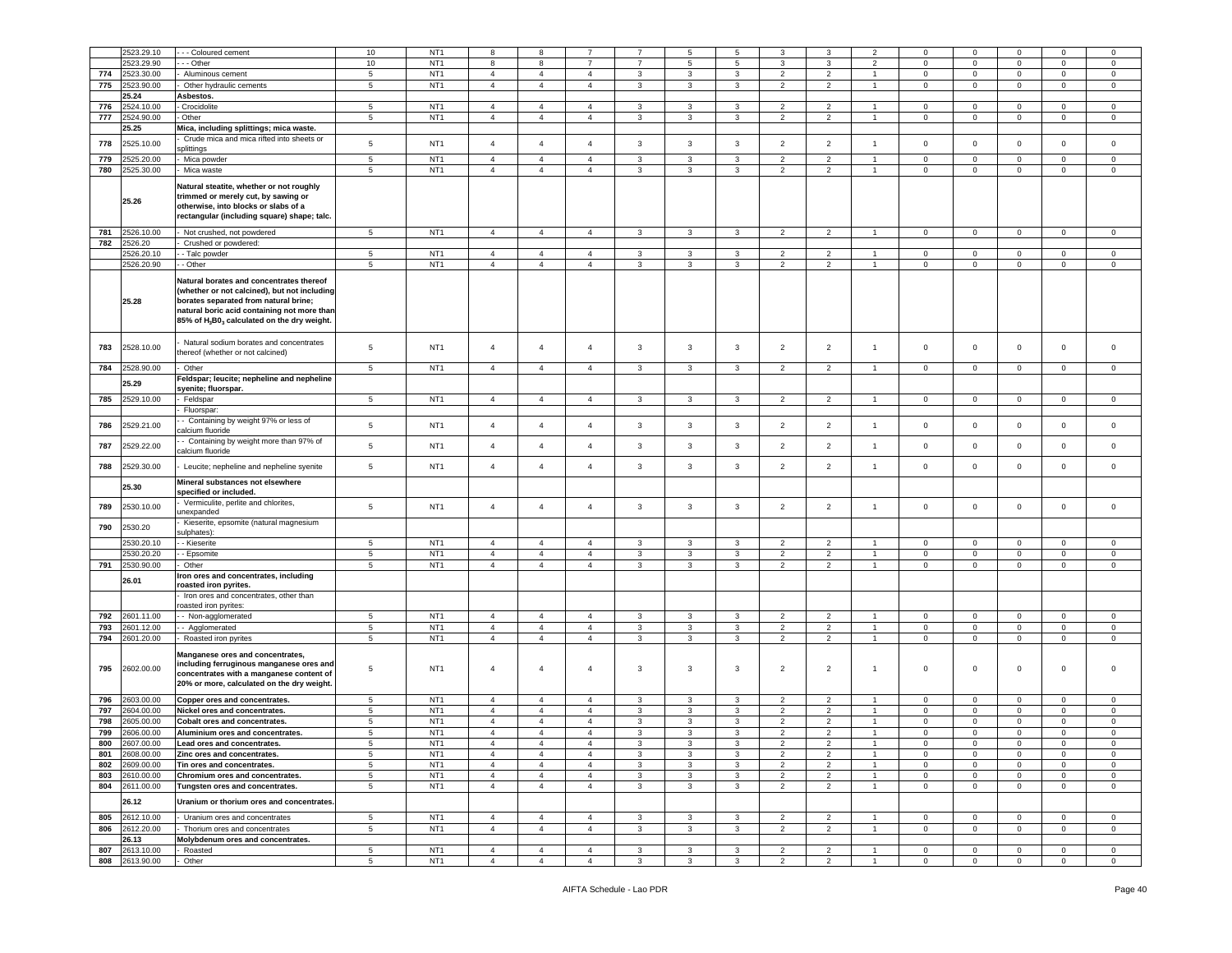|     | 2523.29.10     | - - Coloured cement                                                                                                                                                                                                                                     | 10              | NT <sub>1</sub> | 8              |                | 7              |                | 5            | 5            | 3                        |                | 2              | $^{\circ}$     | $^{\circ}$     | $\mathsf 0$  | $\mathbf 0$    |                |
|-----|----------------|---------------------------------------------------------------------------------------------------------------------------------------------------------------------------------------------------------------------------------------------------------|-----------------|-----------------|----------------|----------------|----------------|----------------|--------------|--------------|--------------------------|----------------|----------------|----------------|----------------|--------------|----------------|----------------|
|     |                |                                                                                                                                                                                                                                                         |                 |                 |                | 8              |                |                |              |              |                          | 3              |                |                |                |              |                | 0              |
|     | 2523.29.90     | - - Other                                                                                                                                                                                                                                               | 10              | NT <sub>1</sub> | 8              | 8              | $\overline{7}$ | $\overline{7}$ | 5            | 5            | 3                        | 3              | $\overline{2}$ | $\mathbf 0$    | $\mathbf 0$    | $\mathbf 0$  | $\mathbf 0$    | 0              |
| 774 | 2523.30.00     | Aluminous cement                                                                                                                                                                                                                                        | 5               | NT <sub>1</sub> | $\overline{4}$ | $\overline{4}$ | $\overline{4}$ | 3              | 3            | 3            | $\overline{2}$           | $\overline{2}$ | $\overline{1}$ | $\mathbf 0$    | $\mathbf 0$    | $\mathbf 0$  | $\mathbf 0$    | $\mathbf 0$    |
| 775 | 2523.90.00     | Other hydraulic cements                                                                                                                                                                                                                                 | 5               | NT <sub>1</sub> | $\overline{4}$ | $\overline{4}$ | $\overline{4}$ | 3              | 3            | 3            | $\overline{2}$           | $\overline{2}$ |                | $\mathbf 0$    | $\mathbf 0$    | $\mathbf 0$  | $\mathbf 0$    | $\mathbf 0$    |
|     |                |                                                                                                                                                                                                                                                         |                 |                 |                |                |                |                |              |              |                          |                |                |                |                |              |                |                |
|     | 25.24          | Asbestos.                                                                                                                                                                                                                                               |                 |                 |                |                |                |                |              |              |                          |                |                |                |                |              |                |                |
| 776 | 2524.10.00     | Crocidolite                                                                                                                                                                                                                                             | 5               | NT <sub>1</sub> | $\overline{4}$ | $\overline{4}$ | $\overline{4}$ | 3              | 3            | 3            | $\overline{2}$           | $\overline{2}$ |                | $\Omega$       | $\mathbf 0$    | $\circ$      | $\mathbf 0$    | $\circ$        |
| 777 | 2524.90.00     | Other                                                                                                                                                                                                                                                   | 5               | NT <sub>1</sub> | $\overline{4}$ | $\overline{4}$ | $\overline{4}$ | 3              | 3            | 3            | $\overline{2}$           | $\overline{2}$ | $\overline{1}$ | $\mathbf 0$    | $\mathbf 0$    | $\mathbf 0$  | $\mathbf 0$    | 0              |
|     | 25.25          | Mica, including splittings; mica waste.                                                                                                                                                                                                                 |                 |                 |                |                |                |                |              |              |                          |                |                |                |                |              |                |                |
|     |                |                                                                                                                                                                                                                                                         |                 |                 |                |                |                |                |              |              |                          |                |                |                |                |              |                |                |
| 778 | 2525.10.00     | Crude mica and mica rifted into sheets or                                                                                                                                                                                                               | 5               | NT <sub>1</sub> | $\overline{4}$ | $\overline{4}$ | $\overline{4}$ | $\mathbf{3}$   | 3            | 3            | $\overline{2}$           | $\overline{2}$ | $\mathbf{1}$   | $\mathbf 0$    | $\mathbf 0$    | $\mathbf 0$  | $\mathbf{0}$   | $\circ$        |
|     |                | plittings                                                                                                                                                                                                                                               |                 |                 |                |                |                |                |              |              |                          |                |                |                |                |              |                |                |
| 779 | 2525.20.00     | Mica powder                                                                                                                                                                                                                                             | 5               | NT <sub>1</sub> | $\overline{4}$ | $\overline{4}$ | $\overline{4}$ | 3              | 3            | 3            | $\overline{2}$           | $\overline{2}$ |                | $\mathbf 0$    | $\mathbf 0$    | $\mathbf 0$  | 0              | $\mathbf 0$    |
| 780 | 2525.30.00     | Mica waste                                                                                                                                                                                                                                              | $5\phantom{.0}$ | NT <sub>1</sub> | $\sqrt{4}$     | $\overline{4}$ | $\overline{4}$ | 3              | $\mathbf{3}$ | $\mathbf{3}$ | $\overline{2}$           | $\overline{2}$ | $\mathbf{1}$   | $\mathbf 0$    | $\mathbf 0$    | $\mathbf 0$  | $\mathbf 0$    | $\mathsf 0$    |
|     |                |                                                                                                                                                                                                                                                         |                 |                 |                |                |                |                |              |              |                          |                |                |                |                |              |                |                |
|     | 25.26          | Natural steatite, whether or not roughly<br>trimmed or merely cut, by sawing or<br>otherwise, into blocks or slabs of a<br>rectangular (including square) shape; talc.                                                                                  |                 |                 |                |                |                |                |              |              |                          |                |                |                |                |              |                |                |
| 781 | 2526.10.00     | Not crushed, not powdered                                                                                                                                                                                                                               | 5               | NT <sub>1</sub> | $\overline{4}$ | $\overline{4}$ | $\overline{4}$ | 3              | 3            | 3            | $\overline{2}$           | $\overline{2}$ | $\overline{1}$ | $\mathbf 0$    | $\mathbf 0$    | $\mathbf 0$  | $\mathbf 0$    | $\mathbf 0$    |
| 782 | 2526.20        | Crushed or powdered:                                                                                                                                                                                                                                    |                 |                 |                |                |                |                |              |              |                          |                |                |                |                |              |                |                |
|     |                |                                                                                                                                                                                                                                                         |                 |                 |                |                |                |                |              |              |                          |                |                |                |                |              |                |                |
|     | 2526.20.10     | - Talc powder                                                                                                                                                                                                                                           | 5               | NT <sub>1</sub> | $\overline{4}$ | 4              | $\overline{4}$ | $\mathbf{3}$   | 3            | 3            | $\overline{2}$           | 2              |                | $^{\circ}$     | $\mathsf 0$    | $\mathbf 0$  | $\mathbf 0$    | $\mathbf 0$    |
|     | 2526.20.90     | - Other                                                                                                                                                                                                                                                 | 5               | NT <sub>1</sub> | $\overline{4}$ | $\overline{4}$ | $\overline{4}$ | 3              | 3            | 3            | $\overline{2}$           | $\overline{2}$ | $\overline{1}$ | $\mathbf 0$    | $\mathbf{O}$   | $\mathbf 0$  | $\mathbf 0$    | $\circ$        |
|     | 25.28          | Natural borates and concentrates thereof<br>(whether or not calcined), but not including<br>borates separated from natural brine;<br>natural boric acid containing not more than<br>85% of H <sub>3</sub> B0 <sub>3</sub> calculated on the dry weight. |                 |                 |                |                |                |                |              |              |                          |                |                |                |                |              |                |                |
| 783 | 2528.10.00     | Natural sodium borates and concentrates<br>hereof (whether or not calcined)                                                                                                                                                                             | 5               | NT <sub>1</sub> | $\overline{4}$ | $\overline{4}$ | $\overline{4}$ | 3              | 3            | 3            | $\overline{2}$           | $\overline{2}$ | $\overline{1}$ | $\mathbf 0$    | $\mathsf 0$    | $\mathbf 0$  | 0              | $\mathbf 0$    |
| 784 | 2528.90.00     | Other                                                                                                                                                                                                                                                   | $5\phantom{.0}$ | NT <sub>1</sub> | $\overline{4}$ | $\overline{4}$ | $\overline{4}$ | 3              | 3            | 3            | $\overline{2}$           | $\overline{2}$ | $\mathbf{1}$   | $\mathbf 0$    | $\mathbf 0$    | $\mathbf 0$  | $\mathbf{0}$   | $\circ$        |
|     |                |                                                                                                                                                                                                                                                         |                 |                 |                |                |                |                |              |              |                          |                |                |                |                |              |                |                |
|     | 25.29          | Feldspar; leucite; nepheline and nepheline                                                                                                                                                                                                              |                 |                 |                |                |                |                |              |              |                          |                |                |                |                |              |                |                |
|     |                | syenite; fluorspar.                                                                                                                                                                                                                                     |                 |                 |                |                |                |                |              |              |                          |                |                |                |                |              |                |                |
| 785 | 2529.10.00     | Feldspar                                                                                                                                                                                                                                                | 5               | NT <sub>1</sub> | $\overline{4}$ | $\overline{4}$ | $\overline{4}$ | 3              | 3            | 3            | $\overline{2}$           | $\overline{2}$ |                | $\mathbf{0}$   | $\mathbf 0$    | $\mathbf 0$  | $\mathbf 0$    | 0              |
|     |                | Fluorspar:                                                                                                                                                                                                                                              |                 |                 |                |                |                |                |              |              |                          |                |                |                |                |              |                |                |
|     |                | - Containing by weight 97% or less of                                                                                                                                                                                                                   |                 |                 |                |                |                |                |              |              |                          |                |                |                |                |              |                |                |
| 786 | 529.21.00      |                                                                                                                                                                                                                                                         | 5               | NT <sub>1</sub> | $\overline{4}$ | $\overline{4}$ | $\overline{4}$ | 3              | 3            | 3            | $\overline{2}$           | $\overline{2}$ | $\overline{1}$ | $\mathsf 0$    | $\mathbf 0$    | $\mathbf 0$  | $\mathbf 0$    | $\mathbf 0$    |
|     |                | calcium fluoride                                                                                                                                                                                                                                        |                 |                 |                |                |                |                |              |              |                          |                |                |                |                |              |                |                |
| 787 | 2529.22.00     | - Containing by weight more than 97% of                                                                                                                                                                                                                 | 5               | NT <sub>1</sub> | $\overline{4}$ | $\overline{4}$ | $\overline{4}$ | 3              | 3            | 3            | $\overline{2}$           | $\overline{2}$ | $\overline{1}$ | $\mathbf 0$    | $\mathbf 0$    | $\mathbf 0$  | $\mathbf 0$    | $\mathbf 0$    |
|     |                | calcium fluoride                                                                                                                                                                                                                                        |                 |                 |                |                |                |                |              |              |                          |                |                |                |                |              |                |                |
|     |                |                                                                                                                                                                                                                                                         |                 |                 |                |                |                |                |              |              |                          |                |                |                |                |              |                |                |
| 788 | 2529.30.00     | Leucite; nepheline and nepheline syenite                                                                                                                                                                                                                | $5\phantom{.0}$ | NT <sub>1</sub> | $\overline{4}$ | $\overline{4}$ | $\overline{4}$ | 3              | 3            | 3            | $\overline{2}$           | $\overline{2}$ | $\mathbf{1}$   | $\mathbf 0$    | $\mathbf 0$    | $\mathbf 0$  | $\mathbf 0$    | $\mathbf 0$    |
|     |                | Mineral substances not elsewhere                                                                                                                                                                                                                        |                 |                 |                |                |                |                |              |              |                          |                |                |                |                |              |                |                |
|     | 25.30          |                                                                                                                                                                                                                                                         |                 |                 |                |                |                |                |              |              |                          |                |                |                |                |              |                |                |
|     |                | specified or included.                                                                                                                                                                                                                                  |                 |                 |                |                |                |                |              |              |                          |                |                |                |                |              |                |                |
| 789 | 2530.10.00     | Vermiculite, perlite and chlorites,                                                                                                                                                                                                                     | 5               | NT <sub>1</sub> | $\overline{4}$ | $\overline{4}$ | $\overline{4}$ | $\mathbf{3}$   | $\mathbf{3}$ | $\mathbf{3}$ | $\overline{2}$           | $\overline{2}$ | $\overline{1}$ | $\mathbf 0$    | $\mathbf 0$    | $\mathsf 0$  | $\mathsf 0$    | $\mathbf 0$    |
|     |                | unexpanded                                                                                                                                                                                                                                              |                 |                 |                |                |                |                |              |              |                          |                |                |                |                |              |                |                |
|     |                | Kieserite, epsomite (natural magnesium                                                                                                                                                                                                                  |                 |                 |                |                |                |                |              |              |                          |                |                |                |                |              |                |                |
| 790 | 2530.20        | sulphates):                                                                                                                                                                                                                                             |                 |                 |                |                |                |                |              |              |                          |                |                |                |                |              |                |                |
|     |                |                                                                                                                                                                                                                                                         |                 |                 | $\overline{4}$ |                |                |                |              |              |                          | $\overline{2}$ |                |                | $\mathbf 0$    |              |                |                |
|     | 2530.20.10     | - Kieserite                                                                                                                                                                                                                                             | 5               | NT <sub>1</sub> |                | $\overline{4}$ | $\overline{4}$ | $\mathbf{3}$   | 3            | 3            | $\overline{2}$           |                |                | 0              |                | $\mathbf 0$  | $\mathbf 0$    | $\mathbf 0$    |
|     | 2530.20.20     | - Epsomite                                                                                                                                                                                                                                              | 5               | NT <sub>1</sub> | $\overline{4}$ | $\overline{4}$ | $\overline{4}$ | 3              | 3            | 3            | $\overline{2}$           | $\overline{2}$ | $\overline{1}$ | $\mathbf 0$    | $\overline{0}$ | $\mathbf 0$  | $\mathbf 0$    | $\mathbf 0$    |
| 791 | 2530.90.00     | Other                                                                                                                                                                                                                                                   | $\sqrt{5}$      | NT <sub>1</sub> | $\overline{4}$ | $\overline{4}$ | $\overline{4}$ | $\mathbf{3}$   | 3            | 3            | $\overline{2}$           | $\overline{2}$ | $\overline{1}$ | $\mathbf 0$    | $\mathbf 0$    | $\pmb{0}$    | $\mathbf 0$    | $\mathsf 0$    |
|     |                | ron ores and concentrates, including                                                                                                                                                                                                                    |                 |                 |                |                |                |                |              |              |                          |                |                |                |                |              |                |                |
|     | 26.01          | roasted iron pyrites.                                                                                                                                                                                                                                   |                 |                 |                |                |                |                |              |              |                          |                |                |                |                |              |                |                |
|     |                |                                                                                                                                                                                                                                                         |                 |                 |                |                |                |                |              |              |                          |                |                |                |                |              |                |                |
|     |                | Iron ores and concentrates, other than                                                                                                                                                                                                                  |                 |                 |                |                |                |                |              |              |                          |                |                |                |                |              |                |                |
|     |                | oasted iron pyrites:                                                                                                                                                                                                                                    |                 |                 |                |                |                |                |              |              |                          |                |                |                |                |              |                |                |
| 792 | 2601.11.00     | - Non-agglomerated                                                                                                                                                                                                                                      | 5               | NT <sub>1</sub> | $\overline{4}$ | $\overline{4}$ | $\overline{4}$ | $\mathbf{3}$   | 3            | 3            | $\overline{2}$           | $\overline{2}$ | -1             | $\pmb{0}$      | $\mathbf 0$    | $\mathbf 0$  | $\mathbf 0$    | $\mathsf 0$    |
| 793 | 2601.12.00     | - Agglomerated                                                                                                                                                                                                                                          | 5               | NT <sub>1</sub> | $\overline{4}$ | $\overline{4}$ | $\overline{4}$ | $\mathbf{3}$   | 3            | 3            | $\overline{2}$           | $\overline{2}$ | $\overline{1}$ | $\mathbf 0$    | $\mathsf 0$    | $\mathbf 0$  | $\mathbf 0$    | $\circ$        |
| 794 | 2601.20.00     | Roasted iron pyrites                                                                                                                                                                                                                                    | 5               | NT <sub>1</sub> | $\overline{4}$ | $\overline{4}$ | $\overline{4}$ | $\mathbf{3}$   | 3            | 3            | $\overline{2}$           | $\overline{2}$ | $\mathbf{1}$   | $\mathbf 0$    | $\overline{0}$ | $\mathbf 0$  | $\overline{0}$ | $\circ$        |
| 795 | 2602.00.00     | Manganese ores and concentrates,<br>including ferruginous manganese ores and<br>concentrates with a manganese content of<br>20% or more, calculated on the dry weight.                                                                                  | 5               | NT <sub>1</sub> | $\overline{4}$ | $\overline{4}$ | $\overline{4}$ | 3              | 3            | 3            | $\overline{2}$           | $\overline{2}$ | $\overline{1}$ | $\mathbf 0$    | 0              | $\mathsf 0$  | $\mathbf 0$    | 0              |
| 796 | 2603.00.00     | <b>Copper ores and concentrates.</b>                                                                                                                                                                                                                    | 5               | NT <sub>1</sub> | $\overline{4}$ | $\overline{4}$ | $\overline{4}$ | 3              | 3            | 3            | $\overline{\phantom{a}}$ | $\overline{2}$ |                | $\Omega$       | $\mathbf 0$    | $\mathbf 0$  | $\Omega$       | $\mathbf 0$    |
|     |                |                                                                                                                                                                                                                                                         |                 |                 |                |                |                |                |              |              |                          |                |                |                |                |              |                |                |
| 797 | 2604.00.00     | Nickel ores and concentrates.                                                                                                                                                                                                                           | 5               | NT <sub>1</sub> | $\overline{4}$ | $\overline{4}$ | $\overline{4}$ | $\mathbf{3}$   | 3            | 3            | $\overline{2}$           | $\overline{2}$ |                | $\mathbf 0$    | $\mathbf 0$    | $\mathbf 0$  | 0              | 0              |
| 798 | 2605.00.00     | <b>Cobalt ores and concentrates.</b>                                                                                                                                                                                                                    | $5\phantom{.0}$ | NT <sub>1</sub> | $\overline{4}$ | $\overline{4}$ | $\overline{4}$ | 3              | 3            | 3            | $\overline{2}$           | $\overline{2}$ | $\overline{1}$ | $\mathbf 0$    | $\mathbf{0}$   | $\mathbf 0$  | 0              | $\circ$        |
| 799 | 2606.00.00     | Aluminium ores and concentrates.                                                                                                                                                                                                                        | 5               | NT <sub>1</sub> | $\overline{4}$ | $\overline{4}$ | $\overline{4}$ | 3              | 3            | 3            | $\overline{2}$           | $\overline{2}$ | $\overline{1}$ | $\mathbf 0$    | $\mathbf 0$    | $\mathbf 0$  | $\mathbf 0$    | $\mathbf 0$    |
|     |                |                                                                                                                                                                                                                                                         |                 |                 |                |                |                |                |              |              |                          |                |                |                |                |              |                |                |
|     | 800 2607.00.00 | Lead ores and concentrates.                                                                                                                                                                                                                             |                 | NI1             |                |                |                |                |              |              |                          |                |                |                |                |              |                |                |
| 801 | 2608.00.00     | Zinc ores and concentrates.                                                                                                                                                                                                                             | 5               | NT <sub>1</sub> | $\overline{4}$ | $\overline{4}$ | $\overline{4}$ | 3              | $\mathbf{3}$ | 3            | $\overline{2}$           | $\overline{2}$ | $\mathbf{1}$   | $\overline{0}$ | $\mathbf{0}$   | $\mathbf 0$  | $\mathbf{0}$   | $\circ$        |
| 802 | 2609.00.00     | Tin ores and concentrates.                                                                                                                                                                                                                              | 5               | NT <sub>1</sub> | $\overline{4}$ | $\overline{4}$ | $\overline{4}$ | 3              | 3            | 3            | $\overline{2}$           | $\overline{2}$ | $\mathbf{1}$   | $\mathbf{0}$   | $\mathbf 0$    | $\mathbf 0$  | $\mathbf{0}$   | $\mathbf 0$    |
| 803 | 2610.00.00     | Chromium ores and concentrates.                                                                                                                                                                                                                         | $5\phantom{.0}$ | NT <sub>1</sub> | $\overline{4}$ | $\overline{4}$ | $\overline{4}$ | $\mathbf{3}$   | $\mathbf{3}$ | 3            | $\overline{2}$           | $\overline{2}$ | $\mathbf{1}$   | $\overline{0}$ | $\overline{0}$ | $\mathbf 0$  | $\overline{0}$ | $\mathbf{0}$   |
|     | 804 2611.00.00 |                                                                                                                                                                                                                                                         | $5\phantom{.0}$ | NT <sub>1</sub> |                |                |                |                |              |              |                          |                |                |                |                | $\mathbf 0$  |                |                |
|     |                | Tungsten ores and concentrates.                                                                                                                                                                                                                         |                 |                 | $\overline{4}$ | $\overline{4}$ | $\overline{4}$ | $\mathbf{3}$   | $\mathbf{3}$ | $\mathbf{3}$ | $\overline{2}$           | $\overline{2}$ | $\mathbf{1}$   | $\overline{0}$ | $\overline{0}$ |              | $\overline{0}$ | $\overline{0}$ |
|     | 26.12          | Uranium or thorium ores and concentrates.                                                                                                                                                                                                               |                 |                 |                |                |                |                |              |              |                          |                |                |                |                |              |                |                |
|     |                |                                                                                                                                                                                                                                                         |                 |                 |                |                |                |                |              |              |                          |                |                |                |                |              |                |                |
| 805 | 2612.10.00     | - Uranium ores and concentrates                                                                                                                                                                                                                         | $5\phantom{.0}$ | NT <sub>1</sub> | $\overline{4}$ | $\overline{4}$ | $\overline{4}$ | 3              | $\mathbf{3}$ | 3            | $\overline{2}$           | $\overline{2}$ | $\overline{1}$ | $\overline{0}$ | $\overline{0}$ | $\mathbf 0$  | $\overline{0}$ | $\overline{0}$ |
|     | 806 2612.20.00 | Thorium ores and concentrates                                                                                                                                                                                                                           | 5               | NT <sub>1</sub> | $\overline{4}$ | $\overline{4}$ | $\overline{4}$ | $\mathbf{3}$   | $\mathbf{3}$ | 3            | $\overline{2}$           | $\overline{2}$ | $\overline{1}$ | $\overline{0}$ | $\overline{0}$ | $\mathbf{0}$ | $\overline{0}$ | $\mathbf{0}$   |
|     |                |                                                                                                                                                                                                                                                         |                 |                 |                |                |                |                |              |              |                          |                |                |                |                |              |                |                |
|     | 26.13          | Molybdenum ores and concentrates.                                                                                                                                                                                                                       |                 |                 |                |                |                |                |              |              |                          |                |                |                |                |              |                |                |
| 807 | 2613.10.00     | - Roasted                                                                                                                                                                                                                                               | 5               | NT <sub>1</sub> | $\overline{4}$ | $\overline{4}$ | $\overline{4}$ | 3              | $\mathbf{3}$ | 3            | $\overline{2}$           | $\overline{2}$ | $\overline{1}$ | $\mathbf{0}$   | $\overline{0}$ | $\mathbf 0$  | $\overline{0}$ | $\overline{0}$ |
|     | 808 2613.90.00 | - Other                                                                                                                                                                                                                                                 | $5\phantom{.0}$ | NT <sub>1</sub> | $\overline{4}$ | $\overline{4}$ | $\overline{4}$ | $\mathbf{3}$   | $\mathbf{3}$ | 3            | $\overline{2}$           | $\overline{2}$ | $\overline{1}$ | $\overline{0}$ | $\overline{0}$ | $\mathbf 0$  | $\overline{0}$ | $\overline{0}$ |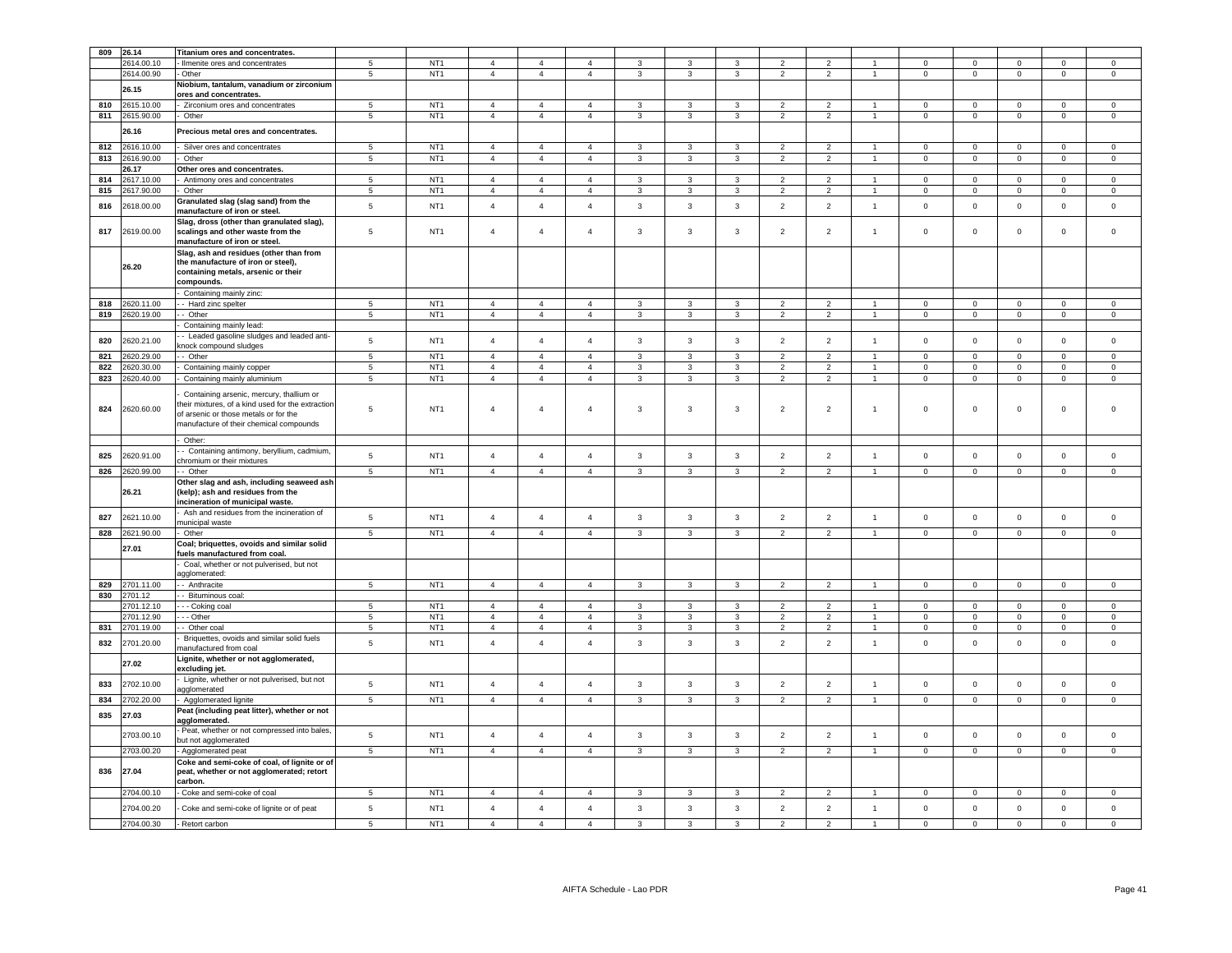| 809        | 26.14                    | Titanium ores and concentrates.                                                                                                                                                  |                          |                                    |                                  |                                  |                                  |                   |                              |                         |                                  |                                  |                                |                            |                             |                            |                            |                            |
|------------|--------------------------|----------------------------------------------------------------------------------------------------------------------------------------------------------------------------------|--------------------------|------------------------------------|----------------------------------|----------------------------------|----------------------------------|-------------------|------------------------------|-------------------------|----------------------------------|----------------------------------|--------------------------------|----------------------------|-----------------------------|----------------------------|----------------------------|----------------------------|
|            | 2614.00.10               | - Ilmenite ores and concentrates                                                                                                                                                 | 5                        | NT <sub>1</sub>                    | $\overline{4}$                   | $\overline{4}$                   | $\overline{a}$                   | 3                 | 3                            | 3                       | $\overline{\phantom{0}}$         | $\overline{\phantom{0}}$         |                                | $\mathbf 0$                | $^{\circ}$                  | $\mathsf 0$                | $\mathbf 0$                | $^{\circ}$                 |
|            | 2614.00.90               | - Other                                                                                                                                                                          | 5                        | NT <sub>1</sub>                    | $\overline{4}$                   | $\overline{4}$                   | $\overline{4}$                   | 3                 | $\mathbf{3}$                 | 3                       | $\overline{2}$                   | $\overline{2}$                   | $\overline{1}$                 | $\pmb{0}$                  | $\mathsf 0$                 | $\mathbf 0$                | $\mathbf 0$                | $\mathsf 0$                |
|            | 26.15                    | Niobium, tantalum, vanadium or zirconium<br>ores and concentrates.                                                                                                               |                          |                                    |                                  |                                  |                                  |                   |                              |                         |                                  |                                  |                                |                            |                             |                            |                            |                            |
| 810        | 2615.10.00               | - Zirconium ores and concentrates                                                                                                                                                | $5\phantom{.0}$          | NT <sub>1</sub>                    | $\overline{4}$                   | $\overline{4}$                   | $\overline{a}$                   | 3                 | 3                            | 3                       | $\overline{2}$                   | $\overline{2}$                   |                                | $\overline{0}$             | $\mathbf 0$                 | $\mathbf 0$                | 0                          | $^{\circ}$                 |
| 811        | 2615.90.00               | Other                                                                                                                                                                            | $5\phantom{.0}$          | NT <sub>1</sub>                    | $\overline{4}$                   | $\overline{4}$                   | $\overline{4}$                   | 3                 | $\mathbf{3}$                 | 3                       | $\overline{2}$                   | $\overline{2}$                   | $\overline{1}$                 | $\pmb{0}$                  | $\mathsf 0$                 | $\mathbf 0$                | 0                          | $\mathsf 0$                |
|            | 26.16                    | Precious metal ores and concentrates.                                                                                                                                            |                          |                                    |                                  |                                  |                                  |                   |                              |                         |                                  |                                  |                                |                            |                             |                            |                            |                            |
| 812        | 2616.10.00               | Silver ores and concentrates                                                                                                                                                     | 5                        | NT <sub>1</sub>                    | $\overline{4}$                   | $\overline{4}$                   | $\overline{a}$                   |                   | 3                            | 3                       | $\overline{\phantom{a}}$         | $\overline{2}$                   |                                | $\mathbf 0$                | $\mathbf 0$                 | $\mathsf 0$                | $\mathbf 0$                | $\mathbf 0$                |
| 813        | 2616.90.00               | Other                                                                                                                                                                            | $5\phantom{.0}$          | NT <sub>1</sub>                    | $\sqrt{4}$                       | $\overline{4}$                   | $\overline{4}$                   | 3                 | $\mathbf{3}$                 | $\mathbf{3}$            | $\overline{2}$                   | $\overline{2}$                   |                                | $\,0\,$                    | $\mathbf 0$                 | $\mathbf 0$                | 0                          | $\mathsf 0$                |
|            | 26.17                    | Other ores and concentrates.                                                                                                                                                     |                          |                                    |                                  |                                  |                                  |                   |                              |                         |                                  |                                  |                                |                            |                             |                            |                            |                            |
| 814        | 2617.10.00               | Antimony ores and concentrates                                                                                                                                                   | 5                        | NT <sub>1</sub>                    | $\overline{4}$                   | $\overline{4}$                   | $\overline{4}$                   | 3                 | 3                            | 3                       | $\overline{2}$                   | $\overline{2}$                   |                                | $\mathbf 0$                | $\mathbf 0$                 | $\mathbf 0$                | $\mathbf 0$                | $\mathbf 0$                |
| 815        | 2617.90.00               | Other                                                                                                                                                                            | 5                        | NT <sub>1</sub>                    | $\overline{4}$                   | $\overline{4}$                   | $\overline{4}$                   | 3                 | 3                            | $\mathbf{3}$            | $\overline{2}$                   | $\overline{2}$                   | $\overline{1}$                 | $\mathbf 0$                | $\mathbf 0$                 | $\mathbf 0$                | $\overline{0}$             | $\mathbf{0}$               |
| 816        | 2618.00.00               | Granulated slag (slag sand) from the<br>manufacture of iron or steel.                                                                                                            | $\,$ 5 $\,$              | NT <sub>1</sub>                    | $\overline{4}$                   | $\overline{4}$                   | $\overline{4}$                   | $\mathbf{3}$      | $\mathbf{3}$                 | $\mathbf{3}$            | $\overline{2}$                   | $\overline{2}$                   | $\mathbf{1}$                   | $\mathsf 0$                | $\mathbf 0$                 | $\mathbf 0$                | $\mathbf 0$                | $\mathsf 0$                |
| 817        | 2619.00.00               | Slag, dross (other than granulated slag),<br>scalings and other waste from the<br>manufacture of iron or steel.                                                                  | 5                        | NT <sub>1</sub>                    | $\sqrt{4}$                       | $\overline{4}$                   | $\overline{4}$                   | 3                 | $\mathbf{3}$                 | $\mathbf{3}$            | $\overline{2}$                   | $\overline{2}$                   | 1                              | $\mathbf 0$                | $\mathsf 0$                 | $\mathbf 0$                | $\mathsf 0$                | $\mathsf 0$                |
|            | 26.20                    | Slag, ash and residues (other than from<br>the manufacture of iron or steel),<br>containing metals, arsenic or their<br>compounds.                                               |                          |                                    |                                  |                                  |                                  |                   |                              |                         |                                  |                                  |                                |                            |                             |                            |                            |                            |
|            |                          | Containing mainly zinc:                                                                                                                                                          |                          |                                    |                                  |                                  |                                  |                   |                              |                         |                                  |                                  |                                |                            |                             |                            |                            |                            |
| 818        | 2620.11.00               | - Hard zinc spelter                                                                                                                                                              | 5                        | NT <sub>1</sub>                    | $\overline{4}$                   | $\overline{4}$                   | $\mathbf{A}$                     | 3                 | 3                            | $\mathbf{3}$            | $\overline{2}$                   | $\overline{2}$                   | $\overline{1}$                 | $\mathbf 0$                | $\mathbf{0}$                | $\mathsf 0$                | $\overline{0}$             | $\circ$                    |
| 819        | 2620.19.00               | - Other                                                                                                                                                                          | $\overline{5}$           | NT <sub>1</sub>                    | $\overline{4}$                   | $\overline{4}$                   | $\overline{4}$                   | $\mathbf{3}$      | $\mathbf{3}$                 | $\mathbf{3}$            | $\overline{2}$                   | $\overline{2}$                   | $\overline{1}$                 | $\mathbf 0$                | $\mathbf{0}$                | $\mathsf 0$                | $\overline{0}$             | $\mathbf 0$                |
| 820        | 2620.21.00               | Containing mainly lead:<br>- Leaded gasoline sludges and leaded anti-<br>nock compound sludges                                                                                   | $\sqrt{5}$               | NT <sub>1</sub>                    | $\overline{4}$                   | $\overline{4}$                   | $\overline{a}$                   | 3                 | $\mathbf{3}$                 | $\mathbf{3}$            | $\overline{2}$                   | $\overline{2}$                   | $\overline{1}$                 | $\mathbf 0$                | $\mathbf 0$                 | $\mathbf 0$                | $\mathbf{0}$               | $\mathbf 0$                |
| 821        | 2620.29.00               | - Other                                                                                                                                                                          | $\overline{5}$           | NT <sub>1</sub>                    | $\overline{4}$                   | $\overline{4}$                   | $\overline{a}$                   | 3                 | $\mathbf{3}$                 | $\mathbf{3}$            | $\overline{2}$                   | $\overline{2}$                   | $\overline{1}$                 | $\circ$                    | $\mathsf 0$                 | $\mathbf 0$                | $\Omega$                   | $\mathbf 0$                |
| 822        | 2620.30.00               | Containing mainly copper                                                                                                                                                         | 5                        | NT <sub>1</sub>                    | $\overline{4}$                   | $\overline{4}$                   | $\overline{4}$                   | 3                 | 3                            | 3                       | $\overline{2}$                   | $\overline{2}$                   |                                | $\mathbf 0$                | $\mathbf 0$                 | $\mathsf 0$                | $\mathbf 0$                | $\mathbf 0$                |
| 823        | 2620.40.00               | Containing mainly aluminium                                                                                                                                                      | 5                        | NT <sub>1</sub>                    | $\overline{4}$                   | $\overline{4}$                   | $\overline{4}$                   | 3                 | $\mathbf{3}$                 | 3                       | 2                                | $\overline{2}$                   | $\overline{1}$                 | $\mathbf 0$                | $\mathsf 0$                 | $\mathbf 0$                | $\mathbf 0$                | $\mathbf 0$                |
| 824        | 2620.60.00               | Containing arsenic, mercury, thallium or<br>heir mixtures, of a kind used for the extractior<br>of arsenic or those metals or for the<br>manufacture of their chemical compounds | 5                        | NT <sub>1</sub>                    | $\overline{4}$                   | $\overline{4}$                   | $\overline{4}$                   | 3                 | $\mathbf{3}$                 | 3                       | $\overline{2}$                   | $\overline{c}$                   | $\overline{1}$                 | $\mathsf 0$                | 0                           | $\mathbf 0$                | $\mathsf 0$                | $\mathbf 0$                |
|            |                          | Other:                                                                                                                                                                           |                          |                                    |                                  |                                  |                                  |                   |                              |                         |                                  |                                  |                                |                            |                             |                            |                            |                            |
| 825        | 2620.91.00               | - Containing antimony, beryllium, cadmium,<br>chromium or their mixtures                                                                                                         | $\,$ 5 $\,$              | NT <sub>1</sub>                    | $\overline{4}$                   | $\overline{4}$                   | $\overline{4}$                   | $\mathbf{3}$      | $\mathbf{3}$                 | $\mathbf{3}$            | $\overline{2}$                   | $\mathbf 2$                      | $\overline{1}$                 | $\mathsf 0$                | $\mathbf 0$                 | $\mathbf 0$                | $\mathbf 0$                | $\mathsf 0$                |
| 826        | 2620.99.00               | $-$ Other                                                                                                                                                                        | $\overline{5}$           | NT <sub>1</sub>                    | $\overline{4}$                   | $\overline{4}$                   | $\overline{4}$                   | $\overline{3}$    | $\overline{3}$               | $\overline{3}$          | $\overline{2}$                   | $\overline{2}$                   | $\overline{1}$                 | $\mathsf 0$                | $\overline{0}$              | $\overline{0}$             | $\Omega$                   | $\overline{0}$             |
|            | 26.21                    | Other slag and ash, including seaweed ash<br>(kelp); ash and residues from the<br>incineration of municipal waste.                                                               |                          |                                    |                                  |                                  |                                  |                   |                              |                         |                                  |                                  |                                |                            |                             |                            |                            |                            |
| 827        | 2621.10.00               | Ash and residues from the incineration of<br>municipal waste                                                                                                                     | 5                        | NT <sub>1</sub>                    | $\sqrt{4}$                       | $\overline{4}$                   | $\overline{4}$                   | 3                 | $\mathbf{3}$                 | $\mathbf{3}$            | $\overline{2}$                   | $\overline{2}$                   | $\overline{1}$                 | $\Omega$                   | $\mathbf 0$                 | $\mathbf 0$                | $\mathbf 0$                | $\mathsf 0$                |
| 828        | 2621.90.00               | - Other                                                                                                                                                                          | $5\phantom{.0}$          | NT <sub>1</sub>                    | $\overline{4}$                   | $\overline{4}$                   | $\overline{4}$                   | $\mathbf{3}$      | $\mathbf{3}$                 | $\mathbf{3}$            | 2                                | $\overline{2}$                   | $\mathbf{1}$                   | $\mathbf{0}$               | $\overline{0}$              | $\mathbf{0}$               | $\mathbf{0}$               | $\circ$                    |
|            | 27.01                    | Coal; briquettes, ovoids and similar solid<br>fuels manufactured from coal.                                                                                                      |                          |                                    |                                  |                                  |                                  |                   |                              |                         |                                  |                                  |                                |                            |                             |                            |                            |                            |
|            |                          | Coal, whether or not pulverised, but not<br>agglomerated:                                                                                                                        |                          |                                    |                                  |                                  |                                  |                   |                              |                         |                                  |                                  |                                |                            |                             |                            |                            |                            |
| 829        | 2701.11.00               | - Anthracite                                                                                                                                                                     | $5\overline{5}$          | NT <sub>1</sub>                    | $\overline{4}$                   | $\overline{4}$                   | $\overline{4}$                   | $\mathbf{3}$      | $\mathbf{3}$                 | $\mathbf{3}$            | $\overline{2}$                   | $\overline{2}$                   | $\overline{1}$                 | $\overline{0}$             | $\overline{0}$              | $\overline{0}$             | $\overline{0}$             | $\overline{0}$             |
| 830        | 2701.12                  | - Bituminous coal:                                                                                                                                                               |                          |                                    |                                  |                                  |                                  |                   |                              |                         |                                  |                                  |                                |                            |                             |                            |                            |                            |
|            | 2701.12.10               | - - - Coking coal                                                                                                                                                                | 5                        | NT <sub>1</sub>                    | $\overline{4}$                   | $\overline{4}$                   | $\overline{4}$                   | 3                 | 3                            | 3                       | $\overline{2}$                   | $\overline{2}$                   | $\overline{1}$                 | $\mathbf 0$                | $\mathbf 0$                 | $\mathbf 0$                | $\mathbf 0$                | $\mathbf 0$                |
|            | 2701.12.90               | $- -$ Other                                                                                                                                                                      | $5\phantom{.0}$          | NT <sub>1</sub>                    | $\overline{4}$                   | $\overline{4}$                   | $\overline{4}$                   | 3                 | 3                            | 3                       | $\overline{2}$                   | $\overline{2}$                   | $\overline{1}$                 | $\mathbf 0$                | $\mathbf 0$                 | $\mathbf 0$                | $\mathbf{0}$               | $\circ$                    |
| 831<br>832 | 2701.19.00<br>2701.20.00 | - Other coal<br>Briquettes, ovoids and similar solid fuels                                                                                                                       | 5<br>5                   | NT <sub>1</sub><br>NT <sub>1</sub> | $\overline{4}$<br>$\overline{4}$ | $\overline{4}$<br>$\overline{4}$ | $\overline{4}$<br>$\overline{4}$ | $\mathbf{3}$<br>3 | $\mathbf{3}$<br>$\mathbf{3}$ | $\mathbf{3}$<br>3       | $\overline{2}$<br>$\overline{2}$ | $\overline{2}$<br>$\overline{2}$ | $\overline{1}$<br>$\mathbf{1}$ | $\mathbf 0$<br>$\mathsf 0$ | $\mathbf{0}$<br>$\mathbf 0$ | $\mathsf 0$<br>$\mathsf 0$ | $\mathbf 0$<br>$\mathbf 0$ | $\mathbf 0$<br>$\mathbf 0$ |
|            | 27.02                    | manufactured from coal<br>Lignite, whether or not agglomerated,<br>excluding jet.                                                                                                |                          |                                    |                                  |                                  |                                  |                   |                              |                         |                                  |                                  |                                |                            |                             |                            |                            |                            |
| 833        | 2702.10.00               | Lignite, whether or not pulverised, but not                                                                                                                                      | $\,$ 5 $\,$              | NT <sub>1</sub>                    | $\overline{4}$                   | $\overline{4}$                   | $\overline{4}$                   | $\mathbf{3}$      | $\mathbf{3}$                 | $\mathbf{3}$            | $\overline{2}$                   | $\overline{2}$                   | $\overline{1}$                 | $\mathsf 0$                | $\mathbf 0$                 | $\mathbf 0$                | $\mathbf 0$                | $\mathsf 0$                |
| 834        | 2702.20.00               | agglomerated<br>Agglomerated lignite                                                                                                                                             | $\overline{\phantom{a}}$ | NT <sub>1</sub>                    | $\overline{4}$                   | $\overline{4}$                   | $\overline{4}$                   | $\mathbf{3}$      | $\overline{3}$               | $\overline{\mathbf{3}}$ | $\overline{2}$                   | $\overline{2}$                   | 1                              | $\mathbf{0}$               | $\overline{0}$              | $\overline{0}$             | $\mathbf{0}$               | $\overline{0}$             |
| 835        | 27.03                    | Peat (including peat litter), whether or not<br>agglomerated.                                                                                                                    |                          |                                    |                                  |                                  |                                  |                   |                              |                         |                                  |                                  |                                |                            |                             |                            |                            |                            |
|            | 2703.00.10               | Peat, whether or not compressed into bales,<br>but not agglomerated                                                                                                              | $5^{\circ}$              | NT <sub>1</sub>                    | $\overline{4}$                   | $\overline{4}$                   | $\overline{4}$                   | $\overline{3}$    | $\overline{3}$               | $\mathbf{3}$            | 2                                | $\overline{2}$                   | $\mathbf{1}$                   | $\mathbf{0}$               | $\mathbf{0}$                | $\mathbf 0$                | $\mathbf{0}$               | $\mathsf{O}\xspace$        |
|            | 2703.00.20               | Agglomerated peat                                                                                                                                                                | 5                        | NT <sub>1</sub>                    | $\overline{4}$                   | $\overline{4}$                   | $\overline{4}$                   | $\mathbf{3}$      | $\mathbf{3}$                 | $\mathbf{3}$            | $\overline{2}$                   | $\overline{2}$                   | $\overline{1}$                 | $\mathsf 0$                | $\mathbf{0}$                | $\mathsf 0$                | $\mathsf 0$                | $\mathsf 0$                |
| 836        | 27.04                    | Coke and semi-coke of coal, of lignite or of<br>peat, whether or not agglomerated; retort<br>carbon.                                                                             |                          |                                    |                                  |                                  |                                  |                   |                              |                         |                                  |                                  |                                |                            |                             |                            |                            |                            |
|            | 2704.00.10               | - Coke and semi-coke of coal                                                                                                                                                     | $5\phantom{.0}$          | NT <sub>1</sub>                    | $\overline{4}$                   | $\overline{4}$                   | $\overline{4}$                   | 3                 | $\mathbf{3}$                 | 3                       | $\overline{2}$                   | $\overline{2}$                   |                                | $\mathbf 0$                | $\mathbf 0$                 | $\mathbf 0$                | $\mathbf 0$                | $\mathsf 0$                |
|            | 2704.00.20               | Coke and semi-coke of lignite or of peat                                                                                                                                         | 5                        | NT <sub>1</sub>                    | $\overline{4}$                   | $\overline{4}$                   | $\overline{4}$                   | 3                 | 3                            | 3                       | $\overline{2}$                   | $\overline{2}$                   | $\overline{1}$                 | $\mathbf 0$                | $\mathbf 0$                 | $\mathsf 0$                | $\mathbf 0$                | $\mathbf 0$                |
|            | 2704.00.30               | - Retort carbon                                                                                                                                                                  | 5                        | NT <sub>1</sub>                    | $\overline{4}$                   | $\Delta$                         | $\mathbf{A}$                     | 3                 | 3                            | $\mathbf{3}$            | 2                                | $\overline{2}$                   | $\overline{1}$                 | $\mathbf 0$                | $\mathsf 0$                 | $\mathbf 0$                | $\mathbf 0$                | $\circ$                    |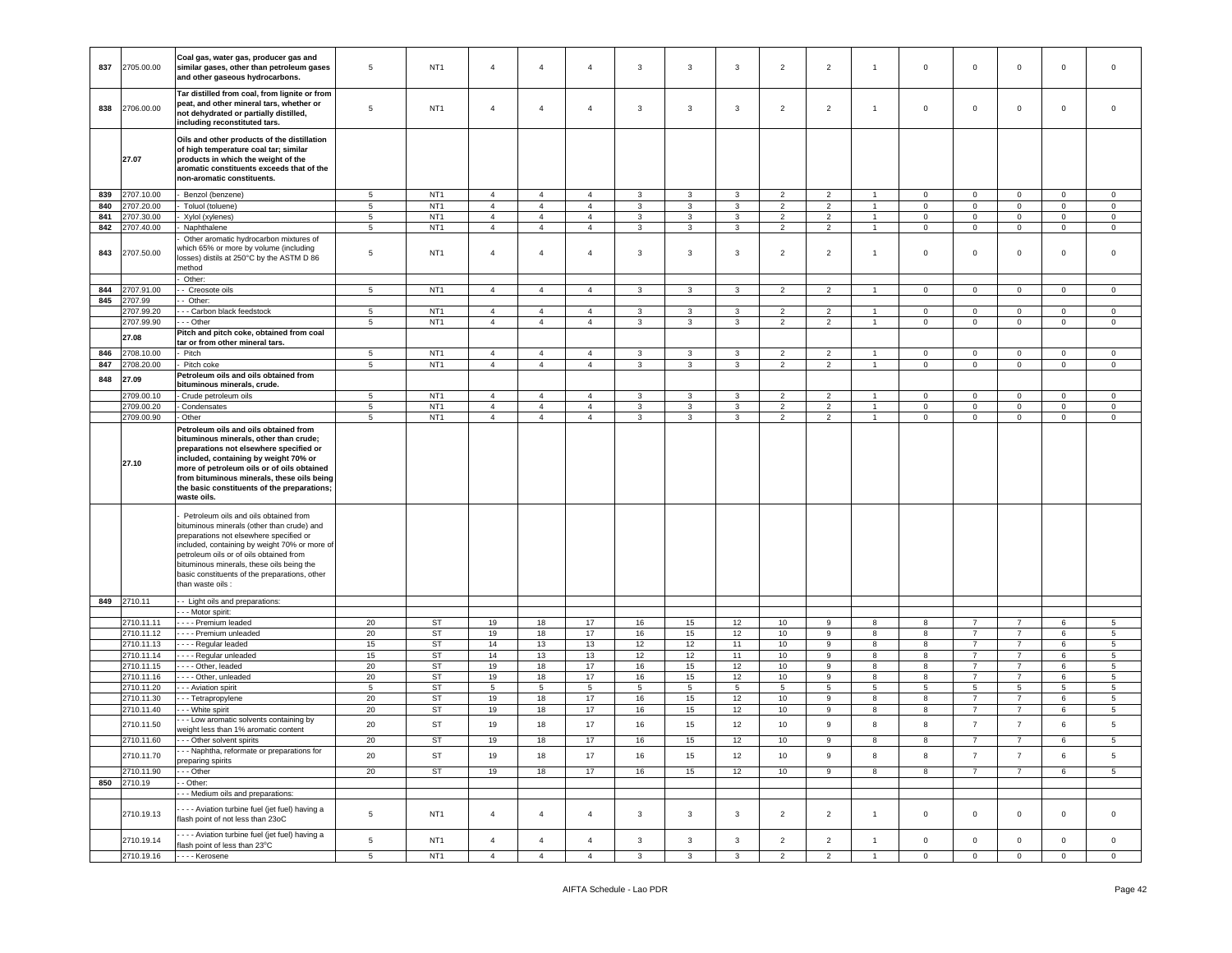| 837 | 2705.00.00 | Coal gas, water gas, producer gas and<br>similar gases, other than petroleum gases<br>and other gaseous hydrocarbons.                                                                                                                                                                                                                         | 5               | NT <sub>1</sub> | $\overline{4}$ | $\overline{4}$ | $\overline{4}$ | 3               | 3                       | $\mathbf{3}$ | $\overline{2}$   | $\overline{2}$  | $\overline{1}$  | $\mathsf 0$ | $\mathbf 0$     | $\mathbf 0$    | $\mathbf 0$    | $\mathsf 0$     |
|-----|------------|-----------------------------------------------------------------------------------------------------------------------------------------------------------------------------------------------------------------------------------------------------------------------------------------------------------------------------------------------|-----------------|-----------------|----------------|----------------|----------------|-----------------|-------------------------|--------------|------------------|-----------------|-----------------|-------------|-----------------|----------------|----------------|-----------------|
| 838 | 2706.00.00 | Tar distilled from coal, from lignite or from<br>peat, and other mineral tars, whether or<br>not dehydrated or partially distilled,<br>including reconstituted tars.                                                                                                                                                                          | 5               | NT <sub>1</sub> | $\overline{4}$ | $\overline{4}$ | $\overline{4}$ | 3               | 3                       | 3            | $\overline{2}$   | $\overline{2}$  | $\overline{1}$  | $\mathbf 0$ | $\mathbf{0}$    | $\mathbf 0$    | $\mathbf 0$    | 0               |
|     | 27.07      | Oils and other products of the distillation<br>of high temperature coal tar; similar<br>products in which the weight of the<br>aromatic constituents exceeds that of the<br>non-aromatic constituents.                                                                                                                                        |                 |                 |                |                |                |                 |                         |              |                  |                 |                 |             |                 |                |                |                 |
| 839 | 2707.10.00 | Benzol (benzene)                                                                                                                                                                                                                                                                                                                              | $5\phantom{.0}$ | NT <sub>1</sub> | $\overline{4}$ | $\overline{4}$ | $\overline{4}$ | 3               | 3                       | 3            | $\overline{2}$   | $\overline{2}$  | $\overline{1}$  | $\mathbf 0$ | $\mathbf{0}$    | $\mathbf 0$    | $\mathbf 0$    | $\circ$         |
| 840 | 2707.20.00 | Toluol (toluene)                                                                                                                                                                                                                                                                                                                              | $5\phantom{.0}$ | NT <sub>1</sub> | $\overline{4}$ | $\overline{4}$ | $\overline{4}$ | $\mathbf{3}$    | 3                       | $\mathbf{3}$ | $\overline{2}$   | $\overline{2}$  | $\overline{1}$  | $\mathbf 0$ | $\mathbf 0$     | $\mathbf 0$    | $\mathbf 0$    | 0               |
| 841 | 2707.30.00 | Xylol (xylenes)                                                                                                                                                                                                                                                                                                                               | 5               | NT <sub>1</sub> | $\overline{4}$ | $\overline{4}$ | $\overline{4}$ | 3               | 3                       | $\mathbf{3}$ | $\overline{2}$   | $\overline{2}$  | $\overline{1}$  | $\mathbf 0$ | $\mathbf 0$     | $\mathbf 0$    | $\mathbf{0}$   | $\mathbf 0$     |
| 842 | 2707.40.00 | Naphthalene                                                                                                                                                                                                                                                                                                                                   | $\overline{5}$  | NT <sub>1</sub> | $\overline{4}$ | $\overline{4}$ | $\overline{4}$ | 3               | 3                       | 3            | $\overline{2}$   | $\overline{2}$  | $\mathbf{1}$    | $\mathbf 0$ | $\mathbf 0$     | $\mathbf 0$    | $\mathbf 0$    | $\mathbf 0$     |
| 843 | 2707.50.00 | Other aromatic hydrocarbon mixtures of<br>which 65% or more by volume (including<br>osses) distils at 250°C by the ASTM D 86<br>nethod                                                                                                                                                                                                        | $5\phantom{.0}$ | NT <sub>1</sub> | $\overline{a}$ | $\overline{4}$ | $\overline{4}$ | 3               | 3                       | 3            | $\overline{2}$   | $\overline{2}$  | $\overline{1}$  | $\mathbf 0$ | $\mathbf 0$     | $\mathsf 0$    | $\mathbf 0$    | $\mathsf 0$     |
|     |            | Other:                                                                                                                                                                                                                                                                                                                                        |                 |                 |                |                |                |                 |                         |              |                  |                 |                 |             |                 |                |                |                 |
| 844 | 2707.91.00 | - Creosote oils                                                                                                                                                                                                                                                                                                                               | 5               | NT <sub>1</sub> | $\overline{4}$ | $\overline{4}$ | $\overline{4}$ | 3               | 3                       | $\mathbf{3}$ | $\overline{2}$   | $\overline{2}$  | $\overline{1}$  | $\mathbf 0$ | $\mathbf{0}$    | $\mathbf 0$    | $\mathbf{0}$   | $\circ$         |
| 845 | 2707.99    | Other:                                                                                                                                                                                                                                                                                                                                        |                 |                 |                |                |                |                 |                         |              |                  |                 |                 |             |                 |                |                |                 |
|     | 2707.99.20 | - - Carbon black feedstock                                                                                                                                                                                                                                                                                                                    | 5               | NT <sub>1</sub> | $\overline{4}$ | $\overline{4}$ | 4              | 3               | 3                       | 3            | $\overline{2}$   | $\overline{2}$  | $\overline{1}$  | $\mathbf 0$ | $\mathbf 0$     | $\mathbf 0$    | $\mathbf 0$    | $\mathbf 0$     |
|     | 2707.99.90 | - - Other                                                                                                                                                                                                                                                                                                                                     | $5\phantom{.0}$ | NT <sub>1</sub> | $\overline{4}$ | $\overline{4}$ | $\overline{4}$ | $\mathbf{3}$    | $\mathbf{3}$            | $\mathbf{3}$ | $\overline{2}$   | $\overline{2}$  | $\mathbf{1}$    | $\mathbf 0$ | $\mathbf 0$     | $\mathbf 0$    | $\mathsf 0$    | $\circ$         |
|     | 27.08      | litch and pitch coke, obtained from coal<br>tar or from other mineral tars.                                                                                                                                                                                                                                                                   |                 |                 |                |                |                |                 |                         |              |                  |                 |                 |             |                 |                |                |                 |
| 846 | 2708.10.00 | Pitch                                                                                                                                                                                                                                                                                                                                         | 5               | NT <sub>1</sub> | $\overline{4}$ | $\overline{4}$ | $\overline{4}$ | 3               | 3                       | 3            | 2                | $\overline{2}$  | $\overline{1}$  | $\mathbf 0$ | $\mathbf 0$     | $\mathbf 0$    | $\mathbf 0$    | 0               |
| 847 | 2708.20.00 | Pitch coke                                                                                                                                                                                                                                                                                                                                    | $\overline{5}$  | NT <sub>1</sub> | $\overline{4}$ | $\overline{4}$ | $\overline{4}$ | 3               | 3                       | 3            | $\overline{2}$   | $\overline{2}$  | 1               | 0           | $\mathbf 0$     | $\mathsf 0$    | $\mathbf 0$    | $\mathbf 0$     |
|     |            | Petroleum oils and oils obtained from                                                                                                                                                                                                                                                                                                         |                 |                 |                |                |                |                 |                         |              |                  |                 |                 |             |                 |                |                |                 |
| 848 | 27.09      | bituminous minerals, crude.                                                                                                                                                                                                                                                                                                                   |                 |                 |                |                |                |                 |                         |              |                  |                 |                 |             |                 |                |                |                 |
|     | 2709.00.10 | Crude petroleum oils                                                                                                                                                                                                                                                                                                                          | $5\phantom{.0}$ | NT <sub>1</sub> | $\overline{4}$ | $\overline{4}$ | $\overline{4}$ | 3               | 3                       | 3            | $\overline{2}$   | $\overline{2}$  | $\mathbf{1}$    | $\mathbf 0$ | $\mathbf 0$     | $\mathbf 0$    | $\mathbf 0$    | $\circ$         |
|     | 2709.00.20 | Condensates                                                                                                                                                                                                                                                                                                                                   | $\,$ 5 $\,$     | NT <sub>1</sub> | $\overline{4}$ | $\overline{4}$ | $\overline{4}$ | 3               | 3                       | $\mathbf{3}$ | $\overline{2}$   | $\overline{2}$  | $\overline{1}$  | $\mathbf 0$ | $\mathbf 0$     | $\mathbf 0$    | $\mathbf 0$    | $\mathbf 0$     |
|     | 2709.00.90 | Other                                                                                                                                                                                                                                                                                                                                         | 5               | NT <sub>1</sub> | $\overline{4}$ | $\overline{4}$ | $\overline{4}$ | $\mathbf{3}$    | $\mathbf{3}$            | 3            | 2                | 2               | $\overline{1}$  | $\mathbf 0$ | $\mathbf 0$     | $\mathbf 0$    | $\mathbf{0}$   | $\circ$         |
|     | 27.10      | Petroleum oils and oils obtained from<br>bituminous minerals, other than crude;<br>preparations not elsewhere specified or<br>included, containing by weight 70% or<br>more of petroleum oils or of oils obtained<br>from bituminous minerals, these oils being<br>the basic constituents of the preparations;<br>waste oils.                 |                 |                 |                |                |                |                 |                         |              |                  |                 |                 |             |                 |                |                |                 |
|     |            | Petroleum oils and oils obtained from<br>bituminous minerals (other than crude) and<br>preparations not elsewhere specified or<br>included, containing by weight 70% or more of<br>petroleum oils or of oils obtained from<br>bituminous minerals, these oils being the<br>basic constituents of the preparations, other<br>than waste oils : |                 |                 |                |                |                |                 |                         |              |                  |                 |                 |             |                 |                |                |                 |
| 849 | 2710.11    | - Light oils and preparations:                                                                                                                                                                                                                                                                                                                |                 |                 |                |                |                |                 |                         |              |                  |                 |                 |             |                 |                |                |                 |
|     | 2710.11.11 | - - Motor spirit:<br>- - - Premium leaded                                                                                                                                                                                                                                                                                                     | 20              | ST              | 19             | 18             | 17             | 16              | 15                      | $12\,$       | 10               | 9               | 8               | 8           | $\overline{7}$  | $\overline{7}$ | 6              | $5\overline{5}$ |
|     | 2710.11.12 | - - - Premium unleaded                                                                                                                                                                                                                                                                                                                        | 20              | ST              | 19             | 18             | 17             | 16              | 15                      | 12           | 10               | 9               | 8               | 8           | $\overline{7}$  | $\overline{7}$ | 6              | 5               |
|     | 2710.11.13 | - - - Regular leaded                                                                                                                                                                                                                                                                                                                          | 15              | <b>ST</b>       | 14             | 13             | 13             | 12              | 12                      | 11           | 10               | 9               | 8               | 8           | $\overline{7}$  | $\overline{7}$ | 6              | 5               |
|     | 2710.11.14 | - - - Regular unleaded                                                                                                                                                                                                                                                                                                                        | 15              | ST              | 14             | 13             | 13             | 12              | 12                      | 11           | 10               | 9               | 8               | 8           | $\overline{7}$  | $\overline{7}$ | 6              | 5               |
|     | 2710.11.15 | --- Other, leaded                                                                                                                                                                                                                                                                                                                             | 20              | <b>ST</b>       | 19             | 18             | 17             | 16              | 15                      | 12           | 10               | 9               | 8               | 8           | $\overline{7}$  | $\overline{7}$ | 6              | 5               |
|     | 2710.11.16 | - - - Other, unleaded                                                                                                                                                                                                                                                                                                                         | 20              | ST              | 19             | 18             | 17             | 16              | 15                      | 12           | 10               | 9               | 8               | 8           | 7               | $\overline{7}$ | 6              | 5               |
|     | 2710.11.20 | - - Aviation spirit                                                                                                                                                                                                                                                                                                                           | $\sqrt{5}$      | ST              | 5              | 5              | $\overline{5}$ | $5\overline{5}$ | 5                       | $\,$ 5 $\,$  | 5                | $5\phantom{.0}$ | $5\phantom{.0}$ | 5           | $5\phantom{.0}$ | $\,$ 5 $\,$    | 5              | 5               |
|     | 2710.11.30 | - - Tetrapropylene                                                                                                                                                                                                                                                                                                                            | 20              | ST              | 19             | 18             | 17             | 16              | 15                      | 12           | 10               | 9               | 8               | 8           | $\overline{7}$  | $\overline{7}$ | 6              | 5               |
|     | 2710.11.40 | - - White spirit                                                                                                                                                                                                                                                                                                                              | 20              | ST              | 19             | 18             | 17             | 16              | 15                      | 12           | 10 <sup>10</sup> | 9               | 8               | 8           | $\overline{7}$  | $\overline{7}$ | 6              | 5               |
|     | 2710.11.50 | - - Low aromatic solvents containing by                                                                                                                                                                                                                                                                                                       | 20              | ST              | 19             | 18             | 17             | 16              | 15                      | 12           | 10               | 9               | 8               | 8           | $\overline{7}$  | $\overline{7}$ | 6              | 5               |
|     |            | weight less than 1% aromatic content                                                                                                                                                                                                                                                                                                          |                 |                 |                |                |                |                 |                         |              |                  |                 |                 |             |                 |                |                |                 |
|     | 2710.11.60 | - - - Other solvent spirits                                                                                                                                                                                                                                                                                                                   | 20              | <b>ST</b>       | 19             | 18             | 17             | 16              | 15                      | 12           | 10               | 9               | 8               | 8           | $\overline{7}$  | $\overline{7}$ | 6              | 5               |
|     | 2710.11.70 | - - Naphtha, reformate or preparations for<br>preparing spirits                                                                                                                                                                                                                                                                               | 20              | <b>ST</b>       | 19             | 18             | 17             | 16              | 15                      | 12           | 10               | 9               | 8               | 8           | $\overline{7}$  | $\overline{7}$ | 6              | 5               |
|     | 2710.11.90 | - - Other                                                                                                                                                                                                                                                                                                                                     | 20              | ST              | 19             | 18             | 17             | 16              | 15                      | 12           | 10               | 9               | 8               | 8           | $\overline{7}$  | $\overline{7}$ | 6              | $5\overline{5}$ |
| 850 | 2710.19    | - Other:                                                                                                                                                                                                                                                                                                                                      |                 |                 |                |                |                |                 |                         |              |                  |                 |                 |             |                 |                |                |                 |
|     |            | - - Medium oils and preparations:                                                                                                                                                                                                                                                                                                             |                 |                 |                |                |                |                 |                         |              |                  |                 |                 |             |                 |                |                |                 |
|     | 2710.19.13 | - - - Aviation turbine fuel (jet fuel) having a<br>flash point of not less than 23oC                                                                                                                                                                                                                                                          | $5\phantom{.0}$ | NT <sub>1</sub> | $\overline{4}$ | $\overline{4}$ | $\overline{4}$ | 3               | 3                       | 3            | 2                | $\overline{2}$  | $\overline{1}$  | $\mathbf 0$ | $\mathbf{0}$    | $\mathbf 0$    | $\mathbf 0$    | $\mathsf 0$     |
|     | 2710.19.14 | - - - Aviation turbine fuel (jet fuel) having a<br>flash point of less than 23°C                                                                                                                                                                                                                                                              | $\,$ 5 $\,$     | NT <sub>1</sub> | $\overline{4}$ | $\overline{4}$ | $\overline{4}$ | $\mathbf{3}$    | $\mathbf{3}$            | $\mathbf{3}$ | $\overline{2}$   | $\overline{2}$  | $\overline{1}$  | $\mathbf 0$ | $\mathbf 0$     | $\mathsf 0$    | $\mathbf 0$    | $\mathbf 0$     |
|     | 2710.19.16 | Kerosene                                                                                                                                                                                                                                                                                                                                      | $5\phantom{.0}$ | NT <sub>1</sub> | $\overline{4}$ | $\overline{4}$ | $\overline{4}$ | $\overline{3}$  | $\overline{\mathbf{3}}$ | $\mathbf{3}$ | $\overline{2}$   | $\overline{2}$  | $\overline{1}$  | $\mathbf 0$ | $\overline{0}$  | $\overline{0}$ | $\overline{0}$ | $\overline{0}$  |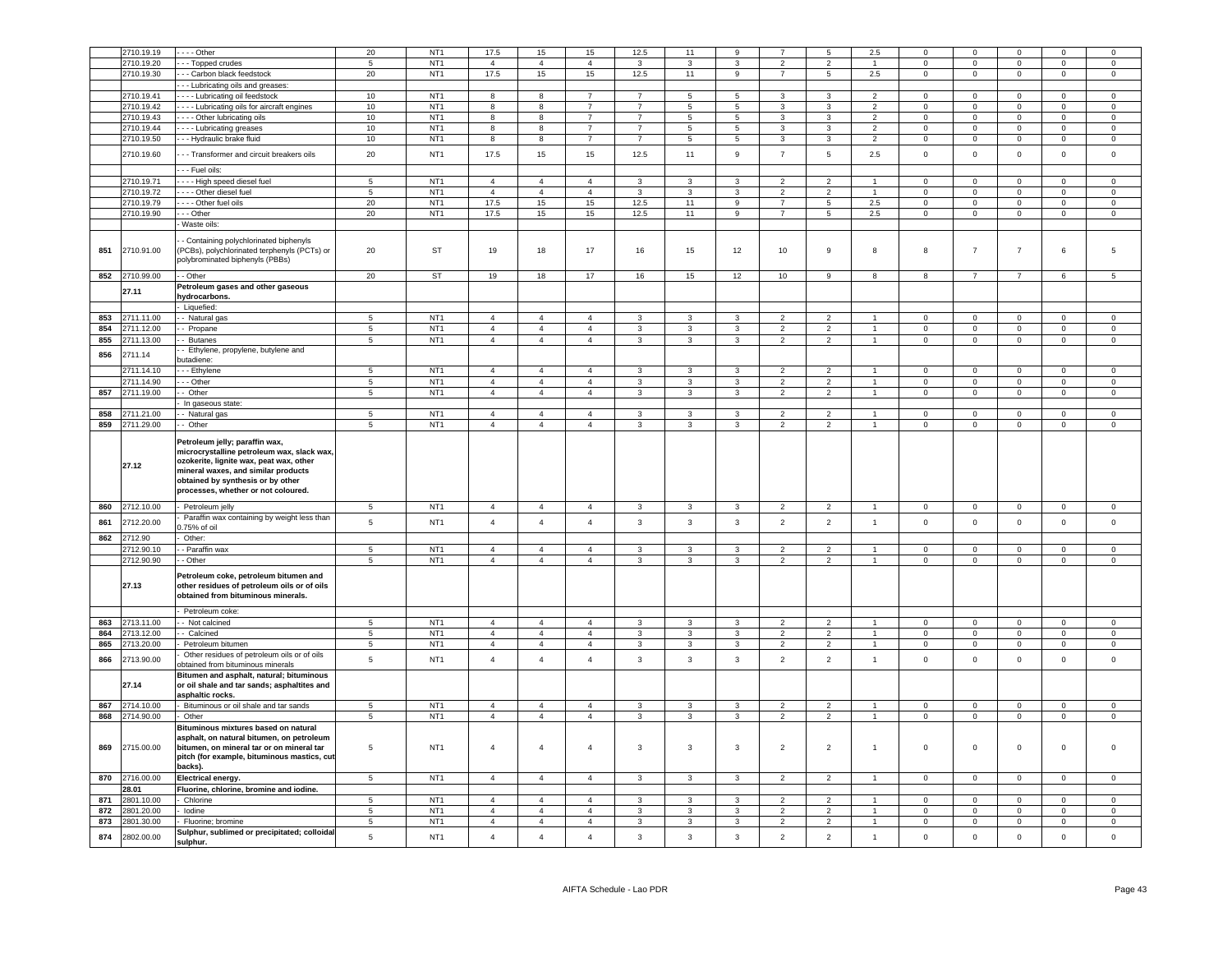|            | 2710.19.19               | $- -$ Other                                                                                                                                                                                       | 20                       | NT <sub>1</sub>                    | 17.5                             | 15                               | 15                               | 12.5              | 11                | 9                              |                                  | 5                                | 2.5                          |                            | $\Omega$                   | $\Omega$                   |                            | $\Omega$                   |
|------------|--------------------------|---------------------------------------------------------------------------------------------------------------------------------------------------------------------------------------------------|--------------------------|------------------------------------|----------------------------------|----------------------------------|----------------------------------|-------------------|-------------------|--------------------------------|----------------------------------|----------------------------------|------------------------------|----------------------------|----------------------------|----------------------------|----------------------------|----------------------------|
|            |                          |                                                                                                                                                                                                   |                          |                                    |                                  |                                  |                                  |                   |                   |                                |                                  |                                  |                              |                            |                            |                            |                            |                            |
|            | 2710.19.20               | - - Topped crudes                                                                                                                                                                                 | 5                        | NT <sub>1</sub>                    | $\overline{a}$                   | $\overline{4}$                   | $\Delta$                         | $\mathbf{R}$      | 3                 | 3                              | $\overline{2}$                   | $\mathcal{P}$                    | $\mathbf{1}$                 | $\Omega$                   | $\mathbf 0$                | $\mathbf{0}$               | $\Omega$                   | $\mathbf 0$                |
|            | 2710.19.30               | - - Carbon black feedstock                                                                                                                                                                        | 20                       | NT <sub>1</sub>                    | 17.5                             | 15                               | 15                               | 12.5              | 11                | 9                              | $\overline{7}$                   | $5\phantom{.0}$                  | 2.5                          | $\mathbf 0$                | $\mathsf 0$                | $\mathsf 0$                | $\mathsf 0$                | $\mathbf 0$                |
|            |                          | - - Lubricating oils and greases:                                                                                                                                                                 |                          |                                    |                                  |                                  |                                  |                   |                   |                                |                                  |                                  |                              |                            |                            |                            |                            |                            |
|            | 2710.19.41               | - - - Lubricating oil feedstock                                                                                                                                                                   | 10                       | NT <sub>1</sub>                    | 8                                | 8                                | $\overline{7}$                   | $\overline{7}$    | 5                 | 5                              | $\mathbf{3}$                     | $\mathbf{3}$                     | $\overline{2}$               | $\mathbf 0$                | $\mathsf 0$                | $\mathsf 0$                | $\mathbf 0$                | $\mathsf 0$                |
|            | 2710.19.42               |                                                                                                                                                                                                   | 10                       | NT <sub>1</sub>                    | $\mathbf{g}$                     | 8                                | $\overline{7}$                   | $\overline{7}$    | $5^{\circ}$       | $\overline{5}$                 | $\mathbf{3}$                     | $\mathbf{3}$                     | $\overline{2}$               | $\Omega$                   | $\Omega$                   | $\Omega$                   | $\Omega$                   | $\overline{0}$             |
|            |                          | Lubricating oils for aircraft engines                                                                                                                                                             |                          |                                    |                                  |                                  |                                  |                   |                   |                                |                                  |                                  |                              |                            |                            |                            |                            |                            |
|            | 2710.19.43               | --- Other lubricating oils                                                                                                                                                                        | $10\,$                   | NT <sub>1</sub>                    | 8                                | 8                                | $\overline{7}$                   | $\overline{7}$    | 5                 | 5                              | $\mathbf{3}$                     | 3                                | $\overline{2}$               | $\mathbf 0$                | $\mathsf 0$                | $\Omega$                   | $\Omega$                   | $\mathsf 0$                |
|            | 2710.19.44               | Lubricating greases                                                                                                                                                                               | 10                       | NT <sub>1</sub>                    | 8                                | 8                                | $\overline{7}$                   | $\overline{7}$    | 5                 | $\overline{5}$                 | $\mathbf{3}$                     | $\overline{3}$                   | $\overline{2}$               | $\mathbf 0$                | $\mathsf 0$                | $\mathsf 0$                | $\mathsf 0$                | $\overline{0}$             |
|            | 2710.19.50               | -- Hydraulic brake fluid                                                                                                                                                                          | 10                       | NT <sub>1</sub>                    | $\mathbf{R}$                     | 8                                | $\overline{7}$                   | $\overline{7}$    | 5                 | $5\phantom{.0}$                | $\mathbf{3}$                     | $\overline{\mathbf{3}}$          | $\overline{2}$               | $\Omega$                   | $\mathbf{0}$               | $\mathbf 0$                | $\mathbf 0$                | $\overline{0}$             |
|            |                          |                                                                                                                                                                                                   |                          |                                    |                                  |                                  |                                  |                   |                   |                                |                                  |                                  |                              |                            |                            |                            |                            |                            |
|            | 2710.19.60               | --- Transformer and circuit breakers oils                                                                                                                                                         | 20                       | NT <sub>1</sub>                    | 17.5                             | 15                               | 15                               | 12.5              | 11                | 9                              | $\overline{7}$                   | 5                                | $2.5\,$                      | $\mathbf 0$                | $\mathbf 0$                | $\mathbf{0}$               | $\mathbf 0$                | $\mathbf 0$                |
|            |                          |                                                                                                                                                                                                   |                          |                                    |                                  |                                  |                                  |                   |                   |                                |                                  |                                  |                              |                            |                            |                            |                            |                            |
|            |                          | - - Fuel oils:                                                                                                                                                                                    |                          |                                    |                                  |                                  |                                  |                   |                   |                                |                                  |                                  |                              |                            |                            |                            |                            |                            |
|            | 2710.19.71               | - - - High speed diesel fuel                                                                                                                                                                      | 5                        | NT <sub>1</sub>                    | $\overline{a}$                   | $\overline{4}$                   | $\overline{4}$                   | 3                 | 3                 | 3                              | $\overline{2}$                   | $\overline{2}$                   |                              | $\Omega$                   | $\Omega$                   | $\Omega$                   | $\Omega$                   | $\Omega$                   |
|            | 2710.19.72               | Other diesel fuel                                                                                                                                                                                 | $\sqrt{5}$               | NT <sub>1</sub>                    | $\overline{4}$                   | $\overline{4}$                   | $\overline{4}$                   | $\mathbf{3}$      | $\mathbf{3}$      | 3                              | $\overline{2}$                   | $\overline{2}$                   | $\mathbf{1}$                 | $\mathbf 0$                | $\mathsf 0$                | $\mathbf 0$                | $\mathsf 0$                | $\mathsf 0$                |
|            | 2710.19.79               | Dther fuel oils                                                                                                                                                                                   | 20                       | NT <sub>1</sub>                    | 17.5                             | 15                               | 15                               | 12.5              | 11                | $\overline{9}$                 | $\overline{7}$                   | $\overline{5}$                   | 2.5                          | $\overline{0}$             | $\overline{0}$             | $\Omega$                   | $\mathbf 0$                | $\overline{0}$             |
|            | 2710.19.90               | -- Other                                                                                                                                                                                          | 20                       | NT <sub>1</sub>                    | 17.5                             | 15                               | 15                               | 12.5              | 11                | 9                              | $\overline{7}$                   | 5                                | 2.5                          | $\mathbf{0}$               | $\mathbf 0$                | $\mathbf 0$                | $\mathbf 0$                | $\mathbf 0$                |
|            |                          |                                                                                                                                                                                                   |                          |                                    |                                  |                                  |                                  |                   |                   |                                |                                  |                                  |                              |                            |                            |                            |                            |                            |
|            |                          | Waste oils:                                                                                                                                                                                       |                          |                                    |                                  |                                  |                                  |                   |                   |                                |                                  |                                  |                              |                            |                            |                            |                            |                            |
| 851        | 2710.91.00               | - Containing polychlorinated biphenyls<br>(PCBs), polychlorinated terphenyls (PCTs) or<br>polybrominated biphenyls (PBBs)                                                                         | 20                       | ST                                 | 19                               | 18                               | 17                               | 16                | 15                | 12                             | $10$                             | 9                                | 8                            | 8                          | $\overline{7}$             | $\overline{7}$             | 6                          | 5                          |
| 852        | 2710.99.00               | - Other                                                                                                                                                                                           | 20                       | ST                                 | 19                               | 18                               | 17                               |                   | 15                | 12                             | 10                               | 9                                |                              |                            | $\overline{7}$             | $\overline{7}$             |                            |                            |
|            |                          |                                                                                                                                                                                                   |                          |                                    |                                  |                                  |                                  | 16                |                   |                                |                                  |                                  | 8                            | 8                          |                            |                            | 6                          | 5                          |
|            | 27.11                    | Petroleum gases and other gaseous                                                                                                                                                                 |                          |                                    |                                  |                                  |                                  |                   |                   |                                |                                  |                                  |                              |                            |                            |                            |                            |                            |
|            |                          | hydrocarbons.                                                                                                                                                                                     |                          |                                    |                                  |                                  |                                  |                   |                   |                                |                                  |                                  |                              |                            |                            |                            |                            |                            |
|            |                          | Liquefied:                                                                                                                                                                                        |                          |                                    |                                  |                                  |                                  |                   |                   |                                |                                  |                                  |                              |                            |                            |                            |                            |                            |
| 853        | 2711.11.00               | - Natural gas                                                                                                                                                                                     | $\overline{5}$           | NT <sub>1</sub>                    | $\overline{4}$                   | $\overline{4}$                   | $\overline{4}$                   | 3                 | $\mathbf{3}$      | $\mathbf{3}$                   | $\overline{2}$                   | $\overline{2}$                   | $\mathbf{1}$                 | $\mathbf 0$                | $\mathbf 0$                | $\overline{0}$             | $\mathbf 0$                | $\mathbf 0$                |
| 854        | 2711.12.00               | - Propane                                                                                                                                                                                         | $\overline{\phantom{a}}$ | NT <sub>1</sub>                    | $\overline{4}$                   | $\overline{4}$                   | $\overline{4}$                   | $\mathbf{3}$      | $\mathbf{3}$      | $\overline{3}$                 | $\overline{2}$                   | $\overline{2}$                   | $\mathbf{1}$                 | $\mathbf 0$                | $\mathbf 0$                | $\mathbf 0$                |                            | $\overline{0}$             |
|            |                          |                                                                                                                                                                                                   |                          |                                    |                                  |                                  |                                  |                   |                   |                                |                                  |                                  |                              |                            |                            |                            | $\overline{0}$             |                            |
| 855        | 2711.13.00               | - Butanes                                                                                                                                                                                         | $\overline{5}$           | NT <sub>1</sub>                    | $\overline{4}$                   | $\overline{4}$                   | $\overline{4}$                   | $\mathbf{3}$      | $\overline{3}$    | $\overline{3}$                 | $\overline{2}$                   | $\overline{2}$                   | $\overline{1}$               | $\overline{0}$             | $\overline{0}$             | $\overline{0}$             | $\mathbf 0$                | $\overline{0}$             |
| 856        | 2711.14                  | - Ethylene, propylene, butylene and                                                                                                                                                               |                          |                                    |                                  |                                  |                                  |                   |                   |                                |                                  |                                  |                              |                            |                            |                            |                            |                            |
|            |                          | utadiene:                                                                                                                                                                                         |                          |                                    |                                  |                                  |                                  |                   |                   |                                |                                  |                                  |                              |                            |                            |                            |                            |                            |
|            | 2711.14.10               | - - Ethylene                                                                                                                                                                                      | 5                        | NT <sub>1</sub>                    | $\overline{4}$                   | $\overline{4}$                   | $\overline{4}$                   | $\mathbf{3}$      | $\mathbf{3}$      | $\mathbf{3}$                   | $\overline{2}$                   | $\overline{2}$                   | $\mathbf{1}$                 | $\mathbf 0$                | $\mathsf 0$                | $\circ$                    | $\mathsf 0$                | $\mathbf 0$                |
|            | 2711.14.90               | - - Other                                                                                                                                                                                         | $\sqrt{5}$               | NT <sub>1</sub>                    | $\overline{4}$                   | $\overline{4}$                   | $\overline{4}$                   | 3                 | 3                 | 3                              | $\overline{2}$                   | $\overline{2}$                   | $\mathbf{1}$                 | $\mathbf 0$                | $\mathbf 0$                | $\mathbf 0$                | $\mathbf 0$                | $\mathsf 0$                |
| 857        | 2711.19.00               | - Other                                                                                                                                                                                           | $\sqrt{5}$               | NT <sub>1</sub>                    | $\overline{4}$                   | $\overline{4}$                   | $\overline{4}$                   | 3                 | $\mathbf{3}$      | $\mathbf{3}$                   | $\overline{2}$                   | $\overline{2}$                   | $\mathbf{1}$                 | $\mathbf 0$                | $\mathsf 0$                | $\mathbf{0}$               | $\mathbf 0$                | $\mathsf 0$                |
|            |                          | In gaseous state:                                                                                                                                                                                 |                          |                                    |                                  |                                  |                                  |                   |                   |                                |                                  |                                  |                              |                            |                            |                            |                            |                            |
|            |                          |                                                                                                                                                                                                   |                          |                                    |                                  |                                  |                                  |                   |                   |                                |                                  |                                  |                              |                            |                            |                            |                            |                            |
| 858        | 2711.21.00               | - Natural gas                                                                                                                                                                                     | $\,$ 5 $\,$              | NT <sub>1</sub>                    | $\overline{4}$                   | $\overline{4}$                   | $\overline{4}$                   | 3                 | 3                 | $\mathbf{3}$                   | $\overline{2}$                   | $\overline{2}$                   | $\mathbf{1}$                 | $\mathbf{0}$               | $\mathbf 0$                | $\mathbf 0$                | $\mathbf 0$                | $\mathbf 0$                |
| 859        | 2711.29.00               | - Other                                                                                                                                                                                           | $\overline{5}$           | NT <sub>1</sub>                    | $\overline{4}$                   | $\overline{4}$                   | $\overline{4}$                   | $\mathbf{3}$      | $\mathbf{3}$      | $\mathbf{3}$                   | $\overline{2}$                   | $\overline{2}$                   | $\mathbf{1}$                 | $\mathbf 0$                | $\mathsf 0$                | $\circ$                    | $\mathbf 0$                | $\mathsf 0$                |
|            | 27.12                    | Petroleum jelly; paraffin wax,<br>microcrystalline petroleum wax, slack wax,<br>ozokerite, lignite wax, peat wax, other<br>mineral waxes, and similar products                                    |                          |                                    |                                  |                                  |                                  |                   |                   |                                |                                  |                                  |                              |                            |                            |                            |                            |                            |
|            |                          | obtained by synthesis or by other<br>processes, whether or not coloured.                                                                                                                          |                          |                                    |                                  |                                  |                                  |                   |                   |                                |                                  |                                  |                              |                            |                            |                            |                            |                            |
|            |                          |                                                                                                                                                                                                   | 5                        |                                    |                                  |                                  | $\overline{4}$                   | 3                 | 3                 | 3                              | $\overline{2}$                   | 2                                |                              | $\mathbf 0$                | $\mathbf 0$                | $\mathbf 0$                | $\mathbf 0$                | $\mathbf 0$                |
| 860        | 2712.10.00               | Petroleum jelly                                                                                                                                                                                   |                          | NT <sub>1</sub>                    | $\overline{4}$                   | $\overline{4}$                   |                                  |                   |                   |                                |                                  |                                  |                              |                            |                            |                            |                            |                            |
| 861        | 2712.20.00               | Paraffin wax containing by weight less than                                                                                                                                                       | $\,$ 5 $\,$              | NT <sub>1</sub>                    | $\overline{4}$                   | $\overline{4}$                   | $\overline{4}$                   | 3                 | $\mathbf{3}$      | $\mathbf{3}$                   | $\overline{2}$                   | $\overline{2}$                   | $\mathbf{1}$                 | $\mathbf 0$                | $\mathbf 0$                | $\mathbf 0$                | $\mathbf 0$                | $\mathsf 0$                |
|            |                          | ).75% of oil                                                                                                                                                                                      |                          |                                    |                                  |                                  |                                  |                   |                   |                                |                                  |                                  |                              |                            |                            |                            |                            |                            |
|            | 862 2712.90              | Other:                                                                                                                                                                                            |                          |                                    |                                  |                                  |                                  |                   |                   |                                |                                  |                                  |                              |                            |                            |                            |                            |                            |
|            | 2712.90.10               | - Paraffin wax                                                                                                                                                                                    | $\overline{5}$           | NT <sub>1</sub>                    | $\overline{4}$                   | $\overline{4}$                   | $\overline{4}$                   | 3                 | 3                 | 3                              | $\overline{2}$                   | $\overline{2}$                   | 1                            | $\mathbf 0$                | $\mathbf 0$                | $\mathbf 0$                | $\mathbf 0$                | $\mathbf{0}$               |
|            | 2712.90.90               | - Other                                                                                                                                                                                           | 5                        | NT <sub>1</sub>                    | $\overline{4}$                   | $\overline{4}$                   | $\overline{4}$                   | 3                 | $\mathbf{3}$      | $\mathbf{3}$                   | $\overline{2}$                   | $\overline{2}$                   | $\mathbf{1}$                 | $\mathbf{0}$               | $\mathbf 0$                | $\mathbf{O}$               | $\mathbf 0$                | $\mathbf{0}$               |
|            | 27.13                    | Petroleum coke, petroleum bitumen and<br>other residues of petroleum oils or of oils<br>obtained from bituminous minerals.                                                                        |                          |                                    |                                  |                                  |                                  |                   |                   |                                |                                  |                                  |                              |                            |                            |                            |                            |                            |
|            |                          | Petroleum coke:                                                                                                                                                                                   |                          |                                    |                                  |                                  |                                  |                   |                   |                                |                                  |                                  |                              |                            |                            |                            |                            |                            |
|            |                          |                                                                                                                                                                                                   |                          |                                    | $\overline{4}$                   |                                  | $\overline{4}$                   | 3                 | 3                 | 3                              | $\overline{2}$                   | $\overline{2}$                   | $\mathbf{1}$                 |                            |                            |                            |                            |                            |
| 863        | 713.11.00                | Not calcined                                                                                                                                                                                      | $\overline{5}$           | NT <sub>1</sub>                    |                                  | $\overline{4}$                   |                                  |                   |                   |                                |                                  |                                  |                              | $\mathbf 0$                | $\mathsf 0$                | $\mathsf 0$                | $\mathsf 0$                | $\mathsf 0$                |
| 864        | 713.12.00                | Calcined                                                                                                                                                                                          | 5                        | NT <sub>1</sub>                    | $\overline{4}$                   | $\overline{4}$                   | $\overline{4}$                   | 3                 | 3                 | 3                              | $\overline{2}$                   | $\overline{2}$                   | $\mathbf{1}$                 | $\mathbf 0$                | $\mathbf 0$                | $\mathbf 0$                | $\mathbf 0$                | $\mathbf 0$                |
| 865        | 2713.20.00               | Petroleum bitumen                                                                                                                                                                                 | $\overline{5}$           | NT <sub>1</sub>                    | $\overline{4}$                   | $\overline{4}$                   | $\overline{4}$                   | 3                 | $\mathbf{3}$      | $\mathbf{3}$                   | $\overline{2}$                   | $\overline{2}$                   | $\mathbf{1}$                 | $\mathbf 0$                | $\mathsf 0$                | $\mathbf 0$                | $\circ$                    | $\mathbf 0$                |
| 866        | 2713.90.00               | Other residues of petroleum oils or of oils<br>obtained from bituminous minerals                                                                                                                  | $5\phantom{.0}$          | NT <sub>1</sub>                    | $\overline{4}$                   | $\overline{4}$                   | $\overline{4}$                   | 3                 | 3                 | $\mathbf{3}$                   | $\overline{2}$                   | $\overline{2}$                   | $\mathbf{1}$                 | $\mathbf 0$                | $\mathbf 0$                | $\mathbf 0$                | $\mathbf 0$                | $\mathbf 0$                |
|            | 27.14                    | Bitumen and asphalt, natural; bituminous<br>or oil shale and tar sands; asphaltites and<br>asphaltic rocks.                                                                                       |                          |                                    |                                  |                                  |                                  |                   |                   |                                |                                  |                                  |                              |                            |                            |                            |                            |                            |
| 867        | 2714.10.00               | Bituminous or oil shale and tar sands                                                                                                                                                             | 5                        | NT <sub>1</sub>                    | $\overline{4}$                   | $\overline{4}$                   | $\overline{4}$                   | 3                 | 3                 | 3                              | $\overline{2}$                   | $\overline{2}$                   | 1                            | $\mathbf 0$                | $\mathbf 0$                | $\mathbf 0$                | $\Omega$                   | $\mathbf 0$                |
|            |                          |                                                                                                                                                                                                   |                          |                                    |                                  |                                  |                                  |                   |                   |                                |                                  |                                  |                              |                            |                            |                            |                            |                            |
| 868<br>869 | 2714.90.00<br>2715.00.00 | Other<br>Bituminous mixtures based on natural<br>asphalt, on natural bitumen, on petroleum<br>bitumen, on mineral tar or on mineral tar<br>pitch (for example, bituminous mastics, cut<br>packs). | $\overline{5}$<br>5      | NT <sub>1</sub><br>NT <sub>1</sub> | $\overline{4}$<br>$\overline{4}$ | $\overline{4}$<br>$\overline{4}$ | $\overline{4}$<br>$\overline{4}$ | $\mathbf{3}$<br>3 | $\mathbf{3}$<br>3 | $\overline{3}$<br>$\mathbf{3}$ | $\overline{2}$<br>$\overline{2}$ | $\overline{2}$<br>$\overline{2}$ | $\mathbf{1}$<br>$\mathbf{1}$ | $\mathbf 0$<br>$\mathbf 0$ | $\mathsf 0$<br>$\mathbf 0$ | $\mathsf 0$<br>$\mathbf 0$ | $\mathbf 0$<br>$\mathsf 0$ | $\mathbf 0$<br>$\mathbf 0$ |
| 870        | 2716.00.00               |                                                                                                                                                                                                   |                          | NT <sub>1</sub>                    | $\overline{4}$                   | $\overline{4}$                   | $\overline{4}$                   | 3                 | $\mathbf{3}$      |                                | $\overline{2}$                   | $\overline{2}$                   | $\mathbf{1}$                 | $\mathsf 0$                |                            | $\circ$                    | $\mathbf{0}$               | $\circ$                    |
|            |                          | Electrical energy.                                                                                                                                                                                | $5\phantom{.0}$          |                                    |                                  |                                  |                                  |                   |                   | $\mathbf{3}$                   |                                  |                                  |                              |                            | $\mathbf 0$                |                            |                            |                            |
|            | 28.01                    | Fluorine, chlorine, bromine and iodine.                                                                                                                                                           |                          |                                    |                                  |                                  |                                  |                   |                   |                                |                                  |                                  |                              |                            |                            |                            |                            |                            |
| 871        | 2801.10.00               | Chlorine                                                                                                                                                                                          | $\sqrt{5}$               | NT <sub>1</sub>                    | $\overline{4}$                   | $\overline{4}$                   | $\overline{4}$                   | 3                 | 3                 | $\mathbf{3}$                   | $\overline{2}$                   | $\overline{2}$                   | $\mathbf{1}$                 | $\mathbf 0$                | $\mathbf 0$                | $\circ$                    | $\mathbf{0}$               | $\mathsf 0$                |
| 872        | 2801.20.00               | lodine                                                                                                                                                                                            | $\overline{5}$           | NT <sub>1</sub>                    | $\overline{4}$                   | $\overline{4}$                   | $\overline{4}$                   | 3                 | $\mathbf{3}$      | $\mathbf{3}$                   | $\overline{2}$                   | $\overline{2}$                   | $\mathbf{1}$                 | $\mathbf 0$                | $\mathbf 0$                | $\mathbf{0}$               | $\overline{0}$             | $\mathbf 0$                |
| 873        | 2801.30.00               | Fluorine; bromine                                                                                                                                                                                 | $5\phantom{.0}$          | NT <sub>1</sub>                    | $\overline{4}$                   | $\overline{4}$                   | $\overline{4}$                   | 3                 | $\mathbf{3}$      | $\mathbf{3}$                   | $\overline{2}$                   | $\overline{2}$                   | $\mathbf{1}$                 | $\mathbf 0$                | $\mathbf 0$                | $\mathsf 0$                | $\mathbf 0$                | $\mathsf 0$                |
| 874        | 2802.00.00               | Sulphur, sublimed or precipitated; colloidal                                                                                                                                                      | $\sqrt{5}$               | NT <sub>1</sub>                    | $\overline{4}$                   | $\overline{4}$                   | $\overline{4}$                   | $\overline{3}$    | 3                 | $\mathbf{3}$                   | 2                                | $\overline{2}$                   | $\overline{1}$               | $\mathbf 0$                | $\mathbf{0}$               | $\mathbf{0}$               | $\Omega$                   | $\mathsf 0$                |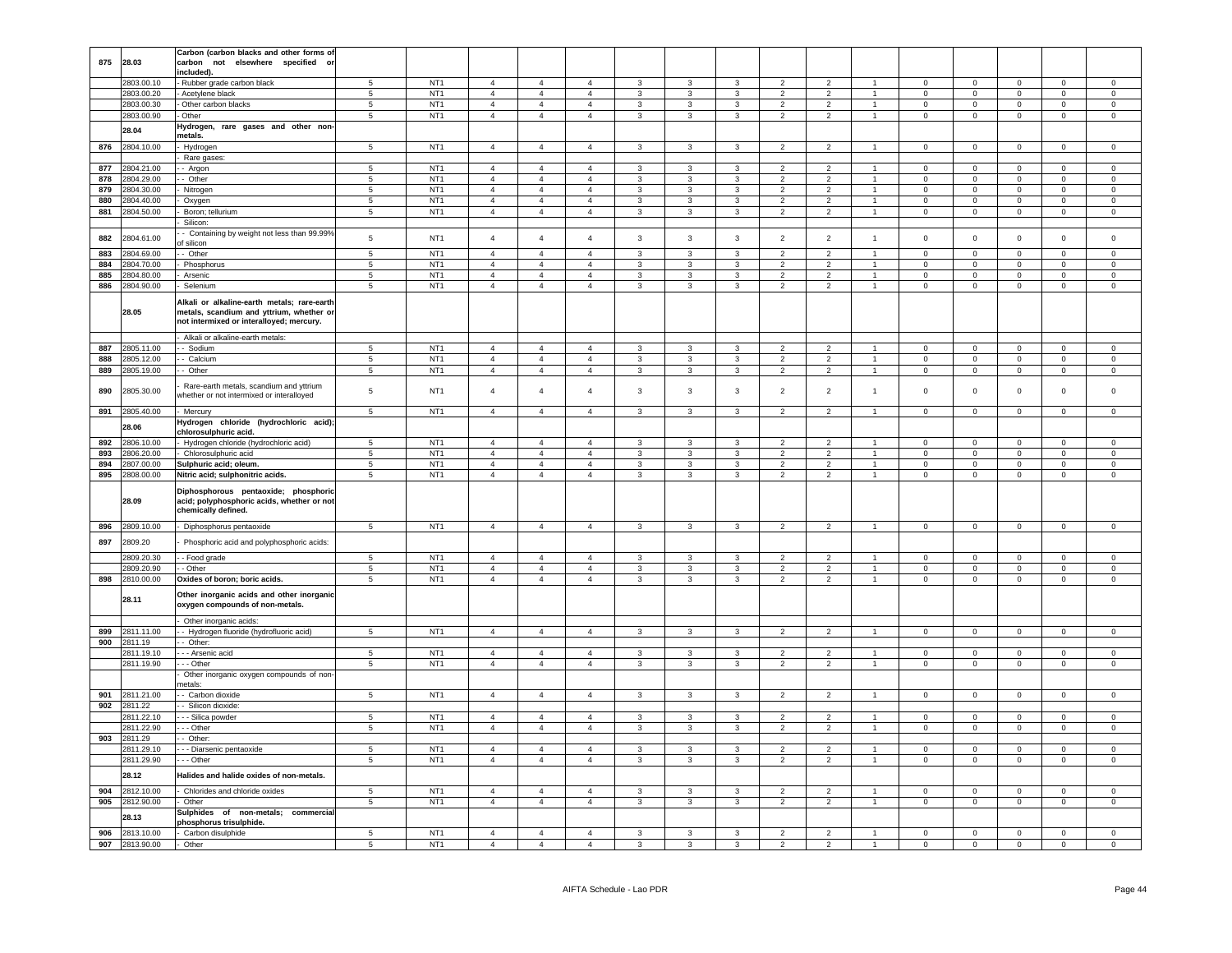|            |                          | Carbon (carbon blacks and other forms of                          |                                  |                                    |                                  |                                  |                                  |                   |                                         |                                |                                  |                                  |                                |                      |                            |                         |                             |                      |
|------------|--------------------------|-------------------------------------------------------------------|----------------------------------|------------------------------------|----------------------------------|----------------------------------|----------------------------------|-------------------|-----------------------------------------|--------------------------------|----------------------------------|----------------------------------|--------------------------------|----------------------|----------------------------|-------------------------|-----------------------------|----------------------|
| 875        | 28.03                    | not elsewhere specified or<br>carbon                              |                                  |                                    |                                  |                                  |                                  |                   |                                         |                                |                                  |                                  |                                |                      |                            |                         |                             |                      |
|            |                          | included).                                                        |                                  |                                    |                                  |                                  |                                  |                   |                                         |                                |                                  |                                  |                                |                      |                            |                         |                             |                      |
|            | 2803.00.10               | Rubber grade carbon black                                         | 5                                | NT <sub>1</sub>                    | $\overline{4}$                   | $\overline{4}$                   | $\overline{4}$                   | $\mathbf{3}$      | 3                                       | 3                              | $\overline{\phantom{a}}$         | $\overline{2}$                   |                                | $\Omega$             | $\Omega$                   | $\Omega$                | $\Omega$                    | $\Omega$             |
|            | 2803.00.20               | Acetylene black                                                   | $\overline{5}$                   | NT <sub>1</sub>                    | $\overline{4}$                   | $\overline{4}$                   | $\overline{4}$                   | 3                 | $\overline{3}$                          | $\overline{3}$                 | $\mathcal{P}$                    | $\overline{2}$                   | $\blacktriangleleft$           | $\Omega$             | $\overline{0}$             | $\overline{0}$          | $\Omega$                    | $\mathbf 0$          |
|            | 2803.00.30               | - Other carbon blacks                                             | $5\phantom{.0}$                  | NT <sub>1</sub>                    | $\overline{4}$                   | $\overline{4}$                   | $\overline{4}$                   | $\mathbf{3}$      | $\mathbf{3}$                            | $\mathbf{3}$                   | $\overline{2}$                   | $\overline{2}$                   | $\mathbf{1}$                   | $\Omega$             | $\mathbf 0$                | $\mathbf 0$             | $\Omega$                    | $\mathbf 0$          |
|            | 2803.00.90               | Other                                                             | $\overline{5}$                   | NT <sub>1</sub>                    | $\overline{4}$                   | $\overline{4}$                   | $\overline{4}$                   | 3                 | $\mathbf{3}$                            | 3                              | $\overline{2}$                   | $\overline{2}$                   | $\overline{1}$                 | $\Omega$             | $\mathbf{O}$               | $\mathbf 0$             | 0                           | $\mathbf 0$          |
|            | 28.04                    | Hydrogen, rare gases and other non-                               |                                  |                                    |                                  |                                  |                                  |                   |                                         |                                |                                  |                                  |                                |                      |                            |                         |                             |                      |
| 876        | 2804.10.00               | metals.                                                           | $5\overline{5}$                  | NT <sub>1</sub>                    | $\overline{4}$                   | $\overline{4}$                   | $\overline{4}$                   |                   |                                         |                                |                                  |                                  | $\overline{1}$                 |                      | $\overline{0}$             |                         | $\mathbf{0}$                | $\mathbf{0}$         |
|            |                          | Hydrogen<br>Rare gases:                                           |                                  |                                    |                                  |                                  |                                  | $\mathbf{3}$      | $\mathbf{3}$                            | 3                              | $\overline{2}$                   | $\overline{2}$                   |                                | $\overline{0}$       |                            | $\mathbf 0$             |                             |                      |
| 877        | 2804.21.00               | - Argon                                                           | 5                                | NT <sub>1</sub>                    | $\overline{4}$                   | $\overline{4}$                   | $\overline{4}$                   | $\mathbf{3}$      | 3                                       | 3                              | 2                                | 2                                | $\overline{1}$                 | $\mathbf{0}$         | $\mathbf{0}$               | $\mathbf{0}$            | $^{\circ}$                  | $\Omega$             |
| 878        | 2804.29.00               | - Other                                                           | $5\overline{5}$                  | NT <sub>1</sub>                    | $\overline{4}$                   | $\overline{4}$                   | $\overline{4}$                   | $\mathbf{3}$      | $\mathbf{3}$                            | 3                              | $\overline{2}$                   | $\overline{2}$                   | $\mathbf{1}$                   | $\overline{0}$       | $\overline{0}$             | $\mathbf 0$             | $\overline{0}$              | $\overline{0}$       |
| 879        | 2804.30.00               | Nitrogen                                                          | $5\overline{)}$                  | NT <sub>1</sub>                    | $\overline{4}$                   | $\overline{4}$                   | $\overline{4}$                   | 3                 | $\mathbf{3}$                            | 3                              | $\overline{2}$                   | $\overline{2}$                   | $\overline{1}$                 | $\pmb{0}$            | $\overline{0}$             | $\mathbf 0$             | $\mathsf 0$                 | $\mathsf 0$          |
| 880        | 2804.40.00               | Oxygen                                                            | $5\phantom{.0}$                  | NT <sub>1</sub>                    | $\overline{4}$                   | $\overline{4}$                   | $\overline{4}$                   | 3                 | $\mathbf{3}$                            | 3                              | $\overline{2}$                   | $\overline{2}$                   | $\mathbf{1}$                   | $\pmb{0}$            | $\overline{0}$             | $\mathbf 0$             | $\mathbf 0$                 | $\mathsf 0$          |
| 881        | 2804.50.00               | Boron; tellurium                                                  | $5\overline{5}$                  | NT <sub>1</sub>                    | $\overline{4}$                   | $\overline{4}$                   | $\overline{4}$                   | $\mathbf{3}$      | $\mathbf{3}$                            | 3                              | $\overline{2}$                   | $\overline{2}$                   | $\mathbf{1}$                   | $\mathbf{0}$         | $\overline{0}$             | $\mathbf 0$             | $\mathbf{0}$                | $\overline{0}$       |
|            |                          | Silicon:                                                          |                                  |                                    |                                  |                                  |                                  |                   |                                         |                                |                                  |                                  |                                |                      |                            |                         |                             |                      |
|            |                          | - Containing by weight not less than 99.99%                       |                                  |                                    |                                  |                                  |                                  |                   |                                         |                                |                                  |                                  |                                |                      |                            |                         |                             |                      |
| 882        | 2804.61.00               | of silicon                                                        | 5                                | NT <sub>1</sub>                    | $\overline{4}$                   | $\overline{4}$                   | $\overline{4}$                   | 3                 | $\mathbf{3}$                            | $\mathbf{3}$                   | $\overline{2}$                   | $\overline{2}$                   | $\overline{1}$                 | $\mathsf 0$          | $\mathbf 0$                | $\mathbf 0$             | $\mathbf{0}$                | $\mathbf 0$          |
| 883        | 2804.69.00               | - Other                                                           | $\overline{5}$                   | NT1                                | $\overline{4}$                   | $\overline{4}$                   | $\overline{4}$                   | $\mathbf{3}$      | $\overline{3}$                          | $\mathbf{3}$                   | $\overline{2}$                   | $\overline{2}$                   | $\overline{1}$                 | $\mathbf 0$          | $\overline{0}$             | $\overline{0}$          | $\Omega$                    | $\Omega$             |
| 884        | 2804.70.00               | Phosphorus                                                        | 5                                | NT <sub>1</sub>                    | $\overline{4}$                   | $\overline{4}$                   | $\overline{4}$                   | $\mathbf{3}$      | $\mathbf{3}$                            | $\mathbf{3}$                   | $\overline{2}$                   | $\overline{2}$                   | $\mathbf{1}$                   | $\Omega$             | $\mathsf 0$                | $\mathbf 0$             | $\mathbf 0$                 | $\mathsf 0$          |
| 885        | 2804.80.00               | Arsenic                                                           | $\overline{5}$                   | NT <sub>1</sub>                    | $\overline{4}$                   | $\overline{4}$                   | $\overline{4}$                   | $\mathbf{3}$      | $\overline{3}$                          | $\mathbf{3}$                   | $\overline{2}$                   | $\overline{2}$                   | $\mathbf{1}$                   | $\mathsf 0$          | $\overline{0}$             | $\overline{0}$          | $\mathbf{0}$                | $\overline{0}$       |
| 886        | 2804.90.00               | Selenium                                                          | $5\phantom{.0}$                  | NT <sub>1</sub>                    | $\overline{4}$                   | $\overline{4}$                   | $\overline{4}$                   | $\mathbf{3}$      | $\mathbf{3}$                            | $\mathbf{3}$                   | $\overline{2}$                   | $\overline{2}$                   | $\overline{1}$                 | $\Omega$             | $\mathbf 0$                | $\mathbf 0$             | $\mathbf 0$                 | $\mathsf{O}\xspace$  |
|            |                          | Alkali or alkaline-earth metals; rare-earth                       |                                  |                                    |                                  |                                  |                                  |                   |                                         |                                |                                  |                                  |                                |                      |                            |                         |                             |                      |
|            | 28.05                    | metals, scandium and yttrium, whether or                          |                                  |                                    |                                  |                                  |                                  |                   |                                         |                                |                                  |                                  |                                |                      |                            |                         |                             |                      |
|            |                          | not intermixed or interalloyed; mercury.                          |                                  |                                    |                                  |                                  |                                  |                   |                                         |                                |                                  |                                  |                                |                      |                            |                         |                             |                      |
|            |                          | Alkali or alkaline-earth metals:                                  |                                  |                                    |                                  |                                  |                                  |                   |                                         |                                |                                  |                                  |                                |                      |                            |                         |                             |                      |
| 887        | 2805.11.00               | - Sodium                                                          | $\overline{5}$                   | NT <sub>1</sub>                    | $\overline{4}$                   | $\overline{4}$                   | $\overline{4}$                   | $\mathbf{3}$      | $\overline{\mathbf{3}}$                 | $\overline{3}$                 | $\overline{2}$                   | $\overline{2}$                   | $\overline{1}$                 | $\overline{0}$       | $\overline{0}$             | $\overline{0}$          | $\Omega$                    | $\overline{0}$       |
| 888        | 2805.12.00               | - Calcium                                                         | $\overline{5}$                   | NT <sub>1</sub>                    | $\sqrt{4}$                       | $\overline{4}$                   | $\mathbf{A}$                     | $\mathbf{3}$      | $\mathbf{3}$                            | $\mathbf{3}$                   | $\overline{2}$                   | $\overline{2}$                   | $\blacktriangleleft$           | $\mathbf 0$          | $\mathbf 0$                | $\mathsf 0$             | $\mathbf 0$                 | $\mathsf 0$          |
| 889        | 2805.19.00               | - Other                                                           | $\overline{5}$                   | NT <sub>1</sub>                    | $\overline{4}$                   | $\overline{4}$                   | $\overline{4}$                   | $\mathbf{3}$      | $\mathbf{3}$                            | $\overline{3}$                 | $\overline{2}$                   | $\overline{2}$                   | $\mathbf{1}$                   | $\overline{0}$       | $\overline{0}$             | $\overline{0}$          | $\mathbf 0$                 | $\mathsf 0$          |
|            |                          |                                                                   |                                  |                                    |                                  |                                  |                                  |                   |                                         |                                |                                  |                                  |                                |                      |                            |                         |                             |                      |
| 890        | 2805.30.00               | Rare-earth metals, scandium and yttrium                           | 5                                | NT <sub>1</sub>                    | $\overline{4}$                   | $\overline{4}$                   | $\overline{4}$                   | $\mathbf{3}$      | 3                                       | $\mathbf{3}$                   | $\overline{2}$                   | $\overline{2}$                   | $\overline{1}$                 | $\mathbf 0$          | $\mathsf 0$                | $\mathsf 0$             | $\mathbf 0$                 | $\mathbf 0$          |
|            |                          | whether or not intermixed or interalloyed                         |                                  |                                    |                                  |                                  |                                  |                   |                                         |                                |                                  |                                  |                                |                      |                            |                         |                             |                      |
| 891        | 2805.40.00               | Mercury                                                           | $5\overline{5}$                  | NT <sub>1</sub>                    | $\overline{4}$                   | $\overline{4}$                   | $\overline{4}$                   | 3                 | $\mathbf{3}$                            | 3                              | $\overline{2}$                   | $\overline{2}$                   | $\overline{1}$                 | $\mathbf 0$          | $\overline{0}$             | $\mathbf 0$             | $\mathbf 0$                 | $\mathsf 0$          |
|            | 28.06                    | Hydrogen chloride (hydrochloric acid);                            |                                  |                                    |                                  |                                  |                                  |                   |                                         |                                |                                  |                                  |                                |                      |                            |                         |                             |                      |
|            |                          | chlorosulphuric acid.                                             |                                  |                                    |                                  |                                  |                                  |                   |                                         |                                |                                  |                                  |                                |                      |                            |                         |                             |                      |
| 892        | 2806.10.00               | Hydrogen chloride (hydrochloric acid)                             | 5                                | NT <sub>1</sub>                    | $\overline{4}$                   | $\overline{4}$                   | $\overline{4}$                   | 3                 | 3                                       | $\mathbf{3}$                   | 2                                | $\overline{2}$                   | $\overline{1}$                 | $\mathbf 0$          | $\mathsf 0$                | $\mathsf 0$             | $\Omega$                    | $\Omega$             |
| 893        | 2806.20.00               | Chlorosulphuric acid                                              | 5                                | NT <sub>1</sub><br>NT <sub>1</sub> | $\overline{4}$<br>$\overline{4}$ | $\overline{4}$                   | $\overline{4}$                   | 3                 | $\mathbf{3}$                            | 3                              | $\overline{2}$                   | $\overline{2}$                   | $\overline{1}$                 | $\mathbf{0}$         | $\mathbf{0}$               | $\mathbf 0$             | $\circ$                     | $\mathbf 0$          |
| 894<br>895 | 2807.00.00<br>2808.00.00 | Sulphuric acid; oleum.                                            | 5<br>$\overline{5}$              |                                    |                                  | $\overline{4}$<br>$\overline{4}$ | $\overline{4}$<br>$\overline{4}$ | $\mathbf{3}$<br>3 | $\mathbf{3}$<br>$\overline{\mathbf{3}}$ | $\mathbf{3}$<br>$\overline{3}$ | $\overline{2}$<br>$\overline{2}$ | $\overline{2}$<br>$\overline{2}$ | $\mathbf{1}$<br>$\overline{1}$ | $\mathbf 0$          | $\mathbf 0$                | $\mathbf 0$             | $\mathbf{0}$<br>$\mathbf 0$ | $\mathbf 0$          |
|            |                          |                                                                   |                                  |                                    |                                  |                                  |                                  |                   |                                         |                                |                                  |                                  |                                |                      |                            |                         |                             |                      |
|            |                          | Nitric acid; sulphonitric acids.                                  |                                  | NT <sub>1</sub>                    | $\overline{4}$                   |                                  |                                  |                   |                                         |                                |                                  |                                  |                                | $\mathbf 0$          | $\overline{0}$             | $\overline{0}$          |                             | $\overline{0}$       |
|            |                          | Diphosphorous pentaoxide; phosphoric                              |                                  |                                    |                                  |                                  |                                  |                   |                                         |                                |                                  |                                  |                                |                      |                            |                         |                             |                      |
|            | 28.09                    | acid; polyphosphoric acids, whether or not                        |                                  |                                    |                                  |                                  |                                  |                   |                                         |                                |                                  |                                  |                                |                      |                            |                         |                             |                      |
|            |                          | chemically defined.                                               |                                  |                                    |                                  |                                  |                                  |                   |                                         |                                |                                  |                                  |                                |                      |                            |                         |                             |                      |
| 896        | 2809.10.00               | Diphosphorus pentaoxide                                           | 5                                | NT <sub>1</sub>                    | $\overline{4}$                   | $\overline{4}$                   | $\overline{4}$                   | $\mathbf{3}$      | $_{\rm 3}$                              | $\mathbf{3}$                   | $\overline{2}$                   | $\overline{2}$                   | $\blacktriangleleft$           | $\mathsf 0$          | $\mathsf 0$                | $\mathbf 0$             | $\mathbf 0$                 | $\mathbf 0$          |
|            |                          |                                                                   |                                  |                                    |                                  |                                  |                                  |                   |                                         |                                |                                  |                                  |                                |                      |                            |                         |                             |                      |
| 897        | 2809.20                  | Phosphoric acid and polyphosphoric acids:                         |                                  |                                    |                                  |                                  |                                  |                   |                                         |                                |                                  |                                  |                                |                      |                            |                         |                             |                      |
|            | 2809.20.30               | - Food grade                                                      | $\overline{5}$                   | NT <sub>1</sub>                    | $\overline{4}$                   | $\overline{4}$                   | $\Delta$                         | 3                 | 3                                       | 3                              | $\overline{z}$                   | $\mathcal{P}$                    |                                | $\Omega$             | $\Omega$                   | $\Omega$                | $\Omega$                    | $\Omega$             |
|            | 2809.20.90               | - Other                                                           | 5                                | NT <sub>1</sub>                    | $\overline{4}$                   | $\overline{4}$                   | $\overline{4}$                   | $\mathbf{3}$      | $\mathbf{3}$                            | $\mathbf{3}$                   | $\overline{2}$                   | $\overline{2}$                   |                                | $\mathbf 0$          | $\mathsf 0$                | $\mathsf 0$             | $\Omega$                    | $\mathsf 0$          |
| 898        | 2810.00.00               | Oxides of boron; boric acids.                                     | 5                                | NT <sub>1</sub>                    | $\overline{4}$                   | $\overline{4}$                   | $\overline{4}$                   | $\overline{3}$    | $\mathbf{3}$                            | 3                              | $\overline{2}$                   | $\overline{2}$                   | $\blacktriangleleft$           | $\Omega$             | $\Omega$                   | $\Omega$                | $\Omega$                    | $\Omega$             |
|            |                          | Other inorganic acids and other inorganic                         |                                  |                                    |                                  |                                  |                                  |                   |                                         |                                |                                  |                                  |                                |                      |                            |                         |                             |                      |
|            | 28.11                    | oxygen compounds of non-metals.                                   |                                  |                                    |                                  |                                  |                                  |                   |                                         |                                |                                  |                                  |                                |                      |                            |                         |                             |                      |
|            |                          |                                                                   |                                  |                                    |                                  |                                  |                                  |                   |                                         |                                |                                  |                                  |                                |                      |                            |                         |                             |                      |
| 899        | 2811.11.00               | Other inorganic acids:<br>- Hydrogen fluoride (hydrofluoric acid) | 5                                | NT <sub>1</sub>                    | $\overline{4}$                   | $\overline{4}$                   | $\overline{4}$                   | $\mathbf{3}$      | $\mathbf{3}$                            | $\mathbf{3}$                   | $\overline{2}$                   | $\overline{2}$                   | $\mathbf{1}$                   | $\mathbf{0}$         | $\circ$                    | $\mathbf 0$             | $\mathbf{0}$                | $\mathsf 0$          |
| 900        | 2811.19                  | - Other:                                                          |                                  |                                    |                                  |                                  |                                  |                   |                                         |                                |                                  |                                  |                                |                      |                            |                         |                             |                      |
|            | 2811.19.10               | - - Arsenic acid                                                  | 5                                | NT <sub>1</sub>                    | $\overline{4}$                   | $\overline{4}$                   | $\overline{4}$                   | $\mathbf{3}$      | $\mathbf{3}$                            | 3                              | $\overline{2}$                   | $\overline{2}$                   | 1                              | $\mathbf 0$          | $\mathbf{O}$               | $\mathbf{0}$            | $\circ$                     | $\circ$              |
|            | 2811.19.90               | - - Other                                                         | $5\phantom{.0}$                  | NT <sub>1</sub>                    | $\overline{4}$                   | $\overline{4}$                   | $\overline{4}$                   | $\mathbf{3}$      | $\mathbf{3}$                            | $\overline{3}$                 | $\overline{2}$                   | $\overline{2}$                   | $\mathbf{1}$                   | $\mathbf 0$          | $\mathbf 0$                | $\overline{0}$          | $\mathbf{0}$                | $\mathbf 0$          |
|            |                          | Other inorganic oxygen compounds of non-                          |                                  |                                    |                                  |                                  |                                  |                   |                                         |                                |                                  |                                  |                                |                      |                            |                         |                             |                      |
|            |                          | netals:                                                           |                                  |                                    |                                  |                                  |                                  |                   |                                         |                                |                                  |                                  |                                |                      |                            |                         |                             |                      |
| 901        | 2811.21.00               | - Carbon dioxide                                                  | $\sqrt{5}$                       | NT <sub>1</sub>                    | $\overline{4}$                   | $\overline{4}$                   | $\overline{4}$                   | $\mathbf{3}$      | $\mathbf{3}$                            | $\mathbf{3}$                   | $\overline{2}$                   | $\overline{2}$                   | $\overline{1}$                 | $\mathsf 0$          | $\mathbf 0$                | $\mathbf 0$             | $\mathbf 0$                 | $\mathsf 0$          |
| 902        | 2811.22                  | - Silicon dioxide:                                                |                                  |                                    |                                  |                                  |                                  |                   |                                         |                                |                                  |                                  |                                |                      |                            |                         |                             |                      |
|            | 2811.22.10               | - - Silica powder                                                 | 5                                | NT <sub>1</sub>                    | $\overline{4}$                   | $\overline{4}$                   | $\overline{4}$                   | 3                 | 3                                       | 3                              | $\overline{\phantom{0}}$         | 2                                |                                | $\mathbf 0$          | $\mathbf 0$                | $\mathbf 0$             | $\mathbf 0$                 | $\mathbf 0$          |
|            | 2811.22.90               | - - Other                                                         | 5                                | NT <sub>1</sub>                    | $\overline{a}$                   | $\overline{4}$                   | $\overline{4}$                   | $\mathbf{3}$      | $\mathbf{3}$                            | $\mathbf{3}$                   | $\overline{2}$                   | $\overline{2}$                   | $\mathbf{1}$                   | $\pmb{0}$            | $\mathsf{O}\xspace$        | $\mathbf 0$             | $\mathsf 0$                 | $\mathsf 0$          |
| 903        | 2811.29                  | - Other:                                                          |                                  |                                    |                                  |                                  |                                  |                   |                                         |                                |                                  |                                  |                                |                      |                            |                         |                             |                      |
|            | 2811.29.10               | - - Diarsenic pentaoxide                                          | 5                                | NT <sub>1</sub>                    | $\overline{4}$                   | $\overline{4}$                   | $\overline{4}$                   | $\mathbf{3}$      | 3                                       | 3                              | $\overline{2}$                   | $\overline{2}$                   | $\overline{1}$                 | $\mathbf 0$          | $\mathsf 0$                | $\mathbf 0$             | $\mathbf 0$                 | $\mathsf 0$          |
|            | 2811.29.90               | - - Other                                                         | 5                                | NT <sub>1</sub>                    | $\overline{4}$                   | $\overline{4}$                   | $\overline{4}$                   | 3                 | 3                                       | 3                              | $\overline{2}$                   | $\overline{2}$                   | $\overline{1}$                 | $\mathbf 0$          | $\mathbf 0$                | $\mathbf 0$             | $\mathbf 0$                 | $\circ$              |
|            | 28.12                    | lalides and halide oxides of non-metals.                          |                                  |                                    |                                  |                                  |                                  |                   |                                         |                                |                                  |                                  |                                |                      |                            |                         |                             |                      |
|            |                          |                                                                   | 5                                |                                    | $\overline{4}$                   | $\mathbf{A}$                     | $\mathbf{4}$                     | 3                 | 3                                       | 3                              | $\overline{\phantom{a}}$         | $\overline{2}$                   |                                | $\Omega$             | $\mathbf 0$                | $\Omega$                | $\Omega$                    | $\Omega$             |
| 904        | 2812.10.00               | Chlorides and chloride oxides                                     |                                  | NT <sub>1</sub>                    |                                  |                                  | $\overline{4}$                   |                   |                                         |                                | $\overline{2}$                   | $\overline{2}$                   | $\overline{1}$                 |                      |                            |                         |                             |                      |
| 905        | 2812.90.00               | Other<br>Sulphides of non-metals; commercial                      | $\overline{5}$                   | NT <sub>1</sub>                    | $\overline{a}$                   | $\overline{4}$                   |                                  | $\mathbf{3}$      | $\mathbf{3}$                            | $\mathbf{3}$                   |                                  |                                  |                                | $\pmb{0}$            | $\mathbf 0$                | $\mathbf 0$             | $\mathsf 0$                 | $\,0\,$              |
|            | 28.13                    | phosphorus trisulphide.                                           |                                  |                                    |                                  |                                  |                                  |                   |                                         |                                |                                  |                                  |                                |                      |                            |                         |                             |                      |
| 906<br>907 | 2813.10.00<br>2813.90.00 | Carbon disulphide<br>Other                                        | $\overline{5}$<br>$\overline{5}$ | NT <sub>1</sub><br>NT <sub>1</sub> | $\overline{4}$<br>$\overline{a}$ | $\overline{4}$<br>$\mathbf{A}$   | $\overline{4}$<br>$\Delta$       | 3<br>$\mathbf{3}$ | 3<br>$\overline{\mathbf{3}}$            | 3<br>$\mathbf{R}$              | $\overline{2}$<br>$\overline{2}$ | $\overline{a}$<br>$\overline{2}$ |                                | $\Omega$<br>$\Omega$ | $\mathbf 0$<br>$\mathbf 0$ | $\Omega$<br>$\mathsf 0$ | $\Omega$<br>$\Omega$        | $\Omega$<br>$\Omega$ |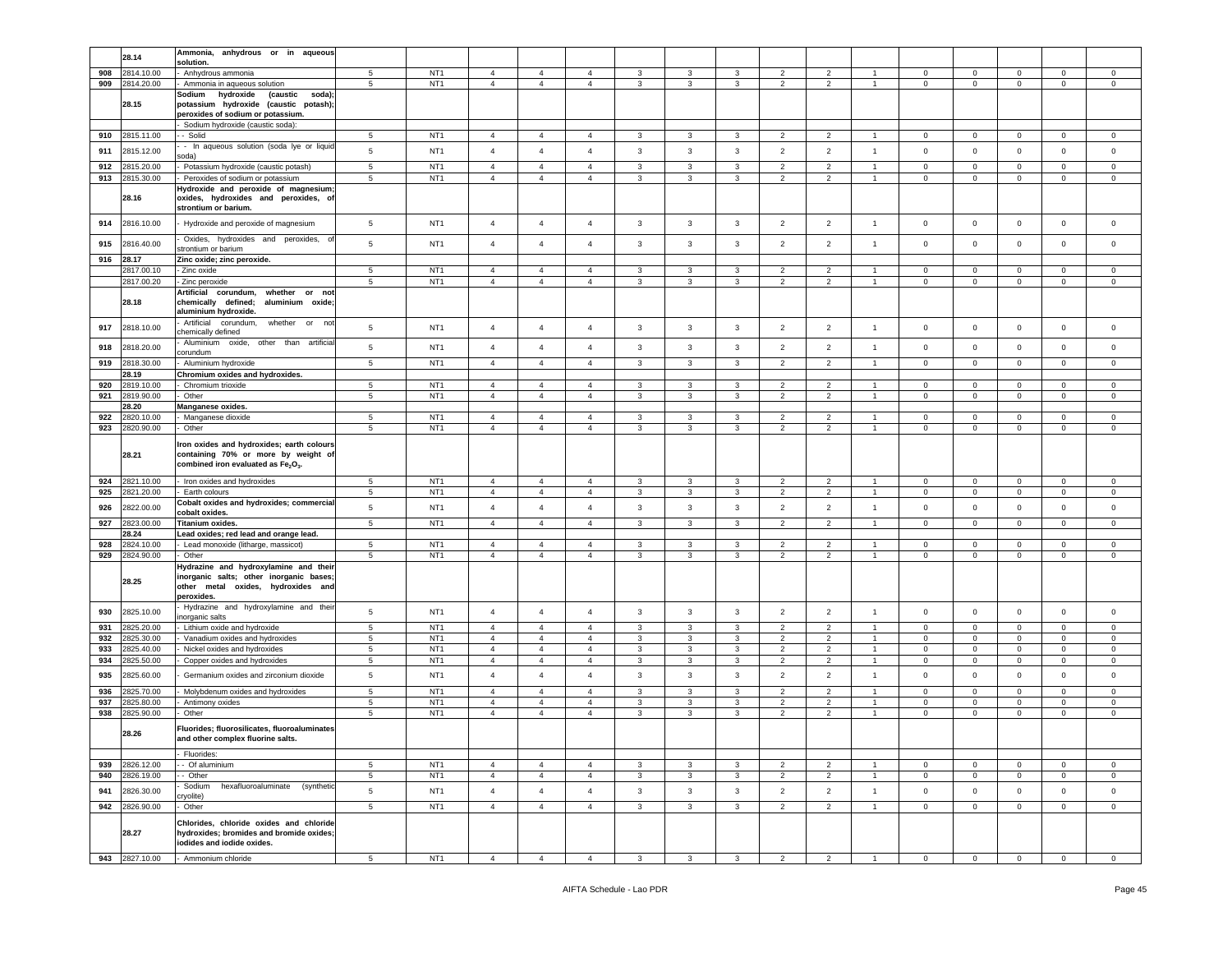|     | 28.14                   | anhydrous or in<br>Ammonia,<br>aqueous<br>solution.         |                 |                 |                |                |                |              |              |              |                |                                            |                |                |                |             |                |                |
|-----|-------------------------|-------------------------------------------------------------|-----------------|-----------------|----------------|----------------|----------------|--------------|--------------|--------------|----------------|--------------------------------------------|----------------|----------------|----------------|-------------|----------------|----------------|
|     |                         |                                                             |                 |                 |                |                |                |              |              |              |                |                                            |                |                |                |             |                |                |
| 908 | 2814.10.00              | Anhydrous ammonia                                           | 5               | NT <sub>1</sub> | $\overline{4}$ | $\overline{4}$ | 4              | 3            | 3            | 3            | $\overline{2}$ | $\overline{2}$                             |                | 0              | $\mathbf 0$    | 0           | $\mathbf 0$    | $\mathbf 0$    |
| 909 | 2814.20.00              | Ammonia in aqueous solution                                 | $\,$ 5 $\,$     | NT <sub>1</sub> | $\overline{4}$ | $\overline{4}$ | $\overline{4}$ | $\mathbf{3}$ | 3            | $\mathbf{3}$ | $\overline{2}$ | $\sqrt{2}$                                 | $\overline{1}$ | $\mathbf 0$    | $\mathbf 0$    | $\mathbf 0$ | $\mathsf 0$    | $\mathsf 0$    |
|     |                         | (caustic<br>Sodium<br>hydroxide<br>soda);                   |                 |                 |                |                |                |              |              |              |                |                                            |                |                |                |             |                |                |
|     | 28.15                   | potassium hydroxide (caustic potash);                       |                 |                 |                |                |                |              |              |              |                |                                            |                |                |                |             |                |                |
|     |                         | peroxides of sodium or potassium.                           |                 |                 |                |                |                |              |              |              |                |                                            |                |                |                |             |                |                |
|     |                         | Sodium hydroxide (caustic soda)                             |                 |                 |                |                |                |              |              |              |                |                                            |                |                |                |             |                |                |
| 910 | 2815.11.00              | - Solid                                                     | 5               | NT <sub>1</sub> | $\overline{4}$ | $\overline{4}$ | $\overline{4}$ | 3            | 3            | 3            | $\overline{2}$ | $\overline{2}$                             | $\overline{1}$ | $\mathbf 0$    | $\mathbf{0}$   | $\mathbf 0$ | $\mathbf 0$    | $\mathbf 0$    |
|     |                         | - In aqueous solution (soda lye or liquid                   |                 |                 |                |                |                |              |              |              |                |                                            |                |                |                |             |                |                |
| 911 | 2815.12.00              | oda)                                                        | $5\phantom{.0}$ | NT <sub>1</sub> | $\overline{4}$ | $\overline{4}$ | $\overline{4}$ | $\mathbf{3}$ | $\mathbf{3}$ | $\mathbf{3}$ | $\overline{2}$ | $\overline{2}$                             | $\overline{1}$ | $\mathsf 0$    | $\mathbf 0$    | $\mathbf 0$ | $\mathbf 0$    | $\mathbf 0$    |
| 912 | 2815.20.00              | Potassium hydroxide (caustic potash)                        | 5               | NT <sub>1</sub> | $\overline{4}$ | $\overline{4}$ | $\overline{4}$ | 3            | 3            | 3            | $\overline{2}$ | $\overline{2}$                             | $\overline{1}$ | $\Omega$       | $\mathbf 0$    | $\mathbf 0$ | $\Omega$       | $\mathsf 0$    |
| 913 | 2815.30.00              | Peroxides of sodium or potassium                            | 5               | NT <sub>1</sub> | $\overline{4}$ | $\overline{4}$ | $\overline{4}$ | 3            | 3            | 3            | $\overline{2}$ | $\overline{2}$                             | $\overline{1}$ | $\mathbf 0$    | $\mathbf 0$    | $\mathbf 0$ | $\mathbf 0$    | $\mathbf 0$    |
|     |                         |                                                             |                 |                 |                |                |                |              |              |              |                |                                            |                |                |                |             |                |                |
|     |                         | -lydroxide and peroxide of magnesium;                       |                 |                 |                |                |                |              |              |              |                |                                            |                |                |                |             |                |                |
|     | 28.16                   | oxides, hydroxides and peroxides, of                        |                 |                 |                |                |                |              |              |              |                |                                            |                |                |                |             |                |                |
|     |                         | strontium or barium.                                        |                 |                 |                |                |                |              |              |              |                |                                            |                |                |                |             |                |                |
| 914 | 2816.10.00              | Hydroxide and peroxide of magnesium                         | $5\phantom{.0}$ | NT <sub>1</sub> | $\sqrt{4}$     | $\overline{4}$ | $\overline{4}$ | 3            | $\mathbf{3}$ | $\mathbf{3}$ | $\overline{2}$ | $\overline{2}$                             | $\mathbf{1}$   | $\mathsf 0$    | $\mathbf 0$    | $\mathbf 0$ | $\mathbf 0$    | $\mathsf 0$    |
|     |                         |                                                             |                 |                 |                |                |                |              |              |              |                |                                            |                |                |                |             |                |                |
| 915 | 2816.40.00              | Oxides, hydroxides and peroxides,                           | $5\phantom{.0}$ | NT <sub>1</sub> | $\overline{4}$ | $\overline{4}$ | 4              | 3            | $\mathbf{3}$ | 3            | $\overline{2}$ | $\overline{2}$                             | $\overline{1}$ | $\circ$        | $\mathbf 0$    | $\mathbf 0$ | $\mathbf 0$    | $\mathbf 0$    |
|     |                         | strontium or barium                                         |                 |                 |                |                |                |              |              |              |                |                                            |                |                |                |             |                |                |
| 916 | 28.17                   | Zinc oxide; zinc peroxide.                                  |                 |                 |                |                |                |              |              |              |                |                                            |                |                |                |             |                |                |
|     | 2817.00.10              | Zinc oxide                                                  | 5               | NT <sub>1</sub> | $\overline{4}$ | $\overline{4}$ | 4              | 3            | 3            | 3            | $\overline{2}$ | 2                                          |                | $^{\circ}$     | 0              | $\mathbf 0$ | $\mathbf 0$    | $\mathbf 0$    |
|     | 2817.00.20              | Zinc peroxide                                               | $5\phantom{.0}$ | NT <sub>1</sub> | $\overline{4}$ | $\overline{4}$ | $\overline{4}$ | 3            | 3            | 3            | $\overline{2}$ | $\overline{2}$                             | -1             | $\mathsf 0$    | $\mathbf 0$    | $\mathbf 0$ | $\mathbf 0$    | $\mathbf 0$    |
|     |                         | <b>Artificial</b><br>corundum,<br>whether or not            |                 |                 |                |                |                |              |              |              |                |                                            |                |                |                |             |                |                |
|     | 28.18                   | chemically defined;<br>aluminium oxide;                     |                 |                 |                |                |                |              |              |              |                |                                            |                |                |                |             |                |                |
|     |                         | aluminium hydroxide.                                        |                 |                 |                |                |                |              |              |              |                |                                            |                |                |                |             |                |                |
|     |                         | Artificial<br>corundum,<br>whether<br>or<br>not             |                 |                 |                |                |                |              |              |              |                |                                            |                |                |                |             |                |                |
| 917 | 2818.10.00              | chemically defined                                          | $5\phantom{.0}$ | NT <sub>1</sub> | $\overline{4}$ | $\overline{4}$ | $\overline{4}$ | 3            | 3            | 3            | $\overline{2}$ | $\overline{2}$                             | $\overline{1}$ | $\,0\,$        | $\mathbf 0$    | $\mathbf 0$ | 0              | $\mathbf 0$    |
|     |                         | Aluminium<br>oxide, other than artificia                    |                 |                 |                |                |                |              |              |              |                |                                            |                |                |                |             |                |                |
| 918 | 2818.20.00              | orundum:                                                    | $5\phantom{.0}$ | NT <sub>1</sub> | $\overline{4}$ | $\overline{4}$ | $\overline{4}$ | $\mathbf{3}$ | $\mathbf{3}$ | $\mathbf{3}$ | $\overline{2}$ | $\overline{2}$                             | $\overline{1}$ | $\circ$        | $\mathbf 0$    | $\mathsf 0$ | $\mathbf 0$    | $\mathbf 0$    |
| 919 | 2818.30.00              | Aluminium hydroxide                                         | 5               | NT <sub>1</sub> | $\overline{4}$ | $\overline{4}$ | $\overline{4}$ | $\mathbf{3}$ | $\mathbf{3}$ | $\mathbf{3}$ | $\overline{2}$ | $\overline{2}$                             | $\overline{1}$ | $\mathbf 0$    | $\mathbf 0$    | $\mathbf 0$ | $\mathbf 0$    | $\mathbf 0$    |
|     | 28.19                   | Chromium oxides and hydroxides.                             |                 |                 |                |                |                |              |              |              |                |                                            |                |                |                |             |                |                |
|     |                         | Chromium trioxide                                           |                 | NT <sub>1</sub> |                |                |                |              |              |              |                | 2                                          | $\overline{1}$ |                |                |             |                |                |
| 920 | 2819.10.00              |                                                             | 5               |                 | $\overline{4}$ | $\overline{4}$ | 4              | 3            | 3            | 3            | $\overline{2}$ |                                            |                | $\mathbf 0$    | $\mathbf 0$    | $\mathbf 0$ | 0              | $\circ$        |
| 921 | 2819.90.00              | Other                                                       | $\sqrt{5}$      | NT <sub>1</sub> | $\overline{4}$ | $\overline{4}$ | $\overline{4}$ | $\mathbf{3}$ | $\mathbf{3}$ | $\mathbf{3}$ | $\overline{2}$ | $\sqrt{2}$                                 | $\mathbf{1}$   | $\mathbf 0$    | $\mathbf 0$    | $\mathbf 0$ | $\mathbf 0$    | 0              |
|     | 28.20                   | Manganese oxides.                                           |                 |                 |                |                |                |              |              |              |                |                                            |                |                |                |             |                |                |
| 922 | 820.10.00               | Manganese dioxide                                           | 5               | NT <sub>1</sub> | $\overline{4}$ | $\overline{4}$ | 4              | 3            | 3            | 3            | $\overline{2}$ | 2                                          |                | 0              | 0              | $\mathbf 0$ | 0              | 0              |
| 923 | 2820.90.00              | Other                                                       | $5\phantom{.0}$ | NT <sub>1</sub> | $\overline{4}$ | $\overline{4}$ | $\overline{4}$ | $\mathbf{3}$ | 3            | 3            | $\overline{2}$ | $\overline{2}$                             | $\overline{1}$ | $\mathbf 0$    | $\mathsf 0$    | $\mathbf 0$ | $\mathbf 0$    | $\mathbf 0$    |
|     |                         |                                                             |                 |                 |                |                |                |              |              |              |                |                                            |                |                |                |             |                |                |
|     |                         | Iron oxides and hydroxides; earth colours                   |                 |                 |                |                |                |              |              |              |                |                                            |                |                |                |             |                |                |
|     | 28.21                   | containing 70% or more by weight of                         |                 |                 |                |                |                |              |              |              |                |                                            |                |                |                |             |                |                |
|     |                         | combined iron evaluated as Fe <sub>2</sub> O <sub>3</sub> . |                 |                 |                |                |                |              |              |              |                |                                            |                |                |                |             |                |                |
| 924 | 2821.10.00              | Iron oxides and hydroxides                                  | 5               | NT <sub>1</sub> | $\overline{4}$ | $\overline{4}$ | 4              | 3            | 3            | 3            | $\overline{2}$ | $\overline{2}$                             | $\overline{1}$ | $\mathbf 0$    | $\mathbf 0$    | $\mathbf 0$ | $\mathbf 0$    | 0              |
| 925 | 2821.20.00              | Earth colours                                               | 5               | NT <sub>1</sub> | $\overline{4}$ | $\overline{4}$ | $\overline{4}$ | 3            | 3            | 3            | $\overline{2}$ | $\overline{2}$                             | $\overline{1}$ | $\mathbf{0}$   | $\overline{0}$ | $\mathbf 0$ | $\mathbf{0}$   | $\mathbf{0}$   |
|     |                         |                                                             |                 |                 |                |                |                |              |              |              |                |                                            |                |                |                |             |                |                |
| 926 | 2822.00.00              | Cobalt oxides and hydroxides; commercial                    | $\overline{5}$  | NT <sub>1</sub> | $\overline{4}$ | $\overline{4}$ | $\overline{4}$ | 3            | $\mathbf{3}$ | 3            | $\overline{2}$ | $\overline{2}$                             | $\overline{1}$ | $\,0\,$        | $\mathbf 0$    | $\mathbf 0$ | $\mathbf 0$    | $\mathbf 0$    |
|     |                         | cobalt oxides.                                              |                 |                 |                |                |                |              |              |              |                |                                            |                |                |                |             |                |                |
| 927 | 823.00.00               | Titanium oxides.                                            | 5               | NT <sub>1</sub> | $\overline{4}$ | $\overline{4}$ | $\overline{4}$ | 3            | 3            | 3            | $\overline{2}$ | $\overline{2}$                             | $\overline{1}$ | $\mathbf 0$    | $\mathbf 0$    | $\mathbf 0$ | $\mathbf 0$    | 0              |
|     | 28.24                   | Lead oxides; red lead and orange lead.                      |                 |                 |                |                |                |              |              |              |                |                                            |                |                |                |             |                |                |
| 928 | 824.10.00               | Lead monoxide (litharge, massicot)                          | 5               | NT <sub>1</sub> | $\overline{4}$ | $\overline{4}$ | $\overline{4}$ | $\mathbf{3}$ | 3            | $\mathbf{3}$ | $\overline{2}$ | 2                                          | $\overline{1}$ | $\mathbf 0$    | $\mathbf 0$    | $\mathbf 0$ | $\mathbf 0$    | $\mathbf 0$    |
| 929 | 2824.90.00              | Other                                                       | $5\phantom{.0}$ | NT <sub>1</sub> | $\overline{4}$ | $\overline{4}$ | 4              | 3            | 3            | 3            | $\overline{2}$ | $\overline{2}$                             | $\overline{1}$ | $\mathbf 0$    | $\overline{0}$ | $\mathbf 0$ | $\mathbf 0$    | 0              |
|     |                         | lydrazine and hydroxylamine and their                       |                 |                 |                |                |                |              |              |              |                |                                            |                |                |                |             |                |                |
|     |                         | inorganic salts; other inorganic bases;                     |                 |                 |                |                |                |              |              |              |                |                                            |                |                |                |             |                |                |
|     | 28.25                   | other metal oxides, hydroxides and                          |                 |                 |                |                |                |              |              |              |                |                                            |                |                |                |             |                |                |
|     |                         | peroxides.                                                  |                 |                 |                |                |                |              |              |              |                |                                            |                |                |                |             |                |                |
|     |                         | Hydrazine and hydroxylamine and their                       | 5               | NT <sub>1</sub> | $\overline{4}$ | $\overline{4}$ | $\overline{4}$ | 3            | $\mathbf{3}$ | 3            | $\overline{2}$ | $\overline{2}$                             |                | $\circ$        | $\mathbf 0$    | $\mathbf 0$ | $\mathbf 0$    | $\mathbf 0$    |
| 930 | 2825.10.00              | inorganic salts                                             |                 |                 |                |                |                |              |              |              |                |                                            | $\overline{1}$ |                |                |             |                |                |
| 931 | 825.20.00               | Lithium oxide and hydroxide                                 | 5               | NT <sub>1</sub> | $\overline{4}$ | $\overline{4}$ | $\overline{4}$ | 3            | 3            | 3            | $\overline{2}$ | 2                                          | $\overline{1}$ | 0              | $\mathbf{0}$   | $\mathbf 0$ | 0              | 0              |
| 932 | 2825.30.00              | Vanadium oxides and hydroxides                              | $5\phantom{.0}$ | NT <sub>1</sub> | $\overline{4}$ | $\overline{4}$ | $\overline{4}$ | $\mathbf{3}$ | 3            | $\mathbf{3}$ | $\overline{2}$ | $\overline{2}$                             | $\overline{1}$ | $\mathbf 0$    | $\mathsf 0$    | $\mathbf 0$ | $\mathbf 0$    | $\mathbf 0$    |
| 933 | 825.40.00               | Nickel oxides and hydroxides                                | 5               | NT <sub>1</sub> | $\overline{4}$ | $\overline{4}$ | 4              | 3            | 3            | 3            | $\overline{2}$ | $\overline{2}$                             | $\overline{1}$ | 0              | $\mathbf 0$    | $\mathbf 0$ | $\mathbf 0$    | $\mathbf 0$    |
| 934 | 2825.50.00              | Copper oxides and hydroxides                                | 5               | NT <sub>1</sub> | $\overline{4}$ | $\overline{4}$ | $\overline{4}$ | 3            | 3            | 3            | $\overline{2}$ | $\overline{2}$                             | $\mathbf{1}$   | $\mathbf{0}$   | $\mathbf{0}$   | $\mathbf 0$ | 0              | $\mathbf{0}$   |
|     |                         |                                                             |                 |                 |                |                |                |              |              |              |                |                                            |                |                |                |             |                |                |
| 935 | 2825.60.00              | Germanium oxides and zirconium dioxide                      | $\overline{5}$  | NT <sub>1</sub> | $\overline{4}$ | $\overline{4}$ | $\overline{4}$ | 3            | $\mathbf{3}$ | 3            | $\overline{2}$ | $\overline{2}$                             | $\overline{1}$ | $\mathbf 0$    | $\mathbf 0$    | $\mathbf 0$ | $\mathbf 0$    | $\mathbf 0$    |
| 936 | 825.70.00               | Molybdenum oxides and hydroxides                            | 5               | NT <sub>1</sub> | $\overline{4}$ | $\overline{4}$ | 4              | 3            | 3            | 3            | $\overline{2}$ | $\overline{2}$                             |                | 0              | $\mathbf 0$    | $\mathbf 0$ | 0              | $\mathbf 0$    |
| 937 | 825.80.00               |                                                             | $\sqrt{5}$      | NT <sub>1</sub> | $\overline{4}$ | $\overline{4}$ |                |              | 3            |              |                |                                            | -1             |                |                | $\mathbf 0$ | 0              | $\circ$        |
|     |                         | Antimony oxides                                             |                 |                 |                |                | $\overline{4}$ | 3            |              | 3<br>3       | $\overline{2}$ | $\overline{2}$<br>$\overline{\phantom{a}}$ | $\overline{1}$ | $\mathbf 0$    | $\mathbf 0$    |             |                |                |
| 938 | $\overline{.825.90.00}$ | Other                                                       | 5               | NT <sub>1</sub> | $\overline{4}$ | $\overline{4}$ | $\overline{4}$ | 3            | 3            |              | $\overline{2}$ |                                            |                | $\mathbf 0$    | $\mathsf 0$    | $\mathbf 0$ | $\mathbf 0$    | $\mathbf 0$    |
|     |                         | Fluorides; fluorosilicates, fluoroaluminates                |                 |                 |                |                |                |              |              |              |                |                                            |                |                |                |             |                |                |
|     | 28.26                   | and other complex fluorine salts.                           |                 |                 |                |                |                |              |              |              |                |                                            |                |                |                |             |                |                |
|     |                         |                                                             |                 |                 |                |                |                |              |              |              |                |                                            |                |                |                |             |                |                |
|     |                         | Fluorides:                                                  |                 |                 |                |                |                |              |              |              |                |                                            |                |                |                |             |                |                |
| 939 | 2826.12.00              | - Of aluminium                                              | $5\phantom{.0}$ | NT <sub>1</sub> | $\overline{4}$ | $\overline{4}$ | 4              | $\mathbf{3}$ | 3            | 3            | $\overline{2}$ | $\overline{2}$                             | -1             | $\mathbf 0$    | $\mathbf 0$    | $\mathbf 0$ | $\mathbf 0$    | 0              |
| 940 | 2826.19.00              | - Other                                                     | $5\phantom{.0}$ | NT <sub>1</sub> | $\overline{4}$ | $\overline{4}$ | $\overline{4}$ | $\mathbf{3}$ | 3            | 3            | $\overline{2}$ | $\overline{2}$                             | $\overline{1}$ | $\overline{0}$ | $\overline{0}$ | $\mathbf 0$ | $\overline{0}$ | $\mathbf 0$    |
|     |                         | Sodium<br>hexafluoroaluminate<br>(synthetic                 |                 |                 |                |                |                |              |              |              |                |                                            |                |                |                |             |                |                |
| 941 | 2826.30.00              | ryolite)                                                    | $5\phantom{.0}$ | NT <sub>1</sub> | $\overline{4}$ | $\overline{4}$ | 4              | 3            | $\mathbf{3}$ | 3            | $\overline{2}$ | $\overline{2}$                             | $\overline{1}$ | $\overline{0}$ | $\mathbf 0$    | $\mathbf 0$ | $\mathbf 0$    | $\mathbf 0$    |
| 942 | 2826.90.00              | Other                                                       | $\sqrt{5}$      | NT <sub>1</sub> | $\overline{4}$ | $\overline{4}$ | $\overline{4}$ | $\mathbf{3}$ | $\mathbf{3}$ | 3            | $\overline{2}$ | $\overline{2}$                             | $\mathbf{1}$   | $\mathbf 0$    | $\overline{0}$ | $\mathbf 0$ | $\overline{0}$ | $\overline{0}$ |
|     |                         |                                                             |                 |                 |                |                |                |              |              |              |                |                                            |                |                |                |             |                |                |
|     |                         | Chlorides, chloride oxides and chloride                     |                 |                 |                |                |                |              |              |              |                |                                            |                |                |                |             |                |                |
|     | 28.27                   | hydroxides; bromides and bromide oxides;                    |                 |                 |                |                |                |              |              |              |                |                                            |                |                |                |             |                |                |
|     |                         | iodides and iodide oxides.                                  |                 |                 |                |                |                |              |              |              |                |                                            |                |                |                |             |                |                |
|     | 943 2827.10.00          | - Ammonium chloride                                         | -5              | NT <sub>1</sub> | $\overline{4}$ | $\overline{4}$ | $\overline{4}$ | 3            | 3            | 3            | 2              | $\overline{2}$                             | $\overline{1}$ | $\Omega$       | $\Omega$       | $\Omega$    |                |                |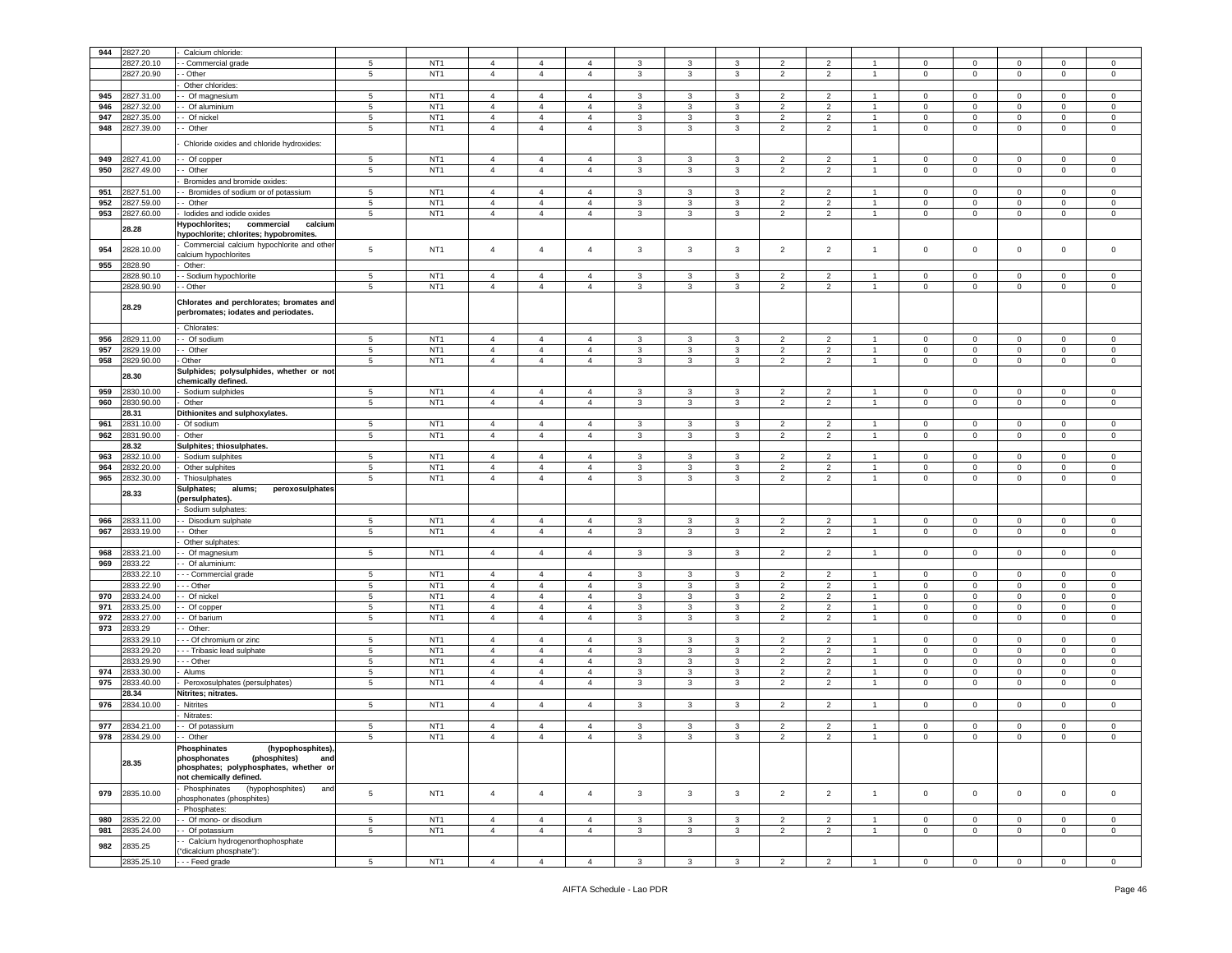| 944 | 2827.20    | Calcium chloride:                                   |                 |                 |                |                |                |              |                         |              |                |                |                |                |                |                |                |                |
|-----|------------|-----------------------------------------------------|-----------------|-----------------|----------------|----------------|----------------|--------------|-------------------------|--------------|----------------|----------------|----------------|----------------|----------------|----------------|----------------|----------------|
|     |            |                                                     |                 |                 |                |                |                |              |                         |              |                |                |                |                |                |                |                |                |
|     | 2827.20.10 | - Commercial grade                                  | 5               | NT <sub>1</sub> | $\overline{4}$ | 4              | $\overline{4}$ | 3            | 3                       | 3            | $\overline{2}$ | $\overline{2}$ |                | $\mathbf 0$    | 0              | $\mathbf 0$    | $\mathbf 0$    | $\mathsf 0$    |
|     | 2827.20.90 | Other                                               | 5               | NT <sub>1</sub> | $\overline{4}$ | $\overline{4}$ | $\overline{4}$ | 3            | $\mathbf{3}$            | 3            | $\overline{2}$ | $\overline{2}$ | $\overline{1}$ | $\mathbf 0$    | 0              | $\mathsf 0$    | $\mathbf 0$    | $\mathsf 0$    |
|     |            | Other chlorides:                                    |                 |                 |                |                |                |              |                         |              |                |                |                |                |                |                |                |                |
| 945 | 2827.31.00 | - Of magnesium                                      | 5               | NT <sub>1</sub> | $\overline{4}$ | 4              | $\overline{4}$ | 3            | 3                       | 3            | 2              | $\overline{2}$ |                | 0              | 0              | $\mathbf 0$    | $\mathbf 0$    | 0              |
| 946 | 2827.32.00 | Of aluminium                                        | 5               | NT <sub>1</sub> | $\overline{4}$ | $\overline{4}$ | $\overline{4}$ | 3            | 3                       | 3            | $\overline{2}$ | $\overline{2}$ |                | $\mathbf 0$    | 0              | $\mathsf 0$    | 0              | 0              |
| 947 | 2827.35.00 | Of nickel                                           | $\,$ 5 $\,$     | NT <sub>1</sub> | $\overline{4}$ | $\overline{4}$ | $\overline{4}$ | $\mathbf{3}$ | 3                       | 3            | $\overline{2}$ | $\overline{2}$ |                | $\mathbf 0$    | 0              | $\mathbf 0$    | 0              | $\mathsf 0$    |
| 948 | 2827.39.00 | - Other                                             | 5               | NT <sub>1</sub> | $\overline{4}$ | $\overline{4}$ | $\overline{4}$ | $\mathbf{3}$ | 3                       | 3            | $\overline{2}$ | $\overline{2}$ |                | $\mathsf 0$    | 0              | $\mathbf 0$    | $\mathbf 0$    | $\mathsf 0$    |
|     |            |                                                     |                 |                 |                |                |                |              |                         |              |                |                |                |                |                |                |                |                |
|     |            | Chloride oxides and chloride hydroxides             |                 |                 |                |                |                |              |                         |              |                |                |                |                |                |                |                |                |
|     |            |                                                     |                 |                 |                |                |                |              |                         |              |                |                |                |                |                |                |                |                |
| 949 | 2827.41.00 | Of copper                                           | 5               | NT <sub>1</sub> | $\overline{4}$ | $\overline{4}$ | $\overline{4}$ | $\mathbf{3}$ | 3                       | 3            | $\overline{2}$ | $\sqrt{2}$     |                | $\mathbf 0$    | $\mathbf 0$    | $\mathbf 0$    | $\mathbf 0$    | $\mathsf 0$    |
| 950 | 2827.49.00 | - Other                                             | 5               | NT <sub>1</sub> | $\overline{4}$ | $\overline{4}$ | $\overline{4}$ | $\mathbf{3}$ | 3                       | 3            | $\overline{2}$ | $\overline{2}$ | $\overline{1}$ | $\mathbf 0$    | $\mathsf 0$    | $\mathbf 0$    | $\mathbf 0$    | $\mathsf 0$    |
|     |            | Bromides and bromide oxides                         |                 |                 |                |                |                |              |                         |              |                |                |                |                |                |                |                |                |
| 951 | 2827.51.00 | Bromides of sodium or of potassium                  | 5               | NT <sub>1</sub> | $\overline{4}$ | $\overline{4}$ | $\overline{4}$ | 3            | 3                       | 3            | $\overline{2}$ | $\overline{2}$ |                | $\mathbf 0$    | 0              | $\mathbf 0$    | 0              | 0              |
| 952 | 2827.59.00 | - Other                                             | 5               | NT <sub>1</sub> | $\overline{4}$ | $\overline{4}$ | $\overline{4}$ | $\mathbf{3}$ | 3                       | 3            | $\overline{2}$ | 2              |                | $\mathbf 0$    | 0              | $\mathbf 0$    | $\Omega$       | $\mathsf 0$    |
| 953 |            |                                                     |                 | NT <sub>1</sub> |                |                |                |              |                         |              |                |                |                |                |                |                |                |                |
|     | 2827.60.00 | lodides and iodide oxides                           | 5               |                 | $\overline{4}$ | $\overline{4}$ | $\overline{4}$ | 3            | 3                       | 3            | $\overline{2}$ | $\overline{2}$ |                | 0              | 0              | $\mathbf 0$    | $\mathbf 0$    | 0              |
|     | 28.28      | <del>l</del> ypochlorites;<br>calcium<br>commercial |                 |                 |                |                |                |              |                         |              |                |                |                |                |                |                |                |                |
|     |            | ypochlorite; chlorites; hypobromites.               |                 |                 |                |                |                |              |                         |              |                |                |                |                |                |                |                |                |
| 954 | 2828.10.00 | Commercial calcium hypochlorite and other           | 5               | NT <sub>1</sub> | $\overline{4}$ | $\overline{4}$ | $\overline{4}$ | $\mathbf{3}$ | $\mathbf{3}$            | 3            | $\overline{2}$ | $\overline{2}$ | $\overline{1}$ | $\mathbf 0$    | $\mathsf 0$    | $\,0\,$        | $\mathbf 0$    | $\mathsf 0$    |
|     |            | alcium hypochlorites                                |                 |                 |                |                |                |              |                         |              |                |                |                |                |                |                |                |                |
| 955 | 2828.90    | Other:                                              |                 |                 |                |                |                |              |                         |              |                |                |                |                |                |                |                |                |
|     | 2828.90.10 | Sodium hypochlorite                                 | 5               | NT <sub>1</sub> | $\overline{4}$ | $\overline{4}$ | $\overline{4}$ | 3            | 3                       | 3            | $\overline{2}$ | $\overline{2}$ |                | $\mathbf 0$    | 0              | $\mathbf 0$    | 0              | 0              |
|     | 2828.90.90 | - Other                                             | 5               | NT <sub>1</sub> | $\overline{4}$ | $\overline{4}$ | $\overline{4}$ | $\mathbf{3}$ | 3                       | 3            | $\overline{2}$ | 2              | -1             | $\mathbf 0$    | $\mathbf 0$    | $\mathbf 0$    | $\mathbf 0$    | $\mathsf 0$    |
|     |            |                                                     |                 |                 |                |                |                |              |                         |              |                |                |                |                |                |                |                |                |
|     | 28.29      | Chlorates and perchlorates; bromates and            |                 |                 |                |                |                |              |                         |              |                |                |                |                |                |                |                |                |
|     |            | perbromates; iodates and periodates.                |                 |                 |                |                |                |              |                         |              |                |                |                |                |                |                |                |                |
|     |            |                                                     |                 |                 |                |                |                |              |                         |              |                |                |                |                |                |                |                |                |
|     |            | Chlorates:                                          |                 |                 |                |                |                |              |                         |              |                |                |                |                |                |                |                |                |
| 956 | 2829.11.00 | - Of sodium                                         | 5               | NT <sub>1</sub> | $\overline{4}$ | 4              | $\overline{4}$ | 3            | 3                       | 3            | $\overline{2}$ | $\overline{2}$ |                | $\mathbf{0}$   | 0              | $\mathbf{0}$   | $\mathbf{0}$   | 0              |
| 957 | 2829.19.00 | - Other                                             | $5\phantom{.0}$ | NT <sub>1</sub> | $\overline{4}$ | $\overline{4}$ | $\overline{4}$ | $\mathbf{3}$ | $\mathbf{3}$            | 3            | $\overline{2}$ | $\overline{2}$ | $\overline{1}$ | $\mathbf 0$    | 0              | $\mathsf 0$    | $\mathbf 0$    | $\mathsf 0$    |
| 958 | 2829.90.00 | Other                                               | 5               | NT <sub>1</sub> | $\overline{4}$ | $\overline{4}$ | $\overline{4}$ | $\mathbf{3}$ | 3                       | 3            | $\overline{2}$ | $\overline{2}$ |                | 0              | 0              | $\mathbf 0$    | $\mathbf 0$    | 0              |
|     |            | Sulphides; polysulphides, whether or not            |                 |                 |                |                |                |              |                         |              |                |                |                |                |                |                |                |                |
|     | 28.30      | chemically defined.                                 |                 |                 |                |                |                |              |                         |              |                |                |                |                |                |                |                |                |
| 959 | 2830.10.00 | Sodium sulphides                                    | $5\phantom{.0}$ | NT <sub>1</sub> | $\overline{4}$ | $\overline{4}$ | $\overline{4}$ | 3            | $\mathbf{3}$            | 3            | $\overline{2}$ | $\overline{2}$ | $\overline{1}$ | $\mathbf 0$    | 0              | $\mathbf 0$    | $\mathbf 0$    | 0              |
| 960 | 2830.90.00 | Other                                               | 5               | NT <sub>1</sub> | $\overline{4}$ | $\overline{4}$ | $\overline{4}$ | $\mathbf{3}$ | $\mathbf{3}$            | 3            | $\overline{2}$ | $\overline{2}$ | $\overline{1}$ | $\mathsf 0$    | 0              | $\mathbf 0$    | $\mathbf 0$    | $\mathsf 0$    |
|     | 28.31      | Dithionites and sulphoxylates.                      |                 |                 |                |                |                |              |                         |              |                |                |                |                |                |                |                |                |
| 961 | 2831.10.00 |                                                     | 5               | NT <sub>1</sub> | $\overline{4}$ | $\overline{4}$ | $\overline{4}$ | 3            | $\mathbf{3}$            | 3            | $\overline{2}$ | $\overline{2}$ | $\overline{1}$ | $\mathbf 0$    | 0              | $\mathsf 0$    | $\mathbf 0$    | $\circ$        |
|     |            | Of sodium                                           |                 |                 |                |                |                |              |                         |              |                |                |                |                |                |                |                |                |
| 962 | 2831.90.00 | Other                                               | 5               | NT <sub>1</sub> | $\overline{4}$ | $\overline{4}$ | $\overline{4}$ | 3            | 3                       | 3            | $\overline{2}$ | 2              |                | $\mathbf 0$    | 0              | $\mathbf 0$    | 0              | 0              |
|     | 28.32      | Sulphites; thiosulphates.                           |                 |                 |                |                |                |              |                         |              |                |                |                |                |                |                |                |                |
| 963 | 2832.10.00 | Sodium sulphites                                    | 5               | NT <sub>1</sub> | $\overline{4}$ | $\overline{4}$ | $\overline{4}$ | 3            | 3                       | 3            | $\overline{2}$ | 2              |                | $\mathbf 0$    | 0              | $\mathbf 0$    | 0              | 0              |
| 964 | 2832.20.00 | Other sulphites                                     | 5               | NT <sub>1</sub> | $\sqrt{4}$     | $\overline{4}$ | $\overline{4}$ | $\mathbf{3}$ | 3                       | 3            | $\overline{2}$ | $\overline{2}$ |                | $\pmb{0}$      | 0              | $\mathbf 0$    | $\mathbf 0$    | $\mathsf 0$    |
| 965 | 2832.30.00 | Thiosulphates                                       | 5               | NT <sub>1</sub> | $\overline{4}$ | $\overline{4}$ | $\overline{4}$ | $\mathbf{3}$ | 3                       | 3            | $\overline{2}$ | $\overline{2}$ | -1             | $\mathsf 0$    | $\mathsf 0$    | $\mathbf 0$    | $\mathsf 0$    | $\mathbf 0$    |
|     |            | Sulphates;<br>alums;<br>peroxosulphates             |                 |                 |                |                |                |              |                         |              |                |                |                |                |                |                |                |                |
|     | 28.33      | persulphates)                                       |                 |                 |                |                |                |              |                         |              |                |                |                |                |                |                |                |                |
|     |            | Sodium sulphates:                                   |                 |                 |                |                |                |              |                         |              |                |                |                |                |                |                |                |                |
| 966 | 2833.11.00 | - Disodium sulphate                                 | 5               | NT <sub>1</sub> | $\overline{4}$ | $\overline{4}$ | $\overline{4}$ | $\mathbf{3}$ | 3                       | 3            | $\overline{2}$ | 2              |                | 0              | 0              | $\mathbf 0$    | $\mathbf 0$    | $\mathsf 0$    |
|     |            |                                                     |                 |                 |                |                |                |              |                         |              |                |                |                |                |                |                |                |                |
| 967 | 2833.19.00 | Other                                               | 5               | NT <sub>1</sub> | $\overline{4}$ | $\overline{4}$ | $\overline{4}$ | 3            | 3                       | 3            | $\overline{2}$ | $\overline{2}$ | $\overline{1}$ | 0              | 0              | $\mathbf 0$    | $\mathbf 0$    | $\mathsf 0$    |
|     |            | Other sulphates                                     |                 |                 |                |                |                |              |                         |              |                |                |                |                |                |                |                |                |
| 968 | 2833.21.00 | Of magnesium                                        | 5               | NT <sub>1</sub> | $\overline{4}$ | $\overline{4}$ | $\overline{4}$ | $\mathbf{3}$ | 3                       | 3            | $\overline{2}$ | 2              |                | $\mathbf 0$    | $\mathbf 0$    | $\mathbf 0$    | $\mathbf 0$    | $\mathsf 0$    |
| 969 | 2833.22    | Of aluminium:                                       |                 |                 |                |                |                |              |                         |              |                |                |                |                |                |                |                |                |
|     | 2833.22.10 | - Commercial grade                                  | 5               | NT <sub>1</sub> | $\overline{4}$ | $\overline{4}$ | $\overline{4}$ | $\mathbf{3}$ | $\overline{\mathbf{3}}$ | $\mathbf{3}$ | $\overline{2}$ | $\overline{2}$ | $\overline{1}$ | $\mathbf 0$    | 0              | $\mathbf 0$    | $\mathbf 0$    | $\mathsf 0$    |
|     | 2833.22.90 | - - Other                                           | 5               | NT <sub>1</sub> | $\overline{4}$ | $\overline{4}$ | $\overline{4}$ | 3            | 3                       | 3            | $\overline{2}$ | $\overline{2}$ | $\overline{1}$ | 0              | 0              | $\mathsf 0$    | 0              | $\mathsf 0$    |
| 970 | 2833.24.00 | Of nicke                                            | 5               | NT <sub>1</sub> | $\overline{4}$ | $\overline{4}$ | $\overline{4}$ | 3            | 3                       | 3            | $\overline{2}$ | $\overline{2}$ |                | 0              | 0              | $\mathbf 0$    | $\mathbf 0$    | 0              |
| 971 | 2833.25.00 | Of copper                                           | 5               | NT <sub>1</sub> | $\overline{4}$ | $\overline{4}$ | $\overline{4}$ | $\mathbf{3}$ | 3                       | 3            | $\overline{2}$ | $\overline{2}$ |                | $\mathbf 0$    | $\mathbf 0$    | $\mathbf 0$    | $\mathbf 0$    | $\mathsf 0$    |
| 972 | 2833.27.00 | Of barium                                           | 5               | NT <sub>1</sub> | $\overline{4}$ | $\overline{4}$ | $\overline{4}$ | $\mathbf{3}$ | 3                       | 3            | $\overline{2}$ | $\overline{2}$ | $\overline{1}$ | $\mathbf 0$    | 0              | $\mathsf 0$    | $\mathbf 0$    | $\mathsf 0$    |
|     |            |                                                     |                 |                 |                |                |                |              |                         |              |                |                |                |                |                |                |                |                |
| 973 | 2833.29    | Other:                                              |                 |                 |                |                |                |              |                         |              |                |                |                |                |                |                |                |                |
|     | 2833.29.10 | - - Of chromium or zinc                             | 5               | NT <sub>1</sub> | $\overline{4}$ | $\overline{4}$ | $\overline{4}$ | 3            | 3                       | 3            | $\overline{2}$ | $\overline{2}$ | $\overline{1}$ | $\mathbf 0$    | $\mathbf 0$    | $\mathbf 0$    | $\mathbf 0$    | $\mathbf 0$    |
|     | 2833.29.20 | - - Tribasic lead sulphate                          | 5               | NT <sub>1</sub> | $\overline{4}$ | $\overline{4}$ | $\overline{4}$ | 3            | 3                       | 3            | $\overline{2}$ | $\overline{2}$ |                | $\mathbf 0$    | 0              | $\mathbf 0$    | 0              | 0              |
|     | 2833.29.90 | - - Other                                           | 5               | NT <sub>1</sub> | $\overline{4}$ | 4              | $\overline{4}$ | 3            | 3                       | 3            | $\overline{2}$ | $\overline{2}$ |                | 0              | 0              | $\mathbf 0$    | $\mathbf{0}$   | 0              |
| 974 | 2833.30.00 | Alums                                               | 5               | NT <sub>1</sub> | $\overline{4}$ | $\overline{4}$ | $\overline{4}$ | 3            | 3                       | 3            | $\overline{2}$ | 2              |                | $\mathbf 0$    | 0              | $\mathbf 0$    | $\mathbf 0$    | $\mathsf 0$    |
| 975 | 2833.40.00 | Peroxosulphates (persulphates)                      | 5               | NT <sub>1</sub> | $\overline{4}$ | $\overline{4}$ | $\overline{4}$ | 3            | 3                       | 3            | $\overline{2}$ | $\overline{2}$ |                | 0              | 0              | $\mathbf 0$    | $\mathbf 0$    | 0              |
|     | 28.34      | Nitrites; nitrates.                                 |                 |                 |                |                |                |              |                         |              |                |                |                |                |                |                |                |                |
| 976 | 2834.10.00 | Nitrites                                            | $5\phantom{.0}$ | NT <sub>1</sub> | $\overline{4}$ | $\overline{4}$ | $\overline{4}$ | 3            | $\mathbf{3}$            | 3            | $\overline{2}$ | $\overline{2}$ | $\overline{1}$ | $\mathbf 0$    | $\mathsf 0$    | $\mathbf 0$    | $\mathbf 0$    | $\circ$        |
|     |            |                                                     |                 |                 |                |                |                |              |                         |              |                |                |                |                |                |                |                |                |
|     |            | Nitrates:                                           |                 |                 |                |                |                |              |                         |              |                |                |                |                |                |                |                |                |
| 977 | 2834.21.00 | - Of potassium                                      | 5               | NT <sub>1</sub> | $\overline{4}$ | 4              | $\overline{4}$ | 3            | 3                       | 3            | $\overline{2}$ | 2              |                | 0              | 0              | $\mathbf 0$    | $\mathbf 0$    | $\Omega$       |
| 978 | 2834.29.00 | - Other                                             | 5               | NT <sub>1</sub> | $\overline{4}$ | $\overline{4}$ | $\overline{4}$ | 3            | 3                       | 3            | $\overline{2}$ | $\overline{2}$ |                | $\mathsf 0$    | 0              | $\mathsf 0$    | 0              | $\mathsf 0$    |
|     |            | <b>Phosphinates</b><br>(hypophosphites)             |                 |                 |                |                |                |              |                         |              |                |                |                |                |                |                |                |                |
|     | 28.35      | phosphonates<br>(phosphites)<br>and                 |                 |                 |                |                |                |              |                         |              |                |                |                |                |                |                |                |                |
|     |            | phosphates; polyphosphates, whether or              |                 |                 |                |                |                |              |                         |              |                |                |                |                |                |                |                |                |
|     |            | not chemically defined.                             |                 |                 |                |                |                |              |                         |              |                |                |                |                |                |                |                |                |
|     |            | Phosphinates<br>(hypophosphites)<br>and             |                 |                 |                |                |                |              |                         |              |                |                |                |                |                |                |                |                |
| 979 | 2835.10.00 | hosphonates (phosphites)                            | 5               | NT <sub>1</sub> | $\overline{4}$ | $\overline{4}$ | $\overline{4}$ | 3            | $\mathbf{3}$            | $\mathbf{3}$ | $\overline{2}$ | $\overline{2}$ | $\overline{1}$ | $\mathbf{0}$   | $\mathbf{0}$   | $\circ$        | $\mathbf 0$    | $\mathbf{0}$   |
|     |            | Phosphates:                                         |                 |                 |                |                |                |              |                         |              |                |                |                |                |                |                |                |                |
| 980 | 2835.22.00 | - Of mono- or disodium                              | $5\phantom{.0}$ | NT <sub>1</sub> | $\overline{4}$ | $\overline{4}$ | $\overline{4}$ | 3            | $\mathbf{3}$            | 3            | $\overline{2}$ | $\overline{2}$ | -1             | $\mathbf{0}$   | $\mathbf{0}$   | $\overline{0}$ | $^{\circ}$     | $\mathbf 0$    |
| 981 | 2835.24.00 | - Of potassium                                      | 5               | NT <sub>1</sub> | $\overline{4}$ | $\overline{4}$ | $\overline{4}$ | 3            | $\mathbf{3}$            | 3            | $\overline{2}$ | $\overline{2}$ | $\overline{1}$ | $\mathbf 0$    | $\circ$        | $\mathbf 0$    | $\mathbf 0$    | $\mathbf 0$    |
|     |            | Calcium hydrogenorthophosphate                      |                 |                 |                |                |                |              |                         |              |                |                |                |                |                |                |                |                |
| 982 | 2835.25    | "dicalcium phosphate"):                             |                 |                 |                |                |                |              |                         |              |                |                |                |                |                |                |                |                |
|     |            |                                                     |                 | NT <sub>1</sub> | $\overline{4}$ |                |                |              | $\mathbf{3}$            | $\mathbf{3}$ | $\overline{2}$ | $\overline{2}$ |                | $\overline{0}$ |                |                |                |                |
|     | 2835.25.10 | - - - Feed grade                                    | $5\overline{5}$ |                 |                | $\overline{4}$ | $\overline{4}$ | $\mathbf{3}$ |                         |              |                |                | $\overline{1}$ |                | $\overline{0}$ | $\overline{0}$ | $\overline{0}$ | $\overline{0}$ |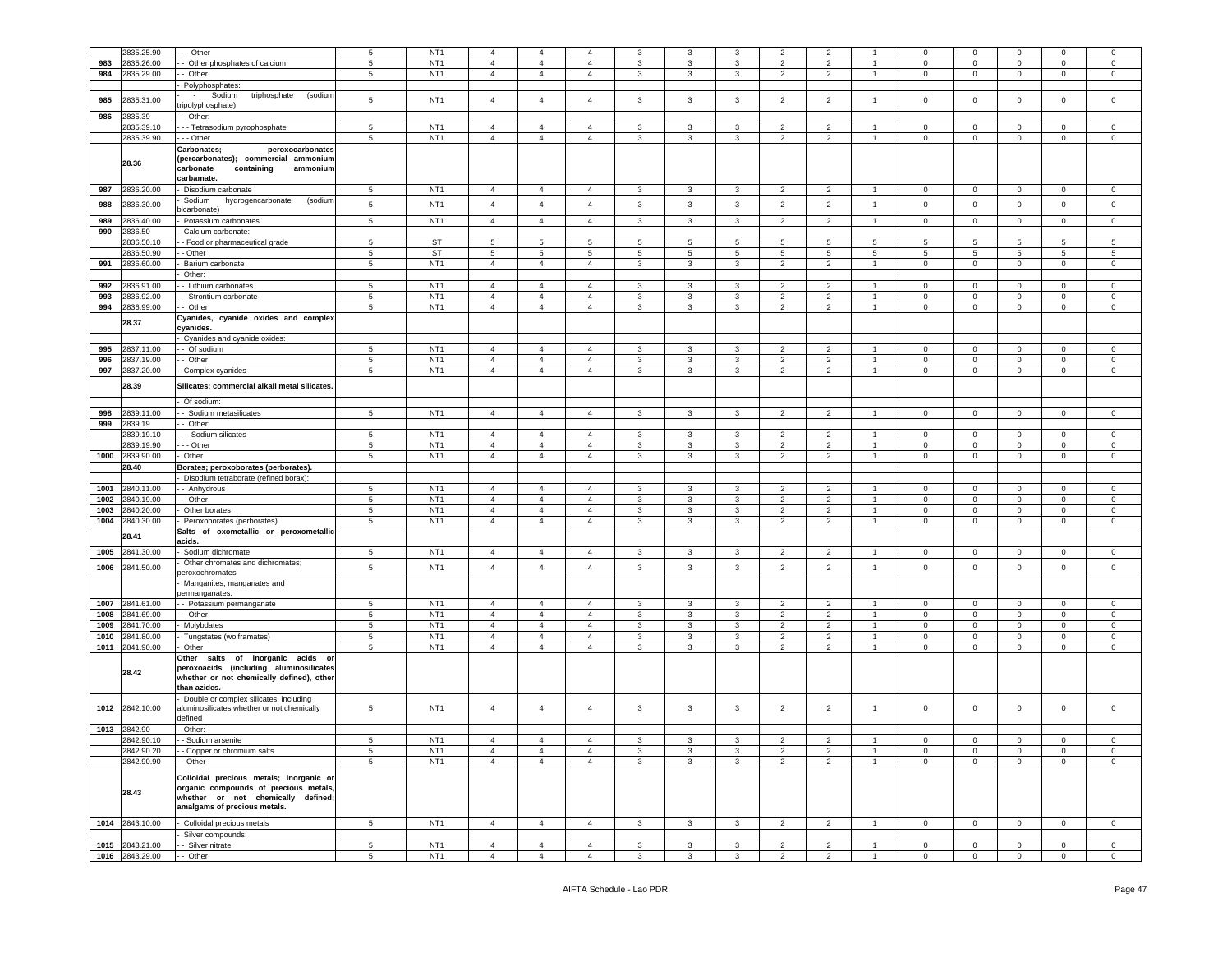|      | 2835.25.90                    | - - Other                                     | 5               | NT <sub>1</sub> | $\overline{4}$ | $\overline{4}$ | $\overline{4}$ | 3            |              | 3            | $\overline{2}$  | $\overline{2}$ |                | $\mathbf 0$ | $\mathbf 0$    | $\mathbf 0$    | $\mathbf 0$     | $\mathbf 0$    |
|------|-------------------------------|-----------------------------------------------|-----------------|-----------------|----------------|----------------|----------------|--------------|--------------|--------------|-----------------|----------------|----------------|-------------|----------------|----------------|-----------------|----------------|
|      |                               |                                               |                 | NT <sub>1</sub> |                |                |                |              |              |              |                 |                |                |             |                |                |                 |                |
| 983  | 2835.26.00                    | - Other phosphates of calcium                 | 5               |                 | $\overline{4}$ | $\overline{4}$ | $\overline{4}$ | 3            | 3            | 3            | $\overline{2}$  | $\overline{2}$ | 1              | $\mathbf 0$ | $\mathbf 0$    | $\mathbf 0$    | $\mathbf 0$     | $\mathsf 0$    |
| 984  | 2835.29.00                    | - Other                                       | 5               | NT <sub>1</sub> | $\overline{4}$ | $\overline{4}$ | $\overline{4}$ | 3            | 3            | 3            | $\overline{2}$  | $\overline{2}$ | $\overline{1}$ | $\mathbf 0$ | $\mathbf 0$    | $\mathbf{0}$   | $\mathbf 0$     | $\mathbf 0$    |
|      |                               | Polyphosphates:                               |                 |                 |                |                |                |              |              |              |                 |                |                |             |                |                |                 |                |
|      |                               | Sodium<br>triphosphate<br>(sodium<br>$\sim$   |                 |                 |                |                |                |              |              |              |                 |                |                |             |                |                |                 |                |
| 985  | 2835.31.00                    |                                               | 5               | NT <sub>1</sub> | $\overline{4}$ | $\overline{4}$ | $\overline{4}$ | 3            | 3            | 3            | $\overline{2}$  | $\overline{2}$ | $\overline{1}$ | $\mathsf 0$ | $\mathbf 0$    | $\mathbf 0$    | $\mathbf 0$     | $\mathsf 0$    |
|      |                               | ripolyphosphate)                              |                 |                 |                |                |                |              |              |              |                 |                |                |             |                |                |                 |                |
| 986  | 2835.39                       | - Other:                                      |                 |                 |                |                |                |              |              |              |                 |                |                |             |                |                |                 |                |
|      | 2835.39.10                    | - - Tetrasodium pyrophosphate                 | $\,$ 5 $\,$     | NT <sub>1</sub> | $\overline{4}$ | $\overline{4}$ | $\overline{4}$ | 3            | 3            | 3            | $\overline{2}$  | $\overline{2}$ | $\overline{1}$ | $\mathbf 0$ | $\mathbf 0$    | $\mathbf 0$    | $\mathbf 0$     | $\mathsf 0$    |
|      | 2835.39.90                    | --- Other                                     | 5               | NT <sub>1</sub> | $\overline{4}$ | $\overline{4}$ | $\overline{4}$ | 3            | 3            | 3            | $\overline{2}$  | $\overline{2}$ | $\overline{1}$ | $\mathbf 0$ | $\mathbf 0$    | $\mathbf 0$    | $\mathbf 0$     | $\mathsf 0$    |
|      |                               |                                               |                 |                 |                |                |                |              |              |              |                 |                |                |             |                |                |                 |                |
|      |                               | Carbonates<br>peroxocarbonates                |                 |                 |                |                |                |              |              |              |                 |                |                |             |                |                |                 |                |
|      |                               | (percarbonates); commercial ammonium          |                 |                 |                |                |                |              |              |              |                 |                |                |             |                |                |                 |                |
|      | 28.36                         | containing<br>carbonate<br>ammonium           |                 |                 |                |                |                |              |              |              |                 |                |                |             |                |                |                 |                |
|      |                               | carbamate.                                    |                 |                 |                |                |                |              |              |              |                 |                |                |             |                |                |                 |                |
|      |                               |                                               |                 | NT <sub>1</sub> |                |                |                |              |              |              |                 |                |                |             |                |                |                 |                |
| 987  | 2836.20.00                    | Disodium carbonate                            | $5\phantom{.0}$ |                 | $\overline{4}$ | $\overline{4}$ | $\overline{4}$ | $\mathbf{3}$ | 3            | $\mathbf{3}$ | $\overline{2}$  | $\overline{2}$ | $\overline{1}$ | $\mathbf 0$ | $\mathbf 0$    | $\overline{0}$ | $\pmb{0}$       | $\mathbf 0$    |
| 988  | 2836.30.00                    | Sodium<br>hydrogencarbonate<br>(sodium        | 5               | NT <sub>1</sub> | $\overline{4}$ | $\overline{4}$ | $\overline{4}$ | $\mathbf{3}$ | 3            | $\mathbf{3}$ | $\overline{2}$  | $\overline{2}$ | $\overline{1}$ | $\mathsf 0$ | $\mathbf 0$    | $\mathbf 0$    | $\mathbf 0$     | $\mathsf 0$    |
|      |                               | vicarbonate)                                  |                 |                 |                |                |                |              |              |              |                 |                |                |             |                |                |                 |                |
| 989  | 2836.40.00                    | Potassium carbonates                          | $\,$ 5 $\,$     | NT <sub>1</sub> | $\overline{4}$ | $\overline{4}$ | $\overline{4}$ | $\mathbf{3}$ | 3            | $\mathbf{3}$ | $\overline{2}$  | $\overline{c}$ | $\overline{1}$ | $\mathsf 0$ | $\mathbf 0$    | $\mathsf 0$    | $\pmb{0}$       | $\mathsf 0$    |
| 990  | 2836.50                       | Calcium carbonate:                            |                 |                 |                |                |                |              |              |              |                 |                |                |             |                |                |                 |                |
|      |                               |                                               |                 |                 |                |                |                |              |              |              |                 |                |                |             |                |                |                 |                |
|      | 2836.50.10                    | - Food or pharmaceutical grade                | 5               | <b>ST</b>       | 5              | 5              | 5              | 5            | 5            | 5            | 5               | 5              | 5              | 5           | 5              | 5              | 5               | 5              |
|      | 2836.50.90                    | - Other                                       | $\,$ 5 $\,$     | <b>ST</b>       | 5              | $\,$ 5 $\,$    | $\,$ 5 $\,$    | $\sqrt{5}$   | 5            | $\,$ 5 $\,$  | $5\phantom{.0}$ | $\,$ 5 $\,$    | 5              | 5           | $\overline{5}$ | $\,$ 5 $\,$    | $5\phantom{.0}$ | $\sqrt{5}$     |
| 991  | 2836.60.00                    | Barium carbonate                              | $5\phantom{.0}$ | NT <sub>1</sub> | $\overline{4}$ | $\overline{4}$ | $\overline{4}$ | 3            | 3            | 3            | $\overline{2}$  | $\overline{2}$ | $\mathbf{1}$   | $\mathbf 0$ | $\mathbf 0$    | $\mathbf 0$    | $\mathbf 0$     | $\mathsf 0$    |
|      |                               |                                               |                 |                 |                |                |                |              |              |              |                 |                |                |             |                |                |                 |                |
|      |                               | Other:                                        |                 |                 |                |                |                |              |              |              |                 |                |                |             |                |                |                 |                |
| 992  | 2836.91.00                    | - Lithium carbonates                          | 5               | NT <sub>1</sub> | $\overline{4}$ | $\overline{4}$ | $\overline{4}$ | $\mathbf{3}$ | 3            | 3            | $\overline{2}$  | $\overline{2}$ | $\overline{1}$ | $\mathbf 0$ | $\circ$        | $\mathbf 0$    | $\mathbf 0$     | $\mathbf 0$    |
| 993  | 2836.92.00                    | - Strontium carbonate                         | 5               | NT <sub>1</sub> | $\overline{4}$ | $\overline{4}$ | $\overline{4}$ | 3            | 3            | 3            | $\overline{2}$  | $\overline{2}$ | $\mathbf{1}$   | $\mathbf 0$ | $\mathbf 0$    | 0              | $\mathbf 0$     | $\mathbf 0$    |
| 994  | 2836.99.00                    | - Other                                       | 5               | NT <sub>1</sub> | $\overline{4}$ | $\overline{4}$ | $\overline{4}$ | 3            | 3            | 3            | $\overline{2}$  | $\overline{2}$ | $\mathbf{1}$   | $\mathbf 0$ | $\mathbf 0$    | $\mathbf 0$    | $\mathbf 0$     | $\mathbf 0$    |
|      |                               |                                               |                 |                 |                |                |                |              |              |              |                 |                |                |             |                |                |                 |                |
|      | 28.37                         | Cyanides, cyanide oxides and complex          |                 |                 |                |                |                |              |              |              |                 |                |                |             |                |                |                 |                |
|      |                               | cyanides.                                     |                 |                 |                |                |                |              |              |              |                 |                |                |             |                |                |                 |                |
|      |                               | Cyanides and cyanide oxides:                  |                 |                 |                |                |                |              |              |              |                 |                |                |             |                |                |                 |                |
| 995  | 2837.11.00                    | - Of sodium                                   | 5               | NT <sub>1</sub> | $\overline{4}$ | $\overline{4}$ | $\overline{4}$ | 3            | 3            | 3            | $\overline{2}$  | $\overline{2}$ | $\mathbf{1}$   | $\mathbf 0$ | $\mathbf 0$    | $\mathbf 0$    | $\mathbf 0$     | $\mathbf 0$    |
|      |                               | - Other                                       |                 | NT <sub>1</sub> | $\overline{4}$ | $\overline{4}$ | $\overline{4}$ | 3            | $\mathbf{3}$ | 3            | $\overline{2}$  |                | $\mathbf{1}$   | $\mathbf 0$ | $\mathbf 0$    | $\mathbf 0$    | $\mathbf 0$     |                |
| 996  | 2837.19.00                    |                                               | $5\phantom{.0}$ |                 |                |                |                |              |              |              |                 | $\overline{2}$ |                |             |                |                |                 | $\mathsf 0$    |
| 997  | 2837.20.00                    | Complex cyanides                              | 5               | NT <sub>1</sub> | $\overline{4}$ | $\overline{4}$ | $\overline{4}$ | 3            | 3            | 3            | $\overline{2}$  | $\overline{2}$ | $\mathbf{1}$   | $\mathbf 0$ | $\mathbf 0$    | $\mathbf 0$    | $\mathbf 0$     | $\mathsf 0$    |
|      |                               |                                               |                 |                 |                |                |                |              |              |              |                 |                |                |             |                |                |                 |                |
|      | 28.39                         | Silicates; commercial alkali metal silicates. |                 |                 |                |                |                |              |              |              |                 |                |                |             |                |                |                 |                |
|      |                               | Of sodium:                                    |                 |                 |                |                |                |              |              |              |                 |                |                |             |                |                |                 |                |
|      |                               |                                               |                 |                 |                |                |                |              |              |              |                 |                |                |             |                |                |                 |                |
| 998  | 2839.11.00                    | - Sodium metasilicates                        | 5               | NT <sub>1</sub> | $\overline{4}$ | $\overline{4}$ | $\overline{4}$ | 3            | 3            | 3            | $\overline{2}$  | $\overline{2}$ | $\overline{1}$ | $\mathbf 0$ | $\mathbf 0$    | $\mathbf 0$    | $\mathbf 0$     | $\mathbf 0$    |
| 999  | 2839.19                       | - Other:                                      |                 |                 |                |                |                |              |              |              |                 |                |                |             |                |                |                 |                |
|      | 2839.19.10                    | - - - Sodium silicates                        | 5               | NT <sub>1</sub> | $\overline{4}$ | $\overline{4}$ | $\overline{4}$ | $\mathbf{3}$ | $\mathbf{3}$ | 3            | $\overline{2}$  | $\overline{2}$ | $\overline{1}$ | $\mathbf 0$ | $\circ$        | $\circ$        | $\mathbf 0$     | $\mathbf 0$    |
|      |                               |                                               |                 |                 |                |                |                |              |              |              |                 |                |                |             |                |                |                 |                |
|      | 2839.19.90                    | .-- Other                                     | 5               | NT <sub>1</sub> | $\overline{4}$ | $\overline{4}$ | $\overline{4}$ | 3            | 3            | 3            | $\overline{2}$  | $\overline{2}$ | $\mathbf{1}$   | $\mathbf 0$ | $\mathbf 0$    | $\mathbf 0$    | $\mathbf 0$     | $\mathbf 0$    |
|      | 1000 2839.90.00               | Other                                         | $\,$ 5 $\,$     | NT <sub>1</sub> | $\overline{4}$ | $\overline{4}$ | $\overline{4}$ | 3            | 3            | $\mathbf{3}$ | $\overline{2}$  | $\overline{2}$ | $\overline{1}$ | $\mathsf 0$ | $\mathbf 0$    | $\mathsf 0$    | $\mathbf 0$     | $\mathbf 0$    |
|      | 28.40                         | Borates; peroxoborates (perborates).          |                 |                 |                |                |                |              |              |              |                 |                |                |             |                |                |                 |                |
|      |                               | Disodium tetraborate (refined borax):         |                 |                 |                |                |                |              |              |              |                 |                |                |             |                |                |                 |                |
|      |                               |                                               |                 |                 |                |                |                |              |              |              |                 |                |                |             |                |                |                 |                |
| 1001 | 2840.11.00                    | - Anhydrous                                   | 5               | NT <sub>1</sub> | $\overline{4}$ | 4              | $\overline{4}$ | 3            | 3            | 3            | $\overline{2}$  | $\overline{2}$ | $\mathbf{1}$   | $\mathbf 0$ | $\mathbf 0$    | $\mathbf 0$    | $^{\circ}$      | $\mathbf 0$    |
| 1002 | 2840.19.00                    | - Other                                       | 5               | NT <sub>1</sub> | $\overline{4}$ | $\overline{4}$ | $\overline{4}$ | $\mathbf{3}$ | 3            | 3            | $\overline{2}$  | $\overline{2}$ | $\overline{1}$ | $\mathbf 0$ | $\mathbf 0$    | $\overline{0}$ | $\mathbf 0$     | $\mathbf{0}$   |
| 1003 | 2840.20.00                    | Other borates                                 | $5\phantom{.0}$ | NT <sub>1</sub> | $\overline{4}$ | $\overline{4}$ | $\overline{4}$ | 3            | 3            | 3            | $\overline{2}$  | $\overline{2}$ | $\overline{1}$ | $\mathbf 0$ | $\mathbf 0$    | 0              | $\mathbf 0$     | $\mathbf 0$    |
| 1004 | 2840.30.00                    | Peroxoborates (perborates)                    | $5\phantom{.0}$ | NT <sub>1</sub> | $\overline{4}$ | $\overline{4}$ | $\overline{4}$ | 3            | 3            | 3            | $\overline{2}$  | $\overline{2}$ | $\mathbf{1}$   | $\mathbf 0$ | $\mathbf 0$    | $\mathbf 0$    | $\mathbf 0$     | $\mathsf 0$    |
|      |                               |                                               |                 |                 |                |                |                |              |              |              |                 |                |                |             |                |                |                 |                |
|      | 28.41                         | Salts of oxometallic or peroxometallic        |                 |                 |                |                |                |              |              |              |                 |                |                |             |                |                |                 |                |
|      |                               | acids.                                        |                 |                 |                |                |                |              |              |              |                 |                |                |             |                |                |                 |                |
| 1005 | 2841.30.00                    | Sodium dichromate                             | 5               | NT <sub>1</sub> | $\overline{4}$ | $\overline{4}$ | $\overline{4}$ | 3            | 3            | 3            | $\overline{2}$  | $\overline{2}$ | $\mathbf{1}$   | $\mathbf 0$ | $\mathbf 0$    | 0              | $\mathbf 0$     | $\mathbf 0$    |
|      |                               | Other chromates and dichromates;              |                 |                 |                |                |                |              |              |              |                 |                |                |             |                |                |                 |                |
| 1006 | 2841.50.00                    | beroxochromates                               | $\,$ 5 $\,$     | NT <sub>1</sub> | $\overline{4}$ | $\overline{4}$ | $\overline{4}$ | 3            | 3            | 3            | $\overline{2}$  | $\overline{2}$ | $\overline{1}$ | $\mathbf 0$ | $\mathbf 0$    | $\mathbf 0$    | $\mathbf 0$     | $\mathsf 0$    |
|      |                               |                                               |                 |                 |                |                |                |              |              |              |                 |                |                |             |                |                |                 |                |
|      |                               | Manganites, manganates and                    |                 |                 |                |                |                |              |              |              |                 |                |                |             |                |                |                 |                |
|      |                               | permanganates:                                |                 |                 |                |                |                |              |              |              |                 |                |                |             |                |                |                 |                |
| 1007 | 2841.61.00                    | - Potassium permanganate                      | 5               | NT <sub>1</sub> | $\overline{4}$ | $\overline{4}$ | $\overline{4}$ | 3            | 3            | $\mathbf{3}$ | $\overline{2}$  | $\overline{2}$ | $\overline{1}$ | $\mathbf 0$ | $\mathbf 0$    | $\mathbf 0$    | $\mathbf 0$     | $\mathbf 0$    |
| 1008 | 2841.69.00                    | - Other                                       | 5               | NT <sub>1</sub> | $\overline{4}$ | $\overline{4}$ | $\overline{4}$ | 3            | 3            | 3            | $\overline{2}$  | $\overline{2}$ | $\overline{1}$ | $\mathbf 0$ | $\mathbf 0$    | $\mathbf 0$    | $^{\circ}$      | $\mathbf 0$    |
| 1009 | 2841.70.00                    | Molybdates                                    | 5               | NT <sub>1</sub> | $\overline{4}$ | $\overline{4}$ | $\overline{4}$ | 3            | 3            | 3            | $\overline{2}$  | $\overline{2}$ | $\overline{1}$ | $\mathbf 0$ | $\mathbf 0$    | $\mathbf 0$    | $\mathbf 0$     | $\mathbf{0}$   |
|      |                               |                                               |                 |                 |                |                |                |              |              |              |                 |                |                |             |                |                |                 |                |
| 1010 | 2841.80.00                    | Tungstates (wolframates)                      | $5\phantom{.0}$ | NT <sub>1</sub> | $\overline{4}$ | $\overline{4}$ | $\overline{4}$ | 3            | 3            | 3            | $\overline{2}$  | $\overline{2}$ | $\mathbf{1}$   | $\mathsf 0$ | $\mathbf 0$    | $\mathsf 0$    | $\mathbf 0$     | $\mathsf 0$    |
| 1011 | 2841.90.00                    | Other                                         | $5\phantom{.0}$ | NT <sub>1</sub> | $\overline{4}$ | $\overline{4}$ | $\overline{4}$ | 3            | 3            | 3            | $\overline{2}$  | $\overline{2}$ | $\overline{1}$ | $\mathsf 0$ | $\mathbf 0$    | $\mathsf 0$    | $\mathbf 0$     | $\mathsf 0$    |
|      |                               | Other salts of inorganic acids or             |                 |                 |                |                |                |              |              |              |                 |                |                |             |                |                |                 |                |
|      |                               | peroxoacids (including aluminosilicates       |                 |                 |                |                |                |              |              |              |                 |                |                |             |                |                |                 |                |
|      | 28.42                         |                                               |                 |                 |                |                |                |              |              |              |                 |                |                |             |                |                |                 |                |
|      |                               | whether or not chemically defined), other     |                 |                 |                |                |                |              |              |              |                 |                |                |             |                |                |                 |                |
|      |                               | than azides.                                  |                 |                 |                |                |                |              |              |              |                 |                |                |             |                |                |                 |                |
|      |                               | Double or complex silicates, including        |                 |                 |                |                |                |              |              |              |                 |                |                |             |                |                |                 |                |
|      | 1012 2842.10.00               | aluminosilicates whether or not chemically    | 5               | NT <sub>1</sub> | $\overline{4}$ | $\overline{4}$ | $\overline{4}$ | 3            | 3            | 3            | $\overline{2}$  | $\overline{2}$ | $\mathbf{1}$   | 0           | $\mathbf 0$    | $\mathbf 0$    | $\mathbf 0$     | $\mathbf 0$    |
|      |                               | defined                                       |                 |                 |                |                |                |              |              |              |                 |                |                |             |                |                |                 |                |
|      |                               |                                               |                 |                 |                |                |                |              |              |              |                 |                |                |             |                |                |                 |                |
|      | 1013 2842.90                  | Other:                                        |                 |                 |                |                |                |              |              |              |                 |                |                |             |                |                |                 |                |
|      | 2842.90.10                    | - - Sodium arsenite                           | 5               | NT <sub>1</sub> | $\overline{4}$ | $\overline{4}$ | $\overline{4}$ | 3            | 3            | 3            | $\overline{2}$  | $\overline{2}$ |                | $\mathbf 0$ | $\mathbf 0$    | $\mathbf 0$    | $\mathbf 0$     | $\mathbf 0$    |
|      | 2842.90.20                    | - - Copper or chromium salts                  | 5               | NT <sub>1</sub> | $\overline{4}$ | $\overline{4}$ | $\overline{4}$ | 3            | 3            | 3            | $\overline{2}$  | $\overline{2}$ | $\mathbf{1}$   | $\mathbf 0$ | $\mathbf 0$    | $\mathbf{0}$   | $\mathbf{0}$    | $\overline{0}$ |
|      | 2842.90.90                    | - - Other                                     | 5               | NT <sub>1</sub> | $\overline{4}$ | $\overline{4}$ | $\overline{4}$ | $\mathbf{3}$ | 3            | 3            | $\overline{2}$  | $\overline{2}$ | $\mathbf{1}$   | $\mathbf 0$ | $\mathbf 0$    | $\mathbf 0$    | $\mathbf 0$     |                |
|      |                               |                                               |                 |                 |                |                |                |              |              |              |                 |                |                |             |                |                |                 | $\mathbf 0$    |
|      |                               | Colloidal precious metals; inorganic or       |                 |                 |                |                |                |              |              |              |                 |                |                |             |                |                |                 |                |
|      |                               |                                               |                 |                 |                |                |                |              |              |              |                 |                |                |             |                |                |                 |                |
|      | 28.43                         | organic compounds of precious metals,         |                 |                 |                |                |                |              |              |              |                 |                |                |             |                |                |                 |                |
|      |                               | whether or not chemically defined;            |                 |                 |                |                |                |              |              |              |                 |                |                |             |                |                |                 |                |
|      |                               | amalgams of precious metals.                  |                 |                 |                |                |                |              |              |              |                 |                |                |             |                |                |                 |                |
|      |                               |                                               |                 |                 |                |                |                |              |              |              |                 |                |                |             |                |                |                 |                |
|      | 1014 2843.10.00               | Colloidal precious metals                     | $\sqrt{5}$      | NT <sub>1</sub> | $\overline{4}$ | $\overline{4}$ | $\overline{4}$ | $\mathbf{3}$ | 3            | $\mathbf{3}$ | $\overline{2}$  | $\overline{2}$ | $\overline{1}$ | $\mathbf 0$ | $\mathbf 0$    | $\overline{0}$ | $\overline{0}$  | $\mathbf 0$    |
|      |                               | Silver compounds:                             |                 |                 |                |                |                |              |              |              |                 |                |                |             |                |                |                 |                |
|      |                               |                                               | $5\overline{5}$ | NT <sub>1</sub> | $\overline{4}$ | $\overline{4}$ | $\overline{4}$ | $\mathbf{3}$ | $\mathbf{3}$ | $\mathbf{3}$ | $\overline{2}$  | $\overline{2}$ | $\mathbf{1}$   | $\mathbf 0$ | $\mathbf{0}$   | $\overline{0}$ | $\overline{0}$  | $\circ$        |
|      |                               |                                               |                 |                 |                |                |                |              |              |              |                 |                |                |             |                |                |                 |                |
| 1015 | 2843.21.00<br>1016 2843.29.00 | - Silver nitrate<br>- Other                   | $\sqrt{5}$      | NT <sub>1</sub> | $\overline{4}$ | $\overline{4}$ | $\overline{4}$ | $\mathbf{3}$ | 3            | $\mathbf{3}$ | $\overline{2}$  | $\overline{2}$ | $\overline{1}$ | $\mathbf 0$ | $\mathbf 0$    | $\mathsf 0$    | $\overline{0}$  | $\overline{0}$ |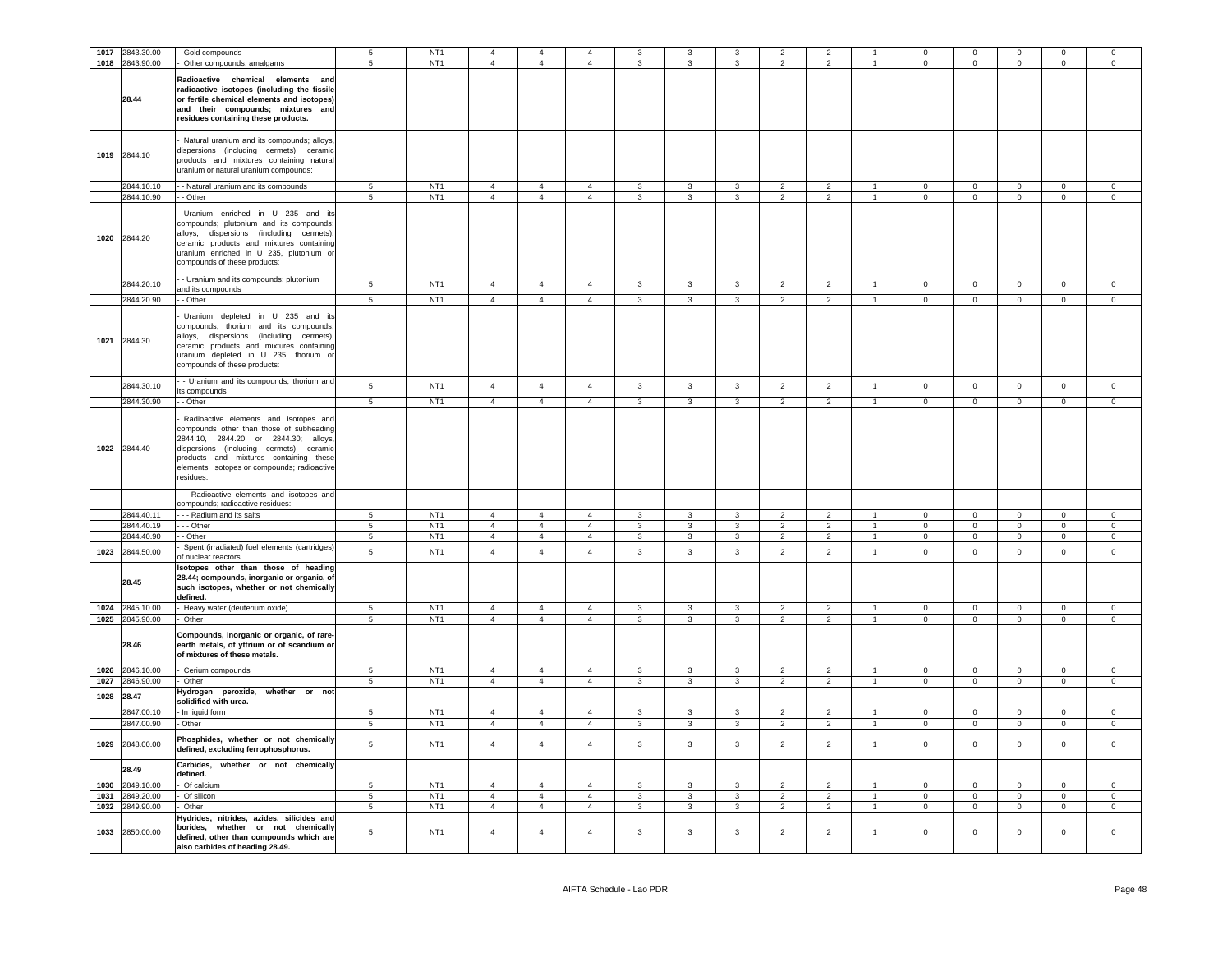|      | 1017 2843.30.00                    | Gold compounds                                                                                                                                                                                                                                                              | 5                   | NT <sub>1</sub>                    | $\overline{a}$                   | $\overline{4}$                   | $\Delta$                         | 3                            | 3                                                  | 3                                | $\overline{2}$                   | $\overline{2}$                   |                                | $^{\circ}$                     | $\mathbf 0$                    | $\mathbf 0$                    | $^{\circ}$                                | $\Omega$                         |
|------|------------------------------------|-----------------------------------------------------------------------------------------------------------------------------------------------------------------------------------------------------------------------------------------------------------------------------|---------------------|------------------------------------|----------------------------------|----------------------------------|----------------------------------|------------------------------|----------------------------------------------------|----------------------------------|----------------------------------|----------------------------------|--------------------------------|--------------------------------|--------------------------------|--------------------------------|-------------------------------------------|----------------------------------|
|      | 1018 2843.90.00                    | - Other compounds; amalgams                                                                                                                                                                                                                                                 | $\overline{5}$      | NT <sub>1</sub>                    | $\overline{4}$                   | $\overline{4}$                   | $\overline{4}$                   | 3                            | $\mathbf{3}$                                       | $\mathbf{3}$                     | 2                                | $\overline{2}$                   | $\overline{1}$                 | $\mathbf 0$                    | $\overline{0}$                 | $\mathbf 0$                    | $\mathsf 0$                               | $\mathbf 0$                      |
|      | 28.44                              | Radioactive chemical elements and<br>radioactive isotopes (including the fissile<br>or fertile chemical elements and isotopes)<br>and their compounds; mixtures and<br>residues containing these products.                                                                  |                     |                                    |                                  |                                  |                                  |                              |                                                    |                                  |                                  |                                  |                                |                                |                                |                                |                                           |                                  |
|      | 1019 2844.10                       | Natural uranium and its compounds; alloys<br>dispersions (including cermets), ceramic<br>products and mixtures containing natural<br>uranium or natural uranium compounds:                                                                                                  |                     |                                    |                                  |                                  |                                  |                              |                                                    |                                  |                                  |                                  |                                |                                |                                |                                |                                           |                                  |
|      | 2844.10.10                         | - Natural uranium and its compounds                                                                                                                                                                                                                                         | $\overline{5}$      | NT <sub>1</sub>                    | $\overline{4}$                   | $\overline{4}$                   | $\overline{4}$                   | 3                            | 3                                                  | 3                                | $\overline{2}$                   | $\overline{2}$                   |                                | $\Omega$                       | $\Omega$                       | $\mathbf 0$                    | $\mathbf 0$                               | $\mathbf 0$                      |
|      | 2844.10.90<br>1020 2844.20         | - Other<br>Uranium enriched in U 235 and its<br>compounds; plutonium and its compounds;<br>alloys, dispersions (including cermets),<br>ceramic products and mixtures containing<br>uranium enriched in U 235, plutonium or<br>compounds of these products:                  | $\overline{5}$      | NT <sub>1</sub>                    | $\overline{4}$                   | $\overline{4}$                   | $\overline{4}$                   | $\mathbf{3}$                 | $\overline{3}$                                     | $\mathbf{3}$                     | $\overline{2}$                   | $\overline{2}$                   | $\mathbf{1}$                   | $\circ$                        | $\mathbf{0}$                   | $\mathbf 0$                    | $\mathbf 0$                               | $\mathbf 0$                      |
|      | 2844.20.10                         | - Uranium and its compounds; plutonium                                                                                                                                                                                                                                      | 5                   | NT <sub>1</sub>                    | $\overline{4}$                   | $\overline{4}$                   | $\mathbf{A}$                     | $\mathbf{3}$                 | $\mathbf{3}$                                       | $\mathbf{3}$                     | $\overline{2}$                   | $\overline{2}$                   | $\mathbf{1}$                   | $\mathsf 0$                    | $\mathbf 0$                    | $\mathsf 0$                    | $\mathbf 0$                               | $\mathsf 0$                      |
|      | 2844.20.90                         | and its compounds<br>- Other                                                                                                                                                                                                                                                | $\overline{5}$      | NT1                                | $\overline{4}$                   | $\overline{4}$                   | $\overline{4}$                   | $\overline{3}$               | $\overline{3}$                                     | $\overline{3}$                   | $\overline{2}$                   | $\overline{2}$                   | $\overline{1}$                 | $\overline{0}$                 | $\overline{0}$                 | $\overline{0}$                 | $\overline{0}$                            | $\overline{0}$                   |
|      | 1021 2844.30                       | Uranium depleted in U 235 and its<br>compounds; thorium and its compounds;<br>alloys, dispersions (including cermets),<br>ceramic products and mixtures containing<br>uranium depleted in U 235, thorium or<br>compounds of these products:                                 |                     |                                    |                                  |                                  |                                  |                              |                                                    |                                  |                                  |                                  |                                |                                |                                |                                |                                           |                                  |
|      | 2844.30.10                         | - Uranium and its compounds; thorium and<br>its compounds                                                                                                                                                                                                                   | $5\overline{5}$     | NT <sub>1</sub>                    | $\overline{4}$                   | $\overline{4}$                   | $\overline{4}$                   | $\mathbf{3}$                 | $\mathbf{3}$                                       | $\mathbf{3}$                     | 2                                | 2                                | $\overline{1}$                 | $\mathbf{0}$                   | $\mathbf{0}$                   | $\mathsf 0$                    | $\mathbf 0$                               | $\mathsf 0$                      |
|      | 2844.30.90                         | - Other                                                                                                                                                                                                                                                                     | $\overline{5}$      | NT <sub>1</sub>                    | $\overline{4}$                   | $\overline{4}$                   | $\overline{4}$                   | $\mathbf{3}$                 | $\overline{3}$                                     | $\mathbf{3}$                     | $\overline{2}$                   | $\overline{2}$                   | $\overline{1}$                 | $\mathsf 0$                    | $\mathbf 0$                    | $\mathbf 0$                    | $\mathbf 0$                               | $\overline{0}$                   |
|      | 1022 2844.40                       | Radioactive elements and isotopes and<br>compounds other than those of subheading<br>2844.10, 2844.20 or 2844.30; alloys<br>dispersions (including cermets), ceramic<br>products and mixtures containing these<br>elements, isotopes or compounds; radioactive<br>residues: |                     |                                    |                                  |                                  |                                  |                              |                                                    |                                  |                                  |                                  |                                |                                |                                |                                |                                           |                                  |
|      |                                    | - Radioactive elements and isotopes and<br>compounds; radioactive residues:                                                                                                                                                                                                 |                     |                                    |                                  |                                  |                                  |                              |                                                    |                                  |                                  |                                  |                                |                                |                                |                                |                                           |                                  |
|      | 2844.40.11                         | --- Radium and its salts                                                                                                                                                                                                                                                    | 5                   | NT <sub>1</sub>                    | $\overline{4}$                   | $\overline{4}$                   | $\overline{4}$                   | 3                            | 3                                                  | 3                                | 2                                | $\overline{2}$                   | $\overline{1}$                 | $\mathbf 0$                    | $\mathbf 0$                    | $\mathbf 0$                    | $\overline{0}$                            | $\overline{0}$                   |
|      | 2844.40.19                         | - - Other                                                                                                                                                                                                                                                                   | 5                   | NT <sub>1</sub>                    | $\overline{4}$                   | $\overline{4}$                   | $\overline{4}$                   | $\mathbf{3}$                 | 3                                                  | 3                                | $\overline{2}$                   | $\mathcal{P}$                    | $\overline{1}$                 | $\Omega$                       | $\mathbf{0}$                   | $\mathbf 0$                    | $\mathbf{0}$                              | $\mathbf 0$                      |
|      | 2844.40.90                         | - Other                                                                                                                                                                                                                                                                     | $5\phantom{.0}$     | NT <sub>1</sub>                    | $\overline{4}$                   | $\overline{4}$                   | $\overline{4}$                   | $\mathbf{3}$                 | $\mathbf{3}$                                       | $\mathbf{3}$                     | $\overline{2}$                   | $\overline{2}$                   | $\mathbf{1}$                   | $\mathsf 0$                    | $\mathbf{0}$                   | $\mathbf 0$                    | $\mathbf 0$                               | $\mathbf 0$                      |
| 1023 | 2844.50.00                         | Spent (irradiated) fuel elements (cartridges)                                                                                                                                                                                                                               | $\overline{5}$      | NT <sub>1</sub>                    | $\overline{4}$                   | $\overline{4}$                   | $\overline{4}$                   | $\mathbf{3}$                 | $\mathbf{3}$                                       | $\mathbf{3}$                     | $\overline{2}$                   | $\overline{2}$                   | $\overline{1}$                 | $\mathbf 0$                    | $\mathbf{0}$                   | $\mathbf{0}$                   | $\mathsf 0$                               | $\mathsf 0$                      |
|      | 28.45                              | of nuclear reactors<br>Isotopes other than those of heading<br>28.44; compounds, inorganic or organic, of<br>such isotopes, whether or not chemically<br>defined.                                                                                                           |                     |                                    |                                  |                                  |                                  |                              |                                                    |                                  |                                  |                                  |                                |                                |                                |                                |                                           |                                  |
|      | 1024 2845.10.00<br>1025 2845.90.00 | - Heavy water (deuterium oxide)                                                                                                                                                                                                                                             | 5<br>$\overline{5}$ | NT <sub>1</sub><br>NT <sub>1</sub> | $\overline{4}$<br>$\overline{4}$ | $\overline{4}$<br>$\overline{4}$ | $\overline{4}$<br>$\overline{4}$ | 3                            | $\overline{\mathbf{3}}$<br>$\overline{\mathbf{3}}$ | $\overline{3}$<br>$\overline{3}$ | $\overline{2}$                   | $\overline{2}$<br>$\overline{2}$ | $\mathbf{1}$<br>$\overline{1}$ | $\mathbf 0$                    | $\mathbf 0$<br>$\overline{0}$  | $\mathbf{0}$<br>$\overline{0}$ | $\overline{\mathbf{0}}$<br>$\overline{0}$ | $\overline{0}$<br>$\overline{0}$ |
|      | 28.46                              | Other<br>Compounds, inorganic or organic, of rare-<br>earth metals, of yttrium or of scandium or<br>of mixtures of these metals.                                                                                                                                            |                     |                                    |                                  |                                  |                                  | $\mathbf{3}$                 |                                                    |                                  | $\overline{2}$                   |                                  |                                | $\mathsf 0$                    |                                |                                |                                           |                                  |
|      | 1026 2846.10.00                    | - Cerium compounds                                                                                                                                                                                                                                                          | $5\overline{5}$     | NT <sub>1</sub>                    | $\overline{4}$                   | $\overline{4}$                   | $\overline{4}$                   | $\mathbf{3}$                 | $\mathbf{3}$                                       | $\mathbf{3}$                     | $\overline{2}$                   | $\overline{2}$                   | $\overline{1}$                 | $\overline{0}$                 | $\overline{0}$                 | $\overline{0}$                 | $\overline{0}$                            | $\overline{0}$                   |
|      | 1027 2846.90.00                    | Other                                                                                                                                                                                                                                                                       | 5                   | NT <sub>1</sub>                    | $\overline{4}$                   | $\overline{4}$                   | $\overline{4}$                   | $\mathbf{3}$                 | $\mathbf{3}$                                       | $\mathbf{3}$                     | $\overline{2}$                   | $\overline{2}$                   | $\overline{1}$                 | $\mathbf{0}$                   | $\mathbf{0}$                   | $\mathbf{0}$                   | $\overline{0}$                            | $\circ$                          |
| 1028 | 28.47                              | Hydrogen peroxide, whether or not<br>solidified with urea.                                                                                                                                                                                                                  |                     |                                    |                                  |                                  |                                  |                              |                                                    |                                  |                                  |                                  |                                |                                |                                |                                |                                           |                                  |
|      | 2847.00.10<br>2847.00.90           | - In liquid form<br>- Other                                                                                                                                                                                                                                                 | 5<br>$\sqrt{5}$     | NT <sub>1</sub><br>NT <sub>1</sub> | $\overline{4}$<br>$\overline{4}$ | $\overline{4}$<br>$\overline{4}$ | $\overline{4}$<br>$\overline{4}$ | $\mathbf{3}$<br>$\mathbf{3}$ | $\overline{3}$<br>$\mathbf{3}$                     | $\mathbf{3}$<br>$\mathbf{3}$     | $\overline{2}$<br>$\overline{2}$ | $\overline{2}$<br>$\overline{2}$ | $\mathbf{1}$<br>$\overline{1}$ | $\mathbf{0}$<br>$\overline{0}$ | $\mathbf{0}$<br>$\overline{0}$ | $\mathbf{0}$<br>$\mathbf 0$    | $\mathbf{0}$<br>$\mathbf 0$               | $\overline{0}$<br>$\overline{0}$ |
| 1029 | 2848.00.00                         | Phosphides, whether or not chemically<br>defined, excluding ferrophosphorus.                                                                                                                                                                                                | $\,$ 5 $\,$         | NT <sub>1</sub>                    | $\overline{4}$                   | $\overline{4}$                   | $\sqrt{4}$                       | $\mathbf{3}$                 | $\mathbf{3}$                                       | $\mathbf{3}$                     | $\overline{2}$                   | $\overline{2}$                   | $\mathbf{1}$                   | $\,0\,$                        | $\mathsf 0$                    | $\mathsf 0$                    | $\mathbf 0$                               | $\,0\,$                          |
|      | 28.49                              | Carbides, whether or not chemically<br>defined.                                                                                                                                                                                                                             |                     |                                    |                                  |                                  |                                  |                              |                                                    |                                  |                                  |                                  |                                |                                |                                |                                |                                           |                                  |
| 1030 | 2849.10.00                         | - Of calcium                                                                                                                                                                                                                                                                | $\overline{5}$      | NT <sub>1</sub>                    | $\overline{4}$                   | $\overline{4}$                   | $\overline{4}$                   | $\mathbf{3}$                 | $\mathbf{3}$                                       | $\mathbf{3}$                     | $\overline{2}$                   | $\overline{2}$                   | $\overline{1}$                 | $\mathsf 0$                    | $\mathsf 0$                    | $\mathbf 0$                    | $\mathsf 0$                               | $\mathsf 0$                      |
| 1031 | 2849.20.00                         | Of silicon                                                                                                                                                                                                                                                                  | 5                   | NT <sub>1</sub>                    | $\overline{4}$                   | $\overline{4}$                   | $\overline{4}$                   | $\overline{3}$               | 3                                                  | $\overline{3}$                   | $\overline{2}$                   | $\overline{2}$                   | $\overline{1}$                 | $\mathbf{0}$                   | $\overline{0}$                 | $\mathbf{0}$                   | $\mathbf 0$                               | $\circ$                          |
| 1032 | 2849.90.00                         | Other                                                                                                                                                                                                                                                                       | $\,$ 5 $\,$         | NT <sub>1</sub>                    | $\overline{4}$                   | $\overline{4}$                   | $\overline{4}$                   | $\mathbf{3}$                 | $\mathbf{3}$                                       | $\overline{3}$                   | 2                                | $\overline{2}$                   | $\mathbf{1}$                   | $\mathsf 0$                    | $\mathsf 0$                    | $\mathsf 0$                    | $\mathbf 0$                               | $\mathsf 0$                      |
|      | 1033 2850.00.00                    | Hydrides, nitrides, azides, silicides and<br>borides, whether or not chemically<br>defined, other than compounds which are<br>also carbides of heading 28.49.                                                                                                               | 5                   | NT <sub>1</sub>                    | $\overline{4}$                   | $\overline{4}$                   | $\overline{4}$                   | $\mathbf{3}$                 | 3                                                  | $\mathbf{3}$                     | $\overline{2}$                   | $\overline{2}$                   | $\overline{1}$                 | $\mathsf 0$                    | $\mathsf 0$                    | $\mathsf 0$                    | $\mathbf 0$                               | $\overline{0}$                   |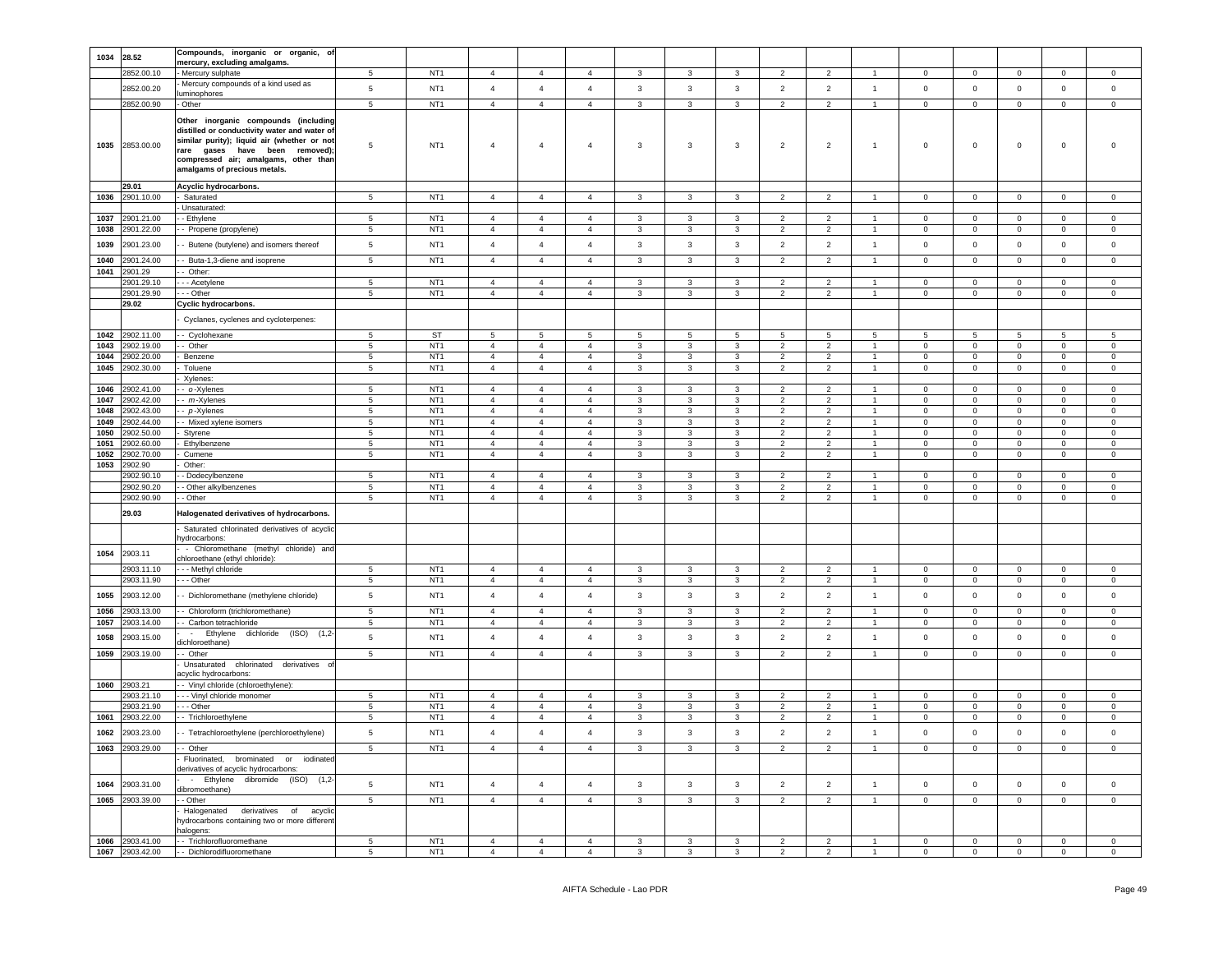|              |                          | Compounds, inorganic or organic, of                                                                                                                                                                                                          |                  |                                    |                                  |                                  |                                  |              |              |                   |                          |                                  |                                  |                            |                         |                  |                               |                           |
|--------------|--------------------------|----------------------------------------------------------------------------------------------------------------------------------------------------------------------------------------------------------------------------------------------|------------------|------------------------------------|----------------------------------|----------------------------------|----------------------------------|--------------|--------------|-------------------|--------------------------|----------------------------------|----------------------------------|----------------------------|-------------------------|------------------|-------------------------------|---------------------------|
| 1034         | 28.52                    | mercury, excluding amalgams.                                                                                                                                                                                                                 |                  |                                    |                                  |                                  |                                  |              |              |                   |                          |                                  |                                  |                            |                         |                  |                               |                           |
|              | 2852.00.10               | - Mercury sulphate                                                                                                                                                                                                                           | $\overline{5}$   | NT <sub>1</sub>                    | $\overline{4}$                   | $\overline{4}$                   | $\overline{4}$                   | 3            | 3            | 3                 | $\mathcal{P}$            | $\overline{2}$                   | $\overline{1}$                   | $\Omega$                   | $\mathbf 0$             | $\circ$          | $\mathbf 0$                   | $\Omega$                  |
|              | 2852.00.20               | Mercury compounds of a kind used as                                                                                                                                                                                                          | 5                | NT <sub>1</sub>                    | $\overline{4}$                   | $\overline{4}$                   | $\overline{4}$                   | 3            | 3            | $\mathbf{3}$      | $\overline{2}$           | $\overline{2}$                   | $\overline{1}$                   | $\mathbf 0$                | $\mathbf 0$             | $\mathbf 0$      | $\mathbf 0$                   | $\mathsf 0$               |
|              | 2852.00.90               | uminophores<br>- Other                                                                                                                                                                                                                       | $5\overline{5}$  | NT <sub>1</sub>                    | $\overline{4}$                   | $\overline{4}$                   | $\overline{4}$                   | 3            | 3            | $\mathbf{3}$      | $\overline{2}$           | $\overline{2}$                   | $\overline{1}$                   | $\mathbf{0}$               | $\overline{0}$          | $\mathbf{0}$     | $\mathbf 0$                   | $\mathbf 0$               |
| 1035         | 2853.00.00               | Other inorganic compounds (including<br>distilled or conductivity water and water of<br>similar purity); liquid air (whether or not<br>rare gases have been removed)<br>compressed air; amalgams, other than<br>amalgams of precious metals. | 5                | NT <sub>1</sub>                    | $\overline{4}$                   | 4                                | $\overline{4}$                   | 3            | 3            | 3                 | $\overline{2}$           | $\overline{a}$                   | $\overline{1}$                   | $\mathbf 0$                | $\,0\,$                 | 0                | $\mathbf 0$                   | $\Omega$                  |
|              | 29.01                    | Acyclic hydrocarbons.                                                                                                                                                                                                                        |                  |                                    |                                  |                                  |                                  |              |              |                   |                          |                                  |                                  |                            |                         |                  |                               |                           |
| 1036         | 2901.10.00               | - Saturated                                                                                                                                                                                                                                  | 5                | NT1                                | $\overline{4}$                   | $\overline{4}$                   | $\overline{4}$                   | 3            | 3            | $\mathbf{3}$      | $\overline{2}$           | $\overline{2}$                   | $\mathbf{1}$                     | $\mathbf{0}$               | $\overline{0}$          | $\mathbf{0}$     | $\overline{0}$                | $\overline{0}$            |
| 1037         | 2901.21.00               | - Unsaturated:<br>- Ethylene                                                                                                                                                                                                                 | 5                | NT <sub>1</sub>                    | $\overline{4}$                   | $\overline{4}$                   | $\overline{4}$                   | 3            | 3            | 3                 | $\overline{2}$           | 2                                | $\overline{1}$                   | $\mathbf 0$                | $\mathbf 0$             | $\mathbf 0$      | $\mathbf 0$                   | $\mathbf 0$               |
| 1038         | 2901.22.00               | - Propene (propylene)                                                                                                                                                                                                                        | 5                | NT <sub>1</sub>                    | 4                                | 4                                | $\overline{4}$                   | 3            | 3            | 3                 | $\overline{2}$           | $\overline{2}$                   | $\mathbf{1}$                     | $^{\circ}$                 | $\mathbf{0}$            | $\mathbf{0}$     | $\mathbf{0}$                  | 0                         |
| 1039         | 2901.23.00               | - Butene (butylene) and isomers thereof                                                                                                                                                                                                      | $5\phantom{.0}$  | NT <sub>1</sub>                    | $\overline{4}$                   | $\overline{4}$                   | $\overline{4}$                   | 3            | 3            | $\mathbf{3}$      | $\overline{2}$           | $\overline{2}$                   | $\overline{1}$                   | $\mathbf 0$                | $\mathbf 0$             | $\mathbf 0$      | $\mathbf 0$                   | $\mathsf 0$               |
| 1040         | 2901.24.00               | - Buta-1,3-diene and isoprene                                                                                                                                                                                                                | 5                | NT <sub>1</sub>                    | $\overline{4}$                   | $\overline{4}$                   | $\overline{4}$                   | 3            | 3            | $\mathbf{3}$      | $\overline{2}$           | $\overline{2}$                   | $\overline{1}$                   | $\mathbf 0$                | $\mathbf 0$             | $\mathbf{0}$     | $\mathbf 0$                   | $\mathbf 0$               |
| 1041         | 2901.29                  | - Other:                                                                                                                                                                                                                                     |                  |                                    |                                  |                                  |                                  |              |              |                   |                          |                                  |                                  |                            |                         |                  |                               |                           |
|              | 2901.29.10               | - - Acetylene                                                                                                                                                                                                                                | 5                | NT <sub>1</sub>                    | $\overline{4}$                   | 4                                | $\overline{4}$                   | 3            | 3            | 3                 | $\overline{2}$           | $\overline{2}$                   | $\overline{1}$                   | $\mathbf 0$                | $\mathbf 0$             | $\mathbf 0$      | $\mathbf 0$                   | $\mathbf 0$               |
|              | 2901.29.90               | - - Other                                                                                                                                                                                                                                    | 5                | NT <sub>1</sub>                    | $\overline{4}$                   | $\overline{4}$                   | $\overline{4}$                   | 3            | 3            | 3                 | 2                        | $\overline{2}$                   | $\mathbf{1}$                     | $\mathbf 0$                | $\mathbf 0$             | 0                | $\mathbf 0$                   | $\mathbf 0$               |
|              | 29.02                    | Cyclic hydrocarbons.                                                                                                                                                                                                                         |                  |                                    |                                  |                                  |                                  |              |              |                   |                          |                                  |                                  |                            |                         |                  |                               |                           |
|              |                          | Cyclanes, cyclenes and cycloterpenes:                                                                                                                                                                                                        |                  |                                    |                                  |                                  |                                  |              |              |                   |                          |                                  |                                  |                            |                         |                  |                               |                           |
| 1042         | 2902.11.00               | - Cyclohexane                                                                                                                                                                                                                                | 5                | <b>ST</b>                          | 5                                | 5                                | 5                                | 5            | 5            | 5                 | 5                        | 5                                | 5                                | 5                          | 5                       | 5                | $5^{\circ}$                   | 5                         |
| 1043         | 2902.19.00               | - Other                                                                                                                                                                                                                                      | 5                | NT <sub>1</sub>                    | $\overline{4}$                   | $\overline{4}$                   | $\overline{4}$                   | 3            | 3            | 3                 | $\overline{2}$           | $\overline{2}$                   | -1                               | $\mathbf 0$                | $\mathbf{0}$            | $\mathbf{0}$     | $\mathbf 0$                   | $\mathbf 0$               |
| 1044         | 2902.20.00               | Benzene                                                                                                                                                                                                                                      | 5                | NT <sub>1</sub>                    | $\overline{4}$                   | $\overline{4}$                   | $\overline{4}$                   | 3            | 3            | 3                 | $\overline{2}$           | $\overline{2}$                   | $\overline{1}$                   | $\mathbf 0$                | $\mathbf 0$             | 0                | $\mathbf 0$                   | $\mathbf 0$               |
| 1045         | 2902.30.00               | Toluene                                                                                                                                                                                                                                      | 5                | NT <sub>1</sub>                    | $\overline{4}$                   | $\overline{4}$                   | $\overline{4}$                   | 3            | 3            | 3                 | $\overline{2}$           | $\overline{2}$                   | $\overline{1}$                   | 0                          | $\mathsf 0$             | $\mathbf 0$      | $\overline{0}$                | 0                         |
| 1046         | 2902.41.00               | Xylenes:<br>- o-Xylenes                                                                                                                                                                                                                      | 5                | NT <sub>1</sub>                    | $\overline{4}$                   | 4                                | $\overline{4}$                   | 3            | 3            | 3                 | 2                        | $\overline{2}$                   | $\mathbf{1}$                     | $^{\circ}$                 | $\mathbf 0$             | 0                | $^{\circ}$                    | 0                         |
| 1047         | 2902.42.00               | - m-Xylenes                                                                                                                                                                                                                                  | $\overline{5}$   | NT <sub>1</sub>                    | $\overline{4}$                   | $\overline{4}$                   | $\overline{4}$                   | 3            | 3            | $\mathbf{3}$      | 2                        | $\overline{2}$                   | $\overline{1}$                   | 0                          | $\mathsf 0$             | 0                | $\mathbf 0$                   | $\mathsf 0$               |
| 1048         | 2902.43.00               | - p-Xylenes                                                                                                                                                                                                                                  | $\overline{5}$   | NT <sub>1</sub>                    | $\overline{4}$                   | $\overline{4}$                   | $\overline{4}$                   | 3            | 3            | 3                 | $\overline{2}$           | $\overline{2}$                   | $\overline{1}$                   | 0                          | $\mathbf 0$             | $\mathbf 0$      | $\mathbf 0$                   | $\mathbf 0$               |
| 1049         | 2902.44.00               | - Mixed xylene isomers                                                                                                                                                                                                                       | 5                | NT <sub>1</sub>                    | $\overline{4}$                   | $\overline{4}$                   | $\overline{4}$                   | 3            | 3            | 3                 | $\overline{2}$           | $\overline{2}$                   | $\overline{1}$                   | $\mathbf 0$                | $\mathbf 0$             | $\mathbf 0$      | $\mathbf 0$                   | 0                         |
| 1050         | 2902.50.00               | Styrene                                                                                                                                                                                                                                      | 5                | NT <sub>1</sub>                    | $\overline{a}$                   | $\overline{4}$                   | $\overline{4}$                   | 3            | 3            | $\mathbf{3}$      | $\overline{2}$           | $\overline{2}$                   | $\overline{1}$                   | $\mathbf 0$                | $\mathbf 0$             | 0                | $^{\circ}$                    | 0                         |
| 1051         | 2902.60.00               | Ethylbenzene                                                                                                                                                                                                                                 | 5                | NT <sub>1</sub>                    | $\overline{4}$                   | $\overline{4}$                   | $\overline{4}$                   | 3            | 3            | 3                 | $\overline{2}$           | $\overline{2}$                   | $\overline{1}$                   | $\mathbf 0$                | $\mathbf 0$             | 0                | $\mathbf 0$                   | 0                         |
| 1052<br>1053 | 2902.70.00               | Cumene<br>Other:                                                                                                                                                                                                                             | 5                | NT <sub>1</sub>                    | $\overline{4}$                   | $\overline{4}$                   | $\overline{4}$                   | 3            | 3            | 3                 | $\overline{2}$           | $\overline{2}$                   | $\overline{1}$                   | $\mathbf 0$                | $\mathbf{0}$            | $\mathbf 0$      | $\mathbf 0$                   | $\mathbf 0$               |
|              | 2902.90<br>2902.90.10    | - Dodecylbenzene                                                                                                                                                                                                                             | -5               | NT <sub>1</sub>                    | $\overline{4}$                   | 4                                | $\overline{4}$                   | 3            | 3            | 3                 | 2                        | 2                                | -1                               | 0                          | $\mathbf 0$             | $\mathbf 0$      | $^{\circ}$                    | $\mathbf 0$               |
|              | 2902.90.20               | - Other alkylbenzenes                                                                                                                                                                                                                        | 5                | NT <sub>1</sub>                    | 4                                | $\overline{4}$                   | $\overline{4}$                   | 3            | 3            | 3                 | $\overline{2}$           | $\overline{2}$                   | $\mathbf{1}$                     | 0                          | $\mathbf 0$             | $\mathbf 0$      | $\mathbf 0$                   | $\mathbf 0$               |
|              | 2902.90.90               | - Other                                                                                                                                                                                                                                      | 5                | NT <sub>1</sub>                    | $\overline{4}$                   | $\overline{4}$                   | $\overline{4}$                   | $\mathbf{3}$ | 3            | $\mathbf{3}$      | $\overline{2}$           | $\overline{2}$                   | $\overline{1}$                   | $\mathbf 0$                | $\mathbf 0$             | $\mathbf 0$      | $\mathbf{0}$                  | $\mathbf 0$               |
|              | 29.03                    | Halogenated derivatives of hydrocarbons.                                                                                                                                                                                                     |                  |                                    |                                  |                                  |                                  |              |              |                   |                          |                                  |                                  |                            |                         |                  |                               |                           |
|              |                          | Saturated chlorinated derivatives of acyclic<br>hydrocarbons:                                                                                                                                                                                |                  |                                    |                                  |                                  |                                  |              |              |                   |                          |                                  |                                  |                            |                         |                  |                               |                           |
| 1054         | 2903.11                  | - Chloromethane (methyl chloride) and<br>chloroethane (ethyl chloride):                                                                                                                                                                      |                  |                                    |                                  |                                  |                                  |              |              |                   |                          |                                  |                                  |                            |                         |                  |                               |                           |
|              | 2903.11.10               | --- Methyl chloride                                                                                                                                                                                                                          | 5                | NT <sub>1</sub>                    | $\overline{4}$                   | 4                                | $\overline{4}$                   | 3            | 3            | 3                 | $\overline{2}$           | $\overline{2}$                   | $\overline{1}$                   | $\mathbf 0$                | $\mathbf 0$             | $\mathbf{0}$     | $\mathbf 0$                   | 0                         |
|              | 2903.11.90               | - - Other                                                                                                                                                                                                                                    | 5                | NT <sub>1</sub>                    | $\overline{4}$                   | $\overline{4}$                   | $\overline{4}$                   | 3            | 3            | $\mathbf{3}$      | $\overline{2}$           | $\overline{2}$                   | $\overline{1}$                   | $\mathbf{0}$               | $\overline{0}$          | $\mathbf{0}$     | $\mathbf 0$                   | $\mathbf 0$               |
| 1055         | 2903.12.00               | Dichloromethane (methylene chloride)                                                                                                                                                                                                         | $5\phantom{.0}$  | NT <sub>1</sub>                    | $\overline{4}$                   | $\overline{4}$                   | $\overline{4}$                   | 3            | 3            | $\mathbf{3}$      | $\overline{2}$           | $\overline{2}$                   | $\overline{1}$                   | $\mathbf 0$                | $\mathbf 0$             | $\mathbf 0$      | $\mathbf 0$                   | $\mathbf 0$               |
| 1056         | 2903.13.00               | Chloroform (trichloromethane)                                                                                                                                                                                                                | 5                | NT <sub>1</sub>                    | $\overline{4}$                   | $\overline{4}$                   | $\overline{4}$                   | 3            | 3            | 3                 | $\overline{2}$           | $\overline{2}$                   | $\overline{1}$                   | $\mathbf 0$                | $\mathbf 0$             | $\mathbf{0}$     | $\mathbf 0$                   | 0                         |
| 1057<br>1058 | 2903.14.00<br>2903.15.00 | - Carbon tetrachloride<br>Ethylene dichloride (ISO) (1,2-<br>$\sim$                                                                                                                                                                          | 5<br>$\,$ 5 $\,$ | NT <sub>1</sub><br>NT <sub>1</sub> | $\overline{4}$<br>$\overline{4}$ | $\overline{4}$<br>$\overline{4}$ | $\overline{4}$<br>$\overline{4}$ | 3<br>3       | 3<br>3       | 3<br>$\mathbf{3}$ | 2<br>$\overline{2}$      | $\overline{2}$<br>$\overline{2}$ | $\overline{1}$<br>$\overline{1}$ | $\mathbf 0$<br>$\mathbf 0$ | $\mathbf{0}$<br>$\,0\,$ | 0<br>$\mathbf 0$ | $\overline{0}$<br>$\mathbf 0$ | $^{\circ}$<br>$\mathsf 0$ |
| 1059         | 2903.19.00               | dichloroethane)<br>- Other                                                                                                                                                                                                                   | 5                | NT <sub>1</sub>                    | $\overline{4}$                   | $\overline{4}$                   | $\overline{4}$                   | $\mathbf{3}$ | 3            | $\mathbf{3}$      | $\overline{2}$           | $\overline{2}$                   | $\mathbf{1}$                     | $\overline{0}$             | $\mathbf 0$             | $\mathbf{0}$     | $\mathbf 0$                   | 0                         |
|              |                          | Unsaturated chlorinated derivatives of<br>acyclic hydrocarbons:                                                                                                                                                                              |                  |                                    |                                  |                                  |                                  |              |              |                   |                          |                                  |                                  |                            |                         |                  |                               |                           |
| 1060         | 2903.21                  | - Vinyl chloride (chloroethylene):                                                                                                                                                                                                           |                  |                                    |                                  |                                  |                                  |              |              |                   |                          |                                  |                                  |                            |                         |                  |                               |                           |
|              | 2903.21.10               | - - - Vinyl chloride monomer                                                                                                                                                                                                                 | 5                | NT <sub>1</sub>                    | $\overline{4}$                   | $\overline{4}$                   | $\overline{4}$                   | 3            | 3            | 3                 | $\overline{2}$           | $\overline{2}$                   | $\mathbf{1}$                     | $\mathbf 0$                | $\mathbf 0$             | $\mathbf{0}$     | $\mathbf 0$                   | 0                         |
|              | 2903.21.90               | - - Other                                                                                                                                                                                                                                    | 5                | NT <sub>1</sub>                    | $\overline{4}$                   | 4                                | $\overline{4}$                   | 3            | 3            | 3                 | 2                        | 2                                | $\overline{1}$                   | $\mathbf 0$                | $\mathbf 0$             | 0                | $\mathbf 0$                   | 0                         |
| 1061         | 2903.22.00               | - Trichloroethylene                                                                                                                                                                                                                          | 5                | NT <sub>1</sub>                    | $\overline{4}$                   | $\overline{4}$                   | $\overline{4}$                   | 3            | 3            | $\mathbf{3}$      | $\overline{\phantom{a}}$ | $\overline{2}$                   | $\overline{1}$                   | $\Omega$                   | $\mathbf 0$             | $\mathbf 0$      | $\mathbf 0$                   | $\Omega$                  |
| 1062         | 2903.23.00               | - Tetrachloroethylene (perchloroethylene)                                                                                                                                                                                                    | 5                | NT <sub>1</sub>                    | $\overline{4}$                   | $\overline{4}$                   | $\overline{4}$                   | 3            | 3            | 3                 | $\overline{2}$           | $\overline{2}$                   | $\overline{1}$                   | $\mathbf 0$                | $\mathbf 0$             | $\mathbf 0$      | $\mathbf 0$                   | $\mathbf 0$               |
|              | 1063 2903.29.00          | -- Other<br>Fluorinated, brominated or iodinated<br>derivatives of acyclic hydrocarbons:                                                                                                                                                     | 5 <sub>5</sub>   | NT1                                | 4                                | $\overline{4}$                   | $\overline{4}$                   | $\mathbf{3}$ | $\mathbf{3}$ | $\mathbf{3}$      | $\overline{2}$           | $\overline{2}$                   | $\overline{1}$                   | $\overline{0}$             | $\overline{0}$          | $\overline{0}$   | $\overline{0}$                | $\mathbf{0}$              |
| 1064         | 2903.31.00               | - Ethylene dibromide (ISO) (1,2-<br>dibromoethane)                                                                                                                                                                                           | 5                | NT <sub>1</sub>                    | $\overline{4}$                   | $\overline{4}$                   | $\overline{4}$                   | $\mathbf{3}$ | $\mathbf{3}$ | $\mathbf{3}$      | $\overline{2}$           | $\overline{2}$                   | $\overline{1}$                   | $\circ$                    | $\circ$                 | $\mathbf{0}$     | $\mathbf 0$                   | $\circ$                   |
|              | 1065 2903.39.00          | - - Other                                                                                                                                                                                                                                    | 5                | NT <sub>1</sub>                    | $\overline{4}$                   | $\overline{4}$                   | $\overline{4}$                   | 3            | 3            | $\mathbf{3}$      | $\overline{2}$           | $\overline{2}$                   | $\overline{1}$                   | $\mathbf{0}$               | $\mathbf{0}$            | $\mathbf{0}$     | $\mathbf{0}$                  | $\mathbf{0}$              |
|              |                          | Halogenated derivatives of acyclic<br>hydrocarbons containing two or more different<br>halogens:                                                                                                                                             |                  |                                    |                                  |                                  |                                  |              |              |                   |                          |                                  |                                  |                            |                         |                  |                               |                           |
|              | 1066 2903.41.00          | - - Trichlorofluoromethane                                                                                                                                                                                                                   | $5\overline{5}$  | NT <sub>1</sub>                    | $\overline{4}$                   | $\overline{4}$                   | $\overline{4}$                   | 3            | 3            | $\mathbf{3}$      | $\overline{2}$           | $\overline{2}$                   | $\mathbf{1}$                     | $\overline{0}$             | $\overline{0}$          | $\mathbf{0}$     | $\mathbf{0}$                  | $\mathbf{0}$              |
|              | 1067 2903.42.00          | - - Dichlorodifluoromethane                                                                                                                                                                                                                  | 5                | NT <sub>1</sub>                    | $\overline{4}$                   | $\overline{4}$                   | $\overline{4}$                   | $\mathbf{3}$ | $\mathbf{3}$ | $\mathbf{3}$      | $\overline{2}$           | $\overline{2}$                   | $\overline{1}$                   | $\overline{0}$             | $\overline{0}$          | $\mathbf{0}$     | $\overline{0}$                | $\circ$                   |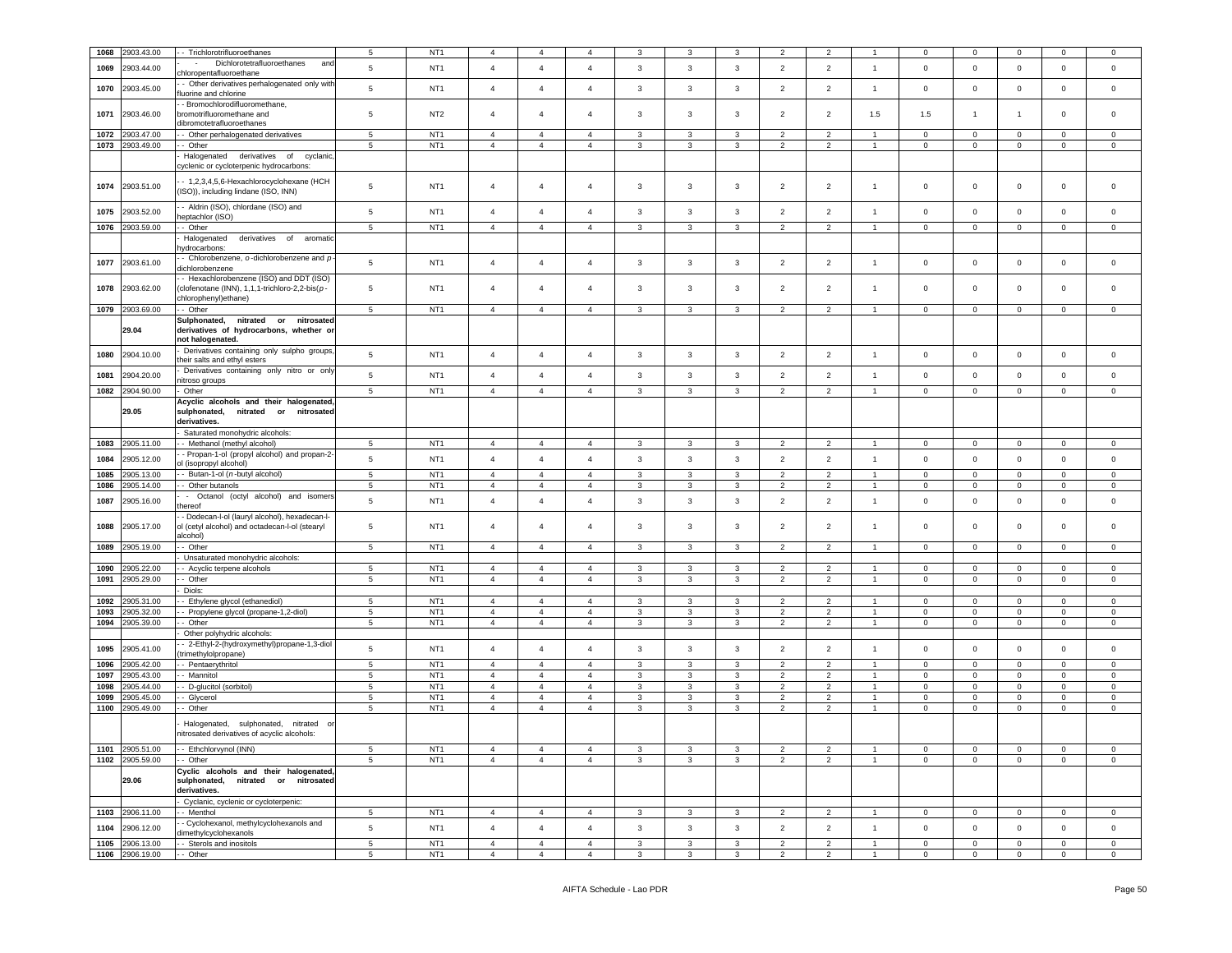| 1068         | 2903.43.00               | - Trichlorotrifluoroethanes                                                                                      | 5                              | NT <sub>1</sub>                    | $\overline{4}$                   | $\overline{4}$                   | 4                                | 3            | 3                       | 3              | $\overline{2}$                   | $\overline{2}$                   |                | 0                | $\mathbf 0$       | $\mathbf 0$                 | $\Omega$                    | $\Omega$         |
|--------------|--------------------------|------------------------------------------------------------------------------------------------------------------|--------------------------------|------------------------------------|----------------------------------|----------------------------------|----------------------------------|--------------|-------------------------|----------------|----------------------------------|----------------------------------|----------------|------------------|-------------------|-----------------------------|-----------------------------|------------------|
| 1069         | 2903.44.00               | Dichlorotetrafluoroethanes<br>$\sim$<br>and                                                                      | 5                              | NT <sub>1</sub>                    | $\overline{4}$                   | $\overline{4}$                   | $\overline{4}$                   | 3            | 3                       | 3              | $\overline{2}$                   | $\overline{2}$                   | $\overline{1}$ | $\mathbf 0$      | $\mathbf 0$       | $\mathsf 0$                 | $\mathbf 0$                 | $\mathsf 0$      |
| 1070         | 2903.45.00               | hloropentafluoroethane<br>- Other derivatives perhalogenated only with                                           | 5                              | NT <sub>1</sub>                    | $\overline{a}$                   | $\overline{4}$                   | $\overline{4}$                   | 3            | $\mathbf{3}$            | 3              | $\overline{2}$                   | $\overline{2}$                   | $\overline{1}$ | 0                | $\mathsf 0$       | $\mathbf 0$                 | $\mathbf 0$                 | $\mathsf 0$      |
|              |                          | luorine and chlorine<br>- Bromochlorodifluoromethane,                                                            |                                |                                    |                                  |                                  |                                  |              |                         |                |                                  |                                  |                |                  |                   |                             |                             |                  |
| 1071         | 2903.46.00               | bromotrifluoromethane and<br>dibromotetrafluoroethanes                                                           | 5                              | NT <sub>2</sub>                    | $\overline{4}$                   | $\overline{4}$                   | $\overline{4}$                   | 3            | 3                       | 3              | $\overline{2}$                   | $\overline{2}$                   | 1.5            | 1.5              | $\mathbf{1}$      | $\overline{1}$              | $\mathbf 0$                 | 0                |
| 1072         | 2903.47.00               | - Other perhalogenated derivatives                                                                               | $\sqrt{5}$                     | NT <sub>1</sub>                    | $\overline{4}$                   | $\overline{4}$                   | $\overline{4}$                   | 3            | $\overline{3}$          | 3              | $\overline{2}$                   | $\overline{2}$                   | $\overline{1}$ | $\mathsf 0$      | $\mathbf 0$       | $\mathbf 0$                 | $\mathbf 0$                 | $^{\circ}$       |
| 1073         | 2903.49.00               | - Other                                                                                                          | 5                              | NT <sub>1</sub>                    | $\overline{4}$                   | $\overline{4}$                   | $\overline{4}$                   | 3            | 3                       | 3              | $\overline{2}$                   | $\overline{c}$                   |                | $\mathbf 0$      | $\mathbf 0$       | $\mathbf 0$                 | $\mathbf 0$                 | $\mathsf 0$      |
|              |                          | Halogenated derivatives of cyclanic<br>yclenic or cycloterpenic hydrocarbons:                                    |                                |                                    |                                  |                                  |                                  |              |                         |                |                                  |                                  |                |                  |                   |                             |                             |                  |
| 1074         | 2903.51.00               | - 1,2,3,4,5,6-Hexachlorocyclohexane (HCH<br>(ISO)), including lindane (ISO, INN)                                 | 5                              | NT <sub>1</sub>                    | $\overline{4}$                   | 4                                | $\overline{4}$                   | 3            | $\mathbf{3}$            | 3              | $\overline{2}$                   | $\overline{2}$                   | $\overline{1}$ | 0                | 0                 | $\mathbf 0$                 | $\mathbf 0$                 | 0                |
| 1075         | 2903.52.00               | - Aldrin (ISO), chlordane (ISO) and<br>heptachlor (ISO)                                                          | $\sqrt{5}$                     | NT <sub>1</sub>                    | $\overline{4}$                   | $\overline{4}$                   | $\overline{4}$                   | 3            | $\mathbf{3}$            | 3              | $\overline{2}$                   | $\overline{2}$                   | $\overline{1}$ | $\mathbf 0$      | $\mathbf 0$       | $\mathsf 0$                 | $\mathbf 0$                 | $\mathsf 0$      |
| 1076         | 2903.59.00               | - Other                                                                                                          | $5\phantom{.0}$                | NT <sub>1</sub>                    | $\overline{4}$                   | $\overline{4}$                   | $\overline{4}$                   | 3            | $\mathbf{3}$            | 3              | $\overline{2}$                   | $\overline{2}$                   | $\overline{1}$ | $\mathbf 0$      | $\mathbf 0$       | $\,0\,$                     | $\mathbf{0}$                | $\mathbf 0$      |
|              |                          | Halogenated<br>derivatives of<br>aromatic<br>ydrocarbons:                                                        |                                |                                    |                                  |                                  |                                  |              |                         |                |                                  |                                  |                |                  |                   |                             |                             |                  |
| 1077         | 2903.61.00               | - Chlorobenzene, $o$ -dichlorobenzene and $p$<br>dichlorobenzene                                                 | 5                              | NT <sub>1</sub>                    | $\overline{4}$                   | $\overline{4}$                   | $\overline{4}$                   | 3            | $\mathbf{3}$            | 3              | $\overline{2}$                   | $\overline{2}$                   | $\overline{1}$ | $\mathbf 0$      | $\mathbf 0$       | $\mathbf 0$                 | $\mathsf 0$                 | $\mathsf 0$      |
| 1078         | 2903.62.00               | - Hexachlorobenzene (ISO) and DDT (ISO)<br>clofenotane (INN), 1,1,1-trichloro-2,2-bis(p-<br>chlorophenyl)ethane) | 5                              | NT <sub>1</sub>                    | $\overline{4}$                   | 4                                | $\overline{4}$                   | 3            | $\overline{\mathbf{3}}$ | 3              | $\overline{2}$                   | $\overline{2}$                   | $\overline{1}$ | 0                | 0                 | $\mathbf 0$                 | 0                           | 0                |
| 1079         | 2903.69.00               | - Other                                                                                                          | 5                              | NT <sub>1</sub>                    | $\overline{4}$                   | $\overline{4}$                   | $\overline{4}$                   | 3            | 3                       | 3              | $\overline{2}$                   | $\overline{2}$                   |                | $\mathbf 0$      | $\mathbf 0$       | $\mathbf 0$                 | $\mathsf 0$                 | $\mathsf 0$      |
|              | 29.04                    | Sulphonated,<br>nitrated or nitrosated<br>derivatives of hydrocarbons, whether or<br>not halogenated.            |                                |                                    |                                  |                                  |                                  |              |                         |                |                                  |                                  |                |                  |                   |                             |                             |                  |
| 1080         | 2904.10.00               | Derivatives containing only sulpho groups.<br>heir salts and ethyl esters                                        | 5                              | NT <sub>1</sub>                    | $\overline{4}$                   | $\overline{4}$                   | $\overline{4}$                   | 3            | 3                       | 3              | $\overline{2}$                   | $\overline{2}$                   | $\overline{1}$ | $\mathbf 0$      | $\mathbf 0$       | $\mathbf 0$                 | $\mathbf 0$                 | $\mathsf 0$      |
| 1081         | 2904.20.00               | Derivatives containing only nitro or only<br>nitroso groups                                                      | 5                              | NT <sub>1</sub>                    | $\overline{4}$                   | $\overline{4}$                   | $\overline{4}$                   | $\mathbf{3}$ | $\overline{\mathbf{3}}$ | 3              | $\overline{2}$                   | $\overline{2}$                   | $\overline{1}$ | $\mathbf 0$      | $\mathbf 0$       | $\mathsf 0$                 | 0                           | $\mathbf 0$      |
| 1082         | 2904.90.00               | Other                                                                                                            | 5                              | NT <sub>1</sub>                    | $\overline{4}$                   | $\overline{4}$                   | $\overline{4}$                   | $\mathbf{3}$ | 3                       | $\overline{3}$ | $\overline{2}$                   | $\overline{2}$                   |                | $\Omega$         | $\mathbf 0$       | $\mathsf 0$                 | $\mathbf 0$                 | $\Omega$         |
|              | 29.05                    | Acyclic alcohols and their halogenated,<br>sulphonated,<br>nitrated or<br>nitrosated<br>derivatives.             |                                |                                    |                                  |                                  |                                  |              |                         |                |                                  |                                  |                |                  |                   |                             |                             |                  |
|              |                          | Saturated monohydric alcohols:                                                                                   |                                |                                    |                                  |                                  |                                  |              |                         |                |                                  |                                  |                |                  |                   |                             |                             |                  |
| 1083         | 2905.11.00               | - Methanol (methyl alcohol)                                                                                      | $5\phantom{.0}$                | NT <sub>1</sub>                    | $\overline{4}$                   | $\overline{4}$                   | $\overline{4}$                   | 3            | $\mathbf{3}$            | 3              | $\overline{2}$                   | $\overline{2}$                   | $\overline{1}$ | $\mathsf 0$      | $\mathbf 0$       | $\mathbf 0$                 | $\mathbf 0$                 | $\mathsf 0$      |
| 1084         | 2905.12.00               | - Propan-1-ol (propyl alcohol) and propan-2-                                                                     | 5                              | NT <sub>1</sub>                    | $\overline{4}$                   | $\overline{4}$                   | $\overline{4}$                   | 3            | $\mathbf{3}$            | 3              | $\overline{2}$                   | $\overline{2}$                   | $\overline{1}$ | $\mathbf 0$      | $\mathbf 0$       | $\mathsf 0$                 | $\mathbf 0$                 | $\mathsf 0$      |
| 1085         | 2905.13.00               | ol (isopropyl alcohol)<br>- Butan-1-ol (n-butyl alcohol)                                                         | $5^{\circ}$                    | NT <sub>1</sub>                    | $\overline{4}$                   | $\overline{4}$                   | $\overline{4}$                   | 3            | $\mathbf{3}$            | 3              | $\overline{2}$                   | $\overline{2}$                   | $\overline{1}$ | $\mathbf 0$      | $\mathbf 0$       | $\mathbf 0$                 | $\mathbf 0$                 | 0                |
| 1086         | 2905.14.00               | - Other butanols                                                                                                 | 5                              | NT <sub>1</sub>                    | $\overline{4}$                   | $\overline{4}$                   | $\overline{4}$                   | 3            | 3                       | 3              | $\overline{2}$                   | $\overline{2}$                   |                | $\mathbf 0$      | $\mathbf 0$       | $\mathbf 0$                 | 0                           | 0                |
| 1087         | 2905.16.00               | - Octanol (octyl alcohol) and isomers                                                                            | 5                              | NT <sub>1</sub>                    | $\overline{4}$                   | $\overline{4}$                   | $\overline{4}$                   | 3            | $\mathbf{3}$            | 3              | $\overline{2}$                   | $\overline{2}$                   | -1             | $\mathbf 0$      | $\mathbf 0$       | $\mathsf 0$                 | $\mathbf 0$                 | $\mathsf 0$      |
|              |                          | :hereof<br>- Dodecan-I-ol (lauryl alcohol), hexadecan-I-                                                         |                                |                                    |                                  |                                  |                                  |              |                         |                |                                  |                                  |                |                  |                   |                             |                             |                  |
| 1088         | 2905.17.00               | ol (cetyl alcohol) and octadecan-l-ol (stearyl<br>alcohol)                                                       | $5\phantom{.0}$                | NT <sub>1</sub>                    | $\overline{4}$                   | $\overline{4}$                   | $\overline{4}$                   | 3            | $\overline{\mathbf{3}}$ | 3              | $\overline{2}$                   | $\overline{2}$                   | $\overline{1}$ | $\mathbf 0$      | $\mathbf 0$       | $\mathsf 0$                 | $\mathbf 0$                 | $\Omega$         |
| 1089         | 2905.19.00               | - Other                                                                                                          | 5                              | NT <sub>1</sub>                    | $\overline{4}$                   | $\overline{4}$                   | 4                                | 3            | 3                       | 3              | $\overline{2}$                   | $\overline{2}$                   | $\overline{1}$ | 0                | 0                 | $\mathbf 0$                 | $\mathbf 0$                 | 0                |
|              |                          | Unsaturated monohydric alcohols:                                                                                 |                                |                                    |                                  |                                  |                                  |              |                         |                |                                  |                                  |                |                  |                   |                             |                             |                  |
| 1090         | 2905.22.00               | - Acyclic terpene alcohols                                                                                       | 5                              | NT <sub>1</sub>                    | $\overline{4}$                   | $\overline{4}$                   | $\overline{4}$                   | 3            | 3                       | $\overline{3}$ | $\overline{2}$                   | 2                                |                | $\Omega$         | $\mathbf 0$       | $\mathsf 0$                 | $\mathbf 0$                 | $\mathbf 0$      |
| 1091         | 2905.29.00               | - Other                                                                                                          | 5                              | NT <sub>1</sub>                    | $\overline{4}$                   | $\overline{4}$                   | $\overline{4}$                   | 3            | 3                       | 3              | $\overline{2}$                   | $\overline{c}$                   |                | $\mathbf 0$      | $\mathbf 0$       | $\mathbf 0$                 | $\mathbf 0$                 | $\mathsf 0$      |
| 1092         | 2905.31.00               | Diols:                                                                                                           | 5                              | NT <sub>1</sub>                    | $\overline{4}$                   | $\overline{4}$                   | $\overline{4}$                   | 3            | 3                       | $\mathbf{3}$   | $\overline{2}$                   | 2                                | $\overline{1}$ | $\mathbf 0$      | $\mathbf 0$       | $\mathsf 0$                 | $\mathbf{0}$                | $\circ$          |
|              |                          | - Ethylene glycol (ethanediol)                                                                                   |                                |                                    |                                  |                                  |                                  |              |                         |                |                                  |                                  |                |                  |                   |                             |                             |                  |
| 1093<br>1094 | 2905.32.00<br>2905.39.00 | - Propylene glycol (propane-1,2-diol)<br>- Other                                                                 | 5<br>$5\phantom{.0}$           | NT <sub>1</sub><br>NT <sub>1</sub> | $\overline{4}$<br>$\overline{4}$ | $\overline{4}$<br>$\overline{4}$ | $\overline{4}$<br>$\overline{4}$ | 3<br>3       | 3<br>3                  | 3<br>3         | $\overline{2}$<br>$\overline{2}$ | 2<br>$\overline{2}$              |                | $\mathbf 0$<br>0 | $\mathbf 0$<br>0  | $\mathbf 0$<br>$\mathbf 0$  | 0<br>$\mathbf 0$            | $\mathsf 0$<br>0 |
|              |                          | Other polyhydric alcohols:                                                                                       |                                |                                    |                                  |                                  |                                  |              |                         |                |                                  |                                  |                |                  |                   |                             |                             |                  |
| 1095         | 2905.41.00               | 2-Ethyl-2-(hydroxymethyl)propane-1,3-diol<br>trimethylolpropane)                                                 | $\sqrt{5}$                     | NT <sub>1</sub>                    | $\overline{4}$                   | $\overline{4}$                   | 4                                | 3            | $\mathbf{3}$            | 3              | $\overline{2}$                   | $\overline{2}$                   | $\overline{1}$ | $\mathbf 0$      | $\mathbf 0$       | $\mathsf 0$                 | 0                           | $\mathsf 0$      |
| 1096         | 2905.42.00               | - Pentaerythritol                                                                                                | 5                              | NT <sub>1</sub>                    | $\overline{4}$                   | $\overline{4}$                   | $\overline{4}$                   | 3            | 3                       | 3              | $\overline{2}$                   | $\overline{2}$                   |                | $\mathbf 0$      | 0                 | $\mathbf{0}$                | $\mathbf 0$                 | 0                |
| 1097         | 2905.43.00               | - Mannitol                                                                                                       | 5                              | NT <sub>1</sub>                    | $\overline{4}$                   | $\overline{4}$                   | $\overline{4}$                   | 3            | 3                       | $\mathbf{3}$   | $\overline{2}$                   | 2                                |                | $\Omega$         | $\mathbf 0$       | $\mathsf 0$                 | $\mathbf 0$                 | $\mathsf 0$      |
| 1098         | 2905.44.00               | - D-glucitol (sorbitol)                                                                                          | $\sqrt{5}$                     | NT <sub>1</sub>                    | $\overline{4}$                   | $\overline{4}$                   | 4                                | 3            | $\mathbf{3}$            | 3              | $\overline{2}$                   | $\overline{2}$                   |                | 0                | $\mathbf 0$       | $\mathbf 0$                 | $\mathbf 0$                 | 0                |
| 1099         | 2905.45.00               | - Glycerol                                                                                                       | $5\phantom{.0}$                | NT <sub>1</sub>                    | $\overline{4}$                   | $\overline{4}$                   | $\overline{4}$                   | 3            | $\mathbf{3}$            | 3              | $\overline{2}$                   | $\overline{2}$                   |                | 0                | 0                 | $\mathbf 0$                 | $\mathbf 0$                 | 0                |
| 1100         | 2905.49.00               | Other                                                                                                            | 5                              | NT <sub>1</sub>                    | $\overline{4}$                   | $\overline{4}$                   | $\overline{4}$                   | 3            | $\mathbf{3}$            | $\mathbf{3}$   | $\overline{2}$                   | $\overline{2}$                   | $\mathbf{1}$   | $\mathbf{0}$     | $\mathbf 0$       | $\mathsf 0$                 | $\circ$                     | $\mathsf 0$      |
|              |                          | Halogenated, sulphonated,<br>nitrated<br>nitrosated derivatives of acyclic alcohols:                             |                                |                                    |                                  |                                  |                                  |              |                         |                |                                  |                                  |                |                  |                   |                             |                             |                  |
|              | 1101 2905.51.00          | -- Ethchlorvynol (INN)                                                                                           | 5                              | NT <sub>1</sub>                    | $\overline{4}$                   | $\overline{4}$                   | $\overline{4}$                   | 3            | 3                       | 3              | $\overline{2}$                   | $\overline{2}$                   | $\overline{1}$ | $\mathbf{0}$     | 0                 | $\mathbf{0}$                | $\overline{0}$              | $\mathbf{0}$     |
|              | 1102 2905.59.00          | - Other                                                                                                          | 5                              | NT <sub>1</sub>                    | $\overline{4}$                   | $\overline{4}$                   | $\overline{4}$                   | 3            | 3                       | 3              | $\overline{2}$                   | $\overline{2}$                   | $\mathbf{1}$   | $\mathbf 0$      | $\mathbf 0$       | $\mathbf 0$                 | $\circ$                     | $\circ$          |
|              | 29.06                    | Cyclic alcohols and their halogenated,<br>sulphonated, nitrated or nitrosated<br>derivatives.                    |                                |                                    |                                  |                                  |                                  |              |                         |                |                                  |                                  |                |                  |                   |                             |                             |                  |
|              |                          | Cyclanic, cyclenic or cycloterpenic:                                                                             |                                |                                    |                                  |                                  |                                  |              |                         |                |                                  |                                  |                |                  |                   |                             |                             |                  |
| 1103<br>1104 | 2906.11.00<br>2906.12.00 | - Menthol<br>- Cyclohexanol, methylcyclohexanols and                                                             | $5\phantom{.0}$<br>$\,$ 5 $\,$ | NT <sub>1</sub><br>NT <sub>1</sub> | $\overline{4}$<br>$\overline{4}$ | $\overline{4}$<br>$\overline{4}$ | $\overline{4}$<br>$\overline{a}$ | 3<br>3       | 3<br>$\mathbf{3}$       | 3<br>3         | $\overline{2}$<br>$\overline{2}$ | $\overline{2}$<br>$\overline{2}$ | $\overline{1}$ | $\mathbf 0$<br>0 | 0<br>$\mathbf{O}$ | $\mathbf{0}$<br>$\mathbf 0$ | $\mathbf{0}$<br>$\mathbf 0$ | 0<br>$\mathbf 0$ |
|              |                          | dimethylcyclohexanols                                                                                            |                                |                                    |                                  |                                  |                                  |              |                         |                |                                  |                                  |                |                  |                   |                             |                             |                  |
| 1105         | 2906.13.00               | - Sterols and inositols                                                                                          | $5\phantom{.0}$                | NT <sub>1</sub>                    | $\overline{4}$                   | $\overline{4}$                   | $\overline{4}$                   | $\mathbf{3}$ | $\mathbf{3}$            | $\overline{3}$ | 2                                | $\overline{2}$                   | $\overline{1}$ | $\overline{0}$   | $\mathbf{O}$      | $\mathbf 0$                 | $\mathbf{0}$                | $\circ$          |
|              | 1106 2906.19.00          | - Other                                                                                                          | 5                              | NT <sub>1</sub>                    | $\overline{4}$                   | $\overline{4}$                   | $\overline{4}$                   | 3            | $\mathbf{3}$            | 3              | $\overline{2}$                   | $\overline{2}$                   |                | 0                | 0                 | $\mathbf 0$                 | $\mathbf 0$                 | $\overline{0}$   |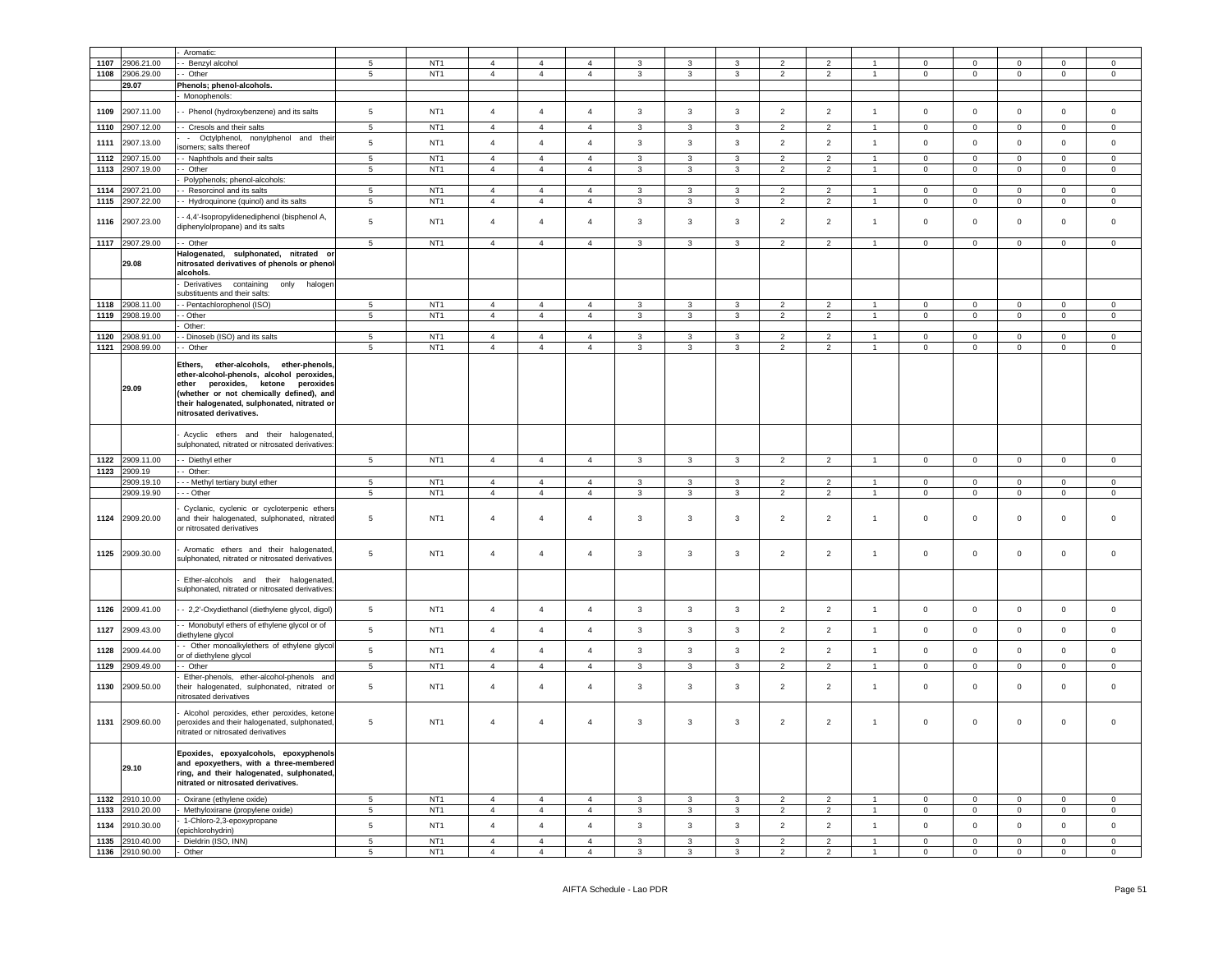|      |                 | Aromatic:                                                                                                                                                                                                                                         |                 |                 |                                  |                |                |              |              |              |                |                |                |                     |                |                |             |                |
|------|-----------------|---------------------------------------------------------------------------------------------------------------------------------------------------------------------------------------------------------------------------------------------------|-----------------|-----------------|----------------------------------|----------------|----------------|--------------|--------------|--------------|----------------|----------------|----------------|---------------------|----------------|----------------|-------------|----------------|
| 1107 | 2906.21.00      |                                                                                                                                                                                                                                                   |                 | NT <sub>1</sub> |                                  |                | $\overline{a}$ | 3            | 3            |              |                |                | $\overline{1}$ | $^{\circ}$          |                |                |             |                |
|      |                 | Benzyl alcohol                                                                                                                                                                                                                                    | 5               |                 | $\overline{4}$<br>$\overline{4}$ | 4              |                |              |              | 3            | 2              | $\overline{2}$ | $\overline{1}$ |                     | $\mathbf 0$    | 0              | $\mathbf 0$ | $\mathbf 0$    |
| 1108 | 2906.29.00      | Other                                                                                                                                                                                                                                             | 5               | NT <sub>1</sub> |                                  | $\overline{4}$ | $\overline{4}$ | 3            | 3            | $\mathbf{3}$ | $\overline{2}$ | $\overline{a}$ |                | $\mathbf 0$         | $\mathbf 0$    | $\mathbf 0$    | $\mathbf 0$ | $\mathbf 0$    |
|      | 29.07           | Phenols; phenol-alcohols.                                                                                                                                                                                                                         |                 |                 |                                  |                |                |              |              |              |                |                |                |                     |                |                |             |                |
|      |                 | Monophenols:                                                                                                                                                                                                                                      |                 |                 |                                  |                |                |              |              |              |                |                |                |                     |                |                |             |                |
| 1109 | 2907.11.00      | - Phenol (hydroxybenzene) and its salts                                                                                                                                                                                                           | $5\phantom{.0}$ | NT <sub>1</sub> | $\overline{4}$                   | $\overline{4}$ | $\overline{4}$ | $\mathbf{3}$ | 3            | 3            | $\overline{2}$ | $\overline{2}$ | $\mathbf{1}$   | $\mathbf 0$         | $\mathbf 0$    | $\mathbf 0$    | $\pmb{0}$   | $\mathsf 0$    |
| 1110 | 2907.12.00      |                                                                                                                                                                                                                                                   | 5               | NT <sub>1</sub> | $\overline{4}$                   | $\overline{4}$ | $\overline{4}$ | 3            | 3            | 3            | $\overline{2}$ | $\overline{2}$ | $\overline{1}$ |                     | $\mathbf 0$    | $\mathbf 0$    | $\circ$     | $\circ$        |
|      |                 | - Cresols and their salts                                                                                                                                                                                                                         |                 |                 |                                  |                |                |              |              |              |                |                |                | $\mathbf 0$         |                |                |             |                |
| 1111 | 2907.13.00      | Octylphenol, nonylphenol and their<br>somers; salts thereof                                                                                                                                                                                       | $\,$ 5 $\,$     | NT <sub>1</sub> | $\overline{4}$                   | $\overline{4}$ | $\overline{4}$ | 3            | 3            | $\mathbf{3}$ | $\overline{2}$ | $\overline{2}$ | $\overline{1}$ | $\mathbf 0$         | $\mathsf 0$    | $\mathbf 0$    | $\mathbf 0$ | $\mathbf 0$    |
| 1112 | 2907.15.00      | - Naphthols and their salts                                                                                                                                                                                                                       | 5               | NT <sub>1</sub> | $\overline{4}$                   | $\overline{4}$ | $\overline{4}$ | 3            | 3            | 3            | $\overline{2}$ | $\overline{2}$ | $\overline{1}$ | $\mathbf 0$         | $\mathbf 0$    | $\mathbf{0}$   | $\mathbf 0$ | $\mathbf 0$    |
| 1113 | 2907.19.00      | - Other                                                                                                                                                                                                                                           | $5\phantom{.0}$ | NT <sub>1</sub> | $\overline{4}$                   | $\overline{4}$ | $\overline{4}$ | 3            | 3            | 3            | $\overline{2}$ | $\overline{2}$ | $\overline{1}$ | $\mathbf 0$         | $\mathbf 0$    | $\mathbf{0}$   | $\mathbf 0$ | $\mathbf 0$    |
|      |                 |                                                                                                                                                                                                                                                   |                 |                 |                                  |                |                |              |              |              |                |                |                |                     |                |                |             |                |
|      |                 | Polyphenols; phenol-alcohols:                                                                                                                                                                                                                     |                 |                 | $\overline{4}$                   | $\overline{4}$ | $\overline{4}$ |              | 3            |              |                |                | $\overline{1}$ | $\mathbf 0$         |                |                | $\Omega$    |                |
| 1114 | 2907.21.00      | - Resorcinol and its salts<br>- Hydroquinone (quinol) and its salts                                                                                                                                                                               | 5               | NT <sub>1</sub> |                                  |                |                | 3            |              | 3            | $\overline{2}$ | $\overline{2}$ |                | $\mathbf 0$         | $\mathbf 0$    | $\mathbf 0$    |             | $\mathbf 0$    |
| 1115 | 2907.22.00      |                                                                                                                                                                                                                                                   | 5               | NT <sub>1</sub> | $\overline{4}$                   | $\overline{4}$ | $\overline{4}$ | 3            | 3            | 3            | $\overline{2}$ | $\overline{2}$ | $\overline{1}$ |                     | $\mathbf 0$    | $\mathbf{0}$   | $\mathbf 0$ | $\mathbf 0$    |
| 1116 | 2907.23.00      | - 4,4'-Isopropylidenediphenol (bisphenol A,<br>diphenylolpropane) and its salts                                                                                                                                                                   | 5               | NT <sub>1</sub> | $\overline{4}$                   | $\overline{4}$ | $\overline{4}$ | 3            | 3            | 3            | 2              | $\overline{2}$ | $\mathbf{1}$   | $\mathbf 0$         | $\mathbf 0$    | $\mathbf 0$    | 0           | $\mathbf 0$    |
| 1117 | 2907.29.00      | - Other                                                                                                                                                                                                                                           | 5               | NT <sub>1</sub> | $\overline{4}$                   | $\overline{4}$ | $\overline{4}$ | 3            | 3            | 3            | $\overline{2}$ | $\overline{2}$ | $\overline{1}$ | $^{\circ}$          | $\mathbf 0$    | $\mathbf{0}$   | $\mathbf 0$ | $\mathbf 0$    |
|      |                 | Halogenated, sulphonated, nitrated or                                                                                                                                                                                                             |                 |                 |                                  |                |                |              |              |              |                |                |                |                     |                |                |             |                |
|      | 29.08           | nitrosated derivatives of phenols or phenol-<br>alcohols.                                                                                                                                                                                         |                 |                 |                                  |                |                |              |              |              |                |                |                |                     |                |                |             |                |
|      |                 | Derivatives containing<br>only<br>halogen                                                                                                                                                                                                         |                 |                 |                                  |                |                |              |              |              |                |                |                |                     |                |                |             |                |
|      |                 | substituents and their salts:                                                                                                                                                                                                                     |                 |                 |                                  |                |                |              |              |              |                |                |                |                     |                |                |             |                |
| 1118 | 2908.11.00      | - Pentachlorophenol (ISO)                                                                                                                                                                                                                         | 5               | NT <sub>1</sub> | $\overline{4}$                   | $\overline{4}$ | $\overline{4}$ | 3            | 3            | 3            | $\overline{2}$ | $\overline{2}$ | $\overline{1}$ | $\mathbf 0$         | $\mathbf 0$    | $\mathbf 0$    | $\mathbf 0$ | $\circ$        |
| 1119 | 2908.19.00      | - Other                                                                                                                                                                                                                                           | 5               | NT <sub>1</sub> | $\overline{4}$                   | $\overline{4}$ | $\overline{4}$ | 3            | 3            | 3            | 2              | $\overline{2}$ | $\overline{1}$ | $\mathbf 0$         | $\mathbf 0$    | $\overline{0}$ | $\mathbf 0$ | $\mathbf 0$    |
|      |                 | Other:                                                                                                                                                                                                                                            |                 |                 |                                  |                |                |              |              |              |                |                |                |                     |                |                |             |                |
| 1120 | 2908.91.00      | - Dinoseb (ISO) and its salts                                                                                                                                                                                                                     | 5               | NT <sub>1</sub> | $\overline{4}$                   | $\overline{4}$ | 4              | 3            | 3            | 3            | 2              | $\overline{2}$ | 1              | $^{\circ}$          | $\mathbf 0$    | $\mathbf{0}$   | $\mathbf 0$ | $\mathbf 0$    |
| 1121 | 2908.99.00      | - Other                                                                                                                                                                                                                                           | 5               | NT <sub>1</sub> | $\overline{4}$                   | $\overline{4}$ | $\overline{4}$ | 3            | 3            | 3            | $\overline{2}$ | $\overline{2}$ | $\mathbf{1}$   | $\mathbf{0}$        | $\mathbf 0$    | $\mathbf{0}$   | $\mathbf 0$ | $\mathbf{0}$   |
|      | 29.09           | Ethers, ether-alcohols, ether-phenols,<br>ether-alcohol-phenols, alcohol peroxides,<br>peroxides, ketone peroxides<br>ether<br>(whether or not chemically defined), and<br>their halogenated, sulphonated, nitrated or<br>nitrosated derivatives. |                 |                 |                                  |                |                |              |              |              |                |                |                |                     |                |                |             |                |
|      |                 | Acyclic ethers and their halogenated,<br>sulphonated, nitrated or nitrosated derivatives                                                                                                                                                          |                 |                 |                                  |                |                |              |              |              |                |                |                |                     |                |                |             |                |
| 1122 | 2909.11.00      | - - Diethyl ether                                                                                                                                                                                                                                 | 5 <sub>5</sub>  | NT <sub>1</sub> | $\overline{4}$                   | $\overline{4}$ | $\overline{4}$ | 3            | 3            | $\mathbf{3}$ | $\overline{2}$ | $\overline{2}$ | $\overline{1}$ | $\mathbf 0$         | $\overline{0}$ | $\mathbf{0}$   | $\mathbf 0$ | $\circ$        |
| 1123 | 2909.19         | - Other:                                                                                                                                                                                                                                          |                 |                 |                                  |                |                |              |              |              |                |                |                |                     |                |                |             |                |
|      | 2909.19.10      | - - Methyl tertiary butyl ether                                                                                                                                                                                                                   | 5               | NT <sub>1</sub> | $\overline{4}$                   | $\overline{4}$ | $\overline{4}$ | 3            | 3            | 3            | $\overline{2}$ | $\overline{2}$ | 1              | $\mathbf 0$         | $\mathbf 0$    | $\mathbf 0$    | $\circ$     | $\mathbf 0$    |
|      | 2909.19.90      | - - - Other                                                                                                                                                                                                                                       | 5               | NT <sub>1</sub> | $\overline{4}$                   | $\overline{4}$ | $\overline{4}$ | 3            | 3            | 3            | $\overline{2}$ | $\overline{2}$ | $\overline{1}$ | $\mathbf 0$         | $\mathbf 0$    | $\mathbf 0$    | 0           | $\mathbf 0$    |
| 1124 | 2909.20.00      | Cyclanic, cyclenic or cycloterpenic ethers<br>and their halogenated, sulphonated, nitrated<br>or nitrosated derivatives                                                                                                                           | 5               | NT <sub>1</sub> | $\overline{4}$                   | 4              | 4              | 3            | 3            | 3            | $\overline{2}$ | $\overline{2}$ | $\overline{1}$ | $\mathbf 0$         |                |                | $\mathbf 0$ | $\Omega$       |
| 1125 |                 |                                                                                                                                                                                                                                                   |                 |                 |                                  |                |                |              |              |              |                |                |                |                     | $\mathbf 0$    | $\mathbf 0$    |             |                |
|      | 2909.30.00      | Aromatic ethers and their halogenated,<br>sulphonated, nitrated or nitrosated derivatives                                                                                                                                                         | 5               | NT <sub>1</sub> | $\overline{4}$                   | $\overline{4}$ | $\overline{4}$ | 3            | 3            | 3            | $\overline{2}$ | $\overline{2}$ | $\mathbf{1}$   | $\mathbf 0$         | $\mathbf 0$    | $\mathbf 0$    | $\mathbf 0$ | $\mathsf 0$    |
|      |                 | Ether-alcohols and their halogenated<br>sulphonated, nitrated or nitrosated derivatives                                                                                                                                                           |                 |                 |                                  |                |                |              |              |              |                |                |                |                     |                |                |             |                |
| 1126 | 2909.41.00      | - - 2,2'-Oxydiethanol (diethylene glycol, digol)                                                                                                                                                                                                  | $5\phantom{.0}$ | NT <sub>1</sub> | $\overline{4}$                   | $\overline{4}$ | $\overline{4}$ | 3            | 3            | 3            | $\overline{2}$ | $\overline{2}$ | $\mathbf{1}$   | $\mathbf 0$         | $\mathbf 0$    | $\mathbf 0$    | $\mathbf 0$ | $\mathbf 0$    |
| 1127 | 2909.43.00      | - Monobutyl ethers of ethylene glycol or of<br>diethylene glycol                                                                                                                                                                                  | $5\phantom{.0}$ | NT <sub>1</sub> | $\overline{4}$                   | $\overline{4}$ | 4              | 3            | 3            | $\mathbf{3}$ | $\overline{2}$ | $\overline{2}$ | $\overline{1}$ | $\mathbf 0$         | $\mathsf 0$    | $\mathsf 0$    | $\mathbf 0$ | $\mathsf 0$    |
| 1128 | 2909.44.00      | - Other monoalkylethers of ethylene glycol<br>or of diethylene glycol                                                                                                                                                                             | $\,$ 5 $\,$     | NT <sub>1</sub> | $\overline{4}$                   | $\overline{4}$ | $\overline{4}$ | 3            | 3            | $\mathbf{3}$ | $\overline{2}$ | $\overline{2}$ | $\overline{1}$ | $\mathsf 0$         | $\mathsf 0$    | $\mathsf 0$    | $\mathbf 0$ | $\mathsf 0$    |
| 1129 | 2909.49.00      | - Other                                                                                                                                                                                                                                           | $5\phantom{.0}$ | NT <sub>1</sub> | $\overline{4}$                   | $\overline{4}$ | $\overline{4}$ | $\mathbf{3}$ | $\mathbf{3}$ | $\mathbf{3}$ | 2              | $\overline{2}$ | $\overline{1}$ | $\mathbf 0$         | $\mathbf 0$    | $\mathbf 0$    | $\circ$     | $\circ$        |
| 1130 | 2909.50.00      | Ether-phenols, ether-alcohol-phenols and<br>their halogenated, sulphonated, nitrated or<br>nitrosated derivatives                                                                                                                                 | 5               | NT <sub>1</sub> | $\overline{4}$                   | $\overline{4}$ | $\overline{4}$ | 3            | 3            | 3            | 2              | $\overline{2}$ | 1              | $\mathbf 0$         | $\mathbf 0$    | $\mathbf 0$    | 0           | $\mathbf 0$    |
|      | 1131 2909.60.00 | Alcohol peroxides, ether peroxides, ketone<br>peroxides and their halogenated, sulphonated,<br>nitrated or nitrosated derivatives                                                                                                                 | 5               | NT <sub>1</sub> | $\overline{4}$                   | $\overline{4}$ | $\overline{a}$ | 3            | 3            | 3            | $\overline{2}$ | $\overline{a}$ | $\overline{1}$ | $\mathbf 0$         | $\mathbf 0$    | $\mathbf 0$    | $\mathbf 0$ | $\Omega$       |
|      | 29.10           | Epoxides, epoxyalcohols, epoxyphenols<br>and epoxyethers, with a three-membered<br>ring, and their halogenated, sulphonated,<br>nitrated or nitrosated derivatives.                                                                               |                 |                 |                                  |                |                |              |              |              |                |                |                |                     |                |                |             |                |
|      | 1132 2910.10.00 | Oxirane (ethylene oxide)                                                                                                                                                                                                                          | 5               | NT <sub>1</sub> | $\overline{4}$                   | $\overline{4}$ | $\overline{4}$ | 3            | $\mathbf{3}$ | 3            | $\overline{2}$ | $\overline{2}$ | $\overline{1}$ | $\mathbf 0$         | $\mathbf 0$    | $\mathbf{0}$   | $\circ$     | $\circ$        |
| 1133 | 2910.20.00      | Methyloxirane (propylene oxide)                                                                                                                                                                                                                   | 5               | NT <sub>1</sub> | $\overline{4}$                   | $\overline{4}$ | $\overline{4}$ | 3            | 3            | 3            | $\overline{2}$ | $\overline{2}$ | $\overline{1}$ | $\mathbf{0}$        | $\overline{0}$ | $\overline{0}$ | $\mathbf 0$ | $\mathbf 0$    |
| 1134 | 2910.30.00      | 1-Chloro-2,3-epoxypropane<br>(epichlorohydrin)                                                                                                                                                                                                    | $\,$ 5 $\,$     | NT <sub>1</sub> | $\overline{4}$                   | $\overline{4}$ | $\overline{4}$ | $\mathbf{3}$ | $\mathbf{3}$ | $\mathbf{3}$ | $\overline{2}$ | $\overline{2}$ | $\mathbf{1}$   | $\mathsf{O}\xspace$ | $\mathbf 0$    | $\mathbf 0$    | $\mathbf 0$ | $\mathsf 0$    |
| 1135 | 2910.40.00      | Dieldrin (ISO, INN)                                                                                                                                                                                                                               | $5\phantom{.0}$ | NT <sub>1</sub> | $\overline{4}$                   | $\overline{4}$ | $\overline{4}$ | 3            | 3            | 3            | $\overline{2}$ | $\overline{2}$ | $\overline{1}$ | $\mathbf 0$         | $\mathbf 0$    | $\mathbf{0}$   | $\mathbf 0$ | $\mathbf 0$    |
|      | 1136 2910.90.00 | - Other                                                                                                                                                                                                                                           | $5\overline{5}$ | NT <sub>1</sub> | $\overline{4}$                   | $\overline{4}$ | $\overline{4}$ | 3            | 3            | 3            | $\overline{2}$ | $\overline{2}$ | $\overline{1}$ | $\mathbf 0$         | $\mathbf 0$    | $\mathbf 0$    | $\mathbf 0$ | $\overline{0}$ |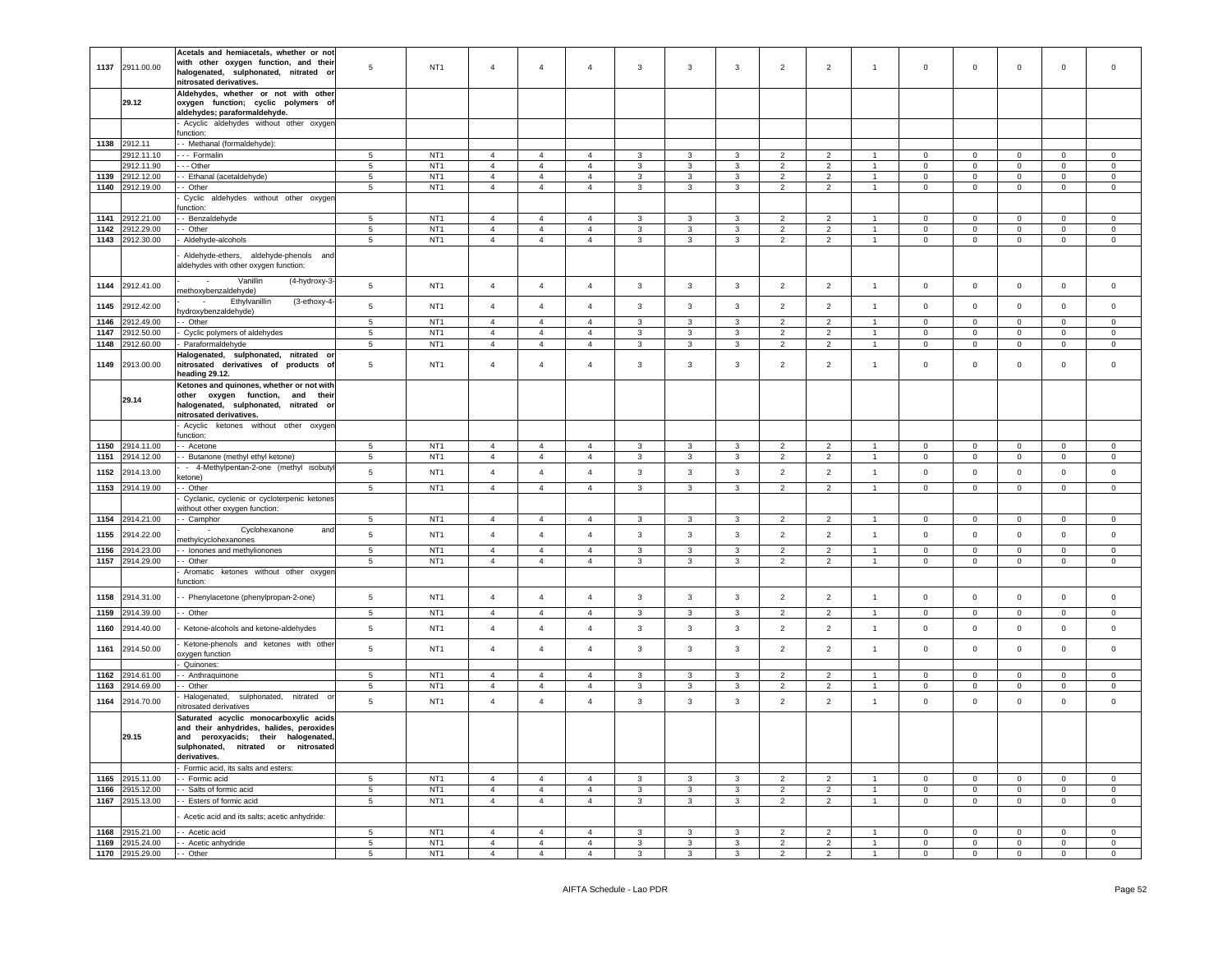| 1137 | 2911.00.00                         | Acetals and hemiacetals, whether or not<br>with other oxygen function, and their<br>halogenated, sulphonated, nitrated or<br>nitrosated derivatives. | 5                    | NT <sub>1</sub>                    | $\overline{4}$                   | $\overline{4}$                   | $\overline{4}$                   | 3                 | 3            | 3            | $\overline{2}$                   | $\overline{2}$                   | $\overline{1}$                 | $\mathsf 0$                | $\mathbf 0$                | $\mathbf 0$                | 0                          | $\mathbf 0$                |
|------|------------------------------------|------------------------------------------------------------------------------------------------------------------------------------------------------|----------------------|------------------------------------|----------------------------------|----------------------------------|----------------------------------|-------------------|--------------|--------------|----------------------------------|----------------------------------|--------------------------------|----------------------------|----------------------------|----------------------------|----------------------------|----------------------------|
|      | 29.12                              | Aldehydes, whether or not with other<br>oxygen function; cyclic polymers of<br>aldehydes; paraformaldehyde.                                          |                      |                                    |                                  |                                  |                                  |                   |              |              |                                  |                                  |                                |                            |                            |                            |                            |                            |
|      |                                    | Acyclic aldehydes without other oxygen<br>function:                                                                                                  |                      |                                    |                                  |                                  |                                  |                   |              |              |                                  |                                  |                                |                            |                            |                            |                            |                            |
|      | 1138 2912.11                       | - Methanal (formaldehyde):                                                                                                                           |                      |                                    |                                  |                                  |                                  |                   |              |              |                                  |                                  |                                |                            |                            |                            |                            |                            |
|      | 2912.11.10                         | --- Formalin                                                                                                                                         | 5                    | NT <sub>1</sub>                    | $\overline{4}$                   | $\overline{4}$                   | $\overline{4}$                   | $\mathbf{3}$      | 3            | $\mathbf{3}$ | $\overline{2}$                   | $\overline{2}$                   | $\overline{1}$                 | $\mathbf 0$                | $\mathbf 0$                | $\mathbf 0$                | $\mathbf 0$                | $\circ$                    |
|      | 2912.11.90                         | --- Other                                                                                                                                            | 5                    | NT <sub>1</sub>                    | $\overline{4}$                   | $\overline{4}$                   | $\overline{4}$                   | 3                 | 3            | 3            | $\overline{2}$                   | $\overline{2}$                   |                                | $\mathbf 0$                | $\mathbf 0$                | $\mathbf 0$                | $\mathbf 0$                | $\mathbf 0$                |
| 1139 | 2912.12.00                         | - Ethanal (acetaldehyde)                                                                                                                             | 5                    | NT <sub>1</sub>                    | $\overline{4}$                   | $\overline{4}$                   | 4                                | 3                 | 3            | 3            | $\overline{2}$                   | $\overline{2}$                   | $\overline{1}$                 | 0                          | $\mathbf 0$                | $\mathbf 0$                | 0                          | 0                          |
| 1140 | 2912.19.00                         | - Other<br>Cyclic aldehydes without other oxyger                                                                                                     | 5                    | NT <sub>1</sub>                    | $\overline{4}$                   | $\overline{4}$                   | $\overline{4}$                   | 3                 | 3            | 3            | $\overline{2}$                   | $\overline{2}$                   | $\overline{1}$                 | $\mathbf 0$                | $\overline{0}$             | $\mathbf 0$                | $\mathbf 0$                | $\mathbf 0$                |
|      |                                    | unction:                                                                                                                                             |                      |                                    |                                  |                                  |                                  |                   |              |              |                                  |                                  |                                |                            |                            |                            |                            |                            |
| 1141 | 2912.21.00                         | - Benzaldehyde                                                                                                                                       | $5\phantom{.0}$      | NT <sub>1</sub>                    | $\overline{4}$                   | $\overline{4}$                   | 4                                | 3                 | 3            | 3            | $\overline{2}$                   | 2                                | $\overline{1}$                 | $\mathbf 0$                | $\mathbf{0}$               | $\mathbf 0$                | 0                          | $\mathbf 0$                |
| 1142 | 2912.29.00<br>1143 2912.30.00      | - Other<br>Aldehyde-alcohols                                                                                                                         | $5\phantom{.0}$<br>5 | NT <sub>1</sub><br>NT <sub>1</sub> | $\overline{4}$<br>$\overline{4}$ | $\overline{4}$<br>$\overline{4}$ | $\overline{4}$<br>$\overline{4}$ | $\mathbf{3}$<br>3 | 3<br>3       | 3<br>3       | $\overline{2}$<br>$\overline{2}$ | $\overline{2}$<br>$\overline{2}$ | $\overline{1}$<br>$\mathbf{1}$ | $\mathbf 0$<br>$\mathbf 0$ | $\mathbf 0$<br>$\mathbf 0$ | $\mathbf 0$<br>$\mathbf 0$ | $\mathbf 0$<br>$\mathbf 0$ | $\mathbf 0$<br>$\mathbf 0$ |
|      |                                    |                                                                                                                                                      |                      |                                    |                                  |                                  |                                  |                   |              |              |                                  |                                  |                                |                            |                            |                            |                            |                            |
|      |                                    | Aldehyde-ethers, aldehyde-phenols and<br>aldehydes with other oxygen function:                                                                       |                      |                                    |                                  |                                  |                                  |                   |              |              |                                  |                                  |                                |                            |                            |                            |                            |                            |
| 1144 | 2912.41.00                         | (4-hydroxy-3-<br>Vanillin<br>nethoxybenzaldehyde)                                                                                                    | $\sqrt{5}$           | NT <sub>1</sub>                    | $\overline{4}$                   | $\overline{4}$                   | $\overline{4}$                   | $\mathbf{3}$      | $\mathbf{3}$ | $\mathbf{3}$ | $\overline{2}$                   | $\overline{2}$                   | $\mathbf{1}$                   | $\,0\,$                    | $\mathbf 0$                | $\mathbf 0$                | $\mathbf 0$                | $\circ$                    |
| 1145 | 2912.42.00                         | Ethylvanillin<br>(3-ethoxy-4<br>$\sim$<br>iydroxybenzaldehyde)                                                                                       | 5                    | NT <sub>1</sub>                    | $\overline{4}$                   | $\overline{4}$                   | $\overline{4}$                   | 3                 | $\mathbf{3}$ | 3            | $\overline{2}$                   | $\overline{2}$                   | $\overline{1}$                 | $\circ$                    | $\mathbf 0$                | $\mathbf 0$                | $\circ$                    | $\mathbf 0$                |
| 1146 | 2912.49.00                         | - Other                                                                                                                                              | 5                    | NT <sub>1</sub>                    | $\overline{4}$                   | $\overline{4}$                   | $\overline{4}$                   | $\mathbf{3}$      | $\mathbf{3}$ | 3            | $\overline{2}$                   | $\overline{2}$                   | $\overline{1}$                 | $\mathbf 0$                | $\mathbf 0$                | $\mathbf 0$                | $\mathbf{0}$               | $\mathbf 0$                |
| 1147 | 912.50.00                          | Cyclic polymers of aldehydes                                                                                                                         | $5\phantom{.0}$      | NT <sub>1</sub>                    | $\overline{4}$                   | $\overline{4}$                   | 4                                | 3                 | 3            | 3            | $\overline{2}$                   | 2                                | $\overline{1}$                 | 0                          | $\mathbf 0$                | $\mathbf 0$                | $\mathbf 0$                | $\mathbf 0$                |
| 1148 | !912.60.00                         | Paraformaldehyde                                                                                                                                     | $5\phantom{.0}$      | NT <sub>1</sub>                    | $\overline{4}$                   | $\overline{4}$                   | $\overline{4}$                   | 3                 | 3            | 3            | $\overline{2}$                   | $\overline{2}$                   | -1                             | $\mathsf 0$                | $\mathsf 0$                | $\mathbf 0$                | 0                          | $\mathbf 0$                |
| 1149 | 2913.00.00                         | Halogenated, sulphonated, nitrated<br>nitrosated derivatives of products<br>o<br>heading 29.12.                                                      | 5                    | NT <sub>1</sub>                    | $\overline{4}$                   | $\overline{4}$                   | $\overline{4}$                   | 3                 | 3            | 3            | $\overline{2}$                   | $\overline{2}$                   | $\overline{1}$                 | $\circ$                    | $\mathbf 0$                | $\mathbf 0$                | 0                          | $\mathbf 0$                |
|      | 29.14                              | Ketones and quinones, whether or not with<br>other oxygen function, and their<br>halogenated, sulphonated, nitrated or<br>nitrosated derivatives.    |                      |                                    |                                  |                                  |                                  |                   |              |              |                                  |                                  |                                |                            |                            |                            |                            |                            |
|      |                                    | Acyclic ketones without other oxygen<br>function:                                                                                                    |                      |                                    |                                  |                                  |                                  |                   |              |              |                                  |                                  |                                |                            |                            |                            |                            |                            |
| 1150 | 2914.11.00                         | - Acetone                                                                                                                                            | 5                    | NT <sub>1</sub>                    | $\overline{4}$                   | $\overline{4}$                   | 4                                | 3                 | 3            | 3            | $\overline{2}$                   | 2                                |                                | 0                          | $\mathbf 0$                | $\mathbf 0$                | $\mathbf 0$                | $\mathbf 0$                |
| 1151 | 2914.12.00                         | - Butanone (methyl ethyl ketone)                                                                                                                     | 5                    | NT <sub>1</sub>                    | $\overline{4}$                   | $\overline{4}$                   | $\overline{4}$                   | 3                 | 3            | 3            | $\overline{2}$                   | $\overline{2}$                   | $\overline{1}$                 | $\mathbf{0}$               | $\mathbf 0$                | $\mathbf 0$                | $\mathbf 0$                | 0                          |
| 1152 | 2914.13.00                         | - 4-Methylpentan-2-one (methyl isobuty<br>ketone)                                                                                                    | $\sqrt{5}$           | NT <sub>1</sub>                    | $\sqrt{4}$                       | $\overline{4}$                   | $\overline{4}$                   | $\mathbf{3}$      | $\mathbf{3}$ | $\mathbf{3}$ | $\overline{2}$                   | $\overline{2}$                   | $\overline{1}$                 | $\,0\,$                    | $\mathbf 0$                | $\mathbf 0$                | $\mathbf 0$                | $\mathsf{O}\xspace$        |
| 1153 | 2914.19.00                         | - Other                                                                                                                                              | $5\phantom{.0}$      | NT <sub>1</sub>                    | $\overline{4}$                   | $\overline{4}$                   | $\overline{4}$                   | 3                 | 3            | 3            | $\overline{2}$                   | $\overline{2}$                   | $\overline{1}$                 | $\mathbf 0$                | $\overline{0}$             | $\mathbf 0$                | $\circ$                    | $\mathbf 0$                |
|      |                                    | Cyclanic, cyclenic or cycloterpenic ketones<br>without other oxygen function:                                                                        |                      |                                    |                                  |                                  |                                  |                   |              |              |                                  |                                  |                                |                            |                            |                            |                            |                            |
| 1154 | 2914.21.00                         | - Camphor                                                                                                                                            | $5\phantom{.0}$      | NT <sub>1</sub>                    | $\overline{4}$                   | $\overline{4}$                   | $\overline{4}$                   | $\mathbf{3}$      | $\mathbf{3}$ | 3            | $\overline{2}$                   | $\overline{2}$                   | -1                             | $\mathsf 0$                | $\mathbf 0$                | $\mathbf 0$                | $\mathsf 0$                | $\mathbf 0$                |
| 1155 | 2914.22.00                         | Cyclohexanone<br>and<br>nethylcyclohexanones                                                                                                         | 5                    | NT <sub>1</sub>                    | $\overline{4}$                   | $\overline{4}$                   | $\overline{4}$                   | 3                 | $\mathbf{3}$ | 3            | $\overline{2}$                   | $\overline{2}$                   | $\overline{1}$                 | $\mathbf 0$                | $\mathbf 0$                | $\mathbf 0$                | $\circ$                    | $\mathbf 0$                |
| 1156 | 2914.23.00                         | - Ionones and methylionones                                                                                                                          | 5                    | NT <sub>1</sub>                    | $\overline{4}$                   | $\overline{4}$                   | $\overline{4}$                   | 3                 | 3            | 3            | $\overline{2}$                   | $\overline{2}$                   | -1                             | $\overline{0}$             | 0                          | $\mathbf 0$                | $\mathbf 0$                | $\mathbf 0$                |
| 1157 | 2914.29.00                         | - Other<br>Aromatic ketones without other oxyger                                                                                                     | $\sqrt{5}$           | NT <sub>1</sub>                    | $\overline{4}$                   | $\overline{4}$                   | $\overline{4}$                   | 3                 | 3            | 3            | $\overline{2}$                   | $\overline{2}$                   | $\overline{1}$                 | $\mathbf 0$                | $\mathbf 0$                | $\mathbf 0$                | 0                          | $\mathsf 0$                |
|      |                                    | unction:                                                                                                                                             |                      |                                    |                                  |                                  |                                  |                   |              |              |                                  |                                  |                                |                            |                            |                            |                            |                            |
| 1158 | 2914.31.00                         | - Phenylacetone (phenylpropan-2-one)                                                                                                                 | $5\phantom{.0}$      | NT <sub>1</sub>                    | $\overline{4}$                   | $\overline{4}$                   | 4                                | 3                 | $\mathbf{3}$ | 3            | $\overline{2}$                   | $\overline{2}$                   | $\overline{1}$                 | $\mathbf 0$                | $\mathbf 0$                | $\mathbf 0$                | $\mathbf 0$                | $\mathbf 0$                |
| 1159 | 2914.39.00                         | - Other                                                                                                                                              | $\sqrt{5}$           | NT <sub>1</sub>                    | $\sqrt{4}$                       | $\overline{4}$                   | $\overline{4}$                   | $\mathbf{3}$      | $\mathbf{3}$ | $\mathbf{3}$ | $\overline{2}$                   | $\sqrt{2}$                       | $\overline{1}$                 | $\,0\,$                    | $\mathbf 0$                | $\mathbf 0$                | $\mathsf 0$                | $\mathsf 0$                |
| 1160 | 2914.40.00                         | Ketone-alcohols and ketone-aldehydes                                                                                                                 | $5\phantom{.0}$      | NT <sub>1</sub>                    | $\overline{4}$                   | $\overline{4}$                   | $\overline{4}$                   | 3                 | $\mathbf{3}$ | 3            | $\overline{2}$                   | $\overline{2}$                   | $\overline{1}$                 | $\mathsf 0$                | $\mathbf 0$                | $\mathbf 0$                | $\mathbf 0$                | $\mathbf 0$                |
| 1161 | 2914.50.00                         | Ketone-phenols and ketones with other<br>xygen function                                                                                              | 5                    | NT <sub>1</sub>                    | $\overline{4}$                   | $\overline{4}$                   | $\overline{4}$                   | 3                 | $\mathbf{3}$ | 3            | $\overline{2}$                   | $\overline{2}$                   | $\overline{1}$                 | $\circ$                    | $\mathbf 0$                | $\mathbf 0$                | 0                          | $\mathbf 0$                |
| 1162 | 2914.61.00                         | Quinones:                                                                                                                                            | $5\phantom{.0}$      | NT <sub>1</sub>                    | $\overline{4}$                   | $\overline{4}$                   | 4                                |                   | 3            | 3            | $\overline{2}$                   | $\overline{2}$                   |                                | 0                          | $\mathsf 0$                | $\mathbf 0$                | 0                          | $\mathbf 0$                |
| 1163 | 2914.69.00                         | - Anthraquinone<br>- Other                                                                                                                           | 5                    | NT <sub>1</sub>                    | $\overline{4}$                   | $\overline{4}$                   | $\overline{4}$                   | 3<br>$\mathbf{3}$ | 3            | 3            | $\overline{2}$                   | $\overline{2}$                   | $\overline{1}$                 | $\mathbf 0$                | $\mathbf{O}$               | $\mathbf 0$                | $\mathbf 0$                | $\circ$                    |
| 1164 | 2914.70.00                         | Halogenated, sulphonated,<br>nitrated                                                                                                                | $\sqrt{5}$           | NT <sub>1</sub>                    | $\overline{4}$                   | $\overline{4}$                   | $\overline{4}$                   | $\mathbf{3}$      | $\mathbf{3}$ | 3            | $\overline{2}$                   | $\overline{2}$                   | $\overline{1}$                 | $\,0\,$                    | $\mathbf 0$                | $\mathbf 0$                | $\mathsf 0$                | $\mathsf 0$                |
|      |                                    | itrosated derivatives<br>Saturated acyclic monocarboxylic acids                                                                                      |                      |                                    |                                  |                                  |                                  |                   |              |              |                                  |                                  |                                |                            |                            |                            |                            |                            |
|      | 29.15                              | and their anhydrides, halides, peroxides<br>and peroxyacids; their halogenated,<br>sulphonated, nitrated or nitrosated<br>derivatives.               |                      |                                    |                                  |                                  |                                  |                   |              |              |                                  |                                  |                                |                            |                            |                            |                            |                            |
|      | 1165 2915.11.00                    | - Formic acid, its salts and esters:<br>- Formic acid                                                                                                | 5                    | NT <sub>1</sub>                    | $\overline{4}$                   | $\overline{4}$                   | $\overline{4}$                   | $\mathbf{3}$      | 3            | 3            | $\overline{2}$                   | $\overline{2}$                   | $\overline{1}$                 | $\overline{0}$             | $\overline{0}$             | $\mathbf 0$                | $\overline{0}$             | $\mathbf 0$                |
|      | 1166 2915.12.00                    | - Salts of formic acid                                                                                                                               | $\sqrt{5}$           | NT <sub>1</sub>                    | $\overline{4}$                   | $\overline{4}$                   | $\overline{4}$                   | $\mathbf{3}$      | $\mathbf{3}$ | 3            | $\overline{2}$                   | $\overline{2}$                   | $\overline{1}$                 | $\mathbf 0$                | $\mathbf 0$                | $\mathbf 0$                | $\mathbf{0}$               | $\circ$                    |
|      | 1167 2915.13.00                    | -- Esters of formic acid                                                                                                                             | $\sqrt{5}$           | NT <sub>1</sub>                    | $\overline{4}$                   | $\overline{4}$                   | $\overline{4}$                   | 3                 | 3            | 3            | $\overline{2}$                   | $\overline{2}$                   | $\mathbf{1}$                   | $\mathbf 0$                | $\mathbf{0}$               | $\mathbf 0$                | $\mathbf{0}$               | $\circ$                    |
|      |                                    | Acetic acid and its salts; acetic anhydride:                                                                                                         |                      |                                    |                                  |                                  |                                  |                   |              |              |                                  |                                  |                                |                            |                            |                            |                            |                            |
|      | 1168 2915.21.00                    | - Acetic acid                                                                                                                                        | $\sqrt{5}$           | NT <sub>1</sub>                    | $\overline{4}$                   | $\overline{4}$                   | $\overline{4}$                   | $\mathbf{3}$      | $\mathbf{3}$ | 3            | $\overline{2}$                   | $\overline{2}$                   | $\overline{1}$                 | $\mathbf 0$                | $\mathbf 0$                | $\mathbf 0$                | $\mathbf 0$                | $\circ$                    |
|      | 1169 2915.24.00<br>1170 2915.29.00 | -- Acetic anhydride<br>- - Other                                                                                                                     | $5\phantom{.0}$      | NT <sub>1</sub><br>NT <sub>1</sub> | $\overline{4}$<br>$\overline{4}$ | $\overline{4}$<br>$\overline{4}$ | $\overline{4}$<br>$\overline{4}$ | $\mathbf{3}$      | $\mathbf{3}$ | 3            | $\overline{2}$<br>2              | $\overline{2}$                   | $\mathbf{1}$                   | $\mathbf 0$                | $\mathbf{0}$               | $\mathbf 0$                | $\mathbf{0}$               | $\mathbf{0}$               |
|      |                                    |                                                                                                                                                      | 5                    |                                    |                                  |                                  |                                  | $\overline{3}$    | $\mathbf{3}$ | $\mathbf{3}$ |                                  | $\overline{2}$                   | $\overline{1}$                 | $\mathbf 0$                | $\overline{0}$             | $\overline{0}$             | $\mathbf{0}$               | $\overline{0}$             |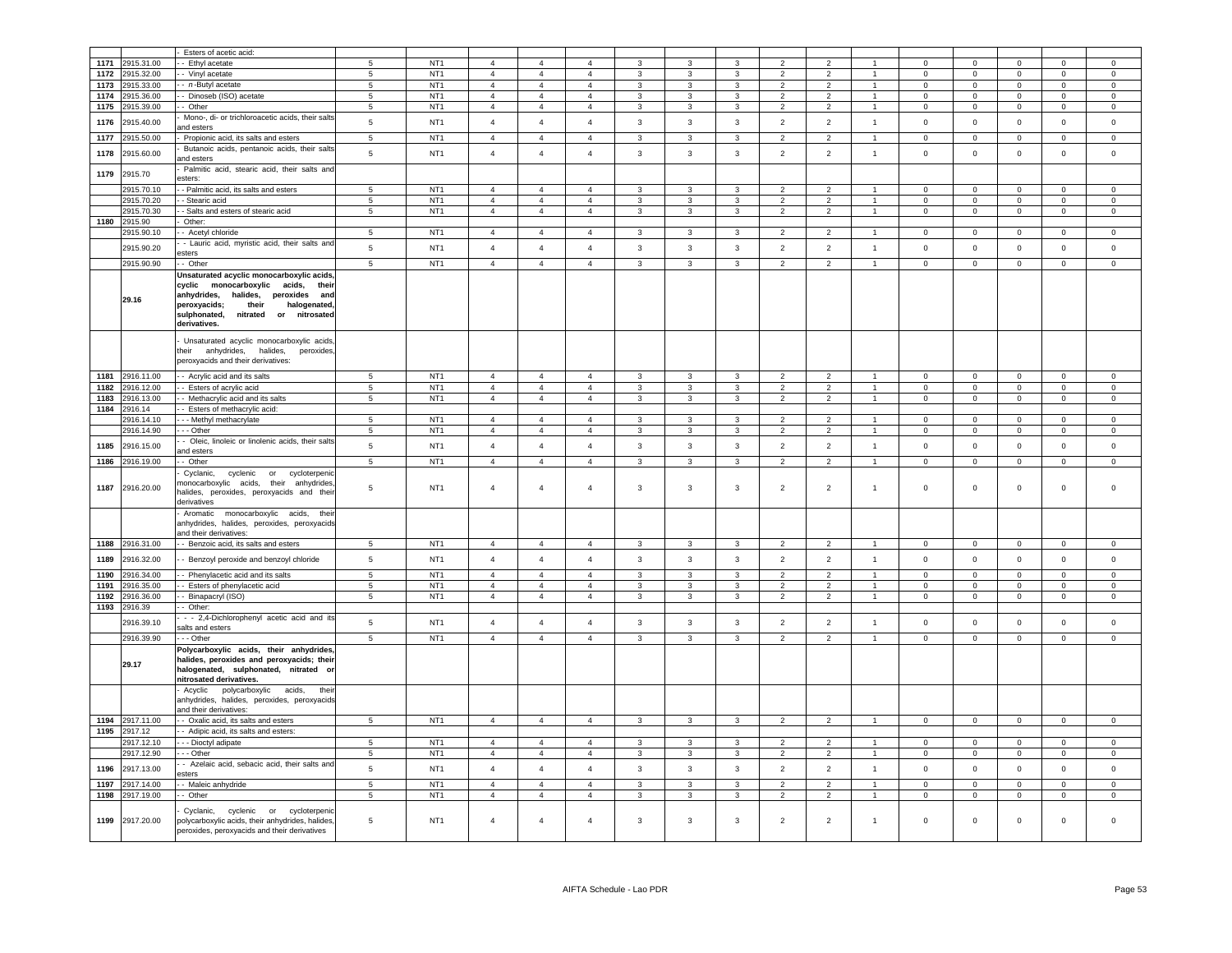|      |                 | Esters of acetic acid:                                                |                 |                 |                |                |                |                |                         |                         |                          |                          |                |                     |                |                     |                |                |
|------|-----------------|-----------------------------------------------------------------------|-----------------|-----------------|----------------|----------------|----------------|----------------|-------------------------|-------------------------|--------------------------|--------------------------|----------------|---------------------|----------------|---------------------|----------------|----------------|
| 1171 | 2915.31.00      | - Ethyl acetate                                                       | 5               | NT <sub>1</sub> | $\mathbf{A}$   | $\Delta$       | $\Delta$       |                |                         | 3                       |                          | 2                        |                | $\mathbf 0$         | $\mathbf 0$    | $\mathbf 0$         | $\mathbf 0$    | $\mathbf 0$    |
| 1172 | 2915.32.00      | - Vinyl acetate                                                       | $\,$ 5 $\,$     | NT <sub>1</sub> | $\overline{4}$ | 4              | $\overline{4}$ | 3              | 3                       | 3                       | $\overline{2}$           | $\overline{2}$           | 1              | $\mathbf 0$         | 0              | 0                   | $\mathbf 0$    | $\mathsf 0$    |
| 1173 | 2915.33.00      | - n-Butyl acetate                                                     | 5               | NT <sub>1</sub> | $\overline{4}$ | $\overline{4}$ | $\overline{4}$ | 3              | $\mathbf{3}$            | 3                       | $\overline{\mathbf{c}}$  | $\overline{\phantom{0}}$ | $\mathbf{1}$   | $\mathsf 0$         | $\mathbf 0$    | $\mathbf 0$         | $\mathbf 0$    | $\mathbf 0$    |
| 1174 | 2915.36.00      | - Dinoseb (ISO) acetate                                               | $\sqrt{5}$      | NT <sub>1</sub> | $\overline{4}$ | $\overline{4}$ | $\overline{4}$ | 3              | $\mathbf{3}$            | $\mathbf{3}$            | $\overline{\phantom{0}}$ | $\overline{2}$           | $\mathbf{1}$   | $\pmb{0}$           | $\mathbf 0$    | $\mathbf 0$         | $\pmb{0}$      | $\mathsf 0$    |
| 1175 | 2915.39.00      | - Other                                                               | $5\phantom{.0}$ | NT <sub>1</sub> | $\overline{4}$ | $\overline{4}$ | $\overline{4}$ | 3              | $\mathbf{3}$            | $\mathbf{3}$            | $\overline{2}$           | $\overline{2}$           | $\mathbf{1}$   | $\mathsf 0$         | $\mathsf 0$    | $\mathbf{0}$        | $\circ$        | $\mathsf 0$    |
|      |                 | Mono-, di- or trichloroacetic acids, their salts                      |                 |                 |                |                |                |                |                         |                         |                          |                          |                |                     |                |                     |                |                |
| 1176 | 2915.40.00      | nd esters                                                             | $5\phantom{.0}$ | NT <sub>1</sub> | $\overline{4}$ | $\overline{4}$ | $\overline{4}$ | 3              | 3                       | $\mathbf{3}$            | $\overline{2}$           | $\overline{2}$           | $\mathbf{1}$   | $\mathbf 0$         | $\mathbf 0$    | $\mathsf 0$         | $\overline{0}$ | $\mathsf 0$    |
| 1177 | 2915.50.00      | Propionic acid, its salts and esters                                  | 5               | NT <sub>1</sub> | $\overline{4}$ | $\overline{4}$ | $\overline{4}$ | $\mathbf{3}$   | 3                       | 3                       | $\overline{2}$           | $\overline{2}$           | $\overline{1}$ | $\mathbf 0$         | $\mathbf 0$    | $\mathbf 0$         | $\mathbf 0$    | $\mathbf 0$    |
|      |                 | Butanoic acids, pentanoic acids, their salts                          |                 |                 |                |                |                |                |                         |                         |                          |                          |                |                     |                |                     |                |                |
| 1178 | 2915.60.00      | and esters                                                            | $5\phantom{.0}$ | NT <sub>1</sub> | $\overline{4}$ | $\overline{4}$ | $\overline{4}$ | 3              | $\mathbf{3}$            | $\mathbf{3}$            | $\overline{2}$           | $\overline{2}$           | $\mathbf{1}$   | $\mathsf 0$         | $\mathbf 0$    | $\mathsf 0$         | $\pmb{0}$      | $\mathbf 0$    |
|      |                 | Palmitic acid, stearic acid, their salts and                          |                 |                 |                |                |                |                |                         |                         |                          |                          |                |                     |                |                     |                |                |
| 1179 | 2915.70         | esters:                                                               |                 |                 |                |                |                |                |                         |                         |                          |                          |                |                     |                |                     |                |                |
|      | 2915.70.10      | - Palmitic acid, its salts and esters                                 | 5               | NT <sub>1</sub> | $\overline{4}$ | $\overline{a}$ | $\overline{4}$ | $\mathbf{R}$   | $\mathbf{3}$            | 3                       | $\overline{2}$           | $\overline{2}$           |                | $\Omega$            | $\Omega$       | $\Omega$            | $\Omega$       | $\Omega$       |
|      | 2915.70.20      | - Stearic acid                                                        | 5               | NT <sub>1</sub> | $\overline{4}$ | $\overline{4}$ | $\overline{4}$ | $\mathbf{3}$   | $\mathbf{3}$            | $\mathbf{3}$            | $\overline{2}$           | $\overline{2}$           | $\mathbf{1}$   | $\mathsf 0$         | $\mathsf 0$    | $\mathbf 0$         | $\mathsf 0$    | $\mathbf 0$    |
|      | 2915.70.30      | - Salts and esters of stearic acid                                    | $\overline{5}$  | NT <sub>1</sub> | $\overline{4}$ | $\overline{4}$ | $\overline{4}$ | $\overline{3}$ | $\overline{3}$          | $\overline{\mathbf{3}}$ | $\overline{2}$           | $\overline{2}$           | $\overline{1}$ | $\overline{0}$      | $\overline{0}$ | $\overline{0}$      | $\overline{0}$ | $\overline{0}$ |
| 1180 | 2915.90         | Other:                                                                |                 |                 |                |                |                |                |                         |                         |                          |                          |                |                     |                |                     |                |                |
|      | 2915.90.10      | - Acetyl chloride                                                     | $5\overline{5}$ | NT <sub>1</sub> | $\overline{4}$ | $\overline{a}$ | $\mathbf{A}$   | $\mathcal{R}$  | $\mathbf{3}$            | $\overline{\mathbf{3}}$ | 2                        | $\overline{2}$           | $\mathbf{1}$   | $\Omega$            | $\mathbf{0}$   | $\mathbf{0}$        | $\Omega$       | $\mathbf 0$    |
|      |                 | - Lauric acid, myristic acid, their salts and                         |                 |                 |                |                |                |                |                         | $\overline{3}$          |                          | $\overline{2}$           |                |                     |                |                     |                |                |
|      | 2915.90.20      | esters                                                                | 5               | NT <sub>1</sub> | $\overline{4}$ | $\overline{4}$ | $\overline{4}$ | $\mathbf{3}$   | $\mathbf{3}$            |                         | $\overline{2}$           |                          | $\mathbf{1}$   | $\mathsf{O}\xspace$ | $\mathsf 0$    | $\mathsf 0$         | $\mathsf 0$    | $\mathbf 0$    |
|      | 2915.90.90      | - Other                                                               | $\overline{5}$  | NT <sub>1</sub> | $\overline{4}$ | $\overline{4}$ | $\overline{4}$ | 3              | $\overline{3}$          | $\overline{3}$          | $\overline{2}$           | $\overline{2}$           | $\mathbf{1}$   | $\Omega$            | $\overline{0}$ | $\mathbf 0$         | $\mathsf 0$    | $\overline{0}$ |
|      |                 | Unsaturated acyclic monocarboxylic acids                              |                 |                 |                |                |                |                |                         |                         |                          |                          |                |                     |                |                     |                |                |
|      |                 | cyclic monocarboxylic acids, their                                    |                 |                 |                |                |                |                |                         |                         |                          |                          |                |                     |                |                     |                |                |
|      | 29.16           | anhydrides,<br>halides, peroxides and                                 |                 |                 |                |                |                |                |                         |                         |                          |                          |                |                     |                |                     |                |                |
|      |                 | their<br>peroxyacids;<br>halogenated,                                 |                 |                 |                |                |                |                |                         |                         |                          |                          |                |                     |                |                     |                |                |
|      |                 | nitrated or nitrosated<br>sulphonated.                                |                 |                 |                |                |                |                |                         |                         |                          |                          |                |                     |                |                     |                |                |
|      |                 | derivatives.                                                          |                 |                 |                |                |                |                |                         |                         |                          |                          |                |                     |                |                     |                |                |
|      |                 | Unsaturated acyclic monocarboxylic acids,                             |                 |                 |                |                |                |                |                         |                         |                          |                          |                |                     |                |                     |                |                |
|      |                 | their anhydrides, halides,<br>peroxides                               |                 |                 |                |                |                |                |                         |                         |                          |                          |                |                     |                |                     |                |                |
|      |                 | peroxyacids and their derivatives:                                    |                 |                 |                |                |                |                |                         |                         |                          |                          |                |                     |                |                     |                |                |
|      |                 |                                                                       |                 |                 |                |                |                |                |                         |                         |                          |                          |                |                     |                |                     |                |                |
| 1181 | 2916.11.00      | - Acrylic acid and its salts                                          | $5\phantom{.0}$ | NT <sub>1</sub> | $\overline{4}$ | $\overline{4}$ | $\overline{4}$ | $\mathbf{3}$   | $\mathbf{3}$            | $\mathbf{3}$            | $\overline{2}$           | $\overline{2}$           | $\mathbf{1}$   | $\mathbf 0$         | $\mathbf 0$    | $\mathbf 0$         | $\mathbf 0$    | $\mathbf 0$    |
| 1182 | 2916.12.00      | - Esters of acrylic acid                                              | $5\phantom{.0}$ | NT <sub>1</sub> | $\overline{4}$ | $\overline{4}$ | $\overline{4}$ | $\overline{3}$ | $\overline{3}$          | $\overline{\mathbf{3}}$ | $\overline{2}$           | $\overline{2}$           | $\mathbf{1}$   | $\mathsf 0$         | $\mathbf 0$    | $\overline{0}$      | $\mathsf 0$    | $\mathbf 0$    |
| 1183 | 2916.13.00      | - Methacrylic acid and its salts                                      | $5\phantom{.0}$ | NT <sub>1</sub> | $\overline{4}$ | $\overline{4}$ | $\overline{4}$ | $\overline{3}$ | $\overline{\mathbf{3}}$ | $\overline{\mathbf{3}}$ | $\overline{2}$           | $\overline{2}$           | $\overline{1}$ | $\mathbf 0$         | $\mathbf 0$    | $\overline{0}$      | $\mathbf 0$    | $\mathbf 0$    |
| 1184 | 2916.14         | - Esters of methacrylic acid:                                         |                 |                 |                |                |                |                |                         |                         |                          |                          |                |                     |                |                     |                |                |
|      | 2916.14.10      | Methyl methacrylate                                                   | $5\phantom{.0}$ | NT <sub>1</sub> | $\overline{4}$ | $\overline{4}$ | $\overline{4}$ | 3              | 3                       | 3                       | $\overline{2}$           | $\overline{2}$           | $\mathbf{1}$   | $\overline{0}$      | $\mathbf 0$    | $\mathbf 0$         | $\overline{0}$ | $\mathsf 0$    |
|      | 2916.14.90      | - - Other                                                             | 5               | NT <sub>1</sub> | $\overline{4}$ | $\overline{4}$ | $\overline{4}$ | 3              | 3                       | 3                       | $\overline{2}$           | $\overline{2}$           | 1              | $\mathbf 0$         | $\mathbf 0$    | $\mathbf 0$         | $\mathbf 0$    | $\mathbf 0$    |
| 1185 | 2916.15.00      | - Oleic, linoleic or linolenic acids, their salts                     | $5\phantom{.0}$ | NT <sub>1</sub> | $\overline{4}$ | $\overline{4}$ | $\overline{4}$ | 3              | 3                       | $\mathbf{3}$            | $\overline{2}$           | $\overline{2}$           | $\mathbf{1}$   | $\mathsf 0$         | $\mathbf 0$    | $\mathsf 0$         | $\mathbf 0$    | $\mathbf 0$    |
|      |                 | and esters                                                            |                 |                 |                |                |                |                |                         |                         |                          |                          |                |                     |                |                     |                |                |
| 1186 | 2916.19.00      | - Other                                                               | $\overline{5}$  | NT <sub>1</sub> | $\overline{4}$ | $\overline{4}$ | $\overline{4}$ | $\overline{3}$ | $\overline{3}$          | $\overline{\mathbf{3}}$ | $\overline{2}$           | $\overline{2}$           | $\overline{1}$ | $\overline{0}$      | $\overline{0}$ | $\overline{0}$      | $\overline{0}$ | $\overline{0}$ |
|      |                 | Cyclanic,<br>cyclenic or<br>cycloterpeni                              |                 |                 |                |                |                |                |                         |                         |                          |                          |                |                     |                |                     |                |                |
|      | 1187 2916.20.00 | nonocarboxylic acids, their anhydrides,                               | $\,$ 5          | NT <sub>1</sub> | $\overline{4}$ | $\overline{4}$ | $\overline{4}$ | $\overline{3}$ | $\mathbf{3}$            | $\overline{3}$          | 2                        | $\overline{2}$           | $\mathbf{1}$   | $\circ$             | $\mathbf 0$    | $\mathbf 0$         | $\mathbf 0$    | $\mathsf 0$    |
|      |                 | nalides, peroxides, peroxyacids and their                             |                 |                 |                |                |                |                |                         |                         |                          |                          |                |                     |                |                     |                |                |
|      |                 | derivatives                                                           |                 |                 |                |                |                |                |                         |                         |                          |                          |                |                     |                |                     |                |                |
|      |                 | Aromatic monocarboxylic acids, their                                  |                 |                 |                |                |                |                |                         |                         |                          |                          |                |                     |                |                     |                |                |
|      |                 | anhydrides, halides, peroxides, peroxyacids<br>and their derivatives: |                 |                 |                |                |                |                |                         |                         |                          |                          |                |                     |                |                     |                |                |
|      |                 |                                                                       |                 |                 | $\overline{4}$ | $\overline{4}$ | $\overline{4}$ | $\mathbf{3}$   |                         |                         |                          |                          |                |                     |                |                     |                |                |
| 1188 | 2916.31.00      | - Benzoic acid, its salts and esters                                  | 5               | NT <sub>1</sub> |                |                |                |                | 3                       | $\mathbf{3}$            | $\overline{2}$           | $\overline{2}$           | $\mathbf{1}$   | $\mathbf 0$         | $\circ$        | $\mathbf{0}$        | $\mathbf 0$    | $\mathbf 0$    |
| 1189 | 2916.32.00      | - Benzoyl peroxide and benzoyl chloride                               | $5\phantom{.0}$ | NT <sub>1</sub> | $\overline{4}$ | $\overline{4}$ | $\overline{4}$ | $\mathbf{3}$   | $\mathbf{3}$            | $\mathbf{3}$            | $\overline{2}$           | $\overline{2}$           | $\mathbf{1}$   | $\mathsf 0$         | $\mathsf 0$    | $\circ$             | $\mathbf 0$    | $\mathbf{0}$   |
| 1190 | 2916.34.00      | - Phenylacetic acid and its salts                                     | $5\phantom{.0}$ | NT <sub>1</sub> | $\overline{4}$ | $\overline{4}$ | $\overline{4}$ | 3              | $\mathbf{3}$            | $\mathbf{3}$            | $\overline{2}$           | $\overline{2}$           | $\mathbf{1}$   | $\mathbf 0$         | $\mathbf 0$    | $\mathsf{O}\xspace$ | $\mathsf 0$    | $\mathbf 0$    |
| 1191 | 2916.35.00      | - Esters of phenylacetic acid                                         | 5               | NT <sub>1</sub> | $\overline{4}$ | $\overline{4}$ | $\overline{4}$ | 3              | 3                       | 3                       | $\overline{2}$           | $\overline{2}$           | $\mathbf{1}$   | $\mathsf 0$         | $\mathbf 0$    | $\mathbf 0$         | $\mathbf 0$    | $\mathbf 0$    |
| 1192 | 2916.36.00      | - Binapacryl (ISO)                                                    | $\sqrt{5}$      | NT <sub>1</sub> | $\overline{a}$ | $\overline{4}$ | $\overline{4}$ | $\mathbf{3}$   | $\mathbf{3}$            | 3                       | $\overline{2}$           | $\overline{2}$           | $\mathbf{1}$   | $\pmb{0}$           | $\mathbf 0$    | $\mathsf 0$         | $\Omega$       | $\mathsf 0$    |
| 1193 | 2916.39         | - Other:                                                              |                 |                 |                |                |                |                |                         |                         |                          |                          |                |                     |                |                     |                |                |
|      |                 | - - 2,4-Dichlorophenyl acetic acid and its                            |                 |                 |                |                |                |                |                         |                         |                          |                          |                |                     |                |                     |                |                |
|      | 2916.39.10      | alts and esters                                                       | $5\phantom{.0}$ | NT <sub>1</sub> | $\overline{4}$ | $\overline{4}$ | $\overline{4}$ | 3              | 3                       | $\mathbf{3}$            | $\overline{2}$           | $\overline{2}$           | $\mathbf{1}$   | $\mathsf 0$         | $\mathbf 0$    | $\mathsf 0$         | $\mathbf 0$    | $\mathbf 0$    |
|      | 2916.39.90      | - - Other                                                             | 5               | NT <sub>1</sub> | $\overline{4}$ | $\overline{4}$ | $\overline{4}$ | $\mathbf{3}$   | $\mathbf{3}$            | $\overline{3}$          | 2                        | 2                        | $\mathbf{1}$   | $\Omega$            | $\mathbf 0$    | $\mathsf{O}\xspace$ | $\mathbf 0$    | $\mathsf 0$    |
|      |                 | Polycarboxylic acids, their anhydrides                                |                 |                 |                |                |                |                |                         |                         |                          |                          |                |                     |                |                     |                |                |
|      |                 | halides, peroxides and peroxyacids; their                             |                 |                 |                |                |                |                |                         |                         |                          |                          |                |                     |                |                     |                |                |
|      | 29.17           | halogenated, sulphonated, nitrated or                                 |                 |                 |                |                |                |                |                         |                         |                          |                          |                |                     |                |                     |                |                |
|      |                 | nitrosated derivatives.                                               |                 |                 |                |                |                |                |                         |                         |                          |                          |                |                     |                |                     |                |                |
|      |                 | Acyclic<br>polycarboxylic acids,<br>their                             |                 |                 |                |                |                |                |                         |                         |                          |                          |                |                     |                |                     |                |                |
|      |                 | anhydrides, halides, peroxides, peroxyacids                           |                 |                 |                |                |                |                |                         |                         |                          |                          |                |                     |                |                     |                |                |
|      |                 | and their derivatives:                                                |                 |                 |                |                |                |                |                         |                         |                          |                          |                |                     |                |                     |                |                |
|      | 1194 2917.11.00 | - - Oxalic acid, its salts and esters                                 | $5\overline{5}$ | NT <sub>1</sub> | $\overline{4}$ | $\overline{4}$ | $\overline{4}$ | $\mathbf{3}$   | $\mathbf{3}$            | $\mathbf{3}$            | $\overline{2}$           | $\overline{2}$           | $\mathbf{1}$   | $\pmb{0}$           | $\overline{0}$ | $\overline{0}$      | $\overline{0}$ | $\mathbf{0}$   |
| 1195 | 2917.12         | - - Adipic acid, its salts and esters:                                |                 |                 |                |                |                |                |                         |                         |                          |                          |                |                     |                |                     |                |                |
|      | 2917.12.10      | - - - Dioctyl adipate                                                 | 5               | NT <sub>1</sub> | $\overline{4}$ | $\overline{4}$ | $\overline{4}$ | 3              | $\mathbf{3}$            | $\mathbf{3}$            | $\overline{2}$           | $\overline{2}$           | $\mathbf{1}$   | $\mathbf 0$         | $\mathbf 0$    | $\mathbf{O}$        | $\mathbf 0$    | $\mathbf{0}$   |
|      | 2917.12.90      | - - - Other                                                           | 5               | NT <sub>1</sub> | $\overline{4}$ | $\overline{4}$ | $\overline{4}$ | $\mathbf{3}$   | $\mathbf{3}$            | $\mathbf{3}$            | $\overline{2}$           | $\overline{2}$           | $\mathbf{1}$   | $\Omega$            | $\mathsf 0$    | $\mathsf 0$         | $\Omega$       | $\mathbf 0$    |
| 1196 | 2917.13.00      | - Azelaic acid, sebacic acid, their salts and                         | $5\phantom{.0}$ | NT <sub>1</sub> | $\overline{4}$ | $\overline{4}$ | $\overline{4}$ | 3              | $\mathbf{3}$            | $\mathbf{3}$            | $\overline{2}$           | $\overline{2}$           | $\mathbf{1}$   | $\mathsf 0$         | $\mathbf 0$    | $\mathsf 0$         | $\circ$        | $\mathbf 0$    |
|      |                 | esters                                                                |                 |                 |                |                |                |                |                         |                         |                          |                          |                |                     |                |                     |                |                |
| 1197 | 2917.14.00      | - Maleic anhydride                                                    | $5\overline{5}$ | NT <sub>1</sub> | $\overline{4}$ | $\overline{4}$ | $\overline{4}$ | 3              | 3                       | 3                       | $\overline{2}$           | $\overline{2}$           | $\mathbf{1}$   | $\mathbf 0$         | $\mathbf{0}$   | $\mathbf{0}$        | $\mathbf{0}$   | $\mathbf 0$    |
| 1198 | 2917.19.00      | - Other                                                               | $5\overline{5}$ | NT <sub>1</sub> | $\overline{4}$ | $\overline{4}$ | $\overline{4}$ | $\mathbf{3}$   | $\mathbf{3}$            | $\mathbf{3}$            | $\overline{2}$           | $\overline{2}$           | $\mathbf{1}$   | $\pmb{0}$           | $\mathsf 0$    | $\overline{0}$      | $\overline{0}$ | $\overline{0}$ |
|      |                 | Cyclanic,<br>cyclenic or<br>cycloterpenic                             |                 |                 |                |                |                |                |                         |                         |                          |                          |                |                     |                |                     |                |                |
|      | 1199 2917.20.00 | polycarboxylic acids, their anhydrides, halides                       | 5               | NT <sub>1</sub> | $\overline{a}$ | $\overline{a}$ | $\overline{4}$ | 3              | 3                       | 3                       | $\overline{2}$           | $\overline{2}$           | $\mathbf{1}$   | $^{\circ}$          | $\mathsf 0$    | $\mathbf 0$         | $\overline{0}$ | $\Omega$       |
|      |                 | peroxides, peroxyacids and their derivatives                          |                 |                 |                |                |                |                |                         |                         |                          |                          |                |                     |                |                     |                |                |
|      |                 |                                                                       |                 |                 |                |                |                |                |                         |                         |                          |                          |                |                     |                |                     |                |                |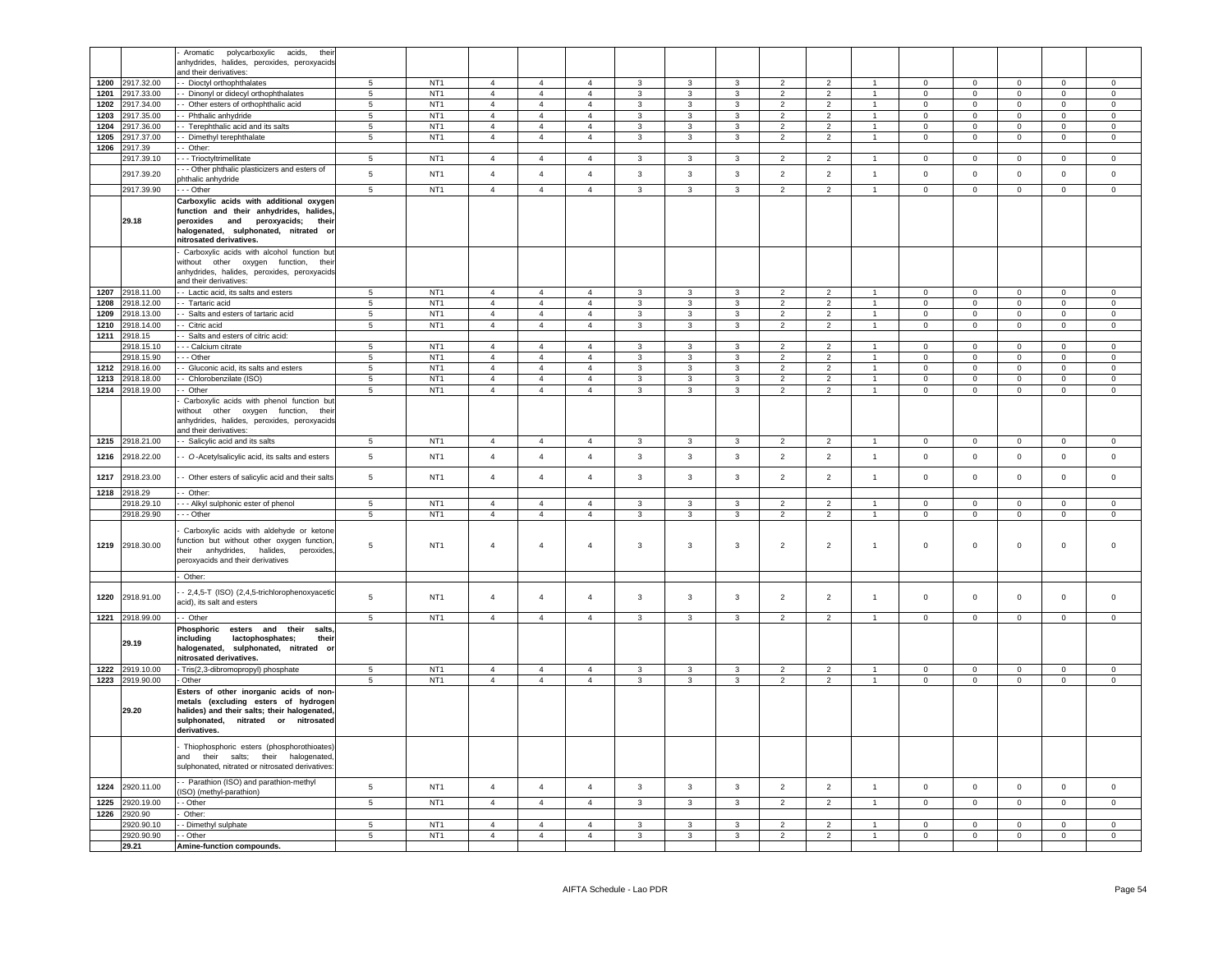|              |                          | Aromatic<br>polycarboxylic acids,<br>thei                                             |                     |                                    |                |                                  |                                  |                                  |                         |                                  |                                  |                                  |                                  |                               |                               |                            |                               |                               |
|--------------|--------------------------|---------------------------------------------------------------------------------------|---------------------|------------------------------------|----------------|----------------------------------|----------------------------------|----------------------------------|-------------------------|----------------------------------|----------------------------------|----------------------------------|----------------------------------|-------------------------------|-------------------------------|----------------------------|-------------------------------|-------------------------------|
|              |                          | anhydrides, halides, peroxides, peroxyacids                                           |                     |                                    |                |                                  |                                  |                                  |                         |                                  |                                  |                                  |                                  |                               |                               |                            |                               |                               |
|              |                          | and their derivatives:                                                                |                     |                                    |                |                                  |                                  |                                  |                         |                                  |                                  |                                  |                                  |                               |                               |                            |                               |                               |
| 1200         | 2917.32.00               | - Dioctyl orthophthalates                                                             | 5                   | NT <sub>1</sub>                    | $\overline{4}$ | $\overline{4}$                   | $\overline{4}$                   | 3                                | 3                       | 3                                | $\overline{2}$                   | $\overline{2}$                   | $\overline{1}$                   | $\overline{0}$                | $\overline{0}$                | $\mathbf 0$                | $\circ$                       | $\mathbf 0$                   |
| 1201         | 2917.33.00               | - Dinonyl or didecyl orthophthalates                                                  | 5                   | NT <sub>1</sub>                    | $\overline{4}$ | $\overline{4}$                   | $\overline{4}$                   | $\overline{3}$                   | $\overline{3}$          | $\mathbf{3}$                     | $\mathcal{P}$                    | $\overline{2}$                   | $\blacktriangleleft$             | $\Omega$                      | $\mathbf 0$                   | $\mathsf 0$                | $\Omega$                      | $\mathbf{0}$                  |
| 1202         | 2917.34.00               | - Other esters of orthophthalic acid                                                  | 5                   | NT <sub>1</sub>                    | $\overline{4}$ | $\overline{4}$                   | $\overline{4}$                   | $\mathbf{3}$                     | $\mathbf{3}$            | $\mathbf{3}$                     | $\overline{2}$                   | $\overline{2}$                   | $\overline{1}$                   | $\mathbf 0$                   | $\mathbf{0}$                  | $\mathsf 0$                | $\mathbf 0$                   | $\circ$                       |
| 1203         | 2917.35.00               | - Phthalic anhydride                                                                  | 5                   | NT <sub>1</sub>                    | $\overline{4}$ | $\overline{4}$                   | $\overline{4}$                   | $\mathbf{3}$                     | 3                       | $\mathbf{3}$                     | $\mathcal{P}$                    | $\overline{2}$                   |                                  | $\Omega$                      | $\mathbf 0$                   | $\Omega$                   | $\Omega$                      | $\Omega$                      |
| 1204         | 2917.36.00               | -- Terephthalic acid and its salts                                                    | $5\phantom{.0}$     | NT <sub>1</sub>                    | $\overline{4}$ | $\overline{4}$                   | $\overline{4}$                   | $\mathbf{3}$                     | $\mathbf{3}$            | $\mathbf{3}$                     | $\overline{2}$                   | $\overline{2}$                   | $\mathbf{1}$                     | $\mathbf 0$                   | $\mathbf 0$                   | $\mathsf{O}\xspace$        | $\mathbf 0$                   | $\mathbf 0$                   |
| 1205         | 2917.37.00               | - Dimethyl terephthalate                                                              | $5\phantom{.0}$     | NT <sub>1</sub>                    | $\overline{4}$ | $\overline{4}$                   | $\overline{4}$                   | $\mathbf{3}$                     | $\overline{3}$          | $\mathbf{3}$                     | $\overline{2}$                   | 2                                | $\sim$                           | $\Omega$                      | $\overline{0}$                | $\mathsf{O}\xspace$        | $\Omega$                      | $\Omega$                      |
| 1206         | 2917.39                  | - Other:                                                                              |                     |                                    |                |                                  |                                  |                                  |                         |                                  |                                  |                                  |                                  |                               |                               |                            |                               |                               |
|              | 2917.39.10               | --- Trioctyltrimellitate                                                              | $5\phantom{.0}$     | NT <sub>1</sub>                    | $\overline{4}$ | $\overline{4}$                   | $\overline{4}$                   | $\mathbf{3}$                     | $\mathbf{3}$            | $\mathbf{3}$                     | $\overline{2}$                   | $\overline{2}$                   | $\overline{1}$                   | $\Omega$                      | $\mathbf{0}$                  | $\mathbf 0$                | $\Omega$                      | $\Omega$                      |
|              |                          | -- Other phthalic plasticizers and esters of                                          |                     |                                    |                |                                  |                                  |                                  |                         |                                  |                                  |                                  |                                  |                               |                               |                            |                               |                               |
|              | 2917.39.20               | ohthalic anhydride                                                                    | $5\phantom{.0}$     | NT <sub>1</sub>                    | $\overline{4}$ | $\overline{4}$                   | $\overline{4}$                   | 3                                | 3                       | 3                                | $\overline{2}$                   | $\overline{2}$                   | $\mathbf{1}$                     | $\mathbf 0$                   | $\overline{0}$                | $\mathbf 0$                | $\mathbf{0}$                  | $\mathbf 0$                   |
|              | 2917.39.90               | - - Other                                                                             | $5\overline{5}$     | NT <sub>1</sub>                    | $\overline{4}$ | $\overline{4}$                   | $\overline{4}$                   | $\mathbf{3}$                     | $\overline{3}$          | $\overline{3}$                   | 2                                | $\overline{2}$                   | 1                                | $\mathbf 0$                   | $\overline{0}$                | $\mathsf{O}^-$             | $\circ$                       | $\circ$                       |
|              |                          | Carboxylic acids with additional oxyger                                               |                     |                                    |                |                                  |                                  |                                  |                         |                                  |                                  |                                  |                                  |                               |                               |                            |                               |                               |
|              |                          | function and their anhydrides, halides                                                |                     |                                    |                |                                  |                                  |                                  |                         |                                  |                                  |                                  |                                  |                               |                               |                            |                               |                               |
|              | 29.18                    | peroxides and peroxyacids; their                                                      |                     |                                    |                |                                  |                                  |                                  |                         |                                  |                                  |                                  |                                  |                               |                               |                            |                               |                               |
|              |                          | halogenated, sulphonated, nitrated or                                                 |                     |                                    |                |                                  |                                  |                                  |                         |                                  |                                  |                                  |                                  |                               |                               |                            |                               |                               |
|              |                          | nitrosated derivatives.                                                               |                     |                                    |                |                                  |                                  |                                  |                         |                                  |                                  |                                  |                                  |                               |                               |                            |                               |                               |
|              |                          | Carboxylic acids with alcohol function but                                            |                     |                                    |                |                                  |                                  |                                  |                         |                                  |                                  |                                  |                                  |                               |                               |                            |                               |                               |
|              |                          | without other oxygen function, their                                                  |                     |                                    |                |                                  |                                  |                                  |                         |                                  |                                  |                                  |                                  |                               |                               |                            |                               |                               |
|              |                          | anhydrides, halides, peroxides, peroxyacids                                           |                     |                                    |                |                                  |                                  |                                  |                         |                                  |                                  |                                  |                                  |                               |                               |                            |                               |                               |
|              |                          | and their derivatives:                                                                |                     |                                    |                |                                  |                                  |                                  |                         |                                  |                                  |                                  |                                  |                               |                               |                            |                               |                               |
| 1207         | 2918.11.00               | - Lactic acid, its salts and esters                                                   | 5                   | NT <sub>1</sub>                    | $\overline{4}$ | $\overline{4}$                   | $\overline{4}$                   | $\mathbf{3}$                     | $\mathbf{3}$            | 3                                | $\overline{2}$                   | $\overline{2}$                   | $\overline{1}$                   | $\overline{0}$                | $\overline{0}$                | $\mathbf{0}$               | $\overline{0}$                | $\mathsf{O}\xspace$           |
| 1208<br>1209 | 2918.12.00               | - Tartaric acid                                                                       | $5\phantom{.0}$     | NT <sub>1</sub><br>NT <sub>1</sub> | $\overline{4}$ | $\overline{4}$                   | $\overline{4}$                   | $\mathbf{3}$                     | $\mathbf{3}$            | $\mathbf{3}$                     | 2                                | 2                                | $\overline{1}$                   | $\mathbf{0}$                  | $\overline{0}$                | $\mathsf 0$                | $\Omega$                      | $\mathsf 0$                   |
|              | 2918.13.00               | - Salts and esters of tartaric acid                                                   | $5\phantom{.0}$     |                                    | $\overline{4}$ | $\overline{4}$                   | $\overline{4}$                   | $\mathbf{3}$                     | $\mathbf{3}$            | $\mathbf{3}$                     | $\overline{2}$                   | $\overline{2}$                   | $\overline{1}$                   | $\mathsf 0$                   | $\mathsf 0$                   | $\mathbf 0$                | $\mathbf 0$                   | $\mathsf 0$                   |
| 1210         | 2918.14.00               | - Citric acid                                                                         | $5\phantom{.0}$     | NT <sub>1</sub>                    | $\overline{4}$ | $\overline{4}$                   | $\overline{4}$                   | $\mathbf{3}$                     | $\mathbf{3}$            | $\mathbf{3}$                     | $\overline{2}$                   | $\overline{2}$                   | 1                                | $\overline{0}$                | $\overline{0}$                | $\mathbf 0$                | $\overline{0}$                | $\overline{0}$                |
| 1211         | 2918.15                  | - Salts and esters of citric acid:                                                    |                     |                                    |                |                                  |                                  |                                  |                         |                                  |                                  |                                  |                                  |                               |                               |                            |                               |                               |
|              | 2918.15.10               | - - - Calcium citrate                                                                 | $5\phantom{.0}$     | NT <sub>1</sub>                    | $\overline{4}$ | $\overline{4}$                   | $\overline{4}$                   | 3                                | $\mathbf{3}$            | 3                                | 2                                | $\overline{2}$                   | $\mathbf{1}$                     | $\Omega$                      | $\mathbf 0$                   | $\mathbf 0$                | $\Omega$                      | $\mathbf 0$                   |
|              | 2918.15.90               | - - Other                                                                             | 5                   | NT <sub>1</sub>                    | $\sqrt{4}$     | $\overline{4}$                   | $\overline{4}$                   | 3                                | $\mathbf{3}$            | $\mathbf{3}$                     | 2                                | $\overline{2}$                   | $\overline{1}$<br>$\overline{1}$ | $\overline{0}$                | $\mathbf 0$                   | $\mathbf{0}$               | $\overline{0}$<br>$\Omega$    | 0                             |
| 1212         | 2918.16.00               | - Gluconic acid, its salts and esters                                                 | $5\phantom{.0}$     | NT <sub>1</sub>                    | $\overline{4}$ | $\overline{4}$                   | $\overline{4}$                   | $\mathbf{3}$                     | $\mathbf{3}$            | $\mathbf{3}$                     | $\overline{2}$                   | $\overline{2}$                   |                                  | $\overline{0}$                | $\mathsf 0$                   | $\overline{0}$             |                               | $\mathbf 0$                   |
| 1213         | 2918.18.00               | - Chlorobenzilate (ISO)                                                               | 5                   | NT <sub>1</sub>                    | $\overline{4}$ | $\overline{4}$                   | $\overline{4}$                   | 3                                | $\mathbf{3}$            | 3                                | $\overline{2}$                   | $\overline{2}$                   | $\overline{1}$                   | $\mathbf{0}$                  | $\overline{0}$                | $\mathbf{0}$               | $\mathbf{0}$                  | $\mathbf 0$                   |
|              | 1214 2918.19.00          | - Other                                                                               | $5\phantom{.0}$     | NT <sub>1</sub>                    | $\overline{4}$ | $\overline{4}$                   | $\overline{4}$                   | $\mathbf{3}$                     | $\mathbf{3}$            | $\mathbf{3}$                     | $\overline{2}$                   | $\overline{2}$                   | $\mathbf{1}$                     | $\overline{0}$                | $\overline{0}$                | $\mathbf 0$                | $\mathbf 0$                   | $\mathbf 0$                   |
|              |                          | Carboxylic acids with phenol function but                                             |                     |                                    |                |                                  |                                  |                                  |                         |                                  |                                  |                                  |                                  |                               |                               |                            |                               |                               |
|              |                          | without other oxygen function, their<br>anhydrides, halides, peroxides, peroxyacids   |                     |                                    |                |                                  |                                  |                                  |                         |                                  |                                  |                                  |                                  |                               |                               |                            |                               |                               |
|              |                          | and their derivatives:                                                                |                     |                                    |                |                                  |                                  |                                  |                         |                                  |                                  |                                  |                                  |                               |                               |                            |                               |                               |
|              | 1215 2918.21.00          | - Salicylic acid and its salts                                                        | $5\overline{5}$     | NT <sub>1</sub>                    | $\overline{4}$ | $\overline{4}$                   | $\overline{4}$                   | $\mathbf{3}$                     | $\mathbf{3}$            | $\mathbf{3}$                     | $\overline{2}$                   | $\overline{2}$                   | $\overline{1}$                   | $\mathbf{0}$                  | $\overline{0}$                | $\mathsf 0$                | $\overline{0}$                | $\circ$                       |
|              |                          |                                                                                       |                     |                                    |                |                                  |                                  |                                  |                         |                                  |                                  |                                  |                                  |                               |                               |                            |                               |                               |
| 1216         | 2918.22.00               | - O-Acetylsalicylic acid, its salts and esters                                        | $5\phantom{.0}$     | NT <sub>1</sub>                    | $\overline{4}$ | $\overline{4}$                   | $\overline{4}$                   | 3                                | $\overline{3}$          | $\overline{3}$                   | 2                                | 2                                | $\overline{1}$                   | $\mathbf{0}$                  | $\mathbf 0$                   | $\mathbf 0$                | $\overline{0}$                | $\mathbf 0$                   |
|              |                          |                                                                                       |                     |                                    |                |                                  |                                  |                                  |                         |                                  |                                  |                                  |                                  |                               |                               |                            |                               |                               |
| 1217         | 2918.23.00               | - Other esters of salicylic acid and their salts                                      | 5                   | NT <sub>1</sub>                    | $\overline{4}$ | $\overline{4}$                   | $\overline{4}$                   | 3                                | 3                       | 3                                | $\overline{2}$                   | $\overline{2}$                   | $\mathbf{1}$                     | $\mathbf 0$                   | $\mathbf 0$                   | $\mathbf 0$                | $\mathbf 0$                   | $\mathsf 0$                   |
|              | 1218 2918.29             | - Other:                                                                              |                     |                                    |                |                                  |                                  |                                  |                         |                                  |                                  |                                  |                                  |                               |                               |                            |                               |                               |
|              | 2918.29.10               | --- Alkyl sulphonic ester of phenol                                                   | 5                   | NT <sub>1</sub>                    | $\overline{4}$ | $\overline{4}$                   | $\overline{4}$                   | 3                                | $\mathbf{3}$            | 3                                | 2                                | 2                                | $\mathbf{1}$                     | $\mathbf{0}$                  | $\overline{0}$                | $\mathbf{0}$               | $\overline{0}$                | $\mathbf{0}$                  |
|              | 2918.29.90               | --- Other                                                                             | $5\overline{5}$     | NT <sub>1</sub>                    | 4              | $\overline{4}$                   | 4                                | $\mathbf{3}$                     | $\mathbf{3}$            | 3 <sup>1</sup>                   | $\overline{2}$                   | $\overline{2}$                   | $\mathbf{1}$                     | $\overline{0}$                | $\overline{0}$                | $\overline{0}$             | $\overline{0}$                | $\overline{0}$                |
|              |                          |                                                                                       |                     |                                    |                |                                  |                                  |                                  |                         |                                  |                                  |                                  |                                  |                               |                               |                            |                               |                               |
|              |                          | Carboxylic acids with aldehyde or ketone                                              |                     |                                    |                |                                  |                                  |                                  |                         |                                  |                                  |                                  |                                  |                               |                               |                            |                               |                               |
|              | 1219 2918.30.00          | function but without other oxygen function,<br>heir anhydrides, halides,<br>peroxides | 5                   | NT <sub>1</sub>                    | $\overline{4}$ | $\overline{4}$                   | $\overline{4}$                   | 3                                | 3                       | $\mathbf{3}$                     | $\overline{2}$                   | $\overline{2}$                   | $\mathbf{1}$                     | $\mathsf 0$                   | $\mathbf 0$                   | $\mathbf 0$                | $\mathsf 0$                   | $\Omega$                      |
|              |                          | peroxyacids and their derivatives                                                     |                     |                                    |                |                                  |                                  |                                  |                         |                                  |                                  |                                  |                                  |                               |                               |                            |                               |                               |
|              |                          |                                                                                       |                     |                                    |                |                                  |                                  |                                  |                         |                                  |                                  |                                  |                                  |                               |                               |                            |                               |                               |
|              |                          | Other:                                                                                |                     |                                    |                |                                  |                                  |                                  |                         |                                  |                                  |                                  |                                  |                               |                               |                            |                               |                               |
|              |                          | - 2,4,5-T (ISO) (2,4,5-trichlorophenoxyacetic                                         |                     |                                    |                |                                  |                                  |                                  |                         |                                  |                                  |                                  |                                  |                               |                               |                            |                               |                               |
| 1220         | 2918.91.00               | acid), its salt and esters                                                            | 5                   | NT <sub>1</sub>                    | $\overline{4}$ | $\overline{4}$                   | $\overline{4}$                   | 3                                | 3                       | 3                                | $\overline{2}$                   | $\overline{2}$                   | $\overline{1}$                   | $\mathsf 0$                   | $\mathbf 0$                   | $\mathbf 0$                | $\mathsf 0$                   | $\Omega$                      |
|              | 1221 2918.99.00          | - Other                                                                               | 5                   | NT <sub>1</sub>                    | $\overline{4}$ | $\overline{4}$                   | $\overline{4}$                   | $\mathbf{3}$                     | $\mathbf{3}$            | $\mathbf{3}$                     | $\overline{2}$                   | $\overline{2}$                   | $\overline{1}$                   | $\circ$                       | $\mathbf{0}$                  | $\mathbf{0}$               | $\circ$                       | $\Omega$                      |
|              |                          | Phosphoric esters and<br>their<br>salts                                               |                     |                                    |                |                                  |                                  |                                  |                         |                                  |                                  |                                  |                                  |                               |                               |                            |                               |                               |
|              |                          | including<br>lactophosphates;<br>their                                                |                     |                                    |                |                                  |                                  |                                  |                         |                                  |                                  |                                  |                                  |                               |                               |                            |                               |                               |
|              | 29.19                    | halogenated, sulphonated, nitrated or                                                 |                     |                                    |                |                                  |                                  |                                  |                         |                                  |                                  |                                  |                                  |                               |                               |                            |                               |                               |
|              |                          | nitrosated derivatives.                                                               |                     |                                    |                |                                  |                                  |                                  |                         |                                  |                                  |                                  |                                  |                               |                               |                            |                               |                               |
|              | 1222 2919.10.00          | - Tris(2,3-dibromopropyl) phosphate                                                   | 5                   | NT <sub>1</sub>                    | $\overline{4}$ | $\overline{4}$                   | $\overline{4}$                   | $\mathbf{3}$                     | $\mathbf{3}$            | $\mathbf{3}$                     | $\overline{2}$                   | $\overline{2}$                   | $\overline{1}$                   | $\mathbf 0$                   | $\circ$                       | $\mathsf 0$                | $\circ$                       | $\mathsf 0$                   |
|              | 1223 2919.90.00          | Other                                                                                 | 5                   | NT <sub>1</sub>                    | $\overline{4}$ | $\overline{4}$                   | $\overline{4}$                   | $\mathbf{3}$                     | $\mathbf{3}$            | $\mathbf{3}$                     | $\overline{2}$                   | $\overline{2}$                   | $\mathbf{1}$                     | $\mathbf 0$                   | $\circ$                       | $\mathbf 0$                | $\mathbf 0$                   | $\mathsf 0$                   |
|              |                          | Esters of other inorganic acids of non-                                               |                     |                                    |                |                                  |                                  |                                  |                         |                                  |                                  |                                  |                                  |                               |                               |                            |                               |                               |
|              |                          | netals (excluding esters of hydrogen                                                  |                     |                                    |                |                                  |                                  |                                  |                         |                                  |                                  |                                  |                                  |                               |                               |                            |                               |                               |
|              | 29.20                    | halides) and their salts; their halogenated,                                          |                     |                                    |                |                                  |                                  |                                  |                         |                                  |                                  |                                  |                                  |                               |                               |                            |                               |                               |
|              |                          | sulphonated, nitrated or nitrosated                                                   |                     |                                    |                |                                  |                                  |                                  |                         |                                  |                                  |                                  |                                  |                               |                               |                            |                               |                               |
|              |                          | derivatives.                                                                          |                     |                                    |                |                                  |                                  |                                  |                         |                                  |                                  |                                  |                                  |                               |                               |                            |                               |                               |
|              |                          | Thiophosphoric esters (phosphorothioates)                                             |                     |                                    |                |                                  |                                  |                                  |                         |                                  |                                  |                                  |                                  |                               |                               |                            |                               |                               |
|              |                          | and their salts; their halogenated,                                                   |                     |                                    |                |                                  |                                  |                                  |                         |                                  |                                  |                                  |                                  |                               |                               |                            |                               |                               |
|              |                          | sulphonated, nitrated or nitrosated derivatives                                       |                     |                                    |                |                                  |                                  |                                  |                         |                                  |                                  |                                  |                                  |                               |                               |                            |                               |                               |
|              |                          |                                                                                       |                     |                                    |                |                                  |                                  |                                  |                         |                                  |                                  |                                  |                                  |                               |                               |                            |                               |                               |
| 1224         | 2920.11.00               | - Parathion (ISO) and parathion-methyl                                                | $\,$ 5 $\,$         | NT <sub>1</sub>                    | $\overline{4}$ | $\overline{4}$                   | $\overline{4}$                   | $\mathbf{3}$                     | $\mathbf{3}$            | $\mathbf{3}$                     | $\overline{2}$                   | $\overline{2}$                   | $\overline{1}$                   | $\mathbf 0$                   | $\mathbf 0$                   | $\mathbf 0$                | $\mathsf 0$                   | $\mathsf 0$                   |
|              |                          | ISO) (methyl-parathion)                                                               |                     |                                    |                |                                  |                                  |                                  |                         |                                  |                                  |                                  |                                  |                               |                               |                            |                               |                               |
| 1225         | 2920.19.00               | - Other                                                                               | $5^{\circ}$         | NT1                                | $\overline{4}$ | $\overline{4}$                   | $\overline{4}$                   | $\overline{3}$                   | $\overline{3}$          | $\overline{3}$                   | 2                                | $\overline{2}$                   | $\blacktriangleleft$             | $\mathbf{0}$                  | $\mathbf{0}$                  | $\mathbf 0$                | $\mathbf{0}$                  | $\mathbf 0$                   |
| 1226         | 2920.90                  | Other:                                                                                |                     |                                    | $\overline{4}$ |                                  |                                  |                                  | 3                       |                                  |                                  |                                  |                                  |                               |                               |                            |                               |                               |
|              | 2920.90.10<br>2920.90.90 | - Dimethyl sulphate<br>- Other                                                        | 5<br>$\overline{5}$ | NT <sub>1</sub><br>NT <sub>1</sub> | $\overline{4}$ | $\overline{4}$<br>$\overline{4}$ | $\overline{4}$<br>$\overline{4}$ | $\overline{3}$<br>$\overline{3}$ | $\overline{\mathbf{3}}$ | $\overline{3}$<br>$\overline{3}$ | $\overline{2}$<br>$\overline{2}$ | $\overline{2}$<br>$\overline{2}$ |                                  | $\mathbf 0$<br>$\overline{0}$ | $\mathbf 0$<br>$\overline{0}$ | $\Omega$<br>$\overline{0}$ | $\mathbf 0$<br>$\overline{0}$ | $\mathbf 0$<br>$\overline{0}$ |
|              | 29.21                    |                                                                                       |                     |                                    |                |                                  |                                  |                                  |                         |                                  |                                  |                                  |                                  |                               |                               |                            |                               |                               |
|              |                          | Amine-function compounds.                                                             |                     |                                    |                |                                  |                                  |                                  |                         |                                  |                                  |                                  |                                  |                               |                               |                            |                               |                               |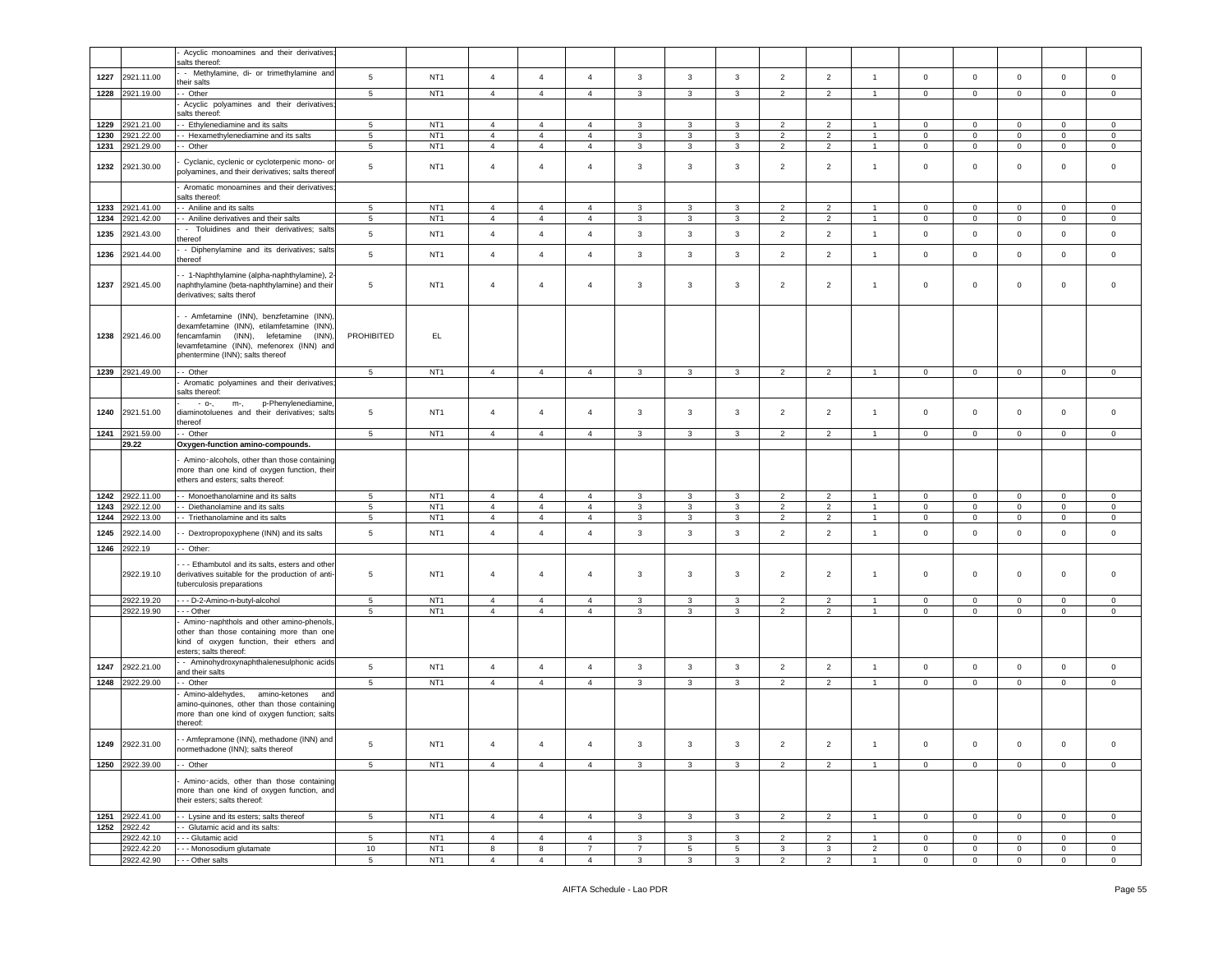|              |                          | Acyclic monoamines and their derivatives;                                                                                                                                                                          |                       |                                    |                                  |                                  |                                  |                     |                         |              |                                  |                                  |                                  |                               |                               |                            |                               |                                |
|--------------|--------------------------|--------------------------------------------------------------------------------------------------------------------------------------------------------------------------------------------------------------------|-----------------------|------------------------------------|----------------------------------|----------------------------------|----------------------------------|---------------------|-------------------------|--------------|----------------------------------|----------------------------------|----------------------------------|-------------------------------|-------------------------------|----------------------------|-------------------------------|--------------------------------|
|              |                          | salts thereof:                                                                                                                                                                                                     |                       |                                    |                                  |                                  |                                  |                     |                         |              |                                  |                                  |                                  |                               |                               |                            |                               |                                |
| 1227         | 2921.11.00               | - Methylamine, di- or trimethylamine and                                                                                                                                                                           | 5                     | NT <sub>1</sub>                    | $\sqrt{4}$                       | $\overline{4}$                   | $\overline{4}$                   | $\mathbf{3}$        | $\mathbf{3}$            | 3            | $\overline{2}$                   | $\overline{2}$                   | $\mathbf{1}$                     | $\mathbf 0$                   | $\overline{0}$                | $\mathbf 0$                | $\mathbf 0$                   | $\mathbf 0$                    |
| 1228         | 2921.19.00               | heir salts<br>- Other                                                                                                                                                                                              | 5                     | NT <sub>1</sub>                    | $\overline{4}$                   | $\overline{4}$                   | $\overline{4}$                   | 3                   | 3                       | 3            | $\overline{2}$                   | $\overline{2}$                   | $\mathbf{1}$                     | $\mathbf 0$                   | $\mathbf{0}$                  | $\mathbf 0$                | $\circ$                       | $\mathbf 0$                    |
|              |                          | Acyclic polyamines and their derivatives                                                                                                                                                                           |                       |                                    |                                  |                                  |                                  |                     |                         |              |                                  |                                  |                                  |                               |                               |                            |                               |                                |
|              |                          | alts thereof:                                                                                                                                                                                                      |                       |                                    |                                  |                                  |                                  |                     |                         |              |                                  |                                  |                                  |                               |                               |                            |                               |                                |
| 1229         | 2921.21.00               | - Ethylenediamine and its salts                                                                                                                                                                                    | 5                     | NT <sub>1</sub>                    | $\overline{4}$                   | $\overline{4}$                   | $\overline{4}$                   | 3                   | 3                       | 3            | $\overline{2}$                   | $\overline{2}$                   | $\overline{1}$                   | $\mathbf 0$                   | $\mathbf 0$                   | $\mathbf 0$                | $\mathbf{0}$                  | $\mathbf 0$                    |
| 1230<br>1231 | 2921.22.00<br>2921.29.00 | - Hexamethylenediamine and its salts<br>- Other                                                                                                                                                                    | 5<br>5                | NT <sub>1</sub><br>NT <sub>1</sub> | $\overline{4}$<br>$\overline{4}$ | $\overline{4}$<br>$\overline{4}$ | $\overline{4}$<br>$\overline{4}$ | 3<br>3              | 3<br>$\mathbf{3}$       | 3<br>3       | $\overline{2}$<br>$\overline{2}$ | $\overline{2}$<br>$\overline{2}$ | $\overline{1}$<br>$\overline{1}$ | $\mathbf 0$<br>$\overline{0}$ | $\mathbf 0$<br>$\overline{0}$ | $\mathbf 0$<br>$\mathbf 0$ | $\mathbf 0$<br>$\overline{0}$ | $\mathbf 0$<br>$\mathbf{0}$    |
|              |                          |                                                                                                                                                                                                                    |                       |                                    |                                  |                                  |                                  |                     |                         |              |                                  |                                  |                                  |                               |                               |                            |                               |                                |
| 1232         | 2921.30.00               | Cyclanic, cyclenic or cycloterpenic mono- or<br>oolyamines, and their derivatives; salts thereof                                                                                                                   | 5                     | NT <sub>1</sub>                    | $\overline{4}$                   | $\overline{4}$                   | $\overline{4}$                   | $\mathbf{3}$        | 3                       | 3            | $\overline{2}$                   | $\overline{2}$                   | $\overline{1}$                   | $\mathbf 0$                   | $\overline{0}$                | $\mathbf 0$                | $\mathsf 0$                   | $\mathbf 0$                    |
|              |                          | Aromatic monoamines and their derivatives;                                                                                                                                                                         |                       |                                    |                                  |                                  |                                  |                     |                         |              |                                  |                                  |                                  |                               |                               |                            |                               |                                |
|              |                          | salts thereof:                                                                                                                                                                                                     |                       |                                    |                                  |                                  |                                  |                     |                         |              |                                  |                                  |                                  |                               |                               |                            |                               |                                |
| 1233         | 2921.41.00               | - Aniline and its salts                                                                                                                                                                                            | 5                     | NT <sub>1</sub>                    | $\overline{4}$                   | $\overline{4}$                   | $\overline{4}$                   | $\mathbf{3}$        | 3                       | 3            | $\overline{2}$                   | $\overline{2}$                   | $\mathbf{1}$                     | $\mathbf 0$                   | $\overline{0}$                | $\mathbf 0$                | $\mathbf 0$                   | $\circ$                        |
| 1234         | 2921.42.00               | - Aniline derivatives and their salts                                                                                                                                                                              | 5                     | NT <sub>1</sub>                    | $\overline{4}$                   | $\overline{4}$                   | $\overline{4}$                   | $\mathbf{3}$        | 3                       | $\mathbf{3}$ | $\overline{2}$                   | $\overline{2}$                   | $\overline{1}$                   | $\mathsf 0$                   | $\mathbf 0$                   | $\mathsf 0$                | $\mathbf 0$                   | $\mathbf 0$                    |
| 1235         | 2921.43.00               | - Toluidines and their derivatives; salts<br>hereof                                                                                                                                                                | 5                     | NT <sub>1</sub>                    | $\overline{4}$                   | $\overline{4}$                   | $\overline{4}$                   | 3                   | 3                       | 3            | $\overline{2}$                   | $\overline{2}$                   | $\overline{1}$                   | $\mathbf 0$                   | $\overline{0}$                | $\mathbf 0$                | $\mathbf 0$                   | $\circ$                        |
| 1236         | 2921.44.00               | - Diphenylamine and its derivatives; salts<br>hereof                                                                                                                                                               | 5                     | NT <sub>1</sub>                    | $\overline{4}$                   | $\overline{4}$                   | $\overline{4}$                   | $\mathbf{3}$        | 3                       | 3            | $\overline{2}$                   | $\overline{2}$                   | $\mathbf{1}$                     | $\circ$                       | $\mathbf 0$                   | $\mathbf 0$                | $\mathbf 0$                   | $\mathbf 0$                    |
| 1237         | 2921.45.00               | - 1-Naphthylamine (alpha-naphthylamine), 2-<br>naphthylamine (beta-naphthylamine) and their<br>derivatives; salts therof                                                                                           | 5                     | NT <sub>1</sub>                    | $\overline{4}$                   | $\overline{4}$                   | $\overline{4}$                   | 3                   | 3                       | 3            | $\overline{2}$                   | $\overline{2}$                   | $\mathbf{1}$                     | $\mathbf 0$                   | $\mathbf 0$                   | $\mathbf 0$                | 0                             | $\mathbf 0$                    |
| 1238         | 2921.46.00               | - Amfetamine (INN), benzfetamine (INN)<br>dexamfetamine (INN), etilamfetamine (INN)<br>encamfamin<br>(INN),<br>lefetamine<br>(INN)<br>levamfetamine (INN), mefenorex (INN) and<br>phentermine (INN); salts thereof | PROHIBITED            | EL.                                |                                  |                                  |                                  |                     |                         |              |                                  |                                  |                                  |                               |                               |                            |                               |                                |
| 1239         | 2921.49.00               | - Other                                                                                                                                                                                                            | 5                     | NT <sub>1</sub>                    | $\overline{4}$                   | $\overline{4}$                   | $\overline{4}$                   | 3                   | 3                       | 3            | $\overline{2}$                   | $\overline{2}$                   | $\overline{1}$                   | $\mathbf 0$                   | $\overline{0}$                | $\circ$                    | $\mathbf 0$                   | $\mathbf 0$                    |
|              |                          | Aromatic polyamines and their derivatives<br>salts thereof:                                                                                                                                                        |                       |                                    |                                  |                                  |                                  |                     |                         |              |                                  |                                  |                                  |                               |                               |                            |                               |                                |
|              |                          | p-Phenylenediamine<br>$-$ 0-,<br>m-,                                                                                                                                                                               |                       |                                    |                                  |                                  |                                  |                     |                         |              |                                  |                                  |                                  |                               |                               |                            |                               |                                |
| 1240         | 2921.51.00               | diaminotoluenes and their derivatives; salts<br>thereof                                                                                                                                                            | 5                     | NT <sub>1</sub>                    | $\overline{4}$                   | $\overline{4}$                   | $\overline{4}$                   | 3                   | 3                       | 3            | $\overline{2}$                   | $\overline{2}$                   | $\overline{1}$                   | $\circ$                       | $\mathbf 0$                   | $\mathbf 0$                | 0                             | $\mathbf 0$                    |
| 1241         | 2921.59.00               | - Other                                                                                                                                                                                                            | $5\phantom{.0}$       | NT <sub>1</sub>                    | $\overline{4}$                   | $\overline{4}$                   | $\overline{4}$                   | 3                   | $\mathbf{3}$            | 3            | $\overline{2}$                   | $\overline{2}$                   | $\overline{1}$                   | $\mathbf 0$                   | $\mathbf{0}$                  | $\mathbf 0$                | $\mathbf 0$                   | $\overline{0}$                 |
|              | 29.22                    | Oxygen-function amino-compounds.                                                                                                                                                                                   |                       |                                    |                                  |                                  |                                  |                     |                         |              |                                  |                                  |                                  |                               |                               |                            |                               |                                |
|              |                          | Amino-alcohols, other than those containing                                                                                                                                                                        |                       |                                    |                                  |                                  |                                  |                     |                         |              |                                  |                                  |                                  |                               |                               |                            |                               |                                |
|              |                          | more than one kind of oxygen function, their<br>ethers and esters; salts thereof:                                                                                                                                  |                       |                                    |                                  |                                  |                                  |                     |                         |              |                                  |                                  |                                  |                               |                               |                            |                               |                                |
| 1242         | 2922.11.00               | - Monoethanolamine and its salts                                                                                                                                                                                   | 5                     | NT <sub>1</sub>                    | $\overline{4}$                   | $\overline{4}$                   | $\overline{4}$                   | $\mathbf{3}$        | $\mathbf{3}$            | 3            | $\overline{2}$                   | $\overline{2}$                   | $\overline{1}$                   | $\overline{0}$                | $\overline{0}$                | $\mathbf 0$                | $\overline{0}$                | $\mathbf 0$                    |
| 1243         | 2922.12.00               | - Diethanolamine and its salts                                                                                                                                                                                     | $5\overline{5}$       | NT <sub>1</sub>                    | $\overline{4}$                   | $\overline{4}$                   | $\overline{4}$                   | 3                   | 3                       | 3            | $\overline{2}$                   | $\overline{2}$                   | $\mathbf{1}$                     | $\mathbf 0$                   | $\mathbf{0}$                  | $\mathbf 0$                | $\mathbf 0$                   | $\mathbf{0}$                   |
| 1244         | 2922.13.00               | - Triethanolamine and its salts                                                                                                                                                                                    | $\sqrt{5}$            | NT <sub>1</sub>                    | $\overline{4}$                   | $\overline{4}$                   | $\overline{4}$                   | $\mathbf{3}$        | 3                       | 3            | $\overline{2}$                   | $\overline{2}$                   | $\overline{1}$                   | $\mathbf 0$                   | $\overline{0}$                | $\mathbf 0$                | $\mathbf 0$                   | $\mathbf{0}$                   |
| 1245         | 2922.14.00               | - Dextropropoxyphene (INN) and its salts                                                                                                                                                                           | $5\phantom{.0}$       | NT <sub>1</sub>                    | $\overline{4}$                   | $\overline{4}$                   | $\overline{4}$                   | $\mathbf{3}$        | 3                       | 3            | $\overline{2}$                   | $\overline{2}$                   | $\overline{1}$                   | $\mathbf 0$                   | $\overline{0}$                | $\mathbf 0$                | $\mathbf 0$                   | $\mathbf 0$                    |
| 1246         | 2922.19                  | - Other:                                                                                                                                                                                                           |                       |                                    |                                  |                                  |                                  |                     |                         |              |                                  |                                  |                                  |                               |                               |                            |                               |                                |
|              | 2922.19.10               | - Ethambutol and its salts, esters and other<br>derivatives suitable for the production of anti-<br>tuberculosis preparations                                                                                      | 5                     | NT <sub>1</sub>                    | $\overline{4}$                   | $\overline{4}$                   | $\overline{4}$                   | 3                   | 3                       | 3            | $\overline{2}$                   | $\overline{2}$                   | $\mathbf{1}$                     | $\mathbf 0$                   | $\mathbf 0$                   | $\mathbf 0$                | 0                             | $\mathbf 0$                    |
|              | 2922.19.20               | --- D-2-Amino-n-butyl-alcohol                                                                                                                                                                                      | 5                     | NT <sub>1</sub>                    | $\overline{4}$                   | $\overline{4}$                   | $\overline{4}$                   | 3                   | 3                       | $\mathbf{3}$ | 2                                | 2                                | $\overline{1}$                   | $\circ$                       | $\mathbf 0$                   | $\circ$                    | $\mathbf{0}$                  | $\mathbf 0$                    |
|              | 2922.19.90               | - - Other                                                                                                                                                                                                          | $\sqrt{5}$            | NT <sub>1</sub>                    | $\overline{4}$                   | $\overline{4}$                   | $\overline{4}$                   | $\mathbf{3}$        | 3                       | 3            | $\overline{2}$                   | $\overline{2}$                   | $\overline{1}$                   | $\mathbf 0$                   | $\mathbf 0$                   | $\mathbf 0$                | 0                             | 0                              |
|              |                          | Amino-naphthols and other amino-phenols,<br>other than those containing more than one<br>kind of oxygen function, their ethers and<br>esters; salts thereof:                                                       |                       |                                    |                                  |                                  |                                  |                     |                         |              |                                  |                                  |                                  |                               |                               |                            |                               |                                |
| 1247         | 2922.21.00               | - Aminohydroxynaphthalenesulphonic acids                                                                                                                                                                           | $\,$ 5 $\,$           | NT <sub>1</sub>                    | $\overline{4}$                   | $\overline{4}$                   | $\overline{4}$                   | $\mathbf{3}$        | $\mathbf{3}$            | $\mathbf{3}$ | $\overline{2}$                   | $\overline{2}$                   | $\mathbf{1}$                     | $\mathbf 0$                   | $\mathbf 0$                   | $\mathsf 0$                | $\mathbf 0$                   | $\overline{0}$                 |
|              |                          | and their salts                                                                                                                                                                                                    |                       |                                    |                                  |                                  |                                  |                     |                         |              |                                  |                                  |                                  |                               |                               |                            |                               |                                |
| 1248         | 2922.29.00               | - Other<br>Amino-aldehydes, amino-ketones<br>amino-quinones, other than those containing<br>nore than one kind of oxygen function; salts<br>thereof:                                                               | $5\phantom{.0}$       | NT <sub>1</sub>                    | $\overline{4}$                   | $\overline{4}$                   | $\overline{4}$                   | $\mathbf{3}$        | $\mathbf{3}$            | 3            | $\overline{2}$                   | $\overline{2}$                   | $\mathbf{1}$                     | $\mathbf 0$                   | $\overline{0}$                | $\mathbf 0$                | $\mathbf 0$                   | $\circ$                        |
|              | 1249 2922.31.00          | - Amfepramone (INN), methadone (INN) and<br>normethadone (INN); salts thereof                                                                                                                                      | 5                     | NT1                                |                                  | $\overline{4}$                   |                                  | 3                   | 3                       | 3            | 2                                | 2                                |                                  |                               |                               | 0                          | 0                             |                                |
|              | 1250 2922.39.00          | - Other                                                                                                                                                                                                            | 5                     | NT <sub>1</sub>                    | $\overline{4}$                   | $\overline{4}$                   | $\overline{4}$                   | 3                   | $\mathbf{3}$            | $\mathbf{3}$ | $\overline{2}$                   | $\overline{2}$                   | $\overline{1}$                   | $\mathbf 0$                   | $\circ$                       | $\mathbf 0$                | $\mathbf{0}$                  | $\mathbf{0}$                   |
|              |                          | Amino-acids, other than those containing<br>more than one kind of oxygen function, and<br>their esters; salts thereof:                                                                                             |                       |                                    |                                  |                                  |                                  |                     |                         |              |                                  |                                  |                                  |                               |                               |                            |                               |                                |
|              | 1251 2922.41.00          | - - Lysine and its esters; salts thereof                                                                                                                                                                           | $5\phantom{.0}$       | NT <sub>1</sub>                    | $\overline{4}$                   | $\overline{4}$                   | $\overline{4}$                   | $\mathbf{3}$        | $\overline{\mathbf{3}}$ | $\mathbf{3}$ | $\overline{2}$                   | $\overline{2}$                   | $\overline{1}$                   | $\overline{0}$                | $\overline{0}$                | $\mathbf 0$                | $\overline{0}$                | $\overline{0}$                 |
|              | 1252 2922.42             | - Glutamic acid and its salts:                                                                                                                                                                                     |                       |                                    |                                  |                                  |                                  |                     |                         |              |                                  |                                  |                                  |                               |                               |                            |                               |                                |
|              | 2922.42.10<br>2922.42.20 | - - - Glutamic acid<br>- - - Monosodium glutamate                                                                                                                                                                  | $5\overline{5}$<br>10 | NT <sub>1</sub><br>NT <sub>1</sub> | $\overline{4}$<br>8              | $\overline{4}$<br>8              | $\overline{4}$<br>$\overline{7}$ | 3<br>$\overline{7}$ | 3<br>$\sqrt{5}$         | 3<br>5       | $\overline{2}$<br>$\mathbf{3}$   | $\overline{2}$<br>$\mathbf{3}$   | $\overline{1}$<br>$\overline{2}$ | $\mathbf 0$<br>$\mathbf 0$    | $\mathbf{0}$<br>$\mathbf 0$   | $\mathbf 0$<br>$\mathbf 0$ | $\mathbf{0}$<br>$\mathbf{0}$  | $\mathbf{0}$<br>$\overline{0}$ |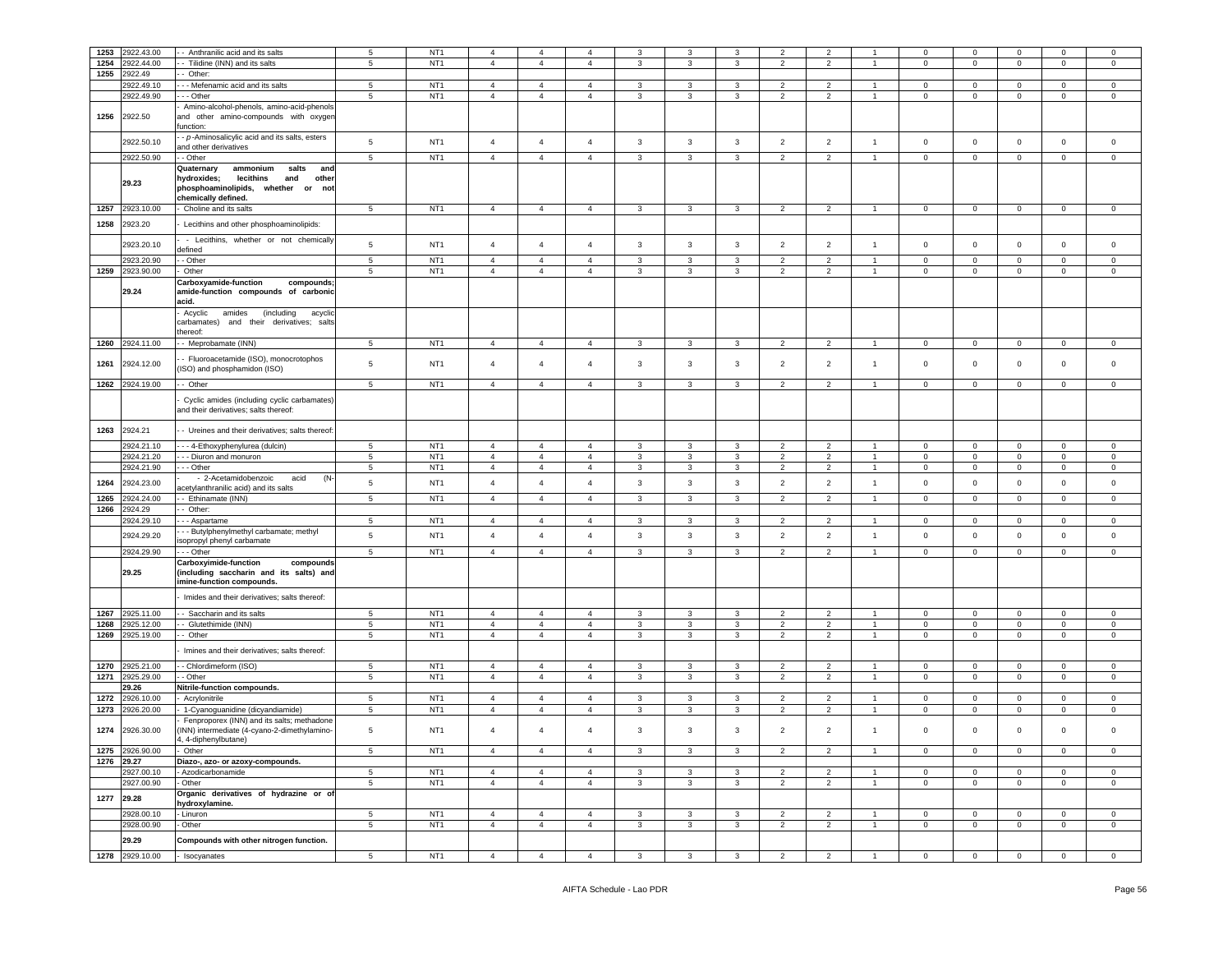| 1253 | 2922.43.00      | Anthranilic acid and its salts                                       | 5               | NT <sub>1</sub> | $\overline{4}$ | $\overline{4}$ | $\overline{4}$ | 3              | 3              | 3              | 2                        | $\overline{2}$ |                | $\mathbf 0$    | $\mathbf 0$         | $\mathbf 0$    | $\Omega$            | $\mathbf 0$    |
|------|-----------------|----------------------------------------------------------------------|-----------------|-----------------|----------------|----------------|----------------|----------------|----------------|----------------|--------------------------|----------------|----------------|----------------|---------------------|----------------|---------------------|----------------|
| 1254 | 2922.44.00      | - Tilidine (INN) and its salts                                       | 5               | NT <sub>1</sub> | $\overline{4}$ | $\overline{4}$ | $\overline{4}$ | 3              | 3              | 3              | $\overline{2}$           | $\overline{2}$ |                | $\mathbf 0$    | $\mathbf 0$         | $\mathbf 0$    | $\mathbf 0$         | $\mathbf 0$    |
| 1255 | 2922.49         |                                                                      |                 |                 |                |                |                |                |                |                |                          |                |                |                |                     |                |                     |                |
|      |                 | Other:                                                               |                 |                 |                |                |                |                |                |                |                          |                |                |                |                     |                |                     |                |
|      | 2922.49.10      | - - Mefenamic acid and its salts                                     | 5               | NT <sub>1</sub> | $\overline{4}$ | $\overline{4}$ | $\overline{4}$ | 3              | 3              | 3              | $\overline{\phantom{a}}$ | $\overline{2}$ |                | $\mathbf 0$    | $\mathbf 0$         | $\mathbf 0$    | $\mathbf 0$         | $\mathbf 0$    |
|      | 2922.49.90      | - - Other                                                            | 5               | NT <sub>1</sub> | $\overline{4}$ | $\overline{4}$ | $\overline{4}$ | 3              | 3              | 3              | $\overline{2}$           | $\overline{2}$ |                | $\mathbf 0$    | $\mathbf 0$         | $\mathbf 0$    | $\mathbf{0}$        | $\circ$        |
|      |                 | Amino-alcohol-phenols, amino-acid-phenols                            |                 |                 |                |                |                |                |                |                |                          |                |                |                |                     |                |                     |                |
| 1256 | 2922.50         | and other amino-compounds with oxyger                                |                 |                 |                |                |                |                |                |                |                          |                |                |                |                     |                |                     |                |
|      |                 | unction:                                                             |                 |                 |                |                |                |                |                |                |                          |                |                |                |                     |                |                     |                |
|      | 2922.50.10      | - p-Aminosalicylic acid and its salts, esters                        | $\,$ 5 $\,$     | NT <sub>1</sub> | $\overline{4}$ | $\overline{4}$ | $\overline{4}$ | $\mathbf{3}$   | $\mathbf{3}$   | $\mathbf{3}$   | $\overline{2}$           | $\overline{2}$ | $\overline{1}$ | $\mathsf 0$    | $\circ$             | $\mathbf 0$    | $\mathsf{O}\xspace$ | $\mathsf 0$    |
|      |                 | and other derivatives                                                |                 |                 |                |                |                |                |                |                |                          |                |                |                |                     |                |                     |                |
|      | 2922.50.90      | - Other                                                              | 5               | NT <sub>1</sub> | $\overline{4}$ | $\overline{4}$ | $\overline{4}$ | $\overline{3}$ | $\overline{3}$ | $\overline{3}$ | 2                        | $\overline{2}$ | $\overline{1}$ | $\circ$        | $\mathbf 0$         | $\mathbf 0$    | $\circ$             | $\mathbf 0$    |
|      |                 | ammonium<br>Quaternary<br>salts<br>and                               |                 |                 |                |                |                |                |                |                |                          |                |                |                |                     |                |                     |                |
|      | 29.23           | lecithins<br>and<br>hydroxides;<br>other                             |                 |                 |                |                |                |                |                |                |                          |                |                |                |                     |                |                     |                |
|      |                 | phosphoaminolipids, whether or<br>not                                |                 |                 |                |                |                |                |                |                |                          |                |                |                |                     |                |                     |                |
|      |                 | chemically defined.                                                  |                 |                 |                |                |                |                |                |                |                          |                |                |                |                     |                |                     |                |
| 1257 | 2923.10.00      | Choline and its salts                                                | $5\phantom{.0}$ | NT <sub>1</sub> | $\overline{4}$ | $\overline{4}$ | $\overline{4}$ | $\mathbf{3}$   | 3              | $\mathbf{3}$   | $\overline{2}$           | $\overline{2}$ | $\overline{1}$ | $\mathbf 0$    | $\overline{0}$      | $\mathbf 0$    | $\mathbf 0$         | $\mathbf 0$    |
| 1258 | 2923.20         | Lecithins and other phosphoaminolipids:                              |                 |                 |                |                |                |                |                |                |                          |                |                |                |                     |                |                     |                |
|      |                 |                                                                      |                 |                 |                |                |                |                |                |                |                          |                |                |                |                     |                |                     |                |
|      | 2923.20.10      | - Lecithins, whether or not chemically                               | $\,$ 5 $\,$     | NT <sub>1</sub> | $\overline{4}$ | $\overline{4}$ | $\overline{4}$ | $\mathbf{3}$   | $\mathbf{3}$   | $\mathbf{3}$   | $\overline{2}$           | $\overline{2}$ | $\overline{1}$ | $\mathbf 0$    | $\mathsf 0$         | $\mathsf 0$    | $\mathbf 0$         | $\mathbf 0$    |
|      |                 | defined                                                              |                 |                 |                |                |                |                |                |                |                          |                |                |                |                     |                |                     |                |
|      | 2923.20.90      | - Other                                                              | $\,$ 5 $\,$     | NT <sub>1</sub> | $\overline{4}$ | $\overline{4}$ | $\overline{4}$ | $\mathbf{3}$   | $\mathbf{3}$   | $\mathbf{3}$   | $\overline{2}$           | $\overline{2}$ | $\overline{1}$ | $\mathbf 0$    | $\mathsf 0$         | $\mathbf 0$    | $\mathbf 0$         | $\mathbf 0$    |
| 1259 | 2923.90.00      | Other                                                                | 5               | NT <sub>1</sub> | $\overline{4}$ | $\overline{4}$ | $\overline{4}$ | 3              | 3              | 3              | $\overline{2}$           | $\overline{2}$ | $\overline{1}$ | $\mathbf 0$    | $\mathbf 0$         | $\mathbf 0$    | $\mathbf 0$         | $\mathbf 0$    |
|      |                 | Carboxyamide-function<br>compounds;                                  |                 |                 |                |                |                |                |                |                |                          |                |                |                |                     |                |                     |                |
|      | 29.24           | amide-function compounds of carbonic                                 |                 |                 |                |                |                |                |                |                |                          |                |                |                |                     |                |                     |                |
|      |                 | acid.                                                                |                 |                 |                |                |                |                |                |                |                          |                |                |                |                     |                |                     |                |
|      |                 | Acyclic<br>amides<br>(including<br>acyclic                           |                 |                 |                |                |                |                |                |                |                          |                |                |                |                     |                |                     |                |
|      |                 | carbamates)<br>and their derivatives; salts                          |                 |                 |                |                |                |                |                |                |                          |                |                |                |                     |                |                     |                |
|      |                 | hereof:                                                              |                 |                 |                |                |                |                |                |                |                          |                |                |                |                     |                |                     |                |
| 1260 | 2924.11.00      | - Meprobamate (INN)                                                  | 5               | NT <sub>1</sub> | $\overline{4}$ | $\overline{4}$ | $\overline{4}$ | 3              | 3              | 3              | $\overline{2}$           | $\overline{2}$ |                | $\mathbf 0$    | $\mathbf{0}$        | 0              | $\mathbf 0$         | 0              |
|      |                 | Fluoroacetamide (ISO), monocrotophos                                 |                 |                 |                |                |                |                |                |                |                          |                |                |                |                     |                |                     |                |
| 1261 | 2924.12.00      | (ISO) and phosphamidon (ISO)                                         | $\,$ 5 $\,$     | NT <sub>1</sub> | $\overline{4}$ | $\overline{4}$ | $\overline{4}$ | $\mathbf{3}$   | 3              | 3              | $\overline{2}$           | $\overline{2}$ | $\overline{1}$ | $\mathbf 0$    | $\overline{0}$      | $\mathbf 0$    | 0                   | $\mathbf 0$    |
|      |                 |                                                                      |                 |                 |                |                |                |                |                |                |                          |                |                |                |                     |                |                     |                |
|      | 1262 2924.19.00 | - Other                                                              | $5\phantom{.0}$ | NT <sub>1</sub> | $\overline{4}$ | $\overline{4}$ | $\overline{4}$ | $\mathbf{3}$   | $\mathbf{3}$   | $\mathbf{3}$   | $\overline{2}$           | $\overline{2}$ | $\overline{1}$ | $\overline{0}$ | $\overline{0}$      | $\overline{0}$ | $\mathbf 0$         | $\mathsf 0$    |
|      |                 | Cyclic amides (including cyclic carbamates)                          |                 |                 |                |                |                |                |                |                |                          |                |                |                |                     |                |                     |                |
|      |                 | and their derivatives; salts thereof:                                |                 |                 |                |                |                |                |                |                |                          |                |                |                |                     |                |                     |                |
|      |                 |                                                                      |                 |                 |                |                |                |                |                |                |                          |                |                |                |                     |                |                     |                |
| 1263 | 2924.21         | - Ureines and their derivatives; salts thereof                       |                 |                 |                |                |                |                |                |                |                          |                |                |                |                     |                |                     |                |
|      | 2924.21.10      | - - 4-Ethoxyphenylurea (dulcin)                                      | 5               | NT <sub>1</sub> | $\overline{4}$ | $\overline{4}$ | $\overline{4}$ | 3              | 3              | 3              | $\overline{2}$           | $\overline{2}$ |                | $\mathbf 0$    | $\mathbf 0$         | 0              | $\mathbf 0$         | $\mathbf 0$    |
|      |                 |                                                                      |                 |                 | $\overline{4}$ | $\overline{4}$ | $\overline{4}$ |                |                |                |                          | $\overline{2}$ |                |                | $\ddot{\mathbf{0}}$ |                |                     |                |
|      | 2924.21.20      | - Diuron and monuron                                                 | $\overline{5}$  | NT <sub>1</sub> |                |                |                | $\mathbf{3}$   | $\mathbf{3}$   | 3              | $\overline{2}$           |                |                | $\mathbf 0$    |                     | $\mathbf 0$    | $\mathbf 0$         | $\mathbf 0$    |
|      | 2924.21.90      | - Other                                                              | $5\phantom{.0}$ | NT <sub>1</sub> | $\overline{4}$ | $\overline{4}$ | $\overline{4}$ | 3              | 3              | 3              | $\overline{2}$           | $\overline{2}$ | $\overline{1}$ | $\mathsf 0$    | $\mathbf 0$         | $\mathbf 0$    | $\mathbf 0$         | $\mathbf 0$    |
| 1264 | 2924.23.00      | - 2-Acetamidobenzoic<br>acid<br>(N-                                  | $\,$ 5 $\,$     | NT <sub>1</sub> | $\overline{4}$ | $\overline{4}$ | $\overline{4}$ | $\mathbf{3}$   | $\mathbf{3}$   | $\mathbf{3}$   | $\overline{2}$           | $\overline{2}$ | $\overline{1}$ | $\mathbf 0$    | $\mathbf 0$         | $\mathbf 0$    | $\mathbf 0$         | $\mathbf 0$    |
|      |                 | acetylanthranilic acid) and its salts                                |                 |                 |                |                |                |                |                |                |                          |                | $\overline{1}$ |                |                     |                |                     |                |
| 1265 | 2924.24.00      | Ethinamate (INN)                                                     | $5\phantom{.0}$ | NT <sub>1</sub> | $\overline{4}$ | $\overline{4}$ | $\overline{4}$ | $\mathbf{3}$   | $\mathbf{3}$   | $\mathbf{3}$   | $\overline{2}$           | $\overline{2}$ |                | $\mathbb O$    | $\mathbf 0$         | $\mathbf 0$    | $\mathsf 0$         | $\mathbf 0$    |
| 1266 | 2924.29         | Other:                                                               |                 |                 |                |                |                |                |                |                |                          |                |                |                |                     |                |                     |                |
|      | 2924.29.10      | - - Aspartame                                                        | 5               | NT <sub>1</sub> | $\overline{4}$ | $\overline{4}$ | $\overline{4}$ | 3              | 3              | 3              | $\overline{2}$           | $\overline{2}$ |                | $\mathbf 0$    | $\mathbf{0}$        | $\mathbf 0$    | $\mathbf 0$         | $\mathbf 0$    |
|      | 2924.29.20      | - - Butylphenylmethyl carbamate; methyl                              | $\,$ 5 $\,$     | NT <sub>1</sub> | $\overline{4}$ | $\overline{4}$ | $\overline{4}$ | $\mathbf{3}$   | $\mathbf{3}$   | $\mathbf{3}$   | $\overline{2}$           | $\overline{2}$ | $\mathbf{1}$   | $\mathsf 0$    | $\mathbf 0$         | $\mathbf 0$    | $\mathsf 0$         | $\mathbf 0$    |
|      |                 | sopropyl phenyl carbamate                                            |                 |                 |                |                |                |                |                |                |                          |                |                |                |                     |                |                     |                |
|      | 2924.29.90      | - - Other                                                            | $5\phantom{.0}$ | NT <sub>1</sub> | $\overline{4}$ | $\overline{4}$ | $\overline{4}$ | $\mathbf{3}$   | $\mathbf{3}$   | 3              | $\overline{2}$           | $\overline{2}$ | $\mathbf{1}$   | $\mathbf 0$    | $\mathbf 0$         | $\mathbf 0$    | $\mathbf 0$         | $\mathbf 0$    |
|      |                 | Carboxyimide-function<br>compounds                                   |                 |                 |                |                |                |                |                |                |                          |                |                |                |                     |                |                     |                |
|      | 29.25           | (including saccharin and its salts) and<br>imine-function compounds. |                 |                 |                |                |                |                |                |                |                          |                |                |                |                     |                |                     |                |
|      |                 |                                                                      |                 |                 |                |                |                |                |                |                |                          |                |                |                |                     |                |                     |                |
|      |                 | Imides and their derivatives; salts thereof:                         |                 |                 |                |                |                |                |                |                |                          |                |                |                |                     |                |                     |                |
| 1267 | 2925.11.00      | - Saccharin and its salts                                            | 5               | NT <sub>1</sub> | $\overline{4}$ | $\overline{4}$ | $\overline{4}$ | $\mathbf{3}$   | 3              | 3              | $\overline{2}$           | $\overline{2}$ | $\overline{1}$ | $\mathbf{0}$   | $\overline{0}$      | $\mathbf 0$    | $\mathbf{0}$        | $\circ$        |
|      | 2925.12.00      |                                                                      | $\sqrt{5}$      | NT <sub>1</sub> | $\overline{4}$ | $\overline{4}$ | $\overline{4}$ | $\mathbf{3}$   | $\mathbf{3}$   | $\mathbf{3}$   | 2                        | $\overline{2}$ | $\mathbf{1}$   | $\mathbf{0}$   | $\mathbf 0$         |                | $\overline{0}$      | $\mathbf{0}$   |
| 1268 |                 | Glutethimide (INN)                                                   | $\,$ 5 $\,$     | NT <sub>1</sub> | $\overline{4}$ | $\overline{4}$ | $\overline{4}$ | $\mathbf{3}$   | $\mathbf{3}$   | $\mathbf{3}$   | $\overline{2}$           |                |                | $\mathbf 0$    | $\mathbf 0$         | $\mathbf 0$    |                     | $\mathbf 0$    |
| 1269 | 2925.19.00      | Other                                                                |                 |                 |                |                |                |                |                |                |                          | $\overline{2}$ | $\overline{1}$ |                |                     | $\mathbf 0$    | $\mathsf 0$         |                |
|      |                 | Imines and their derivatives; salts thereof:                         |                 |                 |                |                |                |                |                |                |                          |                |                |                |                     |                |                     |                |
|      |                 |                                                                      |                 |                 |                |                |                |                |                |                |                          |                |                |                |                     |                |                     |                |
| 1270 | 2925.21.00      | - Chlordimeform (ISO)                                                | $5\phantom{.0}$ | NT <sub>1</sub> | $\overline{4}$ | $\overline{4}$ | $\overline{4}$ | $\mathbf{3}$   | $\mathbf{3}$   | $\mathbf{3}$   | $\overline{2}$           | $\overline{2}$ | $\overline{1}$ | $\mathbf{0}$   | $\mathbf{0}$        | $\mathbf 0$    | $\overline{0}$      | $\mathbf{0}$   |
| 1271 | 2925.29.00      | - Other                                                              | 5               | NT <sub>1</sub> | $\overline{4}$ | $\overline{4}$ | $\overline{4}$ | 3              | 3              | 3              | $\overline{2}$           | $\overline{2}$ | $\overline{1}$ | $\mathbf 0$    | $\mathsf 0$         | $\mathbf 0$    | $\mathsf 0$         | $\mathsf 0$    |
|      | 29.26           | Nitrile-function compounds.                                          |                 |                 |                |                |                |                |                |                |                          |                |                |                |                     |                |                     |                |
| 1272 | 2926.10.00      | Acrylonitrile                                                        | $5\overline{)}$ | NT <sub>1</sub> | $\overline{4}$ | $\overline{4}$ | $\overline{4}$ | 3              | 3              | 3              | $\overline{2}$           | $\overline{2}$ | $\overline{1}$ | $\mathbf 0$    | $\mathbf 0$         | $\mathbf 0$    | $\mathbf 0$         | $\mathbf 0$    |
| 1273 | 2926.20.00      | 1-Cyanoguanidine (dicyandiamide)                                     | $\,$ 5 $\,$     | NT <sub>1</sub> | $\overline{4}$ | $\overline{4}$ | $\overline{4}$ | 3              | $\mathbf{3}$   | $\mathbf{3}$   | $\overline{2}$           | $\overline{2}$ | $\overline{1}$ | $\mathsf 0$    | $\mathsf 0$         | $\mathbf 0$    | $\mathsf 0$         | $\mathbf 0$    |
|      |                 | Fenproporex (INN) and its salts; methadone                           |                 |                 |                |                |                |                |                |                |                          |                |                |                |                     |                |                     |                |
| 1274 | 2926.30.00      | (INN) intermediate (4-cyano-2-dimethylamino-                         | $\,$ 5 $\,$     | NT <sub>1</sub> | $\overline{4}$ | $\overline{4}$ | $\overline{4}$ | 3              | 3              | 3              | $\overline{2}$           | $\overline{2}$ | $\overline{1}$ | $\mathbf 0$    | $\mathbf 0$         | $\mathbf 0$    | $\mathsf 0$         | $\mathbf 0$    |
|      |                 | 4, 4-diphenylbutane)                                                 |                 |                 |                |                |                |                |                |                |                          |                |                |                |                     |                |                     |                |
| 1275 | 2926.90.00      | Other                                                                | $\sqrt{5}$      | NT <sub>1</sub> | $\overline{4}$ | $\overline{4}$ | $\overline{4}$ | $\mathbf{3}$   | $\mathbf{3}$   | $\mathbf{3}$   | $\overline{2}$           | $\overline{2}$ | $\overline{1}$ | $\overline{0}$ | $\mathbf 0$         | $\mathbf 0$    | $\overline{0}$      | $\mathbf 0$    |
|      | 1276 29.27      | Diazo-, azo- or azoxy-compounds.                                     |                 |                 |                |                |                |                |                |                |                          |                |                |                |                     |                |                     |                |
|      | 2927.00.10      | Azodicarbonamide                                                     | 5               | NT <sub>1</sub> | $\overline{4}$ | $\overline{4}$ | $\overline{4}$ | 3              | 3              | 3              | $\overline{2}$           | $\overline{2}$ | $\overline{1}$ | $\mathbf{0}$   | $\mathbf{0}$        | $\mathbf 0$    | $\mathbf{0}$        | $\mathbf 0$    |
|      | 2927.00.90      | - Other                                                              | $\sqrt{5}$      | NT <sub>1</sub> | $\overline{4}$ | $\overline{4}$ | $\overline{4}$ | $\mathbf{3}$   | $\mathbf{3}$   | $\mathbf{3}$   | $\overline{2}$           | $\overline{2}$ | $\overline{1}$ | $\mathbf{0}$   | $\mathbf 0$         | $\mathbf 0$    | $\mathbf 0$         | $\circ$        |
|      | 29.28           | Organic derivatives of hydrazine or of                               |                 |                 |                |                |                |                |                |                |                          |                |                |                |                     |                |                     |                |
| 1277 |                 | hydroxylamine.                                                       |                 |                 |                |                |                |                |                |                |                          |                |                |                |                     |                |                     |                |
|      | 2928.00.10      | - Linuron                                                            | $5\overline{5}$ | NT <sub>1</sub> | $\overline{4}$ | $\overline{4}$ | $\overline{4}$ | 3              | 3              | 3              | $\overline{2}$           | $\overline{2}$ | $\overline{1}$ | $\mathbf{0}$   | $\mathbf{0}$        | $\mathbf{0}$   | $\mathbf{0}$        | $\mathbf{0}$   |
|      | 2928.00.90      | - Other                                                              | 5               | NT <sub>1</sub> | $\overline{4}$ | $\overline{4}$ | $\overline{4}$ | $\mathbf{3}$   | $\mathbf{3}$   | $\mathbf{3}$   | $\overline{2}$           | $\overline{2}$ | $\overline{1}$ | $\overline{0}$ | $\mathbf 0$         | $\mathbf 0$    | $\overline{0}$      | $\mathsf 0$    |
|      | 29.29           | Compounds with other nitrogen function.                              |                 |                 |                |                |                |                |                |                |                          |                |                |                |                     |                |                     |                |
|      |                 |                                                                      |                 |                 |                |                |                |                |                |                |                          |                |                |                |                     |                |                     |                |
|      | 1278 2929.10.00 | - Isocyanates                                                        | $5\overline{5}$ | NT <sub>1</sub> | $\overline{4}$ | $\overline{4}$ | $\overline{4}$ | $\mathbf{3}$   | $\overline{3}$ | $\mathbf{3}$   | $\overline{2}$           | $\overline{2}$ | $\overline{1}$ | $\overline{0}$ | $\overline{0}$      | $\mathsf 0$    | $\overline{0}$      | $\overline{0}$ |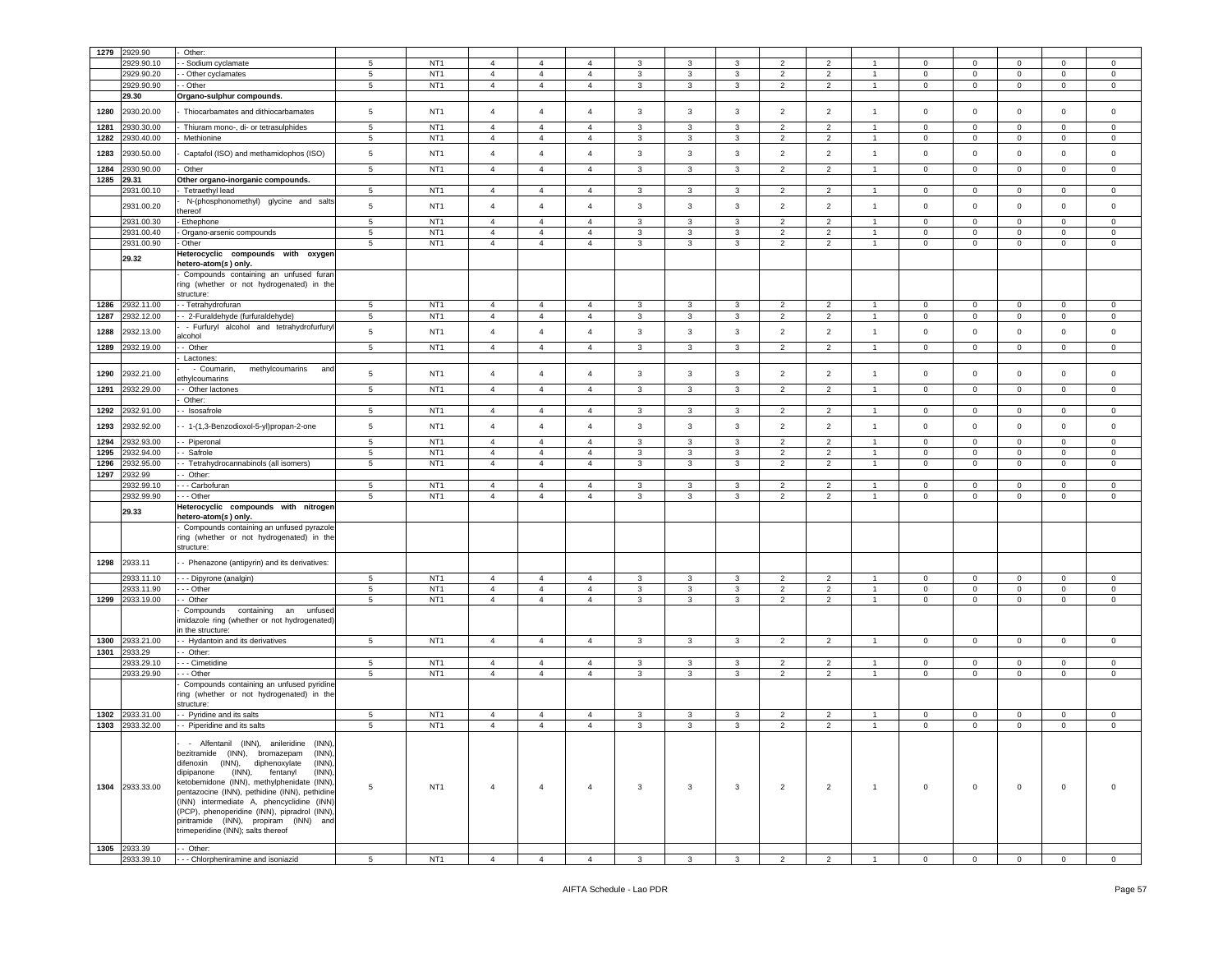| 1279 | 2929.90         | Other:                                                                            |                 |                 |                |                |                |              |                         |              |                |                |                |                |                |             |                |             |
|------|-----------------|-----------------------------------------------------------------------------------|-----------------|-----------------|----------------|----------------|----------------|--------------|-------------------------|--------------|----------------|----------------|----------------|----------------|----------------|-------------|----------------|-------------|
|      | 2929.90.10      | Sodium cyclamate                                                                  | 5               | NT <sub>1</sub> | $\overline{4}$ | $\overline{4}$ | $\overline{4}$ | 3            | 3                       | 3            | $\overline{2}$ | $\overline{2}$ |                | $\mathbf 0$    | $\mathbf 0$    | 0           | 0              | $\mathsf 0$ |
|      | 2929.90.20      | - Other cyclamates                                                                | 5               | NT <sub>1</sub> | $\overline{4}$ | $\overline{4}$ | $\overline{4}$ | 3            | 3                       | 3            | $\overline{2}$ | $\overline{2}$ | $\overline{1}$ | $\mathbf 0$    | $\overline{0}$ | $\mathbf 0$ | $\mathbf 0$    | $\mathbf 0$ |
|      | 2929.90.90      | - Other                                                                           | 5               | NT <sub>1</sub> | $\overline{4}$ | $\overline{4}$ | $\overline{4}$ | 3            | $\mathbf{3}$            | 3            | 2              | $\overline{2}$ |                | $\mathbf 0$    | $\mathbf 0$    | 0           | 0              | $\mathbf 0$ |
|      | 29.30           | Organo-sulphur compounds.                                                         |                 |                 |                |                |                |              |                         |              |                |                |                |                |                |             |                |             |
|      |                 |                                                                                   |                 |                 |                |                |                |              |                         |              |                |                |                |                |                |             |                |             |
| 1280 | 2930.20.00      | Thiocarbamates and dithiocarbamates                                               | 5               | NT <sub>1</sub> | $\overline{4}$ | $\overline{4}$ | $\overline{4}$ | 3            | 3                       | 3            | $\overline{2}$ | $\overline{2}$ | $\overline{1}$ | $\mathbf 0$    | $\mathbf 0$    | $\mathbf 0$ | 0              | $\mathsf 0$ |
| 1281 | 930.30.00       | Thiuram mono-, di- or tetrasulphides                                              | $\sqrt{5}$      | NT <sub>1</sub> | $\overline{4}$ | $\overline{4}$ | $\overline{4}$ | 3            | 3                       | 3            | $\overline{2}$ | $\overline{2}$ | $\overline{1}$ | $\mathbf 0$    | $\mathsf 0$    | $\mathbf 0$ | $\mathbf 0$    | $\mathbf 0$ |
| 1282 | !930.40.00      | Methionine                                                                        | 5               | NT <sub>1</sub> | $\overline{4}$ | $\overline{4}$ | $\overline{4}$ | 3            | 3                       | 3            | $\overline{2}$ | $\overline{2}$ | -1             | $\mathbf 0$    | $\mathbf 0$    | $\mathbf 0$ | 0              | $\mathsf 0$ |
|      |                 |                                                                                   |                 |                 |                |                |                |              |                         |              |                |                |                |                |                |             |                |             |
| 1283 | 2930.50.00      | Captafol (ISO) and methamidophos (ISO)                                            | $5\phantom{.0}$ | NT <sub>1</sub> | $\overline{4}$ | $\overline{4}$ | $\overline{4}$ | $\mathbf{3}$ | 3                       | 3            | $\overline{2}$ | $\overline{2}$ | $\overline{1}$ | $\mathbf 0$    | $\mathbf 0$    | $\mathbf 0$ | $\mathsf 0$    | $\mathbf 0$ |
| 1284 | 930.90.00       | Other                                                                             | 5               | NT <sub>1</sub> | $\overline{4}$ | $\overline{4}$ | $\overline{4}$ | 3            | 3                       | 3            | $\overline{2}$ | $\overline{2}$ | $\overline{1}$ | $\mathbf 0$    | $\mathbf 0$    | $\mathbf 0$ | $\mathbf 0$    | $\mathbf 0$ |
| 1285 | 29.31           | Other organo-inorganic compounds.                                                 |                 |                 |                |                |                |              |                         |              |                |                |                |                |                |             |                |             |
|      | 2931.00.10      | Tetraethyl lead                                                                   | $5^{\circ}$     | NT <sub>1</sub> | $\overline{4}$ | $\overline{4}$ | $\overline{4}$ | 3            | 3                       | 3            | $\overline{2}$ | $\overline{2}$ | $\overline{1}$ | $\mathbf 0$    | $\mathbf{0}$   | $\mathbf 0$ | $\mathbf 0$    | $\mathbf 0$ |
|      |                 | N-(phosphonomethyl) glycine and salts                                             |                 |                 |                |                |                |              |                         |              |                |                |                |                |                |             |                |             |
|      | 2931.00.20      | hereof                                                                            | 5               | NT <sub>1</sub> | $\sqrt{4}$     | $\overline{4}$ | $\overline{4}$ | 3            | $\mathbf{3}$            | $\mathbf{3}$ | $\overline{c}$ | $\overline{2}$ | $\mathbf{1}$   | $\mathbf 0$    | $\mathbf 0$    | $\mathbf 0$ | $\pmb{0}$      | $\mathsf 0$ |
|      | 2931.00.30      | Ethephone                                                                         | 5               | NT <sub>1</sub> | $\overline{4}$ | $\overline{4}$ | $\overline{4}$ | 3            | 3                       | 3            | $\overline{2}$ | $\overline{2}$ |                | $\mathbf 0$    | $\mathbf 0$    | $\mathbf 0$ | $\Omega$       | $\Omega$    |
|      | 2931.00.40      | Organo-arsenic compounds                                                          | 5               | NT <sub>1</sub> | $\overline{4}$ | $\overline{4}$ | $\overline{4}$ | 3            | 3                       | 3            | $\overline{2}$ | $\overline{2}$ | $\overline{1}$ | $\mathbf 0$    | $\mathbf 0$    | $\mathbf 0$ | 0              | $\mathbf 0$ |
|      | 2931.00.90      | Other                                                                             | $\sqrt{5}$      | NT <sub>1</sub> | $\overline{4}$ | $\overline{4}$ | $\overline{4}$ | $\mathbf{3}$ | $\mathbf{3}$            | 3            | $\overline{c}$ | $\overline{2}$ | $\overline{1}$ | $\mathsf 0$    | $\mathbf 0$    | 0           | 0              | $\mathsf 0$ |
|      |                 | Heterocyclic compounds with oxygen                                                |                 |                 |                |                |                |              |                         |              |                |                |                |                |                |             |                |             |
|      | 29.32           | hetero-atom( <i>s</i> ) only.                                                     |                 |                 |                |                |                |              |                         |              |                |                |                |                |                |             |                |             |
|      |                 | Compounds containing an unfused furan                                             |                 |                 |                |                |                |              |                         |              |                |                |                |                |                |             |                |             |
|      |                 | ring (whether or not hydrogenated) in the                                         |                 |                 |                |                |                |              |                         |              |                |                |                |                |                |             |                |             |
|      |                 | structure:                                                                        |                 |                 |                |                |                |              |                         |              |                |                |                |                |                |             |                |             |
| 1286 | 2932.11.00      | - Tetrahydrofuran                                                                 | 5               | NT <sub>1</sub> | $\overline{4}$ | $\overline{4}$ | $\overline{4}$ | 3            | 3                       | 3            | 2              | $\overline{2}$ | $\overline{1}$ | $\mathbf 0$    | $\mathbf{0}$   | $\mathbf 0$ | $\mathbf 0$    | $\mathbf 0$ |
| 1287 | 2932.12.00      | - 2-Furaldehyde (furfuraldehyde)                                                  | 5               | NT <sub>1</sub> | $\overline{4}$ | $\overline{4}$ | $\overline{4}$ | 3            | 3                       | 3            | $\overline{2}$ | $\overline{2}$ | $\overline{1}$ | $\mathbf{0}$   | $\mathbf{0}$   | $\mathbf 0$ | $\mathbf 0$    | $\mathbf 0$ |
|      |                 | - Furfuryl alcohol and tetrahydrofurfury                                          |                 |                 |                |                |                |              |                         |              |                |                |                |                |                |             |                |             |
| 1288 | 2932.13.00      | alcohol                                                                           | $\,$ 5 $\,$     | NT <sub>1</sub> | $\overline{4}$ | $\overline{4}$ | $\overline{4}$ | 3            | 3                       | 3            | $\overline{2}$ | $\overline{2}$ | $\overline{1}$ | $\mathbf 0$    | $\mathbf 0$    | $\mathbf 0$ | $\mathbf 0$    | $\mathsf 0$ |
| 1289 | 2932.19.00      | - Other                                                                           | 5               | NT <sub>1</sub> | $\overline{4}$ | $\overline{4}$ | $\overline{4}$ | 3            | 3                       | 3            | $\overline{2}$ | $\overline{2}$ | $\overline{1}$ | $\mathbf 0$    | $\mathbf 0$    | $\mathbf 0$ | $\mathbf{0}$   | $\mathbf 0$ |
|      |                 | Lactones                                                                          |                 |                 |                |                |                |              |                         |              |                |                |                |                |                |             |                |             |
|      |                 | - Coumarin,<br>methylcoumarins<br>and                                             |                 |                 |                |                |                |              |                         |              |                |                |                |                |                |             |                |             |
| 1290 | 2932.21.00      | ethylcoumarins                                                                    | $5\phantom{.0}$ | NT <sub>1</sub> | $\overline{4}$ | $\overline{4}$ | $\overline{4}$ | 3            | 3                       | 3            | $\overline{2}$ | $\overline{2}$ | $\overline{1}$ | $\mathbf 0$    | $\mathbf 0$    | $\mathbf 0$ | $\mathbf 0$    | $\mathsf 0$ |
| 1291 | 2932.29.00      | - Other lactones                                                                  | 5               | NT <sub>1</sub> | $\overline{4}$ | $\overline{4}$ | $\overline{4}$ | 3            | 3                       | 3            | $\overline{2}$ | $\overline{2}$ | $\overline{1}$ | $\mathbf 0$    | $\overline{0}$ | $\mathbf 0$ | $\mathbf 0$    | $\mathbf 0$ |
|      |                 | Other:                                                                            |                 |                 |                |                |                |              |                         |              |                |                |                |                |                |             |                |             |
| 1292 | 2932.91.00      | - Isosafrole                                                                      | 5               | NT <sub>1</sub> | $\overline{4}$ | $\overline{4}$ | $\overline{4}$ | 3            | 3                       | 3            | $\overline{2}$ | $\overline{2}$ |                | $\mathbf 0$    | $\mathbf 0$    | $\mathbf 0$ | $\mathbf 0$    | $\Omega$    |
|      |                 |                                                                                   |                 |                 |                |                |                |              |                         |              |                |                |                |                |                |             |                |             |
| 1293 | 2932.92.00      | - 1-(1,3-Benzodioxol-5-yl)propan-2-one                                            | 5               | NT <sub>1</sub> | $\overline{4}$ | $\overline{4}$ | $\overline{4}$ | 3            | 3                       | 3            | $\overline{2}$ | $\overline{2}$ | $\overline{1}$ | $\mathbf 0$    | $\mathsf 0$    | $\mathbf 0$ | $\mathsf 0$    | $\mathsf 0$ |
| 1294 | 2932.93.00      | - Piperonal                                                                       | 5               | NT <sub>1</sub> | $\overline{4}$ | $\overline{4}$ | $\overline{4}$ | 3            | 3                       | 3            | 2              | $\overline{2}$ | $\overline{1}$ | $\mathbf 0$    | $\mathbf 0$    | 0           | 0              | $\mathbf 0$ |
| 1295 | 2932.94.00      | - Safrole                                                                         | $5\phantom{.0}$ | NT <sub>1</sub> | $\overline{4}$ | $\overline{4}$ | $\overline{4}$ | 3            | 3                       | 3            | $\overline{2}$ | $\overline{2}$ | $\overline{1}$ | $\mathbf 0$    | $\mathbf 0$    | $\mathbf 0$ | $\mathsf 0$    | $\mathbf 0$ |
| 1296 | 2932.95.00      | - Tetrahydrocannabinols (all isomers)                                             | 5               | NT <sub>1</sub> | $\overline{4}$ | $\overline{4}$ | $\overline{4}$ | 3            | 3                       | 3            | $\overline{2}$ | $\overline{2}$ | $\overline{1}$ | $\mathbf 0$    | $\overline{0}$ | $\mathbf 0$ | 0              | $\mathbf 0$ |
| 1297 | 2932.99         | Other:                                                                            |                 |                 |                |                |                |              |                         |              |                |                |                |                |                |             |                |             |
|      | 2932.99.10      |                                                                                   | 5               | NT <sub>1</sub> | $\overline{4}$ | $\overline{4}$ | $\overline{4}$ | 3            | 3                       | 3            | $\overline{2}$ | $\overline{2}$ |                | $\mathbf 0$    | $\mathbf 0$    | $\mathbf 0$ | $\Omega$       | $\mathbf 0$ |
|      | 2932.99.90      | - - - Carbofuran<br>· - - Other                                                   | 5               | NT <sub>1</sub> | $\overline{4}$ | $\overline{4}$ | $\overline{4}$ | 3            | 3                       | 3            | $\overline{2}$ | $\overline{2}$ |                | $\mathbf 0$    | $\mathbf 0$    | 0           | 0              | $\mathbf 0$ |
|      |                 |                                                                                   |                 |                 |                |                |                |              |                         |              |                |                |                |                |                |             |                |             |
|      | 29.33           | Heterocyclic compounds with nitrogen<br>hetero-atom( <i>s</i> ) only.             |                 |                 |                |                |                |              |                         |              |                |                |                |                |                |             |                |             |
|      |                 | Compounds containing an unfused pyrazole                                          |                 |                 |                |                |                |              |                         |              |                |                |                |                |                |             |                |             |
|      |                 | ring (whether or not hydrogenated) in the                                         |                 |                 |                |                |                |              |                         |              |                |                |                |                |                |             |                |             |
|      |                 | structure:                                                                        |                 |                 |                |                |                |              |                         |              |                |                |                |                |                |             |                |             |
|      |                 |                                                                                   |                 |                 |                |                |                |              |                         |              |                |                |                |                |                |             |                |             |
| 1298 | 2933.11         | - Phenazone (antipyrin) and its derivatives:                                      |                 |                 |                |                |                |              |                         |              |                |                |                |                |                |             |                |             |
|      | 2933.11.10      | - - Dipyrone (analgin)                                                            | 5               | NT <sub>1</sub> | $\overline{4}$ | $\overline{4}$ | $\overline{4}$ | 3            | 3                       | 3            | 2              | $\overline{2}$ |                | $\mathbf 0$    | $\mathbf 0$    | 0           | 0              | $\mathbf 0$ |
|      | 2933.11.90      | - - Other                                                                         | 5               | NT <sub>1</sub> | $\sqrt{4}$     | $\overline{4}$ | $\overline{4}$ | $\mathbf{3}$ | 3                       | $\mathbf{3}$ | $\overline{2}$ | $\overline{2}$ | $\overline{1}$ | $\mathsf 0$    | $\mathsf 0$    | $\mathsf 0$ | $\mathsf 0$    | $\mathsf 0$ |
| 1299 | 2933.19.00      | - Other                                                                           | $\sqrt{5}$      | NT <sub>1</sub> | $\overline{4}$ | $\overline{4}$ | $\overline{4}$ | $\mathbf{3}$ | $\mathbf{3}$            | 3            | $\overline{2}$ | $\overline{2}$ | $\overline{1}$ | $\mathsf 0$    | $\overline{0}$ | $\mathsf 0$ | $\mathbf 0$    | $\mathsf 0$ |
|      |                 | Compounds<br>containing<br>an<br>unfused                                          |                 |                 |                |                |                |              |                         |              |                |                |                |                |                |             |                |             |
|      |                 | midazole ring (whether or not hydrogenated)                                       |                 |                 |                |                |                |              |                         |              |                |                |                |                |                |             |                |             |
|      |                 | in the structure:                                                                 |                 |                 |                |                |                |              |                         |              |                |                |                |                |                |             |                |             |
| 1300 | 2933.21.00      | - Hydantoin and its derivatives                                                   | 5               | NT <sub>1</sub> | $\overline{4}$ | $\overline{4}$ | $\overline{4}$ | 3            | 3                       | 3            | $\overline{2}$ | $\overline{2}$ | $\overline{1}$ | $\mathbf 0$    | $\overline{0}$ | $\mathbf 0$ | $\mathbf 0$    | $\mathbf 0$ |
| 1301 | 2933.29         | - Other:                                                                          |                 |                 |                |                |                |              |                         |              |                |                |                |                |                |             |                |             |
|      | 2933.29.10      | - - Cimetidine                                                                    | 5               | NT <sub>1</sub> | $\overline{4}$ | $\overline{4}$ | $\overline{4}$ | 3            | 3                       | 3            | $\overline{2}$ | $\overline{2}$ | $\overline{1}$ | $\mathbf 0$    | $\mathbf 0$    | $\mathbf 0$ | $\mathbf 0$    | $\circ$     |
|      | 2933.29.90      | - - Other                                                                         | $\sqrt{5}$      | NT <sub>1</sub> | $\overline{4}$ | $\overline{4}$ | $\overline{4}$ | 3            | $\mathbf{3}$            | 3            | $\overline{2}$ | $\overline{2}$ | $\mathbf{1}$   | $\mathbf 0$    | $\mathbf 0$    | 0           | 0              | $\mathbf 0$ |
|      |                 | Compounds containing an unfused pyridine                                          |                 |                 |                |                |                |              |                         |              |                |                |                |                |                |             |                |             |
|      |                 | ring (whether or not hydrogenated) in the                                         |                 |                 |                |                |                |              |                         |              |                |                |                |                |                |             |                |             |
|      |                 | structure:                                                                        |                 |                 |                |                |                |              |                         |              |                |                |                |                |                |             |                |             |
| 1302 | 2933.31.00      | - Pyridine and its salts                                                          | 5               | NT <sub>1</sub> | $\overline{4}$ | $\overline{4}$ | $\overline{4}$ | 3            | 3                       | 3            | $\overline{2}$ | $\overline{2}$ | $\overline{1}$ | $\mathbf 0$    | $\mathbf{0}$   | 0           | $\mathbf 0$    | 0           |
| 1303 | 2933.32.00      | - Piperidine and its salts                                                        | 5               | NT <sub>1</sub> | $\overline{4}$ | $\overline{4}$ | $\overline{4}$ | $\mathbf{3}$ | 3                       | 3            | $\overline{2}$ | $\overline{2}$ |                | $\mathbf 0$    | $\mathsf 0$    | $\mathbf 0$ | $\mathsf 0$    | $\mathbf 0$ |
|      |                 |                                                                                   |                 |                 |                |                |                |              |                         |              |                |                |                |                |                |             |                |             |
|      |                 | - Alfentanil (INN), anileridine (INN),                                            |                 |                 |                |                |                |              |                         |              |                |                |                |                |                |             |                |             |
|      |                 | bezitramide (INN), bromazepam (INN),                                              |                 |                 |                |                |                |              |                         |              |                |                |                |                |                |             |                |             |
|      |                 | difenoxin (INN), diphenoxylate<br>(INN),                                          |                 |                 |                |                |                |              |                         |              |                |                |                |                |                |             |                |             |
|      |                 | dipipanone (INN), fentanyl<br>(INN)<br>ketobemidone (INN), methylphenidate (INN), |                 |                 |                |                |                |              |                         |              |                |                |                |                |                |             |                |             |
|      | 1304 2933.33.00 | pentazocine (INN), pethidine (INN), pethidine                                     | $5\phantom{.0}$ | NT <sub>1</sub> | $\overline{4}$ | $\overline{4}$ | $\overline{4}$ | $\mathbf{3}$ | $\overline{\mathbf{3}}$ | $\mathbf{3}$ | $\overline{2}$ | $\overline{2}$ | $\overline{1}$ | $\overline{0}$ | $\mathbf{0}$   | $\mathsf 0$ | $\overline{0}$ | $\circ$     |
|      |                 | (INN) intermediate A, phencyclidine (INN)                                         |                 |                 |                |                |                |              |                         |              |                |                |                |                |                |             |                |             |
|      |                 | (PCP), phenoperidine (INN), pipradrol (INN),                                      |                 |                 |                |                |                |              |                         |              |                |                |                |                |                |             |                |             |
|      |                 | piritramide (INN), propiram (INN) and                                             |                 |                 |                |                |                |              |                         |              |                |                |                |                |                |             |                |             |
|      |                 | trimeperidine (INN); salts thereof                                                |                 |                 |                |                |                |              |                         |              |                |                |                |                |                |             |                |             |
|      |                 |                                                                                   |                 |                 |                |                |                |              |                         |              |                |                |                |                |                |             |                |             |
|      | 1305 2933.39    | - Other:                                                                          |                 |                 |                |                |                |              |                         |              |                |                |                |                |                |             |                |             |
|      | 2933.39.10      | - - - Chlorpheniramine and isoniazid                                              | $5\phantom{.0}$ | NT <sub>1</sub> | $\overline{4}$ | $\overline{4}$ | $\overline{4}$ | 3            | 3                       | $\mathbf{3}$ | $\overline{2}$ | $\overline{2}$ | $\overline{1}$ | $\mathbf 0$    | $\mathbf 0$    | $\mathbf 0$ | $\overline{0}$ | $\mathbf 0$ |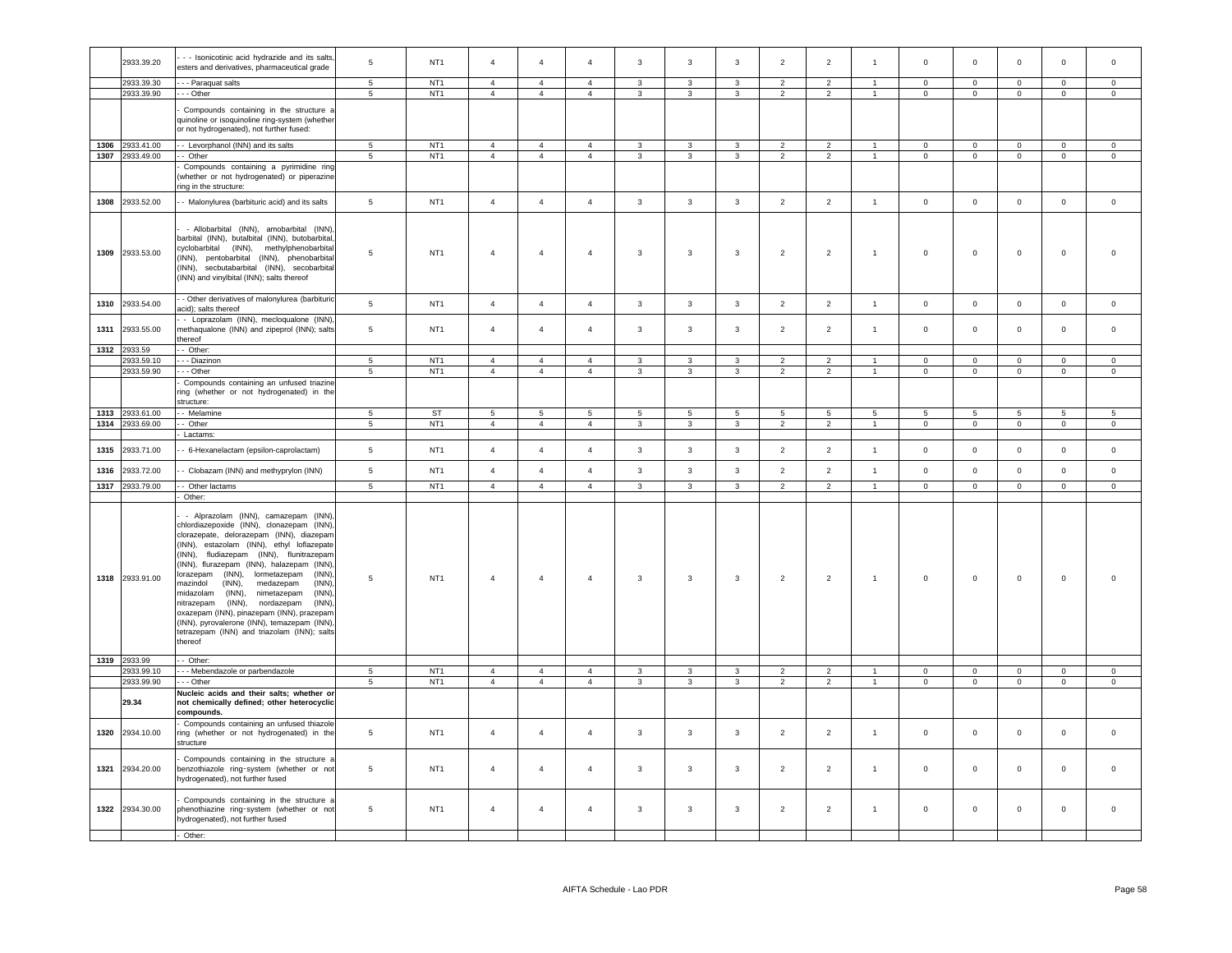|      | 2933.39.20      | - - Isonicotinic acid hydrazide and its salts,                                                                                                                                                                                                                                                                                                                                                                                                                                                                                                                                                                            | 5               | NT <sub>1</sub> | $\overline{4}$ | $\overline{4}$ | $\overline{4}$ | $\mathbf{3}$            | $\overline{3}$          | 3              | $\overline{2}$ | $\overline{2}$ | $\overline{1}$       | $\mathbf 0$    | $\mathbf 0$         | $\mathsf 0$    | $\mathsf 0$    | $\mathbf 0$         |
|------|-----------------|---------------------------------------------------------------------------------------------------------------------------------------------------------------------------------------------------------------------------------------------------------------------------------------------------------------------------------------------------------------------------------------------------------------------------------------------------------------------------------------------------------------------------------------------------------------------------------------------------------------------------|-----------------|-----------------|----------------|----------------|----------------|-------------------------|-------------------------|----------------|----------------|----------------|----------------------|----------------|---------------------|----------------|----------------|---------------------|
|      |                 | esters and derivatives, pharmaceutical grade                                                                                                                                                                                                                                                                                                                                                                                                                                                                                                                                                                              |                 |                 |                |                |                |                         |                         |                |                |                |                      |                |                     |                |                |                     |
|      | 2933.39.30      | - - - Paraquat salts                                                                                                                                                                                                                                                                                                                                                                                                                                                                                                                                                                                                      | $5\phantom{.0}$ | NT <sub>1</sub> | $\overline{4}$ | $\overline{4}$ | $\overline{4}$ | $\mathbf{3}$            | $\mathbf{3}$            | $\mathbf{3}$   | $\overline{2}$ | $\sqrt{2}$     | $\overline{1}$       | $\mathbf 0$    | $\mathbf 0$         | $\mathbf 0$    | $\mathbf 0$    | $\mathsf{O}\xspace$ |
|      | 2933.39.90      | - - - Other                                                                                                                                                                                                                                                                                                                                                                                                                                                                                                                                                                                                               | $\overline{5}$  | NT <sub>1</sub> | $\overline{4}$ | $\overline{4}$ | $\overline{4}$ | $\mathbf{3}$            | $\overline{3}$          | $\overline{3}$ | $\overline{2}$ | $\overline{2}$ | $\overline{1}$       | $\mathsf 0$    | $\circ$             | $\mathsf 0$    | $\mathsf 0$    | $\mathsf 0$         |
|      |                 |                                                                                                                                                                                                                                                                                                                                                                                                                                                                                                                                                                                                                           |                 |                 |                |                |                |                         |                         |                |                |                |                      |                |                     |                |                |                     |
|      |                 | Compounds containing in the structure a                                                                                                                                                                                                                                                                                                                                                                                                                                                                                                                                                                                   |                 |                 |                |                |                |                         |                         |                |                |                |                      |                |                     |                |                |                     |
|      |                 | quinoline or isoquinoline ring-system (whether                                                                                                                                                                                                                                                                                                                                                                                                                                                                                                                                                                            |                 |                 |                |                |                |                         |                         |                |                |                |                      |                |                     |                |                |                     |
|      |                 | or not hydrogenated), not further fused:                                                                                                                                                                                                                                                                                                                                                                                                                                                                                                                                                                                  |                 |                 |                |                |                |                         |                         |                |                |                |                      |                |                     |                |                |                     |
|      | 1306 2933.41.00 | - Levorphanol (INN) and its salts                                                                                                                                                                                                                                                                                                                                                                                                                                                                                                                                                                                         | $5\phantom{.0}$ | NT <sub>1</sub> | 4              | $\overline{4}$ | $\overline{4}$ | $\mathbf{3}$            | $\mathbf{3}$            | $\mathbf{3}$   | $\overline{2}$ | $\overline{2}$ | $\mathbf{1}$         | $\overline{0}$ | $\mathbf 0$         | $\mathbf 0$    | $\overline{0}$ | $\overline{0}$      |
|      | 1307 2933.49.00 | - Other                                                                                                                                                                                                                                                                                                                                                                                                                                                                                                                                                                                                                   | $\overline{5}$  | NT <sub>1</sub> | $\overline{4}$ | $\overline{4}$ | $\overline{4}$ | $\overline{\mathbf{3}}$ | $\overline{3}$          | $\mathbf{3}$   | $\overline{2}$ | $\overline{2}$ | $\mathbf{1}$         | $\overline{0}$ | $\overline{0}$      | $\overline{0}$ | $\overline{0}$ | $\overline{0}$      |
|      |                 | Compounds containing a pyrimidine ring                                                                                                                                                                                                                                                                                                                                                                                                                                                                                                                                                                                    |                 |                 |                |                |                |                         |                         |                |                |                |                      |                |                     |                |                |                     |
|      |                 | whether or not hydrogenated) or piperazine<br>ring in the structure:                                                                                                                                                                                                                                                                                                                                                                                                                                                                                                                                                      |                 |                 |                |                |                |                         |                         |                |                |                |                      |                |                     |                |                |                     |
| 1308 | 2933.52.00      | - Malonylurea (barbituric acid) and its salts                                                                                                                                                                                                                                                                                                                                                                                                                                                                                                                                                                             | $5\phantom{.0}$ | NT <sub>1</sub> | $\overline{4}$ | $\overline{4}$ | $\overline{4}$ | $\mathbf{3}$            | $\mathbf{3}$            | $\mathbf{3}$   | $\overline{2}$ | $\overline{2}$ | $\overline{1}$       | $\mathbb O$    | $\mathbf 0$         | $\mathbf 0$    | $\mathbf 0$    | $\mathsf 0$         |
|      | 1309 2933.53.00 | - Allobarbital (INN), amobarbital (INN).<br>barbital (INN), butalbital (INN), butobarbital,<br>cyclobarbital (INN), methylphenobarbital<br>INN), pentobarbital (INN), phenobarbital<br>(INN), secbutabarbital (INN), secobarbital<br>INN) and vinylbital (INN); salts thereof                                                                                                                                                                                                                                                                                                                                             | 5               | NT <sub>1</sub> | $\overline{4}$ | $\overline{4}$ | $\overline{4}$ | $\mathbf{3}$            | $\overline{\mathbf{3}}$ | $\mathbf{3}$   | $\overline{2}$ | $\overline{2}$ | $\mathbf{1}$         | $\,0\,$        | $\,0\,$             | $\mathbf 0$    | $\mathbf 0$    | $\Omega$            |
| 1310 | 2933.54.00      | - Other derivatives of malonylurea (barbituric<br>acid); salts thereof                                                                                                                                                                                                                                                                                                                                                                                                                                                                                                                                                    | $5\phantom{.0}$ | NT <sub>1</sub> | $\overline{4}$ | $\overline{4}$ | $\overline{4}$ | $\mathbf{3}$            | $\mathbf{3}$            | $\mathbf{3}$   | $\overline{2}$ | $\overline{2}$ | $\mathbf{1}$         | $\mathbf 0$    | $\mathbf 0$         | $\mathsf 0$    | $\mathbf{0}$   | $\mathbf 0$         |
| 1311 | 2933.55.00      | - Loprazolam (INN), mecloqualone (INN),<br>methaqualone (INN) and zipeprol (INN); salts<br>thereof                                                                                                                                                                                                                                                                                                                                                                                                                                                                                                                        | $\overline{5}$  | NT <sub>1</sub> | $\sqrt{4}$     | $\overline{4}$ | $\overline{4}$ | $\mathbf{3}$            | $\mathbf{3}$            | 3              | $\overline{2}$ | $\overline{2}$ | $\overline{1}$       | $\mathbf 0$    | $\mathbf 0$         | $\mathbf 0$    | $\mathsf 0$    | $\mathsf 0$         |
| 1312 | 2933.59         | - Other:                                                                                                                                                                                                                                                                                                                                                                                                                                                                                                                                                                                                                  |                 |                 |                |                |                |                         |                         |                |                |                |                      |                |                     |                |                |                     |
|      | 2933.59.10      | - - Diazinon                                                                                                                                                                                                                                                                                                                                                                                                                                                                                                                                                                                                              | $\overline{5}$  | NT <sub>1</sub> | $\overline{4}$ | $\overline{4}$ | $\overline{4}$ | 3                       | $\overline{\mathbf{3}}$ | $\overline{3}$ | $\overline{2}$ | $\overline{2}$ | $\blacktriangleleft$ | $\overline{0}$ | $\overline{0}$      | $\overline{0}$ | $\overline{0}$ | $\Omega$            |
|      | 2933.59.90      | - - - Other                                                                                                                                                                                                                                                                                                                                                                                                                                                                                                                                                                                                               | $\overline{5}$  | NT <sub>1</sub> | $\overline{4}$ | $\overline{4}$ | $\overline{4}$ | $\mathbf{3}$            | $\overline{3}$          | $\overline{3}$ | $\overline{2}$ | $\overline{2}$ | $\overline{1}$       | $\overline{0}$ | $\overline{0}$      | $\overline{0}$ | $\mathbf{0}$   | $\mathsf{O}\xspace$ |
|      |                 | Compounds containing an unfused triazine                                                                                                                                                                                                                                                                                                                                                                                                                                                                                                                                                                                  |                 |                 |                |                |                |                         |                         |                |                |                |                      |                |                     |                |                |                     |
|      |                 | ring (whether or not hydrogenated) in the<br>structure:                                                                                                                                                                                                                                                                                                                                                                                                                                                                                                                                                                   |                 |                 |                |                |                |                         |                         |                |                |                |                      |                |                     |                |                |                     |
| 1313 | 2933.61.00      | - Melamine                                                                                                                                                                                                                                                                                                                                                                                                                                                                                                                                                                                                                | 5               | <b>ST</b>       | 5              | 5              | $\overline{5}$ | -5                      | 5                       | 5              | 5              | $\overline{5}$ | $5^{\circ}$          | -5             | 5                   | 5              | $5^{\circ}$    | 5                   |
| 1314 | 2933.69.00      | - Other                                                                                                                                                                                                                                                                                                                                                                                                                                                                                                                                                                                                                   | 5               | NT <sub>1</sub> | $\overline{4}$ | $\overline{4}$ | $\overline{4}$ | $\mathbf{3}$            | $\mathbf{3}$            | $\mathbf{3}$   | $\overline{2}$ | $\overline{2}$ | $\overline{1}$       | $\mathbf 0$    | $\circ$             | $\mathsf 0$    | $\mathsf 0$    | $\mathbf 0$         |
|      |                 | Lactams:                                                                                                                                                                                                                                                                                                                                                                                                                                                                                                                                                                                                                  |                 |                 |                |                |                |                         |                         |                |                |                |                      |                |                     |                |                |                     |
| 1315 | 2933.71.00      | - 6-Hexanelactam (epsilon-caprolactam)                                                                                                                                                                                                                                                                                                                                                                                                                                                                                                                                                                                    | $\sqrt{5}$      | NT <sub>1</sub> | $\overline{4}$ | $\overline{4}$ | $\overline{4}$ | $\mathbf{3}$            | $\mathbf{3}$            | $\mathbf{3}$   | $\overline{2}$ | $\overline{2}$ | $\mathbf{1}$         | $\mathbf 0$    | $\mathbf 0$         | $\mathbf 0$    | $\mathsf 0$    | $\mathsf 0$         |
| 1316 | 2933.72.00      | - Clobazam (INN) and methyprylon (INN)                                                                                                                                                                                                                                                                                                                                                                                                                                                                                                                                                                                    | $\sqrt{5}$      | NT <sub>1</sub> | $\overline{4}$ | $\overline{4}$ | $\overline{4}$ | $\mathbf{3}$            | $\overline{3}$          | 3              | $\overline{2}$ | $\overline{2}$ | $\overline{1}$       | $\mathbf 0$    | $\mathbf 0$         | $\mathbf 0$    | $\mathbf{0}$   | $\mathbf{0}$        |
|      | 1317 2933.79.00 | - Other lactams                                                                                                                                                                                                                                                                                                                                                                                                                                                                                                                                                                                                           | $5\overline{)}$ | NT <sub>1</sub> | $\overline{4}$ | $\overline{4}$ | $\overline{4}$ | $\mathbf{3}$            | $\mathbf{3}$            | $\mathbf{3}$   | $\overline{2}$ | $\overline{2}$ | $\sim$               | $\overline{0}$ | $\overline{0}$      | $\overline{0}$ | $\mathbf{0}$   | $\overline{0}$      |
|      |                 | Other:                                                                                                                                                                                                                                                                                                                                                                                                                                                                                                                                                                                                                    |                 |                 |                |                |                |                         |                         |                |                |                |                      |                |                     |                |                |                     |
|      | 1318 2933.91.00 | - Alprazolam (INN), camazepam (INN),<br>chlordiazepoxide (INN), clonazepam (INN),<br>clorazepate, delorazepam (INN), diazepam<br>(INN), estazolam (INN), ethyl loflazepate<br>INN),<br>fludiazepam (INN), flunitrazepam<br>INN), flurazepam (INN), halazepam (INN),<br>(INN),<br>(INN)<br>lorazepam<br>lormetazepam<br>$(INN)$ ,<br>(INN)<br>mazindol<br>medazepam<br>midazolam<br>$(INN)$ ,<br>nimetazepam<br>(INN)<br>nitrazepam<br>(INN),<br>nordazepam<br>(INN),<br>oxazepam (INN), pinazepam (INN), prazepam<br>INN), pyrovalerone (INN), temazepam (INN),<br>tetrazepam (INN) and triazolam (INN); salts<br>thereof | 5               | NT <sub>1</sub> | $\overline{4}$ | $\overline{4}$ | $\overline{4}$ | $\mathbf{3}$            | $\mathbf{3}$            | $\mathbf{3}$   | $\overline{2}$ | $\overline{2}$ | $\overline{1}$       | $\,0\,$        | $\mathbf 0$         | $\mathbf 0$    | $\mathsf 0$    | $\Omega$            |
|      | 1319 2933.99    | Other:                                                                                                                                                                                                                                                                                                                                                                                                                                                                                                                                                                                                                    |                 |                 |                |                |                |                         |                         |                |                |                |                      |                |                     |                |                |                     |
|      | 2933.99.10      | - Mebendazole or parbendazole                                                                                                                                                                                                                                                                                                                                                                                                                                                                                                                                                                                             | 5               | NT <sub>1</sub> | $\overline{4}$ | $\overline{4}$ | 4              | $\mathbf{3}$            | 3                       | $\mathbf{3}$   | $\overline{2}$ | $\overline{2}$ |                      | $\mathbf 0$    | $\mathsf{O}\xspace$ | $\mathbf 0$    | $\mathsf 0$    | $\mathbf 0$         |
|      | 2933.99.90      | - - Other                                                                                                                                                                                                                                                                                                                                                                                                                                                                                                                                                                                                                 | 5               | NT <sub>1</sub> | $\overline{4}$ | $\overline{4}$ | $\overline{4}$ | $\mathbf{3}$            | $\mathbf{3}$            | $\mathbf{3}$   | $\overline{2}$ | $\overline{2}$ | $\overline{1}$       | $\mathbf 0$    | $\mathbf 0$         | $\mathbf 0$    | $\mathbf{0}$   | $\mathbf 0$         |
|      | 29.34           | Nucleic acids and their salts; whether or<br>not chemically defined; other heterocyclic<br>compounds.                                                                                                                                                                                                                                                                                                                                                                                                                                                                                                                     |                 |                 |                |                |                |                         |                         |                |                |                |                      |                |                     |                |                |                     |
|      | 1320 2934.10.00 | Compounds containing an unfused thiazole<br>ring (whether or not hydrogenated) in the<br>structure                                                                                                                                                                                                                                                                                                                                                                                                                                                                                                                        | $5\phantom{.0}$ | NT <sub>1</sub> | $\overline{4}$ | $\overline{4}$ | $\overline{4}$ | $\mathbf{3}$            | $\mathbf{3}$            | $\mathbf{3}$   | $\overline{2}$ | $\overline{2}$ | $\overline{1}$       | $\,0\,$        | $\mathbf 0$         | $\mathbf 0$    | $\mathsf 0$    | $\mathbf 0$         |
| 1321 | 2934.20.00      | Compounds containing in the structure a<br>benzothiazole ring-system (whether or not<br>hydrogenated), not further fused                                                                                                                                                                                                                                                                                                                                                                                                                                                                                                  | 5               | NT <sub>1</sub> | $\overline{4}$ | $\overline{4}$ | $\overline{4}$ | 3                       | $\mathbf{3}$            | 3              | $\overline{2}$ | $\overline{2}$ | $\mathbf{1}$         | $\mathbf 0$    | $\mathsf 0$         | $\mathbf 0$    | 0              | $\mathbf 0$         |
| 1322 | 2934.30.00      | Compounds containing in the structure a<br>ohenothiazine ring-system (whether or not<br>nydrogenated), not further fused                                                                                                                                                                                                                                                                                                                                                                                                                                                                                                  | 5               | NT <sub>1</sub> | $\overline{4}$ | $\overline{4}$ | $\sqrt{4}$     | $\mathbf{3}$            | $\mathbf{3}$            | $\mathbf{3}$   | $\overline{2}$ | $\overline{2}$ | $\mathbf{1}$         | $\,0\,$        | $\mathsf 0$         | $\mathbf 0$    | $\mathsf 0$    | $\mathsf 0$         |
|      |                 | - Other:                                                                                                                                                                                                                                                                                                                                                                                                                                                                                                                                                                                                                  |                 |                 |                |                |                |                         |                         |                |                |                |                      |                |                     |                |                |                     |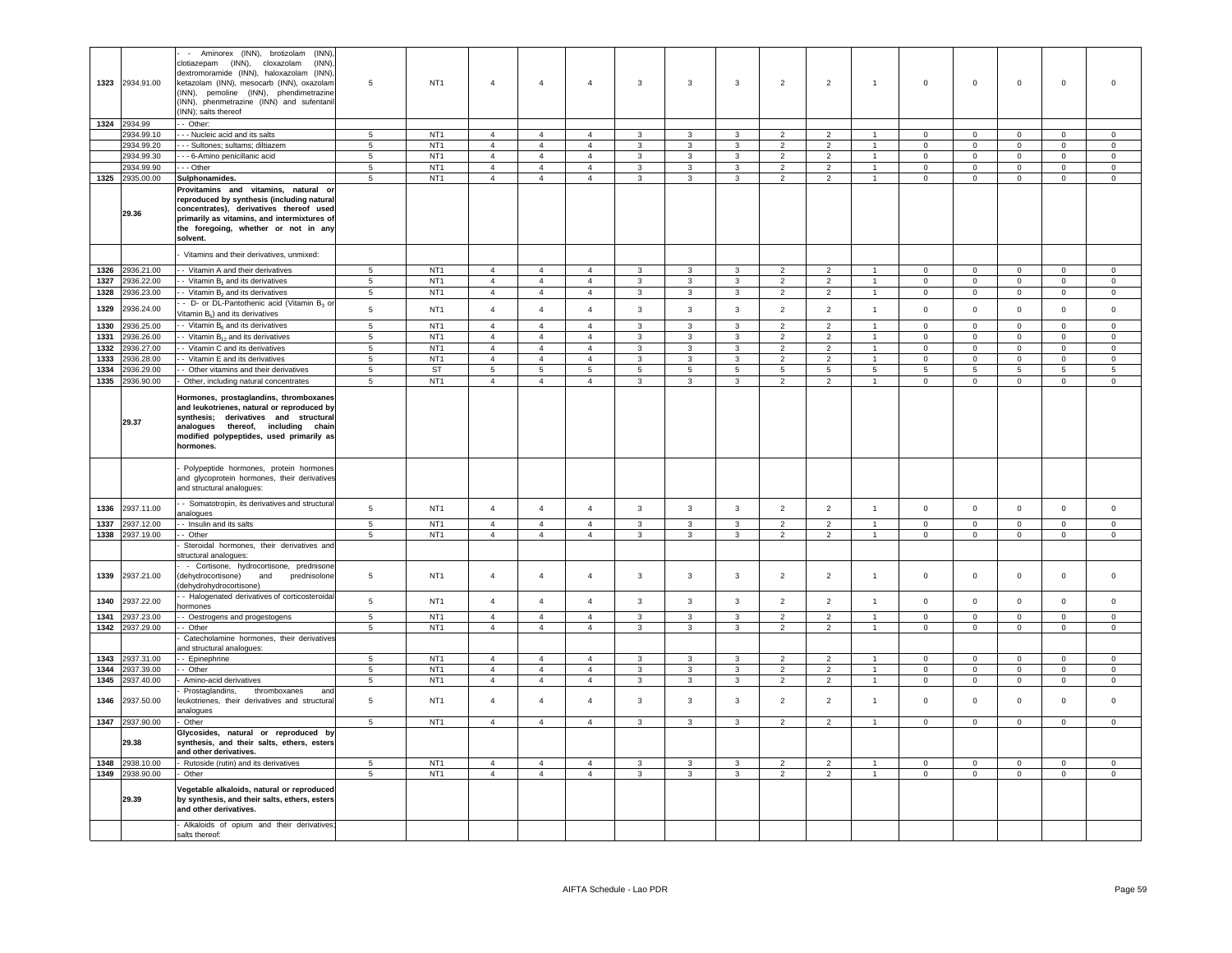|              | 1323 2934.91.00                    | Aminorex (INN), brotizolam<br>(INN)<br>$\sim$<br>clotiazepam (INN),<br>(INN)<br>cloxazolam<br>dextromoramide (INN), haloxazolam (INN).<br>ketazolam (INN), mesocarb (INN), oxazolam<br>(INN), pemoline (INN), phendimetrazine<br>INN), phenmetrazine (INN) and sufentanil<br>INN); salts thereof | $\overline{5}$                | NT <sub>1</sub>                    | $\overline{4}$                   | $\overline{4}$                   | $\overline{4}$                   | 3                            | $\mathbf{3}$                 | $\mathbf{3}$                 | $\overline{2}$                   | $\overline{2}$                   | $\mathbf{1}$                 | $\mathbf 0$                 | $\,0\,$                        | $\mathsf 0$                    | $\mathbf 0$                    | $\mathbf 0$                    |
|--------------|------------------------------------|--------------------------------------------------------------------------------------------------------------------------------------------------------------------------------------------------------------------------------------------------------------------------------------------------|-------------------------------|------------------------------------|----------------------------------|----------------------------------|----------------------------------|------------------------------|------------------------------|------------------------------|----------------------------------|----------------------------------|------------------------------|-----------------------------|--------------------------------|--------------------------------|--------------------------------|--------------------------------|
|              | 1324 2934.99                       | - Other:                                                                                                                                                                                                                                                                                         |                               |                                    |                                  |                                  |                                  |                              |                              |                              |                                  |                                  |                              |                             |                                |                                |                                |                                |
|              | 2934.99.10                         | - - Nucleic acid and its salts                                                                                                                                                                                                                                                                   | 5                             | NT <sub>1</sub>                    | $\overline{4}$                   | $\overline{4}$                   | $\overline{4}$                   | $\mathbf{3}$                 | $\mathbf{3}$                 | $\mathbf{3}$                 | $\overline{2}$                   | $\overline{2}$                   | $\mathbf{1}$                 | $\circ$                     | $\mathsf 0$                    | $\mathbf 0$                    | $\mathbf 0$                    | $\mathsf 0$                    |
|              | 2934.99.20                         | - - Sultones; sultams; diltiazem                                                                                                                                                                                                                                                                 | 5                             | NT <sub>1</sub>                    | $\overline{4}$                   | $\overline{4}$                   | $\overline{4}$                   | $\mathbf{3}$                 | $\mathbf{3}$                 | $\mathbf{3}$                 | $\overline{2}$                   | $\overline{2}$                   | $\mathbf{1}$                 | $^{\circ}$                  | $\mathsf 0$                    | $\mathbf 0$                    | $\mathsf 0$                    | $\mathsf 0$                    |
|              | 2934.99.30                         | - 6-Amino penicillanic acid                                                                                                                                                                                                                                                                      | 5                             | NT <sub>1</sub>                    | $\overline{4}$                   | $\overline{4}$                   | $\overline{4}$                   | $\mathbf{3}$                 | $\mathbf{3}$                 | $\mathbf{3}$                 | $\overline{2}$                   | $\overline{2}$                   | $\overline{1}$               | $\Omega$                    | $\mathbf 0$                    | $\mathbf 0$                    | $\mathbf 0$                    | $\mathsf 0$                    |
|              | 2934.99.90<br>1325 2935.00.00      | $-$ - Other                                                                                                                                                                                                                                                                                      | $5\phantom{.0}$<br>$\sqrt{5}$ | NT <sub>1</sub><br>NT <sub>1</sub> | $\overline{4}$<br>$\overline{4}$ | $\overline{4}$<br>$\overline{4}$ | $\overline{4}$<br>$\overline{4}$ | $\mathbf{3}$<br>$\mathbf{3}$ | $\mathbf{3}$<br>$\mathbf{3}$ | $\mathbf{3}$<br>$\mathbf{3}$ | $\overline{2}$<br>$\overline{2}$ | $\overline{a}$<br>$\overline{2}$ | $\mathbf{1}$<br>$\mathbf{1}$ | $\mathbf{0}$                | $\mathsf 0$<br>$\overline{0}$  | $\mathbf 0$<br>$\mathsf 0$     | $\mathbf 0$<br>$\overline{0}$  | $\mathbf 0$<br>$\overline{0}$  |
|              |                                    | Sulphonamides.                                                                                                                                                                                                                                                                                   |                               |                                    |                                  |                                  |                                  |                              |                              |                              |                                  |                                  |                              | $\overline{0}$              |                                |                                |                                |                                |
|              | 29.36                              | Provitamins and vitamins, natural or<br>reproduced by synthesis (including natural<br>concentrates), derivatives thereof used<br>primarily as vitamins, and intermixtures of<br>the foregoing, whether or not in any<br>solvent.                                                                 |                               |                                    |                                  |                                  |                                  |                              |                              |                              |                                  |                                  |                              |                             |                                |                                |                                |                                |
|              |                                    | Vitamins and their derivatives, unmixed:                                                                                                                                                                                                                                                         |                               |                                    |                                  |                                  |                                  |                              |                              |                              |                                  |                                  |                              |                             |                                |                                |                                |                                |
| 1326         | 2936.21.00                         | - Vitamin A and their derivatives                                                                                                                                                                                                                                                                | 5                             | NT <sub>1</sub>                    | $\overline{4}$                   | $\overline{4}$                   | $\overline{4}$                   | 3                            | 3                            | 3                            | $\overline{2}$                   | 2                                |                              | $\mathbf 0$                 | $\mathbf 0$                    | $\mathbf 0$                    | $\mathbf 0$                    | $\mathbf 0$                    |
| 1327         | 936.22.00                          | - Vitamin B <sub>1</sub> and its derivatives                                                                                                                                                                                                                                                     | 5                             | NT <sub>1</sub>                    | $\overline{4}$                   | $\overline{4}$                   | $\overline{4}$                   | 3                            | 3                            | 3                            | $\overline{2}$                   | $\overline{2}$                   | $\overline{1}$               | $\mathsf 0$                 | $\mathbf 0$                    | $\mathbf 0$                    | $\mathbf 0$                    | $\mathbf 0$                    |
| 1328         | 2936.23.00                         | - Vitamin B <sub>2</sub> and its derivatives                                                                                                                                                                                                                                                     | $\,$ 5 $\,$                   | NT <sub>1</sub>                    | $\overline{4}$                   | $\overline{4}$                   | $\overline{4}$                   | $\mathbf{3}$                 | $\mathbf{3}$                 | $\mathbf{3}$                 | $\overline{2}$                   | $\overline{2}$                   | $\overline{1}$               | $\mathbf 0$                 | $\mathsf{O}\xspace$            | $\mathsf 0$                    | $\mathbf 0$                    | $\mathsf 0$                    |
| 1329         | 2936.24.00                         | - D- or DL-Pantothenic acid (Vitamin B <sub>3</sub> or                                                                                                                                                                                                                                           | $\,$ 5 $\,$                   | NT <sub>1</sub>                    | $\overline{4}$                   | $\overline{4}$                   | $\overline{4}$                   | $\mathbf{3}$                 | $\mathbf{3}$                 | $\mathbf{3}$                 | $\overline{2}$                   | $\overline{2}$                   | $\mathbf{1}$                 | $\mathsf 0$                 | $\mathbf 0$                    | $\mathsf 0$                    | $\mathbf 0$                    | $\mathsf 0$                    |
|              |                                    | /itamin B <sub>5</sub> ) and its derivatives                                                                                                                                                                                                                                                     | $5\phantom{.0}$               | NT <sub>1</sub>                    | $\overline{4}$                   | $\overline{4}$                   | $\overline{4}$                   |                              |                              | $\mathbf{3}$                 | $\overline{2}$                   | $\overline{2}$                   | $\overline{1}$               |                             |                                |                                |                                | $\,0\,$                        |
| 1330         | 2936.25.00<br>936.26.00            | Vitamin B <sub>6</sub> and its derivatives<br>- Vitamin $B_{12}$ and its derivatives                                                                                                                                                                                                             | $\overline{5}$                | NT <sub>1</sub>                    | $\overline{4}$                   |                                  |                                  | $\mathbf{3}$<br>$\mathbf{3}$ | 3<br>$\mathbf{3}$            |                              | $\overline{2}$                   | $\overline{2}$                   | $\mathbf{1}$                 | $\mathsf 0$                 | $\mathsf 0$                    | $\mathbf 0$                    | $\pmb{0}$                      |                                |
| 1331<br>1332 | 936.27.00                          | Vitamin C and its derivatives                                                                                                                                                                                                                                                                    |                               | NT <sub>1</sub>                    | $\overline{4}$                   | $\overline{4}$<br>$\overline{4}$ | $\overline{4}$<br>$\overline{4}$ |                              |                              | $\mathbf{3}$                 | $\overline{2}$                   |                                  | $\mathbf{1}$                 | $\mathsf 0$<br>$\mathbf{0}$ | $\mathsf 0$<br>$\mathbf 0$     | $\mathbf 0$<br>$\mathbf 0$     | $\mathsf 0$<br>$\mathbf 0$     | $\mathsf 0$                    |
| 1333         | 936.28.00                          | - Vitamin E and its derivatives                                                                                                                                                                                                                                                                  | $\,$ 5 $\,$<br>5              | NT <sub>1</sub>                    | $\overline{4}$                   | $\overline{4}$                   | $\overline{4}$                   | $\mathbf{3}$<br>$\mathbf{3}$ | $\mathbf{3}$<br>$\mathbf{3}$ | $\mathbf{3}$<br>$\mathbf{3}$ | $\overline{2}$                   | $\overline{a}$<br>$\overline{2}$ | $\mathbf{1}$                 | $\Omega$                    | $\mathsf 0$                    | $\mathbf 0$                    | $\mathbf{0}$                   | $\mathbf 0$<br>$\mathsf 0$     |
| 1334         | 936.29.00                          | - Other vitamins and their derivatives                                                                                                                                                                                                                                                           | $\overline{5}$                | <b>ST</b>                          | $\overline{5}$                   | $5\phantom{.0}$                  | $\,$ 5 $\,$                      | $\overline{5}$               | $\overline{5}$               | 5 <sub>5</sub>               | $5\phantom{.0}$                  | $\sqrt{5}$                       | $5\phantom{.0}$              | 5                           | 5                              | $\,$ 5 $\,$                    | $5\phantom{.0}$                | $\overline{5}$                 |
| 1335         | 2936.90.00                         | Other, including natural concentrates                                                                                                                                                                                                                                                            | 5                             | NT <sub>1</sub>                    | $\overline{4}$                   | $\overline{4}$                   | $\overline{4}$                   | $\mathbf{3}$                 | $\mathbf{3}$                 | $\mathbf{3}$                 | $\overline{2}$                   | $\overline{2}$                   | $\mathbf{1}$                 | $\mathbf{0}$                | $\overline{0}$                 | $\mathbf{0}$                   | $\mathbf{0}$                   | $\overline{0}$                 |
|              | 29.37                              | Hormones, prostaglandins, thromboxanes<br>and leukotrienes, natural or reproduced by<br>synthesis; derivatives and structural<br>analogues<br>thereof, including chain<br>modified polypeptides, used primarily as<br>hormones.                                                                  |                               |                                    |                                  |                                  |                                  |                              |                              |                              |                                  |                                  |                              |                             |                                |                                |                                |                                |
|              |                                    | Polypeptide hormones, protein hormones<br>and glycoprotein hormones, their derivatives<br>and structural analogues:                                                                                                                                                                              |                               |                                    |                                  |                                  |                                  |                              |                              |                              |                                  |                                  |                              |                             |                                |                                |                                |                                |
| 1336         | 2937.11.00                         | - Somatotropin, its derivatives and structura<br>analogues                                                                                                                                                                                                                                       | $\sqrt{5}$                    | NT <sub>1</sub>                    | $\overline{4}$                   | $\overline{4}$                   | $\overline{4}$                   | $\mathbf{3}$                 | $\mathbf{3}$                 | $\mathbf{3}$                 | $\overline{2}$                   | $\overline{2}$                   | $\overline{1}$               | $\mathsf 0$                 | $\mathsf 0$                    | $\mathbf 0$                    | $\mathbf 0$                    | $\mathsf 0$                    |
| 1337         | 2937.12.00                         | - Insulin and its salts                                                                                                                                                                                                                                                                          | 5                             | NT <sub>1</sub>                    | $\overline{4}$                   | $\overline{4}$                   | $\overline{4}$                   | $\mathbf{3}$                 | $\mathbf{3}$                 | $\overline{3}$               | $\overline{2}$                   | $\overline{2}$                   | $\overline{1}$               | $\mathsf 0$                 | $\mathsf 0$                    | $\mathsf 0$                    | $\mathbf 0$                    | $\mathsf 0$                    |
|              | 1338 2937.19.00                    | - Other                                                                                                                                                                                                                                                                                          | 5                             | NT <sub>1</sub>                    | $\overline{4}$                   | $\overline{4}$                   | $\overline{4}$                   | 3                            | 3                            | $\mathbf{3}$                 | $\overline{2}$                   | $\overline{2}$                   | $\mathbf{1}$                 | $\Omega$                    | $\mathbf{0}$                   | $\mathbf 0$                    | $\mathbf{0}$                   | $\mathsf 0$                    |
|              |                                    | Steroidal hormones, their derivatives and<br>structural analogues:<br>- Cortisone, hydrocortisone, prednisone                                                                                                                                                                                    |                               |                                    |                                  |                                  |                                  |                              |                              |                              |                                  |                                  |                              |                             |                                |                                |                                |                                |
| 1339         | 2937.21.00                         | (dehydrocortisone)<br>and<br>prednisolone<br>dehydrohydrocortisone)<br>- Halogenated derivatives of corticosteroida                                                                                                                                                                              | $\overline{5}$                | NT <sub>1</sub>                    | $\overline{4}$                   | 4                                | $\overline{4}$                   | $\mathbf{3}$                 | $\mathbf{3}$                 | 3                            | $\overline{2}$                   | $\overline{2}$                   | $\mathbf{1}$                 | $\mathbf 0$                 | $^{\circ}$                     | $\mathsf 0$                    | $\pmb{0}$                      | $\mathbf 0$                    |
| 1340         | 2937.22.00                         | hormones                                                                                                                                                                                                                                                                                         | 5                             | NT <sub>1</sub>                    | $\overline{4}$                   | $\overline{4}$                   | $\overline{4}$                   | $\mathbf{3}$                 | $\mathbf{3}$                 | 3                            | $\overline{2}$                   | $\overline{2}$                   | $\overline{1}$               | $\mathbf 0$                 | $\Omega$                       | $\mathsf 0$                    | $\mathsf 0$                    | $\mathsf 0$                    |
| 1341         | 2937.23.00                         | - Oestrogens and progestogens                                                                                                                                                                                                                                                                    | $\sqrt{5}$                    | NT <sub>1</sub>                    | $\overline{4}$                   | $\overline{4}$                   | $\overline{4}$                   | $\mathbf{3}$                 | $\mathbf{3}$                 | $\mathbf{3}$                 | $\overline{2}$                   | $\overline{2}$                   | $\overline{1}$               | $\mathsf 0$                 | $\mathsf 0$                    | $\mathsf 0$                    | $\mathbf 0$                    | $\mathbb O$                    |
| 1342         | 937.29.00                          | - Other                                                                                                                                                                                                                                                                                          | $\overline{5}$                | NT <sub>1</sub>                    | $\overline{a}$                   | $\overline{4}$                   | $\overline{4}$                   | 3                            | 3                            | $\overline{3}$               | $\overline{2}$                   | $\overline{2}$                   | $\overline{1}$               | $\Omega$                    | $\mathbf 0$                    | $\mathbf 0$                    | $\mathbf 0$                    | $\mathbf 0$                    |
|              |                                    | Catecholamine hormones, their derivatives                                                                                                                                                                                                                                                        |                               |                                    |                                  |                                  |                                  |                              |                              |                              |                                  |                                  |                              |                             |                                |                                |                                |                                |
|              |                                    | and structural analogues:                                                                                                                                                                                                                                                                        |                               |                                    |                                  |                                  |                                  |                              |                              |                              |                                  |                                  |                              |                             |                                |                                |                                |                                |
|              | 1343 2937.31.00<br>1344 2937.39.00 | - Epinephrine<br>- Other                                                                                                                                                                                                                                                                         | $5\overline{5}$<br>5          | NT <sub>1</sub><br>NT <sub>1</sub> | $\overline{4}$<br>$\overline{4}$ | $\overline{4}$<br>$\overline{4}$ | $\overline{4}$<br>$\overline{4}$ | $\mathbf{3}$<br>$\mathbf{3}$ | $\mathbf{3}$<br>$\mathbf{3}$ | $\mathbf{3}$<br>3            | $\overline{2}$<br>$\overline{2}$ | $\overline{2}$<br>$\overline{2}$ | $\mathbf{1}$<br>$\mathbf{1}$ | $\overline{0}$<br>$\circ$   | $\overline{0}$<br>$\mathbf{O}$ | $\overline{0}$<br>$\mathbf{0}$ | $\overline{0}$<br>$\mathbf{0}$ | $\overline{0}$<br>$\mathbf{0}$ |
| 1345         | 2937.40.00                         | Amino-acid derivatives                                                                                                                                                                                                                                                                           | 5                             | NT <sub>1</sub>                    | $\overline{4}$                   | $\overline{4}$                   | $\overline{4}$                   | $\mathbf{3}$                 | $\mathbf{3}$                 | $\mathbf{3}$                 | $\overline{2}$                   | $\overline{2}$                   | $\mathbf{1}$                 | $\mathbf{0}$                | $\mathbf{0}$                   | $\mathbf{0}$                   | $\overline{0}$                 | $\mathbf{0}$                   |
|              |                                    | Prostaglandins,<br>thromboxanes<br>an                                                                                                                                                                                                                                                            |                               |                                    |                                  |                                  |                                  |                              |                              |                              |                                  |                                  |                              |                             |                                |                                |                                |                                |
| 1346         | 2937.50.00                         | leukotrienes, their derivatives and structural<br>analogues                                                                                                                                                                                                                                      | $\,$ 5 $\,$                   | NT <sub>1</sub>                    | $\overline{4}$                   | $\overline{4}$                   | $\overline{4}$                   | $\mathbf{3}$                 | $\mathbf{3}$                 | $\mathbf{3}$                 | $\overline{2}$                   | $\overline{2}$                   | $\mathbf{1}$                 | $\mathsf 0$                 | $\mathsf 0$                    | $\mathsf 0$                    | $\mathsf 0$                    | $\mathbf 0$                    |
| 1347         | 2937.90.00                         | Other                                                                                                                                                                                                                                                                                            | 5                             | NT <sub>1</sub>                    | $\overline{4}$                   | $\overline{4}$                   | $\overline{4}$                   | 3                            | $\mathbf{3}$                 | $\mathbf{3}$                 | 2                                | $\overline{2}$                   | $\mathbf{1}$                 | $\Omega$                    | $\mathbf{0}$                   | $\mathbf 0$                    | $\mathbf{0}$                   | $\mathbf 0$                    |
|              | 29.38                              | Glycosides, natural or reproduced by<br>synthesis, and their salts, ethers, esters<br>and other derivatives.                                                                                                                                                                                     |                               |                                    |                                  |                                  |                                  |                              |                              |                              |                                  |                                  |                              |                             |                                |                                |                                |                                |
|              | 1348 2938.10.00                    | Rutoside (rutin) and its derivatives                                                                                                                                                                                                                                                             | 5                             | NT <sub>1</sub>                    | $\overline{4}$<br>$\overline{4}$ | $\overline{4}$                   | $\overline{4}$<br>$\overline{4}$ | 3                            | $\mathbf{3}$                 | 3                            | $\overline{2}$                   | $\overline{2}$                   | $\overline{1}$               | $^{\circ}$                  | $^{\circ}$                     | $\mathbf 0$                    | $\mathbf 0$                    | $\mathsf 0$<br>$\mathsf 0$     |
|              | 1349 2938.90.00                    | Other                                                                                                                                                                                                                                                                                            | 5                             | NT <sub>1</sub>                    |                                  | $\overline{4}$                   |                                  | 3                            | 3                            | $\mathbf{3}$                 | $\overline{2}$                   | $\overline{2}$                   |                              | $\mathbf 0$                 | $\mathbf 0$                    | $\mathbf 0$                    | $\mathbf 0$                    |                                |
|              | 29.39                              | /egetable alkaloids, natural or reproduced<br>by synthesis, and their salts, ethers, esters<br>and other derivatives.                                                                                                                                                                            |                               |                                    |                                  |                                  |                                  |                              |                              |                              |                                  |                                  |                              |                             |                                |                                |                                |                                |
|              |                                    | Alkaloids of opium and their derivatives<br>salts thereof:                                                                                                                                                                                                                                       |                               |                                    |                                  |                                  |                                  |                              |                              |                              |                                  |                                  |                              |                             |                                |                                |                                |                                |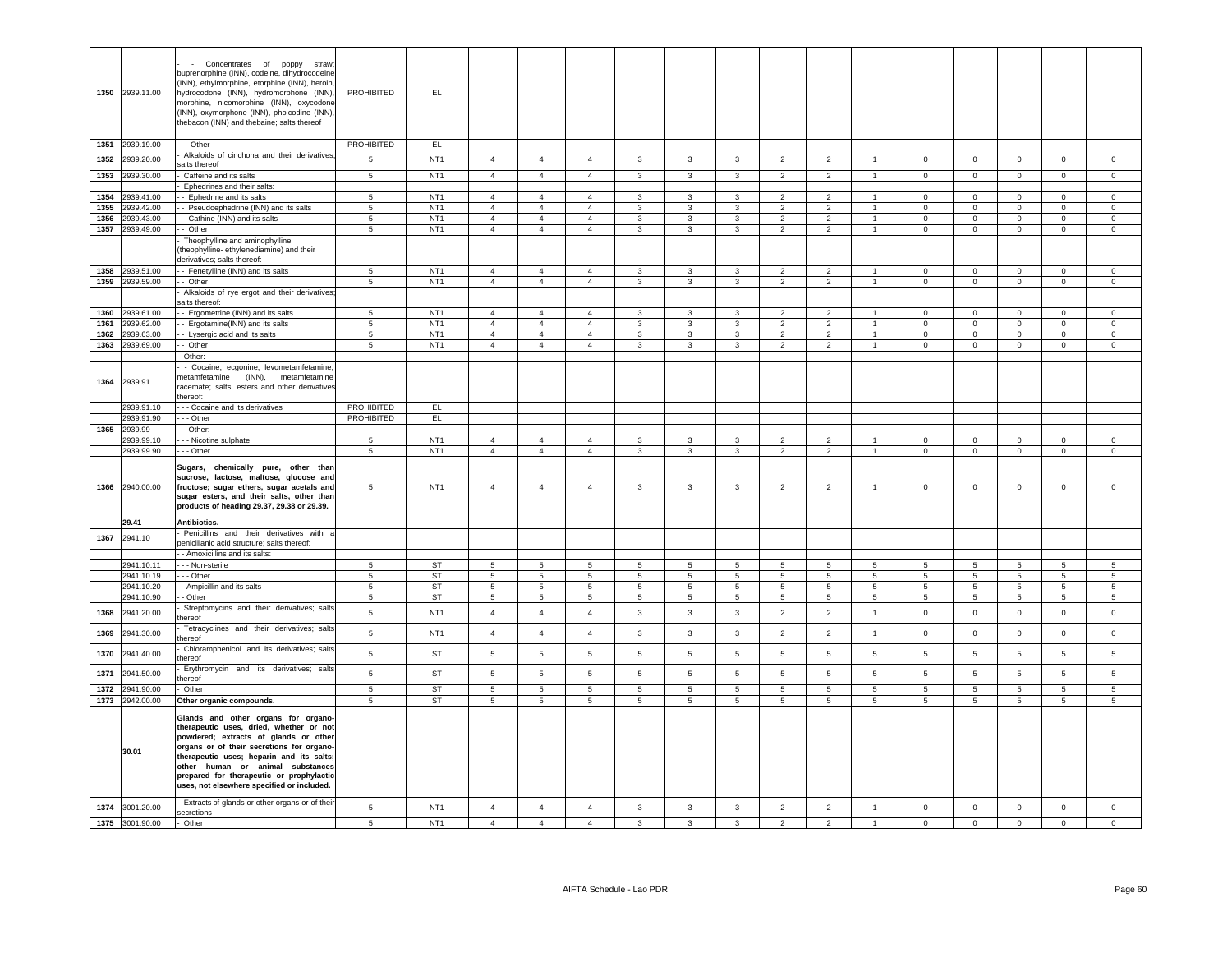|      | 1350 2939.11.00               | Concentrates of poppy straw<br>buprenorphine (INN), codeine, dihydrocodeine<br>(INN), ethylmorphine, etorphine (INN), heroin,<br>hydrocodone (INN), hydromorphone (INN),<br>morphine, nicomorphine (INN), oxycodone<br>(INN), oxymorphone (INN), pholcodine (INN),<br>thebacon (INN) and thebaine; salts thereof                               | PROHIBITED           | EL.                                |                                    |                                    |                                |                                    |                              |                                |                                 |                                 |                      |                            |                                    |                                    |                         |                         |
|------|-------------------------------|------------------------------------------------------------------------------------------------------------------------------------------------------------------------------------------------------------------------------------------------------------------------------------------------------------------------------------------------|----------------------|------------------------------------|------------------------------------|------------------------------------|--------------------------------|------------------------------------|------------------------------|--------------------------------|---------------------------------|---------------------------------|----------------------|----------------------------|------------------------------------|------------------------------------|-------------------------|-------------------------|
|      | 1351 2939.19.00               | - Other                                                                                                                                                                                                                                                                                                                                        | PROHIBITED           | EL.                                |                                    |                                    |                                |                                    |                              |                                |                                 |                                 |                      |                            |                                    |                                    |                         |                         |
| 1352 | 2939.20.00                    | Alkaloids of cinchona and their derivatives<br>salts thereof                                                                                                                                                                                                                                                                                   | 5                    | NT <sub>1</sub>                    | $\overline{4}$                     | $\overline{4}$                     | $\overline{4}$                 | $\mathbf{3}$                       | $\mathbf{3}$                 | $\overline{3}$                 | 2                               | 2                               | $\overline{1}$       | $\overline{0}$             | $\circ$                            | $\mathbf 0$                        | $\mathbf{0}$            | $\circ$                 |
| 1353 | 2939.30.00                    | Caffeine and its salts                                                                                                                                                                                                                                                                                                                         | 5                    | NT1                                | $\overline{4}$                     | $\overline{4}$                     | $\overline{4}$                 | $\mathbf{3}$                       | $\mathbf{3}$                 | $\mathbf{3}$                   | 2                               | 2                               | $\overline{1}$       | $\mathbf{0}$               | $\circ$                            | $\mathbf 0$                        | $\mathbf{0}$            | $\circ$                 |
|      |                               | Ephedrines and their salts:                                                                                                                                                                                                                                                                                                                    |                      |                                    |                                    |                                    |                                |                                    |                              |                                |                                 |                                 |                      |                            |                                    |                                    |                         |                         |
| 1354 | 939.41.00                     | - Ephedrine and its salts                                                                                                                                                                                                                                                                                                                      | $5\phantom{.0}$      | NT <sub>1</sub>                    | $\overline{4}$                     | $\overline{4}$                     | $\overline{4}$                 | $\mathbf{3}$                       | $\overline{3}$               | $\mathbf{3}$                   | $\overline{2}$                  | $\overline{2}$                  | $\overline{1}$       | $\overline{0}$             | $\overline{0}$                     | $\mathbf 0$                        | $\Omega$                | $\Omega$                |
| 1355 | 2939.42.00                    | - Pseudoephedrine (INN) and its salts                                                                                                                                                                                                                                                                                                          | $5\phantom{.0}$      | NT <sub>1</sub>                    | $\overline{4}$                     | $\overline{4}$                     | $\overline{4}$                 | $\mathbf{3}$                       | $\mathbf{3}$                 | $\mathbf{3}$                   | 2                               | $\overline{2}$                  | $\sim$               | $\mathbf{0}$               | $\overline{0}$                     | $\mathbf 0$                        | $\Omega$                | $\Omega$                |
| 1356 | 2939.43.00                    | - Cathine (INN) and its salts                                                                                                                                                                                                                                                                                                                  | $5\phantom{.0}$      | NT <sub>1</sub>                    | $\overline{4}$                     | $\overline{4}$                     | $\overline{4}$                 | $\mathbf{3}$                       | 3                            | $\mathbf{3}$                   | $\overline{2}$                  | $\overline{2}$                  | $\mathbf{1}$         | $\overline{0}$             | $\overline{0}$                     | $\mathbf 0$                        | $\overline{0}$          | $\mathsf 0$             |
|      | 1357 2939.49.00               | - Other                                                                                                                                                                                                                                                                                                                                        | 5                    | NT <sub>1</sub>                    | $\overline{4}$                     | $\overline{4}$                     | $\overline{4}$                 | $\mathbf{3}$                       | $\mathbf{3}$                 | $\mathbf{3}$                   | $\overline{2}$                  | $\overline{2}$                  | $\overline{1}$       | $\overline{0}$             | $\overline{0}$                     | $\mathbf 0$                        | $\overline{0}$          | $\overline{0}$          |
|      |                               | Theophylline and aminophylline<br>(theophylline-ethylenediamine) and their<br>derivatives; salts thereof:                                                                                                                                                                                                                                      |                      |                                    |                                    |                                    |                                |                                    |                              |                                |                                 |                                 |                      |                            |                                    |                                    |                         |                         |
|      | 1358 2939.51.00               | - Fenetylline (INN) and its salts                                                                                                                                                                                                                                                                                                              | 5 <sub>5</sub>       | NT <sub>1</sub>                    | $\overline{4}$                     | $\overline{4}$                     | $\overline{4}$                 | 3                                  | 3                            | $\mathbf{3}$                   | $\overline{2}$                  | $\overline{2}$                  | $\mathbf{1}$         | $\overline{0}$             | $\mathbf 0$                        | $\overline{0}$                     | $\Omega$                | $\Omega$                |
|      | 1359 2939.59.00               | - Other                                                                                                                                                                                                                                                                                                                                        | $5\overline{)}$      | NT <sub>1</sub>                    | $\overline{4}$                     | $\overline{4}$                     | 4                              | $\overline{3}$                     | $\mathbf{3}$                 | $\mathbf{3}$                   | $\overline{2}$                  | $\overline{2}$                  | $\mathbf{1}$         | $\overline{0}$             | $\overline{0}$                     | $\mathbf 0$                        | $\overline{0}$          | $\overline{0}$          |
|      |                               | Alkaloids of rye ergot and their derivatives                                                                                                                                                                                                                                                                                                   |                      |                                    |                                    |                                    |                                |                                    |                              |                                |                                 |                                 |                      |                            |                                    |                                    |                         |                         |
| 1360 | 2939.61.00                    | salts thereof:<br>- Ergometrine (INN) and its salts                                                                                                                                                                                                                                                                                            | 5 <sub>5</sub>       | NT <sub>1</sub>                    | $\overline{4}$                     | $\overline{4}$                     | $\overline{4}$                 | $\mathbf{3}$                       | $\mathbf{3}$                 | 3                              | $\overline{2}$                  | $\overline{2}$                  | $\mathbf{1}$         | $\Omega$                   | $\Omega$                           | $\Omega$                           | $\Omega$                | $\Omega$                |
| 1361 | 2939.62.00                    | - Ergotamine(INN) and its salts                                                                                                                                                                                                                                                                                                                | 5                    | NT <sub>1</sub>                    | $\overline{4}$                     | $\overline{4}$                     | $\overline{4}$                 | $\mathbf{3}$                       | 3                            | $\mathbf{3}$                   | $\overline{2}$                  | $\overline{2}$                  | $\sim$               | $\overline{0}$             | $\overline{0}$                     | $\mathbf 0$                        | $\overline{0}$          | $\Omega$                |
| 1362 | 2939.63.00                    | - Lysergic acid and its salts                                                                                                                                                                                                                                                                                                                  | $5\phantom{.0}$      | NT <sub>1</sub>                    | $\overline{4}$                     | $\overline{4}$                     | $\overline{4}$                 | 3                                  | 3                            | 3                              | $\overline{2}$                  | $\overline{2}$                  | $\mathbf{1}$         | $\mathbf 0$                | $\overline{0}$                     | $\mathbf 0$                        | $\mathbf 0$             | $\mathbf 0$             |
| 1363 | 2939.69.00                    | - Other                                                                                                                                                                                                                                                                                                                                        | 5                    | NT <sub>1</sub>                    | $\overline{4}$                     | $\overline{4}$                     | $\overline{4}$                 | $\mathbf{3}$                       | $\mathbf{3}$                 | $\mathbf{3}$                   | $\overline{2}$                  | $\overline{2}$                  | $\sim$               | $\circ$                    | $\overline{0}$                     | $\mathbf 0$                        | $\mathbf 0$             | $\overline{0}$          |
|      |                               | Other:                                                                                                                                                                                                                                                                                                                                         |                      |                                    |                                    |                                    |                                |                                    |                              |                                |                                 |                                 |                      |                            |                                    |                                    |                         |                         |
|      | 1364 2939.91                  | - Cocaine, ecgonine, levometamfetamine,<br>metamfetamine (INN), metamfetamine<br>racemate; salts, esters and other derivatives<br>thereof:                                                                                                                                                                                                     |                      |                                    |                                    |                                    |                                |                                    |                              |                                |                                 |                                 |                      |                            |                                    |                                    |                         |                         |
|      | 2939.91.10                    | - - - Cocaine and its derivatives                                                                                                                                                                                                                                                                                                              | PROHIBITED           | EL.                                |                                    |                                    |                                |                                    |                              |                                |                                 |                                 |                      |                            |                                    |                                    |                         |                         |
|      | 2939.91.90<br>1365 2939.99    | --- Other                                                                                                                                                                                                                                                                                                                                      | PROHIBITED           | EL.                                |                                    |                                    |                                |                                    |                              |                                |                                 |                                 |                      |                            |                                    |                                    |                         |                         |
|      | 2939.99.10                    | - Other:<br>- - - Nicotine sulphate                                                                                                                                                                                                                                                                                                            | 5                    | NT <sub>1</sub>                    | $\overline{4}$                     | $\overline{4}$                     | $\overline{4}$                 | 3                                  | 3                            | 3                              | $\overline{2}$                  | 2                               |                      | $\overline{0}$             | $\mathbf 0$                        | $\mathbf 0$                        | $\mathbf 0$             | $\mathbf 0$             |
|      |                               |                                                                                                                                                                                                                                                                                                                                                |                      |                                    |                                    |                                    |                                |                                    |                              |                                |                                 |                                 |                      |                            |                                    |                                    |                         |                         |
|      | 2939.99.90                    | - - - Other                                                                                                                                                                                                                                                                                                                                    | $\overline{5}$       | NT <sub>1</sub>                    | $\overline{4}$                     | $\overline{4}$                     | $\overline{4}$                 | $\mathbf{3}$                       | 3                            | $\mathbf{3}$                   | $\overline{2}$                  | $\overline{2}$                  | $\blacktriangleleft$ | $\mathsf 0$                | $\mathsf 0$                        | $\mathsf 0$                        | $\Omega$                | $\Omega$                |
|      | 1366 2940.00.00               | Sugars, chemically pure, other than<br>sucrose, lactose, maltose, glucose and<br>fructose; sugar ethers, sugar acetals and<br>sugar esters, and their salts, other than<br>products of heading 29.37, 29.38 or 29.39.                                                                                                                          | 5                    | NT <sub>1</sub>                    | $\overline{4}$                     | $\overline{4}$                     | $\overline{4}$                 | $\mathbf{3}$                       | $\mathbf{3}$                 | 3                              | $\overline{2}$                  | $\overline{2}$                  | $\overline{1}$       | $\mathsf 0$                | $\Omega$                           | $\mathbf 0$                        | $\Omega$                | $\Omega$                |
|      | 29.41                         | Antibiotics.                                                                                                                                                                                                                                                                                                                                   |                      |                                    |                                    |                                    |                                |                                    |                              |                                |                                 |                                 |                      |                            |                                    |                                    |                         |                         |
| 1367 | 2941.10                       | Penicillins and their derivatives with a                                                                                                                                                                                                                                                                                                       |                      |                                    |                                    |                                    |                                |                                    |                              |                                |                                 |                                 |                      |                            |                                    |                                    |                         |                         |
|      |                               | penicillanic acid structure; salts thereof:                                                                                                                                                                                                                                                                                                    |                      |                                    |                                    |                                    |                                |                                    |                              |                                |                                 |                                 |                      |                            |                                    |                                    |                         |                         |
|      |                               | - Amoxicillins and its salts:                                                                                                                                                                                                                                                                                                                  |                      | <b>ST</b>                          |                                    |                                    | -5                             |                                    | 5 <sup>5</sup>               |                                | $5\overline{5}$                 |                                 | -5                   | 5                          |                                    |                                    | $5^{\circ}$             | $5^{\circ}$             |
|      | 2941.10.11<br>2941.10.19      | - - - Non-sterile<br>- - - Other                                                                                                                                                                                                                                                                                                               | 5<br>$5\overline{)}$ | ST                                 | $5\phantom{.0}$<br>$5\overline{5}$ | $5\overline{5}$<br>$5\overline{5}$ | $5\overline{)}$                | $5\overline{5}$<br>$5\overline{5}$ | $5\overline{5}$              | $5^{\circ}$<br>$5\phantom{.0}$ | $5\overline{5}$                 | 5<br>5                          | $5\overline{5}$      | $5\overline{5}$            | $5\overline{5}$<br>$5\overline{5}$ | $5\phantom{.0}$<br>$5\phantom{.0}$ | $5\overline{5}$         | $5\overline{5}$         |
|      | 2941.10.20                    | - - Ampicillin and its salts                                                                                                                                                                                                                                                                                                                   | $5\phantom{.0}$      | ST                                 | 5                                  | $5\phantom{.0}$                    | 5                              | $5\phantom{.0}$                    | $5\phantom{.0}$              | $5\phantom{.0}$                | 5                               | 5                               | 5                    | $5\phantom{.0}$            | $5\overline{5}$                    | $5\phantom{.0}$                    | $5\phantom{.0}$         | $5\phantom{.0}$         |
|      | 2941.10.90                    | - - Other                                                                                                                                                                                                                                                                                                                                      | 5                    | ST                                 | $5\phantom{.0}$                    | $5\phantom{.0}$                    | 5                              | $5\phantom{.0}$                    | $5\phantom{.0}$              | 5                              | $5\phantom{.0}$                 | 5                               | $5\phantom{.0}$      | $5\overline{5}$            | $5\overline{5}$                    | $5\phantom{.0}$                    | $5\phantom{.0}$         | $5\overline{5}$         |
| 1368 | 2941.20.00                    | Streptomycins and their derivatives; salts<br>hereof                                                                                                                                                                                                                                                                                           | $\sqrt{5}$           | NT <sub>1</sub>                    | $\overline{4}$                     | $\overline{4}$                     | $\overline{4}$                 | $\mathbf{3}$                       | $\mathbf{3}$                 | $\mathbf{3}$                   | $\overline{2}$                  | $\overline{2}$                  | $\mathbf{1}$         | $\mathbf 0$                | $\mathbf 0$                        | $\mathbf 0$                        | $\mathsf 0$             | $\mathsf 0$             |
| 1369 | 2941.30.00                    | Tetracyclines and their derivatives; salts<br>hereof                                                                                                                                                                                                                                                                                           | $\sqrt{5}$           | NT <sub>1</sub>                    | $\overline{4}$                     | $\overline{4}$                     | $\overline{4}$                 | $\mathbf{3}$                       | $\mathbf{3}$                 | $\mathbf{3}$                   | $\overline{2}$                  | $\overline{2}$                  | $\overline{1}$       | $\mathbf 0$                | $\mathbf 0$                        | $\mathbf 0$                        | $\Omega$                | $\Omega$                |
| 1370 | 2941.40.00                    | Chloramphenicol and its derivatives; salts<br>hereof                                                                                                                                                                                                                                                                                           | 5                    | <b>ST</b>                          | 5                                  | 5                                  | 5                              | 5                                  | 5                            | 5                              | 5                               | 5                               | 5                    | 5                          | 5                                  | $\overline{5}$                     | 5                       | 5                       |
| 1371 | 2941.50.00                    | Erythromycin and its derivatives; salts<br>hereof                                                                                                                                                                                                                                                                                              | 5                    | ST                                 | $5\phantom{.0}$                    | 5                                  | $\,$ 5 $\,$                    | 5                                  | 5                            | 5                              | 5                               | 5                               | $5\phantom{.0}$      | $\overline{5}$             | 5                                  | $\overline{5}$                     | $5\phantom{.0}$         | 5                       |
| 1372 | 941.90.00                     | Other                                                                                                                                                                                                                                                                                                                                          | 5                    | ST                                 | 5                                  | 5                                  | 5                              | 5                                  | 5                            | 5                              | 5                               | 5                               | $5^{\circ}$          | $\overline{5}$             | 5                                  | 5                                  | 5                       | 5                       |
| 1373 | 942.00.00                     | Other organic compounds.                                                                                                                                                                                                                                                                                                                       | 5                    | ST                                 | 5                                  | 5                                  | 5                              | 5                                  | 5                            | 5                              | 5                               | 5                               | 5                    | 5                          | 5                                  | 5                                  | 5                       | 5                       |
|      | 30.01                         | Glands and other organs for organo-<br>therapeutic uses, dried, whether or not<br>powdered; extracts of glands or other<br>organs or of their secretions for organo-<br>therapeutic uses; heparin and its salts;<br>other human or animal substances<br>prepared for therapeutic or prophylactic<br>uses, not elsewhere specified or included. |                      |                                    |                                    |                                    |                                |                                    |                              |                                |                                 |                                 |                      |                            |                                    |                                    |                         |                         |
| 1374 | 3001.20.00<br>1375 3001.90.00 | Extracts of glands or other organs or of their<br>secretions<br>- Other                                                                                                                                                                                                                                                                        | 5<br>5               | NT <sub>1</sub><br>NT <sub>1</sub> | $\overline{4}$<br>$\mathbf{A}$     | $\overline{4}$<br>$\overline{a}$   | $\overline{4}$<br>$\mathbf{A}$ | $\mathbf{3}$<br>$\mathcal{R}$      | $\mathbf{3}$<br>$\mathbf{a}$ | $\mathbf{3}$                   | $\overline{2}$<br>$\mathcal{D}$ | $\overline{2}$<br>$\mathcal{P}$ | $\overline{1}$       | $\mathbf 0$<br>$\mathbf 0$ | $\mathbf 0$<br>$\mathbf 0$         | $\mathsf 0$<br>$\Omega$            | $\mathsf 0$<br>$\Omega$ | $\mathsf 0$<br>$\Omega$ |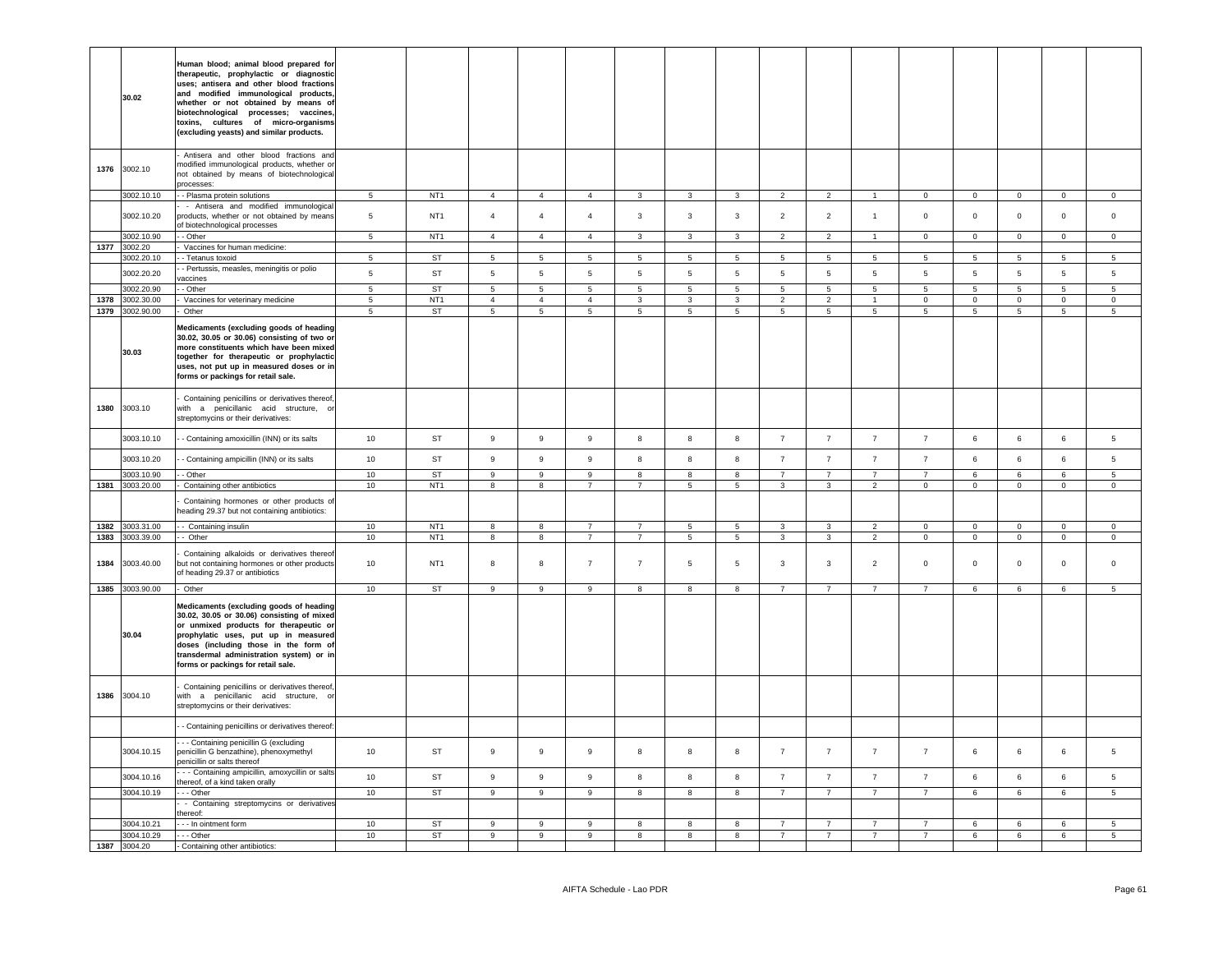|      | 30.02                    | Human blood; animal blood prepared for<br>therapeutic, prophylactic or diagnostic<br>uses; antisera and other blood fractions<br>and modified immunological products,<br>whether or not obtained by means of<br>biotechnological processes; vaccines,<br>toxins, cultures of micro-organisms<br>(excluding yeasts) and similar products. |                 |                       |                  |                 |                  |                  |                  |                         |                 |                 |                 |                 |                 |                |                 |                |
|------|--------------------------|------------------------------------------------------------------------------------------------------------------------------------------------------------------------------------------------------------------------------------------------------------------------------------------------------------------------------------------|-----------------|-----------------------|------------------|-----------------|------------------|------------------|------------------|-------------------------|-----------------|-----------------|-----------------|-----------------|-----------------|----------------|-----------------|----------------|
| 1376 | 3002.10                  | Antisera and other blood fractions and<br>modified immunological products, whether or<br>not obtained by means of biotechnological<br>processes:                                                                                                                                                                                         |                 |                       |                  |                 |                  |                  |                  |                         |                 |                 |                 |                 |                 |                |                 |                |
|      | 3002.10.10               | - Plasma protein solutions                                                                                                                                                                                                                                                                                                               | $\,$ 5 $\,$     | NT <sub>1</sub>       | $\overline{4}$   | $\overline{4}$  | $\overline{4}$   | $\mathbf{3}$     | $\mathbf{3}$     | $\mathbf{3}$            | $\overline{2}$  | $\overline{2}$  |                 | $\mathsf 0$     | $\mathbf 0$     | $\mathbf 0$    | $\mathsf 0$     | $\mathbf 0$    |
|      | 3002.10.20               | - Antisera and modified immunologica<br>products, whether or not obtained by means<br>of biotechnological processes                                                                                                                                                                                                                      | 5               | NT <sub>1</sub>       | $\overline{4}$   | $\overline{4}$  | $\overline{4}$   | $\mathbf{3}$     | $\mathbf{3}$     | 3                       | $\overline{2}$  | $\overline{2}$  | $\overline{1}$  | $\mathbf 0$     | $\mathbf 0$     | $\mathbf 0$    | $\mathbf 0$     | $\mathbf 0$    |
|      | 3002.10.90               | - Other                                                                                                                                                                                                                                                                                                                                  | 5               | NT <sub>1</sub>       | $\overline{4}$   | $\overline{4}$  | $\overline{4}$   | $\mathbf{3}$     | $\mathbf{3}$     | $\mathbf{3}$            | $\overline{2}$  | $\overline{2}$  | $\overline{1}$  | $\circ$         | $\circ$         | $\mathsf 0$    | $\mathbf 0$     | $\mathsf 0$    |
| 1377 | 3002.20                  | Vaccines for human medicine:                                                                                                                                                                                                                                                                                                             |                 |                       |                  |                 |                  |                  |                  |                         |                 |                 |                 |                 |                 |                |                 |                |
|      | 3002.20.10               | - Tetanus toxoid                                                                                                                                                                                                                                                                                                                         | 5               | <b>ST</b>             | $\overline{5}$   | $5\overline{5}$ | $\overline{5}$   | 5                | $5\overline{)}$  | 5                       | 5               | $5\phantom{.0}$ | $5\phantom{.0}$ | $5\phantom{.0}$ | 5               | $\overline{5}$ | $5\overline{5}$ | 5              |
|      | 3002.20.20               | - Pertussis, measles, meningitis or polio<br>vaccines                                                                                                                                                                                                                                                                                    | $\,$ 5 $\,$     | ST                    | 5                | $\sqrt{5}$      | $\sqrt{5}$       | $5\phantom{.0}$  | $5\phantom{.0}$  | $\,$ 5 $\,$             | 5               | $\,$ 5 $\,$     | $\,$ 5 $\,$     | 5               | $\,$ 5 $\,$     | $\,$ 5 $\,$    | $5\phantom{.0}$ | 5              |
|      | 3002.20.90               | - Other                                                                                                                                                                                                                                                                                                                                  | 5 <sub>5</sub>  | ST                    | 5                | 5               | 5                | 5                | 5                | $5\overline{5}$         | 5               | 5               | $5\overline{5}$ | 5               | 5               | 5 <sub>5</sub> | 5               | 5              |
|      | 1378 3002.30.00          | Vaccines for veterinary medicine                                                                                                                                                                                                                                                                                                         | $5\overline{5}$ | NT <sub>1</sub><br>ST | $\overline{4}$   | $\overline{4}$  | $\overline{4}$   | $\mathbf{3}$     | $\mathbf{3}$     | 3                       | $\overline{2}$  | $\overline{2}$  |                 | $\mathsf 0$     | $\overline{0}$  | $\mathsf 0$    | $\circ$         | $\circ$        |
|      | 1379 3002.90.00<br>30.03 | Other<br>Medicaments (excluding goods of heading<br>30.02, 30.05 or 30.06) consisting of two or<br>more constituents which have been mixed<br>together for therapeutic or prophylactic<br>uses, not put up in measured doses or in<br>forms or packings for retail sale.                                                                 | 5               |                       | $5\overline{5}$  | $5\overline{5}$ | 5 <sub>5</sub>   | $5\overline{5}$  | $5\overline{5}$  | 5 <sub>5</sub>          | $5\overline{5}$ | 5               | 5 <sup>5</sup>  | 5               | $5\overline{5}$ | 5 <sub>5</sub> | 5               | 5              |
| 1380 | 3003.10                  | Containing penicillins or derivatives thereof,<br>with a penicillanic acid structure, or<br>streptomycins or their derivatives:                                                                                                                                                                                                          |                 |                       |                  |                 |                  |                  |                  |                         |                 |                 |                 |                 |                 |                |                 |                |
|      | 3003.10.10               | - Containing amoxicillin (INN) or its salts                                                                                                                                                                                                                                                                                              | 10              | ST                    | $\boldsymbol{9}$ | 9               | $\boldsymbol{9}$ | $\boldsymbol{8}$ | 8                | 8                       | $\overline{7}$  | $\overline{7}$  | $\overline{7}$  | $\overline{7}$  | 6               | 6              | 6               | 5              |
|      | 3003.10.20               | - Containing ampicillin (INN) or its salts                                                                                                                                                                                                                                                                                               | $10\,$          | ST                    | $\boldsymbol{9}$ | 9               | $\boldsymbol{9}$ | 8                | 8                | 8                       | $\overline{7}$  | $\overline{7}$  | $\overline{7}$  | $\overline{7}$  | 6               | $\,6\,$        | $\,6\,$         | 5              |
|      | 3003.10.90               | - Other                                                                                                                                                                                                                                                                                                                                  | 10              | <b>ST</b>             | $\overline{9}$   | $\overline{9}$  | $\overline{9}$   | $\overline{8}$   | $\overline{8}$   | $\overline{\mathbf{8}}$ | $\overline{7}$  | $\overline{7}$  | $\overline{7}$  | $\overline{7}$  | $6\overline{6}$ | 6              | 6               | $\overline{5}$ |
| 1381 | 3003.20.00               | Containing other antibiotics                                                                                                                                                                                                                                                                                                             | 10              | NT <sub>1</sub>       | $\overline{8}$   | $\overline{8}$  | $\overline{7}$   | $\overline{7}$   | $\overline{5}$   | $\overline{5}$          | $\overline{3}$  | $\overline{3}$  | $\overline{2}$  | $\overline{0}$  | $\overline{0}$  | $\mathsf 0$    | $\circ$         | $\circ$        |
|      |                          | Containing hormones or other products of<br>neading 29.37 but not containing antibiotics:                                                                                                                                                                                                                                                |                 |                       |                  |                 |                  |                  |                  |                         |                 |                 |                 |                 |                 |                |                 |                |
| 1382 | 3003.31.00               | - Containing insulin                                                                                                                                                                                                                                                                                                                     | 10              | NT <sub>1</sub>       | 8                | 8               | $\overline{7}$   | $\overline{7}$   | 5                | 5                       | 3               | 3               | $\overline{2}$  | $\overline{0}$  | $\overline{0}$  | $\mathbf 0$    | $\circ$         | $\mathbf{0}$   |
|      | 1383 3003.39.00          | - Other                                                                                                                                                                                                                                                                                                                                  | 10              | NT <sub>1</sub>       | 8                | 8               | $\overline{7}$   | $7\overline{ }$  | $5\overline{5}$  | 5 <sub>5</sub>          | $\mathbf{3}$    | $\mathbf{3}$    | $\overline{2}$  | $\overline{0}$  | $\overline{0}$  | $\mathsf 0$    | $\overline{0}$  | $\overline{0}$ |
| 1384 | 3003.40.00               | Containing alkaloids or derivatives thereof<br>but not containing hormones or other products<br>of heading 29.37 or antibiotics                                                                                                                                                                                                          | 10              | NT <sub>1</sub>       | 8                | 8               | $\overline{7}$   | $\overline{7}$   | 5                | 5                       | 3               | $\mathbf{3}$    | $\overline{2}$  | $\mathbf 0$     | $\mathsf 0$     | $\mathsf 0$    | $\mathsf 0$     | $\mathsf 0$    |
|      | 1385 3003.90.00          | Other                                                                                                                                                                                                                                                                                                                                    | 10              | ST                    | $\boldsymbol{9}$ | 9               | 9                | 8                | 8                | 8                       | $\overline{7}$  | $\overline{7}$  | 7               | $\overline{7}$  | 6               | 6              | 6               | 5              |
|      | 30.04                    | Medicaments (excluding goods of heading<br>30.02, 30.05 or 30.06) consisting of mixed<br>or unmixed products for therapeutic or<br>prophylatic uses, put up in measured<br>doses (including those in the form of<br>transdermal administration system) or in<br>forms or packings for retail sale.                                       |                 |                       |                  |                 |                  |                  |                  |                         |                 |                 |                 |                 |                 |                |                 |                |
| 1386 | 3004.10                  | Containing penicillins or derivatives thereof,<br>with a penicillanic acid structure, or<br>streptomycins or their derivatives:                                                                                                                                                                                                          |                 |                       |                  |                 |                  |                  |                  |                         |                 |                 |                 |                 |                 |                |                 |                |
|      |                          | - Containing penicillins or derivatives thereof:                                                                                                                                                                                                                                                                                         |                 |                       |                  |                 |                  |                  |                  |                         |                 |                 |                 |                 |                 |                |                 |                |
|      | 3004.10.15               | - - Containing penicillin G (excluding<br>penicillin G benzathine), phenoxymethyl<br>penicillin or salts thereof                                                                                                                                                                                                                         | 10              | ST                    | $\mathsf g$      | $\mathsf g$     | $\boldsymbol{9}$ | 8                | 8                | 8                       | $\overline{7}$  | $\overline{7}$  | $\overline{7}$  | $\overline{7}$  | 6               | 6              | 6               | 5              |
|      | 3004.10.16               | - - Containing ampicillin, amoxycillin or salts<br>thereof, of a kind taken orally                                                                                                                                                                                                                                                       | 10              | ST                    | 9                | $\,9$           | $\boldsymbol{9}$ | $\boldsymbol{8}$ | $\boldsymbol{8}$ | 8                       | $\overline{7}$  | $\overline{7}$  | $\overline{7}$  | $\overline{7}$  | $\,6\,$         | 6              | $\,6\,$         | $\,$ 5 $\,$    |
|      | 3004.10.19               | $\cdots$ Other                                                                                                                                                                                                                                                                                                                           | 10              | ST                    | $\overline{9}$   | $\overline{9}$  | $\overline{9}$   | $\overline{8}$   | $\overline{8}$   | $\overline{\mathbf{8}}$ | $\overline{7}$  | $\overline{7}$  | $\overline{7}$  | $\overline{7}$  | 6               | 6              | 6               | $\overline{5}$ |
|      |                          | - Containing streptomycins or derivatives                                                                                                                                                                                                                                                                                                |                 |                       |                  |                 |                  |                  |                  |                         |                 |                 |                 |                 |                 |                |                 |                |
|      | 3004.10.21               | hereof:<br>In ointment form                                                                                                                                                                                                                                                                                                              | 10              | <b>ST</b>             | 9                | 9               | 9                | 8                | 8                | 8                       | $\overline{7}$  | $\overline{7}$  | $\overline{7}$  | $\overline{7}$  | 6               | 6              | $6^{\circ}$     | $5 -$          |
|      | 3004.10.29               | --- Other                                                                                                                                                                                                                                                                                                                                | 10              | ST                    | 9                | 9               | 9                | 8                | 8                | 8                       | $\overline{7}$  | $\overline{7}$  | 7               | $\overline{7}$  | 6               | 6              | 6               | 5 <sub>5</sub> |
|      | 1387 3004.20             | - Containing other antibiotics:                                                                                                                                                                                                                                                                                                          |                 |                       |                  |                 |                  |                  |                  |                         |                 |                 |                 |                 |                 |                |                 |                |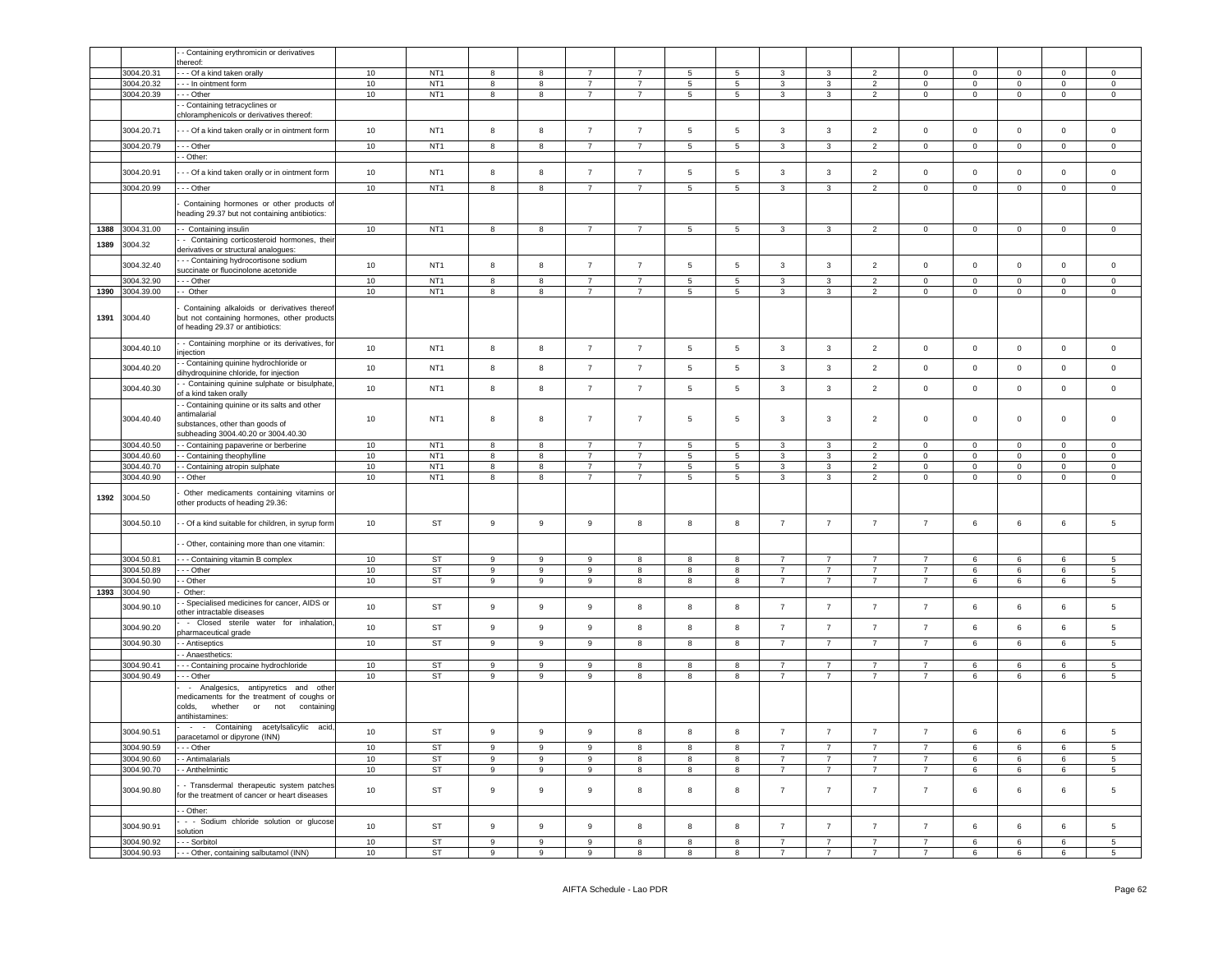|      |                          | Containing erythromicin or derivatives                                                                                                     |      |                                    |                  |   |                  |                |                 |            |                |                |                |                |              |             |                |                 |
|------|--------------------------|--------------------------------------------------------------------------------------------------------------------------------------------|------|------------------------------------|------------------|---|------------------|----------------|-----------------|------------|----------------|----------------|----------------|----------------|--------------|-------------|----------------|-----------------|
|      |                          | hereof:                                                                                                                                    |      |                                    |                  |   |                  |                |                 |            |                |                |                |                |              |             |                |                 |
|      | 3004.20.31               | - Of a kind taken orally                                                                                                                   | $10$ | NT <sub>1</sub>                    | 8                | 8 | $\overline{7}$   | $\overline{7}$ | $5\phantom{.0}$ | 5          | 3              | 3              | $\overline{2}$ | $\Omega$       | 0            | $\mathbf 0$ | $\mathsf 0$    | $\mathsf 0$     |
|      | 3004.20.32<br>3004.20.39 | - - In ointment form<br>$-$ Other                                                                                                          | 10   | NT <sub>1</sub><br>NT <sub>1</sub> | 8                | 8 | $\overline{7}$   | $\overline{7}$ | 5               | 5          | 3              | 3              | $\overline{2}$ | $\mathbf{0}$   | $\mathbf 0$  | $\mathbf 0$ | $\mathbf 0$    | $\mathsf 0$     |
|      |                          | - Containing tetracyclines or                                                                                                              | 10   |                                    | 8                | 8 | 7                | 7              | $5\phantom{.0}$ | 5          | $\mathbf{3}$   | 3              | $\overline{2}$ | $\mathbf 0$    | $\mathbf 0$  | 0           | $\mathbf 0$    | $\mathbf 0$     |
|      |                          | chloramphenicols or derivatives thereof:                                                                                                   |      |                                    |                  |   |                  |                |                 |            |                |                |                |                |              |             |                |                 |
|      | 3004.20.71               | - - Of a kind taken orally or in ointment form                                                                                             | 10   | NT <sub>1</sub>                    | 8                | 8 | $\overline{7}$   | $\overline{7}$ | 5               | $\sqrt{5}$ | 3              | 3              | $\overline{2}$ | $\mathbf 0$    | $\mathbf 0$  | $\mathbf 0$ | $\mathbf 0$    | $\mathbf 0$     |
|      |                          |                                                                                                                                            |      |                                    |                  |   |                  |                |                 |            |                |                |                |                |              |             |                |                 |
|      | 3004.20.79               | - - Other                                                                                                                                  | 10   | NT <sub>1</sub>                    | 8                | 8 | 7                | $\overline{7}$ | 5               | 5          | 3              | 3              | $\overline{2}$ | $\mathbf 0$    | 0            | 0           | $\mathbf 0$    | $\mathbf 0$     |
|      |                          | - Other:                                                                                                                                   |      |                                    |                  |   |                  |                |                 |            |                |                |                |                |              |             |                |                 |
|      | 3004.20.91               | - - Of a kind taken orally or in ointment form                                                                                             | 10   | NT <sub>1</sub>                    | 8                | 8 | $\overline{7}$   | $\overline{7}$ | 5               | 5          | 3              | 3              | $\overline{2}$ | $\mathbf 0$    | $\mathbf 0$  | $\mathbf 0$ | $\mathbf 0$    | $\mathbf 0$     |
|      | 3004.20.99               | - - Other                                                                                                                                  | 10   | NT <sub>1</sub>                    | 8                | 8 | 7                | $\overline{7}$ | 5               | 5          | 3              | 3              | $\overline{2}$ | $\mathbf 0$    | $\mathbf{0}$ | 0           | $\mathbf{0}$   | $\mathbf{0}$    |
|      |                          | Containing hormones or other products of<br>eading 29.37 but not containing antibiotics:                                                   |      |                                    |                  |   |                  |                |                 |            |                |                |                |                |              |             |                |                 |
| 1388 | 3004.31.00               | - Containing insulin                                                                                                                       | 10   | NT <sub>1</sub>                    | 8                | 8 | 7                | 7              | 5               | 5          | 3              | 3              | $\overline{2}$ | $\mathbf{0}$   | $\mathbf{0}$ | 0           | $\mathbf{0}$   | $\overline{0}$  |
|      |                          | - Containing corticosteroid hormones, their                                                                                                |      |                                    |                  |   |                  |                |                 |            |                |                |                |                |              |             |                |                 |
| 1389 | 3004.32                  | derivatives or structural analogues:                                                                                                       |      |                                    |                  |   |                  |                |                 |            |                |                |                |                |              |             |                |                 |
|      | 3004.32.40               | - - Containing hydrocortisone sodium                                                                                                       | 10   | NT <sub>1</sub>                    | 8                | 8 | $\overline{7}$   | $\overline{7}$ | 5               | 5          | 3              | 3              | $\overline{2}$ | $\mathsf 0$    | $\mathbf 0$  | $\mathbf 0$ | $\mathbf 0$    | $\mathbf 0$     |
|      | 3004.32.90               | succinate or fluocinolone acetonide<br>- - Other                                                                                           | 10   | NT <sub>1</sub>                    | 8                | 8 | 7                | 7              | $\sqrt{5}$      | 5          | $\mathbf{3}$   | 3              | $\overline{2}$ | $\mathbf 0$    | $\mathbf 0$  | 0           | $\mathbf 0$    | $\mathbb O$     |
| 1390 | 3004.39.00               | - Other                                                                                                                                    | $10$ | NT <sub>1</sub>                    | 8                | 8 | $\overline{7}$   | $\overline{7}$ | $5\phantom{.0}$ | 5          | 3              | 3              | $\overline{2}$ | $\mathbf 0$    | $\mathbf 0$  | $\mathbf 0$ | $\mathbf 0$    | $\mathbf 0$     |
|      |                          |                                                                                                                                            |      |                                    |                  |   |                  |                |                 |            |                |                |                |                |              |             |                |                 |
| 1391 | 3004.40                  | Containing alkaloids or derivatives thereof<br>but not containing hormones, other products<br>of heading 29.37 or antibiotics:             |      |                                    |                  |   |                  |                |                 |            |                |                |                |                |              |             |                |                 |
|      | 3004.40.10               | - Containing morphine or its derivatives, for<br>njection                                                                                  | 10   | NT <sub>1</sub>                    | 8                | 8 | $\overline{7}$   | $\overline{7}$ | $\sqrt{5}$      | $\sqrt{5}$ | $\mathbf{3}$   | $\mathbf{3}$   | $\overline{2}$ | $\mathsf 0$    | $\mathbf 0$  | $\mathsf 0$ | $\mathbf 0$    | $\mathbf 0$     |
|      | 3004.40.20               | - Containing quinine hydrochloride or<br>lihydroquinine chloride, for injection                                                            | 10   | NT <sub>1</sub>                    | 8                | 8 | $\overline{7}$   | $\overline{7}$ | 5               | 5          | 3              | 3              | $\overline{2}$ | $\mathsf 0$    | $\mathbf 0$  | $\mathbf 0$ | $\mathbf 0$    | $\mathbf 0$     |
|      | 3004.40.30               | - Containing quinine sulphate or bisulphate,                                                                                               | 10   | NT <sub>1</sub>                    | 8                | 8 | $\overline{7}$   | $\overline{7}$ | 5               | 5          | 3              | 3              | $\overline{2}$ | $\mathsf 0$    | 0            | $\mathbf 0$ | $\mathbf 0$    | $\mathbf 0$     |
|      |                          | of a kind taken orally<br>- Containing quinine or its salts and other                                                                      |      |                                    |                  |   |                  |                |                 |            |                |                |                |                |              |             |                |                 |
|      | 3004.40.40               | <b>intimalarial</b><br>substances, other than goods of<br>ubheading 3004.40.20 or 3004.40.30                                               | 10   | NT <sub>1</sub>                    | 8                | 8 | $\overline{7}$   | $\overline{7}$ | 5               | 5          | 3              | 3              | $\overline{2}$ | $\mathsf 0$    | 0            | $\mathbf 0$ | $\mathbf 0$    | $\mathbf 0$     |
|      | 3004.40.50               | - Containing papaverine or berberine                                                                                                       | 10   | NT <sub>1</sub>                    | 8                | 8 | 7                | $\overline{7}$ | 5               | 5          | 3              | 3              | $\overline{2}$ | 0              | 0            | 0           | $\mathbf 0$    | $\mathbf 0$     |
|      | 3004.40.60               | Containing theophylline                                                                                                                    | $10$ | NT <sub>1</sub>                    | 8                | 8 | $\overline{7}$   | $\overline{7}$ | $\sqrt{5}$      | 5          | $\mathbf{3}$   | $\mathbf{3}$   | $\overline{2}$ | $\mathbf 0$    | $\mathbf 0$  | $\mathbf 0$ | $\overline{0}$ | $\mathsf{O}$    |
|      | 3004.40.70               | - Containing atropin sulphate                                                                                                              | 10   | NT <sub>1</sub>                    | 8                | 8 | $\overline{7}$   | $\overline{7}$ | $\sqrt{5}$      | 5          | 3              | 3              | $\overline{2}$ | $\mathbf 0$    | $\mathbf 0$  | $\mathbf 0$ | $\pmb{0}$      | $\mathbf 0$     |
|      | 3004.40.90               | - Other                                                                                                                                    | 10   | NT <sub>1</sub>                    | 8                | 8 | 7                | 7              | $5\phantom{.0}$ | 5          | 3              | 3              | $\overline{2}$ | $\mathbf 0$    | $\mathbf 0$  | 0           | $\mathbf 0$    | $\mathbf 0$     |
| 1392 | 3004.50                  | Other medicaments containing vitamins or<br>ther products of heading 29.36:                                                                |      |                                    |                  |   |                  |                |                 |            |                |                |                |                |              |             |                |                 |
|      | 3004.50.10               | - Of a kind suitable for children, in syrup form                                                                                           | 10   | ST                                 | $\boldsymbol{9}$ | 9 | $\boldsymbol{9}$ | 8              | 8               | 8          | $\overline{7}$ | $\overline{7}$ | $\overline{7}$ | $\overline{7}$ | 6            | 6           | $\,6\,$        | $\,$ 5 $\,$     |
|      |                          | - Other, containing more than one vitamin:                                                                                                 |      |                                    |                  |   |                  |                |                 |            |                |                |                |                |              |             |                |                 |
|      | 3004.50.81               | - - Containing vitamin B complex                                                                                                           | 10   | <b>ST</b>                          | 9                | 9 | 9                | 8              | 8               | 8          | $\overline{7}$ | $\overline{7}$ | $\overline{7}$ | $\overline{7}$ | 6            | 6           | 6              | 5               |
|      | 3004.50.89               | - - Other                                                                                                                                  | 10   | <b>ST</b>                          | 9                | 9 | 9                | 8              | 8               | 8          | $\overline{7}$ | 7              | $\overline{7}$ | 7              | 6            | 6           | 6              | $5\phantom{.0}$ |
|      | 3004.50.90               | - Other                                                                                                                                    | $10$ | <b>ST</b>                          | 9                | 9 | 9                | 8              | 8               | 8          | $\overline{7}$ | $\overline{7}$ | $\overline{7}$ | $\overline{7}$ | 6            | 6           | 6              | $5\overline{5}$ |
| 1393 | 3004.90                  | Other:                                                                                                                                     |      |                                    |                  |   |                  |                |                 |            |                |                |                |                |              |             |                |                 |
|      | 3004.90.10               | Specialised medicines for cancer, AIDS or<br>ther intractable diseases                                                                     | 10   | <b>ST</b>                          | $\boldsymbol{9}$ | 9 | 9                | 8              | 8               | 8          | $\overline{7}$ | $\overline{7}$ | $\overline{7}$ | $\overline{7}$ | 6            | 6           | $\,6\,$        | $5\phantom{.0}$ |
|      | 3004.90.20               | - Closed sterile water for inhalation                                                                                                      | 10   | <b>ST</b>                          | 9                | 9 | 9                | 8              | 8               | 8          | $\overline{7}$ | $\overline{7}$ | $\overline{7}$ | $\overline{7}$ | 6            | 6           | 6              | $\overline{5}$  |
|      | 3004.90.30               | harmaceutical grade<br>- Antiseptics                                                                                                       | 10   | <b>ST</b>                          | 9                | 9 | 9                | 8              | 8               | 8          | $\overline{7}$ | $\overline{7}$ | $\overline{7}$ | $\overline{7}$ | 6            | 6           | 6              | 5               |
|      |                          | - Anaesthetics:                                                                                                                            |      |                                    |                  |   |                  |                |                 |            |                |                |                |                |              |             |                |                 |
|      | 3004.90.41               | - - Containing procaine hydrochloride                                                                                                      | 10   | <b>ST</b>                          | 9                | 9 | 9                | 8              | 8               | 8          | $\overline{7}$ | $\overline{7}$ | $\overline{7}$ | $\overline{7}$ | 6            | 6           | 6              | $5\phantom{.0}$ |
|      | 3004.90.49               | - - Other                                                                                                                                  | 10   | <b>ST</b>                          | 9                | 9 | 9                | 8              | 8               | 8          | $\overline{7}$ | $\overline{7}$ | $\overline{7}$ | $\overline{7}$ | 6            | 6           | 6              | 5               |
|      |                          | Analgesics, antipyretics and other<br>$\sim$<br>nedicaments for the treatment of coughs or<br>whether<br>or<br>colds.<br>not<br>containing |      |                                    |                  |   |                  |                |                 |            |                |                |                |                |              |             |                |                 |
|      |                          | antihistamines:<br>- - Containing acetylsalicylic acid,                                                                                    |      |                                    |                  |   |                  |                |                 |            |                |                |                |                |              |             |                |                 |
|      | 3004.90.51               | paracetamol or dipyrone (INN)                                                                                                              | 10   | <b>ST</b>                          | 9                | 9 | 9                | 8              | 8               | 8          | $\overline{7}$ | $\overline{7}$ | $\overline{7}$ | $\overline{7}$ | 6            | 6           | 6              | 5               |
|      | 3004.90.59<br>3004.90.60 | - - Other<br>- Antimalarials                                                                                                               | 10   | ST                                 | 9                | 9 | 9                | 8              | 8               | 8          | $\overline{7}$ | $\overline{7}$ | $\overline{7}$ | $\overline{7}$ | 6            | 6           | 6              | 5               |
|      |                          |                                                                                                                                            | 10   | <b>ST</b>                          | 9                | 9 | 9                | 8              | 8               | 8          | $\overline{7}$ | $\overline{7}$ | $\overline{7}$ | $\overline{7}$ | 6            | 6           | 6              | $5\phantom{.0}$ |
|      | 3004.90.70               | - Anthelmintic                                                                                                                             | 10   | ST                                 | 9                | 9 | 9                | 8              | 8               | 8          | $\overline{7}$ | $\overline{7}$ | $\overline{7}$ | $\overline{7}$ | 6            | 6           | 6              | $5\overline{5}$ |
|      | 3004.90.80               | - Transdermal therapeutic system patches<br>for the treatment of cancer or heart diseases<br>- Other:                                      | 10   | ST                                 | 9                | 9 | 9                | 8              | 8               | 8          | $\overline{7}$ | $\overline{7}$ | $\overline{7}$ | $\overline{7}$ | 6            | 6           | 6              | 5               |
|      | 3004.90.91               | - - Sodium chloride solution or glucose                                                                                                    | 10   | ST                                 | 9                | 9 | 9                | 8              | 8               | 8          | $\overline{7}$ | $\overline{7}$ | $\overline{7}$ | $\overline{7}$ | 6            | 6           | 6              | $5\phantom{.0}$ |
|      |                          | solution                                                                                                                                   |      |                                    |                  |   |                  |                |                 |            |                |                |                |                |              |             |                |                 |
|      | 3004.90.92               | - - Sorbitol                                                                                                                               | 10   | ST                                 | 9                | 9 | 9                | 8              | 8               | 8          | $\overline{7}$ | $\overline{7}$ | $\overline{7}$ | $\overline{7}$ | 6            | 6           | 6              | 5 <sub>5</sub>  |
|      | 3004.90.93               | - - Other, containing salbutamol (INN)                                                                                                     | 10   | <b>ST</b>                          | 9                | 9 | 9                | 8              | 8               | 8          | $\overline{7}$ | $\overline{7}$ | $\overline{7}$ | $\overline{7}$ | 6            | 6           | 6              | $5\overline{)}$ |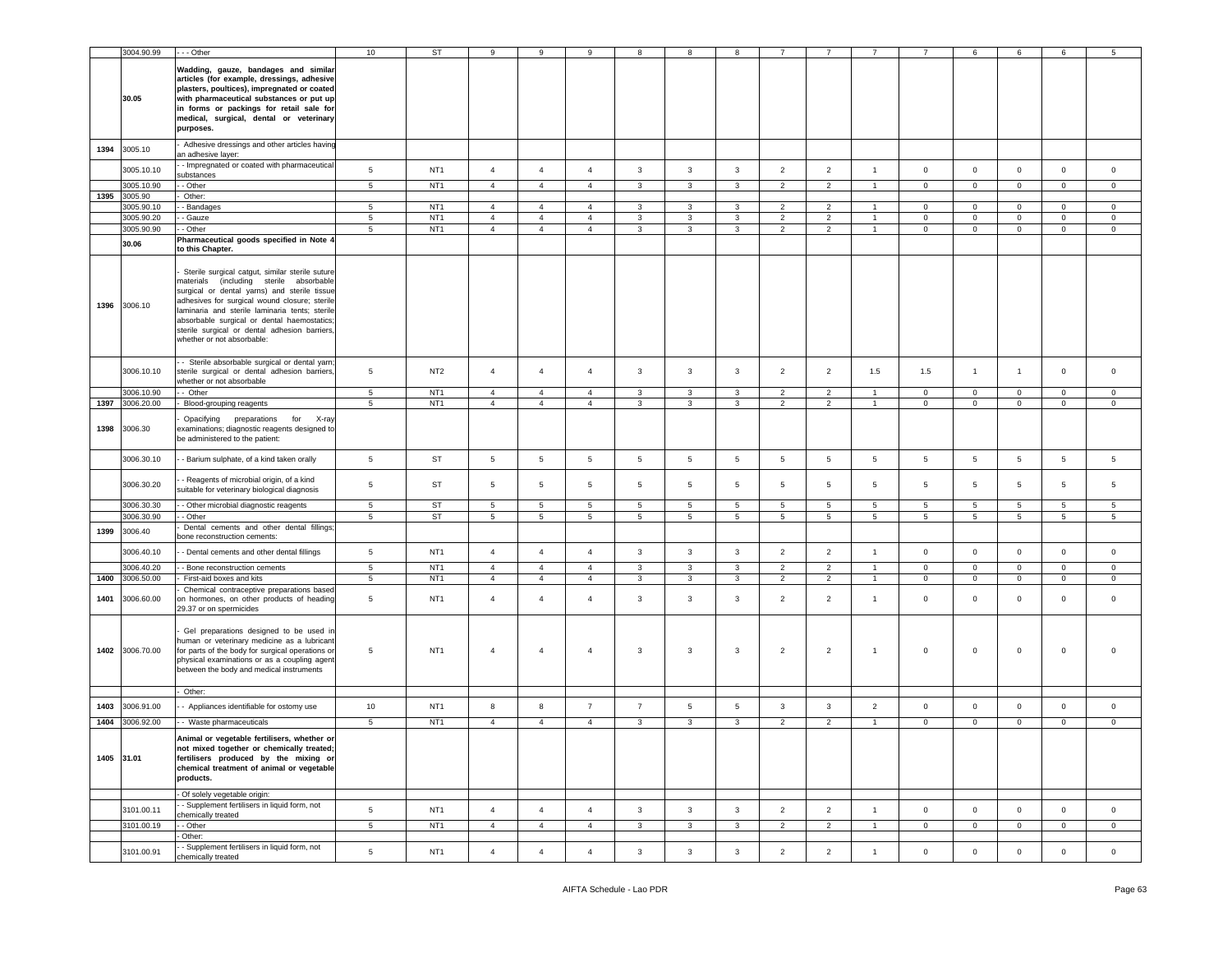|      | 3004.90.99            | - - Other                                                                                                                                                                                                                                                                                                                                                                   | 10              | <b>ST</b>       | 9                                | 9                                | 9               |                 | 8               | 8               |                 |                 |                 |                 | 6               | 6               | 6            | 5               |
|------|-----------------------|-----------------------------------------------------------------------------------------------------------------------------------------------------------------------------------------------------------------------------------------------------------------------------------------------------------------------------------------------------------------------------|-----------------|-----------------|----------------------------------|----------------------------------|-----------------|-----------------|-----------------|-----------------|-----------------|-----------------|-----------------|-----------------|-----------------|-----------------|--------------|-----------------|
|      | 30.05                 | Wadding, gauze, bandages and similar<br>articles (for example, dressings, adhesive<br>plasters, poultices), impregnated or coated<br>with pharmaceutical substances or put up<br>in forms or packings for retail sale for<br>medical, surgical, dental or veterinary<br>purposes.                                                                                           |                 |                 |                                  |                                  |                 |                 |                 |                 |                 |                 |                 |                 |                 |                 |              |                 |
| 1394 | 3005.10               | Adhesive dressings and other articles having<br>an adhesive layer:                                                                                                                                                                                                                                                                                                          |                 |                 |                                  |                                  |                 |                 |                 |                 |                 |                 |                 |                 |                 |                 |              |                 |
|      | 3005.10.10            | - Impregnated or coated with pharmaceutical<br>substances                                                                                                                                                                                                                                                                                                                   | 5               | NT <sub>1</sub> | $\overline{4}$                   | $\overline{4}$                   | $\overline{4}$  | 3               | $\mathbf{3}$    | 3               | $\overline{2}$  | $\overline{2}$  | $\mathbf{1}$    | $\mathbf 0$     | $\mathsf 0$     | $\mathbf{0}$    | $\mathbf 0$  | $\circ$         |
|      | 3005.10.90            | - Other                                                                                                                                                                                                                                                                                                                                                                     | $5^{\circ}$     | NT <sub>1</sub> | $\overline{4}$                   | $\overline{4}$                   | $\overline{4}$  | 3               | $\mathbf{3}$    | 3               | $\overline{2}$  | $\overline{2}$  | $\overline{1}$  | $\mathbf 0$     | $\overline{0}$  | $\mathbf{0}$    | $\mathbf 0$  | $\mathbf 0$     |
| 1395 | 3005.90<br>3005.90.10 | Other:<br>- Bandages                                                                                                                                                                                                                                                                                                                                                        | 5               | NT <sub>1</sub> | $\overline{4}$                   | $\overline{4}$                   | $\overline{4}$  | 3               | 3               | 3               | $\overline{2}$  | $\overline{2}$  | $\mathbf{1}$    | $\mathbf 0$     | $\mathbf 0$     | $\mathbf 0$     | $\mathbf{0}$ | $\circ$         |
|      | 3005.90.20            | - Gauze                                                                                                                                                                                                                                                                                                                                                                     | $5\overline{ }$ | NT <sub>1</sub> | $\overline{4}$                   | $\overline{4}$                   | $\overline{4}$  | $\mathbf{3}$    | $\mathbf{3}$    | 3               | $\overline{2}$  | $\overline{2}$  | $\mathbf{1}$    | $\overline{0}$  | $\overline{0}$  | $\overline{0}$  | $\mathbf 0$  | $\mathbf 0$     |
|      | 3005.90.90            | - Other                                                                                                                                                                                                                                                                                                                                                                     | 5               | NT <sub>1</sub> | $\overline{4}$                   | $\overline{4}$                   | $\overline{4}$  | 3               | $\mathbf{3}$    | 3               | $\overline{2}$  | $\overline{2}$  | $\overline{1}$  | $\mathbf 0$     | $\mathbf 0$     | $\mathbf 0$     | $\mathbf{0}$ | $\circ$         |
|      | 30.06                 | Pharmaceutical goods specified in Note 4<br>to this Chapter.                                                                                                                                                                                                                                                                                                                |                 |                 |                                  |                                  |                 |                 |                 |                 |                 |                 |                 |                 |                 |                 |              |                 |
| 1396 | 3006.10               | Sterile surgical catgut, similar sterile suture<br>materials (including sterile absorbable<br>surgical or dental yarns) and sterile tissue<br>adhesives for surgical wound closure; sterile<br>laminaria and sterile laminaria tents; sterile<br>absorbable surgical or dental haemostatics;<br>sterile surgical or dental adhesion barriers,<br>whether or not absorbable: |                 |                 |                                  |                                  |                 |                 |                 |                 |                 |                 |                 |                 |                 |                 |              |                 |
|      | 3006.10.10            | - Sterile absorbable surgical or dental yarn;<br>sterile surgical or dental adhesion barriers,<br>whether or not absorbable                                                                                                                                                                                                                                                 | 5               | NT <sub>2</sub> | $\overline{4}$                   | $\overline{4}$                   | $\overline{4}$  | 3               | 3               | 3               | $\overline{2}$  | $\overline{2}$  | 1.5             | 1.5             | $\overline{1}$  | $\overline{1}$  | $\mathbf 0$  | $\circ$         |
|      | 3006.10.90            | - Other                                                                                                                                                                                                                                                                                                                                                                     | 5               | NT <sub>1</sub> | $\overline{4}$                   | $\overline{4}$                   | $\overline{4}$  | 3               | 3               | 3               | $\overline{2}$  | 2               | $\overline{1}$  | $\mathbf 0$     | $\mathsf 0$     | $\mathbf 0$     | $\mathbf{0}$ | $\circ$         |
|      | 1397 3006,20.00       | Blood-grouping reagents                                                                                                                                                                                                                                                                                                                                                     | 5               | NT <sub>1</sub> | $\overline{4}$                   | $\overline{4}$                   | $\overline{4}$  | 3               | 3               | 3               | $\overline{2}$  | $\overline{2}$  | $\mathbf{1}$    | $\mathbf 0$     | $\mathbf 0$     | $\mathbf 0$     | $\mathbf{0}$ | $\circ$         |
| 1398 | 3006.30               | Opacifying preparations for X-ray<br>examinations; diagnostic reagents designed to<br>be administered to the patient:                                                                                                                                                                                                                                                       |                 |                 |                                  |                                  |                 |                 |                 |                 |                 |                 |                 |                 |                 |                 |              |                 |
|      | 3006.30.10            | - Barium sulphate, of a kind taken orally                                                                                                                                                                                                                                                                                                                                   | 5               | <b>ST</b>       | 5                                | 5                                | 5               | 5               | 5               | $\overline{5}$  | 5               | 5               | $5\phantom{.0}$ | 5               | 5               | 5               | 5            | 5               |
|      | 3006.30.20            | - Reagents of microbial origin, of a kind<br>suitable for veterinary biological diagnosis                                                                                                                                                                                                                                                                                   | 5               | ST              | 5                                | 5                                | 5               | 5               | 5               | 5               | 5               | 5               | 5               | 5               | 5               | 5               | 5            | 5               |
|      | 3006.30.30            | - Other microbial diagnostic reagents                                                                                                                                                                                                                                                                                                                                       | $5\phantom{.0}$ | <b>ST</b>       | $\overline{5}$                   | $\overline{5}$                   | $5\phantom{.0}$ | 5               | 5               | $\overline{5}$  | 5               | 5               | $5\phantom{.0}$ | 5               | $\overline{5}$  | $5\overline{)}$ | 5            | 5               |
|      | 3006.30.90            | - Other<br>Dental cements and other dental fillings;                                                                                                                                                                                                                                                                                                                        | $5\overline{5}$ | ST              | $\sqrt{5}$                       | $5\overline{5}$                  | $5\phantom{.0}$ | $5\overline{5}$ | $5\overline{5}$ | $5\phantom{.0}$ | $5\phantom{.0}$ | $5\phantom{.0}$ | $5\phantom{.0}$ | $5\overline{5}$ | $5\phantom{.0}$ | $5\overline{5}$ | 5            | $5\overline{5}$ |
| 1399 | 3006.40               | oone reconstruction cements:                                                                                                                                                                                                                                                                                                                                                |                 |                 |                                  |                                  |                 |                 |                 |                 |                 |                 |                 |                 |                 |                 |              |                 |
|      | 3006.40.10            | - Dental cements and other dental fillings                                                                                                                                                                                                                                                                                                                                  | $5\phantom{.0}$ | NT <sub>1</sub> | $\overline{4}$                   | $\overline{4}$                   | $\overline{4}$  | $\mathbf{3}$    | $\mathbf{3}$    | $\mathbf{3}$    | $\overline{2}$  | $\overline{2}$  | $\mathbf{1}$    | $\mathbf 0$     | $\mathsf 0$     | $\mathbf 0$     | $\mathbf{0}$ | $\circ$         |
|      | 3006.40.20            | - Bone reconstruction cements                                                                                                                                                                                                                                                                                                                                               | $5\phantom{.0}$ | NT <sub>1</sub> | $\overline{4}$<br>$\overline{4}$ | $\overline{4}$<br>$\overline{4}$ | $\overline{4}$  | 3               | 3               | 3               | $\overline{2}$  | $\overline{2}$  | $\overline{1}$  | $\mathsf 0$     | $\mathbf 0$     | $\mathbf 0$     | $\mathbf 0$  | $\mathbf 0$     |
| 1400 | 3006.50.00            | First-aid boxes and kits<br>Chemical contraceptive preparations based                                                                                                                                                                                                                                                                                                       | 5 <sub>5</sub>  | NT <sub>1</sub> |                                  |                                  | $\overline{4}$  | 3               | 3               | 3               | $\overline{2}$  | $\overline{2}$  | $\overline{1}$  | $\mathbf 0$     | $\mathsf 0$     | $\overline{0}$  | $\mathbf{0}$ | $\circ$         |
| 1401 | 3006.60.00            | on hormones, on other products of heading<br>29.37 or on spermicides                                                                                                                                                                                                                                                                                                        | 5               | NT <sub>1</sub> | $\overline{4}$                   | $\overline{4}$                   | $\overline{4}$  | 3               | 3               | 3               | $\overline{2}$  | $\overline{2}$  | $\mathbf{1}$    | $\mathsf 0$     | $\mathbf 0$     | $\mathbf 0$     | $\mathbf{0}$ | $\mathsf 0$     |
| 1402 | 3006.70.00            | Gel preparations designed to be used in<br>numan or veterinary medicine as a lubricant<br>for parts of the body for surgical operations or<br>physical examinations or as a coupling agent<br>between the body and medical instruments                                                                                                                                      | 5               | NT <sub>1</sub> | 4                                | $\overline{4}$                   | 4               | 3               | 3               | 3               | $\overline{2}$  | $\overline{2}$  | $\overline{1}$  | $\mathbf 0$     | $\mathsf 0$     | $\mathsf 0$     | $\mathbf 0$  |                 |
|      |                       | Other:                                                                                                                                                                                                                                                                                                                                                                      |                 |                 |                                  |                                  |                 |                 |                 |                 |                 |                 |                 |                 |                 |                 |              |                 |
| 1403 | 3006.91.00            | - Appliances identifiable for ostomy use                                                                                                                                                                                                                                                                                                                                    | 10              | NT <sub>1</sub> | 8                                | 8                                | $\overline{7}$  | $\overline{7}$  | 5               | 5               | 3               | 3               | $\overline{2}$  | $\mathbf 0$     | $\mathsf 0$     | $\mathbf 0$     | $\mathbf{0}$ | $\mathbf 0$     |
|      | 1404 3006.92.00       | - - Waste pharmaceuticals                                                                                                                                                                                                                                                                                                                                                   | $5\overline{5}$ | NT <sub>1</sub> | $\overline{4}$                   | $\overline{4}$                   | $\overline{4}$  | 3               | $\mathbf{3}$    | 3               | $\overline{2}$  | $\overline{2}$  | $\mathbf{1}$    | $\mathbf{0}$    | $\overline{0}$  | $\overline{0}$  | $\mathbf 0$  | $\overline{0}$  |
|      | 1405 31.01            | Animal or vegetable fertilisers, whether or<br>not mixed together or chemically treated;<br>fertilisers produced by the mixing or<br>chemical treatment of animal or vegetable<br>products.                                                                                                                                                                                 |                 |                 |                                  |                                  |                 |                 |                 |                 |                 |                 |                 |                 |                 |                 |              |                 |
|      |                       | Of solely vegetable origin:                                                                                                                                                                                                                                                                                                                                                 |                 |                 |                                  |                                  |                 |                 |                 |                 |                 |                 |                 |                 |                 |                 |              |                 |
|      | 3101.00.11            | - Supplement fertilisers in liquid form, not<br>chemically treated                                                                                                                                                                                                                                                                                                          | 5               | NT <sub>1</sub> | $\overline{4}$                   | $\overline{4}$                   | $\overline{4}$  | 3               | 3               | 3               | $\overline{2}$  | $\overline{2}$  | $\overline{1}$  | $\overline{0}$  | $\mathbf 0$     | $\mathbf 0$     | $\mathbf{0}$ | $\mathbf 0$     |
|      | 3101.00.19            | - Other<br>Other:                                                                                                                                                                                                                                                                                                                                                           | $5^{\circ}$     | NT <sub>1</sub> | $\overline{4}$                   | $\overline{4}$                   | $\overline{4}$  | $\mathbf{3}$    | $\mathbf{3}$    | $\mathbf{3}$    | 2               | 2               | $\mathbf{1}$    | $\mathbf 0$     | $\mathbf 0$     | $\mathbf 0$     | $\mathbf{0}$ | $\circ$         |
|      | 3101.00.91            | - Supplement fertilisers in liquid form, not<br>chemically treated                                                                                                                                                                                                                                                                                                          | 5               | NT <sub>1</sub> | $\overline{4}$                   | $\overline{4}$                   | $\overline{4}$  | 3               | 3               | 3               | $\overline{2}$  | $\overline{2}$  | $\overline{1}$  | $\mathsf 0$     | $\mathsf 0$     | $\mathsf 0$     | $\mathbf{0}$ | $\mathsf 0$     |
|      |                       |                                                                                                                                                                                                                                                                                                                                                                             |                 |                 |                                  |                                  |                 |                 |                 |                 |                 |                 |                 |                 |                 |                 |              |                 |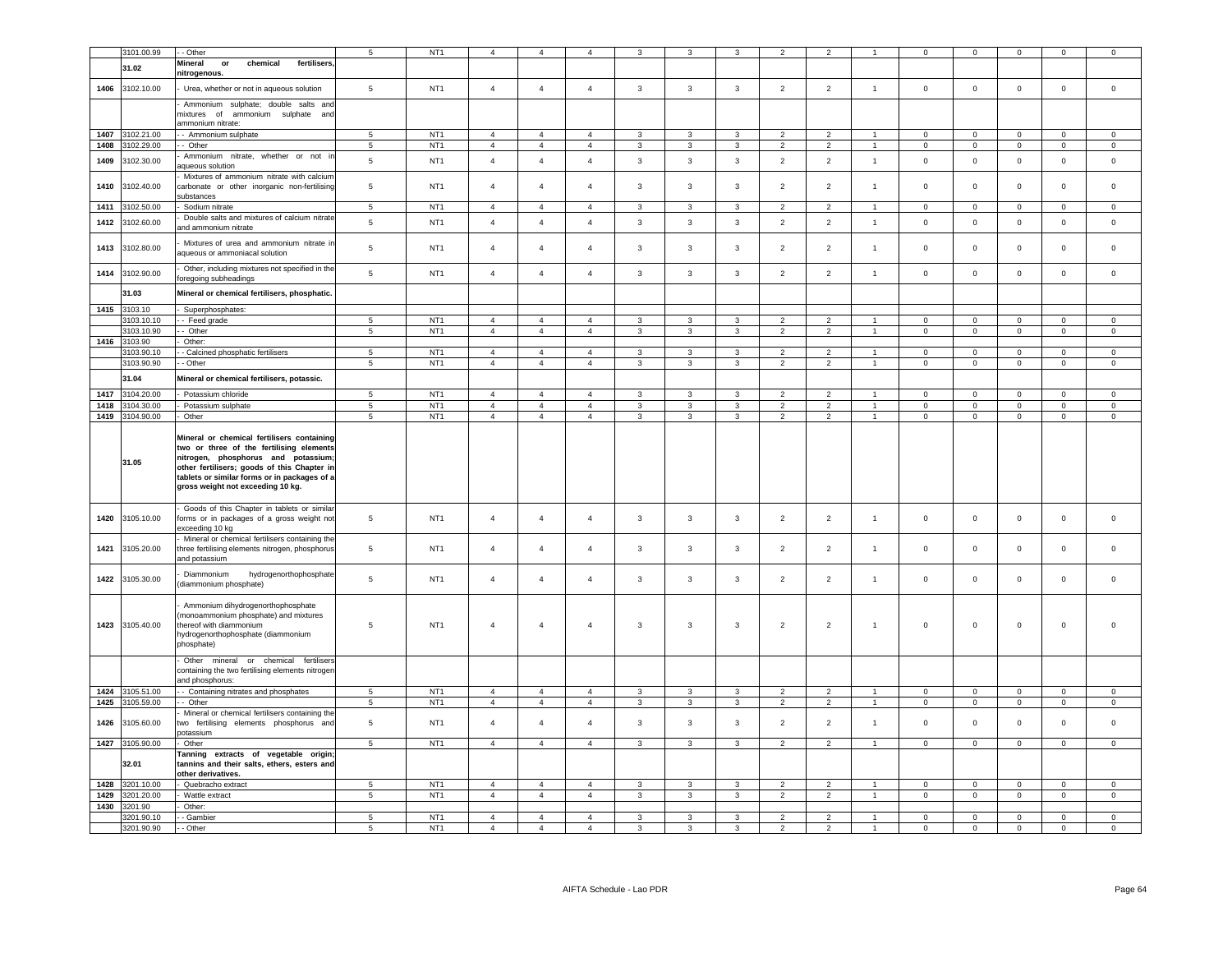|      | 3101.00.99      | - Other                                                                                                                                                                                                                                                           | 5               | NT <sub>1</sub> |                | $\overline{4}$                   |                |                |                         |                |                |                |                |                |                               | $\mathbf 0$    | $\Omega$       |                     |
|------|-----------------|-------------------------------------------------------------------------------------------------------------------------------------------------------------------------------------------------------------------------------------------------------------------|-----------------|-----------------|----------------|----------------------------------|----------------|----------------|-------------------------|----------------|----------------|----------------|----------------|----------------|-------------------------------|----------------|----------------|---------------------|
|      |                 |                                                                                                                                                                                                                                                                   |                 |                 |                |                                  |                |                |                         |                |                |                |                |                |                               |                |                |                     |
|      | 31.02           | Mineral<br>or<br>chemical<br>fertilisers<br>nitrogenous.                                                                                                                                                                                                          |                 |                 |                |                                  |                |                |                         |                |                |                |                |                |                               |                |                |                     |
| 1406 | 3102.10.00      | Urea, whether or not in aqueous solution                                                                                                                                                                                                                          | $\,$ 5 $\,$     | NT <sub>1</sub> | $\overline{4}$ | $\overline{4}$                   | $\overline{4}$ | $\mathbf{3}$   | $\mathbf{3}$            | $\mathbf{3}$   | $\overline{2}$ | $\overline{2}$ | $\overline{1}$ | $\mathbb O$    | $\mathbf 0$                   | $\mathbf 0$    | $\mathbf 0$    | $\mathsf 0$         |
|      |                 | Ammonium sulphate; double salts and<br>mixtures of ammonium sulphate and                                                                                                                                                                                          |                 |                 |                |                                  |                |                |                         |                |                |                |                |                |                               |                |                |                     |
|      | 3102.21.00      | ammonium nitrate:                                                                                                                                                                                                                                                 |                 | NT <sub>1</sub> | $\overline{4}$ |                                  |                |                | $\mathbf{3}$            | $\mathbf{R}$   |                | $\overline{2}$ |                |                |                               |                |                |                     |
| 1407 | 3102.29.00      | - Ammonium sulphate                                                                                                                                                                                                                                               | 5               | NT <sub>1</sub> | $\overline{4}$ | $\overline{4}$<br>$\overline{4}$ | $\overline{4}$ | $\mathbf{3}$   | $\overline{3}$          | $\overline{3}$ | $\overline{2}$ | $\overline{2}$ | $\overline{1}$ | $\mathbf 0$    | $\mathsf 0$<br>$\overline{0}$ | $\mathsf 0$    | $\mathsf 0$    | $\mathsf{O}\xspace$ |
| 1408 |                 | - Other                                                                                                                                                                                                                                                           | 5               |                 |                |                                  | $\overline{4}$ | $\mathbf{3}$   |                         |                | $\overline{2}$ |                |                | $\mathbf 0$    |                               | $\mathsf 0$    | $\mathsf 0$    | $\mathsf 0$         |
| 1409 | 3102.30.00      | Ammonium nitrate, whether or not in<br>aqueous solution                                                                                                                                                                                                           | $\overline{5}$  | NT <sub>1</sub> | $\overline{4}$ | $\overline{4}$                   | $\overline{4}$ | $\mathbf{3}$   | $\mathbf{3}$            | $\mathbf{3}$   | $\overline{2}$ | $\overline{2}$ | $\overline{1}$ | $\mathsf 0$    | $\mathbf 0$                   | $\mathbf 0$    | $\mathbf 0$    | $\mathsf 0$         |
| 1410 | 3102.40.00      | Mixtures of ammonium nitrate with calcium<br>carbonate or other inorganic non-fertilising<br>substances                                                                                                                                                           | $\,$ 5 $\,$     | NT <sub>1</sub> | $\overline{4}$ | $\overline{4}$                   | $\overline{4}$ | 3              | $\mathbf{3}$            | 3              | $\overline{2}$ | $\overline{2}$ | $\overline{1}$ | $\circ$        | $\mathsf 0$                   | $\mathbf 0$    | $\mathbf 0$    | $\mathsf 0$         |
| 1411 | 3102.50.00      | Sodium nitrate                                                                                                                                                                                                                                                    | $5\phantom{.0}$ | NT <sub>1</sub> | $\overline{4}$ | $\overline{4}$                   | $\overline{4}$ | $\mathbf{3}$   | 3                       | $\mathbf{3}$   | $\overline{2}$ | $\overline{2}$ | $\overline{1}$ | $\overline{0}$ | $\overline{0}$                | $\overline{0}$ | $\overline{0}$ | $\mathbf 0$         |
| 1412 | 3102.60.00      | Double salts and mixtures of calcium nitrate<br>and ammonium nitrate                                                                                                                                                                                              | 5               | NT <sub>1</sub> | $\overline{4}$ | $\overline{4}$                   | $\overline{4}$ | $\mathbf{3}$   | $\mathbf{3}$            | $\mathbf{3}$   | $\overline{2}$ | $\overline{2}$ | $\overline{1}$ | $\mathbf 0$    | $\mathbf 0$                   | $\mathbf 0$    | $\Omega$       | $\mathsf 0$         |
| 1413 | 3102.80.00      | Mixtures of urea and ammonium nitrate in<br>aqueous or ammoniacal solution                                                                                                                                                                                        | 5               | NT <sub>1</sub> | $\overline{4}$ | $\overline{4}$                   | $\overline{4}$ | $\mathbf{3}$   | 3                       | $\mathbf{3}$   | $\overline{2}$ | $\overline{2}$ | $\overline{1}$ | $\mathsf 0$    | $\mathsf 0$                   | $\mathsf 0$    | $\mathsf 0$    | $\mathbf 0$         |
| 1414 | 3102.90.00      | Other, including mixtures not specified in the<br>oregoing subheadings                                                                                                                                                                                            | 5               | NT <sub>1</sub> | $\overline{4}$ | $\overline{4}$                   | $\overline{4}$ | $\mathbf{3}$   | $\mathbf{3}$            | $\mathbf{3}$   | $\overline{2}$ | $\overline{2}$ | $\overline{1}$ | $\mathbf 0$    | $\mathbf 0$                   | $\mathbf 0$    | $\circ$        | $\mathsf 0$         |
|      | 31.03           | Mineral or chemical fertilisers, phosphatic.                                                                                                                                                                                                                      |                 |                 |                |                                  |                |                |                         |                |                |                |                |                |                               |                |                |                     |
| 1415 | 3103.10         | Superphosphates:                                                                                                                                                                                                                                                  |                 |                 |                |                                  |                |                |                         |                |                |                |                |                |                               |                |                |                     |
|      | 3103.10.10      | - Feed grade                                                                                                                                                                                                                                                      | 5               | NT <sub>1</sub> | $\overline{4}$ | $\overline{4}$                   | $\mathbf{A}$   | $\mathbf{3}$   | $\mathcal{R}$           | $\mathbf{R}$   | $\mathcal{D}$  | $\overline{2}$ | $\mathbf{1}$   | $\Omega$       | $\mathsf 0$                   | $\mathbf 0$    | $\Omega$       | $\Omega$            |
|      | 3103.10.90      | - Other                                                                                                                                                                                                                                                           | $\overline{5}$  | NT <sub>1</sub> | $\overline{4}$ | $\overline{4}$                   | $\overline{4}$ | $\mathbf{3}$   | $\overline{3}$          | $\overline{3}$ | $\overline{2}$ | $\overline{2}$ | $\overline{1}$ | $\overline{0}$ | $\overline{0}$                | $\mathbf 0$    | $\overline{0}$ | $\overline{0}$      |
|      | 1416 3103.90    | Other:                                                                                                                                                                                                                                                            |                 |                 |                |                                  |                |                |                         |                |                |                |                |                |                               |                |                |                     |
|      | 3103.90.10      | - Calcined phosphatic fertilisers                                                                                                                                                                                                                                 | 5               | NT <sub>1</sub> | $\overline{4}$ | $\overline{4}$                   | $\overline{4}$ | $\mathbf{3}$   | $\mathbf{3}$            | $\overline{3}$ | 2              | 2              | $\overline{1}$ | $\mathbf{0}$   | $\mathsf 0$                   | $\mathbf 0$    | $\mathbf{0}$   | $\mathbf 0$         |
|      | 3103.90.90      | - Other                                                                                                                                                                                                                                                           | 5               | NT <sub>1</sub> | $\overline{4}$ | $\overline{4}$                   | $\overline{4}$ | 3              | $\mathbf{3}$            | $\mathbf{3}$   | $\overline{2}$ | 2              | $\overline{1}$ | $\mathsf 0$    | $\mathsf 0$                   | $\mathbf 0$    | $\mathbf 0$    | $\mathbf 0$         |
|      | 31.04           | Mineral or chemical fertilisers, potassic.                                                                                                                                                                                                                        |                 |                 |                |                                  |                |                |                         |                |                |                |                |                |                               |                |                |                     |
| 1417 | 3104.20.00      | Potassium chloride                                                                                                                                                                                                                                                | $\overline{5}$  | NT <sub>1</sub> | $\overline{4}$ | $\overline{4}$                   | $\mathbf{A}$   | $\mathbf{3}$   | $\overline{3}$          | $\overline{3}$ | 2              | $\overline{2}$ | $\overline{1}$ | $\mathbf{0}$   | $\mathbf 0$                   | $\mathbf{0}$   | $\mathbf{0}$   | $\mathbf 0$         |
| 1418 | 3104.30.00      | Potassium sulphate                                                                                                                                                                                                                                                | $\overline{5}$  | NT <sub>1</sub> | $\overline{4}$ | $\overline{4}$                   | $\overline{4}$ | 3              | $\overline{3}$          | $\mathbf{3}$   | $\overline{2}$ | $\overline{2}$ | $\overline{1}$ | $\mathbf 0$    | $\overline{0}$                | $\mathbf 0$    | $\mathsf 0$    | $\mathbf 0$         |
| 1419 | 3104.90.00      | Other                                                                                                                                                                                                                                                             | $\overline{5}$  | NT <sub>1</sub> | $\overline{4}$ | $\overline{4}$                   | $\overline{4}$ | $\mathbf{3}$   | $\overline{3}$          | $\overline{3}$ | $\overline{2}$ | $\overline{2}$ | $\overline{1}$ | $\overline{0}$ | $\overline{0}$                | $\mathbf 0$    | $\mathsf 0$    | $\overline{0}$      |
|      | 31.05           | Mineral or chemical fertilisers containing<br>two or three of the fertilising elements<br>nitrogen, phosphorus and potassium;<br>other fertilisers; goods of this Chapter in<br>tablets or similar forms or in packages of a<br>gross weight not exceeding 10 kg. |                 |                 |                |                                  |                |                |                         |                |                |                |                |                |                               |                |                |                     |
| 1420 | 3105.10.00      | Goods of this Chapter in tablets or similar<br>forms or in packages of a gross weight not<br>exceeding 10 kg                                                                                                                                                      | 5               | NT <sub>1</sub> | $\overline{4}$ | $\overline{4}$                   | $\overline{4}$ | $\mathbf{3}$   | $\mathbf{3}$            | $\mathbf{3}$   | $\overline{2}$ | $\overline{2}$ | $\overline{1}$ | $\mathsf 0$    | $\mathsf 0$                   | $\mathbf 0$    | $\Omega$       | $\mathbf 0$         |
| 1421 | 3105.20.00      | Mineral or chemical fertilisers containing the<br>hree fertilising elements nitrogen, phosphorus<br>and potassium                                                                                                                                                 | 5               | NT <sub>1</sub> | $\overline{4}$ | $\overline{4}$                   | $\overline{4}$ | 3              | 3                       | 3              | $\overline{2}$ | $\overline{2}$ | $\overline{1}$ | $\mathbf 0$    | $\mathbf 0$                   | $\mathbf 0$    | $\mathsf 0$    | $\mathbf 0$         |
|      | 1422 3105.30.00 | Diammonium<br>hydrogenorthophosphate<br>(diammonium phosphate)                                                                                                                                                                                                    | 5               | NT <sub>1</sub> | $\overline{4}$ | $\overline{4}$                   | $\overline{4}$ | $\mathbf{3}$   | $\overline{3}$          | $\mathbf{3}$   | 2              | $\overline{2}$ | $\overline{1}$ | $\mathbf 0$    | $\mathsf 0$                   | $\mathsf 0$    | $\mathbf 0$    | $\mathbf 0$         |
|      | 1423 3105.40.00 | Ammonium dihydrogenorthophosphate<br>monoammonium phosphate) and mixtures<br>thereof with diammonium<br>hydrogenorthophosphate (diammonium<br>bhosphate)                                                                                                          | 5               | NT <sub>1</sub> | $\overline{4}$ | $\overline{4}$                   | $\overline{4}$ | $\mathbf{3}$   | 3                       | 3              | $\overline{2}$ | $\overline{2}$ | $\overline{1}$ | $\mathsf 0$    | $\mathsf 0$                   | $\,0\,$        | $\mathsf 0$    | $\Omega$            |
|      |                 | Other mineral or chemical fertilisers<br>containing the two fertilising elements nitrogen<br>ind phosphorus:                                                                                                                                                      |                 |                 |                |                                  |                |                |                         |                |                |                |                |                |                               |                |                |                     |
| 1424 | 3105.51.00      | - Containing nitrates and phosphates                                                                                                                                                                                                                              | 5               | NT <sub>1</sub> | $\overline{4}$ | $\overline{4}$                   | $\overline{4}$ | 3              | 3                       | 3              | $\overline{2}$ | $\overline{2}$ |                | $\mathbf 0$    | $\mathsf{O}\xspace$           | $\mathbf 0$    | $\mathbf 0$    | $\mathsf 0$         |
| 1425 | 3105.59.00      | - Other                                                                                                                                                                                                                                                           | $\,$ 5 $\,$     | NT <sub>1</sub> | $\overline{4}$ | $\overline{4}$                   | $\overline{4}$ | $\mathbf{3}$   | $\mathbf{3}$            | $\mathbf{3}$   | $\overline{2}$ | $\overline{2}$ | $\overline{1}$ | $\mathbf 0$    | $\mathbf 0$                   | $\mathbf 0$    | $\mathbf 0$    | $\mathsf 0$         |
| 1426 | 3105.60.00      | Mineral or chemical fertilisers containing the<br>wo fertilising elements phosphorus and<br>ootassium                                                                                                                                                             | 5               | NT <sub>1</sub> | $\overline{4}$ | $\overline{4}$                   | $\overline{4}$ | $\mathbf{3}$   | 3                       | 3              | $\overline{2}$ | $\overline{2}$ | $\overline{1}$ | $\mathbf 0$    | $\mathbf 0$                   | $\mathbf 0$    | $\mathbf 0$    | $\mathsf 0$         |
| 1427 | 3105.90.00      | Other                                                                                                                                                                                                                                                             | $\overline{5}$  | NT <sub>1</sub> | $\overline{4}$ | $\overline{4}$                   | $\overline{4}$ | $\mathbf{3}$   | $\overline{3}$          | $\mathbf{3}$   | $\overline{2}$ | 2              | $\overline{1}$ | $\mathbf 0$    | $\overline{0}$                | $\mathbf 0$    | $\overline{0}$ | $\mathsf 0$         |
|      | 32.01           | Tanning extracts of vegetable origin;<br>tannins and their salts, ethers, esters and<br>other derivatives.                                                                                                                                                        |                 |                 |                |                                  |                |                |                         |                |                |                |                |                |                               |                |                |                     |
| 1428 | 3201.10.00      | Quebracho extract                                                                                                                                                                                                                                                 | 5               | NT <sub>1</sub> | $\overline{4}$ | $\overline{4}$                   | $\overline{4}$ | $\mathbf{3}$   | 3                       | $\overline{3}$ | 2              | 2              |                | $\mathbf 0$    | $\mathbf 0$                   | $\Omega$       | $\mathbf 0$    | $\mathbf 0$         |
| 1429 | 3201.20.00      | Wattle extract                                                                                                                                                                                                                                                    | $\sqrt{5}$      | NT <sub>1</sub> | $\overline{4}$ | $\overline{4}$                   | $\overline{4}$ | $\overline{3}$ | 3                       | $\overline{3}$ | 2              | 2              |                | $\mathbf 0$    | $\mathbf 0$                   | $\mathbf 0$    | $\mathbf{0}$   | $\circ$             |
| 1430 | 3201.90         | Other:                                                                                                                                                                                                                                                            |                 |                 |                |                                  |                |                |                         |                |                |                |                |                |                               |                |                |                     |
|      | 3201.90.10      | - Gambier                                                                                                                                                                                                                                                         | 5               | NT <sub>1</sub> | $\overline{4}$ | $\overline{4}$                   | $\mathbf{A}$   | $\mathbf{3}$   | 3                       | $\mathbf{3}$   | $\overline{2}$ | $\overline{2}$ |                | $\mathsf 0$    | $\mathsf 0$                   | $\mathbf 0$    | $\mathsf 0$    | $\mathsf 0$         |
|      | 3201.90.90      | - Other                                                                                                                                                                                                                                                           | $\overline{5}$  | NT <sub>1</sub> | $\overline{4}$ | $\overline{4}$                   | $\overline{4}$ | $\mathbf{3}$   | $\overline{\mathbf{3}}$ | $\mathbf{R}$   | $\mathcal{P}$  | $\overline{2}$ |                | $\overline{0}$ | $\overline{0}$                | $\Omega$       | $\Omega$       | $\Omega$            |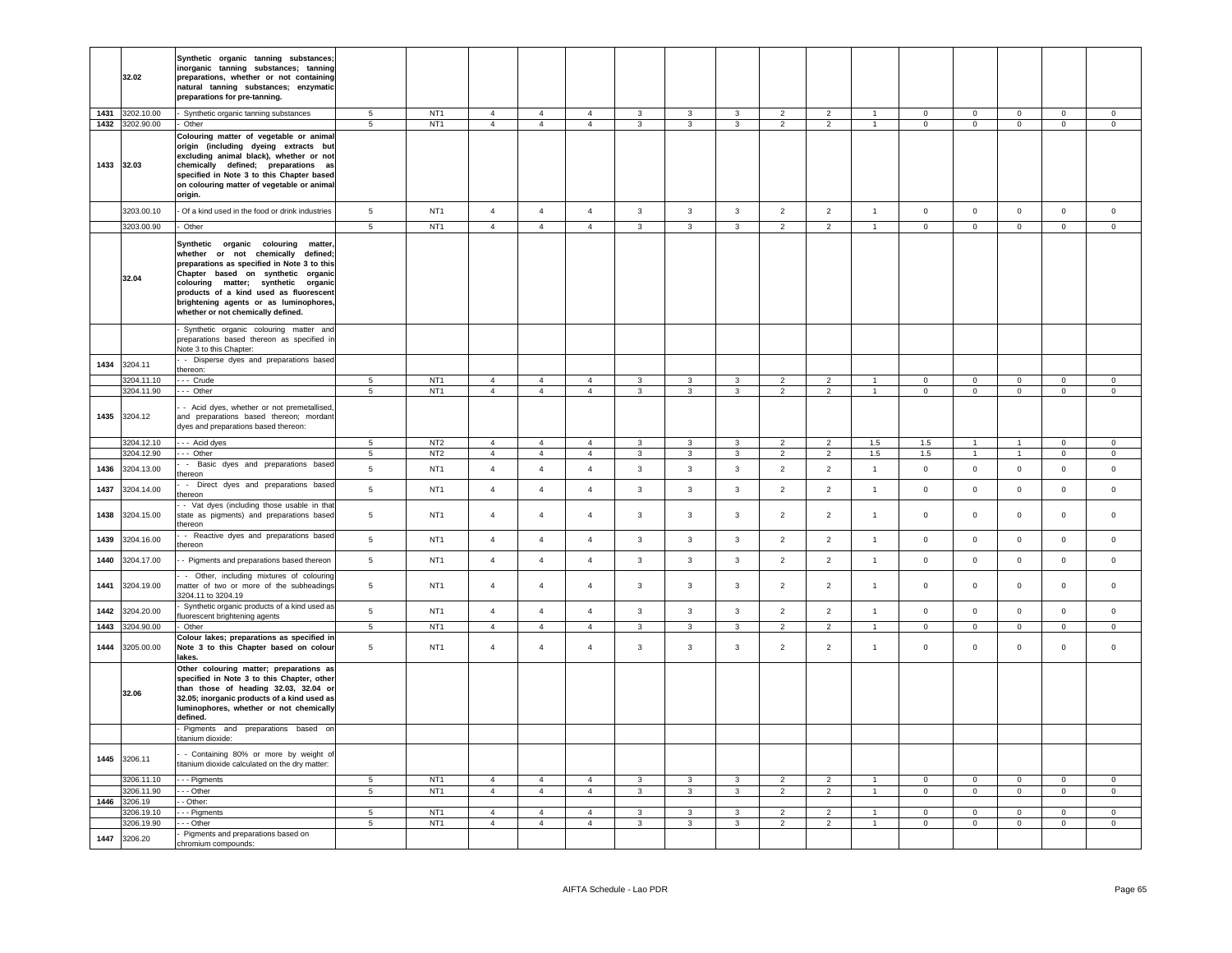|      | 32.02                              | Synthetic organic tanning substances;<br>inorganic tanning substances; tanning<br>preparations, whether or not containing<br>natural tanning substances; enzymatic<br>preparations for pre-tanning.                                                                                                                               |                                    |                                    |                                  |                                  |                                  |                                         |                                |                                         |                                  |                                  |                     |                               |                                |                                |                                       |                                  |
|------|------------------------------------|-----------------------------------------------------------------------------------------------------------------------------------------------------------------------------------------------------------------------------------------------------------------------------------------------------------------------------------|------------------------------------|------------------------------------|----------------------------------|----------------------------------|----------------------------------|-----------------------------------------|--------------------------------|-----------------------------------------|----------------------------------|----------------------------------|---------------------|-------------------------------|--------------------------------|--------------------------------|---------------------------------------|----------------------------------|
|      | 1431 3202.10.00<br>1432 3202.90.00 | Synthetic organic tanning substances<br>Other                                                                                                                                                                                                                                                                                     | $5\phantom{.0}$<br>5               | NT <sub>1</sub><br>NT <sub>1</sub> | $\overline{4}$<br>$\overline{4}$ | $\overline{4}$<br>$\overline{4}$ | $\overline{4}$<br>$\overline{4}$ | 3<br>$\overline{3}$                     | 3<br>$\mathbf{3}$              | $\mathbf{3}$<br>$\overline{3}$          | $\overline{2}$<br>$\overline{2}$ | $\overline{2}$<br>$\overline{2}$ | $\overline{1}$      | $\mathbf 0$<br>$\overline{0}$ | $\mathbf 0$<br>$\overline{0}$  | $\mathbf 0$<br>$\mathbf 0$     | $\mathsf{O}\xspace$<br>$\overline{0}$ | $\mathbf 0$<br>$\mathbf{0}$      |
|      | 1433 32.03                         | Colouring matter of vegetable or animal<br>origin (including dyeing extracts but<br>excluding animal black), whether or not<br>chemically defined; preparations as<br>specified in Note 3 to this Chapter based<br>on colouring matter of vegetable or animal<br>origin.                                                          |                                    |                                    |                                  |                                  |                                  |                                         |                                |                                         |                                  |                                  |                     |                               |                                |                                |                                       |                                  |
|      | 3203.00.10                         | - Of a kind used in the food or drink industries                                                                                                                                                                                                                                                                                  | $5\phantom{.0}$                    | NT <sub>1</sub>                    | $\overline{4}$                   | $\overline{4}$                   | $\overline{4}$                   | $\mathbf{3}$                            | $\mathbf{3}$                   | $\mathbf{3}$                            | $\overline{2}$                   | $\overline{2}$                   | $\mathbf{1}$        | $\circ$                       | $\circ$                        | $\mathsf 0$                    | $\circ$                               | $\mathsf 0$                      |
|      | 3203.00.90                         | Other                                                                                                                                                                                                                                                                                                                             | $\overline{5}$                     | NT <sub>1</sub>                    | $\overline{4}$                   | $\overline{4}$                   | $\overline{4}$                   | $\overline{3}$                          | 3                              | $\overline{3}$                          | $\overline{2}$                   | $\overline{2}$                   |                     | $\overline{0}$                | $\overline{0}$                 | $\overline{0}$                 | $\overline{0}$                        | $\mathbf 0$                      |
|      | 32.04                              | Synthetic organic colouring<br>matter<br>whether or not chemically defined;<br>preparations as specified in Note 3 to this<br>Chapter based on synthetic organic<br>colouring matter; synthetic organic<br>products of a kind used as fluorescent<br>brightening agents or as luminophores,<br>whether or not chemically defined. |                                    |                                    |                                  |                                  |                                  |                                         |                                |                                         |                                  |                                  |                     |                               |                                |                                |                                       |                                  |
|      |                                    | Synthetic organic colouring matter and<br>preparations based thereon as specified in<br>Note 3 to this Chapter:                                                                                                                                                                                                                   |                                    |                                    |                                  |                                  |                                  |                                         |                                |                                         |                                  |                                  |                     |                               |                                |                                |                                       |                                  |
| 1434 | 3204.11                            | - Disperse dyes and preparations based<br>thereon:                                                                                                                                                                                                                                                                                |                                    |                                    |                                  |                                  |                                  |                                         |                                |                                         |                                  |                                  |                     |                               |                                |                                |                                       |                                  |
|      | 3204.11.10                         | --- Crude                                                                                                                                                                                                                                                                                                                         | 5                                  | NT <sub>1</sub>                    | $\mathbf{A}$                     | $\Delta$                         | 4                                | $\mathbf{R}$                            | $\mathbf{3}$                   | $\overline{3}$                          | $\mathcal{P}$                    | $\overline{2}$                   |                     | $\Omega$                      | $\mathbf 0$                    | $\mathbf 0$                    | $\mathbf 0$                           | $\Omega$                         |
|      | 3204.11.90                         | --- Other                                                                                                                                                                                                                                                                                                                         | $\sqrt{5}$                         | NT <sub>1</sub>                    | $\overline{4}$                   | $\overline{4}$                   | $\overline{4}$                   | $\mathbf{3}$                            | $\mathbf{3}$                   | $\mathbf{3}$                            | $\overline{2}$                   | $\overline{2}$                   | $\overline{1}$      | $\mathsf 0$                   | $\overline{0}$                 | $\mathsf 0$                    | $\mathsf 0$                           | $\mathsf 0$                      |
|      | 1435 3204.12                       | - Acid dyes, whether or not premetallised<br>and preparations based thereon; mordant<br>dyes and preparations based thereon:                                                                                                                                                                                                      |                                    |                                    |                                  |                                  |                                  |                                         |                                |                                         |                                  |                                  |                     |                               |                                |                                |                                       |                                  |
|      | 3204.12.10<br>3204.12.90           | --- Acid dyes<br>$--$ Other                                                                                                                                                                                                                                                                                                       | $5\phantom{.0}$                    | NT <sub>2</sub><br>NT <sub>2</sub> | $\overline{4}$<br>$\overline{4}$ | $\overline{4}$<br>$\overline{4}$ | $\overline{4}$                   | $\mathbf{3}$<br>$\mathbf{3}$            | $\mathbf{3}$<br>$\mathbf{3}$   | $\mathbf{3}$                            | $\overline{2}$                   | $\overline{2}$                   | 1.5                 | $1.5\,$                       | $\mathbf{1}$                   | $\mathbf{1}$                   | $\overline{0}$                        | $\mathbf 0$<br>$\overline{0}$    |
| 1436 | 3204.13.00                         | - Basic dyes and preparations based                                                                                                                                                                                                                                                                                               | $5\overline{5}$<br>$5\overline{5}$ | NT <sub>1</sub>                    | $\overline{4}$                   | $\overline{4}$                   | $\overline{4}$<br>$\overline{4}$ | $\mathbf{3}$                            | $\mathbf{3}$                   | $\mathbf{3}$<br>$\mathbf{3}$            | $\overline{2}$<br>$\overline{2}$ | $\overline{2}$<br>$\overline{2}$ | 1.5<br>$\mathbf{1}$ | 1.5<br>$\mathbf 0$            | $\mathbf{1}$<br>$\mathbf{0}$   | 1<br>$\mathsf 0$               | $\overline{0}$<br>$\mathbf{0}$        | $\circ$                          |
| 1437 | 3204.14.00                         | ereon<br>- Direct dyes and preparations based                                                                                                                                                                                                                                                                                     | $\,$ 5 $\,$                        | NT <sub>1</sub>                    | $\overline{4}$                   | $\overline{4}$                   | $\overline{4}$                   | $\mathbf{3}$                            | $\mathbf{3}$                   | $\mathbf{3}$                            | $\overline{2}$                   | $\overline{2}$                   | $\mathbf{1}$        | $\mathsf{O}\xspace$           | $\mathsf 0$                    | $\mathbf 0$                    | $\mathsf 0$                           | $\mathsf{O}\xspace$              |
| 1438 | 3204.15.00                         | thereon<br>- Vat dyes (including those usable in tha<br>state as pigments) and preparations based<br>thereon                                                                                                                                                                                                                      | $\,$ 5 $\,$                        | NT <sub>1</sub>                    | $\overline{4}$                   | $\overline{4}$                   | $\overline{4}$                   | $\mathbf{3}$                            | $\mathbf{3}$                   | $\mathbf{3}$                            | $\overline{2}$                   | $\overline{2}$                   | $\overline{1}$      | $\mathbf{0}$                  | $\mathbf 0$                    | $\mathbf 0$                    | $\mathbf{0}$                          | $\Omega$                         |
| 1439 | 3204.16.00                         | - Reactive dyes and preparations based<br>thereon                                                                                                                                                                                                                                                                                 | 5                                  | NT <sub>1</sub>                    | $\overline{4}$                   | $\overline{4}$                   | $\overline{4}$                   | $\mathbf{3}$                            | $\mathbf{3}$                   | 3                                       | $\overline{2}$                   | $\overline{2}$                   | $\overline{1}$      | $\circ$                       | $\mathbf{0}$                   | $\mathbf 0$                    | $\mathbf 0$                           | $\mathbf 0$                      |
| 1440 | 3204.17.00                         | - Pigments and preparations based thereon                                                                                                                                                                                                                                                                                         | $\,$ 5 $\,$                        | NT <sub>1</sub>                    | $\overline{4}$                   | $\overline{4}$                   | $\overline{4}$                   | $\mathbf{3}$                            | $\mathbf{3}$                   | $\mathbf{3}$                            | $\overline{2}$                   | $\overline{2}$                   | $\overline{1}$      | $\circ$                       | $\circ$                        | $\mathsf 0$                    | $\mathbf 0$                           | $\mathsf 0$                      |
| 1441 | 3204.19.00                         | - Other, including mixtures of colouring<br>matter of two or more of the subheadings<br>3204.11 to 3204.19                                                                                                                                                                                                                        | $\sqrt{5}$                         | NT <sub>1</sub>                    | $\overline{4}$                   | $\overline{4}$                   | $\overline{4}$                   | 3                                       | 3                              | 3                                       | $\overline{2}$                   | $\overline{2}$                   | $\overline{1}$      | $\mathbf 0$                   | $\mathbf{0}$                   | $\mathbf 0$                    | $\mathbf 0$                           | $\mathbf 0$                      |
| 1442 | 3204.20.00                         | Synthetic organic products of a kind used as<br>fluorescent brightening agents                                                                                                                                                                                                                                                    | $5\phantom{.0}$                    | NT <sub>1</sub>                    | $\overline{4}$                   | $\overline{4}$                   | $\overline{4}$                   | $\mathbf{3}$                            | $\mathbf{3}$                   | $\mathbf{3}$                            | $\overline{2}$                   | $\overline{2}$                   | $\overline{1}$      | $\mathbf 0$                   | $\mathsf 0$                    | $\mathbf 0$                    | $\mathsf 0$                           | $\mathsf 0$                      |
| 1443 | 3204.90.00                         | Other                                                                                                                                                                                                                                                                                                                             | 5                                  | NT <sub>1</sub>                    | $\overline{4}$                   | $\overline{4}$                   | $\overline{4}$                   | 3                                       | $\overline{3}$                 | $\mathbf{3}$                            | $\overline{2}$                   | $\overline{2}$                   |                     | $\mathbf{0}$                  | $\mathsf 0$                    | $\mathbf 0$                    | $\mathsf{O}\xspace$                   | $\Omega$                         |
|      | 1444 3205.00.00                    | Colour lakes; preparations as specified in<br>Note 3 to this Chapter based on colour<br>lakes.                                                                                                                                                                                                                                    | $\,$ 5 $\,$                        | NT <sub>1</sub>                    | $\overline{4}$                   | $\overline{4}$                   | $\overline{4}$                   | 3                                       | 3                              | 3                                       | $\overline{2}$                   | $\overline{2}$                   | $\overline{1}$      | $\mathbf 0$                   | $\mathbf 0$                    | $\mathbf 0$                    | $\mathbf 0$                           | $\mathbf 0$                      |
|      | 32.06                              | Other colouring matter; preparations as<br>specified in Note 3 to this Chapter, other<br>than those of heading 32.03, 32.04 or<br>32.05; inorganic products of a kind used as<br>luminophores, whether or not chemically<br>defined.<br>Pigments and preparations based on                                                        |                                    |                                    |                                  |                                  |                                  |                                         |                                |                                         |                                  |                                  |                     |                               |                                |                                |                                       |                                  |
|      |                                    | titanium dioxide:                                                                                                                                                                                                                                                                                                                 |                                    |                                    |                                  |                                  |                                  |                                         |                                |                                         |                                  |                                  |                     |                               |                                |                                |                                       |                                  |
|      | 1445 3206.11                       | - Containing 80% or more by weight of<br>titanium dioxide calculated on the dry matter:                                                                                                                                                                                                                                           |                                    |                                    |                                  |                                  |                                  |                                         |                                |                                         |                                  |                                  |                     |                               |                                |                                |                                       |                                  |
|      | 3206.11.10<br>3206.11.90           | - - - Pigments<br>$-$ Other                                                                                                                                                                                                                                                                                                       | $5\overline{5}$<br>$\overline{5}$  | NT <sub>1</sub><br>NT <sub>1</sub> | $\overline{4}$<br>$\overline{4}$ | $\overline{4}$<br>$\overline{4}$ | $\overline{4}$<br>$\overline{4}$ | $\mathbf{3}$<br>$\overline{\mathbf{3}}$ | $\mathbf{3}$<br>$\overline{3}$ | $\mathbf{3}$<br>$\overline{\mathbf{3}}$ | $\overline{2}$<br>$\overline{2}$ | $\overline{2}$<br>$\overline{2}$ | $\mathbf{1}$        | $\circ$<br>$\mathbf{0}$       | $\mathbf{0}$<br>$\overline{0}$ | $\mathbf{0}$<br>$\overline{0}$ | $\circ$<br>$\overline{0}$             | $\overline{0}$<br>$\overline{0}$ |
|      | 1446 3206.19                       | - Other:                                                                                                                                                                                                                                                                                                                          |                                    |                                    |                                  |                                  |                                  |                                         |                                |                                         |                                  |                                  |                     |                               |                                |                                |                                       |                                  |
|      | 3206.19.10                         | - - Pigments                                                                                                                                                                                                                                                                                                                      | $\,$ 5 $\,$                        | NT <sub>1</sub>                    | $\overline{4}$                   | $\overline{4}$                   | $\overline{4}$                   | $\mathbf{3}$                            | 3                              | $\mathbf{3}$                            | $\overline{2}$                   | $\overline{2}$                   |                     | $\mathbf 0$                   | $\mathbf 0$                    | $\mathbf 0$                    | $\mathsf 0$                           | $\mathsf 0$                      |
|      | 3206.19.90                         | - - Other<br>Pigments and preparations based on                                                                                                                                                                                                                                                                                   | $\,$ 5 $\,$                        | NT <sub>1</sub>                    | $\overline{4}$                   | $\overline{4}$                   | $\overline{4}$                   | 3                                       | $\mathbf{3}$                   | $_{\rm 3}$                              | $\overline{2}$                   | $\overline{2}$                   | $\overline{1}$      | $\mathbf 0$                   | $\mathbf 0$                    | $\mathbf 0$                    | $\mathbf{0}$                          | $\mathsf{O}\xspace$              |
| 1447 | 3206.20                            | chromium compounds:                                                                                                                                                                                                                                                                                                               |                                    |                                    |                                  |                                  |                                  |                                         |                                |                                         |                                  |                                  |                     |                               |                                |                                |                                       |                                  |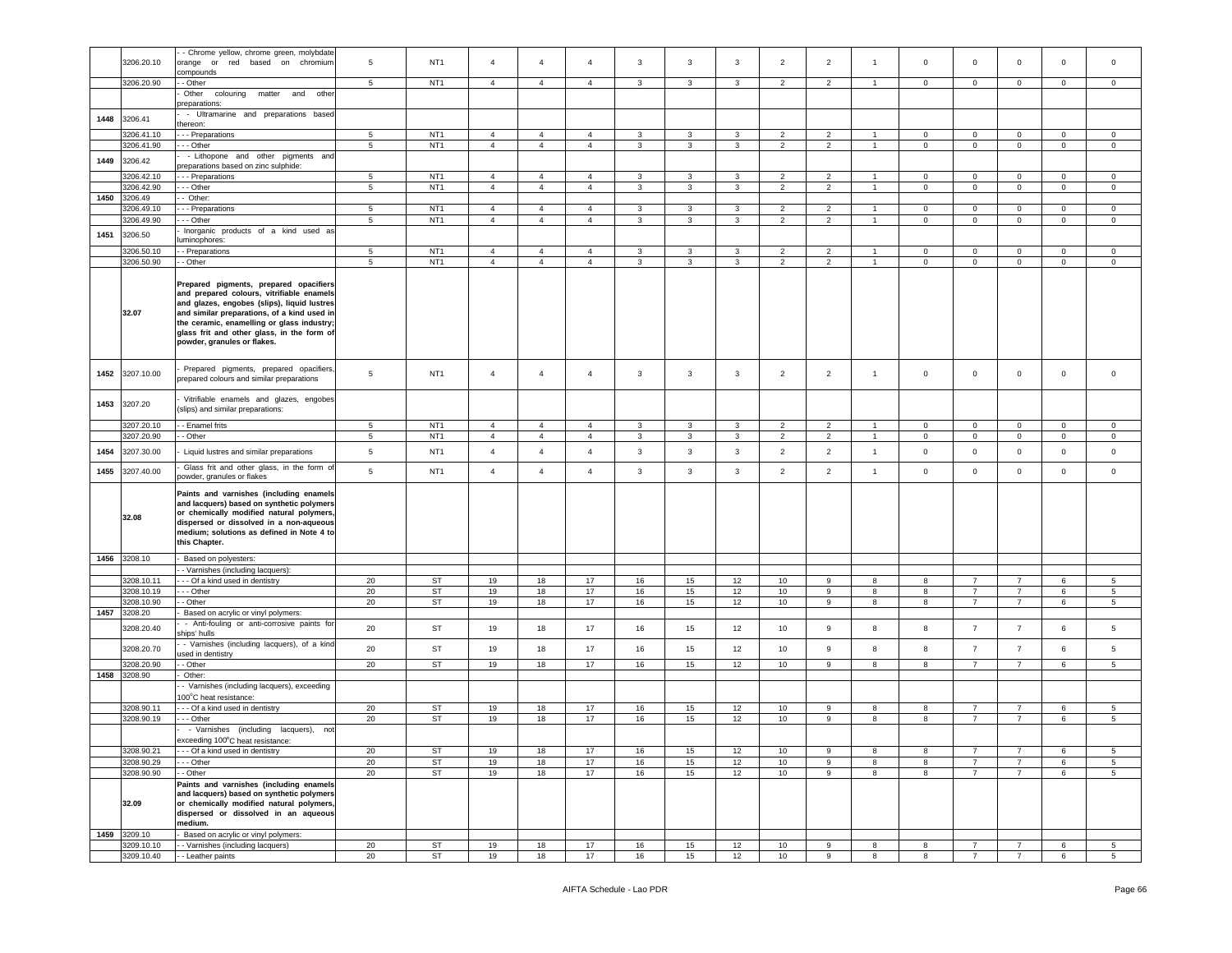|      |              | - Chrome yellow, chrome green, molybdate                                                                                                                                                                                                                                                                     |                 |                 |                |                |                |              |              |              |                |                  |                |             |                |                |              |                 |
|------|--------------|--------------------------------------------------------------------------------------------------------------------------------------------------------------------------------------------------------------------------------------------------------------------------------------------------------------|-----------------|-----------------|----------------|----------------|----------------|--------------|--------------|--------------|----------------|------------------|----------------|-------------|----------------|----------------|--------------|-----------------|
|      | 3206.20.10   | orange or red based on chromium                                                                                                                                                                                                                                                                              | 5               | NT <sub>1</sub> | $\overline{a}$ | $\overline{4}$ | $\overline{4}$ | 3            | 3            | 3            | $\overline{2}$ | $\overline{2}$   | $\mathbf{1}$   | $\Omega$    | $\mathbf 0$    | $\circ$        | $\mathbf 0$  | $\mathbf 0$     |
|      |              | compounds                                                                                                                                                                                                                                                                                                    |                 |                 |                |                |                |              |              |              |                |                  |                |             |                |                |              |                 |
|      | 3206.20.90   | - Other                                                                                                                                                                                                                                                                                                      | 5               | NT <sub>1</sub> | $\overline{4}$ | $\overline{4}$ | $\overline{4}$ | $\mathbf{3}$ | 3            | 3            | $\overline{2}$ | $\overline{2}$   | $\overline{1}$ | $\mathbf 0$ | $\mathbf 0$    | $\mathbf 0$    | $\mathbf 0$  | $\circ$         |
|      |              |                                                                                                                                                                                                                                                                                                              |                 |                 |                |                |                |              |              |              |                |                  |                |             |                |                |              |                 |
|      |              | Other<br>colouring<br>matter<br>other<br>and                                                                                                                                                                                                                                                                 |                 |                 |                |                |                |              |              |              |                |                  |                |             |                |                |              |                 |
|      |              | preparations:                                                                                                                                                                                                                                                                                                |                 |                 |                |                |                |              |              |              |                |                  |                |             |                |                |              |                 |
| 1448 | 3206.41      | - Ultramarine and preparations based                                                                                                                                                                                                                                                                         |                 |                 |                |                |                |              |              |              |                |                  |                |             |                |                |              |                 |
|      |              | thereon:                                                                                                                                                                                                                                                                                                     |                 |                 |                |                |                |              |              |              |                |                  |                |             |                |                |              |                 |
|      | 3206.41.10   | - - - Preparations                                                                                                                                                                                                                                                                                           | $5\phantom{.0}$ | NT <sub>1</sub> | $\overline{4}$ | $\overline{4}$ | $\overline{4}$ | $\mathbf{3}$ | $\mathbf{3}$ | $\mathbf{3}$ | $\overline{2}$ | $\overline{2}$   | $\overline{1}$ | $\circ$     | $\mathsf 0$    | $\overline{0}$ | $\mathbf{0}$ | $\mathbf{0}$    |
|      | 3206.41.90   |                                                                                                                                                                                                                                                                                                              | 5               | NT <sub>1</sub> | $\overline{4}$ | $\overline{4}$ | $\overline{4}$ | 3            | 3            | 3            | $\overline{2}$ | $\overline{2}$   | $\overline{1}$ | $\mathbf 0$ | $\mathbf 0$    |                |              | $\mathbf 0$     |
|      |              | - - - Other                                                                                                                                                                                                                                                                                                  |                 |                 |                |                |                |              |              |              |                |                  |                |             |                | $\mathbf 0$    | $\mathbf 0$  |                 |
| 1449 | 3206.42      | - Lithopone and other pigments and                                                                                                                                                                                                                                                                           |                 |                 |                |                |                |              |              |              |                |                  |                |             |                |                |              |                 |
|      |              | preparations based on zinc sulphide:                                                                                                                                                                                                                                                                         |                 |                 |                |                |                |              |              |              |                |                  |                |             |                |                |              |                 |
|      | 3206.42.10   | - - - Preparations                                                                                                                                                                                                                                                                                           | 5               | NT <sub>1</sub> | $\overline{4}$ | $\overline{4}$ | $\overline{4}$ | $\mathbf{3}$ | $\mathbf{3}$ | 3            | 2              | 2                | $\overline{1}$ | $\circ$     | $\circ$        | $\overline{0}$ | $\mathbf 0$  | $\mathbf 0$     |
|      | 3206.42.90   | - - Other                                                                                                                                                                                                                                                                                                    | 5               | NT <sub>1</sub> | $\overline{4}$ | $\overline{4}$ | $\overline{4}$ | 3            | 3            | 3            | $\overline{2}$ | $\overline{2}$   | $\overline{1}$ | $\mathbf 0$ | $\mathbf 0$    | $\mathbf 0$    | $\mathbf 0$  | $\mathsf 0$     |
| 1450 | 3206.49      | Other:                                                                                                                                                                                                                                                                                                       |                 |                 |                |                |                |              |              |              |                |                  |                |             |                |                |              |                 |
|      |              |                                                                                                                                                                                                                                                                                                              |                 |                 |                |                |                |              |              |              |                |                  |                |             |                |                |              |                 |
|      | 3206.49.10   | --- Preparations                                                                                                                                                                                                                                                                                             | 5 <sub>5</sub>  | NT <sub>1</sub> | $\overline{4}$ | $\overline{4}$ | $\overline{4}$ | $\mathbf{3}$ | 3            | 3            | $\overline{2}$ | $\overline{2}$   | $\mathbf{1}$   | $\mathbf 0$ | $\mathbf 0$    | $\overline{0}$ | $\mathbf{0}$ | $\mathbf{0}$    |
|      | 3206.49.90   | .-- Other                                                                                                                                                                                                                                                                                                    | 5               | NT <sub>1</sub> | $\overline{4}$ | $\overline{4}$ | $\overline{4}$ | 3            | 3            | 3            | $\overline{2}$ | $\overline{2}$   | $\overline{1}$ | $\mathbf 0$ | $\mathbf 0$    | 0              | $\mathbf 0$  | $\circ$         |
| 1451 | 3206.50      | Inorganic products of a kind used as                                                                                                                                                                                                                                                                         |                 |                 |                |                |                |              |              |              |                |                  |                |             |                |                |              |                 |
|      |              | uminophores:                                                                                                                                                                                                                                                                                                 |                 |                 |                |                |                |              |              |              |                |                  |                |             |                |                |              |                 |
|      | 3206.50.10   | - Preparations                                                                                                                                                                                                                                                                                               | 5               | NT <sub>1</sub> | $\overline{4}$ | $\overline{4}$ | $\overline{4}$ | 3            | 3            | 3            | $\overline{2}$ | $\overline{2}$   | $\overline{1}$ | $\mathbf 0$ | $\mathbf 0$    | $\overline{0}$ | $\mathbf 0$  | $\mathbf 0$     |
|      |              |                                                                                                                                                                                                                                                                                                              |                 | NT <sub>1</sub> |                |                |                |              |              |              |                |                  |                |             |                |                |              |                 |
|      | 3206.50.90   | - Other                                                                                                                                                                                                                                                                                                      | 5               |                 | $\overline{4}$ | $\overline{4}$ | $\overline{4}$ | 3            | 3            | $\mathbf{3}$ | $\overline{2}$ | $\overline{2}$   | $\mathbf{1}$   | $\mathbf 0$ | $\mathsf 0$    | $\mathbf 0$    | $\mathbf 0$  | $\mathsf 0$     |
|      | 32.07        | Prepared pigments, prepared opacifiers<br>and prepared colours, vitrifiable enamels<br>and glazes, engobes (slips), liquid lustres<br>and similar preparations, of a kind used in<br>the ceramic, enamelling or glass industry;<br>glass frit and other glass, in the form of<br>powder, granules or flakes. |                 |                 |                |                |                |              |              |              |                |                  |                |             |                |                |              |                 |
| 1452 | 3207.10.00   | Prepared pigments, prepared opacifiers,<br>prepared colours and similar preparations                                                                                                                                                                                                                         | 5               | NT <sub>1</sub> | $\overline{4}$ | $\overline{4}$ | $\overline{4}$ | 3            | 3            | $\mathbf{3}$ | $\overline{2}$ | $\overline{2}$   | $\mathbf{1}$   | $\mathbf 0$ | $\mathbf 0$    | $\mathbf{0}$   | $\mathbf 0$  | $\mathsf 0$     |
| 1453 | 3207.20      | Vitrifiable enamels and glazes, engobes<br>(slips) and similar preparations:                                                                                                                                                                                                                                 |                 |                 |                |                |                |              |              |              |                |                  |                |             |                |                |              |                 |
|      | 3207.20.10   | - Enamel frits                                                                                                                                                                                                                                                                                               | 5               | NT <sub>1</sub> | $\overline{4}$ | $\overline{4}$ | $\overline{4}$ | $\mathbf{3}$ | 3            | $\mathbf{3}$ | $\overline{2}$ | $\overline{2}$   | $\overline{1}$ | $\mathsf 0$ | $\mathbf 0$    | $\overline{0}$ | $\mathbf{0}$ | $\mathbf 0$     |
|      | 3207.20.90   | - Other                                                                                                                                                                                                                                                                                                      | $5\phantom{.0}$ | NT <sub>1</sub> | $\overline{4}$ | $\overline{4}$ | $\overline{4}$ | 3            | 3            | $\mathbf{3}$ | $\overline{2}$ | $\overline{2}$   | $\overline{1}$ | $\mathsf 0$ | $\mathbf 0$    | $\mathsf 0$    | $\mathbf 0$  | $\mathbf 0$     |
|      |              |                                                                                                                                                                                                                                                                                                              |                 |                 |                |                |                |              |              |              |                |                  |                |             |                |                |              |                 |
| 1454 | 3207.30.00   | Liquid lustres and similar preparations                                                                                                                                                                                                                                                                      | 5               | NT <sub>1</sub> | $\overline{4}$ | $\overline{4}$ | $\overline{4}$ | $\mathbf{3}$ | 3            | $\mathbf{3}$ | $\overline{2}$ | $\overline{2}$   | $\mathbf{1}$   | $\mathbf 0$ | $\mathsf 0$    | $\mathbf 0$    | $\mathbf 0$  | $\mathbf 0$     |
|      |              |                                                                                                                                                                                                                                                                                                              |                 |                 |                |                |                |              |              |              |                |                  |                |             |                |                |              |                 |
| 1455 | 3207.40.00   | Glass frit and other glass, in the form of<br>powder, granules or flakes                                                                                                                                                                                                                                     | 5               | NT <sub>1</sub> | $\overline{4}$ | $\overline{4}$ | $\overline{4}$ | $\mathbf{3}$ | 3            | $\mathbf{3}$ | $\overline{2}$ | $\overline{2}$   | $\overline{1}$ | $\mathsf 0$ | $\mathsf 0$    | $\mathsf 0$    | $\mathbf 0$  | $\mathsf 0$     |
|      | 32.08        | Paints and varnishes (including enamels<br>and lacquers) based on synthetic polymers<br>or chemically modified natural polymers<br>dispersed or dissolved in a non-aqueous<br>medium; solutions as defined in Note 4 to<br>this Chapter.                                                                     |                 |                 |                |                |                |              |              |              |                |                  |                |             |                |                |              |                 |
|      | 1456 3208.10 | Based on polyesters:                                                                                                                                                                                                                                                                                         |                 |                 |                |                |                |              |              |              |                |                  |                |             |                |                |              |                 |
|      |              | - Varnishes (including lacquers):                                                                                                                                                                                                                                                                            |                 |                 |                |                |                |              |              |              |                |                  |                |             |                |                |              |                 |
|      |              |                                                                                                                                                                                                                                                                                                              |                 |                 |                |                |                |              |              |              |                |                  |                |             |                |                |              |                 |
|      | 3208.10.11   | --- Of a kind used in dentistry                                                                                                                                                                                                                                                                              | 20              | ST              | 19             | 18             | 17             | 16           | 15           | 12           | 10             | 9                | 8              | 8           | $\overline{7}$ | $\overline{7}$ | 6            | 5               |
|      | 3208.10.19   | - - Other                                                                                                                                                                                                                                                                                                    | 20              | ST              | 19             | 18             | 17             | 16           | 15           | 12           | 10             | 9                | 8              | 8           | $\overline{7}$ | $\overline{7}$ | 6            | $5\overline{5}$ |
|      | 3208.10.90   | - Other                                                                                                                                                                                                                                                                                                      | 20              | <b>ST</b>       | 19             | 18             | $17$           | 16           | 15           | 12           | 10             | 9                | 8              | 8           | $\overline{7}$ | $\overline{7}$ | 6            | $5\overline{5}$ |
|      | 1457 3208.20 | Based on acrylic or vinyl polymers:                                                                                                                                                                                                                                                                          |                 |                 |                |                |                |              |              |              |                |                  |                |             |                |                |              |                 |
|      |              | - Anti-fouling or anti-corrosive paints for                                                                                                                                                                                                                                                                  |                 |                 |                |                |                |              |              |              |                |                  | 8              |             | $\overline{7}$ |                |              |                 |
|      | 3208.20.40   | ships' hulls                                                                                                                                                                                                                                                                                                 | 20              | ST              | 19             | 18             | 17             | 16           | 15           | 12           | 10             | 9                |                | 8           |                | $\overline{7}$ | 6            | 5               |
|      |              | - Varnishes (including lacquers), of a kind                                                                                                                                                                                                                                                                  |                 |                 |                |                |                |              |              |              |                |                  |                |             |                |                |              |                 |
|      | 3208.20.70   | ised in dentistry                                                                                                                                                                                                                                                                                            | 20              | ST              | 19             | 18             | 17             | 16           | 15           | 12           | 10             | $\boldsymbol{9}$ | 8              | 8           | $\overline{7}$ | $\overline{7}$ | $\,6\,$      | $\sqrt{5}$      |
|      | 3208.20.90   | - Other                                                                                                                                                                                                                                                                                                      | 20              | ST              | 19             | 18             | 17             | 16           | 15           | 12           | 10             | 9                | 8              | 8           | $\overline{7}$ | $\overline{7}$ | 6            | 5               |
| 1458 | 3208.90      | Other:                                                                                                                                                                                                                                                                                                       |                 |                 |                |                |                |              |              |              |                |                  |                |             |                |                |              |                 |
|      |              |                                                                                                                                                                                                                                                                                                              |                 |                 |                |                |                |              |              |              |                |                  |                |             |                |                |              |                 |
|      |              | - Varnishes (including lacquers), exceeding                                                                                                                                                                                                                                                                  |                 |                 |                |                |                |              |              |              |                |                  |                |             |                |                |              |                 |
|      |              | 00°C heat resistance:                                                                                                                                                                                                                                                                                        |                 |                 |                |                |                |              |              |              |                |                  |                |             |                |                |              |                 |
|      | 3208.90.11   | - - Of a kind used in dentistry                                                                                                                                                                                                                                                                              | 20              | <b>ST</b>       | 19             | 18             | 17             | 16           | 15           | 12           | 10             | 9                | 8              | 8           | $\overline{7}$ | $\overline{7}$ | 6            | 5               |
|      | 3208.90.19   | - - Other                                                                                                                                                                                                                                                                                                    | 20              | <b>ST</b>       | 19             | 18             | 17             | 16           | 15           | 12           | 10             | $\boldsymbol{9}$ | 8              | 8           | $\overline{7}$ | $\overline{7}$ | $\,6$        | $5\overline{5}$ |
|      |              | - Varnishes (including lacquers), not                                                                                                                                                                                                                                                                        |                 |                 |                |                |                |              |              |              |                |                  |                |             |                |                |              |                 |
|      |              | exceeding 100°C heat resistance:                                                                                                                                                                                                                                                                             |                 |                 |                |                |                |              |              |              |                |                  |                |             |                |                |              |                 |
|      | 3208.90.21   | - - Of a kind used in dentistry                                                                                                                                                                                                                                                                              | 20              | ST              | 19             | 18             | 17             | 16           | 15           | 12           | 10             | 9                | 8              | 8           | $\overline{7}$ | $\overline{7}$ | 6            | $5\overline{5}$ |
|      |              |                                                                                                                                                                                                                                                                                                              |                 |                 |                |                |                |              |              |              |                |                  |                |             |                |                |              |                 |
|      | 3208.90.29   | - - Other                                                                                                                                                                                                                                                                                                    | 20              | <b>ST</b>       | 19             | 18             | 17             | 16           | 15           | 12           | 10             | 9                | 8              | 8           | $\overline{7}$ | $\overline{7}$ | 6            | $5^{\circ}$     |
|      | 3208.90.90   | - Other                                                                                                                                                                                                                                                                                                      | 20              | ST              | 19             | 18             | 17             | 16           | 15           | 12           | 10             | 9                | 8              | 8           | $\overline{7}$ | $\overline{7}$ | 6            | $5\overline{5}$ |
|      | 32.09        | Paints and varnishes (including enamels<br>and lacquers) based on synthetic polymers<br>or chemically modified natural polymers,<br>dispersed or dissolved in an aqueous<br>medium.                                                                                                                          |                 |                 |                |                |                |              |              |              |                |                  |                |             |                |                |              |                 |
|      | 1459 3209.10 | Based on acrylic or vinyl polymers:                                                                                                                                                                                                                                                                          |                 |                 |                |                |                |              |              |              |                |                  |                |             |                |                |              |                 |
|      | 3209.10.10   | - Varnishes (including lacquers)                                                                                                                                                                                                                                                                             | 20              | ST              | 19             | 18             | 17             | 16           | 15           | 12           | 10             | 9                | 8              | 8           | $\overline{7}$ | $\overline{7}$ | 6            | 5               |
|      | 3209.10.40   | - Leather paints                                                                                                                                                                                                                                                                                             | 20              | ST              | 19             | 18             | 17             | 16           | 15           | 12           | 10             | 9                | 8              | 8           | $\overline{7}$ | $\overline{7}$ | 6            | 5 <sub>5</sub>  |
|      |              |                                                                                                                                                                                                                                                                                                              |                 |                 |                |                |                |              |              |              |                |                  |                |             |                |                |              |                 |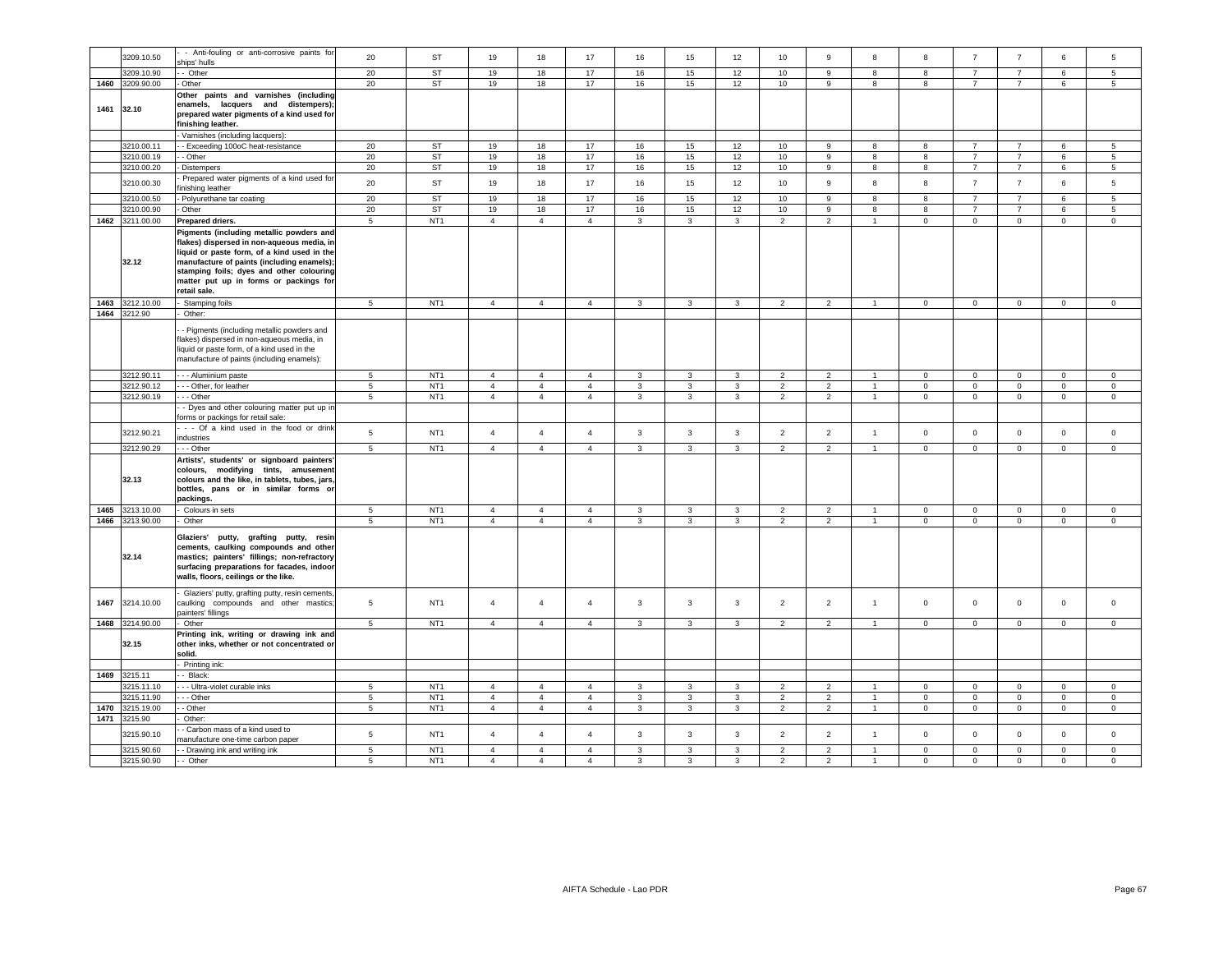|      |                 | - Anti-fouling or anti-corrosive paints for    |                 |                 |                |                |                |                |                |                |                |                |                |                |                     |                |              |                 |
|------|-----------------|------------------------------------------------|-----------------|-----------------|----------------|----------------|----------------|----------------|----------------|----------------|----------------|----------------|----------------|----------------|---------------------|----------------|--------------|-----------------|
|      | 3209.10.50      | ships' hulls                                   | 20              | <b>ST</b>       | 19             | 18             | 17             | 16             | 15             | 12             | 10             | 9              | 8              | 8              | $\overline{7}$      | $\overline{7}$ | 6            | 5               |
|      | 3209.10.90      | - Other                                        | 20              | ST              | 19             | 18             | 17             | 16             | 15             | 12             | 10             | 9              | 8              | 8              | $\overline{7}$      | $\overline{7}$ | 6            | $5\phantom{.0}$ |
|      | 1460 3209.90.00 | Other                                          | 20              | <b>ST</b>       | 19             | 18             | 17             | 16             | 15             | 12             | 10             | 9              | 8              | 8              | $\overline{7}$      | $\overline{7}$ | 6            | 5               |
|      |                 | Other paints and varnishes (including          |                 |                 |                |                |                |                |                |                |                |                |                |                |                     |                |              |                 |
|      |                 | enamels, lacquers and distempers);             |                 |                 |                |                |                |                |                |                |                |                |                |                |                     |                |              |                 |
| 1461 | 32.10           | prepared water pigments of a kind used for     |                 |                 |                |                |                |                |                |                |                |                |                |                |                     |                |              |                 |
|      |                 | finishing leather.                             |                 |                 |                |                |                |                |                |                |                |                |                |                |                     |                |              |                 |
|      |                 | Varnishes (including lacquers):                |                 |                 |                |                |                |                |                |                |                |                |                |                |                     |                |              |                 |
|      | 3210.00.11      | - Exceeding 100oC heat-resistance              | 20              | <b>ST</b>       | 19             | 18             | 17             | 16             | 15             | 12             | 10             | 9              | 8              | 8              | $\overline{7}$      | $\overline{7}$ | 6            | 5               |
|      | 3210.00.19      | - Other                                        | 20              | <b>ST</b>       | 19             | 18             | 17             | 16             | 15             | 12             | 10             | 9              | 8              | 8              | $\overline{7}$      | 7              | 6            | $5\overline{5}$ |
|      | 3210.00.20      | Distempers                                     | 20              | ST              | 19             | 18             | 17             | 16             | 15             | 12             | 10             | 9              | 8              | 8              | $\overline{7}$      | $\overline{7}$ | 6            | $5\phantom{.0}$ |
|      |                 | Prepared water pigments of a kind used for     |                 |                 |                |                |                |                |                |                |                |                |                |                |                     |                |              |                 |
|      | 3210.00.30      | finishing leather                              | 20              | <b>ST</b>       | 19             | 18             | 17             | 16             | 15             | 12             | 10             | 9              | 8              | 8              | $\overline{7}$      | $\overline{7}$ | $\,6\,$      | $\overline{5}$  |
|      | 3210.00.50      | Polyurethane tar coating                       | 20              | <b>ST</b>       | 19             | 18             | 17             | 16             | 15             | 12             | 10             | 9              | 8              | 8              | $\overline{7}$      | $\overline{7}$ | 6            | 5               |
|      | 3210.00.90      | Other                                          | 20              | <b>ST</b>       | 19             | 18             | 17             | 16             | 15             | 12             | 10             | 9              | 8              | 8              | $\overline{7}$      | $\overline{7}$ | 6            | 5               |
|      | 1462 3211.00.00 | Prepared driers.                               | 5               | NT <sub>1</sub> | $\overline{4}$ | $\overline{4}$ | $\overline{4}$ | $\overline{3}$ | $\mathbf{3}$   | $\overline{3}$ | 2              | $\overline{2}$ | $\mathbf{1}$   | $\circ$        | $\mathbf{0}$        | $\mathbf{0}$   | $\mathbf 0$  | $\circ$         |
|      |                 | Pigments (including metallic powders and       |                 |                 |                |                |                |                |                |                |                |                |                |                |                     |                |              |                 |
|      |                 | flakes) dispersed in non-aqueous media, in     |                 |                 |                |                |                |                |                |                |                |                |                |                |                     |                |              |                 |
|      |                 | liquid or paste form, of a kind used in the    |                 |                 |                |                |                |                |                |                |                |                |                |                |                     |                |              |                 |
|      | 32.12           | manufacture of paints (including enamels);     |                 |                 |                |                |                |                |                |                |                |                |                |                |                     |                |              |                 |
|      |                 | stamping foils; dyes and other colouring       |                 |                 |                |                |                |                |                |                |                |                |                |                |                     |                |              |                 |
|      |                 | matter put up in forms or packings for         |                 |                 |                |                |                |                |                |                |                |                |                |                |                     |                |              |                 |
|      |                 | retail sale.                                   |                 |                 |                |                |                |                |                |                |                |                |                |                |                     |                |              |                 |
| 1463 | 3212.10.00      | Stamping foils                                 | 5               | NT <sub>1</sub> | $\overline{4}$ | $\overline{4}$ | $\overline{4}$ | 3              | $\mathbf{3}$   | $\mathbf{3}$   | 2              | 2              | $\mathbf{1}$   | $\overline{0}$ | $\mathbf{0}$        | $\mathbf{0}$   | $\mathbf{0}$ | $\mathbf{0}$    |
| 1464 | 3212.90         | Other:                                         |                 |                 |                |                |                |                |                |                |                |                |                |                |                     |                |              |                 |
|      |                 | - Pigments (including metallic powders and     |                 |                 |                |                |                |                |                |                |                |                |                |                |                     |                |              |                 |
|      |                 | flakes) dispersed in non-aqueous media, in     |                 |                 |                |                |                |                |                |                |                |                |                |                |                     |                |              |                 |
|      |                 | liquid or paste form, of a kind used in the    |                 |                 |                |                |                |                |                |                |                |                |                |                |                     |                |              |                 |
|      |                 | manufacture of paints (including enamels):     |                 |                 |                |                |                |                |                |                |                |                |                |                |                     |                |              |                 |
|      | 3212.90.11      | - - Aluminium paste                            | 5               | NT <sub>1</sub> | $\overline{4}$ | $\overline{4}$ | $\overline{4}$ | 3              | 3              | $\mathbf{3}$   | $\overline{2}$ | $\overline{2}$ | $\overline{1}$ | $\mathbf 0$    | $\mathbf 0$         | $\mathbf 0$    | $\mathbf 0$  | $\mathbf 0$     |
|      | 3212.90.12      | - - Other, for leather                         | $\overline{5}$  | NT <sub>1</sub> | $\overline{4}$ | $\overline{4}$ | $\overline{4}$ | $\mathbf{3}$   | $\mathbf{3}$   | $\mathbf{3}$   | $\overline{2}$ | $\overline{2}$ | $\overline{1}$ | $\mathbf 0$    | $\mathsf{O}\xspace$ | $\mathsf 0$    | $\mathbf 0$  | $\mathbb O$     |
|      | 3212.90.19      | - Other                                        | 5               | NT <sub>1</sub> | $\overline{4}$ | $\overline{4}$ | $\overline{4}$ | $\mathbf{3}$   | $\mathbf{3}$   | $\mathbf{3}$   | $\overline{2}$ | $\overline{2}$ | $\overline{1}$ | $\circ$        | $\mathsf 0$         | $\mathbf 0$    | $\mathbf 0$  | $\mathsf 0$     |
|      |                 | - Dyes and other colouring matter put up in    |                 |                 |                |                |                |                |                |                |                |                |                |                |                     |                |              |                 |
|      |                 | forms or packings for retail sale:             |                 |                 |                |                |                |                |                |                |                |                |                |                |                     |                |              |                 |
|      |                 | - - Of a kind used in the food or drink        |                 |                 |                |                |                |                |                |                |                |                |                |                |                     |                |              |                 |
|      | 3212.90.21      | industries                                     | 5               | NT <sub>1</sub> | $\overline{4}$ | $\overline{4}$ | $\overline{4}$ | 3              | $\mathbf{3}$   | $\mathbf{3}$   | $\overline{2}$ | $\overline{2}$ | $\overline{1}$ | $\circ$        | $\mathbf 0$         | $\mathsf 0$    | $\mathsf 0$  | $\mathbf 0$     |
|      | 3212.90.29      | - - Other                                      | $\overline{5}$  | NT <sub>1</sub> | $\overline{4}$ | $\overline{4}$ | $\overline{4}$ | $\mathbf{3}$   | $\overline{3}$ | $\overline{3}$ | $\overline{2}$ | $\overline{2}$ | $\overline{1}$ | $\mathbf{0}$   | $\circ$             | $\overline{0}$ | $\mathbf 0$  | $\overline{0}$  |
|      |                 | Artists', students' or signboard painters'     |                 |                 |                |                |                |                |                |                |                |                |                |                |                     |                |              |                 |
|      |                 | colours, modifying tints, amusement            |                 |                 |                |                |                |                |                |                |                |                |                |                |                     |                |              |                 |
|      | 32.13           | colours and the like, in tablets, tubes, jars, |                 |                 |                |                |                |                |                |                |                |                |                |                |                     |                |              |                 |
|      |                 | bottles, pans or in similar forms or           |                 |                 |                |                |                |                |                |                |                |                |                |                |                     |                |              |                 |
|      |                 | packings.                                      |                 |                 |                |                |                |                |                |                |                |                |                |                |                     |                |              |                 |
| 1465 | 3213.10.00      | Colours in sets                                | $\sqrt{5}$      | NT <sub>1</sub> | $\overline{4}$ | $\overline{4}$ | $\overline{4}$ | $\overline{3}$ | $\mathbf{3}$   | $\overline{3}$ | 2              | 2              | $\overline{1}$ | $\mathbf 0$    | $\mathbf 0$         | $\mathbf 0$    | $\mathbf 0$  | $\mathbf 0$     |
| 1466 | 3213.90.00      | Other                                          | 5               | NT <sub>1</sub> | $\overline{4}$ | $\overline{4}$ | $\overline{4}$ | 3              | $\mathbf{3}$   | $\mathbf{3}$   | $\overline{2}$ | $\overline{2}$ | $\overline{1}$ | $\mathbf 0$    | $\circ$             | $\mathbf 0$    | $\mathsf 0$  | $\mathsf 0$     |
|      |                 | Glaziers' putty, grafting putty, resin         |                 |                 |                |                |                |                |                |                |                |                |                |                |                     |                |              |                 |
|      |                 | cements, caulking compounds and other          |                 |                 |                |                |                |                |                |                |                |                |                |                |                     |                |              |                 |
|      | 32.14           | mastics; painters' fillings; non-refractory    |                 |                 |                |                |                |                |                |                |                |                |                |                |                     |                |              |                 |
|      |                 | surfacing preparations for facades, indoor     |                 |                 |                |                |                |                |                |                |                |                |                |                |                     |                |              |                 |
|      |                 | walls, floors, ceilings or the like.           |                 |                 |                |                |                |                |                |                |                |                |                |                |                     |                |              |                 |
|      |                 | Glaziers' putty, grafting putty, resin cements |                 |                 |                |                |                |                |                |                |                |                |                |                |                     |                |              |                 |
| 1467 | 3214.10.00      | caulking compounds and other mastics           | $5\phantom{.0}$ | NT <sub>1</sub> | $\overline{4}$ | $\overline{4}$ | $\overline{4}$ | $\mathbf{3}$   | $\mathbf{3}$   | $\mathbf{3}$   | $\overline{2}$ | $\overline{2}$ | $\mathbf{1}$   | $\mathbf 0$    | $\mathbf 0$         | $\mathsf 0$    | $\mathbf 0$  | $\,$ 0          |
|      |                 | ainters' fillings                              |                 |                 |                |                |                |                |                |                |                |                |                |                |                     |                |              |                 |
|      | 1468 3214.90.00 | Other                                          | 5               | NT <sub>1</sub> | $\overline{4}$ | $\overline{4}$ | $\overline{4}$ | $\mathbf{3}$   | $\mathbf{3}$   | 3              | $\overline{2}$ | $\overline{2}$ | $\overline{1}$ | $\mathbf 0$    | $\mathbf 0$         | $\mathbf 0$    | $\mathsf 0$  | $\mathsf 0$     |
|      |                 | Printing ink, writing or drawing ink and       |                 |                 |                |                |                |                |                |                |                |                |                |                |                     |                |              |                 |
|      | 32.15           | other inks, whether or not concentrated or     |                 |                 |                |                |                |                |                |                |                |                |                |                |                     |                |              |                 |
|      |                 | solid.                                         |                 |                 |                |                |                |                |                |                |                |                |                |                |                     |                |              |                 |
|      |                 | Printing ink:                                  |                 |                 |                |                |                |                |                |                |                |                |                |                |                     |                |              |                 |
| 1469 | 3215.11         | - Black:                                       |                 |                 |                |                |                |                |                |                |                |                |                |                |                     |                |              |                 |
|      | 3215.11.10      | - - Ultra-violet curable inks                  | 5               | NT <sub>1</sub> | $\overline{4}$ | $\overline{4}$ | $\overline{4}$ | 3              | 3              | $\mathbf{3}$   | 2              | 2              | $\overline{1}$ | $\mathbf 0$    | $\mathbf 0$         | $\mathbf{0}$   | $\circ$      | $\circ$         |
|      | 3215.11.90      | - - Other                                      | $5\phantom{.0}$ | NT <sub>1</sub> | $\overline{4}$ | $\overline{4}$ | $\overline{4}$ | $\mathbf{3}$   | 3              | 3              | $\overline{2}$ | $\overline{2}$ | $\mathbf{1}$   | $\mathbf{0}$   | $\mathbf 0$         | $\mathbf 0$    | $\mathbf{0}$ | $\mathbf{0}$    |
| 1470 | 3215.19.00      | - Other                                        | 5               | NT <sub>1</sub> | $\overline{4}$ | $\overline{4}$ | $\overline{4}$ | $\mathbf{3}$   | $\mathbf{3}$   | $\mathbf{3}$   | 2              | $\overline{2}$ | $\mathbf{1}$   | $\circ$        | $\mathsf 0$         | $\mathbf 0$    | $\mathsf 0$  | $\circ$         |
| 1471 | 3215.90         | Other:                                         |                 |                 |                |                |                |                |                |                |                |                |                |                |                     |                |              |                 |
|      | 3215.90.10      | - Carbon mass of a kind used to                | 5               | NT <sub>1</sub> | $\overline{4}$ | $\overline{4}$ | $\overline{4}$ | $\mathbf{3}$   | $\mathbf{3}$   | $\mathbf{3}$   | $\overline{2}$ | $\overline{2}$ | $\overline{1}$ | $\mathsf 0$    | $\mathsf 0$         | $\mathbf 0$    | $\mathbf 0$  | $\mathsf 0$     |
|      |                 | nanufacture one-time carbon paper              |                 |                 |                |                |                |                |                |                |                |                |                |                |                     |                |              |                 |
|      | 3215.90.60      | - Drawing ink and writing ink                  | 5               | NT <sub>1</sub> | $\overline{4}$ | $\overline{4}$ | $\overline{4}$ | $\mathbf{3}$   | $\mathbf{3}$   | 3              | $\overline{2}$ | $\overline{2}$ | 1              | $\mathbf 0$    | $\mathbf 0$         | $\mathsf 0$    | $\mathbf 0$  | $\mathbf 0$     |
|      | 3215.90.90      | - Other                                        | 5               | NT <sub>1</sub> | $\overline{4}$ | $\overline{4}$ | $\mathbf{A}$   | 3              | 3              | 3              | $\overline{2}$ | $\overline{2}$ | $\overline{1}$ | $\Omega$       | $\mathbf 0$         | $\mathbf 0$    | $\mathbf 0$  | $\mathbf 0$     |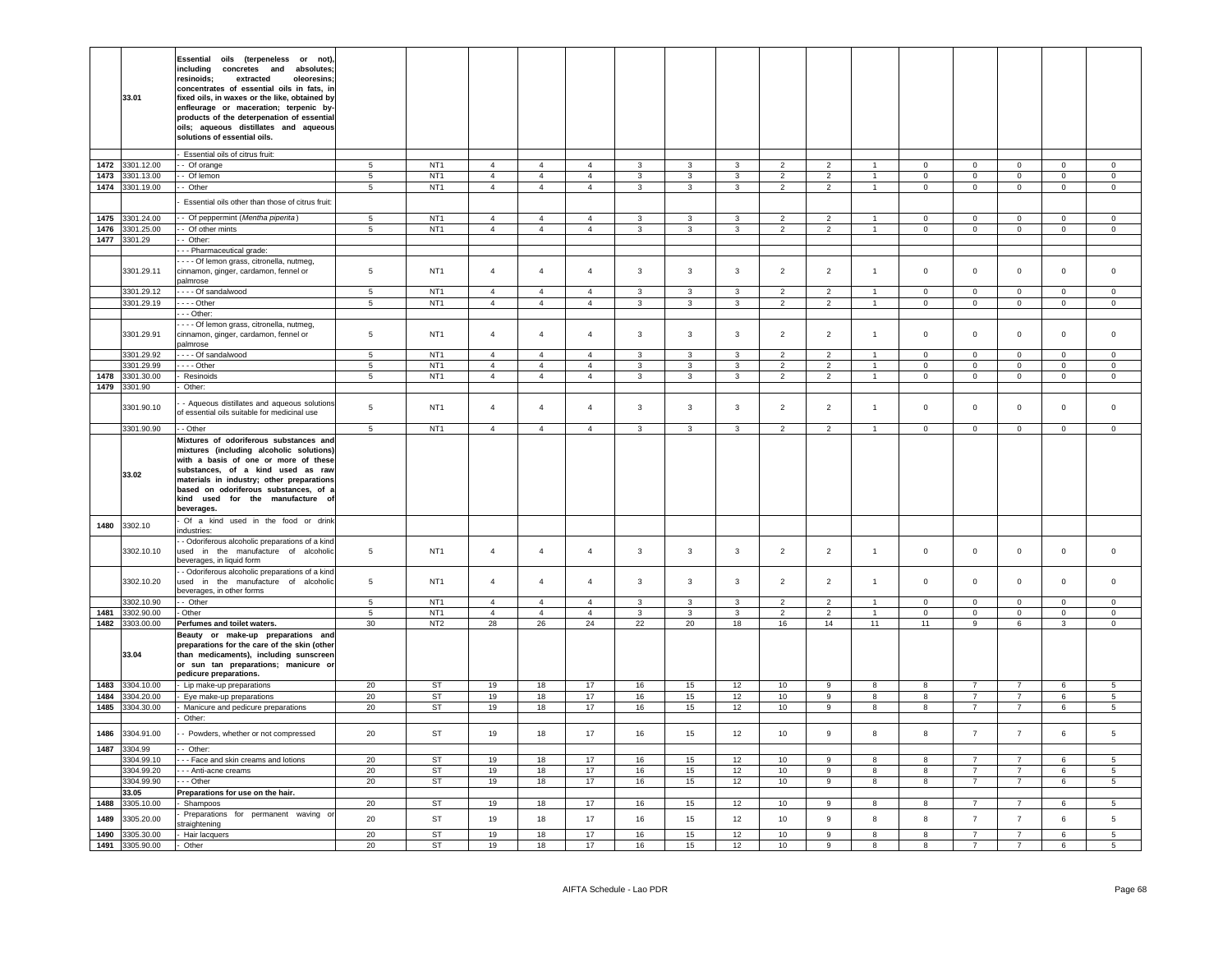|              | 33.01                    | <b>Essential</b><br>oils (terpeneless or not)<br>including concretes and absolutes;<br>resinoids;<br>extracted<br>oleoresins;<br>concentrates of essential oils in fats, in<br>fixed oils, in waxes or the like, obtained by<br>enfleurage or maceration; terpenic by-<br>products of the deterpenation of essential<br>oils; aqueous distillates and aqueous<br>solutions of essential oils. |                      |                                    |                      |                      |                      |                    |                         |                    |                      |                      |                    |                   |                                  |                                  |                             |                            |
|--------------|--------------------------|-----------------------------------------------------------------------------------------------------------------------------------------------------------------------------------------------------------------------------------------------------------------------------------------------------------------------------------------------------------------------------------------------|----------------------|------------------------------------|----------------------|----------------------|----------------------|--------------------|-------------------------|--------------------|----------------------|----------------------|--------------------|-------------------|----------------------------------|----------------------------------|-----------------------------|----------------------------|
| 1472         |                          | Essential oils of citrus fruit:                                                                                                                                                                                                                                                                                                                                                               | 5                    | NT <sub>1</sub>                    | $\overline{4}$       | $\overline{4}$       | $\overline{4}$       | 3                  | 3                       | 3                  | $\overline{2}$       | $\overline{2}$       |                    | $\mathbf 0$       | $\mathbf 0$                      | $\mathbf 0$                      | $\mathbf 0$                 | $\mathbf 0$                |
|              | 3301.12.00               | - Of orange                                                                                                                                                                                                                                                                                                                                                                                   | 5                    | NT <sub>1</sub>                    | $\overline{4}$       | $\overline{4}$       | $\overline{a}$       | $\mathbf{3}$       | $\overline{3}$          | $\mathbf{3}$       | $\overline{2}$       | $\overline{2}$       | $\overline{1}$     | $\Omega$          |                                  |                                  |                             | $\mathbf 0$                |
| 1473         | 3301.13.00               | - Of lemon                                                                                                                                                                                                                                                                                                                                                                                    |                      |                                    |                      |                      |                      |                    |                         |                    |                      |                      |                    |                   | $\mathbf 0$                      | $\mathbf 0$                      | $\mathbf 0$                 |                            |
|              | 1474 3301.19.00          | - Other                                                                                                                                                                                                                                                                                                                                                                                       | 5                    | NT <sub>1</sub>                    | $\overline{4}$       | $\overline{4}$       | $\overline{4}$       | $\mathbf{3}$       | $\mathbf{3}$            | $\mathbf{3}$       | $\overline{2}$       | $\overline{2}$       | $\mathbf{1}$       | $\circ$           | $\circ$                          | $\mathsf 0$                      | $\mathbf{0}$                | $\mathbf 0$                |
|              |                          | Essential oils other than those of citrus fruit:                                                                                                                                                                                                                                                                                                                                              |                      |                                    |                      |                      |                      |                    |                         |                    |                      |                      |                    |                   |                                  |                                  |                             |                            |
|              | 1475 3301.24.00          | - Of peppermint (Mentha piperita)                                                                                                                                                                                                                                                                                                                                                             | 5                    | NT <sub>1</sub>                    | $\overline{4}$       | $\overline{4}$       | $\overline{4}$       | 3                  | 3                       | $\mathbf{3}$       | 2                    | 2                    | $\overline{1}$     | $\overline{0}$    | $\mathbf{0}$                     | $\mathbf{0}$                     | $\overline{0}$              | $\overline{0}$             |
| 1476         | 3301.25.00               | - Of other mints                                                                                                                                                                                                                                                                                                                                                                              | 5                    | NT <sub>1</sub>                    | $\overline{4}$       | $\overline{4}$       | $\overline{4}$       | 3                  | 3                       | 3                  | $\overline{2}$       | $\overline{2}$       | $\overline{1}$     | $\mathbf{0}$      | $\mathbf 0$                      | $\mathbf 0$                      | $\mathbf{0}$                | $\circ$                    |
|              | 1477 3301.29             | - Other:                                                                                                                                                                                                                                                                                                                                                                                      |                      |                                    |                      |                      |                      |                    |                         |                    |                      |                      |                    |                   |                                  |                                  |                             |                            |
|              |                          | - - Pharmaceutical grade:                                                                                                                                                                                                                                                                                                                                                                     |                      |                                    |                      |                      |                      |                    |                         |                    |                      |                      |                    |                   |                                  |                                  |                             |                            |
|              |                          | - - - Of lemon grass, citronella, nutmeg,                                                                                                                                                                                                                                                                                                                                                     |                      |                                    |                      |                      |                      |                    |                         |                    |                      |                      |                    |                   |                                  |                                  |                             |                            |
|              | 3301.29.11               | cinnamon, ginger, cardamon, fennel or<br>almrose                                                                                                                                                                                                                                                                                                                                              | 5                    | NT <sub>1</sub>                    | $\overline{4}$       | $\overline{4}$       | $\overline{a}$       | $\mathbf{3}$       | $\mathbf{3}$            | $\mathbf{3}$       | $\overline{2}$       | $\overline{2}$       | $\overline{1}$     | $\mathbf 0$       | $\mathsf 0$                      | $\mathsf 0$                      | $\mathsf 0$                 | $\Omega$                   |
|              | 3301.29.12               | - - - Of sandalwood                                                                                                                                                                                                                                                                                                                                                                           | 5                    | NT <sub>1</sub>                    | $\overline{4}$       | $\overline{4}$       | $\overline{4}$       | $\mathbf{3}$       | $\mathbf{3}$            | $\mathbf{3}$       | $\overline{2}$       | $\overline{2}$       | $\overline{1}$     | $\mathsf 0$       | $\mathbf 0$                      | $\mathsf 0$                      | $\mathbf 0$                 | $\,0\,$                    |
|              | 3301.29.19               | $- -$ Other                                                                                                                                                                                                                                                                                                                                                                                   | 5                    | NT <sub>1</sub>                    | $\overline{4}$       | $\overline{4}$       | $\overline{4}$       | 3                  | 3                       | 3                  | $\overline{2}$       | $\overline{2}$       | $\mathbf{1}$       | $\mathbf 0$       | $\mathbf 0$                      | $\mathbf 0$                      | $\mathbf{0}$                | $\mathbf 0$                |
|              |                          | - - Other:                                                                                                                                                                                                                                                                                                                                                                                    |                      |                                    |                      |                      |                      |                    |                         |                    |                      |                      |                    |                   |                                  |                                  |                             |                            |
|              | 3301.29.91               | - - - Of lemon grass, citronella, nutmeg,<br>cinnamon, ginger, cardamon, fennel or<br>palmrose                                                                                                                                                                                                                                                                                                | 5                    | NT <sub>1</sub>                    | $\overline{4}$       | $\overline{4}$       | $\overline{4}$       | $\mathbf{3}$       | $\mathbf{3}$            | 3                  | $\overline{2}$       | $\overline{c}$       | $\mathbf{1}$       | $\,0\,$           | $\mathbf 0$                      | $\mathbf 0$                      | $\pmb{0}$                   | $\overline{0}$             |
|              | 3301.29.92               | Of sandalwood                                                                                                                                                                                                                                                                                                                                                                                 | $\overline{5}$       | NT <sub>1</sub>                    | $\overline{4}$       | $\overline{4}$       | $\overline{4}$       | $\mathbf{3}$       | $\overline{\mathbf{3}}$ | $\overline{3}$     | $\overline{2}$       | $\overline{2}$       | $\overline{1}$     | $\Omega$          | $\mathsf 0$                      | $\mathbf 0$                      | $\overline{0}$              | $\overline{0}$             |
|              | 3301.29.99               | - - - - Other                                                                                                                                                                                                                                                                                                                                                                                 | 5                    | NT <sub>1</sub>                    | $\overline{4}$       | $\overline{4}$       | $\mathbf{A}$         | 3                  | $\mathbf{3}$            | $\mathbf{3}$       | $\overline{2}$       | $\overline{2}$       | $\overline{1}$     | $\Omega$          | $\mathbf 0$                      | $\mathbf 0$                      | $\mathbf 0$                 | $\mathbf 0$                |
| 1478         | 3301.30.00               | - Resinoids                                                                                                                                                                                                                                                                                                                                                                                   | $\overline{5}$       | NT <sub>1</sub>                    | $\overline{4}$       | $\overline{4}$       | $\overline{4}$       | $\mathbf{3}$       | $\overline{3}$          | $\overline{3}$     | $\overline{2}$       | $\overline{2}$       | $\mathbf{1}$       | $\Omega$          | $\overline{0}$                   | $\overline{0}$                   | $\overline{0}$              | $\overline{0}$             |
| 1479         | 3301.90                  | Other:                                                                                                                                                                                                                                                                                                                                                                                        |                      |                                    |                      |                      |                      |                    |                         |                    |                      |                      |                    |                   |                                  |                                  |                             |                            |
|              | 3301.90.10               | - Aqueous distillates and aqueous solutions<br>of essential oils suitable for medicinal use                                                                                                                                                                                                                                                                                                   | 5                    | NT <sub>1</sub>                    | $\overline{4}$       | $\overline{4}$       | $\overline{4}$       | $\mathbf{3}$       | $\mathbf{3}$            | 3                  | $\overline{2}$       | $\overline{2}$       | $\overline{1}$     | $\mathbf 0$       | $\mathbf 0$                      | $\mathbf{0}$                     | $\mathbf 0$                 | $\overline{0}$             |
|              | 3301.90.90               | - Other                                                                                                                                                                                                                                                                                                                                                                                       | 5 <sub>5</sub>       | NT <sub>1</sub>                    | $\overline{4}$       | $\overline{4}$       | $\overline{4}$       | $3^{\circ}$        | $\mathbf{3}$            | $\mathbf{3}$       | 2                    | 2                    | $\overline{1}$     | $\overline{0}$    | $\overline{0}$                   | $\mathbf{0}$                     | $\mathbf{0}$                | $\overline{0}$             |
|              | 33.02                    | Mixtures of odoriferous substances and<br>mixtures (including alcoholic solutions)<br>with a basis of one or more of these<br>substances, of a kind used as raw<br>materials in industry; other preparations<br>based on odoriferous substances, of a<br>kind used for the manufacture of<br>beverages.                                                                                       |                      |                                    |                      |                      |                      |                    |                         |                    |                      |                      |                    |                   |                                  |                                  |                             |                            |
| 1480         | 3302.10                  | - Of a kind used in the food or drink<br>industries:                                                                                                                                                                                                                                                                                                                                          |                      |                                    |                      |                      |                      |                    |                         |                    |                      |                      |                    |                   |                                  |                                  |                             |                            |
|              | 3302.10.10               | - Odoriferous alcoholic preparations of a kind<br>used in the manufacture of alcoholic<br>beverages, in liquid form                                                                                                                                                                                                                                                                           | $\overline{5}$       | NT <sub>1</sub>                    | $\overline{4}$       | $\overline{4}$       | $\overline{4}$       | $\mathbf{3}$       | $\mathbf{3}$            | $\mathbf{3}$       | $\overline{2}$       | $\overline{2}$       | $\mathbf{1}$       | $\mathsf 0$       | $\mathsf 0$                      | $\mathsf 0$                      | $\mathsf 0$                 | $\mathsf 0$                |
|              | 3302.10.20               | - Odoriferous alcoholic preparations of a kind<br>used in the manufacture of alcoholic<br>beverages, in other forms                                                                                                                                                                                                                                                                           | $\,$ 5 $\,$          | NT <sub>1</sub>                    | $\overline{4}$       | $\overline{4}$       | $\overline{4}$       | $\mathbf{3}$       | $\mathbf{3}$            | $\mathbf{3}$       | $\overline{2}$       | $\overline{2}$       | $\overline{1}$     | $\Omega$          | $\mathbf 0$                      | $\mathsf 0$                      | $\mathbf 0$                 | $\,$ 0                     |
|              | 3302.10.90               | -- Other                                                                                                                                                                                                                                                                                                                                                                                      | 5                    | NT <sub>1</sub>                    | $\overline{4}$       | $\overline{4}$       | $\overline{4}$       | $\mathbf{3}$       | 3                       | $\mathbf{3}$       | $\overline{2}$       | $\overline{2}$       | $\overline{1}$     | $\Omega$          | $\mathbf{0}$                     | $\mathbf 0$                      | $\mathbf{0}$                | $\circ$                    |
| 1481<br>1482 | 3302.90.00<br>3303.00.00 | - Other                                                                                                                                                                                                                                                                                                                                                                                       | $\overline{5}$<br>30 | NT <sub>1</sub><br>NT <sub>2</sub> | $\overline{4}$<br>28 | $\overline{4}$<br>26 | $\overline{4}$<br>24 | $\mathbf{3}$<br>22 | $\mathbf{3}$<br>20      | $\mathbf{3}$<br>18 | $\overline{2}$<br>16 | $\overline{2}$<br>14 | $\mathbf{1}$<br>11 | $\mathsf 0$<br>11 | $\mathbf 0$<br>9                 | $\mathbf 0$<br>6                 | $\mathsf 0$<br>$\mathbf{3}$ | $\mathbf 0$<br>$\mathbf 0$ |
|              | 33.04                    | Perfumes and toilet waters.<br>Beauty or make-up preparations and<br>preparations for the care of the skin (other<br>than medicaments), including sunscreen<br>or sun tan preparations; manicure or<br>pedicure preparations.                                                                                                                                                                 |                      |                                    |                      |                      |                      |                    |                         |                    |                      |                      |                    |                   |                                  |                                  |                             |                            |
| 1483         | 3304.10.00               | Lip make-up preparations                                                                                                                                                                                                                                                                                                                                                                      | 20                   | ST                                 | 19                   | 18                   | 17                   | 16                 | 15                      | 12                 | 10                   | 9                    | 8                  | -8                | $\overline{7}$                   | $\overline{7}$                   | $\,6\,$                     | 5                          |
| 1484         | 3304.20.00               | Eye make-up preparations                                                                                                                                                                                                                                                                                                                                                                      | 20                   | ST                                 | 19                   | 18                   | 17                   | 16                 | 15                      | 12                 | 10                   | 9                    | 8                  | 8                 | $\overline{7}$                   | $\overline{7}$                   | $6\phantom{.0}$             | $5\overline{5}$            |
| 1485         | 3304.30.00               | Manicure and pedicure preparations                                                                                                                                                                                                                                                                                                                                                            | 20                   | <b>ST</b>                          | 19                   | 18                   | 17                   | 16                 | 15                      | 12                 | 10                   | 9                    | 8                  | 8                 | $\overline{7}$                   | $\overline{7}$                   | 6                           | $5\overline{5}$            |
|              |                          | Other:                                                                                                                                                                                                                                                                                                                                                                                        |                      |                                    |                      |                      |                      |                    |                         |                    |                      |                      |                    |                   |                                  |                                  |                             |                            |
| 1486<br>1487 | 3304.91.00<br>3304.99    | - Powders, whether or not compressed<br>- Other:                                                                                                                                                                                                                                                                                                                                              | 20                   | <b>ST</b>                          | 19                   | 18                   | 17                   | 16                 | 15                      | 12                 | 10                   | $\mathsf g$          | 8                  | 8                 | $\overline{7}$                   | $\overline{7}$                   | $6\phantom{.0}$             | 5                          |
|              | 3304.99.10               | - - Face and skin creams and lotions                                                                                                                                                                                                                                                                                                                                                          | 20                   | ST                                 | 19                   | 18                   | 17                   | 16                 | 15                      | 12                 | 10                   | 9                    | 8                  | 8                 | $\overline{7}$                   | $\overline{7}$                   | 6                           | 5                          |
|              | 3304.99.20               | - - Anti-acne creams                                                                                                                                                                                                                                                                                                                                                                          | 20                   | ST                                 | 19                   | 18                   | 17                   | 16                 | 15                      | 12                 | 10                   | $\mathsf g$          | 8                  | 8                 | $\overline{7}$                   | $\overline{7}$                   | 6                           | $5\phantom{.0}$            |
|              | 3304.99.90               | - - Other                                                                                                                                                                                                                                                                                                                                                                                     | 20                   | <b>ST</b>                          | 19                   | 18                   | 17                   | 16                 | 15                      | 12                 | 10                   | $\mathsf g$          | 8                  | 8                 | $\overline{7}$                   | $\overline{7}$                   | $6\phantom{.0}$             | 5                          |
|              | 33.05                    | Preparations for use on the hair.                                                                                                                                                                                                                                                                                                                                                             |                      |                                    |                      |                      |                      |                    |                         |                    |                      |                      |                    |                   |                                  |                                  |                             |                            |
| 1488         | 3305.10.00               | Shampoos                                                                                                                                                                                                                                                                                                                                                                                      | 20                   | <b>ST</b>                          | 19                   | 18                   | 17                   | 16                 | 15                      | 12                 | 10                   | 9                    | 8                  | 8                 | $\overline{7}$                   | $\overline{7}$                   | 6                           | 5                          |
| 1489         | 3305.20.00               | Preparations for permanent waving or<br>straightening                                                                                                                                                                                                                                                                                                                                         | 20<br>20             | ST<br><b>ST</b>                    | 19                   | 18                   | $17$<br>17           | 16                 | 15<br>15                | 12                 | 10                   | 9<br>9               | 8<br>8             | 8<br>8            | $\overline{7}$<br>$\overline{7}$ | $\overline{7}$<br>$\overline{7}$ | $\,6\,$                     | $\sqrt{5}$<br>5            |
| 1490         | 3305.30.00               | - Hair lacquers                                                                                                                                                                                                                                                                                                                                                                               | 20                   | <b>ST</b>                          | 19<br>19             | 18                   |                      | 16                 |                         | 12<br>12           | 10                   | $\overline{9}$       | 8                  | 8                 | $\overline{\phantom{a}}$         | $\overline{7}$                   | 6                           |                            |
| 1491         | 3305.90.00               | Other                                                                                                                                                                                                                                                                                                                                                                                         |                      |                                    |                      | 18                   | 17                   | 16                 | 15                      |                    | 10                   |                      |                    |                   |                                  |                                  | 6                           | 5                          |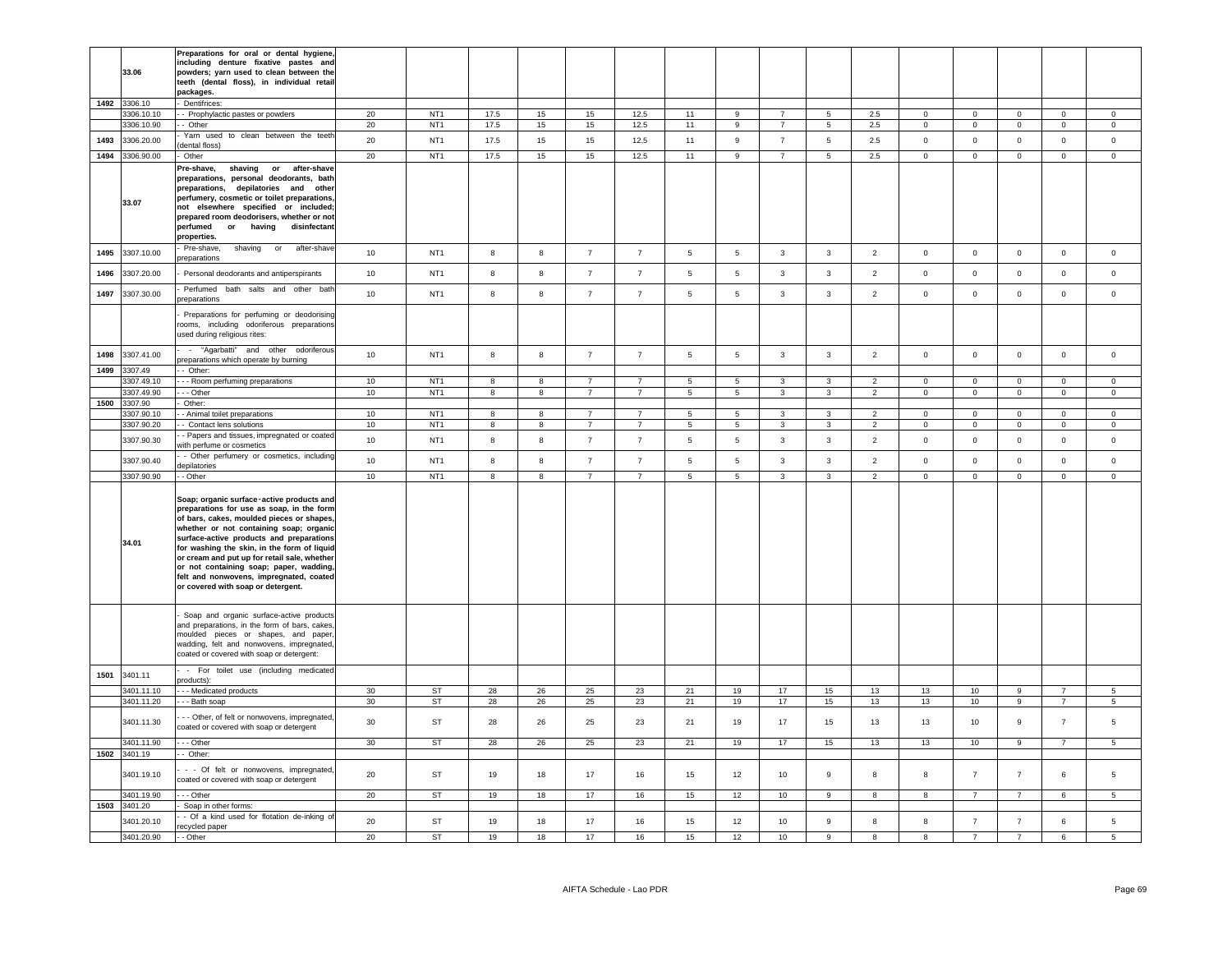| 1492 3306.10<br>Dentifrices:<br>17.5<br>3306.10.10<br>- Prophylactic pastes or powders<br>20<br>NT <sub>1</sub><br>15<br>$15\,$<br>12.5<br>2.5<br>11<br>9<br>$\overline{7}$<br>$\Omega$<br>$\circ$<br>5<br>$^{\circ}$<br>$\mathbf{0}$<br>NT <sub>1</sub><br>17.5<br>15<br>11<br>9<br>2.5<br>3306.10.90<br>- Other<br>20<br>15<br>12.5<br>$7\overline{ }$<br>$5\phantom{.0}$<br>$\overline{0}$<br>$\mathbf 0$<br>$\overline{0}$<br>$\overline{0}$<br>Yarn used to clean between the teeth<br>1493<br>3306.20.00<br>20<br>NT <sub>1</sub><br>17.5<br>15<br>15<br>12.5<br>$\overline{9}$<br>$\overline{7}$<br>$\overline{5}$<br>2.5<br>$\mathsf 0$<br>$\mathsf 0$<br>11<br>$\Omega$<br>$\Omega$<br>dental floss)<br>1494 3306.90.00<br>20<br>NT <sub>1</sub><br>17.5<br>15<br>15<br>12.5<br>11<br>$\overline{9}$<br>2.5<br>Other<br>$\overline{7}$<br>5<br>$\mathbf{0}$<br>$\mathbf{0}$<br>$\mathbf{0}$<br>$\mathbf{0}$<br>Pre-shave,<br>shaving or after-shave<br>preparations, personal deodorants, bath<br>preparations, depilatories and other<br>perfumery, cosmetic or toilet preparations,<br>33.07<br>not elsewhere specified or included;<br>prepared room deodorisers, whether or not<br>perfumed<br>or<br>having<br>disinfectant<br>properties.<br>Pre-shave,<br>shaving<br>after-shave<br>or<br>$\boldsymbol{8}$<br>5<br>3307.10.00<br>8<br>$\overline{7}$<br>$\overline{7}$<br>5<br>$\mathbf{3}$<br>$\overline{2}$<br>$\circ$<br>$\mathbf 0$<br>1495<br>10<br>NT <sub>1</sub><br>$\mathbf{3}$<br>$\mathbf 0$<br>$\overline{0}$<br>oreparations<br>1496<br>3307.20.00<br>10<br>NT <sub>1</sub><br>8<br>8<br>$\overline{7}$<br>$\overline{7}$<br>5<br>$5\phantom{.0}$<br>$\mathbf{3}$<br>3<br>$\overline{2}$<br>$\mathsf 0$<br>$\mathsf 0$<br>$\mathbf 0$<br>$\mathbf 0$<br>Personal deodorants and antiperspirants<br>Perfumed bath salts and other bath<br>1497<br>3307.30.00<br>10<br>NT <sub>1</sub><br>8<br>8<br>$\overline{7}$<br>$\overline{7}$<br>5<br>5<br>3<br>3<br>$\overline{2}$<br>$\mathsf 0$<br>$\mathbf 0$<br>$\mathbf 0$<br>$\mathbf 0$<br>oreparations<br>Preparations for perfuming or deodorising<br>rooms, including odoriferous preparations<br>used during religious rites:<br>- "Agarbatti" and other odoriferous<br>3307.41.00<br>10<br>$\bf{8}$<br>8<br>$\sqrt{5}$<br>$5\phantom{.0}$<br>$\overline{2}$<br>$\mathsf 0$<br>$\mathbf 0$<br>1498<br>NT <sub>1</sub><br>$\overline{7}$<br>$\overline{7}$<br>$\mathbf{3}$<br>3<br>$\mathbf 0$<br>$\mathbf 0$<br>preparations which operate by burning<br>1499<br>3307.49<br>- Other:<br>NT <sub>1</sub><br>3307.49.10<br>- - Room perfuming preparations<br>10<br>8<br>8<br>$\overline{7}$<br>$\overline{7}$<br>$5\overline{5}$<br>$5\phantom{.0}$<br>$\mathbf{3}$<br>3<br>$\overline{2}$<br>$\mathbf 0$<br>$\overline{0}$<br>$\circ$<br>$\mathbf{0}$<br>3307.49.90<br>10<br>NT <sub>1</sub><br>- - Other<br>8<br>8<br>$\overline{7}$<br>$\overline{7}$<br>5<br>5<br>$\mathbf{3}$<br>3<br>$\overline{2}$<br>$\overline{0}$<br>$\mathbf{0}$<br>$\mathbf{0}$<br>$\overline{0}$<br>1500 3307.90<br>Other:<br>3307.90.10<br>- Animal toilet preparations<br>10<br>NT <sub>1</sub><br>8<br>5<br>5<br>$\mathbf{3}$<br>$\mathbf 0$<br>$\mathbf 0$<br>8<br>$\overline{7}$<br>$\overline{7}$<br>3<br>$\overline{2}$<br>$\mathbf 0$<br>$\mathbf 0$<br>3307.90.20<br>- Contact lens solutions<br>10<br>NT <sub>1</sub><br>8<br>8<br>$\overline{7}$<br>$\overline{7}$<br>$5\overline{5}$<br>5<br>$\overline{3}$<br>3<br>$\overline{2}$<br>$\circ$<br>$\mathbf{0}$<br>$\mathbf 0$<br>$\mathbf{0}$<br>- Papers and tissues, impregnated or coated<br>3307.90.30<br>10<br>8<br>8<br>$\overline{7}$<br>$\,$ 5 $\,$<br>$5\phantom{.0}$<br>$\mathbf{3}$<br>$\mathbf{3}$<br>$\overline{2}$<br>$\mathsf 0$<br>$\mathbf 0$<br>NT <sub>1</sub><br>$\overline{7}$<br>$\mathsf 0$<br>$\mathsf 0$<br>with perfume or cosmetics<br>- Other perfumery or cosmetics, including<br>10<br>NT <sub>1</sub><br>8<br>8<br>$\overline{7}$<br>$\overline{7}$<br>$\,$ 5 $\,$<br>5<br>$\mathbf{3}$<br>3<br>$\overline{2}$<br>$\mathsf 0$<br>$\mathbf 0$<br>$\mathbf 0$<br>3307.90.40<br>$\mathsf 0$<br>epilatories<br>3307.90.90<br>10<br>NT <sub>1</sub><br>8<br>8<br>$\overline{7}$<br>$\overline{7}$<br>5<br>5<br>$\mathbf{3}$<br>3<br>$\overline{2}$<br>$\mathsf 0$<br>$\mathsf 0$<br>$\mathbf 0$<br>$\mathsf 0$<br>- Other<br>Soap; organic surface-active products and<br>preparations for use as soap, in the form<br>of bars, cakes, moulded pieces or shapes.<br>whether or not containing soap; organic<br>surface-active products and preparations<br>34.01<br>for washing the skin, in the form of liquid<br>or cream and put up for retail sale, whether<br>or not containing soap; paper, wadding,<br>felt and nonwovens, impregnated, coated<br>or covered with soap or detergent.<br>Soap and organic surface-active products<br>and preparations, in the form of bars, cakes,<br>moulded pieces or shapes, and paper,<br>wadding, felt and nonwovens, impregnated,<br>coated or covered with soap or detergent:<br>- For toilet use (including medicated<br>3401.11<br>1501<br>products):<br>3401.11.10<br>ST<br>- - Medicated products<br>30<br>28<br>26<br>25<br>23<br>21<br>19<br>17<br>15<br>13<br>13<br>10<br>9<br>$\overline{7}$<br><b>ST</b><br>3401.11.20<br>- Bath soap<br>30<br>28<br>26<br>25<br>23<br>21<br>19<br>17<br>15<br>13<br>13<br>10<br>9<br>$\overline{7}$<br>- - Other, of felt or nonwovens, impregnated,<br>3401.11.30<br>30<br>ST<br>28<br>26<br>25<br>23<br>21<br>19<br>17<br>15<br>13<br>13<br>10<br>9<br>$\overline{7}$<br>coated or covered with soap or detergent<br>3401.11.90<br>- - Other<br>30<br>ST<br>28<br>26<br>25<br>23<br>21<br>19<br>17<br>15<br>13<br>13<br>10<br>9<br>$\overline{7}$<br>1502 3401.19<br>- Other:<br>- - Of felt or nonwovens, impregnated,<br><b>ST</b><br>$\overline{7}$<br>6<br>3401.19.10<br>20<br>19<br>18<br>17<br>16<br>15<br>12<br>10<br>9<br>8<br>8<br>$\overline{7}$<br>coated or covered with soap or detergent<br>20<br><b>ST</b><br>17<br>3401.19.90<br>- - Other<br>19<br>18<br>16<br>15<br>12<br>10<br>9<br>$\overline{7}$<br>$\overline{7}$<br>8<br>8<br>6<br>1503 3401.20<br>Soap in other forms:<br>- Of a kind used for flotation de-inking of<br>20<br>$\overline{7}$<br>$\,6\,$<br><b>ST</b><br>19<br>18<br>17<br>16<br>12<br>10<br>9<br>8<br>8<br>$\overline{7}$<br>3401.20.10<br>15<br>recycled paper | 33.06      | Preparations for oral or dental hygiene<br>including denture fixative pastes and<br>powders; yarn used to clean between the<br>teeth (dental floss), in individual retail<br>packages. |    |           |    |    |    |    |    |    |    |                |                |              |                |                |   |                                |
|-------------------------------------------------------------------------------------------------------------------------------------------------------------------------------------------------------------------------------------------------------------------------------------------------------------------------------------------------------------------------------------------------------------------------------------------------------------------------------------------------------------------------------------------------------------------------------------------------------------------------------------------------------------------------------------------------------------------------------------------------------------------------------------------------------------------------------------------------------------------------------------------------------------------------------------------------------------------------------------------------------------------------------------------------------------------------------------------------------------------------------------------------------------------------------------------------------------------------------------------------------------------------------------------------------------------------------------------------------------------------------------------------------------------------------------------------------------------------------------------------------------------------------------------------------------------------------------------------------------------------------------------------------------------------------------------------------------------------------------------------------------------------------------------------------------------------------------------------------------------------------------------------------------------------------------------------------------------------------------------------------------------------------------------------------------------------------------------------------------------------------------------------------------------------------------------------------------------------------------------------------------------------------------------------------------------------------------------------------------------------------------------------------------------------------------------------------------------------------------------------------------------------------------------------------------------------------------------------------------------------------------------------------------------------------------------------------------------------------------------------------------------------------------------------------------------------------------------------------------------------------------------------------------------------------------------------------------------------------------------------------------------------------------------------------------------------------------------------------------------------------------------------------------------------------------------------------------------------------------------------------------------------------------------------------------------------------------------------------------------------------------------------------------------------------------------------------------------------------------------------------------------------------------------------------------------------------------------------------------------------------------------------------------------------------------------------------------------------------------------------------------------------------------------------------------------------------------------------------------------------------------------------------------------------------------------------------------------------------------------------------------------------------------------------------------------------------------------------------------------------------------------------------------------------------------------------------------------------------------------------------------------------------------------------------------------------------------------------------------------------------------------------------------------------------------------------------------------------------------------------------------------------------------------------------------------------------------------------------------------------------------------------------------------------------------------------------------------------------------------------------------------------------------------------------------------------------------------------------------------------------------------------------------------------------------------------------------------------------------------------------------------------------------------------------------------------------------------------------------------------------------------------------------------------------------------------------------------------------------------------------------------------------------------------------------------------------------------------------------------------------------------------------------------------------------------------------------------------------------------------------------------------------------------------------------------------------------------------------------------------------------------------------------------------------------------------------------------------------------------------------------------------------------------------------------------------------------------------------------------------------------------------------------------------------------------------------------------------------------------------------------------------------------------------------------------------------------------------------------------------------------------------------------------------------------------------------------------------------------------------------------------------------------------------------------------------------------------------------------------------------------------------------------------------------------------------|------------|----------------------------------------------------------------------------------------------------------------------------------------------------------------------------------------|----|-----------|----|----|----|----|----|----|----|----------------|----------------|--------------|----------------|----------------|---|--------------------------------|
|                                                                                                                                                                                                                                                                                                                                                                                                                                                                                                                                                                                                                                                                                                                                                                                                                                                                                                                                                                                                                                                                                                                                                                                                                                                                                                                                                                                                                                                                                                                                                                                                                                                                                                                                                                                                                                                                                                                                                                                                                                                                                                                                                                                                                                                                                                                                                                                                                                                                                                                                                                                                                                                                                                                                                                                                                                                                                                                                                                                                                                                                                                                                                                                                                                                                                                                                                                                                                                                                                                                                                                                                                                                                                                                                                                                                                                                                                                                                                                                                                                                                                                                                                                                                                                                                                                                                                                                                                                                                                                                                                                                                                                                                                                                                                                                                                                                                                                                                                                                                                                                                                                                                                                                                                                                                                                                                                                                                                                                                                                                                                                                                                                                                                                                                                                                                                                                                                                                                                                                                                                                                                                                                                                                                                                                                                                                                                                                                                                                 |            |                                                                                                                                                                                        |    |           |    |    |    |    |    |    |    |                |                |              |                |                |   | $\overline{0}$                 |
|                                                                                                                                                                                                                                                                                                                                                                                                                                                                                                                                                                                                                                                                                                                                                                                                                                                                                                                                                                                                                                                                                                                                                                                                                                                                                                                                                                                                                                                                                                                                                                                                                                                                                                                                                                                                                                                                                                                                                                                                                                                                                                                                                                                                                                                                                                                                                                                                                                                                                                                                                                                                                                                                                                                                                                                                                                                                                                                                                                                                                                                                                                                                                                                                                                                                                                                                                                                                                                                                                                                                                                                                                                                                                                                                                                                                                                                                                                                                                                                                                                                                                                                                                                                                                                                                                                                                                                                                                                                                                                                                                                                                                                                                                                                                                                                                                                                                                                                                                                                                                                                                                                                                                                                                                                                                                                                                                                                                                                                                                                                                                                                                                                                                                                                                                                                                                                                                                                                                                                                                                                                                                                                                                                                                                                                                                                                                                                                                                                                 |            |                                                                                                                                                                                        |    |           |    |    |    |    |    |    |    |                |                |              |                |                |   | $\mathsf 0$                    |
|                                                                                                                                                                                                                                                                                                                                                                                                                                                                                                                                                                                                                                                                                                                                                                                                                                                                                                                                                                                                                                                                                                                                                                                                                                                                                                                                                                                                                                                                                                                                                                                                                                                                                                                                                                                                                                                                                                                                                                                                                                                                                                                                                                                                                                                                                                                                                                                                                                                                                                                                                                                                                                                                                                                                                                                                                                                                                                                                                                                                                                                                                                                                                                                                                                                                                                                                                                                                                                                                                                                                                                                                                                                                                                                                                                                                                                                                                                                                                                                                                                                                                                                                                                                                                                                                                                                                                                                                                                                                                                                                                                                                                                                                                                                                                                                                                                                                                                                                                                                                                                                                                                                                                                                                                                                                                                                                                                                                                                                                                                                                                                                                                                                                                                                                                                                                                                                                                                                                                                                                                                                                                                                                                                                                                                                                                                                                                                                                                                                 |            |                                                                                                                                                                                        |    |           |    |    |    |    |    |    |    |                |                |              |                |                |   | $\mathsf 0$                    |
|                                                                                                                                                                                                                                                                                                                                                                                                                                                                                                                                                                                                                                                                                                                                                                                                                                                                                                                                                                                                                                                                                                                                                                                                                                                                                                                                                                                                                                                                                                                                                                                                                                                                                                                                                                                                                                                                                                                                                                                                                                                                                                                                                                                                                                                                                                                                                                                                                                                                                                                                                                                                                                                                                                                                                                                                                                                                                                                                                                                                                                                                                                                                                                                                                                                                                                                                                                                                                                                                                                                                                                                                                                                                                                                                                                                                                                                                                                                                                                                                                                                                                                                                                                                                                                                                                                                                                                                                                                                                                                                                                                                                                                                                                                                                                                                                                                                                                                                                                                                                                                                                                                                                                                                                                                                                                                                                                                                                                                                                                                                                                                                                                                                                                                                                                                                                                                                                                                                                                                                                                                                                                                                                                                                                                                                                                                                                                                                                                                                 |            |                                                                                                                                                                                        |    |           |    |    |    |    |    |    |    |                |                |              |                |                |   | $\overline{0}$                 |
|                                                                                                                                                                                                                                                                                                                                                                                                                                                                                                                                                                                                                                                                                                                                                                                                                                                                                                                                                                                                                                                                                                                                                                                                                                                                                                                                                                                                                                                                                                                                                                                                                                                                                                                                                                                                                                                                                                                                                                                                                                                                                                                                                                                                                                                                                                                                                                                                                                                                                                                                                                                                                                                                                                                                                                                                                                                                                                                                                                                                                                                                                                                                                                                                                                                                                                                                                                                                                                                                                                                                                                                                                                                                                                                                                                                                                                                                                                                                                                                                                                                                                                                                                                                                                                                                                                                                                                                                                                                                                                                                                                                                                                                                                                                                                                                                                                                                                                                                                                                                                                                                                                                                                                                                                                                                                                                                                                                                                                                                                                                                                                                                                                                                                                                                                                                                                                                                                                                                                                                                                                                                                                                                                                                                                                                                                                                                                                                                                                                 |            |                                                                                                                                                                                        |    |           |    |    |    |    |    |    |    |                |                |              |                |                |   |                                |
|                                                                                                                                                                                                                                                                                                                                                                                                                                                                                                                                                                                                                                                                                                                                                                                                                                                                                                                                                                                                                                                                                                                                                                                                                                                                                                                                                                                                                                                                                                                                                                                                                                                                                                                                                                                                                                                                                                                                                                                                                                                                                                                                                                                                                                                                                                                                                                                                                                                                                                                                                                                                                                                                                                                                                                                                                                                                                                                                                                                                                                                                                                                                                                                                                                                                                                                                                                                                                                                                                                                                                                                                                                                                                                                                                                                                                                                                                                                                                                                                                                                                                                                                                                                                                                                                                                                                                                                                                                                                                                                                                                                                                                                                                                                                                                                                                                                                                                                                                                                                                                                                                                                                                                                                                                                                                                                                                                                                                                                                                                                                                                                                                                                                                                                                                                                                                                                                                                                                                                                                                                                                                                                                                                                                                                                                                                                                                                                                                                                 |            |                                                                                                                                                                                        |    |           |    |    |    |    |    |    |    |                |                |              |                |                |   | $\mathsf 0$                    |
|                                                                                                                                                                                                                                                                                                                                                                                                                                                                                                                                                                                                                                                                                                                                                                                                                                                                                                                                                                                                                                                                                                                                                                                                                                                                                                                                                                                                                                                                                                                                                                                                                                                                                                                                                                                                                                                                                                                                                                                                                                                                                                                                                                                                                                                                                                                                                                                                                                                                                                                                                                                                                                                                                                                                                                                                                                                                                                                                                                                                                                                                                                                                                                                                                                                                                                                                                                                                                                                                                                                                                                                                                                                                                                                                                                                                                                                                                                                                                                                                                                                                                                                                                                                                                                                                                                                                                                                                                                                                                                                                                                                                                                                                                                                                                                                                                                                                                                                                                                                                                                                                                                                                                                                                                                                                                                                                                                                                                                                                                                                                                                                                                                                                                                                                                                                                                                                                                                                                                                                                                                                                                                                                                                                                                                                                                                                                                                                                                                                 |            |                                                                                                                                                                                        |    |           |    |    |    |    |    |    |    |                |                |              |                |                |   | $\mathsf 0$                    |
|                                                                                                                                                                                                                                                                                                                                                                                                                                                                                                                                                                                                                                                                                                                                                                                                                                                                                                                                                                                                                                                                                                                                                                                                                                                                                                                                                                                                                                                                                                                                                                                                                                                                                                                                                                                                                                                                                                                                                                                                                                                                                                                                                                                                                                                                                                                                                                                                                                                                                                                                                                                                                                                                                                                                                                                                                                                                                                                                                                                                                                                                                                                                                                                                                                                                                                                                                                                                                                                                                                                                                                                                                                                                                                                                                                                                                                                                                                                                                                                                                                                                                                                                                                                                                                                                                                                                                                                                                                                                                                                                                                                                                                                                                                                                                                                                                                                                                                                                                                                                                                                                                                                                                                                                                                                                                                                                                                                                                                                                                                                                                                                                                                                                                                                                                                                                                                                                                                                                                                                                                                                                                                                                                                                                                                                                                                                                                                                                                                                 |            |                                                                                                                                                                                        |    |           |    |    |    |    |    |    |    |                |                |              |                |                |   | $\mathbf 0$                    |
|                                                                                                                                                                                                                                                                                                                                                                                                                                                                                                                                                                                                                                                                                                                                                                                                                                                                                                                                                                                                                                                                                                                                                                                                                                                                                                                                                                                                                                                                                                                                                                                                                                                                                                                                                                                                                                                                                                                                                                                                                                                                                                                                                                                                                                                                                                                                                                                                                                                                                                                                                                                                                                                                                                                                                                                                                                                                                                                                                                                                                                                                                                                                                                                                                                                                                                                                                                                                                                                                                                                                                                                                                                                                                                                                                                                                                                                                                                                                                                                                                                                                                                                                                                                                                                                                                                                                                                                                                                                                                                                                                                                                                                                                                                                                                                                                                                                                                                                                                                                                                                                                                                                                                                                                                                                                                                                                                                                                                                                                                                                                                                                                                                                                                                                                                                                                                                                                                                                                                                                                                                                                                                                                                                                                                                                                                                                                                                                                                                                 |            |                                                                                                                                                                                        |    |           |    |    |    |    |    |    |    |                |                |              |                |                |   |                                |
|                                                                                                                                                                                                                                                                                                                                                                                                                                                                                                                                                                                                                                                                                                                                                                                                                                                                                                                                                                                                                                                                                                                                                                                                                                                                                                                                                                                                                                                                                                                                                                                                                                                                                                                                                                                                                                                                                                                                                                                                                                                                                                                                                                                                                                                                                                                                                                                                                                                                                                                                                                                                                                                                                                                                                                                                                                                                                                                                                                                                                                                                                                                                                                                                                                                                                                                                                                                                                                                                                                                                                                                                                                                                                                                                                                                                                                                                                                                                                                                                                                                                                                                                                                                                                                                                                                                                                                                                                                                                                                                                                                                                                                                                                                                                                                                                                                                                                                                                                                                                                                                                                                                                                                                                                                                                                                                                                                                                                                                                                                                                                                                                                                                                                                                                                                                                                                                                                                                                                                                                                                                                                                                                                                                                                                                                                                                                                                                                                                                 |            |                                                                                                                                                                                        |    |           |    |    |    |    |    |    |    |                |                |              |                |                |   | $\mathsf 0$                    |
|                                                                                                                                                                                                                                                                                                                                                                                                                                                                                                                                                                                                                                                                                                                                                                                                                                                                                                                                                                                                                                                                                                                                                                                                                                                                                                                                                                                                                                                                                                                                                                                                                                                                                                                                                                                                                                                                                                                                                                                                                                                                                                                                                                                                                                                                                                                                                                                                                                                                                                                                                                                                                                                                                                                                                                                                                                                                                                                                                                                                                                                                                                                                                                                                                                                                                                                                                                                                                                                                                                                                                                                                                                                                                                                                                                                                                                                                                                                                                                                                                                                                                                                                                                                                                                                                                                                                                                                                                                                                                                                                                                                                                                                                                                                                                                                                                                                                                                                                                                                                                                                                                                                                                                                                                                                                                                                                                                                                                                                                                                                                                                                                                                                                                                                                                                                                                                                                                                                                                                                                                                                                                                                                                                                                                                                                                                                                                                                                                                                 |            |                                                                                                                                                                                        |    |           |    |    |    |    |    |    |    |                |                |              |                |                |   |                                |
|                                                                                                                                                                                                                                                                                                                                                                                                                                                                                                                                                                                                                                                                                                                                                                                                                                                                                                                                                                                                                                                                                                                                                                                                                                                                                                                                                                                                                                                                                                                                                                                                                                                                                                                                                                                                                                                                                                                                                                                                                                                                                                                                                                                                                                                                                                                                                                                                                                                                                                                                                                                                                                                                                                                                                                                                                                                                                                                                                                                                                                                                                                                                                                                                                                                                                                                                                                                                                                                                                                                                                                                                                                                                                                                                                                                                                                                                                                                                                                                                                                                                                                                                                                                                                                                                                                                                                                                                                                                                                                                                                                                                                                                                                                                                                                                                                                                                                                                                                                                                                                                                                                                                                                                                                                                                                                                                                                                                                                                                                                                                                                                                                                                                                                                                                                                                                                                                                                                                                                                                                                                                                                                                                                                                                                                                                                                                                                                                                                                 |            |                                                                                                                                                                                        |    |           |    |    |    |    |    |    |    |                |                |              |                |                |   | $\mathbf{0}$<br>$\overline{0}$ |
|                                                                                                                                                                                                                                                                                                                                                                                                                                                                                                                                                                                                                                                                                                                                                                                                                                                                                                                                                                                                                                                                                                                                                                                                                                                                                                                                                                                                                                                                                                                                                                                                                                                                                                                                                                                                                                                                                                                                                                                                                                                                                                                                                                                                                                                                                                                                                                                                                                                                                                                                                                                                                                                                                                                                                                                                                                                                                                                                                                                                                                                                                                                                                                                                                                                                                                                                                                                                                                                                                                                                                                                                                                                                                                                                                                                                                                                                                                                                                                                                                                                                                                                                                                                                                                                                                                                                                                                                                                                                                                                                                                                                                                                                                                                                                                                                                                                                                                                                                                                                                                                                                                                                                                                                                                                                                                                                                                                                                                                                                                                                                                                                                                                                                                                                                                                                                                                                                                                                                                                                                                                                                                                                                                                                                                                                                                                                                                                                                                                 |            |                                                                                                                                                                                        |    |           |    |    |    |    |    |    |    |                |                |              |                |                |   |                                |
|                                                                                                                                                                                                                                                                                                                                                                                                                                                                                                                                                                                                                                                                                                                                                                                                                                                                                                                                                                                                                                                                                                                                                                                                                                                                                                                                                                                                                                                                                                                                                                                                                                                                                                                                                                                                                                                                                                                                                                                                                                                                                                                                                                                                                                                                                                                                                                                                                                                                                                                                                                                                                                                                                                                                                                                                                                                                                                                                                                                                                                                                                                                                                                                                                                                                                                                                                                                                                                                                                                                                                                                                                                                                                                                                                                                                                                                                                                                                                                                                                                                                                                                                                                                                                                                                                                                                                                                                                                                                                                                                                                                                                                                                                                                                                                                                                                                                                                                                                                                                                                                                                                                                                                                                                                                                                                                                                                                                                                                                                                                                                                                                                                                                                                                                                                                                                                                                                                                                                                                                                                                                                                                                                                                                                                                                                                                                                                                                                                                 |            |                                                                                                                                                                                        |    |           |    |    |    |    |    |    |    |                |                |              |                |                |   | $\mathsf 0$                    |
|                                                                                                                                                                                                                                                                                                                                                                                                                                                                                                                                                                                                                                                                                                                                                                                                                                                                                                                                                                                                                                                                                                                                                                                                                                                                                                                                                                                                                                                                                                                                                                                                                                                                                                                                                                                                                                                                                                                                                                                                                                                                                                                                                                                                                                                                                                                                                                                                                                                                                                                                                                                                                                                                                                                                                                                                                                                                                                                                                                                                                                                                                                                                                                                                                                                                                                                                                                                                                                                                                                                                                                                                                                                                                                                                                                                                                                                                                                                                                                                                                                                                                                                                                                                                                                                                                                                                                                                                                                                                                                                                                                                                                                                                                                                                                                                                                                                                                                                                                                                                                                                                                                                                                                                                                                                                                                                                                                                                                                                                                                                                                                                                                                                                                                                                                                                                                                                                                                                                                                                                                                                                                                                                                                                                                                                                                                                                                                                                                                                 |            |                                                                                                                                                                                        |    |           |    |    |    |    |    |    |    |                |                |              |                |                |   | $\mathbf{0}$                   |
|                                                                                                                                                                                                                                                                                                                                                                                                                                                                                                                                                                                                                                                                                                                                                                                                                                                                                                                                                                                                                                                                                                                                                                                                                                                                                                                                                                                                                                                                                                                                                                                                                                                                                                                                                                                                                                                                                                                                                                                                                                                                                                                                                                                                                                                                                                                                                                                                                                                                                                                                                                                                                                                                                                                                                                                                                                                                                                                                                                                                                                                                                                                                                                                                                                                                                                                                                                                                                                                                                                                                                                                                                                                                                                                                                                                                                                                                                                                                                                                                                                                                                                                                                                                                                                                                                                                                                                                                                                                                                                                                                                                                                                                                                                                                                                                                                                                                                                                                                                                                                                                                                                                                                                                                                                                                                                                                                                                                                                                                                                                                                                                                                                                                                                                                                                                                                                                                                                                                                                                                                                                                                                                                                                                                                                                                                                                                                                                                                                                 |            |                                                                                                                                                                                        |    |           |    |    |    |    |    |    |    |                |                |              |                |                |   | $\mathsf 0$                    |
|                                                                                                                                                                                                                                                                                                                                                                                                                                                                                                                                                                                                                                                                                                                                                                                                                                                                                                                                                                                                                                                                                                                                                                                                                                                                                                                                                                                                                                                                                                                                                                                                                                                                                                                                                                                                                                                                                                                                                                                                                                                                                                                                                                                                                                                                                                                                                                                                                                                                                                                                                                                                                                                                                                                                                                                                                                                                                                                                                                                                                                                                                                                                                                                                                                                                                                                                                                                                                                                                                                                                                                                                                                                                                                                                                                                                                                                                                                                                                                                                                                                                                                                                                                                                                                                                                                                                                                                                                                                                                                                                                                                                                                                                                                                                                                                                                                                                                                                                                                                                                                                                                                                                                                                                                                                                                                                                                                                                                                                                                                                                                                                                                                                                                                                                                                                                                                                                                                                                                                                                                                                                                                                                                                                                                                                                                                                                                                                                                                                 |            |                                                                                                                                                                                        |    |           |    |    |    |    |    |    |    |                |                |              |                |                |   | $\mathsf 0$                    |
|                                                                                                                                                                                                                                                                                                                                                                                                                                                                                                                                                                                                                                                                                                                                                                                                                                                                                                                                                                                                                                                                                                                                                                                                                                                                                                                                                                                                                                                                                                                                                                                                                                                                                                                                                                                                                                                                                                                                                                                                                                                                                                                                                                                                                                                                                                                                                                                                                                                                                                                                                                                                                                                                                                                                                                                                                                                                                                                                                                                                                                                                                                                                                                                                                                                                                                                                                                                                                                                                                                                                                                                                                                                                                                                                                                                                                                                                                                                                                                                                                                                                                                                                                                                                                                                                                                                                                                                                                                                                                                                                                                                                                                                                                                                                                                                                                                                                                                                                                                                                                                                                                                                                                                                                                                                                                                                                                                                                                                                                                                                                                                                                                                                                                                                                                                                                                                                                                                                                                                                                                                                                                                                                                                                                                                                                                                                                                                                                                                                 |            |                                                                                                                                                                                        |    |           |    |    |    |    |    |    |    |                |                |              |                |                |   | $\mathsf 0$                    |
|                                                                                                                                                                                                                                                                                                                                                                                                                                                                                                                                                                                                                                                                                                                                                                                                                                                                                                                                                                                                                                                                                                                                                                                                                                                                                                                                                                                                                                                                                                                                                                                                                                                                                                                                                                                                                                                                                                                                                                                                                                                                                                                                                                                                                                                                                                                                                                                                                                                                                                                                                                                                                                                                                                                                                                                                                                                                                                                                                                                                                                                                                                                                                                                                                                                                                                                                                                                                                                                                                                                                                                                                                                                                                                                                                                                                                                                                                                                                                                                                                                                                                                                                                                                                                                                                                                                                                                                                                                                                                                                                                                                                                                                                                                                                                                                                                                                                                                                                                                                                                                                                                                                                                                                                                                                                                                                                                                                                                                                                                                                                                                                                                                                                                                                                                                                                                                                                                                                                                                                                                                                                                                                                                                                                                                                                                                                                                                                                                                                 |            |                                                                                                                                                                                        |    |           |    |    |    |    |    |    |    |                |                |              |                |                |   |                                |
|                                                                                                                                                                                                                                                                                                                                                                                                                                                                                                                                                                                                                                                                                                                                                                                                                                                                                                                                                                                                                                                                                                                                                                                                                                                                                                                                                                                                                                                                                                                                                                                                                                                                                                                                                                                                                                                                                                                                                                                                                                                                                                                                                                                                                                                                                                                                                                                                                                                                                                                                                                                                                                                                                                                                                                                                                                                                                                                                                                                                                                                                                                                                                                                                                                                                                                                                                                                                                                                                                                                                                                                                                                                                                                                                                                                                                                                                                                                                                                                                                                                                                                                                                                                                                                                                                                                                                                                                                                                                                                                                                                                                                                                                                                                                                                                                                                                                                                                                                                                                                                                                                                                                                                                                                                                                                                                                                                                                                                                                                                                                                                                                                                                                                                                                                                                                                                                                                                                                                                                                                                                                                                                                                                                                                                                                                                                                                                                                                                                 |            |                                                                                                                                                                                        |    |           |    |    |    |    |    |    |    |                |                |              |                |                |   |                                |
|                                                                                                                                                                                                                                                                                                                                                                                                                                                                                                                                                                                                                                                                                                                                                                                                                                                                                                                                                                                                                                                                                                                                                                                                                                                                                                                                                                                                                                                                                                                                                                                                                                                                                                                                                                                                                                                                                                                                                                                                                                                                                                                                                                                                                                                                                                                                                                                                                                                                                                                                                                                                                                                                                                                                                                                                                                                                                                                                                                                                                                                                                                                                                                                                                                                                                                                                                                                                                                                                                                                                                                                                                                                                                                                                                                                                                                                                                                                                                                                                                                                                                                                                                                                                                                                                                                                                                                                                                                                                                                                                                                                                                                                                                                                                                                                                                                                                                                                                                                                                                                                                                                                                                                                                                                                                                                                                                                                                                                                                                                                                                                                                                                                                                                                                                                                                                                                                                                                                                                                                                                                                                                                                                                                                                                                                                                                                                                                                                                                 |            |                                                                                                                                                                                        |    |           |    |    |    |    |    |    |    |                |                |              |                |                |   |                                |
|                                                                                                                                                                                                                                                                                                                                                                                                                                                                                                                                                                                                                                                                                                                                                                                                                                                                                                                                                                                                                                                                                                                                                                                                                                                                                                                                                                                                                                                                                                                                                                                                                                                                                                                                                                                                                                                                                                                                                                                                                                                                                                                                                                                                                                                                                                                                                                                                                                                                                                                                                                                                                                                                                                                                                                                                                                                                                                                                                                                                                                                                                                                                                                                                                                                                                                                                                                                                                                                                                                                                                                                                                                                                                                                                                                                                                                                                                                                                                                                                                                                                                                                                                                                                                                                                                                                                                                                                                                                                                                                                                                                                                                                                                                                                                                                                                                                                                                                                                                                                                                                                                                                                                                                                                                                                                                                                                                                                                                                                                                                                                                                                                                                                                                                                                                                                                                                                                                                                                                                                                                                                                                                                                                                                                                                                                                                                                                                                                                                 |            |                                                                                                                                                                                        |    |           |    |    |    |    |    |    |    |                |                |              |                |                |   | 5<br>$5\overline{5}$           |
|                                                                                                                                                                                                                                                                                                                                                                                                                                                                                                                                                                                                                                                                                                                                                                                                                                                                                                                                                                                                                                                                                                                                                                                                                                                                                                                                                                                                                                                                                                                                                                                                                                                                                                                                                                                                                                                                                                                                                                                                                                                                                                                                                                                                                                                                                                                                                                                                                                                                                                                                                                                                                                                                                                                                                                                                                                                                                                                                                                                                                                                                                                                                                                                                                                                                                                                                                                                                                                                                                                                                                                                                                                                                                                                                                                                                                                                                                                                                                                                                                                                                                                                                                                                                                                                                                                                                                                                                                                                                                                                                                                                                                                                                                                                                                                                                                                                                                                                                                                                                                                                                                                                                                                                                                                                                                                                                                                                                                                                                                                                                                                                                                                                                                                                                                                                                                                                                                                                                                                                                                                                                                                                                                                                                                                                                                                                                                                                                                                                 |            |                                                                                                                                                                                        |    |           |    |    |    |    |    |    |    |                |                |              |                |                |   |                                |
|                                                                                                                                                                                                                                                                                                                                                                                                                                                                                                                                                                                                                                                                                                                                                                                                                                                                                                                                                                                                                                                                                                                                                                                                                                                                                                                                                                                                                                                                                                                                                                                                                                                                                                                                                                                                                                                                                                                                                                                                                                                                                                                                                                                                                                                                                                                                                                                                                                                                                                                                                                                                                                                                                                                                                                                                                                                                                                                                                                                                                                                                                                                                                                                                                                                                                                                                                                                                                                                                                                                                                                                                                                                                                                                                                                                                                                                                                                                                                                                                                                                                                                                                                                                                                                                                                                                                                                                                                                                                                                                                                                                                                                                                                                                                                                                                                                                                                                                                                                                                                                                                                                                                                                                                                                                                                                                                                                                                                                                                                                                                                                                                                                                                                                                                                                                                                                                                                                                                                                                                                                                                                                                                                                                                                                                                                                                                                                                                                                                 |            |                                                                                                                                                                                        |    |           |    |    |    |    |    |    |    |                |                |              |                |                |   | $\,$ 5 $\,$                    |
|                                                                                                                                                                                                                                                                                                                                                                                                                                                                                                                                                                                                                                                                                                                                                                                                                                                                                                                                                                                                                                                                                                                                                                                                                                                                                                                                                                                                                                                                                                                                                                                                                                                                                                                                                                                                                                                                                                                                                                                                                                                                                                                                                                                                                                                                                                                                                                                                                                                                                                                                                                                                                                                                                                                                                                                                                                                                                                                                                                                                                                                                                                                                                                                                                                                                                                                                                                                                                                                                                                                                                                                                                                                                                                                                                                                                                                                                                                                                                                                                                                                                                                                                                                                                                                                                                                                                                                                                                                                                                                                                                                                                                                                                                                                                                                                                                                                                                                                                                                                                                                                                                                                                                                                                                                                                                                                                                                                                                                                                                                                                                                                                                                                                                                                                                                                                                                                                                                                                                                                                                                                                                                                                                                                                                                                                                                                                                                                                                                                 |            |                                                                                                                                                                                        |    |           |    |    |    |    |    |    |    |                |                |              |                |                |   | $\,$ 5 $\,$                    |
|                                                                                                                                                                                                                                                                                                                                                                                                                                                                                                                                                                                                                                                                                                                                                                                                                                                                                                                                                                                                                                                                                                                                                                                                                                                                                                                                                                                                                                                                                                                                                                                                                                                                                                                                                                                                                                                                                                                                                                                                                                                                                                                                                                                                                                                                                                                                                                                                                                                                                                                                                                                                                                                                                                                                                                                                                                                                                                                                                                                                                                                                                                                                                                                                                                                                                                                                                                                                                                                                                                                                                                                                                                                                                                                                                                                                                                                                                                                                                                                                                                                                                                                                                                                                                                                                                                                                                                                                                                                                                                                                                                                                                                                                                                                                                                                                                                                                                                                                                                                                                                                                                                                                                                                                                                                                                                                                                                                                                                                                                                                                                                                                                                                                                                                                                                                                                                                                                                                                                                                                                                                                                                                                                                                                                                                                                                                                                                                                                                                 |            |                                                                                                                                                                                        |    |           |    |    |    |    |    |    |    |                |                |              |                |                |   | 5                              |
|                                                                                                                                                                                                                                                                                                                                                                                                                                                                                                                                                                                                                                                                                                                                                                                                                                                                                                                                                                                                                                                                                                                                                                                                                                                                                                                                                                                                                                                                                                                                                                                                                                                                                                                                                                                                                                                                                                                                                                                                                                                                                                                                                                                                                                                                                                                                                                                                                                                                                                                                                                                                                                                                                                                                                                                                                                                                                                                                                                                                                                                                                                                                                                                                                                                                                                                                                                                                                                                                                                                                                                                                                                                                                                                                                                                                                                                                                                                                                                                                                                                                                                                                                                                                                                                                                                                                                                                                                                                                                                                                                                                                                                                                                                                                                                                                                                                                                                                                                                                                                                                                                                                                                                                                                                                                                                                                                                                                                                                                                                                                                                                                                                                                                                                                                                                                                                                                                                                                                                                                                                                                                                                                                                                                                                                                                                                                                                                                                                                 |            |                                                                                                                                                                                        |    |           |    |    |    |    |    |    |    |                |                |              |                |                |   | 5                              |
|                                                                                                                                                                                                                                                                                                                                                                                                                                                                                                                                                                                                                                                                                                                                                                                                                                                                                                                                                                                                                                                                                                                                                                                                                                                                                                                                                                                                                                                                                                                                                                                                                                                                                                                                                                                                                                                                                                                                                                                                                                                                                                                                                                                                                                                                                                                                                                                                                                                                                                                                                                                                                                                                                                                                                                                                                                                                                                                                                                                                                                                                                                                                                                                                                                                                                                                                                                                                                                                                                                                                                                                                                                                                                                                                                                                                                                                                                                                                                                                                                                                                                                                                                                                                                                                                                                                                                                                                                                                                                                                                                                                                                                                                                                                                                                                                                                                                                                                                                                                                                                                                                                                                                                                                                                                                                                                                                                                                                                                                                                                                                                                                                                                                                                                                                                                                                                                                                                                                                                                                                                                                                                                                                                                                                                                                                                                                                                                                                                                 |            |                                                                                                                                                                                        |    |           |    |    |    |    |    |    |    |                |                |              |                |                |   | $\overline{5}$                 |
|                                                                                                                                                                                                                                                                                                                                                                                                                                                                                                                                                                                                                                                                                                                                                                                                                                                                                                                                                                                                                                                                                                                                                                                                                                                                                                                                                                                                                                                                                                                                                                                                                                                                                                                                                                                                                                                                                                                                                                                                                                                                                                                                                                                                                                                                                                                                                                                                                                                                                                                                                                                                                                                                                                                                                                                                                                                                                                                                                                                                                                                                                                                                                                                                                                                                                                                                                                                                                                                                                                                                                                                                                                                                                                                                                                                                                                                                                                                                                                                                                                                                                                                                                                                                                                                                                                                                                                                                                                                                                                                                                                                                                                                                                                                                                                                                                                                                                                                                                                                                                                                                                                                                                                                                                                                                                                                                                                                                                                                                                                                                                                                                                                                                                                                                                                                                                                                                                                                                                                                                                                                                                                                                                                                                                                                                                                                                                                                                                                                 | 3401.20.90 | - - Other                                                                                                                                                                              | 20 | <b>ST</b> | 19 | 18 | 17 | 16 | 15 | 12 | 10 | $\overline{9}$ | $\overline{8}$ | $\mathbf{R}$ | $\overline{7}$ | $\overline{7}$ | 6 | $\overline{5}$                 |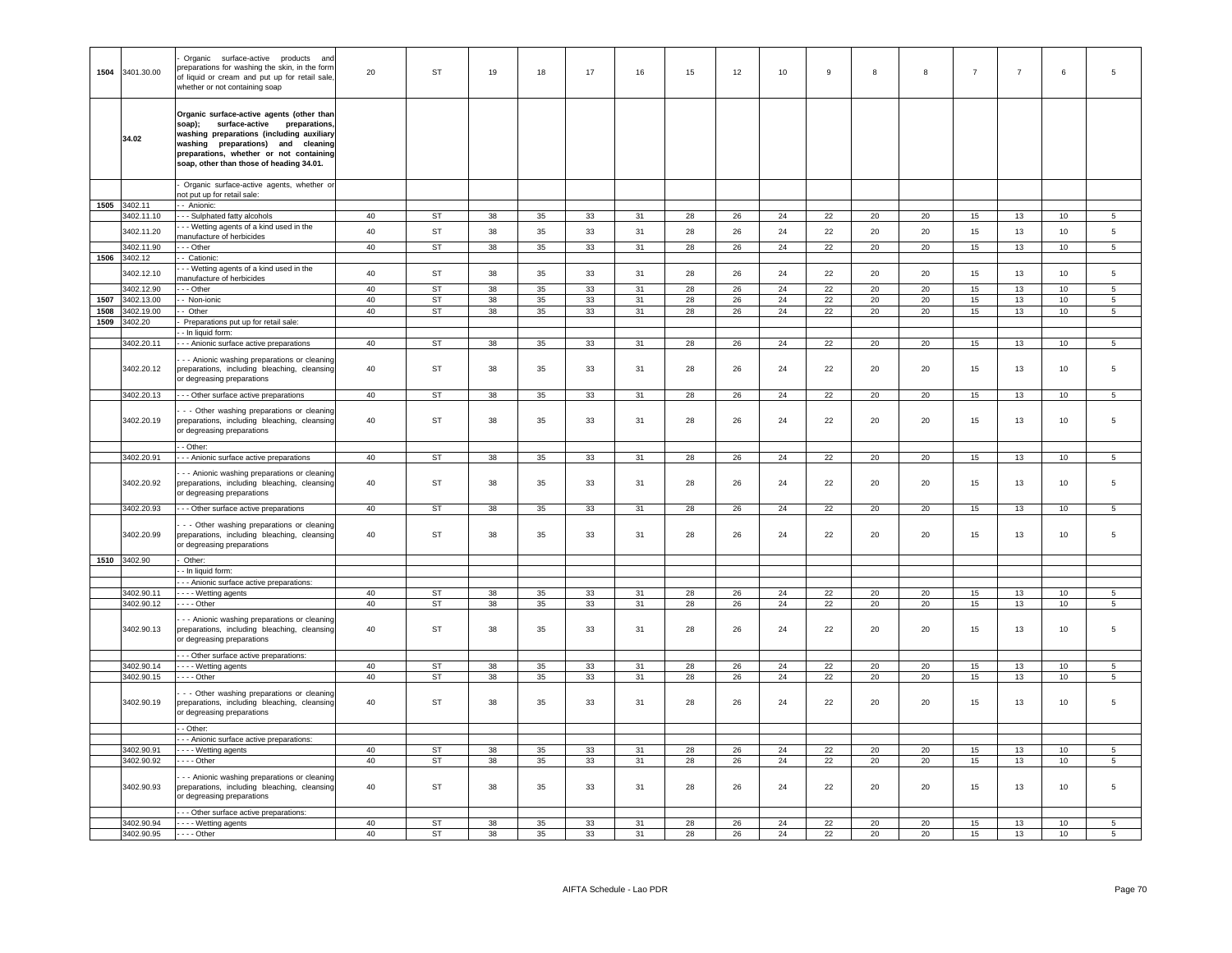| 1504 | 3401.30.00               | Organic surface-active products and<br>preparations for washing the skin, in the form<br>of liquid or cream and put up for retail sale,<br>whether or not containing soap                                                                                  | 20       | ST                         | 19           | 18       | 17       | 16       | 15       | 12       | 10       | 9        | 8        | 8        | $\overline{7}$ | $\overline{7}$ | 6        | 5               |
|------|--------------------------|------------------------------------------------------------------------------------------------------------------------------------------------------------------------------------------------------------------------------------------------------------|----------|----------------------------|--------------|----------|----------|----------|----------|----------|----------|----------|----------|----------|----------------|----------------|----------|-----------------|
|      | 34.02                    | Organic surface-active agents (other than<br>soap); surface-active preparations,<br>washing preparations (including auxiliary<br>washing preparations) and cleaning<br>preparations, whether or not containing<br>soap, other than those of heading 34.01. |          |                            |              |          |          |          |          |          |          |          |          |          |                |                |          |                 |
|      |                          | Organic surface-active agents, whether or<br>not put up for retail sale:                                                                                                                                                                                   |          |                            |              |          |          |          |          |          |          |          |          |          |                |                |          |                 |
|      | 1505 3402.11             | - Anionic:                                                                                                                                                                                                                                                 |          |                            |              |          |          |          |          |          |          |          |          |          |                |                |          |                 |
|      | 3402.11.10               | - - Sulphated fatty alcohols                                                                                                                                                                                                                               | 40       | <b>ST</b>                  | 38           | 35       | 33       | 31       | 28       | 26       | 24       | 22       | 20       | 20       | 15             | 13             | 10       | 5               |
|      | 3402.11.20               | - - Wetting agents of a kind used in the<br>nanufacture of herbicides                                                                                                                                                                                      | 40       | ST                         | 38           | 35       | 33       | 31       | 28       | 26       | 24       | 22       | 20       | 20       | 15             | 13             | 10       | 5               |
| 1506 | 3402.11.90<br>3402.12    | $-$ Other<br>- Cationic:                                                                                                                                                                                                                                   | 40       | ST                         | 38           | 35       | 33       | 31       | 28       | 26       | 24       | 22       | 20       | 20       | 15             | 13             | 10       | $\overline{5}$  |
|      | 3402.12.10               | - - Wetting agents of a kind used in the                                                                                                                                                                                                                   | 40       | <b>ST</b>                  | 38           | 35       | 33       | 31       | 28       | 26       | 24       | 22       | 20       | 20       | 15             | 13             | 10       | 5               |
|      | 3402.12.90               | nanufacture of herbicides<br>- - Other                                                                                                                                                                                                                     | 40       | ST                         | 38           | 35       | 33       | 31       | 28       | 26       | 24       | 22       | 20       | 20       | 15             | 13             | 10       | 5               |
| 1507 | 3402.13.00               | - Non-ionic                                                                                                                                                                                                                                                | 40       | <b>ST</b>                  | 38           | 35       | 33       | 31       | 28       | 26       | 24       | 22       | 20       | 20       | 15             | 13             | 10       | 5               |
| 1508 | 3402.19.00               | - Other                                                                                                                                                                                                                                                    | 40       | <b>ST</b>                  | 38           | 35       | 33       | 31       | 28       | 26       | 24       | 22       | 20       | 20       | 15             | 13             | 10       | 5               |
| 1509 | 3402.20                  | Preparations put up for retail sale:<br>- In liquid form:                                                                                                                                                                                                  |          |                            |              |          |          |          |          |          |          |          |          |          |                |                |          |                 |
|      | 3402.20.11               | - - - Anionic surface active preparations                                                                                                                                                                                                                  | 40       | ST                         | 38           | 35       | 33       | 31       | 28       | 26       | 24       | 22       | 20       | 20       | 15             | 13             | 10       | 5               |
|      | 3402.20.12               | - - Anionic washing preparations or cleaning<br>preparations, including bleaching, cleansing<br>or degreasing preparations                                                                                                                                 | 40       | <b>ST</b>                  | 38           | 35       | 33       | 31       | 28       | 26       | 24       | 22       | 20       | 20       | 15             | 13             | 10       | 5               |
|      | 3402.20.13               | - - - Other surface active preparations                                                                                                                                                                                                                    | 40       | ST                         | 38           | 35       | 33       | 31       | 28       | 26       | 24       | 22       | 20       | 20       | 15             | 13             | 10       | 5               |
|      | 3402.20.19               | - - Other washing preparations or cleaning<br>preparations, including bleaching, cleansing<br>or degreasing preparations                                                                                                                                   | 40       | ST                         | 38           | 35       | 33       | 31       | 28       | 26       | 24       | 22       | 20       | 20       | 15             | 13             | 10       | 5               |
|      | 3402.20.91               | - Other:                                                                                                                                                                                                                                                   | 40       | <b>ST</b>                  | 38           | 35       | 33       | 31       | 28       | 26       | 24       | 22       | 20       | 20       | 15             | 13             | 10       | $5\overline{5}$ |
|      | 3402.20.92               | - - Anionic surface active preparations<br>- - Anionic washing preparations or cleaning<br>preparations, including bleaching, cleansing<br>or degreasing preparations                                                                                      | 40       | ST                         | 38           | 35       | 33       | 31       | 28       | 26       | 24       | 22       | 20       | 20       | 15             | 13             | 10       | 5               |
|      | 3402.20.93               | - - - Other surface active preparations                                                                                                                                                                                                                    | 40       | ST                         | 38           | 35       | 33       | 31       | 28       | 26       | 24       | 22       | 20       | 20       | 15             | 13             | 10       | 5               |
|      | 3402.20.99               | - - Other washing preparations or cleaning<br>preparations, including bleaching, cleansing<br>or degreasing preparations                                                                                                                                   | 40       | <b>ST</b>                  | 38           | 35       | 33       | 31       | 28       | 26       | 24       | 22       | 20       | 20       | 15             | 13             | 10       | 5               |
|      | 1510 3402.90             | Other:                                                                                                                                                                                                                                                     |          |                            |              |          |          |          |          |          |          |          |          |          |                |                |          |                 |
|      |                          | - In liquid form:                                                                                                                                                                                                                                          |          |                            |              |          |          |          |          |          |          |          |          |          |                |                |          |                 |
|      | 3402.90.11               | - Anionic surface active preparations:<br>--- Wetting agents                                                                                                                                                                                               | 40       | <b>ST</b>                  | 38           | 35       | 33       | 31       | 28       | 26       | 24       | 22       | 20       | 20       | 15             | 13             | 10       | 5               |
|      | 3402.90.12               | $---$ Other                                                                                                                                                                                                                                                | 40       | ST                         | 38           | 35       | 33       | 31       | 28       | 26       | 24       | 22       | 20       | 20       | 15             | 13             | 10       | $\overline{5}$  |
|      | 3402.90.13               | - - Anionic washing preparations or cleaning<br>preparations, including bleaching, cleansing<br>or degreasing preparations                                                                                                                                 | 40       | ST                         | 38           | 35       | 33       | 31       | 28       | 26       | 24       | 22       | 20       | 20       | 15             | 13             | 10       | 5               |
|      |                          | - - Other surface active preparations:                                                                                                                                                                                                                     |          |                            |              |          |          |          |          |          |          |          |          |          |                |                |          |                 |
|      | 3402.90.14<br>3402.90.15 | Wetting agents<br>- - - - Other                                                                                                                                                                                                                            | 40<br>40 | <b>ST</b><br>$\mathsf{ST}$ | 38<br>$38\,$ | 35<br>35 | 33<br>33 | 31<br>31 | 28<br>28 | 26<br>26 | 24<br>24 | 22<br>22 | 20<br>20 | 20<br>20 | 15<br>15       | 13<br>13       | 10<br>10 | 5<br>5          |
|      |                          |                                                                                                                                                                                                                                                            |          |                            |              |          |          |          |          |          |          |          |          |          |                |                |          |                 |
|      | 3402.90.19               | - - Other washing preparations or cleaning<br>preparations, including bleaching, cleansing<br>or degreasing preparations                                                                                                                                   | 40       | ST                         | 38           | 35       | 33       | 31       | 28       | 26       | 24       | 22       | 20       | 20       | 15             | 13             | 10       | 5               |
|      |                          | - Other:<br>- Anionic surface active preparations:                                                                                                                                                                                                         |          |                            |              |          |          |          |          |          |          |          |          |          |                |                |          |                 |
|      | 3402.90.91               | - - - - Wetting agents                                                                                                                                                                                                                                     | 40       | <b>ST</b>                  | 38           | 35       | 33       | 31       | 28       | 26       | 24       | 22       | 20       | 20       | 15             | 13             | 10       | 5               |
|      | 3402.90.92               | - - - - Other                                                                                                                                                                                                                                              | 40       | ST                         | 38           | 35       | 33       | 31       | 28       | 26       | 24       | 22       | 20       | 20       | 15             | 13             | 10       | $\overline{5}$  |
|      | 3402.90.93               | - - Anionic washing preparations or cleaning<br>preparations, including bleaching, cleansing<br>or degreasing preparations                                                                                                                                 | 40       | ST                         | 38           | 35       | 33       | 31       | 28       | 26       | 24       | 22       | 20       | 20       | 15             | 13             | 10       | $5\overline{5}$ |
|      |                          | - - - Other surface active preparations:                                                                                                                                                                                                                   |          |                            |              |          |          |          |          |          |          |          |          |          |                |                |          |                 |
|      | 3402.90.94<br>3402.90.95 | - - - - Wetting agents<br>$- - -$ Other                                                                                                                                                                                                                    | 40<br>40 | ST<br>ST                   | 38<br>38     | 35<br>35 | 33<br>33 | 31<br>31 | 28<br>28 | 26<br>26 | 24<br>24 | 22<br>22 | 20<br>20 | 20<br>20 | 15<br>15       | 13<br>13       | 10<br>10 | 5<br>5          |
|      |                          |                                                                                                                                                                                                                                                            |          |                            |              |          |          |          |          |          |          |          |          |          |                |                |          |                 |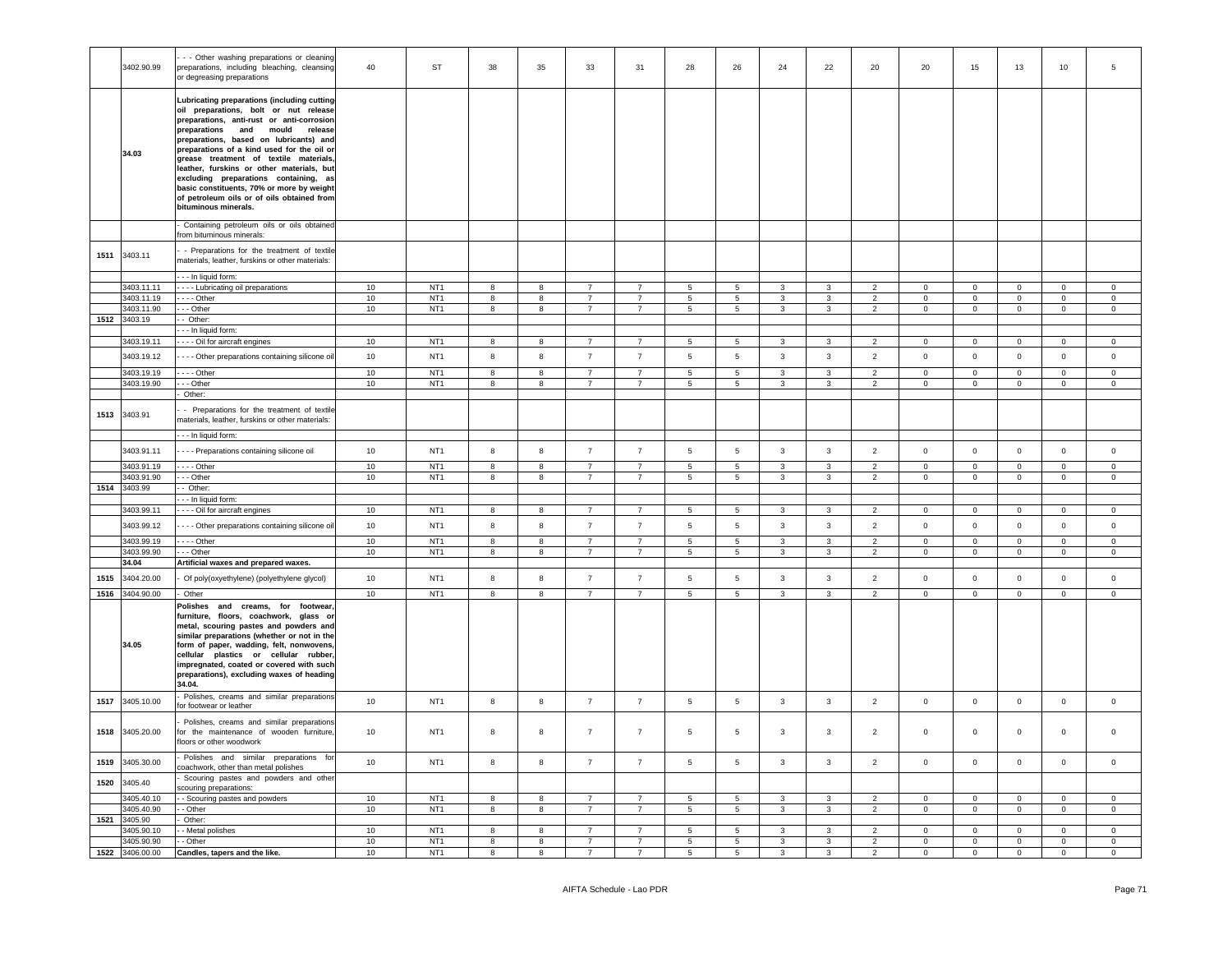|      | 3402.90.99               | - - Other washing preparations or cleaning<br>preparations, including bleaching, cleansing<br>or degreasing preparations                                                                                                                                                                                                                                                                                                                                                                                        | 40 | ST              | 38             | 35               | 33             | 31              | 28              | 26              | 24           | 22             | 20             | 20             | 15             | 13             | 10             | 5                   |
|------|--------------------------|-----------------------------------------------------------------------------------------------------------------------------------------------------------------------------------------------------------------------------------------------------------------------------------------------------------------------------------------------------------------------------------------------------------------------------------------------------------------------------------------------------------------|----|-----------------|----------------|------------------|----------------|-----------------|-----------------|-----------------|--------------|----------------|----------------|----------------|----------------|----------------|----------------|---------------------|
|      | 34.03                    | Lubricating preparations (including cutting-<br>oil preparations, bolt or nut release<br>preparations, anti-rust or anti-corrosion<br>preparations and mould release<br>preparations, based on lubricants) and<br>preparations of a kind used for the oil or<br>grease treatment of textile materials,<br>leather, furskins or other materials, but<br>excluding preparations containing, as<br>basic constituents, 70% or more by weight<br>of petroleum oils or of oils obtained from<br>bituminous minerals. |    |                 |                |                  |                |                 |                 |                 |              |                |                |                |                |                |                |                     |
|      |                          | Containing petroleum oils or oils obtained<br>from bituminous minerals:                                                                                                                                                                                                                                                                                                                                                                                                                                         |    |                 |                |                  |                |                 |                 |                 |              |                |                |                |                |                |                |                     |
|      | 1511 3403.11             | - Preparations for the treatment of textile<br>materials, leather, furskins or other materials:                                                                                                                                                                                                                                                                                                                                                                                                                 |    |                 |                |                  |                |                 |                 |                 |              |                |                |                |                |                |                |                     |
|      |                          | - - - In liquid form:                                                                                                                                                                                                                                                                                                                                                                                                                                                                                           | 10 | NT <sub>1</sub> | 8              | 8                |                | $\overline{7}$  | 5               | 5               | 3            | 3              | 2              | $\mathbf 0$    | $\mathbf 0$    | $\mathbf 0$    | $\mathbf 0$    | $\mathbf 0$         |
|      | 3403.11.11<br>3403.11.19 | - - - - Lubricating oil preparations<br>- Other                                                                                                                                                                                                                                                                                                                                                                                                                                                                 | 10 | NT <sub>1</sub> | 8              | 8                | $\overline{7}$ | $\overline{7}$  | 5 <sup>5</sup>  | 5               | 3            | 3              | 2              | $\Omega$       | $\mathsf 0$    | $\Omega$       | $\mathbf 0$    | $\Omega$            |
|      | 3403.11.90               | -- Other                                                                                                                                                                                                                                                                                                                                                                                                                                                                                                        | 10 | NT <sub>1</sub> | 8              | 8                | $\overline{7}$ | $\overline{7}$  | $5\overline{5}$ | $5\phantom{.0}$ | $\mathbf{3}$ | $\mathbf{3}$   | $\overline{2}$ | $\circ$        | $\mathbf{0}$   | $\mathsf 0$    | $\mathbf{0}$   | $\circ$             |
|      | 1512 3403.19             | - Other:                                                                                                                                                                                                                                                                                                                                                                                                                                                                                                        |    |                 |                |                  |                |                 |                 |                 |              |                |                |                |                |                |                |                     |
|      |                          | - - In liquid form:                                                                                                                                                                                                                                                                                                                                                                                                                                                                                             |    |                 |                |                  |                |                 |                 |                 |              |                |                |                |                |                |                |                     |
|      | 3403.19.11               | Oil for aircraft engines                                                                                                                                                                                                                                                                                                                                                                                                                                                                                        | 10 | NT <sub>1</sub> | 8              | 8                |                | $\overline{7}$  | 5               | 5               | 3            | 3              | 2              | $\mathbf 0$    | $\circ$        | $\mathbf 0$    | $\mathbf 0$    | $\mathbf 0$         |
|      | 3403.19.12               | - - - Other preparations containing silicone oil                                                                                                                                                                                                                                                                                                                                                                                                                                                                | 10 | NT <sub>1</sub> | 8              | $\boldsymbol{8}$ | $\overline{7}$ | $\overline{7}$  | $5\phantom{.0}$ | $5\phantom{.0}$ | 3            | $\mathbf{3}$   | $\overline{2}$ | $\mathbf 0$    | $\mathbf 0$    | $\mathbf 0$    | $\mathbf 0$    | $\overline{0}$      |
|      | 3403.19.19               | $- -$ Other                                                                                                                                                                                                                                                                                                                                                                                                                                                                                                     | 10 | NT1             | 8              | 8                | $\overline{7}$ | $\overline{7}$  | 5               | $\overline{5}$  | 3            | $\mathbf{3}$   | $\overline{2}$ | $\Omega$       | $\mathbf{0}$   | $\mathbf 0$    | $\Omega$       | $\circ$             |
|      | 3403.19.90               | - - Other                                                                                                                                                                                                                                                                                                                                                                                                                                                                                                       | 10 | NT <sub>1</sub> | 8              | 8                | $\overline{7}$ | $\overline{7}$  | $5\phantom{.0}$ | $5\phantom{.0}$ | $\mathbf{3}$ | $\mathbf{3}$   | $\overline{2}$ | $\overline{0}$ | $\overline{0}$ | $\mathbf 0$    | $\overline{0}$ | $\overline{0}$      |
|      |                          | Other:                                                                                                                                                                                                                                                                                                                                                                                                                                                                                                          |    |                 |                |                  |                |                 |                 |                 |              |                |                |                |                |                |                |                     |
| 1513 | 3403.91                  | - Preparations for the treatment of textile<br>materials, leather, furskins or other materials:                                                                                                                                                                                                                                                                                                                                                                                                                 |    |                 |                |                  |                |                 |                 |                 |              |                |                |                |                |                |                |                     |
|      |                          | - - - In liquid form:                                                                                                                                                                                                                                                                                                                                                                                                                                                                                           |    |                 |                |                  |                |                 |                 |                 |              |                |                |                |                |                |                |                     |
|      | 3403.91.11               | - - - - Preparations containing silicone oil                                                                                                                                                                                                                                                                                                                                                                                                                                                                    | 10 | NT <sub>1</sub> | 8              | 8                | $\overline{7}$ | $\overline{7}$  | $5\overline{5}$ | 5               | 3            | $\mathbf{3}$   | 2              | $\mathbf{0}$   | $\circ$        | $\mathbf 0$    | $\overline{0}$ | $\circ$             |
|      | 3403.91.19               | $- -$ Other                                                                                                                                                                                                                                                                                                                                                                                                                                                                                                     | 10 | NT <sub>1</sub> | 8              | $\overline{8}$   | $\overline{7}$ | $\overline{7}$  | $5\overline{)}$ | $\overline{5}$  | 3            | 3              | $\overline{2}$ | $\Omega$       | $\overline{0}$ | $\overline{0}$ | $\Omega$       | $\mathbf 0$         |
|      | 3403.91.90               | - - Other                                                                                                                                                                                                                                                                                                                                                                                                                                                                                                       | 10 | NT <sub>1</sub> | 8              | 8                | $\overline{7}$ | $\overline{7}$  | $5\overline{5}$ | $5\phantom{.0}$ | $\mathbf{3}$ | $\mathbf{3}$   | $\overline{2}$ | $\mathbf{0}$   | $\overline{0}$ | $\mathbf 0$    | $\mathbf{0}$   | $\mathbf{0}$        |
| 1514 | 3403.99                  | - Other:                                                                                                                                                                                                                                                                                                                                                                                                                                                                                                        |    |                 |                |                  |                |                 |                 |                 |              |                |                |                |                |                |                |                     |
|      |                          | --- In liquid form:                                                                                                                                                                                                                                                                                                                                                                                                                                                                                             |    |                 |                |                  | $\overline{7}$ | $\overline{7}$  |                 |                 | 3            | $\mathbf{3}$   |                | $\Omega$       |                | $\Omega$       | $\Omega$       | $\Omega$            |
|      | 3403.99.11               | - - - Oil for aircraft engines                                                                                                                                                                                                                                                                                                                                                                                                                                                                                  | 10 | NT <sub>1</sub> | 8              | 8                |                |                 | $5\overline{5}$ | $5\phantom{.0}$ |              |                | $\overline{2}$ |                | $\overline{0}$ |                |                |                     |
|      | 3403.99.12               | - - - Other preparations containing silicone oil                                                                                                                                                                                                                                                                                                                                                                                                                                                                | 10 | NT <sub>1</sub> | 8              | 8                | $\overline{7}$ | $\overline{7}$  | 5               | $5\phantom{.0}$ | 3            | $\mathbf{3}$   | $\overline{2}$ | $\mathbf 0$    | $\overline{0}$ | $\mathbf 0$    | $\overline{0}$ | $\mathsf 0$         |
|      | 3403.99.19               | $--$ Other                                                                                                                                                                                                                                                                                                                                                                                                                                                                                                      | 10 | NT1             | $\overline{8}$ | $\overline{8}$   | $\overline{7}$ | $\overline{7}$  | $5\overline{)}$ | $\overline{5}$  | 3            | $\overline{3}$ | $\overline{2}$ | $\mathsf 0$    | $\overline{0}$ | $\overline{0}$ | $\Omega$       | $\circ$             |
|      | 3403.99.90               | -- Other                                                                                                                                                                                                                                                                                                                                                                                                                                                                                                        | 10 | NT <sub>1</sub> | 8              | 8                | 7              | $7\overline{ }$ | $5\phantom{.0}$ | $5\overline{ }$ | $\mathbf{3}$ | $\mathbf{3}$   | $\overline{2}$ | $\overline{0}$ | $\mathbf 0$    | $\overline{0}$ | $\overline{0}$ | $\overline{0}$      |
|      | 34.04                    | Artificial waxes and prepared waxes.                                                                                                                                                                                                                                                                                                                                                                                                                                                                            |    |                 |                |                  |                |                 |                 |                 |              |                |                |                |                |                |                |                     |
| 1515 | 3404.20.00               | Of poly(oxyethylene) (polyethylene glycol)                                                                                                                                                                                                                                                                                                                                                                                                                                                                      | 10 | NT <sub>1</sub> | 8              | $\bf{8}$         | $\overline{7}$ | $\overline{7}$  | $5\overline{5}$ | $5\overline{5}$ | 3            | $\mathbf{3}$   | $\overline{2}$ | $\mathbf 0$    | $\mathsf 0$    | $\mathsf 0$    | $\circ$        | $\mathsf 0$         |
| 1516 | 3404.90.00               | Other                                                                                                                                                                                                                                                                                                                                                                                                                                                                                                           | 10 | NT <sub>1</sub> | 8              | 8                | $\overline{7}$ | $\overline{7}$  | $5\overline{5}$ | 5               | 3            | 3              | $\overline{2}$ | $\mathsf 0$    | $\mathbf 0$    | $\mathbf 0$    | $\mathsf 0$    | $\mathsf{O}\xspace$ |
|      | 34.05                    | Polishes and creams, for footwear,<br>furniture, floors, coachwork, glass or<br>metal, scouring pastes and powders and<br>similar preparations (whether or not in the<br>form of paper, wadding, felt, nonwovens,<br>cellular plastics or cellular rubber,<br>impregnated, coated or covered with such<br>preparations), excluding waxes of heading<br>34.04.                                                                                                                                                   |    |                 |                |                  |                |                 |                 |                 |              |                |                |                |                |                |                |                     |
| 1517 | 3405.10.00               | Polishes, creams and similar preparations<br>for footwear or leather                                                                                                                                                                                                                                                                                                                                                                                                                                            | 10 | NT <sub>1</sub> | 8              | $\bf8$           | $\overline{7}$ | $\overline{7}$  | $5\phantom{.0}$ | $5\phantom{.0}$ | $\mathbf{3}$ | $\mathbf{3}$   | $\overline{2}$ | $\mathsf 0$    | $\mathbf 0$    | $\mathbf 0$    | $\overline{0}$ | $\mathsf 0$         |
| 1518 | 3405.20.00               | Polishes, creams and similar preparations<br>for the maintenance of wooden furniture<br>floors or other woodwork                                                                                                                                                                                                                                                                                                                                                                                                | 10 | NT <sub>1</sub> | 8              | 8                | $\overline{7}$ | $\overline{7}$  | $5\phantom{.0}$ | 5               | 3            | 3              | 2              | $\overline{0}$ | $\overline{0}$ | $\mathbf 0$    | $\mathbf{0}$   | $\mathbf{0}$        |
| 1519 | 3405.30.00               | Polishes and similar preparations for<br>coachwork, other than metal polishes                                                                                                                                                                                                                                                                                                                                                                                                                                   | 10 | NT <sub>1</sub> | 8              | 8                | $\overline{7}$ | $\overline{7}$  | $5\overline{5}$ | $5\phantom{.0}$ | 3            | $\mathbf{3}$   | $\overline{2}$ | $\overline{0}$ | $\mathbf 0$    | $\mathbf 0$    | $\mathbf 0$    | $\mathsf 0$         |
| 1520 | 3405.40                  | Scouring pastes and powders and other<br>scouring preparations:                                                                                                                                                                                                                                                                                                                                                                                                                                                 |    |                 |                |                  |                |                 |                 |                 |              |                |                |                |                |                |                |                     |
|      | 3405.40.10               | - Scouring pastes and powders                                                                                                                                                                                                                                                                                                                                                                                                                                                                                   | 10 | NT <sub>1</sub> | 8              | 8                |                | $\overline{7}$  | $\overline{5}$  | $\overline{5}$  | 3            | 3              | $\overline{2}$ | $\Omega$       | $\Omega$       | $\Omega$       | $\Omega$       | $\Omega$            |
| 1521 | 3405.40.90<br>3405.90    | - Other                                                                                                                                                                                                                                                                                                                                                                                                                                                                                                         | 10 | NT <sub>1</sub> | 8              | 8                | $\overline{7}$ | $\overline{7}$  | $\overline{5}$  | 5               | 3            | $\mathbf{3}$   | $\overline{2}$ | $\circ$        | $\circ$        | $\mathsf 0$    | $\mathsf 0$    | $\mathsf 0$         |
|      | 3405.90.10               | Other:<br>- Metal polishes                                                                                                                                                                                                                                                                                                                                                                                                                                                                                      | 10 | NT <sub>1</sub> | 8              | 8                |                |                 | $5^{\circ}$     | 5               |              |                |                | $\Omega$       | $\Omega$       | $\Omega$       | $\Omega$       | $\Omega$            |
|      | 3405.90.90               | - Other                                                                                                                                                                                                                                                                                                                                                                                                                                                                                                         | 10 | NT <sub>1</sub> | 8              | 8                | $\overline{7}$ | $\overline{7}$  | $5\overline{5}$ | 5               | 3            | 3              | $\overline{2}$ | $\mathbf 0$    | $\mathsf 0$    | $\mathsf 0$    | $\mathbf 0$    | $\mathbf 0$         |
|      | 1522 3406.00.00          | Candles, tapers and the like.                                                                                                                                                                                                                                                                                                                                                                                                                                                                                   | 10 | NT <sub>1</sub> | 8              | 8                |                | $\overline{7}$  | 5               | $\overline{5}$  |              | 3              | $\overline{2}$ | $\Omega$       | $\mathsf 0$    | $\Omega$       | $\Omega$       | $\Omega$            |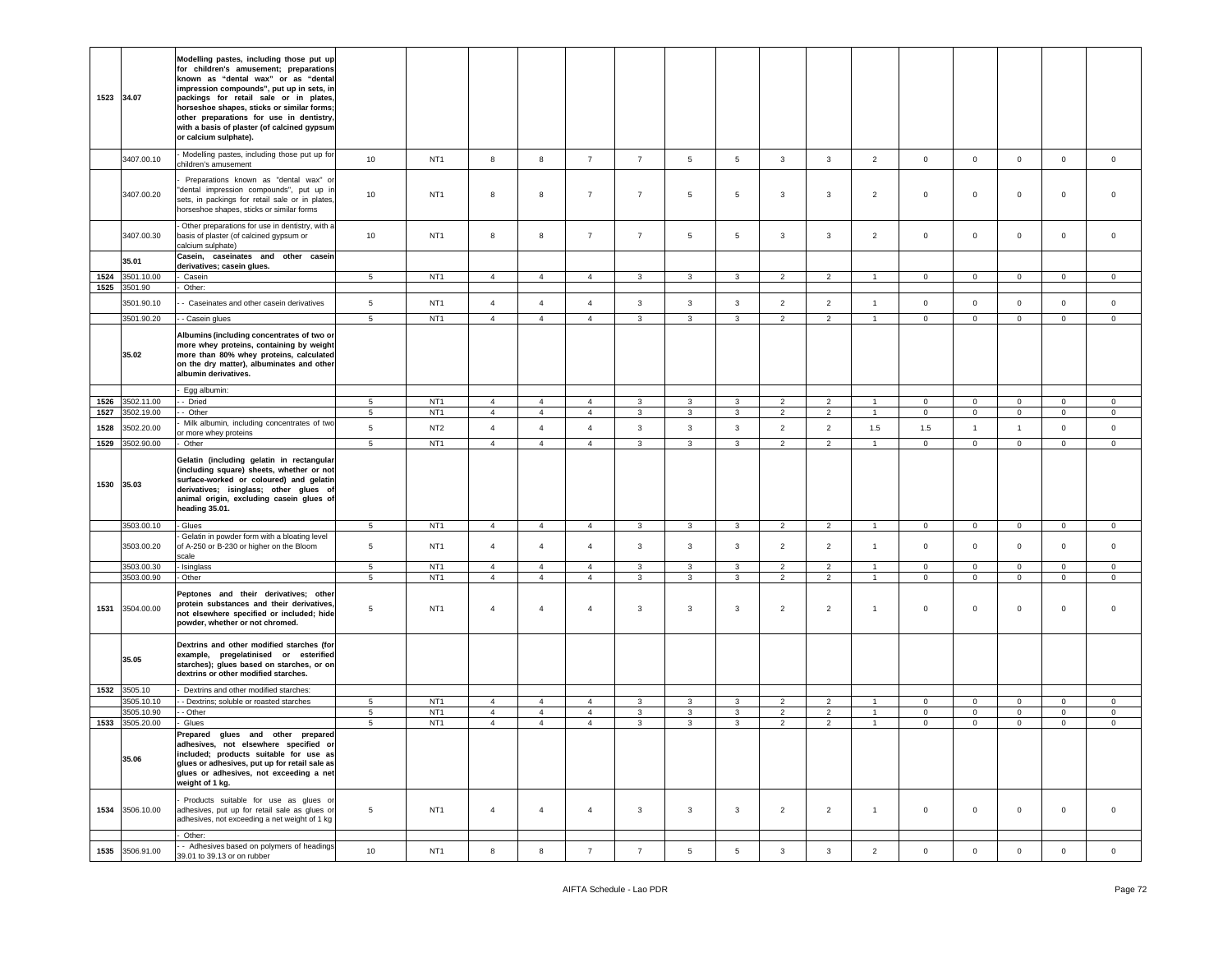|              | 1523 34.07               | Modelling pastes, including those put up<br>for children's amusement; preparations<br>known as "dental wax" or as "dental<br>impression compounds", put up in sets, in<br>packings for retail sale or in plates<br>horseshoe shapes, sticks or similar forms;<br>other preparations for use in dentistry,<br>with a basis of plaster (of calcined gypsum<br>or calcium sulphate). |                                  |                                    |                                  |                                  |                                  |                                         |                                |                                |                                  |                                  |                                |                               |                           |                            |                                       |                         |
|--------------|--------------------------|-----------------------------------------------------------------------------------------------------------------------------------------------------------------------------------------------------------------------------------------------------------------------------------------------------------------------------------------------------------------------------------|----------------------------------|------------------------------------|----------------------------------|----------------------------------|----------------------------------|-----------------------------------------|--------------------------------|--------------------------------|----------------------------------|----------------------------------|--------------------------------|-------------------------------|---------------------------|----------------------------|---------------------------------------|-------------------------|
|              | 3407.00.10               | - Modelling pastes, including those put up for<br>hildren's amusement                                                                                                                                                                                                                                                                                                             | 10                               | NT <sub>1</sub>                    | 8                                | $\boldsymbol{8}$                 | $\overline{7}$                   | $\overline{7}$                          | 5                              | $5\phantom{.0}$                | $\mathbf{3}$                     | $\mathbf{3}$                     | $\overline{2}$                 | $\mathbf 0$                   | $\mathbf 0$               | $\mathsf 0$                | $\circ$                               | $\mathsf 0$             |
|              | 3407.00.20               | Preparations known as "dental wax" or<br>dental impression compounds", put up in<br>sets, in packings for retail sale or in plates,<br>horseshoe shapes, sticks or similar forms                                                                                                                                                                                                  | 10                               | NT <sub>1</sub>                    | 8                                | $\bf{8}$                         | $\overline{7}$                   | $\overline{7}$                          | 5                              | $\,$ 5 $\,$                    | 3                                | $\mathbf{3}$                     | $\overline{2}$                 | $\mathsf 0$                   | $\mathbf 0$               | $\mathbf 0$                | $\mathsf 0$                           | $\Omega$                |
|              | 3407.00.30               | Other preparations for use in dentistry, with a<br>basis of plaster (of calcined gypsum or<br>calcium sulphate)                                                                                                                                                                                                                                                                   | 10                               | NT <sub>1</sub>                    | 8                                | $\bf{8}$                         | $\overline{7}$                   | $\overline{7}$                          | 5                              | $5\overline{5}$                | $\mathbf{3}$                     | $\mathbf{3}$                     | $\overline{2}$                 | $\mathsf 0$                   | $\mathbf 0$               | $\mathsf 0$                | $\mathsf 0$                           | $\mathsf 0$             |
|              | 35.01                    | Casein, caseinates and other casein<br>derivatives; casein glues.                                                                                                                                                                                                                                                                                                                 |                                  |                                    |                                  |                                  |                                  |                                         |                                |                                |                                  |                                  |                                |                               |                           |                            |                                       |                         |
| 1524         | 3501.10.00               | Casein                                                                                                                                                                                                                                                                                                                                                                            | $\overline{5}$                   | NT <sub>1</sub>                    | $\overline{4}$                   | $\overline{4}$                   | $\overline{4}$                   | $\overline{\mathbf{3}}$                 | $\overline{3}$                 | $\overline{3}$                 | $\overline{2}$                   | $\overline{2}$                   |                                | $\overline{0}$                | $\overline{0}$            | $\overline{0}$             | $\overline{0}$                        | $\overline{0}$          |
| 1525         | 3501.90                  | Other:                                                                                                                                                                                                                                                                                                                                                                            |                                  |                                    |                                  |                                  |                                  |                                         |                                |                                |                                  |                                  |                                |                               |                           |                            |                                       |                         |
|              | 3501.90.10               | Caseinates and other casein derivatives                                                                                                                                                                                                                                                                                                                                           | $5\phantom{.0}$                  | NT <sub>1</sub>                    | $\overline{4}$                   | $\overline{4}$                   | $\overline{4}$                   | $\mathbf{3}$                            | $\mathbf{3}$                   | $\mathbf{3}$                   | $\overline{2}$                   | $\overline{2}$                   | $\mathbf{1}$                   | $\mathbf 0$                   | $\circ$                   | $\mathsf 0$                | $\circ$                               | $\mathsf 0$             |
|              | 3501.90.20               | - - Casein glues                                                                                                                                                                                                                                                                                                                                                                  | $5\phantom{.0}$                  | NT <sub>1</sub>                    | $\overline{a}$                   | $\overline{4}$                   | $\overline{4}$                   | $\mathbf{3}$                            | $\mathbf{3}$                   | $\mathbf{3}$                   | $\overline{2}$                   | $\overline{2}$                   |                                | $\overline{0}$                | $\overline{0}$            | $\mathsf 0$                | $\overline{0}$                        | $\overline{0}$          |
|              | 35.02                    | Albumins (including concentrates of two or<br>more whey proteins, containing by weight<br>more than 80% whey proteins, calculated<br>on the dry matter), albuminates and other<br>albumin derivatives.                                                                                                                                                                            |                                  |                                    |                                  |                                  |                                  |                                         |                                |                                |                                  |                                  |                                |                               |                           |                            |                                       |                         |
|              |                          | - Egg albumin:                                                                                                                                                                                                                                                                                                                                                                    |                                  |                                    |                                  |                                  |                                  |                                         |                                |                                |                                  |                                  |                                |                               |                           |                            |                                       |                         |
| 1526<br>1527 | 3502.11.00<br>3502.19.00 | - - Dried<br>-- Other                                                                                                                                                                                                                                                                                                                                                             | $5\phantom{.0}$<br>$5^{\circ}$   | NT <sub>1</sub><br>NT <sub>1</sub> | $\overline{4}$<br>$\overline{4}$ | $\overline{4}$<br>$\overline{4}$ | $\overline{a}$<br>$\overline{4}$ | 3<br>$\overline{3}$                     | $\mathbf{3}$<br>3              | $\mathbf{3}$<br>$\mathbf{3}$   | $\overline{2}$<br>2              | $\overline{2}$<br>$\overline{2}$ |                                | $\circ$<br>$\mathbf{0}$       | $\circ$<br>$\mathbf 0$    | $\mathsf 0$<br>$\mathsf 0$ | $\mathsf{O}\xspace$<br>$\Omega$       | $\mathsf 0$<br>$\Omega$ |
| 1528         | 3502.20.00               | Milk albumin, including concentrates of two                                                                                                                                                                                                                                                                                                                                       | $5\overline{5}$                  | NT <sub>2</sub>                    | $\overline{4}$                   | $\overline{4}$                   | $\overline{4}$                   | $\mathbf{3}$                            | $\mathbf{3}$                   | $\mathbf{3}$                   | $\overline{2}$                   | $\overline{2}$                   | 1.5                            | 1.5                           | $\mathbf{1}$              | $\mathbf{1}$               | $\mathbf{0}$                          | $\circ$                 |
| 1529         | 3502.90.00               | or more whey proteins<br>Other                                                                                                                                                                                                                                                                                                                                                    | $\overline{5}$                   | NT <sub>1</sub>                    | $\overline{4}$                   | $\overline{4}$                   | $\overline{4}$                   | $\overline{3}$                          | $\overline{\mathbf{3}}$        | $\overline{\mathbf{3}}$        | $\overline{2}$                   | $\overline{2}$                   | $\sim$                         | $\overline{0}$                | $\overline{0}$            | $\overline{0}$             | $\mathsf 0$                           | $\mathbf{0}$            |
|              | 1530 35.03               | Gelatin (including gelatin in rectangular<br>(including square) sheets, whether or not<br>surface-worked or coloured) and gelatin<br>derivatives; isinglass; other glues of<br>animal origin, excluding casein glues of<br>heading 35.01.                                                                                                                                         |                                  |                                    |                                  |                                  |                                  |                                         |                                |                                |                                  |                                  |                                |                               |                           |                            |                                       |                         |
|              | 3503.00.10               | - Glues                                                                                                                                                                                                                                                                                                                                                                           | 5                                | NT <sub>1</sub>                    | $\overline{4}$                   | $\overline{4}$                   | $\overline{4}$                   | $\mathbf{3}$                            | $\mathbf{3}$                   | $\mathbf{3}$                   | $\overline{2}$                   | 2                                | $\overline{1}$                 | $\mathbf{0}$                  | $\overline{0}$            | $\overline{0}$             | $\overline{0}$                        | $\circ$                 |
|              | 3503.00.20               | Gelatin in powder form with a bloating level<br>of A-250 or B-230 or higher on the Bloom<br>cale                                                                                                                                                                                                                                                                                  | $\sqrt{5}$                       | NT <sub>1</sub>                    | $\overline{4}$                   | $\overline{4}$                   | $\overline{4}$                   | $\overline{3}$                          | $\mathbf{3}$                   | $\mathbf{3}$                   | 2                                | $\overline{2}$                   | $\overline{1}$                 | $\mathbf{0}$                  | $\circ$                   | $\mathbf 0$                | $\mathbf{0}$                          | $\mathbf{0}$            |
|              | 3503.00.30               | - Isinglass                                                                                                                                                                                                                                                                                                                                                                       | 5                                | NT <sub>1</sub>                    | $\overline{4}$                   | $\overline{4}$                   | $\overline{4}$                   | 3                                       | $\mathbf{3}$                   | $\mathbf{3}$                   | $\overline{2}$                   | $\overline{2}$                   | $\overline{1}$                 | $\mathbf 0$                   | $\mathbf 0$               | $\mathbf 0$                | $\mathbf 0$                           | $\circ$                 |
|              | 3503.00.90               | Other                                                                                                                                                                                                                                                                                                                                                                             | $\sqrt{5}$                       | NT <sub>1</sub>                    | $\overline{4}$                   | $\overline{4}$                   | $\overline{4}$                   | 3                                       | $\mathbf{3}$                   | $\mathbf{3}$                   | $\overline{2}$                   | $\overline{2}$                   | $\overline{1}$                 | $\mathbf 0$                   | $\circ$                   | $\mathbf 0$                | $\mathsf 0$                           | $\mathsf 0$             |
|              | 1531 3504.00.00          | Peptones and their derivatives; other<br>protein substances and their derivatives,<br>not elsewhere specified or included; hide<br>powder, whether or not chromed.                                                                                                                                                                                                                | $\,$ 5                           | NT <sub>1</sub>                    | $\overline{4}$                   | $\overline{4}$                   | $\overline{4}$                   | $\mathbf{3}$                            | $\mathbf{3}$                   | $\mathbf{3}$                   | $\overline{2}$                   | $\overline{2}$                   | $\overline{1}$                 | $\mathbf 0$                   | $\mathbf 0$               | $\mathbf 0$                | $\mathsf 0$                           | $\mathsf 0$             |
|              | 35.05                    | Dextrins and other modified starches (for<br>example, pregelatinised or esterified<br>starches); glues based on starches, or on<br>dextrins or other modified starches.                                                                                                                                                                                                           |                                  |                                    |                                  |                                  |                                  |                                         |                                |                                |                                  |                                  |                                |                               |                           |                            |                                       |                         |
| 1532         | 3505.10                  | Dextrins and other modified starches:                                                                                                                                                                                                                                                                                                                                             |                                  |                                    |                                  |                                  |                                  |                                         |                                |                                |                                  |                                  |                                |                               |                           |                            |                                       |                         |
|              | 3505.10.10<br>3505.10.90 | - Dextrins; soluble or roasted starches<br>- Other                                                                                                                                                                                                                                                                                                                                | $\overline{5}$<br>$\overline{5}$ | NT <sub>1</sub><br>NT <sub>1</sub> | $\overline{4}$<br>$\overline{4}$ | $\overline{4}$<br>$\overline{4}$ | $\overline{a}$<br>$\overline{4}$ | $\overline{\mathbf{3}}$<br>$\mathbf{3}$ | $\overline{3}$<br>$\mathbf{3}$ | $\overline{3}$<br>$\mathbf{3}$ | $\overline{2}$<br>$\overline{2}$ | $\overline{2}$<br>$\overline{2}$ | $\overline{1}$<br>$\mathbf{1}$ | $\overline{0}$<br>$\mathbf 0$ | $\overline{0}$<br>$\circ$ | $\Omega$<br>$\mathsf 0$    | $\overline{0}$<br>$\mathsf{O}\xspace$ | $\Omega$<br>$\mathsf 0$ |
|              | 1533 3505.20.00          | Glues                                                                                                                                                                                                                                                                                                                                                                             | $\sqrt{5}$                       | NT <sub>1</sub>                    | $\overline{4}$                   | $\Delta$                         | $\mathbf{A}$                     | $\mathbf{a}$                            | $\mathbf{3}$                   | $\mathbf{3}$                   | $\mathcal{P}$                    | $\overline{2}$                   |                                | $\mathsf 0$                   | $\mathbf 0$               | $\mathsf 0$                | $\mathsf 0$                           | $\mathsf 0$             |
|              | 35.06                    | Prepared glues and other prepared<br>adhesives, not elsewhere specified or<br>included; products suitable for use as<br>glues or adhesives, put up for retail sale as<br>glues or adhesives, not exceeding a net<br>weight of 1 kg.                                                                                                                                               |                                  |                                    |                                  |                                  |                                  |                                         |                                |                                |                                  |                                  |                                |                               |                           |                            |                                       |                         |
|              | 1534 3506.10.00          | Products suitable for use as glues or<br>adhesives, put up for retail sale as glues or<br>adhesives, not exceeding a net weight of 1 kg                                                                                                                                                                                                                                           | $5\phantom{.0}$                  | NT <sub>1</sub>                    | $\overline{4}$                   | $\overline{4}$                   | $\overline{4}$                   | $\mathbf{3}$                            | $\mathbf{3}$                   | $\mathbf{3}$                   | $\overline{2}$                   | $\overline{2}$                   | $\mathbf{1}$                   | $\mathbf 0$                   | $\mathbf 0$               | $\mathsf 0$                | $\mathsf 0$                           | $\mathsf 0$             |
| 1535         | 3506.91.00               | Other:<br>- Adhesives based on polymers of headings<br>39.01 to 39.13 or on rubber                                                                                                                                                                                                                                                                                                | 10                               | NT <sub>1</sub>                    | 8                                | 8                                | $\overline{7}$                   | $\overline{7}$                          | 5                              | $\sqrt{5}$                     | $\mathbf{3}$                     | $\mathbf{3}$                     | $\overline{2}$                 | $\mathsf 0$                   | $\mathbf 0$               | $\mathsf 0$                | $\mathsf 0$                           | $\mathsf 0$             |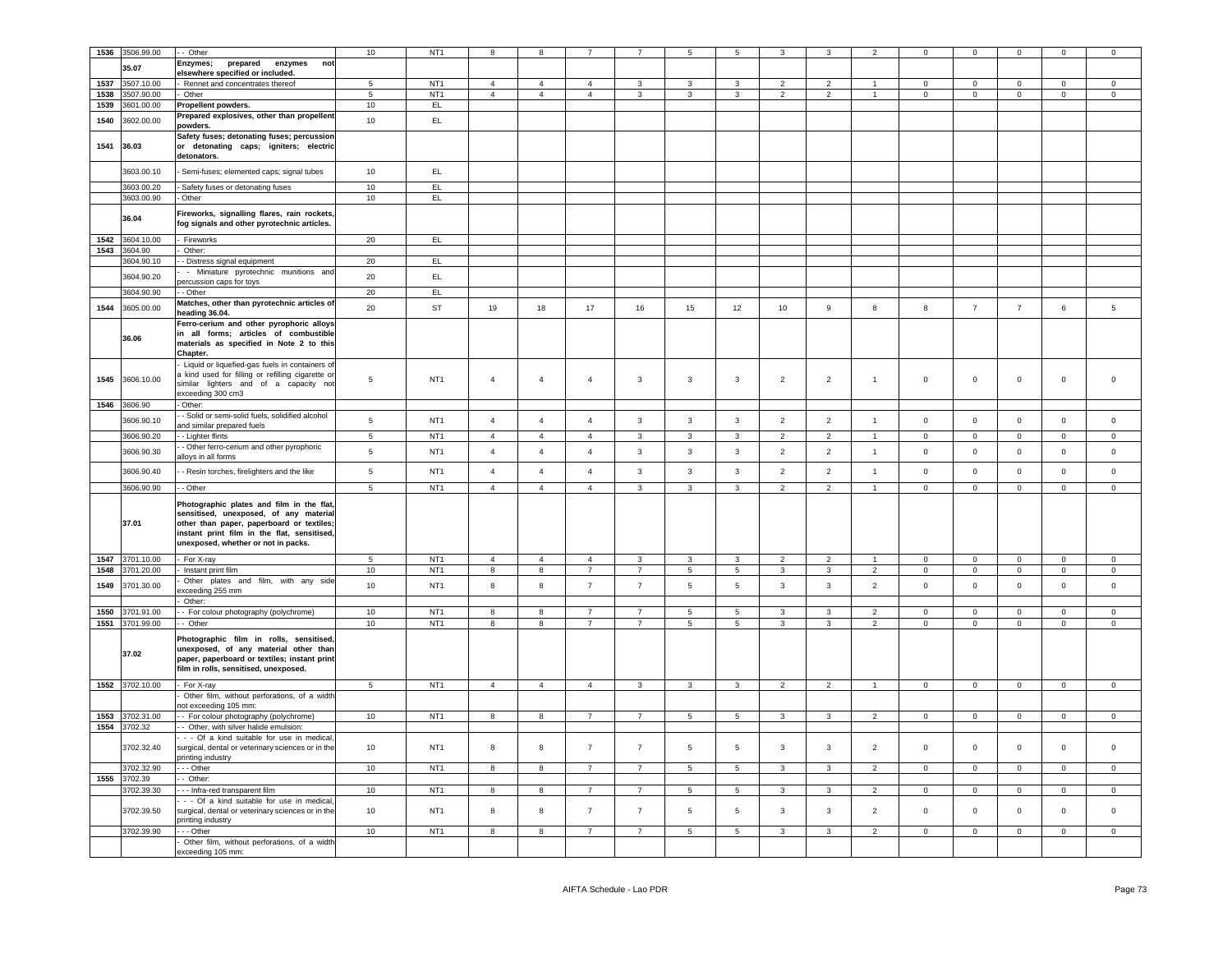| 1536 | 3506.99.00      | - Other                                           | 10              | NT <sub>1</sub> | R                       | 8                       |                |                |                         | 5               | 3              |                |                          | $\Omega$       | $\mathsf 0$         | $\Omega$       | $\Omega$       | $\Omega$            |
|------|-----------------|---------------------------------------------------|-----------------|-----------------|-------------------------|-------------------------|----------------|----------------|-------------------------|-----------------|----------------|----------------|--------------------------|----------------|---------------------|----------------|----------------|---------------------|
|      |                 |                                                   |                 |                 |                         |                         |                |                |                         |                 |                |                |                          |                |                     |                |                |                     |
|      | 35.07           | Enzymes;<br>prepared<br>enzymes<br>not            |                 |                 |                         |                         |                |                |                         |                 |                |                |                          |                |                     |                |                |                     |
|      |                 | elsewhere specified or included.                  |                 |                 |                         |                         |                |                |                         |                 |                |                |                          |                |                     |                |                |                     |
| 1537 | 3507.10.00      | Rennet and concentrates thereof                   | 5 <sub>5</sub>  | NT <sub>1</sub> | $\overline{4}$          | $\overline{4}$          | $\overline{4}$ | 3              | 3                       | $\mathbf{3}$    | $\overline{2}$ | $\overline{2}$ |                          | $\mathbf 0$    | $\mathsf 0$         | $\mathsf 0$    | $\mathbf 0$    | $\mathbf 0$         |
| 1538 |                 | Other                                             | $5\phantom{.0}$ |                 | $\overline{4}$          | $\overline{4}$          | $\overline{4}$ | $\mathbf{3}$   | $\mathbf{3}$            | $\mathbf{3}$    | $\overline{2}$ | $\overline{2}$ | $\sim$                   | $\mathbf{0}$   |                     | $\mathbf 0$    | $\mathbf 0$    | $\mathbf 0$         |
|      | 3507.90.00      |                                                   |                 | NT <sub>1</sub> |                         |                         |                |                |                         |                 |                |                |                          |                | $\overline{0}$      |                |                |                     |
| 1539 | 3601.00.00      | Propellent powders.                               | 10              | EL              |                         |                         |                |                |                         |                 |                |                |                          |                |                     |                |                |                     |
|      |                 | Prepared explosives, other than propellent        |                 |                 |                         |                         |                |                |                         |                 |                |                |                          |                |                     |                |                |                     |
| 1540 | 3602.00.00      | oowders.                                          | 10              | EL              |                         |                         |                |                |                         |                 |                |                |                          |                |                     |                |                |                     |
|      |                 | Safety fuses; detonating fuses; percussion        |                 |                 |                         |                         |                |                |                         |                 |                |                |                          |                |                     |                |                |                     |
| 1541 |                 |                                                   |                 |                 |                         |                         |                |                |                         |                 |                |                |                          |                |                     |                |                |                     |
|      | 36.03           | or detonating caps; igniters; electric            |                 |                 |                         |                         |                |                |                         |                 |                |                |                          |                |                     |                |                |                     |
|      |                 | detonators.                                       |                 |                 |                         |                         |                |                |                         |                 |                |                |                          |                |                     |                |                |                     |
|      | 3603.00.10      |                                                   | 10              | EL.             |                         |                         |                |                |                         |                 |                |                |                          |                |                     |                |                |                     |
|      |                 | Semi-fuses; elemented caps; signal tubes          |                 |                 |                         |                         |                |                |                         |                 |                |                |                          |                |                     |                |                |                     |
|      | 3603.00.20      | Safety fuses or detonating fuses                  | 10              | EL              |                         |                         |                |                |                         |                 |                |                |                          |                |                     |                |                |                     |
|      |                 |                                                   |                 |                 |                         |                         |                |                |                         |                 |                |                |                          |                |                     |                |                |                     |
|      | 3603.00.90      | Other                                             | 10              | EL              |                         |                         |                |                |                         |                 |                |                |                          |                |                     |                |                |                     |
|      |                 | Fireworks, signalling flares, rain rockets,       |                 |                 |                         |                         |                |                |                         |                 |                |                |                          |                |                     |                |                |                     |
|      | 36.04           |                                                   |                 |                 |                         |                         |                |                |                         |                 |                |                |                          |                |                     |                |                |                     |
|      |                 | fog signals and other pyrotechnic articles.       |                 |                 |                         |                         |                |                |                         |                 |                |                |                          |                |                     |                |                |                     |
| 1542 | 3604.10.00      | Fireworks                                         | 20              | EL              |                         |                         |                |                |                         |                 |                |                |                          |                |                     |                |                |                     |
|      |                 |                                                   |                 |                 |                         |                         |                |                |                         |                 |                |                |                          |                |                     |                |                |                     |
| 1543 | 3604.90         | Other:                                            |                 |                 |                         |                         |                |                |                         |                 |                |                |                          |                |                     |                |                |                     |
|      | 3604.90.10      | - Distress signal equipment                       | 20              | EL.             |                         |                         |                |                |                         |                 |                |                |                          |                |                     |                |                |                     |
|      |                 | - Miniature pyrotechnic munitions and             |                 |                 |                         |                         |                |                |                         |                 |                |                |                          |                |                     |                |                |                     |
|      | 3604.90.20      | ercussion caps for toys                           | 20              | EL              |                         |                         |                |                |                         |                 |                |                |                          |                |                     |                |                |                     |
|      | 3604.90.90      | - Other                                           | 20              | EL              |                         |                         |                |                |                         |                 |                |                |                          |                |                     |                |                |                     |
|      |                 |                                                   |                 |                 |                         |                         |                |                |                         |                 |                |                |                          |                |                     |                |                |                     |
| 1544 | 3605.00.00      | Matches, other than pyrotechnic articles of       | 20              | ST              | 19                      | 18                      | 17             | 16             | 15                      | 12              | 10             | 9              | 8                        | 8              | $\overline{7}$      | $\overline{7}$ | $\,6\,$        | $\sqrt{5}$          |
|      |                 | heading 36.04.                                    |                 |                 |                         |                         |                |                |                         |                 |                |                |                          |                |                     |                |                |                     |
|      |                 | Ferro-cerium and other pyrophoric alloys          |                 |                 |                         |                         |                |                |                         |                 |                |                |                          |                |                     |                |                |                     |
|      |                 | in all forms; articles of combustible             |                 |                 |                         |                         |                |                |                         |                 |                |                |                          |                |                     |                |                |                     |
|      | 36.06           | materials as specified in Note 2 to this          |                 |                 |                         |                         |                |                |                         |                 |                |                |                          |                |                     |                |                |                     |
|      |                 |                                                   |                 |                 |                         |                         |                |                |                         |                 |                |                |                          |                |                     |                |                |                     |
|      |                 | Chapter.                                          |                 |                 |                         |                         |                |                |                         |                 |                |                |                          |                |                     |                |                |                     |
|      |                 | Liquid or liquefied-gas fuels in containers of    |                 |                 |                         |                         |                |                |                         |                 |                |                |                          |                |                     |                |                |                     |
|      |                 | a kind used for filling or refilling cigarette or |                 |                 |                         |                         |                |                |                         |                 |                |                |                          |                |                     |                |                |                     |
| 1545 | 3606.10.00      | similar lighters and of a capacity not            | $\,$ 5 $\,$     | NT <sub>1</sub> | $\overline{4}$          | $\sqrt{4}$              | $\overline{4}$ | $\mathbf{3}$   | $\overline{\mathbf{3}}$ | $\mathbf{3}$    | $\overline{2}$ | $\overline{2}$ | $\mathbf{1}$             | $\mathsf 0$    | $\mathsf{O}\xspace$ | $\mathbf 0$    | $\mathsf 0$    | $\mathsf 0$         |
|      |                 | exceeding 300 cm3                                 |                 |                 |                         |                         |                |                |                         |                 |                |                |                          |                |                     |                |                |                     |
|      |                 |                                                   |                 |                 |                         |                         |                |                |                         |                 |                |                |                          |                |                     |                |                |                     |
|      | 1546 3606.90    | Other:                                            |                 |                 |                         |                         |                |                |                         |                 |                |                |                          |                |                     |                |                |                     |
|      | 3606.90.10      | Solid or semi-solid fuels, solidified alcohol     | $5\phantom{.0}$ | NT <sub>1</sub> | $\overline{4}$          | $\overline{4}$          | $\overline{4}$ | $\mathbf{3}$   | $\mathbf{3}$            | $\mathbf{3}$    | $\overline{2}$ | $\overline{2}$ | $\mathbf{1}$             | $\mathsf 0$    | $\mathbf 0$         | $\mathsf 0$    | $\mathsf 0$    | $\mathsf 0$         |
|      |                 | and similar prepared fuels                        |                 |                 |                         |                         |                |                |                         |                 |                |                |                          |                |                     |                |                |                     |
|      | 3606.90.20      | - Lighter flints                                  | 5               | NT <sub>1</sub> | $\overline{4}$          | $\overline{4}$          | $\overline{4}$ | $\mathbf{3}$   | $\mathbf{3}$            | 3               | $\overline{2}$ | $\overline{2}$ | $\overline{1}$           | $\mathbf 0$    | $\overline{0}$      | $\mathbf 0$    | $\mathsf 0$    | $\mathsf 0$         |
|      |                 |                                                   |                 |                 |                         |                         |                |                |                         |                 |                |                |                          |                |                     |                |                |                     |
|      | 3606.90.30      | - Other ferro-cerium and other pyrophoric         | $\,$ 5 $\,$     | NT <sub>1</sub> | $\overline{4}$          | $\overline{4}$          | $\overline{4}$ | $\mathbf{3}$   | $\mathbf{3}$            | $\mathbf{3}$    | $\overline{2}$ | $\overline{2}$ | $\overline{1}$           | $\mathbf 0$    | $\overline{0}$      | $\mathbf 0$    | $\mathbf 0$    | $\circ$             |
|      |                 | alloys in all forms                               |                 |                 |                         |                         |                |                |                         |                 |                |                |                          |                |                     |                |                |                     |
|      | 3606.90.40      | - Resin torches, firelighters and the like        | 5               | NT <sub>1</sub> | $\overline{4}$          | $\overline{4}$          | $\overline{4}$ | $\mathbf{3}$   | $\mathbf{3}$            | $\mathbf{3}$    | $\overline{2}$ | $\overline{2}$ | $\mathbf{1}$             | $\mathsf 0$    | $\mathbf 0$         | $\mathbf 0$    | $\mathsf 0$    | $\mathsf 0$         |
|      |                 |                                                   |                 |                 |                         |                         |                |                |                         |                 |                |                |                          |                |                     |                |                |                     |
|      | 3606.90.90      | - Other                                           | $\overline{5}$  | NT <sub>1</sub> | $\overline{4}$          | $\overline{4}$          | $\overline{4}$ | $\mathbf{3}$   | $\mathbf{3}$            | $\mathbf{3}$    | $\overline{2}$ | $\overline{2}$ | $\blacktriangleleft$     | $\mathsf 0$    | $\mathbf 0$         | $\mathsf 0$    | $\mathsf 0$    | $\mathsf 0$         |
|      |                 |                                                   |                 |                 |                         |                         |                |                |                         |                 |                |                |                          |                |                     |                |                |                     |
|      |                 | Photographic plates and film in the flat,         |                 |                 |                         |                         |                |                |                         |                 |                |                |                          |                |                     |                |                |                     |
|      |                 | sensitised, unexposed, of any material            |                 |                 |                         |                         |                |                |                         |                 |                |                |                          |                |                     |                |                |                     |
|      | 37.01           | other than paper, paperboard or textiles;         |                 |                 |                         |                         |                |                |                         |                 |                |                |                          |                |                     |                |                |                     |
|      |                 |                                                   |                 |                 |                         |                         |                |                |                         |                 |                |                |                          |                |                     |                |                |                     |
|      |                 | instant print film in the flat, sensitised,       |                 |                 |                         |                         |                |                |                         |                 |                |                |                          |                |                     |                |                |                     |
|      |                 | unexposed, whether or not in packs.               |                 |                 |                         |                         |                |                |                         |                 |                |                |                          |                |                     |                |                |                     |
| 1547 | 3701.10.00      | For X-ray                                         | $5\phantom{.0}$ | NT <sub>1</sub> | $\overline{4}$          | $\overline{4}$          |                |                | $\overline{\mathbf{3}}$ |                 |                |                |                          |                |                     | $\overline{0}$ | $\mathbf 0$    | $\mathbf 0$         |
|      |                 |                                                   |                 |                 |                         |                         | $\overline{4}$ | $\mathbf{3}$   |                         | $\mathbf{3}$    | $\overline{2}$ | $\overline{2}$ | $\mathbf{1}$             | $\mathbf 0$    | $\mathbf 0$         |                |                |                     |
| 1548 | 3701.20.00      | Instant print film                                | 10              | NT <sub>1</sub> | $\overline{8}$          | $\boldsymbol{8}$        | $\overline{7}$ | $\overline{7}$ | $5\phantom{.0}$         | $5\overline{5}$ | $\mathbf{3}$   | $\mathbf{3}$   | $\overline{2}$           | $\mathbf 0$    | $\mathbf 0$         | $\mathbf 0$    | $\mathbf{0}$   | $\mathsf{O}\xspace$ |
| 1549 | 3701.30.00      | Other plates and film, with any side              | 10              | NT <sub>1</sub> | 8                       | 8                       | $\overline{7}$ | $\overline{7}$ | 5                       | 5               | $\mathbf{3}$   | 3              | $\overline{2}$           | $\mathsf 0$    | $\mathbf 0$         | $\mathsf 0$    | $\mathbf{0}$   | $\mathsf 0$         |
|      |                 | xceeding 255 mm                                   |                 |                 |                         |                         |                |                |                         |                 |                |                |                          |                |                     |                |                |                     |
|      |                 | Other:                                            |                 |                 |                         |                         |                |                |                         |                 |                |                |                          |                |                     |                |                |                     |
| 1550 | 3701.91.00      | - For colour photography (polychrome)             | 10              | NT <sub>1</sub> | 8                       | 8                       | $\overline{7}$ | $\overline{7}$ | $\sqrt{5}$              | 5               | 3              | 3              | $\overline{\phantom{a}}$ | $\mathbf 0$    | $\,0\,$             | $\mathbf 0$    | 0              | $\mathsf 0$         |
|      |                 |                                                   |                 |                 |                         |                         |                |                |                         |                 |                |                |                          |                |                     |                |                |                     |
|      | 1551 3701.99.00 | - Other                                           | 10              | NT <sub>1</sub> | 8                       | 8                       | $\overline{7}$ | $\overline{7}$ | 5                       | $\overline{5}$  | 3              | 3              | $\overline{2}$           | $\mathbf 0$    | $\overline{0}$      | $\mathbf 0$    | $\mathbf 0$    | $\mathbf 0$         |
|      |                 |                                                   |                 |                 |                         |                         |                |                |                         |                 |                |                |                          |                |                     |                |                |                     |
|      |                 | Photographic film in rolls, sensitised,           |                 |                 |                         |                         |                |                |                         |                 |                |                |                          |                |                     |                |                |                     |
|      | 37.02           | unexposed, of any material other than             |                 |                 |                         |                         |                |                |                         |                 |                |                |                          |                |                     |                |                |                     |
|      |                 | paper, paperboard or textiles; instant print      |                 |                 |                         |                         |                |                |                         |                 |                |                |                          |                |                     |                |                |                     |
|      |                 | film in rolls, sensitised, unexposed.             |                 |                 |                         |                         |                |                |                         |                 |                |                |                          |                |                     |                |                |                     |
|      |                 |                                                   |                 |                 |                         |                         |                |                |                         |                 |                |                |                          |                |                     |                |                |                     |
|      | 1552 3702.10.00 | For X-ray                                         | $5\phantom{.0}$ | NT <sub>1</sub> | $\overline{4}$          | $\overline{4}$          | $\overline{4}$ | $\mathbf{3}$   | $\mathbf{3}$            | $\mathbf{3}$    | $\overline{2}$ | $\overline{2}$ | $\overline{1}$           | $\overline{0}$ | $\mathbf 0$         | $\mathsf 0$    | $\overline{0}$ | $\overline{0}$      |
|      |                 | Other film, without perforations, of a width      |                 |                 |                         |                         |                |                |                         |                 |                |                |                          |                |                     |                |                |                     |
|      |                 | ot exceeding 105 mm:                              |                 |                 |                         |                         |                |                |                         |                 |                |                |                          |                |                     |                |                |                     |
| 1553 | 3702.31.00      | - For colour photography (polychrome)             | 10              | NT <sub>1</sub> | 8                       | 8                       | $\overline{7}$ | $\overline{7}$ | $\sqrt{5}$              | 5               | $\mathbf{3}$   | 3              | $\overline{2}$           | $\mathbf 0$    | $\overline{0}$      | $\mathbf 0$    | $\mathsf 0$    | $\mathsf 0$         |
|      |                 |                                                   |                 |                 |                         |                         |                |                |                         |                 |                |                |                          |                |                     |                |                |                     |
|      | 1554 3702.32    | Other, with silver halide emulsion:               |                 |                 |                         |                         |                |                |                         |                 |                |                |                          |                |                     |                |                |                     |
|      |                 | - - Of a kind suitable for use in medical         |                 |                 |                         |                         |                |                |                         |                 |                |                |                          |                |                     |                |                |                     |
|      | 3702.32.40      | surgical, dental or veterinary sciences or in the | 10              | NT <sub>1</sub> | 8                       | $\bf8$                  | $\overline{7}$ | $\overline{7}$ | $\,$ 5 $\,$             | $\,$ 5 $\,$     | $\mathbf{3}$   | $\mathbf{3}$   | $\overline{2}$           | $\mathbf 0$    | $\mathsf{O}\xspace$ | $\mathbf 0$    | $\mathsf 0$    | $\mathsf 0$         |
|      |                 | printing industry                                 |                 |                 |                         |                         |                |                |                         |                 |                |                |                          |                |                     |                |                |                     |
|      | 3702.32.90      | $-$ Other                                         | 10              | NT <sub>1</sub> | $\overline{\mathbf{8}}$ | $\overline{\mathbf{8}}$ | $\overline{7}$ | $\overline{7}$ | $\overline{5}$          | $\overline{5}$  | $\overline{3}$ | $\overline{3}$ | $\overline{2}$           | $\overline{0}$ | $\overline{0}$      | $\overline{0}$ | $\overline{0}$ | $\Omega$            |
|      |                 |                                                   |                 |                 |                         |                         |                |                |                         |                 |                |                |                          |                |                     |                |                |                     |
| 1555 | 3702.39         | - Other:                                          |                 |                 |                         |                         |                |                |                         |                 |                |                |                          |                |                     |                |                |                     |
|      | 3702.39.30      | - - Infra-red transparent film                    | 10              | NT <sub>1</sub> | $\overline{8}$          | $\overline{8}$          | $\overline{7}$ | $\overline{7}$ | $\overline{5}$          | $\overline{5}$  | $\overline{3}$ | $\overline{3}$ | $\overline{2}$           | $\overline{0}$ | $\overline{0}$      | $\overline{0}$ | $\overline{0}$ | $\Omega$            |
|      |                 | - - Of a kind suitable for use in medical         |                 |                 |                         |                         |                |                |                         |                 |                |                |                          |                |                     |                |                |                     |
|      | 3702.39.50      | surgical, dental or veterinary sciences or in the | 10              | NT <sub>1</sub> | 8                       | 8                       | $\overline{7}$ | $\overline{7}$ | $\,$ 5                  | $\sqrt{5}$      | 3              | $\mathbf{3}$   | $\overline{2}$           | $\mathsf 0$    | $\mathbf 0$         | $\mathsf 0$    | $\mathbf 0$    | $\mathsf 0$         |
|      |                 |                                                   |                 |                 |                         |                         |                |                |                         |                 |                |                |                          |                |                     |                |                |                     |
|      |                 | orinting industry                                 |                 |                 |                         |                         |                |                |                         |                 |                |                |                          |                |                     |                |                |                     |
|      | 3702.39.90      | $-$ Other                                         | 10              | NT <sub>1</sub> | $\overline{\mathbf{8}}$ | $\overline{\mathbf{8}}$ | $\overline{7}$ | $\overline{7}$ | $\overline{5}$          | $\overline{5}$  | $\overline{3}$ | 3              | $\overline{2}$           | $\overline{0}$ | $\overline{0}$      | $\overline{0}$ | $\overline{0}$ | $\overline{0}$      |
|      |                 | Other film, without perforations, of a width      |                 |                 |                         |                         |                |                |                         |                 |                |                |                          |                |                     |                |                |                     |
|      |                 | exceeding 105 mm:                                 |                 |                 |                         |                         |                |                |                         |                 |                |                |                          |                |                     |                |                |                     |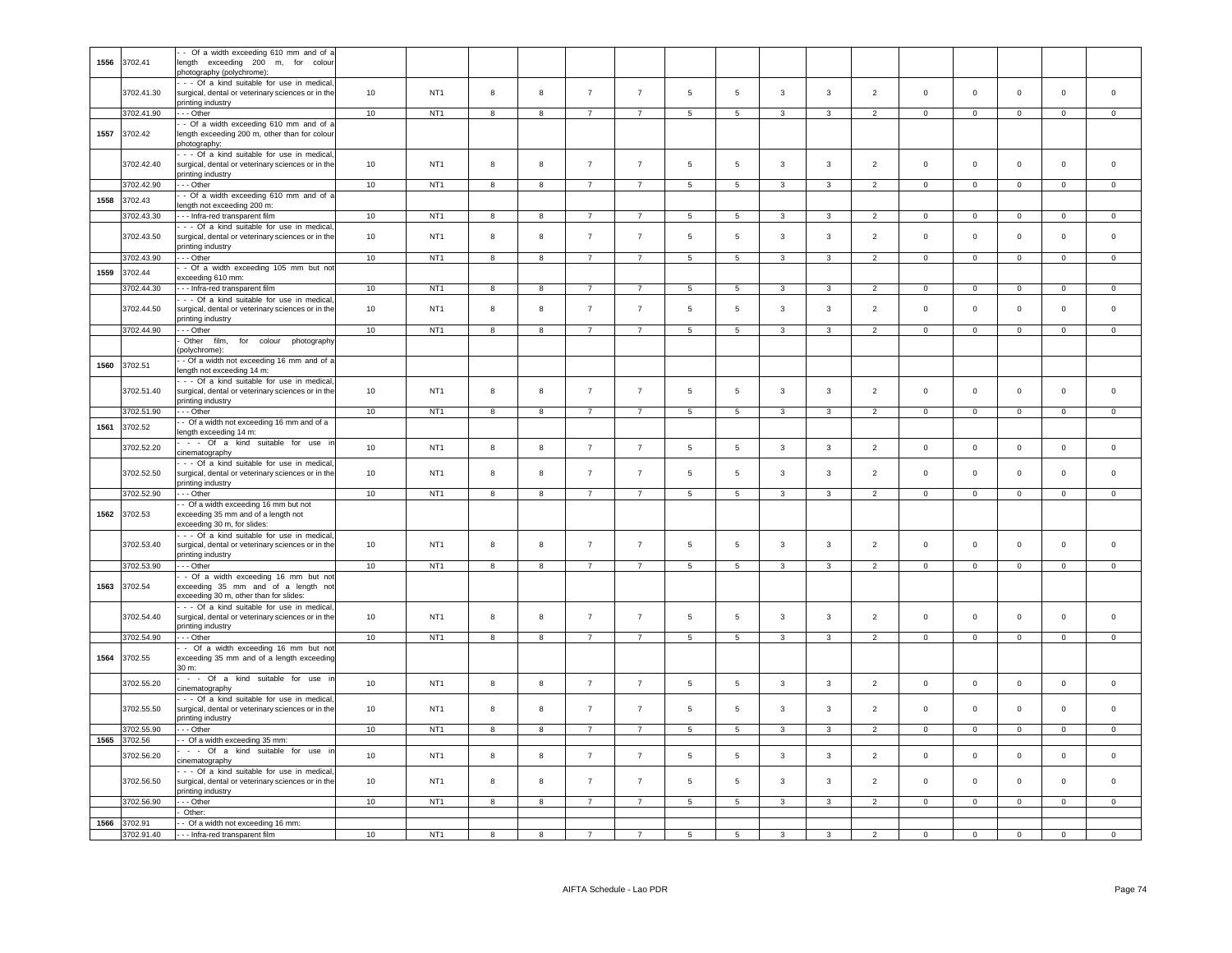| 1556 | 3702.41    | - Of a width exceeding 610 mm and of a<br>length exceeding 200 m, for colour<br>photography (polychrome):            |    |                 |                |                         |                |                 |                 |                 |                |                         |                |                |                |                |                     |                     |
|------|------------|----------------------------------------------------------------------------------------------------------------------|----|-----------------|----------------|-------------------------|----------------|-----------------|-----------------|-----------------|----------------|-------------------------|----------------|----------------|----------------|----------------|---------------------|---------------------|
|      | 3702.41.30 | - - Of a kind suitable for use in medical,<br>surgical, dental or veterinary sciences or in the<br>printing industry | 10 | NT <sub>1</sub> | 8              | $\boldsymbol{8}$        | $\overline{7}$ | $\overline{7}$  | $5\phantom{.0}$ | 5               | $\mathbf{3}$   | $\mathbf{3}$            | $\overline{2}$ | $\mathsf 0$    | $\mathsf 0$    | $\mathbf 0$    | $\mathsf{O}\xspace$ | $\mathsf 0$         |
|      | 3702.41.90 | -- Other                                                                                                             | 10 | NT <sub>1</sub> | 8              | 8                       | $\overline{7}$ | $7\overline{ }$ | 5               | 5 <sub>5</sub>  | $\mathbf{3}$   | 3                       | $\overline{2}$ | $\overline{0}$ | $\overline{0}$ | $\overline{0}$ | $\circ$             | $\overline{0}$      |
|      |            | - Of a width exceeding 610 mm and of a                                                                               |    |                 |                |                         |                |                 |                 |                 |                |                         |                |                |                |                |                     |                     |
| 1557 | 3702.42    | length exceeding 200 m, other than for colour<br>photography:                                                        |    |                 |                |                         |                |                 |                 |                 |                |                         |                |                |                |                |                     |                     |
|      | 3702.42.40 | - - Of a kind suitable for use in medical,<br>surgical, dental or veterinary sciences or in the<br>printing industry | 10 | NT <sub>1</sub> | 8              | 8                       | $\overline{7}$ | $\overline{7}$  | 5               | 5               | 3              | $\mathbf{3}$            | $\overline{2}$ | $\mathsf 0$    | $\mathsf 0$    | $\mathsf 0$    | $\mathsf 0$         | $\mathsf 0$         |
|      | 3702.42.90 | -- Other                                                                                                             | 10 | NT <sub>1</sub> | 8              | 8                       | $\overline{7}$ | $\overline{7}$  | $5\overline{5}$ | $5\phantom{.0}$ | 3              | $\mathbf{3}$            | $\overline{2}$ | $\mathsf 0$    | $\mathbf 0$    | $\mathbf 0$    | $\overline{0}$      | $\overline{0}$      |
|      |            | - Of a width exceeding 610 mm and of a                                                                               |    |                 |                |                         |                |                 |                 |                 |                |                         |                |                |                |                |                     |                     |
| 1558 | 3702.43    | length not exceeding 200 m:                                                                                          |    |                 |                |                         |                |                 |                 |                 |                |                         |                |                |                |                |                     |                     |
|      | 3702.43.30 | --- Infra-red transparent film                                                                                       | 10 | NT <sub>1</sub> | 8              | 8                       | $\overline{7}$ | $\overline{7}$  | $\overline{5}$  | $\overline{5}$  | $\mathbf{3}$   | $\mathcal{R}$           | 2              | $\mathbf{0}$   | $\circ$        | $\mathbf 0$    | $\overline{0}$      | $\Omega$            |
|      |            |                                                                                                                      |    |                 |                |                         |                |                 |                 |                 |                |                         |                |                |                |                |                     |                     |
|      | 3702.43.50 | - - Of a kind suitable for use in medical<br>surgical, dental or veterinary sciences or in the<br>printing industry  | 10 | NT <sub>1</sub> | $\mathbf{a}$   | $\mathbf{g}$            | $\overline{7}$ | $\overline{7}$  | 5               | 5               | 3              | $\overline{3}$          | $\overline{2}$ | $\Omega$       | $\mathbf 0$    | $\mathbf 0$    | $\mathbf 0$         | $\mathbf 0$         |
|      | 3702.43.90 | --- Other                                                                                                            | 10 | NT <sub>1</sub> | 8              | 8                       | $\overline{7}$ | $\overline{7}$  | $5\overline{5}$ | $5\phantom{.0}$ | $\mathbf{3}$   | $\mathbf{3}$            | $\overline{2}$ | $\circ$        | $\circ$        | $\mathsf 0$    | $\circ$             | $\mathsf 0$         |
|      |            | - Of a width exceeding 105 mm but not                                                                                |    |                 |                |                         |                |                 |                 |                 |                |                         |                |                |                |                |                     |                     |
| 1559 | 3702.44    | exceeding 610 mm:                                                                                                    |    |                 |                |                         |                |                 |                 |                 |                |                         |                |                |                |                |                     |                     |
|      | 3702.44.30 | - - Infra-red transparent film                                                                                       | 10 | NT <sub>1</sub> | 8              | 8                       | $\overline{7}$ | $\overline{7}$  | $5\overline{5}$ | $5\overline{5}$ | $\mathbf{3}$   | $\mathbf{3}$            | $\overline{2}$ | $\overline{0}$ | $\overline{0}$ | $\mathsf 0$    | $\mathbf 0$         | $\Omega$            |
|      |            | - - Of a kind suitable for use in medical                                                                            |    |                 |                |                         |                |                 |                 |                 |                |                         |                |                |                |                |                     |                     |
|      | 3702.44.50 | surgical, dental or veterinary sciences or in the<br>printing industry                                               | 10 | NT <sub>1</sub> | 8              | $\bf8$                  | $\overline{7}$ | $\overline{7}$  | $\,$ 5 $\,$     | $\,$ 5 $\,$     | 3              | $\mathbf{3}$            | $\overline{2}$ | $\mathsf 0$    | $\circ$        | $\mathbf 0$    | $\mathsf 0$         | $\mathsf 0$         |
|      | 3702.44.90 | - - Other                                                                                                            | 10 | NT <sub>1</sub> | 8              | $\mathbf{g}$            | $\overline{7}$ | $\overline{7}$  | 5               | 5               | 3              | 3                       | $\overline{2}$ | $\mathbf 0$    | $\mathsf 0$    | $\mathsf 0$    | $\mathbf 0$         | $\mathbf 0$         |
|      |            | Other<br>film.<br>for colour photography                                                                             |    |                 |                |                         |                |                 |                 |                 |                |                         |                |                |                |                |                     |                     |
|      |            | polychrome):                                                                                                         |    |                 |                |                         |                |                 |                 |                 |                |                         |                |                |                |                |                     |                     |
| 1560 | 3702.51    | - Of a width not exceeding 16 mm and of a<br>length not exceeding 14 m:                                              |    |                 |                |                         |                |                 |                 |                 |                |                         |                |                |                |                |                     |                     |
|      | 3702.51.40 | - - Of a kind suitable for use in medical<br>surgical, dental or veterinary sciences or in the<br>printing industry  | 10 | NT <sub>1</sub> | 8              | 8                       | $\overline{7}$ | $\overline{7}$  | 5               | 5               | 3              | $\mathbf{3}$            | 2              | $\circ$        | $\circ$        | $\mathsf 0$    | $\mathbf{0}$        | $\mathbf 0$         |
|      | 3702.51.90 | -- Other                                                                                                             | 10 | NT <sub>1</sub> | 8              | 8                       | $\overline{7}$ | $\overline{7}$  | $5\overline{5}$ | 5 <sub>5</sub>  | 3              | $\mathbf{3}$            | $\overline{2}$ | $\circ$        | $\mathbf 0$    | $\mathbf 0$    | $\Omega$            | $\Omega$            |
|      |            | - Of a width not exceeding 16 mm and of a                                                                            |    |                 |                |                         |                |                 |                 |                 |                |                         |                |                |                |                |                     |                     |
| 1561 | 3702.52    |                                                                                                                      |    |                 |                |                         |                |                 |                 |                 |                |                         |                |                |                |                |                     |                     |
|      |            | length exceeding 14 m:                                                                                               |    |                 |                |                         |                |                 |                 |                 |                |                         |                |                |                |                |                     |                     |
|      | 3702.52.20 | - - Of a kind suitable for use in                                                                                    | 10 | NT <sub>1</sub> | 8              | $\boldsymbol{8}$        | $\overline{7}$ | $\overline{7}$  | $5\overline{5}$ | $\sqrt{5}$      | 3              | $\mathbf{3}$            | $\overline{2}$ | $\mathsf 0$    | $\mathsf 0$    | $\mathbf 0$    | $\mathbf{0}$        | $\mathbf 0$         |
|      |            | cinematography                                                                                                       |    |                 |                |                         |                |                 |                 |                 |                |                         |                |                |                |                |                     |                     |
|      | 3702.52.50 | - - Of a kind suitable for use in medical<br>surgical, dental or veterinary sciences or in the<br>printing industry  | 10 | NT <sub>1</sub> | 8              | 8                       | $\overline{7}$ | $\overline{7}$  | 5               | $\,$ 5 $\,$     | $\mathbf{3}$   | $\mathbf{3}$            | $\overline{2}$ | $\mathsf 0$    | $\mathbf 0$    | $\mathbf 0$    | $\mathsf 0$         | $\mathsf{O}\xspace$ |
|      | 3702.52.90 | - - Other                                                                                                            | 10 | NT <sub>1</sub> | 8              | 8                       | $\overline{7}$ | $\overline{7}$  | 5               | 5               | 3              | $\mathbf{3}$            | $\overline{2}$ | $\mathbf 0$    | $\circ$        | $\mathsf 0$    | $\mathbf 0$         | $\mathbf 0$         |
|      |            | - Of a width exceeding 16 mm but not                                                                                 |    |                 |                |                         |                |                 |                 |                 |                |                         |                |                |                |                |                     |                     |
| 1562 | 3702.53    | exceeding 35 mm and of a length not<br>exceeding 30 m, for slides:                                                   |    |                 |                |                         |                |                 |                 |                 |                |                         |                |                |                |                |                     |                     |
|      | 3702.53.40 | - - Of a kind suitable for use in medical<br>surgical, dental or veterinary sciences or in the<br>printing industry  | 10 | NT <sub>1</sub> | 8              | 8                       | $\overline{7}$ | $\overline{7}$  | $\sqrt{5}$      | $\,$ 5 $\,$     | 3              | $\mathbf{3}$            | $\overline{2}$ | $\mathsf 0$    | $\mathbf 0$    | $\mathbf 0$    | $\mathsf 0$         | $\mathsf 0$         |
|      | 3702.53.90 | - - Other                                                                                                            | 10 | NT <sub>1</sub> | 8              | 8                       | $\overline{7}$ | $\overline{7}$  | $5\overline{5}$ | $5\phantom{.0}$ | 3              | 3                       | $\overline{2}$ | $\mathbf 0$    | $\circ$        | $\mathbf 0$    | $\mathbf{0}$        | $\mathsf 0$         |
|      |            | - Of a width exceeding 16 mm but not                                                                                 |    |                 |                |                         |                |                 |                 |                 |                |                         |                |                |                |                |                     |                     |
| 1563 | 3702.54    | exceeding 35 mm and of a length not<br>exceeding 30 m, other than for slides:                                        |    |                 |                |                         |                |                 |                 |                 |                |                         |                |                |                |                |                     |                     |
|      | 3702.54.40 | - - Of a kind suitable for use in medical,<br>surgical, dental or veterinary sciences or in the<br>printing industry | 10 | NT <sub>1</sub> | 8              | 8                       | $\overline{7}$ | $\overline{7}$  | $\sqrt{5}$      | 5               | $\mathbf{3}$   | $\mathbf{3}$            | $\overline{2}$ | $\mathsf 0$    | $\mathbf 0$    | $\mathsf 0$    | $\mathsf 0$         | $\mathsf 0$         |
|      | 3702.54.90 | - - Other                                                                                                            | 10 | NT <sub>1</sub> | 8              | 8                       | $\overline{7}$ | $\overline{7}$  | $5\phantom{.0}$ | $5\phantom{.0}$ | 3              | 3                       | $\overline{2}$ | $\overline{0}$ | $\mathbf 0$    | $\mathbf 0$    | $\overline{0}$      | $\mathbf{0}$        |
| 1564 | 3702.55    | - Of a width exceeding 16 mm but not<br>exceeding 35 mm and of a length exceeding<br>30 m:                           |    |                 |                |                         |                |                 |                 |                 |                |                         |                |                |                |                |                     |                     |
|      | 3702.55.20 | - - Of a kind suitable for use<br>cinematography                                                                     | 10 | NT <sub>1</sub> | 8              | $\boldsymbol{8}$        | $\overline{7}$ | $\overline{7}$  | 5               | $5\phantom{.0}$ | 3              | $\mathbf{3}$            | $\overline{2}$ | $\mathsf 0$    | $\mathsf 0$    | $\mathsf 0$    | $\mathsf 0$         | $\mathsf 0$         |
|      | 3702.55.50 | - - Of a kind suitable for use in medical<br>surgical, dental or veterinary sciences or in the<br>printing industry  | 10 | NT <sub>1</sub> | 8              | $\boldsymbol{8}$        | $\overline{7}$ | $\overline{7}$  | 5               | 5               | 3              | $\mathbf{3}$            | $\overline{2}$ | $\mathbf 0$    | $\circ$        | $\mathsf 0$    | $\mathsf 0$         | $\mathsf 0$         |
|      | 3702.55.90 | - - Other                                                                                                            | 10 | NT <sub>1</sub> | 8              | 8                       | $\overline{7}$ | $\overline{7}$  | $5\overline{5}$ | $5\phantom{.0}$ | $\mathbf{3}$   | $\mathbf{3}$            | $\overline{2}$ | $\mathsf 0$    | $\mathbf 0$    | $\mathbf 0$    | $\mathsf 0$         | $\mathsf 0$         |
|      | 3702.56    |                                                                                                                      |    |                 |                |                         |                |                 |                 |                 |                |                         |                |                |                |                |                     |                     |
| 1565 |            | - Of a width exceeding 35 mm:                                                                                        |    |                 |                |                         |                |                 |                 |                 |                |                         |                |                |                |                |                     |                     |
|      | 3702.56.20 | - - Of a kind suitable for use in<br>cinematography<br>- - Of a kind suitable for use in medical                     | 10 | NT <sub>1</sub> | 8              | 8                       | $\overline{7}$ | $\overline{7}$  | $5\overline{5}$ | 5               | 3              | $\mathbf{3}$            | $\overline{2}$ | $\mathbf 0$    | $\circ$        | $\mathsf 0$    | $\circ$             | $\mathsf 0$         |
|      | 3702.56.50 | surgical, dental or veterinary sciences or in the<br>printing industry                                               | 10 | NT <sub>1</sub> | 8              | 8                       | $\overline{7}$ | $\overline{7}$  | 5               | $\,$ 5 $\,$     | 3              | $\mathbf{3}$            | $\overline{2}$ | $\mathsf 0$    | $\mathbf 0$    | $\mathbf 0$    | $\mathsf 0$         | $\mathsf 0$         |
|      | 3702.56.90 | $\cdots$ Other                                                                                                       | 10 | NT <sub>1</sub> | $\overline{8}$ | $\overline{\mathbf{g}}$ | $\overline{7}$ | 7               | $\overline{5}$  | $\overline{5}$  | $\overline{3}$ | $\overline{\mathbf{3}}$ | $\overline{2}$ | $\overline{0}$ | $\overline{0}$ | $\overline{0}$ | $\overline{0}$      | $\Omega$            |
|      |            | Other:                                                                                                               |    |                 |                |                         |                |                 |                 |                 |                |                         |                |                |                |                |                     |                     |
| 1566 | 3702.91    | -- Of a width not exceeding 16 mm:                                                                                   |    |                 |                |                         |                |                 |                 |                 |                |                         |                |                |                |                |                     |                     |
|      | 3702.91.40 | - - - Infra-red transparent film                                                                                     | 10 | NT <sub>1</sub> | 8              | $\mathbf{g}$            | $\overline{7}$ | $\overline{7}$  | $\overline{5}$  | $\overline{5}$  | 3              | 3                       | $\overline{2}$ | $\overline{0}$ | $\overline{0}$ | $\overline{0}$ | $\overline{0}$      | $\Omega$            |
|      |            |                                                                                                                      |    |                 |                |                         |                |                 |                 |                 |                |                         |                |                |                |                |                     |                     |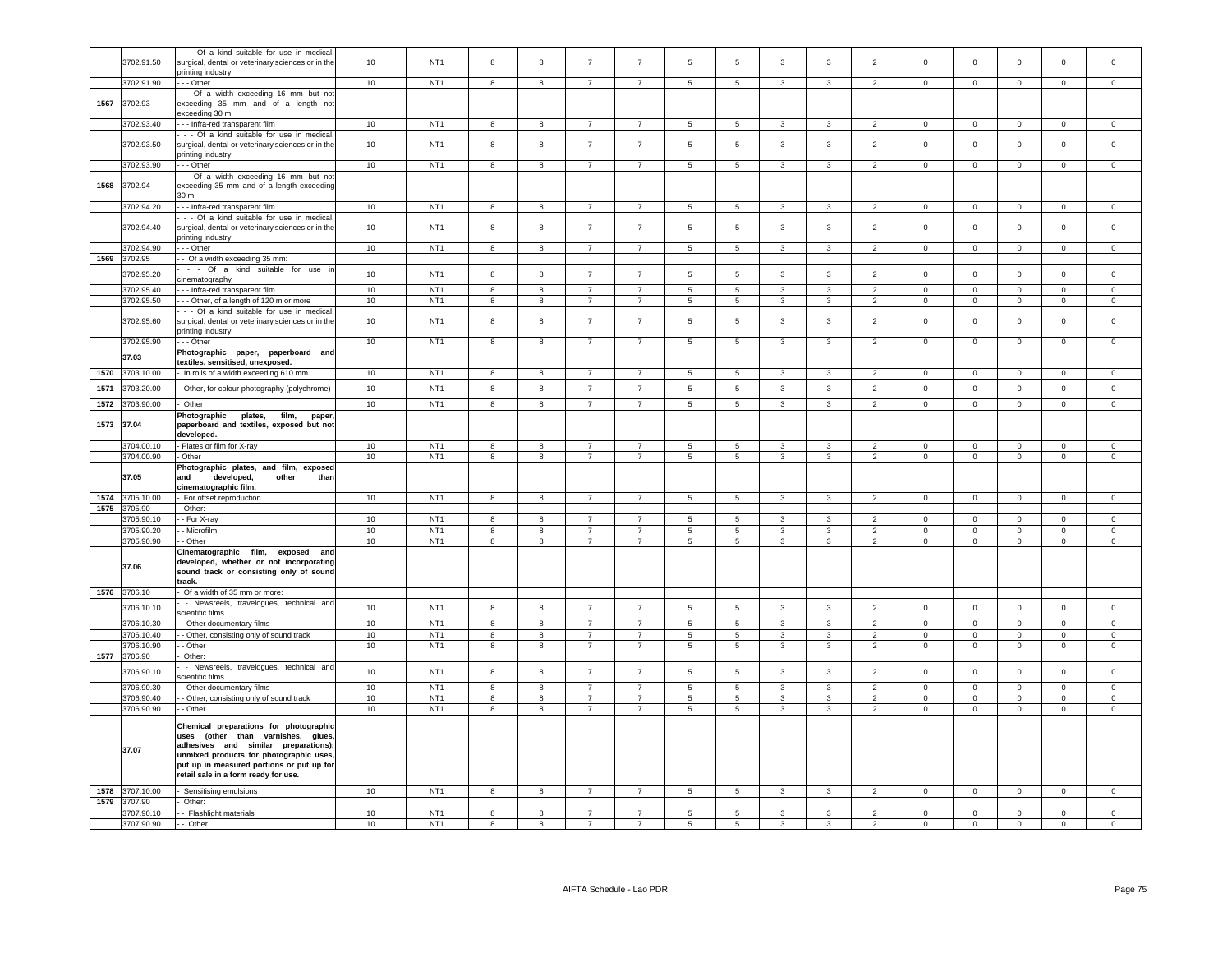|      |                 | - - Of a kind suitable for use in medical,                  |    |                 |                         |                         |                |                |                 |                          |                |                         |                |                |                |                |                     |                     |
|------|-----------------|-------------------------------------------------------------|----|-----------------|-------------------------|-------------------------|----------------|----------------|-----------------|--------------------------|----------------|-------------------------|----------------|----------------|----------------|----------------|---------------------|---------------------|
|      | 3702.91.50      | surgical, dental or veterinary sciences or in the           | 10 | NT <sub>1</sub> | 8                       | 8                       | $\overline{7}$ | $\overline{7}$ | 5               | $\,$ 5                   | 3              | 3                       | $\overline{2}$ | $\mathsf 0$    | $\mathsf 0$    | $\mathbf 0$    | $\mathbf 0$         | $\mathsf 0$         |
|      |                 | printing industry                                           |    |                 |                         |                         |                |                |                 |                          |                |                         |                |                |                |                |                     |                     |
|      | 3702.91.90      | $- -$ Other                                                 | 10 | NT <sub>1</sub> | $\overline{8}$          | $\overline{\mathbf{8}}$ | $\overline{7}$ | $\overline{7}$ | $\overline{5}$  | $\overline{\phantom{a}}$ | $\overline{3}$ | $\overline{\mathbf{3}}$ | $\overline{2}$ | $\overline{0}$ | $\overline{0}$ | $\overline{0}$ | $\overline{0}$      | $\circ$             |
|      |                 | - Of a width exceeding 16 mm but not                        |    |                 |                         |                         |                |                |                 |                          |                |                         |                |                |                |                |                     |                     |
| 1567 | 3702.93         | exceeding 35 mm and of a length not                         |    |                 |                         |                         |                |                |                 |                          |                |                         |                |                |                |                |                     |                     |
|      |                 | exceeding 30 m:                                             |    |                 |                         |                         |                |                |                 |                          |                |                         |                |                |                |                |                     |                     |
|      | 3702.93.40      | - - - Infra-red transparent film                            | 10 | NT <sub>1</sub> | $\overline{8}$          | $\overline{\mathbf{8}}$ | $\overline{7}$ | $\overline{7}$ | 5               | $5\overline{)}$          | $\overline{3}$ | $\overline{3}$          | $\overline{2}$ | $\overline{0}$ | $\overline{0}$ | $\overline{0}$ | $\overline{0}$      | $\circ$             |
|      |                 | - - Of a kind suitable for use in medical                   |    |                 |                         |                         |                |                |                 |                          |                |                         |                |                |                |                |                     |                     |
|      | 3702.93.50      | surgical, dental or veterinary sciences or in the           | 10 | NT <sub>1</sub> | 8                       | 8                       | $\overline{7}$ | $\overline{7}$ | 5               | $\,$ 5 $\,$              | 3              | 3                       | $\overline{2}$ | $\mathbf 0$    | $\mathbf 0$    | $\mathbf 0$    | $\mathbf 0$         | $\mathsf 0$         |
|      |                 | printing industry                                           |    |                 |                         |                         |                |                |                 |                          |                |                         |                |                |                |                |                     |                     |
|      |                 | $- -$ Other                                                 | 10 | NT <sub>1</sub> | 8                       | 8                       | $\overline{7}$ | $\overline{7}$ | 5               | 5                        | $\mathbf{3}$   | $\overline{3}$          | $\overline{2}$ | $\overline{0}$ | $\overline{0}$ | $\mathbf{0}$   | $\overline{0}$      | $\mathbf{0}$        |
|      | 3702.93.90      |                                                             |    |                 |                         |                         |                |                |                 |                          |                |                         |                |                |                |                |                     |                     |
|      |                 | - Of a width exceeding 16 mm but not                        |    |                 |                         |                         |                |                |                 |                          |                |                         |                |                |                |                |                     |                     |
| 1568 | 3702.94         | exceeding 35 mm and of a length exceeding                   |    |                 |                         |                         |                |                |                 |                          |                |                         |                |                |                |                |                     |                     |
|      |                 | 30 m:                                                       |    |                 |                         |                         |                |                |                 |                          |                |                         |                |                |                |                |                     |                     |
|      | 3702.94.20      | --- Infra-red transparent film                              | 10 | NT <sub>1</sub> | $\overline{\mathbf{8}}$ | $\overline{\mathbf{8}}$ | $\overline{7}$ | $\overline{7}$ | 5               | $\overline{5}$           | $\mathbf{3}$   | $\mathbf{3}$            | $\overline{2}$ | $\mathsf 0$    | $\mathbf 0$    | $\overline{0}$ | $\overline{0}$      | $\overline{0}$      |
|      |                 | - - Of a kind suitable for use in medical                   |    |                 |                         |                         |                |                |                 |                          |                |                         |                |                |                |                |                     |                     |
|      | 3702.94.40      | surgical, dental or veterinary sciences or in the           | 10 | NT <sub>1</sub> | 8                       | 8                       | $\overline{7}$ | $\overline{7}$ | 5               | $\,$ 5 $\,$              | $\mathbf{3}$   | $\mathbf{3}$            | $\overline{2}$ | $\mathsf 0$    | $\mathbf 0$    | $\mathsf 0$    | $\mathsf 0$         | $\mathbf 0$         |
|      |                 | printing industry                                           |    |                 |                         |                         |                |                |                 |                          |                |                         |                |                |                |                |                     |                     |
|      | 3702.94.90      | $-$ Other                                                   | 10 | NT <sub>1</sub> | 8                       | 8                       | $\overline{7}$ | $\overline{7}$ | 5               | $\sqrt{5}$               | $\mathbf{3}$   | $_{\rm 3}$              | $\overline{2}$ | $\mathsf 0$    | $\mathbf 0$    | $\mathbf 0$    | $\mathsf 0$         | $\mathbf 0$         |
| 1569 | 3702.95         | -- Of a width exceeding 35 mm:                              |    |                 |                         |                         |                |                |                 |                          |                |                         |                |                |                |                |                     |                     |
|      |                 | - - Of a kind suitable for use in                           |    |                 |                         |                         |                |                |                 |                          |                |                         |                |                |                |                |                     |                     |
|      | 3702.95.20      | cinematography                                              | 10 | NT <sub>1</sub> | 8                       | $\bf{8}$                | $\overline{7}$ | $\overline{7}$ | 5               | $5\phantom{.0}$          | $\mathbf{3}$   | $\mathbf{3}$            | $\overline{2}$ | $\mathsf 0$    | $\mathsf 0$    | $\mathsf 0$    | $\mathsf 0$         | $\mathbf 0$         |
|      | 3702.95.40      | - - Infra-red transparent film                              | 10 | NT <sub>1</sub> | 8                       | 8                       | $\overline{7}$ | $\overline{7}$ | 5               | $\,$ 5                   | $\mathbf{3}$   | $_{\rm 3}$              | $\overline{2}$ | $\mathsf 0$    | $\mathsf 0$    | $\mathsf 0$    | $\mathsf 0$         | $\mathsf{O}\xspace$ |
|      |                 |                                                             |    |                 |                         |                         |                |                |                 |                          |                |                         |                |                |                |                |                     |                     |
|      | 3702.95.50      | -- Other, of a length of 120 m or more                      | 10 | NT <sub>1</sub> | 8                       | 8                       | $\overline{7}$ | $\overline{7}$ | 5               | $5\phantom{.0}$          | $\mathbf{3}$   | $\mathbf{3}$            | $\overline{2}$ | $\mathsf 0$    | $\mathbf 0$    | $\overline{0}$ | $\mathsf 0$         | $\mathbf 0$         |
|      |                 | - - Of a kind suitable for use in medical                   |    |                 |                         |                         |                |                |                 |                          |                |                         |                |                |                |                |                     |                     |
|      | 3702.95.60      | surgical, dental or veterinary sciences or in the           | 10 | NT <sub>1</sub> | 8                       | $\bf8$                  | $\overline{7}$ | $\overline{7}$ | $\,$ 5 $\,$     | $\,$ 5 $\,$              | 3              | 3                       | $\overline{2}$ | $\mathbf 0$    | $\mathsf 0$    | $\mathbf 0$    | $\mathbf 0$         | $\mathsf 0$         |
|      |                 | printing industry                                           |    |                 |                         |                         |                |                |                 |                          |                |                         |                |                |                |                |                     |                     |
|      | 3702.95.90      | - - - Other                                                 | 10 | NT <sub>1</sub> | 8                       | 8                       | $\overline{7}$ | $\overline{7}$ | 5               | 5                        | $\mathbf{3}$   | 3                       | $\overline{2}$ | $\mathsf 0$    | $\mathbf 0$    | $\overline{0}$ | $\mathsf 0$         | $\mathbf 0$         |
|      |                 | Photographic paper, paperboard and                          |    |                 |                         |                         |                |                |                 |                          |                |                         |                |                |                |                |                     |                     |
|      | 37.03           | textiles, sensitised, unexposed.                            |    |                 |                         |                         |                |                |                 |                          |                |                         |                |                |                |                |                     |                     |
| 1570 | 3703.10.00      | - In rolls of a width exceeding 610 mm                      | 10 | NT <sub>1</sub> | 8                       | 8                       |                | $\overline{7}$ | 5               | 5                        | 3              | 3                       | $\overline{2}$ | $\mathbf 0$    | $\mathbf 0$    | $\mathbf 0$    | $\mathbf 0$         | $^{\circ}$          |
|      |                 |                                                             |    |                 |                         |                         |                |                |                 |                          |                |                         |                |                |                |                |                     |                     |
| 1571 | 3703.20.00      | Other, for colour photography (polychrome)                  | 10 | NT <sub>1</sub> | $\bf8$                  | 8                       | $\overline{7}$ | $\overline{7}$ | 5               | $\,$ 5 $\,$              | $\mathbf{3}$   | $\mathbf{3}$            | $\overline{2}$ | $\mathsf 0$    | $\mathbf 0$    | $\mathbf 0$    | $\mathsf{O}\xspace$ | $\mathsf 0$         |
| 1572 | 3703.90.00      | Other                                                       | 10 | NT <sub>1</sub> | $\overline{\mathbf{8}}$ | 8                       | $\overline{7}$ | $\overline{7}$ | $\overline{5}$  | $\overline{5}$           | $\overline{3}$ | $\mathbf{3}$            | $\overline{2}$ | $\overline{0}$ | $\overline{0}$ | $\overline{0}$ | $\mathbf 0$         | $\overline{0}$      |
|      |                 |                                                             |    |                 |                         |                         |                |                |                 |                          |                |                         |                |                |                |                |                     |                     |
|      |                 | Photographic<br>plates,<br>film,<br>paper                   |    |                 |                         |                         |                |                |                 |                          |                |                         |                |                |                |                |                     |                     |
| 1573 | 37.04           | paperboard and textiles, exposed but not                    |    |                 |                         |                         |                |                |                 |                          |                |                         |                |                |                |                |                     |                     |
|      |                 | developed.                                                  |    |                 |                         |                         |                |                |                 |                          |                |                         |                |                |                |                |                     |                     |
|      | 3704.00.10      | - Plates or film for X-ray                                  | 10 | NT1             | $\overline{8}$          | $\overline{8}$          | $\overline{7}$ | $\overline{7}$ | $\overline{5}$  | $\overline{5}$           | $\mathbf{3}$   | $\mathbf{3}$            | $\overline{2}$ | $\Omega$       | $\overline{0}$ | $\overline{0}$ | $\overline{0}$      | $\mathbf 0$         |
|      | 3704.00.90      | Other                                                       | 10 | NT <sub>1</sub> | 8                       | 8                       | $\overline{7}$ | $\overline{7}$ | $\overline{5}$  | $\overline{5}$           | 3              | $_{\rm 3}$              | $\overline{2}$ | $\mathsf 0$    | $\overline{0}$ | $\mathbf 0$    | $\mathsf{O}\xspace$ | $\mathsf{O}\xspace$ |
|      |                 | Photographic plates, and film, exposed                      |    |                 |                         |                         |                |                |                 |                          |                |                         |                |                |                |                |                     |                     |
|      | 37.05           | and<br>developed.<br>other<br>than                          |    |                 |                         |                         |                |                |                 |                          |                |                         |                |                |                |                |                     |                     |
|      |                 | cinematographic film.                                       |    |                 |                         |                         |                |                |                 |                          |                |                         |                |                |                |                |                     |                     |
| 1574 | 3705.10.00      | - For offset reproduction                                   | 10 | NT <sub>1</sub> | 8                       | 8                       | $\overline{7}$ | $\overline{7}$ | 5               | 5                        | 3              | 3                       | $\overline{2}$ | $\mathbf 0$    | $\mathbf 0$    | $\mathbf 0$    | $\mathbf 0$         | $\Omega$            |
| 1575 | 3705.90         | Other:                                                      |    |                 |                         |                         |                |                |                 |                          |                |                         |                |                |                |                |                     |                     |
|      | 3705.90.10      | - For X-ray                                                 | 10 | NT <sub>1</sub> | 8                       | 8                       | $\overline{7}$ | $\overline{7}$ | 5               | 5                        | $\mathbf{3}$   | $\mathbf{3}$            | $\overline{2}$ | $\mathbf 0$    | $\mathbf 0$    | $\mathsf 0$    | $\mathbf{0}$        | $\mathsf 0$         |
|      |                 |                                                             |    |                 |                         |                         | $\overline{7}$ | $\overline{7}$ |                 |                          |                |                         |                |                |                |                |                     |                     |
|      | 3705.90.20      | - Microfilm                                                 | 10 | NT <sub>1</sub> | 8                       | 8                       |                |                |                 |                          |                |                         |                |                |                |                |                     | $\mathbf 0$         |
|      | 3705.90.90      | - Other                                                     | 10 |                 |                         |                         |                |                | $\overline{5}$  | $\overline{5}$           | $\mathbf{3}$   | 3                       | $\overline{2}$ | $\mathbf 0$    | $\overline{0}$ | $\mathsf 0$    | $\mathbf{0}$        |                     |
|      |                 | Cinematographic film, exposed and                           |    | NT <sub>1</sub> | 8                       | 8                       | $\overline{7}$ | $\overline{7}$ | 5               | $\overline{5}$           | $\mathbf{3}$   | $_{\rm 3}$              | $\overline{2}$ | $\mathsf 0$    | $\mathbf 0$    | $\mathbf 0$    | $\mathsf 0$         | $\mathsf{O}\xspace$ |
|      | 37.06           |                                                             |    |                 |                         |                         |                |                |                 |                          |                |                         |                |                |                |                |                     |                     |
|      |                 | developed, whether or not incorporating                     |    |                 |                         |                         |                |                |                 |                          |                |                         |                |                |                |                |                     |                     |
|      |                 | sound track or consisting only of sound                     |    |                 |                         |                         |                |                |                 |                          |                |                         |                |                |                |                |                     |                     |
|      |                 | track.                                                      |    |                 |                         |                         |                |                |                 |                          |                |                         |                |                |                |                |                     |                     |
|      | 1576 3706.10    | Of a width of 35 mm or more:                                |    |                 |                         |                         |                |                |                 |                          |                |                         |                |                |                |                |                     |                     |
|      |                 |                                                             |    |                 |                         |                         |                |                |                 |                          |                |                         |                |                |                |                |                     |                     |
|      | 3706.10.10      | - Newsreels, travelogues, technical and<br>scientific films | 10 | NT <sub>1</sub> | 8                       | 8                       | $\overline{7}$ | $\overline{7}$ | 5               | $5\phantom{.0}$          | $\mathbf{3}$   | $\mathbf{3}$            | $\overline{2}$ | $\mathsf 0$    | $\mathsf 0$    | $\mathsf 0$    | $\mathsf 0$         | $\mathsf 0$         |
|      |                 |                                                             |    |                 |                         |                         | $\overline{7}$ |                |                 |                          |                |                         |                |                |                |                |                     |                     |
|      | 3706.10.30      | - Other documentary films                                   | 10 | NT <sub>1</sub> | 8                       | 8                       |                | $\overline{7}$ | 5               | 5                        | $\mathbf{3}$   | $\mathbf{3}$            | $\overline{2}$ | $\mathsf 0$    | $\mathsf 0$    | $\mathsf 0$    | $\mathbf 0$         | $\mathsf 0$         |
|      | 3706.10.40      | - Other, consisting only of sound track                     | 10 | NT <sub>1</sub> | 8                       | 8                       | $\overline{7}$ | $\overline{7}$ | 5               | 5                        | $\mathbf{3}$   | 3                       | $\overline{2}$ | $\mathbf 0$    | $\mathbf 0$    | $\mathbf 0$    | $\mathbf{0}$        | $\mathbf 0$         |
|      | 3706.10.90      | - Other                                                     | 10 | NT <sub>1</sub> | 8                       | 8                       | $\overline{7}$ | $\overline{7}$ | 5               | 5                        | $\mathbf{3}$   | $\mathbf{3}$            | $\overline{2}$ | $\mathbf 0$    | $\mathbf 0$    | $\mathsf 0$    | $\mathbf{0}$        | $\mathbf 0$         |
|      | 1577 3706.90    | Other:                                                      |    |                 |                         |                         |                |                |                 |                          |                |                         |                |                |                |                |                     |                     |
|      |                 | - Newsreels, travelogues, technical and                     |    |                 |                         |                         |                |                |                 |                          |                |                         |                |                |                |                |                     |                     |
|      | 3706.90.10      | scientific films                                            | 10 | NT <sub>1</sub> | 8                       | 8                       | $\overline{7}$ | $\overline{7}$ | 5               | 5                        | $\mathbf{3}$   | $\overline{3}$          | 2              | $\mathbf 0$    | $\mathbf{0}$   | $\mathbf{0}$   | $\mathbf 0$         | $\circ$             |
|      | 3706.90.30      | - Other documentary films                                   | 10 | NT1             | 8                       | 8                       | $\overline{7}$ | $\overline{7}$ | 5               | $\sqrt{5}$               | $\mathbf{3}$   | $\mathbf{3}$            | $\overline{2}$ | $\mathbf 0$    | $\mathbf 0$    | $\mathbf 0$    | $\mathbf{0}$        | $\mathbf{0}$        |
|      | 3706.90.40      |                                                             | 10 | NT <sub>1</sub> | $\overline{8}$          | $\overline{8}$          | $\overline{7}$ | $\overline{7}$ | $\overline{5}$  | $\overline{\phantom{a}}$ | $\overline{3}$ | $\mathbf{3}$            | $\overline{2}$ | $\mathsf 0$    | $\overline{0}$ | $\overline{0}$ | $\overline{0}$      | $\mathsf 0$         |
|      |                 | - Other, consisting only of sound track                     |    |                 |                         | 8                       | $\overline{7}$ | $\overline{7}$ |                 |                          |                |                         |                |                |                |                |                     |                     |
|      | 3706.90.90      | - Other                                                     | 10 | NT <sub>1</sub> | $\overline{\mathbf{8}}$ |                         |                |                | $\overline{5}$  | $\overline{5}$           | $\mathbf{3}$   | $\mathbf{3}$            | $\overline{2}$ | $\mathsf 0$    | $\overline{0}$ | $\mathbf 0$    | $\overline{0}$      | $\overline{0}$      |
|      |                 | Chemical preparations for photographic                      |    |                 |                         |                         |                |                |                 |                          |                |                         |                |                |                |                |                     |                     |
|      |                 | uses (other than varnishes, glues                           |    |                 |                         |                         |                |                |                 |                          |                |                         |                |                |                |                |                     |                     |
|      |                 | adhesives and similar preparations);                        |    |                 |                         |                         |                |                |                 |                          |                |                         |                |                |                |                |                     |                     |
|      | 37.07           | unmixed products for photographic uses,                     |    |                 |                         |                         |                |                |                 |                          |                |                         |                |                |                |                |                     |                     |
|      |                 | put up in measured portions or put up for                   |    |                 |                         |                         |                |                |                 |                          |                |                         |                |                |                |                |                     |                     |
|      |                 | retail sale in a form ready for use.                        |    |                 |                         |                         |                |                |                 |                          |                |                         |                |                |                |                |                     |                     |
|      |                 |                                                             |    |                 |                         |                         |                |                |                 |                          |                |                         |                |                |                |                |                     |                     |
|      | 1578 3707.10.00 | - Sensitising emulsions                                     | 10 | NT <sub>1</sub> | 8                       | 8                       | $\overline{7}$ | $\overline{7}$ | $5\overline{5}$ | $5\overline{5}$          | $\mathbf{3}$   | $\mathbf{3}$            | $\overline{2}$ | $\mathsf 0$    | $\overline{0}$ | $\overline{0}$ | $\overline{0}$      | $\overline{0}$      |
| 1579 | 3707.90         | Other:                                                      |    |                 |                         |                         |                |                |                 |                          |                |                         |                |                |                |                |                     |                     |
|      | 3707.90.10      | - - Flashlight materials                                    | 10 | NT <sub>1</sub> | 8                       | 8                       |                |                | 5               | 5                        | 3              | 3                       | $\overline{2}$ | $\mathsf 0$    | $\mathsf 0$    | $\Omega$       | $\Omega$            | $\Omega$            |
|      | 3707.90.90      | - Other                                                     | 10 | NT <sub>1</sub> | $\mathbf{R}$            | $\mathbf{R}$            |                | $\overline{7}$ | 5               | 5                        | $\mathbf{R}$   | $\mathbf{3}$            | $\overline{2}$ | $\mathsf 0$    | $\mathsf 0$    | $\mathbf 0$    | $\Omega$            | $\Omega$            |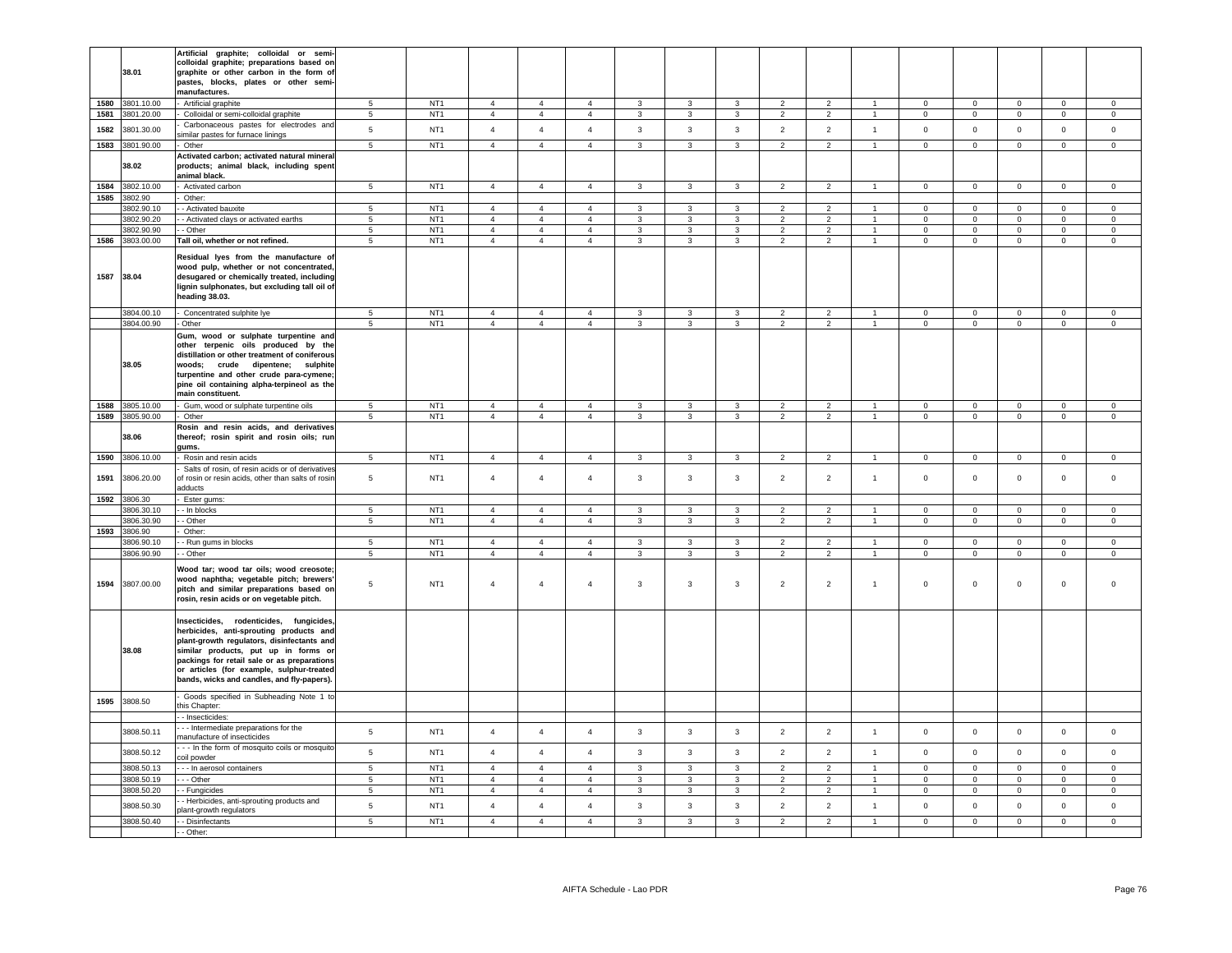|      |                               | Artificial graphite; colloidal or semi-                                                |                                    |                                    |                                  |                                  |                                  |                              |                              |                                |                                  |                                  |                                      |                            |                                  |                                       |                               |                            |
|------|-------------------------------|----------------------------------------------------------------------------------------|------------------------------------|------------------------------------|----------------------------------|----------------------------------|----------------------------------|------------------------------|------------------------------|--------------------------------|----------------------------------|----------------------------------|--------------------------------------|----------------------------|----------------------------------|---------------------------------------|-------------------------------|----------------------------|
|      |                               | colloidal graphite; preparations based on                                              |                                    |                                    |                                  |                                  |                                  |                              |                              |                                |                                  |                                  |                                      |                            |                                  |                                       |                               |                            |
|      | 38.01                         | graphite or other carbon in the form of<br>pastes, blocks, plates or other semi-       |                                    |                                    |                                  |                                  |                                  |                              |                              |                                |                                  |                                  |                                      |                            |                                  |                                       |                               |                            |
|      |                               | manufactures.                                                                          |                                    |                                    |                                  |                                  |                                  |                              |                              |                                |                                  |                                  |                                      |                            |                                  |                                       |                               |                            |
| 1580 | 3801.10.00                    | Artificial graphite                                                                    | 5                                  | NT <sub>1</sub>                    | $\overline{4}$                   | $\overline{4}$                   | $\overline{4}$                   | $\mathbf{3}$                 | $\mathbf{3}$                 | $\mathbf{3}$                   | $\overline{2}$                   | $\overline{2}$                   | $\overline{1}$                       | $\Omega$                   | $\Omega$                         | $\mathsf 0$                           | $\circ$                       | $\Omega$                   |
| 1581 | 3801.20.00                    | Colloidal or semi-colloidal graphite                                                   | $\overline{5}$                     | NT <sub>1</sub>                    | $\overline{4}$                   | $\overline{4}$                   | $\overline{4}$                   | $\mathbf{3}$                 | $\mathbf{3}$                 | $\mathbf{3}$                   | $\overline{2}$                   | $\overline{2}$                   | $\overline{1}$                       | $\Omega$                   | $\mathbf{0}$                     | $\mathsf 0$                           | $\mathbf 0$                   | $\Omega$                   |
| 1582 | 3801.30.00                    | Carbonaceous pastes for electrodes and                                                 | 5                                  | NT <sub>1</sub>                    | $\overline{4}$                   | $\overline{4}$                   | $\overline{4}$                   | $\mathbf{3}$                 | $\mathbf{3}$                 | $\mathbf{3}$                   | $\overline{2}$                   | $\overline{2}$                   | $\mathbf{1}$                         | $\mathbf 0$                | $\mathsf 0$                      | $\mathsf 0$                           | $\mathbf 0$                   | $\mathbf 0$                |
|      |                               | similar pastes for furnace linings                                                     |                                    |                                    |                                  |                                  |                                  |                              |                              |                                |                                  |                                  |                                      |                            |                                  |                                       |                               |                            |
| 1583 | 3801.90.00                    | Other                                                                                  | $5\overline{)}$                    | NT <sub>1</sub>                    | $\overline{4}$                   | $\overline{4}$                   | $\overline{4}$                   | $\mathbf{3}$                 | $\mathbf{3}$                 | 3                              | $\overline{2}$                   | $\overline{2}$                   | $\mathbf{1}$                         | $\mathbf{0}$               | $\overline{0}$                   | $\overline{0}$                        | $\mathbf{0}$                  | $\circ$                    |
|      | 38.02                         | Activated carbon; activated natural mineral<br>products; animal black, including spent |                                    |                                    |                                  |                                  |                                  |                              |                              |                                |                                  |                                  |                                      |                            |                                  |                                       |                               |                            |
|      |                               | animal black.                                                                          |                                    |                                    |                                  |                                  |                                  |                              |                              |                                |                                  |                                  |                                      |                            |                                  |                                       |                               |                            |
|      | 1584 3802.10.00               | Activated carbon                                                                       | 5 <sub>5</sub>                     | NT <sub>1</sub>                    | $\overline{4}$                   | $\overline{4}$                   | $\overline{4}$                   | $\mathbf{3}$                 | $\mathbf{3}$                 | $\mathbf{3}$                   | $\overline{2}$                   | $\overline{2}$                   | $\overline{1}$                       | $\overline{0}$             | $\overline{0}$                   | $\overline{0}$                        | $\overline{0}$                | $\overline{0}$             |
|      | 1585 3802.90                  | Other:                                                                                 |                                    |                                    |                                  |                                  |                                  |                              |                              |                                |                                  |                                  |                                      |                            |                                  |                                       |                               |                            |
|      | 3802.90.10                    | - Activated bauxite                                                                    | 5                                  | NT <sub>1</sub>                    | $\overline{4}$                   | $\overline{4}$                   | $\overline{4}$                   | $\mathbf{3}$                 | $\mathbf{3}$                 | $\mathbf{3}$                   | $\overline{2}$                   | $\overline{2}$                   | $\mathbf{1}$                         | $\mathbf{0}$               | $\mathbf{0}$                     | $\overline{0}$                        | $\overline{0}$                | $\mathbf{0}$               |
|      | 3802.90.20                    | - Activated clays or activated earths                                                  | 5                                  | NT <sub>1</sub>                    | $\overline{4}$                   | $\overline{4}$                   | $\overline{4}$                   | $\mathbf{3}$                 | $\mathbf{3}$                 | 3                              | $\overline{2}$                   | $\overline{2}$                   | $\blacktriangleleft$                 | $\mathbf 0$                | $\mathbf{0}$                     | $\circ$                               | $\mathbf{0}$                  | $\circ$                    |
|      | 3802.90.90<br>1586 3803.00.00 | - Other<br>Tall oil, whether or not refined.                                           | 5<br>5                             | NT <sub>1</sub><br>NT <sub>1</sub> | $\overline{4}$<br>$\overline{4}$ | $\overline{4}$<br>$\overline{4}$ | $\overline{4}$<br>$\overline{4}$ | 3<br>$\overline{3}$          | 3<br>$\mathbf{3}$            | 3<br>$\mathbf{3}$              | $\overline{2}$<br>$\overline{2}$ | $\overline{2}$<br>$\overline{2}$ | $\mathbf{1}$<br>$\blacktriangleleft$ | $\mathbf 0$<br>$\Omega$    | $\mathbf{0}$<br>$\overline{0}$   | $\mathbf 0$<br>$\mathbf 0$            | $\mathbf{0}$<br>$\mathbf{0}$  | $\mathbf 0$<br>$\circ$     |
|      |                               |                                                                                        |                                    |                                    |                                  |                                  |                                  |                              |                              |                                |                                  |                                  |                                      |                            |                                  |                                       |                               |                            |
|      |                               | Residual lyes from the manufacture of                                                  |                                    |                                    |                                  |                                  |                                  |                              |                              |                                |                                  |                                  |                                      |                            |                                  |                                       |                               |                            |
|      | 1587 38.04                    | wood pulp, whether or not concentrated,<br>desugared or chemically treated, including  |                                    |                                    |                                  |                                  |                                  |                              |                              |                                |                                  |                                  |                                      |                            |                                  |                                       |                               |                            |
|      |                               | lignin sulphonates, but excluding tall oil of                                          |                                    |                                    |                                  |                                  |                                  |                              |                              |                                |                                  |                                  |                                      |                            |                                  |                                       |                               |                            |
|      |                               | eading 38.03.                                                                          |                                    |                                    |                                  |                                  |                                  |                              |                              |                                |                                  |                                  |                                      |                            |                                  |                                       |                               |                            |
|      | 3804.00.10                    | Concentrated sulphite lye                                                              | 5                                  | NT <sub>1</sub>                    | $\overline{4}$                   | $\overline{4}$                   | $\overline{4}$                   | 3                            | 3                            | 3                              | $\overline{2}$                   | $\overline{2}$                   |                                      | $\mathbf 0$                | $\mathbf{0}$                     | $\mathbf 0$                           | $\mathbf 0$                   | $\circ$                    |
|      | 3804.00.90                    | Other                                                                                  | 5                                  | NT1                                | $\overline{4}$                   | $\overline{4}$                   | $\overline{4}$                   | $\mathbf{3}$                 | $\overline{3}$               | $\mathbf{3}$                   | $\overline{2}$                   | $\overline{2}$                   | $\overline{1}$                       | $\mathbf{0}$               | $\mathbf{0}$                     | $\overline{0}$                        | $\circ$                       | $\mathbf 0$                |
|      |                               | Gum, wood or sulphate turpentine and                                                   |                                    |                                    |                                  |                                  |                                  |                              |                              |                                |                                  |                                  |                                      |                            |                                  |                                       |                               |                            |
|      |                               | other terpenic oils produced by the                                                    |                                    |                                    |                                  |                                  |                                  |                              |                              |                                |                                  |                                  |                                      |                            |                                  |                                       |                               |                            |
|      | 38.05                         | distillation or other treatment of coniferous<br>woods;                                |                                    |                                    |                                  |                                  |                                  |                              |                              |                                |                                  |                                  |                                      |                            |                                  |                                       |                               |                            |
|      |                               | crude dipentene; sulphite<br>turpentine and other crude para-cymene;                   |                                    |                                    |                                  |                                  |                                  |                              |                              |                                |                                  |                                  |                                      |                            |                                  |                                       |                               |                            |
|      |                               | pine oil containing alpha-terpineol as the                                             |                                    |                                    |                                  |                                  |                                  |                              |                              |                                |                                  |                                  |                                      |                            |                                  |                                       |                               |                            |
|      |                               | main constituent.                                                                      |                                    |                                    |                                  |                                  |                                  |                              |                              |                                |                                  |                                  |                                      |                            |                                  |                                       |                               |                            |
| 1588 | 3805.10.00                    | Gum, wood or sulphate turpentine oils                                                  | 5                                  | NT <sub>1</sub>                    | $\overline{4}$                   | $\overline{4}$                   | $\overline{4}$                   | $\mathbf{3}$                 | 3                            | $\mathbf{3}$                   | $\overline{2}$                   | $\overline{2}$                   |                                      | $\mathbf 0$                | $\mathsf 0$                      | $\mathsf 0$                           | $\mathbf 0$                   | $\mathbf 0$                |
| 1589 | 3805.90.00                    | Other                                                                                  | $\overline{5}$                     | NT <sub>1</sub>                    | $\overline{4}$                   | $\overline{4}$                   | $\overline{4}$                   | $\overline{\mathbf{3}}$      | $\overline{\mathbf{3}}$      | $\overline{3}$                 | $\overline{2}$                   | $\overline{2}$                   | $\overline{1}$                       | $\overline{0}$             | $\overline{0}$                   | $\overline{0}$                        | $\overline{0}$                | $\overline{0}$             |
|      | 38.06                         | Rosin and resin acids, and derivatives<br>thereof; rosin spirit and rosin oils; run    |                                    |                                    |                                  |                                  |                                  |                              |                              |                                |                                  |                                  |                                      |                            |                                  |                                       |                               |                            |
|      |                               | gums.                                                                                  |                                    |                                    |                                  |                                  |                                  |                              |                              |                                |                                  |                                  |                                      |                            |                                  |                                       |                               |                            |
|      | 1590 3806.10.00               | Rosin and resin acids                                                                  | 5                                  | NT <sub>1</sub>                    | $\overline{4}$                   | $\overline{4}$                   | $\overline{4}$                   | 3                            | $\mathbf{3}$                 | $\mathbf{3}$                   | 2                                | $\overline{2}$                   |                                      | $\Omega$                   | $\Omega$                         | $\mathbf 0$                           | $\mathbf{0}$                  | $\Omega$                   |
|      |                               | Salts of rosin, of resin acids or of derivatives                                       |                                    |                                    | $\overline{4}$                   |                                  |                                  |                              |                              |                                |                                  |                                  |                                      |                            |                                  |                                       |                               |                            |
| 1591 | 3806.20.00                    | of rosin or resin acids, other than salts of rosin<br>adducts                          | $\,$ 5 $\,$                        | NT <sub>1</sub>                    |                                  | $\sqrt{4}$                       | $\overline{4}$                   | $\mathbf{3}$                 | $\overline{\mathbf{3}}$      | $\mathbf{3}$                   | $\overline{2}$                   | $\overline{2}$                   | $\mathbf{1}$                         | $\Omega$                   | $\mathbf 0$                      | $\mathsf 0$                           | $\mathbf 0$                   | $\Omega$                   |
| 1592 | 3806.30                       | Ester gums:                                                                            |                                    |                                    |                                  |                                  |                                  |                              |                              |                                |                                  |                                  |                                      |                            |                                  |                                       |                               |                            |
|      | 3806.30.10                    | - In blocks                                                                            | 5                                  | NT <sub>1</sub>                    | $\overline{4}$                   | $\overline{4}$                   | $\overline{4}$                   | 3                            | 3                            | 3                              | $\overline{2}$                   | $\overline{2}$                   | $\mathbf{1}$                         | $\mathbf{0}$               | $\mathbf{0}$                     | $\mathbf{0}$                          | $\mathbf 0$                   | $\mathbf{0}$               |
|      | 3806.30.90                    | - Other                                                                                | 5                                  | NT <sub>1</sub>                    | $\overline{4}$                   | $\overline{4}$                   | $\overline{4}$                   | 3                            | $\mathbf{3}$                 | $\mathbf{3}$                   | $\overline{2}$                   | $\overline{2}$                   | $\overline{1}$                       | $\mathbf{0}$               | $\mathbf{0}$                     | $\circ$                               | $\mathbf{0}$                  | $\mathbf{0}$               |
|      | 1593 3806.90                  | Other:                                                                                 |                                    |                                    |                                  |                                  |                                  |                              |                              |                                |                                  |                                  |                                      |                            |                                  |                                       |                               |                            |
|      | 3806.90.10                    | - Run gums in blocks                                                                   | 5                                  | NT <sub>1</sub>                    | $\overline{4}$                   | $\overline{4}$                   | $\overline{4}$                   | $\mathbf{3}$                 | 3                            | $\mathbf{3}$                   | $\overline{2}$                   | $\overline{2}$                   | $\overline{1}$                       | $\Omega$                   | $\mathbf{0}$                     | $\mathsf 0$                           | $\mathbf 0$                   | $\Omega$                   |
|      | 3806.90.90                    | - Other                                                                                | 5                                  | NT <sub>1</sub>                    | $\overline{4}$                   | $\overline{4}$                   | $\overline{4}$                   | $\mathbf{3}$                 | $\mathbf{3}$                 | $\mathbf{3}$                   | $\overline{2}$                   | $\overline{2}$                   | $\mathbf{1}$                         | $\mathbf 0$                | $\mathbf 0$                      | $\mathsf{O}\xspace$                   | $\circ$                       | $\mathbf 0$                |
|      |                               | Wood tar; wood tar oils; wood creosote;                                                |                                    |                                    |                                  |                                  |                                  |                              |                              |                                |                                  |                                  |                                      |                            |                                  |                                       |                               |                            |
|      | 1594 3807.00.00               | wood naphtha; vegetable pitch; brewers'<br>pitch and similar preparations based on     | $\overline{5}$                     | NT <sub>1</sub>                    | $\overline{4}$                   | $\overline{4}$                   | $\overline{4}$                   | 3                            | 3                            | 3                              | $\overline{2}$                   | $\overline{c}$                   | $\overline{1}$                       | $\mathbf 0$                | $\mathbf 0$                      | $\mathbf 0$                           | $\overline{0}$                | $\Omega$                   |
|      |                               | rosin, resin acids or on vegetable pitch.                                              |                                    |                                    |                                  |                                  |                                  |                              |                              |                                |                                  |                                  |                                      |                            |                                  |                                       |                               |                            |
|      |                               |                                                                                        |                                    |                                    |                                  |                                  |                                  |                              |                              |                                |                                  |                                  |                                      |                            |                                  |                                       |                               |                            |
|      |                               | Insecticides, rodenticides, fungicides,                                                |                                    |                                    |                                  |                                  |                                  |                              |                              |                                |                                  |                                  |                                      |                            |                                  |                                       |                               |                            |
|      |                               | herbicides, anti-sprouting products and                                                |                                    |                                    |                                  |                                  |                                  |                              |                              |                                |                                  |                                  |                                      |                            |                                  |                                       |                               |                            |
|      | 38.08                         | plant-growth regulators, disinfectants and<br>similar products, put up in forms or     |                                    |                                    |                                  |                                  |                                  |                              |                              |                                |                                  |                                  |                                      |                            |                                  |                                       |                               |                            |
|      |                               | packings for retail sale or as preparations                                            |                                    |                                    |                                  |                                  |                                  |                              |                              |                                |                                  |                                  |                                      |                            |                                  |                                       |                               |                            |
|      |                               | or articles (for example, sulphur-treated                                              |                                    |                                    |                                  |                                  |                                  |                              |                              |                                |                                  |                                  |                                      |                            |                                  |                                       |                               |                            |
|      |                               | bands, wicks and candles, and fly-papers).                                             |                                    |                                    |                                  |                                  |                                  |                              |                              |                                |                                  |                                  |                                      |                            |                                  |                                       |                               |                            |
| 1595 | 3808.50                       | Goods specified in Subheading Note 1 to                                                |                                    |                                    |                                  |                                  |                                  |                              |                              |                                |                                  |                                  |                                      |                            |                                  |                                       |                               |                            |
|      |                               | this Chapter:                                                                          |                                    |                                    |                                  |                                  |                                  |                              |                              |                                |                                  |                                  |                                      |                            |                                  |                                       |                               |                            |
|      |                               | - - Insecticides:<br>--- Intermediate preparations for the                             |                                    |                                    |                                  |                                  |                                  |                              |                              |                                |                                  |                                  |                                      |                            |                                  |                                       |                               |                            |
|      | 3808.50.11                    | manufacture of insecticides                                                            | 5                                  | NT <sub>1</sub>                    | $\overline{4}$                   | $\overline{4}$                   | $\overline{4}$                   | 3                            | $\mathbf{3}$                 | $\mathbf{3}$                   | $\overline{2}$                   | $\overline{2}$                   | $\overline{1}$                       | $\circ$                    | $\mathbf 0$                      | $\mathsf{O}\xspace$                   | $\mathbf 0$                   | $\circ$                    |
|      | 3808.50.12                    | - - In the form of mosquito coils or mosquito                                          | 5                                  | NT <sub>1</sub>                    | $\overline{4}$                   | $\overline{4}$                   | $\overline{4}$                   | $\mathbf{3}$                 | $\overline{3}$               | $\mathbf{3}$                   | 2                                | $\overline{2}$                   | $\overline{1}$                       | $\mathbf{0}$               | $\mathbf{0}$                     | $\mathbf 0$                           | $\mathbf{0}$                  | $\mathbf{0}$               |
|      |                               | coil powder                                                                            |                                    |                                    |                                  |                                  |                                  |                              |                              |                                |                                  |                                  |                                      |                            |                                  |                                       |                               |                            |
|      | 3808.50.13                    | - In aerosol containers                                                                | 5                                  | NT <sub>1</sub>                    | $\overline{4}$                   | $\overline{4}$                   | $\overline{4}$                   | $\mathbf 3$                  | $\mathbf{3}$                 | $\mathbf{3}$                   | $\overline{2}$                   | $\overline{2}$                   | $\mathbf{1}$                         | $\mathbf 0$                | $\mathbf{0}$                     | $\mathsf 0$                           | $\circ$                       | $\mathbf 0$                |
|      | 3808.50.19<br>3808.50.20      | - - Other<br>- Fungicides                                                              | $5\phantom{.0}$<br>$5\overline{)}$ | NT <sub>1</sub><br>NT <sub>1</sub> | $\overline{4}$<br>$\overline{4}$ | $\overline{4}$<br>$\overline{4}$ | $\overline{4}$<br>$\overline{4}$ | $\mathbf{3}$<br>$\mathbf{3}$ | $\mathbf{3}$<br>$\mathbf{3}$ | $\mathbf{3}$<br>$\overline{3}$ | $\overline{2}$<br>$\overline{2}$ | $\overline{2}$<br>$\overline{2}$ | $\mathbf{1}$<br>$\overline{1}$       | $\Omega$<br>$\overline{0}$ | $\overline{0}$<br>$\overline{0}$ | $\mathsf{O}\xspace$<br>$\overline{0}$ | $\mathsf 0$<br>$\overline{0}$ | $\mathbf 0$<br>$\mathbf 0$ |
|      |                               | - Herbicides, anti-sprouting products and                                              |                                    |                                    |                                  |                                  |                                  |                              |                              |                                |                                  |                                  |                                      |                            |                                  |                                       |                               |                            |
|      | 3808.50.30                    | lant-growth regulators                                                                 | 5                                  | NT <sub>1</sub>                    | $\overline{4}$                   | $\overline{4}$                   | $\overline{4}$                   | $\mathbf{3}$                 | $\mathbf{3}$                 | $\mathbf{3}$                   | $\overline{2}$                   | $\overline{2}$                   | $\overline{1}$                       | $\circ$                    | $\mathbf{0}$                     | $\mathsf 0$                           | $\circ$                       | $\circ$                    |
|      | 3808.50.40                    | - Disinfectants                                                                        | $\overline{5}$                     | NT <sub>1</sub>                    | $\overline{4}$                   | $\overline{4}$                   | $\overline{4}$                   | $\overline{\mathbf{3}}$      | $\overline{\mathbf{3}}$      | $\overline{3}$                 | $\overline{2}$                   | $\overline{2}$                   |                                      | $\overline{0}$             | $\overline{0}$                   | $\overline{0}$                        | $\overline{0}$                | $\mathbf 0$                |
|      |                               | Other:                                                                                 |                                    |                                    |                                  |                                  |                                  |                              |                              |                                |                                  |                                  |                                      |                            |                                  |                                       |                               |                            |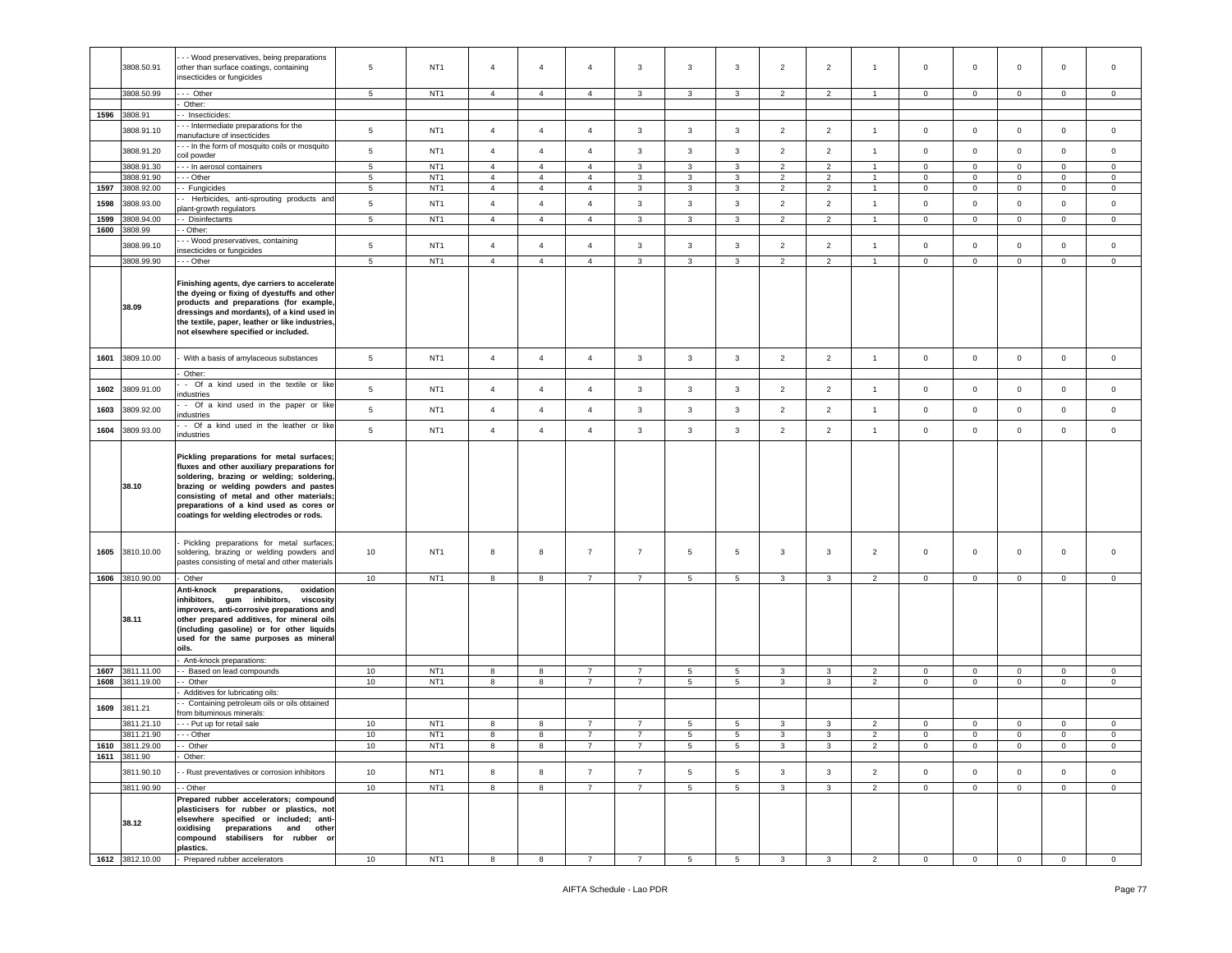|              | 3808.50.91                    | - - Wood preservatives, being preparations<br>other than surface coatings, containing<br>insecticides or fungicides                                                                                                                                                                                               | 5               | NT <sub>1</sub> | $\overline{4}$                   | $\overline{4}$                   | $\overline{4}$                   | 3                   | $\mathbf{3}$                   | 3                              | $\overline{2}$          | $\overline{2}$          | $\mathbf{1}$                   | $\mathbf 0$                | $\mathbf 0$         | $\mathbf 0$                | 0                          | $\mathbf 0$  |
|--------------|-------------------------------|-------------------------------------------------------------------------------------------------------------------------------------------------------------------------------------------------------------------------------------------------------------------------------------------------------------------|-----------------|-----------------|----------------------------------|----------------------------------|----------------------------------|---------------------|--------------------------------|--------------------------------|-------------------------|-------------------------|--------------------------------|----------------------------|---------------------|----------------------------|----------------------------|--------------|
|              | 3808.50.99                    | --- Other                                                                                                                                                                                                                                                                                                         | 5               | NT <sub>1</sub> | $\overline{4}$                   | $\overline{4}$                   | $\overline{4}$                   | $\mathbf{3}$        | 3                              | 3                              | 2                       | 2                       |                                | $\overline{0}$             | $\mathbf{0}$        | $\circ$                    | $\circ$                    | $\mathbf 0$  |
|              |                               | Other:                                                                                                                                                                                                                                                                                                            |                 |                 |                                  |                                  |                                  |                     |                                |                                |                         |                         |                                |                            |                     |                            |                            |              |
|              | 1596 3808.91                  | - Insecticides:                                                                                                                                                                                                                                                                                                   |                 |                 |                                  |                                  |                                  |                     |                                |                                |                         |                         |                                |                            |                     |                            |                            |              |
|              | 3808.91.10                    | - - Intermediate preparations for the<br>manufacture of insecticides                                                                                                                                                                                                                                              | $5\phantom{.0}$ | NT <sub>1</sub> | $\overline{4}$                   | $\overline{4}$                   | $\overline{4}$                   | 3                   | 3                              | 3                              | $\overline{2}$          | $\overline{2}$          | $\overline{1}$                 | $\mathbf 0$                | $\mathbf 0$         | $\mathbf 0$                | 0                          | $\mathbf 0$  |
|              | 3808.91.20                    | - - In the form of mosquito coils or mosquito                                                                                                                                                                                                                                                                     | $5\phantom{.0}$ | NT <sub>1</sub> | $\overline{4}$                   | $\overline{4}$                   | $\overline{4}$                   | $\mathbf{3}$        | $\mathbf{3}$                   | $\mathbf{3}$                   | $\overline{2}$          | $\overline{2}$          | $\overline{1}$                 | $\mathsf 0$                | $\mathbf 0$         | $\mathsf 0$                | $\mathbf 0$                | $\circ$      |
|              |                               | coil powder                                                                                                                                                                                                                                                                                                       |                 |                 |                                  |                                  |                                  |                     |                                |                                |                         |                         |                                |                            |                     |                            |                            |              |
|              | 3808.91.30                    | -- In aerosol containers                                                                                                                                                                                                                                                                                          | $5\phantom{.0}$ | NT <sub>1</sub> | $\overline{4}$                   | $\overline{4}$                   | $\overline{4}$                   | 3                   | 3                              | 3                              | $\overline{2}$          | $\overline{2}$          | $\mathbf{1}$                   | $\mathbf 0$                | $\mathbf 0$         | $\mathbf 0$                | $\mathbf{0}$               | $\circ$      |
|              | 3808.91.90                    | - - Other                                                                                                                                                                                                                                                                                                         | 5               | NT <sub>1</sub> | $\overline{4}$                   | $\overline{4}$                   | $\overline{4}$                   | 3                   | 3                              | $\mathbf{3}$                   | 2                       | 2                       | $\blacktriangleleft$           | $\circ$                    | $\mathbf{O}$        | $\mathbf 0$                | $\circ$                    | $\mathbf 0$  |
| 1597         | 3808.92.00                    | - Fungicides                                                                                                                                                                                                                                                                                                      | $\sqrt{5}$      | NT <sub>1</sub> | $\overline{4}$                   | $\overline{4}$                   | $\overline{4}$                   | 3                   | $\mathbf{3}$                   | $\mathbf{3}$                   | $\overline{2}$          | $\overline{2}$          | $\overline{1}$                 | $\mathbf 0$                | $\mathsf{O}\xspace$ | $\mathbf 0$                | $\mathsf 0$                | 0            |
| 1598         | 3808.93.00                    | - Herbicides, anti-sprouting products and<br>plant-growth regulators                                                                                                                                                                                                                                              | $\sqrt{5}$      | NT <sub>1</sub> | $\overline{4}$<br>$\overline{4}$ | $\overline{4}$<br>$\overline{4}$ | $\overline{4}$<br>$\overline{4}$ | $\mathbf{3}$        | $\mathbf{3}$<br>$\overline{3}$ | $\mathbf{3}$<br>$\overline{3}$ | $\overline{2}$<br>2     | $\overline{2}$<br>2     | $\mathbf{1}$<br>$\overline{1}$ | $\mathbf 0$                | $\circ$             | $\mathbf 0$<br>$\mathbf 0$ | $\mathbf{0}$               | $\mathbf 0$  |
| 1599<br>1600 | 808.94.00<br>3808.99          | - Disinfectants<br>- Other:                                                                                                                                                                                                                                                                                       | 5               | NT <sub>1</sub> |                                  |                                  |                                  | $\mathbf{3}$        |                                |                                |                         |                         |                                | $\circ$                    | $\circ$             |                            | $\circ$                    | $\circ$      |
|              | 3808.99.10                    | - - Wood preservatives, containing                                                                                                                                                                                                                                                                                | $\sqrt{5}$      | NT <sub>1</sub> | $\overline{4}$                   | $\overline{4}$                   | $\overline{4}$                   | $\mathbf{3}$        | $\mathbf{3}$                   | $\mathbf{3}$                   | $\overline{2}$          | $\overline{2}$          | $\mathbf{1}$                   | $\mathbf 0$                | $\mathbf 0$         | $\mathbf 0$                | $\mathbf 0$                | $\mathsf 0$  |
|              | 3808.99.90                    | insecticides or fungicides<br>- - Other                                                                                                                                                                                                                                                                           | 5               | NT <sub>1</sub> | $\overline{4}$                   | $\overline{4}$                   | $\overline{4}$                   | $\overline{3}$      | 3                              | $\mathbf{3}$                   | 2                       | 2                       | $\overline{1}$                 | $\mathbf{0}$               | $\mathbf{0}$        | $\circ$                    | $\circ$                    | $\circ$      |
|              | 38.09                         | Finishing agents, dye carriers to accelerate<br>the dyeing or fixing of dyestuffs and other<br>products and preparations (for example,                                                                                                                                                                            |                 |                 |                                  |                                  |                                  |                     |                                |                                |                         |                         |                                |                            |                     |                            |                            |              |
|              |                               | dressings and mordants), of a kind used in<br>the textile, paper, leather or like industries,<br>not elsewhere specified or included.                                                                                                                                                                             |                 |                 |                                  |                                  |                                  |                     |                                |                                |                         |                         |                                |                            |                     |                            |                            |              |
| 1601         | 3809.10.00                    | With a basis of amylaceous substances                                                                                                                                                                                                                                                                             | $5\phantom{.0}$ | NT <sub>1</sub> | $\overline{4}$                   | $\overline{4}$                   | $\overline{4}$                   | $\mathbf{3}$        | $\overline{3}$                 | $\mathbf{3}$                   | $\overline{2}$          | $\overline{2}$          | $\mathbf{1}$                   | $\mathbf 0$                | $\circ$             | $\mathsf 0$                | $\mathbf{0}$               | $\circ$      |
|              |                               | Other:                                                                                                                                                                                                                                                                                                            |                 |                 |                                  |                                  |                                  |                     |                                |                                |                         |                         |                                |                            |                     |                            |                            |              |
| 1602         | 3809.91.00                    | - Of a kind used in the textile or like<br>ndustries                                                                                                                                                                                                                                                              | 5               | NT <sub>1</sub> | $\overline{4}$                   | $\overline{4}$                   | $\overline{4}$                   | 3                   | $\overline{3}$                 | 3                              | $\overline{2}$          | $\overline{2}$          | $\mathbf{1}$                   | $\mathsf 0$                | $\mathbf 0$         | $\mathbf 0$                | $\mathbf 0$                | $\circ$      |
| 1603         | 3809.92.00                    | - Of a kind used in the paper or like<br>industries                                                                                                                                                                                                                                                               | 5               | NT <sub>1</sub> | $\overline{4}$                   | $\overline{4}$                   | $\overline{4}$                   | $\mathbf{3}$        | $\overline{3}$                 | $\mathbf{3}$                   | $\overline{2}$          | $\overline{2}$          | $\overline{1}$                 | $\mathbf 0$                | $\mathbf 0$         | $\mathsf 0$                | $\mathsf 0$                | $\circ$      |
| 1604         | 3809.93.00                    | - Of a kind used in the leather or like<br>industries                                                                                                                                                                                                                                                             | $5\phantom{.0}$ | NT <sub>1</sub> | $\overline{4}$                   | $\overline{4}$                   | $\overline{4}$                   | $\mathbf{3}$        | $\mathbf{3}$                   | $\mathbf{3}$                   | $\overline{2}$          | $\overline{2}$          | $\mathbf{1}$                   | $\mathbf 0$                | $\mathbf 0$         | $\mathbf 0$                | $\mathbf 0$                | $\mathsf 0$  |
|              | 38.10                         | Pickling preparations for metal surfaces;<br>fluxes and other auxiliary preparations for<br>soldering, brazing or welding; soldering,<br>brazing or welding powders and pastes<br>consisting of metal and other materials;<br>preparations of a kind used as cores or<br>coatings for welding electrodes or rods. |                 |                 |                                  |                                  |                                  |                     |                                |                                |                         |                         |                                |                            |                     |                            |                            |              |
| 1605         | 3810.10.00                    | Pickling preparations for metal surfaces;<br>soldering, brazing or welding powders and<br>pastes consisting of metal and other materials                                                                                                                                                                          | 10              | NT <sub>1</sub> | 8                                | 8                                | $\overline{7}$                   | $\overline{7}$      | 5                              | 5                              | 3                       | 3                       | $\overline{2}$                 | $\circ$                    | $\mathbf 0$         | $\mathbf 0$                | 0                          | $\mathbf 0$  |
|              | 1606 3810.90.00               | Other                                                                                                                                                                                                                                                                                                             | 10              | NT <sub>1</sub> | 8                                | 8                                | $\overline{7}$                   | $\overline{7}$      | 5                              | 5                              | 3                       | 3                       | $\overline{2}$                 | $\mathbf 0$                | $\mathbf{0}$        | $\mathbf 0$                | $\mathbf 0$                | 0            |
|              | 38.11                         | Anti-knock<br>preparations,<br>oxidation<br>inhibitors,<br>gum inhibitors,<br>viscosity<br>improvers, anti-corrosive preparations and<br>other prepared additives, for mineral oils<br>(including gasoline) or for other liquids<br>used for the same purposes as mineral<br>oils.                                |                 |                 |                                  |                                  |                                  |                     |                                |                                |                         |                         |                                |                            |                     |                            |                            |              |
|              |                               | Anti-knock preparations:                                                                                                                                                                                                                                                                                          |                 |                 |                                  |                                  |                                  |                     |                                |                                |                         |                         |                                |                            |                     |                            |                            |              |
| 1607         | 3811.11.00<br>1608 3811.19.00 | - Based on lead compounds                                                                                                                                                                                                                                                                                         | 10              | NT <sub>1</sub> | 8                                | 8                                | 7<br>$\overline{7}$              | 7<br>$\overline{7}$ | 5                              | 5<br>5                         | 3<br>3                  | 3<br>3                  | 2                              | $\mathbf 0$<br>$\mathbf 0$ | $\mathbf 0$         | $\mathbf 0$<br>$\mathsf 0$ | $\mathbf 0$<br>$\mathsf 0$ | $\circ$      |
|              |                               | - Other                                                                                                                                                                                                                                                                                                           | 10              | NT <sub>1</sub> | 8                                | 8                                |                                  |                     | $5\phantom{.0}$                |                                |                         |                         | $\overline{2}$                 |                            | $\mathbf 0$         |                            |                            | $\circ$      |
| 1609         | 3811.21                       | Additives for lubricating oils:<br>- Containing petroleum oils or oils obtained                                                                                                                                                                                                                                   |                 |                 |                                  |                                  |                                  |                     |                                |                                |                         |                         |                                |                            |                     |                            |                            |              |
|              | 3811.21.10                    | from bituminous minerals:<br>- - Put up for retail sale                                                                                                                                                                                                                                                           | 10              | NT <sub>1</sub> | 8                                | 8                                | $\overline{7}$                   | $\overline{7}$      | 5                              | 5                              | 3                       | 3                       | $\overline{2}$                 | $\mathbf 0$                | $\mathbf 0$         | $\mathbf 0$                | $\mathbf 0$                | $\mathbf 0$  |
|              | 3811.21.90                    | $- -$ Other                                                                                                                                                                                                                                                                                                       | 10              | NT <sub>1</sub> | 8                                | 8                                | $\overline{7}$                   | $\overline{7}$      | 5                              | 5                              | 3                       | 3                       | $\overline{2}$                 | $\mathbf 0$                | $\mathbf 0$         | $\mathbf 0$                | $\mathbf 0$                | $\mathbf 0$  |
|              | 1610 3811.29.00               | -- Other                                                                                                                                                                                                                                                                                                          | 10              | NT1             | 8                                | 8                                |                                  |                     | 5                              |                                |                         |                         |                                | 0                          | 0                   | 0                          | 0                          | 0            |
|              | 1611 3811.90                  | Other:                                                                                                                                                                                                                                                                                                            |                 |                 |                                  |                                  |                                  |                     |                                |                                |                         |                         |                                |                            |                     |                            |                            |              |
|              | 3811.90.10                    | - Rust preventatives or corrosion inhibitors                                                                                                                                                                                                                                                                      | 10              | NT <sub>1</sub> | 8                                | 8                                | $\overline{7}$                   | $\overline{7}$      | $5\overline{5}$                | 5                              | $\mathbf{3}$            | 3                       | $\overline{2}$                 | $\mathbf 0$                | $\mathbf{0}$        | $\mathbf 0$                | $\mathbf{0}$               | $\circ$      |
|              | 3811.90.90                    | - - Other                                                                                                                                                                                                                                                                                                         | 10              | NT <sub>1</sub> | 8                                | 8                                | $7^{\circ}$                      | $7^{\circ}$         | $5^{\circ}$                    | $5^{\circ}$                    | $\overline{\mathbf{3}}$ | $\mathbf{3}$            | $\overline{2}$                 | $\overline{0}$             | $\overline{0}$      | $\overline{0}$             | $\overline{0}$             | $\mathbf{0}$ |
|              | 38.12                         | Prepared rubber accelerators; compound<br>plasticisers for rubber or plastics, not<br>elsewhere specified or included; anti-<br>oxidising preparations and other<br>compound stabilisers for rubber or<br>plastics.                                                                                               |                 |                 |                                  |                                  |                                  |                     |                                |                                |                         |                         |                                |                            |                     |                            |                            |              |
|              | 1612 3812.10.00               | Prepared rubber accelerators                                                                                                                                                                                                                                                                                      | 10              | NT <sub>1</sub> | 8                                | 8                                | $\overline{7}$                   | $\overline{7}$      | $5\phantom{.0}$                | $5\overline{5}$                | $\overline{\mathbf{3}}$ | $\overline{\mathbf{3}}$ | $\overline{2}$                 | $\overline{0}$             | $\overline{0}$      | $\mathbf 0$                | $\overline{0}$             | $\circ$      |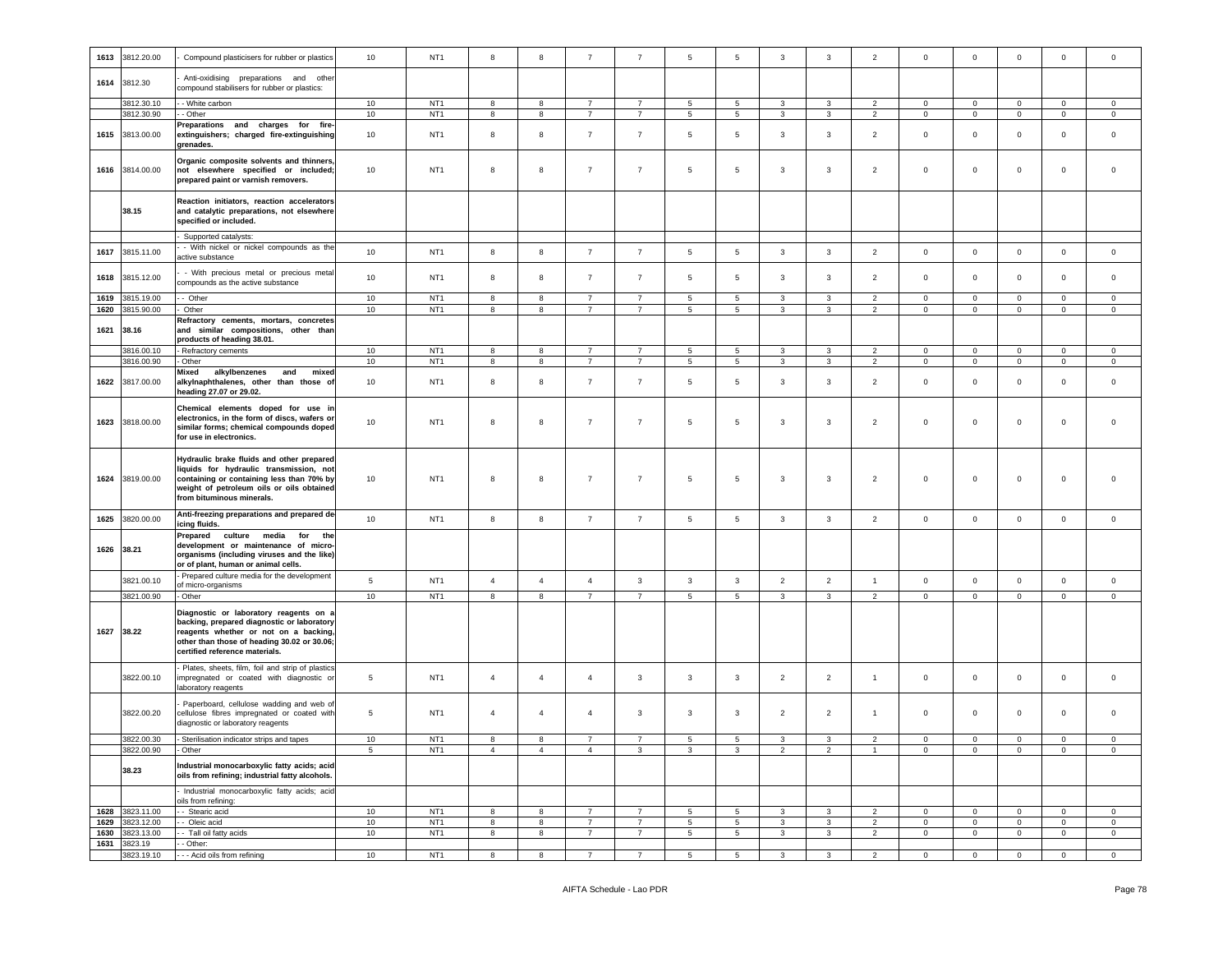| 1613 | 3812.20.00               | Compound plasticisers for rubber or plastics                                                                                                                                                                   | 10       | NT <sub>1</sub>                    | 8                   | 8                   | $\overline{7}$                   | $\overline{7}$                   | 5                    | 5                    | $\mathbf{3}$        | 3                   | $\overline{2}$                   | $\mathbf 0$                   | $\mathbf 0$                 | $\mathsf 0$                | $\mathbf 0$                   | $\mathbf 0$                   |
|------|--------------------------|----------------------------------------------------------------------------------------------------------------------------------------------------------------------------------------------------------------|----------|------------------------------------|---------------------|---------------------|----------------------------------|----------------------------------|----------------------|----------------------|---------------------|---------------------|----------------------------------|-------------------------------|-----------------------------|----------------------------|-------------------------------|-------------------------------|
|      | 1614 3812.30             | Anti-oxidising preparations and other<br>compound stabilisers for rubber or plastics:                                                                                                                          |          |                                    |                     |                     |                                  |                                  |                      |                      |                     |                     |                                  |                               |                             |                            |                               |                               |
|      | 3812.30.10               | - White carbon                                                                                                                                                                                                 | 10       | NT <sub>1</sub>                    | 8                   | $^{\rm 8}$          | $\overline{7}$                   | $\overline{7}$                   | $\,$ 5 $\,$          | 5                    | $\mathbf{3}$        | 3                   | $\overline{2}$                   | $\mathsf 0$                   | $\mathbf 0$                 | $\mathbf 0$                | $\mathbf 0$                   | $\mathsf 0$                   |
| 1615 | 3812.30.90<br>3813.00.00 | - Other<br>Preparations and charges for fire-<br>extinguishers; charged fire-extinguishing<br>grenades.                                                                                                        | 10<br>10 | NT <sub>1</sub><br>NT <sub>1</sub> | 8<br>8              | 8<br>$^{\rm 8}$     | $\overline{7}$<br>$\overline{7}$ | $\overline{7}$<br>$\overline{7}$ | $5\phantom{.0}$<br>5 | $5\phantom{.0}$<br>5 | $\mathbf{3}$<br>3   | 3<br>3              | $\overline{2}$<br>$\overline{2}$ | $\overline{0}$<br>$\mathsf 0$ | $\mathbf{O}$<br>$\mathbf 0$ | $\mathbf 0$<br>$\mathbf 0$ | $\overline{0}$<br>$\mathbf 0$ | $\mathbb O$<br>$\mathbf 0$    |
|      | 1616 3814.00.00          | Organic composite solvents and thinners<br>not elsewhere specified or included;<br>prepared paint or varnish removers.                                                                                         | 10       | NT <sub>1</sub>                    | 8                   | $^{\rm 8}$          | $\overline{7}$                   | $\overline{7}$                   | 5                    | 5                    | 3                   | 3                   | $\overline{2}$                   | $\mathsf 0$                   | $\mathbf 0$                 | $\mathbf 0$                | $\mathbf 0$                   | $\mathsf 0$                   |
|      | 38.15                    | Reaction initiators, reaction accelerators<br>and catalytic preparations, not elsewhere<br>specified or included.                                                                                              |          |                                    |                     |                     |                                  |                                  |                      |                      |                     |                     |                                  |                               |                             |                            |                               |                               |
|      |                          | Supported catalysts:<br>- With nickel or nickel compounds as the                                                                                                                                               |          |                                    |                     |                     |                                  |                                  |                      |                      |                     |                     |                                  |                               |                             |                            |                               |                               |
| 1617 | 3815.11.00               | active substance                                                                                                                                                                                               | 10       | NT <sub>1</sub>                    | 8                   | $^{\rm 8}$          | $\overline{7}$                   | $\overline{7}$                   | $5\phantom{.0}$      | 5                    | $\mathbf{3}$        | 3                   | $\overline{2}$                   | $\mathsf 0$                   | $\mathsf 0$                 | $\mathbf 0$                | $\mathbf 0$                   | $\mathsf 0$                   |
|      | 1618 3815.12.00          | - With precious metal or precious metal<br>compounds as the active substance                                                                                                                                   | 10       | NT <sub>1</sub>                    | 8                   | 8                   | $\overline{7}$                   | $\overline{7}$                   | 5                    | 5                    | 3                   | 3                   | $\overline{2}$                   | $\mathsf 0$                   | $\mathbf 0$                 | $\mathbf 0$                | $\circ$                       | $\mathbf 0$                   |
| 1619 | 3815.19.00               | - Other                                                                                                                                                                                                        | 10       | NT <sub>1</sub>                    | 8                   | 8                   | $\overline{7}$                   | $\overline{7}$                   | 5                    | 5                    | $\mathbf{3}$        | 3                   | $\overline{2}$                   | $\mathbf 0$                   | $\mathbf 0$                 | $\mathbf 0$                | $\mathbf 0$                   | $\mathbf 0$                   |
| 1620 | 3815.90.00               | Other                                                                                                                                                                                                          | 10       | NT <sub>1</sub>                    | 8                   | 8                   | $\overline{7}$                   | $\overline{7}$                   | $5\phantom{.0}$      | 5                    | $\mathbf{3}$        | 3                   | $\overline{2}$                   | $\mathbf 0$                   | $\mathsf 0$                 | $\mathsf 0$                | $\mathbf 0$                   | $\mathsf 0$                   |
| 1621 | 38.16                    | Refractory cements, mortars, concretes<br>and similar compositions, other than<br>products of heading 38.01.                                                                                                   |          |                                    |                     |                     |                                  |                                  |                      |                      |                     |                     |                                  |                               |                             |                            |                               |                               |
|      | 3816.00.10               | Refractory cements                                                                                                                                                                                             | 10       | NT <sub>1</sub>                    | $\boldsymbol{8}$    | 8                   | $\overline{7}$                   | $\overline{7}$                   | $5\phantom{.0}$      | $5\phantom{.0}$      | $\mathbf{3}$        | 3                   | $\overline{2}$                   | $\mathbf{0}$                  | $\mathbf 0$                 | $\mathbf 0$                | $\overline{0}$                | $\mathbb O$                   |
|      | 3816.00.90               | Other                                                                                                                                                                                                          | 10       | NT <sub>1</sub>                    | 8                   | 8                   | $\overline{7}$                   | $\overline{7}$                   | $5\phantom{.0}$      | 5                    | 3                   | 3                   | $\overline{2}$                   | $\mathbf 0$                   | $\mathsf 0$                 | $\mathbf 0$                | $\pmb{0}$                     | $\mathsf 0$                   |
| 1622 | 3817.00.00               | Mixed<br>alkylbenzenes<br>and<br>mixed<br>alkylnaphthalenes, other than those of<br>heading 27.07 or 29.02.                                                                                                    | 10       | NT <sub>1</sub>                    | 8                   | 8                   | $\overline{7}$                   | $\overline{7}$                   | $5\phantom{.0}$      | 5                    | 3                   | 3                   | $\overline{2}$                   | $\mathsf 0$                   | $\mathbf 0$                 | $\mathbf 0$                | $\mathbf 0$                   | $\mathbf 0$                   |
| 1623 | 3818.00.00               | Chemical elements doped for use in<br>electronics, in the form of discs, wafers or<br>similar forms; chemical compounds doped<br>for use in electronics.                                                       | 10       | NT <sub>1</sub>                    | 8                   | $^{\rm 8}$          | $\overline{7}$                   | $\overline{7}$                   | $5\phantom{.0}$      | 5                    | 3                   | 3                   | $\overline{2}$                   | $\mathsf 0$                   | $\mathbf 0$                 | $\mathbf 0$                | $\mathbf 0$                   | $\mathbf 0$                   |
|      | 1624 3819.00.00          | Hydraulic brake fluids and other prepared<br>liquids for hydraulic transmission, not<br>containing or containing less than 70% by<br>weight of petroleum oils or oils obtained<br>from bituminous minerals.    | 10       | NT <sub>1</sub>                    | 8                   | 8                   | $\overline{7}$                   | $\overline{7}$                   | $5\phantom{.0}$      | 5                    | $\mathbf{3}$        | 3                   | $\overline{2}$                   | $\mathsf 0$                   | $\mathbf 0$                 | $\mathbf 0$                | $\mathbf 0$                   | $\mathbf 0$                   |
| 1625 | 3820.00.00               | Anti-freezing preparations and prepared de-<br>icing fluids.                                                                                                                                                   | 10       | NT <sub>1</sub>                    | $\boldsymbol{8}$    | 8                   | $\overline{7}$                   | $\overline{7}$                   | 5                    | 5                    | $\mathbf{3}$        | $\mathbf{3}$        | $\overline{2}$                   | $\mathsf 0$                   | $\mathbf 0$                 | $\mathbf 0$                | $\mathbf 0$                   | $\mathsf 0$                   |
|      | 1626 38.21               | culture media<br>Prepared<br>for<br>the<br>development or maintenance of micro-<br>organisms (including viruses and the like)<br>or of plant, human or animal cells.                                           |          |                                    |                     |                     |                                  |                                  |                      |                      |                     |                     |                                  |                               |                             |                            |                               |                               |
|      | 3821.00.10               | Prepared culture media for the development<br>of micro-organisms                                                                                                                                               | 5        | NT <sub>1</sub>                    | $\overline{4}$      | $\overline{4}$      | $\overline{4}$                   | 3                                | 3                    | $\mathbf{3}$         | $\overline{2}$      | $\overline{2}$      | $\mathbf{1}$                     | $\mathsf 0$                   | $\mathbf 0$                 | $\mathbf 0$                | $\mathbf 0$                   | $\mathbf 0$                   |
|      | 3821.00.90               | Other                                                                                                                                                                                                          | 10       | NT <sub>1</sub>                    | 8                   | 8                   | $\overline{7}$                   | $\overline{7}$                   | 5                    | 5                    | 3                   | 3                   | $\overline{2}$                   | $\mathbf 0$                   | $\mathbf 0$                 | $\mathbf{0}$               | $\mathbf{0}$                  | $\circ$                       |
|      | 1627 38.22               | Diagnostic or laboratory reagents on a<br>backing, prepared diagnostic or laboratory<br>reagents whether or not on a backing,<br>other than those of heading 30.02 or 30.06;<br>certified reference materials. |          |                                    |                     |                     |                                  |                                  |                      |                      |                     |                     |                                  |                               |                             |                            |                               |                               |
|      | 3822.00.10               | Plates, sheets, film, foil and strip of plastics<br>impregnated or coated with diagnostic or<br>aboratory reagents                                                                                             | 5        | NT <sub>1</sub>                    | $\overline{4}$      | $\overline{4}$      | $\overline{4}$                   | $\mathbf{3}$                     | $\mathbf{3}$         | $\mathbf{3}$         | $\overline{2}$      | $\overline{2}$      | $\mathbf{1}$                     | $\mathsf 0$                   | $\mathbf{0}$                | $\mathbf 0$                | $\mathbf 0$                   | $\mathsf 0$                   |
|      | 3822.00.20               | Paperboard, cellulose wadding and web of<br>cellulose fibres impregnated or coated with<br>diagnostic or laboratory reagents                                                                                   | 5        | NT <sub>1</sub>                    | $\overline{4}$      | $\overline{4}$      | $\overline{4}$                   | 3                                | 3                    | 3                    | $\overline{2}$      | $\overline{2}$      | $\overline{1}$                   | $\mathsf 0$                   | 0                           | $\mathbf 0$                | $\mathbf 0$                   | $\mathbf 0$                   |
|      | 3822.00.30<br>3822.00.90 | - Sterilisation indicator strips and tapes<br>Other                                                                                                                                                            | 10<br>5  | NT <sub>1</sub><br>NT <sub>1</sub> | 8<br>$\overline{4}$ | 8<br>$\overline{4}$ | $\overline{4}$                   | 3                                | 5<br>3               | 5<br>3               | 3<br>$\overline{2}$ | 3<br>$\overline{2}$ | $\overline{2}$<br>$\mathbf{1}$   | 0<br>$\mathbf{0}$             | $\mathbf 0$<br>$\mathbf{0}$ | $\mathbf 0$<br>0           | $\mathbf 0$<br>$\overline{0}$ | $\mathbf 0$<br>$\overline{0}$ |
|      | 38.23                    | Industrial monocarboxylic fatty acids; acid<br>oils from refining; industrial fatty alcohols.                                                                                                                  |          |                                    |                     |                     |                                  |                                  |                      |                      |                     |                     |                                  |                               |                             |                            |                               |                               |
|      |                          | Industrial monocarboxylic fatty acids; acid<br>oils from refining:                                                                                                                                             |          |                                    |                     |                     |                                  |                                  |                      |                      |                     |                     |                                  |                               |                             |                            |                               |                               |
|      | 1628 3823.11.00          | - Stearic acid                                                                                                                                                                                                 | 10       | NT <sub>1</sub>                    | 8                   | 8                   | $\overline{7}$                   | $\overline{7}$                   | 5                    | 5                    | 3                   | 3                   | $\overline{2}$                   | 0                             | $\mathbf{0}$                | $\mathbf 0$                | $\mathbf 0$                   | $\mathbf 0$                   |
| 1629 | 3823.12.00               | - Oleic acid                                                                                                                                                                                                   | 10       | NT <sub>1</sub>                    | 8                   | $^{\rm 8}$          | $\overline{7}$                   | $\overline{7}$                   | $\,$ 5 $\,$          | 5                    | $\mathbf{3}$        | 3                   | $\overline{2}$                   | $\mathbf 0$                   | $\mathsf 0$                 | $\mathsf 0$                | $\mathbf 0$                   | $\,0\,$                       |
| 1630 | 3823.13.00               | - Tall oil fatty acids                                                                                                                                                                                         | 10       | NT <sub>1</sub>                    | 8                   | 8                   | $\overline{7}$                   | $\overline{7}$                   | $\,$ 5 $\,$          | 5                    | $\mathbf{3}$        | 3                   | $\overline{2}$                   | $\mathbf 0$                   | $\circ$                     | $\mathbf 0$                | $\mathbf{0}$                  | $\mathsf 0$                   |
| 1631 | 3823.19<br>3823.19.10    | - Other:<br>- - Acid oils from refining                                                                                                                                                                        | 10       | NT <sub>1</sub>                    | 8                   | 8                   | $\overline{7}$                   | $\overline{7}$                   | $5\phantom{.0}$      | $5\phantom{.0}$      | $\mathbf{3}$        | 3                   | $\overline{2}$                   | $\mathbf 0$                   | $\mathbf 0$                 | $\mathbf 0$                | $\mathbf 0$                   | $\overline{0}$                |
|      |                          |                                                                                                                                                                                                                |          |                                    |                     |                     |                                  |                                  |                      |                      |                     |                     |                                  |                               |                             |                            |                               |                               |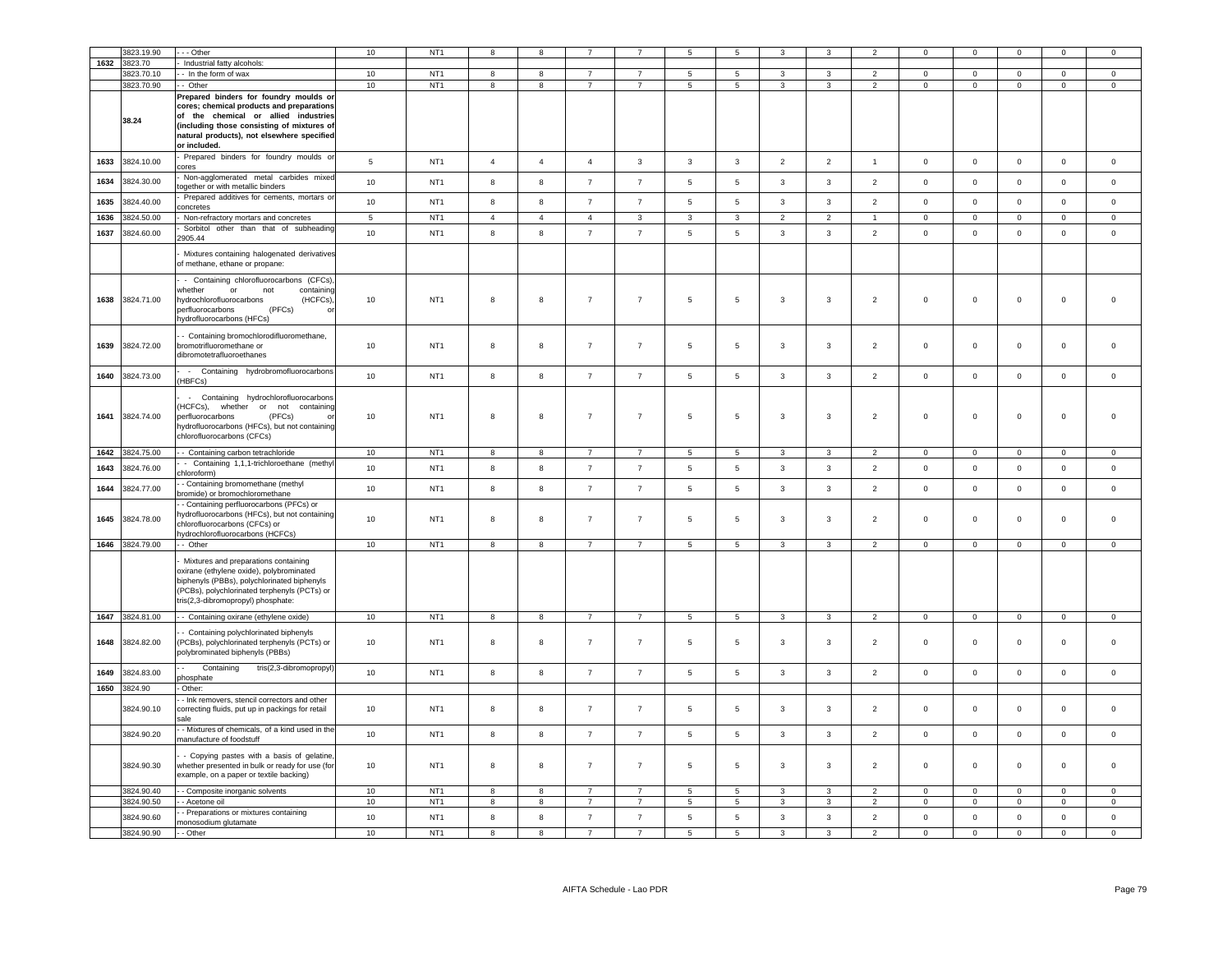|      | 3823.19.90               | - - Other                                                                                                                                                                                                                               | 10          | NT <sub>1</sub>                    |                     | 8                   |                                  |                | 5                             | 5                            | 3                              |                                         |                                  | $\Omega$                      | $\Omega$                      | $\Omega$                      | $\Omega$                      | $\Omega$            |
|------|--------------------------|-----------------------------------------------------------------------------------------------------------------------------------------------------------------------------------------------------------------------------------------|-------------|------------------------------------|---------------------|---------------------|----------------------------------|----------------|-------------------------------|------------------------------|--------------------------------|-----------------------------------------|----------------------------------|-------------------------------|-------------------------------|-------------------------------|-------------------------------|---------------------|
| 1632 | 3823.70                  |                                                                                                                                                                                                                                         |             |                                    |                     |                     |                                  |                |                               |                              |                                |                                         |                                  |                               |                               |                               |                               |                     |
|      |                          | Industrial fatty alcohols:                                                                                                                                                                                                              | 10          | NT <sub>1</sub>                    |                     |                     | $\overline{7}$                   | $\overline{7}$ |                               | $\overline{5}$               | $\overline{3}$                 | 3                                       | 2                                | $\overline{0}$                |                               | $\overline{0}$                |                               | $\circ$             |
|      | 3823.70.10               | - - In the form of wax                                                                                                                                                                                                                  |             |                                    | 8                   | $\boldsymbol{8}$    |                                  |                | $5\phantom{.0}$               |                              |                                |                                         |                                  |                               | $\mathbf 0$                   |                               | $\overline{0}$                |                     |
|      | 3823.70.90               | - Other                                                                                                                                                                                                                                 | 10          | NT <sub>1</sub>                    | 8                   | $\boldsymbol{8}$    | $\overline{7}$                   | $\overline{7}$ | $5\overline{5}$               | 5                            | $\mathbf{3}$                   | 3                                       | $\overline{2}$                   | $\overline{0}$                | $\mathbf 0$                   | $\mathsf 0$                   | $\mathbf{0}$                  | $\overline{0}$      |
|      | 38.24                    | Prepared binders for foundry moulds or<br>cores; chemical products and preparations<br>of the chemical or allied industries<br>(including those consisting of mixtures of<br>natural products), not elsewhere specified<br>or included. |             |                                    |                     |                     |                                  |                |                               |                              |                                |                                         |                                  |                               |                               |                               |                               |                     |
| 1633 | 3824.10.00               | Prepared binders for foundry moulds or<br>ores                                                                                                                                                                                          | $\sqrt{5}$  | NT <sub>1</sub>                    | $\overline{4}$      | $\overline{4}$      | $\overline{4}$                   | $\mathbf{3}$   | $\mathbf{3}$                  | $\mathbf{3}$                 | $\overline{2}$                 | $\overline{2}$                          | $\mathbf{1}$                     | $\,0\,$                       | $\mathbf 0$                   | $\mathbf 0$                   | $\mathbf 0$                   | $\mathsf{O}\xspace$ |
| 1634 | 3824.30.00               | Non-agglomerated metal carbides mixed<br>ogether or with metallic binders                                                                                                                                                               | 10          | NT <sub>1</sub>                    | 8                   | 8                   | $\overline{7}$                   | $\overline{7}$ | $\sqrt{5}$                    | $5\phantom{.0}$              | 3                              | $\mathbf{3}$                            | $\overline{2}$                   | $\mathsf 0$                   | $\mathbf 0$                   | $\mathsf 0$                   | $\mathsf 0$                   | $\mathsf 0$         |
| 1635 | 3824.40.00               | Prepared additives for cements, mortars or<br>concretes                                                                                                                                                                                 | 10          | NT <sub>1</sub>                    | 8                   | 8                   | $\overline{7}$                   | $\overline{7}$ | $\,$ 5 $\,$                   | $\sqrt{5}$                   | $\mathbf{3}$                   | $_{\rm 3}$                              | $\overline{2}$                   | $\mathsf 0$                   | $\mathsf 0$                   | $\mathsf 0$                   | $\mathsf 0$                   | $\mathsf{O}\xspace$ |
| 1636 | 3824.50.00               | Non-refractory mortars and concretes                                                                                                                                                                                                    | $\,$ 5 $\,$ | NT <sub>1</sub>                    | $\overline{4}$      | $\overline{4}$      | $\overline{4}$                   | $\mathbf{3}$   | $\overline{\mathbf{3}}$       | $\overline{3}$               | $\overline{2}$                 | 2                                       | $\overline{1}$                   | $\mathbf 0$                   | $\overline{0}$                | $\mathsf 0$                   | $\mathbf 0$                   | $\mathbf 0$         |
| 1637 | 3824.60.00               | Sorbitol other than that of subheading<br>2905.44                                                                                                                                                                                       | 10          | NT <sub>1</sub>                    | 8                   | $\bf8$              | $\overline{7}$                   | $\overline{7}$ | $\,$ 5 $\,$                   | $\,$ 5 $\,$                  | $\mathbf{3}$                   | $\mathbf{3}$                            | $\overline{2}$                   | $\mathsf 0$                   | $\mathbf 0$                   | $\mathbf 0$                   | $\mathbf 0$                   | $\mathsf{O}\xspace$ |
|      |                          | Mixtures containing halogenated derivatives<br>of methane, ethane or propane:                                                                                                                                                           |             |                                    |                     |                     |                                  |                |                               |                              |                                |                                         |                                  |                               |                               |                               |                               |                     |
| 1638 | 3824.71.00               | - Containing chlorofluorocarbons (CFCs),<br>whether<br>or<br>not<br>containing<br>(HCFCs)<br>hydrochlorofluorocarbons<br>(PFCs)<br>berfluorocarbons<br>ydrofluorocarbons (HFCs)                                                         | 10          | NT <sub>1</sub>                    | 8                   | 8                   | $\overline{7}$                   | $\overline{7}$ | $\,$ 5 $\,$                   | $\sqrt{5}$                   | 3                              | 3                                       | $\overline{2}$                   | $\,0\,$                       | $\mathbf{0}$                  | $\mathbf 0$                   | $\mathsf 0$                   | $\mathsf 0$         |
| 1639 | 3824.72.00               | - Containing bromochlorodifluoromethane,<br>bromotrifluoromethane or<br>dibromotetrafluoroethanes                                                                                                                                       | 10          | NT <sub>1</sub>                    | 8                   | 8                   | $\overline{7}$                   | $\overline{7}$ | 5                             | 5                            | 3                              | 3                                       | $\overline{2}$                   | $\mathbf 0$                   | $\mathsf 0$                   | $\mathbf 0$                   | 0                             | $\mathsf 0$         |
| 1640 | 3824.73.00               | - Containing hydrobromofluorocarbons<br>HBFCs)                                                                                                                                                                                          | 10          | NT <sub>1</sub>                    | 8                   | 8                   | $\overline{7}$                   | $\overline{7}$ | $\,$ 5 $\,$                   | 5                            | $\mathbf{3}$                   | 3                                       | $\overline{2}$                   | $\mathsf 0$                   | $\mathbf 0$                   | $\mathsf 0$                   | $\mathsf 0$                   | $\mathsf 0$         |
| 1641 | 3824.74.00               | - Containing hydrochlorofluorocarbons<br>HCFCs),<br>whether or not<br>containing<br>perfluorocarbons<br>(PFCs)<br>nydrofluorocarbons (HFCs), but not containing<br>chlorofluorocarbons (CFCs)                                           | 10          | NT <sub>1</sub>                    | 8                   | 8                   | $\overline{7}$                   | $\overline{7}$ | 5                             | 5                            | 3                              | 3                                       | 2                                | $\,0\,$                       | $^{\circ}$                    | $\mathbf 0$                   | $\mathbf 0$                   | $\Omega$            |
| 1642 | 8824.75.00               | - Containing carbon tetrachloride                                                                                                                                                                                                       | 10          | NT <sub>1</sub>                    | 8                   | 8                   | $\overline{7}$                   | $\overline{7}$ | 5                             | 5                            | 3                              | $\mathbf{3}$                            | $\overline{2}$                   | $\circ$                       | $\mathsf 0$                   | $\mathsf 0$                   | $\mathsf 0$                   | $\mathsf 0$         |
| 1643 | 3824.76.00               | - Containing 1,1,1-trichloroethane (methyl<br>hloroform)                                                                                                                                                                                | 10          | NT <sub>1</sub>                    | 8                   | 8                   | $\overline{7}$                   | $\overline{7}$ | $\,$ 5 $\,$                   | $\sqrt{5}$                   | $\mathbf{3}$                   | $_{\rm 3}$                              | $\overline{2}$                   | $\,0\,$                       | $\mathbf 0$                   | $\mathbf 0$                   | $\mathsf 0$                   | $\mathsf{O}\xspace$ |
| 1644 | 3824.77.00               | - Containing bromomethane (methyl<br>oromide) or bromochloromethane                                                                                                                                                                     | 10          | NT <sub>1</sub>                    | 8                   | 8                   | $\overline{7}$                   | $\overline{7}$ | $\,$ 5 $\,$                   | $\sqrt{5}$                   | $\mathbf{3}$                   | $\mathbf{3}$                            | $\overline{2}$                   | $\,0\,$                       | $\mathbf 0$                   | $\mathbf 0$                   | $\mathbf 0$                   | 0                   |
| 1645 | 3824.78.00               | - Containing perfluorocarbons (PFCs) or<br>nydrofluorocarbons (HFCs), but not containing<br>chlorofluorocarbons (CFCs) or                                                                                                               | 10          |                                    |                     |                     |                                  |                |                               |                              |                                |                                         |                                  |                               |                               |                               |                               |                     |
|      |                          | nydrochlorofluorocarbons (HCFCs)                                                                                                                                                                                                        |             | NT <sub>1</sub>                    | 8                   | 8                   | $\overline{7}$                   | $\overline{7}$ | 5                             | 5                            | 3                              | 3                                       | $\overline{2}$                   | $\mathbf 0$                   | $\mathbf 0$                   | $\mathsf 0$                   | $\mathbf{0}$                  | $\Omega$            |
|      | 1646 3824.79.00          | - Other                                                                                                                                                                                                                                 | 10          | NT <sub>1</sub>                    | 8                   | 8                   | $\overline{7}$                   | $\overline{7}$ | 5                             | 5                            | 3                              | 3                                       | $\mathcal{P}$                    | $\mathbf 0$                   | $\circ$                       | $\mathsf 0$                   | $\mathsf 0$                   | $\Omega$            |
|      |                          | Mixtures and preparations containing<br>oxirane (ethylene oxide), polybrominated<br>biphenyls (PBBs), polychlorinated biphenyls<br>PCBs), polychlorinated terphenyls (PCTs) or<br>tris(2,3-dibromopropyl) phosphate:                    |             |                                    |                     |                     |                                  |                |                               |                              |                                |                                         |                                  |                               |                               |                               |                               |                     |
|      | 1647 3824.81.00          | - - Containing oxirane (ethylene oxide)                                                                                                                                                                                                 | 10          | NT <sub>1</sub>                    | 8                   | 8                   | $\overline{7}$                   | $\overline{7}$ | 5                             | 5                            | 3                              | 3                                       | $\overline{2}$                   | $\mathbf 0$                   | $\mathbf 0$                   | $\mathbf 0$                   | $\mathbf 0$                   | $\mathbf 0$         |
| 1648 | 3824.82.00               | Containing polychlorinated biphenyls<br>PCBs), polychlorinated terphenyls (PCTs) or<br>polybrominated biphenyls (PBBs)                                                                                                                  | 10          | NT <sub>1</sub>                    | 8                   | 8                   | $\overline{7}$                   | $\overline{7}$ | 5                             | 5                            | 3                              | 3                                       | $\overline{2}$                   | $\mathbf 0$                   | $\mathsf 0$                   | $\mathbf 0$                   | 0                             | $\mathsf 0$         |
| 1649 | 3824.83.00               | Containing<br>tris(2,3-dibromopropyl)<br>phosphate                                                                                                                                                                                      | 10          | NT <sub>1</sub>                    | 8                   | 8                   | $\overline{7}$                   | $\overline{7}$ | 5                             | $5\phantom{.0}$              | $\mathbf{3}$                   | $\mathbf{3}$                            | $\overline{2}$                   | $\mathsf 0$                   | $\mathbf 0$                   | $\mathsf 0$                   | $\mathbf 0$                   | $\mathsf 0$         |
| 1650 | 3824.90                  | Other:                                                                                                                                                                                                                                  |             |                                    |                     |                     |                                  |                |                               |                              |                                |                                         |                                  |                               |                               |                               |                               |                     |
|      | 3824.90.10               | - Ink removers, stencil correctors and other<br>correcting fluids, put up in packings for retail<br>sale                                                                                                                                | 10          | NT <sub>1</sub>                    | 8                   | 8                   | $\overline{7}$                   | $\overline{7}$ | 5                             | 5                            | 3                              | 3                                       | $\overline{2}$                   | $\mathbf 0$                   | $\mathbf 0$                   | $\mathbf 0$                   | 0                             | $\mathbf 0$         |
|      | 3824.90.20               | - Mixtures of chemicals, of a kind used in the<br>manufacture of foodstuff                                                                                                                                                              | 10          | NT <sub>1</sub>                    | 8                   | 8                   | $\overline{7}$                   | $\overline{7}$ | $5\phantom{.0}$               | $\,$ 5 $\,$                  | $\mathbf{3}$                   | $\mathbf{3}$                            | $\overline{2}$                   | $\mathbf 0$                   | $\mathbf 0$                   | $\mathbf 0$                   | $\mathbf 0$                   | $\mathsf{O}\xspace$ |
|      | 3824.90.30               | - Copying pastes with a basis of gelatine,<br>whether presented in bulk or ready for use (for<br>example, on a paper or textile backing)                                                                                                | 10          | NT <sub>1</sub>                    | 8                   | 8                   | $\overline{7}$                   | $\overline{7}$ | 5                             | $\sqrt{5}$                   | $\mathbf{3}$                   | $_{\rm 3}$                              | $\overline{2}$                   | $\,0\,$                       | $\mathbf 0$                   | $\mathbf 0$                   | $\mathsf 0$                   | $\mathsf 0$         |
|      | 3824.90.40               | - - Composite inorganic solvents                                                                                                                                                                                                        | 10          | NT <sub>1</sub>                    | 8                   | 8                   | $\overline{7}$                   | $\overline{7}$ | 5                             | 5                            | 3                              | 3                                       | $\mathcal{P}$                    | $\mathbf 0$                   | $\mathbf 0$                   | $\mathbf 0$                   | $\mathbf 0$                   | $\circ$             |
|      | 3824.90.50               | - Acetone oil                                                                                                                                                                                                                           | $10$        | NT <sub>1</sub>                    | 8                   | 8                   | $\overline{7}$                   | $\overline{7}$ | 5                             | 5                            | 3                              | 3                                       | $\overline{2}$                   | $\mathsf 0$                   | $\mathbf 0$                   | $\mathbf 0$                   | $\mathbf 0$                   | $\mathsf 0$         |
|      | 3824.90.60<br>3824.90.90 | - Preparations or mixtures containing<br>monosodium glutamate                                                                                                                                                                           | 10<br>10    | NT <sub>1</sub><br>NT <sub>1</sub> | 8<br>$\overline{8}$ | 8<br>$\overline{8}$ | $\overline{7}$<br>$\overline{7}$ | $\overline{7}$ | $\,$ 5 $\,$<br>$\overline{5}$ | $\sqrt{5}$<br>$\overline{5}$ | $\mathbf{3}$<br>$\overline{3}$ | $\mathbf{3}$<br>$\overline{\mathbf{3}}$ | $\overline{2}$<br>$\overline{2}$ | $\mathsf 0$<br>$\overline{0}$ | $\mathbf 0$<br>$\overline{0}$ | $\mathbf 0$<br>$\overline{0}$ | $\mathsf 0$<br>$\overline{0}$ | $\mathsf 0$         |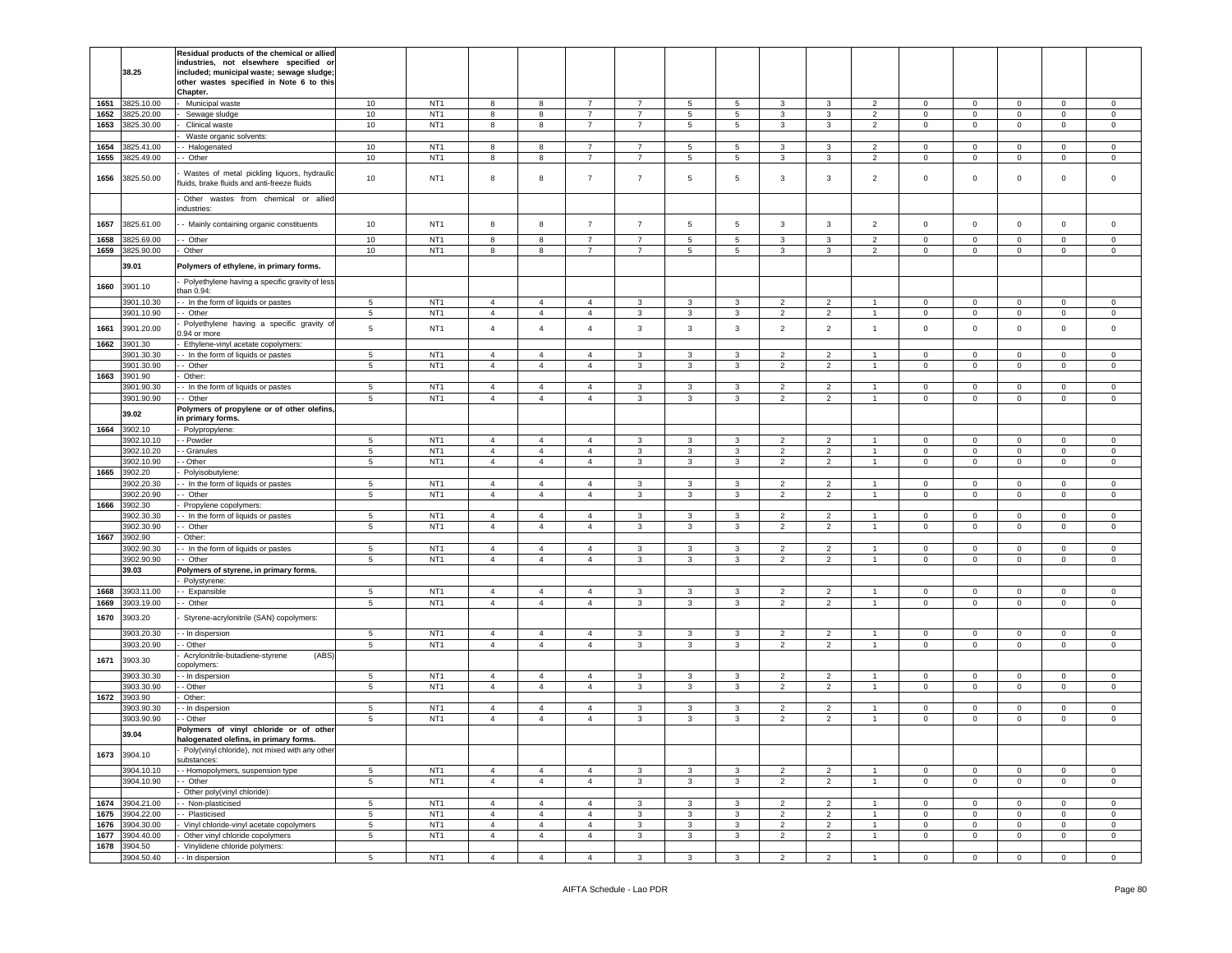|      | 38.25                    | Residual products of the chemical or allied<br>industries, not elsewhere specified or<br>included; municipal waste; sewage sludge;<br>other wastes specified in Note 6 to this<br>Chapter. |                  |                                    |                                  |                                  |                                  |                |                   |                   |                                  |                                  |                                  |                            |                             |                            |                  |                            |
|------|--------------------------|--------------------------------------------------------------------------------------------------------------------------------------------------------------------------------------------|------------------|------------------------------------|----------------------------------|----------------------------------|----------------------------------|----------------|-------------------|-------------------|----------------------------------|----------------------------------|----------------------------------|----------------------------|-----------------------------|----------------------------|------------------|----------------------------|
| 1651 | 3825.10.00               | Municipal waste                                                                                                                                                                            | 10               | NT <sub>1</sub>                    | 8                                | 8                                | $\overline{7}$                   | $\overline{7}$ | 5                 | $\sqrt{5}$        | 3                                | 3                                | $\overline{2}$                   | $\mathbf 0$                | $\mathsf 0$                 | $\mathbf 0$                | $\mathsf 0$      | $\mathsf 0$                |
| 1652 | 3825.20.00               | Sewage sludge                                                                                                                                                                              | 10               | NT <sub>1</sub>                    | 8                                | 8                                | $\overline{7}$                   | $\overline{7}$ | $5\phantom{.0}$   | 5                 | 3                                | 3                                | $\overline{2}$                   | $\mathbf 0$                | $\mathbf 0$                 | $\mathsf 0$                | $\mathbf 0$      | $\mathbf 0$                |
| 1653 | 3825.30.00               | Clinical waste                                                                                                                                                                             | 10               | NT <sub>1</sub>                    | 8                                | 8                                | $\overline{7}$                   | $\overline{7}$ | 5                 | 5                 | 3                                | 3                                | $\overline{2}$                   | $\mathbf 0$                | $\mathbf{0}$                | $\mathbf 0$                | $\mathbf{0}$     | $\circ$                    |
| 1654 | 3825.41.00               | Waste organic solvents:                                                                                                                                                                    | 10               | NT <sub>1</sub>                    | 8                                | 8                                | $\overline{7}$                   | $\overline{7}$ | 5                 | 5                 | 3                                | 3                                | $\overline{\phantom{a}}$         | $\Omega$                   | $\mathbf 0$                 | $\mathbf 0$                | $\circ$          | $\mathbf 0$                |
| 1655 | 3825.49.00               | - Halogenated<br>- Other                                                                                                                                                                   | $10$             | NT <sub>1</sub>                    | 8                                | 8                                | $\overline{7}$                   | 7              | 5                 | 5                 | 3                                | 3                                | 2                                | 0                          | $\mathbf 0$                 | $\mathbf 0$                | $\mathbf 0$      | 0                          |
|      |                          |                                                                                                                                                                                            |                  |                                    |                                  |                                  |                                  |                |                   |                   |                                  |                                  |                                  |                            |                             |                            |                  |                            |
| 1656 | 3825.50.00               | Wastes of metal pickling liquors, hydraulic<br>uids, brake fluids and anti-freeze fluids                                                                                                   | 10               | NT <sub>1</sub>                    | 8                                | 8                                | $\overline{7}$                   | $\overline{7}$ | 5                 | $\sqrt{5}$        | 3                                | 3                                | $\overline{2}$                   | $\mathbf 0$                | $\mathsf 0$                 | $\mathbf 0$                | 0                | 0                          |
|      |                          | Other wastes from chemical or allied<br>ndustries:                                                                                                                                         |                  |                                    |                                  |                                  |                                  |                |                   |                   |                                  |                                  |                                  |                            |                             |                            |                  |                            |
| 1657 | 3825.61.00               | - Mainly containing organic constituents                                                                                                                                                   | 10               | NT <sub>1</sub>                    | 8                                | 8                                | $\overline{7}$                   | $\overline{7}$ | 5                 | 5                 | 3                                | 3                                | $\overline{2}$                   | $\mathbf 0$                | $\mathbf 0$                 | $\mathbf 0$                | $\mathbf 0$      | $\mathbf 0$                |
| 1658 | 3825.69.00               | - Other                                                                                                                                                                                    | 10               | NT <sub>1</sub>                    | 8                                | 8                                | $\overline{7}$                   | $\overline{7}$ | 5                 | 5                 | 3                                | 3                                | $\overline{2}$                   | $\mathbf 0$                | $\mathbf 0$                 | $\mathbf 0$                | 0                | $\mathbf 0$                |
| 1659 | 3825.90.00               | Other                                                                                                                                                                                      | 10               | NT <sub>1</sub>                    | 8                                | 8                                | 7                                | 7              | 5                 | 5                 | 3                                | 3                                | $\overline{2}$                   | $\mathbf 0$                | $\mathbf 0$                 | $\mathbf 0$                | 0                | $\circ$                    |
|      | 39.01                    | Polymers of ethylene, in primary forms.                                                                                                                                                    |                  |                                    |                                  |                                  |                                  |                |                   |                   |                                  |                                  |                                  |                            |                             |                            |                  |                            |
| 1660 | 3901.10                  | Polyethylene having a specific gravity of less<br>han 0.94:                                                                                                                                |                  |                                    |                                  |                                  |                                  |                |                   |                   |                                  |                                  |                                  |                            |                             |                            |                  |                            |
|      | 3901.10.30               | - In the form of liquids or pastes                                                                                                                                                         | 5                | NT <sub>1</sub>                    | $\overline{4}$                   | $\overline{4}$                   | $\overline{4}$                   | 3              | 3                 | 3                 | $\overline{2}$                   | $\overline{2}$                   | $\overline{1}$                   | $\mathbf 0$                | $\mathbf{0}$                | $\mathbf 0$                | $\mathbf{0}$     | $\circ$                    |
| 1661 | 3901.10.90<br>3901.20.00 | - Other<br>Polyethylene having a specific gravity of                                                                                                                                       | 5<br>5           | NT <sub>1</sub><br>NT <sub>1</sub> | $\overline{4}$<br>$\overline{4}$ | $\overline{4}$<br>$\overline{4}$ | $\overline{4}$<br>$\overline{4}$ | 3<br>3         | $\mathbf{3}$<br>3 | 3<br>$\mathbf{3}$ | $\overline{2}$<br>$\overline{2}$ | $\overline{2}$<br>$\overline{2}$ | $\mathbf{1}$<br>$\mathbf{1}$     | $\mathbf 0$<br>$\mathsf 0$ | $\mathbf 0$<br>$\mathbf 0$  | $\mathbf 0$<br>$\mathbf 0$ | $\mathbf 0$<br>0 | $\mathbf 0$<br>$\mathbf 0$ |
|      |                          | .94 or more                                                                                                                                                                                |                  |                                    |                                  |                                  |                                  |                |                   |                   |                                  |                                  |                                  |                            |                             |                            |                  |                            |
| 1662 | 3901.30                  | Ethylene-vinyl acetate copolymers:                                                                                                                                                         |                  |                                    |                                  |                                  |                                  |                |                   |                   |                                  |                                  |                                  |                            |                             |                            |                  |                            |
|      | 3901.30.30               | - In the form of liquids or pastes                                                                                                                                                         | 5                | NT <sub>1</sub>                    | $\overline{4}$                   | $\overline{4}$                   | $\overline{4}$                   | 3              | 3                 | 3                 | $\overline{2}$                   | $\overline{2}$                   | $\overline{1}$                   | $\mathbf 0$                | $\mathbf 0$                 | $\mathbf 0$                | $\mathbf 0$      | $\mathbf 0$                |
| 1663 | 3901.30.90<br>3901.90    | - Other<br>Other:                                                                                                                                                                          | 5                | NT <sub>1</sub>                    | $\overline{4}$                   | $\overline{4}$                   | $\overline{4}$                   | 3              | 3                 | 3                 | $\overline{2}$                   | $\overline{2}$                   | $\overline{1}$                   | $\mathbf 0$                | $\mathbf 0$                 | $\mathbf 0$                | $\mathbf 0$      | $\mathbf 0$                |
|      | 3901.90.30               | - In the form of liquids or pastes                                                                                                                                                         | $5^{\circ}$      | NT <sub>1</sub>                    | $\overline{4}$                   | $\overline{4}$                   | $\overline{4}$                   | 3              | $\mathbf{3}$      | 3                 | 2                                | $\overline{2}$                   | $\mathbf{1}$                     | $\mathbf 0$                | $\mathbf 0$                 | $\circ$                    | $\circ$          | $\circ$                    |
|      | 3901.90.90               | - Other                                                                                                                                                                                    | $\,$ 5 $\,$      | NT <sub>1</sub>                    | $\overline{4}$                   | $\overline{4}$                   | 4                                | 3              | 3                 | 3                 | 2                                | 2                                | $\overline{1}$                   | 0                          | $\mathbf 0$                 | $\mathbf 0$                | 0                | 0                          |
|      |                          | Polymers of propylene or of other olefins,                                                                                                                                                 |                  |                                    |                                  |                                  |                                  |                |                   |                   |                                  |                                  |                                  |                            |                             |                            |                  |                            |
|      | 39.02                    | n primary forms.                                                                                                                                                                           |                  |                                    |                                  |                                  |                                  |                |                   |                   |                                  |                                  |                                  |                            |                             |                            |                  |                            |
| 1664 | 3902.10                  | Polypropylene:                                                                                                                                                                             |                  |                                    |                                  |                                  |                                  |                |                   |                   |                                  |                                  |                                  |                            |                             |                            |                  |                            |
|      | 3902.10.10               | - Powder                                                                                                                                                                                   | 5                | NT <sub>1</sub>                    | $\overline{4}$                   | $\overline{4}$                   | $\overline{4}$                   | 3              | 3                 | 3                 | $\overline{2}$                   | $\overline{2}$                   |                                  | $\mathbf 0$                | 0                           | $\mathbf 0$                | $\mathbf 0$      | $\mathbf 0$                |
|      | 3902.10.20               | - Granules                                                                                                                                                                                 | $5\phantom{.0}$  | NT <sub>1</sub>                    | $\overline{4}$                   | $\overline{4}$                   | $\overline{4}$                   | $\mathbf{3}$   | $\mathbf{3}$      | $\mathbf{3}$      | $\overline{2}$                   | $\overline{2}$                   | $\overline{1}$                   | $\mathbf 0$                | $\mathsf 0$                 | $\mathbf 0$                | $\circ$          | $\circ$                    |
|      | 3902.10.90               | Other                                                                                                                                                                                      | 5                | NT <sub>1</sub>                    | $\overline{4}$                   | $\overline{4}$                   | $\overline{4}$                   | 3              | $\mathbf{3}$      | 3                 | $\overline{2}$                   | $\overline{2}$                   | $\mathbf{1}$                     | $\mathbf 0$                | $\mathbf{0}$                | $\mathbf 0$                | $\mathbf{0}$     | $\circ$                    |
| 1665 | 3902.20                  | Polyisobutylene:                                                                                                                                                                           |                  |                                    |                                  |                                  |                                  |                |                   |                   |                                  |                                  |                                  |                            |                             |                            |                  |                            |
|      | 3902.20.30               | - In the form of liquids or pastes                                                                                                                                                         | 5                | NT <sub>1</sub>                    | $\overline{4}$                   | $\overline{4}$                   | 4                                | 3              | 3                 | 3                 | $\overline{2}$                   | $\overline{2}$                   | $\mathbf{1}$                     | $\mathbf 0$                | $\mathbf 0$                 | $\mathbf 0$                | $\mathbf 0$      | $\mathbf 0$                |
|      | 3902.20.90               | - Other                                                                                                                                                                                    | $5^{\circ}$      | NT <sub>1</sub>                    | $\overline{4}$                   | $\overline{4}$                   | $\overline{4}$                   | 3              | $\mathbf{3}$      | 3                 | $\overline{2}$                   | $\overline{2}$                   | $\mathbf{1}$                     | $\mathbf 0$                | $\mathbf{0}$                | $\mathbf 0$                | $\mathbf 0$      | $\mathbf 0$                |
| 1666 | 3902.30                  | Propylene copolymers:                                                                                                                                                                      |                  |                                    |                                  |                                  |                                  |                |                   |                   |                                  |                                  |                                  |                            |                             |                            |                  |                            |
|      | 3902.30.30               | - In the form of liquids or pastes                                                                                                                                                         | 5                | NT <sub>1</sub>                    | $\overline{4}$                   | $\overline{4}$                   | 4                                | 3              | 3                 | 3                 | $\overline{c}$                   | $\overline{2}$                   | -1.                              | $\mathbf 0$                | $\mathsf 0$                 | $\mathbf 0$                | 0                | $\mathbf 0$                |
|      | 3902.30.90               | - Other                                                                                                                                                                                    | $5^{\circ}$      | NT <sub>1</sub>                    | $\overline{4}$                   | $\overline{4}$                   | $\overline{4}$                   | 3              | 3                 | 3                 | $\overline{2}$                   | $\overline{2}$                   | $\overline{1}$                   | $\mathbf 0$                | $\mathbf{O}$                | $\mathbf 0$                | $\circ$          | $\circ$                    |
| 1667 | 3902.90                  | Other:                                                                                                                                                                                     |                  | NT <sub>1</sub>                    |                                  | $\overline{4}$                   | $\overline{4}$                   |                | 3                 | $\mathbf{3}$      |                                  |                                  |                                  |                            |                             |                            | $\mathbf{0}$     | $\mathbf 0$                |
|      | 3902.90.30<br>3902.90.90 | - In the form of liquids or pastes<br>Other                                                                                                                                                | 5<br>$5^{\circ}$ | NT <sub>1</sub>                    | $\overline{4}$<br>$\overline{4}$ | $\overline{4}$                   | $\overline{4}$                   | 3<br>3         | 3                 | 3                 | $\overline{2}$<br>$\overline{2}$ | $\overline{2}$<br>$\overline{2}$ | $\overline{1}$<br>$\overline{1}$ | $\mathbf 0$<br>$\mathbf 0$ | $\mathbf 0$<br>$\mathbf{O}$ | $\mathbf 0$<br>$\mathbf 0$ | $\mathbf 0$      | $\mathbf 0$                |
|      | 39.03                    | Polymers of styrene, in primary forms.                                                                                                                                                     |                  |                                    |                                  |                                  |                                  |                |                   |                   |                                  |                                  |                                  |                            |                             |                            |                  |                            |
|      |                          | Polystyrene:                                                                                                                                                                               |                  |                                    |                                  |                                  |                                  |                |                   |                   |                                  |                                  |                                  |                            |                             |                            |                  |                            |
| 1668 | 3903.11.00               | - Expansible                                                                                                                                                                               | 5                | NT <sub>1</sub>                    | $\overline{4}$                   | $\overline{4}$                   | $\overline{4}$                   | 3              | 3                 | 3                 | $\overline{2}$                   | $\overline{2}$                   | $\overline{1}$                   | $\mathbf 0$                | $\mathbf 0$                 | $\mathbf 0$                | $\mathbf 0$      | 0                          |
| 1669 | 3903.19.00               | Other                                                                                                                                                                                      | 5                | NT <sub>1</sub>                    | $\overline{4}$                   | $\overline{4}$                   | $\overline{4}$                   | $\mathbf{3}$   | $\mathbf{3}$      | $\mathbf{3}$      | $\overline{2}$                   | $\overline{2}$                   | $\blacktriangleleft$             | $\mathbf 0$                | $\circ$                     | $\mathsf 0$                | $\mathbf 0$      | $\mathbf 0$                |
| 1670 | 3903.20                  | Styrene-acrylonitrile (SAN) copolymers:                                                                                                                                                    |                  |                                    |                                  |                                  |                                  |                |                   |                   |                                  |                                  |                                  |                            |                             |                            |                  |                            |
|      | 3903.20.30               | - In dispersion                                                                                                                                                                            | 5                | NT <sub>1</sub>                    | $\overline{4}$                   | $\overline{4}$                   | $\overline{4}$                   | 3              | 3                 | 3                 | $\overline{2}$                   | $\overline{2}$                   | $\mathbf{1}$                     | $\mathbf 0$                | 0                           | $\mathbf 0$                | $\mathbf 0$      | 0                          |
|      | 3903.20.90               | Other                                                                                                                                                                                      | $\,$ 5 $\,$      | NT <sub>1</sub>                    | $\overline{4}$                   | $\overline{4}$                   | $\overline{4}$                   | $\mathbf{3}$   | $\mathbf{3}$      | $\mathbf{3}$      | $\overline{2}$                   | $\overline{2}$                   | $\mathbf{1}$                     | $\mathbf 0$                | $\mathbf 0$                 | $\mathbf 0$                | $\mathsf 0$      | $\mathbf 0$                |
| 1671 | 3903.30                  | Acrylonitrile-butadiene-styrene<br>(ABS)<br>copolymers:                                                                                                                                    |                  |                                    |                                  |                                  |                                  |                |                   |                   |                                  |                                  |                                  |                            |                             |                            |                  |                            |
|      | 3903.30.30               | - In dispersion                                                                                                                                                                            | 5                | NT <sub>1</sub>                    | $\overline{4}$                   | $\overline{4}$                   | $\overline{4}$                   | 3              | 3                 | 3                 | $\overline{2}$                   | $\overline{2}$                   | $\overline{1}$                   | $\mathbf 0$                | $\mathbf 0$                 | $\mathbf 0$                | $\overline{0}$   | $\circ$                    |
|      | 3903.30.90               | - Other                                                                                                                                                                                    | $5\phantom{.0}$  | NT <sub>1</sub>                    | $\overline{4}$                   | $\overline{4}$                   | $\overline{4}$                   | 3              | $\mathbf{3}$      | $\mathbf{3}$      | $\overline{2}$                   | $\overline{2}$                   | $\mathbf{1}$                     | $\mathbf{0}$               | $\mathbf 0$                 | $\mathsf 0$                | $\mathbf 0$      | $\circ$                    |
| 1672 | 3903.90                  | Other:                                                                                                                                                                                     |                  |                                    |                                  |                                  |                                  |                |                   |                   |                                  |                                  |                                  |                            |                             |                            |                  |                            |
|      | 3903.90.30               | - In dispersion                                                                                                                                                                            | 5                | NT <sub>1</sub>                    | $\overline{4}$                   | $\overline{4}$                   | 4                                | 3              | 3                 | 3                 | 2                                | $\overline{2}$                   |                                  | 0                          | 0                           | 0                          | 0                | 0                          |
|      | 3903.90.90               | Other                                                                                                                                                                                      | $5^{\circ}$      | NT <sub>1</sub>                    | $\overline{4}$                   | $\overline{4}$                   | $\overline{4}$                   | 3              | 3                 | 3                 | $\overline{2}$                   | $\overline{2}$                   | $\mathbf{1}$                     | $\mathbf 0$                | $\mathsf 0$                 | $\mathbf 0$                | $\mathbf 0$      | $\mathbf 0$                |
|      | 39.04                    | Polymers of vinyl chloride or of other<br>halogenated olefins, in primary forms.                                                                                                           |                  |                                    |                                  |                                  |                                  |                |                   |                   |                                  |                                  |                                  |                            |                             |                            |                  |                            |
| 1673 | 3904.10                  | Poly(vinyl chloride), not mixed with any other<br>substances:                                                                                                                              |                  |                                    |                                  |                                  |                                  |                |                   |                   |                                  |                                  |                                  |                            |                             |                            |                  |                            |
|      | 3904.10.10               | Homopolymers, suspension type                                                                                                                                                              | $5\phantom{.0}$  | NT <sub>1</sub>                    | $\overline{4}$                   | $\overline{4}$                   | $\overline{4}$                   | $\mathbf{3}$   | $\mathbf{3}$      | $\mathbf{3}$      | $\overline{2}$                   | $\overline{2}$                   | $\mathbf{1}$                     | $\mathbf{0}$               | $\circ$                     | $\mathsf 0$                | $\mathbf{0}$     | $\circ$                    |
|      | 3904.10.90               | - Other                                                                                                                                                                                    | $5^{\circ}$      | NT <sub>1</sub>                    | $\overline{4}$                   | $\overline{4}$                   | $\overline{4}$                   | 3              | 3                 | 3                 | $\overline{2}$                   | $\overline{2}$                   | $\mathbf{1}$                     | $\mathbf{0}$               | $\mathbf{0}$                | $\mathbf 0$                | $\mathbf{0}$     | $\circ$                    |
|      |                          | Other poly(vinyl chloride):                                                                                                                                                                |                  |                                    |                                  |                                  |                                  |                |                   |                   |                                  |                                  |                                  |                            |                             |                            |                  |                            |
| 1674 | 3904.21.00               | - Non-plasticised                                                                                                                                                                          | 5                | NT <sub>1</sub>                    | $\overline{4}$                   | $\overline{4}$                   | $\overline{4}$                   | 3              | $\mathbf{3}$      | $\mathbf{3}$      | $\overline{2}$                   | $\overline{2}$                   | $\mathbf{1}$                     | $\mathbf{0}$               | $\mathbf{0}$                | $\mathbf 0$                | $\mathbf{0}$     | $\circ$                    |
| 1675 | 3904.22.00               | - Plasticised                                                                                                                                                                              | $5\phantom{.0}$  | NT <sub>1</sub>                    | $\overline{4}$                   | $\overline{4}$                   | $\overline{4}$                   | 3              | 3                 | 3                 | $\overline{2}$                   | $\overline{2}$                   | $\mathbf{1}$                     | $\mathbf 0$                | $\mathbf{O}$                | $\mathbf 0$                | $\mathbf 0$      | $\circ$                    |
| 1676 | 3904.30.00               | Vinyl chloride-vinyl acetate copolymers                                                                                                                                                    | 5                | NT <sub>1</sub>                    | $\overline{4}$                   | $\overline{4}$                   | $\overline{4}$                   | $\mathbf{3}$   | 3                 | 3                 | $\overline{2}$                   | $\overline{2}$                   | $\mathbf{1}$                     | $\mathbf 0$                | $\mathbf 0$                 | $\mathbf 0$                | $\circ$          | $\mathbf 0$                |
| 1677 | 3904.40.00<br>3904.50    | Other vinyl chloride copolymers                                                                                                                                                            | 5                | NT <sub>1</sub>                    | $\overline{4}$                   | $\overline{4}$                   | $\overline{4}$                   | $\mathbf{3}$   | 3                 | 3                 | $\overline{2}$                   | $\overline{2}$                   | $\mathbf{1}$                     | $\mathbf 0$                | $\overline{0}$              | $\mathbf 0$                | $\mathbf 0$      | $\mathsf 0$                |
| 1678 | 3904.50.40               | Vinylidene chloride polymers:<br>- In dispersion                                                                                                                                           | $5\phantom{.0}$  | NT <sub>1</sub>                    | $\overline{4}$                   | $\overline{4}$                   | $\overline{4}$                   | 3              | 3                 | 3                 | $\overline{2}$                   | $\overline{2}$                   | $\overline{1}$                   | $\mathbf 0$                | $\overline{0}$              | $\mathbf 0$                | $\mathbf 0$      | $\mathbf{0}$               |
|      |                          |                                                                                                                                                                                            |                  |                                    |                                  |                                  |                                  |                |                   |                   |                                  |                                  |                                  |                            |                             |                            |                  |                            |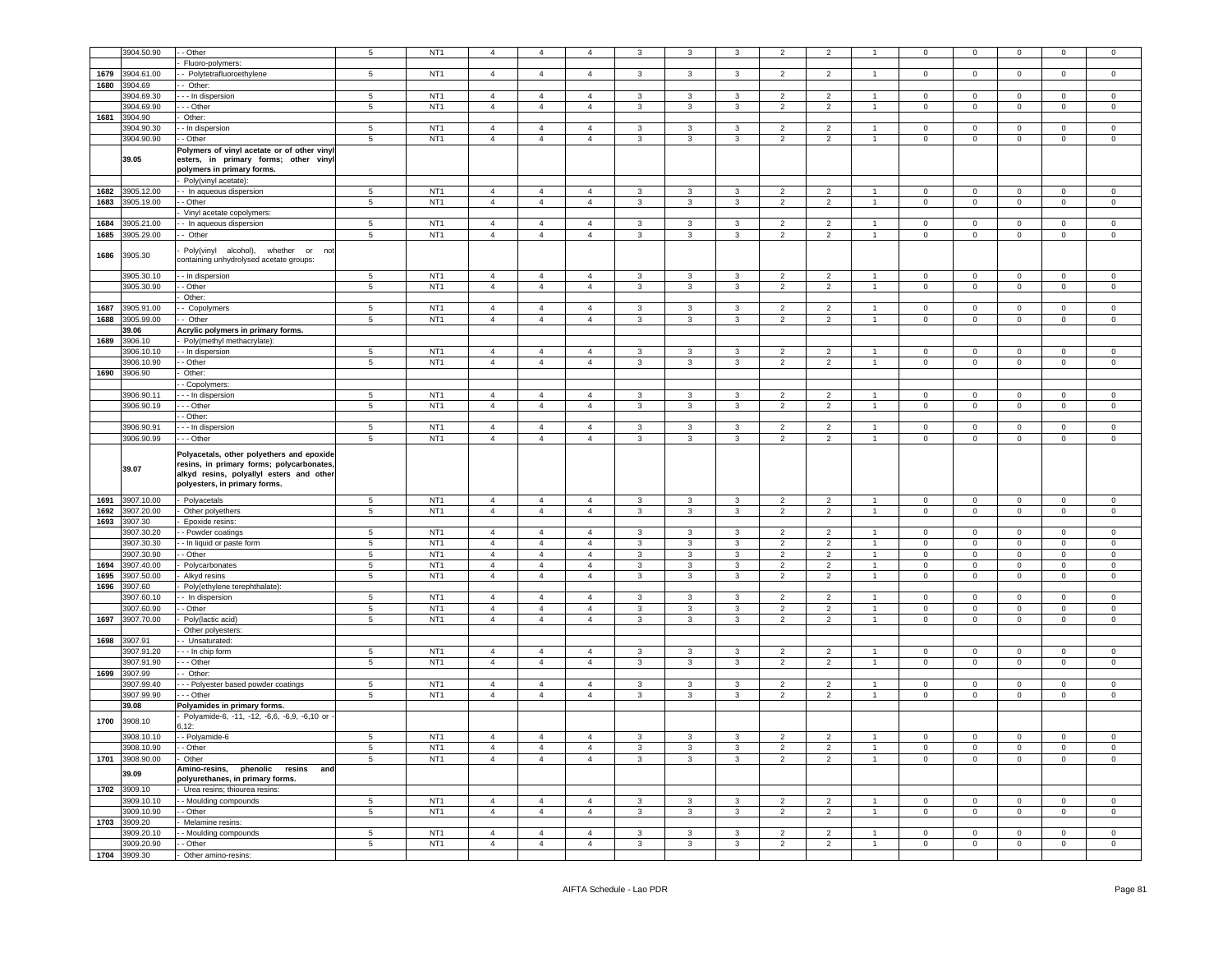|      | 3904.50.90                 | - Other                                     | 5                                  | NT <sub>1</sub>                    | $\overline{4}$                   | $\overline{4}$                   | $\overline{4}$                   | 3                 | 3            | 3            | $\overline{2}$      | $\overline{2}$                   |                      | 0                | $\mathbf 0$      | $\mathbf 0$                | $\mathbf 0$            |                            |
|------|----------------------------|---------------------------------------------|------------------------------------|------------------------------------|----------------------------------|----------------------------------|----------------------------------|-------------------|--------------|--------------|---------------------|----------------------------------|----------------------|------------------|------------------|----------------------------|------------------------|----------------------------|
|      |                            | Fluoro-polymers:                            |                                    |                                    |                                  |                                  |                                  |                   |              |              |                     |                                  |                      |                  |                  |                            |                        |                            |
| 1679 | 3904.61.00                 | - Polytetrafluoroethylene                   | 5                                  | NT <sub>1</sub>                    | $\overline{4}$                   | $\overline{4}$                   | $\overline{4}$                   | 3                 | 3            | $\mathbf{3}$ | $\overline{2}$      | $\overline{2}$                   | $\overline{1}$       | 0                | $\mathbf 0$      | $\mathbf 0$                | $\mathbf 0$            | $\circ$                    |
| 1680 | 3904.69                    | - Other:                                    |                                    |                                    |                                  |                                  |                                  |                   |              |              |                     |                                  |                      |                  |                  |                            |                        |                            |
|      | 904.69.30                  | - - In dispersion                           | $5\phantom{.0}$                    | NT <sub>1</sub>                    | $\overline{4}$                   | $\overline{4}$                   | $\overline{4}$                   | $\mathbf{3}$      | 3            | 3            | 2                   | $\overline{2}$                   |                      | $\mathbf 0$      | $\mathbf 0$      | $\mathbf 0$                | $\mathbf 0$            | 0                          |
|      | 3904.69.90                 |                                             | 5                                  | NT <sub>1</sub>                    | $\overline{4}$                   | $\overline{4}$                   | $\overline{4}$                   | 3                 | 3            | $\mathbf{3}$ | $\overline{2}$      | $\overline{2}$                   | $\overline{1}$       |                  | $\mathbf 0$      | $\mathbf{0}$               | $\mathbf 0$            |                            |
| 1681 | 3904.90                    | - - Other                                   |                                    |                                    |                                  |                                  |                                  |                   |              |              |                     |                                  |                      | 0                |                  |                            |                        | $\circ$                    |
|      |                            | Other:                                      |                                    |                                    |                                  |                                  |                                  |                   |              |              |                     |                                  |                      |                  |                  |                            |                        |                            |
|      | 3904.90.30                 | - In dispersion                             | $5\phantom{.0}$                    | NT <sub>1</sub>                    | $\overline{4}$                   | $\overline{4}$                   | $\overline{4}$                   | 3                 | 3            | 3            | $\overline{2}$      | $\overline{2}$                   |                      | $\mathbf 0$      | $\mathbf 0$      | $\mathsf 0$                | $\mathbf 0$            | 0                          |
|      | 3904.90.90                 | - Other                                     | 5                                  | NT <sub>1</sub>                    | $\overline{4}$                   | $\overline{4}$                   | $\overline{4}$                   | 3                 | 3            | 3            | $\overline{2}$      | $\overline{2}$                   | $\overline{1}$       | 0                | $\mathbf 0$      | $\mathsf 0$                | $\mathbf 0$            | $\mathsf 0$                |
|      |                            | Polymers of vinyl acetate or of other vinyl |                                    |                                    |                                  |                                  |                                  |                   |              |              |                     |                                  |                      |                  |                  |                            |                        |                            |
|      | 39.05                      | esters, in primary forms; other vinyl       |                                    |                                    |                                  |                                  |                                  |                   |              |              |                     |                                  |                      |                  |                  |                            |                        |                            |
|      |                            | oolymers in primary forms.                  |                                    |                                    |                                  |                                  |                                  |                   |              |              |                     |                                  |                      |                  |                  |                            |                        |                            |
|      |                            | Poly(vinyl acetate)                         |                                    |                                    |                                  |                                  |                                  |                   |              |              |                     |                                  |                      |                  |                  |                            |                        |                            |
| 1682 | 3905.12.00                 | - In aqueous dispersion                     | 5                                  | NT <sub>1</sub>                    | $\overline{4}$                   | $\overline{4}$                   | $\overline{4}$                   | 3                 | $\mathbf{3}$ | 3            | 2                   | 2                                | $\mathbf{1}$         | $\circ$          | $\circ$          | $\mathsf 0$                | $\circ$                | $\mathbf 0$                |
| 1683 | 3905.19.00                 | - Other                                     | $\sqrt{5}$                         | NT <sub>1</sub>                    | $\overline{4}$                   | $\overline{4}$                   | $\overline{4}$                   | 3                 | 3            | 3            | $\overline{2}$      | $\overline{2}$                   | $\mathbf{1}$         | 0                | $\mathbf 0$      | $\mathbf 0$                | $\mathbf 0$            | 0                          |
|      |                            | Vinyl acetate copolymers:                   |                                    |                                    |                                  |                                  |                                  |                   |              |              |                     |                                  |                      |                  |                  |                            |                        |                            |
| 1684 | 3905.21.00                 | - In aqueous dispersion                     | 5                                  | NT <sub>1</sub>                    | $\overline{4}$                   | $\overline{4}$                   | $\overline{4}$                   | 3                 | 3            | 3            | $\overline{2}$      | $\overline{2}$                   | $\overline{1}$       | $\mathbf 0$      | 0                | $\mathsf 0$                | $\mathbf 0$            | $\circ$                    |
| 1685 | 3905.29.00                 | - Other                                     | 5                                  | NT <sub>1</sub>                    | $\overline{4}$                   | $\overline{4}$                   | $\overline{4}$                   | 3                 | 3            | 3            | $\overline{2}$      | $\overline{2}$                   | $\mathbf{1}$         | 0                | $\mathbf 0$      | $\mathbf 0$                | $\mathbf 0$            | 0                          |
|      |                            |                                             |                                    |                                    |                                  |                                  |                                  |                   |              |              |                     |                                  |                      |                  |                  |                            |                        |                            |
| 1686 | 3905.30                    | Poly(vinyl alcohol),<br>whether or<br>not   |                                    |                                    |                                  |                                  |                                  |                   |              |              |                     |                                  |                      |                  |                  |                            |                        |                            |
|      |                            | containing unhydrolysed acetate groups:     |                                    |                                    |                                  |                                  |                                  |                   |              |              |                     |                                  |                      |                  |                  |                            |                        |                            |
|      | 3905.30.10                 | - In dispersion                             | 5                                  | NT <sub>1</sub>                    | $\overline{4}$                   | $\overline{4}$                   | $\overline{4}$                   | $\mathbf{3}$      | $\mathbf{3}$ | 3            | $\overline{2}$      | $\overline{2}$                   | $\overline{1}$       | 0                | $\mathbf 0$      | $\mathbf 0$                | $\mathbf 0$            | $\mathbf 0$                |
|      | 3905.30.90                 | - Other                                     | 5                                  | NT <sub>1</sub>                    | $\overline{4}$                   | $\overline{4}$                   | $\overline{4}$                   | 3                 | $\mathbf{3}$ | $\mathbf{3}$ | $\overline{2}$      | $\overline{2}$                   | $\mathbf{1}$         | 0                | $\mathbf 0$      | $\mathbf 0$                | $\mathbf 0$            | $\mathbf 0$                |
|      |                            | Other:                                      |                                    |                                    |                                  |                                  |                                  |                   |              |              |                     |                                  |                      |                  |                  |                            |                        |                            |
| 1687 | 3905.91.00                 | - Copolymers                                | 5                                  | NT <sub>1</sub>                    | $\overline{4}$                   | $\overline{4}$                   | $\overline{4}$                   | 3                 | 3            | 3            | 2                   | $\overline{2}$                   |                      | $\Omega$         | $\mathbf 0$      | $\mathsf 0$                | $\circ$                | $\mathsf 0$                |
| 1688 | 3905.99.00                 | Other                                       | 5                                  | NT <sub>1</sub>                    | $\overline{4}$                   | $\overline{4}$                   | $\overline{4}$                   | 3                 | 3            | 3            | $\overline{2}$      | $\overline{2}$                   | $\mathbf{1}$         | 0                | $\mathbf 0$      | $\mathbf 0$                | $\mathbf 0$            | $\mathbf 0$                |
|      | 39.06                      | Acrylic polymers in primary forms.          |                                    |                                    |                                  |                                  |                                  |                   |              |              |                     |                                  |                      |                  |                  |                            |                        |                            |
| 1689 | 3906.10                    | Poly(methyl methacrylate)                   |                                    |                                    |                                  |                                  |                                  |                   |              |              |                     |                                  |                      |                  |                  |                            |                        |                            |
|      |                            |                                             |                                    |                                    |                                  |                                  |                                  |                   |              |              |                     |                                  | $\overline{1}$       |                  |                  |                            |                        |                            |
|      | 906.10.10<br>3906.10.90    | - In dispersion                             | 5                                  | NT <sub>1</sub><br>NT <sub>1</sub> | $\overline{4}$<br>$\overline{4}$ | $\overline{4}$                   | $\overline{4}$                   | 3                 | 3            | 3            | $\overline{2}$      | $\overline{2}$                   |                      | $\mathbf 0$      | 0                | $\mathsf 0$                | $\mathbf 0$            | 0                          |
|      |                            | - Other                                     | 5                                  |                                    |                                  | $\overline{4}$                   | $\overline{4}$                   | 3                 | 3            | 3            | $\overline{2}$      | $\overline{2}$                   | $\overline{1}$       | 0                | 0                | $\overline{0}$             | $\mathbf 0$            | 0                          |
| 1690 | 3906.90                    | Other:                                      |                                    |                                    |                                  |                                  |                                  |                   |              |              |                     |                                  |                      |                  |                  |                            |                        |                            |
|      |                            | - Copolymers:                               |                                    |                                    |                                  |                                  |                                  |                   |              |              |                     |                                  |                      |                  |                  |                            |                        |                            |
|      | 3906.90.11                 | - - In dispersion                           | 5                                  | NT <sub>1</sub>                    | $\overline{4}$                   | $\overline{4}$                   | $\overline{4}$                   | 3                 | 3            | 3            | $\overline{2}$      | $\overline{2}$                   | $\overline{1}$       | 0                | 0                | $\overline{0}$             | $\mathbf 0$            | $\circ$                    |
|      | 3906.90.19                 | - - Other                                   | 5                                  | NT <sub>1</sub>                    | $\overline{4}$                   | $\overline{4}$                   | $\overline{4}$                   | 3                 | $\mathbf{3}$ | $\mathbf{3}$ | $\overline{2}$      | $\overline{2}$                   | $\mathbf{1}$         | 0                | $\mathbf{O}$     | $\mathbf{0}$               | $\mathbf 0$            | $\circ$                    |
|      |                            | - Other:                                    |                                    |                                    |                                  |                                  |                                  |                   |              |              |                     |                                  |                      |                  |                  |                            |                        |                            |
|      | 3906.90.91                 | - - In dispersion                           | $5\phantom{.0}$                    | NT <sub>1</sub>                    | $\overline{4}$                   | $\overline{4}$                   | $\overline{4}$                   | 3                 | 3            | 3            | $\overline{2}$      | $\overline{2}$                   | $\mathbf{1}$         | 0                | 0                | $\mathbf 0$                | $\mathbf 0$            | 0                          |
|      | 3906.90.99                 | - - Other                                   | 5                                  | NT <sub>1</sub>                    | $\overline{4}$                   | $\overline{4}$                   | $\overline{4}$                   | 3                 | $\mathbf{3}$ | 3            | $\overline{2}$      | $\overline{2}$                   | $\mathbf{1}$         | 0                | $\mathbf 0$      | $\mathsf 0$                | $\mathbf 0$            | $\mathsf 0$                |
|      |                            |                                             |                                    |                                    |                                  |                                  |                                  |                   |              |              |                     |                                  |                      |                  |                  |                            |                        |                            |
|      |                            |                                             |                                    |                                    |                                  |                                  |                                  |                   |              |              |                     |                                  |                      |                  |                  |                            |                        |                            |
|      |                            | Polyacetals, other polyethers and epoxide   |                                    |                                    |                                  |                                  |                                  |                   |              |              |                     |                                  |                      |                  |                  |                            |                        |                            |
|      | 39.07                      | resins, in primary forms; polycarbonates,   |                                    |                                    |                                  |                                  |                                  |                   |              |              |                     |                                  |                      |                  |                  |                            |                        |                            |
|      |                            | alkyd resins, polyallyl esters and other    |                                    |                                    |                                  |                                  |                                  |                   |              |              |                     |                                  |                      |                  |                  |                            |                        |                            |
|      |                            | polyesters, in primary forms.               |                                    |                                    |                                  |                                  |                                  |                   |              |              |                     |                                  |                      |                  |                  |                            |                        |                            |
| 1691 | 3907.10.00                 | Polyacetals                                 | $\overline{5}$                     | NT <sub>1</sub>                    | $\overline{4}$                   | $\overline{4}$                   | $\overline{4}$                   | $\mathbf{3}$      | $\mathbf{3}$ | 3            | $\overline{2}$      | $\overline{2}$                   | $\mathbf{1}$         | 0                | $\mathbf 0$      | $\mathbf 0$                | $\mathsf 0$            | $\mathbf 0$                |
| 1692 | 3907.20.00                 | Other polyethers                            | $\sqrt{5}$                         | NT <sub>1</sub>                    | $\overline{4}$                   | $\overline{4}$                   | $\overline{4}$                   | 3                 | 3            | 3            | $\overline{2}$      | $\overline{2}$                   | $\mathbf{1}$         | 0                | $\mathbf 0$      | $\mathbf 0$                | $\mathsf 0$            | $\mathbf 0$                |
| 1693 | 3907.30                    | Epoxide resins                              |                                    |                                    |                                  |                                  |                                  |                   |              |              |                     |                                  |                      |                  |                  |                            |                        |                            |
|      | 3907.30.20                 | - Powder coatings                           | $5\phantom{.0}$                    | NT <sub>1</sub>                    | $\overline{4}$                   | $\overline{4}$                   | $\overline{4}$                   | 3                 | 3            | 3            | $\overline{2}$      | $\overline{2}$                   | $\blacktriangleleft$ | $\Omega$         | 0                | $\mathbf 0$                | $\mathbf 0$            | $^{\circ}$                 |
|      | 3907.30.30                 |                                             |                                    | NT <sub>1</sub>                    | $\overline{4}$                   | $\overline{4}$                   | $\overline{4}$                   | $\mathbf{3}$      | 3            | 3            | $\overline{2}$      | $\overline{2}$                   | $\mathbf{1}$         | 0                | $\mathbf 0$      | $\mathbf 0$                | $\mathbf 0$            | $\mathbf 0$                |
|      |                            | - In liquid or paste form                   | $\overline{5}$                     |                                    |                                  |                                  |                                  |                   |              |              |                     |                                  | $\mathbf{1}$         |                  |                  |                            |                        |                            |
| 1694 | 3907.30.90<br>3907.40.00   | - Other                                     | $5\phantom{.0}$<br>$5\phantom{.0}$ | NT <sub>1</sub><br>NT <sub>1</sub> | $\overline{4}$<br>$\overline{4}$ | $\overline{4}$<br>$\overline{4}$ | $\overline{4}$<br>$\overline{4}$ | $\mathbf{3}$<br>3 | 3<br>3       | 3<br>3       | $\overline{2}$<br>2 | $\overline{2}$<br>$\overline{2}$ | $\mathbf{1}$         | 0<br>$\mathbf 0$ | 0<br>$\mathbf 0$ | $\mathbf 0$<br>$\mathbf 0$ | $\mathbf 0$<br>$\circ$ | $\mathbf 0$<br>$\mathsf 0$ |
| 1695 | 3907.50.00                 | Polycarbonates                              |                                    | NT <sub>1</sub>                    | $\overline{4}$                   | $\overline{4}$                   | $\overline{4}$                   | 3                 | 3            | 3            | $\overline{2}$      | $\overline{2}$                   | $\mathbf{1}$         | 0                | $\mathbf 0$      | $\mathbf 0$                | $\mathbf 0$            | $\mathsf 0$                |
|      |                            | Alkyd resins                                | $5\phantom{.0}$                    |                                    |                                  |                                  |                                  |                   |              |              |                     |                                  |                      |                  |                  |                            |                        |                            |
| 1696 | 3907.60                    | Poly(ethylene terephthalate):               |                                    |                                    |                                  |                                  |                                  |                   |              |              |                     |                                  | $\overline{1}$       | $\Omega$         |                  |                            |                        |                            |
|      | 3907.60.1                  | - In dispersion                             | 5                                  | NT <sub>1</sub>                    | $\overline{4}$                   | $\overline{4}$                   | $\overline{4}$                   | 3                 | 3            | 3            | 2                   | $\overline{2}$                   |                      |                  | $\mathbf 0$      | $\mathbf 0$                | $\circ$                | $\mathsf 0$                |
|      | 3907.60.90                 | - Other                                     | $5\phantom{.0}$                    | NT <sub>1</sub>                    | $\overline{4}$                   | $\overline{4}$                   | $\overline{4}$                   | 3                 | 3            | 3            | 2                   | $\overline{2}$                   | $\mathbf{1}$         | 0                | $\mathbf 0$      | $\mathbf 0$                | $\mathbf 0$            | $\mathsf 0$                |
| 1697 | 3907.70.00                 | Poly(lactic acid)                           | $5\phantom{.0}$                    | NT <sub>1</sub>                    | $\overline{4}$                   | $\overline{4}$                   | $\overline{4}$                   | $\mathbf{3}$      | $\mathbf{3}$ | 3            | $\overline{2}$      | $\overline{2}$                   | $\mathbf{1}$         | 0                | 0                | $\overline{0}$             | $\mathsf 0$            | $\mathbf 0$                |
|      |                            | Other polyesters:                           |                                    |                                    |                                  |                                  |                                  |                   |              |              |                     |                                  |                      |                  |                  |                            |                        |                            |
| 1698 | 3907.91                    | - Unsaturated:                              |                                    |                                    |                                  |                                  |                                  |                   |              |              |                     |                                  |                      |                  |                  |                            |                        |                            |
|      | 3907.91.20                 | - - In chip form                            | 5                                  | NT <sub>1</sub>                    | $\overline{4}$                   | $\overline{4}$                   | $\overline{4}$                   | 3                 | 3            | 3            | 2                   | $\overline{2}$                   | -1.                  | 0                | 0                | $\mathbf 0$                | $\mathbf 0$            | 0                          |
|      | 3907.91.90                 | - - Other                                   | 5                                  | NT <sub>1</sub>                    | $\overline{4}$                   | $\overline{4}$                   | $\overline{4}$                   | 3                 | $\mathbf{3}$ | 3            | $\overline{2}$      | $\overline{2}$                   | $\mathbf{1}$         | 0                | $\mathbf 0$      | $\mathsf 0$                | $\mathbf 0$            | $\mathsf 0$                |
| 1699 | 3907.99                    | Other:                                      |                                    |                                    |                                  |                                  |                                  |                   |              |              |                     |                                  |                      |                  |                  |                            |                        |                            |
|      | 3907.99.40                 | - - Polyester based powder coatings         | $5\phantom{.0}$                    | NT <sub>1</sub>                    | $\overline{4}$                   | $\overline{4}$                   | $\overline{4}$                   | 3                 | 3            | 3            | $\overline{2}$      | $\overline{2}$                   | -1                   | 0                | 0                | $\overline{0}$             | $\mathbf 0$            | 0                          |
|      | 3907.99.90                 | - - Other                                   | 5                                  | NT <sub>1</sub>                    | $\overline{4}$                   | $\overline{4}$                   | $\overline{4}$                   | 3                 | $\mathbf{3}$ | $\mathbf{3}$ | $\overline{2}$      | $\overline{2}$                   | $\mathbf{1}$         | 0                | $\mathbf 0$      | $\mathbf 0$                | $\mathbf 0$            | $\circ$                    |
|      | 39.08                      | Polyamides in primary forms.                |                                    |                                    |                                  |                                  |                                  |                   |              |              |                     |                                  |                      |                  |                  |                            |                        |                            |
|      |                            | Polyamide-6, -11, -12, -6,6, -6,9, -6,10 or |                                    |                                    |                                  |                                  |                                  |                   |              |              |                     |                                  |                      |                  |                  |                            |                        |                            |
| 1700 | 3908.10                    | i, 12:                                      |                                    |                                    |                                  |                                  |                                  |                   |              |              |                     |                                  |                      |                  |                  |                            |                        |                            |
|      | 3908.10.10                 | - - Polyamide-6                             | 5                                  | NT <sub>1</sub>                    | $\overline{4}$                   | $\overline{4}$                   | $\overline{4}$                   | 3                 | 3            | 3            | $\overline{2}$      | $\overline{2}$                   | $\overline{1}$       | 0                | $\mathbf 0$      | $\mathsf 0$                | $\mathbf 0$            | $\mathbf 0$                |
|      | 3908.10.90                 | - Other                                     | 5                                  | NT <sub>1</sub>                    | 4                                | $\overline{4}$                   | $\overline{4}$                   | 3                 | 3            | 3            | $\overline{2}$      | 2                                | $\overline{1}$       | $\mathbf{0}$     | 0                | $\mathbf{0}$               | $^{\circ}$             | $\mathbf 0$                |
|      | 1701 3908.90.00            | Other                                       | 5                                  | NT <sub>1</sub>                    | $\overline{4}$                   | $\overline{4}$                   | $\overline{4}$                   | 3                 | 3            | $\mathbf{3}$ | $\overline{2}$      | $\overline{2}$                   | $\overline{1}$       | 0                | $\mathbf 0$      | $\mathbf{0}$               | $\mathbf 0$            | $\circ$                    |
|      |                            | Amino-resins, phenolic resins and           |                                    |                                    |                                  |                                  |                                  |                   |              |              |                     |                                  |                      |                  |                  |                            |                        |                            |
|      | 39.09                      | polyurethanes, in primary forms.            |                                    |                                    |                                  |                                  |                                  |                   |              |              |                     |                                  |                      |                  |                  |                            |                        |                            |
|      | 1702 3909.10               | Urea resins; thiourea resins:               |                                    |                                    |                                  |                                  |                                  |                   |              |              |                     |                                  |                      |                  |                  |                            |                        |                            |
|      | 3909.10.10                 |                                             | $5\phantom{.0}$                    | NT <sub>1</sub>                    | $\overline{4}$                   | $\overline{4}$                   | $\overline{4}$                   | 3                 | 3            | 3            | $\overline{2}$      | $\overline{2}$                   | $\mathbf{1}$         | $\mathbf{0}$     | $\mathbf{O}$     | $\overline{0}$             | $\mathbf{0}$           | $\mathbf{0}$               |
|      |                            | - Moulding compounds                        |                                    |                                    |                                  |                                  |                                  |                   |              |              |                     |                                  | $\overline{1}$       |                  |                  |                            |                        |                            |
|      | 3909.10.90                 | - Other                                     | $5^{\circ}$                        | NT <sub>1</sub>                    | $\overline{4}$                   | $\overline{4}$                   | $\overline{4}$                   | $\mathbf{3}$      | $\mathbf{3}$ | $\mathbf{3}$ | $\overline{2}$      | $\overline{2}$                   |                      | $\circ$          | $\mathbf{O}$     | $\mathbf{0}$               | $\overline{0}$         | $\mathbf{0}$               |
|      | 1703 3909.20               | Melamine resins:                            |                                    |                                    |                                  |                                  |                                  |                   |              |              |                     |                                  | $\mathbf{1}$         |                  |                  |                            |                        |                            |
|      | 3909.20.10                 | - Moulding compounds                        | $5\phantom{.0}$                    | NT <sub>1</sub>                    | $\overline{4}$                   | $\overline{4}$                   | $\overline{4}$                   | $\mathbf{3}$      | 3            | 3            | $\overline{2}$      | $\overline{2}$                   |                      | 0                | $\mathbf 0$      | $\mathbf 0$                | $\mathbf 0$            | $\circ$                    |
|      | 3909.20.90<br>1704 3909.30 | - Other<br>Other amino-resins:              | $5\phantom{.0}$                    | NT <sub>1</sub>                    | $\overline{4}$                   | $\overline{4}$                   | $\overline{4}$                   | $\mathbf{3}$      | $\mathbf{3}$ | $\mathbf{3}$ | $\overline{2}$      | $\overline{2}$                   | $\mathbf{1}$         | $\overline{0}$   | $\mathbf{0}$     | $\overline{0}$             | $\mathbf{0}$           | $\overline{0}$             |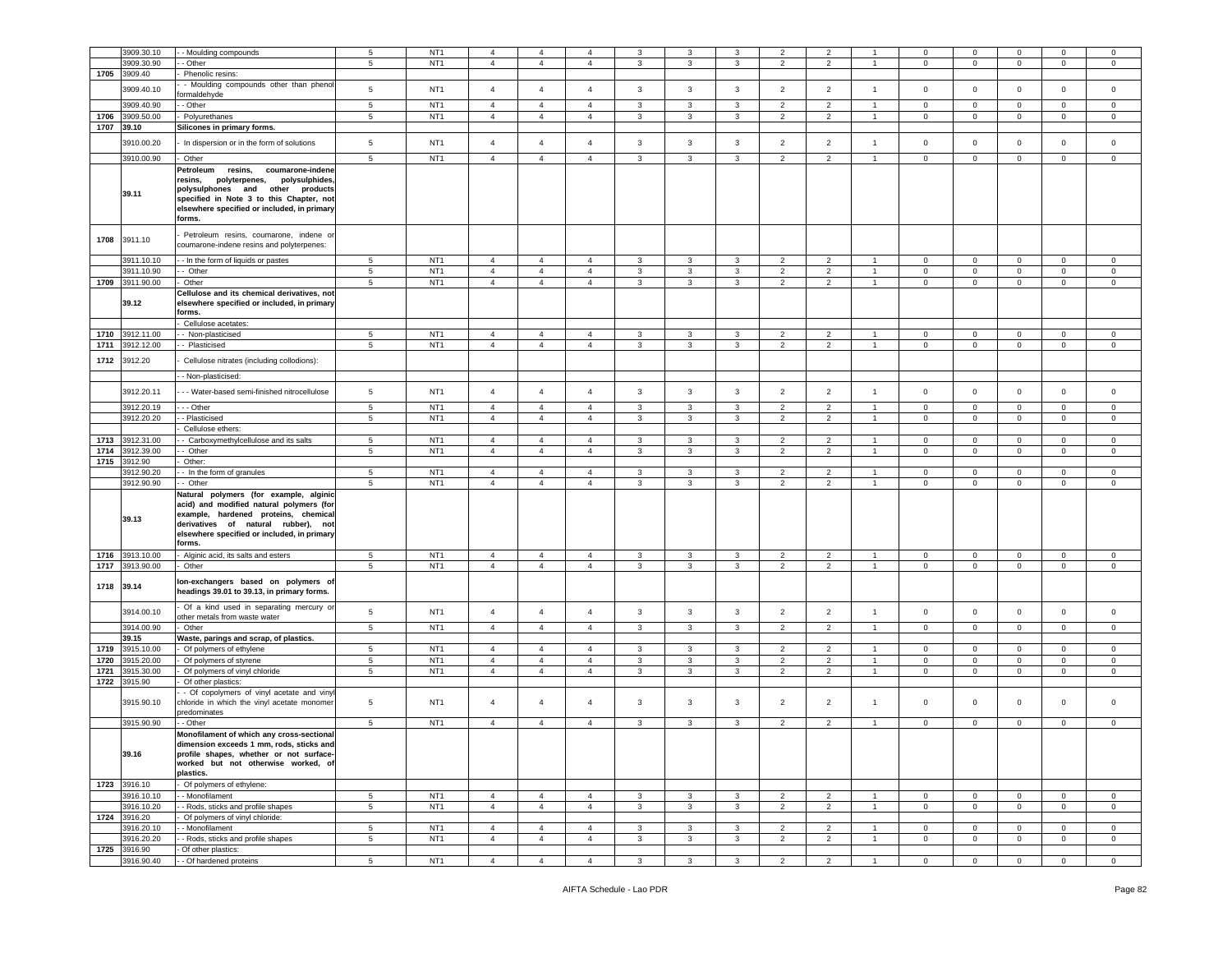|      | 3909.30.10                 |                                                                                                                                                                                                                                   | 5               | NT <sub>1</sub> | $\overline{4}$ |                |                | 3              | 3              | 3              | $\overline{2}$ | $\overline{2}$ |                | $\mathbf 0$    | $\mathbf 0$    | $\mathbf 0$    | $\Omega$       | $\Omega$       |
|------|----------------------------|-----------------------------------------------------------------------------------------------------------------------------------------------------------------------------------------------------------------------------------|-----------------|-----------------|----------------|----------------|----------------|----------------|----------------|----------------|----------------|----------------|----------------|----------------|----------------|----------------|----------------|----------------|
|      |                            | - Moulding compounds                                                                                                                                                                                                              |                 |                 |                | $\overline{4}$ | $\overline{4}$ |                |                |                |                |                |                |                |                |                |                |                |
|      | 3909.30.90                 | - Other                                                                                                                                                                                                                           | 5               | NT <sub>1</sub> | $\overline{4}$ | $\overline{4}$ | $\overline{4}$ | 3              | 3              | 3              | $\overline{2}$ | $\overline{2}$ |                | $\mathbf 0$    | $\mathbf{0}$   | $\mathbf 0$    | $\mathsf 0$    | $\mathbf 0$    |
| 1705 | 3909.40                    | Phenolic resins:                                                                                                                                                                                                                  |                 |                 |                |                |                |                |                |                |                |                |                |                |                |                |                |                |
|      | 3909.40.10                 | - Moulding compounds other than phenol                                                                                                                                                                                            | 5               | NT <sub>1</sub> | $\overline{4}$ | $\overline{4}$ | $\overline{4}$ | 3              | 3              | 3              | $\overline{2}$ | $\overline{2}$ | $\overline{1}$ | $\mathbf 0$    | $\overline{0}$ | $\mathbf 0$    | $\mathbf 0$    | $\Omega$       |
|      |                            | ormaldehyde                                                                                                                                                                                                                       |                 |                 |                |                |                |                |                |                |                |                |                |                |                |                |                |                |
|      | 3909.40.90                 | - Other                                                                                                                                                                                                                           | 5               | NT <sub>1</sub> | $\overline{4}$ | $\overline{4}$ | $\overline{4}$ | 3              | 3              | 3              | $\overline{2}$ | $\overline{2}$ | $\overline{1}$ | $\mathbf 0$    | $\overline{0}$ | $\mathbf 0$    | $\mathbf 0$    | $\mathbf 0$    |
| 1706 | 3909.50.00                 | Polyurethanes                                                                                                                                                                                                                     | 5               | NT <sub>1</sub> | $\overline{4}$ | $\overline{4}$ | $\overline{4}$ | $\mathbf{3}$   | 3              | $\mathbf{3}$   | $\overline{c}$ | $\overline{2}$ | $\overline{1}$ | $\mathsf 0$    | $\mathbf 0$    | $\mathsf 0$    | $\mathsf 0$    | $\mathbf 0$    |
| 1707 | 39.10                      | Silicones in primary forms.                                                                                                                                                                                                       |                 |                 |                |                |                |                |                |                |                |                |                |                |                |                |                |                |
|      |                            |                                                                                                                                                                                                                                   |                 |                 |                |                |                |                |                |                |                |                |                |                |                |                |                |                |
|      | 3910.00.20                 | In dispersion or in the form of solutions                                                                                                                                                                                         | 5               | NT <sub>1</sub> | $\overline{4}$ | $\overline{4}$ | $\overline{4}$ | $\mathbf{3}$   | $\mathbf{3}$   | $\mathbf{3}$   | $\overline{2}$ | $\overline{2}$ | $\overline{1}$ | $\mathbf 0$    | $\circ$        | $\mathbf 0$    | $\mathbf 0$    | $\mathsf 0$    |
|      | 3910.00.90                 | Other                                                                                                                                                                                                                             | 5               | NT <sub>1</sub> | $\overline{4}$ | $\overline{4}$ | $\overline{4}$ | $\mathbf{3}$   | 3              | $\mathbf{3}$   | $\overline{2}$ | $\overline{2}$ | $\overline{1}$ | $\mathbb O$    | $\mathbf 0$    | $\mathbf 0$    | $\mathsf 0$    | $\mathsf 0$    |
|      |                            |                                                                                                                                                                                                                                   |                 |                 |                |                |                |                |                |                |                |                |                |                |                |                |                |                |
|      | 39.11                      | Petroleum<br>resins,<br>coumarone-indene<br>resins,<br>polyterpenes,<br>polysulphides<br>polysulphones and other<br>products<br>specified in Note 3 to this Chapter, not<br>elsewhere specified or included, in primary<br>forms. |                 |                 |                |                |                |                |                |                |                |                |                |                |                |                |                |                |
| 1708 | 3911.10                    | Petroleum resins, coumarone, indene or<br>coumarone-indene resins and polyterpenes:                                                                                                                                               |                 |                 |                |                |                |                |                |                |                |                |                |                |                |                |                |                |
|      | 3911.10.10                 | - In the form of liquids or pastes                                                                                                                                                                                                | 5               | NT <sub>1</sub> | $\overline{4}$ | $\overline{4}$ | $\overline{4}$ | 3              | 3              | $\overline{3}$ | $\overline{2}$ | $\overline{2}$ |                | $\mathbf 0$    | $\mathbf 0$    | $\mathbf 0$    | $\mathbf 0$    | $\Omega$       |
|      | 3911.10.90                 | - Other                                                                                                                                                                                                                           | 5               | NT <sub>1</sub> | $\overline{4}$ | $\overline{4}$ | $\overline{4}$ | 3              | 3              | 3              | $\overline{2}$ | $\overline{2}$ | $\mathbf{1}$   | $\mathbf 0$    | $\mathbf 0$    | $\mathbf 0$    | $\mathbf 0$    | $\mathbf 0$    |
| 1709 | 3911.90.00                 | Other                                                                                                                                                                                                                             | $5^{\circ}$     | NT <sub>1</sub> | $\overline{4}$ | $\overline{4}$ | $\overline{4}$ | 3              | 3              | 3              | $\overline{2}$ | $\overline{2}$ | $\overline{1}$ | $\overline{0}$ | $\mathbf 0$    | $\mathsf 0$    | $\mathbf 0$    | $\circ$        |
|      | 39.12                      | Cellulose and its chemical derivatives, not<br>elsewhere specified or included, in primary<br>forms.<br>Cellulose acetates:                                                                                                       |                 |                 |                |                |                |                |                |                |                |                |                |                |                |                |                |                |
| 1710 | 3912.11.00                 | - Non-plasticised                                                                                                                                                                                                                 | 5               | NT <sub>1</sub> | $\overline{4}$ | $\overline{4}$ | $\overline{4}$ | 3              | 3              | 3              | $\overline{2}$ | $\overline{2}$ |                | $\mathbf 0$    | $\mathbf{0}$   | 0              | $\mathbf 0$    | $\mathbf 0$    |
| 1711 | 3912.12.00                 | - Plasticised                                                                                                                                                                                                                     | 5               | NT <sub>1</sub> | $\overline{4}$ | $\overline{4}$ | $\overline{4}$ | $\mathbf{3}$   | 3              | $\mathbf{3}$   | $\overline{2}$ | $\overline{2}$ | $\overline{1}$ | $\mathbf 0$    | $\mathsf 0$    | $\mathsf 0$    | $\mathsf 0$    | $\mathsf 0$    |
| 1712 | 3912.20                    | Cellulose nitrates (including collodions):                                                                                                                                                                                        |                 |                 |                |                |                |                |                |                |                |                |                |                |                |                |                |                |
|      |                            | - Non-plasticised:                                                                                                                                                                                                                |                 |                 |                |                |                |                |                |                |                |                |                |                |                |                |                |                |
|      | 3912.20.11                 | - - Water-based semi-finished nitrocellulose                                                                                                                                                                                      | $5\phantom{.0}$ | NT <sub>1</sub> | $\overline{4}$ | $\overline{4}$ | $\overline{4}$ | $\mathbf{3}$   | $\mathbf{3}$   | $\mathbf{3}$   | $\overline{2}$ | $\overline{2}$ | $\overline{1}$ | $\mathbf 0$    | $\mathbf 0$    | $\mathbf 0$    | $\mathsf 0$    | $\mathbf 0$    |
|      | 3912.20.19                 | - - Other                                                                                                                                                                                                                         | 5               | NT <sub>1</sub> | $\overline{4}$ | $\overline{4}$ | $\overline{4}$ | 3              | 3              | 3              | $\overline{2}$ | $\overline{2}$ | $\mathbf{1}$   | $\mathbf 0$    | $\mathbf 0$    | $\mathbf 0$    | $\mathbf 0$    | $\Omega$       |
|      | 3912.20.20                 | - Plasticised                                                                                                                                                                                                                     | 5               | NT <sub>1</sub> | $\overline{4}$ | $\overline{4}$ | $\overline{4}$ | 3              | 3              | 3              | $\overline{2}$ | $\overline{2}$ | $\overline{1}$ | $\mathbf 0$    | $\mathbf{0}$   | $\mathbf 0$    | $\mathbf 0$    | $\mathbf 0$    |
|      |                            | Cellulose ethers:                                                                                                                                                                                                                 |                 |                 |                |                |                |                |                |                |                |                |                |                |                |                |                |                |
| 1713 |                            | - Carboxymethylcellulose and its salts                                                                                                                                                                                            | 5               | NT <sub>1</sub> | $\overline{4}$ | $\overline{4}$ |                | 3              | 3              | 3              | $\overline{2}$ |                |                | $\mathbf 0$    | $\mathbf{0}$   | $\mathbf 0$    | $\mathbf{0}$   | $\Omega$       |
|      | 3912.31.00                 |                                                                                                                                                                                                                                   |                 |                 |                |                | $\overline{4}$ |                |                |                |                | $\overline{2}$ | -1             |                |                |                |                |                |
| 1714 | 3912.39.00                 | - Other                                                                                                                                                                                                                           | $5^{\circ}$     | NT <sub>1</sub> | $\overline{4}$ | $\overline{4}$ | $\overline{4}$ | 3              | 3              | 3              | $\overline{2}$ | $\overline{2}$ | $\mathbf{1}$   | $\mathbf 0$    | $\overline{0}$ | $\mathbf 0$    | $\mathbf 0$    | $\circ$        |
| 1715 | 3912.90                    | Other:                                                                                                                                                                                                                            |                 |                 |                |                |                |                |                |                |                |                |                |                |                |                |                |                |
|      | 3912.90.20                 | - In the form of granules                                                                                                                                                                                                         | 5               | NT <sub>1</sub> | $\overline{4}$ | $\overline{4}$ | $\overline{4}$ | 3              | 3              | $\mathbf{3}$   | $\overline{2}$ | $\overline{2}$ | $\overline{1}$ | $\mathbf 0$    | $\mathbf 0$    | $\mathbf 0$    | $\mathbf 0$    | $\circ$        |
|      | 3912.90.90                 | - Other                                                                                                                                                                                                                           | 5               | NT <sub>1</sub> | $\overline{4}$ | $\overline{4}$ | $\overline{4}$ | 3              | 3              | 3              | 2              | $\overline{2}$ | $\overline{1}$ | $\mathbf 0$    | $\mathbf{0}$   | 0              | $\mathbf 0$    | $\mathbf 0$    |
|      | 39.13                      | Natural polymers (for example, alginic<br>acid) and modified natural polymers (for<br>example, hardened proteins, chemical<br>derivatives of natural rubber), not<br>elsewhere specified or included, in primary<br>forms.        |                 |                 |                |                |                |                |                |                |                |                |                |                |                |                |                |                |
| 1716 | 3913.10.00                 | Alginic acid, its salts and esters                                                                                                                                                                                                | 5               | NT <sub>1</sub> | $\overline{4}$ | $\overline{4}$ | $\overline{4}$ | $\mathbf{3}$   | $\mathbf{3}$   | $\mathbf{3}$   | $\overline{2}$ | $\overline{2}$ | $\overline{1}$ | $\mathbf 0$    | $\mathbf 0$    | $\mathsf 0$    | $\pmb{0}$      | $\mathsf 0$    |
|      | 1717 3913.90.00            | Other                                                                                                                                                                                                                             | 5               | NT <sub>1</sub> | $\overline{4}$ | $\overline{4}$ | $\overline{4}$ | $\mathbf{3}$   | 3              | 3              | $\overline{c}$ | $\overline{2}$ | $\overline{1}$ | $\mathsf 0$    | $\mathbf 0$    | $\mathbf 0$    | $\mathbf 0$    | $\mathbf 0$    |
|      | 1718 39.14                 | lon-exchangers based on polymers of<br>headings 39.01 to 39.13, in primary forms.                                                                                                                                                 |                 |                 |                |                |                |                |                |                |                |                |                |                |                |                |                |                |
|      | 3914.00.10                 | Of a kind used in separating mercury or<br>other metals from waste water                                                                                                                                                          | 5               | NT <sub>1</sub> | $\overline{4}$ | $\overline{4}$ | $\overline{4}$ | $\mathbf{3}$   | $\mathbf{3}$   | $\mathbf{3}$   | $\overline{2}$ | $\overline{2}$ | $\overline{1}$ | $\mathsf 0$    | $\mathbf 0$    | $\mathbf 0$    | $\mathbf 0$    | $\mathbf 0$    |
|      | 3914.00.90                 | Other                                                                                                                                                                                                                             |                 |                 |                |                |                |                |                |                |                |                |                |                |                |                |                | $\mathbf 0$    |
|      | 39.15                      |                                                                                                                                                                                                                                   | $5^{\circ}$     | NT <sub>1</sub> | $\overline{4}$ | $\overline{4}$ | $\overline{4}$ | $\mathbf{3}$   | $\mathbf{3}$   | 3              | $\overline{2}$ | $\overline{2}$ | $\overline{1}$ | $\overline{0}$ | $\mathbf 0$    | $\mathbf 0$    | $\mathbf 0$    |                |
|      |                            | Waste, parings and scrap, of plastics.                                                                                                                                                                                            |                 |                 |                |                |                |                |                |                |                |                |                |                |                |                |                |                |
| 1719 | 3915.10.00                 | Of polymers of ethylene                                                                                                                                                                                                           | 5               | NT <sub>1</sub> | $\overline{4}$ | $\overline{4}$ | $\overline{4}$ | 3              | 3              | 3              | $\overline{2}$ | $\overline{2}$ |                | $\mathbf 0$    | $\overline{0}$ | $\mathbf 0$    | 0              | $\mathbf 0$    |
| 1720 | 3915.20.00                 | Of polymers of styrene                                                                                                                                                                                                            | 5               | NT <sub>1</sub> | $\overline{4}$ | $\overline{4}$ | $\overline{4}$ | 3              | 3              | 3              | $\overline{2}$ | $\overline{2}$ | -1             | $\mathbf{0}$   | $\mathbf{0}$   | $\mathbf 0$    | $^{\circ}$     | $\mathbf 0$    |
| 1721 | 3915.30.00                 | Of polymers of vinyl chloride                                                                                                                                                                                                     | 5               | NT <sub>1</sub> | $\overline{4}$ | $\overline{4}$ | $\overline{4}$ | $\mathbf{3}$   | $\mathbf{3}$   | $\mathbf{3}$   | $\overline{2}$ | 2              | $\overline{1}$ | $\mathbf 0$    | $\mathbf 0$    | $\mathbf 0$    | $\mathbf 0$    | $\circ$        |
| 1722 | 3915.90                    | Of other plastics:                                                                                                                                                                                                                |                 |                 |                |                |                |                |                |                |                |                |                |                |                |                |                |                |
|      | 3915.90.10                 | - Of copolymers of vinyl acetate and vinyl<br>chloride in which the vinyl acetate monomer                                                                                                                                         | 5               | NT <sub>1</sub> | $\overline{4}$ | $\overline{4}$ | $\overline{4}$ | 3              | 3              | 3              | 2              | $\overline{2}$ | $\mathbf{1}$   | $\mathsf 0$    | $\mathbf 0$    | $\mathbf 0$    | 0              | $\mathbf 0$    |
|      |                            | predominates                                                                                                                                                                                                                      |                 |                 |                |                |                |                |                |                |                |                |                |                |                |                |                |                |
|      | 3915.90.90                 | - Other                                                                                                                                                                                                                           | 5               | NT <sub>1</sub> | $\overline{4}$ | $\overline{4}$ | $\overline{4}$ | $\mathbf{3}$   | $\mathbf{3}$   | $\mathbf{3}$   | $\overline{2}$ | $\overline{2}$ | $\overline{1}$ | $\mathbb O$    | $\mathsf 0$    | $\mathsf 0$    | $\mathsf 0$    | $\mathbf 0$    |
|      | 39.16                      | Monofilament of which any cross-sectional<br>dimension exceeds 1 mm, rods, sticks and<br>profile shapes, whether or not surface-<br>worked but not otherwise worked, of<br>plastics.                                              |                 |                 |                |                |                |                |                |                |                |                |                |                |                |                |                |                |
|      | 1723 3916.10               | Of polymers of ethylene:                                                                                                                                                                                                          |                 |                 |                |                |                |                |                |                |                |                |                |                |                |                |                |                |
|      | 3916.10.10                 | - Monofilament                                                                                                                                                                                                                    | $5^{\circ}$     | NT <sub>1</sub> | $\overline{4}$ | $\overline{4}$ | $\overline{4}$ | $\mathbf{3}$   | $\mathbf{3}$   | $\mathbf{3}$   | $\overline{2}$ | $\overline{2}$ | $\overline{1}$ | $\overline{0}$ | $\overline{0}$ | $\overline{0}$ | $\overline{0}$ | $\overline{0}$ |
|      | 3916.10.20                 | - Rods, sticks and profile shapes                                                                                                                                                                                                 | $5\phantom{.0}$ | NT <sub>1</sub> | $\overline{4}$ | $\overline{4}$ | $\overline{4}$ | $\mathbf{3}$   | 3              | 3              | $\overline{2}$ | $\overline{2}$ | $\overline{1}$ | $\overline{0}$ | $\overline{0}$ | $\mathbf 0$    | $\overline{0}$ | $\overline{0}$ |
|      | 1724 3916.20               | Of polymers of vinyl chloride:                                                                                                                                                                                                    |                 |                 |                |                |                |                |                |                |                |                |                |                |                |                |                |                |
|      | 3916.20.10                 | - Monofilament                                                                                                                                                                                                                    | $5\overline{ }$ | NT <sub>1</sub> | $\overline{4}$ | $\overline{4}$ | $\overline{4}$ | 3              | $\mathbf{3}$   | $\mathbf{3}$   | $\overline{2}$ | $\overline{2}$ | $\overline{1}$ | $\overline{0}$ | $\overline{0}$ | $\mathsf 0$    | $\mathbf{0}$   | $\overline{0}$ |
|      |                            |                                                                                                                                                                                                                                   |                 |                 | $\overline{4}$ | $\overline{4}$ | $\overline{4}$ |                |                |                | $\overline{2}$ | $\overline{2}$ | $\mathbf{1}$   | $\circ$        |                |                | $\circ$        |                |
|      | 3916.20.20                 | - Rods, sticks and profile shapes                                                                                                                                                                                                 | $5\phantom{.0}$ | NT <sub>1</sub> |                |                |                | $\mathbf{3}$   | $\mathbf{3}$   | $\mathbf{3}$   |                |                |                |                | $\overline{0}$ | $\mathbf 0$    |                | $\overline{0}$ |
|      | 1725 3916.90<br>3916.90.40 | - Of other plastics:<br>- - Of hardened proteins                                                                                                                                                                                  | 5 <sub>5</sub>  | NT <sub>1</sub> | 4              | 4              | 4              | 3 <sup>1</sup> | 3 <sup>3</sup> | $3^{\circ}$    | $\overline{2}$ | 2              | $\blacksquare$ | $\overline{0}$ | $\overline{0}$ | $\overline{0}$ | $\overline{0}$ | $\overline{0}$ |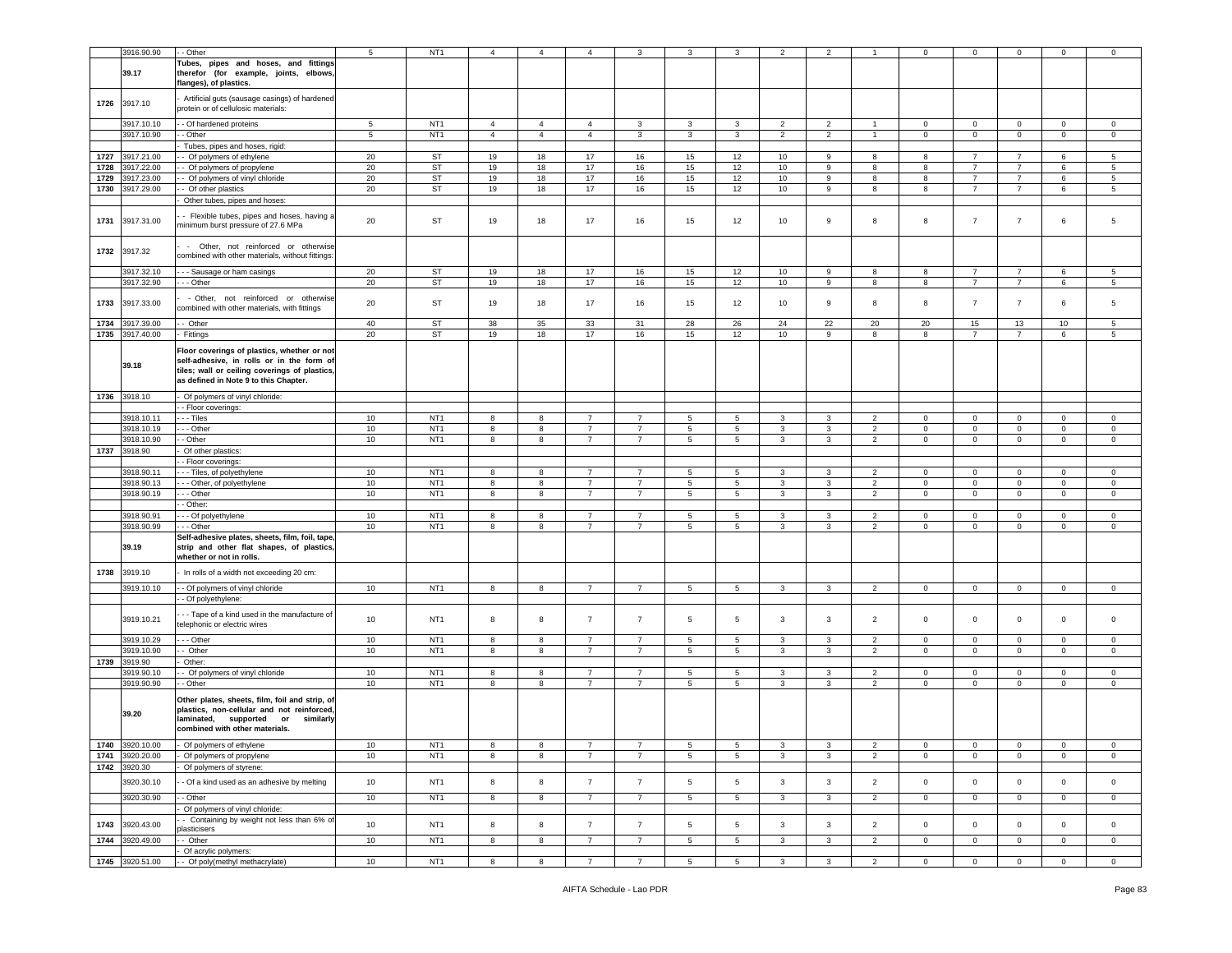|      | 3916.90.90                         | - Other                                                                                                                                                                            | 5               | NT <sub>1</sub>                    | $\overline{4}$ | $\overline{4}$ | 4                                | 3                                | 3                    | 3               | $\overline{2}$          | $\overline{2}$ |                                  | $\mathbf 0$               | $\mathbf 0$                      | 0                          | 0                       | $\mathbf 0$        |
|------|------------------------------------|------------------------------------------------------------------------------------------------------------------------------------------------------------------------------------|-----------------|------------------------------------|----------------|----------------|----------------------------------|----------------------------------|----------------------|-----------------|-------------------------|----------------|----------------------------------|---------------------------|----------------------------------|----------------------------|-------------------------|--------------------|
|      | 39.17                              | Tubes, pipes and hoses, and fittings<br>therefor (for example, joints, elbows,<br>flanges), of plastics.                                                                           |                 |                                    |                |                |                                  |                                  |                      |                 |                         |                |                                  |                           |                                  |                            |                         |                    |
|      | 1726 3917.10                       | Artificial guts (sausage casings) of hardened<br>protein or of cellulosic materials:                                                                                               |                 |                                    |                |                |                                  |                                  |                      |                 |                         |                |                                  |                           |                                  |                            |                         |                    |
|      | 3917.10.10                         | - Of hardened proteins                                                                                                                                                             | $5\phantom{.0}$ | NT <sub>1</sub>                    | $\overline{4}$ | $\overline{4}$ | 4                                | 3                                | 3                    | 3               | $\overline{2}$          | $\overline{2}$ | -1                               | $\mathbf 0$               | $\mathbf 0$                      | $\mathbf 0$                | $\mathbf 0$             | $\mathbf 0$        |
|      | 3917.10.90                         | - Other                                                                                                                                                                            | 5               | NT <sub>1</sub>                    | $\overline{4}$ | $\overline{4}$ | $\overline{4}$                   | $\mathbf{3}$                     | 3                    | 3               | $\overline{2}$          | $\overline{2}$ | $\mathbf{1}$                     | $\mathbf{0}$              | $\overline{0}$                   | $\mathbf 0$                | $\overline{0}$          | $\mathbf{0}$       |
|      |                                    | Tubes, pipes and hoses, rigid:                                                                                                                                                     |                 |                                    |                |                |                                  |                                  |                      |                 |                         |                |                                  |                           |                                  |                            |                         |                    |
| 1727 | 3917.21.00                         | - Of polymers of ethylene                                                                                                                                                          | 20              | <b>ST</b>                          | 19             | 18             | 17                               | 16                               | 15                   | 12              | 10                      | 9              | 8                                | 8                         | $\overline{7}$                   | $\overline{7}$             | 6                       | 5                  |
| 1728 | 3917.22.00                         | - Of polymers of propylene                                                                                                                                                         | 20              | ST                                 | 19             | 18             | 17                               | 16                               | 15                   | 12              | 10                      | 9              | 8                                | 8                         | 7                                | $\overline{7}$             | 6                       | 5                  |
| 1729 | 3917.23.00                         | Of polymers of vinyl chloride                                                                                                                                                      | 20              | <b>ST</b>                          | 19             | 18             | 17                               | 16                               | 15                   | 12              | 10                      | $\mathsf g$    | 8                                | 8                         | $\overline{7}$                   | $\overline{7}$             | 6                       | 5                  |
| 1730 | 3917.29.00                         | - Of other plastics                                                                                                                                                                | 20              | ST                                 | 19             | 18             | 17                               | 16                               | 15                   | 12              | 10                      | 9              | 8                                | 8                         | $\overline{7}$                   | $\overline{7}$             | 6                       | 5                  |
| 1731 | 3917.31.00                         | Other tubes, pipes and hoses:<br>- Flexible tubes, pipes and hoses, having a<br>minimum burst pressure of 27.6 MPa                                                                 | 20              | ST                                 | 19             | 18             | 17                               | 16                               | 15                   | 12              | 10                      | 9              | 8                                | 8                         | $\overline{7}$                   | $\overline{7}$             | 6                       | 5                  |
|      | 1732 3917.32                       | - Other, not reinforced or otherwise<br>combined with other materials, without fittings:                                                                                           |                 |                                    |                |                |                                  |                                  |                      |                 |                         |                |                                  |                           |                                  |                            |                         |                    |
|      | 3917.32.10                         | - - Sausage or ham casings                                                                                                                                                         | 20              | <b>ST</b>                          | 19             | 18             | 17                               | 16                               | 15                   | 12              | 10                      | 9              | 8                                | 8                         | $\overline{7}$                   | $\overline{7}$             | 6                       | 5                  |
|      | 3917.32.90                         | - - Other                                                                                                                                                                          | 20              | ST                                 | 19             | 18             | 17                               | 16                               | 15                   | 12              | 10                      | 9              | 8                                | 8                         | $\overline{7}$                   | $\overline{7}$             | 6                       | 5                  |
| 1733 | 3917.33.00                         | - Other, not reinforced or otherwise<br>combined with other materials, with fittings                                                                                               | 20              | ST                                 | 19             | 18             | 17                               | 16                               | 15                   | 12              | 10                      | 9              | 8                                | 8                         | $\overline{7}$                   | $\overline{7}$             | 6                       | 5                  |
| 1734 | 3917.39.00                         | - Other                                                                                                                                                                            | 40              | ST                                 | 38             | 35             | 33                               | 31                               | 28                   | 26              | 24                      | 22             | 20                               | 20                        | 15                               | 13                         | 10                      | 5                  |
|      | 1735 3917.40.00                    | Fittings                                                                                                                                                                           | 20              | ST                                 | 19             | 18             | 17                               | 16                               | 15                   | 12              | 10                      | 9              | 8                                | 8                         | 7                                | $\overline{7}$             | 6                       | 5                  |
|      | 39.18                              | Floor coverings of plastics, whether or not<br>self-adhesive, in rolls or in the form of<br>tiles; wall or ceiling coverings of plastics,<br>as defined in Note 9 to this Chapter. |                 |                                    |                |                |                                  |                                  |                      |                 |                         |                |                                  |                           |                                  |                            |                         |                    |
|      | 1736 3918.10                       | Of polymers of vinyl chloride:                                                                                                                                                     |                 |                                    |                |                |                                  |                                  |                      |                 |                         |                |                                  |                           |                                  |                            |                         |                    |
|      |                                    | - Floor coverings:                                                                                                                                                                 |                 |                                    |                |                |                                  |                                  |                      |                 |                         |                |                                  |                           |                                  |                            |                         |                    |
|      | 3918.10.11                         | - - Tiles                                                                                                                                                                          | 10              | NT <sub>1</sub>                    | 8              | 8              | $\overline{7}$                   | $\overline{7}$                   | 5                    | 5               | 3                       | 3              | $\overline{2}$                   | $\mathbf 0$               | $\mathbf 0$                      | $\mathbf 0$                | $\mathbf 0$             | $\mathbf 0$        |
|      | 3918.10.19                         | - - Other                                                                                                                                                                          | 10              | NT <sub>1</sub>                    | 8              | 8              | $\overline{7}$                   | $\overline{7}$                   | 5                    | 5               | 3                       | 3              | $\overline{2}$                   | $\overline{0}$            | $\mathbf 0$                      | $\mathbf 0$                | $\mathbf 0$             | 0                  |
|      | 3918.10.90                         | - Other                                                                                                                                                                            | 10              | NT <sub>1</sub>                    | 8              | 8              | $\overline{7}$                   | $\overline{7}$                   | $\,$ 5 $\,$          | 5               | 3                       | 3              | $\overline{2}$                   | $\mathsf 0$               | $\mathbf 0$                      | $\mathbf 0$                | $\mathbf 0$             | $\mathbf 0$        |
| 1737 | 3918.90                            | Of other plastics:                                                                                                                                                                 |                 |                                    |                |                |                                  |                                  |                      |                 |                         |                |                                  |                           |                                  |                            |                         |                    |
|      |                                    | - Floor coverings:                                                                                                                                                                 |                 |                                    |                |                |                                  |                                  |                      |                 |                         |                |                                  |                           |                                  |                            |                         |                    |
|      | 3918.90.11                         | -- Tiles, of polyethylene                                                                                                                                                          | 10              | NT <sub>1</sub>                    | 8              | 8              | $\overline{7}$                   | $\overline{7}$                   | 5                    | 5               | 3                       | 3              | 2                                | $\mathbf 0$               | $\overline{0}$                   | $\mathbf 0$                | $\mathbf{0}$            | $\mathbf 0$        |
|      | 3918.90.13                         | --- Other, of polyethylene                                                                                                                                                         | 10              | NT <sub>1</sub>                    | 8              | 8              | $\overline{7}$                   | $\overline{7}$                   | 5                    | 5               | 3                       | 3              | $\overline{2}$                   | $\mathbf 0$               | $\mathbf 0$                      | $\mathbf 0$                | 0                       | $\mathbf 0$        |
|      | 3918.90.19                         | - - Other<br>- Other:                                                                                                                                                              | 10              | NT <sub>1</sub>                    | 8              | 8              | $\overline{7}$                   | 7                                | $5\overline{5}$      | 5               | 3                       | 3              | $\overline{2}$                   | $\mathbf 0$               | $\overline{0}$                   | $\mathbf 0$                | $\mathbf{0}$            | $\mathbf 0$        |
|      | 3918.90.91                         | - - Of polyethylene                                                                                                                                                                | 10              | NT <sub>1</sub>                    | 8              | 8              | $\overline{7}$                   | $\overline{7}$                   | 5                    | 5               | 3                       | 3              | 2                                | 0                         | $\mathbf 0$                      | $\mathbf 0$                | 0                       | $\mathbf 0$        |
|      | 3918.90.99                         | - - Other                                                                                                                                                                          | 10              | NT <sub>1</sub>                    | 8              | 8              | $\overline{7}$                   | $\overline{7}$                   | 5                    | 5               | 3                       | 3              | $\overline{2}$                   | $\mathbf 0$               | $\mathbf 0$                      | $\mathbf 0$                | $\circ$                 | $\mathbf{0}$       |
|      | 39.19                              | Self-adhesive plates, sheets, film, foil, tape,<br>strip and other flat shapes, of plastics,<br>whether or not in rolls.                                                           |                 |                                    |                |                |                                  |                                  |                      |                 |                         |                |                                  |                           |                                  |                            |                         |                    |
| 1738 | 3919.10                            | In rolls of a width not exceeding 20 cm:                                                                                                                                           |                 |                                    |                |                |                                  |                                  |                      |                 |                         |                |                                  |                           |                                  |                            |                         |                    |
|      | 3919.10.10                         | - Of polymers of vinyl chloride<br>- Of polyethylene:                                                                                                                              | 10              | NT <sub>1</sub>                    | 8              | 8              | $\overline{7}$                   | $\overline{7}$                   | 5                    | 5               | 3                       | 3              | $\overline{2}$                   | $\mathbf 0$               | $\overline{0}$                   | $\mathbf 0$                | $\mathbf 0$             | $\mathbf 0$        |
|      | 3919.10.21                         | - - Tape of a kind used in the manufacture of<br>telephonic or electric wires                                                                                                      | 10              | NT <sub>1</sub>                    | 8              | 8              | $\overline{7}$                   | $\overline{7}$                   | 5                    | 5               | 3                       | 3              | $\overline{2}$                   | $\,0\,$                   | $\mathbf 0$                      | $\mathbf 0$                | 0                       | $\mathbf 0$        |
|      | 3919.10.29                         | - - - Other                                                                                                                                                                        | 10              | NT <sub>1</sub>                    | 8              | 8              | $\overline{7}$                   | $\overline{7}$                   | $5\phantom{.0}$      | 5               | 3                       | 3              | 2                                | $\mathbf 0$               | $\mathbf 0$                      | $\mathbf 0$                | $\mathbf{0}$            | $\mathbf 0$        |
|      | 3919.10.90                         | - Other                                                                                                                                                                            | 10              | NT <sub>1</sub>                    | 8              | 8              | $\overline{7}$                   | $\overline{7}$                   | 5                    | 5               | 3                       | 3              | $\overline{2}$                   | $\mathbf 0$               | $\overline{0}$                   | $\mathbf 0$                | $\mathbf 0$             | $\mathbf 0$        |
| 1739 | 3919.90                            | Other:                                                                                                                                                                             |                 | NT <sub>1</sub>                    | 8              |                | $\overline{7}$                   | $\overline{7}$                   |                      | 5               | 3                       | 3              | $\overline{2}$                   | $\mathbf 0$               | $\mathbf 0$                      | $\mathbf 0$                | $\mathbf{0}$            | $\mathbf 0$        |
|      | 3919.90.10<br>3919.90.90           | - Of polymers of vinyl chloride<br>- Other                                                                                                                                         | 10<br>10        | NT <sub>1</sub>                    | 8              | 8<br>8         | $\overline{7}$                   | $\overline{7}$                   | 5<br>5               | $\sqrt{5}$      | $\mathbf{3}$            | $\mathbf{3}$   | $\overline{2}$                   | $\mathsf 0$               | $\mathbf 0$                      | $\mathbf 0$                | $\mathsf 0$             | $\mathsf 0$        |
|      | 39.20                              | Other plates, sheets, film, foil and strip, of<br>plastics, non-cellular and not reinforced,<br>laminated, supported or<br>similarly<br>combined with other materials.             |                 |                                    |                |                |                                  |                                  |                      |                 |                         |                |                                  |                           |                                  |                            |                         |                    |
|      | 1740 3920.10.00                    | - Of polymers of ethylene                                                                                                                                                          | 10              | N11                                | 8              | 8              | $\prime$                         |                                  | $5\overline{a}$      | $\mathbf{p}$    | 3                       | 3              | 2                                | $\cup$                    | $\cup$                           | 0                          | 0                       | 0                  |
|      | 1741 3920.20.00                    | - Of polymers of propylene                                                                                                                                                         | 10              | NT <sub>1</sub>                    | 8              | 8              | $\overline{7}$                   | $\overline{7}$                   | 5                    | 5               | 3                       | 3              | $\overline{2}$                   | $\overline{0}$            | $\overline{0}$                   | $\mathbf 0$                | $\mathbf{0}$            | $\mathbf 0$        |
|      | 1742 3920.30                       | Of polymers of styrene:                                                                                                                                                            |                 |                                    |                |                |                                  |                                  |                      |                 |                         |                |                                  |                           |                                  |                            |                         |                    |
|      | 3920.30.10                         | - Of a kind used as an adhesive by melting                                                                                                                                         | 10              | NT <sub>1</sub>                    | 8              | 8              | $\overline{7}$                   | $\overline{7}$                   | 5                    | $\sqrt{5}$      | $\mathbf{3}$            | 3              | $\overline{2}$                   | $\overline{0}$            | $\overline{0}$                   | $\mathsf 0$                | $\mathbf{0}$            | $\mathbf 0$        |
|      | 3920.30.90                         | - - Other                                                                                                                                                                          | 10              | NT <sub>1</sub>                    | 8              | 8              | $\overline{7}$                   | $\overline{7}$                   | 5                    | $5\overline{5}$ | $\mathbf{3}$            | 3              | $\overline{2}$                   | $\overline{0}$            | $\mathbf{0}$                     | $\mathbf 0$                | $\overline{0}$          | $\overline{0}$     |
|      |                                    | Of polymers of vinyl chloride:                                                                                                                                                     |                 |                                    |                |                |                                  |                                  |                      |                 |                         |                |                                  |                           |                                  |                            |                         |                    |
|      | 1743 3920.43.00<br>1744 3920.49.00 | - Containing by weight not less than 6% of<br>plasticisers<br>- Other                                                                                                              | 10<br>10        | NT <sub>1</sub><br>NT <sub>1</sub> | 8<br>8         | 8<br>8         | $\overline{7}$<br>$\overline{7}$ | $\overline{7}$<br>$\overline{7}$ | $5\phantom{.0}$<br>5 | 5<br>5          | $\mathbf{3}$<br>3       | 3<br>3         | $\overline{2}$<br>$\overline{2}$ | $\circ$<br>$\overline{0}$ | $\overline{0}$<br>$\overline{0}$ | $\mathbf 0$<br>$\mathbf 0$ | $\circ$<br>$\mathbf{0}$ | $\circ$<br>$\circ$ |
|      |                                    | Of acrylic polymers:                                                                                                                                                               |                 |                                    |                |                |                                  |                                  |                      |                 |                         |                |                                  |                           |                                  |                            |                         |                    |
|      | 1745 3920.51.00                    | - - Of poly(methyl methacrylate)                                                                                                                                                   | 10              | NT <sub>1</sub>                    | 8              | 8              | $\overline{7}$                   | $\overline{7}$                   | 5 <sub>5</sub>       | 5 <sub>5</sub>  | $\overline{\mathbf{3}}$ | $\mathbf{3}$   | $\overline{2}$                   | $\overline{0}$            | $\overline{0}$                   | $\overline{0}$             | $\overline{0}$          | $\overline{0}$     |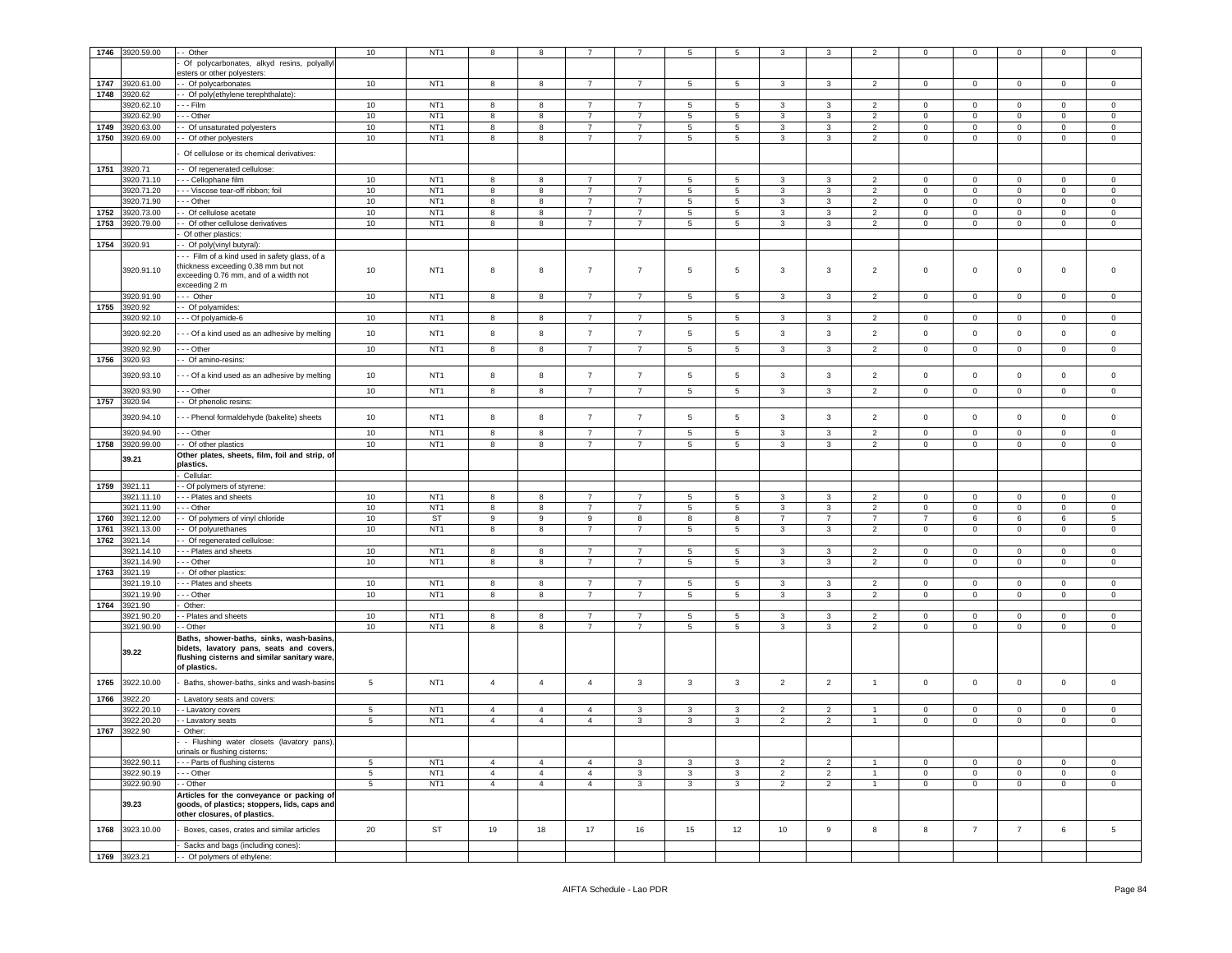| 1746 | 3920.59.00   | - Other                                                         | $10$             | NT <sub>1</sub> | 8              | 8                |                |                | 5            | 5            | 3              | 3              |                          | $\mathbf 0$    | $\mathbf 0$         | $\mathbf 0$    | $\mathbf 0$  | $\mathbf 0$  |
|------|--------------|-----------------------------------------------------------------|------------------|-----------------|----------------|------------------|----------------|----------------|--------------|--------------|----------------|----------------|--------------------------|----------------|---------------------|----------------|--------------|--------------|
|      |              | Of polycarbonates, alkyd resins, polyallyl                      |                  |                 |                |                  |                |                |              |              |                |                |                          |                |                     |                |              |              |
|      |              | sters or other polyesters:                                      |                  |                 |                |                  |                |                |              |              |                |                |                          |                |                     |                |              |              |
| 1747 | 3920.61.00   | - Of polycarbonates                                             | 10               | NT <sub>1</sub> | 8              | 8                | $\overline{7}$ | $\overline{7}$ | 5            | 5            | $\mathbf{3}$   | 3              | $\overline{2}$           | $\mathbf{0}$   | $\overline{0}$      | $\mathbf 0$    | $\mathbf 0$  | $\mathbf 0$  |
| 1748 | 3920.62      | - Of poly(ethylene terephthalate):                              |                  |                 |                |                  |                |                |              |              |                |                |                          |                |                     |                |              |              |
|      | 3920.62.10   | - - Film                                                        | 10               | NT <sub>1</sub> | 8              | 8                | 7              | $\overline{7}$ | 5            | 5            | 3              | 3              | 2                        | $\mathbf 0$    | $\mathbf 0$         | $\mathbf 0$    | $\mathbf{0}$ | $\circ$      |
|      | 3920.62.90   | - - Other                                                       | 10               | NT <sub>1</sub> | 8              | 8                | $\overline{7}$ | $\overline{7}$ | 5            | 5            | 3              | 3              | $\overline{2}$           | $\mathbf 0$    | $\overline{0}$      | $\mathbf 0$    | $\mathbf 0$  | $\circ$      |
| 1749 | 3920.63.00   |                                                                 | 10               | NT <sub>1</sub> | 8              | 8                | $\overline{7}$ | $\overline{7}$ |              | $\sqrt{5}$   | 3              | 3              | 2                        | $^{\circ}$     | $\mathsf 0$         | $\mathbf 0$    | $\mathbf 0$  |              |
|      |              | - Of unsaturated polyesters                                     |                  |                 |                |                  |                |                | $\sqrt{5}$   |              |                |                |                          |                |                     |                |              | $\mathbf 0$  |
| 1750 | 3920.69.00   | - Of other polyesters                                           | 10               | NT <sub>1</sub> | 8              | 8                | $\overline{7}$ | $\overline{7}$ | 5            | 5            | 3              | 3              | 2                        | $\mathbf 0$    | $\mathbf 0$         | $\mathbf 0$    | 0            | $\mathbf 0$  |
|      |              | Of cellulose or its chemical derivatives:                       |                  |                 |                |                  |                |                |              |              |                |                |                          |                |                     |                |              |              |
|      |              |                                                                 |                  |                 |                |                  |                |                |              |              |                |                |                          |                |                     |                |              |              |
| 1751 | 3920.71      | - Of regenerated cellulose:                                     |                  |                 |                |                  |                |                |              |              |                |                |                          |                |                     |                |              |              |
|      | 3920.71.10   | - - Cellophane film                                             | 10               | NT <sub>1</sub> | 8              | 8                | $\overline{7}$ |                | 5            | 5            | 3              | 3              | $\overline{\phantom{a}}$ | $\mathbf 0$    | $\mathbf 0$         | $\mathbf 0$    | 0            | $\mathbf 0$  |
|      | 3920.71.20   | - - Viscose tear-off ribbon; foil                               | 10               | NT <sub>1</sub> | 8              | 8                | $\overline{7}$ | $\overline{7}$ | 5            | 5            | 3              | 3              | $\overline{2}$           | $\mathbf 0$    | $\overline{0}$      | $\mathbf 0$    | $\mathbf 0$  | $\mathbf 0$  |
|      | 3920.71.90   | - - Other                                                       | $10$             | NT <sub>1</sub> | 8              | 8                | $\overline{7}$ | $\overline{7}$ | $\sqrt{5}$   | $\sqrt{5}$   | 3              | 3              | $\overline{2}$           | $\mathbf 0$    | $\mathbf 0$         | $\mathbf 0$    | $\mathbf 0$  | $\mathbf 0$  |
| 1752 | 3920.73.00   | - Of cellulose acetate                                          | $10$             | NT <sub>1</sub> | 8              | 8                | $\overline{7}$ | $\overline{7}$ | 5            | $\sqrt{5}$   | 3              | 3              | 2                        | $\mathbf 0$    | $\mathbf 0$         | $\mathbf 0$    | 0            | $\mathbf 0$  |
| 1753 | 3920.79.00   | - Of other cellulose derivatives                                | 10               | NT <sub>1</sub> | 8              | 8                | $\overline{7}$ | $\overline{7}$ | 5            | 5            | 3              | 3              | $\overline{2}$           | $\mathbf 0$    | $\circ$             | $\mathbf 0$    | $\mathbf 0$  | $\mathbf 0$  |
|      |              | Of other plastics:                                              |                  |                 |                |                  |                |                |              |              |                |                |                          |                |                     |                |              |              |
| 1754 | 3920.91      | - Of poly(vinyl butyral):                                       |                  |                 |                |                  |                |                |              |              |                |                |                          |                |                     |                |              |              |
|      |              | -- Film of a kind used in safety glass, of a                    |                  |                 |                |                  |                |                |              |              |                |                |                          |                |                     |                |              |              |
|      |              | thickness exceeding 0.38 mm but not                             |                  |                 |                |                  |                |                |              |              |                |                |                          |                |                     |                |              |              |
|      | 3920.91.10   | exceeding 0.76 mm, and of a width not                           | 10               | NT <sub>1</sub> | 8              | 8                | $\overline{7}$ | $\overline{7}$ | 5            | 5            | 3              | 3              | $\overline{2}$           | $\mathbf 0$    | $\mathsf 0$         | $\mathbf 0$    | $\mathsf 0$  | $\mathbf 0$  |
|      |              | exceeding 2 m                                                   |                  |                 |                |                  |                |                |              |              |                |                |                          |                |                     |                |              |              |
|      | 3920.91.90   | -- Other                                                        | 10               | NT <sub>1</sub> | 8              | 8                | $\overline{7}$ | $\overline{7}$ | 5            | 5            | 3              | 3              | $\overline{\phantom{a}}$ | $\mathbf 0$    | $\mathbf 0$         | $\mathbf 0$    | $\mathbf 0$  | $\mathbf 0$  |
| 1755 | 3920.92      | - Of polyamides:                                                |                  |                 |                |                  |                |                |              |              |                |                |                          |                |                     |                |              |              |
|      | 3920.92.10   | - - Of polyamide-6                                              | $10$             | NT <sub>1</sub> | 8              | 8                | $\overline{7}$ | $\overline{7}$ | 5            | $\sqrt{5}$   | 3              | 3              | 2                        | $\mathbf 0$    | $\mathsf{O}\xspace$ | $\mathbf 0$    | $\mathsf 0$  | $\mathbf 0$  |
|      |              |                                                                 |                  |                 |                |                  |                |                |              |              |                |                |                          |                |                     |                |              |              |
|      | 3920.92.20   | - - Of a kind used as an adhesive by melting                    | 10               | NT <sub>1</sub> | 8              | 8                | $\overline{7}$ | $\overline{7}$ | $\,$ 5       | $\sqrt{5}$   | 3              | 3              | $\overline{2}$           | $\mathbf 0$    | $\mathsf 0$         | $\mathbf 0$    | $\circ$      | $\mathbf 0$  |
|      |              |                                                                 |                  |                 |                |                  |                |                |              |              |                |                |                          |                |                     |                |              |              |
|      | 3920.92.90   | - - Other                                                       | 10 <sup>10</sup> | NT <sub>1</sub> | 8              | 8                | $\overline{7}$ | $\overline{7}$ | 5            | 5            | 3              | 3              | $\overline{2}$           | $\mathbf 0$    | $\overline{0}$      | $\mathbf 0$    | $\circ$      | $\mathbf 0$  |
| 1756 | 3920.93      | - Of amino-resins:                                              |                  |                 |                |                  |                |                |              |              |                |                |                          |                |                     |                |              |              |
|      | 3920.93.10   | - - Of a kind used as an adhesive by melting                    | 10               | NT <sub>1</sub> | 8              | 8                | $\overline{7}$ | $\overline{7}$ | $\sqrt{5}$   | 5            | 3              | 3              | $\overline{2}$           | $\pmb{0}$      | $\mathsf 0$         | $\mathbf 0$    | $\mathbf 0$  | $\mathbf 0$  |
|      |              |                                                                 |                  |                 |                |                  |                |                |              |              |                |                |                          |                |                     |                |              |              |
|      | 3920.93.90   | - - Other                                                       | 10               | NT <sub>1</sub> | 8              | 8                | $\overline{7}$ | $\overline{7}$ | 5            | 5            | 3              | 3              | 2                        | $\mathbf 0$    | $\mathbf 0$         | $\mathbf 0$    | $\mathbf 0$  | $\mathbf 0$  |
| 1757 | 3920.94      | - Of phenolic resins:                                           |                  |                 |                |                  |                |                |              |              |                |                |                          |                |                     |                |              |              |
|      | 3920.94.10   | - - Phenol formaldehyde (bakelite) sheets                       | 10               | NT <sub>1</sub> | 8              | 8                | $\overline{7}$ | $\overline{7}$ | 5            | 5            | 3              | 3              | $\overline{2}$           | $\mathbf 0$    | $\mathbf 0$         | $\mathbf 0$    | $\circ$      | $\mathbf 0$  |
|      |              |                                                                 |                  |                 |                |                  |                |                |              |              |                |                |                          |                |                     |                |              |              |
|      | 3920.94.90   | - - Other                                                       | 10               | NT <sub>1</sub> | 8              | 8                | $\overline{7}$ | $\overline{7}$ | 5            | 5            | 3              | 3              | $\overline{2}$           | $\mathbf 0$    | $\mathbf 0$         | $\mathbf 0$    | $\mathbf 0$  | $\mathbf 0$  |
|      | 3920.99.00   | - Of other plastics                                             | $10$             | NT <sub>1</sub> | 8              | 8                | $\overline{7}$ | $\overline{7}$ | 5            | $\sqrt{5}$   | 3              | 3              | $\overline{2}$           | $\mathsf 0$    | $\mathsf{O}\xspace$ | $\pmb{0}$      | $\mathbf 0$  | $\mathsf 0$  |
| 1758 |              |                                                                 |                  |                 |                |                  |                |                |              |              |                |                |                          |                |                     |                |              |              |
|      |              | Other plates, sheets, film, foil and strip, of                  |                  |                 |                |                  |                |                |              |              |                |                |                          |                |                     |                |              |              |
|      | 39.21        | olastics.                                                       |                  |                 |                |                  |                |                |              |              |                |                |                          |                |                     |                |              |              |
|      |              | Cellular                                                        |                  |                 |                |                  |                |                |              |              |                |                |                          |                |                     |                |              |              |
|      |              |                                                                 |                  |                 |                |                  |                |                |              |              |                |                |                          |                |                     |                |              |              |
| 1759 | 3921.11      | - Of polymers of styrene:                                       |                  |                 |                |                  |                |                |              |              |                |                |                          |                |                     |                |              |              |
|      | 3921.11.10   | - Plates and sheets                                             | 10               | NT <sub>1</sub> | 8              | 8                |                |                | 5            | 5            | 3              | 3              |                          | $\mathbf 0$    | $\mathbf 0$         | $\mathbf 0$    | $\Omega$     | $\mathbf 0$  |
|      | 3921.11.90   | - - Other                                                       | 10               | NT <sub>1</sub> | 8              | 8                | $\overline{7}$ | 7              | 5            | 5            | 3              | 3              | $\overline{2}$           | $\mathbf 0$    | $\mathbf 0$         | $\mathbf 0$    | $\mathbf 0$  | $\mathbf 0$  |
| 1760 | 3921.12.00   | Of polymers of vinyl chloride                                   | $10$             | ST              | 9              | $\boldsymbol{9}$ | 9              | 8              | 8            | 8            | $\overline{7}$ | $\overline{7}$ | $\overline{7}$           | $\overline{7}$ | 6                   | 6              | 6            | 5            |
| 1761 | 3921.13.00   | Of polyurethanes                                                | 10               | NT <sub>1</sub> | 8              | 8                | $\overline{7}$ | $\overline{7}$ | 5            | 5            | 3              | 3              | $\overline{2}$           | 0              | $\mathbf 0$         | $\mathbf 0$    | $\mathbf 0$  | $\mathbf 0$  |
| 1762 | 3921.14      | - Of regenerated cellulose:                                     |                  |                 |                |                  |                |                |              |              |                |                |                          |                |                     |                |              |              |
|      | 3921.14.10   | - - Plates and sheets                                           | $10$             | NT <sub>1</sub> | 8              | 8                | $\overline{7}$ | $\overline{7}$ | 5            | 5            | 3              | 3              | 2                        | $\mathbf 0$    | $\mathbf 0$         | $\circ$        | $\mathbf 0$  | $\mathbf 0$  |
|      | 3921.14.90   | - - Other                                                       | 10               | NT <sub>1</sub> | 8              | 8                | $\overline{7}$ | $\overline{7}$ | 5            | 5            | 3              | 3              | $\overline{2}$           | $\mathbf 0$    | $\mathbf 0$         | $\mathbf 0$    | $\mathbf 0$  | $\mathbf 0$  |
| 1763 | 3921.19      | Of other plastics:                                              |                  |                 |                |                  |                |                |              |              |                |                |                          |                |                     |                |              |              |
|      | 3921.19.10   | - - Plates and sheets                                           | $10\,$           | NT <sub>1</sub> | 8              | 8                | $\overline{7}$ | $\overline{7}$ | 5            | 5            | 3              | 3              | $\overline{2}$           | $\circ$        | $\mathbf 0$         | $\mathbf 0$    | $\mathbf{0}$ | $\mathbf 0$  |
|      | 3921.19.90   | - - Other                                                       | $10$             | NT <sub>1</sub> | 8              | 8                | $\overline{7}$ | $\overline{7}$ | 5            | 5            | 3              | 3              | $\overline{2}$           | $\mathbf 0$    | $\mathbf 0$         | $\mathbf 0$    | $\mathbf 0$  | $\mathbf 0$  |
| 1764 | 3921.90      | Other:                                                          |                  |                 |                |                  |                |                |              |              |                |                |                          |                |                     |                |              |              |
|      | 3921.90.20   | - Plates and sheets                                             | $10$             | NT <sub>1</sub> | 8              | 8                | $\overline{7}$ | $\overline{7}$ | 5            | 5            | 3              | 3              | $\overline{\phantom{a}}$ | $\mathbf 0$    | $\mathbf 0$         | $\circ$        | $\mathbf 0$  | $\circ$      |
|      | 3921.90.90   | - Other                                                         | 10               | NT <sub>1</sub> | 8              | 8                | $\overline{7}$ | $\overline{7}$ | 5            | 5            | 3              | 3              | $\overline{2}$           | $\mathbf 0$    | $\mathsf{O}\xspace$ | $\mathbf 0$    | $\mathbf 0$  | $\mathsf 0$  |
|      |              | Baths, shower-baths, sinks, wash-basins                         |                  |                 |                |                  |                |                |              |              |                |                |                          |                |                     |                |              |              |
|      |              | bidets, lavatory pans, seats and covers,                        |                  |                 |                |                  |                |                |              |              |                |                |                          |                |                     |                |              |              |
|      | 39.22        | flushing cisterns and similar sanitary ware,                    |                  |                 |                |                  |                |                |              |              |                |                |                          |                |                     |                |              |              |
|      |              | of plastics.                                                    |                  |                 |                |                  |                |                |              |              |                |                |                          |                |                     |                |              |              |
|      |              |                                                                 |                  |                 |                |                  |                |                |              |              |                |                |                          |                |                     |                |              |              |
| 1765 | 3922.10.00   | Baths, shower-baths, sinks and wash-basing                      | $5\phantom{.0}$  | NT <sub>1</sub> | $\overline{4}$ | $\overline{4}$   | $\overline{4}$ | 3              | $\mathbf{3}$ | $\mathbf{3}$ | $\overline{c}$ | $\overline{2}$ | $\mathbf{1}$             | $\mathbf 0$    | $\mathsf 0$         | $\mathbf 0$    | $\mathbf 0$  | $\mathbf 0$  |
|      | 3922.20      |                                                                 |                  |                 |                |                  |                |                |              |              |                |                |                          |                |                     |                |              |              |
| 1766 |              | Lavatory seats and covers:                                      |                  |                 | $\overline{4}$ | $\overline{4}$   | $\overline{4}$ |                | 3            | 3            |                |                | -1                       | $\mathbf 0$    |                     |                | $\Omega$     |              |
|      | 3922.20.10   | - Lavatory covers                                               | 5                | NT <sub>1</sub> |                |                  |                | 3              |              |              | $\overline{2}$ | $\overline{2}$ |                          |                | $\mathbf 0$         | $\mathsf 0$    |              | $\mathbf 0$  |
|      | 3922.20.20   | - Lavatory seats                                                | 5                | NT <sub>1</sub> | $\overline{4}$ | $\overline{4}$   | $\overline{4}$ | 3              | 3            | 3            | $\overline{2}$ | $\overline{2}$ | $\overline{1}$           | $\mathbf 0$    | $\circ$             | $\mathbf 0$    | 0            | $\mathbf 0$  |
| 1767 | 3922.90      | Other:                                                          |                  |                 |                |                  |                |                |              |              |                |                |                          |                |                     |                |              |              |
|      |              | - Flushing water closets (lavatory pans),                       |                  |                 |                |                  |                |                |              |              |                |                |                          |                |                     |                |              |              |
|      |              | urinals or flushing cisterns:                                   |                  |                 |                |                  |                |                |              |              |                |                |                          |                |                     |                |              |              |
|      | 3922.90.11   | --- Parts of flushing cisterns                                  | 5                | NT <sub>1</sub> | $\overline{4}$ | $\overline{4}$   | $\overline{4}$ | 3              | $\mathbf{3}$ | 3            | $\overline{2}$ | $\overline{2}$ | $\mathbf{1}$             | $\mathbf 0$    | $\overline{0}$      | $\mathbf 0$    | $\mathbf{0}$ | $\circ$      |
|      | 3922.90.19   | - - Other                                                       | 5                | NT <sub>1</sub> | $\overline{4}$ | $\overline{4}$   | $\overline{4}$ | $\mathbf{3}$   | $\mathbf{3}$ | 3            | $\overline{2}$ | $\overline{2}$ | $\overline{1}$           | $\overline{0}$ | $\overline{0}$      | $\mathbf 0$    | $\mathbf{0}$ | $\mathbf{0}$ |
|      | 3922.90.90   | - Other                                                         | 5                | NT <sub>1</sub> | $\overline{4}$ | $\overline{4}$   | $\overline{4}$ | $\mathbf{3}$   | 3            | $\mathbf{3}$ | $\overline{2}$ | $\overline{2}$ | $\mathbf{1}$             | $\circ$        | $\mathsf 0$         | $\mathbf 0$    | $\mathbf 0$  | $\mathbf 0$  |
|      |              | Articles for the conveyance or packing of                       |                  |                 |                |                  |                |                |              |              |                |                |                          |                |                     |                |              |              |
|      | 39.23        | goods, of plastics; stoppers, lids, caps and                    |                  |                 |                |                  |                |                |              |              |                |                |                          |                |                     |                |              |              |
|      |              | other closures, of plastics.                                    |                  |                 |                |                  |                |                |              |              |                |                |                          |                |                     |                |              |              |
|      |              |                                                                 |                  |                 |                |                  |                |                |              |              |                |                |                          |                |                     |                |              |              |
| 1768 | 3923.10.00   | Boxes, cases, crates and similar articles                       | 20               | ST              | 19             | 18               | 17             | 16             | 15           | 12           | 10             | 9              | 8                        | 8              | $\overline{7}$      | $\overline{7}$ | 6            | 5            |
|      | 1769 3923.21 | Sacks and bags (including cones):<br>- Of polymers of ethylene: |                  |                 |                |                  |                |                |              |              |                |                |                          |                |                     |                |              |              |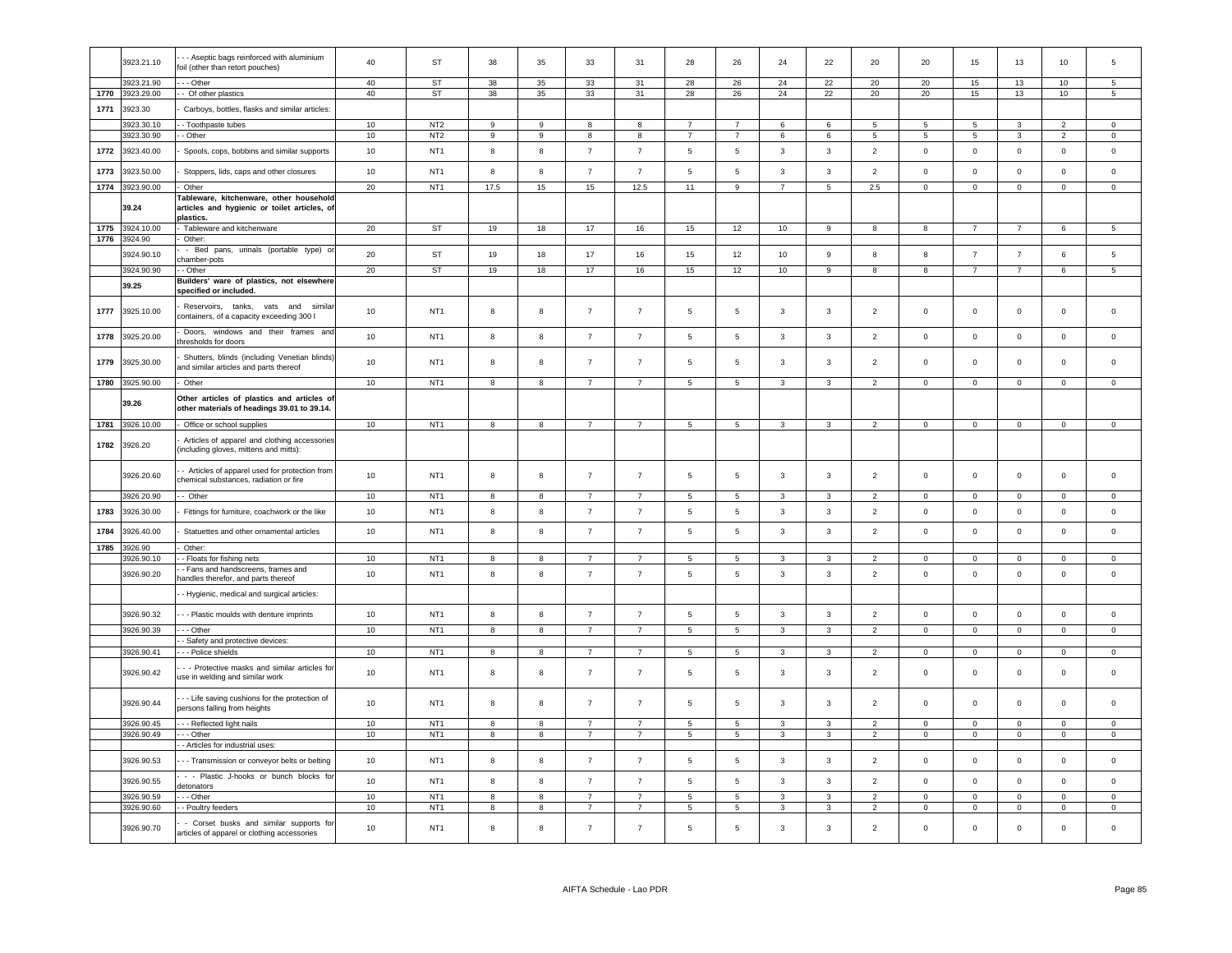| 1770<br>1771<br>1772 | 3923.21.90<br>3923.29.00<br>3923.30<br>3923.30.10 | -- Other<br>- Of other plastics                                                                               | 40     | ST              | 38             |                         |                |                  |                 |                          |                |                |                 |                 |                 |                     |                |                     |
|----------------------|---------------------------------------------------|---------------------------------------------------------------------------------------------------------------|--------|-----------------|----------------|-------------------------|----------------|------------------|-----------------|--------------------------|----------------|----------------|-----------------|-----------------|-----------------|---------------------|----------------|---------------------|
|                      |                                                   |                                                                                                               |        |                 |                | 35                      | 33             | 31               | 28              | 26                       | 24             | 22             | 20              | 20              | 15              | 13                  | 10             | 5                   |
|                      |                                                   |                                                                                                               | 40     | ST              | 38             | 35                      | 33             | 31               | 28              | 26                       | 24             | 22             | 20              | 20              | 15              | 13                  | 10             | 5 <sup>5</sup>      |
|                      |                                                   | Carboys, bottles, flasks and similar articles:                                                                |        |                 |                |                         |                |                  |                 |                          |                |                |                 |                 |                 |                     |                |                     |
|                      |                                                   | - Toothpaste tubes                                                                                            | 10     | NT <sub>2</sub> | 9              | 9                       | 8              | 8                | $\overline{7}$  | $\overline{7}$           | 6              | 6              | 5               | -5              | 5               | 3                   | 2              | $\mathbf{0}$        |
|                      | 3923.30.90                                        | - Other                                                                                                       | 10     | NT <sub>2</sub> | 9              | 9                       | 8              | 8                | $\overline{7}$  | $\overline{7}$           | 6              | 6              | $5\phantom{.0}$ | $5\overline{5}$ | $5\overline{5}$ | 3                   | $\overline{2}$ | $\overline{0}$      |
|                      |                                                   |                                                                                                               |        |                 |                |                         |                |                  |                 |                          |                |                |                 |                 |                 |                     |                |                     |
|                      | 3923.40.00                                        | Spools, cops, bobbins and similar supports                                                                    | 10     | NT <sub>1</sub> | 8              | 8                       | $\overline{7}$ | $\overline{7}$   | $\sqrt{5}$      | $\,$ 5 $\,$              | $\mathbf{3}$   | $\mathbf{3}$   | $\overline{2}$  | $\mathsf 0$     | $\mathbf{0}$    | $\mathsf{O}\xspace$ | $\mathbf 0$    | $\mathsf 0$         |
| 1773                 | 3923.50.00                                        | Stoppers, lids, caps and other closures                                                                       | 10     | NT <sub>1</sub> | 8              | 8                       | $\overline{7}$ | $\overline{7}$   | $\sqrt{5}$      | $\sqrt{5}$               | 3              | $\mathbf{3}$   | $\overline{2}$  | $\pmb{0}$       | $\mathbf 0$     | $\mathsf{O}\xspace$ | $\mathbb O$    | $\mathsf{O}\xspace$ |
| 1774                 | 3923.90.00<br>39.24                               | Other<br>Tableware, kitchenware, other household<br>articles and hygienic or toilet articles, of<br>plastics. | 20     | NT <sub>1</sub> | 17.5           | 15                      | 15             | 12.5             | 11              | $\boldsymbol{9}$         | $\overline{7}$ | $\sqrt{5}$     | 2.5             | $\mathbf 0$     | $\mathbf 0$     | $\mathsf{O}\xspace$ | $\mathsf 0$    | $\mathsf{O}\xspace$ |
| 1775                 | 3924.10.00                                        | Tableware and kitchenware                                                                                     | 20     | <b>ST</b>       | 19             | 18                      | 17             | 16               | 15              | 12                       | 10             | $\overline{9}$ | $\mathbf{g}$    | $\mathbf{a}$    | $\overline{7}$  | $\overline{7}$      | 6              | 5                   |
| 1776                 | 3924.90                                           | Other:                                                                                                        |        |                 |                |                         |                |                  |                 |                          |                |                |                 |                 |                 |                     |                |                     |
|                      | 3924.90.10                                        | - Bed pans, urinals (portable type) or<br>chamber-pots                                                        | 20     | <b>ST</b>       | 19             | 18                      | 17             | 16               | 15              | 12                       | 10             | $\mathsf g$    | 8               | 8               | $\overline{7}$  | $\overline{7}$      | $6\phantom{.}$ | 5                   |
|                      | 3924.90.90                                        | - Other                                                                                                       | 20     | <b>ST</b>       | 19             | 18                      | 17             | 16               | 15              | 12                       | 10             | $\overline{9}$ | 8               | $\mathbf{g}$    | $\overline{7}$  | $\overline{7}$      | 6              | $\overline{5}$      |
|                      | 39.25                                             | Builders' ware of plastics, not elsewhere<br>specified or included.                                           |        |                 |                |                         |                |                  |                 |                          |                |                |                 |                 |                 |                     |                |                     |
| 1777                 | 3925.10.00                                        | Reservoirs, tanks, vats and<br>similar<br>containers, of a capacity exceeding 300 l                           | 10     | NT <sub>1</sub> | 8              | 8                       | $\overline{7}$ | $\overline{7}$   | 5               | 5                        | 3              | 3              | 2               | $\mathsf 0$     | $\mathbf 0$     | $\mathbf 0$         | $\Omega$       | $\mathsf 0$         |
| 1778                 | 3925.20.00                                        | Doors, windows and their frames and<br>hresholds for doors                                                    | 10     | NT <sub>1</sub> | 8              | 8                       | $\overline{7}$ | $\overline{7}$   | $5\phantom{.0}$ | 5                        | 3              | 3              | $\overline{2}$  | $\mathsf 0$     | $\mathbf 0$     | $\mathsf 0$         | $\mathbf 0$    | $\mathsf 0$         |
| 1779                 | 3925.30.00                                        | Shutters, blinds (including Venetian blinds)<br>and similar articles and parts thereof                        | 10     | NT <sub>1</sub> | 8              | 8                       | $\overline{7}$ | $\overline{7}$   | 5               | 5                        | 3              | 3              | $\overline{2}$  | $\circ$         | $\mathbf 0$     | $\mathbf 0$         | $\mathbf{0}$   | $\mathsf 0$         |
| 1780                 | 3925.90.00                                        | <b>Other</b>                                                                                                  | 10     | NT <sub>1</sub> | 8              | 8                       | $\overline{7}$ | $\overline{7}$   | $5\overline{5}$ | $5\overline{5}$          | $\mathbf{3}$   | $\mathbf{3}$   | $\overline{2}$  | $\mathbf{0}$    | $\mathbf 0$     | $\mathsf 0$         | $\mathsf 0$    | $\mathbf 0$         |
|                      | 39.26                                             | Other articles of plastics and articles of                                                                    |        |                 |                |                         |                |                  |                 |                          |                |                |                 |                 |                 |                     |                |                     |
|                      |                                                   | other materials of headings 39.01 to 39.14.                                                                   |        |                 |                |                         |                |                  |                 |                          |                |                |                 |                 |                 |                     |                |                     |
| 1781                 | 3926.10.00                                        | Office or school supplies                                                                                     | 10     | NT <sub>1</sub> | 8              | 8                       | $\overline{7}$ | $\overline{7}$   | $5\overline{ }$ | $5\phantom{.0}$          | $\mathbf{3}$   | 3              | $\overline{2}$  | $\overline{0}$  | $\mathbf 0$     | $\mathbf 0$         | $\overline{0}$ | $\overline{0}$      |
| 1782                 | 3926.20                                           | Articles of apparel and clothing accessories<br>including gloves, mittens and mitts):                         |        |                 |                |                         |                |                  |                 |                          |                |                |                 |                 |                 |                     |                |                     |
|                      | 3926.20.60                                        | - Articles of apparel used for protection from<br>chemical substances, radiation or fire                      | 10     | NT <sub>1</sub> | 8              | 8                       | $\overline{7}$ | $\overline{7}$   | 5               | 5                        | 3              | 3              | $\overline{2}$  | $\mathsf 0$     | $\mathbf 0$     | $\mathsf 0$         | $\mathbf 0$    | $\mathsf 0$         |
|                      | 3926.20.90                                        | -- Other                                                                                                      | 10     | NT <sub>1</sub> | $\mathbf{g}$   | 8                       | $\overline{7}$ | $\overline{7}$   | 5               | 5                        | 3              | $\mathbf{3}$   | $\overline{2}$  | $\mathsf 0$     | $\mathsf 0$     | $\mathsf 0$         | $\Omega$       | $\Omega$            |
| 1783                 | 3926.30.00                                        | Fittings for furniture, coachwork or the like                                                                 | 10     | NT <sub>1</sub> | 8              | 8                       | $\overline{7}$ | $\overline{7}$   | $5\phantom{.0}$ | $5\phantom{.0}$          | $\mathbf{3}$   | $\mathbf{3}$   | $\overline{2}$  | $\mathbf 0$     | $\mathsf 0$     | $\mathsf 0$         | $\mathbf 0$    | $\mathsf 0$         |
| 1784                 | 3926.40.00                                        | Statuettes and other ornamental articles                                                                      | 10     | NT <sub>1</sub> | 8              | 8                       | $\overline{7}$ | $\overline{7}$   | $\sqrt{5}$      | $\,$ 5 $\,$              | $\mathbf{3}$   | $\mathbf{3}$   | $\overline{2}$  | $\mathsf 0$     | $\mathbf{0}$    | $\mathbf 0$         | $\circ$        | $\circ$             |
| 1785                 | 3926.90                                           | Other:                                                                                                        |        |                 |                |                         |                |                  |                 |                          |                |                |                 |                 |                 |                     |                |                     |
|                      | 3926.90.10                                        | - Floats for fishing nets                                                                                     | 10     | NT <sub>1</sub> | 8              | 8                       | $\overline{7}$ | $\overline{7}$   | 5               | 5                        | 3              | 3              | 2               | $\mathbf 0$     | $\overline{0}$  | $\mathbf 0$         | $\mathbf{0}$   | $\mathbf{0}$        |
|                      |                                                   | - Fans and handscreens, frames and                                                                            |        |                 |                |                         |                |                  |                 |                          |                |                |                 |                 |                 |                     |                |                     |
|                      | 3926.90.20                                        | nandles therefor, and parts thereof                                                                           | 10     | NT <sub>1</sub> | $\mathbf{g}$   | 8                       | $\overline{7}$ | $\overline{7}$   | 5               | $\sqrt{5}$               | $\mathbf{3}$   | $\mathbf{3}$   | $\overline{2}$  | $\mathsf 0$     | $\mathbf 0$     | $\mathsf{O}\xspace$ | $\mathbf 0$    | $\mathsf 0$         |
|                      |                                                   | - Hygienic, medical and surgical articles:                                                                    |        |                 |                |                         |                |                  |                 |                          |                |                |                 |                 |                 |                     |                |                     |
|                      | 3926.90.32                                        | - - Plastic moulds with denture imprints                                                                      | $10\,$ | NT <sub>1</sub> | 8              | 8                       | $\overline{7}$ | $\overline{7}$   | $\sqrt{5}$      | $\,$ 5 $\,$              | $\mathbf{3}$   | $\mathbf{3}$   | $\overline{2}$  | $\mathbf 0$     | $\mathbf 0$     | $\mathbf 0$         | $\mathbb O$    | $\mathsf 0$         |
|                      | 3926.90.39                                        | $--$ Other                                                                                                    | 10     | NT <sub>1</sub> | $\overline{8}$ | $\overline{\mathbf{8}}$ | $\overline{7}$ | $\overline{7}$   | $\overline{5}$  | $\overline{5}$           | $\overline{3}$ | $\overline{3}$ | $\overline{2}$  | $\overline{0}$  | $\overline{0}$  | $\overline{0}$      | $\overline{0}$ | $\overline{0}$      |
|                      |                                                   | - Safety and protective devices:                                                                              |        |                 |                |                         |                |                  |                 |                          |                |                |                 |                 |                 |                     |                |                     |
|                      | 3926.90.41                                        | - - Police shields                                                                                            | 10     | NT <sub>1</sub> | 8              | $\overline{\mathbf{8}}$ | $\overline{7}$ | $\overline{7}$   | $\,$ 5 $\,$     | $\overline{\phantom{0}}$ | $\mathbf{3}$   | $\mathbf{3}$   | $\overline{2}$  | $\mathbf 0$     | $\mathbf 0$     | $\overline{0}$      | $\overline{0}$ | $\mathbf 0$         |
|                      | 3926.90.42                                        | - - Protective masks and similar articles for<br>use in welding and similar work                              | 10     | NT <sub>1</sub> | 8              | 8                       | $\overline{7}$ | $\overline{7}$   | 5               | 5                        | 3              | 3              | $\overline{2}$  | $\mathbf 0$     | $\mathbf 0$     | $\mathbf 0$         | $\mathbf 0$    | $\mathsf 0$         |
|                      | 3926.90.44                                        | - - Life saving cushions for the protection of<br>persons falling from heights                                | 10     | NT <sub>1</sub> | 8              | $\bf8$                  | $\overline{7}$ | $\boldsymbol{7}$ | 5               | $\sqrt{5}$               | 3              | $\mathbf{3}$   | $\overline{2}$  | $\mathsf 0$     | $\mathsf 0$     | $\mathsf{O}\xspace$ | $\mathbf 0$    | $\mathbf 0$         |
|                      | 3926.90.45                                        |                                                                                                               |        | NT <sub>1</sub> |                |                         | $\overline{7}$ | $\overline{7}$   |                 |                          |                |                |                 |                 |                 |                     |                |                     |
|                      |                                                   | - - Reflected light nails                                                                                     | 10     |                 | 8              | 8                       |                |                  | $5\phantom{.0}$ | 5                        | 3              | 3              | $\overline{2}$  | $\mathbf 0$     | $\overline{0}$  | $\mathsf 0$         | $\overline{0}$ | $\mathbf 0$         |
|                      | 3926.90.49                                        | $-$ - Other                                                                                                   | 10     | NT <sub>1</sub> | $\overline{8}$ | $\overline{8}$          | $\overline{7}$ | $\overline{7}$   | $\overline{5}$  | $\overline{5}$           | $\mathbf{3}$   | 3              | $\overline{2}$  | $\mathbf 0$     | $\overline{0}$  | $\overline{0}$      | $\overline{0}$ | $\overline{0}$      |
|                      |                                                   | - Articles for industrial uses:                                                                               |        |                 |                |                         |                |                  |                 |                          |                |                |                 |                 |                 |                     |                |                     |
|                      | 3926.90.53                                        | - - Transmission or conveyor belts or belting                                                                 | 10     | NT <sub>1</sub> | 8              | 8                       | $\overline{7}$ | $\overline{7}$   | $5\phantom{.0}$ | $\sqrt{5}$               | $\mathbf{3}$   | $\mathbf{3}$   | $\overline{2}$  | $\mathsf 0$     | $\mathsf 0$     | $\mathsf 0$         | $\mathbf 0$    | $\mathsf 0$         |
|                      | 3926.90.55                                        | - - Plastic J-hooks or bunch blocks for<br>detonators                                                         | 10     | NT <sub>1</sub> | 8              | 8                       | $\overline{7}$ | $\overline{7}$   | 5               | 5                        | 3              | 3              | $\overline{2}$  | $\mathbf 0$     | $\mathbf 0$     | $\mathbf 0$         | $\mathbf 0$    | $\mathsf 0$         |
|                      | 3926.90.59                                        | - - Other                                                                                                     | 10     | NT <sub>1</sub> | 8              | 8                       | $\overline{7}$ | $\overline{7}$   | 5               | $\,$ 5 $\,$              | 3              | 3              | $\overline{2}$  | $\mathbf 0$     | $\mathbf 0$     | $\mathbf 0$         | $\overline{0}$ | $\Omega$            |
|                      | 3926.90.60                                        | - Poultry feeders                                                                                             | 10     | NT <sub>1</sub> | 8              | 8                       | $\overline{7}$ | $\overline{7}$   | $\sqrt{5}$      | $\sqrt{5}$               | 3              | $\mathbf{3}$   | $\overline{2}$  | $\mathbf 0$     | $\mathbf 0$     | $\mathsf{O}\xspace$ | $\,0\,$        | $\mathsf 0$         |
|                      | 3926.90.70                                        | - Corset busks and similar supports for<br>articles of apparel or clothing accessories                        | 10     | NT <sub>1</sub> | 8              | 8                       | $\overline{7}$ | $\overline{7}$   | 5               | 5                        | 3              | 3              | $\overline{2}$  | $\Omega$        | $\mathbf 0$     | $\mathbf 0$         | $\mathbf 0$    | $\Omega$            |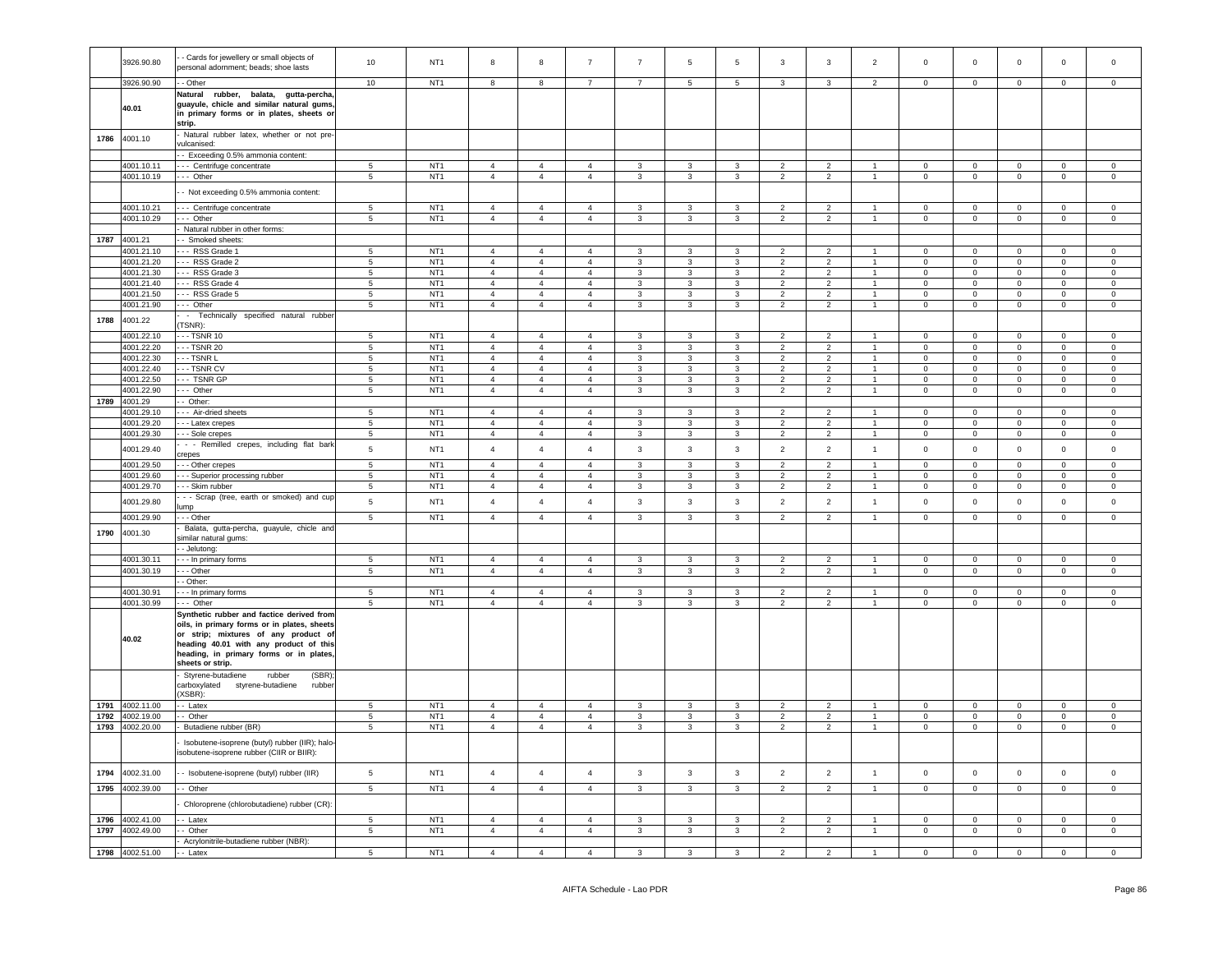|      | 3926.90.80                 | Cards for jewellery or small objects of<br>personal adornment; beads; shoe lasts                                                                                                                                                          | $10$                          | NT <sub>1</sub>                    | 8                                | 8                                |                                  |                         | 5                            | $\,$ 5 $\,$                             | 3                                | 3                                | $\overline{2}$                 | $\Omega$                   | $\mathbf 0$                   | $\mathbf 0$                | $\Omega$                   |                            |
|------|----------------------------|-------------------------------------------------------------------------------------------------------------------------------------------------------------------------------------------------------------------------------------------|-------------------------------|------------------------------------|----------------------------------|----------------------------------|----------------------------------|-------------------------|------------------------------|-----------------------------------------|----------------------------------|----------------------------------|--------------------------------|----------------------------|-------------------------------|----------------------------|----------------------------|----------------------------|
|      | 3926.90.90                 | - Other                                                                                                                                                                                                                                   | 10                            | NT <sub>1</sub>                    | 8                                | 8                                | $\overline{7}$                   | $\overline{7}$          | 5                            | $\overline{5}$                          | 3                                | 3                                | $\overline{2}$                 | $\mathbf{0}$               | $^{\circ}$                    | $\overline{0}$             | $\mathbf 0$                | $\mathbf{0}$               |
|      | 40.01                      | Natural<br>rubber, balata, gutta-percha<br>guayule, chicle and similar natural gums<br>in primary forms or in plates, sheets or<br>strip.                                                                                                 |                               |                                    |                                  |                                  |                                  |                         |                              |                                         |                                  |                                  |                                |                            |                               |                            |                            |                            |
| 1786 | 4001.10                    | - Natural rubber latex, whether or not pre-<br>vulcanised:                                                                                                                                                                                |                               |                                    |                                  |                                  |                                  |                         |                              |                                         |                                  |                                  |                                |                            |                               |                            |                            |                            |
|      |                            | -- Exceeding 0.5% ammonia content:                                                                                                                                                                                                        |                               |                                    |                                  |                                  |                                  |                         |                              |                                         |                                  |                                  |                                |                            |                               |                            |                            |                            |
|      | 4001.10.11                 | - - Centrifuge concentrate                                                                                                                                                                                                                | $\overline{5}$                | NT <sub>1</sub>                    | $\overline{4}$                   | $\overline{4}$                   | $\overline{4}$                   | 3<br>$\mathbf{R}$       | $\mathbf{3}$                 | $\mathbf{3}$                            | $\overline{2}$                   | $\overline{2}$                   | $\mathbf{1}$<br>$\overline{1}$ | $\mathbf 0$                | $\mathbf 0$                   | $\mathsf 0$                | $\mathsf 0$                | $\mathsf 0$<br>$\Omega$    |
|      | 4001.10.19                 | - Other                                                                                                                                                                                                                                   | 5                             | NT <sub>1</sub>                    | $\overline{4}$                   | $\overline{4}$                   | $\overline{4}$                   |                         | $\mathbf{3}$                 | $\mathbf{3}$                            | $\overline{2}$                   | $\overline{2}$                   |                                | $\mathsf 0$                | $\mathbf 0$                   | $\mathsf 0$                | $\mathsf 0$                |                            |
|      |                            | - Not exceeding 0.5% ammonia content:                                                                                                                                                                                                     |                               |                                    |                                  |                                  |                                  |                         |                              |                                         |                                  |                                  |                                |                            |                               |                            |                            |                            |
|      | 4001.10.21                 | --- Centrifuge concentrate                                                                                                                                                                                                                | $5\overline{5}$               | NT <sub>1</sub>                    | $\overline{4}$                   | $\overline{4}$                   | $\overline{4}$                   | $\mathbf{3}$            | $\mathbf{3}$                 | $\mathbf{3}$                            | $\overline{2}$                   | $\overline{2}$                   | $\mathbf{1}$                   | $\mathbf 0$                | $\overline{0}$                | $\overline{0}$             | $\mathsf 0$                | $\overline{0}$             |
|      | 4001.10.29                 | -- Other                                                                                                                                                                                                                                  | $5\phantom{.0}$               | NT <sub>1</sub>                    | $\overline{4}$                   | $\overline{4}$                   | $\overline{4}$                   | $\mathbf{3}$            | $\mathbf{3}$                 | $\mathbf{3}$                            | $\overline{2}$                   | $\overline{2}$                   | 1                              | $\mathbf 0$                | $\overline{0}$                | $\overline{0}$             | $\mathsf 0$                | $\overline{0}$             |
|      |                            | - Natural rubber in other forms:                                                                                                                                                                                                          |                               |                                    |                                  |                                  |                                  |                         |                              |                                         |                                  |                                  |                                |                            |                               |                            |                            |                            |
|      | 1787 4001.21<br>4001.21.10 | - Smoked sheets:<br>--- RSS Grade 1                                                                                                                                                                                                       |                               | NT <sub>1</sub>                    |                                  | $\overline{4}$                   | $\overline{4}$                   |                         |                              |                                         | $\overline{2}$                   |                                  | $\mathbf{1}$                   | $\mathbf{0}$               | $\mathbf{0}$                  | $\mathbf{0}$               | $\mathbf 0$                | $\Omega$                   |
|      | 4001.21.20                 | --- RSS Grade 2                                                                                                                                                                                                                           | 5<br>$5\phantom{.0}$          | NT <sub>1</sub>                    | $\overline{4}$<br>$\overline{4}$ | $\overline{4}$                   | $\overline{4}$                   | 3<br>$\mathbf{3}$       | 3<br>$\mathbf{3}$            | 3<br>$\mathbf{3}$                       | $\overline{2}$                   | $\overline{2}$<br>$\overline{2}$ | $\mathbf{1}$                   | $\mathsf 0$                | $\mathbf 0$                   | $\overline{0}$             | $\mathsf 0$                | $\mathbf 0$                |
|      | 4001.21.30                 | --- RSS Grade 3                                                                                                                                                                                                                           | 5                             | NT <sub>1</sub>                    | $\overline{4}$                   | $\overline{4}$                   | $\overline{4}$                   | $\mathbf{3}$            | 3                            | $\mathbf{3}$                            | $\overline{2}$                   | $\overline{2}$                   | $\mathbf{1}$                   | $\mathbf{0}$               | $\mathbf{0}$                  | $\overline{0}$             | $\mathbf 0$                | $\mathbf{0}$               |
|      | 4001.21.40                 | -- RSS Grade 4                                                                                                                                                                                                                            | $5\phantom{.0}$               | NT <sub>1</sub>                    | $\overline{4}$                   | $\overline{4}$                   | $\overline{4}$                   | $\mathbf{3}$            | $\mathbf{3}$                 | $\mathbf{3}$                            | $\overline{2}$                   | $\overline{2}$                   | 1                              | $\mathbf 0$                | $\overline{0}$                | $\overline{0}$             | $\mathsf 0$                | $\overline{0}$             |
|      | 4001.21.50                 | --- RSS Grade 5                                                                                                                                                                                                                           | $5\phantom{.0}$               | NT <sub>1</sub>                    | $\overline{4}$                   | $\overline{4}$                   | $\overline{4}$                   | $\mathbf{3}$            | $\mathbf{3}$                 | $\mathbf{3}$                            | 2                                | $\overline{2}$                   | $\mathbf{1}$                   | 0                          | $\mathbf 0$                   | $\mathbf{0}$               | $\bf{0}$                   | $\mathbf{0}$               |
|      | 4001.21.90                 | --- Other                                                                                                                                                                                                                                 | $5\overline{5}$               | NT <sub>1</sub>                    | $\overline{4}$                   | $\overline{4}$                   | $\overline{4}$                   | $\mathbf{3}$            | 3 <sup>1</sup>               | $\mathbf{3}$                            | $\overline{2}$                   | $\overline{2}$                   | $\mathbf{1}$                   | $\overline{0}$             | $\overline{0}$                | $\overline{0}$             | $\overline{0}$             | $\overline{0}$             |
| 1788 | 4001.22                    | - Technically specified natural rubber<br>TSNR):                                                                                                                                                                                          |                               |                                    |                                  |                                  |                                  |                         |                              |                                         |                                  |                                  |                                |                            |                               |                            |                            |                            |
|      | 1001.22.10                 | $-$ TSNR 10                                                                                                                                                                                                                               | 5                             | NT <sub>1</sub>                    | $\overline{4}$                   | $\overline{4}$                   | $\overline{4}$                   | 3                       | 3                            | $\overline{3}$                          | $\overline{2}$                   | $\overline{2}$                   |                                | $\mathbf 0$                | $\mathbf 0$                   | $\mathbf 0$                | $\mathbf 0$                | $\mathsf 0$                |
|      | 4001.22.20                 | -- TSNR 20                                                                                                                                                                                                                                | $5\phantom{.0}$               | NT <sub>1</sub>                    | $\overline{4}$                   | $\overline{4}$                   | $\overline{4}$                   | $\mathbf{3}$            | $\mathbf{3}$                 | $\mathbf{3}$                            | $\overline{2}$                   | $\overline{2}$                   | $\mathbf{1}$                   | $\mathbf 0$                | $\mathbf 0$                   | $\mathsf 0$                | $\mathsf 0$                | $\mathbf 0$                |
|      | 4001.22.30                 | - TSNR L                                                                                                                                                                                                                                  | $5\phantom{.0}$               | NT <sub>1</sub>                    | $\overline{4}$                   | $\overline{4}$                   | $\overline{4}$                   | 3                       | 3                            | 3                                       | $\overline{2}$                   | $\overline{2}$                   | $\mathbf{1}$                   | $\Omega$                   | $\mathbf 0$                   | $\mathsf 0$                | $\Omega$                   | $\Omega$                   |
|      | 4001.22.40                 | -- TSNR CV                                                                                                                                                                                                                                | $\,$ 5 $\,$                   | NT <sub>1</sub>                    | $\overline{4}$                   | $\overline{4}$                   | $\overline{4}$                   | $\mathbf{3}$            | 3                            | $\mathbf{3}$                            | $\overline{2}$                   | $\overline{2}$                   | 1                              | $\mathbf 0$                | $\mathbf 0$                   | $\mathsf 0$                | $\mathsf 0$                | $\mathsf{O}\xspace$        |
|      | 4001.22.50                 | -- TSNR GP                                                                                                                                                                                                                                | $5\phantom{.0}$               | NT <sub>1</sub>                    | $\overline{4}$                   | $\overline{4}$                   | $\overline{4}$                   | $\mathbf{3}$            | $\mathbf{3}$                 | $\mathbf{3}$                            | $\mathcal{P}$                    | $\overline{2}$                   | $\mathbf{1}$                   | $\Omega$                   | $\mathbf 0$                   | $\mathbf 0$                | $\mathsf 0$                | $\Omega$                   |
| 1789 | 4001.22.90<br>4001.29      | -- Other<br>Other:                                                                                                                                                                                                                        | $\,$ 5 $\,$                   | NT <sub>1</sub>                    | $\overline{4}$                   | $\overline{4}$                   | $\overline{4}$                   | $\mathbf{3}$            | $\mathbf{3}$                 | $\mathbf{3}$                            | $\overline{2}$                   | $\overline{2}$                   | $\mathbf{1}$                   | $\mathbf{0}$               | $\mathsf 0$                   | $\mathbf 0$                | $\mathsf{O}\xspace$        | $\mathsf 0$                |
|      | 1001.29.10                 | - - Air-dried sheets                                                                                                                                                                                                                      | $\,$ 5 $\,$                   | NT <sub>1</sub>                    | $\overline{4}$                   | $\overline{4}$                   | $\overline{4}$                   | 3                       | $\overline{3}$               | $\overline{3}$                          | $\overline{2}$                   | $\overline{2}$                   | $\mathbf{1}$                   | $\mathsf 0$                | $\mathbf 0$                   | $\mathsf 0$                | $\mathsf 0$                | $\mathsf{O}\xspace$        |
|      | 4001.29.20                 | - - Latex crepes                                                                                                                                                                                                                          | $5\phantom{.0}$               | NT <sub>1</sub>                    | $\overline{4}$                   | $\overline{4}$                   | $\overline{4}$                   | $\mathbf{3}$            | $\mathbf{3}$                 | $\mathbf{3}$                            | $\overline{2}$                   | $\overline{2}$                   | $\mathbf{1}$                   | $\mathbf 0$                | $\mathbf 0$                   | $\mathsf 0$                | $\mathsf 0$                | $\mathbf 0$                |
|      | 4001.29.30                 | - - Sole crepes                                                                                                                                                                                                                           | 5                             | NT <sub>1</sub>                    | $\overline{4}$                   | $\overline{4}$                   | $\overline{4}$                   | 3                       | $\mathbf{3}$                 | $\mathbf{3}$                            | $\overline{2}$                   | $\overline{2}$                   | 1                              | $\mathbf 0$                | $\mathbf 0$                   | $\mathbf 0$                | $\mathbf 0$                | $\mathsf 0$                |
|      | 4001.29.40                 | - - Remilled crepes, including flat bark<br>crepes                                                                                                                                                                                        | $\,$ 5 $\,$                   | NT <sub>1</sub>                    | $\overline{4}$                   | $\overline{4}$                   | $\overline{4}$                   | $\mathbf{3}$            | $\mathbf{3}$                 | $\mathbf{3}$                            | $\overline{2}$                   | $\overline{2}$                   | $\mathbf{1}$                   | $\mathsf 0$                | $\mathsf 0$                   | $\mathbf 0$                | $\mathsf 0$                | $\mathsf{O}\xspace$        |
|      | 4001.29.50                 | - Other crepes                                                                                                                                                                                                                            | $\,$ 5 $\,$                   | NT <sub>1</sub>                    | $\overline{4}$                   | $\overline{4}$<br>$\overline{4}$ | $\overline{4}$                   | $\mathbf{3}$            | $\mathbf{3}$                 | $\mathbf{3}$                            | $\overline{2}$<br>$\overline{2}$ | $\overline{2}$                   | $\mathbf{1}$<br>$\overline{1}$ | $\mathbf 0$                | $\mathbf 0$<br>$\overline{0}$ | $\mathbf 0$                | $\mathbf 0$                | $\mathbf 0$                |
|      | 4001.29.60<br>4001.29.70   | - - Superior processing rubber<br>- - Skim rubber                                                                                                                                                                                         | $\overline{5}$<br>$\,$ 5 $\,$ | NT <sub>1</sub><br>NT <sub>1</sub> | $\overline{4}$<br>$\overline{4}$ | $\overline{4}$                   | $\overline{4}$<br>$\overline{4}$ | 3<br>3                  | $\mathbf{3}$<br>$\mathbf{3}$ | $\overline{\mathbf{3}}$<br>$\mathbf{3}$ | $\overline{2}$                   | $\overline{2}$<br>$\overline{2}$ | $\mathbf{1}$                   | $\mathbf 0$<br>$\mathsf 0$ | $\mathsf 0$                   | $\mathbf 0$<br>$\mathbf 0$ | $\mathbf 0$<br>$\mathbf 0$ | $\mathbf 0$<br>$\mathsf 0$ |
|      | 4001.29.80                 | - - Scrap (tree, earth or smoked) and cup<br>lumn                                                                                                                                                                                         | $\,$ 5 $\,$                   | NT <sub>1</sub>                    | $\overline{4}$                   | $\overline{4}$                   | $\overline{4}$                   | $\mathbf{3}$            | $\mathbf{3}$                 | $\mathbf{3}$                            | $\overline{2}$                   | $\overline{2}$                   | $\mathbf{1}$                   | $\mathsf{O}\xspace$        | $\mathsf 0$                   | $\mathbf 0$                | $\mathsf{O}\xspace$        | $\mathbf 0$                |
|      | 4001.29.90                 | - - Other                                                                                                                                                                                                                                 | $\overline{5}$                | NT <sub>1</sub>                    | $\overline{4}$                   | $\overline{4}$                   | $\overline{4}$                   | $\overline{\mathbf{3}}$ | $\overline{3}$               | $\overline{3}$                          | $\overline{2}$                   | $\overline{2}$                   | $\overline{1}$                 | $\Omega$                   | $\overline{0}$                | $\overline{0}$             | $\Omega$                   | $\Omega$                   |
| 1790 | 4001.30                    | Balata, gutta-percha, guayule, chicle and<br>similar natural gums:                                                                                                                                                                        |                               |                                    |                                  |                                  |                                  |                         |                              |                                         |                                  |                                  |                                |                            |                               |                            |                            |                            |
|      | 4001.30.11                 | - Jelutong:<br>--- In primary forms                                                                                                                                                                                                       | $5\phantom{.0}$               | NT <sub>1</sub>                    | $\overline{4}$                   | $\overline{4}$                   | $\overline{4}$                   | $\mathbf{3}$            | $\mathbf{3}$                 | 3                                       | $\overline{2}$                   | $\overline{2}$                   | $\mathbf{1}$                   | $\mathbf 0$                | $\mathbf 0$                   | $\circ$                    | $\mathbf 0$                | $\Omega$                   |
|      | 4001.30.19                 | - - Other                                                                                                                                                                                                                                 | $5\phantom{.0}$               | NT <sub>1</sub>                    | $\overline{4}$                   | $\overline{4}$                   | $\overline{4}$                   | 3                       | $\mathbf{3}$                 | 3                                       | $\overline{2}$                   | $\overline{2}$                   | $\blacktriangleleft$           | $\mathsf 0$                | $\mathbf 0$                   | $\mathsf 0$                | $\mathsf 0$                | $\mathsf 0$                |
|      |                            | - Other:                                                                                                                                                                                                                                  |                               |                                    |                                  |                                  |                                  |                         |                              |                                         |                                  |                                  |                                |                            |                               |                            |                            |                            |
|      | 4001.30.91                 | --- In primary forms                                                                                                                                                                                                                      | $5\phantom{.0}$               | NT <sub>1</sub>                    | $\overline{4}$                   | $\overline{4}$                   | $\overline{4}$                   | $\mathbf{3}$            | $\mathbf{3}$                 | $\mathbf{3}$                            | $\overline{2}$                   | $\overline{2}$                   | $\overline{1}$                 | $\mathbf 0$                | $\mathbf{0}$                  | $\overline{0}$             | $\mathsf 0$                | $\circ$                    |
|      | 4001.30.99                 | - Other                                                                                                                                                                                                                                   | 5                             | NT <sub>1</sub>                    | $\overline{4}$                   | $\overline{4}$                   | $\overline{4}$                   | 3                       | $\mathbf{3}$                 | 3                                       | $\overline{2}$                   | $\overline{2}$                   | $\mathbf{1}$                   | $\circ$                    | $\mathbf 0$                   | $\mathbf 0$                | $\mathbf{0}$               | $\circ$                    |
|      | 40.02                      | Synthetic rubber and factice derived from<br>oils, in primary forms or in plates, sheets<br>or strip; mixtures of any product of<br>heading 40.01 with any product of this<br>heading, in primary forms or in plates,<br>sheets or strip. |                               |                                    |                                  |                                  |                                  |                         |                              |                                         |                                  |                                  |                                |                            |                               |                            |                            |                            |
|      |                            | Styrene-butadiene<br>rubber<br>(SBR)<br>carboxylated<br>styrene-butadiene<br>rubber<br>XSBR):                                                                                                                                             |                               |                                    |                                  |                                  |                                  |                         |                              |                                         |                                  |                                  |                                |                            |                               |                            |                            |                            |
|      | 1791 4002.11.00            | - Latex                                                                                                                                                                                                                                   | $5\overline{)}$               | NT <sub>1</sub>                    | $\overline{4}$                   | $\overline{4}$                   | 4                                | 3                       | 3                            | $\mathbf{3}$                            | $\overline{2}$                   | $\overline{2}$                   | $\mathbf{1}$                   | 0                          | 0                             | $\overline{0}$             | $\mathbf 0$                | $\circ$                    |
|      | 1792 4002.19.00            | - Other                                                                                                                                                                                                                                   | $5\phantom{.0}$               | NT1                                | $\overline{4}$                   | $\overline{4}$                   | $\overline{4}$                   | $\mathbf{3}$            | $\mathbf{3}$                 | $\mathbf{3}$                            | $\overline{2}$                   | $\overline{2}$                   | 1                              | $\overline{0}$             | $\mathbf 0$                   | $\overline{0}$             | $\mathbf{0}$               | $\overline{0}$             |
|      | 1793 4002.20.00            | Butadiene rubber (BR)                                                                                                                                                                                                                     | $5\phantom{.0}$               | NT <sub>1</sub>                    | 4                                | $\overline{4}$                   | $\overline{4}$                   | $\mathbf{3}$            | $\mathbf{3}$                 | $\mathbf{3}$                            | $\overline{2}$                   | $\overline{2}$                   | $\mathbf{1}$                   | $\overline{0}$             | $\overline{0}$                | $\overline{0}$             | $\overline{0}$             | $\overline{0}$             |
|      |                            | Isobutene-isoprene (butyl) rubber (IIR); halo-<br>isobutene-isoprene rubber (CIIR or BIIR):                                                                                                                                               |                               |                                    |                                  |                                  |                                  |                         |                              |                                         |                                  |                                  |                                |                            |                               |                            |                            |                            |
| 1794 | 4002.31.00                 | - Isobutene-isoprene (butyl) rubber (IIR)                                                                                                                                                                                                 | $\,$ 5 $\,$                   | NT <sub>1</sub>                    | $\overline{4}$                   | $\overline{4}$                   | $\overline{4}$                   | $\mathbf{3}$            | $\mathbf{3}$                 | $\mathbf 3$                             | $\overline{2}$                   | $\overline{2}$                   | $\overline{1}$                 | $\mathsf 0$                | $\mathbf 0$                   | $\mathsf 0$                | $\mathsf 0$                | $\,0\,$                    |
| 1795 | 4002.39.00                 | - Other                                                                                                                                                                                                                                   | $\overline{5}$                | NT <sub>1</sub>                    | $\overline{4}$                   | $\overline{4}$                   | $\overline{4}$                   | $\overline{\mathbf{3}}$ | $\overline{3}$               | $\overline{\mathbf{3}}$                 | $\overline{2}$                   | $\overline{2}$                   | $\overline{1}$                 | $\overline{0}$             | $\overline{0}$                | $\overline{0}$             | $\overline{0}$             | $\Omega$                   |
|      |                            | Chloroprene (chlorobutadiene) rubber (CR):                                                                                                                                                                                                |                               |                                    |                                  |                                  |                                  |                         |                              |                                         |                                  |                                  |                                |                            |                               |                            |                            |                            |
|      | 1796 4002.41.00            | - Latex                                                                                                                                                                                                                                   | $5\phantom{.0}$               | NT <sub>1</sub>                    | $\overline{4}$                   | $\overline{4}$                   | $\overline{4}$                   | 3                       | 3                            | 3                                       | $\overline{2}$                   | $\overline{2}$                   | $\overline{1}$                 | $\mathsf 0$                | $\mathbf 0$                   | $\mathsf 0$                | $\mathsf 0$                | $\Omega$                   |
|      | 1797 4002.49.00            | - Other<br>Acrylonitrile-butadiene rubber (NBR):                                                                                                                                                                                          | 5                             | NT <sub>1</sub>                    | $\overline{4}$                   | $\overline{4}$                   | $\overline{4}$                   | $\mathbf{3}$            | $\mathbf{3}$                 | $\mathbf{3}$                            | $\overline{2}$                   | $\overline{2}$                   | 1                              | $\mathbf 0$                | $\overline{0}$                | $\mathbf{0}$               | $\mathbf{0}$               | $\mathbf{0}$               |
|      | 1798 4002.51.00            | - Latex                                                                                                                                                                                                                                   | 5                             | NT <sub>1</sub>                    | $\overline{4}$                   | $\overline{4}$                   | $\overline{4}$                   | 3                       | 3                            | 3                                       | $\overline{2}$                   | $\overline{2}$                   | $\blacktriangleleft$           | $\Omega$                   | $\mathbf 0$                   | $\mathbf 0$                | $\Omega$                   | $\Omega$                   |
|      |                            |                                                                                                                                                                                                                                           |                               |                                    |                                  |                                  |                                  |                         |                              |                                         |                                  |                                  |                                |                            |                               |                            |                            |                            |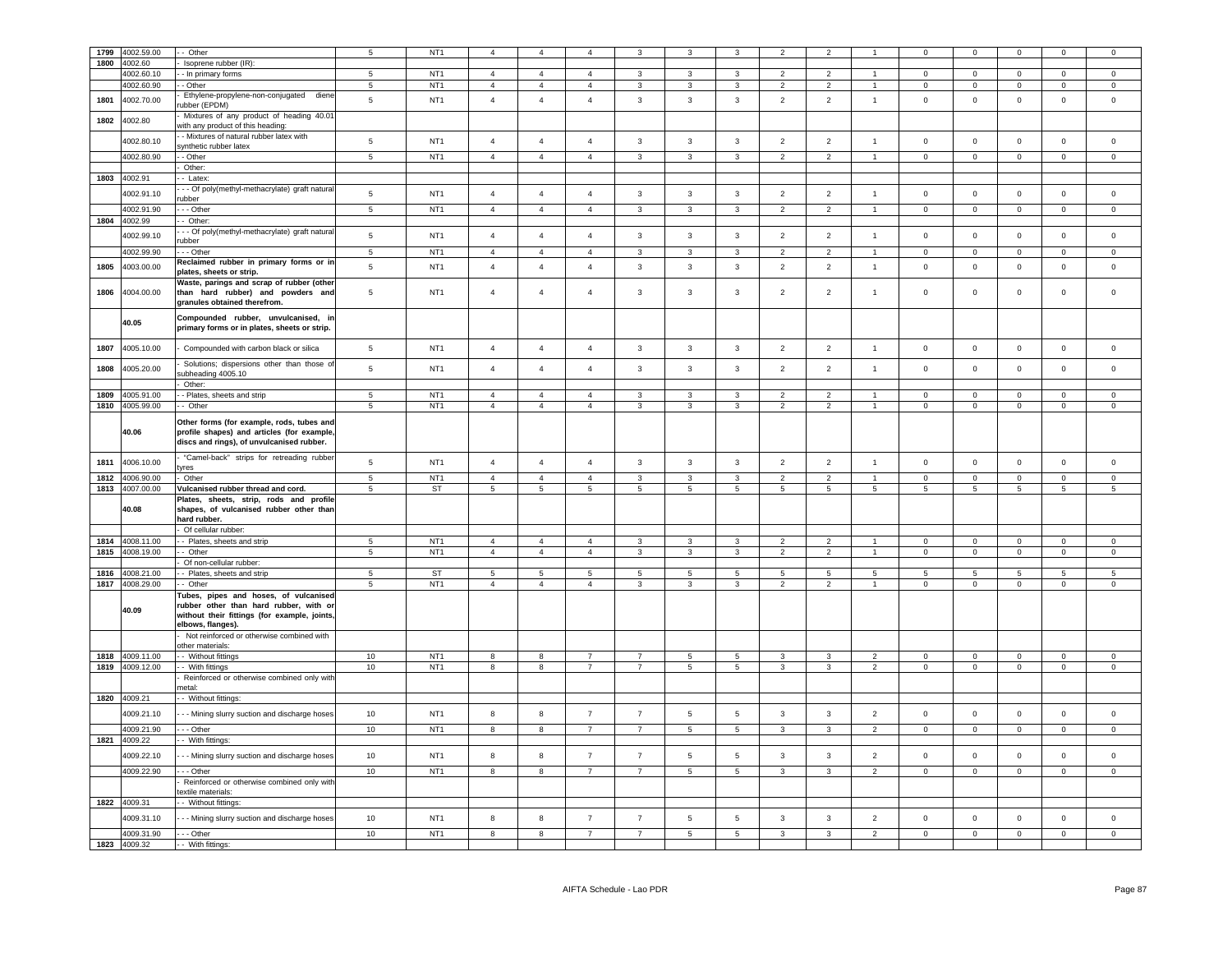| 1799 | 4002.59.00      | Other                                                                                                                                                | 5               | NT <sub>1</sub> |                 |                         |                |                |                 |                 |                 |                |                      |                 |                 |                 |                |                     |
|------|-----------------|------------------------------------------------------------------------------------------------------------------------------------------------------|-----------------|-----------------|-----------------|-------------------------|----------------|----------------|-----------------|-----------------|-----------------|----------------|----------------------|-----------------|-----------------|-----------------|----------------|---------------------|
| 1800 | 4002.60         |                                                                                                                                                      |                 |                 |                 |                         |                |                |                 |                 |                 |                |                      |                 |                 |                 |                |                     |
|      |                 | Isoprene rubber (IR):                                                                                                                                | $5^{\circ}$     |                 | $\overline{4}$  | $\overline{4}$          | $\mathbf{4}$   |                | 3               | 3               |                 | $\overline{2}$ | $\blacktriangleleft$ | $\Omega$        |                 | $\Omega$        | $\Omega$       | $\Omega$            |
|      | 4002.60.10      | - In primary forms                                                                                                                                   |                 | NT <sub>1</sub> |                 |                         |                | $\mathbf{3}$   |                 |                 | $\overline{2}$  |                |                      |                 | $\mathbf 0$     |                 |                |                     |
|      | 4002.60.90      | - Other                                                                                                                                              | 5               | NT <sub>1</sub> | $\overline{4}$  | $\overline{4}$          | $\overline{4}$ | 3              | $\mathbf{3}$    | $\mathbf{3}$    | $\overline{2}$  | $\overline{2}$ | $\blacktriangleleft$ | $\overline{0}$  | $\mathbf 0$     | $\mathsf 0$     | $\mathbf{0}$   | $\mathbf 0$         |
| 1801 | 4002.70.00      | Ethylene-propylene-non-conjugated diene<br>ubber (EPDM)                                                                                              | $\sqrt{5}$      | NT <sub>1</sub> | $\overline{4}$  | $\overline{4}$          | $\overline{4}$ | $\mathbf{3}$   | $\mathbf{3}$    | $\mathbf{3}$    | $\overline{2}$  | $\overline{2}$ | $\mathbf{1}$         | $\mathsf 0$     | $\mathbf 0$     | $\mathbf 0$     | $\mathsf 0$    | $\mathsf 0$         |
| 1802 | 4002.80         | Mixtures of any product of heading 40.01<br>with any product of this heading:                                                                        |                 |                 |                 |                         |                |                |                 |                 |                 |                |                      |                 |                 |                 |                |                     |
|      | 4002.80.10      | - Mixtures of natural rubber latex with<br>synthetic rubber latex                                                                                    | $\,$ 5 $\,$     | NT <sub>1</sub> | $\overline{4}$  | $\overline{4}$          | $\overline{4}$ | $\mathbf{3}$   | $\overline{3}$  | $\mathbf{3}$    | $\overline{2}$  | $\overline{2}$ | $\overline{1}$       | $\mathsf 0$     | $\mathsf 0$     | $\mathbf 0$     | $\mathbf{0}$   | $\mathsf 0$         |
|      | 4002.80.90      | - Other                                                                                                                                              | $\overline{5}$  | NT <sub>1</sub> | $\overline{4}$  | $\overline{4}$          | $\overline{4}$ | $\mathbf{3}$   | $\mathbf{3}$    | $\overline{3}$  | $\overline{2}$  | $\overline{2}$ | $\mathbf{1}$         | $\circ$         | $\circ$         | $\mathsf 0$     | $\mathbf 0$    | $\mathsf 0$         |
|      |                 | Other:                                                                                                                                               |                 |                 |                 |                         |                |                |                 |                 |                 |                |                      |                 |                 |                 |                |                     |
|      | 1803 4002.91    | Latex:                                                                                                                                               |                 |                 |                 |                         |                |                |                 |                 |                 |                |                      |                 |                 |                 |                |                     |
|      | 4002.91.10      | - Of poly(methyl-methacrylate) graft natural                                                                                                         | $\overline{5}$  | NT <sub>1</sub> | $\overline{4}$  | $\overline{4}$          | $\overline{4}$ | $\mathbf{3}$   | $\mathbf{3}$    | 3               | $\overline{2}$  | $\overline{2}$ | $\mathbf{1}$         | $\mathbf 0$     | $\mathbf 0$     | $\mathbf 0$     | $\mathbf 0$    | $\circ$             |
|      |                 | ubber                                                                                                                                                |                 |                 |                 |                         |                |                |                 |                 |                 |                | $\overline{1}$       |                 |                 |                 |                |                     |
|      | 4002.91.90      | - - Other                                                                                                                                            | $\sqrt{5}$      | NT <sub>1</sub> | $\overline{4}$  | $\overline{4}$          | $\overline{4}$ | 3              | $\mathbf{3}$    | 3               | $\overline{2}$  | $\overline{2}$ |                      | $\mathbb O$     | $\mathbf 0$     | $\mathbf 0$     | $\mathsf 0$    | $\mathsf 0$         |
| 1804 | 4002.99         | - Other:                                                                                                                                             |                 |                 |                 |                         |                |                |                 |                 |                 |                |                      |                 |                 |                 |                |                     |
|      | 4002.99.10      | - - Of poly(methyl-methacrylate) graft natural<br>ubber                                                                                              | $\sqrt{5}$      | NT <sub>1</sub> | $\sqrt{4}$      | $\overline{4}$          | $\overline{4}$ | 3              | $\mathbf{3}$    | $\mathbf{3}$    | $\overline{2}$  | $\overline{2}$ | $\overline{1}$       | $\,0\,$         | $\,0\,$         | $\mathbf 0$     | $\mathbf 0$    | $\mathsf 0$         |
|      | 4002.99.90      | - Other                                                                                                                                              | 5               | NT <sub>1</sub> | $\overline{4}$  | $\overline{4}$          | $\overline{4}$ | $\overline{3}$ | 3               | $\overline{3}$  | $\overline{2}$  | 2              |                      | $\overline{0}$  | $\mathbf 0$     | $\mathbf 0$     | $\mathbf 0$    | $\Omega$            |
|      |                 | Reclaimed rubber in primary forms or in                                                                                                              |                 |                 |                 |                         |                |                |                 |                 |                 |                |                      |                 |                 |                 |                |                     |
| 1805 | 4003.00.00      | olates, sheets or strip.<br>Waste, parings and scrap of rubber (other                                                                                | $5\phantom{.0}$ | NT <sub>1</sub> | $\overline{4}$  | $\overline{4}$          | $\overline{4}$ | $\mathbf{3}$   | $\overline{3}$  | $\mathbf{3}$    | $\overline{2}$  | $\overline{2}$ | $\mathbf{1}$         | $\mathsf 0$     | $\mathbf 0$     | $\mathbf 0$     | $\mathsf 0$    | $\mathsf 0$         |
| 1806 | 4004.00.00      | than hard rubber) and powders and<br>granules obtained therefrom.                                                                                    | $\sqrt{5}$      | NT <sub>1</sub> | $\overline{4}$  | $\overline{4}$          | $\overline{4}$ | 3              | $\mathbf{3}$    | 3               | $\overline{2}$  | $\overline{2}$ | $\overline{1}$       | $\,0\,$         | $\mathbf 0$     | $\mathbf 0$     | 0              | $^{\circ}$          |
|      | 40.05           | Compounded rubber, unvulcanised, in<br>primary forms or in plates, sheets or strip.                                                                  |                 |                 |                 |                         |                |                |                 |                 |                 |                |                      |                 |                 |                 |                |                     |
| 1807 | 4005.10.00      | Compounded with carbon black or silica                                                                                                               | 5               | NT <sub>1</sub> | $\overline{4}$  | $\overline{4}$          | $\overline{4}$ | $\mathbf{3}$   | $\mathbf{3}$    | $\mathbf{3}$    | $\overline{2}$  | $\overline{2}$ | $\mathbf{1}$         | $\mathbf 0$     | $\mathbf 0$     | $\mathsf 0$     | $\mathsf 0$    | $\mathsf 0$         |
| 1808 | 4005.20.00      | Solutions; dispersions other than those of<br>subheading 4005.10                                                                                     | 5               | NT <sub>1</sub> | $\overline{4}$  | $\overline{4}$          | $\overline{4}$ | $\mathbf{3}$   | $\mathbf{3}$    | 3               | $\overline{2}$  | $\overline{2}$ | $\mathbf{1}$         | $\mathbf 0$     | $\mathbf 0$     | $\mathbf 0$     | $\mathsf 0$    | $\mathsf 0$         |
|      |                 | Other:                                                                                                                                               |                 |                 |                 |                         |                |                |                 |                 |                 |                |                      |                 |                 |                 |                |                     |
| 1809 | 4005.91.00      | - Plates, sheets and strip                                                                                                                           | $\sqrt{5}$      | NT <sub>1</sub> | $\overline{4}$  | $\overline{4}$          | $\overline{4}$ | 3              | 3               | 3               | $\overline{2}$  | 2              | $\mathbf{1}$         | $\mathbf 0$     | $\overline{0}$  | $\mathbf 0$     | $\mathbf 0$    | $\circ$             |
|      | 1810 4005.99.00 | - Other                                                                                                                                              | 5               | NT <sub>1</sub> | $\overline{4}$  | $\overline{4}$          | $\overline{4}$ | 3              | 3               | 3               | $\overline{2}$  | $\overline{2}$ | $\mathbf{1}$         | $\overline{0}$  | $\overline{0}$  | $\mathbf 0$     | $^{\circ}$     | $\mathbf{0}$        |
|      | 40.06           | Other forms (for example, rods, tubes and<br>profile shapes) and articles (for example,<br>discs and rings), of unvulcanised rubber.                 |                 |                 |                 |                         |                |                |                 |                 |                 |                |                      |                 |                 |                 |                |                     |
| 1811 | 4006.10.00      | "Camel-back" strips for retreading rubber<br>vres                                                                                                    | $\overline{5}$  | NT <sub>1</sub> | $\overline{4}$  | $\overline{4}$          | $\overline{4}$ | $\mathbf{3}$   | $\overline{3}$  | $\mathbf{3}$    | $\overline{2}$  | $\overline{2}$ | $\overline{1}$       | $\mathsf 0$     | $\mathbf 0$     | $\mathbf 0$     | $\mathbf{0}$   | $\mathsf 0$         |
| 1812 | 4006.90.00      | Other                                                                                                                                                | $\overline{5}$  | NT <sub>1</sub> | $\overline{4}$  | $\overline{4}$          | $\overline{4}$ | $\mathbf{3}$   | 3               | $\mathbf{3}$    | $\overline{2}$  | $\overline{2}$ | $\overline{1}$       | $\mathsf 0$     | $\mathbf 0$     | $\mathsf 0$     | $\mathbf 0$    | $\mathsf 0$         |
|      | 1813 4007.00.00 | Vulcanised rubber thread and cord.                                                                                                                   | 5               | <b>ST</b>       | 5               | 5                       | 5              | 5              | 5               | 5               | 5               | 5              | 5                    | 5               | 5               | 5               | 5              | 5                   |
|      |                 | Plates, sheets, strip, rods and profile                                                                                                              |                 |                 |                 |                         |                |                |                 |                 |                 |                |                      |                 |                 |                 |                |                     |
|      | 40.08           | shapes, of vulcanised rubber other than<br>hard rubber.                                                                                              |                 |                 |                 |                         |                |                |                 |                 |                 |                |                      |                 |                 |                 |                |                     |
|      |                 | Of cellular rubber:                                                                                                                                  |                 |                 |                 |                         |                |                |                 |                 |                 |                |                      |                 |                 |                 |                |                     |
|      | 1814 4008.11.00 | - - Plates, sheets and strip                                                                                                                         | 5               | NT <sub>1</sub> | $\overline{4}$  | $\overline{4}$          | $\overline{4}$ | 3              | 3               | 3               | $\overline{2}$  | 2              | $\overline{1}$       | $\overline{0}$  | $\overline{0}$  | $^{\circ}$      | $\Omega$       | $\Omega$            |
|      | 1815 4008.19.00 | - Other                                                                                                                                              | $\sqrt{5}$      | NT <sub>1</sub> | $\overline{4}$  | $\overline{4}$          | $\overline{4}$ | $\mathbf{3}$   | $\mathbf{3}$    | $\mathbf{3}$    | $\overline{2}$  | $\overline{2}$ | $\overline{1}$       | $\overline{0}$  | $\overline{0}$  | $\mathbf 0$     | $\overline{0}$ | $\overline{0}$      |
|      |                 | Of non-cellular rubber:                                                                                                                              |                 |                 |                 |                         |                |                |                 |                 |                 |                |                      |                 |                 |                 |                |                     |
|      | 1816 4008.21.00 | - Plates, sheets and strip                                                                                                                           | $5\phantom{.0}$ | ST              | $5\overline{5}$ | $5\phantom{.0}$         | 5              | $\overline{5}$ | $5\overline{5}$ | $5\phantom{.0}$ | $5\phantom{.0}$ | 5              | $5\phantom{.0}$      | $5\phantom{.0}$ | $5\overline{)}$ | $5\phantom{.0}$ | 5              | $5\phantom{.0}$     |
|      | 1817 4008.29.00 | - Other                                                                                                                                              | 5               | NT <sub>1</sub> | $\overline{4}$  | $\overline{4}$          | $\overline{4}$ | 3              | $\mathbf{3}$    | 3               | $\overline{2}$  | $\overline{2}$ | $\overline{1}$       | $\overline{0}$  | $\mathbf 0$     | $\mathbf 0$     | $\mathbf{0}$   | $\mathbf{0}$        |
|      | 40.09           | Tubes, pipes and hoses, of vulcanised<br>rubber other than hard rubber, with or<br>without their fittings (for example, joints,<br>elbows, flanges). |                 |                 |                 |                         |                |                |                 |                 |                 |                |                      |                 |                 |                 |                |                     |
|      |                 | Not reinforced or otherwise combined with                                                                                                            |                 |                 |                 |                         |                |                |                 |                 |                 |                |                      |                 |                 |                 |                |                     |
|      |                 | other materials:                                                                                                                                     |                 |                 |                 |                         |                |                |                 |                 |                 |                |                      |                 |                 |                 |                |                     |
| 1818 | 4009.11.00      | - Without fittings                                                                                                                                   | 10              | NT <sub>1</sub> | 8               | 8                       | $\overline{7}$ | $\overline{7}$ | 5               | $\overline{5}$  | $\mathbf{3}$    | 3              | $\overline{2}$       | $\mathsf 0$     | $\mathbf 0$     | $\mathsf 0$     | $\Omega$       | $\Omega$            |
| 1819 | 4009.12.00      | - With fittings                                                                                                                                      | $10$            | NT <sub>1</sub> | 8               | 8                       | $\overline{7}$ | $\overline{7}$ | 5               | 5               | $\mathbf{3}$    | 3              | 2                    | $\overline{0}$  | $\mathbf 0$     | $\mathbf 0$     | $\mathbf{0}$   | $\circ$             |
|      |                 | Reinforced or otherwise combined only with<br>netal:                                                                                                 |                 |                 |                 |                         |                |                |                 |                 |                 |                |                      |                 |                 |                 |                |                     |
|      | 1820 4009.21    | - - Without fittings:                                                                                                                                |                 |                 |                 |                         |                |                |                 |                 |                 |                |                      |                 |                 |                 |                |                     |
|      | 4009.21.10      | - - Mining slurry suction and discharge hoses                                                                                                        | 10              | NT <sub>1</sub> | $\bf8$          | $\bf8$                  | $\overline{7}$ | $\overline{7}$ | $\overline{5}$  | 5               | $\mathbf{3}$    | 3              | $\overline{2}$       | $\mathbf 0$     | $\mathbf 0$     | $\mathbf 0$     | $\mathbf{0}$   | $\mathbf 0$         |
|      | 4009.21.90      | $-$ Other                                                                                                                                            | 10              | NT <sub>1</sub> | $\overline{8}$  | $\overline{\mathbf{8}}$ | $\overline{7}$ | $\overline{7}$ | $5\overline{)}$ | $5\overline{)}$ | $\mathbf{3}$    | $\mathbf{3}$   | $\overline{2}$       | $\overline{0}$  | $\overline{0}$  | $\overline{0}$  | $\overline{0}$ | $\overline{0}$      |
|      | 1821 4009.22    | - With fittings:                                                                                                                                     |                 |                 |                 |                         |                |                |                 |                 |                 |                |                      |                 |                 |                 |                |                     |
|      | 4009.22.10      | - - Mining slurry suction and discharge hoses                                                                                                        | 10              | NT <sub>1</sub> | 8               | 8                       | $\overline{7}$ | $\overline{7}$ | 5               | $5\phantom{.0}$ | $\mathbf{3}$    | 3              | $\overline{2}$       | $\mathbf 0$     | $\mathbf 0$     | $\mathbf 0$     | $\mathbf 0$    | $\mathsf 0$         |
|      | 4009.22.90      | - - Other<br>Reinforced or otherwise combined only with                                                                                              | 10              | NT <sub>1</sub> | 8               | 8                       | $\overline{7}$ | $\overline{7}$ | 5               | $\sqrt{5}$      | $\mathbf{3}$    | $_{\rm 3}$     | $\overline{2}$       | $\mathsf 0$     | $\mathbf 0$     | $\mathbf 0$     | $\mathsf 0$    | $\mathsf{O}\xspace$ |
|      |                 | extile materials:                                                                                                                                    |                 |                 |                 |                         |                |                |                 |                 |                 |                |                      |                 |                 |                 |                |                     |
|      | 1822 4009.31    | -- Without fittings:                                                                                                                                 |                 |                 |                 |                         |                |                |                 |                 |                 |                |                      |                 |                 |                 |                |                     |
|      | 4009.31.10      | - - Mining slurry suction and discharge hoses                                                                                                        | 10              | NT <sub>1</sub> | 8               | 8                       | $\overline{7}$ | $\overline{7}$ | 5               | 5               | 3               | 3              | 2                    | $\mathbf 0$     | $\mathbf 0$     | $\mathsf 0$     | $\mathsf 0$    | $\mathsf 0$         |
|      | 4009.31.90      | $- -$ Other                                                                                                                                          | 10              | NT <sub>1</sub> | 8               | 8                       | $\overline{7}$ | $\overline{7}$ | $\overline{5}$  | $\overline{5}$  | $\mathbf{3}$    | $\mathbf{3}$   | $\overline{2}$       | $\overline{0}$  | $\overline{0}$  | $\overline{0}$  | $\Omega$       | $\overline{0}$      |
|      | 1823 4009.32    | - - With fittings:                                                                                                                                   |                 |                 |                 |                         |                |                |                 |                 |                 |                |                      |                 |                 |                 |                |                     |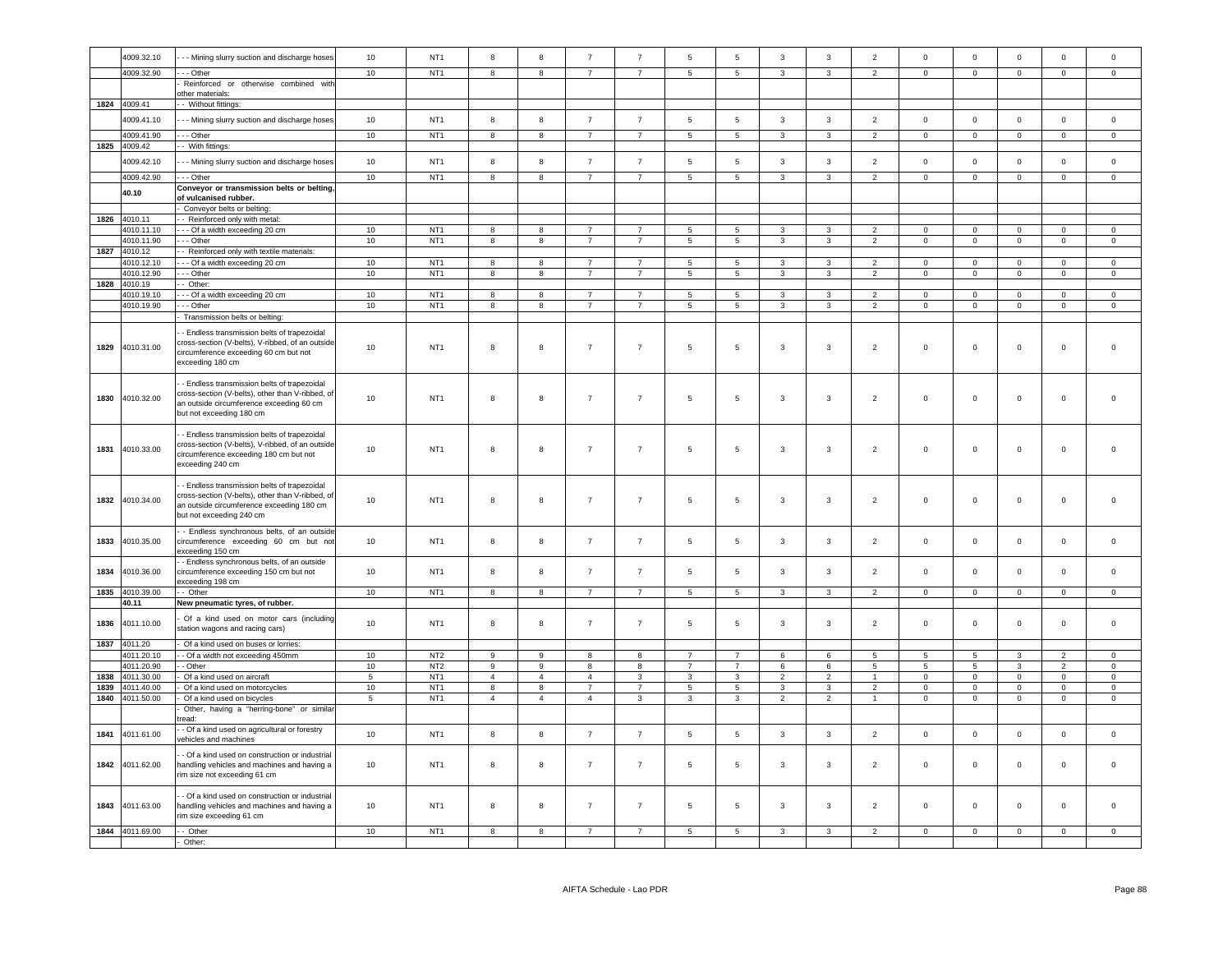|      | 4009.32.10               | - - Mining slurry suction and discharge hoses                                                                                                                            | 10               | NT <sub>1</sub>                    | 8                | 8              | $\overline{7}$                   | $\overline{7}$                   | 5                                 | 5                                  | $\mathbf{3}$                 | $\mathbf{3}$      | $\overline{2}$                   | $\overline{0}$          | $\mathbf 0$                   | $\mathsf 0$                | $\mathbf{0}$               | $\mathsf 0$         |
|------|--------------------------|--------------------------------------------------------------------------------------------------------------------------------------------------------------------------|------------------|------------------------------------|------------------|----------------|----------------------------------|----------------------------------|-----------------------------------|------------------------------------|------------------------------|-------------------|----------------------------------|-------------------------|-------------------------------|----------------------------|----------------------------|---------------------|
|      | 4009.32.90               | --- Other                                                                                                                                                                | 10               | NT <sub>1</sub>                    | 8                | 8              | $\overline{7}$                   | $\overline{7}$                   | $5\phantom{.0}$                   | $5\overline{5}$                    | $\mathbf{3}$                 | 3                 | $\overline{2}$                   | $\mathbf 0$             | $\overline{0}$                | $\mathbf 0$                | $\circ$                    | $\circ$             |
|      |                          | Reinforced or otherwise combined with                                                                                                                                    |                  |                                    |                  |                |                                  |                                  |                                   |                                    |                              |                   |                                  |                         |                               |                            |                            |                     |
|      | 1824 4009.41             | other materials:<br>- Without fittings:                                                                                                                                  |                  |                                    |                  |                |                                  |                                  |                                   |                                    |                              |                   |                                  |                         |                               |                            |                            |                     |
|      | 4009.41.10               | - - Mining slurry suction and discharge hoses                                                                                                                            | 10               | NT <sub>1</sub>                    | 8                | 8              | $\overline{7}$                   | $\overline{7}$                   | 5                                 | $5\phantom{.0}$                    | 3                            | 3                 | $\overline{2}$                   | $\mathbf 0$             | $\circ$                       | $\mathsf 0$                | $\mathbf{0}$               | $\circ$             |
|      | 1009.41.90               | - - Other                                                                                                                                                                | 10               | NT <sub>1</sub>                    | 8                | 8              | $\overline{7}$                   | $\overline{7}$                   | 5                                 | $5\phantom{.0}$                    | 3                            | 3                 | $\overline{2}$                   | $\circ$                 | $\overline{0}$                | $\mathbf 0$                | $\circ$                    | $\mathsf 0$         |
| 1825 | 4009.42                  | - With fittings:                                                                                                                                                         |                  |                                    |                  |                |                                  |                                  |                                   |                                    |                              |                   |                                  |                         |                               |                            |                            |                     |
|      | 4009.42.10               | - - Mining slurry suction and discharge hoses                                                                                                                            | 10               | NT <sub>1</sub>                    | $\boldsymbol{8}$ | 8              | $\overline{7}$                   | $\overline{7}$                   | $5\phantom{.0}$                   | $\sqrt{5}$                         | $\mathbf{3}$                 | $\mathbf{3}$      | $\overline{2}$                   | $\mathbf 0$             | $\mathbf 0$                   | $\mathbf 0$                | $\mathsf 0$                | $\mathsf 0$         |
|      | 4009.42.90               | - - Other                                                                                                                                                                | 10               | NT <sub>1</sub>                    | 8                | 8              | $\overline{7}$                   | $\overline{7}$                   | 5                                 | 5                                  | 3                            | 3                 | $\overline{2}$                   | $\mathbf 0$             | $\overline{0}$                | $\mathbf 0$                | $\mathbf 0$                | $\mathbf 0$         |
|      | 40.10                    | Conveyor or transmission belts or belting,                                                                                                                               |                  |                                    |                  |                |                                  |                                  |                                   |                                    |                              |                   |                                  |                         |                               |                            |                            |                     |
|      |                          | of vulcanised rubber                                                                                                                                                     |                  |                                    |                  |                |                                  |                                  |                                   |                                    |                              |                   |                                  |                         |                               |                            |                            |                     |
|      | 1826 4010.11             | Conveyor belts or belting:<br>- - Reinforced only with metal:                                                                                                            |                  |                                    |                  |                |                                  |                                  |                                   |                                    |                              |                   |                                  |                         |                               |                            |                            |                     |
|      | 4010.11.10               | - - - Of a width exceeding 20 cm                                                                                                                                         | 10               | NT <sub>1</sub>                    | 8                | 8              | $\overline{7}$                   | $\overline{7}$                   | 5                                 | $5\phantom{.0}$                    | $\mathbf{3}$                 | 3                 | $\overline{2}$                   | $\mathsf 0$             | $\overline{0}$                | $\mathsf 0$                | $\mathsf 0$                | $\mathsf 0$         |
|      | 4010.11.90               | $- -$ Other                                                                                                                                                              | 10               | NT <sub>1</sub>                    | $\overline{8}$   | $\overline{8}$ | $\overline{7}$                   | $\overline{7}$                   | $\overline{5}$                    | $\overline{5}$                     | $\overline{\mathbf{3}}$      | $\overline{3}$    | $\overline{2}$                   | $\overline{0}$          | $\overline{0}$                | $\overline{0}$             | $\overline{0}$             | $\Omega$            |
|      | 1827 4010.12             | - Reinforced only with textile materials:                                                                                                                                |                  |                                    |                  |                |                                  |                                  |                                   |                                    |                              |                   |                                  |                         |                               |                            |                            |                     |
|      | 4010.12.10               | --- Of a width exceeding 20 cm                                                                                                                                           | 10               | NT <sub>1</sub>                    | 8                | 8              | $\overline{7}$                   | $\overline{7}$                   | -5                                | -5                                 | $\mathcal{R}$                | $\mathcal{R}$     | $\mathcal{P}$                    | $\Omega$                | $\Omega$                      | $\Omega$                   | $\Omega$                   | $\Omega$            |
|      | 4010.12.90               | - - Other                                                                                                                                                                | 10               | NT <sub>1</sub>                    | 8                | 8              | $\overline{7}$                   | $\overline{7}$                   | 5                                 | $5\phantom{.0}$                    | 3                            | $\mathbf{R}$      | $\overline{2}$                   | $\mathsf 0$             | $\mathbf 0$                   | $\mathbf 0$                | $\mathbf 0$                | $\mathbf 0$         |
|      | 1828 4010.19             | - Other:                                                                                                                                                                 |                  |                                    |                  |                |                                  |                                  |                                   |                                    |                              |                   |                                  |                         |                               |                            |                            |                     |
|      | 4010.19.10<br>4010.19.90 | --- Of a width exceeding 20 cm                                                                                                                                           | 10<br>10         | NT <sub>1</sub><br>NT <sub>1</sub> | 8<br>8           | 8<br>8         | $\overline{7}$<br>$\overline{7}$ | $\overline{7}$<br>$\overline{7}$ | $\overline{5}$<br>$5\phantom{.0}$ | $5\phantom{.0}$<br>$5\phantom{.0}$ | $\mathbf{3}$<br>$\mathbf{3}$ | $\mathbf{R}$<br>3 | $\overline{2}$<br>$\overline{2}$ | $\Omega$<br>$\mathbf 0$ | $\mathbf 0$<br>$\overline{0}$ | $\mathbf 0$<br>$\mathsf 0$ | $\mathsf 0$<br>$\mathbf 0$ | $\mathsf 0$         |
|      |                          | - - Other<br>Transmission belts or belting:                                                                                                                              |                  |                                    |                  |                |                                  |                                  |                                   |                                    |                              |                   |                                  |                         |                               |                            |                            | $\mathbf 0$         |
| 1829 | 4010.31.00               | - Endless transmission belts of trapezoidal<br>cross-section (V-belts), V-ribbed, of an outside<br>circumference exceeding 60 cm but not<br>exceeding 180 cm             | 10               | NT <sub>1</sub>                    | 8                | 8              | $\overline{7}$                   | $\overline{7}$                   | 5                                 | 5                                  | 3                            | 3                 | $\overline{2}$                   | $\mathbf 0$             | $\mathbf 0$                   | $\mathsf 0$                | $\mathbf 0$                | $\Omega$            |
| 1830 | 4010.32.00               | - Endless transmission belts of trapezoidal<br>cross-section (V-belts), other than V-ribbed, of<br>an outside circumference exceeding 60 cm<br>but not exceeding 180 cm  | 10 <sup>10</sup> | NT <sub>1</sub>                    | 8                | 8              | $\overline{7}$                   | $\overline{7}$                   | 5                                 | $5\phantom{.0}$                    | 3                            | $\mathbf{3}$      | $\overline{2}$                   | $\mathbf 0$             | $\mathbf 0$                   | $\mathsf 0$                | $\mathsf 0$                | $\mathsf 0$         |
| 1831 | 4010.33.00               | - Endless transmission belts of trapezoidal<br>cross-section (V-belts), V-ribbed, of an outside<br>circumference exceeding 180 cm but not<br>exceeding 240 cm            | 10 <sup>10</sup> | NT <sub>1</sub>                    | 8                | 8              | $\overline{7}$                   | $\overline{7}$                   | 5                                 | $5\phantom{.0}$                    | $\mathbf{3}$                 | 3                 | $\overline{2}$                   | $\mathbf 0$             | $\mathbf 0$                   | $\mathsf 0$                | $\mathsf 0$                | $\mathsf 0$         |
| 1832 | 4010.34.00               | - Endless transmission belts of trapezoidal<br>cross-section (V-belts), other than V-ribbed, of<br>an outside circumference exceeding 180 cm<br>but not exceeding 240 cm | 10               | NT <sub>1</sub>                    | 8                | 8              | $\overline{7}$                   | $\overline{7}$                   | $\sqrt{5}$                        | $\sqrt{5}$                         | 3                            | $_{\rm 3}$        | $\overline{2}$                   | $\,0\,$                 | $\mathbf 0$                   | $\mathbf 0$                | $\mathbf 0$                | $\mathbf 0$         |
| 1833 | 4010.35.00               | - Endless synchronous belts, of an outside<br>circumference exceeding 60 cm but not<br>exceeding 150 cm                                                                  | 10               | NT <sub>1</sub>                    | $\mathbf{a}$     | $\mathbf{g}$   | $\overline{7}$                   | $\overline{7}$                   | $5\phantom{.0}$                   | 5                                  | 3                            | 3                 | $\overline{2}$                   | $\mathbf 0$             | $\Omega$                      | $\mathbf 0$                | $\mathbf 0$                | $\mathbf 0$         |
| 1834 | 4010.36.00               | - Endless synchronous belts, of an outside<br>circumference exceeding 150 cm but not<br>exceeding 198 cm                                                                 | 10               | NT <sub>1</sub>                    | 8                | 8              | $\overline{7}$                   | $\overline{7}$                   | 5                                 | 5                                  | 3                            | 3                 | $\overline{2}$                   | $\mathsf 0$             | $\mathsf 0$                   | $\mathbf 0$                | $\mathbf 0$                | $\mathbf 0$         |
| 1835 | 4010.39.00               | - Other                                                                                                                                                                  | 10               | NT <sub>1</sub>                    | 8                | 8              | $\overline{7}$                   | $\overline{7}$                   | $\overline{5}$                    | $5\overline{5}$                    | $\mathbf{3}$                 | $\mathbf{3}$      | $\overline{2}$                   | $\mathsf 0$             | $\mathbf 0$                   | $\mathbf 0$                | $\overline{0}$             | $\overline{0}$      |
|      | 40.11                    | New pneumatic tyres, of rubber.                                                                                                                                          |                  |                                    |                  |                |                                  |                                  |                                   |                                    |                              |                   |                                  |                         |                               |                            |                            |                     |
| 1836 | 4011.10.00               | Of a kind used on motor cars (including<br>station wagons and racing cars)                                                                                               | 10               | NT <sub>1</sub>                    | 8                | 8              | $\overline{7}$                   | $\overline{7}$                   | $\overline{5}$                    | $5\phantom{.0}$                    | $\mathbf{3}$                 | $\mathbf{3}$      | $\overline{2}$                   | $\mathsf 0$             | $\mathsf 0$                   | $\mathsf 0$                | $\mathsf 0$                | $\mathsf 0$         |
| 1837 | 4011.20                  | Of a kind used on buses or lorries:                                                                                                                                      |                  |                                    |                  |                |                                  |                                  |                                   |                                    |                              |                   |                                  |                         |                               |                            |                            |                     |
|      | 4011.20.10               | - Of a width not exceeding 450mm                                                                                                                                         | 10               | NT <sub>2</sub>                    | 9                | $\mathsf g$    | 8                                | 8                                | $\overline{7}$                    | $\overline{7}$                     | 6                            | 6                 | -5                               | 5                       | 5                             | 3                          | $\overline{2}$             | $\mathbf 0$         |
|      | 4011.20.90               | - Other                                                                                                                                                                  | 10               | NT <sub>2</sub>                    | 9                | 9              | 8                                | 8                                | $\overline{7}$                    | $\overline{7}$                     | 6                            | 6                 | $5^{\circ}$                      | 5                       | $\,$ 5 $\,$                   | 3                          | $\overline{2}$             | $\Omega$            |
| 1838 | 4011.30.00               | Of a kind used on aircraft                                                                                                                                               | $\,$ 5 $\,$      | NT <sub>1</sub>                    | $\overline{4}$   | $\overline{4}$ | $\sqrt{4}$                       | 3                                | 3                                 | 3                                  | $\overline{2}$               | $\overline{2}$    |                                  | $\mathbf 0$             | $\mathbf 0$                   | $\mathbf 0$                | $\mathbf 0$                | $\mathsf{O}\xspace$ |
| 1839 | 4011.40.00               | Of a kind used on motorcycles                                                                                                                                            | 10 <sup>10</sup> | NT <sub>1</sub>                    | 8                | 8              | $\overline{7}$                   | $\overline{7}$                   | 5                                 | 5                                  | 3                            | 3                 | $\overline{2}$                   | 0                       | $\mathsf 0$                   | $\mathsf 0$                | $\mathbf 0$                | $\mathbf 0$         |
| 1840 | 4011.50.00               | Of a kind used on bicycles                                                                                                                                               | $\,$ 5 $\,$      | NT <sub>1</sub>                    | $\overline{4}$   | $\overline{4}$ | $\sqrt{4}$                       | 3                                | $\mathbf{3}$                      | $\mathbf{3}$                       | $\overline{2}$               | $\overline{2}$    | $\overline{1}$                   | $\mathsf 0$             | $\mathbf 0$                   | $\mathbf 0$                | $\mathsf 0$                | $\mathsf{O}\xspace$ |
|      |                          | Other, having a "herring-bone" or similar<br>read:                                                                                                                       |                  |                                    |                  |                |                                  |                                  |                                   |                                    |                              |                   |                                  |                         |                               |                            |                            |                     |
| 1841 | 4011.61.00               | - Of a kind used on agricultural or forestry                                                                                                                             | $10$             | NT <sub>1</sub>                    | 8                | 8              | $\overline{7}$                   | $\overline{7}$                   | $\,$ 5 $\,$                       | $5\phantom{.0}$                    | $\mathbf{3}$                 | $\mathbf{3}$      | $\overline{2}$                   | $\mathbb O$             | $\mathbf 0$                   | $\mathsf 0$                | $\mathsf 0$                | $\mathsf 0$         |
| 1842 | 4011.62.00               | vehicles and machines<br>- Of a kind used on construction or industrial<br>handling vehicles and machines and having a                                                   | 10               | NT <sub>1</sub>                    | 8                | 8              | $\overline{7}$                   | $\overline{7}$                   | $\overline{5}$                    | $5\phantom{.0}$                    | 3                            | 3                 | $\overline{2}$                   | $\mathbf 0$             | $\mathsf 0$                   | $\mathbf 0$                | $\mathsf 0$                | $\mathsf 0$         |
|      |                          | rim size not exceeding 61 cm                                                                                                                                             |                  |                                    |                  |                |                                  |                                  |                                   |                                    |                              |                   |                                  |                         |                               |                            |                            |                     |
| 1843 | 4011.63.00               | - Of a kind used on construction or industrial<br>andling vehicles and machines and having a<br>im size exceeding 61 cm                                                  | 10               | NT <sub>1</sub>                    | 8                | $^{\rm 8}$     | $\overline{7}$                   | $\overline{7}$                   | 5                                 | 5                                  | $\mathbf{3}$                 | 3                 | $\overline{2}$                   | $\mathbf 0$             | $\mathbf 0$                   | $\mathbf 0$                | $\mathsf 0$                | $\mathbf 0$         |
|      | 1844 4011.69.00          | - Other                                                                                                                                                                  | 10               | NT <sub>1</sub>                    | $\mathbf{R}$     | $\mathbf{R}$   | $\overline{7}$                   |                                  | 5                                 | 5                                  | $\mathcal{R}$                | $\mathcal{R}$     | $\mathcal{P}$                    | $\mathbf 0$             | $\mathbf{0}$                  | $\Omega$                   | $\Omega$                   | $\Omega$            |
|      |                          | Other:                                                                                                                                                                   |                  |                                    |                  |                |                                  |                                  |                                   |                                    |                              |                   |                                  |                         |                               |                            |                            |                     |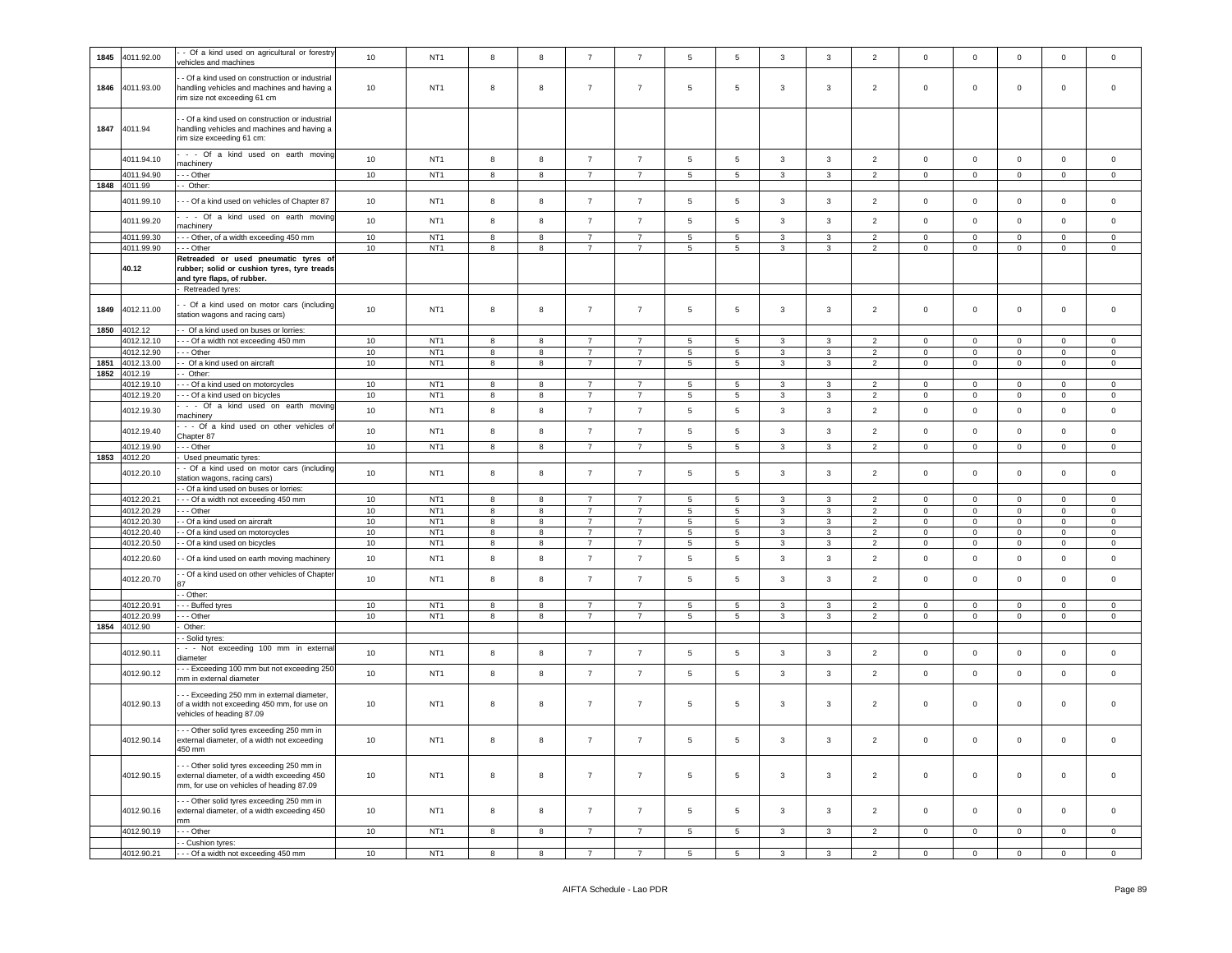| 1845 | 4011.92.00                 | - Of a kind used on agricultural or forestry<br>vehicles and machines                                                                              | 10       | NT <sub>1</sub>                    | 8      | 8      | $\overline{7}$                   | $\overline{7}$                   | 5              | $\,$ 5 $\,$          | 3            | 3                 | $\overline{2}$                   | $\mathbf 0$             | $\mathbf 0$                 | $\mathsf 0$                | $\mathbf 0$                 | $\mathsf 0$                |
|------|----------------------------|----------------------------------------------------------------------------------------------------------------------------------------------------|----------|------------------------------------|--------|--------|----------------------------------|----------------------------------|----------------|----------------------|--------------|-------------------|----------------------------------|-------------------------|-----------------------------|----------------------------|-----------------------------|----------------------------|
| 1846 | 4011.93.00                 | - Of a kind used on construction or industrial<br>handling vehicles and machines and having a<br>rim size not exceeding 61 cm                      | 10       | NT <sub>1</sub>                    | 8      | 8      | $\overline{7}$                   | $\overline{7}$                   | 5              | $\overline{5}$       | 3            | $\mathbf{3}$      | $\overline{2}$                   | $\mathbf 0$             | $\mathbf 0$                 | $\mathbf 0$                | $\mathbf 0$                 | $\mathsf 0$                |
| 1847 | 4011.94                    | - Of a kind used on construction or industrial<br>handling vehicles and machines and having a<br>rim size exceeding 61 cm:                         |          |                                    |        |        |                                  |                                  |                |                      |              |                   |                                  |                         |                             |                            |                             |                            |
|      | 4011.94.10                 | - - Of a kind used on earth moving<br>nachinery                                                                                                    | 10       | NT <sub>1</sub>                    | 8      | 8      | $\overline{7}$                   | $\overline{7}$                   | 5              | $5\phantom{.0}$      | 3            | $\mathbf{3}$      | $\overline{2}$                   | $\mathbf 0$             | $\mathsf{O}\xspace$         | $\mathbf 0$                | $\mathsf 0$                 | $\mathsf 0$                |
|      | 4011.94.90                 | - - Other                                                                                                                                          | 10       | NT <sub>1</sub>                    | 8      | 8      | $\overline{7}$                   | $\overline{7}$                   | 5              | $\overline{5}$       | 3            | 3                 | $\overline{2}$                   | 0                       | $\mathbf 0$                 | $\mathsf 0$                | $\mathbf{0}$                | $\mathbf 0$                |
| 1848 | 4011.99                    | - Other:                                                                                                                                           |          |                                    |        |        |                                  |                                  |                |                      |              |                   |                                  |                         |                             |                            |                             |                            |
|      | 4011.99.10                 | - - Of a kind used on vehicles of Chapter 87<br>- - Of a kind used on earth moving                                                                 | 10       | NT <sub>1</sub>                    | 8      | 8      | $\overline{7}$                   | $\overline{7}$                   | 5              | $\,$ 5 $\,$          | 3            | $\mathbf{3}$      | $\overline{2}$                   | $\mathsf 0$             | $\mathsf 0$                 | $\mathsf 0$                | $\mathsf 0$                 | $\mathbf 0$                |
|      | 4011.99.20                 | machinery                                                                                                                                          | 10       | NT <sub>1</sub>                    | 8      | 8      | $\overline{7}$                   | $\overline{7}$                   | 5              | 5                    | 3            | 3                 | $\overline{2}$                   | $\mathbf 0$             | $\mathbf 0$                 | $\mathsf 0$                | $\mathbf 0$                 | $\mathbf 0$                |
|      | 4011.99.30                 | - - Other, of a width exceeding 450 mm                                                                                                             | 10       | NT <sub>1</sub>                    | 8      | 8      | $\overline{7}$                   | $\overline{7}$                   | 5              | 5                    | 3            | 3                 | $\overline{2}$                   | $\mathbf 0$             | $\mathbf 0$                 | $\mathbf 0$                | $\mathbf{0}$                | $\mathbf 0$                |
|      | 4011.99.90<br>40.12        | - - Other<br>Retreaded or used pneumatic tyres of<br>rubber; solid or cushion tyres, tyre treads<br>and tyre flaps, of rubber.<br>Retreaded tyres: | 10       | NT <sub>1</sub>                    | 8      | 8      | $\overline{7}$                   | $\overline{7}$                   | 5              | 5                    | 3            | 3                 | $\overline{2}$                   | 0                       | $\mathbf 0$                 | $\mathsf 0$                | $\mathbf 0$                 | $\mathbf 0$                |
| 1849 | 4012.11.00                 | - Of a kind used on motor cars (including<br>station wagons and racing cars)                                                                       | 10       | NT <sub>1</sub>                    | 8      | 8      | $\overline{7}$                   | $\overline{7}$                   | 5              | 5                    | 3            | 3                 | $\overline{2}$                   | $\mathbf 0$             | $\mathbf 0$                 | $\mathsf 0$                | $\mathbf 0$                 | $\mathsf 0$                |
| 1850 | 4012.12                    | - Of a kind used on buses or lorries:                                                                                                              |          |                                    |        |        |                                  |                                  |                |                      |              |                   |                                  |                         |                             |                            |                             |                            |
|      | 4012.12.10<br>4012.12.90   | --- Of a width not exceeding 450 mm<br>- - Other                                                                                                   | 10<br>10 | NT <sub>1</sub><br>NT <sub>1</sub> | 8<br>8 | 8<br>8 | $\overline{7}$<br>$\overline{7}$ | $\overline{7}$<br>$\overline{7}$ | 5<br>5         | 5<br>$5\phantom{.0}$ | 3<br>3       | 3<br>3            | $\overline{2}$<br>$\overline{2}$ | 0<br>0                  | $\mathbf 0$<br>$\mathbf 0$  | $\mathbf 0$<br>$\mathsf 0$ | $\mathbf 0$<br>$\Omega$     | $\mathbf 0$<br>$\mathbf 0$ |
| 1851 | 4012.13.00                 | - Of a kind used on aircraft                                                                                                                       | 10       | NT <sub>1</sub>                    | 8      | 8      | $\overline{7}$                   | $\overline{7}$                   | 5              | 5                    | 3            | 3                 | $\overline{2}$                   | 0                       | $\mathbf 0$                 | $\mathbf 0$                | $\mathbf 0$                 | $\mathbf 0$                |
| 1852 | 4012.19                    | Other:                                                                                                                                             |          |                                    |        |        |                                  |                                  |                |                      |              |                   |                                  |                         |                             |                            |                             |                            |
|      | 4012.19.10<br>4012.19.20   | - - Of a kind used on motorcycles<br>- - Of a kind used on bicycles                                                                                | 10<br>10 | NT <sub>1</sub><br>NT <sub>1</sub> | 8<br>8 | 8<br>8 | $\overline{7}$<br>$\overline{7}$ | $\overline{7}$<br>$\overline{7}$ | 5<br>5         | 5<br>5               | 3<br>3       | 3<br>3            | 2<br>$\overline{2}$              | $\Omega$<br>$\mathbf 0$ | $\mathbf 0$<br>$\mathbf{0}$ | $\mathsf 0$<br>$\mathbf 0$ | $\mathbf 0$<br>$\mathbf 0$  | $\mathbf 0$<br>$\mathbf 0$ |
|      | 4012.19.30                 | - - Of a kind used on earth moving                                                                                                                 | 10       | NT <sub>1</sub>                    |        | 8      | $\overline{7}$                   | $\overline{7}$                   |                | $\overline{5}$       | 3            | $\mathbf{3}$      | $\sqrt{2}$                       | $\mathsf{O}\xspace$     | $\mathsf{O}\xspace$         | $\mathbf 0$                | $\mathsf 0$                 | $\mathsf 0$                |
|      |                            | machinery<br>- - Of a kind used on other vehicles of                                                                                               | 10       | NT <sub>1</sub>                    | 8      | 8      | $\overline{7}$                   | $\overline{7}$                   | 5              | 5                    |              |                   |                                  | $\mathbf 0$             |                             |                            |                             |                            |
|      | 4012.19.40<br>4012.19.90   | Chapter 87<br>- - Other                                                                                                                            | 10       | NT <sub>1</sub>                    | 8<br>8 | 8      | $\overline{7}$                   | $\overline{7}$                   | 5<br>5         | 5                    | 3<br>3       | 3<br>3            | $\overline{2}$<br>$\overline{2}$ | 0                       | $\mathbf 0$<br>$\mathbf{0}$ | $\circ$<br>$\circ$         | $\mathbf 0$<br>$\mathbf{0}$ | $\mathsf 0$<br>$\mathbf 0$ |
| 1853 | 4012.20                    | Used pneumatic tyres:                                                                                                                              |          |                                    |        |        |                                  |                                  |                |                      |              |                   |                                  |                         |                             |                            |                             |                            |
|      | 4012.20.10                 | - Of a kind used on motor cars (including<br>station wagons, racing cars)<br>- Of a kind used on buses or lorries:                                 | 10       | NT <sub>1</sub>                    | 8      | 8      | $\overline{7}$                   | $\overline{7}$                   | 5              | 5                    | 3            | 3                 | $\overline{2}$                   | $\mathbf 0$             | $\mathbf 0$                 | $\mathsf 0$                | $\mathbf 0$                 | $\mathbf 0$                |
|      | 4012.20.21                 | - - Of a width not exceeding 450 mm                                                                                                                | 10       | NT <sub>1</sub>                    | 8      | 8      | $\overline{7}$                   | $\overline{7}$                   | 5              | 5                    | 3            | $\mathbf{3}$      | $\overline{2}$                   | $\mathbf 0$             | $\mathsf 0$                 | $\mathsf 0$                | $\mathbf 0$                 | $\mathsf 0$                |
|      | 4012.20.29                 | - - Other                                                                                                                                          | 10       | NT <sub>1</sub><br>NT <sub>1</sub> | 8      | 8      | $\overline{7}$                   | $\overline{7}$                   | 5              | 5                    | 3            | 3                 | $\overline{2}$                   | $\mathbf 0$             | $\mathbf 0$                 | $\mathbf 0$                | $\mathbf 0$                 | $\circ$                    |
|      | 4012.20.30<br>4012.20.40   | - Of a kind used on aircraft<br>Of a kind used on motorcycles                                                                                      | 10<br>10 | NT <sub>1</sub>                    | 8<br>8 | 8<br>8 | $\overline{7}$<br>$\overline{7}$ | $\overline{7}$<br>$\overline{7}$ | 5<br>5         | 5<br>$\,$ 5 $\,$     | 3<br>3       | 3<br>$\mathbf{3}$ | $\overline{2}$<br>$\overline{2}$ | 0                       | $\mathbf 0$                 | $\mathbf 0$                | $\mathbf 0$<br>$\mathbf 0$  | $\mathbf 0$<br>$\mathsf 0$ |
|      | 4012.20.50                 | - Of a kind used on bicycles                                                                                                                       | 10       |                                    |        |        |                                  |                                  |                |                      |              |                   |                                  | $\mathbf 0$             |                             |                            |                             |                            |
|      | 4012.20.60                 |                                                                                                                                                    |          | NT <sub>1</sub>                    | 8      | 8      | $\overline{7}$                   | $\overline{7}$                   | 5              | $5\phantom{.0}$      | $\mathbf{3}$ | 3                 | $\overline{2}$                   | $\mathbf 0$             | $\mathsf 0$<br>$\mathbf 0$  | $\mathbf 0$<br>$\mathbf 0$ | $\mathbf{0}$                | $\mathbf 0$                |
|      |                            | - Of a kind used on earth moving machinery                                                                                                         | 10       | NT <sub>1</sub>                    | 8      | 8      | $\overline{7}$                   | $\overline{7}$                   | 5              | $\,$ 5 $\,$          | 3            | 3                 | $\overline{2}$                   | 0                       | $\mathbf 0$                 | $\mathsf 0$                | $\mathbf 0$                 | $\mathsf 0$                |
|      | 4012.20.70                 | - Of a kind used on other vehicles of Chapter                                                                                                      | 10       | NT <sub>1</sub>                    | 8      | 8      | $\overline{7}$                   | $\overline{7}$                   | 5              | $\,$ 5 $\,$          | 3            | $\mathbf{3}$      | $\overline{2}$                   | $\mathsf{O}\xspace$     | $\mathsf 0$                 | $\mathsf 0$                | $\mathsf 0$                 | $\mathsf 0$                |
|      |                            | - Other:                                                                                                                                           |          |                                    |        |        |                                  |                                  |                |                      |              |                   |                                  |                         |                             |                            |                             |                            |
|      | 4012.20.9                  | - Buffed tyres                                                                                                                                     | 10       | NT <sub>1</sub>                    | 8      | 8      | $\overline{7}$<br>$\overline{7}$ | $\overline{7}$<br>$\overline{7}$ | 5              | 5                    | 3            | 3                 | 2                                | 0                       | $\mathbf 0$                 | $\mathsf 0$                | 0                           | $\mathbf 0$                |
|      | 4012.20.99<br>1854 4012.90 | - - Other<br>Other:                                                                                                                                | 10       | NT <sub>1</sub>                    | 8      | 8      |                                  |                                  | 5 <sub>5</sub> | $\overline{5}$       | 3            | 3                 | $\overline{2}$                   | $\mathbf 0$             | $\mathsf 0$                 | $\mathbf 0$                | $\mathbf 0$                 | $\mathbf 0$                |
|      |                            | - Solid tyres:                                                                                                                                     |          |                                    |        |        |                                  |                                  |                |                      |              |                   |                                  |                         |                             |                            |                             |                            |
|      | 4012.90.11                 | - - Not exceeding 100 mm in externa<br>diameter                                                                                                    | 10       | NT <sub>1</sub>                    | 8      | 8      | $\overline{7}$                   | $\overline{7}$                   | 5              | $\,$ 5 $\,$          | 3            | $\mathbf{3}$      | $\sqrt{2}$                       | $\mathbf 0$             | $\mathsf 0$                 | $\mathbf 0$                | $\mathsf 0$                 | $\mathsf 0$                |
|      | 4012.90.12                 | - - Exceeding 100 mm but not exceeding 250<br>mm in external diameter                                                                              | 10       | NT <sub>1</sub>                    | 8      | 8      | $\overline{7}$                   | $\overline{7}$                   | 5              | $\,$ 5 $\,$          | $\mathbf{3}$ | 3                 | $\overline{2}$                   | $\mathbf 0$             | $\mathbf 0$                 | $\circ$                    | $\mathbf 0$                 | $\mathbf 0$                |
|      | 4012.90.13                 | - - Exceeding 250 mm in external diameter,<br>of a width not exceeding 450 mm, for use on<br>vehicles of heading 87.09                             | 10       | NT <sub>1</sub>                    | 8      | 8      | $\overline{7}$                   | $\overline{7}$                   | 5              | 5                    | 3            | 3                 | $\overline{2}$                   | $\mathbf 0$             | $\mathbf 0$                 | $\mathbf 0$                | $\mathbf 0$                 | $\mathbf 0$                |
|      | 4012.90.14                 | --- Other solid tyres exceeding 250 mm in<br>external diameter, of a width not exceeding<br>450 mm                                                 | 10       | NT <sub>1</sub>                    | 8      | 8      | $\overline{7}$                   | $\overline{7}$                   | 5              | $\,$ 5 $\,$          | 3            | 3                 | $\overline{2}$                   | $\mathbf 0$             | $\mathbf 0$                 | $\mathbf 0$                | $\mathbf 0$                 | $\mathsf 0$                |
|      | 4012.90.15                 | - - Other solid tyres exceeding 250 mm in<br>external diameter, of a width exceeding 450<br>mm, for use on vehicles of heading 87.09               | 10       | NT <sub>1</sub>                    | 8      | 8      | $\overline{7}$                   | $\overline{7}$                   | 5              | $5\phantom{.0}$      | 3            | $\mathbf{3}$      | $\overline{2}$                   | $\overline{0}$          | $\mathbf 0$                 | $\mathsf 0$                | $\mathsf{O}\xspace$         | $\mathsf 0$                |
|      | 4012.90.16                 | - - Other solid tyres exceeding 250 mm in<br>external diameter, of a width exceeding 450<br>mm                                                     | 10       | NT <sub>1</sub>                    | 8      | 8      | $\overline{7}$                   | $\overline{7}$                   | 5              | $5\overline{5}$      | 3            | 3                 | $\overline{2}$                   | $\mathbf 0$             | $\mathbf{0}$                | $\circ$                    | $\mathbf{0}$                | $\mathbf 0$                |
|      | 4012.90.19                 | $-$ Other                                                                                                                                          | 10       | NT <sub>1</sub>                    | 8      | 8      | $\overline{7}$                   | $\overline{7}$                   | 5              | $\overline{5}$       | 3            | 3                 | $\overline{2}$                   | $\mathbf 0$             | 0                           | $\mathbf 0$                | $\overline{0}$              | $\mathsf 0$                |
|      | 4012.90.21                 | - Cushion tyres:<br>--- Of a width not exceeding 450 mm                                                                                            | 10       | NT <sub>1</sub>                    | 8      | 8      | 7                                | $\overline{7}$                   | 5 <sub>5</sub> | $5\overline{5}$      | $\mathbf{3}$ | $\mathbf{3}$      | $\overline{2}$                   | $\overline{0}$          | $\overline{0}$              | $\mathbf 0$                | $\overline{0}$              | $\overline{0}$             |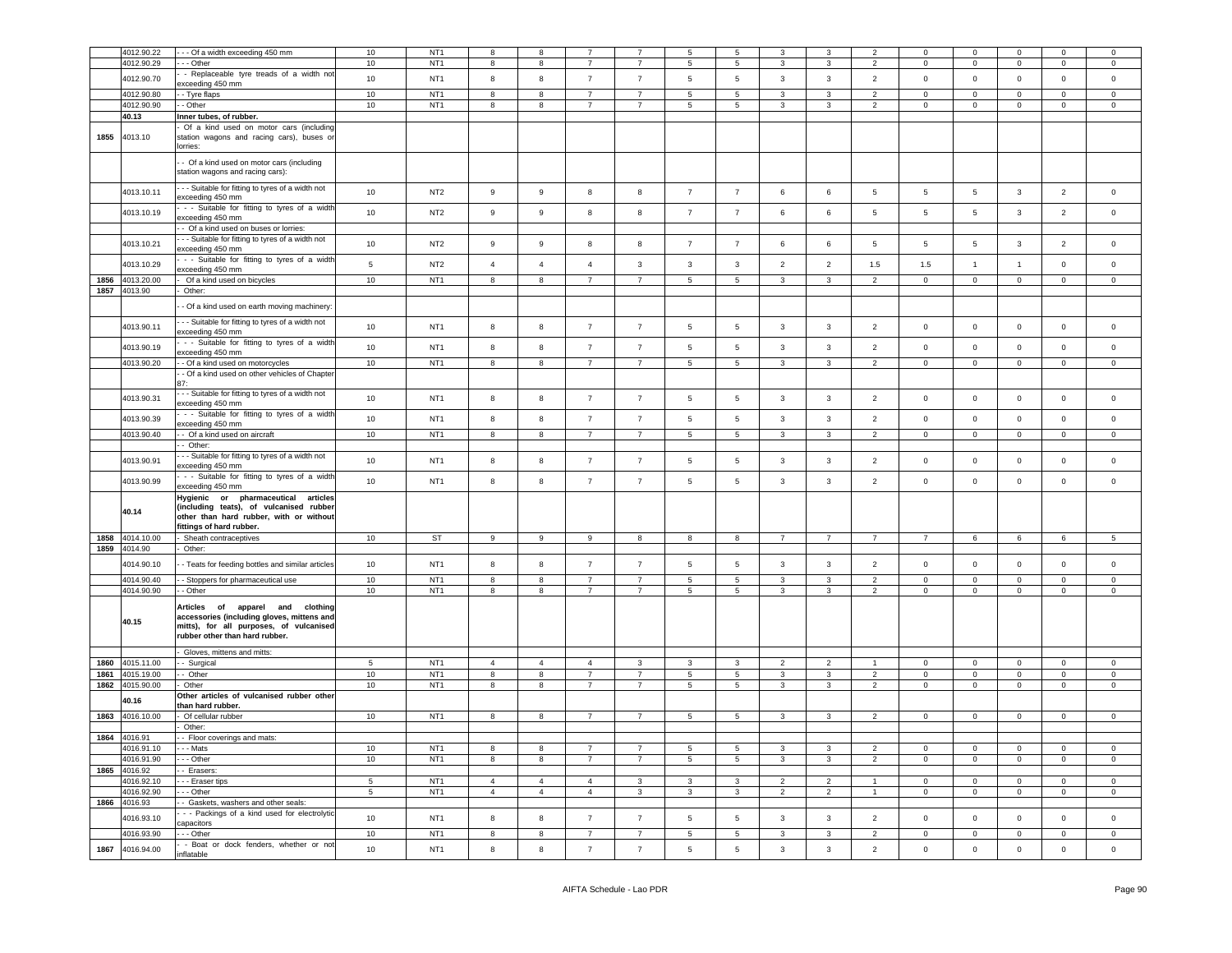|      | 4012.90.22            | -- Of a width exceeding 450 mm                                                                                                                                    | 10 <sup>10</sup> | NT <sub>1</sub> | 8              | 8                       |                         |                | 5               | 5                       | 3                       | 3                        | $\overline{2}$           | $\mathbf 0$         | $\mathbf 0$    | $\mathbf{0}$   | $\mathbf 0$    | $\mathbf 0$    |
|------|-----------------------|-------------------------------------------------------------------------------------------------------------------------------------------------------------------|------------------|-----------------|----------------|-------------------------|-------------------------|----------------|-----------------|-------------------------|-------------------------|--------------------------|--------------------------|---------------------|----------------|----------------|----------------|----------------|
|      | 4012.90.29            | --- Other                                                                                                                                                         | 10               | NT <sub>1</sub> | 8              | 8                       |                         | $\overline{7}$ | 5               | $5\phantom{.0}$         | 3                       | 3                        | $\overline{2}$           | $\mathbf 0$         | $\mathsf 0$    | $\mathsf 0$    | $\mathbf 0$    | $\mathbf 0$    |
|      |                       |                                                                                                                                                                   |                  |                 |                |                         |                         |                |                 |                         |                         |                          |                          |                     |                |                |                |                |
|      | 4012.90.70            | - Replaceable tyre treads of a width not                                                                                                                          | 10               | NT <sub>1</sub> | 8              | $\boldsymbol{8}$        | $\overline{7}$          | $\overline{7}$ | 5               | $\sqrt{5}$              | 3                       | $\mathbf{3}$             | $\overline{2}$           | $\mathsf 0$         | $\mathbf 0$    | $\overline{0}$ | $\mathbf 0$    | $\mathbf 0$    |
|      |                       | exceeding 450 mm                                                                                                                                                  |                  |                 |                |                         |                         |                |                 |                         |                         |                          |                          |                     |                |                |                |                |
|      | 4012.90.80            | - Tyre flaps                                                                                                                                                      | 10               | NT <sub>1</sub> | $\overline{8}$ | $\overline{8}$          | $\overline{7}$          | $\overline{7}$ | $\overline{5}$  | $\overline{5}$          | $\overline{3}$          | $\overline{3}$           | $\overline{2}$           | $\overline{0}$      | $\overline{0}$ | $\overline{0}$ | $\Omega$       | $\overline{0}$ |
|      | 4012.90.90            | - Other                                                                                                                                                           | 10               | NT <sub>1</sub> | $\overline{8}$ | $\overline{\mathbf{8}}$ | $\overline{7}$          | $\overline{7}$ | $5\phantom{.0}$ | $\overline{5}$          | $\mathbf{3}$            | $\overline{\mathbf{3}}$  | $\overline{2}$           | $\overline{0}$      | $\overline{0}$ | $\mathbf 0$    | $\circ$        | $\overline{0}$ |
|      | 40.13                 | Inner tubes, of rubber.                                                                                                                                           |                  |                 |                |                         |                         |                |                 |                         |                         |                          |                          |                     |                |                |                |                |
| 1855 | 4013.10               | Of a kind used on motor cars (including<br>station wagons and racing cars), buses or                                                                              |                  |                 |                |                         |                         |                |                 |                         |                         |                          |                          |                     |                |                |                |                |
|      |                       | lorries:<br>- Of a kind used on motor cars (including                                                                                                             |                  |                 |                |                         |                         |                |                 |                         |                         |                          |                          |                     |                |                |                |                |
|      |                       | station wagons and racing cars):<br>- - Suitable for fitting to tyres of a width not                                                                              |                  |                 |                |                         |                         |                |                 |                         |                         |                          |                          |                     |                |                |                |                |
|      | 4013.10.11            | exceeding 450 mm<br>- - Suitable for fitting to tyres of a widtl                                                                                                  | 10               | NT <sub>2</sub> | 9              | $\mathsf g$             | 8                       | $\bf{8}$       | $\overline{7}$  | $\overline{7}$          | 6                       | $\,6\,$                  | $\,$ 5 $\,$              | $\sqrt{5}$          | $\,$ 5 $\,$    | $\mathbf{3}$   | $\overline{2}$ | $\mathsf 0$    |
|      | 4013.10.19            | exceeding 450 mm<br>- Of a kind used on buses or lorries:                                                                                                         | 10               | NT <sub>2</sub> | $\mathsf g$    | $\boldsymbol{9}$        | 8                       | 8              | $\overline{7}$  | $\overline{7}$          | 6                       | $\,6\,$                  | 5                        | 5                   | $\,$ 5 $\,$    | $\mathbf{3}$   | $\overline{2}$ | $\mathbf 0$    |
|      | 4013.10.21            | - - Suitable for fitting to tyres of a width not<br>exceeding 450 mm                                                                                              | 10               | NT <sub>2</sub> | 9              | 9                       | 8                       | 8              | $\overline{7}$  | $\overline{7}$          | 6                       | $\,6\,$                  | 5                        | 5                   | 5              | $\overline{3}$ | $\overline{2}$ | $\mathbf 0$    |
|      | 4013.10.29            | - - Suitable for fitting to tyres of a widtl<br>exceeding 450 mm                                                                                                  | $\overline{5}$   | NT <sub>2</sub> | $\overline{4}$ | $\overline{4}$          | $\overline{4}$          | 3              | 3               | $\mathbf{3}$            | $\overline{2}$          | $\overline{2}$           | 1.5                      | 1.5                 | $\mathbf{1}$   | $\mathbf{1}$   | $\pmb{0}$      | $\mathbf 0$    |
| 1856 | 4013.20.00            | Of a kind used on bicycles                                                                                                                                        | 10               | NT <sub>1</sub> | 8              | $\boldsymbol{8}$        | $\overline{7}$          | $\overline{7}$ | $5\phantom{.0}$ | $\overline{5}$          | $\mathbf{3}$            | $\mathbf{3}$             | $\overline{2}$           | $\mathsf 0$         | $\mathbf 0$    | $\overline{0}$ | $\mathbf{0}$   | $\overline{0}$ |
|      | 1857 4013.90          | Other:                                                                                                                                                            |                  |                 |                |                         |                         |                |                 |                         |                         |                          |                          |                     |                |                |                |                |
|      |                       | - Of a kind used on earth moving machinery:                                                                                                                       |                  |                 |                |                         |                         |                |                 |                         |                         |                          |                          |                     |                |                |                |                |
|      | 4013.90.11            | - - Suitable for fitting to tyres of a width not                                                                                                                  | 10               | NT <sub>1</sub> | 8              | 8                       | $\overline{7}$          | $\overline{7}$ | 5               | $5\phantom{.0}$         | $\mathbf{3}$            | $\mathbf{3}$             | $\overline{2}$           | $\mathbf 0$         | $\mathbf 0$    | $\mathsf 0$    | $\mathsf 0$    | $\mathsf 0$    |
|      | 4013.90.19            | exceeding 450 mm<br>- - Suitable for fitting to tyres of a widtl<br>exceeding 450 mm                                                                              | 10               | NT <sub>1</sub> | 8              | 8                       | $\overline{7}$          | $\overline{7}$ | $\sqrt{5}$      | $\sqrt{5}$              | $\overline{\mathbf{3}}$ | $\overline{3}$           | $\overline{2}$           | $\mathbf 0$         | $\mathbf 0$    | $\mathbf{0}$   | $\mathbf 0$    | $\mathbf 0$    |
|      | 4013.90.20            | - Of a kind used on motorcycles                                                                                                                                   | 10               | NT <sub>1</sub> | 8              | $\overline{8}$          | $\overline{7}$          | $\overline{7}$ | $\overline{5}$  | $\overline{5}$          | $\overline{3}$          | $\overline{3}$           | $\overline{2}$           | $\overline{0}$      | $\overline{0}$ | $\mathbf 0$    | $\mathbf 0$    | $\overline{0}$ |
|      |                       | - Of a kind used on other vehicles of Chapter                                                                                                                     |                  |                 |                |                         |                         |                |                 |                         |                         |                          |                          |                     |                |                |                |                |
|      | 4013.90.31            | - - Suitable for fitting to tyres of a width not<br>exceeding 450 mm                                                                                              | 10               | NT <sub>1</sub> | 8              | 8                       | $\overline{7}$          | $\overline{7}$ | 5               | $5\overline{5}$         | $\mathbf{3}$            | $\mathbf{3}$             | $\overline{2}$           | $\mathsf 0$         | $\mathbf 0$    | $\mathbf 0$    | $\mathsf 0$    | $\mathbf 0$    |
|      | 4013.90.39            | - - Suitable for fitting to tyres of a widtl<br>exceeding 450 mm                                                                                                  | 10               | NT <sub>1</sub> | 8              | 8                       | $\overline{7}$          | $\overline{7}$ | 5               | $\sqrt{5}$              | $\mathbf{3}$            | $\mathbf{3}$             | $\overline{2}$           | $\,0\,$             | $\mathbf 0$    | $\mathbf 0$    | $\mathsf 0$    | $\mathsf 0$    |
|      | 4013.90.40            | - - Of a kind used on aircraft<br>- Other:                                                                                                                        | 10               | NT <sub>1</sub> | 8              | $\boldsymbol{8}$        | $\overline{7}$          | $\overline{7}$ | $5\phantom{.0}$ | $\overline{5}$          | $\mathbf{3}$            | $\mathbf{3}$             | $\overline{2}$           | $\mathsf{O}\xspace$ | $\mathbf 0$    | $\overline{0}$ | $\overline{0}$ | $\mathbf 0$    |
|      | 4013.90.91            | - - Suitable for fitting to tyres of a width not<br>exceeding 450 mm                                                                                              | 10               | NT <sub>1</sub> | 8              | 8                       | $\overline{7}$          | $\overline{7}$ | 5               | $5\overline{5}$         | $\mathbf{3}$            | $\mathbf{3}$             | $\overline{2}$           | $\mathsf 0$         | $\mathsf 0$    | $\mathbf 0$    | $\mathsf 0$    | $\mathbf 0$    |
|      | 4013.90.99            | - - Suitable for fitting to tyres of a widtl<br>exceeding 450 mm                                                                                                  | 10               | NT <sub>1</sub> | 8              | 8                       | $\overline{7}$          | $\overline{7}$ | 5               | $\,$ 5 $\,$             | $\mathbf{3}$            | $\mathbf{3}$             | $\overline{2}$           | $\mathsf 0$         | $\mathbf 0$    | $\mathbf 0$    | $\pmb{0}$      | $\mathbf 0$    |
|      | 40.14                 | Hygienic or pharmaceutical<br>articles<br>(including teats), of vulcanised rubber<br>other than hard rubber, with or without<br>fittings of hard rubber.          |                  |                 |                |                         |                         |                |                 |                         |                         |                          |                          |                     |                |                |                |                |
| 1858 | 4014.10.00            | Sheath contraceptives                                                                                                                                             | 10               | ST              | $\overline{9}$ | $\overline{9}$          | 9                       | 8              | 8               | $\overline{\mathbf{8}}$ | $\overline{7}$          | $\overline{7}$           | $\overline{7}$           | $\overline{7}$      | $\,6\,$        | 6              | $\,6\,$        | 5              |
|      | 1859 4014.90          | Other:                                                                                                                                                            |                  |                 |                |                         |                         |                |                 |                         |                         |                          |                          |                     |                |                |                |                |
|      | 4014.90.10            | - Teats for feeding bottles and similar articles                                                                                                                  | 10               | NT <sub>1</sub> | 8              | 8                       | $\overline{7}$          | $\overline{7}$ | 5               | $5\overline{5}$         | $\mathbf{3}$            | $\mathbf{3}$             | 2                        | $\mathsf 0$         | $\mathbf 0$    | $\mathbf 0$    | $\mathsf 0$    | $\mathsf 0$    |
|      | 4014.90.40            | - Stoppers for pharmaceutical use                                                                                                                                 | 10               | NT <sub>1</sub> | 8              | 8                       | $\overline{7}$          | $\overline{7}$ | 5               | $5\phantom{.0}$         | $\mathbf{3}$            | $\mathbf{3}$             | $\overline{2}$           | $\mathsf 0$         | $\mathsf 0$    | $\mathbf 0$    | $\mathbf 0$    | $\mathsf 0$    |
|      | 4014.90.90            | - - Other                                                                                                                                                         | 10               | NT <sub>1</sub> | 8              | 8                       | $\overline{7}$          | $\overline{7}$ | 5 <sup>5</sup>  | $5\overline{5}$         | 3                       | $\mathbf{3}$             | $\overline{2}$           | $\mathbf 0$         | $\mathbf 0$    | $\circ$        | $\mathbf 0$    | $\mathbf{0}$   |
|      | 40.15                 | Articles<br>of apparel and<br>clothina<br>accessories (including gloves, mittens and<br>mitts), for all purposes, of vulcanised<br>rubber other than hard rubber. |                  |                 |                |                         |                         |                |                 |                         |                         |                          |                          |                     |                |                |                |                |
|      |                       | - Gloves, mittens and mitts:                                                                                                                                      |                  |                 |                |                         |                         |                |                 |                         |                         |                          |                          |                     |                |                |                |                |
|      | 1860 4015.11.00       | - Surgical                                                                                                                                                        | $5\phantom{.0}$  | NT <sub>1</sub> | $\overline{4}$ | $\overline{4}$          | $\overline{4}$          | $\mathbf{3}$   | $\mathbf{3}$    | $\mathbf{3}$            | $\overline{2}$          | $\overline{2}$           | $\overline{1}$           | $\mathsf 0$         | $\mathbf 0$    | $\overline{0}$ | $\overline{0}$ | $\mathbf 0$    |
| 1861 | 4015.19.00            | - Other                                                                                                                                                           | 10               | NT <sub>1</sub> | 8              | 8                       | $\overline{7}$          | $\overline{7}$ | $5\overline{5}$ | $\sqrt{5}$              | 3                       | $\mathbf{3}$             | $\overline{2}$           | $\mathsf 0$         | $\mathbf 0$    | $\mathsf 0$    | $\mathbf 0$    | $\mathbf 0$    |
| 1862 | 4015.90.00            | Other                                                                                                                                                             | 10               | NT <sub>1</sub> | 8              | 8                       | $\overline{7}$          | $\overline{7}$ | 5               | $5\phantom{.0}$         | $\mathbf{3}$            | $\mathbf{3}$             | $\overline{2}$           | $\mathsf 0$         | $\mathsf 0$    | $\mathbf{0}$   | $\overline{0}$ | $\mathbf 0$    |
|      | 40.16                 | Other articles of vulcanised rubber other<br>than hard rubber.                                                                                                    |                  |                 |                |                         |                         |                |                 |                         |                         |                          |                          |                     |                |                |                |                |
| 1863 | 4016.10.00            | - Of cellular rubber                                                                                                                                              | 10               | NT <sub>1</sub> | 8              | 8                       | $\overline{7}$          | $\overline{7}$ | $5^{\circ}$     | $5\phantom{.0}$         | $\mathbf{3}$            | 3                        | $\overline{2}$           | $\Omega$            | $\mathsf 0$    | $\mathsf 0$    | $\Omega$       | $\Omega$       |
|      |                       | Other:                                                                                                                                                            |                  |                 |                |                         |                         |                |                 |                         |                         |                          |                          |                     |                |                |                |                |
| 1864 | 4016.91               | - Floor coverings and mats:                                                                                                                                       |                  |                 |                |                         |                         |                |                 |                         |                         |                          |                          |                     |                |                |                |                |
|      | 4016.91.10            | - - Mats                                                                                                                                                          | 10               | NT <sub>1</sub> | 8              | 8                       |                         |                | 5               | 5                       | 3                       | 3                        | $\overline{\phantom{0}}$ | $\Omega$            | $\Omega$       | $\Omega$       | $\Omega$       | $\Omega$       |
|      | 4016.91.90            | - - - Other                                                                                                                                                       | 10 <sup>1</sup>  | NT <sub>1</sub> | 8              | $\bf{8}$                | $\overline{7}$          | $\overline{7}$ | $5\overline{5}$ | $5\overline{5}$         | $\mathbf{3}$            | $\overline{3}$           | $\overline{2}$           | $\Omega$            | $\mathsf 0$    | $\mathbf 0$    | $\mathbf 0$    | $\mathbf 0$    |
|      |                       |                                                                                                                                                                   |                  |                 |                |                         |                         |                |                 |                         |                         |                          |                          |                     |                |                |                |                |
| 1865 | 4016.92               | - Erasers                                                                                                                                                         |                  |                 |                |                         |                         |                |                 |                         |                         |                          |                          |                     |                |                |                |                |
|      | 4016.92.10            | --- Eraser tips                                                                                                                                                   | -5               | NT <sub>1</sub> | $\overline{a}$ | $\overline{4}$          | $\overline{\mathbf{4}}$ | 3              | 3               | $\mathbf{3}$            | $\overline{2}$          | $\overline{\phantom{a}}$ | 1                        | $\Omega$            | $\Omega$       | $\Omega$       | $\Omega$       | $\mathbf 0$    |
|      | 4016.92.90            | - - - Other                                                                                                                                                       | $5\phantom{.0}$  | NT <sub>1</sub> | $\overline{4}$ | $\overline{4}$          | $\overline{4}$          | $\mathbf{3}$   | $\mathbf{3}$    | $\mathbf{3}$            | $\overline{2}$          | $\overline{2}$           | $\mathbf{1}$             | $\mathsf 0$         | $\mathbf 0$    | $\mathbf 0$    | $\circ$        | $\circ$        |
| 1866 | 4016.93<br>4016.93.10 | - - Gaskets, washers and other seals:<br>- - Packings of a kind used for electrolytic                                                                             | 10               | NT <sub>1</sub> | 8              | 8                       | $\overline{7}$          | $\overline{7}$ | 5               | $\,$ 5 $\,$             | $\mathbf{3}$            | $\mathbf{3}$             | $\overline{2}$           | 0                   | $\mathbf 0$    | $^{\circ}$     | $\mathbf 0$    | $\mathbf 0$    |
|      | 4016.93.90            | capacitors<br>$- -$ Other                                                                                                                                         | 10               | NT <sub>1</sub> | 8              | $\overline{\mathbf{8}}$ | $\overline{7}$          | $\overline{7}$ | $5\phantom{.0}$ | $\overline{5}$          | $\mathbf{3}$            | $\overline{\mathbf{3}}$  | $\overline{2}$           | $\overline{0}$      | $\overline{0}$ | $\mathbf{0}$   | $\mathbf 0$    | $\overline{0}$ |
| 1867 | 4016.94.00            | - Boat or dock fenders, whether or not<br>inflatable                                                                                                              | 10               | NT <sub>1</sub> | 8              | 8                       | $\overline{7}$          | $\overline{7}$ | 5               | $\sqrt{5}$              | $\mathbf{3}$            | $\mathbf{3}$             | $\overline{2}$           | $\mathsf 0$         | $\mathsf 0$    | $\mathsf 0$    | $\mathbf 0$    | $\mathsf 0$    |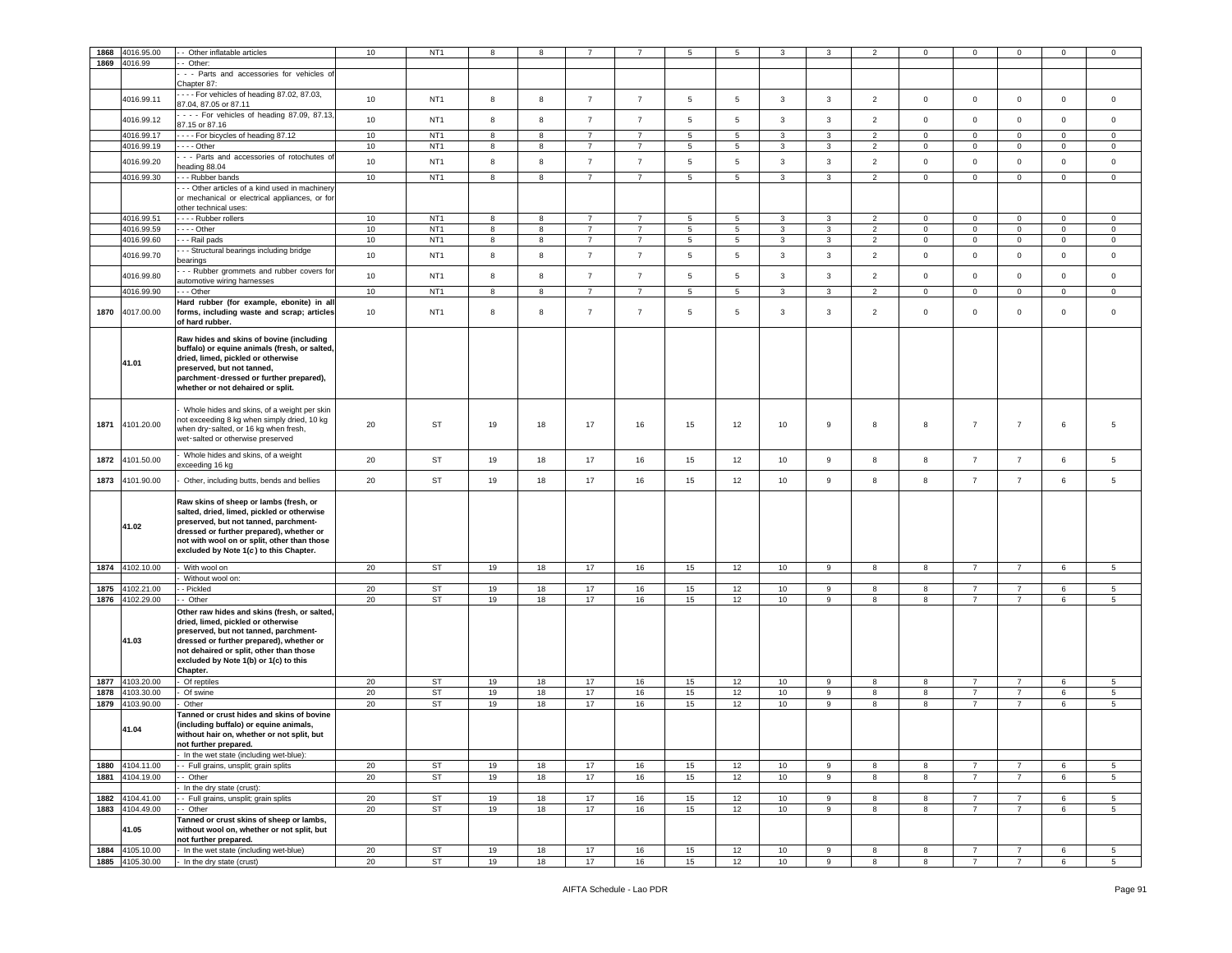|      | 1868 4016.95.00                    | - Other inflatable articles                                                          | 10       | NT <sub>1</sub> | 8                | 8        |                |                | 5               | 5              | 3            | 3            | 2              | 0                   | $\mathbf 0$                      | $\mathbf 0$                      | 0           | 0                   |
|------|------------------------------------|--------------------------------------------------------------------------------------|----------|-----------------|------------------|----------|----------------|----------------|-----------------|----------------|--------------|--------------|----------------|---------------------|----------------------------------|----------------------------------|-------------|---------------------|
|      |                                    |                                                                                      |          |                 |                  |          |                |                |                 |                |              |              |                |                     |                                  |                                  |             |                     |
|      | 1869 4016.99                       | - Other:                                                                             |          |                 |                  |          |                |                |                 |                |              |              |                |                     |                                  |                                  |             |                     |
|      |                                    | - - Parts and accessories for vehicles of                                            |          |                 |                  |          |                |                |                 |                |              |              |                |                     |                                  |                                  |             |                     |
|      |                                    | Chapter 87:                                                                          |          |                 |                  |          |                |                |                 |                |              |              |                |                     |                                  |                                  |             |                     |
|      | 4016.99.11                         | --- For vehicles of heading 87.02, 87.03,                                            | 10       | NT <sub>1</sub> | 8                | 8        | $\overline{7}$ | $\overline{7}$ | 5               | 5              | 3            | $\mathbf{3}$ | $\overline{2}$ | $\mathsf{O}\xspace$ | $\mathsf 0$                      | $\mathsf 0$                      | $\mathbf 0$ | $\mathbf 0$         |
|      |                                    | 87.04, 87.05 or 87.11                                                                |          |                 |                  |          |                |                |                 |                |              |              |                |                     |                                  |                                  |             |                     |
|      | 4016.99.12                         | - - - For vehicles of heading 87.09, 87.13,                                          | 10       | NT <sub>1</sub> | 8                | 8        | $\overline{7}$ | $\overline{7}$ | $5\phantom{.0}$ | 5              | $\mathbf{3}$ | $\mathbf{3}$ | $\overline{2}$ | $\mathsf 0$         | $\mathsf 0$                      | $\mathsf 0$                      | $\mathbf 0$ | $\mathsf 0$         |
|      |                                    | 87.15 or 87.16                                                                       |          |                 |                  |          |                |                |                 |                |              |              |                |                     |                                  |                                  |             |                     |
|      | 4016.99.17                         | ---- For bicycles of heading 87.12                                                   | 10       | NT <sub>1</sub> | 8                | 8        | $\overline{7}$ | $\overline{7}$ | $5\overline{5}$ | 5              | 3            | $\mathbf{3}$ | $\overline{2}$ | $\mathbf 0$         | $\mathbf{0}$                     | $\mathbf 0$                      | $\circ$     | $\circ$             |
|      | 4016.99.19                         | $- -$ Other                                                                          | 10       | NT <sub>1</sub> | 8                | 8        | $\overline{7}$ | $\overline{7}$ | $5\phantom{.0}$ | $\overline{5}$ | 3            | $\mathbf{3}$ | $\overline{c}$ | $\mathbf 0$         | $\mathsf 0$                      | $\mathbf 0$                      | 0           | 0                   |
|      |                                    |                                                                                      |          |                 |                  |          |                |                |                 |                |              |              |                |                     |                                  |                                  |             |                     |
|      | 4016.99.20                         | - - Parts and accessories of rotochutes of<br>eading 88.04                           | 10       | NT <sub>1</sub> | $\bf8$           | 8        | $\overline{7}$ | $\overline{7}$ | $\,$ 5 $\,$     | $\,$ 5 $\,$    | $\mathbf{3}$ | $\mathbf{3}$ | $\overline{2}$ | $\mathsf{O}\xspace$ | $\mathsf 0$                      | $\mathbf 0$                      | $\mathbf 0$ | $\mathsf 0$         |
|      |                                    |                                                                                      |          |                 |                  |          |                |                |                 |                |              |              |                |                     |                                  |                                  |             |                     |
|      | 4016.99.30                         | - - Rubber bands                                                                     | 10       | NT <sub>1</sub> | 8                | 8        | $\overline{7}$ | $\overline{7}$ | $5\overline{5}$ | 5              | 3            | $\mathbf{3}$ | $\overline{2}$ | $\mathbf 0$         | $\mathbf{0}$                     | $\mathbf{0}$                     | $\circ$     | $\circ$             |
|      |                                    | - - Other articles of a kind used in machinery                                       |          |                 |                  |          |                |                |                 |                |              |              |                |                     |                                  |                                  |             |                     |
|      |                                    | or mechanical or electrical appliances, or for                                       |          |                 |                  |          |                |                |                 |                |              |              |                |                     |                                  |                                  |             |                     |
|      |                                    | other technical uses:                                                                |          |                 |                  |          |                |                |                 |                |              |              |                |                     |                                  |                                  |             |                     |
|      | 4016.99.51                         | --- Rubber rollers                                                                   | 10       | NT <sub>1</sub> | 8                | 8        | $\overline{7}$ | $\overline{7}$ | 5               | 5              | 3            | 3            | $\overline{2}$ | $\mathbf 0$         | $\mathbf 0$                      | $\mathbf 0$                      | $\mathbf 0$ | $\circ$             |
|      | 4016.99.59                         | $- -$ Other                                                                          | $10$     | NT <sub>1</sub> | 8                | 8        | $\overline{7}$ | $\overline{7}$ | $5\phantom{.0}$ | $\overline{5}$ | 3            | $\mathbf{3}$ | $\overline{2}$ | $\mathbf 0$         | $\mathsf 0$                      | $\,0\,$                          | $\mathbf 0$ | $\mathsf 0$         |
|      | 4016.99.60                         | - - Rail pads                                                                        | 10       | NT <sub>1</sub> | 8                | 8        | $\overline{7}$ | $\overline{7}$ | $5\phantom{.0}$ | 5              | 3            | $\mathbf{3}$ | $\overline{2}$ | $\pmb{0}$           | $\mathsf 0$                      | $\mathbf 0$                      | $\mathbf 0$ | $\mathbf 0$         |
|      |                                    | - - Structural bearings including bridge                                             |          |                 |                  |          |                |                |                 |                |              |              |                |                     |                                  |                                  |             |                     |
|      | 4016.99.70                         | earings                                                                              | 10       | NT <sub>1</sub> | $^{\rm 8}$       | 8        | $\overline{7}$ | $\overline{7}$ | $5\phantom{.0}$ | $\overline{5}$ | 3            | $\mathbf{3}$ | $\overline{2}$ | $\mathbf 0$         | $\mathsf 0$                      | $\mathsf 0$                      | 0           | $\mathbf 0$         |
|      |                                    | - - Rubber grommets and rubber covers for                                            |          |                 |                  |          |                |                |                 |                |              |              |                |                     |                                  |                                  |             |                     |
|      | 4016.99.80                         | automotive wiring harnesses                                                          | 10       | NT <sub>1</sub> | $\boldsymbol{8}$ | 8        | $\overline{7}$ | $\overline{7}$ | $5\phantom{.0}$ | $\,$ 5 $\,$    | 3            | $\mathbf{3}$ | $\overline{2}$ | $\mathsf{O}\xspace$ | $\mathbf 0$                      | $\mathbf 0$                      | $\mathsf 0$ | $\mathbf 0$         |
|      | 4016.99.90                         | - - Other                                                                            | 10       | NT <sub>1</sub> | 8                | 8        | $\overline{7}$ | $\overline{7}$ | $5\phantom{.0}$ | $\overline{5}$ | 3            | 3            | $\overline{c}$ | $\mathbf 0$         | $\mathsf 0$                      | $\mathbf 0$                      | $\mathbf 0$ | $\mathbf 0$         |
|      |                                    |                                                                                      |          |                 |                  |          |                |                |                 |                |              |              |                |                     |                                  |                                  |             |                     |
|      |                                    | Hard rubber (for example, ebonite) in all                                            |          |                 | 8                |          | $\overline{7}$ |                |                 |                |              |              |                |                     |                                  | $\mathbf 0$                      |             |                     |
| 1870 | 4017.00.00                         | forms, including waste and scrap; articles                                           | 10       | NT <sub>1</sub> |                  | 8        |                | $\overline{7}$ | 5               | 5              | 3            | 3            | $\overline{2}$ | $\mathsf 0$         | $\mathbf 0$                      |                                  | $\mathbf 0$ | $\mathsf 0$         |
|      |                                    | of hard rubber.                                                                      |          |                 |                  |          |                |                |                 |                |              |              |                |                     |                                  |                                  |             |                     |
|      |                                    | Raw hides and skins of bovine (including                                             |          |                 |                  |          |                |                |                 |                |              |              |                |                     |                                  |                                  |             |                     |
|      |                                    | buffalo) or equine animals (fresh, or salted,                                        |          |                 |                  |          |                |                |                 |                |              |              |                |                     |                                  |                                  |             |                     |
|      |                                    | dried, limed, pickled or otherwise                                                   |          |                 |                  |          |                |                |                 |                |              |              |                |                     |                                  |                                  |             |                     |
|      | 41.01                              | preserved, but not tanned,                                                           |          |                 |                  |          |                |                |                 |                |              |              |                |                     |                                  |                                  |             |                     |
|      |                                    | parchment-dressed or further prepared),                                              |          |                 |                  |          |                |                |                 |                |              |              |                |                     |                                  |                                  |             |                     |
|      |                                    | whether or not dehaired or split.                                                    |          |                 |                  |          |                |                |                 |                |              |              |                |                     |                                  |                                  |             |                     |
|      |                                    |                                                                                      |          |                 |                  |          |                |                |                 |                |              |              |                |                     |                                  |                                  |             |                     |
|      |                                    |                                                                                      |          |                 |                  |          |                |                |                 |                |              |              |                |                     |                                  |                                  |             |                     |
|      |                                    | Whole hides and skins, of a weight per skin                                          |          |                 |                  |          |                |                |                 |                |              |              |                |                     |                                  |                                  |             |                     |
| 1871 | 4101.20.00                         | not exceeding 8 kg when simply dried, 10 kg                                          | 20       | ST              | 19               | 18       | 17             | 16             | 15              | 12             | 10           | 9            | 8              | 8                   | $\overline{7}$                   | $\overline{7}$                   | 6           | 5                   |
|      |                                    | when dry-salted, or 16 kg when fresh,                                                |          |                 |                  |          |                |                |                 |                |              |              |                |                     |                                  |                                  |             |                     |
|      |                                    | wet-salted or otherwise preserved                                                    |          |                 |                  |          |                |                |                 |                |              |              |                |                     |                                  |                                  |             |                     |
|      |                                    | Whole hides and skins, of a weight                                                   |          |                 |                  |          |                |                |                 |                |              |              |                |                     |                                  |                                  |             |                     |
| 1872 | 4101.50.00                         |                                                                                      | 20       | ST              | 19               | 18       | 17             | 16             | 15              | 12             | 10           | 9            | 8              | 8                   | $\overline{7}$                   | $\overline{7}$                   | 6           | 5                   |
|      |                                    | xceeding 16 kg                                                                       |          |                 |                  |          |                |                |                 |                |              |              |                |                     |                                  |                                  |             |                     |
| 1873 | 4101.90.00                         | Other, including butts, bends and bellies                                            | 20       | ST              | 19               | 18       | 17             | 16             | 15              | 12             | 10           | 9            | 8              | 8                   | $\overline{7}$                   | $\overline{7}$                   | 6           | 5                   |
|      |                                    |                                                                                      |          |                 |                  |          |                |                |                 |                |              |              |                |                     |                                  |                                  |             |                     |
|      |                                    | Raw skins of sheep or lambs (fresh, or                                               |          |                 |                  |          |                |                |                 |                |              |              |                |                     |                                  |                                  |             |                     |
|      |                                    | salted, dried, limed, pickled or otherwise                                           |          |                 |                  |          |                |                |                 |                |              |              |                |                     |                                  |                                  |             |                     |
|      |                                    |                                                                                      |          |                 |                  |          |                |                |                 |                |              |              |                |                     |                                  |                                  |             |                     |
|      | 41.02                              |                                                                                      |          |                 |                  |          |                |                |                 |                |              |              |                |                     |                                  |                                  |             |                     |
|      |                                    | preserved, but not tanned, parchment-                                                |          |                 |                  |          |                |                |                 |                |              |              |                |                     |                                  |                                  |             |                     |
|      |                                    | dressed or further prepared), whether or                                             |          |                 |                  |          |                |                |                 |                |              |              |                |                     |                                  |                                  |             |                     |
|      |                                    | not with wool on or split, other than those                                          |          |                 |                  |          |                |                |                 |                |              |              |                |                     |                                  |                                  |             |                     |
|      |                                    | excluded by Note 1(c) to this Chapter.                                               |          |                 |                  |          |                |                |                 |                |              |              |                |                     |                                  |                                  |             |                     |
|      | 1874 4102.10.00                    | With wool on                                                                         | 20       | <b>ST</b>       | 19               | 18       | 17             | 16             | 15              | 12             | 10           | 9            | 8              | 8                   | $\overline{7}$                   | $\overline{7}$                   | 6           | 5                   |
|      |                                    | Without wool on:                                                                     |          |                 |                  |          |                |                |                 |                |              |              |                |                     |                                  |                                  |             |                     |
|      | 1875 4102.21.00                    | - Pickled                                                                            | 20       | ST              | 19               | 18       | 17             | 16             | 15              | 12             | 10           | 9            | 8              | 8                   | $\overline{7}$                   | $\overline{7}$                   | 6           | 5                   |
|      |                                    |                                                                                      |          |                 |                  |          |                |                |                 |                |              |              |                |                     |                                  |                                  |             |                     |
|      | 1876 4102.29.00                    | - Other                                                                              | 20       | <b>ST</b>       | 19               | 18       | 17             | 16             | 15              | 12             | 10           | 9            | 8              | 8                   | $\overline{7}$                   | $\overline{7}$                   | 6           | $5^{\circ}$         |
|      |                                    | Other raw hides and skins (fresh, or salted,                                         |          |                 |                  |          |                |                |                 |                |              |              |                |                     |                                  |                                  |             |                     |
|      |                                    | dried, limed, pickled or otherwise                                                   |          |                 |                  |          |                |                |                 |                |              |              |                |                     |                                  |                                  |             |                     |
|      |                                    | preserved, but not tanned, parchment-                                                |          |                 |                  |          |                |                |                 |                |              |              |                |                     |                                  |                                  |             |                     |
|      | 41.03                              | dressed or further prepared), whether or                                             |          |                 |                  |          |                |                |                 |                |              |              |                |                     |                                  |                                  |             |                     |
|      |                                    | not dehaired or split, other than those                                              |          |                 |                  |          |                |                |                 |                |              |              |                |                     |                                  |                                  |             |                     |
|      |                                    | excluded by Note 1(b) or 1(c) to this                                                |          |                 |                  |          |                |                |                 |                |              |              |                |                     |                                  |                                  |             |                     |
|      |                                    | Chapter.                                                                             |          |                 |                  |          |                |                |                 |                |              |              |                |                     |                                  |                                  |             |                     |
|      | 1877 4103.20.00                    | Of reptiles                                                                          | 20       | <b>ST</b>       | 19               | 18       | 17             | 16             | 15              | 12             | 10           | 9            | 8              | 8                   | $\overline{7}$                   | $\overline{7}$                   | 6           | 5                   |
|      | 1878 4103.30.00                    | Of swine                                                                             | 20       | <b>ST</b>       | 19               | 18       | 17             | 16             | 15              | 12             | 10           | 9            | 8              | 8                   | $\overline{7}$                   | $\overline{7}$                   | 6           | 5                   |
|      | 1879 4103.90.00                    | Other                                                                                | 20       | ST              | 19               | 18       | 17             | 16             | 15              | 12             | 10           | 9            | 8              | 8                   | $\overline{7}$                   | $\overline{7}$                   | 6           | 5 <sup>5</sup>      |
|      |                                    | Tanned or crust hides and skins of bovine                                            |          |                 |                  |          |                |                |                 |                |              |              |                |                     |                                  |                                  |             |                     |
|      |                                    |                                                                                      |          |                 |                  |          |                |                |                 |                |              |              |                |                     |                                  |                                  |             |                     |
|      | 41.04                              | (including buffalo) or equine animals,<br>without hair on, whether or not split, but |          |                 |                  |          |                |                |                 |                |              |              |                |                     |                                  |                                  |             |                     |
|      |                                    |                                                                                      |          |                 |                  |          |                |                |                 |                |              |              |                |                     |                                  |                                  |             |                     |
|      |                                    | iot further prepared.                                                                |          |                 |                  |          |                |                |                 |                |              |              |                |                     |                                  |                                  |             |                     |
|      |                                    | In the wet state (including wet-blue):                                               |          |                 |                  |          |                |                |                 |                |              |              |                |                     |                                  |                                  |             |                     |
|      | 1880 4104.11.00                    | - Full grains, unsplit; grain splits                                                 | 20       | ST              | 19               | 18       | 17             | 16             | 15              | 12             | 10           | 9            | 8              | 8                   | $\overline{7}$                   | $\overline{7}$                   | 6           | $5^{\circ}$         |
|      | 1881 4104.19.00                    | - Other                                                                              | 20       | ST              | 19               | 18       | 17             | 16             | 15              | 12             | 10           | 9            | 8              | 8                   | $\overline{7}$                   | $\overline{7}$                   | 6           | $5^{\circ}$         |
|      |                                    | In the dry state (crust):                                                            |          |                 |                  |          |                |                |                 |                |              |              |                |                     |                                  |                                  |             |                     |
|      | 1882 4104.41.00                    | - Full grains, unsplit; grain splits                                                 | 20       | ST              | 19               | 18       | 17             | 16             | 15              | 12             | 10           | 9            | 8              | 8                   | $\overline{7}$                   | $\overline{7}$                   | 6           | $5\overline{5}$     |
|      | 1883 4104.49.00                    | - Other                                                                              | 20       | <b>ST</b>       | 19               | 18       | 17             | 16             | 15              | 12             | 10           | 9            | 8              | 8                   | $\overline{7}$                   | $\overline{7}$                   | 6           | 5                   |
|      |                                    |                                                                                      |          |                 |                  |          |                |                |                 |                |              |              |                |                     |                                  |                                  |             |                     |
|      |                                    | Tanned or crust skins of sheep or lambs,                                             |          |                 |                  |          |                |                |                 |                |              |              |                |                     |                                  |                                  |             |                     |
|      | 41.05                              | without wool on, whether or not split, but                                           |          |                 |                  |          |                |                |                 |                |              |              |                |                     |                                  |                                  |             |                     |
|      |                                    | not further prepared.                                                                |          |                 |                  |          |                |                |                 |                |              |              |                |                     |                                  |                                  |             |                     |
|      | 1884 4105.10.00<br>1885 4105.30.00 | In the wet state (including wet-blue)<br>- In the dry state (crust)                  | 20<br>20 | ST<br>ST        | 19<br>19         | 18<br>18 | 17<br>17       | 16<br>16       | 15<br>15        | 12<br>12       | 10<br>10     | 9<br>9       | 8<br>8         | 8<br>8              | $\overline{7}$<br>$\overline{7}$ | $\overline{7}$<br>$\overline{7}$ | 6<br>6      | 5<br>5 <sub>5</sub> |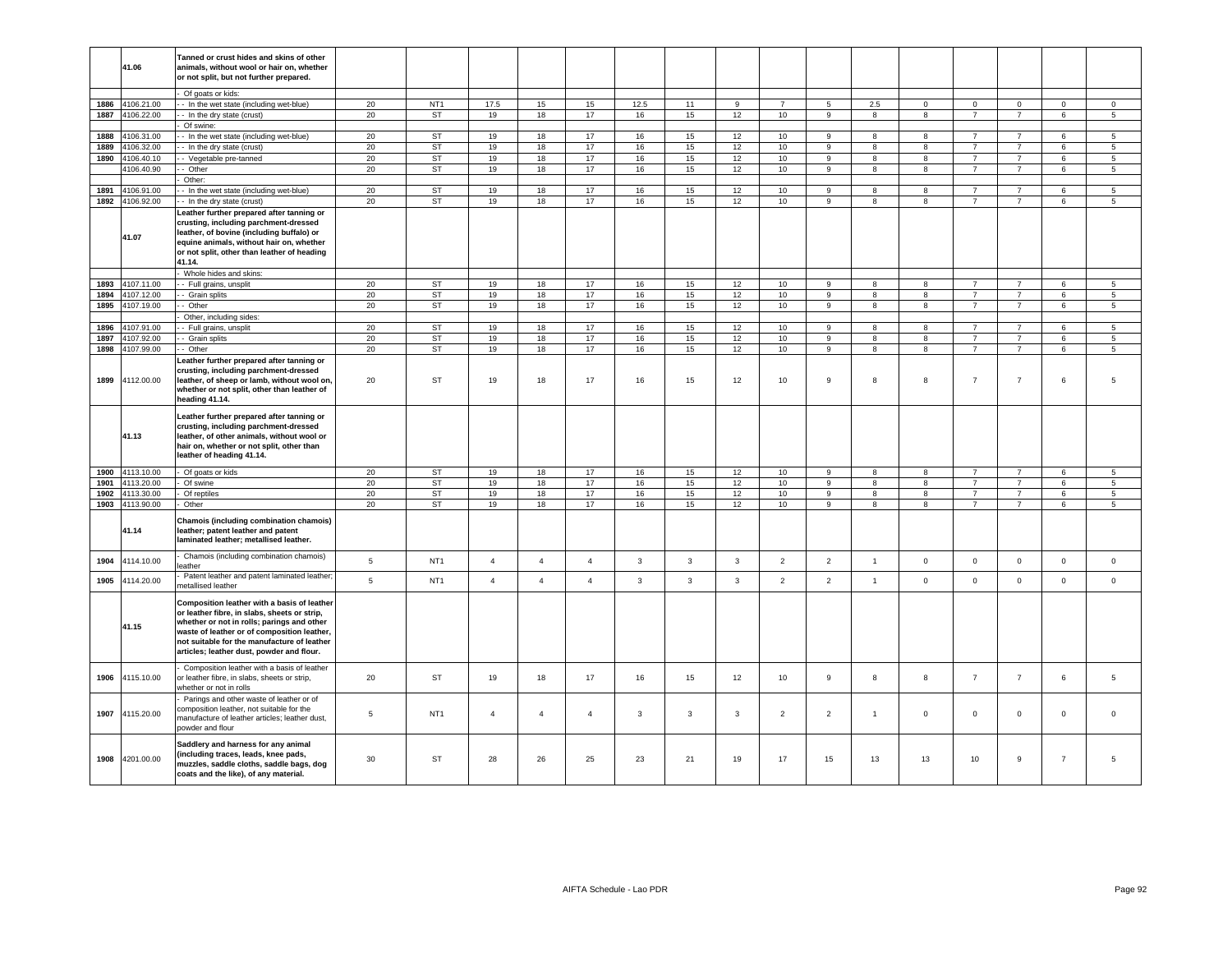|      | 41.06           | Tanned or crust hides and skins of other<br>animals, without wool or hair on, whether<br>or not split, but not further prepared.                                                                                                                                                     |             |                 |                |                |                |              |              |              |                  |                |                |              |                |                |                |                 |
|------|-----------------|--------------------------------------------------------------------------------------------------------------------------------------------------------------------------------------------------------------------------------------------------------------------------------------|-------------|-----------------|----------------|----------------|----------------|--------------|--------------|--------------|------------------|----------------|----------------|--------------|----------------|----------------|----------------|-----------------|
|      |                 | Of goats or kids:                                                                                                                                                                                                                                                                    |             |                 |                |                |                |              |              |              |                  |                |                |              |                |                |                |                 |
|      |                 |                                                                                                                                                                                                                                                                                      |             |                 |                |                |                |              |              |              |                  |                |                |              |                |                |                |                 |
| 1886 | 4106.21.00      | - In the wet state (including wet-blue)                                                                                                                                                                                                                                              | 20          | NT <sub>1</sub> | 17.5           | 15             | 15             | 12.5         | 11           | 9            | 7                | 5              | 2.5            | $\mathbf 0$  | $\mathbf{0}$   | $\mathbf{0}$   | $\mathbf{0}$   | 0               |
| 1887 | 4106.22.00      | - In the dry state (crust)                                                                                                                                                                                                                                                           | 20          | <b>ST</b>       | 19             | 18             | 17             | 16           | 15           | 12           | 10               | 9              | 8              | 8            | $\overline{7}$ | $\overline{7}$ | 6              | $5^{\circ}$     |
|      |                 | Of swine:                                                                                                                                                                                                                                                                            |             |                 |                |                |                |              |              |              |                  |                |                |              |                |                |                |                 |
| 1888 | 4106.31.00      | - In the wet state (including wet-blue)                                                                                                                                                                                                                                              | 20          | <b>ST</b>       | 19             | 18             | 17             | 16           | 15           | 12           | 10               | 9              | 8              | 8            | $\overline{7}$ | $\overline{7}$ | 6              | 5               |
| 1889 | 4106.32.00      | - In the dry state (crust)                                                                                                                                                                                                                                                           | 20          | <b>ST</b>       | 19             | 18             | 17             | 16           | 15           | 12           | 10               | 9              | 8              | 8            | $\overline{7}$ | $\overline{7}$ | 6              | $\overline{5}$  |
| 1890 | 4106.40.10      | - Vegetable pre-tanned                                                                                                                                                                                                                                                               | 20          | ST              | 19             | 18             | 17             | 16           | 15           | 12           | 10 <sup>10</sup> | 9              | 8              | 8            | $\overline{7}$ | $\overline{7}$ | 6              | 5               |
|      | 4106.40.90      | - Other                                                                                                                                                                                                                                                                              | 20          | <b>ST</b>       | 19             | 18             | 17             | 16           | 15           | 12           | 10               | 9              | 8              | 8            | $\overline{7}$ | $\overline{7}$ | 6              | 5               |
|      |                 | Other:                                                                                                                                                                                                                                                                               |             |                 |                |                |                |              |              |              |                  |                |                |              |                |                |                |                 |
| 1891 | 4106.91.00      | - In the wet state (including wet-blue)                                                                                                                                                                                                                                              | 20          | <b>ST</b>       | 19             | 18             | 17             | 16           | 15           | 12           | 10               | $\mathsf g$    | 8              | 8            | $\overline{7}$ | $\overline{7}$ | 6              | 5               |
|      | 1892 4106.92.00 | - In the dry state (crust)                                                                                                                                                                                                                                                           | 20          | <b>ST</b>       | 19             | 18             | 17             | 16           | 15           | 12           | 10               | $\mathsf g$    | 8              | 8            | $\overline{7}$ | $\overline{7}$ | 6              | 5               |
|      |                 | eather further prepared after tanning or                                                                                                                                                                                                                                             |             |                 |                |                |                |              |              |              |                  |                |                |              |                |                |                |                 |
|      | 41.07           | crusting, including parchment-dressed<br>leather, of bovine (including buffalo) or<br>equine animals, without hair on, whether<br>or not split, other than leather of heading<br>41.14.                                                                                              |             |                 |                |                |                |              |              |              |                  |                |                |              |                |                |                |                 |
|      |                 | Whole hides and skins:                                                                                                                                                                                                                                                               |             |                 |                |                |                |              |              |              |                  |                |                |              |                |                |                |                 |
| 1893 | 4107.11.00      | - Full grains, unsplit                                                                                                                                                                                                                                                               | 20          | <b>ST</b>       | 19             | 18             | 17             | 16           | 15           | 12           | 10               | 9              | 8              | 8            | $\overline{7}$ | $\overline{7}$ | 6              | 5               |
| 1894 | 4107.12.00      | - Grain splits                                                                                                                                                                                                                                                                       |             | ST              | 19             | 18             | 17             | 16           | 15           | 12           |                  | 9              | 8              |              | $\overline{7}$ | $\overline{7}$ |                |                 |
|      |                 |                                                                                                                                                                                                                                                                                      | 20          |                 |                |                |                |              |              |              | 10               |                |                | 8            |                |                | 6              | $5\overline{5}$ |
| 1895 | 4107.19.00      | - Other                                                                                                                                                                                                                                                                              | 20          | ST              | 19             | 18             | 17             | 16           | 15           | 12           | 10               | 9              | 8              | 8            | $\overline{7}$ | $\overline{7}$ | 6              | 5               |
|      |                 | Other, including sides:                                                                                                                                                                                                                                                              |             |                 |                |                |                |              |              |              |                  |                |                |              |                |                |                |                 |
| 1896 | 4107.91.00      | - Full grains, unsplit                                                                                                                                                                                                                                                               | 20          | ST              | 19             | 18             | 17             | 16           | 15           | 12           | 10               | 9              | 8              | 8            | $\overline{7}$ | $\overline{7}$ | 6              | 5               |
| 1897 | 4107.92.00      | - Grain splits                                                                                                                                                                                                                                                                       | 20          | <b>ST</b>       | 19             | 18             | 17             | 16           | 15           | 12           | 10               | 9              | 8              | 8            | $\overline{7}$ | $\overline{7}$ | 6              | 5               |
|      | 1898 4107.99.00 | - Other                                                                                                                                                                                                                                                                              | 20          | ST              | 19             | 18             | 17             | 16           | 15           | 12           | 10               | 9              | 8              | 8            | $\overline{7}$ | $\overline{7}$ | 6              | 5               |
| 1899 | 4112.00.00      | eather further prepared after tanning or<br>crusting, including parchment-dressed<br>leather, of sheep or lamb, without wool on,<br>whether or not split, other than leather of<br>heading 41.14.                                                                                    | 20          | ST              | 19             | 18             | 17             | 16           | 15           | 12           | 10               | 9              | 8              | 8            | $\overline{7}$ | $\overline{7}$ | 6              | 5               |
|      | 41.13           | eather further prepared after tanning or.<br>crusting, including parchment-dressed<br>leather, of other animals, without wool or<br>hair on, whether or not split, other than<br>leather of heading 41.14.                                                                           |             |                 |                |                |                |              |              |              |                  |                |                |              |                |                |                |                 |
| 1900 | 4113.10.00      | Of goats or kids                                                                                                                                                                                                                                                                     | 20          | ST              | 19             | 18             | 17             | 16           | 15           | 12           | 10               | 9              | 8              | 8            | $\overline{7}$ | $\overline{7}$ | 6              | 5               |
| 1901 | 4113.20.00      | Of swine                                                                                                                                                                                                                                                                             | 20          | <b>ST</b>       | 19             | 18             | 17             | 16           | 15           | 12           | 10               | 9              | 8              | 8            | $\overline{7}$ | $\overline{7}$ | 6              | 5               |
| 1902 | 4113.30.00      | Of reptiles                                                                                                                                                                                                                                                                          | 20          | <b>ST</b>       | 19             | 18             | 17             | 16           | 15           | 12           | 10               | $\mathsf g$    | 8              | 8            | $\overline{7}$ | $\overline{7}$ | 6              | $5\phantom{.0}$ |
| 1903 | 4113.90.00      | Other                                                                                                                                                                                                                                                                                | 20          | <b>ST</b>       | 19             | 18             | 17             | 16           | 15           | 12           | 10               | $\overline{9}$ | $\overline{8}$ | 8            | $\overline{7}$ | $\overline{7}$ | 6              | $\overline{5}$  |
|      | 41.14           | Chamois (including combination chamois)<br>leather; patent leather and patent<br>laminated leather; metallised leather.                                                                                                                                                              |             |                 |                |                |                |              |              |              |                  |                |                |              |                |                |                |                 |
| 1904 | 4114.10.00      | Chamois (including combination chamois)<br>eather                                                                                                                                                                                                                                    | $\,$ 5 $\,$ | NT <sub>1</sub> | $\overline{4}$ | $\overline{4}$ | $\overline{4}$ | $\mathbf{3}$ | $\mathbf{3}$ | $\mathbf{3}$ | $\overline{2}$   | $\mathbf 2$    | $\overline{1}$ | $\mathbf 0$  | $\mathbf 0$    | $\mathsf 0$    | $\mathbf 0$    | $\mathsf 0$     |
| 1905 | 4114.20.00      | Patent leather and patent laminated leather;<br>netallised leather                                                                                                                                                                                                                   | 5           | NT <sub>1</sub> | $\overline{4}$ | $\overline{4}$ | $\overline{4}$ | $\mathbf{3}$ | $\mathbf{3}$ | $\mathbf{3}$ | $\overline{2}$   | $\overline{2}$ | $\overline{1}$ | $\mathbf{0}$ | $\mathsf 0$    | $\mathsf 0$    | $\mathbf{0}$   | $\mathsf 0$     |
|      | 41.15           | Composition leather with a basis of leather<br>or leather fibre, in slabs, sheets or strip,<br>whether or not in rolls; parings and other<br>waste of leather or of composition leather,<br>not suitable for the manufacture of leather<br>articles; leather dust, powder and flour. |             |                 |                |                |                |              |              |              |                  |                |                |              |                |                |                |                 |
| 1906 | 4115.10.00      | Composition leather with a basis of leather<br>or leather fibre, in slabs, sheets or strip,<br>vhether or not in rolls                                                                                                                                                               | 20          | ST              | 19             | 18             | 17             | 16           | 15           | 12           | 10               | 9              | 8              | 8            | $\overline{7}$ | $\overline{7}$ | 6              | 5               |
| 1907 | 4115.20.00      | Parings and other waste of leather or of<br>composition leather, not suitable for the<br>manufacture of leather articles; leather dust,<br>bowder and flour                                                                                                                          | 5           | NT <sub>1</sub> | $\overline{4}$ | $\overline{4}$ | $\overline{4}$ | 3            | 3            | $\mathbf{3}$ | $\overline{2}$   | $\overline{2}$ | $\overline{1}$ | $\mathbf 0$  | $\mathbf{0}$   | $\mathbf 0$    | $\mathbf 0$    | $\circ$         |
| 1908 | 4201.00.00      | Saddlery and harness for any animal<br>including traces, leads, knee pads,<br>muzzles, saddle cloths, saddle bags, dog<br>coats and the like), of any material.                                                                                                                      | 30          | <b>ST</b>       | 28             | 26             | 25             | 23           | 21           | 19           | 17               | 15             | 13             | 13           | 10             | 9              | $\overline{7}$ | 5               |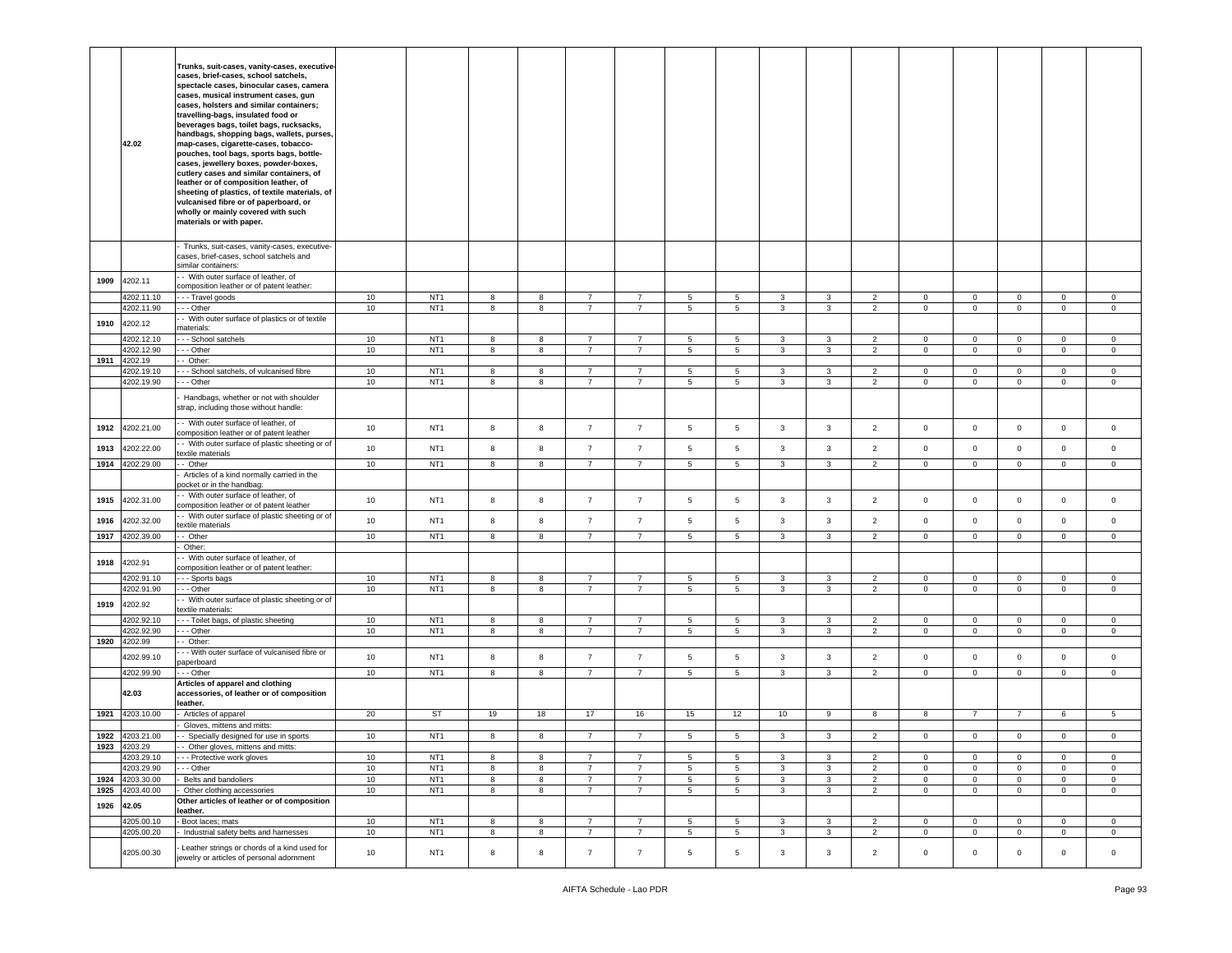|      | 42.02                    | Trunks, suit-cases, vanity-cases, executive-<br>cases, brief-cases, school satchels,<br>spectacle cases, binocular cases, camera<br>cases, musical instrument cases, gun<br>cases, holsters and similar containers;<br>travelling-bags, insulated food or<br>beverages bags, toilet bags, rucksacks,<br>handbags, shopping bags, wallets, purses,<br>map-cases, cigarette-cases, tobacco-<br>pouches, tool bags, sports bags, bottle-<br>cases, jewellery boxes, powder-boxes,<br>cutlery cases and similar containers, of<br>leather or of composition leather, of<br>sheeting of plastics, of textile materials, of<br>vulcanised fibre or of paperboard, or<br>wholly or mainly covered with such<br>materials or with paper. |          |                                    |        |        |                                  |                               |                      |                      |                              |              |                                  |                            |                               |                                    |                              |                            |
|------|--------------------------|----------------------------------------------------------------------------------------------------------------------------------------------------------------------------------------------------------------------------------------------------------------------------------------------------------------------------------------------------------------------------------------------------------------------------------------------------------------------------------------------------------------------------------------------------------------------------------------------------------------------------------------------------------------------------------------------------------------------------------|----------|------------------------------------|--------|--------|----------------------------------|-------------------------------|----------------------|----------------------|------------------------------|--------------|----------------------------------|----------------------------|-------------------------------|------------------------------------|------------------------------|----------------------------|
|      |                          | Trunks, suit-cases, vanity-cases, executive-<br>cases, brief-cases, school satchels and<br>similar containers:                                                                                                                                                                                                                                                                                                                                                                                                                                                                                                                                                                                                                   |          |                                    |        |        |                                  |                               |                      |                      |                              |              |                                  |                            |                               |                                    |                              |                            |
| 1909 | 4202.11<br>4202.11.10    | - With outer surface of leather, of<br>composition leather or of patent leather:<br>-- Travel goods                                                                                                                                                                                                                                                                                                                                                                                                                                                                                                                                                                                                                              | 10       | NT <sub>1</sub>                    | 8      | 8      | $\overline{7}$                   | 7                             | 5                    | 5                    | 3                            | 3            | $\overline{2}$                   | $\mathbf 0$                | $\mathbf 0$                   | $\mathbf{0}$                       | $\mathbf 0$                  | $\mathbf 0$                |
|      | 4202.11.90               | - - Other                                                                                                                                                                                                                                                                                                                                                                                                                                                                                                                                                                                                                                                                                                                        | 10       | NT <sub>1</sub>                    | 8      | 8      | $\overline{7}$                   | 7                             | 5                    | 5                    | 3                            | 3            | $\overline{2}$                   | $\mathbf 0$                | $\overline{0}$                | $\mathsf 0$                        | $\circ$                      | $\circ$                    |
| 1910 | 4202.12                  | - With outer surface of plastics or of textile<br>naterials:                                                                                                                                                                                                                                                                                                                                                                                                                                                                                                                                                                                                                                                                     |          |                                    |        |        |                                  |                               |                      |                      |                              |              |                                  |                            |                               |                                    |                              |                            |
|      | 4202.12.10               | - - School satchels                                                                                                                                                                                                                                                                                                                                                                                                                                                                                                                                                                                                                                                                                                              | 10       | NT <sub>1</sub>                    | 8      | 8      | $\overline{7}$                   | 7                             | 5                    | 5                    | 3                            | 3            | $\overline{2}$                   | $\mathbf 0$                | $\mathbf 0$                   | $\mathbf{0}$                       | 0                            | $\mathbf 0$                |
|      | 4202.12.90               | - - Other                                                                                                                                                                                                                                                                                                                                                                                                                                                                                                                                                                                                                                                                                                                        | 10       | NT <sub>1</sub>                    | 8      | 8      | $\overline{7}$                   | $\overline{7}$                | 5                    | $5\phantom{.0}$      | $\mathbf{3}$                 | 3            | $\overline{2}$                   | $\mathbf{0}$               | $\overline{0}$                | $\mathsf 0$                        | $\overline{0}$               | $\circ$                    |
| 1911 | 4202.19                  | - Other:                                                                                                                                                                                                                                                                                                                                                                                                                                                                                                                                                                                                                                                                                                                         |          |                                    |        |        |                                  |                               |                      |                      |                              |              |                                  |                            |                               |                                    |                              |                            |
|      | 4202.19.10               | - School satchels, of vulcanised fibre                                                                                                                                                                                                                                                                                                                                                                                                                                                                                                                                                                                                                                                                                           | 10       | NT <sub>1</sub>                    | 8      | 8      | $\overline{7}$                   | 7                             | 5                    | $5\phantom{.0}$      | 3                            | 3            | $\overline{2}$                   | $\mathbf 0$                | $\mathbf 0$                   | $\mathbf 0$                        | $\mathbf 0$                  | $\mathbf 0$                |
|      | 4202.19.90               | - - Other                                                                                                                                                                                                                                                                                                                                                                                                                                                                                                                                                                                                                                                                                                                        | 10       | NT <sub>1</sub>                    | 8      | 8      | 7                                | 7                             | 5                    | 5                    | 3                            | 3            | $\overline{2}$                   | $\mathbf{0}$               | $\overline{0}$                | $\mathsf 0$                        | $\mathbf{0}$                 | $\mathbf 0$                |
|      |                          | Handbags, whether or not with shoulder<br>strap, including those without handle:                                                                                                                                                                                                                                                                                                                                                                                                                                                                                                                                                                                                                                                 |          |                                    |        |        |                                  |                               |                      |                      |                              |              |                                  |                            |                               |                                    |                              |                            |
| 1912 | 4202.21.00               | - With outer surface of leather, of<br>composition leather or of patent leather                                                                                                                                                                                                                                                                                                                                                                                                                                                                                                                                                                                                                                                  | 10       | NT <sub>1</sub>                    | 8      | 8      | $\overline{7}$                   | $\overline{7}$                | 5                    | 5                    | 3                            | 3            | $\overline{2}$                   | $\circ$                    | $\overline{0}$                | $\mathbf 0$                        | $\mathbf{0}$                 | $\circ$                    |
| 1913 | 4202.22.00               | - With outer surface of plastic sheeting or of<br>extile materials                                                                                                                                                                                                                                                                                                                                                                                                                                                                                                                                                                                                                                                               | 10       | NT <sub>1</sub>                    | 8      | 8      | $\overline{7}$                   | $\overline{7}$                | 5                    | 5                    | $\mathbf{3}$                 | 3            | $\overline{2}$                   | $\circ$                    | $\overline{0}$                | $\mathsf 0$                        | $\mathbf{0}$                 | $\circ$                    |
| 1914 | 4202.29.00               | - Other                                                                                                                                                                                                                                                                                                                                                                                                                                                                                                                                                                                                                                                                                                                          | 10       | NT <sub>1</sub>                    | 8      | 8      | $\overline{7}$                   | $\overline{7}$                | $\,$ 5               | 5                    | $\mathbf{3}$                 | $\mathbf{3}$ | $\overline{2}$                   | $\mathbf 0$                | $\mathbf 0$                   | $\mathsf{O}\xspace$                | $\mathbf 0$                  | $\circ$                    |
|      |                          | Articles of a kind normally carried in the<br>ocket or in the handbag:                                                                                                                                                                                                                                                                                                                                                                                                                                                                                                                                                                                                                                                           |          |                                    |        |        |                                  |                               |                      |                      |                              |              |                                  |                            |                               |                                    |                              |                            |
| 1915 | 4202.31.00               | - With outer surface of leather, of<br>composition leather or of patent leather                                                                                                                                                                                                                                                                                                                                                                                                                                                                                                                                                                                                                                                  | 10       | NT <sub>1</sub>                    | 8      | 8      | $\overline{7}$                   | $\overline{7}$                | 5                    | 5                    | 3                            | 3            | $\overline{2}$                   | $\circ$                    | $\mathbf{0}$                  | $\mathsf 0$                        | $\mathbf{0}$                 | $\circ$                    |
| 1916 | 4202.32.00               | - With outer surface of plastic sheeting or of<br>extile materials                                                                                                                                                                                                                                                                                                                                                                                                                                                                                                                                                                                                                                                               | 10       | NT <sub>1</sub>                    | 8      | 8      | $\overline{7}$                   | $\overline{7}$                | $\,$ 5               | 5                    | $\mathbf{3}$                 | 3            | $\overline{2}$                   | $\mathbf 0$                | $\overline{0}$                | $\mathsf{O}\xspace$                | $\overline{0}$               | $\mathsf 0$                |
| 1917 | 4202.39.00               | - Other                                                                                                                                                                                                                                                                                                                                                                                                                                                                                                                                                                                                                                                                                                                          | 10       | NT <sub>1</sub>                    | 8      | 8      | $\overline{7}$                   | $\overline{7}$                | 5                    | $5\phantom{.0}$      | $\mathbf{3}$                 | 3            | $\overline{2}$                   | $\mathbf 0$                | $\overline{0}$                | $\mathbf 0$                        | $\overline{0}$               | $\circ$                    |
|      |                          | Other:                                                                                                                                                                                                                                                                                                                                                                                                                                                                                                                                                                                                                                                                                                                           |          |                                    |        |        |                                  |                               |                      |                      |                              |              |                                  |                            |                               |                                    |                              |                            |
| 1918 | 4202.91                  | - With outer surface of leather, of<br>omposition leather or of patent leather:                                                                                                                                                                                                                                                                                                                                                                                                                                                                                                                                                                                                                                                  |          |                                    |        |        |                                  |                               |                      |                      |                              |              |                                  |                            |                               |                                    |                              |                            |
|      | 4202.91.10               | - - Sports bags                                                                                                                                                                                                                                                                                                                                                                                                                                                                                                                                                                                                                                                                                                                  | 10       | NT <sub>1</sub>                    | 8      | 8      | $\overline{7}$                   | $\overline{7}$                | $\sqrt{5}$           | 5                    | 3                            | 3            | $\overline{2}$                   | $\mathbf 0$                | $\mathsf 0$                   | $\mathsf 0$                        | $\mathbf 0$                  | $\mathbf 0$                |
|      | 4202.91.90               | - - Other                                                                                                                                                                                                                                                                                                                                                                                                                                                                                                                                                                                                                                                                                                                        | 10       | NT <sub>1</sub>                    | 8      | 8      | $\overline{7}$                   | $\overline{7}$                | 5                    | 5                    | $\mathbf{3}$                 | 3            | $\overline{2}$                   | $\mathbf{0}$               | $\overline{0}$                | $\mathbf 0$                        | $\overline{0}$               | $\mathbf{0}$               |
| 1919 | 4202.92                  | - With outer surface of plastic sheeting or of<br>extile materials:                                                                                                                                                                                                                                                                                                                                                                                                                                                                                                                                                                                                                                                              |          |                                    |        |        |                                  |                               |                      |                      |                              |              |                                  |                            |                               |                                    |                              |                            |
|      | 4202.92.10               | --- Toilet bags, of plastic sheeting                                                                                                                                                                                                                                                                                                                                                                                                                                                                                                                                                                                                                                                                                             | 10       | NT <sub>1</sub>                    | 8      | 8      | $\overline{7}$                   | $\overline{7}$                | 5                    | 5<br>$5\phantom{.0}$ | 3                            | 3            | $\overline{2}$                   | $\mathbf{0}$               | 0                             | $\mathsf 0$                        | $\mathbf 0$                  | $\circ$                    |
| 1920 | 4202.92.90<br>4202.99    | - - Other<br>Other:                                                                                                                                                                                                                                                                                                                                                                                                                                                                                                                                                                                                                                                                                                              | 10       | NT <sub>1</sub>                    | 8      | 8      | $\overline{7}$                   | $\overline{7}$                | 5                    |                      | $\overline{\mathbf{3}}$      | 3            | $\overline{2}$                   | $\overline{0}$             | $\overline{0}$                | $\mathsf 0$                        | $\overline{0}$               | $\mathbf 0$                |
|      |                          |                                                                                                                                                                                                                                                                                                                                                                                                                                                                                                                                                                                                                                                                                                                                  |          |                                    |        |        |                                  |                               |                      |                      |                              |              |                                  |                            |                               |                                    |                              |                            |
|      |                          | - - With outer surface of vulcanised fibre or                                                                                                                                                                                                                                                                                                                                                                                                                                                                                                                                                                                                                                                                                    | 10       | NT <sub>1</sub>                    | 8      | 8      | $\overline{7}$                   | $\overline{7}$                | $\sqrt{5}$           | $5\phantom{.0}$      | $\mathbf{3}$                 | 3            | $\overline{2}$                   | $\mathbf 0$                | $\overline{0}$                | $\mathsf 0$                        | $\overline{0}$               | $\mathsf 0$                |
|      | 4202.99.10               | paperboard                                                                                                                                                                                                                                                                                                                                                                                                                                                                                                                                                                                                                                                                                                                       |          |                                    |        |        |                                  |                               |                      |                      |                              |              |                                  |                            |                               |                                    |                              |                            |
|      | 4202.99.90<br>42.03      | - - Other<br>Articles of apparel and clothing<br>accessories, of leather or of composition                                                                                                                                                                                                                                                                                                                                                                                                                                                                                                                                                                                                                                       | 10       | NT <sub>1</sub>                    | 8      | 8      | $\overline{7}$                   | 7                             | 5                    | 5                    | 3                            | 3            | $\overline{2}$                   | $\mathbf 0$                | $\mathbf{0}$                  | $\mathbf 0$                        | $\mathbf 0$                  | $\circ$                    |
| 1921 | 4203.10.00               | leather.<br>Articles of apparel                                                                                                                                                                                                                                                                                                                                                                                                                                                                                                                                                                                                                                                                                                  | 20       | ST                                 | 19     | 18     | 17                               | 16                            | 15                   | 12                   | 10 <sup>10</sup>             | 9            | 8                                | 8                          | $\overline{7}$                | $\overline{7}$                     | 6                            | $5^{\circ}$                |
|      |                          | Gloves, mittens and mitts:                                                                                                                                                                                                                                                                                                                                                                                                                                                                                                                                                                                                                                                                                                       |          |                                    |        |        |                                  |                               |                      |                      |                              |              |                                  |                            |                               |                                    |                              |                            |
| 1922 | 4203.21.00               | - Specially designed for use in sports                                                                                                                                                                                                                                                                                                                                                                                                                                                                                                                                                                                                                                                                                           | 10       | NT <sub>1</sub>                    | 8      | 8      | $\overline{7}$                   | $\overline{7}$                | $\sqrt{5}$           | $\sqrt{5}$           | 3                            | 3            | $\overline{2}$                   | $\mathbf 0$                | $\mathsf 0$                   | $\mathsf 0$                        | $\mathbf 0$                  | $\mathbf 0$                |
|      | 1923 4203.29             | - - Other gloves, mittens and mitts:                                                                                                                                                                                                                                                                                                                                                                                                                                                                                                                                                                                                                                                                                             |          |                                    |        |        |                                  |                               |                      |                      |                              |              |                                  |                            |                               |                                    |                              |                            |
|      | 4203.29.10               | - - - Protective work gloves                                                                                                                                                                                                                                                                                                                                                                                                                                                                                                                                                                                                                                                                                                     | 10       | NT <sub>1</sub>                    | 8      | 8      | $\overline{7}$                   | $\overline{7}$                | 5                    | 5                    | $\mathbf{3}$                 | 3            | $\overline{2}$                   | $\overline{0}$             | $\mathbf 0$                   | $\mathbf 0$                        | $\overline{0}$               | $\mathbf 0$                |
| 1924 | 4203.29.90               | - - Other                                                                                                                                                                                                                                                                                                                                                                                                                                                                                                                                                                                                                                                                                                                        | 10<br>10 | NT <sub>1</sub><br>NT <sub>1</sub> | 8      | 8      | $\overline{7}$<br>$\overline{7}$ | $\overline{7}$                | $\sqrt{5}$           | $\overline{5}$       | $\mathbf{3}$<br>$\mathbf{3}$ | 3            | $\overline{2}$                   | $\mathbf 0$<br>$\mathbf 0$ | $\mathsf 0$                   | $\mathsf{O}\xspace$                | $\mathbf{0}$<br>$\mathbf{0}$ | $\mathbf 0$<br>$\mathbf 0$ |
| 1925 | 4203.30.00<br>4203.40.00 | Belts and bandoliers<br>Other clothing accessories                                                                                                                                                                                                                                                                                                                                                                                                                                                                                                                                                                                                                                                                               | 10       | NT <sub>1</sub>                    | 8<br>8 | 8<br>8 | $\overline{7}$                   | $\overline{7}$<br>$7^{\circ}$ | 5<br>$5\phantom{.0}$ | 5<br>5               | $\mathbf{3}$                 | 3<br>3       | $\overline{2}$<br>$\overline{2}$ | $\mathbf{0}$               | $\mathbf 0$<br>$\overline{0}$ | $\mathsf{O}\xspace$<br>$\mathbf 0$ | $\overline{0}$               | $\overline{0}$             |
|      |                          | Other articles of leather or of composition                                                                                                                                                                                                                                                                                                                                                                                                                                                                                                                                                                                                                                                                                      |          |                                    |        |        |                                  |                               |                      |                      |                              |              |                                  |                            |                               |                                    |                              |                            |
| 1926 | 42.05                    | leather.                                                                                                                                                                                                                                                                                                                                                                                                                                                                                                                                                                                                                                                                                                                         |          |                                    |        |        |                                  |                               |                      |                      |                              |              |                                  |                            |                               |                                    |                              |                            |
|      | 4205.00.10               | Boot laces; mats                                                                                                                                                                                                                                                                                                                                                                                                                                                                                                                                                                                                                                                                                                                 | 10       | NT <sub>1</sub>                    | 8      | 8      | $\overline{7}$                   | $\overline{7}$                | 5                    | 5                    | 3                            | 3            | $\overline{2}$                   | $\mathbf 0$                | $\mathbf 0$                   | $\mathsf 0$                        | $\mathbf{0}$                 | $\mathbf 0$                |
|      | 4205.00.20               | Industrial safety belts and harnesses<br>Leather strings or chords of a kind used for                                                                                                                                                                                                                                                                                                                                                                                                                                                                                                                                                                                                                                            | 10       | NT <sub>1</sub>                    | 8      | 8      | $\overline{7}$                   | $\overline{7}$                | 5                    | 5                    | $\overline{3}$               | 3            | $\overline{2}$                   | $\mathbf{0}$               | $\mathbf 0$                   | $\mathbf 0$                        | $\overline{0}$               | $\mathbf{0}$               |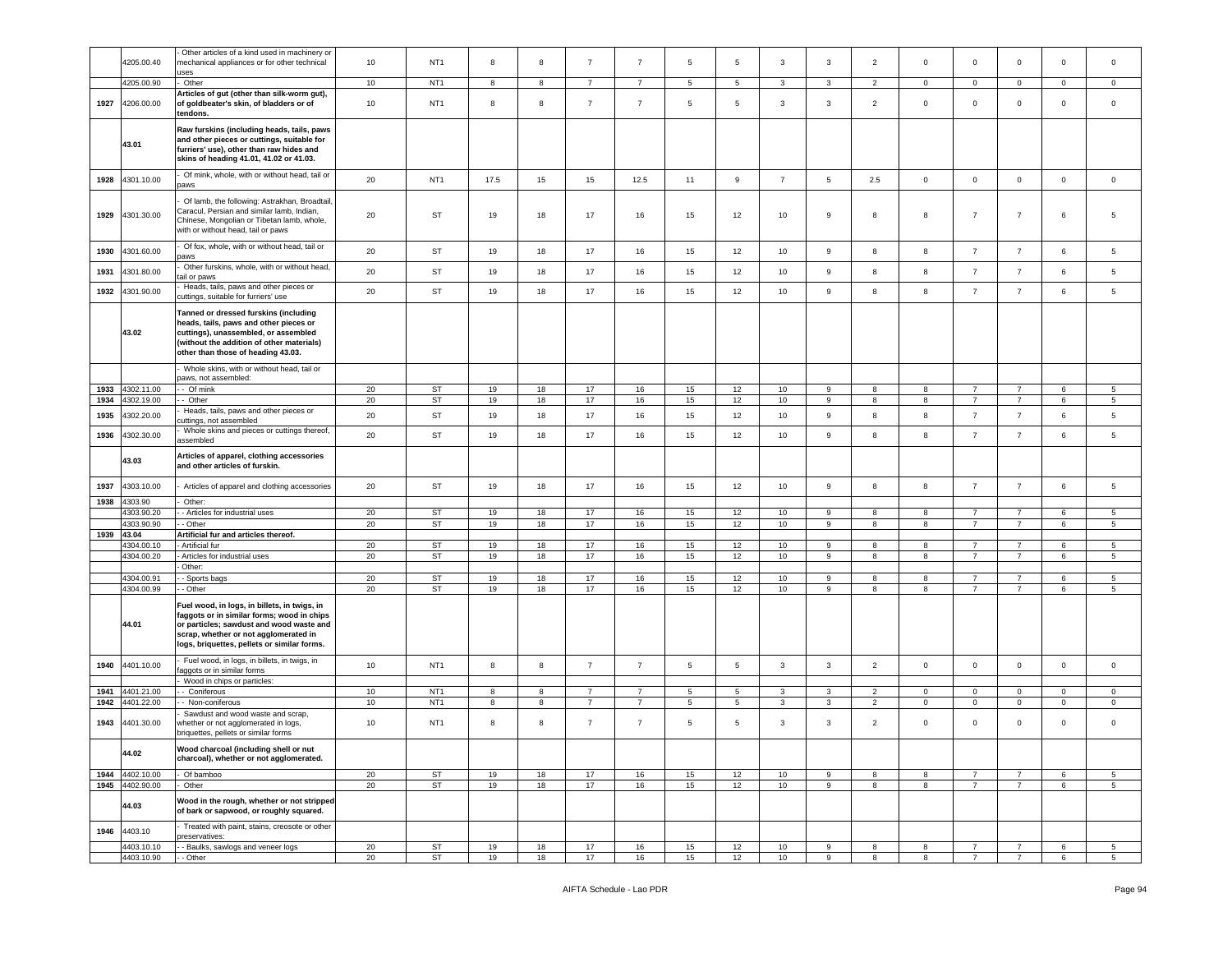|              |                               | Other articles of a kind used in machinery or                                                                                                                                                                                  |          |                                    |          |          |                |                                  |                      |                      |                |                       |                                  |                   |                                  |                                  |                          |                               |
|--------------|-------------------------------|--------------------------------------------------------------------------------------------------------------------------------------------------------------------------------------------------------------------------------|----------|------------------------------------|----------|----------|----------------|----------------------------------|----------------------|----------------------|----------------|-----------------------|----------------------------------|-------------------|----------------------------------|----------------------------------|--------------------------|-------------------------------|
|              | 4205.00.40                    | mechanical appliances or for other technical<br>uses                                                                                                                                                                           | 10       | NT <sub>1</sub>                    | 8        | 8        | $\overline{7}$ | 7                                | 5                    | 5                    | 3              | 3                     | $\overline{2}$                   | $\mathbf 0$       | $\mathbf 0$                      | $\mathbf 0$                      | 0                        | $\mathsf 0$                   |
|              | 4205.00.90                    | Other                                                                                                                                                                                                                          | $10$     | NT <sub>1</sub>                    | 8        | 8        | $\overline{7}$ | $\overline{7}$                   | 5                    | 5                    | 3              | 3                     | $\overline{2}$                   | $\circ$           | $\circ$                          | $\mathbf 0$                      | $\mathbf 0$              | $\Omega$                      |
| 1927         | 4206.00.00                    | Articles of gut (other than silk-worm gut),<br>of goldbeater's skin, of bladders or of<br>tendons.                                                                                                                             | 10       | NT <sub>1</sub>                    | 8        | 8        | $\overline{7}$ | $\overline{7}$                   | 5                    | 5                    | 3              | 3                     | $\overline{2}$                   | $\mathbf 0$       | 0                                | $\mathbf 0$                      | $\mathsf 0$              | $\mathsf 0$                   |
|              | 43.01                         | Raw furskins (including heads, tails, paws<br>and other pieces or cuttings, suitable for<br>furriers' use), other than raw hides and<br>skins of heading 41.01, 41.02 or 41.03.                                                |          |                                    |          |          |                |                                  |                      |                      |                |                       |                                  |                   |                                  |                                  |                          |                               |
| 1928         | 4301.10.00                    | Of mink, whole, with or without head, tail or<br>paws                                                                                                                                                                          | 20       | NT <sub>1</sub>                    | 17.5     | 15       | 15             | 12.5                             | 11                   | 9                    | $\overline{7}$ | 5                     | 2.5                              | $\circ$           | $\mathsf 0$                      | $\mathsf 0$                      | $\mathbf 0$              | $\mathsf 0$                   |
| 1929         | 4301.30.00                    | Of lamb, the following: Astrakhan, Broadtail,<br>Caracul, Persian and similar lamb, Indian,<br>Chinese, Mongolian or Tibetan lamb, whole,<br>with or without head, tail or paws                                                | 20       | ST                                 | 19       | 18       | 17             | 16                               | 15                   | 12                   | 10             | 9                     | 8                                | 8                 | $\overline{7}$                   | $\overline{7}$                   | 6                        | 5                             |
| 1930         | 4301.60.00                    | Of fox, whole, with or without head, tail or<br>oaws                                                                                                                                                                           | 20       | ST                                 | 19       | 18       | 17             | 16                               | 15                   | 12                   | 10             | 9                     | 8                                | 8                 | $\overline{7}$                   | $\overline{7}$                   | 6                        | 5                             |
| 1931         | 1301.80.00                    | Other furskins, whole, with or without head,<br>tail or paws                                                                                                                                                                   | 20       | ST                                 | 19       | 18       | 17             | 16                               | 15                   | 12                   | 10             | 9                     | 8                                | 8                 | $\overline{7}$                   | $\overline{7}$                   | 6                        | 5                             |
| 1932         | 4301.90.00                    | Heads, tails, paws and other pieces or<br>cuttings, suitable for furriers' use                                                                                                                                                 | 20       | ST                                 | 19       | 18       | 17             | 16                               | 15                   | 12                   | 10             | 9                     | 8                                | 8                 | $\overline{7}$                   | $\overline{7}$                   | 6                        | 5                             |
|              | 43.02                         | Tanned or dressed furskins (including<br>heads, tails, paws and other pieces or<br>cuttings), unassembled, or assembled<br>without the addition of other materials)<br>other than those of heading 43.03.                      |          |                                    |          |          |                |                                  |                      |                      |                |                       |                                  |                   |                                  |                                  |                          |                               |
|              |                               | Whole skins, with or without head, tail or<br>paws, not assembled:                                                                                                                                                             |          |                                    |          |          |                |                                  |                      |                      |                |                       |                                  |                   |                                  |                                  |                          |                               |
| 1933         | 4302.11.00                    | - Of mink                                                                                                                                                                                                                      | 20       | ST                                 | 19       | 18       | 17             | 16                               | 15                   | 12                   | 10             | 9                     | 8                                | 8                 | $\overline{7}$                   | $\overline{7}$                   | 6                        | 5                             |
| 1934         | 4302.19.00                    | - Other                                                                                                                                                                                                                        | 20       | <b>ST</b>                          | 19       | 18       | 17             | 16                               | 15                   | 12                   | 10             | 9                     | 8                                | 8                 | $\overline{7}$                   | $\overline{7}$                   | 6                        | $5^{\circ}$                   |
| 1935         | 4302.20.00                    | Heads, tails, paws and other pieces or<br>cuttings, not assembled                                                                                                                                                              | 20       | ST                                 | 19       | 18       | 17             | 16                               | 15                   | 12                   | 10             | 9                     | 8                                | 8                 | $\overline{7}$                   | $\overline{7}$                   | 6                        | 5                             |
| 1936         | 4302.30.00                    | Whole skins and pieces or cuttings thereof,<br>assembled                                                                                                                                                                       | 20       | ST                                 | 19       | 18       | 17             | 16                               | 15                   | 12                   | 10             | 9                     | 8                                | 8                 | $\overline{7}$                   | $\overline{7}$                   | 6                        | $\sqrt{5}$                    |
|              | 43.03                         | Articles of apparel, clothing accessories<br>and other articles of furskin.                                                                                                                                                    |          |                                    |          |          |                |                                  |                      |                      |                |                       |                                  |                   |                                  |                                  |                          |                               |
| 1937         | 4303.10.00                    | Articles of apparel and clothing accessories                                                                                                                                                                                   | 20       | ST                                 | 19       | 18       | 17             | 16                               | 15                   | 12                   | 10             | 9                     | 8                                | 8                 | $\overline{7}$                   | $\overline{7}$                   | 6                        | 5                             |
| 1938         | 4303.90<br>4303.90.20         | Other:<br>- Articles for industrial uses                                                                                                                                                                                       | 20       | ST                                 | 19       | 18       | 17             | 16                               | 15                   | 12                   | 10             | 9                     | 8                                | 8                 | $\overline{7}$                   | $\overline{7}$                   | 6                        | 5                             |
|              | 4303.90.90                    | - Other                                                                                                                                                                                                                        | 20       | ST                                 | 19       | 18       | 17             | 16                               | 15                   | 12                   | 10             | $\boldsymbol{9}$      | 8                                | 8                 | $\overline{7}$                   | $\overline{7}$                   | 6                        | 5                             |
| 1939         | 43.04                         | Artificial fur and articles thereof.                                                                                                                                                                                           |          |                                    |          |          |                |                                  |                      |                      |                |                       |                                  |                   |                                  |                                  |                          |                               |
|              | 4304.00.10                    | Artificial fur                                                                                                                                                                                                                 | 20       | ST                                 | 19       | 18       | 17             | 16                               | 15                   | 12                   | 10             | 9                     | 8                                | 8                 | $\overline{7}$<br>$\overline{7}$ | $\overline{7}$                   | 6                        | 5                             |
|              | 4304.00.20                    | Articles for industrial uses<br>Other:                                                                                                                                                                                         | 20       | ST                                 | 19       | 18       | 17             | 16                               | 15                   | 12                   | 10             | 9                     | 8                                | 8                 |                                  | $\overline{7}$                   | 6                        | 5                             |
|              | 4304.00.91                    | - Sports bags                                                                                                                                                                                                                  | 20       | ST                                 | 19       | 18       | 17             | 16                               | 15                   | 12                   | 10             | 9                     | 8                                | 8                 | $\overline{7}$                   | $\overline{7}$                   | 6                        | 5                             |
|              | 4304.00.99                    | - Other                                                                                                                                                                                                                        | 20       | ST                                 | 19       | 18       | 17             | 16                               | 15                   | 12                   | 10             | 9                     | 8                                | 8                 | $\overline{7}$                   | $\overline{7}$                   | 6                        | 5                             |
|              | 44.01                         | Fuel wood, in logs, in billets, in twigs, in<br>faggots or in similar forms; wood in chips<br>or particles; sawdust and wood waste and<br>scrap, whether or not agglomerated in<br>logs, briquettes, pellets or similar forms. |          |                                    |          |          |                |                                  |                      |                      |                |                       |                                  |                   |                                  |                                  |                          |                               |
| 1940         | 4401.10.00                    | Fuel wood, in logs, in billets, in twigs, in<br>aggots or in similar forms                                                                                                                                                     | 10       | NT <sub>1</sub>                    | 8        | 8        | $\overline{7}$ | $\overline{7}$                   | $5\phantom{.0}$      | 5                    | 3              | $\mathbf{3}$          | $\overline{2}$                   | $\mathsf 0$       | $\mathsf 0$                      | $\mathsf 0$                      | $\mathbf 0$              | $\mathbf 0$                   |
|              |                               | Wood in chips or particles:                                                                                                                                                                                                    |          |                                    |          |          |                |                                  |                      |                      |                |                       |                                  |                   |                                  |                                  |                          |                               |
| 1941<br>1942 | 4401.21.00<br>4401.22.00      | - Coniferous<br>- Non-coniferous                                                                                                                                                                                               | 10<br>10 | NT <sub>1</sub><br>NT <sub>1</sub> | 8<br>8   | 8<br>8   | $\overline{7}$ | $\overline{7}$<br>$\overline{7}$ | 5<br>$5\overline{)}$ | 5<br>$5\phantom{.0}$ | 3<br>3         | 3<br>3                | $\overline{2}$<br>$\overline{2}$ | 0<br>$\mathbf{0}$ | $\mathsf 0$<br>$\mathbf 0$       | $\mathbf 0$<br>$\mathbf{0}$      | $\Omega$<br>$\mathbf{0}$ | $\mathbf 0$<br>$\mathbf{0}$   |
|              |                               | Sawdust and wood waste and scrap,                                                                                                                                                                                              |          |                                    |          |          |                |                                  |                      |                      |                |                       |                                  |                   |                                  |                                  |                          |                               |
| 1943         | 4401.30.00                    | whether or not agglomerated in logs,<br>briquettes, pellets or similar forms                                                                                                                                                   | 10       | NT <sub>1</sub>                    | 8        | 8        | $\overline{7}$ | $\overline{7}$                   | 5                    | 5                    | 3              | 3                     | $\overline{2}$                   | $\mathbf 0$       | $\mathbf 0$                      | $\mathbf 0$                      | $\mathsf 0$              | $\Omega$                      |
|              | 44.02                         | Wood charcoal (including shell or nut<br>charcoal), whether or not agglomerated.                                                                                                                                               |          |                                    |          |          |                |                                  |                      |                      |                |                       |                                  |                   |                                  |                                  |                          |                               |
| 1944         | 4402.10.00<br>1945 4402.90.00 | Of bamboo<br>Other                                                                                                                                                                                                             | 20<br>20 | ST<br><b>ST</b>                    | 19<br>19 | 18<br>18 | 17<br>17       | 16<br>16                         | 15<br>15             | 12<br>12             | 10<br>10       | $\boldsymbol{9}$<br>9 | 8<br>8                           | 8<br>8            | $\overline{7}$<br>$\overline{7}$ | $\overline{7}$<br>$\overline{7}$ | 6<br>6                   | $5^{\circ}$<br>5 <sub>5</sub> |
|              |                               |                                                                                                                                                                                                                                |          |                                    |          |          |                |                                  |                      |                      |                |                       |                                  |                   |                                  |                                  |                          |                               |
|              | 44.03                         | Wood in the rough, whether or not stripped<br>of bark or sapwood, or roughly squared.                                                                                                                                          |          |                                    |          |          |                |                                  |                      |                      |                |                       |                                  |                   |                                  |                                  |                          |                               |
| 1946         | 4403.10                       | Treated with paint, stains, creosote or other<br>preservatives:                                                                                                                                                                |          |                                    |          |          |                |                                  |                      |                      |                |                       |                                  |                   |                                  |                                  |                          |                               |
|              | 4403.10.10                    | - Baulks, sawlogs and veneer logs                                                                                                                                                                                              | 20       | ST                                 | 19       | 18       | 17             | 16                               | 15                   | 12                   | 10             | 9                     | 8                                | 8                 | 7                                | 7                                | 6                        | 5                             |
|              | 4403.10.90                    | - Other                                                                                                                                                                                                                        | 20       | ST                                 | 19       | 18       | 17             | 16                               | 15                   | 12                   | 10             | 9                     | 8                                | 8                 | $\overline{7}$                   | $\overline{7}$                   | 6                        | 5 <sub>5</sub>                |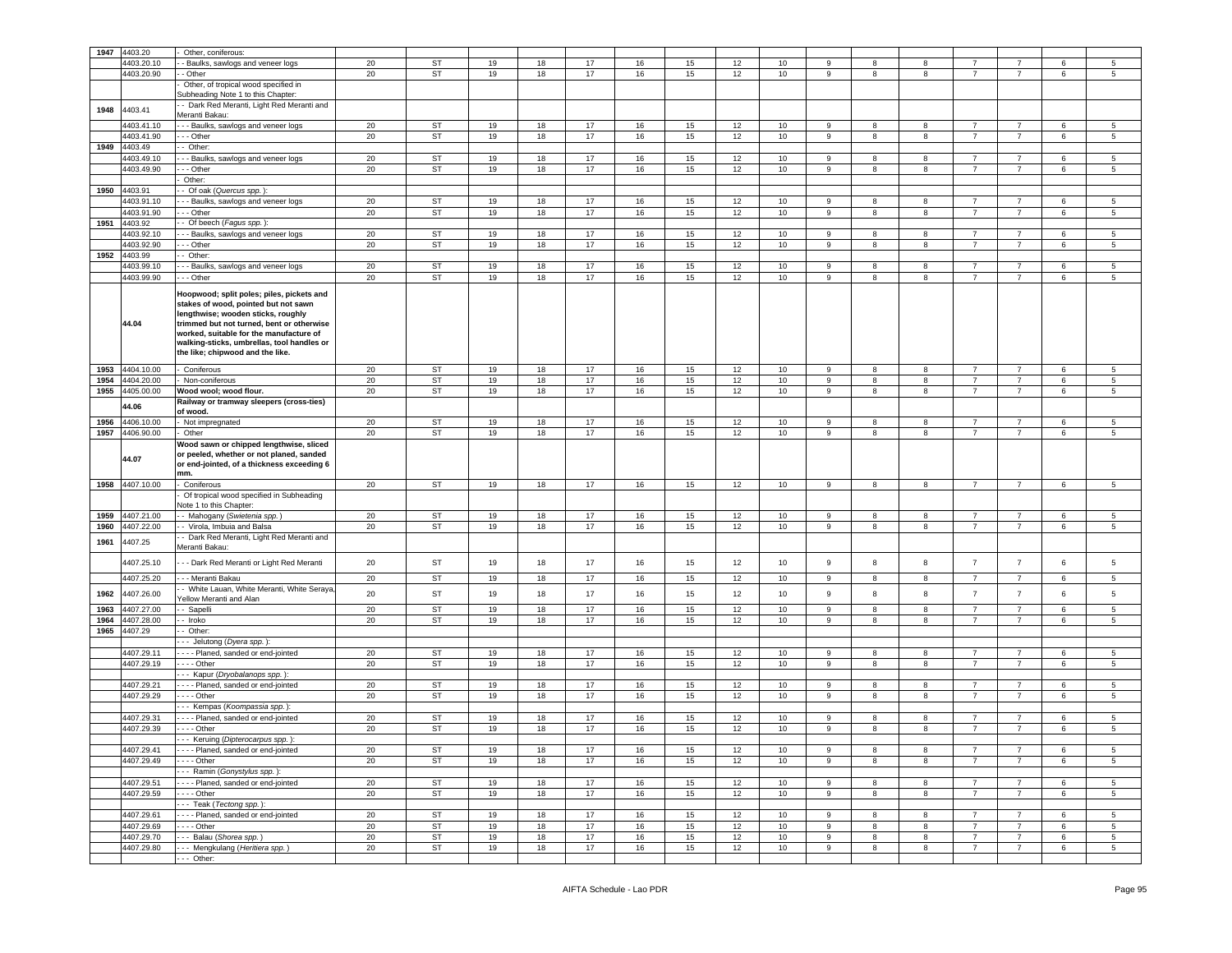| 1947 | 4403.20         | Other, coniferous:                                                                                                                                                                                                                                                                                |        |           |    |    |    |    |    |      |      |             |   |   |                |                |   |                 |
|------|-----------------|---------------------------------------------------------------------------------------------------------------------------------------------------------------------------------------------------------------------------------------------------------------------------------------------------|--------|-----------|----|----|----|----|----|------|------|-------------|---|---|----------------|----------------|---|-----------------|
|      | 4403.20.10      | - Baulks, sawlogs and veneer logs                                                                                                                                                                                                                                                                 | 20     | <b>ST</b> | 19 | 18 | 17 | 16 | 15 | 12   | 10   | 9           |   | 8 | $\overline{7}$ | 7              | 6 | 5               |
|      | 4403.20.90      | - Other                                                                                                                                                                                                                                                                                           | 20     | <b>ST</b> | 19 | 18 | 17 | 16 | 15 | 12   | 10   | 9           | 8 | 8 | $\overline{7}$ | $\overline{7}$ | 6 | 5               |
|      |                 | Other, of tropical wood specified in                                                                                                                                                                                                                                                              |        |           |    |    |    |    |    |      |      |             |   |   |                |                |   |                 |
|      |                 | Subheading Note 1 to this Chapter:                                                                                                                                                                                                                                                                |        |           |    |    |    |    |    |      |      |             |   |   |                |                |   |                 |
|      |                 | - Dark Red Meranti, Light Red Meranti and                                                                                                                                                                                                                                                         |        |           |    |    |    |    |    |      |      |             |   |   |                |                |   |                 |
| 1948 | 4403.41         | Meranti Bakau:                                                                                                                                                                                                                                                                                    |        |           |    |    |    |    |    |      |      |             |   |   |                |                |   |                 |
|      | 4403.41.10      | - - Baulks, sawlogs and veneer logs                                                                                                                                                                                                                                                               | $20\,$ | ST        | 19 | 18 | 17 | 16 | 15 | 12   | 10   | 9           | 8 | 8 | $\overline{7}$ | $\overline{7}$ | 6 | 5               |
|      |                 |                                                                                                                                                                                                                                                                                                   |        |           |    |    |    |    |    |      |      |             |   |   | $\overline{7}$ |                |   |                 |
|      | 4403.41.90      | - - - Other                                                                                                                                                                                                                                                                                       | 20     | ST        | 19 | 18 | 17 | 16 | 15 | 12   | 10   | 9           | 8 | 8 |                | 7              | 6 | 5               |
| 1949 | 4403.49         | - Other:                                                                                                                                                                                                                                                                                          |        |           |    |    |    |    |    |      |      |             |   |   |                |                |   |                 |
|      | 4403.49.10      | - Baulks, sawlogs and veneer logs                                                                                                                                                                                                                                                                 | 20     | ST        | 19 | 18 | 17 | 16 | 15 | 12   | 10   | 9           | 8 | 8 | $\overline{7}$ | $\overline{7}$ | 6 | 5               |
|      | 4403.49.90      | - - Other                                                                                                                                                                                                                                                                                         | 20     | ST        | 19 | 18 | 17 | 16 | 15 | 12   | 10   | 9           | 8 | 8 | $\overline{7}$ | $\overline{7}$ | 6 | 5               |
|      |                 | Other:                                                                                                                                                                                                                                                                                            |        |           |    |    |    |    |    |      |      |             |   |   |                |                |   |                 |
| 1950 | 4403.91         | - Of oak (Quercus spp.)                                                                                                                                                                                                                                                                           |        |           |    |    |    |    |    |      |      |             |   |   |                |                |   |                 |
|      | 4403.91.10      | - - Baulks, sawlogs and veneer logs                                                                                                                                                                                                                                                               | 20     | ST        | 19 | 18 | 17 | 16 | 15 | 12   | 10   | 9           | 8 | 8 | $\overline{7}$ | $\overline{7}$ | 6 | 5               |
|      | 4403.91.90      | - - - Other                                                                                                                                                                                                                                                                                       | 20     | ST        | 19 | 18 | 17 | 16 | 15 | 12   | 10   | 9           | 8 | 8 | $\overline{7}$ | $\overline{7}$ | 6 | $5\phantom{.0}$ |
| 1951 | 4403.92         | - Of beech (Fagus spp.)                                                                                                                                                                                                                                                                           |        |           |    |    |    |    |    |      |      |             |   |   |                |                |   |                 |
|      | 4403.92.10      | - - Baulks, sawlogs and veneer logs                                                                                                                                                                                                                                                               | 20     | ST        | 19 | 18 | 17 | 16 | 15 | 12   | 10   | 9           | 8 | 8 | $\overline{7}$ | $\overline{7}$ | 6 | 5               |
|      | 4403.92.90      | - - Other                                                                                                                                                                                                                                                                                         | 20     | ST        | 19 | 18 | 17 | 16 | 15 | 12   | 10   | 9           | 8 | 8 | $\overline{7}$ | $\overline{7}$ | 6 | 5               |
| 1952 | 4403.99         | - Other:                                                                                                                                                                                                                                                                                          |        |           |    |    |    |    |    |      |      |             |   |   |                |                |   |                 |
|      | 4403.99.10      | - Baulks, sawlogs and veneer logs                                                                                                                                                                                                                                                                 | 20     | ST        | 19 | 18 | 17 | 16 | 15 | 12   | 10   | 9           | 8 | 8 | $\overline{7}$ | $\overline{7}$ | 6 | 5               |
|      | 4403.99.90      | - - Other                                                                                                                                                                                                                                                                                         | 20     | <b>ST</b> | 19 | 18 | 17 | 16 | 15 | 12   | 10   | 9           | 8 | 8 | $\overline{7}$ | $\overline{7}$ | 6 | 5               |
|      | 44.04           | Hoopwood; split poles; piles, pickets and<br>stakes of wood, pointed but not sawn<br>lengthwise; wooden sticks, roughly<br>trimmed but not turned, bent or otherwise<br>worked, suitable for the manufacture of<br>walking-sticks, umbrellas, tool handles or<br>the like; chipwood and the like. |        |           |    |    |    |    |    |      |      |             |   |   |                |                |   |                 |
| 1953 | 4404.10.00      | Coniferous                                                                                                                                                                                                                                                                                        | 20     | ST        | 19 | 18 | 17 | 16 | 15 | 12   | 10   | 9           | 8 | 8 | $\overline{7}$ | $\overline{7}$ | 6 | $5\phantom{.0}$ |
| 1954 | 4404.20.00      | Non-coniferous                                                                                                                                                                                                                                                                                    | 20     | <b>ST</b> | 19 | 18 | 17 | 16 | 15 | 12   | 10   | 9           | 8 | 8 | $\overline{7}$ | $\overline{7}$ | 6 | $5\phantom{.0}$ |
| 1955 | 4405.00.00      | Wood wool; wood flour.                                                                                                                                                                                                                                                                            | 20     | <b>ST</b> | 19 | 18 | 17 | 16 | 15 | 12   | 10   | 9           | 8 | 8 | $\overline{7}$ | $\overline{7}$ | 6 | 5               |
|      | 44.06           | Railway or tramway sleepers (cross-ties)                                                                                                                                                                                                                                                          |        |           |    |    |    |    |    |      |      |             |   |   |                |                |   |                 |
|      |                 | of wood.                                                                                                                                                                                                                                                                                          |        |           |    |    |    |    |    |      |      |             |   |   |                |                |   |                 |
| 1956 | 4406.10.00      | Not impregnated                                                                                                                                                                                                                                                                                   | 20     | ST        | 19 | 18 | 17 | 16 | 15 | 12   | 10   | 9           | 8 | 8 | 7              | $\overline{7}$ | 6 | 5               |
| 1957 | 4406.90.00      | Other                                                                                                                                                                                                                                                                                             | 20     | ST        | 19 | 18 | 17 | 16 | 15 | 12   | 10   | 9           | 8 | 8 | $\overline{7}$ | $\overline{7}$ | 6 | 5               |
|      | 44.07           | Wood sawn or chipped lengthwise, sliced<br>or peeled, whether or not planed, sanded<br>or end-jointed, of a thickness exceeding 6<br>mm.                                                                                                                                                          |        |           |    |    |    |    |    |      |      |             |   |   |                |                |   |                 |
|      | 1958 4407.10.00 | Coniferous                                                                                                                                                                                                                                                                                        | 20     | <b>ST</b> | 19 | 18 | 17 | 16 | 15 | 12   | 10   | 9           | 8 | 8 | $\overline{7}$ | $\overline{7}$ | 6 | 5               |
|      |                 | Of tropical wood specified in Subheading                                                                                                                                                                                                                                                          |        |           |    |    |    |    |    |      |      |             |   |   |                |                |   |                 |
|      |                 | lote 1 to this Chapter:                                                                                                                                                                                                                                                                           |        |           |    |    |    |    |    |      |      |             |   |   |                |                |   |                 |
| 1959 | 4407.21.00      | - Mahogany (Swietenia spp.)                                                                                                                                                                                                                                                                       | 20     | ST        | 19 | 18 | 17 | 16 | 15 | 12   | 10   | 9           | 8 | 8 | 7              | 7              | 6 | 5               |
| 1960 | 4407.22.00      | - Virola, Imbuia and Balsa                                                                                                                                                                                                                                                                        | 20     | ST        | 19 | 18 | 17 | 16 | 15 | 12   | 10   | 9           | 8 | 8 | $\overline{7}$ | $\overline{7}$ | 6 | 5               |
| 1961 | 4407.25         | Dark Red Meranti, Light Red Meranti and<br>Meranti Bakau:                                                                                                                                                                                                                                         |        |           |    |    |    |    |    |      |      |             |   |   |                |                |   |                 |
|      | 4407.25.10      | - - Dark Red Meranti or Light Red Meranti                                                                                                                                                                                                                                                         | 20     | ST        | 19 | 18 | 17 | 16 | 15 | 12   | 10   | 9           | 8 | 8 | $\overline{7}$ | $\overline{7}$ | 6 | 5               |
|      | 4407.25.20      | - - Meranti Bakau                                                                                                                                                                                                                                                                                 | 20     | ST        | 19 | 18 | 17 | 16 | 15 | 12   | 10   | 9           | 8 | 8 | $\overline{7}$ | $\overline{7}$ | 6 | 5               |
|      |                 | - White Lauan, White Meranti, White Seraya                                                                                                                                                                                                                                                        |        |           |    |    |    |    |    |      |      |             |   |   |                |                |   |                 |
| 1962 | 4407.26.00      | <b>Yellow Meranti and Alan</b>                                                                                                                                                                                                                                                                    | 20     | ST        | 19 | 18 | 17 | 16 | 15 | 12   | 10   | 9           | 8 | 8 | $\overline{7}$ | $\overline{7}$ | 6 | 5               |
| 1963 | 4407.27.00      | - Sapelli                                                                                                                                                                                                                                                                                         | 20     | ST        | 19 | 18 | 17 | 16 | 15 | 12   | 10   | 9           | 8 | 8 | $\overline{7}$ | $\overline{7}$ | 6 | 5               |
| 1964 | 1407.28.00      | - Iroko                                                                                                                                                                                                                                                                                           | 20     | ST        | 19 | 18 | 17 | 16 | 15 | 12   | 10   | 9           | 8 | 8 | $\overline{7}$ | $\overline{7}$ | 6 | 5               |
| 1965 | 4407.29         | Other:                                                                                                                                                                                                                                                                                            |        |           |    |    |    |    |    |      |      |             |   |   |                |                |   |                 |
|      |                 | - - Jelutong (Dyera spp.)                                                                                                                                                                                                                                                                         |        |           |    |    |    |    |    |      |      |             |   |   |                |                |   |                 |
|      | 4407.29.11      | - - - - Planed, sanded or end-jointed                                                                                                                                                                                                                                                             | 20     | ST        | 19 | 18 | 17 | 16 | 15 | 12   | 10   | 9           |   | 8 | $\overline{7}$ | $\overline{7}$ | 6 | 5               |
|      | 4407.29.19      | --- Other                                                                                                                                                                                                                                                                                         | 20     | ST        | 19 | 18 | 17 | 16 | 15 | 12   | 10   | 9           | 8 | 8 | $\overline{7}$ | $\overline{7}$ | 6 | 5               |
|      |                 | --- Kapur (Dryobalanops spp.):                                                                                                                                                                                                                                                                    |        |           |    |    |    |    |    |      |      |             |   |   |                |                |   |                 |
|      | 4407.29.21      | - - - - Planed, sanded or end-jointed                                                                                                                                                                                                                                                             | 20     | ST        | 19 | 18 | 17 | 16 | 15 | 12   | 10   | 9           | 8 | 8 | $\overline{7}$ | $\overline{7}$ | 6 | 5               |
|      | 4407.29.29      | $- -$ Other                                                                                                                                                                                                                                                                                       | 20     | ST        | 19 | 18 | 17 | 16 | 15 | 12   | 10   | 9           | 8 | 8 | $\overline{7}$ | $\overline{7}$ | 6 | 5               |
|      |                 | - - - Kempas (Koompassia spp.):                                                                                                                                                                                                                                                                   |        |           |    |    |    |    |    |      |      |             |   |   |                |                |   |                 |
|      |                 |                                                                                                                                                                                                                                                                                                   |        |           |    |    |    |    |    |      |      |             |   |   |                |                |   |                 |
|      | 4407.29.31      | - - - - Planed, sanded or end-jointed                                                                                                                                                                                                                                                             | 20     | ST        | 19 | 18 | 17 | 16 | 15 | 12   | 10   | 9           | 8 | 8 | $\overline{7}$ | $\overline{7}$ | 6 | 5               |
|      | 4407.29.39      | $- -$ - Other                                                                                                                                                                                                                                                                                     | 20     | <b>ST</b> | 19 | 18 | 17 | 16 | 15 | 12   | $10$ | 9           | 8 | 8 | $\overline{7}$ | $\overline{7}$ | 6 | 5               |
|      |                 | --- Keruing (Dipterocarpus spp.)                                                                                                                                                                                                                                                                  |        |           |    |    |    |    |    |      |      |             |   |   |                |                |   |                 |
|      | 4407.29.41      | - - - - Planed, sanded or end-jointed                                                                                                                                                                                                                                                             | 20     | ST        | 19 | 18 | 17 | 16 | 15 | 12   | 10   | 9           | 8 | 8 | $\overline{7}$ | $\overline{7}$ | 6 | 5               |
|      | 4407.29.49      | $- - -$ Other                                                                                                                                                                                                                                                                                     | 20     | ST        | 19 | 18 | 17 | 16 | 15 | 12   | 10   | 9           | 8 | 8 | $\overline{7}$ | $\overline{7}$ | 6 | 5               |
|      |                 | --- Ramin (Gonystylus spp.):                                                                                                                                                                                                                                                                      |        |           |    |    |    |    |    |      |      |             |   |   |                |                |   |                 |
|      | 4407.29.51      | ---- Planed, sanded or end-jointed                                                                                                                                                                                                                                                                | 20     | ST        | 19 | 18 | 17 | 16 | 15 | 12   | 10   | 9           | 8 | 8 | $\overline{7}$ | $\overline{7}$ | 6 | 5               |
|      | 4407.29.59      | $- - -$ Other                                                                                                                                                                                                                                                                                     | 20     | <b>ST</b> | 19 | 18 | 17 | 16 | 15 | $12$ | 10   | $\mathsf g$ | 8 | 8 | $\overline{7}$ | $\overline{7}$ | 6 | 5               |
|      |                 | --- Teak (Tectong spp.):                                                                                                                                                                                                                                                                          |        |           |    |    |    |    |    |      |      |             |   |   |                |                |   |                 |
|      | 4407.29.61      | --- Planed, sanded or end-jointed                                                                                                                                                                                                                                                                 | 20     | ST        | 19 | 18 | 17 | 16 | 15 | 12   | 10   | 9           | 8 | 8 | $\overline{7}$ | $\overline{7}$ | 6 | 5               |
|      | 4407.29.69      | $- - -$ Other                                                                                                                                                                                                                                                                                     | 20     | ST        | 19 | 18 | 17 | 16 | 15 | 12   | 10   | 9           | 8 | 8 | $\overline{7}$ | $\overline{7}$ | 6 | 5               |
|      |                 | --- Balau (Shorea spp.)                                                                                                                                                                                                                                                                           | 20     | ST        | 19 | 18 | 17 | 16 | 15 | 12   | 10   | 9           | 8 | 8 | $\overline{7}$ | $\overline{7}$ | 6 | 5               |
|      | 4407.29.70      |                                                                                                                                                                                                                                                                                                   |        |           |    |    |    |    |    |      |      |             |   |   |                |                |   |                 |
|      |                 |                                                                                                                                                                                                                                                                                                   |        |           |    |    |    |    |    |      |      |             |   |   |                |                |   |                 |
|      | 4407.29.80      | --- Mengkulang (Heritiera spp.)<br>--- Other:                                                                                                                                                                                                                                                     | 20     | ST        | 19 | 18 | 17 | 16 | 15 | 12   | 10   | 9           | 8 | 8 | $\overline{7}$ | $\overline{7}$ | 6 | $5\overline{5}$ |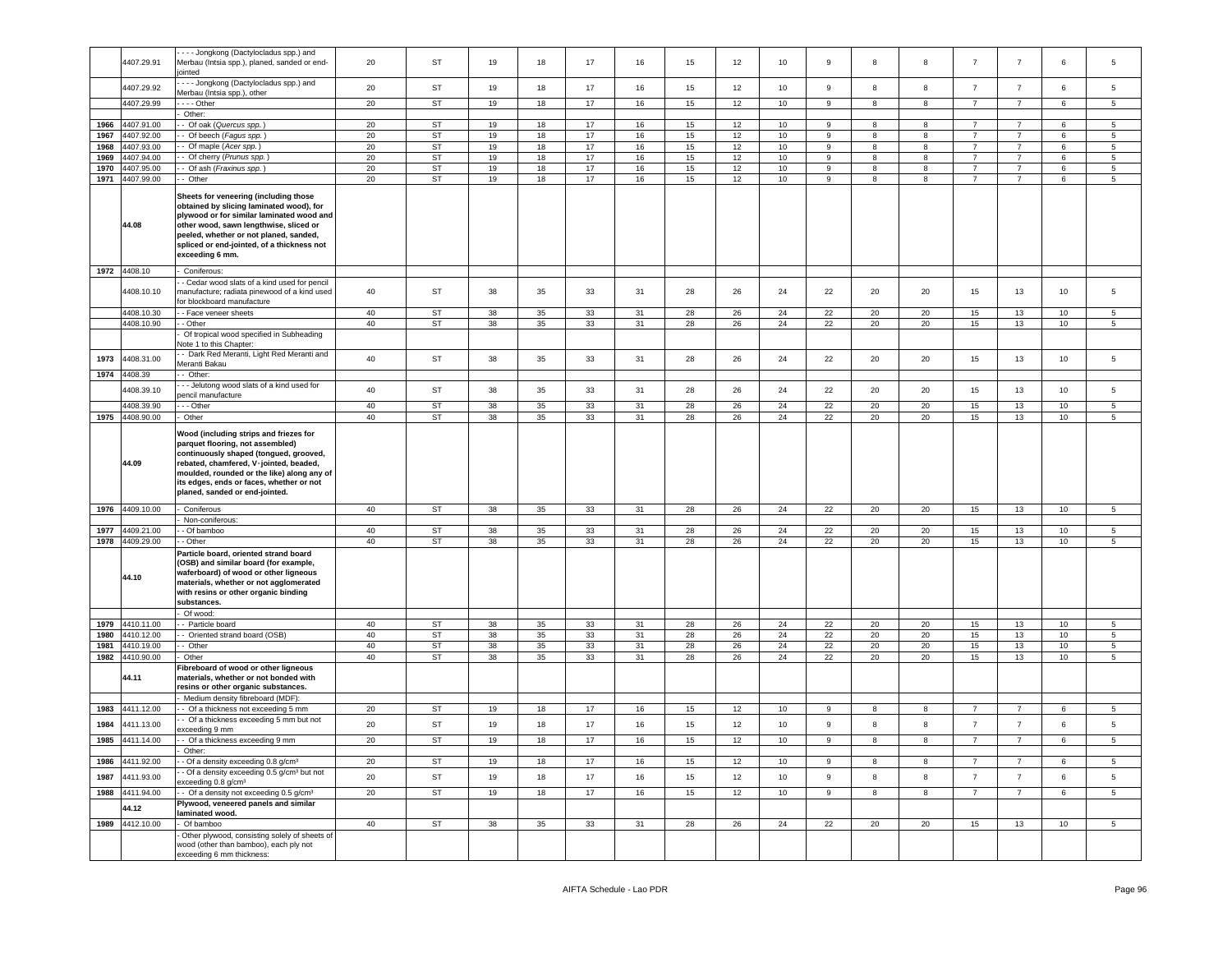|      | 4407.29.91      | --- Jongkong (Dactylocladus spp.) and<br>Merbau (Intsia spp.), planed, sanded or end-<br>ointed                                                                                                                                                                                            | 20 | <b>ST</b> | 19 | 18     | 17 | 16 | 15 | 12 | 10 | 9  | 8  | 8  | $\overline{7}$ | $\overline{7}$ | 6  | 5              |
|------|-----------------|--------------------------------------------------------------------------------------------------------------------------------------------------------------------------------------------------------------------------------------------------------------------------------------------|----|-----------|----|--------|----|----|----|----|----|----|----|----|----------------|----------------|----|----------------|
|      | 4407.29.92      | --- Jongkong (Dactylocladus spp.) and<br>Merbau (Intsia spp.), other                                                                                                                                                                                                                       | 20 | ST        | 19 | 18     | 17 | 16 | 15 | 12 | 10 | 9  | 8  | 8  | $\overline{7}$ | $\overline{7}$ | 6  | 5              |
|      | 4407.29.99      | $- -$ Other                                                                                                                                                                                                                                                                                | 20 | ST        | 19 | 18     | 17 | 16 | 15 | 12 | 10 | 9  | 8  | 8  | $\overline{7}$ | $\overline{7}$ | 6  | 5              |
|      |                 | Other:                                                                                                                                                                                                                                                                                     |    |           |    |        |    |    |    |    |    |    |    |    |                |                |    |                |
| 1966 | 4407.91.00      | Of oak (Quercus spp.)                                                                                                                                                                                                                                                                      | 20 | ST        | 19 | 18     | 17 | 16 | 15 | 12 | 10 | 9  | 8  | 8  | $\overline{7}$ | $\overline{7}$ | 6  | 5              |
| 1967 | 4407.92.00      | - Of beech (Fagus spp.)                                                                                                                                                                                                                                                                    | 20 | <b>ST</b> | 19 | 18     | 17 | 16 | 15 | 12 | 10 | 9  | 8  | 8  | $\overline{7}$ | $\overline{7}$ | 6  | 5              |
| 1968 | 4407.93.00      | - Of maple (Acer spp.)                                                                                                                                                                                                                                                                     | 20 | ST        | 19 | 18     | 17 | 16 | 15 | 12 | 10 | 9  | 8  | 8  | $\overline{7}$ | $\overline{7}$ | 6  | 5              |
| 1969 | 4407.94.00      | Of cherry (Prunus spp.)                                                                                                                                                                                                                                                                    | 20 | ST        | 19 | 18     | 17 | 16 | 15 | 12 | 10 | 9  | 8  | 8  | $\overline{7}$ | $\overline{7}$ | 6  | 5              |
| 1970 | 4407.95.00      | - Of ash (Fraxinus spp.)                                                                                                                                                                                                                                                                   | 20 | <b>ST</b> | 19 | 18     | 17 | 16 | 15 | 12 | 10 | 9  | 8  | 8  | $\overline{7}$ | $\overline{7}$ | 6  | 5              |
| 1971 | 4407.99.00      | - Other                                                                                                                                                                                                                                                                                    | 20 | ST        | 19 | 18     | 17 | 16 | 15 | 12 | 10 | 9  | 8  | 8  | $\overline{7}$ | $\overline{7}$ | 6  | 5              |
|      | 44.08           | Sheets for veneering (including those<br>obtained by slicing laminated wood), for<br>plywood or for similar laminated wood and<br>other wood, sawn lengthwise, sliced or<br>peeled, whether or not planed, sanded,<br>spliced or end-jointed, of a thickness not<br>exceeding 6 mm.        |    |           |    |        |    |    |    |    |    |    |    |    |                |                |    |                |
|      | 1972 4408.10    | Coniferous:                                                                                                                                                                                                                                                                                |    |           |    |        |    |    |    |    |    |    |    |    |                |                |    |                |
|      |                 | - Cedar wood slats of a kind used for pencil                                                                                                                                                                                                                                               |    |           |    |        |    |    |    |    |    |    |    |    |                |                |    |                |
|      | 4408.10.10      | manufacture; radiata pinewood of a kind used                                                                                                                                                                                                                                               | 40 | <b>ST</b> | 38 | 35     | 33 | 31 | 28 | 26 | 24 | 22 | 20 | 20 | 15             | 13             | 10 | 5              |
|      |                 | or blockboard manufacture                                                                                                                                                                                                                                                                  |    |           |    |        |    |    |    |    |    |    |    |    |                |                |    |                |
|      | 4408.10.30      | - Face veneer sheets                                                                                                                                                                                                                                                                       | 40 | <b>ST</b> | 38 | 35     | 33 | 31 | 28 | 26 | 24 | 22 | 20 | 20 | 15             | 13             | 10 | 5              |
|      | 4408.10.90      | - Other                                                                                                                                                                                                                                                                                    | 40 | ST        | 38 | 35     | 33 | 31 | 28 | 26 | 24 | 22 | 20 | 20 | 15             | 13             | 10 | 5              |
|      |                 | Of tropical wood specified in Subheading                                                                                                                                                                                                                                                   |    |           |    |        |    |    |    |    |    |    |    |    |                |                |    |                |
|      |                 | Note 1 to this Chapter:<br>- Dark Red Meranti, Light Red Meranti and                                                                                                                                                                                                                       |    |           |    |        |    |    |    |    |    |    |    |    |                |                |    |                |
| 1973 | 4408.31.00      | Meranti Bakau                                                                                                                                                                                                                                                                              | 40 | ST        | 38 | 35     | 33 | 31 | 28 | 26 | 24 | 22 | 20 | 20 | 15             | 13             | 10 | 5              |
| 1974 | 4408.39         | - Other:                                                                                                                                                                                                                                                                                   |    |           |    |        |    |    |    |    |    |    |    |    |                |                |    |                |
|      |                 | - - Jelutong wood slats of a kind used for                                                                                                                                                                                                                                                 |    |           |    |        |    |    |    |    |    |    |    |    |                |                |    |                |
|      | 4408.39.10      | encil manufacture                                                                                                                                                                                                                                                                          | 40 | ST        | 38 | 35     | 33 | 31 | 28 | 26 | 24 | 22 | 20 | 20 | 15             | 13             | 10 | 5              |
|      | 4408.39.90      | - - Other                                                                                                                                                                                                                                                                                  | 40 | <b>ST</b> | 38 | 35     | 33 | 31 | 28 | 26 | 24 | 22 | 20 | 20 | 15             | 13             | 10 | 5              |
|      | 1975 4408.90.00 | Other                                                                                                                                                                                                                                                                                      | 40 | <b>ST</b> | 38 | 35     | 33 | 31 | 28 | 26 | 24 | 22 | 20 | 20 | 15             | 13             | 10 | 5              |
|      |                 |                                                                                                                                                                                                                                                                                            |    |           |    |        |    |    |    |    |    |    |    |    |                |                |    |                |
|      | 44.09           | Wood (including strips and friezes for<br>parquet flooring, not assembled)<br>continuously shaped (tongued, grooved,<br>rebated, chamfered, V-jointed, beaded,<br>moulded, rounded or the like) along any of<br>its edges, ends or faces, whether or not<br>planed, sanded or end-jointed. |    |           |    |        |    |    |    |    |    |    |    |    |                |                |    |                |
|      | 1976 4409.10.00 |                                                                                                                                                                                                                                                                                            |    |           |    |        |    |    |    |    |    |    |    |    |                |                |    |                |
|      |                 |                                                                                                                                                                                                                                                                                            |    |           |    |        |    |    |    |    |    |    |    |    |                |                |    |                |
|      |                 | Coniferous                                                                                                                                                                                                                                                                                 | 40 | <b>ST</b> | 38 | 35     | 33 | 31 | 28 | 26 | 24 | 22 | 20 | 20 | 15             | 13             | 10 | 5              |
|      |                 | Non-coniferous:                                                                                                                                                                                                                                                                            |    |           |    |        |    |    |    |    |    |    |    |    |                |                |    |                |
| 1977 | 4409.21.00      | - Of bamboo                                                                                                                                                                                                                                                                                | 40 | <b>ST</b> | 38 | 35     | 33 | 31 | 28 | 26 | 24 | 22 | 20 | 20 | 15             | 13             | 10 | 5              |
| 1978 | 4409.29.00      | - Other                                                                                                                                                                                                                                                                                    | 40 | <b>ST</b> | 38 | 35     | 33 | 31 | 28 | 26 | 24 | 22 | 20 | 20 | 15             | 13             | 10 | $5^{\circ}$    |
|      | 44.10           | Particle board, oriented strand board<br>(OSB) and similar board (for example,<br>waferboard) of wood or other ligneous<br>materials, whether or not agglomerated<br>with resins or other organic binding<br>substances.                                                                   |    |           |    |        |    |    |    |    |    |    |    |    |                |                |    |                |
|      |                 | Of wood:                                                                                                                                                                                                                                                                                   |    |           |    |        |    |    |    |    |    |    |    |    |                |                |    |                |
| 1979 | 4410.11.00      | - Particle board                                                                                                                                                                                                                                                                           | 40 | ST        | 38 | 35     | 33 | 31 | 28 | 26 | 24 | 22 | 20 | 20 | 15             | 13             | 10 | 5              |
| 1980 | 4410.12.00      | - Oriented strand board (OSB)                                                                                                                                                                                                                                                              | 40 | <b>ST</b> | 38 | $35\,$ | 33 | 31 | 28 | 26 | 24 | 22 | 20 | 20 | 15             | 13             | 10 | 5              |
| 1981 | 4410.19.00      | - Other                                                                                                                                                                                                                                                                                    | 40 | <b>ST</b> | 38 | 35     | 33 | 31 | 28 | 26 | 24 | 22 | 20 | 20 | 15             | 13             | 10 | 5              |
| 1982 | 4410.90.00      | Other                                                                                                                                                                                                                                                                                      | 40 | ST        | 38 | 35     | 33 | 31 | 28 | 26 | 24 | 22 | 20 | 20 | 15             | 13             | 10 | 5              |
|      | 44.11           | Fibreboard of wood or other ligneous<br>materials, whether or not bonded with<br>resins or other organic substances.                                                                                                                                                                       |    |           |    |        |    |    |    |    |    |    |    |    |                |                |    |                |
|      |                 | Medium density fibreboard (MDF)                                                                                                                                                                                                                                                            |    |           |    |        |    |    |    |    |    |    |    |    |                |                |    |                |
| 1983 | 4411.12.00      | - Of a thickness not exceeding 5 mm                                                                                                                                                                                                                                                        | 20 | <b>ST</b> | 19 | 18     | 17 | 16 | 15 | 12 | 10 | 9  | 8  | 8  | $\overline{7}$ | $\overline{7}$ | 6  | 5              |
|      |                 | - Of a thickness exceeding 5 mm but not                                                                                                                                                                                                                                                    |    |           |    |        |    |    |    |    |    |    |    | 8  |                |                |    |                |
| 1984 | 4411.13.00      | exceeding 9 mm                                                                                                                                                                                                                                                                             | 20 | ST        | 19 | 18     | 17 | 16 | 15 | 12 | 10 | 9  | 8  |    | $\overline{7}$ | $\overline{7}$ | 6  | 5              |
|      | 1985 4411.14.00 | - Of a thickness exceeding 9 mm                                                                                                                                                                                                                                                            | 20 | <b>ST</b> | 19 | 18     | 17 | 16 | 15 | 12 | 10 |    |    |    |                |                |    |                |
|      |                 | Other:                                                                                                                                                                                                                                                                                     |    |           |    |        |    |    |    |    |    |    |    |    |                |                |    |                |
|      | 1986 4411.92.00 | - Of a density exceeding 0.8 g/cm <sup>3</sup>                                                                                                                                                                                                                                             | 20 | ST        | 19 | 18     | 17 | 16 | 15 | 12 | 10 | 9  | 8  | 8  | $\overline{7}$ | $\overline{7}$ | 6  | 5              |
| 1987 | 4411.93.00      | - Of a density exceeding 0.5 g/cm <sup>3</sup> but not<br>exceeding 0.8 g/cm <sup>3</sup>                                                                                                                                                                                                  | 20 | ST        | 19 | 18     | 17 | 16 | 15 | 12 | 10 | 9  | 8  | 8  | $\overline{7}$ | $\overline{7}$ | 6  | 5              |
| 1988 | 4411.94.00      | - Of a density not exceeding 0.5 g/cm <sup>3</sup>                                                                                                                                                                                                                                         | 20 | <b>ST</b> | 19 | 18     | 17 | 16 | 15 | 12 | 10 | 9  | 8  | 8  | $\overline{7}$ | $\overline{7}$ | 6  | $5^{\circ}$    |
|      | 44.12           | Plywood, veneered panels and similar                                                                                                                                                                                                                                                       |    |           |    |        |    |    |    |    |    |    |    |    |                |                |    |                |
|      |                 | laminated wood.                                                                                                                                                                                                                                                                            |    |           |    |        |    |    |    |    |    |    |    |    |                |                |    |                |
| 1989 | 4412.10.00      | Of bamboo                                                                                                                                                                                                                                                                                  | 40 | ST        | 38 | 35     | 33 | 31 | 28 | 26 | 24 | 22 | 20 | 20 | 15             | 13             | 10 | 5 <sub>5</sub> |
|      |                 | Other plywood, consisting solely of sheets of<br>wood (other than bamboo), each ply not<br>exceeding 6 mm thickness:                                                                                                                                                                       |    |           |    |        |    |    |    |    |    |    |    |    |                |                |    |                |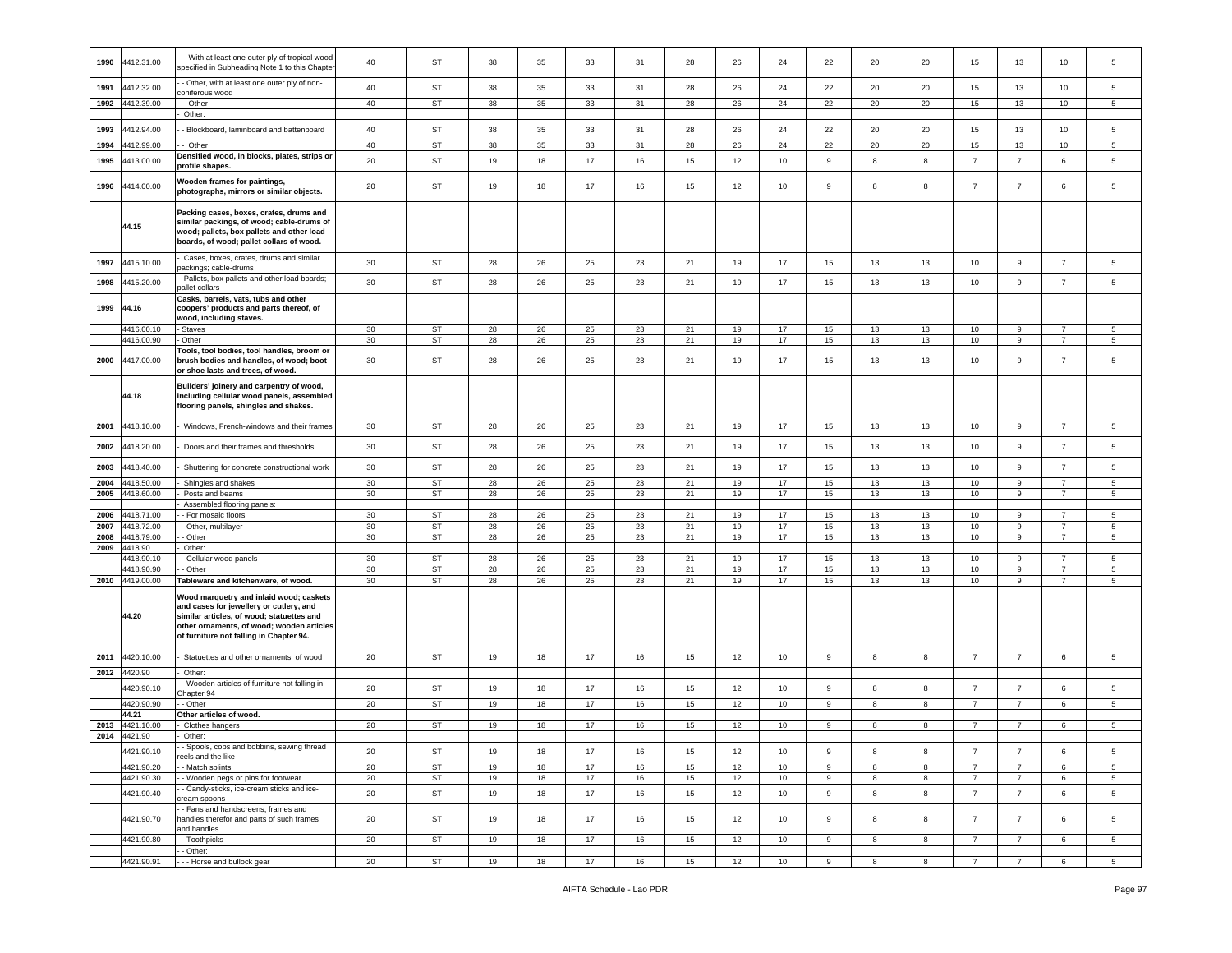| 1990         | 4412.31.00               | - With at least one outer ply of tropical wood<br>specified in Subheading Note 1 to this Chapte                                                                                                                         | 40       | ST                     | 38       | 35       | 33       | 31       | 28       | 26       | 24       | 22          | 20       | 20       | 15                               | 13                               | 10                               | 5                    |
|--------------|--------------------------|-------------------------------------------------------------------------------------------------------------------------------------------------------------------------------------------------------------------------|----------|------------------------|----------|----------|----------|----------|----------|----------|----------|-------------|----------|----------|----------------------------------|----------------------------------|----------------------------------|----------------------|
| 1991         | 4412.32.00               | - Other, with at least one outer ply of non-<br>oniferous wood                                                                                                                                                          | 40       | <b>ST</b>              | 38       | 35       | 33       | 31       | 28       | 26       | 24       | 22          | 20       | 20       | 15                               | 13                               | 10                               | 5                    |
| 1992         | 4412.39.00               | - Other                                                                                                                                                                                                                 | 40       | <b>ST</b>              | 38       | 35       | 33       | 31       | 28       | 26       | 24       | 22          | 20       | 20       | 15                               | 13                               | 10                               | 5                    |
| 1993         | 4412.94.00               | Other:<br>- Blockboard, laminboard and battenboard                                                                                                                                                                      | 40       | ST                     | 38       | 35       | 33       | 31       | 28       | 26       | 24       | 22          | 20       | 20       | 15                               | 13                               | 10                               | 5                    |
| 1994         | 412.99.00                | - Other                                                                                                                                                                                                                 | 40       | <b>ST</b>              | 38       | 35       | 33       | 31       | 28       | 26       | 24       | 22          | 20       | 20       | 15                               | 13                               | 10                               | 5                    |
| 1995         | 4413.00.00               | Densified wood, in blocks, plates, strips or                                                                                                                                                                            | 20       | ST                     | 19       | 18       | 17       | 16       | 15       | 12       | 10       | $\mathsf g$ | 8        | 8        | $\overline{7}$                   | $\overline{7}$                   | 6                                | $\,$ 5 $\,$          |
|              |                          | profile shapes.                                                                                                                                                                                                         |          |                        |          |          |          |          |          |          |          |             |          |          |                                  |                                  |                                  |                      |
| 1996         | 4414.00.00               | Wooden frames for paintings,<br>photographs, mirrors or similar objects.                                                                                                                                                | 20       | ST                     | 19       | 18       | 17       | 16       | 15       | 12       | 10       | 9           | 8        | 8        | $\overline{7}$                   | $\overline{7}$                   | 6                                | 5                    |
|              | 44.15                    | Packing cases, boxes, crates, drums and<br>similar packings, of wood; cable-drums of<br>wood; pallets, box pallets and other load<br>boards, of wood; pallet collars of wood.                                           |          |                        |          |          |          |          |          |          |          |             |          |          |                                  |                                  |                                  |                      |
| 1997         | 4415.10.00               | Cases, boxes, crates, drums and similar<br>ackings; cable-drums                                                                                                                                                         | 30       | ST                     | 28       | 26       | 25       | 23       | 21       | 19       | 17       | 15          | 13       | 13       | 10                               | 9                                | $\overline{7}$                   | 5                    |
| 1998         | 4415.20.00               | Pallets, box pallets and other load boards;<br>pallet collars                                                                                                                                                           | 30       | ST                     | 28       | 26       | 25       | 23       | 21       | 19       | 17       | 15          | 13       | 13       | 10                               | $\boldsymbol{9}$                 | $\overline{7}$                   | 5                    |
| 1999         | 44.16                    | Casks, barrels, vats, tubs and other<br>coopers' products and parts thereof, of<br>wood, including staves.                                                                                                              |          |                        |          |          |          |          |          |          |          |             |          |          |                                  |                                  |                                  |                      |
|              | 4416.00.10<br>4416.00.90 | Staves<br>Other                                                                                                                                                                                                         | 30<br>30 | ST<br>ST               | 28<br>28 | 26<br>26 | 25<br>25 | 23<br>23 | 21<br>21 | 19<br>19 | 17<br>17 | 15<br>15    | 13<br>13 | 13<br>13 | 10<br>10                         | 9<br>9                           | $\overline{7}$<br>$\overline{7}$ | 5<br>$5\phantom{.0}$ |
|              |                          | <b>Tools, tool bodies, tool handles, broom or</b>                                                                                                                                                                       |          |                        |          |          |          |          |          |          |          |             |          |          |                                  |                                  |                                  |                      |
| 2000         | 4417.00.00               | brush bodies and handles, of wood: boot<br>or shoe lasts and trees, of wood.                                                                                                                                            | 30       | <b>ST</b>              | 28       | 26       | 25       | 23       | 21       | 19       | 17       | 15          | 13       | 13       | 10                               | 9                                | $\overline{7}$                   | 5                    |
|              | 44.18                    | Builders' joinery and carpentry of wood,<br>including cellular wood panels, assembled<br>flooring panels, shingles and shakes.                                                                                          |          |                        |          |          |          |          |          |          |          |             |          |          |                                  |                                  |                                  |                      |
| 2001         | 4418.10.00               | Windows, French-windows and their frames                                                                                                                                                                                | 30       | ST                     | 28       | 26       | 25       | 23       | 21       | 19       | 17       | 15          | 13       | 13       | 10                               | 9                                | $\overline{7}$                   | 5                    |
| 2002         | 4418.20.00               | Doors and their frames and thresholds                                                                                                                                                                                   | 30       | ST                     | 28       | 26       | 25       | 23       | 21       | 19       | 17       | 15          | 13       | 13       | 10                               | 9                                | $\overline{7}$                   | 5                    |
| 2003         | 4418.40.00               | Shuttering for concrete constructional work                                                                                                                                                                             | 30       | ST                     | 28       | 26       | 25       | 23       | 21       | 19       | 17       | 15          | 13       | 13       | 10                               | $\boldsymbol{9}$                 | $\overline{7}$                   | 5                    |
| 2004<br>2005 | 4418.50.00<br>4418.60.00 | Shingles and shakes<br>Posts and beams                                                                                                                                                                                  | 30<br>30 | ST<br>ST               | 28<br>28 | 26<br>26 | 25<br>25 | 23<br>23 | 21<br>21 | 19<br>19 | 17<br>17 | 15<br>15    | 13<br>13 | 13<br>13 | 10<br>10                         | 9<br>9                           | $\overline{7}$<br>$\overline{7}$ | 5<br>5               |
|              |                          | Assembled flooring panels:                                                                                                                                                                                              |          |                        |          |          |          |          |          |          |          |             |          |          |                                  |                                  |                                  |                      |
| 2006         | 418.71.00                | - For mosaic floors                                                                                                                                                                                                     | 30       | <b>ST</b>              | 28       | 26       | 25       | 23       | 21       | 19       | 17       | 15          | 13       | 13       | 10                               | 9                                | $\overline{7}$                   | 5                    |
| 2007         | 4418.72.00               | - Other, multilayer                                                                                                                                                                                                     | 30       | ST                     | 28       | 26       | 25       | 23       | 21       | 19       | 17       | 15          | 13       | 13       | 10                               | 9                                | $\overline{7}$                   | $5\overline{5}$      |
| 2008         | 4418.79.00               | - Other                                                                                                                                                                                                                 | 30       | $\mathsf{ST}$          | 28       | 26       | 25       | 23       | 21       | 19       | 17       | 15          | 13       | 13       | 10                               | 9                                | $\overline{7}$                   | 5                    |
| 2009         | 4418.90                  | Other:                                                                                                                                                                                                                  |          |                        |          |          |          |          |          |          |          |             |          |          |                                  |                                  |                                  |                      |
|              | 418.90.10                | Cellular wood panels                                                                                                                                                                                                    | 30       | <b>ST</b>              | 28       | 26       | 25       | 23       | 21       | 19       | 17       | 15          | 13       | 13       | 10                               | 9                                | $\overline{7}$                   | -5                   |
|              | 4418.90.90               | - Other                                                                                                                                                                                                                 | 30       | ST                     | 28       | 26       | 25       | 23       | 21       | 19       | 17       | 15          | 13       | 13       | 10                               | $\boldsymbol{9}$                 | $\overline{7}$                   | 5                    |
| 2010         | 4419.00.00               | Tableware and kitchenware, of wood.                                                                                                                                                                                     | 30       | ST                     | 28       | 26       | 25       | 23       | 21       | 19       | 17       | 15          | 13       | 13       | 10                               | $\boldsymbol{9}$                 | $\overline{7}$                   | 5                    |
|              | 44.20                    | Wood marquetry and inlaid wood; caskets<br>and cases for jewellery or cutlery, and<br>similar articles, of wood; statuettes and<br>other ornaments, of wood; wooden articles<br>of furniture not falling in Chapter 94. |          |                        |          |          |          |          |          |          |          |             |          |          |                                  |                                  |                                  |                      |
| 2011         | 4420.10.00               | Statuettes and other ornaments, of wood                                                                                                                                                                                 | 20       | ST                     | 19       | 18       | 17       | 16       | 15       | 12       | 10       | 9           | 8        | 8        | $\overline{7}$                   | $\overline{7}$                   | 6                                | 5                    |
| 2012         | 4420.90                  | Other:                                                                                                                                                                                                                  |          |                        |          |          |          |          |          |          |          |             |          |          |                                  |                                  |                                  |                      |
|              | 4420.90.10               | - Wooden articles of furniture not falling in<br>hapter 94                                                                                                                                                              | 20       | ST                     | 19       | 18       | 17       | 16       | 15       | 12       | 10       | 9           | 8        | 8        | $\overline{7}$                   | $\overline{7}$                   | 6                                | 5                    |
|              | 4420.90.90<br>44.21      | - Other<br>Other articles of wood.                                                                                                                                                                                      | 20       | ST                     | 19       | 18       | 17       | 16       | 15       | 12       | 10       | 9           | 8        | 8        | $\overline{7}$                   | $\overline{7}$                   | 6                                | $5\overline{5}$      |
| 2013         | 4421.10.00               | Clothes hangers                                                                                                                                                                                                         | 20       | <b>ST</b>              | 19       | 18       | 17       | 16       | 15       | 12       | 10       | 9           | 8        | 8        | $\overline{7}$                   | $\overline{7}$                   | 6                                | -5                   |
| 2014         | 4421.90                  | Other:                                                                                                                                                                                                                  |          |                        |          |          |          |          |          |          |          |             |          |          |                                  |                                  |                                  |                      |
|              |                          | - Spools, cops and bobbins, sewing thread                                                                                                                                                                               |          |                        |          |          |          |          |          |          |          |             |          |          |                                  |                                  |                                  |                      |
|              | 4421.90.10               | eels and the like<br>- Match splints                                                                                                                                                                                    | 20<br>20 | <b>ST</b><br><b>ST</b> | 19<br>19 | 18       | 17<br>17 | 16       | 15<br>15 | 12       | 10<br>10 | 9           | 8<br>8   | 8        | $\overline{7}$<br>$\overline{7}$ | $\overline{7}$<br>$\overline{7}$ | 6                                | $\,$ 5 $\,$          |
|              | 4421.90.20<br>4421.90.30 | - Wooden pegs or pins for footwear                                                                                                                                                                                      | 20       | <b>ST</b>              | 19       | 18<br>18 | 17       | 16<br>16 | 15       | 12<br>12 | 10       | 9<br>9      | 8        | 8<br>8   | $\overline{7}$                   | $\overline{7}$                   | 6<br>6                           | 5<br>5 <sub>5</sub>  |
|              |                          | - Candy-sticks, ice-cream sticks and ice-                                                                                                                                                                               |          |                        |          |          |          |          |          |          |          |             |          |          |                                  |                                  |                                  |                      |
|              | 4421.90.40               | ream spoons<br>- Fans and handscreens, frames and                                                                                                                                                                       | 20       | ST                     | 19       | 18       | 17       | 16       | 15       | 12       | 10       | 9           | 8        | 8        | 7                                | $\overline{7}$                   | 6                                | $5\phantom{.0}$      |
|              | 4421.90.70               | handles therefor and parts of such frames<br>and handles                                                                                                                                                                | 20       | <b>ST</b>              | 19       | 18       | 17       | 16       | 15       | 12       | 10       | 9           | 8        | 8        | $\overline{7}$                   | $\overline{7}$                   | 6                                | 5                    |
|              | 4421.90.80               | - Toothpicks<br>- Other:                                                                                                                                                                                                | 20       | ST                     | 19       | 18       | 17       | 16       | 15       | 12       | 10       | 9           | 8        | 8        | $\overline{7}$                   | $\overline{7}$                   | 6                                | $5\overline{5}$      |
|              | 4421.90.91               | --- Horse and bullock gear                                                                                                                                                                                              | 20       | ST                     | 19       | 18       | 17       | 16       | 15       | 12       | 10       | 9           | 8        | 8        | $7\overline{ }$                  | $\overline{7}$                   | 6                                | 5 <sub>5</sub>       |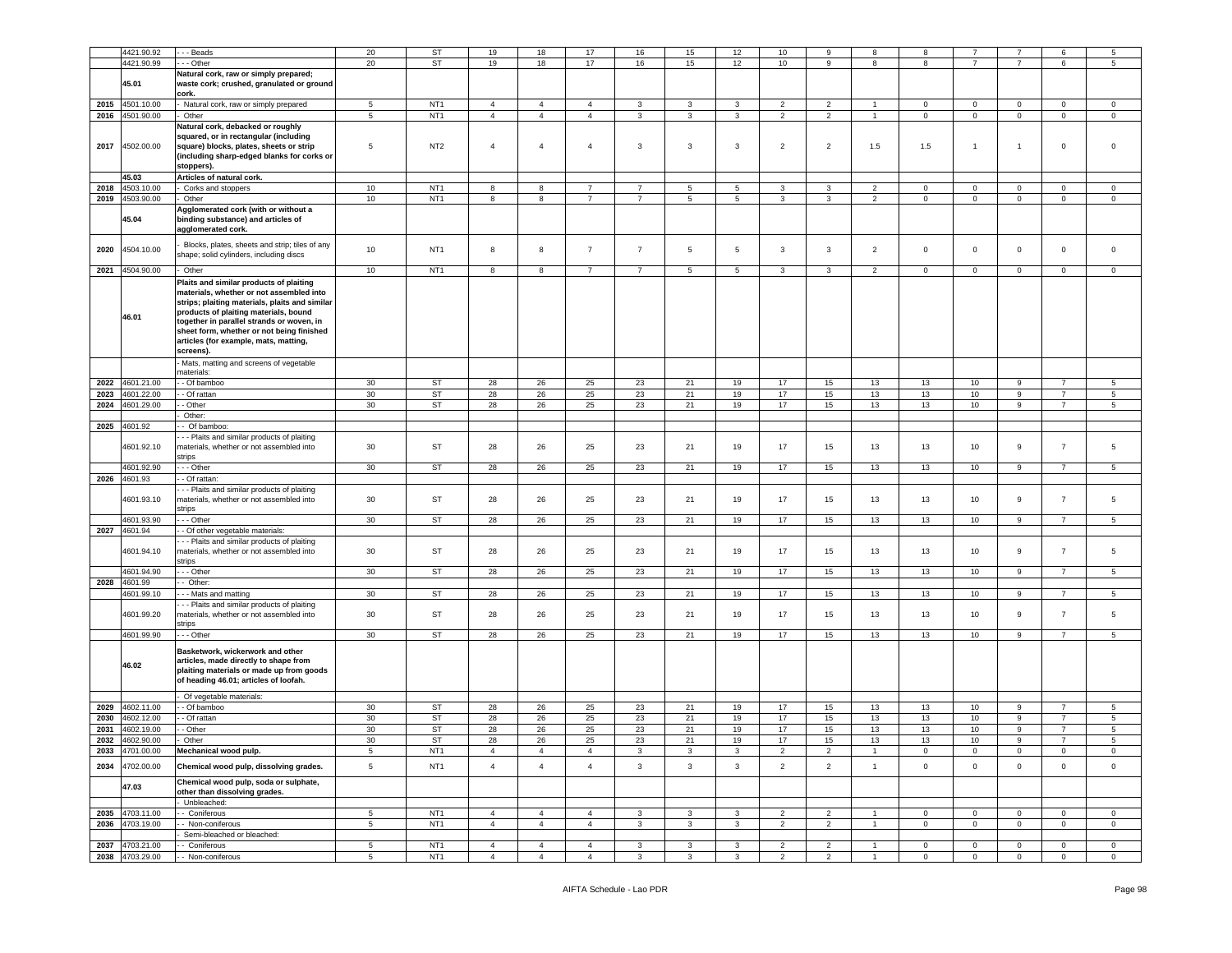|      | 4421.90.92                         | - - Beads                                      | 20         | ST                                 | 19                               | 18                               | 17                               | 16             | 15                | 12           | 10                               | 9                                | 8                            | 8                             |                             |                            | 6                             | 5                              |
|------|------------------------------------|------------------------------------------------|------------|------------------------------------|----------------------------------|----------------------------------|----------------------------------|----------------|-------------------|--------------|----------------------------------|----------------------------------|------------------------------|-------------------------------|-----------------------------|----------------------------|-------------------------------|--------------------------------|
|      |                                    |                                                |            |                                    |                                  |                                  |                                  |                |                   |              |                                  |                                  |                              |                               |                             |                            |                               |                                |
|      | 4421.90.99                         | - Other                                        | 20         | <b>ST</b>                          | 19                               | 18                               | 17                               | 16             | 15                | 12           | 10                               | 9                                | 8                            | 8                             | $\overline{7}$              | $\overline{7}$             | 6                             | 5                              |
|      |                                    | Natural cork, raw or simply prepared;          |            |                                    |                                  |                                  |                                  |                |                   |              |                                  |                                  |                              |                               |                             |                            |                               |                                |
|      | 45.01                              | waste cork; crushed, granulated or ground      |            |                                    |                                  |                                  |                                  |                |                   |              |                                  |                                  |                              |                               |                             |                            |                               |                                |
|      |                                    | cork.                                          |            |                                    |                                  |                                  |                                  |                |                   |              |                                  |                                  |                              |                               |                             |                            |                               |                                |
| 2015 | 4501.10.00                         | Natural cork, raw or simply prepared           | 5          | NT <sub>1</sub>                    | $\overline{4}$                   | $\overline{4}$                   | $\overline{4}$                   | 3              | 3                 | 3            | $\overline{2}$                   | $\overline{2}$                   | $\mathbf{1}$                 | $\overline{0}$                | $\mathbf{0}$                | $\mathbf 0$                | $\overline{0}$                | $\overline{0}$                 |
| 2016 | 4501.90.00                         | Other                                          | 5          | NT <sub>1</sub>                    | $\overline{4}$                   | $\overline{4}$                   | $\overline{4}$                   | $\mathbf{3}$   | 3                 | $\mathbf{3}$ | 2                                | $\overline{2}$                   | $\mathbf{1}$                 | $\circ$                       | $\mathbf 0$                 | $\mathbf 0$                | $\mathsf 0$                   | $\circ$                        |
|      |                                    | Natural cork, debacked or roughly              |            |                                    |                                  |                                  |                                  |                |                   |              |                                  |                                  |                              |                               |                             |                            |                               |                                |
|      |                                    | squared, or in rectangular (including          |            |                                    |                                  |                                  |                                  |                |                   |              |                                  |                                  |                              |                               |                             |                            |                               |                                |
| 2017 | 4502.00.00                         | square) blocks, plates, sheets or strip        | 5          | NT <sub>2</sub>                    | $\overline{4}$                   | $\overline{4}$                   | $\overline{4}$                   | 3              | $\mathbf{3}$      | $\mathbf{3}$ | $\overline{2}$                   | $\overline{2}$                   | 1.5                          | 1.5                           | $\overline{1}$              | $\mathbf{1}$               | $\mathbf 0$                   | $\mathbf 0$                    |
|      |                                    | (including sharp-edged blanks for corks or     |            |                                    |                                  |                                  |                                  |                |                   |              |                                  |                                  |                              |                               |                             |                            |                               |                                |
|      |                                    |                                                |            |                                    |                                  |                                  |                                  |                |                   |              |                                  |                                  |                              |                               |                             |                            |                               |                                |
|      |                                    | stoppers).                                     |            |                                    |                                  |                                  |                                  |                |                   |              |                                  |                                  |                              |                               |                             |                            |                               |                                |
|      | 45.03                              | Articles of natural cork.                      |            |                                    |                                  |                                  |                                  |                |                   |              |                                  |                                  |                              |                               |                             |                            |                               |                                |
| 2018 | 4503.10.00                         | Corks and stoppers                             | 10         | NT <sub>1</sub>                    | 8                                | 8                                | $\overline{7}$                   | $\overline{7}$ | $\overline{5}$    | 5            | 3                                | 3                                | $\overline{2}$               | 0                             | $\mathbf 0$                 | $\mathbf 0$                | $\mathbf 0$                   | $\mathbf 0$                    |
| 2019 | 4503.90.00                         | Other                                          | 10         | NT <sub>1</sub>                    | 8                                | 8                                | $\overline{7}$                   | $\overline{7}$ | 5                 | 5            | 3                                | 3                                | $\overline{2}$               | $\mathbf 0$                   | $\mathbf{O}$                | $\mathbf 0$                | $\mathbf 0$                   | $\mathbf 0$                    |
|      |                                    | Agglomerated cork (with or without a           |            |                                    |                                  |                                  |                                  |                |                   |              |                                  |                                  |                              |                               |                             |                            |                               |                                |
|      | 45.04                              | binding substance) and articles of             |            |                                    |                                  |                                  |                                  |                |                   |              |                                  |                                  |                              |                               |                             |                            |                               |                                |
|      |                                    | agglomerated cork.                             |            |                                    |                                  |                                  |                                  |                |                   |              |                                  |                                  |                              |                               |                             |                            |                               |                                |
|      |                                    |                                                |            |                                    |                                  |                                  |                                  |                |                   |              |                                  |                                  |                              |                               |                             |                            |                               |                                |
|      | 4504.10.00                         | Blocks, plates, sheets and strip; tiles of any | 10         |                                    | 8                                | $^{\rm 8}$                       | $\overline{7}$                   | $\overline{7}$ | $5\phantom{.0}$   | 5            | $\mathbf{3}$                     | 3                                | $\overline{2}$               | $\mathsf 0$                   | $\mathbf{0}$                | $\mathbf 0$                | $\mathbf 0$                   | $\mathbf 0$                    |
| 2020 |                                    | shape; solid cylinders, including discs        |            | NT <sub>1</sub>                    |                                  |                                  |                                  |                |                   |              |                                  |                                  |                              |                               |                             |                            |                               |                                |
|      |                                    |                                                |            |                                    |                                  |                                  |                                  |                |                   |              |                                  |                                  |                              |                               |                             |                            |                               |                                |
| 2021 | 4504.90.00                         | Other                                          | 10         | NT <sub>1</sub>                    | 8                                | 8                                | $\overline{7}$                   | $\overline{7}$ | $\,$ 5 $\,$       | 5            | $\mathbf{3}$                     | 3                                | $\overline{2}$               | 0                             | $\mathbf 0$                 | $\mathbf 0$                | $\mathbf 0$                   | $\mathsf 0$                    |
|      |                                    | Plaits and similar products of plaiting        |            |                                    |                                  |                                  |                                  |                |                   |              |                                  |                                  |                              |                               |                             |                            |                               |                                |
|      |                                    | materials, whether or not assembled into       |            |                                    |                                  |                                  |                                  |                |                   |              |                                  |                                  |                              |                               |                             |                            |                               |                                |
|      |                                    | strips; plaiting materials, plaits and similar |            |                                    |                                  |                                  |                                  |                |                   |              |                                  |                                  |                              |                               |                             |                            |                               |                                |
|      |                                    | products of plaiting materials, bound          |            |                                    |                                  |                                  |                                  |                |                   |              |                                  |                                  |                              |                               |                             |                            |                               |                                |
|      | 46.01                              | together in parallel strands or woven, in      |            |                                    |                                  |                                  |                                  |                |                   |              |                                  |                                  |                              |                               |                             |                            |                               |                                |
|      |                                    | sheet form, whether or not being finished      |            |                                    |                                  |                                  |                                  |                |                   |              |                                  |                                  |                              |                               |                             |                            |                               |                                |
|      |                                    |                                                |            |                                    |                                  |                                  |                                  |                |                   |              |                                  |                                  |                              |                               |                             |                            |                               |                                |
|      |                                    | articles (for example, mats, matting,          |            |                                    |                                  |                                  |                                  |                |                   |              |                                  |                                  |                              |                               |                             |                            |                               |                                |
|      |                                    | screens).                                      |            |                                    |                                  |                                  |                                  |                |                   |              |                                  |                                  |                              |                               |                             |                            |                               |                                |
|      |                                    | Mats, matting and screens of vegetable         |            |                                    |                                  |                                  |                                  |                |                   |              |                                  |                                  |                              |                               |                             |                            |                               |                                |
|      |                                    | naterials:                                     |            |                                    |                                  |                                  |                                  |                |                   |              |                                  |                                  |                              |                               |                             |                            |                               |                                |
| 2022 | 4601.21.00                         | - Of bamboo                                    | 30         | <b>ST</b>                          | 28                               | 26                               | 25                               | 23             | 21                | 19           | 17                               | 15                               | 13                           | 13                            | 10                          | 9                          |                               | 5                              |
| 2023 | 4601.22.00                         | - Of rattan                                    | 30         | ST                                 | 28                               | 26                               | 25                               | 23             | 21                | 19           | 17                               | 15                               | 13                           | 13                            | 10                          | 9                          | $\overline{7}$                | $5\overline{5}$                |
| 2024 | 1601.29.00                         | - Other                                        | 30         | ST                                 | 28                               | 26                               | 25                               | 23             | 21                | 19           | 17                               | 15                               | 13                           | 13                            | 10                          | 9                          | $\overline{7}$                | $5\overline{5}$                |
|      |                                    | Other:                                         |            |                                    |                                  |                                  |                                  |                |                   |              |                                  |                                  |                              |                               |                             |                            |                               |                                |
|      | 2025 4601.92                       | - Of bamboo:                                   |            |                                    |                                  |                                  |                                  |                |                   |              |                                  |                                  |                              |                               |                             |                            |                               |                                |
|      |                                    |                                                |            |                                    |                                  |                                  |                                  |                |                   |              |                                  |                                  |                              |                               |                             |                            |                               |                                |
|      |                                    | - - Plaits and similar products of plaiting    |            |                                    |                                  |                                  |                                  |                |                   |              |                                  |                                  |                              |                               |                             |                            |                               |                                |
|      | 4601.92.10                         | materials, whether or not assembled into       | 30         | <b>ST</b>                          | 28                               | 26                               | 25                               | 23             | 21                | 19           | 17                               | 15                               | 13                           | 13                            | 10                          | 9                          | $\overline{7}$                | 5                              |
|      |                                    | strips                                         |            |                                    |                                  |                                  |                                  |                |                   |              |                                  |                                  |                              |                               |                             |                            |                               |                                |
|      | 4601.92.90                         | - - Other                                      | 30         | ST                                 | 28                               | 26                               | $25\,$                           | 23             | 21                | 19           | 17                               | 15                               | 13                           | 13                            | 10                          | 9                          | $\overline{7}$                | 5                              |
| 2026 | 4601.93                            | - Of rattan                                    |            |                                    |                                  |                                  |                                  |                |                   |              |                                  |                                  |                              |                               |                             |                            |                               |                                |
|      |                                    | - - Plaits and similar products of plaiting    |            |                                    |                                  |                                  |                                  |                |                   |              |                                  |                                  |                              |                               |                             |                            |                               |                                |
|      | 4601.93.10                         | materials, whether or not assembled into       | 30         | ST                                 | 28                               | 26                               | 25                               | 23             | 21                | 19           | 17                               | 15                               | 13                           | 13                            | 10                          | 9                          | $\overline{7}$                | 5                              |
|      |                                    | strips                                         |            |                                    |                                  |                                  |                                  |                |                   |              |                                  |                                  |                              |                               |                             |                            |                               |                                |
|      | 4601.93.90                         | - - Other                                      | 30         | ST                                 | 28                               | 26                               | 25                               | 23             | 21                | 19           | 17                               | 15                               | 13                           | 13                            | 10                          | 9                          | $\overline{7}$                | $5\overline{5}$                |
| 2027 | 4601.94                            |                                                |            |                                    |                                  |                                  |                                  |                |                   |              |                                  |                                  |                              |                               |                             |                            |                               |                                |
|      |                                    | - Of other vegetable materials:                |            |                                    |                                  |                                  |                                  |                |                   |              |                                  |                                  |                              |                               |                             |                            |                               |                                |
|      |                                    | - - Plaits and similar products of plaiting    |            |                                    |                                  |                                  |                                  |                |                   |              |                                  |                                  |                              |                               |                             |                            |                               |                                |
|      | 4601.94.10                         | naterials, whether or not assembled into       | 30         | ST                                 | 28                               | 26                               | 25                               | 23             | 21                | 19           | 17                               | 15                               | 13                           | 13                            | 10                          | 9                          | $\overline{7}$                | 5                              |
|      |                                    | strips                                         |            |                                    |                                  |                                  |                                  |                |                   |              |                                  |                                  |                              |                               |                             |                            |                               |                                |
|      | 4601.94.90                         | - - Other                                      | 30         | ST                                 | 28                               | 26                               | 25                               | 23             | 21                | 19           | 17                               | 15                               | 13                           | 13                            | 10                          | 9                          | $\overline{7}$                | 5                              |
| 2028 | 4601.99                            | Other:                                         |            |                                    |                                  |                                  |                                  |                |                   |              |                                  |                                  |                              |                               |                             |                            |                               |                                |
|      | 4601.99.10                         | - Mats and matting                             | 30         | <b>ST</b>                          | 28                               | 26                               | 25                               | 23             | 21                | 19           | 17                               | 15                               | 13                           | 13                            | 10                          | 9                          | $\overline{7}$                | 5                              |
|      |                                    | - - Plaits and similar products of plaiting    |            |                                    |                                  |                                  |                                  |                |                   |              |                                  |                                  |                              |                               |                             |                            |                               |                                |
|      | 4601.99.20                         | materials, whether or not assembled into       | 30         | <b>ST</b>                          | 28                               | 26                               | 25                               | 23             | 21                | 19           | 17                               | 15                               | 13                           | 13                            | 10                          | 9                          | $\overline{7}$                | 5                              |
|      |                                    | strips                                         |            |                                    |                                  |                                  |                                  |                |                   |              |                                  |                                  |                              |                               |                             |                            |                               |                                |
|      | 4601.99.90                         | - - Other                                      | 30         | <b>ST</b>                          | 28                               | 26                               | 25                               | 23             | 21                | 19           | 17                               | 15                               | 13                           | 13                            | 10                          | 9                          | $\overline{7}$                | $5\phantom{.0}$                |
|      |                                    |                                                |            |                                    |                                  |                                  |                                  |                |                   |              |                                  |                                  |                              |                               |                             |                            |                               |                                |
|      |                                    | Basketwork, wickerwork and other               |            |                                    |                                  |                                  |                                  |                |                   |              |                                  |                                  |                              |                               |                             |                            |                               |                                |
|      |                                    | articles, made directly to shape from          |            |                                    |                                  |                                  |                                  |                |                   |              |                                  |                                  |                              |                               |                             |                            |                               |                                |
|      | 46.02                              | plaiting materials or made up from goods       |            |                                    |                                  |                                  |                                  |                |                   |              |                                  |                                  |                              |                               |                             |                            |                               |                                |
|      |                                    | of heading 46.01; articles of loofah.          |            |                                    |                                  |                                  |                                  |                |                   |              |                                  |                                  |                              |                               |                             |                            |                               |                                |
|      |                                    |                                                |            |                                    |                                  |                                  |                                  |                |                   |              |                                  |                                  |                              |                               |                             |                            |                               |                                |
|      |                                    | Of vegetable materials:                        |            |                                    |                                  |                                  |                                  |                |                   |              |                                  |                                  |                              |                               |                             |                            |                               |                                |
| 2029 | 4602.11.00                         | - Of bamboo                                    | 30         | <b>ST</b>                          | 28                               | 26                               | 25                               | 23             | 21                | 19           | 17                               | 15                               | 13                           | 13                            | 10                          | 9                          | $\overline{7}$                | 5                              |
| 2030 | 4602.12.00                         | - Of rattan                                    | 30         | ST                                 | 28                               | 26                               | 25                               | 23             | 21                | 19           | 17                               | 15                               | 13                           | 13                            | 10                          | 9                          | $\overline{7}$                | $\,$ 5 $\,$                    |
| 2031 | 4602.19.00                         | - Other                                        | 30         | <b>ST</b>                          | 28                               | 26                               | 25                               | 23             | 21                | 19           | 17                               | 15                               | 13                           | 13                            | 10                          | 9                          | $\overline{7}$                | 5                              |
|      |                                    |                                                |            |                                    |                                  |                                  |                                  |                |                   |              |                                  |                                  |                              |                               |                             |                            |                               |                                |
|      | 2032 4602.90.00                    | Other                                          | 30         | <b>ST</b>                          | 28                               | 26                               | 25                               | 23             | 21                | 19           | 17                               | 15                               | 13                           | 13                            | 10                          | 9                          |                               | 5                              |
| 2033 | 4701.00.00                         | Mechanical wood pulp.                          | $\sqrt{5}$ | NT <sub>1</sub>                    | $\overline{4}$                   | $\overline{4}$                   | $\overline{4}$                   | $\mathbf{3}$   | $\mathbf{3}$      | 3            | $\overline{2}$                   | $\overline{2}$                   |                              | $\mathsf 0$                   | $\mathbf 0$                 | $\mathbf 0$                | $\mathbf 0$                   | $\mathbf 0$                    |
| 2034 | 4702.00.00                         | Chemical wood pulp, dissolving grades.         | $\sqrt{5}$ | NT <sub>1</sub>                    | $\overline{4}$                   | $\overline{4}$                   | $\overline{4}$                   | $\mathbf{3}$   | $\mathbf{3}$      | $\mathbf{3}$ | $\overline{2}$                   | $\overline{2}$                   | $\mathbf{1}$                 | $\mathbf 0$                   | $\mathbf{O}$                | $\mathbf 0$                | $\mathbf{0}$                  | $\mathbf 0$                    |
|      |                                    |                                                |            |                                    |                                  |                                  |                                  |                |                   |              |                                  |                                  |                              |                               |                             |                            |                               |                                |
|      | 47.03                              | Chemical wood pulp, soda or sulphate,          |            |                                    |                                  |                                  |                                  |                |                   |              |                                  |                                  |                              |                               |                             |                            |                               |                                |
|      |                                    | other than dissolving grades.                  |            |                                    |                                  |                                  |                                  |                |                   |              |                                  |                                  |                              |                               |                             |                            |                               |                                |
|      |                                    | Unbleached:                                    |            |                                    |                                  |                                  |                                  |                |                   |              |                                  |                                  |                              |                               |                             |                            |                               |                                |
|      | 2035 4703.11.00                    | - Coniferous                                   | 5          | NT <sub>1</sub>                    | $\overline{4}$                   | $\overline{4}$                   | $\overline{4}$                   | 3              | 3                 | 3            | $\overline{2}$                   | $\overline{2}$                   | $\overline{1}$               | $\mathbf 0$                   | $\mathbf 0$                 | $\mathbf 0$                | $\mathbf 0$                   | $\mathbf{0}$                   |
|      | 2036 4703.19.00                    |                                                |            | NT <sub>1</sub>                    |                                  |                                  |                                  |                |                   |              |                                  |                                  | $\overline{1}$               |                               |                             |                            |                               |                                |
|      |                                    | - Non-coniferous                               | 5          |                                    | $\overline{4}$                   | $\overline{4}$                   | $\overline{4}$                   | 3              | 3                 | 3            | $\overline{2}$                   | $\overline{2}$                   |                              | $\mathbf 0$                   | $\mathbf{0}$                | 0                          | $\mathbf{0}$                  | $\mathbf{0}$                   |
|      |                                    |                                                |            |                                    |                                  |                                  |                                  |                |                   |              |                                  |                                  |                              |                               |                             |                            |                               |                                |
|      |                                    | Semi-bleached or bleached:                     |            |                                    |                                  |                                  |                                  |                |                   |              |                                  |                                  |                              |                               |                             |                            |                               |                                |
|      | 2037 4703.21.00<br>2038 4703.29.00 | - Coniferous<br>- - Non-coniferous             | 5<br>5     | NT <sub>1</sub><br>NT <sub>1</sub> | $\overline{4}$<br>$\overline{4}$ | $\overline{4}$<br>$\overline{4}$ | $\overline{4}$<br>$\overline{4}$ | 3<br>3         | 3<br>$\mathbf{3}$ | 3<br>3       | $\overline{2}$<br>$\overline{2}$ | $\overline{2}$<br>$\overline{2}$ | $\mathbf{1}$<br>$\mathbf{1}$ | $\mathbf 0$<br>$\overline{0}$ | $\mathbf 0$<br>$\mathbf{0}$ | $\mathbf 0$<br>$\mathbf 0$ | $\mathbf 0$<br>$\overline{0}$ | $\mathbf{0}$<br>$\overline{0}$ |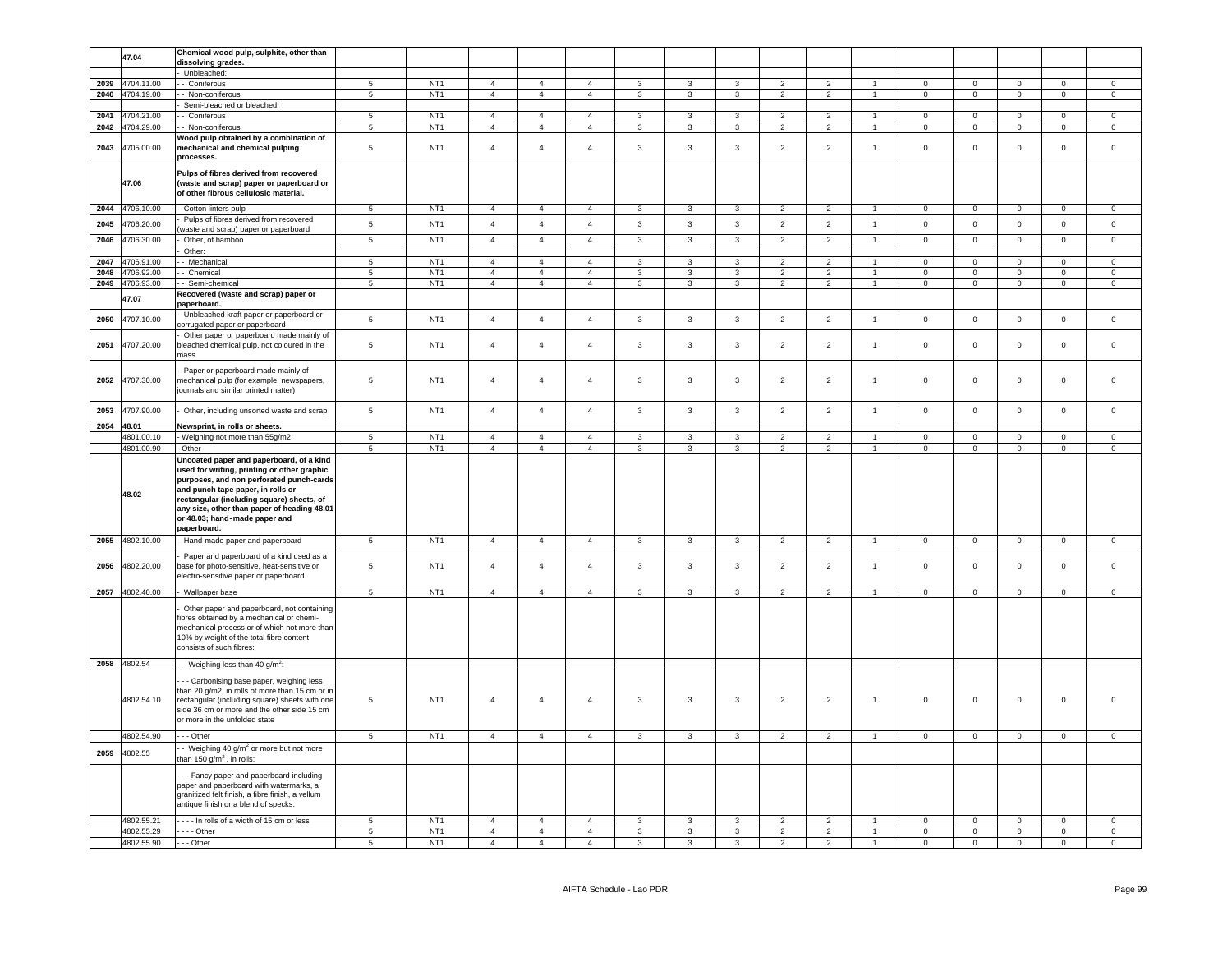|      | 47.04           | Chemical wood pulp, sulphite, other than                                                                                                                                                                                                                                                                             |                 |                 |                |                |                |                |                         |                         |                          |                |                      |                     |                |                     |                |                     |
|------|-----------------|----------------------------------------------------------------------------------------------------------------------------------------------------------------------------------------------------------------------------------------------------------------------------------------------------------------------|-----------------|-----------------|----------------|----------------|----------------|----------------|-------------------------|-------------------------|--------------------------|----------------|----------------------|---------------------|----------------|---------------------|----------------|---------------------|
|      |                 | dissolving grades.<br>Unbleached:                                                                                                                                                                                                                                                                                    |                 |                 |                |                |                |                |                         |                         |                          |                |                      |                     |                |                     |                |                     |
| 2039 | 4704.11.00      | - Coniferous                                                                                                                                                                                                                                                                                                         | $\,$ 5 $\,$     | NT <sub>1</sub> | $\overline{4}$ | $\overline{4}$ | $\overline{4}$ | 3              | $\mathbf{3}$            | $\mathbf{3}$            | $\overline{2}$           | $\overline{2}$ | $\overline{1}$       | $\mathbf 0$         | $\mathbf 0$    | $\mathbf 0$         | $\mathbf 0$    | $\mathbf 0$         |
| 2040 | 4704.19.00      | - Non-coniferous                                                                                                                                                                                                                                                                                                     | $5\phantom{.0}$ | NT <sub>1</sub> | $\overline{4}$ | $\overline{4}$ | $\overline{4}$ | 3              | 3                       | $\mathbf{3}$            | $\overline{2}$           | $\overline{2}$ | $\overline{1}$       | $\mathbf 0$         | $\mathbf 0$    | $\mathbf 0$         | $\mathbf 0$    | $\mathbf 0$         |
|      |                 | Semi-bleached or bleached:                                                                                                                                                                                                                                                                                           |                 |                 |                |                |                |                |                         |                         |                          |                |                      |                     |                |                     |                |                     |
| 2041 | 4704.21.00      | - Coniferous                                                                                                                                                                                                                                                                                                         | 5               | NT <sub>1</sub> | $\overline{4}$ | $\overline{4}$ | $\overline{4}$ | 3              | 3                       | 3                       | $\overline{2}$           | 2              | $\overline{1}$       | $\mathbf 0$         | $\mathsf 0$    | $\mathbf 0$         | $\mathbf 0$    | $\mathsf 0$         |
| 2042 | 1704.29.00      | - Non-coniferous                                                                                                                                                                                                                                                                                                     | $5\phantom{.0}$ | NT <sub>1</sub> | $\overline{4}$ | $\overline{4}$ | $\overline{4}$ | 3              | $\mathbf{3}$            | $\mathbf{3}$            | $\overline{2}$           | $\overline{2}$ | $\overline{1}$       | $\mathsf 0$         | $\mathbf 0$    | $\mathbf 0$         | $\,0\,$        | $\mathbf 0$         |
|      |                 | Wood pulp obtained by a combination of                                                                                                                                                                                                                                                                               |                 |                 |                |                |                |                |                         |                         |                          |                |                      |                     |                |                     |                |                     |
| 2043 | 4705.00.00      | mechanical and chemical pulping<br>processes.                                                                                                                                                                                                                                                                        | 5               | NT <sub>1</sub> | $\overline{4}$ | $\overline{4}$ | $\overline{4}$ | $\mathbf{3}$   | 3                       | $\mathbf{3}$            | $\overline{2}$           | $\overline{2}$ | $\overline{1}$       | $\,0\,$             | $\mathbf 0$    | $\mathsf 0$         | $\mathbf 0$    | $\mathsf{O}$        |
|      | 47.06           | Pulps of fibres derived from recovered<br>(waste and scrap) paper or paperboard or<br>of other fibrous cellulosic material.                                                                                                                                                                                          |                 |                 |                |                |                |                |                         |                         |                          |                |                      |                     |                |                     |                |                     |
| 2044 | 4706.10.00      | Cotton linters pulp                                                                                                                                                                                                                                                                                                  | $5\phantom{.0}$ | NT <sub>1</sub> | $\overline{4}$ | $\overline{4}$ | $\overline{4}$ | $\mathbf{3}$   | $\mathbf{3}$            | $\mathbf{3}$            | $\overline{2}$           | $\overline{2}$ | $\overline{1}$       | $\overline{0}$      | $\mathbf{0}$   | $\mathbf{0}$        | $\circ$        | $\mathbf 0$         |
| 2045 | 4706.20.00      | Pulps of fibres derived from recovered<br>waste and scrap) paper or paperboard                                                                                                                                                                                                                                       | 5               | NT <sub>1</sub> | $\overline{4}$ | $\overline{4}$ | $\overline{4}$ | $\mathbf{3}$   | $\mathbf{3}$            | $\mathbf{3}$            | 2                        | $\overline{2}$ | $\mathbf{1}$         | $\mathsf 0$         | $\mathbf 0$    | $\mathsf 0$         | $\mathbf 0$    | $\mathsf 0$         |
| 2046 | 1706.30.00      | Other, of bamboo                                                                                                                                                                                                                                                                                                     | 5               | NT <sub>1</sub> | $\overline{4}$ | $\overline{4}$ | $\overline{4}$ | $\overline{3}$ | $\mathbf{3}$            | $\mathbf{3}$            | $\overline{2}$           | $\overline{2}$ | $\overline{1}$       | $\mathsf{O}\xspace$ | $\mathsf 0$    | $\mathsf{O}\xspace$ | $\mathbb O$    | $\mathbf 0$         |
|      |                 | Other:                                                                                                                                                                                                                                                                                                               |                 |                 |                |                |                |                |                         |                         |                          |                |                      |                     |                |                     |                |                     |
| 2047 | 1706.91.00      | - Mechanical                                                                                                                                                                                                                                                                                                         | 5               | NT <sub>1</sub> | $\overline{4}$ | $\overline{4}$ | $\overline{4}$ | 3              | 3                       | 3                       | $\overline{\phantom{a}}$ | $\overline{2}$ |                      | $\Omega$            | $\mathsf 0$    | $\mathbf 0$         | $\mathsf 0$    | $\mathsf 0$         |
| 2048 | 4706.92.00      | - Chemical                                                                                                                                                                                                                                                                                                           | $5\phantom{.0}$ | NT <sub>1</sub> | $\sqrt{4}$     | $\overline{4}$ | $\overline{4}$ | $\mathbf{3}$   | $\mathbf{3}$            | 3                       | $\overline{2}$           | $\overline{2}$ | $\overline{1}$       | $\mathsf 0$         | $\mathbf 0$    | $\mathsf{O}\xspace$ | $\mathbb O$    | $\mathsf{O}\xspace$ |
| 2049 | 1706.93.00      | - Semi-chemical                                                                                                                                                                                                                                                                                                      | $\overline{5}$  | NT <sub>1</sub> | $\overline{4}$ | $\overline{4}$ | $\overline{4}$ | $\overline{3}$ | $\overline{\mathbf{3}}$ | $\overline{3}$          | $\overline{2}$           | $\overline{2}$ | $\overline{1}$       | $\mathbf 0$         | $\overline{0}$ | $\overline{0}$      | $\overline{0}$ | $\overline{0}$      |
|      | 47.07           | Recovered (waste and scrap) paper or<br>paperboard.                                                                                                                                                                                                                                                                  |                 |                 |                |                |                |                |                         |                         |                          |                |                      |                     |                |                     |                |                     |
| 2050 | 4707.10.00      | Unbleached kraft paper or paperboard or<br>corrugated paper or paperboard                                                                                                                                                                                                                                            | $5\phantom{.0}$ | NT <sub>1</sub> | $\overline{4}$ | $\overline{4}$ | $\overline{4}$ | $\overline{3}$ | $\mathbf{3}$            | $\mathbf{3}$            | 2                        | $\overline{2}$ | $\overline{1}$       | $\mathbf 0$         | $\mathsf 0$    | $\mathsf 0$         | $\mathbf 0$    | $\mathbf{0}$        |
| 2051 | 4707.20.00      | Other paper or paperboard made mainly of<br>bleached chemical pulp, not coloured in the<br>mass                                                                                                                                                                                                                      | 5               | NT <sub>1</sub> | $\overline{4}$ | $\overline{4}$ | $\overline{4}$ | 3              | 3                       | 3                       | $\overline{2}$           | $\overline{2}$ | $\overline{1}$       | $\mathsf 0$         | $\mathsf 0$    | $\mathsf 0$         | $\mathbf 0$    | $\mathsf 0$         |
| 2052 | 4707.30.00      | Paper or paperboard made mainly of<br>mechanical pulp (for example, newspapers,<br>journals and similar printed matter)                                                                                                                                                                                              | 5               | NT <sub>1</sub> | $\overline{4}$ | $\overline{4}$ | $\overline{4}$ | 3              | $\mathbf{3}$            | $\mathbf{3}$            | $\overline{2}$           | $\overline{2}$ | $\overline{1}$       | $\mathsf 0$         | $\mathbf 0$    | $\mathbf 0$         | $\mathbf 0$    | $\mathbf 0$         |
| 2053 | 4707.90.00      | Other, including unsorted waste and scrap                                                                                                                                                                                                                                                                            | $\,$ 5 $\,$     | NT <sub>1</sub> | $\overline{4}$ | $\overline{4}$ | $\overline{4}$ | $\mathbf{3}$   | $\mathbf{3}$            | $\mathbf{3}$            | 2                        | $\overline{2}$ | $\overline{1}$       | $\mathbf 0$         | $\mathsf 0$    | $\mathsf 0$         | $\mathbf 0$    | $\mathsf 0$         |
| 2054 | 48.01           | Newsprint, in rolls or sheets.                                                                                                                                                                                                                                                                                       |                 |                 |                |                |                |                |                         |                         |                          |                |                      |                     |                |                     |                |                     |
|      | 4801.00.10      | Weighing not more than 55g/m2                                                                                                                                                                                                                                                                                        | 5               | NT <sub>1</sub> | $\overline{4}$ | $\overline{4}$ | $\overline{4}$ | 3              | 3                       | 3                       | $\overline{2}$           | $\overline{2}$ | $\overline{1}$       | $\Omega$            | $\mathbf 0$    | $\mathbf{0}$        | $\mathbf{0}$   | $\mathbf 0$         |
|      | 4801.00.90      | Other                                                                                                                                                                                                                                                                                                                | 5               | NT <sub>1</sub> | $\overline{4}$ | $\overline{4}$ | $\overline{4}$ | $\mathbf{3}$   | $\mathbf{3}$            | $\mathbf{3}$            | $\overline{2}$           | $\overline{2}$ | $\overline{1}$       | $\mathsf 0$         | $\mathbf 0$    | $\mathsf 0$         | $\mathbf 0$    | $\mathsf 0$         |
|      | 48.02           | Uncoated paper and paperboard, of a kind<br>used for writing, printing or other graphic<br>purposes, and non perforated punch-cards<br>and punch tape paper, in rolls or<br>rectangular (including square) sheets, of<br>any size, other than paper of heading 48.01<br>or 48.03; hand-made paper and<br>paperboard. |                 |                 |                |                |                |                |                         |                         |                          |                |                      |                     |                |                     |                |                     |
| 2055 | 4802.10.00      | Hand-made paper and paperboard                                                                                                                                                                                                                                                                                       | 5               | NT <sub>1</sub> | $\overline{4}$ | $\overline{4}$ | $\overline{4}$ | 3              | $\mathbf{3}$            | $\mathbf{3}$            | $\overline{2}$           | $\overline{2}$ | $\overline{1}$       | $\mathsf 0$         | $\mathbf 0$    | $\mathsf 0$         | $\mathbb O$    | $\mathbf 0$         |
| 2056 | 4802.20.00      | Paper and paperboard of a kind used as a<br>base for photo-sensitive, heat-sensitive or<br>electro-sensitive paper or paperboard                                                                                                                                                                                     | 5               | NT <sub>1</sub> | $\overline{4}$ | $\overline{4}$ | $\overline{4}$ | 3              | $\mathbf{3}$            | $\mathbf{3}$            | $\overline{2}$           | $\overline{2}$ | $\overline{1}$       | $\mathsf 0$         | $\mathbf 0$    | $\mathsf 0$         | $\mathbf 0$    | $\mathsf{O}\xspace$ |
|      | 2057 4802.40.00 | - Wallpaper base                                                                                                                                                                                                                                                                                                     | 5               | NT <sub>1</sub> | $\overline{4}$ | $\overline{4}$ | $\overline{4}$ | 3              | 3                       | 3                       | $\overline{2}$           | $\overline{2}$ | $\overline{1}$       | $\mathbf 0$         | $\mathbf 0$    | $\circ$             | $\mathbf{0}$   | $\mathbf 0$         |
|      |                 | Other paper and paperboard, not containing<br>fibres obtained by a mechanical or chemi-<br>mechanical process or of which not more than<br>10% by weight of the total fibre content<br>consists of such fibres:                                                                                                      |                 |                 |                |                |                |                |                         |                         |                          |                |                      |                     |                |                     |                |                     |
|      | 2058 4802.54    | - Weighing less than 40 g/m <sup>2</sup> :                                                                                                                                                                                                                                                                           |                 |                 |                |                |                |                |                         |                         |                          |                |                      |                     |                |                     |                |                     |
|      | 4802.54.10      | - Carbonising base paper, weighing less<br>than 20 g/m2, in rolls of more than 15 cm or in<br>rectangular (including square) sheets with one<br>side 36 cm or more and the other side 15 cm<br>or more in the unfolded state                                                                                         | 5               | NT <sub>1</sub> | $\overline{4}$ | $\overline{4}$ | $\overline{4}$ | $\mathbf{3}$   | 3                       | $\mathbf{3}$            | $\overline{2}$           | $\overline{2}$ | $\overline{1}$       | $\mathsf 0$         | $\mathbf 0$    | $\mathsf 0$         | $\overline{0}$ | $\mathbf 0$         |
|      | 4802.54.90      | $\cdots$ Other                                                                                                                                                                                                                                                                                                       | $\overline{5}$  | NT <sub>1</sub> | $\overline{4}$ | $\overline{4}$ | $\overline{4}$ | $\mathbf{3}$   | $\overline{3}$          | $\overline{\mathbf{3}}$ | $\overline{2}$           | $\overline{2}$ | $\overline{1}$       | $\circ$             | $\overline{0}$ | $\overline{0}$      | $\overline{0}$ | $\overline{0}$      |
| 2059 | 4802.55         | - Weighing 40 g/m <sup>2</sup> or more but not more<br>han 150 g/m <sup>2</sup> , in rolls:                                                                                                                                                                                                                          |                 |                 |                |                |                |                |                         |                         |                          |                |                      |                     |                |                     |                |                     |
|      |                 | - - Fancy paper and paperboard including<br>paper and paperboard with watermarks, a<br>granitized felt finish, a fibre finish, a vellum<br>antique finish or a blend of specks:                                                                                                                                      |                 |                 |                |                |                |                |                         |                         |                          |                |                      |                     |                |                     |                |                     |
|      | 4802.55.21      | ---- In rolls of a width of 15 cm or less                                                                                                                                                                                                                                                                            | 5               | NT <sub>1</sub> | $\overline{4}$ | $\overline{4}$ | $\overline{4}$ | $\mathbf{3}$   | $\mathbf{3}$            | $\mathbf{3}$            | $\overline{2}$           | $\overline{2}$ |                      | $\mathbf 0$         | $\mathsf 0$    | $\mathsf 0$         | $\mathbf 0$    | $\mathsf 0$         |
|      | 4802.55.29      | $- - -$ Other                                                                                                                                                                                                                                                                                                        | $\,$ 5 $\,$     | NT <sub>1</sub> | $\overline{4}$ | $\overline{4}$ | $\overline{4}$ | 3              | 3                       | 3                       | $\overline{2}$           | $\overline{2}$ | $\overline{1}$       | $\,0\,$             | $\mathbf 0$    | $\mathsf 0$         | $\mathbf 0$    | $\mathsf 0$         |
|      | 4802.55.90      | --- Other                                                                                                                                                                                                                                                                                                            | 5               | NT <sub>1</sub> | $\overline{4}$ | $\overline{4}$ | $\overline{4}$ | $\mathbf{3}$   | $\mathbf{3}$            | $\mathbf{3}$            | $\overline{2}$           | $\overline{2}$ | $\blacktriangleleft$ | $\mathsf 0$         | $\mathsf 0$    | $\mathsf 0$         | $\mathbf 0$    | $\mathsf{O}\xspace$ |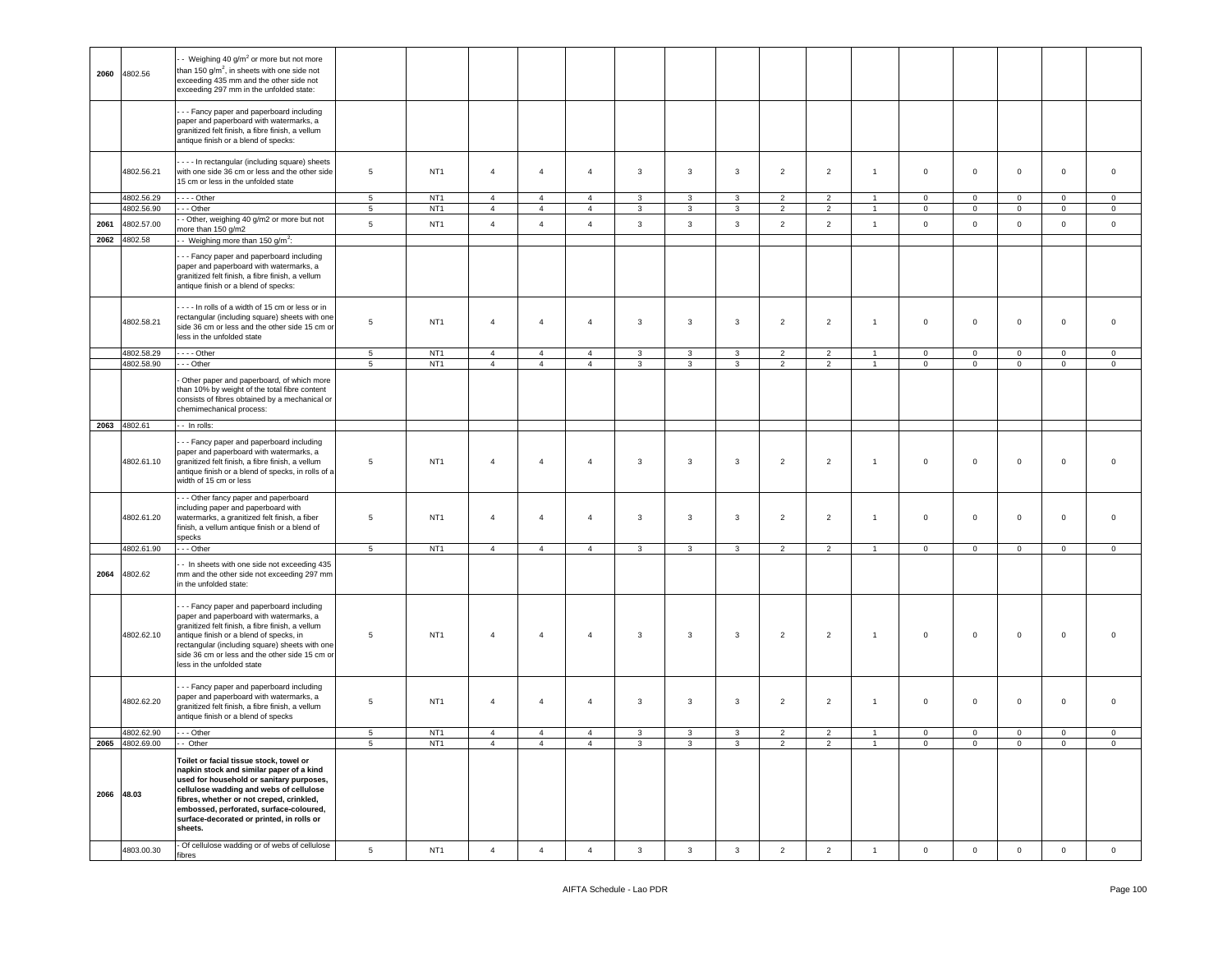| 2060       | 4802.56         | - Weighing 40 g/m <sup>2</sup> or more but not more<br>than 150 $q/m^2$ , in sheets with one side not<br>exceeding 435 mm and the other side not<br>exceeding 297 mm in the unfolded state:                                                                                                                               |                 |                 |                |                                  |                |                         |                |                |                |                |                                  |                |                |                |                |                |
|------------|-----------------|---------------------------------------------------------------------------------------------------------------------------------------------------------------------------------------------------------------------------------------------------------------------------------------------------------------------------|-----------------|-----------------|----------------|----------------------------------|----------------|-------------------------|----------------|----------------|----------------|----------------|----------------------------------|----------------|----------------|----------------|----------------|----------------|
|            |                 | - - Fancy paper and paperboard including<br>paper and paperboard with watermarks, a<br>granitized felt finish, a fibre finish, a vellum<br>antique finish or a blend of specks:                                                                                                                                           |                 |                 |                |                                  |                |                         |                |                |                |                |                                  |                |                |                |                |                |
|            | 4802.56.21      | - - - In rectangular (including square) sheets<br>with one side 36 cm or less and the other side<br>15 cm or less in the unfolded state                                                                                                                                                                                   | $\,$ 5 $\,$     | NT <sub>1</sub> | $\overline{4}$ | $\overline{4}$                   | $\overline{4}$ | $\mathbf{3}$            | $\mathbf{3}$   | $\mathbf{3}$   | $\overline{2}$ | $\overline{2}$ | $\mathbf{1}$                     | $\mathsf 0$    | $\mathbf 0$    | $\mathsf 0$    | $\mathbf 0$    | $\,$ 0         |
|            | 4802.56.29      | $- - -$ Other                                                                                                                                                                                                                                                                                                             | 5 <sup>5</sup>  | NT <sub>1</sub> | $\overline{4}$ | $\overline{4}$                   | $\overline{4}$ | $\mathbf{3}$            | $\mathbf{3}$   | $\mathbf{3}$   | $\overline{2}$ | $\overline{2}$ | $\overline{1}$                   | $\mathsf 0$    | $\mathbf 0$    | $\mathbf 0$    | $\mathbf{0}$   | $\mathbf 0$    |
|            | 4802.56.90      | --- Other                                                                                                                                                                                                                                                                                                                 | $5\phantom{.0}$ | NT <sub>1</sub> | $\overline{4}$ | $\overline{4}$                   | $\overline{4}$ | $\mathbf{3}$            | $\mathbf{3}$   | $\mathbf{3}$   | $\overline{2}$ | $\overline{2}$ | $\blacktriangleleft$             | $\mathsf 0$    | $\overline{0}$ | $\mathbf 0$    | $\overline{0}$ | $\overline{0}$ |
| 2061       | 4802.57.00      | - Other, weighing 40 g/m2 or more but not<br>more than 150 g/m2                                                                                                                                                                                                                                                           | $\,$ 5 $\,$     | NT <sub>1</sub> | $\overline{4}$ | $\overline{4}$                   | $\overline{4}$ | $\mathbf{3}$            | $\mathbf{3}$   | $\mathbf{3}$   | $\overline{2}$ | $\overline{2}$ | $\mathbf{1}$                     | $\mathsf 0$    | $\mathsf 0$    | $\mathsf 0$    | $\mathsf 0$    | $\mathsf 0$    |
|            | 2062 4802.58    | - Weighing more than 150 g/m <sup>2</sup> :                                                                                                                                                                                                                                                                               |                 |                 |                |                                  |                |                         |                |                |                |                |                                  |                |                |                |                |                |
|            |                 | - - Fancy paper and paperboard including<br>paper and paperboard with watermarks, a<br>granitized felt finish, a fibre finish, a vellum<br>antique finish or a blend of specks:                                                                                                                                           |                 |                 |                |                                  |                |                         |                |                |                |                |                                  |                |                |                |                |                |
|            | 4802.58.21      | In rolls of a width of 15 cm or less or in<br>rectangular (including square) sheets with one<br>side 36 cm or less and the other side 15 cm or<br>less in the unfolded state                                                                                                                                              | $\,$ 5 $\,$     | NT <sub>1</sub> | $\overline{4}$ | $\overline{4}$                   | $\overline{4}$ | $\mathbf{3}$            | $\mathbf{3}$   | $\mathbf{3}$   | $\overline{2}$ | $\overline{2}$ | $\mathbf{1}$                     | $\mathsf 0$    | $\mathsf 0$    | $\mathbf 0$    | $\mathsf 0$    | $\mathbf 0$    |
|            | 4802.58.29      | $\cdots$ - Other                                                                                                                                                                                                                                                                                                          | $\,$ 5 $\,$     | NT <sub>1</sub> | $\overline{4}$ | $\overline{4}$<br>$\overline{4}$ | $\sqrt{4}$     | $\mathbf{3}$            | 3              | $\mathbf{3}$   | $\overline{2}$ | $\overline{2}$ | $\overline{1}$<br>$\overline{1}$ | $\mathsf 0$    | $\mathsf 0$    | $\mathsf 0$    | $\mathbf 0$    | $\,0\,$        |
|            | 4802.58.90      | --- Other<br>Other paper and paperboard, of which more<br>than 10% by weight of the total fibre content<br>consists of fibres obtained by a mechanical or<br>chemimechanical process:                                                                                                                                     | $\overline{5}$  | NT <sub>1</sub> | $\overline{4}$ |                                  | $\overline{4}$ | $\mathbf{3}$            | $\mathbf{3}$   | $\mathbf{3}$   | $\overline{2}$ | $\overline{2}$ |                                  | $\mathsf 0$    | $\circ$        | $\mathsf 0$    | $\mathbf 0$    | $\mathsf 0$    |
|            | 2063 4802.61    | - - In rolls:                                                                                                                                                                                                                                                                                                             |                 |                 |                |                                  |                |                         |                |                |                |                |                                  |                |                |                |                |                |
|            | 4802.61.10      | - - Fancy paper and paperboard including<br>paper and paperboard with watermarks, a<br>granitized felt finish, a fibre finish, a vellum<br>antique finish or a blend of specks, in rolls of a<br>width of 15 cm or less                                                                                                   | 5               | NT <sub>1</sub> | $\overline{4}$ | $\overline{4}$                   | $\overline{4}$ | $\mathbf{3}$            | 3              | $\mathbf{3}$   | $\overline{2}$ | $\overline{2}$ | $\overline{1}$                   | $\mathsf 0$    | $\mathsf 0$    | $\mathsf 0$    | $\mathbf 0$    | $\overline{0}$ |
|            | 4802.61.20      | --- Other fancy paper and paperboard<br>including paper and paperboard with<br>watermarks, a granitized felt finish, a fiber<br>finish, a vellum antique finish or a blend of<br>specks                                                                                                                                   | $5\phantom{.0}$ | NT <sub>1</sub> | $\overline{4}$ | $\overline{4}$                   | $\overline{4}$ | $\mathbf{3}$            | $\overline{3}$ | $\mathbf{3}$   | $\overline{2}$ | $\overline{2}$ | $\overline{1}$                   | $\mathsf 0$    | $\mathbf 0$    | $\mathbf{0}$   | $\mathbf 0$    | $\overline{0}$ |
|            | 4802.61.90      | $\cdots$ Other                                                                                                                                                                                                                                                                                                            | $\overline{5}$  | NT1             | $\overline{4}$ | $\overline{4}$                   | $\overline{4}$ | $\mathbf{3}$            | $\mathbf{3}$   | $\mathbf{3}$   | $\overline{2}$ | $\overline{2}$ | $\mathbf{1}$                     | $\circ$        | $\circ$        | $\mathsf 0$    | $\overline{0}$ | $\mathbf 0$    |
| 2064       | 4802.62         | - In sheets with one side not exceeding 435<br>mm and the other side not exceeding 297 mm<br>in the unfolded state:                                                                                                                                                                                                       |                 |                 |                |                                  |                |                         |                |                |                |                |                                  |                |                |                |                |                |
|            | 4802.62.10      | --- Fancy paper and paperboard including<br>paper and paperboard with watermarks, a<br>granitized felt finish, a fibre finish, a vellum<br>antique finish or a blend of specks, in<br>rectangular (including square) sheets with one<br>side 36 cm or less and the other side 15 cm or<br>less in the unfolded state      | 5               | NT <sub>1</sub> | $\overline{4}$ | $\overline{4}$                   | $\overline{4}$ | $\mathbf{3}$            | $\overline{3}$ | $\mathbf{3}$   | $\overline{2}$ | $\overline{2}$ | $\overline{1}$                   | $\mathsf 0$    | $\mathsf 0$    | $\mathsf 0$    | $\mathbf 0$    | $\overline{0}$ |
|            | 4802.62.20      | --- Fancy paper and paperboard including<br>paper and paperboard with watermarks, a<br>granitized felt finish, a fibre finish, a vellum<br>antique finish or a blend of specks                                                                                                                                            | $\,$ 5 $\,$     | NT <sub>1</sub> | $\overline{4}$ | $\overline{4}$                   | $\overline{4}$ | $\mathbf{3}$            | $\overline{3}$ | $\mathbf{3}$   | $\overline{2}$ | $\overline{2}$ | $\mathbf{1}$                     | $\mathsf 0$    | $\mathsf 0$    | $\mathsf 0$    | $\mathbf 0$    | $\mathbf 0$    |
|            | 4802.62.90      | $- -$ Other                                                                                                                                                                                                                                                                                                               | $\overline{5}$  | NT <sub>1</sub> | $\overline{4}$ | $\overline{4}$                   | $\overline{4}$ | $\mathbf{3}$            | $\mathbf{3}$   | $\overline{3}$ | $\overline{2}$ | $\overline{2}$ | $\blacktriangleleft$             | $\circ$        | $\mathbf 0$    | $\mathbf 0$    | $\overline{0}$ | $\,0\,$        |
|            | 2065 4802.69.00 | $-$ Other                                                                                                                                                                                                                                                                                                                 | $\overline{5}$  | NT <sub>1</sub> | $\overline{4}$ | $\overline{4}$                   | $\overline{4}$ | $\overline{\mathbf{3}}$ | $\overline{3}$ | $\overline{3}$ | $\overline{2}$ | $\overline{2}$ | $\mathbf{1}$                     | $\overline{0}$ | $\overline{0}$ | $\overline{0}$ | $\overline{0}$ | $\overline{0}$ |
| 2066 48.03 |                 | Toilet or facial tissue stock, towel or<br>napkin stock and similar paper of a kind<br>used for household or sanitary purposes,<br>cellulose wadding and webs of cellulose<br>fibres, whether or not creped, crinkled,<br>embossed, perforated, surface-coloured,<br>surface-decorated or printed, in rolls or<br>sheets. |                 |                 |                |                                  |                |                         |                |                |                |                |                                  |                |                |                |                |                |
|            | 4803.00.30      | - Of cellulose wadding or of webs of cellulose<br>fibres                                                                                                                                                                                                                                                                  | $\sqrt{5}$      | NT <sub>1</sub> | $\overline{4}$ | $\overline{4}$                   | $\overline{4}$ | 3                       | $\mathbf{3}$   | 3              | $\overline{2}$ | $\overline{2}$ | $\mathbf{1}$                     | $\mathbf 0$    | $\mathbf 0$    | $\mathbf{0}$   | $\mathbf 0$    | $\mathsf 0$    |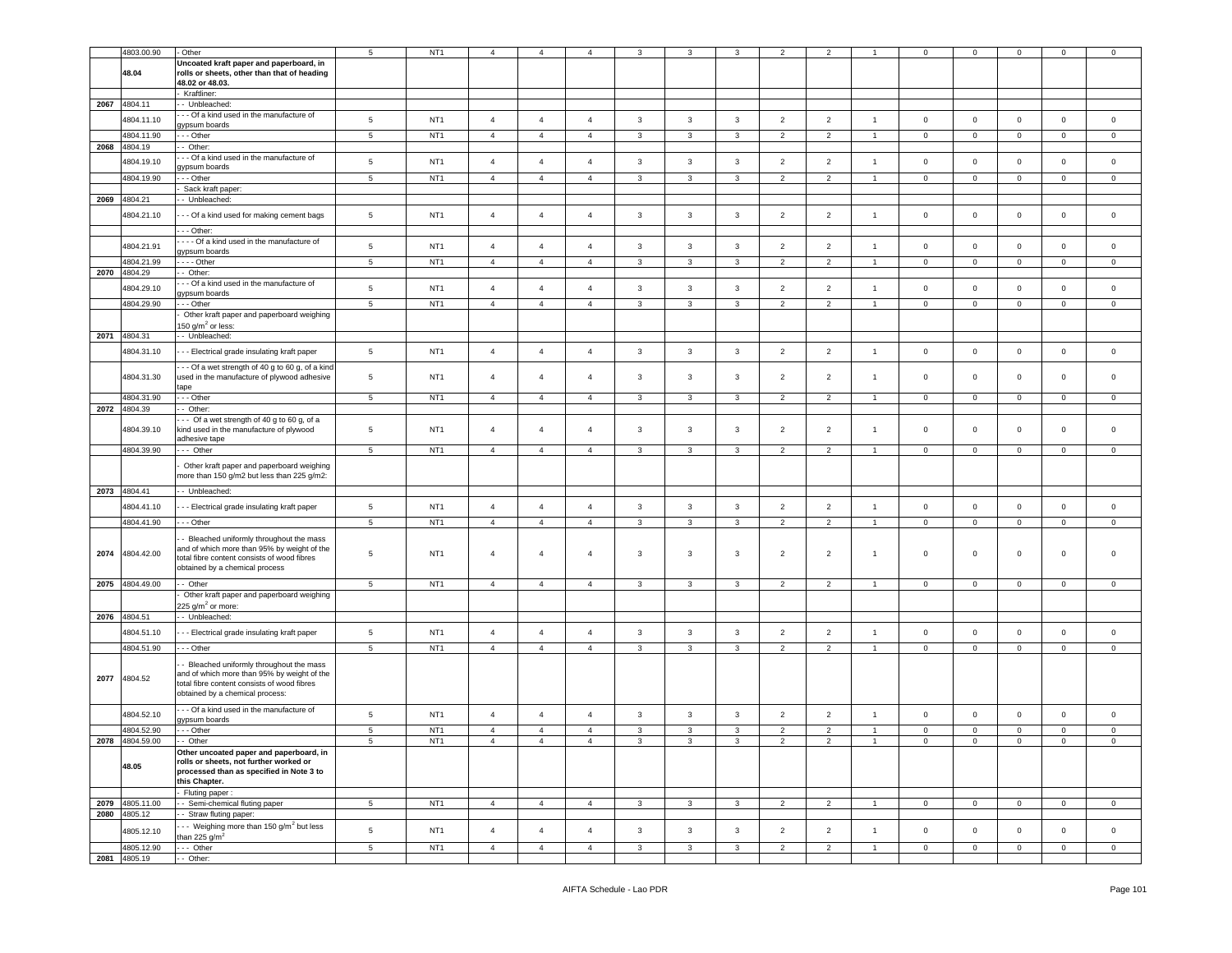|      | 4803.00.90                 | Other                                                                                                                                                                   | 5               | NT <sub>1</sub> | $\overline{4}$ | $\overline{4}$ | $\overline{4}$ | 3              | 3              |              | $\overline{2}$ | $\overline{2}$ |                | $\mathbf 0$    | $\mathbf 0$    | $\mathbf 0$ | $\mathbf 0$    | $\mathbf 0$    |
|------|----------------------------|-------------------------------------------------------------------------------------------------------------------------------------------------------------------------|-----------------|-----------------|----------------|----------------|----------------|----------------|----------------|--------------|----------------|----------------|----------------|----------------|----------------|-------------|----------------|----------------|
|      | 48.04                      | Uncoated kraft paper and paperboard, in<br>rolls or sheets, other than that of heading<br>48.02 or 48.03.                                                               |                 |                 |                |                |                |                |                |              |                |                |                |                |                |             |                |                |
|      |                            | Kraftliner:                                                                                                                                                             |                 |                 |                |                |                |                |                |              |                |                |                |                |                |             |                |                |
| 2067 | 4804.11                    | - Unbleached:                                                                                                                                                           |                 |                 |                |                |                |                |                |              |                |                |                |                |                |             |                |                |
|      | 4804.11.10                 | - - Of a kind used in the manufacture of<br>aypsum boards                                                                                                               | $\,$ 5 $\,$     | NT <sub>1</sub> | $\overline{4}$ | $\overline{4}$ | $\overline{4}$ | $\mathbf{3}$   | $\mathbf{3}$   | $\mathbf{3}$ | $\overline{2}$ | $\overline{2}$ | $\overline{1}$ | $\mathbf 0$    | $\mathbf 0$    | $\mathbf 0$ | $\mathbf 0$    | $\mathsf 0$    |
|      | 4804.11.90                 | - - Other                                                                                                                                                               | $\overline{5}$  | NT <sub>1</sub> | $\overline{4}$ | $\overline{4}$ | $\overline{4}$ | $\mathbf{3}$   | $\overline{3}$ | $\mathbf{3}$ | 2              | 2              | $\overline{1}$ | $\mathbf{0}$   | $\circ$        | $\mathsf 0$ | $\circ$        | $\circ$        |
| 2068 | 4804.19                    | - Other:                                                                                                                                                                |                 |                 |                |                |                |                |                |              |                |                |                |                |                |             |                |                |
|      | 4804.19.10                 | - - Of a kind used in the manufacture of                                                                                                                                | $\,$ 5 $\,$     | NT <sub>1</sub> | $\overline{4}$ | $\overline{4}$ | $\overline{4}$ | $\mathbf{3}$   | $\mathbf{3}$   | $\mathbf{3}$ | $\overline{2}$ | $\overline{2}$ | $\overline{1}$ | $\,0\,$        | $\mathbf 0$    | $\mathbf 0$ | $\mathsf 0$    | $\mathbf 0$    |
|      | 4804.19.90                 | gypsum boards<br>- - Other                                                                                                                                              | $\overline{5}$  | NT <sub>1</sub> | $\overline{4}$ | $\overline{4}$ | $\overline{4}$ | $\overline{3}$ | 3              | $\mathbf{3}$ | 2              | 2              | $\overline{1}$ | $\mathbf 0$    | $\mathbf 0$    | $\circ$     | $\mathbf 0$    | $\mathbf 0$    |
|      |                            | Sack kraft paper:                                                                                                                                                       |                 |                 |                |                |                |                |                |              |                |                |                |                |                |             |                |                |
| 2069 | 4804.21                    | - Unbleached:                                                                                                                                                           |                 |                 |                |                |                |                |                |              |                |                |                |                |                |             |                |                |
|      | 4804.21.10                 | - - - Of a kind used for making cement bags                                                                                                                             | $5\phantom{.0}$ | NT <sub>1</sub> | $\overline{4}$ | $\overline{4}$ | $\overline{4}$ | 3              | 3              | $\mathbf{3}$ | $\overline{2}$ | $\overline{2}$ | $\overline{1}$ | $\mathbf 0$    | $\mathbf 0$    | $\mathbf 0$ | $\mathbf 0$    | $\mathbf 0$    |
|      |                            |                                                                                                                                                                         |                 |                 |                |                |                |                |                |              |                |                |                |                |                |             |                |                |
|      |                            | --- Other:                                                                                                                                                              |                 |                 |                |                |                |                |                |              |                |                |                |                |                |             |                |                |
|      | 4804.21.91                 | --- Of a kind used in the manufacture of<br>gypsum boards                                                                                                               | $\,$ 5 $\,$     | NT <sub>1</sub> | $\overline{4}$ | $\overline{4}$ | $\overline{4}$ | $\mathbf{3}$   | $\mathbf{3}$   | $\mathbf{3}$ | $\overline{2}$ | $\overline{2}$ | $\overline{1}$ | $\,0\,$        | $\mathbf 0$    | $\mathbf 0$ | $\mathsf 0$    | $\mathbf 0$    |
|      | 4804.21.99                 | $- -$ - Other                                                                                                                                                           | $\overline{5}$  | NT <sub>1</sub> | $\overline{4}$ | $\overline{4}$ | $\overline{4}$ | $\overline{3}$ | $\overline{3}$ | $\mathbf{3}$ | 2              | 2              | $\overline{1}$ | $\overline{0}$ | $\mathbf{0}$   | $\circ$     | $\circ$        | $\circ$        |
| 2070 | 4804.29                    | - Other:                                                                                                                                                                |                 |                 |                |                |                |                |                |              |                |                |                |                |                |             |                |                |
|      | 4804.29.10                 | - - Of a kind used in the manufacture of                                                                                                                                | $\,$ 5 $\,$     | NT <sub>1</sub> | $\overline{4}$ | $\overline{4}$ | $\overline{4}$ | $\mathbf{3}$   | $\mathbf{3}$   | $\mathbf{3}$ | $\overline{2}$ | $\overline{2}$ | $\overline{1}$ | $\mathbf 0$    | $\mathbf 0$    | $\mathbf 0$ | $\mathbf 0$    | $\mathbf 0$    |
|      | 4804.29.90                 | gypsum boards<br>- - Other                                                                                                                                              | $\overline{5}$  | NT <sub>1</sub> | $\overline{4}$ | $\overline{4}$ | $\overline{4}$ | $\mathbf{3}$   | $\overline{3}$ | $\mathbf{3}$ | 2              | 2              | $\overline{1}$ | $\mathbf 0$    | $\circ$        | $\mathsf 0$ | $\mathbf 0$    | $\mathbf 0$    |
|      |                            | Other kraft paper and paperboard weighing                                                                                                                               |                 |                 |                |                |                |                |                |              |                |                |                |                |                |             |                |                |
|      |                            | 150 g/m <sup>2</sup> or less:                                                                                                                                           |                 |                 |                |                |                |                |                |              |                |                |                |                |                |             |                |                |
|      | 2071 4804.31               | - Unbleached:                                                                                                                                                           |                 |                 |                |                |                |                |                |              |                |                |                |                |                |             |                |                |
|      | 4804.31.10                 | - - Electrical grade insulating kraft paper                                                                                                                             | $\,$ 5 $\,$     | NT <sub>1</sub> | $\overline{4}$ | $\overline{4}$ | $\overline{4}$ | $\mathbf{3}$   | $\mathbf{3}$   | $\mathbf{3}$ | $\overline{2}$ | $\overline{2}$ | $\mathbf{1}$   | $\mathbf 0$    | $\mathbf 0$    | $\mathbf 0$ | $\mathbf 0$    | $\circ$        |
|      |                            | - - Of a wet strength of 40 g to 60 g, of a kind                                                                                                                        |                 |                 |                |                |                |                |                |              |                |                |                |                |                |             |                |                |
|      | 4804.31.30                 | used in the manufacture of plywood adhesive                                                                                                                             | $\overline{5}$  | NT <sub>1</sub> | $\overline{4}$ | $\overline{4}$ | $\overline{4}$ | 3              | 3              | 3            | $\overline{2}$ | $\overline{2}$ | $\overline{1}$ | $\mathbf 0$    | $\mathbf 0$    | $\mathbf 0$ | $\mathbf 0$    | 0              |
|      |                            | tape                                                                                                                                                                    |                 |                 |                |                |                |                |                |              |                |                |                |                |                |             |                |                |
|      | 4804.31.90                 | - - Other                                                                                                                                                               | $5\phantom{.0}$ | NT <sub>1</sub> | $\overline{4}$ | $\overline{4}$ | $\overline{4}$ | 3              | 3              | $\mathbf{3}$ | $\overline{2}$ | $\overline{2}$ | $\mathbf{1}$   | $\mathbf 0$    | $\mathbf 0$    | $\mathbf 0$ | $\mathbf 0$    | $\mathbf{0}$   |
|      | 2072 4804.39               | Other:<br>-- Of a wet strength of 40 g to 60 g, of a                                                                                                                    |                 |                 |                |                |                |                |                |              |                |                |                |                |                |             |                |                |
|      | 4804.39.10                 | kind used in the manufacture of plywood                                                                                                                                 | $\overline{5}$  | NT <sub>1</sub> | $\overline{4}$ | $\overline{4}$ | $\overline{4}$ | 3              | 3              | 3            | $\overline{2}$ | $\overline{2}$ | $\overline{1}$ | $\mathsf 0$    | $\mathsf 0$    | $\mathbf 0$ | $\mathbf 0$    | 0              |
|      |                            | adhesive tape                                                                                                                                                           |                 |                 |                |                |                |                |                |              |                |                |                |                |                |             |                |                |
|      | 4804.39.90                 | - Other                                                                                                                                                                 | $\,$ 5 $\,$     | NT <sub>1</sub> | $\overline{4}$ | $\overline{4}$ | $\overline{4}$ | 3              | 3              | 3            | $\overline{2}$ | $\overline{2}$ | $\mathbf{1}$   | $\mathsf 0$    | $\mathbf 0$    | $\mathbf 0$ | $\mathbf 0$    | 0              |
|      |                            | Other kraft paper and paperboard weighing<br>more than 150 g/m2 but less than 225 g/m2:                                                                                 |                 |                 |                |                |                |                |                |              |                |                |                |                |                |             |                |                |
|      | 2073 4804.41               | - Unbleached:                                                                                                                                                           |                 |                 |                |                |                |                |                |              |                |                |                |                |                |             |                |                |
|      | 4804.41.10                 | -- Electrical grade insulating kraft paper                                                                                                                              | $5\phantom{.0}$ | NT <sub>1</sub> | $\overline{4}$ | $\overline{4}$ | $\overline{4}$ | $\mathbf{3}$   | 3              | $\mathbf{3}$ | $\overline{2}$ | $\overline{2}$ | $\mathbf{1}$   | $\mathbf 0$    | $\mathbf 0$    | $\mathbf 0$ | $\mathsf 0$    | $\mathsf 0$    |
|      |                            |                                                                                                                                                                         |                 |                 |                |                |                |                |                |              |                |                |                |                |                |             |                |                |
|      | 4804.41.90                 | - - Other                                                                                                                                                               | 5               | NT <sub>1</sub> | $\overline{4}$ | $\overline{4}$ | $\overline{4}$ | 3              | 3              | 3            | $\overline{2}$ | $\overline{2}$ | $\mathbf{1}$   | $\mathbf 0$    | $\mathbf{0}$   | $\mathbf 0$ | $\mathbf 0$    | 0              |
| 2074 | 4804.42.00                 | Bleached uniformly throughout the mass<br>and of which more than 95% by weight of the<br>otal fibre content consists of wood fibres<br>obtained by a chemical process   | 5               | NT <sub>1</sub> | $\overline{4}$ | $\overline{4}$ | $\overline{4}$ | 3              | 3              | 3            | $\overline{2}$ | $\overline{2}$ | $\overline{1}$ | $\mathsf 0$    | $\mathsf 0$    | $\mathbf 0$ | $\mathbf 0$    | $\mathbf 0$    |
| 2075 | 4804.49.00                 | - Other                                                                                                                                                                 | $\,$ 5 $\,$     | NT <sub>1</sub> | $\overline{4}$ | $\overline{4}$ | $\overline{4}$ | 3              | 3              | 3            | $\overline{2}$ | $\overline{2}$ | $\overline{1}$ | $\mathbf 0$    | $\mathbf 0$    | $\mathbf 0$ | $\mathbf 0$    | $\mathsf 0$    |
|      |                            | Other kraft paper and paperboard weighing                                                                                                                               |                 |                 |                |                |                |                |                |              |                |                |                |                |                |             |                |                |
|      | 2076 4804.51               | 225 g/m $^2$ or more:<br>- Unbleached:                                                                                                                                  |                 |                 |                |                |                |                |                |              |                |                |                |                |                |             |                |                |
|      |                            |                                                                                                                                                                         |                 |                 |                |                |                |                |                |              |                |                |                |                |                |             |                |                |
|      | 4804.51.10                 | -- Electrical grade insulating kraft paper                                                                                                                              | $\,$ 5 $\,$     | NT <sub>1</sub> | $\overline{4}$ | $\overline{4}$ | $\overline{4}$ | $\mathbf{3}$   | $\mathbf{3}$   | $\mathbf{3}$ | $\overline{2}$ | $\overline{2}$ | $\overline{1}$ | $\mathbf 0$    | $\mathbf 0$    | $\mathbf 0$ | $\mathbf 0$    | $\circ$        |
|      | 4804.51.90                 | - - Other                                                                                                                                                               | $5\phantom{.0}$ | NT <sub>1</sub> | $\overline{4}$ | $\overline{4}$ | $\overline{4}$ | $\mathbf{3}$   | $\mathbf{3}$   | $\mathbf{3}$ | $\overline{2}$ | $\overline{2}$ | $\mathbf{1}$   | $\mathbf{0}$   | $\overline{0}$ | $\mathsf 0$ | $\circ$        | $\circ$        |
| 2077 | 4804.52                    | Bleached uniformly throughout the mass<br>and of which more than 95% by weight of the<br>total fibre content consists of wood fibres<br>obtained by a chemical process: |                 |                 |                |                |                |                |                |              |                |                |                |                |                |             |                |                |
|      | 4804.52.10                 | - - Of a kind used in the manufacture of<br>gypsum boards                                                                                                               | 5               | NT <sub>1</sub> | $\overline{4}$ | $\overline{4}$ | $\overline{4}$ | $\mathbf{3}$   | $\mathbf{3}$   | 3            | $\overline{2}$ | $\overline{2}$ | $\overline{1}$ | $\mathbf 0$    | $\mathbf 0$    | $\mathbf 0$ | $\mathbf 0$    | $\mathbf 0$    |
|      | 4804.52.90                 | - - - Other                                                                                                                                                             | $\,$ 5 $\,$     | NT <sub>1</sub> | $\overline{4}$ | $\overline{4}$ | $\overline{4}$ | $\mathbf{3}$   | $\mathbf{3}$   | $\mathbf{3}$ | $\overline{2}$ | $\overline{2}$ | $\overline{1}$ | $\mathbf 0$    | $\mathbf 0$    | $\mathbf 0$ | $\mathsf 0$    | $\mathbf 0$    |
|      | 2078 4804.59.00            | -- Other                                                                                                                                                                | 5               | NT <sub>1</sub> | $\overline{4}$ | $\overline{4}$ | $\overline{4}$ | 3              | 3              | 3            | 2              | 2              |                | 0              | 0              | 0           | 0              | 0              |
|      | 48.05                      | Other uncoated paper and paperboard, in<br>rolls or sheets, not further worked or<br>processed than as specified in Note 3 to<br>this Chapter.                          |                 |                 |                |                |                |                |                |              |                |                |                |                |                |             |                |                |
|      |                            | Fluting paper:                                                                                                                                                          |                 |                 |                |                |                |                |                |              |                |                |                |                |                |             |                |                |
|      | 2079 4805.11.00            | -- Semi-chemical fluting paper<br>- Straw fluting paper:                                                                                                                | $5\phantom{.0}$ | NT1             | $\overline{4}$ | $\overline{4}$ | $\overline{4}$ | $\mathbf{3}$   | $\mathbf{3}$   | $\mathbf{3}$ | 2              | 2              | $\overline{1}$ | $\circ$        | $\circ$        | $\mathsf 0$ | $\overline{0}$ | $\mathsf 0$    |
|      | 2080 4805.12<br>4805.12.10 | -- Weighing more than 150 g/m <sup>2</sup> but less                                                                                                                     | $\sqrt{5}$      | NT <sub>1</sub> | $\overline{4}$ | $\overline{4}$ | $\overline{4}$ | $\mathbf{3}$   | $\mathbf{3}$   | $\mathbf{3}$ | $\overline{2}$ | $\overline{2}$ | $\overline{1}$ | $\mathbf 0$    | $\circ$        | $\mathbf 0$ | $\mathsf 0$    | $\mathsf 0$    |
|      | 4805.12.90                 | than 225 $g/m^2$<br>--- Other                                                                                                                                           | $\,$ 5 $\,$     | NT <sub>1</sub> | $\overline{4}$ | $\overline{4}$ | $\overline{4}$ | $\mathbf{3}$   | $\mathbf{3}$   | 3            | $\overline{2}$ | $\overline{2}$ | $\overline{1}$ | $\mathsf 0$    | $\mathbf 0$    | $\mathsf 0$ | $\circ$        | $\overline{0}$ |
|      | 2081 4805.19               | - Other:                                                                                                                                                                |                 |                 |                |                |                |                |                |              |                |                |                |                |                |             |                |                |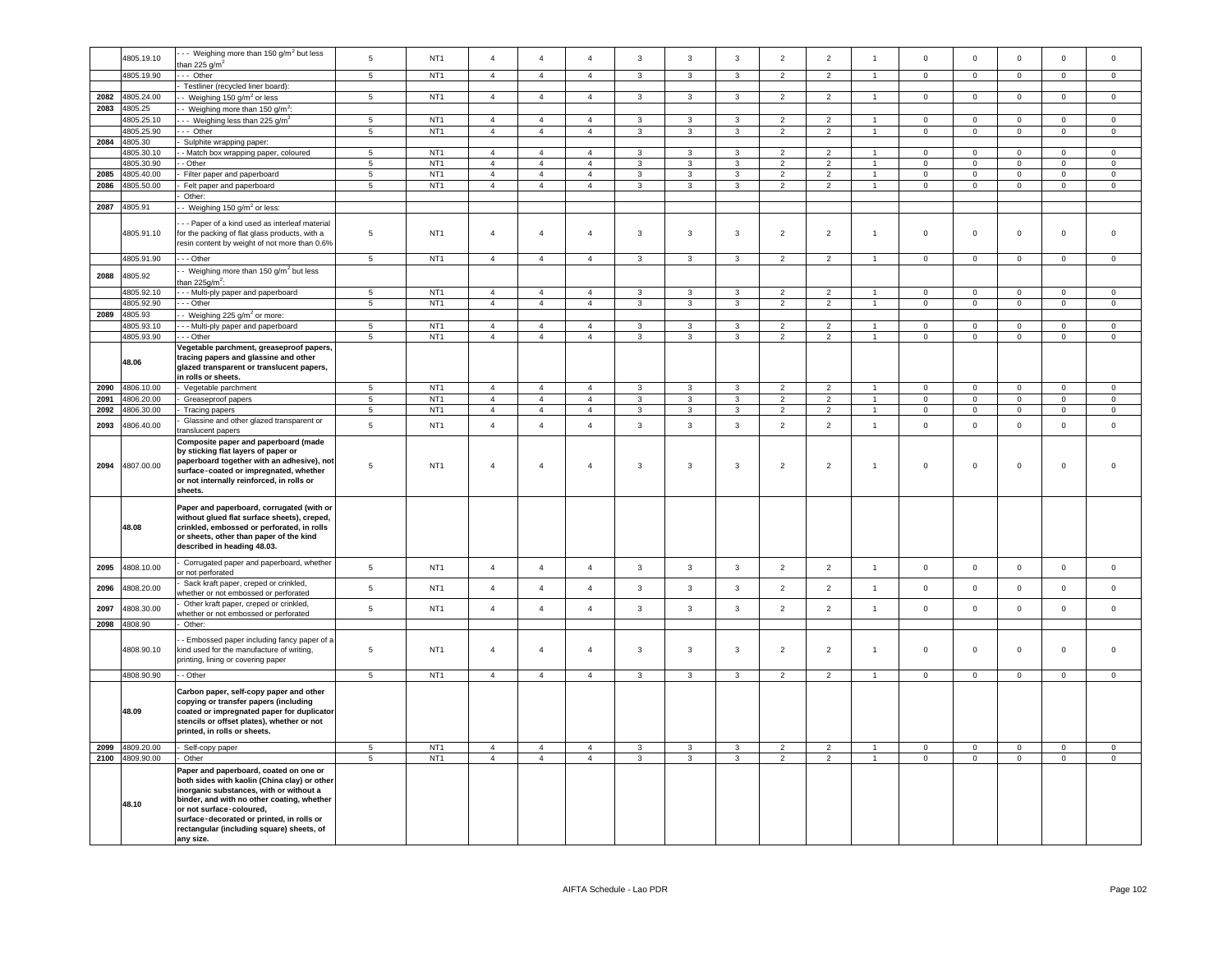|      | 4805.19.10      | - Veighing more than 150 g/m <sup>2</sup> but less                                                                                                                                                               | $5\phantom{.0}$          | NT <sub>1</sub> | $\overline{4}$ | $\overline{4}$ | $\overline{4}$ | $\mathbf{3}$   | 3              | $\mathbf{3}$            | $\overline{2}$ | $\overline{2}$ | $\overline{1}$       | $\Omega$            | $\mathsf 0$    | $\mathbf 0$    | $\mathbf 0$         | $\mathbf 0$         |
|------|-----------------|------------------------------------------------------------------------------------------------------------------------------------------------------------------------------------------------------------------|--------------------------|-----------------|----------------|----------------|----------------|----------------|----------------|-------------------------|----------------|----------------|----------------------|---------------------|----------------|----------------|---------------------|---------------------|
|      |                 | than 225 $g/m2$                                                                                                                                                                                                  |                          |                 |                |                |                |                |                |                         |                |                |                      |                     |                |                |                     |                     |
|      | 4805.19.90      | - Other                                                                                                                                                                                                          | $\,$ 5 $\,$              | NT <sub>1</sub> | $\overline{4}$ | $\overline{4}$ | $\overline{4}$ | $\mathbf{3}$   | $\mathbf{3}$   | $\mathbf{3}$            | $\overline{2}$ | $\overline{2}$ | $\mathbf{1}$         | $\mathbf{0}$        | $\mathbf 0$    | $\mathbf 0$    | $\overline{0}$      | $\overline{0}$      |
|      |                 | Testliner (recycled liner board):                                                                                                                                                                                |                          |                 |                |                |                |                |                |                         |                |                |                      |                     |                |                |                     |                     |
|      |                 |                                                                                                                                                                                                                  |                          |                 |                |                |                |                |                |                         |                |                |                      |                     |                |                |                     |                     |
| 2082 | 4805.24.00      | - Weighing 150 g/m <sup>2</sup> or less                                                                                                                                                                          | $\,$ 5 $\,$              | NT <sub>1</sub> | $\overline{4}$ | $\overline{4}$ | $\overline{4}$ | $\mathbf{3}$   | $\mathbf{3}$   | $\mathbf{3}$            | $\overline{2}$ | $\overline{2}$ | $\mathbf{1}$         | $\mathsf{O}\xspace$ | $\mathbf 0$    | $\mathbf 0$    | $\mathsf 0$         | $\mathsf 0$         |
| 2083 | 4805.25         | Weighing more than 150 g/m <sup>2</sup> :                                                                                                                                                                        |                          |                 |                |                |                |                |                |                         |                |                |                      |                     |                |                |                     |                     |
|      | 1805.25.10      | - Weighing less than 225 g/m <sup>2</sup>                                                                                                                                                                        | $\,$ 5                   | NT <sub>1</sub> | $\overline{4}$ | $\overline{4}$ | $\overline{4}$ | 3              | $\mathbf{3}$   | $\mathbf{3}$            | $\overline{c}$ | $\overline{2}$ |                      | $\mathbf 0$         | $\mathsf 0$    | $\mathbf 0$    | $\Omega$            | $\Omega$            |
|      | 4805.25.90      | - Other                                                                                                                                                                                                          | $\sqrt{5}$               | NT <sub>1</sub> | $\overline{4}$ | $\overline{4}$ | $\overline{4}$ | $\mathbf{3}$   | $\mathbf{3}$   | $\mathbf{3}$            | $\overline{2}$ | $\overline{2}$ | $\mathbf{1}$         | $\mathbf{0}$        | $\overline{0}$ | $\mathbf{0}$   | $\overline{0}$      | $\overline{0}$      |
| 2084 | 4805.30         |                                                                                                                                                                                                                  |                          |                 |                |                |                |                |                |                         |                |                |                      |                     |                |                |                     |                     |
|      |                 | Sulphite wrapping paper:                                                                                                                                                                                         |                          |                 |                |                |                |                |                |                         |                |                |                      |                     |                |                |                     |                     |
|      | 4805.30.10      | - Match box wrapping paper, coloured                                                                                                                                                                             | $5\overline{5}$          | NT <sub>1</sub> | $\overline{a}$ | $\overline{4}$ | $\overline{a}$ | $\mathbf{3}$   | 3              | 3                       | $\overline{2}$ | $\overline{2}$ | $\blacktriangleleft$ | $\Omega$            | $\mathbf 0$    | $\Omega$       | $\Omega$            | $\Omega$            |
|      | 4805.30.90      | - Other                                                                                                                                                                                                          | $5\phantom{.0}$          | NT <sub>1</sub> | $\overline{4}$ | $\overline{4}$ | $\overline{4}$ | $\mathbf{3}$   | 3              | 3                       | $\overline{2}$ | $\overline{2}$ |                      | $\mathbf 0$         | $\mathbf 0$    | $\mathsf 0$    | $\circ$             | $\circ$             |
| 2085 | 4805.40.00      | Filter paper and paperboard                                                                                                                                                                                      | 5                        | NT <sub>1</sub> | $\overline{4}$ | $\overline{4}$ | $\overline{4}$ | $\mathbf{3}$   | 3              | 3                       | $\overline{2}$ | $\overline{2}$ | $\overline{1}$       | $\mathbf{0}$        | $\mathbf{0}$   | $\mathbf 0$    | $\mathbf{0}$        | $\circ$             |
| 2086 | 4805.50.00      | Felt paper and paperboard                                                                                                                                                                                        | 5                        | NT <sub>1</sub> | $\overline{4}$ | $\overline{4}$ | $\overline{4}$ | $\mathbf{3}$   | $\mathbf{3}$   | $\mathbf{3}$            | $\overline{2}$ | $\overline{2}$ | $\blacktriangleleft$ | $\mathbf 0$         | $\overline{0}$ | $\mathbf 0$    | $\mathsf 0$         | $\mathsf 0$         |
|      |                 | Other:                                                                                                                                                                                                           |                          |                 |                |                |                |                |                |                         |                |                |                      |                     |                |                |                     |                     |
| 2087 | 4805.91         | - Weighing 150 g/m <sup>2</sup> or less:                                                                                                                                                                         |                          |                 |                |                |                |                |                |                         |                |                |                      |                     |                |                |                     |                     |
|      |                 |                                                                                                                                                                                                                  |                          |                 |                |                |                |                |                |                         |                |                |                      |                     |                |                |                     |                     |
|      | 4805.91.10      | - - Paper of a kind used as interleaf material<br>for the packing of flat glass products, with a<br>resin content by weight of not more than 0.6%                                                                | $\sqrt{5}$               | NT <sub>1</sub> | $\overline{4}$ | $\overline{4}$ | $\overline{4}$ | 3              | 3              | $\mathbf{3}$            | $\overline{2}$ | $\overline{2}$ | $\mathbf{1}$         | $\mathbf 0$         | $\mathsf 0$    | $\mathsf 0$    | $\mathsf 0$         | $\mathsf 0$         |
|      | 4805.91.90      | --- Other                                                                                                                                                                                                        | $5\overline{5}$          | NT <sub>1</sub> | $\overline{a}$ | $\overline{4}$ | $\overline{4}$ | $\mathbf{3}$   | $\mathbf{3}$   | $\mathbf{3}$            | $\overline{2}$ | $\overline{2}$ | $\overline{1}$       | $\overline{0}$      | $\overline{0}$ | $\overline{0}$ | $\overline{0}$      | $\overline{0}$      |
|      |                 | - Weighing more than 150 g/m <sup>2</sup> but less                                                                                                                                                               |                          |                 |                |                |                |                |                |                         |                |                |                      |                     |                |                |                     |                     |
| 2088 | 4805.92         | than 225q/m <sup>2</sup> :                                                                                                                                                                                       |                          |                 |                |                |                |                |                |                         |                |                |                      |                     |                |                |                     |                     |
|      |                 |                                                                                                                                                                                                                  |                          |                 |                |                |                |                |                |                         |                |                |                      |                     |                |                |                     |                     |
|      | 4805.92.10      | - - Multi-ply paper and paperboard                                                                                                                                                                               | $\overline{5}$           | NT <sub>1</sub> | $\mathbf{A}$   | $\overline{a}$ | $\mathbf{A}$   | $\mathbf{a}$   | 3              | $\mathbf{3}$            | $\mathcal{P}$  | $\overline{2}$ |                      | $\mathbf 0$         | $\mathsf 0$    | $\Omega$       | $\mathsf 0$         | $\mathsf 0$         |
|      | 4805.92.90      | - - Other                                                                                                                                                                                                        | $\overline{5}$           | NT <sub>1</sub> | $\overline{4}$ | $\overline{4}$ | $\overline{4}$ | $\mathbf{3}$   | $\mathbf{3}$   | $\mathbf{3}$            | $\overline{2}$ | $\overline{2}$ |                      | $\mathbf 0$         | $\mathbf 0$    | $\mathsf 0$    | $\mathsf 0$         | $\mathsf 0$         |
| 2089 | 4805.93         | - Weighing 225 g/m <sup>2</sup> or more:                                                                                                                                                                         |                          |                 |                |                |                |                |                |                         |                |                |                      |                     |                |                |                     |                     |
|      | 4805.93.10      | - - Multi-ply paper and paperboard                                                                                                                                                                               | $\overline{\phantom{a}}$ | NT <sub>1</sub> | $\overline{4}$ | $\overline{4}$ | $\mathbf{A}$   | $\mathcal{R}$  | $\mathbf{3}$   | $\overline{\mathbf{3}}$ | $\overline{2}$ | $\overline{2}$ |                      | $\Omega$            | $\overline{0}$ | $\mathsf 0$    | $\Omega$            | $\mathsf 0$         |
|      | 4805.93.90      | - - Other                                                                                                                                                                                                        | $\overline{5}$           | NT <sub>1</sub> | $\overline{4}$ | $\overline{4}$ | $\overline{4}$ | $\overline{3}$ | $\overline{3}$ | $\overline{\mathbf{3}}$ | $\overline{2}$ | $\overline{2}$ | $\overline{1}$       | $\overline{0}$      | $\overline{0}$ | $\overline{0}$ | $\overline{0}$      | $\overline{0}$      |
|      |                 | Vegetable parchment, greaseproof papers,                                                                                                                                                                         |                          |                 |                |                |                |                |                |                         |                |                |                      |                     |                |                |                     |                     |
|      | 48.06           | tracing papers and glassine and other<br>glazed transparent or translucent papers,<br>in rolls or sheets.                                                                                                        |                          |                 |                |                |                |                |                |                         |                |                |                      |                     |                |                |                     |                     |
| 2090 | 4806.10.00      | - Vegetable parchment                                                                                                                                                                                            | 5                        | NT <sub>1</sub> | $\overline{4}$ | $\overline{4}$ | $\overline{4}$ | 3              | 3              | 3                       | $\overline{2}$ | $\overline{2}$ |                      | $\mathbf{0}$        | $\mathbf{0}$   | $\mathbf 0$    | $\mathbf 0$         | $\mathbf 0$         |
| 2091 | 4806.20.00      | Greaseproof papers                                                                                                                                                                                               | 5                        | NT <sub>1</sub> | $\overline{4}$ | $\overline{4}$ | $\overline{4}$ | 3              | $\overline{3}$ | $\mathbf{3}$            | $\overline{2}$ | $\overline{2}$ |                      | $\Omega$            | $\mathbf{0}$   | $\Omega$       | $\Omega$            | $\mathbf 0$         |
| 2092 | 4806.30.00      | Tracing papers                                                                                                                                                                                                   | 5                        | NT <sub>1</sub> | $\overline{4}$ | $\overline{4}$ | $\overline{4}$ | $\mathbf{3}$   | $\mathbf{3}$   | $\mathbf{3}$            | $\overline{2}$ | $\overline{2}$ | $\blacktriangleleft$ | $\mathbf 0$         | $\mathsf 0$    | $\mathbf 0$    | $\mathsf{O}\xspace$ | $\mathsf{O}\xspace$ |
|      |                 |                                                                                                                                                                                                                  |                          |                 |                |                |                |                |                |                         |                |                |                      |                     |                |                |                     |                     |
| 2093 | 4806.40.00      | Glassine and other glazed transparent or<br>translucent papers<br>Composite paper and paperboard (made                                                                                                           | $\,$ 5 $\,$              | NT <sub>1</sub> | $\overline{4}$ | $\overline{4}$ | $\overline{4}$ | 3              | 3              | $\mathbf{3}$            | $\overline{2}$ | $\overline{2}$ | $\overline{1}$       | $\mathbf 0$         | $\mathbf{0}$   | $\mathbf 0$    | $\mathbf 0$         | $\mathbf 0$         |
| 2094 | 4807.00.00      | by sticking flat layers of paper or<br>paperboard together with an adhesive), not<br>surface-coated or impregnated, whether<br>or not internally reinforced, in rolls or<br>sheets.                              | 5                        | NT <sub>1</sub> | $\overline{4}$ | $\overline{4}$ | $\overline{4}$ | 3              | 3              | $\mathbf{3}$            | $\overline{2}$ | $\overline{2}$ | $\overline{1}$       | $\mathbf 0$         | $\mathsf 0$    | $\mathsf 0$    | $\mathsf 0$         | $\mathsf 0$         |
|      | 48.08           | Paper and paperboard, corrugated (with or<br>without glued flat surface sheets), creped,<br>crinkled, embossed or perforated, in rolls<br>or sheets, other than paper of the kind<br>described in heading 48.03. |                          |                 |                |                |                |                |                |                         |                |                |                      |                     |                |                |                     |                     |
| 2095 | 4808.10.00      | Corrugated paper and paperboard, whether<br>or not perforated                                                                                                                                                    | $\,$ 5 $\,$              | NT <sub>1</sub> | $\overline{4}$ | $\overline{4}$ | $\overline{4}$ | $\overline{3}$ | $\mathbf{3}$   | $\mathbf{3}$            | $\overline{2}$ | $\overline{2}$ | $\mathbf{1}$         | $\mathbf 0$         | $\circ$        | $\mathsf 0$    | $\mathsf 0$         | $\mathsf 0$         |
| 2096 | 1808.20.00      | Sack kraft paper, creped or crinkled,<br>whether or not embossed or perforated                                                                                                                                   | 5                        | NT <sub>1</sub> | $\overline{4}$ | $\overline{4}$ | $\overline{4}$ | $\mathbf{3}$   | $\mathbf{3}$   | 3                       | $\overline{2}$ | $\overline{2}$ | $\overline{1}$       | $\mathbf 0$         | $\mathbf 0$    | $\mathbf 0$    | $\mathbf 0$         | $\mathbf 0$         |
| 2097 | 1808.30.00      | Other kraft paper, creped or crinkled,<br>whether or not embossed or perforated                                                                                                                                  | $\,$ 5 $\,$              | NT <sub>1</sub> | $\overline{4}$ | $\overline{4}$ | $\overline{4}$ | $\mathbf{3}$   | $\mathbf{3}$   | $\mathbf{3}$            | $\overline{2}$ | $\overline{2}$ | $\overline{1}$       | $\mathbb O$         | $\mathbf 0$    | $\mathbf 0$    | $\mathbf{0}$        | $\mathsf 0$         |
| 2098 | 1808.90         | Other:                                                                                                                                                                                                           |                          |                 |                |                |                |                |                |                         |                |                |                      |                     |                |                |                     |                     |
|      | 4808.90.10      | - Embossed paper including fancy paper of a<br>kind used for the manufacture of writing,<br>printing, lining or covering paper                                                                                   | $\,$ 5 $\,$              | NT <sub>1</sub> | $\overline{4}$ | $\overline{4}$ | $\overline{4}$ | $\overline{3}$ | $\mathbf{3}$   | $\mathbf{3}$            | $\overline{2}$ | $\overline{2}$ | $\overline{1}$       | $\mathbf 0$         | $\mathbf 0$    | $\mathbf 0$    | $\mathsf 0$         | $\Omega$            |
|      | 4808.90.90      | - - Other                                                                                                                                                                                                        | $\overline{5}$           | NT <sub>1</sub> | $\overline{4}$ | $\overline{4}$ | $\overline{4}$ | 3              | 3              | 3                       | 2              | $\overline{2}$ | $\overline{1}$       | $\overline{0}$      | $^{\circ}$     | $\mathbf{0}$   | $\overline{0}$      | $\overline{0}$      |
|      |                 |                                                                                                                                                                                                                  |                          |                 |                |                |                |                |                |                         |                |                |                      |                     |                |                |                     |                     |
|      | 48.09           | Carbon paper, self-copy paper and other<br>copying or transfer papers (including<br>coated or impregnated paper for duplicator<br>stencils or offset plates), whether or not<br>printed, in rolls or sheets.     |                          |                 |                |                |                |                |                |                         |                |                |                      |                     |                |                |                     |                     |
| 2099 | 4809.20.00      | - Self-copy paper                                                                                                                                                                                                | 5                        | NT <sub>1</sub> | $\overline{4}$ | $\overline{4}$ | $\overline{4}$ | $\mathbf{3}$   | $\mathbf{3}$   | $\mathbf{3}$            | 2              | $\overline{2}$ | $\overline{1}$       | $\circ$             | $\circ$        | $\mathsf 0$    | $\overline{0}$      | $\mathbf{0}$        |
|      | 2100 4809.90.00 | Other                                                                                                                                                                                                            | $\overline{5}$           | NT <sub>1</sub> | $\overline{4}$ | $\overline{4}$ | $\overline{4}$ | $\mathbf{3}$   | $\mathbf{3}$   | $\overline{\mathbf{3}}$ | $\overline{2}$ | $\overline{2}$ | $\overline{1}$       | $\mathsf 0$         | $\overline{0}$ | $\mathbf 0$    | $\overline{0}$      | $\overline{0}$      |
|      | 48.10           | Paper and paperboard, coated on one or<br>both sides with kaolin (China clay) or other<br>inorganic substances, with or without a<br>binder, and with no other coating, whether<br>or not surface-coloured,      |                          |                 |                |                |                |                |                |                         |                |                |                      |                     |                |                |                     |                     |
|      |                 | surface-decorated or printed, in rolls or<br>rectangular (including square) sheets, of<br>any size.                                                                                                              |                          |                 |                |                |                |                |                |                         |                |                |                      |                     |                |                |                     |                     |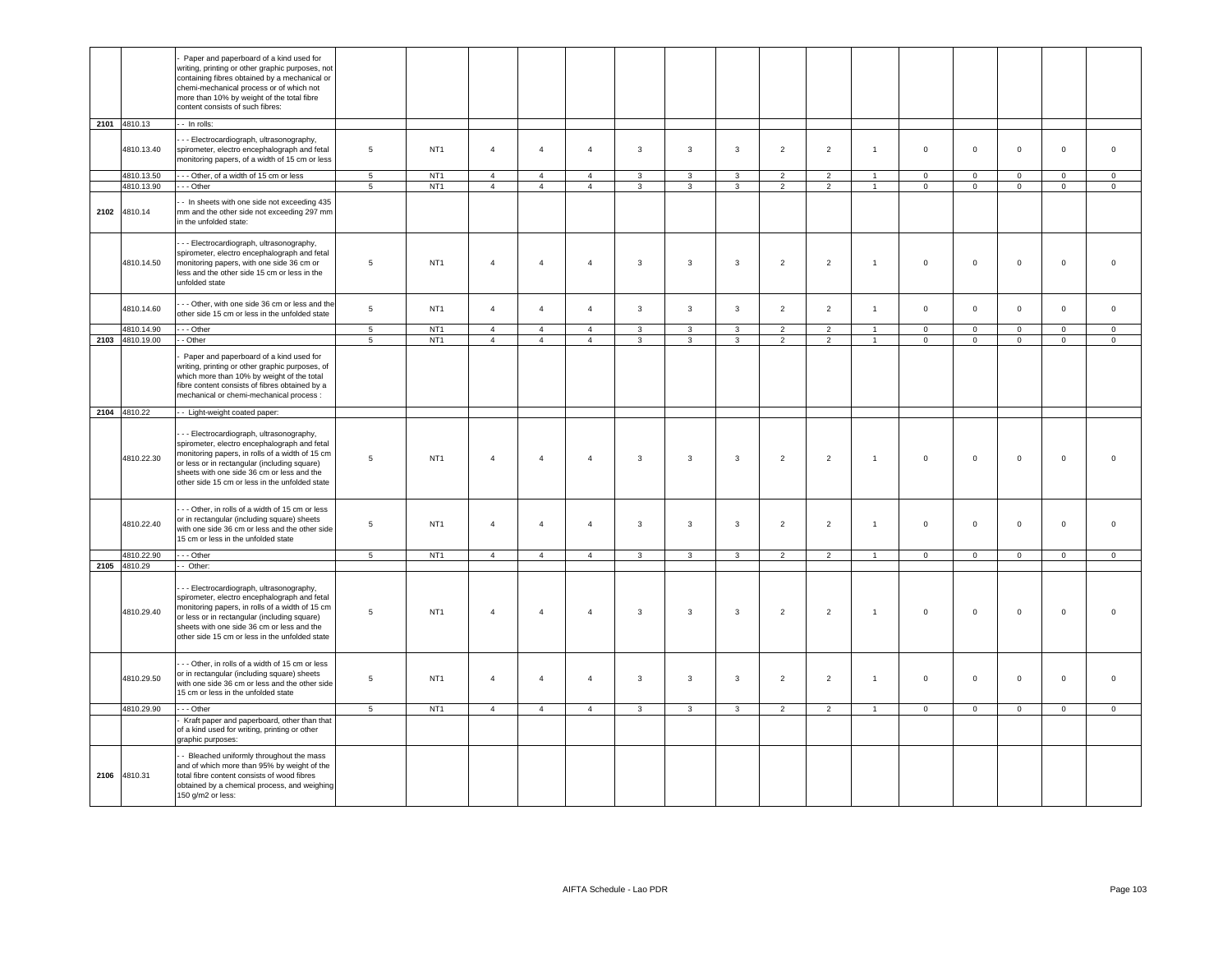| Paper and paperboard of a kind used for<br>writing, printing or other graphic purposes, not<br>containing fibres obtained by a mechanical or<br>chemi-mechanical process or of which not<br>more than 10% by weight of the total fibre<br>content consists of such fibres:<br>2101 4810.13<br>- - In rolls:<br>- - Electrocardiograph, ultrasonography,<br>NT <sub>1</sub><br>$\overline{2}$<br>$\mathsf 0$<br>$\mathbf 0$<br>$\mathsf 0$<br>4810.13.40<br>spirometer, electro encephalograph and fetal<br>5<br>$\overline{4}$<br>$\overline{4}$<br>$\mathbf{3}$<br>$\mathbf{3}$<br>$\mathbf{3}$<br>$\overline{2}$<br>$\mathbf{1}$<br>$\mathsf 0$<br>$\mathbf 0$<br>$\overline{4}$<br>monitoring papers, of a width of 15 cm or less<br>4810.13.50<br>--- Other, of a width of 15 cm or less<br>NT <sub>1</sub><br>$\overline{4}$<br>5<br>$\overline{4}$<br>$\overline{4}$<br>3<br>3<br>3<br>$\overline{2}$<br>$\overline{2}$<br>$\mathsf 0$<br>$\mathbf 0$<br>$\mathbf{0}$<br>$\mathbf 0$<br>$\mathsf 0$<br>$\blacktriangleleft$<br>4810.13.90<br>NT <sub>1</sub><br>- - Other<br>5<br>$\overline{4}$<br>$\overline{4}$<br>$\overline{4}$<br>3<br>3<br>3<br>$\overline{2}$<br>$\overline{2}$<br>$\mathbf 0$<br>$\mathbf 0$<br>$\mathbf 0$<br>$\mathbf{0}$<br>$\mathsf 0$<br>$\mathbf{1}$<br>- In sheets with one side not exceeding 435<br>2102<br>4810.14<br>mm and the other side not exceeding 297 mm<br>in the unfolded state:<br>- - Electrocardiograph, ultrasonography,<br>spirometer, electro encephalograph and fetal<br>$\overline{2}$<br>4810.14.50<br>monitoring papers, with one side 36 cm or<br>5<br>NT <sub>1</sub><br>$\overline{4}$<br>$\overline{4}$<br>$\mathbf{3}$<br>$\mathbf{3}$<br>$\mathbf{3}$<br>$\overline{2}$<br>$\mathsf 0$<br>$\mathsf 0$<br>$\mathsf 0$<br>$\mathbf 0$<br>$\mathsf{O}\xspace$<br>$\overline{4}$<br>$\overline{1}$<br>less and the other side 15 cm or less in the<br>unfolded state<br>- - Other, with one side 36 cm or less and the<br>$\overline{4}$<br>$\overline{4}$<br>$\mathbf{3}$<br>$\mathbf{3}$<br>$\overline{2}$<br>4810.14.60<br>5<br>NT <sub>1</sub><br>$\overline{4}$<br>$\mathbf{3}$<br>$\overline{2}$<br>$\mathbf{1}$<br>$\mathsf 0$<br>$\mathsf 0$<br>$\mathsf 0$<br>$\mathbf 0$<br>$\mathsf 0$<br>other side 15 cm or less in the unfolded state<br>4810.14.90<br>$\cdots$ Other<br>NT <sub>1</sub><br>$5\phantom{.0}$<br>$\overline{4}$<br>$\overline{4}$<br>$\overline{4}$<br>$\mathbf{3}$<br>$\mathbf{3}$<br>$\mathbf{3}$<br>$\overline{2}$<br>$\overline{2}$<br>$\mathbf 0$<br>$\circ$<br>$\overline{1}$<br>$\mathbf 0$<br>$\mathbf 0$<br>$\mathsf 0$<br>2103 4810.19.00<br>- Other<br>$5^{\circ}$<br>NT <sub>1</sub><br>$\overline{4}$<br>$\overline{4}$<br>$\overline{4}$<br>3<br>3<br>3<br>2<br>2<br>$\mathsf 0$<br>$\mathsf 0$<br>$\mathbf 0$<br>$\mathsf 0$<br>$\overline{1}$<br>$\mathbf 0$<br>Paper and paperboard of a kind used for<br>writing, printing or other graphic purposes, of<br>which more than 10% by weight of the total<br>fibre content consists of fibres obtained by a<br>mechanical or chemi-mechanical process :<br>2104 4810.22<br>- Light-weight coated paper:<br>- - Electrocardiograph, ultrasonography,<br>spirometer, electro encephalograph and fetal<br>monitoring papers, in rolls of a width of 15 cm<br>4810.22.30<br>5<br>NT <sub>1</sub><br>$\overline{4}$<br>$\overline{4}$<br>3<br>$\overline{3}$<br>$\mathbf{3}$<br>$\overline{2}$<br>$\overline{2}$<br>$\mathsf 0$<br>$\mathsf 0$<br>$\mathsf 0$<br>$\mathbf 0$<br>$\mathbf 0$<br>$\overline{4}$<br>$\mathbf{1}$<br>or less or in rectangular (including square)<br>sheets with one side 36 cm or less and the<br>other side 15 cm or less in the unfolded state<br>- - Other, in rolls of a width of 15 cm or less<br>or in rectangular (including square) sheets<br>4810.22.40<br>NT <sub>1</sub><br>$\overline{2}$<br>$\mathsf{O}\xspace$<br>5<br>$\overline{4}$<br>$\overline{4}$<br>$\overline{4}$<br>3<br>3<br>3<br>$\overline{2}$<br>$\mathbf{1}$<br>$\mathsf 0$<br>$\mathbf 0$<br>$\mathsf 0$<br>$\mathbf 0$<br>with one side 36 cm or less and the other side<br>15 cm or less in the unfolded state<br>4810.22.90<br>$-$ Other<br>NT <sub>1</sub><br>5<br>$\overline{4}$<br>$\overline{4}$<br>$\overline{4}$<br>$\mathbf{3}$<br>$\mathbf{3}$<br>$\mathbf{3}$<br>$\overline{2}$<br>2<br>$\overline{1}$<br>$\mathbf 0$<br>$\mathsf 0$<br>$\mathbf 0$<br>$\circ$<br>$\mathbf 0$<br>2105 4810.29<br>- Other:<br>- - Electrocardiograph, ultrasonography,<br>spirometer, electro encephalograph and fetal<br>monitoring papers, in rolls of a width of 15 cm<br>4810.29.40<br>$\overline{2}$<br>5<br>NT <sub>1</sub><br>$\overline{4}$<br>$\overline{4}$<br>$\overline{4}$<br>$\overline{3}$<br>$\overline{3}$<br>$\mathbf{3}$<br>$\overline{2}$<br>$\mathbf 0$<br>$\mathsf 0$<br>$\mathsf 0$<br>$\mathbf 0$<br>$\mathbf 0$<br>$\overline{1}$<br>or less or in rectangular (including square)<br>sheets with one side 36 cm or less and the<br>other side 15 cm or less in the unfolded state<br>- - Other, in rolls of a width of 15 cm or less<br>or in rectangular (including square) sheets<br>4810.29.50<br>5<br>NT <sub>1</sub><br>$\overline{4}$<br>$\overline{4}$<br>$\overline{4}$<br>$\mathbf{3}$<br>$\mathbf{3}$<br>$\mathbf{3}$<br>$\overline{2}$<br>$\overline{2}$<br>$\mathsf 0$<br>$\mathsf 0$<br>$\mathsf 0$<br>$\mathbf 0$<br>$\mathsf{O}\xspace$<br>$\mathbf{1}$<br>with one side 36 cm or less and the other side<br>15 cm or less in the unfolded state<br>4810.29.90<br>$-$ Other<br>NT <sub>1</sub><br>$\overline{4}$<br>$\overline{4}$<br>$\overline{4}$<br>$\overline{3}$<br>$\overline{3}$<br>$\overline{0}$<br>$\overline{0}$<br>$\overline{0}$<br>$5^{\circ}$<br>3<br>$\overline{2}$<br>$\overline{2}$<br>$\mathbf{1}$<br>$\mathbf 0$<br>$\mathbf{0}$<br>Kraft paper and paperboard, other than that<br>of a kind used for writing, printing or other<br>graphic purposes:<br>- Bleached uniformly throughout the mass<br>and of which more than 95% by weight of the<br>2106<br>4810.31<br>total fibre content consists of wood fibres<br>obtained by a chemical process, and weighing<br>150 g/m2 or less: |  |  |  |  |  |  |  |  |  |  |
|----------------------------------------------------------------------------------------------------------------------------------------------------------------------------------------------------------------------------------------------------------------------------------------------------------------------------------------------------------------------------------------------------------------------------------------------------------------------------------------------------------------------------------------------------------------------------------------------------------------------------------------------------------------------------------------------------------------------------------------------------------------------------------------------------------------------------------------------------------------------------------------------------------------------------------------------------------------------------------------------------------------------------------------------------------------------------------------------------------------------------------------------------------------------------------------------------------------------------------------------------------------------------------------------------------------------------------------------------------------------------------------------------------------------------------------------------------------------------------------------------------------------------------------------------------------------------------------------------------------------------------------------------------------------------------------------------------------------------------------------------------------------------------------------------------------------------------------------------------------------------------------------------------------------------------------------------------------------------------------------------------------------------------------------------------------------------------------------------------------------------------------------------------------------------------------------------------------------------------------------------------------------------------------------------------------------------------------------------------------------------------------------------------------------------------------------------------------------------------------------------------------------------------------------------------------------------------------------------------------------------------------------------------------------------------------------------------------------------------------------------------------------------------------------------------------------------------------------------------------------------------------------------------------------------------------------------------------------------------------------------------------------------------------------------------------------------------------------------------------------------------------------------------------------------------------------------------------------------------------------------------------------------------------------------------------------------------------------------------------------------------------------------------------------------------------------------------------------------------------------------------------------------------------------------------------------------------------------------------------------------------------------------------------------------------------------------------------------------------------------------------------------------------------------------------------------------------------------------------------------------------------------------------------------------------------------------------------------------------------------------------------------------------------------------------------------------------------------------------------------------------------------------------------------------------------------------------------------------------------------------------------------------------------------------------------------------------------------------------------------------------------------------------------------------------------------------------------------------------------------------------------------------------------------------------------------------------------------------------------------------------------------------------------------------------------------------------------------------------------------------------------------------------------------------------------------------------------------------------------------------------------------------------------------------------------------------------------------------------------------------------------------------------------------------------------------------------------------------------------------------------------------------------------------------------------------------------------------------------------------------------------------------------------------------------------------------------------------------------------------------------------------------------------------------------------------------------------------------------------------------------------------------------------------------------------------------------------------------------------------------------------------------------------------------------------------------------------------------------------------------------------------------------------------------------------------------------------------------------------------------------------------------------------------------------------------------------------------------------------------------------------------------------------------------------------------------------------------------------------------------------------------------------------------------------------------------------------|--|--|--|--|--|--|--|--|--|--|
|                                                                                                                                                                                                                                                                                                                                                                                                                                                                                                                                                                                                                                                                                                                                                                                                                                                                                                                                                                                                                                                                                                                                                                                                                                                                                                                                                                                                                                                                                                                                                                                                                                                                                                                                                                                                                                                                                                                                                                                                                                                                                                                                                                                                                                                                                                                                                                                                                                                                                                                                                                                                                                                                                                                                                                                                                                                                                                                                                                                                                                                                                                                                                                                                                                                                                                                                                                                                                                                                                                                                                                                                                                                                                                                                                                                                                                                                                                                                                                                                                                                                                                                                                                                                                                                                                                                                                                                                                                                                                                                                                                                                                                                                                                                                                                                                                                                                                                                                                                                                                                                                                                                                                                                                                                                                                                                                                                                                                                                                                                                                                                                                                                                                                                                                                                                                                                                                                                                                                                                                                                                                                                                                                                                                                |  |  |  |  |  |  |  |  |  |  |
|                                                                                                                                                                                                                                                                                                                                                                                                                                                                                                                                                                                                                                                                                                                                                                                                                                                                                                                                                                                                                                                                                                                                                                                                                                                                                                                                                                                                                                                                                                                                                                                                                                                                                                                                                                                                                                                                                                                                                                                                                                                                                                                                                                                                                                                                                                                                                                                                                                                                                                                                                                                                                                                                                                                                                                                                                                                                                                                                                                                                                                                                                                                                                                                                                                                                                                                                                                                                                                                                                                                                                                                                                                                                                                                                                                                                                                                                                                                                                                                                                                                                                                                                                                                                                                                                                                                                                                                                                                                                                                                                                                                                                                                                                                                                                                                                                                                                                                                                                                                                                                                                                                                                                                                                                                                                                                                                                                                                                                                                                                                                                                                                                                                                                                                                                                                                                                                                                                                                                                                                                                                                                                                                                                                                                |  |  |  |  |  |  |  |  |  |  |
|                                                                                                                                                                                                                                                                                                                                                                                                                                                                                                                                                                                                                                                                                                                                                                                                                                                                                                                                                                                                                                                                                                                                                                                                                                                                                                                                                                                                                                                                                                                                                                                                                                                                                                                                                                                                                                                                                                                                                                                                                                                                                                                                                                                                                                                                                                                                                                                                                                                                                                                                                                                                                                                                                                                                                                                                                                                                                                                                                                                                                                                                                                                                                                                                                                                                                                                                                                                                                                                                                                                                                                                                                                                                                                                                                                                                                                                                                                                                                                                                                                                                                                                                                                                                                                                                                                                                                                                                                                                                                                                                                                                                                                                                                                                                                                                                                                                                                                                                                                                                                                                                                                                                                                                                                                                                                                                                                                                                                                                                                                                                                                                                                                                                                                                                                                                                                                                                                                                                                                                                                                                                                                                                                                                                                |  |  |  |  |  |  |  |  |  |  |
|                                                                                                                                                                                                                                                                                                                                                                                                                                                                                                                                                                                                                                                                                                                                                                                                                                                                                                                                                                                                                                                                                                                                                                                                                                                                                                                                                                                                                                                                                                                                                                                                                                                                                                                                                                                                                                                                                                                                                                                                                                                                                                                                                                                                                                                                                                                                                                                                                                                                                                                                                                                                                                                                                                                                                                                                                                                                                                                                                                                                                                                                                                                                                                                                                                                                                                                                                                                                                                                                                                                                                                                                                                                                                                                                                                                                                                                                                                                                                                                                                                                                                                                                                                                                                                                                                                                                                                                                                                                                                                                                                                                                                                                                                                                                                                                                                                                                                                                                                                                                                                                                                                                                                                                                                                                                                                                                                                                                                                                                                                                                                                                                                                                                                                                                                                                                                                                                                                                                                                                                                                                                                                                                                                                                                |  |  |  |  |  |  |  |  |  |  |
|                                                                                                                                                                                                                                                                                                                                                                                                                                                                                                                                                                                                                                                                                                                                                                                                                                                                                                                                                                                                                                                                                                                                                                                                                                                                                                                                                                                                                                                                                                                                                                                                                                                                                                                                                                                                                                                                                                                                                                                                                                                                                                                                                                                                                                                                                                                                                                                                                                                                                                                                                                                                                                                                                                                                                                                                                                                                                                                                                                                                                                                                                                                                                                                                                                                                                                                                                                                                                                                                                                                                                                                                                                                                                                                                                                                                                                                                                                                                                                                                                                                                                                                                                                                                                                                                                                                                                                                                                                                                                                                                                                                                                                                                                                                                                                                                                                                                                                                                                                                                                                                                                                                                                                                                                                                                                                                                                                                                                                                                                                                                                                                                                                                                                                                                                                                                                                                                                                                                                                                                                                                                                                                                                                                                                |  |  |  |  |  |  |  |  |  |  |
|                                                                                                                                                                                                                                                                                                                                                                                                                                                                                                                                                                                                                                                                                                                                                                                                                                                                                                                                                                                                                                                                                                                                                                                                                                                                                                                                                                                                                                                                                                                                                                                                                                                                                                                                                                                                                                                                                                                                                                                                                                                                                                                                                                                                                                                                                                                                                                                                                                                                                                                                                                                                                                                                                                                                                                                                                                                                                                                                                                                                                                                                                                                                                                                                                                                                                                                                                                                                                                                                                                                                                                                                                                                                                                                                                                                                                                                                                                                                                                                                                                                                                                                                                                                                                                                                                                                                                                                                                                                                                                                                                                                                                                                                                                                                                                                                                                                                                                                                                                                                                                                                                                                                                                                                                                                                                                                                                                                                                                                                                                                                                                                                                                                                                                                                                                                                                                                                                                                                                                                                                                                                                                                                                                                                                |  |  |  |  |  |  |  |  |  |  |
|                                                                                                                                                                                                                                                                                                                                                                                                                                                                                                                                                                                                                                                                                                                                                                                                                                                                                                                                                                                                                                                                                                                                                                                                                                                                                                                                                                                                                                                                                                                                                                                                                                                                                                                                                                                                                                                                                                                                                                                                                                                                                                                                                                                                                                                                                                                                                                                                                                                                                                                                                                                                                                                                                                                                                                                                                                                                                                                                                                                                                                                                                                                                                                                                                                                                                                                                                                                                                                                                                                                                                                                                                                                                                                                                                                                                                                                                                                                                                                                                                                                                                                                                                                                                                                                                                                                                                                                                                                                                                                                                                                                                                                                                                                                                                                                                                                                                                                                                                                                                                                                                                                                                                                                                                                                                                                                                                                                                                                                                                                                                                                                                                                                                                                                                                                                                                                                                                                                                                                                                                                                                                                                                                                                                                |  |  |  |  |  |  |  |  |  |  |
|                                                                                                                                                                                                                                                                                                                                                                                                                                                                                                                                                                                                                                                                                                                                                                                                                                                                                                                                                                                                                                                                                                                                                                                                                                                                                                                                                                                                                                                                                                                                                                                                                                                                                                                                                                                                                                                                                                                                                                                                                                                                                                                                                                                                                                                                                                                                                                                                                                                                                                                                                                                                                                                                                                                                                                                                                                                                                                                                                                                                                                                                                                                                                                                                                                                                                                                                                                                                                                                                                                                                                                                                                                                                                                                                                                                                                                                                                                                                                                                                                                                                                                                                                                                                                                                                                                                                                                                                                                                                                                                                                                                                                                                                                                                                                                                                                                                                                                                                                                                                                                                                                                                                                                                                                                                                                                                                                                                                                                                                                                                                                                                                                                                                                                                                                                                                                                                                                                                                                                                                                                                                                                                                                                                                                |  |  |  |  |  |  |  |  |  |  |
|                                                                                                                                                                                                                                                                                                                                                                                                                                                                                                                                                                                                                                                                                                                                                                                                                                                                                                                                                                                                                                                                                                                                                                                                                                                                                                                                                                                                                                                                                                                                                                                                                                                                                                                                                                                                                                                                                                                                                                                                                                                                                                                                                                                                                                                                                                                                                                                                                                                                                                                                                                                                                                                                                                                                                                                                                                                                                                                                                                                                                                                                                                                                                                                                                                                                                                                                                                                                                                                                                                                                                                                                                                                                                                                                                                                                                                                                                                                                                                                                                                                                                                                                                                                                                                                                                                                                                                                                                                                                                                                                                                                                                                                                                                                                                                                                                                                                                                                                                                                                                                                                                                                                                                                                                                                                                                                                                                                                                                                                                                                                                                                                                                                                                                                                                                                                                                                                                                                                                                                                                                                                                                                                                                                                                |  |  |  |  |  |  |  |  |  |  |
|                                                                                                                                                                                                                                                                                                                                                                                                                                                                                                                                                                                                                                                                                                                                                                                                                                                                                                                                                                                                                                                                                                                                                                                                                                                                                                                                                                                                                                                                                                                                                                                                                                                                                                                                                                                                                                                                                                                                                                                                                                                                                                                                                                                                                                                                                                                                                                                                                                                                                                                                                                                                                                                                                                                                                                                                                                                                                                                                                                                                                                                                                                                                                                                                                                                                                                                                                                                                                                                                                                                                                                                                                                                                                                                                                                                                                                                                                                                                                                                                                                                                                                                                                                                                                                                                                                                                                                                                                                                                                                                                                                                                                                                                                                                                                                                                                                                                                                                                                                                                                                                                                                                                                                                                                                                                                                                                                                                                                                                                                                                                                                                                                                                                                                                                                                                                                                                                                                                                                                                                                                                                                                                                                                                                                |  |  |  |  |  |  |  |  |  |  |
|                                                                                                                                                                                                                                                                                                                                                                                                                                                                                                                                                                                                                                                                                                                                                                                                                                                                                                                                                                                                                                                                                                                                                                                                                                                                                                                                                                                                                                                                                                                                                                                                                                                                                                                                                                                                                                                                                                                                                                                                                                                                                                                                                                                                                                                                                                                                                                                                                                                                                                                                                                                                                                                                                                                                                                                                                                                                                                                                                                                                                                                                                                                                                                                                                                                                                                                                                                                                                                                                                                                                                                                                                                                                                                                                                                                                                                                                                                                                                                                                                                                                                                                                                                                                                                                                                                                                                                                                                                                                                                                                                                                                                                                                                                                                                                                                                                                                                                                                                                                                                                                                                                                                                                                                                                                                                                                                                                                                                                                                                                                                                                                                                                                                                                                                                                                                                                                                                                                                                                                                                                                                                                                                                                                                                |  |  |  |  |  |  |  |  |  |  |
|                                                                                                                                                                                                                                                                                                                                                                                                                                                                                                                                                                                                                                                                                                                                                                                                                                                                                                                                                                                                                                                                                                                                                                                                                                                                                                                                                                                                                                                                                                                                                                                                                                                                                                                                                                                                                                                                                                                                                                                                                                                                                                                                                                                                                                                                                                                                                                                                                                                                                                                                                                                                                                                                                                                                                                                                                                                                                                                                                                                                                                                                                                                                                                                                                                                                                                                                                                                                                                                                                                                                                                                                                                                                                                                                                                                                                                                                                                                                                                                                                                                                                                                                                                                                                                                                                                                                                                                                                                                                                                                                                                                                                                                                                                                                                                                                                                                                                                                                                                                                                                                                                                                                                                                                                                                                                                                                                                                                                                                                                                                                                                                                                                                                                                                                                                                                                                                                                                                                                                                                                                                                                                                                                                                                                |  |  |  |  |  |  |  |  |  |  |
|                                                                                                                                                                                                                                                                                                                                                                                                                                                                                                                                                                                                                                                                                                                                                                                                                                                                                                                                                                                                                                                                                                                                                                                                                                                                                                                                                                                                                                                                                                                                                                                                                                                                                                                                                                                                                                                                                                                                                                                                                                                                                                                                                                                                                                                                                                                                                                                                                                                                                                                                                                                                                                                                                                                                                                                                                                                                                                                                                                                                                                                                                                                                                                                                                                                                                                                                                                                                                                                                                                                                                                                                                                                                                                                                                                                                                                                                                                                                                                                                                                                                                                                                                                                                                                                                                                                                                                                                                                                                                                                                                                                                                                                                                                                                                                                                                                                                                                                                                                                                                                                                                                                                                                                                                                                                                                                                                                                                                                                                                                                                                                                                                                                                                                                                                                                                                                                                                                                                                                                                                                                                                                                                                                                                                |  |  |  |  |  |  |  |  |  |  |
|                                                                                                                                                                                                                                                                                                                                                                                                                                                                                                                                                                                                                                                                                                                                                                                                                                                                                                                                                                                                                                                                                                                                                                                                                                                                                                                                                                                                                                                                                                                                                                                                                                                                                                                                                                                                                                                                                                                                                                                                                                                                                                                                                                                                                                                                                                                                                                                                                                                                                                                                                                                                                                                                                                                                                                                                                                                                                                                                                                                                                                                                                                                                                                                                                                                                                                                                                                                                                                                                                                                                                                                                                                                                                                                                                                                                                                                                                                                                                                                                                                                                                                                                                                                                                                                                                                                                                                                                                                                                                                                                                                                                                                                                                                                                                                                                                                                                                                                                                                                                                                                                                                                                                                                                                                                                                                                                                                                                                                                                                                                                                                                                                                                                                                                                                                                                                                                                                                                                                                                                                                                                                                                                                                                                                |  |  |  |  |  |  |  |  |  |  |
|                                                                                                                                                                                                                                                                                                                                                                                                                                                                                                                                                                                                                                                                                                                                                                                                                                                                                                                                                                                                                                                                                                                                                                                                                                                                                                                                                                                                                                                                                                                                                                                                                                                                                                                                                                                                                                                                                                                                                                                                                                                                                                                                                                                                                                                                                                                                                                                                                                                                                                                                                                                                                                                                                                                                                                                                                                                                                                                                                                                                                                                                                                                                                                                                                                                                                                                                                                                                                                                                                                                                                                                                                                                                                                                                                                                                                                                                                                                                                                                                                                                                                                                                                                                                                                                                                                                                                                                                                                                                                                                                                                                                                                                                                                                                                                                                                                                                                                                                                                                                                                                                                                                                                                                                                                                                                                                                                                                                                                                                                                                                                                                                                                                                                                                                                                                                                                                                                                                                                                                                                                                                                                                                                                                                                |  |  |  |  |  |  |  |  |  |  |
|                                                                                                                                                                                                                                                                                                                                                                                                                                                                                                                                                                                                                                                                                                                                                                                                                                                                                                                                                                                                                                                                                                                                                                                                                                                                                                                                                                                                                                                                                                                                                                                                                                                                                                                                                                                                                                                                                                                                                                                                                                                                                                                                                                                                                                                                                                                                                                                                                                                                                                                                                                                                                                                                                                                                                                                                                                                                                                                                                                                                                                                                                                                                                                                                                                                                                                                                                                                                                                                                                                                                                                                                                                                                                                                                                                                                                                                                                                                                                                                                                                                                                                                                                                                                                                                                                                                                                                                                                                                                                                                                                                                                                                                                                                                                                                                                                                                                                                                                                                                                                                                                                                                                                                                                                                                                                                                                                                                                                                                                                                                                                                                                                                                                                                                                                                                                                                                                                                                                                                                                                                                                                                                                                                                                                |  |  |  |  |  |  |  |  |  |  |
|                                                                                                                                                                                                                                                                                                                                                                                                                                                                                                                                                                                                                                                                                                                                                                                                                                                                                                                                                                                                                                                                                                                                                                                                                                                                                                                                                                                                                                                                                                                                                                                                                                                                                                                                                                                                                                                                                                                                                                                                                                                                                                                                                                                                                                                                                                                                                                                                                                                                                                                                                                                                                                                                                                                                                                                                                                                                                                                                                                                                                                                                                                                                                                                                                                                                                                                                                                                                                                                                                                                                                                                                                                                                                                                                                                                                                                                                                                                                                                                                                                                                                                                                                                                                                                                                                                                                                                                                                                                                                                                                                                                                                                                                                                                                                                                                                                                                                                                                                                                                                                                                                                                                                                                                                                                                                                                                                                                                                                                                                                                                                                                                                                                                                                                                                                                                                                                                                                                                                                                                                                                                                                                                                                                                                |  |  |  |  |  |  |  |  |  |  |
|                                                                                                                                                                                                                                                                                                                                                                                                                                                                                                                                                                                                                                                                                                                                                                                                                                                                                                                                                                                                                                                                                                                                                                                                                                                                                                                                                                                                                                                                                                                                                                                                                                                                                                                                                                                                                                                                                                                                                                                                                                                                                                                                                                                                                                                                                                                                                                                                                                                                                                                                                                                                                                                                                                                                                                                                                                                                                                                                                                                                                                                                                                                                                                                                                                                                                                                                                                                                                                                                                                                                                                                                                                                                                                                                                                                                                                                                                                                                                                                                                                                                                                                                                                                                                                                                                                                                                                                                                                                                                                                                                                                                                                                                                                                                                                                                                                                                                                                                                                                                                                                                                                                                                                                                                                                                                                                                                                                                                                                                                                                                                                                                                                                                                                                                                                                                                                                                                                                                                                                                                                                                                                                                                                                                                |  |  |  |  |  |  |  |  |  |  |
|                                                                                                                                                                                                                                                                                                                                                                                                                                                                                                                                                                                                                                                                                                                                                                                                                                                                                                                                                                                                                                                                                                                                                                                                                                                                                                                                                                                                                                                                                                                                                                                                                                                                                                                                                                                                                                                                                                                                                                                                                                                                                                                                                                                                                                                                                                                                                                                                                                                                                                                                                                                                                                                                                                                                                                                                                                                                                                                                                                                                                                                                                                                                                                                                                                                                                                                                                                                                                                                                                                                                                                                                                                                                                                                                                                                                                                                                                                                                                                                                                                                                                                                                                                                                                                                                                                                                                                                                                                                                                                                                                                                                                                                                                                                                                                                                                                                                                                                                                                                                                                                                                                                                                                                                                                                                                                                                                                                                                                                                                                                                                                                                                                                                                                                                                                                                                                                                                                                                                                                                                                                                                                                                                                                                                |  |  |  |  |  |  |  |  |  |  |
|                                                                                                                                                                                                                                                                                                                                                                                                                                                                                                                                                                                                                                                                                                                                                                                                                                                                                                                                                                                                                                                                                                                                                                                                                                                                                                                                                                                                                                                                                                                                                                                                                                                                                                                                                                                                                                                                                                                                                                                                                                                                                                                                                                                                                                                                                                                                                                                                                                                                                                                                                                                                                                                                                                                                                                                                                                                                                                                                                                                                                                                                                                                                                                                                                                                                                                                                                                                                                                                                                                                                                                                                                                                                                                                                                                                                                                                                                                                                                                                                                                                                                                                                                                                                                                                                                                                                                                                                                                                                                                                                                                                                                                                                                                                                                                                                                                                                                                                                                                                                                                                                                                                                                                                                                                                                                                                                                                                                                                                                                                                                                                                                                                                                                                                                                                                                                                                                                                                                                                                                                                                                                                                                                                                                                |  |  |  |  |  |  |  |  |  |  |
|                                                                                                                                                                                                                                                                                                                                                                                                                                                                                                                                                                                                                                                                                                                                                                                                                                                                                                                                                                                                                                                                                                                                                                                                                                                                                                                                                                                                                                                                                                                                                                                                                                                                                                                                                                                                                                                                                                                                                                                                                                                                                                                                                                                                                                                                                                                                                                                                                                                                                                                                                                                                                                                                                                                                                                                                                                                                                                                                                                                                                                                                                                                                                                                                                                                                                                                                                                                                                                                                                                                                                                                                                                                                                                                                                                                                                                                                                                                                                                                                                                                                                                                                                                                                                                                                                                                                                                                                                                                                                                                                                                                                                                                                                                                                                                                                                                                                                                                                                                                                                                                                                                                                                                                                                                                                                                                                                                                                                                                                                                                                                                                                                                                                                                                                                                                                                                                                                                                                                                                                                                                                                                                                                                                                                |  |  |  |  |  |  |  |  |  |  |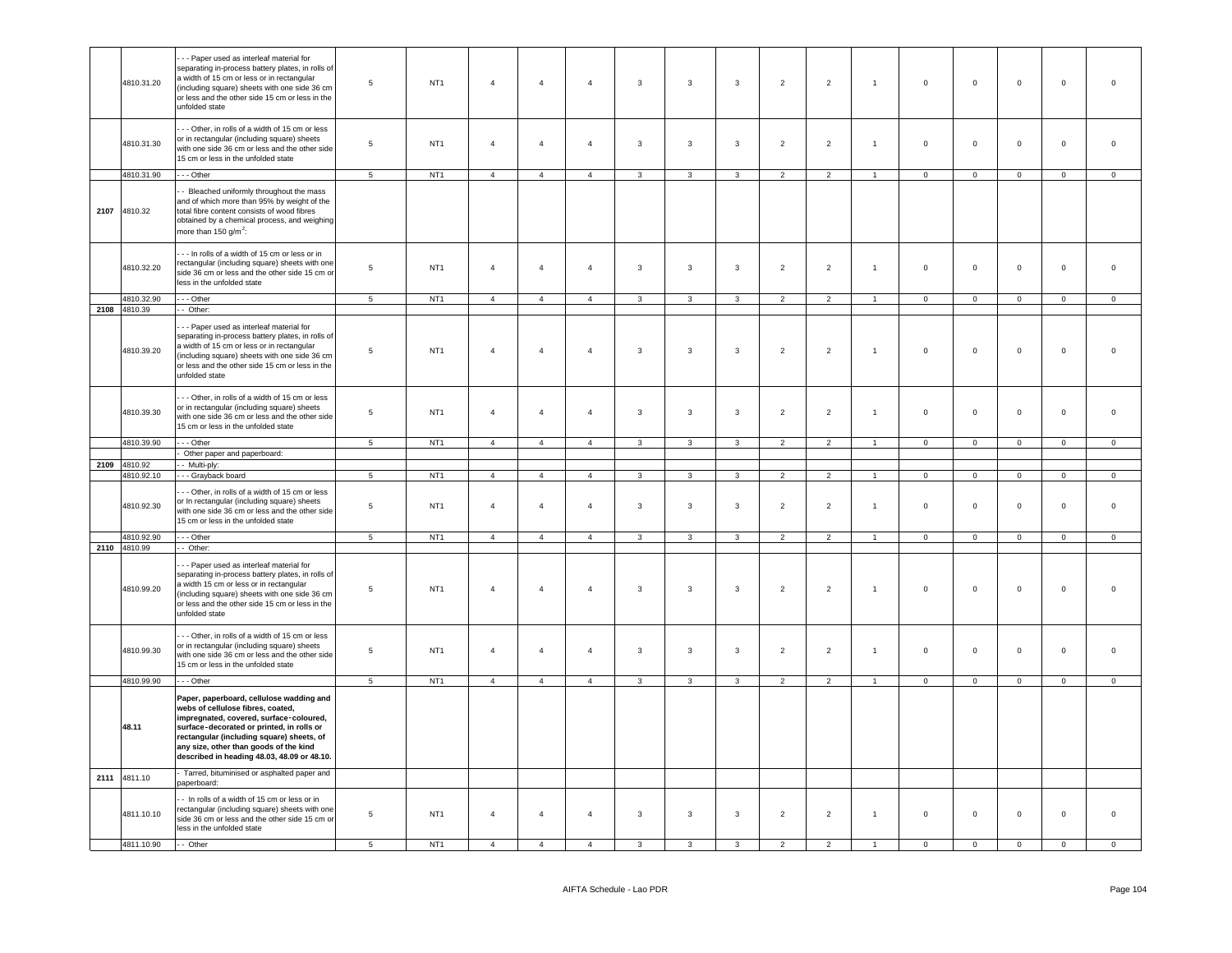|      | 4810.31.20                          | --- Paper used as interleaf material for<br>separating in-process battery plates, in rolls of<br>a width of 15 cm or less or in rectangular<br>(including square) sheets with one side 36 cm<br>or less and the other side 15 cm or less in the<br>unfolded state                                           | 5                          | NT <sub>1</sub>                    | $\overline{4}$                   | $\overline{4}$                   | $\overline{4}$                   | 3              | $\mathbf{3}$            | 3              | $\overline{2}$ | $\overline{2}$ | $\mathbf{1}$   | $\mathbf 0$         | $\mathbf 0$    | $\mathbf{0}$            | $\mathbf 0$             | $\mathsf 0$    |
|------|-------------------------------------|-------------------------------------------------------------------------------------------------------------------------------------------------------------------------------------------------------------------------------------------------------------------------------------------------------------|----------------------------|------------------------------------|----------------------------------|----------------------------------|----------------------------------|----------------|-------------------------|----------------|----------------|----------------|----------------|---------------------|----------------|-------------------------|-------------------------|----------------|
|      | 4810.31.30                          | - - Other, in rolls of a width of 15 cm or less<br>or in rectangular (including square) sheets<br>with one side 36 cm or less and the other side<br>15 cm or less in the unfolded state                                                                                                                     | $\,$ 5 $\,$                | NT <sub>1</sub>                    | $\overline{4}$                   | $\overline{4}$                   | $\overline{4}$                   | $\mathbf{3}$   | $\mathbf{3}$            | $\mathbf{3}$   | $\overline{2}$ | $\mathbf 2$    | $\overline{1}$ | $\mathsf 0$         | $\mathsf 0$    | $\mathsf 0$             | $\mathbf 0$             | $\mathbf 0$    |
|      | 4810.31.90                          | $--$ Other                                                                                                                                                                                                                                                                                                  | $\overline{5}$             | NT1                                | $\overline{4}$                   | $\overline{4}$                   | $\overline{4}$                   | $\mathbf{3}$   | 3                       | $\mathbf{3}$   | $\overline{2}$ | $\overline{2}$ | $\overline{1}$ | $\mathsf 0$         | $\mathbf 0$    | $\mathbf 0$             | $\mathbf 0$             | $\mathsf 0$    |
|      | 2107 4810.32                        | - Bleached uniformly throughout the mass<br>and of which more than 95% by weight of the<br>total fibre content consists of wood fibres<br>obtained by a chemical process, and weighing<br>more than 150 g/m <sup>2</sup> :                                                                                  |                            |                                    |                                  |                                  |                                  |                |                         |                |                |                |                |                     |                |                         |                         |                |
|      | 4810.32.20                          | --- In rolls of a width of 15 cm or less or in<br>rectangular (including square) sheets with one<br>side 36 cm or less and the other side 15 cm or<br>less in the unfolded state                                                                                                                            | $\,$ 5 $\,$                | NT <sub>1</sub>                    | $\overline{4}$                   | $\overline{4}$                   | $\overline{4}$                   | $\mathbf{3}$   | $\mathbf{3}$            | $\mathbf{3}$   | $\overline{2}$ | $\overline{2}$ | $\mathbf{1}$   | $\mathsf{O}\xspace$ | $\mathsf 0$    | $\mathsf 0$             | $\mathbf 0$             | $\,0\,$        |
|      | 4810.32.90                          | $\cdot$ - Other                                                                                                                                                                                                                                                                                             | 5 <sup>5</sup>             | NT <sub>1</sub>                    | $\overline{4}$                   | $\overline{4}$                   | $\overline{4}$                   | $\mathbf{3}$   | $\mathbf{3}$            | $\overline{3}$ | 2              | 2              | $\mathbf{1}$   | $\overline{0}$      | $\mathbf{0}$   | $\mathbf{0}$            | $\mathbf{0}$            | $\overline{0}$ |
|      | 2108 4810.39<br>4810.39.20          | $-$ Other:<br>-- Paper used as interleaf material for<br>separating in-process battery plates, in rolls of<br>a width of 15 cm or less or in rectangular<br>(including square) sheets with one side 36 cm<br>or less and the other side 15 cm or less in the<br>unfolded state                              | $\sqrt{5}$                 | NT <sub>1</sub>                    | $\overline{4}$                   | $\overline{4}$                   | $\overline{4}$                   | $\mathbf{3}$   | $\overline{\mathbf{3}}$ | $\mathbf{3}$   | $\overline{2}$ | $\mathbf 2$    | $\mathbf{1}$   | $\mathsf 0$         | $\mathbf 0$    | $\mathbf 0$             | $\mathbf 0$             | $\mathbf 0$    |
|      | 4810.39.30                          | - - Other, in rolls of a width of 15 cm or less<br>or in rectangular (including square) sheets<br>with one side 36 cm or less and the other side<br>15 cm or less in the unfolded state                                                                                                                     | $\,$ 5 $\,$                | NT <sub>1</sub>                    | $\overline{4}$                   | $\overline{4}$                   | $\overline{4}$                   | $\mathbf{3}$   | $\mathbf{3}$            | $\mathbf{3}$   | $\overline{2}$ | $\overline{2}$ | $\overline{1}$ | $\mathsf 0$         | $\mathsf 0$    | $\mathsf 0$             | $\mathbf 0$             | $\mathbf 0$    |
|      | 4810.39.90                          | $- -$ Other                                                                                                                                                                                                                                                                                                 | 5                          | NT1                                | $\overline{4}$                   | $\overline{4}$                   | $\overline{4}$                   | $\mathbf{3}$   | $\mathbf{3}$            | $\mathbf{3}$   | $\overline{2}$ | $\overline{2}$ | $\overline{1}$ | $\mathsf 0$         | $\mathbf 0$    | $\mathbf 0$             | $\mathbf{0}$            | $\mathbf 0$    |
|      |                                     | Other paper and paperboard:                                                                                                                                                                                                                                                                                 |                            |                                    |                                  |                                  |                                  |                |                         |                |                |                |                |                     |                |                         |                         |                |
|      | 2109 4810.92<br>4810.92.10          | - Multi-ply:<br>--- Grayback board                                                                                                                                                                                                                                                                          | $\overline{5}$             | NT <sub>1</sub>                    | $\overline{4}$                   | $\overline{4}$                   | $\overline{4}$                   | 3              | 3                       | $\mathbf{3}$   | $\overline{2}$ | $\overline{2}$ |                | $\Omega$            | $\mathsf 0$    | $\mathbf 0$             | $\mathsf 0$             | $\mathsf 0$    |
|      |                                     |                                                                                                                                                                                                                                                                                                             |                            |                                    |                                  |                                  |                                  |                |                         |                |                |                |                |                     |                |                         |                         |                |
|      | 4810.92.30                          | -- Other, in rolls of a width of 15 cm or less<br>or In rectangular (including square) sheets<br>with one side 36 cm or less and the other side<br>15 cm or less in the unfolded state                                                                                                                      | $\,$ 5 $\,$                | NT <sub>1</sub>                    | $\overline{4}$                   | $\overline{4}$                   | $\overline{4}$                   | $\mathbf{3}$   | $\overline{3}$          | $\mathbf{3}$   | $\overline{2}$ | $\overline{2}$ | $\overline{1}$ | $\mathsf 0$         | $\mathsf 0$    |                         | $\mathsf 0$             | $\overline{0}$ |
|      | 4810.92.90                          |                                                                                                                                                                                                                                                                                                             |                            |                                    |                                  |                                  |                                  |                |                         |                |                |                |                |                     |                | $\mathbf 0$             |                         |                |
|      |                                     | $\cdots$ Other                                                                                                                                                                                                                                                                                              | 5                          | NT1                                | $\overline{4}$                   | $\overline{4}$                   | $\overline{4}$                   | $\mathbf{3}$   | $\mathbf{3}$            | $\mathbf{3}$   | $\overline{2}$ | $\overline{2}$ | $\mathbf{1}$   | $\circ$             | $\circ$        | $\mathbf 0$             | $\mathbf{0}$            | $\mathbf 0$    |
|      | 2110 4810.99<br>4810.99.20          | - Other:<br>- - Paper used as interleaf material for<br>separating in-process battery plates, in rolls of<br>a width 15 cm or less or in rectangular<br>(including square) sheets with one side 36 cm<br>or less and the other side 15 cm or less in the<br>unfolded state                                  | 5                          | NT <sub>1</sub>                    | $\overline{4}$                   | $\overline{4}$                   | $\overline{4}$                   | $\mathbf{3}$   | $\mathbf{3}$            | $\mathbf{3}$   | $\overline{2}$ | $\overline{2}$ | $\mathbf{1}$   | $\mathsf 0$         | $\mathsf 0$    | $\mathbf 0$             | $\mathsf 0$             | $\overline{0}$ |
|      | 4810.99.30                          | - - Other, in rolls of a width of 15 cm or less<br>or in rectangular (including square) sheets<br>with one side 36 cm or less and the other side<br>15 cm or less in the unfolded state                                                                                                                     | $\overline{5}$             | NT <sub>1</sub>                    | $\overline{4}$                   | $\overline{4}$                   | $\overline{4}$                   | $\mathbf{3}$   | $\overline{3}$          | $\mathbf{3}$   | $\overline{2}$ | $\overline{2}$ | $\mathbf{1}$   | $\mathsf 0$         | $\mathsf 0$    | $\mathsf 0$             | $\mathbf 0$             | $\mathsf 0$    |
|      | 4810.99.90                          | $\cdots$ Other                                                                                                                                                                                                                                                                                              | $\overline{5}$             | NT <sub>1</sub>                    | $\overline{4}$                   | $\overline{4}$                   | $\overline{4}$                   | $\overline{3}$ | $\overline{\mathbf{3}}$ | $\overline{3}$ | $\overline{2}$ | $\overline{2}$ | $\overline{1}$ | $\overline{0}$      | $\overline{0}$ | $\overline{0}$          | $\overline{0}$          | $\overline{0}$ |
|      | 48.11                               | Paper, paperboard, cellulose wadding and<br>webs of cellulose fibres, coated,<br>impregnated, covered, surface-coloured,<br>surface-decorated or printed, in rolls or<br>rectangular (including square) sheets, of<br>any size, other than goods of the kind<br>described in heading 48.03, 48.09 or 48.10. |                            |                                    |                                  |                                  |                                  |                |                         |                |                |                |                |                     |                |                         |                         |                |
|      |                                     | Tarred, bituminised or asphalted paper and                                                                                                                                                                                                                                                                  |                            |                                    |                                  |                                  |                                  |                |                         |                |                |                |                |                     |                |                         |                         |                |
| 2111 | 4811.10<br>4811.10.10<br>4811.10.90 | paperboard:<br>- In rolls of a width of 15 cm or less or in<br>rectangular (including square) sheets with one<br>side 36 cm or less and the other side 15 cm or<br>less in the unfolded state<br>$-$ Other                                                                                                  | $\,$ 5 $\,$<br>$5^{\circ}$ | NT <sub>1</sub><br>NT <sub>1</sub> | $\overline{4}$<br>$\overline{a}$ | $\overline{4}$<br>$\overline{4}$ | $\overline{4}$<br>$\overline{4}$ | $\mathbf{3}$   | $\mathbf{3}$            | $\mathbf{3}$   | $\overline{2}$ | $\overline{2}$ | $\mathbf{1}$   | $\mathsf{O}\xspace$ | $\mathsf 0$    | $\mathbf 0$<br>$\Omega$ | $\mathbf 0$<br>$\Omega$ | $\mathsf 0$    |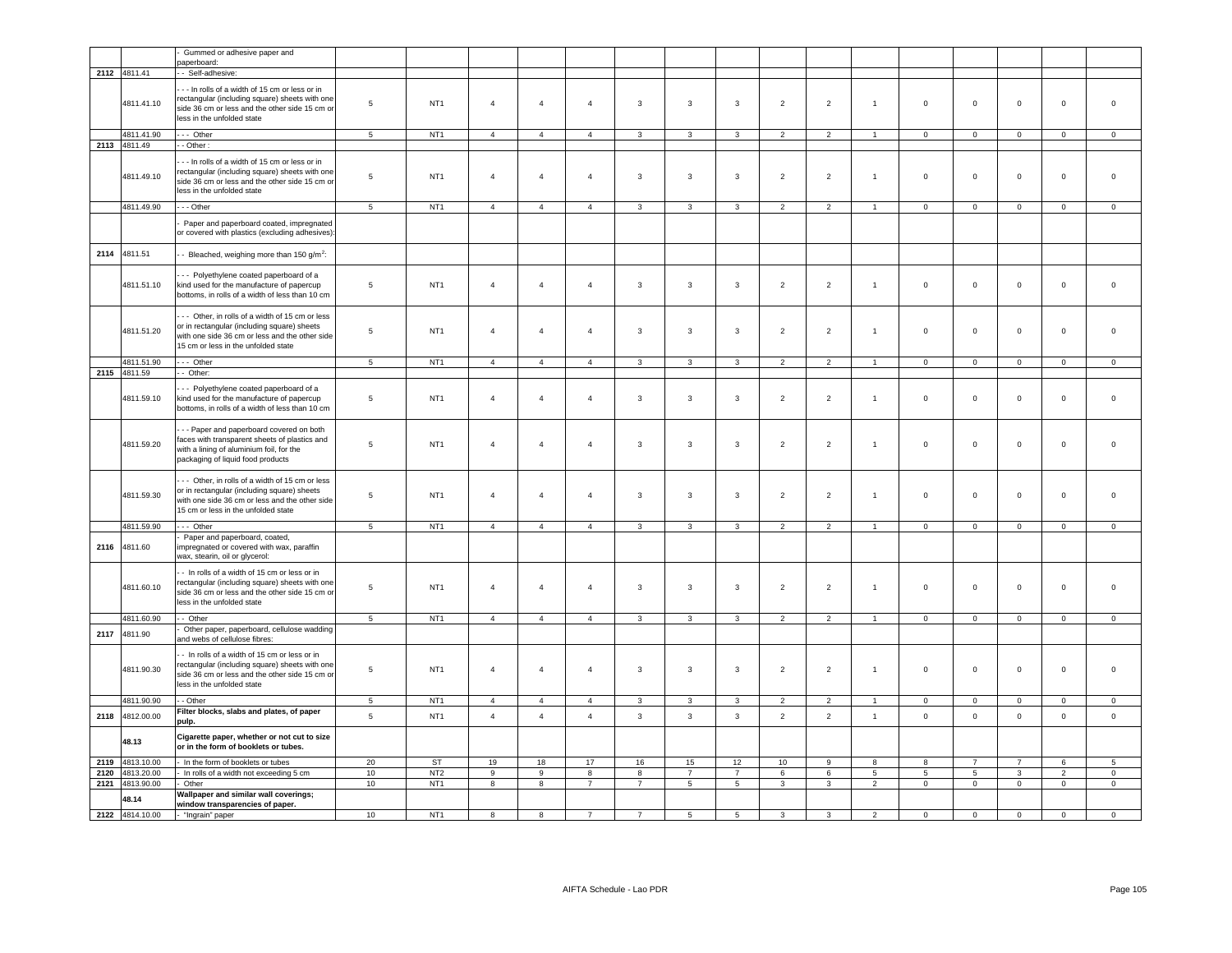|              |                          | Gummed or adhesive paper and<br>paperboard:                                                                                                                                             |                 |                                    |                                           |                                           |                                           |                                           |                                  |                                            |                                   |                     |                                  |                                  |                                  |                                  |                                  |                                           |
|--------------|--------------------------|-----------------------------------------------------------------------------------------------------------------------------------------------------------------------------------------|-----------------|------------------------------------|-------------------------------------------|-------------------------------------------|-------------------------------------------|-------------------------------------------|----------------------------------|--------------------------------------------|-----------------------------------|---------------------|----------------------------------|----------------------------------|----------------------------------|----------------------------------|----------------------------------|-------------------------------------------|
|              | 2112 4811.41             | - Self-adhesive:                                                                                                                                                                        |                 |                                    |                                           |                                           |                                           |                                           |                                  |                                            |                                   |                     |                                  |                                  |                                  |                                  |                                  |                                           |
|              | 4811.41.10               | -- In rolls of a width of 15 cm or less or in<br>rectangular (including square) sheets with one<br>side 36 cm or less and the other side 15 cm or<br>less in the unfolded state         | $5\phantom{.0}$ | NT <sub>1</sub>                    | $\overline{4}$                            | $\overline{4}$                            | $\overline{4}$                            | $\mathbf{3}$                              | $\mathbf{3}$                     | 3                                          | $\overline{2}$                    | $\mathbf 2$         | $\overline{1}$                   | $\mathsf 0$                      | $\mathbf 0$                      | $\mathbf 0$                      | $\pmb{0}$                        | $\,$ 0                                    |
|              | 4811.41.90               | --- Other                                                                                                                                                                               | $\overline{5}$  | NT <sub>1</sub>                    | $\overline{4}$                            | $\overline{4}$                            | $\overline{4}$                            | $\mathbf{3}$                              | $\overline{3}$                   | $\overline{3}$                             | $\overline{2}$                    | $\overline{2}$      | $\overline{1}$                   | $\overline{0}$                   | $\overline{0}$                   | $\circ$                          | $\overline{0}$                   | $\overline{0}$                            |
| 2113         | 4811.49                  | $-$ Other:                                                                                                                                                                              |                 |                                    |                                           |                                           |                                           |                                           |                                  |                                            |                                   |                     |                                  |                                  |                                  |                                  |                                  |                                           |
|              | 4811.49.10               | -- In rolls of a width of 15 cm or less or in<br>rectangular (including square) sheets with one<br>side 36 cm or less and the other side 15 cm or<br>less in the unfolded state         | $\,$ 5 $\,$     | NT <sub>1</sub>                    | $\overline{4}$                            | $\overline{4}$                            | $\overline{4}$                            | $\mathbf{3}$                              | $\mathbf{3}$                     | $\mathbf{3}$                               | $\overline{2}$                    | $\overline{2}$      | $\overline{1}$                   | $\mathsf 0$                      | $\mathbf 0$                      | $\mathsf 0$                      | $\mathbf 0$                      | $\overline{0}$                            |
|              | 4811.49.90               | $- -$ Other                                                                                                                                                                             | $\overline{5}$  | NT <sub>1</sub>                    | $\overline{4}$                            | $\overline{4}$                            | $\overline{4}$                            | $\mathbf{3}$                              | $\overline{\mathbf{3}}$          | $\overline{3}$                             | $\overline{2}$                    | $\overline{2}$      | $\overline{1}$                   | $\mathsf 0$                      | $\mathbf 0$                      | $\overline{0}$                   | $\overline{0}$                   | $\overline{\mathbf{0}}$                   |
|              |                          | Paper and paperboard coated, impregnated<br>or covered with plastics (excluding adhesives):                                                                                             |                 |                                    |                                           |                                           |                                           |                                           |                                  |                                            |                                   |                     |                                  |                                  |                                  |                                  |                                  |                                           |
|              | 2114 4811.51             | - Bleached, weighing more than 150 g/m <sup>2</sup> :                                                                                                                                   |                 |                                    |                                           |                                           |                                           |                                           |                                  |                                            |                                   |                     |                                  |                                  |                                  |                                  |                                  |                                           |
|              | 4811.51.10               | - - Polyethylene coated paperboard of a<br>kind used for the manufacture of papercup<br>bottoms, in rolls of a width of less than 10 cm                                                 | $\,$ 5 $\,$     | NT <sub>1</sub>                    | $\overline{4}$                            | $\overline{4}$                            | $\overline{4}$                            | $\mathbf{3}$                              | $\mathbf{3}$                     | $\mathbf{3}$                               | $\overline{2}$                    | $\overline{2}$      | $\mathbf{1}$                     | $\mathsf 0$                      | $\mathbf 0$                      | $\mathsf 0$                      | $\mathbf 0$                      | $\overline{0}$                            |
|              | 4811.51.20               | --- Other, in rolls of a width of 15 cm or less<br>or in rectangular (including square) sheets<br>with one side 36 cm or less and the other side<br>15 cm or less in the unfolded state | $5\phantom{.0}$ | NT <sub>1</sub>                    | $\overline{4}$                            | $\overline{4}$                            | $\overline{4}$                            | $\mathbf{3}$                              | $\overline{3}$                   | $\mathbf{3}$                               | $\overline{2}$                    | $\overline{2}$      | $\overline{1}$                   | $\mathsf 0$                      | $\mathsf 0$                      | $\mathsf 0$                      | $\mathbf 0$                      | $\overline{0}$                            |
|              | 4811.51.90               | --- Other                                                                                                                                                                               | 5 <sup>5</sup>  | NT <sub>1</sub>                    | $\overline{4}$                            | $\overline{4}$                            | $\overline{4}$                            | $\mathbf{3}$                              | $\mathbf{3}$                     | $\mathbf{3}$                               | $\overline{2}$                    | $\overline{2}$      | $\overline{1}$                   | $\overline{0}$                   | $\mathbf 0$                      | $\mathsf 0$                      | $\overline{0}$                   | $\mathbf 0$                               |
|              | 2115 4811.59             | -- Other:                                                                                                                                                                               |                 |                                    |                                           |                                           |                                           |                                           |                                  |                                            |                                   |                     |                                  |                                  |                                  |                                  |                                  |                                           |
|              | 4811.59.10               | -- Polyethylene coated paperboard of a<br>kind used for the manufacture of papercup<br>bottoms, in rolls of a width of less than 10 cm                                                  | 5               | NT <sub>1</sub>                    | $\overline{4}$                            | $\overline{4}$                            | $\overline{4}$                            | 3                                         | 3                                | 3                                          | $\overline{2}$                    | $\mathbf 2$         | $\overline{1}$                   | $\mathbf 0$                      | $\mathbf 0$                      | $\mathbf 0$                      | $\mathbf 0$                      | $\overline{0}$                            |
|              | 4811.59.20               | -- Paper and paperboard covered on both<br>faces with transparent sheets of plastics and<br>with a lining of aluminium foil, for the<br>packaging of liquid food products               | $\,$ 5 $\,$     | NT <sub>1</sub>                    | 4                                         | $\overline{4}$                            | $\overline{4}$                            | $\mathbf{3}$                              | $\overline{\mathbf{3}}$          | $\mathbf{3}$                               | $\overline{2}$                    | $\mathbf 2$         | $\overline{1}$                   | $\mathsf 0$                      | $\mathbf 0$                      | $\mathsf 0$                      | $\mathsf 0$                      | $\,$ 0                                    |
|              | 4811.59.30               | -- Other, in rolls of a width of 15 cm or less<br>or in rectangular (including square) sheets<br>with one side 36 cm or less and the other side<br>15 cm or less in the unfolded state  | $5\phantom{.0}$ | NT <sub>1</sub>                    | $\overline{4}$                            | $\overline{4}$                            | $\overline{4}$                            | $\mathbf{3}$                              | $\overline{3}$                   | $\mathbf{3}$                               | $\overline{2}$                    | $\mathbf 2$         | $\overline{1}$                   | $\mathbf 0$                      | $\mathbf 0$                      | $\mathsf 0$                      | $\pmb{0}$                        | $\mathbf 0$                               |
|              | 4811.59.90               | $\cdots$ Other                                                                                                                                                                          | $\overline{5}$  | NT <sub>1</sub>                    | $\overline{4}$                            | $\overline{4}$                            | $\overline{4}$                            | $\mathbf{3}$                              | $\mathbf{3}$                     | $\mathbf{3}$                               | 2                                 | $\overline{2}$      | $\mathbf{1}$                     | $\mathbf 0$                      | $\mathbf 0$                      | $\circ$                          | $\mathbf{0}$                     | $\mathbf 0$                               |
| 2116         | 4811.60                  | Paper and paperboard, coated,<br>impregnated or covered with wax, paraffin<br>wax, stearin, oil or glycerol:                                                                            |                 |                                    |                                           |                                           |                                           |                                           |                                  |                                            |                                   |                     |                                  |                                  |                                  |                                  |                                  |                                           |
|              | 4811.60.10               | - In rolls of a width of 15 cm or less or in<br>rectangular (including square) sheets with one<br>side 36 cm or less and the other side 15 cm or<br>less in the unfolded state          | $\,$ 5 $\,$     | NT <sub>1</sub>                    | $\overline{4}$                            | $\overline{4}$                            | $\sqrt{4}$                                | $\mathbf{3}$                              | $\overline{\mathbf{3}}$          | $\mathbf{3}$                               | $\overline{2}$                    | $\overline{2}$      | $\overline{1}$                   | $\mathbf 0$                      | $\mathbf 0$                      | $\mathsf 0$                      | $\mathbf 0$                      | $\,$ 0                                    |
|              | 4811.60.90               | - Other                                                                                                                                                                                 | 5               | NT <sub>1</sub>                    | $\overline{4}$                            | $\overline{4}$                            | $\overline{4}$                            | 3                                         | 3                                | 3                                          | $\overline{2}$                    | $\overline{2}$      | $\overline{1}$                   | $\mathbf{0}$                     | $\mathbf{0}$                     | $\mathbf{0}$                     | $\mathbf{0}$                     | $\mathbf 0$                               |
| 2117         | 4811.90                  | Other paper, paperboard, cellulose wadding<br>and webs of cellulose fibres:                                                                                                             |                 |                                    |                                           |                                           |                                           |                                           |                                  |                                            |                                   |                     |                                  |                                  |                                  |                                  |                                  |                                           |
|              | 4811.90.30               | - In rolls of a width of 15 cm or less or in<br>rectangular (including square) sheets with one<br>side 36 cm or less and the other side 15 cm or<br>less in the unfolded state          | $5\phantom{.0}$ | NT <sub>1</sub>                    | $\overline{4}$                            | $\overline{4}$                            | $\overline{4}$                            | $\mathbf{3}$                              | $\mathbf{3}$                     | 3                                          | $\overline{2}$                    | $\overline{2}$      | $\overline{1}$                   | $\mathsf 0$                      | $\mathbf 0$                      | $\mathbf 0$                      | $\mathbf 0$                      | $\overline{0}$                            |
|              | 4811.90.90               | - - Other                                                                                                                                                                               | 5               | NT1                                | $\overline{4}$                            | $\overline{4}$                            | $\overline{4}$                            | $\mathbf{3}$                              | $\mathbf{3}$                     | $\mathbf{3}$                               | $\overline{2}$                    | $\overline{2}$      | $\overline{1}$                   | $\mathbf{0}$                     | $\circ$                          | $\mathbf 0$                      | $\mathbf 0$                      | $\mathbf 0$                               |
| 2118         | 4812.00.00               | Filter blocks, slabs and plates, of paper<br>pulp.                                                                                                                                      | $\overline{5}$  | NT <sub>1</sub>                    | $\overline{4}$                            | $\overline{4}$                            | $\overline{4}$                            | $\mathbf{3}$                              | $\mathbf{3}$                     | $\mathbf{3}$                               | $\overline{2}$                    | $\overline{2}$      | $\mathbf{1}$                     | $\mathsf 0$                      | $\mathsf 0$                      | $\mathsf{O}\xspace$              | $\mathbf 0$                      | $\mathbb O$                               |
|              | 48.13                    | Cigarette paper, whether or not cut to size<br>or in the form of booklets or tubes.                                                                                                     |                 |                                    |                                           |                                           |                                           |                                           |                                  |                                            |                                   |                     |                                  |                                  |                                  |                                  |                                  |                                           |
| 2119         | 4813.10.00               | In the form of booklets or tubes                                                                                                                                                        | 20              | ST                                 | 19                                        | 18                                        | 17                                        | 16                                        | 15                               | 12                                         | 10                                | $\overline{9}$      | 8                                | 8                                | $\overline{7}$                   | $\overline{7}$                   | 6                                | 5                                         |
| 2120<br>2121 | 4813.20.00<br>4813.90.00 | - In rolls of a width not exceeding 5 cm<br>Other                                                                                                                                       | 10<br>10        | NT <sub>2</sub><br>NT <sub>1</sub> | $\overline{9}$<br>$\overline{\mathbf{8}}$ | $\overline{9}$<br>$\overline{\mathbf{8}}$ | $\overline{\mathbf{8}}$<br>$\overline{7}$ | $\overline{\mathbf{8}}$<br>$\overline{7}$ | $\overline{7}$<br>$\overline{5}$ | $\overline{7}$<br>$\overline{\phantom{0}}$ | $6\overline{6}$<br>$\overline{3}$ | 6<br>$\overline{3}$ | $\overline{5}$<br>$\overline{2}$ | $\overline{5}$<br>$\overline{0}$ | $\overline{5}$<br>$\overline{0}$ | $\overline{3}$<br>$\overline{0}$ | $\overline{2}$<br>$\overline{0}$ | $\overline{\mathbf{0}}$<br>$\overline{0}$ |
|              | 48.14                    | Wallpaper and similar wall coverings;<br>window transparencies of paper.                                                                                                                |                 |                                    |                                           |                                           |                                           |                                           |                                  |                                            |                                   |                     |                                  |                                  |                                  |                                  |                                  |                                           |
|              | 2122 4814.10.00          | - "Ingrain" paper                                                                                                                                                                       | 10              | NT <sub>1</sub>                    | 8                                         | 8                                         | $\overline{7}$                            | $\overline{7}$                            | $\overline{5}$                   | $\overline{5}$                             | $\mathbf{3}$                      | $\overline{3}$      | $\overline{2}$                   | $\mathsf 0$                      | $\mathsf 0$                      | $\mathbf 0$                      | $\overline{0}$                   | $\overline{0}$                            |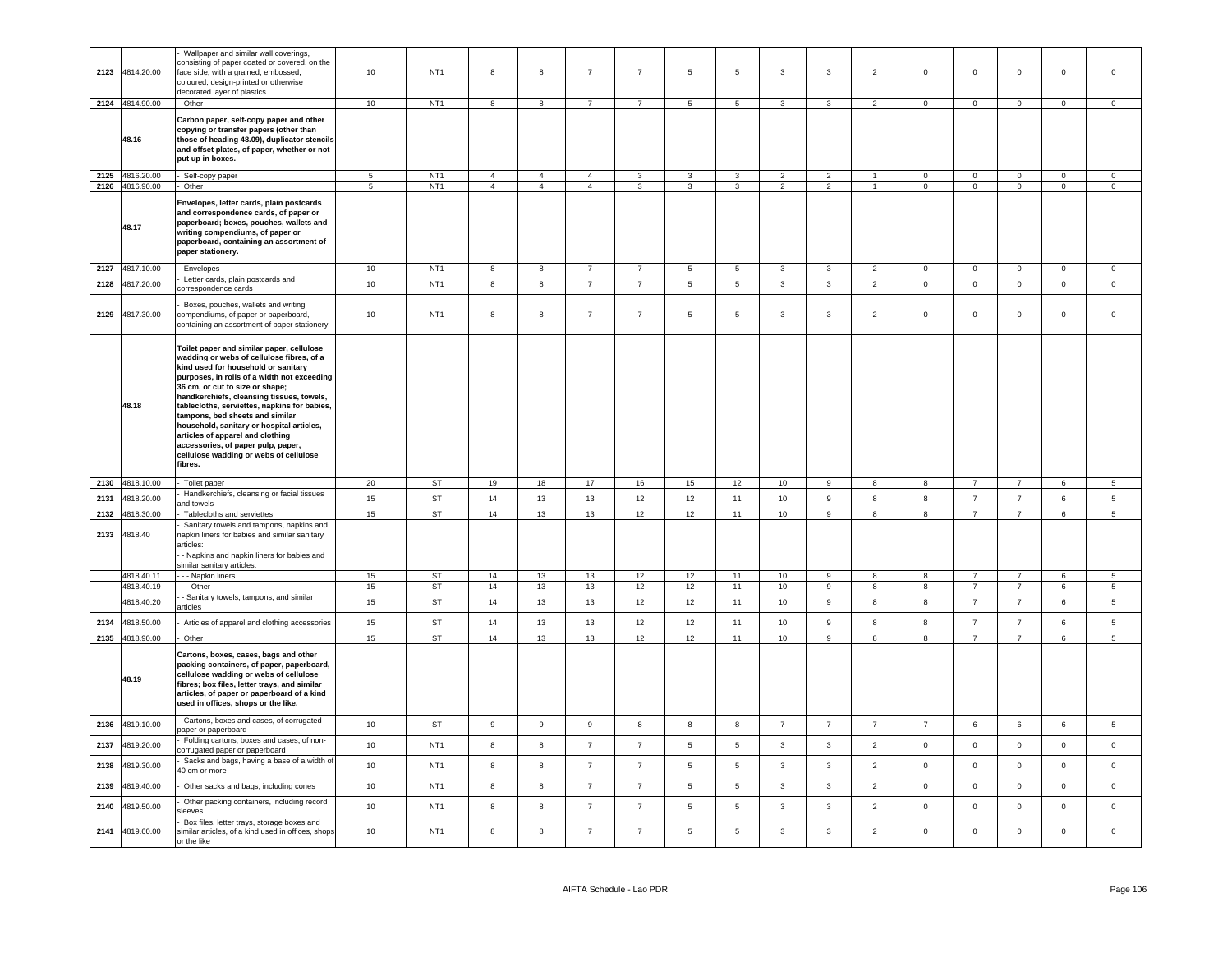| 2123 | 4814.20.00      | Wallpaper and similar wall coverings,<br>consisting of paper coated or covered, on the<br>face side, with a grained, embossed,<br>coloured, design-printed or otherwise<br>decorated layer of plastics                                                                                                                                                                                                                                                                                                                      | 10             | NT <sub>1</sub> | 8              | 8                | $\overline{7}$ | $\overline{7}$ | 5                | $5\phantom{.0}$ | $\mathbf{3}$   | 3                | $\overline{2}$ | $\mathsf 0$    | $\mathbf 0$    | $\mathbf 0$    | $\mathsf 0$         | $\mathsf 0$    |
|------|-----------------|-----------------------------------------------------------------------------------------------------------------------------------------------------------------------------------------------------------------------------------------------------------------------------------------------------------------------------------------------------------------------------------------------------------------------------------------------------------------------------------------------------------------------------|----------------|-----------------|----------------|------------------|----------------|----------------|------------------|-----------------|----------------|------------------|----------------|----------------|----------------|----------------|---------------------|----------------|
|      | 2124 4814.90.00 | - Other                                                                                                                                                                                                                                                                                                                                                                                                                                                                                                                     | 10             | NT <sub>1</sub> | 8              | 8                | $\overline{7}$ | $\overline{7}$ | $5\overline{5}$  | 5               | $\mathbf{3}$   | 3                | 2              | $\overline{0}$ | $\overline{0}$ | $\mathbf{0}$   | $^{\circ}$          | $\circ$        |
|      | 48.16           | Carbon paper, self-copy paper and other<br>copying or transfer papers (other than<br>those of heading 48.09), duplicator stencils<br>and offset plates, of paper, whether or not<br>put up in boxes.                                                                                                                                                                                                                                                                                                                        |                |                 |                |                  |                |                |                  |                 |                |                  |                |                |                |                |                     |                |
|      | 2125 4816.20.00 | Self-copy paper                                                                                                                                                                                                                                                                                                                                                                                                                                                                                                             | 5              | NT <sub>1</sub> | $\overline{4}$ | $\overline{4}$   | $\mathbf{A}$   | 3              | $\mathbf{3}$     | $\mathbf{R}$    | $\overline{2}$ | $\overline{2}$   | $\overline{1}$ | $\Omega$       | $\circ$        | $\mathsf 0$    | $\Omega$            | $\Omega$       |
|      | 2126 4816.90.00 | Other                                                                                                                                                                                                                                                                                                                                                                                                                                                                                                                       | $\overline{5}$ | NT <sub>1</sub> | $\overline{4}$ | $\overline{4}$   | $\overline{4}$ | $\mathbf{3}$   | $\overline{3}$   | $\overline{3}$  | $\overline{2}$ | $\overline{2}$   | $\mathbf{1}$   | $\overline{0}$ | $\overline{0}$ | $\overline{0}$ | $\mathbf{0}$        | $\overline{0}$ |
|      | 48.17           | Envelopes, letter cards, plain postcards<br>and correspondence cards, of paper or<br>paperboard; boxes, pouches, wallets and<br>writing compendiums, of paper or<br>paperboard, containing an assortment of<br>paper stationery.                                                                                                                                                                                                                                                                                            |                |                 |                |                  |                |                |                  |                 |                |                  |                |                |                |                |                     |                |
| 2127 | 4817.10.00      | Envelopes                                                                                                                                                                                                                                                                                                                                                                                                                                                                                                                   | $10$           | NT <sub>1</sub> | 8              | 8                | $\overline{7}$ | $\overline{7}$ | 5                | 5               | 3              | 3                | $\overline{2}$ | $\mathsf 0$    | $\mathbf 0$    | $\mathbf 0$    | $\mathbf 0$         | $\mathsf 0$    |
| 2128 | 4817.20.00      | Letter cards, plain postcards and<br>orrespondence cards                                                                                                                                                                                                                                                                                                                                                                                                                                                                    | 10             | NT <sub>1</sub> | 8              | 8                | $\overline{7}$ | $\overline{7}$ | $5\phantom{.0}$  | 5               | 3              | 3                | $\overline{2}$ | $\circ$        | $\mathbf{0}$   | $\mathbf 0$    | $\circ$             | $\circ$        |
| 2129 | 4817.30.00      | Boxes, pouches, wallets and writing<br>compendiums, of paper or paperboard,<br>containing an assortment of paper stationery                                                                                                                                                                                                                                                                                                                                                                                                 | 10             | NT <sub>1</sub> | 8              | 8                | $\overline{7}$ | $\overline{7}$ | 5                | 5               | 3              | 3                | $\overline{2}$ | $\mathsf 0$    | $\mathbf 0$    | $\mathbf 0$    | 0                   | $\mathbf 0$    |
|      | 48.18           | Toilet paper and similar paper, cellulose<br>wadding or webs of cellulose fibres, of a<br>kind used for household or sanitary<br>purposes, in rolls of a width not exceeding<br>36 cm, or cut to size or shape;<br>handkerchiefs, cleansing tissues, towels,<br>tablecloths, serviettes, napkins for babies,<br>tampons, bed sheets and similar<br>household, sanitary or hospital articles,<br>articles of apparel and clothing<br>accessories, of paper pulp, paper,<br>cellulose wadding or webs of cellulose<br>fibres. |                |                 |                |                  |                |                |                  |                 |                |                  |                |                |                |                |                     |                |
|      | 2130 4818.10.00 | Toilet paper                                                                                                                                                                                                                                                                                                                                                                                                                                                                                                                | 20             | ST              | 19             | 18               | 17             | 16             | 15               | 12              | 10             | $\mathbf{Q}$     | 8              | 8              | $\overline{7}$ | $\overline{7}$ | 6                   | 5              |
| 2131 | 4818.20.00      | Handkerchiefs, cleansing or facial tissues                                                                                                                                                                                                                                                                                                                                                                                                                                                                                  | 15             | <b>ST</b>       | 14             | 13               | 13             | 12             | 12               | 11              | 10             | $\overline{9}$   | 8              | $\mathbf{g}$   | $\overline{7}$ | $\overline{7}$ | $6^{\circ}$         | 5              |
| 2132 | 4818.30.00      | and towels<br>Tablecloths and serviettes                                                                                                                                                                                                                                                                                                                                                                                                                                                                                    | 15             | <b>ST</b>       | 14             | 13               | 13             | 12             | 12               | 11              | 10             | 9                | 8              | 8              | $\overline{7}$ | $\overline{7}$ | 6                   | 5              |
| 2133 | 4818.40         | Sanitary towels and tampons, napkins and<br>apkin liners for babies and similar sanitary<br>articles:                                                                                                                                                                                                                                                                                                                                                                                                                       |                |                 |                |                  |                |                |                  |                 |                |                  |                |                |                |                |                     |                |
|      |                 | - Napkins and napkin liners for babies and<br>similar sanitary articles:                                                                                                                                                                                                                                                                                                                                                                                                                                                    |                |                 |                |                  |                |                |                  |                 |                |                  |                |                |                |                |                     |                |
|      | 4818.40.11      | - - Napkin liners                                                                                                                                                                                                                                                                                                                                                                                                                                                                                                           | 15             | ST              | 14             | 13               | 13             | 12             | 12               | 11              | 10             | 9                | 8              | 8              | $\overline{7}$ | $\overline{7}$ | $6\phantom{.0}$     | 5              |
|      | 4818.40.19      | - - Other                                                                                                                                                                                                                                                                                                                                                                                                                                                                                                                   | 15             | <b>ST</b>       | 14             | 13               | 13             | 12             | 12               | 11              | 10             | 9                | $\overline{8}$ | 8              | $\overline{7}$ | $\overline{7}$ | 6                   | 5              |
|      | 4818.40.20      | - Sanitary towels, tampons, and similar<br>articles                                                                                                                                                                                                                                                                                                                                                                                                                                                                         | 15             | ST              | 14             | 13               | 13             | 12             | 12               | 11              | 10             | $\boldsymbol{9}$ | 8              | 8              | $\overline{7}$ | $\overline{7}$ | 6                   | 5              |
| 2134 | 4818.50.00      | Articles of apparel and clothing accessories                                                                                                                                                                                                                                                                                                                                                                                                                                                                                | 15             | ST              | 14             | 13               | 13             | $12\,$         | 12               | 11              | 10             | $\boldsymbol{9}$ | 8              | 8              | $\overline{7}$ | $\overline{7}$ | 6                   | 5              |
| 2135 | 4818.90.00      | Other                                                                                                                                                                                                                                                                                                                                                                                                                                                                                                                       | 15             | ST              | 14             | 13               | 13             | 12             | 12               | 11              | 10             | 9                | $\mathbf{g}$   | 8              | $\overline{7}$ | $\overline{7}$ | $6\overline{6}$     | 5              |
|      | 48.19           | Cartons, boxes, cases, bags and other<br>packing containers, of paper, paperboard,<br>cellulose wadding or webs of cellulose<br>fibres; box files, letter trays, and similar<br>articles, of paper or paperboard of a kind<br>used in offices, shops or the like.                                                                                                                                                                                                                                                           |                |                 |                |                  |                |                |                  |                 |                |                  |                |                |                |                |                     |                |
| 2136 | 4819.10.00      | Cartons, boxes and cases, of corrugated<br>aper or paperboard                                                                                                                                                                                                                                                                                                                                                                                                                                                               | 10             | ST              | 9              | $\boldsymbol{9}$ | 9              | 8              | $\boldsymbol{8}$ | 8               | $\overline{7}$ | $\overline{7}$   | $\overline{7}$ | $\overline{7}$ | 6              | $\,6\,$        | $\,6\,$             | $\sqrt{5}$     |
| 2137 | 4819.20.00      | Folding cartons, boxes and cases, of non-<br>corrugated paper or paperboard                                                                                                                                                                                                                                                                                                                                                                                                                                                 | 10             | NT <sub>1</sub> | 8              | 8                | $\overline{7}$ | $\overline{7}$ | $\,$ 5 $\,$      | $\sqrt{5}$      | $\mathbf{3}$   | $_{\rm 3}$       | $\overline{2}$ | $\,0\,$        | $\mathbf 0$    | $\mathbf 0$    | $\mathsf{O}\xspace$ | $\mathsf 0$    |
| 2138 | 4819.30.00      | Sacks and bags, having a base of a width of<br>40 cm or more                                                                                                                                                                                                                                                                                                                                                                                                                                                                | 10             | NT <sub>1</sub> | 8              | $\bf8$           | $\overline{7}$ | $\overline{7}$ | $\overline{5}$   | $\sqrt{5}$      | $\mathbf{3}$   | $\mathbf{3}$     | $\overline{2}$ | $\,0\,$        | $\mathbf 0$    | $\mathbf 0$    | $\mathbf{0}$        | $\mathbf{0}$   |
| 2139 | 4819.40.00      | Other sacks and bags, including cones                                                                                                                                                                                                                                                                                                                                                                                                                                                                                       | 10             | NT <sub>1</sub> | 8              | 8                | $\overline{7}$ | $\overline{7}$ | 5                | $5\phantom{.0}$ | 3              | $\mathbf{3}$     | $\overline{2}$ | $\mathbf 0$    | $\mathbf 0$    | $\mathsf 0$    | $\mathsf 0$         | $\mathsf 0$    |
| 2140 | 4819.50.00      | Other packing containers, including record<br>sleeves                                                                                                                                                                                                                                                                                                                                                                                                                                                                       | 10             | NT <sub>1</sub> | 8              | 8                | $\overline{7}$ | $\overline{7}$ | 5                | 5               | 3              | 3                | $\overline{2}$ | $\mathbf 0$    | $\mathbf 0$    | $\mathbf 0$    | $\mathbf 0$         | $\mathbf 0$    |
| 2141 | 4819.60.00      | Box files, letter trays, storage boxes and<br>similar articles, of a kind used in offices, shops<br>or the like                                                                                                                                                                                                                                                                                                                                                                                                             | 10             | NT <sub>1</sub> | 8              | 8                | $\overline{7}$ | $\overline{7}$ | 5                | 5               | $\mathbf{3}$   | $\mathbf{3}$     | $\overline{2}$ | $\mathbf 0$    | $\mathbf 0$    | $\mathbf 0$    | $\mathbf 0$         | $\mathbf 0$    |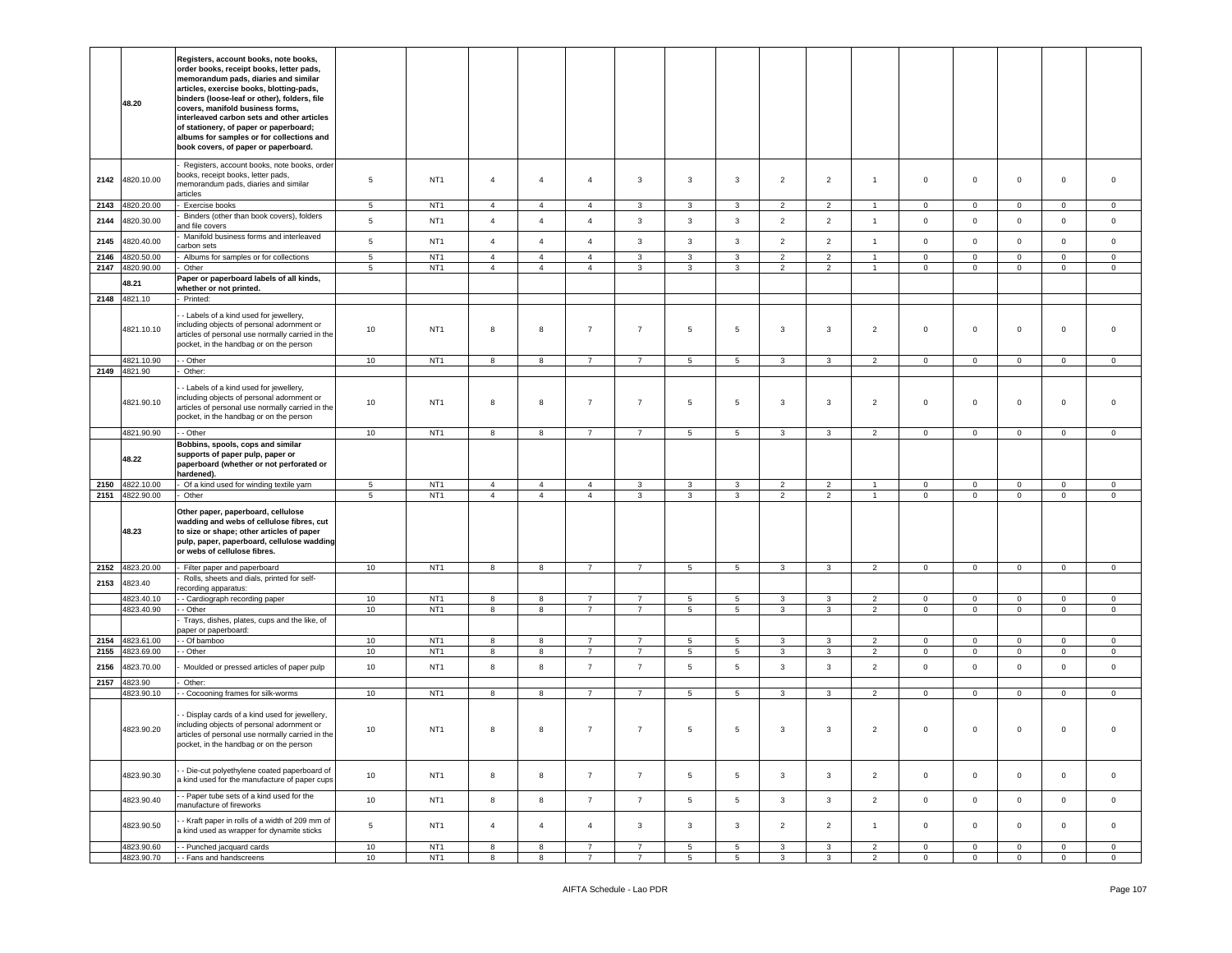|      | 48.20                              | Registers, account books, note books,<br>order books, receipt books, letter pads,<br>memorandum pads, diaries and similar<br>articles, exercise books, blotting-pads,<br>binders (loose-leaf or other), folders, file<br>covers, manifold business forms,<br>interleaved carbon sets and other articles<br>of stationery, of paper or paperboard;<br>albums for samples or for collections and<br>book covers, of paper or paperboard. |                 |                                    |                                  |                                  |                                  |                   |                   |                   |                     |                                  |                |                            |                            |                            |                        |                        |
|------|------------------------------------|----------------------------------------------------------------------------------------------------------------------------------------------------------------------------------------------------------------------------------------------------------------------------------------------------------------------------------------------------------------------------------------------------------------------------------------|-----------------|------------------------------------|----------------------------------|----------------------------------|----------------------------------|-------------------|-------------------|-------------------|---------------------|----------------------------------|----------------|----------------------------|----------------------------|----------------------------|------------------------|------------------------|
| 2142 | 4820.10.00                         | Registers, account books, note books, order<br>oooks, receipt books, letter pads,<br>nemorandum pads, diaries and similar<br>articles                                                                                                                                                                                                                                                                                                  | 5               | NT <sub>1</sub>                    | $\overline{4}$                   | $\overline{4}$                   | $\overline{4}$                   | 3                 | 3                 | 3                 | $\overline{2}$      | $\overline{2}$                   | $\overline{1}$ | $\mathbf 0$                | $\mathbf 0$                | $\mathbf 0$                | $\mathbf 0$            | $\mathbf 0$            |
| 2143 | 4820.20.00                         | Exercise books                                                                                                                                                                                                                                                                                                                                                                                                                         | 5               | NT <sub>1</sub>                    | $\overline{4}$                   | $\overline{4}$                   | $\overline{4}$                   | 3                 | 3                 | 3                 | $\overline{2}$      | $\overline{2}$                   |                | $\mathbf 0$                | $\mathbf 0$                | $\mathbf 0$                | $\mathbf 0$            | 0                      |
| 2144 | 4820.30.00                         | Binders (other than book covers), folders<br>nd file covers                                                                                                                                                                                                                                                                                                                                                                            | $\,$ 5 $\,$     | NT <sub>1</sub>                    | $\overline{4}$                   | $\overline{4}$                   | $\overline{4}$                   | $\mathbf{3}$      | $\mathbf{3}$      | $\mathbf{3}$      | $\overline{2}$      | $\overline{2}$                   | $\mathbf{1}$   | $\mathbf 0$                | $\mathbf 0$                | $\mathbf 0$                | $\mathsf 0$            | $\mathsf 0$            |
| 2145 | 4820.40.00                         | Manifold business forms and interleaved<br>carbon sets                                                                                                                                                                                                                                                                                                                                                                                 | $\,$ 5 $\,$     | NT <sub>1</sub>                    | $\overline{4}$                   | $\overline{4}$                   | $\overline{4}$                   | 3                 | $\mathbf{3}$      | 3                 | $\overline{2}$      | $\overline{2}$                   | $\overline{1}$ | $\mathbf 0$                | $\mathbf 0$                | $\mathbf 0$                | $\mathbf{0}$           | $\circ$                |
| 2146 | 4820.50.00                         | Albums for samples or for collections                                                                                                                                                                                                                                                                                                                                                                                                  | $5\phantom{.0}$ | NT <sub>1</sub>                    | $\overline{4}$                   | $\overline{4}$                   | $\overline{4}$                   | 3                 | $\overline{3}$    | 3                 | $\overline{2}$      | $\overline{2}$                   | $\mathbf{1}$   | $\mathbf 0$                | $\overline{0}$             | $\mathbf 0$                | $\circ$                | $\circ$                |
| 2147 | 4820.90.00                         | Other                                                                                                                                                                                                                                                                                                                                                                                                                                  | 5               | NT <sub>1</sub>                    | $\overline{4}$                   | $\overline{4}$                   | $\overline{4}$                   | 3                 | $\mathbf{3}$      | $\mathbf{3}$      | $\overline{2}$      | 2                                | $\mathbf{1}$   | $\mathsf 0$                | $\circ$                    | $\mathbf 0$                | $\mathbf 0$            | $\mathbf 0$            |
|      | 48.21                              | Paper or paperboard labels of all kinds,                                                                                                                                                                                                                                                                                                                                                                                               |                 |                                    |                                  |                                  |                                  |                   |                   |                   |                     |                                  |                |                            |                            |                            |                        |                        |
|      |                                    | whether or not printed.                                                                                                                                                                                                                                                                                                                                                                                                                |                 |                                    |                                  |                                  |                                  |                   |                   |                   |                     |                                  |                |                            |                            |                            |                        |                        |
|      | 2148 4821.10                       | Printed:                                                                                                                                                                                                                                                                                                                                                                                                                               |                 |                                    |                                  |                                  |                                  |                   |                   |                   |                     |                                  |                |                            |                            |                            |                        |                        |
|      | 4821.10.10                         | - Labels of a kind used for jewellery,<br>ncluding objects of personal adornment or<br>articles of personal use normally carried in the<br>pocket, in the handbag or on the person                                                                                                                                                                                                                                                     | 10              | NT <sub>1</sub>                    | 8                                | 8                                | $\overline{7}$                   | $\overline{7}$    | $5\overline{)}$   | $5\phantom{.0}$   | 3                   | 3                                | $\overline{2}$ | $\mathbf 0$                | $\mathbf 0$                | $\mathbf 0$                | $\mathbf 0$            | $\mathbf 0$            |
|      | 4821.10.90                         | - Other                                                                                                                                                                                                                                                                                                                                                                                                                                | 10              | NT <sub>1</sub>                    | $\boldsymbol{8}$                 | 8                                | $\overline{7}$                   | $\overline{7}$    | $5\phantom{.0}$   | $5\phantom{.0}$   | 3                   | 3                                | $\overline{2}$ | $\mathbf 0$                | $\overline{0}$             | $\mathbf 0$                | $\mathsf 0$            | $\mathsf 0$            |
|      | 2149 4821.90                       | Other:                                                                                                                                                                                                                                                                                                                                                                                                                                 |                 |                                    |                                  |                                  |                                  |                   |                   |                   |                     |                                  |                |                            |                            |                            |                        |                        |
|      | 4821.90.10                         | - Labels of a kind used for jewellery,<br>ncluding objects of personal adornment or<br>articles of personal use normally carried in the<br>pocket, in the handbag or on the person                                                                                                                                                                                                                                                     | 10              | NT <sub>1</sub>                    | 8                                | 8                                | $\overline{7}$                   | $\overline{7}$    | $5\phantom{.0}$   | $5\phantom{.0}$   | 3                   | 3                                | $\overline{2}$ | $\mathbf 0$                | $\mathbf 0$                | $\mathbf 0$                | $\mathbf 0$            | $\mathbf 0$            |
|      | 4821.90.90                         | - Other                                                                                                                                                                                                                                                                                                                                                                                                                                | 10              | NT <sub>1</sub>                    | 8                                | 8                                | $\overline{7}$                   | $\overline{7}$    | $5\overline{5}$   | $5\overline{5}$   | 3                   | 3                                | $\overline{2}$ | $\mathbf{0}$               | $\overline{0}$             | $\mathbf 0$                | $\circ$                | $\mathbf{0}$           |
|      | 48.22                              | Bobbins, spools, cops and similar<br>supports of paper pulp, paper or<br>paperboard (whether or not perforated or<br>ardened).                                                                                                                                                                                                                                                                                                         |                 |                                    |                                  |                                  |                                  |                   |                   |                   |                     |                                  |                |                            |                            |                            |                        |                        |
|      | 2150 4822.10.00<br>2151 4822.90.00 | Of a kind used for winding textile yarn<br>Other                                                                                                                                                                                                                                                                                                                                                                                       | 5<br>5          | NT <sub>1</sub><br>NT <sub>1</sub> | $\overline{4}$<br>$\overline{4}$ | $\overline{4}$<br>$\overline{4}$ | $\overline{4}$<br>$\overline{4}$ | 3<br>$\mathbf{3}$ | 3<br>$\mathbf{3}$ | 3<br>$\mathbf{3}$ | $\overline{2}$<br>2 | $\overline{2}$<br>$\overline{2}$ | $\overline{1}$ | $\mathbf 0$<br>$\mathbf 0$ | $\mathbf 0$<br>$\mathbf 0$ | $\mathbf 0$<br>$\mathsf 0$ | $\mathbf 0$<br>$\circ$ | $\circ$<br>$\mathbf 0$ |
|      | 48.23                              | Other paper, paperboard, cellulose<br>wadding and webs of cellulose fibres, cut<br>to size or shape; other articles of paper<br>pulp, paper, paperboard, cellulose wadding<br>or webs of cellulose fibres.                                                                                                                                                                                                                             |                 |                                    |                                  |                                  |                                  |                   |                   |                   |                     |                                  |                |                            |                            |                            |                        |                        |
|      | 2152 4823.20.00                    | Filter paper and paperboard                                                                                                                                                                                                                                                                                                                                                                                                            | 10              | NT <sub>1</sub>                    | 8                                | 8                                | $\overline{7}$                   | $\overline{7}$    | $5\phantom{.0}$   | $5\phantom{.0}$   | 3                   | 3                                | $\overline{2}$ | $\mathbf 0$                | $\overline{0}$             | $\mathbf 0$                | $\mathbf 0$            | $\mathbf 0$            |
| 2153 | 4823.40                            | Rolls, sheets and dials, printed for self-<br>ecording apparatus:                                                                                                                                                                                                                                                                                                                                                                      |                 |                                    |                                  |                                  |                                  |                   |                   |                   |                     |                                  |                |                            |                            |                            |                        |                        |
|      | 4823.40.10                         | - Cardiograph recording paper                                                                                                                                                                                                                                                                                                                                                                                                          | 10              | NT <sub>1</sub>                    | 8                                | 8                                | $\overline{7}$                   | $\overline{7}$    | $5\phantom{.0}$   | 5                 | 3                   | 3                                | $\overline{2}$ | $\mathbf 0$                | $\mathbf 0$                | $\mathbf 0$                | $\mathsf 0$            | 0                      |
|      | 4823.40.90                         | - Other                                                                                                                                                                                                                                                                                                                                                                                                                                | 10              | NT <sub>1</sub>                    | 8                                | 8                                | $\overline{7}$                   | $\overline{7}$    | $5\phantom{.0}$   | $5\phantom{.0}$   | 3                   | 3                                | $\overline{2}$ | $\mathbf{0}$               | $\mathbf 0$                | $\mathsf 0$                | $\circ$                | $\circ$                |
|      |                                    | Trays, dishes, plates, cups and the like, of<br>paper or paperboard:                                                                                                                                                                                                                                                                                                                                                                   |                 |                                    |                                  |                                  |                                  |                   |                   |                   |                     |                                  |                |                            |                            |                            |                        |                        |
| 2154 | 4823.61.00                         | - Of bamboo                                                                                                                                                                                                                                                                                                                                                                                                                            | 10              | NT <sub>1</sub>                    | 8                                | 8                                | $\overline{7}$                   | $\overline{7}$    | $\,$ 5 $\,$       | $5\phantom{.0}$   | 3                   | 3                                | $\overline{2}$ | $\mathbf 0$                | $\mathbf 0$                | $\mathbf 0$                | $\mathbf 0$            | $\mathbf 0$            |
| 2155 | 4823.69.00                         | - Other                                                                                                                                                                                                                                                                                                                                                                                                                                | 10              | NT <sub>1</sub>                    | 8                                | 8                                | $\overline{7}$                   | $\overline{7}$    | $5\phantom{.0}$   | $5\phantom{.0}$   | 3                   | 3                                | $\overline{2}$ | $\mathbf 0$                | $\overline{0}$             | $\mathbf 0$                | $\circ$                | $\mathbf 0$            |
| 2156 | 4823.70.00                         | Moulded or pressed articles of paper pulp                                                                                                                                                                                                                                                                                                                                                                                              | 10              | NT <sub>1</sub>                    | 8                                | 8                                | $\overline{7}$                   | $\overline{7}$    | 5                 | $5\phantom{.0}$   | 3                   | 3                                | $\overline{2}$ | $\mathbf 0$                | $\circ$                    | $\mathsf 0$                | $\mathbf 0$            | $\mathbf 0$            |
| 2157 | 4823.90                            | Other:                                                                                                                                                                                                                                                                                                                                                                                                                                 |                 |                                    |                                  |                                  |                                  |                   |                   |                   |                     |                                  |                |                            |                            |                            |                        |                        |
|      | 4823.90.10                         | - Cocooning frames for silk-worms                                                                                                                                                                                                                                                                                                                                                                                                      | 10              | NT <sub>1</sub>                    | 8                                | 8                                | $\overline{7}$                   | $\overline{7}$    | 5                 | $5\phantom{.0}$   | 3                   | 3                                | $\overline{2}$ | $\overline{0}$             | $\overline{0}$             | $\mathbf 0$                | $\circ$                | $\mathbf 0$            |
|      | 4823.90.20                         | - Display cards of a kind used for jewellery,<br>ncluding objects of personal adornment or<br>articles of personal use normally carried in the<br>oocket, in the handbag or on the person                                                                                                                                                                                                                                              | 10              | NT <sub>1</sub>                    | 8                                | 8                                | $\overline{7}$                   | $\overline{7}$    | 5                 | $5\phantom{.0}$   | 3                   | 3                                | 2              | $\,0\,$                    | $\mathbf 0$                | $\mathbf 0$                | 0                      | $\Omega$               |
|      | 4823.90.30                         | - Die-cut polyethylene coated paperboard of<br>kind used for the manufacture of paper cups                                                                                                                                                                                                                                                                                                                                             | 10              | NT <sub>1</sub>                    | 8                                | 8                                | $\overline{7}$                   | $\overline{7}$    | $5\phantom{.0}$   | 5                 | $\mathbf{3}$        | 3                                | $\overline{2}$ | $\mathbf 0$                | $\overline{0}$             | $\mathbf 0$                | $\circ$                | $\mathbf 0$            |
|      | 4823.90.40                         | - Paper tube sets of a kind used for the<br>nanufacture of fireworks                                                                                                                                                                                                                                                                                                                                                                   | 10              | NT <sub>1</sub>                    | 8                                | 8                                | $\overline{7}$                   | $\overline{7}$    | $5\phantom{.0}$   | $5\phantom{.0}$   | $\mathbf{3}$        | 3                                | $\overline{2}$ | $\mathbf{0}$               | $\overline{0}$             | $\mathsf 0$                | $\overline{0}$         | $\circ$                |
|      | 4823.90.50                         | - Kraft paper in rolls of a width of 209 mm of<br>a kind used as wrapper for dynamite sticks                                                                                                                                                                                                                                                                                                                                           | $\,$ 5 $\,$     | NT <sub>1</sub>                    | $\overline{4}$                   | $\overline{4}$                   | $\overline{4}$                   | 3                 | $\mathbf{3}$      | $\mathbf{3}$      | $\overline{2}$      | $\overline{2}$                   | $\overline{1}$ | $\mathbf 0$                | $\mathbf{0}$               | $\mathsf 0$                | $\circ$                | $\mathbf 0$            |
|      | 4823.90.60                         | - Punched jacquard cards                                                                                                                                                                                                                                                                                                                                                                                                               | 10              | NT1                                | 8                                | 8                                | $\overline{7}$                   | $\overline{7}$    | 5                 | $5\overline{5}$   | 3                   | 3                                | $\overline{2}$ | $\circ$                    | $\circ$                    | $\mathbf 0$                | $\overline{0}$         | $\overline{0}$         |
|      | 4823.90.70                         | - Fans and handscreens                                                                                                                                                                                                                                                                                                                                                                                                                 | 10              | NT <sub>1</sub>                    | 8                                | 8                                | $\overline{7}$                   | $\overline{7}$    | $5\overline{)}$   | $5\overline{5}$   | 3                   | 3                                | $\overline{2}$ | $\overline{0}$             | $\overline{0}$             | $\mathbf 0$                | $\mathbf{0}$           | $\overline{0}$         |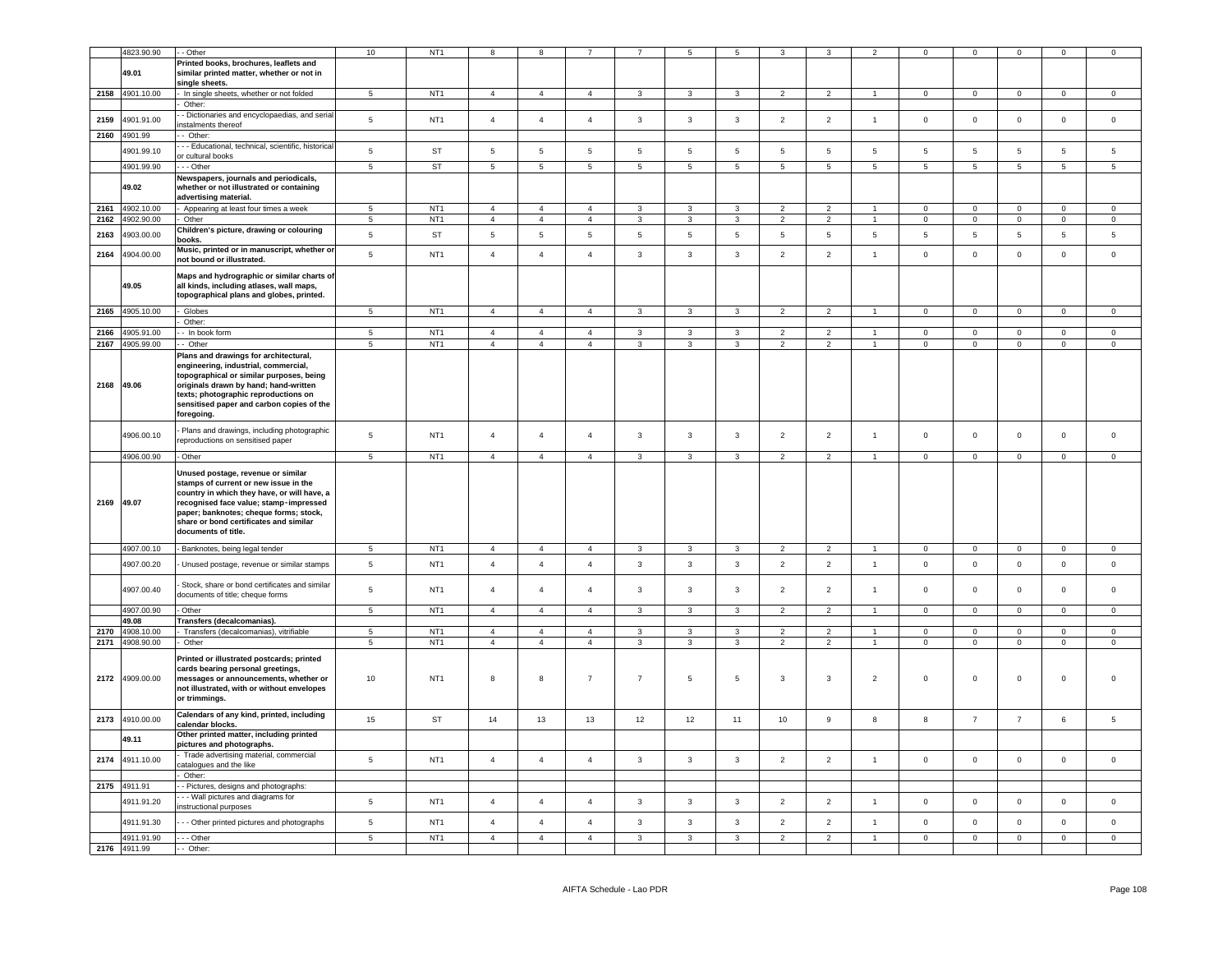|      | 4823.90.90                 | - Other                                                                                                                                                                                                                                                                         | $10\,$          | NT <sub>1</sub> |                 |                 |                |                 |                 |                |                 |                  |                 |                     | $\Omega$            | $\Omega$            |                     | $\Omega$       |
|------|----------------------------|---------------------------------------------------------------------------------------------------------------------------------------------------------------------------------------------------------------------------------------------------------------------------------|-----------------|-----------------|-----------------|-----------------|----------------|-----------------|-----------------|----------------|-----------------|------------------|-----------------|---------------------|---------------------|---------------------|---------------------|----------------|
|      | 49.01                      | Printed books, brochures, leaflets and<br>similar printed matter, whether or not in<br>single sheets.                                                                                                                                                                           |                 |                 |                 |                 |                |                 |                 |                |                 |                  |                 |                     |                     |                     |                     |                |
|      | 2158 4901.10.00            | In single sheets, whether or not folded                                                                                                                                                                                                                                         | 5 <sub>5</sub>  | NT <sub>1</sub> | $\overline{4}$  | $\overline{4}$  | $\overline{4}$ | $\mathbf{3}$    | $\mathbf{3}$    | $\mathbf{3}$   | $\overline{2}$  | $\overline{2}$   | $\overline{1}$  | $\mathbf{0}$        | $\overline{0}$      | $\mathbf{0}$        | $\overline{0}$      | $\circ$        |
| 2159 | 4901.91.00                 | Other:<br>- Dictionaries and encyclopaedias, and serial<br>nstalments thereof                                                                                                                                                                                                   | $\,$ 5 $\,$     | NT <sub>1</sub> | $\overline{4}$  | $\overline{4}$  | $\overline{4}$ | $\mathbf{3}$    | $\mathbf{3}$    | $\mathbf{3}$   | $\overline{2}$  | $\overline{2}$   | $\overline{1}$  | $\mathsf 0$         | $\overline{0}$      | $\mathbf 0$         | $\Omega$            | $\mathsf 0$    |
| 2160 | 4901.99                    | - Other:                                                                                                                                                                                                                                                                        |                 |                 |                 |                 |                |                 |                 |                |                 |                  |                 |                     |                     |                     |                     |                |
|      | 4901.99.10                 | - Educational, technical, scientific, historical                                                                                                                                                                                                                                | $5\phantom{.0}$ | ST              | $\sqrt{5}$      | $5\phantom{.0}$ | $\,$ 5 $\,$    | $5\phantom{.0}$ | $5\phantom{.0}$ | $\sqrt{5}$     | $\sqrt{5}$      | $\sqrt{5}$       | $5\phantom{.0}$ | 5                   | $\sqrt{5}$          | $5\phantom{.0}$     | 5                   | $\sqrt{5}$     |
|      |                            | r cultural books                                                                                                                                                                                                                                                                |                 |                 |                 |                 |                |                 |                 |                |                 |                  |                 |                     |                     |                     |                     |                |
|      | 4901.99.90                 | - - Other<br>Newspapers, journals and periodicals,                                                                                                                                                                                                                              | $5\phantom{.0}$ | <b>ST</b>       | $5\phantom{.0}$ | $\,$ 5 $\,$     | $\sqrt{5}$     | $\,$ 5 $\,$     | $5\phantom{.0}$ | $\sqrt{5}$     | $5\phantom{.0}$ | $\sqrt{5}$       | $5\phantom{.0}$ | 5                   | $5\phantom{.0}$     | $\sqrt{5}$          | $5\overline{5}$     | 5              |
|      | 49.02                      | whether or not illustrated or containing<br>advertising material.                                                                                                                                                                                                               |                 |                 |                 |                 |                |                 |                 |                |                 |                  |                 |                     |                     |                     |                     |                |
| 2161 | 4902.10.00                 | Appearing at least four times a week                                                                                                                                                                                                                                            | $\overline{5}$  | NT <sub>1</sub> | $\overline{4}$  | $\overline{4}$  | $\overline{4}$ | 3               | 3               | 3              | $\overline{2}$  | $\overline{2}$   |                 | $\Omega$            | $\Omega$            | $\Omega$            | $\Omega$            | $\Omega$       |
| 2162 | 4902.90.00                 | Other                                                                                                                                                                                                                                                                           | 5               | NT <sub>1</sub> | $\overline{4}$  | $\overline{4}$  | $\overline{4}$ | $\mathbf{3}$    | $\mathbf{3}$    | $\mathbf{3}$   | $\overline{2}$  | $\overline{2}$   | $\overline{1}$  | $\mathbf 0$         | $\mathsf{O}\xspace$ | $\mathsf{O}\xspace$ | $\mathbf 0$         | $\circ$        |
| 2163 | 4903.00.00                 | Children's picture, drawing or colouring<br>books.                                                                                                                                                                                                                              | 5               | ST              | $5\phantom{.0}$ | 5               | 5              | 5               | 5               | 5              | 5               | 5                | 5               | 5                   | 5                   | 5                   | 5                   | 5              |
| 2164 | 4904.00.00                 | Music, printed or in manuscript, whether or<br>not bound or illustrated.                                                                                                                                                                                                        | 5               | NT <sub>1</sub> | $\overline{4}$  | $\overline{4}$  | $\overline{4}$ | $\mathbf{3}$    | $\mathbf{3}$    | $\mathbf{3}$   | $\overline{2}$  | $\overline{2}$   | $\overline{1}$  | $\mathsf 0$         | $\circ$             | $\mathbf 0$         | $\mathbf{0}$        | $\mathsf 0$    |
|      | 49.05                      | Maps and hydrographic or similar charts of<br>all kinds, including atlases, wall maps,<br>topographical plans and globes, printed.                                                                                                                                              |                 |                 |                 |                 |                |                 |                 |                |                 |                  |                 |                     |                     |                     |                     |                |
| 2165 | 4905.10.00                 | Globes                                                                                                                                                                                                                                                                          | 5               | NT <sub>1</sub> | $\overline{4}$  | $\overline{4}$  | $\overline{4}$ | $\overline{3}$  | $\mathbf{R}$    | $\overline{3}$ | 2               | 2                | $\overline{1}$  | $\mathbf{0}$        | $\mathbf{0}$        | $\mathbf 0$         | $\mathbf{0}$        | $\mathbf 0$    |
|      |                            | Other:                                                                                                                                                                                                                                                                          |                 |                 |                 |                 |                |                 |                 |                |                 |                  |                 |                     |                     |                     |                     |                |
| 2166 | 4905.91.00                 | - In book form                                                                                                                                                                                                                                                                  | 5               | NT <sub>1</sub> | $\overline{4}$  | $\overline{4}$  | $\mathbf{A}$   | $\mathbf{3}$    | 3               | 3              | $\overline{2}$  | $\mathcal{P}$    | $\overline{4}$  | $\mathbf 0$         | $\mathsf 0$         | $\mathsf 0$         | $\mathsf 0$         | $\mathsf 0$    |
| 2167 | 4905.99.00                 | - Other<br>Plans and drawings for architectural,<br>engineering, industrial, commercial,<br>topographical or similar purposes, being                                                                                                                                            | 5               | NT <sub>1</sub> | $\overline{4}$  | $\overline{4}$  | $\overline{4}$ | $\mathbf{3}$    | 3               | $\mathbf{3}$   | $\overline{2}$  | $\overline{2}$   |                 | $\mathsf 0$         | $\mathbf 0$         | $\mathsf 0$         | $\mathbf 0$         | $\overline{0}$ |
|      | 2168 49.06                 | originals drawn by hand; hand-written<br>texts; photographic reproductions on<br>sensitised paper and carbon copies of the<br>foregoing.                                                                                                                                        |                 |                 |                 |                 |                |                 |                 |                |                 |                  |                 |                     |                     |                     |                     |                |
|      | 4906.00.10                 | Plans and drawings, including photographic<br>reproductions on sensitised paper                                                                                                                                                                                                 | 5               | NT <sub>1</sub> | $\overline{4}$  | $\overline{4}$  | $\overline{4}$ | $\mathbf{3}$    | $\mathbf{3}$    | $\mathbf{3}$   | $\overline{2}$  | $\overline{2}$   | $\overline{1}$  | $\mathsf 0$         | $\mathsf 0$         | $\mathsf 0$         | $\mathsf 0$         | $\mathbf 0$    |
|      | 4906.00.90                 | Other                                                                                                                                                                                                                                                                           | $5\phantom{.0}$ | NT <sub>1</sub> | $\overline{4}$  | $\overline{4}$  | $\overline{4}$ | $\mathbf{3}$    | $\mathbf{3}$    | $\mathbf{3}$   | $\overline{2}$  | $\overline{2}$   | $\overline{1}$  | $\overline{0}$      | $\overline{0}$      | $\mathbf 0$         | $\overline{0}$      | $\mathbf 0$    |
|      |                            |                                                                                                                                                                                                                                                                                 |                 |                 |                 |                 |                |                 |                 |                |                 |                  |                 |                     |                     |                     |                     |                |
| 2169 | 49.07                      | Unused postage, revenue or similar<br>stamps of current or new issue in the<br>country in which they have, or will have, a<br>recognised face value; stamp-impressed<br>paper; banknotes; cheque forms; stock,<br>share or bond certificates and similar<br>documents of title. |                 |                 |                 |                 |                |                 |                 |                |                 |                  |                 |                     |                     |                     |                     |                |
|      | 4907.00.10                 | - Banknotes, being legal tender                                                                                                                                                                                                                                                 | 5 <sub>5</sub>  | NT <sub>1</sub> | $\overline{4}$  | $\overline{4}$  | $\overline{4}$ | $\mathbf{3}$    | $\mathbf{3}$    | $\mathbf{3}$   | $\overline{2}$  | $\overline{2}$   | $\overline{1}$  | $\mathbf{0}$        | $\mathbf{0}$        | $\mathbf{0}$        | $\mathbf{0}$        | $\circ$        |
|      | 4907.00.20                 | Unused postage, revenue or similar stamps                                                                                                                                                                                                                                       | $\,$ 5 $\,$     | NT <sub>1</sub> | $\overline{4}$  | $\overline{4}$  | $\overline{4}$ | $\mathbf{3}$    | $\mathbf{3}$    | $\mathbf{3}$   | $\overline{2}$  | $\overline{2}$   | $\overline{1}$  | $\mathbf 0$         | $\mathbf 0$         | $\mathbf 0$         | $\mathbf 0$         | $\mathsf 0$    |
|      | 4907.00.40                 | Stock, share or bond certificates and similar<br>documents of title; cheque forms                                                                                                                                                                                               | $\,$ 5 $\,$     | NT <sub>1</sub> | $\overline{4}$  | $\overline{4}$  | $\overline{4}$ | $\mathbf{3}$    | 3               | $\mathbf{3}$   | $\overline{2}$  | $\overline{2}$   | $\overline{1}$  | $\mathsf{O}\xspace$ | $\mathsf 0$         | $\mathsf 0$         | $\mathsf 0$         | $\mathbf 0$    |
|      | 4907.00.90                 | Other                                                                                                                                                                                                                                                                           | $\sqrt{5}$      | NT <sub>1</sub> | $\overline{4}$  | $\overline{4}$  | $\overline{4}$ | $\mathbf{3}$    | 3               | $\mathbf{3}$   | $\overline{2}$  | $\overline{2}$   | $\overline{1}$  | $\mathbf 0$         | $\mathsf 0$         | $\mathsf 0$         | $\overline{0}$      | $\Omega$       |
|      | 49.08                      | Transfers (decalcomanias).                                                                                                                                                                                                                                                      |                 |                 |                 |                 |                |                 |                 |                |                 |                  |                 |                     |                     |                     |                     |                |
|      | 2170 4908.10.00            | Transfers (decalcomanias), vitrifiable                                                                                                                                                                                                                                          | 5               | NT <sub>1</sub> | $\overline{4}$  | $\overline{4}$  | $\overline{4}$ | $\mathbf{3}$    | $\mathbf{3}$    | $\mathbf{3}$   | $\overline{2}$  | $\overline{2}$   | $\overline{1}$  | $\mathbf 0$         | $\overline{0}$      | $\mathbf 0$         | $\overline{0}$      | $\mathsf 0$    |
|      | 2171 4908.90.00            | Other                                                                                                                                                                                                                                                                           | $\,$ 5 $\,$     | NT <sub>1</sub> | $\overline{4}$  | $\overline{4}$  | $\sqrt{4}$     | $\mathbf{3}$    | $\overline{3}$  | $\mathbf{3}$   | $\overline{2}$  | $\overline{2}$   | $\mathbf{1}$    | $\mathsf 0$         | $\mathsf 0$         | $\mathbf 0$         | $\pmb{0}$           | $\mathsf 0$    |
| 2172 | 4909.00.00                 | Printed or illustrated postcards; printed<br>cards bearing personal greetings,<br>messages or announcements, whether or<br>not illustrated, with or without envelopes<br>or trimmings.                                                                                          | 10              | NT <sub>1</sub> | 8               | 8               | $\overline{7}$ | $\overline{7}$  | 5               | $\sqrt{5}$     | $\mathbf{3}$    | $\mathbf{3}$     | $\overline{2}$  | $\mathsf 0$         | $\mathbf 0$         | $\mathbf 0$         | $\mathsf{O}\xspace$ |                |
| 2173 | 4910.00.00                 | Calendars of any kind, printed, including<br>calendar blocks.                                                                                                                                                                                                                   | 15              | ST              | 14              | 13              | 13             | 12              | 12              | 11             | 10              | $\boldsymbol{9}$ | 8               | $\boldsymbol{8}$    | $\overline{7}$      | $\overline{7}$      | 6                   | $\sqrt{5}$     |
|      | 49.11                      | Other printed matter, including printed<br>pictures and photographs.                                                                                                                                                                                                            |                 |                 |                 |                 |                |                 |                 |                |                 |                  |                 |                     |                     |                     |                     |                |
| 2174 | 4911.10.00                 | Trade advertising material, commercial<br>catalogues and the like                                                                                                                                                                                                               | $\overline{5}$  | NT <sub>1</sub> | $\overline{4}$  | $\overline{4}$  | $\overline{4}$ | $\mathbf{3}$    | $\mathbf{3}$    | $\mathbf{3}$   | $\overline{2}$  | $\overline{2}$   | $\overline{1}$  | $\mathsf 0$         | $\mathbf 0$         | $\mathsf 0$         | $\mathsf 0$         | $\mathbf 0$    |
|      |                            | Other:                                                                                                                                                                                                                                                                          |                 |                 |                 |                 |                |                 |                 |                |                 |                  |                 |                     |                     |                     |                     |                |
|      | 2175 4911.91               | - Pictures, designs and photographs:                                                                                                                                                                                                                                            |                 |                 |                 |                 |                |                 |                 |                |                 |                  |                 |                     |                     |                     |                     |                |
|      | 4911.91.20                 | - - Wall pictures and diagrams for<br>instructional purposes                                                                                                                                                                                                                    | $\,$ 5 $\,$     | NT <sub>1</sub> | $\overline{4}$  | $\overline{4}$  | $\overline{4}$ | $\mathbf{3}$    | $\mathbf{3}$    | $\mathbf{3}$   | $\overline{2}$  | $\overline{2}$   | $\overline{1}$  | $\mathbf 0$         | $\mathbf 0$         | $\mathbf 0$         | $\pmb{0}$           | $\mathbf 0$    |
|      | 4911.91.30                 | - - Other printed pictures and photographs                                                                                                                                                                                                                                      | $\,$ 5 $\,$     | NT <sub>1</sub> | $\overline{4}$  | $\overline{4}$  | $\overline{4}$ | $\mathbf{3}$    | $\mathbf{3}$    | $\mathbf{3}$   | $\overline{2}$  | $\overline{2}$   | $\overline{1}$  | $\,0\,$             | $\mathbf 0$         | $\mathbf 0$         | $\mathsf{O}\xspace$ | $\mathsf 0$    |
|      | 4911.91.90<br>2176 4911.99 | - - Other<br>-- Other:                                                                                                                                                                                                                                                          | 5               | NT <sub>1</sub> | $\overline{4}$  | $\overline{4}$  | $\overline{4}$ | 3               | 3               | 3              | $\overline{2}$  | $\overline{2}$   |                 | $\mathbf 0$         | $\mathbf 0$         | $\mathbf 0$         | $\mathsf 0$         | $\Omega$       |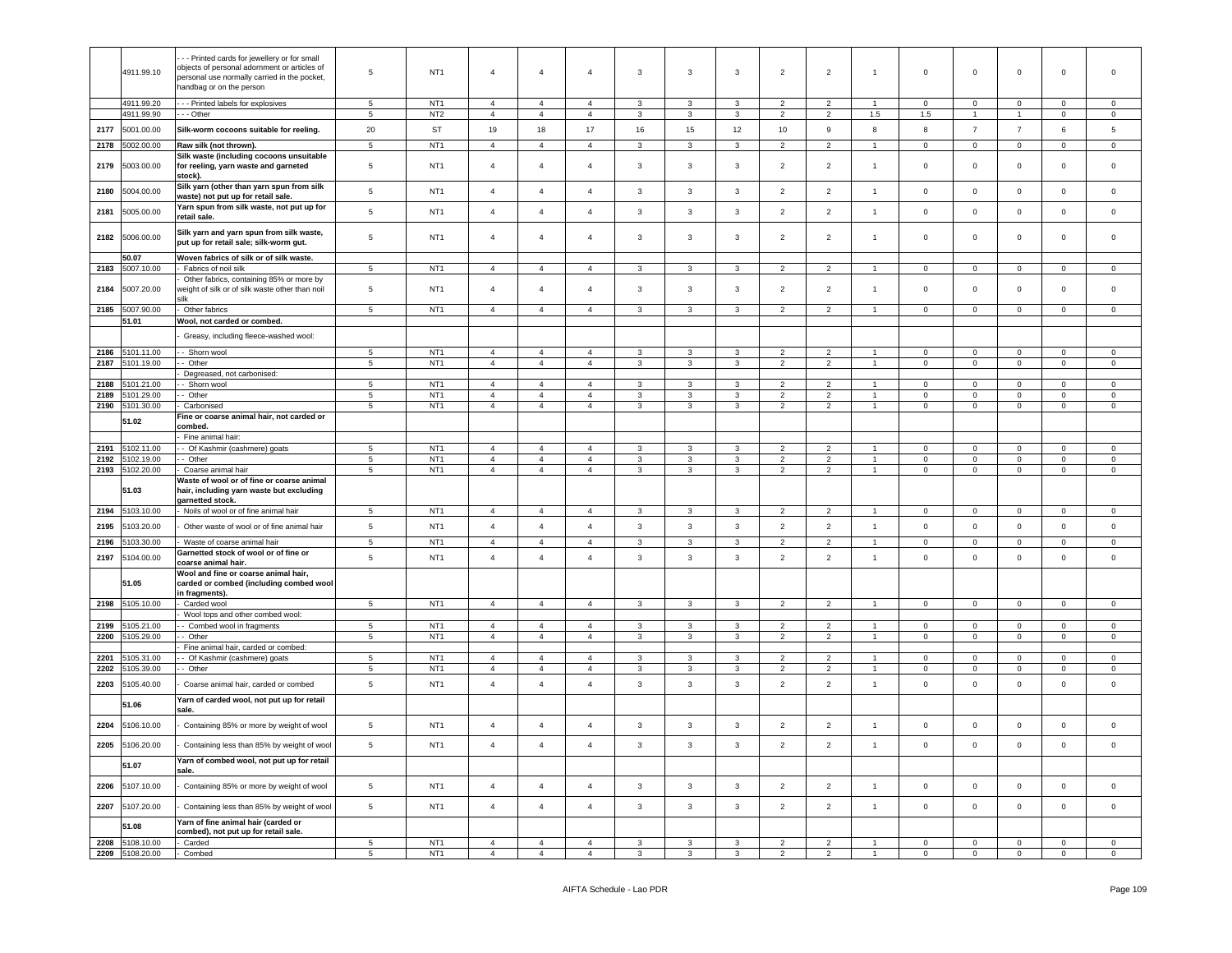|      | 4911.99.10      | - - Printed cards for jewellery or for small<br>objects of personal adornment or articles of<br>personal use normally carried in the pocket,<br>handbag or on the person | 5               | NT <sub>1</sub> | $\overline{4}$ | $\overline{4}$ | $\overline{4}$ | 3            | 3            | 3            | $\overline{2}$ | $\overline{2}$ | $\overline{1}$ | $\mathsf 0$    | 0                   | 0              | 0              | $\mathbf 0$    |
|------|-----------------|--------------------------------------------------------------------------------------------------------------------------------------------------------------------------|-----------------|-----------------|----------------|----------------|----------------|--------------|--------------|--------------|----------------|----------------|----------------|----------------|---------------------|----------------|----------------|----------------|
|      | 4911.99.20      | -- Printed labels for explosives                                                                                                                                         | 5               | NT <sub>1</sub> | $\overline{4}$ | $\overline{4}$ | 4              | 3            | 3            | 3            | $\overline{2}$ | 2              |                | $\mathbf 0$    | $\mathbf 0$         | 0              | $\mathbf 0$    | $\mathbf 0$    |
|      | 4911.99.90      | - - Other                                                                                                                                                                | $5\phantom{.0}$ | NT <sub>2</sub> | $\overline{4}$ | $\overline{4}$ | $\overline{4}$ | $\mathbf{3}$ | 3            | 3            | $\overline{2}$ | $\overline{2}$ | 1.5            | 1.5            | $\mathbf{1}$        | $\mathbf{1}$   | $\mathbf 0$    | $\mathbf 0$    |
| 2177 | 5001.00.00      | Silk-worm cocoons suitable for reeling.                                                                                                                                  | 20              | ST              | 19             | 18             | 17             | 16           | 15           | 12           | 10             | 9              | 8              | 8              | $\overline{7}$      | $\overline{7}$ | 6              | 5              |
| 2178 | 5002.00.00      | Raw silk (not thrown).                                                                                                                                                   | $\sqrt{5}$      | NT <sub>1</sub> | $\overline{4}$ | $\overline{4}$ | $\overline{4}$ | 3            | 3            | 3            | $\overline{2}$ | $\overline{2}$ | $\overline{1}$ | $\mathbf{0}$   | $\mathsf 0$         | $\mathbf 0$    | $\mathbf 0$    | $\mathbf 0$    |
|      |                 | Silk waste (including cocoons unsuitable                                                                                                                                 |                 |                 |                |                |                |              |              |              |                |                |                |                |                     |                |                |                |
| 2179 | 5003.00.00      | for reeling, yarn waste and garneted<br>stock).                                                                                                                          | 5               | NT <sub>1</sub> | $\overline{4}$ | $\overline{4}$ | 4              | 3            | 3            | 3            | $\overline{2}$ | $\overline{2}$ | $\overline{1}$ | $\mathbf 0$    | $\mathbf 0$         | 0              | 0              | $\mathbf 0$    |
| 2180 | 5004.00.00      | Silk yarn (other than yarn spun from silk<br>waste) not put up for retail sale.                                                                                          | $\sqrt{5}$      | NT <sub>1</sub> | $\overline{4}$ | $\overline{4}$ | $\overline{4}$ | 3            | $\mathbf{3}$ | 3            | $\overline{2}$ | $\overline{2}$ | $\mathbf{1}$   | $\mathbf 0$    | $\overline{0}$      | $\mathsf 0$    | $\pmb{0}$      | $\mathbf 0$    |
| 2181 | 5005.00.00      | Yarn spun from silk waste, not put up for<br>retail sale.                                                                                                                | 5               | NT <sub>1</sub> | $\overline{4}$ | $\overline{4}$ | $\overline{a}$ | 3            | 3            | 3            | $\overline{2}$ | $\overline{2}$ | $\mathbf{1}$   | $\mathbf 0$    | $\overline{0}$      | $\mathbf 0$    | $\mathsf 0$    | $\mathbf 0$    |
| 2182 | 5006.00.00      | Silk yarn and yarn spun from silk waste,<br>put up for retail sale; silk-worm gut.                                                                                       | 5               | NT <sub>1</sub> | $\overline{4}$ | $\overline{4}$ | $\overline{a}$ | 3            | $\mathbf{3}$ | 3            | $\overline{2}$ | $\overline{2}$ | $\overline{1}$ | $\circ$        | $\circ$             | $\mathbf 0$    | $\Omega$       | $\Omega$       |
|      | 50.07           | Woven fabrics of silk or of silk waste.                                                                                                                                  |                 |                 |                |                |                |              |              |              |                |                |                |                |                     |                |                |                |
| 2183 | 5007.10.00      | Fabrics of noil silk                                                                                                                                                     | 5               | NT <sub>1</sub> | $\overline{4}$ | $\overline{4}$ | 4              | 3            | 3            | 3            | $\overline{2}$ | 2              |                | $\mathbf 0$    | 0                   | $\mathbf 0$    | 0              | 0              |
|      |                 | Other fabrics, containing 85% or more by                                                                                                                                 |                 |                 |                |                |                |              |              |              |                |                |                |                |                     |                |                |                |
| 2184 | 5007.20.00      | veight of silk or of silk waste other than noil                                                                                                                          | 5               | NT <sub>1</sub> | $\overline{4}$ | $\overline{4}$ | 4              | 3            | $\mathbf{3}$ | 3            | $\overline{2}$ | $\overline{2}$ | $\overline{1}$ | $\mathbf 0$    | $\mathbf{0}$        | $\mathbf 0$    | 0              | $\mathbf 0$    |
|      | 5007.90.00      | Other fabrics                                                                                                                                                            |                 | NT <sub>1</sub> | $\overline{4}$ | $\overline{4}$ | $\overline{4}$ |              | 3            | 3            |                |                |                |                |                     |                | $\mathbf 0$    | $\mathbf 0$    |
| 2185 | 51.01           | Wool, not carded or combed.                                                                                                                                              | 5               |                 |                |                |                | 3            |              |              | $\overline{2}$ | $\overline{2}$ |                | $\mathbf 0$    | $\mathsf 0$         | $\mathbf 0$    |                |                |
|      |                 |                                                                                                                                                                          |                 |                 |                |                |                |              |              |              |                |                |                |                |                     |                |                |                |
|      |                 | Greasy, including fleece-washed wool:                                                                                                                                    |                 |                 |                |                |                |              |              |              |                |                |                |                |                     |                |                |                |
| 2186 | 5101.11.00      | - Shorn wool                                                                                                                                                             | $5\phantom{.0}$ | NT <sub>1</sub> | $\overline{4}$ | $\overline{4}$ | 4              | 3            | 3            | 3            | $\overline{2}$ | $\overline{2}$ |                | $\mathbf 0$    | $\mathbf 0$         | $\mathbf 0$    | $\Omega$       | $\mathbf 0$    |
| 2187 | 5101.19.00      | - Other                                                                                                                                                                  | 5               | NT <sub>1</sub> | $\overline{4}$ | $\overline{4}$ | $\overline{4}$ | 3            | 3            | 3            | $\overline{2}$ | $\overline{2}$ | $\overline{1}$ | $\mathbf 0$    | $\circ$             | $\mathbf 0$    | $\mathbf 0$    | $\mathbf 0$    |
|      |                 | Degreased, not carbonised:                                                                                                                                               |                 |                 |                |                |                |              |              |              |                |                |                |                |                     |                |                |                |
| 2188 | 5101.21.00      | - Shorn wool                                                                                                                                                             | 5               | NT <sub>1</sub> | $\overline{4}$ | $\overline{4}$ | $\overline{4}$ | 3            | 3            | 3            | $\overline{2}$ | $\overline{2}$ |                | $\Omega$       | $\circ$             | $\mathbf 0$    | $\Omega$       | $\Omega$       |
| 2189 | 5101.29.00      | - Other                                                                                                                                                                  | 5               | NT <sub>1</sub> | $\overline{4}$ | $\overline{4}$ | $\overline{4}$ | 3            | 3            | 3            | $\overline{2}$ | $\overline{2}$ | $\overline{1}$ | $\mathbf 0$    | $\circ$             | $\mathbf 0$    | $\mathbf 0$    | $\mathbf 0$    |
| 2190 | 5101.30.00      | Carbonised                                                                                                                                                               | $\sqrt{5}$      | NT <sub>1</sub> | $\overline{4}$ | $\overline{4}$ | $\overline{4}$ | $\mathbf{3}$ | 3            | 3            | $\overline{2}$ | $\overline{2}$ |                | $\mathsf 0$    | $\mathsf{O}\xspace$ | 0              | $\mathsf 0$    | $\mathsf 0$    |
|      | 51.02           | Fine or coarse animal hair, not carded or                                                                                                                                |                 |                 |                |                |                |              |              |              |                |                |                |                |                     |                |                |                |
|      |                 | combed.                                                                                                                                                                  |                 |                 |                |                |                |              |              |              |                |                |                |                |                     |                |                |                |
|      |                 | Fine animal hair:                                                                                                                                                        |                 |                 |                |                |                |              |              |              |                |                |                |                |                     |                |                |                |
| 2191 | 5102.11.00      | - Of Kashmir (cashmere) goats                                                                                                                                            | 5               | NT <sub>1</sub> | $\overline{4}$ | $\overline{4}$ | $\overline{4}$ | $\mathbf{3}$ | 3            | 3            | $\overline{2}$ | $\overline{2}$ |                | $\mathbf 0$    | $\mathbf 0$         | 0              | $\mathsf 0$    | $\mathsf 0$    |
| 2192 | 5102.19.00      | - Other<br>Coarse animal hair                                                                                                                                            | 5               | NT <sub>1</sub> | $\overline{4}$ | $\overline{4}$ | $\overline{4}$ | 3            | 3            | 3            | $\overline{2}$ | $\overline{2}$ | -1             | $\mathbf 0$    | $\circ$             | $\mathbf 0$    | $\Omega$       | $\mathbf 0$    |
| 2193 | 5102.20.00      | Waste of wool or of fine or coarse animal                                                                                                                                | 5               | NT <sub>1</sub> | $\overline{4}$ | $\overline{4}$ | 4              | 3            | 3            | 3            | $\overline{2}$ | $\overline{2}$ | $\overline{1}$ | $\mathbf 0$    | $\mathbf{0}$        | 0              | $\mathbf{0}$   | $\mathbf 0$    |
|      | 51.03           | hair, including yarn waste but excluding<br>garnetted stock.                                                                                                             |                 |                 |                |                |                |              |              |              |                |                |                |                |                     |                |                |                |
|      | 2194 5103.10.00 | Noils of wool or of fine animal hair                                                                                                                                     | 5               | NT <sub>1</sub> | $\overline{4}$ | $\overline{4}$ | $\overline{4}$ | 3            | 3            | 3            | $\overline{2}$ | $\overline{2}$ | $\overline{1}$ | $\overline{0}$ | $\overline{0}$      | $\overline{0}$ | $\mathbf{0}$   | $\mathbf 0$    |
| 2195 | 5103.20.00      | Other waste of wool or of fine animal hair                                                                                                                               | $5\phantom{.0}$ | NT <sub>1</sub> | $\overline{4}$ | $\overline{4}$ | $\overline{4}$ | $\mathbf{3}$ | $\mathbf{3}$ | 3            | $\overline{2}$ | $\overline{2}$ | $\overline{1}$ | $\mathbf 0$    | $\overline{0}$      | $\mathbf 0$    | $\mathbf 0$    | $\mathbf 0$    |
| 2196 | 103.30.00       | Waste of coarse animal hair                                                                                                                                              | 5               | NT <sub>1</sub> | $\overline{4}$ | $\overline{4}$ | 4              | 3            | 3            | 3            | $\overline{2}$ | $\overline{2}$ |                | $\mathbf 0$    | $\mathsf 0$         | 0              | $\mathbf 0$    | $\mathbf 0$    |
|      |                 | Garnetted stock of wool or of fine or                                                                                                                                    |                 |                 |                |                |                |              |              |              |                |                |                |                |                     |                |                |                |
| 2197 | 5104.00.00      | coarse animal hair.                                                                                                                                                      | 5               | NT <sub>1</sub> | $\overline{4}$ | $\overline{4}$ | $\overline{4}$ | $\mathbf{3}$ | $\mathbf{3}$ | $\mathbf{3}$ | $\overline{2}$ | $\overline{2}$ | $\mathbf{1}$   | $\mathbf 0$    | $\mathbf 0$         | $\mathbf 0$    | $\mathsf 0$    | $\mathsf 0$    |
|      | 51.05           | Wool and fine or coarse animal hair,<br>carded or combed (including combed wool<br>n fragments).                                                                         |                 |                 |                |                |                |              |              |              |                |                |                |                |                     |                |                |                |
| 2198 | 5105.10.00      | Carded wool                                                                                                                                                              | $5\phantom{.0}$ | NT <sub>1</sub> | $\overline{4}$ | $\overline{4}$ | $\overline{4}$ | $\mathbf{3}$ | 3            | 3            | $\overline{2}$ | $\overline{2}$ | -1             | $\overline{0}$ | $\mathsf 0$         | $\,0\,$        | $\mathbf 0$    | $\mathbf 0$    |
|      |                 | Wool tops and other combed wool:                                                                                                                                         |                 |                 |                |                |                |              |              |              |                |                |                |                |                     |                |                |                |
| 2199 | 105.21.00       | - Combed wool in fragments                                                                                                                                               | $5\phantom{.0}$ | NT <sub>1</sub> | $\overline{4}$ | $\overline{4}$ | $\overline{4}$ | 3            | 3            | 3            | $\overline{2}$ | 2              |                | 0              | $\mathsf 0$         | 0              | 0              | $\mathbf 0$    |
| 2200 | 5105.29.00      | - Other                                                                                                                                                                  | $5\phantom{.0}$ | NT <sub>1</sub> | $\overline{4}$ | $\overline{4}$ | $\overline{4}$ | 3            | 3            | 3            | $\overline{2}$ | $\overline{2}$ | $\overline{1}$ | $\mathbf{0}$   | $\mathsf 0$         | $\mathbf 0$    | $\mathbf 0$    | $\mathbf 0$    |
| 2201 | 105.31.00       | Fine animal hair, carded or combed:<br>- Of Kashmir (cashmere) goats                                                                                                     | $5\phantom{.0}$ | NT <sub>1</sub> | $\overline{4}$ | $\overline{4}$ | $\overline{a}$ | 3            | 3            | $\mathbf{3}$ | $\overline{2}$ | $\overline{2}$ | $\overline{1}$ | $\Omega$       | $\mathbf 0$         | 0              | $\Omega$       | $\mathbf 0$    |
| 2202 | 5105.39.00      | - Other                                                                                                                                                                  | 5               | NT <sub>1</sub> | $\overline{4}$ | $\overline{4}$ | 4              | 3            | 3            | 3            | $\overline{2}$ | $\overline{2}$ | -1             | 0              | $\mathsf 0$         | $\mathbf 0$    | 0              | $\mathbf 0$    |
| 2203 | 5105.40.00      | Coarse animal hair, carded or combed                                                                                                                                     | $5\phantom{.0}$ | NT <sub>1</sub> | $\overline{4}$ | $\overline{4}$ | 4              | 3            | 3            | 3            | $\overline{2}$ | $\overline{2}$ | $\overline{1}$ | $\mathbf 0$    | $\mathbf 0$         | $\mathbf 0$    | 0              | $\mathsf 0$    |
|      | 51.06           | Yarn of carded wool, not put up for retail<br>sale.                                                                                                                      |                 |                 |                |                |                |              |              |              |                |                |                |                |                     |                |                |                |
| 2204 | 5106.10.00      | Containing 85% or more by weight of wool                                                                                                                                 | $5\phantom{.0}$ | NT <sub>1</sub> | $\overline{4}$ | $\overline{4}$ | $\overline{4}$ | 3            | $\mathbf{3}$ | 3            | $\overline{2}$ | $\overline{2}$ | $\overline{1}$ | $\mathbf{0}$   | $\overline{0}$      | $\mathbf 0$    | $\mathbf 0$    | $\mathbf 0$    |
|      | 2205 5106.20.00 | Containing less than 85% by weight of wool                                                                                                                               | 5               | NT <sub>1</sub> | $\overline{4}$ | $\overline{4}$ | $\overline{4}$ | 3            | 3            | 3            | 2              | $\overline{2}$ |                | $\mathbf 0$    | $\mathbf 0$         | 0              | 0              |                |
|      | 51.07           | Yarn of combed wool, not put up for retail<br>sale.                                                                                                                      |                 |                 |                |                |                |              |              |              |                |                |                |                |                     |                |                |                |
| 2206 | 5107.10.00      | Containing 85% or more by weight of wool                                                                                                                                 | $5\phantom{.0}$ | NT <sub>1</sub> | $\overline{4}$ | $\overline{4}$ | $\overline{4}$ | $\mathbf{3}$ | $\mathbf{3}$ | $\mathbf{3}$ | $\overline{2}$ | $\overline{2}$ | $\overline{1}$ | $\circ$        | $\overline{0}$      | $\mathsf 0$    | $\mathbf 0$    | $\mathsf 0$    |
| 2207 | 5107.20.00      | Containing less than 85% by weight of wool                                                                                                                               | 5 <sub>5</sub>  | NT <sub>1</sub> | $\overline{4}$ | $\overline{4}$ | $\overline{4}$ | $\mathbf{3}$ | $\mathbf{3}$ | $\mathbf{3}$ | $\overline{2}$ | $\overline{2}$ | $\overline{1}$ | $\overline{0}$ | $\overline{0}$      | $\mathsf 0$    | $\overline{0}$ | $\mathbf 0$    |
|      | 51.08           | Yarn of fine animal hair (carded or<br>combed), not put up for retail sale.                                                                                              |                 |                 |                |                |                |              |              |              |                |                |                |                |                     |                |                |                |
|      | 2208 5108.10.00 | Carded                                                                                                                                                                   | 5 <sub>5</sub>  | NT <sub>1</sub> | $\overline{4}$ | $\overline{4}$ | $\overline{4}$ | $\mathbf{3}$ | $\mathbf{3}$ | $\mathbf{3}$ | $\overline{2}$ | $\overline{2}$ | $\overline{1}$ | $\overline{0}$ | $\overline{0}$      | $\overline{0}$ | $\mathbf 0$    | $\overline{0}$ |
|      | 2209 5108.20.00 | Combed                                                                                                                                                                   | $5\overline{ }$ | NT <sub>1</sub> | $\overline{4}$ | $\overline{4}$ | $\overline{4}$ | $\mathbf{3}$ | $\mathbf{3}$ | $\mathbf{3}$ | $\overline{2}$ | $\overline{2}$ | $\overline{1}$ | $\overline{0}$ | $\overline{0}$      | $\mathbf 0$    | $\overline{0}$ | $\overline{0}$ |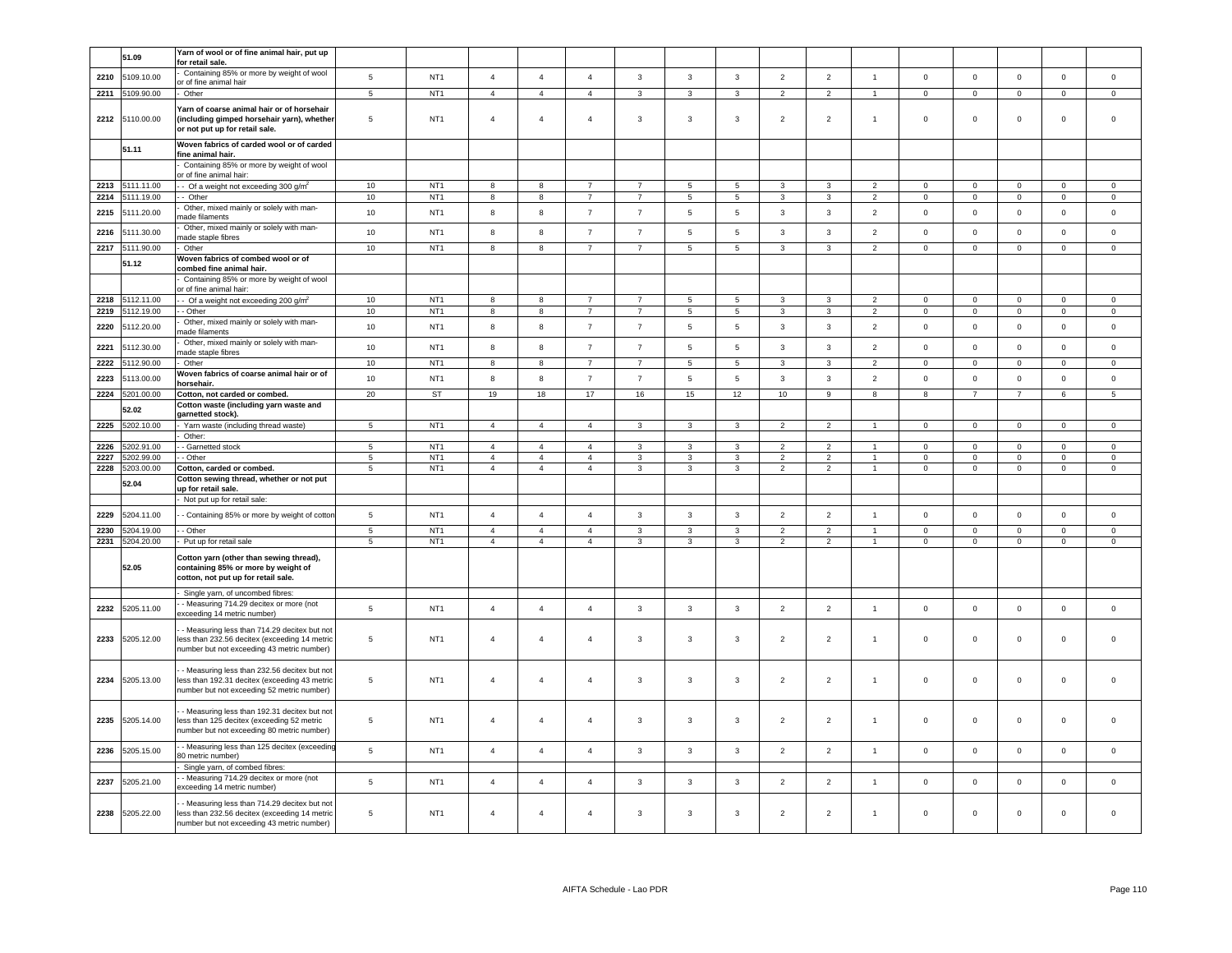|              | 51.09                   | Yarn of wool or of fine animal hair, put up                                                                                                 |                     |                                    |                                  |                                  |                                |                              |                         |                              |                                  |                                  |                      |                         |                            |                         |                            |                            |
|--------------|-------------------------|---------------------------------------------------------------------------------------------------------------------------------------------|---------------------|------------------------------------|----------------------------------|----------------------------------|--------------------------------|------------------------------|-------------------------|------------------------------|----------------------------------|----------------------------------|----------------------|-------------------------|----------------------------|-------------------------|----------------------------|----------------------------|
|              |                         | for retail sale<br>Containing 85% or more by weight of wool                                                                                 |                     |                                    |                                  |                                  |                                |                              |                         |                              |                                  |                                  |                      |                         |                            |                         |                            |                            |
| 2210         | 5109.10.00              | or of fine animal hair                                                                                                                      | $\overline{5}$      | NT <sub>1</sub>                    | $\overline{4}$                   | $\overline{4}$                   | $\overline{4}$                 | $\mathbf 3$                  | $\mathbf{3}$            | $\mathbf{3}$                 | $\mathbf 2$                      | $\overline{2}$                   | $\overline{1}$       | $\mathsf 0$             | $\mathbf 0$                | $\mathsf 0$             | $\mathbf 0$                | $\mathsf 0$                |
| 2211         | 109.90.00               | Other                                                                                                                                       | $\overline{5}$      | NT <sub>1</sub>                    | $\overline{4}$                   | $\overline{4}$                   | $\overline{4}$                 | $\overline{3}$               | $\overline{\mathbf{3}}$ | $\overline{3}$               | $\overline{2}$                   | $\overline{2}$                   | $\blacktriangleleft$ | $\overline{0}$          | $\overline{0}$             | $\overline{0}$          | $\mathbf{0}$               | $\circ$                    |
|              | 2212 5110.00.00         | farn of coarse animal hair or of horsehair<br>including gimped horsehair yarn), whether<br>or not put up for retail sale.                   | 5                   | NT <sub>1</sub>                    | $\overline{4}$                   | $\overline{4}$                   | $\overline{4}$                 | $\mathbf{3}$                 | $\mathbf{3}$            | $\mathbf{3}$                 | $\overline{2}$                   | $\overline{2}$                   | $\blacktriangleleft$ | $\mathsf 0$             | $\mathsf 0$                | $\mathsf 0$             | $\mathbf 0$                | $\mathsf 0$                |
|              | 51.11                   | Woven fabrics of carded wool or of carded<br>fine animal hair.                                                                              |                     |                                    |                                  |                                  |                                |                              |                         |                              |                                  |                                  |                      |                         |                            |                         |                            |                            |
|              |                         | Containing 85% or more by weight of wool<br>or of fine animal hair:                                                                         |                     |                                    |                                  |                                  |                                |                              |                         |                              |                                  |                                  |                      |                         |                            |                         |                            |                            |
| 2213         | 5111.11.00              | - Of a weight not exceeding 300 g/m <sup>2</sup>                                                                                            | 10                  | NT <sub>1</sub>                    | 8                                | 8                                | $\overline{7}$                 | $\overline{7}$               | $5\phantom{.0}$         | $5\overline{5}$              | 3                                | 3                                | 2                    | $\overline{0}$          | $\mathsf 0$                | $\mathsf 0$             | $^{\circ}$                 | $\mathsf 0$                |
| 2214         | 5111.19.00              | - Other<br>Other, mixed mainly or solely with man-                                                                                          | 10                  | NT <sub>1</sub>                    | 8                                | 8                                | $\overline{7}$                 | $\overline{7}$               | 5                       | $5\overline{)}$              | $\mathbf{3}$                     | 3                                | $\overline{2}$       | $\overline{0}$          | $\overline{0}$             | $\mathbf{0}$            | $\mathbf{0}$               | $\overline{0}$             |
| 2215         | 5111.20.00              | nade filaments<br>Other, mixed mainly or solely with man-                                                                                   | 10                  | NT <sub>1</sub>                    | 8                                | $\boldsymbol{8}$                 | $\overline{7}$                 | $\overline{7}$               | $\sqrt{5}$              | $\sqrt{5}$                   | 3                                | 3                                | $\overline{2}$       | $\mathbf 0$             | $\circ$                    | $\mathsf 0$             | $\mathbf{0}$               | $\mathbf 0$                |
| 2216         | 5111.30.00              | nade staple fibres                                                                                                                          | 10                  | NT <sub>1</sub>                    | $\mathbf{g}$                     | 8                                | $\overline{7}$                 | $\overline{7}$               | 5                       | 5                            | 3                                | $\overline{3}$                   | 2                    | $\circ$                 | $\mathbf 0$                | $\mathbf 0$             | $\mathbf{0}$               | $\mathbf 0$                |
| 2217         | 5111.90.00              | Other<br>Woven fabrics of combed wool or of                                                                                                 | 10                  | NT <sub>1</sub>                    | 8                                | 8                                | $\overline{7}$                 | $\overline{7}$               | 5                       | $\sqrt{5}$                   | 3                                | $\overline{3}$                   | $\overline{2}$       | $\mathbf 0$             | $\mathsf 0$                | $\mathbf 0$             | $\mathsf 0$                | $\mathbf 0$                |
|              | 51.12                   | combed fine animal hair.                                                                                                                    |                     |                                    |                                  |                                  |                                |                              |                         |                              |                                  |                                  |                      |                         |                            |                         |                            |                            |
|              |                         | Containing 85% or more by weight of wool<br>r of fine animal hair:                                                                          |                     |                                    |                                  |                                  |                                |                              |                         |                              |                                  |                                  |                      |                         |                            |                         |                            |                            |
| 2218         | 5112.11.00              | - Of a weight not exceeding 200 g/m <sup>2</sup>                                                                                            | 10                  | NT <sub>1</sub>                    | 8                                | 8                                | $\overline{7}$                 | $\overline{7}$               | 5                       | 5                            | 3                                | $\mathcal{R}$                    | $\mathcal{D}$        | $\mathbf 0$             | $\mathbf 0$                | $\mathbf 0$             | $\mathbf 0$                | $\mathbf 0$                |
| 2219         | 5112.19.00              | Other                                                                                                                                       | 10                  | NT <sub>1</sub>                    | 8                                | 8                                | $\overline{7}$                 | $\overline{7}$               | 5                       | $5\phantom{.0}$              | 3                                | 3                                | $\overline{2}$       | $\mathbf 0$             | $\mathsf 0$                | $\mathbf 0$             | $\mathbf 0$                | $\mathsf 0$                |
| 2220         | 5112.20.00              | Other, mixed mainly or solely with man-<br>nade filaments                                                                                   | 10                  | NT <sub>1</sub>                    | 8                                | 8                                | $\overline{7}$                 | $\overline{7}$               | 5                       | 5                            | 3                                | 3                                | $\overline{2}$       | $\mathbf 0$             | $\mathbf 0$                | $\mathsf 0$             | 0                          | $\mathbf 0$                |
| 2221         | 5112.30.00              | Other, mixed mainly or solely with man-<br>nade staple fibres                                                                               | 10                  | NT <sub>1</sub>                    | $^{\rm 8}$                       | 8                                | $\overline{7}$                 | $\overline{7}$               | $5\phantom{.0}$         | $\sqrt{5}$                   | 3                                | 3                                | $\overline{2}$       | $\mathbf 0$             | $\mathbf 0$                | $\mathsf 0$             | $\mathbf{0}$               | $\circ$                    |
| 2222         | 5112.90.00              | Other                                                                                                                                       | 10                  | NT <sub>1</sub>                    | 8                                | 8                                | $\overline{7}$                 | $\overline{7}$               | 5                       | $\overline{5}$               | $\mathbf{3}$                     | $\overline{3}$                   | 2                    | $\mathbf 0$             | $\mathbf 0$                | $\mathbf 0$             | $\Omega$                   | $\Omega$                   |
| 2223         | 5113.00.00              | Woven fabrics of coarse animal hair or of<br>orsehair.                                                                                      | 10                  | NT <sub>1</sub>                    | 8                                | 8                                | $\overline{7}$                 | $\overline{7}$               | 5                       | 5                            | 3                                | $\overline{3}$                   | 2                    | $\circ$                 | $\mathbf 0$                | $\mathsf 0$             | $\mathbf{0}$               | $\mathsf 0$                |
| 2224         | 5201.00.00              | Cotton, not carded or combed.                                                                                                               | 20                  | ST                                 | 19                               | 18                               | 17                             | 16                           | 15                      | 12                           | 10                               | 9                                | 8                    | 8                       | $\overline{7}$             | $\overline{7}$          | 6                          | 5                          |
|              | 52.02                   | Cotton waste (including yarn waste and<br>garnetted stock).                                                                                 |                     |                                    |                                  |                                  |                                |                              |                         |                              |                                  |                                  |                      |                         |                            |                         |                            |                            |
| 2225         | 5202.10.00              | Yarn waste (including thread waste)                                                                                                         | 5                   | NT <sub>1</sub>                    | $\mathbf{A}$                     | $\overline{4}$                   | $\overline{a}$                 | $\mathbf{R}$                 | $\overline{\mathbf{3}}$ | $\mathbf{R}$                 | $\overline{2}$                   | $\mathcal{P}$                    |                      | $\Omega$                | $\Omega$                   | $\Omega$                | $\Omega$                   | $\Omega$                   |
| 2226         | 5202.91.00              | Other:<br>Garnetted stock                                                                                                                   | $5^{\circ}$         | NT <sub>1</sub>                    | $\overline{4}$                   | $\overline{4}$                   | $\mathbf{A}$                   | 3                            | 3                       | $\mathbf{3}$                 | $\overline{2}$                   | $\mathcal{P}$                    |                      | $\Omega$                | $\Omega$                   | $\Omega$                | $\Omega$                   | $\Omega$                   |
| 2227         | 5202.99.00              | Other                                                                                                                                       | $5\phantom{.0}$     | NT <sub>1</sub>                    | $\overline{4}$                   | $\overline{4}$                   | $\overline{4}$                 | 3                            | 3                       | $\overline{3}$               | $\mathcal{P}$                    | $\overline{2}$                   |                      | $\mathbf 0$             | $\mathsf{O}\xspace$        | $\mathsf 0$             | $\mathbf 0$                | $\mathsf 0$                |
| 2228         | 5203.00.00              | Cotton, carded or combed.                                                                                                                   | $\overline{5}$      | NT <sub>1</sub>                    | $\overline{4}$                   | $\overline{4}$                   | $\overline{4}$                 | $\mathbf{3}$                 | $\overline{3}$          | $\overline{3}$               | 2                                | 2                                | $\blacktriangleleft$ | $\mathsf 0$             | $\overline{0}$             | $\overline{0}$          | $\mathbf 0$                | $\mathsf 0$                |
|              | 52.04                   | Cotton sewing thread, whether or not put<br>up for retail sale.                                                                             |                     |                                    |                                  |                                  |                                |                              |                         |                              |                                  |                                  |                      |                         |                            |                         |                            |                            |
|              |                         | Not put up for retail sale:                                                                                                                 |                     |                                    |                                  |                                  |                                |                              |                         |                              |                                  |                                  |                      |                         |                            |                         |                            |                            |
| 2229         | 5204.11.00              | - Containing 85% or more by weight of cottor                                                                                                | 5                   | NT <sub>1</sub>                    | $\overline{4}$                   | $\overline{4}$                   | $\overline{4}$                 | $\mathbf{3}$                 | $\overline{3}$          | $\mathbf{3}$                 | $\overline{2}$                   | $\overline{2}$                   | $\mathbf{1}$         | $\mathsf 0$             | $\mathbf 0$                | $\mathsf 0$             | $\mathsf 0$                | $\mathsf 0$                |
| 2230<br>2231 | 204.19.00<br>5204.20.00 | Other<br>Put up for retail sale                                                                                                             | $\overline{5}$<br>5 | NT <sub>1</sub><br>NT <sub>1</sub> | $\overline{4}$<br>$\overline{4}$ | $\overline{4}$<br>$\overline{4}$ | $\mathbf{A}$<br>$\overline{4}$ | $\mathbf{3}$<br>$\mathbf{3}$ | $\mathbf{B}$<br>3       | $\mathbf{3}$<br>$\mathbf{3}$ | $\overline{2}$<br>$\overline{2}$ | $\overline{2}$<br>$\overline{2}$ |                      | $\Omega$<br>$\mathbf 0$ | $\mathsf 0$<br>$\mathsf 0$ | $\Omega$<br>$\mathsf 0$ | $\mathbf 0$<br>$\mathbf 0$ | $\mathsf 0$<br>$\mathsf 0$ |
|              | 52.05                   | Cotton yarn (other than sewing thread),<br>containing 85% or more by weight of<br>cotton, not put up for retail sale.                       |                     |                                    |                                  |                                  |                                |                              |                         |                              |                                  |                                  |                      |                         |                            |                         |                            |                            |
|              |                         | Single yarn, of uncombed fibres:<br>- Measuring 714.29 decitex or more (not                                                                 |                     |                                    |                                  |                                  |                                |                              |                         |                              |                                  |                                  |                      |                         |                            |                         |                            |                            |
| 2232         | 5205.11.00              | exceeding 14 metric number)                                                                                                                 | 5                   | NT <sub>1</sub>                    | $\overline{4}$                   | $\overline{4}$                   | $\overline{4}$                 | $\mathbf{3}$                 | $\mathbf{3}$            | $\mathbf{3}$                 | $\overline{2}$                   | $\overline{2}$                   | $\overline{1}$       | $\mathsf 0$             | $\mathbf 0$                | $\mathsf 0$             | $\mathbf 0$                | $\mathbf 0$                |
| 2233         | 5205.12.00              | - Measuring less than 714.29 decitex but not<br>less than 232.56 decitex (exceeding 14 metric<br>number but not exceeding 43 metric number) | 5                   | NT <sub>1</sub>                    | $\overline{4}$                   | $\overline{4}$                   | $\overline{4}$                 | 3                            | 3                       | $\overline{3}$               | $\overline{2}$                   | $\overline{2}$                   | $\overline{1}$       | $\mathsf 0$             | $\mathsf 0$                | $\mathbf 0$             | $\mathbf{0}$               | $\mathbf 0$                |
| 2234         | 5205.13.00              | Measuring less than 232.56 decitex but not<br>ess than 192.31 decitex (exceeding 43 metric<br>number but not exceeding 52 metric number)    | $\overline{5}$      | NT <sub>1</sub>                    | $\overline{4}$                   | $\overline{a}$                   | $\overline{4}$                 | 3                            | 3                       | 3                            | $\overline{c}$                   | $\overline{2}$                   | $\overline{1}$       | $\mathbf 0$             | $\mathsf 0$                | $\mathbf 0$             | 0                          | $\mathsf 0$                |
| 2235         | 5205.14.00              | - Measuring less than 192.31 decitex but not<br>ess than 125 decitex (exceeding 52 metric<br>number but not exceeding 80 metric number)     | $\overline{5}$      | NT <sub>1</sub>                    | $\overline{4}$                   | $\sqrt{4}$                       | $\overline{4}$                 | $\mathbf{3}$                 | 3                       | $\mathbf{3}$                 | $\overline{2}$                   | $\overline{2}$                   | $\overline{1}$       | $\mathsf 0$             | $\mathbf 0$                | $\mathbf 0$             | $\mathsf 0$                | $\mathsf 0$                |
| 2236         | 5205.15.00              | - Measuring less than 125 decitex (exceeding<br>30 metric number)                                                                           | $5\overline{5}$     | NT <sub>1</sub>                    | $\overline{4}$                   | $\overline{4}$                   | $\mathbf{A}$                   | $\mathbf{3}$                 | $\mathbf{3}$            | $\mathbf{3}$                 | $\overline{2}$                   | $\mathbf{2}$                     | $\blacktriangleleft$ | $\mathsf 0$             | $\mathbf 0$                | $\mathbf 0$             | $\mathsf 0$                | $\mathsf 0$                |
|              |                         | Single yarn, of combed fibres:<br>- Measuring 714.29 decitex or more (not                                                                   |                     |                                    |                                  |                                  |                                |                              |                         |                              |                                  |                                  |                      |                         |                            |                         |                            |                            |
| 2237         | 5205.21.00              | exceeding 14 metric number)                                                                                                                 | $5\overline{5}$     | NT <sub>1</sub>                    | $\overline{4}$                   | $\overline{4}$                   | $\overline{a}$                 | $\mathbf{3}$                 | $\mathbf{3}$            | $\mathbf{3}$                 | $\overline{2}$                   | $\overline{2}$                   | $\overline{1}$       | $\mathsf 0$             | $\mathsf{O}\xspace$        | $\mathbf 0$             | $\mathsf 0$                | $\mathsf 0$                |
| 2238         | 5205.22.00              | Measuring less than 714.29 decitex but not<br>less than 232.56 decitex (exceeding 14 metric<br>number but not exceeding 43 metric number)   | $\,$ 5 $\,$         | NT <sub>1</sub>                    | $\overline{4}$                   | $\overline{4}$                   | $\overline{4}$                 | $\mathbf{3}$                 | 3                       | $\mathbf{3}$                 | $\overline{2}$                   | $\overline{2}$                   | $\overline{1}$       | $\mathbf 0$             | $\mathbf 0$                | $\mathsf 0$             | $\mathbf 0$                | $\mathsf 0$                |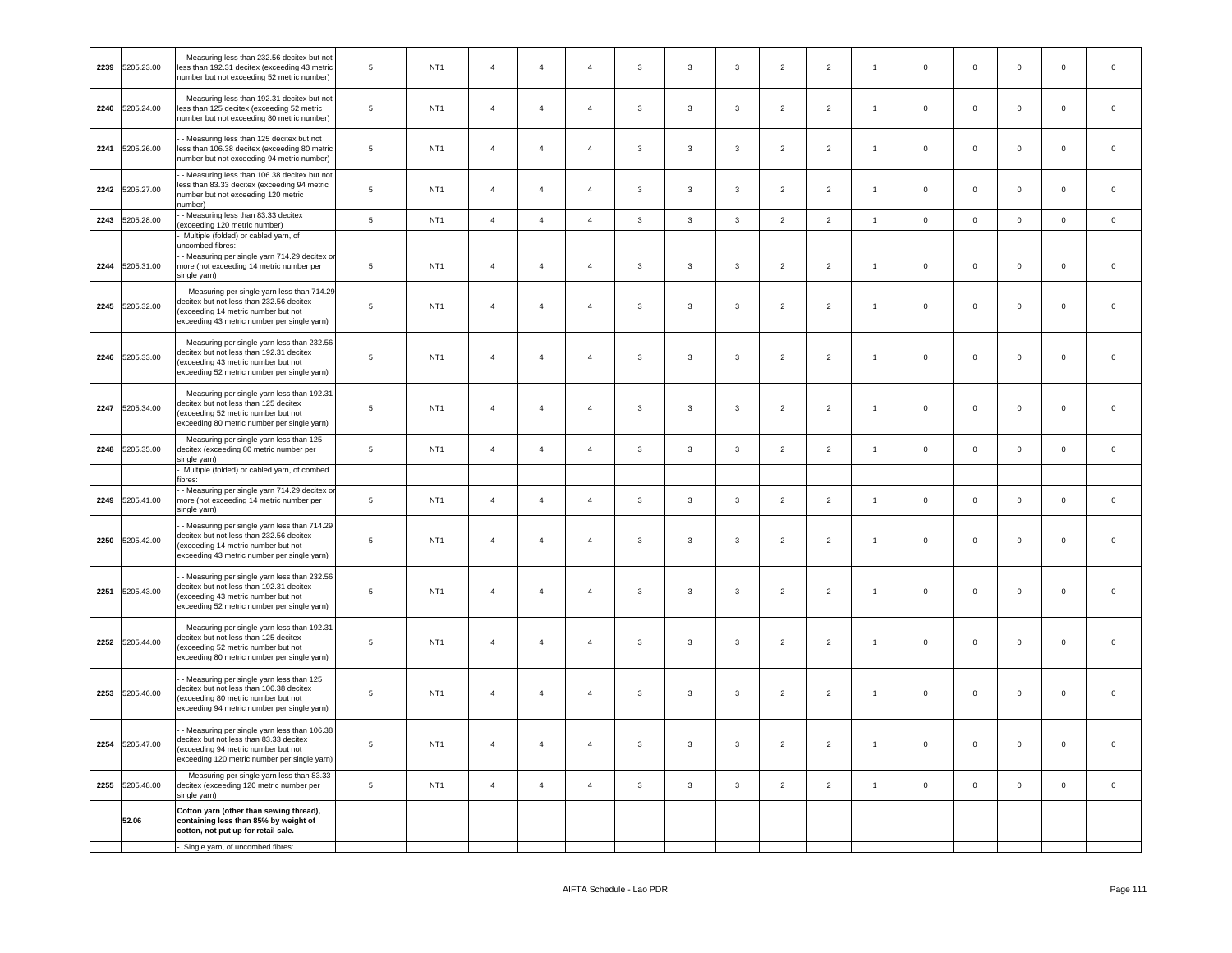| 2239 | 5205.23.00      | - Measuring less than 232.56 decitex but not<br>less than 192.31 decitex (exceeding 43 metric<br>number but not exceeding 52 metric number)                                    | $\,$ 5 $\,$    | NT <sub>1</sub> | $\overline{4}$ | $\overline{4}$ | $\overline{4}$ | $\overline{3}$          | $\mathbf{3}$ | $\mathbf{3}$ | $\overline{2}$ | $\overline{2}$ | $\mathbf{1}$   | $\mathsf 0$         | $\mathsf 0$  | $\mathsf 0$ | $\mathsf 0$ | $\mathsf 0$ |
|------|-----------------|--------------------------------------------------------------------------------------------------------------------------------------------------------------------------------|----------------|-----------------|----------------|----------------|----------------|-------------------------|--------------|--------------|----------------|----------------|----------------|---------------------|--------------|-------------|-------------|-------------|
| 2240 | 5205.24.00      | - Measuring less than 192.31 decitex but not<br>less than 125 decitex (exceeding 52 metric<br>number but not exceeding 80 metric number)                                       | $\,$ 5 $\,$    | NT <sub>1</sub> | $\overline{4}$ | $\overline{4}$ | $\overline{4}$ | $\mathbf{3}$            | $\mathbf{3}$ | 3            | $\overline{2}$ | $\overline{2}$ | $\mathbf{1}$   | $\mathbf 0$         | $\mathbf 0$  | $\mathbf 0$ | $\mathbf 0$ | $\mathbf 0$ |
| 2241 | 5205.26.00      | - Measuring less than 125 decitex but not<br>less than 106.38 decitex (exceeding 80 metric<br>number but not exceeding 94 metric number)                                       | $\sqrt{5}$     | NT <sub>1</sub> | $\overline{4}$ | $\overline{4}$ | $\overline{4}$ | $\mathbf{3}$            | $\mathbf{3}$ | $\mathbf{3}$ | $\overline{2}$ | $\overline{2}$ | $\overline{1}$ | $\mathsf 0$         | $\mathbf 0$  | $\mathbf 0$ | $\mathsf 0$ | $\mathsf 0$ |
| 2242 | 5205.27.00      | - Measuring less than 106.38 decitex but not<br>less than 83.33 decitex (exceeding 94 metric<br>number but not exceeding 120 metric<br>number)                                 | $\,$ 5 $\,$    | NT <sub>1</sub> | $\overline{4}$ | $\overline{4}$ | $\overline{4}$ | $\overline{3}$          | $\mathbf{3}$ | $\mathbf{3}$ | $\overline{2}$ | $\overline{2}$ | $\overline{1}$ | $\mathsf 0$         | $\mathbf 0$  | $\mathbf 0$ | $\mathsf 0$ | $\mathsf 0$ |
| 2243 | 5205.28.00      | - Measuring less than 83.33 decitex<br>(exceeding 120 metric number)                                                                                                           | $\,$ 5 $\,$    | NT <sub>1</sub> | $\overline{4}$ | $\overline{4}$ | $\overline{4}$ | $\mathbf{3}$            | $\mathbf{3}$ | 3            | $\overline{2}$ | $\overline{2}$ | $\mathbf{1}$   | $\,0\,$             | $\mathbf 0$  | $\mathbf 0$ | $\mathbf 0$ | $\mathsf 0$ |
|      |                 | Multiple (folded) or cabled yarn, of<br>uncombed fibres:                                                                                                                       |                |                 |                |                |                |                         |              |              |                |                |                |                     |              |             |             |             |
| 2244 | 5205.31.00      | - Measuring per single yarn 714.29 decitex o<br>more (not exceeding 14 metric number per<br>single yarn)                                                                       | 5              | NT <sub>1</sub> | $\bf{4}$       | $\overline{4}$ | $\sqrt{4}$     | $\mathbf{3}$            | $\mathbf{3}$ | $\mathbf{3}$ | $\overline{2}$ | $\overline{2}$ | $\overline{1}$ | $\mathbf 0$         | $\mathbf 0$  | $\mathbf 0$ | $\mathbf 0$ | $\mathsf 0$ |
| 2245 | 5205.32.00      | - Measuring per single yarn less than 714.29<br>decitex but not less than 232.56 decitex<br>exceeding 14 metric number but not<br>exceeding 43 metric number per single yarn)  | $\overline{5}$ | NT <sub>1</sub> | $\overline{4}$ | $\overline{4}$ | $\overline{4}$ | $\mathbf{3}$            | 3            | $\mathbf{3}$ | $\overline{2}$ | $\overline{2}$ | $\overline{1}$ | $\mathsf{O}\xspace$ | $\mathbf 0$  | $\mathbf 0$ | $\mathsf 0$ | $\mathsf 0$ |
| 2246 | 5205.33.00      | - Measuring per single yarn less than 232.56<br>decitex but not less than 192.31 decitex<br>(exceeding 43 metric number but not<br>exceeding 52 metric number per single yarn) | $\overline{5}$ | NT <sub>1</sub> | $\overline{4}$ | $\overline{4}$ | $\overline{4}$ | $\mathbf{3}$            | 3            | 3            | $\overline{2}$ | $\overline{2}$ | $\mathbf{1}$   | $\mathsf 0$         | $\mathbf 0$  | $\mathbf 0$ | $\mathsf 0$ | $\mathsf 0$ |
| 2247 | 5205.34.00      | - Measuring per single yarn less than 192.31<br>decitex but not less than 125 decitex<br>(exceeding 52 metric number but not<br>exceeding 80 metric number per single yarn)    | $\sqrt{5}$     | NT <sub>1</sub> | $\overline{4}$ | $\overline{4}$ | $\overline{a}$ | $\mathbf{3}$            | $\mathbf{3}$ | $\mathbf{3}$ | $\overline{2}$ | $\overline{2}$ | $\overline{1}$ | $\circ$             | $\mathbf 0$  | $\mathbf 0$ | $\mathbf 0$ | $\mathbf 0$ |
| 2248 | 5205.35.00      | - Measuring per single yarn less than 125<br>decitex (exceeding 80 metric number per<br>single yarn)                                                                           | $\,$ 5 $\,$    | NT <sub>1</sub> | $\overline{4}$ | $\overline{4}$ | $\overline{4}$ | $\mathbf{3}$            | 3            | 3            | $\overline{2}$ | $\overline{2}$ | $\mathbf{1}$   | $\overline{0}$      | $\mathbf 0$  | $\mathbf 0$ | $\mathsf 0$ | $\mathsf 0$ |
|      |                 | Multiple (folded) or cabled yarn, of combed<br>ibres:                                                                                                                          |                |                 |                |                |                |                         |              |              |                |                |                |                     |              |             |             |             |
| 2249 | 5205.41.00      | - Measuring per single yarn 714.29 decitex or<br>more (not exceeding 14 metric number per<br>single yarn)                                                                      | $\,$ 5 $\,$    | NT <sub>1</sub> | $\overline{4}$ | $\overline{4}$ | $\overline{4}$ | $\mathbf{3}$            | $\mathbf{3}$ | $\mathbf{3}$ | $\overline{2}$ | $\overline{2}$ | $\overline{1}$ | $\mathbf 0$         | $\mathbf 0$  | $\mathbf 0$ | $\mathbf 0$ | $\mathsf 0$ |
| 2250 | 5205.42.00      | - Measuring per single yarn less than 714.29<br>decitex but not less than 232.56 decitex<br>(exceeding 14 metric number but not<br>exceeding 43 metric number per single yarn) | $\overline{5}$ | NT <sub>1</sub> | $\overline{4}$ | $\overline{4}$ | $\overline{4}$ | 3                       | 3            | 3            | $\overline{2}$ | $\overline{2}$ | $\overline{1}$ | $\mathsf 0$         | $\mathbf 0$  | $\mathbf 0$ | $\mathsf 0$ | $\mathsf 0$ |
| 2251 | 5205.43.00      | - Measuring per single yarn less than 232.56<br>decitex but not less than 192.31 decitex<br>(exceeding 43 metric number but not<br>exceeding 52 metric number per single yarn) | 5              | NT <sub>1</sub> | $\overline{4}$ | $\overline{4}$ | $\overline{4}$ | $\mathbf{3}$            | $\mathbf{3}$ | $\mathbf{3}$ | $\overline{2}$ | $\overline{2}$ | $\overline{1}$ | $\circ$             | $\mathbf 0$  | $\mathbf 0$ | $\mathbf 0$ | $\mathsf 0$ |
| 2252 | 5205.44.00      | - Measuring per single yarn less than 192.31<br>decitex but not less than 125 decitex<br>exceeding 52 metric number but not<br>exceeding 80 metric number per single yarn)     | 5              | NT <sub>1</sub> | $\overline{4}$ | $\overline{4}$ | $\overline{4}$ | $\mathbf{3}$            | 3            | 3            | $\overline{2}$ | $\overline{2}$ | $\overline{1}$ | $\mathsf{O}\xspace$ | $\mathbf{0}$ | $\mathbf 0$ | $\mathbf 0$ | $\mathbf 0$ |
|      | 2253 5205.46.00 | - Measuring per single yarn less than 125<br>decitex but not less than 106.38 decitex<br>(exceeding 80 metric number but not<br>exceeding 94 metric number per single yarn)    | 5              | NT <sub>1</sub> | $\overline{4}$ | $\overline{4}$ | $\overline{4}$ | $\overline{\mathbf{3}}$ | 3            | $\mathbf{3}$ | $\overline{2}$ | $\overline{2}$ | $\overline{1}$ | $\mathsf 0$         | $\mathbf 0$  | $\mathbf 0$ | $\mathsf 0$ | $\mathsf 0$ |
| 2254 | 5205.47.00      | - Measuring per single yarn less than 106.38<br>decitex but not less than 83.33 decitex<br>(exceeding 94 metric number but not<br>exceeding 120 metric number per single yarn) | $\overline{5}$ | NT <sub>1</sub> | $\overline{4}$ | $\overline{4}$ | $\overline{4}$ | $\mathbf{3}$            | $\mathbf{3}$ | $\mathbf{3}$ | $\overline{2}$ | $\overline{2}$ | $\overline{1}$ | $\mathsf 0$         | $\mathbf 0$  | $\mathbf 0$ | $\mathsf 0$ | $\mathsf 0$ |
| 2255 | 5205.48.00      | - - Measuring per single yarn less than 83.33<br>decitex (exceeding 120 metric number per<br>single yarn)                                                                      | $\,$ 5 $\,$    | NT <sub>1</sub> | $\overline{4}$ | $\overline{4}$ | $\overline{4}$ | $\mathbf{3}$            | $\mathbf{3}$ | $\mathbf{3}$ | $\overline{2}$ | $\overline{2}$ | $\mathbf{1}$   | $\mathbf 0$         | $\mathbf 0$  | $\mathbf 0$ | $\mathsf 0$ | $\mathsf 0$ |
|      | 52.06           | Cotton yarn (other than sewing thread),<br>containing less than 85% by weight of<br>cotton, not put up for retail sale.                                                        |                |                 |                |                |                |                         |              |              |                |                |                |                     |              |             |             |             |
|      |                 | - Single yarn, of uncombed fibres:                                                                                                                                             |                |                 |                |                |                |                         |              |              |                |                |                |                     |              |             |             |             |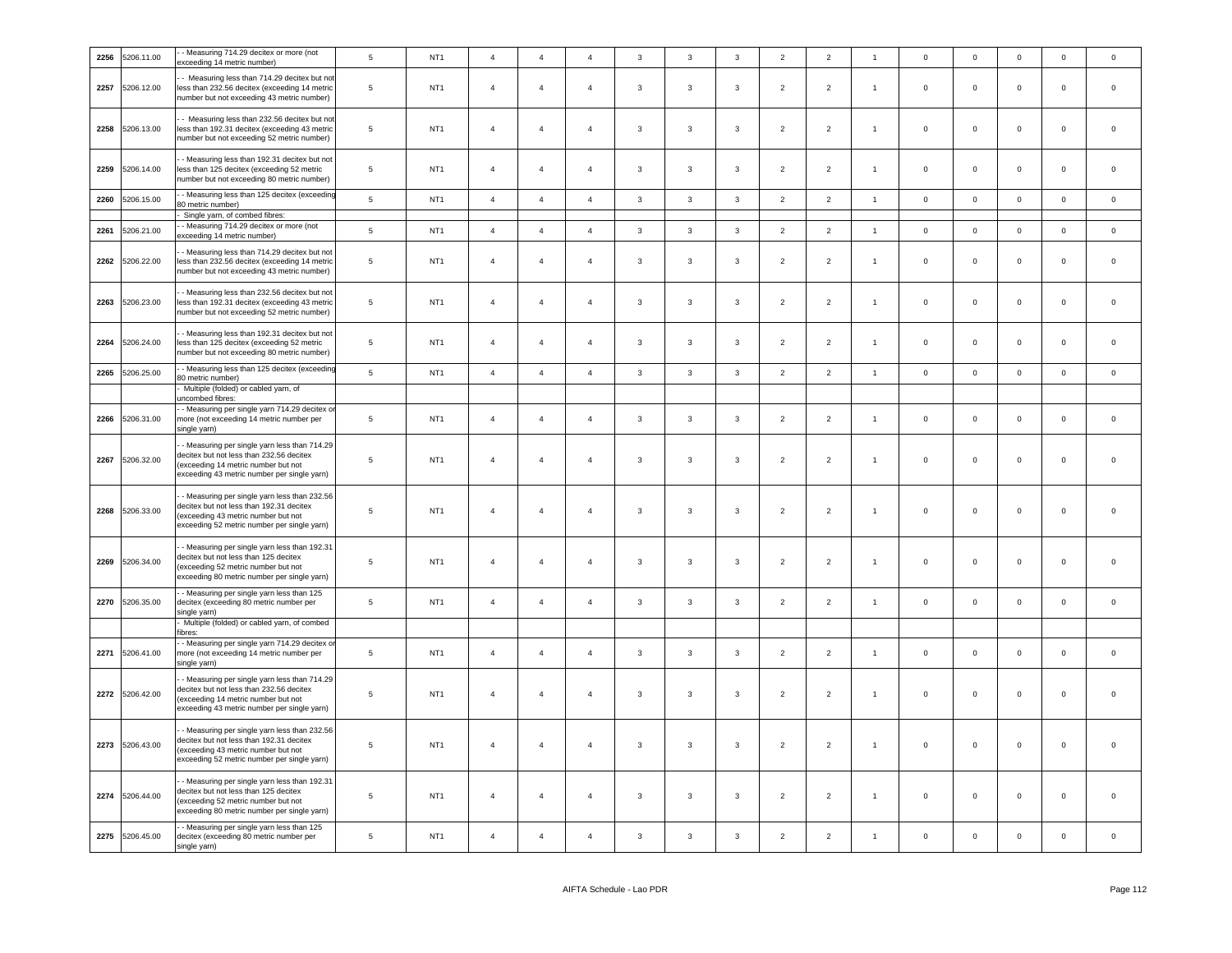| 2256 | 5206.11.00 | - Measuring 714.29 decitex or more (not<br>exceeding 14 metric number)                                                                                                         | 5              | NT <sub>1</sub> | $\sqrt{4}$     | $\overline{4}$ | $\overline{4}$ | $\mathbf{3}$   | $\overline{\mathbf{3}}$ | $\mathbf{3}$ | $\overline{2}$ | $\overline{2}$ | $\overline{1}$ | $\,0\,$     | $\mathbf 0$ | $\mathbf 0$ | $\mathbb O$         | $\mathsf{O}\xspace$ |
|------|------------|--------------------------------------------------------------------------------------------------------------------------------------------------------------------------------|----------------|-----------------|----------------|----------------|----------------|----------------|-------------------------|--------------|----------------|----------------|----------------|-------------|-------------|-------------|---------------------|---------------------|
| 2257 | 5206.12.00 | - Measuring less than 714.29 decitex but not<br>less than 232.56 decitex (exceeding 14 metric<br>number but not exceeding 43 metric number)                                    | $\,$ 5 $\,$    | NT <sub>1</sub> | $\overline{4}$ | $\overline{4}$ | $\overline{4}$ | $\mathbf{3}$   | $\mathbf{3}$            | $\mathbf{3}$ | $\overline{2}$ | $\overline{2}$ | $\overline{1}$ | $\circ$     | $\mathbf 0$ | $\mathbf 0$ | $\mathsf 0$         | $\mathsf 0$         |
| 2258 | 5206.13.00 | - Measuring less than 232.56 decitex but not<br>less than 192.31 decitex (exceeding 43 metric<br>number but not exceeding 52 metric number)                                    | $\sqrt{5}$     | NT <sub>1</sub> | $\sqrt{4}$     | $\overline{4}$ | $\overline{4}$ | $\mathbf{3}$   | $\mathbf{3}$            | $\mathbf{3}$ | $\overline{2}$ | $\overline{2}$ | $\overline{1}$ | $\mathbf 0$ | $\mathbf 0$ | $\mathbf 0$ | $\mathsf{O}\xspace$ | $\,0\,$             |
| 2259 | 5206.14.00 | - Measuring less than 192.31 decitex but not<br>less than 125 decitex (exceeding 52 metric<br>number but not exceeding 80 metric number)                                       | 5              | NT <sub>1</sub> | $\overline{4}$ | $\overline{4}$ | $\overline{4}$ | $\mathbf{3}$   | 3                       | 3            | $\overline{2}$ | $\overline{2}$ | $\overline{1}$ | $\mathsf 0$ | $\mathbf 0$ | $\mathbf 0$ | $\mathsf 0$         | $\mathbf 0$         |
| 2260 | 5206.15.00 | - Measuring less than 125 decitex (exceeding<br>30 metric number)                                                                                                              | 5              | NT <sub>1</sub> | $\overline{4}$ | $\overline{4}$ | $\overline{4}$ | $\mathbf{3}$   | 3                       | 3            | $\overline{2}$ | $\overline{2}$ | $\overline{1}$ | $\mathbf 0$ | $\mathbf 0$ | $\mathbf 0$ | $\mathbf 0$         | $\mathbf 0$         |
| 2261 | 5206.21.00 | Single yarn, of combed fibres:<br>- Measuring 714.29 decitex or more (not<br>exceeding 14 metric number)                                                                       | $\,$ 5 $\,$    | NT <sub>1</sub> | $\overline{4}$ | $\overline{4}$ | $\overline{4}$ | $\mathbf{3}$   | $\mathbf{3}$            | $\mathbf{3}$ | $\overline{2}$ | $\overline{2}$ | $\overline{1}$ | $\,0\,$     | $\mathbf 0$ | $\mathbf 0$ | $\mathbf 0$         | $\mathsf 0$         |
| 2262 | 5206.22.00 | - Measuring less than 714.29 decitex but not<br>less than 232.56 decitex (exceeding 14 metric<br>number but not exceeding 43 metric number)                                    | 5              | NT <sub>1</sub> | $\overline{4}$ | $\overline{4}$ | $\overline{4}$ | 3              | 3                       | 3            | $\overline{2}$ | $\overline{2}$ | $\overline{1}$ | $\mathbf 0$ | $\mathbf 0$ | $\mathbf 0$ | $\mathbf 0$         | $\mathbf 0$         |
| 2263 | 5206.23.00 | - Measuring less than 232.56 decitex but not<br>less than 192.31 decitex (exceeding 43 metric<br>number but not exceeding 52 metric number)                                    | $\,$ 5 $\,$    | NT <sub>1</sub> | $\overline{4}$ | $\overline{4}$ | $\sqrt{4}$     | $\mathbf{3}$   | $\mathbf{3}$            | $\mathbf{3}$ | $\overline{2}$ | $\overline{2}$ | $\overline{1}$ | $\mathsf 0$ | $\mathbf 0$ | $\mathbf 0$ | $\mathsf 0$         | $\mathsf 0$         |
| 2264 | 5206.24.00 | - Measuring less than 192.31 decitex but not<br>less than 125 decitex (exceeding 52 metric<br>number but not exceeding 80 metric number)                                       | $\,$ 5 $\,$    | NT <sub>1</sub> | $\overline{4}$ | $\overline{4}$ | $\overline{4}$ | $\overline{3}$ | $\mathbf{3}$            | 3            | $\overline{2}$ | $\overline{2}$ | $\overline{1}$ | $\mathsf 0$ | $\mathbf 0$ | $\mathbf 0$ | $\mathbf 0$         | $\mathbf 0$         |
| 2265 | 5206.25.00 | - Measuring less than 125 decitex (exceeding<br>80 metric number)                                                                                                              | $\,$ 5 $\,$    | NT <sub>1</sub> | $\overline{4}$ | $\overline{4}$ | $\overline{4}$ | $\mathbf{3}$   | $\mathbf{3}$            | $\mathbf{3}$ | $\overline{2}$ | $\overline{2}$ | $\overline{1}$ | $\mathbf 0$ | $\mathsf 0$ | $\mathbf 0$ | $\overline{0}$      | $\mathsf{O}\xspace$ |
|      |            | Multiple (folded) or cabled yarn, of<br>incombed fibres:                                                                                                                       |                |                 |                |                |                |                |                         |              |                |                |                |             |             |             |                     |                     |
| 2266 | 5206.31.00 | - Measuring per single yarn 714.29 decitex or<br>more (not exceeding 14 metric number per<br>single yarn)                                                                      | $\,$ 5 $\,$    | NT <sub>1</sub> | $\overline{4}$ | $\overline{4}$ | $\overline{4}$ | $\mathbf{3}$   | $\mathbf{3}$            | $\mathbf{3}$ | $\overline{2}$ | $\overline{2}$ | $\overline{1}$ | $\mathbf 0$ | $\mathbf 0$ | $\mathsf 0$ | $\mathsf 0$         | $\mathsf 0$         |
| 2267 | 5206.32.00 | - Measuring per single yarn less than 714.29<br>decitex but not less than 232.56 decitex<br>exceeding 14 metric number but not<br>exceeding 43 metric number per single yarn)  | 5              | NT <sub>1</sub> | $\overline{4}$ | $\overline{4}$ | $\overline{4}$ | 3              | $\mathbf{3}$            | $\mathbf{3}$ | $\overline{2}$ | $\overline{2}$ | $\overline{1}$ | $\mathsf 0$ | $\mathbf 0$ | $\mathbf 0$ | $\mathsf 0$         | $\mathsf 0$         |
| 2268 | 5206.33.00 | - Measuring per single yarn less than 232.56<br>decitex but not less than 192.31 decitex<br>(exceeding 43 metric number but not<br>exceeding 52 metric number per single yarn) | 5              | NT <sub>1</sub> | $\overline{4}$ | $\overline{4}$ | $\overline{4}$ | 3              | $\mathbf{3}$            | $\mathbf{3}$ | $\overline{2}$ | $\overline{2}$ | $\overline{1}$ | $\mathsf 0$ | $\mathsf 0$ | $\mathsf 0$ | $\mathsf 0$         | $\mathsf 0$         |
| 2269 | 5206.34.00 | - Measuring per single yarn less than 192.31<br>decitex but not less than 125 decitex<br>(exceeding 52 metric number but not<br>exceeding 80 metric number per single yarn)    | $\sqrt{5}$     | NT <sub>1</sub> | $\overline{4}$ | $\overline{4}$ | $\overline{4}$ | $\overline{3}$ | $\mathbf{3}$            | $\mathbf{3}$ | $\overline{2}$ | $\overline{2}$ | $\overline{1}$ | $\mathbf 0$ | $\mathbf 0$ | $\mathbf 0$ | $\mathbf 0$         | $\mathbf 0$         |
| 2270 | 5206.35.00 | - Measuring per single yarn less than 125<br>decitex (exceeding 80 metric number per<br>single yarn)                                                                           | $\,$ 5 $\,$    | NT <sub>1</sub> | $\overline{4}$ | $\overline{4}$ | $\overline{4}$ | $\mathbf{3}$   | $\mathbf{3}$            | $\mathbf{3}$ | $\overline{2}$ | $\overline{2}$ | $\overline{1}$ | $\mathbf 0$ | $\mathbf 0$ | $\mathsf 0$ | $\mathsf 0$         | $\mathsf{O}\xspace$ |
|      |            | Multiple (folded) or cabled yarn, of combed<br>ïbres:                                                                                                                          |                |                 |                |                |                |                |                         |              |                |                |                |             |             |             |                     |                     |
| 2271 | 5206.41.00 | - Measuring per single yarn 714.29 decitex o<br>more (not exceeding 14 metric number per<br>single yarn)                                                                       | 5              | NT <sub>1</sub> | $\overline{4}$ | $\overline{4}$ | $\sqrt{4}$     | $\mathbf{3}$   | $\mathbf{3}$            | $\mathbf{3}$ | $\overline{2}$ | $\overline{2}$ | $\overline{1}$ | $\mathsf 0$ | $\mathbf 0$ | $\mathbf 0$ | $\mathsf 0$         | $\mathsf{O}\xspace$ |
| 2272 | 5206.42.00 | - Measuring per single yarn less than 714.29<br>decitex but not less than 232.56 decitex<br>(exceeding 14 metric number but not<br>exceeding 43 metric number per single yarn) | 5              | NT <sub>1</sub> | $\overline{4}$ | $\overline{4}$ | $\overline{4}$ | 3              | 3                       | $\mathbf{3}$ | $\overline{2}$ | $\overline{2}$ | $\overline{1}$ | $\mathbf 0$ | $\mathbf 0$ | $\mathsf 0$ | $\mathbf 0$         | $\mathsf 0$         |
| 2273 | 5206.43.00 | - Measuring per single yarn less than 232.56<br>decitex but not less than 192.31 decitex<br>(exceeding 43 metric number but not<br>exceeding 52 metric number per single yarn) | $\overline{5}$ | NT <sub>1</sub> | $\overline{4}$ | $\overline{4}$ | $\overline{4}$ | $\mathbf{3}$   | $\mathbf{3}$            | $\mathbf{3}$ | $\overline{2}$ | $\overline{2}$ | $\overline{1}$ | $\mathsf 0$ | $\mathbf 0$ | $\mathsf 0$ | $\mathsf 0$         | $\mathsf 0$         |
| 2274 | 5206.44.00 | - Measuring per single yarn less than 192.31<br>decitex but not less than 125 decitex<br>(exceeding 52 metric number but not<br>exceeding 80 metric number per single yarn)    | 5              | NT <sub>1</sub> | $\overline{4}$ | $\overline{4}$ | $\overline{4}$ | 3              | $\mathbf{3}$            | 3            | $\overline{2}$ | $\overline{2}$ | $\overline{1}$ | $\mathbf 0$ | $\mathbf 0$ | $\mathbf 0$ | $\mathbf 0$         | $\mathbf 0$         |
| 2275 | 5206.45.00 | - Measuring per single yarn less than 125<br>decitex (exceeding 80 metric number per<br>single yarn)                                                                           | 5              | NT <sub>1</sub> | $\overline{4}$ | $\overline{4}$ | $\overline{a}$ | 3              | 3                       | $\mathbf{3}$ | $\overline{2}$ | $\overline{2}$ | $\overline{1}$ | $\mathbf 0$ | $\mathsf 0$ | $\mathsf 0$ | $\mathsf 0$         | $\mathsf 0$         |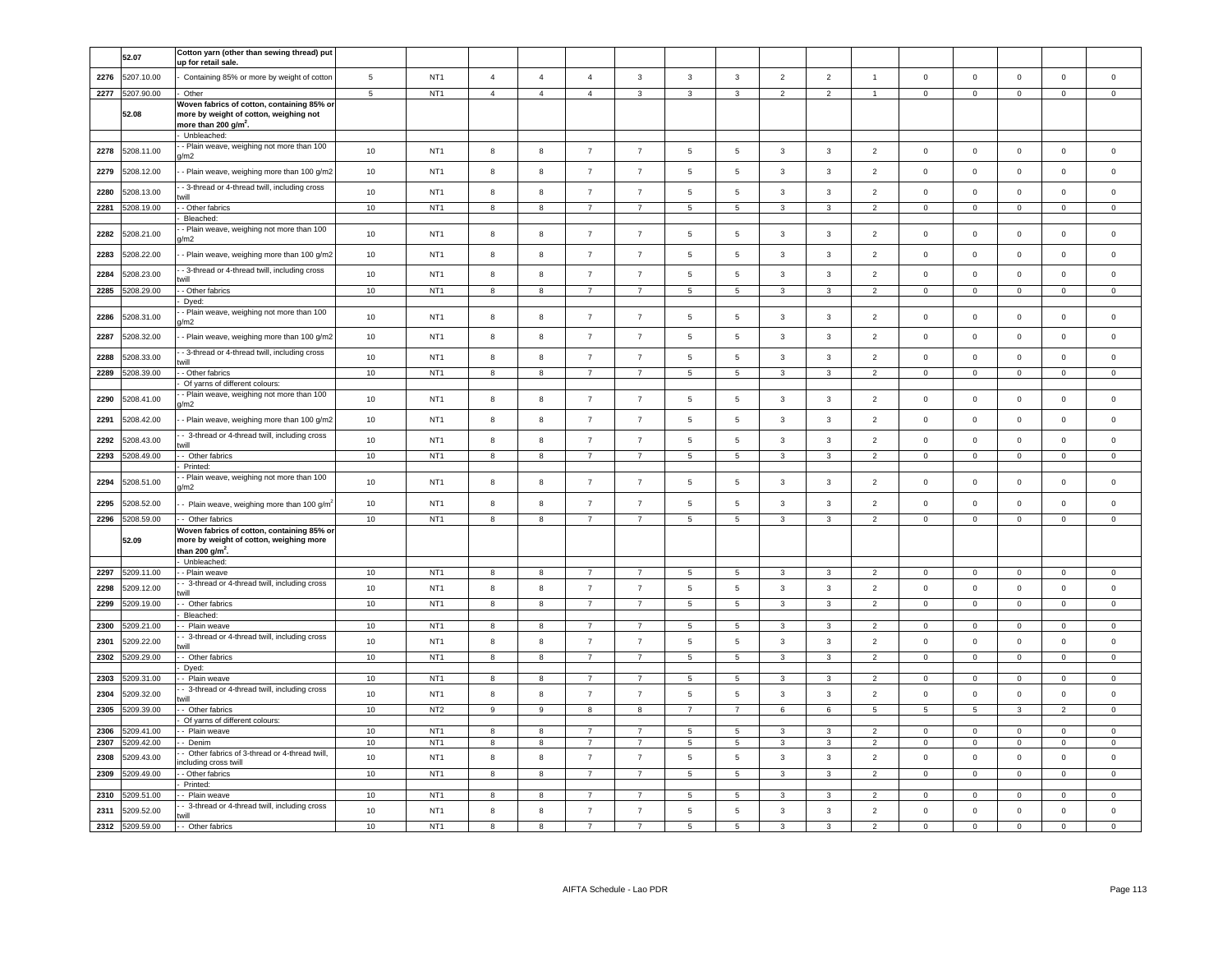|      | 52.07           | Cotton yarn (other than sewing thread) put<br>up for retail sale.                           |    |                 |                |                |                |                |                          |                 |                |                         |                |                         |                     |                |                |             |
|------|-----------------|---------------------------------------------------------------------------------------------|----|-----------------|----------------|----------------|----------------|----------------|--------------------------|-----------------|----------------|-------------------------|----------------|-------------------------|---------------------|----------------|----------------|-------------|
| 2276 | 5207.10.00      | Containing 85% or more by weight of cotton                                                  | 5  | NT <sub>1</sub> | $\overline{4}$ | $\overline{4}$ | $\overline{4}$ | 3              | 3                        | 3               | $\overline{2}$ | $\overline{2}$          | $\overline{1}$ | $\mathbf 0$             | $\mathbf 0$         | $\mathsf 0$    | $\mathbf 0$    | $\mathsf 0$ |
| 2277 | 5207.90.00      | Other                                                                                       | 5  | NT <sub>1</sub> | $\overline{4}$ | $\overline{4}$ | $\overline{4}$ | $\mathbf{3}$   | $\overline{3}$           | $\overline{3}$  | $\overline{2}$ | 2                       | $\overline{1}$ | $\mathbf{0}$            | $\circ$             | $\Omega$       | $\Omega$       | $\mathbf 0$ |
|      |                 | Woven fabrics of cotton, containing 85% or                                                  |    |                 |                |                |                |                |                          |                 |                |                         |                |                         |                     |                |                |             |
|      | 52.08           | more by weight of cotton, weighing not<br>more than 200 g/m <sup>2</sup> .                  |    |                 |                |                |                |                |                          |                 |                |                         |                |                         |                     |                |                |             |
|      |                 | Unbleached:                                                                                 |    |                 |                |                |                |                |                          |                 |                |                         |                |                         |                     |                |                |             |
| 2278 | 5208.11.00      | - Plain weave, weighing not more than 100<br>$\sqrt{m2}$                                    | 10 | NT <sub>1</sub> | 8              | 8              | $\overline{7}$ | $\overline{7}$ | 5                        | 5               | $\mathbf{3}$   | $\overline{3}$          | 2              | $\overline{0}$          | $\mathsf 0$         | $\mathbf 0$    | $\overline{0}$ | $\mathbf 0$ |
| 2279 | 5208.12.00      | - Plain weave, weighing more than 100 g/m2                                                  | 10 | NT <sub>1</sub> | 8              | 8              | $\overline{7}$ | $\overline{7}$ | 5                        | 5               | 3              | $\mathbf{3}$            | $\overline{2}$ | $\mathbf 0$             | $\mathbf 0$         | $\mathbf 0$    | $\mathbf 0$    | $\Omega$    |
| 2280 | 5208.13.00      | - 3-thread or 4-thread twill, including cross<br>will                                       | 10 | NT <sub>1</sub> | 8              | 8              | $\overline{7}$ | $\overline{7}$ | 5                        | 5               | 3              | 3                       | $\overline{2}$ | $\mathsf 0$             | $\mathbf 0$         | $\mathbf 0$    | $\mathbf 0$    | $\mathsf 0$ |
| 2281 | 5208.19.00      | - Other fabrics                                                                             | 10 | NT <sub>1</sub> | 8              | 8              | $\overline{7}$ | $\overline{7}$ | $5\phantom{.0}$          | 5               | 3              | 3                       | $\overline{2}$ | $\mathbf{0}$            | $\overline{0}$      | $\mathbf 0$    | $\mathbf 0$    | $\mathbf 0$ |
| 2282 | 5208.21.00      | Bleached:<br>- Plain weave, weighing not more than 100                                      | 10 | NT <sub>1</sub> | 8              | 8              | $\overline{7}$ | $\overline{7}$ | 5                        | 5               | 3              | 3                       | $\overline{2}$ | $\,0\,$                 | $\mathbf 0$         | $\mathbf 0$    | $\pmb{0}$      | $\mathsf 0$ |
| 2283 | 5208.22.00      | y/m2<br>- Plain weave, weighing more than 100 g/m2                                          | 10 | NT <sub>1</sub> | 8              | 8              | $\overline{7}$ | $\overline{7}$ | 5                        | 5               | 3              | 3                       | $\overline{2}$ | $\mathbf 0$             | $\mathbf 0$         | $\mathbf 0$    | $\Omega$       | $\Omega$    |
| 2284 | 5208.23.00      | - 3-thread or 4-thread twill, including cross                                               | 10 | NT <sub>1</sub> | 8              | 8              | $\overline{7}$ | $\overline{7}$ | 5                        | 5               | $\mathbf{3}$   | $\overline{3}$          | 2              | $\overline{0}$          | $\mathbf 0$         | $\mathbf 0$    | $\mathbf 0$    | $\mathbf 0$ |
| 2285 | 208.29.00       | - Other fabrics                                                                             | 10 | NT <sub>1</sub> | 8              | 8              | $\overline{7}$ | $\overline{7}$ | $\sqrt{5}$               | $\sqrt{5}$      | 3              | $\mathbf{3}$            | $\overline{2}$ | $\mathbb O$             | $\mathbf 0$         | $\mathbf 0$    | $\Omega$       | $\mathsf 0$ |
|      |                 | Dyed:                                                                                       |    |                 |                |                |                |                |                          |                 |                |                         |                |                         |                     |                |                |             |
| 2286 | 5208.31.00      | - Plain weave, weighing not more than 100<br>/m2                                            | 10 | NT <sub>1</sub> | 8              | 8              | $\overline{7}$ | $\overline{7}$ | 5                        | 5               | $\mathbf{3}$   | $\mathbf{3}$            | $\overline{2}$ | $\mathsf 0$             | $\mathbf 0$         | $\mathsf 0$    | $\circ$        | $\mathsf 0$ |
| 2287 | 5208.32.00      | - Plain weave, weighing more than 100 g/m2                                                  | 10 | NT <sub>1</sub> | 8              | $^{\rm 8}$     | $\overline{7}$ | $\overline{7}$ | $\,$ 5 $\,$              | $\sqrt{5}$      | 3              | $\mathbf{3}$            | $\overline{2}$ | $\mathbf 0$             | $\mathbf 0$         | $\mathbf 0$    | $\pmb{0}$      | $\mathbf 0$ |
| 2288 | 5208.33.00      | - 3-thread or 4-thread twill, including cross<br>urill                                      | 10 | NT <sub>1</sub> | 8              | 8              | $\overline{7}$ | $\overline{7}$ | $\,$ 5 $\,$              | 5               | $\mathbf{3}$   | 3                       | $\overline{2}$ | $\overline{0}$          | $\,0\,$             | $\mathbf 0$    | $\mathsf 0$    | $\mathbf 0$ |
| 2289 | 208.39.00       | - Other fabrics                                                                             | 10 | NT <sub>1</sub> | 8              | 8              | $\overline{7}$ | $\overline{7}$ | $\overline{\phantom{a}}$ | $\sqrt{5}$      | 3              | $\mathbf{3}$            | $\mathcal{P}$  | $\mathsf 0$             | $\overline{0}$      | $\Omega$       | $\Omega$       | $\Omega$    |
|      |                 | Of yarns of different colours:<br>- Plain weave, weighing not more than 100                 |    |                 |                |                |                |                |                          |                 |                |                         |                |                         |                     |                |                |             |
| 2290 | 5208.41.00      | ı/m2                                                                                        | 10 | NT <sub>1</sub> | 8              | 8              | $\overline{7}$ | $\overline{7}$ | $\,$ 5 $\,$              | $\sqrt{5}$      | 3              | 3                       | $\overline{2}$ | $\overline{\mathbf{0}}$ | $\mathbf{0}$        | $\mathbf 0$    | $\mathbf 0$    | $\mathbf 0$ |
| 2291 | 5208.42.00      | - Plain weave, weighing more than 100 g/m2<br>- 3-thread or 4-thread twill, including cross | 10 | NT <sub>1</sub> | 8              | 8              | $\overline{7}$ | $\overline{7}$ | 5                        | $\sqrt{5}$      | $\mathbf{3}$   | $\mathbf{3}$            | $\overline{2}$ | $\mathbf 0$             | $\mathbf 0$         | $\mathsf 0$    | $\mathsf 0$    | $\mathsf 0$ |
| 2292 | 5208.43.00      | will                                                                                        | 10 | NT <sub>1</sub> | 8              | $^{\rm 8}$     | $\overline{7}$ | $\overline{7}$ | $\sqrt{5}$               | $\sqrt{5}$      | 3              | $\mathbf{3}$            | $\overline{2}$ | $\mathbf 0$             | $\mathbf 0$         | $\mathbf 0$    | $\mathbf 0$    | $\mathsf 0$ |
| 2293 | 5208.49.00      | - Other fabrics                                                                             | 10 | NT <sub>1</sub> | 8              | 8              | $\overline{7}$ | $\overline{7}$ | $\sqrt{5}$               | $\sqrt{5}$      | $\mathbf{3}$   | $\mathbf{3}$            | $\overline{2}$ | $\mathbb O$             | $\mathbf 0$         | $\mathbf 0$    | $\mathbf 0$    | $\mathsf 0$ |
| 2294 | 5208.51.00      | Printed<br>- Plain weave, weighing not more than 100<br>1/m2                                | 10 | NT <sub>1</sub> | 8              | $^{\rm 8}$     | $\overline{7}$ | $\overline{7}$ | $\,$ 5 $\,$              | $\sqrt{5}$      | 3              | $\mathbf{3}$            | $\overline{2}$ | $\mathsf 0$             | $\mathbf 0$         | $\mathbf 0$    | $\mathbf 0$    | $\mathsf 0$ |
| 2295 | 5208.52.00      | - Plain weave, weighing more than 100 g/m <sup>2</sup>                                      | 10 | NT <sub>1</sub> | 8              | 8              | $\overline{7}$ | $\overline{7}$ | 5                        | 5               | 3              | 3                       | $\overline{2}$ | $\mathbf 0$             | $\mathbf 0$         | $\mathbf 0$    | $\mathbf 0$    | $\mathsf 0$ |
| 2296 | 5208.59.00      | - Other fabrics                                                                             | 10 | NT <sub>1</sub> | 8              | 8              | $\overline{7}$ | $\overline{7}$ | 5                        | 5               | 3              | $\mathbf{3}$            | $\overline{2}$ | $\mathbf 0$             | $\mathsf 0$         | $\mathbf 0$    | $\mathsf 0$    | $\Omega$    |
|      |                 | Woven fabrics of cotton, containing 85% or                                                  |    |                 |                |                |                |                |                          |                 |                |                         |                |                         |                     |                |                |             |
|      | 52.09           | more by weight of cotton, weighing more<br>than 200 g/m <sup>2</sup> .                      |    |                 |                |                |                |                |                          |                 |                |                         |                |                         |                     |                |                |             |
|      |                 | Unbleached                                                                                  |    |                 |                |                |                |                |                          |                 |                |                         |                |                         |                     |                |                |             |
| 2297 | 209.11.00       | - Plain weave<br>- 3-thread or 4-thread twill, including cross                              | 10 | NT <sub>1</sub> | $\mathbf{g}$   | $\mathbf{R}$   | $\overline{7}$ | $\overline{7}$ | 5                        | 5               | 3              | $\mathcal{R}$           |                | $\Omega$                | $\Omega$            | $\Omega$       | $\Omega$       | $\Omega$    |
| 2298 | 5209.12.00      | will                                                                                        | 10 | NT <sub>1</sub> | 8              | 8              | $\overline{7}$ | $\overline{7}$ | 5                        | 5               | $\mathbf{3}$   | $\mathbf{3}$            | $\overline{2}$ | $\mathsf 0$             | $\mathbf 0$         | $\mathsf 0$    | $\mathsf 0$    | $\mathsf 0$ |
| 2299 | 209.19.00       | - Other fabrics<br>Bleached                                                                 | 10 | NT <sub>1</sub> | 8              | 8              | $\overline{7}$ | $\overline{7}$ | $\overline{5}$           | 5               | 3              | $\mathbf{3}$            | $\overline{2}$ | $\Omega$                | $\mathsf 0$         | $\mathsf 0$    | $\mathsf 0$    | $\Omega$    |
| 2300 | 209.21.00       | - Plain weave                                                                               | 10 | NT <sub>1</sub> | 8              | 8              | $\overline{7}$ | $\overline{7}$ | 5                        | $\overline{5}$  | 3              | 3                       | $\overline{2}$ | $\Omega$                | $\mathbf 0$         | $\Omega$       | $\Omega$       | $\Omega$    |
| 2301 | 209.22.00       | - 3-thread or 4-thread twill, including cross<br>will                                       | 10 | NT <sub>1</sub> | 8              | 8              | $\overline{7}$ | $\overline{7}$ | $\,$ 5 $\,$              | $\,$ 5 $\,$     | 3              | $\mathbf{3}$            | $\overline{2}$ | $\mathbf 0$             | $\mathbf 0$         | $\mathbf 0$    | $\mathbf 0$    | $\mathsf 0$ |
| 2302 | 209.29.00       | - Other fabrics                                                                             | 10 | NT <sub>1</sub> | $\mathbf{g}$   | $\overline{8}$ | $\overline{7}$ | $\overline{7}$ | $\overline{5}$           | $\overline{5}$  | 3              | $\overline{3}$          | $\overline{2}$ | $\overline{0}$          | $\overline{0}$      | $\Omega$       | $\Omega$       | $\Omega$    |
| 2303 | 209.31.00       | Dyed:<br>- Plain weave                                                                      | 10 | NT <sub>1</sub> | 8              | 8              | $\overline{7}$ | $\overline{7}$ | 5                        | 5               | 3              | 3                       | $\mathcal{P}$  | $\Omega$                | $\circ$             | $\mathbf 0$    | $\Omega$       | $\Omega$    |
| 2304 | 209.32.00       | - 3-thread or 4-thread twill, including cross                                               | 10 | NT <sub>1</sub> | 8              | 8              | $\overline{7}$ | $\overline{7}$ | $\sqrt{5}$               | $\sqrt{5}$      | 3              | $\mathbf{3}$            | $\overline{2}$ | $\mathbf 0$             | $\mathbf 0$         | $\mathbf 0$    | $\mathbf 0$    | $\mathsf 0$ |
| 2305 | 209.39.00       | will<br>- Other fabrics                                                                     | 10 | NT <sub>2</sub> | 9              | 9              | $\mathbf{g}$   | 8              | $\overline{7}$           | $\overline{7}$  | 6              | 6                       | 5              | 5                       | $5\phantom{.0}$     | $\mathbf{3}$   | $\overline{2}$ | $\mathbf 0$ |
|      |                 | Of yarns of different colours:                                                              |    |                 |                |                |                |                |                          |                 |                |                         |                |                         |                     |                |                |             |
| 2306 | 209.41.00       | - Plain weave                                                                               | 10 | NT <sub>1</sub> | 8              | 8              | $\overline{7}$ | $\overline{7}$ | 5                        | $\,$ 5 $\,$     | 3              | 3                       | $\mathcal{P}$  | $\Omega$                | $\mathbf 0$         | $\mathsf 0$    | $\Omega$       | $\Omega$    |
| 2307 | 5209.42.00      | - Denim<br>- Other fabrics of 3-thread or 4-thread twill,                                   | 10 | NT <sub>1</sub> | 8              | 8              | $\overline{7}$ | $\overline{7}$ | $5\phantom{.0}$          | 5               | 3              | 3                       | $\overline{2}$ | $\mathsf 0$             | $\mathbf 0$         | $\mathbf 0$    | $\pmb{0}$      | $\mathsf 0$ |
| 2308 | 5209.43.00      | ncluding cross twill                                                                        | 10 | NT <sub>1</sub> | 8              | 8              | $\overline{7}$ | $\overline{7}$ | $\overline{5}$           | $\sqrt{5}$      | $\mathbf{3}$   | 3                       | $\overline{2}$ | $\mathbf 0$             | $\mathbf 0$         | $\mathbf 0$    | $\pmb{0}$      | $\mathbf 0$ |
| 2309 | 209.49.00       | - Other fabrics                                                                             | 10 | NT <sub>1</sub> | 8              | 8              | $\overline{7}$ | $\overline{7}$ | 5                        | $5\phantom{.0}$ | 3              | $\mathbf{R}$            | $\mathcal{P}$  | $\mathsf 0$             | $\mathsf{O}\xspace$ | $\mathbf 0$    | $\mathbf 0$    | $\Omega$    |
| 2310 | 209.51.00       | Printed:<br>- Plain weave                                                                   | 10 | NT <sub>1</sub> | 8              | 8              |                | $\overline{7}$ | 5                        | 5               | 3              | 3                       | $\Omega$       | $\mathbf 0$             | $\mathbf 0$         | $^{\circ}$     | $\mathbf 0$    | $\Omega$    |
| 2311 | 5209.52.00      | - 3-thread or 4-thread twill, including cross                                               | 10 | NT <sub>1</sub> | 8              | $^{\rm 8}$     | $\overline{7}$ | $\overline{7}$ | $\,$ 5 $\,$              | $\sqrt{5}$      | 3              | $\mathbf{3}$            | $\overline{2}$ | $\mathbf 0$             | $\mathbf 0$         | $\mathbf 0$    | $\mathsf 0$    | $\mathsf 0$ |
|      | 2312 5209.59.00 | will<br>- Other fabrics                                                                     | 10 | NT <sub>1</sub> | $\overline{8}$ | $\mathbf{R}$   | $\overline{7}$ | $\overline{7}$ | $\overline{5}$           | $\overline{5}$  | $\overline{3}$ | $\overline{\mathbf{3}}$ | $\overline{2}$ | $\overline{0}$          | $\overline{0}$      | $\overline{0}$ | $\overline{0}$ | $\Omega$    |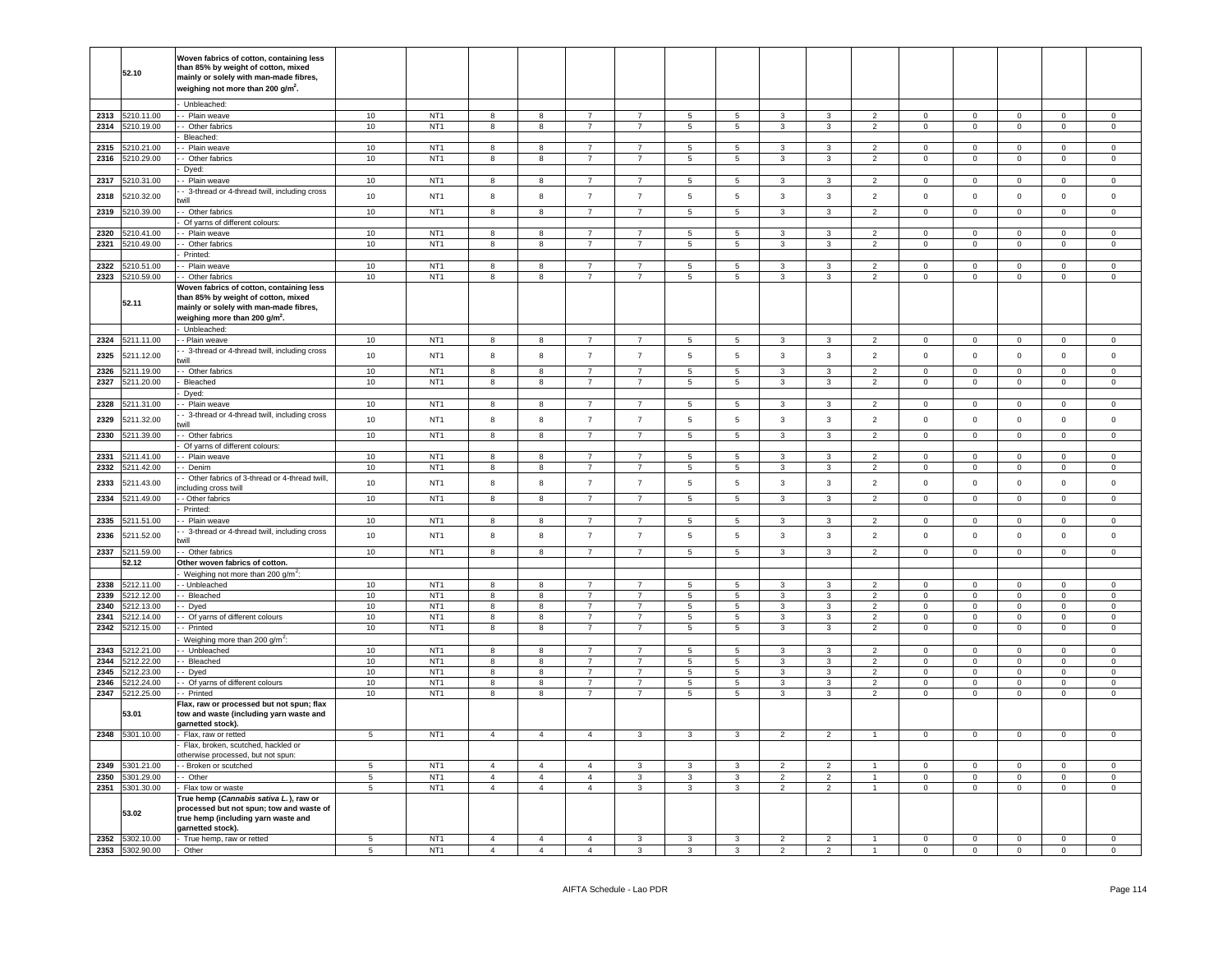|      |                 | Woven fabrics of cotton, containing less                      |                  |                 |                         |                         |                |                 |                          |                |                |                |                      |                |                |                |                |                     |
|------|-----------------|---------------------------------------------------------------|------------------|-----------------|-------------------------|-------------------------|----------------|-----------------|--------------------------|----------------|----------------|----------------|----------------------|----------------|----------------|----------------|----------------|---------------------|
|      | 52.10           | than 85% by weight of cotton, mixed                           |                  |                 |                         |                         |                |                 |                          |                |                |                |                      |                |                |                |                |                     |
|      |                 | mainly or solely with man-made fibres,                        |                  |                 |                         |                         |                |                 |                          |                |                |                |                      |                |                |                |                |                     |
|      |                 | weighing not more than 200 g/m <sup>2</sup> .                 |                  |                 |                         |                         |                |                 |                          |                |                |                |                      |                |                |                |                |                     |
|      |                 |                                                               |                  |                 |                         |                         |                |                 |                          |                |                |                |                      |                |                |                |                |                     |
|      |                 | Unbleached:                                                   |                  |                 |                         |                         |                |                 |                          |                |                |                |                      |                |                |                |                |                     |
| 2313 | 5210.11.00      | - Plain weave                                                 | 10               | NT <sub>1</sub> | 8                       | 8                       | $\overline{7}$ | $\overline{7}$  | $5\overline{5}$          | 5              | $\mathbf{3}$   | 3              | 2                    | $\overline{0}$ | $\overline{0}$ | $\mathbf{0}$   | $^{\circ}$     | $\mathbf{0}$        |
| 2314 | 5210.19.00      | - Other fabrics                                               | 10               | NT <sub>1</sub> | 8                       | 8                       | $\overline{7}$ | $7\overline{ }$ | $5\overline{ }$          | 5 <sub>5</sub> | $\mathbf{3}$   | $\mathbf{3}$   | $\overline{2}$       | $\overline{0}$ | $\overline{0}$ | $\mathbf 0$    | $\overline{0}$ | $\overline{0}$      |
|      |                 | Bleached:                                                     |                  |                 |                         |                         |                |                 |                          |                |                |                |                      |                |                |                |                |                     |
| 2315 | 5210.21.00      | - Plain weave                                                 | 10               | NT <sub>1</sub> | 8                       | 8                       | $\overline{7}$ | $\overline{7}$  | $5\overline{5}$          | 5              | 3              | 3              | $\overline{2}$       | $\pmb{0}$      | $\overline{0}$ | $\mathbf 0$    | $\mathsf 0$    | $\mathsf 0$         |
| 2316 | 5210.29.00      | - Other fabrics                                               | 10               | NT <sub>1</sub> | 8                       | 8                       | $\overline{7}$ | $\overline{7}$  | $5\phantom{.0}$          | 5              | $\mathbf{3}$   | 3              | $\overline{2}$       | $\overline{0}$ | $\overline{0}$ | $\mathbf{0}$   | $\overline{0}$ | $\overline{0}$      |
|      |                 | Dyed:                                                         |                  |                 |                         |                         |                |                 |                          |                |                |                |                      |                |                |                |                |                     |
| 2317 | 5210.31.00      | - Plain weave                                                 | 10 <sup>10</sup> | NT <sub>1</sub> | 8                       | 8                       | $\overline{7}$ | $\overline{7}$  | $5\overline{5}$          | 5              | 3              | 3              | $\overline{2}$       | $\mathbf{0}$   | $\overline{0}$ | $\mathbf{0}$   | $^{\circ}$     | $\mathbf{0}$        |
|      |                 | - 3-thread or 4-thread twill, including cross                 |                  |                 |                         |                         |                |                 |                          |                |                |                |                      |                |                |                |                |                     |
| 2318 | 5210.32.00      | will                                                          | 10               | NT <sub>1</sub> | 8                       | 8                       | $\overline{7}$ | $\overline{7}$  | $\,$ 5 $\,$              | 5              | 3              | $\mathbf{3}$   | $\overline{2}$       | $\mathbf 0$    | $\mathbf 0$    | $\mathbf 0$    | $\mathbf 0$    | $\mathbf 0$         |
|      |                 |                                                               |                  | NT <sub>1</sub> |                         |                         |                |                 |                          |                |                |                |                      |                |                |                |                |                     |
| 2319 | 5210.39.00      | - Other fabrics                                               | 10               |                 | 8                       | $^{\rm 8}$              | $\overline{7}$ | $\overline{7}$  | $5\phantom{.0}$          | 5              | 3              | $\mathbf{3}$   | $\overline{2}$       | $\mathbf{0}$   | $\circ$        | $\mathsf 0$    | $\mathbf{0}$   | $\mathsf 0$         |
|      |                 | Of yarns of different colours:                                |                  |                 |                         |                         |                |                 |                          |                |                |                |                      |                |                |                |                |                     |
| 2320 | 5210.41.00      | - Plain weave                                                 | 10               | NT <sub>1</sub> | 8                       | 8                       | $\overline{7}$ | $\overline{7}$  | $\sqrt{5}$               | 5              | 3              | 3              | $\overline{2}$       | $\Omega$       | $\mathsf 0$    | $\mathsf 0$    | $\Omega$       | $\mathsf 0$         |
| 2321 | 5210.49.00      | - Other fabrics                                               | 10               | NT <sub>1</sub> | 8                       | $^{\rm 8}$              | $\overline{7}$ | $\overline{7}$  | $\sqrt{5}$               | 5              | 3              | $\mathbf{3}$   | $\overline{2}$       | $\mathsf 0$    | $\mathsf 0$    | $\mathbf 0$    | $\mathsf 0$    | $\mathsf 0$         |
|      |                 | Printed:                                                      |                  |                 |                         |                         |                |                 |                          |                |                |                |                      |                |                |                |                |                     |
| 2322 | 5210.51.00      | - Plain weave                                                 | 10               | NT <sub>1</sub> | 8                       | $^{\rm 8}$              | $\overline{7}$ | $\overline{7}$  | $\,$ 5 $\,$              | 5              | 3              | $\mathbf{3}$   | $\overline{2}$       | $\mathbf 0$    | $\mathsf 0$    | $\mathbf 0$    | $\mathsf 0$    | $\mathsf 0$         |
| 2323 | 5210.59.00      | - Other fabrics                                               | 10               | NT <sub>1</sub> | 8                       | 8                       | $\overline{7}$ | $\overline{7}$  | $\sqrt{5}$               | 5              | 3              | $\mathbf{3}$   | $\overline{2}$       | $\mathsf 0$    | $\mathsf 0$    | $\mathbf 0$    | $\mathsf 0$    | $\mathsf{O}\xspace$ |
|      |                 | Woven fabrics of cotton, containing less                      |                  |                 |                         |                         |                |                 |                          |                |                |                |                      |                |                |                |                |                     |
|      |                 | than 85% by weight of cotton, mixed                           |                  |                 |                         |                         |                |                 |                          |                |                |                |                      |                |                |                |                |                     |
|      | 52.11           | mainly or solely with man-made fibres,                        |                  |                 |                         |                         |                |                 |                          |                |                |                |                      |                |                |                |                |                     |
|      |                 | weighing more than 200 g/m <sup>2</sup> .                     |                  |                 |                         |                         |                |                 |                          |                |                |                |                      |                |                |                |                |                     |
|      |                 | Unbleached:                                                   |                  |                 |                         |                         |                |                 |                          |                |                |                |                      |                |                |                |                |                     |
| 2324 | 5211.11.00      | - Plain weave                                                 | 10               | NT <sub>1</sub> | 8                       | 8                       | $\overline{7}$ | $\overline{7}$  | 5                        | 5              | 3              | 3              | $\overline{2}$       | $\mathbf 0$    | $\mathbf 0$    | $\mathbf 0$    | $\mathbf 0$    | $\mathsf 0$         |
|      |                 | - 3-thread or 4-thread twill, including cross                 |                  |                 |                         |                         |                |                 |                          |                |                |                |                      |                |                |                |                |                     |
| 2325 | 5211.12.00      | will                                                          | 10               | NT <sub>1</sub> | 8                       | $^{\rm 8}$              | $\overline{7}$ | $\overline{7}$  | $\,$ 5 $\,$              | 5              | $\mathbf{3}$   | $\mathbf{3}$   | $\overline{2}$       | $\mathbf 0$    | $\mathbf 0$    | $\mathbf 0$    | $\mathbf 0$    | $\mathsf 0$         |
| 2326 | 5211.19.00      | - Other fabrics                                               | 10               | NT <sub>1</sub> | 8                       | 8                       | $\overline{7}$ | $\overline{7}$  | $\overline{5}$           | $5^{\circ}$    | 3              | $\overline{3}$ | $\overline{2}$       | $\Omega$       | $\mathbf 0$    | $\Omega$       | $\Omega$       | $\Omega$            |
|      | 5211.20.00      |                                                               |                  | NT <sub>1</sub> | $\overline{\mathbf{8}}$ | $\overline{\mathbf{8}}$ | $\overline{7}$ | $\overline{7}$  |                          | $\overline{5}$ | $\overline{3}$ | $\overline{3}$ | $\overline{2}$       | $\overline{0}$ | $\overline{0}$ | $\overline{0}$ | $\overline{0}$ | $\overline{0}$      |
| 2327 |                 | Bleached                                                      | 10               |                 |                         |                         |                |                 | $\overline{\phantom{a}}$ |                |                |                |                      |                |                |                |                |                     |
|      |                 | Dyed:                                                         |                  |                 |                         |                         |                |                 |                          |                |                |                |                      |                |                |                |                |                     |
| 2328 | 5211.31.00      | - Plain weave                                                 | $10$             | NT <sub>1</sub> | $\mathbf{g}$            | 8                       | $\overline{7}$ | $\overline{7}$  | 5                        | 5              | 3              | 3              | 2                    | $\Omega$       | $\mathsf 0$    | $\Omega$       | $\Omega$       | $\Omega$            |
| 2329 | 5211.32.00      | - 3-thread or 4-thread twill, including cross                 | 10               | NT <sub>1</sub> | 8                       | 8                       | $\overline{7}$ | $\overline{7}$  | $\sqrt{5}$               | 5              | $\mathbf{3}$   | $\mathbf{3}$   | $\overline{2}$       | $\mathsf 0$    | $\mathbf 0$    | $\mathbf 0$    | $\mathsf 0$    | $\mathsf 0$         |
|      |                 |                                                               |                  |                 |                         |                         |                |                 |                          |                |                |                |                      |                |                |                |                |                     |
| 2330 | 5211.39.00      | - Other fabrics                                               | 10               | NT <sub>1</sub> | 8                       | 8                       | $\overline{7}$ | $\overline{7}$  | 5                        | 5              | 3              | $\mathbf{3}$   | $\overline{2}$       | $\Omega$       | $\mathbf 0$    | $\mathsf 0$    | $\Omega$       | $\mathsf 0$         |
|      |                 | Of yarns of different colours:                                |                  |                 |                         |                         |                |                 |                          |                |                |                |                      |                |                |                |                |                     |
| 2331 | 5211.41.00      | - Plain weave                                                 | 10               | NT <sub>1</sub> | 8                       | 8                       | $\overline{7}$ | $\overline{7}$  | 5                        | 5              | 3              | 3              | $\mathcal{P}$        | $\mathbf 0$    | $\mathbf 0$    | $\mathbf 0$    | $\mathbf 0$    | $\mathbf 0$         |
| 2332 | 5211.42.00      | - Denim                                                       | 10               | NT <sub>1</sub> | 8                       | 8                       | $\overline{7}$ | $\overline{7}$  | $5\phantom{.0}$          | 5              | 3              | $\mathbf{3}$   | $\overline{2}$       | $\mathsf 0$    | $\mathsf 0$    | $\mathsf 0$    | $\mathsf 0$    | $\mathsf 0$         |
|      |                 | Other fabrics of 3-thread or 4-thread twill,                  |                  |                 |                         |                         |                |                 |                          |                |                |                |                      |                |                |                |                |                     |
| 2333 | 5211.43.00      | ncluding cross twill                                          | 10               | NT <sub>1</sub> | 8                       | $^{\rm 8}$              | $\overline{7}$ | $\overline{7}$  | $\,$ 5 $\,$              | 5              | 3              | 3              | $\overline{2}$       | $\mathbf 0$    | $\mathbf 0$    | $\mathbf 0$    | $\mathsf 0$    | $\mathsf 0$         |
| 2334 | 5211.49.00      | - Other fabrics                                               | 10               | NT <sub>1</sub> | 8                       | 8                       | $\overline{7}$ | $\overline{7}$  | $\,$ 5 $\,$              | 5              | $\mathbf{3}$   | $\mathbf{3}$   | $\overline{2}$       | $\mathbf 0$    | $\mathbf 0$    | $\mathbf 0$    | $\mathbf 0$    | $\overline{0}$      |
|      |                 | Printed:                                                      |                  |                 |                         |                         |                |                 |                          |                |                |                |                      |                |                |                |                |                     |
| 2335 | 5211.51.00      | - Plain weave                                                 | 10               | NT <sub>1</sub> | 8                       | 8                       | $\overline{7}$ | $\overline{7}$  | $\,$ 5 $\,$              | 5              | $\mathbf{3}$   | $\mathbf{3}$   | $\overline{2}$       | $\mathbf 0$    | $\overline{0}$ | $\mathbf 0$    | $\overline{0}$ | $\overline{0}$      |
|      |                 | - 3-thread or 4-thread twill, including cross                 |                  |                 |                         |                         |                |                 |                          |                |                |                |                      |                |                |                |                |                     |
| 2336 | 5211.52.00      |                                                               | 10               | NT <sub>1</sub> | 8                       | 8                       | $\overline{7}$ | $\overline{7}$  | $\sqrt{5}$               | 5              | 3              | 3              | $\overline{2}$       | $\mathbf 0$    | $\mathbf 0$    | $\mathbf 0$    | $\mathbf{0}$   | $\mathbf 0$         |
| 2337 | 5211.59.00      | - Other fabrics                                               | $10$             | NT <sub>1</sub> | 8                       | $^{\rm 8}$              | $\overline{7}$ | $\overline{7}$  | $\,$ 5 $\,$              | $\,$ 5 $\,$    | $\mathbf{3}$   | $\mathbf{3}$   | $\overline{2}$       | $\mathbf 0$    | $\mathbf 0$    | $\mathbf 0$    | $\mathbf 0$    | $\mathsf{O}\xspace$ |
|      | 52.12           | Other woven fabrics of cotton.                                |                  |                 |                         |                         |                |                 |                          |                |                |                |                      |                |                |                |                |                     |
|      |                 |                                                               |                  |                 |                         |                         |                |                 |                          |                |                |                |                      |                |                |                |                |                     |
| 2338 | 5212.11.00      | Weighing not more than 200 g/m <sup>2</sup> :<br>- Unbleached |                  |                 |                         |                         |                |                 |                          |                |                |                | $\overline{2}$       |                | $\Omega$       |                | $\Omega$       | $\Omega$            |
|      |                 |                                                               | 10               | NT <sub>1</sub> | 8                       | 8                       | $\overline{7}$ | $\overline{7}$  | $\overline{5}$           | 5              | 3              | 3              |                      | $\Omega$       |                | $\mathbf 0$    |                |                     |
| 2339 | 5212.12.00      | - Bleached                                                    | 10               | NT <sub>1</sub> | 8                       | $^{\rm 8}$              | $\overline{7}$ | $\overline{7}$  | $\overline{5}$           | 5              | 3              | 3              | $\overline{2}$       | $\mathbf{0}$   | $\mathbf 0$    | $\mathbf 0$    | $\Omega$       | $\mathbf 0$         |
| 2340 | 5212.13.00      | - Dyed                                                        | 10               | NT <sub>1</sub> | 8                       | 8                       | $\overline{7}$ | $\overline{7}$  | $\,$ 5 $\,$              | 5              | 3              | $\mathbf{3}$   | $\overline{2}$       | $\Omega$       | $\mathbf 0$    | $\mathbf 0$    | $\Omega$       | $\circ$             |
| 2341 | 5212.14.00      | - Of yarns of different colours                               | 10               | NT <sub>1</sub> | 8                       | 8                       | $\overline{7}$ | $\overline{7}$  | $\overline{5}$           | 5              | 3              | 3              | $\overline{2}$       | $\mathbf 0$    | $\mathbf 0$    | $\mathsf 0$    | $\Omega$       | $\Omega$            |
| 2342 | 5212.15.00      | - Printed                                                     | 10               | NT <sub>1</sub> | 8                       | 8                       | $\overline{7}$ | $\overline{7}$  | $\,$ 5 $\,$              | 5              | $\mathbf{3}$   | $\mathbf{3}$   | $\overline{2}$       | $\pmb{0}$      | $\mathbf 0$    | $\mathbf 0$    | $\mathsf 0$    | $\mathsf{O}\xspace$ |
|      |                 | Weighing more than 200 g/m <sup>2</sup> :                     |                  |                 |                         |                         |                |                 |                          |                |                |                |                      |                |                |                |                |                     |
| 2343 | 5212.21.00      | - Unbleached                                                  | 10               | NT <sub>1</sub> | 8                       | 8                       | $\overline{7}$ | $\overline{7}$  | $\overline{5}$           | 5              | 3              | 3              | $\overline{2}$       | 0              | $\mathsf 0$    | $\mathbf 0$    | $\mathbf{0}$   | $\mathbf 0$         |
| 2344 | 5212.22.00      | - Bleached                                                    | 10               | NT <sub>1</sub> | 8                       | 8                       | $\overline{7}$ | $\overline{7}$  | $\overline{5}$           | 5              | 3              | 3              | 2                    | $\overline{0}$ | $\mathbf 0$    | $\mathbf 0$    | $\mathbf{0}$   | $\overline{0}$      |
| 2345 | 5212.23.00      | - Dyed                                                        | 10               | NT <sub>1</sub> | 8                       | 8                       | $\overline{7}$ | $\overline{7}$  | $\overline{5}$           | 5              | $\mathbf{3}$   | $\mathbf{3}$   | $\overline{2}$       | $\mathbf 0$    | $\overline{0}$ | $\mathbf 0$    | $\mathbf{0}$   | $\overline{0}$      |
| 2346 | 5212.24.00      | - Of yarns of different colours                               | 10               | NT <sub>1</sub> | 8                       | 8                       | $\overline{7}$ | $\overline{7}$  | $\overline{5}$           | 5              | 3              | 3              | 2                    | $\mathbf 0$    | $\bf{0}$       | $\bf{0}$       | $\mathbf{0}$   | $\mathbf 0$         |
| 2347 | 5212.25.00      | - Printed                                                     | 10               | NT <sub>1</sub> | 8                       | 8                       | $\overline{7}$ | $\overline{7}$  | $5\overline{5}$          | 5              | 3              | $\mathbf{3}$   | $\overline{2}$       | $\mathbf 0$    | $\overline{0}$ | $\mathbf 0$    | $\mathbf 0$    | $\overline{0}$      |
|      |                 | Flax, raw or processed but not spun; flax                     |                  |                 |                         |                         |                |                 |                          |                |                |                |                      |                |                |                |                |                     |
|      | 53.01           | tow and waste (including yarn waste and                       |                  |                 |                         |                         |                |                 |                          |                |                |                |                      |                |                |                |                |                     |
|      |                 | garnetted stock).                                             |                  |                 |                         |                         |                |                 |                          |                |                |                |                      |                |                |                |                |                     |
| 2348 | 5301.10.00      | Flax, raw or retted                                           | $5\phantom{.0}$  | NT <sub>1</sub> | $\overline{4}$          | $\overline{4}$          | $\overline{4}$ | $\mathbf{3}$    | $\mathbf{3}$             | 3              | $\overline{2}$ | $\overline{2}$ | $\overline{1}$       | $\mathbf 0$    | $\overline{0}$ | $\mathbf 0$    | $\mathsf 0$    | $\overline{0}$      |
|      |                 | Flax, broken, scutched, hackled or                            |                  |                 |                         |                         |                |                 |                          |                |                |                |                      |                |                |                |                |                     |
|      |                 | otherwise processed, but not spun:                            |                  |                 |                         |                         |                |                 |                          |                |                |                |                      |                |                |                |                |                     |
| 2349 | 5301.21.00      | - Broken or scutched                                          | 5 <sup>1</sup>   | NT <sub>1</sub> | $\mathbf{A}$            | $\mathbf{A}$            | $\mathbf{A}$   | $\mathcal{R}$   | $\mathbf{3}$             | $\mathbf{R}$   | $\mathcal{P}$  | $\overline{2}$ | $\blacktriangleleft$ | $\Omega$       | $\mathbf 0$    | $\Omega$       | $\Omega$       | $\Omega$            |
| 2350 | 5301.29.00      |                                                               | $\overline{5}$   | NT <sub>1</sub> | $\overline{4}$          | $\overline{4}$          | $\overline{4}$ |                 | $\overline{\mathbf{3}}$  | $\overline{3}$ | $\overline{2}$ | $\overline{2}$ | $\overline{1}$       |                | $\overline{0}$ | $\overline{0}$ | $\Omega$       |                     |
|      |                 | - Other                                                       |                  |                 | $\overline{4}$          | $\overline{4}$          | $\overline{4}$ | 3               |                          |                |                |                | $\mathbf{1}$         | $\mathbf 0$    |                |                |                | $\mathsf 0$         |
| 2351 | 5301.30.00      | Flax tow or waste                                             | $\overline{5}$   | NT <sub>1</sub> |                         |                         |                | $\mathbf{3}$    | $\mathbf{3}$             | $\overline{3}$ | $\overline{2}$ | $\overline{2}$ |                      | $\mathsf 0$    | $\overline{0}$ | $\mathsf 0$    | $\mathbf{0}$   | $\mathsf{O}\xspace$ |
|      |                 | Гrue hemp ( <i>Cannabis sativa L.</i> ), raw or               |                  |                 |                         |                         |                |                 |                          |                |                |                |                      |                |                |                |                |                     |
|      | 53.02           | processed but not spun; tow and waste of                      |                  |                 |                         |                         |                |                 |                          |                |                |                |                      |                |                |                |                |                     |
|      |                 | true hemp (including yarn waste and                           |                  |                 |                         |                         |                |                 |                          |                |                |                |                      |                |                |                |                |                     |
|      |                 | aarnetted stock).                                             |                  |                 |                         |                         |                |                 |                          |                |                |                |                      |                |                |                |                |                     |
| 2352 | 5302.10.00      | - True hemp, raw or retted                                    | 5                | NT <sub>1</sub> | $\overline{4}$          | $\overline{4}$          | $\overline{4}$ | $\mathbf{3}$    | $\overline{\mathbf{3}}$  | 3              | $\overline{2}$ | $\overline{2}$ | $\overline{1}$       | $\mathbf 0$    | $\mathbf 0$    | $\mathbf 0$    | $\mathbf 0$    | $\mathbf 0$         |
|      | 2353 5302.90.00 | Other                                                         | 5                | NT <sub>1</sub> | $\overline{4}$          | $\overline{4}$          | $\overline{4}$ | 3               | 3                        | 3              | $\overline{2}$ | 2              |                      | $\mathbf{0}$   | $\mathbf{0}$   | $\circ$        | $\mathbf 0$    | $\mathbf 0$         |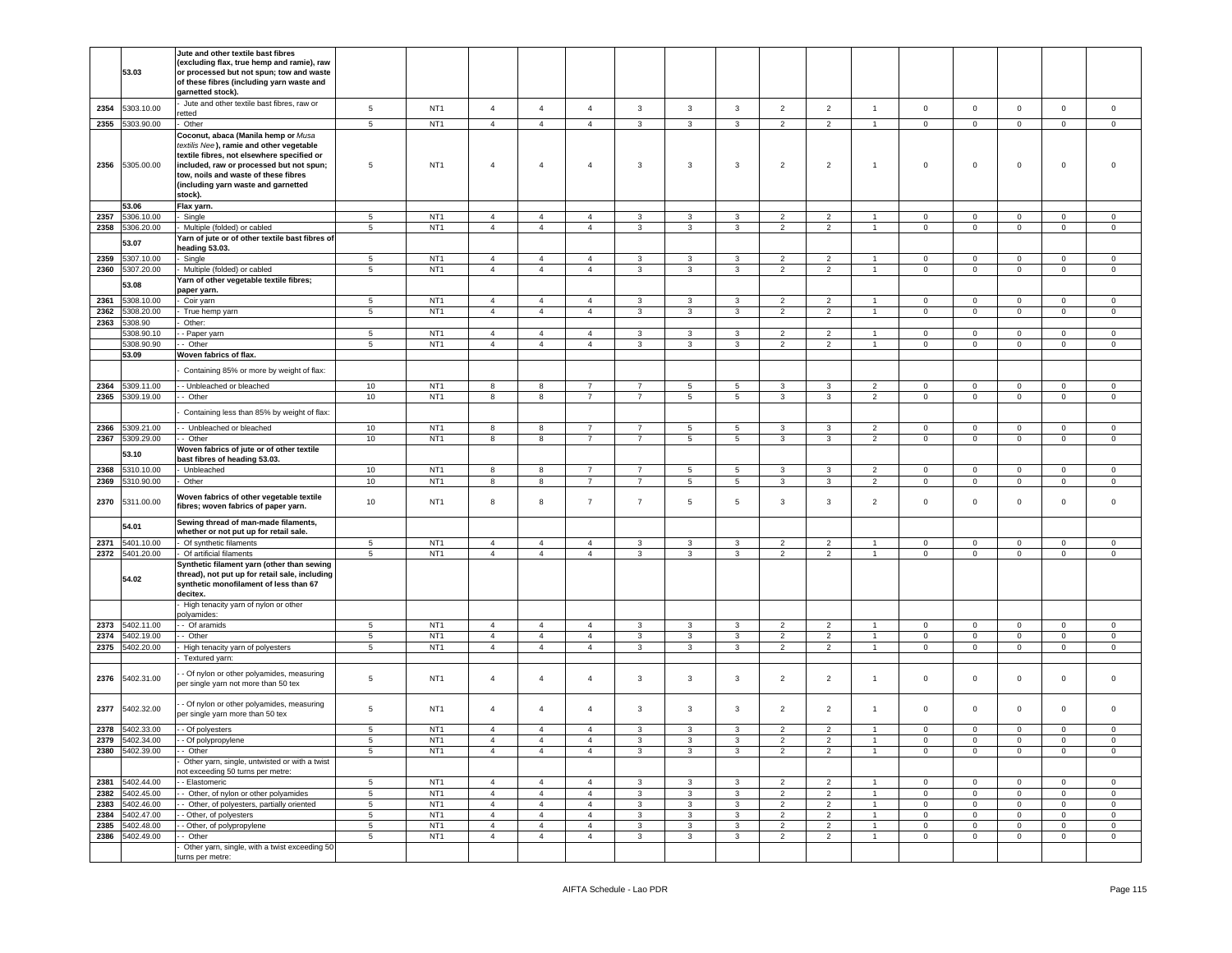| Jute and other textile bast fibres, raw or<br>5303.10.00<br>$\sqrt{5}$<br>NT <sub>1</sub><br>$\overline{4}$<br>$\overline{4}$<br>$\overline{4}$<br>$\mathbf{3}$<br>$\mathbf{3}$<br>$\mathbf{3}$<br>$\overline{2}$<br>$\overline{2}$<br>$\mathsf 0$<br>$\mathsf 0$<br>$\mathbf 0$<br>$\mathbf 0$<br>$\mathbf{1}$<br>$\mathbf 0$<br>2354<br>etted<br>NT <sub>1</sub><br>2355<br>5303.90.00<br>Other<br>$5\phantom{.0}$<br>$\overline{4}$<br>$\overline{4}$<br>$\overline{4}$<br>3<br>3<br>3<br>$\overline{2}$<br>$\overline{2}$<br>$\mathbf 0$<br>$\mathbf 0$<br>$\mathbf 0$<br>$\mathbf 0$<br>$\mathbf 0$<br>$\mathbf{1}$<br>Coconut, abaca (Manila hemp or Musa<br>textilis Nee), ramie and other vegetable<br>textile fibres, not elsewhere specified or<br>5305.00.00<br>5<br>NT <sub>1</sub><br>$\overline{4}$<br>$\overline{4}$<br>3<br>3<br>$\overline{2}$<br>$\overline{2}$<br>$\mathsf 0$<br>$\mathbf 0$<br>$\mathbf 0$<br>$\mathbf 0$<br>2356<br>included, raw or processed but not spun;<br>$\overline{4}$<br>3<br>$\overline{1}$<br>0<br>tow, noils and waste of these fibres<br>(including yarn waste and garnetted<br>stock).<br>53.06<br>Flax yarn.<br>2357<br>306.10.00<br>Single<br>5<br>NT <sub>1</sub><br>$\overline{4}$<br>$\overline{4}$<br>$\mathbf{3}$<br>$\mathbf{3}$<br>3<br>$\overline{2}$<br>$\overline{2}$<br>$\mathbf 0$<br>$\pmb{0}$<br>$\mathbf 0$<br>$\overline{4}$<br>0<br>0<br>$\mathbf{1}$<br>NT <sub>1</sub><br>2358<br>306.20.00<br>$5\phantom{.0}$<br>$\overline{4}$<br>$\overline{4}$<br>$\overline{4}$<br>$\mathbf{3}$<br>3<br>$\mathbf{3}$<br>$\overline{2}$<br>$\overline{2}$<br>$\mathbf 0$<br>$\overline{0}$<br>$\mathbf 0$<br>Multiple (folded) or cabled<br>$\mathbf{1}$<br>$\mathbf 0$<br>$\mathbf{0}$<br>farn of jute or of other textile bast fibres of<br>53.07<br>heading 53.03.<br>NT <sub>1</sub><br>2359<br>307.10.00<br>5<br>$\overline{4}$<br>$\overline{4}$<br>3<br>3<br>3<br>$\overline{2}$<br>2<br>$\mathbf 0$<br>$\mathbf 0$<br>$\mathbf 0$<br>Single<br>$\overline{4}$<br>$\overline{1}$<br>$\Omega$<br>$\Omega$<br>NT <sub>1</sub><br>2360<br>$5\phantom{.0}$<br>5307.20.00<br>Multiple (folded) or cabled<br>$\overline{4}$<br>$\overline{4}$<br>$\overline{4}$<br>3<br>3<br>3<br>$\overline{2}$<br>$\overline{2}$<br>$\mathbf 0$<br>$\mathbf 0$<br>0<br>$\mathbf 0$<br>$\mathbf 0$<br>$\overline{1}$<br>farn of other vegetable textile fibres;<br>53.08<br>paper yarn.<br>2361<br>308.10.00<br>$5\phantom{.0}$<br>NT <sub>1</sub><br>$\overline{4}$<br>$\overline{4}$<br>$\mathbf{3}$<br>3<br>$\overline{2}$<br>$\overline{2}$<br>$\mathbf 0$<br>$\mathbf 0$<br>$\mathbf 0$<br>Coir yarn<br>$\overline{4}$<br>3<br>0<br>$\mathbf 0$<br>$\overline{1}$<br>NT <sub>1</sub><br>2362<br>308.20.00<br>$5\phantom{.0}$<br>$\overline{4}$<br>$\overline{4}$<br>3<br>3<br>$\mathbf 0$<br>True hemp yarn<br>$\overline{4}$<br>3<br>$\overline{2}$<br>$\overline{2}$<br>$\overline{1}$<br>$\mathbf 0$<br>$\mathbf 0$<br>0<br>$\mathbf{0}$<br>2363<br>308.90<br>Other:<br>308.90.10<br>5<br>NT <sub>1</sub><br>$\overline{4}$<br>$\overline{4}$<br>3<br>3<br>3<br>$\overline{2}$<br>$\mathbf 0$<br>$\mathbf 0$<br>$\mathbf 0$<br>- Paper yarn<br>4<br>2<br>$\overline{1}$<br>0<br>0<br>NT <sub>1</sub><br>5308.90.90<br>- Other<br>5<br>$\overline{4}$<br>$\overline{4}$<br>3<br>3<br>$\mathbf 0$<br>$\mathbf 0$<br>$\mathbf 0$<br>$\overline{4}$<br>3<br>$\overline{2}$<br>$\overline{2}$<br>$\overline{1}$<br>$\mathbf 0$<br>$\mathbf{0}$<br>53.09<br>Woven fabrics of flax.<br>Containing 85% or more by weight of flax:<br>309.11.00<br>- Unbleached or bleached<br>10<br>NT <sub>1</sub><br>2364<br>8<br>8<br>$\overline{7}$<br>$\overline{7}$<br>5<br>5<br>3<br>3<br>2<br>$\mathbf 0$<br>$\mathbf 0$<br>0<br>$\mathbf{0}$<br>$\mathbf 0$<br>10<br>NT <sub>1</sub><br>5<br>2365<br>5309.19.00<br>- Other<br>8<br>8<br>$\overline{7}$<br>$\overline{7}$<br>$\overline{5}$<br>3<br>3<br>$\overline{2}$<br>$\circ$<br>$\mathbf 0$<br>$\mathbf 0$<br>$\mathbf 0$<br>$\mathbf 0$<br>Containing less than 85% by weight of flax:<br>10<br>NT <sub>1</sub><br>2366<br>5309.21.00<br>- Unbleached or bleached<br>8<br>8<br>$\overline{7}$<br>$\overline{7}$<br>5<br>5<br>3<br>3<br>2<br>0<br>0<br>$\mathbf{0}$<br>$\mathbf 0$<br>$\circ$<br>10<br>NT <sub>1</sub><br>$\overline{7}$<br>2367<br>5309.29.00<br>- Other<br>8<br>8<br>$\overline{7}$<br>$\overline{5}$<br>5<br>3<br>3<br>$\overline{2}$<br>$\mathbf 0$<br>$\mathbf 0$<br>$\mathbf 0$<br>$\mathbf 0$<br>$\mathsf 0$<br>Woven fabrics of jute or of other textile<br>53.10<br>bast fibres of heading 53.03.<br>2368<br>Unbleached<br>10<br>NT <sub>1</sub><br>310.10.00<br>8<br>8<br>$\overline{7}$<br>$\overline{7}$<br>5<br>5<br>3<br>3<br>2<br>$\mathbf 0$<br>$\mathbf 0$<br>0<br>$\mathbf 0$<br>$\overline{0}$<br>$10$<br>NT <sub>1</sub><br>8<br>$\overline{7}$<br>$\overline{7}$<br>$\,$ 5 $\,$<br>5<br>3<br>2369<br>310.90.00<br>Other<br>8<br>3<br>$\overline{2}$<br>$\mathbf 0$<br>$\mathbf 0$<br>$\mathbf 0$<br>$\pmb{0}$<br>$\mathsf 0$<br>Woven fabrics of other vegetable textile<br>2370<br>5311.00.00<br>10<br>NT <sub>1</sub><br>8<br>8<br>$\overline{7}$<br>$\overline{7}$<br>$5\phantom{.0}$<br>5<br>3<br>3<br>$\overline{2}$<br>$\mathsf 0$<br>$\mathbf 0$<br>$\mathbf 0$<br>$\mathbf 0$<br>$\mathbf 0$<br>fibres; woven fabrics of paper yarn.<br>Sewing thread of man-made filaments,<br>54.01<br>whether or not put up for retail sale.<br>2371<br>5401.10.00<br>5<br>NT <sub>1</sub><br>$\overline{4}$<br>3<br>$\overline{2}$<br>$\overline{2}$<br>$\mathbf 0$<br>$\mathbf 0$<br>Of synthetic filaments<br>$\overline{4}$<br>4<br>3<br>3<br>0<br>0<br>0<br>$\mathbf{1}$<br>5401.20.00<br>$\sqrt{5}$<br>NT <sub>1</sub><br>$\overline{4}$<br>$\overline{4}$<br>$\overline{4}$<br>$\mathbf{3}$<br>$\mathbf{3}$<br>$\mathbf{3}$<br>$\overline{2}$<br>$\overline{2}$<br>$\mathsf 0$<br>$\mathbf 0$<br>$\mathsf 0$<br>2372<br>Of artificial filaments<br>$\mathbf{1}$<br>$\overline{0}$<br>$\overline{0}$<br>Synthetic filament yarn (other than sewing<br>thread), not put up for retail sale, including<br>54.02<br>synthetic monofilament of less than 67<br>decitex.<br>High tenacity yarn of nylon or other<br>olyamides:<br>5402.11.00<br>NT <sub>1</sub><br>2373<br>- Of aramids<br>5<br>$\overline{4}$<br>$\overline{4}$<br>$\overline{4}$<br>3<br>3<br>3<br>$\overline{2}$<br>$\overline{2}$<br>$\mathbf 0$<br>$\mathbf 0$<br>$\mathbf 0$<br>$\mathbf 0$<br>$\mathbf 0$<br>$\overline{1}$<br>$\sqrt{5}$<br>$\overline{4}$<br>$\mathbf{3}$<br>$\overline{2}$<br>$\overline{2}$<br>402.19.00<br>NT <sub>1</sub><br>$\overline{4}$<br>$\overline{4}$<br>$\mathbf{3}$<br>$\mathbf{3}$<br>$\mathsf 0$<br>$\mathbf 0$<br>$\mathbf 0$<br>$\mathsf 0$<br>2374<br>- Other<br>$\overline{1}$<br>$\mathbf 0$<br>5402.20.00<br>$\sqrt{5}$<br>NT <sub>1</sub><br>$\overline{4}$<br>$\overline{4}$<br>$\mathbf 0$<br>$\mathsf 0$<br>2375<br>High tenacity yarn of polyesters<br>$\overline{4}$<br>$\mathbf{3}$<br>$\mathbf{3}$<br>3<br>$\overline{2}$<br>$\overline{2}$<br>$\overline{0}$<br>$\overline{0}$<br>$\mathbf{1}$<br>$\overline{0}$<br>Textured yarn:<br>- Of nylon or other polyamides, measuring<br>5402.31.00<br>5<br>NT <sub>1</sub><br>$\overline{4}$<br>$\overline{4}$<br>3<br>3<br>$\overline{2}$<br>$\overline{2}$<br>$\mathsf 0$<br>$\mathbf 0$<br>$\mathbf 0$<br>$\mathbf 0$<br>2376<br>$\overline{4}$<br>3<br>$\overline{1}$<br>0<br>er single yarn not more than 50 tex<br>- Of nylon or other polyamides, measuring<br>2377<br>5402.32.00<br>5<br>NT <sub>1</sub><br>$\overline{4}$<br>$\overline{4}$<br>3<br>3<br>3<br>$\overline{2}$<br>$\overline{2}$<br>$\mathsf 0$<br>$\mathbf 0$<br>$\mathbf 0$<br>$\mathbf 0$<br>$\overline{4}$<br>$\overline{1}$<br>0<br>per single yarn more than 50 tex<br>2378<br>5402.33.00<br>5<br>NT <sub>1</sub><br>$\overline{4}$<br>$\overline{4}$<br>$\mathbf{3}$<br>3<br>$\overline{2}$<br>$\overline{2}$<br>$\mathbf 0$<br>$\mathbf 0$<br>- Of polyesters<br>$\overline{4}$<br>3<br>$\overline{1}$<br>0<br>0<br>0<br>2379 5402.34.00<br>NT <sub>1</sub><br>$\overline{4}$<br>$\overline{4}$<br>$\overline{4}$<br>- Of polypropylene<br>5<br>3<br>$\overline{2}$<br>2<br>$\mathbf 0$<br>0<br>$\mathbf 0$<br>$\mathbf 0$<br>3<br>3<br>0<br>2380 5402.39.00<br>- Other<br>$5\overline{ }$<br>NT <sub>1</sub><br>$\overline{4}$<br>$\overline{4}$<br>$\overline{4}$<br>$\mathbf{3}$<br>$\mathbf{3}$<br>$\overline{2}$<br>$\overline{2}$<br>$\mathbf 0$<br>$\overline{0}$<br>$\mathbf 0$<br>3<br>$\mathbf{1}$<br>$\mathbf{0}$<br>$\mathbf 0$<br>Other yarn, single, untwisted or with a twist<br>not exceeding 50 turns per metre:<br>2381 5402.44.00<br>- Elastomeric<br>$\sqrt{5}$<br>NT <sub>1</sub><br>$\overline{4}$<br>$\overline{4}$<br>3<br>3<br>$\overline{2}$<br>$\overline{2}$<br>$\mathbf{0}$<br>$\overline{0}$<br>$\overline{0}$<br>$\overline{4}$<br>3<br>$\mathbf{0}$<br>$\mathbf 0$<br>$\overline{1}$<br>NT <sub>1</sub><br>2382<br>5402.45.00<br>- Other, of nylon or other polyamides<br>5<br>$\overline{4}$<br>$\overline{4}$<br>$\overline{4}$<br>3<br>$\mathbf{3}$<br>3<br>$\overline{2}$<br>$\overline{2}$<br>$\mathbf 0$<br>$\circ$<br>$\mathbf{0}$<br>$\mathbf 0$<br>$\mathbf 0$<br>$\overline{1}$<br>NT <sub>1</sub><br>2383<br>5402.46.00<br>$\sqrt{5}$<br>$\overline{4}$<br>$\mathbf{3}$<br>$\overline{2}$<br>$\overline{2}$<br>- Other, of polyesters, partially oriented<br>$\overline{4}$<br>$\overline{4}$<br>3<br>3<br>$\mathbf 0$<br>$\mathbf 0$<br>$\pmb{0}$<br>$\mathsf 0$<br>$\overline{1}$<br>0<br>2384<br>5402.47.00<br>- Other, of polyesters<br>$\sqrt{5}$<br>NT <sub>1</sub><br>$\overline{4}$<br>$\overline{4}$<br>$\mathsf 0$<br>$\overline{4}$<br>$\mathbf{3}$<br>3<br>3<br>$\overline{2}$<br>$\overline{2}$<br>$\circ$<br>$\mathbf 0$<br>$\overline{0}$<br>$\mathbf{1}$<br>$\mathbf 0$<br>NT <sub>1</sub><br>2385<br>5402.48.00<br>- Other, of polypropylene<br>5<br>$\overline{4}$<br>$\overline{4}$<br>$\overline{4}$<br>$\mathbf{3}$<br>$\mathbf{3}$<br>3<br>$\overline{2}$<br>$\overline{2}$<br>$\overline{0}$<br>$\mathbf 0$<br>$\mathbf{0}$<br>$\mathbf{0}$<br>$\overline{1}$<br>$\mathbf{0}$<br>2386<br>5402.49.00<br>5<br>NT <sub>1</sub><br>$\overline{4}$<br>$\mathbf{3}$<br>- Other<br>$\overline{4}$<br>$\overline{4}$<br>$\mathbf{3}$<br>3<br>$\overline{2}$<br>$\overline{2}$<br>$\mathbf 0$<br>$\mathbf 0$<br>$\overline{0}$<br>$\overline{1}$<br>$\mathbf 0$<br>$\mathbf{0}$<br>Other yarn, single, with a twist exceeding 50<br>turns per metre: | 53.03 | Jute and other textile bast fibres<br>(excluding flax, true hemp and ramie), raw<br>or processed but not spun; tow and waste<br>of these fibres (including yarn waste and<br>garnetted stock). |  |  |  |  |  |  |  |  |
|----------------------------------------------------------------------------------------------------------------------------------------------------------------------------------------------------------------------------------------------------------------------------------------------------------------------------------------------------------------------------------------------------------------------------------------------------------------------------------------------------------------------------------------------------------------------------------------------------------------------------------------------------------------------------------------------------------------------------------------------------------------------------------------------------------------------------------------------------------------------------------------------------------------------------------------------------------------------------------------------------------------------------------------------------------------------------------------------------------------------------------------------------------------------------------------------------------------------------------------------------------------------------------------------------------------------------------------------------------------------------------------------------------------------------------------------------------------------------------------------------------------------------------------------------------------------------------------------------------------------------------------------------------------------------------------------------------------------------------------------------------------------------------------------------------------------------------------------------------------------------------------------------------------------------------------------------------------------------------------------------------------------------------------------------------------------------------------------------------------------------------------------------------------------------------------------------------------------------------------------------------------------------------------------------------------------------------------------------------------------------------------------------------------------------------------------------------------------------------------------------------------------------------------------------------------------------------------------------------------------------------------------------------------------------------------------------------------------------------------------------------------------------------------------------------------------------------------------------------------------------------------------------------------------------------------------------------------------------------------------------------------------------------------------------------------------------------------------------------------------------------------------------------------------------------------------------------------------------------------------------------------------------------------------------------------------------------------------------------------------------------------------------------------------------------------------------------------------------------------------------------------------------------------------------------------------------------------------------------------------------------------------------------------------------------------------------------------------------------------------------------------------------------------------------------------------------------------------------------------------------------------------------------------------------------------------------------------------------------------------------------------------------------------------------------------------------------------------------------------------------------------------------------------------------------------------------------------------------------------------------------------------------------------------------------------------------------------------------------------------------------------------------------------------------------------------------------------------------------------------------------------------------------------------------------------------------------------------------------------------------------------------------------------------------------------------------------------------------------------------------------------------------------------------------------------------------------------------------------------------------------------------------------------------------------------------------------------------------------------------------------------------------------------------------------------------------------------------------------------------------------------------------------------------------------------------------------------------------------------------------------------------------------------------------------------------------------------------------------------------------------------------------------------------------------------------------------------------------------------------------------------------------------------------------------------------------------------------------------------------------------------------------------------------------------------------------------------------------------------------------------------------------------------------------------------------------------------------------------------------------------------------------------------------------------------------------------------------------------------------------------------------------------------------------------------------------------------------------------------------------------------------------------------------------------------------------------------------------------------------------------------------------------------------------------------------------------------------------------------------------------------------------------------------------------------------------------------------------------------------------------------------------------------------------------------------------------------------------------------------------------------------------------------------------------------------------------------------------------------------------------------------------------------------------------------------------------------------------------------------------------------------------------------------------------------------------------------------------------------------------------------------------------------------------------------------------------------------------------------------------------------------------------------------------------------------------------------------------------------------------------------------------------------------------------------------------------------------------------------------------------------------------------------------------------------------------------------------------------------------------------------------------------------------------------------------------------------------------------------------------------------------------------------------------------------------------------------------------------------------------------------------------------------------------------------------------------------------------------------------------------------------------------------------------------------------------------------------------------------------------------------------------------------------------------------------------------------------------------------------------------------------------------------------------------------------------------------------------------------------------------------------------------------------------------------------------------------------------------------------------------------------------------------------------------------------------------------------------------------------------------------------------------------------------------------------------------------------------------------------------------------------------------------------------------------------------------------------------------------------------------------------------------------------------------------------------------------------------------------------------------------------------------------------------------------------------------------------------------------------------------------------------------------------------------------------------------------------------------------------------------------------------------------------------------------------------------------------------------------------------------------------------------------------------------------------------------------------------------------------------------------------------------------------------------------------------------------------------------------------------------------------------------------------------------------------------------------------------------------------------------------------------------------------------------------------------------------------------------------------------------------------------------------------------------------------------------------------------------------------------------------------------------------------------------------------------------------------------------------------------------------------------------------------------------------------------------------------------------------------------------------------------------------------------------------------------------------------------------------------------------------------------------------------------------------------------------------------------------------------------------------------------------------------------------------------------------------------------------------------------------------------------------------------------------------------------------------------|-------|------------------------------------------------------------------------------------------------------------------------------------------------------------------------------------------------|--|--|--|--|--|--|--|--|
|                                                                                                                                                                                                                                                                                                                                                                                                                                                                                                                                                                                                                                                                                                                                                                                                                                                                                                                                                                                                                                                                                                                                                                                                                                                                                                                                                                                                                                                                                                                                                                                                                                                                                                                                                                                                                                                                                                                                                                                                                                                                                                                                                                                                                                                                                                                                                                                                                                                                                                                                                                                                                                                                                                                                                                                                                                                                                                                                                                                                                                                                                                                                                                                                                                                                                                                                                                                                                                                                                                                                                                                                                                                                                                                                                                                                                                                                                                                                                                                                                                                                                                                                                                                                                                                                                                                                                                                                                                                                                                                                                                                                                                                                                                                                                                                                                                                                                                                                                                                                                                                                                                                                                                                                                                                                                                                                                                                                                                                                                                                                                                                                                                                                                                                                                                                                                                                                                                                                                                                                                                                                                                                                                                                                                                                                                                                                                                                                                                                                                                                                                                                                                                                                                                                                                                                                                                                                                                                                                                                                                                                                                                                                                                                                                                                                                                                                                                                                                                                                                                                                                                                                                                                                                                                                                                                                                                                                                                                                                                                                                                                                                                                                                                                                                                                                                                                                                                                                                                                                                                                                                                                                                                                                                                                                                                                                                                                                                                                                                                                                                                                                                                                                                                                                                                                                                                                                                                                                                                                                                                                                                                                                                                                                                                                                                                                                                                                                                                                                                                                                                                                                                                                                                                                                                                                                                                                                                                                                                                                                                                                                                                                              |       |                                                                                                                                                                                                |  |  |  |  |  |  |  |  |
|                                                                                                                                                                                                                                                                                                                                                                                                                                                                                                                                                                                                                                                                                                                                                                                                                                                                                                                                                                                                                                                                                                                                                                                                                                                                                                                                                                                                                                                                                                                                                                                                                                                                                                                                                                                                                                                                                                                                                                                                                                                                                                                                                                                                                                                                                                                                                                                                                                                                                                                                                                                                                                                                                                                                                                                                                                                                                                                                                                                                                                                                                                                                                                                                                                                                                                                                                                                                                                                                                                                                                                                                                                                                                                                                                                                                                                                                                                                                                                                                                                                                                                                                                                                                                                                                                                                                                                                                                                                                                                                                                                                                                                                                                                                                                                                                                                                                                                                                                                                                                                                                                                                                                                                                                                                                                                                                                                                                                                                                                                                                                                                                                                                                                                                                                                                                                                                                                                                                                                                                                                                                                                                                                                                                                                                                                                                                                                                                                                                                                                                                                                                                                                                                                                                                                                                                                                                                                                                                                                                                                                                                                                                                                                                                                                                                                                                                                                                                                                                                                                                                                                                                                                                                                                                                                                                                                                                                                                                                                                                                                                                                                                                                                                                                                                                                                                                                                                                                                                                                                                                                                                                                                                                                                                                                                                                                                                                                                                                                                                                                                                                                                                                                                                                                                                                                                                                                                                                                                                                                                                                                                                                                                                                                                                                                                                                                                                                                                                                                                                                                                                                                                                                                                                                                                                                                                                                                                                                                                                                                                                                                                                                              |       |                                                                                                                                                                                                |  |  |  |  |  |  |  |  |
|                                                                                                                                                                                                                                                                                                                                                                                                                                                                                                                                                                                                                                                                                                                                                                                                                                                                                                                                                                                                                                                                                                                                                                                                                                                                                                                                                                                                                                                                                                                                                                                                                                                                                                                                                                                                                                                                                                                                                                                                                                                                                                                                                                                                                                                                                                                                                                                                                                                                                                                                                                                                                                                                                                                                                                                                                                                                                                                                                                                                                                                                                                                                                                                                                                                                                                                                                                                                                                                                                                                                                                                                                                                                                                                                                                                                                                                                                                                                                                                                                                                                                                                                                                                                                                                                                                                                                                                                                                                                                                                                                                                                                                                                                                                                                                                                                                                                                                                                                                                                                                                                                                                                                                                                                                                                                                                                                                                                                                                                                                                                                                                                                                                                                                                                                                                                                                                                                                                                                                                                                                                                                                                                                                                                                                                                                                                                                                                                                                                                                                                                                                                                                                                                                                                                                                                                                                                                                                                                                                                                                                                                                                                                                                                                                                                                                                                                                                                                                                                                                                                                                                                                                                                                                                                                                                                                                                                                                                                                                                                                                                                                                                                                                                                                                                                                                                                                                                                                                                                                                                                                                                                                                                                                                                                                                                                                                                                                                                                                                                                                                                                                                                                                                                                                                                                                                                                                                                                                                                                                                                                                                                                                                                                                                                                                                                                                                                                                                                                                                                                                                                                                                                                                                                                                                                                                                                                                                                                                                                                                                                                                                                                              |       |                                                                                                                                                                                                |  |  |  |  |  |  |  |  |
|                                                                                                                                                                                                                                                                                                                                                                                                                                                                                                                                                                                                                                                                                                                                                                                                                                                                                                                                                                                                                                                                                                                                                                                                                                                                                                                                                                                                                                                                                                                                                                                                                                                                                                                                                                                                                                                                                                                                                                                                                                                                                                                                                                                                                                                                                                                                                                                                                                                                                                                                                                                                                                                                                                                                                                                                                                                                                                                                                                                                                                                                                                                                                                                                                                                                                                                                                                                                                                                                                                                                                                                                                                                                                                                                                                                                                                                                                                                                                                                                                                                                                                                                                                                                                                                                                                                                                                                                                                                                                                                                                                                                                                                                                                                                                                                                                                                                                                                                                                                                                                                                                                                                                                                                                                                                                                                                                                                                                                                                                                                                                                                                                                                                                                                                                                                                                                                                                                                                                                                                                                                                                                                                                                                                                                                                                                                                                                                                                                                                                                                                                                                                                                                                                                                                                                                                                                                                                                                                                                                                                                                                                                                                                                                                                                                                                                                                                                                                                                                                                                                                                                                                                                                                                                                                                                                                                                                                                                                                                                                                                                                                                                                                                                                                                                                                                                                                                                                                                                                                                                                                                                                                                                                                                                                                                                                                                                                                                                                                                                                                                                                                                                                                                                                                                                                                                                                                                                                                                                                                                                                                                                                                                                                                                                                                                                                                                                                                                                                                                                                                                                                                                                                                                                                                                                                                                                                                                                                                                                                                                                                                                                                              |       |                                                                                                                                                                                                |  |  |  |  |  |  |  |  |
|                                                                                                                                                                                                                                                                                                                                                                                                                                                                                                                                                                                                                                                                                                                                                                                                                                                                                                                                                                                                                                                                                                                                                                                                                                                                                                                                                                                                                                                                                                                                                                                                                                                                                                                                                                                                                                                                                                                                                                                                                                                                                                                                                                                                                                                                                                                                                                                                                                                                                                                                                                                                                                                                                                                                                                                                                                                                                                                                                                                                                                                                                                                                                                                                                                                                                                                                                                                                                                                                                                                                                                                                                                                                                                                                                                                                                                                                                                                                                                                                                                                                                                                                                                                                                                                                                                                                                                                                                                                                                                                                                                                                                                                                                                                                                                                                                                                                                                                                                                                                                                                                                                                                                                                                                                                                                                                                                                                                                                                                                                                                                                                                                                                                                                                                                                                                                                                                                                                                                                                                                                                                                                                                                                                                                                                                                                                                                                                                                                                                                                                                                                                                                                                                                                                                                                                                                                                                                                                                                                                                                                                                                                                                                                                                                                                                                                                                                                                                                                                                                                                                                                                                                                                                                                                                                                                                                                                                                                                                                                                                                                                                                                                                                                                                                                                                                                                                                                                                                                                                                                                                                                                                                                                                                                                                                                                                                                                                                                                                                                                                                                                                                                                                                                                                                                                                                                                                                                                                                                                                                                                                                                                                                                                                                                                                                                                                                                                                                                                                                                                                                                                                                                                                                                                                                                                                                                                                                                                                                                                                                                                                                                                              |       |                                                                                                                                                                                                |  |  |  |  |  |  |  |  |
|                                                                                                                                                                                                                                                                                                                                                                                                                                                                                                                                                                                                                                                                                                                                                                                                                                                                                                                                                                                                                                                                                                                                                                                                                                                                                                                                                                                                                                                                                                                                                                                                                                                                                                                                                                                                                                                                                                                                                                                                                                                                                                                                                                                                                                                                                                                                                                                                                                                                                                                                                                                                                                                                                                                                                                                                                                                                                                                                                                                                                                                                                                                                                                                                                                                                                                                                                                                                                                                                                                                                                                                                                                                                                                                                                                                                                                                                                                                                                                                                                                                                                                                                                                                                                                                                                                                                                                                                                                                                                                                                                                                                                                                                                                                                                                                                                                                                                                                                                                                                                                                                                                                                                                                                                                                                                                                                                                                                                                                                                                                                                                                                                                                                                                                                                                                                                                                                                                                                                                                                                                                                                                                                                                                                                                                                                                                                                                                                                                                                                                                                                                                                                                                                                                                                                                                                                                                                                                                                                                                                                                                                                                                                                                                                                                                                                                                                                                                                                                                                                                                                                                                                                                                                                                                                                                                                                                                                                                                                                                                                                                                                                                                                                                                                                                                                                                                                                                                                                                                                                                                                                                                                                                                                                                                                                                                                                                                                                                                                                                                                                                                                                                                                                                                                                                                                                                                                                                                                                                                                                                                                                                                                                                                                                                                                                                                                                                                                                                                                                                                                                                                                                                                                                                                                                                                                                                                                                                                                                                                                                                                                                                                              |       |                                                                                                                                                                                                |  |  |  |  |  |  |  |  |
|                                                                                                                                                                                                                                                                                                                                                                                                                                                                                                                                                                                                                                                                                                                                                                                                                                                                                                                                                                                                                                                                                                                                                                                                                                                                                                                                                                                                                                                                                                                                                                                                                                                                                                                                                                                                                                                                                                                                                                                                                                                                                                                                                                                                                                                                                                                                                                                                                                                                                                                                                                                                                                                                                                                                                                                                                                                                                                                                                                                                                                                                                                                                                                                                                                                                                                                                                                                                                                                                                                                                                                                                                                                                                                                                                                                                                                                                                                                                                                                                                                                                                                                                                                                                                                                                                                                                                                                                                                                                                                                                                                                                                                                                                                                                                                                                                                                                                                                                                                                                                                                                                                                                                                                                                                                                                                                                                                                                                                                                                                                                                                                                                                                                                                                                                                                                                                                                                                                                                                                                                                                                                                                                                                                                                                                                                                                                                                                                                                                                                                                                                                                                                                                                                                                                                                                                                                                                                                                                                                                                                                                                                                                                                                                                                                                                                                                                                                                                                                                                                                                                                                                                                                                                                                                                                                                                                                                                                                                                                                                                                                                                                                                                                                                                                                                                                                                                                                                                                                                                                                                                                                                                                                                                                                                                                                                                                                                                                                                                                                                                                                                                                                                                                                                                                                                                                                                                                                                                                                                                                                                                                                                                                                                                                                                                                                                                                                                                                                                                                                                                                                                                                                                                                                                                                                                                                                                                                                                                                                                                                                                                                                                              |       |                                                                                                                                                                                                |  |  |  |  |  |  |  |  |
|                                                                                                                                                                                                                                                                                                                                                                                                                                                                                                                                                                                                                                                                                                                                                                                                                                                                                                                                                                                                                                                                                                                                                                                                                                                                                                                                                                                                                                                                                                                                                                                                                                                                                                                                                                                                                                                                                                                                                                                                                                                                                                                                                                                                                                                                                                                                                                                                                                                                                                                                                                                                                                                                                                                                                                                                                                                                                                                                                                                                                                                                                                                                                                                                                                                                                                                                                                                                                                                                                                                                                                                                                                                                                                                                                                                                                                                                                                                                                                                                                                                                                                                                                                                                                                                                                                                                                                                                                                                                                                                                                                                                                                                                                                                                                                                                                                                                                                                                                                                                                                                                                                                                                                                                                                                                                                                                                                                                                                                                                                                                                                                                                                                                                                                                                                                                                                                                                                                                                                                                                                                                                                                                                                                                                                                                                                                                                                                                                                                                                                                                                                                                                                                                                                                                                                                                                                                                                                                                                                                                                                                                                                                                                                                                                                                                                                                                                                                                                                                                                                                                                                                                                                                                                                                                                                                                                                                                                                                                                                                                                                                                                                                                                                                                                                                                                                                                                                                                                                                                                                                                                                                                                                                                                                                                                                                                                                                                                                                                                                                                                                                                                                                                                                                                                                                                                                                                                                                                                                                                                                                                                                                                                                                                                                                                                                                                                                                                                                                                                                                                                                                                                                                                                                                                                                                                                                                                                                                                                                                                                                                                                                                              |       |                                                                                                                                                                                                |  |  |  |  |  |  |  |  |
|                                                                                                                                                                                                                                                                                                                                                                                                                                                                                                                                                                                                                                                                                                                                                                                                                                                                                                                                                                                                                                                                                                                                                                                                                                                                                                                                                                                                                                                                                                                                                                                                                                                                                                                                                                                                                                                                                                                                                                                                                                                                                                                                                                                                                                                                                                                                                                                                                                                                                                                                                                                                                                                                                                                                                                                                                                                                                                                                                                                                                                                                                                                                                                                                                                                                                                                                                                                                                                                                                                                                                                                                                                                                                                                                                                                                                                                                                                                                                                                                                                                                                                                                                                                                                                                                                                                                                                                                                                                                                                                                                                                                                                                                                                                                                                                                                                                                                                                                                                                                                                                                                                                                                                                                                                                                                                                                                                                                                                                                                                                                                                                                                                                                                                                                                                                                                                                                                                                                                                                                                                                                                                                                                                                                                                                                                                                                                                                                                                                                                                                                                                                                                                                                                                                                                                                                                                                                                                                                                                                                                                                                                                                                                                                                                                                                                                                                                                                                                                                                                                                                                                                                                                                                                                                                                                                                                                                                                                                                                                                                                                                                                                                                                                                                                                                                                                                                                                                                                                                                                                                                                                                                                                                                                                                                                                                                                                                                                                                                                                                                                                                                                                                                                                                                                                                                                                                                                                                                                                                                                                                                                                                                                                                                                                                                                                                                                                                                                                                                                                                                                                                                                                                                                                                                                                                                                                                                                                                                                                                                                                                                                                                              |       |                                                                                                                                                                                                |  |  |  |  |  |  |  |  |
|                                                                                                                                                                                                                                                                                                                                                                                                                                                                                                                                                                                                                                                                                                                                                                                                                                                                                                                                                                                                                                                                                                                                                                                                                                                                                                                                                                                                                                                                                                                                                                                                                                                                                                                                                                                                                                                                                                                                                                                                                                                                                                                                                                                                                                                                                                                                                                                                                                                                                                                                                                                                                                                                                                                                                                                                                                                                                                                                                                                                                                                                                                                                                                                                                                                                                                                                                                                                                                                                                                                                                                                                                                                                                                                                                                                                                                                                                                                                                                                                                                                                                                                                                                                                                                                                                                                                                                                                                                                                                                                                                                                                                                                                                                                                                                                                                                                                                                                                                                                                                                                                                                                                                                                                                                                                                                                                                                                                                                                                                                                                                                                                                                                                                                                                                                                                                                                                                                                                                                                                                                                                                                                                                                                                                                                                                                                                                                                                                                                                                                                                                                                                                                                                                                                                                                                                                                                                                                                                                                                                                                                                                                                                                                                                                                                                                                                                                                                                                                                                                                                                                                                                                                                                                                                                                                                                                                                                                                                                                                                                                                                                                                                                                                                                                                                                                                                                                                                                                                                                                                                                                                                                                                                                                                                                                                                                                                                                                                                                                                                                                                                                                                                                                                                                                                                                                                                                                                                                                                                                                                                                                                                                                                                                                                                                                                                                                                                                                                                                                                                                                                                                                                                                                                                                                                                                                                                                                                                                                                                                                                                                                                                              |       |                                                                                                                                                                                                |  |  |  |  |  |  |  |  |
|                                                                                                                                                                                                                                                                                                                                                                                                                                                                                                                                                                                                                                                                                                                                                                                                                                                                                                                                                                                                                                                                                                                                                                                                                                                                                                                                                                                                                                                                                                                                                                                                                                                                                                                                                                                                                                                                                                                                                                                                                                                                                                                                                                                                                                                                                                                                                                                                                                                                                                                                                                                                                                                                                                                                                                                                                                                                                                                                                                                                                                                                                                                                                                                                                                                                                                                                                                                                                                                                                                                                                                                                                                                                                                                                                                                                                                                                                                                                                                                                                                                                                                                                                                                                                                                                                                                                                                                                                                                                                                                                                                                                                                                                                                                                                                                                                                                                                                                                                                                                                                                                                                                                                                                                                                                                                                                                                                                                                                                                                                                                                                                                                                                                                                                                                                                                                                                                                                                                                                                                                                                                                                                                                                                                                                                                                                                                                                                                                                                                                                                                                                                                                                                                                                                                                                                                                                                                                                                                                                                                                                                                                                                                                                                                                                                                                                                                                                                                                                                                                                                                                                                                                                                                                                                                                                                                                                                                                                                                                                                                                                                                                                                                                                                                                                                                                                                                                                                                                                                                                                                                                                                                                                                                                                                                                                                                                                                                                                                                                                                                                                                                                                                                                                                                                                                                                                                                                                                                                                                                                                                                                                                                                                                                                                                                                                                                                                                                                                                                                                                                                                                                                                                                                                                                                                                                                                                                                                                                                                                                                                                                                                                              |       |                                                                                                                                                                                                |  |  |  |  |  |  |  |  |
|                                                                                                                                                                                                                                                                                                                                                                                                                                                                                                                                                                                                                                                                                                                                                                                                                                                                                                                                                                                                                                                                                                                                                                                                                                                                                                                                                                                                                                                                                                                                                                                                                                                                                                                                                                                                                                                                                                                                                                                                                                                                                                                                                                                                                                                                                                                                                                                                                                                                                                                                                                                                                                                                                                                                                                                                                                                                                                                                                                                                                                                                                                                                                                                                                                                                                                                                                                                                                                                                                                                                                                                                                                                                                                                                                                                                                                                                                                                                                                                                                                                                                                                                                                                                                                                                                                                                                                                                                                                                                                                                                                                                                                                                                                                                                                                                                                                                                                                                                                                                                                                                                                                                                                                                                                                                                                                                                                                                                                                                                                                                                                                                                                                                                                                                                                                                                                                                                                                                                                                                                                                                                                                                                                                                                                                                                                                                                                                                                                                                                                                                                                                                                                                                                                                                                                                                                                                                                                                                                                                                                                                                                                                                                                                                                                                                                                                                                                                                                                                                                                                                                                                                                                                                                                                                                                                                                                                                                                                                                                                                                                                                                                                                                                                                                                                                                                                                                                                                                                                                                                                                                                                                                                                                                                                                                                                                                                                                                                                                                                                                                                                                                                                                                                                                                                                                                                                                                                                                                                                                                                                                                                                                                                                                                                                                                                                                                                                                                                                                                                                                                                                                                                                                                                                                                                                                                                                                                                                                                                                                                                                                                                                              |       |                                                                                                                                                                                                |  |  |  |  |  |  |  |  |
|                                                                                                                                                                                                                                                                                                                                                                                                                                                                                                                                                                                                                                                                                                                                                                                                                                                                                                                                                                                                                                                                                                                                                                                                                                                                                                                                                                                                                                                                                                                                                                                                                                                                                                                                                                                                                                                                                                                                                                                                                                                                                                                                                                                                                                                                                                                                                                                                                                                                                                                                                                                                                                                                                                                                                                                                                                                                                                                                                                                                                                                                                                                                                                                                                                                                                                                                                                                                                                                                                                                                                                                                                                                                                                                                                                                                                                                                                                                                                                                                                                                                                                                                                                                                                                                                                                                                                                                                                                                                                                                                                                                                                                                                                                                                                                                                                                                                                                                                                                                                                                                                                                                                                                                                                                                                                                                                                                                                                                                                                                                                                                                                                                                                                                                                                                                                                                                                                                                                                                                                                                                                                                                                                                                                                                                                                                                                                                                                                                                                                                                                                                                                                                                                                                                                                                                                                                                                                                                                                                                                                                                                                                                                                                                                                                                                                                                                                                                                                                                                                                                                                                                                                                                                                                                                                                                                                                                                                                                                                                                                                                                                                                                                                                                                                                                                                                                                                                                                                                                                                                                                                                                                                                                                                                                                                                                                                                                                                                                                                                                                                                                                                                                                                                                                                                                                                                                                                                                                                                                                                                                                                                                                                                                                                                                                                                                                                                                                                                                                                                                                                                                                                                                                                                                                                                                                                                                                                                                                                                                                                                                                                                                              |       |                                                                                                                                                                                                |  |  |  |  |  |  |  |  |
|                                                                                                                                                                                                                                                                                                                                                                                                                                                                                                                                                                                                                                                                                                                                                                                                                                                                                                                                                                                                                                                                                                                                                                                                                                                                                                                                                                                                                                                                                                                                                                                                                                                                                                                                                                                                                                                                                                                                                                                                                                                                                                                                                                                                                                                                                                                                                                                                                                                                                                                                                                                                                                                                                                                                                                                                                                                                                                                                                                                                                                                                                                                                                                                                                                                                                                                                                                                                                                                                                                                                                                                                                                                                                                                                                                                                                                                                                                                                                                                                                                                                                                                                                                                                                                                                                                                                                                                                                                                                                                                                                                                                                                                                                                                                                                                                                                                                                                                                                                                                                                                                                                                                                                                                                                                                                                                                                                                                                                                                                                                                                                                                                                                                                                                                                                                                                                                                                                                                                                                                                                                                                                                                                                                                                                                                                                                                                                                                                                                                                                                                                                                                                                                                                                                                                                                                                                                                                                                                                                                                                                                                                                                                                                                                                                                                                                                                                                                                                                                                                                                                                                                                                                                                                                                                                                                                                                                                                                                                                                                                                                                                                                                                                                                                                                                                                                                                                                                                                                                                                                                                                                                                                                                                                                                                                                                                                                                                                                                                                                                                                                                                                                                                                                                                                                                                                                                                                                                                                                                                                                                                                                                                                                                                                                                                                                                                                                                                                                                                                                                                                                                                                                                                                                                                                                                                                                                                                                                                                                                                                                                                                                                              |       |                                                                                                                                                                                                |  |  |  |  |  |  |  |  |
|                                                                                                                                                                                                                                                                                                                                                                                                                                                                                                                                                                                                                                                                                                                                                                                                                                                                                                                                                                                                                                                                                                                                                                                                                                                                                                                                                                                                                                                                                                                                                                                                                                                                                                                                                                                                                                                                                                                                                                                                                                                                                                                                                                                                                                                                                                                                                                                                                                                                                                                                                                                                                                                                                                                                                                                                                                                                                                                                                                                                                                                                                                                                                                                                                                                                                                                                                                                                                                                                                                                                                                                                                                                                                                                                                                                                                                                                                                                                                                                                                                                                                                                                                                                                                                                                                                                                                                                                                                                                                                                                                                                                                                                                                                                                                                                                                                                                                                                                                                                                                                                                                                                                                                                                                                                                                                                                                                                                                                                                                                                                                                                                                                                                                                                                                                                                                                                                                                                                                                                                                                                                                                                                                                                                                                                                                                                                                                                                                                                                                                                                                                                                                                                                                                                                                                                                                                                                                                                                                                                                                                                                                                                                                                                                                                                                                                                                                                                                                                                                                                                                                                                                                                                                                                                                                                                                                                                                                                                                                                                                                                                                                                                                                                                                                                                                                                                                                                                                                                                                                                                                                                                                                                                                                                                                                                                                                                                                                                                                                                                                                                                                                                                                                                                                                                                                                                                                                                                                                                                                                                                                                                                                                                                                                                                                                                                                                                                                                                                                                                                                                                                                                                                                                                                                                                                                                                                                                                                                                                                                                                                                                                                              |       |                                                                                                                                                                                                |  |  |  |  |  |  |  |  |
|                                                                                                                                                                                                                                                                                                                                                                                                                                                                                                                                                                                                                                                                                                                                                                                                                                                                                                                                                                                                                                                                                                                                                                                                                                                                                                                                                                                                                                                                                                                                                                                                                                                                                                                                                                                                                                                                                                                                                                                                                                                                                                                                                                                                                                                                                                                                                                                                                                                                                                                                                                                                                                                                                                                                                                                                                                                                                                                                                                                                                                                                                                                                                                                                                                                                                                                                                                                                                                                                                                                                                                                                                                                                                                                                                                                                                                                                                                                                                                                                                                                                                                                                                                                                                                                                                                                                                                                                                                                                                                                                                                                                                                                                                                                                                                                                                                                                                                                                                                                                                                                                                                                                                                                                                                                                                                                                                                                                                                                                                                                                                                                                                                                                                                                                                                                                                                                                                                                                                                                                                                                                                                                                                                                                                                                                                                                                                                                                                                                                                                                                                                                                                                                                                                                                                                                                                                                                                                                                                                                                                                                                                                                                                                                                                                                                                                                                                                                                                                                                                                                                                                                                                                                                                                                                                                                                                                                                                                                                                                                                                                                                                                                                                                                                                                                                                                                                                                                                                                                                                                                                                                                                                                                                                                                                                                                                                                                                                                                                                                                                                                                                                                                                                                                                                                                                                                                                                                                                                                                                                                                                                                                                                                                                                                                                                                                                                                                                                                                                                                                                                                                                                                                                                                                                                                                                                                                                                                                                                                                                                                                                                                                              |       |                                                                                                                                                                                                |  |  |  |  |  |  |  |  |
|                                                                                                                                                                                                                                                                                                                                                                                                                                                                                                                                                                                                                                                                                                                                                                                                                                                                                                                                                                                                                                                                                                                                                                                                                                                                                                                                                                                                                                                                                                                                                                                                                                                                                                                                                                                                                                                                                                                                                                                                                                                                                                                                                                                                                                                                                                                                                                                                                                                                                                                                                                                                                                                                                                                                                                                                                                                                                                                                                                                                                                                                                                                                                                                                                                                                                                                                                                                                                                                                                                                                                                                                                                                                                                                                                                                                                                                                                                                                                                                                                                                                                                                                                                                                                                                                                                                                                                                                                                                                                                                                                                                                                                                                                                                                                                                                                                                                                                                                                                                                                                                                                                                                                                                                                                                                                                                                                                                                                                                                                                                                                                                                                                                                                                                                                                                                                                                                                                                                                                                                                                                                                                                                                                                                                                                                                                                                                                                                                                                                                                                                                                                                                                                                                                                                                                                                                                                                                                                                                                                                                                                                                                                                                                                                                                                                                                                                                                                                                                                                                                                                                                                                                                                                                                                                                                                                                                                                                                                                                                                                                                                                                                                                                                                                                                                                                                                                                                                                                                                                                                                                                                                                                                                                                                                                                                                                                                                                                                                                                                                                                                                                                                                                                                                                                                                                                                                                                                                                                                                                                                                                                                                                                                                                                                                                                                                                                                                                                                                                                                                                                                                                                                                                                                                                                                                                                                                                                                                                                                                                                                                                                                                              |       |                                                                                                                                                                                                |  |  |  |  |  |  |  |  |
|                                                                                                                                                                                                                                                                                                                                                                                                                                                                                                                                                                                                                                                                                                                                                                                                                                                                                                                                                                                                                                                                                                                                                                                                                                                                                                                                                                                                                                                                                                                                                                                                                                                                                                                                                                                                                                                                                                                                                                                                                                                                                                                                                                                                                                                                                                                                                                                                                                                                                                                                                                                                                                                                                                                                                                                                                                                                                                                                                                                                                                                                                                                                                                                                                                                                                                                                                                                                                                                                                                                                                                                                                                                                                                                                                                                                                                                                                                                                                                                                                                                                                                                                                                                                                                                                                                                                                                                                                                                                                                                                                                                                                                                                                                                                                                                                                                                                                                                                                                                                                                                                                                                                                                                                                                                                                                                                                                                                                                                                                                                                                                                                                                                                                                                                                                                                                                                                                                                                                                                                                                                                                                                                                                                                                                                                                                                                                                                                                                                                                                                                                                                                                                                                                                                                                                                                                                                                                                                                                                                                                                                                                                                                                                                                                                                                                                                                                                                                                                                                                                                                                                                                                                                                                                                                                                                                                                                                                                                                                                                                                                                                                                                                                                                                                                                                                                                                                                                                                                                                                                                                                                                                                                                                                                                                                                                                                                                                                                                                                                                                                                                                                                                                                                                                                                                                                                                                                                                                                                                                                                                                                                                                                                                                                                                                                                                                                                                                                                                                                                                                                                                                                                                                                                                                                                                                                                                                                                                                                                                                                                                                                                                              |       |                                                                                                                                                                                                |  |  |  |  |  |  |  |  |
|                                                                                                                                                                                                                                                                                                                                                                                                                                                                                                                                                                                                                                                                                                                                                                                                                                                                                                                                                                                                                                                                                                                                                                                                                                                                                                                                                                                                                                                                                                                                                                                                                                                                                                                                                                                                                                                                                                                                                                                                                                                                                                                                                                                                                                                                                                                                                                                                                                                                                                                                                                                                                                                                                                                                                                                                                                                                                                                                                                                                                                                                                                                                                                                                                                                                                                                                                                                                                                                                                                                                                                                                                                                                                                                                                                                                                                                                                                                                                                                                                                                                                                                                                                                                                                                                                                                                                                                                                                                                                                                                                                                                                                                                                                                                                                                                                                                                                                                                                                                                                                                                                                                                                                                                                                                                                                                                                                                                                                                                                                                                                                                                                                                                                                                                                                                                                                                                                                                                                                                                                                                                                                                                                                                                                                                                                                                                                                                                                                                                                                                                                                                                                                                                                                                                                                                                                                                                                                                                                                                                                                                                                                                                                                                                                                                                                                                                                                                                                                                                                                                                                                                                                                                                                                                                                                                                                                                                                                                                                                                                                                                                                                                                                                                                                                                                                                                                                                                                                                                                                                                                                                                                                                                                                                                                                                                                                                                                                                                                                                                                                                                                                                                                                                                                                                                                                                                                                                                                                                                                                                                                                                                                                                                                                                                                                                                                                                                                                                                                                                                                                                                                                                                                                                                                                                                                                                                                                                                                                                                                                                                                                                                              |       |                                                                                                                                                                                                |  |  |  |  |  |  |  |  |
|                                                                                                                                                                                                                                                                                                                                                                                                                                                                                                                                                                                                                                                                                                                                                                                                                                                                                                                                                                                                                                                                                                                                                                                                                                                                                                                                                                                                                                                                                                                                                                                                                                                                                                                                                                                                                                                                                                                                                                                                                                                                                                                                                                                                                                                                                                                                                                                                                                                                                                                                                                                                                                                                                                                                                                                                                                                                                                                                                                                                                                                                                                                                                                                                                                                                                                                                                                                                                                                                                                                                                                                                                                                                                                                                                                                                                                                                                                                                                                                                                                                                                                                                                                                                                                                                                                                                                                                                                                                                                                                                                                                                                                                                                                                                                                                                                                                                                                                                                                                                                                                                                                                                                                                                                                                                                                                                                                                                                                                                                                                                                                                                                                                                                                                                                                                                                                                                                                                                                                                                                                                                                                                                                                                                                                                                                                                                                                                                                                                                                                                                                                                                                                                                                                                                                                                                                                                                                                                                                                                                                                                                                                                                                                                                                                                                                                                                                                                                                                                                                                                                                                                                                                                                                                                                                                                                                                                                                                                                                                                                                                                                                                                                                                                                                                                                                                                                                                                                                                                                                                                                                                                                                                                                                                                                                                                                                                                                                                                                                                                                                                                                                                                                                                                                                                                                                                                                                                                                                                                                                                                                                                                                                                                                                                                                                                                                                                                                                                                                                                                                                                                                                                                                                                                                                                                                                                                                                                                                                                                                                                                                                                                              |       |                                                                                                                                                                                                |  |  |  |  |  |  |  |  |
|                                                                                                                                                                                                                                                                                                                                                                                                                                                                                                                                                                                                                                                                                                                                                                                                                                                                                                                                                                                                                                                                                                                                                                                                                                                                                                                                                                                                                                                                                                                                                                                                                                                                                                                                                                                                                                                                                                                                                                                                                                                                                                                                                                                                                                                                                                                                                                                                                                                                                                                                                                                                                                                                                                                                                                                                                                                                                                                                                                                                                                                                                                                                                                                                                                                                                                                                                                                                                                                                                                                                                                                                                                                                                                                                                                                                                                                                                                                                                                                                                                                                                                                                                                                                                                                                                                                                                                                                                                                                                                                                                                                                                                                                                                                                                                                                                                                                                                                                                                                                                                                                                                                                                                                                                                                                                                                                                                                                                                                                                                                                                                                                                                                                                                                                                                                                                                                                                                                                                                                                                                                                                                                                                                                                                                                                                                                                                                                                                                                                                                                                                                                                                                                                                                                                                                                                                                                                                                                                                                                                                                                                                                                                                                                                                                                                                                                                                                                                                                                                                                                                                                                                                                                                                                                                                                                                                                                                                                                                                                                                                                                                                                                                                                                                                                                                                                                                                                                                                                                                                                                                                                                                                                                                                                                                                                                                                                                                                                                                                                                                                                                                                                                                                                                                                                                                                                                                                                                                                                                                                                                                                                                                                                                                                                                                                                                                                                                                                                                                                                                                                                                                                                                                                                                                                                                                                                                                                                                                                                                                                                                                                                                              |       |                                                                                                                                                                                                |  |  |  |  |  |  |  |  |
|                                                                                                                                                                                                                                                                                                                                                                                                                                                                                                                                                                                                                                                                                                                                                                                                                                                                                                                                                                                                                                                                                                                                                                                                                                                                                                                                                                                                                                                                                                                                                                                                                                                                                                                                                                                                                                                                                                                                                                                                                                                                                                                                                                                                                                                                                                                                                                                                                                                                                                                                                                                                                                                                                                                                                                                                                                                                                                                                                                                                                                                                                                                                                                                                                                                                                                                                                                                                                                                                                                                                                                                                                                                                                                                                                                                                                                                                                                                                                                                                                                                                                                                                                                                                                                                                                                                                                                                                                                                                                                                                                                                                                                                                                                                                                                                                                                                                                                                                                                                                                                                                                                                                                                                                                                                                                                                                                                                                                                                                                                                                                                                                                                                                                                                                                                                                                                                                                                                                                                                                                                                                                                                                                                                                                                                                                                                                                                                                                                                                                                                                                                                                                                                                                                                                                                                                                                                                                                                                                                                                                                                                                                                                                                                                                                                                                                                                                                                                                                                                                                                                                                                                                                                                                                                                                                                                                                                                                                                                                                                                                                                                                                                                                                                                                                                                                                                                                                                                                                                                                                                                                                                                                                                                                                                                                                                                                                                                                                                                                                                                                                                                                                                                                                                                                                                                                                                                                                                                                                                                                                                                                                                                                                                                                                                                                                                                                                                                                                                                                                                                                                                                                                                                                                                                                                                                                                                                                                                                                                                                                                                                                                                              |       |                                                                                                                                                                                                |  |  |  |  |  |  |  |  |
|                                                                                                                                                                                                                                                                                                                                                                                                                                                                                                                                                                                                                                                                                                                                                                                                                                                                                                                                                                                                                                                                                                                                                                                                                                                                                                                                                                                                                                                                                                                                                                                                                                                                                                                                                                                                                                                                                                                                                                                                                                                                                                                                                                                                                                                                                                                                                                                                                                                                                                                                                                                                                                                                                                                                                                                                                                                                                                                                                                                                                                                                                                                                                                                                                                                                                                                                                                                                                                                                                                                                                                                                                                                                                                                                                                                                                                                                                                                                                                                                                                                                                                                                                                                                                                                                                                                                                                                                                                                                                                                                                                                                                                                                                                                                                                                                                                                                                                                                                                                                                                                                                                                                                                                                                                                                                                                                                                                                                                                                                                                                                                                                                                                                                                                                                                                                                                                                                                                                                                                                                                                                                                                                                                                                                                                                                                                                                                                                                                                                                                                                                                                                                                                                                                                                                                                                                                                                                                                                                                                                                                                                                                                                                                                                                                                                                                                                                                                                                                                                                                                                                                                                                                                                                                                                                                                                                                                                                                                                                                                                                                                                                                                                                                                                                                                                                                                                                                                                                                                                                                                                                                                                                                                                                                                                                                                                                                                                                                                                                                                                                                                                                                                                                                                                                                                                                                                                                                                                                                                                                                                                                                                                                                                                                                                                                                                                                                                                                                                                                                                                                                                                                                                                                                                                                                                                                                                                                                                                                                                                                                                                                                                              |       |                                                                                                                                                                                                |  |  |  |  |  |  |  |  |
|                                                                                                                                                                                                                                                                                                                                                                                                                                                                                                                                                                                                                                                                                                                                                                                                                                                                                                                                                                                                                                                                                                                                                                                                                                                                                                                                                                                                                                                                                                                                                                                                                                                                                                                                                                                                                                                                                                                                                                                                                                                                                                                                                                                                                                                                                                                                                                                                                                                                                                                                                                                                                                                                                                                                                                                                                                                                                                                                                                                                                                                                                                                                                                                                                                                                                                                                                                                                                                                                                                                                                                                                                                                                                                                                                                                                                                                                                                                                                                                                                                                                                                                                                                                                                                                                                                                                                                                                                                                                                                                                                                                                                                                                                                                                                                                                                                                                                                                                                                                                                                                                                                                                                                                                                                                                                                                                                                                                                                                                                                                                                                                                                                                                                                                                                                                                                                                                                                                                                                                                                                                                                                                                                                                                                                                                                                                                                                                                                                                                                                                                                                                                                                                                                                                                                                                                                                                                                                                                                                                                                                                                                                                                                                                                                                                                                                                                                                                                                                                                                                                                                                                                                                                                                                                                                                                                                                                                                                                                                                                                                                                                                                                                                                                                                                                                                                                                                                                                                                                                                                                                                                                                                                                                                                                                                                                                                                                                                                                                                                                                                                                                                                                                                                                                                                                                                                                                                                                                                                                                                                                                                                                                                                                                                                                                                                                                                                                                                                                                                                                                                                                                                                                                                                                                                                                                                                                                                                                                                                                                                                                                                                                              |       |                                                                                                                                                                                                |  |  |  |  |  |  |  |  |
|                                                                                                                                                                                                                                                                                                                                                                                                                                                                                                                                                                                                                                                                                                                                                                                                                                                                                                                                                                                                                                                                                                                                                                                                                                                                                                                                                                                                                                                                                                                                                                                                                                                                                                                                                                                                                                                                                                                                                                                                                                                                                                                                                                                                                                                                                                                                                                                                                                                                                                                                                                                                                                                                                                                                                                                                                                                                                                                                                                                                                                                                                                                                                                                                                                                                                                                                                                                                                                                                                                                                                                                                                                                                                                                                                                                                                                                                                                                                                                                                                                                                                                                                                                                                                                                                                                                                                                                                                                                                                                                                                                                                                                                                                                                                                                                                                                                                                                                                                                                                                                                                                                                                                                                                                                                                                                                                                                                                                                                                                                                                                                                                                                                                                                                                                                                                                                                                                                                                                                                                                                                                                                                                                                                                                                                                                                                                                                                                                                                                                                                                                                                                                                                                                                                                                                                                                                                                                                                                                                                                                                                                                                                                                                                                                                                                                                                                                                                                                                                                                                                                                                                                                                                                                                                                                                                                                                                                                                                                                                                                                                                                                                                                                                                                                                                                                                                                                                                                                                                                                                                                                                                                                                                                                                                                                                                                                                                                                                                                                                                                                                                                                                                                                                                                                                                                                                                                                                                                                                                                                                                                                                                                                                                                                                                                                                                                                                                                                                                                                                                                                                                                                                                                                                                                                                                                                                                                                                                                                                                                                                                                                                                              |       |                                                                                                                                                                                                |  |  |  |  |  |  |  |  |
|                                                                                                                                                                                                                                                                                                                                                                                                                                                                                                                                                                                                                                                                                                                                                                                                                                                                                                                                                                                                                                                                                                                                                                                                                                                                                                                                                                                                                                                                                                                                                                                                                                                                                                                                                                                                                                                                                                                                                                                                                                                                                                                                                                                                                                                                                                                                                                                                                                                                                                                                                                                                                                                                                                                                                                                                                                                                                                                                                                                                                                                                                                                                                                                                                                                                                                                                                                                                                                                                                                                                                                                                                                                                                                                                                                                                                                                                                                                                                                                                                                                                                                                                                                                                                                                                                                                                                                                                                                                                                                                                                                                                                                                                                                                                                                                                                                                                                                                                                                                                                                                                                                                                                                                                                                                                                                                                                                                                                                                                                                                                                                                                                                                                                                                                                                                                                                                                                                                                                                                                                                                                                                                                                                                                                                                                                                                                                                                                                                                                                                                                                                                                                                                                                                                                                                                                                                                                                                                                                                                                                                                                                                                                                                                                                                                                                                                                                                                                                                                                                                                                                                                                                                                                                                                                                                                                                                                                                                                                                                                                                                                                                                                                                                                                                                                                                                                                                                                                                                                                                                                                                                                                                                                                                                                                                                                                                                                                                                                                                                                                                                                                                                                                                                                                                                                                                                                                                                                                                                                                                                                                                                                                                                                                                                                                                                                                                                                                                                                                                                                                                                                                                                                                                                                                                                                                                                                                                                                                                                                                                                                                                                                              |       |                                                                                                                                                                                                |  |  |  |  |  |  |  |  |
|                                                                                                                                                                                                                                                                                                                                                                                                                                                                                                                                                                                                                                                                                                                                                                                                                                                                                                                                                                                                                                                                                                                                                                                                                                                                                                                                                                                                                                                                                                                                                                                                                                                                                                                                                                                                                                                                                                                                                                                                                                                                                                                                                                                                                                                                                                                                                                                                                                                                                                                                                                                                                                                                                                                                                                                                                                                                                                                                                                                                                                                                                                                                                                                                                                                                                                                                                                                                                                                                                                                                                                                                                                                                                                                                                                                                                                                                                                                                                                                                                                                                                                                                                                                                                                                                                                                                                                                                                                                                                                                                                                                                                                                                                                                                                                                                                                                                                                                                                                                                                                                                                                                                                                                                                                                                                                                                                                                                                                                                                                                                                                                                                                                                                                                                                                                                                                                                                                                                                                                                                                                                                                                                                                                                                                                                                                                                                                                                                                                                                                                                                                                                                                                                                                                                                                                                                                                                                                                                                                                                                                                                                                                                                                                                                                                                                                                                                                                                                                                                                                                                                                                                                                                                                                                                                                                                                                                                                                                                                                                                                                                                                                                                                                                                                                                                                                                                                                                                                                                                                                                                                                                                                                                                                                                                                                                                                                                                                                                                                                                                                                                                                                                                                                                                                                                                                                                                                                                                                                                                                                                                                                                                                                                                                                                                                                                                                                                                                                                                                                                                                                                                                                                                                                                                                                                                                                                                                                                                                                                                                                                                                                                              |       |                                                                                                                                                                                                |  |  |  |  |  |  |  |  |
|                                                                                                                                                                                                                                                                                                                                                                                                                                                                                                                                                                                                                                                                                                                                                                                                                                                                                                                                                                                                                                                                                                                                                                                                                                                                                                                                                                                                                                                                                                                                                                                                                                                                                                                                                                                                                                                                                                                                                                                                                                                                                                                                                                                                                                                                                                                                                                                                                                                                                                                                                                                                                                                                                                                                                                                                                                                                                                                                                                                                                                                                                                                                                                                                                                                                                                                                                                                                                                                                                                                                                                                                                                                                                                                                                                                                                                                                                                                                                                                                                                                                                                                                                                                                                                                                                                                                                                                                                                                                                                                                                                                                                                                                                                                                                                                                                                                                                                                                                                                                                                                                                                                                                                                                                                                                                                                                                                                                                                                                                                                                                                                                                                                                                                                                                                                                                                                                                                                                                                                                                                                                                                                                                                                                                                                                                                                                                                                                                                                                                                                                                                                                                                                                                                                                                                                                                                                                                                                                                                                                                                                                                                                                                                                                                                                                                                                                                                                                                                                                                                                                                                                                                                                                                                                                                                                                                                                                                                                                                                                                                                                                                                                                                                                                                                                                                                                                                                                                                                                                                                                                                                                                                                                                                                                                                                                                                                                                                                                                                                                                                                                                                                                                                                                                                                                                                                                                                                                                                                                                                                                                                                                                                                                                                                                                                                                                                                                                                                                                                                                                                                                                                                                                                                                                                                                                                                                                                                                                                                                                                                                                                                                              |       |                                                                                                                                                                                                |  |  |  |  |  |  |  |  |
|                                                                                                                                                                                                                                                                                                                                                                                                                                                                                                                                                                                                                                                                                                                                                                                                                                                                                                                                                                                                                                                                                                                                                                                                                                                                                                                                                                                                                                                                                                                                                                                                                                                                                                                                                                                                                                                                                                                                                                                                                                                                                                                                                                                                                                                                                                                                                                                                                                                                                                                                                                                                                                                                                                                                                                                                                                                                                                                                                                                                                                                                                                                                                                                                                                                                                                                                                                                                                                                                                                                                                                                                                                                                                                                                                                                                                                                                                                                                                                                                                                                                                                                                                                                                                                                                                                                                                                                                                                                                                                                                                                                                                                                                                                                                                                                                                                                                                                                                                                                                                                                                                                                                                                                                                                                                                                                                                                                                                                                                                                                                                                                                                                                                                                                                                                                                                                                                                                                                                                                                                                                                                                                                                                                                                                                                                                                                                                                                                                                                                                                                                                                                                                                                                                                                                                                                                                                                                                                                                                                                                                                                                                                                                                                                                                                                                                                                                                                                                                                                                                                                                                                                                                                                                                                                                                                                                                                                                                                                                                                                                                                                                                                                                                                                                                                                                                                                                                                                                                                                                                                                                                                                                                                                                                                                                                                                                                                                                                                                                                                                                                                                                                                                                                                                                                                                                                                                                                                                                                                                                                                                                                                                                                                                                                                                                                                                                                                                                                                                                                                                                                                                                                                                                                                                                                                                                                                                                                                                                                                                                                                                                                                              |       |                                                                                                                                                                                                |  |  |  |  |  |  |  |  |
|                                                                                                                                                                                                                                                                                                                                                                                                                                                                                                                                                                                                                                                                                                                                                                                                                                                                                                                                                                                                                                                                                                                                                                                                                                                                                                                                                                                                                                                                                                                                                                                                                                                                                                                                                                                                                                                                                                                                                                                                                                                                                                                                                                                                                                                                                                                                                                                                                                                                                                                                                                                                                                                                                                                                                                                                                                                                                                                                                                                                                                                                                                                                                                                                                                                                                                                                                                                                                                                                                                                                                                                                                                                                                                                                                                                                                                                                                                                                                                                                                                                                                                                                                                                                                                                                                                                                                                                                                                                                                                                                                                                                                                                                                                                                                                                                                                                                                                                                                                                                                                                                                                                                                                                                                                                                                                                                                                                                                                                                                                                                                                                                                                                                                                                                                                                                                                                                                                                                                                                                                                                                                                                                                                                                                                                                                                                                                                                                                                                                                                                                                                                                                                                                                                                                                                                                                                                                                                                                                                                                                                                                                                                                                                                                                                                                                                                                                                                                                                                                                                                                                                                                                                                                                                                                                                                                                                                                                                                                                                                                                                                                                                                                                                                                                                                                                                                                                                                                                                                                                                                                                                                                                                                                                                                                                                                                                                                                                                                                                                                                                                                                                                                                                                                                                                                                                                                                                                                                                                                                                                                                                                                                                                                                                                                                                                                                                                                                                                                                                                                                                                                                                                                                                                                                                                                                                                                                                                                                                                                                                                                                                                                              |       |                                                                                                                                                                                                |  |  |  |  |  |  |  |  |
|                                                                                                                                                                                                                                                                                                                                                                                                                                                                                                                                                                                                                                                                                                                                                                                                                                                                                                                                                                                                                                                                                                                                                                                                                                                                                                                                                                                                                                                                                                                                                                                                                                                                                                                                                                                                                                                                                                                                                                                                                                                                                                                                                                                                                                                                                                                                                                                                                                                                                                                                                                                                                                                                                                                                                                                                                                                                                                                                                                                                                                                                                                                                                                                                                                                                                                                                                                                                                                                                                                                                                                                                                                                                                                                                                                                                                                                                                                                                                                                                                                                                                                                                                                                                                                                                                                                                                                                                                                                                                                                                                                                                                                                                                                                                                                                                                                                                                                                                                                                                                                                                                                                                                                                                                                                                                                                                                                                                                                                                                                                                                                                                                                                                                                                                                                                                                                                                                                                                                                                                                                                                                                                                                                                                                                                                                                                                                                                                                                                                                                                                                                                                                                                                                                                                                                                                                                                                                                                                                                                                                                                                                                                                                                                                                                                                                                                                                                                                                                                                                                                                                                                                                                                                                                                                                                                                                                                                                                                                                                                                                                                                                                                                                                                                                                                                                                                                                                                                                                                                                                                                                                                                                                                                                                                                                                                                                                                                                                                                                                                                                                                                                                                                                                                                                                                                                                                                                                                                                                                                                                                                                                                                                                                                                                                                                                                                                                                                                                                                                                                                                                                                                                                                                                                                                                                                                                                                                                                                                                                                                                                                                                                              |       |                                                                                                                                                                                                |  |  |  |  |  |  |  |  |
|                                                                                                                                                                                                                                                                                                                                                                                                                                                                                                                                                                                                                                                                                                                                                                                                                                                                                                                                                                                                                                                                                                                                                                                                                                                                                                                                                                                                                                                                                                                                                                                                                                                                                                                                                                                                                                                                                                                                                                                                                                                                                                                                                                                                                                                                                                                                                                                                                                                                                                                                                                                                                                                                                                                                                                                                                                                                                                                                                                                                                                                                                                                                                                                                                                                                                                                                                                                                                                                                                                                                                                                                                                                                                                                                                                                                                                                                                                                                                                                                                                                                                                                                                                                                                                                                                                                                                                                                                                                                                                                                                                                                                                                                                                                                                                                                                                                                                                                                                                                                                                                                                                                                                                                                                                                                                                                                                                                                                                                                                                                                                                                                                                                                                                                                                                                                                                                                                                                                                                                                                                                                                                                                                                                                                                                                                                                                                                                                                                                                                                                                                                                                                                                                                                                                                                                                                                                                                                                                                                                                                                                                                                                                                                                                                                                                                                                                                                                                                                                                                                                                                                                                                                                                                                                                                                                                                                                                                                                                                                                                                                                                                                                                                                                                                                                                                                                                                                                                                                                                                                                                                                                                                                                                                                                                                                                                                                                                                                                                                                                                                                                                                                                                                                                                                                                                                                                                                                                                                                                                                                                                                                                                                                                                                                                                                                                                                                                                                                                                                                                                                                                                                                                                                                                                                                                                                                                                                                                                                                                                                                                                                                                              |       |                                                                                                                                                                                                |  |  |  |  |  |  |  |  |
|                                                                                                                                                                                                                                                                                                                                                                                                                                                                                                                                                                                                                                                                                                                                                                                                                                                                                                                                                                                                                                                                                                                                                                                                                                                                                                                                                                                                                                                                                                                                                                                                                                                                                                                                                                                                                                                                                                                                                                                                                                                                                                                                                                                                                                                                                                                                                                                                                                                                                                                                                                                                                                                                                                                                                                                                                                                                                                                                                                                                                                                                                                                                                                                                                                                                                                                                                                                                                                                                                                                                                                                                                                                                                                                                                                                                                                                                                                                                                                                                                                                                                                                                                                                                                                                                                                                                                                                                                                                                                                                                                                                                                                                                                                                                                                                                                                                                                                                                                                                                                                                                                                                                                                                                                                                                                                                                                                                                                                                                                                                                                                                                                                                                                                                                                                                                                                                                                                                                                                                                                                                                                                                                                                                                                                                                                                                                                                                                                                                                                                                                                                                                                                                                                                                                                                                                                                                                                                                                                                                                                                                                                                                                                                                                                                                                                                                                                                                                                                                                                                                                                                                                                                                                                                                                                                                                                                                                                                                                                                                                                                                                                                                                                                                                                                                                                                                                                                                                                                                                                                                                                                                                                                                                                                                                                                                                                                                                                                                                                                                                                                                                                                                                                                                                                                                                                                                                                                                                                                                                                                                                                                                                                                                                                                                                                                                                                                                                                                                                                                                                                                                                                                                                                                                                                                                                                                                                                                                                                                                                                                                                                                                              |       |                                                                                                                                                                                                |  |  |  |  |  |  |  |  |
|                                                                                                                                                                                                                                                                                                                                                                                                                                                                                                                                                                                                                                                                                                                                                                                                                                                                                                                                                                                                                                                                                                                                                                                                                                                                                                                                                                                                                                                                                                                                                                                                                                                                                                                                                                                                                                                                                                                                                                                                                                                                                                                                                                                                                                                                                                                                                                                                                                                                                                                                                                                                                                                                                                                                                                                                                                                                                                                                                                                                                                                                                                                                                                                                                                                                                                                                                                                                                                                                                                                                                                                                                                                                                                                                                                                                                                                                                                                                                                                                                                                                                                                                                                                                                                                                                                                                                                                                                                                                                                                                                                                                                                                                                                                                                                                                                                                                                                                                                                                                                                                                                                                                                                                                                                                                                                                                                                                                                                                                                                                                                                                                                                                                                                                                                                                                                                                                                                                                                                                                                                                                                                                                                                                                                                                                                                                                                                                                                                                                                                                                                                                                                                                                                                                                                                                                                                                                                                                                                                                                                                                                                                                                                                                                                                                                                                                                                                                                                                                                                                                                                                                                                                                                                                                                                                                                                                                                                                                                                                                                                                                                                                                                                                                                                                                                                                                                                                                                                                                                                                                                                                                                                                                                                                                                                                                                                                                                                                                                                                                                                                                                                                                                                                                                                                                                                                                                                                                                                                                                                                                                                                                                                                                                                                                                                                                                                                                                                                                                                                                                                                                                                                                                                                                                                                                                                                                                                                                                                                                                                                                                                                                              |       |                                                                                                                                                                                                |  |  |  |  |  |  |  |  |
|                                                                                                                                                                                                                                                                                                                                                                                                                                                                                                                                                                                                                                                                                                                                                                                                                                                                                                                                                                                                                                                                                                                                                                                                                                                                                                                                                                                                                                                                                                                                                                                                                                                                                                                                                                                                                                                                                                                                                                                                                                                                                                                                                                                                                                                                                                                                                                                                                                                                                                                                                                                                                                                                                                                                                                                                                                                                                                                                                                                                                                                                                                                                                                                                                                                                                                                                                                                                                                                                                                                                                                                                                                                                                                                                                                                                                                                                                                                                                                                                                                                                                                                                                                                                                                                                                                                                                                                                                                                                                                                                                                                                                                                                                                                                                                                                                                                                                                                                                                                                                                                                                                                                                                                                                                                                                                                                                                                                                                                                                                                                                                                                                                                                                                                                                                                                                                                                                                                                                                                                                                                                                                                                                                                                                                                                                                                                                                                                                                                                                                                                                                                                                                                                                                                                                                                                                                                                                                                                                                                                                                                                                                                                                                                                                                                                                                                                                                                                                                                                                                                                                                                                                                                                                                                                                                                                                                                                                                                                                                                                                                                                                                                                                                                                                                                                                                                                                                                                                                                                                                                                                                                                                                                                                                                                                                                                                                                                                                                                                                                                                                                                                                                                                                                                                                                                                                                                                                                                                                                                                                                                                                                                                                                                                                                                                                                                                                                                                                                                                                                                                                                                                                                                                                                                                                                                                                                                                                                                                                                                                                                                                                                              |       |                                                                                                                                                                                                |  |  |  |  |  |  |  |  |
|                                                                                                                                                                                                                                                                                                                                                                                                                                                                                                                                                                                                                                                                                                                                                                                                                                                                                                                                                                                                                                                                                                                                                                                                                                                                                                                                                                                                                                                                                                                                                                                                                                                                                                                                                                                                                                                                                                                                                                                                                                                                                                                                                                                                                                                                                                                                                                                                                                                                                                                                                                                                                                                                                                                                                                                                                                                                                                                                                                                                                                                                                                                                                                                                                                                                                                                                                                                                                                                                                                                                                                                                                                                                                                                                                                                                                                                                                                                                                                                                                                                                                                                                                                                                                                                                                                                                                                                                                                                                                                                                                                                                                                                                                                                                                                                                                                                                                                                                                                                                                                                                                                                                                                                                                                                                                                                                                                                                                                                                                                                                                                                                                                                                                                                                                                                                                                                                                                                                                                                                                                                                                                                                                                                                                                                                                                                                                                                                                                                                                                                                                                                                                                                                                                                                                                                                                                                                                                                                                                                                                                                                                                                                                                                                                                                                                                                                                                                                                                                                                                                                                                                                                                                                                                                                                                                                                                                                                                                                                                                                                                                                                                                                                                                                                                                                                                                                                                                                                                                                                                                                                                                                                                                                                                                                                                                                                                                                                                                                                                                                                                                                                                                                                                                                                                                                                                                                                                                                                                                                                                                                                                                                                                                                                                                                                                                                                                                                                                                                                                                                                                                                                                                                                                                                                                                                                                                                                                                                                                                                                                                                                                                              |       |                                                                                                                                                                                                |  |  |  |  |  |  |  |  |
|                                                                                                                                                                                                                                                                                                                                                                                                                                                                                                                                                                                                                                                                                                                                                                                                                                                                                                                                                                                                                                                                                                                                                                                                                                                                                                                                                                                                                                                                                                                                                                                                                                                                                                                                                                                                                                                                                                                                                                                                                                                                                                                                                                                                                                                                                                                                                                                                                                                                                                                                                                                                                                                                                                                                                                                                                                                                                                                                                                                                                                                                                                                                                                                                                                                                                                                                                                                                                                                                                                                                                                                                                                                                                                                                                                                                                                                                                                                                                                                                                                                                                                                                                                                                                                                                                                                                                                                                                                                                                                                                                                                                                                                                                                                                                                                                                                                                                                                                                                                                                                                                                                                                                                                                                                                                                                                                                                                                                                                                                                                                                                                                                                                                                                                                                                                                                                                                                                                                                                                                                                                                                                                                                                                                                                                                                                                                                                                                                                                                                                                                                                                                                                                                                                                                                                                                                                                                                                                                                                                                                                                                                                                                                                                                                                                                                                                                                                                                                                                                                                                                                                                                                                                                                                                                                                                                                                                                                                                                                                                                                                                                                                                                                                                                                                                                                                                                                                                                                                                                                                                                                                                                                                                                                                                                                                                                                                                                                                                                                                                                                                                                                                                                                                                                                                                                                                                                                                                                                                                                                                                                                                                                                                                                                                                                                                                                                                                                                                                                                                                                                                                                                                                                                                                                                                                                                                                                                                                                                                                                                                                                                                                              |       |                                                                                                                                                                                                |  |  |  |  |  |  |  |  |
|                                                                                                                                                                                                                                                                                                                                                                                                                                                                                                                                                                                                                                                                                                                                                                                                                                                                                                                                                                                                                                                                                                                                                                                                                                                                                                                                                                                                                                                                                                                                                                                                                                                                                                                                                                                                                                                                                                                                                                                                                                                                                                                                                                                                                                                                                                                                                                                                                                                                                                                                                                                                                                                                                                                                                                                                                                                                                                                                                                                                                                                                                                                                                                                                                                                                                                                                                                                                                                                                                                                                                                                                                                                                                                                                                                                                                                                                                                                                                                                                                                                                                                                                                                                                                                                                                                                                                                                                                                                                                                                                                                                                                                                                                                                                                                                                                                                                                                                                                                                                                                                                                                                                                                                                                                                                                                                                                                                                                                                                                                                                                                                                                                                                                                                                                                                                                                                                                                                                                                                                                                                                                                                                                                                                                                                                                                                                                                                                                                                                                                                                                                                                                                                                                                                                                                                                                                                                                                                                                                                                                                                                                                                                                                                                                                                                                                                                                                                                                                                                                                                                                                                                                                                                                                                                                                                                                                                                                                                                                                                                                                                                                                                                                                                                                                                                                                                                                                                                                                                                                                                                                                                                                                                                                                                                                                                                                                                                                                                                                                                                                                                                                                                                                                                                                                                                                                                                                                                                                                                                                                                                                                                                                                                                                                                                                                                                                                                                                                                                                                                                                                                                                                                                                                                                                                                                                                                                                                                                                                                                                                                                                                                              |       |                                                                                                                                                                                                |  |  |  |  |  |  |  |  |
|                                                                                                                                                                                                                                                                                                                                                                                                                                                                                                                                                                                                                                                                                                                                                                                                                                                                                                                                                                                                                                                                                                                                                                                                                                                                                                                                                                                                                                                                                                                                                                                                                                                                                                                                                                                                                                                                                                                                                                                                                                                                                                                                                                                                                                                                                                                                                                                                                                                                                                                                                                                                                                                                                                                                                                                                                                                                                                                                                                                                                                                                                                                                                                                                                                                                                                                                                                                                                                                                                                                                                                                                                                                                                                                                                                                                                                                                                                                                                                                                                                                                                                                                                                                                                                                                                                                                                                                                                                                                                                                                                                                                                                                                                                                                                                                                                                                                                                                                                                                                                                                                                                                                                                                                                                                                                                                                                                                                                                                                                                                                                                                                                                                                                                                                                                                                                                                                                                                                                                                                                                                                                                                                                                                                                                                                                                                                                                                                                                                                                                                                                                                                                                                                                                                                                                                                                                                                                                                                                                                                                                                                                                                                                                                                                                                                                                                                                                                                                                                                                                                                                                                                                                                                                                                                                                                                                                                                                                                                                                                                                                                                                                                                                                                                                                                                                                                                                                                                                                                                                                                                                                                                                                                                                                                                                                                                                                                                                                                                                                                                                                                                                                                                                                                                                                                                                                                                                                                                                                                                                                                                                                                                                                                                                                                                                                                                                                                                                                                                                                                                                                                                                                                                                                                                                                                                                                                                                                                                                                                                                                                                                                                              |       |                                                                                                                                                                                                |  |  |  |  |  |  |  |  |
|                                                                                                                                                                                                                                                                                                                                                                                                                                                                                                                                                                                                                                                                                                                                                                                                                                                                                                                                                                                                                                                                                                                                                                                                                                                                                                                                                                                                                                                                                                                                                                                                                                                                                                                                                                                                                                                                                                                                                                                                                                                                                                                                                                                                                                                                                                                                                                                                                                                                                                                                                                                                                                                                                                                                                                                                                                                                                                                                                                                                                                                                                                                                                                                                                                                                                                                                                                                                                                                                                                                                                                                                                                                                                                                                                                                                                                                                                                                                                                                                                                                                                                                                                                                                                                                                                                                                                                                                                                                                                                                                                                                                                                                                                                                                                                                                                                                                                                                                                                                                                                                                                                                                                                                                                                                                                                                                                                                                                                                                                                                                                                                                                                                                                                                                                                                                                                                                                                                                                                                                                                                                                                                                                                                                                                                                                                                                                                                                                                                                                                                                                                                                                                                                                                                                                                                                                                                                                                                                                                                                                                                                                                                                                                                                                                                                                                                                                                                                                                                                                                                                                                                                                                                                                                                                                                                                                                                                                                                                                                                                                                                                                                                                                                                                                                                                                                                                                                                                                                                                                                                                                                                                                                                                                                                                                                                                                                                                                                                                                                                                                                                                                                                                                                                                                                                                                                                                                                                                                                                                                                                                                                                                                                                                                                                                                                                                                                                                                                                                                                                                                                                                                                                                                                                                                                                                                                                                                                                                                                                                                                                                                                                              |       |                                                                                                                                                                                                |  |  |  |  |  |  |  |  |
|                                                                                                                                                                                                                                                                                                                                                                                                                                                                                                                                                                                                                                                                                                                                                                                                                                                                                                                                                                                                                                                                                                                                                                                                                                                                                                                                                                                                                                                                                                                                                                                                                                                                                                                                                                                                                                                                                                                                                                                                                                                                                                                                                                                                                                                                                                                                                                                                                                                                                                                                                                                                                                                                                                                                                                                                                                                                                                                                                                                                                                                                                                                                                                                                                                                                                                                                                                                                                                                                                                                                                                                                                                                                                                                                                                                                                                                                                                                                                                                                                                                                                                                                                                                                                                                                                                                                                                                                                                                                                                                                                                                                                                                                                                                                                                                                                                                                                                                                                                                                                                                                                                                                                                                                                                                                                                                                                                                                                                                                                                                                                                                                                                                                                                                                                                                                                                                                                                                                                                                                                                                                                                                                                                                                                                                                                                                                                                                                                                                                                                                                                                                                                                                                                                                                                                                                                                                                                                                                                                                                                                                                                                                                                                                                                                                                                                                                                                                                                                                                                                                                                                                                                                                                                                                                                                                                                                                                                                                                                                                                                                                                                                                                                                                                                                                                                                                                                                                                                                                                                                                                                                                                                                                                                                                                                                                                                                                                                                                                                                                                                                                                                                                                                                                                                                                                                                                                                                                                                                                                                                                                                                                                                                                                                                                                                                                                                                                                                                                                                                                                                                                                                                                                                                                                                                                                                                                                                                                                                                                                                                                                                                                              |       |                                                                                                                                                                                                |  |  |  |  |  |  |  |  |
|                                                                                                                                                                                                                                                                                                                                                                                                                                                                                                                                                                                                                                                                                                                                                                                                                                                                                                                                                                                                                                                                                                                                                                                                                                                                                                                                                                                                                                                                                                                                                                                                                                                                                                                                                                                                                                                                                                                                                                                                                                                                                                                                                                                                                                                                                                                                                                                                                                                                                                                                                                                                                                                                                                                                                                                                                                                                                                                                                                                                                                                                                                                                                                                                                                                                                                                                                                                                                                                                                                                                                                                                                                                                                                                                                                                                                                                                                                                                                                                                                                                                                                                                                                                                                                                                                                                                                                                                                                                                                                                                                                                                                                                                                                                                                                                                                                                                                                                                                                                                                                                                                                                                                                                                                                                                                                                                                                                                                                                                                                                                                                                                                                                                                                                                                                                                                                                                                                                                                                                                                                                                                                                                                                                                                                                                                                                                                                                                                                                                                                                                                                                                                                                                                                                                                                                                                                                                                                                                                                                                                                                                                                                                                                                                                                                                                                                                                                                                                                                                                                                                                                                                                                                                                                                                                                                                                                                                                                                                                                                                                                                                                                                                                                                                                                                                                                                                                                                                                                                                                                                                                                                                                                                                                                                                                                                                                                                                                                                                                                                                                                                                                                                                                                                                                                                                                                                                                                                                                                                                                                                                                                                                                                                                                                                                                                                                                                                                                                                                                                                                                                                                                                                                                                                                                                                                                                                                                                                                                                                                                                                                                                                              |       |                                                                                                                                                                                                |  |  |  |  |  |  |  |  |
|                                                                                                                                                                                                                                                                                                                                                                                                                                                                                                                                                                                                                                                                                                                                                                                                                                                                                                                                                                                                                                                                                                                                                                                                                                                                                                                                                                                                                                                                                                                                                                                                                                                                                                                                                                                                                                                                                                                                                                                                                                                                                                                                                                                                                                                                                                                                                                                                                                                                                                                                                                                                                                                                                                                                                                                                                                                                                                                                                                                                                                                                                                                                                                                                                                                                                                                                                                                                                                                                                                                                                                                                                                                                                                                                                                                                                                                                                                                                                                                                                                                                                                                                                                                                                                                                                                                                                                                                                                                                                                                                                                                                                                                                                                                                                                                                                                                                                                                                                                                                                                                                                                                                                                                                                                                                                                                                                                                                                                                                                                                                                                                                                                                                                                                                                                                                                                                                                                                                                                                                                                                                                                                                                                                                                                                                                                                                                                                                                                                                                                                                                                                                                                                                                                                                                                                                                                                                                                                                                                                                                                                                                                                                                                                                                                                                                                                                                                                                                                                                                                                                                                                                                                                                                                                                                                                                                                                                                                                                                                                                                                                                                                                                                                                                                                                                                                                                                                                                                                                                                                                                                                                                                                                                                                                                                                                                                                                                                                                                                                                                                                                                                                                                                                                                                                                                                                                                                                                                                                                                                                                                                                                                                                                                                                                                                                                                                                                                                                                                                                                                                                                                                                                                                                                                                                                                                                                                                                                                                                                                                                                                                                                              |       |                                                                                                                                                                                                |  |  |  |  |  |  |  |  |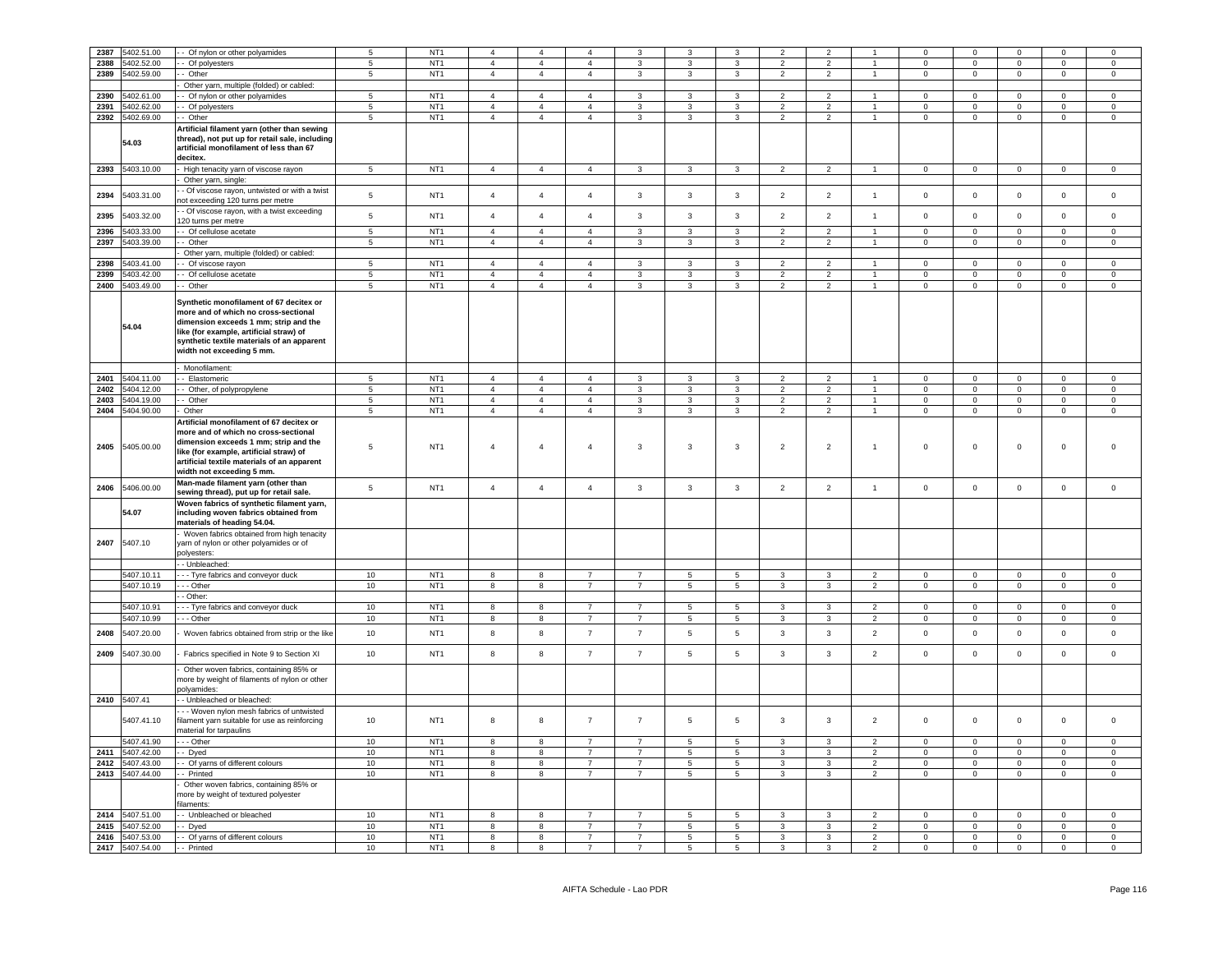| 2387 | 5402.51.00      | - Of nylon or other polyamides                 | $\overline{5}$  | NT <sub>1</sub> | $\overline{a}$ | $\overline{4}$ |                |                |                 |                         | $\overline{\phantom{0}}$ |                |                      |                | $\Omega$       |                | $\Omega$       | $\Omega$       |
|------|-----------------|------------------------------------------------|-----------------|-----------------|----------------|----------------|----------------|----------------|-----------------|-------------------------|--------------------------|----------------|----------------------|----------------|----------------|----------------|----------------|----------------|
|      |                 |                                                |                 |                 |                |                | $\overline{4}$ | 3              |                 | $\mathbf{3}$            |                          | $\overline{2}$ |                      | $\Omega$       |                |                |                |                |
| 2388 | 5402.52.00      | - Of polyesters                                | 5               | NT <sub>1</sub> | $\overline{4}$ | $\overline{4}$ |                |                | $\mathbf{3}$    |                         | $\overline{2}$           |                |                      |                | $\mathbf 0$    | $\mathsf 0$    | $\mathsf 0$    | $\mathsf 0$    |
| 2389 | 5402.59.00      | - Other                                        | 5               | NT <sub>1</sub> | $\overline{4}$ | $\overline{4}$ | $\overline{4}$ | 3              | $\mathbf{3}$    | $\mathbf{3}$            | $\overline{2}$           | $\overline{2}$ | $\mathbf{1}$         | $\mathbf 0$    | $\circ$        | $\mathsf 0$    | $\mathbf 0$    | $\mathsf 0$    |
|      |                 | Other yarn, multiple (folded) or cabled:       |                 |                 |                |                |                |                |                 |                         |                          |                |                      |                |                |                |                |                |
|      |                 |                                                | $\overline{5}$  | NT <sub>1</sub> | $\overline{4}$ | $\overline{4}$ | $\overline{4}$ | 3              | $\mathbf{3}$    | 3                       | $\overline{2}$           | $\overline{2}$ |                      | $\Omega$       | $\Omega$       | $\Omega$       | $\Omega$       | $\Omega$       |
| 2390 | 5402.61.00      | - Of nylon or other polyamides                 |                 |                 |                |                |                |                |                 |                         |                          |                |                      |                |                |                |                |                |
| 2391 | 5402.62.00      | - Of polyesters                                | $\overline{5}$  | NT <sub>1</sub> | $\overline{4}$ | $\overline{4}$ | $\overline{4}$ | 3              | $\mathbf{3}$    | $\mathbf{3}$            | $\overline{2}$           | $\overline{2}$ | $\mathbf{1}$         | $\Omega$       | $\mathbf 0$    | $\mathsf 0$    | $\mathsf 0$    | $\mathsf 0$    |
| 2392 | 5402.69.00      | -- Other                                       | 5               | NT <sub>1</sub> | $\overline{4}$ | $\overline{4}$ | $\overline{4}$ | 3              | $\mathbf{3}$    | $\overline{3}$          | $\overline{2}$           | 2              | $\overline{1}$       | $\Omega$       | $\mathbf 0$    | $\Omega$       | $\mathsf 0$    | $\circ$        |
|      |                 |                                                |                 |                 |                |                |                |                |                 |                         |                          |                |                      |                |                |                |                |                |
|      |                 | Artificial filament yarn (other than sewing    |                 |                 |                |                |                |                |                 |                         |                          |                |                      |                |                |                |                |                |
|      | 54.03           | thread), not put up for retail sale, including |                 |                 |                |                |                |                |                 |                         |                          |                |                      |                |                |                |                |                |
|      |                 | artificial monofilament of less than 67        |                 |                 |                |                |                |                |                 |                         |                          |                |                      |                |                |                |                |                |
|      |                 | decitex.                                       |                 |                 |                |                |                |                |                 |                         |                          |                |                      |                |                |                |                |                |
|      | 2393 5403.10.00 | High tenacity yarn of viscose rayon            | $5\phantom{.0}$ | NT1             | $\overline{4}$ | $\overline{4}$ | $\overline{4}$ | $\mathbf{3}$   | $\mathbf{3}$    | $\overline{3}$          | $\overline{2}$           | $\overline{2}$ | $\mathbf{1}$         | $\overline{0}$ | $\mathbf{0}$   | $\mathbf 0$    | $\overline{0}$ | $\overline{0}$ |
|      |                 | Other yarn, single:                            |                 |                 |                |                |                |                |                 |                         |                          |                |                      |                |                |                |                |                |
|      |                 |                                                |                 |                 |                |                |                |                |                 |                         |                          |                |                      |                |                |                |                |                |
| 2394 | 5403.31.00      | - Of viscose rayon, untwisted or with a twist  | $\,$ 5 $\,$     | NT <sub>1</sub> | $\overline{4}$ | $\overline{4}$ | $\overline{4}$ | $\mathbf{3}$   | $\mathbf{3}$    | $\mathbf{3}$            | $\overline{2}$           | $\overline{2}$ | $\mathbf{1}$         | $\mathsf 0$    | $\mathbf 0$    | $\mathbf 0$    | $\mathbb O$    | $\,0\,$        |
|      |                 | not exceeding 120 turns per metre              |                 |                 |                |                |                |                |                 |                         |                          |                |                      |                |                |                |                |                |
|      |                 | - Of viscose rayon, with a twist exceeding     |                 |                 |                |                |                |                |                 |                         |                          |                |                      |                |                |                |                |                |
| 2395 | 5403.32.00      | 120 turns per metre                            | $\,$ 5 $\,$     | NT <sub>1</sub> | $\overline{4}$ | $\sqrt{4}$     | $\overline{4}$ | $\mathbf{3}$   | $\mathbf{3}$    | $\mathbf{3}$            | $\overline{2}$           | $\overline{2}$ | $\overline{1}$       | $\mathbf 0$    | $\mathbf 0$    | $\mathbf 0$    | $\mathbb O$    | $\mathbf 0$    |
| 2396 | 5403.33.00      | - Of cellulose acetate                         | $\overline{5}$  | NT <sub>1</sub> | $\overline{4}$ | $\overline{4}$ | $\overline{4}$ | $\overline{3}$ | $\overline{3}$  | $\overline{\mathbf{3}}$ | $\overline{2}$           | $\overline{2}$ | $\overline{1}$       | $\overline{0}$ | $\overline{0}$ | $\overline{0}$ | $\overline{0}$ | $\overline{0}$ |
|      |                 |                                                |                 |                 |                |                |                |                |                 |                         |                          |                |                      |                |                |                |                |                |
| 2397 | 5403.39.00      | - Other                                        | 5               | NT <sub>1</sub> | $\overline{4}$ | $\overline{4}$ | $\overline{4}$ | $\mathbf{3}$   | $\mathbf{3}$    | $\mathbf{3}$            | $\overline{2}$           | $\overline{2}$ | $\mathbf{1}$         | $\mathbf 0$    | $\circ$        | $\mathsf 0$    | $\mathbf 0$    | $\mathsf 0$    |
|      |                 | Other yarn, multiple (folded) or cabled:       |                 |                 |                |                |                |                |                 |                         |                          |                |                      |                |                |                |                |                |
| 2398 | 5403.41.00      | - Of viscose rayon                             | 5               | NT <sub>1</sub> | $\overline{4}$ | $\overline{4}$ | $\mathbf{A}$   | $\mathbf{3}$   | $\mathbf{3}$    | $\mathbf{3}$            | $\overline{2}$           | $\overline{2}$ | $\overline{1}$       | $\mathbf 0$    | $\mathbf 0$    | $\mathsf 0$    | $\mathbf 0$    | $\mathsf 0$    |
| 2399 | 5403.42.00      | - Of cellulose acetate                         | 5               | NT <sub>1</sub> | $\overline{4}$ | $\overline{4}$ | $\mathbf{A}$   | $\mathbf{3}$   | $\overline{3}$  | $\overline{3}$          | 2                        | 2              | $\overline{1}$       | $\mathbf{0}$   | $\mathbf{0}$   | $\mathbf{0}$   | $\mathbf 0$    | $\mathbf 0$    |
|      |                 |                                                |                 |                 |                |                |                |                |                 |                         |                          |                |                      |                |                |                |                |                |
| 2400 | 5403.49.00      | -- Other                                       | 5               | NT <sub>1</sub> | $\overline{4}$ | $\overline{4}$ | $\overline{4}$ | 3              | $\mathbf{3}$    | $\mathbf{3}$            | $\overline{2}$           | $\overline{2}$ | $\mathbf{1}$         | $\mathsf 0$    | $\overline{0}$ | $\mathsf 0$    | $\mathbf 0$    | $\mathsf 0$    |
|      |                 |                                                |                 |                 |                |                |                |                |                 |                         |                          |                |                      |                |                |                |                |                |
|      |                 | Synthetic monofilament of 67 decitex or        |                 |                 |                |                |                |                |                 |                         |                          |                |                      |                |                |                |                |                |
|      |                 | more and of which no cross-sectional           |                 |                 |                |                |                |                |                 |                         |                          |                |                      |                |                |                |                |                |
|      |                 | dimension exceeds 1 mm; strip and the          |                 |                 |                |                |                |                |                 |                         |                          |                |                      |                |                |                |                |                |
|      | 54.04           | like (for example, artificial straw) of        |                 |                 |                |                |                |                |                 |                         |                          |                |                      |                |                |                |                |                |
|      |                 | synthetic textile materials of an apparent     |                 |                 |                |                |                |                |                 |                         |                          |                |                      |                |                |                |                |                |
|      |                 |                                                |                 |                 |                |                |                |                |                 |                         |                          |                |                      |                |                |                |                |                |
|      |                 | width not exceeding 5 mm.                      |                 |                 |                |                |                |                |                 |                         |                          |                |                      |                |                |                |                |                |
|      |                 | Monofilament:                                  |                 |                 |                |                |                |                |                 |                         |                          |                |                      |                |                |                |                |                |
|      |                 |                                                |                 |                 |                |                |                |                |                 |                         |                          |                |                      |                |                |                |                |                |
| 2401 | 5404.11.00      | - Elastomeric                                  | 5               | NT <sub>1</sub> | $\overline{4}$ | $\overline{4}$ | $\mathbf{A}$   | 3              | 3               | $\overline{3}$          | $\overline{2}$           | $\overline{2}$ | $\blacktriangleleft$ | $\mathbf 0$    | $\mathbf 0$    | $\mathbf 0$    | $\mathbf 0$    | $\mathsf 0$    |
| 2402 | 5404.12.00      | - Other, of polypropylene                      | $\overline{5}$  | NT <sub>1</sub> | $\overline{4}$ | $\overline{4}$ | $\overline{4}$ | $\mathbf{R}$   | $\overline{3}$  | $\overline{\mathbf{3}}$ | $\overline{2}$           | $\overline{2}$ | $\overline{1}$       | $\overline{0}$ | $\overline{0}$ | $\overline{0}$ | $\mathbf 0$    | $\overline{0}$ |
| 2403 | 5404.19.00      | - Other                                        | 5               | NT <sub>1</sub> | $\overline{4}$ | $\overline{4}$ | $\overline{4}$ | $\mathbf{R}$   | $\mathbf{3}$    | $\mathbf{3}$            | $\overline{2}$           | $\overline{2}$ | 1                    | $\mathbf 0$    | $\overline{0}$ | $\mathbf 0$    | $\mathsf 0$    | $\mathsf 0$    |
| 2404 | 5404.90.00      | Other                                          | 5               | NT <sub>1</sub> | $\overline{4}$ | $\overline{4}$ | $\overline{4}$ | 3              | $\mathbf{3}$    | $\mathbf{3}$            | $\overline{2}$           | $\overline{2}$ | $\mathbf{1}$         | $\mathbf 0$    | $\overline{0}$ | $\mathbf 0$    | $\mathbf 0$    | $\mathbf 0$    |
|      |                 |                                                |                 |                 |                |                |                |                |                 |                         |                          |                |                      |                |                |                |                |                |
|      |                 | Artificial monofilament of 67 decitex or       |                 |                 |                |                |                |                |                 |                         |                          |                |                      |                |                |                |                |                |
|      |                 | more and of which no cross-sectional           |                 |                 |                |                |                |                |                 |                         |                          |                |                      |                |                |                |                |                |
|      |                 | dimension exceeds 1 mm; strip and the          |                 |                 |                |                |                |                |                 |                         |                          |                |                      |                |                |                |                |                |
| 2405 | 5405.00.00      | like (for example, artificial straw) of        | $\,$ 5 $\,$     | NT <sub>1</sub> | $\overline{4}$ | $\overline{4}$ | $\overline{4}$ | 3              | 3               | $\overline{\mathbf{3}}$ | $\overline{2}$           | $\overline{2}$ | $\overline{1}$       | $\bf 0$        | $\mathbf 0$    | $\mathbf 0$    | $\overline{0}$ | $\overline{0}$ |
|      |                 | artificial textile materials of an apparent    |                 |                 |                |                |                |                |                 |                         |                          |                |                      |                |                |                |                |                |
|      |                 |                                                |                 |                 |                |                |                |                |                 |                         |                          |                |                      |                |                |                |                |                |
|      |                 | width not exceeding 5 mm.                      |                 |                 |                |                |                |                |                 |                         |                          |                |                      |                |                |                |                |                |
| 2406 | 5406.00.00      | Man-made filament yarn (other than             | $\,$ 5 $\,$     | NT <sub>1</sub> | $\overline{4}$ | $\overline{4}$ | $\overline{4}$ | $\mathbf{3}$   | $\mathbf{3}$    | $\overline{3}$          | $\overline{2}$           | $\overline{2}$ | $\overline{1}$       | $\mathsf 0$    | $\mathbf 0$    | $\mathsf 0$    | $\mathbf 0$    | $\mathsf 0$    |
|      |                 | sewing thread), put up for retail sale.        |                 |                 |                |                |                |                |                 |                         |                          |                |                      |                |                |                |                |                |
|      |                 | Woven fabrics of synthetic filament yarn,      |                 |                 |                |                |                |                |                 |                         |                          |                |                      |                |                |                |                |                |
|      | 54.07           | including woven fabrics obtained from          |                 |                 |                |                |                |                |                 |                         |                          |                |                      |                |                |                |                |                |
|      |                 | materials of heading 54.04.                    |                 |                 |                |                |                |                |                 |                         |                          |                |                      |                |                |                |                |                |
|      |                 |                                                |                 |                 |                |                |                |                |                 |                         |                          |                |                      |                |                |                |                |                |
|      |                 | Woven fabrics obtained from high tenacity      |                 |                 |                |                |                |                |                 |                         |                          |                |                      |                |                |                |                |                |
| 2407 | 5407.10         | yarn of nylon or other polyamides or of        |                 |                 |                |                |                |                |                 |                         |                          |                |                      |                |                |                |                |                |
|      |                 | nolvesters:                                    |                 |                 |                |                |                |                |                 |                         |                          |                |                      |                |                |                |                |                |
|      |                 | - Unbleached:                                  |                 |                 |                |                |                |                |                 |                         |                          |                |                      |                |                |                |                |                |
|      | 5407.10.11      | -- Tyre fabrics and conveyor duck              | 10              | NT <sub>1</sub> | 8              | 8              | $\overline{7}$ | $\overline{7}$ | 5               | $5\overline{5}$         | $\mathbf{3}$             | $\mathbf{3}$   | $\overline{2}$       | $\mathbf 0$    | $\circ$        | $\mathsf 0$    | $\mathbf 0$    | $\mathbf 0$    |
|      |                 |                                                |                 |                 |                |                |                |                |                 |                         |                          |                |                      |                |                |                |                |                |
|      | 5407.10.19      | $-$ - Other                                    | 10              | NT <sub>1</sub> | $\overline{8}$ | 8              | $\overline{7}$ | $\overline{7}$ | 5               | $5\overline{)}$         | $\mathbf{3}$             | 3              | $\overline{2}$       | $\overline{0}$ | $\overline{0}$ | $\overline{0}$ | $\overline{0}$ | $\overline{0}$ |
|      |                 | - Other:                                       |                 |                 |                |                |                |                |                 |                         |                          |                |                      |                |                |                |                |                |
|      | 5407.10.91      | - - Tyre fabrics and conveyor duck             | 10              | NT <sub>1</sub> | $\overline{8}$ | 8              | $\overline{7}$ | $\overline{7}$ | 5               | $5\overline{)}$         | 3                        | 3              | $\overline{2}$       | $\Omega$       | $\overline{0}$ | $\overline{0}$ | $\overline{0}$ | $\overline{0}$ |
|      | 5407.10.99      | $\cdots$ Other                                 | 10              | NT1             | 8              | 8              | $\overline{7}$ | $\overline{7}$ | $\sqrt{5}$      | $\overline{5}$          | $\mathbf{3}$             | $\mathbf{3}$   | $\overline{2}$       | $\overline{0}$ | $\mathbf 0$    | $\overline{0}$ | $\circ$        | $\mathbf 0$    |
|      |                 |                                                |                 |                 |                |                |                |                |                 |                         |                          |                |                      |                |                |                |                |                |
| 2408 | 5407.20.00      | Woven fabrics obtained from strip or the like  | 10              | NT <sub>1</sub> | 8              | 8              | $\overline{7}$ | $\overline{7}$ | $\,$ 5 $\,$     | $\sqrt{5}$              | $\mathbf{3}$             | $\mathbf{3}$   | $\overline{2}$       | $\mathbf 0$    | $\mathbf 0$    | $\mathbf 0$    | $\mathbb O$    | $\,0\,$        |
|      |                 |                                                |                 |                 |                |                |                |                |                 |                         |                          |                |                      |                |                |                |                |                |
|      |                 |                                                |                 | NT <sub>1</sub> |                |                | $\overline{7}$ | $\overline{7}$ |                 | $\overline{5}$          |                          |                |                      |                |                |                | $\mathbb O$    |                |
| 2409 | 5407.30.00      | Fabrics specified in Note 9 to Section XI      | 10              |                 | 8              | 8              |                |                | $\overline{5}$  |                         | 3                        | 3              | $\overline{2}$       | $\mathbf 0$    | $\mathsf 0$    | $\mathsf 0$    |                | $\mathbf 0$    |
|      |                 | Other woven fabrics, containing 85% or         |                 |                 |                |                |                |                |                 |                         |                          |                |                      |                |                |                |                |                |
|      |                 | more by weight of filaments of nylon or other  |                 |                 |                |                |                |                |                 |                         |                          |                |                      |                |                |                |                |                |
|      |                 |                                                |                 |                 |                |                |                |                |                 |                         |                          |                |                      |                |                |                |                |                |
|      |                 | polyamides:                                    |                 |                 |                |                |                |                |                 |                         |                          |                |                      |                |                |                |                |                |
|      | 2410 5407.41    | - - Unbleached or bleached:                    |                 |                 |                |                |                |                |                 |                         |                          |                |                      |                |                |                |                |                |
|      |                 | - - Woven nylon mesh fabrics of untwisted      |                 |                 |                |                |                |                |                 |                         |                          |                |                      |                |                |                |                |                |
|      | 5407.41.10      | filament yarn suitable for use as reinforcing  | 10              | NT <sub>1</sub> | 8              | 8              | $\overline{7}$ | $\overline{7}$ | 5               | $5\phantom{.0}$         | $\mathbf{3}$             | $\mathbf{3}$   | $\overline{2}$       | $\mathsf 0$    | $\mathsf 0$    | $\mathsf 0$    | $\mathbf 0$    | $\mathsf 0$    |
|      |                 | naterial for tarpaulins                        |                 |                 |                |                |                |                |                 |                         |                          |                |                      |                |                |                |                |                |
|      |                 |                                                |                 |                 |                |                |                |                |                 |                         |                          |                |                      |                |                |                |                |                |
|      | 5407.41.90      | -- Other                                       | 10              | NT <sub>1</sub> | 8              | 8              | $\overline{7}$ | $\overline{7}$ | 5               | $\,$ 5 $\,$             | $\mathbf{3}$             | $\mathbf{3}$   | $\overline{2}$       | $\mathbf 0$    | $\mathsf 0$    | $\mathsf 0$    | $\mathsf 0$    | $\mathbf 0$    |
| 2411 | 5407.42.00      | - Dyed                                         | 10              | NT <sub>1</sub> | 8              | 8              | $\overline{7}$ | $\overline{7}$ | $5\phantom{.0}$ | $5\phantom{.0}$         | $\mathbf{3}$             | $\mathbf{3}$   | $\overline{2}$       | $\mathsf 0$    | $\mathbf 0$    | $\mathbf 0$    | $\mathbf 0$    | $\,0\,$        |
| 2412 | 5407.43.00      | - Of yarns of different colours                | 10              | NT <sub>1</sub> | 8              | 8              | $\overline{7}$ | $\overline{7}$ | $5\phantom{.0}$ | $5\overline{5}$         | $\mathbf{3}$             | $\mathbf{3}$   | $\overline{2}$       | $\mathsf 0$    | $\mathbf 0$    | $\mathsf 0$    | $\mathbf 0$    | $\,0\,$        |
| 2413 | 5407.44.00      | - Printed                                      | 10              | NT <sub>1</sub> | 8              | 8              | $\overline{7}$ | $\overline{7}$ | $5\overline{5}$ | 5                       | 3                        | $\mathbf{3}$   | $\overline{2}$       | $\mathbf 0$    | $\circ$        | $\mathsf 0$    | $\circ$        | $\mathsf 0$    |
|      |                 |                                                |                 |                 |                |                |                |                |                 |                         |                          |                |                      |                |                |                |                |                |
|      |                 | Other woven fabrics, containing 85% or         |                 |                 |                |                |                |                |                 |                         |                          |                |                      |                |                |                |                |                |
|      |                 | more by weight of textured polyester           |                 |                 |                |                |                |                |                 |                         |                          |                |                      |                |                |                |                |                |
|      |                 | ilaments:                                      |                 |                 |                |                |                |                |                 |                         |                          |                |                      |                |                |                |                |                |
| 2414 | 5407.51.00      | - Unbleached or bleached                       | 10              | NT <sub>1</sub> | 8              | 8              | $\overline{7}$ | $\overline{7}$ | 5               | 5                       | $\mathbf{3}$             | $\mathbf{3}$   | $\overline{2}$       | $\mathbf 0$    | $\mathsf 0$    | $\mathbf 0$    | $\mathsf 0$    | $\mathbf 0$    |
| 2415 | 5407.52.00      |                                                | 10              | NT <sub>1</sub> | 8              | 8              | $\overline{7}$ | $\overline{7}$ | 5 <sup>5</sup>  | 5                       | $\mathbf{3}$             | $\overline{3}$ | 2                    | $\mathbf{0}$   | $\mathbf{0}$   | $\mathbf{0}$   | $\mathbf{0}$   | $\overline{0}$ |
|      |                 | - Dyed                                         |                 |                 |                |                |                |                |                 |                         |                          |                |                      |                |                |                |                |                |
| 2416 | 5407.53.00      | - - Of yarns of different colours              | 10              | NT <sub>1</sub> | 8              | 8              | $\overline{7}$ | $\overline{7}$ | $\overline{5}$  | $5\overline{)}$         | $\overline{3}$           | $\mathbf{3}$   | $\overline{2}$       | $\mathbf 0$    | $\overline{0}$ | $\mathsf 0$    | $\mathsf 0$    | $\mathsf 0$    |
| 2417 | 5407.54.00      | - - Printed                                    | 10              | NT <sub>1</sub> | 8              | $\mathbf{g}$   | $\overline{7}$ | $\overline{7}$ | 5               | 5                       | $\mathbf{3}$             | $\mathbf{3}$   | $\overline{2}$       | $\mathsf 0$    | $\mathbf 0$    | $\mathsf 0$    | $\mathsf 0$    | $\mathsf 0$    |
|      |                 |                                                |                 |                 |                |                |                |                |                 |                         |                          |                |                      |                |                |                |                |                |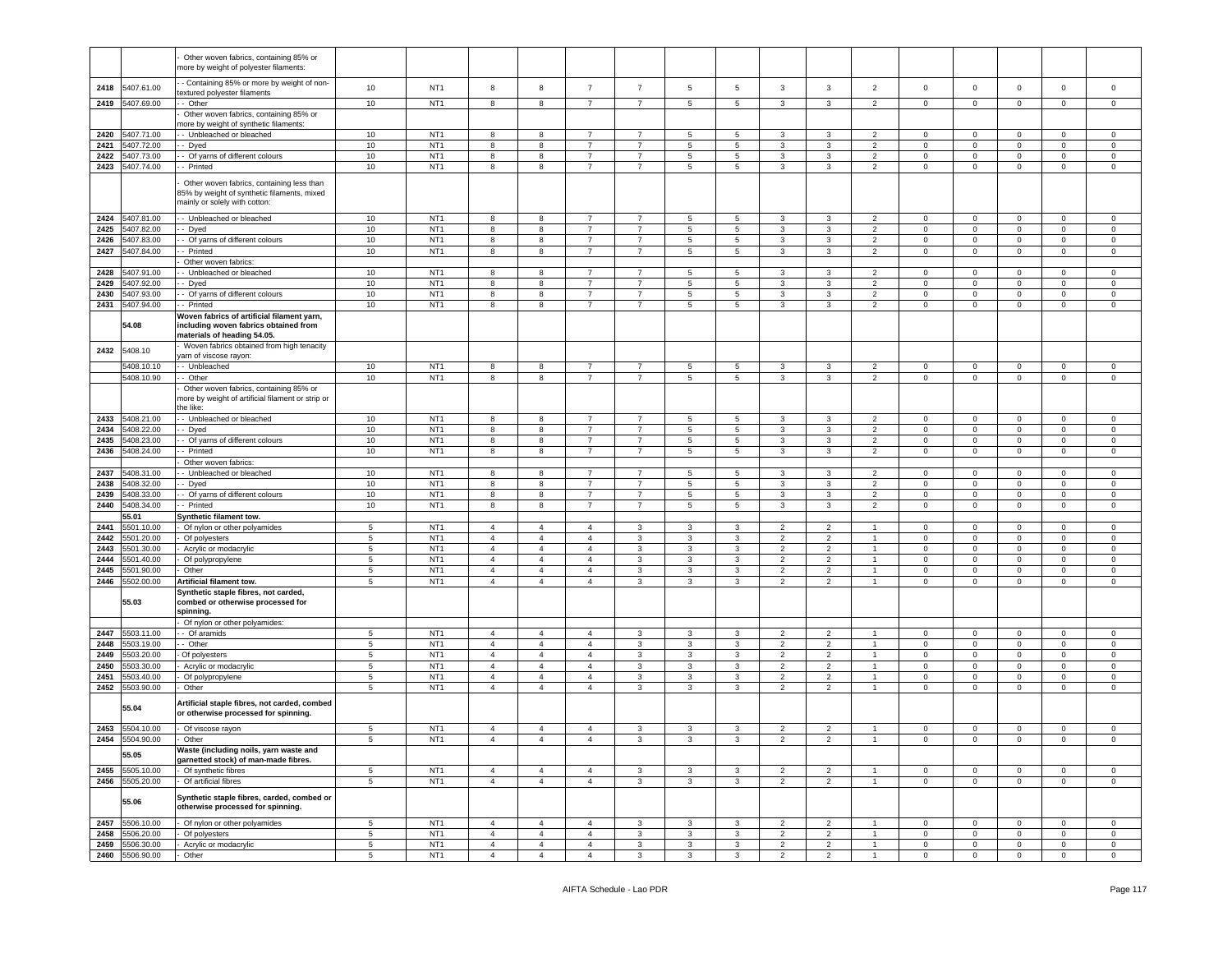|      |                 | Other woven fabrics, containing 85% or<br>more by weight of polyester filaments:                                          |                 |                 |                |                |                |                |                      |              |                |                  |                |                            |                             |                             |                |                            |
|------|-----------------|---------------------------------------------------------------------------------------------------------------------------|-----------------|-----------------|----------------|----------------|----------------|----------------|----------------------|--------------|----------------|------------------|----------------|----------------------------|-----------------------------|-----------------------------|----------------|----------------------------|
| 2418 | 5407.61.00      | - Containing 85% or more by weight of non-<br>extured polyester filaments                                                 | 10              | NT <sub>1</sub> | 8              | 8              | $\overline{7}$ | $\overline{7}$ | 5                    | 5            | 3              | 3                | $\overline{2}$ | $\mathbf 0$                | $\mathbf 0$                 | $\mathsf 0$                 | $\mathbf 0$    | $\mathsf 0$                |
| 2419 | 5407.69.00      | Other                                                                                                                     | 10              | NT <sub>1</sub> | 8              | 8              | $\overline{7}$ | $\overline{7}$ | $\,$ 5 $\,$          | 5            | 3              | 3                | $\overline{2}$ | $\mathbf 0$                | $\mathbf 0$                 | $\mathsf 0$                 | $\mathsf 0$    | $\mathsf 0$                |
|      |                 | Other woven fabrics, containing 85% or                                                                                    |                 |                 |                |                |                |                |                      |              |                |                  |                |                            |                             |                             |                |                            |
|      |                 | nore by weight of synthetic filaments:                                                                                    |                 |                 |                |                |                |                |                      |              |                |                  |                |                            |                             |                             |                |                            |
| 2420 | 5407.71.00      | - Unbleached or bleached                                                                                                  | 10              | NT <sub>1</sub> | 8              | 8              | $\overline{7}$ | 7              | 5                    | 5            | 3              | 3                | $\overline{2}$ | $\mathbf 0$                | $\mathbf 0$                 | $\mathbf 0$                 | $\mathbf 0$    | $\mathbf 0$                |
| 2421 | 5407.72.00      | - Dyed                                                                                                                    | 10              | NT <sub>1</sub> | 8              | 8              | $\overline{7}$ | $\overline{7}$ | $\sqrt{5}$           | 5            | 3              | $\mathbf{3}$     | $\overline{2}$ | $\mathbf 0$                | $\mathbf 0$                 | $\mathsf 0$                 | $\mathbf 0$    | $\mathsf 0$                |
| 2422 | 5407.73.00      | - Of yarns of different colours                                                                                           | 10              | NT <sub>1</sub> | 8              | 8              | $\overline{7}$ | $\overline{7}$ | 5                    | 5            | 3              | 3                | 2              | $\mathbf 0$                | $\mathbf 0$                 | $\mathbf 0$                 | $\mathbf 0$    | $\mathsf 0$                |
| 2423 | 5407.74.00      | - Printed                                                                                                                 | 10              | NT <sub>1</sub> | 8              | 8              | 7              | 7              | 5                    | 5            | 3              | 3                | $\overline{2}$ | 0                          | $\mathbf 0$                 | 0                           | $\mathbf 0$    | $\mathbf 0$                |
|      |                 | Other woven fabrics, containing less than<br>35% by weight of synthetic filaments, mixed<br>mainly or solely with cotton: |                 |                 |                |                |                |                |                      |              |                |                  |                |                            |                             |                             |                |                            |
| 2424 | 5407.81.00      | - Unbleached or bleached                                                                                                  | 10              | NT <sub>1</sub> | 8              | 8              | $\overline{7}$ | 7              | 5                    | 5            | 3              | 3                | $\overline{2}$ | $\mathbf 0$                | $\mathbf 0$                 | $\mathbf 0$                 | $\mathbf{0}$   | $\mathbf 0$                |
| 2425 | 5407.82.00      | - Dyed                                                                                                                    | $10$            | NT <sub>1</sub> | 8              | 8              | $\overline{7}$ | $\overline{7}$ | $\sqrt{5}$           | $\,$ 5 $\,$  | 3              | $\mathbf{3}$     | $\overline{2}$ | $\mathbf 0$                | $\mathbf 0$                 | $\mathsf 0$                 | $\mathbf 0$    | $\mathsf 0$                |
| 2426 | 5407.83.00      | - Of yarns of different colours                                                                                           | 10              | NT <sub>1</sub> | 8              | 8              | $\overline{7}$ | $\overline{7}$ | $\overline{5}$       | 5            | 3              | 3                | 2              | $\mathbf 0$                | $\mathbf 0$                 | $\mathbf 0$                 | $\mathbf 0$    | $\mathbf 0$                |
| 2427 | 5407.84.00      | - Printed                                                                                                                 | 10              | NT <sub>1</sub> | 8              | 8              | 7              | 7              | 5                    | 5            | 3              | 3                | $\overline{2}$ | 0                          | $\mathbf 0$                 | 0                           | $\mathbf 0$    | $\mathbf 0$                |
|      |                 | Other woven fabrics:                                                                                                      |                 |                 |                |                |                |                |                      |              |                |                  |                |                            |                             |                             |                |                            |
| 2428 | 5407.91.00      | - Unbleached or bleached                                                                                                  | 10              | NT <sub>1</sub> | 8              | 8              | $\overline{7}$ | $\overline{7}$ | 5                    | 5            | 3              | 3                | 2              | $^{\circ}$                 | $\mathsf 0$                 | $\mathbf 0$                 | $\mathbf 0$    | $\mathbf 0$                |
| 2429 | 5407.92.00      | - Dyed                                                                                                                    | 10              | NT <sub>1</sub> | 8              | 8              | 7              | 7              | 5                    | 5            | 3              | 3                | 2              | 0                          | $\mathbf 0$                 | 0                           | $\mathbf 0$    | $\mathbf 0$                |
| 2430 | 5407.93.00      | - Of yarns of different colours                                                                                           | 10              | NT <sub>1</sub> | 8              | 8              | $\overline{7}$ | $\overline{7}$ | $5\phantom{.0}$      | 5            | 3              | 3                | $\overline{2}$ | $\mathbf 0$                | $\mathbf 0$                 | $\mathbf 0$                 | $\mathbf{0}$   | $\mathbf 0$                |
| 2431 | 5407.94.00      | - Printed                                                                                                                 | 10              | NT <sub>1</sub> | 8              | 8              | $\overline{7}$ | $\overline{7}$ | 5                    | 5            | 3              | 3                | $\overline{2}$ | $\mathbf 0$                | $\mathbf 0$                 | $\mathbf 0$                 | $\mathbf{0}$   | $\mathsf 0$                |
|      |                 | Woven fabrics of artificial filament yarn,                                                                                |                 |                 |                |                |                |                |                      |              |                |                  |                |                            |                             |                             |                |                            |
|      | 54.08           | including woven fabrics obtained from<br>materials of heading 54.05.                                                      |                 |                 |                |                |                |                |                      |              |                |                  |                |                            |                             |                             |                |                            |
| 2432 | 5408.10         | Woven fabrics obtained from high tenacity                                                                                 |                 |                 |                |                |                |                |                      |              |                |                  |                |                            |                             |                             |                |                            |
|      | 5408.10.10      | arn of viscose rayon:<br>- Unbleached                                                                                     | 10              | NT <sub>1</sub> |                |                | 7              | 7              |                      |              |                | 3                | 2              |                            |                             |                             | $\mathbf{0}$   |                            |
|      | 5408.10.90      |                                                                                                                           | 10              | NT <sub>1</sub> | 8<br>8         | 8<br>8         | $\overline{7}$ | $\overline{7}$ | 5<br>$5\overline{)}$ | 5<br>5       | 3<br>3         | 3                | $\overline{2}$ | $\mathbf 0$<br>$\mathbf 0$ | $\mathbf{0}$<br>$\mathbf 0$ | $\mathbf{0}$<br>$\mathbf 0$ | $\mathbf{0}$   | $\mathbf 0$<br>$\mathbf 0$ |
|      |                 | - Other                                                                                                                   |                 |                 |                |                |                |                |                      |              |                |                  |                |                            |                             |                             |                |                            |
|      |                 | Other woven fabrics, containing 85% or<br>nore by weight of artificial filament or strip or<br>he like:                   |                 |                 |                |                |                |                |                      |              |                |                  |                |                            |                             |                             |                |                            |
| 2433 | 5408.21.00      | - Unbleached or bleached                                                                                                  | 10              | NT <sub>1</sub> | 8              | 8              | 7              | 7              | 5                    | 5            | 3              | 3                | 2              | $\mathbf 0$                | $\mathbf 0$                 | 0                           | $\mathbf 0$    | $\mathbf 0$                |
| 2434 | 5408.22.00      | - Dyed                                                                                                                    | 10              | NT <sub>1</sub> | 8              | 8              | $\overline{7}$ | $\overline{7}$ | $\sqrt{5}$           | 5            | 3              | 3                | $\overline{2}$ | $\mathbf 0$                | $\mathbf 0$                 | $\mathbf 0$                 | $\mathbf 0$    | $\mathbf 0$                |
| 2435 | 5408.23.00      | - Of yarns of different colours                                                                                           | 10              | NT <sub>1</sub> | 8              | 8              | 7              | $\overline{7}$ | $\overline{5}$       | 5            | 3              | 3                | $\overline{2}$ | 0                          | $\mathbf 0$                 | $\mathbf 0$                 | $\mathbf 0$    | $\mathbf 0$                |
| 2436 | 5408.24.00      | - Printed                                                                                                                 | 10              | NT <sub>1</sub> | 8              | 8              | $\overline{7}$ | $\overline{7}$ | $\overline{5}$       | 5            | 3              | 3                | $\overline{2}$ | $\mathbf 0$                | $\mathbf 0$                 | $\mathsf 0$                 | $\mathbf 0$    | $\mathbf 0$                |
|      |                 | Other woven fabrics:                                                                                                      |                 |                 |                |                |                |                |                      |              |                |                  |                |                            |                             |                             |                |                            |
| 2437 | 5408.31.00      | - Unbleached or bleached                                                                                                  | 10              | NT <sub>1</sub> | 8              | 8              | $\overline{7}$ | $\overline{7}$ | 5                    | 5            | 3              | 3                | 2              | 0                          | $\mathbf 0$                 | $\mathbf 0$                 | $\mathbf 0$    | $\mathbf 0$                |
| 2438 | 5408.32.00      | - Dyed                                                                                                                    | 10              | NT <sub>1</sub> | 8              | 8              | 7              | 7              | 5                    | 5            | 3              | 3                | $\overline{2}$ | 0                          | $\mathbf 0$                 | 0                           | $^{\circ}$     | $\mathbf 0$                |
| 2439 | 5408.33.00      | Of yarns of different colours                                                                                             | 10              | NT <sub>1</sub> | 8              | 8              | $\overline{7}$ | $\overline{7}$ | $\,$ 5 $\,$          | 5            | 3              | 3                | $\overline{2}$ | $\mathbf 0$                | $\mathbf 0$                 | $\mathsf 0$                 | $\mathbf 0$    | $\mathbf 0$                |
| 2440 | 5408.34.00      | - Printed                                                                                                                 | 10              | NT <sub>1</sub> | 8              | 8              | $\overline{7}$ | $\overline{7}$ | $\overline{5}$       | 5            | 3              | 3                | $\overline{2}$ | $\mathsf 0$                | $\mathsf 0$                 | $\mathbf 0$                 | 0              | $\mathbf 0$                |
|      | 55.01           | Synthetic filament tow.                                                                                                   |                 |                 |                |                |                |                |                      |              |                |                  |                |                            |                             |                             |                |                            |
| 2441 | 5501.10.00      | Of nylon or other polyamides                                                                                              | $5\phantom{.0}$ | NT <sub>1</sub> | $\overline{4}$ | $\overline{4}$ | $\overline{4}$ | $\mathbf{3}$   | 3                    | 3            | $\overline{2}$ | $\overline{2}$   | $\mathbf{1}$   | $\mathbf 0$                | $\overline{0}$              | $\mathbf 0$                 | $\mathbf 0$    | $\mathbf 0$                |
| 2442 | 5501.20.00      | Of polyesters                                                                                                             | 5               | NT <sub>1</sub> | $\overline{4}$ | $\overline{4}$ | 4              | 3              | $\mathbf{3}$         | 3            | $\overline{2}$ | $\overline{2}$   | $\overline{1}$ | $\mathbf 0$                | $\mathbf 0$                 | 0                           | $\mathbf 0$    | $\mathbf 0$                |
| 2443 | 5501.30.00      | Acrylic or modacrylic                                                                                                     | $5\phantom{.0}$ | NT <sub>1</sub> | $\overline{4}$ | $\overline{4}$ | $\overline{4}$ | 3              | 3                    | 3            | $\overline{2}$ | $\overline{2}$   | $\overline{1}$ | $\mathbf 0$                | $\mathbf 0$                 | $\mathbf 0$                 | $\mathbf 0$    | $\mathbf 0$                |
| 2444 | 5501.40.00      | Of polypropylene                                                                                                          | 5               | NT <sub>1</sub> | $\overline{4}$ | $\overline{4}$ | $\overline{4}$ | 3              | 3                    | 3            | $\overline{2}$ | $\overline{2}$   | $\overline{1}$ | $\mathbf 0$                | $\mathbf 0$                 | $\mathbf 0$                 | $\mathbf 0$    | $\mathbf 0$                |
| 2445 | 5501.90.00      | Other                                                                                                                     | 5               | NT <sub>1</sub> | $\overline{4}$ | $\overline{4}$ | $\overline{4}$ | 3              | $\mathbf{3}$         | 3            | $\overline{2}$ | $\overline{2}$   |                | $\mathbf 0$                | $\mathbf 0$                 | 0                           | $\mathbf 0$    | $\mathsf 0$                |
| 2446 | 5502.00.00      | Artificial filament tow.                                                                                                  | 5               | NT <sub>1</sub> | $\overline{4}$ | $\overline{4}$ | $\overline{4}$ | 3              | 3                    | 3            | $\overline{2}$ | $\overline{2}$   | $\mathbf{1}$   | $\mathsf 0$                | $\mathbf 0$                 | $\mathbf 0$                 | $\mathbf 0$    | $\mathbf 0$                |
|      | 55.03           | Synthetic staple fibres, not carded,<br>combed or otherwise processed for<br>spinning.                                    |                 |                 |                |                |                |                |                      |              |                |                  |                |                            |                             |                             |                |                            |
|      |                 | Of nylon or other polyamides:                                                                                             |                 |                 |                |                |                |                |                      |              |                |                  |                |                            |                             |                             |                |                            |
| 2447 | 5503.11.00      | - Of aramids                                                                                                              | 5               | NT <sub>1</sub> | $\overline{4}$ | 4              | 4              | 3              | 3                    | 3            | 2              | $\overline{2}$   | $\overline{1}$ | $\mathbf 0$                | $\mathbf 0$                 | 0                           | $\mathbf 0$    | 0                          |
| 2448 | 5503.19.00      | Other                                                                                                                     | 5               | NT <sub>1</sub> | $\overline{4}$ | $\overline{4}$ | $\overline{4}$ | 3              | $\mathbf{3}$         | 3            | $\overline{2}$ | $\overline{2}$   | $\mathbf{1}$   | $\mathbf 0$                | $\mathbf 0$                 | $\mathbf 0$                 | $\mathbf 0$    | $\mathbf 0$                |
| 2449 | 5503.20.00      | Of polyesters                                                                                                             | 5               | NT <sub>1</sub> | $\overline{4}$ | $\overline{4}$ | 4              | 3              | 3                    | 3            | $\overline{2}$ | $\overline{2}$   | $\overline{1}$ | $\mathbf 0$                | $\mathbf 0$                 | $\mathbf 0$                 | $\mathbf 0$    | $\mathbf 0$                |
| 2450 | 5503.30.00      | Acrylic or modacrylic                                                                                                     | 5               | NT <sub>1</sub> | $\overline{4}$ | $\overline{4}$ | $\overline{4}$ | 3              | 3                    | 3            | $\overline{2}$ | $\overline{2}$   | $\overline{1}$ | $\mathbf 0$                | $\mathbf 0$                 | 0                           | $\mathbf{0}$   | $\mathbf 0$                |
| 2451 | 503.40.00       | Of polypropylene                                                                                                          | $5\phantom{.0}$ | NT <sub>1</sub> | $\overline{4}$ | $\overline{4}$ | $\overline{4}$ | 3              | $\mathbf{3}$         | 3            | $\overline{2}$ | $\overline{2}$   | $\overline{1}$ | $\mathbf 0$                | $\mathbf 0$                 | $\mathsf 0$                 | $\mathbf 0$    | $\mathbf 0$                |
| 2452 | 5503.90.00      | Other                                                                                                                     | $5\phantom{.0}$ | NT <sub>1</sub> | $\overline{4}$ | $\overline{4}$ | 4              | 3              | 3                    | 3            | $\overline{2}$ | $\overline{2}$   | $\mathbf{1}$   | $\mathbf 0$                | $\mathbf 0$                 | 0                           | $\mathbf 0$    | $\mathbf 0$                |
|      | 55.04           | Artificial staple fibres, not carded, combed<br>or otherwise processed for spinning.                                      |                 |                 |                |                |                |                |                      |              |                |                  |                |                            |                             |                             |                |                            |
| 2453 | 5504.10.00      | Of viscose rayon                                                                                                          | 5               | NT <sub>1</sub> | $\overline{4}$ | 4              | $\overline{4}$ | 3              | 3                    | 3            | $\overline{2}$ | $\overline{2}$   |                | 0                          | $\mathbf 0$                 | 0                           | 0              | $\mathbf 0$                |
|      | 2454 5504.90.00 | Other                                                                                                                     | 5               | NT <sub>1</sub> | $\overline{a}$ | $\overline{4}$ | 4              | 3              | 3                    | 3            | $\overline{c}$ | $\boldsymbol{2}$ |                | 0                          | $\mathbf 0$                 | $\mathbf 0$                 | $\mathbf 0$    | $\mathsf 0$                |
|      | 55.05           | Waste (including noils, yarn waste and<br>garnetted stock) of man-made fibres.                                            |                 |                 |                |                |                |                |                      |              |                |                  |                |                            |                             |                             |                |                            |
| 2455 | 5505.10.00      | Of synthetic fibres                                                                                                       | $5\phantom{.0}$ | NT <sub>1</sub> | $\overline{4}$ | $\overline{4}$ | $\overline{4}$ | $\mathbf{3}$   | $\mathbf{3}$         | $\mathbf{3}$ | $\overline{2}$ | $\overline{2}$   | $\mathbf{1}$   | $\mathbf{0}$               | $\circ$                     | $\mathbf 0$                 | $\circ$        | $\mathsf 0$                |
|      | 2456 5505.20.00 | Of artificial fibres                                                                                                      | $5\phantom{.0}$ | NT <sub>1</sub> | $\overline{4}$ | $\overline{4}$ | $\overline{4}$ | 3              | $\mathbf{3}$         | $\mathbf{3}$ | $\overline{2}$ | $\overline{2}$   | $\overline{1}$ | $\circ$                    | $\mathbf 0$                 | $\mathbf 0$                 | $\mathbf{0}$   | $\mathbf 0$                |
|      | 55.06           | Synthetic staple fibres, carded, combed or<br>otherwise processed for spinning.                                           |                 |                 |                |                |                |                |                      |              |                |                  |                |                            |                             |                             |                |                            |
| 2457 | 5506.10.00      | Of nylon or other polyamides                                                                                              | 5               | NT <sub>1</sub> | $\overline{4}$ | $\overline{4}$ | $\overline{4}$ | 3              | 3                    | $\mathbf{3}$ | $\overline{2}$ | $\overline{2}$   | $\overline{1}$ | $\mathbf 0$                | $\mathbf 0$                 | $\mathbf 0$                 | $\mathbf{0}$   | $\mathbf 0$                |
| 2458 | 5506.20.00      | Of polyesters                                                                                                             | $5\phantom{.0}$ | NT <sub>1</sub> | $\overline{4}$ | $\overline{4}$ | $\overline{4}$ | $\mathbf{3}$   | $\mathbf{3}$         | $\mathbf{3}$ | $\overline{2}$ | $\overline{2}$   | $\mathbf{1}$   | $\mathbf 0$                | $\overline{0}$              | $\mathbf 0$                 | $\overline{0}$ | $\mathbf 0$                |
| 2459 | 5506.30.00      | Acrylic or modacrylic                                                                                                     | $5\overline{5}$ | NT <sub>1</sub> | $\overline{4}$ | $\overline{4}$ | $\overline{4}$ | $\mathbf{3}$   | $\mathbf{3}$         | 3            | 2              | $\overline{2}$   | $\mathbf{1}$   | $\mathbf{0}$               | $\overline{0}$              | $\mathsf 0$                 | $\overline{0}$ | $\circ$                    |
|      | 2460 5506.90.00 | Other                                                                                                                     | $5\phantom{.0}$ | NT <sub>1</sub> | $\overline{4}$ | $\overline{4}$ | $\overline{4}$ | $\mathbf{3}$   | $\mathbf{3}$         | $\mathbf{3}$ | $\overline{2}$ | $\overline{2}$   | $\mathbf{1}$   | $\mathbf 0$                | $\mathbf 0$                 | $\mathbf 0$                 | $\overline{0}$ | $\mathbf{0}$               |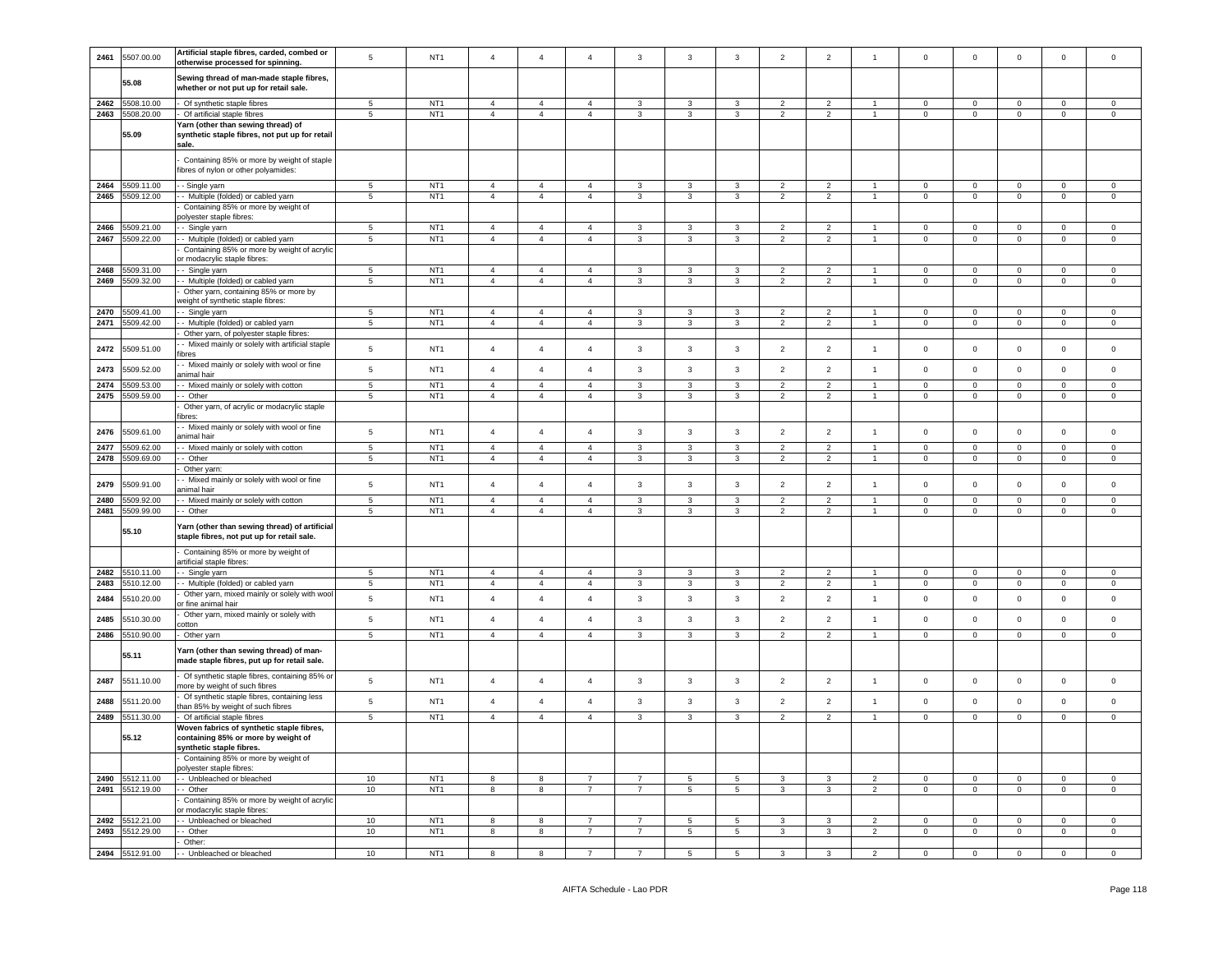| 2461         | 5507.00.00                    | Artificial staple fibres, carded, combed or<br>otherwise processed for spinning.                             | 5                                | NT <sub>1</sub>                    | $\overline{4}$                   | $\overline{4}$                   | $\overline{4}$                   | $\mathbf{3}$      | $\mathbf{3}$                 | $\mathsf 3$                  | $\overline{2}$                             | $\overline{2}$                   | $\overline{1}$                 | $\mathsf 0$                 | $\mathsf 0$                    | $\mathsf 0$                   | $\mathsf 0$             | $\mathsf 0$                |
|--------------|-------------------------------|--------------------------------------------------------------------------------------------------------------|----------------------------------|------------------------------------|----------------------------------|----------------------------------|----------------------------------|-------------------|------------------------------|------------------------------|--------------------------------------------|----------------------------------|--------------------------------|-----------------------------|--------------------------------|-------------------------------|-------------------------|----------------------------|
|              | 55.08                         | Sewing thread of man-made staple fibres,<br>whether or not put up for retail sale.                           |                                  |                                    |                                  |                                  |                                  |                   |                              |                              |                                            |                                  |                                |                             |                                |                               |                         |                            |
| 2462         | 5508.10.00                    | Of synthetic staple fibres                                                                                   | $5\phantom{.0}$                  | NT <sub>1</sub>                    | $\sqrt{4}$                       | $\overline{4}$                   | $\overline{4}$                   | 3                 | 3                            | 3                            | $\overline{2}$                             | $\overline{2}$                   |                                | $\mathbf 0$                 | $\mathsf 0$                    | $\mathsf 0$                   | $\mathsf 0$             | $\mathsf 0$                |
| 2463         | 5508.20.00                    | Of artificial staple fibres<br>Yarn (other than sewing thread) of                                            | 5                                | NT <sub>1</sub>                    | $\overline{4}$                   | $\overline{4}$                   | $\overline{4}$                   | $\mathbf{3}$      | $\mathbf{3}$                 | $\mathbf{3}$                 | $\overline{2}$                             | $\overline{2}$                   | $\overline{1}$                 | $\Omega$                    | $\mathbf 0$                    | $\mathbf 0$                   | $\mathsf 0$             | $\mathsf{O}\xspace$        |
|              | 55.09                         | synthetic staple fibres, not put up for retail<br>sale.                                                      |                                  |                                    |                                  |                                  |                                  |                   |                              |                              |                                            |                                  |                                |                             |                                |                               |                         |                            |
|              |                               | Containing 85% or more by weight of staple<br>fibres of nylon or other polyamides:                           |                                  |                                    |                                  |                                  |                                  |                   |                              |                              |                                            |                                  |                                |                             |                                |                               |                         |                            |
| 2464         | 5509.11.00                    | - Single yarn                                                                                                | 5                                | NT <sub>1</sub>                    | $\overline{4}$                   | $\overline{4}$                   | $\overline{4}$                   | $\mathbf{3}$      | $\mathbf{3}$                 | 3                            | $\overline{2}$                             | $\overline{2}$                   | $\overline{1}$                 | $\Omega$                    | $\mathsf 0$                    | $\mathsf 0$                   | $\Omega$                | $\Omega$                   |
| 2465         | 5509.12.00                    | - Multiple (folded) or cabled yarn                                                                           | $5\phantom{.0}$                  | NT <sub>1</sub>                    | $\overline{4}$                   | $\overline{4}$                   | $\overline{4}$                   | $\mathbf{3}$      | $\mathbf{3}$                 | $\mathbf{3}$                 | $\overline{2}$                             | $\overline{2}$                   | $\mathbf{1}$                   | $\Omega$                    | $\mathbf 0$                    | $\mathbf 0$                   | $\mathbf 0$             | $\mathsf 0$                |
|              |                               | Containing 85% or more by weight of<br>olyester staple fibres:                                               |                                  |                                    |                                  |                                  |                                  |                   |                              |                              |                                            |                                  |                                |                             |                                |                               |                         |                            |
| 2466         | 5509.21.00                    | - Single yarn                                                                                                | 5                                | NT <sub>1</sub>                    | $\overline{4}$                   | $\overline{4}$                   | $\overline{4}$                   | 3                 | 3                            | 3                            | $\overline{2}$                             | $\overline{2}$                   | $\overline{1}$                 | $\mathbf 0$                 | $\overline{0}$                 | $\mathbf 0$                   | $\mathbf 0$             | $\mathbf 0$                |
| 2467         | 5509.22.00                    | - Multiple (folded) or cabled yarn                                                                           | $\overline{5}$                   | NT <sub>1</sub>                    | $\sqrt{4}$                       | $\overline{4}$                   | $\overline{4}$                   | $\mathbf{3}$      | $\mathbf{3}$                 | $\overline{3}$               | $\overline{2}$                             | $\overline{2}$                   | $\overline{1}$                 | $\pmb{0}$                   | $\mathbf 0$                    | $\mathsf 0$                   | $\mathbf 0$             | $\,0\,$                    |
|              |                               | Containing 85% or more by weight of acrylic                                                                  |                                  |                                    |                                  |                                  |                                  |                   |                              |                              |                                            |                                  |                                |                             |                                |                               |                         |                            |
|              |                               | or modacrylic staple fibres:                                                                                 |                                  |                                    |                                  |                                  |                                  |                   |                              |                              |                                            |                                  |                                |                             |                                |                               |                         |                            |
| 2468         | 509.31.00                     | - Single yarn                                                                                                | 5                                | NT <sub>1</sub>                    | $\overline{4}$                   | $\Delta$                         | $\mathbf{A}$                     | $\mathcal{R}$     | 3                            | 3                            | $\mathcal{D}$                              | $\mathcal{P}$                    |                                | $\Omega$                    | $\mathsf 0$                    | $\Omega$                      | $\Omega$                | $\Omega$                   |
| 2469         | 5509.32.00                    | - Multiple (folded) or cabled yarn                                                                           | $\overline{5}$                   | NT <sub>1</sub>                    | $\overline{4}$                   | $\overline{4}$                   | $\overline{4}$                   | $\mathbf{3}$      | $\mathbf{3}$                 | $\overline{3}$               | $\overline{2}$                             | $\overline{2}$                   | $\overline{1}$                 | $\Omega$                    | $\mathsf 0$                    | $\mathsf 0$                   | $\mathbf 0$             | $\mathsf 0$                |
|              |                               | Other yarn, containing 85% or more by<br>veight of synthetic staple fibres:                                  |                                  |                                    |                                  |                                  |                                  |                   |                              |                              |                                            |                                  |                                |                             |                                |                               |                         |                            |
| 2470         | 5509.41.00                    | - Single yarn                                                                                                | $\sqrt{5}$                       | NT <sub>1</sub>                    | $\overline{4}$                   | $\overline{4}$                   | $\overline{4}$                   | 3                 | 3                            | 3                            | 2                                          | $\overline{2}$                   | $\overline{1}$                 | $\circ$                     | $\overline{0}$                 | $\mathbf 0$                   | $\mathbf 0$             | $\circ$                    |
| 2471         | 5509.42.00                    | - Multiple (folded) or cabled yarn                                                                           | $\overline{5}$                   | NT <sub>1</sub>                    | $\overline{4}$                   | $\overline{4}$                   | $\overline{4}$                   | 3                 | $\mathbf{3}$                 | $\mathbf{3}$                 | $\overline{2}$                             | $\overline{2}$                   | $\mathbf{1}$                   | $\overline{0}$              | $\mathbf 0$                    | $\mathbf 0$                   | $^{\circ}$              | $\mathbf{0}$               |
|              |                               | Other yarn, of polyester staple fibres:                                                                      |                                  |                                    |                                  |                                  |                                  |                   |                              |                              |                                            |                                  |                                |                             |                                |                               |                         |                            |
| 2472         | 5509.51.00                    | - Mixed mainly or solely with artificial staple<br>ibres                                                     | 5                                | NT <sub>1</sub>                    | $\overline{4}$                   | $\overline{4}$                   | $\overline{4}$                   | $\mathbf{3}$      | $\mathbf{3}$                 | $\mathbf{3}$                 | $\overline{2}$                             | $\overline{2}$                   | $\mathbf{1}$                   | $\mathsf 0$                 | $\mathsf 0$                    | $\mathsf 0$                   | $\mathbf 0$             | $\mathsf 0$                |
| 2473         | 5509.52.00                    | - Mixed mainly or solely with wool or fine<br><b>inimal</b> hair                                             | 5                                | NT <sub>1</sub>                    | $\overline{4}$                   | $\overline{4}$                   | $\overline{4}$                   | 3                 | $\mathbf{3}$                 | 3                            | $\overline{2}$                             | $\overline{2}$                   | $\overline{1}$                 | $\mathsf 0$                 | $\mathsf 0$                    | $\mathbf 0$                   | $\mathbf 0$             | $\mathsf 0$                |
| 2474         | 509.53.00                     | - Mixed mainly or solely with cotton                                                                         | $\overline{5}$                   | NT <sub>1</sub>                    | $\overline{4}$                   | $\overline{4}$                   | $\mathbf{A}$                     | $\mathbf{R}$      | $\mathbf{3}$                 | $\mathbf{3}$                 | $\overline{2}$                             | $\overline{2}$                   | $\blacktriangleleft$           | $\Omega$                    | $\mathbf 0$                    | $\mathsf 0$                   | $\mathbf 0$             | $\mathsf 0$                |
| 2475         | 509.59.00                     | Other                                                                                                        | $\overline{5}$                   | NT <sub>1</sub>                    | $\overline{4}$                   | $\overline{4}$                   | $\overline{4}$                   | $\overline{3}$    | $\mathbf{3}$                 | $\overline{3}$               | $\overline{2}$                             | $\overline{2}$                   | $\overline{1}$                 | $\mathbf 0$                 | $\mathsf 0$                    | $\mathbf 0$                   | $\mathbf 0$             | $\mathsf 0$                |
|              |                               | Other yarn, of acrylic or modacrylic staple<br>ibres:                                                        |                                  |                                    |                                  |                                  |                                  |                   |                              |                              |                                            |                                  |                                |                             |                                |                               |                         |                            |
| 2476         | 5509.61.00<br>509.62.00       | - Mixed mainly or solely with wool or fine<br>animal hair                                                    | $\sqrt{5}$                       | NT <sub>1</sub><br>NT1             | $\sqrt{4}$                       | $\overline{4}$<br>$\overline{4}$ | $\overline{4}$<br>$\overline{4}$ | 3                 | $\mathbf{3}$                 | $\mathbf{3}$                 | $\overline{2}$                             | $\overline{2}$                   | $\mathbf{1}$                   | $\mathbf 0$                 | $\mathbf 0$                    | $\mathbf 0$                   | $\mathbf 0$<br>$\Omega$ | $\mathsf 0$<br>$\Omega$    |
| 2477<br>2478 | 509.69.00                     | - Mixed mainly or solely with cotton<br>- Other                                                              | $\overline{5}$<br>$\overline{5}$ | NT <sub>1</sub>                    | $\overline{4}$<br>$\overline{4}$ | $\overline{4}$                   | $\overline{4}$                   | 3<br>$\mathbf{3}$ | $\mathbf{3}$<br>$\mathbf{3}$ | $\mathbf{3}$<br>$\mathbf{3}$ | 2<br>$\overline{2}$                        | $\overline{2}$<br>$\overline{2}$ | $\overline{1}$<br>$\mathbf{1}$ | $\mathbf 0$<br>$\mathbf{0}$ | $\mathbf{0}$<br>$\overline{0}$ | $\mathsf 0$<br>$\overline{0}$ | $\mathbf{0}$            | $\mathbf 0$                |
|              |                               | Other yarn:                                                                                                  |                                  |                                    |                                  |                                  |                                  |                   |                              |                              |                                            |                                  |                                |                             |                                |                               |                         |                            |
| 2479         | 5509.91.00                    | - Mixed mainly or solely with wool or fine                                                                   | 5                                | NT <sub>1</sub>                    | $\overline{4}$                   | $\overline{4}$                   | $\overline{4}$                   | $\mathbf{3}$      | $\mathbf{3}$                 | $\mathbf{3}$                 | $\overline{2}$                             | $\overline{2}$                   | $\mathbf{1}$                   | $\mathbf 0$                 | $\mathsf 0$                    | $\mathsf 0$                   | $\mathbf 0$             | $\mathsf 0$                |
|              |                               | nimal hair                                                                                                   |                                  | NT <sub>1</sub>                    |                                  | $\overline{4}$                   | $\mathbf{A}$                     |                   |                              |                              |                                            |                                  |                                |                             |                                |                               | $\mathsf 0$             |                            |
| 2480<br>2481 | 5509.92.00<br>5509.99.00      | - Mixed mainly or solely with cotton<br>- Other                                                              | $5\phantom{.0}$<br>5             | NT <sub>1</sub>                    | $\overline{4}$<br>$\overline{4}$ | $\overline{4}$                   | $\overline{4}$                   | 3<br>3            | $\mathbf{3}$<br>3            | 3<br>3                       | $\overline{2}$<br>$\overline{\phantom{a}}$ | $\overline{c}$<br>$\overline{2}$ | $\overline{1}$                 | $\mathbf 0$<br>$\mathbf 0$  | $\mathbf 0$<br>$\mathbf 0$     | $\mathbf 0$<br>$\mathbf 0$    | $\mathbf 0$             | $\mathsf 0$<br>$\mathbf 0$ |
|              |                               |                                                                                                              |                                  |                                    |                                  |                                  |                                  |                   |                              |                              |                                            |                                  |                                |                             |                                |                               |                         |                            |
|              | 55.10                         | farn (other than sewing thread) of artificial<br>staple fibres, not put up for retail sale.                  |                                  |                                    |                                  |                                  |                                  |                   |                              |                              |                                            |                                  |                                |                             |                                |                               |                         |                            |
|              |                               | Containing 85% or more by weight of<br>artificial staple fibres:                                             |                                  |                                    |                                  |                                  |                                  |                   |                              |                              |                                            |                                  |                                |                             |                                |                               |                         |                            |
| 2482         | 5510.11.00                    | - Single yarn                                                                                                | $5\phantom{.0}$                  | NT <sub>1</sub>                    | $\overline{4}$                   | $\overline{4}$                   | $\overline{a}$                   | $\mathbf{3}$      | $\mathbf{3}$                 | 3                            | $\overline{2}$                             | $\overline{c}$                   | $\mathbf{1}$                   | $\mathbf{0}$                | $\mathbf 0$                    | $\mathsf 0$                   | $\Omega$                | $\Omega$                   |
| 2483         | 510.12.00                     | - Multiple (folded) or cabled yarn                                                                           | $\overline{5}$                   | NT <sub>1</sub>                    | $\overline{4}$                   | $\overline{4}$                   | $\overline{4}$                   | $\mathbf{3}$      | $\mathbf{3}$                 | $\overline{3}$               | $\overline{2}$                             | $\overline{2}$                   | $\mathbf{1}$                   | $\mathbf 0$                 | $\mathbf 0$                    | $\overline{0}$                | $\mathbf 0$             | $\mathsf{O}\xspace$        |
| 2484         | 5510.20.00                    | Other yarn, mixed mainly or solely with wool<br>r fine animal hair                                           | 5                                | NT <sub>1</sub>                    | $\overline{4}$                   | $\overline{4}$                   | $\overline{4}$                   | $\mathbf{3}$      | $\mathbf{3}$                 | $\mathbf{3}$                 | $\overline{2}$                             | $\overline{2}$                   | $\mathbf{1}$                   | $\mathsf 0$                 | $\mathbf{0}$                   | $\mathsf 0$                   | $\mathbf 0$             | $\mathsf 0$                |
| 2485         | 5510.30.00                    | Other yarn, mixed mainly or solely with                                                                      | $\sqrt{5}$                       | NT <sub>1</sub>                    | $\sqrt{4}$                       | $\overline{4}$                   | $\overline{4}$                   | $\mathbf{3}$      | $\mathbf{3}$                 | $\mathbf{3}$                 | $\overline{2}$                             | $\overline{2}$                   | $\mathbf{1}$                   | $\,0\,$                     | $\mathbf 0$                    | $\mathbf 0$                   | $\mathbf 0$             | $\mathsf 0$                |
| 2486         | 510.90.00                     | cotton<br>Other yarn                                                                                         | 5                                | NT <sub>1</sub>                    | $\overline{4}$                   | $\overline{4}$                   | $\overline{4}$                   | 3                 | $\mathbf{3}$                 | 3                            | $\overline{2}$                             | $\overline{2}$                   | $\overline{1}$                 | $\mathbf 0$                 | $\mathsf{O}\xspace$            | $\mathbf 0$                   | $\mathbf{0}$            | $\mathbf 0$                |
|              | 55.11                         | Yarn (other than sewing thread) of man-<br>made staple fibres, put up for retail sale.                       |                                  |                                    |                                  |                                  |                                  |                   |                              |                              |                                            |                                  |                                |                             |                                |                               |                         |                            |
| 2487         | 5511.10.00                    | Of synthetic staple fibres, containing 85% or<br>nore by weight of such fibres                               | $\sqrt{5}$                       | NT <sub>1</sub>                    | $\overline{4}$                   | $\overline{4}$                   | $\overline{4}$                   | $\mathbf{3}$      | $\mathbf{3}$                 | $\mathbf{3}$                 | $\overline{2}$                             | $\overline{2}$                   | $\overline{1}$                 | $\mathsf 0$                 | $\mathbf 0$                    | $\mathbf 0$                   | $\mathbf 0$             | $\mathsf 0$                |
| 2488         | 5511.20.00                    | Of synthetic staple fibres, containing less<br>han 85% by weight of such fibres                              | 5                                | NT <sub>1</sub>                    | $\overline{4}$                   | $\overline{4}$                   | $\overline{4}$                   | 3                 | $\mathbf{3}$                 | 3                            | $\overline{2}$                             | $\overline{c}$                   | $\mathbf{1}$                   | $\,0\,$                     | $\mathbf 0$                    | $\mathbf 0$                   | $\mathsf 0$             | $\mathsf 0$                |
| 2489         | 5511.30.00                    | Of artificial staple fibres                                                                                  | $\overline{5}$                   | NT <sub>1</sub>                    | $\overline{4}$                   | $\overline{4}$                   | $\mathbf{A}$                     | $\mathbf{3}$      | $\mathbf{3}$                 | $\overline{3}$               | $\overline{2}$                             | $\overline{2}$                   | $\blacktriangleleft$           | $\pmb{0}$                   | $\mathbf 0$                    | $\overline{0}$                | $\mathbf 0$             | $\mathsf{O}\xspace$        |
|              | 55.12                         | Woven fabrics of synthetic staple fibres,<br>containing 85% or more by weight of<br>synthetic staple fibres. |                                  |                                    |                                  |                                  |                                  |                   |                              |                              |                                            |                                  |                                |                             |                                |                               |                         |                            |
|              |                               | Containing 85% or more by weight of                                                                          |                                  |                                    |                                  |                                  |                                  |                   |                              |                              |                                            |                                  |                                |                             |                                |                               |                         |                            |
| 2490         | 5512.11.00                    | polyester staple fibres:<br>- Unbleached or bleached                                                         | 10                               | NT <sub>1</sub>                    | 8                                | 8                                | $\overline{7}$                   | $\overline{7}$    | 5                            | 5                            | 3                                          | 3                                | $\overline{2}$                 | $\Omega$                    | $\Omega$                       | $\mathsf 0$                   | $\Omega$                | $\Omega$                   |
| 2491         | 5512.19.00                    | - Other                                                                                                      | 10                               | NT <sub>1</sub>                    | 8                                | 8                                | $\overline{7}$                   | $\overline{7}$    | $\sqrt{5}$                   | $\overline{5}$               | 3                                          | $\mathbf{3}$                     | $\overline{2}$                 | $\mathsf 0$                 | $\mathsf 0$                    | $\mathbf 0$                   | $\mathsf 0$             | $\mathsf 0$                |
|              |                               | Containing 85% or more by weight of acrylic                                                                  |                                  |                                    |                                  |                                  |                                  |                   |                              |                              |                                            |                                  |                                |                             |                                |                               |                         |                            |
| 2492         | 5512.21.00                    | r modacrylic staple fibres<br>- Unbleached or bleached                                                       | 10                               | NT <sub>1</sub>                    | 8                                | 8                                | $\overline{7}$                   | $\overline{7}$    | $\sqrt{5}$                   | 5                            | $\mathbf{3}$                               | 3                                | $\overline{2}$                 | $\pmb{0}$                   | $\mathbf 0$                    | $\mathbf 0$                   | $\mathsf 0$             | $\mathsf 0$                |
|              |                               |                                                                                                              |                                  |                                    |                                  |                                  |                                  |                   |                              |                              |                                            |                                  |                                |                             |                                |                               |                         |                            |
|              |                               |                                                                                                              |                                  |                                    |                                  |                                  | $\overline{7}$                   | $\overline{7}$    |                              |                              |                                            |                                  |                                |                             |                                |                               |                         |                            |
| 2493         | 5512.29.00<br>2494 5512.91.00 | - Other<br>Other:                                                                                            | $10$                             | NT <sub>1</sub><br>NT <sub>1</sub> | 8                                | 8                                |                                  |                   | $\,$ 5 $\,$                  | $\overline{5}$               | $\mathbf{3}$                               | $\overline{3}$                   | $\overline{2}$                 | $\pmb{0}$                   | $\mathbf 0$                    | $\mathbf 0$                   | $\mathbf 0$             | $\mathsf 0$                |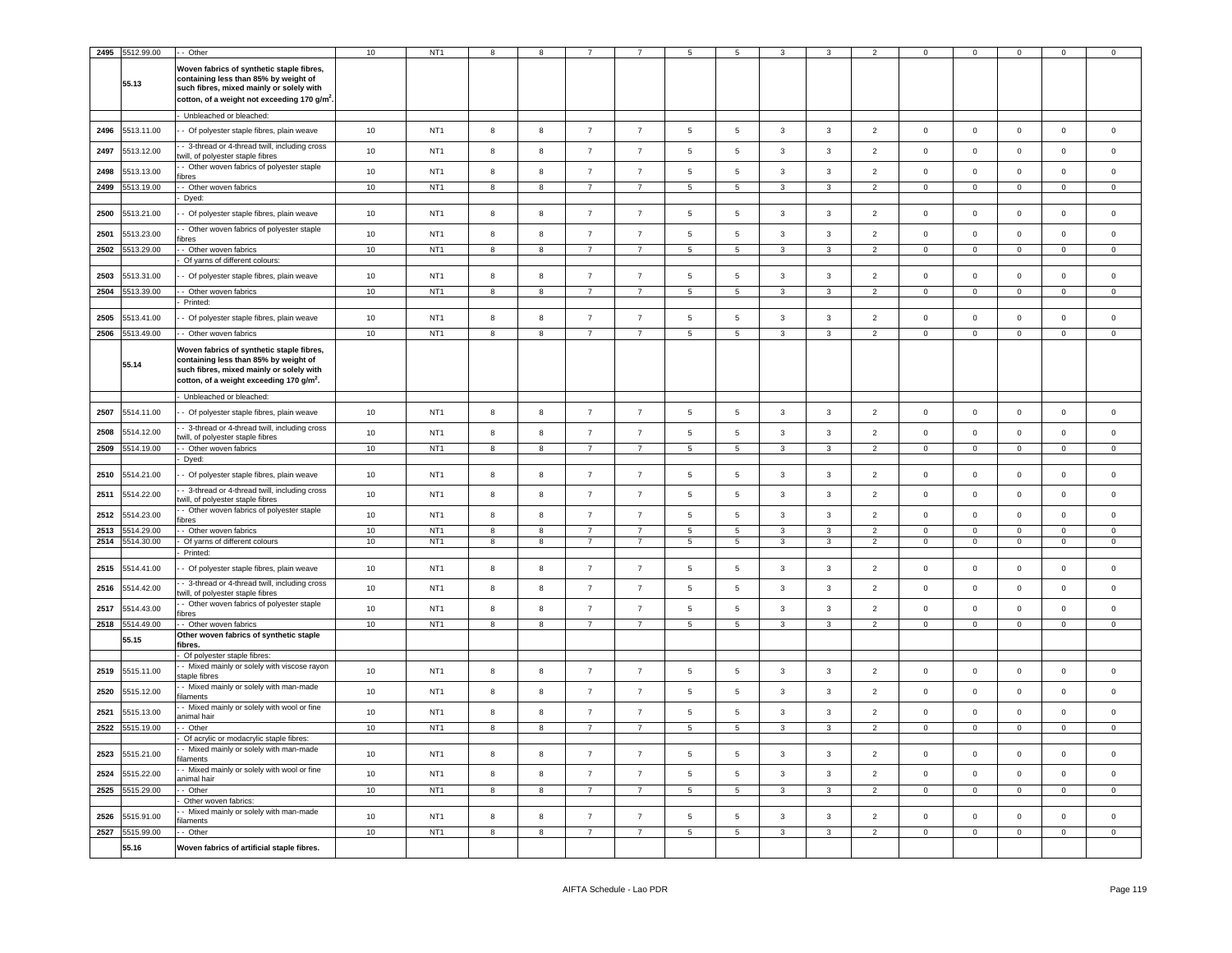|      | 2495 5512.99.00 | - Other                                                                                                                                                                                    | 10     | NT <sub>1</sub> |                         |                         |                |                |                          |                 |                |                         |                |                |                | $\Omega$       |                | $\Omega$       |
|------|-----------------|--------------------------------------------------------------------------------------------------------------------------------------------------------------------------------------------|--------|-----------------|-------------------------|-------------------------|----------------|----------------|--------------------------|-----------------|----------------|-------------------------|----------------|----------------|----------------|----------------|----------------|----------------|
|      | 55.13           | Woven fabrics of synthetic staple fibres,<br>containing less than 85% by weight of<br>such fibres, mixed mainly or solely with<br>cotton, of a weight not exceeding 170 g/m <sup>2</sup> . |        |                 |                         |                         |                |                |                          |                 |                |                         |                |                |                |                |                |                |
|      |                 | Unbleached or bleached:                                                                                                                                                                    |        |                 |                         |                         |                |                |                          |                 |                |                         |                |                |                |                |                |                |
| 2496 | 5513.11.00      | - Of polyester staple fibres, plain weave                                                                                                                                                  | 10     | NT <sub>1</sub> | 8                       | 8                       | 7              | $\overline{7}$ | $\overline{5}$           | 5               | $\mathbf{3}$   | 3                       | $\overline{2}$ | $\mathbf 0$    | $\mathbf 0$    | $\mathsf 0$    | $\mathbf 0$    | $\mathsf 0$    |
| 2497 | 5513.12.00      | - 3-thread or 4-thread twill, including cross<br>twill, of polyester staple fibres                                                                                                         | 10     | NT <sub>1</sub> | 8                       | $^{\rm 8}$              | $\overline{7}$ | $\overline{7}$ | $\sqrt{5}$               | 5               | $\mathbf{3}$   | 3                       | $\overline{2}$ | $\mathsf 0$    | $\mathsf 0$    | $\mathsf 0$    | $\mathbf 0$    | $\mathbf 0$    |
| 2498 | 5513.13.00      | - Other woven fabrics of polyester staple<br>fibres                                                                                                                                        | 10     | NT <sub>1</sub> | 8                       | 8                       | $\overline{7}$ | $\overline{7}$ | 5                        | 5               | $\mathbf{3}$   | 3                       | $\overline{2}$ | $\mathbf 0$    | $\mathbf 0$    | $\mathbf 0$    | $\pmb{0}$      | $\mathbf 0$    |
| 2499 | 5513.19.00      | - Other woven fabrics                                                                                                                                                                      | $10\,$ | NT <sub>1</sub> | 8                       | 8                       | $\overline{7}$ | $\overline{7}$ | 5                        | 5               | 3              | 3                       | $\overline{a}$ | $\mathbf{0}$   | $\mathbf 0$    | $\mathbf{0}$   | $\mathbf{0}$   | $\mathbf 0$    |
|      |                 | Dyed:                                                                                                                                                                                      |        |                 |                         |                         |                |                |                          |                 |                |                         |                |                |                |                |                |                |
| 2500 | 5513.21.00      | - Of polyester staple fibres, plain weave                                                                                                                                                  | 10     | NT <sub>1</sub> | 8                       | 8                       | $\overline{7}$ | $\overline{7}$ | $\,$ 5 $\,$              | 5               | $\mathbf{3}$   | 3                       | $\overline{2}$ | $\mathsf 0$    | $\mathsf 0$    | $\mathbf 0$    | $\mathbf 0$    | $\mathsf 0$    |
| 2501 | 5513.23.00      | Other woven fabrics of polyester staple<br>fibres                                                                                                                                          | 10     | NT <sub>1</sub> | 8                       | 8                       | $\overline{7}$ | $\overline{7}$ | 5                        | 5               | $\mathbf{3}$   | 3                       | $\overline{2}$ | $\mathbf 0$    | $\mathbf 0$    | $\mathsf 0$    | $\mathbf 0$    | $\mathbf 0$    |
| 2502 | 513.29.00       | - Other woven fabrics<br>Of yarns of different colours:                                                                                                                                    | 10     | NT <sub>1</sub> | $\mathbf{R}$            | $\overline{\mathbf{8}}$ | $\overline{7}$ | $\overline{7}$ | $\overline{5}$           | $\overline{5}$  | $\overline{3}$ | $\overline{3}$          | $\overline{2}$ | $\mathsf 0$    | $\mathbf 0$    | $\overline{0}$ | $\mathsf 0$    | $\overline{0}$ |
| 2503 | 5513.31.00      | - Of polyester staple fibres, plain weave                                                                                                                                                  | 10     | NT <sub>1</sub> | 8                       | 8                       | $\overline{7}$ | $\overline{7}$ | 5                        | 5               | $\mathbf{3}$   | $\mathbf{3}$            | $\overline{2}$ | $\mathsf 0$    | $\mathsf 0$    | $\mathsf 0$    | $\mathsf 0$    | $\mathbf 0$    |
| 2504 | 5513.39.00      | - Other woven fabrics                                                                                                                                                                      | 10     | NT <sub>1</sub> | 8                       | 8                       | $\overline{7}$ | $\overline{7}$ | 5                        | 5               | $\mathbf{3}$   | 3                       | $\overline{2}$ | $\mathsf 0$    | $\mathsf 0$    | $\mathbf 0$    | $\mathbf 0$    | $\mathbf 0$    |
|      |                 | Printed:                                                                                                                                                                                   |        |                 |                         |                         |                |                |                          |                 |                |                         |                |                |                |                |                |                |
| 2505 | 5513.41.00      | - Of polyester staple fibres, plain weave                                                                                                                                                  | $10$   | NT <sub>1</sub> | 8                       | $^{\rm 8}$              | $\overline{7}$ | $\overline{7}$ | 5                        | 5               | $\mathbf{3}$   | 3                       | $\overline{2}$ | $^{\circ}$     | $^{\circ}$     | $\mathbf 0$    | $\pmb{0}$      | $\mathbf 0$    |
| 2506 | 5513.49.00      | - Other woven fabrics                                                                                                                                                                      | 10     | NT <sub>1</sub> | $\overline{8}$          | $\overline{\mathbf{8}}$ | $\overline{7}$ | $\overline{7}$ | $\overline{5}$           | $\overline{5}$  | $\overline{3}$ | $\overline{3}$          | $\overline{2}$ | $\mathbf 0$    | $\overline{0}$ | $\overline{0}$ | $\overline{0}$ | $\overline{0}$ |
|      | 55.14           | Woven fabrics of synthetic staple fibres,<br>containing less than 85% by weight of<br>such fibres, mixed mainly or solely with<br>cotton, of a weight exceeding 170 g/m <sup>2</sup> .     |        |                 |                         |                         |                |                |                          |                 |                |                         |                |                |                |                |                |                |
|      |                 | Unbleached or bleached:                                                                                                                                                                    |        |                 |                         |                         |                |                |                          |                 |                |                         |                |                |                |                |                |                |
| 2507 | 5514.11.00      | - Of polyester staple fibres, plain weave                                                                                                                                                  | 10     | NT <sub>1</sub> | 8                       | $^{\rm 8}$              | $\overline{7}$ | $\overline{7}$ | 5                        | 5               | $\mathbf{3}$   | $\mathbf{3}$            | $\overline{2}$ | $\mathbf 0$    | $\mathsf 0$    | $\mathbf 0$    | $\pmb{0}$      | $\mathbf 0$    |
| 2508 | 5514.12.00      | - 3-thread or 4-thread twill, including cross<br>will, of polyester staple fibres                                                                                                          | 10     | NT <sub>1</sub> | 8                       | 8                       | 7              | $\overline{7}$ | $\sqrt{5}$               | $\overline{5}$  | 3              | $\mathbf{3}$            | $\overline{2}$ | 0              | 0              | $\mathbf 0$    | $\mathbf 0$    | $\mathbf 0$    |
| 2509 | 5514.19.00      | - Other woven fabrics<br>Dyed:                                                                                                                                                             | 10     | NT <sub>1</sub> | $\overline{\mathbf{8}}$ | 8                       | $\overline{7}$ | $\overline{7}$ | $\overline{\phantom{a}}$ | $\overline{5}$  | 3              | 3                       | $\overline{2}$ | $\mathbf{0}$   | $\overline{0}$ | $\mathbf 0$    | $\mathbf 0$    | $\overline{0}$ |
| 2510 | 5514.21.00      | - Of polyester staple fibres, plain weave                                                                                                                                                  | 10     | NT <sub>1</sub> | $^{\rm 8}$              | $^{\rm 8}$              | $\overline{7}$ | $\overline{7}$ | $\,$ 5 $\,$              | 5               | $\mathbf{3}$   | $\mathbf{3}$            | $\overline{2}$ | $\mathbf 0$    | $\mathsf 0$    | $\mathsf 0$    | $\mathbf 0$    | $\mathbf 0$    |
| 2511 | 5514.22.00      | - 3-thread or 4-thread twill, including cross<br>twill, of polyester staple fibres                                                                                                         | 10     | NT <sub>1</sub> | 8                       | 8                       | $\overline{7}$ | $\overline{7}$ | 5                        | 5               | $\mathbf{3}$   | 3                       | $\overline{2}$ | $\mathsf 0$    | $\mathbf 0$    | $\mathsf 0$    | $\pmb{0}$      | $\mathbf 0$    |
| 2512 | 5514.23.00      | - Other woven fabrics of polyester staple<br>fibres                                                                                                                                        | 10     | NT <sub>1</sub> | 8                       | 8                       | $\overline{7}$ | $\overline{7}$ | $\sqrt{5}$               | 5               | $\mathbf{3}$   | $\mathsf 3$             | $\overline{2}$ | $\mathsf 0$    | $\mathbf 0$    | $\mathsf 0$    | $\mathbf 0$    | $\mathbf 0$    |
| 2513 | 5514.29.00      | - Other woven fabrics                                                                                                                                                                      | 10     | NT <sub>1</sub> | 8                       | 8                       | $\overline{7}$ | $\overline{7}$ | $5\phantom{.0}$          | 5               | 3              | 3                       | $\overline{2}$ | $\mathbf 0$    | $\mathsf 0$    | $\mathbf 0$    | $\mathbf 0$    | $\mathbf 0$    |
| 2514 | 5514.30.00      | Of yarns of different colours                                                                                                                                                              | 10     | NT1             | 8                       | 8                       | $\overline{7}$ | $\overline{7}$ | 5                        | 5               | $\mathbf{3}$   | 3                       | $\overline{2}$ | $\overline{0}$ | $\mathbf{0}$   | $\mathbf{0}$   | $\overline{0}$ | $\overline{0}$ |
|      |                 | Printed:                                                                                                                                                                                   |        |                 |                         |                         |                | $\overline{7}$ |                          |                 | 3              |                         |                |                |                |                |                |                |
| 2515 | 5514.41.00      | - Of polyester staple fibres, plain weave<br>- 3-thread or 4-thread twill, including cross                                                                                                 | 10     | NT <sub>1</sub> | 8                       | 8                       | $\overline{7}$ |                | $5\phantom{.0}$          | 5               |                | 3                       | $\overline{2}$ | $^{\circ}$     | $\mathbf 0$    | $\mathsf 0$    | $\pmb{0}$      | $\mathsf 0$    |
| 2516 | 5514.42.00      | will, of polyester staple fibres                                                                                                                                                           | 10     | NT <sub>1</sub> | 8                       | 8                       | $\overline{7}$ | $\overline{7}$ | $5\phantom{.0}$          | 5               | $\mathbf{3}$   | 3                       | $\overline{2}$ | $\mathbf 0$    | $\mathbf 0$    | $\mathsf 0$    | $\mathbf 0$    | $\mathsf 0$    |
| 2517 | 5514.43.00      | - Other woven fabrics of polyester staple<br>ibres                                                                                                                                         | 10     | NT <sub>1</sub> | 8                       | $^{\rm 8}$              | $\overline{7}$ | $\overline{7}$ | 5                        | 5               | $\mathbf{3}$   | 3                       | $\overline{2}$ | $\mathsf 0$    | $\mathsf 0$    | $\mathsf 0$    | $\mathsf 0$    | $\mathsf 0$    |
| 2518 | 5514.49.00      | - Other woven fabrics<br>Other woven fabrics of synthetic staple                                                                                                                           | 10     | NT <sub>1</sub> | $\mathbf{g}$            | 8                       | $\overline{7}$ | $\overline{7}$ | 5                        | 5               | $\overline{3}$ | 3                       | $\overline{2}$ | $\Omega$       | $\Omega$       | $\mathsf 0$    | $\mathbf 0$    | $\Omega$       |
|      | 55.15           | fibres.                                                                                                                                                                                    |        |                 |                         |                         |                |                |                          |                 |                |                         |                |                |                |                |                |                |
| 2519 | 5515.11.00      | Of polyester staple fibres:<br>- Mixed mainly or solely with viscose rayon<br>taple fibres                                                                                                 | 10     | NT <sub>1</sub> | $^{\rm 8}$              | 8                       | $\overline{7}$ | $\overline{7}$ | $\sqrt{5}$               | $5\phantom{.0}$ | $\mathbf{3}$   | $\mathbf{3}$            | $\overline{2}$ | $\mathsf 0$    | $\mathsf 0$    | $\mathbf 0$    | $\mathbf 0$    | $\mathsf 0$    |
| 2520 | 5515.12.00      | Mixed mainly or solely with man-made<br>filaments                                                                                                                                          | 10     | NT <sub>1</sub> | 8                       | 8                       | $\overline{7}$ | $\overline{7}$ | $5\phantom{.0}$          | 5               | $\mathbf{3}$   | 3                       | $\overline{2}$ | $\mathbf 0$    | $\mathbf 0$    | $\mathsf 0$    | $\pmb{0}$      | $\mathsf 0$    |
| 2521 | 5515.13.00      | - Mixed mainly or solely with wool or fine<br>animal hair                                                                                                                                  | 10     | NT <sub>1</sub> | 8                       | 8                       | $\overline{7}$ | $\overline{7}$ | 5                        | 5               | $\mathbf{3}$   | 3                       | $\overline{2}$ | $\mathsf 0$    | $\mathsf 0$    | $\mathsf 0$    | $\mathsf 0$    | $\mathbf 0$    |
| 2522 | 515.19.00       | - Other                                                                                                                                                                                    | 10     | NT <sub>1</sub> | 8                       | 8                       | $\overline{7}$ | $\overline{7}$ | 5                        | 5               | $\mathbf{3}$   | 3                       | $\overline{2}$ | $\mathsf 0$    | $\mathsf 0$    | $\mathbf 0$    | $\mathsf 0$    | $\mathsf 0$    |
|      |                 | Of acrylic or modacrylic staple fibres:                                                                                                                                                    |        |                 |                         |                         |                |                |                          |                 |                |                         |                |                |                |                |                |                |
| 2523 | 5515.21.00      | - Mixed mainly or solely with man-made<br>filaments                                                                                                                                        | 10     | NT <sub>1</sub> | 8                       | $^{\rm 8}$              | $\overline{7}$ | $\overline{7}$ | 5                        | 5               | 3              | 3                       | $\overline{2}$ | $\mathbf 0$    | 0              | 0              | $\mathbf 0$    | $\overline{0}$ |
| 2524 | 5515.22.00      | - Mixed mainly or solely with wool or fine<br>nimal hair                                                                                                                                   | 10     | NT <sub>1</sub> | 8                       | 8                       | $\overline{7}$ | $\overline{7}$ | 5                        | 5               | $\mathbf{3}$   | $\mathbf{3}$            | $\overline{2}$ | $\mathbf 0$    | $\mathsf 0$    | $\mathsf 0$    | $\mathsf 0$    | $\mathsf 0$    |
| 2525 | 515.29.00       | - Other<br>Other woven fabrics:                                                                                                                                                            | 10     | NT <sub>1</sub> | 8                       | 8                       | $\overline{7}$ | $\overline{7}$ | 5                        | 5               | $\mathbf{3}$   | 3                       | $\overline{2}$ | $\mathbf 0$    | $\mathsf 0$    | $\mathsf 0$    | $\mathsf 0$    | $\mathsf 0$    |
| 2526 | 5515.91.00      | - Mixed mainly or solely with man-made                                                                                                                                                     | $10$   | NT <sub>1</sub> | 8                       | 8                       | $\overline{7}$ | $\overline{7}$ | $\sqrt{5}$               | 5               | $\mathbf{3}$   | 3                       | $\overline{2}$ | $^{\circ}$     | $^{\circ}$     | $\mathbf 0$    | $\mathbf 0$    | $\mathsf{O}$   |
| 2527 | 515.99.00       | ilaments<br>Other                                                                                                                                                                          | 10     | NT <sub>1</sub> | $\overline{\mathbf{g}}$ | $\overline{8}$          | 7              | $\overline{7}$ | $\overline{5}$           | $\overline{5}$  | $\overline{3}$ | $\overline{\mathbf{3}}$ | $\overline{2}$ | $\overline{0}$ | $\overline{0}$ | $\overline{0}$ | $\overline{0}$ | $\overline{0}$ |
|      | 55.16           | Woven fabrics of artificial staple fibres.                                                                                                                                                 |        |                 |                         |                         |                |                |                          |                 |                |                         |                |                |                |                |                |                |
|      |                 |                                                                                                                                                                                            |        |                 |                         |                         |                |                |                          |                 |                |                         |                |                |                |                |                |                |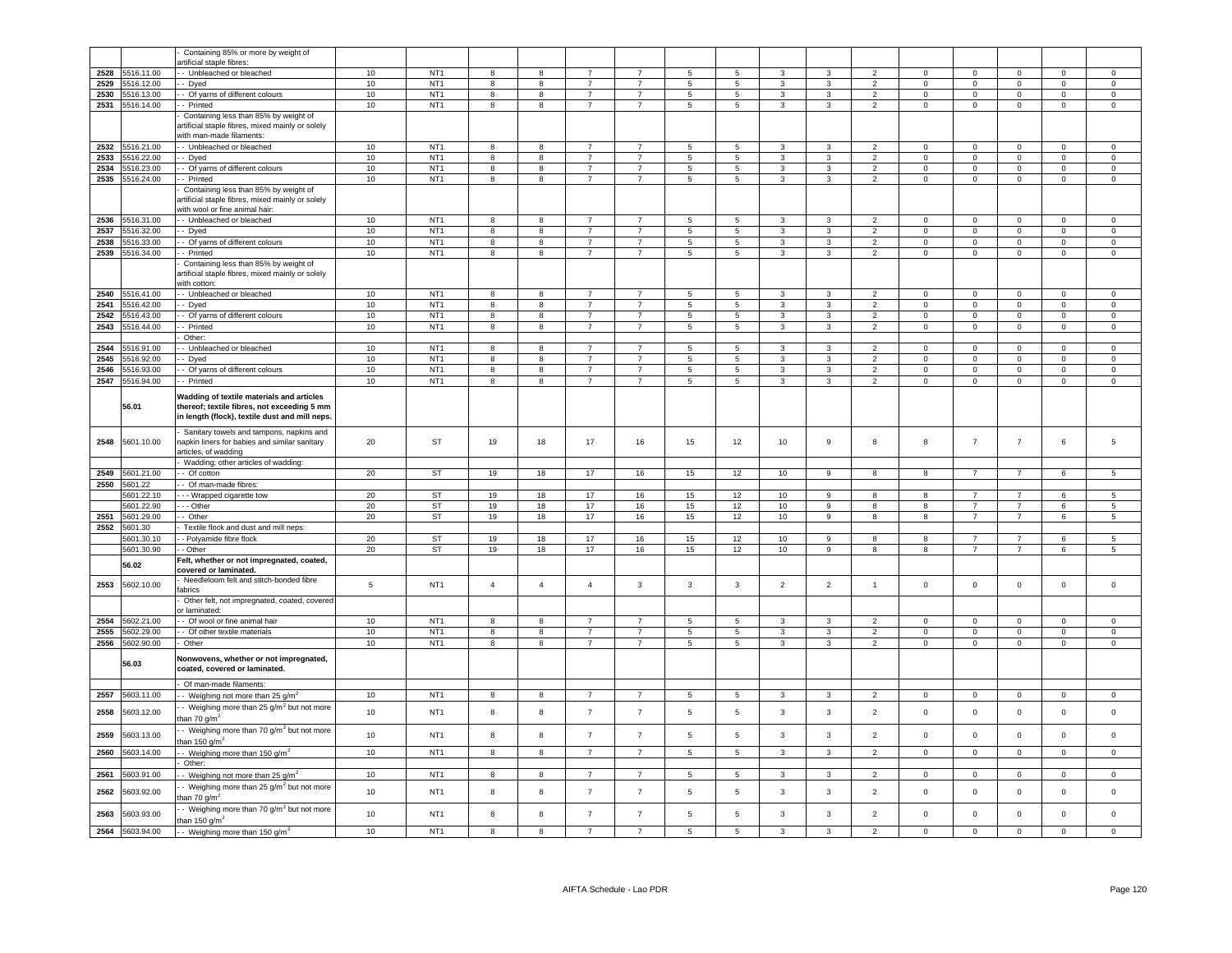|              |                               | Containing 85% or more by weight of                                                                                                        |          |                 |                         |                         |                  |                |                                        |                |                  |                |                |                     |                            |                            |              |                            |
|--------------|-------------------------------|--------------------------------------------------------------------------------------------------------------------------------------------|----------|-----------------|-------------------------|-------------------------|------------------|----------------|----------------------------------------|----------------|------------------|----------------|----------------|---------------------|----------------------------|----------------------------|--------------|----------------------------|
|              | 516.11.00                     | artificial staple fibres:                                                                                                                  | 10       | NT <sub>1</sub> | $\mathbf{g}$            | 8                       | $\overline{7}$   | $\overline{7}$ |                                        | 5              | $\mathbf{R}$     | $\mathcal{R}$  | $\mathcal{P}$  | $\Omega$            | $\mathsf 0$                | $\Omega$                   | $\Omega$     | $\Omega$                   |
| 2528<br>2529 | 5516.12.00                    | - Unbleached or bleached<br>- Dyed                                                                                                         | 10       | NT <sub>1</sub> | 8                       | 8                       | $\overline{7}$   | $\overline{7}$ | $\sqrt{5}$<br>$\overline{\phantom{a}}$ | $\overline{5}$ | $\mathcal{R}$    | $\overline{3}$ | $\overline{2}$ | $\mathsf 0$         | $\overline{0}$             | $\overline{0}$             | $\Omega$     | $\overline{0}$             |
| 2530         |                               | - Of yarns of different colours                                                                                                            | 10       | NT <sub>1</sub> | 8                       |                         | $\overline{7}$   | $\overline{7}$ | 5                                      | $\overline{5}$ | 3                | 3              | $\overline{2}$ | $\mathbf 0$         | $\mathsf 0$                | $\mathbf 0$                | $\mathbf{0}$ | $\mathbf{0}$               |
|              | 5516.13.00<br>2531 5516.14.00 | - Printed                                                                                                                                  | 10       | NT <sub>1</sub> | 8                       | 8<br>8                  | $\overline{7}$   | $\overline{7}$ | 5                                      | 5              | 3                | 3              | $\overline{2}$ | $\mathbf 0$         | $\mathsf 0$                | $\mathbf 0$                | $\mathbf 0$  | $\mathbf 0$                |
|              |                               | Containing less than 85% by weight of                                                                                                      |          |                 |                         |                         |                  |                |                                        |                |                  |                |                |                     |                            |                            |              |                            |
|              |                               | artificial staple fibres, mixed mainly or solely<br>with man-made filaments:                                                               |          |                 |                         |                         |                  |                |                                        |                |                  |                |                |                     |                            |                            |              |                            |
| 2532         | 5516.21.00                    | - Unbleached or bleached                                                                                                                   | 10       | NT <sub>1</sub> | 8                       | 8                       | $\overline{7}$   | $\overline{7}$ | 5                                      | 5              | $\mathbf{3}$     | 3              | $\overline{2}$ | $\Omega$            | $\mathsf 0$                | $\mathsf 0$                | $\mathsf 0$  | $\mathsf 0$                |
| 2533         | 5516,22.00                    | - Dyed                                                                                                                                     | 10       | NT <sub>1</sub> | 8                       | 8                       | $\overline{7}$   | $\overline{7}$ | 5                                      | 5              | 3                | 3              | 2              | $\mathbf 0$         | $\mathbf{0}$               | $\mathbf 0$                | $\mathbf 0$  | $\mathbf 0$                |
| 2534         | 5516.23.00                    | - Of yarns of different colours                                                                                                            | 10       | NT <sub>1</sub> | 8                       | 8                       | $\overline{7}$   | $\overline{7}$ | $\,$ 5 $\,$                            | 5              | $\mathbf{3}$     | 3              | 2              | $\mathbf 0$         | $\mathbf{0}$               | $\mathbf 0$                | $\mathbf{0}$ | $\mathsf 0$                |
| 2535         | 5516.24.00                    | - Printed<br>Containing less than 85% by weight of<br>artificial staple fibres, mixed mainly or solely<br>with wool or fine animal hair:   | 10       | NT <sub>1</sub> | 8                       | $\overline{\mathbf{8}}$ | $\overline{7}$   | $\overline{7}$ | $5\phantom{.0}$                        | $\overline{5}$ | $\mathbf{3}$     | $\overline{3}$ | $\overline{2}$ | $\mathbf 0$         | $\overline{0}$             | $\overline{0}$             | $\mathbf 0$  | $\mathsf{O}\xspace$        |
| 2536         | 5516.31.00                    | - Unbleached or bleached                                                                                                                   | 10       | NT <sub>1</sub> | 8                       | 8                       | $\overline{7}$   |                | 5                                      | $5 -$          | 3                | 3              | $\overline{2}$ | $\Omega$            | $\Omega$                   | $\Omega$                   | $\Omega$     | $\Omega$                   |
| 2537         | 5516.32.00                    | - Dyed                                                                                                                                     | 10       | NT <sub>1</sub> | 8                       | 8                       | $\overline{7}$   | $\overline{7}$ | 5                                      | 5              | $\mathbf{3}$     | 3              | $\overline{2}$ | $\Omega$            | $\mathbf{0}$               | $\mathbf 0$                | $\Omega$     | $\Omega$                   |
| 2538         | 5516.33.00                    | - Of yarns of different colours                                                                                                            | 10       | NT <sub>1</sub> | 8                       | 8                       | $\overline{7}$   | $\overline{7}$ | 5                                      | 5              | 3                | 3              | $\overline{2}$ | $\Omega$            | $\mathbf 0$                | $\mathsf 0$                | $\mathbf 0$  | $\mathsf 0$                |
| 2539         | 5516.34.00                    | - Printed                                                                                                                                  | 10       | NT <sub>1</sub> | 8                       | 8                       | $\overline{7}$   | $\overline{7}$ | 5                                      | $\overline{5}$ | 3                | 3              | $\overline{2}$ | $\mathbf 0$         | $\mathbf 0$                | $\mathbf 0$                | $\mathbf 0$  | $\mathbf 0$                |
|              |                               | Containing less than 85% by weight of<br>artificial staple fibres, mixed mainly or solely<br>with cotton:                                  |          |                 |                         |                         |                  |                |                                        |                |                  |                |                |                     |                            |                            |              |                            |
| 2540         | 5516.41.00                    | - Unbleached or bleached                                                                                                                   | 10       | NT <sub>1</sub> | 8                       | 8                       | $\overline{7}$   | $\overline{7}$ | $\overline{5}$                         | 5              | 3                | 3              | $\overline{2}$ | $\pmb{0}$           | $\mathsf 0$                | $\mathbf 0$                | $\Omega$     | $\mathbf 0$                |
| 2541         | 5516.42.00                    | - Dyed                                                                                                                                     | 10       | NT <sub>1</sub> | 8                       | 8                       | $\overline{7}$   | $\overline{7}$ | 5                                      | 5              | $\mathbf{3}$     | 3              | $\overline{2}$ | $\mathbf 0$         | $\mathbf{0}$               | $\mathsf 0$                | $\mathbf 0$  | $\circ$                    |
| 2542         | 5516.43.00                    | - Of yarns of different colours                                                                                                            | 10       | NT <sub>1</sub> | 8                       | 8                       | $\overline{7}$   | $\overline{7}$ | $5\phantom{.0}$                        | 5              | 3                | 3              | $\overline{2}$ | $\mathbf 0$         | $\mathbf 0$                | $\mathbf 0$                | $\mathbf 0$  | $\mathbf 0$                |
| 2543         | 5516.44.00                    | - Printed                                                                                                                                  | 10       | NT <sub>1</sub> | 8                       | 8                       | $\overline{7}$   | $\overline{7}$ | $5\phantom{.0}$                        | 5              | $\mathbf{3}$     | 3              | $\overline{2}$ | $\Omega$            | $\overline{0}$             | $\mathbf 0$                | 0            | $\Omega$                   |
|              | 516.91.00                     | Other:<br>- Unbleached or bleached                                                                                                         | 10       | NT <sub>1</sub> |                         | 8                       | $\overline{7}$   |                | 5                                      |                | 3                | 3              | $\overline{2}$ | $\Omega$            | $\Omega$                   | $\Omega$                   | $\Omega$     | $\Omega$                   |
| 2544         | 5516.92.00                    |                                                                                                                                            |          | NT <sub>1</sub> | 8                       |                         | $\overline{7}$   | $\overline{7}$ | 5                                      | 5<br>5         |                  |                | $\overline{2}$ | $\Omega$            |                            |                            | $\mathbf 0$  |                            |
| 2545<br>2546 | 5516.93.00                    | - Dyed                                                                                                                                     | 10<br>10 | NT <sub>1</sub> | 8<br>8                  | 8<br>8                  | $\overline{7}$   | $\overline{7}$ | $\,$ 5 $\,$                            | 5              | 3<br>3           | 3<br>3         | 2              | $\mathbf 0$         | $\mathbf 0$<br>$\mathbf 0$ | $\mathbf 0$<br>$\mathbf 0$ | $\mathbf{0}$ | $\mathbf 0$<br>$\mathbf 0$ |
| 2547         | 5516.94.00                    | - Of yarns of different colours<br>- Printed                                                                                               | 10       | NT <sub>1</sub> | $\overline{\mathbf{8}}$ | $\overline{\mathbf{8}}$ | $\overline{7}$   | $\overline{7}$ | $\overline{\phantom{a}}$               | $\overline{5}$ | $\overline{3}$   | $\overline{3}$ | $\overline{2}$ | $\mathsf 0$         | $\overline{0}$             | $\overline{0}$             | $\Omega$     | $\mathsf 0$                |
|              |                               |                                                                                                                                            |          |                 |                         |                         |                  |                |                                        |                |                  |                |                |                     |                            |                            |              |                            |
|              | 56.01                         | Wadding of textile materials and articles<br>thereof; textile fibres, not exceeding 5 mm<br>in length (flock), textile dust and mill neps. |          |                 |                         |                         |                  |                |                                        |                |                  |                |                |                     |                            |                            |              |                            |
| 2548         | 5601.10.00                    | Sanitary towels and tampons, napkins and<br>napkin liners for babies and similar sanitary<br>articles, of wadding                          | 20       | ST              | 19                      | 18                      | 17               | 16             | 15                                     | 12             | 10               | $\mathsf g$    | 8              | 8                   | $\overline{7}$             | $\overline{7}$             | $\,6\,$      | 5                          |
|              |                               | Wadding; other articles of wadding:                                                                                                        |          |                 |                         |                         |                  |                |                                        |                |                  |                |                |                     |                            |                            |              |                            |
| 2549         | 601.21.00                     | - Of cotton                                                                                                                                | 20       | <b>ST</b>       | 19                      | 18                      | 17               | 16             | 15                                     | 12             | 10 <sup>10</sup> | 9              | 8              | 8                   | $\overline{7}$             | $\overline{7}$             | 6            | 5                          |
| 2550         | 5601.22<br>5601.22.10         | - Of man-made fibres:<br>- - Wrapped cigarette tow                                                                                         | 20       | <b>ST</b>       | 19                      | 18                      | 17               |                | 15                                     | 12             |                  | 9              | 8              | 8                   | $\overline{7}$             | $\overline{7}$             | $6^{\circ}$  | $5 -$                      |
|              | 601.22.90                     | $-$ Other                                                                                                                                  | 20       | <b>ST</b>       | 19                      | 18                      | 17               | 16<br>16       | 15                                     | 12             | 10<br>10         | 9              | 8              | 8                   | $\overline{7}$             | $\overline{7}$             | 6            | $5\phantom{.0}$            |
| 2551         | 5601.29.00                    | - Other                                                                                                                                    | 20       | <b>ST</b>       | 19                      | 18                      | 17               | 16             | 15                                     | 12             | 10 <sup>10</sup> | 9              | 8              | 8                   | $\overline{7}$             | $\overline{7}$             | 6            | 5                          |
| 2552         | 5601.30                       | Textile flock and dust and mill neps:                                                                                                      |          |                 |                         |                         |                  |                |                                        |                |                  |                |                |                     |                            |                            |              |                            |
|              | 5601.30.10                    | - Polyamide fibre flock                                                                                                                    | 20       | ST              | 19                      | 18                      | 17               | 16             | 15                                     | 12             | 10               | 9              | 8              | 8                   | $\overline{7}$             | 7                          | 6            | $5\phantom{.0}$            |
|              | 5601.30.90                    | - Other                                                                                                                                    | 20       | ST              | 19                      | 18                      | 17               | 16             | 15                                     | 12             | 10               | 9              | 8              | 8                   | $\overline{7}$             | $\overline{7}$             | 6            | 5                          |
|              | 56.02                         | Felt, whether or not impregnated, coated,                                                                                                  |          |                 |                         |                         |                  |                |                                        |                |                  |                |                |                     |                            |                            |              |                            |
| 2553         | 5602.10.00                    | covered or laminated.<br>Needleloom felt and stitch-bonded fibre                                                                           | 5        | NT <sub>1</sub> | $\overline{4}$          | $\overline{4}$          | $\overline{4}$   | $\mathbf{3}$   | $\overline{3}$                         | $\mathbf{3}$   | $\overline{2}$   | $\overline{2}$ | $\overline{1}$ | $\mathbf 0$         | $\mathsf 0$                | $\mathsf 0$                | $\mathbf{0}$ | $\mathbf 0$                |
|              |                               | abrics                                                                                                                                     |          |                 |                         |                         |                  |                |                                        |                |                  |                |                |                     |                            |                            |              |                            |
|              |                               | Other felt, not impregnated, coated, covered<br>or laminated:                                                                              |          |                 |                         |                         |                  |                |                                        |                |                  |                |                |                     |                            |                            |              |                            |
| 2554         | 5602.21.00                    | - Of wool or fine animal hair                                                                                                              | 10       | NT <sub>1</sub> | 8                       | 8                       | $\overline{7}$   | $\overline{7}$ | 5                                      | 5              | $\mathbf{3}$     | 3              | $\overline{2}$ | $\overline{0}$      | $\mathsf 0$                | $\mathsf 0$                | $\mathbf 0$  | $\mathbf 0$                |
| 2555         | 5602.29.00                    | - Of other textile materials                                                                                                               | 10       | NT <sub>1</sub> | 8                       | 8                       | $\overline{7}$   | $\overline{7}$ | $\overline{5}$                         | 5              | 3                | 3              | $\overline{2}$ | $\mathbf 0$         | $\mathsf 0$                | $\mathbf 0$                | 0            | $\mathsf 0$                |
| 2556         | 5602.90.00<br>56.03           | Other<br>Nonwovens, whether or not impregnated,<br>coated, covered or laminated.                                                           | 10       | NT <sub>1</sub> | 8                       | 8                       | $\overline{7}$   | $\overline{7}$ | 5                                      | 5              | $\mathbf{3}$     | 3              | $\overline{2}$ | $\mathbf 0$         | $\mathbf{0}$               | $\mathsf 0$                | $\mathbf 0$  | $\mathsf 0$                |
|              |                               |                                                                                                                                            |          |                 |                         |                         |                  |                |                                        |                |                  |                |                |                     |                            |                            |              |                            |
| 2557         | 5603.11.00                    | Of man-made filaments:                                                                                                                     | 10       | NT <sub>1</sub> | 8                       | 8                       | $\overline{7}$   | $\overline{7}$ | $\,$ 5 $\,$                            | 5              | $\mathbf{3}$     | 3              | $\overline{2}$ | $\mathbf 0$         | $\mathbf 0$                | $\mathsf 0$                | $\mathbf 0$  | $\mathbf 0$                |
|              |                               | - Weighing not more than 25 $q/m^2$                                                                                                        |          |                 |                         |                         |                  |                |                                        |                |                  |                |                |                     |                            |                            |              |                            |
| 2558         | 5603.12.00                    | - Weighing more than 25 g/m <sup>2</sup> but not more<br>han 70 g/m <sup>2</sup>                                                           | 10       | NT <sub>1</sub> | 8                       | 8                       | $\overline{7}$   | $\overline{7}$ | 5                                      | 5              | 3                | 3              | $\overline{2}$ | $\mathsf{O}\xspace$ | $\mathsf 0$                | $\mathsf 0$                | $\mathsf 0$  | $\mathsf 0$                |
| 2559         | 5603.13.00                    | - Weighing more than 70 g/m <sup>2</sup> but not more<br>han 150 g/m <sup>2</sup>                                                          | 10       | NT <sub>1</sub> | 8                       | 8                       | $\overline{7}$   | $\overline{7}$ | $\sqrt{5}$                             | 5              | $\mathbf{3}$     | 3              | $\overline{2}$ | $\mathbf 0$         | $\mathbf 0$                | $\mathbf 0$                | $\mathbf 0$  | $\mathsf 0$                |
| 2560         | 5603.14.00                    | - Weighing more than 150 g/m <sup>2</sup><br>Other:                                                                                        | 10       | NT <sub>1</sub> | 8                       | 8                       | $\overline{7}$   | $\overline{7}$ | $\overline{5}$                         | $\overline{5}$ | $\overline{3}$   | $\overline{3}$ | $\overline{2}$ | $\mathsf 0$         | $\mathbf 0$                | $\mathbf 0$                | 0            | $\mathbf 0$                |
| 2561         | 5603.91.00                    |                                                                                                                                            | 10       | NT <sub>1</sub> | 8                       | 8                       | $\overline{7}$   | $\overline{7}$ | $\,$ 5 $\,$                            | $\overline{5}$ | $\overline{3}$   | 3              | $\overline{2}$ | $\mathbf 0$         | $\overline{0}$             | $\overline{0}$             | $\mathbf 0$  | $\Omega$                   |
| 2562         | 5603.92.00                    | Weighing not more than 25 g/m <sup>2</sup><br>- Weighing more than 25 g/m <sup>2</sup> but not more                                        | 10       | NT <sub>1</sub> | 8                       | 8                       | $\overline{7}$   | $\overline{7}$ | 5                                      | 5              | 3                | 3              | $\overline{2}$ | $\mathsf 0$         | $\circ$                    | $\mathsf 0$                | $\mathsf 0$  | $\mathbf 0$                |
| 2563         | 5603.93.00                    | ian 70 g/m <sup>2</sup><br>Weighing more than 70 g/m <sup>2</sup> but not more                                                             | 10       | NT <sub>1</sub> | 8                       | 8                       | $\boldsymbol{7}$ | $\overline{7}$ | $\sqrt{5}$                             | 5              | $\mathbf{3}$     | $\mathsf 3$    | $\overline{2}$ | $\mathsf 0$         | $\mathsf{O}\xspace$        | $\mathbf 0$                | $\mathsf 0$  | $\mathbf 0$                |
| 2564         | 5603.94.00                    | han 150 g/m $^2$<br>- Weighing more than 150 g/m <sup>2</sup>                                                                              | 10       | NT <sub>1</sub> | $\mathbf{g}$            | 8                       | $\overline{7}$   | $\overline{7}$ | 5                                      | 5              | 3                | 3              | $\overline{2}$ | $\Omega$            | $\Omega$                   | $\mathbf 0$                | $\Omega$     | $\Omega$                   |
|              |                               |                                                                                                                                            |          |                 |                         |                         |                  |                |                                        |                |                  |                |                |                     |                            |                            |              |                            |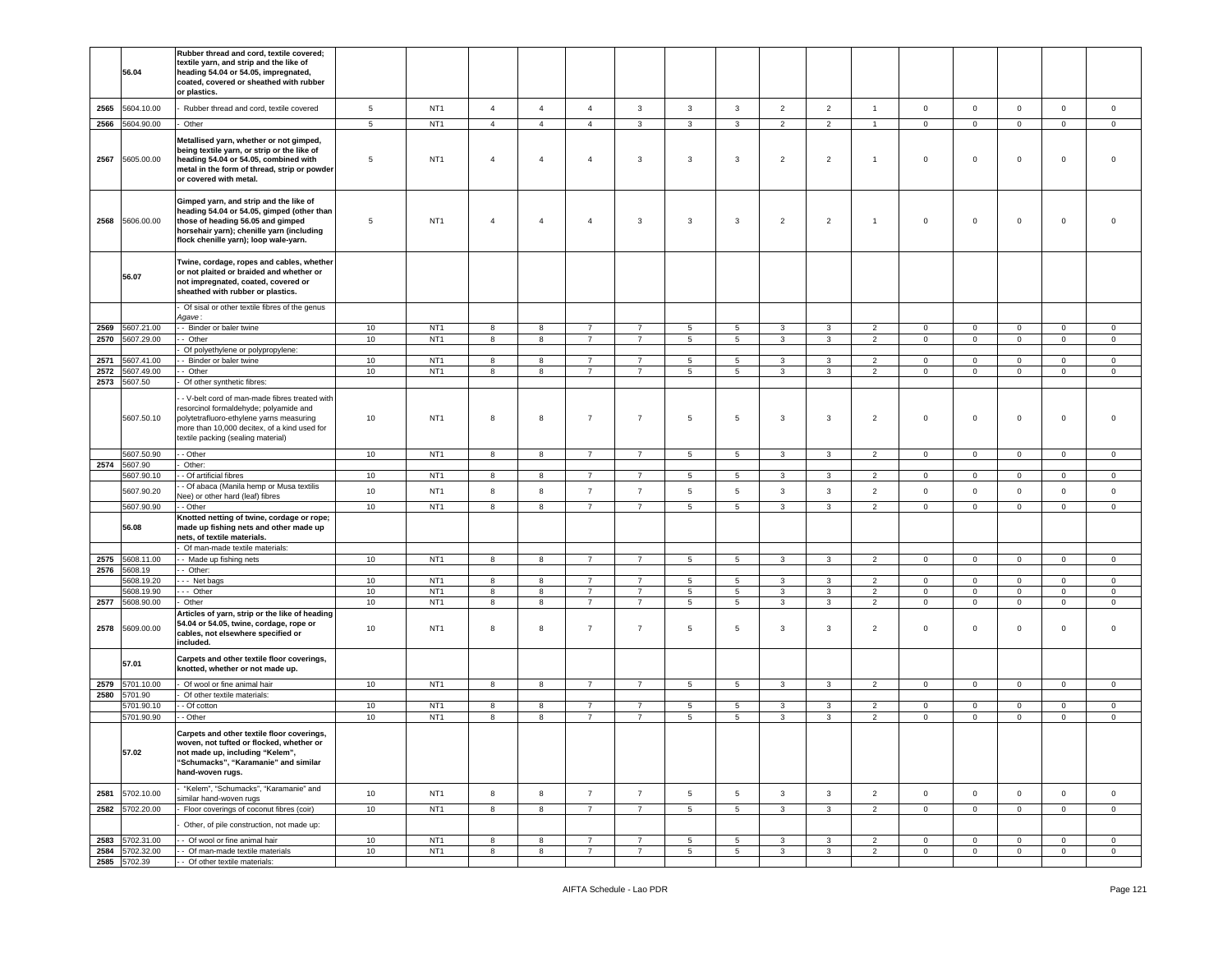|              |                       | Rubber thread and cord, textile covered;                                           |                 |                 |                |                |                |                |                 |                 |                         |                |                |                |                |              |                |                |
|--------------|-----------------------|------------------------------------------------------------------------------------|-----------------|-----------------|----------------|----------------|----------------|----------------|-----------------|-----------------|-------------------------|----------------|----------------|----------------|----------------|--------------|----------------|----------------|
|              |                       | textile yarn, and strip and the like of                                            |                 |                 |                |                |                |                |                 |                 |                         |                |                |                |                |              |                |                |
|              | 56.04                 | heading 54.04 or 54.05, impregnated,                                               |                 |                 |                |                |                |                |                 |                 |                         |                |                |                |                |              |                |                |
|              |                       | coated, covered or sheathed with rubber                                            |                 |                 |                |                |                |                |                 |                 |                         |                |                |                |                |              |                |                |
|              |                       | or plastics.                                                                       |                 |                 |                |                |                |                |                 |                 |                         |                |                |                |                |              |                |                |
|              |                       |                                                                                    |                 |                 |                |                |                |                |                 |                 |                         |                |                |                |                |              |                |                |
| 2565         | 5604.10.00            | Rubber thread and cord, textile covered                                            | $5\phantom{.0}$ | NT <sub>1</sub> | $\overline{4}$ | $\overline{4}$ | $\overline{4}$ | $\mathbf{3}$   | $\mathbf{3}$    | $\mathbf{3}$    | $\overline{2}$          | $\overline{2}$ | $\overline{1}$ | $\mathbf 0$    | $\mathbf 0$    | $\mathbf 0$  | $\mathbf 0$    | $\mathsf 0$    |
| 2566         | 5604.90.00            | Other                                                                              | $5\phantom{.0}$ | NT <sub>1</sub> | $\overline{4}$ | $\overline{4}$ | $\overline{4}$ | $\mathbf{3}$   | $\mathbf{3}$    | $\mathbf{3}$    | $\overline{2}$          | $\overline{2}$ | $\mathbf{1}$   | $\overline{0}$ | $\mathbf 0$    | $\mathsf 0$  | $\mathbf 0$    | $\circ$        |
|              |                       |                                                                                    |                 |                 |                |                |                |                |                 |                 |                         |                |                |                |                |              |                |                |
|              |                       | Metallised yarn, whether or not gimped,                                            |                 |                 |                |                |                |                |                 |                 |                         |                |                |                |                |              |                |                |
|              |                       | being textile yarn, or strip or the like of                                        |                 |                 |                |                |                |                |                 |                 |                         |                |                |                |                |              |                |                |
| 2567         | 5605.00.00            | heading 54.04 or 54.05, combined with                                              | 5               | NT <sub>1</sub> | $\overline{4}$ | $\overline{4}$ | $\overline{4}$ | 3              | 3               | 3               | $\overline{2}$          | $\overline{2}$ | $\overline{1}$ | $\mathsf 0$    | $\mathbf 0$    | $\mathbf 0$  | $\mathbf 0$    | $\mathbf 0$    |
|              |                       | metal in the form of thread, strip or powder                                       |                 |                 |                |                |                |                |                 |                 |                         |                |                |                |                |              |                |                |
|              |                       | or covered with metal.                                                             |                 |                 |                |                |                |                |                 |                 |                         |                |                |                |                |              |                |                |
|              |                       |                                                                                    |                 |                 |                |                |                |                |                 |                 |                         |                |                |                |                |              |                |                |
|              |                       | Gimped yarn, and strip and the like of                                             |                 |                 |                |                |                |                |                 |                 |                         |                |                |                |                |              |                |                |
|              |                       | heading 54.04 or 54.05, gimped (other than                                         |                 |                 |                |                |                |                |                 |                 |                         |                |                |                |                |              |                |                |
| 2568         | 5606.00.00            | those of heading 56.05 and gimped                                                  | 5               | NT <sub>1</sub> | $\overline{4}$ | $\overline{4}$ | $\overline{4}$ | 3              | 3               | 3               | $\overline{2}$          | $\overline{2}$ | $\overline{1}$ | $\circ$        | $\mathbf 0$    | $\mathbf 0$  | $\mathbf 0$    | $\Omega$       |
|              |                       | horsehair yarn); chenille yarn (including<br>flock chenille yarn); loop wale-yarn. |                 |                 |                |                |                |                |                 |                 |                         |                |                |                |                |              |                |                |
|              |                       |                                                                                    |                 |                 |                |                |                |                |                 |                 |                         |                |                |                |                |              |                |                |
|              |                       | Twine, cordage, ropes and cables, whether                                          |                 |                 |                |                |                |                |                 |                 |                         |                |                |                |                |              |                |                |
|              |                       | or not plaited or braided and whether or                                           |                 |                 |                |                |                |                |                 |                 |                         |                |                |                |                |              |                |                |
|              | 56.07                 | not impregnated, coated, covered or                                                |                 |                 |                |                |                |                |                 |                 |                         |                |                |                |                |              |                |                |
|              |                       | sheathed with rubber or plastics.                                                  |                 |                 |                |                |                |                |                 |                 |                         |                |                |                |                |              |                |                |
|              |                       |                                                                                    |                 |                 |                |                |                |                |                 |                 |                         |                |                |                |                |              |                |                |
|              |                       | Of sisal or other textile fibres of the genus                                      |                 |                 |                |                |                |                |                 |                 |                         |                |                |                |                |              |                |                |
|              |                       | Agave:                                                                             |                 |                 |                |                |                |                |                 |                 |                         |                |                |                |                |              |                |                |
| 2569         | 5607.21.00            | - Binder or baler twine                                                            | 10              | NT <sub>1</sub> | 8              | 8              | $\overline{7}$ | $\overline{7}$ | 5               | 5               | 3                       | 3              | 2              | $\mathbf 0$    | $\mathbf 0$    | $\mathbf 0$  | $\mathbf 0$    | $\mathbf 0$    |
| 2570         | 5607.29.00            | - Other                                                                            | 10              | NT <sub>1</sub> | 8              | 8              | $\overline{7}$ | $\overline{7}$ | 5               | 5               | 3                       | 3              | $\overline{2}$ | $\overline{0}$ | $\overline{0}$ | $\mathbf{0}$ | $\mathbf{0}$   | $\mathbf 0$    |
|              |                       | Of polyethylene or polypropylene:                                                  |                 |                 |                |                |                |                |                 |                 |                         |                |                |                |                |              |                |                |
| 2571         | 5607.41.00            | - Binder or baler twine                                                            | 10              | NT <sub>1</sub> | 8              | 8              | $\overline{7}$ | $\overline{7}$ | 5               | 5               | 3                       | 3              | $\overline{2}$ | $\mathbf 0$    | $\mathbf 0$    | $\mathbf 0$  | $\mathbf 0$    | $\mathbf 0$    |
| 2572         | 5607.49.00            | - Other                                                                            | 10              | NT <sub>1</sub> | 8              | 8              | $\overline{7}$ | 7              | 5               | 5               | 3                       | 3              | $\overline{2}$ | $\mathbf 0$    | $\mathbf 0$    | $\mathbf 0$  | $\mathbf{0}$   | $\mathbf 0$    |
| 2573         | 5607.50               | Of other synthetic fibres:                                                         |                 |                 |                |                |                |                |                 |                 |                         |                |                |                |                |              |                |                |
|              |                       | - V-belt cord of man-made fibres treated with                                      |                 |                 |                |                |                |                |                 |                 |                         |                |                |                |                |              |                |                |
|              |                       | resorcinol formaldehyde; polyamide and                                             |                 |                 |                |                |                |                |                 |                 |                         |                |                |                |                |              |                |                |
|              | 5607.50.10            | polytetrafluoro-ethylene yarns measuring                                           | 10              | NT <sub>1</sub> | 8              | 8              | $\overline{7}$ | $\overline{7}$ | 5               | 5               | 3                       | 3              | $\overline{2}$ | $\mathbf 0$    | 0              | $\mathbf 0$  | $\mathbf 0$    | $\mathbf 0$    |
|              |                       | more than 10,000 decitex, of a kind used for                                       |                 |                 |                |                |                |                |                 |                 |                         |                |                |                |                |              |                |                |
|              |                       | textile packing (sealing material)                                                 |                 |                 |                |                |                |                |                 |                 |                         |                |                |                |                |              |                |                |
|              | 5607.50.90            | - Other                                                                            | 10              | NT <sub>1</sub> | 8              | 8              | $\overline{7}$ | 7              | $5\phantom{.0}$ | 5               | $\overline{\mathbf{3}}$ | 3              | $\overline{2}$ | $\mathbf 0$    | $\mathbf 0$    | $\mathbf 0$  | $\mathbf{0}$   | $\circ$        |
|              | 2574 5607.90          | Other:                                                                             |                 |                 |                |                |                |                |                 |                 |                         |                |                |                |                |              |                |                |
|              | 5607.90.10            | - Of artificial fibres                                                             | $10$            | NT <sub>1</sub> | 8              | 8              | $\overline{7}$ | $\overline{7}$ | 5               | 5               | 3                       | 3              | 2              | $\mathbf{0}$   | $\mathbf 0$    | $\circ$      | $\mathbf{0}$   | $\mathbf 0$    |
|              |                       | - Of abaca (Manila hemp or Musa textilis                                           |                 |                 |                |                |                |                |                 |                 |                         |                |                |                |                |              |                |                |
|              | 5607.90.20            | Vee) or other hard (leaf) fibres                                                   | 10              | NT <sub>1</sub> | 8              | 8              | $\overline{7}$ | $\overline{7}$ | 5               | 5               | 3                       | 3              | $\overline{2}$ | $\circ$        | $\mathbf 0$    | $\mathsf 0$  | $\mathbf 0$    | $\mathbf 0$    |
|              | 5607.90.90            | - Other                                                                            | 10              | NT <sub>1</sub> | 8              | 8              | $\overline{7}$ | $\overline{7}$ | 5               | 5               | $\mathbf{3}$            | 3              | $\overline{2}$ | $\mathbf 0$    | $\mathbf{0}$   | $\mathbf{0}$ | $\mathbf{0}$   | $\mathbf{0}$   |
|              |                       | Knotted netting of twine, cordage or rope;                                         |                 |                 |                |                |                |                |                 |                 |                         |                |                |                |                |              |                |                |
|              | 56.08                 | made up fishing nets and other made up                                             |                 |                 |                |                |                |                |                 |                 |                         |                |                |                |                |              |                |                |
|              |                       | nets, of textile materials.                                                        |                 |                 |                |                |                |                |                 |                 |                         |                |                |                |                |              |                |                |
|              |                       | Of man-made textile materials:                                                     |                 |                 |                |                |                |                |                 |                 |                         |                |                |                |                |              |                |                |
| 2575         | 5608.11.00            | - Made up fishing nets                                                             | 10              | NT <sub>1</sub> | 8              | 8              | $\overline{7}$ | $\overline{7}$ | 5               | 5               | $\overline{\mathbf{3}}$ | 3              | $\overline{2}$ | $\overline{0}$ | $\overline{0}$ | $\mathbf 0$  | $\mathbf{0}$   | $\circ$        |
| 2576         | 5608.19               | - Other:                                                                           |                 |                 |                |                |                |                |                 |                 |                         |                |                |                |                |              |                |                |
|              | 608.19.20             | --- Net bags                                                                       | 10              | NT <sub>1</sub> | 8              | 8              | $\overline{7}$ | $\overline{7}$ | 5               | 5               | 3                       | 3              | $\overline{2}$ | $\mathsf 0$    | $\mathbf 0$    | $\mathbf 0$  | $\circ$        | $\mathbf 0$    |
|              | 5608.19.90            | - Other                                                                            | 10              | NT <sub>1</sub> | 8              | 8              | $\overline{7}$ | $\overline{7}$ | 5               | 5               | 3                       | 3              | $\overline{2}$ | $\mathbf 0$    | $\mathbf{O}$   | $\mathbf 0$  | $\circ$        | $\mathbf 0$    |
| 2577         | 5608.90.00            | Other                                                                              | 10              | NT <sub>1</sub> | 8              | 8              | $\overline{7}$ | $\overline{7}$ | $\,$ 5 $\,$     | $\sqrt{5}$      | 3                       | 3              | $\overline{2}$ | $\mathbf 0$    | $\mathbf 0$    | $\mathbf 0$  | 0              | $\mathsf 0$    |
|              |                       | Articles of yarn, strip or the like of heading                                     |                 |                 |                |                |                |                |                 |                 |                         |                |                |                |                |              |                |                |
| 2578         | 5609.00.00            | 54.04 or 54.05, twine, cordage, rope or                                            | 10              | NT <sub>1</sub> | 8              | 8              | $\overline{7}$ | $\overline{7}$ | 5               | 5               | 3                       | 3              | $\overline{2}$ | $\mathbf 0$    | 0              | $\mathbf 0$  | 0              | $\mathbf 0$    |
|              |                       | cables, not elsewhere specified or                                                 |                 |                 |                |                |                |                |                 |                 |                         |                |                |                |                |              |                |                |
|              |                       | included.                                                                          |                 |                 |                |                |                |                |                 |                 |                         |                |                |                |                |              |                |                |
|              |                       | Carpets and other textile floor coverings,                                         |                 |                 |                |                |                |                |                 |                 |                         |                |                |                |                |              |                |                |
|              | 57.01                 | knotted, whether or not made up.                                                   |                 |                 |                |                |                |                |                 |                 |                         |                |                |                |                |              |                |                |
|              |                       |                                                                                    |                 | NT <sub>1</sub> |                |                |                |                |                 |                 |                         |                |                |                |                |              |                |                |
| 2579<br>2580 | 5701.10.00<br>5701.90 | - Of wool or fine animal hair<br>Of other textile materials:                       | 10              |                 | 8              | 8              | $\overline{7}$ | $\overline{7}$ | 5               | $5^{\circ}$     | $\mathbf{3}$            | 3              | $\overline{2}$ | $\overline{0}$ | $\overline{0}$ | $\mathbf{0}$ | $\mathbf{0}$   | $\mathbf{0}$   |
|              | 5701.90.10            | - Of cotton                                                                        | 10              | NT <sub>1</sub> | 8              | 8              | $\overline{7}$ | $\overline{7}$ | 5               | 5               | 3                       | 3              | $\overline{2}$ | 0              | $\mathbf 0$    | $\mathbf 0$  | $\mathbf 0$    | $\mathbf 0$    |
|              | 5701.90.90            | - Other                                                                            | 10              | NT <sub>1</sub> | 8              | 8              | 7              | $\overline{7}$ | 5               | 5               | 3                       | 3              | 2              | $\mathbf{0}$   | $\mathbf 0$    | $\mathbf 0$  | $\mathbf 0$    | $\circ$        |
|              |                       |                                                                                    |                 |                 |                |                |                |                |                 |                 |                         |                |                |                |                |              |                |                |
|              |                       | Carpets and other textile floor coverings,                                         |                 |                 |                |                |                |                |                 |                 |                         |                |                |                |                |              |                |                |
|              |                       | woven, not tufted or flocked, whether or                                           |                 |                 |                |                |                |                |                 |                 |                         |                |                |                |                |              |                |                |
|              | 57.02                 | not made up, including "Kelem",                                                    |                 |                 |                |                |                |                |                 |                 |                         |                |                |                |                |              |                |                |
|              |                       | "Schumacks", "Karamanie" and similar                                               |                 |                 |                |                |                |                |                 |                 |                         |                |                |                |                |              |                |                |
|              |                       | hand-woven rugs.                                                                   |                 |                 |                |                |                |                |                 |                 |                         |                |                |                |                |              |                |                |
|              |                       | "Kelem", "Schumacks", "Karamanie" and                                              |                 |                 |                |                |                |                |                 |                 |                         |                |                |                |                |              |                |                |
| 2581         | 5702.10.00            | similar hand-woven rugs                                                            | 10              | NT <sub>1</sub> | 8              | 8              | $\overline{7}$ | $\overline{7}$ | $5\phantom{.0}$ | $5\phantom{.0}$ | $\mathbf{3}$            | $\mathbf{3}$   | $\overline{2}$ | $\mathbf 0$    | $\mathbf 0$    | $\mathsf 0$  | $\overline{0}$ | $\mathbf 0$    |
|              | 2582 5702.20.00       | - Floor coverings of coconut fibres (coir)                                         | 10              | NT <sub>1</sub> | 8              | 8              | $\overline{7}$ | $\overline{7}$ | 5               | 5               | $\mathbf{3}$            | 3              | $\overline{2}$ | $\overline{0}$ | $\mathbf 0$    | $\mathbf 0$  | $\overline{0}$ | $\overline{0}$ |
|              |                       | Other, of pile construction, not made up:                                          |                 |                 |                |                |                |                |                 |                 |                         |                |                |                |                |              |                |                |
|              |                       |                                                                                    |                 |                 |                |                |                |                |                 |                 |                         |                |                |                |                |              |                |                |
|              | 2583 5702.31.00       | - Of wool or fine animal hair                                                      | 10              | NT <sub>1</sub> | 8              | 8              | $\overline{7}$ | $\overline{7}$ | $5\phantom{.0}$ | 5               | $\mathbf{3}$            | 3              | $\overline{2}$ | $\overline{0}$ | $\overline{0}$ | $\mathbf 0$  | $\overline{0}$ | $\overline{0}$ |
|              | 2584 5702.32.00       | - Of man-made textile materials                                                    | 10              | NT <sub>1</sub> | 8              | 8              | $\overline{7}$ | $\overline{7}$ | $5\phantom{.0}$ | $5\phantom{.0}$ | $\mathbf{3}$            | 3              | $\overline{2}$ | $\overline{0}$ | $\overline{0}$ | $\mathsf 0$  | $\overline{0}$ | $\overline{0}$ |
|              | 2585 5702.39          | - Of other textile materials:                                                      |                 |                 |                |                |                |                |                 |                 |                         |                |                |                |                |              |                |                |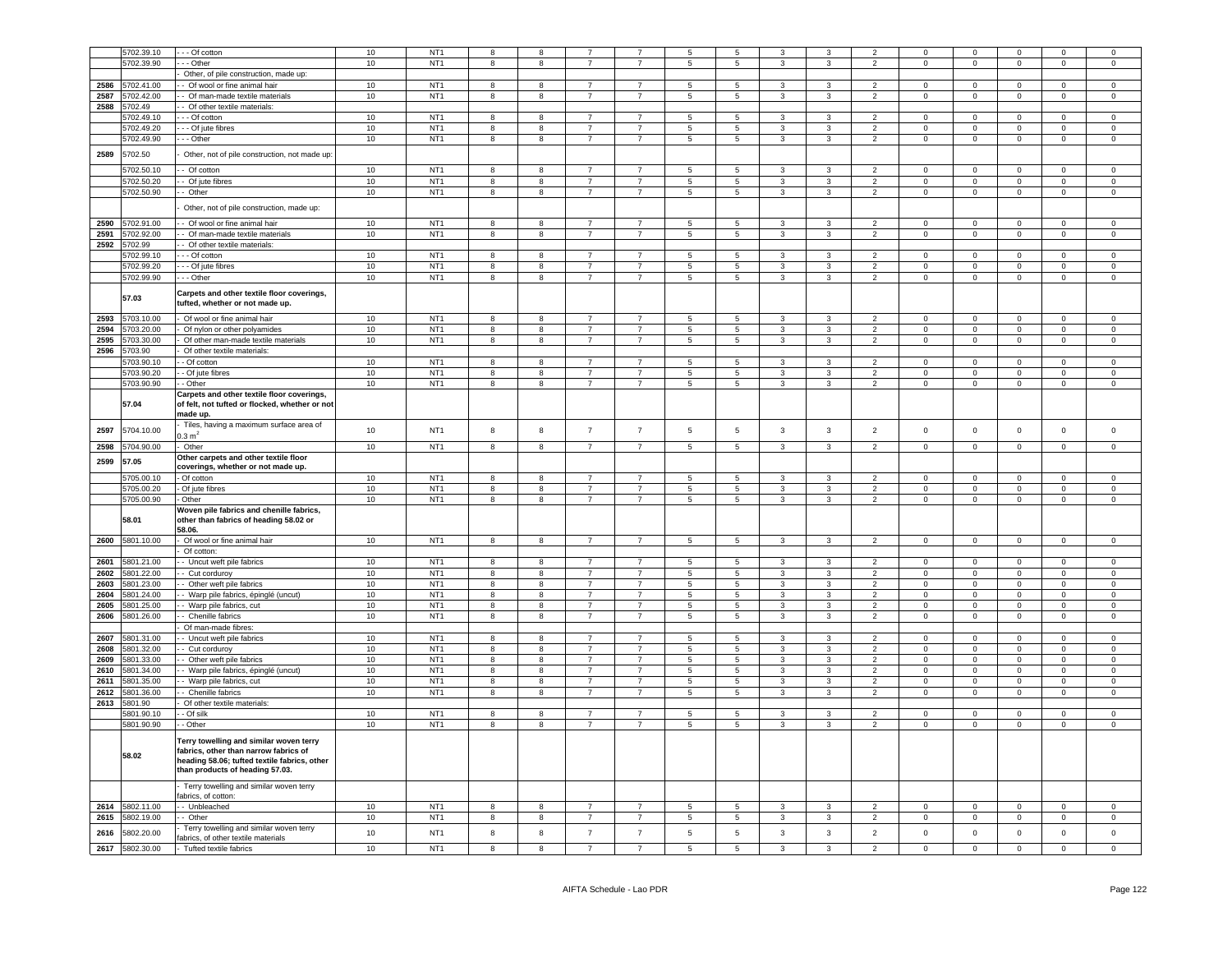|              | 5702.39.10               | - - Of cotton                                                                                                                                                       | 10       | NT <sub>1</sub>                    |                | 8              |                     |                     |                 | 5                        | 3                 |                         | $\overline{\mathbf{z}}$          | $\Omega$                | $\Omega$                | $\Omega$                |                         | $\Omega$                |
|--------------|--------------------------|---------------------------------------------------------------------------------------------------------------------------------------------------------------------|----------|------------------------------------|----------------|----------------|---------------------|---------------------|-----------------|--------------------------|-------------------|-------------------------|----------------------------------|-------------------------|-------------------------|-------------------------|-------------------------|-------------------------|
|              | 5702.39.90               | - - Other                                                                                                                                                           | 10       | NT <sub>1</sub>                    | $\mathbf{g}$   | 8              | $\overline{7}$      | $\overline{7}$      | $\overline{5}$  | 5                        | 3                 | 3                       | $\overline{2}$                   | $\mathbf 0$             | $\mathsf 0$             | $\mathsf 0$             | $\Omega$                | $\Omega$                |
|              |                          | Other, of pile construction, made up:                                                                                                                               |          |                                    |                |                |                     |                     |                 |                          |                   |                         |                                  |                         |                         |                         |                         |                         |
| 2586         | 5702.41.00               | - Of wool or fine animal hair                                                                                                                                       | 10       | NT <sub>1</sub>                    | 8              | 8              | $\overline{7}$      |                     | 5               | 5                        | $\mathbf{3}$      | 3                       | $\overline{2}$                   | $\Omega$                | $\mathsf 0$             | $\mathsf 0$             | $\Omega$                | $\mathsf 0$             |
| 2587         | 5702.42.00               | - Of man-made textile materials                                                                                                                                     | 10       | NT <sub>1</sub>                    | 8              | 8              | $\overline{7}$      | $\overline{7}$      | $5\overline{5}$ | $5\phantom{.0}$          | $\mathbf{3}$      | $\mathbf{3}$            | $\overline{2}$                   | $\Omega$                | $\mathsf{O}\xspace$     | $\mathbf 0$             | $\Omega$                | $\overline{0}$          |
| 2588         | 702.49                   | - Of other textile materials:                                                                                                                                       |          |                                    |                |                |                     |                     |                 |                          |                   |                         |                                  |                         |                         |                         |                         |                         |
|              | 5702.49.10               | - - - Of cotton                                                                                                                                                     | 10       | NT <sub>1</sub>                    | 8              | 8              |                     |                     | 5               | $\,$ 5 $\,$              | 3                 | 3                       | $\overline{2}$                   | $\mathbf 0$             | $\mathbf 0$             | $\mathbf 0$             | $\mathbf 0$             | $\mathbf 0$             |
|              | 5702.49.20               | - - - Of jute fibres                                                                                                                                                | 10       | NT <sub>1</sub>                    | 8              | 8              | $\overline{7}$      | $\overline{7}$      | 5               | $\overline{5}$           | 3                 | 3                       | $\overline{2}$                   | $\Omega$                | $\mathbf 0$             | $\mathbf 0$             | $\Omega$                | $\mathbf 0$             |
|              | 5702.49.90               | - - Other                                                                                                                                                           | 10       | NT <sub>1</sub>                    | 8              | 8              | $\overline{7}$      | $\overline{7}$      | $5\overline{5}$ | $5\phantom{.0}$          | 3                 | $\mathbf{3}$            | $\overline{2}$                   | $\mathsf{O}\xspace$     | $\mathsf 0$             | $\mathsf 0$             | $\mathbf 0$             | $\mathsf 0$             |
| 2589         | 5702.50                  | Other, not of pile construction, not made up:                                                                                                                       |          |                                    |                |                |                     |                     |                 |                          |                   |                         |                                  |                         |                         |                         |                         |                         |
|              | 5702.50.10               | - Of cotton                                                                                                                                                         | 10       | NT <sub>1</sub>                    | 8              | 8              | $\overline{7}$      | $\overline{7}$      | 5               | $5\phantom{.0}$          | 3                 | 3                       | $\overline{2}$                   | $\mathbf{0}$            | $\mathbf 0$             | $\mathbf 0$             | $\mathbf{0}$            | $\mathbf{0}$            |
|              | 5702.50.20               | - Of jute fibres                                                                                                                                                    | 10       | NT <sub>1</sub>                    | 8              | 8              | $\overline{7}$      | $\overline{7}$      | $5\phantom{.0}$ | $5\phantom{.0}$          | $\mathbf{3}$      | $\mathbf{3}$            | $\overline{2}$                   | $\mathbf 0$             | $\overline{0}$          | $\overline{0}$          | $\overline{0}$          | $\overline{0}$          |
|              | 5702.50.90               | - Other                                                                                                                                                             | 10       | NT <sub>1</sub>                    | 8              | 8              | $\overline{7}$      | $\overline{7}$      | $5\phantom{.0}$ | $\overline{5}$           | $\mathbf{3}$      | $\mathbf{3}$            | $\overline{2}$                   | $\mathsf 0$             | $\mathbf 0$             | $\mathbf 0$             | $\overline{0}$          | $\overline{0}$          |
|              |                          | Other, not of pile construction, made up:                                                                                                                           |          |                                    |                |                |                     |                     |                 |                          |                   |                         |                                  |                         |                         |                         |                         |                         |
|              |                          |                                                                                                                                                                     |          |                                    |                |                |                     |                     |                 |                          |                   |                         |                                  |                         |                         |                         |                         |                         |
| 2590         | 5702.91.00               | Of wool or fine animal hair                                                                                                                                         | 10       | NT <sub>1</sub>                    | 8              | 8              | $\overline{7}$      | $\overline{7}$      | 5               | 5                        | $\mathbf{3}$      | $\mathbf{3}$            | $\overline{2}$                   | $\mathbf 0$             | $\mathsf 0$             | $\circ$                 | $\mathbf 0$             | $\mathsf 0$             |
| 2591         | 702.92.00                | Of man-made textile materials                                                                                                                                       | 10       | NT <sub>1</sub>                    | 8              | 8              | $\overline{7}$      | $\overline{7}$      | 5               | 5                        | 3                 | $\mathbf{3}$            | $\overline{2}$                   | $\mathbf 0$             | $\mathsf 0$             | $\mathsf 0$             | $\mathbf 0$             | $\mathsf 0$             |
| 2592         | 5702.99                  | - Of other textile materials:                                                                                                                                       |          |                                    |                |                |                     |                     |                 |                          |                   |                         |                                  |                         |                         |                         |                         |                         |
|              | 702.99.10                | - - Of cotton                                                                                                                                                       | 10       | NT <sub>1</sub>                    | 8              | 8              | $\overline{7}$      | $\overline{7}$      | 5               | $\,$ 5 $\,$              | 3                 | 3                       | $\overline{2}$                   | $\mathbf 0$             | $\mathsf 0$             | $\mathbf 0$             | $\mathbf 0$             | $\mathsf 0$             |
|              | 5702.99.20               | - - Of jute fibres                                                                                                                                                  | 10       | NT <sub>1</sub>                    | 8              | 8              | $\overline{7}$      | $\overline{7}$      | 5               | 5                        | 3                 | $\mathbf{3}$            | $\overline{2}$                   | $\mathsf 0$             | $\mathsf 0$             | $\mathsf 0$             | $^{\circ}$              | $\mathsf 0$             |
|              | 5702.99.90               | - - Other                                                                                                                                                           | 10       | NT <sub>1</sub>                    | 8              | $^{\rm 8}$     | $\overline{7}$      | $\overline{7}$      | $\sqrt{5}$      | $\,$ 5 $\,$              | 3                 | $\mathbf{3}$            | $\overline{2}$                   | $\mathbf 0$             | $\mathsf{O}\xspace$     | $\mathbf 0$             | $\mathsf 0$             | $\mathsf 0$             |
|              | 57.03                    | Carpets and other textile floor coverings,<br>tufted, whether or not made up.                                                                                       |          |                                    |                |                |                     |                     |                 |                          |                   |                         |                                  |                         |                         |                         |                         |                         |
| 2593         | 5703.10.00               | Of wool or fine animal hair                                                                                                                                         | 10       | NT <sub>1</sub>                    | 8              | 8              | $\overline{7}$      | $\overline{7}$      | 5               | $\,$ 5 $\,$              | 3                 | $\overline{3}$          | 2                                | $\Omega$                | $\mathbf 0$             | $\mathbf 0$             | $\Omega$                | $\Omega$                |
| 2594         | 5703.20.00               | Of nylon or other polyamides                                                                                                                                        | 10       | NT <sub>1</sub>                    | $\overline{8}$ | $\overline{8}$ | $\overline{7}$      | $\overline{7}$      | $\overline{5}$  | $\overline{\phantom{a}}$ | $\overline{3}$    | $\overline{\mathbf{3}}$ | $\overline{2}$                   | $\overline{0}$          | $\overline{0}$          | $\overline{0}$          | $\Omega$                | $\overline{0}$          |
| 2595         | 5703.30.00               | Of other man-made textile materials                                                                                                                                 | 10       | NT <sub>1</sub>                    | 8              | 8              | $\overline{7}$      | $\overline{7}$      | $5\overline{5}$ | $\,$ 5 $\,$              | 3                 | $\mathbf{3}$            | $\overline{2}$                   | $\mathbf 0$             | $\mathsf 0$             | $\mathsf 0$             | $\mathbf 0$             | $\mathsf 0$             |
| 2596         | 5703.90                  | Of other textile materials:                                                                                                                                         |          |                                    |                |                |                     |                     |                 |                          |                   |                         |                                  |                         |                         |                         |                         |                         |
|              | 5703.90.10               | - Of cotton                                                                                                                                                         | 10       | NT <sub>1</sub>                    | 8              | 8              | $\overline{7}$      | $\overline{7}$      | 5               | 5                        | $\mathbf{3}$      | $\mathbf{3}$            | $\overline{2}$                   | $\mathbf 0$             | $\mathbf 0$             | $\mathsf 0$             | $\mathbf 0$             | $\mathbf 0$             |
|              | 5703.90.20               | - Of jute fibres                                                                                                                                                    | 10       | NT <sub>1</sub>                    | 8              | 8              | $\overline{7}$      | $\overline{7}$      | 5               | 5                        | 3                 | $\overline{3}$          | $\overline{2}$                   | $\mathbf 0$             | $\mathbf 0$             | $\mathbf 0$             | $\Omega$                | $\mathsf 0$             |
|              | 5703.90.90               | - Other                                                                                                                                                             | 10       | NT <sub>1</sub>                    | 8              | 8              | $\overline{7}$      | $\overline{7}$      | $5\overline{5}$ | 5                        | 3                 | $\mathbf{3}$            | $\overline{2}$                   | $\mathsf 0$             | $\mathsf 0$             | $\mathsf 0$             | $\mathsf 0$             | $\mathsf 0$             |
|              | 57.04                    | Carpets and other textile floor coverings,<br>of felt, not tufted or flocked, whether or not                                                                        |          |                                    |                |                |                     |                     |                 |                          |                   |                         |                                  |                         |                         |                         |                         |                         |
| 2597         | 5704.10.00               | made up.<br>Tiles, having a maximum surface area of<br>$0.3 \text{ m}^2$                                                                                            | $10$     | NT <sub>1</sub>                    | 8              | $\bf8$         | $\overline{7}$      | $\overline{7}$      | $\sqrt{5}$      | $5\phantom{.0}$          | $\mathbf{3}$      | $\mathbf{3}$            | $\overline{2}$                   | $\mathsf 0$             | $\mathsf{O}\xspace$     | $\mathsf 0$             | $\mathbf 0$             | $\mathsf 0$             |
| 2598         | 5704.90.00               | Other                                                                                                                                                               | 10       | NT <sub>1</sub>                    | 8              | 8              | $\overline{7}$      | $\overline{7}$      | $5\overline{)}$ | $\overline{5}$           | $\mathbf{3}$      | $\mathbf{3}$            | $\overline{2}$                   | $\mathbf 0$             | $\mathsf 0$             | $\overline{0}$          | $\overline{0}$          | $\mathbf 0$             |
| 2599         | 57.05                    | Other carpets and other textile floor                                                                                                                               |          |                                    |                |                |                     |                     |                 |                          |                   |                         |                                  |                         |                         |                         |                         |                         |
|              |                          | coverings, whether or not made up.                                                                                                                                  |          |                                    |                |                |                     |                     |                 |                          |                   |                         |                                  |                         |                         |                         |                         |                         |
|              | 705.00.10                | - Of cotton                                                                                                                                                         | 10       | NT <sub>1</sub>                    | 8              | 8              | 7                   | $\overline{7}$      | 5               | 5                        | 3                 | 3                       | $\overline{\mathbf{c}}$          | $\mathbf 0$             | $\mathbf 0$             | $\mathbf 0$             | $\mathbf 0$             | $\mathbf 0$             |
|              | 5705.00.20               | - Of jute fibres                                                                                                                                                    | 10       | NT <sub>1</sub>                    | 8              | $^{\rm 8}$     | $\overline{7}$      | $\overline{7}$      | 5               | $\,$ 5 $\,$              | 3                 | $\mathbf{3}$            | $\overline{2}$                   | $\mathbf 0$             | $\mathsf 0$             | $\mathbf 0$             | $\mathbf 0$             | $\mathsf 0$             |
|              | 5705.00.90               | - Other                                                                                                                                                             | 10       | NT <sub>1</sub>                    | 8              | $^{\rm 8}$     | $\overline{7}$      | $\overline{7}$      | 5               | $\,$ 5 $\,$              | 3                 | $\mathbf{3}$            | $\overline{2}$                   | $\mathbf 0$             | $\mathsf{O}\xspace$     | $\mathbf 0$             | $\mathsf 0$             | $\mathsf 0$             |
|              | 58.01                    | Woven pile fabrics and chenille fabrics,<br>other than fabrics of heading 58.02 or<br>58.06.                                                                        |          |                                    |                |                |                     |                     |                 |                          |                   |                         |                                  |                         |                         |                         |                         |                         |
| 2600         | 5801.10.00               | Of wool or fine animal hair                                                                                                                                         | 10       | NT <sub>1</sub>                    | 8              | 8              | $\overline{7}$      | $\overline{7}$      | 5               | $\,$ 5 $\,$              | $\mathbf{3}$      | $\mathbf{3}$            | $\overline{2}$                   | $\mathbf{0}$            | $\mathsf{O}\xspace$     | $\mathsf 0$             | $\mathbf 0$             | $\Omega$                |
|              |                          | Of cotton:                                                                                                                                                          |          |                                    |                |                |                     |                     |                 |                          |                   |                         |                                  |                         |                         |                         |                         |                         |
| 2601         | 5801.21.00               | - Uncut weft pile fabrics                                                                                                                                           | 10       | NT <sub>1</sub>                    | 8              | 8              | $\overline{7}$      | $\overline{7}$      | 5               | 5                        | 3                 | 3                       | $\overline{2}$                   | $\Omega$                | $\mathbf 0$             | $\mathbf 0$             | $\Omega$                | $\Omega$                |
| 2602         | 5801.22.00               | - Cut corduroy                                                                                                                                                      | 10       | NT <sub>1</sub>                    | 8              | 8              | $\overline{7}$      | $\overline{7}$      | 5               | 5                        | $\mathbf{3}$      | $\mathbf{3}$            | $\overline{2}$                   | $\mathsf 0$             | $\mathsf 0$             | $\mathbf 0$             | $\Omega$                | $\mathsf 0$             |
| 2603         | 5801.23.00               | Other weft pile fabrics                                                                                                                                             | 10       | NT <sub>1</sub>                    | 8              | 8              | $\overline{7}$      | $\overline{7}$      | 5               | 5                        | 3                 | $\overline{3}$          | $\overline{2}$                   | $\Omega$                | $\mathbf 0$             | $\mathbf 0$             | $\Omega$                | $\mathbf 0$             |
| 2604         | 5801.24.00               | - Warp pile fabrics, épinglé (uncut)                                                                                                                                | 10       | NT <sub>1</sub>                    | 8              | 8              | $\overline{7}$      | $\overline{7}$      | 5               | 5                        | $\mathbf{3}$      | $\mathbf{3}$            | $\overline{2}$                   | $\mathbf 0$             | $\mathsf 0$             | $\mathsf 0$             | $\Omega$                | $\mathsf 0$             |
| 2605         | 5801.25.00               | - Warp pile fabrics, cut                                                                                                                                            | 10       | NT <sub>1</sub>                    | 8              | 8              | $\overline{7}$      | $\overline{7}$      | 5               | 5                        | $\mathbf{3}$      | $\mathbf{3}$            | $\overline{2}$                   | $\mathbf 0$             | $\mathsf 0$             | $\mathsf 0$             | $\mathbf 0$             | $\mathsf 0$             |
| 2606         | 5801.26.00               | - Chenille fabrics                                                                                                                                                  | 10       | NT <sub>1</sub>                    | 8              | 8              | $\overline{7}$      | $\overline{7}$      | 5               | 5                        | 3                 | $\mathbf{3}$            | $\overline{2}$                   | $\mathbf 0$             | $\mathsf 0$             | $\mathsf 0$             | $\mathbf 0$             | $\mathsf 0$             |
|              |                          | Of man-made fibres:                                                                                                                                                 |          |                                    |                |                |                     |                     |                 |                          |                   |                         |                                  |                         |                         |                         |                         |                         |
| 2607         | 801.31.00                | - Uncut weft pile fabrics                                                                                                                                           | 10       | NT <sub>1</sub>                    | 8              | $\mathbf{8}$   |                     |                     | 5               | 5                        | 3                 | 3                       | $\overline{2}$                   | $\Omega$                | $\mathbf 0$             | $\Omega$                | $\Omega$                | $\Omega$                |
| 2608         | 5801.32.00               | - Cut corduroy                                                                                                                                                      | 10       | NT <sub>1</sub>                    | 8              | 8              | $\overline{7}$      | $\overline{7}$      | 5               | 5                        | $\mathbf{3}$      | $\mathbf{3}$            | $\overline{2}$                   | $\mathbf 0$             | $\mathsf 0$             | $\mathbf 0$             | $\mathbf 0$             | $\mathsf 0$             |
| 2609         | 5801.33.00               | Other weft pile fabrics                                                                                                                                             | 10       | NT <sub>1</sub>                    | 8              | 8              | $\overline{7}$      | $\overline{7}$      | 5               | 5                        | $\mathbf{3}$      | $\mathbf{3}$            | $\overline{2}$                   | $\Omega$                | $\mathsf 0$             | $\mathsf 0$             | $\Omega$                | $\mathsf 0$             |
| 2610         | 5801.34.00               | - Warp pile fabrics, épinglé (uncut)                                                                                                                                | 10       | NT <sub>1</sub>                    | 8              | 8              | $\overline{7}$      | $\overline{7}$      | 5               | 5                        | $\mathbf{3}$      | $\mathbf{3}$            | $\overline{2}$                   | $\mathbf 0$             | $\mathsf 0$             | $\mathsf 0$             | $\mathbf 0$             | $\mathsf 0$             |
| 2611         | 5801.35.00               | - Warp pile fabrics, cut                                                                                                                                            | 10       | NT <sub>1</sub>                    | 8              | 8              | $\overline{7}$      | $\overline{7}$      | 5               | 5                        | $\mathbf{3}$      | $\mathbf{3}$            | $\overline{2}$                   | $\mathsf 0$             | $\mathsf 0$             | $\mathsf 0$             | $\mathsf 0$             | $\mathsf 0$             |
| 2612         | 5801.36.00               | - Chenille fabrics                                                                                                                                                  | 10       | NT <sub>1</sub>                    | 8              | 8              | $\overline{7}$      | $\overline{7}$      | $5\overline{5}$ | $\overline{5}$           | 3                 | $\mathbf{3}$            | $\overline{2}$                   | $\mathsf 0$             | $\mathsf 0$             | $\mathsf 0$             | $\Omega$                | $\mathsf 0$             |
| 2613         | 5801.90                  | Of other textile materials:                                                                                                                                         |          |                                    |                |                |                     |                     |                 |                          |                   |                         |                                  |                         |                         |                         |                         |                         |
|              | 5801.90.10               | - Of silk                                                                                                                                                           | 10       | NT <sub>1</sub>                    | 8              | 8              | $\overline{7}$      | $\overline{7}$      | 5               | $\overline{5}$           | 3                 | 3                       | $\overline{2}$                   | $\Omega$                | $\mathbf 0$             | $\mathsf 0$             | $\Omega$                | $\mathbf 0$             |
|              | 5801.90.90               | - Other                                                                                                                                                             | 10       | NT <sub>1</sub>                    | 8              | 8              | $\overline{7}$      | $\overline{7}$      | $5\overline{5}$ | 5                        | 3                 | $\mathbf{3}$            | $\overline{2}$                   | $\mathsf 0$             | $\mathsf 0$             | $\mathsf 0$             | $\mathsf 0$             | $\mathsf{O}\xspace$     |
|              | 58.02                    | Terry towelling and similar woven terry<br>fabrics, other than narrow fabrics of<br>heading 58.06; tufted textile fabrics, other<br>than products of heading 57.03. |          |                                    |                |                |                     |                     |                 |                          |                   |                         |                                  |                         |                         |                         |                         |                         |
|              |                          | Terry towelling and similar woven terry<br>fabrics, of cotton:                                                                                                      |          |                                    |                |                |                     |                     |                 |                          |                   |                         |                                  |                         |                         |                         |                         |                         |
| 2614         | 5802.11.00               | -- Unbleached                                                                                                                                                       | 10       | NT <sub>1</sub>                    | 8              | 8              | $\overline{7}$      | $\overline{7}$      | -5              | $\,$ 5 $\,$              | 3                 | 3                       | $\overline{2}$                   | $\Omega$                | $\Omega$                | $\Omega$                | $\Omega$                | $\mathsf 0$             |
| 2615         | 5802.19.00               | - Other                                                                                                                                                             | 10       | NT <sub>1</sub>                    | 8              | $^{\rm 8}$     | $\overline{7}$      | $\overline{7}$      | $5\overline{5}$ | $\,$ 5 $\,$              | $\mathbf{3}$      | $\mathbf{3}$            | $\overline{2}$                   | $\mathsf 0$             | $\mathsf{O}\xspace$     | $\mathbf 0$             | $\mathbf 0$             | $\mathsf{O}\xspace$     |
|              |                          |                                                                                                                                                                     |          |                                    |                |                |                     |                     |                 |                          |                   |                         |                                  |                         |                         |                         |                         |                         |
| 2616<br>2617 | 5802.20.00<br>5802.30.00 | Terry towelling and similar woven terry<br>fabrics, of other textile materials<br>- Tufted textile fabrics                                                          | 10<br>10 | NT <sub>1</sub><br>NT <sub>1</sub> | 8              | 8<br>8         | $\overline{7}$<br>7 | $\overline{7}$<br>7 | 5<br>5.         | $\,$ 5 $\,$<br>5         | $\mathbf{3}$<br>3 | $\mathbf{3}$<br>3       | $\overline{2}$<br>$\overline{2}$ | $\mathsf 0$<br>$\Omega$ | $\mathsf 0$<br>$\Omega$ | $\mathsf 0$<br>$\Omega$ | $\mathsf 0$<br>$\Omega$ | $\mathsf 0$<br>$\Omega$ |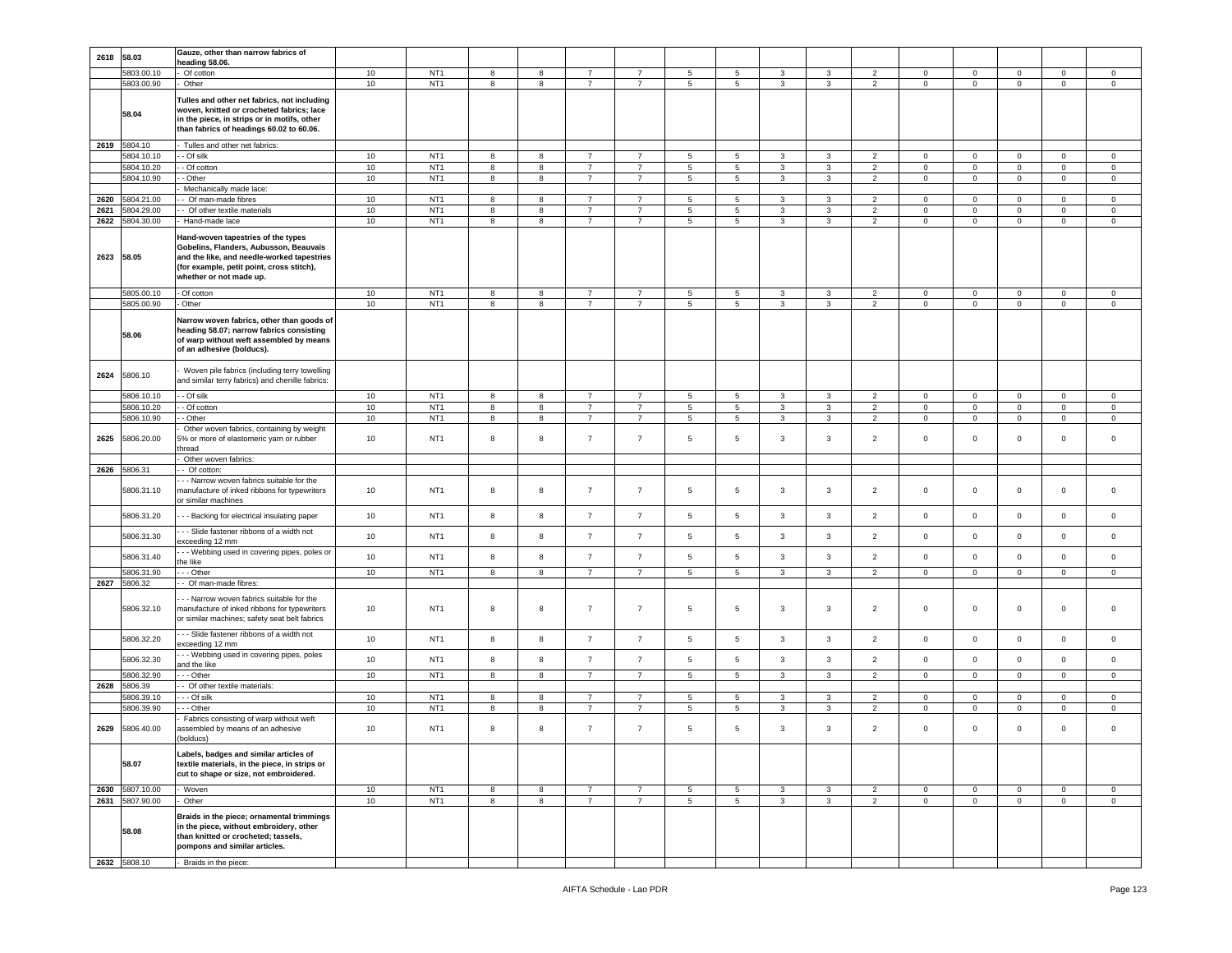|      | 2618 58.03               | Gauze, other than narrow fabrics of<br>heading 58.06.                                                                                                                                              |          |                                    |            |        |                                  |                                  |                     |                 |                   |              |                                  |                            |                            |                            |                            |                            |
|------|--------------------------|----------------------------------------------------------------------------------------------------------------------------------------------------------------------------------------------------|----------|------------------------------------|------------|--------|----------------------------------|----------------------------------|---------------------|-----------------|-------------------|--------------|----------------------------------|----------------------------|----------------------------|----------------------------|----------------------------|----------------------------|
|      | 5803.00.10               | Of cotton                                                                                                                                                                                          | 10       | NT <sub>1</sub>                    | 8          | 8      | $\overline{7}$                   | $\overline{7}$                   | 5                   | 5               | 3                 | 3            | 2                                | $\mathbf 0$                | $\mathbf 0$                | $\mathbf 0$                | $\mathbf 0$                | $\mathbf 0$                |
|      | 5803.00.90<br>58.04      | Other<br>Tulles and other net fabrics, not including<br>woven, knitted or crocheted fabrics; lace<br>in the piece, in strips or in motifs, other<br>than fabrics of headings 60.02 to 60.06.       | 10       | NT <sub>1</sub>                    | 8          | 8      | $\overline{7}$                   | $\overline{7}$                   | 5                   | $\sqrt{5}$      | $\mathbf{3}$      | $\mathbf{3}$ | $\overline{2}$                   | $\mathsf{O}\xspace$        | $\mathbf 0$                | $\mathbf 0$                | $\mathsf 0$                | $\mathsf{O}\xspace$        |
|      | 2619 5804.10             | Tulles and other net fabrics:                                                                                                                                                                      |          |                                    |            |        |                                  |                                  |                     |                 |                   |              |                                  |                            |                            |                            |                            |                            |
|      | 5804.10.10               | - Of silk                                                                                                                                                                                          | 10       | NT <sub>1</sub>                    | 8          | 8      | $\overline{7}$                   | $\overline{7}$                   | 5                   | 5               | 3                 | 3            | 2                                | $\mathbf 0$                | $\mathbf 0$                | $\mathbf 0$                | $\mathbf 0$                | 0                          |
|      | 5804.10.20               | - Of cotton                                                                                                                                                                                        | 10       | NT <sub>1</sub><br>NT <sub>1</sub> | 8          | 8      | $\overline{7}$                   | $\overline{7}$                   | $\,$ 5 $\,$         | $\sqrt{5}$      | $\mathbf{3}$      | 3            | $\overline{2}$                   | $\mathbf 0$                | $\mathbf 0$                | $\mathsf 0$                | $\mathsf 0$                | $\mathsf 0$                |
|      | 5804.10.90               | - Other<br>Mechanically made lace:                                                                                                                                                                 | 10       |                                    | 8          | 8      | $\overline{7}$                   | $\overline{7}$                   | 5                   | 5               | 3                 | 3            | $\overline{2}$                   | $\mathbf 0$                | $\mathbf 0$                | $\mathbf 0$                | $\mathbf 0$                | $\mathbf 0$                |
| 2620 | 5804.21.00               | - Of man-made fibres                                                                                                                                                                               | 10       | NT <sub>1</sub>                    | 8          | 8      | $\overline{7}$                   | $\overline{7}$                   | 5                   | 5               | 3                 | 3            | 2                                | $\overline{0}$             | $\overline{0}$             | $\mathbf 0$                | $\circ$                    | $\mathbf 0$                |
| 2621 | 5804.29.00               | - Of other textile materials                                                                                                                                                                       | 10       | NT <sub>1</sub>                    | 8          | 8      | $\overline{7}$                   | $\overline{7}$                   | 5                   | 5               | 3                 | 3            | $\overline{2}$                   | $\mathbf 0$                | $\mathbf 0$                | $\mathbf 0$                | $\mathbf 0$                | $\mathbf 0$                |
| 2622 | 5804.30.00               | Hand-made lace                                                                                                                                                                                     | 10       | NT <sub>1</sub>                    | 8          | 8      | 7                                | $\overline{7}$                   | 5                   | 5               | 3                 | 3            | $\overline{2}$                   | $\mathbf 0$                | $\mathbf 0$                | $\mathbf 0$                | 0                          | $\mathbf 0$                |
| 2623 | 58.05                    | Hand-woven tapestries of the types<br>Gobelins, Flanders, Aubusson, Beauvais<br>and the like, and needle-worked tapestries<br>(for example, petit point, cross stitch),<br>whether or not made up. |          |                                    |            |        |                                  |                                  |                     |                 |                   |              |                                  |                            |                            |                            |                            |                            |
|      | 5805.00.10<br>5805.00.90 | - Of cotton<br>Other                                                                                                                                                                               | 10<br>10 | NT <sub>1</sub><br>NT <sub>1</sub> | 8<br>8     | 8<br>8 | $\overline{7}$<br>$\overline{7}$ | $\overline{7}$<br>$\overline{7}$ | $\overline{5}$<br>5 | 5<br>5          | $\mathbf{3}$<br>3 | 3<br>3       | $\overline{2}$<br>$\overline{2}$ | $\mathbf 0$<br>$\mathbf 0$ | $\mathbf 0$<br>$\mathbf 0$ | $\mathsf 0$<br>$\mathbf 0$ | $\mathbf 0$<br>$\mathbf 0$ | $\mathbf 0$<br>$\mathbf 0$ |
|      | 58.06                    | Narrow woven fabrics, other than goods of<br>heading 58.07; narrow fabrics consisting<br>of warp without weft assembled by means<br>of an adhesive (bolducs).                                      |          |                                    |            |        |                                  |                                  |                     |                 |                   |              |                                  |                            |                            |                            |                            |                            |
| 2624 | 5806.10                  | Woven pile fabrics (including terry towelling<br>and similar terry fabrics) and chenille fabrics:                                                                                                  |          |                                    |            |        |                                  |                                  |                     |                 |                   |              |                                  |                            |                            |                            |                            |                            |
|      | 5806.10.10               | - Of silk                                                                                                                                                                                          | 10       | NT <sub>1</sub>                    | $^{\rm 8}$ | 8      | $\overline{7}$                   | $\overline{7}$                   | $\,$ 5 $\,$         | $\sqrt{5}$      | $\mathbf{3}$      | $\mathbf{3}$ | $\overline{2}$                   | $\mathbb O$                | $\mathbf 0$                | $\mathbf 0$                | $\mathbf 0$                | $\mathsf 0$                |
|      | 5806.10.20               | - Of cotton                                                                                                                                                                                        | 10       | NT <sub>1</sub>                    | 8          | 8      | $\overline{7}$                   | $\overline{7}$                   | 5                   | 5               | 3                 | 3            | $\overline{2}$                   | $\mathbf 0$                | $\mathbf 0$                | $\mathsf 0$                | $\circ$                    | $\mathbf 0$                |
|      | 5806.10.90               | - Other                                                                                                                                                                                            | 10       | NT <sub>1</sub>                    | 8          | 8      | 7                                | $\overline{7}$                   | 5                   | 5               | 3                 | 3            | $\overline{2}$                   | $\mathbf{0}$               | $\mathbf 0$                | $\mathbf 0$                | $\mathbf 0$                | $\mathbf{0}$               |
| 2625 | 5806.20.00               | Other woven fabrics, containing by weight<br>5% or more of elastomeric yarn or rubber<br>thread                                                                                                    | 10       | NT <sub>1</sub>                    | 8          | 8      | $\overline{7}$                   | $\overline{7}$                   | 5                   | $\sqrt{5}$      | 3                 | 3            | $\overline{2}$                   | $\,0\,$                    | $\mathsf 0$                | $\mathbf 0$                | 0                          | $\mathbf 0$                |
|      |                          | Other woven fabrics:<br>- Of cotton:                                                                                                                                                               |          |                                    |            |        |                                  |                                  |                     |                 |                   |              |                                  |                            |                            |                            |                            |                            |
| 2626 | 5806.31<br>5806.31.10    | - - Narrow woven fabrics suitable for the<br>manufacture of inked ribbons for typewriters<br>or similar machines                                                                                   | 10       | NT <sub>1</sub>                    | 8          | 8      | $\overline{7}$                   | $\overline{7}$                   | 5                   | 5               | 3                 | 3            | $\overline{2}$                   | $\circ$                    | 0                          | $\mathbf 0$                | 0                          | $\mathbf 0$                |
|      | 5806.31.20               | - - Backing for electrical insulating paper                                                                                                                                                        | 10       | NT <sub>1</sub>                    | 8          | 8      | $\overline{7}$                   | $\overline{7}$                   | 5                   | 5               | 3                 | 3            | $\overline{2}$                   | $\mathbf 0$                | $\mathbf 0$                | $\mathsf 0$                | $\mathbf 0$                | $\mathbf 0$                |
|      | 5806.31.30               | - - Slide fastener ribbons of a width not<br>exceeding 12 mm                                                                                                                                       | 10       | NT <sub>1</sub>                    | 8          | 8      | $\overline{7}$                   | $\overline{7}$                   | $5\phantom{.0}$     | $\sqrt{5}$      | $\mathbf{3}$      | $\mathbf{3}$ | $\overline{2}$                   | $\,0\,$                    | $\mathbf 0$                | $\mathbf 0$                | $\mathbf 0$                | $\circ$                    |
|      | 5806.31.40               | - - Webbing used in covering pipes, poles or<br>the like                                                                                                                                           | 10       | NT <sub>1</sub>                    | 8          | 8      | $\overline{7}$                   | $\overline{7}$                   | 5                   | 5               | 3                 | 3            | $\overline{2}$                   | $\mathbf 0$                | $\mathbf 0$                | $\mathbf 0$                | $\mathbf{0}$               | $\mathbf 0$                |
|      | 5806.31.90               | - - Other                                                                                                                                                                                          | 10       | NT <sub>1</sub>                    | 8          | 8      | $\overline{7}$                   | $\overline{7}$                   | $5\overline{5}$     | 5               | 3                 | 3            | $\overline{2}$                   | $\overline{0}$             | $\overline{0}$             | $\mathbf 0$                | $\circ$                    | $\circ$                    |
| 2627 | 5806.32                  | - Of man-made fibres:                                                                                                                                                                              |          |                                    |            |        |                                  |                                  |                     |                 |                   |              |                                  |                            |                            |                            |                            |                            |
|      | 5806.32.10               | - - Narrow woven fabrics suitable for the<br>manufacture of inked ribbons for typewriters<br>or similar machines; safety seat belt fabrics                                                         | 10       | NT <sub>1</sub>                    | 8          | 8      | $\overline{7}$                   | $\overline{7}$                   | 5                   | 5               | 3                 | 3            | $\overline{2}$                   | $\mathbf 0$                | $\mathbf 0$                | $\mathbf 0$                | 0                          | $\mathbf 0$                |
|      | 5806.32.20               | - - Slide fastener ribbons of a width not<br>exceeding 12 mm                                                                                                                                       | 10       | NT <sub>1</sub>                    | 8          | 8      | $\overline{7}$                   | $\overline{7}$                   | $\overline{5}$      | 5               | 3                 | 3            | $\overline{2}$                   | $\,0\,$                    | $\mathbf 0$                | $\mathbf 0$                | $\mathbf 0$                | $\mathbf 0$                |
|      | 5806.32.30               | - - Webbing used in covering pipes, poles<br>and the like                                                                                                                                          | 10       | NT <sub>1</sub>                    | 8          | 8      | $\overline{7}$                   | $\overline{7}$                   | 5                   | $\sqrt{5}$      | 3                 | 3            | $\overline{2}$                   | $\mathbf 0$                | $\mathbf 0$                | $\mathbf 0$                | $\circ$                    | $\mathbf 0$                |
|      | 5806.32.90               | - - Other                                                                                                                                                                                          | 10       | NT <sub>1</sub>                    | 8          | 8      | $\overline{7}$                   | $\overline{7}$                   | $5\overline{5}$     | 5               | $\mathbf{3}$      | 3            | $\overline{2}$                   | $\circ$                    | $\circ$                    | $\mathsf 0$                | $\overline{0}$             | $\mathbf{0}$               |
| 2628 | 5806.39                  | - Of other textile materials:                                                                                                                                                                      |          |                                    |            |        |                                  |                                  |                     |                 |                   |              |                                  |                            |                            |                            |                            |                            |
|      | 5806.39.10               | - - Of silk                                                                                                                                                                                        | 10       | NT <sub>1</sub>                    | 8          | 8      | 7                                | $\overline{7}$                   | 5                   | 5               | 3                 | 3            | 2                                | $\mathbf 0$                | $\mathbf 0$                | $\mathbf 0$                | $\mathbf 0$                | $\circ$                    |
|      | 5806.39.90               | - - Other<br>Fabrics consisting of warp without weft                                                                                                                                               | 10       | NT <sub>1</sub>                    | 8          | 8      | $\overline{7}$                   | $\overline{7}$                   | 5                   | 5               | 3                 | 3            | $\overline{2}$                   | $\mathbf 0$                | $\mathbf 0$                | $\mathbf 0$                | $\mathbf 0$                | $\mathbf 0$                |
| 2629 | 5806.40.00               | assembled by means of an adhesive<br>(bolducs)                                                                                                                                                     | 10       | NT <sub>1</sub>                    | 8          | 8      | $\overline{7}$                   | $\overline{7}$                   | 5                   | 5               | 3                 | 3            | 2                                | $\mathbf 0$                | $\mathbf 0$                | $\mathbf 0$                | $\mathbf 0$                | $\mathbf 0$                |
|      | 58.07                    | Labels, badges and similar articles of<br>textile materials, in the piece, in strips or<br>cut to shape or size, not embroidered.                                                                  |          |                                    |            |        |                                  |                                  |                     |                 |                   |              |                                  |                            |                            |                            |                            |                            |
|      | 2630 5807.10.00          | Woven                                                                                                                                                                                              | 10       | NT <sub>1</sub>                    | 8          | 8      | $\overline{7}$                   | $\overline{7}$                   | $5\phantom{.0}$     | $5\phantom{.0}$ | 3                 | 3            | $\overline{2}$                   | $\mathbf 0$                | $\overline{0}$             | $\mathbf 0$                | $\mathbf{0}$               | $\mathbf 0$                |
|      | 2631 5807.90.00<br>58.08 | Other<br>Braids in the piece; ornamental trimmings<br>in the piece, without embroidery, other<br>than knitted or crocheted; tassels,<br>pompons and similar articles.                              | 10       | NT <sub>1</sub>                    | 8          | 8      | $\overline{7}$                   | $\overline{7}$                   | $5\phantom{.0}$     | $5\phantom{.0}$ | 3                 | 3            | $\overline{2}$                   | $\overline{0}$             | $\overline{0}$             | $\mathbf 0$                | $\mathbf{0}$               | $\circ$                    |
|      | 2632 5808.10             | - Braids in the piece:                                                                                                                                                                             |          |                                    |            |        |                                  |                                  |                     |                 |                   |              |                                  |                            |                            |                            |                            |                            |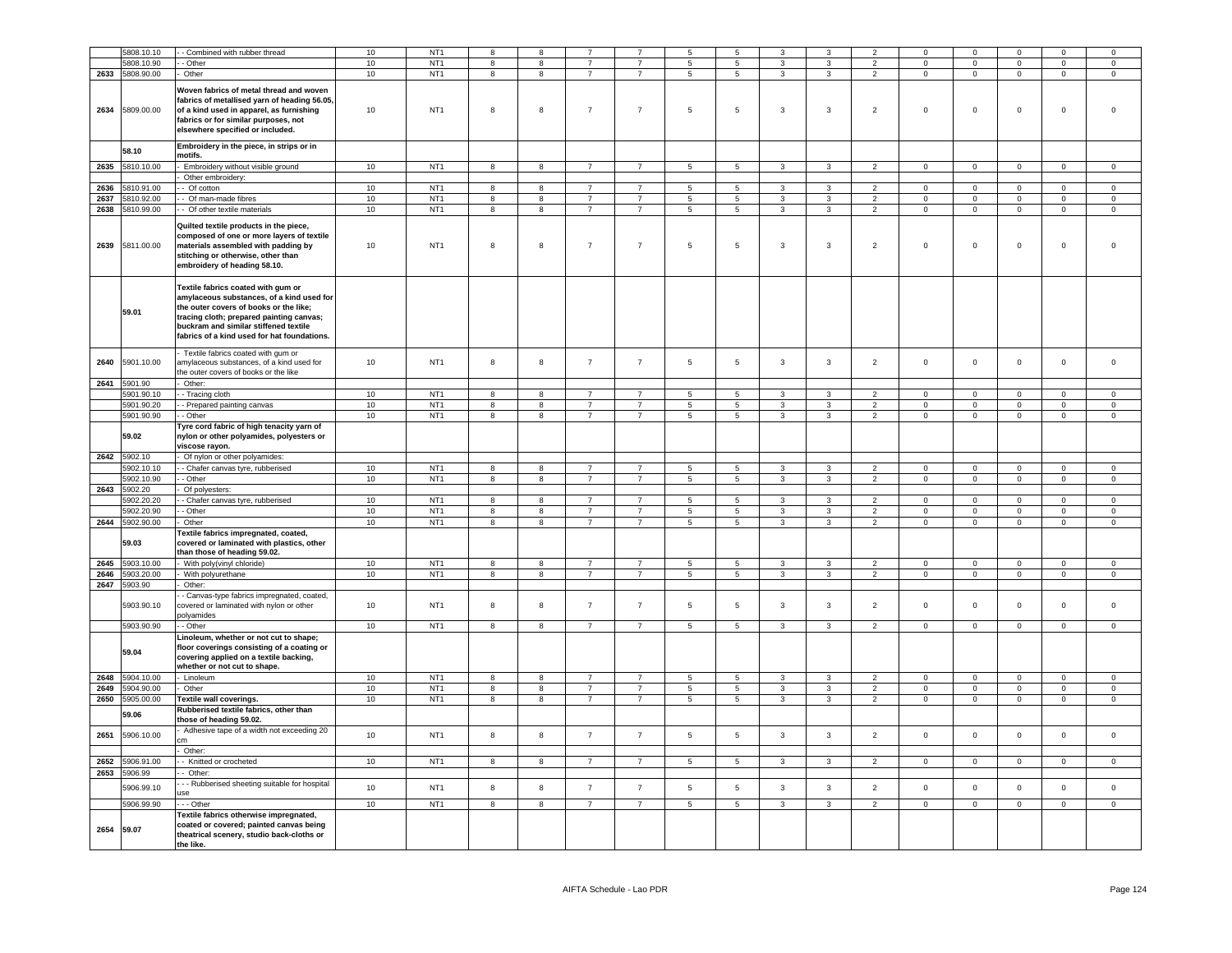|      | 5808.10.10               | Combined with rubber thread                                                                                                                                                                                                                                   | $10$ | NT <sub>1</sub> | 8                       | 8                       |                |                | 5               | 5               | 3                       | 3              | $\overline{2}$ | $\mathsf 0$    | $\mathbf 0$    | $\mathsf 0$         | $\overline{0}$ | $\Omega$            |
|------|--------------------------|---------------------------------------------------------------------------------------------------------------------------------------------------------------------------------------------------------------------------------------------------------------|------|-----------------|-------------------------|-------------------------|----------------|----------------|-----------------|-----------------|-------------------------|----------------|----------------|----------------|----------------|---------------------|----------------|---------------------|
|      | 5808.10.90               | - Other                                                                                                                                                                                                                                                       | $10$ | NT <sub>1</sub> | 8                       | 8                       | $\overline{7}$ | $\overline{7}$ | $\sqrt{5}$      | $\,$ 5 $\,$     | 3                       | 3              | $\overline{2}$ | $\mathbf{0}$   | $\mathsf 0$    | $\mathsf{O}\xspace$ | $\mathsf 0$    | $\mathbf 0$         |
| 2633 | 5808.90.00               | Other                                                                                                                                                                                                                                                         | $10$ | NT <sub>1</sub> | 8                       | 8                       | $\overline{7}$ | $\overline{7}$ | $\overline{5}$  | 5               | 3                       | 3              | $\overline{2}$ | $\mathbf 0$    | $\overline{0}$ | $\mathsf 0$         | $\mathbf 0$    | $\mathbf 0$         |
| 2634 | 5809.00.00               | Woven fabrics of metal thread and woven<br>fabrics of metallised yarn of heading 56.05,<br>of a kind used in apparel, as furnishing<br>fabrics or for similar purposes, not<br>elsewhere specified or included.                                               | 10   | NT <sub>1</sub> | 8                       | $^{\rm 8}$              | $\overline{7}$ | $\overline{7}$ | 5               | 5               | $\mathbf{3}$            | 3              | $\overline{2}$ | $\mathsf 0$    | $\mathsf 0$    | $\mathsf 0$         | $\mathbf 0$    | $\mathbf 0$         |
|      | 58.10                    | Embroidery in the piece, in strips or in<br>motifs.                                                                                                                                                                                                           |      |                 |                         |                         |                |                |                 |                 |                         |                |                |                |                |                     |                |                     |
| 2635 | 5810.10.00               | Embroidery without visible ground                                                                                                                                                                                                                             | 10   | NT <sub>1</sub> | 8                       | 8                       | $\overline{7}$ | $\overline{7}$ | $\sqrt{5}$      | 5               | $\mathbf{3}$            | $\mathbf{3}$   | $\overline{2}$ | $\mathbf 0$    | $\mathbf 0$    | $\mathbf 0$         | $\mathsf 0$    | $\mathbf 0$         |
|      |                          | Other embroidery:                                                                                                                                                                                                                                             |      |                 |                         |                         |                |                |                 |                 |                         |                |                |                |                |                     |                |                     |
| 2636 | 810.91.00                | Of cotton                                                                                                                                                                                                                                                     | 10   | NT <sub>1</sub> | 8                       | 8                       | $\overline{7}$ | $\overline{7}$ | 5               | 5               | 3                       | 3              | $\overline{2}$ | $\mathsf 0$    | $\mathbf 0$    | $\mathsf 0$         | $\,0\,$        | $\mathbf 0$         |
|      |                          |                                                                                                                                                                                                                                                               | 10   | NT <sub>1</sub> |                         |                         | $\overline{7}$ |                |                 |                 |                         |                | $\overline{2}$ |                |                |                     |                |                     |
| 2637 | 5810.92.00               | Of man-made fibres                                                                                                                                                                                                                                            |      |                 | 8                       | 8                       |                | $\overline{7}$ | 5               | 5               | 3                       | 3              |                | $\mathbf 0$    | $\mathsf 0$    | $\mathsf 0$         | $\mathbf 0$    | $\mathbf 0$         |
| 2638 | 5810.99.00               | - Of other textile materials                                                                                                                                                                                                                                  | 10   | NT <sub>1</sub> | 8                       | 8                       | $\overline{7}$ | $\overline{7}$ | 5               | 5               | 3                       | 3              | $\overline{2}$ | $\mathbf 0$    | $\mathbf 0$    | $\mathsf 0$         | $\mathbf 0$    | $\mathbf 0$         |
| 2639 | 5811.00.00               | Quilted textile products in the piece,<br>composed of one or more layers of textile<br>materials assembled with padding by<br>stitching or otherwise, other than<br>embroidery of heading 58.10.                                                              | $10$ | NT <sub>1</sub> | 8                       | 8                       | $\overline{7}$ | $\overline{7}$ | 5               | $\,$ 5 $\,$     | 3                       | $\mathbf 3$    | $\overline{2}$ | $\mathbf 0$    | $\mathbf 0$    | $\mathbf 0$         | $\,0\,$        | $\Omega$            |
|      | 59.01                    | Textile fabrics coated with gum or<br>amylaceous substances, of a kind used for<br>the outer covers of books or the like;<br>tracing cloth; prepared painting canvas;<br>buckram and similar stiffened textile<br>fabrics of a kind used for hat foundations. |      |                 |                         |                         |                |                |                 |                 |                         |                |                |                |                |                     |                |                     |
| 2640 | 5901.10.00               | Textile fabrics coated with gum or<br>amylaceous substances, of a kind used for<br>the outer covers of books or the like                                                                                                                                      | 10   | NT <sub>1</sub> | 8                       | 8                       | $\overline{7}$ | $\overline{7}$ | 5               | 5               | $\mathbf{3}$            | 3              | $\overline{2}$ | $\mathbf 0$    | $\mathbf 0$    | $\mathsf 0$         | $\mathbf 0$    | $\mathsf{O}\xspace$ |
|      | 2641 5901.90             | Other:                                                                                                                                                                                                                                                        |      |                 |                         |                         |                |                |                 |                 |                         |                |                |                |                |                     |                |                     |
|      | 5901.90.10               | - Tracing cloth                                                                                                                                                                                                                                               | 10   | NT <sub>1</sub> | 8                       | 8                       | $\overline{7}$ | $\overline{7}$ | $5\phantom{.0}$ | 5               | 3                       | 3              | $\overline{2}$ | $\mathbf 0$    | $\mathbf 0$    | $\mathbf 0$         | $\overline{0}$ | $\Omega$            |
|      | 5901.90.20               | - Prepared painting canvas                                                                                                                                                                                                                                    | 10   | NT <sub>1</sub> | 8                       | 8                       | $\overline{7}$ | $\overline{7}$ | $5\phantom{.0}$ | 5               | $\mathbf{3}$            | 3              | $\overline{2}$ | $\mathbf{0}$   | $\overline{0}$ | $\mathbf 0$         | $\overline{0}$ | $\circ$             |
|      |                          |                                                                                                                                                                                                                                                               |      |                 |                         |                         |                |                |                 |                 |                         |                |                |                |                |                     |                |                     |
|      | 5901.90.90               | - Other                                                                                                                                                                                                                                                       | 10   | NT <sub>1</sub> | 8                       | 8                       | $\overline{7}$ | $\overline{7}$ | $5\overline{5}$ | $5\overline{)}$ | $\mathbf{3}$            | 3              | $\overline{2}$ | $\overline{0}$ | $\overline{0}$ | $\mathbf 0$         | $\overline{0}$ | $\overline{0}$      |
|      | 59.02                    | Tyre cord fabric of high tenacity yarn of<br>nylon or other polyamides, polyesters or<br>viscose rayon.                                                                                                                                                       |      |                 |                         |                         |                |                |                 |                 |                         |                |                |                |                |                     |                |                     |
| 2642 | 5902.10                  | Of nylon or other polyamides:                                                                                                                                                                                                                                 |      |                 |                         |                         |                |                |                 |                 |                         |                |                |                |                |                     |                |                     |
|      | 902.10.10                | Chafer canvas tyre, rubberised                                                                                                                                                                                                                                | 10   | NT <sub>1</sub> | 8                       | 8                       |                | $\overline{7}$ | 5               | 5               | 3                       | 3              | $\overline{2}$ | $\mathbf 0$    | $\mathbf 0$    | $\mathbf 0$         | $\mathbf 0$    | $\mathsf 0$         |
|      | 5902.10.90               | Other                                                                                                                                                                                                                                                         | 10   | NT <sub>1</sub> | 8                       | 8                       | $\overline{7}$ | $\overline{7}$ | $\overline{5}$  | 5               | 3                       | 3              | $\overline{2}$ | $\mathbf 0$    | $\circ$        | $\mathsf 0$         | $\circ$        | $\mathbf 0$         |
| 2643 | 5902.20                  | Of polyesters:                                                                                                                                                                                                                                                |      |                 |                         |                         |                |                |                 |                 |                         |                |                |                |                |                     |                |                     |
|      | 5902.20.20               |                                                                                                                                                                                                                                                               | 10   | NT <sub>1</sub> | 8                       | 8                       | $\overline{7}$ | $\overline{7}$ | $5\phantom{.0}$ | 5               | 3                       | 3              | $\overline{2}$ | $\mathbf 0$    | $\mathbf 0$    | $\mathbf 0$         | $\circ$        | $\mathbf 0$         |
|      |                          | Chafer canvas tyre, rubberised                                                                                                                                                                                                                                |      |                 |                         |                         |                |                |                 |                 |                         |                |                |                |                |                     |                |                     |
|      | 5902.20.90               | - Other                                                                                                                                                                                                                                                       | 10   | NT <sub>1</sub> | 8                       | 8                       | $\overline{7}$ | $\overline{7}$ | $\,$ 5 $\,$     | 5               | 3                       | 3              | $\overline{2}$ | $\mathbf 0$    | $\mathsf 0$    | $\mathsf 0$         | $\mathbf 0$    | $\mathbf 0$         |
|      | 2644 5902.90.00<br>59.03 | Other<br>Textile fabrics impregnated, coated,<br>covered or laminated with plastics, other<br>than those of heading 59.02.                                                                                                                                    | 10   | NT <sub>1</sub> | 8                       | $\bf8$                  | $\overline{7}$ | $\overline{7}$ | $\sqrt{5}$      | 5               | 3                       | 3              | $\overline{2}$ | $\mathbf 0$    | $\mathbf{0}$   | $\mathsf 0$         | $\circ$        | $\mathbf 0$         |
| 2645 | 5903.10.00               | With poly(vinyl chloride)                                                                                                                                                                                                                                     | 10   | NT <sub>1</sub> | $\bf8$                  | 8                       | $\overline{7}$ | $\overline{7}$ | $\,$ 5 $\,$     | 5               | $\overline{3}$          | 3              | $\overline{2}$ | $\mathsf 0$    | $\overline{0}$ | $\mathsf{O}\xspace$ | $\mathbf 0$    | $\mathbf 0$         |
| 2646 | 5903.20.00               | With polyurethane                                                                                                                                                                                                                                             | 10   | NT <sub>1</sub> | $\overline{\mathbf{8}}$ | $\overline{\mathbf{8}}$ | $\overline{7}$ | $\overline{7}$ | $\overline{5}$  | $\overline{5}$  | $\overline{\mathbf{3}}$ | $\overline{3}$ | $\overline{2}$ | $\mathbf 0$    | $\overline{0}$ | $\overline{0}$      | $\overline{0}$ | $\mathbf 0$         |
| 2647 | 5903.90                  | Other:                                                                                                                                                                                                                                                        |      |                 |                         |                         |                |                |                 |                 |                         |                |                |                |                |                     |                |                     |
|      | 5903.90.10               | - Canvas-type fabrics impregnated, coated,<br>covered or laminated with nylon or other<br>polyamides                                                                                                                                                          | $10$ | NT <sub>1</sub> | 8                       | $^{\rm 8}$              | $\overline{7}$ | $\overline{7}$ | 5               | 5               | $\mathbf{3}$            | 3              | $\overline{2}$ | $\mathsf 0$    | $\mathsf 0$    | $\mathsf 0$         | $\mathbf 0$    | $\Omega$            |
|      | 5903.90.90               | - Other                                                                                                                                                                                                                                                       | 10   | NT <sub>1</sub> | 8                       | 8                       | $\overline{7}$ | $\overline{7}$ | 5               | 5               | $\mathbf{3}$            | 3              | $\overline{2}$ | $\mathbf 0$    | $\mathbf{0}$   | $\mathbf 0$         | $\mathbf{0}$   | $\mathbf 0$         |
|      | 59.04                    | Linoleum, whether or not cut to shape;<br>loor coverings consisting of a coating or<br>covering applied on a textile backing,<br>whether or not cut to shape.                                                                                                 |      |                 |                         |                         |                |                |                 |                 |                         |                |                |                |                |                     |                |                     |
| 2648 | 5904.10.00               | Linoleum                                                                                                                                                                                                                                                      | 10   | NT <sub>1</sub> | 8                       | 8                       | $\overline{7}$ | $\overline{7}$ | 5               | 5               | $\mathbf{3}$            | 3              | $\overline{2}$ | $\mathbf 0$    | $\mathsf 0$    | $\mathsf 0$         | $\mathbf 0$    | $\mathbf 0$         |
| 2649 | 5904.90.00               | Other                                                                                                                                                                                                                                                         | 10   | NT <sub>1</sub> | 8                       | $^{\rm 8}$              | $\overline{7}$ | $\overline{7}$ | $\,$ 5 $\,$     | 5               | $_{\rm 3}$              | $\mathbf{3}$   | $\overline{2}$ | $\mathbf 0$    | $\mathsf 0$    | $\mathsf{O}\xspace$ | $\mathbb O$    | $\mathsf{O}\xspace$ |
| 2650 | 5905.00.00               | Textile wall coverings.                                                                                                                                                                                                                                       | 10   | NT <sub>1</sub> | 8                       | 8                       | $\overline{7}$ | $\overline{7}$ | $5\phantom{.0}$ | 5               | 3                       | 3              | $\overline{2}$ | $\mathbf 0$    | $\circ$        | $\mathsf 0$         | $\circ$        | $\mathbf 0$         |
|      |                          | Rubberised textile fabrics, other than                                                                                                                                                                                                                        |      |                 |                         |                         |                |                |                 |                 |                         |                |                |                |                |                     |                |                     |
|      | 59.06                    | hose of heading 59.02.<br>Adhesive tape of a width not exceeding 20                                                                                                                                                                                           |      |                 |                         |                         |                |                |                 |                 |                         |                |                |                |                |                     |                |                     |
| 2651 | 5906.10.00               | m<br>Other:                                                                                                                                                                                                                                                   | 10   | NT <sub>1</sub> | 8                       | 8                       | $\overline{7}$ | $\overline{7}$ | $\sqrt{5}$      | 5               | $\mathbf{3}$            | 3              | $\overline{2}$ | $\mathbf{0}$   | $\mathbf 0$    | $\mathsf 0$         | $\mathbf 0$    | $\mathbf 0$         |
| 2652 | 5906.91.00               | - Knitted or crocheted                                                                                                                                                                                                                                        | 10   | NT <sub>1</sub> | $\overline{8}$          | $\overline{8}$          | $\overline{7}$ | $\overline{7}$ | $\overline{5}$  | $\overline{5}$  | $\overline{3}$          | $\overline{3}$ | $\overline{2}$ | $\Omega$       | $\overline{0}$ | $\overline{0}$      | $\overline{0}$ | $\Omega$            |
| 2653 | 5906.99                  | - Other:                                                                                                                                                                                                                                                      |      |                 |                         |                         |                |                |                 |                 |                         |                |                |                |                |                     |                |                     |
|      | 5906.99.10               | - Rubberised sheeting suitable for hospital<br>ise                                                                                                                                                                                                            | 10   | NT <sub>1</sub> | 8                       | 8                       | $\overline{7}$ | $\overline{7}$ | $\sqrt{5}$      | 5               | $\mathbf{3}$            | $\mathbf{3}$   | $\overline{2}$ | $\mathbf 0$    | $\mathbf 0$    | $\mathsf 0$         | $\mathbf 0$    | $\circ$             |
|      | 5906.99.90               | - - Other                                                                                                                                                                                                                                                     | 10   | NT <sub>1</sub> | 8                       | 8                       | $\overline{7}$ | $\overline{7}$ | $5\overline{5}$ | $5\phantom{.0}$ | $\mathbf{3}$            | $\mathbf{3}$   | $\overline{2}$ | $\mathbf{0}$   | $\overline{0}$ | $\mathbf 0$         | $\overline{0}$ | $\circ$             |
| 2654 | 59.07                    | Textile fabrics otherwise impregnated,<br>coated or covered; painted canvas being<br>theatrical scenery, studio back-cloths or<br>the like.                                                                                                                   |      |                 |                         |                         |                |                |                 |                 |                         |                |                |                |                |                     |                |                     |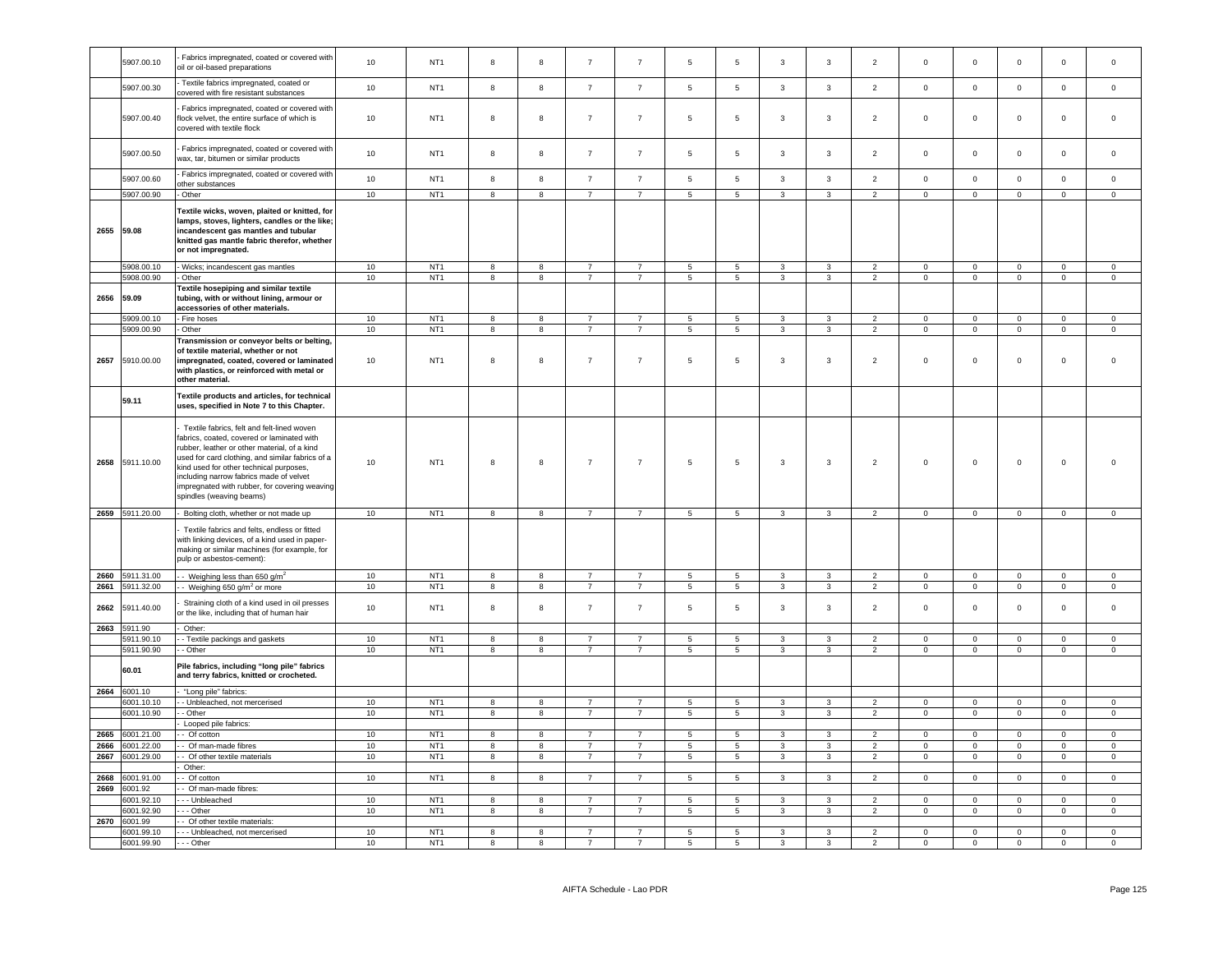|      | 5907.00.10                 | Fabrics impregnated, coated or covered with<br>oil or oil-based preparations                                                                                                                                                                                                                                                                                | 10       | NT <sub>1</sub>                    | 8                       | $\bf8$                  | $\overline{7}$                   | $\overline{7}$                   | 5                                  | 5                                  | 3              | $\mathbf{3}$      | $\overline{2}$                   | $\mathsf 0$                      | $\mathsf 0$                      | $\mathsf 0$                | $\mathbf 0$                      | $\mathsf 0$                      |
|------|----------------------------|-------------------------------------------------------------------------------------------------------------------------------------------------------------------------------------------------------------------------------------------------------------------------------------------------------------------------------------------------------------|----------|------------------------------------|-------------------------|-------------------------|----------------------------------|----------------------------------|------------------------------------|------------------------------------|----------------|-------------------|----------------------------------|----------------------------------|----------------------------------|----------------------------|----------------------------------|----------------------------------|
|      | 5907.00.30                 | Textile fabrics impregnated, coated or<br>covered with fire resistant substances                                                                                                                                                                                                                                                                            | 10       | NT <sub>1</sub>                    | $\bf8$                  | $^{\rm 8}$              | $\overline{7}$                   | $\overline{7}$                   | $\overline{5}$                     | $\,$ 5 $\,$                        | $\mathbf{3}$   | $\mathbf{3}$      | $\overline{2}$                   | $\mathbb O$                      | $\mathbf 0$                      | $\mathbf 0$                | $\mathbf 0$                      | $\mathsf{O}\xspace$              |
|      | 5907.00.40                 | Fabrics impregnated, coated or covered with<br>lock velvet, the entire surface of which is<br>covered with textile flock                                                                                                                                                                                                                                    | 10       | NT <sub>1</sub>                    | 8                       | 8                       | $\overline{7}$                   | $\overline{7}$                   | 5                                  | $\sqrt{5}$                         | 3              | $\mathbf{3}$      | $\sqrt{2}$                       | $\mathbf 0$                      | $\mathbf 0$                      | $\mathbf 0$                | $\mathsf 0$                      | $\mathsf 0$                      |
|      | 5907.00.50                 | Fabrics impregnated, coated or covered with<br>wax, tar, bitumen or similar products                                                                                                                                                                                                                                                                        | $10$     | NT <sub>1</sub>                    | 8                       | 8                       | $\overline{7}$                   | $\overline{7}$                   | 5                                  | $\sqrt{5}$                         | 3              | $\mathbf{3}$      | $\overline{2}$                   | $\mathsf 0$                      | $\mathbf 0$                      | $\mathbf 0$                | $\mathbf 0$                      | $\mathsf 0$                      |
|      | 5907.00.60                 | Fabrics impregnated, coated or covered with<br>other substances                                                                                                                                                                                                                                                                                             | $10$     | NT <sub>1</sub>                    | 8                       | $\bf8$                  | $\overline{7}$                   | $\overline{7}$                   | $\,$ 5 $\,$                        | $\,$ 5 $\,$                        | $\mathbf{3}$   | $\mathbf{3}$      | $\overline{2}$                   | $\mathbf 0$                      | $\mathsf 0$                      | $\mathbf 0$                | $\mathbf 0$                      | $\mathsf 0$                      |
|      | 5907.00.90                 | Other                                                                                                                                                                                                                                                                                                                                                       | 10       | NT <sub>1</sub>                    | $\overline{8}$          | $\overline{\mathbf{8}}$ | $\overline{7}$                   | $\overline{7}$                   | $\overline{5}$                     | $\overline{5}$                     | $\overline{3}$ | $\overline{3}$    | $\overline{2}$                   | $\overline{0}$                   | $\overline{0}$                   | $\overline{0}$             | $\overline{0}$                   | $\overline{0}$                   |
|      | 2655 59.08                 | Textile wicks, woven, plaited or knitted, for<br>lamps, stoves, lighters, candles or the like;<br>incandescent gas mantles and tubular<br>knitted gas mantle fabric therefor, whether<br>or not impregnated.                                                                                                                                                |          |                                    |                         |                         |                                  |                                  |                                    |                                    |                |                   |                                  |                                  |                                  |                            |                                  |                                  |
|      | 5908.00.10<br>5908.00.90   | - Wicks; incandescent gas mantles<br>Other                                                                                                                                                                                                                                                                                                                  | 10<br>10 | NT <sub>1</sub><br>NT <sub>1</sub> | 8<br>8                  | 8<br>8                  | $\overline{7}$<br>$\overline{7}$ | $\overline{7}$<br>$\overline{7}$ | 5<br>5 <sup>5</sup>                | $\sqrt{5}$<br>5                    | 3<br>3         | 3<br>$\mathbf{3}$ | 2<br>$\overline{2}$              | $\mathbf 0$<br>$\mathbf{0}$      | $\mathbf 0$<br>$\mathbf{0}$      | $\mathsf 0$<br>$\mathbf 0$ | $\mathbf 0$<br>$\mathbf 0$       | $\mathbf 0$<br>$\mathbf{0}$      |
| 2656 | 59.09<br>5909.00.10        | Textile hosepiping and similar textile<br>tubing, with or without lining, armour or<br>accessories of other materials.<br>Fire hoses                                                                                                                                                                                                                        | 10       | NT <sub>1</sub>                    | 8                       | 8                       | $\overline{7}$                   | $\overline{7}$                   | $5\phantom{.0}$                    | $5\overline{5}$                    | 3              | $\mathbf{3}$      | $\overline{2}$                   | $\circ$                          | $\mathsf 0$                      | $\mathsf 0$                | $\mathbf 0$                      | $\mathsf 0$                      |
|      | 5909.00.90                 | Other                                                                                                                                                                                                                                                                                                                                                       | 10       | NT <sub>1</sub>                    | $\overline{\mathbf{8}}$ | $\overline{\mathbf{8}}$ | $\overline{7}$                   | $\overline{7}$                   | $\overline{5}$                     | $\overline{5}$                     | $\overline{3}$ | $\overline{3}$    | $\overline{2}$                   | $\overline{0}$                   | $\overline{0}$                   | $\overline{0}$             | $\overline{0}$                   | $\overline{0}$                   |
| 2657 | 5910.00.00                 | Transmission or conveyor belts or belting,<br>of textile material, whether or not<br>impregnated, coated, covered or laminated<br>with plastics, or reinforced with metal or<br>other material.                                                                                                                                                             | 10       | NT <sub>1</sub>                    | 8                       | 8                       | $\overline{7}$                   | $\overline{7}$                   | 5                                  | 5                                  | 3              | 3                 | $\overline{2}$                   | $\mathsf 0$                      | $\mathbf 0$                      | $\mathbf 0$                | 0                                | $\mathbf 0$                      |
|      | 59.11                      | Textile products and articles, for technical<br>uses, specified in Note 7 to this Chapter.                                                                                                                                                                                                                                                                  |          |                                    |                         |                         |                                  |                                  |                                    |                                    |                |                   |                                  |                                  |                                  |                            |                                  |                                  |
| 2658 | 5911.10.00                 | Textile fabrics, felt and felt-lined woven<br>abrics, coated, covered or laminated with<br>ubber, leather or other material, of a kind<br>used for card clothing, and similar fabrics of a<br>kind used for other technical purposes,<br>ncluding narrow fabrics made of velvet<br>mpregnated with rubber, for covering weaving<br>spindles (weaving beams) | 10       | NT <sub>1</sub>                    | 8                       | $\bf8$                  | $\overline{7}$                   | $\overline{7}$                   | $\sqrt{5}$                         | $\,$ 5 $\,$                        | 3              | 3                 | $\overline{2}$                   | $\mathbb O$                      | $\,0\,$                          | $\mathbf 0$                | $\mathbf 0$                      | $\mathbf 0$                      |
|      | 2659 5911.20.00            | Bolting cloth, whether or not made up                                                                                                                                                                                                                                                                                                                       | 10       | NT <sub>1</sub>                    | 8                       | $\boldsymbol{8}$        | $\overline{7}$                   | $\overline{7}$                   | $5\phantom{.0}$                    | $5\phantom{.0}$                    | $\mathbf{3}$   | 3                 | $\overline{2}$                   | $\mathbf 0$                      | $\overline{0}$                   | $\mathsf 0$                | $\mathbf{0}$                     | $\overline{0}$                   |
|      |                            | Textile fabrics and felts, endless or fitted<br>with linking devices, of a kind used in paper-<br>naking or similar machines (for example, for<br>pulp or asbestos-cement):                                                                                                                                                                                 |          |                                    |                         |                         |                                  |                                  |                                    |                                    |                |                   |                                  |                                  |                                  |                            |                                  |                                  |
| 2660 | 5911.31.00                 | - Weighing less than 650 $g/m^2$                                                                                                                                                                                                                                                                                                                            | 10       | NT <sub>1</sub>                    | $\boldsymbol{8}$        | 8                       | $\overline{7}$                   | $\overline{7}$                   | $5\phantom{.0}$                    | $\overline{\phantom{0}}$           | $\mathbf{3}$   | 3                 | $\overline{2}$                   | $\mathbf 0$                      | $\overline{0}$                   | $\overline{0}$             | $\mathbf 0$                      | $\mathsf 0$                      |
| 2661 | 5911.32.00                 | - Weighing 650 g/m <sup>2</sup> or more                                                                                                                                                                                                                                                                                                                     | $10\,$   | NT <sub>1</sub>                    | $\boldsymbol{8}$        | $\boldsymbol{8}$        | $\overline{7}$                   | $\overline{7}$                   | $\overline{5}$                     | $\,$ 5 $\,$                        | $\mathbf{3}$   | $\mathbf{3}$      | $\overline{2}$                   | $\mathbb O$                      | $\mathsf 0$                      | $\mathbf 0$                | $\mathsf 0$                      | $\mathsf 0$                      |
| 2662 | 5911.40.00                 | Straining cloth of a kind used in oil presses<br>or the like, including that of human hair                                                                                                                                                                                                                                                                  | 10       | NT <sub>1</sub>                    | 8                       | $\bf8$                  | $\overline{7}$                   | $\overline{7}$                   | $\sqrt{5}$                         | $\,$ 5 $\,$                        | 3              | 3                 | $\overline{2}$                   | $\mathsf 0$                      | $\mathsf 0$                      | $\mathbf 0$                | $\mathbf 0$                      | $\mathbf 0$                      |
| 2663 | 5911.90<br>5911.90.10      | Other:                                                                                                                                                                                                                                                                                                                                                      | 10       | NT <sub>1</sub>                    | 8                       | 8                       | $\overline{7}$                   | $\overline{7}$                   | 5                                  | 5                                  | 3              | $\mathbf{R}$      | $\mathcal{P}$                    | $\mathbf 0$                      | $\mathbf 0$                      | $\Omega$                   | $\Omega$                         | $\Omega$                         |
|      | 5911.90.90                 | Textile packings and gaskets<br>Other                                                                                                                                                                                                                                                                                                                       | 10       | NT <sub>1</sub>                    | 8                       | 8                       | $\overline{7}$                   | $\overline{7}$                   | 5                                  | 5                                  | 3              | $\mathbf{3}$      | $\overline{2}$                   | $\mathsf 0$                      | $\mathsf 0$                      | $\mathsf 0$                | $\mathsf 0$                      | $\mathsf 0$                      |
|      | 60.01                      | Pile fabrics, including "long pile" fabrics<br>and terry fabrics, knitted or crocheted.                                                                                                                                                                                                                                                                     |          |                                    |                         |                         |                                  |                                  |                                    |                                    |                |                   |                                  |                                  |                                  |                            |                                  |                                  |
|      | 2664 6001.10               | "Long pile" fabrics:                                                                                                                                                                                                                                                                                                                                        |          |                                    |                         |                         |                                  |                                  |                                    |                                    |                |                   |                                  |                                  |                                  |                            |                                  |                                  |
|      | 6001.10.10<br>6001.10.90   | - Unbleached, not mercerised<br>- Other                                                                                                                                                                                                                                                                                                                     | 10<br>10 | NT <sub>1</sub><br>NT <sub>1</sub> | 8<br>$\boldsymbol{8}$   | 8<br>8                  | $\overline{7}$<br>$\overline{7}$ | $\overline{7}$<br>$\overline{7}$ | $5\phantom{.0}$<br>$5\phantom{.0}$ | $5\overline{)}$<br>$5\phantom{.0}$ | 3<br>3         | 3<br>$\mathbf{3}$ | $\overline{2}$<br>$\overline{2}$ | $\overline{0}$<br>$\overline{0}$ | $\overline{0}$<br>$\overline{0}$ | $\mathbf 0$<br>$\mathsf 0$ | $\overline{0}$<br>$\overline{0}$ | $\overline{0}$<br>$\overline{0}$ |
|      |                            | Looped pile fabrics:                                                                                                                                                                                                                                                                                                                                        |          |                                    |                         |                         |                                  |                                  |                                    |                                    |                |                   |                                  |                                  |                                  |                            |                                  |                                  |
| 2665 | 6001.21.00                 | - Of cotton                                                                                                                                                                                                                                                                                                                                                 | 10       | NT <sub>1</sub>                    | 8                       | 8                       | $\overline{7}$                   | $\overline{7}$                   | 5                                  | 5                                  | 3              | 3                 | $\overline{2}$                   | $\Omega$                         | $\mathbf 0$                      | $^{\circ}$                 | $\Omega$                         | $\Omega$                         |
| 2666 | 6001.22.00                 | - Of man-made fibres                                                                                                                                                                                                                                                                                                                                        | 10       | NT <sub>1</sub>                    | 8                       | 8                       | $\overline{7}$                   | $\overline{7}$                   | $5\overline{5}$                    | $5\overline{)}$                    | 3              | 3                 | $\overline{2}$                   | $\overline{0}$                   | $\overline{0}$                   | $\mathbf 0$                | $\overline{0}$                   | $\overline{0}$                   |
| 2667 | 6001.29.00                 | - Of other textile materials<br>Other:                                                                                                                                                                                                                                                                                                                      | 10       | NT <sub>1</sub>                    | 8                       | 8                       | $\overline{7}$                   | $\overline{7}$                   | $5\overline{)}$                    | $5\phantom{.0}$                    | $\mathbf{3}$   | $\mathbf{3}$      | $\overline{2}$                   | $\overline{0}$                   | $\overline{0}$                   | $\mathbf 0$                | $\mathbf{0}$                     | $\mathbf{0}$                     |
| 2668 | 6001.91.00                 | Of cotton                                                                                                                                                                                                                                                                                                                                                   | 10       | NT <sub>1</sub>                    | 8                       | 8                       | $\overline{7}$                   | $\overline{7}$                   | 5                                  | 5                                  | $\mathbf{3}$   | 3                 | $\mathcal{P}$                    | $\mathbf 0$                      | $\mathbf 0$                      | $\mathbf 0$                | $\mathbf 0$                      | $\mathsf 0$                      |
| 2669 | 6001.92                    | - Of man-made fibres:                                                                                                                                                                                                                                                                                                                                       |          |                                    |                         |                         |                                  |                                  |                                    |                                    |                |                   |                                  |                                  |                                  |                            |                                  |                                  |
|      | 6001.92.10                 | - - Unbleached                                                                                                                                                                                                                                                                                                                                              | 10       | NT <sub>1</sub>                    | 8                       | 8                       | $\overline{7}$<br>$\overline{7}$ | $\overline{7}$<br>$\overline{7}$ | 5                                  | 5                                  | 3              | 3                 | $\overline{2}$                   | $\mathbf 0$                      | $\mathbf{0}$                     | $\mathbf 0$                | $\mathbf 0$                      | $\mathbf 0$                      |
|      | 6001.92.90<br>2670 6001.99 | - - Other<br>Of other textile materials:                                                                                                                                                                                                                                                                                                                    | 10       | NT <sub>1</sub>                    | 8                       | 8                       |                                  |                                  | 5                                  | $5\overline{)}$                    | $\mathbf{3}$   | 3                 | $\overline{2}$                   | $\overline{0}$                   | $\overline{0}$                   | $\mathbf 0$                | $\mathbf 0$                      | $\overline{0}$                   |
|      | 6001.99.10                 | -- Unbleached, not mercerised                                                                                                                                                                                                                                                                                                                               | 10       | NT <sub>1</sub>                    | 8                       | 8                       | $\overline{7}$                   | $\overline{7}$                   | $5\phantom{.0}$                    | 5                                  | 3              | 3                 | 2                                | $\circ$                          | $\overline{0}$                   | $\mathbf 0$                | $\circ$                          | $\circ$                          |
|      | 6001.99.90                 | --- Other                                                                                                                                                                                                                                                                                                                                                   | 10       | NT <sub>1</sub>                    | 8                       | 8                       | $\overline{7}$                   | $\overline{7}$                   | 5                                  | 5                                  | 3              | 3                 | $\overline{2}$                   | $\mathbf 0$                      | $\circ$                          | $\mathbf 0$                | 0                                | $\mathbf 0$                      |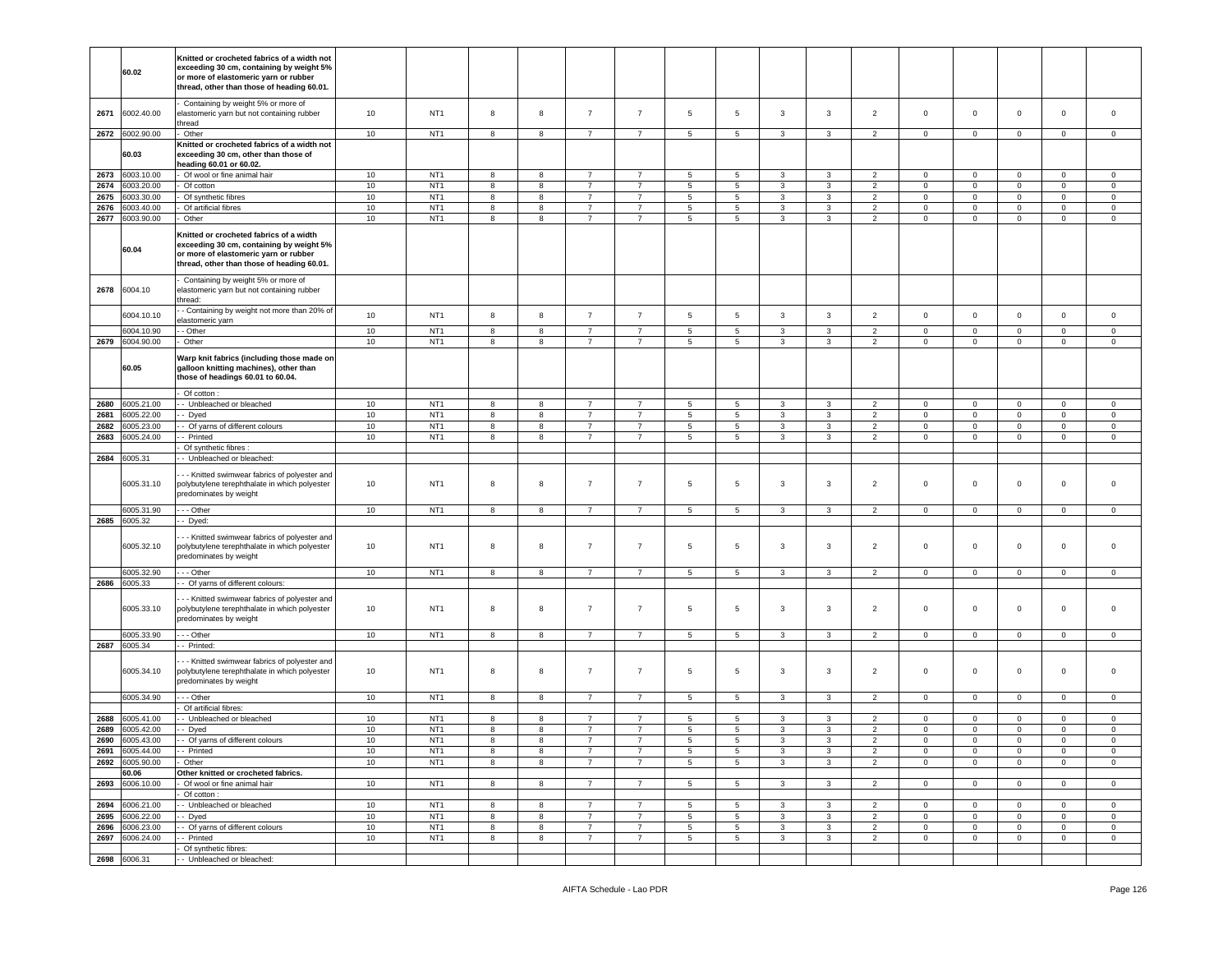|      | 60.02           | Knitted or crocheted fabrics of a width not<br>exceeding 30 cm, containing by weight 5%<br>or more of elastomeric yarn or rubber<br>thread, other than those of heading 60.01. |      |                 |   |   |                |                |                 |                 |              |                |                     |                        |                |                     |                |                     |
|------|-----------------|--------------------------------------------------------------------------------------------------------------------------------------------------------------------------------|------|-----------------|---|---|----------------|----------------|-----------------|-----------------|--------------|----------------|---------------------|------------------------|----------------|---------------------|----------------|---------------------|
| 2671 | 6002.40.00      | Containing by weight 5% or more of<br>elastomeric yarn but not containing rubber<br>hread                                                                                      | 10   | NT <sub>1</sub> | 8 | 8 | $\overline{7}$ | $\overline{7}$ | 5               | 5               | 3            | 3              | $\overline{2}$      | $\mathsf 0$            | $\circ$        | $\mathbf 0$         | $\mathbf 0$    | $\mathbf 0$         |
| 2672 | 6002.90.00      | Other                                                                                                                                                                          | 10   | NT <sub>1</sub> | 8 | 8 | $\overline{7}$ | $\overline{7}$ | 5               | 5               | 3            | 3              | $\overline{2}$      | $\mathbf 0$            | $\mathbf{0}$   | $\mathbf 0$         | $\mathbf{0}$   | $\mathbf{0}$        |
|      | 60.03           | Knitted or crocheted fabrics of a width not<br>exceeding 30 cm, other than those of<br>heading 60.01 or 60.02.                                                                 |      |                 |   |   |                |                |                 |                 |              |                |                     |                        |                |                     |                |                     |
| 2673 | 6003.10.00      | Of wool or fine animal hair                                                                                                                                                    | 10   | NT <sub>1</sub> | 8 | 8 | 7              | -7             | 5               | 5               |              | 3              |                     |                        | $\mathsf 0$    | $\mathsf 0$         | $\mathbf 0$    | 0                   |
| 2674 | 6003.20.00      |                                                                                                                                                                                | $10$ | NT <sub>1</sub> | 8 | 8 | $\overline{7}$ | $\overline{7}$ | 5               | 5               | 3<br>3       | $\overline{3}$ | $\overline{2}$<br>2 | $\mathbf 0$<br>$\circ$ | $\circ$        | $\mathbf 0$         | $\mathbf 0$    | $\mathsf 0$         |
| 2675 | 6003.30.00      | Of cotton<br>Of synthetic fibres                                                                                                                                               | 10   | NT <sub>1</sub> | 8 | 8 | $\overline{7}$ | $\overline{7}$ | 5               | 5               | 3            | 3              | $\overline{2}$      | $\mathbf 0$            | $\mathbf 0$    | $\mathsf 0$         | $\mathbf 0$    |                     |
|      |                 |                                                                                                                                                                                |      | NT <sub>1</sub> |   |   |                |                |                 |                 |              |                |                     |                        |                |                     |                | 0                   |
| 2676 | 6003.40.00      | Of artificial fibres                                                                                                                                                           | 10   |                 | 8 | 8 | $\overline{7}$ | $\overline{7}$ | 5               | $\sqrt{5}$      | 3            | 3              | $\overline{2}$      | $\mathbf 0$            | $\mathbf 0$    | $\mathsf{O}\xspace$ | $\mathsf 0$    | $\mathsf{O}\xspace$ |
| 2677 | 6003.90.00      | Other                                                                                                                                                                          | 10   | NT <sub>1</sub> | 8 | 8 | $\overline{7}$ | $\overline{7}$ | 5               | 5               | 3            | 3              | 2                   | $\mathbf 0$            | $\mathsf 0$    | $\mathsf 0$         | $\circ$        | $\circ$             |
|      | 60.04           | Knitted or crocheted fabrics of a width<br>exceeding 30 cm, containing by weight 5%<br>or more of elastomeric yarn or rubber<br>thread, other than those of heading 60.01.     |      |                 |   |   |                |                |                 |                 |              |                |                     |                        |                |                     |                |                     |
| 2678 | 6004.10         | Containing by weight 5% or more of<br>elastomeric yarn but not containing rubber<br>hread:                                                                                     |      |                 |   |   |                |                |                 |                 |              |                |                     |                        |                |                     |                |                     |
|      | 6004.10.10      | - Containing by weight not more than 20% of<br>elastomeric yarn                                                                                                                | 10   | NT <sub>1</sub> | 8 | 8 | $\overline{7}$ | $\overline{7}$ | 5               | $\sqrt{5}$      | 3            | 3              | $\overline{2}$      | $\mathbf 0$            | $\mathsf 0$    | $\mathsf 0$         | $\mathbf 0$    | $\circ$             |
|      | 6004.10.90      | - Other                                                                                                                                                                        | $10$ | NT <sub>1</sub> | 8 | 8 | $\overline{7}$ | $\overline{7}$ | 5               | 5               | $\mathbf{3}$ | $\mathbf{3}$   | 2                   | $\mathbf 0$            | $\mathbf 0$    | $\mathsf 0$         | $\mathbf 0$    | $\mathbf 0$         |
| 2679 | 6004.90.00      | Other                                                                                                                                                                          | 10   | NT <sub>1</sub> | 8 | 8 | $\overline{7}$ | $\overline{7}$ | 5               | 5               | 3            | 3              | $\overline{2}$      | $\mathbf 0$            | $\mathsf 0$    | $\mathbf 0$         | $\mathbf 0$    | $\mathbf 0$         |
|      | 60.05           | Warp knit fabrics (including those made on<br>galloon knitting machines), other than<br>those of headings 60.01 to 60.04.                                                      |      |                 |   |   |                |                |                 |                 |              |                |                     |                        |                |                     |                |                     |
|      |                 | Of cotton                                                                                                                                                                      |      |                 |   |   |                |                |                 |                 |              |                |                     |                        |                |                     |                |                     |
| 2680 | 6005.21.00      | - Unbleached or bleached                                                                                                                                                       | 10   | NT <sub>1</sub> | 8 | 8 | 7              | $\overline{7}$ | 5               | 5               | 3            | 3              | 2                   | $\mathbf 0$            | $\mathbf{0}$   | $\mathbf{0}$        | $\mathbf 0$    | $\circ$             |
| 2681 | 3005.22.00      | - Dyed                                                                                                                                                                         | 10   | NT <sub>1</sub> | 8 | 8 | $\overline{7}$ | $\overline{7}$ | $5\overline{)}$ | 5               | 3            | 3              | $\overline{2}$      | $\circ$                | $\mathbf 0$    | $\mathbf 0$         | $\mathbf 0$    | $\mathsf 0$         |
| 2682 | 3005.23.00      | Of yarns of different colours                                                                                                                                                  | 10   | NT <sub>1</sub> | 8 | 8 | $\overline{7}$ | $\overline{7}$ | 5               | 5               | 3            | 3              | $\overline{2}$      | $\mathbf 0$            | $\mathbf 0$    | $\mathbf 0$         | $\mathbf 0$    | $\mathbf 0$         |
| 2683 | 6005.24.00      | - Printed                                                                                                                                                                      | 10   | NT <sub>1</sub> | 8 | 8 | 7              | 7              | $5\overline{)}$ | 5               | 3            | 3              | $\overline{2}$      | $\mathbf 0$            | $\mathbf 0$    | $\mathbf 0$         | $\overline{0}$ | $\mathbf 0$         |
|      |                 | Of synthetic fibres                                                                                                                                                            |      |                 |   |   |                |                |                 |                 |              |                |                     |                        |                |                     |                |                     |
| 2684 | 6005.31         | - Unbleached or bleached:                                                                                                                                                      |      |                 |   |   |                |                |                 |                 |              |                |                     |                        |                |                     |                |                     |
|      | 6005.31.10      | - - Knitted swimwear fabrics of polyester and<br>polybutylene terephthalate in which polyester<br>predominates by weight                                                       | 10   | NT <sub>1</sub> | 8 | 8 | $\overline{7}$ | $\overline{7}$ | 5               | 5               | 3            | 3              | $\overline{2}$      | $\mathsf 0$            | $\mathbf 0$    | $\mathbf 0$         | $\overline{0}$ | $\mathbf 0$         |
|      | 6005.31.90      | --- Other                                                                                                                                                                      | 10   | NT <sub>1</sub> | 8 | 8 | 7              | $\overline{7}$ | 5               | 5               | 3            | 3              | $\overline{2}$      | $\mathbf 0$            | $\mathbf 0$    | $\mathbf 0$         | $\mathbf 0$    | $\mathbf 0$         |
|      | 2685 6005.32    | - Dyed:                                                                                                                                                                        |      |                 |   |   |                |                |                 |                 |              |                |                     |                        |                |                     |                |                     |
|      | 6005.32.10      | - - Knitted swimwear fabrics of polyester and<br>polybutylene terephthalate in which polyester<br>predominates by weight                                                       | 10   | NT <sub>1</sub> | 8 | 8 | $\overline{7}$ | $\overline{7}$ | 5               | 5               | 3            | 3              | $\overline{2}$      | $\mathsf 0$            | $\mathbf 0$    | $\mathsf 0$         | $\mathbf 0$    | $\mathsf 0$         |
|      | 6005.32.90      | - - - Other                                                                                                                                                                    | 10   | NT <sub>1</sub> | 8 | 8 | $\overline{7}$ | $\overline{7}$ | $5\overline{5}$ | $5\overline{)}$ | 3            | 3              | $\overline{2}$      | $\mathbf{0}$           | $\mathbf{0}$   | $\mathbf 0$         | $\overline{0}$ | $\mathbf{0}$        |
| 2686 | 6005.33         | - Of yarns of different colours:                                                                                                                                               |      |                 |   |   |                |                |                 |                 |              |                |                     |                        |                |                     |                |                     |
|      | 6005.33.10      | - - Knitted swimwear fabrics of polyester and<br>polybutylene terephthalate in which polyester<br>predominates by weight                                                       | 10   | NT <sub>1</sub> | 8 | 8 | $\overline{7}$ | $\overline{7}$ | 5               | 5               | 3            | $\mathbf{3}$   | $\overline{2}$      | $\mathsf 0$            | $\mathsf 0$    | $\mathsf 0$         | $\mathbf 0$    | $\mathsf 0$         |
|      | 6005.33.90      | - - Other                                                                                                                                                                      | 10   | NT <sub>1</sub> | 8 | 8 | $\overline{7}$ | $\overline{7}$ | 5               | 5               | 3            | 3              | $\overline{2}$      | $\mathbf 0$            | $\mathsf 0$    | $\mathsf 0$         | $\mathbf 0$    | $\mathbf 0$         |
| 2687 | 6005.34         | - Printed:                                                                                                                                                                     |      |                 |   |   |                |                |                 |                 |              |                |                     |                        |                |                     |                |                     |
|      | 6005.34.10      | - - Knitted swimwear fabrics of polyester and<br>polybutylene terephthalate in which polyester<br>predominates by weight                                                       | 10   | NT <sub>1</sub> | 8 | 8 | $\overline{7}$ | $\overline{7}$ | 5               | 5               | 3            | 3              | $\overline{2}$      | $\mathsf 0$            | $\mathbf 0$    | $\mathsf 0$         | $\mathbf 0$    | $\mathbf 0$         |
|      | 6005.34.90      | - - Other                                                                                                                                                                      | 10   | NT <sub>1</sub> | 8 | 8 | $\overline{7}$ | $\overline{7}$ | $5\phantom{.0}$ | 5               | 3            | 3              | $\overline{2}$      | $\mathbf 0$            | $\mathsf 0$    | $\mathbf 0$         | $\mathbf 0$    | $\mathbf 0$         |
|      |                 | Of artificial fibres:                                                                                                                                                          |      |                 |   |   |                |                |                 |                 |              |                |                     |                        |                |                     |                |                     |
| 2688 | 6005.41.00      | - Unbleached or bleached                                                                                                                                                       | 10   | NT <sub>1</sub> | 8 | 8 | $\overline{7}$ | $\overline{7}$ | 5               | 5               | 3            | 3              | $\overline{2}$      | $\mathbf 0$            | $\mathbf 0$    | $\mathbf 0$         | $\mathbf 0$    | $\mathbf 0$         |
| 2689 | 6005.42.00      | - Dyed                                                                                                                                                                         | 10   | NT <sub>1</sub> | 8 | 8 | $\overline{7}$ | $\overline{7}$ | 5               | 5               | 3            | 3              | $\overline{2}$      | $\mathbf 0$            | $\mathbf 0$    | $\mathbf 0$         | $\mathbf 0$    | $\mathbf 0$         |
| 2690 | 6005.43.00      | - - Of varns of different colours                                                                                                                                              | 10   | NT <sub>1</sub> | 8 | 8 |                | $\overline{7}$ | 5               | 5               | 3            | 3              |                     | $\mathbf 0$            | 0              | 0                   | $\mathbf 0$    | $\mathbf 0$         |
| 2691 | 6005.44.00      | - - Printed                                                                                                                                                                    | 10   | NT <sub>1</sub> | 8 | 8 | $\overline{7}$ | $\overline{7}$ | $5\phantom{.0}$ | 5               | 3            | 3              | $\overline{2}$      | $\mathbf 0$            | $\mathbf 0$    | $\mathbf 0$         | $\mathbf 0$    | $\mathsf 0$         |
| 2692 | 6005.90.00      | Other                                                                                                                                                                          | 10   | NT <sub>1</sub> | 8 | 8 | 7              | 7              | 5               | 5               | $\mathbf{3}$ | 3              | $\overline{2}$      | $\mathbf 0$            | $\overline{0}$ | $\mathbf 0$         | $\overline{0}$ | $\mathbf 0$         |
|      | 60.06           | Other knitted or crocheted fabrics.                                                                                                                                            |      |                 |   |   |                |                |                 |                 |              |                |                     |                        |                |                     |                |                     |
| 2693 | 6006.10.00      | Of wool or fine animal hair<br>Of cotton:                                                                                                                                      | 10   | NT <sub>1</sub> | 8 | 8 | $\overline{7}$ | $\overline{7}$ | $5\phantom{.0}$ | 5               | 3            | 3              | 2                   | $\mathbf 0$            | $\mathsf 0$    | $\mathbf 0$         | $\mathbf 0$    | $\mathbf 0$         |
| 2694 | 6006.21.00      | - Unbleached or bleached                                                                                                                                                       | 10   | NT <sub>1</sub> | 8 | 8 | -7             | 7              | 5               | 5               | 3            | 3              | $\overline{2}$      | $\mathbf{0}$           | $\overline{0}$ | $\mathbf 0$         | $\overline{0}$ | $\circ$             |
| 2695 | 6006.22.00      | - Dyed                                                                                                                                                                         | 10   | NT <sub>1</sub> | 8 | 8 | $\overline{7}$ | $\overline{7}$ | 5               | 5               | 3            | 3              | 2                   | $\circ$                | $\circ$        | $\circ$             | $\mathbf{0}$   | $\mathbf 0$         |
| 2696 | 6006.23.00      | - Of yarns of different colours                                                                                                                                                | 10   | NT <sub>1</sub> | 8 | 8 | 7              | $\overline{7}$ | $5\phantom{.0}$ | 5               | 3            | 3              | $\overline{2}$      | $\mathbf 0$            | $\mathsf 0$    | $\mathbf 0$         | $\mathbf{0}$   | $\mathbf 0$         |
|      | 2697 6006.24.00 | - Printed                                                                                                                                                                      | 10   | NT <sub>1</sub> | 8 | 8 | $\overline{7}$ | $\overline{7}$ | $5\overline{5}$ | $5\overline{)}$ | $\mathbf{3}$ | 3              | $\overline{2}$      | $\overline{0}$         | $\overline{0}$ | $\mathbf 0$         | $\overline{0}$ | $\overline{0}$      |
|      |                 | Of synthetic fibres:                                                                                                                                                           |      |                 |   |   |                |                |                 |                 |              |                |                     |                        |                |                     |                |                     |
|      | 2698 6006.31    | - Unbleached or bleached:                                                                                                                                                      |      |                 |   |   |                |                |                 |                 |              |                |                     |                        |                |                     |                |                     |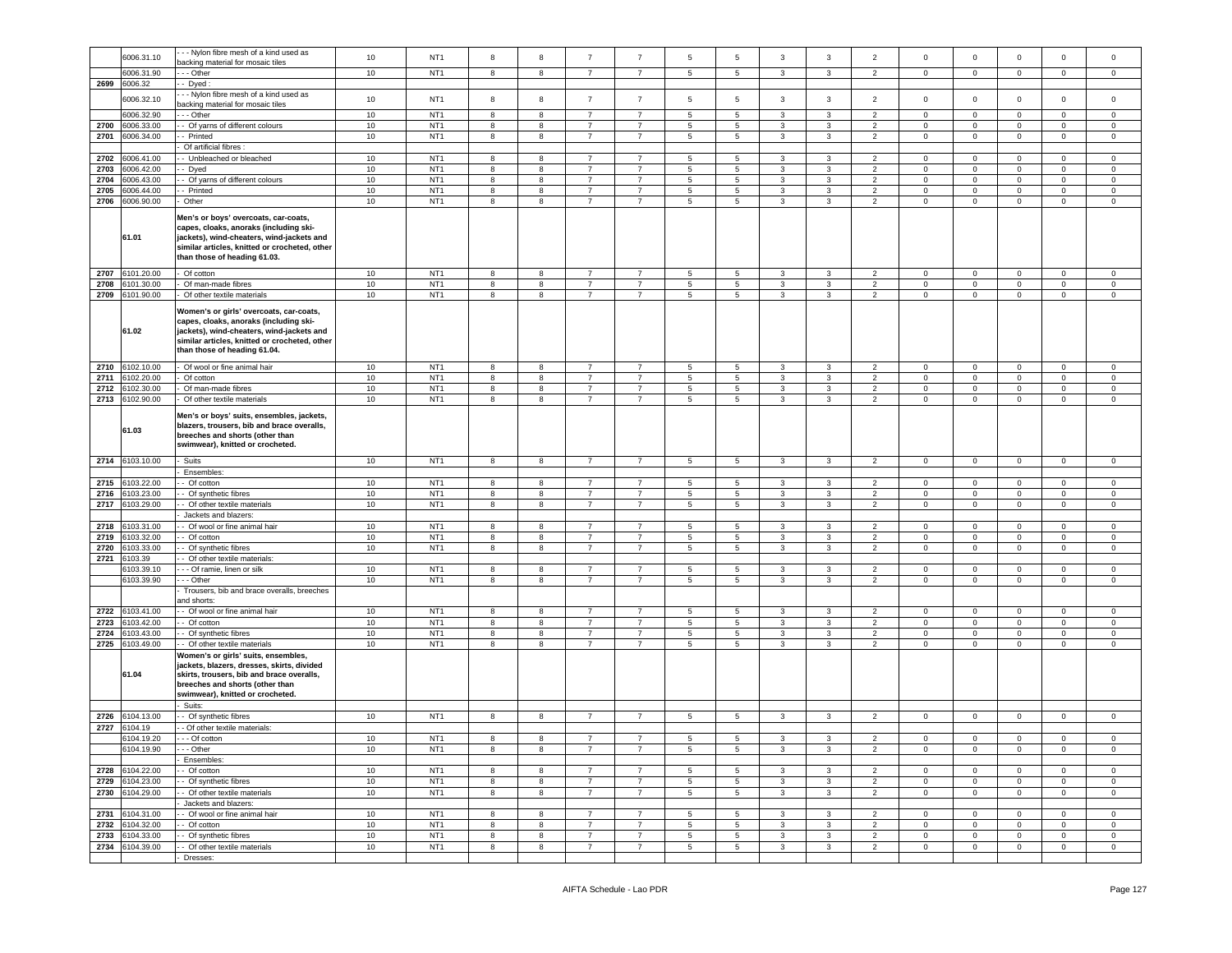|      | 6006.31.10      | - - Nylon fibre mesh of a kind used as                                                                                                                                                                          | 10              | NT <sub>1</sub> | 8 | 8 | $\overline{7}$ | $\overline{7}$ | 5              | $\sqrt{5}$      | $\mathbf{3}$ | 3            | $\overline{2}$ | $\mathbf 0$         | $\mathbf 0$    | $\mathbf 0$    | $\mathbf 0$         | $\mathsf 0$    |
|------|-----------------|-----------------------------------------------------------------------------------------------------------------------------------------------------------------------------------------------------------------|-----------------|-----------------|---|---|----------------|----------------|----------------|-----------------|--------------|--------------|----------------|---------------------|----------------|----------------|---------------------|----------------|
|      |                 | backing material for mosaic tiles                                                                                                                                                                               |                 |                 |   |   |                |                |                |                 |              |              |                |                     |                |                |                     |                |
|      | 6006.31.90      | - - Other                                                                                                                                                                                                       | 10              | NT <sub>1</sub> | 8 | 8 | $\overline{7}$ | $\overline{7}$ | 5              | 5               | 3            | 3            | $\overline{2}$ | $\mathbf 0$         | $\mathbf{0}$   | $\mathbf 0$    | $\mathbf 0$         | 0              |
| 2699 | 6006.32         | Dyed                                                                                                                                                                                                            |                 |                 |   |   |                |                |                |                 |              |              |                |                     |                |                |                     |                |
|      |                 | - - Nylon fibre mesh of a kind used as                                                                                                                                                                          |                 |                 |   |   |                |                |                |                 |              |              |                |                     |                |                |                     |                |
|      | 6006.32.10      | backing material for mosaic tiles                                                                                                                                                                               | 10              | NT <sub>1</sub> | 8 | 8 | $\overline{7}$ | $\overline{7}$ | 5              | 5               | 3            | 3            | $\overline{2}$ | $\mathbf 0$         | $\mathbf 0$    | $\mathbf 0$    | $\mathbf 0$         | $\mathsf 0$    |
|      | 6006.32.90      | - - Other                                                                                                                                                                                                       | 10              | NT <sub>1</sub> | 8 | 8 | $\overline{7}$ | 7              | 5              | 5               | 3            | 3            | $\overline{2}$ | $\mathbf 0$         | $\mathbf 0$    | $\circ$        | $\mathbf 0$         | $\circ$        |
|      |                 |                                                                                                                                                                                                                 |                 |                 |   |   |                |                |                |                 |              |              |                |                     |                |                |                     |                |
| 2700 | 6006.33.00      | Of yarns of different colours                                                                                                                                                                                   | 10              | NT <sub>1</sub> | 8 | 8 |                | $\overline{7}$ | 5              | $\sqrt{5}$      | 3            | 3            | $\overline{2}$ | $\mathbf 0$         | $\mathbf 0$    | $\mathsf 0$    | $\mathbf 0$         | 0              |
| 2701 | 3006.34.00      | Printed                                                                                                                                                                                                         | 10              | NT <sub>1</sub> | 8 | 8 | $\overline{7}$ | $\overline{7}$ | 5              | 5               | 3            | 3            | $\overline{2}$ | $\mathbf 0$         | $\mathbf 0$    | $\mathbf 0$    | $\mathbf 0$         | $\mathsf 0$    |
|      |                 | Of artificial fibres                                                                                                                                                                                            |                 |                 |   |   |                |                |                |                 |              |              |                |                     |                |                |                     |                |
| 2702 | 6006.41.00      | - Unbleached or bleached                                                                                                                                                                                        | 10              | NT <sub>1</sub> | 8 | 8 |                | $\overline{7}$ | 5              | $\sqrt{5}$      | 3            | 3            | $\overline{2}$ | $\mathbf 0$         | $\mathbf 0$    | $\mathbf 0$    | $\mathbf 0$         | 0              |
| 2703 | 6006.42.00      |                                                                                                                                                                                                                 | 10              | NT <sub>1</sub> | 8 | 8 | $\overline{7}$ | $\overline{7}$ | 5              |                 | 3            |              | $\overline{2}$ | $\mathbf 0$         | $\mathbf 0$    | $\mathbf 0$    | $\mathbf 0$         | $\mathsf 0$    |
|      |                 | - Dyed                                                                                                                                                                                                          |                 |                 |   |   |                |                |                | 5               |              | 3            |                |                     |                |                |                     |                |
| 2704 | 6006.43.00      | - Of yarns of different colours                                                                                                                                                                                 | 10              | NT <sub>1</sub> | 8 | 8 | $\overline{7}$ | $\overline{7}$ | 5              | 5               | 3            | 3            | $\overline{2}$ | 0                   | 0              | $\mathbf 0$    | $\mathbf 0$         | 0              |
| 2705 | 6006.44.00      | - Printed                                                                                                                                                                                                       | 10              | NT <sub>1</sub> | 8 | 8 | $\overline{7}$ | $\overline{7}$ | 5              | 5               | 3            | $\mathbf{3}$ | $\overline{2}$ | $\mathbf 0$         | $\mathsf 0$    | $\mathbf 0$    | $\Omega$            | $\mathsf 0$    |
| 2706 | 6006.90.00      | Other                                                                                                                                                                                                           | 10              | NT <sub>1</sub> | 8 | 8 | $\overline{7}$ | $\overline{7}$ | 5              | $\sqrt{5}$      | 3            | 3            | $\overline{2}$ | $\mathbf 0$         | $\mathbf 0$    | $\mathbf 0$    | $\mathbf 0$         | $\mathbf 0$    |
|      |                 |                                                                                                                                                                                                                 |                 |                 |   |   |                |                |                |                 |              |              |                |                     |                |                |                     |                |
|      | 61.01           | Men's or boys' overcoats, car-coats,<br>capes, cloaks, anoraks (including ski-<br>jackets), wind-cheaters, wind-jackets and<br>similar articles, knitted or crocheted, other<br>than those of heading 61.03.    |                 |                 |   |   |                |                |                |                 |              |              |                |                     |                |                |                     |                |
| 2707 | 6101.20.00      | - Of cotton                                                                                                                                                                                                     | 10              | NT <sub>1</sub> | 8 | 8 | $\overline{7}$ | $\overline{7}$ | 5              | 5               | 3            | 3            | $\overline{2}$ | $\mathbf 0$         | $\mathbf 0$    | $\circ$        | $\mathbf 0$         | $\mathbf 0$    |
| 2708 | 6101.30.00      | Of man-made fibres                                                                                                                                                                                              | 10              | NT <sub>1</sub> | 8 | 8 | $\overline{7}$ | $\overline{7}$ | $\,$ 5 $\,$    | $\,$ 5          | 3            | $_{\rm 3}$   | $\overline{2}$ | $\mathsf 0$         | $\mathsf 0$    | $\mathbf 0$    | $\mathbf 0$         | $\mathbf 0$    |
| 2709 | 6101.90.00      | - Of other textile materials                                                                                                                                                                                    | 10              | NT <sub>1</sub> | 8 | 8 | $\overline{7}$ | $\overline{7}$ | 5              | 5               | 3            | 3            | $\overline{2}$ | $\mathbf 0$         | $\mathbf{0}$   | $\mathsf 0$    | $\mathbf 0$         | $\mathbf 0$    |
|      | 61.02           | Women's or girls' overcoats, car-coats,<br>capes, cloaks, anoraks (including ski-<br>jackets), wind-cheaters, wind-jackets and<br>similar articles, knitted or crocheted, other<br>than those of heading 61.04. |                 |                 |   |   |                |                |                |                 |              |              |                |                     |                |                |                     |                |
| 2710 | 6102.10.00      | Of wool or fine animal hair                                                                                                                                                                                     | 10              | NT <sub>1</sub> | 8 | 8 | $\overline{7}$ | $\overline{7}$ | 5              | 5               | 3            | 3            | $\overline{2}$ | $\mathbf 0$         | $\mathbf 0$    | $\circ$        | $\mathbf 0$         | $\mathbf 0$    |
| 2711 | 6102.20.00      | Of cotton                                                                                                                                                                                                       | 10              | NT <sub>1</sub> | 8 | 8 | $\overline{7}$ | $\overline{7}$ | $\,$ 5 $\,$    | $\,$ 5          | 3            | 3            | $\overline{2}$ | $\mathbf 0$         | $\mathsf 0$    | $\mathbf 0$    | $\mathbf 0$         | $\mathsf 0$    |
| 2712 | 3102.30.00      | Of man-made fibres                                                                                                                                                                                              | 10              | NT <sub>1</sub> | 8 | 8 | $\overline{7}$ | $\overline{7}$ | 5              | 5               | 3            | 3            | $\overline{2}$ | $\mathbf 0$         | $\mathbf 0$    | $\mathbf 0$    | $\mathbf 0$         | $\mathbf 0$    |
|      |                 |                                                                                                                                                                                                                 |                 |                 |   |   |                |                |                |                 |              |              |                |                     |                |                |                     |                |
| 2713 | 6102.90.00      | Of other textile materials                                                                                                                                                                                      | 10              | NT <sub>1</sub> | 8 | 8 | $\overline{7}$ | $\overline{7}$ | 5              | 5               | 3            | 3            | $\overline{2}$ | $\mathbf 0$         | $\mathbf 0$    | $\mathbf 0$    | $\mathbf 0$         | $\mathsf 0$    |
|      | 61.03           | Men's or boys' suits, ensembles, jackets,<br>blazers, trousers, bib and brace overalls,<br>breeches and shorts (other than<br>swimwear), knitted or crocheted.                                                  |                 |                 |   |   |                |                |                |                 |              |              |                |                     |                |                |                     |                |
| 2714 | 6103.10.00      | Suits                                                                                                                                                                                                           | 10              | NT <sub>1</sub> | 8 | 8 | $\overline{7}$ | $\overline{7}$ | 5              | $5\phantom{.0}$ | $\mathbf{3}$ | $\mathbf{3}$ | $\overline{2}$ | $\mathsf{O}\xspace$ | $\mathsf 0$    | $\mathbf 0$    | $\mathsf{O}\xspace$ | $\mathbf 0$    |
|      |                 |                                                                                                                                                                                                                 |                 |                 |   |   |                |                |                |                 |              |              |                |                     |                |                |                     |                |
|      |                 |                                                                                                                                                                                                                 |                 |                 |   |   |                |                |                |                 |              |              |                |                     |                |                |                     |                |
|      |                 | Ensembles:                                                                                                                                                                                                      |                 |                 |   |   |                |                |                |                 |              |              |                |                     |                |                |                     |                |
| 2715 | 6103.22.00      | - Of cotton                                                                                                                                                                                                     | 10              | NT <sub>1</sub> | 8 | 8 | -7             | $\overline{7}$ | 5              | 5               | 3            | 3            | $\overline{2}$ | 0                   | $\mathbf{0}$   | $\mathbf 0$    | $\mathbf 0$         | 0              |
| 2716 | 3103.23.00      | - Of synthetic fibres                                                                                                                                                                                           | 10              | NT <sub>1</sub> | 8 | 8 | $\overline{7}$ | $\overline{7}$ | 5              | 5               | 3            | 3            | $\overline{2}$ | $\mathbf 0$         | $\mathbf 0$    | $\mathbf 0$    | $\circ$             | $\mathsf 0$    |
| 2717 | 3103.29.00      | Of other textile materials                                                                                                                                                                                      | 10              | NT <sub>1</sub> | 8 | 8 | $\overline{7}$ | $\overline{7}$ | 5              | 5               | 3            | 3            | $\overline{2}$ | $\mathbf 0$         | $\mathbf 0$    | $\mathbf 0$    | $\mathbf 0$         | $\mathbf 0$    |
|      |                 |                                                                                                                                                                                                                 |                 |                 |   |   |                |                |                |                 |              |              |                |                     |                |                |                     |                |
|      |                 | Jackets and blazers:                                                                                                                                                                                            |                 |                 |   |   |                |                |                |                 |              |              |                |                     |                |                |                     |                |
| 2718 | 3103.31.00      | - Of wool or fine animal hair                                                                                                                                                                                   | 10              | NT <sub>1</sub> | 8 | 8 | $\overline{7}$ | $\overline{7}$ | 5              | 5               | 3            | 3            | $\overline{2}$ | $\mathbf 0$         | $\mathbf{0}$   | $\mathsf 0$    | $\mathbf{0}$        | $\mathbf 0$    |
| 2719 | 6103.32.00      | - Of cotton                                                                                                                                                                                                     | 10              | NT <sub>1</sub> | 8 | 8 | $\overline{7}$ | $\overline{7}$ | 5              | $\sqrt{5}$      | 3            | 3            | $\overline{2}$ | 0                   | $\mathsf 0$    | $\mathbf 0$    | $\mathbf 0$         | 0              |
| 2720 | 6103.33.00      | - Of synthetic fibres                                                                                                                                                                                           | 10              | NT <sub>1</sub> | 8 | 8 | $\overline{7}$ | 7              | 5              | 5               | 3            | 3            | $\overline{2}$ | 0                   | $\mathbf 0$    | $\overline{0}$ | $\mathbf 0$         | $\mathbf 0$    |
| 2721 | 3103.39         | - Of other textile materials:                                                                                                                                                                                   |                 |                 |   |   |                |                |                |                 |              |              |                |                     |                |                |                     |                |
|      | 6103.39.10      | - - - Of ramie, linen or silk                                                                                                                                                                                   | 10              | NT <sub>1</sub> | 8 | 8 | $\overline{7}$ | $\overline{7}$ | 5              | $\sqrt{5}$      | 3            | 3            | $\overline{2}$ | $\mathbf 0$         | $\mathsf 0$    | $\mathbf 0$    | $\mathbf 0$         | 0              |
|      |                 |                                                                                                                                                                                                                 |                 |                 |   |   |                |                |                |                 |              |              |                |                     |                |                |                     |                |
|      | 6103.39.90      | - - Other                                                                                                                                                                                                       | 10              | NT <sub>1</sub> | 8 | 8 | $\overline{7}$ | $\overline{7}$ | 5              | $5\phantom{.0}$ | 3            | $\mathbf{3}$ | $\overline{2}$ | $\mathbf 0$         | $\mathbf 0$    | $\overline{0}$ | $\mathsf 0$         | $\circ$        |
|      |                 | Trousers, bib and brace overalls, breeches                                                                                                                                                                      |                 |                 |   |   |                |                |                |                 |              |              |                |                     |                |                |                     |                |
|      |                 | and shorts:                                                                                                                                                                                                     |                 |                 |   |   |                |                |                |                 |              |              |                |                     |                |                |                     |                |
| 2722 | 6103.41.00      | - Of wool or fine animal hair                                                                                                                                                                                   | 10              | NT <sub>1</sub> | 8 | 8 | $\overline{7}$ | $\overline{7}$ | $\overline{5}$ | $\sqrt{5}$      | 3            | 3            | $\overline{2}$ | $\mathbf 0$         | $\mathbf 0$    | $\mathsf 0$    | $\mathbf 0$         | 0              |
| 2723 | 6103.42.00      | - Of cotton                                                                                                                                                                                                     | 10              | NT <sub>1</sub> | 8 | 8 | $\overline{7}$ | $\overline{7}$ | 5              | $5\phantom{.0}$ | $\mathbf{3}$ | $\mathbf{3}$ | $\overline{2}$ | $\mathsf 0$         | $\mathbf 0$    | $\mathbf 0$    | $\mathbf 0$         | $\mathbf 0$    |
| 2724 | 6103.43.00      | - Of synthetic fibres                                                                                                                                                                                           | 10              | NT <sub>1</sub> | 8 | 8 | $\overline{7}$ | $\overline{7}$ | 5              | 5               | 3            | 3            | $\overline{2}$ | $\mathbf 0$         | $\mathbf 0$    | $\mathbf 0$    | $\mathbf 0$         | $\mathbf 0$    |
| 2725 | 6103.49.00      | - Of other textile materials                                                                                                                                                                                    | 10              | NT <sub>1</sub> | 8 | 8 | $\overline{7}$ | $\overline{7}$ | 5              | $\sqrt{5}$      | 3            | 3            | $\overline{2}$ | $\mathbf 0$         | $\mathbf 0$    | $\mathbf 0$    | $\mathbf 0$         | $\mathsf 0$    |
|      | 61.04           | Women's or girls' suits, ensembles,<br>jackets, blazers, dresses, skirts, divided<br>skirts, trousers, bib and brace overalls,<br>breeches and shorts (other than<br>swimwear), knitted or crocheted.           |                 |                 |   |   |                |                |                |                 |              |              |                |                     |                |                |                     |                |
|      |                 | Suits:                                                                                                                                                                                                          |                 |                 |   |   |                |                |                |                 |              |              |                |                     |                |                |                     |                |
| 2726 | 6104.13.00      | - Of synthetic fibres                                                                                                                                                                                           | 10              | NT <sub>1</sub> | 8 | 8 | 7              | $\overline{7}$ | 5              | 5               | 3            | 3            | $\overline{2}$ | $\mathbf 0$         | $\mathbf{0}$   | $\mathbf 0$    | $\mathbf 0$         | 0              |
| 2727 | 6104.19         | - Of other textile materials:                                                                                                                                                                                   |                 |                 |   |   |                |                |                |                 |              |              |                |                     |                |                |                     |                |
|      | 6104.19.20      | --- Of cotton                                                                                                                                                                                                   | 10              | NT <sub>1</sub> | 8 | 8 |                |                | 5              | $\,$ 5 $\,$     | 3            | 3            | $\overline{2}$ | $\mathbf 0$         | $\mathbf 0$    | $\mathbf 0$    | $\mathbf 0$         | 0              |
|      | 6104.19.90      | --- Other                                                                                                                                                                                                       | 10 <sup>1</sup> | NT <sub>1</sub> | 8 | 8 | $\overline{7}$ | $\overline{7}$ | 5              | 5               | $\mathbf{3}$ | 3            | $\overline{2}$ | $\mathbf{0}$        | $\mathbf{0}$   | $\overline{0}$ | $\overline{0}$      | $\mathbf{0}$   |
|      |                 |                                                                                                                                                                                                                 |                 |                 |   |   |                |                |                |                 |              |              |                |                     |                |                |                     |                |
|      |                 | Ensembles:                                                                                                                                                                                                      |                 |                 |   |   |                |                |                |                 |              |              |                |                     |                |                |                     |                |
| 2728 | 6104.22.00      | - Of cotton                                                                                                                                                                                                     | 10              | NT <sub>1</sub> | 8 | 8 | 7              | $\overline{7}$ | 5              | 5               | 3            | 3            | $\overline{2}$ | $\mathbf 0$         | $\mathbf 0$    | $\mathbf 0$    | $\mathbf{0}$        | $\mathbf{0}$   |
| 2729 | 6104.23.00      | -- Of synthetic fibres                                                                                                                                                                                          | 10              | NT <sub>1</sub> | 8 | 8 | $\overline{7}$ | $\overline{7}$ | 5              | 5               | $\mathbf{3}$ | 3            | $\overline{2}$ | $\mathbf 0$         | $\mathbf{0}$   | $\mathbf 0$    | $\mathbf{0}$        | $\circ$        |
| 2730 | 6104.29.00      | - - Of other textile materials                                                                                                                                                                                  | 10              | NT <sub>1</sub> | 8 | 8 | $\overline{7}$ | $\overline{7}$ | $5^{\circ}$    | 5               | 3            | 3            | $\overline{2}$ | $\mathbf 0$         | $\mathbf{0}$   | $\mathbf 0$    | $\mathbf 0$         | $\mathbf{0}$   |
|      |                 | Jackets and blazers:                                                                                                                                                                                            |                 |                 |   |   |                |                |                |                 |              |              |                |                     |                |                |                     |                |
|      |                 |                                                                                                                                                                                                                 |                 |                 |   |   | 7              | 7              |                |                 |              |              |                |                     |                |                |                     |                |
| 2731 | 6104.31.00      | - Of wool or fine animal hair                                                                                                                                                                                   | 10              | NT <sub>1</sub> | 8 | 8 |                |                | 5              | $5\phantom{.0}$ | 3            | 3            | $\overline{2}$ | $\mathbf 0$         | $\mathbf{0}$   | $\overline{0}$ | $\mathbf{0}$        | $\mathbf{0}$   |
| 2732 | 6104.32.00      | - Of cotton                                                                                                                                                                                                     | 10              | NT <sub>1</sub> | 8 | 8 | $\overline{7}$ | $\overline{7}$ | 5              | 5               | 3            | 3            | $\overline{2}$ | $\mathbf 0$         | $\mathbf 0$    | $\mathsf 0$    | $\circ$             | $\mathbf 0$    |
| 2733 | 6104.33.00      | -- Of synthetic fibres                                                                                                                                                                                          | 10              | NT <sub>1</sub> | 8 | 8 | $\overline{7}$ | $\overline{7}$ | 5              | $\sqrt{5}$      | 3            | 3            | $\overline{2}$ | $\mathbf 0$         | $\mathbf 0$    | $\mathbf 0$    | $\mathbf 0$         | $\mathbf 0$    |
|      | 2734 6104.39.00 | - Of other textile materials                                                                                                                                                                                    | 10              | NT <sub>1</sub> | 8 | 8 | $\overline{7}$ | $\overline{7}$ | 5 <sub>5</sub> | $5\overline{5}$ | $\mathbf{3}$ | $\mathbf{3}$ | $\overline{2}$ | $\overline{0}$      | $\overline{0}$ | $\overline{0}$ | $\overline{0}$      | $\overline{0}$ |
|      |                 | - Dresses:                                                                                                                                                                                                      |                 |                 |   |   |                |                |                |                 |              |              |                |                     |                |                |                     |                |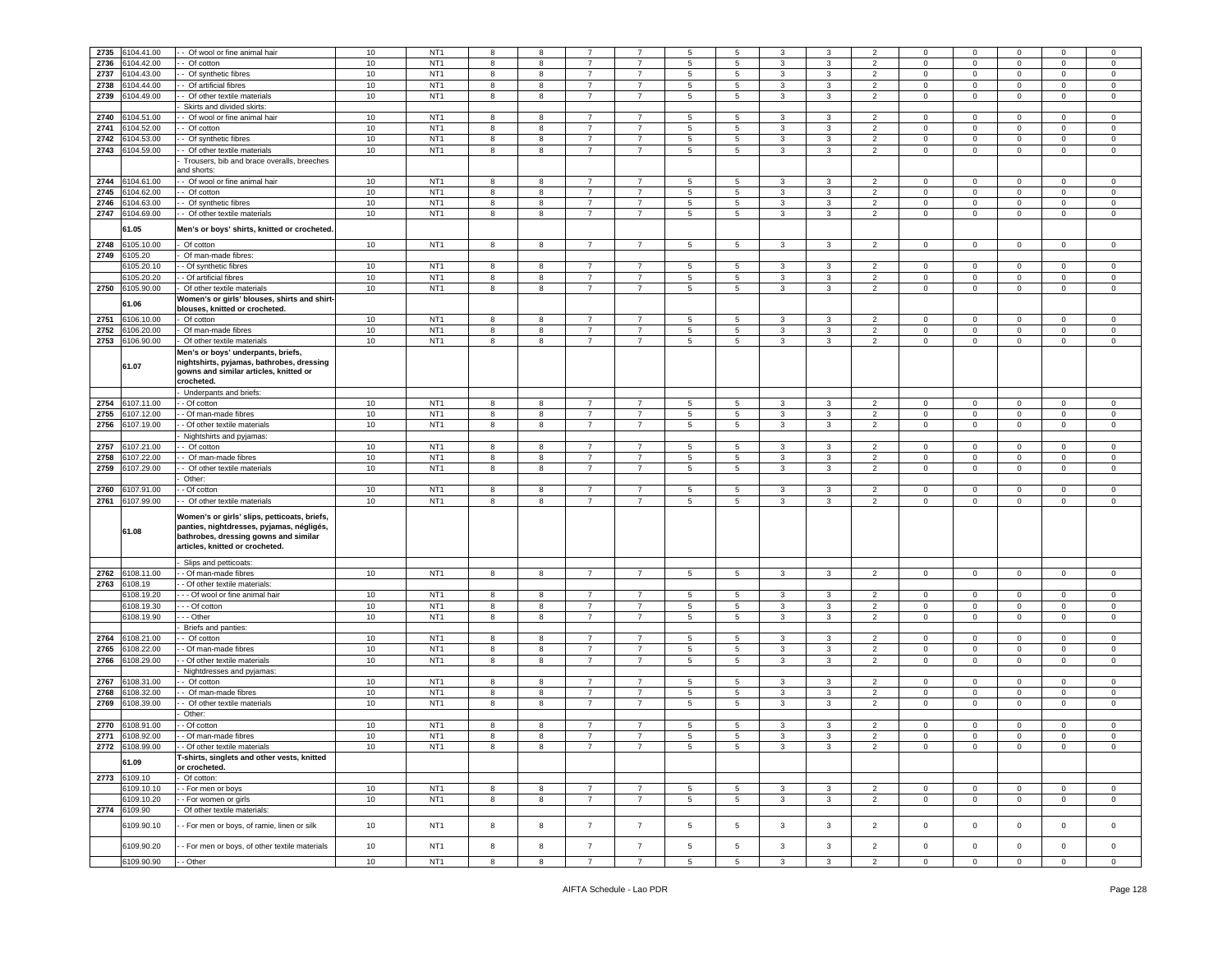| 2735 | 6104.41.00      | - Of wool or fine animal hair                 | 10     | NT <sub>1</sub> | 8          | 8 |                |                | 5               | 5               | 3            | 3            | $\overline{2}$ | 0            | $\mathbf 0$    | $\mathbf 0$             | $\mathbf 0$    | $\mathbf 0$    |
|------|-----------------|-----------------------------------------------|--------|-----------------|------------|---|----------------|----------------|-----------------|-----------------|--------------|--------------|----------------|--------------|----------------|-------------------------|----------------|----------------|
| 2736 | 104.42.00       | - Of cotton                                   | 10     | NT <sub>1</sub> | 8          | 8 | $\overline{7}$ | $\overline{7}$ | 5               | 5               | 3            | 3            | $\overline{2}$ | $\mathbf 0$  | $\mathbf 0$    | $\mathbf 0$             | $\mathbf 0$    | $\mathbf 0$    |
|      |                 |                                               |        |                 |            |   | $\overline{7}$ |                |                 |                 |              |              |                |              |                |                         |                |                |
| 2737 | 104.43.00       | - Of synthetic fibres                         | 10     | NT <sub>1</sub> | 8          | 8 |                | $\overline{7}$ | 5               | 5               | 3            | 3            | $\overline{2}$ | $\mathbf 0$  | $\circ$        | $\overline{\mathbf{0}}$ | $\mathbf 0$    | $\mathsf 0$    |
| 2738 | 3104.44.00      | - Of artificial fibres                        | 10     | NT <sub>1</sub> | 8          | 8 | $\overline{7}$ | $\overline{7}$ | 5               | 5               | 3            | 3            | $\overline{2}$ | 0            | $\mathbf 0$    | $\mathbf 0$             | $\mathbf 0$    | $\mathbf 0$    |
| 2739 | 3104.49.00      | - Of other textile materials                  | 10     | NT <sub>1</sub> | 8          | 8 | -7             | 7              | 5               | $5\phantom{.0}$ |              | 3            | $\overline{2}$ | $\mathbf 0$  | $\mathbf 0$    | $\mathsf 0$             |                | $\overline{0}$ |
|      |                 |                                               |        |                 |            |   |                |                |                 |                 | 3            |              |                |              |                |                         | $\mathbf{0}$   |                |
|      |                 | Skirts and divided skirts                     |        |                 |            |   |                |                |                 |                 |              |              |                |              |                |                         |                |                |
| 2740 | 104.51.00       | - Of wool or fine animal hair                 | 10     | NT <sub>1</sub> | 8          | 8 | $\overline{7}$ | $\overline{7}$ | 5               | 5               | 3            | 3            | $\overline{2}$ | 0            | $\mathbf 0$    | $\overline{0}$          | $\mathbf 0$    | $\mathbf 0$    |
|      |                 |                                               |        |                 |            |   |                |                |                 |                 |              |              |                |              |                |                         |                |                |
| 2741 | 3104.52.00      | - Of cotton                                   | 10     | NT <sub>1</sub> | 8          | 8 | -7             | 7              | 5               | $\overline{5}$  | 3            | 3            | $\overline{2}$ | $\mathbf{0}$ | $\mathbf 0$    | $\mathsf 0$             | $\mathbf{0}$   | $\overline{0}$ |
| 2742 | 104.53.00       | - Of synthetic fibres                         | 10     | NT <sub>1</sub> | 8          | 8 | $\overline{7}$ | $\overline{7}$ | 5               | 5               | 3            | 3            | $\overline{2}$ | $\mathbf 0$  | $\circ$        | $\overline{0}$          | $\mathbf 0$    | $\mathsf 0$    |
| 2743 | 104.59.00       |                                               | 10     | NT <sub>1</sub> | 8          | 8 | $\overline{7}$ | $\overline{7}$ | 5               | $\overline{5}$  |              | 3            | $\overline{2}$ |              | $\mathsf 0$    |                         |                | $\mathsf 0$    |
|      |                 | - Of other textile materials                  |        |                 |            |   |                |                |                 |                 | 3            |              |                | $\mathbf 0$  |                | $\mathbf 0$             | $\mathbf 0$    |                |
|      |                 | Trousers, bib and brace overalls, breeches    |        |                 |            |   |                |                |                 |                 |              |              |                |              |                |                         |                |                |
|      |                 | and shorts:                                   |        |                 |            |   |                |                |                 |                 |              |              |                |              |                |                         |                |                |
| 2744 | 104.61.00       |                                               |        | NT <sub>1</sub> | 8          |   | $\overline{7}$ | $\overline{7}$ | 5               | 5               | 3            | 3            | $\overline{2}$ | $\mathbf 0$  | $\circ$        | $\overline{0}$          | $\mathbf 0$    | $\mathbf 0$    |
|      |                 | - Of wool or fine animal hair                 | 10     |                 |            | 8 |                |                |                 |                 |              |              |                |              |                |                         |                |                |
| 2745 | 104.62.00       | - Of cotton                                   | 10     | NT <sub>1</sub> | 8          | 8 | $\overline{7}$ | $\overline{7}$ | 5               | $\overline{5}$  | 3            | 3            | $\overline{2}$ | $\mathbf 0$  | $\mathbf 0$    | $\mathsf 0$             | $\mathbf 0$    | $\mathsf 0$    |
| 2746 | 104.63.00       | - Of synthetic fibres                         | 10     | NT <sub>1</sub> | 8          | 8 | $\overline{7}$ | 7              | $5\phantom{.0}$ | $\overline{5}$  | 3            | 3            | $\overline{2}$ | $\mathbf{0}$ | $\mathsf 0$    | $\overline{0}$          | $^{\circ}$     | $\mathsf 0$    |
|      |                 |                                               |        |                 |            |   |                |                |                 |                 |              |              |                |              |                |                         |                |                |
| 2747 | 6104.69.00      | - Of other textile materials                  | 10     | NT <sub>1</sub> | 8          | 8 | $\overline{7}$ | $\overline{7}$ | 5               | 5               | 3            | 3            | $\overline{2}$ | $\mathbf 0$  | $\mathbf 0$    | $\overline{0}$          | $\mathbf 0$    | $\mathbf 0$    |
|      |                 |                                               |        |                 |            |   |                |                |                 |                 |              |              |                |              |                |                         |                |                |
|      | 61.05           | Men's or boys' shirts, knitted or crocheted.  |        |                 |            |   |                |                |                 |                 |              |              |                |              |                |                         |                |                |
|      |                 |                                               |        |                 |            |   |                |                |                 |                 |              |              |                |              |                |                         |                |                |
| 2748 | 6105.10.00      | Of cotton                                     | 10     | NT <sub>1</sub> | 8          | 8 | $\overline{7}$ | $\overline{7}$ | $5\phantom{.0}$ | $5\overline{5}$ | 3            | 3            | $\overline{2}$ | $\mathbf{0}$ | $\mathbf 0$    | $\overline{0}$          | $\overline{0}$ | $\mathbf{0}$   |
| 2749 | 6105.20         | Of man-made fibres:                           |        |                 |            |   |                |                |                 |                 |              |              |                |              |                |                         |                |                |
|      | 105.20.10       | - Of synthetic fibres                         | 10     | NT <sub>1</sub> | 8          | 8 | $\overline{7}$ | $\overline{7}$ | 5               | $\overline{5}$  | 3            | 3            | $\overline{2}$ | 0            | $\mathbf 0$    | $\overline{0}$          | $\mathbf 0$    | $\mathbf 0$    |
|      |                 |                                               |        |                 |            |   |                |                |                 |                 |              |              |                |              |                |                         |                |                |
|      | 6105.20.20      | - Of artificial fibres                        | 10     | NT <sub>1</sub> | 8          | 8 | -7             | $\overline{7}$ | 5               | $\overline{5}$  | 3            | 3            | $\overline{2}$ | 0            | $\mathbf 0$    | $\circ$                 | $^{\circ}$     | $\mathsf 0$    |
| 2750 | 6105.90.00      | Of other textile materials                    | 10     | NT <sub>1</sub> | 8          | 8 | $\overline{7}$ | $\overline{7}$ | 5               | 5               | 3            | 3            | $\overline{2}$ | $\mathbf 0$  | $\mathbf 0$    | $\mathbf 0$             | $\mathbf 0$    | $\mathbf 0$    |
|      |                 |                                               |        |                 |            |   |                |                |                 |                 |              |              |                |              |                |                         |                |                |
|      | 61.06           | Women's or girls' blouses, shirts and shirt·  |        |                 |            |   |                |                |                 |                 |              |              |                |              |                |                         |                |                |
|      |                 | blouses, knitted or crocheted.                |        |                 |            |   |                |                |                 |                 |              |              |                |              |                |                         |                |                |
| 2751 | 6106.10.00      | Of cotton                                     | 10     | NT <sub>1</sub> | 8          | 8 | -7             | $\overline{7}$ | 5               | $\overline{5}$  | 3            | 3            | $\overline{2}$ | 0            | $\mathbf 0$    | $\circ$                 | $\mathbf 0$    | $\mathbf 0$    |
| 2752 | 6106.20.00      | Of man-made fibres                            | 10     | NT <sub>1</sub> | 8          | 8 | $\overline{7}$ | $\overline{7}$ | 5               | 5               | 3            | 3            | $\overline{2}$ | $\mathbf 0$  | $\mathbf 0$    | $\overline{0}$          | $\mathbf 0$    | $\circ$        |
|      |                 |                                               |        |                 |            |   |                |                |                 |                 |              |              |                |              |                |                         |                |                |
| 2753 | 3106.90.00      | Of other textile materials                    | $10$   | NT <sub>1</sub> | 8          | 8 | $\overline{7}$ | $\overline{7}$ | 5               | $\overline{5}$  | 3            | 3            | $\overline{2}$ | $\mathbf 0$  | $\mathbf 0$    | $\mathsf 0$             | $\mathbf 0$    | $\mathsf 0$    |
|      |                 | Men's or boys' underpants, briefs,            |        |                 |            |   |                |                |                 |                 |              |              |                |              |                |                         |                |                |
|      |                 |                                               |        |                 |            |   |                |                |                 |                 |              |              |                |              |                |                         |                |                |
|      | 61.07           | nightshirts, pyjamas, bathrobes, dressing     |        |                 |            |   |                |                |                 |                 |              |              |                |              |                |                         |                |                |
|      |                 | gowns and similar articles, knitted or        |        |                 |            |   |                |                |                 |                 |              |              |                |              |                |                         |                |                |
|      |                 | crocheted.                                    |        |                 |            |   |                |                |                 |                 |              |              |                |              |                |                         |                |                |
|      |                 | Underpants and briefs:                        |        |                 |            |   |                |                |                 |                 |              |              |                |              |                |                         |                |                |
|      |                 |                                               |        |                 |            |   |                |                |                 |                 |              |              |                |              |                |                         |                |                |
| 2754 | 6107.11.00      | - Of cotton                                   | 10     | NT <sub>1</sub> | 8          | 8 | -7             | $\overline{7}$ | 5               | $\overline{5}$  | 3            | 3            | $\overline{2}$ | 0            | $\mathbf{0}$   | $\mathbf 0$             | $\mathbf 0$    | 0              |
| 2755 | 3107.12.00      | - Of man-made fibres                          | 10     | NT <sub>1</sub> | 8          | 8 | $\overline{7}$ | 7              | 5               | 5               | 3            | 3            | $\overline{2}$ | 0            | $\mathbf 0$    | $\overline{0}$          | $\mathbf 0$    | $\circ$        |
|      |                 |                                               |        |                 |            |   | $\overline{7}$ |                |                 |                 |              |              |                |              |                |                         |                |                |
| 2756 | \$107.19.00     | - Of other textile materials                  | $10\,$ | NT <sub>1</sub> | 8          | 8 |                | $\overline{7}$ | 5               | $5\phantom{.0}$ | 3            | 3            | $\overline{2}$ | $\mathbf 0$  | $\mathsf 0$    | $\overline{\mathbf{0}}$ | $\mathbf 0$    | $\mathsf 0$    |
|      |                 | Nightshirts and pyjamas:                      |        |                 |            |   |                |                |                 |                 |              |              |                |              |                |                         |                |                |
| 2757 | 107.21.00       | - Of cotton                                   | 10     | NT <sub>1</sub> | 8          | 8 | $\overline{7}$ | $\overline{7}$ | 5               | 5               | 3            | 3            | $\overline{2}$ | $\mathbf 0$  | 0              | $\mathsf 0$             | $\mathbf 0$    | $\mathbf 0$    |
|      |                 |                                               |        |                 |            |   |                |                |                 |                 |              |              |                |              |                |                         |                |                |
| 2758 | 107.22.00       | Of man-made fibres                            | 10     | NT <sub>1</sub> | 8          | 8 | $\overline{7}$ | $\overline{7}$ | 5               | $\overline{5}$  | 3            | 3            | $\overline{2}$ | $\mathbf 0$  | $\mathbf 0$    | $\mathsf 0$             | $\mathsf 0$    | $\mathsf 0$    |
| 2759 | 107.29.00       | - Of other textile materials                  | 10     | NT <sub>1</sub> | 8          | 8 | $\overline{7}$ | $\overline{7}$ | 5               | $\sqrt{5}$      | 3            | 3            | $\overline{2}$ | $\mathbf 0$  | $\mathsf 0$    | $\overline{0}$          | $\mathsf 0$    | $\mathsf 0$    |
|      |                 |                                               |        |                 |            |   |                |                |                 |                 |              |              |                |              |                |                         |                |                |
|      |                 |                                               |        |                 |            |   |                |                |                 |                 |              |              |                |              |                |                         |                |                |
|      |                 | Other:                                        |        |                 |            |   |                |                |                 |                 |              |              |                |              |                |                         |                |                |
| 2760 | \$107.91.00     | - Of cotton                                   | $10$   | NT <sub>1</sub> | 8          | 8 | $\overline{7}$ | $\overline{7}$ | $\sqrt{5}$      | $\,$ 5 $\,$     | 3            | 3            | $\overline{2}$ | 0            | $\mathbf 0$    | $\mathbf 0$             | $\mathbf 0$    | $\mathsf 0$    |
|      |                 |                                               |        |                 |            |   |                |                |                 |                 |              |              |                |              |                |                         |                |                |
| 2761 | 6107.99.00      | - Of other textile materials                  | 10     | NT <sub>1</sub> | 8          | 8 | $\overline{7}$ | $\overline{7}$ | 5               | 5               | 3            | 3            | $\overline{2}$ | 0            | $\mathbf 0$    | $\overline{0}$          | $\mathbf 0$    | $\mathsf 0$    |
|      |                 |                                               |        |                 |            |   |                |                |                 |                 |              |              |                |              |                |                         |                |                |
|      |                 | Women's or girls' slips, petticoats, briefs,  |        |                 |            |   |                |                |                 |                 |              |              |                |              |                |                         |                |                |
|      |                 | panties, nightdresses, pyjamas, négligés,     |        |                 |            |   |                |                |                 |                 |              |              |                |              |                |                         |                |                |
|      | 61.08           | bathrobes, dressing gowns and similar         |        |                 |            |   |                |                |                 |                 |              |              |                |              |                |                         |                |                |
|      |                 | articles, knitted or crocheted.               |        |                 |            |   |                |                |                 |                 |              |              |                |              |                |                         |                |                |
|      |                 |                                               |        |                 |            |   |                |                |                 |                 |              |              |                |              |                |                         |                |                |
|      |                 | Slips and petticoats:                         |        |                 |            |   |                |                |                 |                 |              |              |                |              |                |                         |                |                |
|      |                 |                                               |        |                 |            |   |                |                |                 |                 |              |              |                |              |                |                         |                |                |
| 2762 | 108.11.00       | - Of man-made fibres                          | $10$   | NT <sub>1</sub> | 8          | 8 | $\overline{7}$ | $\overline{7}$ | 5               | 5               | 3            | 3            | $\overline{2}$ | $\mathbf 0$  | $\mathbf 0$    | $\overline{\mathbf{0}}$ | $\mathbf 0$    | $\mathbf 0$    |
| 2763 | 6108.19         | - Of other textile materials:                 |        |                 |            |   |                |                |                 |                 |              |              |                |              |                |                         |                |                |
|      | 6108.19.20      | -- Of wool or fine animal hair                | 10     | NT <sub>1</sub> | 8          | 8 | -7             | 7              | 5               | 5               | 3            | 3            | $\overline{2}$ | $\mathbf{0}$ | $\mathbf 0$    | $\overline{0}$          | $\mathbf{0}$   | $\overline{0}$ |
|      |                 |                                               |        |                 |            |   |                |                |                 |                 |              |              |                |              |                |                         |                |                |
|      | 6108.19.30      | - - Of cotton                                 | 10     | NT <sub>1</sub> | 8          | 8 | $\overline{7}$ | $\overline{7}$ | 5               | 5               | 3            | 3            | $\overline{2}$ | $\mathbf 0$  | $\circ$        | $\overline{0}$          | $\mathbf 0$    | $\mathsf 0$    |
|      | 6108.19.90      | - - Other                                     | 10     | NT <sub>1</sub> | 8          | 8 | $\overline{7}$ | $\overline{7}$ | 5               | $\overline{5}$  | 3            | 3            | $\overline{2}$ | $\mathbf 0$  | $\mathsf 0$    | $\mathbf 0$             | $\mathbf 0$    | $\mathbf 0$    |
|      |                 | Briefs and panties:                           |        |                 |            |   |                |                |                 |                 |              |              |                |              |                |                         |                |                |
|      |                 |                                               |        |                 |            |   |                |                |                 |                 |              |              |                |              |                |                         |                |                |
| 2764 | 6108.21.00      | - Of cotton                                   | 10     | NT <sub>1</sub> | 8          | 8 | $\overline{7}$ | $\overline{7}$ | 5               | 5               | 3            | 3            | $\overline{2}$ | $\mathbf 0$  | $\mathbf 0$    | $\overline{0}$          | $\mathbf 0$    | $\mathbf 0$    |
| 2765 | 108.22.00       | - Of man-made fibres                          | $10$   | NT <sub>1</sub> | 8          | 8 | $\overline{7}$ | $\overline{7}$ | 5               | 5               | 3            | 3            | $\overline{2}$ | $^{\circ}$   | 0              | 0                       | $\mathbf 0$    | $\mathbf 0$    |
| 2766 | 3108.29.00      | - Of other textile materials                  | 10     | NT <sub>1</sub> | 8          | 8 | $\overline{7}$ | $\overline{7}$ | 5               | $\overline{5}$  | 3            | 3            | $\overline{2}$ | $\mathbf 0$  | $\mathsf 0$    | $\mathsf 0$             | $\mathbf 0$    | $\mathsf 0$    |
|      |                 |                                               |        |                 |            |   |                |                |                 |                 |              |              |                |              |                |                         |                |                |
|      |                 | Nightdresses and pyjamas                      |        |                 |            |   |                |                |                 |                 |              |              |                |              |                |                         |                |                |
| 2767 | 108.31.00       | - Of cotton                                   | $10$   | NT <sub>1</sub> | 8          | 8 | -7             | $\overline{7}$ | 5               | $\overline{5}$  | 3            | 3            | $\overline{2}$ | $\mathbf 0$  | $\mathbf 0$    | $\mathsf 0$             | $^{\circ}$     | $\mathbf 0$    |
| 2768 | 108.32.00       | - Of man-made fibres                          | 10     | NT <sub>1</sub> | 8          | 8 | $\overline{7}$ | $\overline{7}$ | 5               | $\overline{5}$  | 3            | 3            | $\overline{2}$ | $\mathbf 0$  | $\mathbf 0$    | $\mathbf 0$             | $\mathbf 0$    | $\mathbf 0$    |
|      |                 |                                               |        |                 |            |   |                |                |                 |                 |              |              |                |              |                |                         |                |                |
| 2769 | 108.39.00       | - Of other textile materials                  | 10     | NT <sub>1</sub> | 8          | 8 | $\overline{7}$ | $\overline{7}$ | 5               | 5               | 3            | 3            | $\overline{2}$ | 0            | $\mathbf 0$    | $\overline{0}$          | $\mathbf 0$    | $\circ$        |
|      |                 | Other:                                        |        |                 |            |   |                |                |                 |                 |              |              |                |              |                |                         |                |                |
| 2770 | 6108.91.00      |                                               |        |                 | 8          | 8 |                | $\overline{7}$ | 5               |                 | $\mathbf{3}$ |              | $\overline{2}$ | $\mathbf 0$  | $\mathbf 0$    | $\mathbf 0$             | $\mathbf 0$    | $\mathbf 0$    |
|      |                 | - Of cotton                                   | 10     | NT <sub>1</sub> |            |   |                |                |                 | $\overline{5}$  |              | 3            |                |              |                |                         |                |                |
| 2771 | 6108.92.00      | - Of man-made fibres                          | 10     | NT <sub>1</sub> | 8          | 8 | $\overline{7}$ | $\overline{7}$ | 5               | 5               | 3            | 3            | $\overline{2}$ | 0            | $\mathbf{0}$   | $\mathbf 0$             | $\mathbf 0$    | $\mathbf 0$    |
|      | 2772 6108.99.00 | - Of other textile materials                  | $10\,$ | NT <sub>1</sub> | 8          | 8 | $\overline{7}$ | $\overline{7}$ | 5               | $\,$ 5 $\,$     | 3            | 3            | $\overline{2}$ | $\mathbf{0}$ | $\mathbf 0$    | $\mathbf 0$             | $\mathbf{0}$   | $\mathsf 0$    |
|      |                 |                                               |        |                 |            |   |                |                |                 |                 |              |              |                |              |                |                         |                |                |
|      | 61.09           | T-shirts, singlets and other vests, knitted   |        |                 |            |   |                |                |                 |                 |              |              |                |              |                |                         |                |                |
|      |                 | or crocheted.                                 |        |                 |            |   |                |                |                 |                 |              |              |                |              |                |                         |                |                |
|      | 2773 6109.10    | Of cotton:                                    |        |                 |            |   |                |                |                 |                 |              |              |                |              |                |                         |                |                |
|      |                 |                                               |        |                 |            |   |                |                |                 |                 |              |              |                |              |                |                         |                |                |
|      | 6109.10.10      | - For men or boys                             | 10     | NT <sub>1</sub> | 8          | 8 | $\overline{7}$ | $\overline{7}$ | $5\overline{5}$ | $5\phantom{.0}$ | $\mathbf{3}$ | $\mathbf{3}$ | $\overline{2}$ | $\mathbf 0$  | $\circ$        | $\mathbf 0$             | $\overline{0}$ | $\mathsf 0$    |
|      | 6109.10.20      | - For women or girls                          | 10     | NT <sub>1</sub> | 8          | 8 | $\overline{7}$ | $\overline{7}$ | 5               | $5\phantom{.0}$ | $\mathbf{3}$ | $\mathbf{3}$ | $\overline{2}$ | $\mathsf 0$  | $\mathsf 0$    | $\overline{0}$          | $\mathbf{0}$   | $\overline{0}$ |
|      | 2774 6109.90    | Of other textile materials:                   |        |                 |            |   |                |                |                 |                 |              |              |                |              |                |                         |                |                |
|      |                 |                                               |        |                 |            |   |                |                |                 |                 |              |              |                |              |                |                         |                |                |
|      | 6109.90.10      | - For men or boys, of ramie, linen or silk    | 10     | NT <sub>1</sub> | $^{\rm 8}$ | 8 | $\overline{7}$ | $\overline{7}$ | $5\phantom{.0}$ | $\sqrt{5}$      | $\mathbf{3}$ | $\mathbf{3}$ | $\overline{2}$ | $\mathbf 0$  | $\mathsf 0$    | $\mathbf 0$             | $\mathsf 0$    | $\overline{0}$ |
|      |                 |                                               |        |                 |            |   |                |                |                 |                 |              |              |                |              |                |                         |                |                |
|      |                 |                                               |        |                 |            |   |                |                |                 |                 |              |              |                |              |                |                         |                |                |
|      | 6109.90.20      | - For men or boys, of other textile materials | 10     | NT <sub>1</sub> | 8          | 8 | $\overline{7}$ | $\overline{7}$ | 5               | $\sqrt{5}$      | 3            | $\mathbf{3}$ | $\overline{2}$ | $\mathbf 0$  | $\mathbf 0$    | $\overline{0}$          | $\mathbf{0}$   | $\mathsf 0$    |
|      | 6109.90.90      | - Other                                       | 10     | NT <sub>1</sub> | 8          | 8 | $\overline{7}$ | $\overline{7}$ | $5\overline{5}$ | 5 <sub>5</sub>  | $\mathbf{3}$ | $\mathbf{3}$ | $\overline{2}$ | $\mathbf 0$  | $\overline{0}$ | $\overline{0}$          | $\overline{0}$ | $\overline{0}$ |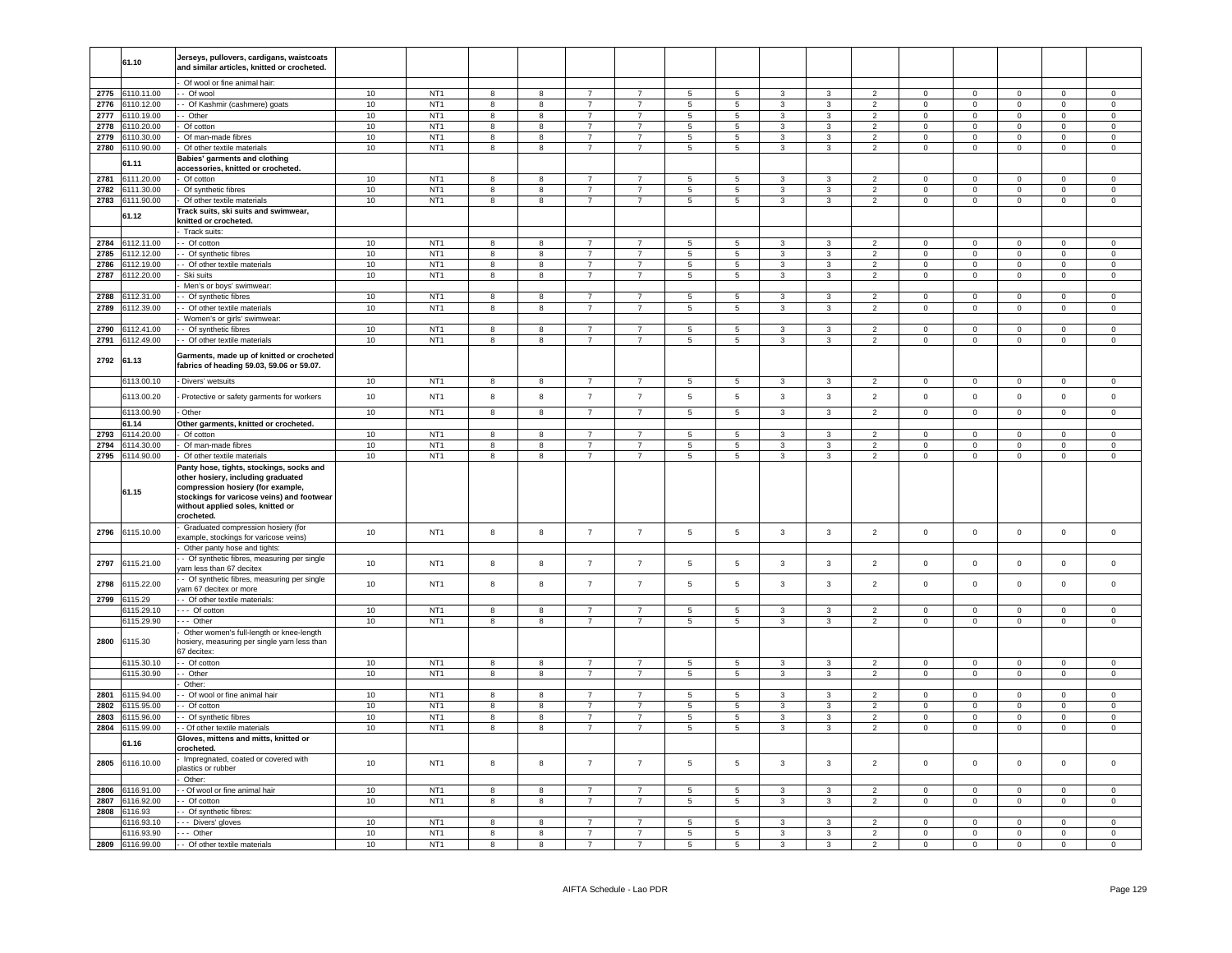|      | 61.10                   | Jerseys, pullovers, cardigans, waistcoats<br>and similar articles, knitted or crocheted.                                           |          |                                    |                         |                         |                                  |                                  |                                  |                                   |                   |                |                                  |                            |                            |                            |                         |                            |
|------|-------------------------|------------------------------------------------------------------------------------------------------------------------------------|----------|------------------------------------|-------------------------|-------------------------|----------------------------------|----------------------------------|----------------------------------|-----------------------------------|-------------------|----------------|----------------------------------|----------------------------|----------------------------|----------------------------|-------------------------|----------------------------|
|      |                         | Of wool or fine animal hair:                                                                                                       |          |                                    |                         |                         |                                  |                                  |                                  |                                   |                   |                |                                  |                            |                            |                            |                         |                            |
|      | 2775 6110.11.00         | - Of wool                                                                                                                          | 10       | NT <sub>1</sub>                    | 8                       | 8                       | $\overline{7}$                   | $\overline{7}$                   | 5                                | $5\overline{5}$                   | $\mathbf{3}$      | 3              | $\overline{2}$                   | $\overline{0}$             | $\overline{0}$             | $\overline{0}$             | $\mathbf{0}$            | $\overline{0}$             |
| 2776 | 6110.12.00              | - Of Kashmir (cashmere) goats                                                                                                      | 10       | NT <sub>1</sub>                    | 8                       | 8                       | $\overline{7}$                   | $\overline{7}$                   | 5                                | 5                                 | $\mathbf{3}$      | 3              | $\overline{2}$                   | $\mathbf{0}$               | $\mathbf{0}$               | $\mathbf 0$                | $\mathbf{0}$            | $\mathbf{0}$               |
| 2777 | 6110.19.00              | - Other                                                                                                                            | 10       | NT <sub>1</sub>                    | 8                       | 8                       | $\overline{7}$                   | $\overline{7}$                   | $5\phantom{.0}$                  | $5\overline{)}$                   | $\mathbf{3}$      | 3              | $\overline{2}$                   | $\mathsf 0$                | $\overline{0}$             | $\mathbf 0$                | $\overline{0}$          | $\overline{0}$             |
| 2778 | 6110.20.00              | Of cotton                                                                                                                          | 10       | NT <sub>1</sub>                    | 8                       | 8                       | $\overline{7}$                   | $\overline{7}$                   | 5                                | $5\overline{)}$                   | 3                 | 3              | $\overline{2}$                   | $\mathbf{0}$               | $\overline{0}$             | $\mathbf{0}$               | $\mathbf{0}$            | $\mathbf{0}$               |
| 2779 | 6110.30.00              | Of man-made fibres                                                                                                                 | 10       | NT <sub>1</sub>                    | 8                       | 8                       | $\overline{7}$                   | $\overline{7}$                   | 5                                | $5\overline{5}$                   | $\mathbf{3}$      | 3              | $\overline{2}$                   | $\overline{0}$             | $\overline{0}$             | $\mathbf 0$                | $\overline{0}$          | $\overline{0}$             |
| 2780 | 6110.90.00              | Of other textile materials                                                                                                         | 10       | NT <sub>1</sub>                    | 8                       | 8                       | $\overline{7}$                   | $\overline{7}$                   | 5                                | $5^{\circ}$                       | $\mathbf{3}$      | 3              | $\overline{2}$                   | $\mathbf{0}$               | $\mathbf{0}$               | $\mathbf 0$                | $\mathbf{0}$            | $\mathbf{0}$               |
|      |                         | Babies' garments and clothing                                                                                                      |          |                                    |                         |                         |                                  |                                  |                                  |                                   |                   |                |                                  |                            |                            |                            |                         |                            |
|      | 61.11                   | accessories, knitted or crocheted.                                                                                                 |          |                                    |                         |                         |                                  |                                  |                                  |                                   |                   |                |                                  |                            |                            |                            |                         |                            |
| 2781 | 3111.20.00              | Of cotton                                                                                                                          | 10       | NT <sub>1</sub>                    | 8                       | 8                       | $\overline{7}$                   | $\overline{7}$                   | 5                                | 5                                 | 3                 | 3              | $\overline{2}$                   | $\Omega$                   | $\Omega$                   | $\mathsf 0$                | $\mathbf{0}$            | $\Omega$                   |
| 2782 | 6111.30.00              | Of synthetic fibres                                                                                                                | 10       | NT <sub>1</sub>                    | 8                       | $\bf8$                  | $\overline{7}$                   | $\overline{7}$                   | $\overline{5}$                   | $5\phantom{.0}$                   | $\mathbf{3}$      | 3              | $\overline{2}$                   | $\mathbf 0$                | $\mathsf 0$                | $\mathbf 0$                | $\mathbf 0$             | $\mathbf 0$                |
| 2783 | 3111.90.00              | Of other textile materials                                                                                                         | 10       | NT <sub>1</sub>                    | $\overline{\mathbf{8}}$ | $\overline{\mathbf{8}}$ | $\overline{7}$                   | $\overline{7}$                   | $\overline{5}$                   | $\overline{5}$                    | $\overline{3}$    | $\overline{3}$ | $\overline{2}$                   | $\mathbf 0$                | $\overline{0}$             | $\overline{0}$             | $\overline{0}$          | $\overline{0}$             |
|      | 61.12                   | <b>Track suits, ski suits and swimwear,</b>                                                                                        |          |                                    |                         |                         |                                  |                                  |                                  |                                   |                   |                |                                  |                            |                            |                            |                         |                            |
|      |                         | knitted or crocheted.                                                                                                              |          |                                    |                         |                         |                                  |                                  |                                  |                                   |                   |                |                                  |                            |                            |                            |                         |                            |
|      |                         | Track suits:                                                                                                                       |          |                                    |                         |                         |                                  |                                  |                                  |                                   |                   |                |                                  |                            |                            |                            |                         |                            |
| 2784 | 6112.11.00              | - Of cotton                                                                                                                        | 10       | NT <sub>1</sub>                    | 8                       | 8                       | $\overline{7}$                   | $\overline{7}$                   | $\,$ 5 $\,$                      | 5                                 | 3                 | 3              | $\overline{2}$                   | $\mathbf 0$                | $\mathbf 0$                | $\mathsf{O}\xspace$        | $\mathbf 0$             | $\mathsf 0$                |
| 2785 | 6112.12.00              | - Of synthetic fibres                                                                                                              | 10       | NT <sub>1</sub>                    | 8                       | 8                       | $\overline{7}$                   | $\overline{7}$                   | $\,$ 5 $\,$                      | 5                                 | 3                 | 3              | $\overline{2}$                   | $\Omega$                   | $\mathbf 0$                | $\mathsf{O}\xspace$        | $\mathbf 0$             | $\mathsf{O}\xspace$        |
| 2786 | 6112.19.00              | - Of other textile materials                                                                                                       | 10       | NT <sub>1</sub>                    | 8                       | 8                       | $\overline{7}$                   | $\overline{7}$                   | $\,$ 5 $\,$                      | 5                                 | 3                 | 3              | $\overline{2}$                   | $\mathsf 0$                | $\mathbf 0$                | $\mathsf{O}\xspace$        | 0                       | $\mathsf{O}\xspace$        |
| 2787 | 3112.20.00              | Ski suits                                                                                                                          | 10       | NT <sub>1</sub>                    | 8                       | 8                       | $\overline{7}$                   | $\overline{7}$                   | $\overline{5}$                   | 5                                 | 3                 | 3              | $\overline{2}$                   | $\mathbf 0$                | $\circ$                    | $\mathsf 0$                | $\mathbf{0}$            | $\mathsf 0$                |
|      |                         | Men's or boys' swimwear:                                                                                                           |          |                                    |                         |                         |                                  |                                  |                                  |                                   |                   |                |                                  |                            |                            |                            |                         |                            |
| 2788 | 3112.31.00              | - Of synthetic fibres                                                                                                              | 10       | NT <sub>1</sub>                    | 8                       | 8                       | $\overline{7}$                   | $\overline{7}$                   | 5                                | 5                                 | 3                 | 3              | $\overline{2}$                   | $\Omega$                   | $\mathbf 0$                | $\mathbf 0$                | $\mathbf 0$             | $\mathbf 0$                |
| 2789 | 6112.39.00              | - Of other textile materials                                                                                                       | 10       | NT <sub>1</sub>                    | 8                       | 8                       | $\overline{7}$                   | $\overline{7}$                   | $\,$ 5 $\,$                      | $5\overline{5}$                   | $\mathbf{3}$      | 3              | $\overline{2}$                   | $\mathsf 0$                | $\mathbf 0$                | $\mathsf{O}\xspace$        | $\mathsf 0$             | $\mathsf{O}\xspace$        |
|      |                         | Women's or girls' swimwear:                                                                                                        |          |                                    |                         |                         |                                  |                                  |                                  |                                   |                   |                |                                  |                            |                            |                            |                         |                            |
| 2790 | 112.41.00               | - Of synthetic fibres                                                                                                              | 10       | NT <sub>1</sub>                    | 8                       | 8                       | $\overline{7}$                   | $\overline{7}$                   | $\overline{5}$                   | 5                                 | 3                 | 3              | $\overline{2}$                   | $\mathbf 0$                | $\mathsf 0$                | $\mathsf 0$                | $\mathbf 0$             | $\mathbf 0$                |
| 2791 | 6112.49.00              | - Of other textile materials                                                                                                       | 10       | NT <sub>1</sub>                    | 8                       | 8                       | $\overline{7}$                   | $\overline{7}$                   | $\overline{5}$                   | $5\overline{)}$                   | 3                 | 3              | $\overline{2}$                   | $\mathbf 0$                | $\circ$                    | $\mathbf 0$                | $\mathbf{0}$            | $\mathbf 0$                |
| 2792 | 61.13                   | Garments, made up of knitted or crocheted<br>fabrics of heading 59.03, 59.06 or 59.07.                                             |          |                                    |                         |                         |                                  |                                  |                                  |                                   |                   |                |                                  |                            |                            |                            |                         |                            |
|      | 6113.00.10              | - Divers' wetsuits                                                                                                                 | 10       | NT <sub>1</sub>                    | $\mathbf{R}$            | $\mathbf{R}$            | $\overline{7}$                   | $\overline{7}$                   | 5                                | $\overline{5}$                    | $\mathbf{3}$      | 3              | $\overline{2}$                   | $\mathbf 0$                | $\mathbf 0$                | $\mathsf 0$                | $\mathbf 0$             | $\Omega$                   |
|      | 6113.00.20              | - Protective or safety garments for workers                                                                                        | 10       | NT <sub>1</sub>                    | 8                       | 8                       | $\overline{7}$                   | $\overline{7}$                   | $\,$ 5 $\,$                      | $\overline{5}$                    | $\mathbf{3}$      | $\mathbf{3}$   | $\overline{2}$                   | $\mathbf 0$                | $\mathbf 0$                | $\mathsf 0$                | $\mathsf 0$             | $\mathsf 0$                |
|      | 6113.00.90              | Other                                                                                                                              | 10       | NT <sub>1</sub>                    | 8                       | 8                       | $\overline{7}$                   | $\overline{7}$                   | 5                                | $5\overline{5}$                   | 3                 | $\mathbf{3}$   | $\overline{2}$                   | $\mathsf 0$                | $\mathsf 0$                | $\mathsf{O}\xspace$        | $\mathbf 0$             | $\mathsf 0$                |
|      | 61.14                   |                                                                                                                                    |          |                                    |                         |                         |                                  |                                  |                                  |                                   |                   |                |                                  |                            |                            |                            |                         |                            |
| 2793 | 6114.20.00              | Other garments, knitted or crocheted.<br>Of cotton                                                                                 | 10       | NT <sub>1</sub>                    | 8                       | 8                       | $\overline{7}$                   | $\overline{7}$                   | $\overline{5}$                   | 5                                 | 3                 | 3              | $\overline{2}$                   | $\mathbf 0$                | $\mathbf 0$                | $\mathbf 0$                | $\mathbf 0$             | $\mathbf 0$                |
| 2794 | 3114.30.00              | Of man-made fibres                                                                                                                 | 10       | NT <sub>1</sub>                    | 8                       | 8                       | $\overline{7}$                   | $\overline{7}$                   | $\overline{5}$                   | $\overline{5}$                    | 3                 | 3              | $\mathcal{P}$                    | $\Omega$                   | $\Omega$                   | $\mathbf 0$                | $\Omega$                | $\mathbf 0$                |
| 2795 | 3114.90.00              | Of other textile materials                                                                                                         | 10       | NT <sub>1</sub>                    | 8                       | 8                       | $\overline{7}$                   | $\overline{7}$                   | $\,$ 5 $\,$                      | 5                                 | 3                 | 3              | $\overline{2}$                   | $\mathsf 0$                | $\mathsf 0$                | $\mathsf 0$                | $\mathsf 0$             | $\mathsf 0$                |
|      |                         | Panty hose, tights, stockings, socks and<br>other hosiery, including graduated                                                     |          |                                    |                         |                         |                                  |                                  |                                  |                                   |                   |                |                                  |                            |                            |                            |                         |                            |
|      | 61.15                   | compression hosiery (for example,<br>stockings for varicose veins) and footwear<br>without applied soles, knitted or<br>crocheted. |          |                                    |                         |                         |                                  |                                  |                                  |                                   |                   |                |                                  |                            |                            |                            |                         |                            |
| 2796 | 6115.10.00              | Graduated compression hosiery (for<br>example, stockings for varicose veins)                                                       | 10       | NT <sub>1</sub>                    | 8                       | 8                       | $\overline{7}$                   | $\overline{7}$                   | 5                                | $5\phantom{.0}$                   | $\mathbf{3}$      | $\mathbf{3}$   | $\overline{2}$                   | $\mathsf{O}$               | $\mathbf 0$                | $\mathbf 0$                | $\overline{0}$          | $\mathbf 0$                |
|      |                         | Other panty hose and tights:                                                                                                       |          |                                    |                         |                         |                                  |                                  |                                  |                                   |                   |                |                                  |                            |                            |                            |                         |                            |
| 2797 | 6115.21.00              | - Of synthetic fibres, measuring per single<br>yarn less than 67 decitex                                                           | 10       | NT <sub>1</sub>                    | 8                       | 8                       | $\overline{7}$                   | $\overline{7}$                   | 5                                | $5\phantom{.0}$                   | $\mathbf{3}$      | 3              | $\overline{2}$                   | $\mathbf 0$                | $\mathbf 0$                | $\mathsf 0$                | $\mathbf 0$             | $\mathbf 0$                |
| 2798 | 3115.22.00              | - Of synthetic fibres, measuring per single                                                                                        | 10       | NT <sub>1</sub>                    | 8                       | 8                       | $\overline{7}$                   | $\overline{7}$                   | $\,$ 5 $\,$                      | $\,$ 5 $\,$                       | $\mathbf{3}$      | $\mathbf{3}$   | $\overline{2}$                   | $\mathsf 0$                | $\mathbf 0$                | $\mathsf{O}\xspace$        | $\mathbf 0$             | $\mathbf 0$                |
|      |                         | yarn 67 decitex or more                                                                                                            |          |                                    |                         |                         |                                  |                                  |                                  |                                   |                   |                |                                  |                            |                            |                            |                         |                            |
| 2799 | 6115.29                 | - Of other textile materials:                                                                                                      |          |                                    |                         |                         |                                  |                                  |                                  |                                   |                   |                |                                  |                            |                            |                            |                         |                            |
|      | 3115.29.10              | $\cdots$ Of cotton                                                                                                                 | 10       | NT <sub>1</sub>                    | 8                       | 8                       | $\overline{7}$                   | $\overline{7}$                   | 5                                | $5\overline{)}$                   | $\mathbf{3}$      | 3              | 2                                | $\overline{0}$             | $\overline{0}$             | $\overline{0}$             | $\mathbf{0}$            | $\overline{0}$             |
| 2800 | 3115.29.90<br>6115.30   | --- Other<br>Other women's full-length or knee-length<br>hosiery, measuring per single yarn less than<br>67 decitex:               | 10       | NT <sub>1</sub>                    | 8                       | 8                       | $\overline{7}$                   | $\overline{7}$                   | $\overline{5}$                   | $5\overline{ }$                   | $\mathbf{3}$      | 3              | $\overline{2}$                   | $\overline{0}$             | $\overline{0}$             | $\mathbf 0$                | $\overline{0}$          | $\overline{0}$             |
|      | 6115.30.10              | - Of cotton                                                                                                                        | 10       | NT <sub>1</sub>                    | 8                       | 8                       | $\overline{7}$                   | $\overline{7}$                   | 5                                | 5                                 | $\mathbf{3}$      | $\mathbf{3}$   | $\overline{2}$                   | $\mathbf 0$                | $\mathsf 0$                | $\mathsf 0$                | $\mathsf 0$             | $\mathsf 0$                |
|      | 6115.30.90              | Other                                                                                                                              | 10       | NT <sub>1</sub>                    | 8                       | 8                       | $\overline{7}$                   | $\overline{7}$                   | $\overline{5}$                   | 5                                 | $\mathbf{3}$      | 3              | $\overline{2}$                   | $\mathsf 0$                | $\mathsf 0$                | $\mathsf 0$                | $\mathbf 0$             | $\mathbf 0$                |
|      |                         | Other:                                                                                                                             |          |                                    |                         |                         |                                  |                                  |                                  |                                   |                   |                |                                  |                            |                            |                            |                         |                            |
| 2801 | 6115.94.00              | Of wool or fine animal hair                                                                                                        | 10       | NT <sub>1</sub>                    | 8                       | 8                       | $\overline{7}$                   | $\overline{7}$                   | $\overline{5}$                   | 5                                 | 3                 | 3              | $\overline{2}$                   | $\mathsf 0$                | $\mathbf 0$                | $\mathsf 0$                | $\mathbf 0$             | $\mathsf 0$                |
| 2802 | 6115.95.00              | Of cotton                                                                                                                          | 10       | NT <sub>1</sub>                    | 8                       | $^{\rm 8}$              | $\overline{7}$                   | $\overline{7}$                   | $\,$ 5 $\,$                      | 5                                 | 3                 | 3              | $\overline{2}$                   | $\,0\,$                    | $\mathbf 0$                | $\mathsf 0$                | 0                       | $\mathsf 0$                |
| 2803 | 6115.96.00              | Of synthetic fibres                                                                                                                | 10       | NT <sub>1</sub>                    | 8                       | 8                       | $\overline{7}$                   | $\overline{7}$                   | $\,$ 5 $\,$                      | 5                                 | 3                 | 3              | $\overline{2}$                   | $\mathsf 0$                | $\mathsf 0$                | $\mathsf 0$                | 0                       | $\mathsf 0$                |
| 2804 | 6115.99.00              | - Of other textile materials                                                                                                       | 10       | NT <sub>1</sub>                    | 8                       | 8                       | $\overline{7}$                   | $\overline{7}$                   | $\,$ 5 $\,$                      | $5\overline{5}$                   | $\mathbf{3}$      | $\mathsf 3$    | $\overline{2}$                   | $\mathsf 0$                | $\mathbf 0$                | $\mathsf{O}\xspace$        | $\mathsf 0$             | $\mathsf{O}\xspace$        |
|      | 61.16                   | Gloves, mittens and mitts, knitted or<br>crocheted.                                                                                |          |                                    |                         |                         |                                  |                                  |                                  |                                   |                   |                |                                  |                            |                            |                            |                         |                            |
| 2805 | 6116.10.00              | Impregnated, coated or covered with<br>plastics or rubber<br>Other:                                                                | 10       | NT <sub>1</sub>                    | 8                       | $\bf{8}$                | $\overline{7}$                   | $\overline{7}$                   | $\,$ 5 $\,$                      | $\overline{5}$                    | $\mathbf{3}$      | $\mathbf{3}$   | $\overline{2}$                   | $\mathsf 0$                | $\mathbf 0$                | $\mathsf 0$                | $\mathsf 0$             | $\mathsf 0$                |
| 2806 | 116.91.00               | - Of wool or fine animal hair                                                                                                      | 10       | NT <sub>1</sub>                    | 8                       | 8                       | $\overline{7}$                   | $\overline{7}$                   | $5\overline{5}$                  | 5                                 | 3                 | 3              | $\overline{2}$                   | $\Omega$                   | $\Omega$                   | $\Omega$                   | $\Omega$                | $\Omega$                   |
| 2807 | 116.92.00               | Of cotton                                                                                                                          | 10       | NT <sub>1</sub>                    | 8                       | 8                       | $\overline{7}$                   | $\overline{7}$                   | $\overline{5}$                   | 5                                 | $\mathbf{R}$      | 3              | $\mathcal{P}$                    | $\mathsf 0$                | $\mathsf 0$                | $\mathsf 0$                | $\Omega$                | $\mathsf 0$                |
| 2808 | 116.93                  | Of synthetic fibres:                                                                                                               |          |                                    |                         |                         |                                  |                                  |                                  |                                   |                   |                |                                  |                            |                            |                            |                         |                            |
|      | 116.93.10               | - - Divers' gloves                                                                                                                 | 10       | NT <sub>1</sub>                    | $\mathbf{R}$            | 8                       | $\overline{7}$                   | $\overline{7}$                   | $\overline{5}$                   | 5                                 | $\mathbf{R}$      | 3              | $\overline{2}$                   | $\mathsf 0$                | $\mathsf 0$                | $\mathbf 0$                | $\Omega$                | $\mathsf 0$                |
| 2809 | 116.93.90<br>3116.99.00 | - Other<br>- Of other textile materials                                                                                            | 10<br>10 | NT <sub>1</sub><br>NT <sub>1</sub> | 8<br>$\mathbf{a}$       | 8<br>8                  | $\overline{7}$<br>$\overline{7}$ | $\overline{7}$<br>$\overline{7}$ | $\overline{5}$<br>$\overline{5}$ | $\overline{5}$<br>$5\overline{)}$ | 3<br>$\mathbf{a}$ | 3<br>3         | $\overline{2}$<br>$\overline{2}$ | $\mathbf 0$<br>$\mathsf 0$ | $\mathbf 0$<br>$\mathsf 0$ | $\mathbf 0$<br>$\mathsf 0$ | $\mathbf 0$<br>$\Omega$ | $\mathsf 0$<br>$\mathsf 0$ |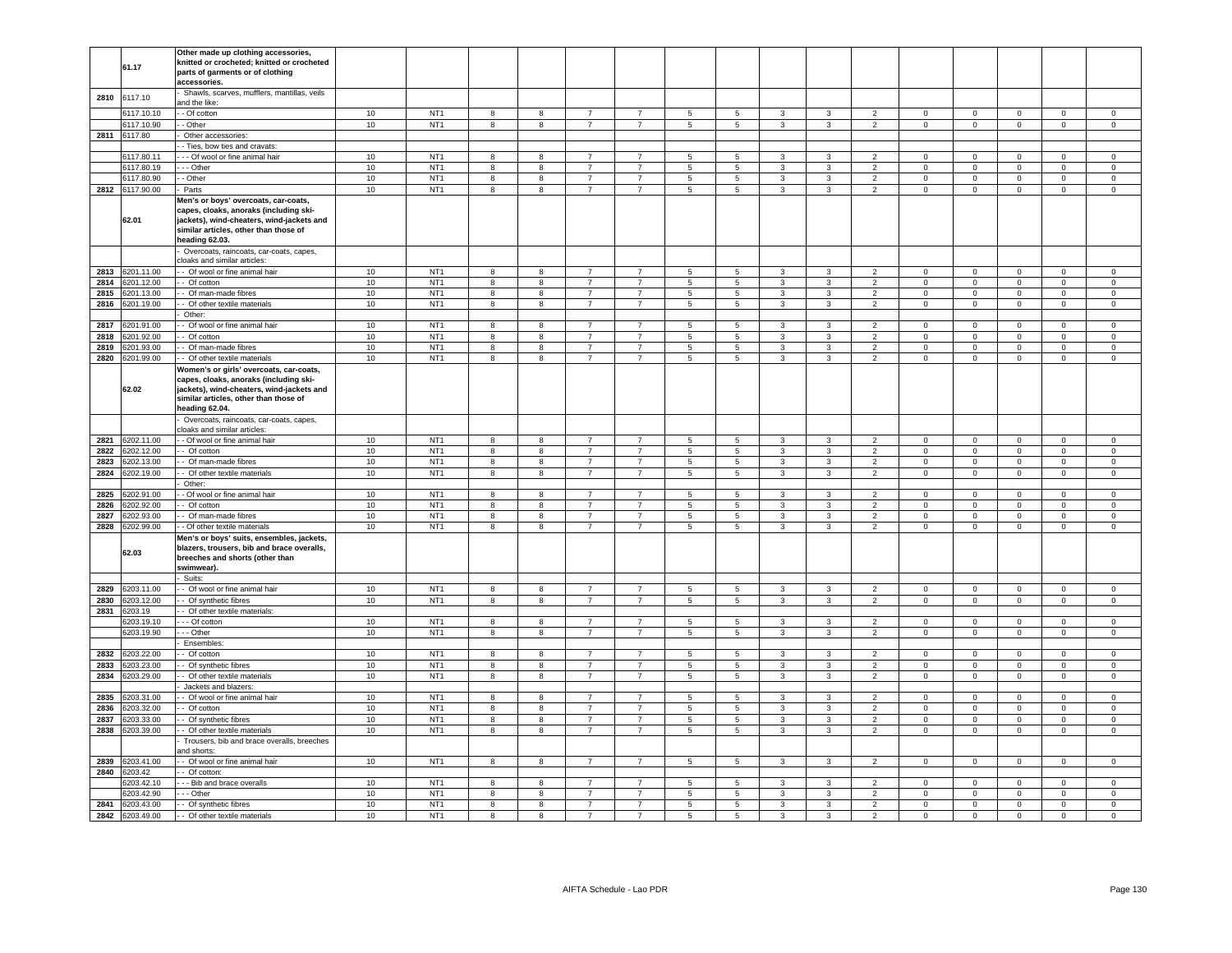|              | 61.17                    | Other made up clothing accessories,<br>knitted or crocheted; knitted or crocheted<br>parts of garments or of clothing<br>accessories.                                                    |              |                                    |                         |                          |                                  |                                  |                                    |                |                              |                              |                          |                             |                               |                            |                                  |                            |
|--------------|--------------------------|------------------------------------------------------------------------------------------------------------------------------------------------------------------------------------------|--------------|------------------------------------|-------------------------|--------------------------|----------------------------------|----------------------------------|------------------------------------|----------------|------------------------------|------------------------------|--------------------------|-----------------------------|-------------------------------|----------------------------|----------------------------------|----------------------------|
| 2810         | 6117.10                  | Shawls, scarves, mufflers, mantillas, veils<br>and the like:                                                                                                                             |              |                                    |                         |                          |                                  |                                  |                                    |                |                              |                              |                          |                             |                               |                            |                                  |                            |
|              | 6117.10.10               | - Of cotton                                                                                                                                                                              | 10           | NT <sub>1</sub>                    | 8                       | 8                        | $\overline{7}$                   | $\overline{7}$                   | 5                                  | 5              | 3                            | 3                            | $\overline{2}$           | $\Omega$                    | $\mathbf 0$                   | $\mathbf 0$                | $\Omega$                         | $\mathbf 0$                |
|              | 6117.10.90               | - Other                                                                                                                                                                                  | 10           | NT <sub>1</sub>                    | 8                       | 8                        | $\overline{7}$                   | $\overline{7}$                   | $5\phantom{.0}$                    | 5              | 3                            | $\mathbf{3}$                 | $\overline{2}$           | $\mathbf 0$                 | $\mathsf 0$                   | $\mathsf 0$                | $\mathsf 0$                      | $\mathsf 0$                |
| 2811         | 6117.80                  | Other accessories:                                                                                                                                                                       |              |                                    |                         |                          |                                  |                                  |                                    |                |                              |                              |                          |                             |                               |                            |                                  |                            |
|              |                          | - Ties, bow ties and cravats:                                                                                                                                                            |              |                                    |                         |                          |                                  |                                  |                                    |                |                              |                              |                          |                             |                               |                            |                                  |                            |
|              | 6117.80.11               | - - Of wool or fine animal hair                                                                                                                                                          | 10           | NT <sub>1</sub>                    | 8                       | 8                        | $\overline{7}$                   | $\overline{7}$                   | $\overline{5}$                     | 5              | 3                            | 3                            | $\overline{2}$           | $\Omega$                    | $\mathbf 0$                   | $\Omega$                   | $\Omega$                         | $\Omega$                   |
|              | 6117.80.19               | - - Other                                                                                                                                                                                | 10           | NT <sub>1</sub>                    | 8                       | 8                        | $\overline{7}$                   | $\overline{7}$                   | 5                                  | 5              | 3                            | 3                            | $\overline{2}$           | $\mathbf 0$                 | $\circ$                       | $\mathbf 0$                | $\mathbf 0$                      | $\mathbf 0$                |
|              | 6117.80.90               | - Other                                                                                                                                                                                  | 10           | NT <sub>1</sub>                    | 8                       | 8                        | $\overline{7}$                   | $\overline{7}$                   | $\overline{5}$                     | 5              | 3                            | 3                            | $\overline{2}$           | $\mathbf 0$                 | $\mathsf 0$                   | $\mathsf 0$                | $\mathbf 0$                      | $\mathsf 0$                |
|              | 2812 6117.90.00          | Parts                                                                                                                                                                                    | 10           | NT <sub>1</sub>                    | 8                       | 8                        | $\overline{7}$                   | $\overline{7}$                   | $\overline{5}$                     | 5              | 3                            | $\mathbf{3}$                 | 2                        | $\mathbf{0}$                | $\circ$                       | $\mathsf 0$                | $\mathbf{0}$                     | $\mathsf 0$                |
|              | 62.01                    | Men's or boys' overcoats, car-coats,<br>capes, cloaks, anoraks (including ski-<br>jackets), wind-cheaters, wind-jackets and<br>similar articles, other than those of<br>heading 62.03.   |              |                                    |                         |                          |                                  |                                  |                                    |                |                              |                              |                          |                             |                               |                            |                                  |                            |
|              |                          | Overcoats, raincoats, car-coats, capes,<br>cloaks and similar articles:                                                                                                                  |              |                                    |                         |                          |                                  |                                  |                                    |                |                              |                              |                          |                             |                               |                            |                                  |                            |
| 2813         | 6201.11.00               | - Of wool or fine animal hair                                                                                                                                                            | 10           | NT <sub>1</sub>                    | 8                       | 8                        | $\overline{7}$                   | $\overline{7}$                   | 5                                  | 5              | 3                            | 3                            | $\overline{2}$           | $\mathbf{0}$                | $\mathbf 0$                   | $\mathbf 0$                | $\mathbf 0$                      | $\mathbf 0$                |
| 2814         | 6201.12.00               | Of cotton                                                                                                                                                                                | 10           | NT <sub>1</sub>                    | 8                       | 8                        | $\overline{7}$                   | $\overline{7}$                   | 5                                  | 5              | 3                            | 3                            | $\overline{\phantom{a}}$ | $\mathbf 0$                 | $\mathbf 0$                   | $\mathbf 0$                | $\mathbf 0$                      | $\mathbf 0$                |
| 2815         | 6201.13.00               | Of man-made fibres                                                                                                                                                                       | 10           | NT <sub>1</sub>                    | 8                       | 8                        | $\overline{7}$                   | $\overline{7}$                   | 5                                  | 5              | 3                            | 3                            | 2                        | $\mathbf 0$                 | $\mathsf 0$                   | $\mathsf 0$                | $\mathbf 0$                      | $\mathsf 0$                |
| 2816         | 6201.19.00               | - Of other textile materials<br>Other:                                                                                                                                                   | 10           | NT <sub>1</sub>                    | 8                       | 8                        | $\overline{7}$                   | $\overline{7}$                   | 5                                  | 5              | 3                            | 3                            | $\overline{2}$           | $\mathbf 0$                 | $\mathbf 0$                   | $\mathbf 0$                | $\mathbf 0$                      | $\mathbf 0$                |
| 2817         | 6201.91.00               | - Of wool or fine animal hair                                                                                                                                                            | 10           | NT <sub>1</sub>                    | 8                       | $^{\rm 8}$               | $\overline{7}$                   | $\overline{7}$                   | $\,$ 5 $\,$                        | 5              | 3                            | 3                            | 2                        | $^{\circ}$                  | $\mathbf 0$                   | $\mathbf 0$                | $\Omega$                         | $^{\circ}$                 |
| 2818         | 6201.92.00               | - Of cotton                                                                                                                                                                              | 10           | NT <sub>1</sub>                    | 8                       | $^{\rm 8}$               | $\overline{7}$                   | $\overline{7}$                   | $\sqrt{5}$                         | 5              | 3                            | 3                            | 2                        | $\mathbf{0}$                | $\overline{0}$                | $\mathbf 0$                | $\mathbf{0}$                     | $\mathbf{0}$               |
| 2819         | 6201.93.00               | - Of man-made fibres                                                                                                                                                                     | 10           | NT <sub>1</sub>                    | 8                       | 8                        | $\overline{7}$                   | $\overline{7}$                   | $5\phantom{.0}$                    | 5              | $\mathbf{3}$                 | $\mathbf{3}$                 | $\overline{2}$           | $\mathbf 0$                 | $\overline{0}$                | $\mathbf 0$                | $\mathsf 0$                      | $\mathsf 0$                |
| 2820         | 6201.99.00               | - Of other textile materials                                                                                                                                                             | 10           | NT <sub>1</sub>                    | 8                       | 8                        | $\overline{7}$                   | $\overline{7}$                   | $5\phantom{.0}$                    | 5              | 3                            | $\mathbf{3}$                 | $\mathcal{P}$            | $\Omega$                    | $\mathsf 0$                   | $\mathsf 0$                | $\Omega$                         | $\mathsf 0$                |
|              | 62.02                    | Women's or girls' overcoats, car-coats,<br>capes, cloaks, anoraks (including ski-<br>jackets), wind-cheaters, wind-jackets and<br>similar articles, other than those of<br>eading 62.04. |              |                                    |                         |                          |                                  |                                  |                                    |                |                              |                              |                          |                             |                               |                            |                                  |                            |
|              |                          | Overcoats, raincoats, car-coats, capes,<br>cloaks and similar articles:                                                                                                                  |              |                                    |                         |                          |                                  |                                  |                                    |                |                              |                              |                          |                             |                               |                            |                                  |                            |
|              | 2821 6202.11.00          | - Of wool or fine animal hair                                                                                                                                                            | 10           | NT <sub>1</sub>                    | 8                       | 8                        | $\overline{7}$                   | $\overline{7}$                   | 5                                  | 5              | 3                            | 3                            | $\overline{2}$           | $\mathbf{0}$                | $\circ$                       | $\mathsf 0$                | $\Omega$                         | $\mathsf 0$                |
| 2822         | 6202.12.00               | - Of cotton                                                                                                                                                                              | 10           | NT <sub>1</sub>                    | 8                       | 8                        | $\overline{7}$                   | $\overline{7}$                   | $5\phantom{.0}$                    | 5              | $\mathbf{3}$                 | $\mathbf{3}$                 | 2                        | $\overline{0}$              | $\mathbf{O}$                  | $\mathbf 0$                | $\mathbf{0}$                     | $\mathbf{0}$               |
| 2823         | 6202.13.00               | - Of man-made fibres                                                                                                                                                                     | 10           | NT <sub>1</sub>                    | 8                       | 8                        | $\overline{7}$                   | $\overline{7}$                   | $5\overline{5}$                    | 5              | $\mathbf{3}$                 | 3                            | $\overline{2}$           | $\mathbf 0$                 | $\mathbf{O}$                  | $\mathbf 0$                | $\mathbf 0$                      | $\circ$                    |
| 2824         | 6202.19.00               | - Of other textile materials                                                                                                                                                             | 10           | NT <sub>1</sub>                    | 8                       | 8                        | $\overline{7}$                   | $\overline{7}$                   | $5\phantom{.0}$                    | 5              | 3                            | $\mathbf{3}$                 | $\overline{2}$           | $\mathbf 0$                 | $\mathbf{O}$                  | $\mathbf 0$                | $\mathbf 0$                      | $\mathbf 0$                |
|              |                          | Other:                                                                                                                                                                                   |              |                                    |                         |                          |                                  |                                  |                                    |                |                              |                              |                          |                             |                               |                            |                                  |                            |
| 2825         | 6202.91.00               | - Of wool or fine animal hair                                                                                                                                                            | 10           | NT <sub>1</sub>                    | 8                       | 8                        | $\overline{7}$                   | $\overline{7}$                   | 5                                  | 5              | 3                            | 3                            | $\overline{\phantom{a}}$ | $\mathbf 0$                 | $\mathbf 0$                   | $\mathbf 0$                | $\mathbf 0$                      | $\mathbf 0$                |
| 2826         | 6202.92.00               | - Of cotton                                                                                                                                                                              | $10$         | NT <sub>1</sub>                    | 8                       | $^{\rm 8}$               | $\overline{7}$                   | $\overline{7}$                   | $\,$ 5 $\,$                        | $\,$ 5 $\,$    | $\mathbf{3}$                 | $\mathbf{3}$                 | $\overline{2}$           | $\mathsf 0$                 | $\mathsf 0$                   | $\mathbf 0$                | $\mathbf 0$                      | $\mathsf 0$                |
| 2827         | 6202.93.00               | - Of man-made fibres                                                                                                                                                                     | $10$         | NT <sub>1</sub>                    | 8                       | $^{\rm 8}$               | $\overline{7}$<br>$\overline{7}$ | $\overline{7}$<br>$\overline{7}$ | $\sqrt{5}$                         | $\overline{5}$ | $\mathbf{3}$                 | $\mathbf{3}$                 | $\overline{2}$           | $\pmb{0}$                   | $\mathbf 0$                   | $\mathbf 0$                | $\mathsf 0$                      | $\mathsf 0$                |
| 2828         | 6202.99.00<br>62.03      | - Of other textile materials<br>Men's or boys' suits, ensembles, jackets,<br>blazers, trousers, bib and brace overalls,<br>breeches and shorts (other than<br>swimwear).<br>Suits:       | $10$         | NT <sub>1</sub>                    | 8                       | $^{\rm 8}$               |                                  |                                  | $\overline{\phantom{a}}$           | $\overline{5}$ | $\overline{3}$               | $\overline{3}$               | $\overline{2}$           | $\mathbf 0$                 | $\overline{0}$                | $\overline{0}$             | $\mathbf 0$                      | $\mathsf 0$                |
| 2829         | 6203.11.00               | - Of wool or fine animal hair                                                                                                                                                            | 10           | NT <sub>1</sub>                    | 8                       | 8                        | $\overline{7}$                   | $\overline{7}$                   | 5                                  | 5              | 3                            | $\mathbf{3}$                 | $\overline{2}$           | $\mathbf 0$                 | $\mathbf 0$                   | $\mathsf 0$                | $\mathbf{0}$                     | $\mathbf 0$                |
| 2830         | 6203.12.00               | - Of synthetic fibres                                                                                                                                                                    | $10$         | NT <sub>1</sub>                    | 8                       | 8                        | $\overline{7}$                   | $\overline{7}$                   | 5                                  | 5              | 3                            | 3                            | $\overline{2}$           | $\mathbf 0$                 | $\mathbf{0}$                  | $\mathbf 0$                | 0                                | $\mathbf 0$                |
| 2831         | 6203.19                  | - Of other textile materials:                                                                                                                                                            |              |                                    |                         |                          |                                  |                                  |                                    |                |                              |                              |                          |                             |                               |                            |                                  |                            |
|              | 6203.19.10               | - - Of cotton                                                                                                                                                                            | 10           | NT <sub>1</sub>                    | 8                       | 8                        | $\overline{7}$                   | $\overline{7}$                   | 5                                  | 5              | 3                            | 3                            | 2                        | $\mathbf 0$                 | $\mathbf 0$                   | $\mathbf 0$                | $\mathbf 0$                      | $\mathbf 0$                |
|              | 6203.19.90               | - - Other                                                                                                                                                                                | 10           | NT <sub>1</sub>                    | 8                       | 8                        | $\overline{7}$                   | $\overline{7}$                   | $\sqrt{5}$                         | 5              | 3                            | $\mathbf{3}$                 | $\overline{2}$           | $\mathsf 0$                 | $\mathsf{O}\xspace$           | $\mathbf 0$                | $\mathsf{O}\xspace$              | $\mathsf 0$                |
|              |                          | Ensembles:                                                                                                                                                                               |              |                                    |                         |                          |                                  |                                  |                                    |                |                              |                              |                          |                             |                               |                            |                                  |                            |
| 2832<br>2833 | 6203.22.00<br>6203.23.00 | - Of cotton                                                                                                                                                                              | 10<br>10     | NT <sub>1</sub><br>NT <sub>1</sub> | 8                       | $^{\rm 8}$               | $\overline{7}$                   | $\overline{7}$                   | 5                                  | 5              | 3                            | $\mathbf{3}$                 | $\overline{2}$           | $\mathsf 0$                 | $\mathsf 0$                   | $\mathsf 0$                | $\Omega$                         | $\Omega$                   |
| 2834         | 6203.29.00               | - Of synthetic fibres<br>- Of other textile materials                                                                                                                                    | 10           | NT <sub>1</sub>                    | 8<br>8                  | 8<br>$^{\rm 8}$          | $\overline{7}$<br>$\overline{7}$ | $\overline{7}$<br>$\overline{7}$ | $5\overline{5}$<br>$5\phantom{.0}$ | 5<br>5         | $\mathbf{3}$<br>$\mathbf{3}$ | $\mathbf{3}$<br>$\mathbf{3}$ | $\overline{2}$<br>2      | $\mathbf 0$<br>$\mathbf{0}$ | $\overline{0}$<br>$\mathbf 0$ | $\mathbf 0$<br>$\mathsf 0$ | $\overline{0}$<br>$\overline{0}$ | $\mathsf 0$<br>$\circ$     |
|              |                          | Jackets and blazers:                                                                                                                                                                     |              |                                    |                         |                          |                                  |                                  |                                    |                |                              |                              |                          |                             |                               |                            |                                  |                            |
| 2835         | 6203.31.00               | - Of wool or fine animal hair                                                                                                                                                            | 10           | NT <sub>1</sub>                    | 8                       | 8                        | $\overline{7}$                   | $\overline{7}$                   | 5                                  | 5              | 3                            | $\overline{3}$               | $\overline{2}$           | $\mathbf 0$                 | $\mathbf 0$                   | $\mathbf 0$                | $\mathbf{0}$                     | $\mathbf 0$                |
| 2836         | 6203.32.00               | - Of cotton                                                                                                                                                                              | 10           | NT <sub>1</sub>                    | 8                       | 8                        | $\overline{7}$                   | $\overline{7}$                   | $5\phantom{.0}$                    | 5              | 3                            | $\mathbf{3}$                 | 2                        | $\circ$                     | $\circ$                       | $\mathbf 0$                | $\mathbf{0}$                     | $\mathbf 0$                |
| 2837         | 6203.33.00               | - Of synthetic fibres                                                                                                                                                                    | 10           | NT <sub>1</sub>                    | 8                       | 8                        | $\overline{7}$                   | $\overline{7}$                   | $5\phantom{.0}$                    | $\overline{5}$ | $\mathcal{R}$                | $\overline{3}$               | $\overline{2}$           | $\mathbf{0}$                | $\overline{0}$                | $\overline{0}$             | $\mathbf{0}$                     | $\circ$                    |
| 2838         | 6203.39.00               | - Of other textile materials                                                                                                                                                             | $10$         | NT <sub>1</sub>                    | 8                       | 8                        | $\overline{7}$                   | $\overline{7}$                   | $5\phantom{.0}$                    | $\overline{5}$ | 3                            | $\mathbf{3}$                 | $\overline{2}$           | $\mathbf 0$                 | $\mathbf 0$                   | $\mathsf 0$                | $\mathbf 0$                      | $\mathbf 0$                |
|              |                          | Trousers, bib and brace overalls, breeches<br>and shorts:                                                                                                                                |              |                                    |                         |                          |                                  |                                  |                                    |                |                              |                              |                          |                             |                               |                            |                                  |                            |
| 2839         | 6203.41.00               | - Of wool or fine animal hair                                                                                                                                                            | 10           | NT <sub>1</sub>                    | $\overline{\mathbf{8}}$ | 8                        | $\overline{7}$                   | $\overline{7}$                   | $\overline{5}$                     | $\overline{5}$ | $\overline{\mathbf{3}}$      | $\mathbf{3}$                 | $\overline{2}$           | $\mathbf 0$                 | $\overline{0}$                | $\overline{0}$             | $\mathbf 0$                      | $\overline{0}$             |
| 2840         | 6203.42                  | - Of cotton:                                                                                                                                                                             |              |                                    |                         |                          |                                  |                                  |                                    |                |                              |                              |                          |                             |                               |                            |                                  |                            |
|              | 3203.42.10<br>6203.42.90 | - - Bib and brace overalls<br>- - Other                                                                                                                                                  | $10$<br>$10$ | NT <sub>1</sub><br>NT <sub>1</sub> | 8<br>8                  | $^{\rm 8}$<br>$^{\rm 8}$ | $\overline{7}$<br>$\overline{7}$ | $\overline{7}$<br>$\overline{7}$ | $\overline{5}$<br>$\,$ 5 $\,$      | 5<br>5         | 3<br>3                       | 3<br>3                       | $\mathcal{P}$<br>2       | $\mathsf 0$<br>$\mathbf 0$  | $\mathsf 0$<br>$\mathbf 0$    | $\mathsf 0$<br>$\mathbf 0$ | $\mathbf 0$<br>$\Omega$          | $\mathsf 0$<br>$\mathsf 0$ |
| 2841         | 6203.43.00               | - Of synthetic fibres                                                                                                                                                                    | 10           | NT <sub>1</sub>                    | $\mathbf{g}$            | 8                        | $\overline{7}$                   | $\overline{7}$                   | 5                                  | 5              | 3                            | $\overline{3}$               | $\overline{\phantom{a}}$ | $\Omega$                    | $\Omega$                      | $\mathbf 0$                | $\Omega$                         | $\Omega$                   |
|              | 2842 6203.49.00          | - Of other textile materials                                                                                                                                                             | $10$         | NT <sub>1</sub>                    | 8                       | 8                        | $\overline{7}$                   | $\overline{7}$                   | 5                                  | 5              | 3                            | 3                            | 2                        | $\mathbf 0$                 | $\mathbf 0$                   | $\mathbf 0$                | $\mathbf 0$                      | $\mathsf 0$                |
|              |                          |                                                                                                                                                                                          |              |                                    |                         |                          |                                  |                                  |                                    |                |                              |                              |                          |                             |                               |                            |                                  |                            |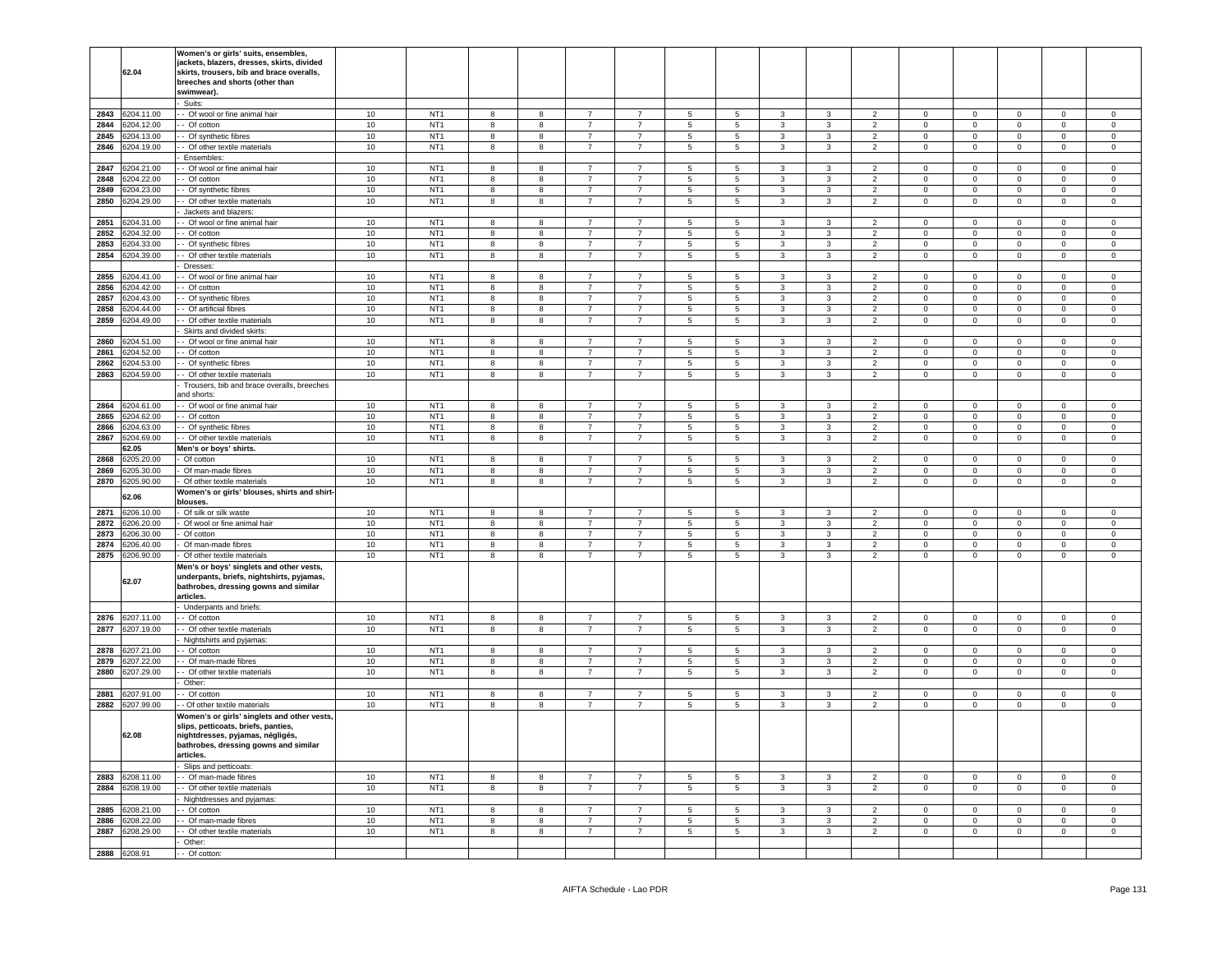|              | 62.04                   | Women's or girls' suits, ensembles,<br>jackets, blazers, dresses, skirts, divided<br>skirts, trousers, bib and brace overalls,<br>breeches and shorts (other than<br>swimwear).                       |          |                                    |        |        |                                  |                                  |                      |                |                   |                   |                                  |                             |                                    |                            |                               |                            |
|--------------|-------------------------|-------------------------------------------------------------------------------------------------------------------------------------------------------------------------------------------------------|----------|------------------------------------|--------|--------|----------------------------------|----------------------------------|----------------------|----------------|-------------------|-------------------|----------------------------------|-----------------------------|------------------------------------|----------------------------|-------------------------------|----------------------------|
|              |                         | Suits:                                                                                                                                                                                                |          |                                    |        |        |                                  |                                  |                      |                |                   |                   |                                  |                             |                                    |                            |                               |                            |
| 2843         | 3204.11.00              | - Of wool or fine animal hair                                                                                                                                                                         | 10       | NT <sub>1</sub>                    | 8      | 8      | $\overline{7}$                   | $\overline{7}$                   | $5\phantom{.0}$      | 5              | 3                 | 3                 | $\overline{2}$                   | $\mathbf 0$                 | $\mathbf 0$                        | $\mathbf 0$                | $\mathbf 0$                   | $\mathbf 0$                |
| 2844         | 3204.12.00              | - Of cotton                                                                                                                                                                                           | 10       | NT <sub>1</sub>                    | 8      | 8      | $\overline{7}$                   | $\overline{7}$                   | 5                    | 5              | 3                 | 3                 | $\overline{2}$                   | $\circ$                     | $\mathbf 0$                        | $\mathbf 0$                | $\mathbf{0}$                  | $\mathbf 0$                |
| 2845         | 204.13.00               | - Of synthetic fibres                                                                                                                                                                                 | 10       | NT <sub>1</sub>                    | 8      | 8      | $\overline{7}$                   | $\overline{7}$                   | $5\phantom{.0}$      | 5              | 3                 | 3                 | $\overline{2}$                   | $\overline{0}$              | $\mathsf 0$                        | $\mathbf 0$                | $\mathbf 0$                   | 0                          |
| 2846         | 204.19.00               | - Of other textile materials                                                                                                                                                                          | 10       | NT <sub>1</sub>                    | 8      | 8      | $\overline{7}$                   | $\overline{7}$                   | $5\phantom{.0}$      | 5              | 3                 | 3                 | $\overline{2}$                   | $\mathbf 0$                 | $\mathsf 0$                        | $\mathbf 0$                | $\mathbf 0$                   | $\mathsf 0$                |
|              |                         | Ensembles:                                                                                                                                                                                            |          |                                    |        |        |                                  |                                  |                      |                |                   |                   |                                  |                             |                                    |                            |                               |                            |
| 2847         | 3204.21.00              | - Of wool or fine animal hair                                                                                                                                                                         | 10       | NT <sub>1</sub>                    | 8      | 8      | $\overline{7}$                   | $\overline{7}$                   | $5\phantom{.0}$      | 5              | 3                 | 3                 | $\overline{2}$                   | $\mathbf 0$                 | $\mathbf 0$                        | $\mathbf 0$                | $\mathbf 0$                   | $\mathbf 0$                |
| 2848         | 204.22.00               | - Of cotton                                                                                                                                                                                           | 10       | NT <sub>1</sub>                    | 8      | 8      | 7                                | $\overline{7}$                   | $5\phantom{.0}$      | 5              | 3                 | 3                 | $\overline{2}$                   | 0                           | $\mathbf 0$                        | $\mathbf 0$                | 0                             | $\mathbf 0$                |
| 2849         | 204.23.00               | - Of synthetic fibres                                                                                                                                                                                 | 10       | NT <sub>1</sub>                    | 8      | 8      | 7                                | 7                                | 5                    | 5              | 3                 | 3                 | $\overline{2}$                   | $\mathbf 0$                 | $\overline{0}$                     | $\mathbf 0$                | $\mathbf 0$                   | $\circ$                    |
| 2850         | 204.29.00               | - Of other textile materials                                                                                                                                                                          | 10       | NT <sub>1</sub>                    | 8      | 8      | $\overline{7}$                   | $\overline{7}$                   | $5\phantom{.0}$      | 5              | 3                 | 3                 | $\overline{2}$                   | $\mathsf 0$                 | $\mathbf 0$                        | $\mathbf 0$                | $\mathbf 0$                   | $\mathbf 0$                |
|              |                         | Jackets and blazers:                                                                                                                                                                                  |          |                                    |        |        |                                  |                                  |                      |                |                   |                   |                                  |                             |                                    |                            |                               |                            |
| 2851         | 3204.31.00              | - Of wool or fine animal hair                                                                                                                                                                         | 10       | NT <sub>1</sub>                    | 8      | 8      | 7                                | 7                                | 5                    | 5              | 3                 | 3                 | $\overline{2}$                   | $\mathbf 0$                 | $\mathbf 0$                        | $\mathbf 0$                | 0                             | $\mathbf 0$                |
| 2852         | 3204.32.00              | - Of cotton                                                                                                                                                                                           | 10       | NT <sub>1</sub>                    | 8      | 8      | $\overline{7}$                   | $\overline{7}$                   | $\overline{5}$       | 5              | 3<br>3            | 3                 | 2                                | $\mathsf 0$                 | $\mathbf 0$                        | $\mathbf 0$                | $\mathbf 0$                   | $\mathbf 0$                |
| 2853<br>2854 | 204.33.00<br>204.39.00  | - Of synthetic fibres<br>- Of other textile materials                                                                                                                                                 | 10<br>10 | NT <sub>1</sub><br>NT <sub>1</sub> | 8<br>8 | 8<br>8 | 7<br>7                           | $\overline{7}$<br>7              | 5<br>$5\phantom{.0}$ | 5<br>5         | 3                 | 3<br>3            | $\overline{2}$<br>$\overline{2}$ | $\mathbf 0$<br>$\mathbf{0}$ | $\mathbf 0$<br>$\mathbf 0$         | $\mathbf 0$<br>$\mathbf 0$ | $\mathbf 0$<br>$\overline{0}$ | $\mathbf 0$<br>$\mathbf 0$ |
|              |                         | Dresses:                                                                                                                                                                                              |          |                                    |        |        |                                  |                                  |                      |                |                   |                   |                                  |                             |                                    |                            |                               |                            |
| 2855         | 3204.41.00              | - Of wool or fine animal hair                                                                                                                                                                         | 10       | NT <sub>1</sub>                    | 8      | 8      | $\overline{7}$                   | $\overline{7}$                   | $5\phantom{.0}$      | 5              | 3                 | $\mathbf{3}$      | $\overline{2}$                   | $\mathbf 0$                 | $\mathbf 0$                        | $\mathbf 0$                | $\mathbf 0$                   | 0                          |
| 2856         | 3204.42.00              | - Of cotton                                                                                                                                                                                           | 10       | NT <sub>1</sub>                    | 8      | 8      | 7                                | $\overline{7}$                   | $5\phantom{.0}$      | 5              | 3                 | 3                 | $\overline{2}$                   | $\circ$                     | $\overline{0}$                     | $\mathbf 0$                | $\mathbf 0$                   | $\mathbf 0$                |
| 2857         | 6204.43.00              | - Of synthetic fibres                                                                                                                                                                                 | 10       | NT <sub>1</sub>                    | 8      | 8      | $\overline{7}$                   | $\overline{7}$                   | 5                    | 5              | 3                 | 3                 | $\overline{2}$                   | $\mathbf 0$                 | $\circ$                            | $\mathbf 0$                | $\mathbf 0$                   | $\mathbf 0$                |
| 2858         | 204.44.00               | - Of artificial fibres                                                                                                                                                                                | 10       | NT <sub>1</sub>                    | 8      | 8      | $\overline{7}$                   | 7                                | $5\phantom{.0}$      | 5              | 3                 | 3                 | $\overline{2}$                   | $\mathbf 0$                 | $\mathbf 0$                        | $\mathbf 0$                | $\mathbf 0$                   | 0                          |
| 2859         | 3204.49.00              | - Of other textile materials                                                                                                                                                                          | 10       | NT <sub>1</sub>                    | 8      | 8      | 7                                | $\overline{7}$                   | $\,$ 5 $\,$          | 5              | 3                 | 3                 | $\overline{2}$                   | $\mathbf 0$                 | $\mathbf 0$                        | $\mathbf 0$                | $\mathbf{0}$                  | $\mathsf 0$                |
|              |                         | Skirts and divided skirts:                                                                                                                                                                            |          |                                    |        |        |                                  |                                  |                      |                |                   |                   |                                  |                             |                                    |                            |                               |                            |
| 2860         | 204.51.00               | - Of wool or fine animal hair                                                                                                                                                                         | 10       | NT <sub>1</sub>                    | 8      | 8      | $\overline{7}$                   | $\overline{7}$                   | 5                    | 5              | 3                 | 3                 | $\overline{2}$                   | $\mathbf 0$                 | $\mathbf 0$                        | $\mathbf 0$                | 0                             | $\mathbf 0$                |
| 2861         | 204.52.00               | - Of cotton                                                                                                                                                                                           | 10       | NT <sub>1</sub>                    | 8      | 8      | 7                                | 7                                | $5\phantom{.0}$      | 5              | 3                 | 3                 | $\overline{2}$                   | $^{\circ}$                  | $\mathsf 0$                        | $\mathbf 0$                | 0                             | $\mathbf 0$                |
| 2862         | 3204.53.00              | - Of synthetic fibres                                                                                                                                                                                 | 10       | NT <sub>1</sub>                    | 8      | 8      | $\overline{7}$                   | $\overline{7}$                   | 5                    | 5              | 3                 | 3                 | $\overline{2}$                   | $\mathbf 0$                 | $\mathbf 0$                        | $\mathbf 0$                | 0                             | $\mathbf 0$                |
| 2863         | 3204.59.00              | Of other textile materials                                                                                                                                                                            | 10       | NT <sub>1</sub>                    | 8      | 8      | $\overline{7}$                   | $\overline{7}$                   | 5                    | 5              | $\mathsf 3$       | 3                 | $\overline{2}$                   | $\mathbf 0$                 | $\mathbf 0$                        | $\mathbf 0$                | $\pmb{0}$                     | $\mathsf 0$                |
|              |                         | Trousers, bib and brace overalls, breeches                                                                                                                                                            |          |                                    |        |        |                                  |                                  |                      |                |                   |                   |                                  |                             |                                    |                            |                               |                            |
| 2864         | 3204.61.00              | and shorts:                                                                                                                                                                                           |          | NT <sub>1</sub>                    | 8      | 8      |                                  | $\overline{7}$                   | 5                    | 5              |                   |                   |                                  |                             |                                    | $\mathbf 0$                |                               |                            |
| 2865         | 204.62.00               | - Of wool or fine animal hair<br>- Of cotton                                                                                                                                                          | 10<br>10 | NT <sub>1</sub>                    | 8      | 8      | 7<br>$\overline{7}$              | $\overline{7}$                   | $\sqrt{5}$           | 5              | 3<br>3            | 3<br>$\mathbf{3}$ | $\overline{2}$<br>$\overline{2}$ | $\mathbf 0$<br>$\mathsf 0$  | $\mathbf{0}$<br>$\mathbf 0$        | $\mathbf 0$                | $\mathbf 0$<br>$\mathbf 0$    | $\mathbf 0$<br>$\mathsf 0$ |
| 2866         | 204.63.00               | - Of synthetic fibres                                                                                                                                                                                 | 10       | NT <sub>1</sub>                    | 8      | 8      | $\overline{7}$                   | $\overline{7}$                   | $5\phantom{.0}$      | 5              | 3                 | 3                 | $\overline{2}$                   | $\mathbf 0$                 | $\mathbf 0$                        | $\mathbf 0$                | $\Omega$                      | $\mathbf 0$                |
| 2867         | 3204.69.00              | - Of other textile materials                                                                                                                                                                          | 10       | NT <sub>1</sub>                    | 8      | 8      | $\overline{7}$                   | $\overline{7}$                   | 5                    | 5              | 3                 | 3                 | $\overline{2}$                   | $\mathbf 0$                 | $\circ$                            | $\mathbf 0$                | $\mathbf 0$                   | $\mathbf 0$                |
|              | 62.05                   | Men's or boys' shirts.                                                                                                                                                                                |          |                                    |        |        |                                  |                                  |                      |                |                   |                   |                                  |                             |                                    |                            |                               |                            |
| 2868         | 205.20.00               | Of cotton                                                                                                                                                                                             | 10       | NT <sub>1</sub>                    | 8      | 8      | $\overline{7}$                   | $\overline{7}$                   | $5\phantom{.0}$      | 5              | 3                 | 3                 | $\overline{2}$                   | $\Omega$                    | $\mathbf 0$                        | $\mathbf 0$                | $\circ$                       | $\mathbf 0$                |
| 2869         | 3205.30.00              | Of man-made fibres                                                                                                                                                                                    | 10       | NT <sub>1</sub>                    | 8      | 8      | 7                                | 7                                | 5                    | 5              | 3                 | 3                 | $\overline{2}$                   | $\mathbf 0$                 | 0                                  | $\mathbf 0$                | $\mathbf 0$                   | 0                          |
| 2870         | 3205.90.00              | Of other textile materials                                                                                                                                                                            | 10       | NT <sub>1</sub>                    | 8      | 8      | $\overline{7}$                   | $\overline{7}$                   | $\sqrt{5}$           | 5              | 3                 | 3                 | $\overline{2}$                   | $\mathbf 0$                 | $\mathbf 0$                        | $\mathsf 0$                | $\mathbf 0$                   | $\mathsf 0$                |
|              | 62.06                   | Women's or girls' blouses, shirts and shirt-                                                                                                                                                          |          |                                    |        |        |                                  |                                  |                      |                |                   |                   |                                  |                             |                                    |                            |                               |                            |
|              |                         | blouses.                                                                                                                                                                                              |          |                                    |        |        |                                  |                                  |                      |                |                   |                   |                                  |                             |                                    |                            |                               |                            |
| 2871         | 3206.10.00              | Of silk or silk waste                                                                                                                                                                                 | 10       | NT <sub>1</sub>                    | 8      | 8      | 7                                | 7                                | 5                    | 5              | 3                 | 3                 | $\overline{2}$                   | $\mathbf 0$                 | 0                                  | $\mathbf 0$                | 0                             | 0                          |
| 2872<br>2873 | 3206.20.00<br>206.30.00 | Of wool or fine animal hair                                                                                                                                                                           | 10<br>10 | NT <sub>1</sub><br>NT <sub>1</sub> | 8      | 8<br>8 | $\overline{7}$<br>$\overline{7}$ | $\overline{7}$<br>$\overline{7}$ | $\sqrt{5}$<br>5      | 5<br>5         | $\mathbf{3}$<br>3 | 3                 | $\overline{2}$                   | $\mathbf 0$                 | $\mathsf{O}\xspace$<br>$\mathbf 0$ | $\mathsf 0$<br>$\mathbf 0$ | $\mathbf 0$                   | $\mathsf 0$<br>$\mathbf 0$ |
| 2874         | 206.40.00               | Of cotton                                                                                                                                                                                             | 10       | NT <sub>1</sub>                    | 8<br>8 | 8      | 7                                | 7                                |                      |                |                   | 3                 | $\overline{2}$<br>$\overline{2}$ | $\mathbf 0$<br>$\mathbf 0$  | $\mathbf{0}$                       | $\mathbf 0$                | $\mathbf 0$<br>0              | $\mathbf 0$                |
| 2875         | 3206.90.00              | Of man-made fibres<br>Of other textile materials                                                                                                                                                      | 10       | NT <sub>1</sub>                    | 8      | 8      | $\overline{7}$                   | $\overline{7}$                   | 5<br>$5\phantom{.0}$ | 5<br>5         | 3<br>3            | 3<br>3            | $\overline{2}$                   | $\mathbf 0$                 | $\mathsf 0$                        | $\mathbf 0$                | $\mathbf 0$                   | $\mathsf 0$                |
|              | 62.07                   | Men's or boys' singlets and other vests,<br>underpants, briefs, nightshirts, pyjamas,<br>bathrobes, dressing gowns and similar<br>articles.<br>Underpants and briefs:                                 |          |                                    |        |        |                                  |                                  |                      |                |                   |                   |                                  |                             |                                    |                            |                               |                            |
| 2876         | 6207.11.00              | - Of cotton                                                                                                                                                                                           | 10       | NT <sub>1</sub>                    | 8      | 8      | 7                                | 7                                | 5                    | 5              | 3                 | 3                 | $\overline{2}$                   | 0                           | $\mathbf{0}$                       | $\mathbf 0$                | $\mathbf 0$                   | $\mathbf 0$                |
| 2877         | 3207.19.00              | - Of other textile materials                                                                                                                                                                          | 10       | NT <sub>1</sub>                    | 8      | 8      | $\overline{7}$                   | $\overline{7}$                   | $5\phantom{.0}$      | 5              | $\mathbf{3}$      | 3                 | $\overline{2}$                   | $\mathbf 0$                 | $\overline{0}$                     | $\mathbf 0$                | $\mathbf{0}$                  | $\mathbf 0$                |
|              |                         | Nightshirts and pyjamas:                                                                                                                                                                              |          |                                    |        |        |                                  |                                  |                      |                |                   |                   |                                  |                             |                                    |                            |                               |                            |
| 2878         | 3207.21.00              | - Of cotton                                                                                                                                                                                           | 10       | NT <sub>1</sub>                    | 8      | 8      | 7                                | $\overline{7}$                   | 5                    | 5              | 3                 | 3                 | $\overline{2}$                   | $\circ$                     | $\circ$                            | $\mathbf 0$                | $\mathbf 0$                   | $\mathbf 0$                |
| 2879         | 3207.22.00              | - Of man-made fibres                                                                                                                                                                                  | 10       | NT <sub>1</sub>                    | 8      | 8      | 7                                | 7                                | 5                    | 5              | 3                 | 3                 | $\overline{2}$                   | $\mathbf 0$                 | $\mathbf{0}$                       | $\mathbf 0$                | $\mathbf 0$                   | $\mathbf 0$                |
| 2880         | 3207.29.00              | - Of other textile materials                                                                                                                                                                          | 10       | NT <sub>1</sub>                    | 8      | 8      | $\overline{7}$                   | $\overline{7}$                   | $\overline{5}$       | 5              | 3                 | 3                 | 2                                | $\mathsf 0$                 | $\mathbf 0$                        | $\mathbf 0$                | $\mathbf 0$                   | $\mathbf 0$                |
|              |                         | Other:                                                                                                                                                                                                |          |                                    |        |        |                                  |                                  |                      |                |                   |                   |                                  |                             |                                    |                            |                               |                            |
| 2881         | 3207.91.00              | - Of cotton                                                                                                                                                                                           | 10       | NT <sub>1</sub>                    | 8      | 8      | 7                                | 7                                | 5                    | 5              | 3                 | 3                 | 2                                | 0                           | $\mathbf{0}$                       | $\mathbf 0$                | 0                             | $\mathbf{0}$               |
| 2882         | 3207.99.00              | - Of other textile materials                                                                                                                                                                          | 10       | NT <sub>1</sub>                    | 8      | 8      | $\overline{7}$                   | $\overline{7}$                   | $5\phantom{.0}$      | 5              | 3                 | 3                 | $\overline{2}$                   | $\mathbf 0$                 | $\mathsf 0$                        | $\mathbf 0$                | $\mathbf 0$                   | $\mathbf 0$                |
|              | 62.08                   | Women's or girls' singlets and other vests,<br>slips, petticoats, briefs, panties,<br>nightdresses, pyjamas, négligés,<br>bathrobes, dressing gowns and similar<br>articles.<br>Slips and petticoats: |          |                                    |        |        |                                  |                                  |                      |                |                   |                   |                                  |                             |                                    |                            |                               |                            |
|              | 2883 6208.11.00         | - Of man-made fibres                                                                                                                                                                                  | 10       | NT <sub>1</sub>                    | 8      | 8      | $\overline{7}$                   | $\overline{7}$                   | $5\overline{5}$      | 5              | 3                 | 3                 | $\overline{2}$                   | $\mathbf{0}$                | $\mathbf{0}$                       | $\mathbf 0$                | $\circ$                       | $\mathbf 0$                |
|              | 2884 6208.19.00         | - Of other textile materials                                                                                                                                                                          | 10       | NT <sub>1</sub>                    | 8      | 8      | $\overline{7}$                   | $\overline{7}$                   | $5\overline{5}$      | 5 <sub>5</sub> | $\mathbf{3}$      | 3                 | $\overline{2}$                   | $\mathbf{0}$                | $\mathbf 0$                        | $\mathbf 0$                | $\overline{0}$                | $\overline{0}$             |
|              |                         | Nightdresses and pyjamas:                                                                                                                                                                             |          |                                    |        |        |                                  |                                  |                      |                |                   |                   |                                  |                             |                                    |                            |                               |                            |
| 2885         | 6208.21.00              | - Of cotton                                                                                                                                                                                           | 10       | NT <sub>1</sub>                    | 8      | 8      | $\overline{7}$                   | $\overline{7}$                   | $5\phantom{.0}$      | 5              | $\mathbf{3}$      | 3                 | $\overline{2}$                   | $\mathbf{0}$                | $\mathbf 0$                        | $\circ$                    | $\overline{0}$                | $\circ$                    |
| 2886         | 6208.22.00              | - Of man-made fibres                                                                                                                                                                                  | 10       | NT <sub>1</sub>                    | 8      | 8      | $\overline{7}$                   | $\overline{7}$                   | $5\overline{5}$      | 5              | $\mathbf{3}$      | 3                 | $\overline{2}$                   | $\mathbf 0$                 | $\mathbf 0$                        | $\mathbf 0$                | $\mathbf{0}$                  | $\mathbf{0}$               |
| 2887         | 6208.29.00              | - Of other textile materials                                                                                                                                                                          | 10       | NT <sub>1</sub>                    | 8      | 8      | $\overline{7}$                   | $\overline{7}$                   | $\,$ 5 $\,$          | 5              | $\mathbf{3}$      | $\mathbf{3}$      | $\overline{2}$                   | $\mathbf 0$                 | $\mathbf 0$                        | $\mathbf 0$                | $\mathbf 0$                   | $\mathsf 0$                |
|              |                         | Other:                                                                                                                                                                                                |          |                                    |        |        |                                  |                                  |                      |                |                   |                   |                                  |                             |                                    |                            |                               |                            |
|              | 2888 6208.91            | - Of cotton:                                                                                                                                                                                          |          |                                    |        |        |                                  |                                  |                      |                |                   |                   |                                  |                             |                                    |                            |                               |                            |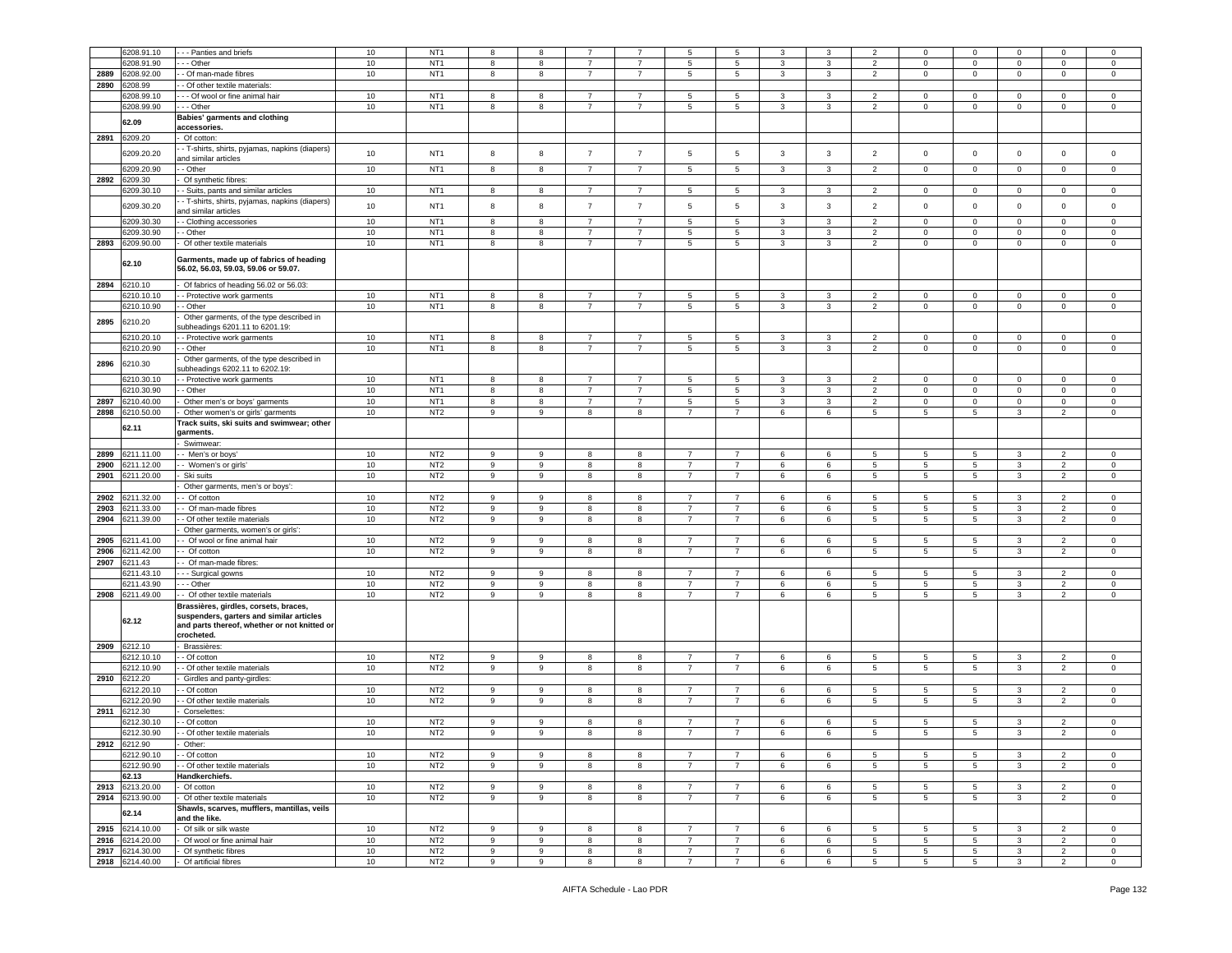|      | 6208.91.10      | - - Panties and briefs                         | 10   | NT <sub>1</sub> | 8 | 8           | $\overline{7}$ | $\overline{7}$ | 5               | 5               | 3            | 3            | 2               | $\mathbf 0$         | $\mathbf 0$     | $\mathsf 0$             | $\mathbf 0$              | $^{\circ}$     |
|------|-----------------|------------------------------------------------|------|-----------------|---|-------------|----------------|----------------|-----------------|-----------------|--------------|--------------|-----------------|---------------------|-----------------|-------------------------|--------------------------|----------------|
|      | 3208.91.90      | - - Other                                      | 10   | NT <sub>1</sub> | 8 | 8           | $\overline{7}$ | $\overline{7}$ | 5               | 5               | 3            | 3            | $\overline{2}$  | $\mathbf 0$         | $\mathbf 0$     | $\mathsf 0$             | $\mathbf 0$              | $\mathsf 0$    |
| 2889 | 6208.92.00      | - Of man-made fibres                           | $10$ | NT <sub>1</sub> | 8 | 8           | -7             | -7             | $5\overline{)}$ | $5\phantom{.0}$ |              |              |                 |                     |                 | $\mathbf 0$             |                          |                |
|      |                 |                                                |      |                 |   |             |                |                |                 |                 | 3            | 3            | $\overline{2}$  | 0                   | 0               |                         | $\mathbf 0$              | 0              |
| 2890 | 6208.99         | - Of other textile materials:                  |      |                 |   |             |                |                |                 |                 |              |              |                 |                     |                 |                         |                          |                |
|      | 3208.99.10      | - - Of wool or fine animal hair                | 10   | NT <sub>1</sub> | 8 | 8           |                | $\overline{7}$ | 5               | 5               | 3            | 3            | $\overline{2}$  | 0                   | 0               | $\mathbf 0$             | $\mathbf 0$              | 0              |
|      | 6208.99.90      | - - Other                                      | $10$ | NT <sub>1</sub> | 8 | 8           | $\overline{7}$ | $\overline{7}$ | $\sqrt{5}$      | $\,$ 5 $\,$     | $\mathbf{3}$ | 3            | $\overline{2}$  | 0                   | $\mathbf 0$     | $\mathbf 0$             | $\mathsf 0$              | $\mathbf 0$    |
|      | 62.09           | Babies' garments and clothing                  |      |                 |   |             |                |                |                 |                 |              |              |                 |                     |                 |                         |                          |                |
|      |                 | accessories.                                   |      |                 |   |             |                |                |                 |                 |              |              |                 |                     |                 |                         |                          |                |
| 2891 | 6209.20         | Of cotton:                                     |      |                 |   |             |                |                |                 |                 |              |              |                 |                     |                 |                         |                          |                |
|      |                 | - T-shirts, shirts, pyjamas, napkins (diapers) |      |                 |   |             |                |                |                 |                 |              |              |                 |                     |                 |                         |                          |                |
|      | 6209.20.20      | and similar articles                           | 10   | NT <sub>1</sub> | 8 | 8           | $\overline{7}$ | $\overline{7}$ | $\sqrt{5}$      | 5               | $\mathbf{3}$ | $\mathbf{3}$ | $\overline{2}$  | $\mathsf{O}\xspace$ | $\mathbf 0$     | $\mathsf 0$             | $\mathsf 0$              | $\mathsf 0$    |
|      | 6209.20.90      | - Other                                        | 10   | NT <sub>1</sub> | 8 | 8           | $\overline{7}$ | $\overline{7}$ | 5               | 5               | 3            | 3            | 2               | $\mathbf 0$         | $\mathbf 0$     | $\mathsf 0$             | $\circ$                  | $\mathbf 0$    |
| 2892 | 6209.30         | Of synthetic fibres:                           |      |                 |   |             |                |                |                 |                 |              |              |                 |                     |                 |                         |                          |                |
|      | 6209.30.10      | - Suits, pants and similar articles            | 10   | NT <sub>1</sub> | 8 | 8           | $\overline{7}$ |                |                 | $5\overline{5}$ |              |              |                 |                     |                 | $\overline{0}$          |                          |                |
|      |                 |                                                |      |                 |   |             |                | $\overline{7}$ | 5               |                 | 3            | 3            | $\overline{2}$  | $\overline{0}$      | $\overline{0}$  |                         | $\mathbf{0}$             | $\circ$        |
|      | 6209.30.20      | - T-shirts, shirts, pyjamas, napkins (diapers) | 10   | NT <sub>1</sub> | 8 | 8           | $\overline{7}$ | $\overline{7}$ | 5               | $\overline{5}$  | 3            | 3            | $\overline{2}$  | $\mathbf 0$         | $\mathbf 0$     | $\mathbf 0$             | $\mathbf 0$              | $\mathsf 0$    |
|      |                 | and similar articles                           |      |                 |   |             |                |                |                 |                 |              |              |                 |                     |                 |                         |                          |                |
|      | 6209.30.30      | - Clothing accessories                         | 10   | NT <sub>1</sub> | 8 | 8           | $\overline{7}$ | $\overline{7}$ | $\sqrt{5}$      | $\,$ 5 $\,$     | 3            | 3            | $\overline{2}$  | $\mathbf 0$         | $\mathbf 0$     | $\mathsf 0$             | $\mathbf 0$              | 0              |
|      | 6209.30.90      | - Other                                        | $10$ | NT <sub>1</sub> | 8 | 8           | $\overline{7}$ | $\overline{7}$ | 5               | $5\phantom{.0}$ | 3            | $\mathbf{3}$ | $\overline{2}$  | 0                   | $\mathbf 0$     | $\mathbf 0$             | $\mathbf 0$              | $\mathsf 0$    |
| 2893 | 6209.90.00      | Of other textile materials                     | 10   | NT <sub>1</sub> | 8 | 8           | $\overline{7}$ | $\overline{7}$ | $5\overline{5}$ | 5               | 3            | 3            | $\overline{2}$  | 0                   | $\mathbf 0$     | $\mathbf 0$             | $\mathbf 0$              | $\mathsf 0$    |
|      |                 |                                                |      |                 |   |             |                |                |                 |                 |              |              |                 |                     |                 |                         |                          |                |
|      | 62.10           | Garments, made up of fabrics of heading        |      |                 |   |             |                |                |                 |                 |              |              |                 |                     |                 |                         |                          |                |
|      |                 | 56.02, 56.03, 59.03, 59.06 or 59.07.           |      |                 |   |             |                |                |                 |                 |              |              |                 |                     |                 |                         |                          |                |
| 2894 | 6210.10         | Of fabrics of heading 56.02 or 56.03:          |      |                 |   |             |                |                |                 |                 |              |              |                 |                     |                 |                         |                          |                |
|      | 6210.10.10      | - Protective work garments                     | 10   | NT <sub>1</sub> | 8 | 8           | $\overline{7}$ | $\overline{7}$ | $\sqrt{5}$      | $\,$ 5 $\,$     | 3            | 3            | $\overline{2}$  | 0                   | $\mathbf 0$     | $\mathsf 0$             | $\mathsf 0$              | $\mathsf 0$    |
|      | 6210.10.90      | - Other                                        | 10   | NT <sub>1</sub> | 8 | 8           | $\overline{7}$ | $\overline{7}$ | 5               | 5               | 3            | 3            | $\overline{2}$  | 0                   | $\mathbf 0$     | $\mathbf 0$             | $\mathbf 0$              | $\mathbf 0$    |
|      |                 |                                                |      |                 |   |             |                |                |                 |                 |              |              |                 |                     |                 |                         |                          |                |
| 2895 | 6210.20         | Other garments, of the type described in       |      |                 |   |             |                |                |                 |                 |              |              |                 |                     |                 |                         |                          |                |
|      |                 | ubheadings 6201.11 to 6201.19:                 |      |                 |   |             |                |                |                 |                 |              |              |                 |                     |                 |                         |                          |                |
|      | 6210.20.1       | - Protective work garments                     | 10   | NT <sub>1</sub> | 8 | 8           | $\overline{7}$ | $\overline{7}$ | 5               | 5               | 3            | 3            | $\overline{2}$  | $\mathbf 0$         | 0               | $\mathbf 0$             | $\mathbf 0$              | 0              |
|      | 6210.20.90      | - Other                                        | 10   | NT <sub>1</sub> | 8 | 8           | $\overline{7}$ | $\overline{7}$ | $5\overline{)}$ | 5               | $\mathbf{3}$ | $\mathbf{3}$ | $\overline{2}$  | 0                   | $\mathbf 0$     | $\mathbf 0$             | $\mathsf 0$              | $\mathbf 0$    |
|      | 6210.30         | Other garments, of the type described in       |      |                 |   |             |                |                |                 |                 |              |              |                 |                     |                 |                         |                          |                |
| 2896 |                 | ubheadings 6202.11 to 6202.19:                 |      |                 |   |             |                |                |                 |                 |              |              |                 |                     |                 |                         |                          |                |
|      | 6210.30.10      | - Protective work garments                     | 10   | NT <sub>1</sub> | 8 | 8           | $\overline{7}$ | $\overline{7}$ | $5\phantom{.0}$ | 5               | 3            | 3            | $\overline{2}$  | $\mathbf 0$         | $\mathbf 0$     | $\mathbf 0$             | $\mathbf 0$              | 0              |
|      | 6210.30.90      | - Other                                        | 10   | NT <sub>1</sub> | 8 | 8           | $\overline{7}$ | $\overline{7}$ | 5               | 5               | 3            | 3            | $\overline{2}$  | 0                   | $\mathbf 0$     | $\mathsf 0$             | $\mathbf 0$              | $\mathsf 0$    |
| 2897 | 6210.40.00      | Other men's or boys' garments                  | 10   | NT <sub>1</sub> | 8 | 8           | $\overline{7}$ | $\overline{7}$ | $5\overline{)}$ | $5\overline{)}$ | 3            | 3            | $\overline{2}$  | 0                   | 0               | $\mathbf 0$             | $\mathbf 0$              | 0              |
| 2898 | 6210.50.00      |                                                | 10   | NT <sub>2</sub> | 9 | 9           | 8              | 8              | $\overline{7}$  | $\overline{7}$  | 6            | 6            | $5\phantom{.0}$ | 5                   | 5               | 3                       | $\overline{2}$           | $\mathsf 0$    |
|      |                 | Other women's or girls' garments               |      |                 |   |             |                |                |                 |                 |              |              |                 |                     |                 |                         |                          |                |
|      | 62.11           | Track suits, ski suits and swimwear; other     |      |                 |   |             |                |                |                 |                 |              |              |                 |                     |                 |                         |                          |                |
|      |                 | arments.                                       |      |                 |   |             |                |                |                 |                 |              |              |                 |                     |                 |                         |                          |                |
|      |                 | Swimwear                                       |      |                 |   |             |                |                |                 |                 |              |              |                 |                     |                 |                         |                          |                |
| 2899 | 6211.11.00      | - Men's or boys'                               | $10$ | NT <sub>2</sub> | 9 | 9           | 8              | 8              | $\overline{7}$  | $\overline{7}$  | 6            | 6            | 5               | $5\phantom{.0}$     | 5               | $\overline{\mathbf{3}}$ | $\overline{2}$           | $\mathbf 0$    |
| 2900 | 6211.12.00      | - Women's or girls'                            | 10   | NT <sub>2</sub> | 9 | 9           | 8              | 8              | $\overline{7}$  | $\overline{7}$  | 6            | 6            | 5               | 5                   | 5               | 3                       | $\overline{2}$           | $\mathsf 0$    |
| 2901 | 6211.20.00      | Ski suits                                      | $10$ | NT <sub>2</sub> | 9 | 9           | 8              | 8              | $\overline{7}$  | $\overline{7}$  | 6            | 6            | 5               | 5                   | 5               | $\mathbf{3}$            | $\overline{2}$           | 0              |
|      |                 | Other garments, men's or boys':                |      |                 |   |             |                |                |                 |                 |              |              |                 |                     |                 |                         |                          |                |
| 2902 | 6211.32.00      | - Of cotton                                    | 10   | NT <sub>2</sub> | 9 | 9           | 8              | 8              | $\overline{7}$  | $\overline{7}$  | 6            | 6            | 5               | 5                   | 5               | 3                       | 2                        | 0              |
|      |                 |                                                | $10$ | NT <sub>2</sub> |   | 9           |                |                | $\overline{7}$  |                 |              |              |                 |                     |                 |                         |                          |                |
| 2903 | 6211.33.00      | - Of man-made fibres                           |      |                 | 9 |             | 8              | 8              |                 | 7               | 6            | 6            | 5               | 5                   | 5               | $\mathbf{3}$            | $\overline{2}$           | $\mathbf 0$    |
| 2904 | 6211.39.00      | - Of other textile materials                   | $10$ | NT <sub>2</sub> | 9 | 9           | 8              | 8              | $\overline{7}$  | $\overline{7}$  | 6            | 6            | $5\overline{5}$ | 5                   | 5               | $\mathbf{3}$            | 2                        | $\mathbf 0$    |
|      |                 | Other garments, women's or girls':             |      |                 |   |             |                |                |                 |                 |              |              |                 |                     |                 |                         |                          |                |
| 2905 | 6211.41.00      | - Of wool or fine animal hair                  | 10   | NT <sub>2</sub> | 9 | 9           | 8              | 8              | $\overline{7}$  | $\overline{7}$  | 6            | 6            | 5               | 5                   | 5               | 3                       | $\overline{2}$           | $^{\circ}$     |
| 2906 | 6211.42.00      | - Of cotton                                    | 10   | NT <sub>2</sub> | 9 | 9           | 8              | 8              | $\overline{7}$  | $\overline{7}$  | 6            | 6            | 5               | 5                   | $5^{\circ}$     | 3                       | $\overline{2}$           | 0              |
| 2907 | 6211.43         | - Of man-made fibres:                          |      |                 |   |             |                |                |                 |                 |              |              |                 |                     |                 |                         |                          |                |
|      | 6211.43.10      | - - Surgical gowns                             | 10   | NT <sub>2</sub> | 9 | 9           | 8              | 8              | $\overline{7}$  | $\overline{7}$  | 6            | 6            | 5               | 5                   | 5               | 3                       | $\overline{2}$           | 0              |
|      | 6211.43.90      | - - Other                                      | $10$ | NT <sub>2</sub> | 9 | 9           | 8              | 8              | $\overline{7}$  | $\overline{7}$  | 6            | 6            | 5               | 5                   | 5               | $\mathbf{3}$            | $\overline{2}$           | $\mathbf 0$    |
|      |                 |                                                |      |                 |   |             |                |                | $\overline{7}$  |                 |              |              |                 |                     |                 |                         |                          |                |
| 2908 | 6211.49.00      | - Of other textile materials                   | 10   | NT <sub>2</sub> | 9 | 9           | 8              | 8              |                 | $\overline{7}$  | 6            | 6            | 5               | 5                   | $5\phantom{.0}$ | 3                       | $\overline{2}$           | $\mathbf 0$    |
|      |                 | Brassières, girdles, corsets, braces,          |      |                 |   |             |                |                |                 |                 |              |              |                 |                     |                 |                         |                          |                |
|      | 62.12           | suspenders, garters and similar articles       |      |                 |   |             |                |                |                 |                 |              |              |                 |                     |                 |                         |                          |                |
|      |                 | and parts thereof, whether or not knitted or   |      |                 |   |             |                |                |                 |                 |              |              |                 |                     |                 |                         |                          |                |
|      |                 | crocheted.                                     |      |                 |   |             |                |                |                 |                 |              |              |                 |                     |                 |                         |                          |                |
| 2909 | 6212.10         | Brassières:                                    |      |                 |   |             |                |                |                 |                 |              |              |                 |                     |                 |                         |                          |                |
|      | 6212.10.10      | - Of cotton                                    | 10   | NT <sub>2</sub> | 9 | 9           | 8              | 8              | $\overline{7}$  | 7               | 6            | 6            | 5               | 5                   | 5               | 3                       | $\overline{2}$           | 0              |
|      | 6212.10.90      | - Of other textile materials                   | 10   | NT <sub>2</sub> | 9 | 9           | 8              | 8              | $\overline{7}$  | $\overline{7}$  | 6            | 6            | $5\overline{5}$ | 5                   | $5^{\circ}$     | $\mathbf{3}$            | $\overline{2}$           | $\circ$        |
| 2910 | 6212.20         | Girdles and panty-girdles:                     |      |                 |   |             |                |                |                 |                 |              |              |                 |                     |                 |                         |                          |                |
|      | 6212.20.10      | - Of cotton                                    | 10   | NT <sub>2</sub> | 9 | 9           | 8              | 8              | $\overline{7}$  | $\overline{7}$  | 6            | 6            | 5               | 5                   | 5               | 3                       | 2                        | $\Omega$       |
|      |                 |                                                |      | NT <sub>2</sub> |   |             |                |                |                 |                 |              |              |                 |                     |                 |                         |                          |                |
|      | 6212.20.90      | - Of other textile materials                   | 10   |                 | 9 | 9           | 8              | 8              | $\overline{7}$  | $\overline{7}$  | 6            | 6            | 5               | 5                   | 5               | 3                       | $\overline{2}$           | 0              |
| 2911 | 6212.30         | Corselettes:                                   |      |                 |   |             |                |                |                 |                 |              |              |                 |                     |                 |                         |                          |                |
|      | 6212.30.10      | - Of cotton                                    | 10   | NT <sub>2</sub> | 9 | 9           | 8              | 8              | $\overline{7}$  | $\overline{7}$  | 6            | 6            | 5               | 5                   | 5               | 3                       | $\overline{\phantom{a}}$ | $\Omega$       |
|      | 6212.30.90      | - Of other textile materials                   | 10   | NT <sub>2</sub> | 9 | 9           | 8              | 8              | $\overline{7}$  | 7               | 6            | 6            | 5               | 5                   | 5               | 3                       | $\overline{2}$           | 0              |
| 2912 | 6212.90         |                                                |      |                 |   |             |                |                |                 |                 |              |              |                 |                     |                 |                         |                          |                |
|      | 6212.90.10      | - Of cotton                                    | 10   | NT <sub>2</sub> | 9 | $\mathsf g$ | 8              | 8              | $\overline{7}$  | $\overline{7}$  | 6            | 6            | 5               | 5                   | 5               | $\mathbf{3}$            | $\overline{2}$           | $\circ$        |
|      | 6212.90.90      | - Of other textile materials                   | 10   | NT <sub>2</sub> | 9 | 9           | 8              | 8              | $\overline{7}$  | $\overline{7}$  | 6            | 6            | 5               | 5                   | 5               | 3                       | $\overline{2}$           | $\circ$        |
|      | 62.13           | Handkerchiefs.                                 |      |                 |   |             |                |                |                 |                 |              |              |                 |                     |                 |                         |                          |                |
|      |                 |                                                |      |                 |   |             |                |                |                 |                 |              |              |                 |                     |                 |                         |                          |                |
|      | 2913 6213.20.00 | Of cotton                                      | 10   | NT <sub>2</sub> | 9 | 9           | 8              | 8              | $\overline{7}$  | $\overline{7}$  | 6            | 6            | 5               | 5                   | 5               | $\mathbf{3}$            | $\overline{2}$           | $\mathbf{0}$   |
| 2914 | 6213.90.00      | Of other textile materials                     | 10   | NT <sub>2</sub> | 9 | 9           | 8              | 8              | $\overline{7}$  | $\overline{7}$  | 6            | 6            | 5 <sub>5</sub>  | $5\overline{5}$     | 5 <sub>5</sub>  | $\mathbf{3}$            | $\overline{2}$           | $\mathbf{0}$   |
|      | 62.14           | Shawls, scarves, mufflers, mantillas, veils    |      |                 |   |             |                |                |                 |                 |              |              |                 |                     |                 |                         |                          |                |
|      |                 | and the like.                                  |      |                 |   |             |                |                |                 |                 |              |              |                 |                     |                 |                         |                          |                |
|      | 2915 6214.10.00 | Of silk or silk waste                          | 10   | NT2             | 9 | 9           | 8              | 8              | $\overline{7}$  | 7               | 6            | 6            | 5               | 5                   | 5               | 3                       | $\overline{2}$           | $\mathbf 0$    |
| 2916 | 6214.20.00      | Of wool or fine animal hair                    | 10   | NT <sub>2</sub> | 9 | 9           | 8              | 8              | $\overline{7}$  | $\overline{7}$  | 6            | 6            | 5               | 5                   | 5               | $\mathbf{3}$            | $\overline{2}$           | $\mathbf{0}$   |
|      | 2917 6214.30.00 | Of synthetic fibres                            | 10   | NT <sub>2</sub> | 9 | 9           | 8              | 8              | $\overline{7}$  | $\overline{7}$  | 6            | 6            | 5               | 5                   | $5^{\circ}$     | $\mathbf{3}$            | 2                        | $\overline{0}$ |
|      | 2918 6214.40.00 | Of artificial fibres                           | 10   | NT <sub>2</sub> | 9 | 9           | 8              | 8              | $\overline{7}$  | $\overline{7}$  | 6            | 6            | $5\overline{5}$ | 5                   | 5               | $\mathbf{3}$            | $\overline{2}$           | $\overline{0}$ |
|      |                 |                                                |      |                 |   |             |                |                |                 |                 |              |              |                 |                     |                 |                         |                          |                |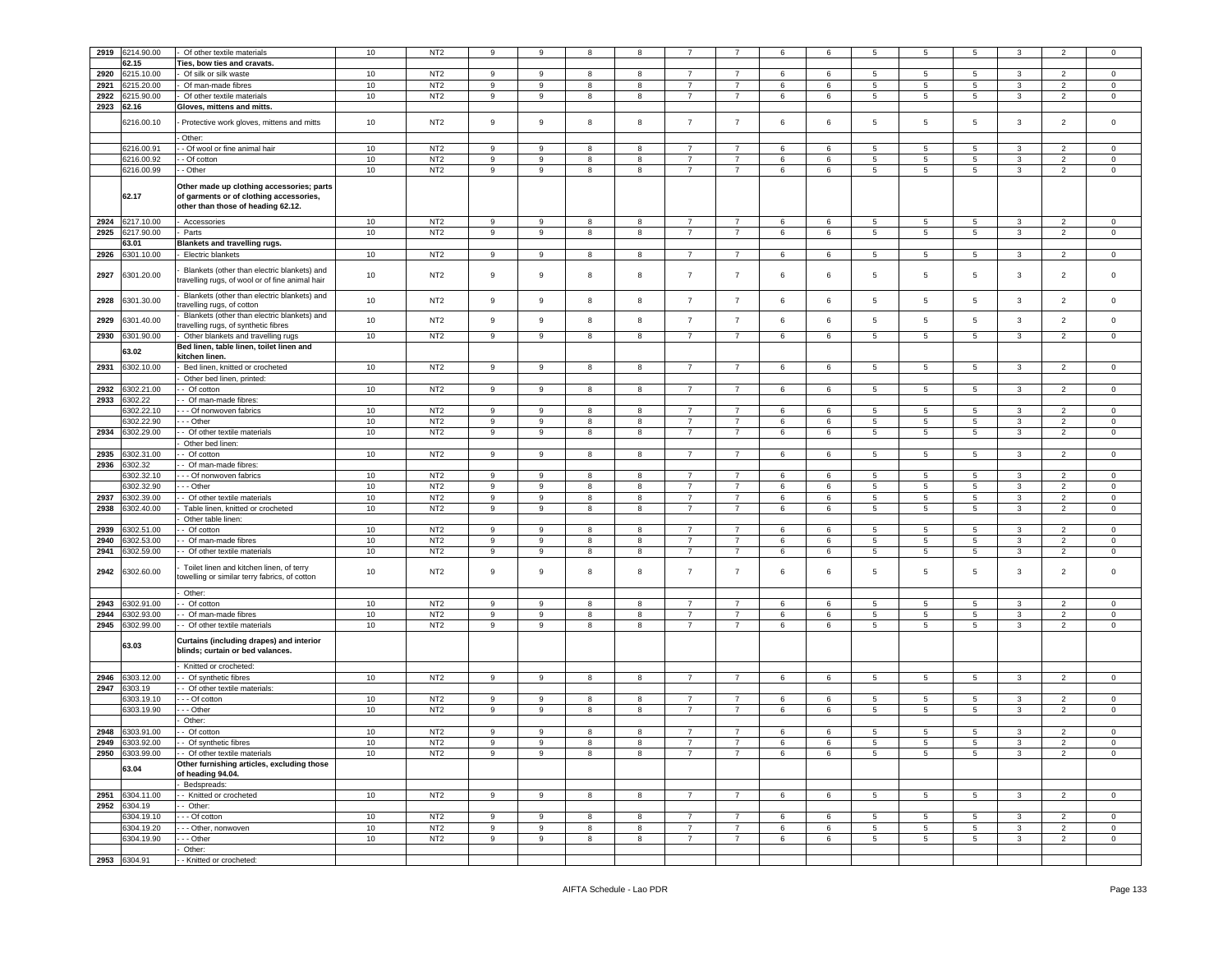| 2919 | 6214.90.00                         | Of other textile materials                                                                                                 | 10 | NT <sub>2</sub> | 9                | 9 | 8 | 8 |                |                | 6       | 6       | 5               | 5               | 5               | 3            | $\overline{2}$ | $\mathbf 0$    |
|------|------------------------------------|----------------------------------------------------------------------------------------------------------------------------|----|-----------------|------------------|---|---|---|----------------|----------------|---------|---------|-----------------|-----------------|-----------------|--------------|----------------|----------------|
|      |                                    |                                                                                                                            |    |                 |                  |   |   |   |                |                |         |         |                 |                 |                 |              |                |                |
|      | 62.15                              | Ties, bow ties and cravats.                                                                                                |    |                 |                  |   |   |   |                |                |         |         |                 |                 |                 |              |                |                |
| 2920 | 3215.10.00                         | Of silk or silk waste                                                                                                      | 10 | NT <sub>2</sub> | 9                | 9 | 8 | 8 | $\overline{7}$ | $\overline{7}$ | 6       | 6       | 5               | 5               | $5\phantom{.0}$ | 3            | $\overline{2}$ | 0              |
| 2921 | 3215.20.00                         | Of man-made fibres                                                                                                         | 10 | NT <sub>2</sub> | 9                | 9 | 8 | 8 | $\overline{7}$ | $\overline{7}$ | 6       | 6       | 5               | 5               | 5               | $\mathbf{3}$ | 2              | $\mathbf 0$    |
| 2922 | 215.90.00                          | Of other textile materials                                                                                                 | 10 | NT <sub>2</sub> | 9                | 9 | 8 | 8 | $\overline{7}$ | 7              | 6       | 6       | 5               | 5               | 5               | 3            | 2              | $\mathbf 0$    |
| 2923 | ኔ2.16                              | Gloves, mittens and mitts.                                                                                                 |    |                 |                  |   |   |   |                |                |         |         |                 |                 |                 |              |                |                |
|      | 6216.00.10                         | Protective work gloves, mittens and mitts                                                                                  | 10 | NT <sub>2</sub> | 9                | 9 | 8 | 8 | $\overline{7}$ | $\overline{7}$ | 6       | 6       | 5               | 5               | 5               | $\mathbf{3}$ | 2              | $\mathbf 0$    |
|      |                                    | Other:                                                                                                                     |    |                 |                  |   |   |   |                |                |         |         |                 |                 |                 |              |                |                |
|      | 6216.00.91                         | - Of wool or fine animal hair                                                                                              | 10 | NT <sub>2</sub> | 9                | 9 | 8 | 8 | $\overline{7}$ | $\overline{7}$ | 6       | 6       | 5               | 5               | 5               | 3            | $\overline{2}$ | $\mathbf 0$    |
|      | 6216.00.92                         | - Of cotton                                                                                                                | 10 | NT <sub>2</sub> | 9                | 9 | 8 | 8 | $\overline{7}$ | 7              | 6       | 6       | 5               | $5\phantom{.0}$ | 5               | $\mathbf{3}$ | 2              | $\mathbf 0$    |
|      |                                    |                                                                                                                            |    |                 |                  |   |   |   |                |                |         |         |                 |                 |                 |              |                |                |
|      | 6216.00.99                         | - Other                                                                                                                    | 10 | NT <sub>2</sub> | 9                | 9 | 8 | 8 | $\overline{7}$ | 7              | 6       | 6       | 5               | 5               | $5\overline{5}$ | 3            | 2              | $\mathbf 0$    |
|      | 62.17                              | Other made up clothing accessories; parts<br>of garments or of clothing accessories,<br>other than those of heading 62.12. |    |                 |                  |   |   |   |                |                |         |         |                 |                 |                 |              |                |                |
| 2924 | 6217.10.00                         | Accessories                                                                                                                | 10 | NT <sub>2</sub> | 9                | 9 | 8 | 8 | $\overline{7}$ | 7              | 6       | 6       | 5               | 5               | 5               | 3            | $\overline{2}$ | 0              |
| 2925 | 6217.90.00                         | Parts                                                                                                                      | 10 | NT <sub>2</sub> | $\boldsymbol{9}$ | 9 | 8 | 8 | $\overline{7}$ | $\overline{7}$ | 6       | 6       | 5               | $\,$ 5 $\,$     | $5\phantom{.0}$ | $\mathbf{3}$ | $\overline{2}$ | $\mathbf 0$    |
|      | 63.01                              | <b>Blankets and travelling rugs.</b>                                                                                       |    |                 |                  |   |   |   |                |                |         |         |                 |                 |                 |              |                |                |
|      |                                    |                                                                                                                            |    |                 |                  |   |   |   |                |                |         |         |                 |                 |                 |              |                |                |
| 2926 | 301.10.00                          | Electric blankets                                                                                                          | 10 | NT <sub>2</sub> | 9                | 9 | 8 | 8 | $\overline{7}$ | 7              | 6       | 6       | 5               | 5               | 5               | 3            | $\overline{2}$ | $\circ$        |
| 2927 | 6301.20.00                         | Blankets (other than electric blankets) and<br>travelling rugs, of wool or of fine animal hair                             | 10 | NT <sub>2</sub> | 9                | 9 | 8 | 8 | $\overline{7}$ | $\overline{7}$ | 6       | 6       | 5               | 5               | 5               | $\mathbf{3}$ | $\overline{2}$ | 0              |
| 2928 | 6301.30.00                         | Blankets (other than electric blankets) and<br>ravelling rugs, of cotton                                                   | 10 | NT <sub>2</sub> | $\boldsymbol{9}$ | 9 | 8 | 8 | $\overline{7}$ | $\overline{7}$ | 6       | 6       | $\overline{5}$  | $\,$ 5 $\,$     | $\sqrt{5}$      | $\mathbf{3}$ | $\overline{2}$ | $\mathbf 0$    |
| 2929 | 6301.40.00                         | Blankets (other than electric blankets) and                                                                                | 10 | NT <sub>2</sub> | 9                | 9 | 8 | 8 | $\overline{7}$ | $\overline{7}$ | 6       | 6       | $\overline{5}$  | 5               | $5\phantom{.0}$ | $\mathbf{3}$ | $\overline{2}$ | $\mathsf 0$    |
|      |                                    | ravelling rugs, of synthetic fibres                                                                                        |    |                 |                  |   |   |   |                |                |         |         |                 |                 |                 |              |                |                |
| 2930 | 301.90.00                          | Other blankets and travelling rugs                                                                                         | 10 | NT <sub>2</sub> | 9                | 9 | 8 | 8 | $\overline{7}$ | $\overline{7}$ | 6       | 6       | 5               | $5\phantom{.0}$ | $\sqrt{5}$      | $\mathbf{3}$ | $\overline{2}$ | $\mathbf 0$    |
|      | 63.02                              | Bed linen, table linen, toilet linen and                                                                                   |    |                 |                  |   |   |   |                |                |         |         |                 |                 |                 |              |                |                |
|      |                                    | kitchen linen.                                                                                                             |    |                 |                  |   |   |   |                |                |         |         |                 |                 |                 |              |                |                |
| 2931 | 302.10.00                          | Bed linen, knitted or crocheted                                                                                            | 10 | NT <sub>2</sub> | 9                | 9 | 8 | 8 | $\overline{7}$ | $\overline{7}$ | 6       | 6       | 5               | 5               | $5\phantom{.0}$ | 3            | $\overline{2}$ | $\mathbf 0$    |
|      |                                    | Other bed linen, printed:                                                                                                  |    |                 |                  |   |   |   |                |                |         |         |                 |                 |                 |              |                |                |
| 2932 | 6302.21.00                         | - Of cotton                                                                                                                | 10 | NT <sub>2</sub> | 9                | 9 | 8 | 8 | $\overline{7}$ | $\overline{7}$ | 6       | 6       | 5               | 5               | $5\overline{5}$ | $\mathbf{3}$ | $\overline{2}$ | $\mathbf 0$    |
| 2933 | 6302.22                            | - Of man-made fibres                                                                                                       |    |                 |                  |   |   |   |                |                |         |         |                 |                 |                 |              |                |                |
|      | 302.22.10                          | - - - Of nonwoven fabrics                                                                                                  | 10 | NT <sub>2</sub> | 9                | 9 | 8 | 8 | $\overline{7}$ | $\overline{7}$ | 6       | 6       | 5               | 5               | $5\phantom{.0}$ | $\mathbf{3}$ | $\overline{2}$ | 0              |
|      | 6302.22.90                         | --- Other                                                                                                                  | 10 | NT <sub>2</sub> | 9                | 9 | 8 | 8 | $\overline{7}$ | $\overline{7}$ | 6       | 6       | 5               | 5               | $5\phantom{.0}$ | $\mathbf{3}$ | $\overline{2}$ | $\mathbf 0$    |
| 2934 | 6302.29.00                         | - Of other textile materials                                                                                               | 10 | NT <sub>2</sub> | 9                | 9 | 8 | 8 | $\overline{7}$ | $\overline{7}$ | 6       | 6       | 5               | 5               | 5 <sub>5</sub>  | 3            | $\overline{2}$ | $\mathbf 0$    |
|      |                                    |                                                                                                                            |    |                 |                  |   |   |   |                |                |         |         |                 |                 |                 |              |                |                |
|      |                                    | Other bed linen:                                                                                                           |    |                 |                  |   |   |   |                |                |         |         |                 |                 |                 |              |                |                |
| 2935 | 302.31.00                          | - Of cotton                                                                                                                | 10 | NT <sub>2</sub> | 9                | 9 | 8 | 8 | $\overline{7}$ | $\overline{7}$ | 6       | 6       | 5               | 5               | 5               | 3            | $\overline{2}$ | $\mathbf 0$    |
| 2936 | 6302.32                            | - Of man-made fibres:                                                                                                      |    |                 |                  |   |   |   |                |                |         |         |                 |                 |                 |              |                |                |
|      | 302.32.10                          | - - Of nonwoven fabrics                                                                                                    | 10 | NT <sub>2</sub> | 9                | 9 | 8 | 8 | $\overline{7}$ | $\overline{7}$ | 6       | 6       | 5               | 5               | 5               | 3            | $\overline{2}$ | 0              |
|      | 302.32.90                          | - - Other                                                                                                                  | 10 | NT <sub>2</sub> | 9                | 9 | 8 | 8 | $\overline{7}$ | $\overline{7}$ | 6       | 6       | 5               | $5\phantom{.0}$ | $5\phantom{.0}$ | $\mathbf{3}$ | $\overline{2}$ | $\mathbf 0$    |
| 2937 | 6302.39.00                         | - Of other textile materials                                                                                               | 10 | NT <sub>2</sub> | 9                | 9 | 8 | 8 | $\overline{7}$ | $\overline{7}$ | 6       | 6       | 5               | 5               | 5 <sub>5</sub>  | 3            | $\overline{2}$ | $\mathbf 0$    |
| 2938 | 302.40.00                          | Table linen, knitted or crocheted                                                                                          | 10 | NT <sub>2</sub> | 9                | 9 | 8 | 8 | $\overline{7}$ | $\overline{7}$ | 6       | 6       | 5               | 5               | $5\phantom{.0}$ | 3            | $\overline{2}$ | 0              |
|      |                                    |                                                                                                                            |    |                 |                  |   |   |   |                |                |         |         |                 |                 |                 |              |                |                |
|      |                                    | Other table linen:                                                                                                         |    |                 |                  |   |   |   |                |                |         |         |                 |                 |                 |              |                |                |
| 2939 | 302.51.00                          | - Of cotton                                                                                                                | 10 | NT <sub>2</sub> | 9                | 9 | 8 | 8 | 7              | 7              | 6       | 6       | 5               | 5               | 5               | 3            | $\overline{2}$ | $\mathbf 0$    |
| 2940 | 302.53.00                          | Of man-made fibres                                                                                                         | 10 | NT <sub>2</sub> | $\boldsymbol{9}$ | 9 | 8 | 8 | $\overline{7}$ | $\overline{7}$ | 6       | 6       | 5               | 5               | $\sqrt{5}$      | $\mathbf{3}$ | $\overline{2}$ | $\mathsf 0$    |
| 2941 | 302.59.00                          | - Of other textile materials                                                                                               | 10 | NT <sub>2</sub> | 9                | 9 | 8 | 8 | $\overline{7}$ | $\overline{7}$ | 6       | 6       | 5               | $5\phantom{.0}$ | 5               | $\mathbf{3}$ | $\overline{2}$ | $\mathbf 0$    |
| 2942 | 6302.60.00                         | Toilet linen and kitchen linen, of terry<br>towelling or similar terry fabrics, of cotton                                  | 10 | NT <sub>2</sub> | 9                | 9 | 8 | 8 | $\overline{7}$ | $\overline{7}$ | 6       | 6       | 5               | 5               | 5               | 3            | $\overline{2}$ | $\mathbf 0$    |
|      |                                    | Other:                                                                                                                     |    |                 |                  |   |   |   |                |                |         |         |                 |                 |                 |              |                |                |
| 2943 | 6302.91.00                         | - Of cotton                                                                                                                | 10 | NT <sub>2</sub> | 9                | 9 | 8 | 8 | $\overline{7}$ | 7              | 6       | 6       | 5               | 5               | 5               | 3            | $\overline{2}$ | $\circ$        |
| 2944 | 6302.93.00                         | - Of man-made fibres                                                                                                       | 10 | NT <sub>2</sub> | 9                | 9 | 8 | 8 | $\overline{7}$ | $\overline{7}$ | 6       | 6       | 5               | 5               | $5\overline{5}$ | 3            | $\overline{2}$ | $\mathbf 0$    |
| 2945 | 302.99.00                          | - Of other textile materials                                                                                               | 10 | NT <sub>2</sub> | 9                | 9 | 8 | 8 | $\overline{7}$ | $\overline{7}$ | 6       | 6       | 5               | 5               | $5\phantom{.0}$ | 3            | $\overline{2}$ | $\mathsf 0$    |
|      | 63.03                              | Curtains (including drapes) and interior<br>blinds; curtain or bed valances.                                               |    |                 |                  |   |   |   |                |                |         |         |                 |                 |                 |              |                |                |
|      |                                    | Knitted or crocheted                                                                                                       |    |                 |                  |   |   |   |                |                |         |         |                 |                 |                 |              |                |                |
| 2946 | 6303.12.00                         | - Of synthetic fibres                                                                                                      | 10 | NT <sub>2</sub> | 9                | 9 | 8 | 8 | $\overline{7}$ | $\overline{7}$ | 6       | 6       | 5               | 5               | $5\phantom{.0}$ | 3            | $\overline{2}$ | $\mathbf{0}$   |
| 2947 | 6303.19                            | - Of other textile materials:                                                                                              |    |                 |                  |   |   |   |                |                |         |         |                 |                 |                 |              |                |                |
|      | 6303.19.10                         | - - Of cotton                                                                                                              | 10 | NT <sub>2</sub> | 9                | 9 | 8 | 8 | $\overline{7}$ | $\overline{7}$ | 6       | 6       | 5               | 5               | 5               | 3            | $\overline{2}$ | $\mathbf 0$    |
|      | 6303.19.90                         | - - Other                                                                                                                  | 10 | NT <sub>2</sub> | 9                | 9 | 8 | 8 | $\overline{7}$ | $\overline{7}$ | 6       | 6       | 5               | 5               | 5               | 3            | 2              | $\mathbf 0$    |
|      |                                    | Other:                                                                                                                     |    |                 |                  |   |   |   |                |                |         |         |                 |                 |                 |              |                |                |
|      |                                    |                                                                                                                            |    |                 |                  | 9 | 8 | 8 | $\overline{7}$ |                |         |         |                 |                 |                 |              | $\overline{2}$ |                |
| 2948 | 6303.91.00                         | - Of cotton                                                                                                                | 10 | NT <sub>2</sub> | 9                |   |   |   |                | $\overline{7}$ | 6       | 6       | 5               | 5               | 5               | 3            |                | $\mathbf 0$    |
|      | 2949 6303.92.00<br>2950 6303.99.00 | - Of synthetic fibres                                                                                                      | 10 | NT <sub>2</sub> |                  |   |   | Ö |                |                | $\circ$ | O       |                 |                 |                 |              |                |                |
|      |                                    | - - Of other textile materials                                                                                             | 10 | NT <sub>2</sub> | 9                | 9 | 8 | 8 | $\overline{7}$ | $\overline{7}$ | 6       | 6       | $5\phantom{.0}$ | $5\phantom{.0}$ | 5 <sub>5</sub>  | $\mathbf{3}$ | $\overline{2}$ | $\circ$        |
|      | 63.04                              | Other furnishing articles, excluding those<br>of heading 94.04.                                                            |    |                 |                  |   |   |   |                |                |         |         |                 |                 |                 |              |                |                |
|      |                                    | Bedspreads:                                                                                                                |    |                 |                  |   |   |   |                |                |         |         |                 |                 |                 |              |                |                |
|      | 2951 6304.11.00                    | - Knitted or crocheted                                                                                                     | 10 | NT <sub>2</sub> | 9                | 9 | 8 | 8 | $\overline{7}$ | $\overline{7}$ | 6       | $\,6\,$ | $5\phantom{.0}$ | $5\overline{5}$ | 5 <sub>5</sub>  | $\mathbf{3}$ | $\overline{2}$ | $\overline{0}$ |
| 2952 | 6304.19                            | - Other:                                                                                                                   |    |                 |                  |   |   |   |                |                |         |         |                 |                 |                 |              |                |                |
|      | 6304.19.10                         | --- Of cotton                                                                                                              | 10 | NT <sub>2</sub> | 9                | 9 | 8 | 8 | $\overline{7}$ | $\overline{7}$ | 6       | 6       | 5               | 5               | $5\phantom{.0}$ | $\mathbf{3}$ | $\overline{2}$ | $\mathbf{0}$   |
|      | 6304.19.20                         | --- Other, nonwoven                                                                                                        | 10 | NT <sub>2</sub> |                  | 9 |   |   |                | $\overline{7}$ |         |         |                 |                 |                 |              |                |                |
|      |                                    |                                                                                                                            |    |                 | 9                |   | 8 | 8 | $\overline{7}$ |                | 6       | 6       | 5               | 5               | 5 <sub>5</sub>  | $\mathbf{3}$ | $\overline{2}$ | $\mathbf{0}$   |
|      | 6304.19.90                         | - - Other                                                                                                                  | 10 | NT <sub>2</sub> | 9                | 9 | 8 | 8 | $\overline{7}$ | $\overline{7}$ | 6       | 6       | $5\overline{5}$ | $5\overline{5}$ | 5 <sub>5</sub>  | $\mathbf{3}$ | $\overline{2}$ | $\overline{0}$ |
|      |                                    | Other:                                                                                                                     |    |                 |                  |   |   |   |                |                |         |         |                 |                 |                 |              |                |                |
|      | 2953 6304.91                       | - Knitted or crocheted:                                                                                                    |    |                 |                  |   |   |   |                |                |         |         |                 |                 |                 |              |                |                |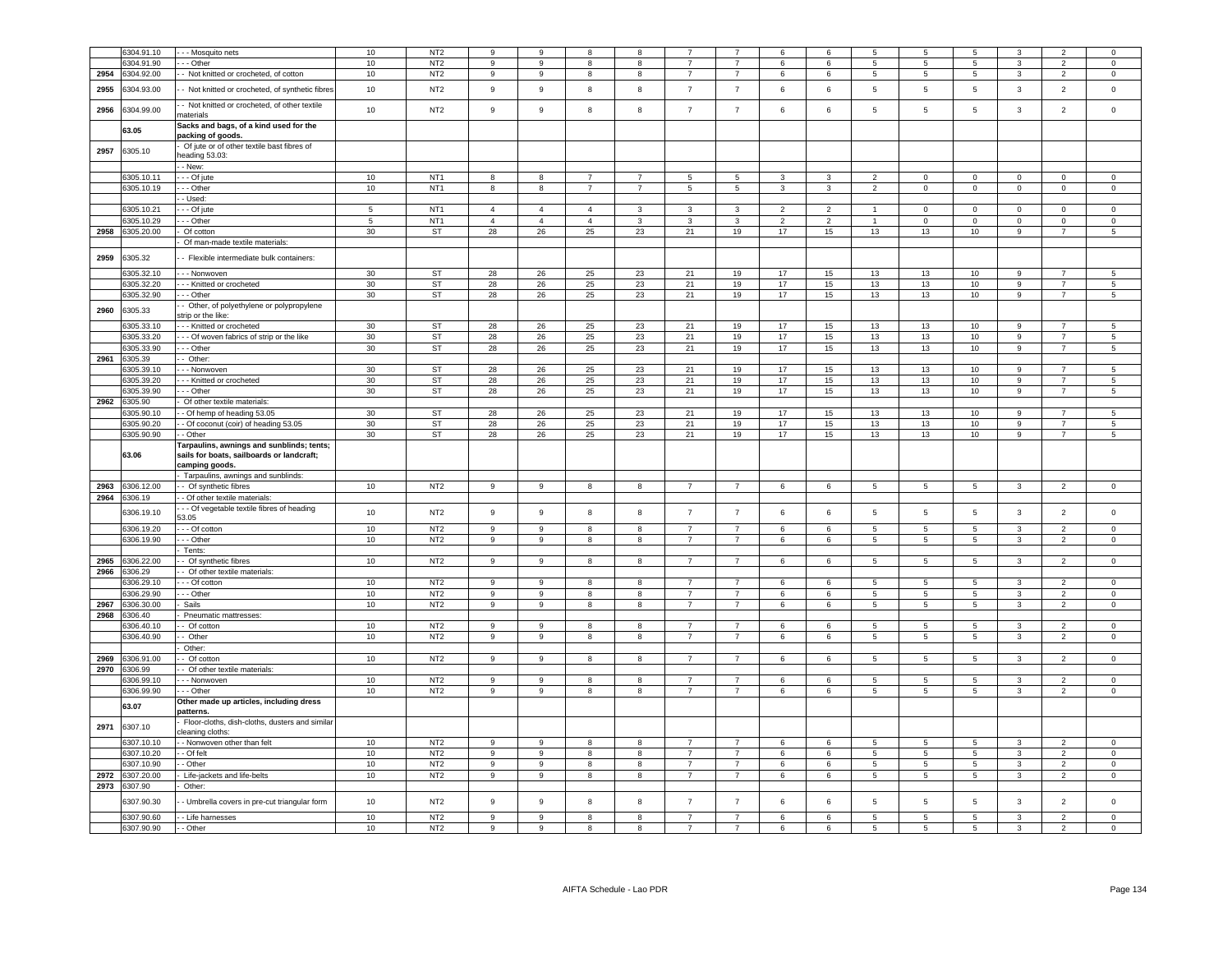|              | 6304.91.10                 | - - Mosquito nets                                                                        | 10              | NT <sub>2</sub>                    | 9                | 9              | 8                | 8              |                 |                                  | 6              | 6               | 5                | 5              | 5                                  | 3                            | $\overline{2}$                   | $\mathbf 0$                        |
|--------------|----------------------------|------------------------------------------------------------------------------------------|-----------------|------------------------------------|------------------|----------------|------------------|----------------|-----------------|----------------------------------|----------------|-----------------|------------------|----------------|------------------------------------|------------------------------|----------------------------------|------------------------------------|
|              | 304.91.90                  | - - Other                                                                                | 10              | NT <sub>2</sub>                    | 9                | 9              | 8                | 8              | $\overline{7}$  | $\overline{7}$                   | 6              | $6\overline{6}$ | 5                | $\overline{5}$ | 5                                  | 3                            | $\overline{2}$                   | $\mathsf 0$                        |
|              |                            |                                                                                          |                 | NT <sub>2</sub>                    | 9                | 9              | 8                | 8              | $\overline{7}$  | $\overline{7}$                   | 6              |                 | $\overline{5}$   | 5              | 5                                  | $\mathbf{3}$                 | $\overline{2}$                   |                                    |
| 2954<br>2955 | 6304.92.00<br>304.93.00    | - Not knitted or crocheted, of cotton<br>- Not knitted or crocheted, of synthetic fibres | 10<br>$10$      | NT <sub>2</sub>                    | 9                | $\mathsf g$    | $\bf8$           | 8              | $\overline{7}$  | $\overline{7}$                   | 6              | 6<br>$\,6\,$    | $\,$ 5 $\,$      | 5              | $\,$ 5 $\,$                        | $\mathbf{3}$                 | $\overline{2}$                   | $\circ$<br>$\mathbf 0$             |
| 2956         | 6304.99.00                 | - Not knitted or crocheted, of other textile                                             | 10              | NT <sub>2</sub>                    | 9                | $\mathsf g$    | 8                | 8              | $\overline{7}$  | $\overline{7}$                   | 6              | 6               | 5                | $\overline{5}$ | 5                                  | $\mathbf{3}$                 | $\overline{2}$                   | $\mathsf 0$                        |
|              | 63.05                      | naterials<br>Sacks and bags, of a kind used for the                                      |                 |                                    |                  |                |                  |                |                 |                                  |                |                 |                  |                |                                    |                              |                                  |                                    |
| 2957         | 6305.10                    | packing of goods.<br>Of jute or of other textile bast fibres of                          |                 |                                    |                  |                |                  |                |                 |                                  |                |                 |                  |                |                                    |                              |                                  |                                    |
|              |                            | eading 53.03:<br>- New:                                                                  |                 |                                    |                  |                |                  |                |                 |                                  |                |                 |                  |                |                                    |                              |                                  |                                    |
|              | 305.10.11                  | - - Of jute                                                                              | 10              | NT <sub>1</sub>                    | 8                | 8              | $\overline{7}$   | $\overline{7}$ | -5              | 5                                | 3              | $\mathbf{3}$    | $\overline{2}$   | $\mathbf 0$    | $\mathbf 0$                        | $\overline{0}$               | $\mathbf{0}$                     | $\circ$                            |
|              | 6305.10.19                 | - - Other                                                                                | 10              | NT <sub>1</sub>                    | 8                | 8              | $\overline{7}$   | $\overline{7}$ | $5\phantom{.0}$ | $5\phantom{.0}$                  | $\mathbf{3}$   | $\mathbf{3}$    | $\overline{2}$   | $\mathbf 0$    | $\mathbf 0$                        | $\mathbf 0$                  | $\overline{0}$                   | $\overline{0}$                     |
|              |                            | - Used:                                                                                  |                 |                                    |                  |                |                  |                |                 |                                  |                |                 |                  |                |                                    |                              |                                  |                                    |
|              | 6305.10.21                 | - - Of jute                                                                              | $5\overline{5}$ | NT <sub>1</sub>                    | $\overline{4}$   | $\overline{4}$ | $\overline{4}$   | $\mathbf{3}$   | $\mathbf{3}$    | $\mathbf{3}$                     | $\overline{2}$ | $\overline{2}$  | $\mathbf{1}$     | $\mathsf 0$    | $\mathbf 0$                        | $\overline{0}$               | $\mathsf 0$                      | $\mathbf{0}$                       |
|              | 305.10.29                  | - - Other                                                                                | $5\phantom{.0}$ | NT <sub>1</sub>                    | $\overline{4}$   | $\overline{4}$ | $\overline{4}$   | 3              | 3               | $\mathbf{3}$                     | $\overline{2}$ | $\overline{2}$  | $\mathbf{1}$     | $\mathsf 0$    | $\mathsf{O}\xspace$                | $\mathbf 0$                  | $^{\circ}$                       | $\mathbf{0}$                       |
| 2958         | 305.20.00                  | Of cotton                                                                                | 30              | ST                                 | 28               | 26             | 25               | 23             | 21              | 19                               | 17             | 15              | 13               | 13             | 10                                 | 9                            | $\overline{7}$                   | 5 <sup>5</sup>                     |
|              |                            | Of man-made textile materials:                                                           |                 |                                    |                  |                |                  |                |                 |                                  |                |                 |                  |                |                                    |                              |                                  |                                    |
|              |                            |                                                                                          |                 |                                    |                  |                |                  |                |                 |                                  |                |                 |                  |                |                                    |                              |                                  |                                    |
| 2959         | 6305.32                    | - Flexible intermediate bulk containers:                                                 |                 |                                    |                  |                |                  |                |                 |                                  |                |                 |                  |                |                                    |                              |                                  |                                    |
|              | 6305.32.10                 | - - - Nonwoven                                                                           | 30 <sup>°</sup> | ST                                 | 28               | 26             | 25               | 23             | 21              | 19                               | 17             | 15              | 13               | 13             | 10                                 | 9                            | $\overline{7}$                   | 5                                  |
|              | 6305.32.20                 | --- Knitted or crocheted                                                                 | 30 <sup>°</sup> | ST                                 | 28               | 26             | 25               | 23             | 21              | 19                               | 17             | 15              | 13               | 13             | 10                                 | 9                            | $\overline{7}$                   | $5\phantom{.0}$                    |
|              | 6305.32.90                 | - - Other                                                                                | 30              | <b>ST</b>                          | 28               | 26             | 25               | 23             | 21              | 19                               | 17             | 15              | 13               | 13             | 10                                 | $\overline{9}$               | $\overline{7}$                   | $\overline{5}$                     |
| 2960         | 6305.33                    | - Other, of polyethylene or polypropylene<br>strip or the like:                          |                 |                                    |                  |                |                  |                |                 |                                  |                |                 |                  |                |                                    |                              |                                  |                                    |
|              | 305.33.10                  | --- Knitted or crocheted                                                                 | 30              | ST                                 | 28               | 26             | 25               | 23             | 21              | 19                               | 17             | 15              | 13               | 13             | 10                                 | 9                            |                                  | 5                                  |
|              | 6305.33.20                 | - - Of woven fabrics of strip or the like                                                | 30              | ST                                 | 28               | 26             | 25               | 23             | 21              | 19                               | 17             | 15              | 13               | 13             | 10 <sub>1</sub>                    | 9                            | $\overline{7}$                   | 5 <sup>5</sup>                     |
|              | 6305.33.90                 | - - Other                                                                                | 30              | ST                                 | 28               | 26             | 25               | 23             | 21              | 19                               | 17             | 15              | 13               | 13             | 10                                 | 9                            | $\overline{7}$                   | $5\overline{5}$                    |
| 2961         | 6305.39                    | - Other                                                                                  |                 |                                    |                  |                |                  |                |                 |                                  |                |                 |                  |                |                                    |                              |                                  |                                    |
|              | 6305.39.10                 | - - Nonwoven                                                                             | 30              | <b>ST</b>                          | 28               | 26             | 25               | 23             | 21              | 19                               | 17             | 15              | 13               | 13             | 10                                 | 9                            | $\overline{7}$                   | 5                                  |
|              | 305.39.20                  | - - Knitted or crocheted                                                                 | 30              | ST                                 | 28               | 26             | 25               | 23             | 21              | 19                               | 17             | 15              | 13               | 13             | 10                                 | 9                            | $\overline{7}$                   | 5                                  |
|              | 305.39.90                  | - - Other                                                                                | 30              | ST                                 | 28               | $26\,$         | $25\,$           | 23             | 21              | 19                               | 17             | 15              | $13\,$           | $13\,$         | 10                                 | 9                            | $\overline{7}$                   | $5\phantom{.0}$                    |
| 2962         | 6305.90                    | Of other textile materials:                                                              |                 |                                    |                  |                |                  |                |                 |                                  |                |                 |                  |                |                                    |                              |                                  |                                    |
|              | 305.90.10                  | - Of hemp of heading 53.05                                                               | 30              | ST                                 | 28               | 26             | 25               | 23             | 21              | 19                               | 17             | 15              | 13               | 13             | $10$                               | $\boldsymbol{9}$             | $\overline{7}$                   | $\sqrt{5}$                         |
|              | 6305.90.20                 | - Of coconut (coir) of heading 53.05                                                     | 30              | ST                                 | 28               | 26             | 25               | 23             | 21              | 19                               | 17             | 15              | 13               | 13             | $10$                               | 9                            | $\overline{7}$                   | $\sqrt{5}$                         |
|              | 6305.90.90                 | - Other                                                                                  | 30              | ST                                 | 28               | 26             | 25               | 23             | 21              | 19                               | 17             | 15              | 13               | 13             | 10                                 | 9                            | $\overline{7}$                   | 5                                  |
|              |                            | Tarpaulins, awnings and sunblinds; tents;                                                |                 |                                    |                  |                |                  |                |                 |                                  |                |                 |                  |                |                                    |                              |                                  |                                    |
|              | 63.06                      | sails for boats, sailboards or landcraft;                                                |                 |                                    |                  |                |                  |                |                 |                                  |                |                 |                  |                |                                    |                              |                                  |                                    |
|              |                            | camping goods.<br>Tarpaulins, awnings and sunblinds:                                     |                 |                                    |                  |                |                  |                |                 |                                  |                |                 |                  |                |                                    |                              |                                  |                                    |
| 2963         | 6306.12.00                 | - Of synthetic fibres                                                                    | 10              | NT <sub>2</sub>                    | $\boldsymbol{9}$ | 9              | 8                | 8              | $\overline{7}$  | $\overline{7}$                   | 6              | $\,6\,$         | $\,$ 5 $\,$      | $\sqrt{5}$     | $\sqrt{5}$                         | $\mathbf{3}$                 | $\overline{2}$                   | $\mathsf{O}\xspace$                |
| 2964         | 6306.19                    | - Of other textile materials:                                                            |                 |                                    |                  |                |                  |                |                 |                                  |                |                 |                  |                |                                    |                              |                                  |                                    |
|              | 6306.19.10                 | - - Of vegetable textile fibres of heading<br>53.05                                      | 10              | NT <sub>2</sub>                    | 9                | $\mathsf g$    | 8                | 8              | $\overline{7}$  | $\overline{7}$                   | 6              | $\,6\,$         | 5                | $\overline{5}$ | $\sqrt{5}$                         | $\mathbf{3}$                 | $\overline{2}$                   | $\mathbf 0$                        |
|              | 6306.19.20                 | - - Of cotton                                                                            | 10              | NT <sub>2</sub>                    | $\overline{9}$   | $\overline{9}$ | $\overline{8}$   | 8              | $\overline{7}$  | $\overline{7}$                   | 6              | 6               | $\overline{5}$   | $\overline{5}$ | $\overline{5}$                     | $\overline{\mathbf{3}}$      | $\overline{2}$                   | $\overline{0}$                     |
|              | 6306.19.90                 |                                                                                          |                 | NT <sub>2</sub>                    | 9                | 9              | 8                | 8              | $\overline{7}$  | $\overline{7}$                   | 6              |                 | 5                | 5              | 5                                  | $\mathbf{3}$                 | $\overline{2}$                   |                                    |
|              |                            | - - Other<br>Tents:                                                                      | $10$            |                                    |                  |                |                  |                |                 |                                  |                | $\,6\,$         |                  |                |                                    |                              |                                  | $\mathsf 0$                        |
| 2965         | 6306.22.00                 | Of synthetic fibres                                                                      | $10\,$          | NT <sub>2</sub>                    | 9                | 9              | 8                | 8              | $\overline{7}$  | $\overline{7}$                   | 6              | 6               | 5                | 5              | $5\phantom{.0}$                    | $\mathbf{3}$                 | $\overline{2}$                   | $\mathsf 0$                        |
| 2966         | 6306.29                    | Of other textile materials:                                                              |                 |                                    |                  |                |                  |                |                 |                                  |                |                 |                  |                |                                    |                              |                                  |                                    |
|              | 306.29.10                  | - - Of cotton                                                                            | 10              | NT <sub>2</sub>                    | 9                | 9              | 8                | 8              | $\overline{7}$  | $\overline{7}$                   | 6              | 6               | 5                | 5              | 5                                  | 3                            | $\overline{2}$                   | $\mathbf 0$                        |
|              | 306.29.90                  | - - Other                                                                                | 10              | NT <sub>2</sub>                    | 9                | 9              | 8                | 8              | $\overline{7}$  | $\overline{7}$                   | 6              | 6               | 5                | 5              | 5                                  | 3                            | $\overline{2}$                   | $\mathsf 0$                        |
| 2967         | 306.30.00                  | Sails                                                                                    | 10              | NT <sub>2</sub>                    | 9                | 9              | 8                | 8              | $\overline{7}$  | $\overline{7}$                   | 6              | 6               | 5                | 5              | 5                                  | 3                            | $\overline{2}$                   | $\circ$                            |
| 2968         | 306.40                     | Pneumatic mattresses:                                                                    |                 |                                    |                  |                |                  |                |                 |                                  |                |                 |                  |                |                                    |                              |                                  |                                    |
|              | 306.40.10                  | - Of cotton                                                                              | 10              | NT <sub>2</sub>                    | 9                | $\mathsf g$    | 8                | 8              | $\overline{7}$  | $\overline{7}$                   | 6              | $\,6\,$         | 5                | 5              | 5                                  | $\mathbf{3}$                 | $\overline{2}$                   | $\mathbf 0$                        |
|              | 6306.40.90                 | - Other                                                                                  | 10              | NT <sub>2</sub>                    | 9                | 9              | 8                | 8              | $\overline{7}$  | $\overline{7}$                   | 6              | $\,6\,$         | $5\phantom{.0}$  | 5              | $5\phantom{.0}$                    | $\mathbf{3}$                 | $\overline{2}$                   | $\mathbf{0}$                       |
|              |                            | Other:                                                                                   |                 |                                    |                  |                |                  |                |                 |                                  |                |                 |                  |                |                                    |                              |                                  |                                    |
| 2969         | 306.91.00                  | - Of cotton                                                                              | 10              | NT <sub>2</sub>                    | 9                | 9              | 8                | 8              | $\overline{7}$  | $\overline{7}$                   | 6              | 6               | 5                | 5              | 5                                  | $\mathbf{3}$                 | $\overline{2}$                   | $\overline{0}$                     |
| 2970         | 6306.99                    | - Of other textile materials:                                                            |                 |                                    |                  |                |                  |                |                 |                                  |                |                 |                  |                |                                    |                              |                                  |                                    |
|              |                            |                                                                                          |                 |                                    | 9                |                |                  |                | $\overline{7}$  | $\overline{7}$                   |                |                 |                  |                |                                    |                              |                                  | $\Omega$                           |
|              | 6306.99.10<br>6306.99.90   | - - Nonwoven<br>- - Other                                                                | 10<br>10        | NT <sub>2</sub><br>NT <sub>2</sub> | 9                | 9<br>9         | 8<br>8           | 8<br>8         | $\overline{7}$  | $\overline{7}$                   | 6<br>6         | 6<br>6          | 5<br>5           | 5<br>5         | $5\phantom{.0}$<br>$5\phantom{.0}$ | $\mathbf{3}$<br>$\mathbf{3}$ | $\overline{2}$<br>$\overline{2}$ | $\mathbf 0$                        |
|              |                            | Other made up articles, including dress                                                  |                 |                                    |                  |                |                  |                |                 |                                  |                |                 |                  |                |                                    |                              |                                  |                                    |
|              | 63.07                      | patterns<br>Floor-cloths, dish-cloths, dusters and similar                               |                 |                                    |                  |                |                  |                |                 |                                  |                |                 |                  |                |                                    |                              |                                  |                                    |
| 2971         | 6307.10                    | cleaning cloths:                                                                         |                 |                                    |                  |                |                  |                |                 |                                  |                |                 |                  |                |                                    |                              |                                  |                                    |
|              | 6307.10.10                 | - Nonwoven other than felt                                                               | 10              | NT <sub>2</sub>                    | 9                | 9              | -8               | 8              | 7               | $\overline{7}$                   | -6             | 6               | 5                | 5              | 5                                  | 3                            | $\overline{2}$                   | $\Omega$                           |
|              | 6307.10.20                 | - Of felt                                                                                | 10              | NT <sub>2</sub>                    | 9                | 9              | 8                | 8              | $\overline{7}$  | $\overline{7}$                   | 6              | $\,6\,$         | $5\phantom{.0}$  | 5              | $\,$ 5 $\,$                        | $\mathbf{3}$                 | $\overline{2}$                   | $\mathbf 0$                        |
|              | 6307.10.90                 | - Other                                                                                  | 10              | NT <sub>2</sub>                    | 9                | 9              | 8                | 8              | $\overline{7}$  | $\overline{7}$                   | 6              | $6\phantom{.0}$ | $5\phantom{.0}$  | 5              | $5\phantom{.0}$                    | $\mathbf{3}$                 | $\overline{2}$                   | $\mathbf{0}$                       |
| 2972         | 6307.20.00                 | Life-jackets and life-belts                                                              | 10              | NT <sub>2</sub>                    | 9                | 9              | $\boldsymbol{8}$ | 8              | $\overline{7}$  | $\overline{7}$                   | 6              | $6\phantom{.0}$ | $5\phantom{.0}$  | 5              | $5\phantom{.0}$                    | $\mathbf{3}$                 | $\overline{2}$                   | $\mathbf{0}$                       |
|              | 2973 6307.90<br>6307.90.30 | Other:<br>- Umbrella covers in pre-cut triangular form                                   | 10              | NT <sub>2</sub>                    | 9                | 9              | 8                | 8              | $\overline{7}$  | $\overline{7}$                   | $\,$ 6 $\,$    | 6               | 5                | 5              | $5\phantom{.0}$                    | $\mathbf{3}$                 | $\overline{2}$                   | $\mathbf 0$                        |
|              |                            |                                                                                          |                 |                                    | 9                |                |                  |                | $\overline{7}$  |                                  |                |                 |                  |                |                                    |                              |                                  |                                    |
|              | 6307.90.60<br>6307.90.90   | - Life harnesses<br>- - Other                                                            | 10<br>10        | NT <sub>2</sub><br>NT <sub>2</sub> | 9                | 9<br>9         | 8<br>8           | 8<br>8         | $\overline{7}$  | $\overline{7}$<br>$\overline{7}$ | 6<br>6         | 6<br>$\,6\,$    | 5<br>$\,$ 5 $\,$ | 5<br>5         | $5\phantom{.0}$<br>$\overline{5}$  | $\mathbf{3}$<br>$\mathbf{3}$ | $\overline{2}$<br>$\overline{2}$ | $\mathbf 0$<br>$\mathsf{O}\xspace$ |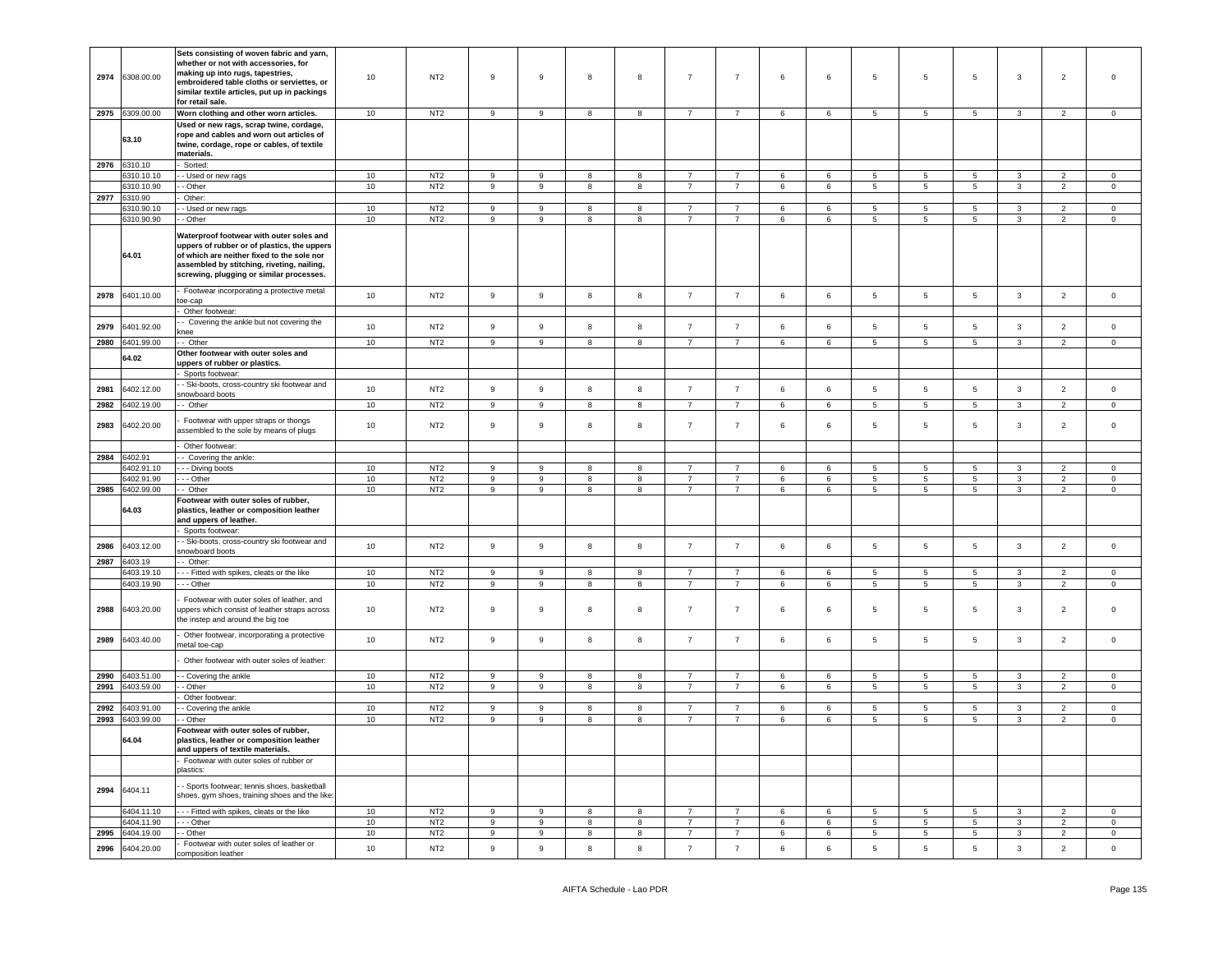| 2974 | 6308.00.00      | Sets consisting of woven fabric and yarn,<br>whether or not with accessories, for<br>making up into rugs, tapestries,<br>embroidered table cloths or serviettes, or<br>similar textile articles, put up in packings<br>for retail sale. | 10 | NT <sub>2</sub> | 9                | 9                | 8 | 8 | $\overline{7}$  | $\overline{7}$ | 6              | 6       | 5               | 5               | 5               | 3            | $\overline{2}$ | $\overline{0}$ |
|------|-----------------|-----------------------------------------------------------------------------------------------------------------------------------------------------------------------------------------------------------------------------------------|----|-----------------|------------------|------------------|---|---|-----------------|----------------|----------------|---------|-----------------|-----------------|-----------------|--------------|----------------|----------------|
|      | 2975 6309.00.00 | Worn clothing and other worn articles.                                                                                                                                                                                                  | 10 | NT <sub>2</sub> | 9                | 9                | 8 | 8 | $7\overline{ }$ | $\overline{7}$ | 6              | 6       | 5 <sub>5</sub>  | $5\overline{5}$ | $5\overline{5}$ | $\mathbf{3}$ | $\overline{2}$ | $\overline{0}$ |
|      | 63.10           | Used or new rags, scrap twine, cordage,<br>rope and cables and worn out articles of<br>twine, cordage, rope or cables, of textile<br>materials.                                                                                         |    |                 |                  |                  |   |   |                 |                |                |         |                 |                 |                 |              |                |                |
|      | 2976 6310.10    | Sorted:                                                                                                                                                                                                                                 |    |                 |                  |                  |   |   |                 |                |                |         |                 |                 |                 |              |                |                |
|      | 6310.10.10      | - Used or new rags                                                                                                                                                                                                                      | 10 | NT <sub>2</sub> | 9                | 9                | 8 | 8 | $\overline{7}$  | $\overline{7}$ | 6              | 6       | $5\overline{5}$ | 5               | 5               | $\mathbf{3}$ | $\overline{2}$ | $\circ$        |
|      | 6310.10.90      | - Other                                                                                                                                                                                                                                 | 10 | NT <sub>2</sub> | $\boldsymbol{9}$ | 9                | 8 | 8 | $\overline{7}$  | $\overline{7}$ | 6              | 6       | $5\phantom{.0}$ | 5               | $5\phantom{.0}$ | $\mathbf{3}$ | $\overline{2}$ | $\,0\,$        |
| 2977 | 6310.90         | Other:                                                                                                                                                                                                                                  |    |                 |                  |                  |   |   |                 |                |                |         |                 |                 |                 |              |                |                |
|      | 6310.90.10      | - Used or new rags                                                                                                                                                                                                                      | 10 | NT <sub>2</sub> | 9                | 9                | 8 | 8 | $\overline{7}$  | $\overline{7}$ | 6              | 6       | 5               | 5               | 5               | $\mathbf{3}$ | $\overline{2}$ | $\circ$        |
|      | 6310.90.90      | - Other                                                                                                                                                                                                                                 | 10 | NT <sub>2</sub> | 9                | 9                | 8 | 8 | $\overline{7}$  | $\overline{7}$ | 6              | 6       | $5\overline{5}$ | 5               | $5\phantom{.0}$ | $\mathbf{3}$ | $\overline{2}$ | $\mathbf 0$    |
|      | 64.01           | Waterproof footwear with outer soles and<br>uppers of rubber or of plastics, the uppers<br>of which are neither fixed to the sole nor<br>assembled by stitching, riveting, nailing,<br>screwing, plugging or similar processes.         |    |                 |                  |                  |   |   |                 |                |                |         |                 |                 |                 |              |                |                |
| 2978 | 6401.10.00      | Footwear incorporating a protective metal<br>toe-cap                                                                                                                                                                                    | 10 | NT <sub>2</sub> | $\overline{9}$   | $\boldsymbol{9}$ | 8 | 8 | $\overline{7}$  | $\overline{7}$ | 6              | 6       | 5               | 5               | $5\phantom{.0}$ | $\mathbf{3}$ | $\overline{2}$ | $\mathbf 0$    |
|      |                 | Other footwear:                                                                                                                                                                                                                         |    |                 |                  |                  |   |   |                 |                |                |         |                 |                 |                 |              |                |                |
| 2979 | 6401.92.00      | - Covering the ankle but not covering the<br>knee                                                                                                                                                                                       | 10 | NT <sub>2</sub> | 9                | 9                | 8 | 8 | $\overline{7}$  | $\overline{7}$ | 6              | 6       | $5\overline{5}$ | 5               | 5               | $\mathbf{3}$ | $\overline{2}$ | $\circ$        |
| 2980 | 6401.99.00      | - Other                                                                                                                                                                                                                                 | 10 | NT <sub>2</sub> | 9                | 9                | 8 | 8 | 7               | 7              | 6              | 6       | 5               | 5               | 5               | 3            | $\overline{2}$ | $\mathbf 0$    |
|      | 64.02           | Other footwear with outer soles and<br>uppers of rubber or plastics.                                                                                                                                                                    |    |                 |                  |                  |   |   |                 |                |                |         |                 |                 |                 |              |                |                |
|      |                 | Sports footwear:                                                                                                                                                                                                                        |    |                 |                  |                  |   |   |                 |                |                |         |                 |                 |                 |              |                |                |
| 2981 | 6402.12.00      | - Ski-boots, cross-country ski footwear and                                                                                                                                                                                             | 10 | NT <sub>2</sub> | $\overline{9}$   | 9                | 8 | 8 | $\overline{7}$  | $\overline{7}$ | $6\phantom{.}$ | 6       | 5               | $\sqrt{5}$      | $5\phantom{.0}$ | $\mathbf{3}$ | $\overline{2}$ | $\mathbf 0$    |
| 2982 | 6402.19.00      | snowboard boots<br>- Other                                                                                                                                                                                                              | 10 | NT <sub>2</sub> | 9                | 9                | 8 | 8 | $\overline{7}$  | $\overline{7}$ | 6              | 6       | $5\overline{5}$ | 5               | $5\phantom{.0}$ | $\mathbf{3}$ | $\overline{2}$ | $\circ$        |
|      |                 |                                                                                                                                                                                                                                         |    |                 |                  |                  |   |   |                 |                |                |         |                 |                 |                 |              |                |                |
| 2983 | 6402.20.00      | Footwear with upper straps or thongs<br>assembled to the sole by means of plugs                                                                                                                                                         | 10 | NT <sub>2</sub> | 9                | 9                | 8 | 8 | $\overline{7}$  | $\overline{7}$ | 6              | 6       | 5               | 5               | 5               | 3            | $\overline{2}$ | $\overline{0}$ |
|      |                 | Other footwear:                                                                                                                                                                                                                         |    |                 |                  |                  |   |   |                 |                |                |         |                 |                 |                 |              |                |                |
| 2984 | 6402.91         | - Covering the ankle:                                                                                                                                                                                                                   |    |                 |                  |                  |   |   |                 |                |                |         |                 |                 |                 |              |                |                |
|      | 3402.91.10      | - - Diving boots                                                                                                                                                                                                                        | 10 | NT <sub>2</sub> | 9                | 9                | 8 | 8 | $\overline{7}$  | $\overline{7}$ | 6              | 6       | $5\overline{5}$ | 5               | $5\phantom{.0}$ | 3            | $\overline{2}$ | $\mathbf 0$    |
|      | 6402.91.90      | - - Other                                                                                                                                                                                                                               | 10 | NT <sub>2</sub> | 9                | 9                | 8 | 8 | $\overline{7}$  | $\overline{7}$ | 6              | 6       | $5\overline{5}$ | 5               | 5               | 3            | $\overline{2}$ | $\mathbf 0$    |
| 2985 | 6402.99.00      | - Other                                                                                                                                                                                                                                 | 10 | NT <sub>2</sub> | 9                | 9                | 8 | 8 | $\overline{7}$  | $\overline{7}$ | 6              | 6       | $\overline{5}$  | 5               | $\sqrt{5}$      | 3            | $\overline{c}$ | $\overline{0}$ |
|      | 64.03           | Footwear with outer soles of rubber,<br>plastics, leather or composition leather<br>and uppers of leather.                                                                                                                              |    |                 |                  |                  |   |   |                 |                |                |         |                 |                 |                 |              |                |                |
|      |                 | Sports footwear:                                                                                                                                                                                                                        |    |                 |                  |                  |   |   |                 |                |                |         |                 |                 |                 |              |                |                |
| 2986 | 6403.12.00      | - Ski-boots, cross-country ski footwear and                                                                                                                                                                                             | 10 | NT <sub>2</sub> | 9                | 9                | 8 | 8 | $\overline{7}$  | $\overline{7}$ | 6              | 6       | $5\overline{5}$ | 5               | 5               | $\mathbf{3}$ | $\overline{2}$ | $\mathbf 0$    |
|      |                 | snowboard boots                                                                                                                                                                                                                         |    |                 |                  |                  |   |   |                 |                |                |         |                 |                 |                 |              |                |                |
| 2987 | 6403.19         | - Other:                                                                                                                                                                                                                                |    |                 |                  |                  |   |   |                 |                |                |         |                 |                 |                 |              |                |                |
|      | 3403.19.10      | - - Fitted with spikes, cleats or the like                                                                                                                                                                                              | 10 | NT <sub>2</sub> | 9                | 9                | 8 | 8 | $\overline{7}$  | $\overline{7}$ | 6              | 6       | $5\overline{5}$ | 5               | 5               | 3            | 2              | $\mathbf 0$    |
|      | 6403.19.90      | - - Other                                                                                                                                                                                                                               | 10 | NT <sub>2</sub> | 9                | 9                | 8 | 8 | $\overline{7}$  | $\overline{7}$ | 6              | 6       | $5\phantom{.0}$ | 5               | $5\phantom{.0}$ | $\mathbf{3}$ | $\overline{2}$ | $\,0\,$        |
| 2988 | 6403.20.00      | Footwear with outer soles of leather, and<br>uppers which consist of leather straps across<br>the instep and around the big toe                                                                                                         | 10 | NT <sub>2</sub> | 9                | 9                | 8 | 8 | $\overline{7}$  | $\overline{7}$ | 6              | 6       | 5               | 5               | 5               | 3            | $\overline{2}$ | $\overline{0}$ |
| 2989 | 6403.40.00      | Other footwear, incorporating a protective<br>netal toe-cap                                                                                                                                                                             | 10 | NT <sub>2</sub> | 9                | 9                | 8 | 8 | $\overline{7}$  | $\overline{7}$ | 6              | 6       | $5\overline{5}$ | 5               | 5               | $\mathbf{3}$ | $\overline{2}$ | $\mathbf 0$    |
|      |                 | Other footwear with outer soles of leather:                                                                                                                                                                                             |    |                 |                  |                  |   |   |                 |                |                |         |                 |                 |                 |              |                |                |
| 2990 | 6403.51.00      | - Covering the ankle                                                                                                                                                                                                                    | 10 | NT <sub>2</sub> | 9                | 9                | 8 | 8 | $\overline{7}$  | $\overline{7}$ | $\,6\,$        | $\,6\,$ | $5\phantom{.0}$ | 5               | 5               | $\mathbf{3}$ | $\overline{2}$ | $\,0\,$        |
| 2991 | 6403.59.00      | - Other                                                                                                                                                                                                                                 | 10 | NT <sub>2</sub> | 9                | 9                | 8 | 8 | $\overline{7}$  | $\overline{7}$ | 6              | 6       | $5\overline{5}$ | 5               | $5\phantom{.0}$ | 3            | $\overline{2}$ | $\circ$        |
|      |                 | Other footwear:                                                                                                                                                                                                                         |    |                 |                  |                  |   |   |                 |                |                |         |                 |                 |                 |              |                |                |
| 2992 | 6403.91.00      | - Covering the ankle                                                                                                                                                                                                                    | 10 | NT <sub>2</sub> | 9                | 9                | 8 | 8 | $\overline{7}$  | $\overline{7}$ | 6              | 6       | $5\overline{5}$ | 5               | 5               | 3            | $\overline{2}$ | $\,0\,$        |
| 2993 | 6403.99.00      | - Other                                                                                                                                                                                                                                 | 10 | NT <sub>2</sub> | 9                | 9                | 8 | 8 | $\overline{7}$  | $\overline{7}$ | 6              | 6       | $5\overline{5}$ | 5               | $5\phantom{.0}$ | 3            | $\overline{2}$ | $\circ$        |
|      | 64.04           | Footwear with outer soles of rubber,<br>plastics, leather or composition leather<br>and uppers of textile materials.                                                                                                                    |    |                 |                  |                  |   |   |                 |                |                |         |                 |                 |                 |              |                |                |
|      |                 | Footwear with outer soles of rubber or<br>plastics:                                                                                                                                                                                     |    |                 |                  |                  |   |   |                 |                |                |         |                 |                 |                 |              |                |                |
| 2994 | 6404.11         | - Sports footwear; tennis shoes, basketball<br>shoes, gym shoes, training shoes and the like:                                                                                                                                           |    |                 |                  |                  |   |   |                 |                |                |         |                 |                 |                 |              |                |                |
|      | 6404.11.10      | --- Fitted with spikes, cleats or the like                                                                                                                                                                                              | 10 | NT <sub>2</sub> | $\overline{9}$   | $\boldsymbol{9}$ | 8 | 8 | $\overline{7}$  | $\overline{7}$ | 6              | 6       | 5               | 5               | 5               | $\mathbf{3}$ | $\overline{2}$ | $\mathbf 0$    |
|      | 6404.11.90      | - - Other                                                                                                                                                                                                                               | 10 | NT <sub>2</sub> | 9                | 9                | 8 | 8 | $\overline{7}$  | $\overline{7}$ | 6              | 6       | $5\phantom{.0}$ | $5\phantom{.0}$ | $5^{\circ}$     | $\mathbf{3}$ | $\overline{2}$ | $\mathbf 0$    |
| 2995 | 6404.19.00      | - Other                                                                                                                                                                                                                                 | 10 | NT <sub>2</sub> | 9                | 9                | 8 | 8 | $\overline{7}$  | $\overline{7}$ | 6              | 6       | $5\overline{5}$ | $5\overline{5}$ | 5 <sub>5</sub>  | $\mathbf{3}$ | $\overline{2}$ | $\overline{0}$ |
| 2996 | 6404.20.00      | Footwear with outer soles of leather or                                                                                                                                                                                                 | 10 | NT <sub>2</sub> | 9                | 9                | 8 | 8 | $\overline{7}$  | $\overline{7}$ | 6              | 6       | $5\phantom{.0}$ | 5               | $5\phantom{.0}$ | $\mathbf{3}$ | $\overline{2}$ | $\mathbf 0$    |
|      |                 | composition leather                                                                                                                                                                                                                     |    |                 |                  |                  |   |   |                 |                |                |         |                 |                 |                 |              |                |                |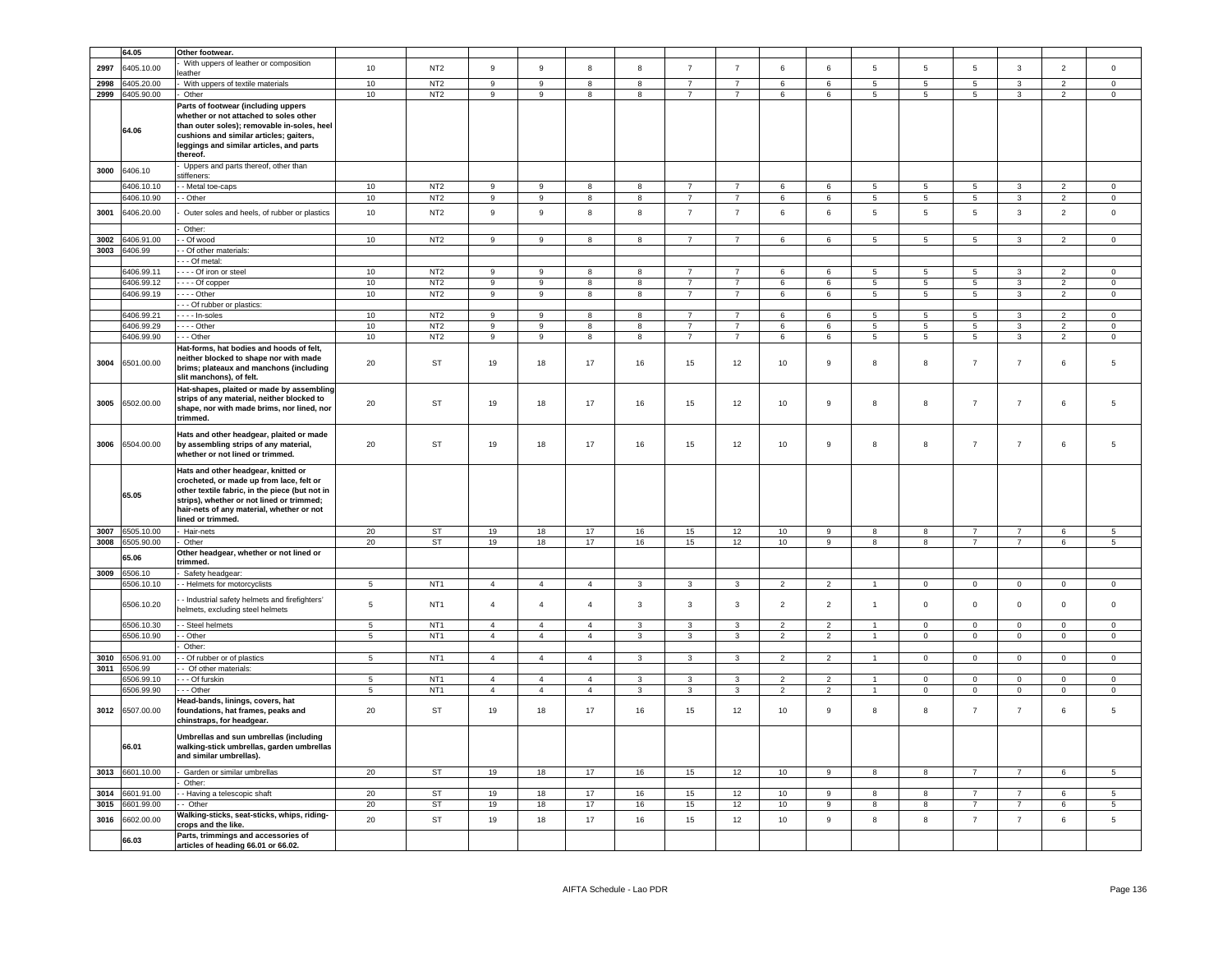|              | 64.05                    | Other footwear.                                                                                                                                                                                                                                  |                 |                                    |                                    |                               |                |                |                                  |                                  |                 |                |                            |                                |                 |                   |                                            |                      |
|--------------|--------------------------|--------------------------------------------------------------------------------------------------------------------------------------------------------------------------------------------------------------------------------------------------|-----------------|------------------------------------|------------------------------------|-------------------------------|----------------|----------------|----------------------------------|----------------------------------|-----------------|----------------|----------------------------|--------------------------------|-----------------|-------------------|--------------------------------------------|----------------------|
| 2997         | 6405.10.00               | With uppers of leather or composition                                                                                                                                                                                                            | 10              | NT <sub>2</sub>                    | $_{9}$                             | 9                             | 8              | 8              | $\overline{7}$                   | $\overline{7}$                   | $6\overline{6}$ | 6              | $5^{\circ}$                | $5\overline{5}$                | $\overline{5}$  | $\overline{3}$    | $\overline{2}$                             | $\mathsf 0$          |
|              |                          | eather                                                                                                                                                                                                                                           |                 |                                    |                                    |                               |                |                |                                  |                                  |                 |                |                            |                                |                 |                   |                                            |                      |
| 2998         | 3405.20.00<br>6405.90.00 | With uppers of textile materials                                                                                                                                                                                                                 | 10<br>10        | NT <sub>2</sub><br>NT <sub>2</sub> | 9<br>$\overline{9}$                | $\mathsf g$<br>$\overline{9}$ | 8              | 8<br>8         | $\overline{7}$<br>$\overline{7}$ | $\overline{7}$<br>$\overline{7}$ | 6               | 6              | $5^{\circ}$<br>$5^{\circ}$ | $5\phantom{.0}$<br>$5^{\circ}$ | $\sqrt{5}$<br>5 | $\mathbf{3}$<br>3 | $\mathfrak{p}$<br>$\overline{2}$           | $\mathsf 0$          |
| 2999         |                          | Other                                                                                                                                                                                                                                            |                 |                                    |                                    |                               | 8              |                |                                  |                                  | 6               | 6              |                            |                                |                 |                   |                                            | $\mathbf 0$          |
|              | 64.06                    | Parts of footwear (including uppers<br>whether or not attached to soles other<br>than outer soles); removable in-soles, heel<br>cushions and similar articles; gaiters,<br>leggings and similar articles, and parts<br>thereof.                  |                 |                                    |                                    |                               |                |                |                                  |                                  |                 |                |                            |                                |                 |                   |                                            |                      |
| 3000         | 6406.10                  | Uppers and parts thereof, other than<br>stiffeners:                                                                                                                                                                                              |                 |                                    |                                    |                               |                |                |                                  |                                  |                 |                |                            |                                |                 |                   |                                            |                      |
|              | 3406.10.10               | - Metal toe-caps                                                                                                                                                                                                                                 | 10              | NT <sub>2</sub>                    | 9                                  | 9                             | 8              | 8              | $\overline{7}$                   | $\overline{7}$                   | 6               | 6              | 5                          | $\sqrt{5}$                     | 5               | $\mathbf{3}$      | $\overline{2}$                             | $\mathbf 0$          |
|              | 6406.10.90               | - Other                                                                                                                                                                                                                                          | 10              | NT2                                | $\overline{9}$                     | $\overline{9}$                | $\overline{8}$ | $\overline{8}$ | $\overline{7}$                   | $\overline{7}$                   | 6               | 6              | $\overline{5}$             | $\overline{5}$                 | 5               | $\overline{3}$    | $\overline{2}$                             | $\overline{0}$       |
| 3001         | 6406.20.00               | Outer soles and heels, of rubber or plastics                                                                                                                                                                                                     | 10              | NT <sub>2</sub>                    | 9                                  | $\mathsf g$                   | 8              | 8              | $\overline{7}$                   | $\overline{7}$                   | 6               | 6              | 5                          | $5\phantom{.0}$                | 5               | $\mathbf{3}$      | $\overline{2}$                             | $\mathsf 0$          |
|              |                          | Other:                                                                                                                                                                                                                                           |                 |                                    |                                    |                               | 8              | 8              | $\overline{7}$                   | $\overline{7}$                   |                 | 6              | $5^{\circ}$                | $\sqrt{5}$                     | $5^{\circ}$     | 3                 | $\overline{2}$                             | $\Omega$             |
| 3002<br>3003 | 6406.91.00<br>6406.99    | - Of wood<br>- Of other materials:                                                                                                                                                                                                               | 10              | NT <sub>2</sub>                    | $\overline{9}$                     | $\mathsf g$                   |                |                |                                  |                                  | 6               |                |                            |                                |                 |                   |                                            |                      |
|              |                          | - - Of metal:                                                                                                                                                                                                                                    |                 |                                    |                                    |                               |                |                |                                  |                                  |                 |                |                            |                                |                 |                   |                                            |                      |
|              | 6406.99.11               | Of iron or steel                                                                                                                                                                                                                                 | 10              | NT <sub>2</sub>                    | $\overline{9}$                     | $\mathsf g$                   | 8              | 8              | $\overline{7}$                   | $\overline{7}$                   | 6               | 6              | 5                          | 5                              | 5               | 3                 | $\overline{2}$                             | $\mathbf 0$          |
|              | 6406.99.12               | - - - - Of copper                                                                                                                                                                                                                                | 10              | NT <sub>2</sub>                    | 9                                  | 9                             | 8              | 8              | $\overline{7}$                   | $\overline{7}$                   | 6               | 6              | $5^{\circ}$                | $\sqrt{5}$                     | $5\phantom{.0}$ | 3                 | $\overline{2}$                             | $\Omega$             |
|              | 6406.99.19               | $- - -$ Other                                                                                                                                                                                                                                    | 10              | NT <sub>2</sub>                    | $\overline{9}$                     | 9                             | 8              | 8              | $\overline{7}$                   | $\overline{7}$                   | 6               | 6              | 5                          | $5\phantom{.0}$                | $5\phantom{.0}$ | $\mathbf{3}$      | $\overline{2}$                             | $\mathsf 0$          |
|              |                          | --- Of rubber or plastics:                                                                                                                                                                                                                       |                 |                                    |                                    |                               |                |                |                                  |                                  |                 |                |                            |                                |                 |                   |                                            |                      |
|              | 6406.99.21               | - In-soles                                                                                                                                                                                                                                       | 10              | NT2                                | 9                                  | $\mathsf g$<br>9              | 8              | 8<br>8         | $\overline{7}$<br>$\overline{7}$ | $\overline{7}$<br>$\overline{7}$ | 6               | 6              | 5<br>$5^{\circ}$           | 5<br>5                         | $\overline{5}$  | 3<br>3            | $\overline{a}$<br>$\overline{\phantom{a}}$ | $\Omega$<br>$\Omega$ |
|              | 6406.99.29<br>6406.99.90 | $\cdots$ - Other<br>-- Other                                                                                                                                                                                                                     | 10<br>10        | NT <sub>2</sub><br>NT <sub>2</sub> | $\boldsymbol{9}$<br>$\overline{9}$ | $\overline{9}$                | 8<br>8         | 8              | $\overline{7}$                   | $\overline{7}$                   | 6<br>6          | 6<br>6         | $\overline{5}$             | $\overline{5}$                 | $\sqrt{5}$<br>5 | $\overline{3}$    | $\overline{2}$                             | $\mathsf 0$          |
| 3004         | 6501.00.00               | Hat-forms, hat bodies and hoods of felt.<br>neither blocked to shape nor with made<br>brims; plateaux and manchons (including<br>slit manchons), of felt.                                                                                        | 20              | ST                                 | 19                                 | 18                            | 17             | 16             | 15                               | 12                               | 10              | $\mathsf g$    | 8                          | 8                              | $\overline{7}$  | $\overline{7}$    | 6                                          | 5                    |
| 3005         | 6502.00.00               | Hat-shapes, plaited or made by assembling<br>strips of any material, neither blocked to<br>shape, nor with made brims, nor lined, nor<br>trimmed.                                                                                                | 20              | ST                                 | 19                                 | 18                            | 17             | 16             | 15                               | 12                               | 10              | 9              | 8                          | 8                              | $\overline{7}$  | $\overline{7}$    | 6                                          | 5                    |
| 3006         | 6504.00.00               | Hats and other headgear, plaited or made<br>by assembling strips of any material,<br>whether or not lined or trimmed.                                                                                                                            | 20              | ST                                 | 19                                 | 18                            | 17             | 16             | 15                               | 12                               | 10              | 9              | 8                          | 8                              | $\overline{7}$  | $\overline{7}$    | 6                                          | 5                    |
|              | 65.05                    | Hats and other headgear, knitted or<br>crocheted, or made up from lace, felt or<br>other textile fabric, in the piece (but not in<br>strips), whether or not lined or trimmed;<br>hair-nets of any material, whether or not<br>lined or trimmed. |                 |                                    |                                    |                               |                |                |                                  |                                  |                 |                |                            |                                |                 |                   |                                            |                      |
| 3007         | 6505.10.00               | Hair-nets                                                                                                                                                                                                                                        | 20              | ST                                 | 19                                 | 18                            | 17             | 16             | 15                               | 12                               | 10              | 9              | 8                          | 8                              | $\overline{7}$  | $\overline{7}$    | 6                                          | $5\overline{5}$      |
| 3008         | 6505.90.00               | Other                                                                                                                                                                                                                                            | 20              | <b>ST</b>                          | 19                                 | 18                            | 17             | 16             | 15                               | 12                               | 10              | $\overline{9}$ | 8                          | 8                              | $\overline{7}$  | $\overline{7}$    | 6                                          | $\overline{5}$       |
|              | 55.06                    | Other headgear, whether or not lined or<br>trimmed.                                                                                                                                                                                              |                 |                                    |                                    |                               |                |                |                                  |                                  |                 |                |                            |                                |                 |                   |                                            |                      |
| 3009         | 6506.10<br>6506.10.10    | Safety headgear:<br>- Helmets for motorcyclists                                                                                                                                                                                                  | $5\phantom{.0}$ | NT <sub>1</sub>                    | $\overline{4}$                     | $\overline{4}$                | $\overline{4}$ | $\mathbf{3}$   | $\mathbf{3}$                     | 3                                | $\overline{2}$  | $\overline{2}$ | $\overline{1}$             | $\overline{0}$                 | $\overline{0}$  | $\mathbf 0$       | $\overline{0}$                             | $\overline{0}$       |
|              | 6506.10.20               | - Industrial safety helmets and firefighters'<br>helmets, excluding steel helmets                                                                                                                                                                | 5               | NT <sub>1</sub>                    | $\overline{4}$                     | $\overline{4}$                | $\overline{4}$ | $\overline{3}$ | $\overline{3}$                   | $\mathbf{3}$                     | $\overline{2}$  | $\overline{2}$ | $\overline{1}$             | $\circ$                        | $\mathbf{0}$    | $\mathbf 0$       | $\mathbf{0}$                               | $\mathbf 0$          |
|              | 6506.10.30               | - - Steel helmets                                                                                                                                                                                                                                | 5               | NT <sub>1</sub>                    | $\overline{4}$                     | $\overline{4}$                | $\overline{4}$ | 3              | $\mathbf{3}$                     | 3                                | $\overline{2}$  | $\overline{2}$ | $\overline{1}$             | $\mathsf 0$                    | $\mathsf 0$     | $\mathsf 0$       | $\mathsf 0$                                | $\mathsf 0$          |
|              | 6506.10.90               | - Other                                                                                                                                                                                                                                          | $\sqrt{5}$      | NT <sub>1</sub>                    | $\sqrt{4}$                         | $\overline{4}$                | $\sqrt{4}$     | 3              | $\mathbf{3}$                     | $\mathbf{3}$                     | $\overline{2}$  | $\overline{2}$ | $\overline{1}$             | $\pmb{0}$                      | $\mathbf 0$     | $\mathbf 0$       | $\mathsf 0$                                | $\mathsf 0$          |
|              |                          | Other:                                                                                                                                                                                                                                           |                 |                                    |                                    |                               |                |                |                                  |                                  |                 |                | $\overline{1}$             |                                |                 |                   |                                            |                      |
| 3010<br>3011 | 6506.91.00<br>506.99     | - Of rubber or of plastics<br>Of other materials:                                                                                                                                                                                                | $\sqrt{5}$      | NT <sub>1</sub>                    | $\overline{4}$                     | $\overline{4}$                | $\overline{4}$ | $\mathbf{3}$   | $\mathbf{3}$                     | $\mathbf{3}$                     | $\overline{2}$  | $\overline{2}$ |                            | $\pmb{0}$                      | $\mathbf 0$     | $\mathsf 0$       | $\mathsf 0$                                | $\mathsf 0$          |
|              | 6506.99.10               | - - Of furskin                                                                                                                                                                                                                                   | $5\phantom{.0}$ | NT <sub>1</sub>                    | $\sqrt{4}$                         | $\overline{4}$                | $\overline{4}$ | $\mathbf{3}$   | $\mathbf{3}$                     | $\mathbf{3}$                     | $\sqrt{2}$      | $\overline{2}$ | $\overline{1}$             | $\mathsf 0$                    | $\mathbf 0$     | $\mathbf 0$       | $\mathbf 0$                                | $\mathsf 0$          |
|              | 5506.99.90               | --- Other                                                                                                                                                                                                                                        | $\overline{5}$  | NT <sub>1</sub>                    | $\overline{4}$                     | $\overline{4}$                | $\overline{4}$ | 3              | 3                                | 3                                | $\overline{2}$  | $\overline{2}$ | $\overline{1}$             | $\mathbf 0$                    | $\mathbf 0$     | $\overline{0}$    | $\mathbf 0$                                | $\mathbf 0$          |
| 3012         | 6507.00.00               | Head-bands, linings, covers, hat<br>foundations, hat frames, peaks and<br>chinstraps, for headgear.                                                                                                                                              | 20              | ST                                 | 19                                 | 18                            | 17             | 16             | 15                               | 12                               | 10              | $\mathsf g$    | 8                          | 8                              | $\overline{7}$  | $\overline{7}$    | 6                                          | 5                    |
|              | 66.01                    | Umbrellas and sun umbrellas (including<br>walking-stick umbrellas, garden umbrellas<br>and similar umbrellas).                                                                                                                                   |                 |                                    |                                    |                               |                |                |                                  |                                  |                 |                |                            |                                |                 |                   |                                            |                      |
| 3013         | 6601.10.00               | Garden or similar umbrellas                                                                                                                                                                                                                      | 20              | ST                                 | 19                                 | 18                            | 17             | 16             | 15                               | 12                               | 10              | 9              | 8                          | 8                              | 7               | 7                 | 6                                          | 5 <sub>5</sub>       |
| 3014         | 601.91.00                | Other:<br>- Having a telescopic shaft                                                                                                                                                                                                            | 20              | <b>ST</b>                          | 19                                 | 18                            | 17             | 16             | 15                               | 12                               | 10              | 9              | 8                          | 8                              | $\overline{7}$  | $\overline{7}$    | 6                                          | 5                    |
| 3015         | 6601.99.00               | - Other                                                                                                                                                                                                                                          | $20\,$          | <b>ST</b>                          | 19                                 | 18                            | 17             | 16             | 15                               | 12                               | 10              | 9              | 8                          | 8                              | $\overline{7}$  | $\overline{7}$    | 6                                          | $5\phantom{.0}$      |
| 3016         | 6602.00.00               | Walking-sticks, seat-sticks, whips, riding-<br>crops and the like.                                                                                                                                                                               | 20              | ST                                 | 19                                 | 18                            | 17             | 16             | 15                               | 12                               | 10              | $\mathsf g$    | 8                          | 8                              | $\overline{7}$  | $\overline{7}$    | $\,6\,$                                    | 5                    |
|              | 66.03                    | Parts, trimmings and accessories of<br>articles of heading 66.01 or 66.02.                                                                                                                                                                       |                 |                                    |                                    |                               |                |                |                                  |                                  |                 |                |                            |                                |                 |                   |                                            |                      |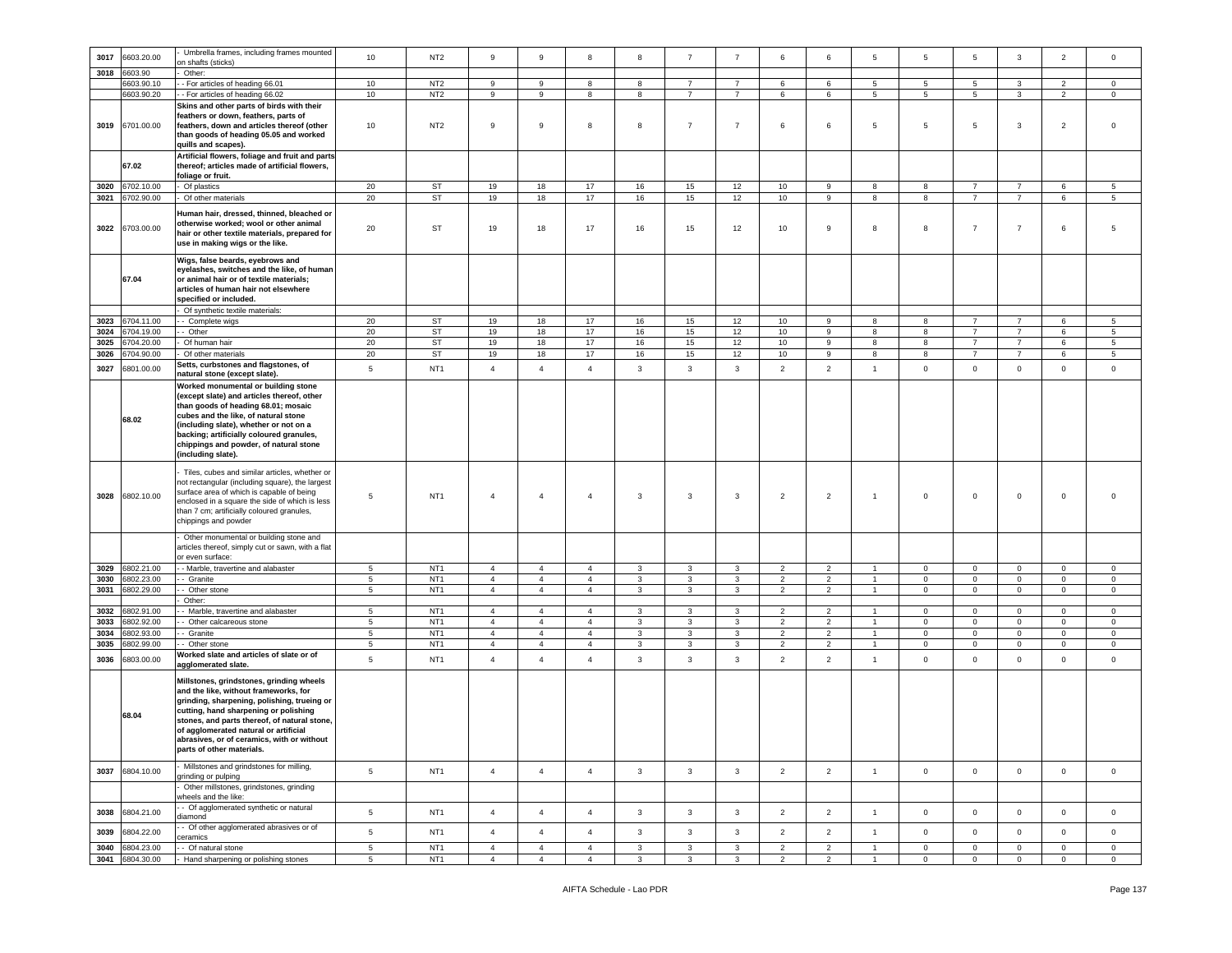| 3017 | 6603.20.00 | Umbrella frames, including frames mounted                                                                                                                                                                                                                                                                                                     | 10   | NT <sub>2</sub> | $\,9$          | $\mathsf g$    | 8              | 8            | $\overline{7}$ | $\overline{7}$ | 6              | 6              | 5                    | 5                   | 5              | $\mathbf{3}$   | $\overline{2}$ | $\mathsf 0$     |
|------|------------|-----------------------------------------------------------------------------------------------------------------------------------------------------------------------------------------------------------------------------------------------------------------------------------------------------------------------------------------------|------|-----------------|----------------|----------------|----------------|--------------|----------------|----------------|----------------|----------------|----------------------|---------------------|----------------|----------------|----------------|-----------------|
|      |            | on shafts (sticks)                                                                                                                                                                                                                                                                                                                            |      |                 |                |                |                |              |                |                |                |                |                      |                     |                |                |                |                 |
| 3018 | 6603.90    | Other:                                                                                                                                                                                                                                                                                                                                        |      |                 |                |                |                |              |                |                |                |                |                      |                     |                |                |                |                 |
|      | 6603.90.10 | - For articles of heading 66.01                                                                                                                                                                                                                                                                                                               | $10$ | NT <sub>2</sub> | 9              | 9              | 8              | 8            | $\overline{7}$ | $\overline{7}$ | 6              | 6              | 5                    | 5                   | 5              | 3              | 2              | $\mathsf 0$     |
|      |            |                                                                                                                                                                                                                                                                                                                                               |      |                 |                |                |                |              |                |                |                |                |                      |                     |                |                |                |                 |
|      | 6603.90.20 | - For articles of heading 66.02                                                                                                                                                                                                                                                                                                               | 10   | NT <sub>2</sub> | 9              | 9              | 8              | 8            | $\overline{7}$ | $\overline{7}$ | 6              | 6              | $5\phantom{.0}$      | 5                   | 5              | $\mathbf{3}$   | $\overline{2}$ | $\mathbf 0$     |
|      |            | Skins and other parts of birds with their                                                                                                                                                                                                                                                                                                     |      |                 |                |                |                |              |                |                |                |                |                      |                     |                |                |                |                 |
| 3019 | 6701.00.00 | feathers or down, feathers, parts of<br>feathers, down and articles thereof (other<br>than goods of heading 05.05 and worked<br>quills and scapes).                                                                                                                                                                                           | 10   | NT <sub>2</sub> | 9              | 9              | 8              | 8            | $\overline{7}$ | $\overline{7}$ | 6              | 6              | 5                    | 5                   | 5              | 3              | $\overline{2}$ | $\Omega$        |
|      | 67.02      | Artificial flowers, foliage and fruit and parts<br>thereof; articles made of artificial flowers,                                                                                                                                                                                                                                              |      |                 |                |                |                |              |                |                |                |                |                      |                     |                |                |                |                 |
|      |            | foliage or fruit.                                                                                                                                                                                                                                                                                                                             |      |                 |                |                |                |              |                |                |                |                |                      |                     |                |                |                |                 |
| 3020 | 6702.10.00 | Of plastics                                                                                                                                                                                                                                                                                                                                   | 20   | ST              | 19             | 18             | 17             | 16           | 15             | 12             | 10             | 9              | 8                    | 8                   | $\overline{7}$ | $\overline{7}$ | 6              | 5               |
| 3021 | 6702.90.00 | Of other materials                                                                                                                                                                                                                                                                                                                            | 20   | ST              | 19             | 18             | 17             | 16           | 15             | 12             | 10             | 9              | 8                    | 8                   | $\overline{7}$ | $\overline{7}$ | 6              | 5               |
|      |            |                                                                                                                                                                                                                                                                                                                                               |      |                 |                |                |                |              |                |                |                |                |                      |                     |                |                |                |                 |
| 3022 | 6703.00.00 | Human hair, dressed, thinned, bleached or<br>otherwise worked; wool or other animal<br>hair or other textile materials, prepared for<br>use in making wigs or the like.                                                                                                                                                                       | 20   | ST              | 19             | 18             | 17             | 16           | 15             | 12             | 10             | 9              | 8                    | 8                   | $\overline{7}$ | $\overline{7}$ | 6              | 5               |
|      | 67.04      | Wigs, false beards, eyebrows and<br>eyelashes, switches and the like, of human<br>or animal hair or of textile materials;<br>articles of human hair not elsewhere<br>specified or included.                                                                                                                                                   |      |                 |                |                |                |              |                |                |                |                |                      |                     |                |                |                |                 |
|      |            | Of synthetic textile materials:                                                                                                                                                                                                                                                                                                               |      |                 |                |                |                |              |                |                |                |                |                      |                     |                |                |                |                 |
| 3023 | 6704.11.00 | - Complete wigs                                                                                                                                                                                                                                                                                                                               | 20   | ST              | 19             | 18             | 17             | 16           | 15             | 12             | 10             | 9              | 8                    | 8                   | $\overline{7}$ | $\overline{7}$ | 6              | $5\overline{5}$ |
| 3024 | 6704.19.00 |                                                                                                                                                                                                                                                                                                                                               | 20   | ST              | 19             | 18             | 17             | 16           | 15             | 12             | 10             | 9              | 8                    | 8                   | $\overline{7}$ | $\overline{7}$ | 6              | 5               |
|      |            | - Other                                                                                                                                                                                                                                                                                                                                       |      |                 |                |                |                |              |                |                |                |                |                      |                     |                |                |                |                 |
| 3025 | 6704.20.00 | Of human hair                                                                                                                                                                                                                                                                                                                                 | 20   | ST              | 19             | 18             | 17             | 16           | 15             | 12             | 10             | 9              | 8                    | 8                   | $\overline{7}$ | $\overline{7}$ | 6              | 5               |
| 3026 | 6704.90.00 | Of other materials                                                                                                                                                                                                                                                                                                                            | 20   | ST              | 19             | 18             | 17             | 16           | 15             | 12             | 10             | 9              | 8                    | 8                   | $\overline{7}$ | $\overline{7}$ | 6              | 5               |
| 3027 | 6801.00.00 | Setts, curbstones and flagstones, of<br>natural stone (except slate).                                                                                                                                                                                                                                                                         | 5    | NT <sub>1</sub> | $\overline{4}$ | $\overline{4}$ | $\overline{4}$ | $\mathbf{3}$ | $\mathbf{3}$   | $\mathbf{3}$   | $\overline{2}$ | $\overline{2}$ | $\mathbf{1}$         | $\mathsf{O}\xspace$ | $\mathbf 0$    | $\mathbf 0$    | $\mathsf 0$    | $\mathsf 0$     |
|      | 68.02      | Worked monumental or building stone<br>(except slate) and articles thereof, other<br>than goods of heading 68.01; mosaic<br>cubes and the like, of natural stone<br>(including slate), whether or not on a<br>backing; artificially coloured granules,<br>chippings and powder, of natural stone<br>(including slate).                        |      |                 |                |                |                |              |                |                |                |                |                      |                     |                |                |                |                 |
| 3028 | 6802.10.00 | Tiles, cubes and similar articles, whether or<br>not rectangular (including square), the largest<br>surface area of which is capable of being<br>enclosed in a square the side of which is less<br>than 7 cm; artificially coloured granules,<br>chippings and powder                                                                         | 5    | NT <sub>1</sub> | $\overline{4}$ | $\overline{4}$ | $\overline{4}$ | 3            | 3              | 3              | $\overline{2}$ | $\overline{2}$ | $\overline{1}$       | $\mathbf 0$         | $\mathbf 0$    | $\mathsf 0$    | $\mathbf 0$    |                 |
|      |            | Other monumental or building stone and<br>articles thereof, simply cut or sawn, with a flat<br>or even surface:                                                                                                                                                                                                                               |      |                 |                |                |                |              |                |                |                |                |                      |                     |                |                |                |                 |
| 3029 | 6802.21.00 | - Marble, travertine and alabaster                                                                                                                                                                                                                                                                                                            | 5    | NT <sub>1</sub> | $\overline{4}$ | $\overline{4}$ | $\overline{4}$ | 3            | 3              | 3              | $\overline{2}$ | $\overline{2}$ |                      | $\mathbf 0$         | $\mathbf 0$    | $\mathbf 0$    | $\mathbf 0$    | $\mathsf 0$     |
| 3030 | 6802.23.00 | - Granite                                                                                                                                                                                                                                                                                                                                     | 5    | NT <sub>1</sub> | $\overline{4}$ | $\overline{4}$ | $\overline{4}$ | $\mathbf{3}$ | $\mathbf{3}$   | 3              | $\overline{2}$ | $\overline{2}$ |                      | $\mathbf 0$         | $\mathbf 0$    | $\mathbf 0$    | $\mathbf 0$    | $\mathbf 0$     |
|      |            |                                                                                                                                                                                                                                                                                                                                               |      |                 | $\overline{4}$ |                |                |              |                |                |                |                |                      |                     |                |                |                |                 |
| 3031 | 6802.29.00 | Other stone                                                                                                                                                                                                                                                                                                                                   | 5    | NT <sub>1</sub> |                | $\overline{4}$ | $\overline{4}$ | $\mathbf{3}$ | $\mathbf{3}$   | $\mathbf{3}$   | $\overline{2}$ | $\overline{2}$ | $\mathbf{1}$         | 0                   | $\mathbf 0$    | $\mathbf{0}$   | $\mathbf 0$    | $\mathsf 0$     |
|      |            | Other:                                                                                                                                                                                                                                                                                                                                        |      |                 |                |                |                |              |                |                |                |                |                      |                     |                |                |                |                 |
| 3032 | 6802.91.00 | - Marble, travertine and alabaster                                                                                                                                                                                                                                                                                                            | 5    | NT <sub>1</sub> | $\overline{4}$ | $\overline{4}$ | $\overline{4}$ | 3            | $\mathbf{3}$   | $\mathbf{3}$   | $\overline{2}$ | $\overline{2}$ | $\overline{1}$       | $\Omega$            | $\mathbf{O}$   | $\overline{0}$ | $\mathbf{0}$   | $\circ$         |
| 3033 | 6802.92.00 | - Other calcareous stone                                                                                                                                                                                                                                                                                                                      | 5    | NT <sub>1</sub> | $\overline{4}$ | $\overline{4}$ | $\overline{4}$ | 3            | 3              | 3              | 2              | $\overline{2}$ |                      | $\mathbf 0$         | $\mathbf 0$    | $\mathsf 0$    | $\mathbf 0$    | $\mathbf 0$     |
| 3034 | 6802.93.00 | · Granite                                                                                                                                                                                                                                                                                                                                     | 5    | NT <sub>1</sub> | $\overline{4}$ | $\overline{4}$ | $\overline{4}$ | 3            | 3              | 3              | $\overline{2}$ | $\overline{2}$ | $\mathbf{1}$         | 0                   | $\mathbf 0$    | $\overline{0}$ | $\mathbf 0$    | $\circ$         |
|      |            |                                                                                                                                                                                                                                                                                                                                               |      |                 |                |                |                |              |                |                |                |                | $\blacktriangleleft$ |                     |                |                |                |                 |
| 3035 | 6802.99.00 | Other stone                                                                                                                                                                                                                                                                                                                                   | 5    | NT <sub>1</sub> | $\overline{4}$ | $\overline{4}$ | $\overline{4}$ | 3            | 3              | $\overline{3}$ | 2              | $\overline{2}$ |                      | $\mathbf 0$         | $\mathbf 0$    | $\mathsf 0$    | $\circ$        | $\mathbf 0$     |
| 3036 | 6803.00.00 | Worked slate and articles of slate or of<br>agglomerated slate.                                                                                                                                                                                                                                                                               | 5    | NT <sub>1</sub> | $\overline{4}$ | $\overline{4}$ | $\overline{4}$ | $\mathbf{3}$ | $\mathbf{3}$   | $\mathbf{3}$   | $\overline{2}$ | $\overline{2}$ | $\overline{1}$       | $\mathbf 0$         | $\mathbf 0$    | $\mathsf 0$    | $\mathbf 0$    | $\mathbf 0$     |
|      | 68.04      | Millstones, grindstones, grinding wheels<br>and the like, without frameworks, for<br>grinding, sharpening, polishing, trueing or<br>cutting, hand sharpening or polishing<br>stones, and parts thereof, of natural stone,<br>of agglomerated natural or artificial<br>abrasives, or of ceramics, with or without<br>parts of other materials. |      |                 |                |                |                |              |                |                |                |                |                      |                     |                |                |                |                 |
| 3037 | 6804.10.00 | Millstones and grindstones for milling,<br>grinding or pulping                                                                                                                                                                                                                                                                                | 5    | NT <sub>1</sub> | $\overline{4}$ | $\overline{4}$ | $\overline{4}$ | $\mathbf{3}$ | $\mathbf{3}$   | $\mathbf{3}$   | $\overline{2}$ | $\overline{2}$ | $\mathbf{1}$         | $\mathbf 0$         | $\mathbf 0$    | $\mathsf 0$    | $\mathbf 0$    | $\mathbf 0$     |
|      |            | Other millstones, grindstones, grinding<br>wheels and the like:                                                                                                                                                                                                                                                                               |      |                 |                |                |                |              |                |                |                |                |                      |                     |                |                |                |                 |
| 3038 | 6804.21.00 | - Of agglomerated synthetic or natural<br>diamond                                                                                                                                                                                                                                                                                             | 5    | NT <sub>1</sub> | $\overline{4}$ | $\overline{4}$ | $\overline{4}$ | $\mathbf{3}$ | $\mathbf{3}$   | $\mathbf{3}$   | $\overline{2}$ | $\overline{2}$ | $\overline{1}$       | $\mathsf 0$         | $\mathsf 0$    | $\mathbf 0$    | $\mathsf 0$    | $\mathbf 0$     |
| 3039 | 6804.22.00 | - Of other agglomerated abrasives or of<br>ceramics                                                                                                                                                                                                                                                                                           | 5    | NT <sub>1</sub> | $\overline{4}$ | $\overline{4}$ | $\overline{4}$ | $\mathbf{3}$ | 3              | 3              | $\overline{2}$ | $\overline{2}$ | $\overline{1}$       | $\mathbf 0$         | $\mathbf 0$    | $\overline{0}$ | $\mathsf 0$    | $\circ$         |
| 3040 | 6804.23.00 | - Of natural stone                                                                                                                                                                                                                                                                                                                            | 5    | NT <sub>1</sub> | $\overline{4}$ | $\overline{4}$ | $\overline{4}$ | 3            | 3              | 3              | $\overline{2}$ | $\overline{2}$ | $\overline{1}$       | 0                   | $\mathbf 0$    | $\mathsf 0$    | $\mathbf 0$    | $\mathbf 0$     |
|      |            |                                                                                                                                                                                                                                                                                                                                               |      |                 |                |                |                |              |                |                |                |                |                      |                     |                |                |                |                 |
| 3041 | 6804.30.00 | Hand sharpening or polishing stones                                                                                                                                                                                                                                                                                                           | 5    | NT <sub>1</sub> | $\overline{4}$ | $\overline{4}$ | $\overline{4}$ | $\mathbf{3}$ | 3              | $\mathbf{3}$   | $\overline{2}$ | $\overline{2}$ |                      | $\mathsf 0$         | $\mathbf 0$    | $\mathbf 0$    | $\mathsf 0$    | $\mathbf 0$     |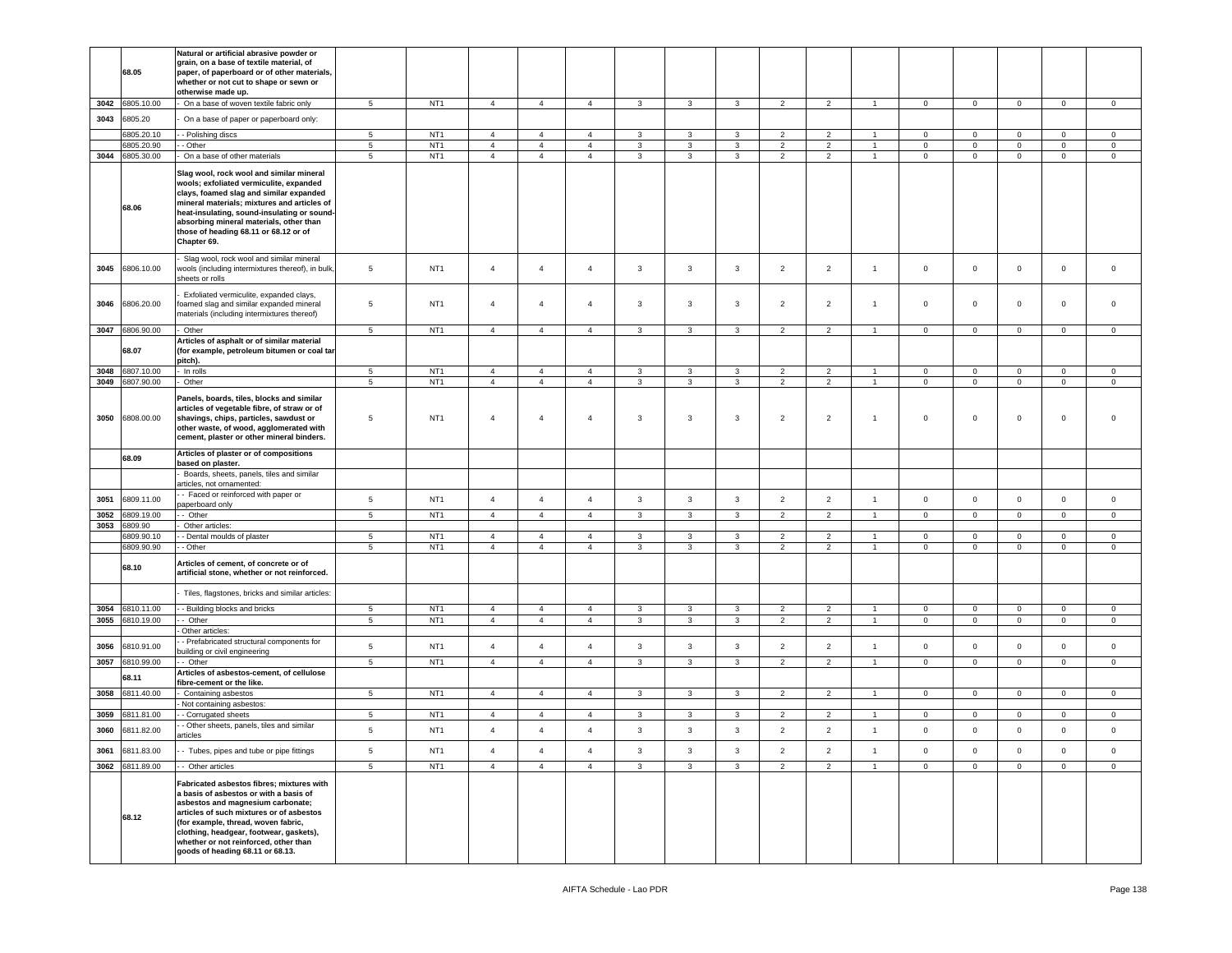|              | 68.05                    | Natural or artificial abrasive powder or<br>grain, on a base of textile material, of<br>paper, of paperboard or of other materials,<br>whether or not cut to shape or sewn or<br>otherwise made up.                                                                                                                                 |                     |                                    |                                  |                                  |                                  |                   |                   |                   |                                  |                                  |                                  |                             |                             |                             |                            |                            |
|--------------|--------------------------|-------------------------------------------------------------------------------------------------------------------------------------------------------------------------------------------------------------------------------------------------------------------------------------------------------------------------------------|---------------------|------------------------------------|----------------------------------|----------------------------------|----------------------------------|-------------------|-------------------|-------------------|----------------------------------|----------------------------------|----------------------------------|-----------------------------|-----------------------------|-----------------------------|----------------------------|----------------------------|
| 3042         | 6805.10.00               | On a base of woven textile fabric only                                                                                                                                                                                                                                                                                              | 5                   | NT <sub>1</sub>                    | $\overline{4}$                   | $\overline{4}$                   | $\overline{4}$                   | $\mathbf{3}$      | $\mathbf{3}$      | $\mathbf{3}$      | $\overline{2}$                   | $\overline{2}$                   | $\overline{1}$                   | $\mathbf 0$                 | $\mathbf 0$                 | $\mathsf 0$                 | $\mathsf 0$                | $\mathsf 0$                |
| 3043         | 6805.20                  | On a base of paper or paperboard only:                                                                                                                                                                                                                                                                                              |                     |                                    |                                  |                                  |                                  |                   |                   |                   |                                  |                                  |                                  |                             |                             |                             |                            |                            |
|              | 6805.20.10               | - Polishing discs                                                                                                                                                                                                                                                                                                                   | 5                   | NT <sub>1</sub>                    | $\overline{4}$                   | $\overline{4}$                   | $\overline{4}$                   | 3                 | 3                 | $\mathbf{3}$      | $\overline{2}$                   | $\overline{2}$                   | $\overline{1}$                   | $\mathbf 0$                 | $\mathbf{0}$                | $\mathbf{0}$                | $\mathbf 0$                | $\mathbf 0$                |
|              | 6805.20.90               | - Other                                                                                                                                                                                                                                                                                                                             | $\sqrt{5}$          | NT <sub>1</sub>                    | $\overline{4}$                   | $\overline{4}$                   | $\overline{4}$                   | $\mathbf{3}$      | 3                 | $\mathbf{3}$      | $\overline{2}$                   | $\overline{2}$                   | $\overline{1}$                   | $\mathbf{0}$                | $\mathbf 0$                 | $\mathbf 0$                 | $\mathsf 0$                | $\mathsf 0$                |
|              | 3044 6805.30.00          | On a base of other materials                                                                                                                                                                                                                                                                                                        | 5                   | NT <sub>1</sub>                    | $\overline{4}$                   | $\overline{4}$                   | $\overline{4}$                   | $\mathbf{3}$      | 3                 | $\mathbf{3}$      | $\overline{2}$                   | $\overline{2}$                   | $\overline{1}$                   | $\mathbf{0}$                | $\mathbf 0$                 | $\mathbf 0$                 | $\mathsf 0$                | $\mathsf 0$                |
|              | 68.06                    | Slag wool, rock wool and similar mineral<br>wools; exfoliated vermiculite, expanded<br>clays, foamed slag and similar expanded<br>mineral materials; mixtures and articles of<br>heat-insulating, sound-insulating or sound-<br>absorbing mineral materials, other than<br>those of heading 68.11 or 68.12 or of<br>Chapter 69.     |                     |                                    |                                  |                                  |                                  |                   |                   |                   |                                  |                                  |                                  |                             |                             |                             |                            |                            |
|              | 3045 6806.10.00          | Slag wool, rock wool and similar mineral<br>wools (including intermixtures thereof), in bulk,<br>sheets or rolls                                                                                                                                                                                                                    | 5                   | NT <sub>1</sub>                    | $\overline{4}$                   | $\overline{4}$                   | $\overline{4}$                   | 3                 | 3                 | $\mathbf{3}$      | $\overline{2}$                   | $\overline{2}$                   | $\overline{1}$                   | $\mathbf 0$                 | $\mathbf{0}$                | $\mathbf{0}$                | $\mathbf 0$                | $\mathsf 0$                |
| 3046         | 6806.20.00               | Exfoliated vermiculite, expanded clays,<br>oamed slag and similar expanded mineral<br>naterials (including intermixtures thereof)                                                                                                                                                                                                   | 5                   | NT <sub>1</sub>                    | $\overline{4}$                   | $\overline{4}$                   | $\overline{4}$                   | 3                 | $\mathbf{3}$      | $\mathbf{3}$      | $\overline{2}$                   | $\overline{2}$                   | $\overline{1}$                   | $\mathbf 0$                 | $\mathbf 0$                 | $\mathbf{0}$                | $\mathsf 0$                | $\mathsf 0$                |
| 3047         | 6806.90.00               | Other                                                                                                                                                                                                                                                                                                                               | $5\phantom{.0}$     | NT <sub>1</sub>                    | $\overline{4}$                   | $\overline{4}$                   | $\overline{4}$                   | $\mathbf{3}$      | 3                 | $\mathbf{3}$      | $\overline{2}$                   | $\overline{2}$                   | $\overline{1}$                   | $\mathbf{0}$                | $\mathbf{0}$                | $\overline{0}$              | $\mathbf 0$                | $\circ$                    |
|              | 68.07                    | Articles of asphalt or of similar material<br>(for example, petroleum bitumen or coal tar<br>pitch).                                                                                                                                                                                                                                |                     |                                    |                                  |                                  |                                  |                   |                   |                   |                                  |                                  |                                  |                             |                             |                             |                            |                            |
| 3048<br>3049 | 6807.10.00<br>6807.90.00 | In rolls<br>Other                                                                                                                                                                                                                                                                                                                   | 5<br>5              | NT <sub>1</sub><br>NT <sub>1</sub> | $\overline{4}$<br>$\overline{4}$ | $\overline{4}$<br>$\overline{4}$ | $\overline{4}$<br>$\overline{4}$ | 3<br>3            | 3<br>3            | 3<br>$\mathbf{3}$ | $\overline{2}$<br>$\overline{2}$ | $\overline{2}$<br>$\overline{2}$ | $\overline{1}$                   | $\mathbf 0$<br>$\mathbf 0$  | $\mathbf 0$<br>$\mathbf{0}$ | $\mathbf 0$<br>$\mathbf{0}$ | $\mathbf 0$<br>$\mathbf 0$ | $\mathbf 0$<br>$\mathbf 0$ |
| 3050         | 6808.00.00               | Panels, boards, tiles, blocks and similar<br>articles of vegetable fibre, of straw or of<br>shavings, chips, particles, sawdust or<br>other waste, of wood, agglomerated with<br>cement, plaster or other mineral binders.                                                                                                          | 5                   | NT <sub>1</sub>                    | $\overline{4}$                   | $\overline{4}$                   | $\overline{4}$                   | 3                 | 3                 | $\mathbf{3}$      | $\overline{2}$                   | $\overline{2}$                   | $\overline{1}$                   | $\mathbf 0$                 | $\mathbf 0$                 | $\mathsf 0$                 | $\mathbf 0$                | $\mathsf 0$                |
|              | 68.09                    | Articles of plaster or of compositions<br>based on plaster.                                                                                                                                                                                                                                                                         |                     |                                    |                                  |                                  |                                  |                   |                   |                   |                                  |                                  |                                  |                             |                             |                             |                            |                            |
|              |                          | Boards, sheets, panels, tiles and similar<br>articles, not ornamented:<br>- Faced or reinforced with paper or                                                                                                                                                                                                                       |                     |                                    |                                  |                                  |                                  |                   |                   |                   |                                  |                                  |                                  |                             |                             |                             |                            |                            |
| 3051         | 6809.11.00               | paperboard only                                                                                                                                                                                                                                                                                                                     | 5                   | NT <sub>1</sub>                    | $\overline{4}$                   | $\overline{4}$                   | $\overline{4}$                   | $\mathbf{3}$      | $\mathbf{3}$      | $\mathbf{3}$      | $\overline{2}$                   | $\overline{2}$                   | $\overline{1}$                   | $\mathbf 0$                 | $\mathsf 0$                 | $\mathbf{0}$                | $\mathsf 0$                | $\mathsf 0$                |
| 3052         | 809.19.00                | - Other                                                                                                                                                                                                                                                                                                                             | 5                   | NT <sub>1</sub>                    | $\overline{4}$                   | $\overline{4}$                   | $\overline{4}$                   | 3                 | 3                 | $\mathbf{3}$      | $\overline{2}$                   | $\overline{2}$                   | $\overline{1}$                   | $\mathbf 0$                 | $\mathbf{0}$                | $\mathbf{0}$                | $\mathbf 0$                | $\mathbf 0$                |
| 3053         | 6809.90                  | Other articles:                                                                                                                                                                                                                                                                                                                     |                     |                                    |                                  |                                  |                                  |                   |                   |                   |                                  |                                  |                                  |                             |                             |                             |                            |                            |
|              | 6809.90.10<br>6809.90.90 | - Dental moulds of plaster                                                                                                                                                                                                                                                                                                          | 5<br>$\overline{5}$ | NT <sub>1</sub><br>NT <sub>1</sub> | $\overline{4}$<br>$\overline{4}$ | $\overline{4}$<br>$\overline{4}$ | $\overline{4}$<br>$\overline{4}$ | 3<br>$\mathbf{3}$ | $\mathbf{3}$<br>3 | 3<br>$\mathbf{3}$ | $\overline{2}$<br>$\overline{2}$ | $\overline{2}$<br>$\overline{2}$ | $\overline{1}$<br>$\overline{1}$ | $\mathbf{0}$<br>$\mathbf 0$ | $\mathbf 0$<br>$\mathbf 0$  | $\mathbf{0}$<br>$\mathbf 0$ | $\mathbf 0$<br>$\mathsf 0$ | $\circ$<br>$\mathbf 0$     |
|              |                          | - Other                                                                                                                                                                                                                                                                                                                             |                     |                                    |                                  |                                  |                                  |                   |                   |                   |                                  |                                  |                                  |                             |                             |                             |                            |                            |
|              | 68.10                    | Articles of cement, of concrete or of<br>artificial stone, whether or not reinforced.                                                                                                                                                                                                                                               |                     |                                    |                                  |                                  |                                  |                   |                   |                   |                                  |                                  |                                  |                             |                             |                             |                            |                            |
|              |                          | Tiles, flagstones, bricks and similar articles:                                                                                                                                                                                                                                                                                     |                     |                                    |                                  |                                  |                                  |                   |                   |                   |                                  |                                  |                                  |                             |                             |                             |                            |                            |
| 3054         | 810.11.00                | - Building blocks and bricks                                                                                                                                                                                                                                                                                                        | 5                   | NT <sub>1</sub>                    | $\overline{4}$                   | $\overline{4}$                   | $\overline{4}$                   | 3                 | 3                 | 3                 | $\overline{2}$                   | $\overline{2}$                   |                                  | $\mathbf 0$                 | $\mathbf 0$                 | $\mathbf 0$                 | $\mathsf 0$                | $\mathbf 0$                |
| 3055         | 6810.19.00               | - Other<br>Other articles:                                                                                                                                                                                                                                                                                                          | $5\phantom{.0}$     | NT <sub>1</sub>                    | $\overline{4}$                   | $\overline{4}$                   | $\overline{4}$                   | 3                 | 3                 | $\mathbf{3}$      | $\overline{2}$                   | $\overline{2}$                   | $\overline{1}$                   | $\mathbf{0}$                | $\mathbf{0}$                | $\mathbf{0}$                | $\mathbf 0$                | $\mathbf 0$                |
|              |                          | - Prefabricated structural components for                                                                                                                                                                                                                                                                                           |                     |                                    |                                  |                                  |                                  |                   |                   |                   |                                  |                                  |                                  |                             |                             |                             |                            |                            |
| 3056         | 6810.91.00               | uilding or civil engineering                                                                                                                                                                                                                                                                                                        | 5                   | NT <sub>1</sub>                    | $\overline{4}$                   | $\overline{4}$                   | $\overline{4}$                   | 3                 | 3                 | $\mathbf{3}$      | $\overline{2}$                   | $\overline{2}$                   | $\overline{1}$                   | $\mathbf 0$                 | $\mathbf 0$                 | $\mathbf 0$                 | $\mathsf 0$                | $\mathsf 0$                |
| 3057         | 6810.99.00               | - Other                                                                                                                                                                                                                                                                                                                             | 5                   | NT <sub>1</sub>                    | $\overline{4}$                   | $\overline{4}$                   | $\overline{4}$                   | 3                 | 3                 | $\mathbf{3}$      | $\overline{2}$                   | $\overline{2}$                   | $\overline{1}$                   | $\mathbf{0}$                | $\mathbf 0$                 | $\mathbf 0$                 | $\mathbf 0$                | $\mathbf 0$                |
|              | 68.11                    | Articles of asbestos-cement, of cellulose<br>fibre-cement or the like.                                                                                                                                                                                                                                                              |                     |                                    |                                  |                                  |                                  |                   |                   |                   |                                  |                                  |                                  |                             |                             |                             |                            |                            |
| 3058         | 6811.40.00               | Containing asbestos                                                                                                                                                                                                                                                                                                                 | 5                   | NT <sub>1</sub>                    | $\overline{4}$                   | $\overline{4}$                   | $\overline{4}$                   | 3                 | 3                 | 3                 | $\overline{2}$                   | $\overline{2}$                   |                                  | $\mathbf 0$                 | $\mathbf{0}$                | $\mathbf{0}$                | $\mathsf 0$                | $\mathsf 0$                |
|              |                          | Not containing asbestos:                                                                                                                                                                                                                                                                                                            |                     |                                    |                                  |                                  |                                  |                   |                   |                   |                                  |                                  |                                  |                             |                             |                             |                            |                            |
| 3059         | 3811.81.00               | - Corrugated sheets<br>- Other sheets, panels, tiles and similar                                                                                                                                                                                                                                                                    | $\sqrt{5}$          | NT <sub>1</sub>                    | $\overline{4}$                   | $\overline{4}$                   | $\overline{4}$                   | 3                 | 3                 | $\mathbf{3}$      | $\overline{2}$                   | $\overline{2}$                   | $\overline{1}$                   | $\mathbf 0$                 | $\mathbf 0$                 | $\mathbf 0$                 | $\mathsf 0$                | $\mathsf 0$                |
| 3060         | 6811.82.00               | articles                                                                                                                                                                                                                                                                                                                            | 5                   | NT <sub>1</sub>                    | $\overline{4}$                   | $\overline{4}$                   | $\overline{4}$                   | 3                 | 3                 | 3                 | $\overline{2}$                   | $\overline{2}$                   | $\overline{1}$                   | $\mathbf 0$                 | $\mathbf 0$                 | $\mathbf{0}$                | $\mathbf 0$                | $\Omega$                   |
| 3061         | 6811.83.00               | - Tubes, pipes and tube or pipe fittings                                                                                                                                                                                                                                                                                            | 5                   | NT <sub>1</sub>                    | $\overline{4}$                   | $\overline{4}$                   | $\overline{4}$                   | 3                 | $\mathbf{3}$      | $\mathbf{3}$      | $\overline{2}$                   | $\overline{2}$                   | $\overline{1}$                   | $\mathbf 0$                 | $\mathsf 0$                 | $\mathbf 0$                 | $\mathbf 0$                | $\mathsf 0$                |
| 3062         | 6811.89.00               | - Other articles                                                                                                                                                                                                                                                                                                                    | 5                   | NT <sub>1</sub>                    | $\overline{4}$                   | $\overline{4}$                   | $\overline{4}$                   | $\mathbf{3}$      | $\mathbf{3}$      | $\mathbf{3}$      | $\overline{2}$                   | $\overline{2}$                   | $\overline{1}$                   | $\mathbf 0$                 | $\mathsf 0$                 | $\mathsf 0$                 | $\mathsf 0$                | $\mathsf 0$                |
|              | 68.12                    | Fabricated asbestos fibres: mixtures with<br>a basis of asbestos or with a basis of<br>asbestos and magnesium carbonate;<br>articles of such mixtures or of asbestos<br>(for example, thread, woven fabric,<br>clothing, headgear, footwear, gaskets),<br>whether or not reinforced, other than<br>goods of heading 68.11 or 68.13. |                     |                                    |                                  |                                  |                                  |                   |                   |                   |                                  |                                  |                                  |                             |                             |                             |                            |                            |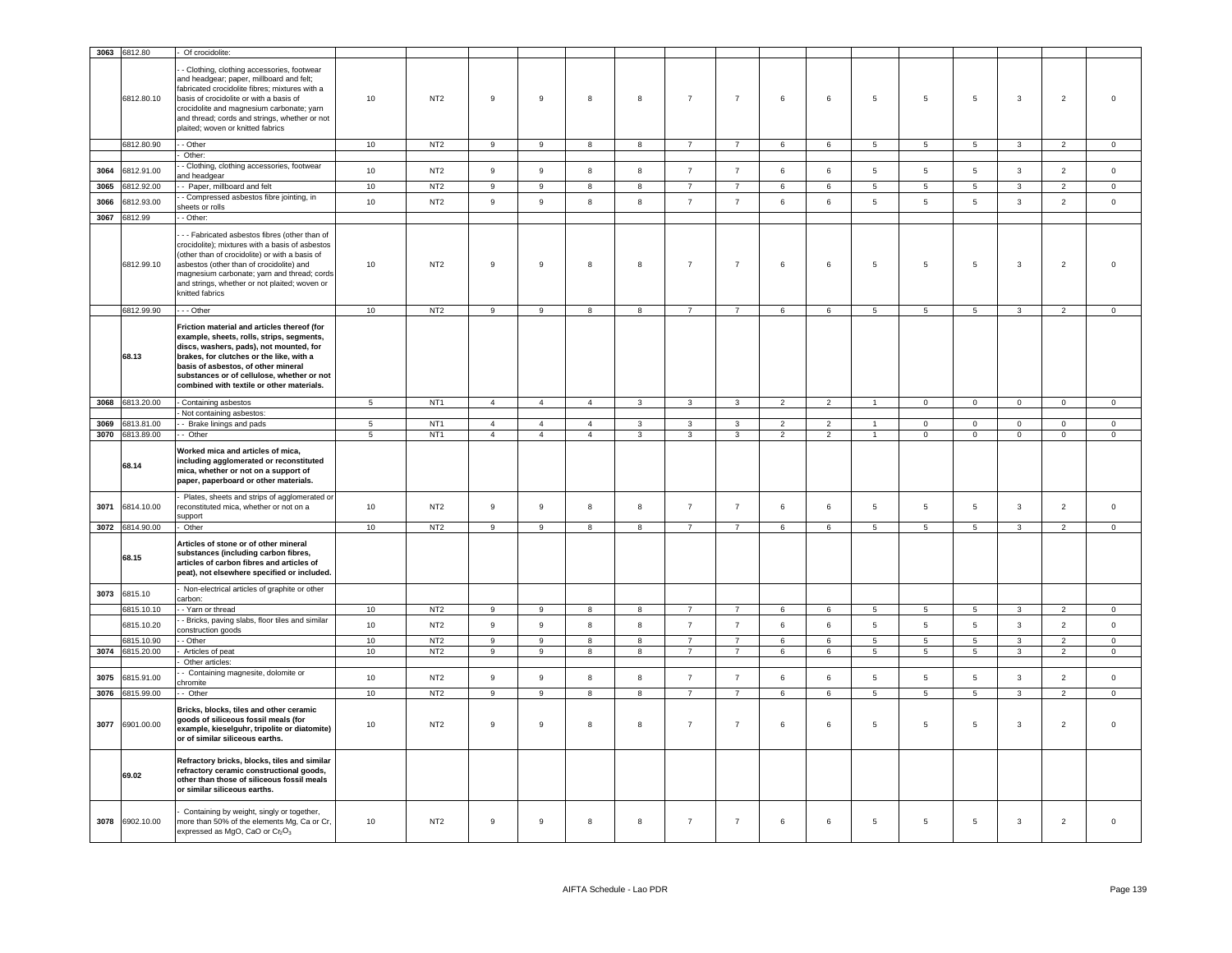|      | 3063 6812.80    | Of crocidolite:                                                                                                                                                                                                                                                                                                      |                 |                 |                  |                  |                |                         |                |                  |                          |                          |                 |                 |                 |                |                |                |
|------|-----------------|----------------------------------------------------------------------------------------------------------------------------------------------------------------------------------------------------------------------------------------------------------------------------------------------------------------------|-----------------|-----------------|------------------|------------------|----------------|-------------------------|----------------|------------------|--------------------------|--------------------------|-----------------|-----------------|-----------------|----------------|----------------|----------------|
|      | 6812.80.10      | Clothing, clothing accessories, footwear<br>and headgear; paper, millboard and felt;<br>fabricated crocidolite fibres; mixtures with a<br>basis of crocidolite or with a basis of<br>crocidolite and magnesium carbonate; yarn<br>and thread; cords and strings, whether or not<br>plaited; woven or knitted fabrics | 10              | NT <sub>2</sub> | 9                | 9                | 8              | 8                       | $\overline{7}$ | $\overline{7}$   | 6                        | 6                        | 5               | 5               | 5               | 3              | $\overline{2}$ | $\overline{0}$ |
|      | 6812.80.90      | - Other                                                                                                                                                                                                                                                                                                              | 10              | NT2             | 9                | 9                | 8              | 8                       | $\overline{7}$ | $\overline{7}$   | 6                        | 6                        | 5               | 5               | 5               | $\mathbf{3}$   | $\overline{2}$ | $\mathbf 0$    |
|      |                 | Other:                                                                                                                                                                                                                                                                                                               |                 |                 |                  |                  |                |                         |                |                  |                          |                          |                 |                 |                 |                |                |                |
| 3064 | 6812.91.00      | - Clothing, clothing accessories, footwear<br>nd headgear                                                                                                                                                                                                                                                            | 10              | NT <sub>2</sub> | 9                | $\boldsymbol{9}$ | 8              | 8                       | $\overline{7}$ | $\overline{7}$   | 6                        | 6                        | 5               | $\,$ 5          | $\sqrt{5}$      | $\mathbf{3}$   | $\overline{2}$ | $\,0\,$        |
| 3065 | 6812.92.00      | - Paper, millboard and felt                                                                                                                                                                                                                                                                                          | 10              | NT <sub>2</sub> | 9                | $\boldsymbol{9}$ | 8              | 8                       | $\overline{7}$ | $\overline{7}$   | 6                        | 6                        | 5               | $\,$ 5 $\,$     | 5               | $\mathbf{3}$   | $\overline{2}$ | $\,0\,$        |
| 3066 | 3812.93.00      | - Compressed asbestos fibre jointing, in<br>heets or rolls                                                                                                                                                                                                                                                           | 10              | NT <sub>2</sub> | 9                | 9                | 8              | 8                       | $\overline{7}$ | $\overline{7}$   | 6                        | 6                        | 5               | 5               | 5               | $\mathbf{3}$   | $\overline{2}$ | $\mathbf 0$    |
| 3067 | 6812.99         | - Other:                                                                                                                                                                                                                                                                                                             |                 |                 |                  |                  |                |                         |                |                  |                          |                          |                 |                 |                 |                |                |                |
|      | 6812.99.10      | - - Fabricated asbestos fibres (other than of<br>crocidolite); mixtures with a basis of asbestos<br>(other than of crocidolite) or with a basis of<br>asbestos (other than of crocidolite) and<br>magnesium carbonate; yarn and thread; cords<br>and strings, whether or not plaited; woven or<br>knitted fabrics    | 10              | NT <sub>2</sub> | 9                | 9                | 8              | 8                       | $\overline{7}$ | $\overline{7}$   | 6                        | $6\phantom{.}$           | $5\phantom{.0}$ | 5               | 5               | $\mathbf{3}$   | $\overline{2}$ | $\overline{0}$ |
|      | 6812.99.90      | $- -$ Other                                                                                                                                                                                                                                                                                                          | 10              | NT2             | $\overline{9}$   | $\overline{9}$   | $\overline{8}$ | $\overline{\mathbf{8}}$ | $\overline{7}$ | $\overline{7}$   | 6                        | $6\overline{6}$          | $\overline{5}$  | $5\overline{5}$ | 5               | $\mathbf{3}$   | $\overline{2}$ | $\overline{0}$ |
|      | 68.13           | Friction material and articles thereof (for<br>example, sheets, rolls, strips, segments,<br>discs, washers, pads), not mounted, for<br>brakes, for clutches or the like, with a<br>basis of asbestos, of other mineral<br>substances or of cellulose, whether or not<br>combined with textile or other materials.    |                 |                 |                  |                  |                |                         |                |                  |                          |                          |                 |                 |                 |                |                |                |
|      | 3068 6813.20.00 | - Containing asbestos                                                                                                                                                                                                                                                                                                | $5\overline{5}$ | NT <sub>1</sub> | $\overline{4}$   | $\overline{4}$   | $\overline{4}$ | $\mathbf{3}$            | $\mathbf{3}$   | $\mathbf{3}$     | $\overline{2}$           | $\overline{2}$           | $\overline{1}$  | $\overline{0}$  | $\overline{0}$  | $\overline{0}$ | $\overline{0}$ | $\overline{0}$ |
|      |                 | - Not containing asbestos:                                                                                                                                                                                                                                                                                           |                 |                 |                  |                  |                |                         |                |                  |                          |                          |                 |                 |                 |                |                |                |
| 3069 | 3813.81.00      | -- Brake linings and pads                                                                                                                                                                                                                                                                                            | -5              | NT <sub>1</sub> | $\overline{4}$   | $\overline{4}$   | $\overline{4}$ | $\mathbf{3}$            | 3              | 3                | $\overline{\phantom{a}}$ | $\overline{\phantom{a}}$ |                 | $\Omega$        | $\Omega$        | $\Omega$       | $\mathbf 0$    | $\Omega$       |
| 3070 | 6813.89.00      | -- Other                                                                                                                                                                                                                                                                                                             | 5               | NT <sub>1</sub> | $\overline{4}$   | $\overline{4}$   | $\overline{4}$ | $\mathbf{3}$            | $\mathbf{3}$   | $\mathbf{3}$     | $\overline{2}$           | $\overline{2}$           | $\overline{1}$  | $\Omega$        | $\mathbf{0}$    | $\mathsf 0$    | $\mathbf 0$    | $\mathbf 0$    |
|      | 68.14           | Worked mica and articles of mica,<br>including agglomerated or reconstituted<br>mica, whether or not on a support of<br>paper, paperboard or other materials.<br>Plates, sheets and strips of agglomerated or                                                                                                        |                 |                 |                  |                  |                |                         |                |                  |                          |                          |                 |                 |                 |                |                |                |
| 3071 | 6814.10.00      | reconstituted mica, whether or not on a<br>support                                                                                                                                                                                                                                                                   | 10              | NT <sub>2</sub> | 9                | $\mathsf g$      | 8              | 8                       | $\overline{7}$ | $\overline{7}$   | 6                        | 6                        | 5               | $\,$ 5 $\,$     | 5               | $\mathbf{3}$   | $\overline{2}$ | $\mathsf 0$    |
|      | 3072 6814.90.00 | Other                                                                                                                                                                                                                                                                                                                | 10              | NT <sub>2</sub> | 9                | $\overline{9}$   | 8              | 8                       | $\overline{7}$ | $\overline{7}$   | 6                        | 6                        | 5               | $\overline{5}$  | $\overline{5}$  | $\overline{3}$ | $\overline{2}$ | $\overline{0}$ |
|      | 68.15           | Articles of stone or of other mineral<br>substances (including carbon fibres,<br>articles of carbon fibres and articles of<br>peat), not elsewhere specified or included.                                                                                                                                            |                 |                 |                  |                  |                |                         |                |                  |                          |                          |                 |                 |                 |                |                |                |
| 3073 | 6815.10         | Non-electrical articles of graphite or other<br>carbon:                                                                                                                                                                                                                                                              |                 |                 |                  |                  |                |                         |                |                  |                          |                          |                 |                 |                 |                |                |                |
|      | 6815.10.10      | - Yarn or thread                                                                                                                                                                                                                                                                                                     | 10              | NT <sub>2</sub> | 9                | 9                | 8              | 8                       | $\overline{7}$ | $\overline{7}$   | 6                        | $\,6\,$                  | $5^{\circ}$     | 5               | -5              | $\mathbf{3}$   | $\overline{2}$ | $\mathbf 0$    |
|      | 6815.10.20      | - Bricks, paving slabs, floor tiles and similar<br>construction goods                                                                                                                                                                                                                                                | 10              | NT <sub>2</sub> | $\boldsymbol{9}$ | $\mathsf g$      | 8              | $\boldsymbol{8}$        | $\overline{7}$ | $\overline{7}$   | $\,6\,$                  | 6                        | 5               | 5               | $5\phantom{.0}$ | $\mathbf{3}$   | $\overline{2}$ | $\mathsf 0$    |
|      | 6815.10.90      | - Other                                                                                                                                                                                                                                                                                                              | 10              | NT2             | 9                | 9                | 8              | 8                       | $\overline{7}$ | $\overline{7}$   | 6                        | 6                        | 5               | $\overline{5}$  | 5               | 3              | $\overline{2}$ | $\mathbf{0}$   |
| 3074 | 6815.20.00      | Articles of peat                                                                                                                                                                                                                                                                                                     | 10              | NT <sub>2</sub> | 9                | $\mathsf g$      | 8              | 8                       | $\overline{7}$ | $\overline{7}$   | 6                        | 6                        | 5               | 5               | $5\phantom{.0}$ | $\mathbf{3}$   | $\overline{2}$ | $\,0\,$        |
|      |                 | Other articles:<br>- Containing magnesite, dolomite or                                                                                                                                                                                                                                                               |                 |                 |                  |                  |                |                         |                |                  |                          |                          |                 |                 |                 |                |                |                |
| 3075 | 6815.91.00      | hromite                                                                                                                                                                                                                                                                                                              | 10              | NT <sub>2</sub> | 9                | $\mathsf g$      | 8              | 8                       | $\overline{7}$ | $\overline{7}$   | 6                        | 6                        | 5               | 5               | 5               | $\mathbf{3}$   | $\overline{2}$ | $\mathbf 0$    |
| 3076 | 6815.99.00      | - Other                                                                                                                                                                                                                                                                                                              | 10              | NT <sub>2</sub> | $\boldsymbol{9}$ | $\boldsymbol{9}$ | 8              | $\boldsymbol{8}$        | $\overline{7}$ | $\overline{7}$   | $\,6\,$                  | 6                        | 5               | 5               | 5               | $\mathbf{3}$   | $\overline{2}$ | $\,0\,$        |
| 3077 | 6901.00.00      | Bricks, blocks, tiles and other ceramic<br>goods of siliceous fossil meals (for<br>example, kieselguhr, tripolite or diatomite)<br>or of similar siliceous earths.                                                                                                                                                   | 10              | NT <sub>2</sub> | 9                | 9                | 8              | 8                       | $\overline{7}$ | $\boldsymbol{7}$ | 6                        | 6                        | 5               | $\sqrt{5}$      | 5               | 3              | $\overline{2}$ | $\overline{0}$ |
|      | 69.02           | Refractory bricks, blocks, tiles and similar<br>refractory ceramic constructional goods,<br>other than those of siliceous fossil meals<br>or similar siliceous earths.                                                                                                                                               |                 |                 |                  |                  |                |                         |                |                  |                          |                          |                 |                 |                 |                |                |                |
|      | 3078 6902.10.00 | Containing by weight, singly or together,<br>more than 50% of the elements Mg, Ca or Cr,<br>expressed as MgO, CaO or Cr <sub>2</sub> O <sub>3</sub>                                                                                                                                                                  | 10              | NT <sub>2</sub> | 9                | $\mathsf g$      | 8              | 8                       | $\overline{7}$ | $\overline{7}$   | 6                        | 6                        | 5               | 5               | 5               | 3              | $\overline{2}$ | $\overline{0}$ |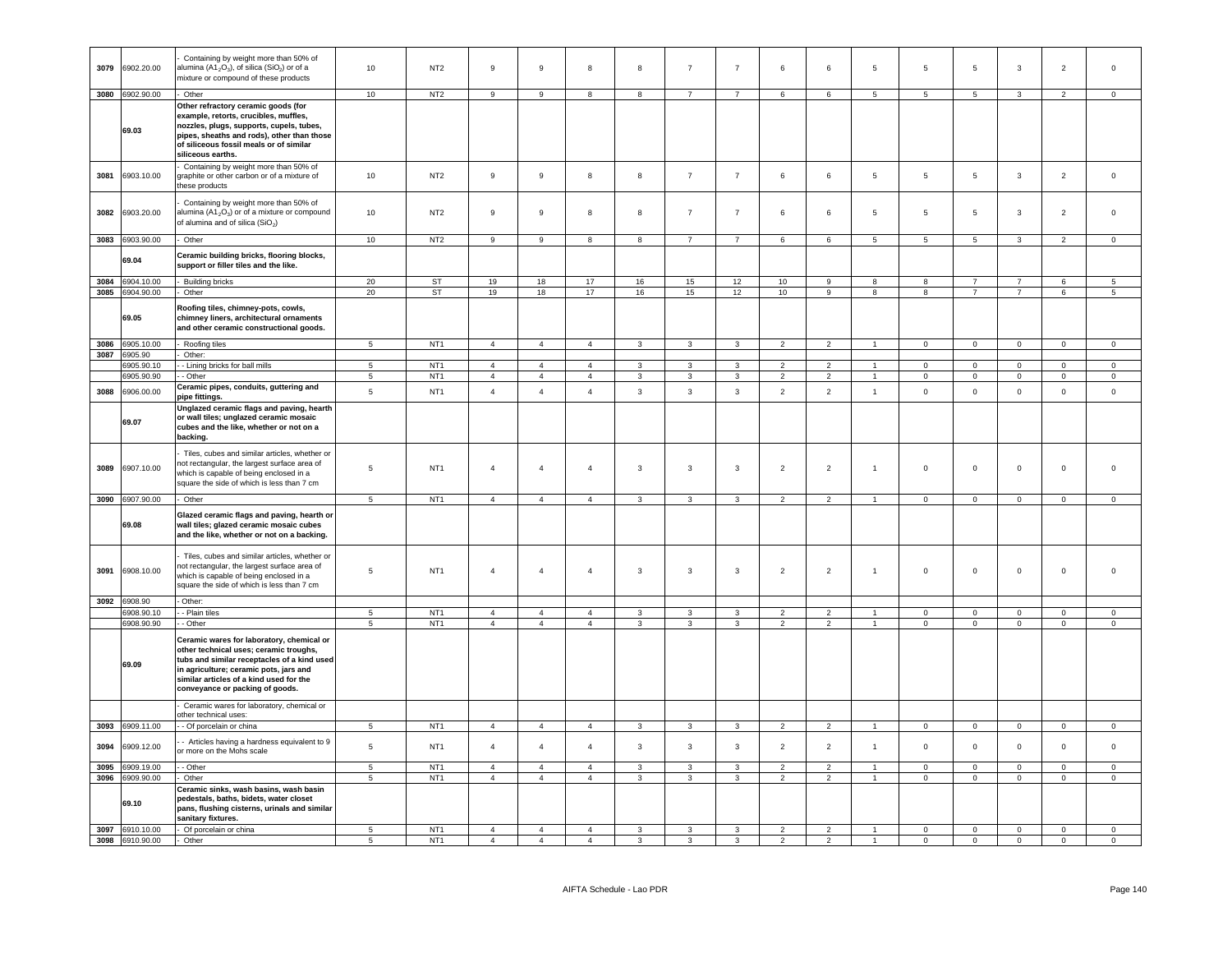| 3079 | 6902.20.00               | Containing by weight more than 50% of<br>alumina (A1 <sub>2</sub> O <sub>3</sub> ), of silica (SiO <sub>2</sub> ) or of a<br>mixture or compound of these products                                                                                         | 10                               | NT <sub>2</sub>                    | 9                                | $\,9$                            | 8                                | $\boldsymbol{8}$        | $\overline{7}$      | $\overline{7}$                 | 6                               | 6                                | $\overline{5}$       | 5                       | $5\phantom{.0}$     | $\mathbf{3}$            | $\overline{2}$             | $\mathsf 0$          |
|------|--------------------------|------------------------------------------------------------------------------------------------------------------------------------------------------------------------------------------------------------------------------------------------------------|----------------------------------|------------------------------------|----------------------------------|----------------------------------|----------------------------------|-------------------------|---------------------|--------------------------------|---------------------------------|----------------------------------|----------------------|-------------------------|---------------------|-------------------------|----------------------------|----------------------|
| 3080 | 6902.90.00               | - Other                                                                                                                                                                                                                                                    | 10                               | NT <sub>2</sub>                    | 9                                | 9                                | 8                                | $\boldsymbol{8}$        | $\overline{7}$      | $\overline{7}$                 | $\,6\,$                         | $\,6\,$                          | $5\phantom{.0}$      | 5                       | $5\phantom{.0}$     | $\mathbf{3}$            | 2                          | $\mathbf 0$          |
|      | 69.03                    | Other refractory ceramic goods (for<br>example, retorts, crucibles, muffles,<br>nozzles, plugs, supports, cupels, tubes,<br>pipes, sheaths and rods), other than those<br>of siliceous fossil meals or of similar<br>siliceous earths.                     |                                  |                                    |                                  |                                  |                                  |                         |                     |                                |                                 |                                  |                      |                         |                     |                         |                            |                      |
| 3081 | 6903.10.00               | Containing by weight more than 50% of<br>graphite or other carbon or of a mixture of<br>hese products                                                                                                                                                      | 10                               | NT <sub>2</sub>                    | 9                                | 9                                | 8                                | 8                       | $\overline{7}$      | $\overline{7}$                 | 6                               | 6                                | 5                    | 5                       | $5\phantom{.0}$     | $\mathbf{3}$            | $\overline{c}$             | $\mathsf 0$          |
| 3082 | 6903.20.00               | Containing by weight more than 50% of<br>alumina (A1 <sub>2</sub> O <sub>3</sub> ) or of a mixture or compound<br>of alumina and of silica (SiO <sub>2</sub> )                                                                                             | 10                               | NT <sub>2</sub>                    | 9                                | 9                                | 8                                | 8                       | $\overline{7}$      | $\overline{7}$                 | 6                               | 6                                | $\overline{5}$       | $\,$ 5 $\,$             | $5\phantom{.0}$     | $\mathbf{3}$            | $\overline{2}$             | $\mathsf 0$          |
|      | 3083 6903.90.00          | - Other                                                                                                                                                                                                                                                    | 10                               | NT <sub>2</sub>                    | 9                                | 9                                | 8                                | 8                       | $\overline{7}$      | $\overline{7}$                 | 6                               | 6                                | 5                    | 5                       | 5                   | 3                       | $\overline{2}$             | $\mathbf 0$          |
|      | 69.04                    | Ceramic building bricks, flooring blocks,<br>support or filler tiles and the like.                                                                                                                                                                         |                                  |                                    |                                  |                                  |                                  |                         |                     |                                |                                 |                                  |                      |                         |                     |                         |                            |                      |
| 3084 | 6904.10.00               | Building bricks                                                                                                                                                                                                                                            | 20                               | ST                                 | 19                               | 18                               | 17                               | 16                      | 15                  | 12                             | 10                              | $\mathsf g$                      | 8                    | 8                       | $\overline{7}$      | $\overline{7}$          | 6                          | 5                    |
| 3085 | 6904.90.00<br>69.05      | Other<br>Roofing tiles, chimney-pots, cowls,<br>chimney liners, architectural ornaments<br>and other ceramic constructional goods.                                                                                                                         | 20                               | <b>ST</b>                          | 19                               | 18                               | 17                               | 16                      | 15                  | 12                             | 10                              | 9                                | 8                    | 8                       | $\overline{7}$      | $\overline{7}$          | 6                          | 5                    |
|      | 3086 6905.10.00          | - Roofing tiles                                                                                                                                                                                                                                            | $\overline{5}$                   | NT <sub>1</sub>                    | $\overline{4}$                   | $\overline{4}$                   | $\overline{4}$                   | $\mathbf{3}$            | $\mathbf{3}$        | $\mathbf{3}$                   | $\overline{2}$                  | $\overline{2}$                   | $\overline{1}$       | $\mathbf 0$             | $\overline{0}$      | $\overline{0}$          | $\mathbf 0$                | $\mathbf 0$          |
|      | 3087 6905.90             | Other:                                                                                                                                                                                                                                                     | 5                                | NT <sub>1</sub>                    |                                  | $\overline{4}$                   | $\overline{4}$                   | $\mathbf{3}$            | 3                   | 3                              | $\overline{2}$                  | $\overline{2}$                   | $\overline{1}$       | $\mathbf{0}$            | $\circ$             | $\mathbf 0$             | $\Omega$                   | $\mathbf{0}$         |
|      | 6905.90.10<br>6905.90.90 | - Lining bricks for ball mills<br>- Other                                                                                                                                                                                                                  | $5\phantom{.0}$                  | NT <sub>1</sub>                    | $\overline{4}$<br>$\overline{4}$ | $\overline{4}$                   | $\overline{4}$                   | $\mathbf{3}$            | $\mathbf{3}$        | $\mathbf{3}$                   | $\overline{2}$                  | $\overline{2}$                   | $\mathbf{1}$         | $\mathbf 0$             | $\overline{0}$      | $\overline{0}$          | $\overline{0}$             | $\overline{0}$       |
| 3088 | 6906.00.00               | Ceramic pipes, conduits, guttering and<br>pipe fittings.                                                                                                                                                                                                   | $\,$ 5 $\,$                      | NT <sub>1</sub>                    | $\overline{4}$                   | $\overline{4}$                   | $\overline{4}$                   | $\mathbf{3}$            | $\mathbf{3}$        | $_{\rm 3}$                     | $\overline{2}$                  | $\overline{2}$                   | $\mathbf{1}$         | $\mathbf 0$             | $\mathbf 0$         | $\mathbf 0$             | $\mathbf 0$                | $\mathsf 0$          |
|      | 69.07                    | Unglazed ceramic flags and paving, hearth<br>or wall tiles; unglazed ceramic mosaic<br>cubes and the like, whether or not on a<br>backing.                                                                                                                 |                                  |                                    |                                  |                                  |                                  |                         |                     |                                |                                 |                                  |                      |                         |                     |                         |                            |                      |
| 3089 | 6907.10.00               | Tiles, cubes and similar articles, whether or<br>not rectangular, the largest surface area of<br>which is capable of being enclosed in a<br>square the side of which is less than 7 cm                                                                     | $\,$ 5 $\,$                      | NT <sub>1</sub>                    | $\overline{4}$                   | $\sqrt{4}$                       | $\sqrt{4}$                       | $\mathbf{3}$            | $\mathbf{3}$        | $\mathbf{3}$                   | $\overline{2}$                  | $\overline{2}$                   | $\overline{1}$       | $\mathsf 0$             | $\mathsf{O}\xspace$ | $\mathbf 0$             | $\mathsf{O}\xspace$        | $\Omega$             |
|      | 3090 6907.90.00          | Other                                                                                                                                                                                                                                                      | $5\phantom{.0}$                  | NT <sub>1</sub>                    | $\overline{4}$                   | $\overline{4}$                   | $\overline{4}$                   | $\mathbf{3}$            | $\mathbf{3}$        | $\mathbf{3}$                   | $\overline{2}$                  | $\overline{2}$                   | $\sim$               | $\overline{0}$          | $\circ$             | $\overline{0}$          | $\mathbf{0}$               | $\mathbf 0$          |
|      | 69.08                    | Glazed ceramic flags and paving, hearth or<br>wall tiles; glazed ceramic mosaic cubes<br>and the like, whether or not on a backing.                                                                                                                        |                                  |                                    |                                  |                                  |                                  |                         |                     |                                |                                 |                                  |                      |                         |                     |                         |                            |                      |
| 3091 | 6908.10.00               | Tiles, cubes and similar articles, whether or<br>not rectangular, the largest surface area of<br>which is capable of being enclosed in a<br>square the side of which is less than 7 cm                                                                     | 5                                | NT <sub>1</sub>                    | $\overline{4}$                   | $\overline{4}$                   | $\overline{4}$                   | $\overline{\mathbf{3}}$ | 3                   | $\mathbf{3}$                   | $\overline{2}$                  | $\overline{2}$                   | $\blacktriangleleft$ | 0                       | $\mathsf 0$         | $\mathbf 0$             | $\mathsf 0$                | $\Omega$             |
| 3092 | 6908.90                  | Other:                                                                                                                                                                                                                                                     |                                  |                                    |                                  |                                  |                                  |                         |                     |                                |                                 |                                  |                      |                         |                     |                         |                            |                      |
|      | 6908.90.10<br>6908.90.90 | - Plain tiles<br>- Other                                                                                                                                                                                                                                   | $\overline{5}$<br>$\overline{5}$ | NT <sub>1</sub><br>NT <sub>1</sub> | $\overline{4}$<br>$\overline{4}$ | $\overline{4}$<br>$\overline{4}$ | $\overline{4}$<br>$\overline{4}$ | 3<br>3                  | 3<br>$\overline{3}$ | $\mathbf{3}$<br>$\overline{3}$ | $\overline{2}$<br>$\mathcal{P}$ | $\overline{2}$<br>$\overline{2}$ |                      | $\Omega$<br>$\mathbf 0$ | $\mathbf 0$<br>0    | $\Omega$<br>$\mathbf 0$ | $\mathsf 0$<br>$\mathsf 0$ | $\Omega$<br>$\Omega$ |
|      | 69.09                    | Ceramic wares for laboratory, chemical or<br>other technical uses; ceramic troughs,<br>tubs and similar receptacles of a kind used<br>in agriculture; ceramic pots, jars and<br>similar articles of a kind used for the<br>conveyance or packing of goods. |                                  |                                    |                                  |                                  |                                  |                         |                     |                                |                                 |                                  |                      |                         |                     |                         |                            |                      |
|      |                          | Ceramic wares for laboratory, chemical or                                                                                                                                                                                                                  |                                  |                                    |                                  |                                  |                                  |                         |                     |                                |                                 |                                  |                      |                         |                     |                         |                            |                      |
| 3093 | 6909.11.00               | other technical uses:<br>- - Of porcelain or china                                                                                                                                                                                                         | $\,$ 5 $\,$                      | NT <sub>1</sub>                    | $\overline{4}$                   | $\overline{4}$                   | $\overline{4}$                   | $\mathbf{3}$            | $\overline{3}$      | $\overline{\mathbf{3}}$        | 2                               | $\overline{2}$                   | $\mathbf{1}$         | $\Omega$                | $\mathbf 0$         | $\mathbf 0$             | $\Omega$                   | $\mathsf 0$          |
| 3094 | 6909.12.00               | - Articles having a hardness equivalent to 9<br>or more on the Mohs scale                                                                                                                                                                                  | $\overline{5}$                   | NT <sub>1</sub>                    | $\overline{4}$                   | $\overline{4}$                   | $\overline{4}$                   | $\mathbf{3}$            | $\mathbf{3}$        | $\mathbf{3}$                   | $\overline{2}$                  | $\overline{2}$                   | $\overline{1}$       | $\mathbf 0$             | $\mathsf 0$         | $\mathbf 0$             | $\mathsf 0$                | $\mathsf 0$          |
| 3095 | 3909.19.00               | - - Other                                                                                                                                                                                                                                                  | $\overline{5}$                   | NT <sub>1</sub>                    | $\overline{4}$                   | $\overline{4}$                   | $\overline{4}$                   | 3                       | 3                   | $\mathbf{3}$                   | $\overline{2}$                  | $\overline{2}$                   |                      | $\Omega$                | $\Omega$            | $\mathbf 0$             | $\Omega$                   | $\Omega$             |
| 3096 | 6909.90.00               | - Other                                                                                                                                                                                                                                                    | $\sqrt{5}$                       | NT <sub>1</sub>                    | $\overline{4}$                   | $\overline{4}$                   | $\overline{4}$                   | $\mathbf{3}$            | $\mathbf{3}$        | $\mathbf{3}$                   | $\overline{2}$                  | $\overline{2}$                   | $\mathbf{1}$         | $\mathsf{O}\xspace$     | $\mathbf 0$         | $\mathsf{O}\xspace$     | $\mathsf 0$                | $\circ$              |
|      | 69.10                    | Ceramic sinks, wash basins, wash basin<br>pedestals, baths, bidets, water closet<br>pans, flushing cisterns, urinals and similar<br>sanitary fixtures.                                                                                                     |                                  |                                    |                                  |                                  |                                  |                         |                     |                                |                                 |                                  |                      |                         |                     |                         |                            |                      |
|      | 3097 6910.10.00          | Of porcelain or china                                                                                                                                                                                                                                      | -5                               | NT <sub>1</sub><br>NT <sub>1</sub> | $\overline{4}$                   | $\overline{4}$                   | $\overline{4}$                   | $\mathbf{3}$            | $\mathbf{3}$        | $\mathbf{3}$                   | $\overline{2}$                  | $\overline{2}$                   | $\overline{1}$       | $\mathbf 0$             | $\mathsf 0$         | $\mathbf 0$             | $\mathbf 0$                | $\mathsf 0$          |
|      | 3098 6910.90.00          | Other                                                                                                                                                                                                                                                      | 5                                |                                    | $\overline{4}$                   | $\overline{4}$                   | $\overline{4}$                   | $\mathbf{3}$            | 3                   | 3                              | $\overline{2}$                  | $\overline{2}$                   | $\mathbf{1}$         | 0                       | 0                   | $\mathsf 0$             | $\Omega$                   | $\mathsf 0$          |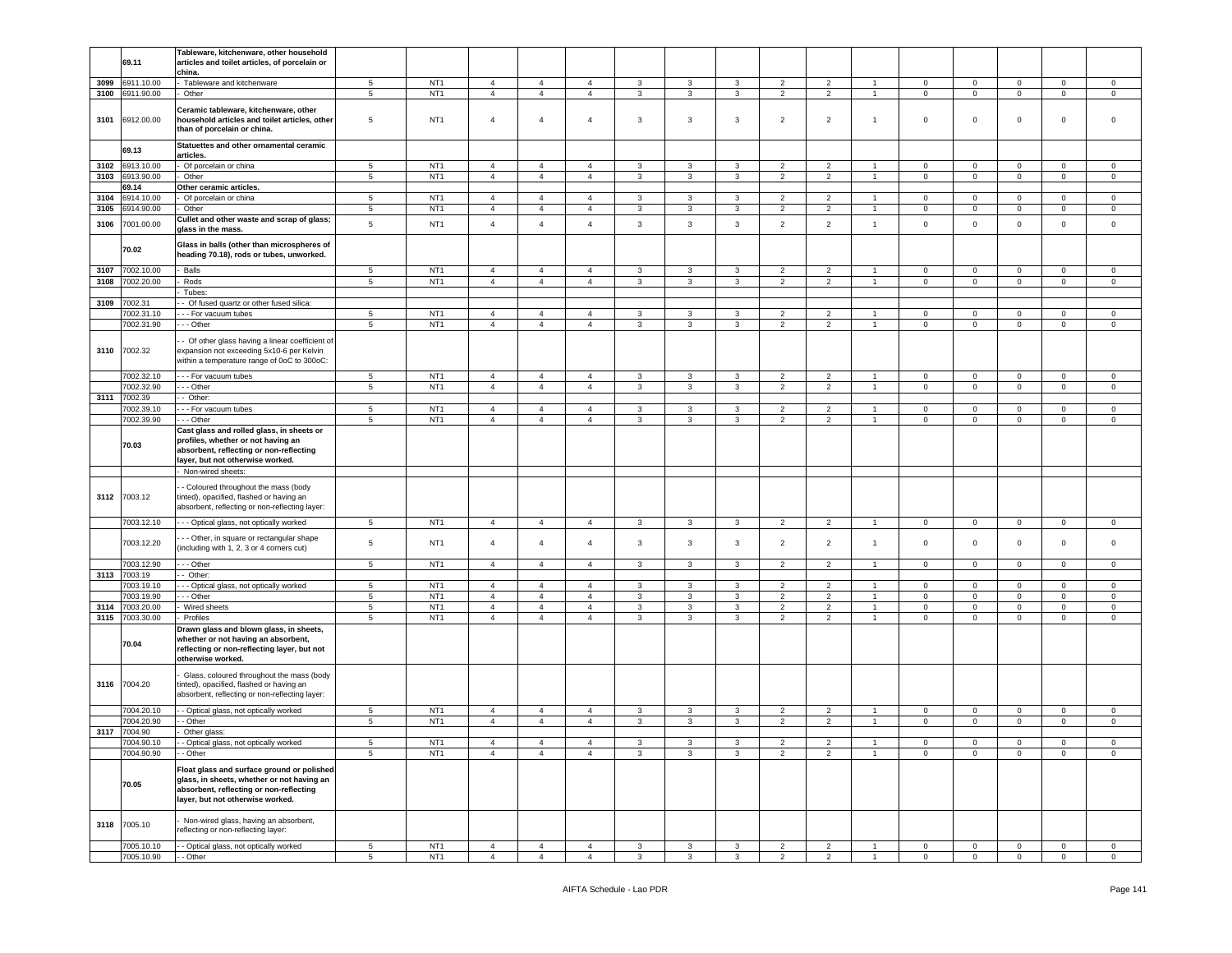|      |              | Tableware, kitchenware, other household         |                 |                 |                |                |                |                |                |                |                |                |                |                |                     |              |                |                |
|------|--------------|-------------------------------------------------|-----------------|-----------------|----------------|----------------|----------------|----------------|----------------|----------------|----------------|----------------|----------------|----------------|---------------------|--------------|----------------|----------------|
|      | 69.11        | articles and toilet articles, of porcelain or   |                 |                 |                |                |                |                |                |                |                |                |                |                |                     |              |                |                |
|      |              | china.                                          |                 |                 |                |                |                |                |                |                |                |                |                |                |                     |              |                |                |
| 3099 | 6911.10.00   | Tableware and kitchenware                       | $5\phantom{.0}$ | NT <sub>1</sub> | $\overline{4}$ | $\overline{4}$ | $\overline{4}$ | 3              | 3              | 3              | $\overline{2}$ | $\overline{2}$ | $\mathbf{1}$   | $\mathbf 0$    | 0                   | 0            | $\mathbf 0$    | $\mathsf 0$    |
| 3100 | 6911.90.00   | Other                                           | $5\phantom{.0}$ | NT <sub>1</sub> | $\overline{4}$ | $\overline{4}$ | $\overline{4}$ | $\mathbf{3}$   | $\mathbf{3}$   | $\mathbf{3}$   | $\overline{2}$ | $\overline{2}$ | $\mathbf{1}$   | $\overline{0}$ | $\mathsf 0$         | $\mathsf 0$  | $\overline{0}$ | $\mathsf 0$    |
|      |              |                                                 |                 |                 |                |                |                |                |                |                |                |                |                |                |                     |              |                |                |
|      |              | Ceramic tableware, kitchenware, other           |                 |                 |                |                |                |                |                |                |                |                |                |                |                     |              |                |                |
| 3101 | 6912.00.00   | household articles and toilet articles, other   | 5               | NT <sub>1</sub> | $\overline{4}$ | $\overline{4}$ | $\overline{4}$ | 3              | $\mathbf{3}$   | $\mathbf{3}$   | $\overline{2}$ | $\overline{2}$ | $\overline{1}$ | $\mathbf 0$    | 0                   | $\mathsf 0$  | $\mathbf 0$    | $\mathbf 0$    |
|      |              |                                                 |                 |                 |                |                |                |                |                |                |                |                |                |                |                     |              |                |                |
|      |              | than of porcelain or china.                     |                 |                 |                |                |                |                |                |                |                |                |                |                |                     |              |                |                |
|      |              |                                                 |                 |                 |                |                |                |                |                |                |                |                |                |                |                     |              |                |                |
|      | 69.13        | Statuettes and other ornamental ceramic         |                 |                 |                |                |                |                |                |                |                |                |                |                |                     |              |                |                |
|      |              | articles.                                       |                 |                 |                |                |                |                |                |                |                |                |                |                |                     |              |                |                |
| 3102 | 3913.10.00   | Of porcelain or china                           | 5               | NT <sub>1</sub> | $\overline{4}$ | $\overline{4}$ | $\overline{4}$ | 3              | 3              | $\mathbf{3}$   | 2              | 2              | $\overline{1}$ | $\mathbf 0$    | $\mathbf 0$         | $\mathbf{0}$ | $\circ$        | $\mathbf 0$    |
| 3103 | 6913.90.00   | Other                                           | $\sqrt{5}$      | NT <sub>1</sub> | $\overline{4}$ | $\overline{4}$ | $\overline{4}$ | 3              | 3              | $\mathbf{3}$   | $\overline{2}$ | $\overline{2}$ | $\overline{1}$ | $\mathbf 0$    | $\mathbf 0$         | $\mathbf 0$  | $\mathbf 0$    | $\mathbf 0$    |
|      | 69.14        | Other ceramic articles.                         |                 |                 |                |                |                |                |                |                |                |                |                |                |                     |              |                |                |
|      |              |                                                 |                 |                 |                |                |                |                |                |                |                |                |                |                |                     |              |                |                |
| 3104 | 914.10.00    | Of porcelain or china                           | 5               | NT <sub>1</sub> | $\overline{4}$ | $\overline{4}$ | $\overline{4}$ | $\mathbf{3}$   | 3              | $\mathbf{3}$   | 2              | 2              | $\overline{1}$ | $\mathbf 0$    | $\mathbf{0}$        | $\mathbf{0}$ | $\mathbf 0$    | $\mathbf 0$    |
| 3105 | 914.90.00    | Other                                           | $\sqrt{5}$      | NT <sub>1</sub> | $\overline{4}$ | $\overline{4}$ | $\overline{4}$ | 3              | 3              | 3              | $\overline{2}$ | $\overline{2}$ | $\mathbf{1}$   | $\mathbf 0$    | 0                   | 0            | $\mathbf 0$    | $\mathbf 0$    |
|      |              | Cullet and other waste and scrap of glass;      |                 |                 | $\overline{4}$ |                |                |                |                |                |                |                |                |                |                     |              |                |                |
| 3106 | 7001.00.00   | glass in the mass.                              | 5               | NT <sub>1</sub> |                | $\overline{4}$ | $\overline{4}$ | $\mathbf{3}$   | $\mathbf{3}$   | $\mathbf{3}$   | $\overline{2}$ | $\overline{2}$ | $\mathbf{1}$   | $\mathsf 0$    | $\mathsf 0$         | $\mathbf 0$  | $\mathbf 0$    | $\mathbf 0$    |
|      |              |                                                 |                 |                 |                |                |                |                |                |                |                |                |                |                |                     |              |                |                |
|      | 70.02        | Glass in balls (other than microspheres of      |                 |                 |                |                |                |                |                |                |                |                |                |                |                     |              |                |                |
|      |              | eading 70.18), rods or tubes, unworked.         |                 |                 |                |                |                |                |                |                |                |                |                |                |                     |              |                |                |
|      |              |                                                 |                 |                 |                |                |                |                |                |                |                |                |                |                |                     |              |                |                |
| 3107 | 7002.10.00   | Balls                                           | 5               | NT <sub>1</sub> | $\overline{4}$ | $\overline{4}$ | $\overline{4}$ | $\mathbf{3}$   | $\mathbf{3}$   | 3              | $\overline{2}$ | $\overline{2}$ | $\overline{1}$ | $\mathbf 0$    | $\mathbf 0$         | $\mathbf 0$  | $\mathbf 0$    | $\mathbf 0$    |
| 3108 | 7002.20.00   | Rods                                            | 5               | NT <sub>1</sub> | $\overline{4}$ | $\overline{4}$ | $\overline{4}$ | 3              | 3              | 3              | $\overline{2}$ | $\overline{2}$ | $\mathbf{1}$   | $\mathbf 0$    | $\mathbf 0$         | 0            | $\mathbf 0$    | $\mathbf{0}$   |
|      |              | Tubes:                                          |                 |                 |                |                |                |                |                |                |                |                |                |                |                     |              |                |                |
|      |              |                                                 |                 |                 |                |                |                |                |                |                |                |                |                |                |                     |              |                |                |
| 3109 | 7002.31      | Of fused quartz or other fused silica:          |                 |                 |                |                |                |                |                |                |                |                |                |                |                     |              |                |                |
|      | 7002.31.10   | - - For vacuum tubes                            | 5               | NT <sub>1</sub> | $\overline{4}$ | $\overline{4}$ | $\overline{4}$ | 3              | 3              | 3              | $\overline{2}$ | $\overline{2}$ | $\mathbf{1}$   | 0              | 0                   | 0            | $\mathbf 0$    | $\mathbf 0$    |
|      | 7002.31.90   | - - Other                                       | $\,$ 5 $\,$     | NT <sub>1</sub> | $\overline{4}$ | $\overline{4}$ | $\overline{4}$ | $\mathbf{3}$   | $\mathbf{3}$   | $\mathbf{3}$   | $\overline{2}$ | $\overline{2}$ | $\overline{1}$ | $\mathsf 0$    | $\mathsf{O}\xspace$ | $\mathsf 0$  | $\mathbf 0$    | $\,$ 0         |
|      |              |                                                 |                 |                 |                |                |                |                |                |                |                |                |                |                |                     |              |                |                |
|      |              | - Of other glass having a linear coefficient of |                 |                 |                |                |                |                |                |                |                |                |                |                |                     |              |                |                |
|      | 3110 7002.32 | expansion not exceeding 5x10-6 per Kelvin       |                 |                 |                |                |                |                |                |                |                |                |                |                |                     |              |                |                |
|      |              | within a temperature range of 0oC to 300oC:     |                 |                 |                |                |                |                |                |                |                |                |                |                |                     |              |                |                |
|      |              |                                                 |                 |                 |                |                |                |                |                |                |                |                |                |                |                     |              |                |                |
|      | 7002.32.10   | - - - For vacuum tubes                          | 5               | NT <sub>1</sub> | $\overline{4}$ | $\overline{4}$ | $\overline{4}$ | $\mathbf{3}$   | 3              | $\mathbf{3}$   | $\overline{2}$ | $\overline{2}$ | $\overline{1}$ | $\mathbf 0$    | $\mathbf 0$         | $\mathbf{0}$ | $\mathbf 0$    | $\mathbf 0$    |
|      | 7002.32.90   | - - Other                                       | 5               | NT <sub>1</sub> | $\overline{4}$ | $\overline{4}$ | $\overline{4}$ | 3              | 3              | 3              | $\overline{2}$ | $\overline{2}$ | $\overline{1}$ | $\mathbf 0$    | $\mathbf 0$         | $\mathbf 0$  | $\mathbf 0$    | $\mathbf 0$    |
| 3111 |              | Other:                                          |                 |                 |                |                |                |                |                |                |                |                |                |                |                     |              |                |                |
|      | 7002.39      |                                                 |                 |                 |                |                |                |                |                |                |                |                |                |                |                     |              |                |                |
|      | 7002.39.10   | - For vacuum tubes                              | $5\phantom{.0}$ | NT <sub>1</sub> | $\overline{4}$ | $\overline{4}$ | $\overline{4}$ | 3              | $\mathbf{3}$   | 3              | $\overline{2}$ | 2              | $\overline{1}$ | 0              | $\mathbf{0}$        | $\mathbf 0$  | $\pmb{0}$      | $\mathsf 0$    |
|      | 7002.39.90   | - - Other                                       | 5               | NT <sub>1</sub> | $\overline{4}$ | $\overline{4}$ | $\overline{4}$ | $\mathbf{3}$   | 3              | 3              | $\overline{2}$ | $\overline{2}$ | $\overline{1}$ | $\mathsf 0$    | $\mathbf{O}$        | $\mathbf 0$  | $\mathbf 0$    | $\mathsf 0$    |
|      |              | Cast glass and rolled glass, in sheets or       |                 |                 |                |                |                |                |                |                |                |                |                |                |                     |              |                |                |
|      |              | profiles, whether or not having an              |                 |                 |                |                |                |                |                |                |                |                |                |                |                     |              |                |                |
|      | 70.03        |                                                 |                 |                 |                |                |                |                |                |                |                |                |                |                |                     |              |                |                |
|      |              | absorbent, reflecting or non-reflecting         |                 |                 |                |                |                |                |                |                |                |                |                |                |                     |              |                |                |
|      |              | layer, but not otherwise worked.                |                 |                 |                |                |                |                |                |                |                |                |                |                |                     |              |                |                |
|      |              | Non-wired sheets:                               |                 |                 |                |                |                |                |                |                |                |                |                |                |                     |              |                |                |
|      |              |                                                 |                 |                 |                |                |                |                |                |                |                |                |                |                |                     |              |                |                |
|      |              | Coloured throughout the mass (body              |                 |                 |                |                |                |                |                |                |                |                |                |                |                     |              |                |                |
|      | 3112 7003.12 | tinted), opacified, flashed or having an        |                 |                 |                |                |                |                |                |                |                |                |                |                |                     |              |                |                |
|      |              | absorbent, reflecting or non-reflecting layer:  |                 |                 |                |                |                |                |                |                |                |                |                |                |                     |              |                |                |
|      |              |                                                 |                 |                 |                |                |                |                |                |                |                |                |                |                |                     |              |                |                |
|      | 7003.12.10   | - - - Optical glass, not optically worked       | $5\phantom{.0}$ | NT <sub>1</sub> | $\overline{4}$ | $\overline{4}$ | $\overline{4}$ | $\mathbf{3}$   | 3              | $\mathbf{3}$   | $\overline{2}$ | $\overline{2}$ | $\mathbf{1}$   | $\overline{0}$ | $\mathbf 0$         | $\mathbf{0}$ | $\mathbf 0$    | $\overline{0}$ |
|      |              |                                                 |                 |                 |                |                |                |                |                |                |                |                |                |                |                     |              |                |                |
|      | 7003.12.20   | - - Other, in square or rectangular shape       | 5               | NT <sub>1</sub> | $\overline{4}$ | $\overline{4}$ | $\overline{4}$ | 3              | 3              | 3              | $\overline{2}$ | $\overline{2}$ | $\overline{1}$ | $\mathsf 0$    | $\mathbf 0$         | $\mathbf 0$  | $\mathbf 0$    | $\mathbf 0$    |
|      |              | including with 1, 2, 3 or 4 corners cut)        |                 |                 |                |                |                |                |                |                |                |                |                |                |                     |              |                |                |
|      | 7003.12.90   | - - Other                                       | 5               | NT <sub>1</sub> | $\overline{4}$ | $\overline{4}$ | $\overline{4}$ | 3              | 3              | 3              | $\overline{2}$ | $\overline{2}$ | $\overline{1}$ | $\mathbf 0$    | $\overline{0}$      | $\mathbf{0}$ | $\mathbf 0$    | $\mathbf 0$    |
|      |              |                                                 |                 |                 |                |                |                |                |                |                |                |                |                |                |                     |              |                |                |
|      | 3113 7003.19 | - Other:                                        |                 |                 |                |                |                |                |                |                |                |                |                |                |                     |              |                |                |
|      | 7003.19.10   | - Optical glass, not optically worked           | 5               | NT <sub>1</sub> | $\overline{4}$ | $\overline{4}$ | $\overline{4}$ | 3              | 3              | $\mathbf{3}$   | $\overline{2}$ | $\overline{2}$ | $\overline{1}$ | $\mathbf 0$    | $\mathbf 0$         | $\mathbf 0$  | $\mathbf 0$    | $\mathbf 0$    |
|      | 7003.19.90   | - - Other                                       | $\sqrt{5}$      | NT <sub>1</sub> | $\overline{4}$ | $\overline{4}$ | $\overline{4}$ | $\mathbf{3}$   | $\mathbf{3}$   | $\mathbf{3}$   | $\overline{2}$ | $\overline{2}$ | $\overline{1}$ | $\mathbf 0$    | $\mathsf 0$         | $\mathsf 0$  | $\pmb{0}$      | $\mathbf 0$    |
| 3114 | 7003.20.00   | Wired sheets                                    | $\sqrt{5}$      | NT <sub>1</sub> | $\overline{4}$ | $\overline{4}$ | $\overline{4}$ | $\mathbf{3}$   | 3              | 3              | $\overline{2}$ | $\overline{2}$ | $\mathbf{1}$   | $\mathbf 0$    | $\mathbf 0$         | $\mathbf 0$  | $\overline{0}$ | $\mathsf 0$    |
|      |              | Profiles                                        | 5               |                 | $\overline{4}$ | $\overline{4}$ | $\overline{4}$ | 3              | $\mathbf{3}$   |                | $\overline{2}$ | $\overline{2}$ |                | $\mathbf 0$    | $\mathbf{O}$        | $\mathbf 0$  | $\mathbf 0$    | $\mathbf 0$    |
| 3115 | 7003.30.00   |                                                 |                 | NT <sub>1</sub> |                |                |                |                |                | 3              |                |                | $\mathbf{1}$   |                |                     |              |                |                |
|      |              | Drawn glass and blown glass, in sheets,         |                 |                 |                |                |                |                |                |                |                |                |                |                |                     |              |                |                |
|      | 70.04        | whether or not having an absorbent,             |                 |                 |                |                |                |                |                |                |                |                |                |                |                     |              |                |                |
|      |              | reflecting or non-reflecting layer, but not     |                 |                 |                |                |                |                |                |                |                |                |                |                |                     |              |                |                |
|      |              | otherwise worked.                               |                 |                 |                |                |                |                |                |                |                |                |                |                |                     |              |                |                |
|      |              |                                                 |                 |                 |                |                |                |                |                |                |                |                |                |                |                     |              |                |                |
|      |              | Glass, coloured throughout the mass (body       |                 |                 |                |                |                |                |                |                |                |                |                |                |                     |              |                |                |
|      | 3116 7004.20 | tinted), opacified, flashed or having an        |                 |                 |                |                |                |                |                |                |                |                |                |                |                     |              |                |                |
|      |              | absorbent, reflecting or non-reflecting layer:  |                 |                 |                |                |                |                |                |                |                |                |                |                |                     |              |                |                |
|      |              |                                                 |                 |                 |                |                |                |                |                |                |                |                |                |                |                     |              |                |                |
|      | 7004.20.10   | - Optical glass, not optically worked           | $5\phantom{.0}$ | NT <sub>1</sub> | $\overline{4}$ | $\overline{4}$ | $\overline{4}$ | 3              | 3              | 3              | $\overline{2}$ | $\overline{2}$ | $\overline{1}$ | $\mathbf 0$    | $\mathbf{0}$        | $\mathbf 0$  | $\mathbf 0$    | $\mathsf 0$    |
|      | 7004.20.90   | - Other                                         | 5               | NT <sub>1</sub> | $\overline{4}$ | $\overline{4}$ | $\overline{4}$ | $\mathbf{3}$   | $\mathbf{3}$   | $\mathbf{3}$   | 2              | $\overline{2}$ | 1              | $\mathbf 0$    | $\circ$             | $\mathbf 0$  | $\mathbf 0$    | $\mathsf 0$    |
|      |              |                                                 |                 |                 |                |                |                |                |                |                |                |                |                |                |                     |              |                |                |
| 3117 | 7004.90      | Other glass:                                    |                 |                 |                |                |                |                |                |                |                |                |                |                |                     |              |                |                |
|      | 7004.90.10   | - Optical glass, not optically worked           | 5               | NT1             | 4              | 4              |                |                |                |                |                |                |                | 0              |                     | 0            | 0              | 0              |
|      | 7004.90.90   | - Other                                         | 5               | NT <sub>1</sub> | $\overline{4}$ | $\overline{4}$ | $\overline{4}$ | $\overline{3}$ | $\overline{3}$ | $\overline{3}$ | 2              | $\overline{2}$ | $\overline{1}$ | $\mathbf{0}$   | $\circ$             | $\mathbf 0$  | $\mathsf 0$    | $\circ$        |
|      |              |                                                 |                 |                 |                |                |                |                |                |                |                |                |                |                |                     |              |                |                |
|      |              | Float glass and surface ground or polished      |                 |                 |                |                |                |                |                |                |                |                |                |                |                     |              |                |                |
|      | 70.05        | glass, in sheets, whether or not having an      |                 |                 |                |                |                |                |                |                |                |                |                |                |                     |              |                |                |
|      |              | absorbent, reflecting or non-reflecting         |                 |                 |                |                |                |                |                |                |                |                |                |                |                     |              |                |                |
|      |              | layer, but not otherwise worked.                |                 |                 |                |                |                |                |                |                |                |                |                |                |                     |              |                |                |
|      |              |                                                 |                 |                 |                |                |                |                |                |                |                |                |                |                |                     |              |                |                |
|      |              | Non-wired glass, having an absorbent,           |                 |                 |                |                |                |                |                |                |                |                |                |                |                     |              |                |                |
|      | 3118 7005.10 |                                                 |                 |                 |                |                |                |                |                |                |                |                |                |                |                     |              |                |                |
|      |              | eflecting or non-reflecting layer:              |                 |                 |                |                |                |                |                |                |                |                |                |                |                     |              |                |                |
|      |              | - Optical glass, not optically worked           |                 | NT <sub>1</sub> |                |                |                |                |                |                |                |                |                |                |                     |              |                |                |
|      | 7005.10.10   |                                                 | $5\phantom{.0}$ |                 | $\overline{4}$ | $\overline{4}$ | $\overline{4}$ | 3              | 3              | 3              | $\overline{2}$ | $\overline{2}$ | $\mathbf{1}$   | $\mathbf 0$    | $\mathbf 0$         | $\mathbf 0$  | $\mathbf{0}$   | $\mathbf{0}$   |
|      | 7005.10.90   | - Other                                         | 5               | NT <sub>1</sub> | $\overline{4}$ | $\overline{4}$ | $\overline{4}$ | $\mathbf{3}$   | $\mathbf{3}$   | $\mathbf{3}$   | $\overline{2}$ | $\overline{2}$ | $\mathbf{1}$   | $\circ$        | $\mathbf{0}$        | $\mathbf 0$  | $\mathbf 0$    | $\mathbf 0$    |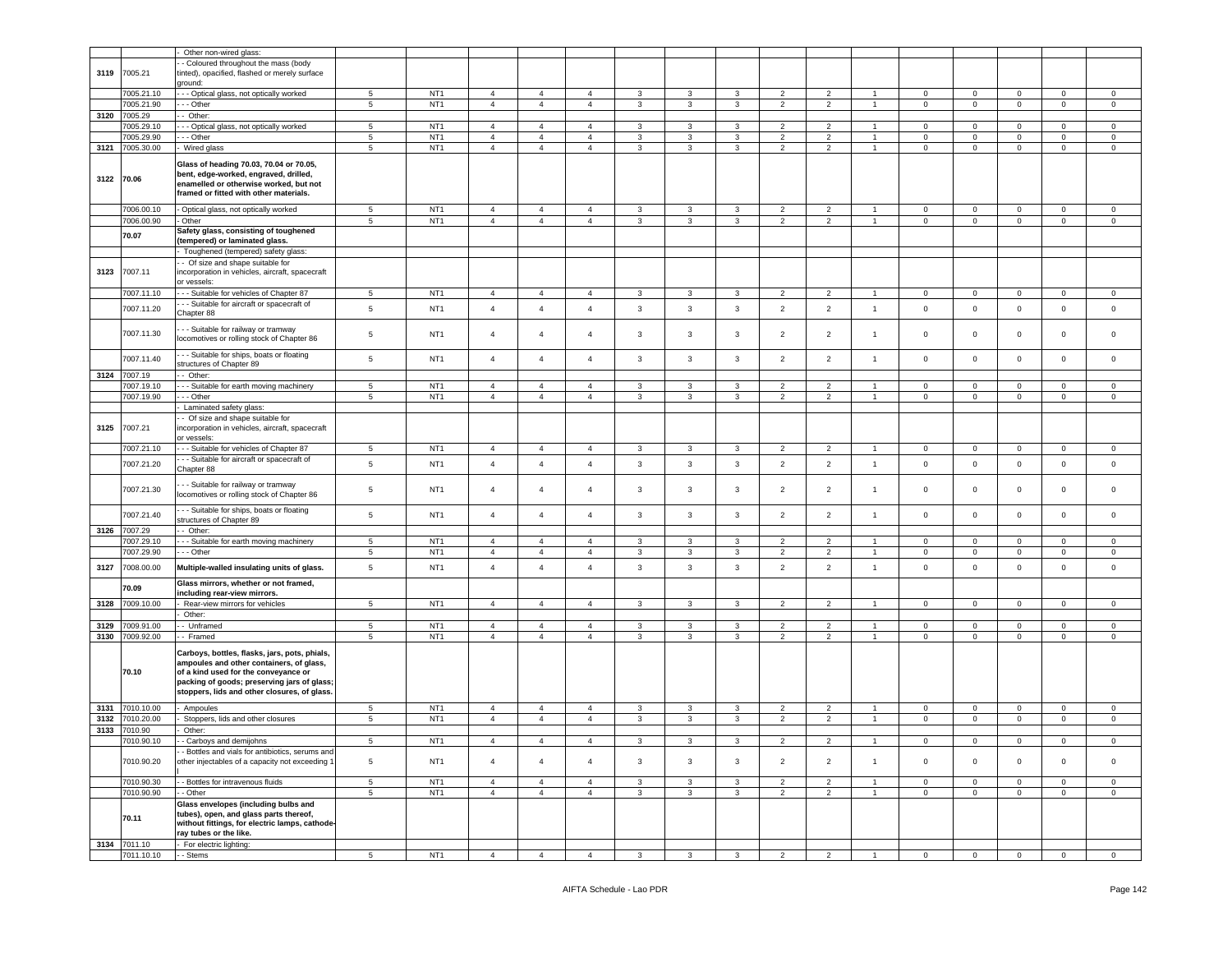|            |                       | Other non-wired glass:                          |                 |                                    |                |                                  |                |                |                   |                |                |                |                |                |                |             |                |                |
|------------|-----------------------|-------------------------------------------------|-----------------|------------------------------------|----------------|----------------------------------|----------------|----------------|-------------------|----------------|----------------|----------------|----------------|----------------|----------------|-------------|----------------|----------------|
|            |                       | Coloured throughout the mass (body              |                 |                                    |                |                                  |                |                |                   |                |                |                |                |                |                |             |                |                |
| 3119       | 7005.21               | inted), opacified, flashed or merely surface    |                 |                                    |                |                                  |                |                |                   |                |                |                |                |                |                |             |                |                |
|            |                       | ground:                                         |                 |                                    |                |                                  |                |                |                   |                |                |                |                |                |                |             |                |                |
|            | 7005.21.10            | - - Optical glass, not optically worked         | 5               | NT <sub>1</sub>                    | $\overline{4}$ | $\overline{4}$                   | 4              | 3              | 3                 | 3              | 2              | $\overline{2}$ |                | $\mathbf 0$    | $\mathbf 0$    | $\mathbf 0$ | 0              | 0              |
|            | 7005.21.90            | - - Other                                       | $5\phantom{.0}$ | NT <sub>1</sub>                    | $\overline{4}$ | $\overline{4}$                   | $\overline{4}$ | $\mathbf{3}$   | $\mathbf{3}$      | $\mathbf{3}$   | $\overline{2}$ | $\overline{2}$ | $\mathbf{1}$   | $\overline{0}$ | $\mathbf 0$    | $\mathbf 0$ | $\mathbf 0$    | $\mathsf 0$    |
| 3120       | 7005.29               | Other:                                          |                 |                                    |                |                                  |                |                |                   |                |                |                |                |                |                |             |                |                |
|            | 005.29.10             | - - Optical glass, not optically worked         | $5\phantom{.0}$ | NT <sub>1</sub>                    | $\overline{4}$ | $\overline{4}$                   | 4              | 3              | 3                 | 3              | $\overline{2}$ | $\overline{2}$ | $\overline{1}$ | $^{\circ}$     | $\mathbf 0$    | $\mathbf 0$ | $\mathbf 0$    | $\mathbf 0$    |
|            | 7005.29.90            | - - Other                                       | $5\phantom{.0}$ | NT <sub>1</sub>                    | $\overline{4}$ | $\overline{4}$                   | $\overline{4}$ | 3              | 3                 | $\mathbf{3}$   | $\overline{2}$ | $\overline{2}$ | $\overline{1}$ | $\mathbf 0$    | $\mathbf 0$    | $\mathbf 0$ | $\mathbf{0}$   | $\circ$        |
| 3121       | 7005.30.00            | Wired glass                                     | $5^{\circ}$     | NT <sub>1</sub>                    | $\overline{4}$ | $\overline{4}$                   | $\overline{4}$ | $\overline{3}$ | $\mathbf{3}$      | $\overline{3}$ | 2              | 2              | $\overline{1}$ | $\mathbf{0}$   | $\circ$        | $\mathbf 0$ | $\mathbf{0}$   | $\mathsf 0$    |
|            |                       | Glass of heading 70.03, 70.04 or 70.05,         |                 |                                    |                |                                  |                |                |                   |                |                |                |                |                |                |             |                |                |
|            |                       | bent, edge-worked, engraved, drilled,           |                 |                                    |                |                                  |                |                |                   |                |                |                |                |                |                |             |                |                |
| 3122 70.06 |                       | enamelled or otherwise worked, but not          |                 |                                    |                |                                  |                |                |                   |                |                |                |                |                |                |             |                |                |
|            |                       | framed or fitted with other materials.          |                 |                                    |                |                                  |                |                |                   |                |                |                |                |                |                |             |                |                |
|            |                       |                                                 |                 |                                    | $\overline{4}$ |                                  |                |                |                   | $\mathbf{3}$   |                |                | $\overline{1}$ |                |                |             |                |                |
|            | 7006.00.10            | Optical glass, not optically worked             | $5\phantom{.0}$ | NT <sub>1</sub><br>NT <sub>1</sub> |                | $\overline{4}$<br>$\overline{4}$ | $\overline{4}$ | 3              | $\mathbf{3}$<br>3 |                | $\overline{2}$ | $\overline{2}$ |                | $\mathbf 0$    | $\mathbf 0$    | $\mathbf 0$ | $\mathsf 0$    | $\mathsf 0$    |
|            | 7006.00.90            | Other<br>Safety glass, consisting of toughened  | 5               |                                    | $\overline{4}$ |                                  | $\overline{4}$ | 3              |                   | 3              | $\overline{c}$ | $\overline{2}$ | $\overline{1}$ | $\mathbf 0$    | $\mathbf 0$    | $\mathbf 0$ | 0              | $\mathbf 0$    |
|            | 70.07                 | tempered) or laminated glass.                   |                 |                                    |                |                                  |                |                |                   |                |                |                |                |                |                |             |                |                |
|            |                       | Toughened (tempered) safety glass:              |                 |                                    |                |                                  |                |                |                   |                |                |                |                |                |                |             |                |                |
|            |                       | - Of size and shape suitable for                |                 |                                    |                |                                  |                |                |                   |                |                |                |                |                |                |             |                |                |
| 3123       | 7007.11               | incorporation in vehicles, aircraft, spacecraft |                 |                                    |                |                                  |                |                |                   |                |                |                |                |                |                |             |                |                |
|            |                       | or vessels:                                     |                 |                                    |                |                                  |                |                |                   |                |                |                |                |                |                |             |                |                |
|            | 7007.11.10            | - - Suitable for vehicles of Chapter 87         | 5               | NT <sub>1</sub>                    | $\overline{4}$ | $\overline{4}$                   | $\overline{4}$ | $\mathbf{3}$   | $\overline{3}$    | $\mathbf{3}$   | $\overline{2}$ | $\overline{2}$ | $\overline{1}$ | $\mathbf{0}$   | $\overline{0}$ | $\mathsf 0$ | $\mathbf{0}$   | $\mathbf 0$    |
|            |                       | - - Suitable for aircraft or spacecraft of      |                 |                                    |                |                                  |                |                |                   |                |                |                |                |                |                |             |                |                |
|            | 7007.11.20            | Chapter 88                                      | $5\phantom{.0}$ | NT <sub>1</sub>                    | $\overline{4}$ | $\overline{4}$                   | $\overline{4}$ | $\mathbf{3}$   | $\overline{3}$    | $\mathbf{3}$   | $\overline{2}$ | $\overline{2}$ | $\mathbf{1}$   | $\mathsf 0$    | $\mathbf 0$    | $\mathbf 0$ | $\mathbf 0$    | $\mathbf 0$    |
|            |                       |                                                 |                 |                                    |                |                                  |                |                |                   |                |                |                |                |                |                |             |                |                |
|            | 7007.11.30            | - - Suitable for railway or tramway             | $\overline{5}$  | NT <sub>1</sub>                    | $\overline{4}$ | 4                                | 4              | 3              | 3                 | 3              | 2              | $\overline{2}$ | $\overline{1}$ | $\mathbf 0$    | 0              | $\mathbf 0$ | 0              | 0              |
|            |                       | locomotives or rolling stock of Chapter 86      |                 |                                    |                |                                  |                |                |                   |                |                |                |                |                |                |             |                |                |
|            | 7007.11.40            | - - Suitable for ships, boats or floating       | $5\phantom{.0}$ | NT <sub>1</sub>                    | $\overline{4}$ | $\overline{4}$                   | $\overline{4}$ | $\mathbf{3}$   | $\mathbf{3}$      | $\mathbf{3}$   | $\overline{2}$ | $\overline{2}$ | $\mathbf{1}$   | $\mathbf 0$    | $\mathbf 0$    | $\mathsf 0$ | $\mathbf 0$    | $\mathbf 0$    |
|            |                       | structures of Chapter 89                        |                 |                                    |                |                                  |                |                |                   |                |                |                |                |                |                |             |                |                |
|            | 3124 7007.19          | - Other:                                        |                 |                                    |                |                                  |                |                |                   |                |                |                |                |                |                |             |                |                |
|            | 7007.19.10            | - - Suitable for earth moving machinery         | 5               | NT <sub>1</sub>                    | $\overline{4}$ | $\overline{4}$                   | $\overline{4}$ | 3              | $\mathbf{3}$      | 3              | $\overline{2}$ | $\overline{2}$ | $\mathbf{1}$   | $\mathbf{0}$   | $\overline{0}$ | $\mathbf 0$ | $\mathbf{0}$   | $\circ$        |
|            | 7007.19.90            | - - Other                                       | $\,$ 5 $\,$     | NT <sub>1</sub>                    | $\overline{4}$ | $\overline{4}$                   | $\overline{4}$ | 3              | 3                 | 3              | $\overline{2}$ | $\overline{2}$ | $\overline{1}$ | $\mathbf 0$    | $\mathbf 0$    | $\mathbf 0$ | 0              | $\mathsf 0$    |
|            |                       | Laminated safety glass:                         |                 |                                    |                |                                  |                |                |                   |                |                |                |                |                |                |             |                |                |
|            |                       | - Of size and shape suitable for                |                 |                                    |                |                                  |                |                |                   |                |                |                |                |                |                |             |                |                |
| 3125       | 7007.21               | ncorporation in vehicles, aircraft, spacecraft  |                 |                                    |                |                                  |                |                |                   |                |                |                |                |                |                |             |                |                |
|            |                       | or vessels:                                     |                 |                                    |                |                                  |                |                |                   |                |                |                |                |                |                |             |                |                |
|            | 7007.21.10            | - - Suitable for vehicles of Chapter 87         | 5               | NT <sub>1</sub>                    | $\overline{4}$ | $\overline{4}$                   | $\overline{4}$ | 3              | 3                 | 3              | $\overline{2}$ | $\overline{2}$ | $\mathbf{1}$   | $\mathbf{0}$   | $\mathbf 0$    | $\mathbf 0$ | $\mathbf{0}$   | $\mathbf 0$    |
|            | 7007.21.20            | - - Suitable for aircraft or spacecraft of      | $5\phantom{.0}$ | NT <sub>1</sub>                    | $\overline{4}$ | $\overline{4}$                   | $\overline{4}$ | $\mathbf{3}$   | $\mathbf{3}$      | $\mathbf{3}$   | $\overline{2}$ | $\overline{2}$ | $\mathbf{1}$   | $\mathbf 0$    | $\mathbf 0$    | $\mathsf 0$ | $\mathbf 0$    | $\circ$        |
|            |                       | Chapter 88                                      |                 |                                    |                |                                  |                |                |                   |                |                |                |                |                |                |             |                |                |
|            | 7007.21.30            | - - Suitable for railway or tramway             | $5\phantom{.0}$ | NT <sub>1</sub>                    | $\overline{4}$ | $\overline{a}$                   | $\overline{4}$ | 3              | $\overline{3}$    | 3              | $\overline{2}$ | $\overline{2}$ | $\overline{1}$ | $\mathsf 0$    | $\mathsf 0$    | $\mathbf 0$ | 0              | $\mathbf 0$    |
|            |                       | locomotives or rolling stock of Chapter 86      |                 |                                    |                |                                  |                |                |                   |                |                |                |                |                |                |             |                |                |
|            |                       | - - Suitable for ships, boats or floating       |                 |                                    |                |                                  |                |                |                   |                |                |                |                |                |                |             |                |                |
|            | 7007.21.40            | structures of Chapter 89                        | $5\phantom{.0}$ | NT <sub>1</sub>                    | $\overline{4}$ | $\overline{4}$                   | $\overline{4}$ | $\mathbf{3}$   | $\mathbf{3}$      | $\mathbf{3}$   | $\overline{2}$ | $\overline{2}$ | $\mathbf{1}$   | $\mathsf 0$    | $\circ$        | $\mathbf 0$ | $\mathsf 0$    | $\mathbf 0$    |
| 3126       | 7007.29               | Other:                                          |                 |                                    |                |                                  |                |                |                   |                |                |                |                |                |                |             |                |                |
|            | 7007.29.10            | - - Suitable for earth moving machinery         | 5               | NT <sub>1</sub>                    | $\overline{4}$ | $\overline{4}$                   | 4              | 3              | $\mathbf{3}$      | 3              | $\overline{2}$ | $\overline{2}$ | $\overline{1}$ | $\mathbf 0$    | $\mathbf 0$    | $\mathbf 0$ | $\mathbf 0$    | $\mathbf 0$    |
|            | 7007.29.90            | - - Other                                       | $5\phantom{.0}$ | NT <sub>1</sub>                    | $\overline{4}$ | $\overline{4}$                   | $\overline{4}$ | $\mathbf{3}$   | $\mathbf{3}$      | $\mathbf{3}$   | $\overline{2}$ | $\overline{2}$ | $\mathbf{1}$   | $\overline{0}$ | $\overline{0}$ | $\mathsf 0$ | $\overline{0}$ | $\mathbf{0}$   |
|            |                       |                                                 |                 |                                    |                |                                  |                |                |                   |                |                |                |                |                |                |             |                |                |
| 3127       | 7008.00.00            | Multiple-walled insulating units of glass.      | $5\phantom{.0}$ | NT <sub>1</sub>                    | $\overline{4}$ | $\overline{4}$                   | $\overline{4}$ | 3              | 3                 | 3              | $\overline{2}$ | $\overline{2}$ | $\mathbf{1}$   | $\mathsf 0$    | $\mathsf 0$    | $\mathbf 0$ | 0              | $\mathbf 0$    |
|            |                       | Glass mirrors, whether or not framed,           |                 |                                    |                |                                  |                |                |                   |                |                |                |                |                |                |             |                |                |
|            | 70.09                 | including rear-view mirrors.                    |                 |                                    |                |                                  |                |                |                   |                |                |                |                |                |                |             |                |                |
| 3128       | 7009.10.00            | Rear-view mirrors for vehicles                  | 5               | NT <sub>1</sub>                    | $\overline{4}$ | $\overline{4}$                   | $\overline{4}$ | $\mathbf{3}$   | $\mathbf{3}$      | 3              | $\overline{2}$ | $\overline{2}$ | $\overline{1}$ | $\mathbf{0}$   | $\overline{0}$ | $\mathbf 0$ | $\mathbf{0}$   | $\mathbf 0$    |
|            |                       | Other:                                          |                 |                                    |                |                                  |                |                |                   |                |                |                |                |                |                |             |                |                |
| 3129       | 7009.91.00            | - Unframed                                      | 5               | NT <sub>1</sub>                    | $\overline{4}$ | $\overline{4}$                   | 4              | 3              | 3                 | 3              | $\overline{2}$ | $\overline{2}$ |                | $\mathbf 0$    | $\mathbf 0$    | $\mathbf 0$ | $\mathbf 0$    | $\mathbf 0$    |
| 3130       | 7009.92.00            | - Framed                                        | 5               | NT <sub>1</sub>                    | $\overline{4}$ | $\overline{4}$                   | $\overline{4}$ | $\mathbf{3}$   | $\mathbf{3}$      | $\mathbf{3}$   | $\overline{2}$ | $\overline{2}$ | $\mathbf{1}$   | $\mathbf 0$    | $\mathbf 0$    | $\mathbf 0$ | $\mathbf 0$    | $\circ$        |
|            |                       | Carboys, bottles, flasks, jars, pots, phials,   |                 |                                    |                |                                  |                |                |                   |                |                |                |                |                |                |             |                |                |
|            |                       | ampoules and other containers, of glass,        |                 |                                    |                |                                  |                |                |                   |                |                |                |                |                |                |             |                |                |
|            | 70.10                 | of a kind used for the conveyance or            |                 |                                    |                |                                  |                |                |                   |                |                |                |                |                |                |             |                |                |
|            |                       | packing of goods; preserving jars of glass;     |                 |                                    |                |                                  |                |                |                   |                |                |                |                |                |                |             |                |                |
|            |                       | stoppers, lids and other closures, of glass.    |                 |                                    |                |                                  |                |                |                   |                |                |                |                |                |                |             |                |                |
|            |                       |                                                 |                 |                                    |                |                                  |                |                |                   |                |                |                |                |                |                |             |                |                |
| 3131       | 7010.10.00            | Ampoules                                        | 5               | NT <sub>1</sub>                    | $\overline{4}$ | $\overline{4}$                   | $\overline{4}$ | 3              | 3                 | 3              | $\overline{2}$ | $\overline{2}$ | $\overline{1}$ | $\mathbf 0$    | $\mathbf 0$    | $\mathbf 0$ | $\mathbf{0}$   | $\circ$        |
| 3132       | 7010.20.00            | Stoppers, lids and other closures               | $5\phantom{.0}$ | NT <sub>1</sub>                    | $\overline{4}$ | $\overline{4}$                   | $\overline{4}$ | 3              | 3                 | 3              | $\overline{2}$ | $\overline{2}$ | $\overline{1}$ | $\pmb{0}$      | $\mathbf 0$    | $\mathbf 0$ | $\mathsf 0$    | $\mathsf 0$    |
| 3133       | 7010.90<br>7010.90.10 | Other:<br>- Carboys and demijohns               | 5.              | NT <sub>1</sub>                    |                |                                  |                |                |                   | $\mathbf{R}$   |                | $\mathcal{P}$  |                |                | $\Omega$       | $\Omega$    |                |                |
|            |                       |                                                 |                 |                                    | $\mathbf{A}$   | $\Delta$                         |                |                |                   |                |                |                |                |                |                |             | $\Omega$       | $\Omega$       |
|            |                       | - Bottles and vials for antibiotics, serums and | 5               | NT <sub>1</sub>                    | $\overline{4}$ | $\overline{4}$                   | $\overline{4}$ | $\mathbf{3}$   | $\mathbf{3}$      | $\mathbf{3}$   | $\overline{2}$ | $\overline{2}$ | $\mathbf{1}$   | $\mathsf 0$    | $\mathbf 0$    | $\mathsf 0$ | $\mathbf 0$    | $\mathbf 0$    |
|            | 7010.90.20            | other injectables of a capacity not exceeding 1 |                 |                                    |                |                                  |                |                |                   |                |                |                |                |                |                |             |                |                |
|            | 7010.90.30            | - Bottles for intravenous fluids                | 5               | NT <sub>1</sub>                    | $\overline{4}$ | $\overline{4}$                   | $\overline{4}$ | 3              | 3                 | 3              | $\overline{2}$ | $\overline{2}$ | $\mathbf{1}$   | $\mathbf{0}$   | $\mathbf{0}$   | $\mathbf 0$ | $\mathbf{0}$   | $\mathbf 0$    |
|            | 7010.90.90            | - Other                                         | 5               | NT <sub>1</sub>                    | $\overline{4}$ | $\overline{4}$                   | $\overline{4}$ | $\mathbf{3}$   | $\mathbf{3}$      | $\mathbf{3}$   | $\overline{2}$ | $\overline{2}$ | 1              | $\mathbf{0}$   | $\overline{0}$ | $\mathsf 0$ | $\mathbf{0}$   | $\mathsf 0$    |
|            |                       | Glass envelopes (including bulbs and            |                 |                                    |                |                                  |                |                |                   |                |                |                |                |                |                |             |                |                |
|            |                       | tubes), open, and glass parts thereof,          |                 |                                    |                |                                  |                |                |                   |                |                |                |                |                |                |             |                |                |
|            | 70.11                 | without fittings, for electric lamps, cathode-  |                 |                                    |                |                                  |                |                |                   |                |                |                |                |                |                |             |                |                |
|            |                       | ray tubes or the like.                          |                 |                                    |                |                                  |                |                |                   |                |                |                |                |                |                |             |                |                |
| 3134       | 7011.10               | For electric lighting:                          |                 |                                    |                |                                  |                |                |                   |                |                |                |                |                |                |             |                |                |
|            | 7011.10.10            | - - Stems                                       | $5\overline{5}$ | NT <sub>1</sub>                    | $\overline{4}$ | $\overline{4}$                   | $\overline{4}$ | $\mathbf{3}$   | $\mathbf{3}$      | $\mathbf{3}$   | $\overline{2}$ | $\overline{2}$ | $\overline{1}$ | $\mathbf{0}$   | $\overline{0}$ | $\mathbf 0$ | $\overline{0}$ | $\overline{0}$ |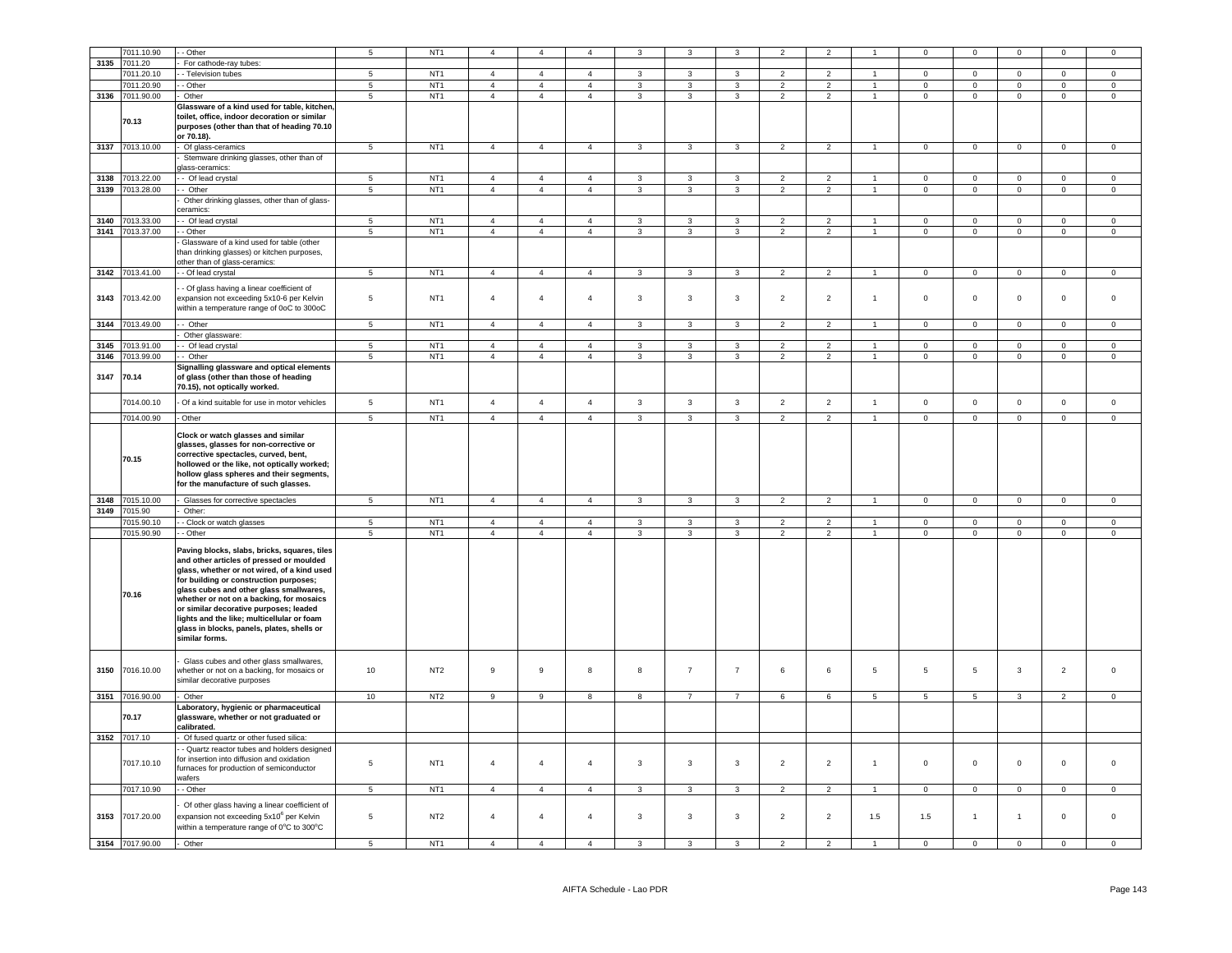|      | 7011.10.90      | - Other                                              | 5               | NT <sub>1</sub> | $\overline{4}$   | $\overline{4}$   | $\overline{4}$ | $\mathbf{3}$   | 3                       | 3                       | $\overline{\phantom{0}}$ | $\overline{\phantom{0}}$ |                      | $\mathbf 0$    | $\mathbf 0$     | $\mathsf 0$         | $\mathbf 0$    | $\Omega$       |
|------|-----------------|------------------------------------------------------|-----------------|-----------------|------------------|------------------|----------------|----------------|-------------------------|-------------------------|--------------------------|--------------------------|----------------------|----------------|-----------------|---------------------|----------------|----------------|
|      |                 |                                                      |                 |                 |                  |                  |                |                |                         |                         |                          |                          |                      |                |                 |                     |                |                |
| 3135 | 7011.20         | For cathode-ray tubes:                               |                 |                 |                  |                  |                |                |                         |                         |                          |                          |                      |                |                 |                     |                |                |
|      | 7011.20.10      | - Television tubes                                   | 5               | NT <sub>1</sub> | $\overline{4}$   | $\overline{4}$   | $\overline{4}$ | 3              | 3                       | 3                       | $\overline{2}$           | $\overline{2}$           | $\overline{1}$       | $\mathbf 0$    | $\mathbf 0$     | $\mathbf 0$         | $\mathbf 0$    | $\mathbf 0$    |
|      | 7011.20.90      | - Other                                              | $\,$ 5 $\,$     | NT <sub>1</sub> | $\overline{4}$   | $\overline{4}$   | $\overline{4}$ | $\mathbf{3}$   | $\mathbf{3}$            | $\mathbf{3}$            | $\overline{2}$           | $\overline{2}$           | $\overline{1}$       | $\mathbf 0$    | $\mathsf 0$     | $\mathsf{O}\xspace$ | $\mathbf 0$    | $\mathbf 0$    |
| 3136 | 7011.90.00      | Other                                                | 5               | NT <sub>1</sub> | $\overline{4}$   | $\overline{4}$   | $\overline{4}$ | 3              | 3                       | 3                       | $\overline{2}$           | $\overline{2}$           | $\overline{1}$       | $\mathbf 0$    | $\overline{0}$  | $\mathbf 0$         | $\mathbf 0$    | $\mathbf 0$    |
|      |                 | Glassware of a kind used for table, kitchen,         |                 |                 |                  |                  |                |                |                         |                         |                          |                          |                      |                |                 |                     |                |                |
|      |                 | toilet, office, indoor decoration or similar         |                 |                 |                  |                  |                |                |                         |                         |                          |                          |                      |                |                 |                     |                |                |
|      | 70.13           | purposes (other than that of heading 70.10           |                 |                 |                  |                  |                |                |                         |                         |                          |                          |                      |                |                 |                     |                |                |
|      |                 | or 70.18).                                           |                 |                 |                  |                  |                |                |                         |                         |                          |                          |                      |                |                 |                     |                |                |
|      | 3137 7013.10.00 |                                                      | 5               | NT <sub>1</sub> | $\overline{4}$   | $\overline{4}$   | $\overline{4}$ | $\mathbf{3}$   | $\mathbf{3}$            | $\mathbf{3}$            | $\overline{2}$           | $\overline{2}$           | $\overline{1}$       | $\mathbf{0}$   | $\mathbf{0}$    | $\mathbf 0$         | $\circ$        | $\mathbf 0$    |
|      |                 | Of glass-ceramics                                    |                 |                 |                  |                  |                |                |                         |                         |                          |                          |                      |                |                 |                     |                |                |
|      |                 | Stemware drinking glasses, other than of             |                 |                 |                  |                  |                |                |                         |                         |                          |                          |                      |                |                 |                     |                |                |
|      |                 | dass-ceramics:                                       |                 |                 |                  |                  |                |                |                         |                         |                          |                          |                      |                |                 |                     |                |                |
| 3138 | 7013.22.00      | - Of lead crystal                                    | $5\overline{5}$ | NT <sub>1</sub> | $\overline{4}$   | $\overline{4}$   | $\overline{4}$ | $\mathbf{3}$   | $\mathbf{3}$            | $\mathbf{3}$            | $\overline{2}$           | $\overline{2}$           | $\blacktriangleleft$ | $\overline{0}$ | $\overline{0}$  | $\overline{0}$      | $\overline{0}$ | $\mathbf 0$    |
|      | 3139 7013.28.00 | - Other                                              | $5\phantom{.0}$ | NT <sub>1</sub> | $\overline{4}$   | $\overline{4}$   | $\overline{4}$ | $\mathbf{3}$   | $\mathbf{3}$            | $\mathbf{3}$            | $\overline{2}$           | $\overline{2}$           | $\mathbf{1}$         | $\mathbf{0}$   | $\overline{0}$  | $\mathbf{0}$        | $\mathbf{0}$   | $\overline{0}$ |
|      |                 | Other drinking glasses, other than of glass-         |                 |                 |                  |                  |                |                |                         |                         |                          |                          |                      |                |                 |                     |                |                |
|      |                 | eramics:                                             |                 |                 |                  |                  |                |                |                         |                         |                          |                          |                      |                |                 |                     |                |                |
|      | 3140 7013.33.00 | - Of lead crystal                                    | $\overline{5}$  | NT <sub>1</sub> | $\overline{4}$   | $\overline{4}$   |                |                | $\mathbf{3}$            |                         | $\overline{2}$           | $\overline{2}$           | $\mathbf{1}$         |                | $\mathbf 0$     | $\overline{0}$      | $\overline{0}$ | $\mathbf 0$    |
|      |                 |                                                      |                 |                 |                  |                  | $\overline{4}$ | $\mathbf{3}$   |                         | $\mathbf{3}$            |                          |                          |                      | $\mathbf 0$    |                 |                     |                |                |
|      | 3141 7013.37.00 | - Other                                              | $\overline{5}$  | NT <sub>1</sub> | $\overline{4}$   | $\overline{4}$   | $\overline{4}$ | $\overline{3}$ | $\overline{\mathbf{3}}$ | $\overline{\mathbf{3}}$ | $\overline{2}$           | $\overline{2}$           | 1                    | $\mathbf{0}$   | $\overline{0}$  | $\overline{0}$      | $\overline{0}$ | $\overline{0}$ |
|      |                 | Glassware of a kind used for table (other            |                 |                 |                  |                  |                |                |                         |                         |                          |                          |                      |                |                 |                     |                |                |
|      |                 | han drinking glasses) or kitchen purposes,           |                 |                 |                  |                  |                |                |                         |                         |                          |                          |                      |                |                 |                     |                |                |
|      |                 | other than of glass-ceramics:                        |                 |                 |                  |                  |                |                |                         |                         |                          |                          |                      |                |                 |                     |                |                |
|      | 3142 7013.41.00 | - Of lead crystal                                    | 5               | NT <sub>1</sub> | $\overline{4}$   | $\overline{4}$   | $\overline{4}$ | 3              | $\mathbf{3}$            | 3                       | $\overline{2}$           | $\overline{2}$           | $\overline{1}$       | $\mathbf 0$    | $\overline{0}$  | $\mathsf 0$         | $\mathbf 0$    | $\mathbf 0$    |
|      |                 |                                                      |                 |                 |                  |                  |                |                |                         |                         |                          |                          |                      |                |                 |                     |                |                |
|      |                 | Of glass having a linear coefficient of              |                 |                 |                  |                  |                |                |                         |                         |                          |                          |                      |                |                 |                     |                |                |
| 3143 | 7013.42.00      | expansion not exceeding 5x10-6 per Kelvin            | $\,$ 5 $\,$     | NT <sub>1</sub> | $\overline{4}$   | $\overline{4}$   | $\overline{4}$ | $\mathbf{3}$   | $\mathbf{3}$            | $\mathbf{3}$            | $\overline{2}$           | $\mathbf 2$              | $\overline{1}$       | $\mathsf 0$    | $\mathbf 0$     | $\mathsf{O}\xspace$ | $\mathbf 0$    | $\mathsf 0$    |
|      |                 | vithin a temperature range of 0oC to 300oC           |                 |                 |                  |                  |                |                |                         |                         |                          |                          |                      |                |                 |                     |                |                |
|      |                 |                                                      |                 |                 |                  |                  |                |                |                         |                         |                          |                          |                      |                |                 |                     |                |                |
| 3144 | 7013.49.00      | - Other                                              | 5               | NT <sub>1</sub> | $\overline{4}$   | $\overline{4}$   | $\overline{4}$ | $\mathbf{3}$   | $\mathbf{3}$            | $\mathbf{3}$            | $\overline{2}$           | $\overline{2}$           | $\overline{1}$       | $\mathbf 0$    | $\Omega$        | $\mathsf 0$         | $\Omega$       | $\Omega$       |
|      |                 | Other glassware:                                     |                 |                 |                  |                  |                |                |                         |                         |                          |                          |                      |                |                 |                     |                |                |
| 3145 | 7013.91.00      | - Of lead crystal                                    | 5               | NT <sub>1</sub> | $\overline{4}$   | $\overline{4}$   | $\overline{4}$ | $\mathbf{3}$   | $\mathbf{3}$            | $\mathbf{3}$            | $\overline{2}$           | $\overline{2}$           |                      | $\mathbf 0$    | $\mathbf 0$     | $\mathsf 0$         | $\mathsf 0$    | $\mathbf 0$    |
| 3146 | 7013.99.00      | - Other                                              | $\overline{5}$  | NT <sub>1</sub> | $\overline{4}$   | $\overline{4}$   | $\overline{4}$ | 3              | 3                       | $\overline{3}$          | $\overline{2}$           | $\overline{2}$           |                      | $\Omega$       | $\mathbf{0}$    | $\mathbf 0$         | $\mathbf 0$    | $\mathbf 0$    |
|      |                 | Signalling glassware and optical elements            |                 |                 |                  |                  |                |                |                         |                         |                          |                          |                      |                |                 |                     |                |                |
| 3147 | 70.14           | of glass (other than those of heading                |                 |                 |                  |                  |                |                |                         |                         |                          |                          |                      |                |                 |                     |                |                |
|      |                 | 70.15), not optically worked.                        |                 |                 |                  |                  |                |                |                         |                         |                          |                          |                      |                |                 |                     |                |                |
|      |                 |                                                      |                 |                 |                  |                  |                |                |                         |                         |                          |                          |                      |                |                 |                     |                |                |
|      | 7014.00.10      | Of a kind suitable for use in motor vehicles         | 5               | NT <sub>1</sub> | $\overline{4}$   | $\overline{4}$   | $\overline{4}$ | $\mathbf{3}$   | $\overline{3}$          | $\overline{3}$          | $\overline{2}$           | $\overline{2}$           | $\overline{1}$       | $\mathbf{0}$   | $\mathbf 0$     | $\mathsf 0$         | $\mathbf 0$    | $\mathbf 0$    |
|      |                 |                                                      |                 |                 |                  |                  |                |                |                         |                         |                          |                          |                      |                |                 |                     |                |                |
|      | 7014.00.90      | Other                                                | $\overline{5}$  | NT <sub>1</sub> | $\overline{4}$   | $\overline{4}$   | $\overline{4}$ | $\overline{3}$ | $\overline{\mathbf{3}}$ | $\overline{3}$          | $\overline{2}$           | $\overline{2}$           | $\overline{1}$       | $\overline{0}$ | $\overline{0}$  | $\overline{0}$      | $\overline{0}$ | $\overline{0}$ |
|      |                 |                                                      |                 |                 |                  |                  |                |                |                         |                         |                          |                          |                      |                |                 |                     |                |                |
|      |                 | Clock or watch glasses and similar                   |                 |                 |                  |                  |                |                |                         |                         |                          |                          |                      |                |                 |                     |                |                |
|      |                 | glasses, glasses for non-corrective or               |                 |                 |                  |                  |                |                |                         |                         |                          |                          |                      |                |                 |                     |                |                |
|      | 70.15           | corrective spectacles, curved, bent,                 |                 |                 |                  |                  |                |                |                         |                         |                          |                          |                      |                |                 |                     |                |                |
|      |                 | hollowed or the like, not optically worked;          |                 |                 |                  |                  |                |                |                         |                         |                          |                          |                      |                |                 |                     |                |                |
|      |                 |                                                      |                 |                 |                  |                  |                |                |                         |                         |                          |                          |                      |                |                 |                     |                |                |
|      |                 |                                                      |                 |                 |                  |                  |                |                |                         |                         |                          |                          |                      |                |                 |                     |                |                |
|      |                 | hollow glass spheres and their segments,             |                 |                 |                  |                  |                |                |                         |                         |                          |                          |                      |                |                 |                     |                |                |
|      |                 | for the manufacture of such glasses.                 |                 |                 |                  |                  |                |                |                         |                         |                          |                          |                      |                |                 |                     |                |                |
|      | 3148 7015.10.00 | Glasses for corrective spectacles                    | $5\overline{5}$ | NT1             | $\overline{4}$   | $\overline{4}$   | $\overline{4}$ | $\mathbf{3}$   | $\mathbf{3}$            | $\mathbf{3}$            | 2                        | $\overline{2}$           | $\overline{1}$       | $\overline{0}$ | $\overline{0}$  | $\overline{0}$      | $\overline{0}$ | $\mathbf{0}$   |
|      | 3149 7015.90    | Other:                                               |                 |                 |                  |                  |                |                |                         |                         |                          |                          |                      |                |                 |                     |                |                |
|      |                 |                                                      |                 |                 |                  |                  |                |                |                         |                         |                          |                          | $\overline{1}$       |                |                 |                     |                |                |
|      | 7015.90.10      | - Clock or watch glasses                             | $5\phantom{.0}$ | NT <sub>1</sub> | $\overline{4}$   | $\overline{4}$   | $\overline{4}$ | $\mathbf{3}$   | $\mathbf{3}$            | $\mathbf{3}$            | $\overline{2}$           | $\overline{2}$           |                      | $\mathbf 0$    | $\mathbf{0}$    | $\mathbf 0$         | $\circ$        | $\mathbf 0$    |
|      | 7015.90.90      | - Other                                              | 5               | NT <sub>1</sub> | $\overline{4}$   | $\overline{4}$   | $\overline{4}$ | $\mathbf{3}$   | $\mathbf{3}$            | 3                       | $\overline{2}$           | $\overline{2}$           | $\overline{1}$       | $\mathbf{0}$   | $\overline{0}$  | $\mathbf{0}$        | $\overline{0}$ | $\overline{0}$ |
|      |                 |                                                      |                 |                 |                  |                  |                |                |                         |                         |                          |                          |                      |                |                 |                     |                |                |
|      |                 | Paving blocks, slabs, bricks, squares, tiles         |                 |                 |                  |                  |                |                |                         |                         |                          |                          |                      |                |                 |                     |                |                |
|      |                 | and other articles of pressed or moulded             |                 |                 |                  |                  |                |                |                         |                         |                          |                          |                      |                |                 |                     |                |                |
|      |                 | glass, whether or not wired, of a kind used          |                 |                 |                  |                  |                |                |                         |                         |                          |                          |                      |                |                 |                     |                |                |
|      |                 | for building or construction purposes;               |                 |                 |                  |                  |                |                |                         |                         |                          |                          |                      |                |                 |                     |                |                |
|      |                 | glass cubes and other glass smallwares,              |                 |                 |                  |                  |                |                |                         |                         |                          |                          |                      |                |                 |                     |                |                |
|      | 70.16           | whether or not on a backing, for mosaics             |                 |                 |                  |                  |                |                |                         |                         |                          |                          |                      |                |                 |                     |                |                |
|      |                 | or similar decorative purposes; leaded               |                 |                 |                  |                  |                |                |                         |                         |                          |                          |                      |                |                 |                     |                |                |
|      |                 | lights and the like; multicellular or foam           |                 |                 |                  |                  |                |                |                         |                         |                          |                          |                      |                |                 |                     |                |                |
|      |                 | glass in blocks, panels, plates, shells or           |                 |                 |                  |                  |                |                |                         |                         |                          |                          |                      |                |                 |                     |                |                |
|      |                 | similar forms.                                       |                 |                 |                  |                  |                |                |                         |                         |                          |                          |                      |                |                 |                     |                |                |
|      |                 |                                                      |                 |                 |                  |                  |                |                |                         |                         |                          |                          |                      |                |                 |                     |                |                |
|      |                 |                                                      |                 |                 |                  |                  |                |                |                         |                         |                          |                          |                      |                |                 |                     |                |                |
|      |                 | Glass cubes and other glass smallwares,              |                 |                 |                  |                  |                |                |                         |                         |                          |                          |                      |                |                 |                     |                |                |
| 3150 | 7016.10.00      | whether or not on a backing, for mosaics or          | 10              | NT <sub>2</sub> | $\boldsymbol{9}$ | $\boldsymbol{9}$ | 8              | 8              | $\overline{7}$          | $\overline{7}$          | 6                        | 6                        | $5\phantom{.0}$      | $\overline{5}$ | 5               | $\mathbf{3}$        | $\overline{2}$ | $\mathsf 0$    |
|      |                 | similar decorative purposes                          |                 |                 |                  |                  |                |                |                         |                         |                          |                          |                      |                |                 |                     |                |                |
|      |                 |                                                      |                 |                 |                  |                  |                |                | $\overline{7}$          |                         |                          |                          |                      |                |                 |                     |                |                |
| 3151 | 7016.90.00      | Other                                                | 10              | NT <sub>2</sub> | $\overline{9}$   | $\mathsf g$      | 8              | 8              |                         | $\overline{7}$          | 6                        | 6                        | 5                    | 5              | $5\phantom{.0}$ | $\mathbf{3}$        | $\overline{2}$ | $\mathbf 0$    |
|      |                 | aboratory, hygienic or pharmaceutical                |                 |                 |                  |                  |                |                |                         |                         |                          |                          |                      |                |                 |                     |                |                |
|      | 70.17           | glassware, whether or not graduated or               |                 |                 |                  |                  |                |                |                         |                         |                          |                          |                      |                |                 |                     |                |                |
|      |                 | calibrated.                                          |                 |                 |                  |                  |                |                |                         |                         |                          |                          |                      |                |                 |                     |                |                |
| 3152 | 7017.10         | Of fused quartz or other fused silica:               |                 |                 |                  |                  |                |                |                         |                         |                          |                          |                      |                |                 |                     |                |                |
|      |                 | - Quartz reactor tubes and holders designed          |                 |                 |                  |                  |                |                |                         |                         |                          |                          |                      |                |                 |                     |                |                |
|      |                 | for insertion into diffusion and oxidation           |                 |                 |                  |                  |                |                |                         |                         |                          |                          |                      |                |                 |                     |                |                |
|      | 7017.10.10      |                                                      | 5               | NT <sub>1</sub> | $\overline{4}$   | $\overline{4}$   | $\overline{4}$ | $\mathbf{3}$   | 3                       | $\mathbf{3}$            | $\overline{2}$           | $\overline{2}$           | $\overline{1}$       | $\mathsf 0$    | $\mathsf 0$     | $\mathsf 0$         | $\mathsf 0$    | $\mathbf 0$    |
|      |                 | urnaces for production of semiconductor              |                 |                 |                  |                  |                |                |                         |                         |                          |                          |                      |                |                 |                     |                |                |
|      |                 | vafers                                               |                 |                 |                  |                  |                |                |                         |                         |                          |                          |                      |                |                 |                     |                |                |
|      | 7017.10.90      | - Other                                              | $5\phantom{.0}$ | NT <sub>1</sub> | $\overline{4}$   | $\overline{4}$   | $\overline{4}$ | $\mathbf{3}$   | $\mathbf{3}$            | $\mathbf{3}$            | $\overline{2}$           | $\overline{2}$           | $\overline{1}$       | $\overline{0}$ | $\overline{0}$  | $\overline{0}$      | $\overline{0}$ | $\overline{0}$ |
|      |                 |                                                      |                 |                 |                  |                  |                |                |                         |                         |                          |                          |                      |                |                 |                     |                |                |
|      |                 | Of other glass having a linear coefficient of        |                 |                 |                  |                  |                |                |                         |                         |                          |                          |                      |                |                 |                     |                |                |
| 3153 | 7017.20.00      | expansion not exceeding 5x10 <sup>6</sup> per Kelvin | 5               | NT <sub>2</sub> | $\overline{4}$   | $\overline{4}$   | $\overline{4}$ | 3              | 3                       | $\mathbf{3}$            | $\overline{2}$           | $\overline{2}$           | 1.5                  | 1.5            | $\overline{1}$  | $\mathbf{1}$        | $\mathbf{0}$   | $\mathsf 0$    |
|      |                 | within a temperature range of 0°C to 300°C           |                 |                 |                  |                  |                |                |                         |                         |                          |                          |                      |                |                 |                     |                |                |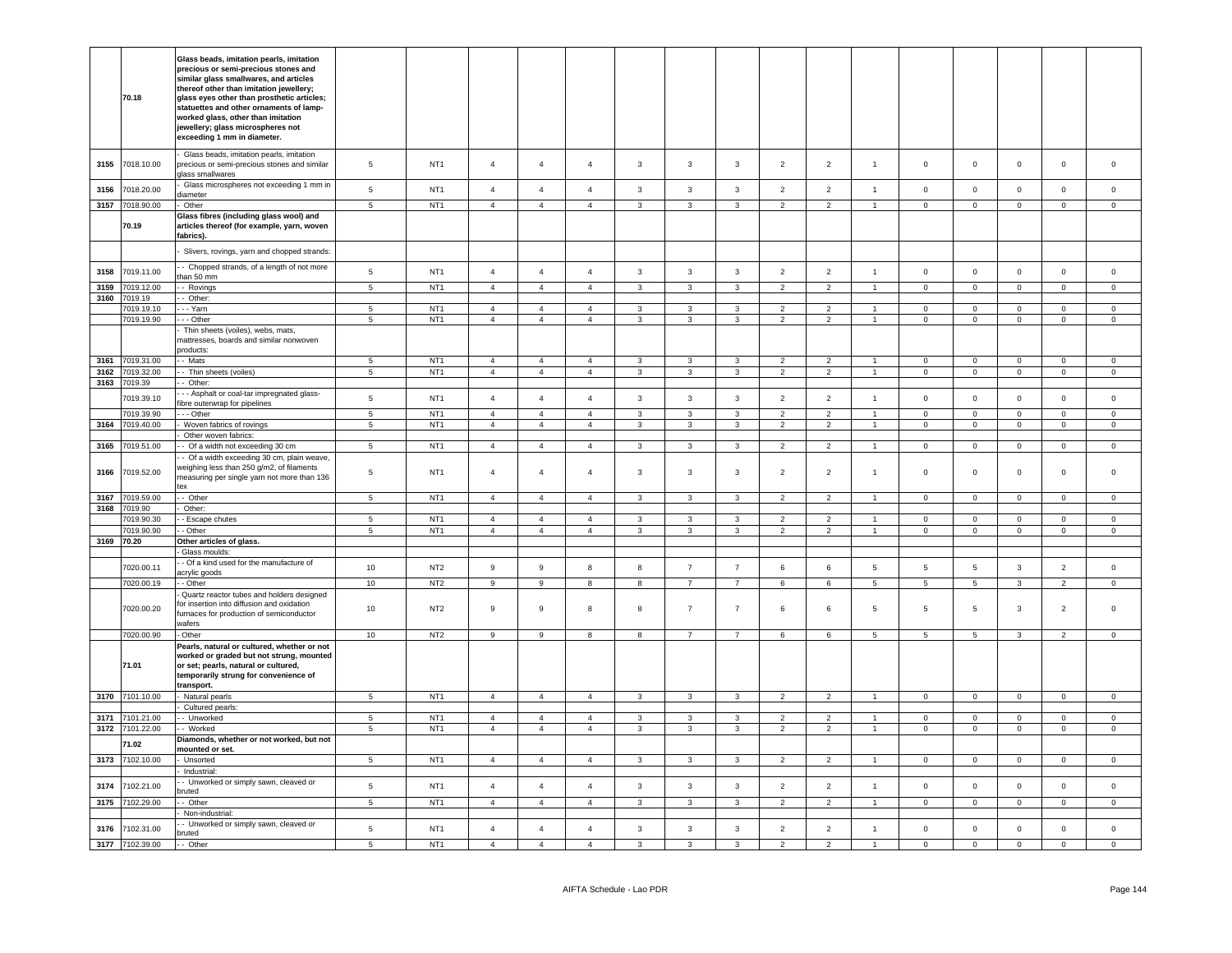|      | 70.18                              | Glass beads, imitation pearls, imitation<br>precious or semi-precious stones and<br>similar glass smallwares, and articles<br>thereof other than imitation jewellery;<br>glass eyes other than prosthetic articles;<br>statuettes and other ornaments of lamp-<br>worked glass, other than imitation<br>jewellery; glass microspheres not<br>exceeding 1 mm in diameter. |                                    |                                    |                                  |                                  |                                  |                              |                                  |                                  |                                  |                                  |                                    |                                    |                                   |                               |                                  |                                |
|------|------------------------------------|--------------------------------------------------------------------------------------------------------------------------------------------------------------------------------------------------------------------------------------------------------------------------------------------------------------------------------------------------------------------------|------------------------------------|------------------------------------|----------------------------------|----------------------------------|----------------------------------|------------------------------|----------------------------------|----------------------------------|----------------------------------|----------------------------------|------------------------------------|------------------------------------|-----------------------------------|-------------------------------|----------------------------------|--------------------------------|
| 3155 | 7018.10.00                         | Glass beads, imitation pearls, imitation<br>precious or semi-precious stones and similar<br>lass smallwares                                                                                                                                                                                                                                                              | 5                                  | NT <sub>1</sub>                    | $\overline{4}$                   | $\overline{4}$                   | $\overline{4}$                   | $\mathbf{3}$                 | $\mathbf{3}$                     | 3                                | $\overline{2}$                   | $\overline{2}$                   | $\overline{1}$                     | $\mathbf 0$                        | $\mathbf 0$                       | $\mathbf 0$                   | $\mathbf 0$                      | $\circ$                        |
| 3156 | 7018.20.00                         | Glass microspheres not exceeding 1 mm in<br>iameter                                                                                                                                                                                                                                                                                                                      | 5                                  | NT <sub>1</sub>                    | $\overline{4}$                   | $\overline{4}$                   | $\overline{4}$                   | $\mathbf{3}$                 | $\mathbf{3}$                     | 3                                | $\overline{2}$                   | $\overline{2}$                   | $\mathbf{1}$                       | $\circ$                            | $\mathbf 0$                       | $\mathbf 0$                   | $\mathbf 0$                      | $\circ$                        |
| 3157 | 7018.90.00                         | Other                                                                                                                                                                                                                                                                                                                                                                    | 5                                  | NT <sub>1</sub>                    | $\overline{4}$                   | $\overline{4}$                   | $\overline{4}$                   | $\mathbf{3}$                 | 3                                | $\mathbf{3}$                     | $\overline{2}$                   | $\overline{2}$                   | $\overline{1}$                     | $\mathbf 0$                        | $\mathbf 0$                       | $\mathbf 0$                   | $\mathsf 0$                      | $\mathsf 0$                    |
|      | 70.19                              | Glass fibres (including glass wool) and<br>articles thereof (for example, yarn, woven<br>fabrics).                                                                                                                                                                                                                                                                       |                                    |                                    |                                  |                                  |                                  |                              |                                  |                                  |                                  |                                  |                                    |                                    |                                   |                               |                                  |                                |
|      |                                    | Slivers, rovings, yarn and chopped strands:                                                                                                                                                                                                                                                                                                                              |                                    |                                    |                                  |                                  |                                  |                              |                                  |                                  |                                  |                                  |                                    |                                    |                                   |                               |                                  |                                |
| 3158 | 7019.11.00                         | - Chopped strands, of a length of not more<br>han 50 mm                                                                                                                                                                                                                                                                                                                  | $\,$ 5 $\,$                        | NT <sub>1</sub>                    | $\overline{4}$                   | $\overline{4}$                   | $\overline{4}$                   | $\mathbf{3}$                 | $\mathbf{3}$                     | $\mathbf{3}$                     | $\overline{2}$                   | $\overline{2}$                   | $\overline{1}$                     | $\mathbf 0$                        | $\mathbf 0$                       | $\mathbf 0$                   | $\mathbf 0$                      | $\mathsf{O}\xspace$            |
| 3159 | 7019.12.00                         | - Rovings                                                                                                                                                                                                                                                                                                                                                                | $\overline{5}$                     | NT <sub>1</sub>                    | $\overline{4}$                   | $\overline{4}$                   | $\overline{4}$                   | $\overline{3}$               | $\overline{3}$                   | $\mathbf{3}$                     | $\overline{2}$                   | $\overline{2}$                   | $\mathbf{1}$                       | $\overline{0}$                     | $\overline{0}$                    | $\overline{0}$                | $\overline{0}$                   | $\overline{0}$                 |
| 3160 | 7019.19<br>7019.19.10              | - Other:<br>- - Yarn                                                                                                                                                                                                                                                                                                                                                     | $\overline{5}$                     | NT1                                | $\overline{4}$                   | $\overline{4}$                   | $\overline{4}$                   |                              | $\mathbf{3}$                     |                                  | $\overline{2}$                   | $\overline{2}$                   |                                    | $\overline{0}$                     | $\mathsf 0$                       | $\overline{0}$                | $\mathbf 0$                      | $\mathbf 0$                    |
|      | 7019.19.90                         | - - Other                                                                                                                                                                                                                                                                                                                                                                | $\overline{5}$                     | NT1                                | $\overline{4}$                   | $\overline{4}$                   | $\overline{4}$                   | $\mathbf{3}$<br>$\mathbf{3}$ | $\overline{3}$                   | $\mathbf{3}$<br>$\mathbf{3}$     | $\overline{2}$                   | $\overline{2}$                   | $\mathbf{1}$<br>1                  | $\mathbf 0$                        | $\overline{0}$                    | $\overline{0}$                | $\overline{0}$                   | $\overline{0}$                 |
|      |                                    | Thin sheets (voiles), webs, mats,<br>nattresses, boards and similar nonwoven<br>roducts:                                                                                                                                                                                                                                                                                 |                                    |                                    |                                  |                                  |                                  |                              |                                  |                                  |                                  |                                  |                                    |                                    |                                   |                               |                                  |                                |
| 3161 | 7019.31.00                         | - Mats                                                                                                                                                                                                                                                                                                                                                                   | $5\phantom{.0}$                    | NT <sub>1</sub>                    | $\overline{4}$                   | $\overline{4}$                   | $\overline{4}$                   | $\mathbf{3}$                 | 3                                | 3                                | $\overline{2}$                   | $\overline{2}$                   |                                    | $\overline{0}$                     | $\mathsf 0$                       | $\mathbf 0$                   | $\mathbf 0$                      | $\mathsf 0$                    |
| 3162 | 7019.32.00                         | - Thin sheets (voiles)                                                                                                                                                                                                                                                                                                                                                   | 5                                  | NT <sub>1</sub>                    | $\overline{4}$                   | $\overline{4}$                   | $\overline{4}$                   | $\mathbf{3}$                 | 3                                | 3                                | $\overline{2}$                   | $\overline{2}$                   | $\overline{1}$                     | $\mathbf 0$                        | $\overline{0}$                    | $\mathbf 0$                   | $\mathsf 0$                      | $\overline{0}$                 |
| 3163 | 7019.39<br>7019.39.10              | - Other:<br>- Asphalt or coal-tar impregnated glass-                                                                                                                                                                                                                                                                                                                     | $\,$ 5 $\,$                        | NT <sub>1</sub>                    | $\overline{4}$                   | $\overline{4}$                   | $\overline{4}$                   | 3                            | $\mathbf{3}$                     | $\mathbf{3}$                     | $\overline{2}$                   | $\overline{2}$                   | $\overline{1}$                     | $\,0\,$                            | $\,0\,$                           | $\mathbf 0$                   | $\mathbf 0$                      | $\mathsf 0$                    |
|      | 7019.39.90                         | fibre outerwrap for pipelines<br>- - Other                                                                                                                                                                                                                                                                                                                               | $\overline{5}$                     | NT <sub>1</sub>                    | $\overline{4}$                   | $\overline{4}$                   | $\mathbf{A}$                     | $\mathbf{3}$                 | $\overline{\mathbf{3}}$          | $\overline{3}$                   | $\overline{2}$                   | $\overline{2}$                   | $\blacktriangleleft$               | $\mathbf 0$                        | $\overline{0}$                    | $\mathsf 0$                   | $\mathbf{0}$                     | $\mathbf 0$                    |
|      | 3164 7019.40.00                    | Woven fabrics of rovings                                                                                                                                                                                                                                                                                                                                                 | $\overline{5}$                     | NT <sub>1</sub>                    | $\overline{4}$                   | $\overline{4}$                   | $\overline{4}$                   | $\overline{\mathbf{3}}$      | $\overline{3}$                   | $\overline{3}$                   | $\overline{2}$                   | $\overline{2}$                   | $\overline{1}$                     | $\overline{0}$                     | $\overline{0}$                    | $\overline{0}$                | $\overline{0}$                   | $\mathbf 0$                    |
|      |                                    | Other woven fabrics:                                                                                                                                                                                                                                                                                                                                                     |                                    |                                    |                                  |                                  |                                  |                              |                                  |                                  |                                  |                                  |                                    |                                    |                                   |                               |                                  |                                |
|      | 3165 7019.51.00                    | - Of a width not exceeding 30 cm                                                                                                                                                                                                                                                                                                                                         | $\overline{5}$                     | NT <sub>1</sub>                    | $\overline{4}$                   | $\overline{4}$                   | $\overline{4}$                   | $\mathbf{3}$                 | $\overline{3}$                   | $\overline{3}$                   | $\overline{2}$                   | $\overline{2}$                   | $\overline{1}$                     | $\circ$                            | $\overline{0}$                    | $\overline{0}$                | $\mathbf{0}$                     | $\mathbf{0}$                   |
| 3166 | 7019.52.00                         | Of a width exceeding 30 cm, plain weave,<br>veighing less than 250 g/m2, of filaments<br>neasuring per single yarn not more than 136<br>tex                                                                                                                                                                                                                              | 5                                  | NT <sub>1</sub>                    | $\overline{4}$                   | $\overline{4}$                   | $\overline{4}$                   | $\mathbf{3}$                 | $\overline{3}$                   | $\mathbf{3}$                     | $\overline{2}$                   | $\overline{2}$                   | $\mathbf{1}$                       | $\mathsf 0$                        | $\mathsf 0$                       | $\mathsf 0$                   | $\mathbf 0$                      | $\mathsf 0$                    |
|      | 3167 7019.59.00                    | - Other                                                                                                                                                                                                                                                                                                                                                                  | $5\overline{5}$                    | NT <sub>1</sub>                    | $\overline{4}$                   | $\overline{4}$                   | $\overline{4}$                   | $\mathbf{3}$                 | $\mathbf{3}$                     | $\mathbf{3}$                     | $\overline{2}$                   | $\overline{2}$                   | $\overline{1}$                     | $\overline{0}$                     | $\overline{0}$                    | $\mathbf 0$                   | $\overline{0}$                   | $\overline{0}$                 |
|      | 3168 7019.90                       | Other:                                                                                                                                                                                                                                                                                                                                                                   |                                    |                                    |                                  |                                  |                                  |                              |                                  |                                  |                                  |                                  |                                    |                                    |                                   |                               |                                  |                                |
|      | 7019.90.30                         | - Escape chutes                                                                                                                                                                                                                                                                                                                                                          | $5\phantom{.0}$                    | NT <sub>1</sub>                    | $\overline{4}$                   | $\overline{4}$                   | $\overline{a}$                   | $\mathbf{3}$                 | 3                                | 3                                | $\overline{2}$                   | $\overline{2}$                   |                                    | $\mathbf 0$                        | $\mathsf 0$                       | $\mathbf 0$                   | 0                                | $\mathbf 0$                    |
|      | 7019.90.90                         | - Other                                                                                                                                                                                                                                                                                                                                                                  | 5                                  | NT <sub>1</sub>                    | $\overline{4}$                   | $\overline{4}$                   | $\overline{4}$                   | $\mathbf{3}$                 | $\mathbf{3}$                     | $\mathbf{3}$                     | $\overline{2}$                   | $\overline{2}$                   | $\overline{1}$                     | $\circ$                            | $\circ$                           | $\mathbf 0$                   | $\mathbf{0}$                     | $\overline{0}$                 |
|      | 3169 70.20                         | Other articles of glass.                                                                                                                                                                                                                                                                                                                                                 |                                    |                                    |                                  |                                  |                                  |                              |                                  |                                  |                                  |                                  |                                    |                                    |                                   |                               |                                  |                                |
|      |                                    | Glass moulds:<br>- Of a kind used for the manufacture of                                                                                                                                                                                                                                                                                                                 |                                    |                                    |                                  |                                  |                                  |                              |                                  |                                  |                                  |                                  |                                    |                                    |                                   |                               |                                  |                                |
|      | 7020.00.11<br>7020.00.19           | acrylic goods<br>- Other                                                                                                                                                                                                                                                                                                                                                 | 10<br>10                           | NT <sub>2</sub><br>NT <sub>2</sub> | 9<br>$\overline{9}$              | 9<br>$\overline{9}$              | 8<br>$\bf8$                      | 8<br>$\overline{\mathbf{8}}$ | $\overline{7}$<br>$\overline{7}$ | $\overline{7}$<br>$\overline{7}$ | 6<br>$\,6\,$                     | 6<br>6                           | $5\phantom{.0}$<br>$5\phantom{.0}$ | $5\overline{5}$<br>$5\phantom{.0}$ | $5\overline{)}$<br>$\overline{5}$ | $\mathbf{3}$<br>$\mathbf{3}$  | $\overline{2}$<br>$\overline{2}$ | $\mathsf 0$<br>$\mathsf 0$     |
|      | 7020.00.20                         | Quartz reactor tubes and holders designed<br>for insertion into diffusion and oxidation<br>urnaces for production of semiconductor<br>wafers                                                                                                                                                                                                                             | 10                                 | NT <sub>2</sub>                    | 9                                | $\mathsf g$                      | 8                                | 8                            | $\overline{7}$                   | $\overline{7}$                   | 6                                | 6                                | $5\phantom{.0}$                    | 5                                  | 5                                 | $\mathbf{3}$                  | $\overline{2}$                   | $\mathsf 0$                    |
|      | 7020.00.90                         | - Other                                                                                                                                                                                                                                                                                                                                                                  | 10                                 | NT <sub>2</sub>                    | 9                                | 9                                | 8                                | 8                            | $\overline{7}$                   | $\overline{7}$                   | 6                                | 6                                | $5\overline{5}$                    | $5\overline{5}$                    | $5\phantom{.0}$                   | 3                             | $\overline{2}$                   | $\overline{0}$                 |
|      | 71.01                              | Pearls, natural or cultured, whether or not<br>worked or graded but not strung, mounted<br>or set; pearls, natural or cultured,<br>temporarily strung for convenience of<br>transport.                                                                                                                                                                                   |                                    |                                    |                                  |                                  |                                  |                              |                                  |                                  |                                  |                                  |                                    |                                    |                                   |                               |                                  |                                |
|      | 3170 7101.10.00                    | - Natural pearls                                                                                                                                                                                                                                                                                                                                                         | $5\overline{5}$                    | NT <sub>1</sub>                    | $\overline{4}$                   | $\overline{4}$                   | $\overline{4}$                   | $\overline{3}$               | $\mathbf{3}$                     | $\mathbf{3}$                     | $\overline{2}$                   | $\overline{2}$                   | $\overline{1}$                     | $\overline{0}$                     | $\overline{0}$                    | $\overline{0}$                | $\overline{0}$                   | $\overline{0}$                 |
|      |                                    | Cultured pearls:                                                                                                                                                                                                                                                                                                                                                         |                                    |                                    |                                  |                                  |                                  |                              |                                  |                                  |                                  |                                  | $\blacktriangleleft$               |                                    |                                   |                               |                                  |                                |
|      | 3171 7101.21.00<br>3172 7101.22.00 | - Unworked<br>- Worked                                                                                                                                                                                                                                                                                                                                                   | $5\overline{5}$<br>$5\phantom{.0}$ | NT <sub>1</sub><br>NT <sub>1</sub> | $\overline{4}$<br>$\overline{4}$ | $\overline{4}$<br>$\overline{4}$ | $\overline{4}$<br>$\overline{4}$ | $\mathbf{3}$<br>$\mathbf{3}$ | 3<br>3                           | $\mathbf{3}$<br>$\mathbf{3}$     | $\overline{2}$<br>$\overline{2}$ | $\overline{2}$<br>$\overline{2}$ | $\overline{1}$                     | $\overline{0}$<br>$\overline{0}$   | $\overline{0}$<br>$\overline{0}$  | $\overline{0}$<br>$\mathbf 0$ | $\mathbf 0$<br>$\overline{0}$    | $\mathbf{0}$<br>$\overline{0}$ |
|      | 71.02                              | Diamonds, whether or not worked, but not<br>mounted or set.                                                                                                                                                                                                                                                                                                              |                                    |                                    |                                  |                                  |                                  |                              |                                  |                                  |                                  |                                  |                                    |                                    |                                   |                               |                                  |                                |
|      | 3173 7102.10.00                    | Unsorted                                                                                                                                                                                                                                                                                                                                                                 | $\overline{5}$                     | NT <sub>1</sub>                    | $\overline{4}$                   | $\overline{4}$                   | $\overline{4}$                   | $\mathbf{3}$                 | $\mathbf{3}$                     | $\mathbf{3}$                     | $\overline{2}$                   | $\overline{2}$                   | $\overline{1}$                     | $\overline{0}$                     | $\overline{0}$                    | $\overline{0}$                | $\mathbf{0}$                     | $\mathsf 0$                    |
| 3174 | 7102.21.00                         | Industrial:<br>- Unworked or simply sawn, cleaved or                                                                                                                                                                                                                                                                                                                     | 5                                  | NT <sub>1</sub>                    | $\overline{4}$                   | $\overline{4}$                   | $\overline{4}$                   | $\mathbf{3}$                 | $\mathbf{3}$                     | $\mathbf{3}$                     | $\overline{2}$                   | $\overline{2}$                   | $\mathbf{1}$                       | $\mathbf 0$                        | $\circ$                           | $\mathbf 0$                   | $\mathbf 0$                      | $\mathsf 0$                    |
|      |                                    | pruted                                                                                                                                                                                                                                                                                                                                                                   |                                    |                                    |                                  |                                  |                                  |                              |                                  |                                  |                                  |                                  |                                    |                                    |                                   |                               |                                  |                                |
| 3175 | 7102.29.00                         | - Other<br>Non-industrial:                                                                                                                                                                                                                                                                                                                                               | 5                                  | NT <sub>1</sub>                    | $\overline{4}$                   | $\overline{4}$                   | $\overline{4}$                   | $\mathbf{3}$                 | 3                                | $\overline{3}$                   | $\overline{2}$                   | 2                                |                                    | $\mathsf 0$                        | $\circ$                           | $\mathsf 0$                   | 0                                | $\mathbf 0$                    |
| 3176 | 7102.31.00                         | Unworked or simply sawn, cleaved or<br>bruted                                                                                                                                                                                                                                                                                                                            | 5                                  | NT <sub>1</sub>                    | $\overline{4}$                   | $\overline{4}$                   | $\overline{4}$                   | 3                            | 3                                | 3                                | $\overline{2}$                   | $\overline{2}$                   | $\mathbf{1}$                       | $\circ$                            | $\mathbf 0$                       | $\mathbf 0$                   | $\mathbf 0$                      | $\mathbf 0$                    |
|      | 3177 7102.39.00                    | -- Other                                                                                                                                                                                                                                                                                                                                                                 | $\overline{5}$                     | NT <sub>1</sub>                    | $\overline{A}$                   | $\overline{4}$                   | $\overline{A}$                   | $\mathbf{3}$                 | $\overline{3}$                   | ্ব                               | $\mathcal{L}$                    | $\overline{2}$                   | $\blacktriangleleft$               | $\overline{0}$                     | $\overline{0}$                    | $\overline{0}$                | $\Omega$                         | $\Omega$                       |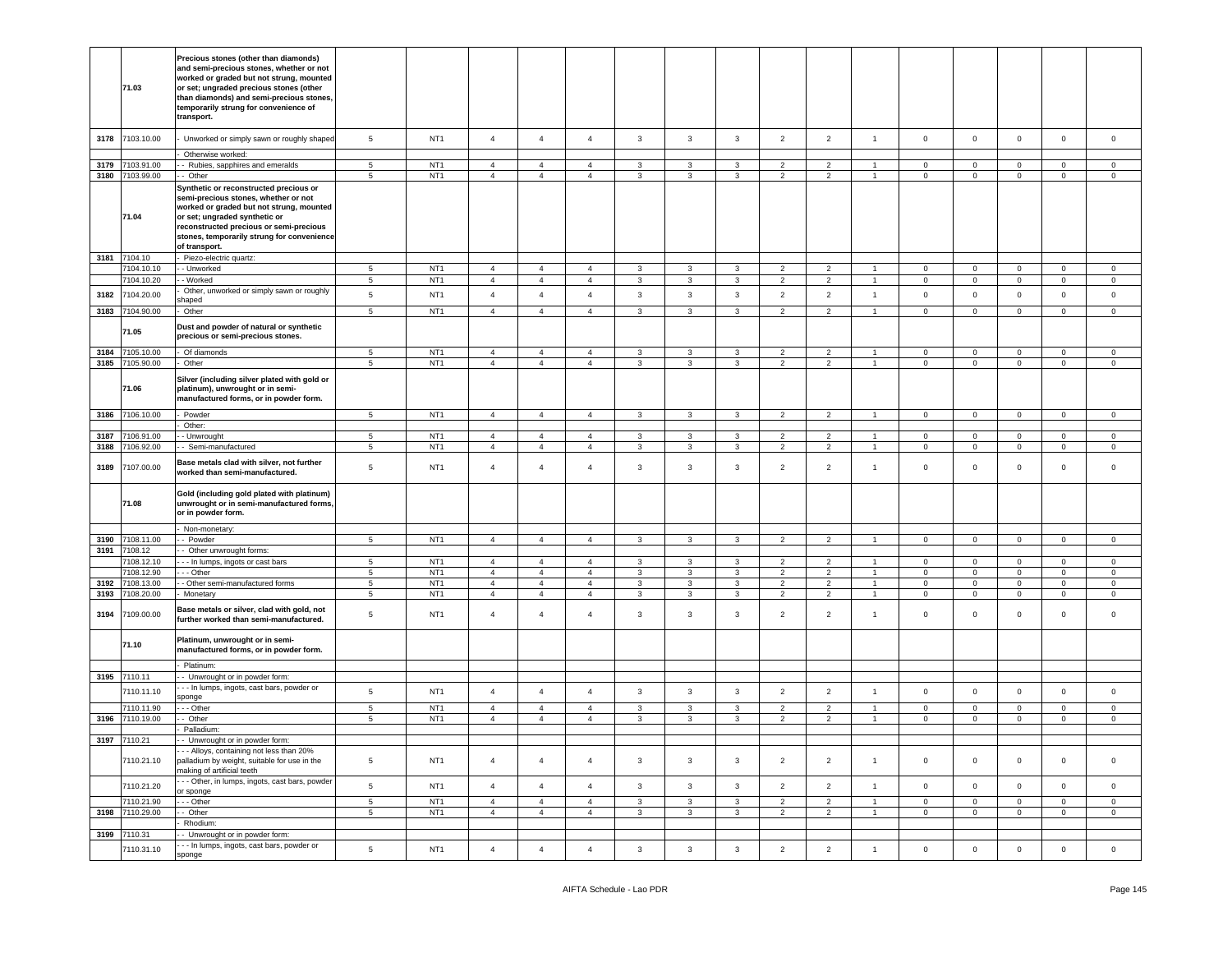|      | 71.03                              | Precious stones (other than diamonds)<br>and semi-precious stones, whether or not<br>worked or graded but not strung, mounted<br>or set; ungraded precious stones (other<br>than diamonds) and semi-precious stones,<br>temporarily strung for convenience of<br>transport. |                 |                 |                                  |                |                                  |                              |                              |                              |                |                                  |                                  |                         |                                |                     |                            |                |
|------|------------------------------------|-----------------------------------------------------------------------------------------------------------------------------------------------------------------------------------------------------------------------------------------------------------------------------|-----------------|-----------------|----------------------------------|----------------|----------------------------------|------------------------------|------------------------------|------------------------------|----------------|----------------------------------|----------------------------------|-------------------------|--------------------------------|---------------------|----------------------------|----------------|
| 3178 | 7103.10.00                         | Unworked or simply sawn or roughly shaped                                                                                                                                                                                                                                   | 5               | NT <sub>1</sub> | $\overline{4}$                   | $\overline{4}$ | $\overline{4}$                   | $\mathbf{3}$                 | $\mathbf{3}$                 | $\mathbf{3}$                 | $\overline{2}$ | $\overline{2}$                   | $\mathbf{1}$                     | $\mathsf 0$             | $\mathbf 0$                    | $\mathsf{O}\xspace$ | $\mathbf 0$                | $\mathbf 0$    |
|      |                                    | Otherwise worked:                                                                                                                                                                                                                                                           | 5 <sup>1</sup>  | NT <sub>1</sub> |                                  | $\overline{4}$ |                                  |                              |                              |                              | $\overline{2}$ |                                  |                                  |                         |                                | $\Omega$            |                            | $\Omega$       |
|      | 3179 7103.91.00<br>3180 7103.99.00 | - Rubies, sapphires and emeralds<br>- Other                                                                                                                                                                                                                                 | 5               | NT <sub>1</sub> | $\overline{4}$<br>$\overline{4}$ | $\overline{4}$ | $\overline{4}$<br>$\overline{4}$ | $\mathbf{3}$<br>$\mathbf{3}$ | $\mathbf{3}$<br>$\mathbf{3}$ | $\mathbf{3}$<br>$\mathbf{3}$ | $\overline{2}$ | $\overline{2}$<br>$\overline{2}$ | $\mathbf{1}$<br>$\mathbf{1}$     | $\Omega$<br>$\mathbf 0$ | $\mathbf{0}$<br>$\overline{0}$ | $\mathsf{O}\xspace$ | $\mathbf 0$<br>$\mathbf 0$ | $\mathsf 0$    |
|      | 71.04                              | Synthetic or reconstructed precious or<br>semi-precious stones, whether or not<br>worked or graded but not strung, mounted<br>or set; ungraded synthetic or<br>reconstructed precious or semi-precious<br>stones, temporarily strung for convenience<br>of transport.       |                 |                 |                                  |                |                                  |                              |                              |                              |                |                                  |                                  |                         |                                |                     |                            |                |
|      | 3181 7104.10                       | Piezo-electric quartz:                                                                                                                                                                                                                                                      |                 |                 |                                  |                |                                  |                              |                              |                              |                |                                  |                                  |                         |                                |                     |                            |                |
|      | 7104.10.10                         | - Unworked                                                                                                                                                                                                                                                                  | 5               | NT <sub>1</sub> | $\overline{4}$                   | $\overline{4}$ | $\overline{4}$                   | $\mathbf{3}$                 | $\mathbf{3}$                 | 3                            | $\overline{2}$ | $\overline{2}$                   | $\mathbf{1}$                     | $^{\circ}$              | $\mathbf{0}$                   | $\mathbf{0}$        | $\circ$                    | $\mathbf 0$    |
|      | 7104.10.20                         | - Worked                                                                                                                                                                                                                                                                    | $5\phantom{.0}$ | NT <sub>1</sub> | $\overline{4}$                   | $\overline{4}$ | $\overline{4}$                   | $\mathbf{3}$                 | $\overline{3}$               | $\mathbf{3}$                 | $\overline{2}$ | $\overline{2}$                   | $\mathbf{1}$                     | $\overline{0}$          | $\overline{0}$                 | $\mathsf 0$         | $\mathbf 0$                | $\overline{0}$ |
| 3182 | 7104.20.00                         | Other, unworked or simply sawn or roughly<br>haped                                                                                                                                                                                                                          | 5               | NT <sub>1</sub> | $\overline{4}$                   | $\overline{4}$ | $\overline{4}$                   | $\mathbf{3}$                 | $\mathbf{3}$                 | $\mathbf{3}$                 | $\overline{2}$ | $\overline{2}$                   | $\mathbf{1}$                     | $\mathsf 0$             | $\mathsf 0$                    | $\mathbf 0$         | $\mathbf 0$                | $\mathsf 0$    |
| 3183 | 7104.90.00                         | Other                                                                                                                                                                                                                                                                       | $\,$ 5 $\,$     | NT <sub>1</sub> | $\overline{4}$                   | $\overline{4}$ | $\overline{4}$                   | $\mathbf{3}$                 | $\mathbf{3}$                 | $\mathbf{3}$                 | $\overline{2}$ | $\overline{2}$                   | $\overline{1}$                   | $\mathsf{O}\xspace$     | $\mathsf 0$                    | $\mathsf 0$         | $\mathbf 0$                | $\mathbf 0$    |
|      | 71.05                              | Dust and powder of natural or synthetic<br>precious or semi-precious stones.                                                                                                                                                                                                |                 |                 |                                  |                |                                  |                              |                              |                              |                |                                  |                                  |                         |                                |                     |                            |                |
|      | 3184 7105.10.00                    | Of diamonds                                                                                                                                                                                                                                                                 | 5<br>5          | NT <sub>1</sub> | $\overline{4}$                   | $\overline{4}$ | $\overline{4}$<br>$\overline{4}$ | $\mathbf{3}$                 | $\mathbf{3}$                 | $\mathbf{3}$                 | $\overline{2}$ | $\overline{2}$                   | $\overline{1}$<br>$\overline{1}$ | $\mathsf 0$<br>$\Omega$ | $\mathsf 0$                    | $\mathbf 0$         | $\mathsf 0$                | $\mathsf 0$    |
|      | 3185 7105.90.00<br>71.06           | Other<br>Silver (including silver plated with gold or<br>platinum), unwrought or in semi-<br>manufactured forms, or in powder form.                                                                                                                                         |                 | NT <sub>1</sub> | $\overline{4}$                   | $\overline{4}$ |                                  | $\mathbf{3}$                 | $\mathbf{3}$                 | $\mathbf{3}$                 | $\overline{2}$ | $\overline{2}$                   |                                  |                         | $\mathbf 0$                    | $\mathsf 0$         | $\pmb{0}$                  | $\mathbf 0$    |
|      | 3186 7106.10.00                    | Powder                                                                                                                                                                                                                                                                      | 5               | NT <sub>1</sub> | $\overline{4}$                   | $\overline{4}$ | $\overline{4}$                   | $\mathbf{3}$                 | $\mathbf{3}$                 | $\mathbf{3}$                 | $\overline{2}$ | $\overline{2}$                   | $\overline{1}$                   | $\mathbf{0}$            | $\circ$                        | $\circ$             | $\mathbf 0$                | $\mathbf 0$    |
|      |                                    | Other:                                                                                                                                                                                                                                                                      |                 |                 |                                  |                |                                  |                              |                              |                              |                |                                  |                                  |                         |                                |                     |                            |                |
| 3187 | 106.91.00                          | - Unwrought                                                                                                                                                                                                                                                                 | 5               | NT <sub>1</sub> | $\overline{4}$                   | $\overline{4}$ | $\overline{4}$                   | $\mathbf{3}$                 | $\mathbf{3}$                 | 3                            | $\overline{2}$ | 2                                | $\overline{1}$                   | $\mathbf 0$             | $\mathbf 0$                    | $\mathsf 0$         | $\pmb{0}$                  | $\mathsf 0$    |
| 3188 | 7106.92.00                         | Semi-manufactured                                                                                                                                                                                                                                                           | $5\phantom{.0}$ | NT <sub>1</sub> | $\overline{4}$                   | $\overline{4}$ | $\overline{4}$                   | $\mathbf{3}$                 | $\mathbf{3}$                 | $\mathbf{3}$                 | $\overline{2}$ | $\overline{2}$                   | $\mathbf{1}$                     | $\mathsf 0$             | $\mathsf{O}\xspace$            | $\mathsf 0$         | $\mathbf 0$                | $\mathbb O$    |
| 3189 | 7107.00.00                         | Base metals clad with silver, not further<br>worked than semi-manufactured.                                                                                                                                                                                                 | $5\phantom{.0}$ | NT <sub>1</sub> | $\overline{4}$                   | $\overline{4}$ | $\overline{4}$                   | $\mathbf{3}$                 | $\mathbf{3}$                 | $\mathbf{3}$                 | $\overline{2}$ | $\overline{2}$                   | $\overline{1}$                   | $\mathsf 0$             | $\mathbf 0$                    | $\mathsf 0$         | $\mathbf 0$                | $\mathbf 0$    |
|      | 71.08                              | Gold (including gold plated with platinum)<br>unwrought or in semi-manufactured forms,<br>or in powder form.                                                                                                                                                                |                 |                 |                                  |                |                                  |                              |                              |                              |                |                                  |                                  |                         |                                |                     |                            |                |
|      |                                    | Non-monetary:                                                                                                                                                                                                                                                               |                 |                 |                                  |                |                                  |                              |                              |                              |                |                                  |                                  |                         |                                |                     |                            |                |
| 3190 | 7108.11.00                         | - Powder                                                                                                                                                                                                                                                                    | 5               | NT <sub>1</sub> | $\overline{4}$                   | $\overline{4}$ | $\overline{4}$                   | $\mathbf{3}$                 | $\mathbf{3}$                 | $\mathbf{3}$                 | $\overline{2}$ | $\overline{2}$                   | $\overline{1}$                   | $\mathbf 0$             | $\mathsf 0$                    | $\mathsf 0$         | $\mathbf 0$                | $\mathbb O$    |
|      | 3191 7108.12<br>108.12.10          | - Other unwrought forms:<br>- - In lumps, ingots or cast bars                                                                                                                                                                                                               | 5               | NT <sub>1</sub> | $\overline{4}$                   | $\overline{4}$ | $\overline{4}$                   | $\mathbf{3}$                 | $\mathbf{3}$                 | 3                            | $\overline{2}$ | $\overline{2}$                   |                                  | $\mathbf 0$             | $\mathbf 0$                    | $\mathsf 0$         | $\mathbf 0$                | $\,0\,$        |
|      | 108.12.90                          | - - Other                                                                                                                                                                                                                                                                   | $\,$ 5 $\,$     | NT <sub>1</sub> | $\overline{4}$                   | $\overline{4}$ | $\overline{4}$                   | $\mathbf{3}$                 | $\mathbf{3}$                 | $\mathbf{3}$                 | $\overline{2}$ | $\overline{2}$                   | $\overline{1}$                   | $\mathbf 0$             | $\mathbf 0$                    | $\mathsf 0$         | $\mathbf 0$                | $\,0\,$        |
| 3192 | 7108.13.00                         | - Other semi-manufactured forms                                                                                                                                                                                                                                             | $\overline{5}$  | NT <sub>1</sub> | $\overline{4}$                   | $\overline{4}$ | $\overline{4}$                   | $\mathbf{3}$                 | $\mathbf{3}$                 | $\mathbf{3}$                 | $\overline{2}$ | $\overline{2}$                   | $\overline{1}$                   | $\mathbf 0$             | $\mathbf 0$                    | $\mathbf 0$         | $\mathbf 0$                | $\mathsf{O}$   |
| 3193 | 7108.20.00                         | Monetary                                                                                                                                                                                                                                                                    | $\,$ 5 $\,$     | NT <sub>1</sub> | $\sqrt{4}$                       | $\overline{4}$ | $\overline{4}$                   | $\mathbf{3}$                 | $\mathbf{3}$                 | $\mathbf{3}$                 | $\overline{2}$ | $\overline{2}$                   | $\overline{1}$                   | $\mathbf 0$             | $\mathsf{O}\xspace$            | $\mathsf 0$         | $\pmb{0}$                  | $\mathbf 0$    |
| 3194 | 7109.00.00                         | Base metals or silver, clad with gold, not<br>further worked than semi-manufactured.                                                                                                                                                                                        | $\,$ 5 $\,$     | NT <sub>1</sub> | $\overline{4}$                   | $\overline{4}$ | $\overline{4}$                   | $\mathbf{3}$                 | $\mathbf{3}$                 | $\mathbf{3}$                 | $\overline{2}$ | $\overline{2}$                   | $\overline{1}$                   | $\mathsf 0$             | $\mathsf 0$                    | $\mathsf 0$         | $\mathbf 0$                | $\mathbf 0$    |
|      | 71.10                              | Platinum, unwrought or in semi-<br>manufactured forms, or in powder form.                                                                                                                                                                                                   |                 |                 |                                  |                |                                  |                              |                              |                              |                |                                  |                                  |                         |                                |                     |                            |                |
|      |                                    | Platinum:                                                                                                                                                                                                                                                                   |                 |                 |                                  |                |                                  |                              |                              |                              |                |                                  |                                  |                         |                                |                     |                            |                |
|      | 3195 7110.11                       | - Unwrought or in powder form:<br>- - In lumps, ingots, cast bars, powder or                                                                                                                                                                                                |                 |                 |                                  |                |                                  |                              |                              |                              |                |                                  |                                  |                         |                                |                     |                            |                |
|      | 7110.11.10                         | sponge                                                                                                                                                                                                                                                                      | $\,$ 5 $\,$     | NT <sub>1</sub> | $\overline{4}$                   | $\overline{4}$ | $\overline{4}$                   | $\mathbf{3}$                 | $\mathbf{3}$                 | $\mathbf{3}$                 | $\overline{2}$ | $\overline{2}$                   | $\mathbf{1}$                     | $\mathsf 0$             | $\mathsf 0$                    | $\mathsf 0$         | $\mathbf 0$                | $\,0\,$        |
|      | 7110.11.90                         | - - Other                                                                                                                                                                                                                                                                   | $5\phantom{.0}$ | NT <sub>1</sub> | $\overline{4}$                   | $\overline{4}$ | $\overline{4}$                   | $\mathbf{3}$                 | $\mathbf{3}$                 | $\mathbf{3}$                 | $\overline{2}$ | $\overline{2}$                   | $\overline{1}$                   | $\circ$                 | $\mathbf{0}$                   | $\mathsf 0$         | $\mathbf 0$                | $\mathsf 0$    |
| 3196 | 7110.19.00                         | - Other                                                                                                                                                                                                                                                                     | $5\phantom{.0}$ | NT <sub>1</sub> | $\overline{4}$                   | $\overline{4}$ | $\mathbf{A}$                     | $\mathbf{3}$                 | 3                            | $\mathbf{3}$                 | $\overline{2}$ | $\overline{2}$                   | $\overline{1}$                   | $\Omega$                | $\mathbf 0$                    | $\mathbf 0$         | $\mathbf 0$                | $\mathbf 0$    |
|      |                                    | Palladium:                                                                                                                                                                                                                                                                  |                 |                 |                                  |                |                                  |                              |                              |                              |                |                                  |                                  |                         |                                |                     |                            |                |
|      | 3197 7110.21                       | Unwrought or in powder form:                                                                                                                                                                                                                                                |                 |                 |                                  |                |                                  |                              |                              |                              |                |                                  |                                  |                         |                                |                     |                            |                |
|      | 7110.21.10                         | - - Alloys, containing not less than 20%<br>palladium by weight, suitable for use in the<br>making of artificial teeth                                                                                                                                                      | 5               | NT <sub>1</sub> | $\overline{4}$                   | $\overline{4}$ | $\overline{4}$                   | $\mathbf{3}$                 | $\mathbf{3}$                 | 3                            | $\overline{2}$ | $\overline{2}$                   | $\overline{1}$                   | $\mathsf 0$             | $\mathsf 0$                    | $\mathsf 0$         | $\mathbf 0$                | $\mathbf 0$    |
|      | 7110.21.20                         | - - Other, in lumps, ingots, cast bars, powder<br>or sponge                                                                                                                                                                                                                 | 5               | NT <sub>1</sub> | $\overline{4}$                   | $\overline{4}$ | $\overline{4}$                   | $\mathbf{3}$                 | $\mathbf{3}$                 | $\mathbf{3}$                 | $\overline{2}$ | $\overline{2}$                   | $\overline{1}$                   | $\mathsf 0$             | $\Omega$                       | $\mathbf 0$         | $\mathbf 0$                | $\mathsf 0$    |
|      | 7110.21.90                         | - - Other                                                                                                                                                                                                                                                                   | 5               | NT <sub>1</sub> | $\overline{4}$                   | $\overline{4}$ | $\overline{4}$                   | $\mathbf{3}$                 | $\mathbf{3}$                 | $\mathbf{3}$                 | $\overline{2}$ | $\overline{2}$                   | $\mathbf{1}$                     | $\mathsf 0$             | $\mathsf 0$                    | $\mathbf 0$         | $\mathbf 0$                | $\mathsf 0$    |
|      | 3198 7110.29.00                    | - Other                                                                                                                                                                                                                                                                     | 5               | NT <sub>1</sub> | $\overline{4}$                   | $\overline{4}$ | $\overline{4}$                   | $\mathbf{3}$                 | $\mathbf{3}$                 | $\mathbf{3}$                 | $\overline{2}$ | $\overline{2}$                   | $\mathbf{1}$                     | $\Omega$                | $\circ$                        | $\mathsf 0$         | $\mathbf{0}$               | $\mathsf 0$    |
|      |                                    | Rhodium:                                                                                                                                                                                                                                                                    |                 |                 |                                  |                |                                  |                              |                              |                              |                |                                  |                                  |                         |                                |                     |                            |                |
|      | 3199 7110.31                       | - Unwrought or in powder form:                                                                                                                                                                                                                                              |                 |                 |                                  |                |                                  |                              |                              |                              |                |                                  |                                  |                         |                                |                     |                            |                |
|      | 7110.31.10                         | - - In lumps, ingots, cast bars, powder or<br>sponge                                                                                                                                                                                                                        | 5               | NT <sub>1</sub> | $\overline{4}$                   | $\overline{4}$ | $\overline{4}$                   | $\mathbf{3}$                 | 3                            | 3                            | $\overline{2}$ | $\overline{2}$                   | $\mathbf{1}$                     | $\mathbf 0$             | $\mathbf 0$                    | $\mathsf 0$         | $\pmb{0}$                  | $\mathsf 0$    |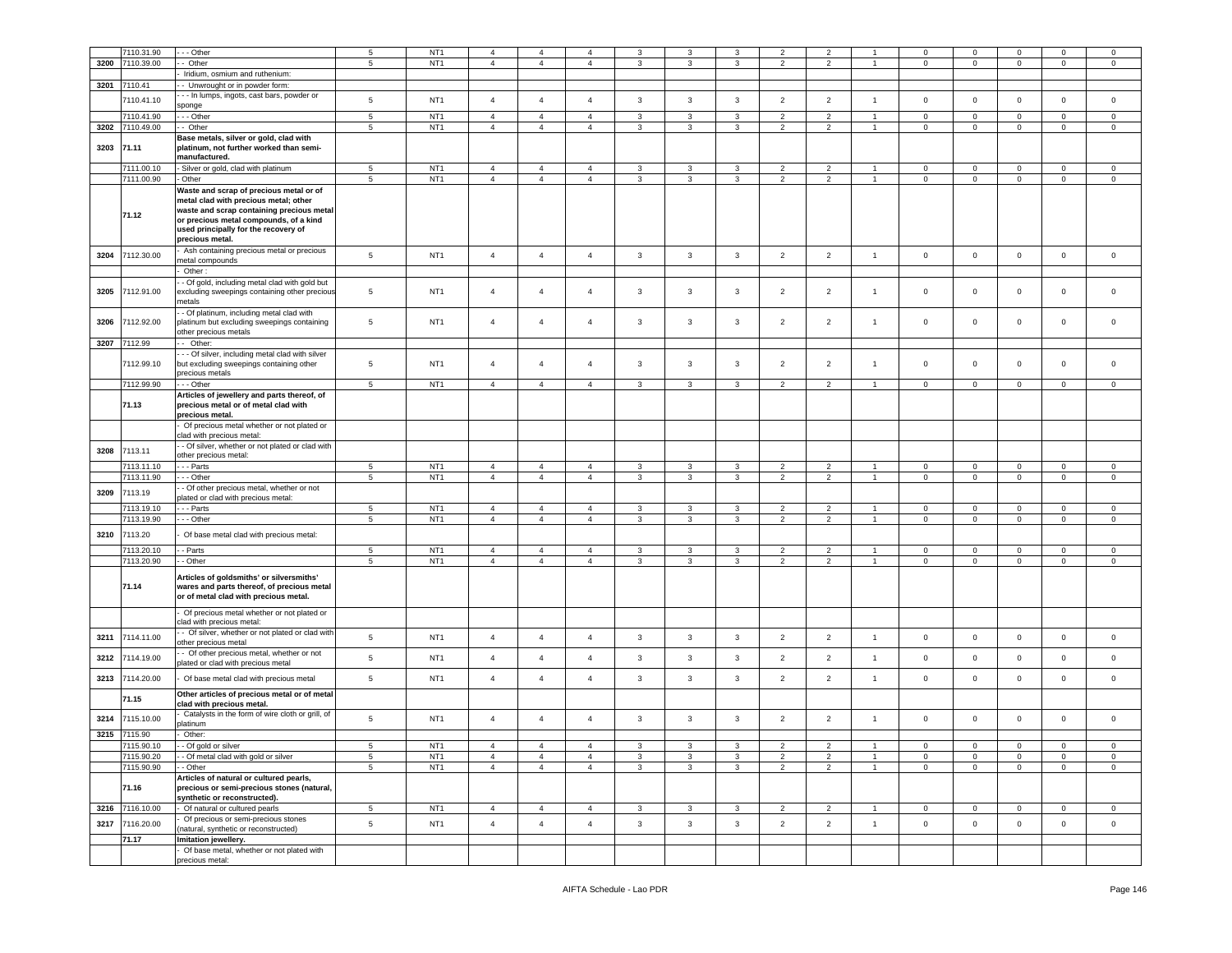|            | 7110.31.90               | - - Other                                                                                                                                                                                                                          | $\overline{5}$       | NT <sub>1</sub>                    | $\overline{4}$ | 4              | $\overline{4}$      | 3            | 3            | 3              | $\overline{2}$ | $\overline{2}$ |                |                | $\Omega$       | $\mathbf 0$      | $\mathbf 0$      | $\mathbf 0$      |
|------------|--------------------------|------------------------------------------------------------------------------------------------------------------------------------------------------------------------------------------------------------------------------------|----------------------|------------------------------------|----------------|----------------|---------------------|--------------|--------------|----------------|----------------|----------------|----------------|----------------|----------------|------------------|------------------|------------------|
| 3200       | 7110.39.00               | - Other                                                                                                                                                                                                                            | $5\phantom{.0}$      | NT <sub>1</sub>                    | $\overline{4}$ | $\overline{4}$ | $\overline{4}$      | 3            | $\mathbf{3}$ | $\mathbf{3}$   | $\overline{2}$ | $\overline{2}$ | $\mathbf{1}$   | $\mathbf 0$    | $\mathbf 0$    | $\mathsf 0$      | $\mathbf 0$      | $\mathbb O$      |
|            |                          | Iridium, osmium and ruthenium:                                                                                                                                                                                                     |                      |                                    |                |                |                     |              |              |                |                |                |                |                |                |                  |                  |                  |
|            | 3201 7110.41             | - Unwrought or in powder form:                                                                                                                                                                                                     |                      |                                    |                |                |                     |              |              |                |                |                |                |                |                |                  |                  |                  |
|            |                          |                                                                                                                                                                                                                                    |                      |                                    |                |                |                     |              |              |                |                |                |                |                |                |                  |                  |                  |
|            | 7110.41.10               | - - In lumps, ingots, cast bars, powder or<br>sponge                                                                                                                                                                               | 5                    | NT <sub>1</sub>                    | $\overline{4}$ | $\overline{4}$ | $\overline{4}$      | 3            | $\mathbf{3}$ | $\mathbf{3}$   | $\overline{2}$ | $\overline{2}$ | $\overline{1}$ | $\mathbf 0$    | $\circ$        | $\mathbf 0$      | $\circ$          | $\mathbf 0$      |
|            | 7110.41.90               | --- Other                                                                                                                                                                                                                          | 5                    | NT <sub>1</sub>                    | $\overline{4}$ | $\overline{4}$ | $\overline{4}$      | 3            | 3            | $\mathbf{3}$   | $\overline{2}$ | $\overline{2}$ | $\overline{1}$ | $\mathbf 0$    | $\mathbf 0$    | $\mathbf 0$      | $\mathbf 0$      | $\mathbf 0$      |
| 3202       | 7110.49.00               | - Other                                                                                                                                                                                                                            | $\sqrt{5}$           | NT <sub>1</sub>                    | $\overline{4}$ | $\overline{4}$ | $\overline{4}$      | 3            | 3            | $\mathbf{3}$   | $\overline{2}$ | $\overline{2}$ | $\mathbf{1}$   | 0              | $\mathbf 0$    | $\mathbf 0$      | $\mathbf 0$      | $\mathbf 0$      |
|            |                          | Base metals, silver or gold, clad with                                                                                                                                                                                             |                      |                                    |                |                |                     |              |              |                |                |                |                |                |                |                  |                  |                  |
| 3203 71.11 |                          | platinum, not further worked than semi-<br>manufactured.                                                                                                                                                                           |                      |                                    |                |                |                     |              |              |                |                |                |                |                |                |                  |                  |                  |
|            | 7111.00.10               | Silver or gold, clad with platinum                                                                                                                                                                                                 | 5                    | NT <sub>1</sub>                    | $\overline{4}$ | $\overline{4}$ | $\overline{4}$      | 3            | 3            | $\mathbf{3}$   | $\overline{2}$ | $\overline{2}$ |                | $\mathbf 0$    | $\mathbf 0$    | $\mathbf 0$      | $\mathbf 0$      | $\mathbf 0$      |
|            | 7111.00.90               | Other                                                                                                                                                                                                                              | 5                    | NT <sub>1</sub>                    | $\overline{4}$ | $\overline{4}$ | $\overline{4}$      | 3            | $\mathbf{3}$ | $\mathbf{3}$   | $\overline{2}$ | $\overline{2}$ | $\overline{1}$ | $\mathbf 0$    | $\mathbf 0$    | $\mathbf 0$      | $\mathbf 0$      | $\mathbf 0$      |
|            | 71.12                    | Waste and scrap of precious metal or of<br>metal clad with precious metal; other<br>waste and scrap containing precious metal<br>or precious metal compounds, of a kind<br>used principally for the recovery of<br>precious metal. |                      |                                    |                |                |                     |              |              |                |                |                |                |                |                |                  |                  |                  |
| 3204       | 7112.30.00               | Ash containing precious metal or precious                                                                                                                                                                                          | $5\phantom{.0}$      | NT <sub>1</sub>                    | $\overline{4}$ | $\overline{4}$ | $\overline{4}$      | $\mathbf{3}$ | $\mathbf{3}$ | $\mathbf{3}$   | $\overline{2}$ | $\overline{2}$ | $\overline{1}$ | $\mathbf 0$    | $\mathsf 0$    | $\mathbf 0$      | $\mathsf 0$      | $\mathsf 0$      |
|            |                          | netal compounds                                                                                                                                                                                                                    |                      |                                    |                |                |                     |              |              |                |                |                |                |                |                |                  |                  |                  |
|            |                          | Other:                                                                                                                                                                                                                             |                      |                                    |                |                |                     |              |              |                |                |                |                |                |                |                  |                  |                  |
|            |                          | - Of gold, including metal clad with gold but                                                                                                                                                                                      |                      |                                    |                |                |                     |              |              |                |                |                |                |                |                |                  |                  |                  |
| 3205       | 7112.91.00               | excluding sweepings containing other precious<br>netals                                                                                                                                                                            | $\overline{5}$       | NT <sub>1</sub>                    | $\overline{4}$ | $\overline{4}$ | $\overline{4}$      | 3            | 3            | 3              | $\overline{2}$ | $\overline{2}$ | $\mathbf{1}$   | $\mathbf 0$    | $\mathbf 0$    | $\mathbf 0$      | $\mathbf 0$      | $\mathbf 0$      |
|            |                          | - Of platinum, including metal clad with                                                                                                                                                                                           |                      |                                    |                |                |                     |              |              |                |                |                |                |                |                |                  |                  |                  |
| 3206       | 7112.92.00               | platinum but excluding sweepings containing                                                                                                                                                                                        | $5\phantom{.0}$      | NT <sub>1</sub>                    | $\overline{4}$ | $\overline{4}$ | $\overline{4}$      | 3            | 3            | $\mathbf{3}$   | $\overline{2}$ | $\overline{2}$ | $\overline{1}$ | $\mathbf 0$    | $\mathbf 0$    | $\mathbf 0$      | $\mathbf 0$      | $\mathbf 0$      |
|            | 3207 7112.99             | other precious metals<br>- Other:                                                                                                                                                                                                  |                      |                                    |                |                |                     |              |              |                |                |                |                |                |                |                  |                  |                  |
|            |                          |                                                                                                                                                                                                                                    |                      |                                    |                |                |                     |              |              |                |                |                |                |                |                |                  |                  |                  |
|            | 7112.99.10               | - - Of silver, including metal clad with silver<br>but excluding sweepings containing other                                                                                                                                        | 5                    | NT <sub>1</sub>                    | $\overline{4}$ | $\overline{4}$ | $\overline{4}$      | 3            | 3            | 3              | $\overline{2}$ | $\overline{2}$ | $\overline{1}$ | $\mathsf 0$    | $\mathbf 0$    | $\mathbf 0$      | $\mathbf 0$      | $\mathbf 0$      |
|            | 7112.99.90               | precious metals<br>--- Other                                                                                                                                                                                                       | 5                    | NT <sub>1</sub>                    | $\overline{4}$ | $\overline{4}$ | $\overline{4}$      | 3            | 3            | 3              | 2              | $\overline{2}$ | $\overline{1}$ | $\mathbf 0$    | $\mathbf 0$    | $\mathbf 0$      | $\mathbf 0$      | $\mathbf 0$      |
|            |                          | Articles of jewellery and parts thereof, of                                                                                                                                                                                        |                      |                                    |                |                |                     |              |              |                |                |                |                |                |                |                  |                  |                  |
|            | 71.13                    | precious metal or of metal clad with<br>precious metal.                                                                                                                                                                            |                      |                                    |                |                |                     |              |              |                |                |                |                |                |                |                  |                  |                  |
|            |                          | Of precious metal whether or not plated or<br>clad with precious metal:                                                                                                                                                            |                      |                                    |                |                |                     |              |              |                |                |                |                |                |                |                  |                  |                  |
| 3208       | 7113.11                  | - Of silver, whether or not plated or clad with                                                                                                                                                                                    |                      |                                    |                |                |                     |              |              |                |                |                |                |                |                |                  |                  |                  |
|            |                          | other precious metal:                                                                                                                                                                                                              |                      |                                    |                |                |                     |              |              |                |                |                |                |                |                |                  |                  |                  |
|            | 7113.11.10               | - - Parts                                                                                                                                                                                                                          | 5                    | NT <sub>1</sub>                    | $\overline{4}$ | $\overline{4}$ | $\overline{4}$      | 3            | 3            | 3              | $\overline{2}$ | $\overline{2}$ | $\overline{1}$ | $\mathbf 0$    | $\mathbf 0$    | $\mathbf 0$      | $\mathbf 0$      | $\mathbf 0$      |
|            | 7113.11.90               | - - Other                                                                                                                                                                                                                          | $\overline{5}$       | NT <sub>1</sub>                    | $\overline{4}$ | $\overline{4}$ | $\overline{4}$      | $\mathbf{3}$ | $\mathbf{3}$ | $\overline{3}$ | $\overline{2}$ | $\overline{2}$ | $\overline{1}$ | $\mathsf 0$    | $\mathsf 0$    | $\mathsf 0$      | $\mathbf 0$      | $\mathsf 0$      |
| 3209       | 7113.19                  | - Of other precious metal, whether or not                                                                                                                                                                                          |                      |                                    |                |                |                     |              |              |                |                |                |                |                |                |                  |                  |                  |
|            |                          | plated or clad with precious metal:                                                                                                                                                                                                |                      |                                    |                |                |                     |              |              |                |                |                |                |                |                |                  |                  |                  |
|            | 7113.19.10               | - - - Parts                                                                                                                                                                                                                        | 5                    | NT <sub>1</sub>                    | $\overline{4}$ | $\overline{4}$ | $\overline{4}$      | 3            | 3            | $\mathbf{3}$   | $\overline{2}$ | $\overline{2}$ | $\overline{1}$ | $\mathbf 0$    | $\mathbf 0$    | $\mathbf 0$      | $\mathbf 0$      | $\mathbf 0$      |
|            | 7113.19.90               | --- Other                                                                                                                                                                                                                          | 5                    | NT <sub>1</sub>                    | $\overline{4}$ | $\overline{4}$ | $\overline{4}$      | $\mathbf{3}$ | 3            | $\mathbf{3}$   | $\overline{2}$ | $\overline{2}$ | $\overline{1}$ | 0              | $\mathbf 0$    | $\mathbf 0$      | $\mathbf 0$      | $\mathsf 0$      |
| 3210       | 7113.20                  | Of base metal clad with precious metal:                                                                                                                                                                                            |                      |                                    |                |                |                     |              |              |                |                |                |                |                |                |                  |                  |                  |
|            | 7113.20.10               | - Parts                                                                                                                                                                                                                            | 5                    | NT <sub>1</sub>                    | $\overline{4}$ | $\overline{4}$ | $\overline{4}$      | 3            | 3            | $\mathbf{3}$   | $\overline{2}$ | $\overline{2}$ | $\overline{1}$ | $\mathbf 0$    | $\mathbf 0$    | $\mathbf 0$      | $\mathbf 0$      | $\mathbf 0$      |
|            | 7113.20.90               | - Other                                                                                                                                                                                                                            | $\overline{5}$       | NT <sub>1</sub>                    | $\overline{4}$ | $\overline{4}$ | $\overline{4}$      | $\mathbf{3}$ | $\mathbf{3}$ | $\overline{3}$ | $\overline{2}$ | $\overline{2}$ | $\overline{1}$ | $\mathsf 0$    | $\mathsf 0$    | $\mathbf 0$      | $\mathbf 0$      | $\overline{0}$   |
|            | 71.14                    | Articles of goldsmiths' or silversmiths'<br>wares and parts thereof, of precious metal<br>or of metal clad with precious metal.                                                                                                    |                      |                                    |                |                |                     |              |              |                |                |                |                |                |                |                  |                  |                  |
|            |                          | Of precious metal whether or not plated or<br>clad with precious metal:                                                                                                                                                            |                      |                                    |                |                |                     |              |              |                |                |                |                |                |                |                  |                  |                  |
| 3211       | 7114.11.00               | - Of silver, whether or not plated or clad with<br>other precious metal                                                                                                                                                            | $5\phantom{.0}$      | NT <sub>1</sub>                    | $\overline{4}$ | $\overline{4}$ | $\overline{4}$      | $\mathbf{3}$ | $\mathbf{3}$ | $\mathbf{3}$   | $\overline{2}$ | $\overline{2}$ | $\overline{1}$ | $\mathsf 0$    | $\mathsf 0$    | $\mathsf 0$      | $\mathbf 0$      | $\mathsf 0$      |
| 3212       | 7114.19.00               | - Of other precious metal, whether or not<br>plated or clad with precious metal                                                                                                                                                    | $5\phantom{.0}$      | NT <sub>1</sub>                    | $\overline{4}$ | $\overline{4}$ | $\overline{4}$      | 3            | $\mathbf{3}$ | $\mathbf{3}$   | $\overline{2}$ | $\overline{2}$ | $\overline{1}$ | $\mathsf 0$    | $\mathbf 0$    | $\mathbf 0$      | $\mathsf 0$      | $\mathbf 0$      |
| 3213       | 7114.20.00               | Of base metal clad with precious metal                                                                                                                                                                                             | $5\phantom{.0}$      | NT <sub>1</sub>                    | $\overline{4}$ | $\overline{4}$ | $\overline{4}$      | 3            | 3            | $\mathbf{3}$   | $\overline{2}$ | $\overline{2}$ | $\mathbf{1}$   | $\mathbf 0$    | $\mathbf 0$    | $\mathbf 0$      | $\mathbf 0$      | $\mathbf 0$      |
|            | 71.15                    | Other articles of precious metal or of metal<br>clad with precious metal.                                                                                                                                                          |                      |                                    |                |                |                     |              |              |                |                |                |                |                |                |                  |                  |                  |
| 3214       | 7115.10.00               | Catalysts in the form of wire cloth or grill, of                                                                                                                                                                                   | $\sqrt{5}$           | NT <sub>1</sub>                    | $\overline{4}$ | $\overline{4}$ | $\overline{4}$      | 3            | 3            | $\mathbf{3}$   | $\overline{2}$ | $\overline{2}$ | $\overline{1}$ | $\mathsf 0$    | $\mathbf 0$    | $\mathbf 0$      | $\mathsf 0$      | $\mathbf 0$      |
| 3215       | 7115.90                  | <b>Iatinum</b><br>Other:                                                                                                                                                                                                           |                      |                                    |                |                |                     |              |              |                |                |                |                |                |                |                  |                  |                  |
|            |                          |                                                                                                                                                                                                                                    |                      |                                    | 4              |                |                     |              |              |                |                |                |                |                |                |                  |                  |                  |
|            | 7115.90.10<br>7115.90.20 | - - Of gold or silver<br>- Of metal clad with gold or silver                                                                                                                                                                       | 5<br>$5\phantom{.0}$ | NT <sub>1</sub><br>NT <sub>1</sub> | $\overline{4}$ | $\overline{4}$ | 4<br>$\overline{4}$ | 3            | $\mathbf{3}$ | $\mathbf{3}$   | $\overline{2}$ | $\overline{2}$ | $\overline{1}$ | $\mathbf 0$    | $\mathbf 0$    | 0<br>$\mathbf 0$ | 0<br>$\mathsf 0$ | 0<br>$\mathsf 0$ |
|            | 7115.90.90               | - Other                                                                                                                                                                                                                            | $5\phantom{.0}$      | NT <sub>1</sub>                    | $\overline{4}$ | $\overline{4}$ | $\overline{4}$      | 3            | $\mathbf{3}$ | 3              | $\overline{2}$ | $\overline{2}$ | $\overline{1}$ | $\mathbf{0}$   | $\overline{0}$ | $\mathbf 0$      | $\overline{0}$   | $\mathbf{0}$     |
|            | 71.16                    | Articles of natural or cultured pearls,<br>precious or semi-precious stones (natural,                                                                                                                                              |                      |                                    |                |                |                     |              |              |                |                |                |                |                |                |                  |                  |                  |
|            |                          | synthetic or reconstructed).                                                                                                                                                                                                       |                      |                                    |                |                |                     |              |              |                |                |                |                |                |                |                  |                  |                  |
| 3216       | 7116.10.00               | Of natural or cultured pearls                                                                                                                                                                                                      | $\overline{5}$       | NT <sub>1</sub>                    | $\overline{4}$ | $\overline{4}$ | $\overline{4}$      | $\mathbf{3}$ | $\mathbf{3}$ | $\mathbf{3}$   | $\overline{2}$ | $\overline{2}$ | $\overline{1}$ | $\overline{0}$ | $\mathsf 0$    | $\overline{0}$   | $\overline{0}$   | $\mathbf 0$      |
| 3217       | 7116.20.00               | Of precious or semi-precious stones                                                                                                                                                                                                | $5\phantom{.0}$      | NT <sub>1</sub>                    | $\overline{4}$ | $\overline{4}$ | $\overline{4}$      | 3            | $\mathbf{3}$ | $\mathbf{3}$   | $\overline{2}$ | $\overline{2}$ | $\mathbf{1}$   | $\mathbf 0$    | $\mathsf 0$    | $\mathbf 0$      | $\overline{0}$   | $\overline{0}$   |
|            | 71.17                    | (natural, synthetic or reconstructed)<br>Imitation jewellery.                                                                                                                                                                      |                      |                                    |                |                |                     |              |              |                |                |                |                |                |                |                  |                  |                  |
|            |                          | Of base metal, whether or not plated with                                                                                                                                                                                          |                      |                                    |                |                |                     |              |              |                |                |                |                |                |                |                  |                  |                  |
|            |                          | precious metal:                                                                                                                                                                                                                    |                      |                                    |                |                |                     |              |              |                |                |                |                |                |                |                  |                  |                  |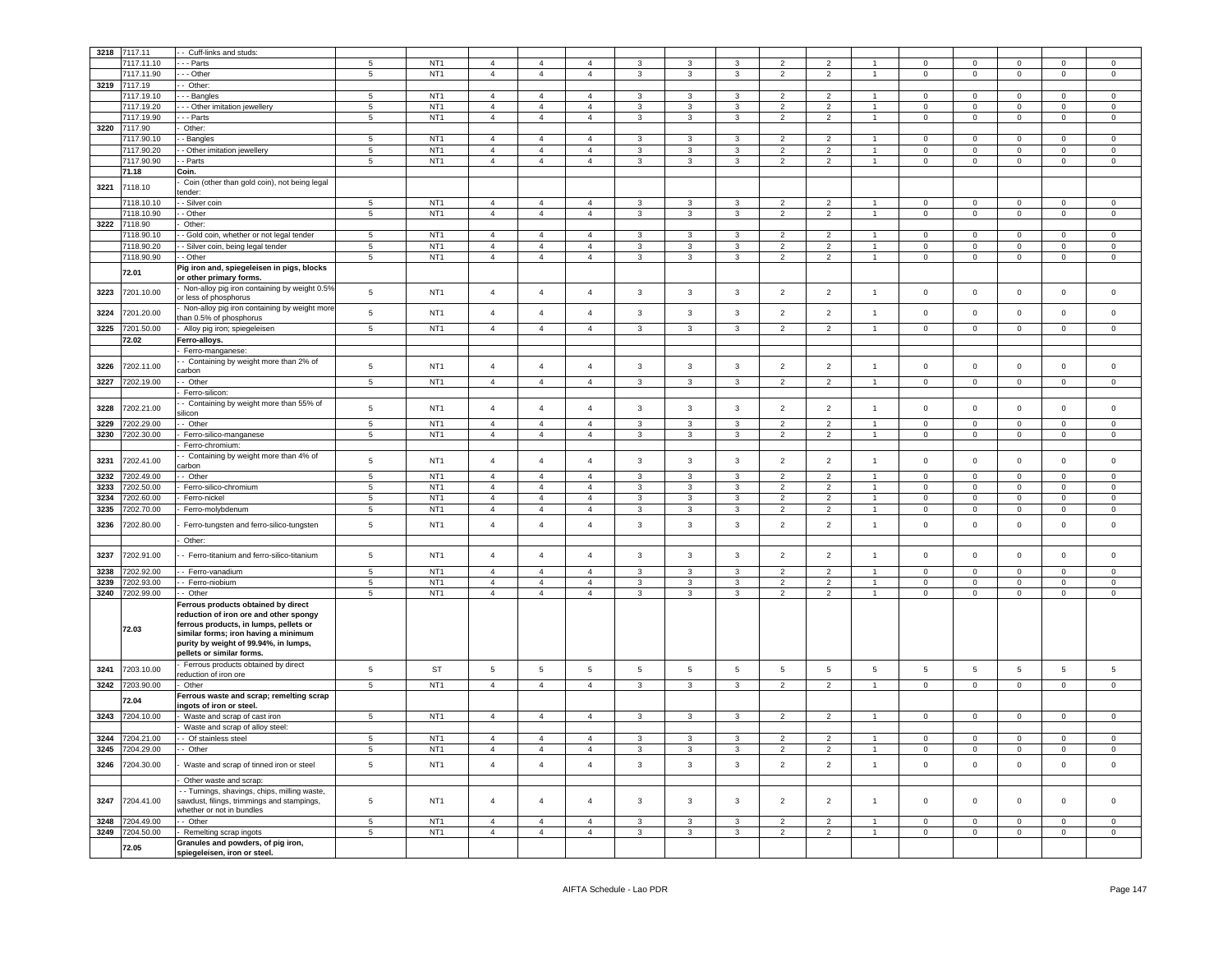| 3218         | 7117.11    | - Cuff-links and studs:                                                                                                                                                                                                               |                 |                 |                 |                                  |                                  |                 |                |                              |                 |                          |                      |                     |                 |                            |                 |                            |
|--------------|------------|---------------------------------------------------------------------------------------------------------------------------------------------------------------------------------------------------------------------------------------|-----------------|-----------------|-----------------|----------------------------------|----------------------------------|-----------------|----------------|------------------------------|-----------------|--------------------------|----------------------|---------------------|-----------------|----------------------------|-----------------|----------------------------|
|              | 7117.11.10 | - Parts                                                                                                                                                                                                                               | 5               | NT <sub>1</sub> | $\mathbf{A}$    | $\overline{4}$                   | 4                                | $\mathbf{R}$    | 3              | $\mathbf{3}$                 | $\overline{2}$  | $\overline{\phantom{a}}$ |                      | $\Omega$            | $\Omega$        | $\Omega$                   | $\Omega$        | $\Omega$                   |
|              | 117.11.90  | - Other                                                                                                                                                                                                                               | 5               | NT <sub>1</sub> | $\overline{4}$  | $\overline{4}$                   | $\overline{4}$                   | 3               | $\mathbf{3}$   | $\mathbf{3}$                 | $\overline{2}$  | $\overline{2}$           | $\ddot{\phantom{1}}$ | $\mathsf{O}\xspace$ | $\mathsf 0$     | $\mathbf 0$                | $\mathbf 0$     | $\mathbf 0$                |
| 3219         | 7117.19    | - Other:                                                                                                                                                                                                                              |                 |                 |                 |                                  |                                  |                 |                |                              |                 |                          |                      |                     |                 |                            |                 |                            |
|              |            |                                                                                                                                                                                                                                       |                 |                 |                 | $\overline{4}$                   | $\overline{4}$                   |                 |                |                              |                 |                          |                      |                     |                 |                            |                 |                            |
|              | 117.19.10  | - - Bangles                                                                                                                                                                                                                           | $\overline{5}$  | NT <sub>1</sub> | $\overline{4}$  |                                  |                                  | 3               | 3              | $\mathbf{3}$                 | $\overline{2}$  | $\overline{2}$           | $\mathbf{1}$         | $\Omega$            | $\mathsf 0$     | $\mathsf 0$                | $\Omega$        | $\mathbf 0$                |
|              | 117.19.20  | - Other imitation jewellery                                                                                                                                                                                                           | 5               | NT <sub>1</sub> | $\Delta$        | $\Delta$                         | $\Delta$                         | $\mathbf{3}$    | $\mathbf{R}$   | 3                            | $\mathcal{P}$   | $\mathcal{D}$            |                      | $\Omega$            | $\mathsf 0$     | $\mathbf 0$                | $\Omega$        | $\mathsf 0$                |
|              | 7117.19.90 | - - Parts                                                                                                                                                                                                                             | $\overline{5}$  | NT <sub>1</sub> | $\overline{4}$  | $\overline{4}$                   | $\overline{4}$                   | 3               | 3              | $\mathbf{3}$                 | $\overline{2}$  | $\overline{2}$           | $\mathbf{1}$         | $\mathsf 0$         | $\mathsf 0$     | $\mathsf 0$                | $\mathbf 0$     | $\mathsf 0$                |
| 3220         | 7117.90    | Other:                                                                                                                                                                                                                                |                 |                 |                 |                                  |                                  |                 |                |                              |                 |                          |                      |                     |                 |                            |                 |                            |
|              | 7117.90.10 | - Bangles                                                                                                                                                                                                                             | 5               | NT <sub>1</sub> | $\Delta$        | $\overline{4}$                   | $\Delta$                         | $\mathbf{3}$    | $\mathbf{R}$   | 3                            | $\mathcal{P}$   | $\mathcal{P}$            |                      | $\Omega$            | $\Omega$        | $\Omega$                   | $\Omega$        | $\Omega$                   |
|              | 117.90.20  | - Other imitation jewellery                                                                                                                                                                                                           | 5               | NT <sub>1</sub> | $\overline{4}$  | $\overline{4}$                   | $\overline{4}$                   | 3               | 3              | 3                            | $\overline{2}$  | $\overline{2}$           |                      | $\mathsf 0$         | $\mathsf 0$     | $\mathbf 0$                | $\Omega$        | $\mathsf 0$                |
|              | 7117.90.90 | - Parts                                                                                                                                                                                                                               | $\overline{5}$  | NT <sub>1</sub> | $\overline{a}$  | $\overline{4}$                   | $\Delta$                         | 3               | $\mathbf{R}$   | 3                            | $\overline{2}$  | $\overline{2}$           | $\ddot{\phantom{1}}$ | $\mathsf 0$         | $\mathsf 0$     | $\mathsf 0$                | $\mathbf 0$     | $\mathsf 0$                |
|              | 71.18      | Coin.                                                                                                                                                                                                                                 |                 |                 |                 |                                  |                                  |                 |                |                              |                 |                          |                      |                     |                 |                            |                 |                            |
|              |            | Coin (other than gold coin), not being legal                                                                                                                                                                                          |                 |                 |                 |                                  |                                  |                 |                |                              |                 |                          |                      |                     |                 |                            |                 |                            |
| 3221         | 7118.10    | tender:                                                                                                                                                                                                                               |                 |                 |                 |                                  |                                  |                 |                |                              |                 |                          |                      |                     |                 |                            |                 |                            |
|              | 7118.10.10 | - Silver coin                                                                                                                                                                                                                         | $5\overline{)}$ | NT <sub>1</sub> | $\overline{4}$  | $\overline{4}$                   | $\overline{4}$                   | $\mathbf{3}$    | 3              | $\mathbf{3}$                 | $\overline{2}$  | $\overline{2}$           | 1                    | $\mathbf 0$         | $\mathbf 0$     | $\overline{0}$             | $\mathbf 0$     | $\mathbf 0$                |
|              | 7118.10.90 | - Other                                                                                                                                                                                                                               | $5\overline{5}$ | NT <sub>1</sub> | $\overline{4}$  | $\overline{4}$                   | $\overline{4}$                   | 3               | 3              | $\mathbf{3}$                 | $\overline{2}$  | $\overline{2}$           | $\mathbf{1}$         | $\mathbf{0}$        | $\overline{0}$  | $\overline{0}$             | $\mathbf{0}$    | $\circ$                    |
| 3222         | 7118.90    | Other:                                                                                                                                                                                                                                |                 |                 |                 |                                  |                                  |                 |                |                              |                 |                          |                      |                     |                 |                            |                 |                            |
|              | 7118.90.10 | - Gold coin, whether or not legal tender                                                                                                                                                                                              | $5\overline{)}$ | NT <sub>1</sub> | $\overline{4}$  | $\overline{4}$                   | $\overline{4}$                   | 3               | 3              | 3                            | $\overline{2}$  | $\overline{2}$           | 1                    | $\Omega$            | $\mathbf{0}$    | $\mathbf{0}$               | $\mathbf 0$     | $\mathbf{0}$               |
|              |            |                                                                                                                                                                                                                                       | $\sqrt{5}$      | NT <sub>1</sub> |                 |                                  |                                  |                 |                |                              |                 |                          | $\mathbf{1}$         | $\mathbf{0}$        |                 |                            |                 |                            |
|              | 7118.90.20 | - Silver coin, being legal tender                                                                                                                                                                                                     |                 | NT <sub>1</sub> | $\overline{4}$  | $\overline{4}$<br>$\overline{4}$ | $\overline{4}$<br>$\overline{4}$ | 3               | 3              | $\mathbf{3}$                 | $\overline{2}$  | $\overline{2}$           |                      |                     | $\mathbf{0}$    | $\overline{0}$             | $\mathbf 0$     | $\mathbf{0}$               |
|              | 7118.90.90 | - Other                                                                                                                                                                                                                               | $\overline{5}$  |                 | $\overline{4}$  |                                  |                                  | $\mathbf{3}$    | $\mathbf{3}$   | $\mathbf{3}$                 | $\overline{2}$  | $\overline{2}$           | $\mathbf{1}$         | $\mathbf 0$         | $\overline{0}$  | $\overline{0}$             | $\overline{0}$  | $\overline{0}$             |
|              | 72.01      | Pig iron and, spiegeleisen in pigs, blocks<br>or other primary forms.                                                                                                                                                                 |                 |                 |                 |                                  |                                  |                 |                |                              |                 |                          |                      |                     |                 |                            |                 |                            |
| 3223         | 7201.10.00 | Non-alloy pig iron containing by weight 0.5%<br>or less of phosphorus                                                                                                                                                                 | 5               | NT <sub>1</sub> | $\overline{4}$  | $\overline{4}$                   | $\overline{4}$                   | 3               | 3              | 3                            | $\overline{2}$  | $\overline{2}$           | $\overline{1}$       | $\mathbf 0$         | $\mathbf 0$     | $\mathbf 0$                | $\mathbf 0$     | $\mathsf 0$                |
| 3224         | 7201.20.00 | Non-alloy pig iron containing by weight more<br>than 0.5% of phosphorus                                                                                                                                                               | $5\phantom{.0}$ | NT <sub>1</sub> | $\overline{4}$  | $\overline{4}$                   | $\overline{4}$                   | $\overline{3}$  | $\overline{3}$ | $\overline{3}$               | $\overline{2}$  | $\overline{2}$           | $\overline{1}$       | $\mathbf 0$         | $\mathbf{0}$    | $\mathsf 0$                | $\mathbf{0}$    | $\Omega$                   |
| 3225         | 7201.50.00 | Alloy pig iron; spiegeleisen                                                                                                                                                                                                          | $\overline{5}$  | NT <sub>1</sub> | $\overline{4}$  | $\overline{4}$                   | $\overline{4}$                   | 3               | 3              | $\mathbf{3}$                 | $\overline{2}$  | $\overline{2}$           |                      | $\mathsf 0$         | $\mathsf 0$     | $\mathsf 0$                | $\mathbf 0$     | $\Omega$                   |
|              | 72.02      | Ferro-alloys.                                                                                                                                                                                                                         |                 |                 |                 |                                  |                                  |                 |                |                              |                 |                          |                      |                     |                 |                            |                 |                            |
|              |            | Ferro-manganese:                                                                                                                                                                                                                      |                 |                 |                 |                                  |                                  |                 |                |                              |                 |                          |                      |                     |                 |                            |                 |                            |
|              |            | - Containing by weight more than 2% of                                                                                                                                                                                                |                 |                 |                 |                                  |                                  |                 |                |                              |                 |                          |                      |                     |                 |                            |                 |                            |
| 3226         | 7202.11.00 | carbon                                                                                                                                                                                                                                | $\sqrt{5}$      | NT <sub>1</sub> | $\overline{4}$  | $\overline{4}$                   | $\overline{4}$                   | $\mathbf{3}$    | 3              | $\mathbf{3}$                 | $\overline{2}$  | $\overline{2}$           | $\overline{1}$       | $\mathsf 0$         | $\mathbf 0$     | $\mathbf 0$                | $\mathbf 0$     | $\mathsf 0$                |
| 3227         | 7202.19.00 | - Other                                                                                                                                                                                                                               | $\overline{5}$  | NT <sub>1</sub> | $\overline{4}$  | $\overline{4}$                   | $\overline{4}$                   | $\mathbf{3}$    | $\mathbf{3}$   | $\mathbf{3}$                 | $\overline{2}$  | $\overline{2}$           | $\overline{1}$       | $\overline{0}$      | $\overline{0}$  | $\overline{0}$             | $\mathbf 0$     | $\overline{0}$             |
|              |            | Ferro-silicon:                                                                                                                                                                                                                        |                 |                 |                 |                                  |                                  |                 |                |                              |                 |                          |                      |                     |                 |                            |                 |                            |
|              |            | - Containing by weight more than 55% of                                                                                                                                                                                               |                 |                 |                 |                                  |                                  |                 |                |                              |                 |                          |                      |                     |                 |                            |                 |                            |
| 3228         | 7202.21.00 | ilicon                                                                                                                                                                                                                                | $5\phantom{.0}$ | NT <sub>1</sub> | $\overline{4}$  | $\overline{4}$                   | $\overline{4}$                   | $\mathbf{3}$    | $\mathbf{3}$   | $\mathbf{3}$                 | $\overline{2}$  | $\overline{2}$           | $\overline{1}$       | $\mathsf{O}\xspace$ | $\mathbf 0$     | $\mathbf 0$                | $\mathbf 0$     | $\mathsf 0$                |
| 3229         | 7202.29.00 | - Other                                                                                                                                                                                                                               | $\sqrt{5}$      | NT <sub>1</sub> | $\overline{4}$  | $\overline{4}$                   | $\overline{4}$                   | $\mathbf{3}$    | 3              | $\mathbf{3}$                 | $\overline{2}$  | $\overline{2}$           | $\mathbf{1}$         | $\mathsf 0$         | $\mathbf 0$     | $\,0\,$                    | $\mathbf 0$     | $\mathsf 0$                |
| 3230         | 7202.30.00 | Ferro-silico-manganese                                                                                                                                                                                                                | $\sqrt{5}$      | NT <sub>1</sub> | $\overline{4}$  | $\overline{4}$                   | $\overline{4}$                   | 3               | 3              | $\mathbf{3}$                 | $\overline{2}$  | $\overline{2}$           | $\mathbf{1}$         | $\mathsf 0$         | $\mathbf 0$     | $\mathbf 0$                | $\mathbf 0$     | $\mathbf 0$                |
|              |            | Ferro-chromium:                                                                                                                                                                                                                       |                 |                 |                 |                                  |                                  |                 |                |                              |                 |                          |                      |                     |                 |                            |                 |                            |
| 3231         | 7202.41.00 | - Containing by weight more than 4% of<br>carbon                                                                                                                                                                                      | $5\phantom{.0}$ | NT <sub>1</sub> | $\overline{4}$  | $\overline{4}$                   | $\overline{4}$                   | 3               | 3              | $\mathbf{3}$                 | $\overline{2}$  | $\overline{2}$           | $\overline{1}$       | $\mathsf 0$         | $\mathsf 0$     | $\mathbf 0$                | $\mathsf 0$     | $\mathsf 0$                |
|              | 7202.49.00 | - Other                                                                                                                                                                                                                               | $\overline{5}$  | NT <sub>1</sub> | $\mathbf{A}$    | $\Delta$                         | $\Delta$                         | $\mathbf{R}$    | $\mathcal{R}$  |                              | $\overline{2}$  | $\overline{2}$           | $\overline{1}$       | $\Omega$            | $\mathsf 0$     |                            | $\Omega$        |                            |
| 3232<br>3233 | 202.50.00  |                                                                                                                                                                                                                                       |                 | NT <sub>1</sub> | $\overline{4}$  | $\overline{4}$                   | $\overline{4}$                   | 3               | $\mathbf{3}$   | $\mathbf{3}$<br>$\mathbf{3}$ | $\overline{2}$  | $\overline{2}$           | $\overline{1}$       | $\Omega$            | $\mathsf 0$     | $\mathbf 0$<br>$\mathsf 0$ | $\Omega$        | $\mathbf 0$<br>$\mathsf 0$ |
|              |            | Ferro-silico-chromium                                                                                                                                                                                                                 | $\sqrt{5}$      |                 |                 |                                  |                                  |                 |                |                              |                 |                          |                      |                     |                 |                            |                 |                            |
| 3234         | 7202.60.00 | Ferro-nickel                                                                                                                                                                                                                          | 5               | NT <sub>1</sub> | $\mathbf{A}$    | $\Delta$                         | $\Delta$                         | $\mathbf{R}$    | $\mathcal{R}$  | $\mathbf{3}$                 | $\mathcal{P}$   | $\overline{2}$           | $\overline{1}$       | $\Omega$            | $\mathsf 0$     | $\mathsf 0$                | $\Omega$        | $\mathbf 0$                |
| 3235         | 7202.70.00 | Ferro-molybdenum                                                                                                                                                                                                                      | $\overline{5}$  | NT <sub>1</sub> | $\overline{4}$  | $\overline{4}$                   | $\overline{4}$                   | 3               | $\overline{3}$ | $\overline{\mathbf{3}}$      | $\overline{2}$  | $\overline{2}$           | $\overline{1}$       | $\Omega$            | $\overline{0}$  | $\overline{0}$             | $\Omega$        | $\mathbf 0$                |
| 3236         | 7202.80.00 | Ferro-tungsten and ferro-silico-tungsten                                                                                                                                                                                              | $\overline{5}$  | NT <sub>1</sub> | $\overline{4}$  | $\overline{4}$                   | $\overline{4}$                   | $\mathbf{3}$    | $\mathbf{3}$   | $\mathbf{3}$                 | $\overline{2}$  | $\overline{2}$           | $\overline{1}$       | $\mathsf 0$         | $\mathsf 0$     | $\mathbf 0$                | $\mathbf 0$     | $\mathsf{O}\xspace$        |
|              |            |                                                                                                                                                                                                                                       |                 |                 |                 |                                  |                                  |                 |                |                              |                 |                          |                      |                     |                 |                            |                 |                            |
|              |            | Other:                                                                                                                                                                                                                                |                 |                 |                 |                                  |                                  |                 |                |                              |                 |                          |                      |                     |                 |                            |                 |                            |
| 3237         | 7202.91.00 | - Ferro-titanium and ferro-silico-titanium                                                                                                                                                                                            | $\,$ 5 $\,$     | NT <sub>1</sub> | $\overline{4}$  | $\overline{4}$                   | $\overline{4}$                   | 3               | 3              | $\mathbf{3}$                 | $\overline{2}$  | $\overline{2}$           | $\overline{1}$       | $\mathsf 0$         | $\mathbf 0$     | $\mathbf 0$                | $\Omega$        | $\mathsf 0$                |
| 3238         | 7202.92.00 | - Ferro-vanadium                                                                                                                                                                                                                      | $\overline{5}$  | NT <sub>1</sub> | $\overline{4}$  | $\overline{4}$                   | $\overline{4}$                   | 3               | $\mathbf{3}$   | $\overline{\mathbf{3}}$      | $\overline{2}$  | $\overline{2}$           | $\mathbf{1}$         | $\Omega$            | $\overline{0}$  | $\overline{0}$             | $\Omega$        | $\mathbf 0$                |
| 3239         | 7202.93.00 | - Ferro-niobium                                                                                                                                                                                                                       | $5\phantom{.0}$ | NT <sub>1</sub> | $\overline{4}$  | $\overline{4}$                   | $\overline{4}$                   | $\mathbf{3}$    | 3              | $\mathbf{3}$                 | $\overline{2}$  | $\overline{2}$           | $\mathbf{1}$         | $\mathbf 0$         | $\mathbf 0$     | $\mathbf{0}$               | $\mathbf 0$     | $\mathbf 0$                |
| 3240         | 7202.99.00 | - Other                                                                                                                                                                                                                               | $\sqrt{5}$      | NT <sub>1</sub> | $\overline{4}$  | $\overline{4}$                   | $\overline{4}$                   | $\overline{3}$  | $\mathbf{3}$   | $\mathbf{3}$                 | $\overline{2}$  | $\overline{2}$           | $\mathbf{1}$         | $\mathsf 0$         | $\mathsf 0$     | $\overline{0}$             | $\mathbf 0$     | $\mathbf 0$                |
|              | 72.03      | Ferrous products obtained by direct<br>reduction of iron ore and other spongy<br>ferrous products, in lumps, pellets or<br>similar forms; iron having a minimum<br>purity by weight of 99.94%, in lumps,<br>pellets or similar forms. |                 |                 |                 |                                  |                                  |                 |                |                              |                 |                          |                      |                     |                 |                            |                 |                            |
| 3241         | 7203.10.00 | Ferrous products obtained by direct<br>reduction of iron ore                                                                                                                                                                          | $\sqrt{5}$      | ST              | $5\phantom{.0}$ | $5\phantom{.0}$                  | $\sqrt{5}$                       | $5\phantom{.0}$ | 5              | $\,$ 5 $\,$                  | $5\phantom{.0}$ | $\,$ 5                   | $\sqrt{5}$           | 5                   | $5\phantom{.0}$ | $\sqrt{5}$                 | $5\phantom{.0}$ | 5                          |
| 3242         | 7203.90.00 | Other                                                                                                                                                                                                                                 | $\,$ 5 $\,$     | NT <sub>1</sub> | $\overline{4}$  | $\overline{4}$                   | $\overline{4}$                   | $\mathbf{3}$    | $\mathbf{3}$   | $\mathbf{3}$                 | $\overline{2}$  | $\overline{2}$           | $\overline{1}$       | $\mathsf 0$         | $\mathsf 0$     | $\mathbf 0$                | $\mathbf 0$     | $\mathsf 0$                |
|              | 72.04      | Ferrous waste and scrap; remelting scrap<br>ngots of iron or steel.                                                                                                                                                                   |                 |                 |                 |                                  |                                  |                 |                |                              |                 |                          |                      |                     |                 |                            |                 |                            |
| 3243         | 7204.10.00 | - Waste and scrap of cast iron                                                                                                                                                                                                        | 5               | NT <sub>1</sub> | $\overline{4}$  | $\overline{4}$                   | $\overline{4}$                   | 3               | $\mathbf{3}$   | $\mathbf{3}$                 | $\overline{2}$  | $\overline{2}$           | $\overline{1}$       | $\mathsf 0$         | $\mathbf 0$     | $\mathbf 0$                | $\mathbf{0}$    | $^{\circ}$                 |
|              |            | Waste and scrap of alloy steel:                                                                                                                                                                                                       |                 |                 |                 |                                  |                                  |                 |                |                              |                 |                          |                      |                     |                 |                            |                 |                            |
| 3244         | 7204.21.00 | - Of stainless steel                                                                                                                                                                                                                  | $\sqrt{5}$      | NT <sub>1</sub> | $\overline{4}$  | $\overline{4}$                   | $\overline{4}$                   | 3               | $\mathbf{3}$   | 3                            | $\overline{2}$  | $\overline{2}$           | $\mathbf{1}$         | $\mathbf 0$         | $\mathsf 0$     | $\mathbf 0$                | $\mathsf 0$     | $\mathsf 0$                |
| 3245         | 204.29.00  | - Other                                                                                                                                                                                                                               | 5               | NT <sub>1</sub> | $\overline{4}$  | $\overline{4}$                   | $\overline{4}$                   | 3               | $\mathbf{3}$   | $\mathbf{3}$                 | $\overline{2}$  | $\overline{2}$           | $\mathbf{1}$         | $\mathbf 0$         | $\mathbf 0$     | $\mathbf 0$                | $\mathbf 0$     | $\mathsf{O}\xspace$        |
| 3246         | 7204.30.00 | Waste and scrap of tinned iron or steel                                                                                                                                                                                               | $\sqrt{5}$      | NT <sub>1</sub> | $\overline{4}$  | $\overline{4}$                   | $\overline{4}$                   | $\mathbf{3}$    | 3              | $\mathbf{3}$                 | $\overline{2}$  | $\overline{2}$           | $\overline{1}$       | $\mathbf 0$         | $\mathbf 0$     | $\mathbf 0$                | $\mathbf 0$     | $\mathsf 0$                |
|              |            | Other waste and scrap:                                                                                                                                                                                                                |                 |                 |                 |                                  |                                  |                 |                |                              |                 |                          |                      |                     |                 |                            |                 |                            |
|              |            | - Turnings, shavings, chips, milling waste,                                                                                                                                                                                           |                 |                 |                 |                                  |                                  |                 |                |                              |                 |                          |                      |                     |                 |                            |                 |                            |
| 3247         | 7204.41.00 | sawdust, filings, trimmings and stampings,                                                                                                                                                                                            | 5               | NT <sub>1</sub> | $\overline{4}$  | $\overline{4}$                   | $\overline{4}$                   | 3               | 3              | $\mathbf{3}$                 | $\overline{2}$  | $\overline{2}$           | $\mathbf{1}$         | $\mathsf 0$         | $\mathsf 0$     | $\mathbf 0$                | $\mathbf 0$     | $\mathsf 0$                |
|              |            | whether or not in bundles                                                                                                                                                                                                             |                 |                 |                 |                                  |                                  |                 |                |                              |                 |                          |                      |                     |                 |                            |                 |                            |
| 3248         | 7204.49.00 | - Other                                                                                                                                                                                                                               | $\overline{5}$  | NT <sub>1</sub> | $\overline{4}$  | $\overline{4}$                   | $\overline{4}$                   | 3               | 3              | $\mathbf{3}$                 | $\overline{2}$  | $\overline{2}$           | $\overline{1}$       | $\Omega$            | $\Omega$        | $\mathbf{O}$               | $\mathbf 0$     | $^{\circ}$                 |
| 3249         | 7204.50.00 | Remelting scrap ingots                                                                                                                                                                                                                | $\overline{5}$  | NT <sub>1</sub> | $\overline{4}$  | $\overline{4}$                   | $\overline{4}$                   | $\mathbf{3}$    | $\mathbf{3}$   | $\overline{3}$               | $\overline{2}$  | $\overline{2}$           | 1                    | $\mathsf 0$         | $\mathbf 0$     | $\overline{0}$             | $\mathbf{0}$    | $\overline{0}$             |
|              | 72.05      | Granules and powders, of pig iron,<br>spiegeleisen, iron or steel.                                                                                                                                                                    |                 |                 |                 |                                  |                                  |                 |                |                              |                 |                          |                      |                     |                 |                            |                 |                            |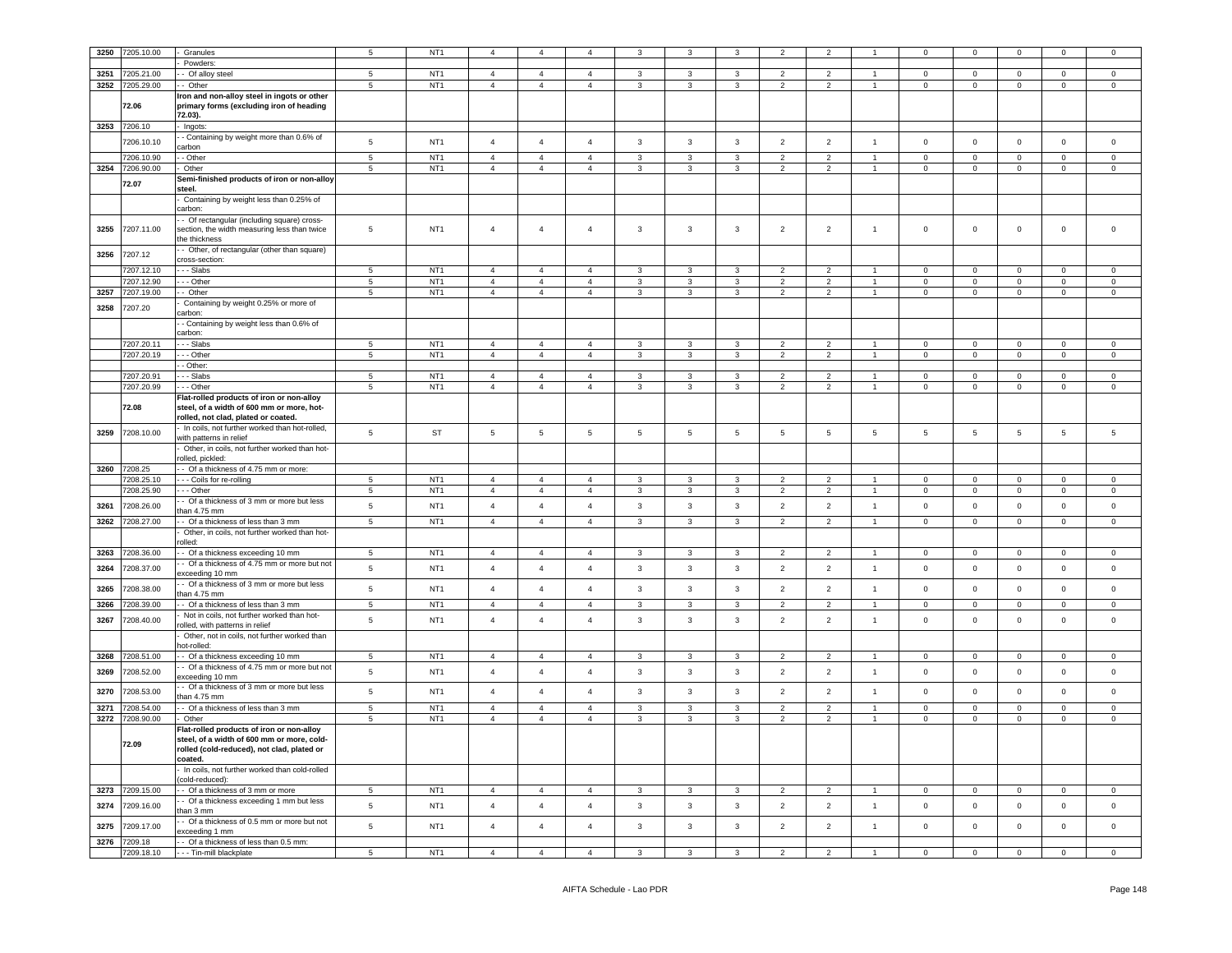| 3250 | 7205.10.00               | Granules                                                           | $5^{\circ}$     | NT <sub>1</sub>                    |                 | $\overline{4}$  |                |                   |                         |                | $\overline{2}$  |                |                      | O                             | $\Omega$                      |                | O                   | $\Omega$            |
|------|--------------------------|--------------------------------------------------------------------|-----------------|------------------------------------|-----------------|-----------------|----------------|-------------------|-------------------------|----------------|-----------------|----------------|----------------------|-------------------------------|-------------------------------|----------------|---------------------|---------------------|
|      |                          | Powders                                                            |                 |                                    |                 |                 |                |                   |                         |                |                 |                |                      |                               |                               |                |                     |                     |
| 3251 | 7205.21.00               | Of alloy steel                                                     | 5               | NT <sub>1</sub>                    | $\overline{4}$  | $\overline{4}$  | $\overline{4}$ | $\mathbf{3}$      | $\mathbf{3}$            | $\mathbf{3}$   | $\overline{2}$  | $\overline{2}$ | $\blacktriangleleft$ | $\mathbf 0$                   | $\circ$                       | $\mathsf 0$    | $\mathsf 0$         | $\mathsf 0$         |
|      |                          |                                                                    |                 |                                    |                 |                 |                |                   | 3                       |                |                 | $\mathfrak{p}$ | $\overline{1}$       |                               |                               |                |                     |                     |
| 3252 | 7205.29.00               | - Other                                                            | 5               | NT <sub>1</sub>                    | $\overline{4}$  | $\overline{4}$  | $\overline{4}$ | $\overline{3}$    |                         | $\overline{3}$ | $\overline{2}$  |                |                      | $\mathbf{0}$                  | $\mathbf{0}$                  | $\mathbf 0$    | $\mathbf{0}$        | $\mathbf 0$         |
|      |                          | Iron and non-alloy steel in ingots or other                        |                 |                                    |                 |                 |                |                   |                         |                |                 |                |                      |                               |                               |                |                     |                     |
|      | 72.06                    | primary forms (excluding iron of heading                           |                 |                                    |                 |                 |                |                   |                         |                |                 |                |                      |                               |                               |                |                     |                     |
|      |                          | 72.03).                                                            |                 |                                    |                 |                 |                |                   |                         |                |                 |                |                      |                               |                               |                |                     |                     |
|      | 3253 7206.10             | Ingots:                                                            |                 |                                    |                 |                 |                |                   |                         |                |                 |                |                      |                               |                               |                |                     |                     |
|      | 7206.10.10               | - Containing by weight more than 0.6% of                           | $5\phantom{.0}$ | NT <sub>1</sub>                    | $\overline{4}$  | $\overline{4}$  | $\overline{4}$ | $\mathbf{3}$      | $\mathbf{3}$            | $\mathbf{3}$   | $\overline{2}$  | $\overline{2}$ | $\mathbf{1}$         | $\mathsf 0$                   | $\mathbf 0$                   | $\mathbf 0$    | $\mathbf 0$         | $\mathsf{O}\xspace$ |
|      |                          | arbon                                                              |                 |                                    |                 |                 |                |                   |                         |                |                 |                |                      |                               |                               |                |                     |                     |
|      | 7206.10.90               | - Other                                                            | $\,$ 5 $\,$     | NT <sub>1</sub>                    | $\overline{4}$  | $\overline{4}$  | $\overline{4}$ | $\mathbf{3}$      | $\mathbf{3}$            | $\mathbf{3}$   | $\overline{2}$  | $\overline{2}$ | $\overline{1}$       | $\mathbf 0$                   | $\mathbf 0$                   | $\mathsf 0$    | $\mathbf 0$         | $\mathsf 0$         |
|      | 3254 7206.90.00          | Other                                                              | 5               | NT <sub>1</sub>                    | $\overline{4}$  | $\overline{4}$  | $\overline{4}$ | 3                 | 3                       | 3              | $\overline{2}$  | $\overline{2}$ | $\overline{1}$       | $\pmb{0}$                     | $\mathbf 0$                   | $\mathbf 0$    | $\mathsf 0$         | $\mathsf 0$         |
|      | 72.07                    | Semi-finished products of iron or non-alloy                        |                 |                                    |                 |                 |                |                   |                         |                |                 |                |                      |                               |                               |                |                     |                     |
|      |                          | steel.                                                             |                 |                                    |                 |                 |                |                   |                         |                |                 |                |                      |                               |                               |                |                     |                     |
|      |                          | Containing by weight less than 0.25% of                            |                 |                                    |                 |                 |                |                   |                         |                |                 |                |                      |                               |                               |                |                     |                     |
|      |                          | carbon:                                                            |                 |                                    |                 |                 |                |                   |                         |                |                 |                |                      |                               |                               |                |                     |                     |
|      | 7207.11.00               | - Of rectangular (including square) cross-                         |                 | NT <sub>1</sub>                    | $\overline{4}$  | $\overline{4}$  | $\overline{a}$ |                   | $\mathbf{3}$            |                |                 |                | $\overline{1}$       | $\circ$                       |                               | $\mathbf 0$    | $\mathbf{0}$        | $\Omega$            |
| 3255 |                          | section, the width measuring less than twice<br>he thickness       | $\overline{5}$  |                                    |                 |                 |                | 3                 |                         | 3              | $\overline{2}$  | $\overline{2}$ |                      |                               | $\mathbf 0$                   |                |                     |                     |
|      |                          |                                                                    |                 |                                    |                 |                 |                |                   |                         |                |                 |                |                      |                               |                               |                |                     |                     |
| 3256 | 7207.12                  | Other, of rectangular (other than square)                          |                 |                                    |                 |                 |                |                   |                         |                |                 |                |                      |                               |                               |                |                     |                     |
|      |                          | ross-section:                                                      | 5               |                                    | $\overline{4}$  | $\overline{4}$  | $\overline{4}$ |                   | 3                       | $\mathbf{3}$   | $\overline{2}$  | $\mathcal{P}$  | $\blacktriangleleft$ |                               |                               | $\Omega$       | $\Omega$            | $\Omega$            |
|      | 7207.12.10<br>7207.12.90 | - - Slabs<br>- - Other                                             | $\overline{5}$  | NT <sub>1</sub><br>NT <sub>1</sub> | $\overline{4}$  | $\overline{4}$  | $\overline{4}$ | 3<br>$\mathbf{3}$ | $\mathbf{3}$            | $\overline{3}$ | $\overline{2}$  | $\overline{2}$ | $\mathbf{1}$         | $\mathbf 0$<br>$\overline{0}$ | $\mathbf 0$<br>$\overline{0}$ | $\mathsf 0$    | $\mathsf 0$         | $\mathsf 0$         |
|      |                          |                                                                    |                 |                                    |                 |                 | $\mathbf{A}$   |                   |                         | $\overline{3}$ |                 |                |                      |                               |                               |                |                     |                     |
| 3257 | 7207.19.00               | - Other                                                            | 5               | NT <sub>1</sub>                    | $\overline{4}$  | $\overline{4}$  |                | $\mathbf{3}$      | $\mathbf{3}$            |                | $\overline{2}$  | $\overline{2}$ | $\mathbf{1}$         | $\mathbf 0$                   | $\overline{0}$                | $\mathbf 0$    | $\overline{0}$      | $\overline{0}$      |
| 3258 | 7207.20                  | Containing by weight 0.25% or more of<br>:arbon                    |                 |                                    |                 |                 |                |                   |                         |                |                 |                |                      |                               |                               |                |                     |                     |
|      |                          | - Containing by weight less than 0.6% of                           |                 |                                    |                 |                 |                |                   |                         |                |                 |                |                      |                               |                               |                |                     |                     |
|      |                          | :arbon                                                             |                 |                                    |                 |                 |                |                   |                         |                |                 |                |                      |                               |                               |                |                     |                     |
|      | 7207.20.11               | - - Slabs                                                          | 5               | NT <sub>1</sub>                    | $\overline{4}$  | $\overline{4}$  | $\overline{4}$ | 3                 | $\mathbf{3}$            | $\mathbf{3}$   | $\overline{2}$  | $\overline{2}$ | $\mathbf{1}$         | $\mathbf{0}$                  | $\mathsf 0$                   | $\mathbf 0$    | $\mathbf 0$         | $\mathsf 0$         |
|      | 7207.20.19               | $-$ Other                                                          | $5\overline{5}$ | NT <sub>1</sub>                    | $\overline{4}$  | $\overline{4}$  | $\overline{4}$ | $\mathbf{3}$      | $\overline{\mathbf{3}}$ | $\mathbf{3}$   | $\overline{2}$  | $\overline{2}$ | $\mathbf{1}$         | $\overline{0}$                | $\overline{0}$                | $\overline{0}$ | $\mathbf 0$         | $\overline{0}$      |
|      |                          | - Other:                                                           |                 |                                    |                 |                 |                |                   |                         |                |                 |                |                      |                               |                               |                |                     |                     |
|      | 7207.20.91               | - Slabs                                                            | $5\phantom{.0}$ | NT <sub>1</sub>                    | $\overline{4}$  | $\overline{4}$  | $\overline{4}$ | 3                 | $\mathbf{3}$            | $\mathbf{3}$   | $\overline{2}$  | $\overline{2}$ | $\overline{1}$       | $\mathbf{0}$                  | $\circ$                       | $\mathbf 0$    | $^{\circ}$          | $\Omega$            |
|      | 7207.20.99               | - Other                                                            | $\,$ 5 $\,$     | NT <sub>1</sub>                    | $\overline{4}$  | $\overline{4}$  | $\overline{4}$ | $\mathbf{3}$      | $\mathbf{3}$            | $\mathbf{3}$   | $\overline{2}$  | $\overline{2}$ | $\overline{1}$       | $\mathsf 0$                   | $\mathbf 0$                   | $\mathbf 0$    | $\mathbf{0}$        | $\mathsf 0$         |
|      |                          | lat-rolled products of iron or non-alloy                           |                 |                                    |                 |                 |                |                   |                         |                |                 |                |                      |                               |                               |                |                     |                     |
|      | 72.08                    | steel, of a width of 600 mm or more, hot-                          |                 |                                    |                 |                 |                |                   |                         |                |                 |                |                      |                               |                               |                |                     |                     |
|      |                          | rolled, not clad, plated or coated.                                |                 |                                    |                 |                 |                |                   |                         |                |                 |                |                      |                               |                               |                |                     |                     |
|      |                          | In coils, not further worked than hot-rolled,                      |                 |                                    |                 |                 |                |                   |                         |                |                 |                |                      |                               |                               |                |                     |                     |
| 3259 | 7208.10.00               | with patterns in relief                                            | 5               | ST                                 | $5\phantom{.0}$ | $5\phantom{.0}$ | $\overline{5}$ | 5                 | 5                       | 5              | $5\phantom{.0}$ | 5              | 5                    | 5                             | 5                             | $\overline{5}$ | 5                   | 5                   |
|      |                          | Other, in coils, not further worked than hot-                      |                 |                                    |                 |                 |                |                   |                         |                |                 |                |                      |                               |                               |                |                     |                     |
|      |                          | olled, pickled:                                                    |                 |                                    |                 |                 |                |                   |                         |                |                 |                |                      |                               |                               |                |                     |                     |
|      | 3260 7208.25             | - Of a thickness of 4.75 mm or more:                               |                 |                                    |                 |                 |                |                   |                         |                |                 |                |                      |                               |                               |                |                     |                     |
|      | 7208.25.10               | - - Coils for re-rolling                                           | 5               | NT <sub>1</sub>                    | $\overline{4}$  | $\overline{4}$  | $\overline{4}$ | 3                 | $\mathbf{3}$            | 3              | $\overline{2}$  | 2              | $\mathbf{1}$         | $\bf{0}$                      | $\mathbf 0$                   | $\mathbf 0$    | $\mathbf{0}$        | $\mathbf{0}$        |
|      | 7208.25.90               | $-$ Other                                                          | $5\phantom{.0}$ | NT <sub>1</sub>                    | $\overline{4}$  | $\overline{4}$  | $\overline{4}$ | $\mathbf{3}$      | $\mathbf{3}$            | $\mathbf{3}$   | $\overline{2}$  | $\overline{2}$ | $\mathbf{1}$         | $\circ$                       | $\mathbf 0$                   | $\mathbf 0$    | $\overline{0}$      | $\overline{0}$      |
| 3261 | 7208.26.00               | - Of a thickness of 3 mm or more but less                          | $5\phantom{.0}$ | NT <sub>1</sub>                    | $\overline{4}$  | $\overline{4}$  | $\overline{4}$ | $\mathbf{3}$      | $\mathbf{3}$            | $\mathbf{3}$   | $\overline{2}$  | $\overline{2}$ | $\mathbf{1}$         | $\mathsf 0$                   | $\mathbf 0$                   | $\mathbf 0$    | $\mathsf 0$         | $\mathsf 0$         |
|      |                          | an 4.75 mm                                                         |                 |                                    |                 |                 |                |                   |                         |                |                 |                |                      |                               |                               |                |                     |                     |
| 3262 | 7208.27.00               | Of a thickness of less than 3 mm                                   | $\,$ 5 $\,$     | NT <sub>1</sub>                    | $\overline{4}$  | $\overline{4}$  | $\overline{4}$ | $\mathbf{3}$      | $\mathbf{3}$            | $\mathbf{3}$   | $\overline{2}$  | $\overline{2}$ | $\overline{1}$       | $\mathsf 0$                   | $\mathbf 0$                   | $\mathbf 0$    | $\mathsf 0$         | $\mathsf 0$         |
|      |                          | Other, in coils, not further worked than hot-                      |                 |                                    |                 |                 |                |                   |                         |                |                 |                |                      |                               |                               |                |                     |                     |
|      |                          | nlled:                                                             |                 |                                    |                 |                 |                |                   |                         |                |                 |                |                      |                               |                               |                |                     |                     |
| 3263 | 208.36.00                | - Of a thickness exceeding 10 mm                                   | $\overline{5}$  | NT <sub>1</sub>                    | $\overline{4}$  | $\overline{4}$  | $\overline{4}$ | $\mathbf{3}$      | 3                       | $\mathbf{3}$   | $\overline{2}$  | $\overline{2}$ | $\overline{1}$       | $\Omega$                      | $\Omega$                      | $\Omega$       | $\Omega$            | $\Omega$            |
| 3264 | 7208.37.00               | - Of a thickness of 4.75 mm or more but not                        | 5               | NT <sub>1</sub>                    | $\overline{4}$  | $\overline{4}$  | $\overline{4}$ | $\mathbf{3}$      | $\mathbf{3}$            | $\mathbf{3}$   | $\overline{2}$  | $\overline{2}$ | $\mathbf{1}$         | $\mathsf 0$                   | $\mathbf 0$                   | $\mathsf 0$    | $\mathbf 0$         | $\mathsf 0$         |
|      |                          | exceeding 10 mm                                                    |                 |                                    |                 |                 |                |                   |                         |                |                 |                |                      |                               |                               |                |                     |                     |
| 3265 | 7208.38.00               | - Of a thickness of 3 mm or more but less                          | $5\phantom{.0}$ | NT <sub>1</sub>                    | $\overline{4}$  | $\overline{4}$  | $\mathbf{A}$   | 3                 | $\mathbf{3}$            | $\mathbf{3}$   | $\overline{2}$  | $\overline{2}$ | $\overline{1}$       | $\mathsf 0$                   | $\mathbf 0$                   | $\mathbf 0$    | $\Omega$            | $\Omega$            |
| 3266 | 7208.39.00               | han 4.75 mm<br>- Of a thickness of less than 3 mm                  | $5\phantom{.0}$ | NT <sub>1</sub>                    | $\sqrt{4}$      | $\overline{4}$  | $\overline{4}$ | $\mathbf{3}$      | $\mathbf{3}$            | $\mathbf{3}$   | $\overline{2}$  | $\overline{2}$ | $\mathbf{1}$         | $\mathbb O$                   | $\mathbf 0$                   | $\mathbf 0$    | $\mathsf 0$         | $\mathsf{O}\xspace$ |
|      |                          | Not in coils, not further worked than hot-                         |                 |                                    |                 |                 |                |                   |                         |                |                 |                |                      |                               |                               |                |                     |                     |
| 3267 | 7208.40.00               | olled, with patterns in relief                                     | $5\phantom{.0}$ | NT <sub>1</sub>                    | $\overline{4}$  | $\overline{4}$  | $\overline{4}$ | $\mathbf{3}$      | $\mathbf{3}$            | $\mathbf{3}$   | $\overline{2}$  | $\overline{2}$ | $\mathbf{1}$         | $\mathsf 0$                   | $\mathbf 0$                   | $\mathbf 0$    | $\mathsf 0$         | $\mathsf{O}\xspace$ |
|      |                          | Other, not in coils, not further worked than                       |                 |                                    |                 |                 |                |                   |                         |                |                 |                |                      |                               |                               |                |                     |                     |
|      |                          | ot-rolled:                                                         |                 |                                    |                 |                 |                |                   |                         |                |                 |                |                      |                               |                               |                |                     |                     |
| 3268 | 7208.51.00               | - Of a thickness exceeding 10 mm                                   | $\overline{5}$  | NT <sub>1</sub>                    | $\overline{4}$  | $\overline{4}$  | $\overline{4}$ | 3                 | $\mathbf{3}$            | $\mathbf{3}$   | $\overline{2}$  | $\overline{2}$ | $\overline{1}$       | $\Omega$                      | $\Omega$                      | $\Omega$       | $\Omega$            | $\Omega$            |
|      |                          | - Of a thickness of 4.75 mm or more but not                        |                 |                                    |                 |                 |                |                   |                         |                |                 |                |                      |                               |                               |                |                     |                     |
| 3269 | 7208.52.00               | exceeding 10 mm                                                    | $\,$ 5 $\,$     | NT <sub>1</sub>                    | $\overline{4}$  | $\overline{4}$  | $\overline{4}$ | $\mathbf{3}$      | $\mathbf{3}$            | $\mathbf{3}$   | $\overline{2}$  | $\overline{2}$ | $\mathbf{1}$         | $\mathbf 0$                   | $\mathbf 0$                   | $\mathbf 0$    | $\mathsf{O}\xspace$ | $\mathsf 0$         |
|      |                          | - Of a thickness of 3 mm or more but less                          |                 | NT <sub>1</sub>                    | $\overline{4}$  |                 | $\overline{4}$ |                   |                         |                |                 |                | $\mathbf{1}$         |                               |                               |                |                     |                     |
| 3270 | 7208.53.00               | han 4.75 mm                                                        | $5\phantom{.0}$ |                                    |                 | $\overline{4}$  |                | $\mathbf{3}$      | $\mathbf{3}$            | $\mathbf{3}$   | $\overline{2}$  | $\overline{2}$ |                      | $\mathbb O$                   | $\mathbf 0$                   | $\mathbf 0$    | $\mathbf 0$         | $\overline{0}$      |
| 3271 | 7208.54.00               | - Of a thickness of less than 3 mm                                 | 5               | NT <sub>1</sub>                    | $\overline{4}$  | $\overline{4}$  | $\overline{4}$ | $\mathbf{3}$      | $\mathbf{3}$            | $\mathbf{3}$   | $\overline{2}$  | $\overline{2}$ | $\overline{1}$       | $\mathsf 0$                   | $\circ$                       | $\mathsf 0$    | $\mathsf 0$         | $\mathsf 0$         |
| 3272 | 7208.90.00               | Other                                                              | 5               | NT <sub>1</sub>                    | $\overline{4}$  | $\overline{4}$  | $\overline{4}$ | $\mathbf{3}$      | $\mathbf{3}$            | $\mathbf{3}$   | $\overline{2}$  | $\overline{2}$ |                      | $\mathbf 0$                   | $\mathsf{O}\xspace$           | $\mathbf 0$    | $\mathbf 0$         | $\mathsf 0$         |
|      |                          | -lat-rolled products of iron or non-alloy                          |                 |                                    |                 |                 |                |                   |                         |                |                 |                |                      |                               |                               |                |                     |                     |
|      |                          | steel, of a width of 600 mm or more, cold-                         |                 |                                    |                 |                 |                |                   |                         |                |                 |                |                      |                               |                               |                |                     |                     |
|      | 72.09                    | rolled (cold-reduced), not clad, plated or                         |                 |                                    |                 |                 |                |                   |                         |                |                 |                |                      |                               |                               |                |                     |                     |
|      |                          | coated.                                                            |                 |                                    |                 |                 |                |                   |                         |                |                 |                |                      |                               |                               |                |                     |                     |
|      |                          | In coils, not further worked than cold-rolled                      |                 |                                    |                 |                 |                |                   |                         |                |                 |                |                      |                               |                               |                |                     |                     |
|      |                          | cold-reduced):                                                     |                 |                                    |                 |                 |                |                   |                         |                |                 |                |                      |                               |                               |                |                     |                     |
| 3273 | 7209.15.00               | - Of a thickness of 3 mm or more                                   | $5\phantom{.0}$ | NT <sub>1</sub>                    | $\overline{4}$  | $\overline{4}$  | $\overline{4}$ | $\mathbf{3}$      | $\mathbf{3}$            | $\mathbf{3}$   | $\overline{2}$  | $\overline{2}$ | $\blacktriangleleft$ | $\overline{0}$                | $\overline{0}$                | $\mathbf 0$    | $\mathsf 0$         | $\mathsf 0$         |
| 3274 | 7209.16.00               | - Of a thickness exceeding 1 mm but less                           | $\overline{5}$  | NT <sub>1</sub>                    | $\overline{4}$  | $\overline{4}$  | $\overline{4}$ | $\mathbf{3}$      | $\mathbf{3}$            | 3              | $\overline{2}$  | $\overline{2}$ | $\overline{1}$       | $\mathbf 0$                   | $\mathbf{0}$                  | $\mathbf 0$    | $\Omega$            | $\mathbf 0$         |
|      |                          | han 3 mm                                                           |                 |                                    |                 |                 |                |                   |                         |                |                 |                |                      |                               |                               |                |                     |                     |
| 3275 | 7209.17.00               | - Of a thickness of 0.5 mm or more but not                         | 5               | NT <sub>1</sub>                    | $\overline{4}$  | $\overline{4}$  | $\overline{4}$ | $\mathbf{3}$      | $\mathbf{3}$            | 3              | $\overline{2}$  | $\overline{2}$ | $\overline{1}$       | $\mathsf 0$                   | $\mathbf 0$                   | $\mathbf 0$    | $\mathbf 0$         | $\mathbf 0$         |
| 3276 | 7209.18                  | exceeding 1 mm                                                     |                 |                                    |                 |                 |                |                   |                         |                |                 |                |                      |                               |                               |                |                     |                     |
|      | 7209.18.10               | - Of a thickness of less than 0.5 mm:<br>- - - Tin-mill blackplate | $\overline{5}$  | NT <sub>1</sub>                    | $\overline{4}$  | $\overline{4}$  | $\overline{4}$ | $\mathbf{3}$      | $\mathbf{3}$            | $\mathbf{3}$   | $\overline{2}$  | $\overline{2}$ | $\blacktriangleleft$ | $\mathbf 0$                   | $\mathsf{O}\xspace$           | $\mathsf 0$    | $\mathsf 0$         | $\mathbf 0$         |
|      |                          |                                                                    |                 |                                    |                 |                 |                |                   |                         |                |                 |                |                      |                               |                               |                |                     |                     |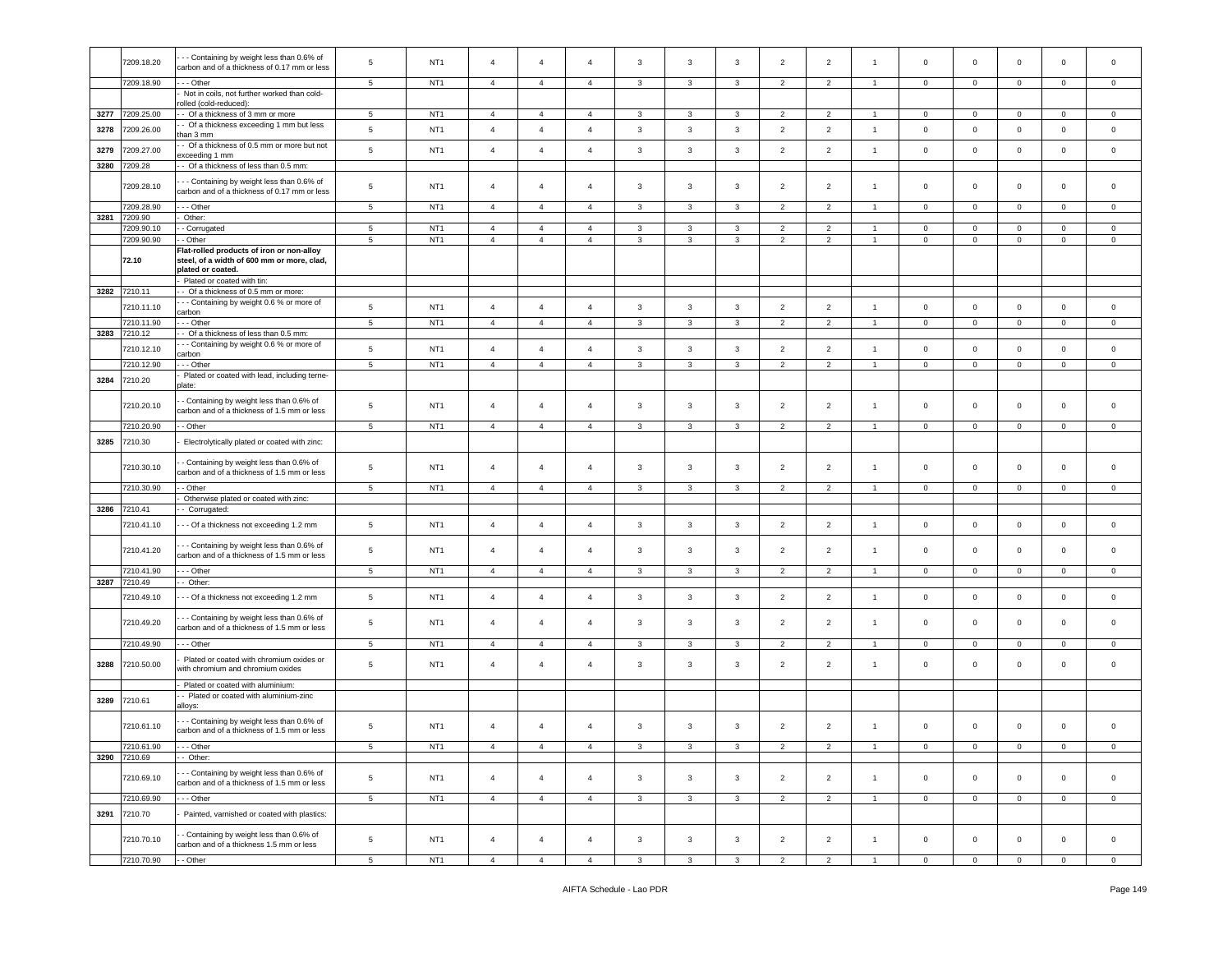|      | 7209.18.20            | - - Containing by weight less than 0.6% of                                                 | 5               | NT <sub>1</sub> | $\overline{4}$ | $\overline{4}$ | $\overline{4}$ | 3              | 3            | 3              | $\overline{2}$ | $\overline{2}$ | -1             | $\circ$             | $\mathbf 0$    | $\mathbf 0$    | $\mathbf 0$    | $\mathbf 0$    |
|------|-----------------------|--------------------------------------------------------------------------------------------|-----------------|-----------------|----------------|----------------|----------------|----------------|--------------|----------------|----------------|----------------|----------------|---------------------|----------------|----------------|----------------|----------------|
|      |                       | carbon and of a thickness of 0.17 mm or less                                               |                 |                 |                |                |                |                |              |                |                |                |                |                     |                |                |                |                |
|      | 7209.18.90            | -- Other                                                                                   | 5               | NT <sub>1</sub> | $\overline{4}$ | $\overline{4}$ | $\overline{4}$ | $\mathbf{3}$   | $\mathbf{3}$ | 3              | $\overline{2}$ | $\overline{2}$ | $\overline{1}$ | $\mathbf{0}$        | $\mathbf{0}$   | $\mathbf 0$    | $\mathbf 0$    | $\mathbf 0$    |
|      |                       | Not in coils, not further worked than cold-<br>olled (cold-reduced):                       |                 |                 |                |                |                |                |              |                |                |                |                |                     |                |                |                |                |
|      | 3277 7209.25.00       | - Of a thickness of 3 mm or more                                                           | $5\overline{5}$ | NT <sub>1</sub> | 4              | $\overline{4}$ | $\overline{4}$ | $\mathbf{3}$   | $\mathbf{3}$ | $\mathbf{3}$   | $\overline{2}$ | $\overline{2}$ | $\overline{1}$ | $\overline{0}$      | $\overline{0}$ | $\overline{0}$ | $\overline{0}$ | $\mathbf 0$    |
|      |                       | - Of a thickness exceeding 1 mm but less                                                   |                 |                 |                |                |                |                |              |                |                |                |                |                     |                |                |                |                |
| 3278 | 7209.26.00            | than 3 mm<br>- Of a thickness of 0.5 mm or more but not                                    | 5               | NT <sub>1</sub> | $\overline{4}$ | $\overline{4}$ | $\overline{4}$ | $\mathbf{3}$   | 3            | 3              | $\overline{2}$ | $\overline{2}$ | $\overline{1}$ | $\mathbf 0$         | $\mathbf 0$    | $\mathbf 0$    | $\mathbf 0$    | $\mathbf 0$    |
| 3279 | 7209.27.00            | exceeding 1 mm                                                                             | $\,$ 5 $\,$     | NT <sub>1</sub> | $\overline{4}$ | $\overline{4}$ | $\overline{4}$ | $\mathbf{3}$   | $\mathbf{3}$ | $\mathbf{3}$   | $\overline{2}$ | $\overline{2}$ | $\overline{1}$ | $\mathbf 0$         | $\mathsf 0$    | $\mathsf 0$    | $\mathbf 0$    | $\circ$        |
| 3280 | 7209.28               | - Of a thickness of less than 0.5 mm:                                                      |                 |                 |                |                |                |                |              |                |                |                |                |                     |                |                |                |                |
|      |                       |                                                                                            |                 |                 |                |                |                |                |              |                |                |                |                |                     |                |                |                |                |
|      | 7209.28.10            | - - Containing by weight less than 0.6% of<br>carbon and of a thickness of 0.17 mm or less | $\sqrt{5}$      | NT <sub>1</sub> | $\overline{4}$ | $\overline{4}$ | $\overline{4}$ | $\mathbf{3}$   | 3            | 3              | $\overline{2}$ | $\overline{2}$ | $\overline{1}$ | $\mathbf 0$         | $\mathbf 0$    | $\mathbf 0$    | $\mathbf 0$    | $\mathbf 0$    |
|      |                       |                                                                                            |                 |                 |                |                |                |                |              |                |                |                |                |                     |                |                |                |                |
|      | 7209.28.90            | - - Other                                                                                  | $5\phantom{.0}$ | NT <sub>1</sub> | $\overline{4}$ | $\overline{4}$ | $\overline{4}$ | 3              | 3            | 3              | $\overline{2}$ | $\overline{2}$ | $\overline{1}$ | $\mathbf{0}$        | $\mathbf{0}$   | $\mathbf 0$    | $\circ$        | $\mathbf 0$    |
| 3281 | 7209.90<br>7209.90.10 | Other:<br>- Corrugated                                                                     | $\overline{5}$  | NT <sub>1</sub> | $\overline{4}$ | $\overline{4}$ | $\overline{4}$ | $\mathbf{3}$   | $\mathbf{3}$ | $\mathbf{3}$   | $\overline{2}$ | $\overline{2}$ | $\overline{1}$ | $\mathbf 0$         | $\circ$        | $\mathsf 0$    | $\mathbf 0$    | $\mathbf 0$    |
|      | 7209.90.90            | - Other                                                                                    | 5               | NT <sub>1</sub> | $\overline{4}$ | $\overline{4}$ | $\overline{4}$ | 3              | 3            | 3              | $\overline{2}$ | $\overline{2}$ | $\overline{1}$ | $\mathbf 0$         | $\mathbf 0$    | $\mathbf 0$    | $\mathbf 0$    | $\mathbf 0$    |
|      |                       | Flat-rolled products of iron or non-alloy                                                  |                 |                 |                |                |                |                |              |                |                |                |                |                     |                |                |                |                |
|      | 72.10                 | steel, of a width of 600 mm or more, clad,                                                 |                 |                 |                |                |                |                |              |                |                |                |                |                     |                |                |                |                |
|      |                       | plated or coated.                                                                          |                 |                 |                |                |                |                |              |                |                |                |                |                     |                |                |                |                |
|      |                       | Plated or coated with tin:                                                                 |                 |                 |                |                |                |                |              |                |                |                |                |                     |                |                |                |                |
| 3282 | 7210.11               | - Of a thickness of 0.5 mm or more:                                                        |                 |                 |                |                |                |                |              |                |                |                |                |                     |                |                |                |                |
|      | 7210.11.10            | - - Containing by weight 0.6 % or more of<br>carbon                                        | 5               | NT <sub>1</sub> | $\overline{4}$ | $\overline{4}$ | $\overline{4}$ | $\mathbf{3}$   | $\mathbf{3}$ | 3              | $\overline{2}$ | $\overline{2}$ | $\overline{1}$ | $\mathbf 0$         | $\mathbf 0$    | $\mathbf 0$    | $\mathbf 0$    | $\mathbf 0$    |
|      | 7210.11.90            | - - Other                                                                                  | $\sqrt{5}$      | NT <sub>1</sub> | $\overline{4}$ | $\overline{4}$ | $\overline{4}$ | $\mathbf{3}$   | $\mathbf{3}$ | $\mathbf{3}$   | $\overline{2}$ | $\overline{2}$ | $\mathbf{1}$   | $\mathbf 0$         | $\circ$        | $\mathbf 0$    | $\mathbf 0$    | $\mathbf{0}$   |
|      | 3283 7210.12          | - Of a thickness of less than 0.5 mm:                                                      |                 |                 |                |                |                |                |              |                |                |                |                |                     |                |                |                |                |
|      |                       | -- Containing by weight 0.6 % or more of                                                   |                 |                 |                |                |                |                |              |                |                |                |                |                     |                |                |                |                |
|      | 7210.12.10            | arbon                                                                                      | $\,$ 5 $\,$     | NT <sub>1</sub> | $\overline{4}$ | $\overline{4}$ | $\overline{4}$ | $\mathbf{3}$   | $\mathbf{3}$ | $\mathbf{3}$   | $\overline{2}$ | $\overline{2}$ | $\overline{1}$ | $\mathbf 0$         | $\mathbf 0$    | $\mathbf 0$    | $\mathbf 0$    | $\mathbf 0$    |
|      | 7210.12.90            | - - Other                                                                                  | $\,$ 5 $\,$     | NT <sub>1</sub> | $\overline{4}$ | $\overline{4}$ | $\overline{4}$ | $\mathbf{3}$   | $\mathbf{3}$ | $\mathbf{3}$   | $\overline{2}$ | $\overline{2}$ | $\overline{1}$ | $\mathsf 0$         | $\circ$        | $\mathbf 0$    | $\mathbf 0$    | $\mathbf 0$    |
| 3284 | 7210.20               | Plated or coated with lead, including terne-                                               |                 |                 |                |                |                |                |              |                |                |                |                |                     |                |                |                |                |
|      |                       | blate:                                                                                     |                 |                 |                |                |                |                |              |                |                |                |                |                     |                |                |                |                |
|      | 7210.20.10            | - Containing by weight less than 0.6% of<br>carbon and of a thickness of 1.5 mm or less    | 5               | NT <sub>1</sub> | $\overline{4}$ | $\overline{4}$ | $\overline{4}$ | $\mathbf{3}$   | 3            | 3              | $\overline{2}$ | $\overline{2}$ | $\overline{1}$ | $\mathbf 0$         | $\mathbf 0$    | $\mathbf 0$    | $\mathbf 0$    | $\mathbf 0$    |
|      |                       |                                                                                            |                 |                 |                |                |                |                |              |                |                |                |                |                     |                |                |                |                |
|      | 7210.20.90            | - Other                                                                                    | 5               | NT <sub>1</sub> | $\overline{4}$ | $\overline{4}$ | $\overline{4}$ | 3              | 3            | 3              | 2              | $\overline{2}$ | -1             | $\mathbf 0$         | $\mathbf 0$    | $\mathbf 0$    | $\mathbf 0$    | $\mathbf 0$    |
| 3285 | 7210.30               | Electrolytically plated or coated with zinc:                                               |                 |                 |                |                |                |                |              |                |                |                |                |                     |                |                |                |                |
|      |                       |                                                                                            |                 |                 |                |                |                |                |              |                |                |                |                |                     |                |                |                |                |
|      | 7210.30.10            | - Containing by weight less than 0.6% of                                                   | 5               | NT <sub>1</sub> | $\overline{4}$ | $\overline{4}$ | $\overline{4}$ | $\mathbf{3}$   | 3            | $\mathbf{3}$   | $\overline{2}$ | $\overline{2}$ | $\overline{1}$ | $\mathbf 0$         | $\mathbf{0}$   | $\mathbf 0$    | $\mathbf 0$    | $\mathbf 0$    |
|      |                       | carbon and of a thickness of 1.5 mm or less                                                |                 |                 |                |                |                |                |              |                |                |                |                |                     |                |                |                |                |
|      | 7210.30.90            | - Other                                                                                    | $5\overline{5}$ | NT <sub>1</sub> | $\overline{4}$ | $\overline{4}$ | $\overline{4}$ | $\mathbf{3}$   | $\mathbf{3}$ | $\mathbf{3}$   | $\overline{2}$ | $\overline{2}$ | $\overline{1}$ | $\mathsf 0$         | $\overline{0}$ | $\overline{0}$ | $\circ$        | $\mathbf{0}$   |
|      |                       | Otherwise plated or coated with zinc:                                                      |                 |                 |                |                |                |                |              |                |                |                |                |                     |                |                |                |                |
| 3286 | 7210.41               | Corrugated:                                                                                |                 |                 |                |                |                |                |              |                |                |                |                |                     |                |                |                |                |
|      | 7210.41.10            | - - Of a thickness not exceeding 1.2 mm                                                    | $\sqrt{5}$      | NT <sub>1</sub> | $\overline{4}$ | $\overline{4}$ | $\overline{4}$ | $\mathbf{3}$   | $\mathbf{3}$ | $\mathbf{3}$   | $\overline{2}$ | $\overline{2}$ | $\mathbf{1}$   | $\mathbf 0$         | $\circ$        | $\mathsf 0$    | $\mathsf 0$    | $\mathsf 0$    |
|      |                       |                                                                                            |                 |                 |                |                |                |                |              |                |                |                |                |                     |                |                |                |                |
|      | 7210.41.20            | - - Containing by weight less than 0.6% of<br>carbon and of a thickness of 1.5 mm or less  | $5\phantom{.0}$ | NT <sub>1</sub> | $\overline{4}$ | $\overline{4}$ | $\overline{4}$ | $\mathbf{3}$   | 3            | 3              | 2              | $\overline{2}$ | $\overline{1}$ | $\mathbf 0$         | $\mathbf 0$    | $\mathbf 0$    | $\mathbf 0$    | $\mathbf 0$    |
|      |                       |                                                                                            |                 |                 |                |                |                |                |              |                |                |                |                |                     |                |                |                |                |
|      | 210.41.90             | - - Other                                                                                  | $5\phantom{.0}$ | NT <sub>1</sub> | $\overline{4}$ | $\overline{4}$ | $\overline{4}$ | 3              | 3            | 3              | $\overline{2}$ | $\overline{2}$ | $\overline{1}$ | $\mathbf{0}$        | $\mathbf{0}$   | $\mathbf 0$    | $\circ$        | $\mathbf 0$    |
| 3287 | 7210.49               | Other:                                                                                     |                 |                 |                |                |                |                |              |                |                |                |                |                     |                |                |                |                |
|      | 7210.49.10            | - - Of a thickness not exceeding 1.2 mm                                                    | $\overline{5}$  | NT <sub>1</sub> | $\overline{4}$ | $\overline{4}$ | $\overline{4}$ | $\mathbf{3}$   | $\mathbf{3}$ | $\mathbf{3}$   | $\overline{2}$ | $\overline{2}$ | $\mathbf{1}$   | $\mathbb O$         | $\mathbf 0$    | $\mathbf 0$    | $\mathsf 0$    | $\mathbf 0$    |
|      |                       |                                                                                            |                 |                 |                |                |                |                |              |                |                |                |                |                     |                |                |                |                |
|      | 7210.49.20            | - - Containing by weight less than 0.6% of<br>carbon and of a thickness of 1.5 mm or less  | $5\phantom{.0}$ | NT <sub>1</sub> | $\overline{4}$ | $\overline{4}$ | $\overline{4}$ | $\mathbf{3}$   | 3            | 3              | $\overline{2}$ | $\overline{2}$ | $\overline{1}$ | $\mathbf 0$         | $\mathbf 0$    | $\mathbf 0$    | $\mathbf 0$    | 0              |
|      | 7210.49.90            | --- Other                                                                                  | 5               | NT <sub>1</sub> | $\overline{4}$ | $\overline{4}$ | $\overline{4}$ | 3              | 3            | $\overline{3}$ | 2              | 2              | $\overline{1}$ | $\circ$             | $\circ$        | $\circ$        | $\Omega$       | $\mathbf 0$    |
|      |                       |                                                                                            |                 |                 |                |                |                |                |              |                |                |                |                |                     |                |                |                |                |
| 3288 | 7210.50.00            | Plated or coated with chromium oxides or                                                   | 5               | NT <sub>1</sub> | $\overline{4}$ | $\overline{4}$ | $\overline{4}$ | 3              | 3            | 3              | $\overline{2}$ | $\overline{2}$ | $\overline{1}$ | $\mathbf 0$         | $\mathbf 0$    | $\mathbf 0$    | $\mathbf 0$    | $\mathbf 0$    |
|      |                       | with chromium and chromium oxides                                                          |                 |                 |                |                |                |                |              |                |                |                |                |                     |                |                |                |                |
|      |                       | Plated or coated with aluminium:                                                           |                 |                 |                |                |                |                |              |                |                |                |                |                     |                |                |                |                |
| 3289 | 7210.61               | - Plated or coated with aluminium-zinc                                                     |                 |                 |                |                |                |                |              |                |                |                |                |                     |                |                |                |                |
|      |                       | :alloys                                                                                    |                 |                 |                |                |                |                |              |                |                |                |                |                     |                |                |                |                |
|      | 7210.61.10            | - - Containing by weight less than 0.6% of                                                 | 5               | NT <sub>1</sub> | $\overline{4}$ | $\Delta$       | $\Delta$       | 3              | 3            | 3              | 2              | $\overline{2}$ |                | $\mathbf 0$         | $\mathbf 0$    | $\Omega$       | $\Omega$       | $\mathbf 0$    |
|      |                       | carbon and of a thickness of 1.5 mm or less                                                |                 |                 |                |                |                |                |              |                |                |                |                |                     |                |                |                |                |
|      | 7210.61.90            | --- Other                                                                                  | 5               | NT <sub>1</sub> | $\overline{4}$ | $\overline{4}$ | $\overline{4}$ | 3              | 3            | 3              | $\overline{2}$ | $\overline{2}$ | $\overline{1}$ | $\overline{0}$      | $\overline{0}$ | $\mathbf 0$    | $\mathbf 0$    | $\mathsf 0$    |
|      | 3290 7210.69          | - Other:                                                                                   |                 |                 |                |                |                |                |              |                |                |                |                |                     |                |                |                |                |
|      |                       | - Containing by weight less than 0.6% of                                                   |                 |                 |                |                |                |                |              |                |                |                |                |                     |                |                |                |                |
|      | 7210.69.10            | carbon and of a thickness of 1.5 mm or less                                                | $\sqrt{5}$      | NT <sub>1</sub> | $\overline{4}$ | $\overline{4}$ | $\overline{4}$ | $\mathbf{3}$   | $\mathbf{3}$ | $\mathbf{3}$   | $\overline{2}$ | $\overline{2}$ | $\mathbf{1}$   | $\mathsf{O}\xspace$ | $\mathbf 0$    | $\mathbf 0$    | $\mathbf 0$    | $\mathsf 0$    |
|      | 7210.69.90            | - - Other                                                                                  | $\overline{5}$  | NT <sub>1</sub> | $\overline{4}$ | $\overline{4}$ | $\overline{4}$ | $\mathbf{3}$   | $\mathbf{3}$ | $\mathbf{3}$   | $\overline{2}$ | $\overline{2}$ | $\overline{1}$ | $\mathbf 0$         | $\circ$        | $\mathbf 0$    | $\overline{0}$ | $\overline{0}$ |
|      |                       |                                                                                            |                 |                 |                |                |                |                |              |                |                |                |                |                     |                |                |                |                |
| 3291 | 7210.70               | Painted, varnished or coated with plastics:                                                |                 |                 |                |                |                |                |              |                |                |                |                |                     |                |                |                |                |
|      |                       | - Containing by weight less than 0.6% of                                                   |                 |                 |                |                |                |                |              |                |                |                |                |                     |                |                |                |                |
|      | 7210.70.10            | carbon and of a thickness 1.5 mm or less                                                   | $\sqrt{5}$      | NT <sub>1</sub> | $\overline{4}$ | $\overline{4}$ | $\overline{4}$ | $\mathbf{3}$   | $\mathbf{3}$ | $\mathbf{3}$   | $\overline{2}$ | $\overline{2}$ | $\overline{1}$ | $\mathbf 0$         | $\mathbf{0}$   | $\mathsf 0$    | $\mathbf 0$    | $\mathbf{0}$   |
|      | 7210.70.90            | - - Other                                                                                  | $5\overline{ }$ | NT <sub>1</sub> | $\overline{4}$ | $\overline{4}$ | $\overline{4}$ | $\overline{3}$ | $\mathbf{3}$ | $\mathbf{3}$   | $\overline{2}$ | $\overline{2}$ | $\overline{1}$ | $\overline{0}$      | $\overline{0}$ | $\overline{0}$ | $\overline{0}$ | $\overline{0}$ |
|      |                       |                                                                                            |                 |                 |                |                |                |                |              |                |                |                |                |                     |                |                |                |                |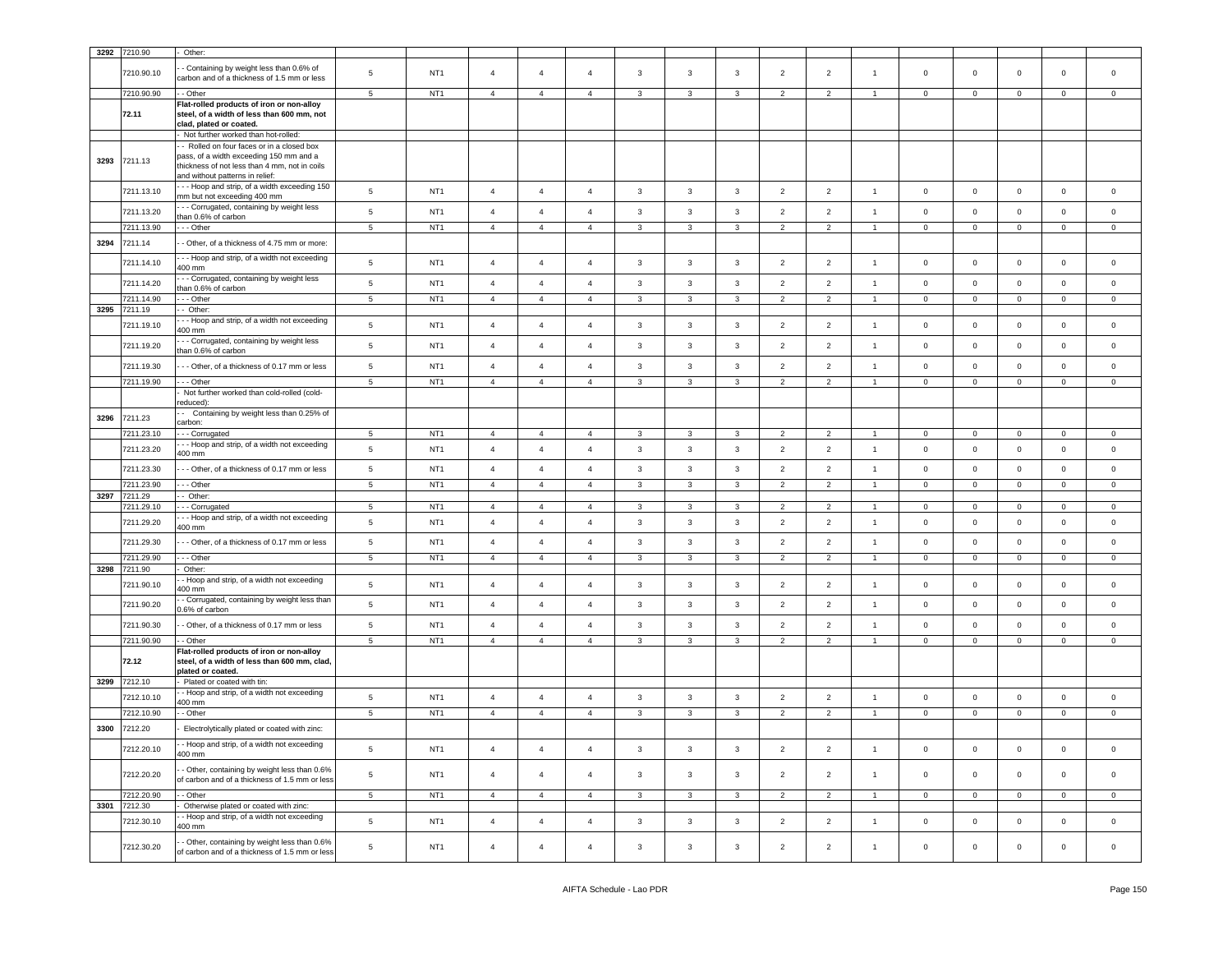|      | 3292 7210.90               | Other:                                                                                                                                                      |                 |                 |                |                                  |                                  |                |              |              |                |                |                |                        |                     |                |                |                |
|------|----------------------------|-------------------------------------------------------------------------------------------------------------------------------------------------------------|-----------------|-----------------|----------------|----------------------------------|----------------------------------|----------------|--------------|--------------|----------------|----------------|----------------|------------------------|---------------------|----------------|----------------|----------------|
|      | 7210.90.10                 | - Containing by weight less than 0.6% of<br>carbon and of a thickness of 1.5 mm or less                                                                     | $5\phantom{.0}$ | NT <sub>1</sub> | $\overline{4}$ | $\overline{4}$                   | $\overline{4}$                   | 3              | $\mathbf{3}$ | 3            | $\overline{2}$ | $\overline{2}$ | $\overline{1}$ | $\mathbf 0$            | $\mathbf{0}$        | $\mathbf 0$    | $\mathbf 0$    | $\circ$        |
|      | 7210.90.90                 | - Other                                                                                                                                                     | $\overline{5}$  | NT <sub>1</sub> | $\overline{4}$ | $\overline{4}$                   | $\overline{4}$                   | $\mathbf{3}$   | 3            | 3            | 2              | 2              | $\overline{1}$ | $\mathbf 0$            | $\ddot{\mathbf{0}}$ | $\mathbf 0$    | $\mathbf 0$    | $\mathbf 0$    |
|      | 72.11                      | Flat-rolled products of iron or non-alloy<br>steel, of a width of less than 600 mm, not<br>clad, plated or coated.<br>- Not further worked than hot-rolled: |                 |                 |                |                                  |                                  |                |              |              |                |                |                |                        |                     |                |                |                |
|      |                            | - Rolled on four faces or in a closed box                                                                                                                   |                 |                 |                |                                  |                                  |                |              |              |                |                |                |                        |                     |                |                |                |
| 3293 | 7211.13                    | pass, of a width exceeding 150 mm and a<br>thickness of not less than 4 mm, not in coils<br>and without patterns in relief:                                 |                 |                 |                |                                  |                                  |                |              |              |                |                |                |                        |                     |                |                |                |
|      | 7211.13.10                 | --- Hoop and strip, of a width exceeding 150<br>mm but not exceeding 400 mm                                                                                 | 5               | NT <sub>1</sub> | $\overline{4}$ | $\overline{4}$                   | $\overline{4}$                   | $\mathbf{3}$   | $\mathbf{3}$ | $\mathbf{3}$ | $\overline{2}$ | $\overline{2}$ | $\overline{1}$ | $\mathbf{0}$           | $\overline{0}$      | $\mathbf 0$    | $\mathbf 0$    | $\circ$        |
|      | 7211.13.20                 | - - Corrugated, containing by weight less<br>than 0.6% of carbon                                                                                            | $5\phantom{.0}$ | NT <sub>1</sub> | $\overline{4}$ | $\overline{4}$                   | $\overline{4}$                   | 3              | $\mathbf{3}$ | $\mathbf{3}$ | $\overline{2}$ | $\overline{2}$ | $\overline{1}$ | $\mathbf 0$            | $\mathbf 0$         | $\mathbf 0$    | $\mathbf 0$    | $\circ$        |
|      | 7211.13.90                 | - - - Other                                                                                                                                                 | $5\phantom{.0}$ | NT <sub>1</sub> | $\overline{4}$ | $\overline{4}$                   | $\overline{4}$                   | $\mathbf{3}$   | 3            | $\mathbf{3}$ | $\overline{2}$ | $\overline{2}$ | $\overline{1}$ | $\mathbf 0$            | $\mathbf{0}$        | $\mathsf 0$    | $\mathbf{0}$   | $\circ$        |
| 3294 | 7211.14                    | - Other, of a thickness of 4.75 mm or more:                                                                                                                 |                 |                 |                |                                  |                                  |                |              |              |                |                |                |                        |                     |                |                |                |
|      | 7211.14.10                 | - - Hoop and strip, of a width not exceeding<br>400 mm                                                                                                      | $\,$ 5          | NT <sub>1</sub> | $\overline{4}$ | $\overline{4}$                   | $\overline{4}$                   | 3              | 3            | 3            | $\overline{2}$ | $\overline{2}$ | $\overline{1}$ | $\mathbf 0$            | $\mathbf 0$         | $\mathbf 0$    | $\mathbf 0$    | $\mathbf 0$    |
|      | 7211.14.20                 | - - Corrugated, containing by weight less<br>than 0.6% of carbon                                                                                            | $\,$ 5 $\,$     | NT <sub>1</sub> | $\overline{4}$ | $\overline{4}$                   | $\overline{4}$                   | $\mathbf{3}$   | $\mathbf{3}$ | $\mathbf{3}$ | $\overline{2}$ | $\overline{2}$ | $\overline{1}$ | $\circ$                | $\circ$             | $\mathsf 0$    | $\mathbf 0$    | $\circ$        |
|      | 7211.14.90                 | - - Other                                                                                                                                                   | $\,$ 5 $\,$     | NT <sub>1</sub> | $\overline{4}$ | $\overline{4}$                   | $\overline{4}$                   | $\mathbf{3}$   | $\mathbf{3}$ | $\mathbf{3}$ | $\overline{2}$ | $\overline{2}$ | -4             | $\mathbf 0$            | $\circ$             | $\mathsf 0$    | $\mathbf 0$    | $\mathbf 0$    |
| 3295 | 7211.19                    | - Other:<br>- - Hoop and strip, of a width not exceeding                                                                                                    |                 |                 |                |                                  |                                  |                |              |              |                |                |                |                        |                     |                |                |                |
|      | 7211.19.10                 | 400 mm<br>- - Corrugated, containing by weight less                                                                                                         | $\,$ 5 $\,$     | NT <sub>1</sub> | $\overline{4}$ | $\overline{4}$                   | $\overline{4}$                   | $\overline{3}$ | $\mathbf{3}$ | 3            | $\overline{2}$ | $\overline{2}$ | $\overline{1}$ | $\mathbf 0$            | $\mathbf{0}$        | $\mathbf 0$    | $\mathbf 0$    | $\mathbf 0$    |
|      | 7211.19.20                 | than 0.6% of carbon                                                                                                                                         | $\,$ 5          | NT <sub>1</sub> | $\overline{4}$ | $\overline{4}$                   | $\overline{4}$                   | $\mathbf{3}$   | $\mathbf{3}$ | $\mathbf{3}$ | $\overline{2}$ | $\overline{2}$ | $\mathbf{1}$   | $\mathbf 0$            | $\mathbf 0$         | $\mathbf 0$    | $\mathbf 0$    | $\mathsf 0$    |
|      | 7211.19.30                 | --- Other, of a thickness of 0.17 mm or less                                                                                                                | $\,$ 5 $\,$     | NT <sub>1</sub> | $\overline{4}$ | $\overline{4}$<br>$\overline{4}$ | $\overline{4}$<br>$\overline{4}$ | $\mathbf{3}$   | $\mathbf{3}$ | $\mathbf{3}$ | $\overline{2}$ | $\overline{2}$ | $\overline{1}$ | $\circ$<br>$\mathbf 0$ | $\overline{0}$      | $\mathbf 0$    | $\mathbf 0$    | $\mathbf 0$    |
|      | 7211.19.90                 | - - Other<br>Not further worked than cold-rolled (cold-                                                                                                     | 5               | NT <sub>1</sub> | $\overline{4}$ |                                  |                                  | 3              | 3            | 3            | $\overline{2}$ | $\overline{2}$ |                |                        | $\mathbf 0$         | $\mathbf 0$    | $\mathbf 0$    | $\mathbf 0$    |
|      |                            | reduced):                                                                                                                                                   |                 |                 |                |                                  |                                  |                |              |              |                |                |                |                        |                     |                |                |                |
| 3296 | 7211.23                    | - Containing by weight less than 0.25% of<br>carbon:                                                                                                        |                 |                 |                |                                  |                                  |                |              |              |                |                |                |                        |                     |                |                |                |
|      | 7211.23.10                 | -- Corrugated                                                                                                                                               | 5 <sub>5</sub>  | NT <sub>1</sub> | $\overline{4}$ | $\overline{4}$                   | $\overline{4}$                   | $\mathbf{3}$   | 3            | $\mathbf{3}$ | $\overline{2}$ | $\overline{2}$ | $\overline{1}$ | $\mathbf{0}$           | $\overline{0}$      | $\mathbf 0$    | $\mathbf{0}$   | $\mathbf 0$    |
|      | 7211.23.20                 | - - Hoop and strip, of a width not exceeding<br>400 mm                                                                                                      | $\,$ 5          | NT <sub>1</sub> | $\overline{4}$ | $\overline{4}$                   | $\overline{4}$                   | $\mathbf{3}$   | $\mathbf{3}$ | $\mathbf{3}$ | $\overline{2}$ | $\overline{2}$ | $\mathbf{1}$   | $\mathsf 0$            | $\mathbf 0$         | $\mathbf 0$    | $\mathbf 0$    | $\mathsf 0$    |
|      | 7211.23.30                 | - - Other, of a thickness of 0.17 mm or less                                                                                                                | $\overline{5}$  | NT <sub>1</sub> | $\overline{4}$ | $\overline{4}$                   | $\overline{4}$                   | $\mathbf{3}$   | 3            | 3            | $\overline{2}$ | $\overline{2}$ | $\overline{1}$ | $\mathbf 0$            | $\overline{0}$      | $\mathbf 0$    | $\mathbf 0$    | $\mathbf 0$    |
|      | 7211.23.90                 | --- Other                                                                                                                                                   | 5               | NT <sub>1</sub> | $\overline{4}$ | $\overline{4}$                   | $\overline{4}$                   | $\mathbf{3}$   | 3            | 3            | $\overline{2}$ | $\overline{2}$ | $\overline{1}$ | $\circ$                | $\overline{0}$      | $\mathbf 0$    | $\mathbf{0}$   | $\mathbf 0$    |
| 3297 | 7211.29<br>7211.29.10      | - Other:<br>- - Corrugated                                                                                                                                  | $5\overline{5}$ | NT <sub>1</sub> | $\overline{4}$ | $\overline{4}$                   | $\overline{4}$                   | $\mathbf{3}$   | 3            | $\mathbf{3}$ | $\overline{2}$ | $\overline{2}$ | -1             | $\overline{0}$         | $\overline{0}$      | $\mathsf 0$    | $\mathsf 0$    | $\mathbf 0$    |
|      | 7211.29.20                 | - - Hoop and strip, of a width not exceeding<br>400 mm                                                                                                      | $\,$ 5          | NT <sub>1</sub> | $\overline{4}$ | $\overline{4}$                   | $\overline{4}$                   | 3              | 3            | $\mathbf{3}$ | $\overline{2}$ | $\overline{2}$ | $\overline{1}$ | $\mathbf 0$            | $\overline{0}$      | $\mathbf 0$    | $\mathbf 0$    | $\mathbf 0$    |
|      | 7211.29.30                 | - - Other, of a thickness of 0.17 mm or less                                                                                                                | $\,$ 5 $\,$     | NT <sub>1</sub> | $\overline{4}$ | $\overline{4}$                   | $\overline{4}$                   | $\mathbf{3}$   | 3            | $\mathbf{3}$ | $\overline{2}$ | $\overline{2}$ | $\mathbf{1}$   | $\mathbf 0$            | $\mathbf 0$         | $\mathbf 0$    | $\mathsf 0$    | $\mathsf 0$    |
|      | 7211.29.90                 | --- Other                                                                                                                                                   | $5\overline{5}$ | NT <sub>1</sub> | $\overline{4}$ | $\overline{4}$                   | $\overline{4}$                   | $\mathbf{3}$   | 3            | 3            | $\overline{2}$ | $\overline{2}$ | $\mathbf{1}$   | $\overline{0}$         | $\overline{0}$      | $\overline{0}$ | $\overline{0}$ | $\mathbf{0}$   |
| 3298 | 7211.90<br>7211.90.10      | Other:<br>- Hoop and strip, of a width not exceeding                                                                                                        | $\,$ 5 $\,$     | NT <sub>1</sub> | $\overline{4}$ | $\overline{4}$                   | $\overline{4}$                   | $\mathbf{3}$   | $\mathbf{3}$ | $\mathbf{3}$ | $\overline{2}$ | $\overline{2}$ | $\overline{1}$ | $\circ$                | $\overline{0}$      | $\mathbf 0$    | $\mathbf 0$    | $\mathbf 0$    |
|      | 7211.90.20                 | 400 mm<br>- Corrugated, containing by weight less than                                                                                                      | $\,$ 5 $\,$     | NT <sub>1</sub> | $\overline{4}$ | $\overline{4}$                   | $\overline{4}$                   | $\mathbf{3}$   | $\mathbf{3}$ | $\mathbf{3}$ | $\overline{2}$ | $\overline{2}$ | $\overline{1}$ | $\circ$                | $\overline{0}$      | $\mathbf 0$    | $\mathbf 0$    | $\mathbf 0$    |
|      | 7211.90.30                 | 0.6% of carbon<br>- Other, of a thickness of 0.17 mm or less                                                                                                | $\,$ 5 $\,$     | NT <sub>1</sub> | $\overline{4}$ | $\overline{4}$                   | $\overline{4}$                   | 3              | 3            | 3            | $\overline{2}$ | $\overline{2}$ | $\overline{1}$ | $\mathbf 0$            | $\mathbf 0$         | $\mathbf 0$    | $\mathbf 0$    | $\mathbf 0$    |
|      | 7211.90.90                 | - Other                                                                                                                                                     | $\,$ 5 $\,$     | NT <sub>1</sub> | $\overline{4}$ | $\overline{4}$                   | $\overline{4}$                   | 3              | 3            | $\mathbf{3}$ | $\overline{2}$ | $\overline{2}$ | $\overline{1}$ | $\mathbf 0$            | $\mathbf 0$         | $\mathbf 0$    | $\mathbf{0}$   | $\mathbf{0}$   |
|      | 72.12                      | Flat-rolled products of iron or non-alloy<br>steel, of a width of less than 600 mm, clad,<br>plated or coated.                                              |                 |                 |                |                                  |                                  |                |              |              |                |                |                |                        |                     |                |                |                |
| 3299 | 7212.10                    | Plated or coated with tin:                                                                                                                                  |                 |                 |                |                                  |                                  |                |              |              |                |                |                |                        |                     |                |                |                |
|      | 7212.10.10                 | - Hoop and strip, of a width not exceeding<br>400 mm                                                                                                        | $5\phantom{.0}$ | NT <sub>1</sub> | $\overline{4}$ | $\overline{4}$                   | $\overline{4}$                   | 3              | $\mathbf{3}$ | 3            | $\overline{2}$ | $\overline{2}$ | $\overline{1}$ | $\mathbf 0$            | $\overline{0}$      | $\mathbf 0$    | $\mathbf 0$    | $\mathbf 0$    |
|      | 7212.10.90                 | - Other                                                                                                                                                     | $5\overline{5}$ | NT <sub>1</sub> | $\overline{4}$ | $\overline{4}$                   | $\overline{4}$                   | $\mathbf{3}$   | $\mathbf{3}$ | 3            | $\overline{2}$ | $\overline{2}$ | $\mathbf{1}$   | $\mathbf{0}$           | $\mathbf{0}$        | $\mathbf 0$    | $\mathbf{0}$   | $\mathbf 0$    |
| 3300 | 7212.20                    | Electrolytically plated or coated with zinc:                                                                                                                |                 |                 |                |                                  |                                  |                |              |              |                |                |                |                        |                     |                |                |                |
|      | 7212.20.10                 | · Hoop and strip, of a width not exceeding<br>400 mm                                                                                                        | $5\phantom{.0}$ | NT <sub>1</sub> | $\overline{4}$ | $\overline{4}$                   | $\overline{4}$                   | $\mathbf{3}$   | 3            | $\mathbf{3}$ | $\overline{2}$ | $\overline{2}$ | $\mathbf{1}$   | $\overline{0}$         | $\overline{0}$      | $\mathsf 0$    | $\mathsf 0$    | $\overline{0}$ |
|      | 7212.20.20                 | - Other, containing by weight less than 0.6%<br>of carbon and of a thickness of 1.5 mm or less                                                              | $5\phantom{.0}$ | NT <sub>1</sub> | $\overline{4}$ | $\overline{4}$                   | $\overline{4}$                   | $\mathbf{3}$   | 3            | $\mathbf{3}$ | $\overline{2}$ | $\overline{2}$ | $\overline{1}$ | $\circ$                | $\mathbf{0}$        | $\mathbf 0$    | $\mathbf{0}$   | $\circ$        |
|      | 7212.20.90                 | - Other                                                                                                                                                     | $5\overline{5}$ | NT <sub>1</sub> | $\overline{4}$ | $\overline{4}$                   | $\overline{4}$                   | $\mathbf{3}$   | $\mathbf{3}$ | 3            | $\overline{2}$ | $\overline{2}$ | $\overline{1}$ | $\mathbf{0}$           | $\overline{0}$      | $\mathbf 0$    | $\mathbf{0}$   | $\circ$        |
|      | 3301 7212.30<br>7212.30.10 | Otherwise plated or coated with zinc:<br>- Hoop and strip, of a width not exceeding<br>400 mm                                                               | $\,$ 5 $\,$     | NT <sub>1</sub> | $\overline{4}$ | $\overline{4}$                   | $\overline{4}$                   | $\mathbf{3}$   | $\mathbf{3}$ | $\mathbf{3}$ | $\overline{2}$ | $\overline{2}$ | $\overline{1}$ | $\mathbf{0}$           | $\overline{0}$      | $\mathbf 0$    | $\mathbf{0}$   | $\mathsf 0$    |
|      | 7212.30.20                 | - Other, containing by weight less than 0.6%<br>of carbon and of a thickness of 1.5 mm or less                                                              | $\,$ 5 $\,$     | NT <sub>1</sub> | $\overline{4}$ | $\overline{4}$                   | $\overline{4}$                   | $\mathbf{3}$   | $\mathbf{3}$ | $\mathbf{3}$ | $\overline{2}$ | $\overline{2}$ | $\mathbf{1}$   | $\mathbf 0$            | $\overline{0}$      | $\mathsf 0$    | $\mathbf 0$    | $\overline{0}$ |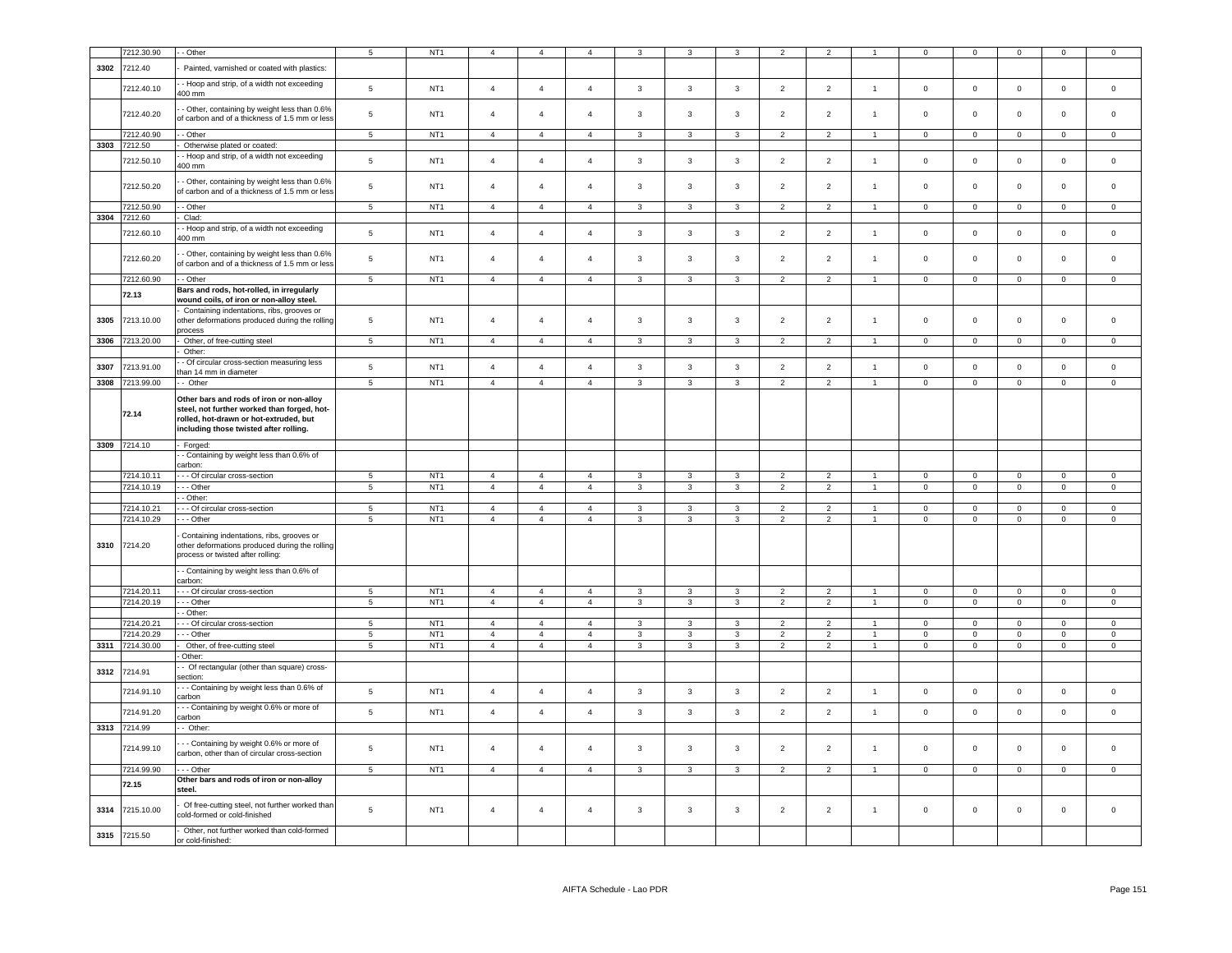|      | 7212.30.90               | - Other                                                                                                                                                                     | 5                     | NT <sub>1</sub>                    | $\overline{4}$ | $\overline{4}$ | $\overline{4}$ | 3              | 3              | 3                            | $\overline{2}$                   | 2                                |                      | $\mathbf 0$         | $\mathbf 0$                | $\mathsf 0$                    | $\mathbf 0$         | $\mathbf 0$         |
|------|--------------------------|-----------------------------------------------------------------------------------------------------------------------------------------------------------------------------|-----------------------|------------------------------------|----------------|----------------|----------------|----------------|----------------|------------------------------|----------------------------------|----------------------------------|----------------------|---------------------|----------------------------|--------------------------------|---------------------|---------------------|
| 3302 | 7212.40                  | Painted, varnished or coated with plastics:                                                                                                                                 |                       |                                    |                |                |                |                |                |                              |                                  |                                  |                      |                     |                            |                                |                     |                     |
|      |                          | - Hoop and strip, of a width not exceeding                                                                                                                                  |                       | NT <sub>1</sub>                    | $\overline{4}$ | $\overline{4}$ |                |                |                |                              |                                  |                                  | $\overline{1}$       |                     |                            | $\mathbf 0$                    | $\mathsf 0$         |                     |
|      | 7212.40.10               | 400 mm                                                                                                                                                                      | $\,$ 5 $\,$           |                                    |                |                | $\overline{4}$ | $\mathbf{3}$   | $\mathbf{3}$   | $\mathbf{3}$                 | $\overline{2}$                   | $\overline{2}$                   |                      | $\mathsf 0$         | $\mathbf 0$                |                                |                     | $\mathsf{O}\xspace$ |
|      | 7212.40.20               | - Other, containing by weight less than 0.6%<br>of carbon and of a thickness of 1.5 mm or less                                                                              | $\,$ 5 $\,$           | NT <sub>1</sub>                    | $\overline{4}$ | $\overline{4}$ | $\overline{4}$ | $\mathbf{3}$   | $\mathbf{3}$   | $\mathbf{3}$                 | $\overline{2}$                   | $\sqrt{2}$                       | $\overline{1}$       | $\mathsf{O}\xspace$ | $\mathsf 0$                | $\mathbf 0$                    | $\mathbf 0$         | $\Omega$            |
|      | 7212.40.90               | - Other                                                                                                                                                                     | 5 <sub>5</sub>        | NT <sub>1</sub>                    | $\overline{4}$ | $\overline{4}$ | $\overline{4}$ | $\mathbf{3}$   | $\mathbf{3}$   | $\mathbf{3}$                 | $\overline{2}$                   | $\overline{2}$                   | $\mathbf{1}$         | $\mathbf{0}$        | $\mathbf{0}$               | $\overline{0}$                 | $\mathbf{0}$        | $\mathbf{0}$        |
| 3303 | 7212.50                  | Otherwise plated or coated:                                                                                                                                                 |                       |                                    |                |                |                |                |                |                              |                                  |                                  |                      |                     |                            |                                |                     |                     |
|      | 7212.50.10               | - Hoop and strip, of a width not exceeding<br>400 mm                                                                                                                        | $\overline{5}$        | NT <sub>1</sub>                    | $\overline{4}$ | $\overline{4}$ | $\overline{4}$ | $\mathbf{3}$   | $\mathbf{3}$   | $\mathbf{3}$                 | $\overline{2}$                   | $\overline{2}$                   | $\overline{1}$       | $\mathbf 0$         | $\mathbf{0}$               | $\overline{0}$                 | $\mathbf 0$         | $\mathbf 0$         |
|      | 7212.50.20               | - Other, containing by weight less than 0.6%<br>of carbon and of a thickness of 1.5 mm or less                                                                              | 5                     | NT <sub>1</sub>                    | $\overline{4}$ | $\overline{4}$ | $\overline{4}$ | $\mathbf{3}$   | $\mathbf{3}$   | $\mathbf{3}$                 | $\overline{2}$                   | $\overline{2}$                   | $\mathbf{1}$         | $\mathsf{O}\xspace$ | $\mathsf 0$                | $\mathsf 0$                    | $\mathsf 0$         | $\mathsf{O}\xspace$ |
|      | 7212.50.90               | - Other                                                                                                                                                                     | $5\phantom{.0}$       | NT <sub>1</sub>                    | $\overline{4}$ | $\overline{a}$ | $\mathbf{A}$   | $\mathbf{3}$   | 3              | $\mathbf{3}$                 | $\overline{2}$                   | $\overline{2}$                   | $\overline{1}$       | $\mathbf 0$         | $\mathbf 0$                | $\overline{0}$                 | $\mathbf 0$         | $\Omega$            |
| 3304 | 7212.60                  | Clad:                                                                                                                                                                       |                       |                                    |                |                |                |                |                |                              |                                  |                                  |                      |                     |                            |                                |                     |                     |
|      | 7212.60.10               | - Hoop and strip, of a width not exceeding<br>400 mm                                                                                                                        | $\,$ 5 $\,$           | NT <sub>1</sub>                    | $\overline{4}$ | $\overline{4}$ | $\overline{4}$ | $\mathbf{3}$   | $\mathbf{3}$   | $\mathbf{3}$                 | $\overline{2}$                   | $\overline{2}$                   | $\overline{1}$       | $\,0\,$             | $\mathbf 0$                | $\mathbf 0$                    | $\mathsf{O}\xspace$ | $\mathbf 0$         |
|      | 7212.60.20               | - Other, containing by weight less than 0.6%<br>of carbon and of a thickness of 1.5 mm or less                                                                              | 5                     | NT <sub>1</sub>                    | $\overline{4}$ | $\overline{4}$ | $\overline{4}$ | 3              | 3              | 3                            | $\overline{2}$                   | $\overline{2}$                   | $\overline{1}$       | $\mathbf 0$         | $\mathbf 0$                | $\mathsf 0$                    | $\mathbf 0$         | $\mathsf 0$         |
|      | 7212.60.90               | - - Other                                                                                                                                                                   | $\sqrt{5}$            | NT <sub>1</sub>                    | $\overline{4}$ | $\overline{4}$ | $\overline{4}$ | 3              | 3              | $\mathbf{3}$                 | $\overline{2}$                   | $\overline{2}$                   | $\overline{1}$       | $\mathbf 0$         | $\mathbf{0}$               | $\overline{0}$                 | $\mathbf 0$         | $\mathbf 0$         |
|      | 72.13                    | Bars and rods, hot-rolled, in irregularly<br>wound coils, of iron or non-alloy steel.                                                                                       |                       |                                    |                |                |                |                |                |                              |                                  |                                  |                      |                     |                            |                                |                     |                     |
| 3305 | 7213.10.00               | Containing indentations, ribs, grooves or<br>other deformations produced during the rolling                                                                                 | 5                     | NT <sub>1</sub>                    | $\overline{4}$ | $\overline{4}$ | $\overline{4}$ | 3              | 3              | 3                            | $\overline{2}$                   | $\overline{2}$                   | $\overline{1}$       | $\mathbf 0$         | $\mathbf 0$                | $\mathsf 0$                    | $\mathbf 0$         | $\mathbf 0$         |
| 3306 | 7213.20.00               | process<br>Other, of free-cutting steel                                                                                                                                     | $\sqrt{5}$            | NT <sub>1</sub>                    | $\overline{4}$ | $\overline{4}$ | $\overline{4}$ | $\mathbf{3}$   | $\mathbf{3}$   | $\mathbf{3}$                 | $\overline{2}$                   | $\overline{2}$                   | $\overline{1}$       | $\mathsf 0$         | $\mathbf 0$                | $\mathbf 0$                    | $\mathsf 0$         | $\mathbf 0$         |
|      |                          | Other:                                                                                                                                                                      |                       |                                    |                |                |                |                |                |                              |                                  |                                  |                      |                     |                            |                                |                     |                     |
| 3307 | 7213.91.00               | - Of circular cross-section measuring less                                                                                                                                  | $5\phantom{.0}$       | NT <sub>1</sub>                    | $\overline{4}$ | $\overline{4}$ | $\overline{4}$ | $\mathbf{3}$   | $\mathbf{3}$   | $\mathbf{3}$                 | 2                                | $\overline{2}$                   | $\overline{1}$       | $\mathbf 0$         | $\mathbf 0$                | $\mathbf 0$                    | $\mathbf{0}$        | $\mathsf 0$         |
| 3308 | 7213.99.00               | than 14 mm in diameter<br>- Other                                                                                                                                           | 5                     | NT <sub>1</sub>                    | $\overline{4}$ | $\overline{4}$ | $\overline{4}$ | 3              | $\overline{3}$ | $\overline{3}$               | 2                                | 2                                | $\overline{1}$       | $\mathbf 0$         | $\mathbf 0$                | $\mathsf 0$                    | $\mathbf{0}$        | $\mathbf 0$         |
|      | 72.14                    | Other bars and rods of iron or non-alloy<br>steel, not further worked than forged, hot-<br>rolled, hot-drawn or hot-extruded, but<br>including those twisted after rolling. |                       |                                    |                |                |                |                |                |                              |                                  |                                  |                      |                     |                            |                                |                     |                     |
| 3309 | 7214.10                  | Forged:                                                                                                                                                                     |                       |                                    |                |                |                |                |                |                              |                                  |                                  |                      |                     |                            |                                |                     |                     |
|      |                          | - Containing by weight less than 0.6% of                                                                                                                                    |                       |                                    |                |                |                |                |                |                              |                                  |                                  |                      |                     |                            |                                |                     |                     |
|      |                          | carbon:                                                                                                                                                                     |                       |                                    | $\overline{a}$ | $\overline{a}$ | $\mathbf{A}$   | 3              | 3              |                              | $\overline{2}$                   | $\overline{2}$                   | $\blacktriangleleft$ | $\Omega$            |                            |                                | $\Omega$            | $\Omega$            |
|      | 7214.10.11<br>7214.10.19 | - - Of circular cross-section<br>- - Other                                                                                                                                  | 5<br>$\overline{5}$   | NT <sub>1</sub><br>NT <sub>1</sub> | $\overline{4}$ | $\overline{4}$ | $\overline{4}$ | $\overline{3}$ | $\mathbf{3}$   | 3<br>$\overline{\mathbf{3}}$ | $\overline{2}$                   | $\overline{2}$                   | $\overline{1}$       | $\mathsf 0$         | $\mathsf 0$<br>$\mathsf 0$ | $\mathbf 0$<br>$\mathbf 0$     | $\mathsf 0$         | $\mathsf 0$         |
|      |                          | - Other:                                                                                                                                                                    |                       |                                    |                |                |                |                |                |                              |                                  |                                  |                      |                     |                            |                                |                     |                     |
|      | 7214.10.21               | - - Of circular cross-section                                                                                                                                               | $5\phantom{.0}$       | NT <sub>1</sub>                    | $\overline{4}$ | $\overline{4}$ | $\mathbf{A}$   | 3              | 3              | $\mathbf{3}$                 | $\overline{2}$                   | $\overline{2}$                   | $\overline{1}$       | $\mathbf 0$         | $\mathbf 0$                | $\mathbf 0$                    | $\mathbf 0$         | $\mathsf 0$         |
|      | 7214.10.29               | - - Other                                                                                                                                                                   | 5                     | NT <sub>1</sub>                    | $\overline{4}$ | $\overline{4}$ | $\overline{4}$ | 3              | 3              | 3                            | $\overline{2}$                   | $\overline{2}$                   | $\mathbf{1}$         | $\mathbf 0$         | $\mathsf 0$                | $\mathbf 0$                    | $\mathbf 0$         | $\mathbf 0$         |
|      | 3310 7214.20             | Containing indentations, ribs, grooves or<br>other deformations produced during the rolling<br>process or twisted after rolling:                                            |                       |                                    |                |                |                |                |                |                              |                                  |                                  |                      |                     |                            |                                |                     |                     |
|      |                          | - Containing by weight less than 0.6% of<br>carbon:                                                                                                                         |                       |                                    |                |                |                |                |                |                              |                                  |                                  |                      |                     |                            |                                |                     |                     |
|      | 7214.20.11               | - - - Of circular cross-section                                                                                                                                             | 5                     | NT <sub>1</sub>                    | $\overline{4}$ | $\overline{4}$ | $\overline{4}$ | $\mathbf{3}$   | 3              | 3                            | 2                                | $\overline{2}$                   | $\overline{1}$       | $\mathbf 0$         | $\mathbf{0}$               | $\overline{0}$                 | $\mathbf 0$         | $\Omega$            |
|      | 7214.20.19               | --- Other                                                                                                                                                                   | $5\overline{)}$       | NT <sub>1</sub>                    | $\overline{4}$ | $\overline{4}$ | $\overline{4}$ | $\mathbf{3}$   | $\mathbf{3}$   | $\mathbf{3}$                 | $\overline{2}$                   | $\overline{2}$                   | $\mathbf{1}$         | $\overline{0}$      | $\overline{0}$             | $\overline{0}$                 | $\overline{0}$      | $\overline{0}$      |
|      |                          | - Other:<br>- - Of circular cross-section                                                                                                                                   |                       | NT <sub>1</sub>                    | $\overline{4}$ | $\overline{4}$ | $\overline{4}$ | 3              | 3              |                              |                                  |                                  | $\blacktriangleleft$ | $\mathbf 0$         | $\circ$                    |                                | $\mathbf 0$         | $\circ$             |
|      | 7214.20.21<br>7214.20.29 | - - Other                                                                                                                                                                   | $5\phantom{.0}$<br>-5 | NT <sub>1</sub>                    | $\overline{4}$ | $\overline{4}$ | $\overline{4}$ | 3              | 3              | 3<br>$\mathbf{3}$            | $\overline{2}$<br>$\overline{2}$ | $\overline{2}$<br>$\overline{2}$ | $\overline{1}$       | $\mathbf 0$         | $\mathbf{0}$               | $\overline{0}$<br>$\mathbf{0}$ | $\mathbf 0$         | $^{\circ}$          |
| 3311 | 7214.30.00               | Other, of free-cutting steel                                                                                                                                                | $5\overline{)}$       | NT <sub>1</sub>                    | $\overline{4}$ | $\overline{4}$ | $\overline{4}$ | 3              | 3              | $\mathbf{3}$                 | $\overline{2}$                   | $\overline{2}$                   | $\overline{1}$       | $\mathbf 0$         | $\mathbf 0$                | $\overline{0}$                 | $\mathsf 0$         | $\mathbf 0$         |
|      |                          | Other:<br>- Of rectangular (other than square) cross-                                                                                                                       |                       |                                    |                |                |                |                |                |                              |                                  |                                  |                      |                     |                            |                                |                     |                     |
| 3312 | 7214.91                  | section:<br>- - Containing by weight less than 0.6% of                                                                                                                      |                       |                                    |                |                |                |                |                |                              |                                  |                                  |                      |                     |                            |                                |                     |                     |
|      | 7214.91.10               | carbon                                                                                                                                                                      | $\,$ 5 $\,$           | NT <sub>1</sub>                    | $\overline{4}$ | $\overline{4}$ | $\overline{4}$ | $\mathbf{3}$   | $\mathbf{3}$   | $\mathbf{3}$                 | $\overline{2}$                   | $\overline{2}$                   | $\mathbf{1}$         | $\mathbf 0$         | $\mathsf 0$                | $\mathsf 0$                    | $\mathbf 0$         | $\mathbf 0$         |
|      | 7214.91.20               | - - Containing by weight 0.6% or more of<br>carbon                                                                                                                          | $\sqrt{5}$            | NT <sub>1</sub>                    | $\overline{4}$ | $\overline{4}$ | $\overline{4}$ | $\mathbf{3}$   | 3              | $\mathbf{3}$                 | $\overline{2}$                   | $\overline{2}$                   | $\overline{1}$       | $\mathsf 0$         | $\mathbf 0$                | $\mathbf 0$                    | $\mathsf 0$         | $\mathsf 0$         |
| 3313 | 7214.99                  | - Other:                                                                                                                                                                    |                       |                                    |                |                |                |                |                |                              |                                  |                                  |                      |                     |                            |                                |                     |                     |
|      | 7214.99.10               | - - Containing by weight 0.6% or more of<br>carbon, other than of circular cross-section                                                                                    | $5\phantom{.0}$       | NT <sub>1</sub>                    | $\overline{4}$ | $\overline{4}$ | $\overline{4}$ | $\mathbf{3}$   | $\mathbf{3}$   | $\mathbf{3}$                 | $\overline{2}$                   | $\overline{2}$                   | $\overline{1}$       | $\mathsf 0$         | $\mathsf 0$                | $\mathsf 0$                    | $\mathsf 0$         | $\mathsf{O}\xspace$ |
|      | 7214.99.90               | - - - Other                                                                                                                                                                 | $5\overline{5}$       | NT <sub>1</sub>                    | $\overline{4}$ | $\overline{4}$ | $\overline{4}$ | $\mathbf{3}$   | $\mathbf{3}$   | $\mathbf{3}$                 | $\overline{2}$                   | $\overline{2}$                   | $\overline{1}$       | $\mathsf 0$         | $\mathbf 0$                | $\overline{0}$                 | $\mathsf 0$         | $\mathbf 0$         |
|      | 72.15                    | Other bars and rods of iron or non-alloy<br>steel.                                                                                                                          |                       |                                    |                |                |                |                |                |                              |                                  |                                  |                      |                     |                            |                                |                     |                     |
| 3314 | 7215.10.00               | Of free-cutting steel, not further worked than<br>cold-formed or cold-finished                                                                                              | 5                     | NT <sub>1</sub>                    | $\overline{4}$ | $\overline{4}$ | $\overline{4}$ | 3              | $\mathbf{3}$   | $\mathbf{3}$                 | $\overline{2}$                   | $\overline{2}$                   | $\overline{1}$       | $\mathsf 0$         | $\mathsf 0$                | $\mathsf 0$                    | $\mathsf 0$         | $\mathsf{O}\xspace$ |
| 3315 | 7215.50                  | Other, not further worked than cold-formed<br>or cold-finished:                                                                                                             |                       |                                    |                |                |                |                |                |                              |                                  |                                  |                      |                     |                            |                                |                     |                     |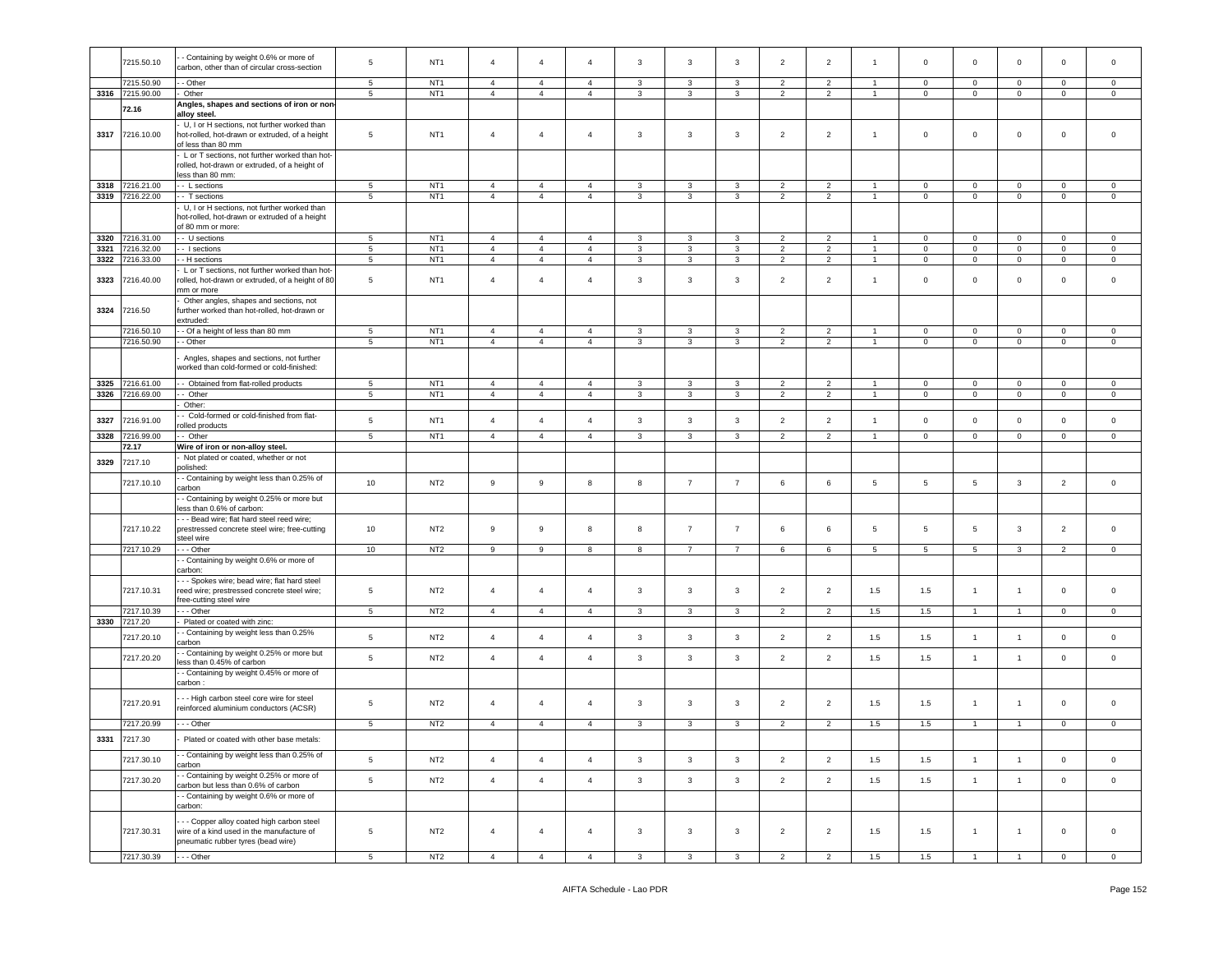|      | 7215.50.10               | - Containing by weight 0.6% or more of<br>carbon, other than of circular cross-section                                       | 5                   | NT <sub>1</sub>                    | $\overline{4}$                   | $\overline{4}$                   | $\overline{4}$                   | 3                 | 3                            | 3              | $\overline{2}$      | 2                                |                | $\mathbf 0$    | $\mathbf 0$                    | $\mathbf 0$                  | $\mathbf 0$       | $\mathbf 0$                 |
|------|--------------------------|------------------------------------------------------------------------------------------------------------------------------|---------------------|------------------------------------|----------------------------------|----------------------------------|----------------------------------|-------------------|------------------------------|----------------|---------------------|----------------------------------|----------------|----------------|--------------------------------|------------------------------|-------------------|-----------------------------|
|      | 7215.50.90               | - Other                                                                                                                      | 5                   | NT <sub>1</sub>                    | $\overline{4}$                   | $\overline{4}$                   | $\overline{4}$                   | 3                 | 3                            | 3              | $\overline{2}$      | 2                                | $\mathbf{1}$   | $\mathbf 0$    | 0                              | $\mathbf 0$                  | $\mathbf 0$       | 0                           |
|      | 3316 7215.90.00          | Other                                                                                                                        | 5                   | NT <sub>1</sub>                    | $\overline{4}$                   | $\overline{4}$                   | $\overline{4}$                   | $\mathbf{3}$      | $\mathbf{3}$                 | $\mathbf{3}$   | $\overline{2}$      | $\overline{2}$                   | $\mathbf{1}$   | $\circ$        | $\mathbf 0$                    | $\mathsf 0$                  | $\circ$           | $\mathbf 0$                 |
|      | 72.16                    | Angles, shapes and sections of iron or non-<br>alloy steel                                                                   |                     |                                    |                                  |                                  |                                  |                   |                              |                |                     |                                  |                |                |                                |                              |                   |                             |
| 3317 | 7216.10.00               | - U, I or H sections, not further worked than<br>hot-rolled, hot-drawn or extruded, of a height<br>of less than 80 mm        | 5                   | NT <sub>1</sub>                    | $\overline{4}$                   | $\overline{4}$                   | $\overline{4}$                   | $\mathbf{3}$      | $\mathbf{3}$                 | 3              | $\overline{2}$      | $\overline{2}$                   | $\overline{1}$ | $\mathsf 0$    | $\mathbf 0$                    | $\mathbf 0$                  | 0                 | $\mathbf 0$                 |
|      |                          | L or T sections, not further worked than hot-<br>rolled, hot-drawn or extruded, of a height of<br>less than 80 mm:           |                     |                                    |                                  |                                  |                                  |                   |                              |                |                     |                                  |                |                |                                |                              |                   |                             |
| 3318 | 7216.21.00               | - L sections                                                                                                                 | 5                   | NT <sub>1</sub>                    | $\overline{4}$                   | $\overline{4}$                   | $\overline{4}$                   | 3                 | 3                            | 3              | $\overline{2}$      | $\overline{2}$                   | $\overline{1}$ | $\mathbf 0$    | $\mathbf 0$                    | $\mathbf 0$                  | $\mathbf 0$       | $\mathbf 0$                 |
| 3319 | 7216.22.00               | - T sections                                                                                                                 | $\sqrt{5}$          | NT <sub>1</sub>                    | $\overline{4}$                   | $\overline{4}$                   | $\overline{4}$                   | $\mathbf{3}$      | 3                            | $\mathbf{3}$   | $\overline{2}$      | $\overline{2}$                   | $\overline{1}$ | $\mathsf 0$    | $\mathbf 0$                    | $\mathbf 0$                  | $\mathbf 0$       | $\mathsf{O}\xspace$         |
|      |                          | U, I or H sections, not further worked than<br>hot-rolled, hot-drawn or extruded of a height<br>of 80 mm or more:            |                     |                                    |                                  |                                  |                                  |                   |                              |                |                     |                                  |                |                |                                |                              |                   |                             |
| 3320 | 7216.31.00               | - U sections                                                                                                                 | $\sqrt{5}$          | NT <sub>1</sub>                    | $\overline{4}$                   | $\overline{4}$                   | $\overline{4}$                   | $\mathbf{3}$      | $\mathbf{3}$                 | 3              | 2                   | 2                                | $\overline{1}$ | $\mathbf 0$    | $\mathbf 0$                    | $\mathbf 0$                  | $\circ$           | $\mathbf 0$                 |
| 3321 | 7216.32.00               | - I sections                                                                                                                 | $\sqrt{5}$          | NT <sub>1</sub>                    | $\sqrt{4}$                       | $\overline{4}$                   | $\overline{4}$                   | 3                 | $\mathbf{3}$                 | $\mathbf{3}$   | $\overline{2}$      | $\overline{2}$                   | $\mathbf{1}$   | $\mathbf 0$    | $\mathbf 0$                    | $\mathbf 0$                  | $\mathbf 0$       | $\mathsf 0$                 |
| 3322 | 7216.33.00               | - - H sections                                                                                                               | $5\phantom{.0}$     | NT <sub>1</sub>                    | $\overline{4}$                   | $\overline{4}$                   | $\overline{4}$                   | 3                 | 3                            | $\mathbf{3}$   | $\overline{2}$      | $\overline{2}$                   | $\overline{1}$ | $\overline{0}$ | $\mathbf 0$                    | $\mathsf 0$                  | $\overline{0}$    | $\mathbf{0}$                |
| 3323 | 7216.40.00               | L or T sections, not further worked than hot-<br>rolled, hot-drawn or extruded, of a height of 80<br>mm or more              | 5                   | NT <sub>1</sub>                    | $\overline{4}$                   | $\overline{4}$                   | $\overline{4}$                   | 3                 | $\mathbf{3}$                 | 3              | $\overline{2}$      | $\overline{2}$                   | $\overline{1}$ | $\circ$        | $\mathbf 0$                    | $\mathbf 0$                  | 0                 | $\mathbf 0$                 |
| 3324 | 7216.50                  | Other angles, shapes and sections, not<br>further worked than hot-rolled, hot-drawn or<br>extruded:                          |                     |                                    |                                  |                                  |                                  |                   |                              |                |                     |                                  |                |                |                                |                              |                   |                             |
|      | 7216.50.10               | - Of a height of less than 80 mm                                                                                             | $5\phantom{.0}$     | NT <sub>1</sub>                    | $\overline{4}$                   | $\overline{4}$                   | $\overline{4}$                   | 3                 | 3                            | $\mathbf{3}$   | 2                   | 2                                | $\overline{1}$ | $\mathbf 0$    | $\mathbf 0$                    | $\mathbf 0$                  | $\mathbf{0}$      | $\circ$                     |
|      | 7216.50.90               | - Other                                                                                                                      | $\overline{5}$      | NT <sub>1</sub>                    | $\overline{4}$                   | $\overline{4}$                   | $\overline{4}$                   | $\mathbf{3}$      | $\mathbf{3}$                 | $\mathbf{3}$   | $\overline{2}$      | $\overline{2}$                   | $\mathbf{1}$   | $\mathsf 0$    | $\mathbf 0$                    | $\mathbf 0$                  | $\mathbf 0$       | $\circ$                     |
|      |                          | Angles, shapes and sections, not further<br>vorked than cold-formed or cold-finished:                                        |                     |                                    |                                  |                                  |                                  |                   |                              |                |                     |                                  |                |                |                                |                              |                   |                             |
| 3325 | 7216.61.00               | - Obtained from flat-rolled products                                                                                         | $\sqrt{5}$          | NT <sub>1</sub>                    | $\overline{4}$                   | $\overline{4}$                   | $\overline{4}$                   | $\mathbf{3}$      | $\mathbf{3}$                 | $\mathbf{3}$   | $\overline{2}$      | $\sqrt{2}$                       | $\overline{1}$ | $\mathbf 0$    | $\mathsf{O}\xspace$            | $\mathbf 0$                  | $\mathbf 0$       | $\mathsf 0$                 |
| 3326 | 7216.69.00               | - Other                                                                                                                      | $\sqrt{5}$          | NT <sub>1</sub>                    | $\overline{4}$                   | $\overline{4}$                   | $\overline{4}$                   | $\mathbf{3}$      | 3                            | 3              | $\overline{2}$      | $\overline{2}$                   | $\overline{1}$ | $\mathbf 0$    | $\mathbf 0$                    | $\mathbf 0$                  | $\circ$           | $\mathsf 0$                 |
|      |                          | Other:<br>- Cold-formed or cold-finished from flat-                                                                          |                     |                                    |                                  |                                  |                                  |                   |                              |                |                     |                                  |                |                |                                |                              |                   |                             |
| 3327 | 7216.91.00               | olled products                                                                                                               | $\sqrt{5}$          | NT <sub>1</sub>                    | $\overline{4}$                   | $\overline{4}$                   | $\overline{4}$                   | $\mathbf{3}$      | $\mathbf{3}$                 | $\mathbf{3}$   | $\overline{2}$      | $\overline{2}$                   | $\overline{1}$ | $\mathsf 0$    | $\mathbf 0$                    | $\mathbf 0$                  | $\mathsf 0$       | $\mathsf 0$                 |
| 3328 | 7216.99.00               | - Other                                                                                                                      | 5                   | NT <sub>1</sub>                    | $\overline{4}$                   | $\overline{4}$                   | $\overline{4}$                   | 3                 | 3                            | 3              | $\overline{2}$      | $\overline{2}$                   | $\overline{1}$ | $\mathbf 0$    | $\mathbf 0$                    | $\mathbf 0$                  | $\mathbf 0$       | $\mathbf 0$                 |
|      | 72.17                    | Wire of iron or non-alloy steel.                                                                                             |                     |                                    |                                  |                                  |                                  |                   |                              |                |                     |                                  |                |                |                                |                              |                   |                             |
| 3329 | 7217.10                  | Not plated or coated, whether or not                                                                                         |                     |                                    |                                  |                                  |                                  |                   |                              |                |                     |                                  |                |                |                                |                              |                   |                             |
|      | 7217.10.10               | oolished:<br>- Containing by weight less than 0.25% of<br>carbon                                                             | 10                  | NT <sub>2</sub>                    | 9                                | 9                                | 8                                | 8                 | $\overline{7}$               | $\overline{7}$ | 6                   | 6                                | 5              | 5              | $5\overline{5}$                | 3                            | $\overline{2}$    | $\circ$                     |
|      |                          | - Containing by weight 0.25% or more but<br>less than 0.6% of carbon:                                                        |                     |                                    |                                  |                                  |                                  |                   |                              |                |                     |                                  |                |                |                                |                              |                   |                             |
|      | 7217.10.22               | - - Bead wire; flat hard steel reed wire;<br>prestressed concrete steel wire; free-cutting<br>steel wire                     | 10                  | NT <sub>2</sub>                    | 9                                | 9                                | 8                                | 8                 | $\overline{7}$               | $\overline{7}$ | 6                   | 6                                | 5              | $\overline{5}$ | $5\phantom{.0}$                | 3                            | $\overline{2}$    | $\mathbf 0$                 |
|      | 7217.10.29               | - - Other                                                                                                                    | 10                  | NT <sub>2</sub>                    | 9                                | 9                                | 8                                | 8                 | $\overline{7}$               | 7              | 6                   | 6                                | 5              | 5              | 5                              | 3                            | $\overline{2}$    | $\mathbf 0$                 |
|      |                          | - Containing by weight 0.6% or more of<br>carbon:<br>- - Spokes wire; bead wire; flat hard steel                             |                     |                                    |                                  |                                  |                                  |                   |                              |                |                     |                                  |                |                |                                |                              |                   |                             |
|      | 7217.10.31<br>7217.10.39 | reed wire; prestressed concrete steel wire;<br>free-cutting steel wire<br>--- Other                                          | 5<br>5 <sub>5</sub> | NT <sub>2</sub><br>NT <sub>2</sub> | $\overline{4}$<br>$\overline{4}$ | $\overline{4}$<br>$\overline{4}$ | $\overline{4}$<br>$\overline{4}$ | 3<br>$\mathbf{3}$ | $\mathbf{3}$<br>$\mathbf{3}$ | 3<br>3         | $\overline{2}$<br>2 | $\overline{2}$<br>$\overline{2}$ | 1.5<br>1.5     | 1.5<br>1.5     | $\mathbf{1}$<br>$\overline{1}$ | $\mathbf{1}$<br>$\mathbf{1}$ | 0<br>$\mathbf{0}$ | $\mathbf 0$<br>$\mathbf{0}$ |
| 3330 | 7217.20                  | Plated or coated with zinc:                                                                                                  |                     |                                    |                                  |                                  |                                  |                   |                              |                |                     |                                  |                |                |                                |                              |                   |                             |
|      | 7217.20.10               | - Containing by weight less than 0.25%<br>carbon                                                                             | 5                   | NT <sub>2</sub>                    | $\overline{4}$                   | $\overline{4}$                   | $\overline{4}$                   | $\mathbf{3}$      | $\mathbf{3}$                 | $\mathbf{3}$   | $\overline{2}$      | $\overline{2}$                   | 1.5            | 1.5            | $\overline{1}$                 | $\overline{1}$               | 0                 | $\mathbf 0$                 |
|      | 7217.20.20               | - Containing by weight 0.25% or more but<br>ess than 0.45% of carbon                                                         | $\sqrt{5}$          | NT <sub>2</sub>                    | $\overline{4}$                   | $\overline{4}$                   | $\overline{4}$                   | $\mathbf{3}$      | $\mathbf{3}$                 | 3              | $\overline{2}$      | $\overline{2}$                   | 1.5            | 1.5            | $\overline{1}$                 | $\mathbf{1}$                 | 0                 | $\mathbf 0$                 |
|      |                          | - Containing by weight 0.45% or more of<br>carbon :                                                                          |                     |                                    |                                  |                                  |                                  |                   |                              |                |                     |                                  |                |                |                                |                              |                   |                             |
|      | 7217.20.91               | - - High carbon steel core wire for steel<br>reinforced aluminium conductors (ACSR)                                          | 5                   | NT <sub>2</sub>                    | $\overline{4}$                   | $\overline{4}$                   | 4                                | 3                 | $\mathbf{3}$                 | 3              | $\overline{2}$      | $\overline{2}$                   | 1.5            | 1.5            | $\mathbf{1}$                   | $\mathbf{1}$                 | 0                 | $\mathbf 0$                 |
|      | 7217.20.99               | --- Other                                                                                                                    | 5                   | NT <sub>2</sub>                    | $\overline{4}$                   | $\overline{4}$                   | $\overline{4}$                   | $\mathbf{3}$      | 3                            | $\mathbf{3}$   | $\overline{2}$      | $\overline{2}$                   | 1.5            | 1.5            | $\overline{1}$                 | $\overline{1}$               | $\mathbf 0$       | $\mathbf 0$                 |
| 3331 | 7217.30                  | Plated or coated with other base metals:                                                                                     |                     |                                    |                                  |                                  |                                  |                   |                              |                |                     |                                  |                |                |                                |                              |                   |                             |
|      | 7217.30.10               | - Containing by weight less than 0.25% of<br>carbon                                                                          | 5                   | NT <sub>2</sub>                    | $\overline{4}$                   | $\overline{4}$                   | $\overline{4}$                   | $\mathbf{3}$      | $\mathbf{3}$                 | $\mathbf{3}$   | $\overline{2}$      | $\overline{2}$                   | 1.5            | 1.5            | $\overline{1}$                 | $\mathbf{1}$                 | $\mathbf 0$       | $\mathbf 0$                 |
|      | 7217.30.20               | - Containing by weight 0.25% or more of<br>carbon but less than 0.6% of carbon                                               | $\,$ 5 $\,$         | NT <sub>2</sub>                    | $\overline{4}$                   | $\overline{4}$                   | $\overline{4}$                   | $\mathbf{3}$      | $\mathbf{3}$                 | $\mathbf{3}$   | $\overline{2}$      | $\overline{2}$                   | 1.5            | 1.5            | $\overline{1}$                 | $\mathbf{1}$                 | $\mathbf{0}$      | $\overline{0}$              |
|      |                          | - Containing by weight 0.6% or more of<br>carbon:                                                                            |                     |                                    |                                  |                                  |                                  |                   |                              |                |                     |                                  |                |                |                                |                              |                   |                             |
|      | 7217.30.31               | - - Copper alloy coated high carbon steel<br>wire of a kind used in the manufacture of<br>pneumatic rubber tyres (bead wire) | $\sqrt{5}$          | NT <sub>2</sub>                    | $\overline{4}$                   | $\overline{4}$                   | $\overline{4}$                   | $\mathbf{3}$      | $\mathbf{3}$                 | $\mathbf{3}$   | $\overline{2}$      | $\overline{2}$                   | 1.5            | 1.5            | $\mathbf{1}$                   | $\mathbf{1}$                 | $\overline{0}$    | $\circ$                     |
|      | 7217.30.39               | --- Other                                                                                                                    | $5\phantom{.0}$     | NT <sub>2</sub>                    | $\overline{4}$                   | $\overline{4}$                   | $\overline{4}$                   | $\mathbf{3}$      | $\mathbf{3}$                 | $\mathbf{3}$   | $\overline{2}$      | $\overline{2}$                   | 1.5            | 1.5            | $\overline{1}$                 | $\overline{1}$               | $\overline{0}$    | $\overline{0}$              |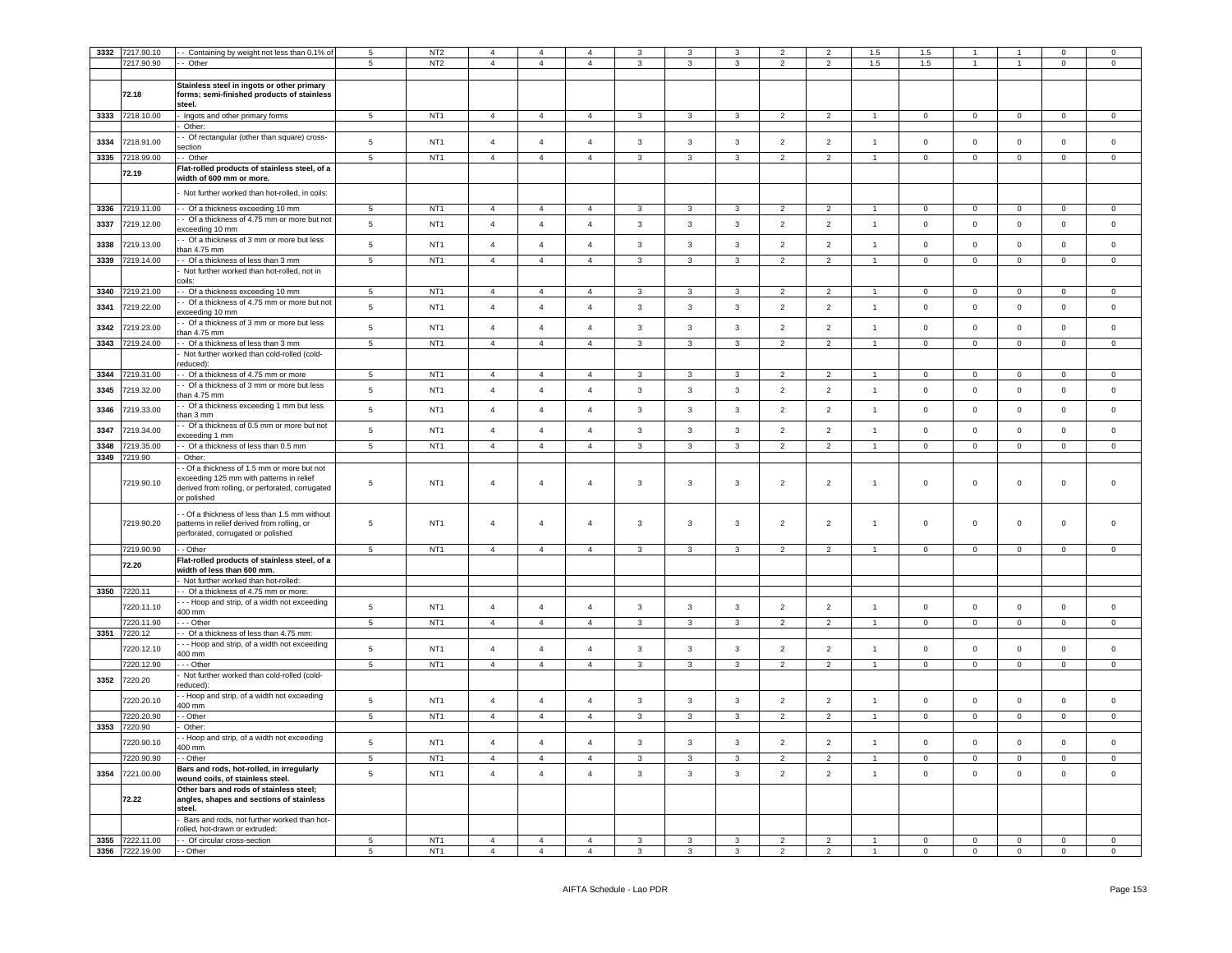| 3332 | 7217.90.10                         | - Containing by weight not less than 0.1% of                                                                                                             | 5               | NT <sub>2</sub>                    | $\mathbf{A}$   | 4              | $\Delta$       | 3                       | 3              | $\mathcal{R}$ | 2              | $\overline{2}$ | 1.5            | $1.5\,$        |                |                | $\mathbf 0$    | $\mathbf 0$    |
|------|------------------------------------|----------------------------------------------------------------------------------------------------------------------------------------------------------|-----------------|------------------------------------|----------------|----------------|----------------|-------------------------|----------------|---------------|----------------|----------------|----------------|----------------|----------------|----------------|----------------|----------------|
|      | 7217.90.90                         | - Other                                                                                                                                                  | 5               | NT <sub>2</sub>                    | $\overline{4}$ | $\overline{4}$ | $\mathbf{A}$   | 3                       | 3              | $\mathbf{3}$  | $\overline{2}$ | $\overline{2}$ | $1.5\,$        | 1.5            |                | $\overline{1}$ | $\mathbf 0$    | $\mathbf 0$    |
|      |                                    |                                                                                                                                                          |                 |                                    |                |                |                |                         |                |               |                |                |                |                |                |                |                |                |
|      | 72.18                              | Stainless steel in ingots or other primary<br>forms; semi-finished products of stainless<br>steel.                                                       |                 |                                    |                |                |                |                         |                |               |                |                |                |                |                |                |                |                |
|      | 3333 7218.10.00                    | Ingots and other primary forms                                                                                                                           | 5               | NT <sub>1</sub>                    | $\overline{4}$ | $\overline{4}$ | $\overline{4}$ | $\mathbf{3}$            | $\mathbf{3}$   | 3             | $\overline{2}$ | $\overline{2}$ | $\overline{1}$ | $\overline{0}$ | $\mathbf{0}$   | $^{\circ}$     | $\overline{0}$ | $\overline{0}$ |
| 3334 | 7218.91.00                         | Other:<br>- Of rectangular (other than square) cross-                                                                                                    | $\,$ 5 $\,$     | NT <sub>1</sub>                    | $\overline{4}$ | $\overline{4}$ | $\overline{4}$ | $\mathbf{3}$            | $\mathbf{3}$   | $\mathbf{3}$  | $\overline{2}$ | $\overline{2}$ | $\overline{1}$ | $\mathbf 0$    | $\mathsf 0$    | $\circ$        | $\mathbf{0}$   | $\mathbf 0$    |
| 3335 | 7218.99.00                         | ection<br>- Other                                                                                                                                        | 5               | NT <sub>1</sub>                    | $\overline{4}$ | $\overline{4}$ | $\overline{4}$ | 3                       | 3              | $\mathbf{3}$  | $\overline{2}$ | $\overline{2}$ | $\overline{1}$ | $\mathbf 0$    | $\mathbf 0$    | $\mathbf 0$    | $\mathbf 0$    | $\mathsf 0$    |
|      | 72.19                              | Flat-rolled products of stainless steel, of a<br>width of 600 mm or more.                                                                                |                 |                                    |                |                |                |                         |                |               |                |                |                |                |                |                |                |                |
|      |                                    | Not further worked than hot-rolled, in coils:                                                                                                            |                 |                                    |                |                |                |                         |                |               |                |                |                |                |                |                |                |                |
| 3336 | 7219.11.00                         | - Of a thickness exceeding 10 mm                                                                                                                         | 5               | NT <sub>1</sub>                    | $\overline{4}$ | $\overline{4}$ | $\overline{4}$ | 3                       | 3              |               | $\overline{2}$ | $\overline{2}$ |                | $\mathbf 0$    | $\mathbf 0$    | $\mathbf 0$    | $\mathbf 0$    | $\mathbf 0$    |
| 3337 | 7219.12.00                         | - Of a thickness of 4.75 mm or more but not<br>exceeding 10 mm                                                                                           | $\,$ 5 $\,$     | NT <sub>1</sub>                    | $\overline{4}$ | $\overline{4}$ | $\overline{4}$ | $\mathbf{3}$            | $\mathbf{3}$   | $\mathbf{3}$  | $\overline{2}$ | $\overline{2}$ | $\mathbf{1}$   | $\mathbf 0$    | $\mathbf 0$    | $\mathsf 0$    | $\mathbf 0$    | $\mathsf 0$    |
| 3338 | 7219.13.00                         | - Of a thickness of 3 mm or more but less<br>an 4.75 mm                                                                                                  | $\,$ 5 $\,$     | NT <sub>1</sub>                    | $\overline{4}$ | $\overline{4}$ | $\overline{4}$ | $\mathbf{3}$            | $\mathbf{3}$   | $\mathbf{3}$  | $\overline{2}$ | $\overline{2}$ | $\overline{1}$ | $\mathsf 0$    | $\mathsf 0$    | $\mathsf 0$    | $\mathbf 0$    | $\mathbf 0$    |
| 3339 | 7219.14.00                         | - Of a thickness of less than 3 mm<br>Not further worked than hot-rolled, not in                                                                         | 5               | NT <sub>1</sub>                    | $\overline{4}$ | $\overline{4}$ | $\overline{4}$ | $\mathbf{3}$            | $\mathbf{3}$   | $\mathbf{3}$  | $\overline{2}$ | $\overline{2}$ | $\overline{1}$ | $\mathsf 0$    | $\mathbf 0$    | $\mathsf 0$    | $\mathbf 0$    | $\mathbb O$    |
|      |                                    | coils:                                                                                                                                                   |                 |                                    |                |                |                |                         |                |               |                |                |                |                |                |                |                |                |
| 3340 | 219,21.00                          | - Of a thickness exceeding 10 mm                                                                                                                         | $\overline{5}$  | NT <sub>1</sub>                    | $\overline{4}$ | $\overline{4}$ | $\overline{4}$ | 3                       | 3              | $\mathbf{R}$  | $\overline{2}$ | $\overline{2}$ |                | $\Omega$       | $\Omega$       | $\Omega$       | $\Omega$       | $\overline{0}$ |
| 3341 | 7219.22.00                         | - Of a thickness of 4.75 mm or more but not<br>exceeding 10 mm                                                                                           | $\,$ 5 $\,$     | NT <sub>1</sub>                    | $\overline{4}$ | $\overline{4}$ | $\overline{4}$ | $\mathbf{3}$            | $\mathbf{3}$   | $\mathbf{3}$  | $\overline{2}$ | $\overline{2}$ | $\mathbf{1}$   | $\mathsf 0$    | $\mathsf 0$    | $\mathsf 0$    | $\mathbf 0$    | $\mathsf 0$    |
| 3342 | 7219.23.00                         | - Of a thickness of 3 mm or more but less<br>han 4.75 mm                                                                                                 | $\,$ 5 $\,$     | NT <sub>1</sub>                    | $\overline{4}$ | $\overline{4}$ | $\overline{4}$ | $\mathbf{3}$            | $\mathbf{3}$   | $\mathbf{3}$  | $\overline{2}$ | $\overline{2}$ | $\overline{1}$ | $\mathsf 0$    | $\mathsf 0$    | $\Omega$       | $\mathbf 0$    | $\mathsf 0$    |
| 3343 | 7219.24.00                         | - Of a thickness of less than 3 mm                                                                                                                       | 5               | NT <sub>1</sub>                    | $\overline{4}$ | $\overline{4}$ | $\overline{4}$ | $\mathbf{3}$            | $\overline{3}$ | $\mathbf{3}$  | $\overline{2}$ | $\overline{2}$ | $\mathbf{1}$   | $\mathsf 0$    | $\mathsf 0$    | $\circ$        | $\mathbf 0$    | $\mathbf 0$    |
|      |                                    | Not further worked than cold-rolled (cold-<br>educed):                                                                                                   |                 |                                    |                |                |                |                         |                |               |                |                |                |                |                |                |                |                |
| 3344 | 7219.31.00                         | - Of a thickness of 4.75 mm or more                                                                                                                      | 5               | NT <sub>1</sub>                    | $\overline{4}$ | $\overline{4}$ | $\mathbf{A}$   | 3                       | 3              | 3             | $\mathcal{P}$  | $\mathcal{P}$  |                | $\mathbf 0$    | $\mathsf 0$    | $\mathsf 0$    | $\mathbf 0$    | $\mathsf 0$    |
| 3345 | 7219.32.00                         | - Of a thickness of 3 mm or more but less<br>han 4.75 mm                                                                                                 | $\,$ 5 $\,$     | NT <sub>1</sub>                    | $\overline{4}$ | $\overline{4}$ | $\overline{4}$ | $\mathbf{3}$            | $\mathbf{3}$   | 3             | $\overline{2}$ | $\overline{2}$ | $\overline{1}$ | $\mathsf 0$    | $\mathsf 0$    | $\mathbf 0$    | $\mathbf 0$    | $\mathsf 0$    |
| 3346 | 7219.33.00                         | - Of a thickness exceeding 1 mm but less<br>han 3 mm                                                                                                     | 5               | NT <sub>1</sub>                    | $\overline{4}$ | $\overline{4}$ | $\overline{4}$ | $\mathbf{3}$            | $\mathbf{3}$   | 3             | $\overline{2}$ | $\overline{2}$ | $\overline{1}$ | $\mathsf 0$    | $\mathbf 0$    | $\mathbf 0$    | $\mathbf{0}$   | $\mathbf 0$    |
| 3347 | 7219.34.00                         | - Of a thickness of 0.5 mm or more but not<br>xceeding 1 mm                                                                                              | $5\phantom{.0}$ | NT <sub>1</sub>                    | $\overline{4}$ | $\overline{4}$ | $\overline{4}$ | $\mathbf{3}$            | $\mathbf{3}$   | 3             | $\overline{2}$ | $\overline{2}$ | $\overline{1}$ | $\mathsf 0$    | $\mathbf 0$    | $\Omega$       | $\mathbf 0$    | $\mathsf 0$    |
| 3348 | 219.35.00                          | - Of a thickness of less than 0.5 mm                                                                                                                     | 5               | NT1                                | $\overline{4}$ | $\overline{4}$ | $\overline{4}$ | $\mathbf{3}$            | $\overline{3}$ | $\mathbf{3}$  | $\overline{2}$ | $\overline{2}$ | $\mathbf{1}$   | $\mathsf 0$    | $\mathsf 0$    | $\circ$        | $\mathbf 0$    | $\mathbf{0}$   |
| 3349 | 219.90                             | Other:                                                                                                                                                   |                 |                                    |                |                |                |                         |                |               |                |                |                |                |                |                |                |                |
|      | 7219.90.10                         | - Of a thickness of 1.5 mm or more but not<br>exceeding 125 mm with patterns in relief<br>derived from rolling, or perforated, corrugated<br>or polished | 5               | NT1                                | 4              | 4              | $\overline{4}$ | 3                       | 3              | 3             | $\overline{2}$ | $\overline{2}$ | $\mathbf{1}$   | $\mathbf 0$    | $\mathbf{0}$   | $\mathbf 0$    | $\mathbf 0$    | $\mathbf{0}$   |
|      |                                    |                                                                                                                                                          |                 |                                    |                |                |                |                         |                |               |                |                |                |                |                |                |                |                |
|      | 7219.90.20                         | - Of a thickness of less than 1.5 mm without<br>patterns in relief derived from rolling, or<br>perforated, corrugated or polished                        | $\,$ 5 $\,$     | NT <sub>1</sub>                    | $\overline{4}$ | $\overline{4}$ | $\overline{4}$ | 3                       | $\mathbf{3}$   | 3             | $\overline{2}$ | $\overline{2}$ | $\overline{1}$ | $\mathbf 0$    | $\overline{0}$ | $\mathbf 0$    | $\mathbf 0$    | $\mathsf 0$    |
|      | 7219.90.90                         | - Other                                                                                                                                                  | $\sqrt{5}$      | NT <sub>1</sub>                    | $\overline{4}$ | $\overline{4}$ | $\overline{4}$ | 3                       | $\mathbf{3}$   | $\mathbf{3}$  | $\overline{2}$ | $\overline{2}$ | $\overline{1}$ | $\mathbf 0$    | $\mathbf 0$    | $\mathsf 0$    | $\mathbf 0$    | $\mathbf 0$    |
|      | 72.20                              | Flat-rolled products of stainless steel, of a<br>width of less than 600 mm.                                                                              |                 |                                    |                |                |                |                         |                |               |                |                |                |                |                |                |                |                |
|      |                                    | Not further worked than hot-rolled:                                                                                                                      |                 |                                    |                |                |                |                         |                |               |                |                |                |                |                |                |                |                |
| 3350 | 7220.11                            | Of a thickness of 4.75 mm or more                                                                                                                        |                 |                                    |                |                |                |                         |                |               |                |                |                |                |                |                |                |                |
|      | 7220.11.10                         | - - Hoop and strip, of a width not exceeding<br>400 mm                                                                                                   | $\sqrt{5}$      | NT <sub>1</sub>                    | $\overline{4}$ | $\overline{4}$ | $\overline{4}$ | $\mathbf{3}$            | $\mathbf{3}$   | $\mathbf{3}$  | $\overline{2}$ | $\overline{2}$ | $\mathbf{1}$   | $\mathsf 0$    | $\mathbf 0$    | $\mathbf 0$    | $\mathbf 0$    | $\mathsf 0$    |
|      | 7220.11.90                         | - - Other                                                                                                                                                | 5               | NT <sub>1</sub>                    | $\overline{4}$ | $\overline{4}$ | $\overline{4}$ | $\mathbf{3}$            | $\mathbf{3}$   | 3             | $\overline{2}$ | $\overline{2}$ | $\overline{1}$ | $\mathbf 0$    | $\mathbf 0$    | $\circ$        | $\overline{0}$ | $\overline{0}$ |
|      | 3351 7220.12                       | - Of a thickness of less than 4.75 mm:                                                                                                                   |                 |                                    |                |                |                |                         |                |               |                |                |                |                |                |                |                |                |
|      | 7220.12.10                         | - - Hoop and strip, of a width not exceeding<br>400 mm                                                                                                   | $\,$ 5 $\,$     | NT <sub>1</sub>                    | $\overline{4}$ | $\overline{4}$ | $\overline{4}$ | $\mathbf{3}$            | $\mathbf{3}$   | $\mathbf{3}$  | $\overline{2}$ | $\overline{2}$ | $\mathbf{1}$   | $\mathsf{O}$   | $\mathbf 0$    | $\mathsf 0$    | $\mathbf 0$    | $\mathsf 0$    |
|      | 7220.12.90                         | - - Other                                                                                                                                                | 5               | NT <sub>1</sub>                    | $\overline{4}$ | $\overline{4}$ | $\overline{4}$ | $\mathbf{3}$            | $\mathbf{3}$   | $\mathbf{3}$  | $\overline{2}$ | $\overline{2}$ | $\mathbf{1}$   | $\mathbf{0}$   | $\mathbf 0$    | $\circ$        | $\circ$        | $\mathbf{0}$   |
| 3352 | 7220.20                            | Not further worked than cold-rolled (cold-<br>educed):                                                                                                   |                 |                                    |                |                |                |                         |                |               |                |                |                |                |                |                |                |                |
|      | 7220.20.10                         | - Hoop and strip, of a width not exceeding<br>$00 \text{ mm}$                                                                                            | 5               | NT <sub>1</sub>                    | $\overline{4}$ | $\overline{4}$ | $\overline{4}$ | 3                       | $\overline{3}$ | 3             | $\overline{2}$ | $\overline{2}$ | $\overline{1}$ | $\Omega$       | $\Omega$       | $\Omega$       | $\mathbf{0}$   | $\mathsf 0$    |
|      | 7220.20.90                         | - Other                                                                                                                                                  | 5               | NT <sub>1</sub>                    | $\overline{4}$ | $\overline{4}$ | $\overline{4}$ | $\overline{\mathbf{3}}$ | $\overline{3}$ | $\mathbf{3}$  | $\overline{2}$ | $\overline{2}$ | $\overline{1}$ | $\mathsf 0$    | $\mathsf 0$    | $\mathsf 0$    | $\mathbf 0$    | $\mathbf{0}$   |
| 3353 | 7220.90                            | Other:                                                                                                                                                   |                 |                                    |                |                |                |                         |                |               |                |                |                |                |                |                |                |                |
|      | 7220.90.10                         | - Hoop and strip, of a width not exceeding<br>400 mm                                                                                                     | $5\phantom{.0}$ | NT <sub>1</sub>                    | $\overline{4}$ | $\overline{4}$ | $\overline{4}$ | 3                       | $\mathbf{3}$   | $\mathbf{3}$  | $\overline{2}$ | $\overline{2}$ | $\mathbf{1}$   | $\mathbf 0$    | $\mathbf 0$    | $\mathsf 0$    | $\mathbf 0$    | $\mathbf 0$    |
|      | 7220.90.90                         | - Other                                                                                                                                                  | $5\overline{)}$ | NT <sub>1</sub>                    | $\overline{4}$ | $\overline{4}$ | $\overline{4}$ | $\mathbf{3}$            | $\mathbf{3}$   | 3             | $\overline{2}$ | $\overline{2}$ | $\overline{1}$ | $\mathbf 0$    | $\mathbf 0$    | $\mathbf 0$    | $\mathbf 0$    | $\mathbf 0$    |
| 3354 | 7221.00.00                         | Bars and rods, hot-rolled, in irregularly<br>wound coils, of stainless steel.                                                                            | 5               | NT <sub>1</sub>                    | $\overline{4}$ | $\overline{4}$ | $\overline{4}$ | $\mathbf{3}$            | $\mathbf{3}$   | $\mathbf{3}$  | $\overline{2}$ | $\overline{2}$ | $\overline{1}$ | $\mathbf{0}$   | $\mathbf 0$    | $\Omega$       | $\mathbf 0$    | $\mathsf 0$    |
|      | 72.22                              | Other bars and rods of stainless steel;<br>angles, shapes and sections of stainless                                                                      |                 |                                    |                |                |                |                         |                |               |                |                |                |                |                |                |                |                |
|      |                                    | steel.<br>Bars and rods, not further worked than hot-                                                                                                    |                 |                                    |                |                |                |                         |                |               |                |                |                |                |                |                |                |                |
|      |                                    | rolled, hot-drawn or extruded:                                                                                                                           | -5              |                                    | $\overline{a}$ | 4              | $\overline{4}$ | 3                       | 3              | 3             | $\overline{2}$ | $\overline{2}$ |                | $\Omega$       | $\Omega$       | $\Omega$       | $\Omega$       | $\Omega$       |
|      | 3355 7222.11.00<br>3356 7222.19.00 | - Of circular cross-section<br>- - Other                                                                                                                 | 5               | NT <sub>1</sub><br>NT <sub>1</sub> | $\overline{4}$ | $\overline{4}$ | $\overline{4}$ | 3                       | 3              | 3             | $\overline{2}$ | $\overline{2}$ | $\mathbf{1}$   | $\mathbf 0$    | $\mathbf{0}$   | $\mathbf 0$    | $\mathbf{0}$   | $\mathbf{0}$   |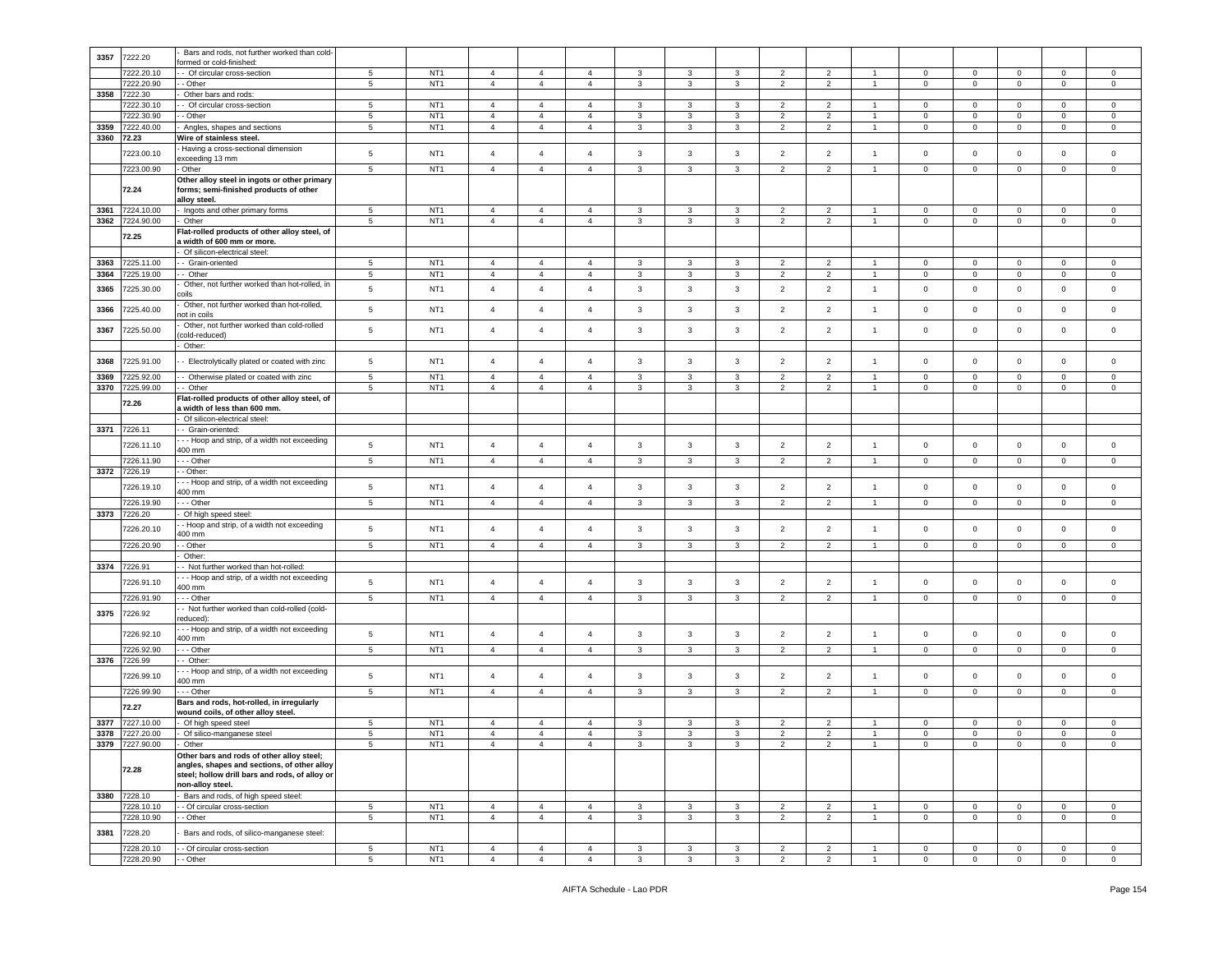| 3357         | 7222.20                  | Bars and rods, not further worked than cold-                                                                                                                   |                               |                                    |                                  |                                  |                                  |                              |                              |                              |                                  |                                  |                                  |                               |                               |                               |                               |                                  |
|--------------|--------------------------|----------------------------------------------------------------------------------------------------------------------------------------------------------------|-------------------------------|------------------------------------|----------------------------------|----------------------------------|----------------------------------|------------------------------|------------------------------|------------------------------|----------------------------------|----------------------------------|----------------------------------|-------------------------------|-------------------------------|-------------------------------|-------------------------------|----------------------------------|
|              | 7222.20.10               | ormed or cold-finished:<br>- Of circular cross-section                                                                                                         | 5                             | NT <sub>1</sub>                    | $\overline{4}$                   | $\overline{4}$                   | $\overline{a}$                   | 3                            | 3                            | 3                            | $\overline{2}$                   | 2                                |                                  | $\mathbf 0$                   | $\mathbf 0$                   | $\mathbf 0$                   | 0                             | 0                                |
|              | 7222.20.90               | - Other                                                                                                                                                        | 5                             | NT <sub>1</sub>                    | $\sqrt{4}$                       | $\overline{4}$                   | $\sqrt{4}$                       | $\mathbf{3}$                 | $\mathbf{3}$                 | $\mathbf{3}$                 | $\sqrt{2}$                       | $\overline{2}$                   | $\overline{1}$                   | $\mathsf 0$                   | $\mathbf 0$                   | $\mathbf 0$                   | $\pmb{0}$                     | $\mathsf 0$                      |
| 3358         | 7222.30                  | Other bars and rods:                                                                                                                                           |                               |                                    |                                  |                                  |                                  |                              |                              |                              |                                  |                                  |                                  |                               |                               |                               |                               |                                  |
|              | 7222.30.10<br>7222.30.90 | - Of circular cross-section                                                                                                                                    | 5<br>5                        | NT <sub>1</sub><br>NT <sub>1</sub> | $\overline{4}$<br>$\overline{4}$ | $\overline{4}$<br>$\overline{4}$ | $\overline{a}$<br>$\overline{4}$ | 3<br>3                       | 3                            | 3<br>$\mathbf{3}$            | $\overline{2}$<br>$\overline{2}$ | 2<br>$\overline{c}$              | $\mathbf{1}$<br>-1               | $\mathbf 0$                   | $\mathbf 0$<br>$\mathsf 0$    | $\mathbf 0$<br>$\mathbf 0$    | 0<br>$\mathbf 0$              | $\mathbf 0$                      |
| 3359         | 7222.40.00               | Other<br>Angles, shapes and sections                                                                                                                           | $5\phantom{.0}$               | NT <sub>1</sub>                    | $\overline{4}$                   | $\overline{4}$                   | $\overline{4}$                   | 3                            | 3<br>$\mathbf{3}$            | 3                            | $\overline{2}$                   | $\overline{c}$                   | $\overline{1}$                   | $\overline{0}$<br>$\mathbf 0$ | $\mathsf 0$                   | $\mathbf 0$                   | $\mathbf 0$                   | 0<br>$\mathbf 0$                 |
| 3360         | 72.23                    | Wire of stainless steel                                                                                                                                        |                               |                                    |                                  |                                  |                                  |                              |                              |                              |                                  |                                  |                                  |                               |                               |                               |                               |                                  |
|              | 7223.00.10               | Having a cross-sectional dimension<br>exceeding 13 mm                                                                                                          | $\sqrt{5}$                    | NT <sub>1</sub>                    | $\sqrt{4}$                       | $\overline{4}$                   | $\overline{4}$                   | 3                            | $\mathbf{3}$                 | 3                            | $\overline{2}$                   | $\overline{2}$                   | $\overline{1}$                   | $\mathsf 0$                   | $\mathsf 0$                   | $\mathbf 0$                   | $\mathbf 0$                   | $\mathsf 0$                      |
|              | 7223.00.90               | - Other                                                                                                                                                        | $5\phantom{.0}$               | NT <sub>1</sub>                    | $\overline{4}$                   | $\overline{4}$                   | $\overline{4}$                   | 3                            | $\mathbf{3}$                 | 3                            | $\overline{2}$                   | $\overline{c}$                   | $\overline{1}$                   | $\mathbf 0$                   | $\mathsf 0$                   | $\mathbf 0$                   | $\mathbf{0}$                  | $\circ$                          |
|              | 72.24                    | Other alloy steel in ingots or other primary<br>forms; semi-finished products of other                                                                         |                               |                                    |                                  |                                  |                                  |                              |                              |                              |                                  |                                  |                                  |                               |                               |                               |                               |                                  |
| 3361         | 7224.10.00               | alloy steel.<br>Ingots and other primary forms                                                                                                                 | $5\phantom{.0}$               | NT <sub>1</sub>                    | $\overline{4}$                   | $\overline{4}$                   | $\overline{4}$                   | 3                            | 3                            | 3                            | $\overline{2}$                   | $\overline{2}$                   | $\overline{1}$                   | $\mathbf 0$                   | $\mathbf{0}$                  | $\mathbf 0$                   | $\mathbf 0$                   | 0                                |
| 3362         | 7224.90.00               | Other                                                                                                                                                          | $5\phantom{.0}$               | NT <sub>1</sub>                    | $\overline{4}$                   | $\overline{4}$                   | $\overline{4}$                   | 3                            | 3                            | 3                            | $\overline{2}$                   | $\overline{2}$                   | $\overline{1}$                   | $\overline{0}$                | $\overline{0}$                | $\mathbf 0$                   | $\overline{0}$                | $\circ$                          |
|              | 72.25                    | Flat-rolled products of other alloy steel, of<br>width of 600 mm or more.                                                                                      |                               |                                    |                                  |                                  |                                  |                              |                              |                              |                                  |                                  |                                  |                               |                               |                               |                               |                                  |
|              |                          | Of silicon-electrical steel:                                                                                                                                   |                               |                                    |                                  |                                  |                                  |                              |                              |                              |                                  |                                  |                                  |                               |                               |                               |                               |                                  |
| 3363         | 7225.11.00               | - Grain-oriented                                                                                                                                               | 5                             | NT <sub>1</sub>                    | $\overline{4}$                   | $\overline{4}$                   | $\overline{4}$                   | 3                            | 3                            | 3                            | $\overline{2}$                   | 2                                | $\overline{1}$                   | $\mathbf{0}$                  | $\overline{0}$                | $\mathbf 0$                   | $\mathbf{0}$                  | $\circ$                          |
| 3364         | 225.19.00                | - Other                                                                                                                                                        | $5\phantom{.0}$               | NT <sub>1</sub>                    | $\overline{4}$                   | $\overline{4}$                   | $\overline{4}$                   | $\mathbf{3}$                 | $\mathbf{3}$                 | $\mathbf{3}$                 | $\overline{2}$                   | $\overline{2}$                   | $\overline{1}$                   | $\pmb{0}$                     | $\mathbf 0$                   | $\mathbf 0$                   | $\overline{0}$                | $\mathbf{0}$                     |
| 3365         | 225.30.00                | Other, not further worked than hot-rolled, in<br>coils                                                                                                         | 5                             | NT <sub>1</sub>                    | $\overline{4}$                   | $\overline{4}$                   | 4                                | 3                            | $\mathbf{3}$                 | 3                            | $\overline{2}$                   | $\overline{2}$                   | $\overline{1}$                   | $\mathsf 0$                   | $\mathbf 0$                   | $\mathbf 0$                   | $\mathbf 0$                   | 0                                |
| 3366         | 225.40.00                | Other, not further worked than hot-rolled,<br>hot in coils                                                                                                     | $\sqrt{5}$                    | NT <sub>1</sub>                    | $\overline{4}$                   | $\overline{4}$                   | 4                                | 3                            | $\mathbf{3}$                 | 3                            | $\overline{2}$                   | $\overline{c}$                   | $\overline{1}$                   | $\mathbf 0$                   | $\mathsf 0$                   | $\mathbf 0$                   | $\mathsf 0$                   | $\mathsf 0$                      |
| 3367         | 7225.50.00               | Other, not further worked than cold-rolled<br>cold-reduced)                                                                                                    | 5                             | NT <sub>1</sub>                    | $\overline{4}$                   | $\overline{4}$                   | $\overline{4}$                   | 3                            | $\mathbf{3}$                 | $\mathbf{3}$                 | $\overline{2}$                   | $\overline{2}$                   | $\overline{1}$                   | $\mathsf 0$                   | $\mathsf 0$                   | $\mathbf 0$                   | $\mathbf 0$                   | $\mathbf 0$                      |
|              |                          | Other:                                                                                                                                                         |                               |                                    |                                  |                                  |                                  |                              |                              |                              |                                  |                                  |                                  |                               |                               |                               |                               |                                  |
| 3368         | 7225.91.00               | - Electrolytically plated or coated with zinc                                                                                                                  | $5\phantom{.0}$               | NT <sub>1</sub>                    | $\overline{4}$                   | $\overline{4}$                   | $\overline{4}$                   | 3                            | $\mathbf{3}$                 | $\mathbf{3}$                 | $\overline{2}$                   | $\overline{2}$                   | $\overline{1}$                   | $\mathbf 0$                   | $\mathsf 0$                   | $\mathbf 0$                   | $\mathbf{0}$                  | $\mathbf 0$                      |
| 3369<br>3370 | 225.92.00<br>7225.99.00  | - Otherwise plated or coated with zinc<br>- Other                                                                                                              | $5\phantom{.0}$<br>5          | NT <sub>1</sub><br>NT <sub>1</sub> | $\overline{4}$<br>$\overline{4}$ | $\overline{4}$<br>$\overline{4}$ | $\overline{4}$<br>$\overline{4}$ | 3                            | 3<br>3                       | 3<br>3                       | $\overline{2}$<br>$\overline{2}$ | $\overline{2}$<br>$\overline{2}$ | $\overline{1}$<br>$\mathbf{1}$   | $\mathbf 0$                   | $\mathbf 0$<br>$\mathbf 0$    | $\mathbf 0$<br>$\mathbf 0$    | $\mathbf 0$<br>$\mathbf 0$    | $\mathbf 0$<br>$\mathbf 0$       |
|              |                          | Flat-rolled products of other alloy steel, of                                                                                                                  |                               |                                    |                                  |                                  |                                  | 3                            |                              |                              |                                  |                                  |                                  | $\mathbf 0$                   |                               |                               |                               |                                  |
|              | 72.26                    | width of less than 600 mm.<br>Of silicon-electrical steel                                                                                                      |                               |                                    |                                  |                                  |                                  |                              |                              |                              |                                  |                                  |                                  |                               |                               |                               |                               |                                  |
| 3371         | 7226.11                  | - Grain-oriented:                                                                                                                                              |                               |                                    |                                  |                                  |                                  |                              |                              |                              |                                  |                                  |                                  |                               |                               |                               |                               |                                  |
|              | 7226.11.10               | - - Hoop and strip, of a width not exceeding                                                                                                                   | 5                             | NT <sub>1</sub>                    | $\overline{4}$                   | $\overline{4}$                   | $\overline{a}$                   | 3                            | $\mathbf{3}$                 | 3                            | $\overline{2}$                   | $\overline{2}$                   | $\overline{1}$                   | $\mathbf 0$                   | $\mathsf 0$                   | $\mathbf 0$                   | $\mathbf{0}$                  | $\mathbf 0$                      |
|              |                          | 400 mm                                                                                                                                                         |                               |                                    |                                  | $\overline{4}$                   |                                  |                              |                              |                              |                                  |                                  | $\overline{1}$                   |                               |                               |                               |                               |                                  |
| 3372         | 7226.11.90<br>7226.19    | - - Other<br>- Other:                                                                                                                                          | $\sqrt{5}$                    | NT <sub>1</sub>                    | $\overline{4}$                   |                                  | $\overline{4}$                   | 3                            | $\mathbf{3}$                 | 3                            | $\overline{2}$                   | $\overline{2}$                   |                                  | $\mathbf 0$                   | $\mathbf 0$                   | $\mathbf 0$                   | $\mathbf 0$                   | $\mathbf 0$                      |
|              |                          | - - Hoop and strip, of a width not exceeding                                                                                                                   |                               |                                    |                                  | $\overline{4}$                   |                                  |                              |                              |                              |                                  |                                  |                                  |                               |                               |                               |                               |                                  |
|              | 7226.19.10               | 400 mm                                                                                                                                                         | 5                             | NT <sub>1</sub>                    | $\sqrt{4}$                       |                                  | $\overline{4}$                   | 3                            | $\mathbf{3}$                 | $\mathbf{3}$                 | $\overline{2}$                   | $\overline{2}$                   | $\overline{1}$                   | $\mathsf 0$                   | $\mathbf 0$                   | $\mathbf 0$                   | $\mathsf 0$                   | $\mathsf 0$                      |
|              | 7226.19.90               | $-$ Other                                                                                                                                                      | 5                             | NT <sub>1</sub>                    | $\overline{4}$                   | $\overline{4}$                   | $\overline{4}$                   | 3                            | 3                            | 3                            | $\overline{2}$                   | $\overline{2}$                   | -1                               | $\mathbf 0$                   | $\mathbf 0$                   | $\circ$                       | $\mathbf 0$                   | $\mathbf 0$                      |
| 3373         | 7226.20                  | Of high speed steel:<br>- Hoop and strip, of a width not exceeding                                                                                             |                               |                                    |                                  |                                  |                                  |                              |                              |                              |                                  |                                  |                                  |                               |                               |                               |                               |                                  |
|              | 7226.20.10               | 400 mm                                                                                                                                                         | 5                             | NT <sub>1</sub>                    | $\overline{4}$                   | $\overline{4}$                   | $\overline{a}$                   | 3                            | $\mathbf{3}$                 | $\mathbf{3}$                 | $\overline{2}$                   | $\overline{c}$                   | $\overline{1}$                   | $\mathbf 0$                   | $\mathbf 0$                   | $\mathbf 0$                   | $\mathbf 0$                   | $\mathbf 0$                      |
|              | 7226.20.90               | - Other                                                                                                                                                        | $5\phantom{.0}$               | NT <sub>1</sub>                    | $\overline{4}$                   | $\overline{4}$                   | $\overline{4}$                   | 3                            | $\mathbf{3}$                 | 3                            | $\overline{2}$                   | $\overline{2}$                   | $\overline{1}$                   | $\mathbf 0$                   | $\mathbf 0$                   | $\mathbf 0$                   | $\mathbf 0$                   | $\mathbf 0$                      |
| 3374         | 7226.91                  | Other:                                                                                                                                                         |                               |                                    |                                  |                                  |                                  |                              |                              |                              |                                  |                                  |                                  |                               |                               |                               |                               |                                  |
|              |                          | - Not further worked than hot-rolled<br>- - Hoop and strip, of a width not exceeding                                                                           |                               |                                    |                                  |                                  |                                  |                              |                              |                              |                                  |                                  |                                  |                               |                               |                               |                               |                                  |
|              | 7226.91.10               | 400 mm                                                                                                                                                         | 5                             | NT <sub>1</sub>                    | $\overline{4}$                   | $\overline{4}$                   | $\overline{4}$                   | 3                            | $\mathbf{3}$                 | 3                            | $\overline{2}$                   | $\overline{2}$                   | $\overline{1}$                   | $\mathsf 0$                   | $\mathsf 0$                   | $\mathbf 0$                   | $\mathbf 0$                   | $\mathsf 0$                      |
|              | 7226.91.90               | - - Other                                                                                                                                                      | $5\phantom{.0}$               | NT <sub>1</sub>                    | $\overline{4}$                   | $\overline{4}$                   | $\overline{4}$                   | 3                            | 3                            | 3                            | $\overline{2}$                   | $\overline{2}$                   | $\overline{1}$                   | $\mathbf 0$                   | $\mathbf 0$                   | $\mathbf 0$                   | $\mathbf 0$                   | $\mathbf 0$                      |
| 3375         | 7226.92                  | - Not further worked than cold-rolled (cold-<br>reduced):                                                                                                      |                               |                                    |                                  |                                  |                                  |                              |                              |                              |                                  |                                  |                                  |                               |                               |                               |                               |                                  |
|              | 7226.92.10               | - - Hoop and strip, of a width not exceeding<br>400 mm                                                                                                         | 5                             | NT <sub>1</sub>                    | $\overline{4}$                   | $\overline{4}$                   | $\overline{4}$                   | 3                            | $\mathbf{3}$                 | $\mathbf{3}$                 | $\overline{2}$                   | $\overline{c}$                   | $\overline{1}$                   | $\mathsf 0$                   | $\mathsf 0$                   | $\mathbf 0$                   | $\mathbf{0}$                  | $\mathsf 0$                      |
|              | 7226.92.90               | .-- Other                                                                                                                                                      | $5\phantom{.0}$               | NT <sub>1</sub>                    | $\overline{4}$                   | $\overline{4}$                   | 4                                | 3                            | 3                            | 3                            | $\overline{2}$                   | $\overline{c}$                   | $\overline{1}$                   | $\mathbf 0$                   | $\mathsf 0$                   | $\mathbf 0$                   | $\mathbf 0$                   | $\mathbf 0$                      |
| 3376         | 7226.99                  | - Other:                                                                                                                                                       |                               |                                    |                                  |                                  |                                  |                              |                              |                              |                                  |                                  |                                  |                               |                               |                               |                               |                                  |
|              | 7226.99.10               | - - Hoop and strip, of a width not exceeding<br>400 mm                                                                                                         | 5                             | NT <sub>1</sub>                    | $\overline{4}$                   | $\overline{4}$                   | $\overline{4}$                   | 3                            | $\mathbf{3}$                 | 3                            | $\overline{2}$                   | $\overline{2}$                   | $\overline{1}$                   | $\mathsf 0$                   | $\mathsf 0$                   | $\mathbf 0$                   | $\mathbf 0$                   | $\mathsf 0$                      |
|              | 7226.99.90               | - - Other<br>Bars and rods, hot-rolled, in irregularly                                                                                                         | $5\phantom{.0}$               | NT <sub>1</sub>                    | $\overline{4}$                   | $\overline{4}$                   | 4                                | 3                            | 3                            | 3                            | $\overline{2}$                   | $\overline{c}$                   | $\overline{1}$                   | $\mathbf 0$                   | $\mathbf 0$                   | $\mathbf 0$                   | $\overline{0}$                | $\mathbf 0$                      |
|              | 72.27                    | wound coils, of other alloy steel.                                                                                                                             |                               |                                    |                                  |                                  |                                  |                              |                              |                              |                                  |                                  |                                  |                               |                               |                               |                               |                                  |
| 3377<br>3378 | 7227.10.00<br>7227.20.00 | Of high speed steel<br>Of silico-manganese steel                                                                                                               | $\,$ 5 $\,$<br>5              | NT <sub>1</sub><br>NT <sub>1</sub> | $\overline{4}$<br>$\overline{4}$ | $\overline{4}$<br>$\overline{4}$ | $\overline{4}$<br>$\overline{4}$ | 3<br>3                       | $\mathbf{3}$<br>3            | $\mathbf{3}$<br>3            | $\overline{2}$<br>$\overline{2}$ | $\overline{2}$<br>$\overline{2}$ | $\overline{1}$<br>$\overline{1}$ | $\mathbf 0$<br>$\mathbf 0$    | 0<br>$\mathbf 0$              | $\mathsf 0$<br>$\mathbf 0$    | $\mathbf 0$<br>0              | $\mathbf 0$<br>$\mathbf 0$       |
|              | 3379 7227.90.00          | - Other                                                                                                                                                        | 5                             | NT1                                |                                  |                                  |                                  |                              |                              |                              |                                  |                                  |                                  | 0                             |                               |                               |                               |                                  |
|              | 72.28                    | Other bars and rods of other alloy steel;<br>angles, shapes and sections, of other alloy<br>steel; hollow drill bars and rods, of alloy or<br>non-alloy steel. |                               |                                    |                                  |                                  |                                  |                              |                              |                              |                                  |                                  |                                  |                               |                               |                               |                               |                                  |
|              | 3380 7228.10             | Bars and rods, of high speed steel:                                                                                                                            |                               |                                    |                                  |                                  |                                  |                              |                              |                              |                                  |                                  |                                  |                               |                               |                               |                               |                                  |
|              | 7228.10.10               | - Of circular cross-section                                                                                                                                    | $\sqrt{5}$                    | NT <sub>1</sub>                    | $\overline{4}$                   | $\overline{4}$                   | $\overline{4}$                   | $\mathbf{3}$                 | $\mathbf{3}$                 | $\mathbf{3}$                 | $\overline{2}$                   | $\overline{2}$                   | $\overline{1}$                   | $\circ$                       | $\mathbf{0}$                  | $\mathsf 0$                   | $\overline{0}$                | $\mathsf 0$                      |
|              | 7228.10.90               | - Other                                                                                                                                                        | $5\phantom{.0}$               | NT <sub>1</sub>                    | $\overline{4}$                   | $\overline{4}$                   | $\overline{4}$                   | 3                            | $\mathbf{3}$                 | 3                            | $\overline{2}$                   | $\overline{c}$                   | $\mathbf{1}$                     | $\mathbf 0$                   | $\overline{0}$                | $\mathbf 0$                   | $\mathbf{0}$                  | $\mathsf 0$                      |
| 3381         | 7228.20                  | Bars and rods, of silico-manganese steel:                                                                                                                      |                               |                                    |                                  |                                  |                                  |                              |                              |                              |                                  |                                  |                                  |                               |                               |                               |                               |                                  |
|              | 7228.20.10<br>7228.20.90 | - Of circular cross-section<br>- Other                                                                                                                         | $\sqrt{5}$<br>$5\phantom{.0}$ | NT <sub>1</sub><br>NT <sub>1</sub> | $\overline{4}$<br>$\overline{4}$ | $\overline{4}$<br>$\overline{4}$ | $\overline{4}$<br>$\overline{4}$ | $\mathbf{3}$<br>$\mathbf{3}$ | $\mathbf{3}$<br>$\mathbf{3}$ | $\mathbf{3}$<br>$\mathbf{3}$ | $\overline{2}$<br>$\overline{2}$ | $\overline{2}$<br>$\overline{2}$ | $\overline{1}$<br>$\mathbf{1}$   | $\mathbf 0$<br>$\overline{0}$ | $\mathbf 0$<br>$\overline{0}$ | $\mathsf 0$<br>$\overline{0}$ | $\mathbf 0$<br>$\overline{0}$ | $\overline{0}$<br>$\overline{0}$ |
|              |                          |                                                                                                                                                                |                               |                                    |                                  |                                  |                                  |                              |                              |                              |                                  |                                  |                                  |                               |                               |                               |                               |                                  |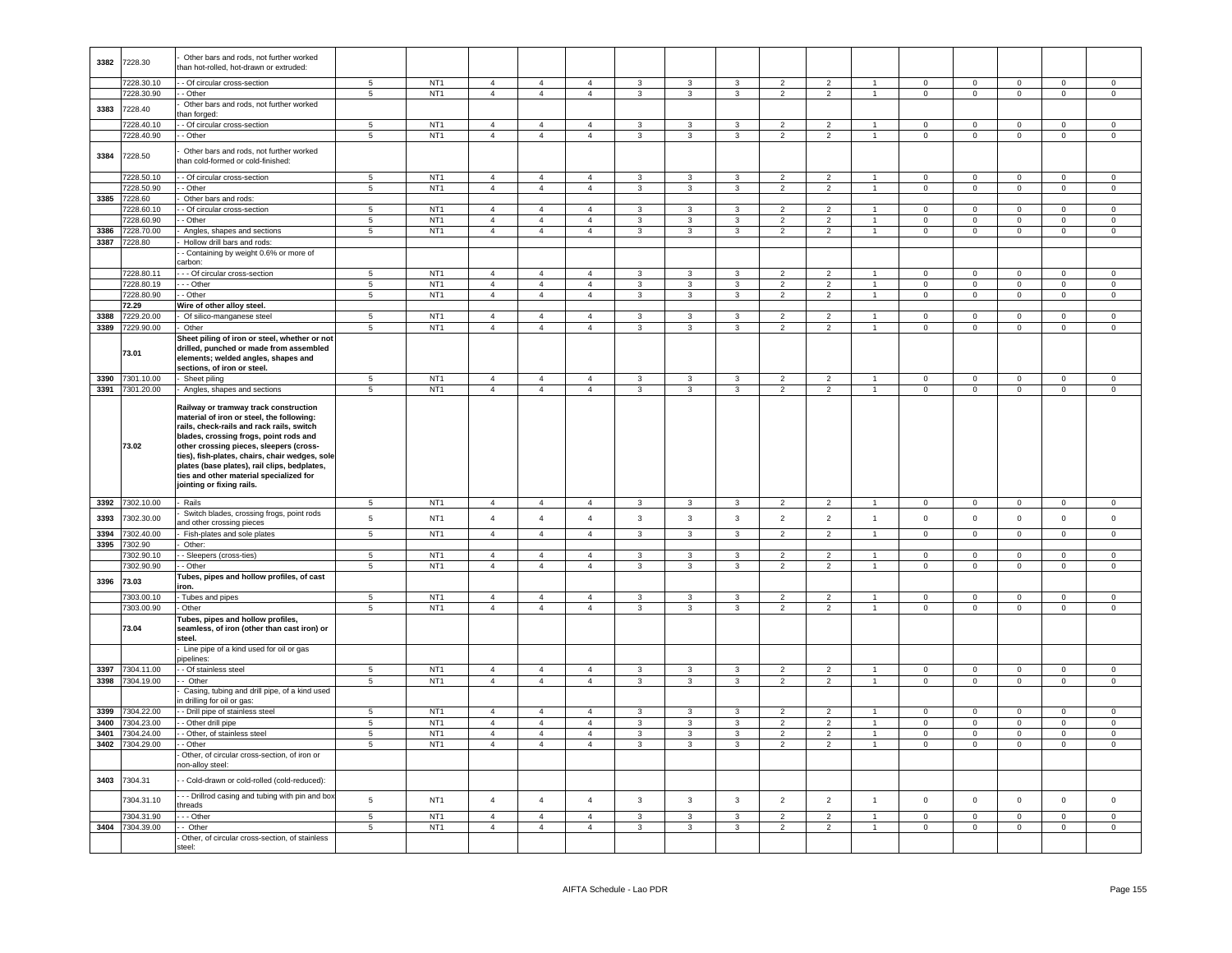| 3382 | 7228.30         | Other bars and rods, not further worked<br>than hot-rolled, hot-drawn or extruded:                                                                                                                                                                                                                                                                                                             |                          |                 |                |                |                |                         |                         |                |                |                |                      |                |                |                |                     |                     |
|------|-----------------|------------------------------------------------------------------------------------------------------------------------------------------------------------------------------------------------------------------------------------------------------------------------------------------------------------------------------------------------------------------------------------------------|--------------------------|-----------------|----------------|----------------|----------------|-------------------------|-------------------------|----------------|----------------|----------------|----------------------|----------------|----------------|----------------|---------------------|---------------------|
|      | 7228.30.10      | - - Of circular cross-section                                                                                                                                                                                                                                                                                                                                                                  | $5\phantom{.0}$          | NT <sub>1</sub> | $\overline{4}$ | $\overline{4}$ | $\overline{4}$ | 3                       | 3                       | $\mathbf{3}$   | $\overline{2}$ | $\overline{2}$ | $\overline{1}$       | $\circ$        | $\overline{0}$ | $\mathbf 0$    | $\mathsf 0$         | $\mathbf 0$         |
|      |                 |                                                                                                                                                                                                                                                                                                                                                                                                | 5 <sup>5</sup>           |                 |                | $\overline{4}$ | $\overline{4}$ | $\mathbf{3}$            | $\mathbf{3}$            |                | 2              | $\overline{2}$ | $\mathbf{1}$         | $\mathbf{0}$   |                |                | $\overline{0}$      | $\overline{0}$      |
|      | 7228.30.90      | - - Other                                                                                                                                                                                                                                                                                                                                                                                      |                          | NT <sub>1</sub> | $\overline{4}$ |                |                |                         |                         | $\mathbf{3}$   |                |                |                      |                | $\mathbf{0}$   | $\mathbf 0$    |                     |                     |
| 3383 | 7228.40         | Other bars and rods, not further worked                                                                                                                                                                                                                                                                                                                                                        |                          |                 |                |                |                |                         |                         |                |                |                |                      |                |                |                |                     |                     |
|      |                 | han forged:                                                                                                                                                                                                                                                                                                                                                                                    |                          |                 |                |                |                |                         |                         |                |                |                |                      |                |                |                |                     |                     |
|      | 7228.40.10      | - Of circular cross-section                                                                                                                                                                                                                                                                                                                                                                    | $5\overline{5}$          | NT <sub>1</sub> | $\overline{4}$ | $\overline{4}$ | $\overline{a}$ | $\mathbf{3}$            | 3                       | $\mathbf{3}$   | $\overline{2}$ | $\overline{2}$ | $\overline{1}$       | $\Omega$       | $\overline{0}$ | $\mathbf 0$    | $\Omega$            | $\Omega$            |
|      | 7228.40.90      | - - Other                                                                                                                                                                                                                                                                                                                                                                                      | 5                        | NT <sub>1</sub> | $\overline{4}$ | $\overline{4}$ | $\overline{4}$ | 3                       | 3                       | 3              | $\overline{2}$ | $\overline{2}$ | $\mathbf{1}$         | $\overline{0}$ | $\overline{0}$ | $\mathbf 0$    | $\mathbf{0}$        | $\overline{0}$      |
| 3384 | 7228.50         | Other bars and rods, not further worked<br>han cold-formed or cold-finished:                                                                                                                                                                                                                                                                                                                   |                          |                 |                |                |                |                         |                         |                |                |                |                      |                |                |                |                     |                     |
|      | 7228.50.10      | - Of circular cross-section                                                                                                                                                                                                                                                                                                                                                                    | $\sqrt{5}$               | NT <sub>1</sub> | $\overline{4}$ | $\overline{4}$ | $\mathbf{A}$   | 3                       | $\mathbf{3}$            | $\mathbf{3}$   | $\overline{2}$ | $\overline{2}$ | $\blacktriangleleft$ | $\pmb{0}$      | $\mathbf 0$    | $\mathbf 0$    | $\circ$             | $\overline{0}$      |
|      |                 |                                                                                                                                                                                                                                                                                                                                                                                                | 5                        | NT <sub>1</sub> | $\overline{4}$ | $\overline{4}$ | $\overline{4}$ |                         | $\mathbf{3}$            |                |                |                | $\overline{1}$       |                | $\mathbf{0}$   | $\mathsf 0$    |                     |                     |
|      | 7228.50.90      | - Other                                                                                                                                                                                                                                                                                                                                                                                        |                          |                 |                |                |                | 3                       |                         | 3              | $\overline{2}$ | $\overline{2}$ |                      | $\mathbf 0$    |                |                | $\mathbf 0$         | $\mathbf 0$         |
|      | 3385 7228.60    | Other bars and rods:                                                                                                                                                                                                                                                                                                                                                                           |                          |                 |                |                |                |                         |                         |                |                |                |                      |                |                |                |                     |                     |
|      | 7228.60.10      | - Of circular cross-section                                                                                                                                                                                                                                                                                                                                                                    | $5\phantom{.0}$          | NT <sub>1</sub> | $\overline{4}$ | $\overline{4}$ | $\mathbf{A}$   | 3                       | $\mathbf{3}$            | 3              | $\overline{2}$ | $\overline{2}$ |                      | $\mathbf 0$    | $\mathsf 0$    | $\mathbf 0$    | $\Omega$            | $\mathsf 0$         |
|      | 7228.60.90      | - Other                                                                                                                                                                                                                                                                                                                                                                                        | 5                        | NT <sub>1</sub> | $\overline{4}$ | $\overline{4}$ | $\overline{4}$ | $\mathbf{3}$            | $\mathbf{3}$            | $\mathbf{3}$   | $\overline{2}$ | $\overline{2}$ | $\overline{1}$       | $\overline{0}$ | $\mathsf 0$    | $\mathsf 0$    | $\mathbf 0$         | $\mathsf 0$         |
| 3386 | 7228.70.00      | Angles, shapes and sections                                                                                                                                                                                                                                                                                                                                                                    | $5\phantom{.0}$          | NT <sub>1</sub> | $\overline{4}$ | $\overline{4}$ | $\mathbf{A}$   | 3                       | $\mathbf{3}$            | $\mathbf{3}$   | $\overline{2}$ | $\overline{c}$ | $\overline{1}$       | $\pmb{0}$      | $\mathbf 0$    | $\mathbf 0$    | $\mathsf 0$         | $\mathsf 0$         |
|      | 3387 7228.80    | Hollow drill bars and rods:                                                                                                                                                                                                                                                                                                                                                                    |                          |                 |                |                |                |                         |                         |                |                |                |                      |                |                |                |                     |                     |
|      |                 | - Containing by weight 0.6% or more of                                                                                                                                                                                                                                                                                                                                                         |                          |                 |                |                |                |                         |                         |                |                |                |                      |                |                |                |                     |                     |
|      |                 | arbon:                                                                                                                                                                                                                                                                                                                                                                                         |                          |                 |                |                |                |                         |                         |                |                |                |                      |                |                |                |                     |                     |
|      | 7228.80.11      | - - Of circular cross-section                                                                                                                                                                                                                                                                                                                                                                  | 5                        | NT <sub>1</sub> | $\overline{4}$ | $\overline{4}$ | $\overline{4}$ | 3                       | $\overline{3}$          | $\overline{3}$ | 2              | $\overline{2}$ | $\mathbf{1}$         | $\Omega$       | $\mathbf 0$    | $\mathbf 0$    | $\mathbf{0}$        | $\Omega$            |
|      |                 |                                                                                                                                                                                                                                                                                                                                                                                                |                          |                 |                |                |                |                         |                         |                |                |                |                      |                |                |                |                     |                     |
|      | 7228.80.19      | $-$ Other                                                                                                                                                                                                                                                                                                                                                                                      | 5                        | NT <sub>1</sub> | $\overline{4}$ | $\overline{4}$ | $\overline{4}$ | $\overline{\mathbf{3}}$ | $\overline{\mathbf{3}}$ | $\overline{3}$ | $\overline{2}$ | $\overline{2}$ | $\mathbf{1}$         | $\Omega$       | $\overline{0}$ | $\overline{0}$ | $\overline{0}$      | $\overline{0}$      |
|      | 7228.80.90      | - Other                                                                                                                                                                                                                                                                                                                                                                                        | 5 <sup>5</sup>           | NT <sub>1</sub> | $\overline{4}$ | $\overline{4}$ | $\overline{4}$ | $\overline{3}$          | $\overline{3}$          | $\overline{3}$ | 2              | $\overline{2}$ | $\overline{1}$       | $\mathbf 0$    | $\overline{0}$ | $\mathbf 0$    | $\mathbf{0}$        | $\circ$             |
|      | 72.29           | Wire of other alloy steel.                                                                                                                                                                                                                                                                                                                                                                     |                          |                 |                |                |                |                         |                         |                |                |                |                      |                |                |                |                     |                     |
| 3388 | 7229.20.00      | Of silico-manganese steel                                                                                                                                                                                                                                                                                                                                                                      | 5                        | NT <sub>1</sub> | $\overline{4}$ | $\overline{4}$ | $\mathbf{A}$   | $\mathbf{3}$            | $\mathbf{3}$            | $\mathbf{3}$   | $\overline{2}$ | $\overline{2}$ | $\overline{1}$       | $\Omega$       | $\mathsf 0$    | $\Omega$       | $\mathsf 0$         | $\Omega$            |
| 3389 | 7229.90.00      | Other                                                                                                                                                                                                                                                                                                                                                                                          | $\overline{5}$           | NT <sub>1</sub> | $\overline{4}$ | $\overline{4}$ | $\overline{4}$ | $\overline{\mathbf{3}}$ | $\overline{3}$          | $\overline{3}$ | $\overline{2}$ | $\overline{2}$ | $\mathbf{1}$         | $\overline{0}$ | $\overline{0}$ | $\overline{0}$ | $\overline{0}$      | $\overline{0}$      |
|      | 73.01           | Sheet piling of iron or steel, whether or not<br>drilled, punched or made from assembled<br>elements; welded angles, shapes and                                                                                                                                                                                                                                                                |                          |                 |                |                |                |                         |                         |                |                |                |                      |                |                |                |                     |                     |
|      |                 | sections, of iron or steel.                                                                                                                                                                                                                                                                                                                                                                    |                          |                 |                |                |                |                         |                         |                |                |                |                      |                |                |                |                     |                     |
| 3390 | 7301.10.00      | Sheet piling                                                                                                                                                                                                                                                                                                                                                                                   | 5                        | NT <sub>1</sub> | $\overline{4}$ | $\overline{4}$ | $\overline{4}$ | $\mathbf{3}$            | $\mathbf{3}$            | $\mathbf{3}$   | $\overline{2}$ | $\overline{2}$ | $\mathbf{1}$         | $\mathbf{0}$   | $\mathbf 0$    | $\overline{0}$ | $\mathbf{0}$        | $\mathsf 0$         |
|      | 3391 7301.20.00 | Angles, shapes and sections                                                                                                                                                                                                                                                                                                                                                                    | 5                        | NT <sub>1</sub> | $\overline{4}$ | $\overline{4}$ | $\overline{4}$ | $\mathbf{3}$            | $\mathbf{3}$            | $\overline{3}$ | $\overline{2}$ | $\overline{2}$ | $\mathbf{1}$         | $\overline{0}$ | $\overline{0}$ | $\overline{0}$ | $\mathbf 0$         | $\mathsf 0$         |
|      | 73.02           | Railway or tramway track construction<br>material of iron or steel, the following:<br>rails, check-rails and rack rails, switch<br>blades, crossing frogs, point rods and<br>other crossing pieces, sleepers (cross-<br>ties), fish-plates, chairs, chair wedges, sole<br>plates (base plates), rail clips, bedplates,<br>ties and other material specialized for<br>jointing or fixing rails. |                          |                 |                |                |                |                         |                         |                |                |                |                      |                |                |                |                     |                     |
| 3392 | 7302.10.00      | Rails                                                                                                                                                                                                                                                                                                                                                                                          | $5\phantom{.0}$          | NT <sub>1</sub> | $\overline{4}$ | $\overline{4}$ | $\overline{4}$ | $\mathbf{3}$            | $\mathbf{3}$            | $\mathbf{3}$   | $\overline{2}$ | $\overline{2}$ |                      | $\mathsf 0$    | $\mathsf 0$    | $\mathbf 0$    | $\mathsf 0$         | $\mathsf 0$         |
| 3393 | 7302.30.00      | Switch blades, crossing frogs, point rods                                                                                                                                                                                                                                                                                                                                                      | $\,$ 5 $\,$              | NT <sub>1</sub> | $\overline{4}$ | $\overline{4}$ | $\overline{4}$ | $\mathbf{3}$            | $\mathbf{3}$            | $\mathbf{3}$   | $\overline{2}$ | $\overline{2}$ | $\mathbf{1}$         | $\mathsf 0$    | $\mathbf 0$    | $\mathbf 0$    | $\mathsf{O}\xspace$ | $\mathsf{O}\xspace$ |
|      |                 | and other crossing pieces                                                                                                                                                                                                                                                                                                                                                                      |                          |                 |                |                |                |                         |                         |                |                |                |                      |                |                |                |                     |                     |
| 3394 | 7302.40.00      | Fish-plates and sole plates                                                                                                                                                                                                                                                                                                                                                                    | $\sqrt{5}$               | NT <sub>1</sub> | $\overline{4}$ | $\overline{4}$ | $\overline{4}$ | 3                       | $\mathbf{3}$            | $\mathbf{3}$   | $\overline{2}$ | $\overline{2}$ | $\overline{1}$       | $\pmb{0}$      | $\mathbf 0$    | $\mathbf 0$    | $\mathsf 0$         | $\mathsf 0$         |
| 3395 | 7302.90         | Other:                                                                                                                                                                                                                                                                                                                                                                                         |                          |                 |                |                |                |                         |                         |                |                |                |                      |                |                |                |                     |                     |
|      | 302.90.10       | - Sleepers (cross-ties)                                                                                                                                                                                                                                                                                                                                                                        | $\sqrt{5}$               | NT <sub>1</sub> | $\overline{4}$ | $\overline{4}$ | $\overline{a}$ | 3                       | 3                       | 3              | $\overline{2}$ | $\overline{c}$ | $\overline{1}$       | $\mathbf 0$    | $\mathsf 0$    | $\mathbf 0$    | $\Omega$            | $\mathsf 0$         |
|      | 7302.90.90      | - Other                                                                                                                                                                                                                                                                                                                                                                                        | $\overline{5}$           | NT <sub>1</sub> | $\overline{4}$ | $\overline{4}$ | $\overline{4}$ | $\mathbf{3}$            | $\mathbf{3}$            | $\overline{3}$ | $\overline{2}$ | $\overline{2}$ | $\overline{1}$       | $\mathbf 0$    | $\overline{0}$ | $\overline{0}$ | $\mathbf 0$         | $\overline{0}$      |
| 3396 | 73.03           | Tubes, pipes and hollow profiles, of cast<br>iron.                                                                                                                                                                                                                                                                                                                                             |                          |                 |                |                |                |                         |                         |                |                |                |                      |                |                |                |                     |                     |
|      | 7303.00.10      | Tubes and pipes                                                                                                                                                                                                                                                                                                                                                                                | 5                        | NT <sub>1</sub> | $\overline{a}$ | $\Delta$       | $\overline{a}$ | $\mathcal{R}$           | 3                       | 3              | $\overline{2}$ | $\mathcal{P}$  |                      | $\Omega$       | $\Omega$       | $\Omega$       | $\Omega$            | $\Omega$            |
|      | 7303.00.90      | Other                                                                                                                                                                                                                                                                                                                                                                                          | 5                        | NT <sub>1</sub> | $\overline{4}$ | $\overline{4}$ | $\overline{4}$ | $\mathbf{3}$            | $\mathbf{3}$            | $\mathbf{3}$   | $\overline{2}$ | $\overline{2}$ | $\mathbf{1}$         | $\mathsf 0$    | $\mathbf{0}$   | $\mathsf 0$    | $\mathsf 0$         | $\mathsf 0$         |
|      | 73.04           | Tubes, pipes and hollow profiles,<br>seamless, of iron (other than cast iron) or<br>steel.                                                                                                                                                                                                                                                                                                     |                          |                 |                |                |                |                         |                         |                |                |                |                      |                |                |                |                     |                     |
|      |                 | Line pipe of a kind used for oil or gas                                                                                                                                                                                                                                                                                                                                                        |                          |                 |                |                |                |                         |                         |                |                |                |                      |                |                |                |                     |                     |
|      |                 | ipelines:                                                                                                                                                                                                                                                                                                                                                                                      |                          |                 |                |                |                |                         |                         |                |                |                |                      |                |                |                |                     |                     |
| 3397 | 7304.11.00      | - Of stainless steel                                                                                                                                                                                                                                                                                                                                                                           | 5                        | NT <sub>1</sub> | $\overline{4}$ | $\overline{4}$ | $\overline{4}$ | 3                       | 3                       | 3              | $\overline{2}$ | $\overline{2}$ | $\mathbf{1}$         | $\mathbf 0$    | $\mathbf 0$    | $\overline{0}$ | $\mathbf 0$         | $\mathbf 0$         |
| 3398 | 7304.19.00      | - Other                                                                                                                                                                                                                                                                                                                                                                                        | 5                        | NT <sub>1</sub> | $\overline{4}$ | $\overline{4}$ | $\overline{4}$ | $\mathbf{3}$            | $\mathbf{3}$            | $\mathbf{3}$   | $\overline{2}$ | $\overline{2}$ | $\mathbf{1}$         | $\mathbf 0$    | $\mathbf{0}$   | $\mathbf 0$    | $\mathsf 0$         | $\mathsf 0$         |
|      |                 | Casing, tubing and drill pipe, of a kind used<br>n drilling for oil or gas:                                                                                                                                                                                                                                                                                                                    |                          |                 |                |                |                |                         |                         |                |                |                |                      |                |                |                |                     |                     |
| 3399 | 7304.22.00      | - Drill pipe of stainless steel                                                                                                                                                                                                                                                                                                                                                                | $\overline{5}$           | NT <sub>1</sub> | $\overline{4}$ | $\overline{4}$ | $\mathbf{A}$   | $\mathcal{R}$           | $\mathbf{3}$            | $\overline{3}$ | $\overline{2}$ | $\mathcal{P}$  | $\overline{1}$       | $\Omega$       | $\mathsf 0$    | $\Omega$       | $\Omega$            | $\Omega$            |
| 3400 | 7304.23.00      | Other drill pipe                                                                                                                                                                                                                                                                                                                                                                               | $\,$ 5 $\,$              | NT <sub>1</sub> | $\sqrt{4}$     | $\overline{4}$ | $\overline{4}$ | 3                       | $\mathbf{3}$            | $\mathbf{3}$   | $\overline{2}$ | $\overline{2}$ | $\overline{1}$       | $\mathsf 0$    | $\mathbf 0$    | $\mathbf 0$    | $\mathbf 0$         | $\mathsf 0$         |
| 3401 | 7304.24.00      | - Other, of stainless steel                                                                                                                                                                                                                                                                                                                                                                    | $\overline{5}$           | NT <sub>1</sub> | $\overline{4}$ | $\overline{4}$ | $\overline{a}$ | $\overline{3}$          | $\overline{\mathbf{3}}$ | $\overline{3}$ | $\overline{2}$ | $\overline{2}$ | $\overline{1}$       | $\mathbf 0$    | $\overline{0}$ | $\overline{0}$ | $\mathbf 0$         | $\mathbf{0}$        |
| 3402 | 7304.29.00      | - Other                                                                                                                                                                                                                                                                                                                                                                                        | $\overline{5}$           | NT <sub>1</sub> | $\overline{4}$ | $\overline{4}$ | $\overline{4}$ | $\mathbf{3}$            | $\mathbf{3}$            | $\overline{3}$ | $\overline{2}$ | $\overline{2}$ | $\blacktriangleleft$ | $\mathbf 0$    | $\mathbf 0$    | $\mathbf 0$    | $\overline{0}$      | $\overline{0}$      |
|      |                 | Other, of circular cross-section, of iron or<br>non-alloy steel:                                                                                                                                                                                                                                                                                                                               |                          |                 |                |                |                |                         |                         |                |                |                |                      |                |                |                |                     |                     |
| 3403 | 7304.31         | - Cold-drawn or cold-rolled (cold-reduced):                                                                                                                                                                                                                                                                                                                                                    |                          |                 |                |                |                |                         |                         |                |                |                |                      |                |                |                |                     |                     |
|      | 7304.31.10      | --- Drillrod casing and tubing with pin and box<br>hreads                                                                                                                                                                                                                                                                                                                                      | $5\phantom{.0}$          | NT <sub>1</sub> | $\overline{4}$ | $\overline{4}$ | $\overline{4}$ | $\mathbf{3}$            | $\overline{3}$          | $\mathbf{3}$   | $\overline{2}$ | $\overline{2}$ | $\overline{1}$       | $\mathbf 0$    | $\mathbf 0$    | $\mathbf 0$    | $\mathbf{0}$        | $\mathsf 0$         |
|      | 7304.31.90      | - - Other                                                                                                                                                                                                                                                                                                                                                                                      | $\overline{\phantom{a}}$ | NT <sub>1</sub> | $\overline{4}$ | $\overline{4}$ | $\overline{4}$ | $\mathbf{3}$            | $\mathbf{3}$            | $\mathbf{3}$   | $\overline{2}$ | $\overline{2}$ | $\overline{1}$       | $\mathbf 0$    | $\mathbf{0}$   | $\mathsf 0$    | $\mathbf 0$         | $\mathsf 0$         |
| 3404 | 7304.39.00      | - Other                                                                                                                                                                                                                                                                                                                                                                                        | $\overline{5}$           | NT <sub>1</sub> | $\overline{4}$ | $\overline{4}$ | $\overline{4}$ | $\overline{3}$          | $\mathbf{3}$            | $\overline{3}$ | $\overline{2}$ | $\overline{2}$ | $\mathbf{1}$         | $\mathsf 0$    | $\mathbf{0}$   | $\overline{0}$ | $\mathsf 0$         | $\overline{0}$      |
|      |                 | Other, of circular cross-section, of stainless                                                                                                                                                                                                                                                                                                                                                 |                          |                 |                |                |                |                         |                         |                |                |                |                      |                |                |                |                     |                     |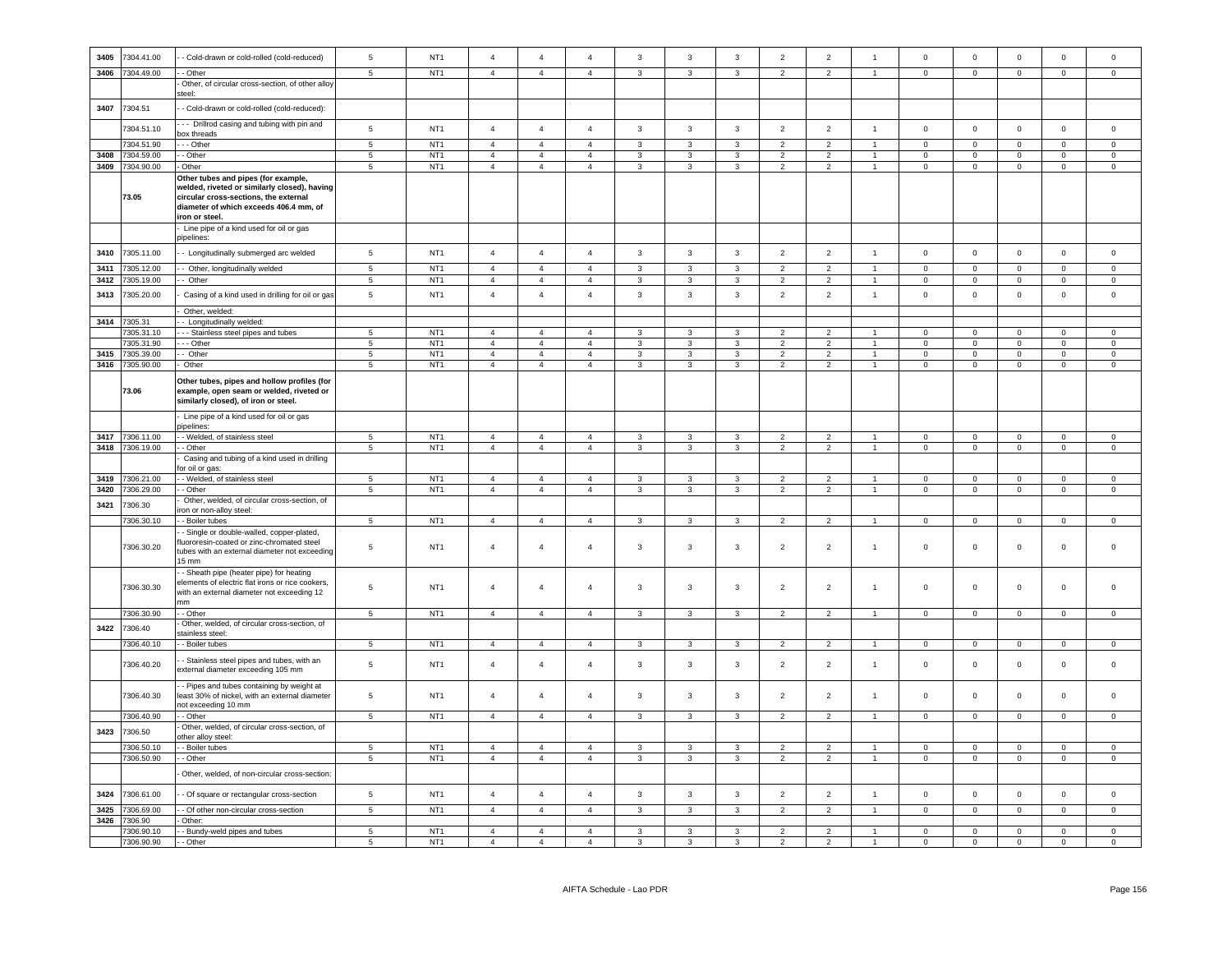| 3405 | 7304.41.00               | - Cold-drawn or cold-rolled (cold-reduced)                                                     | 5                        | NT <sub>1</sub>                    | $\overline{4}$ | $\overline{4}$ | $\overline{4}$ | $\mathbf{3}$            | $\mathbf{3}$            | $\mathbf{3}$            | $\overline{2}$ | $\overline{2}$ | $\overline{1}$       | $\mathbf 0$         | $\mathsf 0$                           | $\mathsf 0$                | $\mathsf 0$         | $\mathsf 0$         |
|------|--------------------------|------------------------------------------------------------------------------------------------|--------------------------|------------------------------------|----------------|----------------|----------------|-------------------------|-------------------------|-------------------------|----------------|----------------|----------------------|---------------------|---------------------------------------|----------------------------|---------------------|---------------------|
| 3406 | 7304.49.00               | - Other                                                                                        | 5                        | NT <sub>1</sub>                    | $\overline{4}$ | $\overline{4}$ | $\overline{4}$ | $\mathbf{3}$            | $\mathbf{3}$            | $\mathbf{3}$            | 2              | $\overline{2}$ | $\overline{1}$       | $\circ$             | $\mathbf 0$                           | $\mathsf 0$                | $\mathbf 0$         | $\circ$             |
|      |                          | Other, of circular cross-section, of other alloy                                               |                          |                                    |                |                |                |                         |                         |                         |                |                |                      |                     |                                       |                            |                     |                     |
|      |                          | steel:                                                                                         |                          |                                    |                |                |                |                         |                         |                         |                |                |                      |                     |                                       |                            |                     |                     |
| 3407 | 7304.51                  | - Cold-drawn or cold-rolled (cold-reduced):                                                    |                          |                                    |                |                |                |                         |                         |                         |                |                |                      |                     |                                       |                            |                     |                     |
|      |                          | - - Drillrod casing and tubing with pin and                                                    |                          |                                    |                |                |                |                         |                         |                         |                |                |                      |                     |                                       |                            |                     |                     |
|      | 7304.51.10               | oox threads                                                                                    | 5                        | NT <sub>1</sub>                    | $\overline{4}$ | $\overline{4}$ | $\overline{4}$ | 3                       | $\mathbf{3}$            | 3                       | $\overline{2}$ | $\overline{2}$ | $\overline{1}$       | $\mathbf 0$         | $\circ$                               | $\mathbf 0$                | $\mathbf 0$         | $\mathbf 0$         |
|      | 7304.51.90               | - - Other                                                                                      | $\overline{5}$           | NT <sub>1</sub>                    | $\overline{4}$ | $\overline{4}$ | $\overline{4}$ | $\mathbf{3}$            | $\overline{\mathbf{3}}$ | $\mathbf{3}$            | $\overline{2}$ | $\overline{2}$ | $\blacktriangleleft$ | $\overline{0}$      | $\overline{0}$                        | $\mathbf 0$                | $\circ$             | $\mathsf 0$         |
| 3408 | 7304.59.00               | - Other                                                                                        | 5                        | NT <sub>1</sub>                    | $\overline{4}$ | $\overline{4}$ | $\overline{4}$ | 3                       | 3                       | 3                       | $\overline{2}$ | $\overline{2}$ | $\overline{1}$       | $\mathbf 0$         | $\circ$                               | $\mathbf 0$                | $\mathbf 0$         | $\mathbf 0$         |
| 3409 | 7304.90.00               | Other                                                                                          | 5                        | NT <sub>1</sub>                    | $\overline{4}$ | $\overline{4}$ | $\overline{4}$ | $\mathbf{3}$            | $\mathbf{3}$            | $\mathbf{3}$            | $\overline{2}$ | $\overline{2}$ | $\overline{1}$       | $\mathbf 0$         | $\overline{\mathbf{0}}$               | $\,0\,$                    | $\overline{0}$      | $\mathbf 0$         |
|      |                          | Other tubes and pipes (for example,                                                            |                          |                                    |                |                |                |                         |                         |                         |                |                |                      |                     |                                       |                            |                     |                     |
|      |                          | welded, riveted or similarly closed), having                                                   |                          |                                    |                |                |                |                         |                         |                         |                |                |                      |                     |                                       |                            |                     |                     |
|      | 73.05                    | circular cross-sections, the external                                                          |                          |                                    |                |                |                |                         |                         |                         |                |                |                      |                     |                                       |                            |                     |                     |
|      |                          | diameter of which exceeds 406.4 mm, of                                                         |                          |                                    |                |                |                |                         |                         |                         |                |                |                      |                     |                                       |                            |                     |                     |
|      |                          | ron or steel.                                                                                  |                          |                                    |                |                |                |                         |                         |                         |                |                |                      |                     |                                       |                            |                     |                     |
|      |                          | Line pipe of a kind used for oil or gas<br>oipelines:                                          |                          |                                    |                |                |                |                         |                         |                         |                |                |                      |                     |                                       |                            |                     |                     |
|      |                          |                                                                                                |                          |                                    |                |                |                |                         |                         |                         |                |                |                      |                     |                                       |                            |                     |                     |
| 3410 | 7305.11.00               | - Longitudinally submerged arc welded                                                          | 5                        | NT <sub>1</sub>                    | $\overline{4}$ | $\overline{4}$ | $\overline{4}$ | $\mathbf{3}$            | $\mathbf{3}$            | 3                       | $\overline{2}$ | $\overline{2}$ | $\overline{1}$       | $\mathbf 0$         | $\overline{0}$                        | $\mathbf 0$                | $\mathbf 0$         | $\mathbf 0$         |
| 3411 | 7305.12.00               | - Other, longitudinally welded                                                                 | $\,$ 5 $\,$              | NT <sub>1</sub>                    | $\overline{4}$ | $\overline{4}$ | $\overline{4}$ | $\mathbf{3}$            | 3                       | $\mathbf{3}$            | $\overline{2}$ | $\overline{2}$ | $\blacktriangleleft$ | $\Omega$            | $\mathsf{O}\xspace$                   | $\mathbf 0$                | $\mathsf 0$         | $\mathsf 0$         |
| 3412 | 305.19.00                | - Other                                                                                        | $\,$ 5 $\,$              | NT <sub>1</sub>                    | $\overline{4}$ | $\overline{4}$ | $\overline{4}$ | 3                       | 3                       | $\mathbf{3}$            | $\overline{2}$ | $\overline{2}$ |                      | $\mathbf 0$         | $\mathsf{O}\xspace$                   | 0                          | 0                   | $\mathsf 0$         |
| 3413 | 7305.20.00               | Casing of a kind used in drilling for oil or gas                                               | $\overline{5}$           | NT <sub>1</sub>                    | $\overline{4}$ | $\overline{4}$ | $\overline{4}$ | 3                       | $\mathbf{3}$            | 3                       | $\overline{2}$ | $\overline{2}$ | $\mathbf{1}$         | $\mathbf 0$         | $\mathsf 0$                           | $\,0\,$                    | $\pmb{0}$           | $\mathsf 0$         |
|      |                          |                                                                                                |                          |                                    |                |                |                |                         |                         |                         |                |                |                      |                     |                                       |                            |                     |                     |
|      |                          | Other, welded:                                                                                 |                          |                                    |                |                |                |                         |                         |                         |                |                |                      |                     |                                       |                            |                     |                     |
| 3414 | 7305.31                  | - Longitudinally welded:                                                                       |                          |                                    |                |                |                |                         |                         |                         |                |                |                      |                     |                                       |                            |                     |                     |
|      | 7305.31.10               | - - Stainless steel pipes and tubes                                                            | $5\phantom{.0}$          | NT <sub>1</sub>                    | $\overline{4}$ | $\overline{4}$ | $\overline{4}$ | 3                       | 3                       | 3                       | $\overline{2}$ | $\overline{2}$ | $\mathbf{1}$         | $\mathbf 0$         | $\mathsf 0$                           | $\mathbf 0$                | $\overline{0}$      | $\mathbf 0$         |
|      | 305.31.90                | - Other                                                                                        | 5                        | NT <sub>1</sub>                    | $\overline{4}$ | $\overline{4}$ | $\overline{4}$ | 3                       | 3                       | 3                       | $\mathcal{P}$  | $\overline{2}$ |                      | $\Omega$            | $\mathbf 0$                           | $^{\circ}$                 | $\mathbf 0$         | $\mathbf 0$         |
| 3415 | 7305.39.00               | Other                                                                                          | $\,$ 5 $\,$              | NT <sub>1</sub>                    | $\overline{4}$ | $\overline{4}$ | $\overline{4}$ | $\mathbf{3}$            | 3                       | 3                       | $\overline{2}$ | $\overline{2}$ |                      | $\mathbf 0$         | $\mathbf 0$                           | $\mathbf 0$                | $\pmb{0}$           | $\mathsf 0$         |
| 3416 | 7305.90.00               | Other                                                                                          | 5                        | NT <sub>1</sub>                    | $\overline{4}$ | $\overline{4}$ | $\overline{4}$ | 3                       | 3                       | 3                       | $\overline{2}$ | $\overline{2}$ | $\overline{1}$       | $\mathbf{0}$        | $\mathbf 0$                           | $\mathbf 0$                | $\mathbf 0$         | $\mathbf 0$         |
|      |                          | Other tubes, pipes and hollow profiles (for                                                    |                          |                                    |                |                |                |                         |                         |                         |                |                |                      |                     |                                       |                            |                     |                     |
|      | 73.06                    | example, open seam or welded, riveted or                                                       |                          |                                    |                |                |                |                         |                         |                         |                |                |                      |                     |                                       |                            |                     |                     |
|      |                          | similarly closed), of iron or steel.                                                           |                          |                                    |                |                |                |                         |                         |                         |                |                |                      |                     |                                       |                            |                     |                     |
|      |                          |                                                                                                |                          |                                    |                |                |                |                         |                         |                         |                |                |                      |                     |                                       |                            |                     |                     |
|      |                          | Line pipe of a kind used for oil or gas<br>oipelines:                                          |                          |                                    |                |                |                |                         |                         |                         |                |                |                      |                     |                                       |                            |                     |                     |
| 3417 | 7306.11.00               | - Welded, of stainless steel                                                                   | 5                        | NT <sub>1</sub>                    | $\overline{4}$ | $\overline{4}$ | $\overline{4}$ | 3                       | 3                       | 3                       | 2              | 2              | $\overline{1}$       | $^{\circ}$          | $\mathbf 0$                           | $\overline{0}$             | $\Omega$            | $\circ$             |
|      | 3418 7306.19.00          | - Other                                                                                        | $5\phantom{.0}$          | NT <sub>1</sub>                    | $\overline{4}$ | $\overline{4}$ | $\overline{4}$ | $\mathbf{3}$            | $\mathbf{3}$            | $\mathbf{3}$            | $\overline{2}$ | $\overline{2}$ | $\mathbf{1}$         | $\mathbf 0$         | $\mathbf 0$                           | $\mathbf 0$                | $\mathbf 0$         | $\mathsf{O}\xspace$ |
|      |                          | Casing and tubing of a kind used in drilling                                                   |                          |                                    |                |                |                |                         |                         |                         |                |                |                      |                     |                                       |                            |                     |                     |
|      |                          | or oil or gas:                                                                                 |                          |                                    |                |                |                |                         |                         |                         |                |                |                      |                     |                                       |                            |                     |                     |
| 3419 | 306.21.00                | - Welded, of stainless steel                                                                   | 5                        | NT <sub>1</sub>                    | $\overline{4}$ | $\overline{4}$ | $\overline{4}$ | $\mathbf{3}$            | 3                       | $\mathbf{3}$            | $\overline{2}$ | $\overline{2}$ |                      | $\mathbf 0$         | $\mathsf 0$                           | $\circ$                    | $\mathbf 0$         | $\mathsf 0$         |
| 3420 | 306.29.00                | - Other                                                                                        | $\overline{\phantom{0}}$ | NT <sub>1</sub>                    | $\overline{4}$ | $\overline{4}$ | $\overline{4}$ | $\mathbf{3}$            | $\overline{3}$          | $\overline{3}$          | $\overline{2}$ | $\overline{2}$ | $\overline{1}$       | $\mathsf 0$         | $\overline{0}$                        | $\mathbf 0$                | $\mathbf 0$         | $\mathsf 0$         |
| 3421 | 7306.30                  | Other, welded, of circular cross-section, of                                                   |                          |                                    |                |                |                |                         |                         |                         |                |                |                      |                     |                                       |                            |                     |                     |
|      |                          | on or non-alloy steel:                                                                         |                          |                                    |                |                |                |                         |                         |                         |                |                |                      |                     |                                       |                            |                     |                     |
|      | 7306.30.10               | - Boiler tubes                                                                                 | 5                        | NT <sub>1</sub>                    | $\overline{4}$ | $\overline{4}$ | $\overline{4}$ | $\mathbf{3}$            | $\mathbf{3}$            | $\mathbf{3}$            | $\overline{2}$ | $\overline{2}$ | $\overline{1}$       | $\mathbf 0$         | $\mathsf 0$                           | $\mathbf 0$                | $\mathbf 0$         | $\mathsf 0$         |
|      |                          | - Single or double-walled, copper-plated,                                                      |                          |                                    |                |                |                |                         |                         |                         |                |                |                      |                     |                                       |                            |                     |                     |
|      | 7306.30.20               | uororesin-coated or zinc-chromated steel<br>tubes with an external diameter not exceeding      | 5                        | NT <sub>1</sub>                    | $\sqrt{4}$     | $\overline{4}$ | $\overline{4}$ |                         |                         |                         |                |                |                      |                     |                                       |                            |                     |                     |
|      |                          | 15 mm                                                                                          |                          |                                    |                |                |                | $\mathbf{3}$            | $\mathbf{3}$            | $\mathbf{3}$            | $\overline{2}$ | $\overline{2}$ | $\overline{1}$       | $\mathsf 0$         | $\mathbf 0$                           | $\mathbf 0$                | $\mathsf{O}\xspace$ | $\mathsf{O}$        |
|      |                          |                                                                                                |                          |                                    |                |                |                |                         |                         |                         |                |                |                      |                     |                                       |                            |                     |                     |
|      |                          |                                                                                                |                          |                                    |                |                |                |                         |                         |                         |                |                |                      |                     |                                       |                            |                     |                     |
|      |                          | - Sheath pipe (heater pipe) for heating                                                        |                          |                                    |                |                |                |                         |                         |                         |                |                |                      |                     |                                       |                            |                     |                     |
|      | 7306.30.30               | elements of electric flat irons or rice cookers,<br>with an external diameter not exceeding 12 | 5                        | NT <sub>1</sub>                    | $\overline{4}$ | $\overline{4}$ | $\overline{4}$ | $\mathbf{3}$            | 3                       | 3                       | $\overline{2}$ | $\overline{2}$ | $\overline{1}$       | $\mathsf{O}\xspace$ | $\mathbf 0$                           | $\mathbf 0$                | $\mathsf 0$         | $\mathbf 0$         |
|      |                          | nm                                                                                             |                          |                                    |                |                |                |                         |                         |                         |                |                |                      |                     |                                       |                            |                     |                     |
|      | 7306.30.90               | - Other                                                                                        | 5                        | NT <sub>1</sub>                    | $\overline{4}$ | $\overline{4}$ | $\overline{4}$ | $\mathbf{3}$            | $\mathbf{3}$            | $\mathbf{3}$            | $\overline{2}$ | $\overline{2}$ | $\overline{1}$       | $\circ$             | $\mathbf 0$                           | $\mathbf 0$                | $\mathbf 0$         | $\mathsf 0$         |
|      |                          | Other, welded, of circular cross-section, of                                                   |                          |                                    |                |                |                |                         |                         |                         |                |                |                      |                     |                                       |                            |                     |                     |
| 3422 | 7306.40                  | tainless steel:                                                                                |                          |                                    |                |                |                |                         |                         |                         |                |                |                      |                     |                                       |                            |                     |                     |
|      | 7306.40.10               | - Boiler tubes                                                                                 | $5\phantom{.0}$          | NT <sub>1</sub>                    | $\overline{4}$ | $\overline{4}$ | $\overline{4}$ | 3                       | $\mathbf{3}$            | 3                       | $\overline{2}$ | $\overline{2}$ | $\overline{1}$       | $\mathbf 0$         | $\overline{0}$                        | $\,0\,$                    | $\overline{0}$      | $\mathbf 0$         |
|      |                          | - Stainless steel pipes and tubes, with an                                                     |                          |                                    |                |                |                |                         |                         |                         |                |                |                      |                     |                                       |                            |                     |                     |
|      | 7306.40.20               | external diameter exceeding 105 mm                                                             | 5                        | NT <sub>1</sub>                    | $\overline{4}$ | $\overline{4}$ | $\overline{4}$ | $\mathbf{3}$            | $\mathbf{3}$            | 3                       | $\overline{2}$ | $\overline{2}$ | $\overline{1}$       | $\mathsf 0$         | $\mathbf 0$                           | $\,0\,$                    | $\mathsf 0$         | $\mathsf 0$         |
|      |                          |                                                                                                |                          |                                    |                |                |                |                         |                         |                         |                |                |                      |                     |                                       |                            |                     |                     |
|      |                          | - Pipes and tubes containing by weight at                                                      |                          | NT <sub>1</sub>                    | $\overline{4}$ | $\overline{4}$ | $\overline{4}$ |                         |                         |                         | $\overline{2}$ |                | $\overline{1}$       | $\mathsf 0$         | $\mathsf 0$                           | $\mathsf 0$                | $\mathsf 0$         | $\mathsf 0$         |
|      | 7306.40.30               | least 30% of nickel, with an external diameter                                                 | $\,$ 5 $\,$              |                                    |                |                |                | $\mathbf{3}$            | $\mathbf{3}$            | $\mathbf{3}$            |                | $\overline{2}$ |                      |                     |                                       |                            |                     |                     |
|      | 7306.40.90               | not exceeding 10 mm<br>- Other                                                                 | $\sqrt{5}$               | NT <sub>1</sub>                    | $\overline{4}$ | $\overline{4}$ | $\overline{4}$ | $\mathbf{3}$            | $\mathbf{3}$            | $\mathbf{3}$            | $\overline{2}$ | $\overline{2}$ | $\overline{1}$       | $\mathbf 0$         | $\mathbf 0$                           | $\mathbf 0$                | $\mathbf 0$         | $\mathbf 0$         |
|      |                          | Other, welded, of circular cross-section, of                                                   |                          |                                    |                |                |                |                         |                         |                         |                |                |                      |                     |                                       |                            |                     |                     |
| 3423 | 7306.50                  | ther alloy steel:                                                                              |                          |                                    |                |                |                |                         |                         |                         |                |                |                      |                     |                                       |                            |                     |                     |
|      | 7306.50.10               | Boiler tubes                                                                                   | $5 -$                    | NT <sub>1</sub>                    | $\overline{4}$ | $\overline{4}$ | $\overline{4}$ | $\mathbf{3}$            | $\mathbf{3}$            | $\mathbf{3}$            | $\overline{2}$ | $\overline{2}$ |                      | $\Omega$            | $\mathsf 0$                           | $\circ$                    | $\Omega$            | $\Omega$            |
|      | 7306.50.90               | - Other                                                                                        | $\,$ 5 $\,$              | NT <sub>1</sub>                    | $\overline{4}$ | $\overline{4}$ | $\overline{4}$ | $\mathbf{3}$            | $\overline{3}$          | $\overline{3}$          | $\overline{2}$ | $\overline{2}$ | $\mathbf{1}$         | $\mathbf 0$         | $\overline{0}$                        | $\mathbf 0$                | $\mathbf 0$         | $\mathsf 0$         |
|      |                          | Other, welded, of non-circular cross-section:                                                  |                          |                                    |                |                |                |                         |                         |                         |                |                |                      |                     |                                       |                            |                     |                     |
|      |                          |                                                                                                |                          |                                    |                |                |                |                         |                         |                         |                |                |                      |                     |                                       |                            |                     |                     |
| 3424 | 7306.61.00               | - Of square or rectangular cross-section                                                       | $\sqrt{5}$               | NT <sub>1</sub>                    | $\overline{4}$ | $\overline{4}$ | $\overline{4}$ | $\mathbf{3}$            | $\mathbf{3}$            | $\mathbf{3}$            | $\overline{2}$ | $\overline{2}$ | $\overline{1}$       | $\mathbb O$         | $\mathbf 0$                           | $\mathbf 0$                | $\mathbf 0$         | $\mathsf 0$         |
|      |                          |                                                                                                |                          |                                    | $\overline{4}$ | $\overline{4}$ | $\overline{4}$ |                         | $\overline{\mathbf{3}}$ | $\overline{\mathbf{3}}$ | $\overline{2}$ | $\overline{2}$ | $\overline{1}$       |                     |                                       |                            |                     | $\overline{0}$      |
| 3425 | 306.69.00<br>7306.90     | - Of other non-circular cross-section<br>Other:                                                | $\overline{5}$           | NT <sub>1</sub>                    |                |                |                | $\overline{\mathbf{3}}$ |                         |                         |                |                |                      | $\overline{0}$      | $\overline{0}$                        | $\mathbf 0$                | $\overline{0}$      |                     |
| 3426 |                          |                                                                                                | 5                        |                                    | $\overline{4}$ | $\overline{4}$ | $\mathbf{A}$   | 3                       | $\mathbf{B}$            | $\mathbf{R}$            | $\mathcal{D}$  | $\mathcal{P}$  |                      | $\Omega$            |                                       |                            | $\Omega$            | $\Omega$            |
|      | 7306.90.10<br>7306.90.90 | - Bundy-weld pipes and tubes<br>- Other                                                        | $\overline{5}$           | NT <sub>1</sub><br>NT <sub>1</sub> | $\overline{4}$ | $\overline{4}$ | $\mathbf{A}$   | $\mathbf{3}$            | $\mathbf{a}$            | $\mathbf{R}$            | $\mathcal{D}$  | $\overline{2}$ |                      | $\overline{0}$      | $\mathsf{O}\xspace$<br>$\overline{0}$ | $\mathbf 0$<br>$\mathsf 0$ | $\Omega$            | $\Omega$            |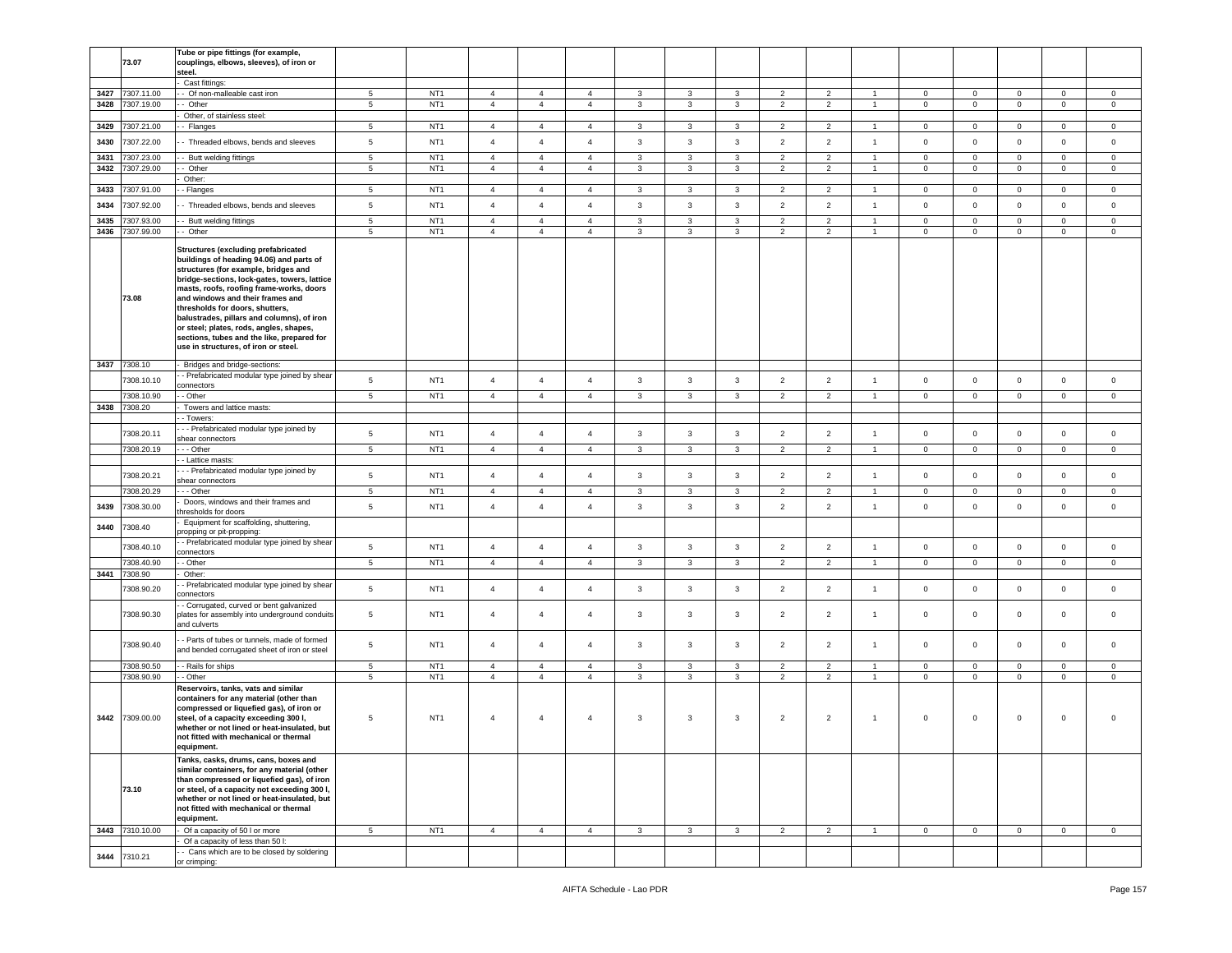|      | 73.07           | Tube or pipe fittings (for example,<br>couplings, elbows, sleeves), of iron or              |                 |                 |                |                |                |              |                         |              |                |                |                      |                |                |              |              |             |
|------|-----------------|---------------------------------------------------------------------------------------------|-----------------|-----------------|----------------|----------------|----------------|--------------|-------------------------|--------------|----------------|----------------|----------------------|----------------|----------------|--------------|--------------|-------------|
|      |                 | steel.                                                                                      |                 |                 |                |                |                |              |                         |              |                |                |                      |                |                |              |              |             |
|      |                 | Cast fittings:                                                                              |                 |                 |                |                |                |              |                         |              |                |                |                      |                |                |              |              |             |
| 3427 | 7307.11.00      | - Of non-malleable cast iron                                                                | 5               | NT <sub>1</sub> | $\overline{4}$ | $\overline{4}$ | $\overline{4}$ | 3            | $\mathbf{3}$            | 3            | $\overline{2}$ | $\overline{2}$ | $\mathbf{1}$         | $\overline{0}$ | $\overline{0}$ | $\mathbf 0$  | $\circ$      | $\circ$     |
| 3428 | 7307.19.00      | - Other                                                                                     | $5^{\circ}$     | NT <sub>1</sub> | $\overline{4}$ | $\overline{4}$ | $\overline{4}$ | $\mathbf{3}$ | $\mathbf{3}$            | 3            | $\overline{2}$ | $\overline{2}$ | $\mathbf{1}$         | $\mathbf{0}$   | $\overline{0}$ | $\mathbf 0$  | $\mathbf{0}$ | $\circ$     |
|      |                 | Other, of stainless steel:                                                                  |                 |                 |                |                |                |              |                         |              |                |                |                      |                |                |              |              |             |
| 3429 | 7307.21.00      | - Flanges                                                                                   | 5               | NT <sub>1</sub> | $\overline{4}$ | $\overline{4}$ | $\overline{4}$ | 3            | 3                       | 3            | $\overline{c}$ | $\overline{2}$ | -1                   | $\mathbf 0$    | $\mathbf 0$    | $\mathbf 0$  | 0            | $\mathbf 0$ |
| 3430 | 7307.22.00      | - Threaded elbows, bends and sleeves                                                        | $5\phantom{.0}$ | NT <sub>1</sub> | $\overline{4}$ | $\overline{4}$ | $\overline{4}$ | $\mathbf{3}$ | $\overline{3}$          | $\mathbf{3}$ | $\overline{2}$ | $\overline{2}$ | $\mathbf{1}$         | $\mathbf 0$    | $\mathbf 0$    | $\mathsf 0$  | 0            | $\mathbf 0$ |
| 3431 | 307.23.00       | - Butt welding fittings                                                                     | $5\phantom{.0}$ | NT <sub>1</sub> | $\overline{4}$ | $\overline{4}$ | $\overline{4}$ | 3            | 3                       | 3            | $\overline{2}$ | $\overline{2}$ | $\overline{1}$       | $\mathbf 0$    | $\mathsf 0$    | $\mathbf 0$  | $\mathbf 0$  | $\mathbf 0$ |
| 3432 | 7307.29.00      | - Other                                                                                     | 5               | NT <sub>1</sub> | $\overline{4}$ | $\overline{4}$ | $\overline{4}$ | 3            | 3                       | 3            | $\overline{2}$ | $\overline{2}$ | $\overline{1}$       | $\mathsf 0$    | $\mathbf 0$    | $\mathbf 0$  | $\circ$      | $\mathbf 0$ |
|      |                 | Other:                                                                                      |                 |                 |                |                |                |              |                         |              |                |                |                      |                |                |              |              |             |
| 3433 | 7307.91.00      | - Flanges                                                                                   | $5\phantom{.0}$ | NT <sub>1</sub> | $\overline{4}$ | $\overline{4}$ | $\overline{4}$ | 3            | 3                       | 3            | $\overline{2}$ | $\overline{2}$ | $\overline{1}$       | $\mathbf 0$    | $\circ$        | $\mathsf 0$  | $\mathbf 0$  | $\mathbf 0$ |
| 3434 | 7307.92.00      | - Threaded elbows, bends and sleeves                                                        | 5               | NT <sub>1</sub> | $\overline{4}$ | $\overline{4}$ | $\overline{4}$ | $\mathbf{3}$ | $\overline{3}$          | $\mathbf{3}$ | $\overline{2}$ | $\overline{2}$ | $\mathbf{1}$         | $\mathbf 0$    | $\mathbf 0$    | $\mathsf 0$  | $\mathbf 0$  | $\mathbf 0$ |
|      |                 |                                                                                             |                 |                 |                |                |                |              |                         |              |                |                |                      |                |                |              |              |             |
| 3435 | 7307.93.00      | - Butt welding fittings                                                                     | 5               | NT <sub>1</sub> | $\overline{4}$ | $\overline{4}$ | $\overline{4}$ | 3            | 3                       | 3            | $\overline{2}$ | $\overline{2}$ | $\overline{1}$       | $\mathbf{0}$   | $\mathbf{O}$   | $\mathbf 0$  | $\mathbf 0$  | $\mathbf 0$ |
| 3436 | 7307.99.00      | - Other                                                                                     | $\,$ 5 $\,$     | NT <sub>1</sub> | $\overline{4}$ | $\overline{4}$ | $\overline{4}$ | 3            | $\mathbf{3}$            | $\mathbf{3}$ | $\overline{2}$ | $\overline{2}$ | $\overline{1}$       | $\mathsf 0$    | $\mathsf 0$    | $\mathsf 0$  | $\mathbf 0$  | $\mathsf 0$ |
|      |                 | <b>Structures (excluding prefabricated</b>                                                  |                 |                 |                |                |                |              |                         |              |                |                |                      |                |                |              |              |             |
|      |                 | buildings of heading 94.06) and parts of                                                    |                 |                 |                |                |                |              |                         |              |                |                |                      |                |                |              |              |             |
|      |                 | structures (for example, bridges and                                                        |                 |                 |                |                |                |              |                         |              |                |                |                      |                |                |              |              |             |
|      |                 | bridge-sections, lock-gates, towers, lattice                                                |                 |                 |                |                |                |              |                         |              |                |                |                      |                |                |              |              |             |
|      | 73.08           | masts, roofs, roofing frame-works, doors<br>and windows and their frames and                |                 |                 |                |                |                |              |                         |              |                |                |                      |                |                |              |              |             |
|      |                 | thresholds for doors, shutters,                                                             |                 |                 |                |                |                |              |                         |              |                |                |                      |                |                |              |              |             |
|      |                 | balustrades, pillars and columns), of iron                                                  |                 |                 |                |                |                |              |                         |              |                |                |                      |                |                |              |              |             |
|      |                 | or steel; plates, rods, angles, shapes,                                                     |                 |                 |                |                |                |              |                         |              |                |                |                      |                |                |              |              |             |
|      |                 | sections, tubes and the like, prepared for                                                  |                 |                 |                |                |                |              |                         |              |                |                |                      |                |                |              |              |             |
|      |                 | use in structures, of iron or steel.                                                        |                 |                 |                |                |                |              |                         |              |                |                |                      |                |                |              |              |             |
|      | 3437 7308.10    | Bridges and bridge-sections:                                                                |                 |                 |                |                |                |              |                         |              |                |                |                      |                |                |              |              |             |
|      | 7308.10.10      | - Prefabricated modular type joined by shear                                                | 5               | NT <sub>1</sub> | $\overline{4}$ | $\overline{4}$ | $\overline{4}$ | 3            | 3                       |              | $\overline{2}$ | $\overline{2}$ | $\overline{1}$       | $\mathsf 0$    |                | $\mathbf 0$  | $\mathbf 0$  | $\mathbf 0$ |
|      |                 | onnectors                                                                                   |                 |                 |                |                |                |              |                         | 3            |                |                |                      |                | $\mathsf 0$    |              |              |             |
|      | 7308.10.90      | - Other                                                                                     | 5               | NT <sub>1</sub> | $\overline{4}$ | $\overline{4}$ | $\overline{4}$ | 3            | 3                       | 3            | $\overline{2}$ | $\overline{2}$ | $\mathbf{1}$         | $\mathbf 0$    | $\mathbf 0$    | $\mathbf 0$  | $\mathbf 0$  | $\mathbf 0$ |
| 3438 | 7308.20         | Towers and lattice masts:                                                                   |                 |                 |                |                |                |              |                         |              |                |                |                      |                |                |              |              |             |
|      |                 | - Towers:                                                                                   |                 |                 |                |                |                |              |                         |              |                |                |                      |                |                |              |              |             |
|      | 7308.20.11      | - - Prefabricated modular type joined by<br>shear connectors                                | 5               | NT <sub>1</sub> | $\overline{4}$ | $\overline{4}$ | $\overline{4}$ | $\mathbf{3}$ | $\mathbf{3}$            | $\mathbf{3}$ | $\overline{2}$ | $\overline{2}$ | $\overline{1}$       | $\mathbf 0$    | $\mathbf 0$    | $\mathsf 0$  | $\mathbf 0$  | $\mathbf 0$ |
|      | 7308.20.19      | - - Other                                                                                   | $5^{\circ}$     | NT <sub>1</sub> | $\overline{4}$ | $\overline{4}$ | $\overline{4}$ | 3            | 3                       | 3            | $\overline{2}$ | $\overline{2}$ | $\overline{1}$       | $\mathbf 0$    | $\overline{0}$ | $\mathbf{0}$ | $\mathbf{0}$ | $\mathbf 0$ |
|      |                 | - Lattice masts:                                                                            |                 |                 |                |                |                |              |                         |              |                |                |                      |                |                |              |              |             |
|      |                 | -- Prefabricated modular type joined by                                                     |                 |                 |                |                |                |              |                         |              |                |                |                      |                |                |              |              |             |
|      | 7308.20.21      | shear connectors                                                                            | 5               | NT <sub>1</sub> | $\overline{4}$ | $\overline{4}$ | $\overline{4}$ | 3            | $\mathbf{3}$            | $\mathbf{3}$ | $\overline{2}$ | $\overline{2}$ | $\mathbf{1}$         | $\mathbf 0$    | $\mathbf 0$    | $\mathbf 0$  | $\mathbf 0$  | $\mathbf 0$ |
|      | 7308.20.29      | - - Other                                                                                   | 5               | NT <sub>1</sub> | $\overline{4}$ | $\overline{4}$ | 4              | 3            | 3                       | 3            | $\overline{2}$ | $\overline{2}$ | $\overline{1}$       | $\mathbf 0$    | $\mathbf 0$    | $\mathbf 0$  | $\mathbf 0$  | $\circ$     |
| 3439 | 7308.30.00      | Doors, windows and their frames and                                                         | $5\phantom{.0}$ | NT <sub>1</sub> | $\overline{4}$ | $\overline{4}$ | $\overline{4}$ | $\mathbf{3}$ | $\mathbf{3}$            | $\mathbf{3}$ | $\overline{2}$ | $\overline{2}$ | $\mathbf{1}$         | $\mathbf 0$    | $\mathbf 0$    | $\mathbf 0$  | $\mathbf 0$  | $\mathbf 0$ |
|      |                 | hresholds for doors                                                                         |                 |                 |                |                |                |              |                         |              |                |                |                      |                |                |              |              |             |
| 3440 | 7308.40         | Equipment for scaffolding, shuttering,<br>ropping or pit-propping:                          |                 |                 |                |                |                |              |                         |              |                |                |                      |                |                |              |              |             |
|      |                 | - Prefabricated modular type joined by shear                                                |                 |                 |                |                |                |              |                         |              |                |                |                      |                |                |              |              |             |
|      | 7308.40.10      | connectors                                                                                  | 5               | NT <sub>1</sub> | $\overline{4}$ | $\overline{4}$ | $\overline{4}$ | $\mathbf{3}$ | $\overline{3}$          | $\mathbf{3}$ | $\overline{2}$ | $\overline{2}$ | $\overline{1}$       | $\mathbf 0$    | $\mathsf 0$    | $\mathsf 0$  | $\mathsf 0$  | $\circ$     |
|      | 7308.40.90      | Other                                                                                       | $5\phantom{.0}$ | NT <sub>1</sub> | $\overline{4}$ | $\overline{4}$ | $\overline{4}$ | $\mathbf{3}$ | $\mathbf{3}$            | $\mathbf{3}$ | $\overline{2}$ | $\overline{2}$ | $\blacktriangleleft$ | $\mathbf 0$    | $\circ$        | $\mathsf 0$  | $\mathbf 0$  | $\mathsf 0$ |
| 3441 | 7308.90         | Other:                                                                                      |                 |                 |                |                |                |              |                         |              |                |                |                      |                |                |              |              |             |
|      | 7308.90.20      | - Prefabricated modular type joined by shear                                                | 5               | NT <sub>1</sub> | $\overline{4}$ | $\overline{4}$ | $\overline{4}$ | $\mathbf{3}$ | $\overline{3}$          | $\mathbf{3}$ | $\overline{2}$ | $\overline{2}$ | $\overline{1}$       | $\mathsf 0$    | $\mathsf 0$    | $\mathbf 0$  | $\mathsf 0$  | $\mathbf 0$ |
|      |                 | onnectors                                                                                   |                 |                 |                |                |                |              |                         |              |                |                |                      |                |                |              |              |             |
|      | 7308.90.30      | - Corrugated, curved or bent galvanized                                                     | 5               | NT <sub>1</sub> | $\overline{4}$ | $\overline{4}$ | 4              | 3            | $\overline{3}$          | 3            | $\overline{c}$ | $\overline{2}$ | $\mathbf{1}$         | $\mathsf 0$    | $\mathbf{O}$   | $\mathbf 0$  | 0            | $\mathbf 0$ |
|      |                 | blates for assembly into underground conduits<br>and culverts                               |                 |                 |                |                |                |              |                         |              |                |                |                      |                |                |              |              |             |
|      |                 |                                                                                             |                 |                 |                |                |                |              |                         |              |                |                |                      |                |                |              |              |             |
|      | 7308.90.40      | - Parts of tubes or tunnels, made of formed<br>and bended corrugated sheet of iron or steel | 5               | NT <sub>1</sub> | $\overline{4}$ | $\overline{4}$ | $\overline{4}$ | 3            | $\overline{3}$          | 3            | $\overline{2}$ | $\overline{2}$ | $\mathbf{1}$         | $\mathbf 0$    | $\mathbf 0$    | $\mathbf 0$  | 0            | 0           |
|      |                 |                                                                                             |                 |                 |                |                |                |              |                         |              |                |                |                      |                |                |              |              |             |
|      | 7308.90.50      | - Rails for ships                                                                           | $5\phantom{.0}$ | NT <sub>1</sub> | $\overline{4}$ | $\overline{4}$ | $\overline{4}$ | 3            | $\mathbf{3}$            | 3            | $\overline{2}$ | $\overline{2}$ | $\mathbf{1}$         | $\pmb{0}$      | $\mathbf 0$    | $\mathbf 0$  | $\mathsf 0$  | $\mathbf 0$ |
|      | 7308.90.90      | - Other                                                                                     | 5               | NT <sub>1</sub> | $\overline{4}$ | $\overline{4}$ | $\overline{4}$ | 3            | 3                       | $\mathbf{3}$ | $\overline{2}$ | $\overline{2}$ | $\overline{1}$       | $\mathbf 0$    | $\mathsf 0$    | $\mathbf 0$  | $\mathbf 0$  | $\mathbf 0$ |
|      |                 | Reservoirs, tanks, vats and similar<br>containers for any material (other than              |                 |                 |                |                |                |              |                         |              |                |                |                      |                |                |              |              |             |
|      |                 | compressed or liquefied gas), of iron or                                                    |                 |                 |                |                |                |              |                         |              |                |                |                      |                |                |              |              |             |
| 3442 | 7309.00.00      | steel, of a capacity exceeding 300 l,                                                       | 5               | NT <sub>1</sub> | $\overline{4}$ | $\overline{4}$ | $\overline{4}$ | 3            | $\overline{\mathbf{3}}$ | 3            | 2              | $\overline{2}$ | $\overline{1}$       | $\mathbf 0$    | $\mathbf 0$    | $\mathbf 0$  | $\mathbf 0$  | $\mathbf 0$ |
|      |                 | whether or not lined or heat-insulated, but                                                 |                 |                 |                |                |                |              |                         |              |                |                |                      |                |                |              |              |             |
|      |                 | not fitted with mechanical or thermal                                                       |                 |                 |                |                |                |              |                         |              |                |                |                      |                |                |              |              |             |
|      |                 | equipment.                                                                                  |                 |                 |                |                |                |              |                         |              |                |                |                      |                |                |              |              |             |
|      |                 | Tanks, casks, drums, cans, boxes and                                                        |                 |                 |                |                |                |              |                         |              |                |                |                      |                |                |              |              |             |
|      |                 | similar containers, for any material (other                                                 |                 |                 |                |                |                |              |                         |              |                |                |                      |                |                |              |              |             |
|      | 73.10           | than compressed or liquefied gas), of iron<br>or steel, of a capacity not exceeding 300 l,  |                 |                 |                |                |                |              |                         |              |                |                |                      |                |                |              |              |             |
|      |                 | whether or not lined or heat-insulated, but                                                 |                 |                 |                |                |                |              |                         |              |                |                |                      |                |                |              |              |             |
|      |                 | not fitted with mechanical or thermal                                                       |                 |                 |                |                |                |              |                         |              |                |                |                      |                |                |              |              |             |
|      |                 | equipment.                                                                                  |                 |                 |                |                |                |              |                         |              |                |                |                      |                |                |              |              |             |
|      | 3443 7310.10.00 | Of a capacity of 50 I or more                                                               | $5^{\circ}$     | NT <sub>1</sub> | $\overline{4}$ | $\overline{4}$ | $\overline{4}$ | 3            | 3                       | 3            | $\overline{2}$ | $\overline{2}$ | $\mathbf{1}$         | $\mathbf{0}$   | $\mathbf{0}$   | $\mathbf 0$  | $\mathbf{0}$ | $\circ$     |
|      |                 | Of a capacity of less than 50 l:                                                            |                 |                 |                |                |                |              |                         |              |                |                |                      |                |                |              |              |             |
| 3444 | 7310.21         | - Cans which are to be closed by soldering                                                  |                 |                 |                |                |                |              |                         |              |                |                |                      |                |                |              |              |             |
|      |                 | or crimping:                                                                                |                 |                 |                |                |                |              |                         |              |                |                |                      |                |                |              |              |             |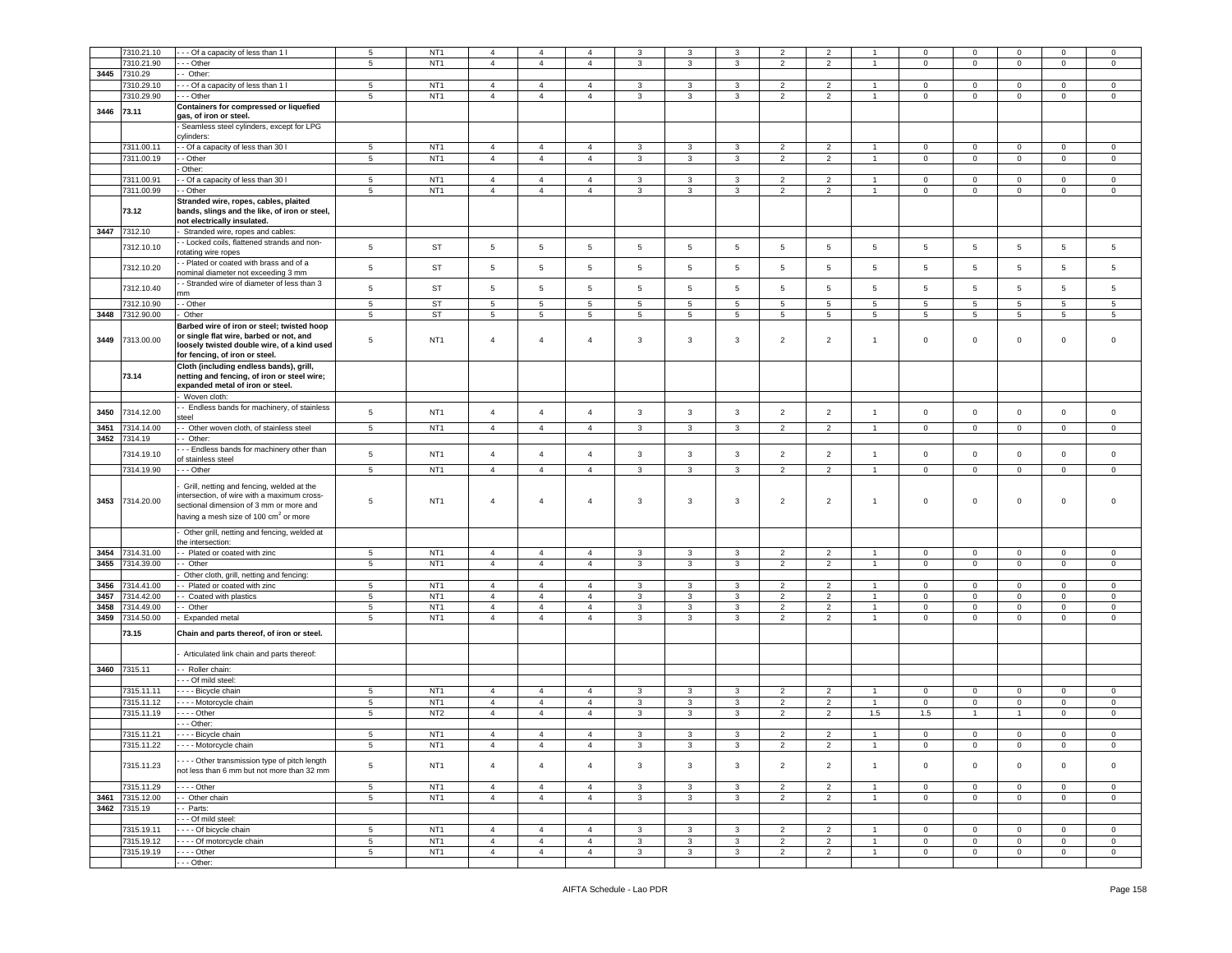|      | 7310.21.10   | - - Of a capacity of less than 1 l                |                 | NT <sub>1</sub> | $\overline{4}$  | $\overline{4}$ | $\overline{4}$ |                | 3               | 3            | $\overline{2}$           | $\overline{2}$           |                |                 | $\mathbf 0$         | $\mathbf 0$     | $\mathbf 0$    |                |
|------|--------------|---------------------------------------------------|-----------------|-----------------|-----------------|----------------|----------------|----------------|-----------------|--------------|--------------------------|--------------------------|----------------|-----------------|---------------------|-----------------|----------------|----------------|
|      |              |                                                   | 5               |                 |                 |                |                | 3              |                 |              |                          |                          |                | 0               |                     |                 |                | 0              |
|      | 7310.21.90   | - - Other                                         | $5^{\circ}$     | NT <sub>1</sub> | $\overline{4}$  | $\overline{4}$ | $\overline{4}$ | 3              | 3               | 3            | $\overline{2}$           | $\overline{2}$           | $\mathbf{1}$   | $\mathbf 0$     | $\mathbf 0$         | $\mathbf 0$     | $\mathbf 0$    | $\mathbf 0$    |
| 3445 | 7310.29      | - Other:                                          |                 |                 |                 |                |                |                |                 |              |                          |                          |                |                 |                     |                 |                |                |
|      | 7310.29.10   | - - Of a capacity of less than 1 l                | 5               | NT <sub>1</sub> | $\overline{4}$  | $\overline{4}$ | $\overline{4}$ | 3              | 3               | 3            | $\overline{2}$           | $\overline{2}$           |                | $^{\circ}$      | $\mathbf 0$         | $\mathbf 0$     | 0              | 0              |
|      |              |                                                   |                 |                 |                 |                |                |                |                 |              |                          |                          |                |                 |                     |                 |                |                |
|      | 7310.29.90   | - - Other                                         | $5\phantom{.0}$ | NT <sub>1</sub> | $\overline{4}$  | $\overline{4}$ | $\overline{4}$ | 3              | 3               | 3            | $\overline{2}$           | $\overline{2}$           | $\overline{1}$ | $\mathbf 0$     | $\mathbf 0$         | $\mathbf 0$     | $\mathbf 0$    | $\mathbf 0$    |
| 3446 | 73.11        | Containers for compressed or liquefied            |                 |                 |                 |                |                |                |                 |              |                          |                          |                |                 |                     |                 |                |                |
|      |              | gas, of iron or steel.                            |                 |                 |                 |                |                |                |                 |              |                          |                          |                |                 |                     |                 |                |                |
|      |              | Seamless steel cylinders, except for LPG          |                 |                 |                 |                |                |                |                 |              |                          |                          |                |                 |                     |                 |                |                |
|      |              | :vlinders:                                        |                 |                 |                 |                |                |                |                 |              |                          |                          |                |                 |                     |                 |                |                |
|      |              |                                                   |                 |                 |                 |                |                |                |                 |              |                          |                          |                |                 |                     |                 |                |                |
|      | 7311.00.11   | - Of a capacity of less than 30 I                 | 5               | NT <sub>1</sub> | $\overline{4}$  | $\overline{4}$ | 4              | 3              | 3               | 3            | 2                        | $\overline{2}$           |                | $\mathbf 0$     | 0                   | $\mathbf 0$     | 0              | 0              |
|      | 7311.00.19   | - Other                                           | 5               | NT <sub>1</sub> | $\overline{4}$  | $\overline{4}$ | $\overline{4}$ | $\mathbf{3}$   | 3               | $\mathbf{3}$ | $\overline{2}$           | $\overline{2}$           | $\mathbf{1}$   | $\mathbf 0$     | $\mathsf 0$         | $\mathsf 0$     | $\circ$        | $\mathbf 0$    |
|      |              | Other:                                            |                 |                 |                 |                |                |                |                 |              |                          |                          |                |                 |                     |                 |                |                |
|      | 7311.00.91   | - Of a capacity of less than 30 I                 | 5               | NT <sub>1</sub> | $\overline{4}$  | $\overline{4}$ | $\overline{4}$ | 3              | 3               | 3            | $\overline{2}$           |                          | -1.            | $\mathbf 0$     | $\mathbf{0}$        | $\mathbf 0$     | $\mathbf{0}$   | $\circ$        |
|      |              |                                                   |                 |                 |                 |                |                |                |                 |              |                          | $\overline{2}$           |                |                 |                     |                 |                |                |
|      | 7311.00.99   | Other                                             | $5\phantom{.0}$ | NT <sub>1</sub> | $\overline{4}$  | $\overline{4}$ | $\overline{4}$ | 3              | 3               | 3            | $\overline{2}$           | $\overline{2}$           | $\overline{1}$ | $\mathbf 0$     | $\circ$             | $\circ$         | $\mathbf{0}$   | $\mathbf 0$    |
|      |              | Stranded wire, ropes, cables, plaited             |                 |                 |                 |                |                |                |                 |              |                          |                          |                |                 |                     |                 |                |                |
|      | 73.12        | bands, slings and the like, of iron or steel,     |                 |                 |                 |                |                |                |                 |              |                          |                          |                |                 |                     |                 |                |                |
|      |              | not electrically insulated.                       |                 |                 |                 |                |                |                |                 |              |                          |                          |                |                 |                     |                 |                |                |
|      |              |                                                   |                 |                 |                 |                |                |                |                 |              |                          |                          |                |                 |                     |                 |                |                |
| 3447 | 7312.10      | Stranded wire, ropes and cables:                  |                 |                 |                 |                |                |                |                 |              |                          |                          |                |                 |                     |                 |                |                |
|      | 7312.10.10   | - Locked coils, flattened strands and non-        | $5\phantom{.0}$ | ST              | $5\phantom{.0}$ | $\sqrt{5}$     | $\,$ 5 $\,$    | $\sqrt{5}$     | $5\phantom{.0}$ | $\sqrt{5}$   | 5                        | $\sqrt{5}$               | 5              | $5\phantom{.0}$ | $5\phantom{.0}$     | $\,$ 5 $\,$     | $\overline{5}$ | 5              |
|      |              | otating wire ropes                                |                 |                 |                 |                |                |                |                 |              |                          |                          |                |                 |                     |                 |                |                |
|      |              | - Plated or coated with brass and of a            |                 |                 |                 |                |                |                |                 |              |                          |                          |                |                 |                     |                 |                |                |
|      | 7312.10.20   | nominal diameter not exceeding 3 mm               | $\,$ 5 $\,$     | <b>ST</b>       | 5               | $\,$ 5         | 5              | 5              | 5               | 5            | 5                        | 5                        | 5              | 5               | 5                   | $5\phantom{.0}$ | 5              | 5              |
|      |              |                                                   |                 |                 |                 |                |                |                |                 |              |                          |                          |                |                 |                     |                 |                |                |
|      | 7312.10.40   | - Stranded wire of diameter of less than 3        | 5               | <b>ST</b>       | 5               | 5              | 5              | 5              | 5               | 5            | 5                        | 5                        | 5              | 5               | 5                   | $\overline{5}$  | 5              | 5              |
|      |              | nm                                                |                 |                 |                 |                |                |                |                 |              |                          |                          |                |                 |                     |                 |                |                |
|      | 7312.10.90   | - Other                                           | $\,$ 5 $\,$     | <b>ST</b>       | 5               | 5              | 5              | 5              | 5               | 5            | 5                        | 5                        | 5              | 5               | 5                   | $\overline{5}$  | 5              | 5              |
| 3448 | 7312.90.00   | Other                                             | 5               | <b>ST</b>       | 5               | $\sqrt{5}$     | 5              | 5              | 5               | 5            | 5                        | 5                        | 5              | 5               | $5\phantom{.0}$     | $5\phantom{.0}$ | 5              | 5              |
|      |              | Barbed wire of iron or steel; twisted hoop        |                 |                 |                 |                |                |                |                 |              |                          |                          |                |                 |                     |                 |                |                |
|      |              |                                                   |                 |                 |                 |                |                |                |                 |              |                          |                          |                |                 |                     |                 |                |                |
| 3449 | 7313.00.00   | or single flat wire, barbed or not, and           | 5               | NT <sub>1</sub> | $\overline{4}$  | $\overline{4}$ | $\overline{4}$ | 3              | $\overline{3}$  | 3            | $\overline{2}$           | $\overline{2}$           | $\overline{1}$ | $\mathsf 0$     | $\mathsf 0$         | $\mathbf 0$     | $\mathbf 0$    | $\mathbf 0$    |
|      |              | loosely twisted double wire, of a kind used       |                 |                 |                 |                |                |                |                 |              |                          |                          |                |                 |                     |                 |                |                |
|      |              | for fencing, of iron or steel.                    |                 |                 |                 |                |                |                |                 |              |                          |                          |                |                 |                     |                 |                |                |
|      |              | Cloth (including endless bands), grill,           |                 |                 |                 |                |                |                |                 |              |                          |                          |                |                 |                     |                 |                |                |
|      | 73.14        | netting and fencing, of iron or steel wire;       |                 |                 |                 |                |                |                |                 |              |                          |                          |                |                 |                     |                 |                |                |
|      |              | expanded metal of iron or steel.                  |                 |                 |                 |                |                |                |                 |              |                          |                          |                |                 |                     |                 |                |                |
|      |              |                                                   |                 |                 |                 |                |                |                |                 |              |                          |                          |                |                 |                     |                 |                |                |
|      |              | Woven cloth:                                      |                 |                 |                 |                |                |                |                 |              |                          |                          |                |                 |                     |                 |                |                |
| 3450 | 7314.12.00   | - Endless bands for machinery, of stainless       | $\,$ 5 $\,$     | NT <sub>1</sub> | $\overline{4}$  | $\overline{4}$ | $\overline{4}$ | $\mathbf{3}$   | $\mathbf{3}$    | 3            | $\overline{2}$           | $\overline{2}$           | $\mathbf{1}$   | $\mathbf 0$     | $\mathbf 0$         | $\mathbf 0$     | $\mathbf 0$    | $\circ$        |
|      |              | steel                                             |                 |                 |                 |                |                |                |                 |              |                          |                          |                |                 |                     |                 |                |                |
| 3451 | 7314.14.00   | - Other woven cloth, of stainless steel           | 5               | NT <sub>1</sub> | $\overline{4}$  | $\overline{4}$ | $\overline{4}$ | 3              | 3               | 3            | $\overline{2}$           | $\overline{2}$           | $\overline{1}$ | $\mathbf 0$     | $\mathbf{0}$        | $\mathbf 0$     | $\mathbf 0$    | 0              |
|      |              |                                                   |                 |                 |                 |                |                |                |                 |              |                          |                          |                |                 |                     |                 |                |                |
| 3452 | 7314.19      | $-$ Other:                                        |                 |                 |                 |                |                |                |                 |              |                          |                          |                |                 |                     |                 |                |                |
|      | 7314.19.10   | - - Endless bands for machinery other than        | $\overline{5}$  | NT <sub>1</sub> | $\overline{4}$  | $\overline{4}$ | $\overline{4}$ | $\mathbf{3}$   | $\mathbf{3}$    | $\mathbf{3}$ | $\overline{2}$           | $\overline{2}$           | $\mathbf{1}$   | $\mathsf 0$     | $\mathbf 0$         | $\mathsf 0$     | $\mathbf 0$    | $\mathbf 0$    |
|      |              | f stainless steel                                 |                 |                 |                 |                |                |                |                 |              |                          |                          |                |                 |                     |                 |                |                |
|      | 7314.19.90   | - - Other                                         | $5^{\circ}$     | NT <sub>1</sub> | $\overline{4}$  | $\overline{4}$ | $\overline{4}$ | $\mathbf{3}$   | 3               | 3            | $\overline{2}$           | $\overline{2}$           | $\mathbf{1}$   | $\mathbf 0$     | $\overline{0}$      | $\mathbf 0$     | $\mathbf{0}$   | $\mathbf 0$    |
|      |              |                                                   |                 |                 |                 |                |                |                |                 |              |                          |                          |                |                 |                     |                 |                |                |
|      |              | Grill, netting and fencing, welded at the         |                 |                 |                 |                |                |                |                 |              |                          |                          |                |                 |                     |                 |                |                |
|      |              | ntersection, of wire with a maximum cross-        |                 |                 |                 |                |                |                |                 |              |                          |                          |                |                 |                     |                 |                |                |
| 3453 | 7314.20.00   | sectional dimension of 3 mm or more and           | 5               | NT <sub>1</sub> | $\overline{4}$  | $\overline{4}$ | $\overline{4}$ | 3              | 3               | 3            | $\overline{c}$           | $\overline{2}$           | $\overline{1}$ | $\mathsf 0$     | $\mathbf 0$         | $\mathbf 0$     | $\mathbf 0$    | $\Omega$       |
|      |              |                                                   |                 |                 |                 |                |                |                |                 |              |                          |                          |                |                 |                     |                 |                |                |
|      |              | having a mesh size of 100 cm <sup>2</sup> or more |                 |                 |                 |                |                |                |                 |              |                          |                          |                |                 |                     |                 |                |                |
|      |              | Other grill, netting and fencing, welded at       |                 |                 |                 |                |                |                |                 |              |                          |                          |                |                 |                     |                 |                |                |
|      |              |                                                   |                 |                 |                 |                |                |                |                 |              |                          |                          |                |                 |                     |                 |                |                |
|      |              | he intersection:                                  |                 |                 |                 |                |                |                |                 |              |                          |                          |                |                 |                     |                 |                |                |
| 3454 | 7314.31.00   | - Plated or coated with zinc                      | 5               | NT <sub>1</sub> | $\overline{4}$  | $\overline{4}$ | $\overline{4}$ | 3              | 3               | 3            | $\overline{2}$           | $\overline{2}$           | $\mathbf{1}$   | $\overline{0}$  | $\mathbf 0$         | $\mathbf 0$     | $\overline{0}$ | $\circ$        |
| 3455 | 7314.39.00   | - Other                                           | $5\phantom{.0}$ | NT <sub>1</sub> | $\overline{4}$  | $\overline{4}$ | $\overline{4}$ | $\mathbf{3}$   | $\mathbf{3}$    | $\mathbf{3}$ | $\overline{2}$           | $\overline{2}$           | $\blacksquare$ | $\mathbf{0}$    | $\mathbf 0$         | $\mathsf 0$     | $\mathbf{0}$   | $\mathbf 0$    |
|      |              | Other cloth, grill, netting and fencing:          |                 |                 |                 |                |                |                |                 |              |                          |                          |                |                 |                     |                 |                |                |
|      |              |                                                   |                 |                 |                 |                |                |                |                 |              |                          |                          | $\mathbf{1}$   |                 |                     |                 |                |                |
| 3456 | 7314.41.00   | - Plated or coated with zinc                      | 5               | NT <sub>1</sub> | $\overline{4}$  | $\overline{4}$ | $\overline{4}$ | 3              | 3               | 3            | $\overline{2}$           | $\overline{2}$           |                | $\mathbf 0$     | $\mathbf 0$         | $\mathbf 0$     | $\overline{0}$ | $\circ$        |
| 3457 | 7314.42.00   | - Coated with plastics                            | $5^{\circ}$     | NT <sub>1</sub> | $\overline{4}$  | $\overline{4}$ | $\overline{4}$ | 3              | $\mathbf{3}$    | 3            | $\overline{2}$           | $\overline{2}$           | $\mathbf{1}$   | $\mathbf 0$     | $\circ$             | $\mathbf 0$     | $\mathbf 0$    | $\mathbf 0$    |
| 3458 | 314.49.00    | - Other                                           | $5\phantom{.0}$ | NT <sub>1</sub> | $\overline{4}$  | $\overline{4}$ | $\overline{4}$ | 3              | 3               | 3            | $\overline{2}$           | $\overline{2}$           | $\overline{1}$ | $\mathbf 0$     | $\mathsf{O}\xspace$ | $\mathbf 0$     | 0              | $\mathsf 0$    |
| 3459 | 7314.50.00   | Expanded metal                                    | 5               | NT <sub>1</sub> | $\overline{4}$  | $\overline{4}$ | $\overline{4}$ | 3              | 3               | 3            | $\overline{2}$           | $\overline{2}$           | $\overline{1}$ | $\mathbf 0$     | $\mathsf 0$         | $\mathbf 0$     | $\circ$        | $\mathbf 0$    |
|      |              |                                                   |                 |                 |                 |                |                |                |                 |              |                          |                          |                |                 |                     |                 |                |                |
|      | 73.15        | Chain and parts thereof, of iron or steel.        |                 |                 |                 |                |                |                |                 |              |                          |                          |                |                 |                     |                 |                |                |
|      |              |                                                   |                 |                 |                 |                |                |                |                 |              |                          |                          |                |                 |                     |                 |                |                |
|      |              | Articulated link chain and parts thereof:         |                 |                 |                 |                |                |                |                 |              |                          |                          |                |                 |                     |                 |                |                |
|      |              |                                                   |                 |                 |                 |                |                |                |                 |              |                          |                          |                |                 |                     |                 |                |                |
|      | 3460 7315.11 | - Roller chain:                                   |                 |                 |                 |                |                |                |                 |              |                          |                          |                |                 |                     |                 |                |                |
|      |              | - - Of mild steel:                                |                 |                 |                 |                |                |                |                 |              |                          |                          |                |                 |                     |                 |                |                |
|      | 7315.11.11   |                                                   |                 |                 |                 |                | $\overline{a}$ |                |                 |              |                          |                          |                |                 |                     |                 |                |                |
|      |              | - - - Bicycle chain                               | 5               | NT <sub>1</sub> | $\overline{4}$  | $\overline{4}$ |                | 3              | 3               | 3            | 2                        | $\overline{2}$           |                | $\mathbf 0$     | $\mathbf 0$         | $\mathbf 0$     | $\mathbf 0$    | $\mathbf 0$    |
|      | 7315.11.12   | Motorcycle chain                                  | 5               | NT <sub>1</sub> | $\overline{4}$  | $\overline{4}$ | $\overline{4}$ | 3              | 3               | 3            | $\overline{2}$           | $\overline{2}$           | $\mathbf{1}$   | $\mathbf 0$     | $\mathsf 0$         | $\mathbf 0$     | 0              | $\mathbf 0$    |
|      | 7315.11.19   | - - - Other                                       | $5^{\circ}$     | NT <sub>2</sub> | $\overline{4}$  | $\overline{4}$ | $\overline{4}$ | 3              | 3               | 3            | $\overline{2}$           | $\overline{2}$           | 1.5            | 1.5             | $\overline{1}$      | $\mathbf{1}$    | $\circ$        | $\circ$        |
|      |              | - - Other:                                        |                 |                 |                 |                |                |                |                 |              |                          |                          |                |                 |                     |                 |                |                |
|      | 7315.11.21   | - - - - Bicycle chain                             | 5               | NT <sub>1</sub> | $\overline{4}$  | $\overline{4}$ | $\overline{4}$ | 3              | 3               | 3            | $\overline{\phantom{0}}$ | $\overline{\phantom{0}}$ |                | $\mathbf 0$     | $\mathbf 0$         | $\mathsf 0$     | $\mathbf 0$    | $\mathbf 0$    |
|      |              |                                                   |                 |                 |                 |                |                |                |                 |              |                          |                          |                |                 |                     |                 |                |                |
|      | 7315.11.22   | - - - - Motorcycle chain                          | 5               | NT <sub>1</sub> | $\overline{4}$  | 4              | 4              | 3              | 3               | 3            | 2                        | $\overline{2}$           |                | $\mathbf 0$     | $\mathbf 0$         | $\mathbf 0$     | $\mathbf 0$    | $\mathbf 0$    |
|      |              |                                                   |                 |                 |                 |                |                |                |                 |              |                          |                          |                |                 |                     |                 |                |                |
|      | 7315.11.23   | --- Other transmission type of pitch length       | $5\phantom{.0}$ | NT <sub>1</sub> | $\overline{4}$  | $\overline{4}$ | $\overline{4}$ | $\mathbf{3}$   | $\mathbf{3}$    | $\mathbf{3}$ | $\overline{2}$           | $\overline{2}$           | $\mathbf{1}$   | $\mathbf{0}$    | $\overline{0}$      | $\mathbf 0$     | $\circ$        | $\circ$        |
|      |              | not less than 6 mm but not more than 32 mm        |                 |                 |                 |                |                |                |                 |              |                          |                          |                |                 |                     |                 |                |                |
|      |              |                                                   |                 |                 |                 |                |                |                |                 |              |                          |                          |                |                 |                     |                 |                |                |
|      | 7315.11.29   | - - - - Other                                     | $5\phantom{.0}$ | NT <sub>1</sub> | $\overline{4}$  | $\overline{4}$ | $\overline{4}$ | $\overline{3}$ | $\mathbf{3}$    | $\mathbf{3}$ | $\overline{2}$           | $\overline{2}$           | $\mathbf{1}$   | $\overline{0}$  | $\overline{0}$      | $\mathbf 0$     | $\overline{0}$ | $\overline{0}$ |
| 3461 | 7315.12.00   | - Other chain                                     | 5               | NT <sub>1</sub> | $\overline{4}$  | $\overline{4}$ | $\overline{4}$ | $\mathbf{3}$   | $\mathbf{3}$    | $\mathbf{3}$ | 2                        | 2                        | $\mathbf{1}$   | $\mathbf{0}$    | $\circ$             | $\mathbf 0$     | $\overline{0}$ | $\circ$        |
| 3462 | 7315.19      | - Parts:                                          |                 |                 |                 |                |                |                |                 |              |                          |                          |                |                 |                     |                 |                |                |
|      |              |                                                   |                 |                 |                 |                |                |                |                 |              |                          |                          |                |                 |                     |                 |                |                |
|      |              | - - Of mild steel:                                |                 |                 |                 |                |                |                |                 |              |                          |                          |                |                 |                     |                 |                |                |
|      | 7315.19.11   | Of bicycle chain                                  | $5\phantom{.0}$ | NT <sub>1</sub> | $\overline{4}$  | $\overline{4}$ | $\overline{4}$ | $\mathbf{3}$   | $\mathbf{3}$    | 3            | $\overline{2}$           | $\overline{2}$           | $\overline{1}$ | $\mathbf{0}$    | $\overline{0}$      | $\mathbf 0$     | $\overline{0}$ | $\overline{0}$ |
|      | 7315.19.12   | --- Of motorcycle chain                           | $5\phantom{.0}$ | NT <sub>1</sub> | $\overline{4}$  | $\overline{4}$ | $\overline{4}$ | $\mathbf{3}$   | $\mathbf{3}$    | $\mathbf{3}$ | $\overline{2}$           | $\overline{2}$           | $\mathbf{1}$   | $\mathbf 0$     | $\mathbf 0$         | $\mathbf 0$     | $\overline{0}$ | $\mathsf 0$    |
|      | 7315.19.19   | $- - -$ Other                                     | $5\phantom{.0}$ | NT <sub>1</sub> | $\overline{4}$  | $\overline{4}$ | $\overline{4}$ | $\mathbf{3}$   | $\mathbf{3}$    | $\mathbf{3}$ | $\overline{2}$           | $\overline{2}$           | $\mathbf{1}$   | $\overline{0}$  | $\overline{0}$      | $\mathsf 0$     | $\overline{0}$ | $\overline{0}$ |
|      |              |                                                   |                 |                 |                 |                |                |                |                 |              |                          |                          |                |                 |                     |                 |                |                |
|      |              | - - - Other:                                      |                 |                 |                 |                |                |                |                 |              |                          |                          |                |                 |                     |                 |                |                |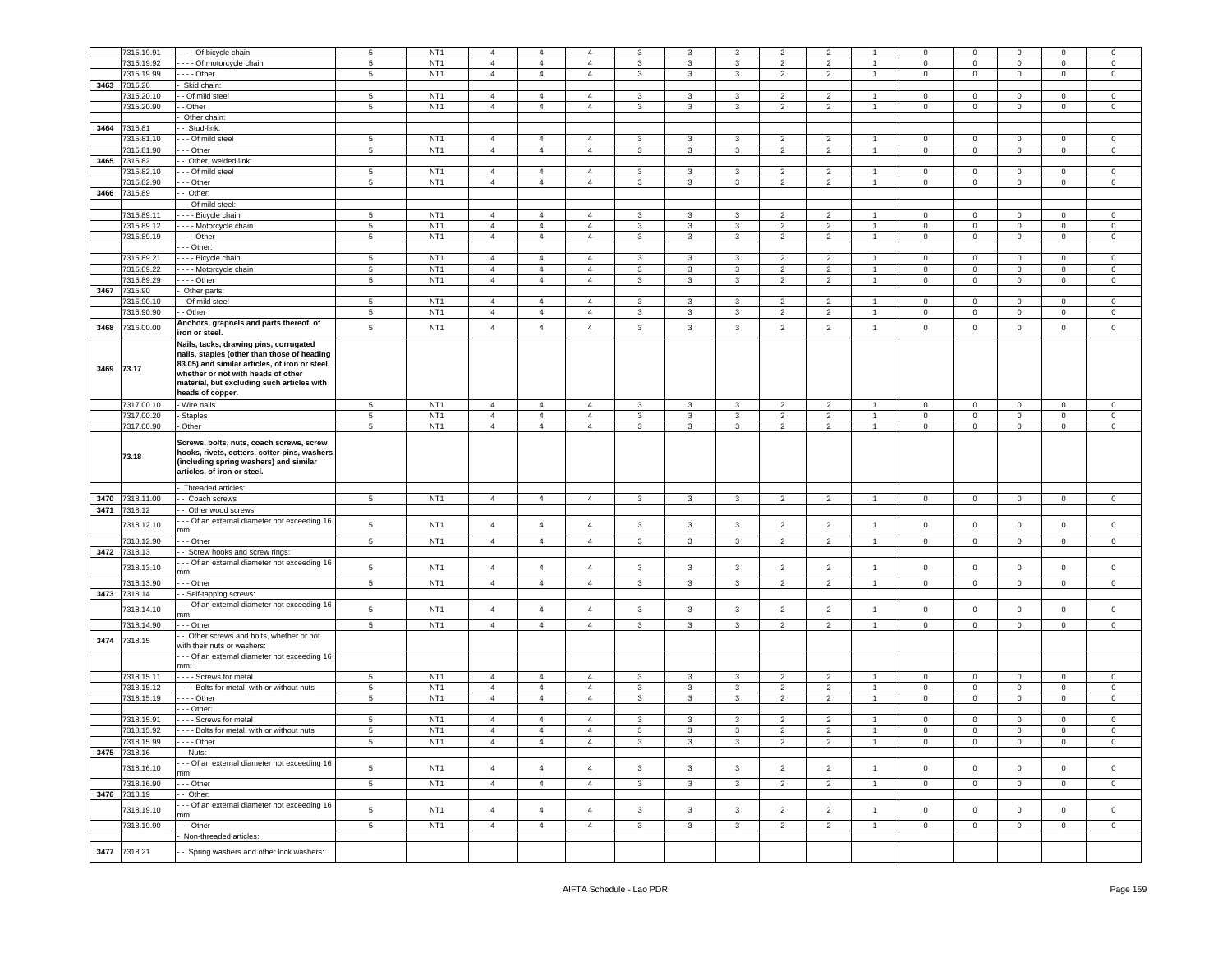|            | 7315.19.91   | - - - Of bicycle chain                                                                                                                                                                                                      | $\overline{5}$  | NT <sub>1</sub> | $\overline{4}$ | $\overline{4}$ | $\overline{4}$ | 3                       | 3            | 3            | $\overline{2}$ | $\overline{2}$ |                | $^{\circ}$   | 0                   | $\,0\,$        | $^{\circ}$   | 0                   |
|------------|--------------|-----------------------------------------------------------------------------------------------------------------------------------------------------------------------------------------------------------------------------|-----------------|-----------------|----------------|----------------|----------------|-------------------------|--------------|--------------|----------------|----------------|----------------|--------------|---------------------|----------------|--------------|---------------------|
|            | 7315.19.92   | --- Of motorcycle chain                                                                                                                                                                                                     | $\,$ 5 $\,$     | NT <sub>1</sub> | $\overline{4}$ | $\overline{4}$ | $\overline{4}$ | 3                       | 3            | $\mathbf{3}$ | $\overline{2}$ | $\overline{2}$ | $\overline{1}$ | $\mathsf 0$  | $\mathsf 0$         | $\overline{0}$ | $\mathbf 0$  | $\mathsf 0$         |
|            | 7315.19.99   | --- Other                                                                                                                                                                                                                   | 5               | NT <sub>1</sub> | $\overline{4}$ | $\overline{4}$ | $\overline{4}$ | $\mathbf{3}$            | 3            | 3            | $\overline{2}$ | $\overline{2}$ | $\overline{1}$ | $\mathbf 0$  | $\mathbf 0$         | $\overline{0}$ | $\mathbf{0}$ | $\mathbf 0$         |
|            |              |                                                                                                                                                                                                                             |                 |                 |                |                |                |                         |              |              |                |                |                |              |                     |                |              |                     |
| 3463       | 7315.20      | Skid chain:                                                                                                                                                                                                                 |                 |                 |                |                |                |                         |              |              |                |                |                |              |                     |                |              |                     |
|            | 7315.20.10   | - Of mild steel                                                                                                                                                                                                             | 5               | NT <sub>1</sub> | $\overline{4}$ | $\overline{4}$ | $\overline{4}$ | 3                       | 3            | 3            | $\overline{2}$ | $\overline{2}$ | 1              | $\mathbf 0$  | $\mathsf 0$         | $\overline{0}$ | $\mathbf 0$  | $\mathbf 0$         |
|            | 7315.20.90   | - Other                                                                                                                                                                                                                     | 5               | NT <sub>1</sub> | $\overline{4}$ | $\overline{4}$ | $\overline{4}$ | 3                       | 3            | 3            | $\overline{2}$ | $\overline{2}$ | $\mathbf{1}$   | $\mathbf 0$  | $\mathbf 0$         | $\overline{0}$ | $\mathbf{0}$ | $\circ$             |
|            |              | Other chain:                                                                                                                                                                                                                |                 |                 |                |                |                |                         |              |              |                |                |                |              |                     |                |              |                     |
|            | 3464 7315.81 | - Stud-link:                                                                                                                                                                                                                |                 |                 |                |                |                |                         |              |              |                |                |                |              |                     |                |              |                     |
|            | 7315.81.10   | - - Of mild steel                                                                                                                                                                                                           | 5               | NT <sub>1</sub> | $\overline{4}$ | $\overline{4}$ | 4              | 3                       | 3            | 3            | $\overline{2}$ | $\overline{2}$ | $\mathbf{1}$   | 0            | $\mathbf 0$         | $\mathbf 0$    | 0            | $\mathbf 0$         |
|            | 7315.81.90   | - Other                                                                                                                                                                                                                     | $\,$ 5 $\,$     | NT <sub>1</sub> | $\overline{4}$ | $\overline{4}$ | $\overline{4}$ | $\mathbf{3}$            | $\mathbf{3}$ | $\mathbf{3}$ | $\overline{2}$ | $\overline{2}$ | $\overline{1}$ | $\mathbf 0$  | $\mathsf{O}\xspace$ | $\mathbf 0$    | $\mathbf 0$  | $\mathsf 0$         |
| 3465       | 7315.82      | - Other, welded link:                                                                                                                                                                                                       |                 |                 |                |                |                |                         |              |              |                |                |                |              |                     |                |              |                     |
|            | 7315.82.10   | -- Of mild steel                                                                                                                                                                                                            | 5               | NT <sub>1</sub> | $\overline{4}$ | $\overline{4}$ | $\overline{4}$ | 3                       | 3            | 3            | $\overline{2}$ | $\overline{2}$ | $\overline{1}$ | $\mathbf 0$  | $\mathbf 0$         | $\mathbf{0}$   | $\mathbf 0$  | 0                   |
|            | 7315.82.90   | - - Other                                                                                                                                                                                                                   | $\,$ 5 $\,$     | NT <sub>1</sub> | $\overline{4}$ | $\overline{4}$ | $\overline{4}$ | 3                       | 3            | $\mathbf{3}$ | $\overline{2}$ | $\overline{2}$ | $\overline{1}$ | $\mathbf 0$  | $\mathsf{O}\xspace$ | $\mathbf 0$    | 0            | $\mathsf 0$         |
| 3466       | 7315.89      | Other:                                                                                                                                                                                                                      |                 |                 |                |                |                |                         |              |              |                |                |                |              |                     |                |              |                     |
|            |              | - - Of mild steel:                                                                                                                                                                                                          |                 |                 |                |                |                |                         |              |              |                |                |                |              |                     |                |              |                     |
|            | 7315.89.11   | - - - Bicycle chain                                                                                                                                                                                                         | $\overline{5}$  | NT <sub>1</sub> | $\overline{4}$ | $\overline{4}$ | $\overline{4}$ | $\mathbf{3}$            | 3            | 3            | $\overline{2}$ | $\overline{2}$ | $\mathbf{1}$   | $\mathbf 0$  | $\circ$             | $\,0\,$        | $\mathbf 0$  | $\,0\,$             |
|            | 7315.89.12   | - - - Motorcycle chain                                                                                                                                                                                                      | $5\phantom{.0}$ | NT <sub>1</sub> | $\overline{4}$ | $\overline{4}$ | $\overline{4}$ | 3                       | 3            | 3            | $\overline{2}$ | $\overline{2}$ | $\mathbf{1}$   | $\mathbf 0$  | $\mathbf 0$         | $\mathbf 0$    | 0            | $\mathbf 0$         |
|            | 7315.89.19   | $- -$ Other                                                                                                                                                                                                                 | $\sqrt{5}$      | NT <sub>1</sub> | $\overline{4}$ | $\overline{4}$ | $\overline{4}$ | $\mathbf{3}$            | 3            | $\mathbf{3}$ | $\overline{2}$ | $\overline{2}$ | $\mathbf{1}$   | $\mathsf 0$  | $\mathsf 0$         | $\overline{0}$ | $\mathbf 0$  | $\mathsf 0$         |
|            |              | - - Other:                                                                                                                                                                                                                  |                 |                 |                |                |                |                         |              |              |                |                |                |              |                     |                |              |                     |
|            | 7315.89.21   | - - - Bicycle chain                                                                                                                                                                                                         | 5               | NT <sub>1</sub> | $\overline{4}$ | $\overline{4}$ | $\overline{4}$ | 3                       | 3            | 3            | $\overline{2}$ | $\overline{2}$ | 1              | 0            | $\mathbf 0$         | $\mathbf 0$    | 0            | 0                   |
|            | 7315.89.22   | --- Motorcycle chain                                                                                                                                                                                                        | $\overline{5}$  | NT <sub>1</sub> | $\overline{4}$ | 4              | $\overline{4}$ | 3                       | 3            | 3            | $\overline{2}$ | $\overline{2}$ | 1              | $\mathbf 0$  | $\mathbf 0$         | $\mathbf{0}$   | 0            | $\mathbf 0$         |
|            | 7315.89.29   | --- Other                                                                                                                                                                                                                   | $\,$ 5 $\,$     | NT <sub>1</sub> | $\overline{4}$ | $\overline{4}$ | $\overline{4}$ | $\mathbf{3}$            | $\mathbf{3}$ | $\mathbf{3}$ | $\overline{2}$ | $\overline{2}$ | $\mathbf{1}$   | $\mathbf 0$  | $\mathsf 0$         | $\mathbf 0$    | $\mathbf 0$  | $\mathsf 0$         |
| 3467       | 7315.90      | Other parts:                                                                                                                                                                                                                |                 |                 |                |                |                |                         |              |              |                |                |                |              |                     |                |              |                     |
|            | 7315.90.10   | - Of mild steel                                                                                                                                                                                                             | $5\overline{5}$ | NT <sub>1</sub> | $\overline{4}$ | $\overline{4}$ | $\overline{4}$ | 3                       | 3            | $\mathbf{3}$ | $\overline{2}$ | $\overline{2}$ | $\overline{1}$ | $\mathbf 0$  | $\mathbf 0$         | $\overline{0}$ | $\mathbf{0}$ | $\mathbf{0}$        |
|            | 7315.90.90   | - Other                                                                                                                                                                                                                     | $5\phantom{.0}$ | NT <sub>1</sub> | $\overline{4}$ | $\overline{4}$ | $\overline{4}$ | $\mathbf{3}$            | 3            | 3            | $\overline{2}$ | $\overline{2}$ | $\mathbf{1}$   | $\mathbf 0$  | $\mathsf 0$         | $\overline{0}$ | $\mathbf 0$  | $\mathsf 0$         |
|            |              | Anchors, grapnels and parts thereof, of                                                                                                                                                                                     |                 |                 |                |                |                |                         |              |              |                |                |                |              |                     |                |              |                     |
| 3468       | 7316.00.00   | ron or steel.                                                                                                                                                                                                               | $\,$ 5 $\,$     | NT <sub>1</sub> | $\overline{4}$ | $\overline{4}$ | $\overline{4}$ | $\mathbf{3}$            | 3            | $\mathbf{3}$ | $\overline{2}$ | $\overline{2}$ | 1              | $\mathsf 0$  | $\mathsf{O}\xspace$ | $\mathbf 0$    | $\mathbf 0$  | $\mathsf 0$         |
| 3469 73.17 |              | Nails, tacks, drawing pins, corrugated<br>nails, staples (other than those of heading<br>83.05) and similar articles, of iron or steel,<br>whether or not with heads of other<br>material, but excluding such articles with |                 |                 |                |                |                |                         |              |              |                |                |                |              |                     |                |              |                     |
|            |              | heads of copper.                                                                                                                                                                                                            |                 |                 |                |                |                |                         |              |              |                |                |                |              |                     |                |              |                     |
|            | 7317.00.10   | Wire nails                                                                                                                                                                                                                  | $5\phantom{.0}$ | NT <sub>1</sub> | $\overline{4}$ | $\overline{4}$ | $\overline{4}$ | 3                       | 3            | $\mathbf{3}$ | $\overline{2}$ | $\overline{2}$ | $\overline{1}$ | $\mathbf 0$  | $\mathbf 0$         | $\circ$        | $\mathbf 0$  | $\mathbf 0$         |
|            | 7317.00.20   | Staples                                                                                                                                                                                                                     | $\sqrt{5}$      | NT <sub>1</sub> | $\overline{4}$ | $\overline{4}$ | $\overline{4}$ | 3                       | 3            | 3            | $\overline{2}$ | $\overline{2}$ | $\mathbf{1}$   | $\mathbf 0$  | $\mathbf 0$         | $\mathbf 0$    | $\mathbf 0$  | $\mathsf{O}\xspace$ |
|            | 7317.00.90   | Other                                                                                                                                                                                                                       | $\,$ 5 $\,$     | NT <sub>1</sub> | $\overline{4}$ | $\overline{4}$ | $\overline{4}$ | 3                       | $\mathbf{3}$ | 3            | $\overline{2}$ | $\overline{2}$ | $\mathbf{1}$   | $\mathbf 0$  | $\mathbf 0$         | $\mathbf 0$    | $\mathbf 0$  | $\overline{0}$      |
|            | 73.18        | Screws, bolts, nuts, coach screws, screw<br>hooks, rivets, cotters, cotter-pins, washers<br>(including spring washers) and similar<br>articles, of iron or steel.                                                           |                 |                 |                |                |                |                         |              |              |                |                |                |              |                     |                |              |                     |
|            |              | Threaded articles                                                                                                                                                                                                           |                 |                 |                |                |                |                         |              |              |                |                |                |              |                     |                |              |                     |
| 3470       | 7318.11.00   | - Coach screws                                                                                                                                                                                                              | $5\overline{5}$ | NT <sub>1</sub> | $\overline{4}$ | $\overline{4}$ | $\overline{4}$ | $\mathbf{3}$            | $\mathbf{3}$ | $\mathbf{3}$ | $\overline{2}$ | $\overline{2}$ | $\mathbf{1}$   | $\mathbf{0}$ | $\mathbf 0$         | $\overline{0}$ | $\mathbf 0$  | $\overline{0}$      |
| 3471       | 7318.12      | Other wood screws:                                                                                                                                                                                                          |                 |                 |                |                |                |                         |              |              |                |                |                |              |                     |                |              |                     |
|            |              | - - Of an external diameter not exceeding 16                                                                                                                                                                                |                 |                 |                |                |                |                         |              |              |                |                |                |              |                     |                |              |                     |
|            | 7318.12.10   | mm                                                                                                                                                                                                                          | $\,$ 5 $\,$     | NT <sub>1</sub> | $\overline{4}$ | $\overline{4}$ | $\overline{4}$ | $\mathbf{3}$            | 3            | 3            | $\overline{2}$ | $\overline{2}$ | $\overline{1}$ | $\mathsf 0$  | $\mathsf 0$         | $\overline{0}$ | $\mathbf 0$  | $\mathsf 0$         |
|            | 7318.12.90   | - - Other                                                                                                                                                                                                                   | 5               | NT <sub>1</sub> | $\overline{4}$ | $\overline{4}$ | $\overline{4}$ | $\mathbf{3}$            | 3            | 3            | $\overline{2}$ | $\overline{2}$ | $\overline{1}$ | $\mathbf 0$  | $\mathbf 0$         | $\mathbf 0$    | $\mathbf 0$  | $\mathbf 0$         |
| 3472       | 7318.13      | - Screw hooks and screw rings:                                                                                                                                                                                              |                 |                 |                |                |                |                         |              |              |                |                |                |              |                     |                |              |                     |
|            |              | - - Of an external diameter not exceeding 16                                                                                                                                                                                |                 |                 |                |                |                |                         |              |              |                |                |                |              |                     |                |              |                     |
|            | 7318.13.10   | mm                                                                                                                                                                                                                          | $\,$ 5 $\,$     | NT <sub>1</sub> | $\overline{4}$ | $\overline{4}$ | $\overline{4}$ | 3                       | 3            | 3            | $\overline{2}$ | $\overline{2}$ | $\overline{1}$ | $\mathsf 0$  | $\mathbf 0$         | $\mathbf 0$    | $\mathbf 0$  | $\mathsf 0$         |
|            | 7318.13.90   | - - Other                                                                                                                                                                                                                   | $5\overline{5}$ | NT <sub>1</sub> | $\overline{4}$ | $\overline{4}$ | $\overline{4}$ | $\mathbf{3}$            | 3            | $\mathbf{3}$ | $\overline{2}$ | $\overline{2}$ | $\mathbf{1}$   | $\mathbf 0$  | $\circ$             | $\mathbf{0}$   | $\mathbf 0$  | $\mathbf 0$         |
| 3473       | 7318.14      | - Self-tapping screws:                                                                                                                                                                                                      |                 |                 |                |                |                |                         |              |              |                |                |                |              |                     |                |              |                     |
|            | 7318.14.10   | - - Of an external diameter not exceeding 16                                                                                                                                                                                | $\,$ 5 $\,$     | NT <sub>1</sub> | $\overline{4}$ | $\overline{4}$ | $\overline{4}$ | 3                       | 3            | 3            | $\overline{2}$ | $\overline{2}$ | $\overline{1}$ | $\mathsf 0$  | $\mathsf 0$         | $\overline{0}$ | $\mathbf 0$  | $\mathsf 0$         |
|            |              | mm                                                                                                                                                                                                                          |                 |                 |                |                |                |                         |              |              |                |                |                |              |                     |                |              |                     |
|            | 7318.14.90   | - - Other                                                                                                                                                                                                                   | 5               | NT <sub>1</sub> | $\overline{4}$ | $\overline{4}$ | $\overline{4}$ | 3                       | 3            | 3            | $\overline{2}$ | $\overline{2}$ | $\mathbf{1}$   | $\mathsf 0$  | $\mathbf 0$         | $\mathbf 0$    | 0            | $\mathsf 0$         |
| 3474       | 7318.15      | - Other screws and bolts, whether or not<br>with their nuts or washers:<br>-- Of an external diameter not exceeding 16                                                                                                      |                 |                 |                |                |                |                         |              |              |                |                |                |              |                     |                |              |                     |
|            |              | mm:                                                                                                                                                                                                                         |                 |                 |                |                |                |                         |              |              |                |                |                |              |                     |                |              |                     |
|            | 7318.15.11   | Screws for metal                                                                                                                                                                                                            | $5\phantom{.0}$ | NT <sub>1</sub> | $\overline{4}$ | $\overline{4}$ | $\overline{4}$ | $\overline{\mathbf{3}}$ | $\mathbf{3}$ | $\mathbf{3}$ | $\overline{2}$ | $\overline{2}$ | $\overline{1}$ | $\mathbf 0$  | $\circ$             | $\overline{0}$ | $\mathbf 0$  | $\circ$             |
|            | 7318.15.12   | --- Bolts for metal, with or without nuts                                                                                                                                                                                   | $\,$ 5 $\,$     | NT <sub>1</sub> | $\overline{4}$ | $\overline{4}$ | $\overline{4}$ | 3                       | 3            | 3            | $\overline{2}$ | $\overline{2}$ | $\overline{1}$ | $\mathbf 0$  | $\mathsf 0$         | $\,0\,$        | $\mathbf 0$  | $\mathsf 0$         |
|            | 7318.15.19   | $--$ Other                                                                                                                                                                                                                  | $\,$ 5 $\,$     | NT <sub>1</sub> | $\overline{4}$ | $\overline{4}$ | $\overline{4}$ | 3                       | $\mathbf{3}$ | $\mathbf{3}$ | $\overline{2}$ | $\overline{2}$ | $\mathbf{1}$   | $\mathsf 0$  | $\mathsf 0$         | $\mathbf 0$    | $\mathbf 0$  | $\mathsf 0$         |
|            |              | - - Other:                                                                                                                                                                                                                  |                 |                 |                |                |                |                         |              |              |                |                |                |              |                     |                |              |                     |
|            | 7318.15.91   | --- Screws for metal                                                                                                                                                                                                        | $\overline{5}$  | NT <sub>1</sub> | $\overline{4}$ | $\overline{4}$ | 4              | 3                       | 3            | 3            | $\overline{2}$ | $\overline{2}$ | 1              | 0            | $\mathbf 0$         | $\mathbf 0$    | 0            | 0                   |
|            | 7318.15.92   | ---- Bolts for metal, with or without nuts                                                                                                                                                                                  | $5\phantom{.0}$ | NT <sub>1</sub> | $\overline{4}$ | $\overline{4}$ | $\overline{4}$ | 3                       | 3            | 3            | $\overline{2}$ | $\overline{2}$ | $\mathbf{1}$   | $\mathbf 0$  | $\mathsf 0$         | $\mathbf 0$    | $\mathbf 0$  | $\mathsf 0$         |
|            | 7318.15.99   | $- - -$ Other                                                                                                                                                                                                               | 5               | NT <sub>1</sub> | $\overline{a}$ | $\overline{4}$ | $\overline{4}$ | 3                       | 3            | 3            | $\overline{2}$ | $\overline{2}$ | 1              | $\Omega$     | $\circ$             | $\mathbf 0$    | $\Omega$     | $\Omega$            |
|            | 3475 7318.16 | - Nuts:                                                                                                                                                                                                                     |                 |                 |                |                |                |                         |              |              |                |                |                |              |                     |                |              |                     |
|            |              | - - Of an external diameter not exceeding 16                                                                                                                                                                                |                 |                 |                |                |                |                         |              |              |                |                | $\overline{1}$ |              |                     |                |              |                     |
|            | 7318.16.10   | mm                                                                                                                                                                                                                          | $\,$ 5 $\,$     | NT <sub>1</sub> | $\overline{4}$ | $\overline{4}$ | $\overline{4}$ | $\mathbf{3}$            | 3            | $\mathbf{3}$ | $\overline{2}$ | $\overline{2}$ |                | $\mathsf 0$  | $\mathsf 0$         | $\circ$        | $\mathbf 0$  | $\mathbf 0$         |
|            | 7318.16.90   | --- Other                                                                                                                                                                                                                   | 5               | NT <sub>1</sub> | $\overline{4}$ | $\overline{4}$ | $\overline{4}$ | $\mathbf{3}$            | 3            | 3            | $\overline{2}$ | $\overline{2}$ | $\overline{1}$ | $\mathbf 0$  | $\mathbf 0$         | $\overline{0}$ | $\mathbf{0}$ | $\circ$             |
|            | 3476 7318.19 | - Other:                                                                                                                                                                                                                    |                 |                 |                |                |                |                         |              |              |                |                |                |              |                     |                |              |                     |
|            |              | - - Of an external diameter not exceeding 16                                                                                                                                                                                | $\sqrt{5}$      | NT <sub>1</sub> | $\overline{4}$ | $\overline{4}$ | $\overline{4}$ | 3                       | 3            | 3            | $\overline{2}$ | $\overline{2}$ | 1              | $\mathsf 0$  | $\mathbf 0$         | $\mathbf 0$    | $\mathbf 0$  | $\circ$             |
|            | 7318.19.10   | nm                                                                                                                                                                                                                          |                 |                 |                |                |                |                         |              |              |                |                |                |              |                     |                |              |                     |
|            | 7318.19.90   | - - Other                                                                                                                                                                                                                   | 5               | NT <sub>1</sub> | $\overline{4}$ | $\overline{4}$ | $\overline{4}$ | $\mathbf{3}$            | 3            | 3            | $\overline{2}$ | $\overline{2}$ | $\mathbf{1}$   | $\mathbf 0$  | $\mathbf{O}$        | $\overline{0}$ | $\mathbf{0}$ | $\circ$             |
|            |              | Non-threaded articles:                                                                                                                                                                                                      |                 |                 |                |                |                |                         |              |              |                |                |                |              |                     |                |              |                     |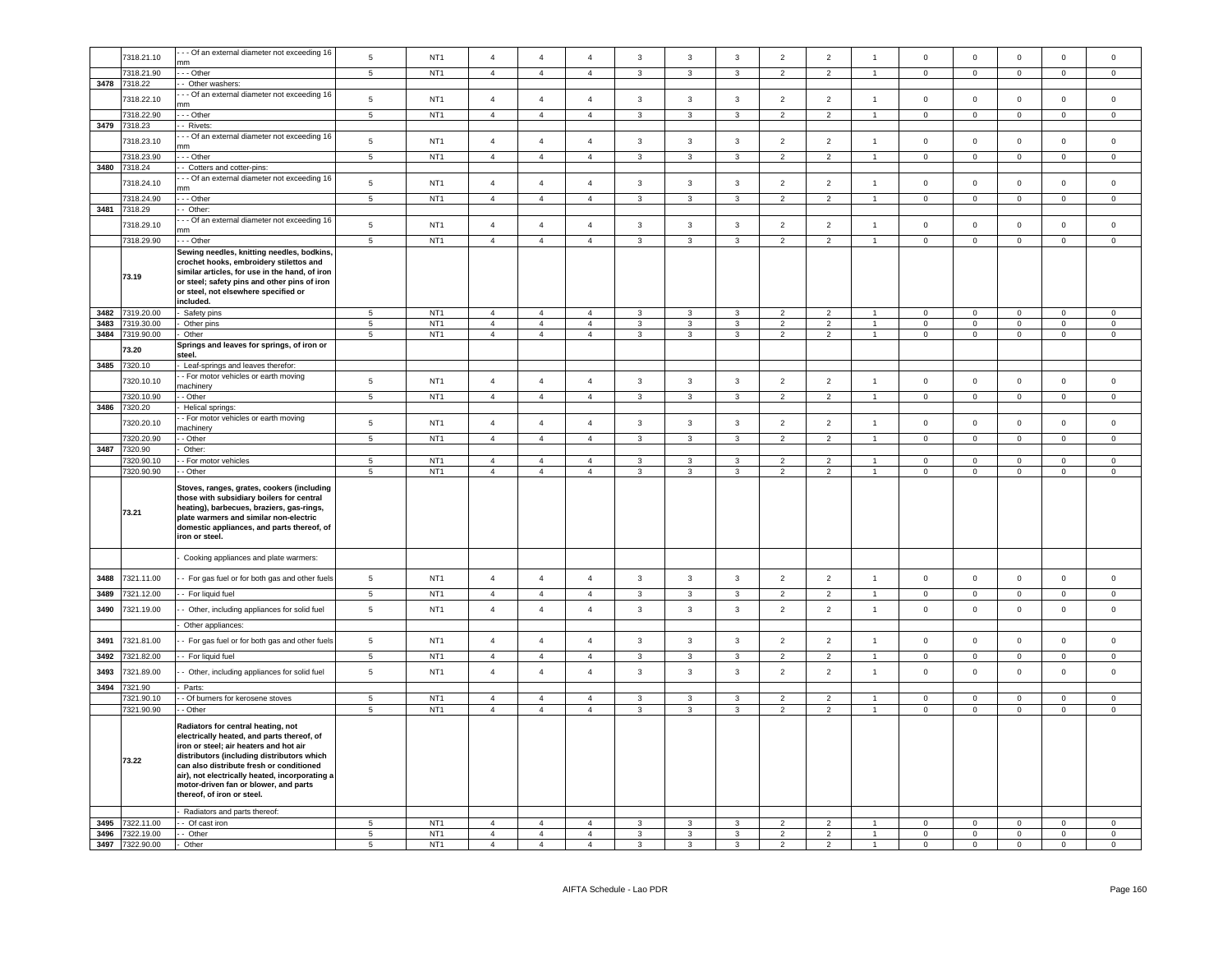|      |                                    | - - Of an external diameter not exceeding 16                                                                                                                                                                                                                                                                                                  |                     |                                    |                                  |                                  |                                  |                         |                   |                         |                                  |                                  |                                |                     |                            |                            |                             |                    |
|------|------------------------------------|-----------------------------------------------------------------------------------------------------------------------------------------------------------------------------------------------------------------------------------------------------------------------------------------------------------------------------------------------|---------------------|------------------------------------|----------------------------------|----------------------------------|----------------------------------|-------------------------|-------------------|-------------------------|----------------------------------|----------------------------------|--------------------------------|---------------------|----------------------------|----------------------------|-----------------------------|--------------------|
|      | 7318.21.10                         | mm                                                                                                                                                                                                                                                                                                                                            | $\,$ 5 $\,$         | NT <sub>1</sub>                    | $\overline{4}$                   | $\overline{4}$                   | $\overline{4}$                   | $\mathbf{3}$            | $\mathbf{3}$      | $\mathbf{3}$            | $\overline{2}$                   | $\sqrt{2}$                       | $\overline{1}$                 | $\mathbf 0$         | $\mathsf{O}\xspace$        | $\mathbf 0$                | $\mathbf 0$                 | $\mathbf 0$        |
|      | 7318.21.90                         | --- Other                                                                                                                                                                                                                                                                                                                                     | $5\overline{5}$     | NT1                                | $\overline{4}$                   | $\overline{4}$                   | $\overline{4}$                   | $\mathbf{3}$            | $\mathbf{3}$      | $\mathbf{3}$            | 2                                | $\overline{2}$                   | 1                              | $\mathbf 0$         | $\overline{0}$             | $\mathbf{0}$               | $\mathbf{0}$                | $\overline{0}$     |
|      |                                    |                                                                                                                                                                                                                                                                                                                                               |                     |                                    |                                  |                                  |                                  |                         |                   |                         |                                  |                                  |                                |                     |                            |                            |                             |                    |
|      | 3478 7318.22                       | - Other washers:                                                                                                                                                                                                                                                                                                                              |                     |                                    |                                  |                                  |                                  |                         |                   |                         |                                  |                                  |                                |                     |                            |                            |                             |                    |
|      | 7318.22.10                         | - - Of an external diameter not exceeding 16                                                                                                                                                                                                                                                                                                  | $\sqrt{5}$          | NT <sub>1</sub>                    | $\overline{4}$                   | $\overline{4}$                   | $\overline{4}$                   | $\mathbf{3}$            | $\mathbf{3}$      | $\mathbf{3}$            | $\overline{2}$                   | $\overline{2}$                   | $\overline{1}$                 | $\mathsf 0$         | $\mathsf 0$                | $\mathsf 0$                | $\mathsf 0$                 | $\mathsf 0$        |
|      |                                    | nm                                                                                                                                                                                                                                                                                                                                            |                     |                                    |                                  |                                  |                                  |                         |                   |                         |                                  |                                  |                                |                     |                            |                            |                             |                    |
|      | 7318.22.90                         | $-$ Other                                                                                                                                                                                                                                                                                                                                     | $\overline{5}$      | NT <sub>1</sub>                    | $\overline{4}$                   | $\overline{4}$                   | $\overline{4}$                   | $\overline{\mathbf{3}}$ | $\overline{3}$    | $\overline{3}$          | $\overline{2}$                   | $\overline{2}$                   | $\overline{1}$                 | $\overline{0}$      | $\overline{0}$             | $\overline{0}$             | $\mathbf 0$                 | $\overline{0}$     |
| 3479 | 7318.23                            | - Rivets:                                                                                                                                                                                                                                                                                                                                     |                     |                                    |                                  |                                  |                                  |                         |                   |                         |                                  |                                  |                                |                     |                            |                            |                             |                    |
|      |                                    | - - Of an external diameter not exceeding 16                                                                                                                                                                                                                                                                                                  |                     |                                    |                                  |                                  |                                  |                         |                   |                         |                                  |                                  |                                |                     |                            |                            |                             |                    |
|      | 7318.23.10                         | m                                                                                                                                                                                                                                                                                                                                             | $\,$ 5 $\,$         | NT <sub>1</sub>                    | $\overline{4}$                   | $\overline{4}$                   | $\overline{4}$                   | $\mathbf{3}$            | $\mathbf{3}$      | $\mathbf{3}$            | $\overline{2}$                   | $\overline{2}$                   | $\mathbf{1}$                   | $\mathsf 0$         | $\mathbf 0$                | $\mathsf 0$                | $\mathbf 0$                 | $\mathsf 0$        |
|      | 7318.23.90                         | - - Other                                                                                                                                                                                                                                                                                                                                     | $\sqrt{5}$          | NT <sub>1</sub>                    | $\overline{4}$                   | $\overline{4}$                   | $\overline{4}$                   | $\mathbf{3}$            | $\mathbf{3}$      | $\mathbf{3}$            | 2                                | $\overline{2}$                   | $\mathbf{1}$                   | $\mathsf{O}\xspace$ | $\mathsf{O}\xspace$        | $\mathbf 0$                | $\mathsf 0$                 | $\mathsf 0$        |
| 3480 | 7318.24                            | - Cotters and cotter-pins:                                                                                                                                                                                                                                                                                                                    |                     |                                    |                                  |                                  |                                  |                         |                   |                         |                                  |                                  |                                |                     |                            |                            |                             |                    |
|      |                                    |                                                                                                                                                                                                                                                                                                                                               |                     |                                    |                                  |                                  |                                  |                         |                   |                         |                                  |                                  |                                |                     |                            |                            |                             |                    |
|      | 7318.24.10                         | - - Of an external diameter not exceeding 16                                                                                                                                                                                                                                                                                                  | $\,$ 5 $\,$         | NT <sub>1</sub>                    | $\overline{4}$                   | $\overline{4}$                   | $\overline{4}$                   | $\mathbf{3}$            | $\mathbf{3}$      | $\mathbf{3}$            | $\overline{2}$                   | $\overline{2}$                   | $\mathbf{1}$                   | $\mathbf 0$         | $\mathbf 0$                | $\mathbf 0$                | $\mathbf 0$                 | $\mathsf 0$        |
|      |                                    | mm                                                                                                                                                                                                                                                                                                                                            |                     |                                    |                                  |                                  |                                  |                         |                   |                         |                                  |                                  |                                |                     |                            |                            |                             |                    |
|      | 7318.24.90                         | --- Other                                                                                                                                                                                                                                                                                                                                     | $\overline{5}$      | NT <sub>1</sub>                    | $\overline{4}$                   | $\overline{4}$                   | $\overline{4}$                   | $\overline{3}$          | $\overline{3}$    | $\overline{\mathbf{3}}$ | $\overline{2}$                   | $\overline{2}$                   | $\overline{1}$                 | $\overline{0}$      | $\overline{0}$             | $\overline{0}$             | $\overline{0}$              | $\overline{0}$     |
| 3481 | 7318.29                            | -- Other:                                                                                                                                                                                                                                                                                                                                     |                     |                                    |                                  |                                  |                                  |                         |                   |                         |                                  |                                  |                                |                     |                            |                            |                             |                    |
|      | 7318.29.10                         | - - Of an external diameter not exceeding 16                                                                                                                                                                                                                                                                                                  | $\,$ 5 $\,$         | NT <sub>1</sub>                    | $\overline{4}$                   | $\overline{4}$                   | $\overline{4}$                   | $\overline{3}$          | $\mathbf{3}$      | $\mathbf{3}$            | $\overline{2}$                   | $\overline{2}$                   | $\overline{1}$                 | $\mathbf{0}$        | $\mathbf{0}$               | $\mathbf{0}$               | $\mathbf{0}$                | $\mathsf 0$        |
|      |                                    | mm                                                                                                                                                                                                                                                                                                                                            |                     |                                    |                                  |                                  |                                  |                         |                   |                         |                                  |                                  |                                |                     |                            |                            |                             |                    |
|      | 7318.29.90                         | - - Other                                                                                                                                                                                                                                                                                                                                     | $\overline{5}$      | NT <sub>1</sub>                    | $\overline{4}$                   | $\overline{4}$                   | $\overline{4}$                   | $\overline{3}$          | $\mathbf{3}$      | $\mathbf{3}$            | $\overline{2}$                   | $\overline{2}$                   | $\mathbf{1}$                   | $\mathsf 0$         | $\mathbf 0$                | $\mathsf 0$                | $\mathsf 0$                 | $\Omega$           |
|      | 73.19                              | Sewing needles, knitting needles, bodkins,<br>crochet hooks, embroidery stilettos and<br>similar articles, for use in the hand, of iron<br>or steel; safety pins and other pins of iron<br>or steel, not elsewhere specified or<br>included.                                                                                                  |                     |                                    |                                  |                                  |                                  |                         |                   |                         |                                  |                                  |                                |                     |                            |                            |                             |                    |
|      |                                    |                                                                                                                                                                                                                                                                                                                                               |                     |                                    | $\overline{4}$                   |                                  |                                  |                         | 3                 |                         |                                  |                                  | $\overline{1}$                 | $\mathbf 0$         |                            |                            |                             |                    |
| 3482 | 7319.20.00                         | Safety pins                                                                                                                                                                                                                                                                                                                                   | $\sqrt{5}$          | NT <sub>1</sub>                    |                                  | $\overline{4}$                   | $\overline{4}$                   | 3                       |                   | $\mathbf{3}$            | $\overline{2}$                   | $\overline{2}$                   |                                |                     | $\mathbf 0$                | $\mathbf 0$                | $\pmb{0}$                   | $\mathsf 0$        |
| 3483 | 7319.30.00                         | Other pins                                                                                                                                                                                                                                                                                                                                    | $\overline{5}$      | NT <sub>1</sub>                    | $\overline{4}$                   | $\overline{4}$                   | $\overline{4}$                   | $\mathbf{3}$            | $\mathbf{3}$      | $\mathbf{3}$            | $\overline{2}$                   | $\overline{2}$                   | $\overline{1}$                 | $\mathbf 0$         | $\mathsf 0$                | $\mathbf 0$                | $\mathsf 0$                 | $\mathsf 0$        |
| 3484 | 7319.90.00                         | Other                                                                                                                                                                                                                                                                                                                                         | $\sqrt{5}$          | NT <sub>1</sub>                    | $\overline{4}$                   | $\overline{4}$                   | $\overline{4}$                   | $\mathbf{3}$            | $\mathbf{3}$      | 3                       | $\overline{2}$                   | $\overline{2}$                   | $\overline{1}$                 | 0                   | $\mathbf 0$                | $\,0\,$                    | $\mathbf 0$                 | $\mathsf 0$        |
|      | 73.20                              | Springs and leaves for springs, of iron or                                                                                                                                                                                                                                                                                                    |                     |                                    |                                  |                                  |                                  |                         |                   |                         |                                  |                                  |                                |                     |                            |                            |                             |                    |
|      |                                    | steel.                                                                                                                                                                                                                                                                                                                                        |                     |                                    |                                  |                                  |                                  |                         |                   |                         |                                  |                                  |                                |                     |                            |                            |                             |                    |
| 3485 | 320.10                             | Leaf-springs and leaves therefor:                                                                                                                                                                                                                                                                                                             |                     |                                    |                                  |                                  |                                  |                         |                   |                         |                                  |                                  |                                |                     |                            |                            |                             |                    |
|      | 7320.10.10                         | - For motor vehicles or earth moving                                                                                                                                                                                                                                                                                                          | $\sqrt{5}$          | NT <sub>1</sub>                    | $\overline{4}$                   | $\overline{4}$                   | $\overline{4}$                   | $\overline{3}$          | $\mathbf{3}$      | $\mathbf{3}$            | $\overline{2}$                   | $\overline{2}$                   | $\mathbf{1}$                   | $\mathsf{O}\xspace$ | $\mathsf 0$                | $\mathbf 0$                | $\mathsf{O}\xspace$         | $\mathsf 0$        |
|      |                                    | nachinery                                                                                                                                                                                                                                                                                                                                     |                     |                                    |                                  |                                  |                                  |                         |                   |                         |                                  |                                  |                                |                     |                            |                            |                             |                    |
|      | 7320.10.90                         | - Other                                                                                                                                                                                                                                                                                                                                       | $5\phantom{.0}$     | NT <sub>1</sub>                    | $\overline{4}$                   | $\overline{4}$                   | $\overline{4}$                   | $\mathbf{3}$            | $\mathbf{3}$      | $\mathbf{3}$            | $\overline{2}$                   | $\overline{2}$                   | $\overline{1}$                 | $\mathbf 0$         | $\mathbf 0$                | $\mathbf 0$                | $\mathsf{O}\xspace$         | $\circ$            |
| 3486 | 7320.20                            | Helical springs:                                                                                                                                                                                                                                                                                                                              |                     |                                    |                                  |                                  |                                  |                         |                   |                         |                                  |                                  |                                |                     |                            |                            |                             |                    |
|      |                                    | - For motor vehicles or earth moving                                                                                                                                                                                                                                                                                                          |                     |                                    |                                  |                                  |                                  |                         |                   |                         |                                  |                                  |                                |                     |                            |                            |                             |                    |
|      | 7320.20.10                         | machinery                                                                                                                                                                                                                                                                                                                                     | $\,$ 5 $\,$         | NT <sub>1</sub>                    | $\overline{4}$                   | $\overline{4}$                   | $\overline{4}$                   | $_{\rm 3}$              | $\mathbf{3}$      | $\mathbf{3}$            | $\overline{2}$                   | $\overline{2}$                   | $\overline{1}$                 | $\mathsf{O}\xspace$ | $\mathsf 0$                | $\mathbf 0$                | $\mathbf 0$                 | $\mathsf 0$        |
|      | 7320.20.90                         | - Other                                                                                                                                                                                                                                                                                                                                       | $\overline{5}$      | NT <sub>1</sub>                    | $\overline{4}$                   | $\overline{4}$                   | $\overline{4}$                   | $\mathbf{3}$            | $\mathbf{3}$      | $\mathbf{3}$            | $\overline{2}$                   | $\overline{2}$                   | 1                              | $\mathbf 0$         | $\overline{0}$             | $\mathbf 0$                | $\mathbf{0}$                | $\mathbf 0$        |
|      |                                    |                                                                                                                                                                                                                                                                                                                                               |                     |                                    |                                  |                                  |                                  |                         |                   |                         |                                  |                                  |                                |                     |                            |                            |                             |                    |
| 3487 | 7320.90                            | Other:                                                                                                                                                                                                                                                                                                                                        |                     |                                    |                                  |                                  |                                  |                         |                   |                         |                                  |                                  |                                |                     |                            |                            |                             |                    |
|      | 7320.90.10                         | - For motor vehicles                                                                                                                                                                                                                                                                                                                          | $5\overline{5}$     | NT <sub>1</sub>                    | $\overline{4}$                   | $\overline{4}$                   | $\overline{4}$                   | $\mathbf{3}$            | $\mathbf{3}$      | $\mathbf{3}$            | $\overline{2}$                   | $\overline{2}$                   | $\overline{1}$                 | $\Omega$            | $\Omega$                   | $\overline{0}$             | $\Omega$                    | $\mathbf 0$        |
|      | 7320.90.90                         |                                                                                                                                                                                                                                                                                                                                               |                     |                                    |                                  | $\overline{4}$                   | $\overline{4}$                   | $\mathbf{3}$            | $\mathbf{3}$      |                         |                                  | $\overline{2}$                   |                                |                     |                            |                            |                             |                    |
|      |                                    | - - Other                                                                                                                                                                                                                                                                                                                                     | $5\overline{5}$     | NT <sub>1</sub>                    | $\overline{4}$                   |                                  |                                  |                         |                   | $\mathbf{3}$            | $\overline{2}$                   |                                  | $\overline{1}$                 | $\overline{0}$      | $\overline{0}$             | $\overline{0}$             | $\overline{0}$              | $\overline{0}$     |
|      | 73.21                              | Stoves, ranges, grates, cookers (including<br>those with subsidiary boilers for central<br>heating), barbecues, braziers, gas-rings,<br>plate warmers and similar non-electric<br>domestic appliances, and parts thereof, of<br>iron or steel.                                                                                                |                     |                                    |                                  |                                  |                                  |                         |                   |                         |                                  |                                  |                                |                     |                            |                            |                             |                    |
|      |                                    | Cooking appliances and plate warmers:                                                                                                                                                                                                                                                                                                         |                     |                                    |                                  |                                  |                                  |                         |                   |                         |                                  |                                  |                                |                     |                            |                            |                             |                    |
| 3488 | 7321.11.00                         | - For gas fuel or for both gas and other fuels                                                                                                                                                                                                                                                                                                | $\sqrt{5}$          | NT <sub>1</sub>                    | $\overline{4}$                   | $\overline{4}$                   | $\overline{4}$                   | $\mathbf{3}$            | $\mathbf{3}$      | $\mathbf{3}$            | $\overline{2}$                   | $\overline{2}$                   | $\overline{1}$                 | $\mathsf 0$         | $\mathsf 0$                | $\mathsf 0$                | $\mathsf{O}\xspace$         | $\mathsf 0$        |
|      |                                    |                                                                                                                                                                                                                                                                                                                                               |                     |                                    |                                  |                                  |                                  |                         |                   |                         |                                  |                                  |                                |                     |                            |                            |                             |                    |
| 3489 | 7321.12.00                         | - For liquid fuel                                                                                                                                                                                                                                                                                                                             | $\,$ 5 $\,$         | NT <sub>1</sub>                    | $\overline{4}$                   | $\overline{4}$                   | $\overline{4}$                   | $\mathbf{3}$            | $\mathbf{3}$      | $\mathbf{3}$            | $\overline{2}$                   | $\sqrt{2}$                       | $\overline{1}$                 | $\mathsf{O}\xspace$ | $\mathsf{O}\xspace$        | $\mathbf 0$                | $\pmb{0}$                   | $\mathsf 0$        |
| 3490 | 7321.19.00                         | - Other, including appliances for solid fuel                                                                                                                                                                                                                                                                                                  | $\sqrt{5}$          | NT <sub>1</sub>                    | $\overline{4}$                   | $\overline{4}$                   | $\overline{4}$                   | $\mathbf{3}$            | $\mathbf{3}$      | $\mathbf{3}$            | $\overline{2}$                   | $\sqrt{2}$                       | $\mathbf{1}$                   | $\mathbf 0$         | $\mathsf 0$                | $\mathbf 0$                | $\mathsf 0$                 | $\mathsf 0$        |
|      |                                    |                                                                                                                                                                                                                                                                                                                                               |                     |                                    |                                  |                                  |                                  |                         |                   |                         |                                  |                                  |                                |                     |                            |                            |                             |                    |
|      |                                    | Other appliances:                                                                                                                                                                                                                                                                                                                             |                     |                                    |                                  |                                  |                                  |                         |                   |                         |                                  |                                  |                                |                     |                            |                            |                             |                    |
| 3491 | 7321.81.00                         | - For gas fuel or for both gas and other fuels                                                                                                                                                                                                                                                                                                | $\,$ 5 $\,$         | NT <sub>1</sub>                    | $\overline{4}$                   | $\overline{4}$                   | $\overline{4}$                   | $\mathbf{3}$            | 3                 | $\mathbf{3}$            | $\overline{2}$                   | $\overline{2}$                   | $\overline{1}$                 | $\mathbf{0}$        | $\mathsf 0$                | $\mathsf 0$                | $\mathbf{0}$                | $\mathsf 0$        |
|      |                                    |                                                                                                                                                                                                                                                                                                                                               |                     |                                    |                                  |                                  |                                  |                         |                   |                         |                                  |                                  |                                |                     |                            |                            |                             |                    |
| 3492 | 7321.82.00                         | - For liquid fuel                                                                                                                                                                                                                                                                                                                             | $\overline{5}$      | NT <sub>1</sub>                    | $\overline{4}$                   | $\overline{4}$                   | $\overline{4}$                   | $\overline{3}$          | $\mathbf{3}$      | $\overline{3}$          | $\overline{2}$                   | $\overline{2}$                   | $\mathbf{1}$                   | $\mathsf 0$         | $\overline{0}$             | $\overline{0}$             | $\mathsf{O}\xspace$         | $\mathsf 0$        |
| 3493 | 7321.89.00                         |                                                                                                                                                                                                                                                                                                                                               | $\,$ 5 $\,$         | NT <sub>1</sub>                    | $\overline{4}$                   | $\overline{4}$                   | $\overline{4}$                   | $\mathbf{3}$            | $\mathbf{3}$      | $\mathbf{3}$            | $\overline{2}$                   | $\sqrt{2}$                       | $\mathbf{1}$                   | $\mathsf 0$         | $\mathsf 0$                | $\mathbf 0$                | $\mathsf 0$                 | $\mathsf 0$        |
|      |                                    | - Other, including appliances for solid fuel                                                                                                                                                                                                                                                                                                  |                     |                                    |                                  |                                  |                                  |                         |                   |                         |                                  |                                  |                                |                     |                            |                            |                             |                    |
| 3494 | 7321.90                            | Parts:                                                                                                                                                                                                                                                                                                                                        |                     |                                    |                                  |                                  |                                  |                         |                   |                         |                                  |                                  |                                |                     |                            |                            |                             |                    |
|      | 7321.90.10                         | - Of burners for kerosene stoves                                                                                                                                                                                                                                                                                                              | $5\phantom{.0}$     | NT <sub>1</sub>                    | $\overline{4}$                   | $\overline{4}$                   | $\overline{4}$                   | 3                       | 3                 | 3                       | $\overline{2}$                   | $\overline{2}$                   | $\overline{1}$                 | $\Omega$            | $\mathbf 0$                | $\mathbf 0$                | $\Omega$                    | $\mathsf 0$        |
|      | 7321.90.90                         | - - Other                                                                                                                                                                                                                                                                                                                                     | 5                   | NT <sub>1</sub>                    | $\overline{4}$                   | $\overline{4}$                   | $\overline{4}$                   | $\mathbf{3}$            | $\mathbf{3}$      | $\mathbf{3}$            | 2                                | 2                                | $\mathbf{1}$                   | $\overline{0}$      | $\overline{0}$             | $\overline{0}$             | $\overline{0}$              | $\overline{0}$     |
|      | 73.22                              | Radiators for central heating, not<br>electrically heated, and parts thereof, of<br>iron or steel; air heaters and hot air<br>distributors (including distributors which<br>can also distribute fresh or conditioned<br>air), not electrically heated, incorporating a<br>motor-driven fan or blower, and parts<br>thereof, of iron or steel. |                     |                                    |                                  |                                  |                                  |                         |                   |                         |                                  |                                  |                                |                     |                            |                            |                             |                    |
|      |                                    | Radiators and parts thereof:                                                                                                                                                                                                                                                                                                                  |                     |                                    |                                  |                                  |                                  |                         |                   |                         |                                  |                                  |                                |                     |                            |                            |                             |                    |
| 3495 | 7322.11.00                         | - Of cast iron                                                                                                                                                                                                                                                                                                                                | 5                   | NT <sub>1</sub>                    | $\overline{a}$                   | $\overline{4}$                   | $\overline{4}$                   | 3                       | $\mathbf{3}$      | $\mathbf{3}$            | $\overline{2}$                   |                                  | $\overline{1}$                 | $\mathbf 0$         | $\mathbf 0$                | $\mathbf 0$                | $\mathbf{0}$                | $\circ$            |
|      |                                    |                                                                                                                                                                                                                                                                                                                                               |                     |                                    |                                  |                                  |                                  |                         |                   |                         |                                  | $\overline{\mathbf{c}}$          |                                |                     |                            |                            |                             |                    |
|      | 3496 7322.19.00<br>3497 7322.90.00 | - - Other<br>- Other                                                                                                                                                                                                                                                                                                                          | $\overline{5}$<br>5 | NT <sub>1</sub><br>NT <sub>1</sub> | $\overline{4}$<br>$\overline{4}$ | $\overline{4}$<br>$\overline{4}$ | $\overline{4}$<br>$\overline{4}$ | $\mathbf{3}$<br>3       | $\mathbf{3}$<br>3 | $\mathbf{3}$<br>3       | $\overline{2}$<br>$\overline{2}$ | $\overline{2}$<br>$\overline{2}$ | $\mathbf{1}$<br>$\overline{1}$ | $\mathbf 0$<br>0    | $\mathbf 0$<br>$\mathbf 0$ | $\mathsf 0$<br>$\mathbf 0$ | $\mathbf 0$<br>$\mathbf{0}$ | $\circ$<br>$\circ$ |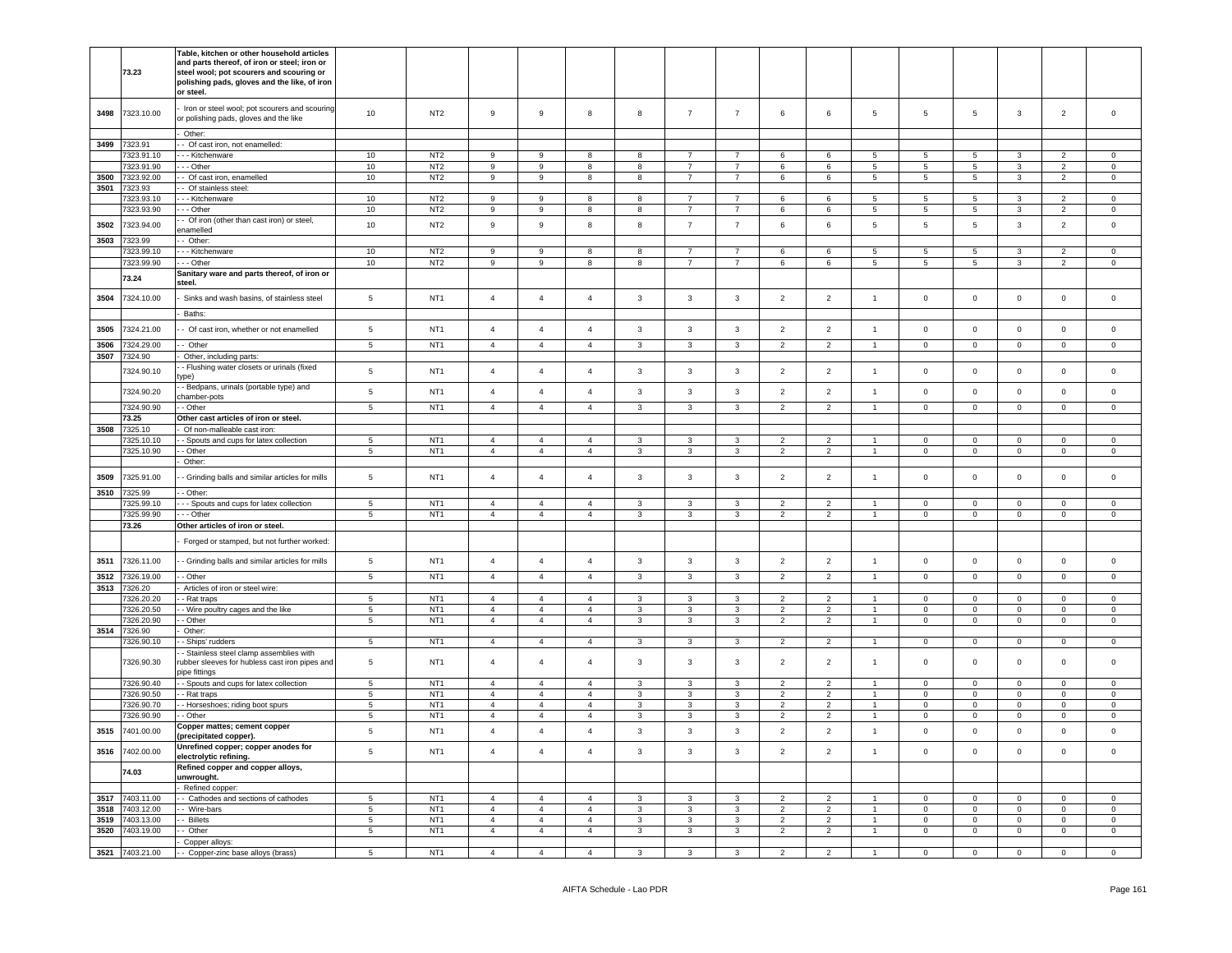|              | 73.23               | Table, kitchen or other household articles<br>and parts thereof, of iron or steel; iron or<br>steel wool; pot scourers and scouring or<br>polishing pads, gloves and the like, of iron<br>or steel. |                 |                 |                |                  |                |                         |                         |                |                |                |                      |                 |                     |                |                     |                     |
|--------------|---------------------|-----------------------------------------------------------------------------------------------------------------------------------------------------------------------------------------------------|-----------------|-----------------|----------------|------------------|----------------|-------------------------|-------------------------|----------------|----------------|----------------|----------------------|-----------------|---------------------|----------------|---------------------|---------------------|
| 3498         | 7323.10.00          | Iron or steel wool; pot scourers and scouring<br>r polishing pads, gloves and the like                                                                                                              | $10$            | NT <sub>2</sub> | 9              | $\boldsymbol{9}$ | 8              | 8                       | $\overline{7}$          | $\overline{7}$ | 6              | 6              | $\sqrt{5}$           | 5               | 5                   | $\mathbf{3}$   | $\boldsymbol{2}$    | $\mathsf{O}\xspace$ |
| 3499         | 7323.91             | Other:<br>- Of cast iron, not enamelled:                                                                                                                                                            |                 |                 |                |                  |                |                         |                         |                |                |                |                      |                 |                     |                |                     |                     |
|              | 7323.91.10          | - - Kitchenware                                                                                                                                                                                     | 10              | NT <sub>2</sub> | $\,9$          | $\boldsymbol{9}$ | 8              | 8                       | $\overline{7}$          | $\overline{7}$ | 6              | 6              | 5                    | 5               | $5\phantom{.0}$     | 3              | $\overline{2}$      | $\mathbf 0$         |
|              | 7323.91.90          | - - Other                                                                                                                                                                                           | 10              | NT <sub>2</sub> | $\overline{9}$ | $\boldsymbol{9}$ | 8              | 8                       | $\overline{7}$          | $\overline{7}$ | 6              | 6              | 5                    | $\sqrt{5}$      | $\overline{5}$      | $\mathbf{3}$   | $\overline{2}$      | $\mathsf 0$         |
| 3500         | 7323.92.00          | - Of cast iron, enamelled                                                                                                                                                                           | 10              | NT <sub>2</sub> | $9\,$          | $\,9$            | 8              | 8                       | $\overline{7}$          | $\overline{7}$ | $\,6\,$        | 6              | $5^{\circ}$          | $\,$ 5 $\,$     | $\overline{5}$      | $\mathbf{3}$   | $\overline{2}$      | $\mathbf 0$         |
| 3501         | 7323.93             | - Of stainless steel:                                                                                                                                                                               |                 |                 |                |                  |                |                         |                         |                |                |                |                      |                 |                     |                |                     |                     |
|              | 7323.93.10          | - - Kitchenware                                                                                                                                                                                     | 10              | NT <sub>2</sub> | $\,9$          | $\mathsf g$      | $\mathbf{R}$   | 8                       | $\overline{7}$          | $\overline{7}$ | $\epsilon$     | $\epsilon$     | 5                    | 5               | $5\phantom{.0}$     | $\mathcal{R}$  | $\mathcal{D}$       | $\Omega$            |
|              | 7323.93.90          | $-$ Other                                                                                                                                                                                           | 10              | NT <sub>2</sub> | $_{9}$         | $\overline{9}$   | 8              | 8                       | 7                       | $\overline{7}$ | 6              | 6              | $\overline{5}$       | $\overline{5}$  | $\overline{5}$      | $\overline{3}$ | $\overline{2}$      | $\overline{0}$      |
| 3502         | 7323.94.00          | - Of iron (other than cast iron) or steel,                                                                                                                                                          | 10              | NT <sub>2</sub> | $\overline{9}$ | $\mathsf g$      | 8              | 8                       | $\overline{7}$          | $\overline{7}$ | 6              | 6              | $\,$ 5 $\,$          | $\,$ 5 $\,$     | $\sqrt{5}$          | $\mathbf{3}$   | $\overline{2}$      | $\mathsf 0$         |
|              |                     | namelled                                                                                                                                                                                            |                 |                 |                |                  |                |                         |                         |                |                |                |                      |                 |                     |                |                     |                     |
| 3503         | 7323.99             | - Other:                                                                                                                                                                                            |                 |                 |                |                  |                |                         |                         |                |                |                |                      |                 |                     |                |                     |                     |
|              | 7323.99.10          | - - Kitchenware                                                                                                                                                                                     | 10              | NT <sub>2</sub> | 9              | 9                | 8              | 8                       | $\overline{7}$          | $\overline{7}$ | 6              | 6              | 5                    | $5\phantom{.0}$ | $5\phantom{.0}$     | 3              | 2                   | $\Omega$            |
|              | 7323.99.90          | - - Other                                                                                                                                                                                           | 10              | NT <sub>2</sub> | 9              | 9                | 8              | 8                       | $\overline{7}$          | $\overline{7}$ | 6              | 6              | 5                    | 5               | $5\overline{5}$     | 3              | $\overline{2}$      | $\mathbf 0$         |
|              | 73.24               | Sanitary ware and parts thereof, of iron or<br>steel.                                                                                                                                               |                 |                 |                |                  |                |                         |                         |                |                |                |                      |                 |                     |                |                     |                     |
| 3504         | 7324.10.00          | Sinks and wash basins, of stainless steel                                                                                                                                                           | $\,$ 5 $\,$     | NT <sub>1</sub> | $\overline{4}$ | $\sqrt{4}$       | $\overline{4}$ | $\mathbf{3}$            | $\mathbf{3}$            | $\mathbf{3}$   | $\overline{2}$ | $\overline{2}$ | $\mathbf{1}$         | $\mathbf 0$     | $\mathbf 0$         | $\mathbf 0$    | $\mathsf 0$         | $\mathsf 0$         |
| 3505         | 7324.21.00          | Baths:                                                                                                                                                                                              | $\,$ 5 $\,$     | NT <sub>1</sub> | $\overline{4}$ | $\overline{4}$   | $\mathbf{A}$   | 3                       | $\mathbf{3}$            | $\mathbf{3}$   | $\overline{2}$ | $\overline{2}$ | $\overline{1}$       | $\mathbf 0$     | $\,0\,$             | $\mathbf 0$    | $\mathbf 0$         | $\mathsf 0$         |
|              |                     | - Of cast iron, whether or not enamelled                                                                                                                                                            |                 |                 |                |                  |                |                         |                         |                |                |                |                      |                 |                     |                |                     |                     |
| 3506<br>3507 | 324.29.00<br>324.90 | - Other                                                                                                                                                                                             | $\overline{5}$  | NT <sub>1</sub> | $\overline{4}$ | $\overline{4}$   | $\overline{4}$ | $\mathbf{3}$            | 3                       | $\mathbf{3}$   | $\overline{2}$ | $\overline{2}$ | $\overline{1}$       | $\mathbf 0$     | $\circ$             | $\mathsf 0$    | $\mathsf 0$         | $\mathsf 0$         |
|              |                     | Other, including parts:<br>- Flushing water closets or urinals (fixed                                                                                                                               |                 |                 |                |                  |                |                         |                         |                |                |                |                      |                 |                     |                |                     |                     |
|              | 7324.90.10          | ype)                                                                                                                                                                                                | 5               | NT <sub>1</sub> | $\overline{4}$ | $\overline{4}$   | $\overline{4}$ | $\mathbf{3}$            | $\overline{3}$          | $\mathbf{3}$   | $\overline{2}$ | $\overline{2}$ | $\overline{1}$       | $\mathsf 0$     | $\mathsf 0$         | $\mathsf 0$    | $\mathsf 0$         | $\mathsf 0$         |
|              | 7324.90.20          | - Bedpans, urinals (portable type) and<br>chamber-pots                                                                                                                                              | $\overline{5}$  | NT <sub>1</sub> | $\overline{4}$ | $\overline{4}$   | $\overline{4}$ | $\mathbf{3}$            | $\mathbf{3}$            | $\mathbf{3}$   | $\overline{2}$ | $\overline{2}$ | $\overline{1}$       | $\mathsf 0$     | $\mathbf 0$         | $\mathbf 0$    | $\Omega$            | $\mathsf 0$         |
|              | 7324.90.90          | - Other                                                                                                                                                                                             | 5               | NT <sub>1</sub> | $\overline{4}$ | $\overline{4}$   | $\overline{4}$ | $\mathbf{3}$            | $\mathbf{3}$            | $\mathbf{3}$   | $\overline{2}$ | $\overline{2}$ | $\mathbf{1}$         | $\mathbf{0}$    | $\circ$             | $\mathbf 0$    | $\mathbf{0}$        | $\mathsf 0$         |
|              | 73.25               | Other cast articles of iron or steel.                                                                                                                                                               |                 |                 |                |                  |                |                         |                         |                |                |                |                      |                 |                     |                |                     |                     |
| 3508         | 7325.10             | Of non-malleable cast iron:                                                                                                                                                                         |                 |                 |                |                  |                |                         |                         |                |                |                |                      |                 |                     |                |                     |                     |
|              | 7325.10.10          | - Spouts and cups for latex collection                                                                                                                                                              | 5               | NT <sub>1</sub> | $\overline{4}$ | $\sqrt{4}$       | $\overline{4}$ | 3                       | 3                       | $\mathbf{3}$   | $\overline{2}$ | $\overline{2}$ |                      | $\mathbf 0$     | $\mathbf 0$         | $\mathsf 0$    | $\mathsf 0$         | $\mathsf 0$         |
|              | 325.10.90           | - Other                                                                                                                                                                                             | $\,$ 5 $\,$     | NT <sub>1</sub> | $\overline{4}$ | $\overline{4}$   | $\overline{4}$ | 3                       | 3                       | 3              | $\overline{2}$ | $\overline{2}$ | $\overline{1}$       | $\mathbf 0$     | $\mathbf 0$         | $\mathbf 0$    | $\mathsf 0$         | $\mathsf 0$         |
|              |                     | Other:                                                                                                                                                                                              |                 |                 |                |                  |                |                         |                         |                |                |                |                      |                 |                     |                |                     |                     |
| 3509         | 7325.91.00          | Grinding balls and similar articles for mills                                                                                                                                                       | 5               | NT <sub>1</sub> | $\overline{4}$ | $\overline{4}$   | $\overline{4}$ | 3                       | $\mathbf{3}$            | 3              | $\overline{2}$ | $\overline{2}$ | $\mathbf{1}$         | $\pmb{0}$       | $\,0\,$             | $\mathbf 0$    | $\mathsf 0$         | $\mathsf 0$         |
| 3510         | 7325.99             | - Other:                                                                                                                                                                                            |                 |                 |                |                  |                |                         |                         |                |                |                |                      |                 |                     |                |                     |                     |
|              | 7325.99.10          | - Spouts and cups for latex collection                                                                                                                                                              | $\overline{5}$  | NT <sub>1</sub> | $\overline{4}$ | $\overline{4}$   | $\overline{4}$ | 3                       | $\overline{\mathbf{3}}$ | $\overline{3}$ | $\overline{2}$ | $\overline{2}$ |                      | $\overline{0}$  | $\overline{0}$      | $\Omega$       | $\Omega$            | $\Omega$            |
|              | 7325.99.90          | - - Other                                                                                                                                                                                           | $\overline{5}$  | NT <sub>1</sub> | $\overline{4}$ | $\overline{4}$   | $\overline{4}$ | $\overline{3}$          | $\overline{3}$          | $\overline{3}$ | $\overline{2}$ | $\overline{2}$ | $\overline{1}$       | $\overline{0}$  | $\overline{0}$      | $\overline{0}$ | $\Omega$            | $\overline{0}$      |
|              | 73.26               | Other articles of iron or steel.                                                                                                                                                                    |                 |                 |                |                  |                |                         |                         |                |                |                |                      |                 |                     |                |                     |                     |
|              |                     | Forged or stamped, but not further worked:                                                                                                                                                          |                 |                 |                |                  |                |                         |                         |                |                |                |                      |                 |                     |                |                     |                     |
| 3511         | 7326.11.00          | - Grinding balls and similar articles for mills                                                                                                                                                     | $\,$ 5 $\,$     | NT <sub>1</sub> | $\overline{4}$ | $\overline{4}$   | $\overline{4}$ | $\mathbf{3}$            | $\mathbf{3}$            | $\mathbf{3}$   | $\overline{2}$ | $\overline{2}$ | $\overline{1}$       | $\mathbf 0$     | $\mathbf 0$         | $\mathbf 0$    | $\mathbf 0$         | $\mathsf 0$         |
| 3512         | 7326.19.00          | - Other                                                                                                                                                                                             | $\overline{5}$  | NT <sub>1</sub> | $\overline{4}$ | $\overline{4}$   | $\overline{4}$ | $\overline{\mathbf{3}}$ | $\overline{3}$          | $\overline{3}$ | $\overline{2}$ | $\overline{2}$ | $\overline{1}$       | $\overline{0}$  | $\overline{0}$      | $\overline{0}$ | $\overline{0}$      | $\overline{0}$      |
| 3513         | 7326.20             | Articles of iron or steel wire:                                                                                                                                                                     |                 |                 |                |                  |                |                         |                         |                |                |                |                      |                 |                     |                |                     |                     |
|              | 7326.20.20          | Rat traps                                                                                                                                                                                           | 5               | NT <sub>1</sub> | $\overline{4}$ | $\overline{4}$   | $\overline{4}$ | 3                       | $\mathbf{3}$            | $\mathbf{3}$   | $\mathcal{P}$  | $\overline{2}$ |                      | $\Omega$        | $\mathsf 0$         | $\mathbf 0$    | $\Omega$            | $\Omega$            |
|              | 7326,20.50          | Wire poultry cages and the like                                                                                                                                                                     | $\overline{5}$  | NT <sub>1</sub> | $\overline{4}$ | $\overline{4}$   | $\overline{4}$ | 3                       | $\mathbf{3}$            | $\mathbf{3}$   | $\overline{2}$ | 2              | $\overline{1}$       | $\mathbf{0}$    | $\mathbf 0$         | $\mathbf 0$    | $\Omega$            | $\circ$             |
|              | 7326.20.90          | Other                                                                                                                                                                                               | $5\phantom{.0}$ | NT <sub>1</sub> | $\overline{4}$ | $\overline{4}$   | $\overline{4}$ | $\mathbf{3}$            | $\mathbf{3}$            | $\mathbf{3}$   | $\overline{2}$ | $\overline{2}$ | $\mathbf{1}$         | $\mathbf 0$     | $\mathbf 0$         | $\mathbf 0$    | $\mathbf 0$         | $\mathbf 0$         |
| 3514         | 7326.90             | Other:                                                                                                                                                                                              |                 |                 |                |                  |                |                         |                         |                |                |                |                      |                 |                     |                |                     |                     |
|              | 326.90.10           | Ships' rudders                                                                                                                                                                                      | $\,$ 5 $\,$     | NT <sub>1</sub> | $\overline{4}$ | $\overline{4}$   | $\overline{4}$ | $\mathbf{3}$            | $\mathbf{3}$            | $\mathbf{3}$   | $\overline{2}$ | $\overline{2}$ |                      | $\mathsf 0$     | $\mathbf 0$         | $\mathbf 0$    | $\mathsf{O}\xspace$ | $\mathsf 0$         |
|              | 7326.90.30          | Stainless steel clamp assemblies with<br>ubber sleeves for hubless cast iron pipes and                                                                                                              | $5\phantom{.0}$ | NT <sub>1</sub> | $\overline{4}$ | $\sqrt{4}$       | $\overline{4}$ | $\mathbf{3}$            | $\overline{\mathbf{3}}$ | $\mathbf{3}$   | $\overline{2}$ | $\overline{2}$ | $\mathbf{1}$         | $\mathbf 0$     | $\mathbf 0$         | $\mathbf 0$    | $\mathbf 0$         | $\mathsf 0$         |
|              | 7326.90.40          | pipe fittings<br>- Spouts and cups for latex collection                                                                                                                                             | $\overline{5}$  | NT <sub>1</sub> | $\overline{4}$ | $\overline{4}$   | $\mathbf{A}$   | $\mathbf{3}$            | 3                       | $\mathbf{3}$   | $\overline{2}$ | $\overline{2}$ |                      | $\Omega$        | $\overline{0}$      | $\Omega$       | $\Omega$            | $\Omega$            |
|              | 7326.90.50          | Rat traps                                                                                                                                                                                           | $5^{\circ}$     | NT <sub>1</sub> | $\overline{4}$ | $\overline{4}$   | $\overline{4}$ | 3                       | 3                       | $\mathbf{3}$   | $\overline{2}$ | $\overline{2}$ | $\mathbf{1}$         | $\Omega$        | $\mathsf 0$         | $\Omega$       | $\Omega$            | $\Omega$            |
|              | 7326.90.70          | Horseshoes; riding boot spurs                                                                                                                                                                       | 5               | NT <sub>1</sub> | $\overline{4}$ | $\overline{4}$   | $\overline{4}$ | $\mathbf{3}$            | $\mathbf{3}$            | $\mathbf{3}$   | $\overline{2}$ | $\overline{2}$ | $\overline{1}$       | $\mathsf 0$     | $\circ$             | $\mathsf 0$    | $\Omega$            | $\mathsf 0$         |
|              | 326,90.90           | Other                                                                                                                                                                                               | $\overline{5}$  | NT <sub>1</sub> | $\overline{4}$ | $\overline{4}$   | $\overline{4}$ | $\mathbf{3}$            | $\overline{\mathbf{3}}$ | $\overline{3}$ | $\overline{2}$ | $\overline{2}$ | $\overline{1}$       | $\overline{0}$  | $\overline{0}$      | $\overline{0}$ | $\Omega$            | $\Omega$            |
|              |                     | Copper mattes; cement copper                                                                                                                                                                        |                 |                 |                |                  |                |                         |                         |                |                |                |                      |                 |                     |                |                     |                     |
| 3515         | 7401.00.00          | precipitated copper).<br>Unrefined copper; copper anodes for                                                                                                                                        | $\,$ 5 $\,$     | NT <sub>1</sub> | $\overline{4}$ | $\overline{4}$   | $\overline{4}$ | $\mathbf{3}$            | $\overline{\mathbf{3}}$ | $\mathbf{3}$   | $\overline{2}$ | $\overline{2}$ | $\mathbf{1}$         | $\mathbf 0$     | $\mathbf 0$         | $\mathbf 0$    | $\mathbf 0$         | $\mathsf 0$         |
| 3516         | 7402.00.00          | electrolytic refining.<br>Refined copper and copper alloys,                                                                                                                                         | $\overline{5}$  | NT <sub>1</sub> | $\overline{4}$ | $\overline{4}$   | $\overline{4}$ | $\mathbf{3}$            | $\mathbf{3}$            | $\mathbf{3}$   | $\overline{2}$ | $\overline{2}$ | $\overline{1}$       | $\mathsf 0$     | $\mathbf 0$         | $\mathbf 0$    | $\mathsf 0$         | $\mathsf 0$         |
|              | 74.03               | unwrought.<br>Refined copper:                                                                                                                                                                       |                 |                 |                |                  |                |                         |                         |                |                |                |                      |                 |                     |                |                     |                     |
| 3517         | 7403.11.00          | - Cathodes and sections of cathodes                                                                                                                                                                 | 5               | NT <sub>1</sub> | $\overline{4}$ | $\overline{4}$   | $\overline{4}$ | 3                       | $\mathbf{3}$            | $\mathbf{3}$   | $\overline{2}$ | $\overline{2}$ | $\blacktriangleleft$ | $\pmb{0}$       | $\mathbf 0$         | $\mathbf 0$    | $\Omega$            | $\mathsf 0$         |
| 3518         | 7403.12.00          | - Wire-bars                                                                                                                                                                                         | $\overline{5}$  | NT <sub>1</sub> | $\overline{4}$ | $\overline{4}$   | $\overline{4}$ | $\mathbf{3}$            | $\overline{3}$          | $\overline{3}$ | $\overline{2}$ | $\overline{2}$ | $\overline{1}$       | $\mathbf 0$     | $\overline{0}$      | $\mathsf 0$    | $\mathbf{0}$        | $\mathbf 0$         |
| 3519         | 7403.13.00          | Billets                                                                                                                                                                                             | $\,$ 5 $\,$     | NT <sub>1</sub> | $\sqrt{4}$     | $\overline{4}$   | $\overline{4}$ | 3                       | $\mathbf{3}$            | $\mathbf{3}$   | $\overline{2}$ | $\overline{2}$ | $\mathbf{1}$         | $\mathbf 0$     | $\mathsf{O}\xspace$ | $\mathbf 0$    | $\mathsf 0$         | $\mathsf 0$         |
| 3520         | 7403.19.00          | - Other                                                                                                                                                                                             | $\overline{5}$  | NT <sub>1</sub> | $\overline{4}$ | $\overline{4}$   | $\overline{4}$ | 3                       | $\mathbf{3}$            | $\mathbf{3}$   | $\overline{2}$ | $\overline{2}$ | $\blacktriangleleft$ | $\mathbf 0$     | $\mathbf 0$         | $\mathbf 0$    | $\mathsf 0$         | $\mathsf 0$         |
|              |                     | Copper alloys:                                                                                                                                                                                      |                 |                 |                |                  |                |                         |                         |                |                |                |                      |                 |                     |                |                     |                     |
|              | 3521 7403.21.00     | - - Copper-zinc base alloys (brass)                                                                                                                                                                 | 5 <sup>1</sup>  | NT <sub>1</sub> | $\Delta$       | $\Delta$         | $\overline{a}$ | $\mathcal{R}$           | 3                       | $\mathbf{R}$   | $\mathcal{P}$  | $\mathcal{P}$  |                      | $\mathbf 0$     | $\mathsf 0$         | $\mathsf 0$    | $\Omega$            | $\Omega$            |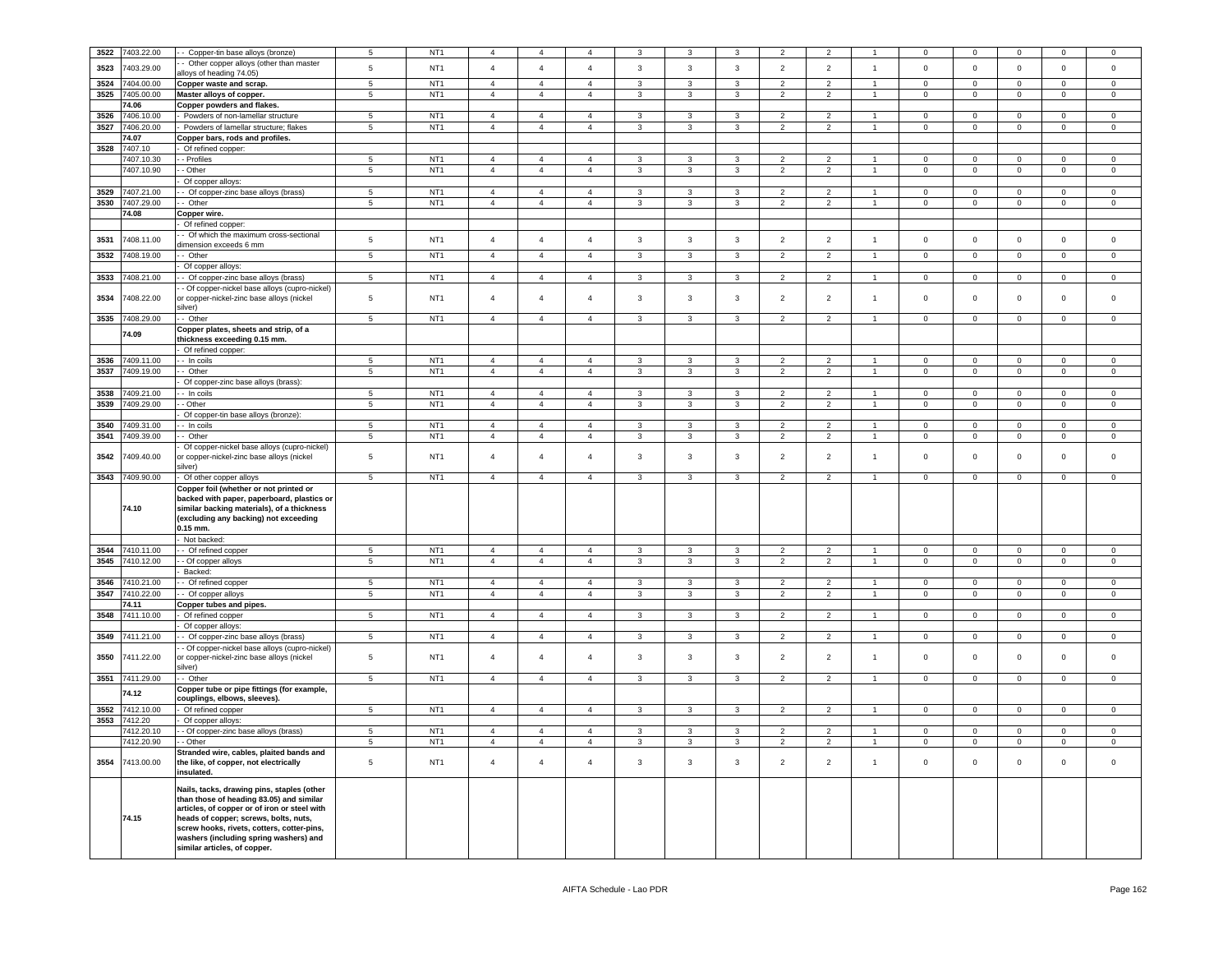| 3522 | 7403.22.00      | - Copper-tin base alloys (bronze)                                                     | $\overline{5}$  | NT <sub>1</sub> | $\overline{4}$ | $\overline{4}$ | $\mathbf{A}$   | 3                       |                         |                | $\overline{2}$ | $\mathcal{P}$  |                | $\Omega$       | $\Omega$            | $\Omega$       | $\Omega$            | $\Omega$       |
|------|-----------------|---------------------------------------------------------------------------------------|-----------------|-----------------|----------------|----------------|----------------|-------------------------|-------------------------|----------------|----------------|----------------|----------------|----------------|---------------------|----------------|---------------------|----------------|
| 3523 | 7403.29.00      | Other copper alloys (other than master                                                | $\,$ 5 $\,$     | NT <sub>1</sub> | $\overline{4}$ | $\overline{4}$ | $\overline{4}$ | $\mathbf{3}$            | $\overline{3}$          | $\mathbf{3}$   | $\overline{2}$ | $\overline{2}$ | $\overline{1}$ | $\mathsf 0$    | $\mathbf 0$         | $\mathbf 0$    |                     |                |
|      |                 | Iloys of heading 74.05)                                                               |                 |                 |                |                |                |                         |                         |                |                |                |                |                |                     |                | $\mathbf 0$         | $\mathsf 0$    |
| 3524 | 7404.00.00      | Copper waste and scrap.                                                               | 5               | NT <sub>1</sub> | $\overline{4}$ | $\overline{4}$ | $\overline{4}$ | $\mathbf{3}$            | $\mathbf{3}$            | $\mathbf{3}$   | $\overline{2}$ | $\overline{2}$ | $\overline{1}$ | $\circ$        | $\overline{0}$      | $\mathbf{0}$   | $\overline{0}$      | $\mathbf 0$    |
| 3525 | 7405.00.00      | Master alloys of copper.                                                              | 5               | NT <sub>1</sub> | $\overline{4}$ | $\overline{4}$ | $\overline{4}$ | $\mathbf{3}$            | 3                       | $\mathbf{3}$   | $\overline{2}$ | $\overline{2}$ | $\overline{1}$ | $\mathbf 0$    | $\overline{0}$      | $\mathsf 0$    | $\overline{0}$      | $\mathbf 0$    |
|      | 74.06           | Copper powders and flakes.                                                            |                 |                 |                |                |                |                         |                         |                |                |                |                |                |                     |                |                     |                |
| 3526 | 7406.10.00      | Powders of non-lamellar structure                                                     | $5\phantom{.0}$ | NT <sub>1</sub> | $\overline{4}$ | $\overline{4}$ | $\overline{4}$ | $\mathbf{3}$            | 3                       | $\mathbf{3}$   | $\overline{2}$ | $\overline{2}$ | $\overline{1}$ | $\mathbf 0$    | $\overline{0}$      | $\mathbf 0$    | $\overline{0}$      | $\mathsf 0$    |
|      | 3527 7406.20.00 | Powders of lamellar structure; flakes                                                 | $5\phantom{.0}$ | NT <sub>1</sub> | $\overline{4}$ | $\overline{4}$ | $\overline{4}$ | $\mathbf{3}$            | $\mathbf{3}$            | 3              | $\overline{2}$ | $\overline{2}$ | $\mathbf{1}$   | $\overline{0}$ | $\overline{0}$      | $\overline{0}$ | $\overline{0}$      | $\overline{0}$ |
|      | 74.07           | Copper bars, rods and profiles.                                                       |                 |                 |                |                |                |                         |                         |                |                |                |                |                |                     |                |                     |                |
| 3528 | 7407.10         | Of refined copper:                                                                    |                 |                 |                |                |                |                         |                         |                |                |                |                |                |                     |                |                     |                |
|      | 7407.10.30      | - Profiles                                                                            | $5^{\circ}$     | NT <sub>1</sub> | $\overline{a}$ | $\overline{4}$ | $\overline{a}$ | 3                       | 3                       | 3              | 2              | $\overline{2}$ |                | $\Omega$       | $^{\circ}$          | $\mathbf 0$    | $\Omega$            | $\mathbf{0}$   |
|      | 7407.10.90      | - Other                                                                               | $\sqrt{5}$      | NT <sub>1</sub> | $\overline{4}$ | $\overline{4}$ | $\overline{4}$ | $\mathbf{3}$            | 3                       | 3              | $\overline{2}$ | $\overline{2}$ | $\mathbf{1}$   | $\overline{0}$ | $\overline{0}$      | $\overline{0}$ | $\overline{0}$      | $\overline{0}$ |
|      |                 | Of copper alloys:                                                                     |                 |                 |                |                |                |                         |                         |                |                |                |                |                |                     |                |                     |                |
| 3529 | 7407.21.00      | - Of copper-zinc base alloys (brass)                                                  | 5               | NT <sub>1</sub> | $\overline{4}$ | $\overline{4}$ | $\overline{4}$ | 3                       | 3                       | 3              | 2              | $\overline{2}$ | $\overline{1}$ | $\mathbf 0$    | $^{\circ}$          | $\mathbf{0}$   | $\Omega$            | $\mathbf{0}$   |
|      | 3530 7407.29.00 | - Other                                                                               | $5\phantom{.0}$ | NT <sub>1</sub> | $\overline{4}$ | $\overline{4}$ | $\overline{4}$ | $\mathbf{3}$            | $\mathbf{3}$            | 3              | $\overline{2}$ | $\overline{2}$ | $\mathbf{1}$   | $\overline{0}$ | $\overline{0}$      | $\overline{0}$ | $\overline{0}$      | $\overline{0}$ |
|      | 74.08           | Copper wire.                                                                          |                 |                 |                |                |                |                         |                         |                |                |                |                |                |                     |                |                     |                |
|      |                 | Of refined copper:                                                                    |                 |                 |                |                |                |                         |                         |                |                |                |                |                |                     |                |                     |                |
| 3531 | 7408.11.00      | - Of which the maximum cross-sectional                                                | 5               | NT <sub>1</sub> | $\overline{4}$ | $\overline{4}$ | $\overline{4}$ | $\mathbf{3}$            | $\mathbf{3}$            | $\mathbf{3}$   | $\overline{2}$ | $\overline{2}$ | $\overline{1}$ | $\mathbf 0$    | $\mathbf 0$         | $\mathsf 0$    | $\mathbf 0$         | $\mathsf 0$    |
|      |                 | limension exceeds 6 mm                                                                |                 |                 |                |                |                |                         |                         |                |                |                |                |                |                     |                |                     |                |
| 3532 | 7408.19.00      | - Other                                                                               | $\,$ 5 $\,$     | NT <sub>1</sub> | $\overline{4}$ | $\overline{4}$ | $\overline{4}$ | $\mathbf{3}$            | 3                       | $\mathbf{3}$   | $\overline{2}$ | $\overline{2}$ |                | $\pmb{0}$      | $\mathsf{O}\xspace$ | $\mathbf 0$    | $\mathsf{O}\xspace$ | $\mathsf 0$    |
|      |                 | Of copper alloys:                                                                     |                 |                 |                |                |                |                         |                         |                |                |                |                |                |                     |                |                     |                |
| 3533 | 408.21.00       | - Of copper-zinc base alloys (brass)                                                  | $\,$ 5 $\,$     | NT <sub>1</sub> | $\overline{4}$ | $\overline{4}$ | $\overline{4}$ | $\mathbf{3}$            | 3                       | 3              | $\overline{2}$ | $\overline{2}$ | $\overline{1}$ | $\pmb{0}$      | $\mathsf{O}\xspace$ | $\mathbf 0$    | $\mathsf{O}\xspace$ | $\mathbf 0$    |
|      |                 | - Of copper-nickel base alloys (cupro-nickel)                                         |                 |                 |                |                |                |                         |                         |                |                |                |                |                |                     |                |                     |                |
| 3534 | 7408.22.00      | or copper-nickel-zinc base alloys (nickel<br>silver)                                  | $\,$ 5 $\,$     | NT <sub>1</sub> | $\overline{4}$ | $\overline{4}$ | $\overline{4}$ | $\mathbf{3}$            | 3                       | $\mathbf{3}$   | $\overline{2}$ | $\overline{2}$ | $\overline{1}$ | $\mathbf 0$    | $\mathbf{0}$        | $\mathbf 0$    | 0                   | $\mathbf 0$    |
| 3535 | 7408.29.00      | - Other                                                                               | $\overline{5}$  | NT <sub>1</sub> | $\overline{4}$ | $\overline{4}$ | $\overline{4}$ | 3                       | 3                       | 3              | $\overline{2}$ | $\overline{2}$ |                | $\Omega$       | $\Omega$            | $\mathsf 0$    | $\mathsf 0$         | $\Omega$       |
|      |                 | Copper plates, sheets and strip, of a                                                 |                 |                 |                |                |                |                         |                         |                |                |                |                |                |                     |                |                     |                |
|      | 74.09           | hickness exceeding 0.15 mm.                                                           |                 |                 |                |                |                |                         |                         |                |                |                |                |                |                     |                |                     |                |
|      |                 | Of refined copper:                                                                    |                 |                 |                |                |                |                         |                         |                |                |                |                |                |                     |                |                     |                |
| 3536 | 7409.11.00      | - In coils                                                                            | 5               | NT <sub>1</sub> | $\overline{4}$ | $\overline{4}$ | $\overline{a}$ | 3                       | 3                       | 3              | 2              | $\overline{2}$ |                | $\mathbf 0$    | $\mathbf{0}$        | $^{\circ}$     | $\Omega$            | $\mathbf{0}$   |
|      | 3537 7409.19.00 | - Other                                                                               | $5\phantom{.0}$ | NT <sub>1</sub> | $\overline{4}$ | $\overline{4}$ | $\overline{4}$ | 3                       | 3                       | 3              | $\overline{2}$ | $\overline{2}$ | $\overline{1}$ | $\mathbf 0$    | $\overline{0}$      | $\mathbf 0$    | $\overline{0}$      | $\mathsf 0$    |
|      |                 | Of copper-zinc base alloys (brass):                                                   |                 |                 |                |                |                |                         |                         |                |                |                |                |                |                     |                |                     |                |
| 3538 | 7409.21.00      | - In coils                                                                            | 5               | NT <sub>1</sub> | $\overline{4}$ | $\overline{4}$ | $\overline{4}$ | 3                       | 3                       | 3              | 2              | $\overline{2}$ |                | $\mathbf 0$    | $\mathbf{0}$        | $\mathbf 0$    | $\Omega$            | $\mathbf{0}$   |
| 3539 | 7409.29.00      | - Other                                                                               | $\,$ 5 $\,$     | NT <sub>1</sub> | $\overline{4}$ | $\overline{4}$ | $\overline{4}$ | $\mathbf{3}$            | $\mathbf{3}$            | 3              | $\overline{2}$ | $\overline{2}$ | $\mathbf{1}$   | $\overline{0}$ | $\mathbf 0$         | $\mathbf 0$    | $\mathbf 0$         | $\mathbf 0$    |
|      |                 | Of copper-tin base alloys (bronze):                                                   |                 |                 |                |                |                |                         |                         |                |                |                |                |                |                     |                |                     |                |
| 3540 | 7409.31.00      | - In coils                                                                            | 5               | NT <sub>1</sub> | $\overline{4}$ | $\overline{4}$ | $\overline{4}$ | 3                       | $\mathsf 3$             | 3              | $\overline{2}$ | $\overline{2}$ |                | $\mathbf 0$    | $\mathsf 0$         | $\mathbf 0$    | $\mathbf 0$         | $\mathbf 0$    |
| 3541 | 7409.39.00      | - Other                                                                               | $\sqrt{5}$      | NT <sub>1</sub> | $\overline{4}$ | $\overline{4}$ | $\overline{4}$ | $\mathbf{3}$            | $\mathbf{3}$            | $\mathbf{3}$   | $\overline{2}$ | $\overline{2}$ | $\mathbf{1}$   | $\overline{0}$ | $\overline{0}$      | $\mathbf 0$    | $\overline{0}$      | $\mathsf 0$    |
|      |                 | Of copper-nickel base alloys (cupro-nickel)                                           |                 |                 |                |                |                |                         |                         |                |                |                |                |                |                     |                |                     |                |
| 3542 | 409.40.00       | r copper-nickel-zinc base alloys (nickel                                              | $\,$ 5 $\,$     | NT <sub>1</sub> | $\overline{4}$ | $\overline{4}$ | $\overline{4}$ | $\mathbf{3}$            | 3                       | $\mathbf{3}$   | $\overline{2}$ | $\overline{2}$ | $\overline{1}$ | $\mathbf 0$    | $\mathbf 0$         | $\mathbf 0$    | $\Omega$            | $\Omega$       |
|      |                 | silver)                                                                               |                 |                 |                |                |                |                         |                         |                |                |                |                |                |                     |                |                     |                |
| 3543 | 7409.90.00      | Of other copper alloys                                                                | $\sqrt{5}$      | NT <sub>1</sub> | $\overline{4}$ | $\overline{4}$ | $\overline{4}$ | $\mathbf{3}$            | $\mathbf{3}$            | 3              | $\overline{2}$ | $\overline{2}$ | $\overline{1}$ | $\overline{0}$ | $\overline{0}$      | $\,0\,$        | $\overline{0}$      | $\overline{0}$ |
|      |                 | Copper foil (whether or not printed or                                                |                 |                 |                |                |                |                         |                         |                |                |                |                |                |                     |                |                     |                |
|      |                 | backed with paper, paperboard, plastics or                                            |                 |                 |                |                |                |                         |                         |                |                |                |                |                |                     |                |                     |                |
|      | 74.10           | similar backing materials), of a thickness                                            |                 |                 |                |                |                |                         |                         |                |                |                |                |                |                     |                |                     |                |
|      |                 | (excluding any backing) not exceeding<br>$0.15$ mm.                                   |                 |                 |                |                |                |                         |                         |                |                |                |                |                |                     |                |                     |                |
|      |                 | Not backed:                                                                           |                 |                 |                |                |                |                         |                         |                |                |                |                |                |                     |                |                     |                |
| 3544 | 7410.11.00      | - Of refined copper                                                                   | 5               | NT1             | $\overline{4}$ | $\overline{4}$ | $\overline{4}$ | $\mathbf{3}$            | $\overline{3}$          | 3              | $\overline{2}$ | $\overline{2}$ | $\overline{1}$ | $\mathbf 0$    | $\mathbf{0}$        | $\mathbf{0}$   | $\Omega$            | $\overline{0}$ |
| 3545 | 7410.12.00      | - Of copper alloys                                                                    | $\sqrt{5}$      | NT <sub>1</sub> | $\overline{4}$ | $\overline{4}$ | $\overline{4}$ | $\mathbf{3}$            | $\mathbf{3}$            | $\mathbf{3}$   | $\overline{2}$ | $\overline{2}$ | $\overline{1}$ | $\mathsf 0$    | $\overline{0}$      | $\overline{0}$ | $\circ$             | $\mathsf 0$    |
|      |                 | Backed:                                                                               |                 |                 |                |                |                |                         |                         |                |                |                |                |                |                     |                |                     |                |
| 3546 | 7410.21.00      | - Of refined copper                                                                   | 5               | NT1             | $\overline{4}$ | $\overline{4}$ | $\overline{a}$ | 3                       | 3                       | 3              | $\overline{2}$ | $\overline{2}$ |                | $\Omega$       | $\circ$             | $\overline{0}$ | $\Omega$            | $\Omega$       |
| 3547 | 7410.22.00      | Of copper alloys                                                                      | $5\phantom{.0}$ | NT <sub>1</sub> | $\overline{4}$ | $\overline{4}$ | $\overline{4}$ | $\mathbf{3}$            | $\mathbf{3}$            | $\mathbf{3}$   | $\overline{2}$ | $\overline{2}$ | $\overline{1}$ | $\mathbf 0$    | $\mathbf 0$         | $\mathbf 0$    | $\circ$             | $\mathsf 0$    |
|      | 74.11           | Copper tubes and pipes.                                                               |                 |                 |                |                |                |                         |                         |                |                |                |                |                |                     |                |                     |                |
| 3548 | 7411.10.00      | Of refined copper                                                                     | $\sqrt{5}$      | NT <sub>1</sub> | $\overline{4}$ | $\overline{4}$ | $\overline{4}$ | $\mathbf{3}$            | $\mathbf{3}$            | $\mathbf{3}$   | $\overline{2}$ | $\overline{2}$ | $\overline{1}$ | $\mathbf 0$    | $\mathbf 0$         | $\mathbf 0$    | $\overline{0}$      | $\mathsf 0$    |
|      |                 | Of copper alloys:                                                                     |                 |                 |                |                |                |                         |                         |                |                |                |                |                |                     |                |                     |                |
| 3549 | 411.21.00       | - Of copper-zinc base alloys (brass)                                                  | $\,$ 5 $\,$     | NT <sub>1</sub> | $\overline{4}$ | $\overline{4}$ | $\overline{4}$ | $\mathbf{3}$            | 3                       | $\mathbf{3}$   | $\overline{2}$ | 2              |                | $\mathbf 0$    | $\mathsf{O}\xspace$ | $\mathbf 0$    | $\mathbf 0$         | $\mathsf 0$    |
|      |                 | - Of copper-nickel base alloys (cupro-nickel)                                         |                 |                 |                |                |                |                         |                         |                |                |                |                |                |                     |                |                     |                |
| 3550 | 7411.22.00      | or copper-nickel-zinc base alloys (nickel                                             | 5               | NT <sub>1</sub> | $\overline{4}$ | $\overline{4}$ | $\overline{4}$ | 3                       | 3                       | 3              | $\overline{2}$ | $\overline{2}$ | $\overline{1}$ | $\mathbf 0$    | $\mathbf 0$         | $\mathbf 0$    | $\mathsf 0$         | $\mathsf 0$    |
|      |                 | silver).                                                                              |                 |                 |                |                |                |                         |                         |                |                |                |                |                |                     |                |                     |                |
| 3551 | 7411.29.00      | - Other                                                                               | $\overline{5}$  | NT <sub>1</sub> | $\overline{4}$ | $\overline{4}$ | $\overline{4}$ | $\overline{\mathbf{3}}$ | $\overline{\mathbf{3}}$ | $\overline{3}$ | $\overline{2}$ | $\overline{2}$ |                | $\overline{0}$ | $\overline{0}$      | $\Omega$       | $\overline{0}$      | $\Omega$       |
|      | 74.12           | Copper tube or pipe fittings (for example,                                            |                 |                 |                |                |                |                         |                         |                |                |                |                |                |                     |                |                     |                |
|      |                 | couplings, elbows, sleeves).                                                          |                 |                 |                |                |                |                         |                         |                |                |                |                |                |                     |                |                     |                |
| 3552 | 7412.10.00      | Of refined copper                                                                     | 5               | NT <sub>1</sub> | $\overline{4}$ | $\overline{4}$ | $\overline{4}$ | $\mathbf{3}$            | $\mathbf{3}$            | $\mathbf{3}$   | $\overline{2}$ | $\overline{2}$ |                | $\overline{0}$ | $\mathbf{0}$        | $\mathsf 0$    | $\mathbf 0$         | $\circ$        |
| 3553 | 7412.20         | Of copper alloys:                                                                     |                 |                 |                |                |                |                         |                         |                |                |                |                |                |                     |                |                     |                |
|      | 7412.20.10      | - Of copper-zinc base alloys (brass)                                                  | 5               | NT <sub>1</sub> | $\overline{4}$ | $\overline{4}$ | $\overline{4}$ | $\mathbf{3}$            | $\mathbf{3}$            | 3              | $\overline{2}$ | $\overline{2}$ | $\overline{1}$ | $\Omega$       | $\mathsf 0$         | $\mathsf 0$    | $\mathbf 0$         | $\mathsf 0$    |
|      | 7412.20.90      | - Other                                                                               | $5\phantom{.0}$ | NT <sub>1</sub> | $\overline{4}$ | $\overline{4}$ | $\overline{4}$ | $\mathbf{3}$            | $\mathbf{3}$            | 3              | $\overline{2}$ | $\overline{2}$ |                | $\overline{0}$ | $\mathsf 0$         | $\mathbf 0$    | $\mathbf 0$         | $\mathsf 0$    |
| 3554 | 7413.00.00      | Stranded wire, cables, plaited bands and                                              | $\,$ 5 $\,$     | NT <sub>1</sub> | $\overline{4}$ | $\overline{4}$ | $\overline{4}$ | $\mathbf{3}$            | 3                       | 3              | $\overline{2}$ | $\overline{2}$ | $\overline{1}$ | $\mathsf 0$    | $\mathbf 0$         | $\mathbf 0$    | $\mathbf 0$         | $\mathsf 0$    |
|      |                 | the like, of copper, not electrically<br>nsulated.                                    |                 |                 |                |                |                |                         |                         |                |                |                |                |                |                     |                |                     |                |
|      |                 |                                                                                       |                 |                 |                |                |                |                         |                         |                |                |                |                |                |                     |                |                     |                |
|      |                 | Nails, tacks, drawing pins, staples (other                                            |                 |                 |                |                |                |                         |                         |                |                |                |                |                |                     |                |                     |                |
|      |                 | than those of heading 83.05) and similar                                              |                 |                 |                |                |                |                         |                         |                |                |                |                |                |                     |                |                     |                |
|      | 74.15           | articles, of copper or of iron or steel with<br>heads of copper; screws, bolts, nuts, |                 |                 |                |                |                |                         |                         |                |                |                |                |                |                     |                |                     |                |
|      |                 | screw hooks, rivets, cotters, cotter-pins,                                            |                 |                 |                |                |                |                         |                         |                |                |                |                |                |                     |                |                     |                |
|      |                 | washers (including spring washers) and                                                |                 |                 |                |                |                |                         |                         |                |                |                |                |                |                     |                |                     |                |
|      |                 | similar articles, of copper.                                                          |                 |                 |                |                |                |                         |                         |                |                |                |                |                |                     |                |                     |                |
|      |                 |                                                                                       |                 |                 |                |                |                |                         |                         |                |                |                |                |                |                     |                |                     |                |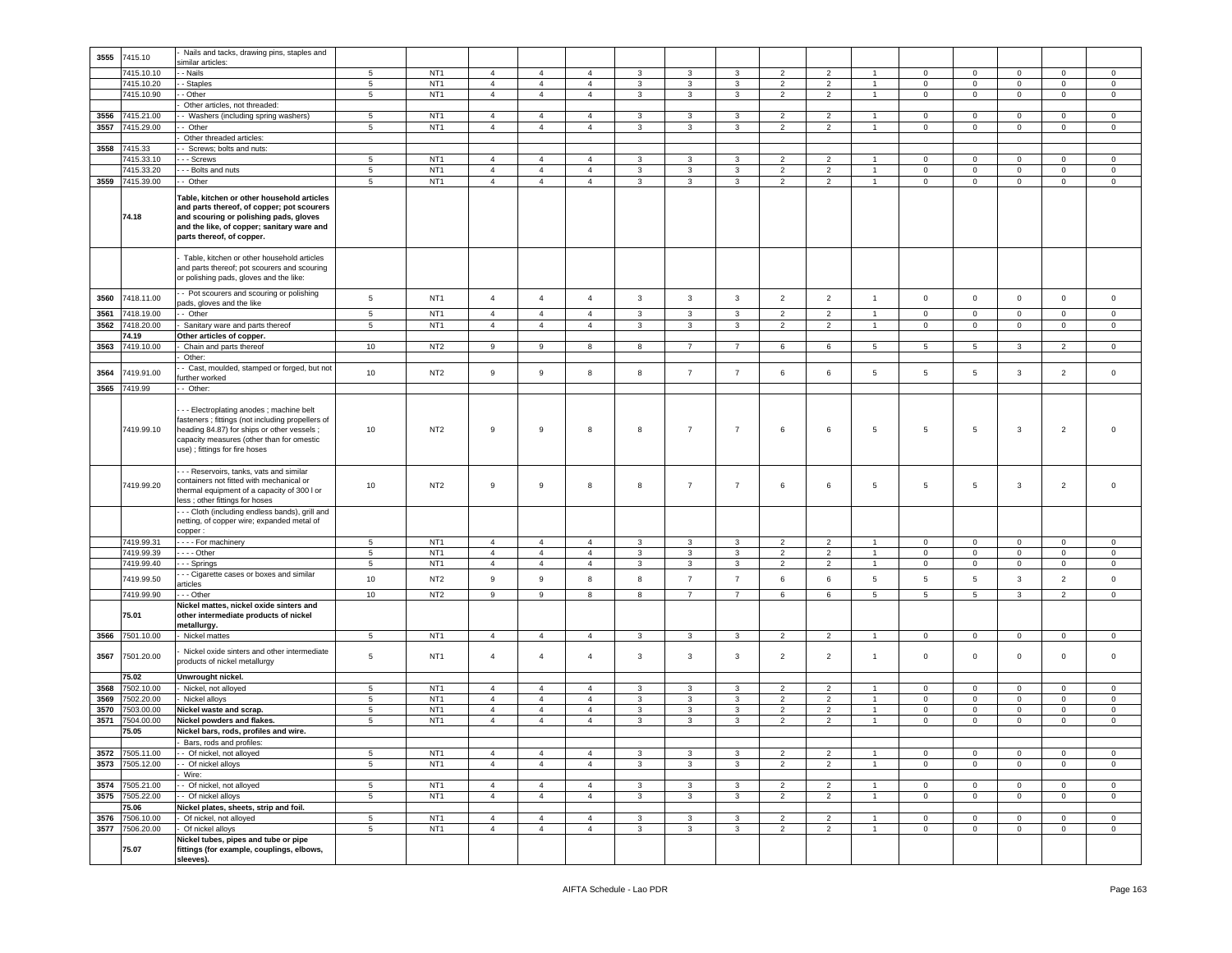|              |                          | Nails and tacks, drawing pins, staples and                                                                                                                                                                                 |                      |                                    |                                  |                                  |                                  |                              |                |                |                                  |                                  |                |                            |                                    |                            |                            |                            |
|--------------|--------------------------|----------------------------------------------------------------------------------------------------------------------------------------------------------------------------------------------------------------------------|----------------------|------------------------------------|----------------------------------|----------------------------------|----------------------------------|------------------------------|----------------|----------------|----------------------------------|----------------------------------|----------------|----------------------------|------------------------------------|----------------------------|----------------------------|----------------------------|
| 3555         | 7415.10                  | similar articles:                                                                                                                                                                                                          |                      |                                    |                                  |                                  |                                  |                              |                |                |                                  |                                  |                |                            |                                    |                            |                            |                            |
|              | 7415.10.10               | - Nails                                                                                                                                                                                                                    | 5                    | NT <sub>1</sub>                    | $\overline{4}$                   | $\overline{4}$                   | $\overline{4}$                   | 3                            | 3              | $\mathbf{3}$   | $\overline{2}$                   | $\overline{2}$                   | $\overline{1}$ | $\mathbf 0$                | $\circ$                            | $\mathsf 0$                | $\mathbf 0$                | $\mathbf{0}$               |
|              | 7415.10.20               | - Staples                                                                                                                                                                                                                  | $5\phantom{.0}$      | NT <sub>1</sub>                    | $\overline{4}$                   | $\overline{4}$                   | $\overline{4}$                   | $\mathbf{3}$                 | 3              | 3              | $\overline{2}$                   | $\overline{2}$                   | $\mathbf{1}$   | $\mathbf 0$                | $\mathbf 0$                        | $\mathbf 0$                | $\mathbf 0$                | $\circ$                    |
|              | 7415.10.90               | - Other                                                                                                                                                                                                                    | $5\phantom{.0}$      | NT <sub>1</sub>                    | $\overline{4}$                   | $\overline{4}$                   | $\overline{4}$                   | $\mathbf{3}$                 | $\mathbf{3}$   | 3              | $\overline{2}$                   | $\overline{2}$                   | $\mathbf{1}$   | $\mathbf 0$                | $\overline{0}$                     | $\mathbf 0$                | $\mathbf{0}$               | $\circ$                    |
|              |                          | Other articles, not threaded:                                                                                                                                                                                              |                      |                                    |                                  |                                  |                                  |                              |                |                |                                  |                                  |                |                            |                                    |                            |                            |                            |
| 3556         | 7415.21.00               | - Washers (including spring washers)                                                                                                                                                                                       | 5                    | NT <sub>1</sub>                    | $\overline{4}$                   | $\overline{4}$                   | $\overline{4}$                   | 3                            | 3              | 3              | $\overline{2}$                   | $\overline{2}$                   | $\overline{1}$ | 0                          | $\mathbf 0$                        | $\mathbf 0$                | $\mathbf 0$                | $\mathbf 0$                |
| 3557         | 7415.29.00               | - Other                                                                                                                                                                                                                    | 5                    | NT <sub>1</sub>                    | $\overline{4}$                   | $\overline{4}$                   | $\overline{4}$                   | 3                            | 3              | 3              | $\overline{2}$                   | $\overline{2}$                   | $\mathbf{1}$   | $\mathbf{0}$               | $\circ$                            | $\mathbf 0$                | $\overline{0}$             | $\circ$                    |
| 3558         | 7415.33                  | Other threaded articles:<br>- Screws; bolts and nuts:                                                                                                                                                                      |                      |                                    |                                  |                                  |                                  |                              |                |                |                                  |                                  |                |                            |                                    |                            |                            |                            |
|              | 7415.33.10               | - - Screws                                                                                                                                                                                                                 | 5                    | NT <sub>1</sub>                    | $\overline{4}$                   | $\overline{4}$                   | $\overline{4}$                   | 3                            | 3              | 3              | $\overline{2}$                   | $\overline{2}$                   | -1             | $\mathbf{0}$               | $\mathbf{0}$                       | $\mathbf 0$                | $\mathbf{0}$               | $\circ$                    |
|              | 7415.33.20               | - - Bolts and nuts                                                                                                                                                                                                         | $5\phantom{.0}$      | NT <sub>1</sub>                    | $\overline{4}$                   | $\overline{4}$                   | $\overline{4}$                   | 3                            | 3              | $\mathbf{3}$   | $\overline{2}$                   | $\overline{2}$                   | $\overline{1}$ | $\mathbf{0}$               | $\circ$                            | $\mathsf 0$                | $\circ$                    | $\mathbf 0$                |
| 3559         | 7415.39.00               | - Other                                                                                                                                                                                                                    | 5                    | NT <sub>1</sub>                    | $\overline{4}$                   | $\overline{4}$                   | $\overline{4}$                   | 3                            | 3              | $\mathbf{3}$   | $\overline{2}$                   | $\overline{2}$                   | $\overline{1}$ | $\mathbf 0$                | $\circ$                            | $\mathsf 0$                | $\mathbf 0$                | $\circ$                    |
|              | 74.18                    | Table, kitchen or other household articles<br>and parts thereof, of copper; pot scourers<br>and scouring or polishing pads, gloves<br>and the like, of copper; sanitary ware and<br>parts thereof, of copper.              |                      |                                    |                                  |                                  |                                  |                              |                |                |                                  |                                  |                |                            |                                    |                            |                            |                            |
|              |                          | Table, kitchen or other household articles<br>and parts thereof; pot scourers and scouring<br>or polishing pads, gloves and the like:                                                                                      |                      |                                    |                                  |                                  |                                  |                              |                |                |                                  |                                  |                |                            |                                    |                            |                            |                            |
| 3560         | 7418.11.00               | - Pot scourers and scouring or polishing<br>bads, gloves and the like                                                                                                                                                      | 5                    | NT <sub>1</sub>                    | $\overline{4}$                   | $\overline{4}$                   | $\overline{4}$                   | $\mathbf{3}$                 | $\mathbf{3}$   | $\mathbf{3}$   | $\overline{2}$                   | $\overline{2}$                   | $\mathbf{1}$   | $\mathbf 0$                | $\mathbf 0$                        | $\mathbf 0$                | $\mathbf 0$                | $\circ$                    |
| 3561         | 7418.19.00               | - Other                                                                                                                                                                                                                    | $5\phantom{.0}$      | NT <sub>1</sub>                    | $\overline{4}$                   | $\overline{4}$                   | $\overline{4}$                   | 3                            | 3              | 3              | $\overline{2}$                   | $\overline{2}$                   | $\overline{1}$ | $\mathbf 0$                | $\mathbf 0$                        | $\mathbf 0$                | $\mathbf 0$                | $\mathbf 0$                |
| 3562         | 7418.20.00               | Sanitary ware and parts thereof                                                                                                                                                                                            | 5                    | NT <sub>1</sub>                    | $\overline{4}$                   | $\overline{4}$                   | $\overline{4}$                   | $\mathbf{3}$                 | $\mathbf{3}$   | $\mathbf{3}$   | $\overline{2}$                   | $\overline{2}$                   | $\overline{1}$ | $\mathsf 0$                | $\mathbf 0$                        | $\mathsf 0$                | $\mathbf 0$                | $\mathsf 0$                |
| 3563         | 74.19<br>7419.10.00      | Other articles of copper.<br>Chain and parts thereof                                                                                                                                                                       | 10                   | NT <sub>2</sub>                    |                                  |                                  |                                  |                              | $\overline{7}$ |                |                                  |                                  |                |                            |                                    |                            |                            |                            |
|              |                          | Other:                                                                                                                                                                                                                     |                      |                                    | 9                                | 9                                | 8                                | 8                            |                | $\overline{7}$ | 6                                | 6                                | 5              | 5                          | 5                                  | 3                          | $\overline{2}$             | $\mathbf{0}$               |
|              |                          | Cast, moulded, stamped or forged, but not                                                                                                                                                                                  |                      |                                    |                                  |                                  |                                  |                              |                |                |                                  |                                  |                |                            |                                    |                            |                            |                            |
| 3564         | 7419.91.00               | urther worked                                                                                                                                                                                                              | 10                   | NT <sub>2</sub>                    | $\overline{9}$                   | $\mathsf g$                      | 8                                | 8                            | $\overline{7}$ | $\overline{7}$ | 6                                | 6                                | 5              | 5                          | 5                                  | $\mathbf{3}$               | $\overline{2}$             | $\circ$                    |
| 3565         | 7419.99                  | - Other:                                                                                                                                                                                                                   |                      |                                    |                                  |                                  |                                  |                              |                |                |                                  |                                  |                |                            |                                    |                            |                            |                            |
|              | 7419.99.10               | - - Electroplating anodes ; machine belt<br>fasteners ; fittings (not including propellers of<br>reading 84.87) for ships or other vessels;<br>capacity measures (other than for omestic<br>use) ; fittings for fire hoses | 10                   | NT <sub>2</sub>                    | $\overline{9}$                   | 9                                | 8                                | 8                            | $\overline{7}$ | $\overline{7}$ | 6                                | 6                                | $\overline{5}$ | $\overline{5}$             | $5\phantom{.0}$                    | $\mathbf{3}$               | $\overline{2}$             | $\mathbf 0$                |
|              | 7419.99.20               | - - Reservoirs, tanks, vats and similar<br>containers not fitted with mechanical or<br>thermal equipment of a capacity of 300 I or<br>less; other fittings for hoses                                                       | 10                   | NT <sub>2</sub>                    | $\overline{9}$                   | $\mathsf g$                      | 8                                | 8                            | $\overline{7}$ | $\overline{7}$ | 6                                | 6                                | 5              | $\overline{5}$             | 5                                  | 3                          | $\overline{2}$             | $\mathbf 0$                |
|              |                          | - - Cloth (including endless bands), grill and<br>netting, of copper wire; expanded metal of<br>copper:                                                                                                                    |                      |                                    |                                  |                                  |                                  |                              |                |                |                                  |                                  |                |                            |                                    |                            |                            |                            |
|              | 7419.99.31               | For machinery                                                                                                                                                                                                              | 5                    | NT <sub>1</sub>                    | $\overline{4}$                   | $\overline{4}$                   | $\overline{4}$                   | $\mathbf{3}$                 | $\mathbf{3}$   | 3              | $\overline{2}$                   | $\overline{2}$                   | $\overline{1}$ | $\overline{0}$             | $\overline{0}$                     | $\mathbf 0$                | $\overline{0}$             | $\mathsf 0$                |
|              | 7419.99.39               | - - - - Other                                                                                                                                                                                                              | $5\overline{5}$      | NT <sub>1</sub>                    | $\overline{4}$                   | $\overline{4}$                   | $\overline{4}$                   | 3                            | 3              | 3              | $\overline{2}$                   | $\overline{2}$                   | $\mathbf{1}$   | $\mathbf{0}$               | $\overline{0}$                     | $\mathbf 0$                | $\mathbf{0}$               | $\mathbf{0}$               |
|              | 7419.99.40               | -- Springs<br>- - Cigarette cases or boxes and similar                                                                                                                                                                     | $\overline{5}$       | NT <sub>1</sub>                    | $\overline{a}$                   | $\overline{4}$                   | $\overline{4}$                   | $\mathbf{3}$                 | 3              | $\mathbf{3}$   | $\overline{2}$                   | $\overline{2}$                   | $\overline{1}$ | $\mathbf 0$                | $\mathbf 0$                        | $\mathbf 0$                | $\mathsf 0$                | $\mathsf 0$                |
|              | 7419.99.50               | articles                                                                                                                                                                                                                   | 10                   | NT <sub>2</sub>                    | $\overline{9}$                   | 9                                | 8                                | 8                            | $\overline{7}$ | $\overline{7}$ | 6                                | 6                                | 5              | 5                          | 5                                  | $\mathbf{3}$               | $\overline{2}$             | $\mathbf 0$                |
|              | 7419.99.90               | - - Other                                                                                                                                                                                                                  | 10                   | NT <sub>2</sub>                    | 9                                | 9                                | 8                                | 8                            | $\overline{7}$ | $\overline{7}$ | 6                                | 6                                | 5              | 5                          | 5                                  | 3                          | $\overline{2}$             | $\mathbf 0$                |
|              | 75.01                    | Nickel mattes, nickel oxide sinters and<br>other intermediate products of nickel<br>metallurgy.                                                                                                                            |                      |                                    |                                  |                                  |                                  |                              |                |                |                                  |                                  |                |                            |                                    |                            |                            |                            |
| 3566         | 7501.10.00               | Nickel mattes                                                                                                                                                                                                              | $5\overline{5}$      | NT <sub>1</sub>                    | $\overline{4}$                   | $\overline{4}$                   | $\overline{4}$                   | $\mathbf{3}$                 | $\mathbf{3}$   | 3              | $\overline{2}$                   | $\overline{2}$                   | $\overline{1}$ | $\overline{0}$             | $\overline{0}$                     | $\mathbf 0$                | $\overline{0}$             | $\overline{0}$             |
| 3567         | 7501.20.00               | Nickel oxide sinters and other intermediate<br>products of nickel metallurgy                                                                                                                                               | 5                    | NT <sub>1</sub>                    | $\overline{a}$                   | $\overline{4}$                   | $\overline{4}$                   | $\mathbf{3}$                 | $\mathbf{3}$   | $\mathbf{3}$   | $\overline{2}$                   | $\overline{2}$                   | $\mathbf{1}$   | $\mathsf 0$                | $\mathsf 0$                        | $\mathbf 0$                | $\mathsf 0$                | $\mathbf 0$                |
|              | 75.02                    | Unwrought nickel.                                                                                                                                                                                                          |                      |                                    |                                  |                                  |                                  |                              |                |                |                                  |                                  |                |                            |                                    |                            |                            |                            |
| 3568         | 7502.10.00               | Nickel, not alloyed                                                                                                                                                                                                        | $5^{\circ}$          | NT <sub>1</sub>                    | $\overline{4}$                   | $\overline{4}$                   | $\overline{4}$                   | 3                            | 3              | 3              | $\overline{2}$                   | $\overline{2}$                   | $\overline{1}$ | $\mathbf 0$                | $\overline{0}$                     | $\mathbf 0$                | $\mathbf 0$                | $\circ$                    |
| 3569<br>3570 | 7502.20.00<br>7503.00.00 | Nickel alloys<br><b>Nickel waste and scrap.</b>                                                                                                                                                                            | $5\phantom{.0}$<br>5 | NT <sub>1</sub><br>NT <sub>1</sub> | $\overline{4}$<br>$\overline{4}$ | $\overline{4}$<br>$\overline{4}$ | $\overline{4}$<br>$\overline{4}$ | $\mathbf{3}$<br>$\mathbf{3}$ | 3<br>3         | 3<br>3         | $\overline{2}$<br>$\overline{2}$ | $\overline{2}$<br>$\overline{2}$ | -1<br>-1       | $\mathbf 0$<br>$\mathbf 0$ | $\mathsf{O}\xspace$<br>$\mathbf 0$ | $\mathbf 0$<br>$\mathbf 0$ | $\mathbf 0$<br>$\mathbf 0$ | $\mathsf 0$<br>$\mathbf 0$ |
| 3571         | 7504.00.00               | Nickel powders and flakes.                                                                                                                                                                                                 | $5\overline{5}$      | NT <sub>1</sub>                    | $\overline{4}$                   | $\overline{4}$                   | $\overline{4}$                   | 3                            | 3              | 3              | $\overline{2}$                   | $\overline{2}$                   | $\overline{1}$ | $\circ$                    | $\overline{0}$                     | $\mathbf 0$                | $\mathbf{0}$               | $\circ$                    |
|              | 75.05                    | Nickel bars, rods, profiles and wire.                                                                                                                                                                                      |                      |                                    |                                  |                                  |                                  |                              |                |                |                                  |                                  |                |                            |                                    |                            |                            |                            |
|              |                          | Bars, rods and profiles                                                                                                                                                                                                    |                      |                                    |                                  |                                  |                                  |                              |                |                |                                  |                                  |                |                            |                                    |                            |                            |                            |
| 3572         | 7505.11.00               | - Of nickel, not alloyed                                                                                                                                                                                                   | 5                    | NT <sub>1</sub>                    | $\overline{4}$                   | $\overline{4}$                   | $\overline{4}$                   | 3                            | 3              | 3              | $\overline{2}$                   | $\overline{2}$                   | $\overline{1}$ | $\mathbf 0$                | $\mathbf{O}$                       | $\mathbf 0$                | $\mathbf{0}$               | $\mathbf 0$                |
| 3573         | 7505.12.00               | - Of nickel alloys                                                                                                                                                                                                         | 5                    | NT <sub>1</sub>                    | $\overline{4}$                   | $\overline{4}$                   | $\overline{4}$                   | $\mathbf{3}$                 | 3              | $\mathbf{3}$   | $\overline{2}$                   | $\overline{2}$                   | $\overline{1}$ | $\mathbf 0$                | $\mathsf{O}\xspace$                | $\mathbf 0$                | $\mathbf 0$                | $\mathsf 0$                |
|              |                          | Wire:                                                                                                                                                                                                                      |                      |                                    |                                  |                                  |                                  |                              |                |                |                                  |                                  |                |                            |                                    |                            |                            |                            |
| 3574         | 7505.21.00               | - Of nickel, not alloyed                                                                                                                                                                                                   | 5                    | NT <sub>1</sub>                    | $\overline{4}$                   | $\overline{4}$                   | $\overline{4}$                   | $\mathbf{3}$                 | $\mathbf{3}$   | 3              | $\overline{2}$                   | $\overline{2}$                   | $\overline{1}$ | $\mathbf{0}$               | $\overline{0}$                     | $\mathbf 0$                | $\overline{0}$             | $\mathbf{0}$               |
| 3575         | 7505.22.00               | - Of nickel alloys                                                                                                                                                                                                         | 5                    | NT <sub>1</sub>                    | $\overline{4}$                   | $\overline{4}$                   | $\overline{4}$                   | $\mathbf{3}$                 | $\mathbf{3}$   | $\mathbf{3}$   | $\overline{2}$                   | $\overline{2}$                   | $\mathbf{1}$   | $\mathbf 0$                | $\mathbf 0$                        | $\mathsf 0$                | $\mathbf 0$                | $\mathsf{O}\xspace$        |
| 3576         | 75.06<br>7506.10.00      | Nickel plates, sheets, strip and foil.<br>Of nickel, not alloyed                                                                                                                                                           | 5                    | NT <sub>1</sub>                    | $\overline{4}$                   | $\overline{4}$                   | $\overline{4}$                   | 3                            | 3              | 3              | $\overline{2}$                   | $\overline{2}$                   | $\overline{1}$ | $\mathbf{0}$               | $\mathbf{0}$                       | $\mathbf 0$                | $\overline{0}$             | $\mathbf{0}$               |
| 3577         | 7506.20.00               | Of nickel alloys                                                                                                                                                                                                           | $\overline{5}$       | NT <sub>1</sub>                    | $\overline{4}$                   | $\overline{4}$                   | $\overline{4}$                   | $\mathbf{3}$                 | $\mathbf{3}$   | $\mathbf{3}$   | $\overline{2}$                   | $\overline{2}$                   | $\mathbf{1}$   | $\mathbf 0$                | $\mathbf 0$                        | $\mathbf 0$                | $\mathsf 0$                | $\mathsf{O}\xspace$        |
|              | 75.07                    | Nickel tubes, pipes and tube or pipe<br>fittings (for example, couplings, elbows,<br>sleeves).                                                                                                                             |                      |                                    |                                  |                                  |                                  |                              |                |                |                                  |                                  |                |                            |                                    |                            |                            |                            |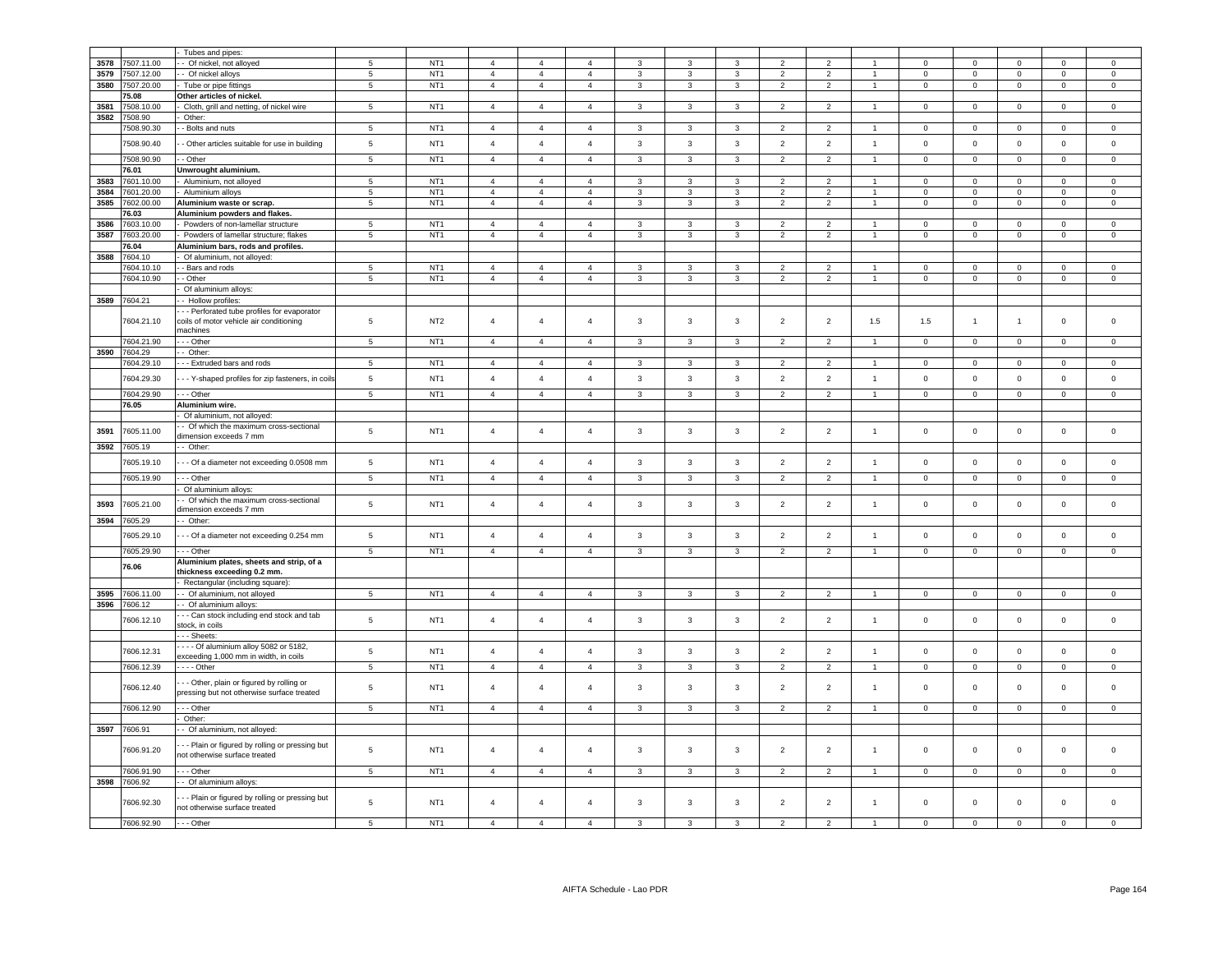|      |            | Tubes and pipes:                                                                        |                 |                 |                |                |                |                |                |                |                          |                         |                |                     |                |                |                     |                     |
|------|------------|-----------------------------------------------------------------------------------------|-----------------|-----------------|----------------|----------------|----------------|----------------|----------------|----------------|--------------------------|-------------------------|----------------|---------------------|----------------|----------------|---------------------|---------------------|
| 3578 | 7507.11.00 | Of nickel, not alloyed                                                                  | 5               | NT <sub>1</sub> | $\overline{4}$ | $\overline{4}$ | 4              | 3              | 3              | 3              | $\overline{2}$           | $\overline{2}$          |                | $\Omega$            | $\Omega$       | $\Omega$       | $\Omega$            | $\mathsf 0$         |
| 3579 | 507.12.00  | Of nickel alloys                                                                        | $5\phantom{.0}$ | NT <sub>1</sub> | $\overline{4}$ | $\overline{4}$ | $\overline{4}$ | 3              | 3              | $\mathbf{3}$   | $\overline{2}$           | $\overline{\mathbf{c}}$ | 1              | $\Omega$            | $\mathbf 0$    | $\mathbf 0$    | $\Omega$            | $\mathbf 0$         |
| 3580 | 7507.20.00 | Tube or pipe fittings                                                                   | $\overline{5}$  | NT <sub>1</sub> | $\overline{4}$ | $\overline{4}$ | $\overline{4}$ | $\mathbf{3}$   | 3              | $\mathbf{3}$   | $\overline{2}$           | $\overline{2}$          | $\mathbf{1}$   | $\mathbf 0$         | $\mathbf 0$    | $\overline{0}$ | $\mathsf 0$         | $\overline{0}$      |
|      | 5.08       | Other articles of nickel.                                                               |                 |                 |                |                |                |                |                |                |                          |                         |                |                     |                |                |                     |                     |
| 3581 | 7508.10.00 | Cloth, grill and netting, of nickel wire                                                | $5\phantom{.0}$ | NT <sub>1</sub> | $\overline{4}$ | $\overline{4}$ | $\overline{4}$ | 3              | 3              | 3              | $\overline{2}$           | $\overline{2}$          | $\mathbf{1}$   | $\mathsf 0$         | $\mathbf 0$    | $\mathsf 0$    | $\mathsf 0$         | $\mathsf 0$         |
| 3582 | 7508.90    | Other:                                                                                  |                 |                 |                |                |                |                |                |                |                          |                         |                |                     |                |                |                     |                     |
|      | 7508.90.30 | - Bolts and nuts                                                                        | 5               | NT <sub>1</sub> | $\overline{4}$ | $\overline{4}$ | $\overline{4}$ | 3              | 3              | 3              | $\overline{2}$           | $\overline{2}$          |                | $\mathbf 0$         | $\mathbf 0$    | $\mathbf 0$    | $\mathbf 0$         | $^{\circ}$          |
|      | 7508.90.40 | - Other articles suitable for use in building                                           | $5\phantom{.0}$ | NT <sub>1</sub> | $\overline{4}$ | $\overline{4}$ | $\overline{4}$ | $\mathbf{3}$   | 3              | 3              | $\overline{2}$           | $\overline{2}$          | $\overline{1}$ | $\mathbf 0$         | $\mathsf 0$    | $\mathsf 0$    | $\mathbf 0$         | $\mathsf 0$         |
|      |            |                                                                                         |                 |                 |                |                |                |                |                |                |                          |                         |                |                     |                |                |                     |                     |
|      | 7508.90.90 | - Other                                                                                 | $5\phantom{.0}$ | NT <sub>1</sub> | $\overline{4}$ | $\overline{4}$ | $\overline{4}$ | 3              | 3              | $\mathbf{3}$   | $\overline{2}$           | $\overline{2}$          | $\mathbf{1}$   | $\mathbf 0$         | $\overline{0}$ | $\mathbf{0}$   | $\mathbf 0$         | $^{\circ}$          |
|      | 76.01      | Unwrought aluminium.                                                                    |                 |                 |                |                |                |                |                |                |                          |                         |                |                     |                |                |                     |                     |
| 3583 | 7601.10.00 | Aluminium, not alloyed                                                                  | 5               | NT <sub>1</sub> | $\overline{4}$ | $\overline{4}$ | $\overline{4}$ | 3              | 3              | 3              | $\overline{2}$           | $\overline{2}$          |                | $\Omega$            | $\mathbf 0$    | $\mathbf 0$    | $\Omega$            | $\Omega$            |
| 3584 | 7601.20.00 | Aluminium alloys                                                                        | 5               | NT <sub>1</sub> | $\overline{4}$ | $\overline{4}$ | $\overline{4}$ | 3              | 3              | $\mathbf{3}$   | $\overline{2}$           | $\overline{2}$          | $\overline{1}$ | $\Omega$            | $\mathbf 0$    | $\mathsf 0$    | $\Omega$            | $\Omega$            |
| 3585 | 7602.00.00 | Aluminium waste or scrap.                                                               | 5               | NT <sub>1</sub> | $\overline{4}$ | $\overline{4}$ | $\overline{4}$ | 3              | $\overline{3}$ | $\overline{3}$ | $\overline{2}$           | 2                       | $\overline{1}$ | $\mathbf 0$         | $\mathbf 0$    | $\mathbf 0$    | $\mathbf{0}$        | $\mathbf 0$         |
|      | 76.03      | Aluminium powders and flakes.                                                           |                 |                 |                |                |                |                |                |                |                          |                         |                |                     |                |                |                     |                     |
| 3586 | 7603.10.00 | Powders of non-lamellar structure                                                       | $\overline{5}$  | NT <sub>1</sub> | $\overline{a}$ | $\Delta$       | $\overline{a}$ | $\mathbf{R}$   | $\mathcal{R}$  | $\mathbf{3}$   | $\mathcal{P}$            | $\overline{2}$          | $\overline{1}$ | $\Omega$            | $\mathsf 0$    | $\mathbf 0$    | $\Omega$            | $\Omega$            |
| 3587 | 7603.20.00 | Powders of lamellar structure; flakes                                                   | $\overline{5}$  | NT <sub>1</sub> | $\overline{4}$ | $\overline{a}$ | $\mathbf{A}$   | 3              | 3              | $\mathbf{3}$   | $\mathcal{P}$            | $\overline{2}$          | $\overline{1}$ | $\Omega$            | $\mathsf 0$    | $\mathbf 0$    | $\Omega$            | $\mathsf{O}\xspace$ |
|      | 76.04      | Aluminium bars, rods and profiles.                                                      |                 |                 |                |                |                |                |                |                |                          |                         |                |                     |                |                |                     |                     |
| 3588 | 7604.10    | Of aluminium, not alloyed:                                                              |                 |                 |                |                |                |                |                |                |                          |                         |                |                     |                |                |                     |                     |
|      | 7604.10.10 | - Bars and rods                                                                         | 5               | NT <sub>1</sub> | $\overline{4}$ | $\overline{4}$ | $\overline{4}$ | 3              |                | 3              | $\overline{2}$           | $\overline{2}$          |                | 0                   | $\mathbf 0$    | $\mathbf 0$    | $\mathbf 0$         | $^{\circ}$          |
|      | 7604.10.90 | - Other                                                                                 | 5               | NT <sub>1</sub> | $\overline{4}$ | $\overline{4}$ | $\overline{4}$ | 3              | 3              | $\mathbf{3}$   | $\overline{2}$           | $\overline{2}$          | $\mathbf{1}$   | $\mathbf 0$         | $\mathbf 0$    | $\mathsf 0$    | $\mathbf 0$         | $\mathsf{O}\xspace$ |
| 3589 | 7604.21    | Of aluminium alloys:<br>- Hollow profiles:                                              |                 |                 |                |                |                |                |                |                |                          |                         |                |                     |                |                |                     |                     |
|      |            | - - Perforated tube profiles for evaporator                                             |                 |                 |                |                |                |                |                |                |                          |                         |                |                     |                |                |                     |                     |
|      | 7604.21.10 | coils of motor vehicle air conditioning                                                 | 5               | NT <sub>2</sub> | $\overline{4}$ | $\overline{4}$ | $\overline{4}$ | 3              | 3              | $\mathbf{3}$   | $\overline{2}$           | $\overline{2}$          | 1.5            | 1.5                 | $\mathbf{1}$   | $\overline{1}$ | $\mathbf 0$         | $\mathsf 0$         |
|      |            | nachines                                                                                |                 |                 |                |                |                |                |                |                |                          |                         |                |                     |                |                |                     |                     |
|      | 604.21.90  | - - Other                                                                               | $5\phantom{.0}$ | NT <sub>1</sub> | $\overline{4}$ | $\overline{4}$ | $\overline{4}$ | 3              | 3              | 3              | $\overline{2}$           | $\overline{2}$          | $\overline{1}$ | $\mathbf 0$         | $\mathsf 0$    | $\mathbf 0$    | $\mathbf 0$         | $^{\circ}$          |
| 3590 | 7604.29    | Other:                                                                                  |                 |                 |                |                |                |                |                |                |                          |                         |                |                     |                |                |                     |                     |
|      | 604.29.10  | - - Extruded bars and rods                                                              | $\,$ 5 $\,$     | NT <sub>1</sub> | $\overline{4}$ | $\overline{4}$ |                | 3              | 3              | $\mathbf{3}$   | $\overline{\phantom{a}}$ | $\overline{z}$          |                | $\Omega$            | $\mathsf 0$    | $\mathbf 0$    | $\Omega$            | $\Omega$            |
|      | 7604.29.30 |                                                                                         | $\sqrt{5}$      | NT <sub>1</sub> |                | $\overline{4}$ | $\overline{4}$ | $\mathbf{3}$   |                | $\mathbf{3}$   |                          |                         | $\overline{1}$ |                     |                | $\mathbf 0$    |                     |                     |
|      |            | - - Y-shaped profiles for zip fasteners, in coils                                       |                 |                 | $\overline{4}$ |                |                |                | 3              |                | $\overline{2}$           | $\overline{2}$          |                | $\mathsf 0$         | $\mathsf 0$    |                | $\mathsf 0$         | $\mathsf 0$         |
|      | 7604.29.90 | - - Other                                                                               | 5               | NT <sub>1</sub> | $\overline{4}$ | $\overline{4}$ | $\overline{4}$ | 3              | $\mathbf{3}$   | $\overline{3}$ | $\overline{2}$           | 2                       | $\overline{1}$ | $\mathbf 0$         | $\mathsf 0$    | $\mathbf 0$    | $\mathsf{O}\xspace$ | $\mathbf 0$         |
|      | 76.05      | Aluminium wire.                                                                         |                 |                 |                |                |                |                |                |                |                          |                         |                |                     |                |                |                     |                     |
|      |            | Of aluminium, not alloyed:                                                              |                 |                 |                |                |                |                |                |                |                          |                         |                |                     |                |                |                     |                     |
| 3591 | 7605.11.00 | Of which the maximum cross-sectional                                                    | $\sqrt{5}$      | NT <sub>1</sub> | $\overline{4}$ | $\overline{4}$ | $\overline{4}$ | $\mathbf{3}$   | $\mathbf{3}$   | $\mathbf{3}$   | $\overline{2}$           | $\overline{2}$          | $\overline{1}$ | $\mathsf 0$         | $\mathbf 0$    | $\mathsf 0$    | $\mathsf 0$         | $\mathsf{O}\xspace$ |
|      |            | limension exceeds 7 mm                                                                  |                 |                 |                |                |                |                |                |                |                          |                         |                |                     |                |                |                     |                     |
| 3592 | 605.19     | Other:                                                                                  |                 |                 |                |                |                |                |                |                |                          |                         |                |                     |                |                |                     |                     |
|      | 7605.19.10 | - - Of a diameter not exceeding 0.0508 mm                                               | $\,$ 5 $\,$     | NT <sub>1</sub> | $\overline{4}$ | $\overline{4}$ | $\overline{4}$ | $\mathbf{3}$   | $\mathbf{3}$   | $\mathbf{3}$   | $\overline{2}$           | $\sqrt{2}$              | $\overline{1}$ | $\mathsf 0$         | $\mathbf 0$    | $\mathbf 0$    | $\mathbf 0$         | $\mathsf 0$         |
|      | 7605.19.90 | - - Other                                                                               | 5               | NT <sub>1</sub> | $\overline{4}$ | $\overline{4}$ | $\overline{4}$ | 3              | $\mathbf{3}$   | $\mathbf{3}$   | $\overline{2}$           | $\overline{2}$          | $\overline{1}$ | $\mathbf 0$         | $\mathsf 0$    | $\mathbf 0$    | $\mathsf 0$         | $^{\circ}$          |
|      |            | Of aluminium alloys:                                                                    |                 |                 |                |                |                |                |                |                |                          |                         |                |                     |                |                |                     |                     |
|      |            | Of which the maximum cross-sectional                                                    |                 |                 |                |                |                |                |                |                |                          |                         |                |                     |                |                |                     |                     |
| 3593 | 605.21.00  | dimension exceeds 7 mm                                                                  | $\,$ 5 $\,$     | NT <sub>1</sub> | $\overline{4}$ | $\overline{4}$ | $\overline{4}$ | $\mathbf{3}$   | $\mathbf{3}$   | $\mathbf{3}$   | $\overline{2}$           | $\sqrt{2}$              | $\overline{1}$ | 0                   | $\mathsf 0$    | $\mathsf 0$    | $\mathsf 0$         | $\mathsf{O}\xspace$ |
| 3594 | 7605.29    | - Other:                                                                                |                 |                 |                |                |                |                |                |                |                          |                         |                |                     |                |                |                     |                     |
|      |            |                                                                                         |                 |                 |                |                |                |                |                |                |                          |                         |                |                     |                |                |                     |                     |
|      | 7605.29.10 | - - Of a diameter not exceeding 0.254 mm                                                | 5               | NT <sub>1</sub> | $\overline{4}$ | $\overline{4}$ | $\overline{4}$ | 3              | 3              | 3              | $\overline{2}$           | $\overline{2}$          | $\overline{1}$ | $\mathbf 0$         | $\mathsf 0$    | $\mathsf 0$    | $\mathbf 0$         | $\mathsf 0$         |
|      | 7605.29.90 | - - Other                                                                               | $\overline{5}$  | NT <sub>1</sub> | $\overline{4}$ | $\overline{4}$ | $\overline{4}$ | $\overline{3}$ | 3              | $\overline{3}$ | $\overline{2}$           | $\overline{2}$          | $\overline{1}$ | $\mathbf 0$         | $\overline{0}$ | $\overline{0}$ | $\mathbf 0$         | $\mathsf 0$         |
|      | 76.06      | Aluminium plates, sheets and strip, of a                                                |                 |                 |                |                |                |                |                |                |                          |                         |                |                     |                |                |                     |                     |
|      |            | thickness exceeding 0.2 mm.                                                             |                 |                 |                |                |                |                |                |                |                          |                         |                |                     |                |                |                     |                     |
|      |            | Rectangular (including square):                                                         |                 |                 |                |                |                |                |                |                |                          |                         |                |                     |                |                |                     |                     |
| 3595 | 7606.11.00 | - Of aluminium, not alloyed                                                             | 5               | NT <sub>1</sub> | $\overline{4}$ | $\overline{4}$ | $\overline{4}$ | 3              | 3              | $\mathbf{3}$   | $\overline{2}$           | $\overline{2}$          | $\overline{1}$ | $\Omega$            | $\mathbf 0$    | $\mathbf 0$    | $\Omega$            | $\mathsf 0$         |
| 3596 | 7606.12    | - Of aluminium alloys:<br>- - Can stock including end stock and tab                     |                 |                 |                |                |                |                |                |                |                          |                         |                |                     |                |                |                     |                     |
|      | 606.12.10  | stock, in coils                                                                         | 5               | NT <sub>1</sub> | $\overline{4}$ | $\overline{4}$ | $\overline{4}$ | 3              | 3              | $\mathbf{3}$   | $\overline{2}$           | $\overline{2}$          | $\overline{1}$ | $\mathbf 0$         | $\mathbf 0$    | $\mathbf 0$    | $\mathbf 0$         | $\mathsf 0$         |
|      |            | - - - Sheets:                                                                           |                 |                 |                |                |                |                |                |                |                          |                         |                |                     |                |                |                     |                     |
|      |            | - - - Of aluminium alloy 5082 or 5182,                                                  |                 |                 |                |                |                |                |                |                |                          |                         |                |                     |                |                |                     |                     |
|      | 7606.12.31 | exceeding 1,000 mm in width, in coils                                                   | $\sqrt{5}$      | NT <sub>1</sub> | $\overline{4}$ | $\overline{4}$ | $\overline{4}$ | $\mathbf{3}$   | $\mathbf{3}$   | $\mathbf{3}$   | $\overline{2}$           | $\overline{2}$          | $\overline{1}$ | $\mathbf 0$         | $\mathbf 0$    | $\mathbf 0$    | $\mathbf 0$         | $\mathsf{O}\xspace$ |
|      | 7606.12.39 | - - - - Other                                                                           | $\overline{5}$  | NT <sub>1</sub> | $\overline{4}$ | $\overline{4}$ | $\overline{4}$ | $\overline{3}$ | $\overline{3}$ | $\mathbf{3}$   | 2                        | $\overline{2}$          | $\overline{1}$ | $\Omega$            | $\mathbf 0$    | $\mathbf 0$    | $\mathbf{0}$        | $\mathsf 0$         |
|      |            |                                                                                         |                 |                 |                |                |                |                |                |                |                          |                         |                |                     |                |                |                     |                     |
|      | 7606.12.40 | - - Other, plain or figured by rolling or<br>pressing but not otherwise surface treated | $5\phantom{.0}$ | NT <sub>1</sub> | $\overline{4}$ | $\overline{4}$ | $\overline{4}$ | 3              | 3              | $\mathbf{3}$   | $\overline{2}$           | $\overline{2}$          | $\mathbf{1}$   | $\Omega$            | $\mathbf 0$    | $\mathbf 0$    | $\Omega$            | $\Omega$            |
|      | 606.12.90  | - - Other                                                                               | 5               | NT <sub>1</sub> | $\overline{a}$ | $\Delta$       | $\overline{a}$ | $\mathbf{3}$   | $\mathbf{3}$   | $\mathbf{a}$   | $\mathcal{P}$            | $\overline{2}$          |                | $\Omega$            | $\mathbf 0$    | $\Omega$       | $\Omega$            |                     |
|      |            | Other:                                                                                  |                 |                 |                |                |                |                |                |                |                          |                         |                |                     |                |                |                     |                     |
| 3597 | 7606.91    | - Of aluminium, not alloyed:                                                            |                 |                 |                |                |                |                |                |                |                          |                         |                |                     |                |                |                     |                     |
|      | 7606.91.20 | - - Plain or figured by rolling or pressing but<br>not otherwise surface treated        | $\sqrt{5}$      | NT <sub>1</sub> | $\overline{4}$ | $\overline{4}$ | $\overline{4}$ | 3              | 3              | $\mathbf{3}$   | $\overline{2}$           | $\sqrt{2}$              | $\overline{1}$ | $\Omega$            | $\mathsf 0$    | $\mathbf 0$    | $\mathbf 0$         | $\Omega$            |
|      | 7606.91.90 | - - - Other                                                                             | 5               | NT <sub>1</sub> | $\overline{4}$ | $\overline{4}$ | $\overline{4}$ | 3              | 3              | $\mathbf{3}$   | $\overline{2}$           | $\overline{2}$          |                | $\Omega$            | $\mathsf 0$    | $\Omega$       | $\Omega$            | $\Omega$            |
| 3598 | 7606.92    | - Of aluminium alloys:                                                                  |                 |                 |                |                |                |                |                |                |                          |                         |                |                     |                |                |                     |                     |
|      | 7606.92.30 | - - Plain or figured by rolling or pressing but<br>not otherwise surface treated        | 5               | NT <sub>1</sub> | $\overline{4}$ | $\overline{4}$ | $\overline{4}$ | 3              | 3              | $\mathbf{3}$   | $\overline{2}$           | $\overline{2}$          | $\overline{1}$ | $\mathsf{O}\xspace$ | $\mathsf 0$    | $\mathbf 0$    | $\Omega$            | $\Omega$            |
|      | 7606.92.90 | --- Other                                                                               | 5               | NT <sub>1</sub> | $\overline{4}$ | $\Delta$       | $\overline{a}$ |                |                | $\mathbf{3}$   |                          | $\mathcal{P}$           |                | $\Omega$            | $\Omega$       | $\Omega$       | $\Omega$            | $\Omega$            |
|      |            |                                                                                         |                 |                 |                |                |                |                |                |                |                          |                         |                |                     |                |                |                     |                     |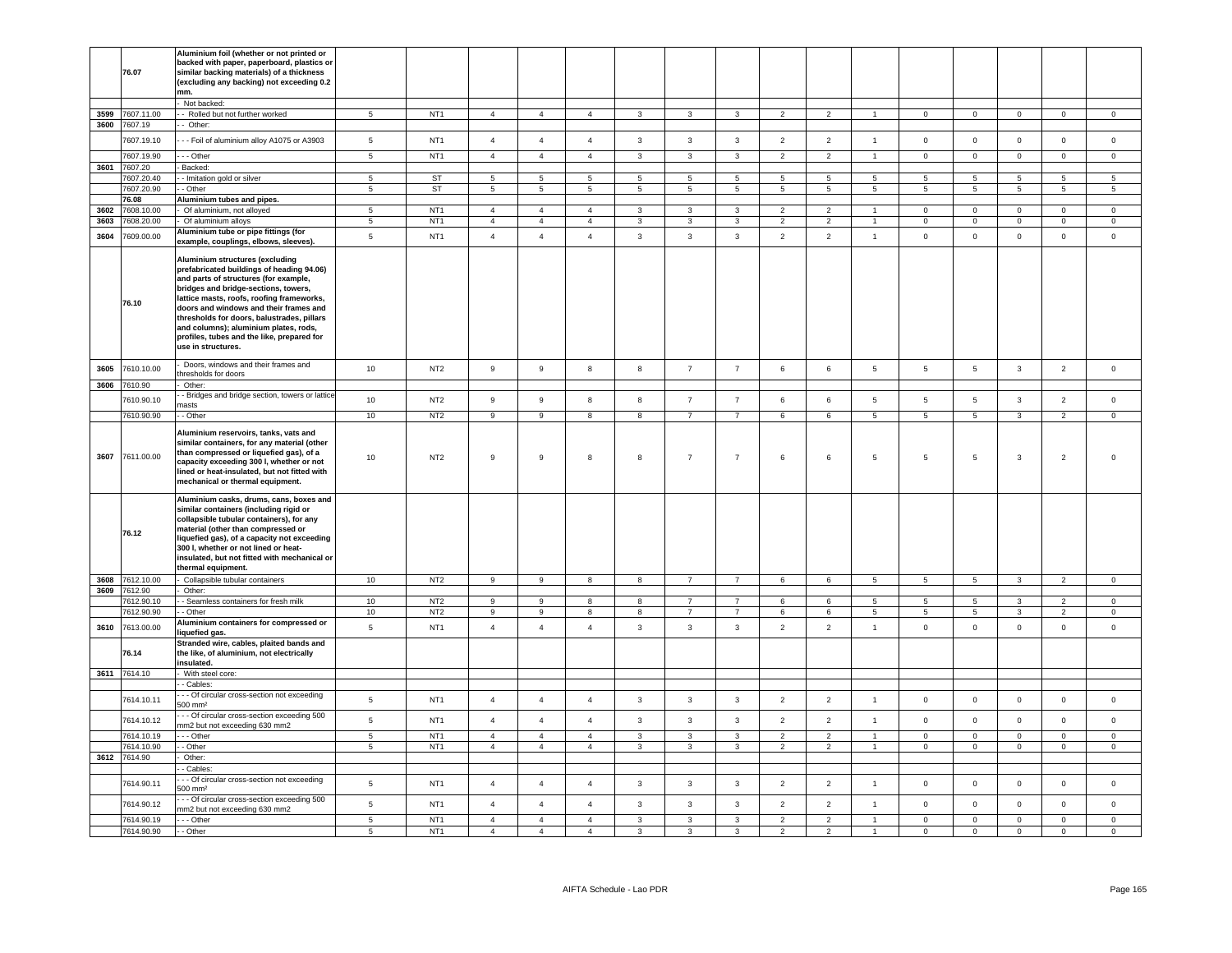|              | 76.07                    | Aluminium foil (whether or not printed or<br>backed with paper, paperboard, plastics or<br>similar backing materials) of a thickness<br>(excluding any backing) not exceeding 0.2<br>mm.                                                                                                                                                                                                                        |                |                 |                  |                |                |              |                         |                 |                 |                |                      |                 |                 |                |                |                |
|--------------|--------------------------|-----------------------------------------------------------------------------------------------------------------------------------------------------------------------------------------------------------------------------------------------------------------------------------------------------------------------------------------------------------------------------------------------------------------|----------------|-----------------|------------------|----------------|----------------|--------------|-------------------------|-----------------|-----------------|----------------|----------------------|-----------------|-----------------|----------------|----------------|----------------|
|              |                          | - Not backed:                                                                                                                                                                                                                                                                                                                                                                                                   | $\overline{5}$ | NT <sub>1</sub> | $\overline{4}$   | $\overline{4}$ |                |              | $\overline{3}$          | $\mathbf{3}$    | $\overline{2}$  | $\overline{2}$ |                      |                 | $\overline{0}$  |                |                | $\overline{0}$ |
| 3599<br>3600 | 7607.11.00<br>7607.19    | - Rolled but not further worked<br>- Other:                                                                                                                                                                                                                                                                                                                                                                     |                |                 |                  |                | $\overline{4}$ | $\mathbf{3}$ |                         |                 |                 |                |                      | $\circ$         |                 | $\mathsf 0$    | $\mathbf 0$    |                |
|              | 7607.19.10               | - - Foil of aluminium alloy A1075 or A3903                                                                                                                                                                                                                                                                                                                                                                      | 5              | NT <sub>1</sub> | $\overline{4}$   | $\overline{4}$ | $\overline{4}$ | $\mathbf{3}$ | $\mathbf{3}$            | $\mathbf{3}$    | $\overline{2}$  | $\overline{2}$ | $\mathbf{1}$         | $\mathbf 0$     | $\mathbf 0$     | $\mathsf 0$    | $\mathbf{0}$   | $\mathsf 0$    |
|              | 7607.19.90               | --- Other                                                                                                                                                                                                                                                                                                                                                                                                       | 5              | NT <sub>1</sub> | $\overline{4}$   | $\overline{4}$ | $\overline{4}$ | $\mathbf{3}$ | $\mathbf{3}$            | $\mathbf{3}$    | $\overline{2}$  | $\overline{2}$ | $\overline{1}$       | $\circ$         | $\mathbf{0}$    | $\mathbf 0$    | $\mathbf{0}$   | $\overline{0}$ |
| 3601         | 7607.20                  | Backed:                                                                                                                                                                                                                                                                                                                                                                                                         |                |                 |                  |                |                |              |                         |                 |                 |                |                      |                 |                 |                |                |                |
|              | 7607.20.40               | - Imitation gold or silver                                                                                                                                                                                                                                                                                                                                                                                      | 5              | <b>ST</b>       | 5                | 5              | 5              | 5            | 5                       | 5               | 5               | 5              | 5                    | 5               | $\overline{5}$  | 5              | 5              | 5              |
|              | 7607.20.90               | - Other                                                                                                                                                                                                                                                                                                                                                                                                         | 5              | <b>ST</b>       | 5                | 5              | 5              | 5            | 5                       | 5               | 5               | 5              | 5                    | 5               | $5\overline{5}$ | 5              | 5              | 5              |
|              | 76.08                    | Aluminium tubes and pipes.                                                                                                                                                                                                                                                                                                                                                                                      |                |                 |                  |                |                |              |                         |                 |                 |                |                      |                 |                 |                |                |                |
| 3602         | 608.10.00                | Of aluminium, not alloyed                                                                                                                                                                                                                                                                                                                                                                                       | 5 <sup>1</sup> | NT <sub>1</sub> | $\overline{4}$   | $\overline{4}$ | $\mathbf{A}$   | $\mathbf{R}$ | $\mathbf{B}$            | $\mathbf{R}$    | $\mathcal{D}$   | $\mathcal{D}$  | $\blacktriangleleft$ | $\Omega$        | $\overline{0}$  | $\Omega$       | $\Omega$       | $\Omega$       |
| 3603         | 7608.20.00               | Of aluminium alloys                                                                                                                                                                                                                                                                                                                                                                                             | $\overline{5}$ | NT <sub>1</sub> | $\overline{4}$   | $\overline{4}$ | $\overline{4}$ | $\mathbf{3}$ | $\overline{\mathbf{3}}$ | $\overline{3}$  | $\overline{2}$  | $\overline{2}$ | $\overline{1}$       | $\overline{0}$  | $\overline{0}$  | $\overline{0}$ | $\Omega$       | $\mathsf 0$    |
| 3604         | 7609.00.00               | Aluminium tube or pipe fittings (for<br>example, couplings, elbows, sleeves).                                                                                                                                                                                                                                                                                                                                   | $\,$ 5 $\,$    | NT <sub>1</sub> | $\overline{4}$   | $\overline{4}$ | $\overline{4}$ | $\mathbf{3}$ | $\mathbf{3}$            | $\mathbf{3}$    | $\overline{2}$  | $\overline{2}$ | $\overline{1}$       | $\mathsf 0$     | $\mathbf 0$     | $\mathbf 0$    | $\mathbf{0}$   | $\mathsf 0$    |
|              | 76.10                    | Aluminium structures (excluding<br>prefabricated buildings of heading 94.06)<br>and parts of structures (for example,<br>bridges and bridge-sections, towers,<br>lattice masts, roofs, roofing frameworks,<br>doors and windows and their frames and<br>thresholds for doors, balustrades, pillars<br>and columns); aluminium plates, rods,<br>profiles, tubes and the like, prepared for<br>use in structures. |                |                 |                  |                |                |              |                         |                 |                 |                |                      |                 |                 |                |                |                |
| 3605         | 7610.10.00               | Doors, windows and their frames and<br>hresholds for doors                                                                                                                                                                                                                                                                                                                                                      | 10             | NT <sub>2</sub> | $\,9$            | $\mathsf g$    | 8              | 8            | $\overline{7}$          | $\overline{7}$  | 6               | 6              | $5\phantom{.0}$      | 5               | 5               | $\mathbf{3}$   | $\overline{2}$ | $\mathsf 0$    |
| 3606         | 7610.90                  | Other:                                                                                                                                                                                                                                                                                                                                                                                                          |                |                 |                  |                |                |              |                         |                 |                 |                |                      |                 |                 |                |                |                |
|              | 7610.90.10               | Bridges and bridge section, towers or lattice                                                                                                                                                                                                                                                                                                                                                                   | 10             | NT <sub>2</sub> | $\boldsymbol{9}$ | $\mathsf g$    | 8              | 8            | $\overline{7}$          | $\overline{7}$  | 6               | 6              | $\sqrt{5}$           | $\sqrt{5}$      | $5\phantom{.0}$ | $\mathbf{3}$   | $\overline{2}$ | $\mathsf 0$    |
|              |                          | nasts                                                                                                                                                                                                                                                                                                                                                                                                           |                |                 |                  |                |                |              |                         |                 |                 |                |                      |                 |                 |                |                |                |
|              | 7610.90.90               | - Other                                                                                                                                                                                                                                                                                                                                                                                                         | 10             | NT <sub>2</sub> | 9                | 9              | 8              | 8            | $\overline{7}$          | $\overline{7}$  | 6               | 6              | $5\phantom{.0}$      | $5\phantom{.0}$ | $5\phantom{.0}$ | $\mathbf{3}$   | $\overline{2}$ | $\mathsf 0$    |
| 3607         | 7611.00.00               | Aluminium reservoirs, tanks, vats and<br>similar containers, for any material (other<br>than compressed or liquefied gas), of a<br>capacity exceeding 300 l, whether or not<br>lined or heat-insulated, but not fitted with<br>mechanical or thermal equipment.                                                                                                                                                 | 10             | NT <sub>2</sub> | 9                | 9              | 8              | 8            | $\overline{7}$          | $\overline{7}$  | 6               | 6              | -5                   | $\sqrt{5}$      | 5               | $\mathbf{3}$   | $\overline{2}$ | $\Omega$       |
|              | 76.12<br>3608 7612.10.00 | Aluminium casks, drums, cans, boxes and<br>similar containers (including rigid or<br>collapsible tubular containers), for any<br>material (other than compressed or<br>liquefied gas), of a capacity not exceeding<br>300 I, whether or not lined or heat-<br>insulated, but not fitted with mechanical or<br>thermal equipment.                                                                                |                |                 | 9                |                |                |              | $\overline{7}$          |                 |                 |                |                      |                 |                 |                | 2              |                |
|              | 3609 7612.90             | Collapsible tubular containers                                                                                                                                                                                                                                                                                                                                                                                  | 10             | NT <sub>2</sub> |                  | 9              | 8              | 8            |                         | $7\overline{ }$ | 6               | 6              | 5 <sub>5</sub>       | $5\overline{5}$ | $5\overline{5}$ | $\mathbf{3}$   |                | $\circ$        |
|              | 7612.90.10               | Other:<br>- - Seamless containers for fresh milk                                                                                                                                                                                                                                                                                                                                                                | 10             | NT <sub>2</sub> | 9                | 9              | 8              | 8            | $\overline{7}$          | $\overline{7}$  | $6\phantom{.0}$ | 6              | 5                    | 5               | $5\phantom{.0}$ | $\mathbf{3}$   | $\overline{2}$ | $\mathsf 0$    |
|              | 7612.90.90               | - - Other                                                                                                                                                                                                                                                                                                                                                                                                       | 10             | NT <sub>2</sub> | 9                | 9              | 8              | 8            | $\overline{7}$          | $\overline{7}$  | 6               | 6              | 5                    | $5\overline{5}$ | $5\overline{5}$ | 3              | $\overline{2}$ | $\mathbf 0$    |
| 3610         | 7613.00.00               | Aluminium containers for compressed or<br>liquefied gas.                                                                                                                                                                                                                                                                                                                                                        | 5              | NT <sub>1</sub> | $\overline{4}$   | $\overline{4}$ | $\overline{4}$ | $\mathbf{3}$ | $\overline{3}$          | $\mathbf{3}$    | $\overline{2}$  | $\overline{2}$ | $\mathbf{1}$         | $\mathbf 0$     | $\circ$         | $\mathsf 0$    | $\mathbf 0$    | $\mathbf 0$    |
|              | 76.14                    | Stranded wire, cables, plaited bands and<br>the like, of aluminium, not electrically<br>insulated.                                                                                                                                                                                                                                                                                                              |                |                 |                  |                |                |              |                         |                 |                 |                |                      |                 |                 |                |                |                |
|              | 3611 7614.10             | With steel core:                                                                                                                                                                                                                                                                                                                                                                                                |                |                 |                  |                |                |              |                         |                 |                 |                |                      |                 |                 |                |                |                |
|              |                          | Cables:                                                                                                                                                                                                                                                                                                                                                                                                         |                |                 |                  |                |                |              |                         |                 |                 |                |                      |                 |                 |                |                |                |
|              | 7614.10.11               | - Of circular cross-section not exceeding<br>500 mm <sup>2</sup>                                                                                                                                                                                                                                                                                                                                                | 5              | NT <sub>1</sub> | $\overline{4}$   | $\overline{4}$ | $\overline{4}$ | $\mathbf{3}$ | $\overline{3}$          | 3               | $\overline{2}$  | $\overline{2}$ | $\mathbf{1}$         | $\mathbf 0$     | $\mathbf 0$     | $\mathbf 0$    | $\mathbf 0$    | $\circ$        |
|              | 7614.10.12               | - - Of circular cross-section exceeding 500<br>nm2 but not exceeding 630 mm2                                                                                                                                                                                                                                                                                                                                    | 5              | NT <sub>1</sub> | $\overline{4}$   | $\overline{4}$ | $\overline{4}$ | 3            | $\mathbf{3}$            | 3               | $\overline{2}$  | $\overline{2}$ | $\mathbf{1}$         | $\circ$         | $\mathbf 0$     | $\mathbf 0$    | $\mathbf 0$    | $\mathbf 0$    |
|              | 7614.10.19               | - - Other                                                                                                                                                                                                                                                                                                                                                                                                       | $\,$ 5 $\,$    | NT <sub>1</sub> | $\overline{4}$   | $\overline{4}$ | $\overline{4}$ | $\mathbf{3}$ | $\overline{3}$          | $\overline{3}$  | $\overline{2}$  | 2              | $\blacktriangleleft$ | $\,0\,$         | $\mathbf 0$     | $\mathbf 0$    | $\mathbf 0$    | $\mathsf 0$    |
|              | 7614.10.90               | - Other                                                                                                                                                                                                                                                                                                                                                                                                         | $\sqrt{5}$     | NT <sub>1</sub> | $\overline{4}$   | $\overline{4}$ | $\overline{4}$ | $\mathbf{3}$ | 3                       | 3               | $\overline{2}$  | $\overline{2}$ | $\blacktriangleleft$ | $\mathsf 0$     | $\mathbf 0$     | $\mathbf 0$    | $\mathsf 0$    | $\overline{0}$ |
|              | 3612 7614.90             | Other:                                                                                                                                                                                                                                                                                                                                                                                                          |                |                 |                  |                |                |              |                         |                 |                 |                |                      |                 |                 |                |                |                |
|              |                          | - Cables                                                                                                                                                                                                                                                                                                                                                                                                        |                |                 |                  |                |                |              |                         |                 |                 |                |                      |                 |                 |                |                |                |
|              | 7614.90.11               | - - Of circular cross-section not exceeding<br>500 mm <sup>2</sup>                                                                                                                                                                                                                                                                                                                                              | 5              | NT <sub>1</sub> | $\overline{4}$   | $\overline{4}$ | $\overline{4}$ | 3            | $\mathbf{3}$            | 3               | $\overline{2}$  | $\overline{2}$ | $\overline{1}$       | $\circ$         | $\mathbf 0$     | $\mathsf 0$    | $\mathbf 0$    | $\mathbf 0$    |
|              | 7614.90.12               | - - Of circular cross-section exceeding 500<br>nm2 but not exceeding 630 mm2                                                                                                                                                                                                                                                                                                                                    | $5^{\circ}$    | NT <sub>1</sub> | $\overline{4}$   | $\overline{4}$ | $\overline{4}$ | $\mathbf{3}$ | $\mathbf{3}$            | $\mathbf{3}$    | $\overline{2}$  | $\sqrt{2}$     | $\overline{1}$       | $\,0\,$         | $\mathbf 0$     | $\mathbf 0$    | $\mathbf{0}$   | $\mathbf 0$    |
|              | 7614.90.19               | - - Other                                                                                                                                                                                                                                                                                                                                                                                                       | 5              | NT <sub>1</sub> | $\overline{4}$   | $\overline{4}$ | $\overline{4}$ | $\mathbf{3}$ | 3                       | $\overline{3}$  | $\overline{2}$  | $\overline{2}$ | $\overline{1}$       | $\mathbf{0}$    | $\mathbf 0$     | $\mathbf 0$    | $\mathsf 0$    | $\Omega$       |
|              | 7614.90.90               | - - Other                                                                                                                                                                                                                                                                                                                                                                                                       | $\overline{5}$ | NT <sub>1</sub> | $\overline{4}$   | $\overline{4}$ | $\overline{4}$ | $\mathbf{3}$ | 3                       | $\mathbf{3}$    | $\overline{2}$  | $\overline{2}$ | $\overline{1}$       | $\overline{0}$  | $\overline{0}$  | $\overline{0}$ | $\Omega$       | $\Omega$       |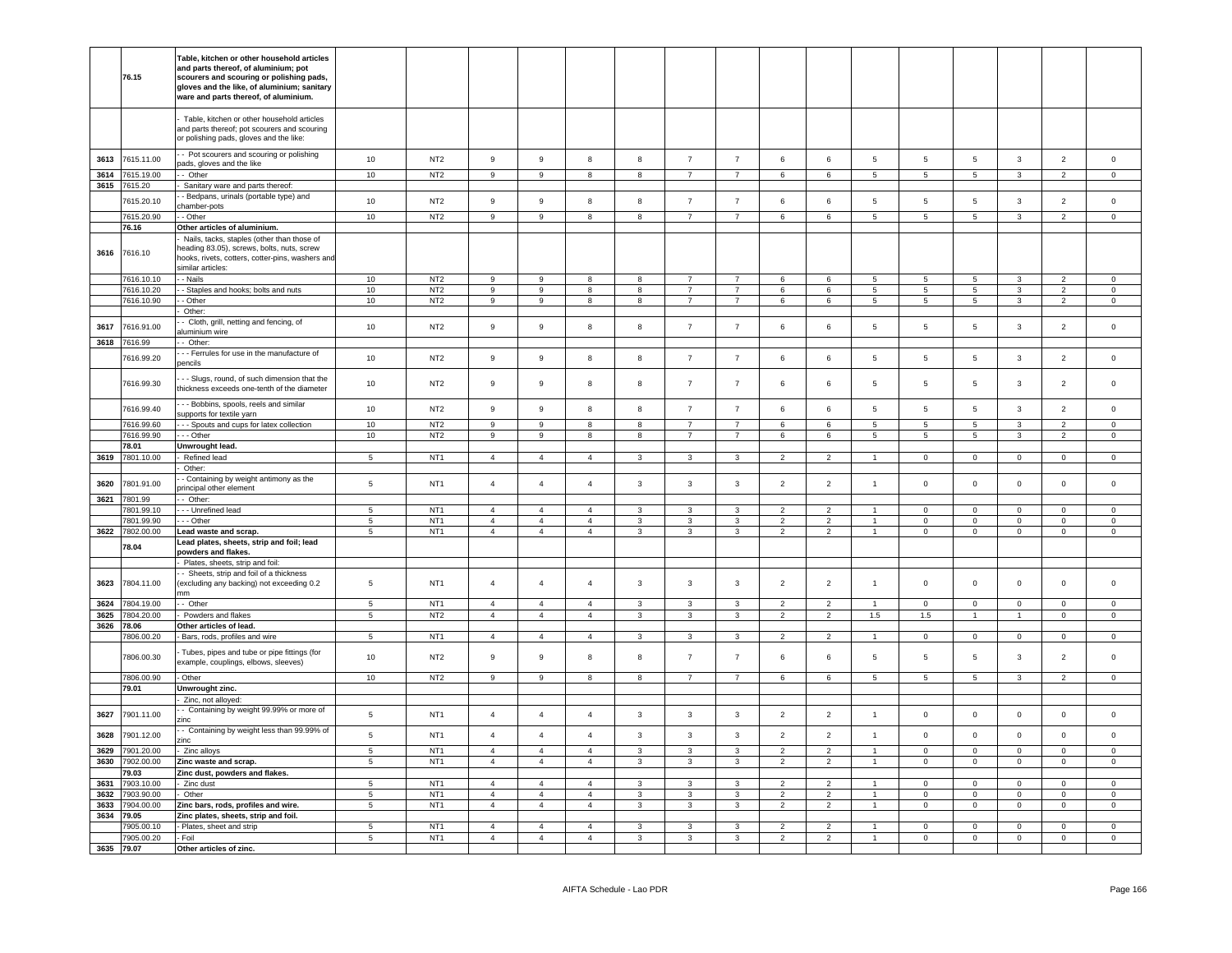|              |                               | Table, kitchen or other household articles                                              |                  |                                    |                                  |                                  |                                  |                   |                                  |                                  |                          |                                  |                                  |                            |                               |                                |                                 |                            |
|--------------|-------------------------------|-----------------------------------------------------------------------------------------|------------------|------------------------------------|----------------------------------|----------------------------------|----------------------------------|-------------------|----------------------------------|----------------------------------|--------------------------|----------------------------------|----------------------------------|----------------------------|-------------------------------|--------------------------------|---------------------------------|----------------------------|
|              |                               | and parts thereof, of aluminium; pot                                                    |                  |                                    |                                  |                                  |                                  |                   |                                  |                                  |                          |                                  |                                  |                            |                               |                                |                                 |                            |
|              | 76.15                         | scourers and scouring or polishing pads,<br>gloves and the like, of aluminium; sanitary |                  |                                    |                                  |                                  |                                  |                   |                                  |                                  |                          |                                  |                                  |                            |                               |                                |                                 |                            |
|              |                               | ware and parts thereof, of aluminium.                                                   |                  |                                    |                                  |                                  |                                  |                   |                                  |                                  |                          |                                  |                                  |                            |                               |                                |                                 |                            |
|              |                               |                                                                                         |                  |                                    |                                  |                                  |                                  |                   |                                  |                                  |                          |                                  |                                  |                            |                               |                                |                                 |                            |
|              |                               | Table, kitchen or other household articles                                              |                  |                                    |                                  |                                  |                                  |                   |                                  |                                  |                          |                                  |                                  |                            |                               |                                |                                 |                            |
|              |                               | and parts thereof; pot scourers and scouring                                            |                  |                                    |                                  |                                  |                                  |                   |                                  |                                  |                          |                                  |                                  |                            |                               |                                |                                 |                            |
|              |                               | or polishing pads, gloves and the like:                                                 |                  |                                    |                                  |                                  |                                  |                   |                                  |                                  |                          |                                  |                                  |                            |                               |                                |                                 |                            |
| 3613         | 7615.11.00                    | - Pot scourers and scouring or polishing                                                | 10               | NT <sub>2</sub>                    | $\overline{9}$                   | $\mathsf g$                      | 8                                | $\bf8$            | $\overline{7}$                   | $\overline{7}$                   | $\,6\,$                  | 6                                | $\sqrt{5}$                       | $\,$ 5 $\,$                | $5\phantom{.0}$               | $\mathbf{3}$                   | $\overline{2}$                  | $\mathbf 0$                |
|              |                               | bads, gloves and the like                                                               |                  |                                    |                                  |                                  |                                  |                   |                                  |                                  |                          |                                  |                                  |                            |                               |                                |                                 |                            |
| 3614         | 7615.19.00                    | - Other                                                                                 | 10               | NT <sub>2</sub>                    | 9                                | 9                                | 8                                | $\boldsymbol{8}$  | $\overline{7}$                   | $\overline{7}$                   | 6                        | $\,6\,$                          | $5\phantom{.0}$                  | $5\overline{5}$            | $5\overline{5}$               | $\mathbf{3}$                   | $\overline{2}$                  | $\mathbf 0$                |
|              | 3615 7615.20                  | Sanitary ware and parts thereof:                                                        |                  |                                    |                                  |                                  |                                  |                   |                                  |                                  |                          |                                  |                                  |                            |                               |                                |                                 |                            |
|              | 7615.20.10                    | - Bedpans, urinals (portable type) and<br>hamber-pots                                   | 10               | NT <sub>2</sub>                    | $\boldsymbol{9}$                 | $\mathsf g$                      | 8                                | 8                 | $\overline{7}$                   | $\overline{7}$                   | 6                        | 6                                | 5                                | 5                          | $5\phantom{.0}$               | $\mathbf{3}$                   | $\overline{2}$                  | $\mathsf 0$                |
|              | 7615.20.90                    | - Other                                                                                 | 10               | NT <sub>2</sub>                    | $\boldsymbol{9}$                 | $\boldsymbol{9}$                 | 8                                | 8                 | $\overline{7}$                   | $\overline{7}$                   | 6                        | 6                                | $\overline{5}$                   | $\,$ 5                     | $\,$ 5 $\,$                   | $\mathbf{3}$                   | $\overline{2}$                  | $\mathbf 0$                |
|              | 76.16                         | Other articles of aluminium.                                                            |                  |                                    |                                  |                                  |                                  |                   |                                  |                                  |                          |                                  |                                  |                            |                               |                                |                                 |                            |
|              |                               | Nails, tacks, staples (other than those of                                              |                  |                                    |                                  |                                  |                                  |                   |                                  |                                  |                          |                                  |                                  |                            |                               |                                |                                 |                            |
|              | 3616 7616.10                  | leading 83.05), screws, bolts, nuts, screw                                              |                  |                                    |                                  |                                  |                                  |                   |                                  |                                  |                          |                                  |                                  |                            |                               |                                |                                 |                            |
|              |                               | hooks, rivets, cotters, cotter-pins, washers and                                        |                  |                                    |                                  |                                  |                                  |                   |                                  |                                  |                          |                                  |                                  |                            |                               |                                |                                 |                            |
|              |                               | similar articles:                                                                       |                  |                                    |                                  |                                  |                                  |                   |                                  |                                  |                          |                                  |                                  |                            |                               |                                |                                 |                            |
|              | 7616.10.10<br>7616.10.20      | - Nails                                                                                 | 10<br>10         | NT <sub>2</sub><br>NT <sub>2</sub> | 9<br>9                           | $\mathsf g$<br>9                 | 8<br>$\mathbf{R}$                | 8<br>8            | $\overline{7}$<br>$\overline{7}$ | $\overline{7}$<br>$\overline{7}$ | 6<br>6                   | 6<br>6                           | 5<br>5                           | $5\phantom{.0}$<br>5       | $\overline{5}$<br>$5^{\circ}$ | $\mathbf{3}$<br>$\overline{3}$ | $\overline{2}$<br>$\mathcal{P}$ | $\mathbf 0$<br>$\Omega$    |
|              | 7616.10.90                    | - Staples and hooks; bolts and nuts<br>- Other                                          | 10               | NT <sub>2</sub>                    | $\overline{9}$                   | $\overline{9}$                   | 8                                | 8                 | $\overline{7}$                   | $\overline{7}$                   | 6                        | 6                                | 5                                | $5\phantom{.0}$            | $5\phantom{.0}$               | $\mathbf{3}$                   | $\overline{2}$                  | $\mathsf 0$                |
|              |                               | Other:                                                                                  |                  |                                    |                                  |                                  |                                  |                   |                                  |                                  |                          |                                  |                                  |                            |                               |                                |                                 |                            |
|              |                               | - Cloth, grill, netting and fencing, of                                                 |                  |                                    |                                  |                                  |                                  |                   |                                  |                                  |                          |                                  |                                  |                            |                               |                                |                                 |                            |
| 3617         | 7616.91.00                    | aluminium wire                                                                          | 10               | NT <sub>2</sub>                    | 9                                | $\mathsf g$                      | 8                                | 8                 | $\overline{7}$                   | $\overline{7}$                   | 6                        | 6                                | 5                                | 5                          | $5\phantom{.0}$               | $\mathbf{3}$                   | $\overline{2}$                  | $\mathsf{O}\xspace$        |
|              | 3618 7616.99                  | -- Other:                                                                               |                  |                                    |                                  |                                  |                                  |                   |                                  |                                  |                          |                                  |                                  |                            |                               |                                |                                 |                            |
|              | 7616.99.20                    | - - Ferrules for use in the manufacture of                                              | 10               | NT <sub>2</sub>                    | $\,9$                            | $\mathsf g$                      | 8                                | 8                 | $\overline{7}$                   | $\overline{7}$                   | 6                        | 6                                | 5                                | 5                          | 5                             | $\mathbf{3}$                   | $\overline{2}$                  | $\circ$                    |
|              |                               | nencils                                                                                 |                  |                                    |                                  |                                  |                                  |                   |                                  |                                  |                          |                                  |                                  |                            |                               |                                |                                 |                            |
|              | 7616.99.30                    | - - Slugs, round, of such dimension that the                                            | 10               | NT <sub>2</sub>                    | 9                                | $\mathsf g$                      | 8                                | 8                 | $\overline{7}$                   | $\overline{7}$                   | 6                        | 6                                | 5                                | 5                          | 5                             | 3                              | $\overline{2}$                  | $\mathsf 0$                |
|              |                               | thickness exceeds one-tenth of the diameter                                             |                  |                                    |                                  |                                  |                                  |                   |                                  |                                  |                          |                                  |                                  |                            |                               |                                |                                 |                            |
|              | 7616.99.40                    | - - Bobbins, spools, reels and similar                                                  | 10               | NT <sub>2</sub>                    | $\overline{9}$                   | $\overline{9}$                   | $\mathbf{g}$                     | 8                 | $\overline{7}$                   | $\overline{7}$                   | $6\overline{6}$          | 6                                | $\overline{5}$                   | 5                          | $\,$ 5 $\,$                   | $\overline{3}$                 | $\overline{2}$                  | $\circ$                    |
|              |                               | supports for textile yarn                                                               |                  |                                    |                                  |                                  |                                  |                   |                                  |                                  |                          |                                  |                                  |                            |                               |                                |                                 |                            |
|              | 7616.99.60                    | - - Spouts and cups for latex collection                                                | 10               | NT <sub>2</sub>                    | 9<br>$\overline{9}$              | 9                                | 8                                | 8                 | $\overline{7}$                   | $\overline{7}$                   | 6                        | 6                                | 5                                | $5\phantom{.0}$            | $5\phantom{.0}$               | $\mathbf{3}$                   | $\mathcal{P}$<br>$\overline{2}$ | $\mathbf 0$                |
|              | 7616.99.90<br>78.01           | - - Other<br>Unwrought lead.                                                            | 10               | NT <sub>2</sub>                    |                                  | $\overline{9}$                   | 8                                | 8                 | $\overline{7}$                   | $\overline{7}$                   | 6                        | 6                                | $5^{\circ}$                      | $\sqrt{5}$                 | $\overline{5}$                | 3                              |                                 | $\mathbf 0$                |
| 3619         | 7801.10.00                    | Refined lead                                                                            | $\overline{5}$   | NT <sub>1</sub>                    | $\overline{4}$                   | $\overline{4}$                   | $\overline{4}$                   | 3                 | 3                                | 3                                | $\overline{\phantom{a}}$ | $\mathcal{P}$                    |                                  | $\Omega$                   | $\mathbf 0$                   | $\mathbf 0$                    | $\Omega$                        | $\Omega$                   |
|              |                               | Other:                                                                                  |                  |                                    |                                  |                                  |                                  |                   |                                  |                                  |                          |                                  |                                  |                            |                               |                                |                                 |                            |
|              |                               | - Containing by weight antimony as the                                                  |                  |                                    |                                  |                                  | $\overline{4}$                   |                   |                                  |                                  |                          |                                  |                                  |                            |                               |                                |                                 |                            |
| 3620         | 7801.91.00                    | principal other element                                                                 | $5\phantom{.0}$  | NT <sub>1</sub>                    | $\overline{4}$                   | $\overline{4}$                   |                                  | $\mathbf{3}$      | $\mathbf{3}$                     | $\mathbf{3}$                     | $\overline{2}$           | $\overline{2}$                   | $\mathbf{1}$                     | $\,0\,$                    | $\mathsf 0$                   | $\mathsf{O}\xspace$            | $\mathbb O$                     | $\mathsf{O}\xspace$        |
|              | 3621 7801.99                  | - Other:                                                                                |                  |                                    |                                  |                                  |                                  |                   |                                  |                                  |                          |                                  |                                  |                            |                               |                                |                                 |                            |
|              | 7801.99.10                    | - - - Unrefined lead                                                                    | $5\phantom{.0}$  | NT <sub>1</sub>                    | $\overline{4}$                   | $\overline{4}$                   | $\overline{4}$                   | 3                 | 3                                | $\mathbf{3}$                     | $\overline{2}$           | $\overline{c}$                   |                                  | $\mathbf 0$                | $\mathbf 0$                   | $\mathsf 0$                    | $\mathbf 0$                     | $\Omega$                   |
|              | 7801.99.90<br>3622 7802.00.00 | - - Other                                                                               | 5                | NT <sub>1</sub>                    | $\overline{4}$                   | $\overline{4}$                   | $\overline{4}$                   | $\mathbf{3}$      | $\mathbf{3}$                     | $\mathbf{3}$                     | $\overline{2}$           | $\overline{2}$                   | $\overline{1}$<br>$\overline{1}$ | $\mathsf 0$                | $\mathbf{0}$                  | $\mathsf 0$                    | $\mathbf 0$                     | $\mathbf 0$                |
|              |                               | Lead waste and scrap.<br>Lead plates, sheets, strip and foil; lead                      | $5\phantom{.0}$  | NT <sub>1</sub>                    | $\overline{4}$                   | $\overline{4}$                   | $\overline{4}$                   | 3                 | $\mathbf{3}$                     | $\mathbf{3}$                     | $\overline{2}$           | $\overline{2}$                   |                                  | $\mathbf 0$                | $\overline{0}$                | $\mathsf 0$                    | $\overline{0}$                  | $\mathbf 0$                |
|              | 78.04                         | powders and flakes.                                                                     |                  |                                    |                                  |                                  |                                  |                   |                                  |                                  |                          |                                  |                                  |                            |                               |                                |                                 |                            |
|              |                               | Plates, sheets, strip and foil:                                                         |                  |                                    |                                  |                                  |                                  |                   |                                  |                                  |                          |                                  |                                  |                            |                               |                                |                                 |                            |
|              |                               | - Sheets, strip and foil of a thickness                                                 |                  |                                    |                                  |                                  |                                  |                   |                                  |                                  |                          |                                  |                                  |                            |                               |                                |                                 |                            |
| 3623         | 7804.11.00                    |                                                                                         |                  |                                    |                                  |                                  |                                  |                   |                                  |                                  |                          |                                  |                                  |                            |                               |                                |                                 |                            |
|              |                               | excluding any backing) not exceeding 0.2                                                | $\,$ 5 $\,$      | NT <sub>1</sub>                    | $\overline{4}$                   | $\sqrt{4}$                       | $\overline{4}$                   | $\mathbf{3}$      | 3                                | $\mathbf{3}$                     | $\overline{2}$           | $\overline{2}$                   | $\overline{1}$                   | $\Omega$                   | $\mathbf 0$                   | $\mathbf 0$                    | $\Omega$                        | $\Omega$                   |
|              |                               | ٦m                                                                                      |                  |                                    |                                  |                                  |                                  |                   |                                  |                                  |                          |                                  |                                  |                            |                               |                                |                                 |                            |
| 3624         | 7804.19.00                    | - Other                                                                                 | 5                | NT <sub>1</sub>                    | $\overline{4}$                   | $\overline{4}$                   | $\overline{4}$                   | $\mathbf{3}$      | $\mathbf{3}$                     | $\mathbf{3}$                     | 2                        | $\overline{2}$                   | $\overline{1}$                   | $\Omega$                   | $\overline{0}$                | $\Omega$<br>$\mathbf{1}$       | $\mathbf{0}$                    | $\Omega$                   |
| 3625         | 7804.20.00<br>78.06           | Powders and flakes                                                                      | 5                | NT <sub>2</sub>                    | $\overline{4}$                   | $\overline{4}$                   | $\overline{4}$                   | 3                 | $\mathbf{3}$                     | $\mathbf{3}$                     | 2                        | $\overline{2}$                   | 1.5                              | 1.5                        | $\mathbf{1}$                  |                                | $\mathbf{0}$                    | $\overline{0}$             |
| 3626         | '806.00.20                    | Other articles of lead.<br>Bars, rods, profiles and wire                                | $\sqrt{5}$       | NT <sub>1</sub>                    | $\overline{4}$                   | $\overline{4}$                   | $\overline{4}$                   | $\mathbf{3}$      | $\mathbf{3}$                     | $\mathbf{3}$                     | $\overline{2}$           | $\overline{2}$                   | $\overline{1}$                   | $\pmb{0}$                  | $\mathbf 0$                   | $\mathsf{O}\xspace$            | $\mathsf 0$                     | $\circ$                    |
|              |                               |                                                                                         |                  |                                    |                                  |                                  |                                  |                   |                                  |                                  |                          |                                  |                                  |                            |                               |                                |                                 |                            |
|              | 7806.00.30                    | Tubes, pipes and tube or pipe fittings (for                                             | 10               | NT <sub>2</sub>                    | 9                                | $\mathsf g$                      | 8                                | 8                 | $\overline{7}$                   | $\overline{7}$                   | 6                        | 6                                | 5                                | 5                          | $\overline{5}$                | $\mathbf{3}$                   | $\overline{2}$                  | $\mathbf 0$                |
|              |                               | example, couplings, elbows, sleeves)                                                    |                  |                                    |                                  |                                  |                                  |                   |                                  |                                  |                          |                                  |                                  |                            |                               |                                |                                 |                            |
|              | 7806.00.90                    | - Other                                                                                 | 10               | NT <sub>2</sub>                    | 9                                | 9                                | 8                                | 8                 | $\overline{7}$                   | $\overline{7}$                   | 6                        | 6                                | $5^{\circ}$                      | $5\phantom{.0}$            | $5\phantom{.0}$               | 3                              | $\overline{2}$                  | $\Omega$                   |
|              | 79.01                         | Unwrought zinc.                                                                         |                  |                                    |                                  |                                  |                                  |                   |                                  |                                  |                          |                                  |                                  |                            |                               |                                |                                 |                            |
|              |                               | Zinc, not alloyed:                                                                      |                  |                                    |                                  |                                  |                                  |                   |                                  |                                  |                          |                                  |                                  |                            |                               |                                |                                 |                            |
| 3627         | 7901.11.00                    | - Containing by weight 99.99% or more of<br>zinc                                        | $\,$ 5 $\,$      | NT <sub>1</sub>                    | $\overline{4}$                   | $\overline{4}$                   | $\overline{4}$                   | 3                 | $\mathbf{3}$                     | $\mathbf{3}$                     | $\overline{2}$           | $\overline{2}$                   | $\overline{1}$                   | $\mathbf{0}$               | $\mathsf 0$                   | $\mathsf{O}\xspace$            | $\mathbf 0$                     | $^{\circ}$                 |
| 3628         | 7901.12.00                    | - Containing by weight less than 99.99% of                                              | 5                | NT <sub>1</sub>                    | $\overline{4}$                   | $\overline{4}$                   | $\overline{4}$                   | $\mathbf{3}$      | $\mathbf{3}$                     | $\mathbf{3}$                     | $\overline{2}$           | $\overline{2}$                   | $\mathbf{1}$                     | $\mathsf 0$                | $\mathbf 0$                   | $\mathsf 0$                    | $\mathbf 0$                     | $\mathsf 0$                |
|              |                               | 'inc                                                                                    |                  |                                    |                                  |                                  |                                  |                   |                                  |                                  |                          |                                  |                                  |                            |                               |                                |                                 |                            |
| 3629         | '901.20.00                    | Zinc alloys                                                                             | $\,$ 5 $\,$      | NT <sub>1</sub>                    | $\overline{4}$                   | $\sqrt{4}$                       | $\overline{4}$                   | $\mathbf{3}$      | $\mathbf{3}$                     | $\mathbf{3}$                     | $\overline{2}$           | $\overline{2}$                   | $\overline{1}$                   | $\mathsf 0$                | $\mathbf 0$                   | $\mathsf 0$                    | $\mathbb O$                     | $\mathsf 0$                |
| 3630         | '902.00.00                    | Zinc waste and scrap.                                                                   | $5\phantom{.0}$  | NT <sub>1</sub>                    | $\overline{4}$                   | $\overline{4}$                   | $\overline{4}$                   | $\mathbf{3}$      | $\mathbf{3}$                     | $\mathbf{3}$                     | $\overline{2}$           | $\overline{2}$                   | $\mathbf{1}$                     | $\mathbf 0$                | $\mathbf 0$                   | $\mathsf 0$                    | $\circ$                         | $\mathbf 0$                |
|              | '9.03                         | Zinc dust, powders and flakes.                                                          |                  |                                    |                                  |                                  |                                  |                   |                                  |                                  |                          |                                  | $\overline{1}$                   |                            |                               |                                |                                 |                            |
| 3631<br>3632 | 903.10.00<br>903.90.00        | Zinc dust<br>Other                                                                      | 5<br>$\,$ 5 $\,$ | NT <sub>1</sub><br>NT <sub>1</sub> | $\overline{4}$<br>$\overline{4}$ | $\overline{4}$<br>$\overline{a}$ | $\overline{4}$<br>$\overline{4}$ | $\mathbf{3}$<br>3 | $\mathbf{3}$<br>$\mathbf{3}$     | $\mathbf{3}$<br>$\mathbf{3}$     | $\overline{2}$<br>2      | $\overline{2}$<br>$\overline{c}$ | $\mathbf{1}$                     | $\mathbf 0$<br>$\mathbf 0$ | $\mathbf 0$<br>$\mathsf 0$    | $\mathsf 0$<br>$\mathsf 0$     | $\circ$<br>$\mathbf 0$          | $\mathbf 0$<br>$\mathsf 0$ |
| 3633         | '904.00.00                    | Zinc bars, rods, profiles and wire.                                                     | $\sqrt{5}$       | NT <sub>1</sub>                    | $\overline{4}$                   | $\overline{4}$                   | $\overline{4}$                   | $\mathbf{3}$      | $\mathbf{3}$                     | $\mathbf{3}$                     | $\overline{2}$           | $\overline{2}$                   | $\mathbf{1}$                     | $\mathbf 0$                | $\mathbf 0$                   | $\mathsf 0$                    | $\circ$                         | $\mathbf 0$                |
|              | 3634 79.05                    | Zinc plates, sheets, strip and foil.                                                    |                  |                                    |                                  |                                  |                                  |                   |                                  |                                  |                          |                                  |                                  |                            |                               |                                |                                 |                            |
|              | 905.00.10                     | - Plates, sheet and strip                                                               | 5                | NT <sub>1</sub>                    | $\overline{4}$                   | $\overline{4}$                   | $\overline{4}$                   | $\mathbf{3}$      | 3                                | $\mathbf{3}$                     | $\overline{2}$           | $\overline{2}$                   |                                  | $\mathbf 0$                | $\mathsf 0$                   | $\mathsf 0$                    | $\mathbf 0$                     | $\mathsf{O}\xspace$        |
| 3635         | 7905.00.20<br>79.07           | - Foil<br>Other articles of zinc.                                                       | 5                | NT <sub>1</sub>                    | $\overline{4}$                   | $\overline{4}$                   | $\overline{4}$                   | $\mathbf{3}$      | 3                                | $\mathbf{3}$                     | $\overline{2}$           | $\overline{2}$                   | $\mathbf{1}$                     | $\mathsf 0$                | $\mathbf 0$                   | $\mathsf 0$                    | $\circ$                         | $\mathsf 0$                |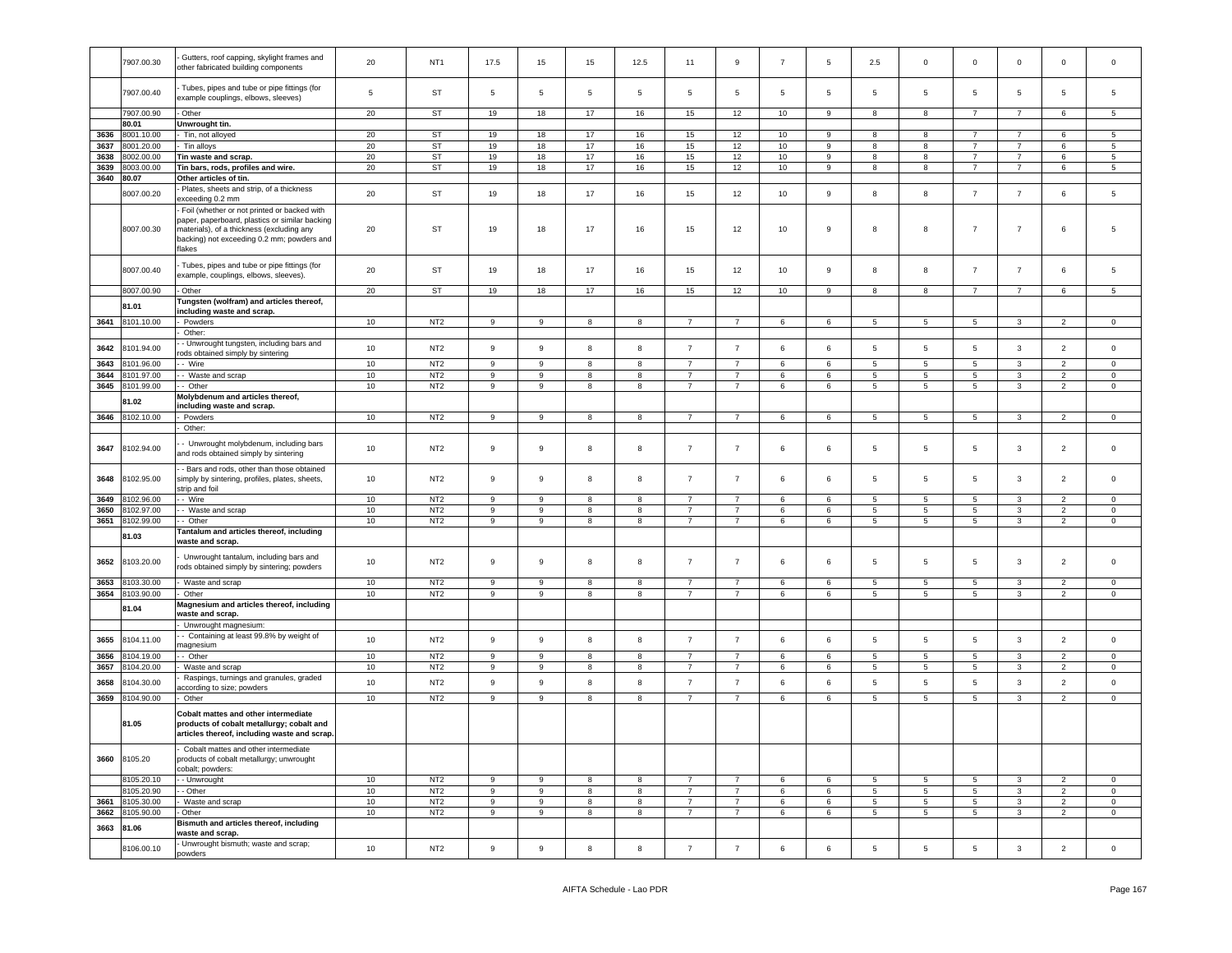|      | 7907.00.30 | Gutters, roof capping, skylight frames and<br>other fabricated building components                                                                                                                | 20     | NT <sub>1</sub> | 17.5             | 15               | 15                      | 12.5                    | 11              | $\mathsf g$    | $\overline{7}$ | $5\phantom{.0}$ | 2.5                      | $\mathbf 0$     | $\mathbf 0$     | $\mathsf 0$    | $\mathsf 0$              | $\mathbf 0$         |
|------|------------|---------------------------------------------------------------------------------------------------------------------------------------------------------------------------------------------------|--------|-----------------|------------------|------------------|-------------------------|-------------------------|-----------------|----------------|----------------|-----------------|--------------------------|-----------------|-----------------|----------------|--------------------------|---------------------|
|      | 7907.00.40 | Tubes, pipes and tube or pipe fittings (for<br>example couplings, elbows, sleeves)                                                                                                                | 5      | ST              | $\,$ 5 $\,$      | $\sqrt{5}$       | 5                       | $\overline{5}$          | $5\phantom{.0}$ | 5              | 5              | 5               | 5                        | 5               | 5               | $\sqrt{5}$     | 5                        | 5                   |
|      | 7907.00.90 | Other                                                                                                                                                                                             | 20     | ST              | 19               | 18               | 17                      | 16                      | 15              | 12             | 10             | 9               | 8                        | 8               | $\overline{7}$  | $\overline{7}$ | 6                        | 5                   |
|      | 80.01      | Unwrought tin.                                                                                                                                                                                    |        |                 |                  |                  |                         |                         |                 |                |                |                 |                          |                 |                 |                |                          |                     |
|      |            |                                                                                                                                                                                                   |        |                 |                  |                  |                         |                         |                 |                |                |                 |                          | 8               | $\overline{7}$  | $\overline{7}$ | 6                        | -5                  |
| 3636 | 8001.10.00 | Tin, not alloyed                                                                                                                                                                                  | 20     | ST              | 19               | 18               | 17                      | 16                      | 15              | 12             | 10             | 9               | 8                        |                 |                 |                |                          |                     |
| 3637 | 8001.20.00 | Tin alloys                                                                                                                                                                                        | 20     | ST              | 19               | 18               | 17                      | 16                      | 15              | 12             | 10             | 9               | 8                        | 8               | $\overline{7}$  | $\overline{7}$ | 6                        | 5                   |
| 3638 | 3002.00.00 | Tin waste and scrap.                                                                                                                                                                              | 20     | ST              | 19               | 18               | 17                      | 16                      | 15              | 12             | 10             | 9               | 8                        | 8               | $\overline{7}$  | $\overline{7}$ | 6                        | 5                   |
| 3639 | 8003.00.00 | Tin bars, rods, profiles and wire.                                                                                                                                                                | 20     | ST              | 19               | 18               | 17                      | 16                      | 15              | 12             | 10             | 9               | 8                        | 8               | $\overline{7}$  | $\overline{7}$ | 6                        | 5                   |
| 3640 | 80.07      | Other articles of tin.                                                                                                                                                                            |        |                 |                  |                  |                         |                         |                 |                |                |                 |                          |                 |                 |                |                          |                     |
|      | 8007.00.20 | Plates, sheets and strip, of a thickness<br>exceeding 0.2 mm                                                                                                                                      | 20     | ST              | 19               | 18               | 17                      | 16                      | 15              | 12             | 10             | 9               | 8                        | 8               | $\overline{7}$  | $\overline{7}$ | 6                        | 5                   |
|      | 8007.00.30 | Foil (whether or not printed or backed with<br>paper, paperboard, plastics or similar backing<br>materials), of a thickness (excluding any<br>backing) not exceeding 0.2 mm; powders and<br>lakes | 20     | ST              | 19               | 18               | 17                      | 16                      | 15              | 12             | 10             | 9               | 8                        | 8               | 7               | $\overline{7}$ | 6                        | 5                   |
|      | 8007.00.40 | Tubes, pipes and tube or pipe fittings (for<br>example, couplings, elbows, sleeves).                                                                                                              | 20     | ST              | 19               | 18               | 17                      | 16                      | 15              | 12             | 10             | 9               | 8                        | 8               | $\overline{7}$  | $\overline{7}$ | 6                        | 5                   |
|      | 8007.00.90 | Other                                                                                                                                                                                             | 20     | ST              | 19               | 18               | 17                      | 16                      | 15              | 12             | 10             | 9               | 8                        | $\overline{8}$  | $\overline{7}$  | $\overline{7}$ | $6\overline{6}$          | $5^{\circ}$         |
|      |            | Tungsten (wolfram) and articles thereof,                                                                                                                                                          |        |                 |                  |                  |                         |                         |                 |                |                |                 |                          |                 |                 |                |                          |                     |
|      | 81.01      | including waste and scrap.                                                                                                                                                                        |        |                 |                  |                  |                         |                         |                 |                |                |                 |                          |                 |                 |                |                          |                     |
| 3641 | 8101.10.00 | Powders                                                                                                                                                                                           | 10     | NT <sub>2</sub> | 9                | 9                | 8                       | 8                       | $\overline{7}$  | $\overline{7}$ | 6              | 6               | $5\overline{5}$          | $5\phantom{.0}$ | 5               | $\mathbf{3}$   | $\overline{2}$           | $\mathbf 0$         |
|      |            | Other:                                                                                                                                                                                            |        |                 |                  |                  |                         |                         |                 |                |                |                 |                          |                 |                 |                |                          |                     |
|      |            |                                                                                                                                                                                                   |        |                 |                  |                  |                         |                         |                 |                |                |                 |                          |                 |                 |                |                          |                     |
| 3642 | 8101.94.00 | - Unwrought tungsten, including bars and                                                                                                                                                          | 10     | NT <sub>2</sub> | 9                | $\boldsymbol{9}$ | 8                       | 8                       | $\overline{7}$  | $\overline{7}$ | 6              | $\,6\,$         | $\,$ 5 $\,$              | $\sqrt{5}$      | $5\phantom{.0}$ | $\overline{3}$ | $\overline{2}$           | $\mathsf{O}\xspace$ |
| 3643 | 8101.96.00 | ods obtained simply by sintering<br>- Wire                                                                                                                                                        |        | NT <sub>2</sub> | 9                |                  |                         |                         | $\overline{7}$  | $\overline{7}$ | 6              |                 |                          |                 |                 |                | $\overline{2}$           | $\mathsf 0$         |
|      |            |                                                                                                                                                                                                   | 10     |                 |                  | $\boldsymbol{9}$ | 8                       | 8                       |                 |                |                | $\,6\,$         | $\sqrt{5}$               | $\sqrt{5}$      | 5               | $\mathbf{3}$   |                          |                     |
| 3644 | 8101.97.00 | Waste and scrap                                                                                                                                                                                   | 10     | NT2             | $\overline{9}$   | $\overline{9}$   | $\overline{\mathbf{8}}$ | $\overline{\mathbf{8}}$ | $\overline{7}$  | $\overline{7}$ | 6              | $6\overline{6}$ | $\overline{5}$           | $\overline{5}$  | $\overline{5}$  | $\mathbf{3}$   | $\overline{2}$           | $\overline{0}$      |
| 3645 | 8101.99.00 | - Other                                                                                                                                                                                           | 10     | NT <sub>2</sub> | $\boldsymbol{9}$ | $\boldsymbol{9}$ | 8                       | $^{\rm 8}$              | $\overline{7}$  | $\overline{7}$ | 6              | $\,6\,$         | $\sqrt{5}$               | 5               | $5\phantom{.0}$ | $\mathbf{3}$   | $\overline{2}$           | $\mathbf 0$         |
|      | 81.02      | Molybdenum and articles thereof,                                                                                                                                                                  |        |                 |                  |                  |                         |                         |                 |                |                |                 |                          |                 |                 |                |                          |                     |
|      |            | including waste and scrap.                                                                                                                                                                        |        |                 |                  |                  |                         |                         |                 |                |                |                 |                          |                 |                 |                |                          |                     |
| 3646 | 8102.10.00 | Powders                                                                                                                                                                                           | $10\,$ | NT <sub>2</sub> | 9                | 9                | 8                       | 8                       | $\overline{7}$  | $\overline{7}$ | 6              | 6               | 5                        | 5               | 5               | 3              | $\overline{2}$           | $\mathsf 0$         |
|      |            | Other:                                                                                                                                                                                            |        |                 |                  |                  |                         |                         |                 |                |                |                 |                          |                 |                 |                |                          |                     |
| 3647 | 8102.94.00 | - Unwrought molybdenum, including bars<br>and rods obtained simply by sintering                                                                                                                   | 10     | NT <sub>2</sub> | 9                | $\overline{9}$   | 8                       | 8                       | $\overline{7}$  | $\overline{7}$ | 6              | 6               | $\,$ 5 $\,$              | 5               | 5               | $\mathbf{3}$   | $\overline{2}$           | $\mathbf 0$         |
| 3648 | 8102.95.00 | - Bars and rods, other than those obtained<br>simply by sintering, profiles, plates, sheets,<br>trip and foil                                                                                     | 10     | NT <sub>2</sub> | 9                | 9                | 8                       | 8                       | $\overline{7}$  | $\overline{7}$ | 6              | 6               | 5                        | 5               | 5               | 3              | $\overline{2}$           | $\Omega$            |
| 3649 | 3102.96.00 | - Wire                                                                                                                                                                                            | 10     | NT <sub>2</sub> | 9                | 9                | 8                       | 8                       | $\overline{7}$  | $\overline{7}$ | 6              | 6               | $\,$ 5 $\,$              | 5               | 5               | $\mathbf{3}$   | $\overline{2}$           | $\mathsf{O}\xspace$ |
| 3650 | 3102.97.00 | Waste and scrap                                                                                                                                                                                   | 10     | NT <sub>2</sub> | $\mathsf g$      | 9                | 8                       | 8                       | $\overline{7}$  | $\overline{7}$ | 6              | 6               | 5                        | 5               | 5               | $\mathbf{3}$   | 2                        | $\mathsf{O}\xspace$ |
| 3651 | 8102.99.00 | - Other                                                                                                                                                                                           | 10     | NT <sub>2</sub> | $\mathsf g$      | $\overline{9}$   | 8                       | 8                       | $\overline{7}$  | $\overline{7}$ | 6              | 6               | 5                        | 5               | 5               | $\mathbf{3}$   | $\overline{\phantom{a}}$ | $\mathsf 0$         |
|      |            |                                                                                                                                                                                                   |        |                 |                  |                  |                         |                         |                 |                |                |                 |                          |                 |                 |                |                          |                     |
|      | 81.03      | <b>Tantalum and articles thereof, including</b><br>waste and scrap.                                                                                                                               |        |                 |                  |                  |                         |                         |                 |                |                |                 |                          |                 |                 |                |                          |                     |
| 3652 | 8103.20.00 | Unwrought tantalum, including bars and<br>ods obtained simply by sintering; powders                                                                                                               | 10     | NT <sub>2</sub> | 9                | $\overline{9}$   | 8                       | 8                       | $\overline{7}$  | $\overline{7}$ | 6              | 6               | $\,$ 5 $\,$              | $\overline{5}$  | 5               | $\mathbf{3}$   | $\overline{2}$           | $\mathsf{O}\xspace$ |
| 3653 | 8103.30.00 | Waste and scrap                                                                                                                                                                                   | 10     | NT <sub>2</sub> | 9                | 9                | 8                       | 8                       | $\overline{7}$  | $\overline{7}$ | 6              | 6               | 5                        | -5              | 5               | 3              | $\overline{2}$           | $\mathbf 0$         |
| 3654 | 8103.90.00 | Other                                                                                                                                                                                             | 10     | NT <sub>2</sub> | 9                | 9                | 8                       | 8                       | $\overline{7}$  | $\overline{7}$ | 6              | 6               | $5\phantom{.0}$          | $5\phantom{.0}$ | $5\overline{5}$ | $\mathbf{3}$   | $\overline{2}$           | $\overline{0}$      |
|      |            | Magnesium and articles thereof, including                                                                                                                                                         |        |                 |                  |                  |                         |                         |                 |                |                |                 |                          |                 |                 |                |                          |                     |
|      | 81.04      | waste and scrap.<br>Unwrought magnesium:                                                                                                                                                          |        |                 |                  |                  |                         |                         |                 |                |                |                 |                          |                 |                 |                |                          |                     |
|      |            | - Containing at least 99.8% by weight of                                                                                                                                                          |        |                 |                  |                  |                         |                         |                 |                |                |                 |                          |                 |                 |                |                          |                     |
| 3655 | 8104.11.00 | nagnesium                                                                                                                                                                                         | $10$   | NT <sub>2</sub> | $\boldsymbol{9}$ | $\overline{9}$   | 8                       | 8                       | $\overline{7}$  | $\overline{7}$ | 6              | 6               | $\,$ 5 $\,$              | 5               | 5               | $\mathbf{3}$   | $\overline{2}$           | $\mathsf{O}\xspace$ |
| 3656 | 8104.19.00 | - Other                                                                                                                                                                                           | $10$   | NT <sub>2</sub> | $\boldsymbol{9}$ | 9                | 8                       | 8                       | $\overline{7}$  | $\overline{7}$ | 6              | 6               | $5\phantom{.0}$          | $\sqrt{5}$      | $5\phantom{.0}$ | 3              | 2                        | $\mathbf 0$         |
| 3657 | 8104.20.00 | Waste and scrap                                                                                                                                                                                   | 10     | NT <sub>2</sub> | 9                | 9                | 8                       | 8                       | $\overline{7}$  | $\overline{7}$ | 6              | 6               | 5                        | 5               | 5               | 3              | $\overline{\phantom{a}}$ | $\mathsf 0$         |
|      |            |                                                                                                                                                                                                   |        |                 |                  |                  |                         |                         |                 |                |                |                 |                          |                 |                 |                |                          |                     |
| 3658 | 8104.30.00 | Raspings, turnings and granules, graded<br>ccording to size; powders                                                                                                                              | 10     | NT <sub>2</sub> | $\boldsymbol{9}$ | $\boldsymbol{9}$ | 8                       | 8                       | $\overline{7}$  | $\overline{7}$ | 6              | 6               | $\,$ 5 $\,$              | 5               | 5               | $\mathbf{3}$   | $\overline{2}$           | $\mathsf 0$         |
| 3659 | 8104.90.00 | Other                                                                                                                                                                                             | 10     | NT <sub>2</sub> | 9                | 9                | 8                       | 8                       | $\overline{7}$  | $\overline{7}$ | 6              | 6               | 5                        | 5               | 5               | $\mathbf{3}$   | $\overline{2}$           | $\mathsf{O}\xspace$ |
|      |            |                                                                                                                                                                                                   |        |                 |                  |                  |                         |                         |                 |                |                |                 |                          |                 |                 |                |                          |                     |
|      | 81.05      | <b>Cobalt mattes and other intermediate</b><br>products of cobalt metallurgy; cobalt and<br>articles thereof, including waste and scrap.                                                          |        |                 |                  |                  |                         |                         |                 |                |                |                 |                          |                 |                 |                |                          |                     |
| 3660 | 8105.20    | Cobalt mattes and other intermediate<br>roducts of cobalt metallurgy; unwrought<br>cobalt; powders:                                                                                               |        |                 |                  |                  |                         |                         |                 |                |                |                 |                          |                 |                 |                |                          |                     |
|      | 8105.20.10 | - Unwrought                                                                                                                                                                                       | $10$   | NT <sub>2</sub> | $\mathbf{q}$     | 9                | 8                       | 8                       | $\overline{7}$  | $\overline{7}$ | -6             | 6               | 5                        | 5               | 5               | 3              | $\mathcal{P}$            | $\mathbf 0$         |
|      | 8105.20.90 | - Other                                                                                                                                                                                           | 10     | NT <sub>2</sub> | $\overline{9}$   | $\overline{9}$   | 8                       | $\overline{\mathbf{8}}$ | $\overline{7}$  | $\overline{7}$ | 6              | 6               | $\overline{\phantom{a}}$ | $\overline{5}$  | $\overline{5}$  | $\overline{3}$ | $\overline{2}$           | $\overline{0}$      |
| 3661 | 8105.30.00 | Waste and scrap                                                                                                                                                                                   | 10     | NT <sub>2</sub> | 9                | 9                | 8                       | 8                       | $\overline{7}$  | $\overline{7}$ | 6              | 6               | $\overline{5}$           | 5               | 5               | $\mathbf{3}$   | $\overline{2}$           | $\mathsf{O}\xspace$ |
| 3662 | 8105.90.00 | Other                                                                                                                                                                                             | $10$   | NT <sub>2</sub> | $\boldsymbol{9}$ | $_{9}$           | 8                       | 8                       | $\overline{7}$  | $\overline{7}$ | 6              | 6               | $\sqrt{5}$               | 5               | $5\phantom{.0}$ | $\mathbf{3}$   | 2                        | $\mathsf{O}\xspace$ |
|      |            | Bismuth and articles thereof, including                                                                                                                                                           |        |                 |                  |                  |                         |                         |                 |                |                |                 |                          |                 |                 |                |                          |                     |
| 3663 | 81.06      | waste and scrap.                                                                                                                                                                                  |        |                 |                  |                  |                         |                         |                 |                |                |                 |                          |                 |                 |                |                          |                     |
|      | 8106.00.10 | Unwrought bismuth; waste and scrap;<br>owders                                                                                                                                                     | 10     | NT <sub>2</sub> | 9                | $\,$ 9           | 8                       | 8                       | $\overline{7}$  | $\overline{7}$ | 6              | 6               | 5                        | 5               | $\,$ 5 $\,$     | $\mathbf{3}$   | $\sqrt{2}$               | $\mathsf{O}\xspace$ |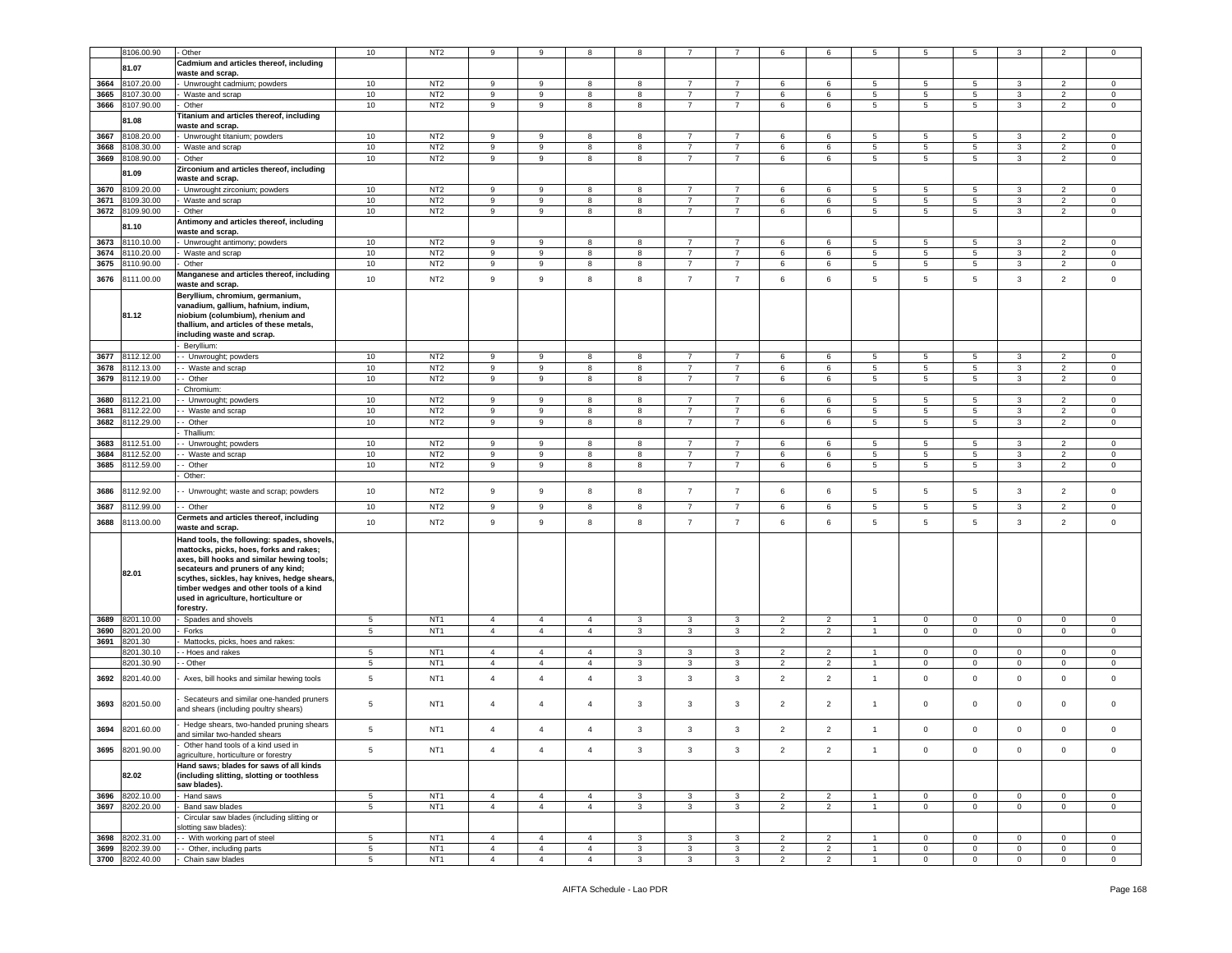|      |                 | - Other                                     |                 | NT <sub>2</sub> | 9              | 9              | 8              | 8            |                |                |                         | 6              | 5              | 5            | 5               | 3                   | 2                        |                |
|------|-----------------|---------------------------------------------|-----------------|-----------------|----------------|----------------|----------------|--------------|----------------|----------------|-------------------------|----------------|----------------|--------------|-----------------|---------------------|--------------------------|----------------|
|      | 8106.00.90      |                                             | 10              |                 |                |                |                |              |                |                | 6                       |                |                |              |                 |                     |                          | $\mathbf 0$    |
|      | 81.07           | Cadmium and articles thereof, including     |                 |                 |                |                |                |              |                |                |                         |                |                |              |                 |                     |                          |                |
|      |                 | waste and scrap.                            |                 |                 |                |                |                |              |                |                |                         |                |                |              |                 |                     |                          |                |
| 3664 | 3107.20.00      | Unwrought cadmium; powders                  | 10              | NT <sub>2</sub> | 9              | 9              | 8              | 8            | $\overline{7}$ | $\overline{7}$ | 6                       | 6              | 5              | 5            | 5               | 3                   | $\overline{2}$           | $\mathsf 0$    |
| 3665 | 3107.30.00      | Waste and scrap                             | 10              | NT <sub>2</sub> | 9              | 9              | 8              | 8            | $\overline{7}$ | $\overline{7}$ | 6                       |                | 5              | 5            | 5               | 3                   | $\overline{2}$           | $\mathbf 0$    |
|      |                 |                                             |                 |                 |                |                |                |              |                |                |                         | 6              |                |              |                 |                     |                          |                |
| 3666 | 3107.90.00      | Other                                       | 10              | NT <sub>2</sub> | 9              | 9              | 8              | 8            | $\overline{7}$ | 7              | 6                       | 6              | 5              | 5            | 5               | 3                   | $\overline{2}$           | $\mathbf 0$    |
|      | 81.08           | Titanium and articles thereof, including    |                 |                 |                |                |                |              |                |                |                         |                |                |              |                 |                     |                          |                |
|      |                 | waste and scrap.                            |                 |                 |                |                |                |              |                |                |                         |                |                |              |                 |                     |                          |                |
| 3667 | 3108.20.00      | Unwrought titanium; powders                 | 10              | NT <sub>2</sub> | 9              | 9              | 8              | 8            | $\overline{7}$ | $\overline{7}$ | 6                       | 6              | 5              | 5            | 5               | 3                   | $\overline{2}$           | 0              |
| 3668 |                 |                                             |                 | NT <sub>2</sub> |                |                |                |              |                |                |                         |                |                |              |                 |                     |                          |                |
|      | 3108.30.00      | Waste and scrap                             | 10              |                 | 9              | 9              | 8              | 8            | $\overline{7}$ | $\overline{7}$ | 6                       | 6              | 5              | 5            | 5               | 3                   | $\overline{2}$           | 0              |
| 3669 | 108.90.00       | Other                                       | 10              | NT <sub>2</sub> | 9              | 9              | 8              | 8            | $\overline{7}$ | $\overline{7}$ | 6                       | 6              | 5              | 5            | $5\phantom{.0}$ | 3                   | $\overline{2}$           | $\mathbf 0$    |
|      |                 | Zirconium and articles thereof, including   |                 |                 |                |                |                |              |                |                |                         |                |                |              |                 |                     |                          |                |
|      | 81.09           | waste and scrap.                            |                 |                 |                |                |                |              |                |                |                         |                |                |              |                 |                     |                          |                |
| 3670 | 3109.20.00      | Unwrought zirconium; powders                | 10              | NT <sub>2</sub> | 9              | 9              | 8              | 8            | $\overline{7}$ | $\overline{7}$ | 6                       | 6              | 5              | 5            | 5               | 3                   | 2                        | 0              |
|      |                 |                                             |                 |                 |                |                |                |              |                |                |                         |                |                |              |                 |                     |                          |                |
| 3671 | 109.30.00       | Waste and scrap                             | 10              | NT <sub>2</sub> | 9              | 9              | 8              | 8            | $\overline{7}$ | $\overline{7}$ | 6                       | 6              | 5              | 5            | 5               | 3                   | $\overline{2}$           | $\mathbf 0$    |
| 3672 | 3109.90.00      | Other                                       | 10              | NT <sub>2</sub> | 9              | 9              | 8              | 8            | $\overline{7}$ | $\overline{7}$ | 6                       | 6              | 5              | 5            | 5               | 3                   | $\overline{2}$           | $\mathbf 0$    |
|      |                 | Antimony and articles thereof, including    |                 |                 |                |                |                |              |                |                |                         |                |                |              |                 |                     |                          |                |
|      | 31.10           | waste and scrap.                            |                 |                 |                |                |                |              |                |                |                         |                |                |              |                 |                     |                          |                |
| 3673 | 110.10.00       | Unwrought antimony; powders                 | 10              | NT <sub>2</sub> | 9              | 9              | 8              | 8            | $\overline{7}$ | $\overline{7}$ | 6                       | 6              | 5              | 5            | 5               | 3                   | $\overline{\phantom{a}}$ | $\mathbf 0$    |
|      |                 |                                             |                 |                 |                |                |                |              |                |                |                         |                |                |              |                 |                     |                          |                |
| 3674 | 110.20.00       | Waste and scrap                             | 10              | NT <sub>2</sub> | 9              | 9              | 8              | 8            | $\overline{7}$ | $\overline{7}$ | 6                       | 6              | 5              | 5            | 5               | 3                   | 2                        | $\mathbf 0$    |
| 3675 | 110.90.00       | Other                                       | 10              | NT <sub>2</sub> | 9              | 9              | 8              | 8            | $\overline{7}$ | 7              | 6                       | 6              | 5              | 5            | $5\phantom{.0}$ | $\mathbf{3}$        | $\overline{2}$           | $\mathbf 0$    |
|      |                 | Manganese and articles thereof, including   |                 |                 |                |                |                |              |                |                |                         |                |                |              |                 |                     |                          |                |
| 3676 | 8111.00.00      | waste and scrap.                            | 10              | NT <sub>2</sub> | 9              | 9              | 8              | 8            | $\overline{7}$ | $\overline{7}$ | 6                       | 6              | 5              | $\sqrt{5}$   | $5\phantom{.0}$ | $\mathbf{3}$        | $\overline{2}$           | $\mathbf 0$    |
|      |                 | Beryllium, chromium, germanium,             |                 |                 |                |                |                |              |                |                |                         |                |                |              |                 |                     |                          |                |
|      |                 |                                             |                 |                 |                |                |                |              |                |                |                         |                |                |              |                 |                     |                          |                |
|      |                 | vanadium, gallium, hafnium, indium,         |                 |                 |                |                |                |              |                |                |                         |                |                |              |                 |                     |                          |                |
|      | 81.12           | niobium (columbium), rhenium and            |                 |                 |                |                |                |              |                |                |                         |                |                |              |                 |                     |                          |                |
|      |                 | thallium, and articles of these metals,     |                 |                 |                |                |                |              |                |                |                         |                |                |              |                 |                     |                          |                |
|      |                 | including waste and scrap.                  |                 |                 |                |                |                |              |                |                |                         |                |                |              |                 |                     |                          |                |
|      |                 | Beryllium                                   |                 |                 |                |                |                |              |                |                |                         |                |                |              |                 |                     |                          |                |
| 3677 | 8112.12.00      |                                             | 10              | NT <sub>2</sub> | 9              | 9              | 8              | 8            | $\overline{7}$ | $\overline{7}$ | 6                       | 6              | 5              | 5            | $5\phantom{.0}$ | 3                   | $\overline{2}$           | $\mathsf 0$    |
|      |                 | - Unwrought; powders                        |                 |                 |                |                |                |              |                |                |                         |                |                |              |                 |                     |                          |                |
| 3678 | 3112.13.00      | - Waste and scrap                           | 10              | NT <sub>2</sub> | 9              | 9              | 8              | 8            | $\overline{7}$ | $\overline{7}$ | 6                       | 6              | 5              | 5            | 5               | 3                   | $\overline{2}$           | $\mathbf 0$    |
| 3679 | 8112.19.00      | - Other                                     | 10              | NT <sub>2</sub> | 9              | 9              | 8              | 8            | $\overline{7}$ | $\overline{7}$ | 6                       | 6              | 5              | 5            | 5               | 3                   | $\overline{2}$           | $\mathbf 0$    |
|      |                 | Chromium:                                   |                 |                 |                |                |                |              |                |                |                         |                |                |              |                 |                     |                          |                |
| 3680 | 3112.21.00      | - Unwrought; powders                        | 10              | NT <sub>2</sub> | 9              | 9              | 8              | 8            | $\overline{7}$ | $\overline{7}$ | 6                       | 6              | 5              | 5            | 5               | 3                   | $\overline{2}$           | $\mathbf 0$    |
|      |                 |                                             |                 |                 |                |                |                |              | $\overline{7}$ |                |                         |                |                |              |                 |                     |                          |                |
| 3681 | 3112.22.00      | Waste and scrap                             | 10              | NT <sub>2</sub> | 9              | 9              | 8              | 8            |                | $\overline{7}$ | 6                       | $\mathbf 6$    | 5              | $\,$ 5 $\,$  | $\,$ 5 $\,$     | $\mathbf{3}$        | $\overline{2}$           | $\mathsf 0$    |
| 3682 | 112.29.00       | - Other                                     | 10              | NT <sub>2</sub> | 9              | 9              | 8              | 8            | $\overline{7}$ | $\overline{7}$ | 6                       | 6              | 5              | 5            | $5\phantom{.0}$ | 3                   | $\overline{2}$           | $\mathbf 0$    |
|      |                 | Thallium:                                   |                 |                 |                |                |                |              |                |                |                         |                |                |              |                 |                     |                          |                |
| 3683 | 3112.51.00      | Unwrought; powders                          | 10              | NT <sub>2</sub> | 9              | 9              | 8              | 8            | $\overline{7}$ | $\overline{7}$ | 6                       | 6              | 5              | 5            | $\,$ 5 $\,$     | $\mathbf{3}$        | $\overline{2}$           | $\mathsf 0$    |
|      |                 |                                             |                 |                 |                |                |                |              | $\overline{7}$ | $\overline{7}$ |                         |                |                |              |                 |                     |                          |                |
| 3684 | 112.52.00       | - Waste and scrap                           | 10              | NT <sub>2</sub> | 9              | 9              | 8              | 8            |                |                | 6                       | 6              | 5              | 5            | 5               | 3                   | $\overline{2}$           | $\mathbf 0$    |
| 3685 | 3112.59.00      | - Other                                     | 10              | NT <sub>2</sub> | 9              | 9              | 8              | 8            | $\overline{7}$ | $\overline{7}$ | 6                       | 6              | 5              | 5            | 5               | 3                   | $\overline{2}$           | $\mathbf 0$    |
|      |                 | Other:                                      |                 |                 |                |                |                |              |                |                |                         |                |                |              |                 |                     |                          |                |
|      |                 |                                             |                 |                 |                |                |                |              |                |                |                         |                |                |              |                 |                     |                          |                |
| 3686 | 3112.92.00      | - Unwrought; waste and scrap; powders       | 10              | NT <sub>2</sub> | 9              | 9              | 8              | 8            | $\overline{7}$ | $\overline{7}$ | 6                       | 6              | 5              | 5            | 5               | 3                   | $\overline{2}$           | $\mathbf 0$    |
| 3687 | 3112.99.00      | - - Other                                   | 10              | NT <sub>2</sub> | 9              | 9              | 8              | 8            | $\overline{7}$ | $\overline{7}$ | 6                       | 6              | 5              | 5            | 5               | 3                   | $\overline{2}$           | 0              |
|      |                 | Cermets and articles thereof, including     |                 |                 |                |                |                |              |                |                |                         |                |                |              |                 |                     |                          |                |
| 3688 | 8113.00.00      | waste and scrap.                            | 10              | NT <sub>2</sub> | $\overline{9}$ | 9              | 8              | 8            | $\overline{7}$ | $\overline{7}$ | 6                       | 6              | 5              | $\sqrt{5}$   | $5\phantom{.0}$ | $\mathbf{3}$        | $\overline{2}$           | $\mathsf 0$    |
|      |                 |                                             |                 |                 |                |                |                |              |                |                |                         |                |                |              |                 |                     |                          |                |
|      |                 | Hand tools, the following: spades, shovels, |                 |                 |                |                |                |              |                |                |                         |                |                |              |                 |                     |                          |                |
|      |                 | mattocks, picks, hoes, forks and rakes;     |                 |                 |                |                |                |              |                |                |                         |                |                |              |                 |                     |                          |                |
|      |                 | axes, bill hooks and similar hewing tools;  |                 |                 |                |                |                |              |                |                |                         |                |                |              |                 |                     |                          |                |
|      |                 | secateurs and pruners of any kind;          |                 |                 |                |                |                |              |                |                |                         |                |                |              |                 |                     |                          |                |
|      | 82.01           | scythes, sickles, hay knives, hedge shears, |                 |                 |                |                |                |              |                |                |                         |                |                |              |                 |                     |                          |                |
|      |                 | timber wedges and other tools of a kind     |                 |                 |                |                |                |              |                |                |                         |                |                |              |                 |                     |                          |                |
|      |                 | used in agriculture, horticulture or        |                 |                 |                |                |                |              |                |                |                         |                |                |              |                 |                     |                          |                |
|      |                 | forestry.                                   |                 |                 |                |                |                |              |                |                |                         |                |                |              |                 |                     |                          |                |
|      |                 |                                             |                 |                 |                |                |                |              |                |                |                         |                |                |              |                 |                     |                          |                |
| 3689 | 8201.10.00      | Spades and shovels                          | 5               | NT <sub>1</sub> | $\overline{4}$ | $\overline{4}$ | $\overline{4}$ | 3            | $\mathbf{3}$   | 3              | $\overline{2}$          | $\overline{2}$ | $\overline{1}$ | $\mathbf 0$  | $\mathbf 0$     | $\mathbf 0$         | $\overline{0}$           | $\mathbf 0$    |
| 3690 | 3201.20.00      | Forks                                       | 5               | NT <sub>1</sub> | $\overline{4}$ | $\overline{4}$ | $\overline{4}$ | 3            | $\mathbf{3}$   | 3              | $\overline{2}$          | 2              | $\overline{1}$ | $\mathbf 0$  | $\mathsf 0$     | $\mathbf 0$         | $^{\circ}$               | $\mathbf 0$    |
| 3691 | 3201.30         | Mattocks, picks, hoes and rakes:            |                 |                 |                |                |                |              |                |                |                         |                |                |              |                 |                     |                          |                |
|      | 3201.30.10      | - Hoes and rakes                            | 5               | NT <sub>1</sub> | $\overline{4}$ | $\overline{4}$ | $\overline{4}$ | 3            | 3              | 3              | $\overline{2}$          | 2              | $\overline{1}$ | $\mathbf 0$  | $\mathbf 0$     | $\mathbf{0}$        | 0                        | $\mathbf 0$    |
|      | 3201.30.90      | - Other                                     | 5               | NT <sub>1</sub> | $\overline{4}$ | $\overline{4}$ | $\overline{4}$ | 3            | $\mathbf{3}$   | 3              | $\overline{\mathbf{c}}$ | $\overline{2}$ | $\overline{1}$ | $\mathsf 0$  | $\mathbf 0$     | $\mathsf{O}\xspace$ | $\mathbf 0$              | $\mathsf 0$    |
|      |                 |                                             |                 |                 |                |                |                |              |                |                |                         |                |                |              |                 |                     |                          |                |
| 3692 | 8201.40.00      | Axes, bill hooks and similar hewing tools   | 5               | NT <sub>1</sub> | $\overline{4}$ | $\overline{4}$ | $\overline{4}$ | 3            | 3              | 3              | $\overline{2}$          | $\overline{2}$ | $\overline{1}$ | $\mathbf 0$  | $\mathbf 0$     | $\mathbf 0$         | $\mathbf 0$              | $\mathbf 0$    |
|      |                 |                                             |                 |                 |                |                |                |              |                |                |                         |                |                |              |                 |                     |                          |                |
|      |                 | Secateurs and similar one-handed pruners    |                 |                 |                |                |                |              |                |                |                         |                |                |              |                 |                     |                          |                |
| 3693 | 8201.50.00      | and shears (including poultry shears)       | 5               | NT <sub>1</sub> | $\overline{4}$ | $\overline{4}$ | $\overline{4}$ | 3            | $\mathbf{3}$   | 3              | $\overline{2}$          | $\overline{2}$ | $\mathbf{1}$   | $\mathbf 0$  | $\mathbf 0$     | $\mathbf 0$         | $\mathbf 0$              | $\mathbf 0$    |
|      |                 |                                             |                 |                 |                |                |                |              |                |                |                         |                |                |              |                 |                     |                          |                |
|      |                 | Hedge shears, two-handed pruning shears     |                 |                 | $\overline{4}$ | $\overline{4}$ |                |              |                |                |                         |                |                |              |                 |                     |                          |                |
| 3694 | 3201.60.00      | and similar two-handed shears               | 5               | NT <sub>1</sub> |                |                | $\overline{4}$ | 3            | 3              | 3              | 2                       | 2              | $\overline{1}$ | $\mathsf 0$  | $\mathbf 0$     | $\mathbf 0$         | $\mathbf 0$              | $\mathbf 0$    |
|      |                 | Other hand tools of a kind used in          |                 |                 |                |                |                |              |                |                |                         |                |                |              |                 |                     |                          |                |
|      | 3695 8201.90.00 | agriculture, horticulture or forestry       | $\sqrt{5}$      | NT <sub>1</sub> | $\overline{4}$ | $\overline{4}$ | $\overline{4}$ | 3            | $\mathbf{3}$   | $\mathbf{3}$   | $\overline{2}$          | $\overline{2}$ | $\overline{1}$ | $\mathsf 0$  | $\mathsf 0$     | $\mathsf{O}\xspace$ | $\mathbf 0$              | $\overline{0}$ |
|      |                 |                                             |                 |                 |                |                |                |              |                |                |                         |                |                |              |                 |                     |                          |                |
|      |                 | Hand saws; blades for saws of all kinds     |                 |                 |                |                |                |              |                |                |                         |                |                |              |                 |                     |                          |                |
|      | 82.02           | (including slitting, slotting or toothless  |                 |                 |                |                |                |              |                |                |                         |                |                |              |                 |                     |                          |                |
|      |                 | saw blades).                                |                 |                 |                |                |                |              |                |                |                         |                |                |              |                 |                     |                          |                |
| 3696 | 8202.10.00      | Hand saws                                   | $5\overline{5}$ | NT <sub>1</sub> | $\overline{4}$ | $\overline{4}$ | $\overline{4}$ | $\mathbf{3}$ | $\mathbf{3}$   | $\mathbf{3}$   | $\overline{2}$          | $\overline{2}$ | $\mathbf{1}$   | $\mathbf{0}$ | $\overline{0}$  | $\mathbf 0$         | $\overline{0}$           | $\mathbf{0}$   |
| 3697 | 8202.20.00      | Band saw blades                             | $5\phantom{.0}$ | NT <sub>1</sub> | $\overline{4}$ | $\overline{4}$ | $\overline{4}$ | $\mathbf{3}$ | $\mathbf{3}$   | $\mathbf{3}$   | $\overline{2}$          | $\overline{2}$ | $\mathbf{1}$   | $\mathbf{0}$ | $\mathbf 0$     | $\mathsf{O}\xspace$ | $\overline{0}$           | $\overline{0}$ |
|      |                 | Circular saw blades (including slitting or  |                 |                 |                |                |                |              |                |                |                         |                |                |              |                 |                     |                          |                |
|      |                 |                                             |                 |                 |                |                |                |              |                |                |                         |                |                |              |                 |                     |                          |                |
|      |                 | slotting saw blades):                       |                 |                 |                |                |                |              |                |                |                         |                |                |              |                 |                     |                          |                |
|      | 3698 8202.31.00 | - With working part of steel                | $5\phantom{.0}$ | NT <sub>1</sub> | $\overline{4}$ | $\overline{4}$ | $\overline{4}$ | 3            | $\mathbf{3}$   | $\mathbf{3}$   | $\overline{2}$          | $\overline{2}$ | $\overline{1}$ | $\mathbf{0}$ | $\overline{0}$  | $\mathsf 0$         | $\mathbf{0}$             | $\mathbf 0$    |
| 3699 | 8202.39.00      | - - Other, including parts                  | $5\overline{5}$ | NT <sub>1</sub> | $\overline{4}$ | $\overline{4}$ | $\overline{4}$ | $\mathbf{3}$ | $\mathbf{3}$   | $\mathbf{3}$   | $\overline{2}$          | $\overline{2}$ | $\overline{1}$ | $\mathbf 0$  | $\overline{0}$  | $\mathsf 0$         | $\overline{0}$           | $\mathbf{0}$   |
|      | 3700 8202.40.00 | - Chain saw blades                          | $\overline{5}$  | NT <sub>1</sub> | $\overline{4}$ | $\overline{4}$ | $\overline{4}$ | $\mathbf{3}$ | 3              | $\mathbf{3}$   | $\overline{2}$          | $\overline{2}$ | $\overline{1}$ | $\mathbf 0$  | $\mathbf 0$     | $\mathsf 0$         | $\mathbf 0$              | $\overline{0}$ |
|      |                 |                                             |                 |                 |                |                |                |              |                |                |                         |                |                |              |                 |                     |                          |                |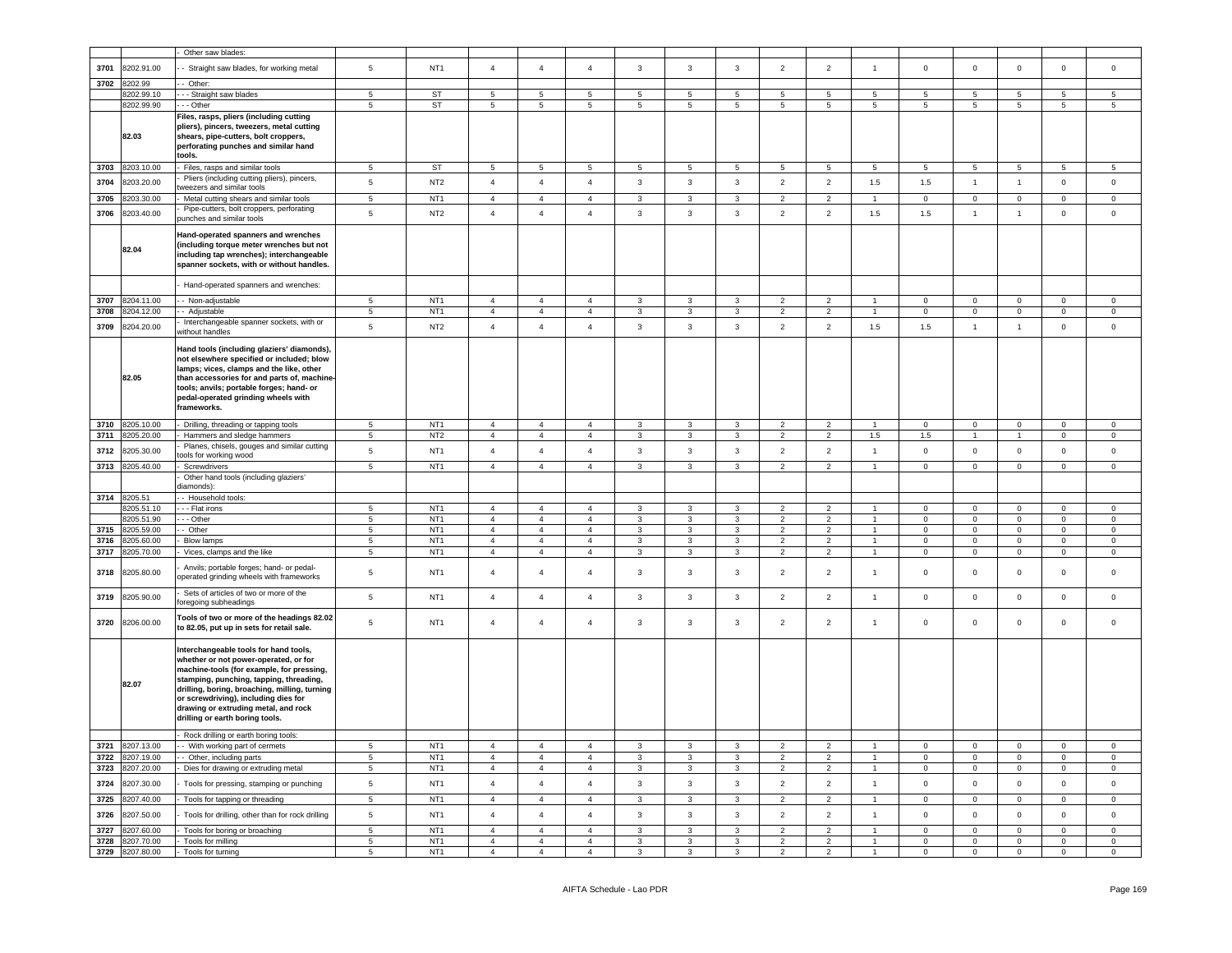|      |                               | Other saw blades:                                                                                                                                                                                                                                                                                                                                                                  |                                   |                                    |                                  |                                  |                                  |                         |                                |                         |                                 |                                  |                                      |                            |                            |                            |                         |                                    |
|------|-------------------------------|------------------------------------------------------------------------------------------------------------------------------------------------------------------------------------------------------------------------------------------------------------------------------------------------------------------------------------------------------------------------------------|-----------------------------------|------------------------------------|----------------------------------|----------------------------------|----------------------------------|-------------------------|--------------------------------|-------------------------|---------------------------------|----------------------------------|--------------------------------------|----------------------------|----------------------------|----------------------------|-------------------------|------------------------------------|
| 3701 | 8202.91.00                    | - Straight saw blades, for working metal                                                                                                                                                                                                                                                                                                                                           | $\sqrt{5}$                        | NT <sub>1</sub>                    | $\overline{4}$                   | $\overline{4}$                   | $\overline{4}$                   | $\mathbf{3}$            | $\mathbf{3}$                   | $\mathbf{3}$            | $\overline{2}$                  | $\overline{2}$                   | $\mathbf{1}$                         | $\mathbf 0$                | $\mathsf 0$                | $\mathsf 0$                | $\mathsf 0$             | $\mathsf{O}\xspace$                |
| 3702 | 8202.99                       | Other:                                                                                                                                                                                                                                                                                                                                                                             |                                   |                                    |                                  |                                  |                                  |                         |                                |                         |                                 |                                  |                                      |                            |                            |                            |                         |                                    |
|      | 8202.99.10                    | - - Straight saw blades                                                                                                                                                                                                                                                                                                                                                            | $\,$ 5 $\,$                       | <b>ST</b>                          | $\,$ 5 $\,$                      | $\,$ 5 $\,$                      | $\overline{5}$                   | $\,$ 5 $\,$             | 5                              | $\,$ 5 $\,$             | 5                               | 5                                | $\,$ 5 $\,$                          | 5                          | 5                          | $\sqrt{5}$                 | 5                       | 5                                  |
|      | 8202.99.90                    | - - Other                                                                                                                                                                                                                                                                                                                                                                          | $\,$ 5 $\,$                       | <b>ST</b>                          | 5                                | $5\phantom{.0}$                  | $\,$ 5 $\,$                      | $5\phantom{.0}$         | 5                              | 5                       | $5\phantom{.0}$                 | $5\phantom{.0}$                  | 5                                    | 5                          | 5                          | $\overline{5}$             | 5                       | 5                                  |
|      | 82.03                         | Files, rasps, pliers (including cutting<br>pliers), pincers, tweezers, metal cutting<br>shears, pipe-cutters, bolt croppers,<br>perforating punches and similar hand<br>tools.                                                                                                                                                                                                     |                                   |                                    |                                  |                                  |                                  |                         |                                |                         |                                 |                                  |                                      |                            |                            |                            |                         |                                    |
| 3703 | 8203.10.00                    | Files, rasps and similar tools                                                                                                                                                                                                                                                                                                                                                     | $5^{\circ}$                       | ST                                 | $5\phantom{.0}$                  | $5\overline{5}$                  | $5^{\circ}$                      | -5                      | $5\phantom{.0}$                | $\overline{5}$          | $\sqrt{5}$                      | 5                                | 5                                    | 5                          | 5                          | $5\phantom{.0}$            | 5                       | $5^{\circ}$                        |
| 3704 | 8203.20.00                    | Pliers (including cutting pliers), pincers,                                                                                                                                                                                                                                                                                                                                        | $\sqrt{5}$                        | NT <sub>2</sub>                    | $\overline{4}$                   | $\overline{4}$                   | $\sqrt{4}$                       | $\mathbf{3}$            | $\mathbf{3}$                   | $\mathbf{3}$            | $\overline{2}$                  | $\overline{2}$                   | 1.5                                  | 1.5                        | $\mathbf{1}$               | $\overline{1}$             | $\mathsf 0$             | $\mathsf 0$                        |
|      |                               | weezers and similar tools                                                                                                                                                                                                                                                                                                                                                          |                                   |                                    |                                  |                                  |                                  |                         |                                |                         |                                 |                                  |                                      |                            |                            |                            |                         |                                    |
| 3705 | 8203.30.00                    | Metal cutting shears and similar tools                                                                                                                                                                                                                                                                                                                                             | $\sqrt{5}$                        | NT <sub>1</sub>                    | $\overline{4}$                   | $\overline{4}$                   | $\overline{4}$                   | $\mathbf{3}$            | $\mathbf{3}$                   | 3                       | $\overline{2}$                  | $\overline{2}$                   | $\overline{1}$                       | $\Omega$                   | $\mathsf 0$                | $\overline{0}$             | $\Omega$                | $\Omega$                           |
| 3706 | 8203.40.00                    | Pipe-cutters, bolt croppers, perforating<br>unches and similar tools                                                                                                                                                                                                                                                                                                               | $\sqrt{5}$                        | NT <sub>2</sub>                    | $\overline{4}$                   | $\overline{4}$                   | $\overline{4}$                   | $\mathbf{3}$            | $\mathbf{3}$                   | $\mathbf{3}$            | $\overline{2}$                  | $\overline{2}$                   | 1.5                                  | 1.5                        | $\mathbf{1}$               | $\mathbf{1}$               | $\mathbf{0}$            | $\mathsf{O}\xspace$                |
|      | 82.04                         | Hand-operated spanners and wrenches<br>including torque meter wrenches but not<br>including tap wrenches); interchangeable<br>spanner sockets, with or without handles.                                                                                                                                                                                                            |                                   |                                    |                                  |                                  |                                  |                         |                                |                         |                                 |                                  |                                      |                            |                            |                            |                         |                                    |
|      |                               | Hand-operated spanners and wrenches:                                                                                                                                                                                                                                                                                                                                               |                                   |                                    |                                  |                                  |                                  |                         |                                |                         |                                 |                                  |                                      |                            |                            |                            |                         |                                    |
| 3707 | 8204.11.00                    | - Non-adjustable                                                                                                                                                                                                                                                                                                                                                                   | 5                                 | NT1                                | $\overline{4}$                   | $\overline{4}$                   | $\overline{4}$                   | $\mathbf{3}$            | $\mathbf{3}$                   | $\mathbf{3}$            | $\overline{2}$                  | $\overline{2}$                   | $\mathbf{1}$                         | $\mathbf 0$                | $\mathsf 0$                | $\mathbf 0$                | $\mathsf 0$             | $\mathbf 0$                        |
| 3708 | 8204.12.00                    | - Adjustable                                                                                                                                                                                                                                                                                                                                                                       | $5\phantom{.0}$                   | NT <sub>1</sub>                    | $\overline{4}$                   | $\overline{4}$                   | $\overline{4}$                   | $\mathbf{3}$            | $\mathbf{3}$                   | $\mathbf{3}$            | $\overline{2}$                  | $\overline{2}$                   | $\overline{1}$                       | $\mathsf 0$                | $\mathsf 0$                | $\overline{0}$             | $\mathsf 0$             | $\mathbf 0$                        |
| 3709 | 8204.20.00                    | Interchangeable spanner sockets, with or<br>vithout handles                                                                                                                                                                                                                                                                                                                        | $5\phantom{.0}$                   | NT <sub>2</sub>                    | $\overline{4}$                   | $\overline{4}$                   | $\overline{4}$                   | $\mathbf{3}$            | $\mathbf{3}$                   | $\mathbf{3}$            | $\overline{2}$                  | $\overline{2}$                   | 1.5                                  | 1.5                        | $\mathbf{1}$               | $\mathbf{1}$               | $\mathsf 0$             | $\mathsf 0$                        |
|      | 82.05                         | Hand tools (including glaziers' diamonds),<br>not elsewhere specified or included; blow<br>lamps; vices, clamps and the like, other<br>than accessories for and parts of, machine-<br>tools; anvils; portable forges; hand- or<br>pedal-operated grinding wheels with<br>frameworks.                                                                                               |                                   |                                    |                                  |                                  |                                  |                         |                                |                         |                                 |                                  |                                      |                            |                            |                            |                         |                                    |
| 3710 | 8205.10.00                    | Drilling, threading or tapping tools                                                                                                                                                                                                                                                                                                                                               | $\overline{5}$                    | NT <sub>1</sub>                    | $\overline{4}$                   | $\overline{4}$                   | $\overline{4}$                   | 3                       | $\mathbf{3}$                   | 3                       | $\overline{2}$                  | $\overline{2}$                   | $\overline{1}$                       | 0                          | $\mathbf 0$                | $\mathbf 0$                | $\mathbf 0$             | $\mathbf 0$                        |
| 3711 | 3205.20.00                    | Hammers and sledge hammers                                                                                                                                                                                                                                                                                                                                                         | 5                                 | NT <sub>2</sub>                    | $\overline{4}$                   | $\overline{4}$                   | $\overline{4}$                   | $\mathbf{3}$            | $\mathbf{3}$                   | $\mathbf{3}$            | $\overline{2}$                  | $\overline{2}$                   | 1.5                                  | 1.5                        | $\mathbf{1}$               | $\mathbf{1}$               | $\mathbf 0$             | $\mathsf 0$                        |
| 3712 | 8205.30.00                    | Planes, chisels, gouges and similar cutting                                                                                                                                                                                                                                                                                                                                        | $\sqrt{5}$                        | NT <sub>1</sub>                    | $\sqrt{4}$                       | $\overline{4}$                   | $\overline{4}$                   | $\mathbf{3}$            | $\mathbf{3}$                   | $\mathbf{3}$            | $\overline{2}$                  | $\overline{2}$                   | $\overline{1}$                       | $\mathbf 0$                | 0                          | $\mathbf 0$                | $\mathsf 0$             | $\mathsf 0$                        |
| 3713 | 8205.40.00                    | ools for working wood                                                                                                                                                                                                                                                                                                                                                              | $\overline{5}$                    | NT <sub>1</sub>                    | $\overline{4}$                   | $\overline{4}$                   | $\overline{4}$                   | $\overline{\mathbf{3}}$ | $\overline{3}$                 | $\overline{\mathbf{3}}$ | $\overline{2}$                  | $\overline{2}$                   | $\overline{1}$                       | $\overline{0}$             | $\overline{0}$             | $\overline{0}$             | $\overline{0}$          | $\overline{0}$                     |
|      |                               | Screwdrivers<br>Other hand tools (including glaziers'<br>diamonds):                                                                                                                                                                                                                                                                                                                |                                   |                                    |                                  |                                  |                                  |                         |                                |                         |                                 |                                  |                                      |                            |                            |                            |                         |                                    |
|      | 3714 8205.51                  | - Household tools:                                                                                                                                                                                                                                                                                                                                                                 |                                   |                                    |                                  |                                  |                                  |                         |                                |                         |                                 |                                  |                                      |                            |                            |                            |                         |                                    |
|      | 8205.51.10                    | - - Flat irons                                                                                                                                                                                                                                                                                                                                                                     | 5                                 | NT <sub>1</sub>                    | $\overline{4}$                   | $\overline{4}$                   | $\overline{4}$                   | 3                       | 3                              | 3                       | $\overline{2}$                  | $\overline{2}$                   | $\blacktriangleleft$                 | $\mathbf 0$                | $\mathbf 0$                | $\mathbf 0$                | $\mathbf 0$             | $^{\circ}$                         |
|      | 8205.51.90                    | - - Other                                                                                                                                                                                                                                                                                                                                                                          | 5                                 | NT <sub>1</sub>                    | $\overline{4}$                   | $\overline{4}$                   | $\overline{4}$                   | $\mathbf{3}$            | $\mathbf{3}$                   | $\mathbf{3}$            | $\overline{2}$                  | $\overline{2}$                   | $\mathbf{1}$                         | $\mathbf{0}$               | $\mathbf 0$                | $\mathbf{0}$               | $\mathbf 0$             | $\mathbf 0$                        |
| 3715 | 8205.59.00                    | - Other                                                                                                                                                                                                                                                                                                                                                                            | 5                                 | NT <sub>1</sub>                    | $\overline{4}$                   | $\overline{4}$                   | $\overline{4}$                   | $\mathbf{3}$            | $\mathbf{3}$                   | $\mathbf{3}$            | $\overline{2}$                  | $\overline{2}$                   | $\mathbf{1}$                         | $\mathbf 0$                | $\mathbf 0$                | $\mathbf{0}$               | $\mathbf{0}$            | $\mathbf{0}$                       |
| 3716 | 8205.60.00                    | <b>Blow lamps</b>                                                                                                                                                                                                                                                                                                                                                                  | 5                                 | NT <sub>1</sub>                    | $\overline{4}$                   | $\overline{4}$                   | $\overline{4}$                   | $\mathbf{3}$            | $\mathbf{3}$                   | $\mathbf{3}$            | $\overline{2}$                  | $\overline{2}$                   | $\mathbf{1}$                         | $\mathbf 0$                | $\mathbf 0$                | $\mathbf{0}$               | $\mathbf 0$             | $\mathbf 0$                        |
| 3717 | 8205.70.00                    | Vices, clamps and the like                                                                                                                                                                                                                                                                                                                                                         | 5                                 | NT <sub>1</sub>                    | $\overline{4}$                   | $\overline{4}$                   | $\overline{4}$                   | $\mathbf{3}$            | $\mathbf{3}$                   | $\mathbf{3}$            | $\overline{2}$                  | $\overline{2}$                   | $\mathbf{1}$                         | $\mathbf 0$                | $\mathbf 0$                | $\overline{0}$             | $\overline{0}$          | $\overline{0}$                     |
| 3718 | 8205.80.00                    | Anvils; portable forges; hand- or pedal-<br>operated grinding wheels with frameworks                                                                                                                                                                                                                                                                                               | 5                                 | NT <sub>1</sub>                    | $\overline{4}$                   | $\overline{4}$                   | $\overline{4}$                   | $\mathbf{3}$            | $\mathbf{3}$                   | $\mathbf{3}$            | $\overline{2}$                  | $\overline{2}$                   | $\overline{1}$                       | $\mathbf 0$                | $\mathbf 0$                | $\mathbf 0$                | $\mathsf 0$             | $\mathsf 0$                        |
| 3719 | 8205.90.00                    | Sets of articles of two or more of the<br>oregoing subheadings                                                                                                                                                                                                                                                                                                                     | 5                                 | NT <sub>1</sub>                    | $\overline{4}$                   | $\overline{4}$                   | $\overline{4}$                   | $\mathbf{3}$            | $\mathbf{3}$                   | 3                       | $\overline{2}$                  | $\overline{2}$                   | $\mathbf{1}$                         | $\mathbf 0$                | $\mathbf 0$                | $\mathbf 0$                | $\mathsf 0$             | $\mathsf 0$                        |
| 3720 | 8206.00.00                    | Tools of two or more of the headings 82.02<br>to 82.05, put up in sets for retail sale.                                                                                                                                                                                                                                                                                            | $\,$ 5 $\,$                       | NT <sub>1</sub>                    | $\overline{4}$                   | $\overline{4}$                   | $\overline{4}$                   | $\overline{3}$          | $\mathbf{3}$                   | $\overline{3}$          | $\overline{2}$                  | $\overline{2}$                   | $\overline{1}$                       | $\mathbf 0$                | $\mathsf 0$                | $\mathbf 0$                | $\mathbf 0$             | $\mathbf 0$                        |
|      | 82.07                         | Interchangeable tools for hand tools,<br>whether or not power-operated, or for<br>machine-tools (for example, for pressing,<br>stamping, punching, tapping, threading,<br>drilling, boring, broaching, milling, turning<br>or screwdriving), including dies for<br>drawing or extruding metal, and rock<br>drilling or earth boring tools.<br>Rock drilling or earth boring tools: |                                   |                                    |                                  |                                  |                                  |                         |                                |                         |                                 |                                  |                                      |                            |                            |                            |                         |                                    |
|      | 3721 8207.13.00               | - With working part of cermets                                                                                                                                                                                                                                                                                                                                                     | 5                                 | NT <sub>1</sub>                    | $\overline{4}$                   | $\overline{4}$                   | $\overline{4}$                   | $\mathbf{3}$            | $\mathbf{3}$                   | 3                       | $\overline{2}$                  | $\overline{2}$                   | $\mathbf{1}$                         | 0                          | $\mathbf 0$                | $\overline{0}$             | $\mathsf 0$             | $\mathbf 0$                        |
| 3722 | 8207.19.00                    | - Other, including parts                                                                                                                                                                                                                                                                                                                                                           | $\sqrt{5}$                        | NT <sub>1</sub>                    | $\overline{4}$                   | $\overline{4}$                   | $\overline{4}$                   | $\mathbf{3}$            | $\mathbf{3}$                   | 3                       | 2                               | $\overline{2}$                   | $\mathbf{1}$                         | $\mathbf 0$                | $\mathbf 0$                | $\overline{0}$             | $\bf{0}$                | $\mathbf{0}$                       |
|      | 3723 8207.20.00               | Dies for drawing or extruding metal                                                                                                                                                                                                                                                                                                                                                | $5\overline{5}$                   | NT <sub>1</sub>                    | $\overline{4}$                   | $\overline{4}$                   | $\overline{4}$                   | $\mathbf{3}$            | $\mathbf{3}$                   | $\mathbf{3}$            | $\overline{2}$                  | $\overline{2}$                   | $\mathbf{1}$                         | $\overline{0}$             | $\overline{0}$             | $\overline{0}$             | $\overline{0}$          | $\overline{0}$                     |
| 3724 | 8207.30.00                    | Tools for pressing, stamping or punching                                                                                                                                                                                                                                                                                                                                           | $5\phantom{.0}$                   | NT <sub>1</sub>                    | $\overline{4}$                   | $\overline{4}$                   | $\overline{4}$                   | $\mathbf{3}$            | $\mathbf{3}$                   | $\mathbf{3}$            | $\overline{2}$                  | $\overline{2}$                   | $\overline{1}$                       | 0                          | $\mathsf 0$                | $\mathbf 0$                | $\mathsf 0$             | $\mathsf 0$                        |
| 3725 | 8207.40.00                    | Tools for tapping or threading                                                                                                                                                                                                                                                                                                                                                     | $\overline{5}$                    | NT <sub>1</sub>                    | $\overline{4}$                   | $\overline{4}$                   | $\overline{4}$                   | $\overline{\mathbf{3}}$ | $\overline{3}$                 | $\overline{3}$          | $\overline{2}$                  | $\overline{2}$                   | $\mathbf{1}$                         | $\overline{0}$             | $\overline{0}$             | $\overline{0}$             | $\overline{0}$          | $\mathsf 0$                        |
| 3726 | 8207.50.00                    | Tools for drilling, other than for rock drilling                                                                                                                                                                                                                                                                                                                                   | $5\phantom{.0}$                   | NT <sub>1</sub>                    | $\overline{4}$                   | $\overline{4}$                   | $\overline{4}$                   | $\mathbf{3}$            | $\mathbf{3}$                   | $\mathbf{3}$            | $\overline{2}$                  | $\overline{2}$                   | $\mathbf{1}$                         | $\mathbf 0$                | $\mathsf 0$                | $\mathsf 0$                | $\mathsf 0$             | $\mathsf{O}\xspace$                |
| 3727 | 8207.60.00                    | Tools for boring or broaching                                                                                                                                                                                                                                                                                                                                                      | $5\phantom{.0}$<br>$\overline{5}$ | NT <sub>1</sub>                    | $\overline{4}$<br>$\overline{4}$ | $\overline{4}$                   | $\overline{4}$<br>$\overline{4}$ | $\mathbf{3}$<br>3       | $\mathbf{3}$<br>$\overline{3}$ | $\mathbf{3}$            | $\overline{2}$<br>$\mathcal{P}$ | $\overline{2}$<br>$\overline{2}$ | $\mathbf{1}$<br>$\blacktriangleleft$ | $\mathbf 0$<br>$\mathbf 0$ | $\mathbf 0$                | $\mathbf 0$                | $\mathsf 0$<br>$\Omega$ | $\mathbf 0$                        |
| 3728 | 8207.70.00<br>3729 8207.80.00 | Tools for milling<br>Tools for turning                                                                                                                                                                                                                                                                                                                                             | 5                                 | NT <sub>1</sub><br>NT <sub>1</sub> | $\overline{4}$                   | $\overline{4}$<br>$\overline{4}$ | $\overline{4}$                   | 3                       | 3                              | 3<br>3                  | $\mathcal{P}$                   | $\overline{2}$                   | $\blacktriangleleft$                 | $\Omega$                   | $\mathbf 0$<br>$\mathbf 0$ | $\mathsf 0$<br>$\mathsf 0$ | $\Omega$                | $\mathsf 0$<br>$\mathsf{O}\xspace$ |
|      |                               |                                                                                                                                                                                                                                                                                                                                                                                    |                                   |                                    |                                  |                                  |                                  |                         |                                |                         |                                 |                                  |                                      |                            |                            |                            |                         |                                    |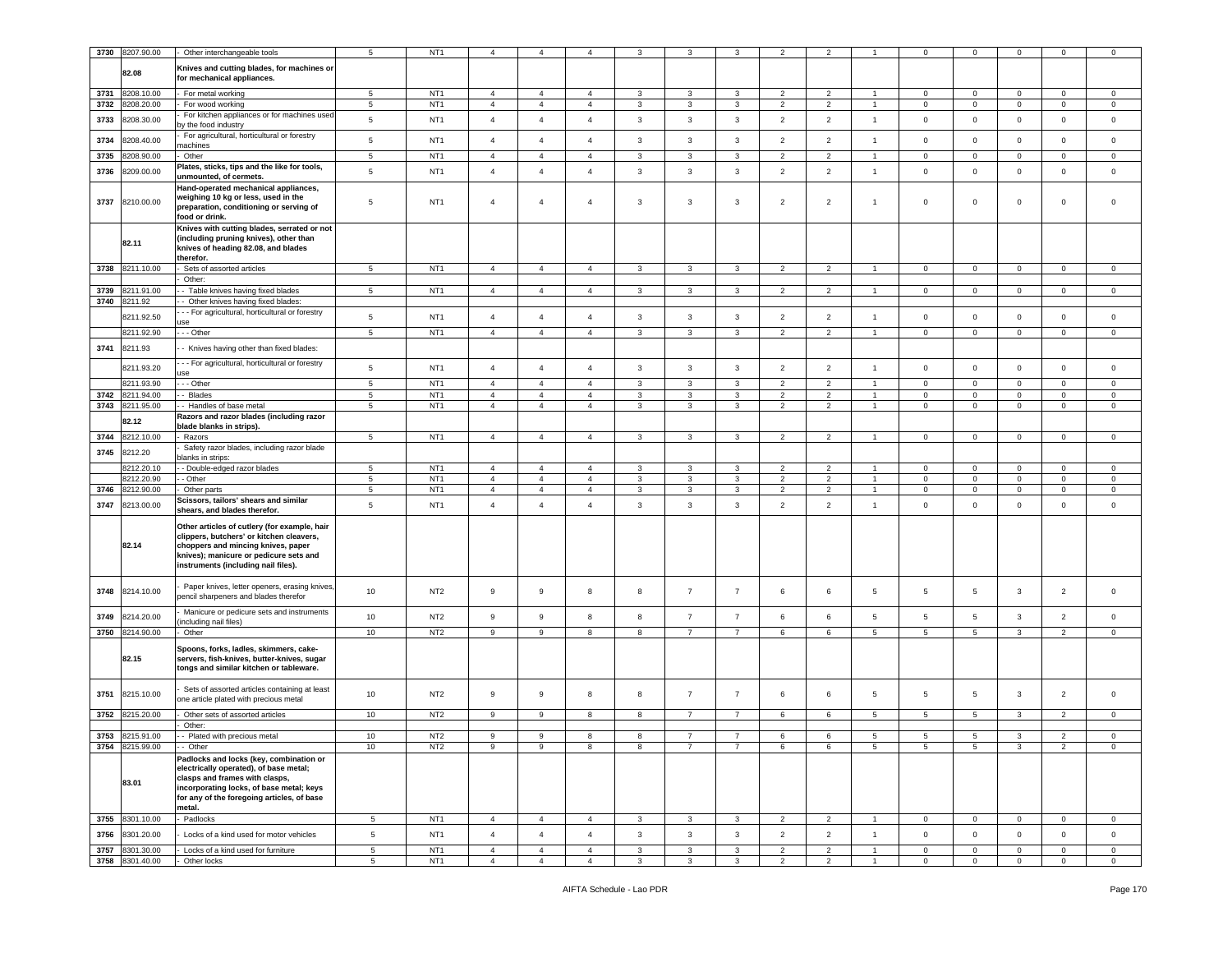| 3730 | 8207.90.00      | Other interchangeable tools                                                                                                                                                                                             | 5               | NT <sub>1</sub> | $\overline{4}$   | $\overline{4}$ | $\overline{4}$ | 3            | 3              | 3              | $\overline{2}$ | 2              |                | $^{\circ}$      | $\mathbf 0$     | 0              | $\mathbf 0$    | $\mathbf 0$    |
|------|-----------------|-------------------------------------------------------------------------------------------------------------------------------------------------------------------------------------------------------------------------|-----------------|-----------------|------------------|----------------|----------------|--------------|----------------|----------------|----------------|----------------|----------------|-----------------|-----------------|----------------|----------------|----------------|
|      | 82.08           | Knives and cutting blades, for machines or<br>for mechanical appliances.                                                                                                                                                |                 |                 |                  |                |                |              |                |                |                |                |                |                 |                 |                |                |                |
|      |                 |                                                                                                                                                                                                                         |                 |                 |                  |                |                |              |                |                |                |                |                |                 |                 |                |                |                |
| 3731 | 8208.10.00      | For metal working                                                                                                                                                                                                       | 5               | NT <sub>1</sub> | $\overline{4}$   | $\overline{4}$ | $\overline{4}$ | 3            | 3              | $\mathbf{3}$   | $\overline{2}$ | $\overline{2}$ |                | $\mathbf 0$     | $\mathbf{0}$    | 0              | $\mathbf 0$    | $\mathbf 0$    |
| 3732 | 8208.20.00      | For wood working                                                                                                                                                                                                        | 5               | NT <sub>1</sub> | $\overline{4}$   | $\overline{4}$ | $\overline{4}$ | 3            | 3              | 3              | $\overline{2}$ | $\overline{2}$ | $\overline{1}$ | $\mathbf 0$     | $\overline{0}$  | $\mathsf 0$    | $\mathbf 0$    | $\mathsf 0$    |
| 3733 | 3208.30.00      | For kitchen appliances or for machines used<br>y the food industry                                                                                                                                                      | 5               | NT <sub>1</sub> | $\overline{4}$   | $\overline{4}$ | $\overline{4}$ | 3            | 3              | 3              | $\overline{2}$ | $\overline{2}$ | $\overline{1}$ | $\mathsf 0$     | $\mathbf 0$     | $\mathbf 0$    | $\mathbf 0$    | $\mathsf 0$    |
| 3734 | 8208.40.00      | For agricultural, horticultural or forestry<br>nachines                                                                                                                                                                 | 5               | NT <sub>1</sub> | $\sqrt{4}$       | $\overline{4}$ | $\overline{4}$ | $\mathbf{3}$ | $\mathbf{3}$   | $\mathbf{3}$   | $\overline{2}$ | $\overline{2}$ | $\overline{1}$ | $\,0\,$         | $\mathbf 0$     | $\mathbf 0$    | $\pmb{0}$      | $\mathbf 0$    |
| 3735 | 3208.90.00      | Other                                                                                                                                                                                                                   | $5\phantom{.0}$ | NT <sub>1</sub> | $\overline{4}$   | $\overline{4}$ | $\overline{4}$ | $\mathbf{3}$ | 3              | 3              | $\overline{2}$ | $\overline{2}$ | $\overline{1}$ | $\mathbf 0$     | $\overline{0}$  | $\mathsf 0$    | $\mathbf 0$    | $\mathbf 0$    |
| 3736 | 3209.00.00      | Plates, sticks, tips and the like for tools,<br>unmounted, of cermets.                                                                                                                                                  | 5               | NT <sub>1</sub> | $\overline{4}$   | $\overline{4}$ | $\overline{4}$ | $\mathbf{3}$ | $\mathbf{3}$   | $\mathbf{3}$   | $\overline{2}$ | $\overline{2}$ | $\mathbf{1}$   | $\mathsf 0$     | $\mathbf 0$     | $\mathsf 0$    | $\mathsf 0$    | $\mathbf 0$    |
| 3737 | 8210.00.00      | Hand-operated mechanical appliances,<br>weighing 10 kg or less, used in the<br>preparation, conditioning or serving of<br>food or drink.<br>Knives with cutting blades, serrated or not                                 | 5               | NT <sub>1</sub> | $\overline{4}$   | $\overline{4}$ | $\overline{4}$ | 3            | 3              | 3              | $\overline{c}$ | $\overline{2}$ | $\overline{1}$ | $\mathbf 0$     | $\mathbf 0$     | $\mathbf 0$    | $\mathsf 0$    | $\mathbf 0$    |
|      | 82.11           | (including pruning knives), other than<br>knives of heading 82.08, and blades<br>therefor.                                                                                                                              |                 |                 |                  |                |                |              |                |                |                |                |                |                 |                 |                |                |                |
|      | 3738 8211.10.00 | Sets of assorted articles                                                                                                                                                                                               | $5\overline{5}$ | NT <sub>1</sub> | $\overline{4}$   | $\overline{4}$ | $\overline{4}$ | $\mathbf{3}$ | $\mathbf{3}$   | 3              | $\overline{2}$ | $\overline{2}$ | $\overline{1}$ | $\overline{0}$  | $\overline{0}$  | $\overline{0}$ | $\overline{0}$ | $\overline{0}$ |
|      |                 | Other:                                                                                                                                                                                                                  |                 |                 |                  |                |                |              |                |                |                |                |                |                 |                 |                |                |                |
| 3739 | 211.91.00       | - Table knives having fixed blades                                                                                                                                                                                      | $5\phantom{.0}$ | NT <sub>1</sub> | $\sqrt{4}$       | $\overline{4}$ | $\overline{4}$ | 3            | $\mathbf{3}$   | 3              | $\overline{2}$ | $\overline{2}$ | $\overline{1}$ | $\mathbf 0$     | $\mathbf 0$     | $\mathbf 0$    | $\overline{0}$ | $\mathbf 0$    |
| 3740 | 8211.92         | - Other knives having fixed blades:                                                                                                                                                                                     |                 |                 |                  |                |                |              |                |                |                |                |                |                 |                 |                |                |                |
|      | 8211.92.50      | - - For agricultural, horticultural or forestry<br><b>JSe</b>                                                                                                                                                           | 5               | NT <sub>1</sub> | $\overline{4}$   | $\overline{4}$ | $\overline{4}$ | 3            | 3              | 3              | $\overline{2}$ | $\overline{2}$ | $\overline{1}$ | $\mathsf 0$     | $\mathbf 0$     | $\mathsf 0$    | $\mathsf 0$    | $\mathbf 0$    |
|      | 8211.92.90      | - - - Other                                                                                                                                                                                                             | $\overline{5}$  | NT <sub>1</sub> | $\overline{4}$   | $\overline{4}$ | $\overline{4}$ | $\mathbf{3}$ | $\mathbf{3}$   | $\mathbf{3}$   | $\overline{2}$ | $\overline{2}$ | $\overline{1}$ | $\mathbf 0$     | $\mathbf 0$     | $\mathbf 0$    | $\overline{0}$ | $\mathsf 0$    |
| 3741 | 8211.93         | - Knives having other than fixed blades:                                                                                                                                                                                |                 |                 |                  |                |                |              |                |                |                |                |                |                 |                 |                |                |                |
|      | 8211.93.20      | --- For agricultural, horticultural or forestry<br><b>ISe</b>                                                                                                                                                           | 5               | NT <sub>1</sub> | $\overline{4}$   | $\overline{4}$ | $\overline{4}$ | 3            | 3              | 3              | $\overline{2}$ | $\overline{2}$ | $\overline{1}$ | $\mathbf 0$     | $\mathbf 0$     | $\mathbf 0$    | $\mathsf 0$    | $\mathsf 0$    |
|      | 8211.93.90      | --- Other                                                                                                                                                                                                               | 5               | NT <sub>1</sub> | $\sqrt{4}$       | $\overline{4}$ | $\overline{4}$ | $\mathbf{3}$ | 3              | 3              | $\overline{2}$ | $\overline{2}$ | $\overline{1}$ | $\mathbf 0$     | $\mathsf 0$     | 0              | $\mathbf 0$    | $\mathsf 0$    |
| 3742 | 8211.94.00      | - Blades                                                                                                                                                                                                                | $5\phantom{.0}$ | NT <sub>1</sub> | $\sqrt{4}$       | $\overline{4}$ | $\overline{4}$ | 3            | $\mathbf{3}$   | $\mathbf{3}$   | $\overline{2}$ | $\overline{2}$ | $\mathbf{1}$   | $\mathbf 0$     | $\mathbf 0$     | $\mathsf 0$    | $\mathbf 0$    | $\mathsf 0$    |
| 3743 | 8211.95.00      | - Handles of base metal                                                                                                                                                                                                 | 5               | NT <sub>1</sub> | $\overline{4}$   | $\overline{4}$ | $\overline{4}$ | 3            | 3              | 3              | $\overline{2}$ | $\overline{2}$ | $\mathbf{1}$   | $\mathbf 0$     | $\overline{0}$  | $\mathbf 0$    | $\overline{0}$ | $\mathbf 0$    |
|      |                 | Razors and razor blades (including razor                                                                                                                                                                                |                 |                 |                  |                |                |              |                |                |                |                |                |                 |                 |                |                |                |
|      | 82.12           | blade blanks in strips).                                                                                                                                                                                                |                 |                 |                  |                |                |              |                |                |                |                |                |                 |                 |                |                |                |
| 3744 | 8212.10.00      | Razors                                                                                                                                                                                                                  | $5\phantom{.0}$ | NT <sub>1</sub> | $\overline{4}$   | $\overline{4}$ | $\overline{4}$ | 3            | $\mathbf{3}$   | 3              | $\overline{2}$ | $\overline{2}$ | $\overline{1}$ | $\overline{0}$  | $\overline{0}$  | $\mathbf{0}$   | $\mathbf{0}$   | 0              |
| 3745 | 8212.20         | Safety razor blades, including razor blade<br>lanks in strips:                                                                                                                                                          |                 |                 |                  |                |                |              |                |                |                |                |                |                 |                 |                |                |                |
|      | 8212.20.10      | - Double-edged razor blades                                                                                                                                                                                             | 5               | NT <sub>1</sub> | $\overline{4}$   | $\overline{4}$ | $\overline{4}$ | 3            | 3              | 3              | 2              | $\overline{2}$ | $\overline{1}$ | $\mathbf 0$     | $\mathbf 0$     | 0              | $\mathbf 0$    | $\mathbf 0$    |
|      | 8212.20.90      | - Other                                                                                                                                                                                                                 | $5\phantom{.0}$ | NT <sub>1</sub> | $\overline{4}$   | $\overline{4}$ | $\overline{4}$ | 3            | $\mathbf{3}$   | 3              | $\overline{2}$ | $\overline{2}$ | $\overline{1}$ | $\overline{0}$  | $\overline{0}$  | $\overline{0}$ | $\mathbf 0$    | $\mathsf 0$    |
| 3746 | 8212.90.00      | Other parts                                                                                                                                                                                                             | $5\overline{5}$ | NT <sub>1</sub> | $\overline{4}$   | $\overline{4}$ | $\overline{4}$ | $\mathbf{3}$ | 3              | 3              | $\overline{2}$ | 2              | $\mathbf{1}$   | $\mathbf 0$     | $\overline{0}$  | $\mathsf 0$    | $\overline{0}$ | $\mathbf 0$    |
| 3747 | 8213.00.00      | Scissors, tailors' shears and similar<br>shears, and blades therefor.                                                                                                                                                   | 5               | NT <sub>1</sub> | $\overline{4}$   | $\overline{4}$ | $\overline{4}$ | $\mathbf{3}$ | 3              | $\mathbf{3}$   | $\overline{2}$ | $\overline{2}$ | $\mathbf{1}$   | $\mathsf 0$     | $\mathsf 0$     | $\mathsf 0$    | $\mathbf 0$    | $\mathsf 0$    |
|      | 82.14           | Other articles of cutlery (for example, hair<br>clippers, butchers' or kitchen cleavers,<br>choppers and mincing knives, paper<br>knives); manicure or pedicure sets and<br>instruments (including nail files).         |                 |                 |                  |                |                |              |                |                |                |                |                |                 |                 |                |                |                |
| 3748 | 8214.10.00      | Paper knives, letter openers, erasing knives,<br>bencil sharpeners and blades therefor                                                                                                                                  | 10              | NT <sub>2</sub> | 9                | 9              | 8              | 8            | $\overline{7}$ | $\overline{7}$ | 6              | 6              | 5              | $\sqrt{5}$      | 5               | 3              | $\overline{2}$ | $\mathbf 0$    |
| 3749 | 8214.20.00      | Manicure or pedicure sets and instruments<br>including nail files)                                                                                                                                                      | 10              | NT <sub>2</sub> | $\boldsymbol{9}$ | 9              | 8              | $^{\rm 8}$   | $\overline{7}$ | $\overline{7}$ | 6              | 6              | 5              | 5               | 5               | $\mathbf{3}$   | $\overline{2}$ | $\mathbf 0$    |
| 3750 | 8214.90.00      | Other                                                                                                                                                                                                                   | 10              | NT <sub>2</sub> | 9                | 9              | 8              | 8            | $\overline{7}$ | $\overline{7}$ | 6              | 6              | $\overline{5}$ | 5               | 5               | 3              | $\overline{c}$ | $\mathbf 0$    |
|      | 82.15           | Spoons, forks, ladles, skimmers, cake-<br>servers, fish-knives, butter-knives, sugar<br>tongs and similar kitchen or tableware.                                                                                         |                 |                 |                  |                |                |              |                |                |                |                |                |                 |                 |                |                |                |
| 3751 | 8215.10.00      | Sets of assorted articles containing at least<br>one article plated with precious metal                                                                                                                                 | 10              | NT <sub>2</sub> | 9                | 9              | 8              | 8            | $\overline{7}$ | $\overline{7}$ | 6              | 6              | 5              | 5               | 5               | $\mathbf{3}$   | $\overline{2}$ | $\mathsf 0$    |
| 3752 | 8215.20.00      | Other sets of assorted articles<br>Other:                                                                                                                                                                               | 10              | NT <sub>2</sub> | 9                | 9              | 8              | 8            | $\overline{7}$ | $\overline{7}$ | 6              | 6              | 5              | $5\overline{5}$ | $5\overline{5}$ | 3              | $\overline{2}$ | $\mathbf 0$    |
|      | 3753 8215.91.00 | - Plated with precious metal                                                                                                                                                                                            | 10              | NT <sub>2</sub> | 9                | 9              | 8              | 8            | $\overline{7}$ | 7              | 6              | 6              | 5              | 5               | 5               | 3              | $\overline{2}$ | $\mathbf 0$    |
|      | 3754 8215.99.00 | - Other                                                                                                                                                                                                                 | 10              | NT <sub>2</sub> | 9                | 9              | 8              | 8            | $\overline{7}$ | $\overline{7}$ | 6              | 6              | 5              | 5               | 5               | 3              | $\overline{2}$ | $\mathbf 0$    |
|      | 83.01           | Padlocks and locks (key, combination or<br>electrically operated), of base metal;<br>clasps and frames with clasps,<br>incorporating locks, of base metal; keys<br>for any of the foregoing articles, of base<br>metal. |                 |                 |                  |                |                |              |                |                |                |                |                |                 |                 |                |                |                |
|      | 3755 8301.10.00 | Padlocks                                                                                                                                                                                                                | 5               | NT <sub>1</sub> | $\overline{4}$   | $\overline{4}$ | $\overline{4}$ | $\mathbf{3}$ | 3              | 3              | $\overline{c}$ | $\overline{2}$ | $\mathbf{1}$   | $\mathbf 0$     | $\overline{0}$  | $\mathbf 0$    | $\mathbf 0$    | $\mathsf 0$    |
| 3756 | 8301.20.00      | Locks of a kind used for motor vehicles                                                                                                                                                                                 | $\,$ 5 $\,$     | NT <sub>1</sub> | $\overline{4}$   | $\overline{4}$ | $\overline{4}$ | $\mathbf{3}$ | $\mathbf{3}$   | $\mathbf{3}$   | $\overline{2}$ | $\overline{2}$ | $\mathbf{1}$   | $\mathbf 0$     | $\circ$         | $\mathbf 0$    | $\mathbf 0$    | $\mathsf 0$    |
| 3757 | 8301.30.00      | Locks of a kind used for furniture                                                                                                                                                                                      | $\,$ 5 $\,$     | NT <sub>1</sub> | $\sqrt{4}$       | $\overline{4}$ | $\overline{4}$ | $\mathbf{3}$ | $\mathbf{3}$   | $\mathbf{3}$   | $\overline{c}$ | $\overline{2}$ | $\overline{1}$ | $\mathbf 0$     | $\mathsf 0$     | $\mathsf 0$    | $\mathbf 0$    | $\mathsf 0$    |
|      | 3758 8301.40.00 | Other locks                                                                                                                                                                                                             | $\,$ 5 $\,$     | NT <sub>1</sub> | $\overline{4}$   | $\overline{4}$ | $\overline{4}$ | $\mathbf{3}$ | $\mathbf{3}$   | $\mathbf{3}$   | $\overline{2}$ | $\overline{2}$ | $\mathbf{1}$   | $\mathbf{0}$    | $\overline{0}$  | $\mathbf 0$    | $\mathbf{0}$   | $\mathbf{0}$   |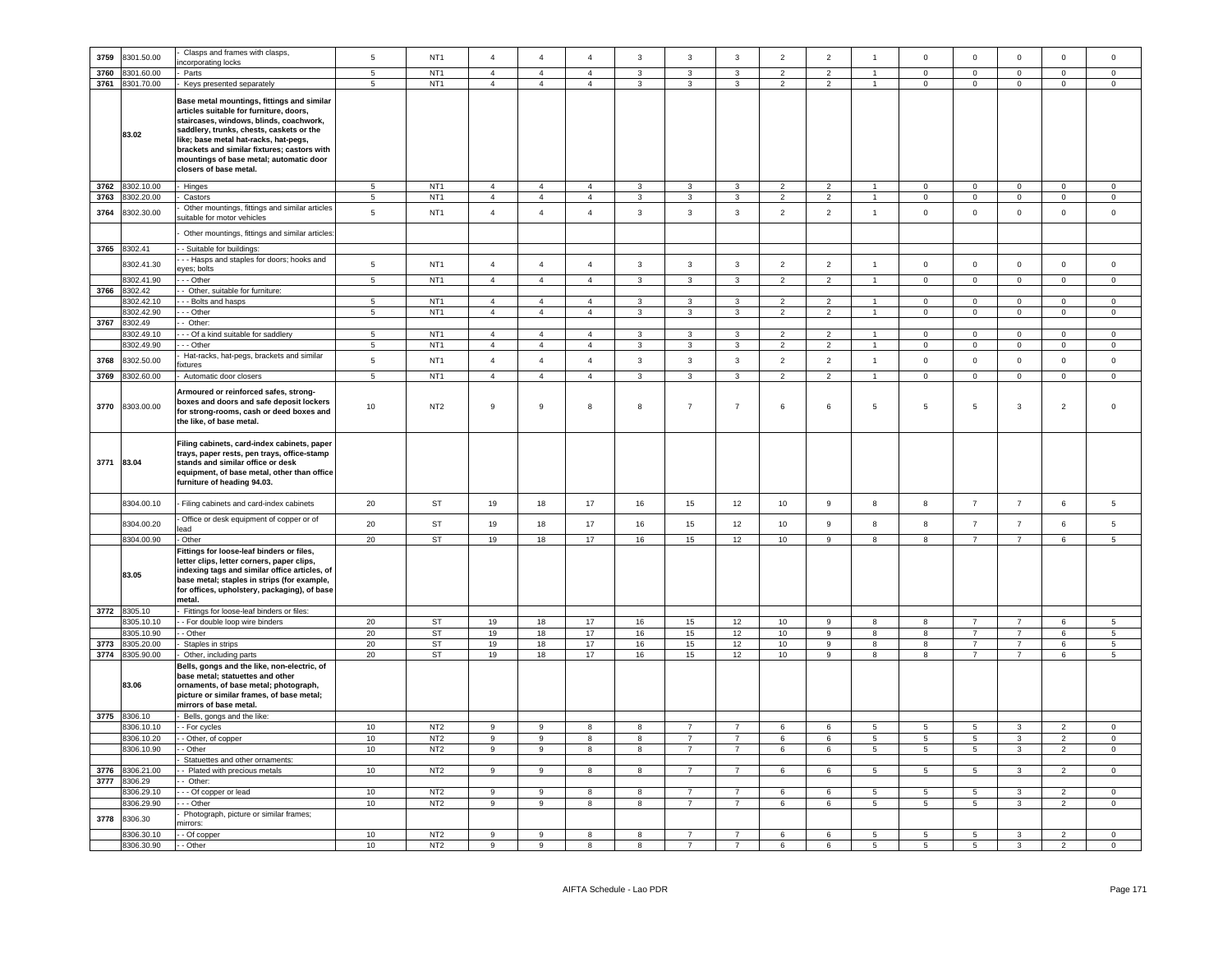| 3759         | 8301.50.00               | Clasps and frames with clasps,                                                                                                                                                                                                                                                                                                           | 5                    | NT <sub>1</sub>                    | $\overline{4}$                   | $\overline{4}$                   | $\overline{a}$                   | $\overline{3}$               | $\mathbf{3}$                 | $\overline{3}$    | $\overline{2}$                   | $\overline{2}$                   | $\overline{1}$                 | $\mathbf 0$                | $\mathbf 0$                   | $\mathbf 0$                | $\mathbf 0$                 | $\mathbf 0$                   |
|--------------|--------------------------|------------------------------------------------------------------------------------------------------------------------------------------------------------------------------------------------------------------------------------------------------------------------------------------------------------------------------------------|----------------------|------------------------------------|----------------------------------|----------------------------------|----------------------------------|------------------------------|------------------------------|-------------------|----------------------------------|----------------------------------|--------------------------------|----------------------------|-------------------------------|----------------------------|-----------------------------|-------------------------------|
|              |                          | corporating locks                                                                                                                                                                                                                                                                                                                        |                      |                                    |                                  |                                  |                                  |                              |                              |                   |                                  |                                  |                                |                            |                               |                            |                             |                               |
| 3760         | 8301.60.00               | Parts                                                                                                                                                                                                                                                                                                                                    | $\overline{5}$       | NT <sub>1</sub>                    | $\overline{4}$                   | $\overline{4}$                   | $\overline{4}$                   | $\overline{\mathbf{3}}$      | 3                            | $\overline{3}$    | $\overline{2}$                   | $\overline{2}$                   |                                | $\Omega$                   | $\overline{0}$                | $\overline{0}$             | $\Omega$                    | $\mathsf 0$                   |
| 3761         | 8301.70.00               | Keys presented separately                                                                                                                                                                                                                                                                                                                | 5                    | NT <sub>1</sub>                    | $\overline{4}$                   | $\overline{4}$                   | $\overline{4}$                   | $\overline{3}$               | 3                            | $\overline{3}$    | $\overline{2}$                   | $\overline{2}$                   | $\blacktriangleleft$           | $\Omega$                   | $\mathbf 0$                   | $\mathbf 0$                | $\Omega$                    | $\Omega$                      |
|              | 83.02                    | Base metal mountings, fittings and similar<br>articles suitable for furniture, doors,<br>staircases, windows, blinds, coachwork,<br>saddlery, trunks, chests, caskets or the<br>ike; base metal hat-racks, hat-pegs,<br>brackets and similar fixtures; castors with<br>mountings of base metal; automatic door<br>closers of base metal. |                      |                                    |                                  |                                  |                                  |                              |                              |                   |                                  |                                  |                                |                            |                               |                            |                             |                               |
| 3762         | 8302.10.00               | Hinges                                                                                                                                                                                                                                                                                                                                   | 5                    | NT <sub>1</sub>                    | $\overline{4}$                   | $\overline{4}$                   | $\overline{4}$                   | $\mathbf{3}$                 | 3                            | $\mathbf{3}$      | $\overline{2}$                   | $\overline{2}$                   |                                | $\mathsf 0$                | $\mathsf 0$                   | $\mathsf 0$                | $\mathsf 0$                 | $\mathsf 0$                   |
|              |                          |                                                                                                                                                                                                                                                                                                                                          |                      |                                    |                                  |                                  |                                  |                              |                              |                   |                                  |                                  |                                |                            |                               |                            |                             |                               |
| 3763         | 8302.20.00               | Castors                                                                                                                                                                                                                                                                                                                                  | 5                    | NT <sub>1</sub>                    | $\overline{4}$                   | $\overline{4}$                   | $\overline{4}$                   | $\overline{3}$               | 3                            | $\overline{3}$    | $\overline{2}$                   | $\overline{2}$                   |                                | $\mathbf 0$                | $\mathbf{0}$                  | $\mathbf 0$                | $\Omega$                    | $\mathbf 0$                   |
| 3764         | 8302.30.00               | Other mountings, fittings and similar articles<br>uitable for motor vehicles                                                                                                                                                                                                                                                             | $\overline{5}$       | NT <sub>1</sub>                    | $\overline{4}$                   | $\overline{4}$                   | $\overline{4}$                   | $\mathbf{3}$                 | $\overline{3}$               | $\mathbf{3}$      | $\overline{2}$                   | $\overline{2}$                   | $\mathbf{1}$                   | $\mathsf 0$                | $\mathsf 0$                   | $\mathsf 0$                | $\mathsf 0$                 | $\mathsf 0$                   |
|              |                          | Other mountings, fittings and similar articles                                                                                                                                                                                                                                                                                           |                      |                                    |                                  |                                  |                                  |                              |                              |                   |                                  |                                  |                                |                            |                               |                            |                             |                               |
|              | 3765 8302.41             | - Suitable for buildings:                                                                                                                                                                                                                                                                                                                |                      |                                    |                                  |                                  |                                  |                              |                              |                   |                                  |                                  |                                |                            |                               |                            |                             |                               |
|              |                          | - - Hasps and staples for doors; hooks and                                                                                                                                                                                                                                                                                               |                      |                                    |                                  |                                  |                                  |                              |                              |                   |                                  |                                  |                                |                            |                               |                            |                             |                               |
|              | 8302.41.30<br>8302.41.90 | yes; bolts<br>- - Other                                                                                                                                                                                                                                                                                                                  | 5<br>$5\overline{5}$ | NT <sub>1</sub><br>NT <sub>1</sub> | $\overline{4}$<br>$\overline{4}$ | $\overline{4}$<br>$\overline{4}$ | $\overline{4}$<br>$\overline{4}$ | $\mathbf{3}$<br>$\mathbf{3}$ | $\mathbf{3}$<br>$\mathbf{3}$ | $\mathbf{3}$<br>3 | $\overline{2}$<br>$\overline{2}$ | $\overline{2}$<br>$\overline{2}$ | $\mathbf{1}$<br>$\overline{1}$ | $\mathsf 0$<br>$\mathbf 0$ | $\mathbf 0$<br>$\overline{0}$ | $\mathsf 0$<br>$\mathbf 0$ | $\mathbf 0$<br>$\mathbf{0}$ | $\mathsf 0$<br>$\overline{0}$ |
|              |                          |                                                                                                                                                                                                                                                                                                                                          |                      |                                    |                                  |                                  |                                  |                              |                              |                   |                                  |                                  |                                |                            |                               |                            |                             |                               |
| 3766         | 8302.42                  | Other, suitable for furniture:                                                                                                                                                                                                                                                                                                           |                      |                                    |                                  |                                  |                                  |                              |                              |                   |                                  |                                  |                                |                            |                               |                            |                             |                               |
|              | 302.42.10                | - Bolts and hasps                                                                                                                                                                                                                                                                                                                        | $\overline{5}$       | NT <sub>1</sub>                    | $\overline{4}$                   | $\overline{4}$                   | $\overline{4}$                   | 3                            | 3                            | 3                 | $\overline{2}$                   | 2                                |                                | $\mathbf 0$                | $\mathbf 0$                   | $\mathbf 0$                | $\mathbf 0$                 | $\mathbf 0$                   |
|              | 8302.42.90               | - Other                                                                                                                                                                                                                                                                                                                                  | $5\phantom{.0}$      | NT <sub>1</sub>                    | $\overline{4}$                   | $\overline{4}$                   | $\overline{4}$                   | $\mathbf{3}$                 | $\mathbf{3}$                 | $\mathbf{3}$      | $\overline{2}$                   | $\overline{2}$                   | $\overline{1}$                 | $\mathbf 0$                | $\mathbf 0$                   | $\mathbf 0$                | $\mathsf 0$                 | $\mathsf{O}\xspace$           |
| 3767         | 8302.49                  | Other:                                                                                                                                                                                                                                                                                                                                   |                      |                                    |                                  |                                  |                                  |                              |                              |                   |                                  |                                  |                                |                            |                               |                            |                             |                               |
|              | 302.49.10                | - Of a kind suitable for saddlery                                                                                                                                                                                                                                                                                                        | $\sqrt{5}$           | NT <sub>1</sub>                    | $\sqrt{4}$                       | $\sqrt{4}$                       | $\overline{4}$                   | $\mathbf{3}$                 | 3                            | $\mathbf{3}$      | $\overline{2}$                   | $\overline{2}$                   |                                | $\mathbf 0$                | $\mathbf 0$                   | $\mathbf 0$                | $\mathbf 0$                 | $\mathsf 0$                   |
|              | 3302.49.90               | - - Other                                                                                                                                                                                                                                                                                                                                | 5                    | NT <sub>1</sub>                    | $\overline{4}$                   | $\overline{4}$                   | $\overline{4}$                   | $\mathbf{3}$                 | 3                            | $\mathbf{3}$      | $\overline{2}$                   | $\overline{2}$                   | $\mathbf{1}$                   | $\mathsf 0$                | $\mathbf 0$                   | $\mathsf 0$                | $\mathbf 0$                 | $\mathsf 0$                   |
| 3768         | 8302.50.00               | Hat-racks, hat-pegs, brackets and similar<br>xtures                                                                                                                                                                                                                                                                                      | $5\phantom{.0}$      | NT <sub>1</sub>                    | $\overline{4}$                   | $\overline{4}$                   | $\overline{4}$                   | $\mathbf{3}$                 | $\mathbf{3}$                 | 3                 | $\overline{2}$                   | $\overline{2}$                   | $\mathbf{1}$                   | $\mathsf 0$                | $\mathbf 0$                   | $\mathbf 0$                | $\mathbf 0$                 | $\mathbf 0$                   |
| 3769         | 8302.60.00               | Automatic door closers                                                                                                                                                                                                                                                                                                                   | $\overline{5}$       | NT <sub>1</sub>                    | $\overline{4}$                   | $\overline{4}$                   | $\overline{4}$                   | $\overline{\mathbf{3}}$      | $\overline{3}$               | $\overline{3}$    | $\overline{2}$                   | $\overline{2}$                   | $\overline{1}$                 | $\overline{0}$             | $\overline{0}$                | $\overline{0}$             | $\overline{0}$              | $\mathbf 0$                   |
| 3770         | 8303.00.00               | Armoured or reinforced safes, strong-<br>boxes and doors and safe deposit lockers<br>for strong-rooms, cash or deed boxes and<br>the like, of base metal.                                                                                                                                                                                | 10                   | NT <sub>2</sub>                    | 9                                | $\mathsf g$                      | 8                                | 8                            | $\overline{7}$               | $\overline{7}$    | 6                                | 6                                | 5                              | 5                          | 5                             | 3                          | $\overline{2}$              | $\mathbf 0$                   |
| 3771         | 83.04                    | Filing cabinets, card-index cabinets, paper<br>trays, paper rests, pen trays, office-stamp<br>stands and similar office or desk<br>equipment, of base metal, other than office<br>furniture of heading 94.03.                                                                                                                            |                      |                                    |                                  |                                  |                                  |                              |                              |                   |                                  |                                  |                                |                            |                               |                            |                             |                               |
|              | 8304.00.10               | Filing cabinets and card-index cabinets                                                                                                                                                                                                                                                                                                  | 20                   | <b>ST</b>                          | 19                               | 18                               | 17                               | 16                           | 15                           | 12                | 10                               | $\mathsf g$                      | 8                              | 8                          | $\overline{7}$                | $\overline{7}$             | $\,6\,$                     | $5\phantom{.0}$               |
|              | 8304.00.20               | Office or desk equipment of copper or of                                                                                                                                                                                                                                                                                                 | 20                   | ST                                 | 19                               | 18                               | 17                               | 16                           | 15                           | 12                | 10                               | 9                                | 8                              | 8                          | $\overline{7}$                | $\overline{7}$             | 6                           | $\sqrt{5}$                    |
|              |                          | ead                                                                                                                                                                                                                                                                                                                                      |                      |                                    |                                  |                                  |                                  |                              |                              |                   |                                  |                                  |                                |                            |                               |                            |                             |                               |
|              | 8304.00.90               | Other                                                                                                                                                                                                                                                                                                                                    | 20                   | <b>ST</b>                          | 19                               | 18                               | 17                               | 16                           | 15                           | 12                | 10                               | 9                                | 8                              | 8                          | $\overline{7}$                | $\overline{7}$             | 6                           | $5\phantom{.0}$               |
|              | 83.05                    | Fittings for loose-leaf binders or files,<br>letter clips, letter corners, paper clips,<br>indexing tags and similar office articles, of<br>base metal; staples in strips (for example,<br>for offices, upholstery, packaging), of base<br>metal.                                                                                        |                      |                                    |                                  |                                  |                                  |                              |                              |                   |                                  |                                  |                                |                            |                               |                            |                             |                               |
| 3772         | 8305.10                  | Fittings for loose-leaf binders or files:                                                                                                                                                                                                                                                                                                |                      |                                    |                                  |                                  |                                  |                              |                              |                   |                                  |                                  |                                |                            |                               |                            |                             |                               |
|              | 8305.10.10               | - For double loop wire binders                                                                                                                                                                                                                                                                                                           | 20                   | ST                                 | 19                               | 18                               | 17                               | 16                           | 15                           | 12                | 10                               | 9                                | 8                              | $\mathbf{g}$               | $\overline{7}$                | $\overline{7}$             | 6                           | 5                             |
|              | 8305.10.90               | - Other                                                                                                                                                                                                                                                                                                                                  | 20                   | <b>ST</b>                          | 19                               | 18                               | 17                               | 16                           | 15                           | 12                | 10                               | 9                                | 8                              | 8                          | $\overline{7}$                | $\overline{7}$             | 6                           | 5                             |
| 3773         | 8305.20.00               | Staples in strips                                                                                                                                                                                                                                                                                                                        | 20                   | ST                                 | 19                               | 18                               | 17                               | 16                           | 15                           | 12                | 10                               | 9                                | 8                              | 8                          | $\overline{7}$                | $\overline{7}$             | 6                           | $\overline{5}$                |
| 3774         | 8305.90.00               | Other, including parts                                                                                                                                                                                                                                                                                                                   | 20                   | ST                                 | 19                               | 18                               | 17                               | 16                           | 15                           | 12                | 10                               | 9                                | 8                              | 8                          | $\overline{7}$                | $\overline{7}$             | 6                           | 5                             |
|              | 83.06                    | Bells, gongs and the like, non-electric, of<br>base metal; statuettes and other<br>ornaments, of base metal; photograph,<br>picture or similar frames, of base metal;<br>mirrors of base metal.                                                                                                                                          |                      |                                    |                                  |                                  |                                  |                              |                              |                   |                                  |                                  |                                |                            |                               |                            |                             |                               |
|              | 3775 8306.10             | Bells, gongs and the like:                                                                                                                                                                                                                                                                                                               |                      |                                    |                                  |                                  |                                  |                              |                              |                   |                                  |                                  |                                |                            |                               |                            |                             |                               |
|              | 8306.10.10               | - For cycles                                                                                                                                                                                                                                                                                                                             | 10                   | NT <sub>2</sub>                    | $\,9$                            | 9                                | 8                                | 8                            | $\overline{7}$               | $\overline{7}$    | 6                                | 6                                | 5                              | $\sqrt{5}$                 | $\,$ 5 $\,$                   | $\mathbf{3}$               | $\overline{2}$              | $\mathbf 0$                   |
|              | 8306.10.20               | - Other, of copper                                                                                                                                                                                                                                                                                                                       | 10                   | NT <sub>2</sub>                    | $\boldsymbol{9}$                 | 9                                | 8                                | 8                            | $\overline{7}$               | $\overline{7}$    | 6                                | 6                                | $5\phantom{.0}$                | $\sqrt{5}$                 | $5\phantom{.0}$               | $\mathbf{3}$               | $\overline{2}$              | $\mathbf 0$                   |
|              | 8306.10.90               | Other                                                                                                                                                                                                                                                                                                                                    | 10                   | NT <sub>2</sub>                    | $\overline{9}$                   | $\overline{9}$                   | $\overline{8}$                   | $\overline{\mathbf{8}}$      | $\overline{7}$               | $\overline{7}$    | 6                                | 6                                | $\overline{5}$                 | $5\phantom{.0}$            | $\overline{5}$                | $\overline{3}$             | $\overline{2}$              | $\overline{0}$                |
|              |                          |                                                                                                                                                                                                                                                                                                                                          |                      |                                    |                                  |                                  |                                  |                              |                              |                   |                                  |                                  |                                |                            |                               |                            |                             |                               |
|              |                          | Statuettes and other ornaments:                                                                                                                                                                                                                                                                                                          |                      |                                    |                                  |                                  |                                  |                              |                              |                   |                                  |                                  |                                |                            |                               |                            |                             |                               |
| 3776<br>3777 | 8306.21.00<br>8306.29    | - Plated with precious metals<br>- Other:                                                                                                                                                                                                                                                                                                | 10                   | NT2                                | $\overline{9}$                   | $\overline{9}$                   | 8                                | $\overline{\mathbf{8}}$      | $\overline{7}$               | $\overline{7}$    | 6                                | 6                                | $5\overline{5}$                | $5\phantom{.0}$            | $\overline{5}$                | $\overline{3}$             | $\overline{2}$              | $\mathbf 0$                   |
|              |                          |                                                                                                                                                                                                                                                                                                                                          |                      |                                    |                                  |                                  |                                  |                              |                              |                   |                                  |                                  |                                |                            |                               |                            |                             |                               |
|              | 8306.29.10               | - - Of copper or lead                                                                                                                                                                                                                                                                                                                    | 10                   | NT <sub>2</sub>                    | $\,9$                            | 9                                | 8                                | 8                            | $\overline{7}$               | $\overline{7}$    | 6                                | 6                                | 5                              | -5                         | $5\phantom{.0}$               | 3                          | $\overline{2}$              | $\Omega$                      |
| 3778         | 8306.29.90<br>8306.30    | - - Other<br>Photograph, picture or similar frames;                                                                                                                                                                                                                                                                                      | 10                   | NT <sub>2</sub>                    | 9                                | $\mathsf g$                      | 8                                | 8                            | $\overline{7}$               | $\overline{7}$    | 6                                | 6                                | 5                              | $5\phantom{.0}$            | $\overline{5}$                | $\mathbf{3}$               | $\overline{2}$              | $\mathsf 0$                   |
|              |                          | nirrors:                                                                                                                                                                                                                                                                                                                                 |                      |                                    |                                  |                                  |                                  |                              |                              |                   |                                  |                                  |                                |                            |                               |                            |                             |                               |
|              | 8306.30.10               | - Of copper                                                                                                                                                                                                                                                                                                                              | 10                   | NT <sub>2</sub>                    | 9                                | 9                                | 8                                | 8                            | $\overline{7}$               | $\overline{7}$    | 6                                | 6                                | $\overline{5}$                 | 5                          | 5                             | 3                          | $\overline{\phantom{0}}$    | $\mathsf 0$                   |
|              | 8306.30.90               | - - Other                                                                                                                                                                                                                                                                                                                                | 10                   | NT <sub>2</sub>                    | 9                                | $\mathsf g$                      | 8                                | 8                            | $\overline{7}$               | $\overline{z}$    | 6                                | 6                                | 5                              | 5                          | $5\phantom{.0}$               | 3                          | $\overline{2}$              | $\mathsf 0$                   |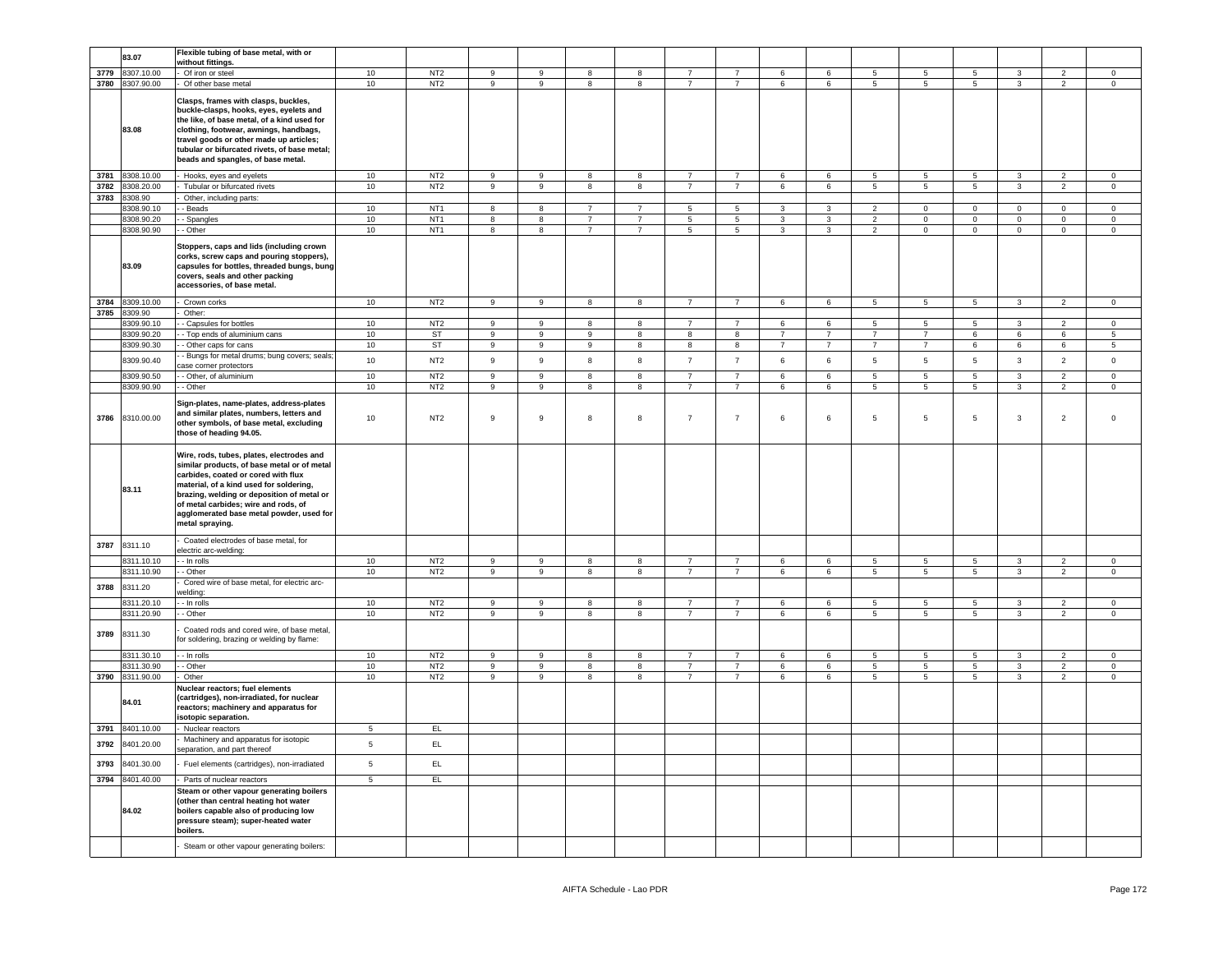|      | 83.07           | Flexible tubing of base metal, with or       |                 |                 |                         |                         |                         |                         |                |                |                 |                 |                 |                 |                 |                         |                |                 |
|------|-----------------|----------------------------------------------|-----------------|-----------------|-------------------------|-------------------------|-------------------------|-------------------------|----------------|----------------|-----------------|-----------------|-----------------|-----------------|-----------------|-------------------------|----------------|-----------------|
|      |                 | without fittings.                            |                 |                 |                         |                         |                         |                         |                |                |                 |                 |                 |                 |                 |                         |                |                 |
| 3779 | 8307.10.00      | Of iron or steel                             | 10              | NT <sub>2</sub> | $\overline{9}$          | 9                       | $\mathbf{R}$            | $^{\rm 8}$              | $\overline{7}$ | $\overline{7}$ | 6               | $\epsilon$      | 5               | $5\phantom{.0}$ | $5\phantom{.0}$ | $\mathbf{a}$            | $\overline{2}$ | $\overline{0}$  |
| 3780 | 8307.90.00      | Of other base metal                          | 10              | NT <sub>2</sub> | $\overline{9}$          | $\overline{9}$          | $\overline{8}$          | $\overline{8}$          | $\overline{7}$ | $\overline{7}$ | 6               | 6               | 5               | $\overline{5}$  | 5               | $\overline{3}$          | $\overline{2}$ | $\overline{0}$  |
|      |                 |                                              |                 |                 |                         |                         |                         |                         |                |                |                 |                 |                 |                 |                 |                         |                |                 |
|      |                 | Clasps, frames with clasps, buckles,         |                 |                 |                         |                         |                         |                         |                |                |                 |                 |                 |                 |                 |                         |                |                 |
|      |                 | buckle-clasps, hooks, eyes, eyelets and      |                 |                 |                         |                         |                         |                         |                |                |                 |                 |                 |                 |                 |                         |                |                 |
|      |                 | the like, of base metal, of a kind used for  |                 |                 |                         |                         |                         |                         |                |                |                 |                 |                 |                 |                 |                         |                |                 |
|      | 83.08           | clothing, footwear, awnings, handbags,       |                 |                 |                         |                         |                         |                         |                |                |                 |                 |                 |                 |                 |                         |                |                 |
|      |                 | travel goods or other made up articles;      |                 |                 |                         |                         |                         |                         |                |                |                 |                 |                 |                 |                 |                         |                |                 |
|      |                 |                                              |                 |                 |                         |                         |                         |                         |                |                |                 |                 |                 |                 |                 |                         |                |                 |
|      |                 | tubular or bifurcated rivets, of base metal; |                 |                 |                         |                         |                         |                         |                |                |                 |                 |                 |                 |                 |                         |                |                 |
|      |                 | beads and spangles, of base metal.           |                 |                 |                         |                         |                         |                         |                |                |                 |                 |                 |                 |                 |                         |                |                 |
|      |                 |                                              |                 |                 |                         |                         |                         |                         |                |                |                 |                 |                 |                 |                 |                         |                |                 |
| 3781 | 8308.10.00      | Hooks, eyes and eyelets                      | $10$            | NT <sub>2</sub> | $\mathsf g$             | $\mathsf g$             | 8                       | 8                       | $\overline{7}$ | $\overline{7}$ | $6\phantom{a}$  | 6               | 5               | $5\phantom{.0}$ | $\overline{5}$  | $\overline{3}$          | $\overline{2}$ | $\mathbf 0$     |
| 3782 | 8308.20.00      | Tubular or bifurcated rivets                 | 10              | NT <sub>2</sub> | $\overline{9}$          | $\overline{9}$          | $\overline{8}$          | $\overline{\mathbf{8}}$ | $\overline{7}$ | $\overline{7}$ | $6\overline{6}$ | 6               | $5\overline{)}$ | $\overline{5}$  | $\overline{5}$  | $\overline{3}$          | $\overline{2}$ | $\overline{0}$  |
| 3783 | 8308.90         | Other, including parts:                      |                 |                 |                         |                         |                         |                         |                |                |                 |                 |                 |                 |                 |                         |                |                 |
|      |                 |                                              | 10              | NT <sub>1</sub> | $\overline{\mathbf{8}}$ | 8                       | $\overline{7}$          | $\overline{7}$          | $\overline{5}$ | $\overline{5}$ | $\mathbf{3}$    | $\mathbf{3}$    | $\overline{2}$  | $\mathbf 0$     | $\overline{0}$  | $\overline{0}$          | $\mathbf 0$    | $\mathsf 0$     |
|      | 8308.90.10      | - Beads                                      |                 |                 |                         |                         |                         |                         |                |                |                 |                 |                 |                 |                 |                         |                |                 |
|      | 8308.90.20      | - Spangles                                   | 10              | NT <sub>1</sub> | $\overline{\mathbf{8}}$ | $\overline{\mathbf{8}}$ | $\overline{7}$          | $\overline{7}$          | $\overline{5}$ | $\overline{5}$ | $\overline{3}$  | $\overline{3}$  | $\overline{2}$  | $\mathbf 0$     | $\overline{0}$  | $\overline{0}$          | $\mathbf{0}$   | $\circ$         |
|      | 8308.90.90      | - Other                                      | 10              | NT <sub>1</sub> | $\overline{\mathbf{8}}$ | $\overline{\mathbf{8}}$ | $\overline{7}$          | $\overline{7}$          | $\overline{5}$ | $\overline{5}$ | $\overline{3}$  | $\overline{3}$  | $\overline{2}$  | $\overline{0}$  | $\overline{0}$  | $\overline{0}$          | $\overline{0}$ | $\overline{0}$  |
|      |                 |                                              |                 |                 |                         |                         |                         |                         |                |                |                 |                 |                 |                 |                 |                         |                |                 |
|      |                 | Stoppers, caps and lids (including crown     |                 |                 |                         |                         |                         |                         |                |                |                 |                 |                 |                 |                 |                         |                |                 |
|      |                 | corks, screw caps and pouring stoppers),     |                 |                 |                         |                         |                         |                         |                |                |                 |                 |                 |                 |                 |                         |                |                 |
|      | 83.09           | capsules for bottles, threaded bungs, bung   |                 |                 |                         |                         |                         |                         |                |                |                 |                 |                 |                 |                 |                         |                |                 |
|      |                 | covers, seals and other packing              |                 |                 |                         |                         |                         |                         |                |                |                 |                 |                 |                 |                 |                         |                |                 |
|      |                 |                                              |                 |                 |                         |                         |                         |                         |                |                |                 |                 |                 |                 |                 |                         |                |                 |
|      |                 | accessories, of base metal.                  |                 |                 |                         |                         |                         |                         |                |                |                 |                 |                 |                 |                 |                         |                |                 |
|      | 8309.10.00      |                                              | 10              | NT <sub>2</sub> | 9                       | 9                       |                         | $\boldsymbol{8}$        | $\overline{7}$ | $\overline{7}$ | 6               | 6               |                 |                 | $5\phantom{.0}$ |                         | $\overline{2}$ |                 |
| 3784 |                 | Crown corks                                  |                 |                 |                         |                         | 8                       |                         |                |                |                 |                 | 5               | 5               |                 | $\mathbf{3}$            |                | $\mathbf 0$     |
| 3785 | 8309.90         | Other:                                       |                 |                 |                         |                         |                         |                         |                |                |                 |                 |                 |                 |                 |                         |                |                 |
|      | 309.90.10       | - Capsules for bottles                       | 10              | NT <sub>2</sub> | $\overline{9}$          | $\overline{9}$          | 8                       | $\overline{\mathbf{8}}$ | $\overline{7}$ | $\overline{7}$ | 6               | 6               | 5               | 5               | $\overline{5}$  | $\overline{3}$          | $\overline{2}$ | $\mathbf 0$     |
|      | 3309.90.20      | - Top ends of aluminium cans                 | 10              | ST              | $\boldsymbol{9}$        | 9                       | 9                       | $^{\rm 8}$              | 8              | 8              | $\overline{7}$  | $\overline{7}$  | $\overline{7}$  | $\overline{7}$  | 6               | $\,6\,$                 | 6              | $5\phantom{.0}$ |
|      |                 |                                              |                 |                 |                         |                         |                         |                         |                |                |                 |                 |                 |                 |                 |                         |                |                 |
|      | 3309.90.30      | - Other caps for cans                        | 10              | ST              | 9                       | 9                       | 9                       | 8                       | 8              | 8              | $\overline{7}$  | $\overline{7}$  | $\overline{7}$  | $\overline{7}$  | 6               | $\,6\,$                 | 6              | 5               |
|      | 8309.90.40      | - Bungs for metal drums; bung covers; seals; | 10              | NT <sub>2</sub> | 9                       | 9                       | 8                       | 8                       | $\overline{7}$ | $\overline{7}$ | 6               | 6               | $\sqrt{5}$      | $\,$ 5 $\,$     | $5\phantom{.0}$ | $\mathbf{3}$            | $\overline{2}$ | $\mathsf 0$     |
|      |                 | ase corner protectors                        |                 |                 |                         |                         |                         |                         |                |                |                 |                 |                 |                 |                 |                         |                |                 |
|      | 8309.90.50      | - Other, of aluminium                        | 10              | NT <sub>2</sub> | $\overline{9}$          | $\overline{9}$          | 8                       | $\overline{\mathbf{8}}$ | $\overline{7}$ | $\overline{7}$ | 6               | 6               | $\overline{5}$  | $\overline{5}$  | $\overline{5}$  | $\overline{3}$          | $\overline{2}$ | $\mathbf 0$     |
|      | 8309.90.90      |                                              |                 |                 | $\overline{9}$          | 9                       | 8                       | 8                       | $\overline{7}$ | $\overline{7}$ | 6               | 6               | 5               | 5               | $\overline{5}$  | $\overline{3}$          | 2              | $\circ$         |
|      |                 | - Other                                      | $10$            | NT <sub>2</sub> |                         |                         |                         |                         |                |                |                 |                 |                 |                 |                 |                         |                |                 |
|      |                 |                                              |                 |                 |                         |                         |                         |                         |                |                |                 |                 |                 |                 |                 |                         |                |                 |
|      |                 | Sign-plates, name-plates, address-plates     |                 |                 |                         |                         |                         |                         |                |                |                 |                 |                 |                 |                 |                         |                |                 |
| 3786 | 8310.00.00      | and similar plates, numbers, letters and     | $10$            | NT <sub>2</sub> | $\boldsymbol{9}$        | 9                       | 8                       | $^{\rm 8}$              | $\overline{7}$ | $\overline{7}$ | 6               | 6               | 5               | $5\phantom{.0}$ | $\,$ 5 $\,$     | $\mathbf{3}$            | $\overline{2}$ | $\mathsf 0$     |
|      |                 | other symbols, of base metal, excluding      |                 |                 |                         |                         |                         |                         |                |                |                 |                 |                 |                 |                 |                         |                |                 |
|      |                 | those of heading 94.05.                      |                 |                 |                         |                         |                         |                         |                |                |                 |                 |                 |                 |                 |                         |                |                 |
|      |                 |                                              |                 |                 |                         |                         |                         |                         |                |                |                 |                 |                 |                 |                 |                         |                |                 |
|      |                 |                                              |                 |                 |                         |                         |                         |                         |                |                |                 |                 |                 |                 |                 |                         |                |                 |
|      |                 | Wire, rods, tubes, plates, electrodes and    |                 |                 |                         |                         |                         |                         |                |                |                 |                 |                 |                 |                 |                         |                |                 |
|      |                 | similar products, of base metal or of metal  |                 |                 |                         |                         |                         |                         |                |                |                 |                 |                 |                 |                 |                         |                |                 |
|      |                 | carbides, coated or cored with flux          |                 |                 |                         |                         |                         |                         |                |                |                 |                 |                 |                 |                 |                         |                |                 |
|      |                 | material, of a kind used for soldering,      |                 |                 |                         |                         |                         |                         |                |                |                 |                 |                 |                 |                 |                         |                |                 |
|      | 83.11           | brazing, welding or deposition of metal or   |                 |                 |                         |                         |                         |                         |                |                |                 |                 |                 |                 |                 |                         |                |                 |
|      |                 | of metal carbides; wire and rods, of         |                 |                 |                         |                         |                         |                         |                |                |                 |                 |                 |                 |                 |                         |                |                 |
|      |                 | agglomerated base metal powder, used for     |                 |                 |                         |                         |                         |                         |                |                |                 |                 |                 |                 |                 |                         |                |                 |
|      |                 |                                              |                 |                 |                         |                         |                         |                         |                |                |                 |                 |                 |                 |                 |                         |                |                 |
|      |                 | metal spraying.                              |                 |                 |                         |                         |                         |                         |                |                |                 |                 |                 |                 |                 |                         |                |                 |
|      |                 |                                              |                 |                 |                         |                         |                         |                         |                |                |                 |                 |                 |                 |                 |                         |                |                 |
| 3787 | 8311.10         | Coated electrodes of base metal, for         |                 |                 |                         |                         |                         |                         |                |                |                 |                 |                 |                 |                 |                         |                |                 |
|      |                 | electric arc-welding:                        |                 |                 |                         |                         |                         |                         |                |                |                 |                 |                 |                 |                 |                         |                |                 |
|      | 8311.10.10      | - In rolls                                   | 10              | NT <sub>2</sub> | 9                       | 9                       | 8                       | 8                       | $\overline{7}$ | $\overline{7}$ | 6               | 6               | $5\phantom{.0}$ | $5\overline{5}$ | $5\overline{5}$ | 3                       | 2              | $\overline{0}$  |
|      | 8311.10.90      | - Other                                      | 10              | NT <sub>2</sub> | $\overline{9}$          | $\overline{9}$          | 8                       | 8                       | $\overline{7}$ | $\overline{7}$ | 6               | 6               | $5\overline{)}$ | $\overline{5}$  | $\overline{5}$  | $\overline{\mathbf{3}}$ | $\overline{2}$ | $\mathbf 0$     |
|      |                 |                                              |                 |                 |                         |                         |                         |                         |                |                |                 |                 |                 |                 |                 |                         |                |                 |
| 3788 | 8311.20         | Cored wire of base metal, for electric arc-  |                 |                 |                         |                         |                         |                         |                |                |                 |                 |                 |                 |                 |                         |                |                 |
|      |                 | welding:                                     |                 |                 |                         |                         |                         |                         |                |                |                 |                 |                 |                 |                 |                         |                |                 |
|      | 8311.20.10      | - In rolls                                   | 10              | NT <sub>2</sub> | 9                       | 9                       | 8                       | 8                       | $\overline{7}$ | $\overline{7}$ | 6               | 6               | 5               | 5               | $5\phantom{.0}$ | $\mathbf{3}$            | $\mathfrak{p}$ | $\mathsf 0$     |
|      | 8311.20.90      | - Other                                      | 10              | NT <sub>2</sub> | $\overline{9}$          | $\overline{9}$          | 8                       | 8                       | $\overline{7}$ | $\overline{7}$ | 6               | 6               | $5\overline{)}$ | 5               | 5               | $\overline{3}$          | $\overline{2}$ | $\mathsf 0$     |
|      |                 |                                              |                 |                 |                         |                         |                         |                         |                |                |                 |                 |                 |                 |                 |                         |                |                 |
| 3789 | 8311.30         | Coated rods and cored wire, of base metal,   |                 |                 |                         |                         |                         |                         |                |                |                 |                 |                 |                 |                 |                         |                |                 |
|      |                 | for soldering, brazing or welding by flame:  |                 |                 |                         |                         |                         |                         |                |                |                 |                 |                 |                 |                 |                         |                |                 |
|      |                 |                                              |                 |                 |                         |                         |                         |                         |                |                |                 |                 |                 |                 |                 |                         |                |                 |
|      | 3311.30.10      | - In rolls                                   | 10              | NT2             | $\overline{9}$          | 9                       | 8                       | 8                       | $\overline{7}$ | $\overline{7}$ | 6               | $6\overline{6}$ | 5               | 5               | $5\phantom{.0}$ | $\mathbf{3}$            | $\overline{2}$ | $\mathbf{0}$    |
|      | 3311.30.90      | - Other                                      | 10              | NT <sub>2</sub> | $\mathsf g$             | $\mathsf g$             | 8                       | 8                       | $\overline{7}$ | $\overline{7}$ | 6               | 6               | $5\phantom{.0}$ | $5\phantom{.0}$ | $\sqrt{5}$      | $\mathbf{3}$            | $\overline{2}$ | $\mathsf 0$     |
| 3790 | 8311.90.00      | Other                                        | 10              | NT <sub>2</sub> | $\overline{9}$          | $\overline{9}$          | $\overline{\mathbf{8}}$ | $\overline{\mathbf{8}}$ | $\overline{7}$ | $\overline{7}$ | $6\overline{6}$ | $6\overline{6}$ | $\overline{5}$  | $5\phantom{.0}$ | $\overline{5}$  | $\overline{3}$          | $\overline{2}$ | $\overline{0}$  |
|      |                 |                                              |                 |                 |                         |                         |                         |                         |                |                |                 |                 |                 |                 |                 |                         |                |                 |
|      |                 | Nuclear reactors; fuel elements              |                 |                 |                         |                         |                         |                         |                |                |                 |                 |                 |                 |                 |                         |                |                 |
|      | 84.01           | (cartridges), non-irradiated, for nuclear    |                 |                 |                         |                         |                         |                         |                |                |                 |                 |                 |                 |                 |                         |                |                 |
|      |                 | eactors; machinery and apparatus for         |                 |                 |                         |                         |                         |                         |                |                |                 |                 |                 |                 |                 |                         |                |                 |
|      |                 | isotopic separation.                         |                 |                 |                         |                         |                         |                         |                |                |                 |                 |                 |                 |                 |                         |                |                 |
| 3791 | 8401.10.00      |                                              | $\overline{5}$  | EL              |                         |                         |                         |                         |                |                |                 |                 |                 |                 |                 |                         |                |                 |
|      |                 | Nuclear reactors                             |                 |                 |                         |                         |                         |                         |                |                |                 |                 |                 |                 |                 |                         |                |                 |
| 3792 | 8401.20.00      | Machinery and apparatus for isotopic         | $5\overline{5}$ | EL              |                         |                         |                         |                         |                |                |                 |                 |                 |                 |                 |                         |                |                 |
|      |                 | eparation, and part thereof                  |                 |                 |                         |                         |                         |                         |                |                |                 |                 |                 |                 |                 |                         |                |                 |
|      |                 |                                              |                 |                 |                         |                         |                         |                         |                |                |                 |                 |                 |                 |                 |                         |                |                 |
| 3793 | 8401.30.00      | Fuel elements (cartridges), non-irradiated   | $5\phantom{.0}$ | EL              |                         |                         |                         |                         |                |                |                 |                 |                 |                 |                 |                         |                |                 |
|      | 3794 8401.40.00 | Parts of nuclear reactors                    | $\overline{5}$  | EL              |                         |                         |                         |                         |                |                |                 |                 |                 |                 |                 |                         |                |                 |
|      |                 |                                              |                 |                 |                         |                         |                         |                         |                |                |                 |                 |                 |                 |                 |                         |                |                 |
|      |                 | Steam or other vapour generating boilers     |                 |                 |                         |                         |                         |                         |                |                |                 |                 |                 |                 |                 |                         |                |                 |
|      |                 | other than central heating hot water         |                 |                 |                         |                         |                         |                         |                |                |                 |                 |                 |                 |                 |                         |                |                 |
|      | 84.02           | boilers capable also of producing low        |                 |                 |                         |                         |                         |                         |                |                |                 |                 |                 |                 |                 |                         |                |                 |
|      |                 | pressure steam); super-heated water          |                 |                 |                         |                         |                         |                         |                |                |                 |                 |                 |                 |                 |                         |                |                 |
|      |                 | boilers.                                     |                 |                 |                         |                         |                         |                         |                |                |                 |                 |                 |                 |                 |                         |                |                 |
|      |                 |                                              |                 |                 |                         |                         |                         |                         |                |                |                 |                 |                 |                 |                 |                         |                |                 |
|      |                 | Steam or other vapour generating boilers:    |                 |                 |                         |                         |                         |                         |                |                |                 |                 |                 |                 |                 |                         |                |                 |
|      |                 |                                              |                 |                 |                         |                         |                         |                         |                |                |                 |                 |                 |                 |                 |                         |                |                 |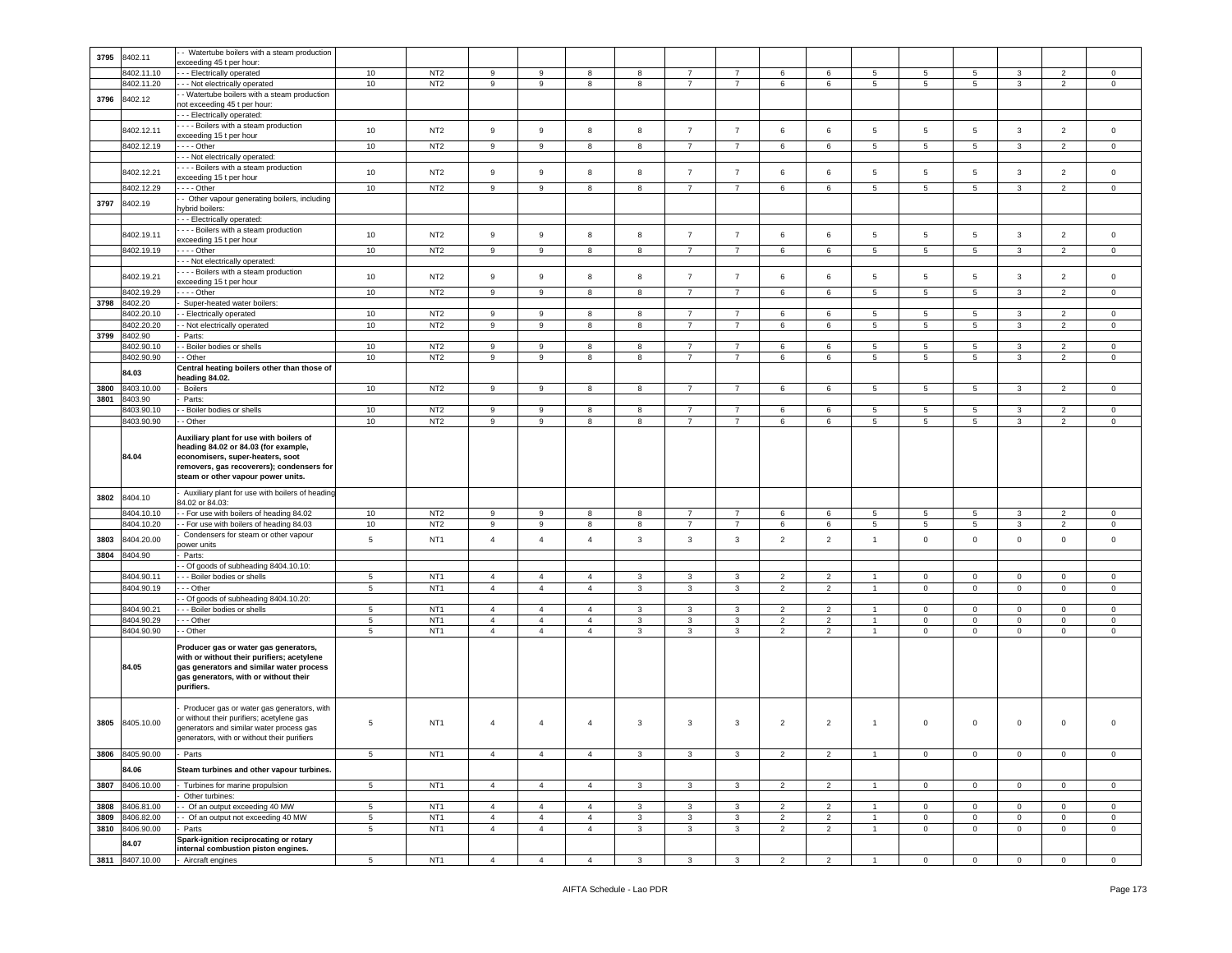| 3795 | 8402.11         | - Watertube boilers with a steam production     |                  |                 |                |                  |                |              |                |                |                |                |                 |                 |                 |                |                          |                     |
|------|-----------------|-------------------------------------------------|------------------|-----------------|----------------|------------------|----------------|--------------|----------------|----------------|----------------|----------------|-----------------|-----------------|-----------------|----------------|--------------------------|---------------------|
|      |                 | exceeding 45 t per hour:                        |                  |                 |                |                  |                |              |                |                |                |                |                 |                 |                 |                |                          |                     |
|      | 8402.11.10      | - - Electrically operated                       | 10               | NT <sub>2</sub> | 9              | 9                | 8              | 8            | $\overline{7}$ | $\overline{7}$ | 6              | 6              | 5               | 5               | 5               | 3              | $\overline{2}$           | $\circ$             |
|      | 8402.11.20      | - - Not electrically operated                   | $10$             | NT <sub>2</sub> | 9              | $\boldsymbol{9}$ | 8              | 8            | $\overline{7}$ | $\overline{7}$ | 6              | 6              | 5               | 5               | $5\phantom{.0}$ | 3              | $\overline{2}$           | $\mathsf 0$         |
| 3796 | 8402.12         | - Watertube boilers with a steam production     |                  |                 |                |                  |                |              |                |                |                |                |                 |                 |                 |                |                          |                     |
|      |                 | not exceeding 45 t per hour:                    |                  |                 |                |                  |                |              |                |                |                |                |                 |                 |                 |                |                          |                     |
|      |                 | -- Electrically operated:                       |                  |                 |                |                  |                |              |                |                |                |                |                 |                 |                 |                |                          |                     |
|      | 8402.12.11      | --- Boilers with a steam production             | 10               | NT <sub>2</sub> | 9              | $\boldsymbol{9}$ | 8              | 8            | $\overline{7}$ | $\overline{7}$ | 6              | 6              | 5               | $\sqrt{5}$      | $5\phantom{.0}$ | $\mathbf{3}$   | $\overline{2}$           | $\mathsf 0$         |
|      |                 | exceeding 15 t per hour                         |                  |                 |                |                  |                |              |                |                |                |                |                 |                 |                 |                |                          |                     |
|      | 8402.12.19      | $- -$ - Other                                   | $10$             | NT <sub>2</sub> | 9              | 9                | 8              | 8            | $\overline{7}$ | $\overline{7}$ | 6              | 6              | $\overline{5}$  | 5               | 5               | 3              | $\overline{2}$           | $\mathbf 0$         |
|      |                 | - - Not electrically operated:                  |                  |                 |                |                  |                |              |                |                |                |                |                 |                 |                 |                |                          |                     |
|      |                 | --- Boilers with a steam production             |                  |                 |                |                  |                |              |                |                |                |                |                 |                 |                 |                |                          |                     |
|      | 8402.12.21      |                                                 | 10               | NT <sub>2</sub> | $\,9$          | $\boldsymbol{9}$ | 8              | 8            | $\overline{7}$ | $\overline{7}$ | 6              | 6              | 5               | $\,$ 5 $\,$     | $5\phantom{.0}$ | $\mathbf{3}$   | $\overline{2}$           | $\mathsf{O}\xspace$ |
|      |                 | exceeding 15 t per hour                         |                  |                 |                |                  |                |              |                |                |                |                |                 |                 |                 |                |                          |                     |
|      | 8402.12.29      | --- Other                                       | 10               | NT <sub>2</sub> | 9              | 9                | 8              | 8            | $\overline{7}$ | $\overline{7}$ | 6              | 6              | 5               | 5               | $5\overline{5}$ | 3              | $\overline{2}$           | $\mathbf 0$         |
| 3797 | 8402.19         | - Other vapour generating boilers, including    |                  |                 |                |                  |                |              |                |                |                |                |                 |                 |                 |                |                          |                     |
|      |                 | vbrid boilers:                                  |                  |                 |                |                  |                |              |                |                |                |                |                 |                 |                 |                |                          |                     |
|      |                 | - - Electrically operated:                      |                  |                 |                |                  |                |              |                |                |                |                |                 |                 |                 |                |                          |                     |
|      |                 | --- Boilers with a steam production             |                  |                 |                |                  |                |              |                |                |                |                |                 |                 |                 |                |                          |                     |
|      | 8402.19.11      | exceeding 15 t per hour                         | 10               | NT <sub>2</sub> | 9              | $\mathsf g$      | 8              | 8            | $\overline{7}$ | $\overline{7}$ | 6              | 6              | 5               | 5               | $5\overline{)}$ | $\mathbf{3}$   | $\overline{2}$           | $\mathbf 0$         |
|      | 8402.19.19      | $- -$ Other                                     | 10               | NT <sub>2</sub> | 9              | 9                | 8              | 8            | $\overline{7}$ | $\overline{7}$ | 6              | 6              | 5               | $5\overline{5}$ | 5               | 3              | $\overline{2}$           | $\circ$             |
|      |                 | - - Not electrically operated:                  |                  |                 |                |                  |                |              |                |                |                |                |                 |                 |                 |                |                          |                     |
|      |                 | - - - Boilers with a steam production           |                  |                 |                |                  |                |              |                |                |                |                |                 |                 |                 |                |                          |                     |
|      | 8402.19.21      |                                                 | 10               | NT <sub>2</sub> | 9              | $\mathsf g$      | 8              | 8            | $\overline{7}$ | $\overline{7}$ | 6              | 6              | 5               | 5               | 5               | 3              | $\overline{2}$           | $\mathbf 0$         |
|      |                 | exceeding 15 t per hour                         |                  |                 |                |                  |                |              |                |                |                |                |                 |                 |                 |                |                          |                     |
|      | 8402.19.29      | $- -$ Other                                     | 10               | NT <sub>2</sub> | 9              | 9                | 8              | 8            | $\overline{7}$ | $\overline{7}$ | 6              | 6              | $5\overline{5}$ | $5\overline{5}$ | 5               | 3              | $\overline{2}$           | $\mathbf{0}$        |
| 3798 | 8402.20         | Super-heated water boilers:                     |                  |                 |                |                  |                |              |                |                |                |                |                 |                 |                 |                |                          |                     |
|      | 8402.20.10      | - Electrically operated                         | 10               | NT <sub>2</sub> | 9              | 9                | 8              | 8            | $\overline{7}$ | $\overline{7}$ | 6              | 6              | 5               | 5               | 5               | 3              | $\overline{2}$           | $\mathbf 0$         |
|      | 8402.20.20      | - Not electrically operated                     | 10               | NT <sub>2</sub> | 9              | 9                | 8              | 8            | $\overline{7}$ | $\overline{7}$ | 6              | 6              | 5               | 5               | 5               | 3              | 2                        | $\mathbf 0$         |
| 3799 | 8402.90         | Parts:                                          |                  |                 |                |                  |                |              |                |                |                |                |                 |                 |                 |                |                          |                     |
|      | 8402.90.10      | - Boiler bodies or shells                       | 10               | NT <sub>2</sub> | 9              | 9                | 8              | 8            | $\overline{7}$ | $\overline{7}$ | 6              | 6              | 5               | 5               | 5               | 3              | $\overline{2}$           | $\mathbf 0$         |
|      | 8402.90.90      | Other                                           | 10               | NT <sub>2</sub> | 9              | 9                | 8              | 8            | $\overline{7}$ | $\overline{7}$ | 6              | 6              | $5\overline{5}$ | 5               | 5               | 3              | $\overline{2}$           | $\mathbf 0$         |
|      |                 |                                                 |                  |                 |                |                  |                |              |                |                |                |                |                 |                 |                 |                |                          |                     |
|      | 84.03           | Central heating boilers other than those of     |                  |                 |                |                  |                |              |                |                |                |                |                 |                 |                 |                |                          |                     |
|      |                 | eading 84.02.                                   |                  |                 |                |                  |                |              |                |                |                |                |                 |                 |                 |                |                          |                     |
| 3800 | 8403.10.00      | <b>Boilers</b>                                  | 10 <sup>10</sup> | NT <sub>2</sub> | 9              | 9                | 8              | 8            | $\overline{7}$ | $\overline{7}$ | 6              | 6              | 5               | $5\phantom{.0}$ | 5               | 3              | $\overline{2}$           | $\mathbf 0$         |
| 3801 | 8403.90         | Parts:                                          |                  |                 |                |                  |                |              |                |                |                |                |                 |                 |                 |                |                          |                     |
|      | 8403.90.10      | Boiler bodies or shells                         | $10$             | NT <sub>2</sub> | 9              | $\boldsymbol{9}$ | 8              | 8            | $\overline{7}$ | $\overline{7}$ | 6              | 6              | $\overline{5}$  | 5               | $\,$ 5 $\,$     | 3              | $\overline{2}$           | $\mathsf 0$         |
|      | 8403.90.90      | - Other                                         | 10               | NT <sub>2</sub> | 9              | 9                | 8              | 8            | $\overline{7}$ | $\overline{7}$ | 6              | 6              | 5               | 5               | $5\phantom{.0}$ | 3              | $\overline{2}$           | $\mathbf 0$         |
|      |                 |                                                 |                  |                 |                |                  |                |              |                |                |                |                |                 |                 |                 |                |                          |                     |
|      |                 | Auxiliary plant for use with boilers of         |                  |                 |                |                  |                |              |                |                |                |                |                 |                 |                 |                |                          |                     |
|      |                 | heading 84.02 or 84.03 (for example,            |                  |                 |                |                  |                |              |                |                |                |                |                 |                 |                 |                |                          |                     |
|      | 84.04           | economisers, super-heaters, soot                |                  |                 |                |                  |                |              |                |                |                |                |                 |                 |                 |                |                          |                     |
|      |                 | removers, gas recoverers); condensers for       |                  |                 |                |                  |                |              |                |                |                |                |                 |                 |                 |                |                          |                     |
|      |                 | steam or other vapour power units.              |                  |                 |                |                  |                |              |                |                |                |                |                 |                 |                 |                |                          |                     |
|      |                 |                                                 |                  |                 |                |                  |                |              |                |                |                |                |                 |                 |                 |                |                          |                     |
| 3802 | 8404.10         | Auxiliary plant for use with boilers of heading |                  |                 |                |                  |                |              |                |                |                |                |                 |                 |                 |                |                          |                     |
|      |                 | 34.02 or 84.03:                                 |                  |                 |                |                  |                |              |                |                |                |                |                 |                 |                 |                |                          |                     |
|      | 8404.10.10      | - For use with boilers of heading 84.02         | 10               | NT <sub>2</sub> | 9              | 9                | 8              | 8            | $\overline{7}$ | $\overline{7}$ | 6              | 6              | 5               | 5               | 5               | 3              | $\overline{\phantom{a}}$ | $\mathbf 0$         |
|      | 8404.10.20      | - For use with boilers of heading 84.03         | 10               | NT <sub>2</sub> | 9              | 9                | 8              | 8            | $\overline{7}$ | $\overline{7}$ | 6              | 6              | 5               | $5\phantom{.0}$ | 5               | $\mathbf{3}$   | $\overline{2}$           | $\mathbf 0$         |
|      |                 | Condensers for steam or other vapour            |                  |                 |                |                  |                |              |                |                |                |                |                 |                 |                 |                |                          |                     |
| 3803 | 8404.20.00      | ower units                                      | 5                | NT <sub>1</sub> | $\overline{4}$ | $\overline{4}$   | $\overline{4}$ | $\mathbf{3}$ | 3              | 3              | $\overline{2}$ | $\overline{2}$ | $\overline{1}$  | $\mathsf 0$     | $\mathbf 0$     | $\mathbf 0$    | 0                        | $\mathbf 0$         |
| 3804 | 8404.90         | Parts:                                          |                  |                 |                |                  |                |              |                |                |                |                |                 |                 |                 |                |                          |                     |
|      |                 | - Of goods of subheading 8404.10.10:            |                  |                 |                |                  |                |              |                |                |                |                |                 |                 |                 |                |                          |                     |
|      |                 |                                                 |                  |                 |                |                  |                |              |                |                |                |                |                 |                 |                 |                |                          |                     |
|      | 8404.90.11      | - - Boiler bodies or shells                     | $5\overline{5}$  | NT <sub>1</sub> | $\overline{4}$ | $\overline{4}$   | $\overline{4}$ | 3            | 3              | 3              | $\overline{2}$ | $\overline{2}$ |                 | $\mathbf 0$     | $\mathbf{0}$    | $\mathbf 0$    | $\mathbf 0$              | $\mathbf 0$         |
|      | 8404.90.19      | - - Other                                       | $5\phantom{.0}$  | NT <sub>1</sub> | $\overline{4}$ | $\overline{4}$   | $\overline{4}$ | 3            | 3              | $\mathbf{3}$   | $\overline{2}$ | $\overline{2}$ | $\overline{1}$  | $\mathbf 0$     | $\mathbf 0$     | $\mathbf 0$    | 0                        | $\mathsf 0$         |
|      |                 | - Of goods of subheading 8404.10.20:            |                  |                 |                |                  |                |              |                |                |                |                |                 |                 |                 |                |                          |                     |
|      | 8404.90.21      | - - Boiler bodies or shells                     | 5                | NT <sub>1</sub> | $\overline{4}$ | $\overline{4}$   | $\overline{4}$ | 3            | 3              | 3              | $\overline{2}$ | $\overline{2}$ | $\overline{1}$  | $\mathbf 0$     | $\mathbf{O}$    | $\mathbf 0$    | $\mathbf 0$              | $\mathbf 0$         |
|      | 8404.90.29      | - - Other                                       | $\,$ 5 $\,$      | NT <sub>1</sub> | $\overline{4}$ | $\sqrt{4}$       | $\overline{4}$ | 3            | 3              | 3              | $\overline{c}$ | $\overline{2}$ | $\overline{1}$  | $\pmb{0}$       | $\mathbf 0$     | $\mathbf 0$    | 0                        | $\mathsf 0$         |
|      | 8404.90.90      | - Other                                         | 5                | NT <sub>1</sub> | $\overline{4}$ | $\overline{4}$   | $\overline{4}$ | 3            | 3              | 3              | $\overline{2}$ | $\overline{2}$ | $\overline{1}$  | $\mathbf 0$     | $\mathsf 0$     | $\mathbf 0$    | $\mathbf 0$              | $\mathbf 0$         |
|      |                 |                                                 |                  |                 |                |                  |                |              |                |                |                |                |                 |                 |                 |                |                          |                     |
|      |                 | Producer gas or water gas generators,           |                  |                 |                |                  |                |              |                |                |                |                |                 |                 |                 |                |                          |                     |
|      |                 | with or without their purifiers; acetylene      |                  |                 |                |                  |                |              |                |                |                |                |                 |                 |                 |                |                          |                     |
|      | 84.05           | gas generators and similar water process        |                  |                 |                |                  |                |              |                |                |                |                |                 |                 |                 |                |                          |                     |
|      |                 | gas generators, with or without their           |                  |                 |                |                  |                |              |                |                |                |                |                 |                 |                 |                |                          |                     |
|      |                 | purifiers.                                      |                  |                 |                |                  |                |              |                |                |                |                |                 |                 |                 |                |                          |                     |
|      |                 |                                                 |                  |                 |                |                  |                |              |                |                |                |                |                 |                 |                 |                |                          |                     |
|      |                 | Producer gas or water gas generators, with      |                  |                 |                |                  |                |              |                |                |                |                |                 |                 |                 |                |                          |                     |
|      |                 | or without their purifiers; acetylene gas       |                  |                 |                |                  |                |              |                |                |                |                |                 |                 |                 |                |                          |                     |
|      | 3805 8405.10.00 | generators and similar water process gas        | $\overline{5}$   | NT <sub>1</sub> | $\overline{4}$ | $\overline{4}$   | $\overline{4}$ | 3            | $\mathbf{3}$   | 3              | $\overline{c}$ | $\overline{2}$ | $\overline{1}$  | $\mathbf 0$     | 0               | $\mathbf 0$    | $\mathsf 0$              | $\mathbf 0$         |
|      |                 | generators, with or without their purifiers     |                  |                 |                |                  |                |              |                |                |                |                |                 |                 |                 |                |                          |                     |
|      |                 |                                                 |                  |                 |                |                  |                |              |                |                |                |                |                 |                 |                 |                |                          |                     |
|      | 3806 8405.90.00 | Parts                                           | 5                | NT <sub>1</sub> | $\overline{4}$ | $\overline{4}$   | $\overline{4}$ | 3            | 3              | 3              | 2              | $\overline{2}$ |                 | 0               | $\mathbf 0$     | $\mathbf 0$    | $\mathbf 0$              | $\circ$             |
|      |                 |                                                 |                  |                 |                |                  |                |              |                |                |                |                |                 |                 |                 |                |                          |                     |
|      | 84.06           | Steam turbines and other vapour turbines.       |                  |                 |                |                  |                |              |                |                |                |                |                 |                 |                 |                |                          |                     |
|      | 3807 8406.10.00 |                                                 | $5\phantom{.0}$  | NT <sub>1</sub> | $\overline{4}$ | $\overline{4}$   | $\overline{4}$ | 3            | 3              | 3              | $\overline{c}$ | $\overline{2}$ | $\overline{1}$  | $\mathbf 0$     | $\mathbf 0$     | $\mathbf 0$    | $\mathbf{0}$             | $\mathbf 0$         |
|      |                 | Turbines for marine propulsion                  |                  |                 |                |                  |                |              |                |                |                |                |                 |                 |                 |                |                          |                     |
|      |                 | Other turbines:                                 |                  |                 |                |                  |                |              |                |                |                |                |                 |                 |                 |                |                          |                     |
| 3808 | 8406.81.00      | - Of an output exceeding 40 MW                  | $5\phantom{.0}$  | NT <sub>1</sub> | $\overline{4}$ | $\overline{4}$   | $\overline{4}$ | 3            | $\mathbf{3}$   | 3              | $\overline{2}$ | $\overline{2}$ | $\overline{1}$  | $\mathbf{0}$    | $\overline{0}$  | $\mathbf 0$    | $\mathbf{0}$             | $\mathbf{0}$        |
| 3809 | 8406.82.00      | - Of an output not exceeding 40 MW              | 5                | NT <sub>1</sub> | $\overline{4}$ | $\overline{4}$   | $\overline{4}$ | 3            | 3              | 3              | $\overline{2}$ | $\overline{2}$ | $\mathbf{1}$    | $\mathbf 0$     | $\mathbf{O}$    | $\mathbf 0$    | $\mathbf{0}$             | $\mathbf 0$         |
|      | 3810 8406.90.00 | Parts                                           | $5\overline{5}$  | NT <sub>1</sub> | $\overline{4}$ | $\overline{4}$   | $\overline{4}$ | $\mathbf{3}$ | 3              | 3              | $\overline{2}$ | $\overline{2}$ | $\overline{1}$  | $\mathbf{0}$    | $\overline{0}$  | $\mathbf 0$    | $\mathbf{0}$             | $\mathbf{0}$        |
|      |                 | Spark-ignition reciprocating or rotary          |                  |                 |                |                  |                |              |                |                |                |                |                 |                 |                 |                |                          |                     |
|      | 84.07           | internal combustion piston engines.             |                  |                 |                |                  |                |              |                |                |                |                |                 |                 |                 |                |                          |                     |
|      | 3811 8407.10.00 | - Aircraft engines                              | 5                | NT <sub>1</sub> | $\overline{4}$ | $\overline{4}$   | $\overline{4}$ | $\mathbf{3}$ | $\mathbf{3}$   | 3              | $\overline{2}$ | $\overline{2}$ | $\mathbf{1}$    | $\mathbf{0}$    | $\mathbf 0$     | $\overline{0}$ | $\overline{0}$           | $\mathbf{0}$        |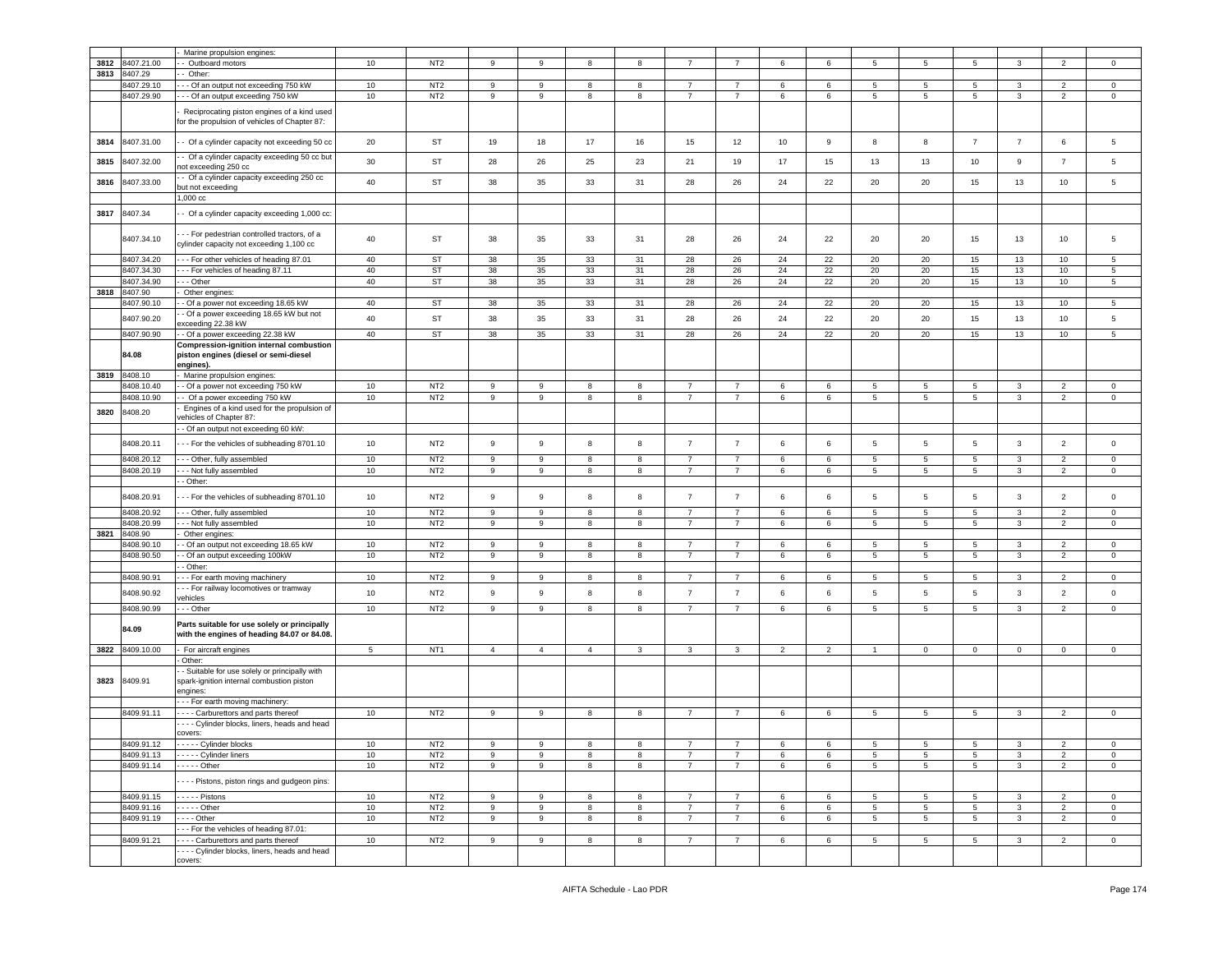|      |                          | Marine propulsion engines:                                                                  |            |                                    |                  |                  |                |                  |                |                     |                |                |                 |                 |                      |                |                                  |                            |
|------|--------------------------|---------------------------------------------------------------------------------------------|------------|------------------------------------|------------------|------------------|----------------|------------------|----------------|---------------------|----------------|----------------|-----------------|-----------------|----------------------|----------------|----------------------------------|----------------------------|
| 3812 | 8407.21.00               | Outboard motors                                                                             | 10         | NT <sub>2</sub>                    | 9                | $\mathsf g$      | $\mathbf{R}$   | 8                |                | $\overline{7}$      | 6              | 6              | 5               | 5               | 5                    | 3              | $\mathcal{P}$                    | $\mathbf 0$                |
| 3813 | 8407.29                  | Other:                                                                                      |            |                                    |                  |                  |                |                  |                |                     |                |                |                 |                 |                      |                |                                  |                            |
|      | 8407.29.10               | - Of an output not exceeding 750 kW                                                         | 10         | NT <sub>2</sub>                    | 9                | 9                | 8              | 8                | $\overline{7}$ | $\overline{7}$      | 6              | 6              | 5               | 5               | 5                    | 3              | 2                                | $\circ$                    |
|      | 8407.29.90               | - - Of an output exceeding 750 kW                                                           | 10         | NT <sub>2</sub>                    | 9                | 9                | 8              | 8                | $\overline{7}$ | $\overline{7}$      | 6              | 6              | 5               | 5               | $5\overline{5}$      | 3              | $\overline{2}$                   | $\mathbf 0$                |
|      |                          |                                                                                             |            |                                    |                  |                  |                |                  |                |                     |                |                |                 |                 |                      |                |                                  |                            |
|      |                          | Reciprocating piston engines of a kind used                                                 |            |                                    |                  |                  |                |                  |                |                     |                |                |                 |                 |                      |                |                                  |                            |
|      |                          | or the propulsion of vehicles of Chapter 87:                                                |            |                                    |                  |                  |                |                  |                |                     |                |                |                 |                 |                      |                |                                  |                            |
| 3814 | 8407.31.00               | - Of a cylinder capacity not exceeding 50 cc                                                | 20         | ST                                 | 19               | 18               | 17             | 16               | 15             | 12                  | 10             | 9              | 8               | 8               | $\overline{7}$       | $\overline{7}$ | 6                                | 5                          |
|      |                          |                                                                                             |            |                                    |                  |                  |                |                  |                |                     |                |                |                 |                 |                      |                |                                  |                            |
| 3815 | 8407.32.00               | - Of a cylinder capacity exceeding 50 cc but                                                | 30         | <b>ST</b>                          | 28               | 26               | 25             | 23               | 21             | 19                  | 17             | 15             | 13              | 13              | 10                   | $\mathsf g$    | $\overline{7}$                   | 5                          |
|      |                          | ot exceeding 250 cc                                                                         |            |                                    |                  |                  |                |                  |                |                     |                |                |                 |                 |                      |                |                                  |                            |
| 3816 | 8407.33.00               | - Of a cylinder capacity exceeding 250 cc                                                   | 40         | <b>ST</b>                          | 38               | 35               | 33             | 31               | 28             | 26                  | 24             | 22             | 20              | 20              | 15                   | 13             | 10                               | 5                          |
|      |                          | out not exceeding<br>1,000 cc                                                               |            |                                    |                  |                  |                |                  |                |                     |                |                |                 |                 |                      |                |                                  |                            |
|      |                          |                                                                                             |            |                                    |                  |                  |                |                  |                |                     |                |                |                 |                 |                      |                |                                  |                            |
| 3817 | 8407.34                  | - Of a cylinder capacity exceeding 1,000 cc:                                                |            |                                    |                  |                  |                |                  |                |                     |                |                |                 |                 |                      |                |                                  |                            |
|      |                          |                                                                                             |            |                                    |                  |                  |                |                  |                |                     |                |                |                 |                 |                      |                |                                  |                            |
|      | 8407.34.10               | - - For pedestrian controlled tractors, of a                                                | 40         | <b>ST</b>                          | 38               | 35               | 33             | 31               | 28             | 26                  | 24             | 22             | 20              | 20              | 15                   | 13             | 10                               | 5                          |
|      |                          | cylinder capacity not exceeding 1,100 cc                                                    |            |                                    |                  |                  |                |                  |                |                     |                |                |                 |                 |                      |                |                                  |                            |
|      | 8407.34.20               | - - For other vehicles of heading 87.01                                                     | 40         | ST                                 | 38               | 35               | 33             | 31               | 28             | 26                  | 24             | 22             | 20              | 20              | 15                   | 13             | 10                               | 5                          |
|      | 8407.34.30               | - - For vehicles of heading 87.11                                                           | 40         | ST                                 | 38               | 35               | 33             | 31               | 28             | 26                  | 24             | 22             | 20              | 20              | 15                   | 13             | 10                               | 5                          |
|      | 8407.34.90               | - - Other                                                                                   | 40         | ST                                 | 38               | 35               | 33             | 31               | 28             | 26                  | 24             | 22             | 20              | 20              | 15                   | 13             | 10                               | 5                          |
| 3818 | 8407.90                  | Other engines:                                                                              |            |                                    |                  |                  |                |                  |                |                     |                |                |                 |                 |                      |                |                                  |                            |
|      | 8407.90.10               | Of a power not exceeding 18.65 kW                                                           | 40         | <b>ST</b>                          | 38               | 35               | 33             | 31               | 28             | 26                  | 24             | 22             | 20              | 20              | 15                   | 13             | 10                               | 5                          |
|      | 8407.90.20               | - Of a power exceeding 18.65 kW but not                                                     | 40         | <b>ST</b>                          | 38               | 35               | 33             | 31               | 28             | 26                  | 24             | 22             | 20              | 20              | 15                   | 13             | 10                               | 5                          |
|      |                          | xceeding 22.38 kW                                                                           |            |                                    |                  |                  |                |                  |                |                     |                |                |                 |                 |                      |                |                                  |                            |
|      | 8407.90.90               | Of a power exceeding 22.38 kW                                                               | 40         | ST                                 | 38               | 35               | 33             | 31               | 28             | 26                  | 24             | 22             | 20              | 20              | 15                   | 13             | 10                               | 5                          |
|      | 84.08                    | Compression-ignition internal combustion                                                    |            |                                    |                  |                  |                |                  |                |                     |                |                |                 |                 |                      |                |                                  |                            |
|      |                          | piston engines (diesel or semi-diesel<br>engines).                                          |            |                                    |                  |                  |                |                  |                |                     |                |                |                 |                 |                      |                |                                  |                            |
| 3819 | 8408.10                  | Marine propulsion engines:                                                                  |            |                                    |                  |                  |                |                  |                |                     |                |                |                 |                 |                      |                |                                  |                            |
|      | 8408.10.40               | - Of a power not exceeding 750 kW                                                           | 10         | NT <sub>2</sub>                    | 9                | $\boldsymbol{9}$ | 8              | 8                | $\overline{7}$ | $\overline{7}$      | 6              | 6              | 5               | $5\phantom{.0}$ | $5\overline{)}$      | 3              | $\overline{2}$                   | $\mathbf 0$                |
|      | 8408.10.90               | - Of a power exceeding 750 kW                                                               | 10         | NT <sub>2</sub>                    | 9                | 9                | 8              | 8                | $\overline{7}$ | $\overline{7}$      | 6              | 6              | 5               | 5               | $5\overline{5}$      | $\mathbf{3}$   | 2                                | $\circ$                    |
|      |                          | Engines of a kind used for the propulsion of                                                |            |                                    |                  |                  |                |                  |                |                     |                |                |                 |                 |                      |                |                                  |                            |
| 3820 | 8408.20                  | ehicles of Chapter 87:                                                                      |            |                                    |                  |                  |                |                  |                |                     |                |                |                 |                 |                      |                |                                  |                            |
|      |                          | - Of an output not exceeding 60 kW:                                                         |            |                                    |                  |                  |                |                  |                |                     |                |                |                 |                 |                      |                |                                  |                            |
|      | 8408.20.11               |                                                                                             | 10         | NT <sub>2</sub>                    | 9                | $\mathsf g$      | 8              | 8                | $\overline{7}$ | $\overline{7}$      | 6              | 6              | 5               | $5\phantom{.0}$ | 5                    | $\mathbf{3}$   | $\overline{2}$                   | $\mathsf 0$                |
|      |                          | -- For the vehicles of subheading 8701.10                                                   |            |                                    |                  |                  |                |                  |                |                     |                |                |                 |                 |                      |                |                                  |                            |
|      | 8408.20.12               | -- Other, fully assembled                                                                   | $10$       | NT <sub>2</sub>                    | 9                | 9                | 8              | 8                | $\overline{7}$ | $\overline{7}$      | 6              | 6              | 5               | 5               | $5\phantom{.0}$      | 3              | 2                                | $\circ$                    |
|      | 8408.20.19               | - - Not fully assembled                                                                     | $10$       | NT <sub>2</sub>                    | 9                | 9                | 8              | 8                | $\overline{7}$ | $\overline{7}$      | 6              | 6              | 5               | 5               | $5\overline{)}$      | 3              | $\overline{2}$                   | 0                          |
|      |                          | - Other:                                                                                    |            |                                    |                  |                  |                |                  |                |                     |                |                |                 |                 |                      |                |                                  |                            |
|      | 8408.20.91               | - - For the vehicles of subheading 8701.10                                                  | 10         | NT <sub>2</sub>                    | 9                | $\mathsf g$      | 8              | 8                | $\overline{7}$ | $\overline{7}$      | 6              | 6              | 5               | 5               | 5                    | 3              | 2                                | $\mathbf 0$                |
|      | 8408.20.92               | - - Other, fully assembled                                                                  | 10         | NT <sub>2</sub>                    | 9                | $\boldsymbol{9}$ | 8              | 8                | $\overline{7}$ | $\overline{7}$      | 6              | 6              | 5               | $5\phantom{.0}$ | $5\phantom{.0}$      | $\mathbf{3}$   | $\overline{2}$                   | $\mathbf 0$                |
|      | 8408.20.99               | - - Not fully assembled                                                                     | 10         | NT <sub>2</sub>                    | $9\,$            | $\mathsf g$      | 8              | 8                | $\overline{7}$ | $\overline{7}$      | 6              | 6              | $\sqrt{5}$      | $5\phantom{.0}$ | $5\phantom{.0}$      | $\mathbf{3}$   | $\overline{2}$                   | $\circ$                    |
| 3821 | 8408.90                  | Other engines:                                                                              |            |                                    |                  |                  |                |                  |                |                     |                |                |                 |                 |                      |                |                                  |                            |
|      | 8408.90.10               | Of an output not exceeding 18.65 kW                                                         | 10         | NT <sub>2</sub>                    | 9                | $\mathsf g$      | 8              | 8                | $\overline{7}$ | $\overline{7}$      | 6              | 6              | 5               | 5               | 5                    | 3              | $\overline{2}$                   | $\mathbf 0$                |
|      | 8408.90.50               | - Of an output exceeding 100kW                                                              | 10         | NT <sub>2</sub>                    | 9                | 9                | 8              | 8                | $\overline{7}$ | $\overline{7}$      | 6              | 6              | 5               | 5               | 5                    | 3              | $\overline{2}$                   | $\mathbf 0$                |
|      |                          | Other:                                                                                      |            |                                    |                  |                  |                |                  |                |                     |                |                |                 |                 |                      |                |                                  |                            |
|      | 8408.90.91               | - For earth moving machinery                                                                | 10         | NT <sub>2</sub>                    | 9                | 9                | 8              | 8                | $\overline{7}$ | $\overline{7}$      | 6              | 6              | 5               | 5               | 5                    | 3              | $\overline{2}$                   | $\mathbf 0$                |
|      | 8408.90.92               | - - For railway locomotives or tramway                                                      | 10         | NT <sub>2</sub>                    | 9                | $\mathsf g$      | 8              | 8                | $\overline{7}$ | $\overline{7}$      | 6              | 6              | 5               | 5               | 5                    | $\mathbf{3}$   | $\overline{2}$                   | $\mathbf 0$                |
|      |                          | ehicles                                                                                     |            |                                    |                  |                  |                |                  |                |                     |                |                |                 |                 |                      |                |                                  |                            |
|      | 8408.90.99               | - - Other                                                                                   | 10         | NT <sub>2</sub>                    | 9                | 9                | 8              | 8                | $\overline{7}$ | $\overline{7}$      | 6              | 6              | $5\overline{5}$ | $5\overline{5}$ | 5                    | 3              | $\overline{2}$                   | $\circ$                    |
|      | 84.09                    | Parts suitable for use solely or principally<br>with the engines of heading 84.07 or 84.08. |            |                                    |                  |                  |                |                  |                |                     |                |                |                 |                 |                      |                |                                  |                            |
|      | 3822 8409.10.00          | For aircraft engines                                                                        | 5          | NT <sub>1</sub>                    | $\overline{4}$   | $\overline{4}$   | $\overline{4}$ | 3                | 3              | 3                   | $\overline{2}$ | $\overline{2}$ | $\mathbf{1}$    | $\mathbf{0}$    | $\mathbf 0$          | $\mathbf 0$    | $\mathbf 0$                      | $\circ$                    |
|      |                          | Other:                                                                                      |            |                                    |                  |                  |                |                  |                |                     |                |                |                 |                 |                      |                |                                  |                            |
|      |                          | - Suitable for use solely or principally with                                               |            |                                    |                  |                  |                |                  |                |                     |                |                |                 |                 |                      |                |                                  |                            |
| 3823 | 8409.91                  | spark-ignition internal combustion piston                                                   |            |                                    |                  |                  |                |                  |                |                     |                |                |                 |                 |                      |                |                                  |                            |
|      |                          | engines:                                                                                    |            |                                    |                  |                  |                |                  |                |                     |                |                |                 |                 |                      |                |                                  |                            |
|      |                          | -- For earth moving machinery:                                                              |            |                                    |                  |                  |                |                  |                |                     |                |                |                 |                 |                      |                |                                  |                            |
|      | 8409.91.11               | --- Carburettors and parts thereof                                                          | 10         | NT <sub>2</sub>                    | 9                | 9                | 8              | 8                | $\overline{7}$ | $\overline{7}$      | 6              | 6              | $5\overline{5}$ | $5\phantom{.0}$ | $5\phantom{.0}$      | 3              | $\overline{2}$                   | $\overline{0}$             |
|      |                          | - - - Cylinder blocks, liners, heads and head                                               |            |                                    |                  |                  |                |                  |                |                     |                |                |                 |                 |                      |                |                                  |                            |
|      |                          | covers:                                                                                     |            |                                    |                  |                  |                |                  | $\overline{7}$ |                     |                |                |                 |                 |                      |                |                                  |                            |
|      | 8409.91.12<br>8409.91.13 | - - - - - Cylinder blocks<br>- - - - Cylinder liners                                        | 10<br>$10$ | NT <sub>2</sub><br>NT <sub>2</sub> | 9<br>9           | 9<br>$\mathsf g$ | 8<br>8         | 8                | $\overline{7}$ | 7<br>$\overline{7}$ | 6<br>6         | 6<br>6         | 5<br>5          | 5<br>5          | 5<br>$5\phantom{.0}$ | 3<br>3         | $\overline{2}$<br>$\overline{2}$ | $\mathbf 0$<br>$\mathsf 0$ |
|      | 8409.91.14               | $---$ Other                                                                                 | 10         | NT <sub>2</sub>                    | 9                | 9                | 8              | 8<br>8           | $\overline{7}$ | $\overline{7}$      | 6              | 6              | 5               | $5\overline{)}$ | $5\overline{5}$      | $\mathbf{3}$   | $\overline{2}$                   | $\circ$                    |
|      |                          |                                                                                             |            |                                    |                  |                  |                |                  |                |                     |                |                |                 |                 |                      |                |                                  |                            |
|      |                          | ---- Pistons, piston rings and gudgeon pins:                                                |            |                                    |                  |                  |                |                  |                |                     |                |                |                 |                 |                      |                |                                  |                            |
|      | 8409.91.15               | $\cdots$ - Pistons                                                                          | 10         | NT <sub>2</sub>                    | $\boldsymbol{9}$ | 9                | 8              | 8                | $\overline{7}$ | $\overline{7}$      | 6              | 6              | 5               | $5\phantom{.0}$ | $5\phantom{.0}$      | $\mathbf{3}$   | $\overline{2}$                   | $\circ$                    |
|      | 8409.91.16               | $\cdots$ - Other                                                                            | 10         | NT <sub>2</sub>                    | 9                | 9                | 8              | 8                | $\overline{7}$ | $\overline{7}$      | 6              | 6              | $5\phantom{.0}$ | $5\overline{5}$ | $5\overline{5}$      | $\mathbf{3}$   | $\overline{2}$                   | $\circ$                    |
|      | 8409.91.19               | $\cdots$ - Other                                                                            | 10         | NT <sub>2</sub>                    | 9                | 9                | 8              | 8                | $\overline{7}$ | $\overline{7}$      | 6              | 6              | $5\overline{5}$ | $5\overline{5}$ | 5 <sub>5</sub>       | 3              | $\overline{2}$                   | $\circ$                    |
|      |                          | - - For the vehicles of heading 87.01:                                                      |            |                                    |                  |                  |                |                  |                |                     |                |                |                 |                 |                      |                |                                  |                            |
|      | 8409.91.21               | Carburettors and parts thereof                                                              | 10         | NT <sub>2</sub>                    | 9                | $\boldsymbol{9}$ | 8              | $\boldsymbol{8}$ | $\overline{7}$ | $\overline{7}$      | 6              | 6              | $5\phantom{.0}$ | $5\overline{5}$ | $5\overline{5}$      | $\mathbf{3}$   | $\overline{2}$                   | $\overline{0}$             |
|      |                          | --- Cylinder blocks, liners, heads and head                                                 |            |                                    |                  |                  |                |                  |                |                     |                |                |                 |                 |                      |                |                                  |                            |
|      |                          | covers:                                                                                     |            |                                    |                  |                  |                |                  |                |                     |                |                |                 |                 |                      |                |                                  |                            |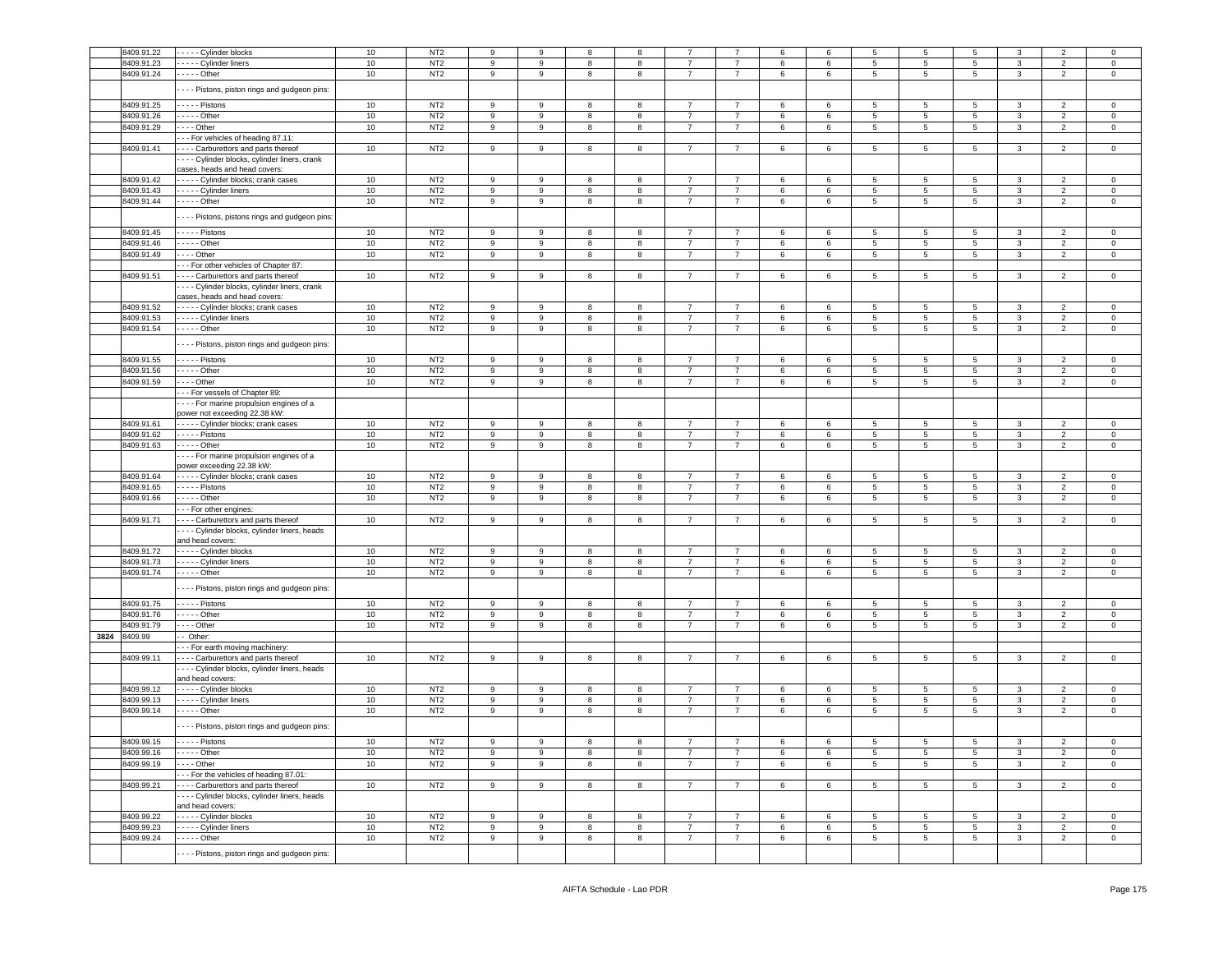|      | 8409.91.22 | - - - - Cylinder blocks                        | 10     | NT <sub>2</sub> | 9                | 9 | 8 | 8 |                |                | 6 | 6 |                 | 5               | 5               |              | 2              | 0              |
|------|------------|------------------------------------------------|--------|-----------------|------------------|---|---|---|----------------|----------------|---|---|-----------------|-----------------|-----------------|--------------|----------------|----------------|
|      | 8409.91.23 | - - - - Cylinder liners                        | 10     | NT <sub>2</sub> | 9                | 9 | 8 | 8 | $\overline{7}$ | $\overline{7}$ | 6 | 6 | 5               | $\overline{5}$  | $5\phantom{.0}$ | 3            | $\overline{2}$ | $\mathsf 0$    |
|      | 8409.91.24 | - - - - - Other                                | 10     | NT <sub>2</sub> | 9                | 9 | 8 | 8 | $\overline{7}$ | $\overline{7}$ | 6 | 6 | $5\phantom{.0}$ | 5               | 5               | $\mathbf{3}$ | $\overline{2}$ | $\mathbf 0$    |
|      |            |                                                |        |                 |                  |   |   |   |                |                |   |   |                 |                 |                 |              |                |                |
|      |            | - - - Pistons, piston rings and gudgeon pins:  |        |                 |                  |   |   |   |                |                |   |   |                 |                 |                 |              |                |                |
|      |            |                                                |        |                 |                  |   |   |   |                |                |   |   |                 |                 |                 |              |                |                |
|      | 8409.91.25 | - - - - - Pistons                              | 10     | NT <sub>2</sub> | 9                | 9 | 8 | 8 | $\overline{7}$ | $\overline{7}$ | 6 | 6 | 5               | 5               | $5\overline{5}$ | 3            | $\overline{2}$ | $\Omega$       |
|      | 8409.91.26 | - - - - - Other                                | 10     | NT <sub>2</sub> | 9                | 9 | 8 | 8 | $\overline{7}$ | $\overline{7}$ | 6 | 6 | 5               | 5               | 5               | $\mathbf{3}$ | $\overline{2}$ | $\mathbf 0$    |
|      | 8409.91.29 | $- - -$ Other                                  | 10     | NT <sub>2</sub> | 9                | 9 | 8 | 8 | $\overline{7}$ | $\overline{7}$ | 6 | 6 | 5               | 5               | $5\overline{5}$ | 3            | $\overline{2}$ | $\mathbf 0$    |
|      |            | -- For vehicles of heading 87.11:              |        |                 |                  |   |   |   |                |                |   |   |                 |                 |                 |              |                |                |
|      |            |                                                |        |                 |                  |   |   |   |                |                |   |   |                 |                 |                 |              |                |                |
|      | 8409.91.41 | --- Carburettors and parts thereof             | 10     | NT <sub>2</sub> | 9                | 9 | 8 | 8 | $\overline{7}$ | $\overline{7}$ | 6 | 6 | 5               | $5\phantom{.0}$ | $5\overline{5}$ | $\mathbf{3}$ | $\overline{2}$ | $\mathbf 0$    |
|      |            | - - - Cylinder blocks, cylinder liners, crank  |        |                 |                  |   |   |   |                |                |   |   |                 |                 |                 |              |                |                |
|      |            | cases, heads and head covers:                  |        |                 |                  |   |   |   |                |                |   |   |                 |                 |                 |              |                |                |
|      | 8409.91.42 | ---- Cylinder blocks; crank cases              | $10\,$ | NT <sub>2</sub> | 9                | 9 | 8 | 8 | $\overline{7}$ | $\overline{7}$ | 6 | 6 | 5               | $5\phantom{.0}$ | $5\overline{)}$ | 3            | $\overline{2}$ | $\mathbf 0$    |
|      |            |                                                |        |                 |                  |   |   |   |                |                |   |   |                 |                 |                 |              |                |                |
|      | 8409.91.43 | - - - - Cylinder liners                        | 10     | NT <sub>2</sub> | 9                | 9 | 8 | 8 | $\overline{7}$ | $\overline{7}$ | 6 | 6 | 5               | 5               | 5               | $\mathbf{3}$ | $\overline{2}$ | $\mathbf 0$    |
|      | 8409.91.44 | - - - - - Other                                | 10     | NT <sub>2</sub> | $\mathsf g$      | 9 | 8 | 8 | $\overline{7}$ | $\overline{7}$ | 6 | 6 | 5               | $5\overline{)}$ | $5\phantom{.0}$ | $\mathbf{3}$ | $\overline{2}$ | $\mathbf 0$    |
|      |            |                                                |        |                 |                  |   |   |   |                |                |   |   |                 |                 |                 |              |                |                |
|      |            | - - - Pistons, pistons rings and gudgeon pins: |        |                 |                  |   |   |   |                |                |   |   |                 |                 |                 |              |                |                |
|      | 8409.91.45 |                                                |        | NT <sub>2</sub> | 9                | 9 |   |   | $\overline{7}$ | $\overline{7}$ |   |   |                 |                 | 5               |              |                |                |
|      |            | Pistons                                        | 10     |                 |                  |   | 8 | 8 |                |                | 6 | 6 | 5               | 5               |                 | 3            | $\overline{2}$ | 0              |
|      | 8409.91.46 | - - - - - Other                                | 10     | NT <sub>2</sub> | 9                | 9 | 8 | 8 | $\overline{7}$ | 7              | 6 | 6 | 5               | 5               | 5               | 3            | $\overline{2}$ | $\circ$        |
|      | 8409.91.49 | $- - -$ Other                                  | 10     | NT <sub>2</sub> | 9                | 9 | 8 | 8 | $\overline{7}$ | $\overline{7}$ | 6 | 6 | $5\overline{5}$ | $5^{\circ}$     | $5\overline{5}$ | 3            | 2              | $\circ$        |
|      |            | - - For other vehicles of Chapter 87:          |        |                 |                  |   |   |   |                |                |   |   |                 |                 |                 |              |                |                |
|      |            |                                                |        |                 |                  |   |   |   |                |                |   |   |                 |                 |                 |              |                |                |
|      | 8409.91.51 | - - - Carburettors and parts thereof           | 10     | NT <sub>2</sub> | 9                | 9 | 8 | 8 | 7              | $\overline{7}$ | 6 | 6 | 5               | 5               | 5               | 3            | $\overline{2}$ | $\circ$        |
|      |            | - - - Cylinder blocks, cylinder liners, crank  |        |                 |                  |   |   |   |                |                |   |   |                 |                 |                 |              |                |                |
|      |            | cases, heads and head covers:                  |        |                 |                  |   |   |   |                |                |   |   |                 |                 |                 |              |                |                |
|      | 8409.91.52 | - - - - Cylinder blocks; crank cases           | 10     | NT <sub>2</sub> | 9                | 9 | 8 | 8 | $\overline{7}$ | $\overline{7}$ | 6 | 6 | 5               | 5               | 5               | 3            | $\overline{2}$ | 0              |
|      | 8409.91.53 | - - - - - Cylinder liners                      | 10     | NT <sub>2</sub> | 9                | 9 | 8 | 8 | $\overline{7}$ | $\overline{7}$ | 6 | 6 | 5               | 5               | $5\phantom{.0}$ | 3            | $\overline{2}$ | $\mathbf 0$    |
|      |            |                                                |        |                 |                  |   |   |   | $\overline{7}$ |                |   |   |                 |                 |                 |              |                |                |
|      | 8409.91.54 |                                                | $10$   | NT <sub>2</sub> | 9                | 9 | 8 | 8 |                | $\overline{7}$ | 6 | 6 | 5               | $5^{\circ}$     | $5\phantom{.0}$ | $\mathbf{3}$ | 2              | $\mathbf 0$    |
|      |            | - - - Pistons, piston rings and gudgeon pins:  |        |                 |                  |   |   |   |                |                |   |   |                 |                 |                 |              |                |                |
|      |            |                                                |        |                 |                  |   |   |   |                |                |   |   |                 |                 |                 |              |                |                |
|      | 8409.91.55 | - - - - - Pistons                              | 10     | NT <sub>2</sub> | 9                | 9 | 8 | 8 | 7              | 7              | 6 | 6 | 5               | 5               | 5               | 3            | $\overline{2}$ | $^{\circ}$     |
|      | 8409.91.56 |                                                | $10$   | NT <sub>2</sub> | 9                | 9 | 8 | 8 | $\overline{7}$ | $\overline{7}$ | 6 | 6 | 5               | 5               | $5\phantom{.0}$ | 3            | $\overline{2}$ | $\mathbf 0$    |
|      |            |                                                |        |                 |                  |   |   |   |                |                |   |   |                 |                 |                 |              |                |                |
|      | 8409.91.59 | $--$ Other                                     | $10$   | NT <sub>2</sub> | $\mathsf g$      | 9 | 8 | 8 | $\overline{7}$ | $\overline{7}$ | 6 | 6 | 5               | 5               | $5\phantom{.0}$ | 3            | $\overline{2}$ | $\mathsf 0$    |
|      |            | - - - For vessels of Chapter 89:               |        |                 |                  |   |   |   |                |                |   |   |                 |                 |                 |              |                |                |
|      |            | --- For marine propulsion engines of a         |        |                 |                  |   |   |   |                |                |   |   |                 |                 |                 |              |                |                |
|      |            | power not exceeding 22.38 kW:                  |        |                 |                  |   |   |   |                |                |   |   |                 |                 |                 |              |                |                |
|      |            |                                                | $10$   | NT <sub>2</sub> |                  |   |   |   | $\overline{7}$ |                |   |   |                 |                 |                 |              |                |                |
|      | 8409.91.61 | - - - - - Cylinder blocks; crank cases         |        |                 | 9                | 9 | 8 | 8 |                | 7              | 6 | 6 | 5               | 5               | $5\overline{)}$ | 3            | $\overline{2}$ | 0              |
|      | 8409.91.62 | - - - - - Pistons                              | 10     | NT <sub>2</sub> | 9                | 9 | 8 | 8 | $\overline{7}$ | $\overline{7}$ | 6 | 6 | 5               | $5\overline{5}$ | $5\phantom{.0}$ | $\mathbf{3}$ | $\overline{2}$ | $\mathsf 0$    |
|      | 8409.91.63 | - - - - - Other                                | 10     | NT <sub>2</sub> | 9                | 9 | 8 | 8 | $\overline{7}$ | $\overline{7}$ | 6 | 6 | 5               | 5               | 5               | 3            | $\overline{2}$ | $\mathbf 0$    |
|      |            | - - - - For marine propulsion engines of a     |        |                 |                  |   |   |   |                |                |   |   |                 |                 |                 |              |                |                |
|      |            | power exceeding 22.38 kW:                      |        |                 |                  |   |   |   |                |                |   |   |                 |                 |                 |              |                |                |
|      |            |                                                |        |                 |                  |   |   |   |                |                |   |   |                 |                 |                 |              |                |                |
|      | 8409.91.64 | - - - - - Cylinder blocks; crank cases         | 10     | NT <sub>2</sub> | $\boldsymbol{9}$ | 9 | 8 | 8 | $\overline{7}$ | $\overline{7}$ | 6 | 6 | 5               | 5               | 5               | 3            | $\overline{2}$ | $\circ$        |
|      | 8409.91.65 | $---$ Pistons                                  | 10     | NT <sub>2</sub> | 9                | 9 | 8 | 8 | $\overline{7}$ | $\overline{7}$ | 6 | 6 | 5               | $5\overline{5}$ | 5               | 3            | $\overline{2}$ | $\mathbf 0$    |
|      | 8409.91.66 | $- - -$ Other                                  | 10     | NT <sub>2</sub> | $\boldsymbol{9}$ | 9 | 8 | 8 | $\overline{7}$ | $\overline{7}$ | 6 | 6 | $5\overline{5}$ | 5               | $5\phantom{.0}$ | 3            | 2              | $\mathbf 0$    |
|      |            | - - For other engines:                         |        |                 |                  |   |   |   |                |                |   |   |                 |                 |                 |              |                |                |
|      | 8409.91.71 |                                                | 10     | NT <sub>2</sub> | 9                | 9 | 8 | 8 | $\overline{7}$ | $\overline{7}$ | 6 | 6 | -5              | 5               | $5\overline{5}$ | 3            | 2              | $\mathbf 0$    |
|      |            | - - - Carburettors and parts thereof           |        |                 |                  |   |   |   |                |                |   |   |                 |                 |                 |              |                |                |
|      |            | - - - Cylinder blocks, cylinder liners, heads  |        |                 |                  |   |   |   |                |                |   |   |                 |                 |                 |              |                |                |
|      |            | and head covers:                               |        |                 |                  |   |   |   |                |                |   |   |                 |                 |                 |              |                |                |
|      | 8409.91.72 | - - - - - Cylinder blocks                      | 10     | NT <sub>2</sub> | 9                | 9 | 8 | 8 |                | $\overline{7}$ | 6 | 6 | 5               | 5               | 5               | 3            | 2              | $\mathbf 0$    |
|      | 8409.91.73 | - - - - - Cylinder liners                      | 10     | NT <sub>2</sub> | 9                | 9 | 8 | 8 | $\overline{7}$ | $\overline{7}$ | 6 | 6 | 5               | $5\overline{5}$ | 5               | 3            | $\overline{2}$ | $\mathbf 0$    |
|      |            |                                                |        |                 |                  |   |   |   | $\overline{7}$ | $\overline{7}$ |   |   | 5               |                 |                 |              | $\overline{2}$ |                |
|      | 8409.91.74 | $--$ Other                                     | 10     | NT <sub>2</sub> | $\boldsymbol{9}$ | 9 | 8 | 8 |                |                | 6 | 6 |                 | 5               | $5\phantom{.0}$ | 3            |                | $\mathbf 0$    |
|      |            | - - - Pistons, piston rings and gudgeon pins:  |        |                 |                  |   |   |   |                |                |   |   |                 |                 |                 |              |                |                |
|      |            |                                                |        |                 |                  |   |   |   |                |                |   |   |                 |                 |                 |              |                |                |
|      | 8409.91.75 | - Pistons                                      | 10     | NT <sub>2</sub> | 9                | 9 | 8 | 8 | $\overline{7}$ | $\overline{7}$ | 6 | 6 | 5               | 5               | 5               | 3            | $\overline{2}$ | $\mathbf 0$    |
|      | 3409.91.76 | $- - -$ Other                                  | $10$   | NT <sub>2</sub> | 9                | 9 | 8 | 8 | $\overline{7}$ | $\overline{7}$ | 6 | 6 | 5               | 5               | 5               | 3            | $\overline{2}$ | $\mathsf 0$    |
|      | 3409.91.79 |                                                | 10     | NT <sub>2</sub> | 9                | 9 |   | 8 | $\overline{7}$ | $\overline{7}$ |   |   | 5               | $5\overline{)}$ | 5               | $\mathbf{3}$ | $\overline{2}$ | $\mathbf 0$    |
|      |            |                                                |        |                 |                  |   | 8 |   |                |                | 6 | 6 |                 |                 |                 |              |                |                |
| 3824 | 8409.99    | - Other:                                       |        |                 |                  |   |   |   |                |                |   |   |                 |                 |                 |              |                |                |
|      |            | - - For earth moving machinery                 |        |                 |                  |   |   |   |                |                |   |   |                 |                 |                 |              |                |                |
|      | 8409.99.11 | - - - - Carburettors and parts thereof         | 10     | NT <sub>2</sub> | 9                | 9 | 8 | 8 | $\overline{7}$ | $\overline{7}$ | 6 | 6 | 5               | $\overline{5}$  | 5               | 3            | 2              | $\mathbf 0$    |
|      |            |                                                |        |                 |                  |   |   |   |                |                |   |   |                 |                 |                 |              |                |                |
|      |            | --- Cylinder blocks, cylinder liners, heads    |        |                 |                  |   |   |   |                |                |   |   |                 |                 |                 |              |                |                |
|      |            | and head covers                                |        |                 |                  |   |   |   |                |                |   |   |                 |                 |                 |              |                |                |
|      | 8409.99.12 | - - - - Cylinder blocks                        | $10$   | NT <sub>2</sub> | 9                | 9 | 8 | 8 | $\overline{7}$ | $\overline{7}$ | 6 | 6 | 5               | 5               | 5               | 3            | $\overline{2}$ | 0              |
|      | 8409.99.13 | - - - - - Cylinder liners                      | 10     | NT <sub>2</sub> | 9                | 9 | 8 | 8 | $\overline{7}$ | $\overline{7}$ | 6 | 6 | 5               | $5\phantom{.0}$ | $5\overline{)}$ | 3            | $\overline{2}$ | $\mathbf 0$    |
|      | 8409.99.14 |                                                | 10     | NT <sub>2</sub> | 9                | 9 | 8 | 8 | $\overline{7}$ | $\overline{7}$ | 6 | 6 | 5               | 5               | 5               | 3            | $\overline{2}$ | $\mathbf 0$    |
|      |            |                                                |        |                 |                  |   |   |   |                |                |   |   |                 |                 |                 |              |                |                |
|      |            | - - - Pistons, piston rings and gudgeon pins:  |        |                 |                  |   |   |   |                |                |   |   |                 |                 |                 |              |                |                |
|      |            |                                                |        |                 |                  |   |   |   |                |                |   |   |                 |                 |                 |              |                |                |
|      | 8409.99.15 | - - - - - Pistons                              | 10     | N <sub>12</sub> | 9                | 9 | 8 | 8 |                |                | 6 | 6 | 5               | 5               | 5               | 3            |                | 0              |
|      | 8409.99.16 | $- - - -$ Other                                | 10     | NT <sub>2</sub> | $\boldsymbol{9}$ | 9 | 8 | 8 | $\overline{7}$ | $\overline{7}$ | 6 | 6 | 5               | $5\overline{5}$ | $5\overline{5}$ | $\mathbf{3}$ | $\overline{2}$ | $\mathbf 0$    |
|      | 8409.99.19 | $- - -$ Other                                  | $10$   | NT <sub>2</sub> | $\overline{9}$   | 9 | 8 | 8 | $\overline{7}$ | $\overline{7}$ | 6 | 6 | 5               | 5               | $5\phantom{.0}$ | $\mathbf{3}$ | $\overline{2}$ | $\mathsf 0$    |
|      |            |                                                |        |                 |                  |   |   |   |                |                |   |   |                 |                 |                 |              |                |                |
|      |            | --- For the vehicles of heading 87.01:         |        |                 |                  |   |   |   |                |                |   |   |                 |                 |                 |              |                |                |
|      | 8409.99.21 | - - - - Carburettors and parts thereof         | 10     | NT <sub>2</sub> | 9                | 9 | 8 | 8 | $\overline{7}$ | $\overline{7}$ | 6 | 6 | $5\overline{5}$ | 5               | $5\overline{5}$ | $\mathbf{3}$ | $\overline{2}$ | $\overline{0}$ |
|      |            | --- Cylinder blocks, cylinder liners, heads    |        |                 |                  |   |   |   |                |                |   |   |                 |                 |                 |              |                |                |
|      |            | and head covers:                               |        |                 |                  |   |   |   |                |                |   |   |                 |                 |                 |              |                |                |
|      | 8409.99.22 | Cylinder blocks                                | 10     | NT <sub>2</sub> | 9                | 9 | 8 | 8 | $\overline{7}$ | $\overline{7}$ | 6 | 6 |                 | $5\overline{5}$ | $5\overline{5}$ | $\mathbf{3}$ | $\overline{2}$ | $\mathbf 0$    |
|      |            |                                                |        |                 |                  |   |   |   |                |                |   |   | 5               |                 |                 |              |                |                |
|      | 8409.99.23 | Cylinder liners                                | 10     | NT <sub>2</sub> | 9                | 9 | 8 | 8 | $\overline{7}$ | $\overline{7}$ | 6 | 6 | 5               | 5               | $5\overline{5}$ | $\mathbf{3}$ | $\overline{2}$ | $\overline{0}$ |
|      | 8409.99.24 | $- - -$ Other                                  | 10     | NT <sub>2</sub> | $\boldsymbol{9}$ | 9 | 8 | 8 | $\overline{7}$ | $\overline{7}$ | 6 | 6 | $5\overline{5}$ | $5\overline{5}$ | $5\overline{5}$ | $\mathbf{3}$ | $\overline{2}$ | $\overline{0}$ |
|      |            |                                                |        |                 |                  |   |   |   |                |                |   |   |                 |                 |                 |              |                |                |
|      |            | - - - Pistons, piston rings and gudgeon pins:  |        |                 |                  |   |   |   |                |                |   |   |                 |                 |                 |              |                |                |
|      |            |                                                |        |                 |                  |   |   |   |                |                |   |   |                 |                 |                 |              |                |                |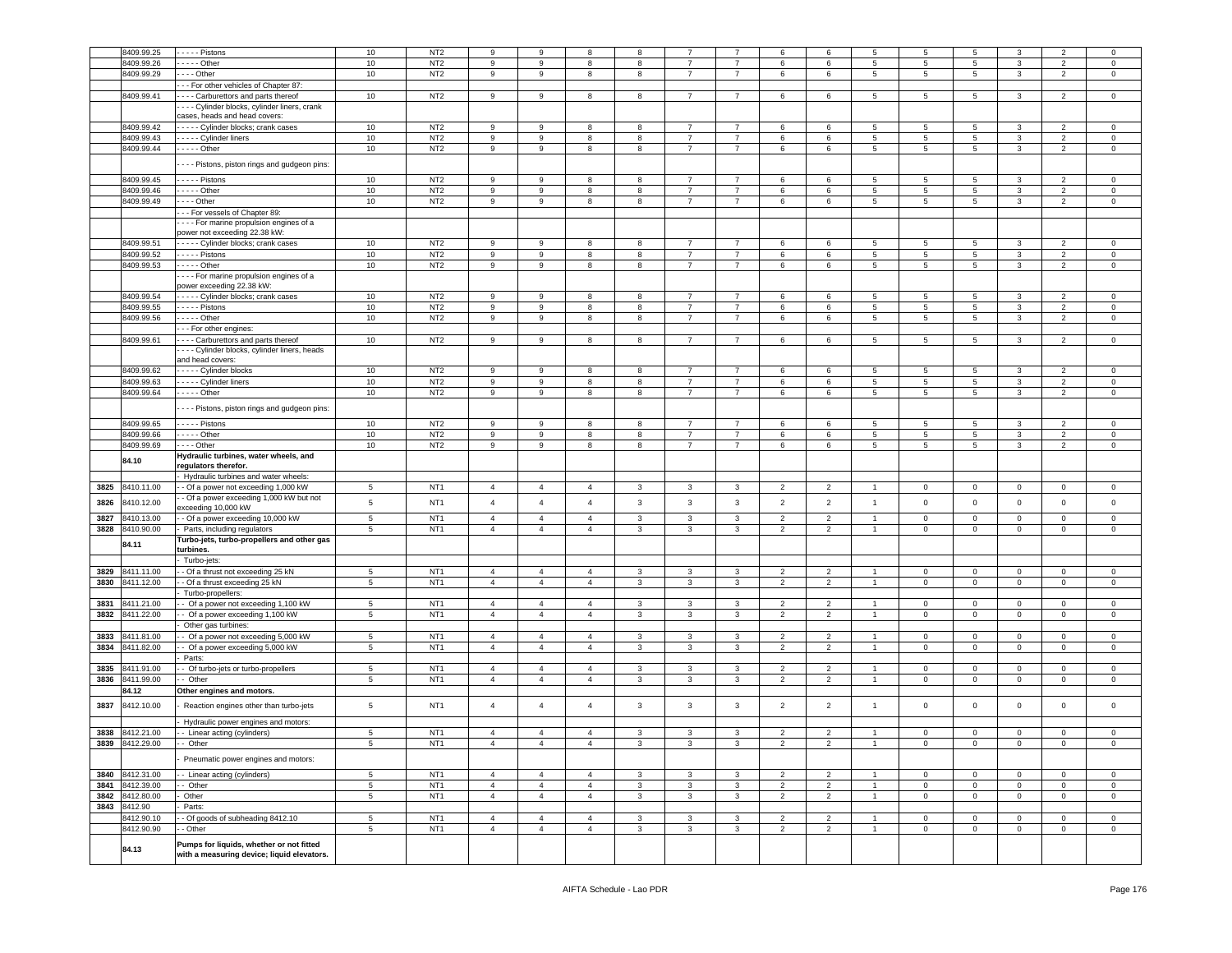|      | 8409.99.25      | $---$ Pistons                                                                          | 10              | NT <sub>2</sub> | 9              | 9              | 8              | 8            |                |                | 6              | 6              | 5               | 5           | 5                   | 3              | $\overline{2}$ | $\mathbf 0$  |
|------|-----------------|----------------------------------------------------------------------------------------|-----------------|-----------------|----------------|----------------|----------------|--------------|----------------|----------------|----------------|----------------|-----------------|-------------|---------------------|----------------|----------------|--------------|
|      | 8409.99.26      | - - - - - Other                                                                        | 10              | NT <sub>2</sub> | 9              | 9              | 8              | 8            | $\overline{7}$ | $\overline{7}$ | 6              | 6              | 5               | 5           | 5                   | 3              | $\overline{2}$ | $\mathbf 0$  |
|      | 8409.99.29      | - - - - Other                                                                          | 10              | NT <sub>2</sub> | 9              | 9              |                |              | 7              | $\overline{7}$ |                | 6              | $5\phantom{.0}$ |             | $5\phantom{.0}$     | $\mathbf{3}$   |                |              |
|      |                 |                                                                                        |                 |                 |                |                | 8              | 8            |                |                | 6              |                |                 | 5           |                     |                | $\overline{2}$ | $\mathbf{0}$ |
|      |                 | - - For other vehicles of Chapter 87:                                                  |                 |                 |                |                |                |              |                |                |                |                |                 |             |                     |                |                |              |
|      | 8409.99.41      | --- Carburettors and parts thereof                                                     | 10              | NT <sub>2</sub> | 9              | 9              | 8              | 8            | $\overline{7}$ | $\overline{7}$ | 6              | 6              | $5\phantom{.0}$ | 5           | $5\phantom{.0}$     | $\mathbf{3}$   | $\overline{2}$ | $\mathbf 0$  |
|      |                 | - - - Cylinder blocks, cylinder liners, crank                                          |                 |                 |                |                |                |              |                |                |                |                |                 |             |                     |                |                |              |
|      |                 | cases, heads and head covers:                                                          |                 |                 |                |                |                |              |                |                |                |                |                 |             |                     |                |                |              |
|      | 8409.99.42      | - - - - Cylinder blocks; crank cases                                                   | 10              | NT <sub>2</sub> | 9              | 9              | 8              | 8            | $\overline{7}$ | $\overline{7}$ | 6              | 6              | 5               | 5           | 5                   | $\mathbf{3}$   | $\overline{2}$ | $\Omega$     |
|      | 8409.99.43      | - - - - - Cylinder liners                                                              | 10              | NT <sub>2</sub> | 9              | 9              | 8              | 8            | $\overline{7}$ | $\overline{7}$ | 6              | 6              | 5               | 5           | $5\phantom{.0}$     | $\mathbf{3}$   | $\overline{2}$ | $\mathsf 0$  |
|      | 8409.99.44      |                                                                                        | 10              | NT <sub>2</sub> |                |                |                |              |                | $\overline{7}$ |                |                |                 |             |                     |                |                |              |
|      |                 | $- - - -$ Other                                                                        |                 |                 | 9              | 9              | 8              | 8            | $\overline{7}$ |                | 6              | 6              | $5\phantom{.0}$ | 5           | $5\overline{ }$     | $\mathbf{3}$   | $\overline{2}$ | $\mathsf 0$  |
|      |                 | - - - Pistons, piston rings and gudgeon pins:                                          |                 |                 |                |                |                |              |                |                |                |                |                 |             |                     |                |                |              |
|      |                 |                                                                                        |                 |                 |                |                |                |              |                |                |                |                |                 |             |                     |                |                |              |
|      | 8409.99.45      | - - - - - Pistons                                                                      | 10              | NT <sub>2</sub> | 9              | 9              | 8              | 8            | $\overline{7}$ | $\overline{7}$ | 6              | 6              | 5               | 5           | 5                   | 3              | $\overline{2}$ | $\mathbf 0$  |
|      | 8409.99.46      | - - - - - Other                                                                        | 10              | NT <sub>2</sub> | 9              | 9              | 8              | 8            | $\overline{7}$ | 7              | 6              | 6              | 5               | 5           | 5                   | $\mathbf{3}$   | $\overline{2}$ | $\mathbf 0$  |
|      | 8409.99.49      | . - - - Other                                                                          | 10              | NT <sub>2</sub> | 9              | 9              | 8              | 8            | $\overline{7}$ | $\overline{7}$ | 6              | 6              | $5\phantom{.0}$ | 5           | $5\phantom{.0}$     | $\mathbf{3}$   | $\overline{2}$ | $\mathsf 0$  |
|      |                 | - - For vessels of Chapter 89:                                                         |                 |                 |                |                |                |              |                |                |                |                |                 |             |                     |                |                |              |
|      |                 | - - - For marine propulsion engines of a                                               |                 |                 |                |                |                |              |                |                |                |                |                 |             |                     |                |                |              |
|      |                 | power not exceeding 22.38 kW:                                                          |                 |                 |                |                |                |              |                |                |                |                |                 |             |                     |                |                |              |
|      |                 |                                                                                        |                 |                 |                |                |                |              |                |                |                |                |                 |             |                     |                |                |              |
|      | 8409.99.51      | - - - - Cylinder blocks; crank cases                                                   | 10              | NT <sub>2</sub> | 9              | 9              | 8              | 8            | $\overline{7}$ | 7              | 6              | 6              | $5\overline{5}$ | 5           | 5                   | $\mathbf{3}$   | $\overline{2}$ | $\mathbf 0$  |
|      | 8409.99.52      | . - - - - Pistons                                                                      | 10              | NT <sub>2</sub> | 9              | 9              | 8              | 8            | $\overline{7}$ | $\overline{7}$ | 6              | 6              | $5\phantom{.0}$ | 5           | $5\phantom{.0}$     | 3              | $\overline{2}$ | $\mathsf 0$  |
|      | 8409.99.53      | - - - - - Other                                                                        | 10              | NT <sub>2</sub> | 9              | 9              | 8              | 8            | $\overline{7}$ | $\overline{7}$ | 6              | 6              | $5\phantom{.0}$ | 5           | $5\phantom{.0}$     | $\mathbf{3}$   | $\overline{2}$ | $\mathbf 0$  |
|      |                 | For marine propulsion engines of a                                                     |                 |                 |                |                |                |              |                |                |                |                |                 |             |                     |                |                |              |
|      |                 | power exceeding 22.38 kW:                                                              |                 |                 |                |                |                |              |                |                |                |                |                 |             |                     |                |                |              |
|      | 8409.99.54      | - - - - - Cylinder blocks; crank cases                                                 | 10              | NT <sub>2</sub> | 9              | 9              | 8              | 8            | $\overline{7}$ | $\overline{7}$ | 6              | 6              | 5               | 5           | 5                   | $\mathbf{3}$   | $\overline{2}$ | 0            |
|      | 8409.99.55      | Pistons                                                                                | 10              | NT <sub>2</sub> | 9              | 9              | 8              | 8            | 7              | 7              | 6              | 6              | 5               | 5           | 5                   | 3              | $\overline{2}$ | $\mathbf 0$  |
|      | 8409.99.56      | - - - - - Other                                                                        | 10              | NT <sub>2</sub> | 9              | 9              | 8              | 8            | $\overline{7}$ | $\overline{7}$ | 6              | 6              | $5\overline{5}$ | 5           | 5                   | $\mathbf{3}$   | $\overline{2}$ | $\mathbf 0$  |
|      |                 |                                                                                        |                 |                 |                |                |                |              |                |                |                |                |                 |             |                     |                |                |              |
|      |                 | --- For other engines:                                                                 |                 |                 |                |                |                |              |                |                |                |                |                 |             |                     |                |                |              |
|      | 8409.99.61      | - - - - Carburettors and parts thereof                                                 | 10              | NT <sub>2</sub> | 9              | 9              | 8              | 8            | $\overline{7}$ | $\overline{7}$ | 6              | 6              | 5 <sub>5</sub>  | 5           | 5 <sub>5</sub>      | $\mathbf{3}$   | $\overline{2}$ | $\mathbf 0$  |
|      |                 | · - - - Cylinder blocks, cylinder liners, heads                                        |                 |                 |                |                |                |              |                |                |                |                |                 |             |                     |                |                |              |
|      |                 | and head covers:                                                                       |                 |                 |                |                |                |              |                |                |                |                |                 |             |                     |                |                |              |
|      | 8409.99.62      | ----- Cylinder blocks                                                                  | 10              | NT <sub>2</sub> | 9              | 9              | 8              | 8            | $\overline{7}$ | $\overline{7}$ | 6              | 6              | 5               | 5           | 5                   | 3              | $\overline{2}$ | $^{\circ}$   |
|      | 8409.99.63      | Cylinder liners                                                                        | 10              | NT <sub>2</sub> | 9              | 9              | 8              | 8            | $\overline{7}$ | $\overline{7}$ | 6              | 6              | $5\phantom{.0}$ | 5           | 5                   | $\mathbf{3}$   | $\overline{2}$ | $\mathbf 0$  |
|      | 8409.99.64      | - - - - - Other                                                                        | 10              | NT <sub>2</sub> | 9              | 9              | 8              | 8            | $\overline{7}$ | $\overline{7}$ | 6              | 6              | $5\overline{5}$ | 5           | 5                   | $\mathbf{3}$   | $\overline{2}$ | $\mathbf 0$  |
|      |                 |                                                                                        |                 |                 |                |                |                |              |                |                |                |                |                 |             |                     |                |                |              |
|      |                 | - - - Pistons, piston rings and gudgeon pins:                                          |                 |                 |                |                |                |              |                |                |                |                |                 |             |                     |                |                |              |
|      |                 |                                                                                        |                 |                 | 9              | 9              | 8              | 8            |                | $\overline{7}$ | 6              |                |                 |             |                     | 3              | $\overline{2}$ | $\mathbf 0$  |
|      | 8409.99.65      | . - - - - Pistons                                                                      | 10              | NT <sub>2</sub> |                |                |                |              |                |                |                | 6              | 5               | 5           | 5                   |                |                |              |
|      | 8409.99.66      | - - - - - Other                                                                        | 10              | NT <sub>2</sub> | 9              | 9              | 8              | 8            | 7              | $\overline{7}$ | 6              | 6              | $5\overline{5}$ | 5           | 5                   | $\mathbf{3}$   | $\overline{2}$ | $\mathbf 0$  |
|      | 8409.99.69      | . - - - Other                                                                          | 10              | NT <sub>2</sub> | 9              | 9              | 8              | 8            | $\overline{7}$ | $\overline{7}$ | 6              | 6              | 5               | 5           | 5                   | $\mathbf{3}$   | $\overline{2}$ | $\mathsf 0$  |
|      | 84.10           | Hydraulic turbines, water wheels, and                                                  |                 |                 |                |                |                |              |                |                |                |                |                 |             |                     |                |                |              |
|      |                 | regulators therefor.                                                                   |                 |                 |                |                |                |              |                |                |                |                |                 |             |                     |                |                |              |
|      |                 |                                                                                        |                 |                 |                |                |                |              |                |                |                |                |                 |             |                     |                |                |              |
|      |                 |                                                                                        |                 |                 |                |                |                |              |                |                |                |                |                 |             |                     |                |                |              |
|      |                 | Hydraulic turbines and water wheels:                                                   |                 |                 |                | $\overline{4}$ | $\overline{4}$ |              |                |                |                |                | 1               |             |                     |                | $^{\circ}$     | $^{\circ}$   |
| 3825 | 8410.11.00      | - Of a power not exceeding 1,000 kW                                                    | 5               | NT <sub>1</sub> | $\overline{4}$ |                |                | 3            | 3              | 3              | 2              | $\overline{2}$ |                 | 0           | $\mathbf 0$         | $\mathbf 0$    |                |              |
| 3826 | 8410.12.00      | - Of a power exceeding 1,000 kW but not                                                | 5               | NT <sub>1</sub> | $\overline{4}$ | $\overline{4}$ | $\overline{4}$ | $\mathbf{3}$ | 3              | 3              | $\overline{2}$ | $\overline{2}$ | $\overline{1}$  | $\Omega$    | $\mathbf 0$         | $\mathbf 0$    | 0              | $\mathbf 0$  |
|      |                 | exceeding 10,000 kW                                                                    |                 |                 |                |                |                |              |                |                |                |                |                 |             |                     |                |                |              |
| 3827 | 8410.13.00      | - Of a power exceeding 10,000 kW                                                       | 5               | NT <sub>1</sub> | $\overline{4}$ | $\overline{4}$ | $\overline{4}$ | 3            | 3              | 3              | $\overline{2}$ | $\overline{2}$ | $\overline{1}$  | 0           | $\mathbf 0$         | $\mathbf 0$    | 0              | $\mathbf 0$  |
| 3828 | 8410.90.00      | Parts, including regulators                                                            | $\,$ 5 $\,$     | NT <sub>1</sub> | $\overline{4}$ | $\overline{4}$ | $\overline{4}$ | 3            | 3              | 3              | $\overline{2}$ | $\overline{2}$ | $\overline{1}$  | 0           | $\mathsf 0$         | $\mathsf 0$    | $\mathbf 0$    | $\mathsf 0$  |
|      |                 | Turbo-jets, turbo-propellers and other gas                                             |                 |                 |                |                |                |              |                |                |                |                |                 |             |                     |                |                |              |
|      | 84.11           | turbines.                                                                              |                 |                 |                |                |                |              |                |                |                |                |                 |             |                     |                |                |              |
|      |                 | Turbo-jets:                                                                            |                 |                 |                |                |                |              |                |                |                |                |                 |             |                     |                |                |              |
| 3829 | 8411.11.00      | - Of a thrust not exceeding 25 kN                                                      | 5               | NT <sub>1</sub> | $\overline{4}$ | $\overline{4}$ | $\overline{4}$ | 3            | 3              | 3              | 2              | $\overline{2}$ |                 | 0           | $\mathbf 0$         | $\mathsf 0$    | $^{\circ}$     | 0            |
| 3830 | 8411.12.00      | - Of a thrust exceeding 25 kN                                                          | $5\phantom{.0}$ | NT <sub>1</sub> | $\overline{4}$ | $\overline{4}$ | $\overline{4}$ | $\mathbf{3}$ | 3              | 3              | $\overline{2}$ | $\overline{2}$ | $\mathbf{1}$    | $\mathsf 0$ | $\mathbf 0$         | $\overline{0}$ | $\mathbf{0}$   | $\mathbf 0$  |
|      |                 | Turbo-propellers:                                                                      |                 |                 |                |                |                |              |                |                |                |                |                 |             |                     |                |                |              |
|      |                 |                                                                                        |                 |                 | $\overline{4}$ | $\overline{4}$ | $\overline{4}$ |              |                |                | $\overline{2}$ |                | $\overline{1}$  | 0           | $\mathbf 0$         |                | $\Omega$       |              |
| 3831 | 3411.21.00      | Of a power not exceeding 1,100 kW                                                      | $\,$ 5 $\,$     | NT <sub>1</sub> |                |                |                | $\mathbf{3}$ | 3              | $\mathbf{3}$   |                | $\overline{2}$ |                 |             |                     | $\mathbf 0$    |                | $\mathsf 0$  |
| 3832 | 8411.22.00      | - Of a power exceeding 1,100 kW                                                        | $5\phantom{.0}$ | NT <sub>1</sub> | $\overline{4}$ | $\overline{4}$ | $\overline{4}$ | 3            | 3              | 3              | $\overline{2}$ | $\overline{2}$ | $\overline{1}$  | $\mathsf 0$ | $\mathbf 0$         | $\mathbf{0}$   | $\mathbf 0$    | $\mathbf 0$  |
|      |                 | Other gas turbines:                                                                    |                 |                 |                |                |                |              |                |                |                |                |                 |             |                     |                |                |              |
| 3833 | 8411.81.00      | Of a power not exceeding 5,000 kW                                                      | 5               | NT <sub>1</sub> | $\overline{4}$ | $\overline{4}$ | $\overline{4}$ | 3            | 3              | 3              | $\overline{2}$ | $\overline{2}$ |                 | 0           | $\mathbf 0$         | $\,0\,$        | $\Omega$       | 0            |
| 3834 | 8411.82.00      | - Of a power exceeding 5,000 kW                                                        | $5\phantom{.0}$ | NT <sub>1</sub> | $\overline{4}$ | $\overline{4}$ | $\overline{4}$ | $\mathbf{3}$ | 3              | 3              | $\overline{2}$ | $\overline{2}$ | $\mathbf{1}$    | 0           | $\mathsf 0$         | $\mathbf 0$    | $\mathbf 0$    | $\mathbf 0$  |
|      |                 | Parts:                                                                                 |                 |                 |                |                |                |              |                |                |                |                |                 |             |                     |                |                |              |
| 3835 | 3411.91.00      | - Of turbo-jets or turbo-propellers                                                    | $5\phantom{.0}$ | NT <sub>1</sub> | $\overline{4}$ | $\overline{4}$ | $\overline{4}$ | 3            | 3              | $\mathbf{3}$   | $\overline{2}$ | $\overline{2}$ | $\overline{1}$  | $\mathbf 0$ | $\mathbf 0$         | $\mathbf 0$    | $\mathbf 0$    | $\mathsf 0$  |
| 3836 | 8411.99.00      | - Other                                                                                | 5               | NT <sub>1</sub> | $\overline{4}$ | $\overline{4}$ | $\overline{4}$ | 3            | 3              | 3              | $\overline{2}$ | $\overline{2}$ | $\mathbf{1}$    | 0           | $\mathsf 0$         | $\mathbf 0$    | $\mathbf 0$    | $\mathbf 0$  |
|      |                 |                                                                                        |                 |                 |                |                |                |              |                |                |                |                |                 |             |                     |                |                |              |
|      | 84.12           | Other engines and motors.                                                              |                 |                 |                |                |                |              |                |                |                |                |                 |             |                     |                |                |              |
| 3837 | 8412.10.00      | Reaction engines other than turbo-jets                                                 | 5               | NT <sub>1</sub> | $\overline{4}$ | $\overline{4}$ | $\overline{4}$ | $\mathbf{3}$ | 3              | 3              | $\overline{2}$ | $\overline{2}$ | $\overline{1}$  | $\mathsf 0$ | $\mathsf 0$         | $\mathbf 0$    | $\mathbf 0$    | $\mathbf 0$  |
|      |                 |                                                                                        |                 |                 |                |                |                |              |                |                |                |                |                 |             |                     |                |                |              |
|      |                 | Hydraulic power engines and motors:                                                    |                 |                 |                |                |                |              |                |                |                |                |                 |             |                     |                |                |              |
| 3838 | 8412.21.00      | - Linear acting (cylinders)                                                            | 5               | NT <sub>1</sub> | $\overline{4}$ | $\overline{4}$ | 4              | 3            | 3              | 3              | $\overline{2}$ | $\overline{2}$ | 1               | 0           | $\mathbf 0$         | $\mathsf 0$    | 0              | 0            |
| 3839 | 8412.29.00      | Other                                                                                  | 5               | NT <sub>1</sub> |                |                |                |              |                |                |                |                |                 |             |                     |                |                |              |
|      |                 |                                                                                        |                 |                 |                |                |                |              |                |                |                |                |                 |             |                     |                |                |              |
|      |                 | Pneumatic power engines and motors:                                                    |                 |                 |                |                |                |              |                |                |                |                |                 |             |                     |                |                |              |
|      | 3840 8412.31.00 | - Linear acting (cylinders)                                                            | 5               | NT <sub>1</sub> | $\overline{4}$ | $\overline{4}$ | $\overline{4}$ | $\mathbf{3}$ | 3              | 3              | $\overline{2}$ | $\overline{2}$ | 1               | $\mathbf 0$ | $\mathsf 0$         | $\overline{0}$ | $\mathbf{0}$   | $\mathbf{0}$ |
| 3841 | 8412.39.00      | - Other                                                                                | $\,$ 5 $\,$     | NT <sub>1</sub> | $\overline{4}$ | $\overline{4}$ | $\overline{4}$ | $\mathbf{3}$ | 3              | $\mathbf{3}$   | $\overline{2}$ | $\overline{2}$ | $\overline{1}$  | $\mathsf 0$ | $\mathsf{O}\xspace$ | $\mathbf 0$    | $\mathbf 0$    | $\mathsf 0$  |
|      |                 |                                                                                        |                 |                 |                |                |                |              |                |                |                |                |                 |             |                     |                |                |              |
| 3842 | 8412.80.00      | Other                                                                                  | $\sqrt{5}$      | NT <sub>1</sub> | $\overline{4}$ | $\overline{4}$ | $\overline{4}$ | 3            | 3              | $\mathbf{3}$   | $\overline{2}$ | $\overline{2}$ | $\mathbf{1}$    | $\mathsf 0$ | $\mathsf 0$         | $\overline{0}$ | $\mathbf{0}$   | $\mathsf 0$  |
|      | 3843 8412.90    | Parts:                                                                                 |                 |                 |                |                |                |              |                |                |                |                |                 |             |                     |                |                |              |
|      | 8412.90.10      | - Of goods of subheading 8412.10                                                       | $\sqrt{5}$      | NT <sub>1</sub> | $\overline{4}$ | $\overline{4}$ | $\overline{4}$ | $\mathbf{3}$ | $\mathbf{3}$   | $\mathbf{3}$   | $\overline{2}$ | $\overline{2}$ | $\overline{1}$  | $\mathbf 0$ | $\mathbf 0$         | $\overline{0}$ | $\mathbf 0$    | $\mathsf 0$  |
|      | 8412.90.90      | - Other                                                                                | $\,$ 5 $\,$     | NT <sub>1</sub> | $\overline{4}$ | $\overline{4}$ | $\overline{4}$ | 3            | 3              | 3              | $\overline{2}$ | $\overline{2}$ | $\mathbf{1}$    | 0           | $\mathsf 0$         | $\mathbf 0$    | $\mathbf 0$    | $\mathsf 0$  |
|      |                 |                                                                                        |                 |                 |                |                |                |              |                |                |                |                |                 |             |                     |                |                |              |
|      | 84.13           | Pumps for liquids, whether or not fitted<br>with a measuring device; liquid elevators. |                 |                 |                |                |                |              |                |                |                |                |                 |             |                     |                |                |              |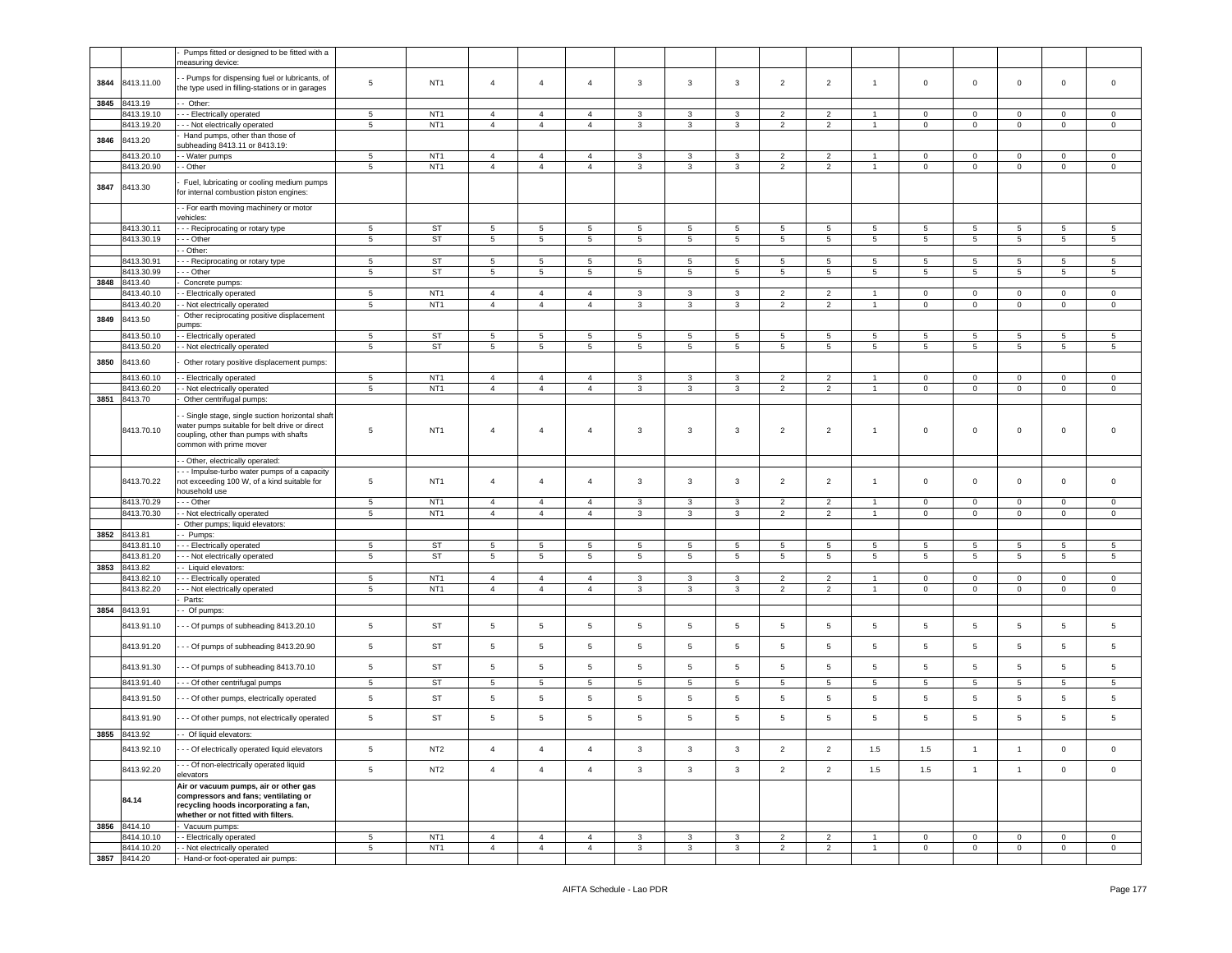|      |                            | Pumps fitted or designed to be fitted with a                                                                                                                          |                 |                 |                 |                 |                |                 |                 |                 |                |                |                 |                 |                     |                 |                 |                |
|------|----------------------------|-----------------------------------------------------------------------------------------------------------------------------------------------------------------------|-----------------|-----------------|-----------------|-----------------|----------------|-----------------|-----------------|-----------------|----------------|----------------|-----------------|-----------------|---------------------|-----------------|-----------------|----------------|
|      |                            | neasuring device:                                                                                                                                                     |                 |                 |                 |                 |                |                 |                 |                 |                |                |                 |                 |                     |                 |                 |                |
|      |                            | - Pumps for dispensing fuel or lubricants, of                                                                                                                         |                 |                 |                 |                 |                |                 |                 |                 |                |                |                 |                 |                     |                 |                 |                |
| 3844 | 8413.11.00                 | he type used in filling-stations or in garages                                                                                                                        | $\overline{5}$  | NT <sub>1</sub> | $\overline{4}$  | $\overline{4}$  | $\overline{4}$ | 3               | 3               | 3               | $\overline{2}$ | $\overline{2}$ | $\overline{1}$  | $\mathbf 0$     | $\overline{0}$      | $\mathbf 0$     | $\mathbf 0$     | $\mathbf 0$    |
|      |                            |                                                                                                                                                                       |                 |                 |                 |                 |                |                 |                 |                 |                |                |                 |                 |                     |                 |                 |                |
| 3845 | 8413.19                    | - Other:                                                                                                                                                              |                 |                 |                 |                 |                |                 |                 |                 |                |                |                 |                 |                     |                 |                 |                |
|      | 8413.19.10                 | --- Electrically operated                                                                                                                                             | $5\phantom{.0}$ | NT <sub>1</sub> | $\overline{4}$  | $\overline{4}$  | $\overline{4}$ | 3               | 3               | 3               | $\overline{2}$ | $\overline{2}$ | $\overline{1}$  | $\mathbf 0$     | $\mathbf{0}$        | $\mathbf 0$     | $\mathbf 0$     | $\circ$        |
|      | 8413.19.20                 | --- Not electrically operated                                                                                                                                         | 5               | NT <sub>1</sub> | $\overline{4}$  | $\overline{4}$  | $\overline{4}$ | 3               | 3               | 3               | $\overline{2}$ | $\overline{2}$ |                 | $\mathbf 0$     | $\mathbf 0$         | $\mathbf 0$     | $\mathbf 0$     | $\mathbf 0$    |
| 3846 | 8413.20                    | Hand pumps, other than those of<br>subheading 8413.11 or 8413.19:                                                                                                     |                 |                 |                 |                 |                |                 |                 |                 |                |                |                 |                 |                     |                 |                 |                |
|      | 8413.20.10                 | - Water pumps                                                                                                                                                         | 5               | NT <sub>1</sub> | $\overline{4}$  | $\overline{4}$  | $\overline{4}$ | 3               | 3               | 3               | $\overline{2}$ | 2              |                 | $\mathbf 0$     | $\mathbf 0$         | 0               | $\mathbf 0$     | 0              |
|      | 3413.20.90                 | - Other                                                                                                                                                               | 5               | NT <sub>1</sub> | $\overline{4}$  | $\overline{4}$  | $\overline{4}$ | 3               | 3               | 3               | $\overline{2}$ | $\overline{2}$ | $\overline{1}$  | $\mathbf 0$     | $\overline{0}$      | $\mathbf 0$     | $\mathbf 0$     | $\mathbf 0$    |
|      |                            |                                                                                                                                                                       |                 |                 |                 |                 |                |                 |                 |                 |                |                |                 |                 |                     |                 |                 |                |
| 3847 | 8413.30                    | Fuel, lubricating or cooling medium pumps<br>or internal combustion piston engines:                                                                                   |                 |                 |                 |                 |                |                 |                 |                 |                |                |                 |                 |                     |                 |                 |                |
|      |                            | - For earth moving machinery or motor<br>vehicles:                                                                                                                    |                 |                 |                 |                 |                |                 |                 |                 |                |                |                 |                 |                     |                 |                 |                |
|      | 8413.30.11                 | --- Reciprocating or rotary type                                                                                                                                      | 5               | ST              | 5               | 5               | 5              | 5               | 5               | 5               | 5              | 5              | 5               | 5               | 5                   | 5               | 5               | 5              |
|      | 8413.30.19                 | - - Other                                                                                                                                                             | $5\phantom{.0}$ | <b>ST</b>       | 5               | $5\phantom{.0}$ | $\overline{5}$ | $5\phantom{.0}$ | 5               | $5\phantom{.0}$ | 5              | 5              | 5               | 5               | $5\phantom{.0}$     | $5\phantom{.0}$ | 5               | 5              |
|      |                            | - Other:                                                                                                                                                              |                 |                 |                 |                 |                |                 |                 |                 |                |                |                 |                 |                     |                 |                 |                |
|      | 8413.30.91                 | - - Reciprocating or rotary type                                                                                                                                      | 5               | <b>ST</b>       | $\,$ 5 $\,$     | $\,$ 5 $\,$     | $\overline{5}$ | 5               | $\,$ 5 $\,$     | 5               | $\overline{5}$ | 5              | 5               | 5               | $\overline{5}$      | 5               | 5               | 5              |
|      | 3413.30.99                 | - - Other                                                                                                                                                             | $5\phantom{.0}$ | <b>ST</b>       | 5               | $5\overline{5}$ | $\overline{5}$ | $5\phantom{.0}$ | $5\phantom{.0}$ | $5\overline{)}$ | 5              | 5              | 5               | $5\phantom{.0}$ | $5\phantom{.0}$     | $5\phantom{.0}$ | 5               | 5              |
| 3848 | 8413.40                    | Concrete pumps:                                                                                                                                                       |                 |                 |                 |                 |                |                 |                 |                 |                |                |                 |                 |                     |                 |                 |                |
|      | 8413.40.10                 | - Electrically operated                                                                                                                                               | $\,$ 5 $\,$     | NT <sub>1</sub> | $\overline{4}$  | $\overline{4}$  | $\overline{4}$ | 3               | $\mathbf{3}$    | 3               | $\overline{2}$ | $\overline{2}$ | $\overline{1}$  | $\mathbf 0$     | $\mathbf 0$         | $\mathbf 0$     | $\mathbf 0$     | $\mathbf 0$    |
|      | 3413.40.20                 | - Not electrically operated                                                                                                                                           | $5\phantom{.0}$ | NT <sub>1</sub> | $\overline{4}$  | $\overline{4}$  | $\overline{4}$ | 3               | 3               | 3               | $\overline{2}$ | 2              | $\overline{1}$  | $\mathbf 0$     | $\overline{0}$      | $\mathbf 0$     | $\mathbf 0$     | $\mathbf 0$    |
| 3849 | 8413.50                    | Other reciprocating positive displacement                                                                                                                             |                 |                 |                 |                 |                |                 |                 |                 |                |                |                 |                 |                     |                 |                 |                |
|      |                            | oumps:                                                                                                                                                                |                 |                 |                 |                 |                |                 |                 |                 |                |                |                 |                 |                     |                 |                 |                |
|      | 8413.50.10                 | - Electrically operated                                                                                                                                               | 5               | <b>ST</b>       | 5               | $\overline{5}$  | $\overline{5}$ | 5               | 5               | 5               | 5              | 5              | 5               | 5               | 5                   | 5               | $\overline{5}$  | 5              |
|      | 3413.50.20                 | - Not electrically operated                                                                                                                                           | $5\phantom{.0}$ | <b>ST</b>       | 5               | $\overline{5}$  | $\overline{5}$ | $5\overline{5}$ | $5\phantom{.0}$ | $5\phantom{.0}$ | 5              | 5              | 5               | 5               | $\sqrt{5}$          | $5\phantom{.0}$ | $5\phantom{.0}$ | 5              |
| 3850 | 8413.60                    | Other rotary positive displacement pumps:                                                                                                                             |                 |                 |                 |                 |                |                 |                 |                 |                |                |                 |                 |                     |                 |                 |                |
|      | 8413.60.10                 | - Electrically operated                                                                                                                                               | $5\phantom{.0}$ | NT <sub>1</sub> | $\overline{4}$  | $\overline{4}$  | $\overline{4}$ | 3               | 3               | $\mathbf{3}$    | $\overline{2}$ | $\overline{2}$ | -1              | $\mathbf 0$     | $\mathbf 0$         | $\mathbf 0$     | $\mathbf 0$     | $\mathbf 0$    |
|      | 3413.60.20                 | - Not electrically operated                                                                                                                                           | $\,$ 5 $\,$     | NT <sub>1</sub> | $\overline{4}$  | $\overline{4}$  | $\overline{4}$ | 3               | 3               | 3               | $\overline{2}$ | $\overline{2}$ | $\overline{1}$  | $\mathbf 0$     | $\mathsf{O}\xspace$ | $\mathbf 0$     | $\mathbf 0$     | $\mathbf 0$    |
| 3851 | 8413.70                    | Other centrifugal pumps:                                                                                                                                              |                 |                 |                 |                 |                |                 |                 |                 |                |                |                 |                 |                     |                 |                 |                |
|      | 8413.70.10                 | - Single stage, single suction horizontal shaft<br>vater pumps suitable for belt drive or direct<br>coupling, other than pumps with shafts<br>common with prime mover | 5               | NT <sub>1</sub> | $\overline{4}$  | $\overline{4}$  | $\overline{4}$ | 3               | 3               | 3               | $\overline{2}$ | $\overline{2}$ | $\overline{1}$  | $\mathsf 0$     | $\mathsf 0$         | $\mathbf 0$     | $\mathbf 0$     | $\mathbf 0$    |
|      |                            | - Other, electrically operated:                                                                                                                                       |                 |                 |                 |                 |                |                 |                 |                 |                |                |                 |                 |                     |                 |                 |                |
|      |                            | - - Impulse-turbo water pumps of a capacity                                                                                                                           |                 |                 |                 |                 |                |                 |                 |                 |                |                |                 |                 |                     |                 |                 |                |
|      | 8413.70.22                 | not exceeding 100 W, of a kind suitable for<br>household use                                                                                                          | 5               | NT <sub>1</sub> | $\overline{4}$  | $\overline{4}$  | $\overline{4}$ | 3               | 3               | 3               | $\overline{2}$ | $\overline{2}$ | $\overline{1}$  | $\mathsf 0$     | $\mathsf 0$         | $\mathbf 0$     | $\mathbf 0$     | $\mathbf 0$    |
|      | 8413.70.29                 | - - Other                                                                                                                                                             | 5               | NT <sub>1</sub> | $\overline{4}$  | $\overline{4}$  | $\overline{4}$ | 3               | 3               | 3               | $\overline{2}$ | $\overline{2}$ |                 | $\mathbf 0$     |                     |                 |                 |                |
|      | 8413.70.30                 | - Not electrically operated                                                                                                                                           | 5               |                 |                 |                 |                |                 |                 |                 |                |                |                 |                 | $\mathbf 0$         | $\mathbf 0$     | $\mathbf 0$     | $\mathbf 0$    |
|      |                            |                                                                                                                                                                       |                 | NT <sub>1</sub> | $\overline{4}$  | $\overline{4}$  | $\overline{4}$ | 3               | 3               | $\mathbf{3}$    | $\overline{2}$ | $\overline{2}$ | $\overline{1}$  | $\mathbf 0$     | $\mathbf 0$         | $\mathbf 0$     | $\mathbf 0$     | $\mathsf 0$    |
| 3852 | 8413.81                    |                                                                                                                                                                       |                 |                 |                 |                 |                |                 |                 |                 |                |                |                 |                 |                     |                 |                 |                |
|      |                            | Other pumps; liquid elevators:<br>- Pumps:                                                                                                                            |                 |                 |                 |                 |                |                 |                 |                 |                |                |                 |                 |                     |                 |                 |                |
|      | 8413.81.10                 | - - Electrically operated                                                                                                                                             | 5               | <b>ST</b>       | $\sqrt{5}$      | $\sqrt{5}$      | $\,$ 5 $\,$    | $\,$ 5 $\,$     | $\,$ 5 $\,$     | $\sqrt{5}$      | 5              | 5              | 5               | 5               | $\sqrt{5}$          | $5\phantom{.0}$ | $5\phantom{.0}$ | 5              |
|      | 3413.81.20                 | --- Not electrically operated                                                                                                                                         | $5\phantom{.0}$ | <b>ST</b>       | 5               | $5\phantom{.0}$ | $\overline{5}$ | $5\phantom{.0}$ | 5               | 5               | 5              | 5              | 5               | 5               | $5\phantom{.0}$     | $5\phantom{.0}$ | 5               | 5              |
| 3853 | 8413.82                    | - Liquid elevators:                                                                                                                                                   |                 |                 |                 |                 |                |                 |                 |                 |                |                |                 |                 |                     |                 |                 |                |
|      | 8413.82.10                 | - - Electrically operated                                                                                                                                             | 5               | NT <sub>1</sub> | $\overline{4}$  | $\overline{4}$  | $\overline{4}$ | 3               | 3               | $\mathbf{3}$    | $\overline{2}$ | $\overline{2}$ | $\overline{1}$  | $\mathbf 0$     | $\mathbf 0$         | $\mathbf 0$     | $\mathbf 0$     | $\mathsf 0$    |
|      | 3413.82.20                 | - - Not electrically operated                                                                                                                                         | 5               | NT <sub>1</sub> | $\overline{4}$  | $\overline{4}$  | $\overline{4}$ | 3               | 3               | 3               | $\overline{2}$ | $\overline{2}$ | $\overline{1}$  | $\mathbf 0$     | $\mathbf 0$         | $\mathbf 0$     | $\circ$         | $\mathbf 0$    |
|      |                            | Parts:                                                                                                                                                                |                 |                 |                 |                 |                |                 |                 |                 |                |                |                 |                 |                     |                 |                 |                |
| 3854 | 8413.91                    | Of pumps:                                                                                                                                                             |                 |                 |                 |                 |                |                 |                 |                 |                |                |                 |                 |                     |                 |                 |                |
|      | 8413.91.10                 | - - Of pumps of subheading 8413.20.10                                                                                                                                 | $5\phantom{.0}$ | ST              | 5               | 5               | 5              | 5               | $5\phantom{.0}$ | $5\phantom{.0}$ | 5              | 5              | 5               | 5               | $5\phantom{.0}$     | $5\phantom{.0}$ | 5               | 5              |
|      | 8413.91.20                 | - - Of pumps of subheading 8413.20.90                                                                                                                                 | $\,$ 5 $\,$     | <b>ST</b>       | 5               | $\,$ 5 $\,$     | 5              | $\sqrt{5}$      | 5               | $5\phantom{.0}$ | 5              | 5              | 5               | $5\phantom{.0}$ | $5\overline{)}$     | $\overline{5}$  | 5               | 5              |
|      | 8413.91.30                 | - - Of pumps of subheading 8413.70.10                                                                                                                                 | $\,$ 5 $\,$     | ST              | $5\phantom{.0}$ | $5\phantom{.0}$ | $\,$ 5 $\,$    | $\sqrt{5}$      | $5\phantom{.0}$ | $\sqrt{5}$      | 5              | $\sqrt{5}$     | $5\phantom{.0}$ | $5\phantom{.0}$ | $\sqrt{5}$          | $\,$ 5 $\,$     | $5\phantom{.0}$ | 5              |
|      |                            |                                                                                                                                                                       |                 |                 |                 |                 |                |                 |                 |                 |                |                |                 |                 |                     |                 |                 |                |
|      | 8413.91.40                 | - - Of other centrifugal pumps                                                                                                                                        | $5\phantom{.0}$ | <b>ST</b>       | 5               | $5\overline{5}$ | $\overline{5}$ | $5\overline{5}$ | 5               | $5\overline{)}$ | 5              | 5              | 5               | $5\phantom{.0}$ | $5\phantom{.0}$     | $5\phantom{.0}$ | 5               | 5              |
|      | 8413.91.50                 | - - Of other pumps, electrically operated                                                                                                                             | $\overline{5}$  | <b>ST</b>       | 5               | $\,$ 5 $\,$     | 5              | 5               | 5               | 5               | 5              | 5              | 5               | 5               | $\overline{5}$      | 5               | 5               | 5              |
|      | 8413.91.90                 | - - Of other pumps, not electrically operated                                                                                                                         | $\,$ 5 $\,$     | ST              | $\sqrt{5}$      | 5               | $\,$ 5 $\,$    | $\overline{5}$  | 5               | 5               | 5              | 5              | 5               | $\sqrt{5}$      | 5                   | $\,$ 5 $\,$     | $\sqrt{5}$      | 5              |
| 3855 | 8413.92                    | - Of liquid elevators:                                                                                                                                                |                 |                 |                 |                 |                |                 |                 |                 |                |                |                 |                 |                     |                 |                 |                |
|      | 8413.92.10                 | - - Of electrically operated liquid elevators                                                                                                                         | $\,$ 5 $\,$     | NT <sub>2</sub> | $\overline{4}$  | $\overline{4}$  | $\overline{4}$ | $\mathbf{3}$    | $\mathbf{3}$    | $\mathbf{3}$    | $\overline{2}$ | $\overline{2}$ | 1.5             | 1.5             | $\overline{1}$      | $\mathbf{1}$    | $\mathbf 0$     | $\mathbf 0$    |
|      | 8413.92.20                 | - - Of non-electrically operated liquid<br>elevators                                                                                                                  | 5               | NT <sub>2</sub> | $\overline{4}$  | $\overline{4}$  | $\overline{4}$ | $\mathbf{3}$    | $\mathbf{3}$    | $\mathbf{3}$    | $\overline{2}$ | $\overline{2}$ | 1.5             | 1.5             | $\overline{1}$      | $\mathbf{1}$    | $\circ$         | $\mathbf{0}$   |
|      | 84.14                      | Air or vacuum pumps, air or other gas<br>compressors and fans; ventilating or<br>recycling hoods incorporating a fan,<br>whether or not fitted with filters.          |                 |                 |                 |                 |                |                 |                 |                 |                |                |                 |                 |                     |                 |                 |                |
|      | 3856 8414.10               | Vacuum pumps:                                                                                                                                                         |                 |                 |                 |                 |                |                 |                 |                 |                |                |                 |                 |                     |                 |                 |                |
|      | 8414.10.10                 | - Electrically operated                                                                                                                                               | $5\phantom{.0}$ | NT <sub>1</sub> | $\overline{4}$  | $\overline{4}$  | $\overline{4}$ | $\mathbf{3}$    | $\mathbf{3}$    | $\mathbf{3}$    | $\overline{2}$ | $\overline{2}$ | $\overline{1}$  | $\overline{0}$  | $\overline{0}$      | $\mathbf{0}$    | $\overline{0}$  | $\overline{0}$ |
|      | 8414.10.20<br>3857 8414.20 | - Not electrically operated<br>Hand-or foot-operated air pumps:                                                                                                       | 5               | NT1             | $\overline{4}$  | $\overline{4}$  | $\overline{4}$ | $\mathbf{3}$    | $\mathbf{3}$    | $\mathbf{3}$    | $\overline{2}$ | $\overline{2}$ | $\mathbf{1}$    | $\mathbf{0}$    | $\mathbf{0}$        | $\mathbf{0}$    | $\overline{0}$  | $\mathbf{0}$   |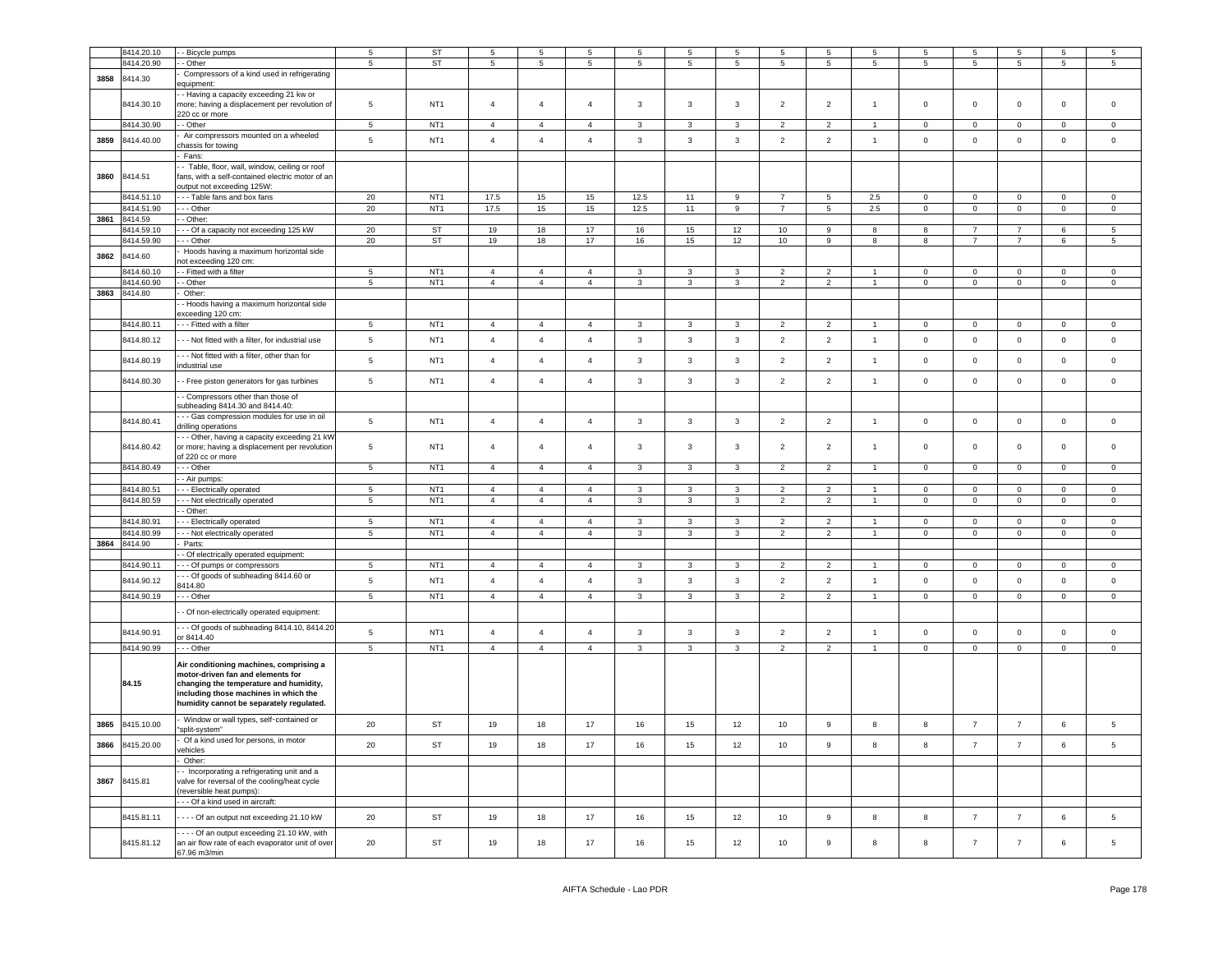|      | 8414.20.10   | - Bicycle pumps                                                                 | 5               | <b>ST</b>       | $\overline{5}$ | $5\phantom{.0}$ | 5              | 5                       | 5                       | 5              | 5              | 5               | 5                    | 5               | 5              | 5                   | 5               | 5               |
|------|--------------|---------------------------------------------------------------------------------|-----------------|-----------------|----------------|-----------------|----------------|-------------------------|-------------------------|----------------|----------------|-----------------|----------------------|-----------------|----------------|---------------------|-----------------|-----------------|
|      | 3414.20.90   | - Other                                                                         | -5              | ST              | $\overline{5}$ | $5\phantom{.0}$ | 5              | $\sqrt{5}$              | $\overline{5}$          | 5              | 5              | 5               | 5                    | $5\overline{5}$ | 5              | 5                   | $5\phantom{.0}$ | $\overline{5}$  |
| 3858 | 8414.30      | Compressors of a kind used in refrigerating                                     |                 |                 |                |                 |                |                         |                         |                |                |                 |                      |                 |                |                     |                 |                 |
|      |              | equipment:                                                                      |                 |                 |                |                 |                |                         |                         |                |                |                 |                      |                 |                |                     |                 |                 |
|      |              | - Having a capacity exceeding 21 kw or                                          |                 |                 |                |                 |                |                         |                         |                |                |                 |                      |                 |                |                     |                 |                 |
|      | 8414.30.10   | more; having a displacement per revolution of                                   | $5\phantom{.0}$ | NT <sub>1</sub> | $\overline{4}$ | $\overline{4}$  | $\overline{4}$ | 3                       | $\overline{3}$          | 3              | $\overline{2}$ | $\overline{2}$  | $\overline{1}$       | $\,0\,$         | $\mathsf 0$    | $\mathsf 0$         | $\pmb{0}$       | $\overline{0}$  |
|      |              | 220 cc or more                                                                  |                 |                 |                |                 |                |                         |                         |                |                |                 |                      |                 |                |                     |                 |                 |
|      | 8414.30.90   | - Other                                                                         | $\sqrt{5}$      | NT <sub>1</sub> | $\overline{4}$ | $\overline{4}$  | $\overline{4}$ | $\mathbf{3}$            | $\mathbf{3}$            | $\mathbf{3}$   | $\overline{2}$ | $\overline{2}$  | $\mathbf{1}$         | $\mathbf 0$     | $\overline{0}$ | $\mathsf{O}\xspace$ | $\mathbf 0$     | $\mathbf 0$     |
|      | 3414.40.00   | Air compressors mounted on a wheeled                                            | $\overline{5}$  | NT <sub>1</sub> | $\overline{4}$ | $\overline{4}$  | $\overline{4}$ | $\mathbf{3}$            | $\mathbf{3}$            | $\mathbf{3}$   | $\overline{2}$ | $\overline{2}$  | $\mathbf{1}$         |                 | $\mathsf 0$    | $\mathbf 0$         | $\mathbf 0$     | $\mathsf 0$     |
| 3859 |              | chassis for towing                                                              |                 |                 |                |                 |                |                         |                         |                |                |                 |                      | $\mathsf 0$     |                |                     |                 |                 |
|      |              | Fans:                                                                           |                 |                 |                |                 |                |                         |                         |                |                |                 |                      |                 |                |                     |                 |                 |
|      |              | - Table, floor, wall, window, ceiling or roof                                   |                 |                 |                |                 |                |                         |                         |                |                |                 |                      |                 |                |                     |                 |                 |
| 3860 | 8414.51      | fans, with a self-contained electric motor of an                                |                 |                 |                |                 |                |                         |                         |                |                |                 |                      |                 |                |                     |                 |                 |
|      |              | output not exceeding 125W:                                                      |                 |                 |                |                 |                |                         |                         |                |                |                 |                      |                 |                |                     |                 |                 |
|      | 8414.51.10   | --- Table fans and box fans                                                     | 20              | NT <sub>1</sub> | 17.5           | 15              | 15             | 12.5                    | 11                      | 9              | $\overline{7}$ | $5\phantom{.0}$ | 2.5                  | $\mathbf 0$     | $\mathsf 0$    | $\mathbf 0$         | $\mathbf 0$     | $\mathsf 0$     |
|      | 8414.51.90   | --- Other                                                                       | 20              | NT <sub>1</sub> | 17.5           | 15              | 15             | 12.5                    | 11                      | 9              | $\overline{7}$ | 5               | 2.5                  | $\mathsf 0$     | $\mathsf 0$    | $\mathsf 0$         | $\mathbf 0$     | $\mathbf 0$     |
|      | 3861 8414.59 | - Other:                                                                        |                 |                 |                |                 |                |                         |                         |                |                |                 |                      |                 |                |                     |                 |                 |
|      |              |                                                                                 |                 | <b>ST</b>       |                | 18              | 17             | 16                      |                         |                | 10             | 9               | 8                    | 8               | $\overline{7}$ | $\overline{7}$      | 6               | 5               |
|      | 8414.59.10   | -- Of a capacity not exceeding 125 kW                                           | 20              |                 | 19             |                 |                |                         | 15                      | 12             |                |                 |                      |                 |                |                     |                 |                 |
|      | 8414.59.90   | - - Other                                                                       | 20              | <b>ST</b>       | 19             | 18              | 17             | 16                      | 15                      | 12             | 10             | 9               | 8                    | 8               | $\overline{7}$ | $\overline{7}$      | 6               | 5               |
| 3862 | 8414.60      | Hoods having a maximum horizontal side                                          |                 |                 |                |                 |                |                         |                         |                |                |                 |                      |                 |                |                     |                 |                 |
|      |              | not exceeding 120 cm:                                                           |                 |                 |                |                 |                |                         |                         |                |                |                 |                      |                 |                |                     |                 |                 |
|      | 3414.60.10   | - Fitted with a filter                                                          | $\overline{5}$  | NT <sub>1</sub> | $\overline{4}$ | $\overline{4}$  | $\overline{4}$ | 3                       | 3                       | 3              | $\overline{2}$ | $\overline{2}$  | 1                    | $\mathbf 0$     | $\mathbf 0$    | $\mathbf 0$         | $\mathbf 0$     | $\mathbf 0$     |
|      | 3414,60.90   | - Other                                                                         | $\overline{5}$  | NT <sub>1</sub> | $\overline{4}$ | $\overline{4}$  | $\overline{4}$ | $\mathbf{3}$            | $\mathbf{3}$            | $\mathbf{3}$   | $\overline{2}$ | $\overline{2}$  | $\mathbf{1}$         | $\overline{0}$  | $\mathbf 0$    | $\mathsf{O}\xspace$ | $\mathbf 0$     | $\overline{0}$  |
| 3863 | 8414.80      | Other:                                                                          |                 |                 |                |                 |                |                         |                         |                |                |                 |                      |                 |                |                     |                 |                 |
|      |              | - Hoods having a maximum horizontal side                                        |                 |                 |                |                 |                |                         |                         |                |                |                 |                      |                 |                |                     |                 |                 |
|      |              | xceeding 120 cm:                                                                |                 |                 |                |                 |                |                         |                         |                |                |                 |                      |                 |                |                     |                 |                 |
|      | 8414.80.11   | - - Fitted with a filter                                                        | 5               | NT <sub>1</sub> | $\overline{4}$ | $\overline{4}$  | $\overline{4}$ | $\mathbf{3}$            | $\overline{3}$          | $\mathbf{3}$   | $\overline{2}$ | $\overline{2}$  | $\blacktriangleleft$ | $^{\circ}$      | $\mathsf 0$    | $\mathbf 0$         | $\mathbf 0$     | $\mathbf 0$     |
|      |              |                                                                                 |                 | NT <sub>1</sub> | $\overline{4}$ | $\overline{4}$  | $\overline{4}$ |                         |                         |                |                |                 | $\overline{1}$       |                 |                |                     |                 | $\mathsf 0$     |
|      | 8414.80.12   | - - Not fitted with a filter, for industrial use                                | $\,$ 5 $\,$     |                 |                |                 |                | $\mathbf{3}$            | $\overline{\mathbf{3}}$ | $\mathbf{3}$   | $\overline{2}$ | $\overline{2}$  |                      | $\mathsf 0$     | $\mathbf 0$    | $\mathbf 0$         | $\pmb{0}$       |                 |
|      |              | - - Not fitted with a filter, other than for                                    |                 |                 |                |                 |                |                         |                         |                |                |                 |                      |                 |                |                     |                 |                 |
|      | 8414.80.19   | ndustrial use                                                                   | $\sqrt{5}$      | NT <sub>1</sub> | $\overline{4}$ | $\overline{4}$  | $\overline{4}$ | $\mathbf{3}$            | $\overline{\mathbf{3}}$ | $\mathbf{3}$   | $\overline{2}$ | $\overline{2}$  | $\overline{1}$       | $\mathsf 0$     | $\mathsf 0$    | $\mathsf 0$         | $\mathbf 0$     | $\overline{0}$  |
|      |              |                                                                                 |                 |                 |                |                 |                |                         |                         |                |                |                 |                      |                 |                |                     |                 |                 |
|      | 8414.80.30   | - Free piston generators for gas turbines                                       | $\,$ 5 $\,$     | NT <sub>1</sub> | $\overline{4}$ | $\overline{4}$  | $\overline{4}$ | $\mathbf{3}$            | $\overline{3}$          | $\mathbf{3}$   | $\overline{2}$ | $\overline{2}$  | $\overline{1}$       | $\mathsf 0$     | $\mathbf 0$    | $\mathsf 0$         | $\mathbf 0$     | $\mathsf 0$     |
|      |              | - Compressors other than those of                                               |                 |                 |                |                 |                |                         |                         |                |                |                 |                      |                 |                |                     |                 |                 |
|      |              | subheading 8414.30 and 8414.40:                                                 |                 |                 |                |                 |                |                         |                         |                |                |                 |                      |                 |                |                     |                 |                 |
|      |              | - - Gas compression modules for use in oil                                      |                 |                 |                |                 |                |                         |                         |                |                |                 |                      |                 |                |                     |                 |                 |
|      | 8414.80.41   | drilling operations                                                             | $\,$ 5 $\,$     | NT <sub>1</sub> | $\overline{4}$ | $\overline{4}$  | $\overline{4}$ | $\mathsf 3$             | $\mathbf{3}$            | $\mathbf{3}$   | $\overline{2}$ | $\overline{2}$  | $\overline{1}$       | $\mathsf 0$     | $\mathbf 0$    | $\mathbf 0$         | $\mathbf 0$     | $\,$ 0          |
|      |              | - - Other, having a capacity exceeding 21 kW                                    |                 |                 |                |                 |                |                         |                         |                |                |                 |                      |                 |                |                     |                 |                 |
|      | 8414.80.42   | or more; having a displacement per revolution                                   | $\sqrt{5}$      | NT <sub>1</sub> | $\overline{4}$ | $\overline{4}$  | $\overline{4}$ | 3                       | $\overline{\mathbf{3}}$ | $\mathbf{3}$   | $\overline{2}$ | $\overline{2}$  | $\overline{1}$       | $\,0\,$         | $\mathbf 0$    | $\mathsf 0$         | $\mathbf 0$     | $\overline{0}$  |
|      |              | of 220 cc or more                                                               |                 |                 |                |                 |                |                         |                         |                |                |                 |                      |                 |                |                     |                 |                 |
|      | 8414.80.49   | $-$ Other                                                                       | 5               | NT <sub>1</sub> | $\overline{4}$ | $\overline{4}$  | $\overline{4}$ | $\mathbf{3}$            | $\overline{\mathbf{3}}$ | 3              | $\overline{2}$ | $\overline{2}$  | $\mathbf{1}$         | $\overline{0}$  | $\mathbf{0}$   | $\mathbf 0$         | $\mathbf{0}$    | $\overline{0}$  |
|      |              | - Air pumps:                                                                    |                 |                 |                |                 |                |                         |                         |                |                |                 |                      |                 |                |                     |                 |                 |
|      | 8414.80.51   | - Electrically operated                                                         | 5               | NT <sub>1</sub> | $\overline{4}$ | $\overline{4}$  | $\overline{4}$ | 3                       | $\overline{3}$          | $\overline{3}$ | $\overline{2}$ | $\overline{2}$  | $\overline{1}$       | $\Omega$        | $\mathbf 0$    | $\overline{0}$      | $\overline{0}$  | $\overline{0}$  |
|      | 3414.80.59   | - - Not electrically operated                                                   | $\sqrt{5}$      | NT <sub>1</sub> | $\overline{4}$ | $\overline{4}$  | $\overline{4}$ | $\mathbf{3}$            | $\mathbf{3}$            | $\mathbf{3}$   | $\overline{2}$ | $\overline{2}$  | $\mathbf{1}$         | $\mathsf 0$     | $\mathsf 0$    | $\mathsf 0$         | $\mathsf 0$     | $\,0\,$         |
|      |              |                                                                                 |                 |                 |                |                 |                |                         |                         |                |                |                 |                      |                 |                |                     |                 |                 |
|      |              | - Other:                                                                        |                 |                 |                |                 |                |                         |                         |                |                |                 |                      |                 |                |                     |                 |                 |
|      | 3414.80.91   | - Electrically operated                                                         | 5               | NT <sub>1</sub> | $\overline{4}$ | $\overline{4}$  | $\overline{4}$ | 3                       | 3                       | 3              | $\overline{2}$ | 2               | $\mathbf{1}$         | $\Omega$        | $^{\circ}$     | $\mathbf 0$         | $\overline{0}$  | $\mathbf 0$     |
|      | 3414.80.99   | - - Not electrically operated                                                   | 5               | NT <sub>1</sub> | $\overline{4}$ | $\overline{4}$  | $\overline{4}$ | $\mathbf{3}$            | $\mathbf{3}$            | $\mathbf{3}$   | $\overline{2}$ | $\overline{2}$  | $\overline{1}$       | $\mathbf 0$     | $\mathsf 0$    | $\mathsf 0$         | $\mathsf 0$     | $\,0\,$         |
| 3864 | 8414.90      | Parts:                                                                          |                 |                 |                |                 |                |                         |                         |                |                |                 |                      |                 |                |                     |                 |                 |
|      |              | Of electrically operated equipment:                                             |                 |                 |                |                 |                |                         |                         |                |                |                 |                      |                 |                |                     |                 |                 |
|      | 8414.90.11   | - - Of pumps or compressors                                                     | 5               | NT <sub>1</sub> | $\overline{4}$ | $\overline{4}$  | $\overline{4}$ | $\mathbf{3}$            | $\overline{3}$          | $\mathbf{3}$   | $\overline{2}$ | $\overline{2}$  | $\mathbf{1}$         | $\mathbf 0$     | $\mathbf 0$    | $\mathbf 0$         | $\mathbf 0$     | $\mathsf 0$     |
|      | 8414.90.12   | - - Of goods of subheading 8414.60 or                                           | $\sqrt{5}$      | NT <sub>1</sub> | $\overline{4}$ | $\overline{4}$  | $\overline{4}$ | 3                       | $\mathbf{3}$            | 3              | $\overline{2}$ | $\overline{2}$  | $\mathbf{1}$         | $\,0\,$         | $\mathbf 0$    | $\mathsf 0$         | $\mathbf 0$     | $\,0\,$         |
|      |              | 3414.80                                                                         |                 |                 |                |                 |                |                         |                         |                |                |                 |                      |                 |                |                     |                 |                 |
|      | 8414.90.19   | - - Other                                                                       | $\overline{5}$  | NT <sub>1</sub> | $\overline{4}$ | $\overline{4}$  | $\overline{4}$ | $\overline{\mathbf{3}}$ | $\overline{\mathbf{3}}$ | $\overline{3}$ | $\overline{2}$ | $\overline{2}$  | $\overline{1}$       | $\overline{0}$  | $\overline{0}$ | $\overline{0}$      | $\overline{0}$  | $\overline{0}$  |
|      |              |                                                                                 |                 |                 |                |                 |                |                         |                         |                |                |                 |                      |                 |                |                     |                 |                 |
|      |              | - Of non-electrically operated equipment:                                       |                 |                 |                |                 |                |                         |                         |                |                |                 |                      |                 |                |                     |                 |                 |
|      | 8414.90.91   | - - Of goods of subheading 8414.10, 8414.20                                     | $5\phantom{.0}$ | NT <sub>1</sub> | $\overline{4}$ | $\overline{4}$  | $\overline{4}$ | $\mathbf{3}$            | $\overline{3}$          | $\mathbf{3}$   | $\overline{2}$ | $\overline{2}$  | $\overline{1}$       | $\mathsf 0$     | $\mathsf 0$    | $\mathbf 0$         | $\mathbf 0$     | $\mathsf 0$     |
|      |              | or 8414.40                                                                      |                 |                 |                |                 |                |                         |                         |                |                |                 |                      |                 |                |                     |                 |                 |
|      | 8414.90.99   | $-$ - Other                                                                     | $\overline{5}$  | NT <sub>1</sub> | $\overline{4}$ | $\overline{4}$  | $\overline{4}$ | $\mathbf{3}$            | $\mathbf{3}$            | $\mathbf{3}$   | $\overline{2}$ | $\overline{2}$  | $\mathbf{1}$         | $\mathsf 0$     | $\overline{0}$ | $\mathsf{O}\xspace$ | $\mathsf 0$     | $\overline{0}$  |
|      |              |                                                                                 |                 |                 |                |                 |                |                         |                         |                |                |                 |                      |                 |                |                     |                 |                 |
|      |              | Air conditioning machines, comprising a                                         |                 |                 |                |                 |                |                         |                         |                |                |                 |                      |                 |                |                     |                 |                 |
|      | 84.15        | motor-driven fan and elements for                                               |                 |                 |                |                 |                |                         |                         |                |                |                 |                      |                 |                |                     |                 |                 |
|      |              | changing the temperature and humidity,<br>including those machines in which the |                 |                 |                |                 |                |                         |                         |                |                |                 |                      |                 |                |                     |                 |                 |
|      |              | humidity cannot be separately regulated.                                        |                 |                 |                |                 |                |                         |                         |                |                |                 |                      |                 |                |                     |                 |                 |
|      |              |                                                                                 |                 |                 |                |                 |                |                         |                         |                |                |                 |                      |                 |                |                     |                 |                 |
| 3865 | 8415.10.00   | Window or wall types, self-contained or                                         | 20              | ST              | 19             | 18              | 17             | 16                      | 15                      | 12             | 10             | 9               | 8                    | 8               | $\overline{7}$ | $\overline{7}$      | $\,6\,$         | $5\phantom{.0}$ |
|      |              | split-system"                                                                   |                 |                 |                |                 |                |                         |                         |                |                |                 |                      |                 |                |                     |                 |                 |
| 3866 | 3415.20.00   | Of a kind used for persons, in motor                                            | 20              | <b>ST</b>       | 19             | 18              | 17             | 16                      | 15                      | 12             | 10             | 9               | 8                    | 8               | $\overline{7}$ | $\overline{7}$      | $6\phantom{.}$  | 5               |
|      |              | ehicles                                                                         |                 |                 |                |                 |                |                         |                         |                |                |                 |                      |                 |                |                     |                 |                 |
|      |              | Other:                                                                          |                 |                 |                |                 |                |                         |                         |                |                |                 |                      |                 |                |                     |                 |                 |
|      |              | - Incorporating a refrigerating unit and a                                      |                 |                 |                |                 |                |                         |                         |                |                |                 |                      |                 |                |                     |                 |                 |
| 3867 | 8415.81      | alve for reversal of the cooling/heat cycle                                     |                 |                 |                |                 |                |                         |                         |                |                |                 |                      |                 |                |                     |                 |                 |
|      |              | (reversible heat pumps):                                                        |                 |                 |                |                 |                |                         |                         |                |                |                 |                      |                 |                |                     |                 |                 |
|      |              | --- Of a kind used in aircraft:                                                 |                 |                 |                |                 |                |                         |                         |                |                |                 |                      |                 |                |                     |                 |                 |
|      |              |                                                                                 |                 |                 |                |                 |                |                         |                         |                |                |                 |                      |                 |                |                     |                 |                 |
|      | 8415.81.11   | - - - Of an output not exceeding 21.10 kW                                       | 20              | ST              | 19             | 18              | 17             | 16                      | 15                      | 12             | 10             | 9               | 8                    | 8               | $\overline{7}$ | $\overline{7}$      | 6               | 5               |
|      |              | ---- Of an output exceeding 21.10 kW, with                                      |                 |                 |                |                 |                |                         |                         |                |                |                 |                      |                 |                |                     |                 |                 |
|      | 8415.81.12   | an air flow rate of each evaporator unit of over                                | 20              | ST              | 19             | 18              | 17             | 16                      | 15                      | 12             | 10             | $_{9}$          | 8                    | 8               | $\overline{7}$ | $\overline{7}$      | 6               | 5               |
|      |              | 67.96 m3/min                                                                    |                 |                 |                |                 |                |                         |                         |                |                |                 |                      |                 |                |                     |                 |                 |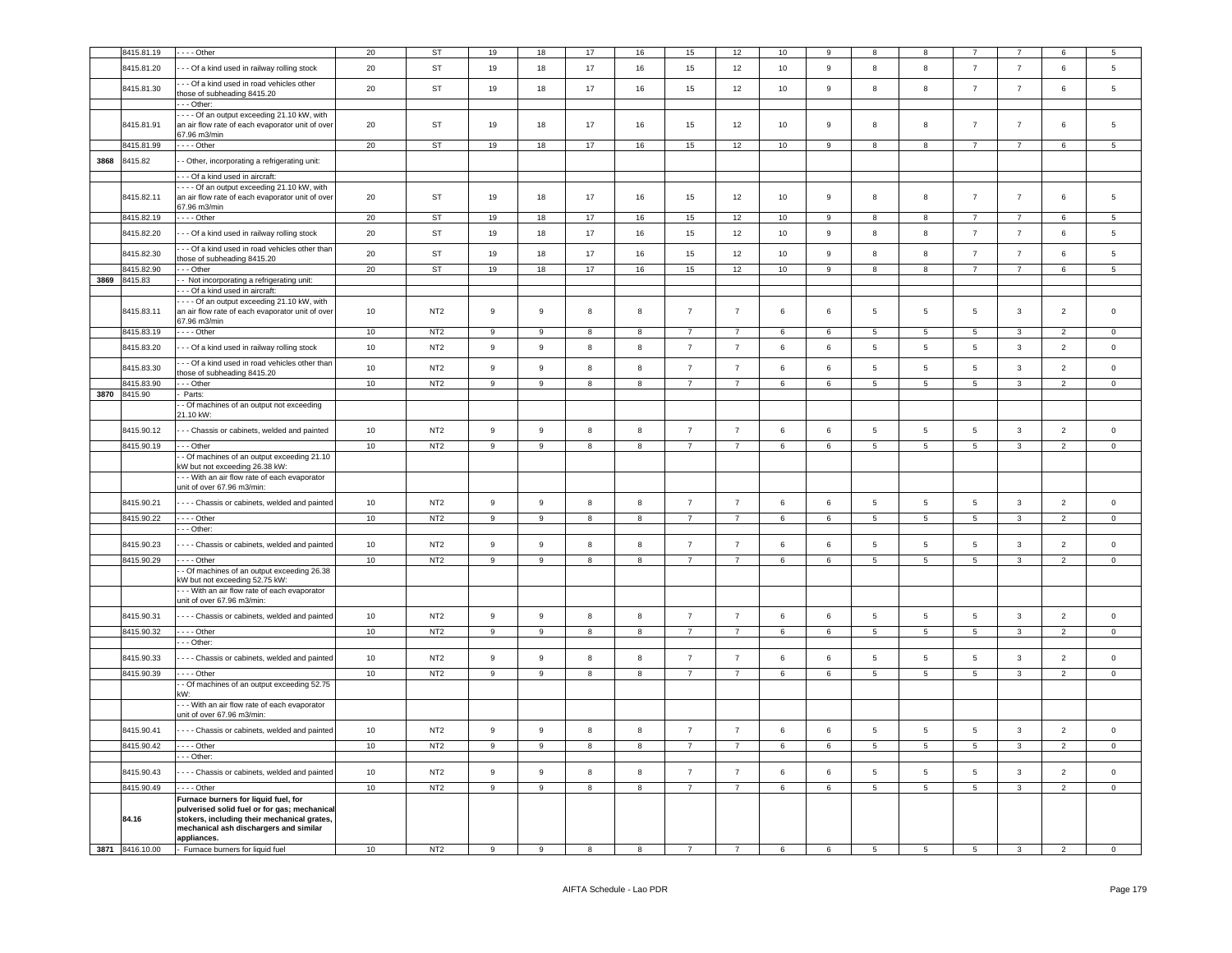|      | 8415.81.19      | --- Other                                                                                                                                                                                    | 20 | <b>ST</b>       | 19               | $18\,$           | 17                      | 16                      | 15                | $12\,$         | 10      | q                |                 |                 |                 |                | 6                       | $5\overline{5}$     |
|------|-----------------|----------------------------------------------------------------------------------------------------------------------------------------------------------------------------------------------|----|-----------------|------------------|------------------|-------------------------|-------------------------|-------------------|----------------|---------|------------------|-----------------|-----------------|-----------------|----------------|-------------------------|---------------------|
|      | 8415.81.20      | - - Of a kind used in railway rolling stock                                                                                                                                                  | 20 | <b>ST</b>       | 19               | 18               | 17                      | 16                      | 15                | 12             | 10      | $\overline{9}$   | 8               | 8               | $\overline{7}$  | $\overline{7}$ | $6\overline{6}$         | $5\phantom{.0}$     |
|      | 8415.81.30      | - - Of a kind used in road vehicles other<br>those of subheading 8415.20<br>- - - Other:                                                                                                     | 20 | ST              | 19               | 18               | 17                      | 16                      | 15                | 12             | 10      | 9                | 8               | 8               | $\overline{7}$  | $\overline{7}$ | 6                       | 5                   |
|      | 8415.81.91      | - - - Of an output exceeding 21.10 kW, with<br>an air flow rate of each evaporator unit of over<br>67.96 m3/min                                                                              | 20 | ST              | 19               | 18               | $17$                    | 16                      | 15                | 12             | 10      | $\boldsymbol{9}$ | 8               | 8               | $\overline{7}$  | $\overline{7}$ | 6                       | 5                   |
|      | 8415.81.99      | $---$ Other                                                                                                                                                                                  | 20 | ST              | 19               | 18               | 17                      | 16                      | 15                | 12             | 10      | 9                | 8               | 8               | $\overline{7}$  | $\overline{7}$ | 6                       | $\overline{5}$      |
| 3868 | 8415.82         | - Other, incorporating a refrigerating unit:                                                                                                                                                 |    |                 |                  |                  |                         |                         |                   |                |         |                  |                 |                 |                 |                |                         |                     |
|      |                 | - - - Of a kind used in aircraft:                                                                                                                                                            |    |                 |                  |                  |                         |                         |                   |                |         |                  |                 |                 |                 |                |                         |                     |
|      | 8415.82.11      | - - - Of an output exceeding 21.10 kW, with<br>an air flow rate of each evaporator unit of over<br>67.96 m3/min                                                                              | 20 | ST              | 19               | 18               | 17                      | 16                      | 15                | 12             | 10      | 9                | 8               | 8               | $\overline{7}$  | $\overline{7}$ | 6                       | 5                   |
|      | 8415.82.19      | - - - - Other                                                                                                                                                                                | 20 | ST              | 19               | 18               | 17                      | 16                      | 15                | 12             | 10      | 9                | 8               | 8               | $\overline{7}$  | $\overline{7}$ | 6                       | 5                   |
|      | 8415.82.20      | - - Of a kind used in railway rolling stock                                                                                                                                                  | 20 | <b>ST</b>       | 19               | 18               | 17                      | 16                      | 15                | 12             | 10      | 9                | 8               | 8               | $\overline{7}$  | $\overline{7}$ | 6                       | 5                   |
|      | 8415.82.30      | - - Of a kind used in road vehicles other than<br>those of subheading 8415.20                                                                                                                | 20 | ST              | 19               | 18               | 17                      | 16                      | 15                | 12             | 10      | $\boldsymbol{9}$ | 8               | 8               | $\overline{7}$  | $\overline{7}$ | 6                       | 5                   |
|      | 8415.82.90      | - - Other                                                                                                                                                                                    | 20 | ST              | 19               | 18               | 17                      | 16                      | 15                | 12             | 10      | $\mathsf g$      | 8               | 8               | $\overline{7}$  | $\overline{7}$ | 6                       | 5                   |
| 3869 | 8415.83         | - Not incorporating a refrigerating unit:                                                                                                                                                    |    |                 |                  |                  |                         |                         |                   |                |         |                  |                 |                 |                 |                |                         |                     |
|      | 8415.83.11      | - Of a kind used in aircraft:<br>--- Of an output exceeding 21.10 kW, with<br>an air flow rate of each evaporator unit of over<br>67.96 m3/min                                               | 10 | NT <sub>2</sub> | 9                | $\mathsf g$      | 8                       | 8                       | $\overline{7}$    | $\overline{7}$ | 6       | 6                | 5               | 5               | -5              | 3              | $\overline{\mathbf{c}}$ | $\mathbf 0$         |
|      | 8415.83.19      | - - - - Other                                                                                                                                                                                | 10 | NT <sub>2</sub> | 9                | 9                | 8                       | 8                       | $\overline{7}$    | $\overline{7}$ | 6       | 6                | $5\phantom{.0}$ | $5\overline{5}$ | $5\phantom{.0}$ | $\mathbf{3}$   | $\overline{2}$          | $\mathsf 0$         |
|      | 8415.83.20      | - - Of a kind used in railway rolling stock                                                                                                                                                  | 10 | NT <sub>2</sub> | $\boldsymbol{9}$ | 9                | 8                       | 8                       | $\overline{7}$    | $\overline{7}$ | 6       | 6                | $5\phantom{.0}$ | $5\phantom{.0}$ | $5\overline{)}$ | $\mathbf{3}$   | $\overline{2}$          | $\mathsf 0$         |
|      | 8415.83.30      | - - Of a kind used in road vehicles other than<br>hose of subheading 8415.20                                                                                                                 | 10 | NT <sub>2</sub> | 9                | $_{9}$           | 8                       | 8                       | $\overline{7}$    | $\overline{7}$ | 6       | 6                | $\sqrt{5}$      | 5               | 5               | $\mathbf{3}$   | 2                       | $\mathbf 0$         |
|      | 8415.83.90      | - - Other                                                                                                                                                                                    | 10 | NT2             | $\overline{9}$   | $\overline{9}$   | 8                       | 8                       | $\overline{7}$    | $\overline{7}$ | 6       | 6                | 5               | $\overline{5}$  | 5               | 3              | $\overline{2}$          | $\mathbf 0$         |
|      | 3870 8415.90    | Parts:<br>- Of machines of an output not exceeding<br>21.10 kW:                                                                                                                              |    |                 |                  |                  |                         |                         |                   |                |         |                  |                 |                 |                 |                |                         |                     |
|      | 8415.90.12      | - - Chassis or cabinets, welded and painted                                                                                                                                                  | 10 | NT <sub>2</sub> | $\boldsymbol{9}$ | $\mathsf g$      | 8                       | 8                       | $\overline{7}$    | $\overline{7}$ | $\,6\,$ | $\,6\,$          | $5\phantom{.0}$ | $5\phantom{.0}$ | $\,$ 5 $\,$     | $\mathbf{3}$   | $\overline{2}$          | $\mathsf 0$         |
|      | 8415.90.19      | - - Other                                                                                                                                                                                    | 10 | NT2             | 9                | 9                | 8                       | 8                       | $\overline{7}$    | $\overline{7}$ | 6       | 6                | $5\phantom{.0}$ | 5               | 5               | 3              | $\overline{2}$          | $\mathsf 0$         |
|      |                 | - Of machines of an output exceeding 21.10<br>kW but not exceeding 26.38 kW:                                                                                                                 |    |                 |                  |                  |                         |                         |                   |                |         |                  |                 |                 |                 |                |                         |                     |
|      |                 | -- With an air flow rate of each evaporator<br>unit of over 67.96 m3/min:                                                                                                                    |    |                 |                  |                  |                         |                         |                   |                |         |                  |                 |                 |                 |                |                         |                     |
|      | 8415.90.21      | --- Chassis or cabinets, welded and painted                                                                                                                                                  | 10 | NT <sub>2</sub> | $\boldsymbol{9}$ | 9                | 8                       | 8                       | $\overline{7}$    | $\overline{7}$ | 6       | $\,6\,$          | $\sqrt{5}$      | $5\phantom{.0}$ | $5\phantom{.0}$ | $\mathbf{3}$   | $\overline{2}$          | $\mathsf 0$         |
|      | 8415.90.22      | - - - - Other                                                                                                                                                                                | 10 | NT <sub>2</sub> | 9                | 9                | 8                       | 8                       | $\overline{7}$    | $\overline{7}$ | 6       | 6                | $5\phantom{.0}$ | $5\phantom{.0}$ | $\overline{5}$  | $\mathbf{3}$   | $\overline{2}$          | $\overline{0}$      |
|      |                 | -- Other:                                                                                                                                                                                    |    |                 |                  |                  |                         |                         |                   |                |         |                  |                 |                 |                 |                |                         |                     |
|      | 8415.90.23      | - - - Chassis or cabinets, welded and painted                                                                                                                                                | 10 | NT <sub>2</sub> | $\boldsymbol{9}$ | $\mathsf g$      | 8                       | 8                       | $\overline{7}$    | $\overline{7}$ | 6       | 6                | $5\phantom{.0}$ | 5               | $\overline{5}$  | $\mathbf{3}$   | $\overline{2}$          | $\mathsf 0$         |
|      | 8415.90.29      | $- - -$ Other<br>- Of machines of an output exceeding 26.38<br>kW but not exceeding 52.75 kW:<br>--- With an air flow rate of each evaporator                                                | 10 | NT <sub>2</sub> | 9                | 9                | 8                       | 8                       | $\overline{7}$    | $\overline{7}$ | 6       | 6                | 5               | 5               | $\overline{5}$  | 3              | 2                       | $\mathbf 0$         |
|      | 8415.90.31      | unit of over 67.96 m3/min:<br>--- Chassis or cabinets, welded and painted                                                                                                                    | 10 | NT <sub>2</sub> | $\boldsymbol{9}$ | 9                | 8                       | 8                       | $\overline{7}$    | $\overline{7}$ | 6       | 6                | $5\phantom{.0}$ | $5\phantom{.0}$ | $5\phantom{.0}$ | $\mathbf{3}$   | $\overline{2}$          | $\mathsf 0$         |
|      | 8415.90.32      | $---$ Other                                                                                                                                                                                  | 10 | NT <sub>2</sub> | 9                | 9                | 8                       | 8                       | $\overline{7}$    | $\overline{7}$ | 6       | 6                | 5               | 5               | 5               | 3              | $\overline{2}$          | $\mathbf 0$         |
|      |                 | --- Other:                                                                                                                                                                                   |    |                 |                  |                  |                         |                         |                   |                |         |                  |                 |                 |                 |                |                         |                     |
|      | 8415.90.33      | - - - Chassis or cabinets, welded and painted                                                                                                                                                | 10 | NT <sub>2</sub> | $\mathsf g$      | $\mathsf g$      | 8                       | 8                       | $\scriptstyle{7}$ | $\overline{7}$ | 6       | 6                | $5\phantom{.0}$ | $\overline{5}$  | $\overline{5}$  | $_{\rm 3}$     | $\overline{2}$          | $\mathbf 0$         |
|      | 8415.90.39      | $- -$ - Other                                                                                                                                                                                | 10 | NT <sub>2</sub> | $\overline{9}$   | $\overline{9}$   | $\overline{\mathbf{8}}$ | $\overline{\mathbf{8}}$ | 7                 | $\overline{7}$ | 6       | 6                | $\overline{5}$  | $\overline{5}$  | $\overline{5}$  | $\overline{3}$ | $\overline{2}$          | $\overline{0}$      |
|      |                 | - Of machines of an output exceeding 52.75<br>kW:                                                                                                                                            |    |                 |                  |                  |                         |                         |                   |                |         |                  |                 |                 |                 |                |                         |                     |
|      |                 | -- With an air flow rate of each evaporator<br>unit of over 67.96 m3/min:                                                                                                                    |    |                 |                  |                  |                         |                         |                   |                |         |                  |                 |                 |                 |                |                         |                     |
|      | 8415.90.41      | --- Chassis or cabinets, welded and painted                                                                                                                                                  | 10 | NT <sub>2</sub> | $\boldsymbol{9}$ | $\boldsymbol{9}$ | 8                       | 8                       | $\overline{7}$    | $\overline{7}$ | 6       | 6                | 5               | 5               | 5               | 3              | $\overline{2}$          | $\circ$             |
|      | 8415.90.42      | $--$ Other<br>- - Other:                                                                                                                                                                     | 10 | NT <sub>2</sub> | $\boldsymbol{9}$ | 9                | 8                       | 8                       | $\overline{7}$    | $\overline{7}$ | 6       | $\,6\,$          | $5\phantom{.0}$ | $\sqrt{5}$      | $5\phantom{.0}$ | $\mathbf{3}$   | $\overline{2}$          | $\mathsf 0$         |
|      | 8415.90.43      | --- Chassis or cabinets, welded and painted                                                                                                                                                  | 10 | NT <sub>2</sub> | $\boldsymbol{9}$ | 9                | 8                       | 8                       | $\overline{7}$    | $\overline{7}$ | 6       | 6                | 5               | 5               | 5               | $\mathbf{3}$   | $\overline{2}$          | 0                   |
|      | 8415.90.49      | $\cdots$ - Other                                                                                                                                                                             | 10 | NT <sub>2</sub> | $\overline{9}$   | 9                | 8                       | $\overline{\mathbf{8}}$ | $\overline{7}$    | $\overline{7}$ | 6       | 6                | 5               | $\overline{5}$  | $\overline{5}$  | $\overline{3}$ | $\overline{2}$          | $\mathsf{O}\xspace$ |
|      | 84.16           | Furnace burners for liquid fuel, for<br>pulverised solid fuel or for gas; mechanical<br>stokers, including their mechanical grates,<br>mechanical ash dischargers and similar<br>appliances. |    |                 |                  |                  |                         |                         |                   |                |         |                  |                 |                 |                 |                |                         |                     |
|      | 3871 8416.10.00 | - Furnace burners for liquid fuel                                                                                                                                                            | 10 | NT2             | 9                | $\overline{9}$   | 8                       | $\overline{\mathbf{8}}$ | 7                 | 7              | 6       | 6                | 5               | 5               | 5               | 3              | $\overline{2}$          | $\overline{0}$      |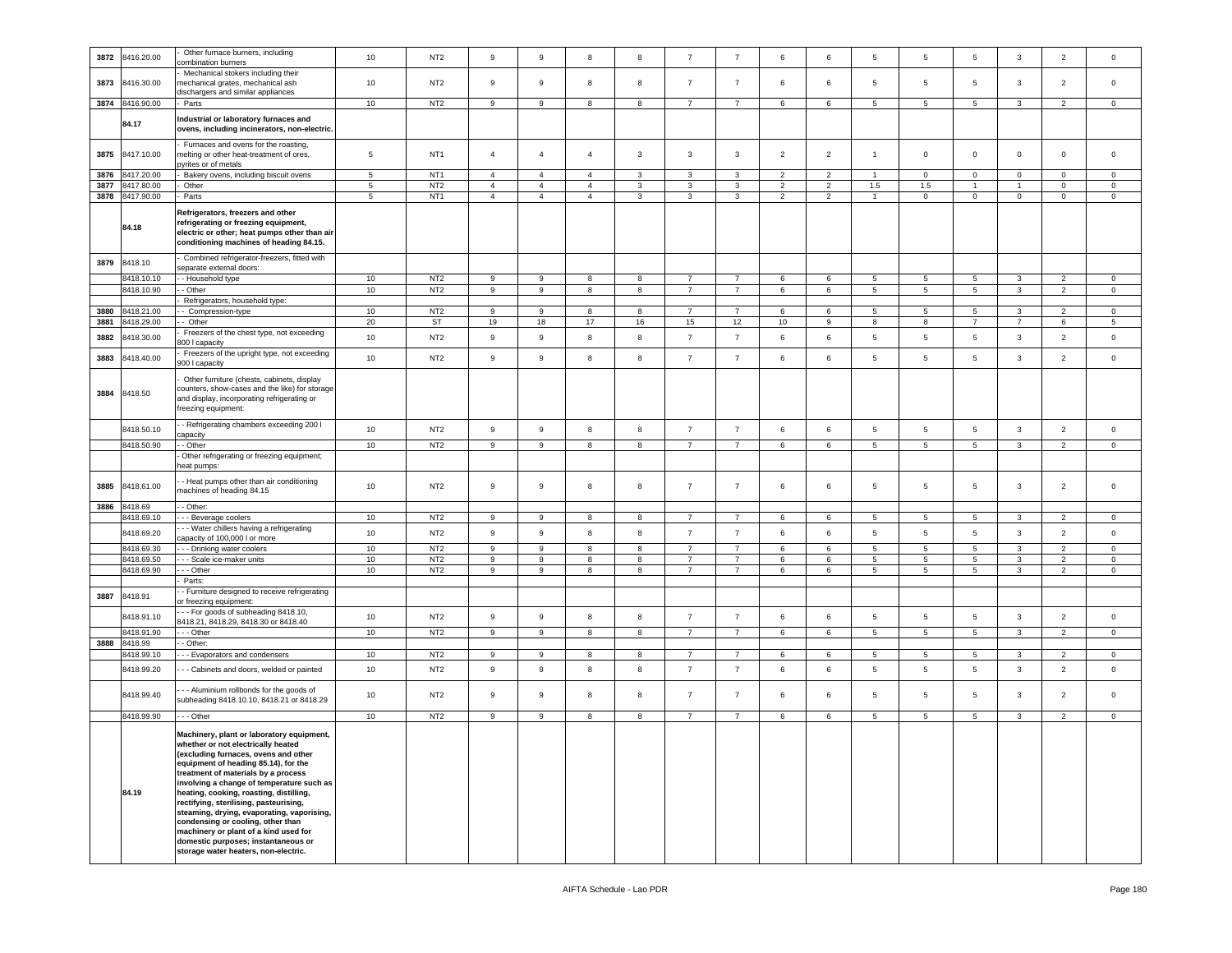| 3872         | 8416.20.00               | Other furnace burners, including<br>combination burners                                                                                                                                                                                                                                                                                                                                                                                                                                                                                             | 10                   | NT <sub>2</sub>                    | 9                                | $\boldsymbol{9}$                 | 8                                | 8                 | $\overline{7}$                   | $\overline{7}$                   | 6                   | 6                                | 5              | 5                      | $5\overline{)}$      | $\mathbf{3}$                        | $\overline{2}$                   | $\mathbf 0$                |
|--------------|--------------------------|-----------------------------------------------------------------------------------------------------------------------------------------------------------------------------------------------------------------------------------------------------------------------------------------------------------------------------------------------------------------------------------------------------------------------------------------------------------------------------------------------------------------------------------------------------|----------------------|------------------------------------|----------------------------------|----------------------------------|----------------------------------|-------------------|----------------------------------|----------------------------------|---------------------|----------------------------------|----------------|------------------------|----------------------|-------------------------------------|----------------------------------|----------------------------|
|              |                          | Mechanical stokers including their                                                                                                                                                                                                                                                                                                                                                                                                                                                                                                                  |                      |                                    |                                  |                                  |                                  |                   |                                  |                                  |                     |                                  |                |                        |                      |                                     |                                  |                            |
| 3873         | 8416.30.00               | mechanical grates, mechanical ash                                                                                                                                                                                                                                                                                                                                                                                                                                                                                                                   | 10                   | NT <sub>2</sub>                    | 9                                | $\mathsf g$                      | 8                                | 8                 | $\overline{7}$                   | $\overline{7}$                   | 6                   | 6                                | 5              | 5                      | 5                    | 3                                   | $\overline{2}$                   | $\mathbf 0$                |
|              |                          | dischargers and similar appliances                                                                                                                                                                                                                                                                                                                                                                                                                                                                                                                  |                      |                                    |                                  |                                  |                                  |                   |                                  |                                  |                     |                                  |                |                        |                      |                                     |                                  |                            |
| 3874         | 8416.90.00               | Parts                                                                                                                                                                                                                                                                                                                                                                                                                                                                                                                                               | 10                   | NT <sub>2</sub>                    | 9                                | 9                                | 8                                | 8                 | $\overline{7}$                   | $\overline{7}$                   | 6                   | 6                                | 5              | 5                      | 5                    | 3                                   | $\overline{2}$                   | $\mathbf 0$                |
|              | 84.17                    | ndustrial or laboratory furnaces and<br>ovens, including incinerators, non-electric.                                                                                                                                                                                                                                                                                                                                                                                                                                                                |                      |                                    |                                  |                                  |                                  |                   |                                  |                                  |                     |                                  |                |                        |                      |                                     |                                  |                            |
|              |                          | Furnaces and ovens for the roasting,                                                                                                                                                                                                                                                                                                                                                                                                                                                                                                                |                      |                                    |                                  |                                  |                                  |                   |                                  |                                  |                     |                                  |                |                        |                      |                                     |                                  |                            |
| 3875         | 8417.10.00               | nelting or other heat-treatment of ores,                                                                                                                                                                                                                                                                                                                                                                                                                                                                                                            | $\overline{5}$       | NT <sub>1</sub>                    | $\overline{4}$                   | $\overline{4}$                   | $\overline{4}$                   | 3                 | $\overline{\mathbf{3}}$          | 3                                | $\overline{2}$      | $\overline{2}$                   | $\mathbf{1}$   | $\mathsf 0$            | $\mathbf 0$          | $\mathbf 0$                         | 0                                | 0                          |
|              |                          | vrites or of metals                                                                                                                                                                                                                                                                                                                                                                                                                                                                                                                                 |                      |                                    |                                  |                                  |                                  |                   |                                  |                                  |                     |                                  |                |                        |                      |                                     |                                  |                            |
| 3876<br>3877 | 8417.20.00<br>8417.80.00 | Bakery ovens, including biscuit ovens<br>Other                                                                                                                                                                                                                                                                                                                                                                                                                                                                                                      | 5<br>$5\phantom{.0}$ | NT <sub>1</sub><br>NT <sub>2</sub> | $\overline{4}$<br>$\overline{4}$ | $\overline{4}$<br>$\overline{4}$ | $\overline{4}$<br>$\overline{4}$ | 3<br>$\mathbf{3}$ | 3<br>3                           | 3<br>$\mathbf{3}$                | 2<br>$\overline{2}$ | $\overline{2}$<br>$\overline{2}$ | 1.5            | $\mathbf 0$<br>$1.5\,$ | 0<br>$\overline{1}$  | $\mathbf 0$<br>$\ddot{\phantom{1}}$ | 0<br>$\mathsf 0$                 | 0<br>$\mathbf 0$           |
| 3878         | 8417.90.00               | Parts                                                                                                                                                                                                                                                                                                                                                                                                                                                                                                                                               | 5                    | NT <sub>1</sub>                    | $\overline{4}$                   | $\overline{4}$                   | $\overline{4}$                   | 3                 | 3                                | 3                                | $\overline{2}$      | $\overline{2}$                   | $\overline{1}$ | $\mathbf 0$            | $\overline{0}$       | $\mathbf 0$                         | 0                                | $\mathbf 0$                |
|              |                          |                                                                                                                                                                                                                                                                                                                                                                                                                                                                                                                                                     |                      |                                    |                                  |                                  |                                  |                   |                                  |                                  |                     |                                  |                |                        |                      |                                     |                                  |                            |
|              | 84.18                    | Refrigerators, freezers and other<br>refrigerating or freezing equipment,<br>electric or other; heat pumps other than air<br>conditioning machines of heading 84.15.                                                                                                                                                                                                                                                                                                                                                                                |                      |                                    |                                  |                                  |                                  |                   |                                  |                                  |                     |                                  |                |                        |                      |                                     |                                  |                            |
| 3879         | 8418.10                  | Combined refrigerator-freezers, fitted with                                                                                                                                                                                                                                                                                                                                                                                                                                                                                                         |                      |                                    |                                  |                                  |                                  |                   |                                  |                                  |                     |                                  |                |                        |                      |                                     |                                  |                            |
|              | 8418.10.1                | separate external doors:<br>- Household type                                                                                                                                                                                                                                                                                                                                                                                                                                                                                                        | 10                   | NT <sub>2</sub>                    | 9                                | 9                                | 8                                | 8                 | $\overline{7}$                   | $\overline{7}$                   | 6                   | 6                                | $\overline{5}$ | 5                      | 5                    | 3                                   | $\overline{2}$                   | $\mathbf 0$                |
|              | 8418.10.90               | - Other                                                                                                                                                                                                                                                                                                                                                                                                                                                                                                                                             | 10                   | NT <sub>2</sub>                    | 9                                | $\boldsymbol{9}$                 | 8                                | 8                 | $\overline{7}$                   | $\overline{7}$                   | 6                   | 6                                | 5              | $\,$ 5 $\,$            | $5\phantom{.0}$      | $\mathbf{3}$                        | $\overline{2}$                   | $\mathsf 0$                |
|              |                          | Refrigerators, household type:                                                                                                                                                                                                                                                                                                                                                                                                                                                                                                                      |                      |                                    |                                  |                                  |                                  |                   |                                  |                                  |                     |                                  |                |                        |                      |                                     |                                  |                            |
| 3880         | 8418.21.00               | Compression-type                                                                                                                                                                                                                                                                                                                                                                                                                                                                                                                                    | 10                   | NT <sub>2</sub>                    | 9                                | 9                                | 8                                | 8                 | $\overline{7}$                   | $\overline{7}$                   | 6                   | 6                                | 5              | 5                      | $5\overline{5}$      | 3                                   | 2                                | $\mathbf{0}$               |
| 3881         | 8418.29.00               | - Other                                                                                                                                                                                                                                                                                                                                                                                                                                                                                                                                             | 20                   | ST                                 | 19                               | 18                               | 17                               | 16                | 15                               | 12                               | 10                  | 9                                | 8              | 8                      | $\overline{7}$       | $\overline{7}$                      | 6                                | 5                          |
| 3882         | 8418.30.00               | Freezers of the chest type, not exceeding                                                                                                                                                                                                                                                                                                                                                                                                                                                                                                           | 10                   | NT <sub>2</sub>                    | $\overline{9}$                   | $\mathsf g$                      | 8                                | 8                 | $\overline{7}$                   | $\overline{7}$                   | 6                   | 6                                | $\sqrt{5}$     | $\overline{5}$         | $5\phantom{.0}$      | $_{\rm 3}$                          | $\overline{2}$                   | $\mathbf 0$                |
|              |                          | 300   capacity                                                                                                                                                                                                                                                                                                                                                                                                                                                                                                                                      |                      |                                    |                                  |                                  |                                  |                   |                                  |                                  |                     |                                  |                |                        |                      |                                     |                                  |                            |
| 3883         | 8418.40.00               | Freezers of the upright type, not exceeding<br>00   capacity                                                                                                                                                                                                                                                                                                                                                                                                                                                                                        | 10                   | NT <sub>2</sub>                    | 9                                | $\boldsymbol{9}$                 | 8                                | 8                 | $\overline{7}$                   | $\overline{7}$                   | 6                   | 6                                | 5              | $5\phantom{.0}$        | $5\phantom{.0}$      | $\mathbf{3}$                        | $\overline{2}$                   | $\mathsf 0$                |
| 3884         | 8418.50                  | Other furniture (chests, cabinets, display<br>counters, show-cases and the like) for storage<br>and display, incorporating refrigerating or<br>freezing equipment:                                                                                                                                                                                                                                                                                                                                                                                  |                      |                                    |                                  |                                  |                                  |                   |                                  |                                  |                     |                                  |                |                        |                      |                                     |                                  |                            |
|              | 8418.50.10               | - Refrigerating chambers exceeding 200 l                                                                                                                                                                                                                                                                                                                                                                                                                                                                                                            | 10                   | NT <sub>2</sub>                    | $\overline{9}$                   | $\mathsf g$                      | 8                                | 8                 | $\overline{7}$                   | $\overline{7}$                   | 6                   | 6                                | 5              | $\,$ 5 $\,$            | $5\phantom{.0}$      | $\mathbf{3}$                        | $\overline{2}$                   | $\mathsf 0$                |
|              | 8418.50.90               | apacity                                                                                                                                                                                                                                                                                                                                                                                                                                                                                                                                             | 10                   | NT <sub>2</sub>                    |                                  |                                  |                                  |                   |                                  |                                  |                     |                                  |                |                        |                      | 3                                   | $\overline{2}$                   |                            |
|              |                          | - Other<br>Other refrigerating or freezing equipment;                                                                                                                                                                                                                                                                                                                                                                                                                                                                                               |                      |                                    | 9                                | 9                                | 8                                | 8                 | 7                                | 7                                | 6                   | 6                                | 5              | $5\phantom{.0}$        | $5\overline{5}$      |                                     |                                  | $\mathbf 0$                |
|              |                          | eat pumps:                                                                                                                                                                                                                                                                                                                                                                                                                                                                                                                                          |                      |                                    |                                  |                                  |                                  |                   |                                  |                                  |                     |                                  |                |                        |                      |                                     |                                  |                            |
| 3885         | 8418.61.00               | - Heat pumps other than air conditioning<br>nachines of heading 84.15                                                                                                                                                                                                                                                                                                                                                                                                                                                                               | 10                   | NT <sub>2</sub>                    | 9                                | 9                                | 8                                | 8                 | $\overline{7}$                   | $\overline{7}$                   | 6                   | 6                                | 5              | 5                      | 5                    | 3                                   | $\overline{2}$                   | $\mathbf 0$                |
| 3886         | 8418.69                  | - Other:                                                                                                                                                                                                                                                                                                                                                                                                                                                                                                                                            |                      |                                    |                                  |                                  |                                  |                   |                                  |                                  |                     |                                  |                |                        |                      |                                     |                                  |                            |
|              | 8418.69.10               | - Beverage coolers                                                                                                                                                                                                                                                                                                                                                                                                                                                                                                                                  | 10                   | NT <sub>2</sub>                    | 9                                | $\boldsymbol{9}$                 | 8                                | 8                 | $\overline{7}$                   | $\overline{7}$                   | $\,6\,$             | 6                                | 5              | $5\phantom{.0}$        | $5\phantom{.0}$      | 3                                   | $\overline{2}$                   | $\mathbf 0$                |
|              | 8418.69.20               | - - Water chillers having a refrigerating                                                                                                                                                                                                                                                                                                                                                                                                                                                                                                           | 10                   | NT <sub>2</sub>                    | 9                                | $\mathsf g$                      | 8                                | 8                 | $\overline{7}$                   | $\overline{7}$                   | 6                   | 6                                | 5              | 5                      | 5                    | $\mathbf{3}$                        | $\overline{2}$                   | $\mathbf 0$                |
|              |                          | apacity of 100,000 I or more                                                                                                                                                                                                                                                                                                                                                                                                                                                                                                                        |                      |                                    |                                  |                                  |                                  |                   |                                  |                                  |                     |                                  |                |                        |                      |                                     |                                  |                            |
|              | 8418.69.30<br>8418.69.50 | - - Drinking water coolers<br>- - Scale ice-maker units                                                                                                                                                                                                                                                                                                                                                                                                                                                                                             | $10$<br>$10$         | NT <sub>2</sub><br>NT <sub>2</sub> | 9<br>9                           | 9<br>$\boldsymbol{9}$            | 8<br>8                           | 8<br>8            | $\overline{7}$<br>$\overline{7}$ | $\overline{7}$<br>$\overline{7}$ | 6<br>6              | 6<br>6                           | 5<br>5         | 5<br>$\sqrt{5}$        | 5<br>$5\phantom{.0}$ | 3<br>$\mathbf{3}$                   | $\overline{2}$<br>$\overline{2}$ | $\mathbf 0$<br>$\mathsf 0$ |
|              | 8418.69.90               | - - Other                                                                                                                                                                                                                                                                                                                                                                                                                                                                                                                                           | 10                   | NT <sub>2</sub>                    | 9                                | 9                                | 8                                | 8                 | $\overline{7}$                   | $\overline{7}$                   | 6                   | 6                                | 5              | 5                      | 5                    | $\mathbf{3}$                        | $\overline{2}$                   | $\mathbf 0$                |
|              |                          | Parts:                                                                                                                                                                                                                                                                                                                                                                                                                                                                                                                                              |                      |                                    |                                  |                                  |                                  |                   |                                  |                                  |                     |                                  |                |                        |                      |                                     |                                  |                            |
|              |                          | - Furniture designed to receive refrigerating                                                                                                                                                                                                                                                                                                                                                                                                                                                                                                       |                      |                                    |                                  |                                  |                                  |                   |                                  |                                  |                     |                                  |                |                        |                      |                                     |                                  |                            |
| 3887         | 8418.91                  | or freezing equipment:                                                                                                                                                                                                                                                                                                                                                                                                                                                                                                                              |                      |                                    |                                  |                                  |                                  |                   |                                  |                                  |                     |                                  |                |                        |                      |                                     |                                  |                            |
|              | 8418.91.10               | - - For goods of subheading 8418.10,<br>3418.21, 8418.29, 8418.30 or 8418.40                                                                                                                                                                                                                                                                                                                                                                                                                                                                        | 10                   | NT <sub>2</sub>                    | $\,9$                            | $\mathsf g$                      | 8                                | 8                 | $\overline{7}$                   | $\overline{7}$                   | 6                   | 6                                | 5              | 5                      | $5\overline{)}$      | $\mathbf{3}$                        | $\overline{2}$                   | $\mathbf 0$                |
|              | 8418.91.90               | - - Other                                                                                                                                                                                                                                                                                                                                                                                                                                                                                                                                           | 10                   | NT <sub>2</sub>                    | 9                                | 9                                | 8                                | 8                 | $\overline{7}$                   | $\overline{7}$                   | 6                   | 6                                | 5              | 5                      | 5                    | 3                                   | $\overline{2}$                   | $\mathbf 0$                |
| 3888         | 8418.99                  | Other:                                                                                                                                                                                                                                                                                                                                                                                                                                                                                                                                              |                      |                                    |                                  |                                  |                                  |                   |                                  |                                  |                     |                                  |                |                        |                      |                                     |                                  |                            |
|              | 8418.99.10               | - - Evaporators and condensers                                                                                                                                                                                                                                                                                                                                                                                                                                                                                                                      | 10                   | NT <sub>2</sub>                    | 9                                | 9                                | 8                                | 8                 | $\overline{7}$                   | $\overline{7}$                   | 6                   | 6                                | 5              | 5                      | $5\phantom{.0}$      | $\mathbf{3}$                        | $\overline{2}$                   | $\mathbf 0$                |
|              | 8418.99.20               | - - Cabinets and doors, welded or painted                                                                                                                                                                                                                                                                                                                                                                                                                                                                                                           | 10                   | NT <sub>2</sub>                    | 9                                | $\mathsf g$                      | 8                                | 8                 | $\overline{7}$                   | $\overline{7}$                   | 6                   | 6                                | 5              | 5                      | $5\overline{)}$      | 3                                   | $\overline{2}$                   | $\mathbf 0$                |
|              | 8418.99.40               | - - Aluminium rollbonds for the goods of<br>subheading 8418.10.10, 8418.21 or 8418.29                                                                                                                                                                                                                                                                                                                                                                                                                                                               | 10                   | NT <sub>2</sub>                    | 9                                | $\boldsymbol{9}$                 | 8                                | 8                 | $\overline{7}$                   | $\overline{7}$                   | 6                   | 6                                | 5              | $\overline{5}$         | 5                    | $\mathbf{3}$                        | $\overline{2}$                   | $\mathbf 0$                |
|              | 8418.99.90               | - - Other                                                                                                                                                                                                                                                                                                                                                                                                                                                                                                                                           | 10                   | NT <sub>2</sub>                    | 9                                | $\boldsymbol{9}$                 | 8                                | 8                 | $\overline{7}$                   | $\overline{7}$                   | 6                   | 6                                | 5              | $\,$ 5 $\,$            | $5\phantom{.0}$      | $\mathbf{3}$                        | $\overline{2}$                   | $\mathbf 0$                |
|              | 84.19                    | Machinery, plant or laboratory equipment,<br>whether or not electrically heated<br>(excluding furnaces, ovens and other<br>equipment of heading 85.14), for the<br>treatment of materials by a process<br>involving a change of temperature such as<br>heating, cooking, roasting, distilling,<br>rectifying, sterilising, pasteurising,<br>steaming, drying, evaporating, vaporising,<br>condensing or cooling, other than<br>machinery or plant of a kind used for<br>domestic purposes; instantaneous or<br>storage water heaters, non-electric. |                      |                                    |                                  |                                  |                                  |                   |                                  |                                  |                     |                                  |                |                        |                      |                                     |                                  |                            |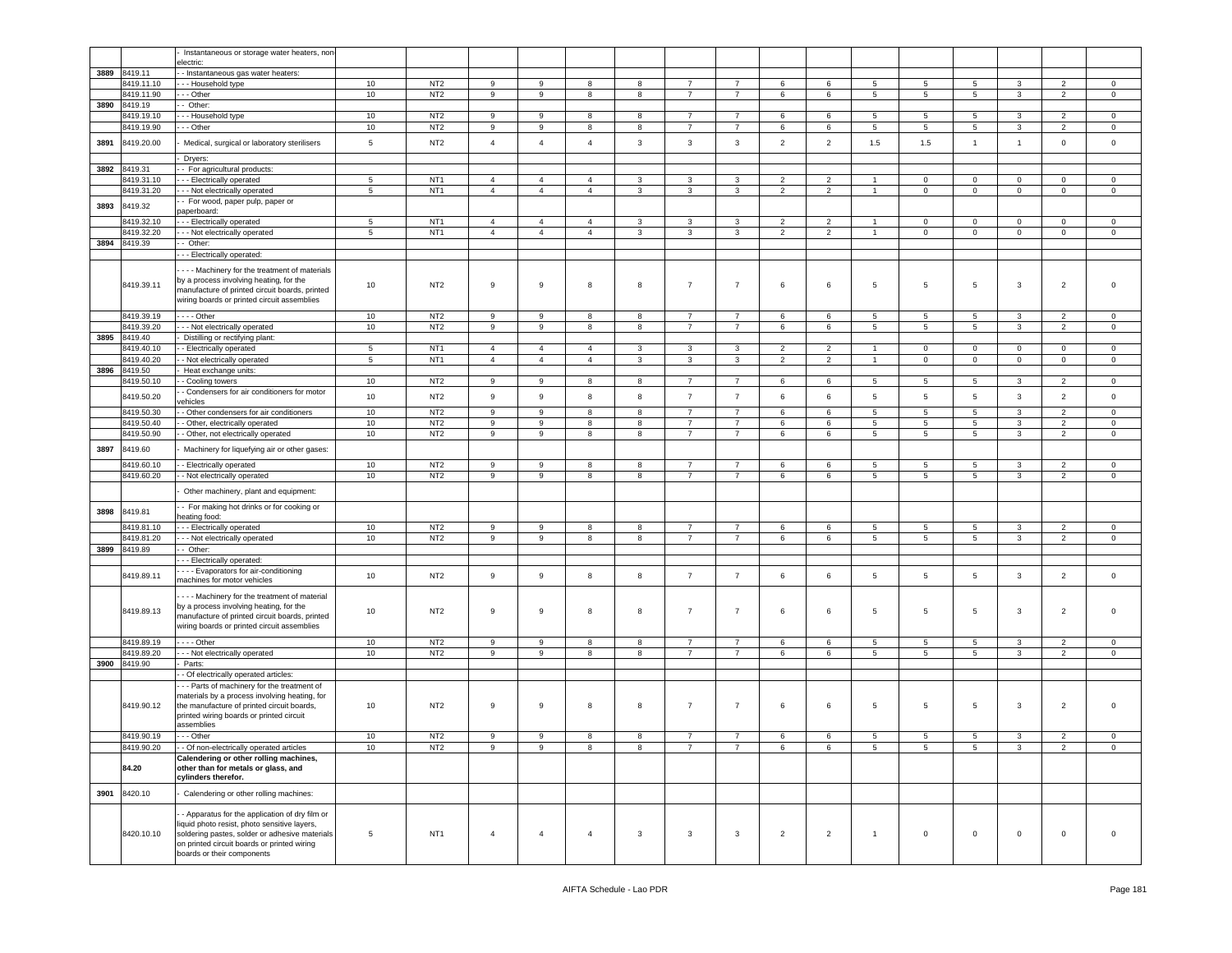|      |                          | Instantaneous or storage water heaters, non-                                                                                                                                                                                  |                |                 |                |                |                |              |                |                |                |                |                  |             |                 |                   |                |                |
|------|--------------------------|-------------------------------------------------------------------------------------------------------------------------------------------------------------------------------------------------------------------------------|----------------|-----------------|----------------|----------------|----------------|--------------|----------------|----------------|----------------|----------------|------------------|-------------|-----------------|-------------------|----------------|----------------|
| 3889 | 8419.11                  | electric:<br>- Instantaneous gas water heaters:                                                                                                                                                                               |                |                 |                |                |                |              |                |                |                |                |                  |             |                 |                   |                |                |
|      | 8419.11.10               | - - Household type                                                                                                                                                                                                            | 10             | NT <sub>2</sub> | 9              | 9              | 8              | 8            | $\overline{7}$ | $\overline{7}$ | 6              | 6              | 5                | 5           | $5\phantom{.0}$ | 3                 | $\overline{2}$ | $\mathbf 0$    |
|      | 8419.11.90               | - - Other                                                                                                                                                                                                                     | 10             | NT <sub>2</sub> | 9              | 9              | 8              | 8            | $\overline{7}$ | $\overline{7}$ | 6              | 6              | $\sqrt{5}$       | $\sqrt{5}$  | 5 <sub>5</sub>  | $\mathbf{3}$      | $\overline{2}$ | $\mathsf 0$    |
| 3890 | 8419.19                  | - Other:                                                                                                                                                                                                                      |                |                 |                |                |                |              |                |                |                |                |                  |             |                 |                   |                |                |
|      | 3419.19.10               | - - Household type                                                                                                                                                                                                            | 10             | NT <sub>2</sub> | 9              | 9              | 8              | 8            | $\overline{7}$ | $\overline{7}$ | 6              | 6              | 5                | 5           | $5\overline{)}$ | 3                 | $\overline{2}$ | $\mathbf 0$    |
|      | 8419.19.90               | - - Other                                                                                                                                                                                                                     | 10             | NT <sub>2</sub> | 9              | 9              | 8              | 8            | $\overline{7}$ | $\overline{7}$ | 6              | 6              | 5                | 5           | 5               | $\mathbf{3}$      | $\overline{2}$ | $\mathsf 0$    |
| 3891 | 8419.20.00               | Medical, surgical or laboratory sterilisers                                                                                                                                                                                   | $\,$ 5 $\,$    | NT <sub>2</sub> | $\overline{4}$ | $\overline{4}$ | $\overline{4}$ | $\mathbf{3}$ | 3              | $\mathbf{3}$   | $\overline{2}$ | $\overline{2}$ | 1.5              | 1.5         | $\overline{1}$  | $\mathbf{1}$      | $\mathbf 0$    | $\mathbf 0$    |
|      |                          | Dryers:                                                                                                                                                                                                                       |                |                 |                |                |                |              |                |                |                |                |                  |             |                 |                   |                |                |
| 3892 | 8419.31                  | - For agricultural products:                                                                                                                                                                                                  |                |                 |                |                |                |              |                |                |                |                |                  |             |                 |                   |                |                |
|      | 8419.31.10               | - - Electrically operated                                                                                                                                                                                                     | $\overline{5}$ | NT <sub>1</sub> | $\overline{4}$ | $\overline{4}$ | $\overline{4}$ | $\mathbf{3}$ | $\mathbf{3}$   | $\mathbf{3}$   | $\overline{2}$ | $\overline{2}$ | $\overline{1}$   | $\mathbf 0$ | $\mathbf{0}$    | $\mathbf 0$       | $\mathbf{0}$   | $\mathbf 0$    |
|      | 8419.31.20               | - - Not electrically operated                                                                                                                                                                                                 | $\,$ 5 $\,$    | NT <sub>1</sub> | $\overline{4}$ | $\overline{4}$ | $\overline{4}$ | 3            | 3              | 3              | $\overline{2}$ | $\overline{2}$ | $\overline{1}$   | $\mathbf 0$ | $\mathbf 0$     | $\mathsf 0$       | $\mathbf 0$    | $\mathbf 0$    |
| 3893 | 8419.32                  | - For wood, paper pulp, paper or<br>paperboard:                                                                                                                                                                               |                |                 |                |                |                |              |                |                |                |                |                  |             |                 |                   |                |                |
|      | 8419.32.10               | - - Electrically operated                                                                                                                                                                                                     | 5              | NT <sub>1</sub> | $\overline{4}$ | $\overline{4}$ | $\overline{4}$ | 3            | $\mathbf{3}$   | 3              | $\overline{2}$ | $\overline{2}$ | $\overline{1}$   | 0           | $\mathbf 0$     | $\mathsf 0$       | 0              | $\mathbf 0$    |
|      | 8419.32.20               | - - Not electrically operated                                                                                                                                                                                                 | $\sqrt{5}$     | NT <sub>1</sub> | $\overline{4}$ | $\overline{4}$ | $\overline{4}$ | $\mathbf{3}$ | $\mathbf{3}$   | $\mathbf{3}$   | $\overline{2}$ | $\overline{2}$ | $\mathbf{1}$     | $\mathbf 0$ | $\mathbf 0$     | $\mathbf 0$       | $\mathbf 0$    | $\mathsf 0$    |
| 3894 | 8419.39                  | Other:                                                                                                                                                                                                                        |                |                 |                |                |                |              |                |                |                |                |                  |             |                 |                   |                |                |
|      |                          | - - Electrically operated:                                                                                                                                                                                                    |                |                 |                |                |                |              |                |                |                |                |                  |             |                 |                   |                |                |
|      | 8419.39.11               | - - - Machinery for the treatment of materials<br>by a process involving heating, for the<br>manufacture of printed circuit boards, printed<br>wiring boards or printed circuit assemblies                                    | 10             | NT <sub>2</sub> | 9              | 9              | 8              | 8            | $\overline{7}$ | $\overline{7}$ | 6              | 6              | 5                | 5           | $5\phantom{.0}$ | $\mathbf{3}$      | $\overline{2}$ | $\mathsf 0$    |
|      | 8419.39.19               | $--$ Other                                                                                                                                                                                                                    | 10             | NT <sub>2</sub> | 9              | 9              | 8              | 8            | $\overline{7}$ | $\overline{7}$ | 6              | 6              | 5                | 5           | 5               | 3                 | $\overline{2}$ | $\mathbf 0$    |
|      | 8419.39.20               | - - Not electrically operated                                                                                                                                                                                                 | 10             | NT <sub>2</sub> | 9              | 9              | 8              | 8            | $\overline{7}$ | $\overline{7}$ | 6              | 6              | 5                | 5           | 5               | 3                 | $\overline{2}$ | $\mathsf 0$    |
| 3895 | 8419.40                  | Distilling or rectifying plant:                                                                                                                                                                                               |                |                 |                |                |                |              |                |                |                |                |                  |             |                 |                   |                |                |
|      | 8419.40.10               | - Electrically operated                                                                                                                                                                                                       | $\sqrt{5}$     | NT <sub>1</sub> | $\overline{4}$ | $\overline{4}$ | $\overline{4}$ | $\mathbf{3}$ | 3              | $\overline{3}$ | $\overline{2}$ | $\overline{2}$ | $\overline{1}$   | $\mathbf 0$ | $\mathsf 0$     | $\mathbf 0$       | $\mathbf 0$    | $\mathsf 0$    |
|      | 8419.40.20               | - Not electrically operated                                                                                                                                                                                                   | $\overline{5}$ | NT <sub>1</sub> | $\overline{4}$ | $\overline{4}$ | $\overline{4}$ | 3            | 3              | $\mathbf{3}$   | 2              | $\overline{2}$ | $\mathbf{1}$     | $\mathbf 0$ | $\mathbf 0$     | $\mathbf 0$       | 0              | $\mathbf 0$    |
| 3896 | 8419.50                  | Heat exchange units:                                                                                                                                                                                                          |                | NT <sub>2</sub> | 9              | 9              | 8              | 8            | $\overline{7}$ | $\overline{7}$ | 6              |                |                  | 5           |                 |                   | $\overline{2}$ | $\mathbf 0$    |
|      | 8419.50.10<br>8419.50.20 | - Cooling towers<br>- Condensers for air conditioners for motor                                                                                                                                                               | 10<br>10       | NT <sub>2</sub> | $\mathsf g$    | 9              | 8              | 8            | $\overline{7}$ | $\overline{7}$ | 6              | 6<br>6         | 5<br>$\,$ 5 $\,$ | 5           | 5<br>5          | 3<br>$\mathbf{3}$ | $\overline{2}$ | $\mathsf 0$    |
|      | 8419.50.30               | ehicles<br>- Other condensers for air conditioners                                                                                                                                                                            | 10             | NT <sub>2</sub> | 9              | 9              | 8              | 8            | $\overline{7}$ | $\overline{7}$ | 6              | 6              | 5                | 5           | 5               | 3                 | $\overline{2}$ | $\mathbf 0$    |
|      | 8419.50.40               | - Other, electrically operated                                                                                                                                                                                                | 10             | NT <sub>2</sub> | 9              | 9              | 8              | 8            | $\overline{7}$ | $\overline{7}$ | 6              | 6              | 5                | 5           | 5               | 3                 | $\overline{2}$ | $\circ$        |
|      | 8419.50.90               | - Other, not electrically operated                                                                                                                                                                                            | 10             | NT <sub>2</sub> | 9              | 9              | 8              | 8            | $\overline{7}$ | $\overline{7}$ | 6              | 6              | 5                | 5           | 5               | 3                 | $\overline{2}$ | $\mathbf 0$    |
| 3897 | 8419.60                  | Machinery for liquefying air or other gases:                                                                                                                                                                                  |                |                 |                |                |                |              |                |                |                |                |                  |             |                 |                   |                |                |
|      | 8419.60.10               | - Electrically operated                                                                                                                                                                                                       | 10             | NT <sub>2</sub> | 9              | 9              | 8              | 8            | $\overline{7}$ | $\overline{7}$ | 6              | 6              | 5                | 5           | 5               | 3                 | $\overline{2}$ | $\mathbf 0$    |
|      | 8419.60.20               | - Not electrically operated                                                                                                                                                                                                   | 10             | NT <sub>2</sub> | 9              | 9              | 8              | 8            | $\overline{7}$ | $\overline{7}$ | 6              | 6              | 5                | 5           | 5               | 3                 | $\overline{2}$ | $\mathsf 0$    |
|      |                          | Other machinery, plant and equipment:                                                                                                                                                                                         |                |                 |                |                |                |              |                |                |                |                |                  |             |                 |                   |                |                |
| 3898 | 8419.81                  | - For making hot drinks or for cooking or<br>heating food:                                                                                                                                                                    |                |                 |                |                |                |              |                |                |                |                |                  |             |                 |                   |                |                |
|      | 8419.81.10               | - - Electrically operated                                                                                                                                                                                                     | 10             | NT <sub>2</sub> | 9              | 9              | 8              | 8            | $\overline{7}$ | $\overline{7}$ | 6              | 6              | 5                | 5           | 5               | 3                 | $\overline{2}$ | $\mathbf 0$    |
|      | 8419.81.20               | - - Not electrically operated                                                                                                                                                                                                 | 10             | NT <sub>2</sub> | 9              | 9              | 8              | 8            | 7              | $\overline{7}$ | 6              | 6              | 5                | 5           | 5               | 3                 | $\overline{2}$ | $\mathbf 0$    |
| 3899 | 8419.89                  | Other:                                                                                                                                                                                                                        |                |                 |                |                |                |              |                |                |                |                |                  |             |                 |                   |                |                |
|      |                          | - - Electrically operated:                                                                                                                                                                                                    |                |                 |                |                |                |              |                |                |                |                |                  |             |                 |                   |                |                |
|      | 8419.89.11               | --- Evaporators for air-conditioning<br>machines for motor vehicles                                                                                                                                                           | 10             | NT <sub>2</sub> | 9              | 9              | 8              | 8            | $\overline{7}$ | $\overline{7}$ | 6              | 6              | $\,$ 5 $\,$      | $\sqrt{5}$  | $5\phantom{.0}$ | $\mathbf{3}$      | $\overline{2}$ | $\mathsf 0$    |
|      | 8419.89.13               | --- Machinery for the treatment of material<br>by a process involving heating, for the<br>manufacture of printed circuit boards, printed<br>wiring boards or printed circuit assemblies                                       | 10             | NT <sub>2</sub> | 9              | 9              | 8              | 8            | $\overline{7}$ | $\overline{7}$ | 6              | 6              | 5                | 5           | 5               | $\mathbf{3}$      | $\overline{2}$ | $\Omega$       |
|      | 8419.89.19               | $\cdots$ - Other                                                                                                                                                                                                              | 10             | NT <sub>2</sub> | 9              | 9              | 8              | 8            | $\overline{7}$ | $\overline{7}$ | 6              | 6              | 5                | 5           | 5               | 3                 | $\overline{2}$ | $\mathbf 0$    |
|      | 8419.89.20               | - - Not electrically operated                                                                                                                                                                                                 | 10             | NT <sub>2</sub> | 9              | 9              | 8              | 8            | $\overline{7}$ | $\overline{7}$ | 6              | 6              | $\sqrt{5}$       | 5           | $\sqrt{5}$      | 3                 | $\overline{2}$ | $\mathbf 0$    |
| 3900 | 8419.90                  | Parts:                                                                                                                                                                                                                        |                |                 |                |                |                |              |                |                |                |                |                  |             |                 |                   |                |                |
|      |                          | - Of electrically operated articles:                                                                                                                                                                                          |                |                 |                |                |                |              |                |                |                |                |                  |             |                 |                   |                |                |
|      | 8419.90.12               | - - Parts of machinery for the treatment of<br>materials by a process involving heating, for<br>the manufacture of printed circuit boards,<br>printed wiring boards or printed circuit<br>assemblies                          | 10             | NT <sub>2</sub> | 9              | 9              | 8              | 8            | $\overline{7}$ | $\overline{7}$ | 6              | 6              | 5                | 5           | 5               | 3                 | $\overline{2}$ | $\Omega$       |
|      | 8419.90.19               | - - Other                                                                                                                                                                                                                     | 10             | NT <sub>2</sub> | 9              | 9              | 8              | 8            | 7              |                | $\mathbf{6}$   | 6              | 5                | 5           | 5               | $\mathbf{3}$      | $\overline{2}$ | $\Omega$       |
|      | 8419.90.20               | - Of non-electrically operated articles                                                                                                                                                                                       | 10             | NT <sub>2</sub> | 9              | 9              | 8              | 8            | $\overline{7}$ | $\overline{7}$ | 6              | 6              | $5\overline{5}$  | 5           | $5\overline{5}$ | $\mathbf{3}$      | $\overline{2}$ | $\overline{0}$ |
|      | 84.20                    | Calendering or other rolling machines,<br>other than for metals or glass, and<br>cylinders therefor.                                                                                                                          |                |                 |                |                |                |              |                |                |                |                |                  |             |                 |                   |                |                |
| 3901 | 8420.10                  | Calendering or other rolling machines:                                                                                                                                                                                        |                |                 |                |                |                |              |                |                |                |                |                  |             |                 |                   |                |                |
|      | 8420.10.10               | - Apparatus for the application of dry film or<br>liquid photo resist, photo sensitive layers,<br>soldering pastes, solder or adhesive materials<br>on printed circuit boards or printed wiring<br>boards or their components | $\,$ 5         | NT <sub>1</sub> | $\overline{4}$ | $\overline{4}$ | $\overline{4}$ | $\mathbf{3}$ | 3              | $\mathbf{3}$   | $\overline{2}$ | $\overline{2}$ | $\overline{1}$   | $\mathbf 0$ | $\mathbf 0$     | $\,0\,$           | $\mathbf 0$    | $\mathsf 0$    |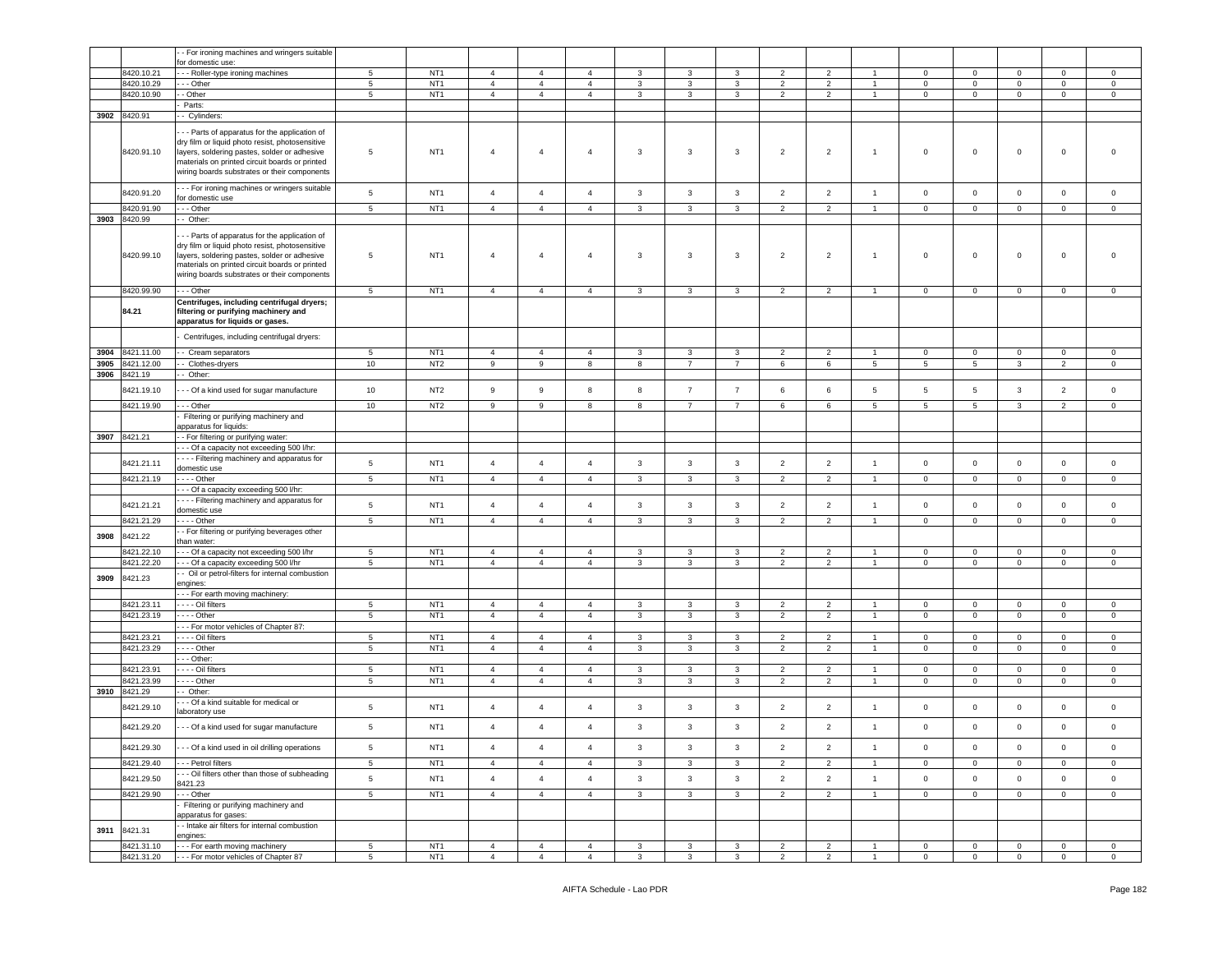|      |                          | - For ironing machines and wringers suitable                                                                                                                                                                                                       |                                    |                                    |                                  |                                  |                                  |                              |                         |                              |                                  |                                  |                                  |                               |                                  |                            |                               |                                |
|------|--------------------------|----------------------------------------------------------------------------------------------------------------------------------------------------------------------------------------------------------------------------------------------------|------------------------------------|------------------------------------|----------------------------------|----------------------------------|----------------------------------|------------------------------|-------------------------|------------------------------|----------------------------------|----------------------------------|----------------------------------|-------------------------------|----------------------------------|----------------------------|-------------------------------|--------------------------------|
|      |                          | or domestic use:                                                                                                                                                                                                                                   |                                    |                                    |                                  |                                  |                                  |                              |                         |                              |                                  |                                  |                                  |                               |                                  |                            |                               |                                |
|      | 8420.10.21               | -- Roller-type ironing machines                                                                                                                                                                                                                    | 5                                  | NT <sub>1</sub>                    | $\overline{4}$                   | $\overline{4}$                   | $\overline{4}$                   | 3                            | 3                       | 3                            | $\overline{2}$                   | 2                                |                                  | $\mathbf{0}$                  | $\mathbf{0}$                     | $\mathbf 0$                | $\mathbf{0}$                  | $\circ$                        |
|      | 8420.10.29               | - - Other                                                                                                                                                                                                                                          | $5\phantom{.0}$                    | NT <sub>1</sub>                    | $\overline{4}$                   | $\overline{4}$                   | $\overline{4}$                   | 3                            | $\mathbf{3}$            | 3                            | $\overline{2}$                   | $\overline{2}$                   |                                  | $\mathbf 0$                   | $\mathsf 0$                      | $\mathbf 0$                | 0                             | 0                              |
|      | 8420.10.90               | - Other                                                                                                                                                                                                                                            | $\,$ 5 $\,$                        | NT <sub>1</sub>                    | $\overline{4}$                   | $\overline{4}$                   | $\overline{4}$                   | $\mathbf{3}$                 | $\mathbf{3}$            | $\mathbf{3}$                 | $\overline{2}$                   | $\overline{2}$                   | $\mathbf{1}$                     | $\mathsf 0$                   | $\mathbf 0$                      | $\mathbf 0$                | $\mathbf 0$                   | $\mathbf 0$                    |
|      |                          | Parts:                                                                                                                                                                                                                                             |                                    |                                    |                                  |                                  |                                  |                              |                         |                              |                                  |                                  |                                  |                               |                                  |                            |                               |                                |
| 3902 | 8420.91                  | - Cylinders:                                                                                                                                                                                                                                       |                                    |                                    |                                  |                                  |                                  |                              |                         |                              |                                  |                                  |                                  |                               |                                  |                            |                               |                                |
|      | 8420.91.10               | - - Parts of apparatus for the application of<br>dry film or liquid photo resist, photosensitive<br>layers, soldering pastes, solder or adhesive<br>materials on printed circuit boards or printed<br>wiring boards substrates or their components | $\overline{5}$                     | NT <sub>1</sub>                    | $\overline{4}$                   | $\overline{4}$                   | $\overline{4}$                   | 3                            | 3                       | $\mathbf{3}$                 | $\overline{2}$                   | $\overline{2}$                   | $\overline{1}$                   | $\mathbf 0$                   | $\,0\,$                          | $\mathbf 0$                | $\mathsf 0$                   | $\mathbf 0$                    |
|      | 8420.91.20               | - - For ironing machines or wringers suitable<br>for domestic use                                                                                                                                                                                  | $\overline{5}$                     | NT <sub>1</sub>                    | $\overline{4}$                   | $\overline{4}$                   | $\overline{4}$                   | $\mathbf{3}$                 | $\mathbf{3}$            | $\mathbf{3}$                 | $\overline{2}$                   | $\overline{2}$                   | $\overline{1}$                   | $\overline{0}$                | $\overline{0}$                   | $\mathbf 0$                | $\mathbf 0$                   | $\circ$                        |
|      | 3420.91.90               | - - Other                                                                                                                                                                                                                                          | $\overline{5}$                     | NT <sub>1</sub>                    | $\overline{4}$                   | $\overline{4}$                   | $\overline{4}$                   | 3                            | $\mathbf{3}$            | $\mathbf{3}$                 | 2                                | $\overline{2}$                   | $\overline{1}$                   | $\mathbf 0$                   | $\mathbf 0$                      | $\mathbf 0$                | $\mathbf 0$                   | $\circ$                        |
| 3903 | 8420.99                  | - Other:                                                                                                                                                                                                                                           |                                    |                                    |                                  |                                  |                                  |                              |                         |                              |                                  |                                  |                                  |                               |                                  |                            |                               |                                |
|      | 8420.99.10               | - - Parts of apparatus for the application of<br>dry film or liquid photo resist, photosensitive<br>layers, soldering pastes, solder or adhesive<br>materials on printed circuit boards or printed<br>wiring boards substrates or their components | $5\phantom{.0}$                    | NT <sub>1</sub>                    | $\overline{4}$                   | $\overline{4}$                   | $\overline{4}$                   | 3                            | 3                       | $\mathbf{3}$                 | $\overline{2}$                   | $\overline{2}$                   | $\overline{1}$                   | $\mathbf 0$                   | $\mathbf 0$                      | $\mathbf 0$                | $\mathsf 0$                   | $\mathbf 0$                    |
|      | 8420.99.90               | --- Other                                                                                                                                                                                                                                          | 5                                  | NT <sub>1</sub>                    | $\overline{4}$                   | $\overline{4}$                   | $\overline{4}$                   | $\mathbf{3}$                 | 3                       | 3                            | $\overline{2}$                   | $\overline{2}$                   | $\overline{1}$                   | $\overline{0}$                | $\mathbf{0}$                     | $\mathbf 0$                | $\mathbf{0}$                  | $\circ$                        |
|      | 84.21                    | Centrifuges, including centrifugal dryers;<br>filtering or purifying machinery and<br>apparatus for liquids or gases.                                                                                                                              |                                    |                                    |                                  |                                  |                                  |                              |                         |                              |                                  |                                  |                                  |                               |                                  |                            |                               |                                |
|      |                          | Centrifuges, including centrifugal dryers:                                                                                                                                                                                                         |                                    |                                    |                                  |                                  |                                  |                              |                         |                              |                                  |                                  |                                  |                               |                                  |                            |                               |                                |
| 3904 | 3421.11.00               | - Cream separators                                                                                                                                                                                                                                 | 5                                  | NT <sub>1</sub>                    | $\overline{4}$                   | $\overline{4}$                   | $\overline{4}$                   | 3                            | 3                       | 3                            | $\overline{2}$                   | 2                                |                                  | $\mathbf 0$                   | $\mathbf 0$                      | $\Omega$                   | $\mathbf 0$                   | $\mathbf 0$                    |
| 3905 | 3421.12.00               | - Clothes-dryers                                                                                                                                                                                                                                   | 10                                 | NT <sub>2</sub>                    | 9                                | 9                                | 8                                | 8                            | $\overline{7}$          | $\overline{7}$               | 6                                | 6                                | 5                                | 5                             | $5\phantom{.0}$                  | $\mathbf{3}$               | $\overline{2}$                | $\mathsf 0$                    |
| 3906 | 8421.19                  | - Other:                                                                                                                                                                                                                                           |                                    |                                    |                                  |                                  |                                  |                              |                         |                              |                                  |                                  |                                  |                               |                                  |                            |                               |                                |
|      | 8421.19.10               | - - Of a kind used for sugar manufacture                                                                                                                                                                                                           | 10                                 | NT <sub>2</sub>                    | 9                                | 9                                | 8                                | 8                            | $\overline{7}$          | $\overline{7}$               | 6                                | 6                                | 5                                | 5                             | 5                                | 3                          | $\overline{2}$                | $\mathbf 0$                    |
|      | 8421.19.90               | --- Other                                                                                                                                                                                                                                          | 10                                 | NT <sub>2</sub>                    | 9                                | 9                                | 8                                | 8                            | $\overline{7}$          | $\overline{7}$               | 6                                | 6                                | 5                                | 5                             | 5                                | $\mathbf{3}$               | $\overline{2}$                | $\circ$                        |
|      |                          | Filtering or purifying machinery and                                                                                                                                                                                                               |                                    |                                    |                                  |                                  |                                  |                              |                         |                              |                                  |                                  |                                  |                               |                                  |                            |                               |                                |
|      |                          | apparatus for liquids:                                                                                                                                                                                                                             |                                    |                                    |                                  |                                  |                                  |                              |                         |                              |                                  |                                  |                                  |                               |                                  |                            |                               |                                |
| 3907 | 8421.21                  | - For filtering or purifying water:                                                                                                                                                                                                                |                                    |                                    |                                  |                                  |                                  |                              |                         |                              |                                  |                                  |                                  |                               |                                  |                            |                               |                                |
|      |                          | - - Of a capacity not exceeding 500 l/hr:                                                                                                                                                                                                          |                                    |                                    |                                  |                                  |                                  |                              |                         |                              |                                  |                                  |                                  |                               |                                  |                            |                               |                                |
|      |                          | - - - Filtering machinery and apparatus for                                                                                                                                                                                                        |                                    |                                    |                                  |                                  |                                  |                              |                         |                              |                                  |                                  |                                  |                               |                                  |                            |                               |                                |
|      | 8421.21.11               | domestic use                                                                                                                                                                                                                                       | $\overline{5}$                     | NT <sub>1</sub>                    | $\overline{4}$                   | $\overline{4}$                   | $\overline{4}$                   | 3                            | $\mathbf{3}$            | $\mathbf{3}$                 | $\overline{2}$                   | $\overline{2}$                   | $\overline{1}$                   | $\mathbf 0$                   | $\mathbf 0$                      | $\mathbf 0$                | $\mathbf 0$                   | $\circ$                        |
|      | 8421.21.19               | - Other                                                                                                                                                                                                                                            | $5\phantom{.0}$                    | NT <sub>1</sub>                    | $\overline{4}$                   | $\overline{4}$                   | $\overline{4}$                   | 3                            | $\mathbf{3}$            | $\mathbf{3}$                 | 2                                | 2                                | $\overline{1}$                   | $\mathbf 0$                   | $\overline{0}$                   | $\mathbf 0$                | $\mathbf{0}$                  | $\circ$                        |
|      |                          | -- Of a capacity exceeding 500 l/hr:                                                                                                                                                                                                               |                                    |                                    |                                  |                                  |                                  |                              |                         |                              |                                  |                                  |                                  |                               |                                  |                            |                               |                                |
|      | 8421.21.21               | - - - Filtering machinery and apparatus for                                                                                                                                                                                                        | $\,$ 5 $\,$                        | NT <sub>1</sub>                    | $\overline{4}$                   | $\overline{4}$                   | $\overline{4}$                   | $\mathbf{3}$                 | $\mathbf{3}$            | $\mathbf{3}$                 | $\overline{2}$                   | $\overline{2}$                   | $\mathbf{1}$                     | $\,0\,$                       | $\mathbf 0$                      | $\mathbf 0$                | $\mathsf{O}\xspace$           | $\mathsf 0$                    |
|      |                          | domestic use                                                                                                                                                                                                                                       | 5                                  | NT <sub>1</sub>                    | $\overline{4}$                   | $\overline{4}$                   | $\overline{4}$                   | 3                            | 3                       | $\mathbf{3}$                 | 2                                | 2                                | $\overline{1}$                   | $\circ$                       |                                  | $\circ$                    | $\circ$                       | $\mathbf 0$                    |
|      | 8421.21.29               | - - - - Other<br>- For filtering or purifying beverages other                                                                                                                                                                                      |                                    |                                    |                                  |                                  |                                  |                              |                         |                              |                                  |                                  |                                  |                               | $\mathbf 0$                      |                            |                               |                                |
| 3908 | 3421.22                  | han water:                                                                                                                                                                                                                                         |                                    |                                    |                                  |                                  |                                  |                              |                         |                              |                                  |                                  |                                  |                               |                                  |                            |                               |                                |
|      | 8421.22.10               | --- Of a capacity not exceeding 500 l/hr                                                                                                                                                                                                           | $5\phantom{.0}$                    | NT <sub>1</sub>                    | $\overline{4}$                   | $\overline{4}$                   | $\overline{4}$                   | 3                            | 3                       | 3                            | $\overline{2}$                   | $\overline{2}$                   | -1                               | $\mathbf{0}$                  | $\mathbf 0$                      | $\mathbf 0$                | $\mathbf{0}$                  | $\circ$                        |
|      | 3421.22.20               | --- Of a capacity exceeding 500 l/hr                                                                                                                                                                                                               | 5                                  | NT <sub>1</sub>                    | $\overline{4}$                   | $\overline{4}$                   | $\overline{4}$                   | 3                            | 3                       | $\mathbf{3}$                 | 2                                | 2                                | $\overline{1}$                   | $\mathbf{0}$                  | $\overline{0}$                   | $\mathbf 0$                | $\mathbf{0}$                  | $\mathbf 0$                    |
| 3909 | 8421.23                  | - Oil or petrol-filters for internal combustion                                                                                                                                                                                                    |                                    |                                    |                                  |                                  |                                  |                              |                         |                              |                                  |                                  |                                  |                               |                                  |                            |                               |                                |
|      |                          | engines:                                                                                                                                                                                                                                           |                                    |                                    |                                  |                                  |                                  |                              |                         |                              |                                  |                                  |                                  |                               |                                  |                            |                               |                                |
|      |                          | - - For earth moving machinery:                                                                                                                                                                                                                    |                                    |                                    |                                  |                                  |                                  |                              |                         |                              |                                  |                                  |                                  |                               |                                  |                            |                               |                                |
|      | 8421.23.11<br>8421.23.19 | --- Oil filters<br>$- -$ - Other                                                                                                                                                                                                                   | 5<br>$\overline{5}$                | NT <sub>1</sub><br>NT <sub>1</sub> | $\overline{4}$<br>$\overline{4}$ | $\overline{4}$<br>$\overline{4}$ | $\overline{4}$<br>$\overline{4}$ | 3<br>$\mathbf{3}$            | 3<br>$\mathbf{3}$       | $\mathbf{3}$<br>$\mathbf{3}$ | $\overline{2}$<br>$\overline{2}$ | 2<br>$\overline{2}$              | $\overline{1}$<br>$\overline{1}$ | $\circ$<br>$\mathsf 0$        | $\mathbf 0$<br>$\mathsf 0$       | $\mathbf 0$<br>$\mathbf 0$ | $\mathbf{0}$<br>$\mathbf 0$   | $\mathbf 0$<br>$\mathbf 0$     |
|      |                          | --- For motor vehicles of Chapter 87:                                                                                                                                                                                                              |                                    |                                    |                                  |                                  |                                  |                              |                         |                              |                                  |                                  |                                  |                               |                                  |                            |                               |                                |
|      | 8421.23.21               | - Oil filters                                                                                                                                                                                                                                      | $5\phantom{.0}$                    | NT <sub>1</sub>                    | $\overline{4}$                   | $\overline{4}$                   | $\overline{4}$                   | 3                            | $\mathbf{3}$            | 3                            | $\overline{2}$                   | $\overline{2}$                   | $\mathbf{1}$                     | $\mathbf{0}$                  | $\overline{0}$                   | $\mathbf 0$                | $\mathbf 0$                   | $\mathbf 0$                    |
|      | 8421.23.29               | . - - - Other                                                                                                                                                                                                                                      | $\overline{5}$                     | NT <sub>1</sub>                    | $\overline{4}$                   | $\overline{4}$                   | $\overline{4}$                   | 3                            | $\mathbf{3}$            | 3                            | $\overline{2}$                   | 2                                | $\overline{1}$                   | $\mathbf 0$                   | $\overline{0}$                   | $\mathbf 0$                | $\mathbf 0$                   | $\mathbf 0$                    |
|      |                          | - - Other:                                                                                                                                                                                                                                         |                                    |                                    |                                  |                                  |                                  |                              |                         |                              |                                  |                                  |                                  |                               |                                  |                            |                               |                                |
|      | 8421.23.91               | --- Oil filters                                                                                                                                                                                                                                    | 5                                  | NT <sub>1</sub>                    | $\overline{4}$                   | $\overline{4}$                   | $\overline{4}$                   | 3                            | 3                       | 3                            | $\overline{2}$                   | $\overline{2}$                   | $\overline{1}$                   | $\mathbf 0$                   | $\mathbf 0$                      | $\mathbf 0$                | $\mathbf 0$                   | 0                              |
|      | 3421.23.99               | --- Other                                                                                                                                                                                                                                          | $\overline{5}$                     | NT <sub>1</sub>                    | $\overline{4}$                   | $\overline{4}$                   | $\overline{4}$                   | 3                            | $\mathbf{3}$            | $\mathbf{3}$                 | $\overline{2}$                   | $\overline{2}$                   | $\overline{1}$                   | $\mathbf 0$                   | $\mathsf 0$                      | $\mathbf 0$                | $\mathbf 0$                   | 0                              |
| 3910 | 8421.29                  | Other:                                                                                                                                                                                                                                             |                                    |                                    |                                  |                                  |                                  |                              |                         |                              |                                  |                                  |                                  |                               |                                  |                            |                               |                                |
|      | 8421.29.10               | - - Of a kind suitable for medical or<br>aboratory use                                                                                                                                                                                             | 5                                  | NT <sub>1</sub>                    | $\overline{4}$                   | $\overline{4}$                   | $\overline{4}$                   | 3                            | 3                       | 3                            | $\overline{2}$                   | $\overline{2}$                   | $\overline{1}$                   | $\mathbf 0$                   | $\mathsf 0$                      | $\mathbf 0$                | $\mathbf 0$                   | $\mathbf 0$                    |
|      | 8421.29.20               | - - Of a kind used for sugar manufacture                                                                                                                                                                                                           | 5                                  | NT <sub>1</sub>                    | $\overline{4}$                   | $\overline{4}$                   | $\overline{4}$                   | 3                            | 3                       | 3                            | $\overline{2}$                   | $\overline{2}$                   | $\overline{1}$                   | $\mathbf 0$                   | $\mathsf 0$                      | $\mathbf 0$                | $\mathbf 0$                   | $\mathbf 0$                    |
|      | 8421.29.30               | - - Of a kind used in oil drilling operations                                                                                                                                                                                                      | $5\phantom{.0}$                    | NT <sub>1</sub>                    | $\overline{4}$                   | $\overline{4}$                   | $\overline{4}$                   | $\mathbf{3}$                 | 3                       | $\mathbf{3}$                 | $\overline{2}$                   | $\overline{2}$                   | $\overline{1}$                   | $\overline{0}$                | $\mathsf 0$                      | $\mathbf 0$                | $\mathbf 0$                   | $\mathsf 0$                    |
|      | 8421.29.40               | - - - Petrol filters                                                                                                                                                                                                                               | 5                                  | NT <sub>1</sub>                    | $\overline{4}$                   | $\overline{4}$                   | $\overline{4}$                   | $\mathbf{3}$                 | $\mathbf{3}$            | 3                            | $\overline{2}$                   | $\overline{2}$                   | $\mathbf{1}$                     | $\mathbf{0}$                  | $\overline{0}$                   | $\mathbf 0$                | $\overline{0}$                | $\circ$                        |
|      | 8421.29.50               | -- Oil filters other than those of subheading<br>8421.23                                                                                                                                                                                           | $\mathbf 5$                        | NT <sub>1</sub>                    | $\overline{4}$                   | $\overline{4}$                   | $\overline{4}$                   | $\mathbf{3}$                 | $\overline{\mathbf{3}}$ | $_{\rm 3}$                   | $\overline{2}$                   | $\overline{2}$                   | $\mathbf{1}$                     | $\mathbf 0$                   | $\mathbf 0$                      | $\mathbf 0$                | $\mathbf 0$                   | $\mathsf 0$                    |
|      | 8421.29.90               | $-$ - Other                                                                                                                                                                                                                                        | $5\phantom{.0}$                    | NT <sub>1</sub>                    | $\overline{4}$                   | $\overline{4}$                   | $\overline{4}$                   | $\mathbf{3}$                 | $\mathbf{3}$            | $\mathbf{3}$                 | $\overline{2}$                   | $\overline{2}$                   | $\mathbf{1}$                     | $\mathsf 0$                   | $\overline{0}$                   | $\mathbf 0$                | $\overline{0}$                | $\overline{0}$                 |
|      |                          | Filtering or purifying machinery and                                                                                                                                                                                                               |                                    |                                    |                                  |                                  |                                  |                              |                         |                              |                                  |                                  |                                  |                               |                                  |                            |                               |                                |
| 3911 | 8421.31                  | apparatus for gases:<br>- Intake air filters for internal combustion                                                                                                                                                                               |                                    |                                    |                                  |                                  |                                  |                              |                         |                              |                                  |                                  |                                  |                               |                                  |                            |                               |                                |
|      | 8421.31.10               | engines:<br>--- For earth moving machinery                                                                                                                                                                                                         |                                    | NT <sub>1</sub>                    |                                  |                                  |                                  |                              |                         |                              |                                  |                                  |                                  |                               |                                  |                            |                               |                                |
|      | 8421.31.20               | --- For motor vehicles of Chapter 87                                                                                                                                                                                                               | $5\phantom{.0}$<br>$5\phantom{.0}$ | NT <sub>1</sub>                    | $\overline{4}$<br>$\overline{4}$ | $\overline{4}$<br>$\overline{4}$ | $\overline{4}$<br>$\overline{4}$ | $\mathbf{3}$<br>$\mathbf{3}$ | 3<br>$\mathbf{3}$       | 3<br>$\mathbf{3}$            | $\overline{2}$<br>$\overline{2}$ | $\overline{2}$<br>$\overline{2}$ | $\overline{1}$                   | $\overline{0}$<br>$\mathsf 0$ | $\overline{0}$<br>$\overline{0}$ | $\mathbf 0$<br>$\mathbf 0$ | $\overline{0}$<br>$\mathsf 0$ | $\mathbf{0}$<br>$\overline{0}$ |
|      |                          |                                                                                                                                                                                                                                                    |                                    |                                    |                                  |                                  |                                  |                              |                         |                              |                                  |                                  |                                  |                               |                                  |                            |                               |                                |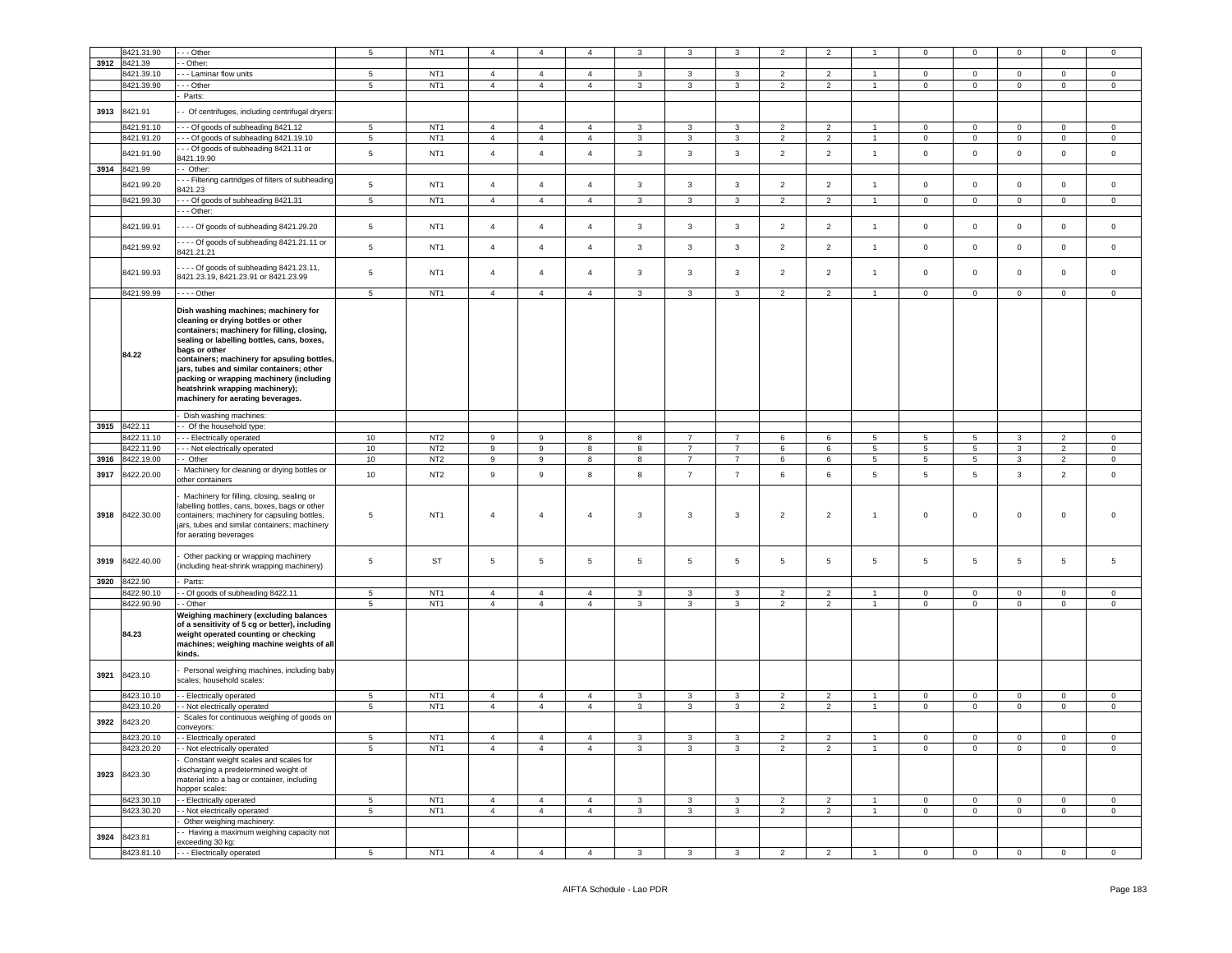|      | 8421.31.90   | - - Other                                           | 5                        | NT <sub>1</sub> | $\overline{4}$   | $\overline{4}$ |                |                | 3                       | 3              | $\overline{\phantom{a}}$ | $\mathcal{P}$  |                | n              | $\Omega$       | $\Omega$                | $\Omega$       | $\Omega$       |
|------|--------------|-----------------------------------------------------|--------------------------|-----------------|------------------|----------------|----------------|----------------|-------------------------|----------------|--------------------------|----------------|----------------|----------------|----------------|-------------------------|----------------|----------------|
| 3912 | 8421.39      | - Other:                                            |                          |                 |                  |                |                |                |                         |                |                          |                |                |                |                |                         |                |                |
|      | 8421.39.10   | - - Laminar flow units                              | 5                        | NT <sub>1</sub> | $\overline{4}$   | $\overline{4}$ | $\overline{4}$ | $\mathbf{3}$   | $\mathbf{3}$            | $\mathbf{3}$   | $\overline{2}$           | $\overline{2}$ | $\mathbf{1}$   | $\mathsf 0$    | $\mathsf 0$    | $\mathsf 0$             | $\mathbf 0$    | $\mathbf 0$    |
|      | 8421.39.90   |                                                     | $\overline{5}$           | NT <sub>1</sub> | $\overline{4}$   | $\overline{4}$ | $\overline{4}$ | $\overline{3}$ | $\overline{\mathbf{3}}$ | $\overline{3}$ | $\overline{2}$           | $\overline{2}$ | $\overline{1}$ |                | $\overline{0}$ | $\overline{0}$          | $\overline{0}$ | $\overline{0}$ |
|      |              | -- Other                                            |                          |                 |                  |                |                |                |                         |                |                          |                |                | $\Omega$       |                |                         |                |                |
|      |              | Parts:                                              |                          |                 |                  |                |                |                |                         |                |                          |                |                |                |                |                         |                |                |
| 3913 | 8421.91      | - Of centrifuges, including centrifugal dryers:     |                          |                 |                  |                |                |                |                         |                |                          |                |                |                |                |                         |                |                |
|      |              |                                                     |                          |                 |                  |                |                |                |                         |                |                          |                |                |                |                |                         |                |                |
|      | 8421.91.10   | - - Of goods of subheading 8421.12                  | 5                        | NT <sub>1</sub> | $\overline{4}$   | $\overline{4}$ | $\overline{a}$ | 3              | $\mathbf{3}$            | $\mathbf{3}$   | $\overline{2}$           | $\overline{2}$ | $\overline{1}$ | $^{\circ}$     | $\overline{0}$ | $\circ$                 | $\mathbf 0$    | $\Omega$       |
|      | 8421.91.20   | - - Of goods of subheading 8421.19.10               | $5\overline{5}$          | NT <sub>1</sub> | $\overline{4}$   | $\overline{4}$ | $\overline{4}$ | 3              | $\mathbf{3}$            | $\mathbf{3}$   | $\overline{2}$           | $\overline{2}$ | $\mathbf{1}$   | $\mathsf 0$    | $\overline{0}$ | $\overline{0}$          | $\overline{0}$ | $\mathbf 0$    |
|      |              |                                                     |                          |                 |                  |                |                |                |                         |                |                          |                |                |                |                |                         |                |                |
|      | 8421.91.90   | - - Of goods of subheading 8421.11 or               | $\,$ 5 $\,$              | NT <sub>1</sub> | $\overline{4}$   | $\mathbf{A}$   | $\mathbf{A}$   | 3              | $\mathbf{3}$            | $\mathbf{3}$   | $\overline{2}$           | $\overline{2}$ | $\mathbf{1}$   | $\mathbf 0$    | $\mathbf 0$    | $\Omega$                | $\mathbf 0$    | $\mathsf 0$    |
|      |              | 8421.19.90                                          |                          |                 |                  |                |                |                |                         |                |                          |                |                |                |                |                         |                |                |
|      | 3914 8421.99 | - Other:                                            |                          |                 |                  |                |                |                |                         |                |                          |                |                |                |                |                         |                |                |
|      |              | - - Filtering cartridges of filters of subheading   |                          |                 |                  |                |                |                |                         |                |                          |                |                |                |                |                         |                |                |
|      | 3421.99.20   | 421.23                                              | 5                        | NT <sub>1</sub> | $\overline{4}$   | $\overline{4}$ | $\overline{4}$ | $\mathbf{3}$   | $\mathbf{3}$            | $\mathbf{3}$   | $\overline{2}$           | $\overline{2}$ | $\overline{1}$ | $\mathsf 0$    | $\mathsf 0$    | $\mathsf 0$             | $\mathbf 0$    | $\mathsf 0$    |
|      | 8421.99.30   | - - Of goods of subheading 8421.31                  | $5\phantom{.0}$          | NT <sub>1</sub> | $\overline{4}$   | $\overline{4}$ | $\overline{4}$ | $\mathbf{3}$   | $\mathbf{3}$            | $\mathbf{3}$   | $\overline{2}$           | $\overline{2}$ | $\mathbf{1}$   | $\,0\,$        | $\mathbf 0$    | $\overline{0}$          | $\mathsf 0$    | $\mathbf 0$    |
|      |              |                                                     |                          |                 |                  |                |                |                |                         |                |                          |                |                |                |                |                         |                |                |
|      |              | - - Other:                                          |                          |                 |                  |                |                |                |                         |                |                          |                |                |                |                |                         |                |                |
|      | 8421.99.91   |                                                     | $5\phantom{.0}$          | NT <sub>1</sub> | $\overline{4}$   | $\overline{4}$ | $\overline{a}$ | $\mathbf{3}$   | $\mathbf{3}$            | $\mathbf{3}$   | $\overline{2}$           | $\overline{2}$ | $\overline{1}$ | $\mathbf 0$    | $\mathsf 0$    | $\mathbf{0}$            | $\Omega$       | $\mathsf 0$    |
|      |              | --- Of goods of subheading 8421.29.20               |                          |                 |                  |                |                |                |                         |                |                          |                |                |                |                |                         |                |                |
|      |              | --- Of goods of subheading 8421.21.11 or            |                          |                 |                  |                |                |                |                         |                |                          |                |                |                |                |                         |                |                |
|      | 8421.99.92   | 8421.21.21                                          | $5\phantom{.0}$          | NT <sub>1</sub> | $\overline{4}$   | $\overline{4}$ | $\overline{4}$ | $\mathbf{3}$   | $\mathbf{3}$            | $\mathbf{3}$   | $\overline{2}$           | $\overline{2}$ | $\mathbf{1}$   | $\mathsf 0$    | $\mathsf 0$    | $\mathsf 0$             | $\mathbf 0$    | $\mathbf 0$    |
|      |              |                                                     |                          |                 |                  |                |                |                |                         |                |                          |                |                |                |                |                         |                |                |
|      |              | --- Of goods of subheading 8421.23.11,              |                          |                 |                  |                |                |                |                         |                |                          |                |                |                |                |                         |                |                |
|      | 8421.99.93   | 8421.23.19, 8421.23.91 or 8421.23.99                | $\overline{5}$           | NT <sub>1</sub> | $\overline{4}$   | $\overline{4}$ | $\overline{a}$ | 3              | $\mathbf{3}$            | $\mathbf{3}$   | $\overline{2}$           | $\overline{2}$ | $\overline{1}$ | $\mathsf 0$    | $\mathbf 0$    | $\Omega$                | $\mathbf 0$    | $\mathbf 0$    |
|      |              |                                                     |                          |                 |                  |                |                |                |                         |                |                          |                |                |                |                |                         |                |                |
|      | 8421.99.99   | $- -$ Other                                         | $5\phantom{.0}$          | NT <sub>1</sub> | $\overline{4}$   | $\overline{4}$ | $\overline{4}$ | $\mathbf{3}$   | $\mathbf{3}$            | $\mathbf{3}$   | $\overline{2}$           | $\overline{2}$ | $\mathbf{1}$   | $\mathbf 0$    | $\mathbf 0$    | $\mathsf{O}\xspace$     | $\mathbb O$    | $\mathbf 0$    |
|      |              |                                                     |                          |                 |                  |                |                |                |                         |                |                          |                |                |                |                |                         |                |                |
|      |              | Dish washing machines; machinery for                |                          |                 |                  |                |                |                |                         |                |                          |                |                |                |                |                         |                |                |
|      |              | cleaning or drying bottles or other                 |                          |                 |                  |                |                |                |                         |                |                          |                |                |                |                |                         |                |                |
|      |              | containers; machinery for filling, closing,         |                          |                 |                  |                |                |                |                         |                |                          |                |                |                |                |                         |                |                |
|      |              |                                                     |                          |                 |                  |                |                |                |                         |                |                          |                |                |                |                |                         |                |                |
|      |              | sealing or labelling bottles, cans, boxes,          |                          |                 |                  |                |                |                |                         |                |                          |                |                |                |                |                         |                |                |
|      | 84.22        | bags or other                                       |                          |                 |                  |                |                |                |                         |                |                          |                |                |                |                |                         |                |                |
|      |              | containers; machinery for apsuling bottles,         |                          |                 |                  |                |                |                |                         |                |                          |                |                |                |                |                         |                |                |
|      |              | jars, tubes and similar containers; other           |                          |                 |                  |                |                |                |                         |                |                          |                |                |                |                |                         |                |                |
|      |              | packing or wrapping machinery (including            |                          |                 |                  |                |                |                |                         |                |                          |                |                |                |                |                         |                |                |
|      |              | heatshrink wrapping machinery);                     |                          |                 |                  |                |                |                |                         |                |                          |                |                |                |                |                         |                |                |
|      |              | machinery for aerating beverages.                   |                          |                 |                  |                |                |                |                         |                |                          |                |                |                |                |                         |                |                |
|      |              |                                                     |                          |                 |                  |                |                |                |                         |                |                          |                |                |                |                |                         |                |                |
|      |              | Dish washing machines:                              |                          |                 |                  |                |                |                |                         |                |                          |                |                |                |                |                         |                |                |
| 3915 | 8422.11      | - Of the household type:                            |                          |                 |                  |                |                |                |                         |                |                          |                |                |                |                |                         |                |                |
|      | 8422.11.10   | - - Electrically operated                           | 10                       | NT <sub>2</sub> | 9                | $\mathsf g$    |                | $\mathbf{R}$   | $\overline{7}$          | $\overline{7}$ | $\epsilon$               | $\kappa$       | 5.             | 5              | 5              | $\mathbf{R}$            |                | $\mathbf 0$    |
|      |              |                                                     |                          |                 |                  |                |                |                |                         |                |                          |                |                |                |                |                         |                |                |
|      | 8422.11.90   | - - Not electrically operated                       | 10                       | NT <sub>2</sub> | $\overline{9}$   | 9              | 8              | 8              | $\overline{7}$          | $\overline{7}$ | 6                        | 6              | $\overline{5}$ | 5              | $\overline{5}$ | 3                       | $\overline{2}$ | $\mathbf 0$    |
| 3916 | 8422.19.00   | - Other                                             | 10                       | NT <sub>2</sub> | $\overline{9}$   | 9              | 8              | 8              | $\overline{7}$          | $\overline{7}$ | 6                        | 6              | $\overline{5}$ | $\,$ 5 $\,$    | $\sqrt{5}$     | $\mathbf{3}$            | $\overline{2}$ | $\mathbf 0$    |
|      |              |                                                     |                          |                 |                  |                |                |                |                         |                |                          |                |                |                |                |                         |                |                |
|      |              |                                                     |                          |                 |                  |                |                |                |                         |                |                          |                |                |                |                |                         |                |                |
| 3917 | 3422.20.00   | Machinery for cleaning or drying bottles or         | 10                       | NT <sub>2</sub> | $\boldsymbol{9}$ | 9              | 8              | 8              | $\overline{7}$          | $\overline{7}$ | 6                        | 6              | 5              | $\,$ 5         | $\overline{5}$ | $\mathbf{3}$            | $\overline{2}$ | $\mathsf 0$    |
|      |              | other containers                                    |                          |                 |                  |                |                |                |                         |                |                          |                |                |                |                |                         |                |                |
|      |              | Machinery for filling, closing, sealing or          |                          |                 |                  |                |                |                |                         |                |                          |                |                |                |                |                         |                |                |
|      |              | labelling bottles, cans, boxes, bags or other       |                          |                 |                  |                |                |                |                         |                |                          |                |                |                |                |                         |                |                |
| 3918 | 8422.30.00   | containers; machinery for capsuling bottles,        | 5                        | NT <sub>1</sub> | $\overline{4}$   | $\overline{4}$ | $\overline{4}$ | 3              | 3                       | $\mathbf{3}$   | $\overline{a}$           | $\overline{2}$ | $\overline{1}$ | $\mathsf 0$    | $\mathsf 0$    | $\mathbf 0$             | $\mathbf 0$    | $\mathbf 0$    |
|      |              |                                                     |                          |                 |                  |                |                |                |                         |                |                          |                |                |                |                |                         |                |                |
|      |              | jars, tubes and similar containers; machinery       |                          |                 |                  |                |                |                |                         |                |                          |                |                |                |                |                         |                |                |
|      |              | for aerating beverages                              |                          |                 |                  |                |                |                |                         |                |                          |                |                |                |                |                         |                |                |
|      |              |                                                     |                          |                 |                  |                |                |                |                         |                |                          |                |                |                |                |                         |                |                |
| 3919 |              | Other packing or wrapping machinery                 |                          | ST              | 5                | 5              | 5              | 5              | 5                       | 5              | 5                        | 5              | 5              | 5              | 5              | 5                       | 5              | 5              |
|      | 8422.40.00   | (including heat-shrink wrapping machinery)          | 5                        |                 |                  |                |                |                |                         |                |                          |                |                |                |                |                         |                |                |
|      |              |                                                     |                          |                 |                  |                |                |                |                         |                |                          |                |                |                |                |                         |                |                |
| 3920 | 8422.90      | Parts:                                              |                          |                 |                  |                |                |                |                         |                |                          |                |                |                |                |                         |                |                |
|      | 8422.90.10   | - Of goods of subheading 8422.11                    | $\overline{\phantom{a}}$ | NT1             | $\overline{4}$   | $\overline{4}$ | $\overline{4}$ | 3              | 3                       | $\mathbf{3}$   | $\overline{2}$           | $\overline{2}$ | $\mathbf{1}$   | $\mathbf 0$    | $\mathbf 0$    | $\mathbf 0$             | $\mathbf{0}$   | $\mathbf{0}$   |
|      | 8422.90.90   | - Other                                             | $5\overline{5}$          | NT <sub>1</sub> | $\overline{4}$   | $\overline{4}$ | $\overline{4}$ | 3              | $\mathbf{3}$            | $\mathbf{3}$   | $\overline{2}$           | $\overline{2}$ | $\mathbf{1}$   | $\mathbf 0$    | $\mathbf 0$    | $\mathbf 0$             | $\mathsf 0$    | $\mathsf 0$    |
|      |              | Weighing machinery (excluding balances              |                          |                 |                  |                |                |                |                         |                |                          |                |                |                |                |                         |                |                |
|      |              |                                                     |                          |                 |                  |                |                |                |                         |                |                          |                |                |                |                |                         |                |                |
|      | 84.23        | of a sensitivity of 5 cg or better), including      |                          |                 |                  |                |                |                |                         |                |                          |                |                |                |                |                         |                |                |
|      |              | weight operated counting or checking                |                          |                 |                  |                |                |                |                         |                |                          |                |                |                |                |                         |                |                |
|      |              | machines; weighing machine weights of all<br>kinds. |                          |                 |                  |                |                |                |                         |                |                          |                |                |                |                |                         |                |                |
|      |              |                                                     |                          |                 |                  |                |                |                |                         |                |                          |                |                |                |                |                         |                |                |
|      |              |                                                     |                          |                 |                  |                |                |                |                         |                |                          |                |                |                |                |                         |                |                |
| 3921 | 8423.10      | Personal weighing machines, including baby          |                          |                 |                  |                |                |                |                         |                |                          |                |                |                |                |                         |                |                |
|      |              | scales; household scales:                           |                          |                 |                  |                |                |                |                         |                |                          |                |                |                |                |                         |                |                |
|      | 8423.10.10   | - Electrically operated                             | $5\overline{5}$          | NT <sub>1</sub> | $\overline{4}$   | $\overline{4}$ | $\overline{4}$ | 3              | $\mathbf{3}$            | $\mathbf{3}$   | $\overline{2}$           | $\overline{2}$ | $\mathbf{1}$   | $\mathbf 0$    | $\mathbf 0$    | $\mathbf 0$             | $\mathbf 0$    | $\mathsf 0$    |
|      |              |                                                     | $\overline{5}$           | NT <sub>1</sub> | $\overline{4}$   | $\overline{4}$ | $\overline{4}$ | $\mathbf{3}$   |                         | $\overline{3}$ | $\overline{2}$           | $\overline{2}$ | $\mathbf{1}$   | $\mathbf 0$    | $\overline{0}$ | $\overline{0}$          | $\circ$        | $\mathbf 0$    |
|      | 8423.10.20   | - Not electrically operated                         |                          |                 |                  |                |                |                | $\mathbf{3}$            |                |                          |                |                |                |                |                         |                |                |
| 3922 | 8423.20      | Scales for continuous weighing of goods on          |                          |                 |                  |                |                |                |                         |                |                          |                |                |                |                |                         |                |                |
|      |              | onveyors:                                           |                          |                 |                  |                |                |                |                         |                |                          |                |                |                |                |                         |                |                |
|      | 8423.20.10   | - Electrically operated                             | $5\phantom{.0}$          | NT <sub>1</sub> | $\overline{4}$   | $\overline{4}$ | $\overline{4}$ | 3              | 3                       | $\mathbf{3}$   | $\overline{2}$           | $\overline{2}$ | $\overline{1}$ | $\mathsf 0$    | $\,0\,$        | $\overline{\mathbf{0}}$ | $\mathbf 0$    | 0              |
|      | 8423.20.20   | - Not electrically operated                         | 5                        | NT <sub>1</sub> | $\overline{4}$   | $\overline{4}$ | $\overline{4}$ | 3              | $\mathbf{3}$            | 3              | $\overline{2}$           | $\overline{2}$ | $\mathbf{1}$   | $\mathbf 0$    | $\mathbf 0$    | $\overline{0}$          | $\mathbf{0}$   | $\mathbf 0$    |
|      |              |                                                     |                          |                 |                  |                |                |                |                         |                |                          |                |                |                |                |                         |                |                |
|      |              | Constant weight scales and scales for               |                          |                 |                  |                |                |                |                         |                |                          |                |                |                |                |                         |                |                |
| 3923 | 8423.30      | discharging a predetermined weight of               |                          |                 |                  |                |                |                |                         |                |                          |                |                |                |                |                         |                |                |
|      |              | material into a bag or container, including         |                          |                 |                  |                |                |                |                         |                |                          |                |                |                |                |                         |                |                |
|      |              | hopper scales:                                      |                          |                 |                  |                |                |                |                         |                |                          |                |                |                |                |                         |                |                |
|      | 8423.30.10   | - Electrically operated                             | $5\overline{)}$          | NT <sub>1</sub> | $\overline{4}$   | $\overline{4}$ | $\overline{4}$ | 3              | $\mathbf{3}$            | $\mathbf{3}$   | $\overline{2}$           | $\overline{2}$ | $\mathbf{1}$   | $\mathsf 0$    | $\overline{0}$ | $\overline{0}$          | $\overline{0}$ | $\mathbf 0$    |
|      | 8423.30.20   | - Not electrically operated                         | $5\overline{5}$          | NT <sub>1</sub> | $\overline{4}$   | $\overline{4}$ | $\overline{4}$ | $\mathbf{3}$   | $\mathbf{3}$            | $\mathbf{3}$   | $\overline{2}$           | $\overline{2}$ | $\mathbf{1}$   | $\overline{0}$ | $\mathbf{0}$   | $\mathbf 0$             | $\circ$        | $\overline{0}$ |
|      |              |                                                     |                          |                 |                  |                |                |                |                         |                |                          |                |                |                |                |                         |                |                |
|      |              | Other weighing machinery:                           |                          |                 |                  |                |                |                |                         |                |                          |                |                |                |                |                         |                |                |
| 3924 | 8423.81      | - Having a maximum weighing capacity not            |                          |                 |                  |                |                |                |                         |                |                          |                |                |                |                |                         |                |                |
|      | 8423.81.10   | exceeding 30 kg:<br>- - - Electrically operated     | 5                        | NT <sub>1</sub> | 4                | $\overline{4}$ |                |                | 3                       | 3              | $\overline{2}$           | 2              |                | 0              | $\mathsf 0$    | $\mathbf 0$             | $\mathbf 0$    | $\mathbf 0$    |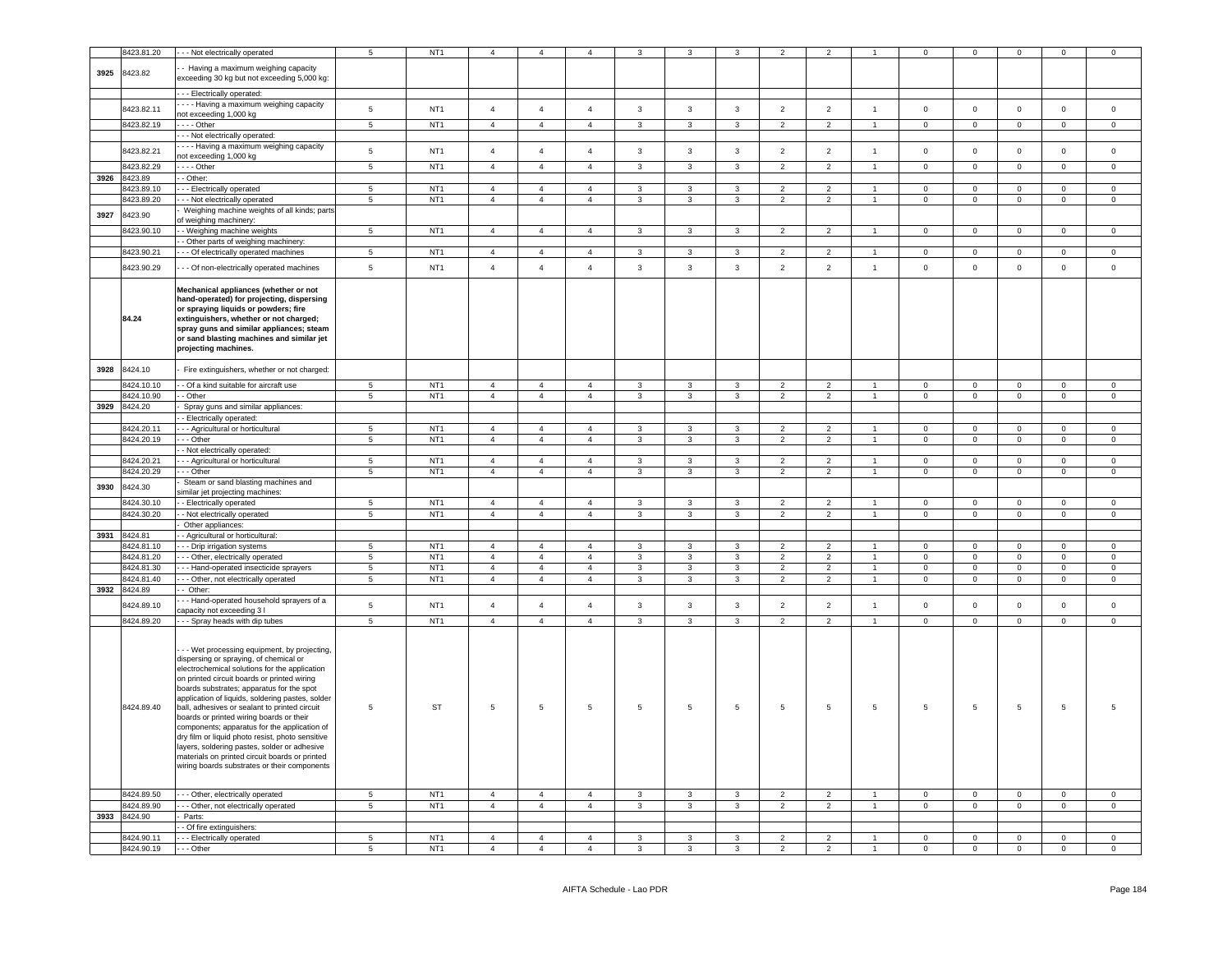|      | 3423.81.20   | - - Not electrically operated                                                                 | $5^{\circ}$     | NT <sub>1</sub> | $\Delta$       | $\overline{4}$ | $\overline{4}$ | 3                       |                         |                | $\mathcal{P}$  |                          |                      | $\Omega$       | $\Omega$       | $\Omega$       | $\Omega$       | $\Omega$       |
|------|--------------|-----------------------------------------------------------------------------------------------|-----------------|-----------------|----------------|----------------|----------------|-------------------------|-------------------------|----------------|----------------|--------------------------|----------------------|----------------|----------------|----------------|----------------|----------------|
|      |              |                                                                                               |                 |                 |                |                |                |                         |                         |                |                |                          |                      |                |                |                |                |                |
| 3925 | 8423.82      | - Having a maximum weighing capacity<br>exceeding 30 kg but not exceeding 5,000 kg:           |                 |                 |                |                |                |                         |                         |                |                |                          |                      |                |                |                |                |                |
|      |              |                                                                                               |                 |                 |                |                |                |                         |                         |                |                |                          |                      |                |                |                |                |                |
|      |              | --- Electrically operated:                                                                    |                 |                 |                |                |                |                         |                         |                |                |                          |                      |                |                |                |                |                |
|      | 8423.82.11   | --- Having a maximum weighing capacity                                                        | $\overline{5}$  | NT <sub>1</sub> | $\overline{4}$ | $\overline{4}$ | $\overline{4}$ | $\mathbf{3}$            | $\mathbf{3}$            | $\mathbf{3}$   | $\overline{2}$ | $\overline{2}$           | $\overline{1}$       | $\mathbf 0$    | $\circ$        | $\mathsf 0$    | $\overline{0}$ | $\mathsf 0$    |
|      |              | not exceeding 1,000 kg                                                                        |                 |                 |                |                |                |                         |                         |                |                |                          |                      |                |                |                |                |                |
|      | 8423.82.19   | --- Other                                                                                     | $\overline{5}$  | NT <sub>1</sub> | $\overline{4}$ | $\overline{4}$ | $\overline{4}$ | $\mathbf{3}$            | $\overline{3}$          | $\overline{3}$ | $\overline{2}$ | $\overline{2}$           | $\mathbf{1}$         | $\mathbf 0$    | $\circ$        | $\mathbf 0$    | $\circ$        | $\mathsf 0$    |
|      |              | - Not electrically operated:                                                                  |                 |                 |                |                |                |                         |                         |                |                |                          |                      |                |                |                |                |                |
|      | 8423.82.21   | --- Having a maximum weighing capacity                                                        | $\,$ 5 $\,$     | NT <sub>1</sub> | $\overline{4}$ | $\overline{4}$ | $\overline{4}$ | $\mathbf{3}$            | $\mathbf{3}$            | $\mathbf{3}$   | $\overline{2}$ | $\overline{2}$           | $\overline{1}$       | $\mathbf 0$    | $\mathbf 0$    | $\mathbf 0$    | $\mathsf 0$    | $\mathsf 0$    |
|      |              | not exceeding 1,000 kg                                                                        |                 |                 |                |                |                |                         |                         |                |                |                          |                      |                |                |                |                |                |
|      | 8423.82.29   | $- -$ - Other                                                                                 | $\,$ 5 $\,$     | NT <sub>1</sub> | $\overline{4}$ | $\overline{4}$ | $\overline{4}$ | $\mathbf{3}$            | $\mathbf{3}$            | $\mathbf{3}$   | $\overline{2}$ | 2                        | $\overline{1}$       | $\mathbf 0$    | $\mathbf 0$    | $\mathbf 0$    | $\mathsf 0$    | $\mathsf 0$    |
|      | 3926 8423.89 | - Other:                                                                                      |                 |                 |                |                |                |                         |                         |                |                |                          |                      |                |                |                |                |                |
|      | 3423.89.10   | -- Electrically operated                                                                      | 5               | NT <sub>1</sub> | $\overline{4}$ | $\overline{4}$ | $\overline{4}$ | 3                       | $\mathbf{3}$            | 3              | $\overline{2}$ | $\overline{\phantom{a}}$ |                      | $\mathbf 0$    | $\mathbf 0$    | $\mathbf 0$    | $\mathsf 0$    | $\mathsf 0$    |
|      | 3423.89.20   | - - Not electrically operated                                                                 | 5               | NT <sub>1</sub> | $\overline{4}$ | $\overline{4}$ | $\overline{4}$ | 3                       | $\mathbf{3}$            | $\mathbf{3}$   | $\overline{2}$ | $\overline{2}$           | $\overline{1}$       | $\mathsf 0$    | $\mathbf 0$    | $\mathsf 0$    | $\mathsf 0$    | $\mathsf 0$    |
| 3927 | 3423.90      | Weighing machine weights of all kinds; parts                                                  |                 |                 |                |                |                |                         |                         |                |                |                          |                      |                |                |                |                |                |
|      |              | of weighing machinery:                                                                        |                 |                 |                |                |                |                         |                         |                |                |                          |                      |                |                |                |                |                |
|      | 3423.90.10   | - Weighing machine weights                                                                    | $\overline{5}$  | NT <sub>1</sub> | $\overline{4}$ | $\overline{4}$ | $\overline{4}$ | $\mathbf{3}$            | $\mathbf{3}$            | $\mathbf{3}$   | $\overline{2}$ | $\overline{2}$           |                      | $\overline{0}$ | $\overline{0}$ | $\overline{0}$ | $\Omega$       | $\Omega$       |
|      |              | - Other parts of weighing machinery:                                                          |                 |                 |                |                |                |                         |                         |                |                |                          |                      |                |                |                |                |                |
|      | 8423.90.21   | - - Of electrically operated machines                                                         | $\overline{5}$  | NT <sub>1</sub> | $\overline{4}$ | $\overline{4}$ | $\overline{4}$ | $\overline{\mathbf{3}}$ | $\overline{\mathbf{3}}$ | $\overline{3}$ | $\overline{2}$ | $\overline{2}$           | $\mathbf{1}$         | $\overline{0}$ | $\overline{0}$ | $\overline{0}$ | $\Omega$       | $\Omega$       |
|      | 8423.90.29   | - - Of non-electrically operated machines                                                     | $\overline{5}$  | NT <sub>1</sub> | $\overline{4}$ | $\overline{4}$ | $\overline{4}$ | $\mathbf{3}$            | $\mathbf{3}$            | $\mathbf{3}$   | $\overline{2}$ | $\overline{2}$           | $\mathbf{1}$         | $\mathbf 0$    | $\mathbf 0$    | $\mathsf 0$    | $\mathsf 0$    | $\mathsf 0$    |
|      |              |                                                                                               |                 |                 |                |                |                |                         |                         |                |                |                          |                      |                |                |                |                |                |
|      |              | Mechanical appliances (whether or not                                                         |                 |                 |                |                |                |                         |                         |                |                |                          |                      |                |                |                |                |                |
|      |              | hand-operated) for projecting, dispersing                                                     |                 |                 |                |                |                |                         |                         |                |                |                          |                      |                |                |                |                |                |
|      |              | or spraying liquids or powders; fire                                                          |                 |                 |                |                |                |                         |                         |                |                |                          |                      |                |                |                |                |                |
|      | 84.24        | extinguishers, whether or not charged;                                                        |                 |                 |                |                |                |                         |                         |                |                |                          |                      |                |                |                |                |                |
|      |              | spray guns and similar appliances; steam                                                      |                 |                 |                |                |                |                         |                         |                |                |                          |                      |                |                |                |                |                |
|      |              | or sand blasting machines and similar jet                                                     |                 |                 |                |                |                |                         |                         |                |                |                          |                      |                |                |                |                |                |
|      |              | projecting machines.                                                                          |                 |                 |                |                |                |                         |                         |                |                |                          |                      |                |                |                |                |                |
|      |              |                                                                                               |                 |                 |                |                |                |                         |                         |                |                |                          |                      |                |                |                |                |                |
| 3928 | 8424.10      | Fire extinguishers, whether or not charged:                                                   |                 |                 |                |                |                |                         |                         |                |                |                          |                      |                |                |                |                |                |
|      | 8424.10.10   | - Of a kind suitable for aircraft use                                                         | 5 <sub>5</sub>  | NT <sub>1</sub> | $\overline{4}$ | $\overline{4}$ | $\overline{4}$ | $\mathbf{3}$            | $\mathbf{3}$            | 3              | $\overline{2}$ | $\overline{2}$           | $\mathbf{1}$         | $\overline{0}$ | $\overline{0}$ | $\mathbf 0$    | $\mathbf 0$    | $\mathbf 0$    |
|      | 8424.10.90   | - Other                                                                                       | $5\phantom{.0}$ | NT <sub>1</sub> | $\overline{4}$ | $\overline{4}$ | $\overline{4}$ | $\mathbf{3}$            | $\mathbf{3}$            | $\mathbf{3}$   | $\overline{2}$ | $\overline{2}$           | $\sim$               | $\overline{0}$ | $\overline{0}$ | $\mathbf{0}$   | $\overline{0}$ | $\overline{0}$ |
|      | 3929 8424.20 | Spray guns and similar appliances:                                                            |                 |                 |                |                |                |                         |                         |                |                |                          |                      |                |                |                |                |                |
|      |              | - Electrically operated:                                                                      |                 |                 |                |                |                |                         |                         |                |                |                          |                      |                |                |                |                |                |
|      | 8424.20.11   | --- Agricultural or horticultural                                                             | $5^{\circ}$     | NT <sub>1</sub> | $\overline{4}$ | $\overline{4}$ | $\overline{4}$ | $\mathbf{3}$            | $\mathbf{3}$            | 3              | $\overline{2}$ | $\overline{2}$           |                      | $\Omega$       | $\overline{0}$ | $\Omega$       | $\Omega$       | $\Omega$       |
|      | 8424.20.19   | --- Other                                                                                     | $5\phantom{.0}$ | NT <sub>1</sub> | $\overline{4}$ | $\overline{4}$ | $\overline{4}$ | $\mathbf{3}$            | $\mathbf{3}$            | $\mathbf{3}$   | $\overline{2}$ | $\overline{2}$           | $\overline{1}$       | $\mathsf 0$    | $\overline{0}$ | $\mathsf 0$    | $\mathbf{0}$   | $\circ$        |
|      |              | - Not electrically operated:                                                                  |                 |                 |                |                |                |                         |                         |                |                |                          |                      |                |                |                |                |                |
|      | 8424.20.21   | - - - Agricultural or horticultural                                                           | $5\phantom{.0}$ | NT <sub>1</sub> | $\overline{4}$ | $\overline{4}$ | $\overline{4}$ | 3                       | 3                       | 3              | $\overline{2}$ | $\overline{2}$           | $\blacktriangleleft$ | $\mathbf 0$    | $\mathsf 0$    | $\mathsf 0$    | $\mathbf 0$    | $\mathbf 0$    |
|      | 3424.20.29   | --- Other                                                                                     | 5               | NT <sub>1</sub> | $\overline{4}$ | $\overline{4}$ | $\overline{4}$ | $\mathbf{3}$            | 3                       | $\mathbf{3}$   | $\overline{2}$ | $\overline{2}$           | $\blacktriangleleft$ | $\Omega$       | $\circ$        | $\mathbf 0$    | $\Omega$       | $\Omega$       |
|      |              | Steam or sand blasting machines and                                                           |                 |                 |                |                |                |                         |                         |                |                |                          |                      |                |                |                |                |                |
| 3930 | 8424.30      | similar jet projecting machines:                                                              |                 |                 |                |                |                |                         |                         |                |                |                          |                      |                |                |                |                |                |
|      | 3424.30.10   | - Electrically operated                                                                       | $5\phantom{.0}$ | NT <sub>1</sub> | $\overline{4}$ | $\overline{4}$ | $\overline{4}$ | 3                       | 3                       | 3              | 2              | 2                        |                      | $\mathbf 0$    | $\mathbf{0}$   | $^{\circ}$     | $\Omega$       | $\Omega$       |
|      | 8424.30.20   | - Not electrically operated                                                                   | $5\phantom{.0}$ | NT <sub>1</sub> | $\overline{4}$ | $\overline{4}$ | $\overline{4}$ | $\mathbf{3}$            | $\mathbf{3}$            | $\mathbf{3}$   | $\overline{2}$ | $\overline{2}$           | $\mathbf{1}$         | $\overline{0}$ | $\overline{0}$ | $\mathbf 0$    | $\overline{0}$ | $\overline{0}$ |
|      |              | Other appliances:                                                                             |                 |                 |                |                |                |                         |                         |                |                |                          |                      |                |                |                |                |                |
|      | 3931 8424.81 | - Agricultural or horticultural:                                                              |                 |                 |                |                |                |                         |                         |                |                |                          |                      |                |                |                |                |                |
|      | 8424.81.10   | - - Drip irrigation systems                                                                   | 5               | NT <sub>1</sub> | $\overline{4}$ | $\overline{4}$ | $\overline{4}$ | 3                       | 3                       | 3              | 2              | 2                        |                      | $\mathbf 0$    | $^{\circ}$     | $^{\circ}$     | $\Omega$       | $\Omega$       |
|      | 8424.81.20   | - - Other, electrically operated                                                              | $5\phantom{.0}$ | NT <sub>1</sub> | $\overline{4}$ | $\overline{4}$ | $\overline{4}$ | $\mathbf{3}$            | $\mathbf{3}$            | 3              | $\overline{2}$ | $\overline{2}$           | 1                    | $\overline{0}$ | $\overline{0}$ | $\mathbf 0$    | $\overline{0}$ | $\overline{0}$ |
|      | 8424.81.30   | - - Hand-operated insecticide sprayers                                                        | $5\phantom{.0}$ | NT <sub>1</sub> | $\overline{4}$ | $\overline{4}$ | $\overline{4}$ | $\mathbf{3}$            | $\mathbf{3}$            | $\mathbf{3}$   | $\overline{2}$ | $\overline{2}$           | $\mathbf{1}$         | $\overline{0}$ | $\overline{0}$ | $\mathbf 0$    | $\mathbf 0$    | $\overline{0}$ |
|      | 8424.81.40   | - - Other, not electrically operated                                                          | $5\overline{5}$ | NT <sub>1</sub> | $\overline{4}$ | $\overline{4}$ | $\overline{4}$ | $\mathbf{3}$            | $\mathbf{3}$            | $\mathbf{3}$   | $\overline{2}$ | $\overline{2}$           | $\overline{1}$       | $\overline{0}$ | $\overline{0}$ | $\overline{0}$ | $\overline{0}$ | $\overline{0}$ |
|      | 3932 8424.89 | - Other:                                                                                      |                 |                 |                |                |                |                         |                         |                |                |                          |                      |                |                |                |                |                |
|      |              | - - Hand-operated household sprayers of a                                                     |                 |                 |                |                |                |                         |                         |                |                |                          |                      |                |                |                |                |                |
|      | 3424.89.10   | capacity not exceeding 3 l                                                                    | $\,$ 5 $\,$     | NT <sub>1</sub> | $\overline{4}$ | $\overline{4}$ | $\overline{4}$ | $\mathbf{3}$            | $\mathbf{3}$            | $\mathbf{3}$   | $\overline{2}$ | $\overline{2}$           | $\overline{1}$       | $\mathbf 0$    | $\circ$        | $\mathbf 0$    | $\mathbf 0$    | $\mathsf 0$    |
|      | 8424.89.20   | - - Spray heads with dip tubes                                                                | $\,$ 5 $\,$     | NT <sub>1</sub> | $\overline{4}$ | $\overline{4}$ | $\overline{4}$ | $\mathbf{3}$            | $\mathbf{3}$            | $\mathbf{3}$   | 2              | $\overline{2}$           | $\mathbf{1}$         | $\mathbf{0}$   | $\mathbf 0$    | $\mathbf 0$    | $\overline{0}$ | $\mathbf 0$    |
|      |              |                                                                                               |                 |                 |                |                |                |                         |                         |                |                |                          |                      |                |                |                |                |                |
|      |              |                                                                                               |                 |                 |                |                |                |                         |                         |                |                |                          |                      |                |                |                |                |                |
|      |              | - - Wet processing equipment, by projecting,                                                  |                 |                 |                |                |                |                         |                         |                |                |                          |                      |                |                |                |                |                |
|      |              | dispersing or spraying, of chemical or                                                        |                 |                 |                |                |                |                         |                         |                |                |                          |                      |                |                |                |                |                |
|      |              | electrochemical solutions for the application                                                 |                 |                 |                |                |                |                         |                         |                |                |                          |                      |                |                |                |                |                |
|      |              | on printed circuit boards or printed wiring                                                   |                 |                 |                |                |                |                         |                         |                |                |                          |                      |                |                |                |                |                |
|      |              | boards substrates; apparatus for the spot<br>application of liquids, soldering pastes, solder |                 |                 |                |                |                |                         |                         |                |                |                          |                      |                |                |                |                |                |
|      | 8424.89.40   | ball, adhesives or sealant to printed circuit                                                 | 5               | <b>ST</b>       | $\overline{5}$ | $\,$ 5 $\,$    | $\sqrt{5}$     | 5                       | $5\phantom{.0}$         | $\overline{5}$ | 5              | 5                        | 5                    | $\,$ 5 $\,$    | $\overline{5}$ | 5              | 5              | 5              |
|      |              | boards or printed wiring boards or their                                                      |                 |                 |                |                |                |                         |                         |                |                |                          |                      |                |                |                |                |                |
|      |              | components; apparatus for the application of                                                  |                 |                 |                |                |                |                         |                         |                |                |                          |                      |                |                |                |                |                |
|      |              | dry film or liquid photo resist, photo sensitive                                              |                 |                 |                |                |                |                         |                         |                |                |                          |                      |                |                |                |                |                |
|      |              | layers, soldering pastes, solder or adhesive                                                  |                 |                 |                |                |                |                         |                         |                |                |                          |                      |                |                |                |                |                |
|      |              | materials on printed circuit boards or printed                                                |                 |                 |                |                |                |                         |                         |                |                |                          |                      |                |                |                |                |                |
|      |              | wiring boards substrates or their components                                                  |                 |                 |                |                |                |                         |                         |                |                |                          |                      |                |                |                |                |                |
|      |              |                                                                                               |                 |                 |                |                |                |                         |                         |                |                |                          |                      |                |                |                |                |                |
|      | 8424.89.50   | - - - Other, electrically operated                                                            | 5 <sub>5</sub>  | NT <sub>1</sub> | $\overline{4}$ | $\overline{4}$ | $\overline{4}$ | $\mathbf{3}$            | 3                       | 3              | $\overline{2}$ | 2                        | $\blacktriangleleft$ | $\mathbf 0$    | $\overline{0}$ | $\mathbf 0$    | $\circ$        | $\mathbf 0$    |
|      | 8424.89.90   |                                                                                               | $5\phantom{.0}$ | NT <sub>1</sub> | $\overline{4}$ | $\overline{4}$ | $\overline{4}$ | $\mathbf{3}$            | $\mathbf{3}$            | $\mathbf{3}$   | $\overline{2}$ | $\overline{2}$           | $\sim$               | $\circ$        | $\mathbf{0}$   | $\mathbf 0$    | $\mathbf{0}$   | $\overline{0}$ |
|      | 3933 8424.90 | - - - Other, not electrically operated<br>- Parts:                                            |                 |                 |                |                |                |                         |                         |                |                |                          |                      |                |                |                |                |                |
|      |              | - - Of fire extinguishers:                                                                    |                 |                 |                |                |                |                         |                         |                |                |                          |                      |                |                |                |                |                |
|      | 8424.90.11   | - - - Electrically operated                                                                   | 5               | NT <sub>1</sub> | $\overline{4}$ | $\overline{4}$ | $\overline{4}$ | 3                       | 3                       | 3              | $\overline{2}$ | 2                        |                      | $\mathbf 0$    | $\mathsf 0$    | $\mathbf 0$    | $\mathbf{0}$   | $\mathbf{0}$   |
|      | 8424 90 19   | $- -$ Other                                                                                   | 5               | NT <sub>1</sub> |                |                |                |                         |                         |                |                |                          |                      |                |                |                |                |                |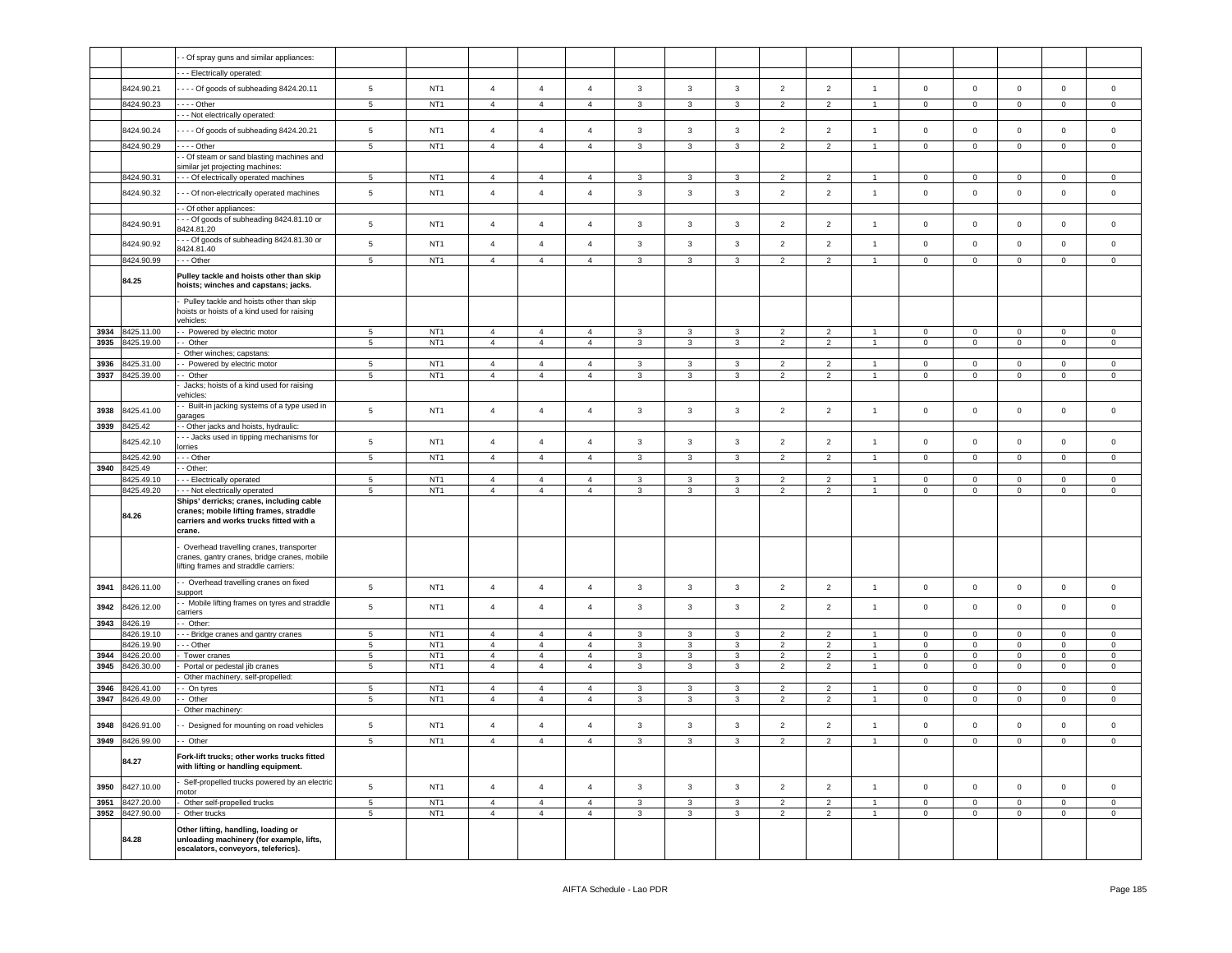|      |                       | - Of spray guns and similar appliances:                                                                                                  |                 |                  |                |                |                |              |              |              |                |                |                |                |                |             |                |                     |
|------|-----------------------|------------------------------------------------------------------------------------------------------------------------------------------|-----------------|------------------|----------------|----------------|----------------|--------------|--------------|--------------|----------------|----------------|----------------|----------------|----------------|-------------|----------------|---------------------|
|      |                       | - - Electrically operated:                                                                                                               |                 |                  |                |                |                |              |              |              |                |                |                |                |                |             |                |                     |
|      | 8424.90.21            |                                                                                                                                          | 5               | NT <sub>1</sub>  | $\overline{4}$ | $\overline{4}$ | $\overline{4}$ | $\mathbf{3}$ | $\mathbf{3}$ | $\mathbf{3}$ | $\overline{2}$ | $\overline{2}$ | $\mathbf{1}$   | $\mathbf 0$    | $\circ$        | $\mathbf 0$ | $\mathbf 0$    | $\mathsf{O}\xspace$ |
|      |                       | --- Of goods of subheading 8424.20.11                                                                                                    |                 |                  |                |                |                |              |              |              |                |                |                |                |                |             |                |                     |
|      | 8424.90.23            | $- -$ Other<br>- - Not electrically operated:                                                                                            | 5               | NT <sub>1</sub>  | $\overline{4}$ | $\overline{4}$ | $\overline{4}$ | $\mathbf{3}$ | 3            | 3            | $\overline{2}$ | $\overline{2}$ | $\overline{1}$ | $\circ$        | $\mathbf 0$    | $\mathbf 0$ | $\mathbf 0$    | $\mathbf 0$         |
|      | 8424.90.24            | - - - Of goods of subheading 8424.20.21                                                                                                  | 5               | NT <sub>1</sub>  | $\overline{a}$ | $\overline{4}$ | $\overline{4}$ | $\mathbf{3}$ | $\mathbf{3}$ | $\mathbf{3}$ | $\overline{2}$ | $\overline{2}$ | $\mathbf{1}$   | $\mathbf 0$    | $\mathbf 0$    | $\mathbf 0$ | $\mathbf 0$    | $\mathsf 0$         |
|      | 8424.90.29            | $- -$ Other                                                                                                                              | 5               | NT <sub>1</sub>  | $\overline{4}$ | $\overline{4}$ | $\overline{4}$ | $\mathbf{3}$ | 3            | 3            | $\overline{2}$ | $\overline{2}$ |                | $\mathbf 0$    | $\mathbf 0$    | $\mathbf 0$ | $\mathbf 0$    | $\mathbf 0$         |
|      |                       | - Of steam or sand blasting machines and                                                                                                 |                 |                  |                |                |                |              |              |              |                |                |                |                |                |             |                |                     |
|      |                       | similar jet projecting machines:                                                                                                         |                 |                  |                |                |                |              |              |              |                |                |                |                |                |             |                |                     |
|      | 8424.90.31            | - - - Of electrically operated machines                                                                                                  | 5               | NT <sub>1</sub>  | $\overline{4}$ | $\overline{4}$ | $\overline{4}$ | 3            | 3            | 3            | $\overline{2}$ | $\overline{2}$ | -1             | $\mathbf 0$    | $\mathbf 0$    | $\mathbf 0$ | 0              | 0                   |
|      | 8424.90.32            | - - Of non-electrically operated machines                                                                                                | 5               | NT <sub>1</sub>  | $\overline{4}$ | $\overline{4}$ | $\overline{4}$ | $\mathbf{3}$ | 3            | $\mathbf{3}$ | $\overline{2}$ | $\overline{2}$ | $\overline{1}$ | $\mathbf 0$    | $\mathbf 0$    | $\mathsf 0$ | $\mathbf{0}$   | $\mathbf 0$         |
|      |                       | - Of other appliances:                                                                                                                   |                 |                  |                |                |                |              |              |              |                |                |                |                |                |             |                |                     |
|      | 8424.90.91            | - - Of goods of subheading 8424.81.10 or<br>8424.81.20                                                                                   | 5               | NT <sub>1</sub>  | $\overline{4}$ | $\overline{4}$ | $\overline{4}$ | $\mathbf{3}$ | 3            | $\mathbf{3}$ | $\overline{2}$ | $\overline{2}$ | $\overline{1}$ | $\mathbf 0$    | $\mathbf 0$    | $\mathbf 0$ | $\mathbf 0$    | $\mathbf 0$         |
|      | 8424.90.92            | - - Of goods of subheading 8424.81.30 or                                                                                                 | 5               | NT <sub>1</sub>  | $\overline{4}$ | $\overline{4}$ | $\overline{4}$ | $\mathbf{3}$ | $\mathbf{3}$ | $\mathbf{3}$ | $\overline{2}$ | $\overline{2}$ | $\overline{1}$ | $\mathsf 0$    | $\mathbf 0$    | $\mathbf 0$ | $\mathsf 0$    | $\mathbf 0$         |
|      | 8424.90.99            | 3424.81.40<br>- - Other                                                                                                                  | 5               | NT <sub>1</sub>  | $\overline{4}$ | $\overline{4}$ | $\overline{4}$ | $\mathbf{3}$ | 3            | $\mathbf{3}$ | 2              | 2              | $\overline{1}$ | $\mathbf 0$    | $\overline{0}$ | $\circ$     | $\mathbf{0}$   | $\mathbf 0$         |
|      |                       | Pulley tackle and hoists other than skip                                                                                                 |                 |                  |                |                |                |              |              |              |                |                |                |                |                |             |                |                     |
|      | 84.25                 | hoists; winches and capstans; jacks.                                                                                                     |                 |                  |                |                |                |              |              |              |                |                |                |                |                |             |                |                     |
|      |                       | Pulley tackle and hoists other than skip<br>hoists or hoists of a kind used for raising                                                  |                 |                  |                |                |                |              |              |              |                |                |                |                |                |             |                |                     |
|      |                       | vehicles:                                                                                                                                |                 |                  |                |                |                |              |              |              |                |                |                |                |                |             |                |                     |
| 3934 | 8425.11.00            | - Powered by electric motor                                                                                                              | 5               | NT <sub>1</sub>  | $\overline{4}$ | $\overline{4}$ | $\overline{4}$ | $\mathbf{3}$ | $\mathbf{3}$ | $\mathbf{3}$ | $\overline{2}$ | $\overline{2}$ | $\overline{1}$ | $\mathbf 0$    | $\mathbf 0$    | $\mathbf 0$ | $\overline{0}$ | $\overline{0}$      |
| 3935 | 8425.19.00            | - Other<br>Other winches; capstans:                                                                                                      | 5               | NT <sub>1</sub>  | $\overline{4}$ | $\overline{4}$ | $\overline{4}$ | $\mathbf{3}$ | $\mathbf{3}$ | $\mathbf{3}$ | $\overline{2}$ | $\overline{2}$ | $\mathbf{1}$   | $\overline{0}$ | $\overline{0}$ | $\mathsf 0$ | $\mathbf{0}$   | $\mathbf{0}$        |
| 3936 | 8425.31.00            | - Powered by electric motor                                                                                                              | 5               | NT <sub>1</sub>  | $\overline{4}$ | $\overline{4}$ | $\overline{4}$ | $\mathbf{3}$ | 3            | $\mathbf{3}$ | $\overline{2}$ | $\overline{2}$ | $\overline{1}$ | $\pmb{0}$      | $\mathbf 0$    | $\mathbf 0$ | $\mathbf 0$    | $\mathbf 0$         |
| 3937 | 8425.39.00            | - Other                                                                                                                                  | $5\phantom{.0}$ | NT <sub>1</sub>  | $\overline{4}$ | $\overline{4}$ | $\overline{4}$ | $\mathbf{3}$ | $\mathbf{3}$ | $\mathbf{3}$ | $\overline{2}$ | $\overline{2}$ | $\sim$         | $\overline{0}$ | $\overline{0}$ | $\mathsf 0$ | $\mathbf{0}$   | $\circ$             |
|      |                       | Jacks; hoists of a kind used for raising<br>ehicles:                                                                                     |                 |                  |                |                |                |              |              |              |                |                |                |                |                |             |                |                     |
| 3938 | 8425.41.00            | - Built-in jacking systems of a type used in<br>jarages                                                                                  | 5               | NT <sub>1</sub>  | $\overline{4}$ | $\overline{4}$ | $\overline{4}$ | $\mathbf{3}$ | 3            | $\mathbf{3}$ | $\overline{2}$ | $\overline{2}$ | $\mathbf{1}$   | $\mathsf 0$    | $\mathbf 0$    | $\mathsf 0$ | $\mathsf 0$    | $\mathbf 0$         |
| 3939 | 8425.42               | - Other jacks and hoists, hydraulic:<br>- - Jacks used in tipping mechanisms for                                                         |                 |                  |                |                |                |              |              |              |                |                |                |                |                |             |                |                     |
|      | 8425.42.10            | orries                                                                                                                                   | 5               | NT <sub>1</sub>  | $\overline{4}$ | $\overline{4}$ | $\overline{4}$ | $\mathbf{3}$ | $\mathbf{3}$ | $\mathbf{3}$ | $\overline{2}$ | $\overline{2}$ | $\mathbf{1}$   | $\mathsf 0$    | $\mathsf 0$    | $\mathbf 0$ | $\mathsf 0$    | $\mathbf 0$         |
|      | 8425.42.90            | - - Other                                                                                                                                | $\overline{5}$  | NT <sub>1</sub>  | $\overline{4}$ | $\overline{4}$ | $\overline{4}$ | $\mathbf{3}$ | $\mathbf{3}$ | $\mathbf{3}$ | $\overline{2}$ | $\overline{2}$ | $\overline{1}$ | $\mathsf 0$    | $\mathbf 0$    | $\mathsf 0$ | $\mathbf 0$    | $\mathbf 0$         |
| 3940 | 8425.49<br>8425.49.10 | - Other:<br>- - Electrically operated                                                                                                    | $5\phantom{.0}$ | NT <sub>1</sub>  | $\overline{4}$ | $\overline{4}$ | $\overline{4}$ | $\mathbf{3}$ | $\mathbf{3}$ | $\mathbf{3}$ | 2              | 2              | $\overline{1}$ | $\mathbf 0$    | $\mathbf{0}$   | $\mathsf 0$ | $\mathbf{0}$   | $\mathbf{0}$        |
|      | 8425.49.20            | - - Not electrically operated                                                                                                            | 5               | NT <sub>1</sub>  | $\overline{4}$ | $\overline{4}$ | $\overline{4}$ | $\mathbf{3}$ | $\mathbf{3}$ | 3            | $\overline{2}$ | $\overline{2}$ | -1             | $\mathbf 0$    | $\mathbf 0$    | $\mathbf 0$ | $\mathbf 0$    | $\mathsf 0$         |
|      | 84.26                 | Ships' derricks; cranes, including cable<br>cranes; mobile lifting frames, straddle<br>carriers and works trucks fitted with a<br>crane. |                 |                  |                |                |                |              |              |              |                |                |                |                |                |             |                |                     |
|      |                       | Overhead travelling cranes, transporter<br>cranes, gantry cranes, bridge cranes, mobile<br>lifting frames and straddle carriers:         |                 |                  |                |                |                |              |              |              |                |                |                |                |                |             |                |                     |
| 3941 | 8426.11.00            | - Overhead travelling cranes on fixed<br>support                                                                                         | $\,$ 5 $\,$     | NT <sub>1</sub>  | $\overline{4}$ | $\overline{4}$ | $\overline{4}$ | 3            | 3            | 3            | $\overline{2}$ | $\overline{2}$ | $\mathbf{1}$   | $\mathbf 0$    | $\mathbf 0$    | $\mathbf 0$ | $\mathbf 0$    | $\mathsf 0$         |
| 3942 | 3426.12.00            | - Mobile lifting frames on tyres and straddle<br>carriers                                                                                | 5               | NT <sub>1</sub>  | $\overline{4}$ | $\overline{4}$ | $\overline{4}$ | 3            | $\mathbf{3}$ | $\mathbf{3}$ | $\overline{2}$ | $\overline{2}$ | $\mathbf{1}$   | $\mathbf 0$    | $\mathbf 0$    | $\mathsf 0$ | $\mathbf 0$    | $\mathbf 0$         |
| 3943 | 8426.19<br>8426.19.10 | - Other:<br>- Bridge cranes and gantry cranes                                                                                            | 5               | NT <sub>1</sub>  | $\overline{4}$ | $\overline{4}$ | $\overline{4}$ | $\mathbf{3}$ | $\mathbf{3}$ | $\mathbf{3}$ | $\overline{2}$ | $\overline{2}$ | $\overline{1}$ | $\mathbf 0$    | $\mathbf 0$    | $\mathbf 0$ | $\mathbf 0$    | $\mathsf 0$         |
|      | 8426.19.90            | - - Other                                                                                                                                | 5               | NT <sub>1</sub>  | $\overline{4}$ | $\overline{4}$ | $\overline{4}$ | $\mathbf{3}$ | 3            | 3            | $\overline{2}$ | $\overline{2}$ | $\overline{1}$ | $\mathbf 0$    | $\mathbf 0$    | $\mathbf 0$ | $\mathbf 0$    | $\mathbf 0$         |
| 3944 | 8426.20.00            | Tower cranes                                                                                                                             | 5               | NT <sub>1</sub>  | $\overline{4}$ | $\overline{4}$ | $\overline{4}$ | 3            | 3            | 3            | $\overline{2}$ | $\overline{2}$ | $\overline{1}$ | $\mathbf 0$    | $\mathbf{0}$   | $\mathbf 0$ | $\mathbf 0$    | $\circ$             |
| 3945 | 8426.30.00            | Portal or pedestal jib cranes                                                                                                            | 5               | NT <sub>1</sub>  | $\overline{4}$ | $\overline{4}$ | $\overline{4}$ | 3            | 3            | 3            | $\overline{2}$ | $\overline{2}$ | $\overline{1}$ | $\mathbf 0$    | $\mathbf 0$    | $\mathbf 0$ | $\mathbf 0$    | $\mathbf 0$         |
| 3946 | 8426.41.00            | Other machinery, self-propelled:<br>- On tyres                                                                                           | 5               | NT <sub>1</sub>  | $\overline{4}$ | $\overline{4}$ | $\overline{4}$ | 3            | 3            | 3            | $\overline{2}$ | $\overline{2}$ |                | $\mathbf 0$    | $\mathsf 0$    | $\mathbf 0$ | 0              | 0                   |
| 3947 | 8426.49.00            | - Other                                                                                                                                  | 5               | NT <sub>1</sub>  | $\overline{4}$ | $\overline{4}$ | $\overline{4}$ | 3            | 3            | $\mathbf{3}$ | $\overline{2}$ | $\overline{2}$ | $\overline{1}$ | $\mathbf 0$    | $\mathbf 0$    | $\circ$     | $\mathbf 0$    | $\mathbf 0$         |
|      |                       | Other machinery:                                                                                                                         |                 |                  |                |                |                |              |              |              |                |                |                |                |                |             |                |                     |
| 3948 | 8426.91.00            | - Designed for mounting on road vehicles                                                                                                 | $\sqrt{5}$      | NT <sub>1</sub>  | $\overline{4}$ | $\overline{4}$ | $\overline{4}$ | $\mathbf{3}$ | $\mathbf{3}$ | $\mathbf{3}$ | $\overline{2}$ | $\overline{2}$ | $\overline{1}$ | $\mathsf 0$    | $\mathbf 0$    | $\mathsf 0$ | $\mathbf 0$    | $\mathbf 0$         |
|      | 3949 8426.99.00       | - Other                                                                                                                                  | $5^{\circ}$     | NIT <sub>1</sub> |                |                |                |              |              |              |                |                |                |                |                |             |                |                     |
|      |                       | Fork-lift trucks; other works trucks fitted                                                                                              |                 |                  |                |                |                |              |              |              |                |                |                |                |                |             |                |                     |
|      | 84.27                 | with lifting or handling equipment.                                                                                                      |                 |                  |                |                |                |              |              |              |                |                |                |                |                |             |                |                     |
| 3950 | 8427.10.00            | Self-propelled trucks powered by an electric<br>notor                                                                                    | 5               | NT <sub>1</sub>  | $\overline{4}$ | $\overline{4}$ | $\overline{4}$ | $\mathbf{3}$ | $\mathbf{3}$ | $\mathbf{3}$ | $\overline{2}$ | $\overline{2}$ | $\overline{1}$ | $\mathsf 0$    | $\mathsf 0$    | $\mathbf 0$ | $\mathbf 0$    | $\mathsf 0$         |
| 3951 | 8427.20.00            | Other self-propelled trucks                                                                                                              | $\overline{5}$  | NT <sub>1</sub>  | $\overline{a}$ | $\overline{4}$ | $\overline{4}$ | $\mathbf{3}$ | $\mathbf{3}$ | $\mathbf{3}$ | $\overline{2}$ | $\overline{2}$ | $\mathbf{1}$   | $\mathbf 0$    | $\mathbf 0$    | $\mathbf 0$ | $\mathbf 0$    | $\mathsf{O}\xspace$ |
| 3952 | 8427.90.00<br>84.28   | Other trucks<br>Other lifting, handling, loading or<br>unloading machinery (for example, lifts,<br>escalators, conveyors, teleferics).   | 5               | NT <sub>1</sub>  | $\overline{4}$ | $\overline{4}$ | $\overline{4}$ | $\mathbf{3}$ | $\mathbf{3}$ | $\mathbf{3}$ | $\overline{2}$ | $\overline{2}$ | $\mathbf{1}$   | $\mathbf 0$    | $\mathsf 0$    | $\mathsf 0$ | $\mathbf{0}$   | $\overline{0}$      |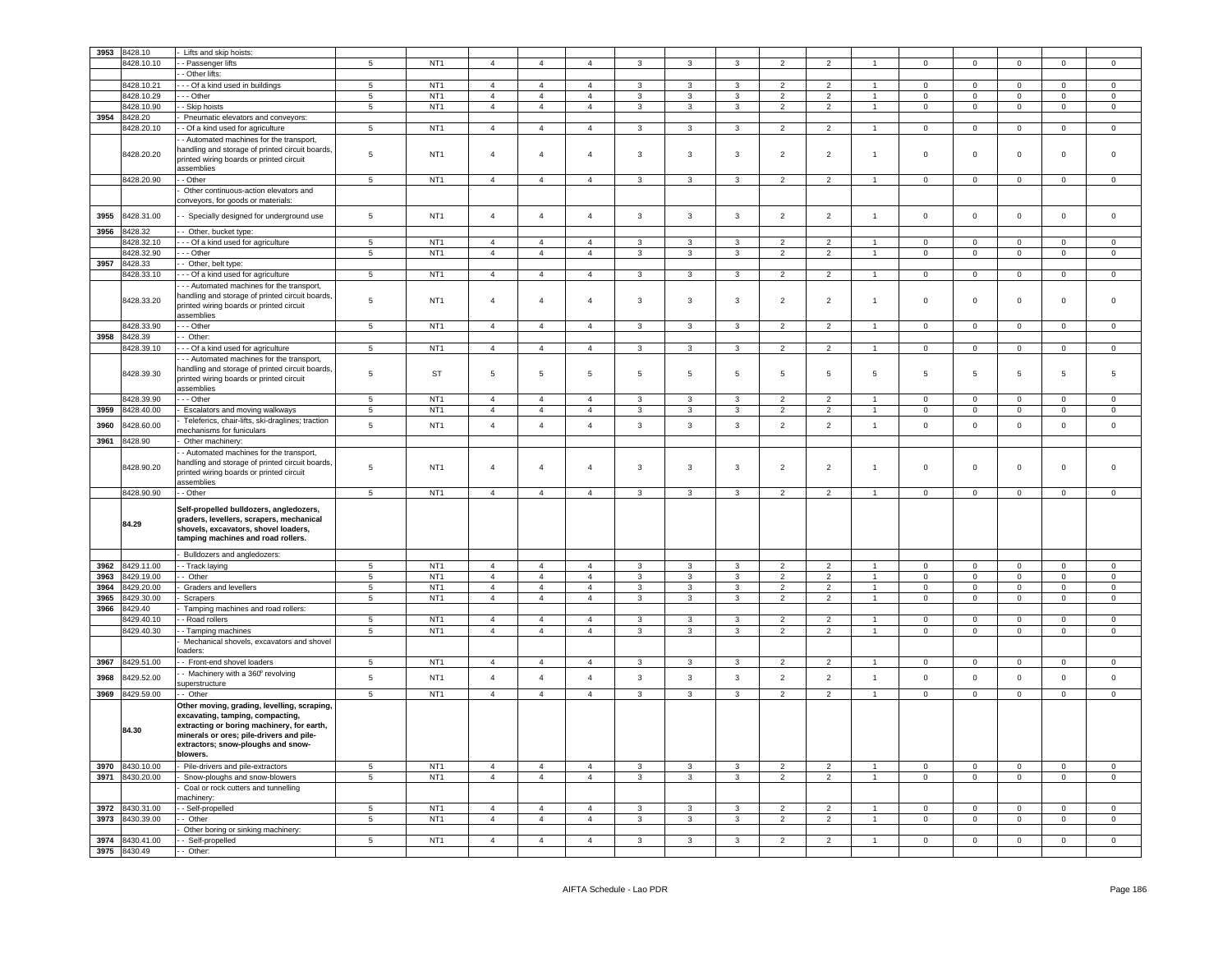| 3953 | 8428.10                  | Lifts and skip hoists:                                                                                                                                                                                                      |                 |                                    |                                  |                |                |                              |                         |                   |                          |                |                      |                            |                            |                            |                |                            |
|------|--------------------------|-----------------------------------------------------------------------------------------------------------------------------------------------------------------------------------------------------------------------------|-----------------|------------------------------------|----------------------------------|----------------|----------------|------------------------------|-------------------------|-------------------|--------------------------|----------------|----------------------|----------------------------|----------------------------|----------------------------|----------------|----------------------------|
|      | 8428.10.10               | - Passenger lifts                                                                                                                                                                                                           | $\overline{5}$  | NT <sub>1</sub>                    | $\overline{4}$                   | $\mathbf{A}$   | $\mathbf{4}$   | $\mathbf{3}$                 | 3                       | $\overline{3}$    | $\overline{2}$           | $\overline{2}$ |                      | $^{\circ}$                 | $\mathbf 0$                | $\Omega$                   | $\Omega$       | $\Omega$                   |
|      |                          | - Other lifts:                                                                                                                                                                                                              |                 |                                    |                                  |                |                |                              |                         |                   |                          |                |                      |                            |                            |                            |                |                            |
|      | 8428.10.21               | -- Of a kind used in buildings                                                                                                                                                                                              | 5               | NT <sub>1</sub>                    | $\overline{4}$                   | $\mathbf{A}$   | $\mathbf{A}$   | $\mathbf{3}$                 | $\mathbf{3}$            | $\mathbf{R}$      | 2                        | $\mathcal{P}$  | $\blacktriangleleft$ | $\Omega$                   | $\mathbf 0$                | $\Omega$                   | $\Omega$       | $\Omega$                   |
|      | 8428.10.29               | - - Other                                                                                                                                                                                                                   | $\overline{5}$  | NT <sub>1</sub>                    | $\overline{4}$                   | $\overline{4}$ | $\overline{4}$ | 3                            | 3                       | $\overline{3}$    | $\overline{2}$           | $\overline{2}$ |                      | $\Omega$                   | $\mathbf 0$                | $\Omega$                   | $\Omega$       | $\Omega$                   |
|      | 8428.10.90               | - Skip hoists                                                                                                                                                                                                               | $\overline{5}$  | NT <sub>1</sub>                    | $\overline{4}$                   | $\overline{a}$ | $\mathbf{A}$   | $\mathbf{3}$                 | $\mathbf{3}$            | $\mathbf{3}$      | $\overline{2}$           | $\overline{2}$ | $\blacktriangleleft$ | $\mathbf 0$                | $\mathbf 0$                | $\mathsf 0$                | $\mathbf{0}$   | $\mathbf 0$                |
| 3954 | 8428.20                  | Pneumatic elevators and conveyors:                                                                                                                                                                                          |                 |                                    |                                  |                |                |                              |                         |                   |                          |                |                      |                            |                            |                            |                |                            |
|      | 8428.20.10               | - Of a kind used for agriculture                                                                                                                                                                                            | $\overline{5}$  | NT <sub>1</sub>                    | $\overline{4}$                   | $\overline{4}$ | $\overline{4}$ | $\mathbf{3}$                 | $\overline{\mathbf{3}}$ | $\overline{3}$    | $\overline{2}$           | $\overline{2}$ | $\mathbf{1}$         | $\mathbf 0$                | $\overline{0}$             | $\overline{0}$             | $\Omega$       | $\Omega$                   |
|      |                          | - Automated machines for the transport,                                                                                                                                                                                     |                 |                                    |                                  |                |                |                              |                         |                   |                          |                |                      |                            |                            |                            |                |                            |
|      |                          | andling and storage of printed circuit boards,                                                                                                                                                                              |                 |                                    |                                  |                |                |                              |                         |                   |                          |                |                      | $\mathbf 0$                | $\mathbf 0$                |                            |                |                            |
|      | 8428.20.20               | printed wiring boards or printed circuit                                                                                                                                                                                    | 5               | NT <sub>1</sub>                    | $\overline{4}$                   | $\overline{4}$ | $\overline{4}$ | $\mathbf{3}$                 | $\mathbf{3}$            | $\mathbf{3}$      | $\overline{2}$           | $\overline{2}$ | $\overline{1}$       |                            |                            | $\mathbf 0$                | $\mathbf 0$    | $\mathsf 0$                |
|      |                          | assemblies                                                                                                                                                                                                                  |                 |                                    |                                  |                |                |                              |                         |                   |                          |                |                      |                            |                            |                            |                |                            |
|      | 8428.20.90               | - Other                                                                                                                                                                                                                     | $\overline{5}$  | NT <sub>1</sub>                    | $\overline{4}$                   | $\overline{4}$ | $\overline{4}$ | $\mathbf{3}$                 | $\overline{3}$          | $\overline{3}$    | $\overline{2}$           | $\overline{2}$ | $\mathbf{1}$         | $\overline{0}$             | $\overline{0}$             | $\overline{0}$             | $\overline{0}$ | $\overline{0}$             |
|      |                          | Other continuous-action elevators and                                                                                                                                                                                       |                 |                                    |                                  |                |                |                              |                         |                   |                          |                |                      |                            |                            |                            |                |                            |
|      |                          | conveyors, for goods or materials:                                                                                                                                                                                          |                 |                                    |                                  |                |                |                              |                         |                   |                          |                |                      |                            |                            |                            |                |                            |
| 3955 | 8428.31.00               | - Specially designed for underground use                                                                                                                                                                                    | 5               | NT <sub>1</sub>                    | $\overline{4}$                   | $\overline{4}$ | $\overline{4}$ | 3                            | $\mathbf{3}$            | 3                 | $\overline{2}$           | $\overline{2}$ | $\mathbf{1}$         | $\pmb{0}$                  | $\mathbf 0$                | $\mathbf 0$                | $\mathbf 0$    | $\mathsf 0$                |
|      |                          |                                                                                                                                                                                                                             |                 |                                    |                                  |                |                |                              |                         |                   |                          |                |                      |                            |                            |                            |                |                            |
| 3956 | 8428.32                  | - Other, bucket type:                                                                                                                                                                                                       |                 |                                    |                                  |                |                |                              |                         |                   |                          |                |                      |                            |                            |                            |                |                            |
|      | 8428.32.10               | --- Of a kind used for agriculture                                                                                                                                                                                          | $\overline{5}$  | NT <sub>1</sub>                    | $\overline{4}$                   | $\overline{4}$ | $\overline{4}$ | $\mathbf{3}$                 | $\overline{\mathbf{3}}$ | $\overline{3}$    | $\overline{2}$           | $\overline{2}$ | $\overline{1}$       | $\Omega$                   | $\overline{0}$             | $\overline{0}$             | $\Omega$       | $\Omega$                   |
|      | 8428.32.90               | - - - Other                                                                                                                                                                                                                 | $\overline{5}$  | NT <sub>1</sub>                    | $\overline{4}$                   | $\overline{4}$ | $\overline{4}$ | $\overline{3}$               | $\overline{\mathbf{3}}$ | $\overline{3}$    | $\overline{2}$           | $\overline{2}$ | $\overline{1}$       | $\overline{0}$             | $\overline{0}$             | $\overline{0}$             | $\overline{0}$ | $\overline{0}$             |
| 3957 | 8428.33                  | - Other, belt type:                                                                                                                                                                                                         |                 |                                    |                                  |                |                |                              |                         |                   |                          |                |                      |                            |                            |                            |                |                            |
|      | 8428.33.10               | - - Of a kind used for agriculture                                                                                                                                                                                          | $\overline{5}$  | NT <sub>1</sub>                    | $\overline{4}$                   | $\overline{4}$ | $\overline{4}$ | $\overline{3}$               | $\overline{\mathbf{3}}$ | $\overline{3}$    | $\overline{2}$           | $\overline{2}$ | $\overline{1}$       | $\mathbf 0$                | $\overline{0}$             | $\overline{0}$             | $\mathbf 0$    | $\Omega$                   |
|      | 8428.33.20               | - - Automated machines for the transport,<br>handling and storage of printed circuit boards,<br>printed wiring boards or printed circuit                                                                                    | 5               | NT <sub>1</sub>                    | $\overline{4}$                   | $\overline{4}$ | $\overline{4}$ | 3                            | 3                       | 3                 | $\overline{2}$           | $\overline{2}$ | $\overline{1}$       | $\mathsf 0$                | $\mathbf 0$                | $\mathbf 0$                | 0              | $\mathbf 0$                |
|      |                          | ssemblies                                                                                                                                                                                                                   |                 |                                    |                                  |                |                |                              |                         |                   |                          |                |                      |                            |                            |                            |                |                            |
|      | 8428.33.90               | - - Other                                                                                                                                                                                                                   | $5\phantom{.0}$ | NT <sub>1</sub>                    | $\sqrt{4}$                       | $\overline{4}$ | $\overline{4}$ | 3                            | $\mathbf{3}$            | 3                 | $\overline{2}$           | $\overline{2}$ | $\overline{1}$       | $\mathsf 0$                | $\mathsf 0$                | $\mathbf 0$                | $\overline{0}$ | $\mathsf 0$                |
| 3958 | 3428.39                  | - Other:                                                                                                                                                                                                                    |                 |                                    |                                  |                |                |                              |                         |                   |                          |                |                      |                            |                            |                            |                |                            |
|      | 8428.39.10               | - - Of a kind used for agriculture                                                                                                                                                                                          | 5               | NT <sub>1</sub>                    | $\overline{a}$                   | $\overline{4}$ | $\overline{4}$ | $\mathbf{3}$                 | $\mathbf{3}$            | $\mathbf{3}$      | $\overline{2}$           | $\overline{2}$ | $\overline{1}$       | $\mathbf 0$                | $\mathbf 0$                | $\mathbf 0$                | $\mathbf 0$    | $\mathsf 0$                |
|      |                          | - - Automated machines for the transport,                                                                                                                                                                                   |                 |                                    |                                  |                |                |                              |                         |                   |                          |                |                      |                            |                            |                            |                |                            |
|      | 8428.39.30               | andling and storage of printed circuit boards,<br>printed wiring boards or printed circuit                                                                                                                                  | 5               | <b>ST</b>                          | 5                                | $\,$ 5 $\,$    | $\overline{5}$ | $\,$ 5 $\,$                  | 5                       | 5                 | 5                        | $\,$ 5 $\,$    | $\overline{5}$       | 5                          | $\overline{5}$             | $\,$ 5 $\,$                | 5              | 5                          |
|      |                          | assemblies                                                                                                                                                                                                                  |                 |                                    |                                  |                |                |                              |                         |                   |                          |                |                      |                            |                            |                            |                |                            |
|      | 8428.39.90               | $-$ - Other                                                                                                                                                                                                                 | $\overline{5}$  | NT <sub>1</sub>                    | $\overline{4}$                   | $\overline{4}$ | $\overline{4}$ | $\mathbf{3}$                 | 3                       | 3                 | $\overline{2}$           | $\overline{2}$ | $\overline{1}$       | $\Omega$                   | $\mathsf 0$                | $\overline{0}$             | $\Omega$       | $\Omega$                   |
| 3959 | 8428.40.00               | Escalators and moving walkways                                                                                                                                                                                              | $\overline{5}$  | NT <sub>1</sub>                    | $\overline{4}$                   | $\overline{4}$ | $\overline{4}$ | $\mathbf{3}$                 | $\mathbf{3}$            | $\mathbf{3}$      | $\overline{2}$           | $\overline{2}$ | $\overline{1}$       | $\mathsf 0$                | $\mathbf 0$                | $\mathsf 0$                | $\mathsf 0$    | $\mathsf 0$                |
| 3960 | 3428.60.00               | Teleferics, chair-lifts, ski-draglines; traction<br>nechanisms for funiculars                                                                                                                                               | 5               | NT <sub>1</sub>                    | $\overline{a}$                   | $\overline{4}$ | $\sqrt{4}$     | $\mathbf{3}$                 | $\mathbf{3}$            | $\mathbf{3}$      | $\overline{2}$           | $\overline{2}$ | $\mathbf{1}$         | $\mathsf 0$                | $\mathbf 0$                | $\mathbf 0$                | $\mathbf 0$    | $\mathsf 0$                |
| 3961 | 8428.90                  | Other machinery:                                                                                                                                                                                                            |                 |                                    |                                  |                |                |                              |                         |                   |                          |                |                      |                            |                            |                            |                |                            |
|      |                          | - Automated machines for the transport,                                                                                                                                                                                     |                 |                                    |                                  |                |                |                              |                         |                   |                          |                |                      |                            |                            |                            |                |                            |
|      | 8428.90.20               | handling and storage of printed circuit boards,<br>printed wiring boards or printed circuit<br>assemblies                                                                                                                   | 5               | NT <sub>1</sub>                    | $\overline{4}$                   | $\overline{4}$ | $\overline{4}$ | 3                            | $\overline{3}$          | $\mathbf{3}$      | $\overline{2}$           | $\overline{2}$ | $\mathbf{1}$         | $\mathbf 0$                | $\mathbf 0$                | $\mathbf 0$                | $\mathbf{0}$   | $\mathbf 0$                |
|      | 8428.90.90               | - Other                                                                                                                                                                                                                     | $\sqrt{5}$      | NT <sub>1</sub>                    | $\overline{4}$                   | $\overline{4}$ | $\overline{4}$ | $\mathbf{3}$                 | 3                       | 3                 | $\overline{2}$           | $\overline{2}$ | $\blacktriangleleft$ | $\pmb{0}$                  | $\mathbf 0$                | $\mathbf 0$                | $\mathsf 0$    | $\mathsf 0$                |
|      | 84.29                    | Self-propelled bulldozers, angledozers,<br>graders, levellers, scrapers, mechanical<br>shovels, excavators, shovel loaders,<br>tamping machines and road rollers.                                                           |                 |                                    |                                  |                |                |                              |                         |                   |                          |                |                      |                            |                            |                            |                |                            |
|      |                          | Bulldozers and angledozers:                                                                                                                                                                                                 |                 |                                    |                                  |                |                |                              |                         |                   |                          |                |                      |                            |                            |                            |                |                            |
| 3962 | 8429.11.00               | - Track laying                                                                                                                                                                                                              | $\sqrt{5}$      | NT <sub>1</sub>                    | $\sqrt{4}$                       | $\overline{4}$ | $\overline{4}$ | $\mathbf{3}$                 | 3                       | 3                 | 2                        | 2              | $\overline{1}$       | $\mathbf 0$                | $\mathsf{O}\xspace$        | $\mathbf 0$                | $\mathbf{0}$   | $\mathsf 0$                |
| 3963 | 8429.19.00               | - Other                                                                                                                                                                                                                     | $5\phantom{.0}$ | NT <sub>1</sub>                    | $\overline{4}$                   | $\overline{4}$ | $\overline{4}$ | $\mathbf{3}$                 | $\mathbf{3}$            | $\mathbf{3}$      | $\overline{2}$           | $\overline{2}$ | $\mathbf{1}$         | $\mathbf 0$                | $\overline{0}$             | $\mathbf 0$                | $\overline{0}$ | $\overline{0}$             |
| 3964 | 8429.20.00               | Graders and levellers                                                                                                                                                                                                       | $\,$ 5 $\,$     | NT <sub>1</sub>                    | $\overline{4}$                   | $\overline{4}$ | $\overline{4}$ | $\mathbf{3}$                 | $\mathbf{3}$            | 3                 | 2                        | 2              | $\mathbf{1}$         | $\mathbf{0}$               | $\mathbf 0$                | $\mathbf 0$                | $\Omega$       | $\mathbf{0}$               |
| 3965 | 8429.30.00               | Scrapers                                                                                                                                                                                                                    | $5\phantom{.0}$ | NT <sub>1</sub>                    | $\overline{4}$                   | $\overline{4}$ | $\overline{4}$ | $\mathbf{3}$                 | $\mathbf{3}$            | $\mathbf{3}$      | $\overline{2}$           | $\overline{2}$ | $\mathbf{1}$         | $\overline{0}$             | $\mathbf 0$                | $\mathbf 0$                | $\overline{0}$ | $\mathbf 0$                |
| 3966 | 8429.40                  | Tamping machines and road rollers:                                                                                                                                                                                          |                 |                                    |                                  |                |                |                              |                         |                   |                          |                |                      |                            |                            |                            |                |                            |
|      | 8429.40.10               | - Road rollers                                                                                                                                                                                                              | $\overline{5}$  | NT <sub>1</sub>                    | $\overline{4}$                   | $\overline{4}$ | $\overline{4}$ | $\mathbf{3}$                 | $\mathbf{3}$            | $\mathbf{3}$      | $\overline{2}$           | $\overline{2}$ | $\overline{1}$       | $\mathbf 0$                | $\mathsf 0$                | $\overline{0}$             | $\Omega$       | $\mathsf 0$                |
|      | 8429.40.30               | - Tamping machines                                                                                                                                                                                                          | $5\phantom{.0}$ | NT <sub>1</sub>                    | $\overline{4}$                   | $\overline{4}$ | $\overline{4}$ | 3                            | $\mathbf{3}$            | $\mathbf{3}$      | 2                        | $\overline{2}$ | $\mathbf{1}$         | $\overline{0}$             | $\mathbf 0$                | $\mathbf 0$                | $\mathbf{0}$   | $\mathbf 0$                |
|      |                          | Mechanical shovels, excavators and shovel<br>baders:                                                                                                                                                                        |                 |                                    |                                  |                |                |                              |                         |                   |                          |                |                      |                            |                            |                            |                |                            |
| 3967 | 8429.51.00               | - Front-end shovel loaders                                                                                                                                                                                                  | $\sqrt{5}$      | NT <sub>1</sub>                    | $\overline{4}$                   | $\overline{4}$ | $\overline{4}$ | $\mathbf{3}$                 | 3                       | $\mathbf{3}$      | $\overline{2}$           | 2              | $\overline{1}$       | $\mathsf 0$                | $\mathbf 0$                | $\mathsf 0$                | $\mathbf 0$    | $\mathsf 0$                |
| 3968 | 3429.52.00               | - Machinery with a 360° revolving                                                                                                                                                                                           | 5               | NT <sub>1</sub>                    | $\overline{4}$                   | $\overline{4}$ | $\overline{4}$ | $\mathbf{3}$                 | 3                       | $\mathbf{3}$      | $\overline{2}$           | $\overline{2}$ | $\overline{1}$       | $\mathsf 0$                | $\mathsf 0$                | $\mathbf 0$                | $\mathsf 0$    | $\mathsf 0$                |
|      |                          | superstructure                                                                                                                                                                                                              |                 |                                    |                                  |                |                |                              |                         |                   |                          |                |                      |                            |                            |                            |                |                            |
| 3969 | 8429.59.00               | $-$ Other                                                                                                                                                                                                                   | $5\phantom{.0}$ | NT <sub>1</sub>                    | $\overline{4}$                   | $\overline{4}$ | $\overline{4}$ | $\mathbf{3}$                 | $\mathbf{3}$            | $\mathbf{3}$      | $\overline{2}$           | $\overline{2}$ | $\mathbf{1}$         | $\mathsf 0$                | $\circ$                    | $\mathsf 0$                | $\mathsf 0$    | $\overline{0}$             |
|      | 84.30                    | Other moving, grading, levelling, scraping,<br>excavating, tamping, compacting,<br>extracting or boring machinery, for earth,<br>minerals or ores; pile-drivers and pile-<br>extractors; snow-ploughs and snow-<br>blowers. |                 |                                    |                                  |                |                |                              |                         |                   |                          |                |                      |                            |                            |                            |                |                            |
| 3970 | 8430.10.00               | Pile-drivers and pile-extractors                                                                                                                                                                                            | 5               | NT <sub>1</sub>                    | $\overline{4}$                   | $\overline{4}$ | $\overline{4}$ | $\mathbf{3}$                 | $\overline{3}$          | $\mathbf{3}$      | $\overline{2}$           | $\overline{2}$ | 1                    | $\mathbf 0$                | $\mathbf{O}$               | $\mathbf 0$                | $\circ$        | $\circ$                    |
| 3971 | 8430.20.00               | Snow-ploughs and snow-blowers                                                                                                                                                                                               | $\overline{5}$  | NT <sub>1</sub>                    | $\overline{4}$                   | $\overline{4}$ | $\overline{4}$ | $\overline{\mathbf{3}}$      | $\overline{\mathbf{3}}$ | $\overline{3}$    | $\overline{2}$           | $\overline{2}$ | $\mathbf{1}$         | $\mathbf 0$                | $\overline{0}$             | $\overline{0}$             | $\overline{0}$ | $\overline{0}$             |
|      |                          | Coal or rock cutters and tunnelling                                                                                                                                                                                         |                 |                                    |                                  |                |                |                              |                         |                   |                          |                |                      |                            |                            |                            |                |                            |
|      |                          | nachinery:                                                                                                                                                                                                                  |                 |                                    |                                  | $\overline{4}$ | $\overline{4}$ |                              |                         |                   | 2                        | $\overline{2}$ |                      |                            |                            |                            | $\mathbf 0$    |                            |
| 3972 | 8430.31.00<br>8430.39.00 | - Self-propelled<br>- Other                                                                                                                                                                                                 | 5<br>5          | NT <sub>1</sub><br>NT <sub>1</sub> | $\overline{4}$<br>$\overline{4}$ | $\overline{4}$ | $\overline{4}$ | $\mathbf{3}$<br>$\mathbf{3}$ | 3<br>$\mathbf{3}$       | 3<br>$\mathbf{3}$ | $\overline{2}$           | $\overline{2}$ | $\overline{1}$       | $\mathbf 0$<br>$\mathsf 0$ | $\mathbf 0$<br>$\mathbf 0$ | $\mathbf 0$<br>$\mathsf 0$ | $\mathsf 0$    | $\mathsf 0$<br>$\mathsf 0$ |
| 3973 |                          |                                                                                                                                                                                                                             |                 |                                    |                                  |                |                |                              |                         |                   |                          |                |                      |                            |                            |                            |                |                            |
|      | 8430.41.00               | Other boring or sinking machinery:                                                                                                                                                                                          | 5               | NT <sub>1</sub>                    | $\overline{4}$                   | $\overline{4}$ | $\overline{4}$ | 3                            | 3                       | 3                 | $\overline{\phantom{a}}$ | $\mathcal{P}$  |                      | $\mathbf 0$                | $\mathbf 0$                | $\mathbf 0$                | $\mathbf 0$    | $\Omega$                   |
| 3974 | 8430.49                  | - Self-propelled                                                                                                                                                                                                            |                 |                                    |                                  |                |                |                              |                         |                   |                          |                |                      |                            |                            |                            |                |                            |
| 3975 |                          | - Other:                                                                                                                                                                                                                    |                 |                                    |                                  |                |                |                              |                         |                   |                          |                |                      |                            |                            |                            |                |                            |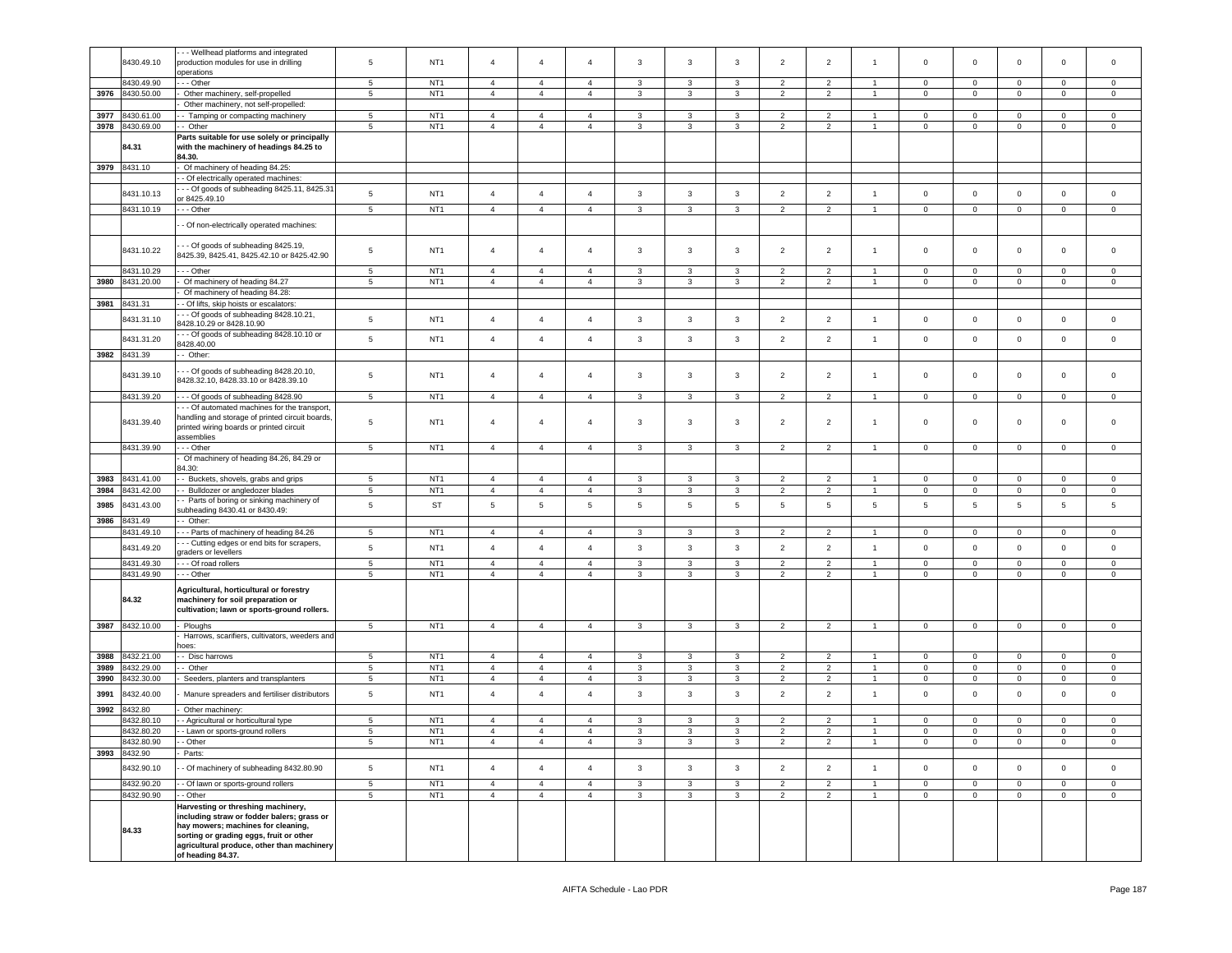|      | 8430.49.10               | - - Wellhead platforms and integrated<br>production modules for use in drilling<br>operations                                                                                                                                                   | 5               | NT <sub>1</sub>                    | $\overline{4}$                   | $\overline{4}$                   | $\overline{4}$                   | 3            | 3                                       | 3            | $\overline{2}$                   | $\overline{2}$                   | $\mathbf{1}$                   | $\mathsf 0$                 | $\mathbf 0$                | $\mathbf 0$                | $\mathbf 0$       | $\mathbf 0$      |
|------|--------------------------|-------------------------------------------------------------------------------------------------------------------------------------------------------------------------------------------------------------------------------------------------|-----------------|------------------------------------|----------------------------------|----------------------------------|----------------------------------|--------------|-----------------------------------------|--------------|----------------------------------|----------------------------------|--------------------------------|-----------------------------|----------------------------|----------------------------|-------------------|------------------|
|      | 8430.49.90               | - - Other                                                                                                                                                                                                                                       | $5^{\circ}$     | NT <sub>1</sub>                    | $\overline{4}$                   | $\overline{4}$                   | $\overline{4}$                   | 3            | $\mathbf{3}$                            | 3            | $\overline{2}$                   | $\overline{2}$                   | $\overline{1}$                 | $\mathbf 0$                 | $\mathbf 0$                | $\mathbf 0$                | $\mathbf 0$       | $\mathbf 0$      |
| 3976 | 8430.50.00               | Other machinery, self-propelled                                                                                                                                                                                                                 | $\,$ 5 $\,$     | NT <sub>1</sub>                    | $\overline{4}$                   | $\overline{4}$                   | $\overline{4}$                   | 3            | $\mathbf{3}$                            | 3            | $\overline{2}$                   | $\overline{2}$                   | $\overline{1}$                 | $\mathbf 0$                 | $\mathsf 0$                | $\mathbf 0$                | $\mathbf 0$       | $\mathbf 0$      |
|      |                          | Other machinery, not self-propelled:                                                                                                                                                                                                            |                 |                                    |                                  |                                  |                                  |              |                                         |              |                                  |                                  |                                |                             |                            |                            |                   |                  |
| 3977 | 8430.61.00               | - Tamping or compacting machinery                                                                                                                                                                                                               | $5^{\circ}$     | NT <sub>1</sub>                    | $\overline{4}$<br>$\overline{4}$ | $\overline{4}$                   | 4                                | 3            | 3                                       | 3            | $\overline{2}$                   | $\overline{2}$                   | $\overline{1}$                 | $\mathbf 0$                 | $\mathbf 0$                | $\mathbf 0$                | $\mathbf 0$       | 0                |
| 3978 | 8430.69.00<br>84.31      | - Other<br>Parts suitable for use solely or principally<br>with the machinery of headings 84.25 to<br>84.30.                                                                                                                                    | $\,$ 5 $\,$     | NT <sub>1</sub>                    |                                  | $\sqrt{4}$                       | $\overline{4}$                   | 3            | 3                                       | $\mathbf{3}$ | $\overline{c}$                   | $\overline{2}$                   | $\overline{1}$                 | $\mathbf 0$                 | $\mathsf{O}\xspace$        | $\mathbf 0$                | 0                 | $\mathsf 0$      |
| 3979 | 8431.10                  | Of machinery of heading 84.25:                                                                                                                                                                                                                  |                 |                                    |                                  |                                  |                                  |              |                                         |              |                                  |                                  |                                |                             |                            |                            |                   |                  |
|      |                          | - Of electrically operated machines:                                                                                                                                                                                                            |                 |                                    |                                  |                                  |                                  |              |                                         |              |                                  |                                  |                                |                             |                            |                            |                   |                  |
|      | 8431.10.13               | - - Of goods of subheading 8425.11, 8425.31<br>r 8425.49.10                                                                                                                                                                                     | $\,$ 5 $\,$     | NT <sub>1</sub>                    | $\overline{4}$                   | $\overline{4}$                   | $\overline{4}$                   | 3            | $\mathbf{3}$                            | 3            | $\overline{2}$                   | $\overline{2}$                   | $\overline{1}$                 | $\mathbf 0$                 | $\mathbf 0$                | $\mathbf 0$                | $\mathbf 0$       | $\circ$          |
|      | 8431.10.19               | - - Other                                                                                                                                                                                                                                       | $5\phantom{.0}$ | NT <sub>1</sub>                    | $\overline{4}$                   | $\overline{4}$                   | $\overline{4}$                   | $\mathbf{3}$ | $\mathbf{3}$                            | $\mathbf{3}$ | $\overline{2}$                   | $\overline{2}$                   | $\mathbf{1}$                   | $\mathbf 0$                 | $\mathbf 0$                | $\mathbf 0$                | $\mathbf 0$       | $\mathbf 0$      |
|      |                          | Of non-electrically operated machines:                                                                                                                                                                                                          |                 |                                    |                                  |                                  |                                  |              |                                         |              |                                  |                                  |                                |                             |                            |                            |                   |                  |
|      | 8431.10.22               | - - Of goods of subheading 8425.19,<br>3425.39, 8425.41, 8425.42.10 or 8425.42.90                                                                                                                                                               | 5               | NT <sub>1</sub>                    | $\overline{4}$                   | 4                                | 4                                | 3            | $\overline{3}$                          | 3            | $\overline{2}$                   | $\overline{2}$                   | $\overline{1}$                 | $\circ$                     | $\mathbf 0$                | $\mathbf 0$                | 0                 | $\mathbf 0$      |
|      | 8431.10.29               | - - Other                                                                                                                                                                                                                                       | $\,$ 5 $\,$     | NT <sub>1</sub>                    | $\overline{4}$                   | $\overline{4}$                   | $\overline{4}$                   | 3            | 3                                       | 3            | $\overline{2}$                   | $\overline{2}$                   | $\overline{1}$                 | $\circ$                     | 0                          | $\mathbf 0$                | $\mathbf 0$       | $\mathbf 0$      |
| 3980 | 8431.20.00               | Of machinery of heading 84.27                                                                                                                                                                                                                   | 5               | NT <sub>1</sub>                    | $\overline{4}$                   | $\overline{4}$                   | $\overline{4}$                   | 3            | 3                                       | 3            | $\overline{2}$                   | $\overline{2}$                   | $\overline{1}$                 | $\mathsf 0$                 | $\mathbf 0$                | $\mathbf 0$                | $\circ$           | $\mathbf 0$      |
| 3981 | 8431.31                  | Of machinery of heading 84.28:<br>Of lifts, skip hoists or escalators:                                                                                                                                                                          |                 |                                    |                                  |                                  |                                  |              |                                         |              |                                  |                                  |                                |                             |                            |                            |                   |                  |
|      |                          | - - Of goods of subheading 8428.10.21,                                                                                                                                                                                                          |                 |                                    |                                  |                                  |                                  |              |                                         |              |                                  |                                  |                                |                             |                            |                            |                   |                  |
|      | 8431.31.10               | 3428.10.29 or 8428.10.90                                                                                                                                                                                                                        | 5               | NT <sub>1</sub>                    | $\overline{4}$                   | $\overline{4}$                   | $\overline{4}$                   | 3            | 3                                       | 3            | $\overline{c}$                   | $\overline{2}$                   | $\overline{1}$                 | $\mathsf 0$                 | $\mathsf 0$                | $\mathbf 0$                | 0                 | $\mathbf 0$      |
|      | 8431.31.20               | - - Of goods of subheading 8428.10.10 or<br>3428.40.00                                                                                                                                                                                          | 5               | NT <sub>1</sub>                    | $\overline{4}$                   | $\overline{4}$                   | $\overline{4}$                   | 3            | $\overline{\mathbf{3}}$                 | 3            | $\overline{2}$                   | $\overline{2}$                   | $\mathbf{1}$                   | $\mathbf 0$                 | $\mathbf 0$                | $\mathbf 0$                | $\mathbf 0$       | $\mathbf 0$      |
| 3982 | 8431.39                  | - Other:                                                                                                                                                                                                                                        |                 |                                    |                                  |                                  |                                  |              |                                         |              |                                  |                                  |                                |                             |                            |                            |                   |                  |
|      | 8431.39.10               | - - Of goods of subheading 8428.20.10,<br>8428.32.10, 8428.33.10 or 8428.39.10                                                                                                                                                                  | $\,$ 5 $\,$     | NT <sub>1</sub>                    | $\overline{4}$                   | $\overline{4}$                   | 4                                | 3            | $\overline{\mathbf{3}}$                 | 3            | $\overline{2}$                   | $\overline{2}$                   | $\overline{1}$                 | $\mathbb O$                 | $\mathbf 0$                | $\mathbf 0$                | 0                 | 0                |
|      |                          |                                                                                                                                                                                                                                                 |                 |                                    |                                  |                                  |                                  |              |                                         |              |                                  |                                  |                                |                             |                            |                            |                   |                  |
|      | 8431.39.20<br>8431.39.40 | - - Of goods of subheading 8428.90<br>- - Of automated machines for the transport,<br>nandling and storage of printed circuit boards,                                                                                                           | 5<br>5          | NT <sub>1</sub><br>NT <sub>1</sub> | $\overline{4}$<br>$\overline{4}$ | $\overline{4}$<br>$\overline{4}$ | $\overline{4}$<br>$\overline{4}$ | 3<br>3       | $\mathbf{3}$<br>$\overline{\mathbf{3}}$ | 3<br>3       | $\overline{2}$<br>$\overline{2}$ | $\overline{2}$<br>$\overline{2}$ | $\mathbf{1}$<br>$\overline{1}$ | $\mathbf{0}$<br>$\mathsf 0$ | $\mathbf 0$<br>$\mathsf 0$ | $\mathbf 0$<br>$\mathbf 0$ | $\mathbf{0}$<br>0 | $\mathbf 0$<br>0 |
|      |                          | printed wiring boards or printed circuit<br>assemblies                                                                                                                                                                                          | 5               |                                    | $\overline{4}$                   | $\overline{4}$                   | $\overline{4}$                   |              | $\mathbf{3}$                            |              | $\overline{2}$                   | $\overline{2}$                   | $\blacktriangleleft$           |                             | $\mathbf 0$                |                            |                   |                  |
|      | 8431.39.90               | - - Other<br>Of machinery of heading 84.26, 84.29 or                                                                                                                                                                                            |                 | NT <sub>1</sub>                    |                                  |                                  |                                  | 3            |                                         | 3            |                                  |                                  |                                | $\mathbf 0$                 |                            | $\mathbf 0$                | $\mathbf 0$       | 0                |
|      |                          | 4.30:                                                                                                                                                                                                                                           |                 |                                    |                                  |                                  |                                  |              |                                         |              |                                  |                                  |                                |                             |                            |                            |                   |                  |
| 3983 | 8431.41.00               | - Buckets, shovels, grabs and grips                                                                                                                                                                                                             | 5               | NT <sub>1</sub>                    | $\overline{4}$                   | $\overline{4}$                   | $\overline{4}$                   | 3            | 3                                       | 3            | $\overline{2}$                   | $\overline{2}$                   | $\overline{1}$                 | $\mathbf 0$                 | 0                          | $\mathbf 0$                | $\mathbf 0$       | $\mathbf 0$      |
| 3984 | 8431.42.00               | Bulldozer or angledozer blades                                                                                                                                                                                                                  | $5\phantom{.0}$ | NT <sub>1</sub>                    | $\overline{4}$                   | $\sqrt{4}$                       | $\overline{4}$                   | $\mathbf{3}$ | 3                                       | $\mathbf{3}$ | $\overline{2}$                   | $\overline{2}$                   | $\mathbf{1}$                   | $\mathsf 0$                 | $\mathbf 0$                | $\mathbf 0$                | $\mathbf 0$       | $\mathsf 0$      |
| 3985 | 8431.43.00               | - Parts of boring or sinking machinery of<br>subheading 8430.41 or 8430.49:                                                                                                                                                                     | $\,$ 5 $\,$     | <b>ST</b>                          | 5                                | $\sqrt{5}$                       | 5                                | 5            | 5                                       | 5            | 5                                | $\overline{5}$                   | 5                              | 5                           | $5\phantom{.0}$            | $5\phantom{.0}$            | 5                 | 5                |
| 3986 | 8431.49                  | - Other:                                                                                                                                                                                                                                        |                 |                                    |                                  |                                  |                                  |              |                                         |              |                                  |                                  |                                |                             |                            |                            |                   |                  |
|      | 8431.49.1                | - Parts of machinery of heading 84.26                                                                                                                                                                                                           | 5               | NT <sub>1</sub>                    | $\overline{4}$                   | $\overline{4}$                   | $\overline{4}$                   | 3            | 3                                       | 3            | $\overline{2}$                   | $\overline{2}$                   |                                | $\mathbf 0$                 | $\mathsf 0$                | $\mathsf 0$                | $\Omega$          | 0                |
|      | 8431.49.20               | - - Cutting edges or end bits for scrapers,<br>raders or levellers                                                                                                                                                                              | $\overline{5}$  | NT <sub>1</sub>                    | $\overline{4}$                   | $\overline{4}$                   | $\overline{4}$                   | $\mathbf{3}$ | $\mathbf{3}$                            | $\mathbf{3}$ | $\overline{2}$                   | $\overline{2}$                   | $\mathbf{1}$                   | $\mathbf 0$                 | $\mathbf 0$                | $\mathsf 0$                | 0                 | $\mathbf 0$      |
|      | 8431.49.30               | - - Of road rollers                                                                                                                                                                                                                             | 5               | NT <sub>1</sub>                    | $\overline{4}$                   | $\overline{4}$                   | $\overline{4}$                   | 3            | 3                                       | 3            | $\overline{2}$                   | $\overline{2}$                   | $\overline{1}$                 | $\mathbf 0$                 | 0                          | $\mathbf 0$                | $\mathbf 0$       | $\mathbf 0$      |
|      | 8431.49.90<br>84.32      | - - Other<br>Agricultural, horticultural or forestry<br>machinery for soil preparation or                                                                                                                                                       | 5               | NT <sub>1</sub>                    | $\overline{4}$                   | $\overline{4}$                   | $\overline{4}$                   | 3            | $\mathbf{3}$                            | $\mathbf{3}$ | $\overline{2}$                   | $\overline{2}$                   | $\mathbf{1}$                   | $\mathbf 0$                 | $\mathbf 0$                | $\mathsf 0$                | $\mathbf 0$       | $\circ$          |
|      |                          | cultivation; lawn or sports-ground rollers.                                                                                                                                                                                                     |                 |                                    |                                  |                                  |                                  |              |                                         |              |                                  |                                  |                                |                             |                            |                            |                   |                  |
| 3987 | 8432.10.00               | Ploughs                                                                                                                                                                                                                                         | $\,$ 5 $\,$     | NT <sub>1</sub>                    | $\overline{4}$                   | $\sqrt{4}$                       | $\overline{4}$                   | 3            | $\mathbf{3}$                            | 3            | $\overline{2}$                   | $\overline{2}$                   | $\overline{1}$                 | $\mathbf 0$                 | $\mathbf 0$                | $\mathbf 0$                | $\mathbf 0$       | $\mathsf 0$      |
|      |                          | Harrows, scarifiers, cultivators, weeders and                                                                                                                                                                                                   |                 |                                    |                                  |                                  |                                  |              |                                         |              |                                  |                                  |                                |                             |                            |                            |                   |                  |
| 3988 | 8432.21.00               | lOes:<br>- Disc harrows                                                                                                                                                                                                                         | $5^{\circ}$     | NT <sub>1</sub>                    | $\overline{4}$                   | $\overline{4}$                   | $\overline{4}$                   | $\mathbf{3}$ | $\mathbf{3}$                            | 3            | $\overline{2}$                   | $\overline{2}$                   | $\overline{1}$                 | $\mathbf{0}$                | $\overline{0}$             | $\mathbf 0$                | $\mathbf{0}$      | $\circ$          |
| 3989 | 8432.29.00               | - Other                                                                                                                                                                                                                                         | $\,$ 5 $\,$     | NT <sub>1</sub>                    | $\overline{4}$                   | $\sqrt{4}$                       | $\overline{4}$                   | 3            | $\overline{3}$                          | 3            | $\overline{c}$                   | $\overline{2}$                   | $\overline{1}$                 | $\pmb{0}$                   | $\mathbf 0$                | $\mathbf 0$                | $\mathbf 0$       | 0                |
| 3990 | 8432.30.00               | Seeders, planters and transplanters                                                                                                                                                                                                             | 5               | NT <sub>1</sub>                    | $\overline{4}$                   | $\overline{4}$                   | $\overline{4}$                   | 3            | 3                                       | 3            | $\overline{c}$                   | $\overline{2}$                   | $\overline{1}$                 | $\mathbf 0$                 | $\mathsf 0$                | $\mathbf 0$                | $\mathbf 0$       | $\mathsf 0$      |
| 3991 | 3432.40.00               | Manure spreaders and fertiliser distributors                                                                                                                                                                                                    | $5\phantom{.0}$ | NT <sub>1</sub>                    | $\overline{4}$                   | $\overline{4}$                   | $\overline{4}$                   | $\mathbf{3}$ | $\overline{3}$                          | 3            | $\overline{2}$                   | $\overline{2}$                   | $\mathbf{1}$                   | $\mathbf 0$                 | $\mathsf 0$                | $\mathsf 0$                | 0                 | $\mathbf 0$      |
| 3992 | 8432.80                  | Other machinery:                                                                                                                                                                                                                                |                 |                                    |                                  |                                  |                                  |              |                                         |              |                                  |                                  |                                |                             |                            |                            |                   |                  |
|      | 8432.80.10               | - Agricultural or horticultural type                                                                                                                                                                                                            | 5               | NT <sub>1</sub>                    | $\overline{4}$                   | $\overline{4}$                   | $\overline{4}$                   | 3            | 3                                       | 3            | $\overline{2}$                   | $\overline{2}$                   |                                | $\mathbf 0$                 | $\mathbf 0$                | $\mathbf 0$                | $\mathbf 0$       | $\mathbf 0$      |
|      | 8432.80.20               | - Lawn or sports-ground rollers                                                                                                                                                                                                                 | 5               | NT <sub>1</sub>                    | $\overline{4}$                   | $\overline{4}$                   | 4                                | 3            | 3                                       | 3            | $\overline{2}$                   | $\overline{2}$                   | $\overline{1}$                 | 0                           | $\mathbf 0$                | $\mathbf 0$                | 0                 | 0                |
|      | 8432.80.90               | Other                                                                                                                                                                                                                                           |                 |                                    |                                  |                                  |                                  |              |                                         |              |                                  |                                  |                                |                             |                            |                            |                   |                  |
|      | 3993 8432.90             | Parts:                                                                                                                                                                                                                                          |                 |                                    |                                  |                                  |                                  |              |                                         |              |                                  |                                  |                                |                             |                            |                            |                   |                  |
|      | 8432.90.10               | Of machinery of subheading 8432.80.90                                                                                                                                                                                                           | $5\phantom{.0}$ | NT <sub>1</sub>                    | $\overline{4}$                   | $\overline{4}$                   | $\overline{4}$                   | $\mathbf{3}$ | $\mathbf{3}$                            | $\mathbf{3}$ | $\overline{2}$                   | $\overline{2}$                   | $\mathbf{1}$                   | $\mathbf{0}$                | $\circ$                    | $\mathsf 0$                | $\circ$           | $\mathbf 0$      |
|      | 8432.90.20               | Of lawn or sports-ground rollers                                                                                                                                                                                                                | $5\phantom{.0}$ | NT <sub>1</sub>                    | $\overline{4}$                   | $\overline{4}$                   | $\overline{4}$                   | $\mathbf{3}$ | $\mathbf{3}$                            | $\mathbf{3}$ | $\overline{2}$                   | $\overline{2}$                   | $\blacktriangleleft$           | $\mathbf 0$                 | $\circ$                    | $\mathsf 0$                | $\mathbf 0$       | $\mathbf 0$      |
|      | 8432.90.90<br>84.33      | - Other<br>larvesting or threshing machinery,<br>including straw or fodder balers; grass or<br>hay mowers; machines for cleaning,<br>sorting or grading eggs, fruit or other<br>agricultural produce, other than machinery<br>of heading 84.37. | 5               | NT <sub>1</sub>                    | $\overline{4}$                   | $\overline{4}$                   | $\overline{4}$                   | $\mathbf{3}$ | $\mathbf{3}$                            | 3            | $\overline{2}$                   | $\overline{2}$                   | $\mathbf{1}$                   | $\mathbf{0}$                | $\overline{0}$             | $\mathbf 0$                | $\mathbf{0}$      | $\circ$          |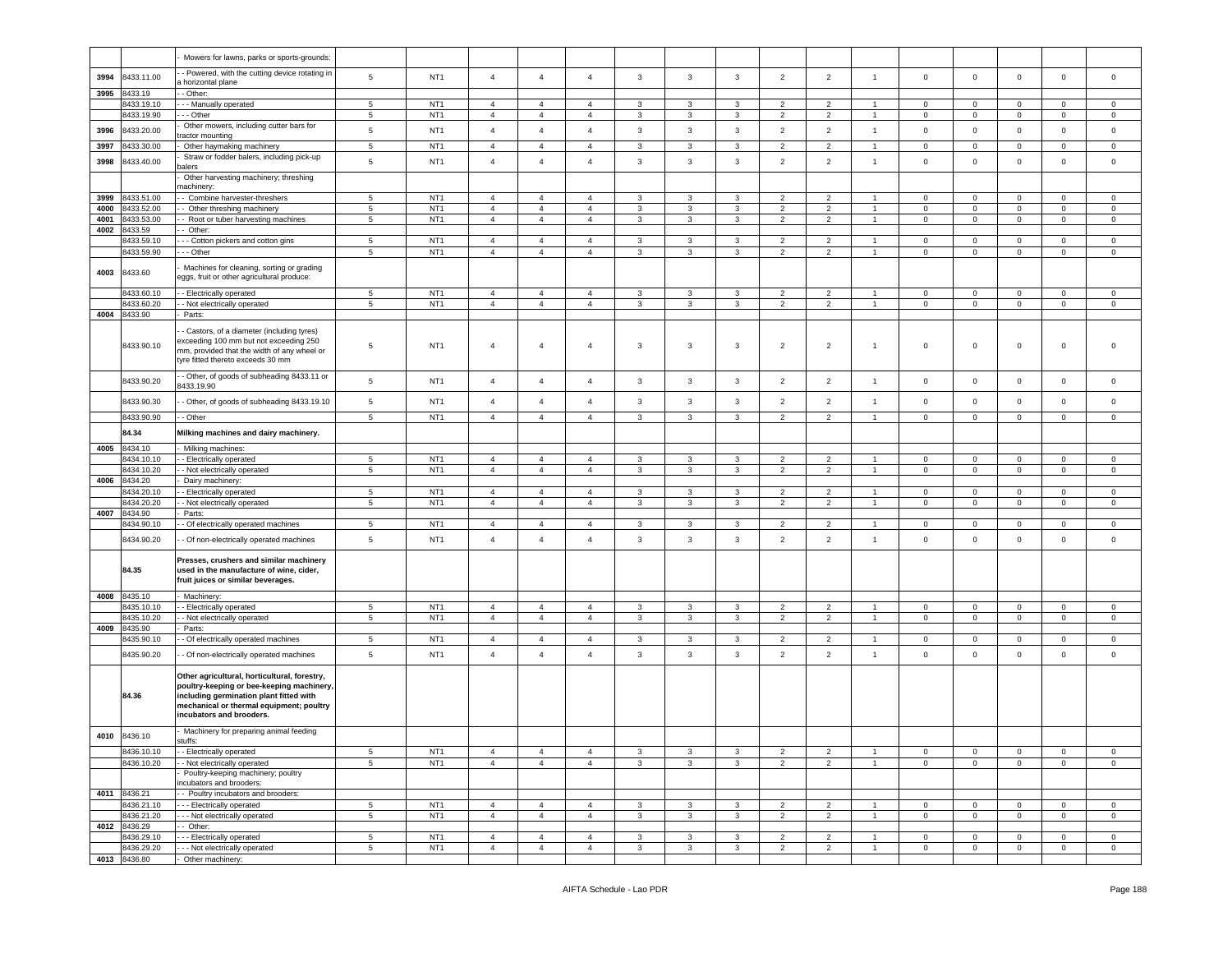|      |                          | Mowers for lawns, parks or sports-grounds:                                                                                                                                                                   |                 |                                    |                                  |                                  |                |              |              |              |                |                |                |                |                |              |                  |                |
|------|--------------------------|--------------------------------------------------------------------------------------------------------------------------------------------------------------------------------------------------------------|-----------------|------------------------------------|----------------------------------|----------------------------------|----------------|--------------|--------------|--------------|----------------|----------------|----------------|----------------|----------------|--------------|------------------|----------------|
|      |                          |                                                                                                                                                                                                              |                 |                                    |                                  |                                  |                |              |              |              |                |                |                |                |                |              |                  |                |
| 3994 | 8433.11.00               | - Powered, with the cutting device rotating in<br>horizontal plane                                                                                                                                           | 5               | NT <sub>1</sub>                    | $\overline{4}$                   | $\overline{4}$                   | $\overline{4}$ | $\mathbf{3}$ | $\mathbf{3}$ | $\mathbf{3}$ | $\overline{2}$ | $\overline{2}$ | $\overline{1}$ | $\mathbf 0$    | $\circ$        | $\mathsf 0$  | $\mathbf 0$      | $\circ$        |
| 3995 | 8433.19                  | - Other:                                                                                                                                                                                                     |                 |                                    |                                  |                                  |                |              |              |              |                |                |                |                |                |              |                  |                |
|      | 3433.19.10               | - - Manually operated                                                                                                                                                                                        | 5               | NT <sub>1</sub>                    | $\overline{4}$                   | $\overline{4}$                   | $\overline{4}$ | $\mathbf{3}$ | 3            | 3            | $\overline{2}$ | $\overline{2}$ |                | $\mathbf 0$    | $\mathbf 0$    | $\mathbf 0$  | 0                | 0              |
|      | 8433.19.90               | - - Other                                                                                                                                                                                                    | 5               | NT <sub>1</sub>                    | $\overline{4}$                   | $\overline{4}$                   | $\overline{4}$ | $\mathbf{3}$ | $\mathbf{3}$ | 3            | $\overline{2}$ | $\overline{2}$ | $\mathbf{1}$   | $\overline{0}$ | $\mathbf 0$    | $\mathbf 0$  | $\overline{0}$   | $\mathbf 0$    |
|      |                          | Other mowers, including cutter bars for                                                                                                                                                                      |                 |                                    |                                  |                                  |                |              |              |              |                |                |                |                |                |              |                  |                |
| 3996 | 8433.20.00               | actor mounting                                                                                                                                                                                               | 5               | NT <sub>1</sub>                    | $\overline{4}$                   | $\overline{4}$                   | $\overline{4}$ | 3            | 3            | 3            | $\overline{2}$ | $\overline{2}$ | $\mathbf{1}$   | $\mathsf 0$    | $\mathbf 0$    | $\mathbf 0$  | $\mathbf 0$      | $\mathsf 0$    |
| 3997 | 8433.30.00               | Other haymaking machinery                                                                                                                                                                                    | 5               | NT <sub>1</sub>                    | $\overline{4}$                   | $\overline{4}$                   | $\overline{4}$ | $\mathbf{3}$ | 3            | 3            | $\overline{2}$ | $\overline{2}$ | $\overline{1}$ | $\mathbf 0$    | $\mathbf 0$    | $\mathbf 0$  | $\mathbf 0$      | 0              |
|      |                          |                                                                                                                                                                                                              |                 |                                    |                                  |                                  |                |              |              |              |                |                |                |                |                |              |                  |                |
| 3998 | 3433.40.00               | Straw or fodder balers, including pick-up<br>alers                                                                                                                                                           | 5               | NT <sub>1</sub>                    | $\overline{4}$                   | $\overline{4}$                   | $\overline{4}$ | $\mathbf{3}$ | 3            | $\mathbf{3}$ | $\overline{2}$ | $\overline{2}$ | $\overline{1}$ | $\mathsf 0$    | $\mathbf 0$    | $\mathbf 0$  | 0                | $\mathbf 0$    |
|      |                          | Other harvesting machinery; threshing                                                                                                                                                                        |                 |                                    |                                  |                                  |                |              |              |              |                |                |                |                |                |              |                  |                |
|      |                          | nachinery:                                                                                                                                                                                                   |                 |                                    |                                  |                                  |                |              |              |              |                |                |                |                |                |              |                  |                |
| 3999 | 8433.51.00               | - Combine harvester-threshers                                                                                                                                                                                | 5               | NT <sub>1</sub>                    | $\overline{4}$                   | $\overline{4}$                   | $\overline{4}$ | $\mathbf{3}$ | 3            | 3            | $\overline{2}$ | $\overline{2}$ |                | 0              | $\mathbf 0$    | $\mathbf 0$  | $\mathbf{0}$     | $\mathbf 0$    |
| 4000 | 8433.52.00               | - Other threshing machinery                                                                                                                                                                                  | $5\phantom{.0}$ | NT <sub>1</sub>                    | $\overline{4}$                   | $\overline{4}$                   | $\overline{4}$ | 3            | 3            | 3            | $\overline{2}$ | $\overline{2}$ | $\overline{1}$ | $\mathbf 0$    | $\mathbf 0$    | $\mathbf 0$  | $\mathbf 0$      | $\mathbf 0$    |
| 4001 | 8433.53.00               | Root or tuber harvesting machines                                                                                                                                                                            | 5               | NT <sub>1</sub>                    | $\overline{4}$                   | $\overline{4}$                   | $\overline{4}$ | $\mathbf{3}$ | $\mathbf{3}$ | $\mathbf{3}$ | $\overline{2}$ | $\overline{2}$ | $\overline{1}$ | $\mathbf 0$    | $\mathbf 0$    | $\mathsf 0$  | $\mathbf 0$      | $\mathbf 0$    |
| 4002 | 8433.59                  | - Other:                                                                                                                                                                                                     |                 |                                    |                                  |                                  |                |              |              |              |                |                |                |                |                |              |                  |                |
|      |                          |                                                                                                                                                                                                              |                 |                                    |                                  |                                  |                |              |              |              |                |                |                |                |                |              |                  |                |
|      | 8433.59.10<br>8433.59.90 | - - Cotton pickers and cotton gins                                                                                                                                                                           | 5<br>5          | NT <sub>1</sub><br>NT <sub>1</sub> | $\overline{4}$<br>$\overline{4}$ | $\overline{4}$<br>$\overline{4}$ | $\overline{4}$ | 3            | 3            | 3            | 2              | $\overline{2}$ | $\mathbf{1}$   | 0              | $\mathbf 0$    | $\mathbf 0$  | 0<br>$\mathbf 0$ | $\mathbf 0$    |
|      |                          | - - Other                                                                                                                                                                                                    |                 |                                    |                                  |                                  | $\overline{4}$ | 3            | 3            | 3            | $\overline{2}$ | $\overline{2}$ |                | $\mathsf 0$    | $\mathbf 0$    | $\mathbf 0$  |                  | $\mathbf 0$    |
| 4003 | 8433.60                  | Machines for cleaning, sorting or grading<br>eggs, fruit or other agricultural produce:                                                                                                                      |                 |                                    |                                  |                                  |                |              |              |              |                |                |                |                |                |              |                  |                |
|      | 8433.60.10               | - Electrically operated                                                                                                                                                                                      | 5               | NT <sub>1</sub>                    | $\overline{4}$                   | $\overline{4}$                   | $\overline{4}$ | $\mathbf{3}$ | 3            | 3            | $\overline{2}$ | $\overline{2}$ | $\mathbf{1}$   | $\mathbf 0$    | $\overline{0}$ | $\mathbf 0$  | $\mathbf 0$      | $\circ$        |
|      | 8433.60.20               | - Not electrically operated                                                                                                                                                                                  | $\overline{5}$  | NT <sub>1</sub>                    | $\overline{4}$                   | $\overline{4}$                   | $\overline{4}$ | 3            | $\mathbf{3}$ | $\mathbf{3}$ | $\overline{2}$ | $\overline{2}$ | $\mathbf{1}$   | $\mathbf 0$    | $\mathbf 0$    | $\mathbf 0$  | $\mathsf 0$      | $\mathsf 0$    |
| 4004 | 8433.90                  | Parts:                                                                                                                                                                                                       |                 |                                    |                                  |                                  |                |              |              |              |                |                |                |                |                |              |                  |                |
|      | 8433.90.10               | Castors, of a diameter (including tyres)<br>exceeding 100 mm but not exceeding 250<br>nm, provided that the width of any wheel or<br>tyre fitted thereto exceeds 30 mm                                       | 5               | NT <sub>1</sub>                    | $\overline{4}$                   | $\overline{4}$                   | $\overline{4}$ | 3            | 3            | 3            | $\overline{2}$ | $\overline{2}$ | $\overline{1}$ | $\mathsf 0$    | $\mathbf{0}$   | $\mathbf 0$  | $\mathbf 0$      | 0              |
|      | 8433.90.20               | - Other, of goods of subheading 8433.11 or<br>3433.19.90                                                                                                                                                     | 5               | NT <sub>1</sub>                    | $\overline{4}$                   | $\overline{4}$                   | $\overline{4}$ | 3            | 3            | 3            | $\overline{2}$ | $\overline{2}$ | $\overline{1}$ | $\circ$        | $\mathbf 0$    | $\mathbf 0$  | $\mathbf 0$      | $\mathbf 0$    |
|      | 8433.90.30               | - Other, of goods of subheading 8433.19.10                                                                                                                                                                   | 5               | NT <sub>1</sub>                    | $\overline{a}$                   | $\overline{4}$                   | $\overline{4}$ | $\mathbf{3}$ | $\mathbf{3}$ | $\mathbf{3}$ | $\overline{2}$ | $\overline{2}$ | $\mathbf{1}$   | $\mathbf 0$    | $\mathbf 0$    | $\mathbf 0$  | $\mathbf 0$      | $\mathsf 0$    |
|      | 8433.90.90               | - Other                                                                                                                                                                                                      | 5               | NT <sub>1</sub>                    | $\overline{4}$                   | $\overline{4}$                   | $\overline{4}$ | $\mathbf{3}$ | 3            | 3            | $\overline{2}$ | $\overline{2}$ |                | $\mathbf 0$    | $\mathsf 0$    | $\mathbf 0$  | $\mathbf 0$      | $\mathbf 0$    |
|      | 84.34                    | Milking machines and dairy machinery.                                                                                                                                                                        |                 |                                    |                                  |                                  |                |              |              |              |                |                |                |                |                |              |                  |                |
| 4005 | 8434.10                  | Milking machines:                                                                                                                                                                                            |                 |                                    |                                  |                                  |                |              |              |              |                |                |                |                |                |              |                  |                |
|      | 3434.10.10               | - Electrically operated                                                                                                                                                                                      | 5               | NT <sub>1</sub>                    | $\overline{4}$                   | $\overline{4}$                   | $\overline{4}$ | $\mathbf{3}$ | 3            | 3            | $\overline{2}$ | $\overline{2}$ |                | 0              | $\mathbf 0$    | $\mathbf 0$  | $\mathbf 0$      | $\mathbf 0$    |
|      |                          |                                                                                                                                                                                                              |                 |                                    |                                  |                                  |                |              |              |              |                |                |                |                |                |              |                  |                |
| 4006 | 8434.10.20               | - Not electrically operated                                                                                                                                                                                  | 5               | NT <sub>1</sub>                    | $\overline{4}$                   | $\overline{4}$                   | $\overline{4}$ | 3            | 3            | 3            | $\overline{2}$ | $\overline{2}$ | $\mathbf{1}$   | $\mathbf 0$    | $\overline{0}$ | $\mathbf 0$  | $\mathbf{0}$     | $\circ$        |
|      | 8434.20                  | Dairy machinery:                                                                                                                                                                                             |                 |                                    |                                  |                                  |                |              |              |              |                |                |                |                |                |              |                  |                |
|      | 8434.20.10               | - Electrically operated                                                                                                                                                                                      | 5               | NT <sub>1</sub>                    | $\overline{4}$                   | $\overline{4}$                   | $\overline{4}$ | 3            | 3            | 3            | $\overline{2}$ | $\overline{2}$ | $\overline{1}$ | $\mathbf 0$    | $\mathbf 0$    | $\mathbf 0$  | $\circ$          | $\mathbf 0$    |
|      | 8434.20.20               | - Not electrically operated                                                                                                                                                                                  | 5               | NT <sub>1</sub>                    | $\overline{4}$                   | $\overline{4}$                   | $\overline{4}$ | 3            | 3            | 3            | $\overline{2}$ | $\overline{2}$ | $\overline{1}$ | $\mathbf 0$    | $\mathbf 0$    | $\mathbf 0$  | $\mathbf 0$      | $\mathbf 0$    |
| 4007 | 8434.90                  | Parts:                                                                                                                                                                                                       |                 |                                    |                                  |                                  |                |              |              |              |                |                |                |                |                |              |                  |                |
|      | 8434.90.10               | - Of electrically operated machines                                                                                                                                                                          | 5               | NT <sub>1</sub>                    | $\overline{4}$                   | $\overline{4}$                   | $\overline{4}$ | 3            | 3            | 3            | $\overline{2}$ | $\overline{2}$ | $\overline{1}$ | $\mathbf 0$    | $\mathbf 0$    | $\mathbf 0$  | $\circ$          | $\mathbf 0$    |
|      | 8434.90.20               | - Of non-electrically operated machines                                                                                                                                                                      | 5               | NT <sub>1</sub>                    | $\overline{4}$                   | $\overline{4}$                   | $\overline{4}$ | $\mathbf{3}$ | $\mathbf{3}$ | $\mathbf{3}$ | $\overline{2}$ | $\overline{2}$ | $\overline{1}$ | $\mathsf 0$    | $\circ$        | $\mathsf 0$  | $\mathbf 0$      | $\mathbf 0$    |
|      | 84.35                    | Presses, crushers and similar machinery<br>used in the manufacture of wine, cider,<br>fruit juices or similar beverages.                                                                                     |                 |                                    |                                  |                                  |                |              |              |              |                |                |                |                |                |              |                  |                |
| 4008 | 8435.10                  | Machinery:                                                                                                                                                                                                   |                 |                                    |                                  |                                  |                |              |              |              |                |                |                |                |                |              |                  |                |
|      | 8435.10.10               | - Electrically operated                                                                                                                                                                                      | 5               | NT <sub>1</sub>                    | $\overline{4}$                   | $\overline{4}$                   | $\overline{4}$ | 3            | 3            | 3            | $\overline{2}$ | $\overline{2}$ | -1             | $\mathbf 0$    | $\mathsf 0$    | $\mathbf 0$  | $\mathbf 0$      | $\mathbf 0$    |
|      | 3435.10.20               | - Not electrically operated                                                                                                                                                                                  | 5               | NT <sub>1</sub>                    | $\overline{a}$                   | $\overline{4}$                   | $\overline{4}$ | $_{\rm 3}$   | $\mathbf{3}$ | $\mathbf{3}$ | $\overline{2}$ | $\overline{2}$ | $\overline{1}$ | $\mathbf 0$    | $\mathsf 0$    | $\mathbf 0$  | $\mathbf 0$      | $\mathbf 0$    |
| 4009 | 8435.90                  | Parts:                                                                                                                                                                                                       |                 |                                    |                                  |                                  |                |              |              |              |                |                |                |                |                |              |                  |                |
|      | 8435.90.10               | - Of electrically operated machines                                                                                                                                                                          | $5\phantom{.0}$ | NT <sub>1</sub>                    | $\overline{4}$                   | $\overline{4}$                   | $\overline{4}$ | 3            | 3            | 3            | $\overline{2}$ | $\overline{2}$ | $\mathbf{1}$   | $\pmb{0}$      | $\overline{0}$ | $\mathbf 0$  | $\mathbf 0$      | $\overline{0}$ |
|      | 8435.90.20               | - Of non-electrically operated machines                                                                                                                                                                      | 5               | NT <sub>1</sub>                    | $\overline{4}$                   | $\overline{4}$                   | $\overline{4}$ | 3            | $\mathbf{3}$ | $\mathbf{3}$ | $\overline{2}$ | $\overline{2}$ | $\mathbf{1}$   | $\mathbf 0$    | $\mathbf 0$    | $\mathbf 0$  | $\mathbf 0$      | $\mathbf 0$    |
|      | 84.36                    | Other agricultural, horticultural, forestry,<br>poultry-keeping or bee-keeping machinery,<br>including germination plant fitted with<br>mechanical or thermal equipment; poultry<br>incubators and brooders. |                 |                                    |                                  |                                  |                |              |              |              |                |                |                |                |                |              |                  |                |
| 4010 | 8436.10                  | Machinery for preparing animal feeding<br>uffs:                                                                                                                                                              |                 |                                    |                                  |                                  |                |              |              |              |                |                |                |                |                |              |                  |                |
|      | 8436.10.10               | - Electrically operated                                                                                                                                                                                      | $5\phantom{.0}$ | NT <sub>1</sub>                    | $\overline{4}$                   | $\overline{4}$                   | $\overline{4}$ | 3            | 3            | 3            | $\overline{2}$ | $\overline{2}$ | -1             | $\mathbf 0$    | $\mathbf 0$    | $\mathbf 0$  | $\mathbf 0$      | $\mathbf 0$    |
|      | 8436.10.20               | - Not electrically operated                                                                                                                                                                                  | 5               | NT <sub>1</sub>                    | $\overline{4}$                   | $\overline{4}$                   | $\overline{4}$ | 3            | 3            | 3            | $\overline{2}$ | $\overline{2}$ | $\overline{1}$ | $\mathbf{0}$   | $\mathbf 0$    | $\mathbf 0$  | $\overline{0}$   | $\circ$        |
|      |                          | Poultry-keeping machinery; poultry<br>ncubators and brooders:                                                                                                                                                |                 |                                    |                                  |                                  |                |              |              |              |                |                |                |                |                |              |                  |                |
|      | 4011 8436.21             | - Poultry incubators and brooders:                                                                                                                                                                           |                 |                                    |                                  |                                  |                |              |              |              |                |                |                |                |                |              |                  |                |
|      | 8436.21.10               | -- Electrically operated                                                                                                                                                                                     | 5               | NT <sub>1</sub>                    | $\overline{4}$                   | $\overline{4}$                   | $\overline{4}$ | $\mathbf{3}$ | 3            | 3            | $\overline{2}$ | $\overline{2}$ | $\overline{1}$ | $\mathbf{0}$   | $\mathbf{O}$   | $\mathbf 0$  | $\circ$          | $\circ$        |
|      | 8436.21.20               | --- Not electrically operated                                                                                                                                                                                | $5^{\circ}$     | NT <sub>1</sub>                    | $\overline{4}$                   | $\overline{4}$                   | $\overline{4}$ | $\mathbf{3}$ | 3            | 3            | 2              | $\overline{2}$ | $\overline{1}$ | $\mathbf{0}$   | $\mathbf{0}$   | $\mathbf{0}$ | $\overline{0}$   | $\overline{0}$ |
| 4012 | 8436.29                  | - Other:                                                                                                                                                                                                     |                 |                                    |                                  |                                  |                |              |              |              |                |                |                |                |                |              |                  |                |
|      | 8436.29.10               | -- Electrically operated                                                                                                                                                                                     | 5               | NT <sub>1</sub>                    | $\overline{4}$                   | $\overline{4}$                   | $\overline{4}$ | 3            | 3            | 3            | 2              | $\overline{2}$ | $\overline{1}$ | $\mathbf{0}$   | $\overline{0}$ | $\mathbf 0$  | $\overline{0}$   | $\circ$        |
|      | 8436.29.20               | - - Not electrically operated                                                                                                                                                                                | 5               | NT <sub>1</sub>                    | $\overline{4}$                   | $\overline{4}$                   | $\overline{4}$ | $\mathbf{3}$ | $\mathbf{3}$ | 3            | $\overline{2}$ | $\overline{2}$ | $\mathbf{1}$   | $\mathbf{0}$   | $\mathbf{0}$   | $\mathbf 0$  | $\mathbf{0}$     | $\overline{0}$ |
|      |                          |                                                                                                                                                                                                              |                 |                                    |                                  |                                  |                |              |              |              |                |                |                |                |                |              |                  |                |
|      | 4013 8436.80             | Other machinery:                                                                                                                                                                                             |                 |                                    |                                  |                                  |                |              |              |              |                |                |                |                |                |              |                  |                |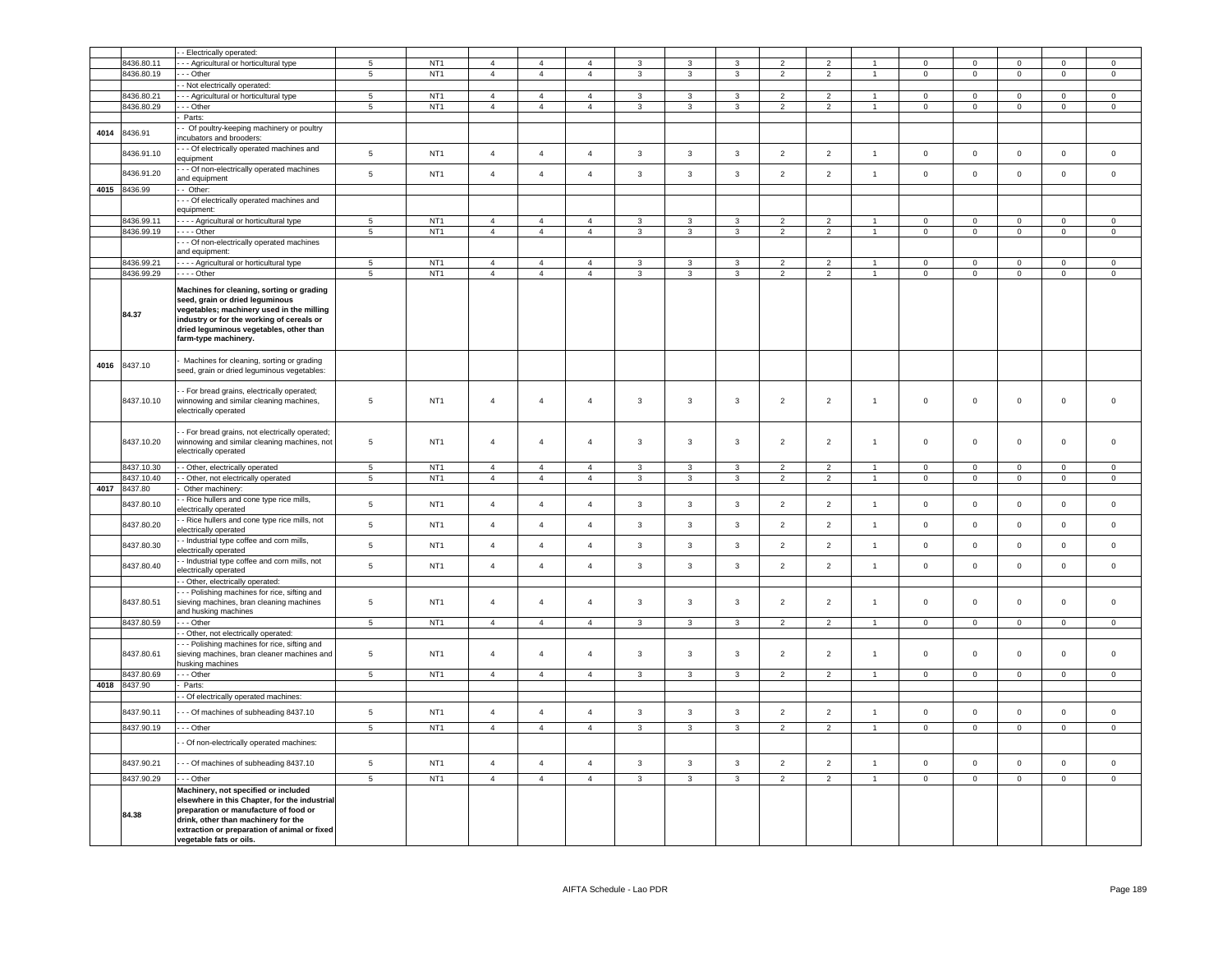|      |              | - Electrically operated:                                                                                                                                                                                                                         |                 |                 |                |                |                |                |                |                           |                |                |                      |                     |                |                |                     |                     |
|------|--------------|--------------------------------------------------------------------------------------------------------------------------------------------------------------------------------------------------------------------------------------------------|-----------------|-----------------|----------------|----------------|----------------|----------------|----------------|---------------------------|----------------|----------------|----------------------|---------------------|----------------|----------------|---------------------|---------------------|
|      | 8436.80.11   |                                                                                                                                                                                                                                                  | $\overline{5}$  | NT <sub>1</sub> | $\overline{4}$ | $\mathbf{A}$   | $\mathbf{A}$   | $\mathbf{R}$   | $\mathbf{3}$   | 3                         | $\mathcal{P}$  | $\mathcal{P}$  |                      | $\Omega$            | $\Omega$       | $\Omega$       | $\Omega$            | $\Omega$            |
|      |              | - Agricultural or horticultural type                                                                                                                                                                                                             |                 |                 |                |                |                |                |                |                           |                |                |                      |                     |                |                |                     |                     |
|      | 8436.80.19   | - - Other                                                                                                                                                                                                                                        | 5               | NT <sub>1</sub> | $\overline{4}$ | $\overline{4}$ | $\overline{4}$ | $\mathbf{3}$   | $\mathbf{3}$   | $\mathbf{3}$              | $\overline{2}$ | $\overline{2}$ | $\mathbf{1}$         | $\mathsf 0$         | $\mathsf 0$    | $\mathbf 0$    | $\mathsf 0$         | $\mathsf 0$         |
|      |              | - Not electrically operated:                                                                                                                                                                                                                     |                 |                 |                |                |                |                |                |                           |                |                |                      |                     |                |                |                     |                     |
|      | 8436.80.21   | -- Agricultural or horticultural type                                                                                                                                                                                                            | 5               | NT <sub>1</sub> | $\overline{4}$ | $\overline{4}$ | $\overline{4}$ | 3              | $\overline{3}$ | $\mathbf{3}$              | 2              | $\overline{2}$ | $\mathbf{1}$         | $\mathbf{0}$        | $\mathbf 0$    | $\mathbf{0}$   | $\Omega$            | $\circ$             |
|      | 8436.80.29   | $- -$ Other                                                                                                                                                                                                                                      | $\overline{5}$  | NT <sub>1</sub> | $\overline{4}$ | $\overline{4}$ | $\overline{4}$ | $\mathbf{R}$   | $\overline{3}$ | $\overline{\mathbf{3}}$   | $\overline{2}$ | $\overline{2}$ | $\overline{1}$       | $\overline{0}$      | $\overline{0}$ | $\overline{0}$ | $\Omega$            | $\circ$             |
|      |              | Parts:                                                                                                                                                                                                                                           |                 |                 |                |                |                |                |                |                           |                |                |                      |                     |                |                |                     |                     |
|      |              |                                                                                                                                                                                                                                                  |                 |                 |                |                |                |                |                |                           |                |                |                      |                     |                |                |                     |                     |
| 4014 | 8436.91      | - Of poultry-keeping machinery or poultry<br>incubators and brooders:                                                                                                                                                                            |                 |                 |                |                |                |                |                |                           |                |                |                      |                     |                |                |                     |                     |
|      |              |                                                                                                                                                                                                                                                  |                 |                 |                |                |                |                |                |                           |                |                |                      |                     |                |                |                     |                     |
|      | 8436.91.10   | - - Of electrically operated machines and                                                                                                                                                                                                        | 5               | NT <sub>1</sub> | $\overline{4}$ | $\overline{4}$ | $\overline{4}$ | $\mathbf{3}$   | $\mathbf{3}$   | $\mathbf{3}$              | $\overline{2}$ | $\overline{2}$ | $\overline{1}$       | $\mathbf 0$         | $\mathsf 0$    | $\mathsf 0$    | $\mathsf 0$         | $\mathsf 0$         |
|      |              | equipment                                                                                                                                                                                                                                        |                 |                 |                |                |                |                |                |                           |                |                |                      |                     |                |                |                     |                     |
|      | 8436.91.20   | - - Of non-electrically operated machines                                                                                                                                                                                                        | $5\phantom{.0}$ | NT <sub>1</sub> | $\overline{4}$ | $\mathbf{A}$   | $\overline{4}$ | 3              | $\mathbf{3}$   | $\mathbf{3}$              | $\overline{2}$ | $\overline{2}$ | $\mathbf{1}$         | $\mathsf 0$         | $\mathbf 0$    | $\mathbf 0$    | $\mathbf 0$         | $\mathsf 0$         |
|      |              | and equipment                                                                                                                                                                                                                                    |                 |                 |                |                |                |                |                |                           |                |                |                      |                     |                |                |                     |                     |
|      | 4015 8436.99 | - Other:                                                                                                                                                                                                                                         |                 |                 |                |                |                |                |                |                           |                |                |                      |                     |                |                |                     |                     |
|      |              | - - Of electrically operated machines and                                                                                                                                                                                                        |                 |                 |                |                |                |                |                |                           |                |                |                      |                     |                |                |                     |                     |
|      |              | equipment:                                                                                                                                                                                                                                       |                 |                 |                |                |                |                |                |                           |                |                |                      |                     |                |                |                     |                     |
|      | 8436.99.11   | - - - Agricultural or horticultural type                                                                                                                                                                                                         | $\,$ 5 $\,$     | NT <sub>1</sub> | $\overline{4}$ | $\overline{4}$ | $\overline{4}$ | 3              | 3              | $\ensuremath{\mathsf{3}}$ | $\overline{2}$ | $\overline{2}$ | $\mathbf{1}$         | $\mathbf 0$         | $\mathbf 0$    | $\mathbf 0$    | $\mathbf 0$         | $\mathbf 0$         |
|      | 8436.99.19   | $--$ Other                                                                                                                                                                                                                                       | $\overline{5}$  | NT <sub>1</sub> | $\overline{4}$ | $\overline{4}$ | $\overline{4}$ | $\mathbf{3}$   | $\mathbf{3}$   | $\overline{3}$            | $\overline{2}$ | $\overline{2}$ | $\mathbf{1}$         | $\overline{0}$      | $\overline{0}$ | $\mathbf 0$    | $\circ$             | $\mathsf 0$         |
|      |              |                                                                                                                                                                                                                                                  |                 |                 |                |                |                |                |                |                           |                |                |                      |                     |                |                |                     |                     |
|      |              | - - Of non-electrically operated machines                                                                                                                                                                                                        |                 |                 |                |                |                |                |                |                           |                |                |                      |                     |                |                |                     |                     |
|      |              | and equipment:                                                                                                                                                                                                                                   |                 |                 |                |                |                |                |                |                           |                |                |                      |                     |                |                |                     |                     |
|      | 8436.99.21   | - - - - Agricultural or horticultural type                                                                                                                                                                                                       | $5\phantom{.0}$ | NT <sub>1</sub> | $\overline{4}$ | $\overline{4}$ | $\overline{4}$ | 3              | 3              | $\mathbf{3}$              | $\overline{2}$ | $\overline{2}$ | $\mathbf{1}$         | $\mathsf 0$         | $\mathbf 0$    | $\overline{0}$ | $\mathbf 0$         | $\mathsf 0$         |
|      | 8436.99.29   | $\cdots$ - Other                                                                                                                                                                                                                                 | 5               | NT <sub>1</sub> | $\overline{4}$ | $\overline{4}$ | $\overline{4}$ | 3              | $\mathbf{3}$   | $\mathbf{3}$              | $\overline{2}$ | $\overline{2}$ | $\overline{1}$       | $\mathsf 0$         | $\mathsf 0$    | $\mathsf 0$    | $\mathsf 0$         | $\mathsf 0$         |
|      | 84.37        | Machines for cleaning, sorting or grading<br>seed, grain or dried leguminous<br>vegetables; machinery used in the milling<br>industry or for the working of cereals or<br>dried leguminous vegetables, other than<br>farm-type machinery.        |                 |                 |                |                |                |                |                |                           |                |                |                      |                     |                |                |                     |                     |
| 4016 | 8437.10      | Machines for cleaning, sorting or grading<br>seed, grain or dried leguminous vegetables:                                                                                                                                                         |                 |                 |                |                |                |                |                |                           |                |                |                      |                     |                |                |                     |                     |
|      | 8437.10.10   | - For bread grains, electrically operated;<br>winnowing and similar cleaning machines,<br>electrically operated                                                                                                                                  | 5               | NT <sub>1</sub> | $\overline{4}$ | $\overline{4}$ | $\overline{4}$ | 3              | 3              | $\mathbf{3}$              | $\overline{2}$ | $\overline{2}$ | $\mathbf{1}$         | $\mathsf 0$         | $\mathbf 0$    | $\mathbf 0$    | $\mathbf 0$         | $\mathbf 0$         |
|      | 8437.10.20   | - For bread grains, not electrically operated;<br>winnowing and similar cleaning machines, not<br>electrically operated                                                                                                                          | 5               | NT <sub>1</sub> | $\overline{4}$ | $\overline{4}$ | $\overline{4}$ | 3              | 3              | 3                         | $\overline{2}$ | $\overline{2}$ | $\mathbf{1}$         | $\mathsf 0$         | $\mathbf 0$    | $\mathbf 0$    | $\mathbf 0$         | $\mathbf 0$         |
|      | 8437.10.30   | - Other, electrically operated                                                                                                                                                                                                                   | $5\overline{5}$ | NT <sub>1</sub> | $\overline{4}$ | $\overline{4}$ | $\overline{4}$ | 3              | $\mathbf{3}$   | $\mathbf{3}$              | $\overline{2}$ | $\overline{2}$ | 1                    | $\mathsf 0$         | $\mathbf 0$    | $\Omega$       | $\Omega$            | $\overline{0}$      |
|      | 8437.10.40   | - Other, not electrically operated                                                                                                                                                                                                               | 5               | NT <sub>1</sub> | $\overline{4}$ | $\overline{4}$ | $\overline{4}$ | 3              | $\mathbf{3}$   | $\mathbf{3}$              | $\overline{2}$ | $\overline{2}$ | $\mathbf{1}$         | $\mathbf 0$         | $\mathsf 0$    | $\overline{0}$ | $\overline{0}$      | $\overline{0}$      |
| 4017 | 8437.80      | Other machinery:                                                                                                                                                                                                                                 |                 |                 |                |                |                |                |                |                           |                |                |                      |                     |                |                |                     |                     |
|      |              |                                                                                                                                                                                                                                                  |                 |                 |                |                |                |                |                |                           |                |                |                      |                     |                |                |                     |                     |
|      | 8437.80.10   | - Rice hullers and cone type rice mills,<br>electrically operated                                                                                                                                                                                | $5\phantom{.0}$ | NT <sub>1</sub> | $\overline{4}$ | $\mathbf{A}$   | $\overline{4}$ | $\mathbf{3}$   | $\mathbf{3}$   | $\mathbf{3}$              | $\overline{2}$ | $\overline{2}$ | $\overline{1}$       | $\mathsf 0$         | $\mathbf 0$    | $\mathbf 0$    | $\mathbf 0$         | $\mathsf{O}\xspace$ |
|      | 8437.80.20   | - Rice hullers and cone type rice mills, not<br>electrically operated                                                                                                                                                                            | $5\phantom{.0}$ | NT <sub>1</sub> | $\overline{4}$ | $\overline{4}$ | $\overline{4}$ | 3              | $\mathbf{3}$   | $\mathbf{3}$              | $\overline{2}$ | $\overline{2}$ | $\overline{1}$       | $\mathbf 0$         | $\mathbf 0$    | $\mathbf 0$    | $\mathbf 0$         | $\circ$             |
|      | 8437.80.30   | - Industrial type coffee and corn mills,<br>electrically operated                                                                                                                                                                                | $5\phantom{.0}$ | NT <sub>1</sub> | $\overline{4}$ | $\overline{4}$ | $\overline{4}$ | 3              | $\mathbf{3}$   | $\mathbf{3}$              | $\overline{2}$ | $\overline{2}$ | $\overline{1}$       | $\mathbf 0$         | $\mathbf 0$    | $\mathbf 0$    | $\mathbf 0$         | $\mathsf 0$         |
|      | 8437.80.40   | - Industrial type coffee and corn mills, not<br>electrically operated                                                                                                                                                                            | $5\phantom{.0}$ | NT <sub>1</sub> | $\overline{4}$ | $\overline{4}$ | $\overline{4}$ | $\mathbf{3}$   | $\mathbf{3}$   | $\mathbf{3}$              | $\overline{2}$ | $\overline{2}$ | $\mathbf{1}$         | $\mathsf 0$         | $\mathbf 0$    | $\mathbf 0$    | $\mathsf 0$         | $\mathsf 0$         |
|      |              | - Other, electrically operated:                                                                                                                                                                                                                  |                 |                 |                |                |                |                |                |                           |                |                |                      |                     |                |                |                     |                     |
|      |              | - - Polishing machines for rice, sifting and                                                                                                                                                                                                     |                 |                 |                |                |                |                |                |                           |                |                |                      |                     |                |                |                     |                     |
|      | 8437.80.51   | sieving machines, bran cleaning machines                                                                                                                                                                                                         | 5               | NT <sub>1</sub> | $\overline{4}$ | $\overline{4}$ | $\overline{4}$ | 3              | 3              | $\mathbf{3}$              | $\overline{2}$ | $\overline{2}$ | $\mathbf{1}$         | $\mathsf 0$         | $\mathbf 0$    | $\mathbf 0$    | $\mathbf 0$         | $\mathsf 0$         |
|      |              | and husking machines                                                                                                                                                                                                                             |                 |                 |                |                |                |                |                |                           |                |                |                      |                     |                |                |                     |                     |
|      | 8437.80.59   |                                                                                                                                                                                                                                                  | $\overline{5}$  |                 |                |                |                |                |                |                           |                |                |                      |                     |                |                |                     |                     |
|      |              | - - Other                                                                                                                                                                                                                                        |                 | NT <sub>1</sub> | $\overline{4}$ | $\overline{4}$ | $\overline{4}$ | 3              | $\mathbf{3}$   | $\mathbf{3}$              | $\overline{2}$ | $\overline{2}$ | $\mathbf{1}$         | $\mathsf 0$         | $\mathbf 0$    | $\overline{0}$ | $\overline{0}$      | $\overline{0}$      |
|      |              | - Other, not electrically operated:                                                                                                                                                                                                              |                 |                 |                |                |                |                |                |                           |                |                |                      |                     |                |                |                     |                     |
|      | 8437.80.61   | - - Polishing machines for rice, sifting and<br>sieving machines, bran cleaner machines and<br>usking machines                                                                                                                                   | 5               | NT <sub>1</sub> | $\overline{4}$ | $\overline{4}$ | $\overline{4}$ | $\mathbf{3}$   | $\mathbf{3}$   | $\mathbf{3}$              | $\overline{2}$ | $\overline{2}$ | $\mathbf{1}$         | $\mathsf 0$         | $\mathbf 0$    | $\mathsf 0$    | $\mathsf 0$         | $\mathsf 0$         |
|      | 8437.80.69   | - - Other                                                                                                                                                                                                                                        | 5               | NT <sub>1</sub> | $\overline{4}$ | $\overline{4}$ | $\overline{4}$ | $\overline{3}$ | $\mathbf{3}$   | $\mathbf{3}$              | $\overline{2}$ | $\overline{2}$ | $\ddot{\phantom{1}}$ |                     | $\mathsf 0$    | $\mathbf 0$    | $\mathsf 0$         |                     |
|      |              |                                                                                                                                                                                                                                                  |                 |                 |                |                |                |                |                |                           |                |                |                      | $\mathbf 0$         |                |                |                     | $\circ$             |
| 4018 | 8437.90      | Parts:                                                                                                                                                                                                                                           |                 |                 |                |                |                |                |                |                           |                |                |                      |                     |                |                |                     |                     |
|      |              | - Of electrically operated machines:                                                                                                                                                                                                             |                 |                 |                |                |                |                |                |                           |                |                |                      |                     |                |                |                     |                     |
|      | 8437.90.11   | - - Of machines of subheading 8437.10                                                                                                                                                                                                            | $\sqrt{5}$      | NT <sub>1</sub> | $\overline{4}$ | $\overline{4}$ | $\overline{4}$ | $\mathbf{3}$   | $\mathbf{3}$   | $\mathbf{3}$              | $\overline{2}$ | $\overline{2}$ | $\mathbf{1}$         | $\mathsf{O}\xspace$ | $\mathbf 0$    | $\mathbf 0$    | $\mathsf{O}\xspace$ | $\mathsf{O}\xspace$ |
|      |              |                                                                                                                                                                                                                                                  | 5               | NT <sub>1</sub> | $\overline{4}$ | $\overline{4}$ | $\overline{4}$ | $\mathbf{3}$   | $\mathbf{3}$   | $\mathbf{3}$              | $\overline{2}$ | $\overline{2}$ | $\mathbf{1}$         | $\mathsf 0$         | $\mathsf 0$    |                | $\mathsf 0$         |                     |
|      | 8437.90.19   | -- Other                                                                                                                                                                                                                                         |                 |                 |                |                |                |                |                |                           |                |                |                      |                     |                | $\mathbf 0$    |                     | $\mathsf{O}\xspace$ |
|      |              | - Of non-electrically operated machines:                                                                                                                                                                                                         |                 |                 |                |                |                |                |                |                           |                |                |                      |                     |                |                |                     |                     |
|      | 8437.90.21   | - - Of machines of subheading 8437.10                                                                                                                                                                                                            | $5\phantom{.0}$ | NT <sub>1</sub> | $\overline{4}$ | $\Delta$       | $\overline{4}$ | $\overline{3}$ | $\overline{3}$ | $\overline{3}$            | 2              | 2              | $\ddot{\phantom{1}}$ | $\mathbf 0$         | $\mathbf 0$    | $\overline{0}$ | $\mathbf 0$         | $\mathsf 0$         |
|      | 8437.90.29   | $-$ Other                                                                                                                                                                                                                                        | 5               | NT <sub>1</sub> | $\overline{4}$ | $\overline{4}$ | $\overline{4}$ | $\overline{3}$ | $\overline{3}$ | $\overline{3}$            | $\overline{2}$ | $\overline{2}$ | $\mathbf{1}$         | $\overline{0}$      | $\overline{0}$ | $\overline{0}$ | $\overline{0}$      | $\overline{0}$      |
|      | 84.38        | Machinery, not specified or included<br>elsewhere in this Chapter, for the industrial<br>preparation or manufacture of food or<br>drink, other than machinery for the<br>extraction or preparation of animal or fixed<br>vegetable fats or oils. |                 |                 |                |                |                |                |                |                           |                |                |                      |                     |                |                |                     |                     |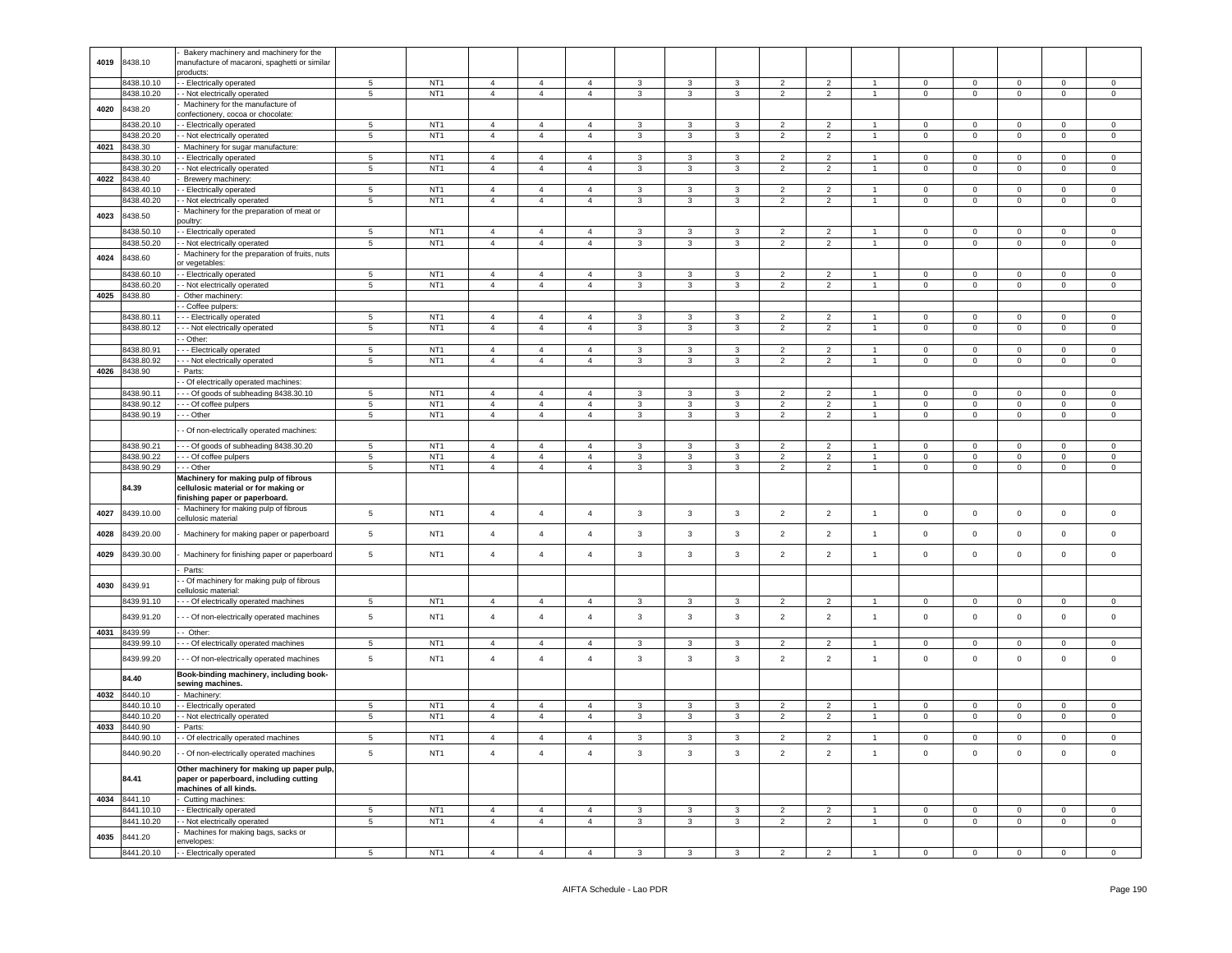|      |            | Bakery machinery and machinery for the        |                 |                 |                |                |                |                         |                |                |                          |                |                |                |                |                |                |                     |
|------|------------|-----------------------------------------------|-----------------|-----------------|----------------|----------------|----------------|-------------------------|----------------|----------------|--------------------------|----------------|----------------|----------------|----------------|----------------|----------------|---------------------|
| 4019 | 8438.10    | nanufacture of macaroni, spaghetti or similar |                 |                 |                |                |                |                         |                |                |                          |                |                |                |                |                |                |                     |
|      |            | products:                                     |                 |                 |                |                |                |                         |                |                |                          |                |                |                |                |                |                |                     |
|      |            |                                               |                 |                 |                |                |                |                         |                |                |                          |                |                |                |                |                |                |                     |
|      | 8438.10.10 | - Electrically operated                       | 5               | NT <sub>1</sub> | $\overline{4}$ | $\overline{4}$ | $\overline{4}$ | 3                       | $\mathbf{3}$   | $\mathbf{3}$   | $\overline{2}$           | $\overline{2}$ |                | $\Omega$       | $\mathbf 0$    | $\mathsf 0$    | $\Omega$       | $\Omega$            |
|      | 8438.10.20 | - Not electrically operated                   | $\overline{5}$  | NT <sub>1</sub> | $\overline{4}$ | $\overline{4}$ | $\overline{4}$ | $\overline{3}$          | $\overline{3}$ | $\overline{3}$ | $\overline{2}$           | $\overline{2}$ | $\overline{1}$ | $\overline{0}$ | $\overline{0}$ | $\overline{0}$ | $\overline{0}$ | $\overline{0}$      |
|      |            |                                               |                 |                 |                |                |                |                         |                |                |                          |                |                |                |                |                |                |                     |
| 4020 | 8438.20    | Machinery for the manufacture of              |                 |                 |                |                |                |                         |                |                |                          |                |                |                |                |                |                |                     |
|      |            | confectionery, cocoa or chocolate:            |                 |                 |                |                |                |                         |                |                |                          |                |                |                |                |                |                |                     |
|      |            |                                               |                 |                 |                |                |                |                         |                |                |                          |                |                |                |                |                |                |                     |
|      | 8438.20.10 | - Electrically operated                       | 5 <sub>5</sub>  | NT <sub>1</sub> | $\overline{4}$ | $\overline{4}$ | $\overline{4}$ | $\mathbf{3}$            | $\mathbf{3}$   | 3              | $\overline{2}$           | $\overline{2}$ | $\overline{1}$ | $\circ$        | $\mathbf 0$    | $\mathbf 0$    | $\mathbf{0}$   | $\mathbf 0$         |
|      | 8438.20.20 | - Not electrically operated                   | $5\overline{5}$ | NT <sub>1</sub> | $\overline{4}$ | $\overline{4}$ | $\overline{4}$ | $\mathbf{3}$            | $\mathbf{3}$   | 3              | $\overline{2}$           | $\overline{2}$ | $\mathbf{1}$   | $\overline{0}$ | $\overline{0}$ | $\mathbf 0$    | $\overline{0}$ | $\overline{0}$      |
|      |            |                                               |                 |                 |                |                |                |                         |                |                |                          |                |                |                |                |                |                |                     |
| 4021 | 8438.30    | Machinery for sugar manufacture:              |                 |                 |                |                |                |                         |                |                |                          |                |                |                |                |                |                |                     |
|      | 8438.30.10 | - Electrically operated                       | 5               | NT <sub>1</sub> | $\overline{4}$ | $\overline{4}$ | $\overline{4}$ | $\mathbf{3}$            | $\mathbf{3}$   | 3              | $\overline{2}$           | $\overline{2}$ | $\mathbf{1}$   | $\mathbf 0$    | $\overline{0}$ | $\mathbf 0$    | $\circ$        | $\mathsf 0$         |
|      |            |                                               |                 | NT <sub>1</sub> | $\overline{4}$ |                |                |                         |                |                |                          |                | $\mathbf{1}$   | $\mathbf{0}$   |                |                | $^{\circ}$     |                     |
|      | 8438.30.20 | - Not electrically operated                   | $\overline{5}$  |                 |                | $\overline{4}$ | $\overline{4}$ | 3                       | $\mathbf{3}$   | $\mathbf{3}$   | $\overline{2}$           | $\overline{2}$ |                |                | $\mathbf 0$    | $\mathbf 0$    |                | $\overline{0}$      |
| 4022 | 8438.40    | Brewery machinery:                            |                 |                 |                |                |                |                         |                |                |                          |                |                |                |                |                |                |                     |
|      |            |                                               | $5\phantom{.0}$ | NT <sub>1</sub> |                |                |                |                         |                |                |                          |                | $\mathbf{1}$   |                |                |                | $\circ$        |                     |
|      | 8438.40.10 | - Electrically operated                       |                 |                 | $\overline{4}$ | $\overline{4}$ | $\overline{4}$ | $\mathbf{3}$            | $\mathbf{3}$   | 3              | $\overline{2}$           | $\overline{2}$ |                | $\overline{0}$ | $\overline{0}$ | $\overline{0}$ |                | $\overline{0}$      |
|      | 8438.40.20 | - Not electrically operated                   | $\overline{5}$  | NT <sub>1</sub> | $\overline{4}$ | $\overline{4}$ | $\overline{4}$ | $\mathbf{3}$            | $\mathbf{3}$   | $\mathbf{3}$   | $\overline{2}$           | $\overline{2}$ | $\mathbf{1}$   | $\mathbf{0}$   | $\mathbf 0$    | $\mathbf 0$    | $^{\circ}$     | $\overline{0}$      |
|      |            | Machinery for the preparation of meat or      |                 |                 |                |                |                |                         |                |                |                          |                |                |                |                |                |                |                     |
| 4023 | 8438.50    |                                               |                 |                 |                |                |                |                         |                |                |                          |                |                |                |                |                |                |                     |
|      |            | oultry:                                       |                 |                 |                |                |                |                         |                |                |                          |                |                |                |                |                |                |                     |
|      | 3438.50.10 | - Electrically operated                       | 5               | NT <sub>1</sub> | $\overline{4}$ | $\overline{4}$ | $\overline{4}$ | $\mathbf{3}$            | $\mathbf{3}$   | $\mathbf{3}$   | $\overline{2}$           | $\overline{2}$ | $\overline{1}$ | $\mathbf 0$    | $\mathsf 0$    | $\mathsf 0$    | $\mathsf 0$    | $\mathsf 0$         |
|      |            |                                               |                 |                 |                |                |                |                         |                |                |                          |                | $\mathbf{1}$   |                |                |                |                |                     |
|      | 3438.50.20 | - Not electrically operated                   | 5               | NT <sub>1</sub> | $\sqrt{4}$     | $\overline{4}$ | $\overline{4}$ | $\mathbf{3}$            | $\mathbf{3}$   | $\mathbf{3}$   | $\overline{2}$           | $\overline{2}$ |                | $\mathbf 0$    | $\mathbf 0$    | $\mathbf 0$    | $\mathsf 0$    | $\mathsf{O}\xspace$ |
|      |            | Machinery for the preparation of fruits, nuts |                 |                 |                |                |                |                         |                |                |                          |                |                |                |                |                |                |                     |
| 4024 | 8438.60    | or vegetables:                                |                 |                 |                |                |                |                         |                |                |                          |                |                |                |                |                |                |                     |
|      |            |                                               |                 |                 |                |                |                |                         |                |                |                          |                |                |                |                |                |                |                     |
|      | 3438.60.10 | - Electrically operated                       | $\overline{5}$  | NT <sub>1</sub> | $\overline{4}$ | $\overline{4}$ | $\Delta$       | $\mathbf{3}$            | 3              | 3              | $\overline{\phantom{a}}$ | $\overline{2}$ |                | $\Omega$       | $\mathbf 0$    | $\mathbf 0$    | $\Omega$       | $\Omega$            |
|      | 8438.60.20 | - Not electrically operated                   | $\overline{5}$  | NT <sub>1</sub> | $\overline{4}$ | $\overline{4}$ | $\overline{4}$ | $\overline{3}$          | $\overline{3}$ | $\overline{3}$ | $\overline{2}$           | $\overline{2}$ | $\mathbf{1}$   | $\overline{0}$ | $\overline{0}$ | $\overline{0}$ | $\overline{0}$ | $\overline{0}$      |
|      |            |                                               |                 |                 |                |                |                |                         |                |                |                          |                |                |                |                |                |                |                     |
| 4025 | 8438.80    | Other machinery:                              |                 |                 |                |                |                |                         |                |                |                          |                |                |                |                |                |                |                     |
|      |            | Coffee pulpers:                               |                 |                 |                |                |                |                         |                |                |                          |                |                |                |                |                |                |                     |
|      | 8438.80.11 | - - Electrically operated                     | $\overline{5}$  | NT <sub>1</sub> | $\overline{4}$ | $\overline{4}$ | $\overline{4}$ | $\mathbf{3}$            | 3              | 3              | $\overline{2}$           | $\overline{2}$ | $\mathbf{1}$   | $\Omega$       | $\mathsf 0$    | $\Omega$       | $\Omega$       | $\Omega$            |
|      |            |                                               |                 |                 |                |                |                |                         |                |                |                          |                |                |                |                |                |                |                     |
|      | 8438.80.12 | - - Not electrically operated                 | 5               | NT <sub>1</sub> | $\overline{4}$ | $\overline{4}$ | $\overline{4}$ | $\mathbf{3}$            | $\mathbf{3}$   | $\mathbf{3}$   | $\overline{2}$           | $\overline{2}$ | $\overline{1}$ | $\mathsf 0$    | $\mathsf 0$    | $\mathsf 0$    | $\mathsf 0$    | $\mathsf 0$         |
|      |            | - Other:                                      |                 |                 |                |                |                |                         |                |                |                          |                |                |                |                |                |                |                     |
|      |            |                                               |                 |                 |                |                |                |                         |                |                |                          |                |                |                |                |                |                |                     |
|      | 8438.80.91 | - - Electrically operated                     | 5               | NT <sub>1</sub> | $\overline{4}$ | $\overline{4}$ | $\overline{4}$ | $\mathbf{3}$            | 3              | $\mathbf{3}$   | $\overline{2}$           | $\overline{2}$ | $\overline{1}$ | $\mathbf 0$    | $\mathsf 0$    | $\mathsf 0$    | $\mathsf 0$    | $\mathsf 0$         |
|      | 8438.80.92 | - Not electrically operated                   | 5               | NT <sub>1</sub> | $\overline{4}$ | $\overline{4}$ | $\overline{4}$ | $\mathbf{3}$            | 3              | $\mathbf{3}$   | $\overline{2}$           | $\overline{2}$ | $\overline{1}$ | $\mathsf 0$    | $\mathsf 0$    | $\mathsf 0$    | $\mathbf 0$    | $\mathsf 0$         |
|      |            |                                               |                 |                 |                |                |                |                         |                |                |                          |                |                |                |                |                |                |                     |
| 4026 | 8438.90    | Parts:                                        |                 |                 |                |                |                |                         |                |                |                          |                |                |                |                |                |                |                     |
|      |            | - Of electrically operated machines:          |                 |                 |                |                |                |                         |                |                |                          |                |                |                |                |                |                |                     |
|      |            |                                               |                 |                 | $\overline{a}$ | $\mathbf{A}$   |                | $\mathcal{R}$           | 3              | 3              | $\mathcal{P}$            | $\mathcal{P}$  |                | $\Omega$       | $\Omega$       | $\Omega$       | $\Omega$       | $\Omega$            |
|      | 8438.90.1  | - Of goods of subheading 8438.30.10           | 5               | NT <sub>1</sub> |                |                |                |                         |                |                |                          |                |                |                |                |                |                |                     |
|      | 8438.90.12 | - - Of coffee pulpers                         | $\overline{5}$  | NT <sub>1</sub> | $\overline{4}$ | $\overline{4}$ | $\overline{4}$ | $\mathbf{3}$            | 3              | $\mathbf{3}$   | $\overline{2}$           | $\overline{2}$ |                | $\mathbf 0$    | $\mathbf 0$    | $\mathbf 0$    | $\mathbf 0$    | $\mathsf 0$         |
|      | 8438.90.19 | - - Other                                     | $\overline{5}$  | NT <sub>1</sub> | $\overline{4}$ | $\overline{4}$ | $\overline{4}$ | $\mathbf{3}$            | $\mathbf{3}$   | $\mathbf{3}$   | $\overline{2}$           | $\overline{2}$ | $\overline{1}$ | $\mathsf 0$    | $\mathsf 0$    | $\mathsf 0$    | $\mathbf 0$    | $\mathsf 0$         |
|      |            |                                               |                 |                 |                |                |                |                         |                |                |                          |                |                |                |                |                |                |                     |
|      |            | - Of non-electrically operated machines:      |                 |                 |                |                |                |                         |                |                |                          |                |                |                |                |                |                |                     |
|      |            |                                               |                 |                 |                |                |                |                         |                |                |                          |                |                |                |                |                |                |                     |
|      |            |                                               |                 | NT <sub>1</sub> |                | $\overline{4}$ | $\overline{4}$ | 3                       | 3              | 3              | $\overline{2}$           | 2              |                | $\mathbf{0}$   | $\mathbf 0$    |                | $\Omega$       | $\Omega$            |
|      | 8438.90.21 | -- Of goods of subheading 8438.30.20          | $5\phantom{.0}$ |                 | $\overline{4}$ |                |                |                         |                |                |                          |                |                |                |                | $\mathbf 0$    |                |                     |
|      | 8438.90.22 | - - - Of coffee pulpers                       | 5               | NT <sub>1</sub> | $\overline{4}$ | $\overline{4}$ | $\overline{4}$ | 3                       | $\mathbf{3}$   | $\mathbf{3}$   | $\overline{2}$           | $\overline{2}$ | $\mathbf{1}$   | $\overline{0}$ | $\overline{0}$ | $\overline{0}$ | $^{\circ}$     | $\overline{0}$      |
|      | 8438.90.29 | - - Other                                     | $\overline{5}$  | NT <sub>1</sub> | $\overline{4}$ | $\overline{4}$ | $\overline{4}$ | $\mathbf{3}$            | $\mathbf{3}$   | $\mathbf{3}$   | $\overline{2}$           | $\overline{2}$ | $\mathbf{1}$   | $\overline{0}$ | $\mathbf 0$    | $\mathbf 0$    | $\mathbf 0$    | $\mathsf 0$         |
|      |            |                                               |                 |                 |                |                |                |                         |                |                |                          |                |                |                |                |                |                |                     |
|      |            | Machinery for making pulp of fibrous          |                 |                 |                |                |                |                         |                |                |                          |                |                |                |                |                |                |                     |
|      | 84.39      | cellulosic material or for making or          |                 |                 |                |                |                |                         |                |                |                          |                |                |                |                |                |                |                     |
|      |            | inishing paper or paperboard.                 |                 |                 |                |                |                |                         |                |                |                          |                |                |                |                |                |                |                     |
|      |            |                                               |                 |                 |                |                |                |                         |                |                |                          |                |                |                |                |                |                |                     |
| 4027 | 8439.10.00 |                                               |                 |                 |                |                |                |                         |                |                |                          |                |                |                |                |                |                |                     |
|      |            | Machinery for making pulp of fibrous          |                 |                 |                |                |                |                         |                |                |                          |                |                |                |                |                |                |                     |
|      |            |                                               | 5               | NT <sub>1</sub> | $\overline{4}$ | $\overline{4}$ | $\overline{4}$ | $\mathbf{3}$            | $_{3}$         | $\mathbf{3}$   | $\overline{2}$           | $\mathbf{2}$   | $\overline{1}$ | $\mathsf 0$    | $\mathbf 0$    | $\mathbf 0$    | $\mathbf 0$    | $\mathsf 0$         |
|      |            | cellulosic material                           |                 |                 |                |                |                |                         |                |                |                          |                |                |                |                |                |                |                     |
|      |            |                                               |                 |                 |                |                | $\overline{4}$ |                         |                |                |                          |                |                |                |                |                |                |                     |
| 4028 | 3439.20.00 | Machinery for making paper or paperboard      | 5               | NT <sub>1</sub> | $\overline{4}$ | $\overline{4}$ |                | $\mathbf{3}$            | 3              | $\mathbf{3}$   | $\overline{2}$           | $\overline{2}$ | $\mathbf{1}$   | $\mathsf 0$    | $\mathbf 0$    | $\mathsf 0$    | $\mathsf 0$    | $\mathsf 0$         |
|      |            |                                               |                 |                 |                |                |                |                         |                |                |                          |                |                |                |                |                |                |                     |
| 4029 | 3439.30.00 | Machinery for finishing paper or paperboard   | 5               | NT <sub>1</sub> | $\overline{4}$ | $\overline{4}$ | $\overline{4}$ | $\mathbf{3}$            | $\mathbf{3}$   | $\mathbf{3}$   | $\overline{2}$           | $\overline{2}$ | $\overline{1}$ | $\mathbf 0$    | $\mathbf 0$    | $\mathbf 0$    | $\mathbf{0}$   | $\mathsf 0$         |
|      |            |                                               |                 |                 |                |                |                |                         |                |                |                          |                |                |                |                |                |                |                     |
|      |            | Parts:                                        |                 |                 |                |                |                |                         |                |                |                          |                |                |                |                |                |                |                     |
|      |            |                                               |                 |                 |                |                |                |                         |                |                |                          |                |                |                |                |                |                |                     |
| 4030 | 3439.91    | - Of machinery for making pulp of fibrous     |                 |                 |                |                |                |                         |                |                |                          |                |                |                |                |                |                |                     |
|      |            | ellulosic material:                           |                 |                 |                |                |                |                         |                |                |                          |                |                |                |                |                |                |                     |
|      | 8439.91.10 | - - - Of electrically operated machines       | 5               | NT <sub>1</sub> | $\overline{4}$ | $\overline{4}$ | $\overline{4}$ | $\mathbf{3}$            | 3              | 3              | $\overline{2}$           | $\overline{2}$ |                | $\mathbf{0}$   | $\mathbf 0$    | $\Omega$       | $\Omega$       | $\Omega$            |
|      |            |                                               |                 |                 |                |                |                |                         |                |                |                          |                |                |                |                |                |                |                     |
|      | 8439.91.20 | - - Of non-electrically operated machines     | 5               | NT <sub>1</sub> | $\overline{4}$ | $\overline{4}$ | $\overline{4}$ | $\mathbf{3}$            | $\mathbf{3}$   | $\mathbf{3}$   | $\overline{2}$           | $\overline{2}$ | $\mathbf{1}$   | $\mathbf 0$    | $\mathbf 0$    | $\mathbf 0$    | $\mathbf{0}$   | $\mathsf 0$         |
|      |            |                                               |                 |                 |                |                |                |                         |                |                |                          |                |                |                |                |                |                |                     |
| 4031 | 8439.99    | - Other:                                      |                 |                 |                |                |                |                         |                |                |                          |                |                |                |                |                |                |                     |
|      | 8439.99.10 | --- Of electrically operated machines         | 5               | NT <sub>1</sub> | $\overline{4}$ | $\overline{4}$ | $\overline{4}$ | 3                       | 3              | 3              | 2                        | $\overline{2}$ |                | $\mathbf 0$    | $\mathbf 0$    | $\mathbf 0$    | $\mathbf 0$    | 0                   |
|      |            |                                               |                 |                 |                |                |                |                         |                |                |                          |                |                |                |                |                |                |                     |
|      |            |                                               |                 |                 |                |                |                |                         |                |                |                          |                |                |                |                |                |                |                     |
|      | 8439.99.20 | - - Of non-electrically operated machines     | 5               | NT <sub>1</sub> | $\overline{4}$ | $\overline{4}$ | $\overline{4}$ | $\mathbf{3}$            | $\mathbf{3}$   | $\mathbf{3}$   | $\overline{2}$           | $\overline{2}$ | $\mathbf{1}$   | $\pmb{0}$      | $\mathbf 0$    | $\mathbf 0$    | 0              | $\mathsf 0$         |
|      |            |                                               |                 |                 |                |                |                |                         |                |                |                          |                |                |                |                |                |                |                     |
|      | 84.40      | Book-binding machinery, including book-       |                 |                 |                |                |                |                         |                |                |                          |                |                |                |                |                |                |                     |
|      |            | sewing machines.                              |                 |                 |                |                |                |                         |                |                |                          |                |                |                |                |                |                |                     |
| 4032 | 8440.10    | Machinery:                                    |                 |                 |                |                |                |                         |                |                |                          |                |                |                |                |                |                |                     |
|      |            |                                               |                 |                 |                |                | $\overline{4}$ |                         |                |                | 2                        | 2              | $\overline{1}$ | $\mathbf 0$    |                |                | $\mathbf 0$    |                     |
|      | 3440.10.10 | - Electrically operated                       | 5               | NT <sub>1</sub> | $\overline{4}$ | $\overline{4}$ |                | $\mathbf{3}$            | $\mathbf{3}$   | 3              |                          |                |                |                | $\mathbf 0$    | $\mathbf 0$    |                | $\mathsf 0$         |
|      | 3440.10.20 | - Not electrically operated                   | 5               | NT <sub>1</sub> | $\sqrt{4}$     | $\overline{4}$ | $\overline{4}$ | $\mathbf{3}$            | 3              | $\mathbf{3}$   | $\overline{2}$           | $\overline{2}$ | $\overline{1}$ | $\mathbf 0$    | $\mathsf 0$    | $\mathbf 0$    | 0              | $\mathsf 0$         |
|      |            | Parts:                                        |                 |                 |                |                |                |                         |                |                |                          |                |                |                |                |                |                |                     |
| 4033 | 8440.90    |                                               |                 |                 |                |                |                |                         |                |                |                          |                |                |                |                |                |                |                     |
|      | 3440.90.10 | - Of electrically operated machines           | $\,$ 5 $\,$     | NT <sub>1</sub> | $\overline{4}$ | $\overline{4}$ | $\overline{4}$ | $\mathbf{3}$            | $\mathbf{3}$   | $\mathbf{3}$   | $\overline{2}$           | $\overline{2}$ | $\overline{1}$ | $\overline{0}$ | $\mathbf 0$    | $\mathsf 0$    | $\mathbf 0$    | $\mathsf 0$         |
|      |            |                                               |                 |                 |                |                |                |                         |                |                |                          |                |                |                |                |                |                |                     |
|      | 8440.90.20 | - Of non-electrically operated machines       | $\,$ 5 $\,$     | NT <sub>1</sub> | $\overline{a}$ | $\overline{4}$ | $\overline{4}$ | $\mathbf{3}$            | $\mathbf{3}$   | $\mathbf{3}$   | $\overline{2}$           | $\overline{2}$ | $\mathbf{1}$   | $\mathbf 0$    | $\mathbf 0$    | $\mathbf 0$    | $\mathbf 0$    | $\mathsf 0$         |
|      |            |                                               |                 |                 |                |                |                |                         |                |                |                          |                |                |                |                |                |                |                     |
|      |            | Other machinery for making up paper pulp,     |                 |                 |                |                |                |                         |                |                |                          |                |                |                |                |                |                |                     |
|      | 84.41      | paper or paperboard, including cutting        |                 |                 |                |                |                |                         |                |                |                          |                |                |                |                |                |                |                     |
|      |            |                                               |                 |                 |                |                |                |                         |                |                |                          |                |                |                |                |                |                |                     |
|      |            | machines of all kinds.                        |                 |                 |                |                |                |                         |                |                |                          |                |                |                |                |                |                |                     |
| 4034 | 8441.10    | Cutting machines:                             |                 |                 |                |                |                |                         |                |                |                          |                |                |                |                |                |                |                     |
|      |            |                                               |                 |                 |                |                |                |                         |                |                |                          |                | $\overline{1}$ |                |                |                |                |                     |
|      | 8441.10.10 | - Electrically operated                       | 5               | NT <sub>1</sub> | $\overline{4}$ | $\overline{4}$ | $\overline{4}$ | $\mathbf{3}$            | $\mathbf{3}$   | 3              | $\overline{2}$           | $\overline{2}$ |                | $\mathbf 0$    | $\overline{0}$ | $\mathsf 0$    | $\mathbf{0}$   | $\overline{0}$      |
|      | 3441.10.20 | - Not electrically operated                   | $\overline{5}$  | NT <sub>1</sub> | $\overline{4}$ | $\overline{4}$ | $\overline{4}$ | $\overline{\mathbf{3}}$ | $\overline{3}$ | $\overline{3}$ | $\overline{2}$           | $\overline{2}$ | $\mathbf{1}$   | $\overline{0}$ | $\overline{0}$ | $\overline{0}$ | $\overline{0}$ | $\overline{0}$      |
|      |            |                                               |                 |                 |                |                |                |                         |                |                |                          |                |                |                |                |                |                |                     |
| 4035 | 8441.20    | Machines for making bags, sacks or            |                 |                 |                |                |                |                         |                |                |                          |                |                |                |                |                |                |                     |
|      | 8441.20.10 | envelopes:<br>- Electrically operated         | 5               | NT <sub>1</sub> | $\overline{4}$ | $\overline{4}$ | $\Delta$       | 3                       | 3              | 3              | $\overline{\phantom{0}}$ | $\overline{2}$ |                | $\mathbf 0$    | $\mathsf 0$    | $\mathsf 0$    | $\mathsf 0$    | $\mathbf 0$         |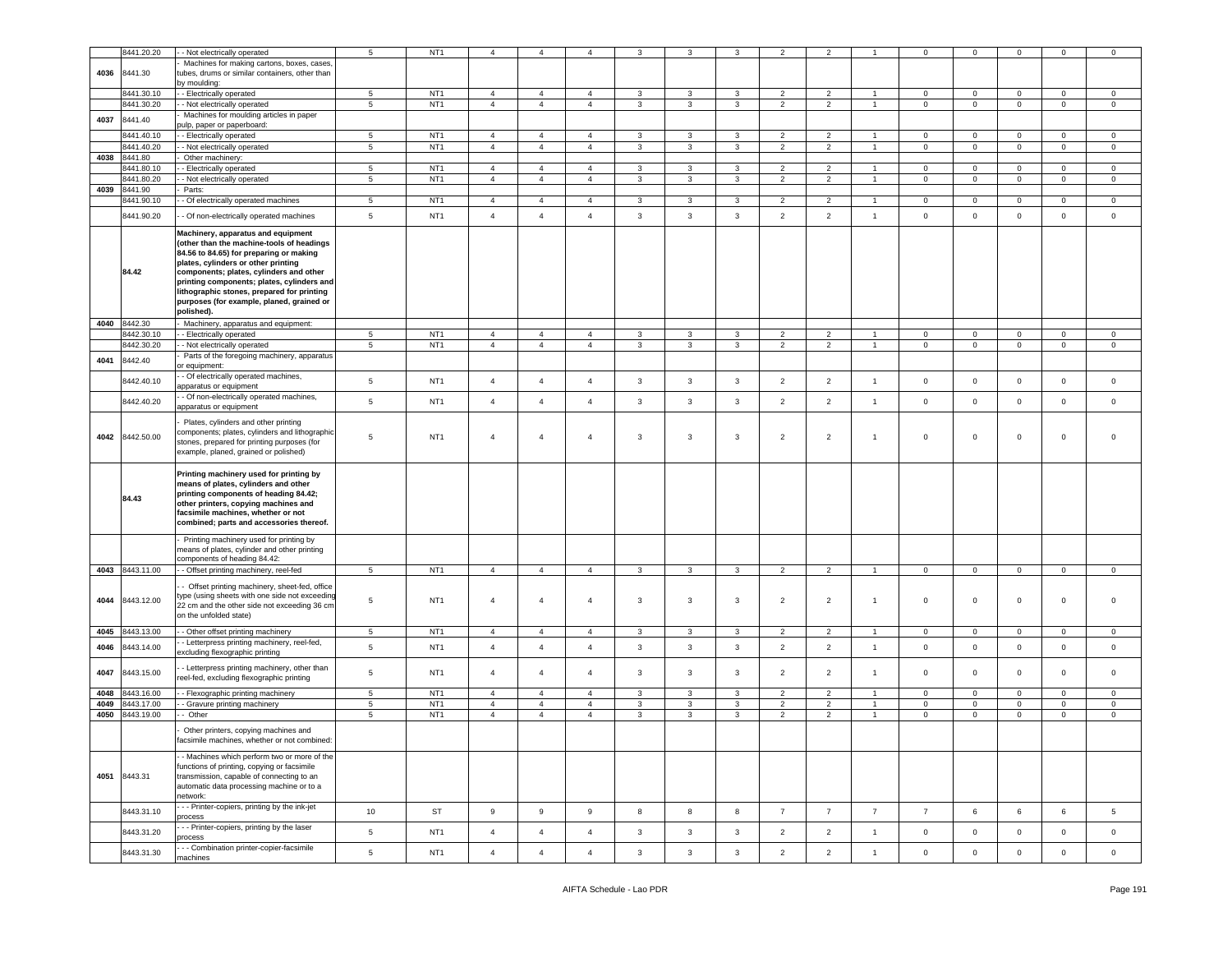|      | 8441.20.20      | - Not electrically operated                                                  | $5\phantom{.0}$ | NT <sub>1</sub> | $\overline{4}$ | $\overline{4}$   | $\overline{4}$ | 3            | з                       |              | $\overline{2}$ | $\overline{2}$ |                | $\mathbf 0$    | $^{\circ}$     | $\mathbf 0$ | $\mathbf 0$ | $\mathbf 0$  |
|------|-----------------|------------------------------------------------------------------------------|-----------------|-----------------|----------------|------------------|----------------|--------------|-------------------------|--------------|----------------|----------------|----------------|----------------|----------------|-------------|-------------|--------------|
|      |                 |                                                                              |                 |                 |                |                  |                |              |                         |              |                |                |                |                |                |             |             |              |
|      | 8441.30         | Machines for making cartons, boxes, cases,                                   |                 |                 |                |                  |                |              |                         |              |                |                |                |                |                |             |             |              |
| 4036 |                 | tubes, drums or similar containers, other than                               |                 |                 |                |                  |                |              |                         |              |                |                |                |                |                |             |             |              |
|      |                 | by moulding:                                                                 |                 |                 |                |                  |                |              |                         |              |                |                |                |                |                |             |             |              |
|      | 8441.30.10      | - Electrically operated                                                      | 5               | NT <sub>1</sub> | $\overline{4}$ | $\overline{4}$   | 4              | 3            | 3                       | 3            | $\overline{2}$ | $\overline{2}$ |                | $\mathbf 0$    | $\mathbf{O}$   | $\mathbf 0$ | $\circ$     | $\mathbf 0$  |
|      | 8441.30.20      | - Not electrically operated                                                  | $5\phantom{.0}$ | NT <sub>1</sub> | $\overline{4}$ | $\overline{4}$   | $\overline{4}$ | 3            | 3                       | 3            | $\overline{2}$ | $\overline{2}$ | $\mathbf{1}$   | $\mathbf 0$    | $\overline{0}$ | $\mathbf 0$ | $\circ$     | $\mathsf 0$  |
| 4037 | 8441.40         | Machines for moulding articles in paper                                      |                 |                 |                |                  |                |              |                         |              |                |                |                |                |                |             |             |              |
|      |                 | pulp, paper or paperboard:                                                   |                 |                 |                |                  |                |              |                         |              |                |                |                |                |                |             |             |              |
|      | 8441.40.10      | - Electrically operated                                                      | $\sqrt{5}$      | NT <sub>1</sub> | $\overline{4}$ | $\overline{4}$   | 4              | 3            | 3                       | $\mathbf{3}$ | $\overline{2}$ | $\overline{2}$ | $\overline{1}$ | $\mathbf 0$    | $\mathbf 0$    | $\mathbf 0$ | $\mathbf 0$ | $\mathbf 0$  |
|      | 8441.40.20      | - Not electrically operated                                                  | 5               | NT <sub>1</sub> | $\overline{4}$ | $\overline{4}$   | $\overline{4}$ | 3            | 3                       | 3            | $\overline{2}$ | $\overline{2}$ | $\overline{1}$ | $\mathbf 0$    | $\mathbf 0$    | $\mathbf 0$ | $\mathbf 0$ | $\mathbf 0$  |
| 4038 | 8441.80         | Other machinery:                                                             |                 |                 |                |                  |                |              |                         |              |                |                |                |                |                |             |             |              |
|      | 3441.80.10      | - Electrically operated                                                      | 5               | NT <sub>1</sub> | $\overline{4}$ | $\overline{4}$   | $\overline{4}$ | 3            | 3                       | $\mathbf{3}$ | $\overline{2}$ | $\overline{2}$ |                | $\overline{0}$ | $\mathbf 0$    | $\mathbf 0$ | $\mathbf 0$ | $\mathbf 0$  |
|      | 8441.80.20      | - Not electrically operated                                                  | 5               | NT <sub>1</sub> | $\overline{4}$ | $\overline{4}$   | $\overline{4}$ | 3            | 3                       | 3            | $\overline{2}$ | $\overline{2}$ | $\overline{1}$ | $\mathbf 0$    | $\mathbf 0$    | $\mathbf 0$ | $\mathbf 0$ | $\mathbf 0$  |
| 4039 | 8441.90         | Parts:                                                                       |                 |                 |                |                  |                |              |                         |              |                |                |                |                |                |             |             |              |
|      | 8441.90.10      | - Of electrically operated machines                                          | 5               | NT <sub>1</sub> | $\overline{4}$ | $\overline{4}$   | $\overline{4}$ | 3            | 3                       | $\mathbf{3}$ | $\overline{2}$ | 2              | $\overline{1}$ | $\mathbf 0$    | $\overline{0}$ | $\mathbf 0$ | $\mathbf 0$ | $\mathbf 0$  |
|      |                 |                                                                              |                 |                 |                |                  |                |              |                         |              |                |                |                |                |                |             |             |              |
|      | 8441.90.20      | - Of non-electrically operated machines                                      | $\sqrt{5}$      | NT <sub>1</sub> | $\overline{4}$ | $\overline{4}$   | $\overline{4}$ | $\mathbf{3}$ | $\mathbf{3}$            | $\mathbf{3}$ | $\overline{2}$ | $\overline{2}$ | $\overline{1}$ | $\mathbf 0$    | $\mathbf 0$    | $\mathsf 0$ | $\mathbf 0$ | $\mathbf 0$  |
|      |                 |                                                                              |                 |                 |                |                  |                |              |                         |              |                |                |                |                |                |             |             |              |
|      |                 | Machinery, apparatus and equipment                                           |                 |                 |                |                  |                |              |                         |              |                |                |                |                |                |             |             |              |
|      |                 | (other than the machine-tools of headings                                    |                 |                 |                |                  |                |              |                         |              |                |                |                |                |                |             |             |              |
|      |                 | 84.56 to 84.65) for preparing or making                                      |                 |                 |                |                  |                |              |                         |              |                |                |                |                |                |             |             |              |
|      |                 | plates, cylinders or other printing                                          |                 |                 |                |                  |                |              |                         |              |                |                |                |                |                |             |             |              |
|      | 84.42           | components; plates, cylinders and other                                      |                 |                 |                |                  |                |              |                         |              |                |                |                |                |                |             |             |              |
|      |                 | printing components; plates, cylinders and                                   |                 |                 |                |                  |                |              |                         |              |                |                |                |                |                |             |             |              |
|      |                 | lithographic stones, prepared for printing                                   |                 |                 |                |                  |                |              |                         |              |                |                |                |                |                |             |             |              |
|      |                 | purposes (for example, planed, grained or                                    |                 |                 |                |                  |                |              |                         |              |                |                |                |                |                |             |             |              |
|      |                 | polished).                                                                   |                 |                 |                |                  |                |              |                         |              |                |                |                |                |                |             |             |              |
|      | 4040 8442.30    | Machinery, apparatus and equipment:                                          |                 |                 |                |                  |                |              |                         |              |                |                |                |                |                |             |             |              |
|      | 8442.30.10      | - Electrically operated                                                      | $5\phantom{.0}$ | NT <sub>1</sub> | $\overline{4}$ | $\overline{4}$   | $\overline{4}$ | 3            | 3                       | 3            | $\overline{2}$ | $\overline{2}$ |                | $\overline{0}$ | $\mathbf{0}$   | $\mathbf 0$ | 0           | $\circ$      |
|      | 8442.30.20      | - Not electrically operated                                                  | 5               | NT <sub>1</sub> | $\overline{4}$ | $\overline{4}$   | $\overline{4}$ | $\mathbf{3}$ | 3                       | $\mathbf{3}$ | 2              | 2              | $\overline{1}$ | $\mathbf 0$    | $\mathsf 0$    | $\mathsf 0$ | $\mathbf 0$ | $\mathbf 0$  |
| 4041 | 8442.40         | Parts of the foregoing machinery, apparatus                                  |                 |                 |                |                  |                |              |                         |              |                |                |                |                |                |             |             |              |
|      |                 | or equipment:                                                                |                 |                 |                |                  |                |              |                         |              |                |                |                |                |                |             |             |              |
|      |                 | - Of electrically operated machines,                                         |                 |                 |                |                  |                |              |                         |              |                |                |                |                |                |             |             |              |
|      | 8442.40.10      | apparatus or equipment                                                       | $\sqrt{5}$      | NT <sub>1</sub> | $\overline{4}$ | $\overline{4}$   | $\overline{4}$ | $\mathbf{3}$ | $\overline{\mathbf{3}}$ | $\mathbf{3}$ | $\overline{2}$ | $\overline{2}$ | $\overline{1}$ | $\mathbf 0$    | $\circ$        | $\mathbf 0$ | $\mathbf 0$ | $\mathbf 0$  |
|      |                 | - Of non-electrically operated machines,                                     |                 |                 |                |                  |                |              |                         |              |                |                |                |                |                |             |             |              |
|      | 8442.40.20      | apparatus or equipment                                                       | $5\phantom{.0}$ | NT <sub>1</sub> | $\overline{4}$ | $\overline{4}$   | $\overline{4}$ | $\mathbf{3}$ | $\mathbf{3}$            | 3            | $\overline{2}$ | $\overline{2}$ | $\overline{1}$ | $\mathbf 0$    | $\mathbf 0$    | $\mathbf 0$ | $\mathbf 0$ | $\mathbf 0$  |
|      |                 |                                                                              |                 |                 |                |                  |                |              |                         |              |                |                |                |                |                |             |             |              |
|      |                 | Plates, cylinders and other printing                                         |                 |                 |                |                  |                |              |                         |              |                |                |                |                |                |             |             |              |
|      | 4042 8442.50.00 | components; plates, cylinders and lithographic                               | $\overline{5}$  | NT <sub>1</sub> | $\overline{4}$ | $\overline{4}$   | 4              | 3            | 3                       | 3            | $\overline{2}$ | $\overline{2}$ | $\overline{1}$ | $\,0\,$        | 0              | $\mathbf 0$ | 0           | $\mathbf 0$  |
|      |                 | stones, prepared for printing purposes (for                                  |                 |                 |                |                  |                |              |                         |              |                |                |                |                |                |             |             |              |
|      |                 | example, planed, grained or polished)                                        |                 |                 |                |                  |                |              |                         |              |                |                |                |                |                |             |             |              |
|      |                 |                                                                              |                 |                 |                |                  |                |              |                         |              |                |                |                |                |                |             |             |              |
|      |                 | Printing machinery used for printing by                                      |                 |                 |                |                  |                |              |                         |              |                |                |                |                |                |             |             |              |
|      |                 | means of plates, cylinders and other                                         |                 |                 |                |                  |                |              |                         |              |                |                |                |                |                |             |             |              |
|      | 84.43           | printing components of heading 84.42;                                        |                 |                 |                |                  |                |              |                         |              |                |                |                |                |                |             |             |              |
|      |                 | other printers, copying machines and                                         |                 |                 |                |                  |                |              |                         |              |                |                |                |                |                |             |             |              |
|      |                 | facsimile machines, whether or not                                           |                 |                 |                |                  |                |              |                         |              |                |                |                |                |                |             |             |              |
|      |                 | combined; parts and accessories thereof.                                     |                 |                 |                |                  |                |              |                         |              |                |                |                |                |                |             |             |              |
|      |                 |                                                                              |                 |                 |                |                  |                |              |                         |              |                |                |                |                |                |             |             |              |
|      |                 | Printing machinery used for printing by                                      |                 |                 |                |                  |                |              |                         |              |                |                |                |                |                |             |             |              |
|      |                 | neans of plates, cylinder and other printing<br>components of heading 84.42: |                 |                 |                |                  |                |              |                         |              |                |                |                |                |                |             |             |              |
|      |                 |                                                                              |                 |                 | $\overline{4}$ |                  |                |              |                         |              |                |                | $\overline{1}$ |                |                |             |             |              |
|      | 4043 8443.11.00 | - Offset printing machinery, reel-fed                                        | 5               | NT <sub>1</sub> |                | $\overline{4}$   | $\overline{4}$ | $\mathbf{3}$ | $\mathbf{3}$            | $\mathbf{3}$ | $\overline{2}$ | $\overline{2}$ |                | $\mathbf 0$    | $\mathbf 0$    | $\mathsf 0$ | $\mathbf 0$ | $\mathbf 0$  |
|      |                 | Offset printing machinery, sheet-fed, office                                 |                 |                 |                |                  |                |              |                         |              |                |                |                |                |                |             |             |              |
|      |                 | type (using sheets with one side not exceeding                               |                 |                 |                |                  |                |              |                         |              |                |                |                |                |                |             |             |              |
| 4044 | 8443.12.00      | 22 cm and the other side not exceeding 36 cm                                 | 5               | NT <sub>1</sub> | $\overline{4}$ | $\overline{4}$   | 4              | 3            | 3                       | 3            | $\overline{2}$ | $\overline{2}$ | $\overline{1}$ | $\,0\,$        | $\mathbf 0$    | $\mathbf 0$ | 0           | $\mathbf 0$  |
|      |                 | on the unfolded state)                                                       |                 |                 |                |                  |                |              |                         |              |                |                |                |                |                |             |             |              |
|      |                 |                                                                              |                 |                 |                |                  |                |              |                         |              |                |                |                |                |                |             |             |              |
| 4045 | 8443.13.00      | - Other offset printing machinery                                            | 5               | NT <sub>1</sub> | $\overline{4}$ | $\overline{4}$   | 4              | 3            | 3                       | 3            | $\overline{2}$ | $\overline{2}$ | $\overline{1}$ | $\mathbf 0$    | $\mathbf 0$    | $\mathbf 0$ | $\mathbf 0$ | $\mathbf 0$  |
| 4046 | 8443.14.00      | - Letterpress printing machinery, reel-fed,                                  | $\sqrt{5}$      | NT <sub>1</sub> | $\overline{4}$ | $\overline{4}$   | $\overline{4}$ | $\mathbf{3}$ | $\mathbf{3}$            | $\mathbf{3}$ | $\overline{2}$ | $\overline{2}$ | $\mathbf{1}$   | $\mathbf 0$    | $\mathbf 0$    | $\mathbf 0$ | $\mathbf 0$ | $\mathbf 0$  |
|      |                 | excluding flexographic printing                                              |                 |                 |                |                  |                |              |                         |              |                |                |                |                |                |             |             |              |
|      |                 | - Letterpress printing machinery, other than                                 |                 |                 |                |                  |                |              |                         |              |                |                |                |                |                |             |             |              |
| 4047 | 8443.15.00      | eel-fed, excluding flexographic printing                                     | $\sqrt{5}$      | NT <sub>1</sub> | $\overline{4}$ | $\overline{4}$   | 4              | 3            | $\mathbf{3}$            | 3            | $\overline{2}$ | $\overline{2}$ | $\mathbf{1}$   | $\mathbf 0$    | $\mathbf{O}$   | $\mathbf 0$ | 0           | $\mathbf 0$  |
|      |                 |                                                                              |                 |                 |                |                  |                |              |                         |              |                |                |                |                |                |             |             |              |
| 4048 | 3443.16.00      | - Flexographic printing machinery                                            | $5\phantom{.0}$ | NT <sub>1</sub> | $\overline{4}$ | $\overline{4}$   | 4              | $\mathbf{3}$ | 3                       | 3            | $\overline{2}$ | $\overline{2}$ |                | $\mathbf 0$    | $\mathbf 0$    | $\mathbf 0$ | 0           | $\mathbf 0$  |
| 4049 | 8443.17.00      | - Gravure printing machinery                                                 | 5               | NT <sub>1</sub> | $\overline{4}$ | $\overline{4}$   | $\overline{4}$ | 3            | 3                       | 3            | $\overline{2}$ | $\overline{2}$ | $\overline{1}$ | $\mathbf 0$    | $\mathbf{O}$   | $\mathbf 0$ | $\circ$     | $\mathbf 0$  |
| 4050 | 8443.19.00      | - Other                                                                      | $\sqrt{5}$      | NT <sub>1</sub> | $\overline{4}$ | $\overline{4}$   | $\overline{4}$ | $\mathbf{3}$ | 3                       | 3            | $\overline{2}$ | $\overline{2}$ | $\overline{1}$ | $\mathbf 0$    | $\overline{0}$ | $\mathbf 0$ | $\mathbf 0$ | $\mathsf 0$  |
|      |                 |                                                                              |                 |                 |                |                  |                |              |                         |              |                |                |                |                |                |             |             |              |
|      |                 | Other printers, copying machines and                                         |                 |                 |                |                  |                |              |                         |              |                |                |                |                |                |             |             |              |
|      |                 | facsimile machines, whether or not combined:                                 |                 |                 |                |                  |                |              |                         |              |                |                |                |                |                |             |             |              |
|      |                 | - Machines which perform two or more of the                                  |                 |                 |                |                  |                |              |                         |              |                |                |                |                |                |             |             |              |
|      |                 | functions of printing, copying or facsimile                                  |                 |                 |                |                  |                |              |                         |              |                |                |                |                |                |             |             |              |
| 4051 | 8443.31         | transmission, capable of connecting to an                                    |                 |                 |                |                  |                |              |                         |              |                |                |                |                |                |             |             |              |
|      |                 | automatic data processing machine or to a                                    |                 |                 |                |                  |                |              |                         |              |                |                |                |                |                |             |             |              |
|      |                 | network:                                                                     |                 |                 |                |                  |                |              |                         |              |                |                |                |                |                |             |             |              |
|      |                 | - - Printer-copiers, printing by the ink-jet                                 |                 |                 |                |                  |                |              |                         |              |                |                |                |                |                |             |             |              |
|      | 8443.31.10      | process                                                                      | 10              | ST              | 9              | $\boldsymbol{9}$ | 9              | 8            | 8                       | 8            | $\overline{7}$ | $\overline{7}$ | $\overline{7}$ | $\overline{7}$ | 6              | $\,6\,$     | 6           | 5            |
|      |                 | - - Printer-copiers, printing by the laser                                   |                 |                 |                |                  |                |              |                         |              |                |                |                |                |                |             |             |              |
|      | 8443.31.20      | process                                                                      | $\,$ 5 $\,$     | NT <sub>1</sub> | $\overline{4}$ | $\overline{4}$   | $\overline{4}$ | $\mathbf{3}$ | $\mathbf{3}$            | $\mathbf{3}$ | $\overline{2}$ | $\overline{2}$ | $\mathbf{1}$   | $\,0\,$        | $\mathbf 0$    | $\mathsf 0$ | $\mathbf 0$ | $\circ$      |
|      |                 |                                                                              |                 |                 |                |                  |                |              |                         |              |                |                |                |                |                |             |             |              |
|      | 8443.31.30      | - - Combination printer-copier-facsimile<br>machines                         | 5               | NT <sub>1</sub> | $\overline{4}$ | $\overline{4}$   | $\overline{4}$ | $\mathbf{3}$ | $\mathbf{3}$            | $\mathbf{3}$ | $\overline{2}$ | $\overline{2}$ | $\mathbf{1}$   | $\mathbf 0$    | $\circ$        | $\mathbf 0$ | $\mathbf 0$ | $\mathbf{0}$ |
|      |                 |                                                                              |                 |                 |                |                  |                |              |                         |              |                |                |                |                |                |             |             |              |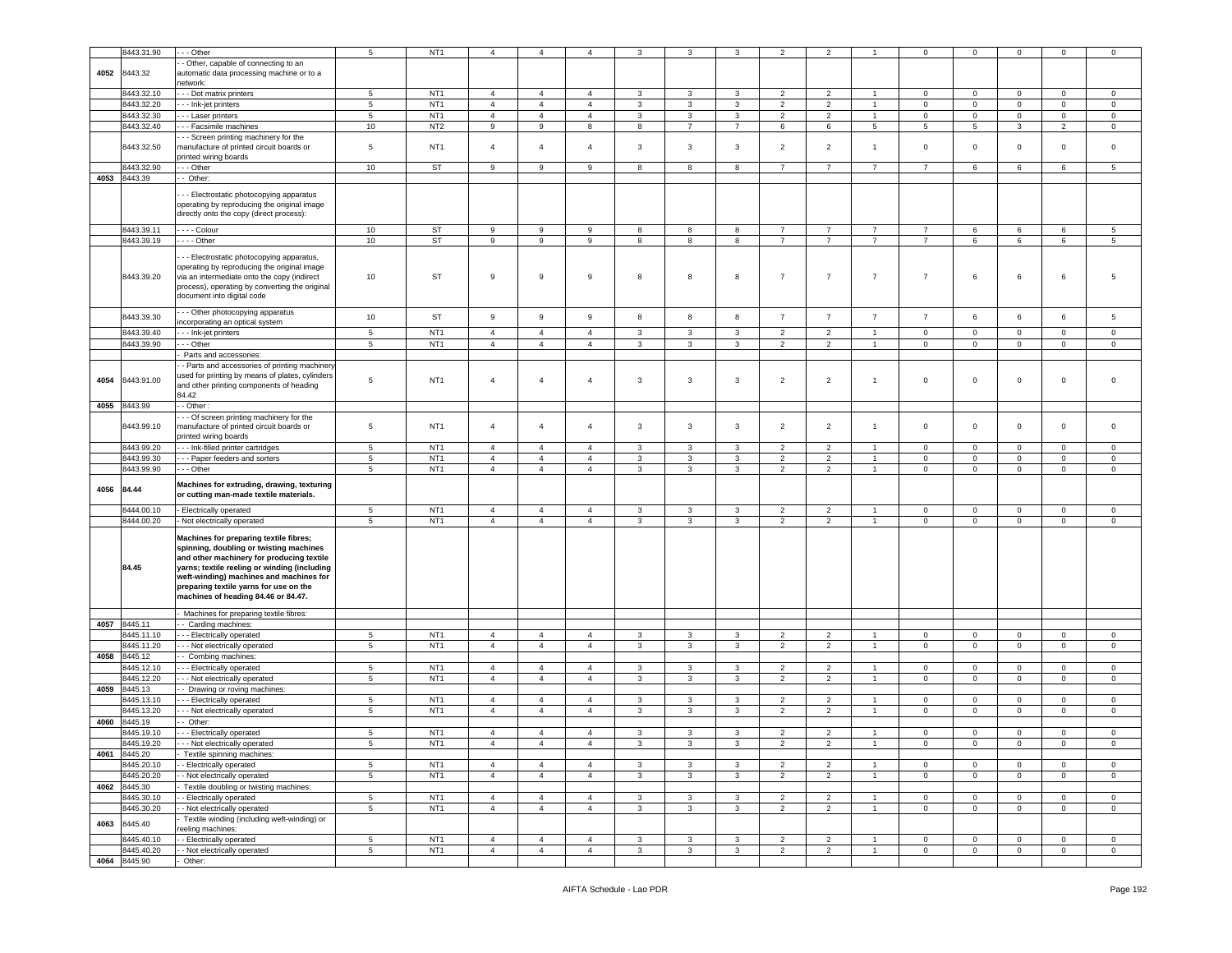|      | 8443.31.90          | - - Other                                                                                                                                                                                                                                                                                                                                                                         | 5               | NT <sub>1</sub> | $\overline{4}$   | 4                | $\overline{4}$ | 3            | 3                       | 3              | 2              | $\overline{2}$ |                | 0               | 0               | $\mathbf 0$  | 0              | $\mathbf 0$    |
|------|---------------------|-----------------------------------------------------------------------------------------------------------------------------------------------------------------------------------------------------------------------------------------------------------------------------------------------------------------------------------------------------------------------------------|-----------------|-----------------|------------------|------------------|----------------|--------------|-------------------------|----------------|----------------|----------------|----------------|-----------------|-----------------|--------------|----------------|----------------|
|      |                     |                                                                                                                                                                                                                                                                                                                                                                                   |                 |                 |                  |                  |                |              |                         |                |                |                |                |                 |                 |              |                |                |
| 4052 | 8443.32             | - Other, capable of connecting to an<br>automatic data processing machine or to a                                                                                                                                                                                                                                                                                                 |                 |                 |                  |                  |                |              |                         |                |                |                |                |                 |                 |              |                |                |
|      |                     | etwork:                                                                                                                                                                                                                                                                                                                                                                           |                 |                 |                  |                  |                |              |                         |                |                |                |                |                 |                 |              |                |                |
|      |                     |                                                                                                                                                                                                                                                                                                                                                                                   |                 |                 |                  |                  |                |              |                         |                |                |                |                |                 |                 |              |                |                |
|      | 8443.32.10          | - - Dot matrix printers                                                                                                                                                                                                                                                                                                                                                           | 5               | NT <sub>1</sub> | $\overline{4}$   | $\overline{4}$   | 4              | 3            | 3                       | 3              | $\overline{2}$ | $\overline{2}$ |                | 0               | $\mathbf 0$     | $\mathbf 0$  | 0              | $\mathbf 0$    |
|      | 8443.32.20          | - - Ink-jet printers                                                                                                                                                                                                                                                                                                                                                              | 5               | NT <sub>1</sub> | $\overline{4}$   | $\overline{4}$   | $\overline{4}$ | 3            | 3                       | 3              | $\overline{2}$ | $\overline{2}$ | $\mathbf{1}$   | $\mathbf 0$     | $\mathbf 0$     | $\mathbf 0$  | $\mathbf{0}$   | $\mathbf 0$    |
|      | 8443.32.30          | - - Laser printers                                                                                                                                                                                                                                                                                                                                                                | $5^{\circ}$     | NT <sub>1</sub> | $\overline{4}$   | $\overline{4}$   | $\overline{4}$ | 3            | $\mathbf{3}$            | 3              | $\overline{2}$ | $\overline{2}$ | $\overline{1}$ | $\mathbf 0$     | $\overline{0}$  | $\mathbf 0$  | $\mathbf 0$    | $\circ$        |
|      | 8443.32.40          | - - Facsimile machines                                                                                                                                                                                                                                                                                                                                                            | $10\,$          | NT <sub>2</sub> | 9                | 9                | 8              | 8            | $\overline{7}$          | $\overline{7}$ | 6              | 6              | 5              | $5\phantom{.0}$ | $5\phantom{.0}$ | $\mathbf{3}$ | $\overline{2}$ | $\mathbf 0$    |
|      |                     | - - Screen printing machinery for the                                                                                                                                                                                                                                                                                                                                             |                 |                 |                  |                  |                |              |                         |                |                |                |                |                 |                 |              |                |                |
|      | 8443.32.50          | manufacture of printed circuit boards or<br>orinted wiring boards                                                                                                                                                                                                                                                                                                                 | 5               | NT <sub>1</sub> | $\overline{4}$   | $\overline{4}$   | $\overline{4}$ | 3            | 3                       | 3              | $\overline{2}$ | $\overline{2}$ | $\overline{1}$ | $\mathbf 0$     | $\mathbf 0$     | $\mathbf 0$  | $\mathbf{0}$   | $\mathbf 0$    |
|      | 8443.32.90          |                                                                                                                                                                                                                                                                                                                                                                                   | 10              | ST              | 9                | 9                | 9              | 8            | 8                       | 8              | $\overline{7}$ | $\overline{7}$ | $\overline{7}$ | $\overline{7}$  | 6               | 6            | 6              | 5              |
|      |                     | - - Other                                                                                                                                                                                                                                                                                                                                                                         |                 |                 |                  |                  |                |              |                         |                |                |                |                |                 |                 |              |                |                |
|      | 4053 8443.39        | - Other:                                                                                                                                                                                                                                                                                                                                                                          |                 |                 |                  |                  |                |              |                         |                |                |                |                |                 |                 |              |                |                |
|      |                     | - - Electrostatic photocopying apparatus<br>operating by reproducing the original image<br>directly onto the copy (direct process):                                                                                                                                                                                                                                               |                 |                 |                  |                  |                |              |                         |                |                |                |                |                 |                 |              |                |                |
|      | 8443.39.11          | . - - - Colour                                                                                                                                                                                                                                                                                                                                                                    | 10              | <b>ST</b>       | 9                | 9                | 9              | 8            | 8                       | 8              | $\overline{7}$ | $\overline{7}$ | $\overline{7}$ | $\overline{7}$  | 6               | 6            | 6              | 5              |
|      | 8443.39.19          | $- -$ - Other                                                                                                                                                                                                                                                                                                                                                                     | 10              | ST              | 9                | 9                | 9              | 8            | 8                       | 8              | $\overline{7}$ | $\overline{7}$ | $\overline{7}$ | $\overline{7}$  | 6               | 6            | 6              | 5              |
|      |                     |                                                                                                                                                                                                                                                                                                                                                                                   |                 |                 |                  |                  |                |              |                         |                |                |                |                |                 |                 |              |                |                |
|      | 8443.39.20          | - - Electrostatic photocopying apparatus,<br>operating by reproducing the original image<br>via an intermediate onto the copy (indirect<br>process), operating by converting the original<br>document into digital code                                                                                                                                                           | 10              | <b>ST</b>       | 9                | 9                | 9              | 8            | 8                       | 8              | $\overline{7}$ | $\overline{7}$ | $\overline{7}$ | $\overline{7}$  | 6               | 6            | 6              | 5              |
|      |                     | - - Other photocopying apparatus                                                                                                                                                                                                                                                                                                                                                  |                 |                 |                  |                  |                |              |                         |                |                |                |                |                 |                 |              |                |                |
|      | 8443.39.30          | ncorporating an optical system                                                                                                                                                                                                                                                                                                                                                    | $10$            | ST              | $\boldsymbol{9}$ | $\boldsymbol{9}$ | 9              | 8            | 8                       | 8              | $\overline{7}$ | $\overline{7}$ | $\overline{7}$ | $\overline{7}$  | 6               | 6            | 6              | 5              |
|      | 8443.39.40          | - - Ink-jet printers                                                                                                                                                                                                                                                                                                                                                              | 5               | NT <sub>1</sub> | $\overline{4}$   | $\overline{4}$   | $\overline{4}$ | 3            | 3                       | 3              | $\overline{2}$ | $\overline{2}$ | $\overline{1}$ | $\mathbf 0$     | $\mathbf 0$     | $\mathbf 0$  | $\Omega$       | $\mathbf 0$    |
|      | 8443.39.90          | - - Other                                                                                                                                                                                                                                                                                                                                                                         | 5               | NT <sub>1</sub> | $\overline{4}$   | $\overline{4}$   | $\overline{4}$ | 3            | 3                       | 3              | $\overline{2}$ | $\overline{2}$ | $\overline{1}$ | $\mathbf 0$     | $\mathbf{0}$    | $\mathbf 0$  | $\mathbf{0}$   | $\mathbf 0$    |
|      |                     | Parts and accessories:                                                                                                                                                                                                                                                                                                                                                            |                 |                 |                  |                  |                |              |                         |                |                |                |                |                 |                 |              |                |                |
| 4054 | 8443.91.00          | - Parts and accessories of printing machinery<br>used for printing by means of plates, cylinders<br>and other printing components of heading                                                                                                                                                                                                                                      | 5               | NT <sub>1</sub> | $\overline{4}$   | $\overline{a}$   | 4              | 3            | $\overline{\mathbf{3}}$ | 3              | $\overline{2}$ | $\overline{2}$ | $\overline{1}$ | $\mathbf 0$     | $\mathbf 0$     | $\mathbf 0$  | 0              | $\mathbf 0$    |
|      |                     | 84.42                                                                                                                                                                                                                                                                                                                                                                             |                 |                 |                  |                  |                |              |                         |                |                |                |                |                 |                 |              |                |                |
| 4055 | 8443.99             | - Other                                                                                                                                                                                                                                                                                                                                                                           |                 |                 |                  |                  |                |              |                         |                |                |                |                |                 |                 |              |                |                |
|      | 8443.99.10          | - - Of screen printing machinery for the<br>nanufacture of printed circuit boards or<br>orinted wiring boards                                                                                                                                                                                                                                                                     | 5               | NT <sub>1</sub> | $\overline{4}$   | $\overline{4}$   | $\overline{a}$ | 3            | $\overline{\mathbf{3}}$ | 3              | $\overline{2}$ | $\overline{2}$ | $\mathbf{1}$   | $\mathbf 0$     | $\mathsf 0$     | $\mathbf 0$  | 0              | $\mathbf 0$    |
|      | 8443.99.20          | - - Ink-filled printer cartridges                                                                                                                                                                                                                                                                                                                                                 | 5               | NT <sub>1</sub> | $\overline{4}$   | $\overline{4}$   | $\overline{4}$ | 3            | 3                       | 3              | $\overline{2}$ | $\overline{2}$ |                | $\mathbf 0$     | $\mathbf 0$     | $\mathbf 0$  | $\mathbf 0$    | $\mathbf 0$    |
|      |                     |                                                                                                                                                                                                                                                                                                                                                                                   |                 |                 |                  |                  |                |              |                         |                |                |                |                |                 |                 |              |                |                |
|      | 8443.99.30          | - - Paper feeders and sorters                                                                                                                                                                                                                                                                                                                                                     | 5               | NT <sub>1</sub> | $\overline{4}$   | $\overline{4}$   | 4              | 3            | 3                       | 3              | $\overline{2}$ | $\overline{2}$ | $\overline{1}$ | $\mathbf 0$     | 0               | $\mathbf 0$  | 0              | 0              |
|      | 8443.99.90          | - - Other                                                                                                                                                                                                                                                                                                                                                                         | $5\phantom{.0}$ | NT <sub>1</sub> | $\overline{4}$   | $\overline{4}$   | $\overline{4}$ | $\mathbf{3}$ | $\mathbf{3}$            | $\mathbf{3}$   | $\overline{2}$ | $\overline{2}$ | $\mathbf{1}$   | $\mathbf 0$     | $\mathbf 0$     | $\mathsf 0$  | $\mathbf 0$    | $\overline{0}$ |
| 4056 | 84.44               | Machines for extruding, drawing, texturing<br>or cutting man-made textile materials.                                                                                                                                                                                                                                                                                              |                 |                 |                  |                  |                |              |                         |                |                |                |                |                 |                 |              |                |                |
|      | 8444.00.10          | Electrically operated                                                                                                                                                                                                                                                                                                                                                             | 5               | NT <sub>1</sub> | $\overline{4}$   | $\overline{4}$   | 4              | 3            | 3                       | 3              | $\overline{2}$ | $\overline{2}$ |                | 0               | $\mathbf 0$     | $\mathbf 0$  | $\mathbf 0$    | $\mathbf 0$    |
|      | 8444.00.20<br>84.45 | Not electrically operated<br>Machines for preparing textile fibres;<br>spinning, doubling or twisting machines<br>and other machinery for producing textile<br>yarns; textile reeling or winding (including<br>weft-winding) machines and machines for<br>preparing textile yarns for use on the<br>machines of heading 84.46 or 84.47.<br>Machines for preparing textile fibres: | 5               | NT <sub>1</sub> | $\overline{4}$   | $\overline{4}$   | $\overline{4}$ | 3            | 3                       | 3              | $\overline{2}$ | $\overline{2}$ | $\mathbf{1}$   | $\mathbf 0$     | $\mathbf{0}$    | $\mathbf 0$  | $\mathbf{0}$   | $\mathbf 0$    |
|      | 4057 8445.11        | - Carding machines                                                                                                                                                                                                                                                                                                                                                                |                 |                 |                  |                  |                |              |                         |                |                |                |                |                 |                 |              |                |                |
|      | 8445.11.10          | - - Electrically operated                                                                                                                                                                                                                                                                                                                                                         | 5               | NT <sub>1</sub> | $\overline{4}$   | $\overline{4}$   | $\overline{4}$ | 3            | 3                       | 3              | $\overline{2}$ | 2              |                | $\mathbf 0$     | $\mathbf 0$     | 0            | 0              | $\mathbf 0$    |
|      | 8445.11.20          | - - Not electrically operated                                                                                                                                                                                                                                                                                                                                                     | 5               | NT <sub>1</sub> | $\overline{4}$   | $\overline{4}$   | $\overline{4}$ | 3            | 3                       | 3              | $\overline{2}$ | $\overline{2}$ | $\overline{1}$ | $\mathsf 0$     | $\mathbf 0$     | $\mathbf 0$  | $\mathbf 0$    | $\circ$        |
| 4058 | 8445.12             |                                                                                                                                                                                                                                                                                                                                                                                   |                 |                 |                  |                  |                |              |                         |                |                |                |                |                 |                 |              |                |                |
|      |                     | Combing machines:                                                                                                                                                                                                                                                                                                                                                                 |                 |                 |                  |                  |                |              |                         |                |                |                |                |                 |                 |              |                |                |
|      | 8445.12.10          | - - Electrically operated                                                                                                                                                                                                                                                                                                                                                         | $5\phantom{.0}$ | NT <sub>1</sub> | $\overline{4}$   | $\overline{4}$   | $\overline{4}$ | 3            | 3                       | 3              | $\overline{2}$ | $\overline{2}$ | $\overline{1}$ | $\mathbf 0$     | $\mathbf 0$     | $\mathbf 0$  | $\mathbf 0$    | 0              |
|      | 8445.12.20          | - - Not electrically operated                                                                                                                                                                                                                                                                                                                                                     | 5               | NT <sub>1</sub> | $\overline{4}$   | $\overline{4}$   | $\overline{4}$ | 3            | 3                       | 3              | $\overline{c}$ | $\overline{2}$ | $\overline{1}$ | $\mathbf 0$     | $\mathbf 0$     | $\mathbf 0$  | $\mathbf 0$    | $\mathbf 0$    |
| 4059 | 8445.13             | - Drawing or roving machines:                                                                                                                                                                                                                                                                                                                                                     |                 |                 |                  |                  |                |              |                         |                |                |                |                |                 |                 |              |                |                |
|      | 8445.13.1           | - Electrically operated                                                                                                                                                                                                                                                                                                                                                           | 5               | NT <sub>1</sub> | $\overline{4}$   | $\overline{4}$   | $\overline{4}$ | 3            | 3                       | 3              | $\overline{2}$ | $\overline{2}$ |                | 0               | $\mathsf 0$     | $\mathbf 0$  | $\Omega$       | $\mathbf 0$    |
|      | 8445.13.20          | - Not electrically operated                                                                                                                                                                                                                                                                                                                                                       | $5\phantom{.0}$ | NT <sub>1</sub> | $\overline{4}$   | $\overline{4}$   | $\overline{4}$ | 3            | 3                       | 3              | $\overline{2}$ | 2              | $\overline{1}$ | $\mathbf 0$     | $\mathsf 0$     | $\mathbf 0$  | 0              | $\mathbf 0$    |
| 4060 | 8445.19             | Other:                                                                                                                                                                                                                                                                                                                                                                            |                 |                 |                  |                  |                |              |                         |                |                |                |                |                 |                 |              |                |                |
|      |                     | - - Electrically operated                                                                                                                                                                                                                                                                                                                                                         | $5^{\circ}$     | NT <sub>1</sub> | $\overline{4}$   | $\overline{4}$   | $\overline{4}$ | 3            | 3                       | $\mathbf{3}$   | $\overline{2}$ | $\overline{2}$ | $\overline{1}$ | $\Omega$        | $\mathbf 0$     | $\mathbf 0$  | $\mathbf{0}$   | $\mathbf 0$    |
|      | 8445.19.10          |                                                                                                                                                                                                                                                                                                                                                                                   |                 |                 |                  |                  |                |              |                         |                |                |                |                |                 |                 |              |                |                |
|      | 8445.19.20          | - - Not electrically operated                                                                                                                                                                                                                                                                                                                                                     | D.              | N11             | 4                | 4                |                | 3            | 3                       |                |                |                |                | U               | U               | υ.           | U              | U              |
| 4061 | 8445.20             | Textile spinning machines:                                                                                                                                                                                                                                                                                                                                                        |                 |                 |                  |                  |                |              |                         |                |                |                |                |                 |                 |              |                |                |
|      | 8445.20.10          | - Electrically operated                                                                                                                                                                                                                                                                                                                                                           | 5               | NT <sub>1</sub> | $\overline{4}$   | $\overline{4}$   | $\overline{4}$ | 3            | $\mathbf{3}$            | $\mathbf{3}$   | 2              | $\overline{2}$ | $\mathbf{1}$   | $\mathbf 0$     | $\mathbf{0}$    | $\mathbf 0$  | $\mathbf{0}$   | $\circ$        |
|      | 8445.20.20          | - Not electrically operated                                                                                                                                                                                                                                                                                                                                                       | $5^{\circ}$     | NT <sub>1</sub> | $\overline{4}$   | $\overline{4}$   | $\overline{4}$ | 3            | 3                       | 3              | $\overline{2}$ | $\overline{2}$ | $\mathbf{1}$   | $\mathbf{0}$    | $\mathbf{0}$    | $\mathbf 0$  | $\circ$        | $\mathbf 0$    |
|      | 4062 8445.30        | Textile doubling or twisting machines:                                                                                                                                                                                                                                                                                                                                            |                 |                 |                  |                  |                |              |                         |                |                |                |                |                 |                 |              |                |                |
|      |                     |                                                                                                                                                                                                                                                                                                                                                                                   |                 |                 |                  |                  |                |              |                         |                |                |                |                |                 |                 |              |                |                |
|      | 8445.30.10          | - Electrically operated                                                                                                                                                                                                                                                                                                                                                           | 5               | NT <sub>1</sub> | $\overline{4}$   | $\overline{4}$   | $\overline{4}$ | 3            | 3                       | $\mathbf{3}$   | 2              | $\overline{2}$ | $\mathbf{1}$   | $\mathbf{0}$    | $\mathbf{0}$    | $\mathbf 0$  | $\mathbf{0}$   | $\circ$        |
|      | 8445.30.20          | - Not electrically operated                                                                                                                                                                                                                                                                                                                                                       | $5\phantom{.0}$ | NT <sub>1</sub> | $\overline{4}$   | $\overline{4}$   | $\overline{4}$ | 3            | 3                       | 3              | $\overline{2}$ | $\overline{2}$ | $\mathbf{1}$   | $\mathbf 0$     | $\overline{0}$  | $\mathbf 0$  | $\overline{0}$ | $\mathbf{0}$   |
| 4063 | 8445.40             | Textile winding (including weft-winding) or<br>eeling machines:                                                                                                                                                                                                                                                                                                                   |                 |                 |                  |                  |                |              |                         |                |                |                |                |                 |                 |              |                |                |
|      | 8445.40.10          | - Electrically operated                                                                                                                                                                                                                                                                                                                                                           | 5               | NT <sub>1</sub> | $\overline{4}$   | $\overline{4}$   | $\overline{4}$ | 3            | $\mathbf{3}$            | $\mathbf{3}$   | 2              | 2              | $\overline{1}$ | $\mathbf{0}$    | $\mathbf{0}$    | $\circ$      | $\mathbf{0}$   | $\circ$        |
|      | 8445.40.20          | - Not electrically operated                                                                                                                                                                                                                                                                                                                                                       | $5\phantom{.0}$ | NT <sub>1</sub> | $\overline{4}$   | $\overline{4}$   | $\overline{4}$ | $\mathbf{3}$ | 3                       | 3              | $\overline{2}$ | $\overline{2}$ | $\mathbf{1}$   | $\mathbf 0$     | $\mathbf 0$     | $\mathbf 0$  | $\overline{0}$ | $\overline{0}$ |
|      | 4064 8445.90        | Other:                                                                                                                                                                                                                                                                                                                                                                            |                 |                 |                  |                  |                |              |                         |                |                |                |                |                 |                 |              |                |                |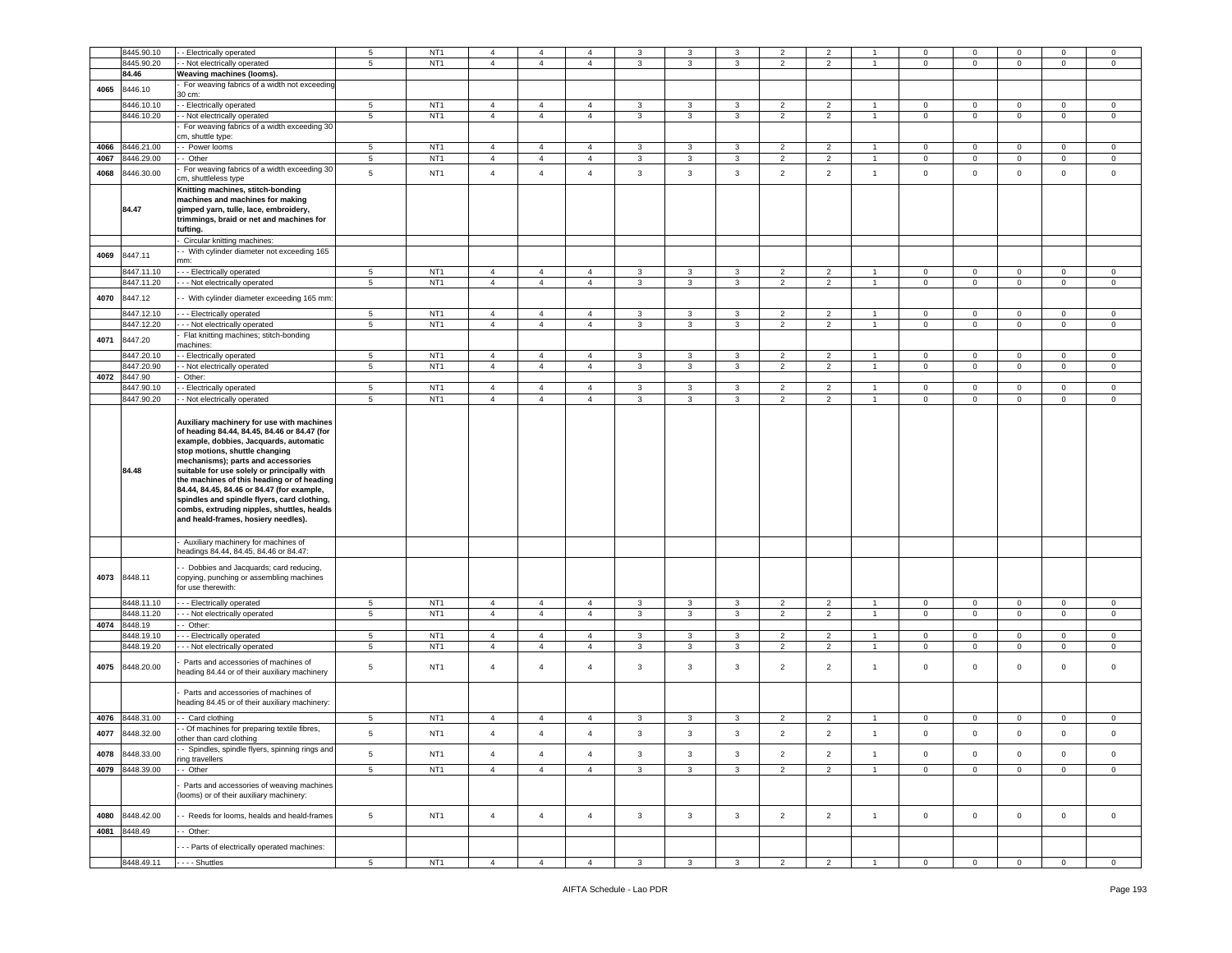|      | 8445.90.10               | - Electrically operated                                                                   | 5                   | NT <sub>1</sub>                    | $\overline{4}$                   | 4                                | $\overline{4}$                   | 3            | 3            | 3            | $\overline{2}$                   | $\overline{2}$                   |                | $\Omega$                   | $\Omega$                     | $\mathbf 0$                    | $\mathbf 0$                   | $\mathbf 0$             |
|------|--------------------------|-------------------------------------------------------------------------------------------|---------------------|------------------------------------|----------------------------------|----------------------------------|----------------------------------|--------------|--------------|--------------|----------------------------------|----------------------------------|----------------|----------------------------|------------------------------|--------------------------------|-------------------------------|-------------------------|
|      | 8445.90.20               | - Not electrically operated                                                               | 5                   | NT <sub>1</sub>                    | $\overline{4}$                   | $\overline{4}$                   | $\overline{4}$                   | 3            | 3            | 3            | $\overline{2}$                   | $\overline{2}$                   | $\overline{1}$ | $\mathbf 0$                | $\mathbf 0$                  | $\mathbf 0$                    | $\mathbf 0$                   | $\circ$                 |
|      | 84.46                    | Weaving machines (looms).                                                                 |                     |                                    |                                  |                                  |                                  |              |              |              |                                  |                                  |                |                            |                              |                                |                               |                         |
|      |                          | For weaving fabrics of a width not exceeding                                              |                     |                                    |                                  |                                  |                                  |              |              |              |                                  |                                  |                |                            |                              |                                |                               |                         |
| 4065 | 8446.10                  | 30 cm:                                                                                    |                     |                                    |                                  |                                  |                                  |              |              |              |                                  |                                  |                |                            |                              |                                |                               |                         |
|      | 8446.10.10               | - - Electrically operated                                                                 | 5                   | NT <sub>1</sub>                    | $\overline{4}$                   | $\overline{4}$                   | $\overline{4}$                   | 3            | 3            | 3            | $\overline{2}$                   | $\overline{2}$                   | $\overline{1}$ | $\mathbf 0$                | $\mathbf 0$                  | $\mathbf 0$                    | $\mathbf 0$                   | $\mathbf 0$             |
|      | 8446.10.20               | - Not electrically operated                                                               | $\overline{5}$      | NT <sub>1</sub>                    | $\overline{4}$                   | $\overline{4}$                   | $\overline{4}$                   | $\mathbf{3}$ | $\mathbf{3}$ | $\mathbf{3}$ | $\overline{2}$                   | $\overline{2}$                   | $\overline{1}$ | $\mathbf 0$                | $\mathsf 0$                  | $\mathsf 0$                    | $\mathbf 0$                   | $\bf 0$                 |
|      |                          | For weaving fabrics of a width exceeding 30                                               |                     |                                    |                                  |                                  |                                  |              |              |              |                                  |                                  |                |                            |                              |                                |                               |                         |
|      |                          | cm, shuttle type:                                                                         |                     |                                    |                                  |                                  |                                  |              |              |              |                                  |                                  |                |                            |                              |                                |                               |                         |
| 4066 | 8446.21.00               | - Power looms                                                                             | 5                   | NT <sub>1</sub>                    | $\overline{4}$                   | $\overline{4}$                   | 4                                | 3            | 3            | 3            | $\overline{2}$                   | $\overline{2}$                   |                | 0                          | 0                            | 0                              | $\mathbf 0$                   | 0                       |
| 4067 | 3446.29.00               | - Other                                                                                   | $\,$ 5 $\,$         | NT <sub>1</sub>                    | $\overline{4}$                   | $\overline{4}$                   | $\overline{4}$                   | $\mathbf{3}$ | $\mathbf{3}$ | $\mathsf 3$  | $\overline{2}$                   | $\overline{2}$                   |                | $\mathbf 0$                | $\mathsf 0$                  | $\mathsf 0$                    | $\mathbf 0$                   | $\mathbf 0$             |
| 4068 | 3446.30.00               | For weaving fabrics of a width exceeding 30                                               | 5                   | NT <sub>1</sub>                    | $\overline{4}$                   | $\overline{4}$                   | $\overline{4}$                   | 3            | 3            | $\mathbf{3}$ | $\overline{2}$                   | $\overline{2}$                   | $\overline{1}$ | $\mathsf 0$                | $\mathbf 0$                  | $\mathbf 0$                    | $\mathbf 0$                   | $\circ$                 |
|      |                          | cm, shuttleless type                                                                      |                     |                                    |                                  |                                  |                                  |              |              |              |                                  |                                  |                |                            |                              |                                |                               |                         |
|      |                          | Knitting machines, stitch-bonding<br>machines and machines for making                     |                     |                                    |                                  |                                  |                                  |              |              |              |                                  |                                  |                |                            |                              |                                |                               |                         |
|      | 84.47                    | gimped yarn, tulle, lace, embroidery,                                                     |                     |                                    |                                  |                                  |                                  |              |              |              |                                  |                                  |                |                            |                              |                                |                               |                         |
|      |                          | trimmings, braid or net and machines for                                                  |                     |                                    |                                  |                                  |                                  |              |              |              |                                  |                                  |                |                            |                              |                                |                               |                         |
|      |                          | tufting.                                                                                  |                     |                                    |                                  |                                  |                                  |              |              |              |                                  |                                  |                |                            |                              |                                |                               |                         |
|      |                          | Circular knitting machines:                                                               |                     |                                    |                                  |                                  |                                  |              |              |              |                                  |                                  |                |                            |                              |                                |                               |                         |
| 4069 | 8447.11                  | - With cylinder diameter not exceeding 165                                                |                     |                                    |                                  |                                  |                                  |              |              |              |                                  |                                  |                |                            |                              |                                |                               |                         |
|      |                          | mm:                                                                                       |                     |                                    |                                  |                                  |                                  |              |              |              |                                  |                                  |                |                            |                              |                                |                               |                         |
|      | 3447.11.10<br>8447.11.20 | --- Electrically operated                                                                 | 5<br>5 <sub>5</sub> | NT <sub>1</sub><br>NT <sub>1</sub> | $\overline{4}$<br>$\overline{4}$ | $\overline{4}$<br>$\overline{4}$ | $\overline{4}$<br>$\overline{4}$ | 3<br>3       | 3<br>3       | 3<br>3       | $\overline{2}$<br>$\overline{2}$ | $\overline{c}$<br>$\overline{2}$ | $\mathbf{1}$   | $\mathbf 0$<br>$\mathbf 0$ | $\mathbf{0}$                 | $\mathbf{0}$<br>$\overline{0}$ | $\mathbf 0$<br>$\overline{0}$ | $\circ$<br>$\mathbf{0}$ |
|      |                          | - - - Not electrically operated                                                           |                     |                                    |                                  |                                  |                                  |              |              |              |                                  |                                  |                |                            | $\mathbf{0}$                 |                                |                               |                         |
| 4070 | 8447.12                  | - With cylinder diameter exceeding 165 mm                                                 |                     |                                    |                                  |                                  |                                  |              |              |              |                                  |                                  |                |                            |                              |                                |                               |                         |
|      | 3447.12.10               | -- Electrically operated                                                                  | 5                   | NT <sub>1</sub>                    | $\overline{4}$                   | $\overline{4}$                   | $\overline{4}$                   | 3            | 3            | 3            | $\overline{2}$                   | $\overline{2}$                   | $\overline{1}$ | 0                          | 0                            | 0                              | $\mathbf 0$                   | $\circ$                 |
|      | 8447.12.20               | - - Not electrically operated                                                             | 5                   | NT <sub>1</sub>                    | $\overline{4}$                   | $\overline{4}$                   | $\overline{4}$                   | 3            | 3            | 3            | $\overline{2}$                   | $\overline{2}$                   | $\overline{1}$ | $\mathbf 0$                | $\mathbf{0}$                 | $\mathbf 0$                    | $\overline{0}$                | $\mathbf 0$             |
| 4071 | 8447.20                  | Flat knitting machines; stitch-bonding                                                    |                     |                                    |                                  |                                  |                                  |              |              |              |                                  |                                  |                |                            |                              |                                |                               |                         |
|      | 3447.20.10               | machines:                                                                                 | 5                   | NT <sub>1</sub>                    | $\overline{4}$                   |                                  |                                  |              |              | 3            |                                  | $\overline{2}$                   | $\overline{1}$ |                            |                              |                                | $\mathbf 0$                   |                         |
|      | 8447.20.90               | - Electrically operated<br>- Not electrically operated                                    | 5                   | NT <sub>1</sub>                    | $\overline{4}$                   | $\overline{4}$<br>$\overline{4}$ | $\overline{4}$<br>$\overline{4}$ | 3<br>3       | 3<br>3       | 3            | $\overline{2}$<br>$\overline{2}$ | $\overline{2}$                   | $\overline{1}$ | $\mathbf 0$<br>$\mathbf 0$ | $\mathbf{0}$<br>$\mathbf{0}$ | $\mathbf{0}$<br>$\mathbf 0$    | $\overline{0}$                | $\circ$<br>$\circ$      |
| 4072 | 3447.90                  | Other:                                                                                    |                     |                                    |                                  |                                  |                                  |              |              |              |                                  |                                  |                |                            |                              |                                |                               |                         |
|      | 3447.90.10               | - Electrically operated                                                                   | 5                   | NT <sub>1</sub>                    | $\overline{4}$                   | $\overline{4}$                   | $\overline{4}$                   | 3            | 3            | 3            | $\overline{2}$                   | $\overline{2}$                   | 1              | 0                          | $\mathbf 0$                  | $\mathbf 0$                    | $\mathbf 0$                   | $\circ$                 |
|      | 8447.90.20               | - Not electrically operated                                                               | 5                   | NT <sub>1</sub>                    | $\overline{4}$                   | $\overline{4}$                   | 4                                | 3            | 3            | 3            | $\overline{2}$                   | $\overline{2}$                   | $\overline{1}$ | 0                          | $\mathbf 0$                  | $\mathbf 0$                    | $\mathbf 0$                   | $\mathbf 0$             |
|      |                          |                                                                                           |                     |                                    |                                  |                                  |                                  |              |              |              |                                  |                                  |                |                            |                              |                                |                               |                         |
|      |                          | Auxiliary machinery for use with machines                                                 |                     |                                    |                                  |                                  |                                  |              |              |              |                                  |                                  |                |                            |                              |                                |                               |                         |
|      |                          | of heading 84.44, 84.45, 84.46 or 84.47 (for                                              |                     |                                    |                                  |                                  |                                  |              |              |              |                                  |                                  |                |                            |                              |                                |                               |                         |
|      |                          | example, dobbies, Jacquards, automatic                                                    |                     |                                    |                                  |                                  |                                  |              |              |              |                                  |                                  |                |                            |                              |                                |                               |                         |
|      |                          | stop motions, shuttle changing                                                            |                     |                                    |                                  |                                  |                                  |              |              |              |                                  |                                  |                |                            |                              |                                |                               |                         |
|      | 84.48                    | mechanisms); parts and accessories                                                        |                     |                                    |                                  |                                  |                                  |              |              |              |                                  |                                  |                |                            |                              |                                |                               |                         |
|      |                          | suitable for use solely or principally with<br>the machines of this heading or of heading |                     |                                    |                                  |                                  |                                  |              |              |              |                                  |                                  |                |                            |                              |                                |                               |                         |
|      |                          | 84.44, 84.45, 84.46 or 84.47 (for example,                                                |                     |                                    |                                  |                                  |                                  |              |              |              |                                  |                                  |                |                            |                              |                                |                               |                         |
|      |                          | spindles and spindle flyers, card clothing,                                               |                     |                                    |                                  |                                  |                                  |              |              |              |                                  |                                  |                |                            |                              |                                |                               |                         |
|      |                          | combs, extruding nipples, shuttles, healds                                                |                     |                                    |                                  |                                  |                                  |              |              |              |                                  |                                  |                |                            |                              |                                |                               |                         |
|      |                          | and heald-frames, hosiery needles).                                                       |                     |                                    |                                  |                                  |                                  |              |              |              |                                  |                                  |                |                            |                              |                                |                               |                         |
|      |                          |                                                                                           |                     |                                    |                                  |                                  |                                  |              |              |              |                                  |                                  |                |                            |                              |                                |                               |                         |
|      |                          | Auxiliary machinery for machines of<br>headings 84.44, 84.45, 84.46 or 84.47:             |                     |                                    |                                  |                                  |                                  |              |              |              |                                  |                                  |                |                            |                              |                                |                               |                         |
|      |                          | Dobbies and Jacquards; card reducing,                                                     |                     |                                    |                                  |                                  |                                  |              |              |              |                                  |                                  |                |                            |                              |                                |                               |                         |
| 4073 | 8448.11                  | copying, punching or assembling machines                                                  |                     |                                    |                                  |                                  |                                  |              |              |              |                                  |                                  |                |                            |                              |                                |                               |                         |
|      |                          | for use therewith:                                                                        |                     |                                    |                                  |                                  |                                  |              |              |              |                                  |                                  |                |                            |                              |                                |                               |                         |
|      | 448.11.10                | -- Electrically operated                                                                  | $\overline{5}$      | NT <sub>1</sub>                    | $\overline{4}$                   | $\overline{4}$                   | $\overline{4}$                   | 3            | 3            | 3            | $\overline{2}$                   | $\overline{c}$                   | $\overline{1}$ | $\mathbf 0$                | $\mathbf 0$                  | $\mathbf 0$                    | $\mathbf 0$                   | $\mathbf 0$             |
|      | 8448.11.20               | - - Not electrically operated                                                             | 5                   | NT <sub>1</sub>                    | $\overline{4}$                   | $\overline{4}$                   | $\overline{4}$                   | 3            | 3            | 3            | $\overline{2}$                   | $\overline{2}$                   | $\overline{1}$ | $\mathbf 0$                | $\mathbf 0$                  | $\mathbf 0$                    | $\overline{0}$                | $\circ$                 |
| 4074 | 8448.19                  | - Other:                                                                                  |                     |                                    |                                  |                                  |                                  |              |              |              |                                  |                                  |                |                            |                              |                                |                               |                         |
|      | 3448.19.10               | - - Electrically operated<br>-- Not electrically operated                                 | 5                   | NT <sub>1</sub><br>NT <sub>1</sub> | $\overline{4}$<br>$\overline{4}$ | $\overline{4}$                   | $\overline{4}$                   | 3            | 3            | 3            | $\overline{2}$                   | $\overline{c}$                   | $\overline{1}$ | 0                          | $\mathbf{0}$                 | $\mathbf{0}$                   | $\mathbf 0$                   | 0<br>$\mathbf{0}$       |
|      | 3448.19.20               |                                                                                           | $5\phantom{.0}$     |                                    |                                  | $\overline{4}$                   | $\overline{4}$                   | 3            | 3            | 3            | $\overline{2}$                   | $\overline{2}$                   |                | $\mathbf 0$                | $\mathbf{0}$                 | 0                              | $\overline{0}$                |                         |
| 4075 | 8448.20.00               | Parts and accessories of machines of                                                      | $\overline{5}$      | NT <sub>1</sub>                    | $\overline{4}$                   | $\overline{4}$                   | $\overline{4}$                   | 3            | 3            | 3            | $\overline{2}$                   | $\overline{2}$                   | $\mathbf{1}$   | $\mathbf 0$                | 0                            | 0                              | $\mathbf 0$                   | $\mathsf 0$             |
|      |                          | heading 84.44 or of their auxiliary machinery                                             |                     |                                    |                                  |                                  |                                  |              |              |              |                                  |                                  |                |                            |                              |                                |                               |                         |
|      |                          | Parts and accessories of machines of                                                      |                     |                                    |                                  |                                  |                                  |              |              |              |                                  |                                  |                |                            |                              |                                |                               |                         |
|      |                          | heading 84.45 or of their auxiliary machinery:                                            |                     |                                    |                                  |                                  |                                  |              |              |              |                                  |                                  |                |                            |                              |                                |                               |                         |
| 4076 | 8448.31.00               | - Card clothing                                                                           | 5                   | NT <sub>1</sub>                    | $\overline{4}$                   | $\overline{4}$                   | $\overline{4}$                   | 3            | 3            | 3            | $\overline{2}$                   | $\overline{2}$                   |                | 0                          | 0                            | 0                              | $\mathbf 0$                   | $\mathbf 0$             |
|      |                          | - Of machines for preparing textile fibres,                                               | 5                   |                                    | $\overline{4}$                   |                                  | $\overline{4}$                   |              |              | 3            | $\overline{2}$                   |                                  |                |                            |                              |                                |                               |                         |
| 4077 | 8448.32.00               | other than card clothing                                                                  |                     | NT <sub>1</sub>                    |                                  | $\overline{4}$                   |                                  | 3            | 3            |              |                                  | $\overline{2}$                   | $\overline{1}$ | $\mathsf 0$                | $\mathbf 0$                  | $\mathbf 0$                    | $\mathbf 0$                   | $\mathsf 0$             |
| 4078 | 8448.33.00               | - Spindles, spindle flyers, spinning rings and                                            | $\,$ 5 $\,$         | NT <sub>1</sub>                    | $\overline{4}$                   | $\overline{4}$                   | $\overline{4}$                   | 3            | 3            | 3            | $\overline{2}$                   | $\overline{2}$                   | $\overline{1}$ | $\mathbf 0$                | $\mathbf 0$                  | $\mathbf 0$                    | $\mathbf 0$                   | $\circ$                 |
| 4079 | 8448.39.00               | ring travellers<br>- Other                                                                | $5\phantom{.0}$     | NT <sub>1</sub>                    | $\overline{4}$                   | $\overline{4}$                   | $\overline{4}$                   | $\mathbf{3}$ | $\mathbf{3}$ | $\mathbf{3}$ | $\overline{2}$                   | $\overline{2}$                   | $\overline{1}$ | $\mathbf 0$                | $\mathsf 0$                  | $\mathsf 0$                    | $\mathsf 0$                   | $\mathbf 0$             |
|      |                          |                                                                                           |                     |                                    |                                  |                                  |                                  |              |              |              |                                  |                                  |                |                            |                              |                                |                               |                         |
|      |                          | Parts and accessories of weaving machines                                                 |                     |                                    |                                  |                                  |                                  |              |              |              |                                  |                                  |                |                            |                              |                                |                               |                         |
|      |                          | (looms) or of their auxiliary machinery:                                                  |                     |                                    |                                  |                                  |                                  |              |              |              |                                  |                                  |                |                            |                              |                                |                               |                         |
| 4080 | 8448.42.00               | - Reeds for looms, healds and heald-frames                                                | $5\phantom{.0}$     | NT <sub>1</sub>                    | $\overline{4}$                   | $\overline{4}$                   | $\overline{4}$                   | 3            | 3            | $\mathbf{3}$ | $\overline{2}$                   | $\overline{2}$                   | $\overline{1}$ | $\mathbf 0$                | $\mathsf 0$                  | $\mathbf 0$                    | $\mathbf 0$                   | $\overline{0}$          |
|      |                          |                                                                                           |                     |                                    |                                  |                                  |                                  |              |              |              |                                  |                                  |                |                            |                              |                                |                               |                         |
| 4081 | 8448.49                  | - Other:                                                                                  |                     |                                    |                                  |                                  |                                  |              |              |              |                                  |                                  |                |                            |                              |                                |                               |                         |
|      |                          | - - Parts of electrically operated machines:                                              |                     |                                    |                                  |                                  |                                  |              |              |              |                                  |                                  |                |                            |                              |                                |                               |                         |
|      | 8448.49.11               | - - - - Shuttles                                                                          | $\overline{5}$      | NT <sub>1</sub>                    | $\overline{4}$                   | $\overline{4}$                   | $\overline{4}$                   | $\mathbf{3}$ | 3            | $\mathbf{3}$ | $\overline{2}$                   | $\overline{2}$                   | $\overline{1}$ | $\mathbf 0$                | $\mathbf 0$                  | $\mathbf 0$                    | $\overline{0}$                | $\overline{0}$          |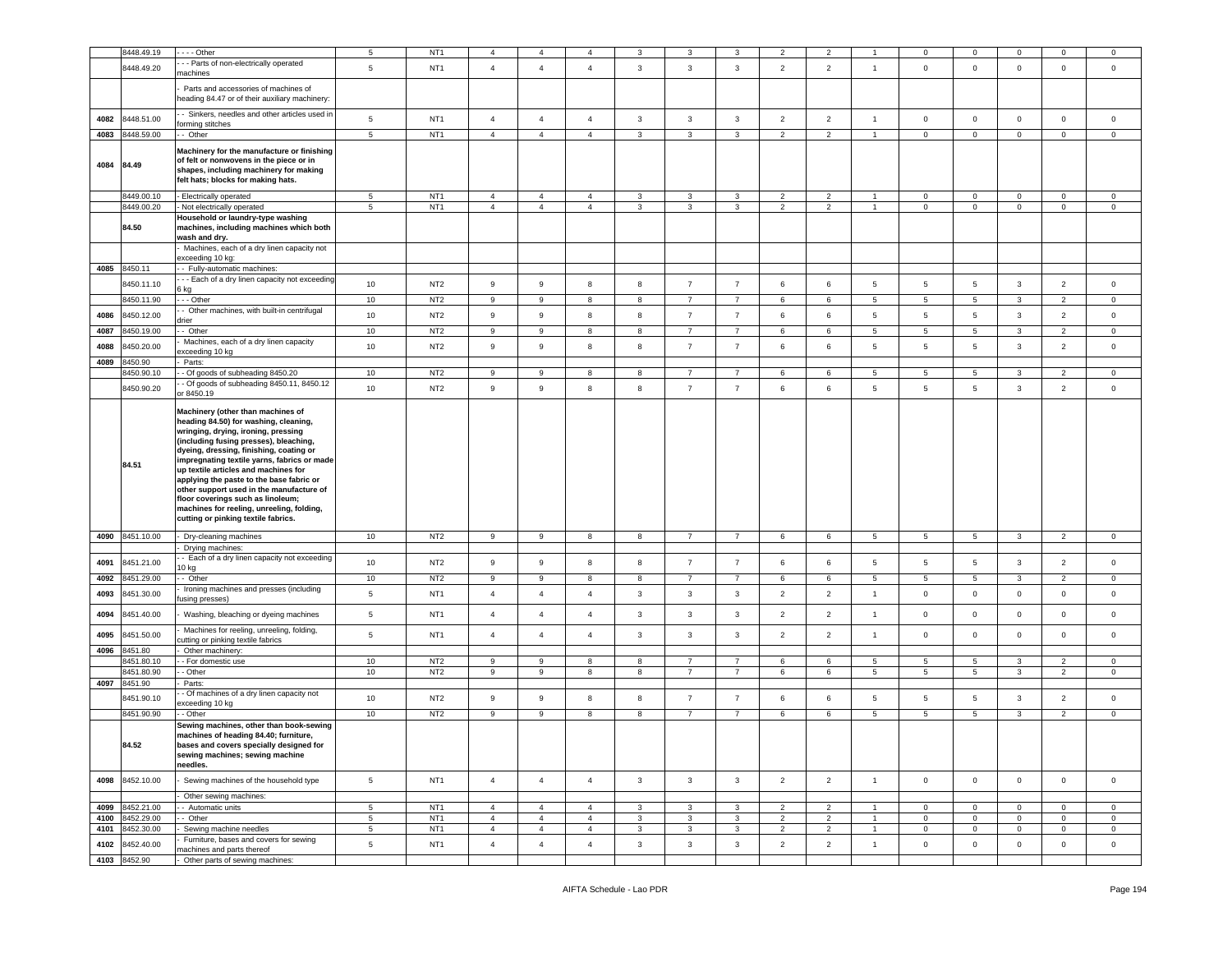|      | 8448.49.19                         | $- -$ Other                                                                                                                                                                                                                                                                                                                                                                                                                                                                                                    | 5                                 | NT <sub>1</sub>                    | 4                                | $\overline{4}$                   |                                  |                                |                              |                     |                                  |                                  |                                |                                |                             |                            |                               | $\mathbf 0$             |
|------|------------------------------------|----------------------------------------------------------------------------------------------------------------------------------------------------------------------------------------------------------------------------------------------------------------------------------------------------------------------------------------------------------------------------------------------------------------------------------------------------------------------------------------------------------------|-----------------------------------|------------------------------------|----------------------------------|----------------------------------|----------------------------------|--------------------------------|------------------------------|---------------------|----------------------------------|----------------------------------|--------------------------------|--------------------------------|-----------------------------|----------------------------|-------------------------------|-------------------------|
|      | 8448.49.20                         | - - Parts of non-electrically operated<br>nachines                                                                                                                                                                                                                                                                                                                                                                                                                                                             | $\,$ 5 $\,$                       | NT <sub>1</sub>                    | $\overline{4}$                   | $\overline{4}$                   | $\overline{4}$                   | $\mathbf{3}$                   | $\overline{3}$               | $\mathbf{3}$        | $\overline{2}$                   | $\overline{2}$                   | $\mathbf{1}$                   | $\mathsf 0$                    | $\circ$                     | $\mathsf 0$                | $\mathsf 0$                   | $\mathbf 0$             |
|      |                                    | Parts and accessories of machines of<br>heading 84.47 or of their auxiliary machinery:                                                                                                                                                                                                                                                                                                                                                                                                                         |                                   |                                    |                                  |                                  |                                  |                                |                              |                     |                                  |                                  |                                |                                |                             |                            |                               |                         |
| 4082 | 8448.51.00                         | - Sinkers, needles and other articles used in                                                                                                                                                                                                                                                                                                                                                                                                                                                                  | 5                                 | NT <sub>1</sub>                    | $\overline{4}$                   | $\overline{4}$                   | $\overline{4}$                   | 3                              | $\mathbf{3}$                 | 3                   | $\overline{2}$                   | $\overline{2}$                   | $\overline{1}$                 | $\mathbf 0$                    | $\mathbf{O}$                | $\mathbf 0$                | $\circ$                       | $\circ$                 |
| 4083 | 8448.59.00                         | orming stitches<br>- Other                                                                                                                                                                                                                                                                                                                                                                                                                                                                                     | $5^{\circ}$                       | NT <sub>1</sub>                    | $\overline{4}$                   | $\overline{4}$                   | $\overline{4}$                   | $\mathbf{3}$                   | $\mathbf{3}$                 | 3                   | $\overline{2}$                   | $\overline{2}$                   | $\mathbf{1}$                   | $\mathbf{0}$                   | $\overline{0}$              | $\mathbf 0$                | $\mathbf 0$                   | $\mathbf 0$             |
| 4084 | 84.49                              | Machinery for the manufacture or finishing<br>of felt or nonwovens in the piece or in<br>shapes, including machinery for making<br>felt hats; blocks for making hats.                                                                                                                                                                                                                                                                                                                                          |                                   |                                    |                                  |                                  |                                  |                                |                              |                     |                                  |                                  |                                |                                |                             |                            |                               |                         |
|      | 8449.00.10                         | Electrically operated                                                                                                                                                                                                                                                                                                                                                                                                                                                                                          | 5                                 | NT <sub>1</sub>                    | $\overline{4}$                   | $\overline{4}$                   | $\overline{4}$                   | 3                              | 3                            | 3                   | $\overline{2}$                   | $\overline{2}$                   | $\overline{1}$                 | $\mathbf 0$                    | $\mathbf 0$                 | $\mathbf 0$                | $\mathbf 0$                   | $\mathbf 0$             |
|      | 8449.00.20<br>84.50                | Not electrically operated<br>Household or laundry-type washing<br>machines, including machines which both<br>wash and dry.                                                                                                                                                                                                                                                                                                                                                                                     | 5                                 | NT <sub>1</sub>                    | $\overline{4}$                   | $\overline{4}$                   | $\overline{4}$                   | 3                              | 3                            | 3                   | $\overline{2}$                   | $\overline{2}$                   | $\mathbf{1}$                   | $\mathbf 0$                    | $\overline{0}$              | $\mathbf 0$                | $\mathbf 0$                   | $\mathbf 0$             |
|      |                                    | Machines, each of a dry linen capacity not<br>exceeding 10 kg:                                                                                                                                                                                                                                                                                                                                                                                                                                                 |                                   |                                    |                                  |                                  |                                  |                                |                              |                     |                                  |                                  |                                |                                |                             |                            |                               |                         |
|      | 4085 8450.11                       | - Fully-automatic machines:                                                                                                                                                                                                                                                                                                                                                                                                                                                                                    |                                   |                                    |                                  |                                  |                                  |                                |                              |                     |                                  |                                  |                                |                                |                             |                            |                               |                         |
|      | 8450.11.10                         | - - Each of a dry linen capacity not exceeding                                                                                                                                                                                                                                                                                                                                                                                                                                                                 | 10                                | NT <sub>2</sub>                    | 9                                | $\mathsf g$                      | 8                                | 8                              | $\overline{7}$               | $\overline{7}$      | 6                                | 6                                | 5                              | 5                              | 5                           | 3                          | $\overline{2}$                | $\mathbf 0$             |
|      |                                    | 3 kg                                                                                                                                                                                                                                                                                                                                                                                                                                                                                                           |                                   |                                    |                                  |                                  |                                  |                                |                              |                     |                                  |                                  |                                |                                |                             |                            |                               |                         |
|      | 8450.11.90                         | - - Other<br>Other machines, with built-in centrifugal                                                                                                                                                                                                                                                                                                                                                                                                                                                         | $10$                              | NT <sub>2</sub>                    | 9                                | 9                                | 8                                | 8                              | $\overline{7}$               | $\overline{7}$      | 6                                | 6                                | 5                              | $5\phantom{.0}$                | $5\overline{)}$             | 3                          | $\overline{2}$                | $\mathbf 0$             |
| 4086 | 8450.12.00                         | Irier                                                                                                                                                                                                                                                                                                                                                                                                                                                                                                          | 10                                | NT <sub>2</sub>                    | 9                                | $\mathsf g$                      | 8                                | 8                              | $\overline{7}$               | $\overline{7}$      | 6                                | 6                                | 5                              | 5                              | $5\phantom{.0}$             | $\mathbf{3}$               | $\overline{2}$                | $\mathbf 0$             |
| 4087 | 8450.19.00                         | - Other                                                                                                                                                                                                                                                                                                                                                                                                                                                                                                        | 10                                | NT <sub>2</sub>                    | 9                                | 9                                | 8                                | 8                              | $\overline{7}$               | $\overline{7}$      | 6                                | 6                                | 5                              | $5\overline{5}$                | 5                           | 3                          | $\overline{2}$                | $\mathbf 0$             |
| 4088 | 8450.20.00                         | Machines, each of a dry linen capacity<br>xceeding 10 kg                                                                                                                                                                                                                                                                                                                                                                                                                                                       | $10$                              | NT <sub>2</sub>                    | 9                                | $\mathsf g$                      | 8                                | 8                              | $\overline{7}$               | $\overline{7}$      | 6                                | 6                                | 5                              | $\overline{5}$                 | $5\phantom{.0}$             | $\mathbf{3}$               | $\overline{2}$                | $\mathbf 0$             |
| 4089 | 8450.90                            | Parts:                                                                                                                                                                                                                                                                                                                                                                                                                                                                                                         |                                   |                                    |                                  |                                  |                                  |                                |                              |                     |                                  |                                  |                                |                                |                             |                            |                               |                         |
|      | 8450.90.10                         | Of goods of subheading 8450.20<br>Of goods of subheading 8450.11, 8450.12                                                                                                                                                                                                                                                                                                                                                                                                                                      | 10                                | NT <sub>2</sub>                    | 9                                | 9                                | 8                                | 8                              | $\overline{7}$               | 7                   | 6                                | 6                                | 5                              | 5                              | 5                           | 3                          | $\overline{2}$                | $\mathbf 0$             |
|      | 8450.90.20                         | r 8450.19                                                                                                                                                                                                                                                                                                                                                                                                                                                                                                      | 10                                | NT <sub>2</sub>                    | $\overline{9}$                   | $\mathsf g$                      | 8                                | 8                              | $\overline{7}$               | $\overline{7}$      | 6                                | 6                                | 5                              | $\overline{5}$                 | $5\phantom{.0}$             | $\mathbf{3}$               | $\overline{2}$                | $\mathsf 0$             |
|      | 84.51                              | Machinery (other than machines of<br>heading 84.50) for washing, cleaning,<br>wringing, drying, ironing, pressing<br>(including fusing presses), bleaching,<br>dyeing, dressing, finishing, coating or<br>impregnating textile yarns, fabrics or made<br>up textile articles and machines for<br>applying the paste to the base fabric or<br>other support used in the manufacture of<br>floor coverings such as linoleum;<br>machines for reeling, unreeling, folding,<br>cutting or pinking textile fabrics. |                                   |                                    |                                  |                                  |                                  |                                |                              |                     |                                  |                                  |                                |                                |                             |                            |                               |                         |
| 4090 | 8451.10.00                         | Dry-cleaning machines                                                                                                                                                                                                                                                                                                                                                                                                                                                                                          | 10                                | NT <sub>2</sub>                    | 9                                | 9                                | 8                                | 8                              | $\overline{7}$               | $\overline{7}$      | 6                                | 6                                | $5\overline{5}$                | $5\overline{5}$                | $5\phantom{.0}$             | $\mathbf{3}$               | 2                             | $\circ$                 |
|      |                                    | Drying machines:<br>- Each of a dry linen capacity not exceeding                                                                                                                                                                                                                                                                                                                                                                                                                                               |                                   |                                    |                                  |                                  |                                  |                                |                              |                     |                                  |                                  |                                |                                |                             |                            |                               |                         |
| 4091 | 8451.21.00                         | 10 kg                                                                                                                                                                                                                                                                                                                                                                                                                                                                                                          | 10                                | NT <sub>2</sub>                    | 9                                | $\mathsf g$                      | 8                                | 8                              | $\overline{7}$               | $\overline{7}$      | 6                                | 6                                | 5                              | $\sqrt{5}$                     | $5\phantom{.0}$             | $\mathbf{3}$               | $\overline{2}$                | $\mathbf 0$             |
| 4092 | 8451.29.00                         | - Other                                                                                                                                                                                                                                                                                                                                                                                                                                                                                                        | 10                                | NT <sub>2</sub>                    | 9                                | 9                                | 8                                | 8                              | $\overline{7}$               | $\overline{7}$      | 6                                | 6                                | $\overline{5}$                 | 5                              | 5                           | 3                          | $\overline{2}$                | $\mathbf 0$             |
| 4093 | 8451.30.00                         | Ironing machines and presses (including<br>using presses)                                                                                                                                                                                                                                                                                                                                                                                                                                                      | $\,$ 5 $\,$                       | NT <sub>1</sub>                    | $\overline{4}$                   | $\overline{4}$                   | $\overline{4}$                   | $\mathbf{3}$                   | $\mathbf{3}$                 | $\mathbf{3}$        | $\overline{2}$                   | $\overline{2}$                   | $\overline{1}$                 | $\mathsf 0$                    | $\mathbf 0$                 | $\mathsf 0$                | $\mathsf 0$                   | $\mathbf 0$             |
| 4094 | 8451.40.00                         | Washing, bleaching or dyeing machines                                                                                                                                                                                                                                                                                                                                                                                                                                                                          | $5\phantom{.0}$                   | NT <sub>1</sub>                    | $\overline{4}$                   | $\overline{4}$                   | $\overline{4}$                   | 3                              | $\mathbf{3}$                 | $\mathbf{3}$        | $\overline{2}$                   | $\overline{2}$                   | $\overline{1}$                 | $\mathbf 0$                    | $\mathbf 0$                 | $\mathbf 0$                | $\mathsf 0$                   | $\mathbf 0$             |
| 4095 | 8451.50.00                         | Machines for reeling, unreeling, folding,<br>utting or pinking textile fabrics                                                                                                                                                                                                                                                                                                                                                                                                                                 | $5\phantom{.0}$                   | NT <sub>1</sub>                    | $\overline{4}$                   | $\overline{4}$                   | $\overline{4}$                   | 3                              | $\overline{3}$               | 3                   | $\overline{2}$                   | $\overline{2}$                   | $\mathbf{1}$                   | $\mathsf 0$                    | $\mathbf 0$                 | $\mathbf 0$                | $\mathbf 0$                   | $\mathbf 0$             |
| 4096 | 8451.80                            | Other machinery:                                                                                                                                                                                                                                                                                                                                                                                                                                                                                               |                                   |                                    |                                  |                                  |                                  |                                |                              |                     |                                  |                                  |                                |                                |                             |                            |                               |                         |
|      | 8451.80.10<br>8451.80.90           | - For domestic use<br>- Other                                                                                                                                                                                                                                                                                                                                                                                                                                                                                  | 10<br>$10$                        | NT <sub>2</sub><br>NT <sub>2</sub> | 9<br>$\,9$                       | 9<br>$\mathsf g$                 | 8<br>8                           | 8<br>8                         | 7<br>$\overline{7}$          | 7<br>$\overline{7}$ | 6<br>6                           | 6<br>6                           | 5<br>$5\overline{5}$           | 5<br>$5\overline{5}$           | 5<br>$5\phantom{.0}$        | 3<br>3                     | $\overline{2}$<br>2           | $\circ$<br>$\circ$      |
| 4097 | 8451.90                            | Parts:                                                                                                                                                                                                                                                                                                                                                                                                                                                                                                         |                                   |                                    |                                  |                                  |                                  |                                |                              |                     |                                  |                                  |                                |                                |                             |                            |                               |                         |
|      | 8451.90.10                         | Of machines of a dry linen capacity not                                                                                                                                                                                                                                                                                                                                                                                                                                                                        | 10                                | NT <sub>2</sub>                    | 9                                | $\mathsf g$                      | 8                                | 8                              | $\overline{7}$               | $\overline{7}$      | 6                                | 6                                | 5                              | 5                              | 5                           | $\mathbf{3}$               | $\overline{2}$                | $\mathbf 0$             |
|      |                                    | xceeding 10 kg                                                                                                                                                                                                                                                                                                                                                                                                                                                                                                 |                                   |                                    |                                  |                                  |                                  |                                |                              |                     |                                  |                                  |                                |                                |                             |                            |                               |                         |
|      | 8451.90.90                         | Other                                                                                                                                                                                                                                                                                                                                                                                                                                                                                                          | 10                                | NT <sub>2</sub>                    | 9                                | 9                                | 8                                | 8                              | $\overline{7}$               | $\overline{7}$      | 6                                | 6                                | 5                              | 5                              | $5\phantom{.0}$             | 3                          | $\overline{2}$                | $\circ$                 |
|      | 84.52                              | Sewing machines, other than book-sewing<br>machines of heading 84.40; furniture,<br>bases and covers specially designed for<br>sewing machines; sewing machine<br>needles.                                                                                                                                                                                                                                                                                                                                     |                                   |                                    |                                  |                                  |                                  |                                |                              |                     |                                  |                                  |                                |                                |                             |                            |                               |                         |
| 4098 | 8452.10.00                         | Sewing machines of the household type                                                                                                                                                                                                                                                                                                                                                                                                                                                                          | $5\phantom{.0}$                   | NT <sub>1</sub>                    | $\overline{4}$                   | $\overline{4}$                   | $\overline{4}$                   | $\mathbf{3}$                   | $\mathbf{3}$                 | $\mathbf{3}$        | $\overline{2}$                   | $\overline{2}$                   | $\overline{1}$                 | $\mathbf{0}$                   | $\circ$                     | $\mathbf 0$                | $\mathbf 0$                   | $\overline{0}$          |
|      |                                    | Other sewing machines:                                                                                                                                                                                                                                                                                                                                                                                                                                                                                         |                                   |                                    |                                  |                                  |                                  |                                |                              |                     |                                  |                                  |                                |                                |                             |                            |                               |                         |
|      | 4099 8452.21.00<br>4100 8452.29.00 | - - Automatic units<br>- Other                                                                                                                                                                                                                                                                                                                                                                                                                                                                                 | 5 <sub>5</sub><br>$5\phantom{.0}$ | NT <sub>1</sub><br>NT <sub>1</sub> | $\overline{4}$<br>$\overline{4}$ | $\overline{4}$<br>$\overline{4}$ | $\overline{4}$<br>$\overline{4}$ | $\overline{3}$<br>$\mathbf{3}$ | $\mathbf{3}$<br>$\mathbf{3}$ | $\mathbf{3}$<br>3   | $\overline{2}$<br>$\overline{2}$ | $\overline{2}$<br>$\overline{2}$ | $\overline{1}$<br>$\mathbf{1}$ | $\overline{0}$<br>$\mathbf{0}$ | $\mathbf{0}$<br>$\mathbf 0$ | $\mathbf 0$<br>$\mathbf 0$ | $\overline{0}$<br>$\mathbf 0$ | $\circ$<br>$\mathbf{0}$ |
|      | 4101 8452.30.00                    | Sewing machine needles                                                                                                                                                                                                                                                                                                                                                                                                                                                                                         | 5 <sub>5</sub>                    | NT <sub>1</sub>                    | $\overline{4}$                   | $\overline{4}$                   | 4                                | $\mathbf{3}$                   | $\mathbf{3}$                 | 3 <sup>1</sup>      | $\overline{2}$                   | $\overline{2}$                   | $\mathbf{1}$                   | $\overline{0}$                 | $\overline{0}$              | $\overline{0}$             | $\overline{0}$                | $\overline{0}$          |
| 4102 | 8452.40.00                         | Furniture, bases and covers for sewing                                                                                                                                                                                                                                                                                                                                                                                                                                                                         | $5\phantom{.0}$                   | NT <sub>1</sub>                    | $\overline{4}$                   | $\overline{4}$                   | $\overline{4}$                   | $\mathbf{3}$                   | $\mathbf{3}$                 | $\mathbf{3}$        | $\overline{2}$                   | $\overline{2}$                   | $\mathbf{1}$                   | $\mathbf 0$                    | $\overline{0}$              | $\mathsf{O}\xspace$        | $\overline{0}$                | $\overline{0}$          |
|      | 4103 8452.90                       | nachines and parts thereof<br>Other parts of sewing machines:                                                                                                                                                                                                                                                                                                                                                                                                                                                  |                                   |                                    |                                  |                                  |                                  |                                |                              |                     |                                  |                                  |                                |                                |                             |                            |                               |                         |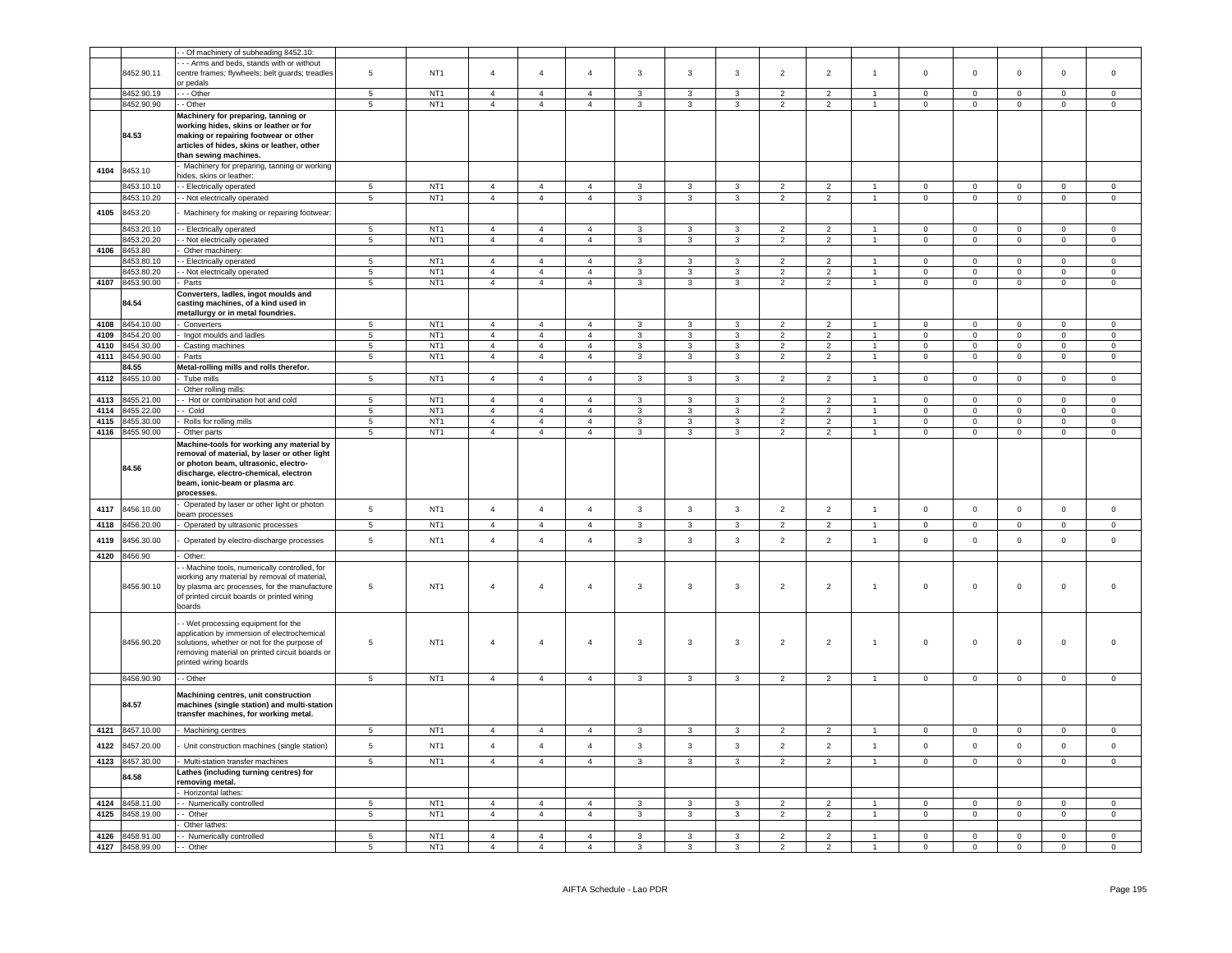|      |                 | - Of machinery of subheading 8452.10:                                                        |                 |                 |                |                |                |                         |                         |                |                          |                |                      |                |                     |                |                     |                     |
|------|-----------------|----------------------------------------------------------------------------------------------|-----------------|-----------------|----------------|----------------|----------------|-------------------------|-------------------------|----------------|--------------------------|----------------|----------------------|----------------|---------------------|----------------|---------------------|---------------------|
|      |                 | - - Arms and beds, stands with or without                                                    |                 |                 |                |                |                |                         |                         |                |                          |                |                      |                |                     |                |                     |                     |
|      | 8452.90.11      | centre frames; flywheels; belt guards; treadles                                              | 5               | NT <sub>1</sub> | $\overline{4}$ | $\overline{4}$ | $\overline{4}$ | $\mathbf{3}$            | $\overline{3}$          | 3              | $\overline{2}$           | $\overline{2}$ | $\mathbf{1}$         | $\mathsf 0$    | $\mathbf 0$         | $\mathbf 0$    | $\mathbf 0$         | $\mathbf 0$         |
|      |                 | or pedals                                                                                    |                 |                 |                |                |                |                         |                         |                |                          |                |                      |                |                     |                |                     |                     |
|      | 8452.90.19      | - - Other                                                                                    | $5\overline{5}$ | NT <sub>1</sub> | $\overline{4}$ | $\overline{4}$ | $\overline{4}$ | $\mathbf{3}$            | $\mathbf{3}$            | $\mathbf{3}$   | $\overline{2}$           | $\overline{2}$ | $\overline{1}$       | $\mathbf 0$    | $\circ$             | $\mathbf 0$    | $\mathbf 0$         | $\mathsf 0$         |
|      |                 |                                                                                              |                 |                 |                |                |                |                         |                         |                |                          |                | $\overline{1}$       |                |                     |                |                     |                     |
|      | 8452.90.90      | - Other                                                                                      | $5\phantom{.0}$ | NT <sub>1</sub> | $\overline{4}$ | $\overline{4}$ | $\overline{4}$ | 3                       | 3                       | 3              | $\overline{2}$           | $\overline{2}$ |                      | $\overline{0}$ | $\overline{0}$      | $\mathbf 0$    | $\mathbf 0$         | $\overline{0}$      |
|      |                 | Machinery for preparing, tanning or                                                          |                 |                 |                |                |                |                         |                         |                |                          |                |                      |                |                     |                |                     |                     |
|      |                 | working hides, skins or leather or for                                                       |                 |                 |                |                |                |                         |                         |                |                          |                |                      |                |                     |                |                     |                     |
|      | 84.53           | making or repairing footwear or other                                                        |                 |                 |                |                |                |                         |                         |                |                          |                |                      |                |                     |                |                     |                     |
|      |                 | articles of hides, skins or leather, other<br>than sewing machines.                          |                 |                 |                |                |                |                         |                         |                |                          |                |                      |                |                     |                |                     |                     |
|      |                 |                                                                                              |                 |                 |                |                |                |                         |                         |                |                          |                |                      |                |                     |                |                     |                     |
| 4104 | 8453.10         | Machinery for preparing, tanning or working<br>ides, skins or leather:                       |                 |                 |                |                |                |                         |                         |                |                          |                |                      |                |                     |                |                     |                     |
|      | 8453.10.10      | - Electrically operated                                                                      | 5               | NT <sub>1</sub> | $\overline{4}$ | $\overline{4}$ | $\overline{4}$ | $\mathbf{3}$            | 3                       | $\overline{3}$ | $\overline{2}$           | $\overline{2}$ |                      | $\mathbf 0$    | $\mathbf 0$         | $\mathbf 0$    | $\mathbf{0}$        | $\mathbf 0$         |
|      | 8453.10.20      | - Not electrically operated                                                                  | $\overline{5}$  | NT <sub>1</sub> | $\overline{4}$ | $\overline{4}$ | $\overline{4}$ | $\overline{\mathbf{3}}$ | $\overline{\mathbf{3}}$ | $\overline{3}$ | $\overline{2}$           | $\overline{2}$ | $\overline{1}$       | $\overline{0}$ | $\overline{0}$      | $\overline{0}$ | $\overline{0}$      | $\overline{0}$      |
|      |                 |                                                                                              |                 |                 |                |                |                |                         |                         |                |                          |                |                      |                |                     |                |                     |                     |
| 4105 | 8453.20         | Machinery for making or repairing footwear.                                                  |                 |                 |                |                |                |                         |                         |                |                          |                |                      |                |                     |                |                     |                     |
|      | 8453.20.10      | - Electrically operated                                                                      | 5               | NT <sub>1</sub> | $\overline{4}$ | $\overline{4}$ | $\overline{4}$ | 3                       | 3                       | 3              | $\overline{2}$           | $\overline{2}$ |                      | $\mathbf{0}$   | $\mathbf 0$         | $\mathbf 0$    | $\mathbf 0$         | $\mathbf{0}$        |
|      | 8453.20.20      | - Not electrically operated                                                                  | $5\phantom{.0}$ | NT <sub>1</sub> | $\overline{4}$ | $\overline{4}$ | $\overline{4}$ | $\mathbf{3}$            | $\mathbf{3}$            | $\mathbf{3}$   | $\overline{2}$           | $\overline{2}$ | $\blacktriangleleft$ | $\mathbf{0}$   | $\circ$             | $\mathbf 0$    | $\mathbf 0$         | $\circ$             |
| 4106 | 8453.80         | Other machinery:                                                                             |                 |                 |                |                |                |                         |                         |                |                          |                |                      |                |                     |                |                     |                     |
|      | 8453.80.10      | - Electrically operated                                                                      | $5\phantom{.0}$ | NT <sub>1</sub> | $\overline{4}$ | $\overline{4}$ | $\Delta$       | $\mathbf{3}$            | 3                       | 3              | $\overline{2}$           | $\overline{2}$ |                      | $\mathbf 0$    | $\mathsf 0$         | $\mathsf 0$    | $\mathbf 0$         | $\mathbf 0$         |
|      | 8453.80.20      | - Not electrically operated                                                                  | 5               | NT <sub>1</sub> | $\overline{4}$ | $\overline{4}$ | $\overline{4}$ | 3                       | 3                       | 3              | $\overline{2}$           | $\overline{2}$ | $\overline{1}$       | $\mathbf 0$    | $\mathbf{O}$        | $\mathbf 0$    | 0                   | $\mathbf 0$         |
|      | 4107 8453.90.00 | Parts                                                                                        | $5\phantom{.0}$ | NT <sub>1</sub> | $\overline{4}$ | $\overline{4}$ | $\overline{4}$ | $\mathbf{3}$            | $\mathbf{3}$            | $\mathbf{3}$   | $\overline{2}$           | $\overline{2}$ | $\blacktriangleleft$ | $\mathbf{0}$   | $\overline{0}$      | $\mathsf 0$    | $\mathbf 0$         | $\mathsf 0$         |
|      |                 | Converters, ladles, ingot moulds and                                                         |                 |                 |                |                |                |                         |                         |                |                          |                |                      |                |                     |                |                     |                     |
|      | 84.54           | casting machines, of a kind used in                                                          |                 |                 |                |                |                |                         |                         |                |                          |                |                      |                |                     |                |                     |                     |
|      |                 | metallurgy or in metal foundries.                                                            |                 |                 |                |                |                |                         |                         |                |                          |                |                      |                |                     |                |                     |                     |
| 4108 | 8454.10.00      | Converters                                                                                   | $5^{\circ}$     | NT <sub>1</sub> | $\overline{4}$ | $\overline{4}$ | $\overline{4}$ | 3                       | $\mathbf{3}$            | 3              | $\overline{2}$           | $\overline{2}$ | $\overline{1}$       | $\mathbf{0}$   | $\mathbf 0$         | $\mathsf 0$    | $\Omega$            | $\circ$             |
| 4109 | 8454.20.00      | Ingot moulds and ladles                                                                      | 5               | NT <sub>1</sub> | $\overline{4}$ | $\overline{4}$ | $\overline{4}$ | $\mathbf{3}$            | $\mathbf{3}$            | $\mathbf{3}$   | $\overline{2}$           | $\overline{2}$ | $\mathbf{1}$         | $\mathsf 0$    | $\mathbf 0$         | $\mathsf 0$    | $\mathsf 0$         | $\mathsf 0$         |
| 4110 | 8454.30.00      | Casting machines                                                                             | 5               | NT <sub>1</sub> | $\overline{4}$ | $\overline{4}$ | $\overline{4}$ | 3                       | $\mathbf{3}$            | $\overline{3}$ | $\overline{2}$           | $\overline{2}$ | $\mathbf{1}$         | $\Omega$       | $\circ$             | $\mathsf 0$    | $\Omega$            | $\Omega$            |
| 4111 | 8454.90.00      | Parts                                                                                        | $5\phantom{.0}$ | NT <sub>1</sub> | $\overline{4}$ | $\overline{4}$ | $\overline{4}$ | $\mathbf{3}$            | $\mathbf{3}$            | $\mathbf{3}$   | $\overline{2}$           | $\overline{2}$ | $\mathbf{1}$         | $\mathsf 0$    | $\mathbf 0$         | $\mathbf 0$    | $\mathbf 0$         | $\mathsf{O}\xspace$ |
|      | 84.55           | Metal-rolling mills and rolls therefor.                                                      |                 |                 |                |                |                |                         |                         |                |                          |                |                      |                |                     |                |                     |                     |
| 4112 | 8455.10.00      | Tube mills                                                                                   | $5\phantom{.0}$ | NT <sub>1</sub> | $\overline{4}$ | $\overline{4}$ | $\overline{4}$ | $\mathbf{3}$            | $\mathbf{3}$            | $\mathbf{3}$   | $\overline{2}$           | $\overline{2}$ | $\mathbf{1}$         | $\mathbf 0$    | $\mathbf 0$         | $\mathbf 0$    | $\mathbf{0}$        | $\mathbf 0$         |
|      |                 | Other rolling mills:                                                                         |                 |                 |                |                |                |                         |                         |                |                          |                |                      |                |                     |                |                     |                     |
| 4113 | 8455.21.00      | - Hot or combination hot and cold                                                            | 5               | NT <sub>1</sub> | $\overline{4}$ | $\overline{4}$ | $\overline{4}$ | 3                       | 3                       | 3              | $\overline{2}$           | $\overline{2}$ | $\mathbf{1}$         | $\mathbf 0$    | $\mathsf 0$         | $\mathbf 0$    | $\mathbf 0$         | $\mathbf 0$         |
| 4114 | 8455.22.00      | - Cold                                                                                       | $\overline{5}$  | NT <sub>1</sub> | $\overline{4}$ | $\overline{4}$ | $\overline{4}$ | 3                       | $\overline{3}$          | $\overline{3}$ | $\overline{2}$           | $\overline{2}$ | $\overline{1}$       | $\mathbf 0$    | $\overline{0}$      | $\overline{0}$ | $\Omega$            | $\overline{0}$      |
| 4115 | 8455.30.00      | Rolls for rolling mills                                                                      | $5\phantom{.0}$ | NT <sub>1</sub> | $\overline{4}$ | $\overline{4}$ | $\overline{4}$ | $\mathbf{3}$            | $\mathbf{3}$            | $\mathbf{3}$   | $\overline{2}$           | $\overline{2}$ | $\overline{1}$       | $\circ$        | $\mathbf 0$         | $\overline{0}$ | $\Omega$            | $\mathbf 0$         |
|      | 4116 8455.90.00 | Other parts                                                                                  | $\overline{5}$  | NT <sub>1</sub> | $\overline{4}$ | $\overline{4}$ | $\overline{4}$ | 3                       | $\overline{3}$          | $\overline{3}$ | $\overline{2}$           | $\overline{2}$ | $\overline{1}$       | $\mathbf 0$    | $\overline{0}$      | $\overline{0}$ | $\circ$             | $\overline{0}$      |
|      |                 | Machine-tools for working any material by                                                    |                 |                 |                |                |                |                         |                         |                |                          |                |                      |                |                     |                |                     |                     |
|      |                 | removal of material, by laser or other light                                                 |                 |                 |                |                |                |                         |                         |                |                          |                |                      |                |                     |                |                     |                     |
|      |                 | or photon beam, ultrasonic, electro-                                                         |                 |                 |                |                |                |                         |                         |                |                          |                |                      |                |                     |                |                     |                     |
|      | 84.56           | discharge, electro-chemical, electron                                                        |                 |                 |                |                |                |                         |                         |                |                          |                |                      |                |                     |                |                     |                     |
|      |                 | beam, ionic-beam or plasma arc                                                               |                 |                 |                |                |                |                         |                         |                |                          |                |                      |                |                     |                |                     |                     |
|      |                 | processes.                                                                                   |                 |                 |                |                |                |                         |                         |                |                          |                |                      |                |                     |                |                     |                     |
|      | 8456.10.00      | Operated by laser or other light or photon                                                   | $\,$ 5 $\,$     | NT <sub>1</sub> | $\overline{4}$ | $\overline{4}$ | $\overline{4}$ | $\mathbf{3}$            | $\mathbf{3}$            | $\mathbf{3}$   | $\overline{2}$           | $\overline{2}$ | $\mathbf{1}$         | $\mathbf 0$    | $\mathbf 0$         | $\mathbf 0$    | $\mathbf 0$         | $\,0\,$             |
| 4117 |                 | eam processes                                                                                |                 |                 |                |                |                |                         |                         |                |                          |                |                      |                |                     |                |                     |                     |
| 4118 | 8456.20.00      | Operated by ultrasonic processes                                                             | 5               | NT <sub>1</sub> | $\overline{4}$ | $\overline{4}$ | $\overline{4}$ | $\mathbf{3}$            | $\mathbf{3}$            | $\mathbf{3}$   | $\overline{2}$           | $\overline{2}$ | $\overline{1}$       | $\mathbf 0$    | $\mathbf 0$         | $\mathsf 0$    | $\Omega$            | $\mathsf 0$         |
| 4119 | 8456.30.00      | Operated by electro-discharge processes                                                      | 5               | NT <sub>1</sub> | $\overline{4}$ | $\overline{4}$ | $\overline{4}$ | $\overline{3}$          | $\mathbf{3}$            | $\mathbf{3}$   | 2                        | $\overline{2}$ | $\overline{1}$       | $\mathbf{0}$   | $\mathsf 0$         | $\mathbf 0$    | $\circ$             | $\Omega$            |
|      | 8456.90         | Other:                                                                                       |                 |                 |                |                |                |                         |                         |                |                          |                |                      |                |                     |                |                     |                     |
| 4120 |                 |                                                                                              |                 |                 |                |                |                |                         |                         |                |                          |                |                      |                |                     |                |                     |                     |
|      |                 | - Machine tools, numerically controlled, for<br>working any material by removal of material, |                 |                 |                |                |                |                         |                         |                |                          |                |                      |                |                     |                |                     |                     |
|      | 8456.90.10      | by plasma arc processes, for the manufacture                                                 | $\,$ 5 $\,$     | NT <sub>1</sub> | $\overline{4}$ | $\sqrt{4}$     | $\overline{4}$ | $\mathbf{3}$            | $\overline{\mathbf{3}}$ | $\mathbf{3}$   | $\overline{c}$           | $\overline{2}$ | $\overline{1}$       | $\mathbf 0$    | $\mathsf 0$         | $\mathbf 0$    | $\mathsf{O}\xspace$ | $\mathsf 0$         |
|      |                 | of printed circuit boards or printed wiring                                                  |                 |                 |                |                |                |                         |                         |                |                          |                |                      |                |                     |                |                     |                     |
|      |                 | poards                                                                                       |                 |                 |                |                |                |                         |                         |                |                          |                |                      |                |                     |                |                     |                     |
|      |                 |                                                                                              |                 |                 |                |                |                |                         |                         |                |                          |                |                      |                |                     |                |                     |                     |
|      |                 | - Wet processing equipment for the                                                           |                 |                 |                |                |                |                         |                         |                |                          |                |                      |                |                     |                |                     |                     |
|      | 8456.90.20      | application by immersion of electrochemical<br>solutions, whether or not for the purpose of  | $\,$ 5 $\,$     | NT <sub>1</sub> | $\overline{4}$ | $\overline{4}$ | $\overline{4}$ | $\mathbf{3}$            | $\overline{\mathbf{3}}$ | $\mathbf{3}$   | $\overline{2}$           | $\mathbf{2}$   | $\mathbf{1}$         | $\mathsf 0$    | $\mathsf{O}\xspace$ | $\mathbf 0$    | $\mathsf{O}\xspace$ | $\mathsf 0$         |
|      |                 | removing material on printed circuit boards or                                               |                 |                 |                |                |                |                         |                         |                |                          |                |                      |                |                     |                |                     |                     |
|      |                 | printed wiring boards                                                                        |                 |                 |                |                |                |                         |                         |                |                          |                |                      |                |                     |                |                     |                     |
|      |                 |                                                                                              |                 |                 |                |                |                |                         |                         |                |                          |                |                      |                |                     |                |                     |                     |
|      | 8456.90.90      | - Other                                                                                      | $\overline{5}$  | NT <sub>1</sub> | $\overline{4}$ | $\overline{4}$ | $\overline{4}$ | $\overline{\mathbf{3}}$ | $\overline{\mathbf{3}}$ | $\overline{3}$ | $\overline{2}$           | $\overline{2}$ | $\overline{1}$       | $\overline{0}$ | $\overline{0}$      | $\overline{0}$ | $\mathbf{0}$        | $\overline{0}$      |
|      |                 | Machining centres, unit construction                                                         |                 |                 |                |                |                |                         |                         |                |                          |                |                      |                |                     |                |                     |                     |
|      | 84.57           | machines (single station) and multi-station                                                  |                 |                 |                |                |                |                         |                         |                |                          |                |                      |                |                     |                |                     |                     |
|      |                 | transfer machines, for working metal.                                                        |                 |                 |                |                |                |                         |                         |                |                          |                |                      |                |                     |                |                     |                     |
|      | 4121 8457.10.00 | Machining centres                                                                            | 5               | NT1             | $\overline{4}$ | $\overline{4}$ | $\overline{4}$ | $\mathbf{3}$            | $\mathbf{3}$            | $\mathbf{3}$   | $\overline{2}$           | $\overline{2}$ | $\overline{1}$       | $\overline{0}$ | $\mathbf{0}$        | $\mathbf{0}$   | $\mathbf{0}$        | $\overline{0}$      |
|      |                 |                                                                                              |                 |                 |                |                |                |                         |                         |                |                          |                |                      |                |                     |                |                     |                     |
| 4122 | 8457.20.00      | Unit construction machines (single station)                                                  | $\,$ 5 $\,$     | NT <sub>1</sub> | $\overline{4}$ | $\overline{4}$ | $\overline{4}$ | $\mathbf{3}$            | $\mathbf{3}$            | $\mathbf{3}$   | $\overline{2}$           | $\overline{2}$ | $\mathbf{1}$         | $\mathbf 0$    | $\mathbf 0$         | $\mathbf 0$    | $\mathbf 0$         | $\mathsf{O}\xspace$ |
| 4123 | 8457.30.00      | Multi-station transfer machines                                                              | $5\phantom{.0}$ | NT <sub>1</sub> | $\overline{4}$ | $\overline{4}$ | $\overline{4}$ | $\mathbf{3}$            | $\mathbf{3}$            | $\mathbf{3}$   | $\overline{2}$           | $\overline{2}$ | $\overline{1}$       | $\mathsf 0$    | $\mathsf 0$         | $\mathbf 0$    | $\mathbf 0$         | $\mathsf 0$         |
|      |                 | athes (including turning centres) for                                                        |                 |                 |                |                |                |                         |                         |                |                          |                |                      |                |                     |                |                     |                     |
|      | 84.58           | emoving metal.                                                                               |                 |                 |                |                |                |                         |                         |                |                          |                |                      |                |                     |                |                     |                     |
|      |                 | Horizontal lathes:                                                                           |                 |                 |                |                |                |                         |                         |                |                          |                |                      |                |                     |                |                     |                     |
| 4124 | 8458.11.00      | - Numerically controlled                                                                     | $\,$ 5 $\,$     | NT <sub>1</sub> | $\overline{4}$ | $\overline{4}$ | $\overline{4}$ | 3                       | 3                       | $\mathbf{3}$   | $\overline{2}$           | $\overline{2}$ | $\overline{1}$       | $\mathsf 0$    | $\mathsf 0$         | $\mathsf 0$    | $\mathbf 0$         | $\mathsf 0$         |
| 4125 | 8458.19.00      | Other                                                                                        | $\,$ 5 $\,$     | NT <sub>1</sub> | $\overline{4}$ | $\overline{4}$ | $\overline{4}$ | $\mathbf{3}$            | 3                       | $\mathbf{3}$   | $\overline{2}$           | $\mathfrak{p}$ | $\overline{1}$       | $\mathbf 0$    | $\mathsf{O}\xspace$ | $\mathbf 0$    | 0                   | $\mathsf 0$         |
|      |                 | Other lathes:                                                                                |                 |                 |                |                |                |                         |                         |                |                          |                |                      |                |                     |                |                     |                     |
| 4126 | 8458.91.00      | - Numerically controlled                                                                     | 5               | NT <sub>1</sub> | $\overline{4}$ | $\overline{4}$ | $\overline{4}$ | 3                       | 3                       | 3              | $\overline{\phantom{0}}$ | $\mathfrak{p}$ |                      | $\Omega$       | $\mathsf 0$         | $\Omega$       | $\Omega$            | $\mathsf 0$         |
|      | 4127 8458.99.00 | - Other                                                                                      | 5               | NT <sub>1</sub> | $\overline{4}$ | $\overline{4}$ | $\overline{a}$ | 3                       | 3                       | 3              | $\mathfrak{p}$           | $\mathfrak{p}$ |                      | $\mathbf 0$    | $\mathbf 0$         | $\mathbf 0$    | $\mathbf 0$         | $\mathsf 0$         |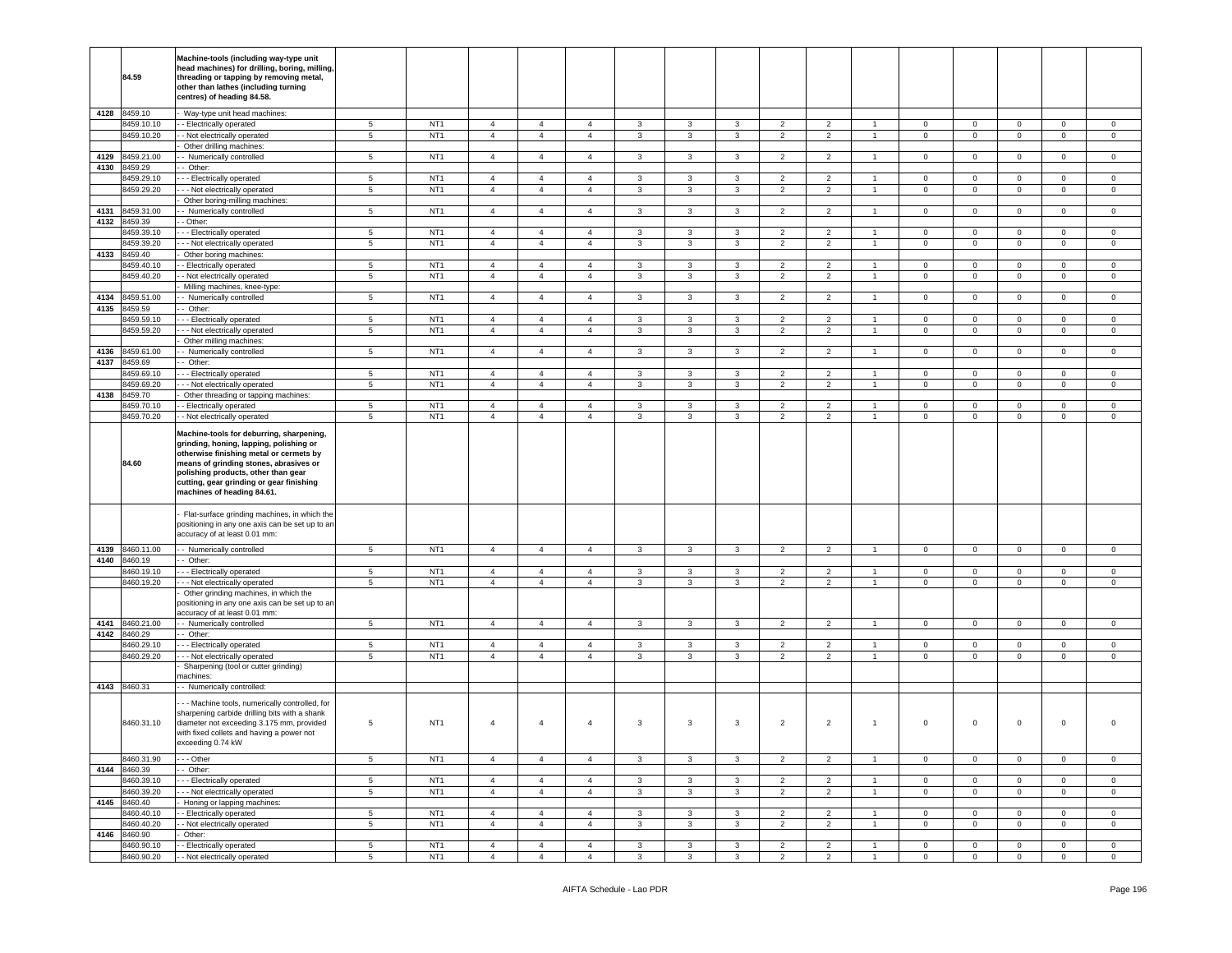|      | 84.59                      | Machine-tools (including way-type unit<br>head machines) for drilling, boring, milling,<br>threading or tapping by removing metal,<br>other than lathes (including turning<br>centres) of heading 84.58.                                                                                  |                      |                                    |                                  |                                  |                                  |                   |                              |                   |                                  |                                  |                                  |                               |                                       |                            |                               |                            |
|------|----------------------------|-------------------------------------------------------------------------------------------------------------------------------------------------------------------------------------------------------------------------------------------------------------------------------------------|----------------------|------------------------------------|----------------------------------|----------------------------------|----------------------------------|-------------------|------------------------------|-------------------|----------------------------------|----------------------------------|----------------------------------|-------------------------------|---------------------------------------|----------------------------|-------------------------------|----------------------------|
|      | 4128 8459.10               | Way-type unit head machines:                                                                                                                                                                                                                                                              |                      |                                    |                                  |                                  |                                  |                   |                              |                   |                                  |                                  |                                  |                               |                                       |                            |                               |                            |
|      | 8459.10.10                 | - Electrically operated                                                                                                                                                                                                                                                                   | $5\phantom{.0}$      | NT <sub>1</sub>                    | $\overline{4}$                   | $\overline{4}$                   | $\overline{4}$                   | 3                 | 3                            | 3                 | $\overline{2}$                   | $\overline{2}$                   | -1                               | $\mathsf 0$                   | $\mathbf 0$                           | $\mathbf 0$                | 0                             | $\mathbf 0$                |
|      | 8459.10.20                 | - Not electrically operated<br>Other drilling machines:                                                                                                                                                                                                                                   | 5                    | NT <sub>1</sub>                    | $\overline{4}$                   | $\overline{4}$                   | $\overline{4}$                   | $\mathbf{3}$      | $\mathbf{3}$                 | 3                 | $\overline{2}$                   | $\overline{2}$                   | $\mathbf{1}$                     | $\overline{0}$                | $\mathbf{0}$                          | $\mathbf{0}$               | $\mathbf{0}$                  | $\mathbf 0$                |
|      | 4129 8459.21.00            | - Numerically controlled                                                                                                                                                                                                                                                                  | $5\phantom{.0}$      | NT <sub>1</sub>                    | $\overline{4}$                   | $\overline{4}$                   | $\overline{4}$                   | 3                 | 3                            | $\mathbf{3}$      | $\overline{2}$                   | $\overline{2}$                   | $\overline{1}$                   | $\mathbf 0$                   | $\mathbf 0$                           | $\mathbf 0$                | $\mathbf{0}$                  | $\mathbf 0$                |
| 4130 | 8459.29                    | - Other:                                                                                                                                                                                                                                                                                  |                      |                                    |                                  |                                  |                                  |                   |                              |                   |                                  |                                  |                                  |                               |                                       |                            |                               |                            |
|      | 8459.29.10                 | - - Electrically operated                                                                                                                                                                                                                                                                 | $\sqrt{5}$           | NT <sub>1</sub>                    | $\overline{4}$                   | $\overline{4}$                   | $\overline{4}$                   | $\mathbf{3}$      | $\mathbf{3}$                 | 3                 | $\overline{2}$                   | $\overline{2}$                   | $\overline{1}$                   | $\mathbf 0$                   | $\mathsf 0$                           | $\mathbf 0$                | $\mathbf 0$                   | $\mathsf 0$                |
|      | 8459.29.20                 | - - Not electrically operated                                                                                                                                                                                                                                                             | $\sqrt{5}$           | NT <sub>1</sub>                    | $\overline{4}$                   | $\overline{4}$                   | $\overline{4}$                   | 3                 | 3                            | 3                 | $\overline{2}$                   | $\overline{2}$                   | $\overline{1}$                   | $\mathbf 0$                   | $\mathbf{O}$                          | $\mathsf 0$                | $\circ$                       | $\mathbf 0$                |
|      |                            | Other boring-milling machines:                                                                                                                                                                                                                                                            |                      |                                    |                                  |                                  |                                  |                   |                              |                   |                                  |                                  |                                  |                               |                                       |                            |                               |                            |
| 4131 | 8459.31.00                 | Numerically controlled                                                                                                                                                                                                                                                                    | $\sqrt{5}$           | NT <sub>1</sub>                    | $\overline{4}$                   | $\overline{4}$                   | $\overline{4}$                   | $\mathbf{3}$      | $\mathbf{3}$                 | $\mathbf{3}$      | $\overline{2}$                   | $\overline{2}$                   | $\overline{1}$                   | $\mathbf 0$                   | $\circ$                               | $\mathsf 0$                | $\mathbf{0}$                  | $\mathsf 0$                |
| 4132 | 8459.39                    | - Other:                                                                                                                                                                                                                                                                                  |                      |                                    |                                  |                                  |                                  |                   |                              |                   |                                  |                                  |                                  |                               |                                       |                            |                               |                            |
|      | 8459.39.10<br>8459.39.20   | - - Electrically operated<br>- - Not electrically operated                                                                                                                                                                                                                                | 5<br>$5\phantom{.0}$ | NT <sub>1</sub><br>NT <sub>1</sub> | $\overline{4}$<br>$\overline{4}$ | $\overline{4}$<br>$\overline{4}$ | 4<br>$\overline{4}$              | 3<br>3            | 3<br>3                       | 3<br>3            | $\overline{2}$<br>$\overline{2}$ | 2<br>$\overline{2}$              | $\overline{1}$<br>$\overline{1}$ | $\mathbf 0$<br>$\mathbf 0$    | $\mathbf 0$<br>$\mathbf{O}$           | $\mathbf 0$<br>$\mathbf 0$ | $\mathbf 0$<br>$\mathbf 0$    | 0<br>$\mathbf 0$           |
| 4133 | 8459.40                    | Other boring machines:                                                                                                                                                                                                                                                                    |                      |                                    |                                  |                                  |                                  |                   |                              |                   |                                  |                                  |                                  |                               |                                       |                            |                               |                            |
|      | 8459.40.10                 | - Electrically operated                                                                                                                                                                                                                                                                   | $5\phantom{.0}$      | NT <sub>1</sub>                    | $\overline{4}$                   | $\overline{4}$                   | 4                                | $\mathbf{3}$      | 3                            | 3                 | $\overline{2}$                   | $\overline{2}$                   | $\mathbf{1}$                     | $\mathbf 0$                   | $\mathbf{O}$                          | $\mathbf 0$                | $\mathbf{0}$                  | $\circ$                    |
|      | 8459.40.20                 | - Not electrically operated                                                                                                                                                                                                                                                               | $5\phantom{.0}$      | NT <sub>1</sub>                    | $\overline{4}$                   | $\overline{4}$                   | $\overline{4}$                   | 3                 | 3                            | 3                 | $\overline{2}$                   | $\overline{2}$                   | $\mathbf{1}$                     | $\mathbf 0$                   | $\mathbf{0}$                          | $\mathbf 0$                | $\mathbf 0$                   | $\mathbf 0$                |
|      |                            | Milling machines, knee-type:                                                                                                                                                                                                                                                              |                      |                                    |                                  |                                  |                                  |                   |                              |                   |                                  |                                  |                                  |                               |                                       |                            |                               |                            |
| 4134 | 8459.51.00                 | - Numerically controlled                                                                                                                                                                                                                                                                  | $5\phantom{.0}$      | NT <sub>1</sub>                    | $\overline{4}$                   | $\overline{4}$                   | 4                                | 3                 | 3                            | 3                 | $\overline{2}$                   | $\overline{2}$                   | -1                               | $\mathbf 0$                   | $\mathbf{O}$                          | $\mathbf 0$                | $\overline{0}$                | $\circ$                    |
| 4135 | 8459.59                    | - Other:                                                                                                                                                                                                                                                                                  |                      |                                    |                                  |                                  |                                  |                   |                              |                   |                                  |                                  |                                  |                               |                                       |                            |                               |                            |
|      | 8459.59.10<br>8459.59.20   | - - Electrically operated<br>- - Not electrically operated                                                                                                                                                                                                                                | 5<br>$5\phantom{.0}$ | NT <sub>1</sub><br>NT <sub>1</sub> | $\overline{4}$<br>$\overline{4}$ | $\overline{4}$<br>$\overline{4}$ | 4<br>$\sqrt{4}$                  | 3<br>$\mathbf{3}$ | $\mathbf{3}$<br>$\mathbf{3}$ | 3<br>$\mathbf{3}$ | $\overline{2}$<br>$\overline{2}$ | 2<br>$\overline{2}$              | $\mathbf{1}$                     | $\mathbf 0$<br>$\overline{0}$ | $\mathbf 0$<br>$\mathbf 0$            | $\mathbf 0$<br>$\mathsf 0$ | $\mathbf 0$<br>$\mathbf 0$    | $\mathbf 0$<br>$\mathbf 0$ |
|      |                            | Other milling machines:                                                                                                                                                                                                                                                                   |                      |                                    |                                  |                                  |                                  |                   |                              |                   |                                  |                                  |                                  |                               |                                       |                            |                               |                            |
| 4136 | 8459.61.00                 | - Numerically controlled                                                                                                                                                                                                                                                                  | 5                    | NT <sub>1</sub>                    | $\overline{4}$                   | $\overline{4}$                   | $\overline{4}$                   | $\mathbf{3}$      | 3                            | 3                 | $\overline{2}$                   | 2                                | $\overline{1}$                   | $\mathbf 0$                   | $\circ$                               | $\mathbf 0$                | $\mathbf{0}$                  | $\mathbf{0}$               |
| 4137 | 8459.69                    | - Other:                                                                                                                                                                                                                                                                                  |                      |                                    |                                  |                                  |                                  |                   |                              |                   |                                  |                                  |                                  |                               |                                       |                            |                               |                            |
|      | 8459.69.10                 | - - Electrically operated                                                                                                                                                                                                                                                                 | 5                    | NT <sub>1</sub>                    | $\overline{4}$                   | $\overline{4}$                   | $\overline{4}$                   | $\mathbf{3}$      | $\mathbf{3}$                 | 3                 | $\overline{2}$                   | 2                                | $\overline{1}$                   | $\mathbf 0$                   | $\overline{0}$                        | $\mathbf 0$                | $\mathbf 0$                   | $\mathbf 0$                |
|      | 3459.69.20                 | - - Not electrically operated                                                                                                                                                                                                                                                             | $\overline{5}$       | NT <sub>1</sub>                    | $\overline{4}$                   | $\overline{4}$                   | $\overline{4}$                   | $\mathbf{3}$      | $\mathbf{3}$                 | $\mathbf{3}$      | $\overline{2}$                   | $\overline{2}$                   | $\overline{1}$                   | $\mathbf 0$                   | $\overline{0}$                        | $\mathsf 0$                | $\mathbf 0$                   | $\mathbf 0$                |
| 4138 | 8459.70                    | Other threading or tapping machines:                                                                                                                                                                                                                                                      |                      |                                    |                                  |                                  |                                  |                   |                              |                   |                                  |                                  |                                  |                               |                                       |                            |                               |                            |
|      | 8459.70.10<br>8459.70.20   | - Electrically operated<br>- Not electrically operated                                                                                                                                                                                                                                    | 5<br>$\sqrt{5}$      | NT <sub>1</sub><br>NT <sub>1</sub> | $\overline{4}$<br>$\overline{4}$ | $\overline{4}$<br>$\overline{4}$ | 4<br>$\overline{4}$              | 3<br>$\mathbf{3}$ | 3<br>3                       | 3<br>3            | $\overline{2}$<br>$\overline{2}$ | $\overline{2}$<br>$\overline{2}$ | $\overline{1}$<br>$\overline{1}$ | $\mathbf 0$<br>$\mathsf 0$    | $\overline{0}$<br>$\mathsf{O}\xspace$ | $\mathbf 0$<br>$\mathsf 0$ | $\mathbf 0$<br>$\mathbf 0$    | $\mathbf 0$<br>$\mathsf 0$ |
|      | 84.60                      | Machine-tools for deburring, sharpening,<br>grinding, honing, lapping, polishing or<br>otherwise finishing metal or cermets by<br>means of grinding stones, abrasives or<br>polishing products, other than gear<br>cutting, gear grinding or gear finishing<br>machines of heading 84.61. |                      |                                    |                                  |                                  |                                  |                   |                              |                   |                                  |                                  |                                  |                               |                                       |                            |                               |                            |
|      |                            | Flat-surface grinding machines, in which the<br>positioning in any one axis can be set up to an<br>accuracy of at least 0.01 mm:                                                                                                                                                          |                      |                                    |                                  |                                  |                                  |                   |                              |                   |                                  |                                  |                                  |                               |                                       |                            |                               |                            |
|      | 4139 8460.11.00            | - Numerically controlled                                                                                                                                                                                                                                                                  | $5\phantom{.0}$      | NT <sub>1</sub>                    | $\overline{4}$                   | $\overline{4}$                   | $\overline{4}$                   | 3                 | 3                            | 3                 | $\overline{2}$                   | $\overline{2}$                   | $\overline{1}$                   | $\overline{0}$                | $\mathbf 0$                           | $\mathbf 0$                | $\mathbf 0$                   | $\mathbf 0$                |
| 4140 | 8460.19                    | - Other:                                                                                                                                                                                                                                                                                  |                      |                                    |                                  |                                  |                                  |                   |                              |                   |                                  |                                  |                                  |                               |                                       |                            |                               |                            |
|      | 8460.19.10                 | --- Electrically operated                                                                                                                                                                                                                                                                 | $5\phantom{.0}$      | NT <sub>1</sub>                    | $\overline{4}$                   | $\overline{4}$                   | 4                                | 3                 | 3                            | 3                 | $\overline{2}$                   | 2                                | $\overline{1}$                   | 0                             | $\mathbf 0$                           | $\mathbf 0$                | $\mathbf 0$                   | $\mathbf 0$                |
|      | 8460.19.20                 | - - Not electrically operated<br>Other grinding machines, in which the                                                                                                                                                                                                                    | $5\phantom{.0}$      | NT <sub>1</sub>                    | $\overline{4}$                   | $\overline{4}$                   | $\overline{4}$                   | $\mathbf{3}$      | $\mathbf{3}$                 | 3                 | $\overline{2}$                   | $\overline{2}$                   | $\overline{1}$                   | $\overline{0}$                | $\overline{0}$                        | $\mathsf 0$                | $\mathbf{0}$                  | $\circ$                    |
|      |                            | positioning in any one axis can be set up to an                                                                                                                                                                                                                                           |                      |                                    |                                  |                                  |                                  |                   |                              |                   |                                  |                                  |                                  |                               |                                       |                            |                               |                            |
|      |                            | accuracy of at least 0.01 mm:                                                                                                                                                                                                                                                             |                      |                                    |                                  |                                  |                                  |                   |                              |                   |                                  |                                  |                                  |                               |                                       |                            |                               |                            |
|      | 4141 8460.21.00            | - - Numerically controlled                                                                                                                                                                                                                                                                | $5\phantom{.0}$      | NT <sub>1</sub>                    | $\overline{4}$                   | $\overline{4}$                   | $\overline{4}$                   | 3                 | 3                            | 3                 | $\overline{2}$                   | $\overline{2}$                   | $\overline{1}$                   | $\overline{0}$                | $\overline{0}$                        | $\mathbf 0$                | $\mathbf{0}$                  | $\mathbf 0$                |
| 4142 | 8460.29                    | - Other:                                                                                                                                                                                                                                                                                  |                      |                                    |                                  |                                  |                                  |                   |                              |                   |                                  |                                  |                                  |                               |                                       |                            |                               |                            |
|      | 8460.29.10<br>8460.29.20   | - Electrically operated<br>- - Not electrically operated                                                                                                                                                                                                                                  | $5\phantom{.0}$<br>5 | NT <sub>1</sub><br>NT <sub>1</sub> | $\overline{4}$<br>$\overline{4}$ | $\overline{4}$<br>$\overline{4}$ | $\overline{4}$<br>$\overline{4}$ | $\mathbf{3}$<br>3 | $\mathbf{3}$<br>3            | $\mathbf{3}$<br>3 | $\overline{2}$<br>$\overline{2}$ | $\overline{2}$<br>$\overline{2}$ | $\overline{1}$<br>$\overline{1}$ | $\mathbf 0$<br>$\mathbf 0$    | $\mathbf 0$<br>$\overline{0}$         | $\mathsf 0$<br>$\mathbf 0$ | $\mathbf 0$<br>$\mathbf 0$    | $\mathbf 0$<br>$\mathbf 0$ |
|      |                            | Sharpening (tool or cutter grinding)                                                                                                                                                                                                                                                      |                      |                                    |                                  |                                  |                                  |                   |                              |                   |                                  |                                  |                                  |                               |                                       |                            |                               |                            |
|      |                            | nachines:                                                                                                                                                                                                                                                                                 |                      |                                    |                                  |                                  |                                  |                   |                              |                   |                                  |                                  |                                  |                               |                                       |                            |                               |                            |
|      | 4143 8460.31               | - Numerically controlled:                                                                                                                                                                                                                                                                 |                      |                                    |                                  |                                  |                                  |                   |                              |                   |                                  |                                  |                                  |                               |                                       |                            |                               |                            |
|      | 8460.31.10                 | - - Machine tools, numerically controlled, for<br>sharpening carbide drilling bits with a shank<br>diameter not exceeding 3.175 mm, provided<br>with fixed collets and having a power not<br>exceeding 0.74 kW                                                                            | 5                    | NT <sub>1</sub>                    | $\overline{4}$                   | $\overline{4}$                   | 4                                | 3                 | 3                            | 3                 | $\overline{2}$                   | $\overline{2}$                   | $\overline{1}$                   | $\,0\,$                       | $\mathbf 0$                           | $\mathbf 0$                | $\mathbf 0$                   | 0                          |
|      | 8460.31.90                 | - - Other                                                                                                                                                                                                                                                                                 | 5                    | NT <sub>1</sub>                    | $\overline{4}$                   | $\overline{4}$                   | $\overline{4}$                   | 3                 | 3                            | 3                 | $\overline{2}$                   | 2                                | $\mathbf{1}$                     | $\mathbf 0$                   | $\mathbf 0$                           | $\mathbf 0$                | $\mathbf 0$                   | $\mathbf 0$                |
|      | 4144 8460.39               | $-$ Other:                                                                                                                                                                                                                                                                                |                      |                                    |                                  |                                  |                                  |                   |                              |                   |                                  |                                  |                                  |                               |                                       |                            |                               |                            |
|      | 8460.39.10                 | - - Electrically operated                                                                                                                                                                                                                                                                 | $5\phantom{.0}$      | NT <sub>1</sub>                    | $\overline{4}$                   | $\overline{4}$                   | $\overline{4}$                   | 3                 | $\mathbf{3}$                 | 3                 | $\overline{2}$                   | $\overline{2}$                   | $\overline{1}$                   | $\mathbf 0$                   | $\mathbf 0$                           | $\mathbf 0$                | $\mathbf 0$                   | $\mathbf{0}$               |
|      | 8460.39.20                 | - - Not electrically operated                                                                                                                                                                                                                                                             | 5                    | NT <sub>1</sub>                    | $\overline{4}$                   | $\overline{4}$                   | $\overline{4}$                   | 3                 | 3                            | 3                 | $\overline{2}$                   | $\overline{2}$                   | $\overline{1}$                   | $\overline{0}$                | $\overline{0}$                        | $\mathbf 0$                | $\mathbf{0}$                  | $\mathbf 0$                |
|      | 4145 8460.40               | Honing or lapping machines:                                                                                                                                                                                                                                                               |                      |                                    |                                  |                                  |                                  |                   |                              |                   |                                  |                                  |                                  |                               |                                       |                            |                               |                            |
|      | 8460.40.10<br>8460.40.20   | - Electrically operated<br>- Not electrically operated                                                                                                                                                                                                                                    | $5\phantom{.0}$<br>5 | NT <sub>1</sub><br>NT <sub>1</sub> | $\overline{4}$<br>$\overline{4}$ | $\overline{4}$<br>$\overline{4}$ | $\overline{4}$<br>$\overline{4}$ | 3<br>$\mathbf{3}$ | $\mathbf{3}$<br>3            | 3<br>3            | $\overline{2}$<br>$\overline{2}$ | $\overline{2}$<br>$\overline{2}$ | $\mathbf{1}$<br>$\mathbf{1}$     | $\mathbf 0$<br>$\mathbf 0$    | $\mathbf 0$<br>$\overline{0}$         | $\mathbf 0$<br>$\mathbf 0$ | $\mathbf 0$<br>$\overline{0}$ | $\mathbf 0$<br>$\mathbf 0$ |
|      |                            |                                                                                                                                                                                                                                                                                           |                      |                                    |                                  |                                  |                                  |                   |                              |                   |                                  |                                  |                                  |                               |                                       |                            |                               |                            |
|      |                            |                                                                                                                                                                                                                                                                                           |                      |                                    |                                  |                                  |                                  |                   |                              |                   |                                  |                                  |                                  |                               |                                       |                            |                               |                            |
|      | 4146 8460.90<br>8460.90.10 | Other:<br>- Electrically operated                                                                                                                                                                                                                                                         | 5                    | NT <sub>1</sub>                    | $\overline{4}$                   | $\overline{4}$                   | $\overline{4}$                   | $\mathbf{3}$      | 3                            | $\mathbf{3}$      | 2                                | $\overline{2}$                   | $\overline{1}$                   | $\mathbf 0$                   | $\overline{0}$                        | $\mathbf 0$                | $\mathbf{0}$                  | $\mathbf{0}$               |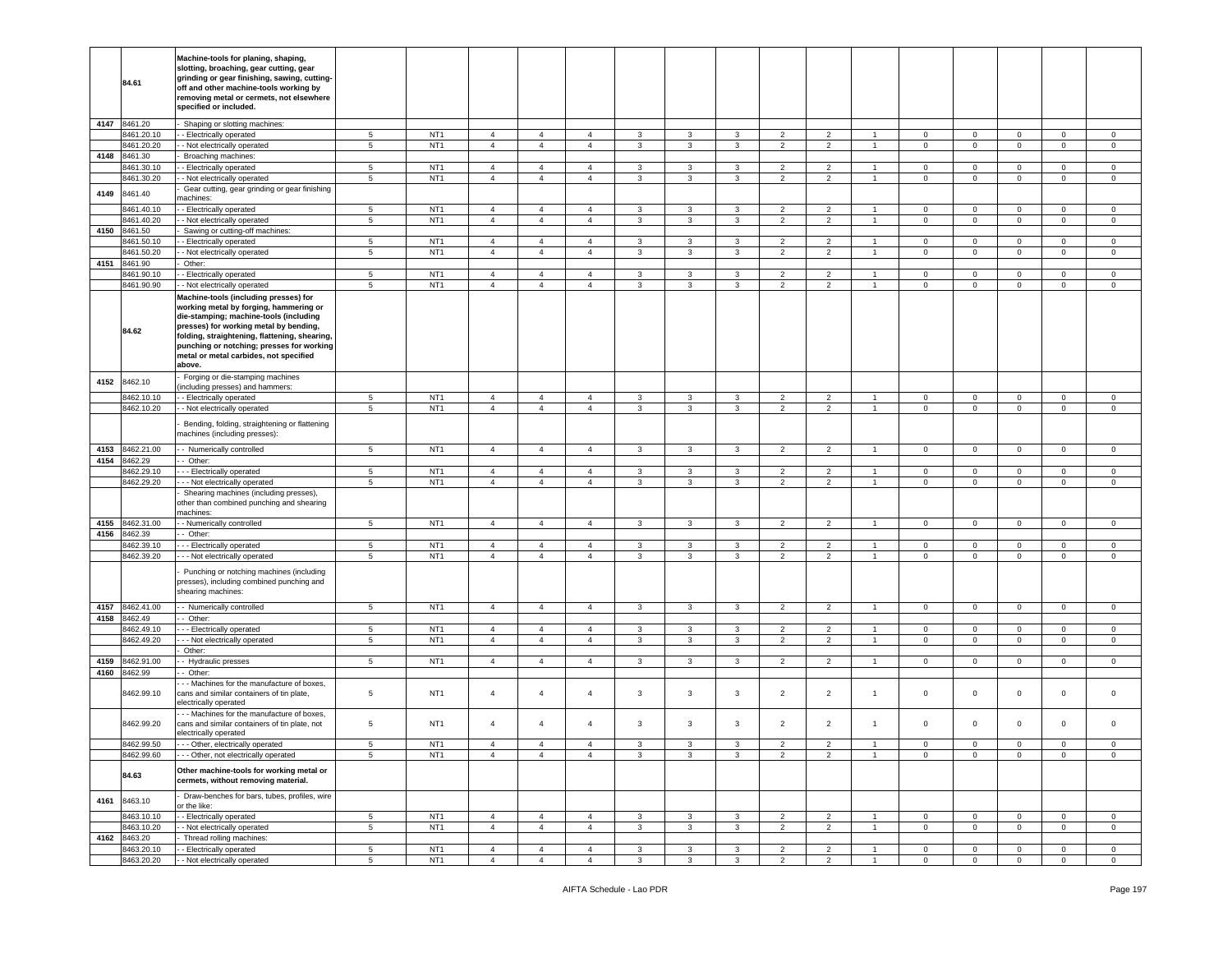|              | 84.61                    | Machine-tools for planing, shaping,<br>slotting, broaching, gear cutting, gear<br>grinding or gear finishing, sawing, cutting-<br>off and other machine-tools working by<br>removing metal or cermets, not elsewhere<br>specified or included.                                                                        |                                    |                                    |                                  |                                  |                |              |                         |                   |                |                                  |                                  |                |                |                                    |                |                |
|--------------|--------------------------|-----------------------------------------------------------------------------------------------------------------------------------------------------------------------------------------------------------------------------------------------------------------------------------------------------------------------|------------------------------------|------------------------------------|----------------------------------|----------------------------------|----------------|--------------|-------------------------|-------------------|----------------|----------------------------------|----------------------------------|----------------|----------------|------------------------------------|----------------|----------------|
| 4147         | 8461.20                  | Shaping or slotting machines:                                                                                                                                                                                                                                                                                         |                                    |                                    |                                  |                                  |                |              |                         |                   |                |                                  |                                  |                |                |                                    |                |                |
|              | 8461.20.10               | - Electrically operated                                                                                                                                                                                                                                                                                               | 5                                  | NT <sub>1</sub>                    | $\overline{4}$                   | $\overline{4}$                   | $\overline{4}$ | 3            | 3                       | 3                 | $\overline{2}$ | 2                                | $\overline{1}$                   | $\mathbf 0$    | $\mathbf{0}$   | $\mathbf 0$                        | $\mathbf{0}$   | $\mathbf{0}$   |
|              | 8461.20.20               | - Not electrically operated                                                                                                                                                                                                                                                                                           | $5\phantom{.0}$                    | NT <sub>1</sub>                    | $\overline{4}$                   | $\overline{4}$                   | $\overline{4}$ | 3            | 3                       | 3                 | $\overline{2}$ | $\overline{2}$                   | $\overline{1}$                   | $\mathbf 0$    | $\mathbf{0}$   | $\mathbf 0$                        | $\mathbf 0$    | $\mathsf 0$    |
| 4148         | 8461.30                  | Broaching machines:                                                                                                                                                                                                                                                                                                   |                                    |                                    |                                  |                                  |                |              |                         |                   |                |                                  |                                  |                |                |                                    |                |                |
|              | 8461.30.10               | - Electrically operated                                                                                                                                                                                                                                                                                               | $5\phantom{.0}$                    | NT <sub>1</sub>                    | $\overline{4}$                   | $\overline{4}$                   | 4              | 3            | 3                       | 3                 | 2              | 2                                | $\overline{1}$                   | $\mathbf 0$    | $\mathbf{0}$   | $\mathbf 0$                        | $\mathbf 0$    | 0              |
|              | 8461.30.20               | - Not electrically operated                                                                                                                                                                                                                                                                                           | $\sqrt{5}$                         | NT <sub>1</sub>                    | $\overline{4}$                   | $\overline{4}$                   | $\overline{4}$ | 3            | 3                       | 3                 | $\overline{2}$ | $\overline{2}$                   | $\mathbf{1}$                     | $\mathbf 0$    | $\overline{0}$ | $\mathbf 0$                        | $\mathbf 0$    | $\mathbf 0$    |
| 4149         | 8461.40                  | Gear cutting, gear grinding or gear finishing                                                                                                                                                                                                                                                                         |                                    |                                    |                                  |                                  |                |              |                         |                   |                |                                  |                                  |                |                |                                    |                |                |
|              | 8461.40.10               | nachines:                                                                                                                                                                                                                                                                                                             | $5\phantom{.0}$                    | NT <sub>1</sub>                    | $\overline{4}$                   | $\overline{4}$                   | $\overline{4}$ |              | 3                       | 3                 | $\overline{2}$ | 2                                | $\overline{1}$                   | $\mathbf 0$    | $\mathbf{0}$   | $\mathbf 0$                        | $\mathbf 0$    | $\circ$        |
|              | 8461.40.20               | - Electrically operated<br>- Not electrically operated                                                                                                                                                                                                                                                                | $\sqrt{5}$                         | NT <sub>1</sub>                    | $\overline{4}$                   | $\overline{4}$                   | $\overline{4}$ | 3<br>3       | 3                       | 3                 | $\overline{2}$ | $\overline{2}$                   | $\overline{1}$                   | $\mathbf 0$    | $\mathbf 0$    | $\mathbf 0$                        | $\mathbf 0$    | $\mathsf 0$    |
| 4150         | 8461.50                  | Sawing or cutting-off machines:                                                                                                                                                                                                                                                                                       |                                    |                                    |                                  |                                  |                |              |                         |                   |                |                                  |                                  |                |                |                                    |                |                |
|              | 8461.50.10               | - Electrically operated                                                                                                                                                                                                                                                                                               | $5\phantom{.0}$                    | NT <sub>1</sub>                    | $\overline{4}$                   | $\overline{4}$                   | 4              | 3            | 3                       | $\mathbf{3}$      | $\overline{2}$ | $\overline{2}$                   |                                  | $\mathbf 0$    | $\mathbf 0$    | $\mathsf 0$                        | $\mathbf{0}$   | 0              |
|              | 8461.50.20               | - Not electrically operated                                                                                                                                                                                                                                                                                           | 5                                  | NT <sub>1</sub>                    | $\overline{4}$                   | $\overline{4}$                   | $\overline{4}$ | $\mathbf{3}$ | 3                       | $\mathbf{3}$      | $\overline{2}$ | $\overline{2}$                   | $\overline{1}$                   | $\circ$        | $\mathbf{0}$   | $\mathsf 0$                        | $\mathbf 0$    | $\circ$        |
| 4151         | 8461.90                  | Other:                                                                                                                                                                                                                                                                                                                |                                    |                                    |                                  |                                  |                |              |                         |                   |                |                                  |                                  |                |                |                                    |                |                |
|              | 8461.90.10               | - Electrically operated                                                                                                                                                                                                                                                                                               | $5\phantom{.0}$                    | NT <sub>1</sub>                    | $\overline{4}$                   | $\overline{4}$                   | 4              | 3            | 3                       | $\mathbf{3}$      | $\overline{2}$ | $\overline{2}$                   | -1                               | $\mathbf 0$    | $\mathbf 0$    | $\mathsf 0$                        | $\overline{0}$ | $\circ$        |
|              | 8461.90.90               | - Not electrically operated                                                                                                                                                                                                                                                                                           | 5                                  | NT <sub>1</sub>                    | $\overline{4}$                   | $\overline{4}$                   | $\overline{4}$ | 3            | $\mathbf{3}$            | 3                 | $\overline{2}$ | $\overline{2}$                   | $\overline{1}$                   | $\mathbf 0$    | $\mathbf 0$    | $\mathbf 0$                        | $\overline{0}$ | $\mathbf{0}$   |
|              | 84.62                    | Machine-tools (including presses) for<br>working metal by forging, hammering or<br>die-stamping; machine-tools (including<br>presses) for working metal by bending,<br>folding, straightening, flattening, shearing,<br>punching or notching; presses for working<br>metal or metal carbides, not specified<br>above. |                                    |                                    |                                  |                                  |                |              |                         |                   |                |                                  |                                  |                |                |                                    |                |                |
| 4152         | 8462.10                  | Forging or die-stamping machines                                                                                                                                                                                                                                                                                      |                                    |                                    |                                  |                                  |                |              |                         |                   |                |                                  |                                  |                |                |                                    |                |                |
|              |                          | including presses) and hammers:                                                                                                                                                                                                                                                                                       |                                    |                                    |                                  |                                  |                |              |                         |                   |                |                                  |                                  |                |                |                                    |                |                |
|              | 8462.10.10               | - - Electrically operated                                                                                                                                                                                                                                                                                             | $5\phantom{.0}$                    | NT <sub>1</sub>                    | $\overline{4}$                   | $\overline{4}$                   | $\overline{4}$ | 3            | $\mathbf{3}$            | 3                 | $\overline{2}$ | $\overline{2}$                   | $\overline{1}$                   | $\mathbf 0$    | $\mathbf 0$    | $\mathbf 0$                        | $\mathbf 0$    | $\circ$        |
|              | 8462.10.20               | - Not electrically operated                                                                                                                                                                                                                                                                                           | 5                                  | NT <sub>1</sub>                    | $\overline{4}$                   | $\overline{4}$                   | $\overline{4}$ | 3            | 3                       | 3                 | $\overline{2}$ | $\overline{2}$                   | $\overline{1}$                   | $\mathbf 0$    | $\mathbf 0$    | $\mathbf 0$                        | $\mathbf 0$    | $\mathbf 0$    |
|              |                          | Bending, folding, straightening or flattening<br>nachines (including presses):                                                                                                                                                                                                                                        |                                    |                                    |                                  |                                  |                |              |                         |                   |                |                                  |                                  |                |                |                                    |                |                |
| 4153         | 8462.21.00               | - Numerically controlled                                                                                                                                                                                                                                                                                              | 5                                  | NT <sub>1</sub>                    | $\overline{4}$                   | $\overline{4}$                   | $\overline{4}$ | 3            | 3                       | 3                 | $\overline{2}$ | $\overline{2}$                   | $\overline{1}$                   | $\mathbf 0$    | $\mathbf{0}$   | $\mathbf 0$                        | $\overline{0}$ | 0              |
| 4154         | 8462.29                  | - Other:                                                                                                                                                                                                                                                                                                              |                                    |                                    |                                  |                                  |                |              |                         |                   |                |                                  |                                  |                |                |                                    |                |                |
|              | 8462.29.10               | --- Electrically operated                                                                                                                                                                                                                                                                                             | 5                                  | NT <sub>1</sub>                    | $\overline{4}$                   | $\overline{4}$                   | $\overline{4}$ | 3            | $\mathbf{3}$            | 3                 | $\overline{2}$ | $\overline{2}$                   | $\overline{1}$                   | $\mathbf 0$    | $\mathbf{0}$   | $\mathbf 0$                        | $\overline{0}$ | $\mathbf 0$    |
|              | 8462.29.20               | - - Not electrically operated                                                                                                                                                                                                                                                                                         | 5                                  | NT <sub>1</sub>                    | $\overline{4}$                   | $\overline{4}$                   | $\overline{4}$ | 3            | 3                       | $\mathbf{3}$      | $\overline{2}$ | $\overline{2}$                   | $\overline{1}$                   | $\pmb{0}$      | $\mathsf 0$    | $\mathbf 0$                        | $\mathbf 0$    | $\mathbf 0$    |
|              |                          | Shearing machines (including presses),<br>other than combined punching and shearing<br>machines:                                                                                                                                                                                                                      |                                    |                                    |                                  |                                  |                |              |                         |                   |                |                                  |                                  |                |                |                                    |                |                |
| 4155         | 8462.31.00               | - Numerically controlled                                                                                                                                                                                                                                                                                              | 5                                  | NT <sub>1</sub>                    | $\overline{4}$                   | $\overline{4}$                   | $\overline{4}$ | 3            | $\mathbf{3}$            | 3                 | $\overline{2}$ | 2                                |                                  | $\circ$        | $\mathbf{0}$   | $\mathbf 0$                        | $\overline{0}$ | $\mathbf 0$    |
| 4156         | 8462.39                  | - Other:                                                                                                                                                                                                                                                                                                              |                                    |                                    |                                  |                                  |                |              |                         |                   |                |                                  |                                  |                |                |                                    |                |                |
|              | 8462.39.10               | - - Electrically operated                                                                                                                                                                                                                                                                                             | $5\phantom{.0}$                    | NT <sub>1</sub>                    | $\overline{4}$                   | $\overline{4}$                   | 4              | 3            | 3                       | 3                 | $\overline{2}$ | $\overline{2}$                   | $\mathbf{1}$                     | $\mathbf{0}$   | $\overline{0}$ | $\mathbf 0$                        | $\overline{0}$ | 0              |
|              | 8462.39.20               | - - - Not electrically operated                                                                                                                                                                                                                                                                                       | 5                                  | NT <sub>1</sub>                    | $\overline{4}$                   | $\overline{4}$                   | $\overline{4}$ | 3            | 3                       | $\mathbf{3}$      | $\overline{2}$ | 2                                | $\overline{1}$                   | $\mathbf 0$    | $\mathbf{0}$   | $\mathbf 0$                        | $\mathbf{0}$   | $\mathbf 0$    |
|              |                          | Punching or notching machines (including<br>presses), including combined punching and<br>shearing machines:                                                                                                                                                                                                           |                                    |                                    |                                  |                                  |                |              |                         |                   |                |                                  |                                  |                |                |                                    |                |                |
| 4157         | 8462.41.00               | - Numerically controlled                                                                                                                                                                                                                                                                                              | 5                                  | NT <sub>1</sub>                    | $\overline{4}$                   | $\overline{4}$                   | $\overline{4}$ | 3            | $\mathbf{3}$            | $\mathbf{3}$      | $\overline{2}$ | 2                                | $\overline{1}$                   | $\mathbf 0$    | $\mathbf{0}$   | $\mathbf 0$                        | $\mathbf 0$    | $\mathbf 0$    |
| 4158         | 8462.49                  | - Other:                                                                                                                                                                                                                                                                                                              |                                    |                                    |                                  |                                  |                |              |                         |                   |                |                                  |                                  |                |                |                                    |                |                |
|              | 8462.49.10               | -- Electrically operated                                                                                                                                                                                                                                                                                              | $5\phantom{.0}$                    | NT <sub>1</sub>                    | $\overline{4}$                   | $\overline{4}$                   | $\overline{4}$ | 3            | 3                       | 3                 | $\overline{2}$ | 2                                | 1                                | $\mathbf{0}$   | $\overline{0}$ | $\mathbf 0$                        | $\overline{0}$ | 0              |
|              | 8462.49.20               | - - Not electrically operated                                                                                                                                                                                                                                                                                         | $\sqrt{5}$                         | NT <sub>1</sub>                    | $\overline{4}$                   | $\overline{4}$                   | $\overline{4}$ | 3            | $\mathbf{3}$            | $\mathbf{3}$      | $\overline{2}$ | 2                                | $\overline{1}$                   | $\mathbf 0$    | $\mathbf{0}$   | $\mathbf 0$                        | $\mathbf 0$    | $\mathbf 0$    |
|              |                          | Other:                                                                                                                                                                                                                                                                                                                |                                    |                                    |                                  |                                  |                |              |                         |                   |                |                                  |                                  |                |                |                                    |                |                |
| 4159<br>4160 | 8462.91.00<br>8462.99    | - Hydraulic presses<br>- Other:                                                                                                                                                                                                                                                                                       | $5\overline{ }$                    | NT <sub>1</sub>                    | $\overline{4}$                   | $\overline{4}$                   | $\overline{4}$ | 3            | 3                       | $\mathbf{3}$      | $\overline{2}$ | $\overline{2}$                   | $\overline{1}$                   | $\overline{0}$ | $\overline{0}$ | $\mathbf 0$                        | $\overline{0}$ | $\circ$        |
|              | 8462.99.10               | - - Machines for the manufacture of boxes,<br>cans and similar containers of tin plate,<br>electrically operated                                                                                                                                                                                                      | 5                                  | NT <sub>1</sub>                    | $\overline{4}$                   | $\overline{4}$                   | $\overline{4}$ | 3            | 3                       | $\mathbf{3}$      | $\overline{2}$ | $\overline{2}$                   | $\mathbf{1}$                     | $\mathsf 0$    | $\mathbf{0}$   | $\mathbf 0$                        | $\mathbf{0}$   | $\mathbf 0$    |
|              | 8462.99.20               | -- Machines for the manufacture of boxes,<br>cans and similar containers of tin plate, not<br>electrically operated                                                                                                                                                                                                   | $5\phantom{.0}$                    | NT <sub>1</sub>                    | $\overline{4}$                   | $\overline{4}$                   | $\overline{4}$ | 3            | 3                       | $\mathbf{3}$      | $\overline{2}$ | $\overline{2}$                   | $\mathbf{1}$                     | $\mathbf 0$    | $\mathbf{0}$   | $\mathbf 0$                        | $\mathbf{0}$   | $\mathbf 0$    |
|              | 8462.99.50               | - Other, electrically operated                                                                                                                                                                                                                                                                                        |                                    | NT <sub>1</sub>                    |                                  |                                  |                |              |                         |                   |                |                                  |                                  |                |                |                                    |                |                |
|              | 8462.99.60               | - - - Other, not electrically operated                                                                                                                                                                                                                                                                                | $\sqrt{5}$                         | NT <sub>1</sub>                    | $\overline{4}$                   | $\overline{4}$                   | $\overline{4}$ | 3            | $\overline{\mathbf{3}}$ | $\mathbf{3}$      | $\overline{2}$ | $\overline{2}$                   | $\mathbf{1}$                     | $\mathbf{0}$   | $\overline{0}$ | $\mathsf{O}\xspace$                | $\overline{0}$ | $\circ$        |
|              | 84.63                    | Other machine-tools for working metal or<br>cermets, without removing material.                                                                                                                                                                                                                                       |                                    |                                    |                                  |                                  |                |              |                         |                   |                |                                  |                                  |                |                |                                    |                |                |
| 4161         | 8463.10                  | Draw-benches for bars, tubes, profiles, wire                                                                                                                                                                                                                                                                          |                                    |                                    |                                  |                                  |                |              |                         |                   |                |                                  |                                  |                |                |                                    |                |                |
|              |                          | or the like:                                                                                                                                                                                                                                                                                                          |                                    |                                    |                                  |                                  |                |              |                         |                   |                |                                  |                                  |                |                |                                    |                |                |
|              | 8463.10.10<br>8463.10.20 | - Electrically operated<br>- Not electrically operated                                                                                                                                                                                                                                                                | $5\phantom{.0}$<br>$5\phantom{.0}$ | NT <sub>1</sub><br>NT <sub>1</sub> | $\overline{4}$<br>$\overline{4}$ | $\overline{4}$<br>$\overline{4}$ | $\overline{4}$ | $\mathbf{3}$ | $\mathbf{3}$            | 3<br>$\mathbf{3}$ | $\overline{2}$ | $\overline{2}$<br>$\overline{2}$ | $\overline{1}$<br>$\overline{1}$ | $\mathbf{0}$   | $\overline{0}$ | $\mathbf 0$<br>$\mathsf{O}\xspace$ | $\overline{0}$ | $\overline{0}$ |
| 4162         | 8463.20                  | Thread rolling machines:                                                                                                                                                                                                                                                                                              |                                    |                                    |                                  |                                  | $\overline{4}$ | $\mathbf{3}$ | $\mathbf{3}$            |                   | $\overline{2}$ |                                  |                                  | $\mathbf 0$    | $\overline{0}$ |                                    | $\overline{0}$ | $\mathbf 0$    |
|              | 8463.20.10               | - Electrically operated                                                                                                                                                                                                                                                                                               | 5                                  | NT <sub>1</sub>                    | $\overline{4}$                   | $\overline{4}$                   | $\overline{4}$ | 3            | 3                       | 3                 | $\overline{2}$ | $\overline{2}$                   | $\mathbf{1}$                     | $\mathbf 0$    | $\mathbf{0}$   | $\mathbf 0$                        | $\mathbf 0$    | $\circ$        |
|              | 8463.20.20               | - Not electrically operated                                                                                                                                                                                                                                                                                           | $5\phantom{.0}$                    | NT <sub>1</sub>                    | $\overline{4}$                   | $\overline{4}$                   | $\overline{4}$ | $\mathbf{3}$ | $\mathbf{3}$            | $\mathbf{3}$      | $\overline{2}$ | $\overline{2}$                   | $\blacktriangleleft$             | $\mathbf 0$    | $\mathbf 0$    | $\mathsf{O}\xspace$                | $\mathsf 0$    | $\overline{0}$ |
|              |                          |                                                                                                                                                                                                                                                                                                                       |                                    |                                    |                                  |                                  |                |              |                         |                   |                |                                  |                                  |                |                |                                    |                |                |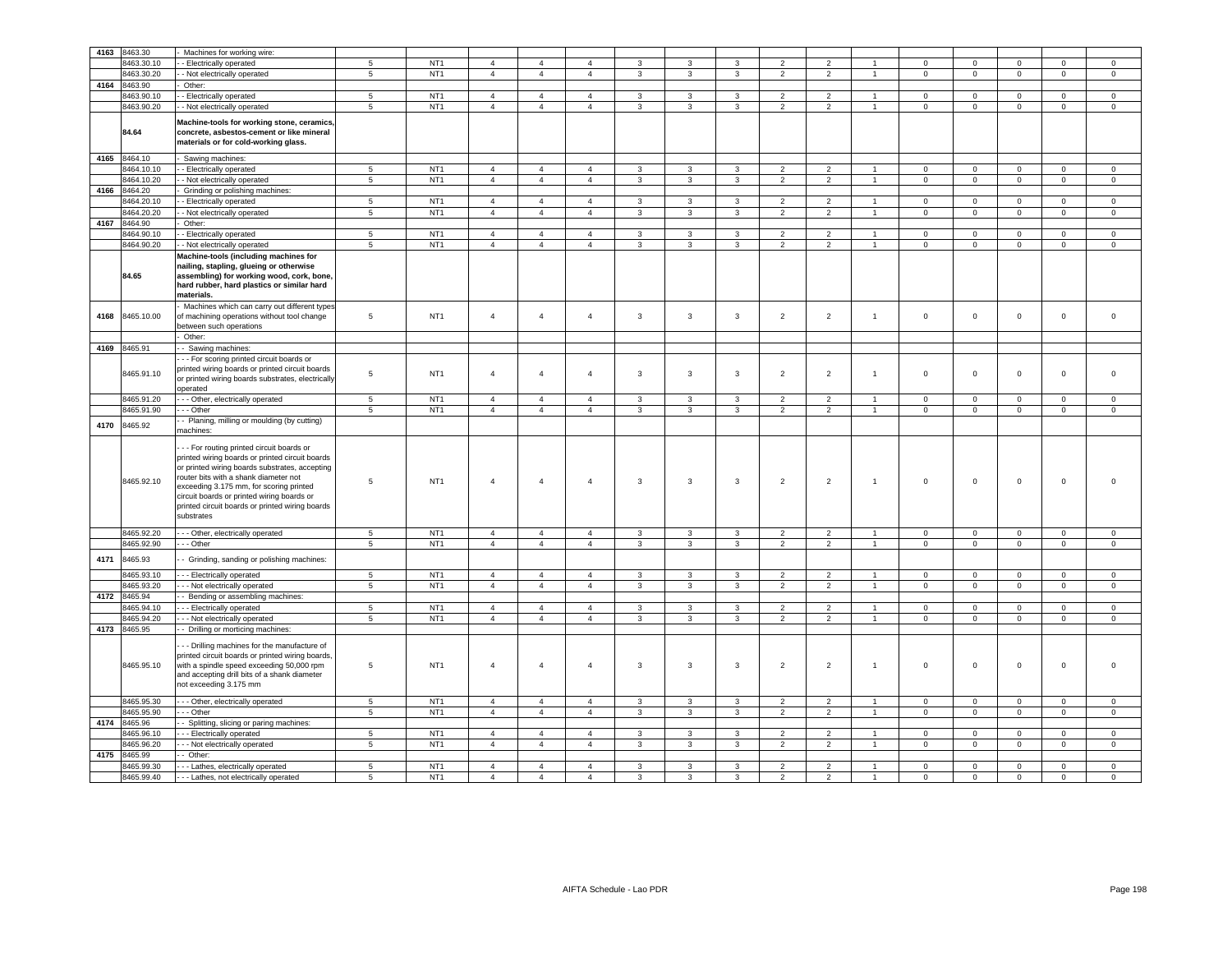| 4163 | 8463.30      | Machines for working wire:                                                                                                                                                                                                                                                                                                                        |                 |                 |                |                |                |               |                |                |                          |                |                      |                     |                |                     |              |                     |
|------|--------------|---------------------------------------------------------------------------------------------------------------------------------------------------------------------------------------------------------------------------------------------------------------------------------------------------------------------------------------------------|-----------------|-----------------|----------------|----------------|----------------|---------------|----------------|----------------|--------------------------|----------------|----------------------|---------------------|----------------|---------------------|--------------|---------------------|
|      | 8463.30.10   | - Electrically operated                                                                                                                                                                                                                                                                                                                           | 5               | NT <sub>1</sub> | $\overline{4}$ | $\overline{4}$ | $\overline{4}$ | 3             | 3              | 3              | $\overline{2}$           | $\overline{2}$ | $\overline{1}$       | $\mathbf 0$         | $\mathbf 0$    | $\mathbf 0$         | $\mathbf 0$  | $\mathbf 0$         |
|      | 8463.30.20   | - Not electrically operated                                                                                                                                                                                                                                                                                                                       | $5\phantom{.0}$ | NT <sub>1</sub> | $\overline{4}$ | $\overline{4}$ | $\overline{4}$ | $\mathbf{3}$  | $\mathbf{3}$   | $\mathbf{3}$   | $\overline{2}$           | $\overline{2}$ | $\overline{1}$       | $\mathbf 0$         | $\mathbf{0}$   | $\mathsf 0$         | $\mathbf 0$  | $\mathsf 0$         |
| 4164 | 8463.90      | Other:                                                                                                                                                                                                                                                                                                                                            |                 |                 |                |                |                |               |                |                |                          |                |                      |                     |                |                     |              |                     |
|      | 8463.90.10   |                                                                                                                                                                                                                                                                                                                                                   | 5               | NT <sub>1</sub> | $\overline{4}$ | $\overline{4}$ | $\overline{4}$ | 3             |                | 3              | $\overline{2}$           | $\overline{2}$ | $\overline{1}$       | $\mathbf 0$         | $\mathbf{0}$   | $\mathbf 0$         | $\mathbf{0}$ | $\circ$             |
|      |              | - Electrically operated                                                                                                                                                                                                                                                                                                                           |                 |                 |                |                |                |               | 3              |                |                          |                |                      |                     |                |                     |              |                     |
|      | 8463.90.20   | - Not electrically operated                                                                                                                                                                                                                                                                                                                       | $\sqrt{5}$      | NT <sub>1</sub> | $\overline{4}$ | $\overline{4}$ | $\overline{4}$ | 3             | $\mathbf{3}$   | 3              | $\overline{2}$           | $\overline{2}$ | $\mathbf{1}$         | $\mathbf 0$         | $\mathsf 0$    | $\mathsf{O}\xspace$ | $\mathbf 0$  | $\mathsf 0$         |
|      | 84.64        | Machine-tools for working stone, ceramics,<br>concrete, asbestos-cement or like mineral<br>materials or for cold-working glass.                                                                                                                                                                                                                   |                 |                 |                |                |                |               |                |                |                          |                |                      |                     |                |                     |              |                     |
| 4165 | 8464.10      | Sawing machines:                                                                                                                                                                                                                                                                                                                                  |                 |                 |                |                |                |               |                |                |                          |                |                      |                     |                |                     |              |                     |
|      | 8464.10.10   | - Electrically operated                                                                                                                                                                                                                                                                                                                           | $\sqrt{5}$      | NT <sub>1</sub> | $\overline{4}$ | $\overline{4}$ | $\overline{4}$ | $\mathcal{R}$ | 3              | $\mathbf{3}$   | $\overline{2}$           | $\overline{2}$ | $\overline{1}$       | $\mathbf 0$         | $\mathsf 0$    | $\mathsf 0$         | $\mathbf 0$  | $\mathbf 0$         |
|      |              |                                                                                                                                                                                                                                                                                                                                                   | $5\phantom{.0}$ | NT <sub>1</sub> |                |                |                |               |                |                |                          |                | $\overline{1}$       |                     |                |                     |              |                     |
|      | 8464.10.20   | - Not electrically operated                                                                                                                                                                                                                                                                                                                       |                 |                 | $\overline{4}$ | $\overline{4}$ | $\overline{4}$ | 3             | 3              | 3              | $\overline{2}$           | $\overline{2}$ |                      | $\pmb{0}$           | $\mathsf 0$    | $\mathsf 0$         | $\mathbf 0$  | $\mathsf 0$         |
| 4166 | 8464.20      | Grinding or polishing machines:                                                                                                                                                                                                                                                                                                                   |                 |                 |                |                |                |               |                |                |                          |                |                      |                     |                |                     |              |                     |
|      | 8464.20.10   | - Electrically operated                                                                                                                                                                                                                                                                                                                           | 5               | NT <sub>1</sub> | $\overline{4}$ | $\overline{4}$ | $\overline{4}$ | $\mathbf{3}$  | 3              | 3              | $\overline{2}$           | $\overline{2}$ | $\overline{1}$       | $\mathbf{0}$        | $\overline{0}$ | $\mathsf{O}\xspace$ | $\mathbf{0}$ | $\circ$             |
|      | 8464.20.20   | - Not electrically operated                                                                                                                                                                                                                                                                                                                       | 5 <sup>5</sup>  | NT <sub>1</sub> | $\overline{4}$ | $\overline{4}$ | $\overline{4}$ | $\mathbf{3}$  | $\overline{3}$ | $\overline{3}$ | 2                        | $\overline{2}$ | $\overline{1}$       | $\circ$             | $\mathbf{0}$   | $\mathbf 0$         | $\circ$      | $\mathbf 0$         |
| 4167 | 8464.90      | Other:                                                                                                                                                                                                                                                                                                                                            |                 |                 |                |                |                |               |                |                |                          |                |                      |                     |                |                     |              |                     |
|      | 8464.90.10   | - Electrically operated                                                                                                                                                                                                                                                                                                                           | $5\overline{)}$ | NT <sub>1</sub> | $\overline{4}$ | $\overline{4}$ | $\overline{4}$ | 3             | 3              | $\mathbf{3}$   | $\overline{2}$           | $\overline{2}$ | $\overline{1}$       | $\mathsf 0$         | $\mathsf 0$    | $\mathsf 0$         | $\mathsf 0$  | $\mathsf 0$         |
|      |              |                                                                                                                                                                                                                                                                                                                                                   |                 |                 |                |                |                |               |                |                |                          |                |                      |                     |                |                     |              |                     |
|      | 8464.90.20   | - Not electrically operated                                                                                                                                                                                                                                                                                                                       | $\overline{5}$  | NT <sub>1</sub> | $\overline{4}$ | $\overline{4}$ | $\overline{4}$ | 3             | $\mathbf{3}$   | $\mathbf{3}$   | $\overline{2}$           | $\overline{2}$ | $\blacktriangleleft$ | $\circ$             | $\mathbf 0$    | $\mathsf{O}\xspace$ | $\mathbf 0$  | $\mathsf{O}\xspace$ |
|      | 84.65        | Machine-tools (including machines for<br>nailing, stapling, glueing or otherwise<br>assembling) for working wood, cork, bone,<br>hard rubber, hard plastics or similar hard<br>materials.                                                                                                                                                         |                 |                 |                |                |                |               |                |                |                          |                |                      |                     |                |                     |              |                     |
| 4168 | 8465.10.00   | Machines which can carry out different types<br>of machining operations without tool change<br>between such operations                                                                                                                                                                                                                            | 5               | NT <sub>1</sub> | $\overline{4}$ | $\overline{4}$ | $\overline{4}$ | $\mathbf{3}$  | $\mathbf{3}$   | $\mathbf{3}$   | $\overline{2}$           | $\overline{2}$ | $\overline{1}$       | $\mathbf 0$         | $\mathsf 0$    | $\mathsf 0$         | $\mathsf 0$  | $\mathsf 0$         |
|      |              | Other:                                                                                                                                                                                                                                                                                                                                            |                 |                 |                |                |                |               |                |                |                          |                |                      |                     |                |                     |              |                     |
|      | 4169 8465.91 | - Sawing machines:                                                                                                                                                                                                                                                                                                                                |                 |                 |                |                |                |               |                |                |                          |                |                      |                     |                |                     |              |                     |
|      | 8465.91.10   | - - For scoring printed circuit boards or<br>printed wiring boards or printed circuit boards<br>or printed wiring boards substrates, electrically<br>operated                                                                                                                                                                                     | 5               | NT <sub>1</sub> | $\overline{4}$ | $\overline{4}$ | $\overline{4}$ | 3             | $\mathbf{3}$   | 3              | $\overline{2}$           | $\overline{2}$ | $\overline{1}$       | $\mathbf 0$         | $\circ$        | $\mathbf 0$         | $\mathbf 0$  | $\Omega$            |
|      | 8465.91.20   | - - Other, electrically operated                                                                                                                                                                                                                                                                                                                  | 5 <sup>5</sup>  | NT <sub>1</sub> | $\overline{4}$ | $\overline{4}$ | $\overline{4}$ | 3             | 3              | 3              | 2                        | $\overline{2}$ | $\overline{1}$       | $\Omega$            | $\Omega$       | $\Omega$            | $\Omega$     | $\Omega$            |
|      | 8465.91.90   | - - Other                                                                                                                                                                                                                                                                                                                                         | $5\phantom{.0}$ | NT <sub>1</sub> | $\overline{4}$ | $\overline{4}$ | $\overline{4}$ | 3             | $\mathbf{3}$   | $\mathbf{3}$   | $\overline{2}$           | $\overline{2}$ | $\overline{1}$       | $\mathsf{O}\xspace$ | $\mathbf 0$    | $\mathsf 0$         | $\mathsf 0$  | $\mathsf 0$         |
| 4170 | 8465.92      | - Planing, milling or moulding (by cutting)<br>machines:                                                                                                                                                                                                                                                                                          |                 |                 |                |                |                |               |                |                |                          |                |                      |                     |                |                     |              |                     |
|      | 8465.92.10   | - - For routing printed circuit boards or<br>printed wiring boards or printed circuit boards<br>or printed wiring boards substrates, accepting<br>router bits with a shank diameter not<br>exceeding 3.175 mm, for scoring printed<br>circuit boards or printed wiring boards or<br>printed circuit boards or printed wiring boards<br>substrates | 5               | NT <sub>1</sub> | $\overline{4}$ | $\overline{4}$ | $\overline{4}$ | 3             | 3              | 3              | $\overline{2}$           | $\overline{2}$ | $\overline{1}$       | $\mathbf 0$         | $\mathbf 0$    | $\mathbf 0$         | $\mathbf 0$  | $\Omega$            |
|      | 8465.92.20   | --- Other, electrically operated                                                                                                                                                                                                                                                                                                                  | $5\phantom{.0}$ | NT <sub>1</sub> | $\overline{4}$ | $\overline{4}$ | $\overline{4}$ | 3             | $\mathbf{3}$   | $\mathbf{3}$   | $\overline{2}$           | $\overline{2}$ | $\overline{1}$       | $\mathsf 0$         | $\mathsf 0$    | $\mathsf 0$         | $\mathsf 0$  | $\mathsf 0$         |
|      | 8465.92.90   | - - Other                                                                                                                                                                                                                                                                                                                                         | $\overline{5}$  | NT <sub>1</sub> | $\overline{4}$ | $\overline{4}$ | $\overline{4}$ | $\mathbf{3}$  | $\mathbf{3}$   | $\overline{3}$ | $\overline{2}$           | $\overline{2}$ | $\overline{1}$       | $\mathsf 0$         | $\overline{0}$ | $\overline{0}$      | $\mathsf 0$  | $\mathsf 0$         |
| 4171 | 8465.93      | - Grinding, sanding or polishing machines:                                                                                                                                                                                                                                                                                                        |                 |                 |                |                |                |               |                |                |                          |                |                      |                     |                |                     |              |                     |
|      | 8465.93.10   | - - Electrically operated                                                                                                                                                                                                                                                                                                                         | 5               | NT <sub>1</sub> | $\overline{4}$ | $\overline{4}$ | $\overline{4}$ | 3             | $\mathbf{3}$   | 3              | $\overline{2}$           | $\overline{2}$ | $\overline{1}$       | $\Omega$            | $\mathbf 0$    | $\mathsf 0$         | $\Omega$     | $\mathbf 0$         |
|      | 8465.93.20   | - - Not electrically operated                                                                                                                                                                                                                                                                                                                     | $5\phantom{.0}$ | NT <sub>1</sub> | $\overline{4}$ | $\overline{4}$ | $\overline{4}$ | 3             | 3              | $\mathbf{3}$   | $\overline{2}$           | $\overline{2}$ | $\overline{1}$       | $\mathbf 0$         | $\mathbf{0}$   | $\mathsf{O}\xspace$ | $\circ$      | $\mathsf 0$         |
| 4172 | 8465.94      | - Bending or assembling machines:                                                                                                                                                                                                                                                                                                                 |                 |                 |                |                |                |               |                |                |                          |                |                      |                     |                |                     |              |                     |
|      | 8465.94.10   | - - Electrically operated                                                                                                                                                                                                                                                                                                                         | $5\phantom{.0}$ | NT <sub>1</sub> | $\overline{4}$ | $\overline{4}$ | $\overline{4}$ | 3             | $\mathbf{3}$   | 3              | $\overline{2}$           | $\overline{2}$ | $\overline{1}$       | $\mathbf 0$         | $\mathsf 0$    | $\mathbf 0$         | $\Omega$     | $\mathsf 0$         |
|      | 8465.94.20   | - - Not electrically operated                                                                                                                                                                                                                                                                                                                     | $5\phantom{.0}$ | NT <sub>1</sub> | $\overline{4}$ | $\overline{4}$ | $\overline{4}$ | 3             | $\mathbf{3}$   | $\mathbf{3}$   | $\overline{2}$           | $\overline{2}$ | $\overline{1}$       | $\mathbf 0$         | $\mathbf{0}$   | $\mathsf 0$         | $\mathbf 0$  | $\mathbf{0}$        |
|      |              |                                                                                                                                                                                                                                                                                                                                                   |                 |                 |                |                |                |               |                |                |                          |                |                      |                     |                |                     |              |                     |
| 4173 | 8465.95      | - Drilling or morticing machines:                                                                                                                                                                                                                                                                                                                 |                 |                 |                |                |                |               |                |                |                          |                |                      |                     |                |                     |              |                     |
|      | 8465.95.10   | - - Drilling machines for the manufacture of<br>printed circuit boards or printed wiring boards,<br>with a spindle speed exceeding 50,000 rpm<br>and accepting drill bits of a shank diameter<br>not exceeding 3.175 mm                                                                                                                           | 5               | NT <sub>1</sub> | $\overline{4}$ | $\overline{4}$ | 4              | 3             | $\mathbf{3}$   | 3              | $\overline{2}$           | $\overline{2}$ | $\mathbf{1}$         | 0                   | 0              | 0                   | $\Omega$     | $\Omega$            |
|      | 8465.95.30   | - - Other, electrically operated                                                                                                                                                                                                                                                                                                                  | 5               | NT <sub>1</sub> | $\overline{4}$ | $\overline{4}$ | $\overline{4}$ | 3             | $\mathbf{3}$   | $\mathbf{3}$   | 2                        | $\overline{2}$ | $\overline{1}$       | $\mathbf 0$         | $\mathsf 0$    | $\mathbf 0$         | $\mathbf 0$  | $\circ$             |
|      | 8465.95.90   | - - Other                                                                                                                                                                                                                                                                                                                                         | 5               | NT <sub>1</sub> | $\overline{4}$ | $\overline{4}$ | $\overline{4}$ | $\mathbf{3}$  | $\mathbf{3}$   | $\overline{3}$ | $\overline{2}$           | $\overline{2}$ | $\mathbf{1}$         | $\mathbf 0$         | $\mathbf{0}$   | $\mathsf 0$         | $\mathbf 0$  | $\mathbf 0$         |
| 4174 | 8465.96      | - Splitting, slicing or paring machines:                                                                                                                                                                                                                                                                                                          |                 |                 |                |                |                |               |                |                |                          |                |                      |                     |                |                     |              |                     |
|      | 8465.96.10   | -- Electrically operated                                                                                                                                                                                                                                                                                                                          | 5               | NT <sub>1</sub> | $\overline{4}$ | $\overline{4}$ | $\overline{4}$ | 3             | 3              | 3              | $\overline{2}$           | 2              | $\overline{1}$       | $\Omega$            | $\Omega$       | $\mathbf 0$         | $\Omega$     | $\Omega$            |
|      | 8465.96.20   | - - Not electrically operated                                                                                                                                                                                                                                                                                                                     | 5               | NT <sub>1</sub> | $\overline{4}$ | $\overline{4}$ | $\overline{4}$ | 3             | 3              | $\mathbf{3}$   | 2                        | 2              | $\overline{1}$       | $\circ$             | $\mathbf{0}$   | $\circ$             | $\circ$      | $\circ$             |
| 4175 | 8465.99      | Other:                                                                                                                                                                                                                                                                                                                                            |                 |                 |                |                |                |               |                |                |                          |                |                      |                     |                |                     |              |                     |
|      |              |                                                                                                                                                                                                                                                                                                                                                   |                 |                 |                |                |                |               |                |                |                          |                |                      |                     |                |                     |              |                     |
|      | 8465.99.30   | -- Lathes, electrically operated                                                                                                                                                                                                                                                                                                                  | 5               | NT <sub>1</sub> | $\overline{4}$ | $\overline{4}$ | $\overline{a}$ | 3             | 3              | 3              | $\overline{2}$           | 2              |                      | $\mathbf 0$         | $\mathbf 0$    | 0                   | $\Omega$     | $\mathbf 0$         |
|      | 8465.99.40   | - - Lathes, not electrically operated                                                                                                                                                                                                                                                                                                             | 5               | NT <sub>1</sub> | $\overline{4}$ | $\overline{4}$ | $\overline{4}$ | 3             | 3              | 3              | $\overline{\phantom{0}}$ | $\overline{2}$ |                      | $\Omega$            | $\Omega$       | $\Omega$            | $\Omega$     | $\mathbf 0$         |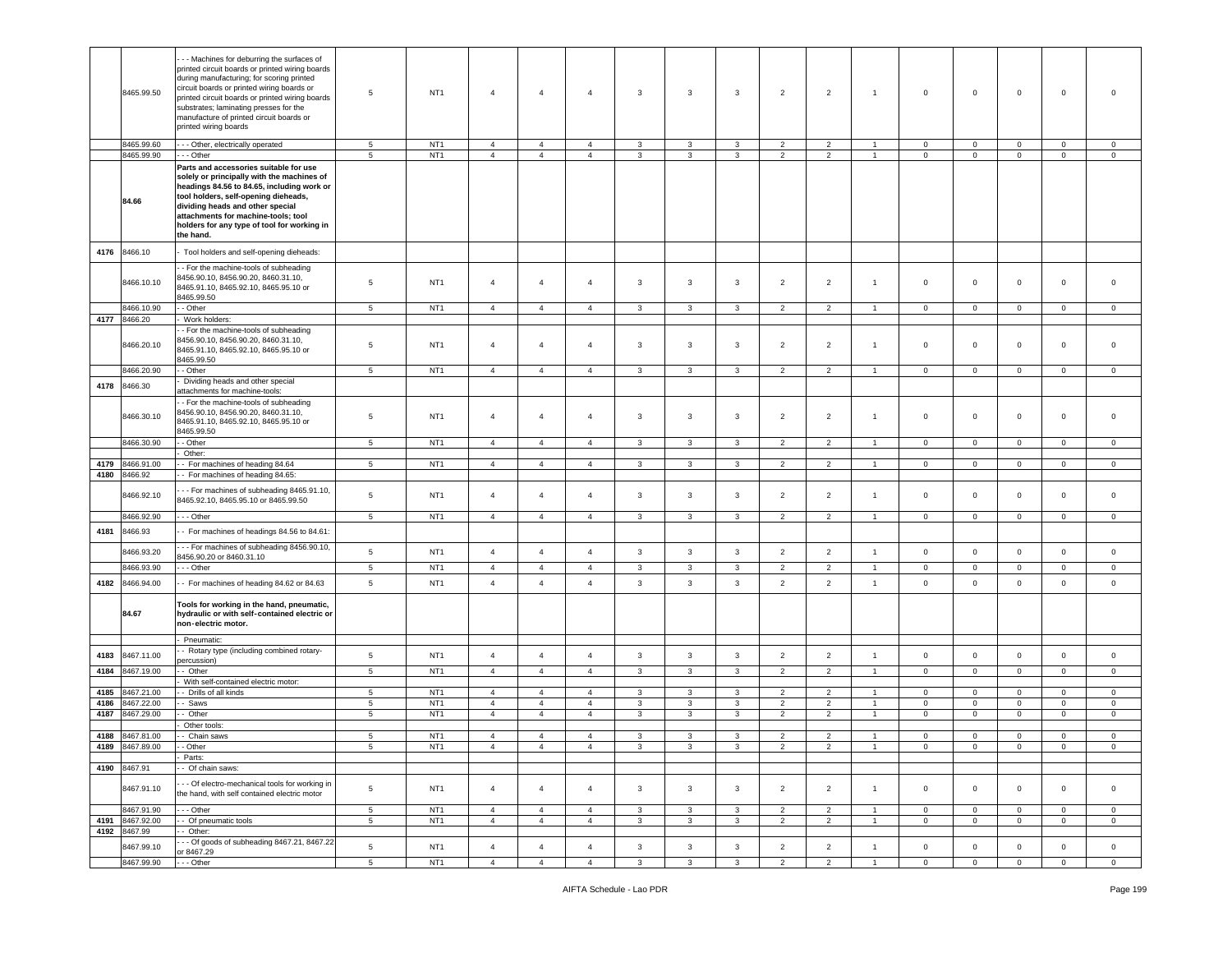|      | 8465.99.50                 | -- Machines for deburring the surfaces of<br>printed circuit boards or printed wiring boards<br>during manufacturing; for scoring printed<br>circuit boards or printed wiring boards or<br>printed circuit boards or printed wiring boards<br>substrates; laminating presses for the<br>manufacture of printed circuit boards or<br>printed wiring boards | 5               | NT <sub>1</sub> | $\overline{4}$ | $\overline{4}$ | $\overline{4}$ | 3            | 3                       | 3            | $\overline{2}$ | $\overline{2}$ | $\overline{1}$ | $\mathbf 0$    | $\mathbf 0$    | 0              | $\mathbf 0$    | $\overline{0}$ |
|------|----------------------------|-----------------------------------------------------------------------------------------------------------------------------------------------------------------------------------------------------------------------------------------------------------------------------------------------------------------------------------------------------------|-----------------|-----------------|----------------|----------------|----------------|--------------|-------------------------|--------------|----------------|----------------|----------------|----------------|----------------|----------------|----------------|----------------|
|      | 8465.99.60                 | - - - Other, electrically operated                                                                                                                                                                                                                                                                                                                        | 5               | NT <sub>1</sub> | $\overline{4}$ | $\overline{4}$ | $\overline{4}$ | 3            | 3                       | 3            | $\overline{2}$ | $\overline{2}$ | $\overline{1}$ | $\mathbf 0$    | $\mathbf{0}$   | 0              | $\mathbf 0$    | $\overline{0}$ |
|      | 8465.99.90                 | - - Other                                                                                                                                                                                                                                                                                                                                                 | 5               | NT <sub>1</sub> | $\overline{4}$ | $\overline{4}$ | $\overline{4}$ | $\mathbf{3}$ | $\mathbf{3}$            | $\mathbf{3}$ | $\overline{2}$ | $\overline{2}$ | $\overline{1}$ | $\mathbf 0$    | $\mathbf 0$    | $\mathbf 0$    | $\mathsf 0$    | $\mathsf 0$    |
|      | 84.66                      | Parts and accessories suitable for use<br>solely or principally with the machines of<br>headings 84.56 to 84.65, including work or<br>tool holders, self-opening dieheads,<br>dividing heads and other special<br>attachments for machine-tools; tool<br>holders for any type of tool for working in<br>the hand.                                         |                 |                 |                |                |                |              |                         |              |                |                |                |                |                |                |                |                |
| 4176 | 8466.10                    | Tool holders and self-opening dieheads:                                                                                                                                                                                                                                                                                                                   |                 |                 |                |                |                |              |                         |              |                |                |                |                |                |                |                |                |
|      | 8466.10.10                 | - For the machine-tools of subheading<br>8456.90.10, 8456.90.20, 8460.31.10,<br>8465.91.10, 8465.92.10, 8465.95.10 or<br>8465.99.50                                                                                                                                                                                                                       | 5               | NT <sub>1</sub> | $\overline{4}$ | $\overline{4}$ | $\overline{4}$ | 3            | 3                       | 3            | $\overline{2}$ | $\overline{2}$ | $\overline{1}$ | $\mathbf 0$    | $\circ$        | $\mathbf 0$    | $\mathbf 0$    | $\mathbf 0$    |
|      | 8466.10.90                 | - Other                                                                                                                                                                                                                                                                                                                                                   | 5               | NT <sub>1</sub> | $\overline{4}$ | $\overline{4}$ | $\overline{4}$ | $\mathbf{3}$ | $\mathbf{3}$            | 3            | $\overline{2}$ | $\overline{2}$ | $\mathbf{1}$   | $\mathbf{0}$   | $\mathbf{0}$   | $\mathbf 0$    | $\mathbf 0$    | $\mathbf 0$    |
| 4177 | 8466.20<br>8466.20.10      | Work holders:<br>- For the machine-tools of subheading<br>8456.90.10, 8456.90.20, 8460.31.10,<br>8465.91.10, 8465.92.10, 8465.95.10 or<br>8465.99.50                                                                                                                                                                                                      | 5               | NT <sub>1</sub> | $\overline{4}$ | $\overline{4}$ | 4              | $\mathbf{3}$ | $\overline{\mathbf{3}}$ | 3            | $\overline{2}$ | $\overline{c}$ | $\overline{1}$ | $\mathbf 0$    | $\mathbf 0$    | $\mathbf 0$    | $\mathbf 0$    | $\overline{0}$ |
|      | 8466.20.90                 | - Other                                                                                                                                                                                                                                                                                                                                                   | 5               | NT <sub>1</sub> | $\overline{4}$ | $\overline{4}$ | $\overline{4}$ | $\mathbf{3}$ | $\mathbf{3}$            | $\mathbf{3}$ | $\overline{2}$ | $\overline{2}$ | $\overline{1}$ | $\mathbf{0}$   | $\overline{0}$ | $\overline{0}$ | $\circ$        | $\mathbf 0$    |
| 4178 | 8466.30                    | Dividing heads and other special                                                                                                                                                                                                                                                                                                                          |                 |                 |                |                |                |              |                         |              |                |                |                |                |                |                |                |                |
|      | 8466.30.10                 | attachments for machine-tools:<br>- For the machine-tools of subheading<br>8456.90.10, 8456.90.20, 8460.31.10,<br>8465.91.10, 8465.92.10, 8465.95.10 or<br>8465.99.50                                                                                                                                                                                     | $5\phantom{.0}$ | NT <sub>1</sub> | $\overline{4}$ | $\overline{4}$ | $\overline{4}$ | 3            | $\mathbf{3}$            | 3            | $\overline{2}$ | $\overline{2}$ | $\overline{1}$ | $\circ$        | $\mathsf 0$    | $\mathbf 0$    | $\mathbf 0$    | $\,0\,$        |
|      | 8466.30.90                 | - Other                                                                                                                                                                                                                                                                                                                                                   | 5 <sup>5</sup>  | NT <sub>1</sub> | $\overline{4}$ | $\overline{4}$ | $\overline{4}$ | $\mathbf{3}$ | 3                       | $\mathbf{3}$ | $\overline{2}$ | $\overline{2}$ | $\overline{1}$ | $\mathbf{0}$   | $\overline{0}$ | $\mathbf{0}$   | $\mathbf{0}$   | $\circ$        |
| 4179 | 8466.91.00                 | Other:<br>- For machines of heading 84.64                                                                                                                                                                                                                                                                                                                 | 5               | NT <sub>1</sub> | $\overline{4}$ | $\overline{4}$ | $\overline{4}$ | 3            | 3                       | 3            | $\overline{2}$ | $\overline{2}$ |                | $\mathbf{0}$   | $\overline{0}$ | $\mathbf{0}$   | $\mathbf{0}$   | $\mathbf 0$    |
| 4180 | 8466.92                    | - For machines of heading 84.65:                                                                                                                                                                                                                                                                                                                          |                 |                 |                |                |                |              |                         |              |                |                | $\mathbf{1}$   |                |                |                |                |                |
|      | 8466.92.10                 | - - For machines of subheading 8465.91.10,<br>8465.92.10, 8465.95.10 or 8465.99.50                                                                                                                                                                                                                                                                        | $5\phantom{.0}$ | NT <sub>1</sub> | $\overline{4}$ | $\overline{4}$ | $\overline{4}$ | 3            | 3                       | 3            | $\overline{2}$ | $\overline{c}$ | $\overline{1}$ | $\mathbf 0$    | $\mathbf 0$    | $\mathbf 0$    | $\mathbf 0$    | $\overline{0}$ |
|      | 8466.92.90                 | - - - Other                                                                                                                                                                                                                                                                                                                                               | $\sqrt{5}$      | NT <sub>1</sub> | $\overline{4}$ | $\overline{4}$ | $\overline{4}$ | 3            | 3                       | 3            | $\overline{2}$ | $\overline{c}$ | $\overline{1}$ | $\mathbf 0$    | $\mathsf 0$    | $\mathbf 0$    | $\overline{0}$ | $\mathbf 0$    |
| 4181 | 8466.93                    | - For machines of headings 84.56 to 84.61:                                                                                                                                                                                                                                                                                                                |                 |                 |                |                |                |              |                         |              |                |                |                |                |                |                |                |                |
|      | 8466.93.20                 | - - For machines of subheading 8456.90.10,<br>8456.90.20 or 8460.31.10                                                                                                                                                                                                                                                                                    | $\,$ 5 $\,$     | NT <sub>1</sub> | $\overline{4}$ | $\overline{4}$ | $\overline{4}$ | $\mathbf{3}$ | $\mathbf{3}$            | $\mathbf{3}$ | $\overline{2}$ | $\overline{2}$ | $\overline{1}$ | $\mathsf 0$    | $\mathsf 0$    | $\mathbf 0$    | $\mathbf 0$    | $\,0\,$        |
|      | 8466.93.90                 | - - Other                                                                                                                                                                                                                                                                                                                                                 | $5\phantom{.0}$ | NT <sub>1</sub> | $\overline{4}$ | $\overline{4}$ | 4              | 3            | 3                       | 3            | $\overline{2}$ | $\overline{2}$ | $\overline{1}$ | $\mathbf 0$    | $\mathbf 0$    | $\mathbf 0$    | $\mathbf{0}$   | $\mathbf 0$    |
| 4182 | 8466.94.00                 | - For machines of heading 84.62 or 84.63                                                                                                                                                                                                                                                                                                                  | 5               | NT <sub>1</sub> | $\overline{4}$ | $\overline{4}$ | $\overline{4}$ | $\mathbf{3}$ | $\mathbf{3}$            | $\mathbf{3}$ | $\overline{2}$ | $\overline{2}$ | $\mathbf{1}$   | $\mathbf 0$    | $\mathbf 0$    | $\mathbf 0$    | $\mathsf 0$    | $\mathsf 0$    |
|      | 84.67                      | Tools for working in the hand, pneumatic,<br>hydraulic or with self-contained electric or<br>non-electric motor.                                                                                                                                                                                                                                          |                 |                 |                |                |                |              |                         |              |                |                |                |                |                |                |                |                |
|      |                            | Pneumatic:                                                                                                                                                                                                                                                                                                                                                |                 |                 |                |                |                |              |                         |              |                |                |                |                |                |                |                |                |
| 4183 | 8467.11.00                 | - Rotary type (including combined rotary-<br>percussion)                                                                                                                                                                                                                                                                                                  | $\,$ 5 $\,$     | NT <sub>1</sub> | $\overline{4}$ | $\overline{4}$ | $\overline{4}$ | $\mathbf{3}$ | $\mathbf{3}$            | $\mathbf{3}$ | $\overline{2}$ | $\overline{2}$ | $\mathbf{1}$   | $\mathbf 0$    | $\mathbf 0$    | $\mathbf 0$    | $\mathbf 0$    | $\mathsf 0$    |
| 4184 | 8467.19.00                 | - Other                                                                                                                                                                                                                                                                                                                                                   | $\sqrt{5}$      | NT <sub>1</sub> | $\overline{4}$ | $\overline{4}$ | $\overline{4}$ | $\mathbf{3}$ | $\mathbf{3}$            | $\mathbf{3}$ | $\overline{2}$ | $\overline{2}$ | $\overline{1}$ | $\mathbf{0}$   | $\mathbf{0}$   | $\mathbf 0$    | $\mathbf{0}$   | $\overline{0}$ |
|      |                            | With self-contained electric motor:                                                                                                                                                                                                                                                                                                                       |                 |                 |                |                |                |              |                         |              |                |                |                |                |                |                |                |                |
| 4185 | 8467.21.00                 | - Drills of all kinds                                                                                                                                                                                                                                                                                                                                     | 5               | NT <sub>1</sub> | $\overline{4}$ | $\overline{4}$ | $\overline{4}$ | 3            | 3                       | 3            | $\overline{2}$ | $\overline{2}$ | $\overline{1}$ | $\mathbf 0$    | $\mathbf 0$    | $\mathbf{0}$   | $\mathbf{0}$   | $\,0\,$        |
| 4186 | 8467.22.00                 | Saws                                                                                                                                                                                                                                                                                                                                                      | $5\phantom{.0}$ | NT <sub>1</sub> | $\overline{4}$ | $\overline{4}$ | $\overline{4}$ | 3            | $\mathbf{3}$            | 3            | $\overline{2}$ | $\overline{2}$ | $\overline{1}$ | $\mathbf 0$    | $\mathbf 0$    | $\mathbf 0$    | $\overline{0}$ | $\overline{0}$ |
| 4187 | 8467.29.00                 | - Other<br>Other tools:                                                                                                                                                                                                                                                                                                                                   | 5 <sub>5</sub>  | NT <sub>1</sub> | $\overline{4}$ | $\overline{4}$ | $\overline{4}$ | $\mathbf{3}$ | $\mathbf{3}$            | 3            | $\overline{2}$ | $\overline{2}$ | $\mathbf{1}$   | $\mathbf{0}$   | $\overline{0}$ | $\mathbf 0$    | $\mathbf{0}$   | $\circ$        |
| 4188 | 8467.81.00                 | - Chain saws                                                                                                                                                                                                                                                                                                                                              | 5               | NT <sub>1</sub> | $\overline{4}$ | $\overline{4}$ | $\overline{4}$ | 3            | 3                       | 3            | 2              | $\overline{2}$ |                | $\mathbf 0$    | $\mathbf 0$    | $\mathbf 0$    | $\mathbf 0$    | $\mathsf 0$    |
|      | 4189 8467.89.00            | - - Other                                                                                                                                                                                                                                                                                                                                                 | 5               | NT <sub>1</sub> | $\overline{4}$ | $\overline{4}$ | 4              | 3            | 3                       | 3            | 2              | 2              |                | $\mathbf 0$    | $\mathbf 0$    | $\mathbf{0}$   | 0              | $\mathbf 0$    |
|      |                            | Parts:                                                                                                                                                                                                                                                                                                                                                    |                 |                 |                |                |                |              |                         |              |                |                |                |                |                |                |                |                |
|      | 4190 8467.91<br>8467.91.10 | - Of chain saws:<br>- - Of electro-mechanical tools for working in<br>the hand, with self contained electric motor                                                                                                                                                                                                                                        | 5               | NT <sub>1</sub> | $\overline{4}$ | $\overline{4}$ | $\overline{4}$ | $\mathbf{3}$ | $\mathbf{3}$            | 3            | $\overline{2}$ | $\overline{2}$ | $\overline{1}$ | $\circ$        | $\mathbf 0$    | $\mathbf 0$    | $\mathbf 0$    | $\mathsf 0$    |
|      | 8467.91.90                 | - - Other                                                                                                                                                                                                                                                                                                                                                 | $5\phantom{.0}$ | NT <sub>1</sub> | $\overline{4}$ | $\overline{4}$ | $\overline{4}$ | $\mathbf{3}$ | $\mathbf{3}$            | 3            | $\overline{2}$ | $\overline{2}$ | $\overline{1}$ | $\overline{0}$ | $\overline{0}$ | $\mathbf{0}$   | $\overline{0}$ | $\overline{0}$ |
| 4191 | 8467.92.00                 | - Of pneumatic tools                                                                                                                                                                                                                                                                                                                                      | $5\phantom{.0}$ | NT <sub>1</sub> | $\overline{4}$ | $\overline{4}$ | $\overline{4}$ | 3            | 3                       | $\mathbf{3}$ | $\overline{2}$ | $\overline{2}$ | $\overline{1}$ | $\mathbf{0}$   | $\overline{0}$ | $\mathbf 0$    | $\overline{0}$ | $\overline{0}$ |
|      | 4192 8467.99               | - Other:                                                                                                                                                                                                                                                                                                                                                  |                 |                 |                |                |                |              |                         |              |                |                |                |                |                |                |                |                |
|      | 8467.99.10                 | - - Of goods of subheading 8467.21, 8467.22<br>or 8467.29                                                                                                                                                                                                                                                                                                 | $\,$ 5 $\,$     | NT <sub>1</sub> | $\overline{4}$ | $\overline{4}$ | $\overline{4}$ | $\mathbf{3}$ | $\mathbf{3}$            | $\mathbf{3}$ | $\overline{2}$ | $\overline{2}$ | $\overline{1}$ | $\mathbf 0$    | $\mathbf 0$    | $\mathbf 0$    | $\mathbf 0$    | $\,0\,$        |
|      | 8467.99.90                 | -- Other                                                                                                                                                                                                                                                                                                                                                  | $5\phantom{.0}$ | NT <sub>1</sub> | $\overline{4}$ | $\overline{4}$ | $\overline{4}$ | $\mathbf{3}$ | $\mathbf{3}$            | $\mathbf{3}$ | $\overline{2}$ | $\overline{2}$ | $\overline{1}$ | $\overline{0}$ | $\overline{0}$ | $\overline{0}$ | $\overline{0}$ | $\overline{0}$ |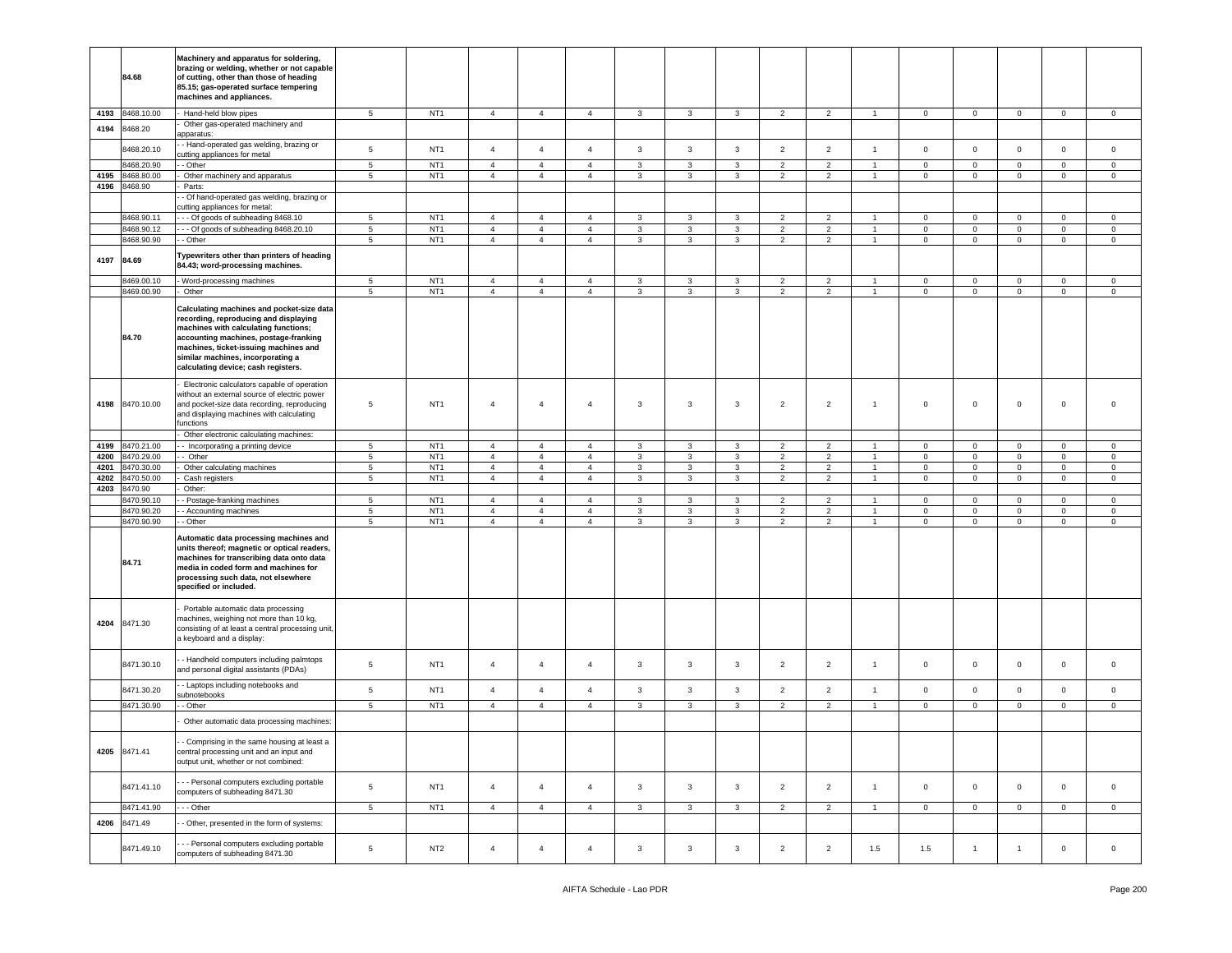|      | 84.68        | Machinery and apparatus for soldering,<br>brazing or welding, whether or not capable<br>of cutting, other than those of heading<br>85.15; gas-operated surface tempering<br>machines and appliances.                                                                                     |                 |                 |                |                |                |              |                         |              |                |                |                |                |                |                |                |                |
|------|--------------|------------------------------------------------------------------------------------------------------------------------------------------------------------------------------------------------------------------------------------------------------------------------------------------|-----------------|-----------------|----------------|----------------|----------------|--------------|-------------------------|--------------|----------------|----------------|----------------|----------------|----------------|----------------|----------------|----------------|
| 4193 | 8468.10.00   | Hand-held blow pipes                                                                                                                                                                                                                                                                     | $5\phantom{.0}$ | NT <sub>1</sub> | $\overline{4}$ | $\overline{4}$ | $\overline{4}$ | 3            | $\mathbf{3}$            | $\mathbf{3}$ | $\overline{2}$ | $\overline{2}$ | $\mathbf{1}$   | $\mathbf 0$    | $\mathbf{O}$   | $\overline{0}$ | $\mathbf 0$    | $\mathbf 0$    |
| 4194 | 3468.20      | Other gas-operated machinery and                                                                                                                                                                                                                                                         |                 |                 |                |                |                |              |                         |              |                |                |                |                |                |                |                |                |
|      | 8468.20.10   | apparatus:<br>- Hand-operated gas welding, brazing or                                                                                                                                                                                                                                    | $\sqrt{5}$      | NT <sub>1</sub> | $\overline{4}$ | $\overline{4}$ | $\overline{4}$ | $\mathbf{3}$ | $\mathbf{3}$            | $\mathbf{3}$ | $\overline{2}$ | $\overline{2}$ | $\mathbf{1}$   | $\mathsf 0$    | $\mathsf 0$    | $\mathsf 0$    | $\mathsf 0$    | $\mathsf 0$    |
|      |              | cutting appliances for metal                                                                                                                                                                                                                                                             |                 |                 |                |                |                |              |                         |              |                |                |                |                |                |                |                |                |
|      | 3468.20.90   | - Other                                                                                                                                                                                                                                                                                  | 5               | NT <sub>1</sub> | $\overline{4}$ | $\overline{4}$ | $\overline{4}$ | 3            | 3                       | 3            | $\overline{2}$ | $\overline{2}$ | $\overline{1}$ | $\mathbf 0$    | $\mathbf 0$    | $\mathbf 0$    | $\mathbf 0$    | $\circ$        |
| 4195 | 3468.80.00   | Other machinery and apparatus                                                                                                                                                                                                                                                            | 5               | NT <sub>1</sub> | $\overline{4}$ | $\overline{4}$ | $\overline{4}$ | 3            | $\mathbf{3}$            | 3            | $\overline{2}$ | $\overline{2}$ | $\mathbf{1}$   | $\mathbf 0$    | $\mathbf 0$    | $\mathbf 0$    | $\mathbf 0$    | $\mathbf 0$    |
| 4196 | 8468.90      | Parts:                                                                                                                                                                                                                                                                                   |                 |                 |                |                |                |              |                         |              |                |                |                |                |                |                |                |                |
|      |              | - Of hand-operated gas welding, brazing or                                                                                                                                                                                                                                               |                 |                 |                |                |                |              |                         |              |                |                |                |                |                |                |                |                |
|      |              | cutting appliances for metal:                                                                                                                                                                                                                                                            |                 |                 |                |                |                |              |                         |              |                |                |                |                |                |                |                |                |
|      | 8468.90.11   | -- Of goods of subheading 8468.10                                                                                                                                                                                                                                                        | 5               | NT <sub>1</sub> | $\overline{4}$ | $\overline{4}$ | $\overline{4}$ | 3            | $\mathbf{3}$            | 3            | $\overline{2}$ | $\overline{2}$ | $\overline{1}$ | $\mathbf 0$    | $\mathbf 0$    | $\mathbf 0$    | $\mathbf{0}$   | $\circ$        |
|      | 8468.90.12   | -- Of goods of subheading 8468.20.10                                                                                                                                                                                                                                                     | $\sqrt{5}$      | NT <sub>1</sub> | $\overline{4}$ | $\overline{4}$ | $\overline{4}$ | 3            | 3                       | $\mathbf{3}$ | $\sqrt{2}$     | $\overline{2}$ | $\overline{1}$ | $\mathbf 0$    | $\mathbf 0$    | $\mathsf 0$    | $\mathbf 0$    | $\,$ 0         |
|      | 3468.90.90   | - Other                                                                                                                                                                                                                                                                                  | $5\phantom{.0}$ | NT <sub>1</sub> | $\overline{4}$ | $\overline{4}$ | $\overline{4}$ | 3            | 3                       | $\mathbf{3}$ | $\overline{2}$ | $\overline{2}$ | $\overline{1}$ | $\mathbf 0$    | $\mathsf 0$    | $\mathbf 0$    | $\mathbf 0$    | $\circ$        |
|      |              |                                                                                                                                                                                                                                                                                          |                 |                 |                |                |                |              |                         |              |                |                |                |                |                |                |                |                |
| 4197 | 84.69        | Typewriters other than printers of heading<br>84.43; word-processing machines.                                                                                                                                                                                                           |                 |                 |                |                |                |              |                         |              |                |                |                |                |                |                |                |                |
|      | 8469.00.10   | Word-processing machines                                                                                                                                                                                                                                                                 | $5\phantom{.0}$ | NT <sub>1</sub> | $\overline{4}$ | $\overline{4}$ | 4              | 3            | 3                       | 3            | $\overline{2}$ | $\overline{2}$ |                | $\mathbf 0$    | 0              | 0              | $\mathbf 0$    | $\overline{0}$ |
|      | 8469.00.90   | Other                                                                                                                                                                                                                                                                                    | $\sqrt{5}$      | NT <sub>1</sub> | $\overline{4}$ | $\overline{4}$ | $\overline{4}$ | $\mathbf{3}$ | $\mathbf{3}$            | $\mathbf{3}$ | $\overline{2}$ | $\overline{2}$ | $\mathbf{1}$   | $\mathbf 0$    | $\mathbf 0$    | $\mathsf 0$    | $\overline{0}$ | $\mathbf 0$    |
|      | 84.70        | Calculating machines and pocket-size data<br>recording, reproducing and displaying<br>machines with calculating functions;<br>accounting machines, postage-franking<br>machines, ticket-issuing machines and<br>similar machines, incorporating a<br>calculating device; cash registers. |                 |                 |                |                |                |              |                         |              |                |                |                |                |                |                |                |                |
| 4198 | 8470.10.00   | Electronic calculators capable of operation<br>without an external source of electric power<br>and pocket-size data recording, reproducing<br>and displaying machines with calculating<br>functions                                                                                      | $\overline{5}$  | NT <sub>1</sub> | $\overline{4}$ | $\overline{4}$ | $\overline{4}$ | 3            | $\overline{\mathbf{3}}$ | $\mathbf{3}$ | $\overline{2}$ | $\overline{2}$ | $\overline{1}$ | $\,0\,$        | 0              | $\mathsf 0$    | $\mathbf 0$    | $\overline{0}$ |
|      |              | Other electronic calculating machines:                                                                                                                                                                                                                                                   |                 |                 |                |                |                |              |                         |              |                |                |                |                |                |                |                |                |
| 4199 | 8470.21.00   | - Incorporating a printing device                                                                                                                                                                                                                                                        | $5\phantom{.0}$ | NT <sub>1</sub> | $\overline{4}$ | $\overline{4}$ | $\overline{4}$ | 3            | $\mathbf{3}$            | 3            | $\overline{2}$ | $\overline{2}$ | $\mathbf{1}$   | $\overline{0}$ | $\mathbf{0}$   | $\mathbf 0$    | $\overline{0}$ | $\overline{0}$ |
| 4200 | 3470.29.00   | - Other                                                                                                                                                                                                                                                                                  | $\sqrt{5}$      | NT <sub>1</sub> | $\overline{4}$ | $\overline{4}$ | $\overline{4}$ | $\mathbf{3}$ | $\mathbf{3}$            | 3            | $\overline{2}$ | $\overline{2}$ | $\overline{1}$ | $\mathbf 0$    | $\mathbf 0$    | $\mathbf 0$    | $\mathbf 0$    | $\,0\,$        |
| 4201 | 3470.30.00   | Other calculating machines                                                                                                                                                                                                                                                               | $\sqrt{5}$      | NT <sub>1</sub> | $\overline{4}$ | $\overline{4}$ | $\overline{4}$ | 3            | $\mathbf{3}$            | $\mathbf{3}$ | $\overline{2}$ | $\overline{2}$ | $\overline{1}$ | $\mathsf 0$    | $\mathsf 0$    | $\mathsf 0$    | $\pmb{0}$      | $\,0\,$        |
| 4202 | 8470.50.00   | Cash registers                                                                                                                                                                                                                                                                           | $5\phantom{.0}$ | NT <sub>1</sub> | $\overline{4}$ | $\overline{4}$ | $\overline{4}$ | $\mathbf{3}$ | $\mathbf{3}$            | $\mathbf{3}$ | $\overline{2}$ | $\overline{2}$ | $\mathbf{1}$   | $\overline{0}$ | $\overline{0}$ | $\mathbf 0$    | $\overline{0}$ | $\mathbf 0$    |
| 4203 | 8470.90      | Other:                                                                                                                                                                                                                                                                                   |                 |                 |                |                |                |              |                         |              |                |                |                |                |                |                |                |                |
|      |              |                                                                                                                                                                                                                                                                                          | $\sqrt{5}$      | NT <sub>1</sub> | $\overline{4}$ | $\overline{4}$ | $\overline{4}$ |              | $\mathbf{3}$            | $\mathbf{3}$ | $\overline{2}$ | $\overline{2}$ |                |                | $\mathbf 0$    | $\mathsf 0$    | $\mathsf 0$    |                |
|      | 3470.90.10   | - Postage-franking machines                                                                                                                                                                                                                                                              |                 |                 |                |                |                | 3            |                         |              |                |                | $\overline{1}$ | $\mathbf 0$    |                |                |                | $\mathbf 0$    |
|      | 3470.90.20   | - Accounting machines                                                                                                                                                                                                                                                                    | $5\phantom{.0}$ | NT <sub>1</sub> | $\overline{4}$ | $\overline{4}$ | $\overline{4}$ | 3            | 3                       | 3            | $\overline{2}$ | $\overline{2}$ | $\overline{1}$ | $\mathbf 0$    | $\mathbf 0$    | $\mathbf 0$    | $\mathbf 0$    | $\,0\,$        |
|      | 8470.90.90   | - Other                                                                                                                                                                                                                                                                                  | 5               | NT <sub>1</sub> | $\overline{4}$ | $\overline{4}$ | $\overline{4}$ | 3            | $\mathbf{3}$            | 3            | $\overline{2}$ | $\overline{2}$ | $\overline{1}$ | $\mathbf 0$    | $\mathbf{O}$   | $\mathbf 0$    | $\mathbf{0}$   | $\mathbf 0$    |
|      | 84.71        | Automatic data processing machines and<br>units thereof; magnetic or optical readers,<br>machines for transcribing data onto data<br>media in coded form and machines for<br>processing such data, not elsewhere<br>specified or included.                                               |                 |                 |                |                |                |              |                         |              |                |                |                |                |                |                |                |                |
| 4204 | 8471.30      | Portable automatic data processing<br>machines, weighing not more than 10 kg,<br>consisting of at least a central processing unit,<br>a keyboard and a display:                                                                                                                          |                 |                 |                |                |                |              |                         |              |                |                |                |                |                |                |                |                |
|      | 8471.30.10   | - Handheld computers including palmtops<br>and personal digital assistants (PDAs)                                                                                                                                                                                                        | $5\phantom{.0}$ | NT <sub>1</sub> | $\overline{4}$ | $\overline{4}$ | $\overline{4}$ | $\mathbf{3}$ | 3                       | 3            | $\overline{2}$ | $\overline{2}$ | $\mathbf{1}$   | $\mathsf 0$    | $\mathbf 0$    | $\mathbf 0$    | $\mathbf 0$    | $\circ$        |
|      | 8471.30.20   | - Laptops including notebooks and<br>subnotebooks                                                                                                                                                                                                                                        | $\sqrt{5}$      | NT <sub>1</sub> | $\overline{4}$ | $\overline{4}$ | $\overline{4}$ | 3            | 3                       | 3            | $\overline{2}$ | $\overline{2}$ | $\overline{1}$ | $\mathbf 0$    | $\mathbf 0$    | $\mathbf 0$    | $\mathbf 0$    | $\overline{0}$ |
|      | 8471.30.90   | - Other                                                                                                                                                                                                                                                                                  | $\sqrt{5}$      | NT <sub>1</sub> | $\overline{4}$ | $\overline{4}$ | $\overline{4}$ | 3            | $\mathbf{3}$            | $\mathbf{3}$ | $\overline{2}$ | $\overline{2}$ | $\overline{1}$ | $\mathbf 0$    | $\mathbf 0$    | $\mathbf 0$    | $\pmb{0}$      | $\,0\,$        |
|      |              | Other automatic data processing machines:                                                                                                                                                                                                                                                |                 |                 |                |                |                |              |                         |              |                |                |                |                |                |                |                |                |
|      | 4205 8471.41 | Comprising in the same housing at least a<br>central processing unit and an input and<br>output unit, whether or not combined:                                                                                                                                                           |                 |                 |                |                |                |              |                         |              |                |                |                |                |                |                |                |                |
|      | 8471.41.10   | - - Personal computers excluding portable<br>computers of subheading 8471.30                                                                                                                                                                                                             | $\sqrt{5}$      | NT <sub>1</sub> | $\overline{4}$ | $\overline{4}$ | $\overline{4}$ | $\mathbf{3}$ | $\overline{3}$          | $\mathbf{3}$ | $\overline{2}$ | $\overline{2}$ | $\overline{1}$ | $\overline{0}$ | $\mathbf{0}$   | $\mathbf 0$    | $\mathbf{0}$   | $\mathbf 0$    |
|      | 8471.41.90   | - - - Other                                                                                                                                                                                                                                                                              | 5 <sub>5</sub>  | NT <sub>1</sub> | $\overline{4}$ | $\overline{4}$ | $\overline{4}$ | $\mathbf{3}$ | $\mathbf{3}$            | $\mathbf{3}$ | $\overline{2}$ | $\overline{2}$ | $\mathbf{1}$   | $\mathbf 0$    | $\overline{0}$ | $\mathsf 0$    | $\mathbf 0$    | $\mathbf 0$    |
| 4206 | 8471.49      | - Other, presented in the form of systems:                                                                                                                                                                                                                                               |                 |                 |                |                |                |              |                         |              |                |                |                |                |                |                |                |                |
|      | 8471.49.10   | - - Personal computers excluding portable<br>computers of subheading 8471.30                                                                                                                                                                                                             | $\sqrt{5}$      | NT <sub>2</sub> | $\overline{4}$ | $\overline{4}$ | $\overline{4}$ | $\mathbf{3}$ | $\mathbf{3}$            | 3            | $\overline{2}$ | $\overline{2}$ | 1.5            | 1.5            | 1              | $\mathbf{1}$   | $\mathbf 0$    | $\overline{0}$ |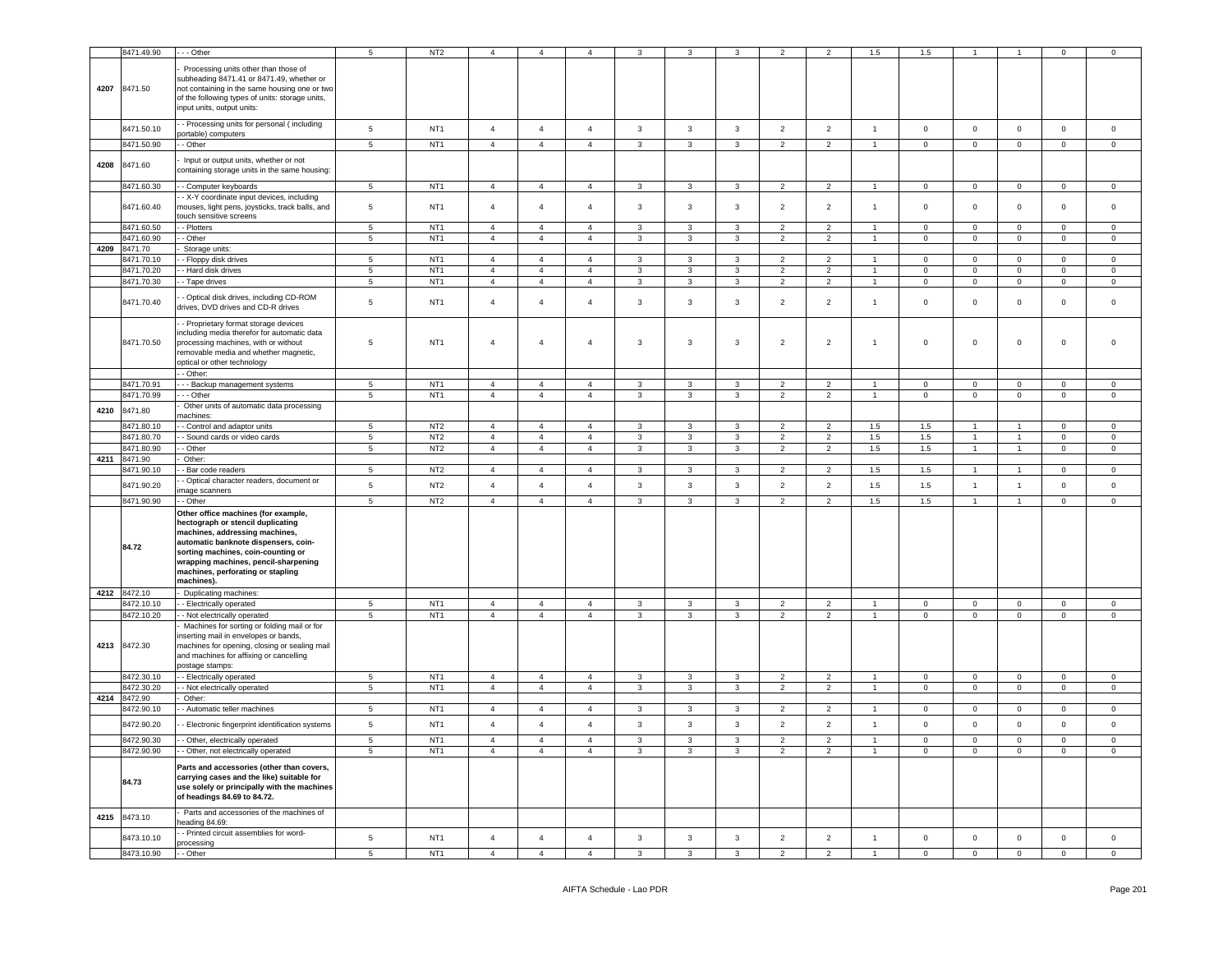|      | 8471.49.90                 | $-$ Other                                                                                                                                                                                                                                                                           | 5                             | NT <sub>2</sub>                    | $\overline{a}$                   | $\overline{4}$                   | $\overline{4}$             |                              |                                |                                          |                    |                                 | 1.5            | 1.5          |                |                      | $\Omega$       | $\Omega$            |
|------|----------------------------|-------------------------------------------------------------------------------------------------------------------------------------------------------------------------------------------------------------------------------------------------------------------------------------|-------------------------------|------------------------------------|----------------------------------|----------------------------------|----------------------------|------------------------------|--------------------------------|------------------------------------------|--------------------|---------------------------------|----------------|--------------|----------------|----------------------|----------------|---------------------|
|      | 4207 8471.50               | Processing units other than those of<br>subheading 8471.41 or 8471.49, whether or<br>not containing in the same housing one or two<br>of the following types of units: storage units,<br>input units, output units:                                                                 |                               |                                    |                                  |                                  |                            |                              |                                |                                          |                    |                                 |                |              |                |                      |                |                     |
|      | 8471.50.10                 | - Processing units for personal (including<br>ortable) computers                                                                                                                                                                                                                    | $\,$ 5 $\,$                   | NT <sub>1</sub>                    | $\overline{4}$                   | $\overline{4}$                   | $\overline{4}$             | $\mathbf{3}$                 | $\mathbf{3}$                   | $\mathbf{3}$                             | $\overline{2}$     | $\overline{2}$                  | $\mathbf{1}$   | $\mathsf 0$  | $\mathbf 0$    | $\mathsf{O}\xspace$  | $\mathsf 0$    | $\mathsf{O}\xspace$ |
|      | 8471.50.90                 | - Other                                                                                                                                                                                                                                                                             | $\overline{5}$                | NT <sub>1</sub>                    | $\overline{4}$                   | $\overline{4}$                   | $\overline{4}$             | $\mathbf{3}$                 | $\mathbf{3}$                   | $\mathbf{3}$                             | $\overline{2}$     | $\overline{2}$                  | $\overline{1}$ | $\mathbf 0$  | $\mathbf{0}$   | $\mathsf 0$          | $\mathbf 0$    | $\mathsf 0$         |
| 4208 | 8471.60                    | Input or output units, whether or not<br>containing storage units in the same housing:                                                                                                                                                                                              |                               |                                    |                                  |                                  |                            |                              |                                |                                          |                    |                                 |                |              |                |                      |                |                     |
|      | 8471.60.30                 | - Computer keyboards                                                                                                                                                                                                                                                                | 5                             | NT <sub>1</sub>                    | $\overline{4}$                   | $\overline{4}$                   | $\overline{4}$             | $\mathbf{3}$                 | $\mathbf{3}$                   | $\mathbf{3}$                             | $\overline{2}$     | $\overline{2}$                  | $\mathbf{1}$   | $\mathbf 0$  | $\mathbf{0}$   | $\mathsf{O}\xspace$  | $\circ$        | $\mathsf 0$         |
|      | 8471.60.40                 | - X-Y coordinate input devices, including<br>mouses, light pens, joysticks, track balls, and<br>touch sensitive screens                                                                                                                                                             | $\,$ 5 $\,$                   | NT <sub>1</sub>                    | $\overline{4}$                   | $\overline{4}$                   | $\overline{4}$             | $\mathbf{3}$                 | $\mathbf{3}$                   | $\mathbf{3}$                             | $\overline{2}$     | $\overline{2}$                  | $\overline{1}$ | $\mathsf 0$  | $\mathbf 0$    | $\mathsf{O}\xspace$  | $\,0\,$        | $\mathsf 0$         |
|      | 8471.60.50                 | - Plotters                                                                                                                                                                                                                                                                          | $\,$ 5 $\,$                   | NT <sub>1</sub>                    | $\overline{4}$                   | $\overline{4}$                   | $\overline{4}$             | $\mathbf{3}$                 | 3                              | 3                                        | $\overline{2}$     | $\overline{2}$                  | $\mathbf{1}$   | $\mathsf 0$  | $\mathsf 0$    | $\Omega$             | $\mathsf 0$    | $\mathsf 0$         |
|      | 8471.60.90                 | - Other                                                                                                                                                                                                                                                                             | $\sqrt{5}$                    | NT <sub>1</sub>                    | $\overline{4}$                   | $\overline{4}$                   | $\overline{4}$             | 3                            | 3                              | $\mathbf{3}$                             | $\overline{2}$     | $\overline{2}$                  | $\overline{1}$ | $\mathsf 0$  | $\mathbf{0}$   | $\mathsf 0$          | $\mathbf 0$    | $\mathbf 0$         |
| 4209 | 8471.70                    | Storage units:                                                                                                                                                                                                                                                                      |                               |                                    |                                  |                                  |                            |                              |                                |                                          |                    |                                 |                |              |                |                      |                |                     |
|      | 8471.70.10                 | - Floppy disk drives                                                                                                                                                                                                                                                                | $\sqrt{5}$                    | NT <sub>1</sub>                    | $\overline{4}$                   | $\overline{4}$                   | $\overline{4}$             | 3                            | 3                              | $\mathbf{3}$                             | $\overline{2}$     | $\overline{2}$                  | $\overline{1}$ | $\mathsf 0$  | $\mathsf 0$    | $\mathsf 0$          | $\mathsf 0$    | $\mathbf 0$         |
|      | 8471.70.20<br>8471.70.30   | - Hard disk drives                                                                                                                                                                                                                                                                  | $\,$ 5 $\,$<br>$\overline{5}$ | NT <sub>1</sub><br>NT <sub>1</sub> | $\overline{a}$<br>$\overline{4}$ | $\Delta$<br>$\overline{4}$       | $\Delta$<br>$\overline{4}$ |                              | $\mathbf{a}$<br>$\overline{3}$ | $\mathcal{R}$<br>$\overline{\mathbf{3}}$ | $\mathcal{L}$      | $\mathcal{L}$<br>$\overline{2}$ | $\mathbf{1}$   | $\Omega$     | $\mathbf 0$    | $\mathsf 0$          | $\Omega$       | $\Omega$            |
|      |                            | - Tape drives                                                                                                                                                                                                                                                                       |                               |                                    |                                  |                                  |                            | $\mathbf{3}$                 |                                |                                          | $\overline{2}$     |                                 |                | $\mathsf 0$  | $\mathbf 0$    | $\mathsf 0$          | $\mathsf 0$    | $\mathsf 0$         |
|      | 8471.70.40                 | - Optical disk drives, including CD-ROM<br>drives, DVD drives and CD-R drives                                                                                                                                                                                                       | 5                             | NT <sub>1</sub>                    | $\overline{4}$                   | $\overline{4}$                   | $\overline{4}$             | $\mathbf{3}$                 | 3                              | 3                                        | $\overline{2}$     | $\overline{2}$                  | $\mathbf{1}$   | $\mathsf 0$  | $\mathbf 0$    | $\mathbf 0$          | $\mathbf 0$    | $\mathbf 0$         |
|      | 8471.70.50                 | - Proprietary format storage devices<br>including media therefor for automatic data<br>processing machines, with or without<br>removable media and whether magnetic,<br>optical or other technology<br>- Other:                                                                     | $\,$ 5 $\,$                   | NT <sub>1</sub>                    | $\overline{4}$                   | $\overline{4}$                   | $\overline{4}$             | $\mathbf{3}$                 | $\mathbf{3}$                   | $\mathbf{3}$                             | $\overline{2}$     | $\sqrt{2}$                      | $\mathbf{1}$   | $\mathbf 0$  | $\mathbf 0$    | $\mathsf{O}\xspace$  | $\,0\,$        | $\mathsf 0$         |
|      | 8471.70.91                 | - - Backup management systems                                                                                                                                                                                                                                                       | -5                            | NT <sub>1</sub>                    | $\overline{a}$                   | $\overline{a}$                   | $\overline{4}$             | 3                            | 3                              | 3                                        | $\overline{2}$     | $\overline{\phantom{a}}$        |                | $\Omega$     | $\Omega$       | $\Omega$             | $\Omega$       | $\Omega$            |
|      | 8471.70.99                 | - - Other                                                                                                                                                                                                                                                                           | $\,$ 5 $\,$                   | NT <sub>1</sub>                    | $\overline{4}$                   | $\overline{4}$                   | $\overline{4}$             | $\mathbf{3}$                 | $\mathbf{3}$                   | $\mathbf{3}$                             | $\overline{2}$     | $\overline{2}$                  | $\overline{1}$ | $\mathbf{0}$ | $\mathbf{0}$   | $\mathsf 0$          | $\circ$        | $\overline{0}$      |
| 4210 | 8471.80                    | Other units of automatic data processing<br>nachines:                                                                                                                                                                                                                               |                               |                                    |                                  |                                  |                            |                              |                                |                                          |                    |                                 |                |              |                |                      |                |                     |
|      | 3471.80.10                 | - Control and adaptor units                                                                                                                                                                                                                                                         | $\sqrt{5}$                    | NT <sub>2</sub>                    | $\overline{4}$                   | $\overline{4}$                   | $\overline{4}$             | $\mathbf{3}$                 | $\mathbf{3}$                   | 3                                        | $\overline{2}$     | $\overline{2}$                  | 1.5            | 1.5          | $\overline{1}$ | $\blacktriangleleft$ | $\Omega$       | $\Omega$            |
|      | 3471.80.70                 | - Sound cards or video cards                                                                                                                                                                                                                                                        | 5                             | NT <sub>2</sub>                    | $\overline{4}$                   | $\overline{4}$                   | $\overline{4}$             | $\mathbf{3}$                 | $\mathbf{3}$                   | $\mathbf{3}$                             | $\overline{2}$     | $\overline{2}$                  | 1.5            | $1.5\,$      | $\overline{1}$ | $\mathbf{1}$         | $\mathbf 0$    | $\circ$             |
|      | 8471.80.90                 | - Other                                                                                                                                                                                                                                                                             | $\overline{5}$                | NT <sub>2</sub>                    | $\overline{4}$                   | $\overline{4}$                   | $\overline{4}$             | $\mathbf{3}$                 | $\mathbf{3}$                   | $\mathbf{3}$                             | $\overline{2}$     | $\overline{2}$                  | 1.5            | 1.5          | $\mathbf{1}$   | $\mathbf{1}$         | $\overline{0}$ | $\overline{0}$      |
|      | 8471.90                    | Other:                                                                                                                                                                                                                                                                              |                               |                                    |                                  |                                  |                            |                              |                                |                                          |                    |                                 |                |              |                |                      |                |                     |
| 4211 |                            |                                                                                                                                                                                                                                                                                     |                               |                                    |                                  |                                  |                            |                              |                                |                                          |                    |                                 |                |              |                |                      |                |                     |
|      | 9471.90.10                 | - Bar code readers                                                                                                                                                                                                                                                                  | $\sqrt{5}$                    | NT <sub>2</sub>                    | $\overline{4}$                   | $\overline{4}$                   | $\overline{4}$             | $\mathbf{3}$                 | $\overline{3}$                 | $\mathbf{3}$                             | $\overline{2}$     | $\overline{2}$                  | 1.5            | 1.5          | $\overline{1}$ | $\mathbf{1}$         | $\mathbf 0$    | $\mathbf 0$         |
|      | 8471.90.20                 | - Optical character readers, document or                                                                                                                                                                                                                                            | $\,$ 5 $\,$                   | NT <sub>2</sub>                    | $\overline{4}$                   | $\overline{4}$                   | $\overline{4}$             | $\mathbf{3}$                 | $\mathbf{3}$                   | $\mathbf{3}$                             | $\overline{2}$     | $\overline{2}$                  | 1.5            | 1.5          | $\overline{1}$ | $\mathbf{1}$         | $\mathbf 0$    | $\mathbf 0$         |
|      | 8471.90.90                 | nage scanners<br>- Other                                                                                                                                                                                                                                                            | $\overline{5}$                | NT <sub>2</sub>                    | $\overline{4}$                   | $\overline{4}$                   | $\overline{4}$             | $\mathbf{3}$                 | $\mathbf{3}$                   | $\mathbf{3}$                             | $\overline{2}$     | $\overline{2}$                  | 1.5            | 1.5          | $\mathbf{1}$   | $\mathbf{1}$         | $\mathsf 0$    | $\mathsf{O}\xspace$ |
|      | 84.72                      | Other office machines (for example,<br>hectograph or stencil duplicating<br>machines, addressing machines,<br>automatic banknote dispensers, coin-<br>sorting machines, coin-counting or<br>wrapping machines, pencil-sharpening<br>machines, perforating or stapling<br>machines). |                               |                                    |                                  |                                  |                            |                              |                                |                                          |                    |                                 |                |              |                |                      |                |                     |
|      | 4212 8472.10               | Duplicating machines:                                                                                                                                                                                                                                                               |                               |                                    |                                  |                                  |                            |                              |                                |                                          |                    |                                 | $\overline{1}$ |              |                |                      |                |                     |
|      | 8472.10.10                 | - Electrically operated                                                                                                                                                                                                                                                             | 5<br>5                        | NT <sub>1</sub>                    | $\overline{4}$<br>$\overline{4}$ | $\overline{4}$<br>$\overline{4}$ | $\overline{4}$             | $\mathbf{3}$<br>$\mathbf{3}$ | $\mathbf{3}$                   | 3<br>$\mathbf{3}$                        | 2<br>$\mathcal{P}$ | 2<br>$\mathcal{P}$              | $\overline{1}$ | $\mathbf 0$  | $\mathbf 0$    | $\mathsf{O}\xspace$  | $\mathsf 0$    | $\mathbf 0$         |
|      | 8472.10.20<br>4213 8472.30 | - Not electrically operated<br>Machines for sorting or folding mail or for<br>inserting mail in envelopes or bands,<br>machines for opening, closing or sealing mail<br>and machines for affixing or cancelling                                                                     |                               | NT <sub>1</sub>                    |                                  |                                  | $\overline{4}$             |                              | 3                              |                                          |                    |                                 |                | $\mathsf 0$  | $\overline{0}$ | $\mathsf 0$          | $\mathsf 0$    | $\mathsf 0$         |
|      |                            | postage stamps:                                                                                                                                                                                                                                                                     |                               |                                    |                                  |                                  |                            |                              |                                |                                          |                    |                                 | $\overline{1}$ |              |                |                      |                |                     |
|      | 8472.30.10                 | - Electrically operated                                                                                                                                                                                                                                                             | $\overline{5}$                | NT <sub>1</sub>                    | $\overline{a}$                   | $\overline{4}$                   | $\overline{4}$             | $\mathbf{3}$                 | 3                              | 3                                        | $\overline{2}$     | 2                               | $\overline{1}$ | $\mathbf 0$  | $\mathbf 0$    | $\mathsf 0$          | $\Omega$       | $\Omega$            |
|      | 3472.30.20                 | - Not electrically operated                                                                                                                                                                                                                                                         | $\,$ 5 $\,$                   | NT <sub>1</sub>                    | $\overline{4}$                   | $\overline{4}$                   | $\overline{4}$             | $\overline{\mathbf{3}}$      | $\overline{3}$                 | $\mathbf{3}$                             | $\overline{2}$     | $\overline{2}$                  |                | $\mathbf 0$  | $\overline{0}$ | $\overline{0}$       | $\overline{0}$ | $\mathbf 0$         |
| 4214 | 8472.90                    | Other:<br>- Automatic teller machines                                                                                                                                                                                                                                               | $\sqrt{5}$                    | NT <sub>1</sub>                    | $\overline{4}$                   | $\overline{4}$                   | $\overline{4}$             | $\mathbf{3}$                 | $\mathbf{3}$                   | $\mathbf{3}$                             | 2                  | $\overline{2}$                  | $\overline{1}$ | $\mathbf 0$  | $\overline{0}$ | $\mathsf{O}\xspace$  | $\mathsf 0$    | $\mathbf 0$         |
|      | 8472.90.10<br>8472.90.20   | - Electronic fingerprint identification systems                                                                                                                                                                                                                                     | $5\phantom{.0}$               | NT <sub>1</sub>                    | $\overline{4}$                   | $\overline{4}$                   | $\overline{4}$             | $\mathbf{3}$                 | $\mathbf{3}$                   | $\mathbf{3}$                             | $\overline{2}$     | $\overline{2}$                  | $\mathbf{1}$   | $\mathbf 0$  | $\mathbf 0$    | $\mathsf 0$          | $\mathbf 0$    | $\mathsf{O}\xspace$ |
|      | 8472.90.30                 | - Other, electrically operated                                                                                                                                                                                                                                                      | 5                             | NT <sub>1</sub>                    | $\overline{4}$                   | $\overline{4}$                   | $\overline{4}$             | $\mathbf{3}$                 | $\mathbf{3}$                   | $\mathbf{3}$                             | $\overline{2}$     | $\overline{2}$                  | $\overline{1}$ | $\mathsf 0$  | $\mathsf 0$    | $\mathsf 0$          | $\mathsf 0$    | $\mathsf 0$         |
|      | 8472.90.90<br>84.73        | - Other, not electrically operated<br>Parts and accessories (other than covers,<br>carrying cases and the like) suitable for<br>use solely or principally with the machines<br>of headings 84.69 to 84.72.                                                                          | $5^{\circ}$                   | NT <sub>1</sub>                    | $\overline{4}$                   | $\overline{a}$                   | $\overline{4}$             | 3                            | 3                              | 3                                        | $\overline{2}$     | $\overline{\phantom{a}}$        | $\overline{1}$ | $\mathbf 0$  | $\mathbf 0$    | $\mathsf 0$          | $\mathsf 0$    | 0                   |
| 4215 | 8473.10                    | Parts and accessories of the machines of<br>eading 84.69:                                                                                                                                                                                                                           |                               |                                    |                                  |                                  |                            |                              |                                |                                          |                    |                                 |                |              |                |                      |                |                     |
|      | 8473.10.10                 | - Printed circuit assemblies for word-<br>processing                                                                                                                                                                                                                                | $\,$ 5 $\,$                   | NT <sub>1</sub>                    | $\overline{4}$                   | $\overline{4}$                   | $\overline{4}$             | $\mathbf{3}$                 | $\mathbf{3}$                   | $\mathbf{3}$                             | $\overline{2}$     | $\overline{2}$                  | $\overline{1}$ | $\mathsf 0$  | $\mathsf 0$    | $\mathsf 0$          | $\mathbf 0$    | $\mathsf 0$         |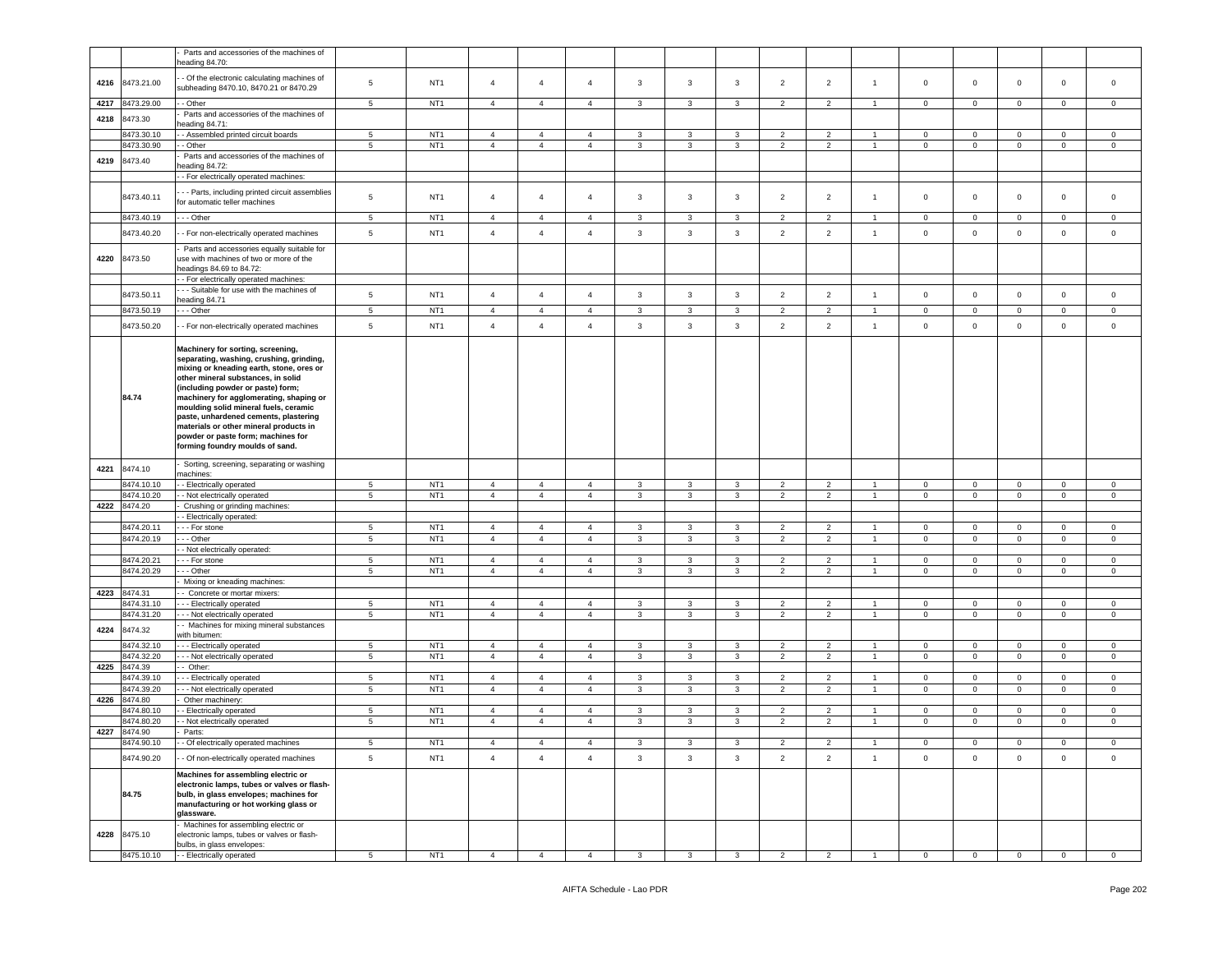|      |                       | Parts and accessories of the machines of<br>heading 84.70:                                                                                                                          |                 |                 |                |                |                |              |              |              |                |                |                |                |                |                |                     |             |
|------|-----------------------|-------------------------------------------------------------------------------------------------------------------------------------------------------------------------------------|-----------------|-----------------|----------------|----------------|----------------|--------------|--------------|--------------|----------------|----------------|----------------|----------------|----------------|----------------|---------------------|-------------|
| 4216 | 8473.21.00            | Of the electronic calculating machines of<br>subheading 8470.10, 8470.21 or 8470.29                                                                                                 | 5               | NT <sub>1</sub> | $\overline{4}$ | $\overline{4}$ | $\overline{4}$ | 3            | 3            | $\mathbf{3}$ | $\overline{2}$ | $\overline{2}$ | $\overline{1}$ | $\mathbf 0$    | $\mathbf 0$    | $\mathbf{0}$   | $\mathbf 0$         | $\mathsf 0$ |
| 4217 | 8473.29.00            | - Other                                                                                                                                                                             | $5\overline{ }$ | NT <sub>1</sub> | $\overline{4}$ | $\overline{4}$ | $\overline{4}$ | 3            | 3            | $\mathbf{3}$ | $\overline{2}$ | $\overline{2}$ | $\overline{1}$ | $\mathbf{0}$   | $\mathbf 0$    | $\mathbf{0}$   | $\mathbf 0$         | $\mathbf 0$ |
| 4218 | 8473.30               | Parts and accessories of the machines of                                                                                                                                            |                 |                 |                |                |                |              |              |              |                |                |                |                |                |                |                     |             |
|      | 8473.30.10            | eading 84.71:<br>- Assembled printed circuit boards                                                                                                                                 | $\sqrt{5}$      | NT <sub>1</sub> | $\overline{4}$ | $\overline{4}$ | $\overline{4}$ | $\mathbf{3}$ | $\mathbf{3}$ | $\mathbf{3}$ | $\overline{2}$ | $\overline{2}$ | $\overline{1}$ | $\mathbf 0$    | $\mathbf 0$    | $\mathbf 0$    | $\mathbf 0$         | $\mathsf 0$ |
|      | 8473.30.90            | - Other                                                                                                                                                                             | 5               | NT <sub>1</sub> | $\overline{4}$ | $\overline{4}$ | $\overline{4}$ | 3            | 3            | 3            | $\overline{2}$ | $\overline{2}$ | $\overline{1}$ | $\mathbf{0}$   | $\mathbf{0}$   | $\mathbf 0$    | $\mathbf 0$         | $\mathbf 0$ |
| 4219 | 8473.40               | Parts and accessories of the machines of                                                                                                                                            |                 |                 |                |                |                |              |              |              |                |                |                |                |                |                |                     |             |
|      |                       | eading 84.72:                                                                                                                                                                       |                 |                 |                |                |                |              |              |              |                |                |                |                |                |                |                     |             |
|      |                       | - For electrically operated machines:                                                                                                                                               |                 |                 |                |                |                |              |              |              |                |                |                |                |                |                |                     |             |
|      | 8473.40.11            | - - Parts, including printed circuit assemblies<br>for automatic teller machines                                                                                                    | 5               | NT <sub>1</sub> | $\overline{4}$ | $\overline{4}$ | $\overline{4}$ | 3            | 3            | 3            | $\overline{2}$ | $\overline{2}$ | $\overline{1}$ | $\mathbf 0$    | $\mathbf 0$    | $\mathbf{0}$   | $\mathsf 0$         | $\mathsf 0$ |
|      | 8473.40.19            | --- Other                                                                                                                                                                           | 5 <sub>5</sub>  | NT <sub>1</sub> | $\overline{4}$ | $\overline{4}$ | $\overline{4}$ | 3            | 3            | $\mathbf{3}$ | $\overline{2}$ | $\overline{2}$ | $\overline{1}$ | $\mathbf{0}$   | $\overline{0}$ | $\mathbf{0}$   | $\circ$             | $\mathbf 0$ |
|      | 8473.40.20            | - For non-electrically operated machines                                                                                                                                            | 5               | NT <sub>1</sub> | $\overline{4}$ | $\overline{4}$ | $\overline{4}$ | $\mathbf{3}$ | 3            | $\mathbf{3}$ | $\overline{2}$ | $\overline{2}$ | $\overline{1}$ | $\mathsf 0$    | $\mathbf 0$    | $\mathbf 0$    | $\mathsf 0$         | $\mathsf 0$ |
| 4220 | 8473.50               | Parts and accessories equally suitable for<br>use with machines of two or more of the<br>headings 84.69 to 84.72:                                                                   |                 |                 |                |                |                |              |              |              |                |                |                |                |                |                |                     |             |
|      |                       | - For electrically operated machines:                                                                                                                                               |                 |                 |                |                |                |              |              |              |                |                |                |                |                |                |                     |             |
|      | 8473.50.11            | - - Suitable for use with the machines of<br>heading 84.71                                                                                                                          | 5               | NT <sub>1</sub> | $\overline{4}$ | $\overline{4}$ | $\overline{4}$ | 3            | 3            | 3            | $\overline{2}$ | $\overline{2}$ | $\overline{1}$ | $\mathbf 0$    | $\mathbf 0$    | $\mathbf{0}$   | $\mathbf 0$         | $\mathsf 0$ |
|      | 8473.50.19            | - - Other                                                                                                                                                                           | $5\overline{ }$ | NT <sub>1</sub> | $\overline{4}$ | $\overline{4}$ | $\overline{4}$ | 3            | 3            | $\mathbf{3}$ | $\overline{2}$ | $\overline{2}$ | $\overline{1}$ | $\mathbf 0$    | $\mathbf 0$    | $\mathbf{0}$   | $\mathbf 0$         | $\mathbf 0$ |
|      | 8473.50.20            | - For non-electrically operated machines                                                                                                                                            | 5               | NT <sub>1</sub> | $\overline{4}$ | $\overline{4}$ | $\overline{4}$ | $\mathbf{3}$ | $\mathbf{3}$ | $\mathbf{3}$ | $\overline{2}$ | $\overline{2}$ | $\overline{1}$ | $\mathsf 0$    | $\mathbf 0$    | $\mathbf 0$    | $\mathsf{O}\xspace$ | $\mathsf 0$ |
|      |                       | Machinery for sorting, screening,<br>separating, washing, crushing, grinding,<br>mixing or kneading earth, stone, ores or                                                           |                 |                 |                |                |                |              |              |              |                |                |                |                |                |                |                     |             |
|      | 84.74                 | other mineral substances, in solid<br>(including powder or paste) form;<br>machinery for agglomerating, shaping or<br>moulding solid mineral fuels, ceramic                         |                 |                 |                |                |                |              |              |              |                |                |                |                |                |                |                     |             |
|      |                       | paste, unhardened cements, plastering                                                                                                                                               |                 |                 |                |                |                |              |              |              |                |                |                |                |                |                |                     |             |
|      |                       | materials or other mineral products in                                                                                                                                              |                 |                 |                |                |                |              |              |              |                |                |                |                |                |                |                     |             |
|      |                       | powder or paste form; machines for<br>forming foundry moulds of sand.                                                                                                               |                 |                 |                |                |                |              |              |              |                |                |                |                |                |                |                     |             |
|      |                       |                                                                                                                                                                                     |                 |                 |                |                |                |              |              |              |                |                |                |                |                |                |                     |             |
| 4221 | 8474.10               | Sorting, screening, separating or washing                                                                                                                                           |                 |                 |                |                |                |              |              |              |                |                |                |                |                |                |                     |             |
|      | 8474.10.10            | nachines:<br>- Electrically operated                                                                                                                                                | 5               | NT <sub>1</sub> | $\overline{4}$ | $\overline{4}$ | $\overline{4}$ | $\mathbf{3}$ | 3            | 3            | $\overline{2}$ | $\overline{2}$ |                | $\circ$        | $\mathbf{0}$   | $\mathbf 0$    | $\mathbf 0$         | $\mathbf 0$ |
|      | 8474.10.20            | - Not electrically operated                                                                                                                                                         | 5               | NT <sub>1</sub> | $\overline{4}$ | $\overline{4}$ | $\overline{4}$ | 3            | 3            | $\mathbf{3}$ | $\overline{2}$ | $\overline{2}$ | $\overline{1}$ | $\mathbf{0}$   | $\mathbf{0}$   | $\mathbf{0}$   | $\mathbf 0$         | $\mathbf 0$ |
| 4222 | 8474.20               | Crushing or grinding machines:                                                                                                                                                      |                 |                 |                |                |                |              |              |              |                |                |                |                |                |                |                     |             |
|      |                       | - Electrically operated:                                                                                                                                                            |                 |                 |                |                |                |              |              |              |                |                |                |                |                |                |                     |             |
|      | 8474.20.11            | - - For stone                                                                                                                                                                       | 5               | NT <sub>1</sub> | $\overline{4}$ | $\overline{4}$ | $\overline{4}$ | 3            | 3            | $\mathbf{3}$ | $\overline{2}$ | $\overline{2}$ | $\overline{1}$ | $\mathbf 0$    | $\mathbf{0}$   | $\mathbf{0}$   | $\mathbf 0$         | $\mathbf 0$ |
|      | 8474.20.19            | - - Other                                                                                                                                                                           | $5\phantom{.0}$ | NT <sub>1</sub> | $\overline{4}$ | $\overline{4}$ | $\overline{4}$ | 3            | 3            | $\mathbf{3}$ | $\overline{2}$ | $\overline{2}$ | $\overline{1}$ | $\mathbf{0}$   | $\mathbf{0}$   | $\mathbf{0}$   | $\mathsf 0$         | $\mathsf 0$ |
|      | 8474.20.21            | - Not electrically operated:<br>- - For stone                                                                                                                                       | 5               | NT <sub>1</sub> | $\overline{4}$ | $\overline{4}$ | 4              | 3            | 3            | 3            | $\overline{2}$ | $\overline{2}$ |                | $\mathbf 0$    | $\mathbf{0}$   | $\mathbf 0$    | $\mathbf 0$         | 0           |
|      | 8474.20.29            | - - Other                                                                                                                                                                           | $5\phantom{.0}$ | NT <sub>1</sub> | $\overline{4}$ | $\overline{4}$ | $\overline{4}$ | 3            | 3            | $\mathbf{3}$ | $\overline{2}$ | $\overline{2}$ | $\mathbf{1}$   | $\overline{0}$ | $\overline{0}$ | $\mathbf 0$    | $\mathsf 0$         | $\mathsf 0$ |
|      |                       | Mixing or kneading machines:                                                                                                                                                        |                 |                 |                |                |                |              |              |              |                |                |                |                |                |                |                     |             |
| 4223 | 8474.31               | - Concrete or mortar mixers:                                                                                                                                                        |                 |                 |                |                |                |              |              |              |                |                |                |                |                |                |                     |             |
|      | 8474.31.10            | - - - Electrically operated                                                                                                                                                         | $5\phantom{.0}$ | NT <sub>1</sub> | $\overline{4}$ | $\overline{4}$ | $\overline{4}$ | 3            | 3            | 3            | $\overline{2}$ | $\overline{2}$ |                | $\mathbf 0$    | $\mathbf 0$    | $\mathbf 0$    | $\mathbf 0$         | $\mathsf 0$ |
|      | 8474.31.20            | - - Not electrically operated<br>- Machines for mixing mineral substances                                                                                                           | 5               | NT <sub>1</sub> | $\overline{4}$ | $\overline{4}$ | $\overline{4}$ | 3            | 3            | 3            | $\overline{2}$ | $\overline{2}$ | $\overline{1}$ | $\mathbf 0$    | $\mathbf{0}$   | $\mathbf{0}$   | $\mathbf 0$         | $\mathbf 0$ |
| 4224 | 8474.32               | vith bitumen:                                                                                                                                                                       |                 |                 |                |                |                |              |              |              |                |                |                |                |                |                |                     |             |
|      | 8474.32.10            | - - Electrically operated                                                                                                                                                           | $5\phantom{.0}$ | NT <sub>1</sub> | $\overline{4}$ | $\overline{4}$ | $\overline{4}$ | 3            | 3            | 3            | $\overline{2}$ | $\overline{2}$ |                | $\mathbf{0}$   | $\mathbf 0$    | $\mathbf 0$    | $\mathbf 0$         | $\mathbf 0$ |
|      | 8474.32.20            | - - Not electrically operated                                                                                                                                                       | $5^{\circ}$     | NT <sub>1</sub> | $\overline{4}$ | $\overline{4}$ | $\overline{4}$ | 3            | 3            | $\mathbf{3}$ | $\overline{2}$ | $\overline{2}$ | $\overline{1}$ | $\overline{0}$ | $\overline{0}$ | $\mathbf 0$    | $\mathbf 0$         | $\mathbf 0$ |
| 4225 | 8474.39<br>8474.39.10 | - Other:                                                                                                                                                                            | 5               | NT <sub>1</sub> | $\overline{4}$ | $\overline{4}$ | $\overline{4}$ | 3            | 3            | 3            | $\overline{2}$ | $\overline{2}$ |                | $\mathbf{0}$   | $\mathbf 0$    | $\mathbf 0$    | $\mathbf 0$         | $\mathbf 0$ |
|      | 8474.39.20            | - - Electrically operated<br>- - Not electrically operated                                                                                                                          | 5               | NT <sub>1</sub> | $\overline{4}$ | $\overline{4}$ | $\overline{4}$ | 3            | 3            | 3            | $\overline{2}$ | $\overline{2}$ | $\overline{1}$ | $\mathbf 0$    | $\mathbf{0}$   | $\mathbf{0}$   | $\mathbf 0$         | $\mathbf 0$ |
| 4226 | 8474.80               | Other machinery:                                                                                                                                                                    |                 |                 |                |                |                |              |              |              |                |                |                |                |                |                |                     |             |
|      | 8474.80.10            | - Electrically operated                                                                                                                                                             | 5               | NT <sub>1</sub> | $\overline{4}$ | $\overline{4}$ | $\overline{4}$ | 3            | 3            | 3            | $\overline{2}$ | $\overline{2}$ |                | $\mathbf 0$    | $\mathbf 0$    | $\mathbf 0$    | $\mathbf 0$         | $\mathsf 0$ |
|      | 8474.80.20            | - Not electrically operated                                                                                                                                                         | 5               | NT <sub>1</sub> | $\overline{4}$ | $\overline{4}$ | 4              | 3            | 3            | $\mathbf{3}$ | $\overline{2}$ | $\overline{2}$ | $\overline{1}$ | $\mathbf{0}$   | $\mathbf{0}$   | $\overline{0}$ | $\mathsf 0$         | $\mathbf 0$ |
| 4227 | 8474.90               | Parts:                                                                                                                                                                              |                 |                 |                |                |                |              |              |              |                |                |                |                |                |                |                     |             |
|      | 8474.90.10            | - Of electrically operated machines                                                                                                                                                 | 5               | N11             |                |                |                |              |              |              |                |                |                | $\mathbf{U}$   |                | 0.             |                     |             |
|      | 8474.90.20            | - Of non-electrically operated machines                                                                                                                                             | 5               | NT <sub>1</sub> | $\overline{4}$ | $\overline{4}$ | $\overline{4}$ | $\mathbf{3}$ | 3            | $\mathbf{3}$ | $\overline{2}$ | $\overline{2}$ | $\overline{1}$ | $\mathbf 0$    | $\mathsf 0$    | $\overline{0}$ | $\mathsf 0$         | $\mathsf 0$ |
|      | 84.75                 | Machines for assembling electric or<br>electronic lamps, tubes or valves or flash-<br>bulb, in glass envelopes; machines for<br>manufacturing or hot working glass or<br>glassware. |                 |                 |                |                |                |              |              |              |                |                |                |                |                |                |                     |             |
| 4228 | 8475.10               | Machines for assembling electric or<br>electronic lamps, tubes or valves or flash-                                                                                                  |                 |                 |                |                |                |              |              |              |                |                |                |                |                |                |                     |             |
|      |                       | bulbs, in glass envelopes:                                                                                                                                                          |                 |                 |                |                |                |              |              |              |                |                |                |                |                |                |                     |             |
|      | 8475.10.10            | - Electrically operated                                                                                                                                                             | $5\overline{5}$ | NT <sub>1</sub> | $\overline{4}$ | $\overline{4}$ | $\overline{4}$ | 3            | 3            | $\mathbf{3}$ | $\overline{2}$ | $\overline{2}$ |                | $\overline{0}$ | $\overline{0}$ | $\mathbf 0$    | $\overline{0}$      | $\mathbf 0$ |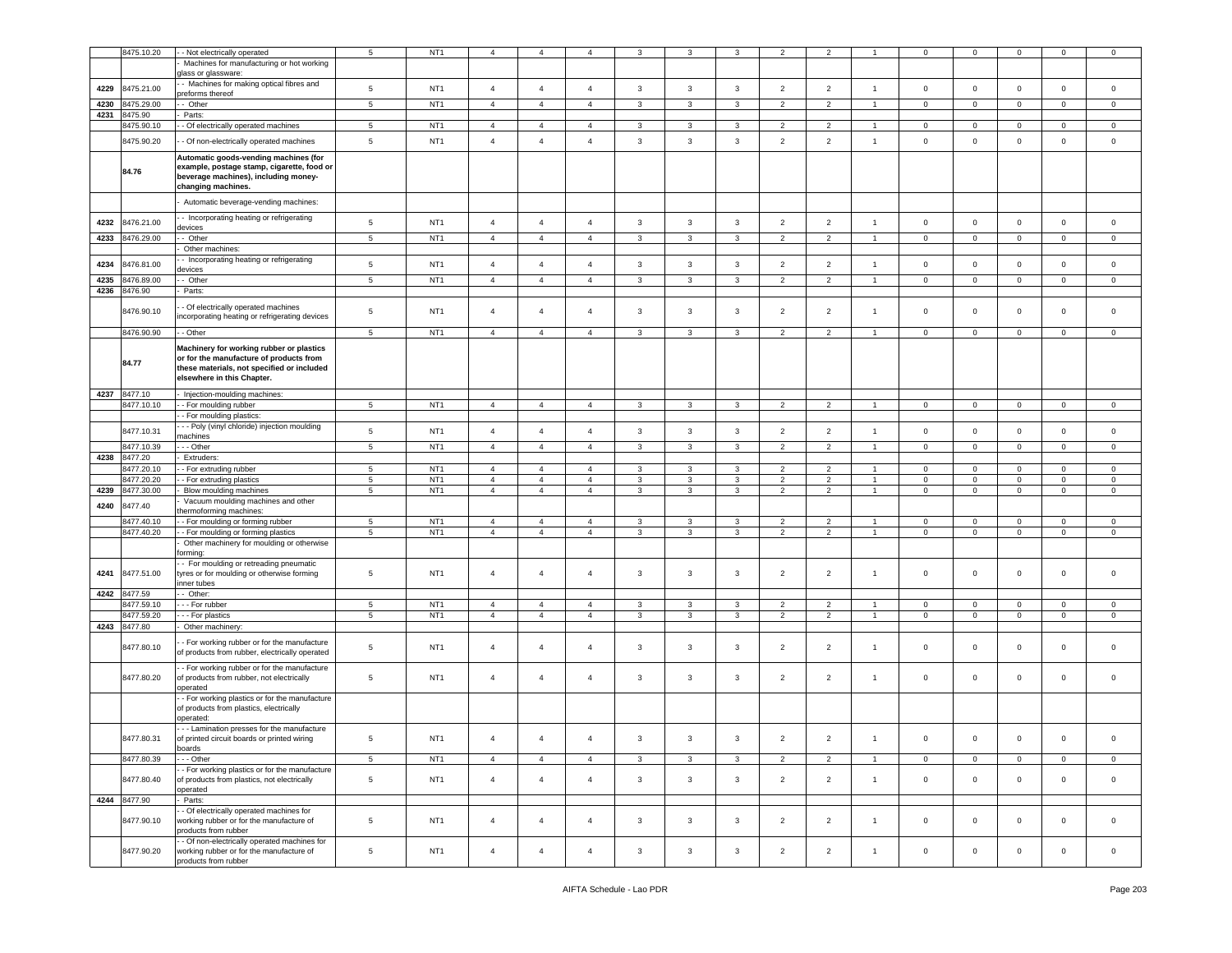|      | 8475.10.20   | - Not electrically operated                                      | 5               | NT <sub>1</sub> | $\overline{4}$ | $\overline{4}$ | $\overline{4}$ | 3                       | 3                       | 3            | $\overline{2}$ | $\overline{2}$ |                      | 0              | 0            | 0                       | $\mathbf 0$    | 0                   |
|------|--------------|------------------------------------------------------------------|-----------------|-----------------|----------------|----------------|----------------|-------------------------|-------------------------|--------------|----------------|----------------|----------------------|----------------|--------------|-------------------------|----------------|---------------------|
|      |              | Machines for manufacturing or hot working                        |                 |                 |                |                |                |                         |                         |              |                |                |                      |                |              |                         |                |                     |
|      |              |                                                                  |                 |                 |                |                |                |                         |                         |              |                |                |                      |                |              |                         |                |                     |
|      |              | lass or glassware:                                               |                 |                 |                |                |                |                         |                         |              |                |                |                      |                |              |                         |                |                     |
| 4229 | 8475.21.00   | - Machines for making optical fibres and                         | $\sqrt{5}$      | NT <sub>1</sub> | $\overline{4}$ | $\overline{4}$ | $\overline{4}$ | 3                       | $\mathbf{3}$            | $\mathbf{3}$ | $\overline{2}$ | $\overline{2}$ | $\overline{1}$       | $\mathbf 0$    | $\mathbf 0$  | $\mathsf 0$             | $\mathbf 0$    | $\mathsf 0$         |
|      |              | oreforms thereof                                                 |                 |                 |                |                |                |                         |                         |              |                |                |                      |                |              |                         |                |                     |
| 4230 | 8475.29.00   | - Other                                                          | $5\phantom{.0}$ | NT <sub>1</sub> | $\overline{4}$ | $\overline{4}$ | $\overline{4}$ | $\mathbf{3}$            | 3                       | 3            | $\overline{2}$ | $\overline{2}$ | $\mathbf{1}$         | 0              | 0            | $\mathbf{0}$            | $\mathbf 0$    | $\mathbf 0$         |
|      |              |                                                                  |                 |                 |                |                |                |                         |                         |              |                |                |                      |                |              |                         |                |                     |
| 4231 | 8475.90      | Parts:                                                           |                 |                 |                |                |                |                         |                         |              |                |                |                      |                |              |                         |                |                     |
|      | 8475.90.10   | - Of electrically operated machines                              | $5\phantom{.0}$ | NT <sub>1</sub> | $\overline{4}$ | $\overline{4}$ | $\overline{4}$ | 3                       | 3                       | $\mathbf{3}$ | $\overline{2}$ | $\overline{2}$ | $\overline{1}$       | $\mathbf 0$    | $\mathbf 0$  | $\mathbf 0$             | $\mathbf 0$    | $\mathbf 0$         |
|      |              |                                                                  |                 |                 |                |                |                |                         |                         |              |                |                |                      |                |              |                         |                |                     |
|      | 8475.90.20   | - Of non-electrically operated machines                          | 5               | NT <sub>1</sub> | $\overline{4}$ | $\overline{4}$ | $\overline{4}$ | $\mathbf{3}$            | $\mathbf{3}$            | $\mathbf 3$  | $\overline{2}$ | $\overline{2}$ | $\mathbf{1}$         | $\mathbf 0$    | $\mathbf 0$  | $\mathbf 0$             | $\mathbf 0$    | $\mathsf{O}\xspace$ |
|      |              |                                                                  |                 |                 |                |                |                |                         |                         |              |                |                |                      |                |              |                         |                |                     |
|      |              | Automatic goods-vending machines (for                            |                 |                 |                |                |                |                         |                         |              |                |                |                      |                |              |                         |                |                     |
|      |              |                                                                  |                 |                 |                |                |                |                         |                         |              |                |                |                      |                |              |                         |                |                     |
|      | 84.76        | example, postage stamp, cigarette, food or                       |                 |                 |                |                |                |                         |                         |              |                |                |                      |                |              |                         |                |                     |
|      |              | beverage machines), including money-                             |                 |                 |                |                |                |                         |                         |              |                |                |                      |                |              |                         |                |                     |
|      |              | changing machines.                                               |                 |                 |                |                |                |                         |                         |              |                |                |                      |                |              |                         |                |                     |
|      |              |                                                                  |                 |                 |                |                |                |                         |                         |              |                |                |                      |                |              |                         |                |                     |
|      |              | Automatic beverage-vending machines:                             |                 |                 |                |                |                |                         |                         |              |                |                |                      |                |              |                         |                |                     |
|      |              |                                                                  |                 |                 |                |                |                |                         |                         |              |                |                |                      |                |              |                         |                |                     |
|      |              | - Incorporating heating or refrigerating                         |                 |                 |                |                |                |                         |                         |              |                |                |                      |                |              |                         |                |                     |
| 4232 | 8476.21.00   | evices                                                           | $\,$ 5 $\,$     | NT <sub>1</sub> | $\sqrt{4}$     | $\overline{4}$ | $\overline{4}$ | 3                       | $\mathbf{3}$            | $\mathbf{3}$ | $\overline{2}$ | $\overline{2}$ | $\mathbf{1}$         | $\mathbf 0$    | $\mathbf 0$  | $\mathbf 0$             | $\mathsf 0$    | $\,0\,$             |
|      |              |                                                                  |                 | NT <sub>1</sub> | $\overline{4}$ |                |                |                         | 3                       |              |                |                |                      |                |              |                         |                |                     |
| 4233 | 8476.29.00   | - Other                                                          | $5\phantom{.0}$ |                 |                | $\overline{4}$ | $\overline{4}$ | 3                       |                         | 3            | $\overline{2}$ | $\overline{2}$ |                      | 0              | $\mathbf 0$  | $\mathbf 0$             | $\mathbf 0$    | $\mathsf 0$         |
|      |              | Other machines:                                                  |                 |                 |                |                |                |                         |                         |              |                |                |                      |                |              |                         |                |                     |
|      |              | - Incorporating heating or refrigerating                         |                 |                 |                |                |                |                         |                         |              |                |                |                      |                |              |                         |                |                     |
| 4234 | 8476.81.00   |                                                                  | $\sqrt{5}$      | NT <sub>1</sub> | $\overline{4}$ | $\overline{4}$ | $\overline{4}$ | 3                       | $\mathbf{3}$            | $\mathbf{3}$ | $\overline{2}$ | $\overline{2}$ | $\mathbf{1}$         | $\mathbf 0$    | $\mathbf 0$  | $\mathbf 0$             | $\mathbf 0$    | $\mathbf 0$         |
|      |              | levices                                                          |                 |                 |                |                |                |                         |                         |              |                |                |                      |                |              |                         |                |                     |
| 4235 | 8476.89.00   | - Other                                                          | $5\phantom{.0}$ | NT <sub>1</sub> | $\overline{4}$ | $\overline{4}$ | $\overline{4}$ | 3                       | 3                       | 3            | $\overline{2}$ | $\overline{2}$ |                      | 0              | $\mathbf 0$  | $\mathbf 0$             | $\mathsf 0$    | $\mathsf 0$         |
| 4236 | 8476.90      | Parts:                                                           |                 |                 |                |                |                |                         |                         |              |                |                |                      |                |              |                         |                |                     |
|      |              |                                                                  |                 |                 |                |                |                |                         |                         |              |                |                |                      |                |              |                         |                |                     |
|      |              | - Of electrically operated machines                              |                 |                 |                |                |                |                         |                         |              |                |                |                      |                |              |                         |                |                     |
|      | 8476.90.10   |                                                                  | 5               | NT <sub>1</sub> | $\overline{4}$ | $\overline{4}$ | $\overline{4}$ | 3                       | 3                       | 3            | $\overline{2}$ | $\overline{2}$ | $\mathbf{1}$         | 0              | 0            | $\mathsf 0$             | $\mathbf 0$    | 0                   |
|      |              | ncorporating heating or refrigerating devices                    |                 |                 |                |                |                |                         |                         |              |                |                |                      |                |              |                         |                |                     |
|      |              |                                                                  |                 |                 |                |                |                |                         |                         |              |                |                |                      |                |              |                         |                |                     |
|      | 8476.90.90   | - Other                                                          | 5               | NT <sub>1</sub> | $\overline{4}$ | $\overline{4}$ | $\overline{4}$ | 3                       | 3                       | 3            | 2              | $\overline{2}$ |                      | 0              | 0            | $\mathbf 0$             | $\mathbf 0$    | 0                   |
|      |              |                                                                  |                 |                 |                |                |                |                         |                         |              |                |                |                      |                |              |                         |                |                     |
|      |              | Machinery for working rubber or plastics                         |                 |                 |                |                |                |                         |                         |              |                |                |                      |                |              |                         |                |                     |
|      |              | or for the manufacture of products from                          |                 |                 |                |                |                |                         |                         |              |                |                |                      |                |              |                         |                |                     |
|      | 84.77        | these materials, not specified or included                       |                 |                 |                |                |                |                         |                         |              |                |                |                      |                |              |                         |                |                     |
|      |              | elsewhere in this Chapter.                                       |                 |                 |                |                |                |                         |                         |              |                |                |                      |                |              |                         |                |                     |
|      |              |                                                                  |                 |                 |                |                |                |                         |                         |              |                |                |                      |                |              |                         |                |                     |
|      | 8477.10      |                                                                  |                 |                 |                |                |                |                         |                         |              |                |                |                      |                |              |                         |                |                     |
| 4237 |              | Injection-moulding machines:                                     |                 |                 |                |                |                |                         |                         |              |                |                |                      |                |              |                         |                |                     |
|      | 8477.10.10   | - For moulding rubber                                            | $5\phantom{.0}$ | NT <sub>1</sub> | $\overline{4}$ | $\overline{4}$ | $\overline{4}$ | $\mathbf{3}$            | $\overline{\mathbf{3}}$ | $\mathbf{3}$ | $\overline{2}$ | $\overline{2}$ | $\mathbf{1}$         | $\mathbf 0$    | $\mathbf 0$  | $\overline{\mathbf{0}}$ | $\mathbf 0$    | $\mathbf{0}$        |
|      |              | - For moulding plastics                                          |                 |                 |                |                |                |                         |                         |              |                |                |                      |                |              |                         |                |                     |
|      |              |                                                                  |                 |                 |                |                |                |                         |                         |              |                |                |                      |                |              |                         |                |                     |
|      | 8477.10.31   | - - Poly (vinyl chloride) injection moulding                     | $\sqrt{5}$      | NT <sub>1</sub> | $\overline{4}$ | $\overline{4}$ | $\overline{4}$ | 3                       | $\mathbf{3}$            | $\mathbf{3}$ | $\overline{2}$ | $\overline{2}$ | $\mathbf{1}$         | $\mathbf 0$    | $\mathbf 0$  | $\mathbf 0$             | $\mathbf 0$    | $\mathsf 0$         |
|      |              | nachines                                                         |                 |                 |                |                |                |                         |                         |              |                |                |                      |                |              |                         |                |                     |
|      | 8477.10.39   | - - Other                                                        | $\sqrt{5}$      | NT <sub>1</sub> | $\overline{4}$ | $\overline{4}$ | $\overline{4}$ | $\mathbf{3}$            | $\mathbf{3}$            | 3            | $\overline{2}$ | $\overline{2}$ | $\overline{1}$       | $\mathbf 0$    | $\mathbf 0$  | $\mathbf 0$             | $\mathbf 0$    | $\mathsf 0$         |
|      |              |                                                                  |                 |                 |                |                |                |                         |                         |              |                |                |                      |                |              |                         |                |                     |
| 4238 | 8477.20      | Extruders                                                        |                 |                 |                |                |                |                         |                         |              |                |                |                      |                |              |                         |                |                     |
|      | 8477.20.10   | - For extruding rubber                                           | $5\phantom{.0}$ | NT <sub>1</sub> | $\overline{4}$ | $\overline{4}$ | $\overline{4}$ | $\mathbf{3}$            | $\mathbf{3}$            | $\mathbf{3}$ | $\overline{2}$ | $\overline{2}$ | $\mathbf{1}$         | $\mathbf 0$    | $\mathbf{O}$ | $\mathbf 0$             | $\mathbf 0$    | $\circ$             |
|      | 8477.20.20   |                                                                  | $\,$ 5 $\,$     | NT <sub>1</sub> | $\overline{4}$ | $\overline{4}$ | $\overline{4}$ | 3                       | $\mathbf{3}$            | 3            | $\overline{2}$ | $\overline{2}$ | $\mathbf{1}$         | $\mathbf 0$    | $\mathbf 0$  |                         | $\mathbf 0$    | 0                   |
|      |              | - For extruding plastics                                         |                 |                 |                |                |                |                         |                         |              |                |                |                      |                |              | $\mathbf 0$             |                |                     |
| 4239 | 8477.30.00   | Blow moulding machines                                           | $\overline{5}$  | NT <sub>1</sub> | $\overline{4}$ | $\overline{4}$ | $\overline{4}$ | 3                       | 3                       | 3            | $\overline{2}$ | $\overline{2}$ |                      | 0              | $\mathbf 0$  | $\mathbf 0$             | $\mathbf 0$    | $\mathsf 0$         |
|      |              | Vacuum moulding machines and other                               |                 |                 |                |                |                |                         |                         |              |                |                |                      |                |              |                         |                |                     |
| 4240 | 8477.40      | hermoforming machines:                                           |                 |                 |                |                |                |                         |                         |              |                |                |                      |                |              |                         |                |                     |
|      |              |                                                                  |                 |                 |                |                |                |                         |                         |              |                |                |                      |                |              |                         |                |                     |
|      | 8477.40.10   | - For moulding or forming rubber                                 | $5\phantom{.0}$ | NT <sub>1</sub> | $\overline{4}$ | $\overline{4}$ | $\overline{4}$ | 3                       | 3                       | 3            | $\overline{2}$ | $\overline{2}$ | $\overline{1}$       | $\mathbf 0$    | 0            | $\mathbf 0$             | $\mathbf 0$    | 0                   |
|      | 8477.40.20   | - For moulding or forming plastics                               | $5\phantom{.0}$ | NT <sub>1</sub> | $\overline{4}$ | $\overline{4}$ | $\overline{4}$ | $\mathbf{3}$            | 3                       | $\mathbf{3}$ | $\overline{2}$ | $\overline{2}$ | $\overline{1}$       | 0              | $\mathbf 0$  | $\mathbf 0$             | $\mathsf 0$    | $\mathbf 0$         |
|      |              |                                                                  |                 |                 |                |                |                |                         |                         |              |                |                |                      |                |              |                         |                |                     |
|      |              | Other machinery for moulding or otherwise                        |                 |                 |                |                |                |                         |                         |              |                |                |                      |                |              |                         |                |                     |
|      |              | orming:                                                          |                 |                 |                |                |                |                         |                         |              |                |                |                      |                |              |                         |                |                     |
|      |              | - For moulding or retreading pneumatic                           |                 |                 |                |                |                |                         |                         |              |                |                |                      |                |              |                         |                |                     |
| 4241 | 8477.51.00   | yres or for moulding or otherwise forming                        | $\overline{5}$  | NT <sub>1</sub> | $\overline{4}$ | $\overline{4}$ | $\overline{4}$ | 3                       | 3                       | 3            |                |                | $\mathbf{1}$         | $\mathbf 0$    | $\mathbf 0$  | $\mathsf 0$             | $\mathbf 0$    | $\mathsf 0$         |
|      |              |                                                                  |                 |                 |                |                |                |                         |                         |              |                |                |                      |                |              |                         |                |                     |
|      |              | nner tubes                                                       |                 |                 |                |                |                |                         |                         |              | $\overline{2}$ | $\overline{2}$ |                      |                |              |                         |                |                     |
| 4242 | 8477.59      | - Other:                                                         |                 |                 |                |                |                |                         |                         |              |                |                |                      |                |              |                         |                |                     |
|      | 8477.59.10   | - For rubber                                                     |                 |                 |                |                |                |                         |                         |              |                |                |                      |                |              |                         |                |                     |
|      |              |                                                                  |                 |                 |                |                |                |                         |                         |              |                |                | $\blacktriangleleft$ |                |              |                         |                |                     |
|      | 8477.59.20   |                                                                  | $5\phantom{.0}$ | NT <sub>1</sub> | $\overline{4}$ | $\overline{4}$ | $\overline{4}$ | 3                       | 3                       | 3            | $\overline{2}$ | $\overline{2}$ |                      | $\mathbf 0$    | 0            | $\mathbf 0$             | $\circ$        | 0                   |
| 4243 |              | - - For plastics                                                 | $\overline{5}$  | NT <sub>1</sub> | $\overline{4}$ | $\overline{4}$ | $\overline{4}$ | $\mathbf{3}$            | $\mathbf{3}$            | 3            | $\overline{2}$ | $\overline{2}$ | $\mathbf{1}$         | 0              | $\mathbf 0$  | $\mathbf 0$             | $\mathbf 0$    | $\mathbf 0$         |
|      | 8477.80      | Other machinery:                                                 |                 |                 |                |                |                |                         |                         |              |                |                |                      |                |              |                         |                |                     |
|      |              |                                                                  |                 |                 |                |                |                |                         |                         |              |                |                |                      |                |              |                         |                |                     |
|      |              | - For working rubber or for the manufacture                      |                 |                 |                |                |                |                         |                         |              |                |                |                      |                |              |                         |                |                     |
|      | 8477.80.10   |                                                                  | $5\phantom{.0}$ | NT <sub>1</sub> | $\overline{4}$ | $\overline{4}$ | $\overline{4}$ | 3                       | 3                       | 3            | $\overline{2}$ | $\overline{2}$ | $\mathbf{1}$         | $\mathbf 0$    | 0            | $\mathbf 0$             | $\mathsf 0$    | 0                   |
|      |              | of products from rubber, electrically operated                   |                 |                 |                |                |                |                         |                         |              |                |                |                      |                |              |                         |                |                     |
|      |              |                                                                  |                 |                 |                |                |                |                         |                         |              |                |                |                      |                |              |                         |                |                     |
|      |              | - For working rubber or for the manufacture                      |                 |                 |                |                |                |                         |                         |              |                |                |                      |                |              |                         |                |                     |
|      | 8477.80.20   | of products from rubber, not electrically                        | $5\phantom{.0}$ | NT <sub>1</sub> | $\overline{4}$ | $\overline{4}$ | $\overline{4}$ | 3                       | 3                       | 3            | $\overline{2}$ | $\overline{2}$ | $\overline{1}$       | 0              | 0            | $\mathsf 0$             | $\mathsf 0$    | 0                   |
|      |              | operated                                                         |                 |                 |                |                |                |                         |                         |              |                |                |                      |                |              |                         |                |                     |
|      |              |                                                                  |                 |                 |                |                |                |                         |                         |              |                |                |                      |                |              |                         |                |                     |
|      |              | - For working plastics or for the manufacture                    |                 |                 |                |                |                |                         |                         |              |                |                |                      |                |              |                         |                |                     |
|      |              | of products from plastics, electrically                          |                 |                 |                |                |                |                         |                         |              |                |                |                      |                |              |                         |                |                     |
|      |              | operated:                                                        |                 |                 |                |                |                |                         |                         |              |                |                |                      |                |              |                         |                |                     |
|      |              | -- Lamination presses for the manufacture                        |                 |                 |                |                |                |                         |                         |              |                |                |                      |                |              |                         |                |                     |
|      |              |                                                                  |                 |                 |                |                |                |                         |                         |              |                |                |                      |                |              |                         |                |                     |
|      | 8477.80.31   | of printed circuit boards or printed wiring                      | 5               | NT <sub>1</sub> | $\overline{4}$ | $\overline{4}$ | $\overline{4}$ | $\overline{\mathbf{3}}$ | $\mathbf{3}$            | $\mathbf{3}$ | $\overline{2}$ | $\overline{2}$ | $\mathbf{1}$         | $\mathbf 0$    | $\mathbf 0$  | $\,0\,$                 | $\mathsf 0$    | $\mathbf 0$         |
|      |              | boards                                                           |                 |                 |                |                |                |                         |                         |              |                |                |                      |                |              |                         |                |                     |
|      | 8477.80.39   | - - Other                                                        | 5 <sub>5</sub>  | NT <sub>1</sub> | $\overline{4}$ | $\overline{4}$ | $\overline{4}$ | $\mathbf{3}$            | $\mathbf{3}$            | $\mathbf{3}$ | $\overline{2}$ | $\overline{2}$ | 1                    | $\mathbf 0$    | $\mathsf 0$  | $\mathbf{0}$            | $\overline{0}$ | $\overline{0}$      |
|      |              |                                                                  |                 |                 |                |                |                |                         |                         |              |                |                |                      |                |              |                         |                |                     |
|      |              | - For working plastics or for the manufacture                    |                 |                 |                |                |                |                         |                         |              |                |                |                      |                |              |                         |                |                     |
|      | 8477.80.40   | of products from plastics, not electrically                      | $\sqrt{5}$      | NT <sub>1</sub> | $\overline{4}$ | $\overline{4}$ | $\overline{4}$ | $\mathbf{3}$            | $\mathbf{3}$            | $\mathbf{3}$ | $\overline{2}$ | $\overline{2}$ | $\mathbf{1}$         | $\overline{0}$ | $\mathbf 0$  | $\mathbf 0$             | $\mathsf 0$    | $\mathbf 0$         |
|      |              | operated                                                         |                 |                 |                |                |                |                         |                         |              |                |                |                      |                |              |                         |                |                     |
|      |              |                                                                  |                 |                 |                |                |                |                         |                         |              |                |                |                      |                |              |                         |                |                     |
|      | 4244 8477.90 | Parts:                                                           |                 |                 |                |                |                |                         |                         |              |                |                |                      |                |              |                         |                |                     |
|      |              | - Of electrically operated machines for                          |                 |                 |                |                |                |                         |                         |              |                |                |                      |                |              |                         |                |                     |
|      | 8477.90.10   | working rubber or for the manufacture of                         | $5\phantom{.0}$ | NT <sub>1</sub> | $\overline{4}$ | $\overline{4}$ | $\overline{4}$ | $\mathbf{3}$            | $\mathbf{3}$            | $\mathbf{3}$ | $\overline{2}$ | $\overline{2}$ | $\mathbf{1}$         | $\overline{0}$ | $\mathbf 0$  | $\mathbf 0$             | $\mathbf 0$    | $\mathbf{0}$        |
|      |              | roducts from rubber                                              |                 |                 |                |                |                |                         |                         |              |                |                |                      |                |              |                         |                |                     |
|      |              |                                                                  |                 |                 |                |                |                |                         |                         |              |                |                |                      |                |              |                         |                |                     |
|      |              | - Of non-electrically operated machines for                      |                 |                 |                |                |                |                         |                         |              |                |                |                      |                |              |                         |                |                     |
|      | 8477.90.20   | working rubber or for the manufacture of<br>products from rubber | $\,$ 5 $\,$     | NT <sub>1</sub> | $\overline{4}$ | $\overline{4}$ | $\overline{4}$ | $\mathbf{3}$            | $\mathbf{3}$            | $\mathbf{3}$ | $\overline{2}$ | $\overline{2}$ | $\mathbf{1}$         | $\mathsf{O}$   | $\mathbf 0$  | $\mathsf 0$             | $\mathbf 0$    | $\overline{0}$      |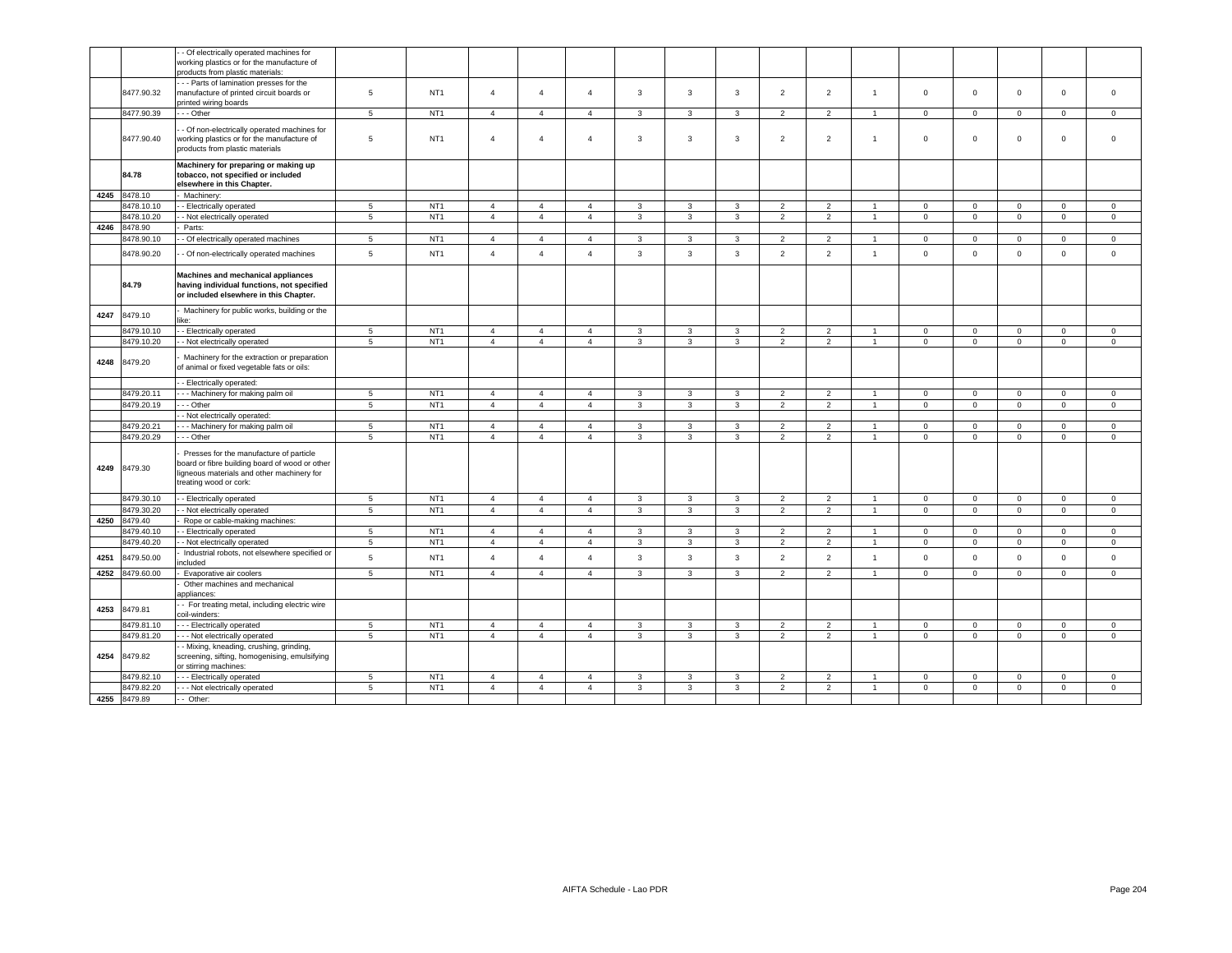|      |                 | - Of electrically operated machines for<br>working plastics or for the manufacture of<br>products from plastic materials:                                         |                 |                 |                |                |                |                |                |                |                |                          |                |                |                |             |                |              |
|------|-----------------|-------------------------------------------------------------------------------------------------------------------------------------------------------------------|-----------------|-----------------|----------------|----------------|----------------|----------------|----------------|----------------|----------------|--------------------------|----------------|----------------|----------------|-------------|----------------|--------------|
|      | 8477.90.32      | --- Parts of lamination presses for the<br>manufacture of printed circuit boards or<br>printed wiring boards                                                      | 5               | NT <sub>1</sub> | $\overline{4}$ | $\overline{4}$ | $\overline{4}$ | $\overline{3}$ | $\overline{3}$ | $\mathbf{3}$   | $\overline{2}$ | 2                        | $\overline{1}$ | $\mathbf{0}$   | $\mathbf 0$    | $\mathbf 0$ | $\mathbf{0}$   | $\mathbf 0$  |
|      | 8477.90.39      | - - - Other                                                                                                                                                       | $\sqrt{5}$      | NT <sub>1</sub> | $\overline{4}$ | $\overline{4}$ | 4              | $\mathbf{3}$   | 3              | 3              | $\overline{2}$ | $\overline{2}$           |                | $\mathsf 0$    | $\mathsf 0$    | $\mathsf 0$ | 0              | $\mathbf 0$  |
|      | 8477.90.40      | - Of non-electrically operated machines for<br>working plastics or for the manufacture of<br>products from plastic materials                                      | 5               | NT <sub>1</sub> | $\overline{4}$ | $\overline{4}$ | $\overline{4}$ | 3              | $\mathbf{3}$   | 3              | $\overline{2}$ | $\overline{2}$           | $\mathbf{1}$   | $\mathbf 0$    | $\mathbf 0$    | $\mathbf 0$ | 0              | $\mathbf 0$  |
|      | 84.78           | Machinery for preparing or making up<br>tobacco, not specified or included<br>elsewhere in this Chapter.                                                          |                 |                 |                |                |                |                |                |                |                |                          |                |                |                |             |                |              |
| 4245 | 8478.10         | Machinery:                                                                                                                                                        |                 |                 |                |                |                |                |                |                |                |                          |                |                |                |             |                |              |
|      | 8478.10.10      | - Electrically operated                                                                                                                                           | $5\phantom{.0}$ | NT <sub>1</sub> | $\overline{4}$ | $\overline{4}$ | $\overline{4}$ | 3              | 3              | $\mathbf{3}$   | $\overline{2}$ | $\overline{2}$           |                | $\mathbf 0$    | $\mathbf 0$    | $\circ$     | $\mathbf 0$    | $\mathbf 0$  |
|      | 8478.10.20      | - Not electrically operated                                                                                                                                       | 5               | NT <sub>1</sub> | $\overline{4}$ | $\overline{4}$ | $\overline{4}$ | $\mathbf{3}$   | $\overline{3}$ | $\overline{3}$ | 2              | 2                        | $\overline{1}$ | $\circ$        | $\mathsf 0$    | $\mathbf 0$ | $\mathbf{0}$   | $\circ$      |
| 4246 | 8478.90         | Parts:                                                                                                                                                            |                 |                 |                |                |                |                |                |                |                |                          |                |                |                |             |                |              |
|      | 8478.90.10      | - Of electrically operated machines                                                                                                                               | 5               | NT <sub>1</sub> | $\overline{4}$ | $\overline{4}$ | $\overline{4}$ | 3              | 3              | $\mathbf{3}$   | 2              | 2                        | $\overline{1}$ | $\mathbf{0}$   | $\circ$        | $\circ$     | $\mathbf{0}$   | $\mathbf{0}$ |
|      | 8478.90.20      | - Of non-electrically operated machines                                                                                                                           | 5               | NT <sub>1</sub> | $\overline{4}$ | $\overline{4}$ | $\overline{4}$ | $\mathbf{3}$   | 3              | $\mathbf{3}$   | $\overline{2}$ | $\overline{2}$           | $\overline{1}$ | $\Omega$       | $\mathsf 0$    | $\mathsf 0$ | $\mathbf{0}$   | $\mathsf 0$  |
|      | 84.79           | Machines and mechanical appliances<br>having individual functions, not specified<br>or included elsewhere in this Chapter.                                        |                 |                 |                |                |                |                |                |                |                |                          |                |                |                |             |                |              |
| 4247 | 8479.10         | Machinery for public works, building or the                                                                                                                       |                 |                 |                |                |                |                |                |                |                |                          |                |                |                |             |                |              |
|      | 8479.10.10      | - Electrically operated                                                                                                                                           | $5\phantom{.0}$ | NT <sub>1</sub> | $\overline{4}$ | $\overline{4}$ | $\overline{4}$ | $\mathbf{3}$   | $\mathbf{3}$   | 3              | $\overline{2}$ | $\overline{2}$           | $\mathbf{1}$   | $\mathbf 0$    | $\mathsf 0$    | $\mathbf 0$ | $\circ$        | $\mathbf 0$  |
|      | 8479.10.20      | - Not electrically operated                                                                                                                                       | $\overline{5}$  | NT <sub>1</sub> | $\overline{4}$ | $\overline{4}$ | $\overline{4}$ | $\mathbf{3}$   | 3              | $\mathbf{3}$   | $\overline{2}$ | $\overline{2}$           | $\overline{1}$ | $\overline{0}$ | $\overline{0}$ | $\mathsf 0$ | $\mathsf 0$    | $\mathsf 0$  |
| 4248 | 8479.20         | Machinery for the extraction or preparation<br>of animal or fixed vegetable fats or oils:                                                                         |                 |                 |                |                |                |                |                |                |                |                          |                |                |                |             |                |              |
|      |                 | - Electrically operated                                                                                                                                           |                 |                 |                |                |                |                |                |                |                |                          |                |                |                |             |                |              |
|      | 8479.20.11      | --- Machinery for making palm oil                                                                                                                                 | 5               | NT <sub>1</sub> | $\overline{4}$ | $\overline{4}$ | $\overline{4}$ | $\mathbf{3}$   | $\mathbf{3}$   | $\overline{3}$ | 2              | 2                        | $\overline{1}$ | $\mathbf{0}$   | $\mathbf{0}$   | $\mathbf 0$ | $\overline{0}$ | $\circ$      |
|      | 8479.20.19      | - - Other                                                                                                                                                         | 5               | NT <sub>1</sub> | $\overline{4}$ | $\overline{4}$ | $\overline{4}$ | $\mathbf{3}$   | 3              | $\mathbf{3}$   | $\overline{2}$ | $\overline{2}$           | $\overline{1}$ | $\mathbf 0$    | $\mathsf 0$    | $\mathsf 0$ | $\mathbf{0}$   | $\mathsf 0$  |
|      |                 | - Not electrically operated:                                                                                                                                      |                 |                 |                |                |                |                |                |                |                |                          |                |                |                |             |                |              |
|      | 8479.20.21      | - - Machinery for making palm oil                                                                                                                                 | 5               | NT <sub>1</sub> | $\overline{4}$ | $\overline{4}$ | $\overline{4}$ | 3              | 3              | 3              | $\overline{2}$ | $\overline{\phantom{a}}$ |                | $\Omega$       | $\mathbf 0$    | $\mathsf 0$ | $\Omega$       | $\mathbf 0$  |
|      | 8479.20.29      | - - Other                                                                                                                                                         | 5               | NT <sub>1</sub> | $\overline{4}$ | $\overline{4}$ | $\overline{4}$ | $\mathbf{3}$   | 3              | 3              | $\overline{2}$ | $\overline{2}$           | $\overline{1}$ | $\mathbf 0$    | $\overline{0}$ | $\mathbf 0$ | $\circ$        | $\mathbf 0$  |
|      | 4249 8479.30    | Presses for the manufacture of particle<br>board or fibre building board of wood or other<br>ligneous materials and other machinery for<br>treating wood or cork: |                 |                 |                |                |                |                |                |                |                |                          |                |                |                |             |                |              |
|      | 8479.30.10      | - Electrically operated                                                                                                                                           | 5               | NT <sub>1</sub> | $\overline{4}$ | $\overline{4}$ | $\overline{4}$ | 3              | 3              | 3              | $\overline{2}$ | $\overline{2}$           | $\overline{1}$ | $\mathbf 0$    | $\mathbf 0$    | $\mathbf 0$ | $\mathbf{0}$   | $\circ$      |
|      | 8479.30.20      | - Not electrically operated                                                                                                                                       | 5               | NT <sub>1</sub> | $\overline{4}$ | $\overline{4}$ | $\overline{4}$ | $\mathbf{3}$   | 3              | $\mathbf{3}$   | $\overline{2}$ | $\overline{2}$           | $\overline{1}$ | $\mathbf 0$    | $\mathsf 0$    | $\mathsf 0$ | $\mathbf 0$    | $\mathbf 0$  |
| 4250 | 8479.40         | Rope or cable-making machines:                                                                                                                                    |                 |                 |                |                |                |                |                |                |                |                          |                |                |                |             |                |              |
|      | 8479.40.10      | - Electrically operated                                                                                                                                           | 5               | NT <sub>1</sub> | $\overline{4}$ | $\overline{4}$ | $\overline{a}$ | $\mathbf{3}$   | $\mathbf{3}$   | $\mathbf{3}$   | $\overline{2}$ | $\overline{2}$           | $\overline{1}$ | $\Omega$       | $\circ$        | $\Omega$    | $\Omega$       | $\circ$      |
|      | 8479.40.20      | - Not electrically operated                                                                                                                                       | $5\phantom{.0}$ | NT <sub>1</sub> | $\overline{4}$ | $\overline{4}$ | $\overline{4}$ | 3              | 3              | 3              | $\overline{2}$ | $\overline{2}$           | $\overline{1}$ | $\mathbf 0$    | $\mathbf 0$    | $\mathbf 0$ | $\mathbf{0}$   | $\mathbf 0$  |
| 4251 | 8479.50.00      | Industrial robots, not elsewhere specified or<br>ncluded                                                                                                          | 5               | NT <sub>1</sub> | $\overline{4}$ | $\overline{4}$ | $\overline{4}$ | $\mathbf{3}$   | $\mathbf{3}$   | $\mathbf{3}$   | $\overline{2}$ | $\overline{2}$           | $\overline{1}$ | $\mathsf 0$    | $\mathsf 0$    | $\mathsf 0$ | $\Omega$       | $\mathsf 0$  |
|      | 4252 8479.60.00 | Evaporative air coolers                                                                                                                                           | 5               | NT <sub>1</sub> | $\overline{a}$ | $\overline{4}$ | $\overline{4}$ | 3              | 3              | $\mathbf{3}$   | $\overline{2}$ | 2                        | $\overline{1}$ | $\mathbf 0$    | $\mathbf 0$    | $\mathbf 0$ | $\mathbf 0$    | $\mathbf 0$  |
|      |                 | Other machines and mechanical<br>appliances:                                                                                                                      |                 |                 |                |                |                |                |                |                |                |                          |                |                |                |             |                |              |
| 4253 | 8479.81         | - For treating metal, including electric wire<br>coil-winders:                                                                                                    |                 |                 |                |                |                |                |                |                |                |                          |                |                |                |             |                |              |
|      | 8479.81.10      | --- Electrically operated                                                                                                                                         | $\sqrt{5}$      | NT <sub>1</sub> | $\overline{4}$ | $\overline{4}$ | $\overline{4}$ | $\mathbf{3}$   | 3              | $\mathbf{3}$   | $\overline{2}$ | $\sqrt{2}$               | $\overline{1}$ | $\mathbf 0$    | $\mathbf 0$    | $\mathsf 0$ | $\mathbf 0$    | $\mathsf 0$  |
|      | 8479.81.20      | - - - Not electrically operated                                                                                                                                   | $\sqrt{5}$      | NT <sub>1</sub> | $\overline{4}$ | $\overline{4}$ | $\overline{4}$ | $\mathbf{3}$   | 3              | $\mathbf{3}$   | $\overline{2}$ | $\sqrt{2}$               | -1             | $\mathbf 0$    | $\mathsf 0$    | $\mathsf 0$ | $\mathbf 0$    | $\mathsf 0$  |
| 4254 | 8479.82         | - Mixing, kneading, crushing, grinding,<br>screening, sifting, homogenising, emulsifying<br>or stirring machines:                                                 |                 |                 |                |                |                |                |                |                |                |                          |                |                |                |             |                |              |
|      | 8479.82.10      | -- Electrically operated                                                                                                                                          | 5               | NT <sub>1</sub> | $\overline{4}$ | $\overline{4}$ | $\overline{4}$ | $\mathbf{3}$   | 3              | 3              | $\overline{2}$ | $\overline{2}$           | $\overline{1}$ | $\mathbf 0$    | $\mathbf 0$    | $\mathbf 0$ | $\circ$        | $\circ$      |
|      | 8479.82.20      | - - Not electrically operated                                                                                                                                     | 5               | NT <sub>1</sub> | $\overline{4}$ | $\overline{4}$ | $\overline{4}$ | $\mathbf{3}$   | $\mathbf{3}$   | $\mathbf{3}$   | $\overline{2}$ | $\overline{2}$           | $\overline{1}$ | $\mathsf 0$    | $\overline{0}$ | $\mathsf 0$ | $\mathsf 0$    | $\mathsf 0$  |
|      | 4255 8479.89    | - Other:                                                                                                                                                          |                 |                 |                |                |                |                |                |                |                |                          |                |                |                |             |                |              |
|      |                 |                                                                                                                                                                   |                 |                 |                |                |                |                |                |                |                |                          |                |                |                |             |                |              |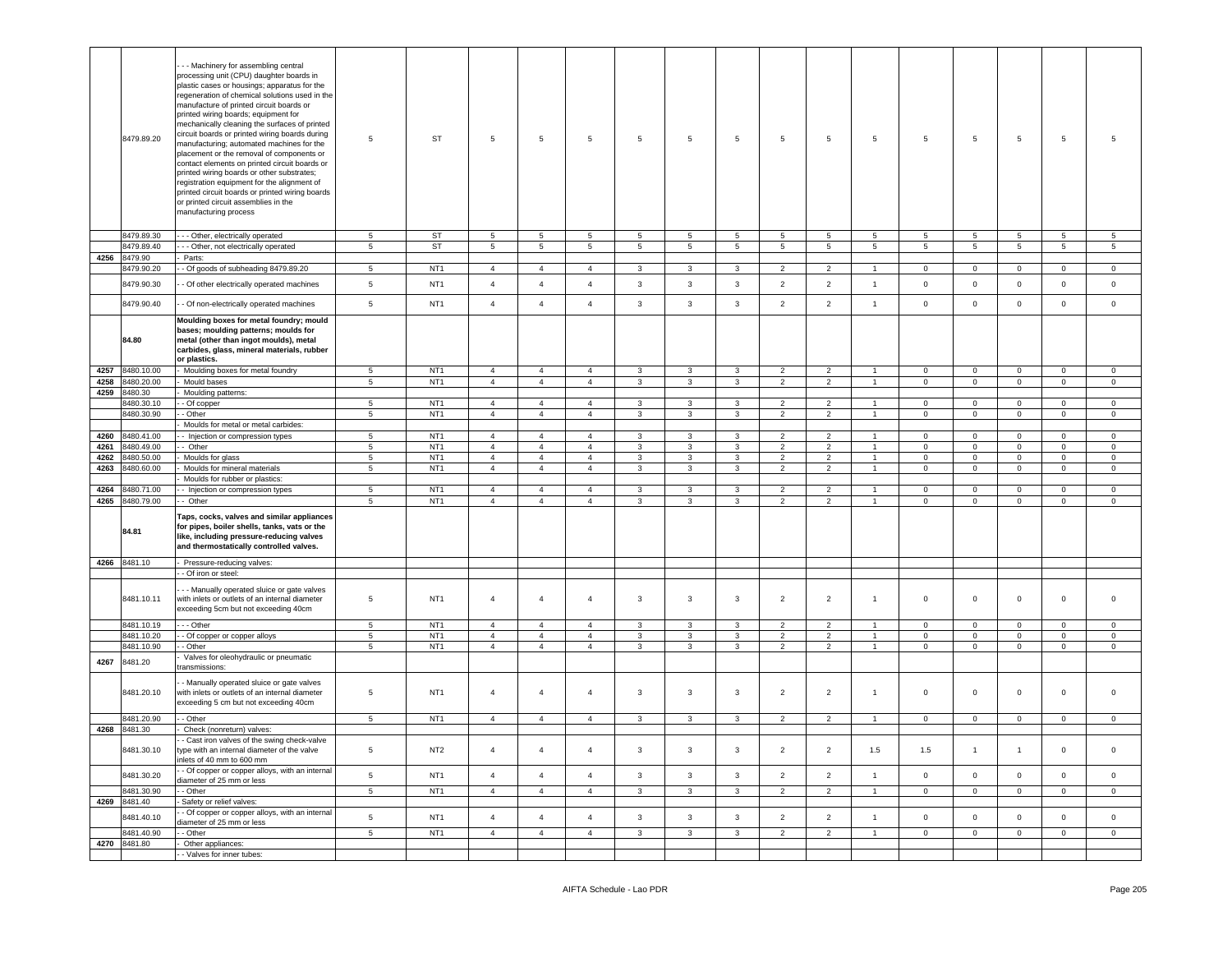|      | 8479.89.20                 | - - Machinery for assembling central<br>processing unit (CPU) daughter boards in<br>plastic cases or housings; apparatus for the<br>regeneration of chemical solutions used in the<br>manufacture of printed circuit boards or<br>printed wiring boards; equipment for<br>mechanically cleaning the surfaces of printed<br>circuit boards or printed wiring boards during<br>manufacturing; automated machines for the<br>placement or the removal of components or<br>contact elements on printed circuit boards or<br>printed wiring boards or other substrates;<br>registration equipment for the alignment of<br>printed circuit boards or printed wiring boards<br>or printed circuit assemblies in the<br>manufacturing process | 5               | <b>ST</b>       | $5\phantom{.0}$ | $\,$ 5          | 5              | $\sqrt{5}$      | 5               | 5               | 5              | 5              | 5               | $\overline{5}$  | 5              | $5\phantom{.0}$     | $5\phantom{.0}$ | 5               |
|------|----------------------------|---------------------------------------------------------------------------------------------------------------------------------------------------------------------------------------------------------------------------------------------------------------------------------------------------------------------------------------------------------------------------------------------------------------------------------------------------------------------------------------------------------------------------------------------------------------------------------------------------------------------------------------------------------------------------------------------------------------------------------------|-----------------|-----------------|-----------------|-----------------|----------------|-----------------|-----------------|-----------------|----------------|----------------|-----------------|-----------------|----------------|---------------------|-----------------|-----------------|
|      | 8479.89.30                 | - - Other, electrically operated                                                                                                                                                                                                                                                                                                                                                                                                                                                                                                                                                                                                                                                                                                      | 5               | ST              | 5               | $5\phantom{.0}$ | 5              | 5               | 5               | 5               | 5              | 5              | 5               | 5               | 5              | 5                   | 5               | 5               |
|      | 8479.89.40                 | - - Other, not electrically operated                                                                                                                                                                                                                                                                                                                                                                                                                                                                                                                                                                                                                                                                                                  | 5               | <b>ST</b>       | $5\overline{5}$ | $5^{\circ}$     | 5              | $5\overline{5}$ | $5\overline{5}$ | $5\overline{)}$ | 5              | 5              | $5\overline{5}$ | $5\overline{5}$ | 5 <sub>5</sub> | $5\overline{ }$     | $5\overline{5}$ | $5\overline{5}$ |
| 4256 | 8479.90                    | Parts:                                                                                                                                                                                                                                                                                                                                                                                                                                                                                                                                                                                                                                                                                                                                |                 |                 |                 |                 |                |                 |                 |                 |                |                |                 |                 |                |                     |                 |                 |
|      | 8479.90.20                 | - Of goods of subheading 8479.89.20                                                                                                                                                                                                                                                                                                                                                                                                                                                                                                                                                                                                                                                                                                   | $5\phantom{.0}$ | NT <sub>1</sub> | $\overline{4}$  | $\overline{4}$  | 4              | 3               | 3               | 3               | $\overline{2}$ | $\overline{2}$ | $\overline{1}$  | $\mathbf 0$     | $\mathbf 0$    | $\mathbf 0$         | $\mathbf{0}$    | $\circ$         |
|      | 8479.90.30                 | - Of other electrically operated machines                                                                                                                                                                                                                                                                                                                                                                                                                                                                                                                                                                                                                                                                                             | $5\phantom{.0}$ | NT <sub>1</sub> | $\overline{4}$  | $\overline{4}$  | $\overline{4}$ | $\mathbf{3}$    | $\mathbf{3}$    | $\mathbf{3}$    | $\overline{2}$ | $\overline{2}$ | $\overline{1}$  | $\mathsf 0$     | $\mathbf{0}$   | $\mathsf 0$         | $\mathbf 0$     | $\circ$         |
|      | 8479.90.40                 | - Of non-electrically operated machines                                                                                                                                                                                                                                                                                                                                                                                                                                                                                                                                                                                                                                                                                               | $5\phantom{.0}$ | NT <sub>1</sub> | $\overline{4}$  | $\overline{4}$  | $\overline{4}$ | 3               | $\mathbf{3}$    | $\mathbf{3}$    | $\overline{2}$ | $\overline{2}$ | $\overline{1}$  | $\mathbf 0$     | $\mathbf 0$    | $\mathsf 0$         | $\mathbf 0$     | $\circ$         |
|      | 84.80                      | Moulding boxes for metal foundry; mould<br>bases; moulding patterns; moulds for<br>metal (other than ingot moulds), metal<br>carbides, glass, mineral materials, rubber<br>or plastics.                                                                                                                                                                                                                                                                                                                                                                                                                                                                                                                                               |                 |                 |                 |                 |                |                 |                 |                 |                |                |                 |                 |                |                     |                 |                 |
| 4257 | 8480.10.00                 | Moulding boxes for metal foundry                                                                                                                                                                                                                                                                                                                                                                                                                                                                                                                                                                                                                                                                                                      | 5               | NT <sub>1</sub> | $\overline{4}$  | $\overline{4}$  | $\overline{4}$ | 3               | $\mathbf{3}$    | 3               | $\overline{2}$ | $\overline{2}$ | $\overline{1}$  | $\mathbf 0$     | $\mathbf{0}$   | $\mathbf 0$         | $\mathbf 0$     | $\mathbf 0$     |
| 4258 | 8480.20.00                 | Mould bases                                                                                                                                                                                                                                                                                                                                                                                                                                                                                                                                                                                                                                                                                                                           | $5\phantom{.0}$ | NT <sub>1</sub> | $\overline{4}$  | $\overline{4}$  | $\overline{4}$ | 3               | 3               | $\mathbf{3}$    | $\overline{2}$ | $\overline{2}$ | $\overline{1}$  | $\mathbf 0$     | $\mathbf 0$    | $\mathsf 0$         | $\overline{0}$  | $\circ$         |
| 4259 | 8480.30                    | Moulding patterns:                                                                                                                                                                                                                                                                                                                                                                                                                                                                                                                                                                                                                                                                                                                    |                 |                 |                 |                 |                |                 |                 |                 |                |                |                 |                 |                |                     |                 |                 |
|      | 8480.30.10                 | - Of copper                                                                                                                                                                                                                                                                                                                                                                                                                                                                                                                                                                                                                                                                                                                           | $5\phantom{.0}$ | NT <sub>1</sub> | $\overline{4}$  | $\overline{4}$  | 4              | 3               | 3               | 3               | $\overline{2}$ | $\overline{2}$ |                 | $\mathbf 0$     | $\mathbf 0$    | $\mathbf 0$         | $\mathbf 0$     | 0               |
|      | 8480.30.90                 | - Other                                                                                                                                                                                                                                                                                                                                                                                                                                                                                                                                                                                                                                                                                                                               | $\sqrt{5}$      | NT <sub>1</sub> | $\overline{4}$  | $\overline{4}$  | $\overline{4}$ | $\mathbf{3}$    | $\mathbf{3}$    | $\mathbf{3}$    | $\overline{2}$ | $\overline{2}$ | $\mathbf{1}$    | $\mathbf 0$     | $\mathbf{0}$   | $\mathbf 0$         | $\mathsf 0$     | $\mathbf 0$     |
|      |                            | Moulds for metal or metal carbides:                                                                                                                                                                                                                                                                                                                                                                                                                                                                                                                                                                                                                                                                                                   |                 |                 |                 |                 |                |                 |                 |                 |                |                |                 |                 |                |                     |                 |                 |
| 4260 | 8480.41.00                 | - Injection or compression types                                                                                                                                                                                                                                                                                                                                                                                                                                                                                                                                                                                                                                                                                                      | $5\phantom{.0}$ | NT <sub>1</sub> | $\overline{4}$  | $\overline{4}$  | $\overline{4}$ | 3               | $\mathbf{3}$    | 3               | $\overline{2}$ | $\overline{2}$ | $\overline{1}$  | $\mathbf 0$     | $\mathbf{0}$   | $\mathbf 0$         | $\mathbf 0$     | 0               |
| 4261 | 8480.49.00                 | - Other                                                                                                                                                                                                                                                                                                                                                                                                                                                                                                                                                                                                                                                                                                                               | $5\phantom{.0}$ | NT <sub>1</sub> | $\overline{4}$  | $\overline{4}$  | $\overline{4}$ | 3               | $\mathbf{3}$    | $\mathbf{3}$    | $\overline{2}$ | $\overline{2}$ | $\overline{1}$  | $^{\circ}$      | $\mathbf{0}$   | $\mathsf 0$         | $\mathbf{0}$    | $\circ$         |
| 4262 | 8480.50.00                 | Moulds for glass                                                                                                                                                                                                                                                                                                                                                                                                                                                                                                                                                                                                                                                                                                                      | 5               | NT <sub>1</sub> | $\overline{4}$  | $\overline{4}$  | $\overline{4}$ | $\mathbf{3}$    | $\mathbf{3}$    | 3               | $\overline{2}$ | $\overline{2}$ | $\mathbf{1}$    | $\mathbf 0$     | $\mathbf{0}$   | $\mathbf 0$         | $\mathbf 0$     | $\circ$         |
| 4263 | 3480.60.00                 | Moulds for mineral materials                                                                                                                                                                                                                                                                                                                                                                                                                                                                                                                                                                                                                                                                                                          | $\sqrt{5}$      | NT <sub>1</sub> | $\overline{4}$  | $\overline{4}$  | $\overline{4}$ | 3               | 3               | 3               | $\overline{2}$ | $\overline{2}$ | $\overline{1}$  | $\mathbf 0$     | $\mathbf 0$    | $\mathbf 0$         | $\mathbf 0$     | 0               |
|      |                            | Moulds for rubber or plastics:                                                                                                                                                                                                                                                                                                                                                                                                                                                                                                                                                                                                                                                                                                        |                 |                 |                 |                 |                |                 |                 |                 |                |                |                 |                 |                |                     |                 |                 |
| 4264 | 8480.71.00                 | - Injection or compression types                                                                                                                                                                                                                                                                                                                                                                                                                                                                                                                                                                                                                                                                                                      | 5               | NT <sub>1</sub> | $\overline{4}$  | $\overline{4}$  | $\overline{4}$ | 3               | 3               | 3               | $\overline{2}$ | $\overline{2}$ | $\overline{1}$  | $\mathbf 0$     | $\mathbf{0}$   | $\mathbf 0$         | $\overline{0}$  | $\mathbf 0$     |
| 4265 | 8480.79.00                 | - Other                                                                                                                                                                                                                                                                                                                                                                                                                                                                                                                                                                                                                                                                                                                               | 5               | NT <sub>1</sub> | $\overline{4}$  | $\overline{4}$  | $\overline{4}$ | 3               | 3               | $\mathbf{3}$    | $\overline{2}$ | $\overline{2}$ | $\overline{1}$  | $\mathbf 0$     | $\mathsf 0$    | $\mathsf 0$         | $\mathbf 0$     | $\mathbf 0$     |
|      | 84.81                      | Taps, cocks, valves and similar appliances<br>for pipes, boiler shells, tanks, vats or the<br>like, including pressure-reducing valves<br>and thermostatically controlled valves.                                                                                                                                                                                                                                                                                                                                                                                                                                                                                                                                                     |                 |                 |                 |                 |                |                 |                 |                 |                |                |                 |                 |                |                     |                 |                 |
|      | 4266 8481.10               | Pressure-reducing valves:                                                                                                                                                                                                                                                                                                                                                                                                                                                                                                                                                                                                                                                                                                             |                 |                 |                 |                 |                |                 |                 |                 |                |                |                 |                 |                |                     |                 |                 |
|      |                            | - Of iron or steel:                                                                                                                                                                                                                                                                                                                                                                                                                                                                                                                                                                                                                                                                                                                   |                 |                 |                 |                 |                |                 |                 |                 |                |                |                 |                 |                |                     |                 |                 |
|      | 8481.10.11                 | - - Manually operated sluice or gate valves<br>with inlets or outlets of an internal diameter<br>exceeding 5cm but not exceeding 40cm                                                                                                                                                                                                                                                                                                                                                                                                                                                                                                                                                                                                 | 5               | NT <sub>1</sub> | $\overline{4}$  | $\overline{4}$  | 4              | 3               | 3               | 3               | $\overline{2}$ | $\overline{c}$ | 1               | $\mathbf 0$     | $\mathbf{0}$   | $\mathbf{0}$        | $\mathbf 0$     | $\mathbf 0$     |
|      | 8481.10.19                 | - - Other                                                                                                                                                                                                                                                                                                                                                                                                                                                                                                                                                                                                                                                                                                                             | 5               | NT <sub>1</sub> | $\overline{4}$  | $\overline{4}$  | $\overline{4}$ | 3               | 3               | 3               | $\overline{2}$ | $\overline{2}$ | $\mathbf{1}$    | $\mathbf 0$     | $\mathbf{0}$   | $\mathbf{0}$        | $\mathbf 0$     | $\mathbf 0$     |
|      | 8481.10.20                 | - Of copper or copper alloys                                                                                                                                                                                                                                                                                                                                                                                                                                                                                                                                                                                                                                                                                                          | $5\phantom{.0}$ | NT <sub>1</sub> | $\overline{4}$  | $\overline{4}$  | $\overline{4}$ | 3               | $\mathbf{3}$    | $\mathbf{3}$    | $\overline{2}$ | $\overline{2}$ | $\overline{1}$  | $\mathbf 0$     | $\mathbf 0$    | $\mathsf 0$         | $\mathbb O$     | $\mathbf 0$     |
|      | 8481.10.90                 | - Other                                                                                                                                                                                                                                                                                                                                                                                                                                                                                                                                                                                                                                                                                                                               | 5               | NT <sub>1</sub> | $\overline{4}$  | $\overline{4}$  | $\overline{4}$ | 3               | 3               | $\mathbf{3}$    | $\overline{2}$ | $\overline{c}$ | $\mathbf{1}$    | $\mathbf 0$     | $\overline{0}$ | $\mathsf 0$         | $\overline{0}$  | $\circ$         |
| 4267 | 8481.20                    | Valves for oleohydraulic or pneumatic<br>transmissions:                                                                                                                                                                                                                                                                                                                                                                                                                                                                                                                                                                                                                                                                               |                 |                 |                 |                 |                |                 |                 |                 |                |                |                 |                 |                |                     |                 |                 |
|      | 8481.20.10                 | - Manually operated sluice or gate valves<br>with inlets or outlets of an internal diameter<br>exceeding 5 cm but not exceeding 40cm                                                                                                                                                                                                                                                                                                                                                                                                                                                                                                                                                                                                  | 5               | NT <sub>1</sub> | $\overline{4}$  | $\overline{4}$  | 4              | 3               | 3               | 3               | 2              | $\overline{c}$ | $\mathbf{1}$    | $\circ$         | $\mathbf{0}$   | $\mathbf{0}$        | $\mathbf 0$     | $\mathbf 0$     |
|      | 8481.20.90                 | - Other                                                                                                                                                                                                                                                                                                                                                                                                                                                                                                                                                                                                                                                                                                                               | 5               | NT <sub>1</sub> | $\overline{4}$  | $\overline{4}$  | $\overline{4}$ | 3               | 3               | 3               | $\overline{2}$ | $\overline{2}$ | $\mathbf{1}$    | $\mathbf 0$     | $\mathbf{0}$   | $\mathbf 0$         | $\mathbf{0}$    | $\circ$         |
| 4268 | 8481.30                    | Check (nonreturn) valves:                                                                                                                                                                                                                                                                                                                                                                                                                                                                                                                                                                                                                                                                                                             |                 |                 |                 |                 |                |                 |                 |                 |                |                |                 |                 |                |                     |                 |                 |
|      | 8481.30.10                 | - Cast iron valves of the swing check-valve<br>type with an internal diameter of the valve<br>inlets of 40 mm to 600 mm                                                                                                                                                                                                                                                                                                                                                                                                                                                                                                                                                                                                               | $5\phantom{.0}$ | NT <sub>2</sub> | $\overline{4}$  | $\overline{4}$  | $\overline{4}$ | 3               | $\mathbf{3}$    | $\mathbf{3}$    | $\overline{2}$ | $\overline{2}$ | 1.5             | 1.5             | $\overline{1}$ | $\overline{1}$      | $\overline{0}$  | $\mathbf{0}$    |
|      | 8481.30.20                 | - - Of copper or copper alloys, with an internal<br>diameter of 25 mm or less                                                                                                                                                                                                                                                                                                                                                                                                                                                                                                                                                                                                                                                         | $\sqrt{5}$      | NT <sub>1</sub> | $\overline{4}$  | $\overline{4}$  | $\overline{4}$ | $\mathbf{3}$    | $\mathbf{3}$    | $\mathbf{3}$    | $\overline{2}$ | $\overline{2}$ | $\overline{1}$  | $\mathbf{0}$    | $\overline{0}$ | $\mathsf 0$         | $\circ$         | $\mathbf{0}$    |
|      | 8481.30.90<br>4269 8481.40 | - - Other<br>Safety or relief valves:                                                                                                                                                                                                                                                                                                                                                                                                                                                                                                                                                                                                                                                                                                 | 5               | NT <sub>1</sub> | $\overline{4}$  | $\overline{4}$  | $\overline{4}$ | $\mathbf{3}$    | $\mathbf{3}$    | $\mathbf{3}$    | $\overline{2}$ | $\overline{2}$ | $\overline{1}$  | $\overline{0}$  | $\overline{0}$ | $\overline{0}$      | $\overline{0}$  | $\circ$         |
|      |                            | - Of copper or copper alloys, with an internal                                                                                                                                                                                                                                                                                                                                                                                                                                                                                                                                                                                                                                                                                        |                 |                 |                 |                 |                |                 |                 |                 |                |                |                 |                 |                |                     |                 |                 |
|      | 8481.40.10                 | diameter of 25 mm or less                                                                                                                                                                                                                                                                                                                                                                                                                                                                                                                                                                                                                                                                                                             | $\sqrt{5}$      | NT <sub>1</sub> | $\overline{4}$  | $\overline{4}$  | $\overline{4}$ | $\mathbf{3}$    | $\mathbf{3}$    | $\mathbf{3}$    | $\overline{2}$ | $\overline{2}$ | $\overline{1}$  | $\mathbf{0}$    | $\mathbf{0}$   | $\mathsf{O}\xspace$ | $\circ$         | $\mathbf{0}$    |
|      | 8481.40.90                 | - Other                                                                                                                                                                                                                                                                                                                                                                                                                                                                                                                                                                                                                                                                                                                               | $5\phantom{.0}$ | NT <sub>1</sub> | $\overline{4}$  | $\overline{4}$  | $\overline{4}$ | 3               | $\mathbf{3}$    | 3               | $\overline{2}$ | $\overline{2}$ | $\mathbf{1}$    | $\mathbf{0}$    | $\mathbf 0$    | $\mathbf 0$         | $\overline{0}$  | $\mathbf{0}$    |
|      | 4270 8481.80               | Other appliances:                                                                                                                                                                                                                                                                                                                                                                                                                                                                                                                                                                                                                                                                                                                     |                 |                 |                 |                 |                |                 |                 |                 |                |                |                 |                 |                |                     |                 |                 |
|      |                            | - - Valves for inner tubes:                                                                                                                                                                                                                                                                                                                                                                                                                                                                                                                                                                                                                                                                                                           |                 |                 |                 |                 |                |                 |                 |                 |                |                |                 |                 |                |                     |                 |                 |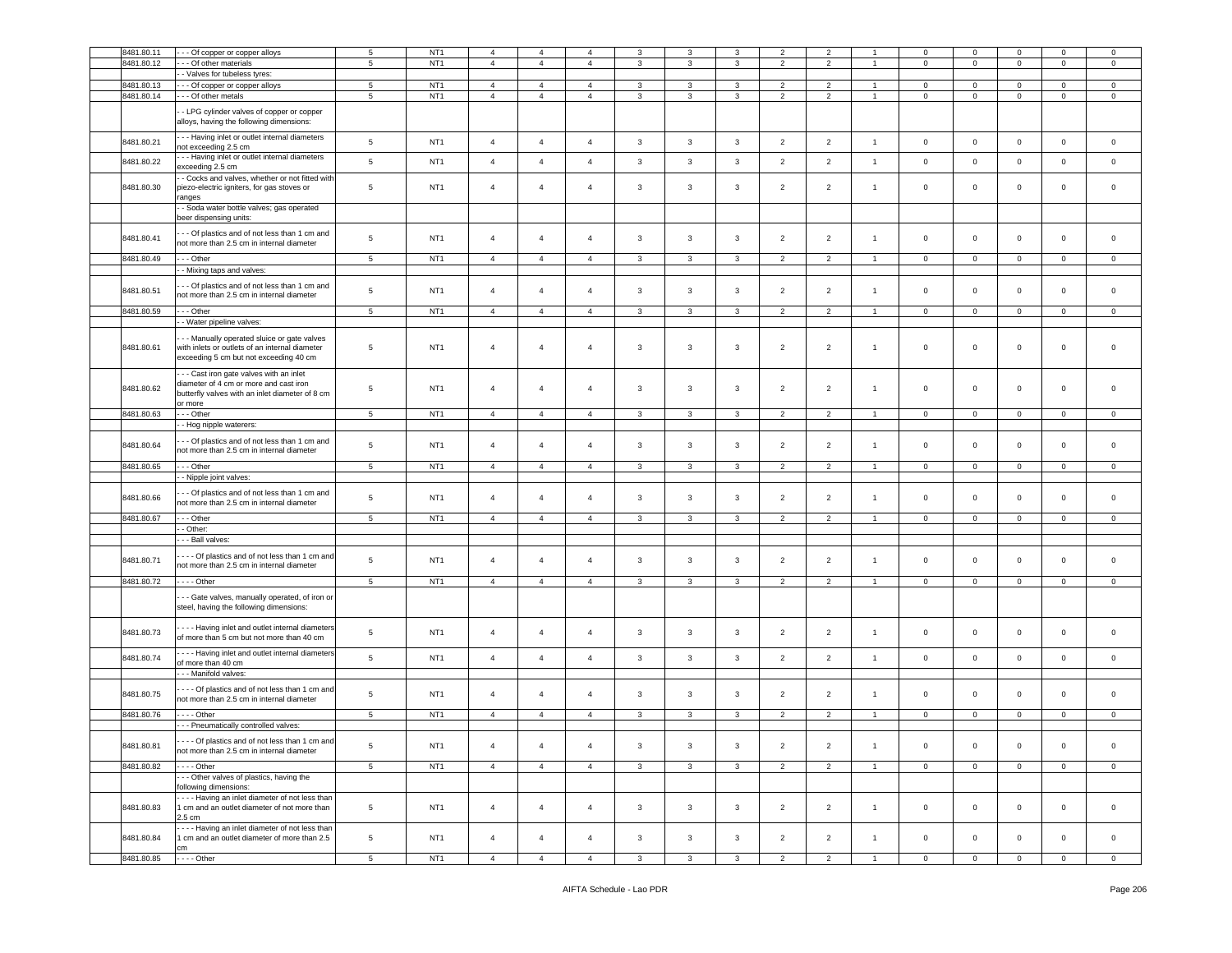| 8481.80.11 |                                                                                                                                         | $5\phantom{.0}$ | NT <sub>1</sub> | $\overline{4}$ | $\overline{4}$ | $\overline{4}$ | 3            | 3              | 3            | $\overline{2}$ | 2                        |                | $\mathbf 0$    | $\mathsf 0$    | $\mathbf 0$ | $\mathbf 0$         | $\mathbf 0$         |
|------------|-----------------------------------------------------------------------------------------------------------------------------------------|-----------------|-----------------|----------------|----------------|----------------|--------------|----------------|--------------|----------------|--------------------------|----------------|----------------|----------------|-------------|---------------------|---------------------|
|            | - - Of copper or copper alloys                                                                                                          |                 |                 |                |                |                |              |                |              |                |                          |                |                |                |             |                     |                     |
| 8481.80.12 | - - Of other materials                                                                                                                  | 5               | NT <sub>1</sub> | $\overline{4}$ | $\overline{4}$ | $\overline{4}$ | 3            | $\mathbf{3}$   | 3            | $\overline{2}$ | $\overline{2}$           |                | $\mathbf 0$    | $\mathbf{0}$   | $\mathbf 0$ | $\mathbf 0$         | $\mathbf 0$         |
|            | - Valves for tubeless tyres:                                                                                                            |                 |                 |                |                |                |              |                |              |                |                          |                |                |                |             |                     |                     |
| 8481.80.13 | - - Of copper or copper alloys                                                                                                          | $5\phantom{.0}$ | NT <sub>1</sub> | $\overline{4}$ | $\overline{4}$ | $\overline{4}$ | 3            | 3              | 3            | $\overline{2}$ | $\overline{\phantom{a}}$ | $\overline{1}$ | $\mathbf 0$    | $\circ$        | $\mathbf 0$ | $\mathbf 0$         | $\mathbf 0$         |
| 8481.80.14 | --- Of other metals                                                                                                                     | 5               | NT <sub>1</sub> | $\overline{4}$ | $\overline{4}$ | $\overline{4}$ | 3            | 3              | $\mathbf{3}$ | $\overline{2}$ | $\overline{2}$           | $\overline{1}$ | $\mathbf 0$    | $\mathbf{0}$   | $\mathbf 0$ | $\overline{0}$      | $\mathbf 0$         |
|            |                                                                                                                                         |                 |                 |                |                |                |              |                |              |                |                          |                |                |                |             |                     |                     |
|            | - LPG cylinder valves of copper or copper<br>alloys, having the following dimensions:                                                   |                 |                 |                |                |                |              |                |              |                |                          |                |                |                |             |                     |                     |
| 8481.80.21 | - - Having inlet or outlet internal diameters<br>not exceeding 2.5 cm                                                                   | $\,$ 5 $\,$     | NT <sub>1</sub> | $\overline{4}$ | $\overline{4}$ | $\overline{4}$ | $\mathbf{3}$ | $\mathbf{3}$   | $\mathbf{3}$ | $\overline{2}$ | $\overline{2}$           | $\overline{1}$ | $\mathbf 0$    | $\circ$        | $\mathsf 0$ | $\mathsf{O}\xspace$ | $\mathsf 0$         |
| 8481.80.22 | - - Having inlet or outlet internal diameters                                                                                           | $\,$ 5 $\,$     | NT <sub>1</sub> | $\overline{4}$ | $\overline{4}$ | $\overline{4}$ | $\mathbf{3}$ | $\mathbf{3}$   | $\mathbf{3}$ | $\overline{2}$ | $\overline{2}$           | $\overline{1}$ | $\mathbf 0$    | $\mathbf 0$    | $\mathsf 0$ | $\mathsf 0$         | $\circ$             |
|            | exceeding 2.5 cm<br>- Cocks and valves, whether or not fitted with                                                                      |                 |                 |                |                |                |              |                |              |                |                          |                |                |                |             |                     |                     |
| 8481.80.30 | biezo-electric igniters, for gas stoves or<br>anges                                                                                     | $\overline{5}$  | NT <sub>1</sub> | $\overline{4}$ | $\overline{4}$ | $\overline{4}$ | 3            | 3              | 3            | $\overline{2}$ | $\overline{2}$           | $\overline{1}$ | $\mathbf 0$    | $\circ$        | $\mathbf 0$ | $\mathbf 0$         | $\mathbf 0$         |
|            | - Soda water bottle valves; gas operated<br>beer dispensing units:                                                                      |                 |                 |                |                |                |              |                |              |                |                          |                |                |                |             |                     |                     |
| 8481.80.41 | - - Of plastics and of not less than 1 cm and<br>not more than 2.5 cm in internal diameter                                              | $\,$ 5 $\,$     | NT <sub>1</sub> | $\overline{4}$ | $\overline{4}$ | $\overline{4}$ | 3            | 3              | $\mathbf{3}$ | $\overline{2}$ | $\overline{2}$           | $\mathbf{1}$   | $\mathbf 0$    | $\circ$        | $\mathbf 0$ | $\mathbf 0$         | $\mathbf 0$         |
| 8481.80.49 | - - Other                                                                                                                               | 5               | NT <sub>1</sub> | $\overline{4}$ | $\overline{4}$ | $\overline{4}$ | 3            | 3              | 3            | $\overline{2}$ | 2                        |                | $\mathbf 0$    | $\mathbf{0}$   | $\mathbf 0$ | $\mathbf{0}$        | $\mathbf 0$         |
|            | - Mixing taps and valves:                                                                                                               |                 |                 |                |                |                |              |                |              |                |                          |                |                |                |             |                     |                     |
|            |                                                                                                                                         |                 |                 |                |                |                |              |                |              |                |                          |                |                |                |             |                     |                     |
| 8481.80.51 | - - Of plastics and of not less than 1 cm and<br>not more than 2.5 cm in internal diameter                                              | $5\phantom{.0}$ | NT <sub>1</sub> | $\overline{4}$ | $\overline{4}$ | $\overline{4}$ | 3            | $\mathbf{3}$   | $\mathbf{3}$ | $\overline{2}$ | $\overline{2}$           | $\overline{1}$ | $\mathbf 0$    | $\circ$        | $\mathsf 0$ | $\mathbf 0$         | $\mathbf 0$         |
| 8481.80.59 |                                                                                                                                         |                 | NT <sub>1</sub> |                |                |                |              |                |              |                |                          |                |                |                |             |                     |                     |
|            | - - - Other                                                                                                                             | 5 <sub>5</sub>  |                 | $\overline{4}$ | $\overline{4}$ | $\overline{4}$ | $\mathbf{3}$ | $\mathbf{3}$   | $\mathbf{3}$ | 2              | $\overline{2}$           | $\overline{1}$ | $\overline{0}$ | $\overline{0}$ | $\mathbf 0$ | $\overline{0}$      | $\mathbf{0}$        |
|            | - Water pipeline valves:                                                                                                                |                 |                 |                |                |                |              |                |              |                |                          |                |                |                |             |                     |                     |
| 8481.80.61 | - - Manually operated sluice or gate valves<br>with inlets or outlets of an internal diameter<br>exceeding 5 cm but not exceeding 40 cm | $5\phantom{.0}$ | NT <sub>1</sub> | $\overline{4}$ | $\overline{4}$ | $\overline{4}$ | 3            | 3              | $\mathbf{3}$ | $\overline{2}$ | $\overline{2}$           | $\overline{1}$ | $\mathbf 0$    | $\mathbf 0$    | $\mathbf 0$ | 0                   | 0                   |
| 8481.80.62 | -- Cast iron gate valves with an inlet<br>diameter of 4 cm or more and cast iron<br>outterfly valves with an inlet diameter of 8 cm     | $5\phantom{.0}$ | NT <sub>1</sub> | $\overline{4}$ | $\overline{4}$ | $\overline{4}$ | 3            | 3              | 3            | $\overline{2}$ | $\overline{2}$           | $\overline{1}$ | $\mathbf 0$    | $\circ$        | $\mathbf 0$ | $\mathbf 0$         | $\mathbf 0$         |
|            | or more                                                                                                                                 |                 |                 |                |                |                |              |                |              |                |                          |                |                |                |             |                     |                     |
| 8481.80.63 | - - Other                                                                                                                               | $5\phantom{.0}$ | NT <sub>1</sub> | $\overline{4}$ | $\overline{4}$ | $\overline{4}$ | $\mathbf{3}$ | $\mathbf{3}$   | $\mathbf{3}$ | 2              | 2                        | $\overline{1}$ | $\mathbf 0$    | $\overline{0}$ | $\circ$     | $\circ$             | $\mathbf 0$         |
|            | - Hog nipple waterers:                                                                                                                  |                 |                 |                |                |                |              |                |              |                |                          |                |                |                |             |                     |                     |
|            | - - Of plastics and of not less than 1 cm and                                                                                           |                 |                 |                |                |                |              |                |              |                |                          |                |                |                |             |                     |                     |
| 8481.80.64 | not more than 2.5 cm in internal diameter                                                                                               | $\overline{5}$  | NT <sub>1</sub> | $\overline{4}$ | $\overline{4}$ | $\overline{4}$ | 3            | 3              | 3            | $\overline{2}$ | $\overline{2}$           | $\overline{1}$ | $\mathbf 0$    | $\circ$        | $\mathbf 0$ | $\mathbf 0$         | $\mathbf 0$         |
| 8481.80.65 | --- Other                                                                                                                               | $\,$ 5 $\,$     | NT <sub>1</sub> | $\overline{4}$ | $\overline{4}$ | $\overline{4}$ | $\mathbf{3}$ | 3              | $\mathbf{3}$ | $\overline{2}$ | $\overline{2}$           | $\overline{1}$ | $\mathbf 0$    | $\mathbf 0$    | $\mathsf 0$ | $\mathbf 0$         | $\mathbf 0$         |
|            | - Nipple joint valves:                                                                                                                  |                 |                 |                |                |                |              |                |              |                |                          |                |                |                |             |                     |                     |
|            |                                                                                                                                         |                 |                 |                |                |                |              |                |              |                |                          |                |                |                |             |                     |                     |
| 8481.80.66 | - - Of plastics and of not less than 1 cm and<br>not more than 2.5 cm in internal diameter                                              | 5               | NT <sub>1</sub> | $\overline{4}$ | $\overline{4}$ | $\overline{4}$ | 3            | 3              | 3            | $\overline{2}$ | $\overline{2}$           | $\overline{1}$ | $\mathsf 0$    | $\mathbf 0$    | $\mathbf 0$ | $\mathbf 0$         | $\mathbf 0$         |
| 8481.80.67 | --- Other                                                                                                                               | $5\phantom{.0}$ | NT <sub>1</sub> | $\overline{4}$ | $\overline{4}$ | $\overline{4}$ | $\mathbf{3}$ | $\mathbf{3}$   | 3            | $\overline{2}$ | $\overline{2}$           | $\overline{1}$ | $\mathbf 0$    | $\circ$        | $\mathbf 0$ | $\overline{0}$      | $\mathbf 0$         |
|            |                                                                                                                                         |                 |                 |                |                |                |              |                |              |                |                          |                |                |                |             |                     |                     |
|            | - Other:                                                                                                                                |                 |                 |                |                |                |              |                |              |                |                          |                |                |                |             |                     |                     |
|            | - - Ball valves:                                                                                                                        |                 |                 |                |                |                |              |                |              |                |                          |                |                |                |             |                     |                     |
| 8481.80.71 | --- Of plastics and of not less than 1 cm and<br>not more than 2.5 cm in internal diameter                                              | 5               | NT <sub>1</sub> | $\overline{4}$ | $\overline{4}$ | $\overline{4}$ | 3            | 3              | 3            | $\overline{2}$ | $\overline{2}$           | $\overline{1}$ | $\mathbf 0$    | $\mathsf 0$    | $\mathbf 0$ | $\mathbf 0$         | $\mathbf 0$         |
| 8481.80.72 | $\cdots$ - Other                                                                                                                        | 5 <sub>5</sub>  | NT <sub>1</sub> | $\overline{4}$ | $\overline{4}$ | $\overline{4}$ | $\mathbf{3}$ | $\mathbf{3}$   | $\mathbf{3}$ | $\overline{2}$ | $\overline{2}$           | $\overline{1}$ | $\overline{0}$ | $\overline{0}$ | $\mathbf 0$ | $\overline{0}$      | $\mathbf{0}$        |
|            |                                                                                                                                         |                 |                 |                |                |                |              |                |              |                |                          |                |                |                |             |                     |                     |
|            | - - Gate valves, manually operated, of iron or<br>steel, having the following dimensions:                                               |                 |                 |                |                |                |              |                |              |                |                          |                |                |                |             |                     |                     |
| 8481.80.73 | --- Having inlet and outlet internal diameters<br>of more than 5 cm but not more than 40 cm                                             | 5               | NT <sub>1</sub> | $\overline{4}$ | $\overline{4}$ | $\overline{4}$ | 3            | $\mathbf{3}$   | 3            | $\overline{2}$ | $\overline{2}$           | $\overline{1}$ | $\mathbf 0$    | $\circ$        | $\mathbf 0$ | $\mathbf 0$         | $\mathbf 0$         |
| 8481.80.74 | --- Having inlet and outlet internal diameters<br>of more than 40 cm                                                                    | $\,$ 5 $\,$     | NT <sub>1</sub> | $\overline{4}$ | $\overline{4}$ | $\sqrt{4}$     | $\mathbf{3}$ | $\mathbf{3}$   | $\mathbf{3}$ | $\overline{2}$ | $\overline{2}$           | $\mathbf{1}$   | $\mathsf 0$    | $\mathbf 0$    | $\mathbf 0$ | $\circ$             | $\mathsf{O}\xspace$ |
|            |                                                                                                                                         |                 |                 |                |                |                |              |                |              |                |                          |                |                |                |             |                     |                     |
|            | - - Manifold valves:                                                                                                                    |                 |                 |                |                |                |              |                |              |                |                          |                |                |                |             |                     |                     |
| 8481.80.75 | --- Of plastics and of not less than 1 cm and<br>not more than 2.5 cm in internal diameter                                              | 5               | NT <sub>1</sub> | $\overline{4}$ | $\overline{4}$ | $\overline{4}$ | $\mathbf{3}$ | $\mathbf{3}$   | 3            | $\overline{2}$ | $\overline{2}$           | $\overline{1}$ | $\mathbf 0$    | $\circ$        | $\mathbf 0$ | $\mathbf 0$         | $\mathbf 0$         |
| 8481.80.76 | $\cdots$ - Other                                                                                                                        | 5               | NT <sub>1</sub> | $\overline{4}$ | $\overline{4}$ | $\overline{4}$ | 3            | 3              | 3            | $\overline{2}$ | $\overline{2}$           | $\overline{1}$ | $\mathbf 0$    | $\overline{0}$ | $\mathbf 0$ | $\circ$             | $\mathbf 0$         |
|            | - - - Pneumatically controlled valves:                                                                                                  |                 |                 |                |                |                |              |                |              |                |                          |                |                |                |             |                     |                     |
|            |                                                                                                                                         |                 |                 |                |                |                |              |                |              |                |                          |                |                |                |             |                     |                     |
| 8481.80.81 | Of plastics and of not less than 1 cm and<br>not more than 2.5 cm in internal diameter                                                  | $\,$ 5 $\,$     | NT <sub>1</sub> | $\overline{4}$ | $\overline{4}$ | $\overline{4}$ | $\mathbf{3}$ | $\mathbf{3}$   | $\mathbf{3}$ | $\overline{2}$ | $\overline{2}$           | $\mathbf{1}$   | $\mathsf 0$    | $\mathbf 0$    | $\mathbf 0$ | $\overline{0}$      | $\overline{0}$      |
| 8481.80.82 | - - - - Other                                                                                                                           | $5\phantom{.0}$ | NT <sub>1</sub> | $\overline{4}$ | $\overline{4}$ | $\overline{4}$ | $\mathbf{3}$ | $\mathbf{3}$   | $\mathbf{3}$ | $\overline{2}$ | $\overline{2}$           | $\overline{1}$ | $\overline{0}$ | $\overline{0}$ | $\mathbf 0$ | $\overline{0}$      | $\circ$             |
|            | -- Other valves of plastics, having the                                                                                                 |                 |                 |                |                |                |              |                |              |                |                          |                |                |                |             |                     |                     |
|            | following dimensions:                                                                                                                   |                 |                 |                |                |                |              |                |              |                |                          |                |                |                |             |                     |                     |
| 8481.80.83 | --- Having an inlet diameter of not less than<br>1 cm and an outlet diameter of not more than<br>2.5 cm                                 | $5\phantom{.0}$ | NT <sub>1</sub> | $\overline{4}$ | $\overline{4}$ | $\overline{4}$ | $\mathbf{3}$ | $\mathbf{3}$   | $\mathbf{3}$ | $\overline{2}$ | $\overline{2}$           | $\overline{1}$ | $\mathsf 0$    | $\overline{0}$ | $\mathbf 0$ | $\circ$             | $\overline{0}$      |
| 8481.80.84 | --- Having an inlet diameter of not less than<br>1 cm and an outlet diameter of more than 2.5                                           | $5\phantom{.0}$ | NT <sub>1</sub> | $\overline{4}$ | $\overline{4}$ | $\overline{4}$ | $\mathbf{3}$ | $\overline{3}$ | $\mathbf{3}$ | $\overline{2}$ | $\overline{2}$           | $\mathbf{1}$   | $\mathbf{0}$   | $\overline{0}$ | $\mathbf 0$ | $\overline{0}$      | $\mathbf{0}$        |
|            | cm                                                                                                                                      |                 |                 |                |                |                |              |                |              |                |                          |                |                |                |             |                     |                     |
| 8481.80.85 | $---Other$                                                                                                                              | $\overline{5}$  | NT <sub>1</sub> | $\overline{4}$ | $\overline{4}$ | $\overline{4}$ | $\mathbf{3}$ | $\mathbf{3}$   | $\mathbf{3}$ | $\overline{2}$ | $\overline{2}$           | $\overline{1}$ | $\mathbf 0$    | $\mathbf 0$    | $\mathbf 0$ | $\overline{0}$      | $\overline{0}$      |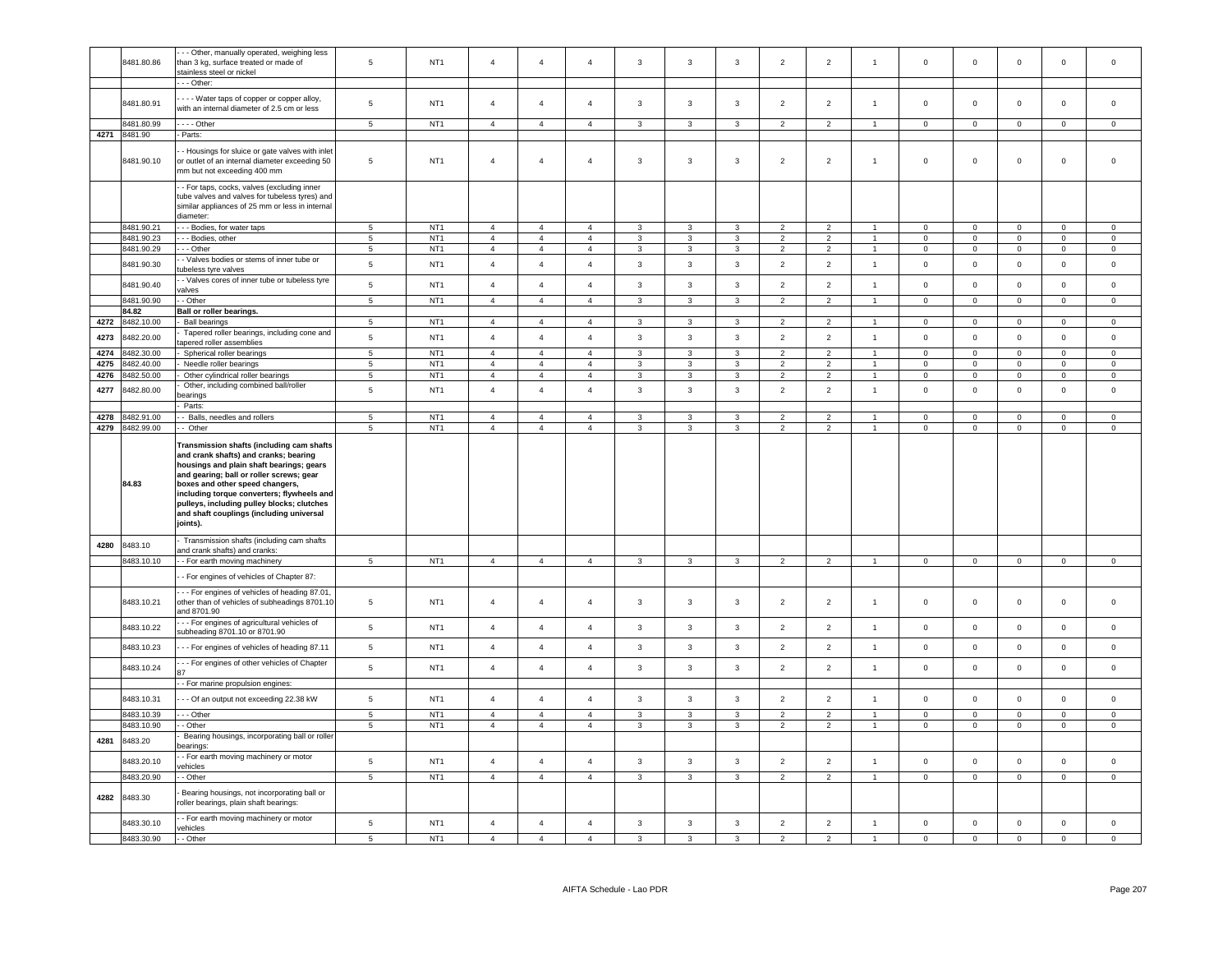|      | 8481.80.86               | - - Other, manually operated, weighing less<br>than 3 kg, surface treated or made of<br>stainless steel or nickel                                                                                                                                                                                                                                                 | 5                          | NT <sub>1</sub>                    | $\overline{4}$                   | $\overline{4}$             | $\overline{4}$                   | $\mathbf{3}$                   | 3                              | $\mathbf{3}$                 | $\overline{2}$                   | $\sqrt{2}$                       | $\overline{1}$                 | $\mathsf{O}\xspace$                        | $\mathsf 0$                | $\mathbf 0$                | $\mathbf 0$                 | $\mathbf 0$                                |
|------|--------------------------|-------------------------------------------------------------------------------------------------------------------------------------------------------------------------------------------------------------------------------------------------------------------------------------------------------------------------------------------------------------------|----------------------------|------------------------------------|----------------------------------|----------------------------|----------------------------------|--------------------------------|--------------------------------|------------------------------|----------------------------------|----------------------------------|--------------------------------|--------------------------------------------|----------------------------|----------------------------|-----------------------------|--------------------------------------------|
|      |                          | - - Other:                                                                                                                                                                                                                                                                                                                                                        |                            |                                    |                                  |                            |                                  |                                |                                |                              |                                  |                                  |                                |                                            |                            |                            |                             |                                            |
|      | 8481.80.91               | - - - Water taps of copper or copper alloy,<br>with an internal diameter of 2.5 cm or less                                                                                                                                                                                                                                                                        | 5                          | NT <sub>1</sub>                    | $\overline{4}$                   | $\overline{4}$             | $\overline{4}$                   | 3                              | 3                              | $\mathbf{3}$                 | $\overline{2}$                   | $\sqrt{2}$                       | $\mathbf{1}$                   | $\mathsf 0$                                | $\mathbf 0$                | $\mathbf 0$                | $\mathsf 0$                 | $\mathsf 0$                                |
|      | 3481.80.99               | $---$ Other                                                                                                                                                                                                                                                                                                                                                       | $5\overline{5}$            | NT <sub>1</sub>                    | $\overline{4}$                   | $\overline{4}$             | $\overline{4}$                   | $\mathbf{3}$                   | $\mathbf{3}$                   | $\mathbf{3}$                 | $\overline{2}$                   | $\overline{2}$                   | $\overline{1}$                 | $\overline{0}$                             | $\overline{0}$             | $\overline{0}$             | $\overline{0}$              | $\overline{0}$                             |
| 4271 | 8481.90                  | - Parts:                                                                                                                                                                                                                                                                                                                                                          |                            |                                    |                                  |                            |                                  |                                |                                |                              |                                  |                                  |                                |                                            |                            |                            |                             |                                            |
|      |                          |                                                                                                                                                                                                                                                                                                                                                                   |                            |                                    |                                  |                            |                                  |                                |                                |                              |                                  |                                  |                                |                                            |                            |                            |                             |                                            |
|      | 8481.90.10               | - Housings for sluice or gate valves with inlet<br>or outlet of an internal diameter exceeding 50<br>nm but not exceeding 400 mm                                                                                                                                                                                                                                  | 5                          | NT <sub>1</sub>                    | $\overline{4}$                   | $\overline{4}$             | $\overline{4}$                   | 3                              | 3                              | $\mathbf{3}$                 | $\overline{2}$                   | $\overline{2}$                   | $\mathbf{1}$                   | $\mathbf 0$                                | $\mathbf 0$                | $\mathbf 0$                | $\mathbf 0$                 | $\mathsf 0$                                |
|      |                          | - For taps, cocks, valves (excluding inner<br>tube valves and valves for tubeless tyres) and<br>similar appliances of 25 mm or less in internal<br>diameter:                                                                                                                                                                                                      |                            |                                    |                                  |                            |                                  |                                |                                |                              |                                  |                                  |                                |                                            |                            |                            |                             |                                            |
|      | 8481.90.21               | - - Bodies, for water taps                                                                                                                                                                                                                                                                                                                                        | $\overline{5}$             | NT <sub>1</sub>                    | $\overline{4}$                   | $\mathbf{A}$               | $\overline{a}$                   | $\mathbf{a}$                   | $\mathbf{3}$                   | $\mathbf{3}$                 | $\mathcal{D}$                    | $\mathcal{D}$                    |                                | $\Omega$                                   | $\mathsf 0$                | $\mathsf 0$                | $\mathsf 0$                 | $\Omega$                                   |
|      | 8481.90.23               | - - Bodies, other                                                                                                                                                                                                                                                                                                                                                 | $5\phantom{.0}$            | NT <sub>1</sub>                    | $\overline{4}$                   | $\overline{4}$             | $\overline{4}$                   | $\mathbf{3}$                   | $\mathbf{3}$                   | $\mathbf{3}$                 | $\overline{2}$                   | $\overline{2}$                   | $\overline{1}$                 | $\mathsf 0$                                | $\mathsf 0$                | $\mathsf 0$                | $\mathsf 0$                 | $\mathsf 0$                                |
|      | 8481.90.29               | - Other                                                                                                                                                                                                                                                                                                                                                           | 5                          | NT <sub>1</sub>                    | $\overline{4}$                   | $\overline{4}$             | $\overline{a}$                   | 3                              | 3                              | $\mathbf{3}$                 | $\overline{2}$                   | 2                                |                                | $\Omega$                                   | $\mathbf 0$                | $\mathbf 0$                | $\mathbf{0}$                | $\mathbf 0$                                |
|      | 8481.90.30               | - Valves bodies or stems of inner tube or<br>tubeless tyre valves                                                                                                                                                                                                                                                                                                 | $\,$ 5 $\,$                | NT <sub>1</sub>                    | $\overline{4}$                   | $\overline{4}$             | $\overline{4}$                   | $\mathbf{3}$                   | $\mathbf{3}$                   | $\mathbf{3}$                 | $\overline{2}$                   | $\sqrt{2}$                       | $\overline{1}$                 | $\mathsf{O}\xspace$                        | $\mathsf 0$                | $\mathbf 0$                | $\mathbf 0$                 | $\mathbf 0$                                |
|      | 8481.90.40               | - Valves cores of inner tube or tubeless tyre                                                                                                                                                                                                                                                                                                                     | $\,$ 5 $\,$                | NT <sub>1</sub>                    | $\overline{4}$                   | $\overline{4}$             | $\overline{4}$                   | $\mathbf{3}$                   | 3                              | $\mathbf{3}$                 | $\overline{2}$                   | $\overline{2}$                   | $\overline{1}$                 | $\mathbf 0$                                | $\mathbf{0}$               | $\mathbf 0$                | $\mathsf 0$                 | $\mathsf 0$                                |
|      | 8481.90.90               | valves                                                                                                                                                                                                                                                                                                                                                            |                            | NT <sub>1</sub>                    | $\overline{4}$                   | $\overline{4}$             |                                  |                                |                                |                              |                                  |                                  | $\overline{1}$                 |                                            |                            |                            |                             |                                            |
|      |                          | - Other                                                                                                                                                                                                                                                                                                                                                           | $5\phantom{.0}$            |                                    |                                  |                            | $\overline{4}$                   | $\mathbf{3}$                   | $\mathbf{3}$                   | $\mathbf{3}$                 | $\overline{2}$                   | $\overline{2}$                   |                                | $\mathsf 0$                                | $\mathsf 0$                | $\mathbf 0$                | $\mathsf{O}\xspace$         | $\mathbf 0$                                |
|      | 84.82                    | Ball or roller bearings.                                                                                                                                                                                                                                                                                                                                          |                            |                                    |                                  |                            |                                  |                                |                                |                              |                                  |                                  |                                |                                            |                            |                            |                             |                                            |
| 4272 | 8482.10.00               | <b>Ball bearings</b>                                                                                                                                                                                                                                                                                                                                              | 5                          | NT <sub>1</sub>                    | $\overline{4}$                   | $\overline{4}$             | $\overline{4}$                   | $\mathbf{3}$                   | 3                              | $\mathbf{3}$                 | 2                                | $\overline{2}$                   | $\overline{1}$                 | $\mathbf 0$                                | $\mathbf{0}$               | $\mathbf 0$                | $\mathbf 0$                 | $\mathbf{0}$                               |
| 4273 | 482.20.00                | Tapered roller bearings, including cone and<br>apered roller assemblies                                                                                                                                                                                                                                                                                           | $\,$ 5 $\,$                | NT <sub>1</sub>                    | $\sqrt{4}$                       | $\overline{4}$             | $\overline{4}$                   | $\mathbf{3}$                   | $\mathbf{3}$                   | $\mathbf{3}$                 | $\overline{2}$                   | $\overline{2}$                   | $\mathbf{1}$                   | $\mathsf 0$                                | $\mathsf 0$                | $\mathbf 0$                | $\mathsf{O}\xspace$         | $\mathsf 0$                                |
| 4274 | 3482.30.00               | Spherical roller bearings                                                                                                                                                                                                                                                                                                                                         | $\overline{5}$             | NT <sub>1</sub>                    | $\overline{4}$                   | $\overline{4}$             | $\overline{4}$                   | $\overline{3}$                 | $\overline{3}$                 | $\mathbf{3}$                 | $\overline{2}$                   | $\overline{2}$                   | $\mathbf{1}$                   | $\Omega$                                   | $\mathbf{0}$               | $\mathsf 0$                | $\mathbf 0$                 | $\mathbf 0$                                |
| 4275 | 3482.40.00               | Needle roller bearings                                                                                                                                                                                                                                                                                                                                            | $5\phantom{.0}$            | NT <sub>1</sub>                    | $\overline{4}$                   | $\overline{4}$             | $\overline{4}$                   | 3                              | 3                              | $\mathbf 3$                  | $\overline{2}$                   | $\overline{2}$                   | $\mathbf{1}$                   | $\mathbf 0$                                | $\mathsf 0$                | $\mathbf 0$                | $\Omega$                    | $\mathbf 0$                                |
| 4276 | 3482.50.00               | Other cylindrical roller bearings                                                                                                                                                                                                                                                                                                                                 | $\sqrt{5}$                 | NT1                                | $\overline{4}$                   | $\overline{4}$             | $\overline{4}$                   | $\mathbf{3}$                   | $\overline{3}$                 | $\overline{\mathbf{3}}$      | $\overline{2}$                   | $\overline{2}$                   | $\mathbf{1}$                   | $\mathbf 0$                                | $\mathbf 0$                | $\overline{0}$             | $\mathsf 0$                 | $\mathbf 0$                                |
| 4277 | 482.80.00                | Other, including combined ball/roller<br>earings                                                                                                                                                                                                                                                                                                                  | $\overline{5}$             | NT <sub>1</sub>                    | $\overline{4}$                   | $\overline{4}$             | $\overline{4}$                   | $\mathbf{3}$                   | $\mathbf{3}$                   | $\mathbf{3}$                 | $\overline{2}$                   | $\overline{2}$                   | $\overline{1}$                 | $\mathbf 0$                                | $\mathsf 0$                | $\mathsf 0$                | $\mathbf 0$                 | $\mathbf 0$                                |
|      |                          | Parts:                                                                                                                                                                                                                                                                                                                                                            |                            |                                    |                                  |                            |                                  |                                |                                |                              |                                  |                                  |                                |                                            |                            |                            |                             |                                            |
| 4278 | 3482.91.00               | Balls, needles and rollers                                                                                                                                                                                                                                                                                                                                        | 5                          | NT <sub>1</sub>                    | $\overline{4}$                   | $\overline{4}$             | $\overline{4}$                   | 3                              | $\mathbf{3}$                   | $\mathbf{3}$                 | $\overline{2}$                   | $\overline{2}$                   | 1                              | $\mathbf 0$                                | $\mathsf 0$                | $\mathsf 0$                | $\mathbf 0$                 | $\mathsf{O}\xspace$                        |
| 4279 | 3482.99.00               | - Other                                                                                                                                                                                                                                                                                                                                                           | 5                          | NT <sub>1</sub>                    | $\overline{4}$                   | $\overline{4}$             | $\overline{4}$                   | 3                              | 3                              | $\mathbf{3}$                 | $\overline{2}$                   | 2                                | $\mathbf{1}$                   | $\mathbf 0$                                | $\mathbf 0$                | $\mathbf 0$                | $\mathbf 0$                 | $\mathsf 0$                                |
|      | 84.83                    | Transmission shafts (including cam shafts<br>and crank shafts) and cranks; bearing<br>housings and plain shaft bearings; gears<br>and gearing; ball or roller screws; gear<br>boxes and other speed changers,<br>including torque converters; flywheels and<br>pulleys, including pulley blocks; clutches<br>and shaft couplings (including universal<br>joints). |                            |                                    |                                  |                            |                                  |                                |                                |                              |                                  |                                  |                                |                                            |                            |                            |                             |                                            |
| 4280 | 3483.10                  | Transmission shafts (including cam shafts                                                                                                                                                                                                                                                                                                                         |                            |                                    |                                  |                            |                                  |                                |                                |                              |                                  |                                  |                                |                                            |                            |                            |                             |                                            |
|      |                          | and crank shafts) and cranks:                                                                                                                                                                                                                                                                                                                                     |                            |                                    |                                  |                            |                                  |                                |                                |                              |                                  |                                  |                                |                                            |                            |                            |                             |                                            |
|      | 8483.10.10               | - - For earth moving machinery                                                                                                                                                                                                                                                                                                                                    | 5                          | NT <sub>1</sub>                    | $\overline{4}$                   | $\overline{4}$             | $\overline{4}$                   | 3                              | 3                              | $\mathbf{3}$                 | $\overline{2}$                   | $\overline{2}$                   | $\overline{1}$                 | $\mathbf 0$                                | $\mathbf 0$                | $\mathbf 0$                | $\mathbf 0$                 | $\mathsf 0$                                |
|      |                          | - For engines of vehicles of Chapter 87:                                                                                                                                                                                                                                                                                                                          |                            |                                    |                                  |                            |                                  |                                |                                |                              |                                  |                                  |                                |                                            |                            |                            |                             |                                            |
|      | 8483.10.21               | --- For engines of vehicles of heading 87.01<br>other than of vehicles of subheadings 8701.10<br>and 8701.90                                                                                                                                                                                                                                                      | 5                          | NT <sub>1</sub>                    | $\overline{4}$                   | $\overline{4}$             | $\overline{4}$                   | 3                              | 3                              | $\mathbf{3}$                 | $\overline{2}$                   | $\overline{2}$                   | $\overline{1}$                 | $\mathbf 0$                                | $\mathbf 0$                | $\mathsf 0$                | $\mathbf 0$                 | $\mathsf 0$                                |
|      | 8483.10.22               | -- For engines of agricultural vehicles of<br>subheading 8701.10 or 8701.90                                                                                                                                                                                                                                                                                       | $\sqrt{5}$                 | NT <sub>1</sub>                    | $\overline{4}$                   | $\overline{4}$             | $\overline{4}$                   | $\mathbf{3}$                   | $\mathbf{3}$                   | $\mathbf{3}$                 | $\overline{2}$                   | $\overline{2}$                   | $\mathbf{1}$                   | $\mathsf 0$                                | $\mathsf 0$                | $\mathbf 0$                | $\mathsf 0$                 | $\mathsf 0$                                |
|      | 8483.10.23               | - - For engines of vehicles of heading 87.11                                                                                                                                                                                                                                                                                                                      | $\,$ 5 $\,$                | NT <sub>1</sub>                    | $\overline{4}$                   | $\overline{4}$             | $\overline{4}$                   | $\mathbf{3}$                   | $\mathbf{3}$                   | $\mathbf{3}$                 | $\overline{2}$                   | $\overline{2}$                   | $\overline{1}$                 | $\mathbf 0$                                | $\mathbf 0$                | $\mathsf 0$                | $\mathsf 0$                 | $\mathsf{O}\xspace$                        |
|      | 8483.10.24               | - - For engines of other vehicles of Chapter                                                                                                                                                                                                                                                                                                                      | $\,$ 5 $\,$                | NT <sub>1</sub>                    | $\overline{4}$                   | $\overline{4}$             | $\overline{4}$                   | $\mathbf{3}$                   | $\mathbf{3}$                   | $\mathbf{3}$                 | $\overline{2}$                   | $\sqrt{2}$                       | $\mathbf{1}$                   | $\mathsf{O}\xspace$                        | $\mathsf 0$                | $\mathbf 0$                | $\mathsf{O}\xspace$         | $\mathbf 0$                                |
|      |                          | - - For marine propulsion engines:                                                                                                                                                                                                                                                                                                                                |                            |                                    |                                  |                            |                                  |                                |                                |                              |                                  |                                  |                                |                                            |                            |                            |                             |                                            |
|      | 8483.10.31               | -- Of an output not exceeding 22.38 kW                                                                                                                                                                                                                                                                                                                            | $\,$ 5 $\,$                | NT <sub>1</sub>                    | $\overline{4}$                   | $\overline{4}$             | $\overline{4}$                   | $\mathbf{3}$                   | $\mathbf{3}$                   | $\mathbf{3}$                 | $\overline{2}$                   | $\overline{2}$                   | $\overline{1}$                 | $\mathsf{O}\xspace$                        | $\mathbf 0$                | $\mathbf 0$                | $\mathsf{O}\xspace$         | $\mathsf 0$                                |
|      | 8483.10.39               | - - - Other                                                                                                                                                                                                                                                                                                                                                       | $\overline{5}$             | NT <sub>1</sub>                    | $\overline{4}$                   | $\overline{4}$             | $\overline{4}$                   | $\overline{\mathbf{3}}$        | $\overline{3}$                 | $\overline{\mathbf{3}}$      | $\overline{2}$                   | $\overline{2}$                   | $\overline{1}$                 | $\Omega$                                   | $\overline{0}$             | $\overline{0}$             | $\overline{0}$              | $\mathsf 0$                                |
|      | 3483.10.90               | - - Other                                                                                                                                                                                                                                                                                                                                                         | 5                          | NT <sub>1</sub>                    | $\overline{4}$                   | $\overline{4}$             | $\overline{4}$                   | $\overline{3}$                 | $\overline{3}$                 | $\overline{\mathbf{3}}$      | 2                                | $\overline{2}$                   | $\overline{1}$                 | $\mathbf{0}$                               | $\overline{0}$             | $\mathsf 0$                | $\mathbf{0}$                | $\mathbf 0$                                |
| 4281 | 8483.20                  | Bearing housings, incorporating ball or roller<br>bearings:                                                                                                                                                                                                                                                                                                       |                            |                                    |                                  |                            |                                  |                                |                                |                              |                                  |                                  |                                |                                            |                            |                            |                             |                                            |
|      | 8483.20.10               | - For earth moving machinery or motor<br>ehicles                                                                                                                                                                                                                                                                                                                  | $\overline{5}$             | NT <sub>1</sub>                    | $\overline{4}$                   | $\overline{4}$             | $\overline{4}$                   | 3                              | 3                              | 3                            | $\overline{2}$                   | $\overline{2}$                   | $\overline{1}$                 | $\mathbf 0$                                | $\mathbf 0$                | $\mathsf 0$                | $\mathbf 0$                 | $\mathsf 0$                                |
|      | 8483.20.90               | - - Other                                                                                                                                                                                                                                                                                                                                                         | $5\overline{)}$            | NT <sub>1</sub>                    | $\overline{4}$                   | $\overline{4}$             | $\overline{4}$                   | $\mathbf{3}$                   | $\mathbf{3}$                   | $\mathbf{3}$                 | $\overline{2}$                   | $\overline{2}$                   | $\mathbf{1}$                   | $\mathsf 0$                                | $\overline{0}$             | $\overline{0}$             | $\mathsf 0$                 | $\overline{0}$                             |
| 4282 | 8483.30                  | Bearing housings, not incorporating ball or<br>oller bearings, plain shaft bearings:                                                                                                                                                                                                                                                                              |                            |                                    |                                  |                            |                                  |                                |                                |                              |                                  |                                  |                                |                                            |                            |                            |                             |                                            |
|      |                          |                                                                                                                                                                                                                                                                                                                                                                   |                            |                                    |                                  |                            |                                  |                                |                                |                              |                                  |                                  |                                |                                            |                            |                            |                             |                                            |
|      | 8483.30.10<br>8483.30.90 | - For earth moving machinery or motor<br>vehicles<br>- - Other                                                                                                                                                                                                                                                                                                    | $\,$ 5 $\,$<br>$5^{\circ}$ | NT <sub>1</sub><br>NT <sub>1</sub> | $\overline{4}$<br>$\overline{4}$ | $\overline{4}$<br>$\Delta$ | $\overline{4}$<br>$\overline{4}$ | $\mathbf{3}$<br>$\overline{3}$ | $\mathbf{3}$<br>$\overline{3}$ | $\mathbf{3}$<br>$\mathbf{3}$ | $\overline{2}$<br>$\overline{2}$ | $\overline{2}$<br>$\overline{2}$ | $\mathbf{1}$<br>$\overline{1}$ | $\mathsf{O}\xspace$<br>$\mathsf{O}\xspace$ | $\mathsf 0$<br>$\mathsf 0$ | $\mathbf 0$<br>$\mathsf 0$ | $\mathbf 0$<br>$\mathbf{0}$ | $\mathsf{O}\xspace$<br>$\mathsf{O}\xspace$ |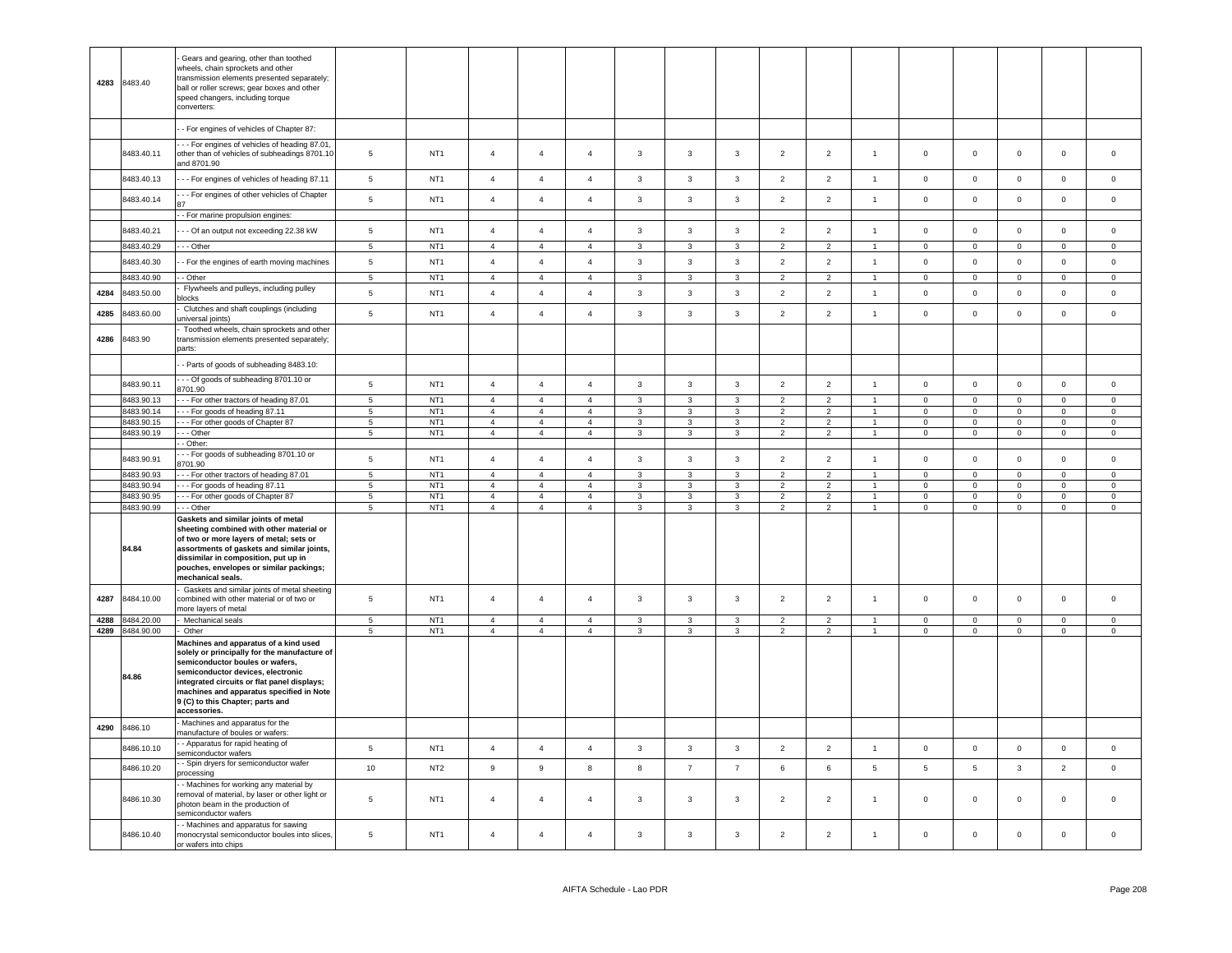| 4283         | 8483.40                  | Gears and gearing, other than toothed<br>wheels, chain sprockets and other<br>transmission elements presented separately;<br>ball or roller screws; gear boxes and other<br>speed changers, including torque<br>converters:                                                      |                               |                                    |                                  |                                  |                                  |                   |                              |                              |                                  |                                  |                                  |                               |                             |                                    |                             |                               |
|--------------|--------------------------|----------------------------------------------------------------------------------------------------------------------------------------------------------------------------------------------------------------------------------------------------------------------------------|-------------------------------|------------------------------------|----------------------------------|----------------------------------|----------------------------------|-------------------|------------------------------|------------------------------|----------------------------------|----------------------------------|----------------------------------|-------------------------------|-----------------------------|------------------------------------|-----------------------------|-------------------------------|
|              |                          | - For engines of vehicles of Chapter 87:                                                                                                                                                                                                                                         |                               |                                    |                                  |                                  |                                  |                   |                              |                              |                                  |                                  |                                  |                               |                             |                                    |                             |                               |
|              | 8483.40.11               | - - For engines of vehicles of heading 87.01,<br>other than of vehicles of subheadings 8701.10<br>and 8701.90                                                                                                                                                                    | $\overline{5}$                | NT <sub>1</sub>                    | $\overline{4}$                   | $\overline{4}$                   | $\overline{4}$                   | $\mathbf{3}$      | $\mathbf{3}$                 | 3                            | $\overline{2}$                   | $\overline{c}$                   | $\overline{1}$                   | $\mathsf 0$                   | $\mathbf 0$                 | $\mathsf 0$                        | $\mathbf 0$                 | $\overline{0}$                |
|              | 8483.40.13               | --- For engines of vehicles of heading 87.11                                                                                                                                                                                                                                     | $\overline{5}$                | NT <sub>1</sub>                    | $\overline{4}$                   | $\overline{4}$                   | $\overline{4}$                   | $\mathbf{3}$      | $\mathbf{3}$                 | $\mathbf{3}$                 | $\overline{2}$                   | $\overline{2}$                   | $\overline{1}$                   | $\mathsf 0$                   | $\mathsf 0$                 | $\mathsf 0$                        | $\mathsf 0$                 | $\mathsf 0$                   |
|              | 8483.40.14               | --- For engines of other vehicles of Chapter                                                                                                                                                                                                                                     | $\,$ 5 $\,$                   | NT <sub>1</sub>                    | $\overline{4}$                   | $\overline{4}$                   | $\overline{4}$                   | $\mathbf{3}$      | $\mathbf{3}$                 | $\mathbf{3}$                 | $\overline{2}$                   | $\overline{2}$                   | $\overline{1}$                   | $\,0\,$                       | $\mathbf 0$                 | $\mathsf 0$                        | $\mathbf 0$                 | $\,0\,$                       |
|              |                          | - - For marine propulsion engines:                                                                                                                                                                                                                                               |                               |                                    |                                  |                                  |                                  |                   |                              |                              |                                  |                                  |                                  |                               |                             |                                    |                             |                               |
|              | 8483.40.21               | - - Of an output not exceeding 22.38 kW                                                                                                                                                                                                                                          | 5                             | NT <sub>1</sub>                    | $\overline{4}$                   | $\overline{4}$                   | $\overline{4}$                   | $\mathbf{3}$      | $\mathbf{3}$                 | $\mathbf{3}$                 | $\overline{2}$                   | $\overline{2}$                   | $\overline{1}$                   | $\Omega$                      | $\mathsf 0$                 | $\mathbf 0$                        | $\mathbf 0$                 | $\mathsf 0$                   |
|              | 8483.40.29               | - - Other                                                                                                                                                                                                                                                                        | $5\overline{5}$               | NT <sub>1</sub>                    | $\overline{4}$                   | $\overline{4}$                   | $\overline{4}$                   | $\overline{3}$    | $\mathbf{3}$                 | $\overline{3}$               | 2                                | $\overline{2}$                   | $\overline{1}$                   | $\mathbf 0$                   | $\mathbf{0}$                | $\mathbf 0$                        | $\mathbf 0$                 | $\circ$                       |
|              | 8483.40.30               | - For the engines of earth moving machines                                                                                                                                                                                                                                       | $\,$ 5 $\,$                   | NT <sub>1</sub>                    | $\overline{4}$                   | $\overline{4}$                   | $\overline{4}$                   | $\mathbf{3}$      | $\mathbf{3}$                 | $\mathbf{3}$                 | $\overline{2}$                   | $\overline{2}$                   | $\overline{1}$                   | $\mathsf 0$                   | $\mathsf 0$                 | $\mathbf 0$                        | $\mathsf 0$                 | $\overline{0}$                |
|              | 8483.40.90               | - Other                                                                                                                                                                                                                                                                          | 5 <sub>5</sub>                | NT <sub>1</sub>                    | $\overline{4}$                   | $\overline{4}$                   | $\overline{4}$                   | $\mathbf{3}$      | $\mathbf{3}$                 | $\mathbf{3}$                 | $\overline{2}$                   | $\overline{2}$                   | $\overline{1}$                   | $\overline{0}$                | $\overline{0}$              | $\mathbf 0$                        | $\overline{0}$              | $\circ$                       |
| 4284         | 8483.50.00               | Flywheels and pulleys, including pulley<br>blocks                                                                                                                                                                                                                                | $\,$ 5 $\,$                   | NT <sub>1</sub>                    | $\overline{4}$                   | $\overline{4}$                   | $\overline{4}$                   | $\mathbf{3}$      | $\mathbf{3}$                 | $\mathbf{3}$                 | $\overline{2}$                   | $\overline{2}$                   | $\overline{1}$                   | $\mathbf 0$                   | $\mathbf 0$                 | $\mathsf 0$                        | $\mathbf 0$                 | $\,0\,$                       |
| 4285         | 3483.60.00               | Clutches and shaft couplings (including<br>universal joints)                                                                                                                                                                                                                     | 5                             | NT <sub>1</sub>                    | $\overline{4}$                   | $\overline{4}$                   | $\overline{4}$                   | $\mathbf{3}$      | $\mathbf{3}$                 | $\mathbf{3}$                 | $\overline{2}$                   | $\overline{2}$                   | $\mathbf{1}$                     | $\mathsf 0$                   | $\mathsf 0$                 | $\mathsf 0$                        | $\mathsf 0$                 | $\mathbf 0$                   |
| 4286         | 8483.90                  | Toothed wheels, chain sprockets and other<br>transmission elements presented separately;<br>parts:                                                                                                                                                                               |                               |                                    |                                  |                                  |                                  |                   |                              |                              |                                  |                                  |                                  |                               |                             |                                    |                             |                               |
|              |                          | - Parts of goods of subheading 8483.10:                                                                                                                                                                                                                                          |                               |                                    |                                  |                                  |                                  |                   |                              |                              |                                  |                                  |                                  |                               |                             |                                    |                             |                               |
|              | 8483.90.11               | --- Of goods of subheading 8701.10 or<br>8701.90                                                                                                                                                                                                                                 | $\,$ 5 $\,$                   | NT <sub>1</sub>                    | $\overline{4}$                   | $\overline{4}$                   | $\overline{4}$                   | $\mathbf{3}$      | $\mathbf{3}$                 | $\mathbf{3}$                 | $\overline{2}$                   | $\overline{2}$                   | $\overline{1}$                   | $\mathbf 0$                   | $\mathbf 0$                 | $\circ$                            | $\mathbf 0$                 | $\mathbf 0$                   |
|              | 8483.90.13               | - - For other tractors of heading 87.01                                                                                                                                                                                                                                          | $\overline{5}$                | NT <sub>1</sub>                    | $\overline{4}$                   | $\overline{4}$                   | $\overline{4}$                   | $\mathbf{3}$      | $\mathbf{3}$                 | $\mathbf{3}$                 | $\overline{2}$                   | $\overline{2}$                   | $\overline{1}$                   | $\overline{0}$                | $\mathsf 0$                 | $\overline{0}$                     | $\overline{0}$              | $\overline{0}$                |
|              | 8483.90.14<br>8483.90.15 | --- For goods of heading 87.11<br>--- For other goods of Chapter 87                                                                                                                                                                                                              | -5<br>$5\phantom{.0}$         | NT <sub>1</sub><br>NT <sub>1</sub> | $\overline{4}$<br>$\overline{4}$ | $\overline{4}$<br>$\overline{4}$ | $\overline{4}$<br>$\overline{4}$ | 3<br>$\mathbf{3}$ | 3<br>3                       | 3<br>3                       | $\overline{2}$<br>$\overline{2}$ | $\overline{2}$<br>$\overline{2}$ | $\overline{1}$<br>$\overline{1}$ | $\overline{0}$<br>$\mathbf 0$ | $\mathbf{0}$<br>$\mathsf 0$ | $\mathbf{0}$<br>$\mathbf 0$        | $\mathbf 0$<br>$\mathbf 0$  | $\overline{0}$<br>$\mathbf 0$ |
|              | 8483.90.19               | - - Other                                                                                                                                                                                                                                                                        | $\sqrt{5}$                    | NT <sub>1</sub>                    | $\overline{4}$                   | $\overline{4}$                   | $\overline{4}$                   | $\mathbf{3}$      | $\mathbf{3}$                 | $\mathbf{3}$                 | $\overline{2}$                   | $\overline{2}$                   | $\mathbf{1}$                     | $\overline{0}$                | $\overline{0}$              | $\mathsf{O}\xspace$                | $\overline{0}$              | $\mathbf 0$                   |
|              |                          | - Other:                                                                                                                                                                                                                                                                         |                               |                                    |                                  |                                  |                                  |                   |                              |                              |                                  |                                  |                                  |                               |                             |                                    |                             |                               |
|              | 8483.90.91               | - - For goods of subheading 8701.10 or<br>3701.90                                                                                                                                                                                                                                | $\sqrt{5}$                    | NT <sub>1</sub>                    | $\overline{4}$                   | $\overline{4}$                   | $\overline{4}$                   | $\mathbf{3}$      | $\mathbf{3}$                 | $\mathbf{3}$                 | $\overline{2}$                   | $\overline{2}$                   | $\overline{1}$                   | $\mathsf 0$                   | $\mathsf 0$                 | $\mathsf 0$                        | $\mathbf 0$                 | $\mathsf 0$                   |
|              | 8483.90.93               | - - For other tractors of heading 87.01                                                                                                                                                                                                                                          | 5                             | NT <sub>1</sub>                    | $\overline{4}$                   | $\overline{4}$                   | $\overline{4}$                   | $\overline{3}$    | 3                            | $\overline{3}$               | $\overline{2}$                   | $\overline{2}$                   | $\overline{1}$                   | $\mathbf{0}$                  | $\mathbf{0}$                | $\mathbf 0$                        | $\mathbf 0$                 | $\mathbf{0}$                  |
|              | 8483.90.94               | -- For goods of heading 87.11                                                                                                                                                                                                                                                    | $\overline{5}$                | NT <sub>1</sub>                    | $\overline{4}$                   | $\overline{4}$                   | $\overline{4}$                   | $\mathbf{3}$      | $\mathbf{3}$                 | $\mathbf{3}$                 | $\overline{2}$                   | $\overline{2}$                   | $\overline{1}$                   | $\mathbf 0$                   | $\mathsf 0$                 | $\mathbf 0$                        | $\mathsf 0$                 | $\mathsf 0$                   |
|              | 8483.90.95<br>8483.90.99 | - - For other goods of Chapter 87<br>- - Other                                                                                                                                                                                                                                   | $\overline{5}$<br>$\,$ 5 $\,$ | NT <sub>1</sub><br>NT <sub>1</sub> | $\overline{4}$<br>$\overline{4}$ | $\overline{4}$<br>$\overline{4}$ | $\overline{4}$<br>$\overline{4}$ | 3<br>$\mathbf{3}$ | $\mathbf{3}$<br>$\mathbf{3}$ | $\mathbf{3}$<br>$\mathbf{3}$ | $\overline{2}$<br>$\overline{2}$ | $\overline{2}$<br>$\overline{2}$ | $\overline{1}$<br>$\mathbf{1}$   | $\Omega$<br>$\mathbf 0$       | $\mathsf 0$<br>$\mathbf 0$  | $\mathbf 0$<br>$\mathsf{O}\xspace$ | $\mathsf 0$<br>$\mathbf 0$  | $\mathbf 0$<br>$\mathsf 0$    |
|              | 84.84                    | Gaskets and similar joints of metal<br>sheeting combined with other material or<br>of two or more layers of metal; sets or<br>assortments of gaskets and similar joints,<br>dissimilar in composition, put up in<br>pouches, envelopes or similar packings;<br>mechanical seals. |                               |                                    |                                  |                                  |                                  |                   |                              |                              |                                  |                                  |                                  |                               |                             |                                    |                             |                               |
| 4287         | 8484.10.00               | Gaskets and similar joints of metal sheeting<br>combined with other material or of two or<br>nore layers of metal                                                                                                                                                                | 5                             | NT <sub>1</sub>                    | $\overline{4}$                   | $\overline{4}$                   | $\overline{4}$                   | $\mathbf{3}$      | $\mathbf{3}$                 | $\mathbf{3}$                 | $\overline{2}$                   | $\mathbf 2$                      | $\mathbf{1}$                     | $\mathbf 0$                   | $\mathbf 0$                 | $\mathbf 0$                        | $\mathbf 0$                 | $\mathsf 0$                   |
| 4288<br>4289 | 8484.20.00<br>8484.90.00 | Mechanical seals<br>Other                                                                                                                                                                                                                                                        | $\overline{5}$<br>5           | NT <sub>1</sub><br>NT <sub>1</sub> | $\overline{4}$<br>$\overline{4}$ | $\overline{4}$<br>$\overline{4}$ | $\overline{4}$<br>$\overline{4}$ | 3<br>$\mathbf{3}$ | 3<br>$\mathbf{3}$            | 3<br>$\mathbf{3}$            | $\overline{2}$<br>$\overline{2}$ | $\overline{2}$<br>$\overline{2}$ | $\overline{1}$<br>$\overline{1}$ | $\mathbf 0$<br>$\mathbf 0$    | $\mathbf 0$<br>$\mathbf 0$  | $\mathbf 0$<br>$\mathbf 0$         | $\mathbf 0$<br>$\mathbf{0}$ | $\,0\,$<br>$\circ$            |
|              |                          | Machines and apparatus of a kind used                                                                                                                                                                                                                                            |                               |                                    |                                  |                                  |                                  |                   |                              |                              |                                  |                                  |                                  |                               |                             |                                    |                             |                               |
|              | 84.86                    | solely or principally for the manufacture of<br>semiconductor boules or wafers,<br>semiconductor devices, electronic<br>integrated circuits or flat panel displays;<br>machines and apparatus specified in Note<br>9 (C) to this Chapter; parts and<br>accessories.              |                               |                                    |                                  |                                  |                                  |                   |                              |                              |                                  |                                  |                                  |                               |                             |                                    |                             |                               |
| 4290         | 8486.10                  | Machines and apparatus for the<br>manufacture of boules or wafers:                                                                                                                                                                                                               |                               |                                    |                                  |                                  |                                  |                   |                              |                              |                                  |                                  |                                  |                               |                             |                                    |                             |                               |
|              | 8486.10.10               | - Apparatus for rapid heating of<br>semiconductor wafers                                                                                                                                                                                                                         | $\,$ 5 $\,$                   | NT <sub>1</sub>                    | $\sqrt{4}$                       | $\overline{4}$                   | $\overline{4}$                   | $\mathbf{3}$      | $\mathbf{3}$                 | $\mathbf{3}$                 | $\overline{2}$                   | $\overline{2}$                   | $\mathbf{1}$                     | $\mathsf 0$                   | $\mathbf 0$                 | $\mathsf 0$                        | $\mathbf 0$                 | $\,0\,$                       |
|              | 8486.10.20               | - Spin dryers for semiconductor wafer<br>processing                                                                                                                                                                                                                              | 10                            | NT <sub>2</sub>                    | $\boldsymbol{9}$                 | 9                                | 8                                | 8                 | $\overline{7}$               | $\overline{7}$               | $\,6\,$                          | 6                                | $5\phantom{.0}$                  | $\,$ 5                        | 5                           | $\mathbf{3}$                       | $\overline{2}$              | $\,0\,$                       |
|              | 8486.10.30               | - Machines for working any material by<br>removal of material, by laser or other light or<br>photon beam in the production of                                                                                                                                                    | 5                             | NT <sub>1</sub>                    | $\overline{4}$                   | $\overline{4}$                   | $\overline{4}$                   | $\mathbf{3}$      | $\overline{\mathbf{3}}$      | $\mathbf{3}$                 | $\overline{2}$                   | $\overline{2}$                   | $\overline{1}$                   | $\mathsf 0$                   | $\mathsf 0$                 | $\mathsf 0$                        | $\mathbf 0$                 | $\overline{0}$                |
|              | 8486.10.40               | semiconductor wafers<br>- Machines and apparatus for sawing<br>monocrystal semiconductor boules into slices,<br>or wafers into chips                                                                                                                                             | 5                             | NT <sub>1</sub>                    | $\overline{4}$                   | $\overline{4}$                   | $\overline{4}$                   | $\mathbf{3}$      | 3                            | $\mathbf{3}$                 | $\overline{2}$                   | $\overline{2}$                   | $\overline{1}$                   | $\mathsf 0$                   | $\mathsf 0$                 | $\mathsf 0$                        | $\mathbf 0$                 | $\mathbf 0$                   |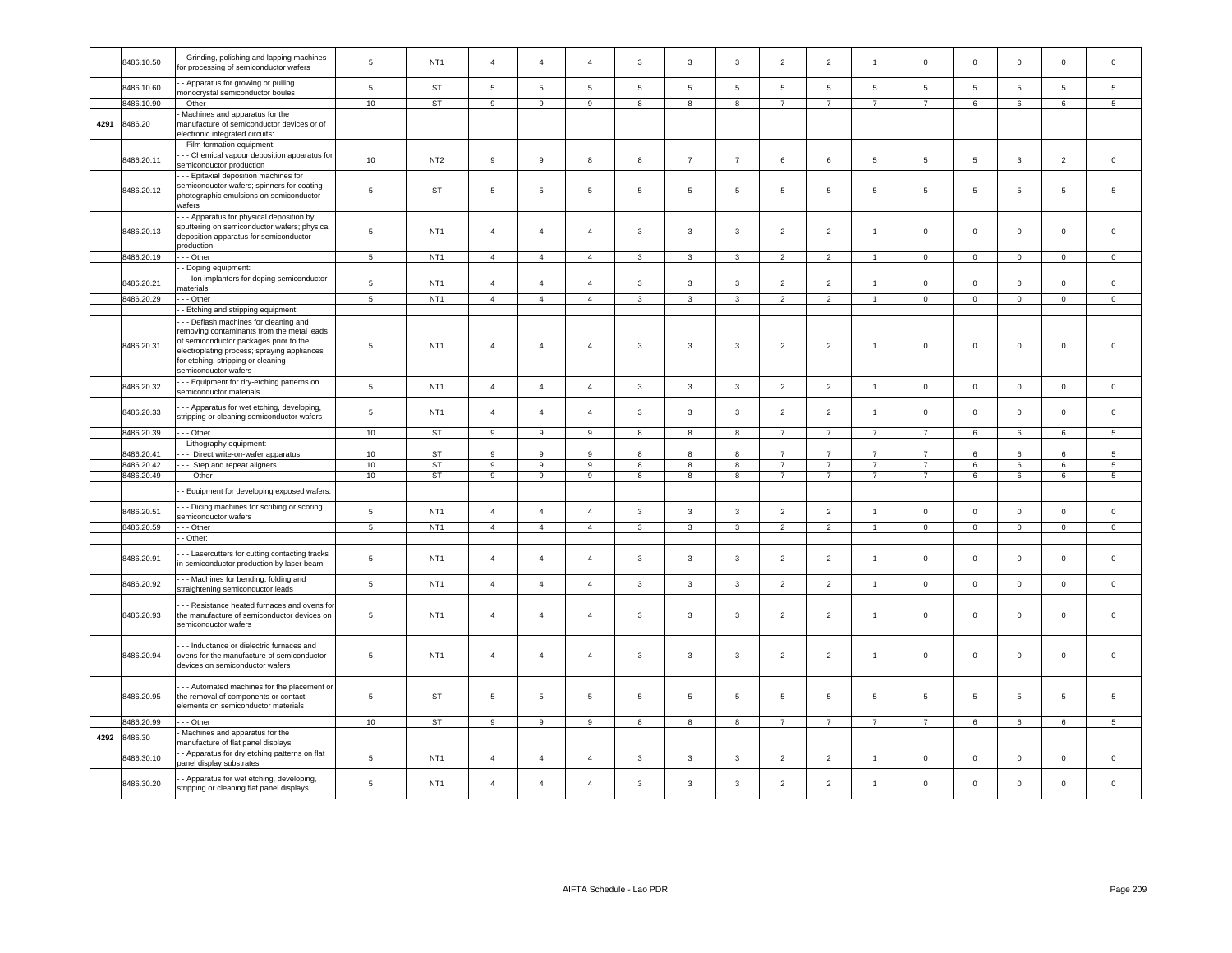|      | 8486.10.50 | - Grinding, polishing and lapping machines<br>or processing of semiconductor wafers                                                                                                                                                      | 5                | NT <sub>1</sub> | $\overline{4}$  | $\overline{4}$  | $\overline{4}$   | 3               | $\mathbf{3}$    | 3               | $\overline{2}$ | $\overline{2}$           | $\overline{1}$ | $\,0\,$        | $\mathbf 0$     | $\mathsf 0$     | $\mathbf 0$     | $\mathsf 0$         |
|------|------------|------------------------------------------------------------------------------------------------------------------------------------------------------------------------------------------------------------------------------------------|------------------|-----------------|-----------------|-----------------|------------------|-----------------|-----------------|-----------------|----------------|--------------------------|----------------|----------------|-----------------|-----------------|-----------------|---------------------|
|      | 8486.10.60 | - Apparatus for growing or pulling<br>nonocrystal semiconductor boules                                                                                                                                                                   | $5\phantom{.0}$  | ST              | $5\phantom{.0}$ | $5\phantom{.0}$ | $\overline{5}$   | $5\phantom{.0}$ | $5\overline{)}$ | $5\phantom{.0}$ | 5              | 5                        | 5              | 5              | $5\phantom{.0}$ | $5\phantom{.0}$ | $5\phantom{.0}$ | 5                   |
|      | 3486.10.90 | - Other                                                                                                                                                                                                                                  | 10 <sup>10</sup> | <b>ST</b>       | 9               | 9               | $\boldsymbol{9}$ | 8               | 8               | 8               | $\overline{7}$ | $\overline{7}$           | $\overline{7}$ | $\overline{7}$ | 6               | 6               | 6               | 5                   |
| 4291 | 3486.20    | Machines and apparatus for the<br>manufacture of semiconductor devices or of<br>electronic integrated circuits:                                                                                                                          |                  |                 |                 |                 |                  |                 |                 |                 |                |                          |                |                |                 |                 |                 |                     |
|      |            | - Film formation equipment:                                                                                                                                                                                                              |                  |                 |                 |                 |                  |                 |                 |                 |                |                          |                |                |                 |                 |                 |                     |
|      | 8486.20.11 | - - Chemical vapour deposition apparatus for<br>semiconductor production                                                                                                                                                                 | 10 <sup>10</sup> | NT <sub>2</sub> | 9               | 9               | 8                | 8               | $\overline{7}$  | $\overline{7}$  | 6              | 6                        | $\overline{5}$ | $\sqrt{5}$     | $5\phantom{.0}$ | $\mathbf{3}$    | $\overline{2}$  | $\mathsf 0$         |
|      | 8486.20.12 | -- Epitaxial deposition machines for<br>semiconductor wafers; spinners for coating<br>photographic emulsions on semiconductor<br>wafers                                                                                                  | $5\phantom{.0}$  | <b>ST</b>       | 5               | 5               | $\overline{5}$   | $5\phantom{.0}$ | $\overline{5}$  | $5\phantom{.0}$ | $\overline{5}$ | 5                        | 5              | $\sqrt{5}$     | 5               | $5\phantom{.0}$ | 5               | 5                   |
|      | 8486.20.13 | - - Apparatus for physical deposition by<br>sputtering on semiconductor wafers; physical<br>deposition apparatus for semiconductor<br>production                                                                                         | $\sqrt{5}$       | NT <sub>1</sub> | $\overline{4}$  | $\overline{4}$  | $\overline{4}$   | $\mathbf{3}$    | $\mathbf{3}$    | $\mathbf{3}$    | $\overline{2}$ | $\overline{2}$           | $\overline{1}$ | $\mathbf 0$    | $\mathbf 0$     | $\mathsf 0$     | $\mathsf 0$     | $\mathsf 0$         |
|      | 8486.20.19 | - - Other                                                                                                                                                                                                                                | $\overline{5}$   | NT <sub>1</sub> | $\overline{4}$  | $\mathbf{A}$    | $\overline{4}$   | 3               | 3               | $\mathbf{R}$    | 2              | $\overline{\phantom{a}}$ |                | $\mathbf 0$    | $\mathbf 0$     | $\Omega$        | $\mathbf 0$     | $\mathbf 0$         |
|      |            | - Doping equipment:                                                                                                                                                                                                                      |                  |                 |                 |                 |                  |                 |                 |                 |                |                          |                |                |                 |                 |                 |                     |
|      | 8486.20.21 | - - Ion implanters for doping semiconductor<br>naterials                                                                                                                                                                                 | $\,$ 5 $\,$      | NT <sub>1</sub> | $\overline{4}$  | $\overline{4}$  | $\overline{4}$   | $\mathbf{3}$    | $\mathbf{3}$    | $\mathbf{3}$    | $\overline{2}$ | $\overline{2}$           | $\mathbf{1}$   | $\,0\,$        | $\mathbf 0$     | $\mathbf 0$     | $\mathbb O$     | $\mathsf{O}\xspace$ |
|      | 8486.20.29 | --- Other                                                                                                                                                                                                                                | $\overline{5}$   | NT <sub>1</sub> | $\overline{4}$  | $\overline{4}$  | $\overline{4}$   | $\mathbf{3}$    | $\mathbf{3}$    | 3               | $\overline{2}$ | $\overline{2}$           | $\overline{1}$ | $\circ$        | $\circ$         | $\mathbf 0$     | $\circ$         | $\mathbf{0}$        |
|      |            | - Etching and stripping equipment:                                                                                                                                                                                                       |                  |                 |                 |                 |                  |                 |                 |                 |                |                          |                |                |                 |                 |                 |                     |
|      | 8486.20.31 | - - Deflash machines for cleaning and<br>removing contaminants from the metal leads<br>of semiconductor packages prior to the<br>electroplating process; spraying appliances<br>or etching, stripping or cleaning<br>emiconductor wafers | $\overline{5}$   | NT <sub>1</sub> | $\overline{4}$  | $\overline{4}$  | $\overline{4}$   | 3               | 3               | $\mathbf{3}$    | $\overline{2}$ | $\overline{2}$           | $\overline{1}$ | $\,0\,$        | $\mathbf 0$     | $\mathbf 0$     | $\mathbf 0$     | $\mathbf 0$         |
|      | 8486.20.32 | - - Equipment for dry-etching patterns on<br>semiconductor materials                                                                                                                                                                     | $\,$ 5 $\,$      | NT <sub>1</sub> | $\overline{4}$  | $\overline{4}$  | $\overline{4}$   | $\mathbf{3}$    | $\mathbf{3}$    | $\mathbf{3}$    | $\overline{2}$ | $\overline{2}$           | $\mathbf{1}$   | $\mathsf 0$    | $\mathbf 0$     | $\mathbf 0$     | $\mathsf 0$     | $\mathsf{O}\xspace$ |
|      | 8486.20.33 | - - Apparatus for wet etching, developing,<br>stripping or cleaning semiconductor wafers                                                                                                                                                 | $5\phantom{.0}$  | NT <sub>1</sub> | $\overline{4}$  | $\overline{4}$  | $\overline{4}$   | 3               | $\mathbf{3}$    | $\mathbf{3}$    | $\overline{2}$ | $\overline{2}$           | $\overline{1}$ | $\mathbf 0$    | $\overline{0}$  | $\mathbf 0$     | $\mathbf 0$     | $\mathsf 0$         |
|      | 8486.20.39 | - - Other                                                                                                                                                                                                                                | 10               | ST              | 9               | 9               | 9                | 8               | 8               | 8               | $\overline{7}$ | $\overline{7}$           | $\overline{7}$ | $\overline{7}$ | 6               | 6               | 6               | 5                   |
|      |            | - Lithography equipment:                                                                                                                                                                                                                 |                  |                 |                 |                 |                  |                 |                 |                 |                |                          |                |                |                 |                 |                 |                     |
|      | 8486.20.41 | -- Direct write-on-wafer apparatus                                                                                                                                                                                                       | 10               | <b>ST</b>       | 9               | 9               | 9                | 8               | 8               | 8               | $\overline{7}$ | $\overline{7}$           | $\overline{7}$ | $\overline{7}$ | 6               | 6               | $6^{\circ}$     | $5^{\circ}$         |
|      | 8486.20.42 | --- Step and repeat aligners                                                                                                                                                                                                             | 10               | ST              | 9               | 9               | $\boldsymbol{9}$ | 8               | $^{\rm 8}$      | 8               | $\overline{7}$ | $\overline{7}$           | $\overline{7}$ | $\overline{7}$ | 6               | $\,6\,$         | 6               | 5                   |
|      | 8486.20.49 | --- Other                                                                                                                                                                                                                                | 10               | ST              | 9               | 9               | 9                | 8               | 8               | 8               | $\overline{7}$ | $\overline{7}$           | $\overline{7}$ | $\overline{7}$ | 6               | 6               | 6               | 5                   |
|      |            | - Equipment for developing exposed wafers:                                                                                                                                                                                               |                  |                 |                 |                 |                  |                 |                 |                 |                |                          |                |                |                 |                 |                 |                     |
|      |            |                                                                                                                                                                                                                                          |                  |                 |                 |                 |                  |                 |                 |                 |                |                          |                |                |                 |                 |                 |                     |
|      | 8486.20.51 | - Dicing machines for scribing or scoring<br>emiconductor wafers                                                                                                                                                                         | $\,$ 5 $\,$      | NT <sub>1</sub> | $\overline{4}$  | $\overline{4}$  | $\overline{4}$   | $\mathbf{3}$    | $\mathbf{3}$    | 3               | $\overline{2}$ | $\overline{2}$           | $\overline{1}$ | $\mathbf 0$    | $\mathbf 0$     | $\mathbf 0$     | $\mathsf 0$     | $\mathbf 0$         |
|      | 8486.20.59 | - - Other                                                                                                                                                                                                                                | $\,$ 5 $\,$      | NT <sub>1</sub> | $\sqrt{4}$      | $\overline{4}$  | $\overline{4}$   | $\mathbf{3}$    | 3               | 3               | $\overline{2}$ | $\overline{2}$           | $\mathbf{1}$   | $\mathbf 0$    | $\mathbf 0$     | $\mathbf 0$     | $\mathsf 0$     | $\mathbf 0$         |
|      |            | - Other:                                                                                                                                                                                                                                 |                  |                 |                 |                 |                  |                 |                 |                 |                |                          |                |                |                 |                 |                 |                     |
|      | 8486.20.91 | - - Lasercutters for cutting contacting tracks<br>n semiconductor production by laser beam                                                                                                                                               | 5                | NT <sub>1</sub> | $\overline{4}$  | $\overline{4}$  | $\overline{4}$   | 3               | 3               | 3               | $\overline{2}$ | $\overline{2}$           | $\overline{1}$ | $\mathsf 0$    | $\mathbf 0$     | $\mathbf 0$     | $\mathbf 0$     | $\mathbf 0$         |
|      | 8486.20.92 | - - Machines for bending, folding and                                                                                                                                                                                                    | $\overline{5}$   | NT <sub>1</sub> | $\overline{4}$  | $\overline{4}$  | $\overline{4}$   | $\mathbf{3}$    | $\mathbf{3}$    | $\mathbf{3}$    | $\overline{2}$ | $\overline{2}$           | $\overline{1}$ | $\mathbf 0$    | $\mathbf 0$     | $\mathsf 0$     | $\mathbf 0$     | 0                   |
|      |            | straightening semiconductor leads                                                                                                                                                                                                        |                  |                 |                 |                 |                  |                 |                 |                 |                |                          |                |                |                 |                 |                 |                     |
|      | 8486.20.93 | - - Resistance heated furnaces and ovens for<br>the manufacture of semiconductor devices on<br>semiconductor wafers                                                                                                                      | $\overline{5}$   | NT <sub>1</sub> | $\overline{4}$  | $\overline{4}$  | $\overline{4}$   | $\mathbf{3}$    | $\mathbf{3}$    | $\mathbf{3}$    | $\overline{2}$ | $\overline{2}$           | $\overline{1}$ | $\mathbf 0$    | $\mathsf 0$     | $\mathsf 0$     | $\mathsf 0$     | $\mathsf 0$         |
|      | 8486.20.94 | -- Inductance or dielectric furnaces and<br>ovens for the manufacture of semiconductor<br>devices on semiconductor wafers                                                                                                                | $5\phantom{.0}$  | NT <sub>1</sub> | $\overline{4}$  | $\overline{4}$  | $\overline{4}$   | 3               | 3               | $\mathbf{3}$    | $\overline{2}$ | $\overline{2}$           | $\mathbf{1}$   | $\,0\,$        | $\mathbf 0$     | $\mathbf 0$     | $\mathbf 0$     | $\mathbf 0$         |
|      | 8486.20.95 | - - Automated machines for the placement or<br>the removal of components or contact<br>elements on semiconductor materials                                                                                                               | $5\phantom{.0}$  | ST              | $5\phantom{.0}$ | $\sqrt{5}$      | $\sqrt{5}$       | $5\phantom{.0}$ | $\overline{5}$  | $5\phantom{.0}$ | 5              | 5                        | 5              | $\sqrt{5}$     | 5               | $5\phantom{.0}$ | $5\phantom{.0}$ | 5                   |
|      | 8486.20.99 | - - - Other                                                                                                                                                                                                                              | 10               | <b>ST</b>       | 9               | 9               | 9                | 8               | 8               | 8               | $\overline{7}$ | $\overline{7}$           | $\overline{7}$ | $\overline{7}$ | 6               | 6               | 6               | 5                   |
| 4292 | 3486.30    | Machines and apparatus for the<br>manufacture of flat panel displays:                                                                                                                                                                    |                  |                 |                 |                 |                  |                 |                 |                 |                |                          |                |                |                 |                 |                 |                     |
|      | 8486.30.10 | - Apparatus for dry etching patterns on flat<br>panel display substrates                                                                                                                                                                 | $\,$ 5 $\,$      | NT <sub>1</sub> | $\overline{4}$  | $\overline{4}$  | $\overline{4}$   | 3               | $\mathbf{3}$    | $\mathbf{3}$    | $\overline{2}$ | $\overline{2}$           | $\mathbf{1}$   | $\mathbf 0$    | $\,0\,$         | $\mathbf 0$     | $\mathsf 0$     | $\mathsf 0$         |
|      | 8486.30.20 | - Apparatus for wet etching, developing,<br>stripping or cleaning flat panel displays                                                                                                                                                    | 5                | NT <sub>1</sub> | $\overline{4}$  | $\overline{4}$  | $\overline{4}$   | 3               | 3               | 3               | $\overline{2}$ | $\overline{2}$           | $\overline{1}$ | $\mathsf 0$    | $\mathbf 0$     | $\mathbf 0$     | $\mathbf 0$     | $\mathbf 0$         |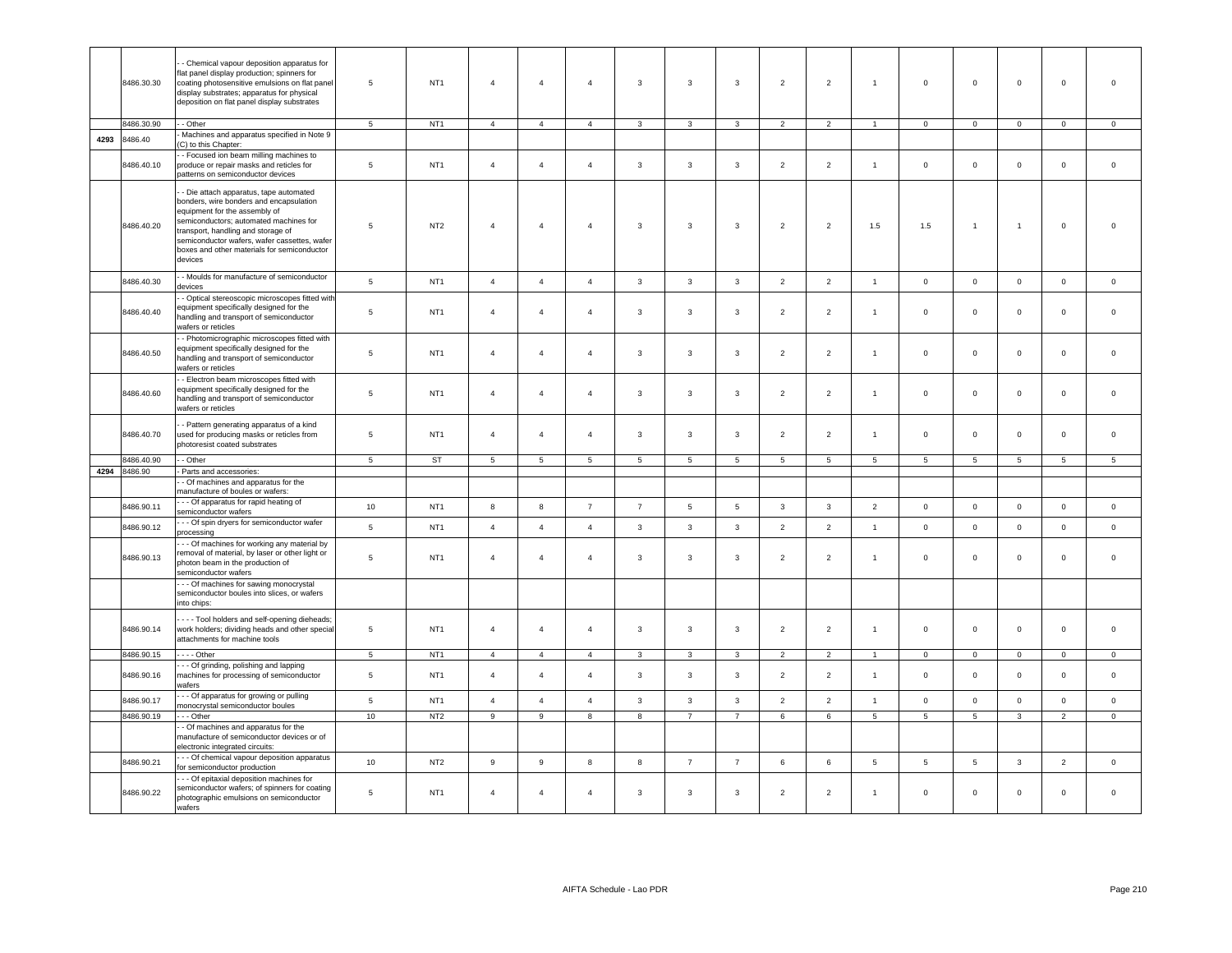|      | 8486.30.30 | - Chemical vapour deposition apparatus for<br>lat panel display production; spinners for<br>coating photosensitive emulsions on flat panel<br>display substrates; apparatus for physical<br>deposition on flat panel display substrates                                                                     | 5               | NT <sub>1</sub> | $\overline{4}$ | $\overline{4}$   | $\overline{4}$          | $\mathbf{3}$            | $\overline{3}$          | $\mathbf{3}$   | $\overline{2}$  | $\overline{2}$  | $\mathbf{1}$   | $\mathsf 0$    | $\mathsf 0$     | $\mathsf 0$     | $\mathbf 0$    | $\overline{0}$  |
|------|------------|-------------------------------------------------------------------------------------------------------------------------------------------------------------------------------------------------------------------------------------------------------------------------------------------------------------|-----------------|-----------------|----------------|------------------|-------------------------|-------------------------|-------------------------|----------------|-----------------|-----------------|----------------|----------------|-----------------|-----------------|----------------|-----------------|
|      | 8486.30.90 | - - Other                                                                                                                                                                                                                                                                                                   | 5 <sub>5</sub>  | NT <sub>1</sub> | $\overline{4}$ | $\overline{4}$   | $\overline{4}$          | $\mathbf{3}$            | $\mathbf{3}$            | $\mathbf{3}$   | $\overline{2}$  | $\overline{2}$  | $\overline{1}$ | $\overline{0}$ | $\overline{0}$  | $\mathbf 0$     | $\overline{0}$ | $\circ$         |
| 4293 | 8486.40    | Machines and apparatus specified in Note 9                                                                                                                                                                                                                                                                  |                 |                 |                |                  |                         |                         |                         |                |                 |                 |                |                |                 |                 |                |                 |
|      |            | (C) to this Chapter:                                                                                                                                                                                                                                                                                        |                 |                 |                |                  |                         |                         |                         |                |                 |                 |                |                |                 |                 |                |                 |
|      | 8486.40.10 | - Focused ion beam milling machines to<br>produce or repair masks and reticles for<br>patterns on semiconductor devices                                                                                                                                                                                     | $5\phantom{.0}$ | NT <sub>1</sub> | $\overline{4}$ | $\overline{4}$   | $\overline{4}$          | $\mathbf{3}$            | $\overline{3}$          | 3              | $\overline{2}$  | $\overline{2}$  | $\overline{1}$ | $\mathbf 0$    | $\mathbf 0$     | $\mathbf 0$     | $\mathsf 0$    | $\mathsf 0$     |
|      | 8486.40.20 | - Die attach apparatus, tape automated<br>bonders, wire bonders and encapsulation<br>equipment for the assembly of<br>semiconductors; automated machines for<br>ransport, handling and storage of<br>semiconductor wafers, wafer cassettes, wafer<br>poxes and other materials for semiconductor<br>devices | $\,$ 5 $\,$     | NT <sub>2</sub> | $\overline{4}$ | $\overline{4}$   | $\overline{4}$          | $\mathbf{3}$            | $\overline{\mathbf{3}}$ | $\mathbf{3}$   | $\overline{2}$  | $\overline{2}$  | 1.5            | 1.5            | $\mathbf{1}$    | $\mathbf{1}$    | $\mathsf 0$    | $\,$ 0          |
|      | 8486.40.30 | - Moulds for manufacture of semiconductor<br>devices                                                                                                                                                                                                                                                        | $\overline{5}$  | NT <sub>1</sub> | $\overline{4}$ | $\overline{4}$   | $\overline{4}$          | $\mathbf{3}$            | $\overline{3}$          | $\mathbf{3}$   | $\overline{2}$  | $\overline{2}$  | $\overline{1}$ | $\mathsf 0$    | $\mathsf 0$     | $\mathsf 0$     | $\mathbf 0$    | $\circ$         |
|      | 8486.40.40 | - Optical stereoscopic microscopes fitted with<br>equipment specifically designed for the<br>nandling and transport of semiconductor<br>wafers or reticles                                                                                                                                                  | 5               | NT <sub>1</sub> | $\overline{4}$ | $\overline{4}$   | $\overline{4}$          | $\mathbf{3}$            | $\overline{3}$          | $\mathbf{3}$   | $\overline{2}$  | $\overline{2}$  | $\overline{1}$ | $\mathsf 0$    | $\mathsf 0$     | $\mathbf 0$     | $\mathsf 0$    | $\mathsf 0$     |
|      | 8486.40.50 | - Photomicrographic microscopes fitted with<br>equipment specifically designed for the<br>nandling and transport of semiconductor<br>vafers or reticles                                                                                                                                                     | $\sqrt{5}$      | NT <sub>1</sub> | $\overline{4}$ | $\overline{4}$   | $\overline{4}$          | $\mathbf{3}$            | $\overline{3}$          | $\mathbf{3}$   | $\overline{2}$  | $\overline{2}$  | $\overline{1}$ | $\mathsf 0$    | $\mathsf 0$     | $\mathbf 0$     | $\mathbf 0$    | $\mathsf 0$     |
|      | 8486.40.60 | - Electron beam microscopes fitted with<br>equipment specifically designed for the<br>nandling and transport of semiconductor<br>wafers or reticles                                                                                                                                                         | 5               | NT <sub>1</sub> | $\overline{4}$ | $\overline{4}$   | $\overline{4}$          | $\mathbf{3}$            | $\overline{3}$          | $\mathbf{3}$   | $\overline{2}$  | $\overline{2}$  | $\mathbf{1}$   | $\mathsf 0$    | $\mathbf 0$     | $\mathbf 0$     | $\mathsf 0$    | $\mathsf 0$     |
|      | 8486.40.70 | - Pattern generating apparatus of a kind<br>used for producing masks or reticles from<br>ohotoresist coated substrates                                                                                                                                                                                      | 5               | NT <sub>1</sub> | $\overline{4}$ | $\overline{4}$   | $\overline{4}$          | $\mathbf{3}$            | $\overline{3}$          | $\mathbf{3}$   | $\overline{2}$  | $\overline{2}$  | $\overline{1}$ | $\mathsf 0$    | $\mathsf 0$     | $\mathbf 0$     | $\mathsf 0$    | $\mathsf 0$     |
|      | 3486.40.90 | - Other                                                                                                                                                                                                                                                                                                     | 5               | <b>ST</b>       | 5              | $5\overline{5}$  | 5                       | 5                       | 5                       | 5              | 5               | 5               | 5              | 5              | $5\overline{5}$ | $5\phantom{.0}$ | 5 <sup>5</sup> | $5\overline{5}$ |
| 4294 | 8486.90    | Parts and accessories:                                                                                                                                                                                                                                                                                      |                 |                 |                |                  |                         |                         |                         |                |                 |                 |                |                |                 |                 |                |                 |
|      |            | - Of machines and apparatus for the<br>nanufacture of boules or wafers:                                                                                                                                                                                                                                     |                 |                 |                |                  |                         |                         |                         |                |                 |                 |                |                |                 |                 |                |                 |
|      | 8486.90.11 | - - Of apparatus for rapid heating of<br>semiconductor wafers                                                                                                                                                                                                                                               | 10 <sup>1</sup> | NT <sub>1</sub> | 8              | $\boldsymbol{8}$ | $\overline{7}$          | $\overline{7}$          | $5\phantom{.0}$         | 5              | $\mathbf{3}$    | $\mathbf{3}$    | $\overline{2}$ | $\mathsf 0$    | $\mathsf 0$     | $\mathsf 0$     | $\mathbf 0$    | $\mathsf 0$     |
|      | 8486.90.12 | - - Of spin dryers for semiconductor wafer<br>processing                                                                                                                                                                                                                                                    | 5               | NT <sub>1</sub> | $\overline{4}$ | $\overline{4}$   | $\overline{4}$          | $\mathbf{3}$            | $\overline{3}$          | $\mathbf{3}$   | $\overline{2}$  | $\overline{2}$  | $\overline{1}$ | $\mathsf 0$    | $\mathsf 0$     | $\mathbf 0$     | $\mathbf 0$    | $\mathbf 0$     |
|      | 8486.90.13 | - - Of machines for working any material by<br>removal of material, by laser or other light or<br>ohoton beam in the production of<br>semiconductor wafers                                                                                                                                                  | $\overline{5}$  | NT <sub>1</sub> | $\overline{4}$ | $\overline{4}$   | $\overline{4}$          | 3                       | $\overline{\mathbf{3}}$ | 3              | $\overline{2}$  | $\overline{2}$  | $\overline{1}$ | $\mathsf 0$    | $\mathbf 0$     | $\mathsf 0$     | $\mathbf 0$    | $\overline{0}$  |
|      |            | -- Of machines for sawing monocrystal<br>semiconductor boules into slices, or wafers<br>into chips:                                                                                                                                                                                                         |                 |                 |                |                  |                         |                         |                         |                |                 |                 |                |                |                 |                 |                |                 |
|      | 8486.90.14 | - - - Tool holders and self-opening dieheads;<br>work holders; dividing heads and other special<br>attachments for machine tools                                                                                                                                                                            | $\sqrt{5}$      | NT <sub>1</sub> | $\overline{4}$ | $\overline{4}$   | $\overline{4}$          | $\mathbf{3}$            | $\mathbf{3}$            | $\mathbf{3}$   | $\overline{2}$  | $\overline{2}$  | $\mathbf{1}$   | $\mathsf 0$    | $\mathsf 0$     | $\mathsf 0$     | $\mathbf 0$    | $\,0\,$         |
|      | 8486.90.15 | $--$ Other                                                                                                                                                                                                                                                                                                  | $\overline{5}$  | NT <sub>1</sub> | $\overline{4}$ | $\overline{4}$   | $\overline{4}$          | $\mathbf{3}$            | $\mathbf{3}$            | $\mathbf{3}$   | $\overline{2}$  | $\overline{2}$  | $\overline{1}$ | $\overline{0}$ | $\mathbf 0$     | $\mathbf 0$     | $\mathbf 0$    | $\mathbf 0$     |
|      | 8486.90.16 | - - Of grinding, polishing and lapping<br>machines for processing of semiconductor<br>wafers                                                                                                                                                                                                                | $\sqrt{5}$      | NT <sub>1</sub> | $\overline{4}$ | $\overline{4}$   | $\overline{4}$          | $\mathbf{3}$            | $\overline{3}$          | $\mathbf{3}$   | $\overline{2}$  | $\overline{2}$  | $\mathbf{1}$   | $\mathsf 0$    | $\mathsf 0$     | $\mathbf 0$     | $\mathbf 0$    | $\mathsf 0$     |
|      | 8486.90.17 | -- Of apparatus for growing or pulling<br>nonocrystal semiconductor boules                                                                                                                                                                                                                                  | $5\phantom{.0}$ | NT <sub>1</sub> | $\overline{4}$ | $\overline{4}$   | $\overline{4}$          | $\mathbf{3}$            | $\overline{3}$          | $\mathbf{3}$   | $\overline{2}$  | $\overline{2}$  | $\mathbf{1}$   | $\mathsf 0$    | $\mathsf 0$     | $\mathsf 0$     | $\mathbf 0$    | $\,$ 0          |
|      | 8486.90.19 | - - Other                                                                                                                                                                                                                                                                                                   | 10              | NT <sub>2</sub> | $\overline{9}$ | $\overline{9}$   | $\overline{\mathbf{8}}$ | $\overline{\mathbf{8}}$ | $\overline{7}$          | $\overline{7}$ | $6\overline{6}$ | $6\overline{6}$ | $\overline{5}$ | $\overline{5}$ | $\overline{5}$  | $\overline{3}$  | $\overline{2}$ | $\overline{0}$  |
|      |            | - Of machines and apparatus for the<br>manufacture of semiconductor devices or of<br>electronic integrated circuits:                                                                                                                                                                                        |                 |                 |                |                  |                         |                         |                         |                |                 |                 |                |                |                 |                 |                |                 |
|      | 8486.90.21 | - - Of chemical vapour deposition apparatus<br>for semiconductor production                                                                                                                                                                                                                                 | 10              | NT <sub>2</sub> | 9              | $\boldsymbol{9}$ | 8                       | 8                       | $\overline{7}$          | $\overline{7}$ | $\,6\,$         | $\,6\,$         | 5              | $\,$ 5         | $\sqrt{5}$      | $\mathbf{3}$    | $\overline{2}$ | $\mathbb O$     |
|      | 8486.90.22 | - - Of epitaxial deposition machines for<br>semiconductor wafers; of spinners for coating<br>photographic emulsions on semiconductor<br>wafers                                                                                                                                                              | $\,$ 5 $\,$     | NT <sub>1</sub> | $\overline{4}$ | $\overline{4}$   | $\overline{4}$          | $\mathsf 3$             | $\overline{\mathbf{3}}$ | $\mathbf{3}$   | $\overline{2}$  | $\overline{2}$  | $\overline{1}$ | $\mathsf 0$    | $\mathsf 0$     | $\mathsf 0$     | $\mathbf 0$    | $\mathsf 0$     |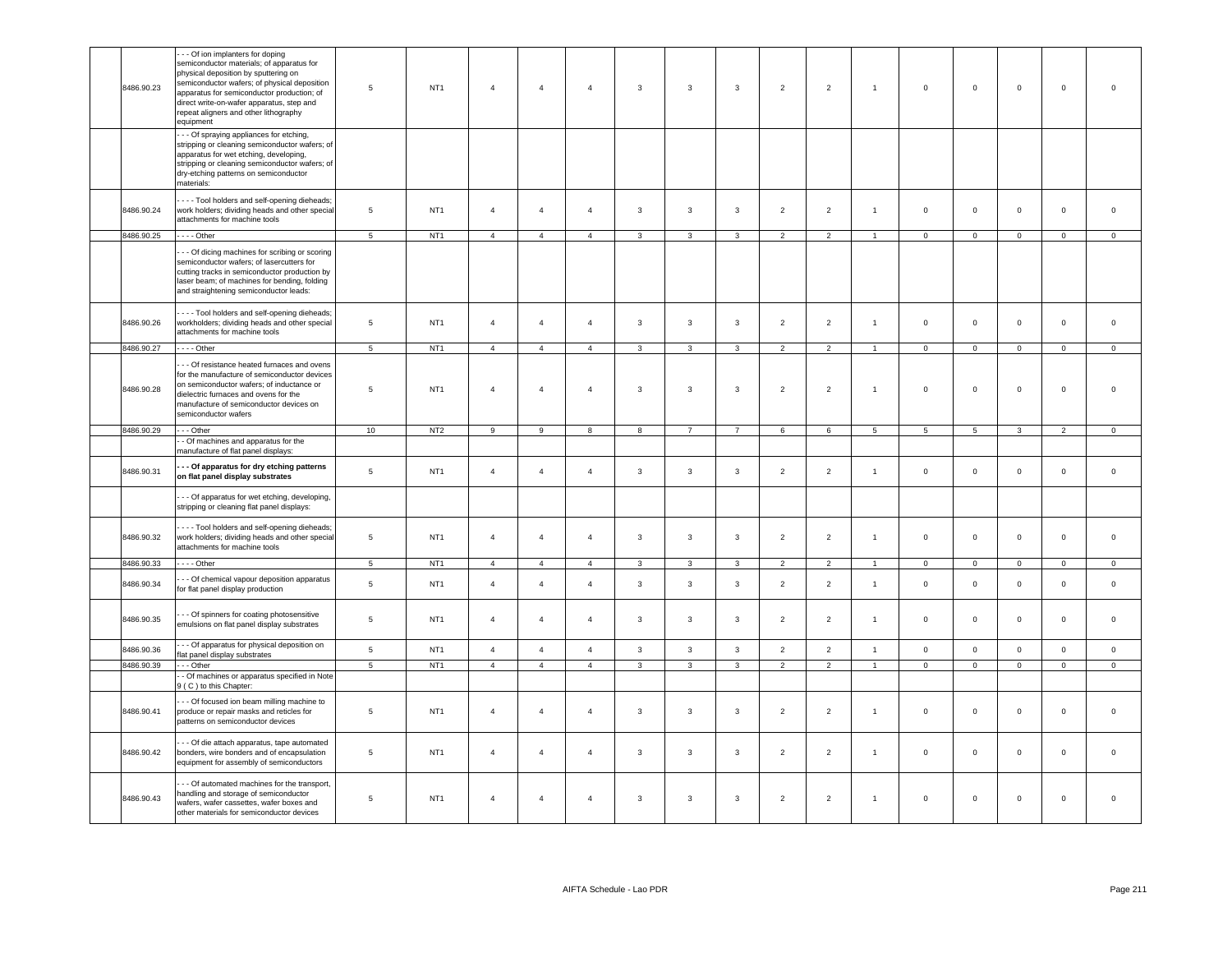| 8486.90.23 | - - Of ion implanters for doping<br>semiconductor materials; of apparatus for<br>physical deposition by sputtering on<br>semiconductor wafers; of physical deposition<br>apparatus for semiconductor production; of<br>direct write-on-wafer apparatus, step and<br>repeat aligners and other lithography<br>equipment | 5               | NT <sub>1</sub> | $\overline{4}$ | $\overline{4}$ | $\overline{4}$ | $\mathbf{3}$   | $\overline{3}$          | $\mathbf{3}$            | $\overline{2}$ | $\overline{2}$ | $\overline{1}$  | $\mathsf 0$     | $\mathsf 0$     | $\mathsf 0$    | $\mathbf 0$    | $\overline{0}$ |
|------------|------------------------------------------------------------------------------------------------------------------------------------------------------------------------------------------------------------------------------------------------------------------------------------------------------------------------|-----------------|-----------------|----------------|----------------|----------------|----------------|-------------------------|-------------------------|----------------|----------------|-----------------|-----------------|-----------------|----------------|----------------|----------------|
|            | - - Of spraying appliances for etching,<br>stripping or cleaning semiconductor wafers; of<br>apparatus for wet etching, developing,<br>stripping or cleaning semiconductor wafers; of<br>dry-etching patterns on semiconductor<br>materials:                                                                           |                 |                 |                |                |                |                |                         |                         |                |                |                 |                 |                 |                |                |                |
| 8486.90.24 | - - - Tool holders and self-opening dieheads;<br>work holders; dividing heads and other special<br>attachments for machine tools                                                                                                                                                                                       | 5               | NT <sub>1</sub> | $\overline{4}$ | $\overline{4}$ | $\overline{4}$ | $\mathbf{3}$   | $\mathbf{3}$            | $\mathbf{3}$            | $\overline{2}$ | $\overline{2}$ | $\mathbf{1}$    | $\mathbf 0$     | $\mathbf 0$     | $\mathsf 0$    | $\mathbf 0$    | $\mathbf 0$    |
| 8486.90.25 | $---Other$                                                                                                                                                                                                                                                                                                             | 5               | NT <sub>1</sub> | $\overline{4}$ | $\overline{4}$ | $\overline{4}$ | $\mathbf{3}$   | $\mathbf{3}$            | $\mathbf{3}$            | $\overline{2}$ | $\overline{2}$ | $\overline{1}$  | $\overline{0}$  | $\mathbf{0}$    | $\mathsf 0$    | $\mathbf 0$    | $\mathbf 0$    |
|            | - - Of dicing machines for scribing or scoring<br>semiconductor wafers; of lasercutters for<br>cutting tracks in semiconductor production by<br>laser beam; of machines for bending, folding<br>and straightening semiconductor leads:                                                                                 |                 |                 |                |                |                |                |                         |                         |                |                |                 |                 |                 |                |                |                |
| 8486.90.26 | - - - Tool holders and self-opening dieheads;<br>workholders; dividing heads and other special<br>attachments for machine tools                                                                                                                                                                                        | 5               | NT <sub>1</sub> | $\overline{4}$ | $\overline{4}$ | $\overline{4}$ | $\mathbf{3}$   | $\overline{3}$          | $\mathbf{3}$            | $\overline{2}$ | $\overline{2}$ | $\mathbf{1}$    | $\overline{0}$  | $\mathsf 0$     | $\mathbf{0}$   | $\mathbf{0}$   | $\mathsf 0$    |
| 8486.90.27 | $---$ Other                                                                                                                                                                                                                                                                                                            | $\overline{5}$  | NT <sub>1</sub> | $\overline{4}$ | $\overline{4}$ | $\overline{4}$ | $\mathbf{3}$   | 3                       | $\mathbf{3}$            | $\overline{2}$ | $\overline{2}$ | $\overline{1}$  | $\Omega$        | $\mathbf 0$     | $\circ$        | $\mathbf 0$    | $\overline{0}$ |
| 8486.90.28 | - - Of resistance heated furnaces and ovens<br>for the manufacture of semiconductor devices<br>on semiconductor wafers; of inductance or<br>dielectric furnaces and ovens for the<br>manufacture of semiconductor devices on<br>semiconductor wafers                                                                   | 5               | NT <sub>1</sub> | $\overline{4}$ | $\overline{4}$ | $\overline{4}$ | 3              | $\mathbf{3}$            | 3                       | $\overline{2}$ | $\overline{2}$ | $\overline{1}$  | $\mathbf 0$     | $\mathsf 0$     | $\mathbf{0}$   | $\mathbf 0$    | $\overline{0}$ |
| 8486.90.29 | -- Other                                                                                                                                                                                                                                                                                                               | 10              | NT <sub>2</sub> | 9              | 9              | 8              | 8              | $\overline{7}$          | $\overline{7}$          | 6              | 6              | $5\phantom{.0}$ | $5\phantom{.0}$ | $5\overline{5}$ | $\mathbf{3}$   | $\overline{2}$ | $\mathbf 0$    |
|            | - Of machines and apparatus for the<br>manufacture of flat panel displays:                                                                                                                                                                                                                                             |                 |                 |                |                |                |                |                         |                         |                |                |                 |                 |                 |                |                |                |
| 8486.90.31 | - - Of apparatus for dry etching patterns<br>on flat panel display substrates                                                                                                                                                                                                                                          | $\,$ 5 $\,$     | NT <sub>1</sub> | $\overline{4}$ | $\overline{4}$ | $\overline{4}$ | 3              | $\mathbf{3}$            | $\mathbf{3}$            | $\overline{2}$ | $\overline{2}$ | $\overline{1}$  | $\circ$         | $\mathbf{0}$    | $\mathbf{0}$   | $\mathbf{0}$   | $\mathsf 0$    |
|            | - - Of apparatus for wet etching, developing,<br>stripping or cleaning flat panel displays:                                                                                                                                                                                                                            |                 |                 |                |                |                |                |                         |                         |                |                |                 |                 |                 |                |                |                |
| 8486.90.32 | - - - Tool holders and self-opening dieheads;<br>work holders; dividing heads and other special<br>attachments for machine tools                                                                                                                                                                                       | $\,$ 5 $\,$     | NT <sub>1</sub> | $\overline{4}$ | $\overline{4}$ | $\sqrt{4}$     | $\mathbf{3}$   | $\mathbf{3}$            | $\mathbf{3}$            | $\overline{2}$ | $\overline{2}$ | $\mathbf{1}$    | $\mathsf 0$     | $\mathsf 0$     | $\mathsf 0$    | $\mathbf 0$    | $\,0\,$        |
| 8486.90.33 | $\cdots$ - Other                                                                                                                                                                                                                                                                                                       | 5               | NT <sub>1</sub> | $\overline{4}$ | $\overline{4}$ | $\overline{4}$ | $\mathbf{3}$   | $\overline{\mathbf{3}}$ | $\overline{\mathbf{3}}$ | $\overline{2}$ | $\overline{2}$ | $\overline{1}$  | $\overline{0}$  | $\mathbf{0}$    | $\overline{0}$ | $\overline{0}$ | $\overline{0}$ |
| 8486.90.34 | - - Of chemical vapour deposition apparatus<br>for flat panel display production                                                                                                                                                                                                                                       | 5               | NT <sub>1</sub> | $\overline{4}$ | $\overline{4}$ | $\overline{4}$ | $\mathbf{3}$   | $\mathbf{3}$            | $\mathbf{3}$            | $\overline{2}$ | $\overline{2}$ | $\overline{1}$  | $\mathbf 0$     | $\mathsf 0$     | $\mathsf 0$    | $\mathbf 0$    | $\mathsf 0$    |
| 8486.90.35 | - - Of spinners for coating photosensitive<br>emulsions on flat panel display substrates                                                                                                                                                                                                                               | 5               | NT <sub>1</sub> | $\overline{4}$ | $\overline{4}$ | $\overline{4}$ | $\overline{3}$ | $\overline{3}$          | $\overline{3}$          | $\overline{2}$ | $\overline{2}$ | $\mathbf{1}$    | $\mathbf{0}$    | $\mathbf{0}$    | $\mathbf{0}$   | $\mathbf 0$    | $\circ$        |
| 8486.90.36 | - - Of apparatus for physical deposition on<br>flat panel display substrates                                                                                                                                                                                                                                           | $\sqrt{5}$      | NT <sub>1</sub> | $\overline{4}$ | $\overline{4}$ | $\overline{4}$ | 3              | $\overline{3}$          | 3                       | $\overline{2}$ | $\overline{2}$ | $\mathbf{1}$    | $\circ$         | $\mathbf 0$     | $\mathbf{0}$   | $\mathbf 0$    | $\circ$        |
| 8486.90.39 | - - - Other                                                                                                                                                                                                                                                                                                            | 5               | NT <sub>1</sub> | $\overline{4}$ | $\overline{4}$ | $\overline{4}$ | $\mathbf{3}$   | $\mathbf{3}$            | $\mathbf{3}$            | $\overline{2}$ | $\overline{2}$ | $\overline{1}$  | $\overline{0}$  | $\overline{0}$  | $\overline{0}$ | $\overline{0}$ | $\overline{0}$ |
|            | - Of machines or apparatus specified in Note<br>9 (C) to this Chapter:                                                                                                                                                                                                                                                 |                 |                 |                |                |                |                |                         |                         |                |                |                 |                 |                 |                |                |                |
| 8486.90.41 | - - Of focused ion beam milling machine to<br>produce or repair masks and reticles for<br>patterns on semiconductor devices                                                                                                                                                                                            | $5\phantom{.0}$ | NT <sub>1</sub> | $\overline{4}$ | $\overline{4}$ | $\overline{4}$ | 3              | $\mathbf{3}$            | 3                       | $\overline{2}$ | $\overline{2}$ | $\overline{1}$  | $\overline{0}$  | $\mathbf 0$     | $\mathbf 0$    | $\mathbf 0$    | $\,0\,$        |
| 8486.90.42 | - - Of die attach apparatus, tape automated<br>bonders, wire bonders and of encapsulation<br>equipment for assembly of semiconductors                                                                                                                                                                                  | 5               | NT <sub>1</sub> | $\overline{4}$ | $\overline{4}$ | $\overline{4}$ | $\mathbf{3}$   | $\mathbf{3}$            | $\mathbf{3}$            | $\overline{2}$ | $\overline{2}$ | $\mathbf{1}$    | $\mathbf 0$     | $\mathbf 0$     | $\mathsf 0$    | $\mathbf 0$    | $\mathsf 0$    |
| 8486.90.43 | - - Of automated machines for the transport,<br>handling and storage of semiconductor<br>wafers, wafer cassettes, wafer boxes and<br>other materials for semiconductor devices                                                                                                                                         | 5               | NT <sub>1</sub> | $\overline{4}$ | $\overline{4}$ | $\overline{4}$ | 3              | $\mathbf{3}$            | $\mathbf{3}$            | $\overline{2}$ | $\overline{2}$ | $\mathbf{1}$    | $\mathbf 0$     | $\mathbf 0$     | $\mathbf{O}$   | $\mathsf 0$    | $\mathsf 0$    |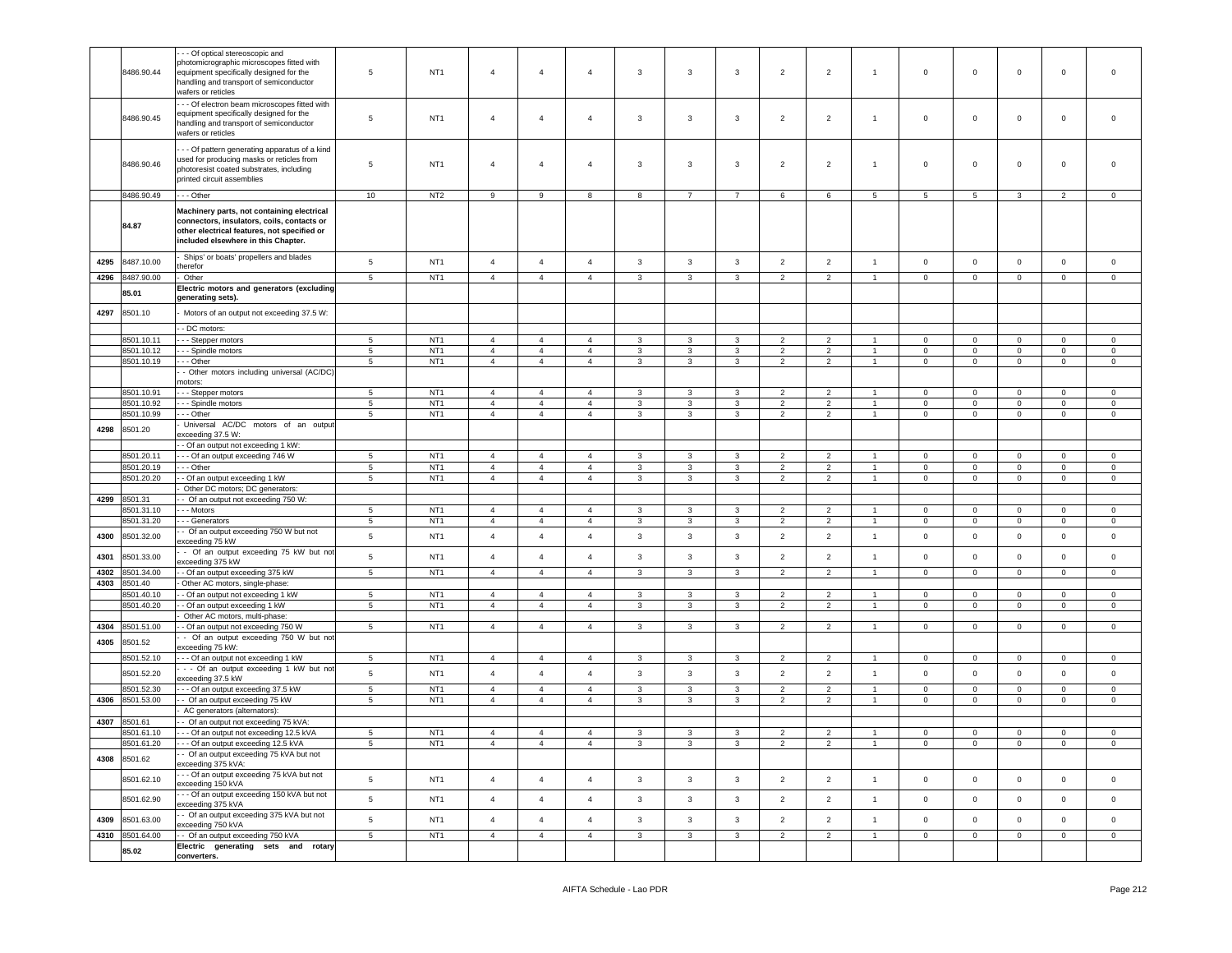| 8487.10.00<br>8487.90.00<br>85.01<br>8501.10<br>8501.10.11<br>8501.10.12<br>8501.10.19<br>8501.10.91<br>8501.10.92<br>8501.10.99<br>8501.20 | Ships' or boats' propellers and blades<br>therefor<br>Other<br>Electric motors and generators (excluding<br>generating sets).<br>Motors of an output not exceeding 37.5 W:<br>- DC motors:<br>- - - Stepper motors<br>- - - Spindle motors<br>- - Other<br>- Other motors including universal (AC/DC)<br>motors:<br>--- Stepper motors<br>-- Spindle motors<br>- - Other | $5\phantom{.0}$<br>5<br>5<br>$5^{\circ}$<br>$5\phantom{.0}$<br>5                                                                                                                                                                                                                                                                                                | NT <sub>1</sub><br>NT <sub>1</sub><br>NT <sub>1</sub><br>NT <sub>1</sub><br>NT <sub>1</sub> | $\overline{4}$<br>$\overline{4}$<br>$\overline{4}$<br>$\overline{a}$<br>$\overline{4}$ | $\overline{4}$<br>$\overline{4}$<br>$\overline{4}$ | $\overline{4}$<br>$\overline{4}$ | 3<br>3                           | 3<br>3                 | $\mathbf{3}$<br>3            | $\overline{2}$<br>$\overline{2}$  | $\overline{2}$<br>$\overline{2}$                   | $\mathbf{1}$<br>$\blacktriangleleft$               | $\mathbf 0$<br>$\mathbf 0$   | $\mathbf 0$<br>$\mathbf 0$                | $\mathbf 0$<br>$\mathbf 0$                    | $\mathbf 0$<br>$\mathbf 0$                   | $\circ$<br>$\mathbf 0$                    |
|---------------------------------------------------------------------------------------------------------------------------------------------|--------------------------------------------------------------------------------------------------------------------------------------------------------------------------------------------------------------------------------------------------------------------------------------------------------------------------------------------------------------------------|-----------------------------------------------------------------------------------------------------------------------------------------------------------------------------------------------------------------------------------------------------------------------------------------------------------------------------------------------------------------|---------------------------------------------------------------------------------------------|----------------------------------------------------------------------------------------|----------------------------------------------------|----------------------------------|----------------------------------|------------------------|------------------------------|-----------------------------------|----------------------------------------------------|----------------------------------------------------|------------------------------|-------------------------------------------|-----------------------------------------------|----------------------------------------------|-------------------------------------------|
|                                                                                                                                             |                                                                                                                                                                                                                                                                                                                                                                          |                                                                                                                                                                                                                                                                                                                                                                 |                                                                                             |                                                                                        |                                                    |                                  |                                  |                        |                              |                                   |                                                    |                                                    |                              |                                           |                                               |                                              |                                           |
|                                                                                                                                             |                                                                                                                                                                                                                                                                                                                                                                          |                                                                                                                                                                                                                                                                                                                                                                 |                                                                                             |                                                                                        |                                                    |                                  |                                  |                        |                              |                                   |                                                    |                                                    |                              |                                           |                                               |                                              |                                           |
|                                                                                                                                             |                                                                                                                                                                                                                                                                                                                                                                          |                                                                                                                                                                                                                                                                                                                                                                 |                                                                                             |                                                                                        |                                                    |                                  |                                  |                        |                              |                                   |                                                    |                                                    |                              |                                           |                                               |                                              |                                           |
|                                                                                                                                             |                                                                                                                                                                                                                                                                                                                                                                          |                                                                                                                                                                                                                                                                                                                                                                 |                                                                                             |                                                                                        |                                                    |                                  |                                  |                        |                              |                                   |                                                    |                                                    |                              |                                           |                                               |                                              |                                           |
|                                                                                                                                             |                                                                                                                                                                                                                                                                                                                                                                          |                                                                                                                                                                                                                                                                                                                                                                 |                                                                                             |                                                                                        |                                                    |                                  |                                  |                        |                              |                                   |                                                    |                                                    |                              |                                           |                                               |                                              |                                           |
|                                                                                                                                             |                                                                                                                                                                                                                                                                                                                                                                          |                                                                                                                                                                                                                                                                                                                                                                 |                                                                                             |                                                                                        |                                                    | $\overline{4}$                   | 3                                | 3                      | $\mathbf{3}$                 | $\overline{2}$                    | $\overline{2}$                                     | $\overline{1}$                                     | $\mathbf 0$                  | $\mathbf 0$                               | $\circ$                                       | $\Omega$                                     | $\circ$                                   |
|                                                                                                                                             |                                                                                                                                                                                                                                                                                                                                                                          |                                                                                                                                                                                                                                                                                                                                                                 |                                                                                             |                                                                                        | $\overline{4}$                                     | $\overline{4}$                   | $\mathbf{3}$                     | $\mathbf{3}$           | $\mathbf{3}$<br>$\mathbf{3}$ | $\overline{2}$                    | $\overline{2}$                                     | $\mathbf{1}$                                       | $\overline{0}$               | $\Omega$                                  | $\mathbf{0}$                                  | $\circ$                                      | $\mathbf{0}$                              |
|                                                                                                                                             |                                                                                                                                                                                                                                                                                                                                                                          |                                                                                                                                                                                                                                                                                                                                                                 |                                                                                             |                                                                                        | $\overline{4}$                                     | $\overline{4}$                   | 3                                | 3                      |                              | $\overline{2}$                    | $\overline{2}$                                     | $\mathbf{1}$                                       | $\mathbf 0$                  | $\mathbf 0$                               | $\mathbf 0$                                   | $\mathbf 0$                                  | $\mathbf 0$                               |
|                                                                                                                                             |                                                                                                                                                                                                                                                                                                                                                                          |                                                                                                                                                                                                                                                                                                                                                                 |                                                                                             |                                                                                        |                                                    |                                  |                                  |                        |                              |                                   |                                                    |                                                    |                              |                                           |                                               |                                              |                                           |
|                                                                                                                                             |                                                                                                                                                                                                                                                                                                                                                                          |                                                                                                                                                                                                                                                                                                                                                                 | NT <sub>1</sub>                                                                             | $\overline{4}$                                                                         | $\overline{4}$                                     | $\overline{4}$                   | $\mathbf{3}$                     | 3                      | $\mathbf{3}$                 | 2                                 | 2                                                  | $\blacktriangleleft$                               | $\mathbf 0$                  | $\circ$                                   | $\mathbf{0}$                                  | $\mathbf{0}$                                 | $\mathbf{0}$                              |
|                                                                                                                                             |                                                                                                                                                                                                                                                                                                                                                                          | 5                                                                                                                                                                                                                                                                                                                                                               | NT <sub>1</sub>                                                                             | $\overline{4}$                                                                         | $\overline{4}$                                     | $\overline{4}$                   | 3                                | 3                      | $\mathbf{3}$                 | $\overline{2}$                    | $\overline{2}$                                     | $\mathbf{1}$                                       | $\mathbf 0$                  | $\mathbf{0}$                              | $\mathbf 0$                                   | $\mathbf 0$                                  | $\circ$                                   |
|                                                                                                                                             |                                                                                                                                                                                                                                                                                                                                                                          | $\overline{5}$                                                                                                                                                                                                                                                                                                                                                  | NT <sub>1</sub>                                                                             | $\overline{4}$                                                                         | $\overline{4}$                                     | $\overline{4}$                   | 3                                | $\mathbf{3}$           | $\overline{3}$               | $\overline{2}$                    | $\overline{2}$                                     | $\overline{1}$                                     | $\mathbf 0$                  | $\mathbf 0$                               | $\overline{0}$                                | $\mathbf 0$                                  | $\overline{0}$                            |
|                                                                                                                                             | Universal AC/DC motors of an output                                                                                                                                                                                                                                                                                                                                      |                                                                                                                                                                                                                                                                                                                                                                 |                                                                                             |                                                                                        |                                                    |                                  |                                  |                        |                              |                                   |                                                    |                                                    |                              |                                           |                                               |                                              |                                           |
|                                                                                                                                             | exceeding 37.5 W:<br>- Of an output not exceeding 1 kW:                                                                                                                                                                                                                                                                                                                  |                                                                                                                                                                                                                                                                                                                                                                 |                                                                                             |                                                                                        |                                                    |                                  |                                  |                        |                              |                                   |                                                    |                                                    |                              |                                           |                                               |                                              |                                           |
| 8501.20.11                                                                                                                                  | --- Of an output exceeding 746 W                                                                                                                                                                                                                                                                                                                                         | 5                                                                                                                                                                                                                                                                                                                                                               | NT <sub>1</sub>                                                                             | $\overline{4}$                                                                         | $\overline{4}$                                     | $\overline{4}$                   | 3                                | 3                      | 3                            | $\overline{2}$                    | $\overline{2}$                                     | $\mathbf{1}$                                       | $\mathbf 0$                  | $\mathbf{0}$                              | $\mathbf 0$                                   | 0                                            | $\mathbf{0}$                              |
| 8501.20.19                                                                                                                                  | - - Other                                                                                                                                                                                                                                                                                                                                                                | 5                                                                                                                                                                                                                                                                                                                                                               | NT <sub>1</sub>                                                                             | $\overline{4}$                                                                         | $\overline{4}$                                     | $\overline{4}$                   | $\mathbf{3}$                     | $\mathbf{3}$           | $\mathbf{3}$                 | $\overline{2}$                    | $\overline{2}$                                     | $\mathbf{1}$                                       | $\mathbf 0$                  | $\circ$                                   | $\mathbf 0$                                   | $\mathbf 0$                                  | $\mathsf 0$                               |
| 8501.20.20                                                                                                                                  | - Of an output exceeding 1 kW                                                                                                                                                                                                                                                                                                                                            | 5                                                                                                                                                                                                                                                                                                                                                               | NT <sub>1</sub>                                                                             | $\overline{4}$                                                                         | $\overline{4}$                                     | $\overline{4}$                   | $\overline{3}$                   | $\mathbf{3}$           | $\mathbf{3}$                 | 2                                 | $\overline{2}$                                     | $\mathbf{1}$                                       | $\mathsf 0$                  | $\mathbf{0}$                              | $\mathbf 0$                                   | $\mathsf 0$                                  | $\mathbf 0$                               |
|                                                                                                                                             | Other DC motors; DC generators:                                                                                                                                                                                                                                                                                                                                          |                                                                                                                                                                                                                                                                                                                                                                 |                                                                                             |                                                                                        |                                                    |                                  |                                  |                        |                              |                                   |                                                    |                                                    |                              |                                           |                                               |                                              |                                           |
| 8501.31                                                                                                                                     | - Of an output not exceeding 750 W:                                                                                                                                                                                                                                                                                                                                      |                                                                                                                                                                                                                                                                                                                                                                 |                                                                                             |                                                                                        |                                                    |                                  |                                  |                        |                              |                                   |                                                    |                                                    |                              |                                           |                                               |                                              |                                           |
| 8501.31.10                                                                                                                                  | - - Motors                                                                                                                                                                                                                                                                                                                                                               | 5                                                                                                                                                                                                                                                                                                                                                               | NT <sub>1</sub>                                                                             | $\overline{4}$                                                                         | $\overline{4}$                                     | $\overline{4}$                   | 3                                | 3                      | $\mathbf{3}$                 | $\overline{2}$                    | $\overline{2}$                                     | $\overline{1}$                                     | $\mathbf{0}$                 | $\mathbf{0}$                              | $\mathbf{0}$                                  | $\mathbf{0}$                                 | $\mathbf{0}$                              |
| 8501.31.20                                                                                                                                  | - - Generators                                                                                                                                                                                                                                                                                                                                                           | 5                                                                                                                                                                                                                                                                                                                                                               | NT <sub>1</sub>                                                                             | $\overline{4}$                                                                         | $\overline{4}$                                     | $\overline{4}$                   | 3                                | $\mathbf{3}$           | 3                            | $\mathbf 2$                       | $\overline{2}$                                     | $\overline{1}$                                     | $\overline{0}$               | $\mathbf 0$                               | $\mathbf 0$                                   | $\mathbf 0$                                  | $\,0\,$                                   |
| 8501.32.00                                                                                                                                  | Of an output exceeding 750 W but not<br>exceeding 75 kW                                                                                                                                                                                                                                                                                                                  | 5                                                                                                                                                                                                                                                                                                                                                               | NT <sub>1</sub>                                                                             | $\overline{4}$                                                                         | $\overline{4}$                                     | $\overline{4}$                   | 3                                | $\mathbf{3}$           | $\mathbf{3}$                 | $\overline{2}$                    | $\overline{2}$                                     | $\mathbf{1}$                                       | $\mathsf 0$                  | $\mathbf 0$                               | $\mathbf 0$                                   | $\mathbf 0$                                  | $\mathbf 0$                               |
| 8501.33.00                                                                                                                                  | - Of an output exceeding 75 kW but not<br>exceeding 375 kW                                                                                                                                                                                                                                                                                                               | 5                                                                                                                                                                                                                                                                                                                                                               | NT <sub>1</sub>                                                                             | $\overline{4}$                                                                         | $\overline{4}$                                     | $\overline{4}$                   | $\mathbf{3}$                     | 3                      | $\mathbf{3}$                 | $\overline{2}$                    | $\overline{2}$                                     | $\mathbf{1}$                                       | $\mathsf 0$                  | $\mathbf 0$                               | $\mathbf 0$                                   | $\mathbf 0$                                  | $\mathbf 0$                               |
| 8501.34.00                                                                                                                                  | - Of an output exceeding 375 kW                                                                                                                                                                                                                                                                                                                                          | 5                                                                                                                                                                                                                                                                                                                                                               | NT <sub>1</sub>                                                                             | $\overline{4}$                                                                         | $\overline{4}$                                     | $\overline{4}$                   | 3                                | 3                      | $\mathbf{3}$                 | $\overline{2}$                    | $\overline{2}$                                     | $\overline{1}$                                     | $\mathbf 0$                  | 0                                         | $\mathbf 0$                                   | 0                                            | $\circ$                                   |
| 8501.40                                                                                                                                     | Other AC motors, single-phase:                                                                                                                                                                                                                                                                                                                                           |                                                                                                                                                                                                                                                                                                                                                                 |                                                                                             |                                                                                        |                                                    |                                  |                                  |                        |                              |                                   |                                                    |                                                    |                              |                                           |                                               |                                              |                                           |
| 8501.40.10<br>8501.40.20                                                                                                                    | - - Of an output not exceeding 1 kW<br>- Of an output exceeding 1 kW                                                                                                                                                                                                                                                                                                     | 5<br>5                                                                                                                                                                                                                                                                                                                                                          | NT <sub>1</sub><br>NT <sub>1</sub>                                                          | $\overline{4}$<br>$\overline{4}$                                                       | $\overline{4}$<br>$\overline{4}$                   | $\overline{4}$<br>$\overline{4}$ | 3<br>$\mathbf{3}$                | 3<br>$\mathbf{3}$      | 3<br>$\mathbf{3}$            | $\overline{2}$<br>2               | 2<br>2                                             | $\blacktriangleleft$<br>$\mathbf{1}$               | $\Omega$<br>$\overline{0}$   | $\mathbf 0$<br>$\mathbf{0}$               | $\circ$<br>$\overline{0}$                     | $\Omega$<br>$\mathbf 0$                      | $\mathbf{0}$<br>$\mathbf{0}$              |
|                                                                                                                                             | Other AC motors, multi-phase:                                                                                                                                                                                                                                                                                                                                            |                                                                                                                                                                                                                                                                                                                                                                 |                                                                                             |                                                                                        |                                                    |                                  |                                  |                        |                              |                                   |                                                    |                                                    |                              |                                           |                                               |                                              |                                           |
| 8501.51.00                                                                                                                                  | - Of an output not exceeding 750 W                                                                                                                                                                                                                                                                                                                                       | 5                                                                                                                                                                                                                                                                                                                                                               | NT <sub>1</sub>                                                                             | $\overline{4}$                                                                         | $\overline{4}$                                     | $\overline{4}$                   | 3                                | 3                      | 3                            | $\overline{2}$                    | $\overline{2}$                                     | $\overline{1}$                                     | $\mathsf 0$                  | 0                                         | $\mathbf{0}$                                  | 0                                            | $\mathbf{0}$                              |
| 8501.52                                                                                                                                     | - Of an output exceeding 750 W but not                                                                                                                                                                                                                                                                                                                                   |                                                                                                                                                                                                                                                                                                                                                                 |                                                                                             |                                                                                        |                                                    |                                  |                                  |                        |                              |                                   |                                                    |                                                    |                              |                                           |                                               |                                              |                                           |
| 8501.52.10                                                                                                                                  |                                                                                                                                                                                                                                                                                                                                                                          | $5^{\circ}$                                                                                                                                                                                                                                                                                                                                                     | NT <sub>1</sub>                                                                             | $\overline{4}$                                                                         | $\overline{4}$                                     | $\overline{4}$                   | 3                                | $\mathbf{3}$           | $\mathbf{3}$                 | 2                                 | $\overline{2}$                                     | $\mathbf{1}$                                       | $\mathbf{0}$                 | $\mathbf{0}$                              | $\overline{0}$                                | $\mathbf 0$                                  | $\circ$                                   |
| 8501.52.20                                                                                                                                  | - - Of an output exceeding 1 kW but not                                                                                                                                                                                                                                                                                                                                  | 5                                                                                                                                                                                                                                                                                                                                                               | NT <sub>1</sub>                                                                             | $\overline{4}$                                                                         | $\overline{4}$                                     | $\overline{4}$                   | $\mathbf{3}$                     | $\mathbf{3}$           | $\mathbf{3}$                 | $\overline{2}$                    | $\overline{2}$                                     | $\mathbf{1}$                                       | $\circ$                      | $\mathbf 0$                               | $\mathbf 0$                                   | $\mathbf 0$                                  | $\mathbf 0$                               |
| 8501.52.30                                                                                                                                  | -- Of an output exceeding 37.5 kW                                                                                                                                                                                                                                                                                                                                        | 5                                                                                                                                                                                                                                                                                                                                                               | NT <sub>1</sub>                                                                             | $\overline{4}$                                                                         | $\overline{4}$                                     | $\overline{4}$                   | 3                                | 3                      | 3                            | $\overline{2}$                    | $\overline{2}$                                     | $\mathbf{1}$                                       | $\mathbf 0$                  | 0                                         | $\mathbf 0$                                   | 0                                            | $\circ$                                   |
| 8501.53.00                                                                                                                                  | - Of an output exceeding 75 kW                                                                                                                                                                                                                                                                                                                                           | 5                                                                                                                                                                                                                                                                                                                                                               | NT <sub>1</sub>                                                                             | $\overline{4}$                                                                         | $\overline{4}$                                     | $\overline{4}$                   | $\overline{3}$                   | $\overline{3}$         | $\mathbf{3}$                 | 2                                 | $\overline{2}$                                     | $\overline{1}$                                     | $\mathbf 0$                  | $\circ$                                   | $\mathbf 0$                                   | $\mathbf 0$                                  | $\circ$                                   |
|                                                                                                                                             |                                                                                                                                                                                                                                                                                                                                                                          |                                                                                                                                                                                                                                                                                                                                                                 |                                                                                             |                                                                                        |                                                    |                                  |                                  |                        |                              |                                   |                                                    |                                                    |                              |                                           |                                               |                                              |                                           |
| 8501.61                                                                                                                                     |                                                                                                                                                                                                                                                                                                                                                                          |                                                                                                                                                                                                                                                                                                                                                                 |                                                                                             |                                                                                        |                                                    |                                  |                                  |                        |                              |                                   |                                                    |                                                    |                              |                                           |                                               |                                              |                                           |
|                                                                                                                                             |                                                                                                                                                                                                                                                                                                                                                                          |                                                                                                                                                                                                                                                                                                                                                                 |                                                                                             |                                                                                        |                                                    |                                  |                                  |                        |                              |                                   |                                                    |                                                    |                              |                                           |                                               |                                              | $\mathbf 0$<br>$\circ$                    |
| 8501.62                                                                                                                                     | - Of an output exceeding 75 kVA but not                                                                                                                                                                                                                                                                                                                                  |                                                                                                                                                                                                                                                                                                                                                                 |                                                                                             |                                                                                        |                                                    |                                  |                                  |                        |                              |                                   |                                                    |                                                    |                              |                                           |                                               |                                              |                                           |
| 8501.62.10                                                                                                                                  | -- Of an output exceeding 75 kVA but not                                                                                                                                                                                                                                                                                                                                 | 5                                                                                                                                                                                                                                                                                                                                                               | NT <sub>1</sub>                                                                             | $\overline{4}$                                                                         | $\overline{4}$                                     | $\overline{4}$                   | $\overline{3}$                   | $\overline{3}$         | $\mathbf{3}$                 | 2                                 | $\overline{2}$                                     | $\mathbf{1}$                                       | $\mathbf 0$                  | $\mathbf{0}$                              | $\mathbf{0}$                                  | $\mathbf 0$                                  | $\circ$                                   |
| 8501.62.90                                                                                                                                  | - - Of an output exceeding 150 kVA but not                                                                                                                                                                                                                                                                                                                               | 5                                                                                                                                                                                                                                                                                                                                                               | NT <sub>1</sub>                                                                             | $\overline{4}$                                                                         | $\overline{4}$                                     | $\overline{4}$                   | $\mathbf{3}$                     | $\mathbf{3}$           | $\mathbf{3}$                 | $\overline{2}$                    | $\overline{2}$                                     | $\overline{1}$                                     | $\mathsf{O}\xspace$          | $\mathbf 0$                               | $\mathbf 0$                                   | $\mathsf{O}\xspace$                          | $\mathsf 0$                               |
| 8501.63.00                                                                                                                                  | - Of an output exceeding 375 kVA but not                                                                                                                                                                                                                                                                                                                                 | 5                                                                                                                                                                                                                                                                                                                                                               | NT <sub>1</sub>                                                                             | $\overline{4}$                                                                         | $\overline{4}$                                     | $\overline{4}$                   | $\overline{3}$                   | 3                      | $\overline{3}$               | 2                                 | $\overline{2}$                                     | $\mathbf{1}$                                       | $\mathbf 0$                  | $\mathbf{0}$                              | $\mathbf{0}$                                  | $\mathbf 0$                                  | $\mathbf{0}$                              |
| 8501.64.00                                                                                                                                  |                                                                                                                                                                                                                                                                                                                                                                          |                                                                                                                                                                                                                                                                                                                                                                 |                                                                                             | $\overline{4}$                                                                         | $\overline{4}$                                     | $\overline{4}$                   |                                  |                        |                              |                                   |                                                    | $\mathbf{1}$                                       |                              |                                           |                                               |                                              | $\mathbf{0}$                              |
|                                                                                                                                             | sets and<br>generating<br>Electric<br>rotary<br>converters.                                                                                                                                                                                                                                                                                                              |                                                                                                                                                                                                                                                                                                                                                                 |                                                                                             |                                                                                        |                                                    |                                  |                                  |                        |                              |                                   |                                                    |                                                    |                              |                                           |                                               |                                              |                                           |
|                                                                                                                                             | 8501.61.10<br>8501.61.20<br>85.02                                                                                                                                                                                                                                                                                                                                        | exceeding 75 kW:<br>--- Of an output not exceeding 1 kW<br>exceeding 37.5 kW<br>AC generators (alternators):<br>- Of an output not exceeding 75 kVA:<br>--- Of an output not exceeding 12.5 kVA<br>--- Of an output exceeding 12.5 kVA<br>exceeding 375 kVA:<br>exceeding 150 kVA<br>exceeding 375 kVA<br>exceeding 750 kVA<br>- Of an output exceeding 750 kVA | 5<br>5<br>5                                                                                 | NT <sub>1</sub><br>NT <sub>1</sub><br>NT <sub>1</sub>                                  | $\overline{4}$<br>$\overline{4}$                   | $\overline{4}$<br>$\overline{4}$ | $\overline{4}$<br>$\overline{4}$ | $\mathbf{3}$<br>3<br>3 | 3<br>3<br>3                  | $\mathbf{3}$<br>$\mathbf{3}$<br>3 | $\overline{2}$<br>$\overline{2}$<br>$\overline{2}$ | $\overline{2}$<br>$\overline{2}$<br>$\overline{2}$ | $\mathbf{1}$<br>$\mathbf{1}$ | $\mathbf 0$<br>$\mathbf 0$<br>$\mathbf 0$ | $\mathbf 0$<br>$\overline{0}$<br>$\mathbf{0}$ | $\mathbf 0$<br>$\overline{0}$<br>$\mathbf 0$ | $\mathbf 0$<br>$\mathbf 0$<br>$\mathbf 0$ |

8486.90.49 - - - Other 10 NT2 9 9 8 8 7 7 6 6 5 5 5 3 2 0

5 1 NT1 1 4 1 4 1 4 1 3 1 3 1 3 1 2 1 2 1 1 1 0 1 0 1 0 1 0 1 0

5 1 NT1 1 4 1 4 1 4 1 3 1 3 1 3 1 2 1 2 1 1 1 0 1 0 1 0 1 0 1 0

5 1 NT1 1 4 1 4 1 4 1 3 1 3 1 3 1 2 1 2 1 1 1 0 1 0 1 0 1 0 1 0

8486.90.44

8486.90.45

8486.90.46

- - - Of optical stereoscopic and photomicrographic microscopes fitted with equipment specifically designed for the handling and transport of semiconductor wafers or reticles

wafers or reticles

printed circuit assemblies

- - - Of electron beam microscopes fitted with equipment specifically designed for the handling and transport of semiconductor

- - - Of pattern generating apparatus of a kind used for producing masks or reticles from photoresist coated substrates, including

 $\mathsf 0$ 

 $\mathbf 0$ 

 $\mathbf 0$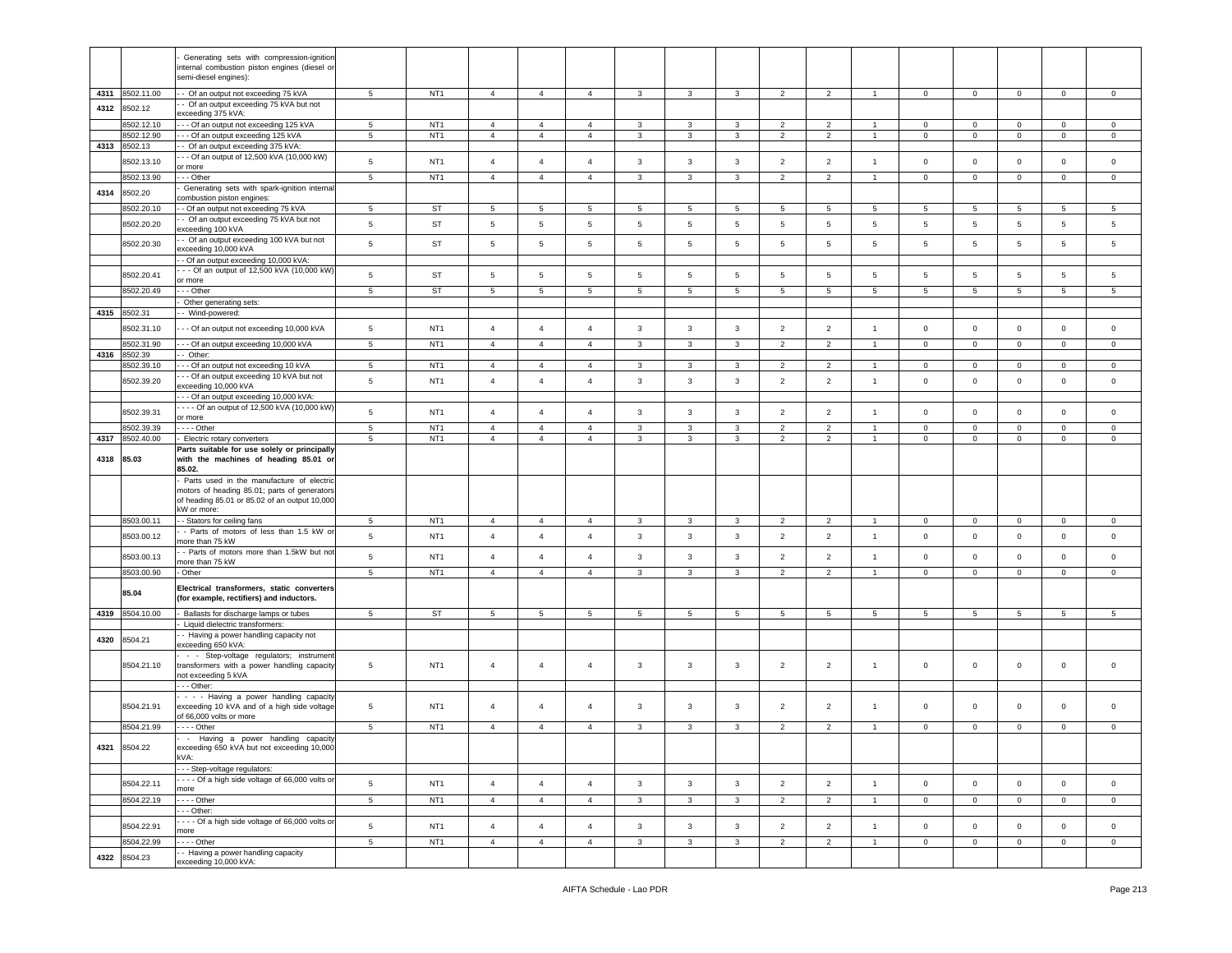|      |                 | Generating sets with compression-ignition                                           |                 |                 |                 |                 |                 |                 |                 |                 |                 |                 |                      |                 |                 |                     |                 |                 |
|------|-----------------|-------------------------------------------------------------------------------------|-----------------|-----------------|-----------------|-----------------|-----------------|-----------------|-----------------|-----------------|-----------------|-----------------|----------------------|-----------------|-----------------|---------------------|-----------------|-----------------|
|      |                 | nternal combustion piston engines (diesel or                                        |                 |                 |                 |                 |                 |                 |                 |                 |                 |                 |                      |                 |                 |                     |                 |                 |
|      |                 | semi-diesel engines):                                                               |                 |                 |                 |                 |                 |                 |                 |                 |                 |                 |                      |                 |                 |                     |                 |                 |
|      | 4311 8502.11.00 | - Of an output not exceeding 75 kVA                                                 | $\overline{5}$  | NT <sub>1</sub> | $\overline{4}$  | $\overline{4}$  | $\overline{4}$  | $\mathbf{3}$    | $\mathbf{3}$    | $\overline{3}$  | 2               | 2               | $\overline{1}$       | $\mathbf{0}$    | $\mathbf{0}$    | $\mathbf 0$         | $\circ$         | $\mathbf{0}$    |
| 4312 | 8502.12         | - Of an output exceeding 75 kVA but not                                             |                 |                 |                 |                 |                 |                 |                 |                 |                 |                 |                      |                 |                 |                     |                 |                 |
|      |                 | exceeding 375 kVA:                                                                  |                 |                 |                 |                 |                 |                 |                 |                 |                 |                 |                      |                 |                 |                     |                 |                 |
|      | 8502.12.10      | -- Of an output not exceeding 125 kVA                                               | 5               | NT <sub>1</sub> | $\overline{4}$  | $\overline{4}$  | $\overline{4}$  | 3               | 3               | 3               | $\overline{2}$  | $\overline{2}$  | $\overline{1}$       | $\mathbf 0$     | $\mathbf 0$     | $\mathbf 0$         | $\overline{0}$  | $\mathbf 0$     |
|      | 8502.12.90      | - - Of an output exceeding 125 kVA                                                  | $\,$ 5 $\,$     | NT <sub>1</sub> | $\overline{4}$  | $\overline{4}$  | $\overline{4}$  | $\mathbf{3}$    | $\mathbf{3}$    | $\mathbf{3}$    | $\overline{2}$  | $\overline{2}$  | $\overline{1}$       | $\mathsf 0$     | $\mathsf 0$     | $\mathsf 0$         | $\mathbf 0$     | $\mathsf 0$     |
| 4313 | 8502.13         | - Of an output exceeding 375 kVA:                                                   |                 |                 |                 |                 |                 |                 |                 |                 |                 |                 |                      |                 |                 |                     |                 |                 |
|      | 8502.13.10      | - - Of an output of 12,500 kVA (10,000 kW)                                          | 5               | NT <sub>1</sub> | $\overline{4}$  | $\overline{4}$  | $\overline{4}$  | $\mathbf{3}$    | $\mathbf{3}$    | $\mathbf{3}$    | $\overline{2}$  | $\overline{2}$  | $\overline{1}$       | $\mathsf 0$     | $\mathbf 0$     | $\mathsf{O}\xspace$ | $\mathbf 0$     | $\mathbf 0$     |
|      | 8502.13.90      | or more<br>- - Other                                                                | 5               | NT <sub>1</sub> | $\overline{4}$  | $\overline{4}$  | $\overline{4}$  | $\mathbf{3}$    | $\mathbf{3}$    | $\mathbf{3}$    | $\overline{2}$  | $\overline{2}$  | $\blacktriangleleft$ | $\mathsf 0$     | $\mathsf 0$     | $\mathsf 0$         | $\circ$         | $\mathsf 0$     |
|      |                 | Generating sets with spark-ignition internal                                        |                 |                 |                 |                 |                 |                 |                 |                 |                 |                 |                      |                 |                 |                     |                 |                 |
| 4314 | 8502.20         | combustion piston engines:                                                          |                 |                 |                 |                 |                 |                 |                 |                 |                 |                 |                      |                 |                 |                     |                 |                 |
|      | 8502.20.10      | - Of an output not exceeding 75 kVA                                                 | $5\phantom{.0}$ | ST              | 5               | $5\overline{5}$ | 5               | 5               | 5               | $5\overline{)}$ | 5               | 5               | 5                    | 5               | 5               | 5                   | 5               | 5               |
|      |                 | - Of an output exceeding 75 kVA but not                                             |                 |                 |                 |                 |                 |                 |                 |                 |                 |                 |                      |                 |                 |                     |                 |                 |
|      | 8502.20.20      | exceeding 100 kVA                                                                   | $\,$ 5 $\,$     | ST              | $\overline{5}$  | $5\phantom{.0}$ | $\,$ 5 $\,$     | $5\phantom{.0}$ | $\sqrt{5}$      | $\sqrt{5}$      | 5               | $\sqrt{5}$      | 5                    | $\,$ 5 $\,$     | $\sqrt{5}$      | $5\phantom{.0}$     | $5\phantom{.0}$ | 5               |
|      |                 | - Of an output exceeding 100 kVA but not                                            |                 |                 |                 |                 |                 |                 |                 |                 |                 |                 |                      |                 |                 |                     |                 |                 |
|      | 8502.20.30      | exceeding 10,000 kVA                                                                | $\,$ 5 $\,$     | ST              | 5               | $\,$ 5 $\,$     | $\overline{5}$  | $\overline{5}$  | $5\phantom{.0}$ | 5               | 5               | 5               | 5                    | $\overline{5}$  | $5\phantom{.0}$ | $5\phantom{.0}$     | $5\phantom{.0}$ | 5               |
|      |                 | - Of an output exceeding 10,000 kVA:                                                |                 |                 |                 |                 |                 |                 |                 |                 |                 |                 |                      |                 |                 |                     |                 |                 |
|      | 8502.20.41      | - - Of an output of 12,500 kVA (10,000 kW)                                          | 5               | ST              | $\sqrt{5}$      | $5\phantom{.0}$ | $\,$ 5 $\,$     | $5\phantom{.0}$ | 5               | $\sqrt{5}$      | 5               | $\sqrt{5}$      | 5                    | 5               | 5               | $5\phantom{.0}$     | 5               | 5               |
|      |                 | or more                                                                             |                 |                 |                 |                 |                 |                 |                 |                 |                 |                 |                      |                 |                 |                     |                 |                 |
|      | 8502.20.49      | - - Other                                                                           | $5\phantom{.0}$ | ST              | 5               | $5\phantom{.0}$ | $5\phantom{.0}$ | $5\phantom{.0}$ | 5               | 5               | 5               | 5               | 5                    | $5\phantom{.0}$ | 5               | $5\phantom{.0}$     | 5               | 5               |
|      |                 | Other generating sets:                                                              |                 |                 |                 |                 |                 |                 |                 |                 |                 |                 |                      |                 |                 |                     |                 |                 |
| 4315 | 8502.31         | - Wind-powered:                                                                     |                 |                 |                 |                 |                 |                 |                 |                 |                 |                 |                      |                 |                 |                     |                 |                 |
|      | 8502.31.10      | - - Of an output not exceeding 10,000 kVA                                           | $5\phantom{.0}$ | NT <sub>1</sub> | $\overline{4}$  | $\overline{4}$  | $\overline{4}$  | 3               | $\mathbf{3}$    | 3               | $\overline{2}$  | $\overline{2}$  | $\mathbf{1}$         | $\mathbf 0$     | $\mathbf 0$     | $\mathbf 0$         | $\overline{0}$  | $\mathbf 0$     |
|      |                 |                                                                                     |                 |                 |                 |                 |                 |                 |                 |                 |                 |                 |                      |                 |                 |                     |                 |                 |
|      | 8502.31.90      | -- Of an output exceeding 10,000 kVA                                                | 5               | NT <sub>1</sub> | $\overline{4}$  | $\overline{4}$  | $\overline{4}$  | 3               | 3               | 3               | $\overline{2}$  | 2               | $\overline{1}$       | $\mathbf 0$     | $\mathbf 0$     | $\mathbf 0$         | $\mathbf 0$     | $\mathbf 0$     |
| 4316 | 8502.39         | - Other:                                                                            |                 |                 |                 |                 |                 |                 |                 |                 |                 |                 |                      |                 |                 |                     |                 |                 |
|      | 3502.39.10      | - - Of an output not exceeding 10 kVA                                               | $5\phantom{.0}$ | NT <sub>1</sub> | $\overline{4}$  | $\overline{4}$  | $\overline{4}$  | 3               | 3               | 3               | $\overline{2}$  | $\overline{2}$  | $\overline{1}$       | $\mathbf 0$     | $\mathbf 0$     | $\mathsf 0$         | $\overline{0}$  | $\circ$         |
|      | 8502.39.20      | - - Of an output exceeding 10 kVA but not<br>exceeding 10,000 kVA                   | $5\phantom{.0}$ | NT <sub>1</sub> | $\overline{4}$  | $\overline{4}$  | $\overline{4}$  | $\mathbf{3}$    | $\mathbf{3}$    | $\mathbf{3}$    | $\overline{2}$  | $\overline{2}$  | $\overline{1}$       | $\mathbf 0$     | $\mathbf{0}$    | $\mathsf 0$         | $\mathbf 0$     | $\mathbf 0$     |
|      |                 |                                                                                     |                 |                 |                 |                 |                 |                 |                 |                 |                 |                 |                      |                 |                 |                     |                 |                 |
|      |                 | -- Of an output exceeding 10,000 kVA:<br>--- Of an output of 12,500 kVA (10,000 kW) |                 |                 |                 |                 |                 |                 |                 |                 |                 |                 |                      |                 |                 |                     |                 |                 |
|      | 8502.39.31      | or more                                                                             | 5               | NT <sub>1</sub> | $\overline{4}$  | $\overline{4}$  | $\overline{4}$  | 3               | $\mathbf{3}$    | 3               | $\overline{2}$  | $\overline{2}$  | $\mathbf{1}$         | $\circ$         | $\mathbf 0$     | $\mathsf 0$         | $\overline{0}$  | $\mathbf 0$     |
|      | 8502.39.39      | $- -$ Other                                                                         | 5               | NT <sub>1</sub> | $\overline{4}$  | $\overline{4}$  | $\overline{4}$  | 3               | 3               | 3               | $\overline{2}$  | $\overline{2}$  | $\overline{1}$       | $\mathbf 0$     | $\mathbf 0$     | $\mathbf 0$         | $\mathbf 0$     | $\mathbf 0$     |
| 4317 | 8502.40.00      | Electric rotary converters                                                          | 5               | NT <sub>1</sub> | $\overline{4}$  | $\overline{4}$  | $\overline{4}$  | $\mathbf{3}$    | $\mathbf{3}$    | $\mathbf{3}$    | $\overline{2}$  | $\overline{2}$  | $\overline{1}$       | $\mathbf 0$     | $\mathbf 0$     | $\mathsf{O}\xspace$ | $\overline{0}$  | $\mathsf 0$     |
|      |                 | Parts suitable for use solely or principally                                        |                 |                 |                 |                 |                 |                 |                 |                 |                 |                 |                      |                 |                 |                     |                 |                 |
| 4318 | 85.03           | with the machines of heading 85.01 or                                               |                 |                 |                 |                 |                 |                 |                 |                 |                 |                 |                      |                 |                 |                     |                 |                 |
|      |                 | 85.02.                                                                              |                 |                 |                 |                 |                 |                 |                 |                 |                 |                 |                      |                 |                 |                     |                 |                 |
|      |                 | Parts used in the manufacture of electric                                           |                 |                 |                 |                 |                 |                 |                 |                 |                 |                 |                      |                 |                 |                     |                 |                 |
|      |                 |                                                                                     |                 |                 |                 |                 |                 |                 |                 |                 |                 |                 |                      |                 |                 |                     |                 |                 |
|      |                 | motors of heading 85.01; parts of generators                                        |                 |                 |                 |                 |                 |                 |                 |                 |                 |                 |                      |                 |                 |                     |                 |                 |
|      |                 | of heading 85.01 or 85.02 of an output 10,000                                       |                 |                 |                 |                 |                 |                 |                 |                 |                 |                 |                      |                 |                 |                     |                 |                 |
|      |                 | kW or more:                                                                         |                 |                 |                 |                 |                 |                 |                 |                 |                 |                 |                      |                 |                 |                     |                 |                 |
|      | 8503.00.11      | - Stators for ceiling fans                                                          | 5               | NT <sub>1</sub> | $\overline{4}$  | $\overline{4}$  | 4               | 3               | 3               | 3               | $\overline{2}$  | $\overline{2}$  | -1                   | $\mathbf 0$     | $\mathbf{0}$    | $\mathbf{0}$        | $\mathbf{0}$    | $\circ$         |
|      |                 | - Parts of motors of less than 1.5 kW or                                            |                 |                 |                 |                 |                 |                 |                 |                 |                 |                 |                      |                 |                 |                     |                 |                 |
|      | 8503.00.12      | nore than 75 kW                                                                     | $\,$ 5 $\,$     | NT <sub>1</sub> | $\overline{4}$  | $\overline{4}$  | $\overline{4}$  | $\mathbf{3}$    | $\mathbf{3}$    | $\mathbf{3}$    | $\overline{2}$  | $\overline{2}$  | $\mathbf{1}$         | $\circ$         | $\mathbf 0$     | $\mathsf{O}\xspace$ | $\mathbf 0$     | $\circ$         |
|      | 8503.00.13      | - Parts of motors more than 1.5kW but not                                           | 5               | NT <sub>1</sub> | $\overline{4}$  | $\overline{4}$  | $\overline{4}$  | $\mathbf{3}$    | $\mathbf{3}$    | $\mathbf{3}$    | $\overline{2}$  | $\overline{2}$  | $\mathbf{1}$         | $\mathsf 0$     | $\mathbf 0$     | $\mathsf 0$         | $\mathbf 0$     | $\mathbf 0$     |
|      |                 | nore than 75 kW                                                                     |                 |                 |                 |                 |                 |                 |                 |                 |                 |                 |                      |                 |                 |                     |                 |                 |
|      | 8503.00.90      | Other                                                                               | 5               | NT <sub>1</sub> | $\overline{4}$  | $\overline{4}$  | $\overline{4}$  | $\mathbf{3}$    | $\mathbf{3}$    | 3               | $\overline{2}$  | $\overline{2}$  | $\mathbf{1}$         | $\mathbf{0}$    | $\mathbf 0$     | $\mathbf{O}$        | $\overline{0}$  | $\mathbf{0}$    |
|      |                 | Electrical transformers, static converters                                          |                 |                 |                 |                 |                 |                 |                 |                 |                 |                 |                      |                 |                 |                     |                 |                 |
|      | 85.04           | (for example, rectifiers) and inductors.                                            |                 |                 |                 |                 |                 |                 |                 |                 |                 |                 |                      |                 |                 |                     |                 |                 |
|      |                 |                                                                                     | 5               |                 |                 |                 |                 |                 |                 |                 |                 |                 |                      |                 |                 |                     |                 |                 |
|      | 4319 8504.10.00 | Ballasts for discharge lamps or tubes<br>Liquid dielectric transformers:            |                 | ST              | $5\overline{5}$ | $5\phantom{.0}$ | 5               | $5\overline{5}$ | $5\overline{5}$ | $5\overline{)}$ | $5\overline{5}$ | $5\phantom{.0}$ | 5                    | $5\overline{5}$ | 5 <sub>5</sub>  | 5                   | $5\overline{5}$ | $5\overline{)}$ |
|      |                 | - Having a power handling capacity not                                              |                 |                 |                 |                 |                 |                 |                 |                 |                 |                 |                      |                 |                 |                     |                 |                 |
| 4320 | 8504.21         | exceeding 650 kVA:                                                                  |                 |                 |                 |                 |                 |                 |                 |                 |                 |                 |                      |                 |                 |                     |                 |                 |
|      |                 | - - Step-voltage regulators; instrumen                                              |                 |                 |                 |                 |                 |                 |                 |                 |                 |                 |                      |                 |                 |                     |                 |                 |
|      | 8504.21.10      | transformers with a power handling capacity                                         | 5               | NT <sub>1</sub> | $\overline{4}$  | $\overline{4}$  | $\overline{4}$  | 3               | $\mathbf{3}$    | 3               | $\overline{2}$  | $\overline{2}$  | $\mathbf{1}$         | $\mathbf 0$     | $\mathbf 0$     | $\mathbf 0$         | $\circ$         | $\mathsf 0$     |
|      |                 | not exceeding 5 kVA                                                                 |                 |                 |                 |                 |                 |                 |                 |                 |                 |                 |                      |                 |                 |                     |                 |                 |
|      |                 | $-$ - Other:                                                                        |                 |                 |                 |                 |                 |                 |                 |                 |                 |                 |                      |                 |                 |                     |                 |                 |
|      |                 | - - - Having a power handling capacity                                              |                 |                 |                 |                 |                 |                 |                 |                 |                 |                 |                      |                 |                 |                     |                 |                 |
|      | 8504.21.91      | exceeding 10 kVA and of a high side voltage                                         | 5               | NT <sub>1</sub> | $\overline{4}$  | $\overline{4}$  | $\overline{a}$  | 3               | 3               | 3               | $\overline{c}$  | $\overline{2}$  | $\mathbf{1}$         | $\mathsf 0$     | $\mathbf 0$     | $\mathbf 0$         | $\mathbf 0$     | $\Omega$        |
|      |                 | of 66,000 volts or more                                                             |                 |                 |                 |                 |                 |                 |                 |                 |                 |                 |                      |                 |                 |                     |                 |                 |
|      | 8504.21.99      | - - - - Other                                                                       | 5               | NT <sub>1</sub> | $\overline{4}$  | $\overline{4}$  | $\overline{4}$  | 3               | 3               | 3               | $\overline{2}$  | $\overline{2}$  | $\overline{1}$       | $\mathbf 0$     | $\mathbf 0$     | $\circ$             | $\mathbf{0}$    | $\mathbf 0$     |
|      |                 | - Having a power handling capacity                                                  |                 |                 |                 |                 |                 |                 |                 |                 |                 |                 |                      |                 |                 |                     |                 |                 |
|      | 4321 8504.22    | exceeding 650 kVA but not exceeding 10,000                                          |                 |                 |                 |                 |                 |                 |                 |                 |                 |                 |                      |                 |                 |                     |                 |                 |
|      |                 | kVA:                                                                                |                 |                 |                 |                 |                 |                 |                 |                 |                 |                 |                      |                 |                 |                     |                 |                 |
|      |                 | - - Step-voltage regulators:                                                        |                 |                 |                 |                 |                 |                 |                 |                 |                 |                 |                      |                 |                 |                     |                 |                 |
|      | 8504.22.11      | --- Of a high side voltage of 66,000 volts or                                       | $\,$ 5 $\,$     | NT <sub>1</sub> | $\overline{4}$  | $\overline{4}$  | $\overline{4}$  | $\mathbf{3}$    | $\mathbf{3}$    | $\mathbf{3}$    | $\overline{2}$  | $\overline{2}$  | $\mathbf{1}$         | $\mathsf 0$     | $\mathbf{0}$    | $\mathbf 0$         | $\mathbf 0$     | $\mathsf 0$     |
|      |                 | more                                                                                |                 |                 |                 |                 |                 |                 |                 |                 |                 |                 | $\overline{1}$       |                 |                 |                     |                 |                 |
|      | 8504.22.19      | $\cdots$ - Other                                                                    | $\,$ 5 $\,$     | NT <sub>1</sub> | $\overline{4}$  | $\overline{4}$  | $\overline{4}$  | 3               | 3               | 3               | $\overline{2}$  | $\overline{2}$  |                      | $\circ$         | $\circ$         | $\mathsf 0$         | $\overline{0}$  | $\mathbf{0}$    |
|      |                 | $-$ - Other:<br>--- Of a high side voltage of 66,000 volts or                       |                 |                 |                 |                 |                 |                 |                 |                 |                 |                 |                      |                 |                 |                     |                 |                 |
|      | 8504.22.91      | nore                                                                                | $\,$ 5 $\,$     | NT <sub>1</sub> | $\overline{4}$  | $\overline{4}$  | $\overline{4}$  | $\mathbf{3}$    | $\mathbf{3}$    | $\mathbf{3}$    | $\overline{2}$  | $\overline{2}$  | $\mathbf{1}$         | $\mathsf 0$     | $\mathbf{0}$    | $\mathsf{O}\xspace$ | $\circ$         | $\mathsf 0$     |
|      | 3504.22.99      | --- Other                                                                           | $5\phantom{.0}$ | NT <sub>1</sub> | $\overline{4}$  | $\overline{4}$  | $\overline{4}$  | $\mathbf{3}$    | 3               | 3               | $\overline{2}$  | $\overline{2}$  | $\overline{1}$       | $\mathbf 0$     | $\overline{0}$  | $\mathsf{O}\xspace$ | $\overline{0}$  | $\mathbf{0}$    |
| 4322 | 8504.23         | - Having a power handling capacity<br>exceeding 10,000 kVA:                         |                 |                 |                 |                 |                 |                 |                 |                 |                 |                 |                      |                 |                 |                     |                 |                 |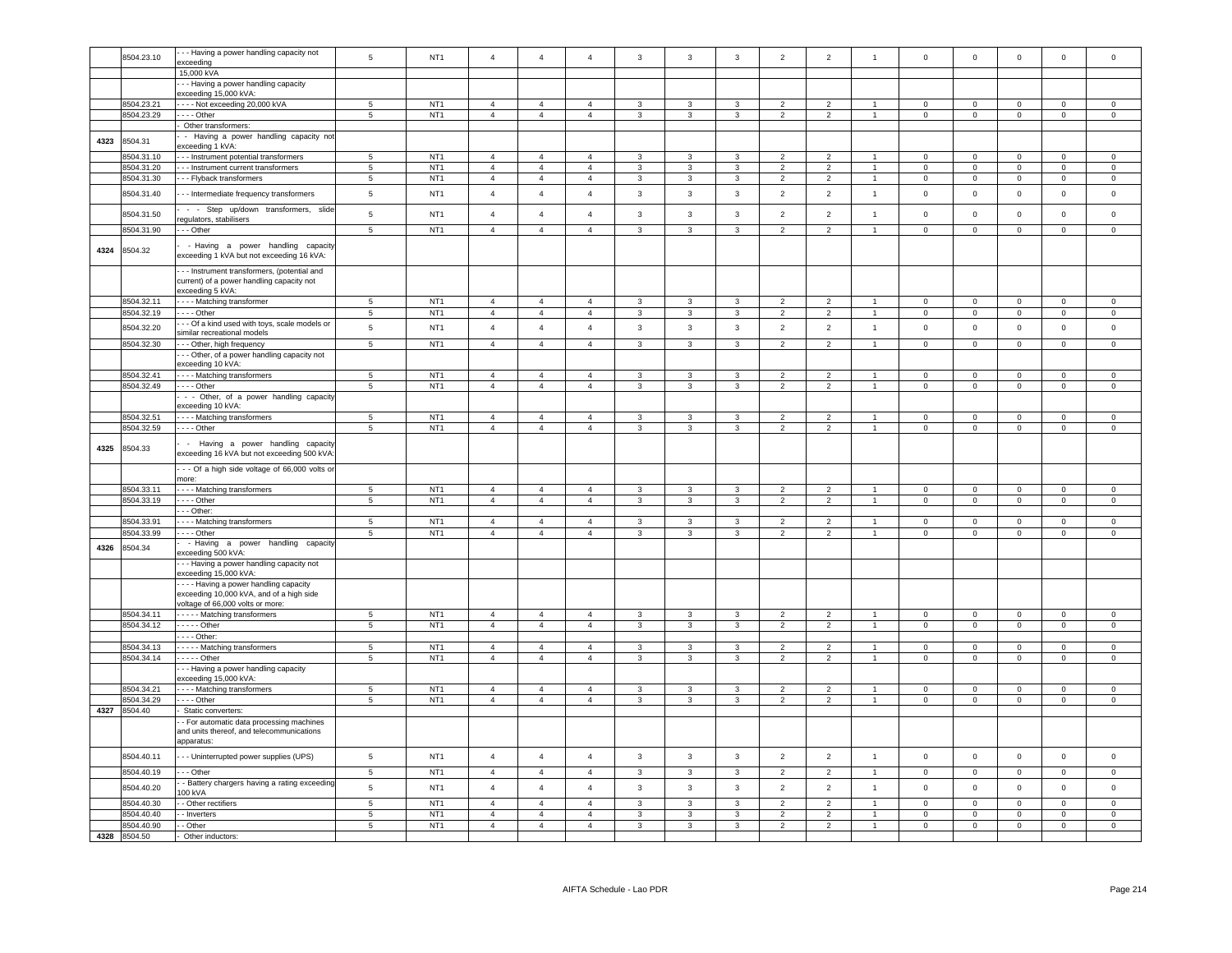|      | 8504.23.10                 | - - Having a power handling capacity not<br>exceeding                                                                          | 5               | NT <sub>1</sub> | $\overline{4}$ | $\overline{4}$ | $\overline{4}$ | $\mathbf{3}$   | $\mathbf{3}$   | $\mathbf{3}$            | $\overline{2}$ | $\overline{2}$ | $\overline{1}$       | $\mathsf 0$         | $\mathsf 0$    | $\mathsf 0$    | $\mathsf 0$         | $\mathsf{O}\xspace$ |
|------|----------------------------|--------------------------------------------------------------------------------------------------------------------------------|-----------------|-----------------|----------------|----------------|----------------|----------------|----------------|-------------------------|----------------|----------------|----------------------|---------------------|----------------|----------------|---------------------|---------------------|
|      |                            | 15,000 kVA                                                                                                                     |                 |                 |                |                |                |                |                |                         |                |                |                      |                     |                |                |                     |                     |
|      |                            | - - - Having a power handling capacity<br>exceeding 15,000 kVA:                                                                |                 |                 |                |                |                |                |                |                         |                |                |                      |                     |                |                |                     |                     |
|      | 8504.23.21                 | - - - - Not exceeding 20,000 kVA                                                                                               | $5\overline{5}$ | NT <sub>1</sub> | $\overline{4}$ | $\overline{4}$ | $\overline{4}$ | 3              | 3              | $\mathbf{3}$            | 2              | $\overline{2}$ | $\mathbf{1}$         | $\mathbf{0}$        | $\mathbf{0}$   | $\mathbf 0$    | $\mathbf 0$         | $\Omega$            |
|      | 8504.23.29                 | - - - - Other                                                                                                                  | $5\phantom{.0}$ | NT <sub>1</sub> | $\overline{4}$ | $\overline{4}$ | $\overline{4}$ | $\overline{3}$ | $\overline{3}$ | $\mathbf{3}$            | $\overline{2}$ | $\overline{2}$ | 1                    | $\mathbf 0$         | $\overline{0}$ | $\overline{0}$ | $\overline{0}$      | $\overline{0}$      |
|      |                            | - Other transformers:                                                                                                          |                 |                 |                |                |                |                |                |                         |                |                |                      |                     |                |                |                     |                     |
| 4323 | 8504.31                    | - Having a power handling capacity not<br>exceeding 1 kVA:                                                                     |                 |                 |                |                |                |                |                |                         |                |                |                      |                     |                |                |                     |                     |
|      | 8504.31.10                 | - - Instrument potential transformers                                                                                          | $5\phantom{.0}$ | NT <sub>1</sub> | $\overline{4}$ | $\overline{4}$ | $\overline{4}$ | $\mathbf{3}$   | $\mathbf{3}$   | $\mathbf{3}$            | $\overline{2}$ | $\overline{2}$ | $\mathbf{1}$         | $\Omega$            | $\mathbf 0$    | $\mathbf 0$    | $\mathsf{O}\xspace$ | $\Omega$            |
|      | 8504.31.20                 | - - Instrument current transformers                                                                                            | $\overline{5}$  | NT <sub>1</sub> | $\overline{4}$ | $\overline{4}$ | $\overline{4}$ | $\mathbf{3}$   | $\mathbf{3}$   | $\overline{3}$          | $\overline{2}$ | $\overline{2}$ | $\mathbf{1}$         | $\mathsf 0$         | $\mathsf 0$    | $\overline{0}$ | $\mathsf 0$         | $\mathsf 0$         |
|      | 8504.31.30                 | --- Flyback transformers                                                                                                       | $5\overline{5}$ | NT <sub>1</sub> | $\overline{4}$ | $\overline{4}$ | $\overline{4}$ | $\mathbf{3}$   | $\mathbf{3}$   | $\mathbf{3}$            | $\overline{2}$ | $\overline{2}$ | $\overline{1}$       | $\overline{0}$      | $\overline{0}$ | $\overline{0}$ | $\overline{0}$      | $^{\circ}$          |
|      | 8504.31.40                 | - - Intermediate frequency transformers                                                                                        | $\,$ 5 $\,$     | NT <sub>1</sub> | $\overline{4}$ | $\overline{4}$ | $\overline{4}$ | $\mathbf{3}$   | $\mathbf{3}$   | $_{\rm 3}$              | $\overline{2}$ | $\overline{2}$ | $\mathbf{1}$         | $\mathsf 0$         | $\mathbf 0$    | $\mathbf 0$    | $\mathsf 0$         | $\mathsf 0$         |
|      | 8504.31.50                 | - - Step up/down transformers, slide<br>egulators, stabilisers                                                                 | 5               | NT <sub>1</sub> | $\overline{4}$ | $\overline{4}$ | $\overline{4}$ | $\mathbf{3}$   | $\mathbf{3}$   | $\mathbf{3}$            | $\overline{2}$ | $\overline{2}$ | $\mathbf{1}$         | $\mathsf{O}\xspace$ | $\mathsf 0$    | $\mathbf 0$    | $\mathsf 0$         | $\mathsf{O}\xspace$ |
|      | 8504.31.90                 | --- Other                                                                                                                      | 5               | NT <sub>1</sub> | $\overline{4}$ | $\overline{4}$ | $\overline{4}$ | 3              | 3              | 3                       | $\overline{2}$ | $\overline{2}$ | $\mathbf{1}$         | $\mathbf 0$         | $\mathbf 0$    | $\mathbf 0$    | $\mathbf 0$         | $\mathsf 0$         |
| 4324 | 8504.32                    | - Having a power handling capacity<br>exceeding 1 kVA but not exceeding 16 kVA:<br>- - Instrument transformers, (potential and |                 |                 |                |                |                |                |                |                         |                |                |                      |                     |                |                |                     |                     |
|      |                            | current) of a power handling capacity not<br>exceeding 5 kVA:                                                                  |                 |                 |                |                |                |                |                |                         |                |                |                      |                     |                |                |                     |                     |
|      | 8504.32.11                 | - - - - Matching transformer                                                                                                   | $5\phantom{.0}$ | NT <sub>1</sub> | $\overline{4}$ | $\overline{4}$ | $\overline{4}$ | $\mathbf{3}$   | $\mathbf{3}$   | $\mathbf{3}$            | $\overline{2}$ | $\overline{2}$ | $\overline{1}$       | $\mathbf 0$         | $\overline{0}$ | $\overline{0}$ | $\mathsf 0$         | $\mathbf 0$         |
|      | 8504.32.19                 | - - - - Other                                                                                                                  | 5               | NT <sub>1</sub> | $\overline{4}$ | $\overline{4}$ | $\overline{4}$ | $\mathbf{3}$   | $\mathbf{3}$   | $\mathbf{3}$            | $\overline{2}$ | $\overline{2}$ | $\overline{1}$       | $\circ$             | $\mathbf{0}$   | $\overline{0}$ | $\mathbf{0}$        | $\mathbf{0}$        |
|      | 8504.32.20                 | - - Of a kind used with toys, scale models or<br>similar recreational models                                                   | $\,$ 5 $\,$     | NT <sub>1</sub> | $\overline{4}$ | $\overline{4}$ | $\overline{4}$ | $\mathbf{3}$   | $\mathbf{3}$   | $\mathbf{3}$            | $\overline{2}$ | $\overline{2}$ | $\mathbf{1}$         | $\mathsf{O}\xspace$ | $\mathbf 0$    | $\mathbf 0$    | $\mathbf 0$         | $\mathbf 0$         |
|      | 8504.32.30                 | - - Other, high frequency                                                                                                      | $\overline{5}$  | NT <sub>1</sub> | $\overline{4}$ | $\overline{4}$ | $\overline{4}$ | $\mathbf{3}$   | $\mathbf{3}$   | $\overline{\mathbf{3}}$ | $\overline{2}$ | $\overline{2}$ | $\mathbf{1}$         | $\mathsf 0$         | $\mathsf 0$    | $\overline{0}$ | $\mathsf 0$         | $\mathbf 0$         |
|      |                            | - - Other, of a power handling capacity not<br>exceeding 10 kVA:                                                               |                 |                 |                |                |                |                |                |                         |                |                |                      |                     |                |                |                     |                     |
|      | 8504.32.41                 | - - Matching transformers                                                                                                      | $\,$ 5 $\,$     | NT <sub>1</sub> | $\overline{4}$ | $\overline{4}$ | $\overline{4}$ | 3              | 3              | $\mathbf{3}$            | $\mathcal{P}$  | $\overline{2}$ | $\blacktriangleleft$ | $\Omega$            | $\mathbf 0$    | $\mathbf 0$    | $\mathbf{0}$        | $\Omega$            |
|      | 8504.32.49                 | --- Other                                                                                                                      | $\,$ 5 $\,$     | NT <sub>1</sub> | $\overline{4}$ | $\overline{4}$ | $\overline{4}$ | $\mathbf{3}$   | $\mathbf{3}$   | $\mathbf{3}$            | $\overline{2}$ | $\overline{2}$ | $\mathbf{1}$         | $\mathsf 0$         | $\mathsf 0$    | $\mathbf 0$    | $\mathsf 0$         | $\mathsf 0$         |
|      |                            | - - Other, of a power handling capacity                                                                                        |                 |                 |                |                |                |                |                |                         |                |                |                      |                     |                |                |                     |                     |
|      | 8504.32.51                 | exceeding 10 kVA:<br>--- Matching transformers                                                                                 | $\,$ 5 $\,$     | NT <sub>1</sub> | $\overline{4}$ | $\overline{4}$ | $\overline{4}$ | 3              | 3              | $\mathbf{3}$            | $\mathcal{P}$  | $\overline{2}$ | $\overline{1}$       | $\mathbf 0$         | $\mathsf 0$    | $\mathbf 0$    | $\mathsf 0$         | $\mathsf 0$         |
|      | 8504.32.59                 | - - - - Other                                                                                                                  | $\overline{5}$  | NT <sub>1</sub> | $\overline{4}$ | $\overline{4}$ | $\overline{4}$ | $\mathbf{3}$   | $\mathbf{3}$   | $\mathbf{3}$            | $\overline{2}$ | $\overline{2}$ | $\mathbf{1}$         | $\mathsf{O}\xspace$ | $\mathsf 0$    | $\mathbf 0$    | $\mathsf 0$         | $\mathsf{O}\xspace$ |
|      |                            | - Having a power handling capacity                                                                                             |                 |                 |                |                |                |                |                |                         |                |                |                      |                     |                |                |                     |                     |
| 4325 | 8504.33                    | exceeding 16 kVA but not exceeding 500 kVA                                                                                     |                 |                 |                |                |                |                |                |                         |                |                |                      |                     |                |                |                     |                     |
|      |                            | - - Of a high side voltage of 66,000 volts or<br>more:                                                                         |                 |                 |                |                |                |                |                |                         |                |                |                      |                     |                |                |                     |                     |
|      | 8504.33.11                 | - - - - Matching transformers                                                                                                  | $\overline{5}$  | NT <sub>1</sub> | $\overline{4}$ | $\overline{4}$ | $\overline{4}$ |                | 3              | 3                       | $\mathcal{P}$  | $\overline{2}$ |                      | $\Omega$            | $\mathbf 0$    | $\mathbf 0$    | $\Omega$            | $\Omega$            |
|      | 8504.33.19                 | - - - - Other                                                                                                                  | $\overline{5}$  | NT <sub>1</sub> | $\overline{4}$ | $\overline{4}$ | $\overline{4}$ | 3              | $\mathbf{3}$   | $\mathbf{3}$            | $\overline{2}$ | $\overline{2}$ | $\mathbf{1}$         | $\mathbf 0$         | $\mathbf 0$    | $\mathsf 0$    | $\mathbf 0$         | $\Omega$            |
|      | 8504.33.91                 | - - Other:                                                                                                                     | $5\overline{5}$ | NT <sub>1</sub> | $\overline{4}$ | $\overline{4}$ | $\overline{4}$ | 3              | $\overline{3}$ | $\mathbf{3}$            | $\overline{2}$ | $\overline{2}$ | $\mathbf{1}$         | $\Omega$            | $\Omega$       | $\mathsf 0$    | $\Omega$            | $\Omega$            |
|      | 3504.33.99                 | --- Matching transformers<br>- - - Other                                                                                       | $\overline{5}$  | NT <sub>1</sub> | $\overline{4}$ | $\overline{4}$ | $\overline{4}$ | 3              | $\overline{3}$ | $\mathbf{3}$            | $\overline{2}$ | $\overline{2}$ | $\mathbf{1}$         | $\mathbf 0$         | $\mathbf 0$    | $\mathsf 0$    | $\mathbf{0}$        | $\mathbf 0$         |
|      |                            | - Having a power handling capacity                                                                                             |                 |                 |                |                |                |                |                |                         |                |                |                      |                     |                |                |                     |                     |
| 4326 | 8504.34                    | exceeding 500 kVA:<br>--- Having a power handling capacity not                                                                 |                 |                 |                |                |                |                |                |                         |                |                |                      |                     |                |                |                     |                     |
|      |                            | exceeding 15,000 kVA:<br>Having a power handling capacity                                                                      |                 |                 |                |                |                |                |                |                         |                |                |                      |                     |                |                |                     |                     |
|      |                            | exceeding 10,000 kVA, and of a high side<br>voltage of 66,000 volts or more:                                                   |                 |                 |                |                |                |                |                |                         |                |                |                      |                     |                |                |                     |                     |
|      | 8504.34.11                 | ----- Matching transformers                                                                                                    | 5               | NT <sub>1</sub> | $\overline{4}$ | $\overline{4}$ | $\overline{4}$ | 3              | 3              | $\mathbf{3}$            | $\overline{2}$ | $\overline{2}$ | $\mathbf{1}$         | $\mathsf 0$         | $\mathsf 0$    | $\mathsf 0$    | $\mathsf 0$         | $\mathsf{O}\xspace$ |
|      | 8504.34.12                 | $- - - -$ Other                                                                                                                | 5               | NT <sub>1</sub> | $\overline{4}$ | $\overline{4}$ | $\overline{4}$ | $\mathbf{3}$   | $\mathbf{3}$   | $\mathbf{3}$            | $\overline{2}$ | $\overline{2}$ | $\mathbf{1}$         | $\mathbf 0$         | $\mathbf 0$    | $\mathsf 0$    | $\mathsf 0$         | $\mathsf 0$         |
|      |                            | - - - Other:                                                                                                                   |                 |                 |                |                |                |                |                |                         |                |                |                      |                     |                |                |                     |                     |
|      | 8504.34.13                 | Matching transformers                                                                                                          | $\,$ 5 $\,$     | NT <sub>1</sub> | $\sqrt{4}$     | $\overline{4}$ | $\overline{4}$ | $\mathbf{3}$   | 3              | $\mathbf{3}$            | $\overline{2}$ | $\overline{2}$ | 1                    | $\mathbf 0$         | $\mathsf 0$    | $\mathbf 0$    | $\mathsf 0$         | $\mathsf{O}\xspace$ |
|      | 8504.34.14                 | - - - - Other                                                                                                                  | $\,$ 5 $\,$     | NT <sub>1</sub> | $\overline{4}$ | $\overline{4}$ | $\overline{4}$ | 3              | $\mathbf{3}$   | $\mathbf{3}$            | $\overline{2}$ | $\overline{2}$ | $\mathbf{1}$         | $\Omega$            | $\mathbf 0$    | $\mathsf{O}$   | $\mathsf 0$         | $\mathsf 0$         |
|      |                            | - - Having a power handling capacity<br>exceeding 15,000 kVA:                                                                  |                 |                 |                |                |                |                |                |                         |                |                |                      |                     |                |                |                     |                     |
|      | 8504.34.21                 | ---- Matching transformers                                                                                                     | $5\phantom{.0}$ | NT <sub>1</sub> | $\overline{4}$ | $\overline{4}$ | $\overline{4}$ | 3              | $\mathbf{3}$   | $\mathbf{3}$            | $\overline{2}$ | $\overline{2}$ | $\overline{1}$       | $\mathbf 0$         | $\mathsf 0$    | $\mathbf 0$    | $\mathsf 0$         | $^{\circ}$          |
| 4327 | 3504.34.29<br>8504.40      | $- -$ Other<br>Static converters:                                                                                              | $\overline{5}$  | NT <sub>1</sub> | $\overline{4}$ | $\overline{4}$ | $\overline{4}$ | $\mathbf{3}$   | $\mathbf{3}$   | $\mathbf{3}$            | $\overline{2}$ | $\overline{2}$ | $\mathbf{1}$         | $\mathbf 0$         | $\mathsf 0$    | $\mathsf 0$    | $\mathsf 0$         | $\mathsf 0$         |
|      |                            | - For automatic data processing machines                                                                                       |                 |                 |                |                |                |                |                |                         |                |                |                      |                     |                |                |                     |                     |
|      |                            | and units thereof, and telecommunications<br>apparatus:                                                                        |                 |                 |                |                |                |                |                |                         |                |                |                      |                     |                |                |                     |                     |
|      | 8504.40.11                 | - - Uninterrupted power supplies (UPS)                                                                                         | $\,$ 5 $\,$     | NT <sub>1</sub> | $\sqrt{4}$     | $\overline{4}$ | $\overline{4}$ | $\mathbf{3}$   | $\mathbf{3}$   | $\mathbf{3}$            | 2              | $\overline{2}$ | $\overline{1}$       | $\mathbf{0}$        | $\mathbf 0$    | $\mathbf 0$    | $\mathbf{0}$        | $\circ$             |
|      | 8504.40.19                 | - - Other                                                                                                                      | 5               | NT <sub>1</sub> | $\overline{4}$ | $\overline{4}$ | $\overline{4}$ | 3              | 3              | $\mathbf{3}$            | $\overline{2}$ | $\overline{2}$ |                      | $\Omega$            | $\mathsf 0$    | $\mathsf 0$    | $\mathsf 0$         |                     |
|      | 8504.40.20                 | - Battery chargers having a rating exceeding<br>00 kVA                                                                         | $\overline{5}$  | NT <sub>1</sub> | $\overline{4}$ | $\overline{4}$ | $\overline{4}$ | $\mathbf{3}$   | $\mathbf{3}$   | $\mathbf{3}$            | $\overline{2}$ | $\overline{2}$ | $\mathbf{1}$         | $\mathbf 0$         | $\mathsf 0$    | $\mathsf 0$    | $\mathbf 0$         | $\mathsf 0$         |
|      | 8504.40.30                 | - Other rectifiers                                                                                                             | $5\phantom{.0}$ | NT <sub>1</sub> | $\overline{4}$ | $\overline{4}$ | $\overline{4}$ | 3              | 3              | 3                       | $\overline{2}$ | $\overline{2}$ | $\overline{1}$       | $\mathsf 0$         | $\mathbf 0$    | $\mathsf 0$    | $\mathsf 0$         | $\Omega$            |
|      | 8504.40.40                 | - Inverters                                                                                                                    | $\overline{5}$  | NT <sub>1</sub> | $\overline{4}$ | $\overline{4}$ | $\overline{4}$ | $\mathbf{3}$   | $\mathbf{3}$   | $\mathbf{3}$            | $\overline{2}$ | $\overline{2}$ | $\overline{1}$       | $\mathsf 0$         | $\mathbf 0$    | $\mathsf 0$    | $\mathsf 0$         | $\mathbf 0$         |
|      | 8504.40.90<br>4328 8504.50 | - Other                                                                                                                        | 5               | NT <sub>1</sub> | $\overline{4}$ | $\overline{4}$ | $\overline{4}$ | $\overline{3}$ | $\mathbf{3}$   | $\mathbf{3}$            | $\overline{2}$ | $\overline{2}$ | $\mathbf{1}$         | $\mathbf 0$         | $\mathbf 0$    | $\mathsf 0$    | $\mathbf{0}$        | $\circ$             |
|      |                            | Other inductors:                                                                                                               |                 |                 |                |                |                |                |                |                         |                |                |                      |                     |                |                |                     |                     |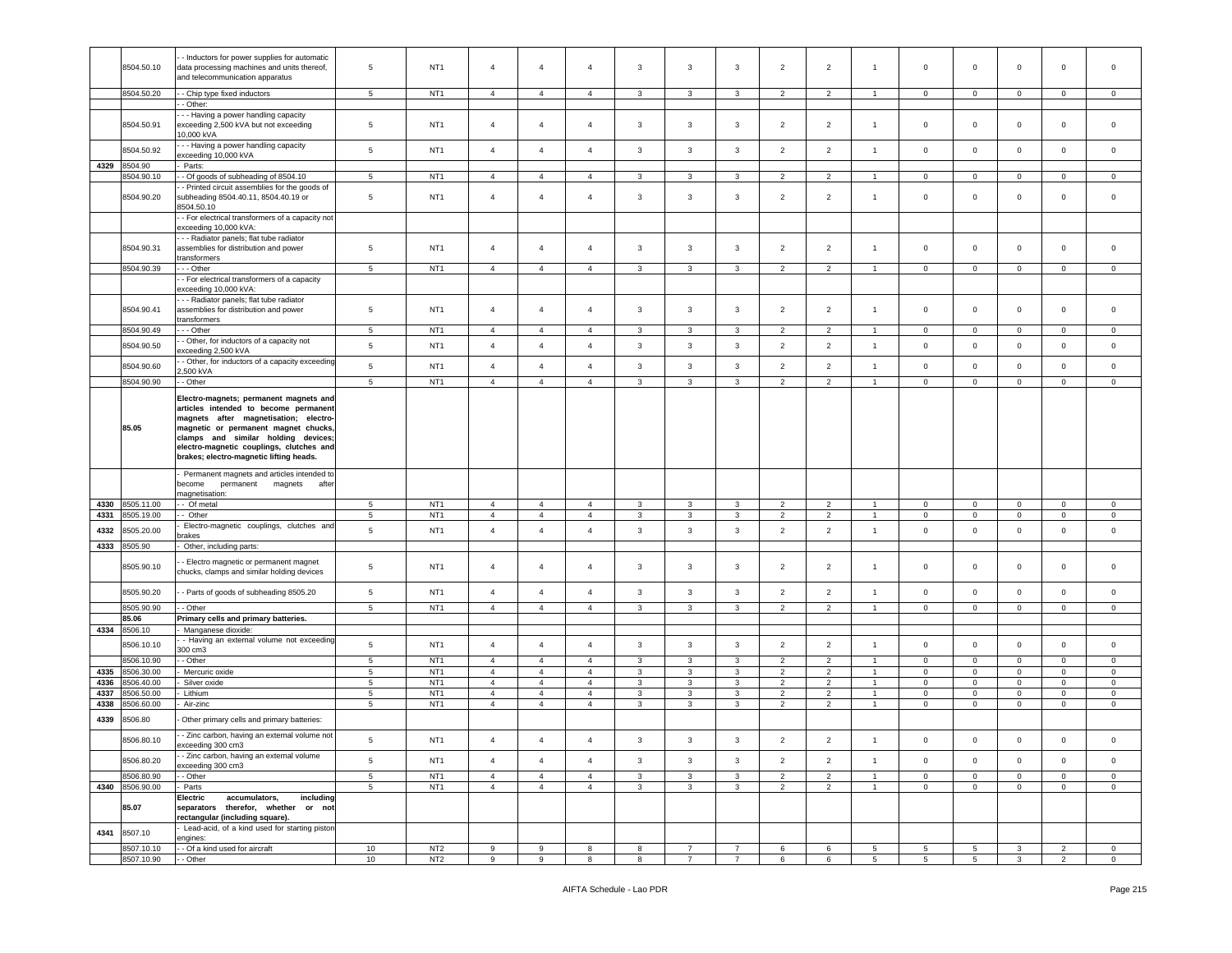|      |                          | Inductors for power supplies for automatic                           |                 |                                    |                |                |                |                         |                |                |                          |                |                |                      |                     |                   |                |                |
|------|--------------------------|----------------------------------------------------------------------|-----------------|------------------------------------|----------------|----------------|----------------|-------------------------|----------------|----------------|--------------------------|----------------|----------------|----------------------|---------------------|-------------------|----------------|----------------|
|      | 8504.50.10               | data processing machines and units thereof,                          | $\overline{5}$  | NT <sub>1</sub>                    | $\overline{4}$ | $\overline{4}$ | $\overline{4}$ | 3                       | 3              | 3              | $\overline{2}$           | $\overline{2}$ | $\overline{1}$ | $\mathsf 0$          | $\overline{0}$      | $\mathbf 0$       | $\mathbf 0$    | $\mathbf 0$    |
|      |                          | and telecommunication apparatus                                      |                 |                                    |                |                |                |                         |                |                |                          |                |                |                      |                     |                   |                |                |
|      |                          |                                                                      |                 |                                    |                |                |                |                         |                |                |                          |                | $\overline{1}$ |                      |                     |                   |                |                |
|      | 8504.50.20               | - Chip type fixed inductors                                          | 5               | NT <sub>1</sub>                    | $\overline{4}$ | $\overline{4}$ | $\overline{4}$ | 3                       | $\mathbf{3}$   | 3              | 2                        | 2              |                | $\mathbf{0}$         | $\mathbf 0$         | $\mathbf 0$       | $\mathbf{0}$   | $\mathbf 0$    |
|      |                          | - Other:                                                             |                 |                                    |                |                |                |                         |                |                |                          |                |                |                      |                     |                   |                |                |
|      |                          | - - Having a power handling capacity                                 |                 |                                    |                |                |                |                         |                |                |                          |                |                |                      |                     |                   |                |                |
|      | 8504.50.91               | exceeding 2,500 kVA but not exceeding                                | 5               | NT <sub>1</sub>                    | $\overline{4}$ | 4              | $\overline{4}$ | 3                       | 3              | 3              | $\overline{2}$           | $\overline{2}$ | $\overline{1}$ | $\mathbf 0$          | $\mathbf 0$         | $\mathbf 0$       | $\mathbf 0$    | 0              |
|      |                          | 10,000 kVA                                                           |                 |                                    |                |                |                |                         |                |                |                          |                |                |                      |                     |                   |                |                |
|      | 8504.50.92               | - - Having a power handling capacity                                 | $\,$ 5 $\,$     | NT <sub>1</sub>                    | $\overline{4}$ | $\overline{4}$ | $\overline{4}$ | $\mathbf{3}$            | $\mathbf{3}$   | $\mathbf{3}$   | $\overline{2}$           | $\overline{2}$ | $\overline{1}$ | $\mathbf 0$          | $\mathbf 0$         | $\mathbf 0$       | $\mathsf 0$    | $\mathsf 0$    |
|      |                          | exceeding 10,000 kVA                                                 |                 |                                    |                |                |                |                         |                |                |                          |                |                |                      |                     |                   |                |                |
| 4329 | 8504.90                  | Parts:                                                               |                 |                                    |                |                |                |                         |                |                |                          |                |                |                      |                     |                   |                |                |
|      | 8504.90.10               | - Of goods of subheading of 8504.10                                  | 5               | NT <sub>1</sub>                    | $\overline{4}$ | $\overline{4}$ | $\overline{4}$ | 3                       | 3              | 3              | $\overline{2}$           | $\overline{2}$ |                | $\mathbf 0$          | $\mathbf 0$         | $\mathbf 0$       | $\mathbf 0$    | 0              |
|      |                          | - Printed circuit assemblies for the goods of                        |                 |                                    |                |                |                |                         |                |                |                          |                |                |                      |                     |                   |                |                |
|      | 8504.90.20               | subheading 8504.40.11, 8504.40.19 or                                 | $\overline{5}$  | NT <sub>1</sub>                    | $\overline{4}$ | $\overline{4}$ | $\overline{4}$ | 3                       | 3              | 3              | 2                        | $\overline{2}$ | $\overline{1}$ | $\mathbf 0$          | $\mathbf 0$         | $\mathbf 0$       | 0              | 0              |
|      |                          | 8504.50.10                                                           |                 |                                    |                |                |                |                         |                |                |                          |                |                |                      |                     |                   |                |                |
|      |                          | - For electrical transformers of a capacity not                      |                 |                                    |                |                |                |                         |                |                |                          |                |                |                      |                     |                   |                |                |
|      |                          | exceeding 10,000 kVA:                                                |                 |                                    |                |                |                |                         |                |                |                          |                |                |                      |                     |                   |                |                |
|      |                          | - - Radiator panels; flat tube radiator                              |                 |                                    |                |                |                |                         |                |                |                          |                |                |                      |                     |                   |                |                |
|      | 8504.90.31               | assemblies for distribution and power                                | $\overline{5}$  | NT <sub>1</sub>                    | $\overline{4}$ | $\overline{4}$ | $\overline{4}$ | $\mathbf{3}$            | 3              | 3              | $\overline{2}$           | $\overline{2}$ | $\overline{1}$ | $\mathbf 0$          | $\mathbf{0}$        | $\mathbf 0$       | $\mathbf 0$    | 0              |
|      |                          | transformers                                                         |                 |                                    |                |                |                |                         |                |                |                          |                |                |                      |                     |                   |                |                |
|      | 8504.90.39               | - - Other                                                            | $\overline{5}$  | NT <sub>1</sub>                    | $\overline{4}$ | $\overline{4}$ | $\overline{4}$ | 3                       | 3              | 3              | $\overline{2}$           | $\overline{2}$ | -1             | $\mathsf 0$          | $\mathbf 0$         | $\mathbf 0$       | $\mathbf 0$    | $\mathbf 0$    |
|      |                          |                                                                      |                 |                                    |                |                |                |                         |                |                |                          |                |                |                      |                     |                   |                |                |
|      |                          | - For electrical transformers of a capacity<br>exceeding 10,000 kVA: |                 |                                    |                |                |                |                         |                |                |                          |                |                |                      |                     |                   |                |                |
|      |                          |                                                                      |                 |                                    |                |                |                |                         |                |                |                          |                |                |                      |                     |                   |                |                |
|      |                          | - - Radiator panels; flat tube radiator                              |                 |                                    |                |                |                |                         |                |                |                          |                |                |                      |                     |                   |                |                |
|      | 8504.90.41               | assemblies for distribution and power                                | $\overline{5}$  | NT <sub>1</sub>                    | $\overline{4}$ | 4              | $\overline{4}$ | $\mathbf{3}$            | 3              | 3              | $\overline{2}$           | $\overline{2}$ | $\overline{1}$ | $\mathbf 0$          | $\mathbf 0$         | $\mathbf 0$       | 0              | 0              |
|      |                          | transformers                                                         |                 |                                    |                |                |                |                         |                |                |                          |                |                |                      |                     |                   |                |                |
|      | 8504.90.49               | - - Other                                                            | $5\overline{5}$ | NT <sub>1</sub>                    | $\overline{4}$ | $\overline{4}$ | $\overline{4}$ | $\mathbf{3}$            | 3              | $\mathbf{3}$   | $\overline{2}$           | $\overline{2}$ | $\overline{1}$ | $\overline{0}$       | $\mathbf{0}$        | $\mathbf{0}$      | $\overline{0}$ | $\mathbf 0$    |
|      | 8504.90.50               | - Other, for inductors of a capacity not                             | $\sqrt{5}$      | NT <sub>1</sub>                    | $\overline{4}$ | $\overline{4}$ | $\overline{4}$ | $\mathbf{3}$            | $\mathbf{3}$   | 3              | $\overline{2}$           | $\overline{2}$ | $\overline{1}$ | $\mathbf 0$          | $\mathbf 0$         | $\mathbf 0$       | $\mathsf 0$    | $\mathsf 0$    |
|      |                          | exceeding 2,500 kVA                                                  |                 |                                    |                |                |                |                         |                |                |                          |                |                |                      |                     |                   |                |                |
|      | 8504.90.60               | - Other, for inductors of a capacity exceeding                       | $\,$ 5 $\,$     | NT <sub>1</sub>                    | $\overline{4}$ | $\overline{4}$ | $\overline{4}$ | $\mathbf{3}$            | $\mathbf{3}$   | 3              | $\overline{2}$           | $\overline{2}$ | $\overline{1}$ | $\mathsf 0$          | $\mathbf 0$         | $\mathbf 0$       | $\mathbf 0$    | $\mathbf 0$    |
|      |                          | .,500 kVA                                                            |                 |                                    |                |                |                |                         |                |                |                          |                |                |                      |                     |                   |                |                |
|      | 8504.90.90               | - Other                                                              | $5\phantom{.0}$ | NT <sub>1</sub>                    | $\overline{4}$ | $\overline{4}$ | $\overline{4}$ | 3                       | 3              | 3              | $\overline{2}$           | $\overline{2}$ |                | $\mathbf 0$          | $\mathbf 0$         | 0                 | $\mathbf 0$    | $\circ$        |
|      |                          |                                                                      |                 |                                    |                |                |                |                         |                |                |                          |                |                |                      |                     |                   |                |                |
|      |                          | Electro-magnets; permanent magnets and                               |                 |                                    |                |                |                |                         |                |                |                          |                |                |                      |                     |                   |                |                |
|      |                          | articles intended to become permanent                                |                 |                                    |                |                |                |                         |                |                |                          |                |                |                      |                     |                   |                |                |
|      |                          | magnets after magnetisation; electro-                                |                 |                                    |                |                |                |                         |                |                |                          |                |                |                      |                     |                   |                |                |
|      | 85.05                    | magnetic or permanent magnet chucks,                                 |                 |                                    |                |                |                |                         |                |                |                          |                |                |                      |                     |                   |                |                |
|      |                          | clamps and similar holding devices;                                  |                 |                                    |                |                |                |                         |                |                |                          |                |                |                      |                     |                   |                |                |
|      |                          | electro-magnetic couplings, clutches and                             |                 |                                    |                |                |                |                         |                |                |                          |                |                |                      |                     |                   |                |                |
|      |                          | brakes; electro-magnetic lifting heads.                              |                 |                                    |                |                |                |                         |                |                |                          |                |                |                      |                     |                   |                |                |
|      |                          | Permanent magnets and articles intended to                           |                 |                                    |                |                |                |                         |                |                |                          |                |                |                      |                     |                   |                |                |
|      |                          | become<br>permanent<br>magnets<br>after                              |                 |                                    |                |                |                |                         |                |                |                          |                |                |                      |                     |                   |                |                |
|      |                          | magnetisation:                                                       |                 |                                    |                |                |                |                         |                |                |                          |                |                |                      |                     |                   |                |                |
| 4330 | 8505.11.00               | - Of metal                                                           |                 |                                    |                |                |                |                         |                |                |                          |                |                |                      |                     |                   |                |                |
| 4331 | 8505.19.00               |                                                                      |                 |                                    |                |                |                |                         |                |                |                          |                |                |                      |                     |                   |                |                |
|      |                          |                                                                      | 5               | NT <sub>1</sub>                    | $\overline{4}$ | $\overline{4}$ | $\overline{4}$ | 3                       | 3              | 3              | 2                        | $\overline{2}$ |                | $\mathbf 0$          | $\mathbf 0$         | $\mathbf 0$       | $\mathbf 0$    | $\mathbf 0$    |
|      |                          | - Other                                                              | $5\phantom{.0}$ | NT <sub>1</sub>                    | $\overline{4}$ | $\overline{4}$ | $\overline{4}$ | 3                       | 3              | 3              | $\overline{2}$           | $\overline{2}$ | $\overline{1}$ | $\mathbf 0$          | $\overline{0}$      | $\mathbf 0$       | $\mathbf 0$    | $\mathbf 0$    |
| 4332 | 8505.20.00               | Electro-magnetic couplings, clutches and                             | $\,$ 5 $\,$     | NT <sub>1</sub>                    | $\overline{4}$ | $\overline{4}$ | $\overline{4}$ | $\mathbf{3}$            | 3              | 3              | $\overline{2}$           | $\overline{2}$ | $\overline{1}$ | $\mathbf 0$          | $\mathbf 0$         | $\mathbf 0$       | $\mathbf 0$    | $\mathbf 0$    |
|      |                          | orakes                                                               |                 |                                    |                |                |                |                         |                |                |                          |                |                |                      |                     |                   |                |                |
| 4333 | 8505.90                  | Other, including parts:                                              |                 |                                    |                |                |                |                         |                |                |                          |                |                |                      |                     |                   |                |                |
|      |                          |                                                                      |                 |                                    |                |                |                |                         |                |                |                          |                |                |                      |                     |                   |                |                |
|      | 8505.90.10               | Electro magnetic or permanent magnet                                 | 5               | NT <sub>1</sub>                    | $\overline{4}$ | $\overline{4}$ | $\overline{4}$ | $\overline{\mathbf{3}}$ | 3              | 3              | $\overline{2}$           | $\overline{2}$ | -1             | $\mathbf 0$          | $\mathbf 0$         | $\mathbf 0$       | $\mathbf 0$    | $\mathbf 0$    |
|      |                          | chucks, clamps and similar holding devices                           |                 |                                    |                |                |                |                         |                |                |                          |                |                |                      |                     |                   |                |                |
|      |                          |                                                                      |                 |                                    |                |                |                |                         |                |                |                          |                | $\overline{1}$ |                      |                     |                   |                |                |
|      | 8505.90.20               | - Parts of goods of subheading 8505.20                               | $5\phantom{.0}$ | NT <sub>1</sub>                    | $\overline{4}$ | $\overline{4}$ | $\overline{4}$ | $\mathbf{3}$            | $\mathbf{3}$   | 3              | $\overline{2}$           | $\overline{2}$ |                | $\mathbf 0$          | $\mathbf 0$         | $\mathbf 0$       | $\mathbf 0$    | $\mathbf 0$    |
|      | 8505.90.90               | - Other                                                              | $\,$ 5 $\,$     | NT <sub>1</sub>                    | $\overline{4}$ | $\overline{4}$ | $\overline{4}$ | 3                       | 3              | 3              | $\overline{2}$           | $\overline{2}$ | $\overline{1}$ | $\mathbf 0$          | $\mathbf 0$         | $\mathbf 0$       | $\mathsf 0$    | $\mathbf 0$    |
|      | 85.06                    | Primary cells and primary batteries.                                 |                 |                                    |                |                |                |                         |                |                |                          |                |                |                      |                     |                   |                |                |
| 4334 | 8506.10                  | Manganese dioxide:                                                   |                 |                                    |                |                |                |                         |                |                |                          |                |                |                      |                     |                   |                |                |
|      |                          | - Having an external volume not exceeding                            |                 |                                    |                |                |                |                         |                |                |                          |                |                |                      |                     |                   |                |                |
|      | 8506.10.10               | 300 cm3                                                              | 5               | NT <sub>1</sub>                    | $\overline{4}$ | $\overline{4}$ | $\overline{4}$ | $\mathbf{3}$            | $\mathbf{3}$   | 3              | $\overline{2}$           | $\overline{2}$ | $\overline{1}$ | $\mathbf 0$          | $\mathbf 0$         | $\mathbf 0$       | $\mathsf 0$    | $\mathbf 0$    |
|      | 8506.10.90               | - Other                                                              | $5\phantom{.0}$ | NT <sub>1</sub>                    | $\overline{4}$ | $\overline{4}$ | $\overline{4}$ | $\mathbf{3}$            | 3              | 3              | $\overline{2}$           | $\overline{2}$ | $\overline{1}$ | $\mathbf{0}$         | $\mathbf{0}$        | $\mathbf 0$       | $^{\circ}$     | $\mathbf 0$    |
| 4335 | 8506.30.00               | Mercuric oxide                                                       | $5\phantom{.0}$ | NT <sub>1</sub>                    | $\overline{4}$ | $\overline{4}$ | $\overline{4}$ | $\mathbf{3}$            | 3              | 3              | $\overline{2}$           | $\overline{2}$ | $\overline{1}$ | $\mathbf 0$          | $\mathbf 0$         | $\mathbf 0$       | $\mathbf 0$    | $\mathbf 0$    |
|      |                          |                                                                      |                 |                                    |                |                |                |                         |                |                |                          | $\overline{2}$ |                | $\mathbf 0$          |                     |                   |                |                |
| 4336 | 8506.40.00               | Silver oxide                                                         | 5               | NT <sub>1</sub>                    | $\overline{4}$ | $\overline{4}$ | $\overline{4}$ | 3                       | 3              | 3              | 2                        |                |                |                      | $\mathbf 0$         | 0                 | $\mathbf 0$    | 0              |
| 4337 | 8506.50.00               | Lithium                                                              | $5\phantom{.0}$ | NT <sub>1</sub>                    | $\overline{4}$ | $\overline{4}$ | $\overline{4}$ | 3                       | 3              | 3              | $\overline{2}$           | $\overline{2}$ |                | $\mathbf 0$          | $\mathbf 0$         | $\mathbf 0$       | $\mathbf 0$    | $\mathbf 0$    |
| 4338 | 8506.60.00               | Air-zinc                                                             | 5               | NT <sub>1</sub>                    | $\overline{4}$ | $\overline{4}$ | $\overline{4}$ | $\mathbf{3}$            | $\mathbf{3}$   | 3              | $\overline{2}$           | $\overline{2}$ | $\overline{1}$ | $\mathbf 0$          | $\mathbf{0}$        | $\mathbf 0$       | $\circ$        | $\mathbf 0$    |
| 4339 | 8506.80                  | Other primary cells and primary batteries:                           |                 |                                    |                |                |                |                         |                |                |                          |                |                |                      |                     |                   |                |                |
|      |                          |                                                                      |                 |                                    |                |                |                |                         |                |                |                          |                |                |                      |                     |                   |                |                |
|      | 8506.80.10               | - Zinc carbon, having an external volume not                         | 5               | NT <sub>1</sub>                    | $\overline{4}$ | $\overline{4}$ | $\overline{4}$ | 3                       | 3              | 3              | $\overline{\phantom{a}}$ | $\overline{2}$ | $\mathbf{1}$   | $\mathbf 0$          | $\mathbf 0$         | $\mathbf 0$       | $\Omega$       | $\mathbf 0$    |
|      |                          | exceeding 300 cm3                                                    |                 |                                    |                |                |                |                         |                |                |                          |                |                |                      |                     |                   |                |                |
|      | 8506.80.20               | - Zinc carbon, having an external volume                             | 5               | NT <sub>1</sub>                    | $\overline{4}$ | $\overline{4}$ | $\overline{4}$ | $\mathbf{3}$            |                | $\mathbf{3}$   | $\overline{2}$           | $\overline{2}$ | $\overline{1}$ | $\circ$              | $\circ$             | $\mathsf 0$       | $\circ$        | $\mathbf 0$    |
|      |                          | exceeding 300 cm3                                                    |                 |                                    |                |                |                |                         | $\mathbf{3}$   |                |                          |                |                |                      |                     |                   |                |                |
|      | 8506.80.90               | - Other                                                              | $5\phantom{.0}$ | NT <sub>1</sub>                    | $\overline{4}$ | $\overline{4}$ | $\overline{4}$ | $\mathbf{3}$            | $\mathbf{3}$   | $\mathbf{3}$   | $\overline{2}$           | $\overline{2}$ | $\mathbf{1}$   | $\mathsf 0$          | $\mathbf 0$         | $\mathbf 0$       | $\overline{0}$ | $\overline{0}$ |
|      | 4340 8506.90.00          | Parts                                                                | 5 <sub>5</sub>  | NT <sub>1</sub>                    | 4              | $\overline{4}$ | $\overline{4}$ | $\mathbf{3}$            | $\mathbf{3}$   | $\mathbf{3}$   | $2^{\circ}$              | $\overline{2}$ | 1              | $\overline{0}$       | $\overline{0}$      | $\overline{0}$    | $\overline{0}$ | $\overline{0}$ |
|      |                          | Electric<br>accumulators.<br>including                               |                 |                                    |                |                |                |                         |                |                |                          |                |                |                      |                     |                   |                |                |
|      | 85.07                    | separators therefor, whether or not                                  |                 |                                    |                |                |                |                         |                |                |                          |                |                |                      |                     |                   |                |                |
|      |                          | rectangular (including square).                                      |                 |                                    |                |                |                |                         |                |                |                          |                |                |                      |                     |                   |                |                |
|      |                          | Lead-acid, of a kind used for starting piston                        |                 |                                    |                |                |                |                         |                |                |                          |                |                |                      |                     |                   |                |                |
| 4341 | 8507.10                  | engines:                                                             |                 |                                    |                |                |                |                         |                |                |                          |                |                |                      |                     |                   |                |                |
|      |                          |                                                                      |                 |                                    | 9              |                |                | 8                       | $\overline{7}$ | $\overline{7}$ | 6                        |                | 5              |                      |                     |                   | $\overline{2}$ | $\mathbf 0$    |
|      | 8507.10.10<br>8507.10.90 | - Of a kind used for aircraft<br>- Other                             | 10<br>10        | NT <sub>2</sub><br>NT <sub>2</sub> | 9              | 9<br>9         | 8<br>8         | 8                       | $\overline{7}$ | $\overline{7}$ | 6                        | 6<br>$\,6\,$   | 5 <sub>5</sub> | 5<br>$5\overline{5}$ | 5<br>5 <sub>5</sub> | 3<br>$\mathbf{3}$ | $\overline{2}$ | $\overline{0}$ |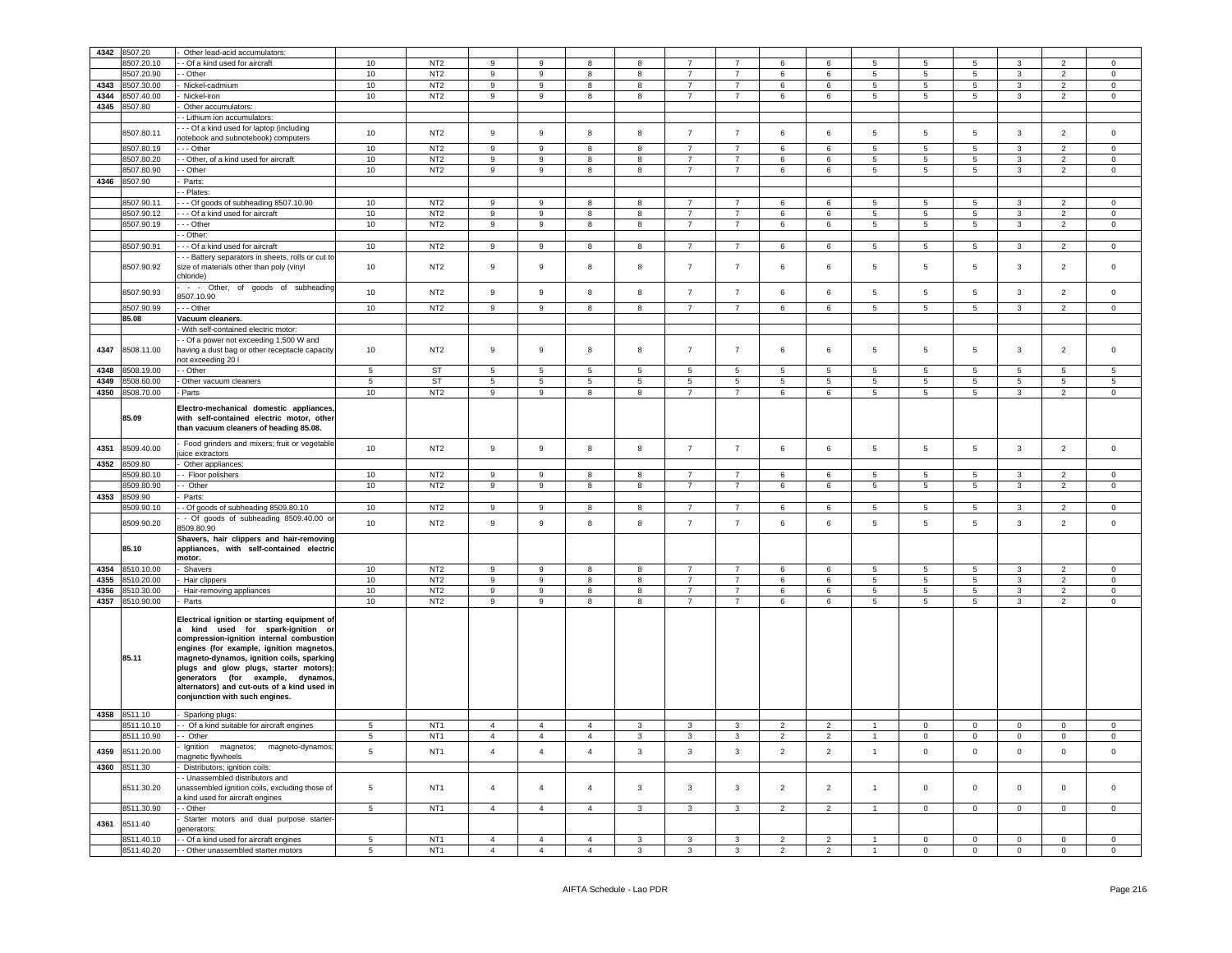| 4342 | 8507.20             | Other lead-acid accumulators:                                                                                                                                                                                                                                                                                                                                                                   |                 |                 |                  |                 |                         |                 |                         |                 |                 |                         |                 |                     |                 |                         |                 |                     |
|------|---------------------|-------------------------------------------------------------------------------------------------------------------------------------------------------------------------------------------------------------------------------------------------------------------------------------------------------------------------------------------------------------------------------------------------|-----------------|-----------------|------------------|-----------------|-------------------------|-----------------|-------------------------|-----------------|-----------------|-------------------------|-----------------|---------------------|-----------------|-------------------------|-----------------|---------------------|
|      | 8507.20.10          | - Of a kind used for aircraft                                                                                                                                                                                                                                                                                                                                                                   | 10              | NT <sub>2</sub> | 9                | 9               | 8                       | 8               | $\overline{7}$          | $\overline{7}$  | 6               | 6                       | 5               | 5                   | 5               | $\mathbf{3}$            | $\overline{2}$  | $\Omega$            |
|      | 8507.20.90          | - Other                                                                                                                                                                                                                                                                                                                                                                                         | 10              | NT <sub>2</sub> | 9                | 9               | 8                       | 8               | $\overline{7}$          | $\overline{7}$  | 6               | 6                       | $5\overline{5}$ | 5                   | $5\phantom{.0}$ | $\mathbf{3}$            | $\overline{2}$  | $\mathbf 0$         |
| 4343 | 8507.30.00          | Nickel-cadmium                                                                                                                                                                                                                                                                                                                                                                                  | 10              | NT <sub>2</sub> | 9                | 9               | 8                       | 8               | $\overline{7}$          | $\overline{7}$  | 6               | 6                       | $5\overline{5}$ | 5                   | $5\phantom{.0}$ | $\mathbf{3}$            | $\overline{2}$  | $\mathbf 0$         |
| 4344 | 8507.40.00          | Nickel-iron                                                                                                                                                                                                                                                                                                                                                                                     | 10              | NT <sub>2</sub> | 9                | 9               | 8                       | 8               | $\overline{7}$          | $\overline{7}$  | 6               | 6                       | $5\overline{5}$ | 5                   | $5\overline{5}$ | $\mathbf{3}$            | $\overline{2}$  | $\overline{0}$      |
|      |                     |                                                                                                                                                                                                                                                                                                                                                                                                 |                 |                 |                  |                 |                         |                 |                         |                 |                 |                         |                 |                     |                 |                         |                 |                     |
| 4345 | 8507.80             | Other accumulators:                                                                                                                                                                                                                                                                                                                                                                             |                 |                 |                  |                 |                         |                 |                         |                 |                 |                         |                 |                     |                 |                         |                 |                     |
|      |                     | - Lithium ion accumulators:                                                                                                                                                                                                                                                                                                                                                                     |                 |                 |                  |                 |                         |                 |                         |                 |                 |                         |                 |                     |                 |                         |                 |                     |
|      | 8507.80.11          | - - Of a kind used for laptop (including                                                                                                                                                                                                                                                                                                                                                        | 10              | NT <sub>2</sub> | 9                | 9               | 8                       | 8               | $\overline{7}$          | $\overline{7}$  | 6               | 6                       | $\overline{5}$  | 5                   | 5               | $\mathbf{3}$            | $\overline{2}$  | $\mathsf 0$         |
|      |                     | notebook and subnotebook) computers                                                                                                                                                                                                                                                                                                                                                             |                 | NT2             |                  | 9               |                         | $\mathbf{a}$    | $\overline{7}$          | $\overline{7}$  |                 |                         |                 |                     |                 |                         |                 |                     |
|      | 8507.80.19          | $-$ Other                                                                                                                                                                                                                                                                                                                                                                                       | 10              |                 | $\overline{9}$   |                 | 8                       |                 |                         |                 | 6               | 6                       | $\overline{5}$  | $5\phantom{.0}$     | 5               | $\overline{3}$          | $\overline{2}$  | $\mathbf 0$         |
|      | 8507.80.20          | - Other, of a kind used for aircraft                                                                                                                                                                                                                                                                                                                                                            | 10              | NT <sub>2</sub> | 9                | 9               | 8                       | 8               | $\overline{7}$          | $\overline{7}$  | 6               | $6\phantom{.}$          | $5\phantom{.0}$ | 5                   | 5               | $\mathbf{3}$            | $\overline{2}$  | $\mathbf{0}$        |
|      | 8507.80.90          | - Other                                                                                                                                                                                                                                                                                                                                                                                         | 10              | NT <sub>2</sub> | 9                | 9               | $\overline{8}$          | 8               | $\overline{7}$          | $\overline{7}$  | $\,6\,$         | 6                       | $\overline{5}$  | 5                   | $\overline{5}$  | $\mathbf{3}$            | $\overline{2}$  | $\mathbf 0$         |
| 4346 | 8507.90             | Parts:                                                                                                                                                                                                                                                                                                                                                                                          |                 |                 |                  |                 |                         |                 |                         |                 |                 |                         |                 |                     |                 |                         |                 |                     |
|      |                     | - Plates:                                                                                                                                                                                                                                                                                                                                                                                       |                 |                 |                  |                 |                         |                 |                         |                 |                 |                         |                 |                     |                 |                         |                 |                     |
|      | 8507.90.11          | - - Of goods of subheading 8507.10.90                                                                                                                                                                                                                                                                                                                                                           | 10              | NT <sub>2</sub> | 9                | -9              | 8                       | 8               | $\overline{7}$          | $\overline{7}$  | 6               | 6                       | 5 <sub>5</sub>  | 5                   | $5\phantom{.0}$ | $\mathbf{3}$            | $\overline{2}$  | $\mathbf{0}$        |
|      | 8507.90.12          | - - Of a kind used for aircraft                                                                                                                                                                                                                                                                                                                                                                 | 10              | NT <sub>2</sub> | 9                | 9               | 8                       | 8               | $\overline{7}$          | $\overline{7}$  | 6               | $\,6\,$                 | $5\phantom{.0}$ | 5                   | $5\phantom{.0}$ | $\mathbf{3}$            | $\overline{2}$  | $\overline{0}$      |
|      | 8507.90.19          | - - Other                                                                                                                                                                                                                                                                                                                                                                                       | 10              | NT <sub>2</sub> | 9                | 9               | 8                       | 8               | $\overline{7}$          | $\overline{7}$  | 6               | 6                       | $5\phantom{.0}$ | $5\phantom{.0}$     | $5\overline{ }$ | $\mathbf{3}$            | $\overline{2}$  | $\circ$             |
|      |                     | - Other:                                                                                                                                                                                                                                                                                                                                                                                        |                 |                 |                  |                 |                         |                 |                         |                 |                 |                         |                 |                     |                 |                         |                 |                     |
|      |                     |                                                                                                                                                                                                                                                                                                                                                                                                 |                 |                 |                  |                 |                         |                 |                         |                 |                 |                         |                 |                     |                 |                         |                 |                     |
|      | 8507.90.91          | - - Of a kind used for aircraft                                                                                                                                                                                                                                                                                                                                                                 | 10              | NT <sub>2</sub> | 9                | 9               | 8                       | 8               | $\overline{7}$          | $\overline{7}$  | 6               | 6                       | $5\overline{5}$ | 5                   | $\overline{5}$  | $\mathbf{3}$            | $\overline{2}$  | $\circ$             |
|      | 8507.90.92          | - - Battery separators in sheets, rolls or cut to<br>size of materials other than poly (vinyl<br>chloride)                                                                                                                                                                                                                                                                                      | 10              | NT <sub>2</sub> | $\mathsf g$      | $\mathsf g$     | 8                       | 8               | $\overline{7}$          | $\overline{7}$  | 6               | 6                       | 5               | 5                   | 5               | $\mathbf{3}$            | $\overline{2}$  | $\mathsf{O}\xspace$ |
|      | 8507.90.93          | - - Other, of goods of subheading                                                                                                                                                                                                                                                                                                                                                               | 10              | NT <sub>2</sub> | $\boldsymbol{9}$ | 9               | 8                       | 8               | $\overline{7}$          | $\overline{7}$  | 6               | $\,6$                   | $5\phantom{.0}$ | 5                   | $5\phantom{.0}$ | $\mathbf{3}$            | $\overline{2}$  | $\mathbf 0$         |
|      |                     | 8507.10.90                                                                                                                                                                                                                                                                                                                                                                                      |                 |                 |                  |                 |                         |                 |                         |                 |                 |                         |                 |                     |                 |                         |                 |                     |
|      | 8507.90.99          | - - Other                                                                                                                                                                                                                                                                                                                                                                                       | 10              | NT <sub>2</sub> | 9                | 9               | 8                       | 8               | $\overline{7}$          | $\overline{7}$  | 6               | 6                       | $5\overline{5}$ | 5                   | 5               | $\mathbf{3}$            | 2               | $\Omega$            |
|      | 85.08               | Vacuum cleaners.                                                                                                                                                                                                                                                                                                                                                                                |                 |                 |                  |                 |                         |                 |                         |                 |                 |                         |                 |                     |                 |                         |                 |                     |
|      |                     | With self-contained electric motor                                                                                                                                                                                                                                                                                                                                                              |                 |                 |                  |                 |                         |                 |                         |                 |                 |                         |                 |                     |                 |                         |                 |                     |
| 4347 | 8508.11.00          | - Of a power not exceeding 1,500 W and<br>having a dust bag or other receptacle capacity<br>not exceeding 20 l                                                                                                                                                                                                                                                                                  | 10              | NT <sub>2</sub> | $\mathsf g$      | $\mathsf g$     | 8                       | 8               | $\overline{7}$          | $\overline{7}$  | 6               | 6                       | 5               | 5                   | 5               | $\mathbf{3}$            | $\overline{2}$  | $\mathsf{O}\xspace$ |
| 4348 | 8508.19.00          | - Other                                                                                                                                                                                                                                                                                                                                                                                         | $5\overline{5}$ | ST              | $5\phantom{.0}$  | $5\phantom{.0}$ | $5\overline{5}$         | $5\phantom{.0}$ | $5\phantom{.0}$         | $5\overline{5}$ | $5\phantom{.0}$ | $5\phantom{.0}$         | $5\overline{5}$ | $5\phantom{.0}$     | $5\phantom{.0}$ | $5\overline{5}$         | $5\phantom{.0}$ | 5                   |
| 4349 | 8508.60.00          | Other vacuum cleaners                                                                                                                                                                                                                                                                                                                                                                           | 5               | ST              | 5                | 5               | 5                       | -5              | 5                       | 5               | -5              | 5                       | 5               | 5                   | 5               | 5                       | -5              | 5                   |
| 4350 | 8508.70.00          | Parts                                                                                                                                                                                                                                                                                                                                                                                           | 10              | NT <sub>2</sub> | 9                | 9               | 8                       | 8               | $7\overline{ }$         | $\overline{7}$  | 6               | 6                       | $5\overline{5}$ | 5                   | $5\phantom{.0}$ | $\mathbf{3}$            | $\overline{2}$  | $\mathbf 0$         |
|      | 85.09               | Electro-mechanical domestic appliances<br>with self-contained electric motor, other<br>than vacuum cleaners of heading 85.08.                                                                                                                                                                                                                                                                   |                 |                 |                  |                 |                         |                 |                         |                 |                 |                         |                 |                     |                 |                         |                 |                     |
| 4351 | 8509.40.00          | Food grinders and mixers; fruit or vegetable<br>uice extractors                                                                                                                                                                                                                                                                                                                                 | 10              | NT <sub>2</sub> | 9                | 9               | 8                       | 8               | $\overline{7}$          | $\overline{7}$  | 6               | 6                       | $5\phantom{.0}$ | 5                   | $5\phantom{.0}$ | $\mathbf{3}$            | $\overline{2}$  | $\mathsf 0$         |
| 4352 | 8509.80             | Other appliances:                                                                                                                                                                                                                                                                                                                                                                               |                 |                 |                  |                 |                         |                 |                         |                 |                 |                         |                 |                     |                 |                         |                 |                     |
|      | 3509.80.10          | - Floor polishers                                                                                                                                                                                                                                                                                                                                                                               | 10              | NT <sub>2</sub> | 9                | 9               | 8                       | 8               | $\overline{7}$          | $\overline{7}$  | 6               | $\,6\,$                 | $\overline{5}$  | 5                   | $5\phantom{.0}$ | $\mathbf{3}$            | $\overline{2}$  | $\mathbf 0$         |
|      | 8509.80.90          | - Other                                                                                                                                                                                                                                                                                                                                                                                         | 10              | NT <sub>2</sub> | 9                | 9               | $\overline{\mathbf{8}}$ | 8               | $\overline{7}$          | $\overline{7}$  | 6               | 6                       | $5\overline{)}$ | $\overline{5}$      | $\overline{5}$  | $\mathbf{3}$            | $\mathcal{P}$   | $\mathbf 0$         |
| 4353 | 8509.90             | Parts:                                                                                                                                                                                                                                                                                                                                                                                          |                 |                 |                  |                 |                         |                 |                         |                 |                 |                         |                 |                     |                 |                         |                 |                     |
|      | 8509.90.10          | - Of goods of subheading 8509.80.10                                                                                                                                                                                                                                                                                                                                                             | 10              | NT <sub>2</sub> | 9                | 9               | 8                       | 8               | $\overline{7}$          | $\overline{7}$  | 6               | 6                       | $5\overline{)}$ | 5                   | $\overline{5}$  | $\overline{3}$          | $\overline{2}$  | $\mathsf 0$         |
|      | 8509.90.20          | - Of goods of subheading 8509.40.00 or                                                                                                                                                                                                                                                                                                                                                          | 10              | NT <sub>2</sub> | 9                | $\mathsf g$     | 8                       | 8               | $\overline{7}$          | $\overline{7}$  | 6               | $\,6\,$                 | $5\phantom{.0}$ | 5                   | $5\phantom{.0}$ | $\mathbf{3}$            | $\overline{2}$  | $\mathsf{O}\xspace$ |
|      | 85.10               | 3509.80.90<br>Shavers, hair clippers and hair-removing<br>appliances, with self-contained electric<br>motor.                                                                                                                                                                                                                                                                                    |                 |                 |                  |                 |                         |                 |                         |                 |                 |                         |                 |                     |                 |                         |                 |                     |
| 4354 | 8510.10.00          | Shavers                                                                                                                                                                                                                                                                                                                                                                                         | 10              | NT2             | 9                | 9               | 8                       | 8               | $\overline{7}$          | $\overline{7}$  | 6               | 6                       | $5\phantom{.0}$ | 5                   | 5               | $\mathbf{3}$            | $\overline{2}$  | $\circ$             |
| 4355 | 8510.20.00          |                                                                                                                                                                                                                                                                                                                                                                                                 | 10              | NT <sub>2</sub> |                  | $\mathsf g$     |                         |                 |                         | $\overline{7}$  |                 |                         |                 |                     |                 |                         |                 |                     |
|      |                     | Hair clippers                                                                                                                                                                                                                                                                                                                                                                                   |                 |                 | 9                |                 | $\boldsymbol{8}$        | 8               | $\overline{7}$          |                 | 6               | $\,6\,$                 | $5\phantom{.0}$ | 5                   | $\,$ 5 $\,$     | $\mathbf{3}$            | $\overline{2}$  | $\circ$             |
| 4356 | 8510.30.00          | Hair-removing appliances                                                                                                                                                                                                                                                                                                                                                                        | 10              | NT <sub>2</sub> | 9                | 9               | 8                       | 8               | $\overline{7}$          | $\overline{7}$  | 6               | 6                       | $\overline{5}$  | 5                   | $5\phantom{.0}$ | $\overline{\mathbf{3}}$ | $\overline{2}$  | $\overline{0}$      |
| 4357 | 8510.90.00<br>85.11 | Parts<br>Electrical ignition or starting equipment of<br>a kind used for spark-ignition or<br>compression-ignition internal combustion<br>engines (for example, ignition magnetos,<br>magneto-dynamos, ignition coils, sparking<br>plugs and glow plugs, starter motors);<br>generators (for example, dynamos,<br>alternators) and cut-outs of a kind used in<br>conjunction with such engines. | 10              | NT <sub>2</sub> | 9                | 9               | 8                       | 8               | 7                       | $\overline{7}$  | 6               | $\,6\,$                 | $5\phantom{.0}$ | $5\phantom{.0}$     | $5\phantom{.0}$ | $\mathbf{3}$            | $\overline{2}$  | $\overline{0}$      |
| 4358 | 8511.10             | Sparking plugs:                                                                                                                                                                                                                                                                                                                                                                                 |                 |                 |                  |                 |                         |                 |                         |                 |                 |                         |                 |                     |                 |                         |                 |                     |
|      | 8511.10.10          | - Of a kind suitable for aircraft engines                                                                                                                                                                                                                                                                                                                                                       | $5\phantom{.0}$ | NT <sub>1</sub> | $\overline{4}$   | $\overline{4}$  | $\overline{4}$          | $\mathbf{3}$    | $\mathbf{3}$            | $\mathbf{3}$    | $\overline{2}$  | $\overline{2}$          | $\mathbf{1}$    | $\circ$             | $\mathsf 0$     | $\mathbf 0$             | $\mathbf 0$     | $\circ$             |
|      | 8511.10.90          | - Other                                                                                                                                                                                                                                                                                                                                                                                         | $\overline{5}$  | NT <sub>1</sub> | $\overline{4}$   | $\overline{4}$  | $\overline{4}$          | 3               | $\mathbf{3}$            | $\mathbf{3}$    | $\overline{2}$  | $\overline{\mathbf{c}}$ | $\overline{1}$  | 0                   | $\mathbf 0$     | $\mathbf 0$             | $\mathbf 0$     | $\mathbf 0$         |
| 4359 | 8511.20.00          | Ignition<br>magnetos;<br>magneto-dynamos<br>nagnetic flywheels                                                                                                                                                                                                                                                                                                                                  | $5\phantom{.0}$ | NT <sub>1</sub> | $\overline{4}$   | $\overline{4}$  | $\overline{4}$          | $\mathbf{3}$    | $\mathbf{3}$            | $\mathbf{3}$    | $\overline{2}$  | $\overline{2}$          | $\mathbf{1}$    | $\mathsf{O}\xspace$ | $\mathsf 0$     | $\mathsf 0$             | $\mathbf 0$     | $\mathsf 0$         |
| 4360 | 8511.30             | Distributors; ignition coils:                                                                                                                                                                                                                                                                                                                                                                   |                 |                 |                  |                 |                         |                 |                         |                 |                 |                         |                 |                     |                 |                         |                 |                     |
|      | 8511.30.20          | - Unassembled distributors and<br>unassembled ignition coils, excluding those of<br>a kind used for aircraft engines                                                                                                                                                                                                                                                                            | $5\phantom{.0}$ | NT <sub>1</sub> | $\overline{a}$   | $\overline{4}$  | $\overline{4}$          | 3               | $\mathbf{3}$            | $\mathbf{3}$    | $\overline{2}$  | $\overline{2}$          | $\mathbf{1}$    | $\mathsf 0$         | $\mathsf 0$     | $\,0\,$                 | $\mathbf 0$     | $\mathsf 0$         |
|      | 8511.30.90          | - Other                                                                                                                                                                                                                                                                                                                                                                                         | $\overline{5}$  | NT <sub>1</sub> | $\overline{4}$   | $\overline{4}$  | $\overline{4}$          | 3               | $\overline{\mathbf{3}}$ | $\overline{3}$  | $\overline{2}$  | $\overline{2}$          | $\overline{1}$  | $\overline{0}$      | $\overline{0}$  | $\overline{0}$          | $\overline{0}$  | $\Omega$            |
| 4361 | 8511.40             | Starter motors and dual purpose starter-                                                                                                                                                                                                                                                                                                                                                        |                 |                 |                  |                 |                         |                 |                         |                 |                 |                         |                 |                     |                 |                         |                 |                     |
|      |                     | generators:                                                                                                                                                                                                                                                                                                                                                                                     |                 |                 |                  |                 |                         |                 |                         |                 |                 |                         |                 |                     |                 |                         |                 |                     |
|      | 8511.40.10          | - - Of a kind used for aircraft engines                                                                                                                                                                                                                                                                                                                                                         | $5\phantom{.0}$ | NT <sub>1</sub> | $\overline{4}$   | $\overline{4}$  | $\overline{4}$          | 3               | 3                       | $\mathbf{3}$    | $\overline{2}$  | $\overline{2}$          | $\overline{1}$  | $\mathbf 0$         | $\mathsf 0$     | $\circ$                 | $\mathbf 0$     | $\mathbf{0}$        |
|      | 8511 40 20          | - Other unassembled starter motors                                                                                                                                                                                                                                                                                                                                                              | 5               | NT <sub>1</sub> | $\Delta$         | $\Delta$        | 4                       |                 |                         | $\mathbf{z}$    | $\mathcal{P}$   | $\mathcal{D}$           |                 | $\Omega$            | $\Omega$        | $\Omega$                | $\Omega$        | $\Omega$            |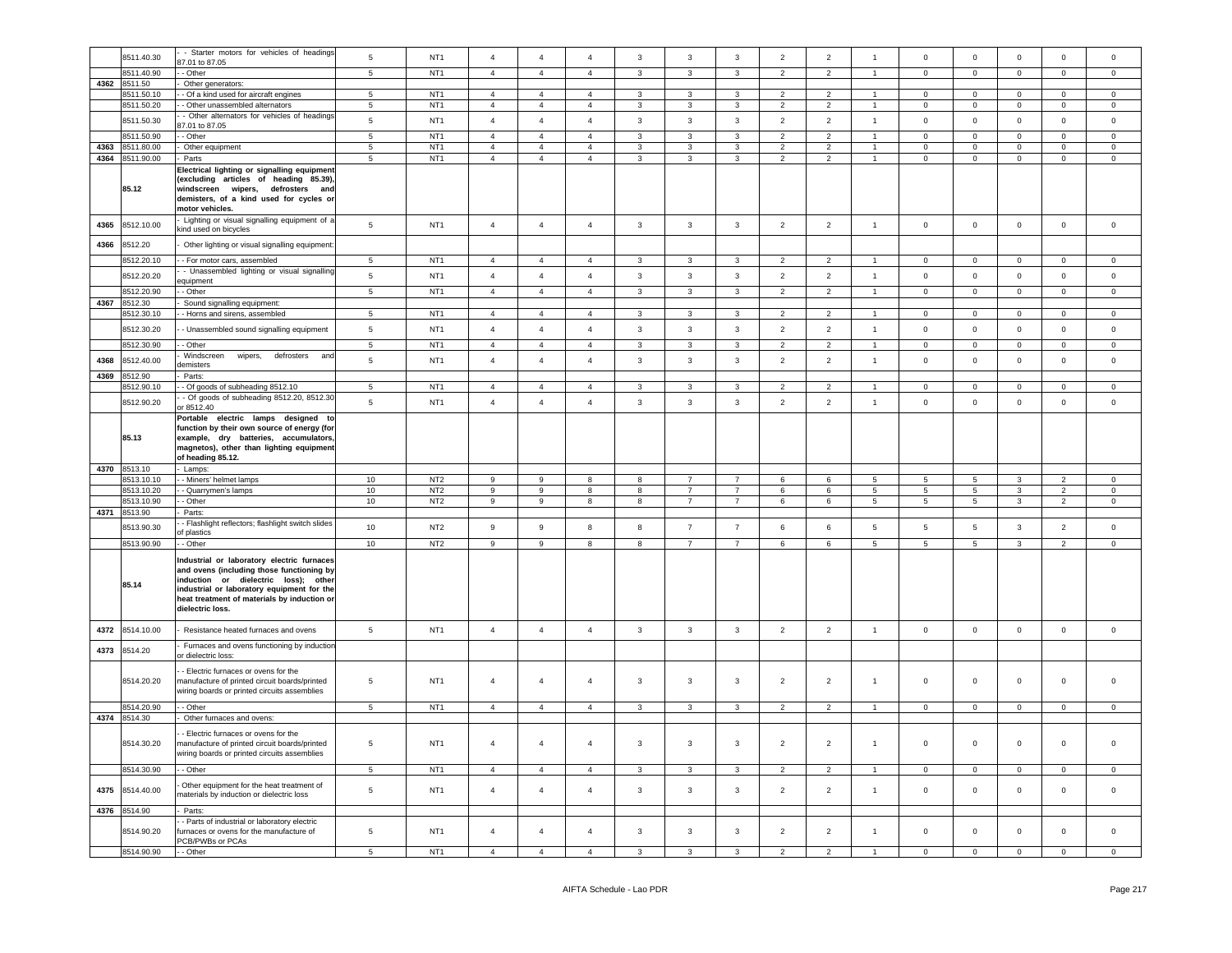|      | 8511.40.30      | - Starter motors for vehicles of headings         | $\sqrt{5}$      | NT <sub>1</sub> | $\overline{4}$   | $\overline{4}$   | $\overline{4}$ | $\mathbf{3}$            | $\mathbf{3}$            | $\mathbf{3}$   | $\overline{2}$ | $\sqrt{2}$               | $\overline{1}$       | $\mathsf 0$     | $\mathbf 0$         | $\mathbf 0$    | $\mathsf 0$    | $\mathsf 0$         |
|------|-----------------|---------------------------------------------------|-----------------|-----------------|------------------|------------------|----------------|-------------------------|-------------------------|----------------|----------------|--------------------------|----------------------|-----------------|---------------------|----------------|----------------|---------------------|
|      |                 | 87.01 to 87.05                                    |                 |                 |                  |                  |                |                         |                         |                |                |                          |                      |                 |                     |                |                |                     |
|      | 8511.40.90      | - - Other                                         | $5\overline{5}$ | NT <sub>1</sub> | $\overline{4}$   | $\overline{4}$   | $\overline{4}$ | $\overline{3}$          | $\mathbf{3}$            | $\mathbf{3}$   | $\overline{2}$ | $\overline{2}$           | $\mathbf{1}$         | $\overline{0}$  | $\overline{0}$      | $\mathbf 0$    | $\overline{0}$ | $\overline{0}$      |
|      | 4362 8511.50    |                                                   |                 |                 |                  |                  |                |                         |                         |                |                |                          |                      |                 |                     |                |                |                     |
|      |                 | Other generators:                                 |                 |                 |                  |                  |                |                         |                         |                |                |                          |                      |                 |                     |                |                |                     |
|      | 8511.50.10      | - Of a kind used for aircraft engines             | 5               | NT <sub>1</sub> | $\overline{4}$   | $\overline{4}$   | $\overline{4}$ | $\mathbf{3}$            | 3                       | 3              | $\overline{2}$ | $\overline{2}$           |                      | $\mathbf 0$     | $\overline{0}$      | $\mathbf 0$    | $\mathbf 0$    | $\mathsf 0$         |
|      | 8511.50.20      | - - Other unassembled alternators                 | $5^{\circ}$     | NT <sub>1</sub> | $\overline{4}$   | $\overline{4}$   | $\overline{4}$ | $\mathbf{3}$            | $\mathbf{3}$            | 3              | $\overline{2}$ | $\overline{2}$           | $\sim$               | $\overline{0}$  | $\mathbf{0}$        | $\mathbf{0}$   | $\circ$        | $\circ$             |
|      |                 |                                                   |                 |                 |                  |                  |                |                         |                         |                |                |                          |                      |                 |                     |                |                |                     |
|      | 8511.50.30      | - Other alternators for vehicles of headings      | $\sqrt{5}$      | NT <sub>1</sub> | $\overline{4}$   | $\overline{4}$   | $\overline{4}$ | $\mathbf{3}$            | $\mathbf{3}$            | $\mathbf{3}$   | $\overline{2}$ | $\overline{2}$           | $\overline{1}$       | $\mathbf 0$     | $\mathbf 0$         | $\mathsf 0$    | $\mathbf{0}$   | $\mathsf 0$         |
|      |                 | 37.01 to 87.05                                    |                 |                 |                  |                  |                |                         |                         |                |                |                          |                      |                 |                     |                |                |                     |
|      | 8511.50.90      | - Other                                           | 5               | NT <sub>1</sub> | $\overline{4}$   | $\overline{4}$   | $\overline{4}$ | $\mathbf{3}$            | $\mathbf{3}$            | $\mathbf{3}$   | $\overline{2}$ | $\overline{2}$           | $\mathbf{1}$         | $\mathsf 0$     | $\mathbf 0$         | $\mathsf 0$    | $\mathsf 0$    | $\mathsf 0$         |
|      |                 |                                                   |                 |                 |                  |                  |                |                         |                         |                |                |                          |                      |                 |                     |                |                |                     |
|      | 4363 8511.80.00 | Other equipment                                   | 5               | NT <sub>1</sub> | $\overline{4}$   | $\overline{4}$   | $\overline{4}$ | 3                       | 3                       | 3              | $\overline{2}$ | $\overline{2}$           | $\mathbf{1}$         | $\Omega$        | $\mathbf 0$         | $\mathbf 0$    | $\Omega$       | $\circ$             |
|      | 4364 8511.90.00 | Parts                                             | 5               | NT <sub>1</sub> | $\overline{4}$   | $\overline{4}$   | $\overline{4}$ | $\mathbf{3}$            | 3                       | $\mathbf{3}$   | $\overline{2}$ | $\overline{2}$           | -1                   | $\mathbf 0$     | $\mathbf 0$         | $\mathbf 0$    | $\mathsf 0$    | $\mathsf 0$         |
|      |                 |                                                   |                 |                 |                  |                  |                |                         |                         |                |                |                          |                      |                 |                     |                |                |                     |
|      |                 | Electrical lighting or signalling equipment       |                 |                 |                  |                  |                |                         |                         |                |                |                          |                      |                 |                     |                |                |                     |
|      |                 | (excluding articles of heading 85.39),            |                 |                 |                  |                  |                |                         |                         |                |                |                          |                      |                 |                     |                |                |                     |
|      | 85.12           | windscreen<br>wipers, defrosters and              |                 |                 |                  |                  |                |                         |                         |                |                |                          |                      |                 |                     |                |                |                     |
|      |                 |                                                   |                 |                 |                  |                  |                |                         |                         |                |                |                          |                      |                 |                     |                |                |                     |
|      |                 | demisters, of a kind used for cycles or           |                 |                 |                  |                  |                |                         |                         |                |                |                          |                      |                 |                     |                |                |                     |
|      |                 | motor vehicles.                                   |                 |                 |                  |                  |                |                         |                         |                |                |                          |                      |                 |                     |                |                |                     |
|      |                 | Lighting or visual signalling equipment of a      |                 |                 |                  |                  |                |                         |                         |                |                |                          |                      |                 |                     |                |                |                     |
| 4365 | 8512.10.00      |                                                   | $\sqrt{5}$      | NT <sub>1</sub> | $\overline{4}$   | $\overline{4}$   | $\overline{4}$ | $\mathbf{3}$            | $\mathbf{3}$            | $\mathbf{3}$   | $\overline{2}$ | $\overline{2}$           | $\mathbf{1}$         | $\,0\,$         | $\mathbf 0$         | $\mathbf 0$    | $\mathbf 0$    | $\mathsf 0$         |
|      |                 | kind used on bicycles                             |                 |                 |                  |                  |                |                         |                         |                |                |                          |                      |                 |                     |                |                |                     |
|      |                 |                                                   |                 |                 |                  |                  |                |                         |                         |                |                |                          |                      |                 |                     |                |                |                     |
| 4366 | 8512.20         | Other lighting or visual signalling equipment:    |                 |                 |                  |                  |                |                         |                         |                |                |                          |                      |                 |                     |                |                |                     |
|      |                 |                                                   |                 |                 |                  |                  |                |                         |                         |                |                |                          |                      |                 |                     |                |                |                     |
|      | 8512.20.10      | - For motor cars, assembled                       | 5               | NT <sub>1</sub> | $\overline{4}$   | $\overline{4}$   | $\overline{4}$ | 3                       | 3                       | 3              | $\overline{2}$ | $\overline{\phantom{a}}$ |                      | $\mathbf 0$     | $\mathbf 0$         | $\mathbf 0$    | $\mathsf 0$    | $\mathsf 0$         |
|      |                 | - Unassembled lighting or visual signalling       |                 | NT <sub>1</sub> |                  |                  | $\overline{a}$ |                         |                         |                |                |                          | $\overline{1}$       |                 |                     |                |                |                     |
|      | 8512.20.20      | quipment                                          | $\overline{5}$  |                 | $\overline{4}$   | $\overline{4}$   |                | $\mathbf{3}$            | $\mathbf{3}$            | $\mathbf{3}$   | $\overline{2}$ | $\overline{2}$           |                      | $\mathbf 0$     | $\mathbf 0$         | $\mathbf 0$    | $\mathbf{0}$   | $\mathsf{O}$        |
|      | 8512.20.90      | - Other                                           | $\overline{5}$  | NT <sub>1</sub> | $\overline{4}$   | $\overline{4}$   | $\overline{4}$ | $\overline{3}$          | $\overline{\mathbf{3}}$ | $\overline{3}$ | $\overline{2}$ | $\overline{2}$           | $\overline{1}$       | $\overline{0}$  | $\overline{0}$      | $\overline{0}$ | $\overline{0}$ | $\Omega$            |
|      |                 |                                                   |                 |                 |                  |                  |                |                         |                         |                |                |                          |                      |                 |                     |                |                |                     |
| 4367 | 8512.30         | Sound signalling equipment:                       |                 |                 |                  |                  |                |                         |                         |                |                |                          |                      |                 |                     |                |                |                     |
|      | 3512.30.10      | - Horns and sirens, assembled                     | $\overline{5}$  | NT <sub>1</sub> | $\overline{4}$   | $\overline{4}$   | $\overline{4}$ | $\overline{\mathbf{3}}$ | $\overline{\mathbf{3}}$ | $\overline{3}$ | $\overline{2}$ | $\overline{2}$           | $\blacktriangleleft$ | $\overline{0}$  | $\overline{0}$      | $\overline{0}$ | $\Omega$       | $\Omega$            |
|      |                 |                                                   |                 |                 |                  |                  |                |                         |                         |                |                |                          |                      |                 |                     |                |                |                     |
|      | 8512.30.20      | - Unassembled sound signalling equipment          | 5               | NT <sub>1</sub> | $\overline{4}$   | $\overline{4}$   | $\overline{4}$ | $\mathbf{3}$            | $\mathbf{3}$            | $\mathbf{3}$   | $\overline{2}$ | $\overline{2}$           | $\overline{1}$       | $\mathbf 0$     | $\mathbf 0$         | $\mathsf 0$    | $\mathsf 0$    | $\mathsf 0$         |
|      |                 |                                                   |                 |                 |                  |                  |                |                         |                         |                |                |                          |                      |                 |                     |                |                |                     |
|      | 8512.30.90      | - Other                                           | 5               | NT <sub>1</sub> | $\overline{4}$   | $\overline{4}$   | $\overline{4}$ | $\mathbf{3}$            | $\mathbf{3}$            | $\mathbf{3}$   | $\overline{2}$ | $\overline{2}$           | $\overline{1}$       | $\mathbf 0$     | $\circ$             | $\mathbf 0$    | $\mathsf 0$    | $\mathsf 0$         |
|      |                 | Windscreen                                        |                 |                 |                  |                  |                |                         |                         |                |                |                          |                      |                 |                     |                |                |                     |
| 4368 | 8512.40.00      | wipers,<br>defrosters<br>and                      | $\sqrt{5}$      | NT <sub>1</sub> | $\overline{4}$   | $\overline{4}$   | $\overline{a}$ | $\mathbf{3}$            | $\mathbf{3}$            | $\mathbf{3}$   | $\overline{2}$ | $\overline{2}$           | $\overline{1}$       | $\mathbf 0$     | $\mathbf 0$         | $\mathbf 0$    | $\mathbf 0$    | $\mathsf 0$         |
|      |                 | lemisters                                         |                 |                 |                  |                  |                |                         |                         |                |                |                          |                      |                 |                     |                |                |                     |
| 4369 | 8512.90         | Parts:                                            |                 |                 |                  |                  |                |                         |                         |                |                |                          |                      |                 |                     |                |                |                     |
|      | 8512.90.10      | - Of goods of subheading 8512.10                  | 5               | NT <sub>1</sub> | $\overline{4}$   | $\overline{4}$   | $\overline{4}$ | 3                       | 3                       | $\mathbf{3}$   | 2              | $\overline{2}$           | $\overline{1}$       | $\overline{0}$  | $\mathbf 0$         | $\mathsf 0$    | $\mathbf{0}$   | $\circ$             |
|      |                 |                                                   |                 |                 |                  |                  |                |                         |                         |                |                |                          |                      |                 |                     |                |                |                     |
|      | 8512.90.20      | - Of goods of subheading 8512.20, 8512.30         | $\sqrt{5}$      | NT <sub>1</sub> | $\overline{4}$   | $\overline{4}$   | $\sqrt{4}$     | $\mathbf{3}$            | $\mathbf{3}$            | $\mathbf{3}$   | $\overline{2}$ | $\overline{2}$           | $\overline{1}$       | $\mathbf 0$     | $\mathbf 0$         | $\mathbf 0$    | $\mathsf 0$    | $\mathbf 0$         |
|      |                 | or 8512.40                                        |                 |                 |                  |                  |                |                         |                         |                |                |                          |                      |                 |                     |                |                |                     |
|      |                 |                                                   |                 |                 |                  |                  |                |                         |                         |                |                |                          |                      |                 |                     |                |                |                     |
|      |                 | Portable electric lamps designed to               |                 |                 |                  |                  |                |                         |                         |                |                |                          |                      |                 |                     |                |                |                     |
|      |                 | function by their own source of energy (for       |                 |                 |                  |                  |                |                         |                         |                |                |                          |                      |                 |                     |                |                |                     |
|      | 85.13           | example, dry batteries, accumulators.             |                 |                 |                  |                  |                |                         |                         |                |                |                          |                      |                 |                     |                |                |                     |
|      |                 | magnetos), other than lighting equipment          |                 |                 |                  |                  |                |                         |                         |                |                |                          |                      |                 |                     |                |                |                     |
|      |                 |                                                   |                 |                 |                  |                  |                |                         |                         |                |                |                          |                      |                 |                     |                |                |                     |
|      |                 | of heading 85.12.                                 |                 |                 |                  |                  |                |                         |                         |                |                |                          |                      |                 |                     |                |                |                     |
|      | 4370 8513.10    | - Lamps:                                          |                 |                 |                  |                  |                |                         |                         |                |                |                          |                      |                 |                     |                |                |                     |
|      |                 |                                                   |                 |                 |                  |                  |                |                         |                         |                |                |                          |                      |                 |                     |                |                |                     |
|      |                 |                                                   |                 |                 |                  |                  |                |                         |                         |                |                |                          |                      |                 |                     |                |                |                     |
|      | 8513.10.10      | - Miners' helmet lamps                            | 10              | NT <sub>2</sub> | 9                | 9                | 8              | 8                       | $\overline{7}$          | $\overline{7}$ | 6              | 6                        | -5                   | 5               | $5\overline{)}$     | 3              | 2              | $\Omega$            |
|      | 8513.10.20      | - Quarrymen's lamps                               | 10              | NT <sub>2</sub> | 9                | 9                | 8              | 8                       | $\overline{7}$          | $\overline{7}$ | 6              | 6                        | $5\phantom{.0}$      | $5\phantom{.0}$ | $5\overline{5}$     | $\mathbf{3}$   | $\overline{2}$ | $\overline{0}$      |
|      |                 |                                                   |                 |                 |                  |                  |                |                         |                         |                |                |                          |                      |                 |                     |                |                |                     |
|      | 8513.10.90      | - Other                                           | 10              | NT <sub>2</sub> | $\boldsymbol{9}$ | 9                | 8              | 8                       | $\overline{7}$          | $\overline{7}$ | 6              | 6                        | -5                   | 5               | $5\overline{)}$     | $\mathbf{3}$   | $\overline{2}$ | $\overline{0}$      |
|      | 4371 8513.90    | Parts:                                            |                 |                 |                  |                  |                |                         |                         |                |                |                          |                      |                 |                     |                |                |                     |
|      |                 |                                                   |                 |                 |                  |                  |                |                         |                         |                |                |                          |                      |                 |                     |                |                |                     |
|      | 8513.90.30      | - Flashlight reflectors; flashlight switch slides | 10              | NT <sub>2</sub> | 9                | $\boldsymbol{9}$ | 8              | 8                       | $\overline{7}$          | $\overline{7}$ | 6              | 6                        | $5\phantom{.0}$      | 5               | 5                   | $\mathbf{3}$   | $\overline{2}$ | $\mathsf 0$         |
|      |                 | f plastics                                        |                 |                 |                  |                  |                |                         |                         |                |                |                          |                      |                 |                     |                |                |                     |
|      | 8513.90.90      | - Other                                           | 10              | NT <sub>2</sub> | $\mathsf g$      | 9                | 8              | 8                       | $\overline{7}$          | $\overline{7}$ | 6              | 6                        | 5                    | $\,$ 5 $\,$     | $5\phantom{.0}$     | $\mathbf{3}$   | $\overline{2}$ | $\mathsf{O}\xspace$ |
|      |                 |                                                   |                 |                 |                  |                  |                |                         |                         |                |                |                          |                      |                 |                     |                |                |                     |
|      |                 | Industrial or laboratory electric furnaces        |                 |                 |                  |                  |                |                         |                         |                |                |                          |                      |                 |                     |                |                |                     |
|      |                 |                                                   |                 |                 |                  |                  |                |                         |                         |                |                |                          |                      |                 |                     |                |                |                     |
|      |                 | and ovens (including those functioning by         |                 |                 |                  |                  |                |                         |                         |                |                |                          |                      |                 |                     |                |                |                     |
|      | 85.14           | induction or dielectric loss); other              |                 |                 |                  |                  |                |                         |                         |                |                |                          |                      |                 |                     |                |                |                     |
|      |                 | industrial or laboratory equipment for the        |                 |                 |                  |                  |                |                         |                         |                |                |                          |                      |                 |                     |                |                |                     |
|      |                 | heat treatment of materials by induction or       |                 |                 |                  |                  |                |                         |                         |                |                |                          |                      |                 |                     |                |                |                     |
|      |                 | dielectric loss.                                  |                 |                 |                  |                  |                |                         |                         |                |                |                          |                      |                 |                     |                |                |                     |
|      |                 |                                                   |                 |                 |                  |                  |                |                         |                         |                |                |                          |                      |                 |                     |                |                |                     |
|      |                 |                                                   |                 |                 |                  |                  |                |                         |                         |                |                |                          |                      |                 |                     |                |                |                     |
| 4372 | 8514.10.00      | Resistance heated furnaces and ovens              | $5\phantom{.0}$ | NT <sub>1</sub> | $\overline{4}$   | $\overline{4}$   | $\overline{4}$ | $\mathbf{3}$            | $\mathbf{3}$            | $\mathbf{3}$   | $\overline{2}$ | $\overline{2}$           | $\mathbf{1}$         | $\mathbf 0$     | $\mathbf 0$         | $\mathbf 0$    | $\mathsf 0$    | $\mathsf 0$         |
|      |                 |                                                   |                 |                 |                  |                  |                |                         |                         |                |                |                          |                      |                 |                     |                |                |                     |
|      |                 | Furnaces and ovens functioning by induction       |                 |                 |                  |                  |                |                         |                         |                |                |                          |                      |                 |                     |                |                |                     |
| 4373 | 8514.20         | or dielectric loss:                               |                 |                 |                  |                  |                |                         |                         |                |                |                          |                      |                 |                     |                |                |                     |
|      |                 |                                                   |                 |                 |                  |                  |                |                         |                         |                |                |                          |                      |                 |                     |                |                |                     |
|      |                 | - Electric furnaces or ovens for the              |                 |                 |                  |                  |                |                         |                         |                |                |                          |                      |                 |                     |                |                |                     |
|      | 8514.20.20      | nanufacture of printed circuit boards/printed     | 5               | NT <sub>1</sub> | $\overline{4}$   | $\overline{4}$   | $\overline{4}$ | $\mathbf{3}$            | $\mathbf{3}$            | 3              | $\overline{2}$ | $\overline{2}$           | $\mathbf{1}$         | $\,0\,$         | $\mathsf 0$         | $\mathbf 0$    | 0              | $\mathsf 0$         |
|      |                 |                                                   |                 |                 |                  |                  |                |                         |                         |                |                |                          |                      |                 |                     |                |                |                     |
|      |                 | wiring boards or printed circuits assemblies      |                 |                 |                  |                  |                |                         |                         |                |                |                          |                      |                 |                     |                |                |                     |
|      |                 | - Other                                           |                 |                 |                  |                  |                |                         |                         |                |                |                          | $\overline{1}$       |                 |                     |                |                | $\circ$             |
|      | 8514.20.90      |                                                   | 5               | NT <sub>1</sub> | $\overline{4}$   | $\overline{4}$   | $\overline{4}$ | $\mathbf{3}$            | $\mathbf{3}$            | $\mathbf{3}$   | $\overline{2}$ | $\overline{2}$           |                      | $\circ$         | $\mathbf 0$         | $\mathbf 0$    | $\mathbf{0}$   |                     |
|      | 4374 8514.30    | Other furnaces and ovens:                         |                 |                 |                  |                  |                |                         |                         |                |                |                          |                      |                 |                     |                |                |                     |
|      |                 |                                                   |                 |                 |                  |                  |                |                         |                         |                |                |                          |                      |                 |                     |                |                |                     |
|      |                 | Electric furnaces or ovens for the                |                 |                 |                  |                  |                |                         |                         |                |                |                          |                      |                 |                     |                |                |                     |
|      | 8514.30.20      | nanufacture of printed circuit boards/printed     | 5               | NT <sub>1</sub> | $\overline{4}$   | $\overline{4}$   | $\overline{4}$ | $\mathbf{3}$            | $\mathbf{3}$            | 3              | $\overline{2}$ | $\overline{2}$           | $\mathbf{1}$         | $\mathbf 0$     | $\mathsf 0$         | $\mathbf 0$    | 0              | $\mathsf 0$         |
|      |                 |                                                   |                 |                 |                  |                  |                |                         |                         |                |                |                          |                      |                 |                     |                |                |                     |
|      |                 | wiring boards or printed circuits assemblies      |                 |                 |                  |                  |                |                         |                         |                |                |                          |                      |                 |                     |                |                |                     |
|      |                 |                                                   |                 |                 |                  |                  |                |                         |                         | $\mathbf{3}$   |                |                          | $\overline{1}$       |                 |                     |                |                | $\Omega$            |
|      | 8514.30.90      | - Other                                           | 5               | NT <sub>1</sub> | $\overline{4}$   | $\overline{4}$   | $\overline{4}$ | $\mathbf{3}$            | $\overline{3}$          |                | $\overline{2}$ | $\overline{2}$           |                      | $\mathbf 0$     | $\mathsf 0$         | $\mathsf 0$    | $\mathsf 0$    |                     |
|      |                 |                                                   |                 |                 |                  |                  |                |                         |                         |                |                |                          |                      |                 |                     |                |                |                     |
| 4375 | 8514.40.00      | Other equipment for the heat treatment of         | 5               | NT <sub>1</sub> | $\overline{4}$   | $\overline{4}$   | $\overline{4}$ | $\mathbf{3}$            | $\mathbf{3}$            | $\mathbf{3}$   | $\overline{2}$ | $\overline{2}$           | $\mathbf{1}$         | $\mathsf 0$     | $\mathsf{O}\xspace$ | $\mathbf 0$    | $\mathsf 0$    | $\mathsf 0$         |
|      |                 | naterials by induction or dielectric loss         |                 |                 |                  |                  |                |                         |                         |                |                |                          |                      |                 |                     |                |                |                     |
|      |                 |                                                   |                 |                 |                  |                  |                |                         |                         |                |                |                          |                      |                 |                     |                |                |                     |
|      | 4376 8514.90    | Parts:                                            |                 |                 |                  |                  |                |                         |                         |                |                |                          |                      |                 |                     |                |                |                     |
|      |                 | - Parts of industrial or laboratory electric      |                 |                 |                  |                  |                |                         |                         |                |                |                          |                      |                 |                     |                |                |                     |
|      | 8514.90.20      | furnaces or ovens for the manufacture of          | 5               | NT <sub>1</sub> | $\overline{4}$   | $\overline{4}$   | $\overline{4}$ | $\mathbf{3}$            | 3                       | $\mathbf{3}$   | $\overline{2}$ | $\sqrt{2}$               | $\mathbf{1}$         | $\mathsf{O}$    | $\mathsf{O}\xspace$ | $\mathbf 0$    | $\mathsf 0$    | $\mathsf 0$         |
|      |                 |                                                   |                 |                 |                  |                  |                |                         |                         |                |                |                          |                      |                 |                     |                |                |                     |
|      | 8514.90.90      | PCB/PWBs or PCAs<br>- - Other                     | 5               | NT <sub>1</sub> | $\Lambda$        | $\overline{4}$   | $\Lambda$      | 3                       | 3                       | $\mathbf{R}$   | $\mathcal{L}$  | $\mathcal{D}$            |                      | $\mathbf 0$     | $\mathbf 0$         | $\mathbf 0$    | $\circ$        | $\Omega$            |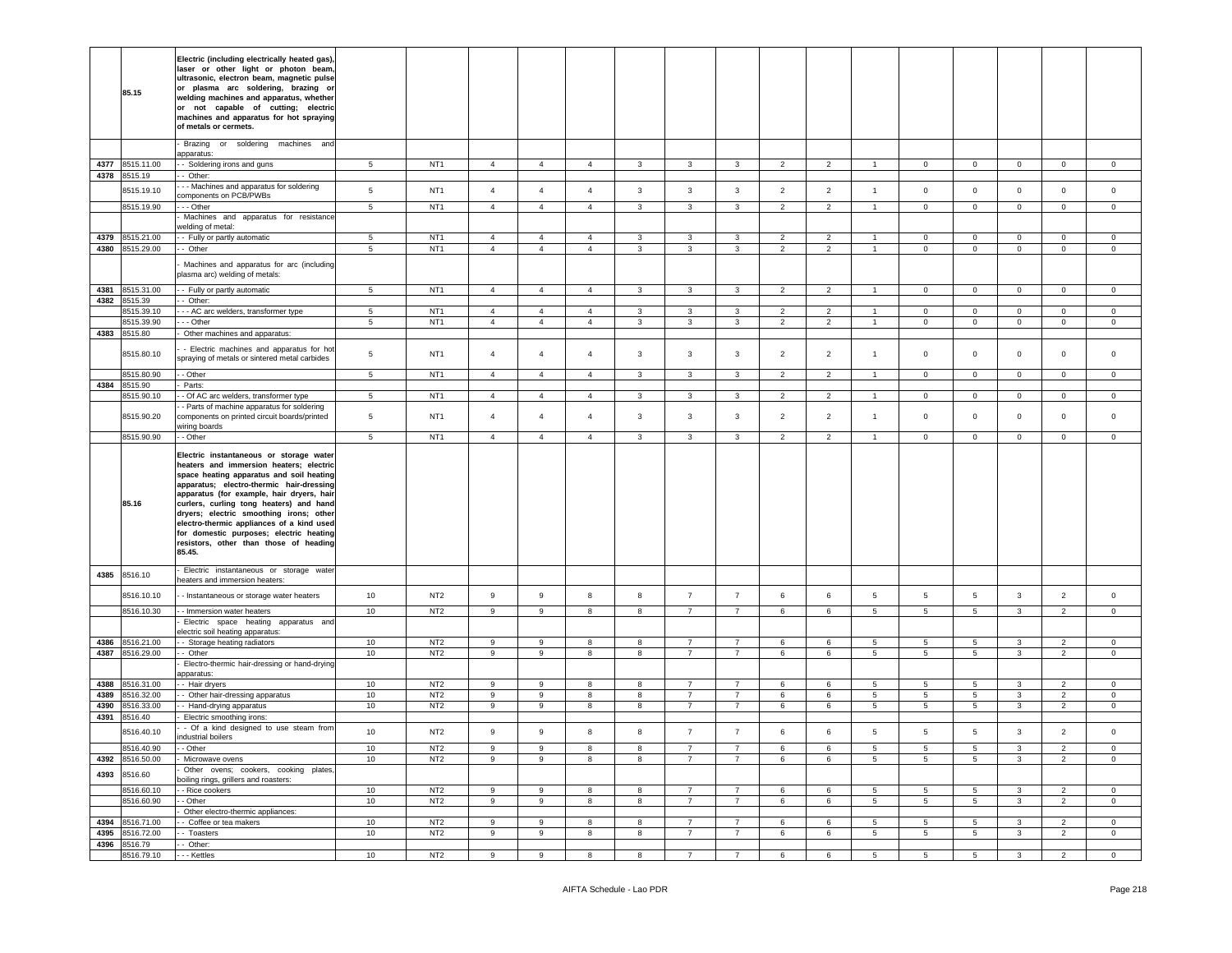|              | 85.15                    | Electric (including electrically heated gas),<br>laser or other light or photon beam,<br>ultrasonic, electron beam, magnetic pulse<br>or plasma arc soldering, brazing or<br>welding machines and apparatus, whether<br>or not capable of cutting; electric<br>machines and apparatus for hot spraying<br>of metals or cermets.                                                                                                                           |                |                                    |                                  |                                  |                     |                   |                                  |                                  |                                  |                                  |                 |                             |                            |                            |                                  |                            |
|--------------|--------------------------|-----------------------------------------------------------------------------------------------------------------------------------------------------------------------------------------------------------------------------------------------------------------------------------------------------------------------------------------------------------------------------------------------------------------------------------------------------------|----------------|------------------------------------|----------------------------------|----------------------------------|---------------------|-------------------|----------------------------------|----------------------------------|----------------------------------|----------------------------------|-----------------|-----------------------------|----------------------------|----------------------------|----------------------------------|----------------------------|
|              |                          | Brazing<br>or soldering<br>machines and<br>apparatus:                                                                                                                                                                                                                                                                                                                                                                                                     |                |                                    |                                  |                                  |                     |                   |                                  |                                  |                                  |                                  |                 |                             |                            |                            |                                  |                            |
| 4377         | 8515.11.00               | - Soldering irons and guns                                                                                                                                                                                                                                                                                                                                                                                                                                | 5 <sup>5</sup> | NT <sub>1</sub>                    | $\overline{4}$                   | $\overline{4}$                   | $\overline{4}$      | $\mathbf{3}$      | $\mathbf{3}$                     | $\mathbf{3}$                     | $\overline{2}$                   | $\overline{2}$                   | $\overline{1}$  | $\mathbf{0}$                | $\overline{0}$             | $\mathbf 0$                | $\mathbf{0}$                     | $\mathbf{0}$               |
| 4378         | 8515.19                  | - Other:<br>- - Machines and apparatus for soldering                                                                                                                                                                                                                                                                                                                                                                                                      |                |                                    |                                  |                                  |                     |                   |                                  |                                  |                                  |                                  |                 |                             |                            |                            |                                  |                            |
|              | 8515.19.10               | components on PCB/PWBs                                                                                                                                                                                                                                                                                                                                                                                                                                    | 5              | NT <sub>1</sub>                    | $\overline{4}$                   | $\overline{4}$                   | $\overline{4}$      | 3                 | 3                                | 3                                | $\overline{2}$                   | $\overline{2}$                   | $\overline{1}$  | $\mathsf 0$                 | $\mathbf 0$                | $\mathbf 0$                | $\mathbf 0$                      | $\mathsf 0$                |
|              | 8515.19.90               | - - Other<br>Machines and apparatus for resistance                                                                                                                                                                                                                                                                                                                                                                                                        | 5              | NT <sub>1</sub>                    | $\overline{4}$                   | $\overline{4}$                   | $\overline{4}$      | $\mathbf{3}$      | 3                                | $\mathbf{3}$                     | 2                                | $\overline{2}$                   | $\overline{1}$  | $\mathbf 0$                 | $\mathbf 0$                | $\mathbf 0$                | $\mathbf 0$                      | $\mathbf 0$                |
|              |                          | velding of metal:                                                                                                                                                                                                                                                                                                                                                                                                                                         |                |                                    |                                  |                                  |                     |                   |                                  |                                  |                                  |                                  |                 |                             |                            |                            |                                  |                            |
| 4379<br>4380 | 8515.21.00<br>8515.29.00 | - Fully or partly automatic<br>- Other                                                                                                                                                                                                                                                                                                                                                                                                                    | 5<br>5         | NT <sub>1</sub><br>NT <sub>1</sub> | $\overline{4}$<br>$\overline{4}$ | $\overline{4}$<br>$\overline{4}$ | 4<br>$\overline{4}$ | 3<br>$\mathbf{3}$ | $\mathbf{3}$<br>3                | 3<br>$\mathbf{3}$                | $\overline{2}$<br>$\overline{2}$ | $\overline{2}$<br>$\overline{2}$ | $\overline{1}$  | $\mathbf 0$<br>$\mathbf{0}$ | $\mathbf 0$<br>$\mathbf 0$ | $\mathbf 0$<br>$\mathbf 0$ | $\mathbf 0$<br>$\mathbf 0$       | $\mathbf 0$<br>$\mathbf 0$ |
|              |                          | Machines and apparatus for arc (including<br>blasma arc) welding of metals:                                                                                                                                                                                                                                                                                                                                                                               |                |                                    |                                  |                                  |                     |                   |                                  |                                  |                                  |                                  |                 |                             |                            |                            |                                  |                            |
| 4381<br>4382 | 8515.31.00               | - Fully or partly automatic                                                                                                                                                                                                                                                                                                                                                                                                                               | 5              | NT <sub>1</sub>                    | $\overline{4}$                   | $\overline{4}$                   | $\overline{4}$      | 3                 | 3                                | 3                                | $\overline{2}$                   | $\overline{2}$                   | $\overline{1}$  | $\mathbf 0$                 | $\mathbf{0}$               | $\mathbf{0}$               | $\mathbf 0$                      | $\mathbf 0$                |
|              | 8515.39<br>8515.39.10    | - Other:<br>- - AC arc welders, transformer type                                                                                                                                                                                                                                                                                                                                                                                                          | 5              | NT <sub>1</sub>                    | $\overline{4}$                   | $\overline{4}$                   | 4                   | 3                 | 3                                | 3                                | $\overline{2}$                   | $\overline{2}$                   |                 | 0                           | $\mathbf{0}$               | $\mathbf 0$                | $\mathbf 0$                      | $\mathbf 0$                |
|              | 8515.39.90               | - - Other                                                                                                                                                                                                                                                                                                                                                                                                                                                 | 5              | NT <sub>1</sub>                    | $\sqrt{4}$                       | $\overline{4}$                   | $\overline{4}$      | 3                 | 3                                | $\mathbf{3}$                     | $\overline{2}$                   | $\overline{2}$                   | $\mathbf{1}$    | $\mathbf 0$                 | $\mathbf 0$                | $\mathbf 0$                | $\overline{0}$                   | $\mathbf 0$                |
| 4383         | 8515.80                  | Other machines and apparatus:                                                                                                                                                                                                                                                                                                                                                                                                                             |                |                                    |                                  |                                  |                     |                   |                                  |                                  |                                  |                                  |                 |                             |                            |                            |                                  |                            |
|              | 8515.80.10               | - Electric machines and apparatus for hot<br>spraying of metals or sintered metal carbides                                                                                                                                                                                                                                                                                                                                                                | 5              | NT <sub>1</sub>                    | $\overline{4}$                   | $\overline{4}$                   | 4                   | 3                 | 3                                | 3                                | $\overline{2}$                   | $\overline{2}$                   | $\overline{1}$  | $\mathsf 0$                 | 0                          | $\mathbf 0$                | $\mathbf 0$                      | $\mathbf 0$                |
| 4384         | 8515.80.90<br>8515.90    | - Other<br>Parts:                                                                                                                                                                                                                                                                                                                                                                                                                                         | 5              | NT <sub>1</sub>                    | $\overline{4}$                   | $\overline{4}$                   | $\overline{4}$      | 3                 | 3                                | 3                                | $\overline{2}$                   | $\overline{2}$                   | $\overline{1}$  | $\mathbf 0$                 | 0                          | $\mathbf 0$                | $\mathbf 0$                      | $\mathbf 0$                |
|              | 8515.90.10               | Of AC arc welders, transformer type                                                                                                                                                                                                                                                                                                                                                                                                                       | 5              | NT <sub>1</sub>                    | $\overline{4}$                   | $\overline{4}$                   | $\overline{4}$      | 3                 | $\mathbf{3}$                     | $\mathbf{3}$                     | $\overline{2}$                   | $\overline{2}$                   | $\overline{1}$  | $\mathbf 0$                 | $\mathbf 0$                | $\mathbf 0$                | $\mathbf 0$                      | $\overline{0}$             |
|              | 8515.90.20               | - Parts of machine apparatus for soldering<br>components on printed circuit boards/printed<br>wiring boards                                                                                                                                                                                                                                                                                                                                               | 5              | NT <sub>1</sub>                    | $\overline{4}$                   | $\overline{4}$                   | $\overline{4}$      | 3                 | 3                                | 3                                | $\overline{2}$                   | $\overline{2}$                   | $\overline{1}$  | $\mathsf 0$                 | 0                          | $\mathbf 0$                | $\mathbf 0$                      | $\mathbf 0$                |
|              | 8515.90.90               | - Other                                                                                                                                                                                                                                                                                                                                                                                                                                                   | 5              | NT <sub>1</sub>                    | $\overline{4}$                   | $\overline{4}$                   | $\overline{4}$      | 3                 | 3                                | 3                                | $\overline{2}$                   | $\overline{2}$                   | $\mathbf{1}$    | $\mathbf 0$                 | $\overline{0}$             | $\mathbf{0}$               | $\mathbf 0$                      | $\mathbf 0$                |
|              | 85.16                    | Electric instantaneous or storage water<br>heaters and immersion heaters; electric<br>space heating apparatus and soil heating<br>apparatus; electro-thermic hair-dressing<br>apparatus (for example, hair dryers, hair<br>curlers, curling tong heaters) and hand<br>dryers; electric smoothing irons; other<br>electro-thermic appliances of a kind used<br>for domestic purposes; electric heating<br>resistors, other than those of heading<br>85.45. |                |                                    |                                  |                                  |                     |                   |                                  |                                  |                                  |                                  |                 |                             |                            |                            |                                  |                            |
| 4385         | 8516.10                  | Electric instantaneous or storage water<br>neaters and immersion heaters:                                                                                                                                                                                                                                                                                                                                                                                 |                |                                    |                                  |                                  |                     |                   |                                  |                                  |                                  |                                  |                 |                             |                            |                            |                                  |                            |
|              | 8516.10.10               | - Instantaneous or storage water heaters                                                                                                                                                                                                                                                                                                                                                                                                                  | 10             | NT <sub>2</sub>                    | 9                                | $\mathsf g$                      | 8                   | 8                 | $\overline{7}$                   | $\overline{7}$                   | 6                                | 6                                | 5               | 5                           | 5                          | $\mathbf{3}$               | $\overline{2}$                   | $\,0\,$                    |
|              | 8516.10.30               | - Immersion water heaters<br>Electric space heating apparatus and<br>electric soil heating apparatus:                                                                                                                                                                                                                                                                                                                                                     | 10             | NT <sub>2</sub>                    | 9                                | 9                                | 8                   | 8                 | $\overline{7}$                   | $\overline{7}$                   | 6                                | 6                                | 5               | 5                           | $5\phantom{.0}$            | 3                          | $\overline{2}$                   | $\mathbf 0$                |
| 4386         | 8516.21.00               | - Storage heating radiators                                                                                                                                                                                                                                                                                                                                                                                                                               | 10             | NT <sub>2</sub><br>NT <sub>2</sub> | 9                                | 9                                | 8                   | 8                 | $\overline{7}$<br>$\overline{7}$ | $\overline{7}$<br>$\overline{7}$ | 6                                | 6                                | 5               | 5                           | 5                          | 3                          | $\overline{2}$                   | $\mathbf 0$                |
| 4387         | 8516.29.00               | - Other<br>Electro-thermic hair-dressing or hand-drying<br>pparatus:                                                                                                                                                                                                                                                                                                                                                                                      | 10             |                                    | 9                                | 9                                | 8                   | 8                 |                                  |                                  | 6                                | 6                                | 5               | 5                           | 5                          | 3                          | $\overline{2}$                   | $\mathbf 0$                |
| 4388<br>4389 | 8516.31.00<br>8516.32.00 | - Hair dryers                                                                                                                                                                                                                                                                                                                                                                                                                                             | 10<br>10       | NT <sub>2</sub><br>NT <sub>2</sub> | 9<br>9                           | 9<br>9                           | 8                   | 8<br>8            | $\overline{7}$<br>$\overline{7}$ | $\overline{7}$<br>$\overline{7}$ | 6                                | 6<br>6                           | 5<br>5          | 5                           | 5<br>$5\phantom{.0}$       | 3<br>3                     | $\overline{2}$<br>$\overline{2}$ | $\mathsf 0$<br>$\mathbf 0$ |
| 4390         | 8516.33.00               | - Other hair-dressing apparatus<br>- Hand-drying apparatus                                                                                                                                                                                                                                                                                                                                                                                                | 10             | NT <sub>2</sub>                    | 9                                | 9                                | 8<br>8              | 8                 | $\overline{7}$                   | $\overline{7}$                   | 6<br>6                           | 6                                | 5               | 5<br>$5\overline{5}$        | 5 <sub>5</sub>             | $\mathbf{3}$               | $\overline{2}$                   | $\mathbf 0$                |
| 4391         | 8516.40                  | Electric smoothing irons:                                                                                                                                                                                                                                                                                                                                                                                                                                 |                |                                    |                                  |                                  |                     |                   |                                  |                                  |                                  |                                  |                 |                             |                            |                            |                                  |                            |
|              | 8516.40.10               | - Of a kind designed to use steam from<br>ndustrial boilers                                                                                                                                                                                                                                                                                                                                                                                               | 10             | NT <sub>2</sub>                    | 9                                | 9                                | 8                   | 8                 | $\overline{7}$                   | $\overline{7}$                   | 6                                | 6                                | 5               | 5                           | 5                          | 3                          | $\overline{2}$                   | $\Omega$                   |
|              | 8516.40.90               | - Other                                                                                                                                                                                                                                                                                                                                                                                                                                                   | 10             | NT <sub>2</sub>                    | 9                                | 9                                | 8                   | 8                 | $\overline{7}$                   | $\overline{7}$                   | 6                                | 6                                | 5               | 5                           | 5                          | 3                          | $\overline{2}$                   | $\circ$                    |
| 4392<br>4393 | 8516.50.00<br>8516.60    | Microwave ovens<br>Other ovens; cookers, cooking plates,<br>boiling rings, grillers and roasters:                                                                                                                                                                                                                                                                                                                                                         | $10$           | NT <sub>2</sub>                    | 9                                | 9                                | 8                   | 8                 | $\overline{7}$                   | $\overline{7}$                   | 6                                | 6                                | 5               | 5                           | 5                          | $\mathbf{3}$               | $\overline{2}$                   | $\mathsf 0$                |
|              | 8516.60.10               | - - Rice cookers                                                                                                                                                                                                                                                                                                                                                                                                                                          | 10             | NT <sub>2</sub>                    | 9                                | 9                                | 8                   | 8                 | $\overline{7}$                   | $\overline{7}$                   | 6                                | 6                                | 5               | 5 <sub>5</sub>              | 5                          | $\mathbf{3}$               | 2                                | $\overline{0}$             |
|              | 8516.60.90               | - Other<br>Other electro-thermic appliances:                                                                                                                                                                                                                                                                                                                                                                                                              | 10             | NT <sub>2</sub>                    | 9                                | 9                                | 8                   | 8                 | $\overline{7}$                   | $\overline{7}$                   | 6                                | 6                                | $5\phantom{.0}$ | $5\overline{5}$             | $5\overline{5}$            | $\mathbf{3}$               | $\overline{2}$                   | $\overline{0}$             |
|              | 4394 8516.71.00          | - Coffee or tea makers                                                                                                                                                                                                                                                                                                                                                                                                                                    | 10             | NT <sub>2</sub>                    | 9                                | 9                                | 8                   | 8                 | $\overline{7}$                   | $\overline{7}$                   | 6                                | 6                                | 5               | 5                           | 5                          | 3                          | $\overline{2}$                   | $\mathbf 0$                |
| 4395<br>4396 | 8516.72.00<br>8516.79    | - Toasters<br>- Other:                                                                                                                                                                                                                                                                                                                                                                                                                                    | $10\,$         | NT <sub>2</sub>                    | $\boldsymbol{9}$                 | 9                                | 8                   | 8                 | $\overline{7}$                   | $\overline{7}$                   | 6                                | 6                                | 5               | 5                           | $5\phantom{.0}$            | 3                          | $\overline{2}$                   | $\mathbf 0$                |
|              | 8516.79.10               | - - Kettles                                                                                                                                                                                                                                                                                                                                                                                                                                               | 10             | NT <sub>2</sub>                    | 9                                | 9                                | 8                   | 8                 | $\overline{7}$                   | $\overline{7}$                   | 6                                | 6                                | $5\overline{5}$ | 5                           | $5\overline{5}$            | $\mathbf{3}$               | $\overline{2}$                   | $\overline{0}$             |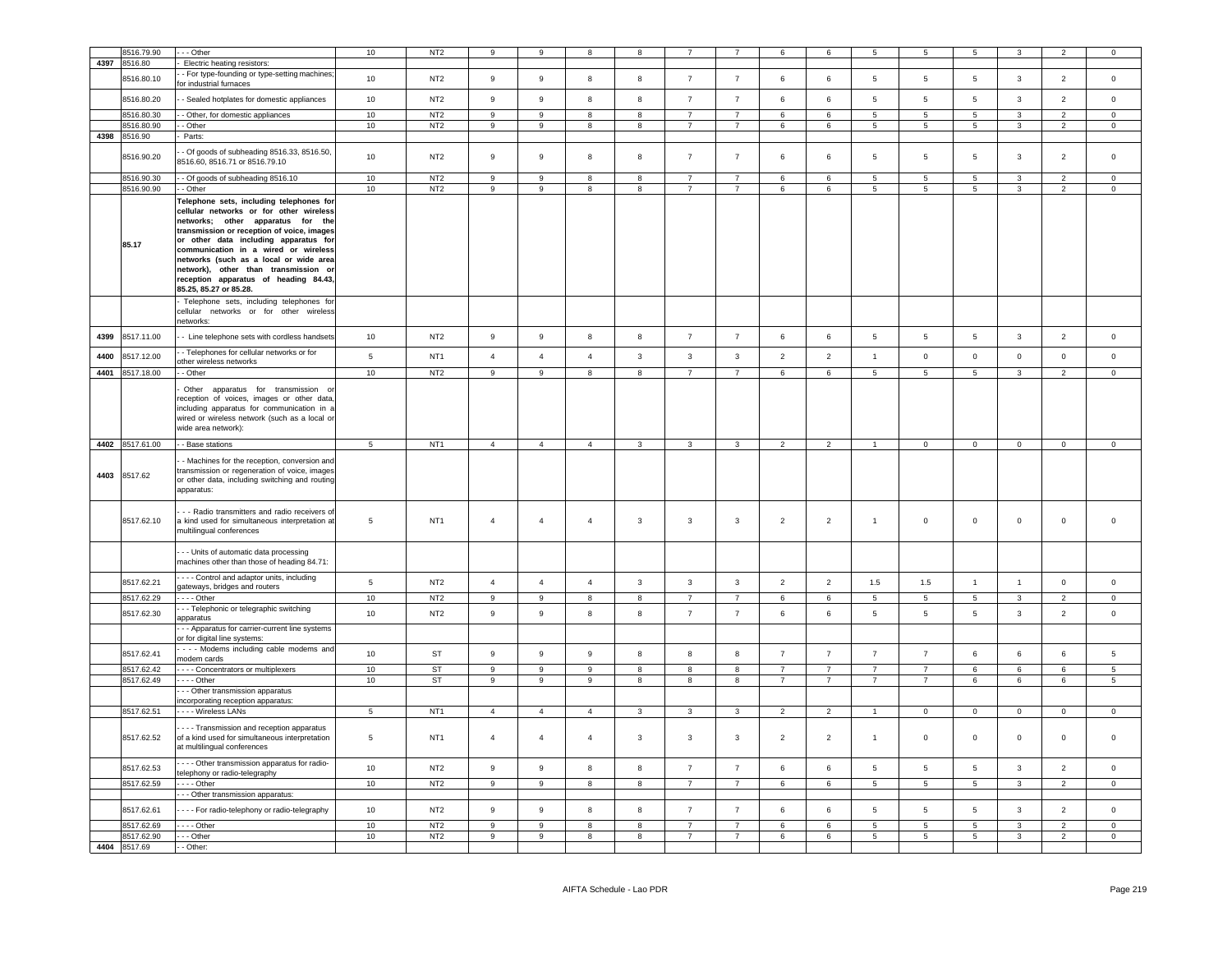|      | 8516.79.90      | - - Other                                                                                                                                                                                                                                                                                                                                                                                                    | 10              | NT <sub>2</sub> | 9                | 9                | 8                | 8            |                |                 | 6              | 6              | 5               | 5               | 5               | 3                       | $\overline{2}$           | $^{\circ}$          |
|------|-----------------|--------------------------------------------------------------------------------------------------------------------------------------------------------------------------------------------------------------------------------------------------------------------------------------------------------------------------------------------------------------------------------------------------------------|-----------------|-----------------|------------------|------------------|------------------|--------------|----------------|-----------------|----------------|----------------|-----------------|-----------------|-----------------|-------------------------|--------------------------|---------------------|
| 4397 | 8516.80         | Electric heating resistors:                                                                                                                                                                                                                                                                                                                                                                                  |                 |                 |                  |                  |                  |              |                |                 |                |                |                 |                 |                 |                         |                          |                     |
|      |                 | - For type-founding or type-setting machines                                                                                                                                                                                                                                                                                                                                                                 |                 |                 |                  |                  |                  |              |                |                 |                |                |                 |                 |                 |                         |                          |                     |
|      | 8516.80.10      | for industrial furnaces                                                                                                                                                                                                                                                                                                                                                                                      | $10$            | NT <sub>2</sub> | 9                | $\boldsymbol{9}$ | 8                | 8            | $\overline{7}$ | $\overline{7}$  | 6              | 6              | $5\phantom{.0}$ | 5               | $\overline{5}$  | $\overline{\mathbf{3}}$ | $\overline{2}$           | $\mathsf 0$         |
|      | 8516.80.20      | - Sealed hotplates for domestic appliances                                                                                                                                                                                                                                                                                                                                                                   | 10              | NT <sub>2</sub> | $\mathsf g$      | 9                | 8                | 8            | $\overline{7}$ | $\overline{7}$  | 6              | 6              | $5\phantom{.0}$ | 5               | 5               | $\mathbf{3}$            | $\overline{2}$           | $\mathsf 0$         |
|      | 8516.80.30      | - - Other, for domestic appliances                                                                                                                                                                                                                                                                                                                                                                           | 10              | NT <sub>2</sub> | 9                | 9                | 8                | 8            | $\overline{7}$ | $7\overline{ }$ | 6              | 6              | $5\overline{5}$ | $5\phantom{.0}$ | $5\phantom{.0}$ | $\mathbf{3}$            | $\overline{2}$           | $\overline{0}$      |
|      | 8516.80.90      | - Other                                                                                                                                                                                                                                                                                                                                                                                                      | 10              | NT <sub>2</sub> | 9                | 9                | 8                | 8            | $\overline{7}$ | 7               | 6              | 6              | $5\overline{5}$ | $5\overline{5}$ | $5\overline{5}$ | $\overline{3}$          | $\overline{2}$           | $\overline{0}$      |
| 4398 | 8516.90         | Parts:                                                                                                                                                                                                                                                                                                                                                                                                       |                 |                 |                  |                  |                  |              |                |                 |                |                |                 |                 |                 |                         |                          |                     |
|      | 8516.90.20      | - Of goods of subheading 8516.33, 8516.50,<br>8516.60, 8516.71 or 8516.79.10                                                                                                                                                                                                                                                                                                                                 | 10              | NT <sub>2</sub> | 9                | 9                | 8                | 8            | $\overline{7}$ | $\overline{7}$  | 6              | $\,6\,$        | $\,$ 5 $\,$     | 5               | 5               | $\mathbf{3}$            | 2                        | $\circ$             |
|      | 3516.90.30      | - Of goods of subheading 8516.10                                                                                                                                                                                                                                                                                                                                                                             | 10              | NT <sub>2</sub> | $\mathsf g$      | $\mathsf g$      | 8                | 8            | $\overline{7}$ | $\overline{7}$  | 6              | 6              | 5               | 5               | 5               | 3                       | $\overline{\phantom{a}}$ | $\mathsf 0$         |
|      | 8516.90.90      | - - Other                                                                                                                                                                                                                                                                                                                                                                                                    | 10              | NT <sub>2</sub> | $\boldsymbol{9}$ | 9                | 8                | 8            | $\overline{7}$ | $\overline{7}$  | 6              | $\,6\,$        | $5\phantom{.0}$ | $\sqrt{5}$      | $\,$ 5 $\,$     | $\mathbf{3}$            | $\overline{2}$           | $\mathsf{O}\xspace$ |
|      | 85.17           | Telephone sets, including telephones for<br>cellular networks or for other wireless<br>networks; other apparatus for the<br>transmission or reception of voice, images<br>or other data including apparatus for<br>communication in a wired or wireless<br>networks (such as a local or wide area<br>network), other than transmission or<br>reception apparatus of heading 84.43,<br>85.25, 85.27 or 85.28. |                 |                 |                  |                  |                  |              |                |                 |                |                |                 |                 |                 |                         |                          |                     |
|      |                 | Telephone sets, including telephones for<br>cellular networks or for other wireless<br>networks:                                                                                                                                                                                                                                                                                                             |                 |                 |                  |                  |                  |              |                |                 |                |                |                 |                 |                 |                         |                          |                     |
| 4399 | 8517.11.00      | - Line telephone sets with cordless handsets                                                                                                                                                                                                                                                                                                                                                                 | 10              | NT <sub>2</sub> | $\boldsymbol{9}$ | 9                | 8                | 8            | $\overline{7}$ | $\overline{7}$  | 6              | $\,6\,$        | $\,$ 5 $\,$     | $5\phantom{.0}$ | $\sqrt{5}$      | $\mathbf{3}$            | $\overline{2}$           | $\mathbf 0$         |
| 4400 | 8517.12.00      | - Telephones for cellular networks or for<br>other wireless networks                                                                                                                                                                                                                                                                                                                                         | $\overline{5}$  | NT <sub>1</sub> | $\overline{4}$   | $\overline{4}$   | $\overline{4}$   | $\mathbf{3}$ | $\mathbf{3}$   | $\mathbf{3}$    | $\overline{2}$ | $\overline{2}$ | $\overline{1}$  | $\mathsf 0$     | $\circ$         | $\mathsf 0$             | $\mathsf 0$              | $\mathsf 0$         |
| 4401 | 8517.18.00      | - Other                                                                                                                                                                                                                                                                                                                                                                                                      | 10              | NT <sub>2</sub> | $\boldsymbol{9}$ | 9                | 8                | 8            | $\overline{7}$ | $\overline{7}$  | 6              | $\,6\,$        | $5\phantom{.0}$ | 5               | $5\phantom{.0}$ | $\mathbf{3}$            | 2                        | $\mathsf{O}\xspace$ |
|      |                 | Other apparatus for transmission or<br>eception of voices, images or other data,<br>including apparatus for communication in a<br>wired or wireless network (such as a local or<br>wide area network):                                                                                                                                                                                                       |                 |                 |                  |                  |                  |              |                |                 |                |                |                 |                 |                 |                         |                          |                     |
|      | 4402 8517.61.00 | - - Base stations                                                                                                                                                                                                                                                                                                                                                                                            | $5\overline{)}$ | NT <sub>1</sub> | $\overline{4}$   | $\overline{4}$   | $\overline{4}$   | $\mathbf{3}$ | $\mathbf{3}$   | $\mathbf{3}$    | $\overline{2}$ | $\overline{2}$ | $\overline{1}$  | $\mathbf{0}$    | $\overline{0}$  | $\overline{0}$          | $\overline{0}$           | $\overline{0}$      |
| 4403 | 8517.62         | - Machines for the reception, conversion and<br>transmission or regeneration of voice, images<br>or other data, including switching and routing<br>apparatus:                                                                                                                                                                                                                                                |                 |                 |                  |                  |                  |              |                |                 |                |                |                 |                 |                 |                         |                          |                     |
|      | 8517.62.10      | - - Radio transmitters and radio receivers of<br>a kind used for simultaneous interpretation at<br>multilingual conferences                                                                                                                                                                                                                                                                                  | 5               | NT <sub>1</sub> | $\overline{4}$   | $\overline{4}$   | $\overline{4}$   | 3            | 3              | 3               | $\overline{2}$ | $\overline{2}$ | $\mathbf{1}$    | $\mathsf 0$     | $\mathbf 0$     | $\mathbf 0$             | $\mathsf 0$              | $\mathsf 0$         |
|      |                 | - - Units of automatic data processing<br>machines other than those of heading 84.71:                                                                                                                                                                                                                                                                                                                        |                 |                 |                  |                  |                  |              |                |                 |                |                |                 |                 |                 |                         |                          |                     |
|      | 8517.62.21      | - - - - Control and adaptor units, including<br>gateways, bridges and routers                                                                                                                                                                                                                                                                                                                                | $5^{\circ}$     | NT <sub>2</sub> | $\overline{4}$   | $\overline{4}$   | $\overline{4}$   | $\mathbf{3}$ | $\mathbf{3}$   | $\mathbf{3}$    | $\overline{2}$ | $\overline{2}$ | 1.5             | 1.5             | $\mathbf{1}$    | $\overline{1}$          | $\mathsf 0$              | $\mathsf 0$         |
|      | 8517.62.29      | $- - -$ Other                                                                                                                                                                                                                                                                                                                                                                                                | 10              | NT <sub>2</sub> | 9                | 9                | -8               | 8            | $\overline{7}$ | $\overline{7}$  | 6              | $\,6\,$        | $5^{\circ}$     | 5               | $\,$ 5 $\,$     | $\mathbf{3}$            | $\overline{2}$           | $\Omega$            |
|      | 8517.62.30      | - - Telephonic or telegraphic switching<br>apparatus                                                                                                                                                                                                                                                                                                                                                         | 10              | NT <sub>2</sub> | 9                | 9                | 8                | 8            | $\overline{7}$ | $\overline{7}$  | 6              | 6              | 5               | 5               | 5               | 3                       | $\overline{2}$           | $\mathbf 0$         |
|      |                 | - - Apparatus for carrier-current line systems<br>or for digital line systems:                                                                                                                                                                                                                                                                                                                               |                 |                 |                  |                  |                  |              |                |                 |                |                |                 |                 |                 |                         |                          |                     |
|      | 8517.62.41      | - - - Modems including cable modems and<br>modem cards                                                                                                                                                                                                                                                                                                                                                       | 10              | ST              | $\boldsymbol{9}$ | 9                | $\boldsymbol{9}$ | 8            | 8              | 8               | $\overline{7}$ | $\overline{7}$ | $\overline{7}$  | $\overline{7}$  | 6               | $\,6\,$                 | 6                        | 5                   |
|      | 8517.62.42      | - - - - Concentrators or multiplexers                                                                                                                                                                                                                                                                                                                                                                        | 10              | ST              | 9                | 9                | 9                | 8            | 8              | 8               | $\overline{7}$ | $\overline{7}$ | $\overline{7}$  | $\overline{7}$  | 6               | 6                       | 6                        | $5\overline{5}$     |
|      | 8517.62.49      | --- Other                                                                                                                                                                                                                                                                                                                                                                                                    | 10              | ST              | 9                | 9                | $\boldsymbol{9}$ | 8            | 8              | 8               | $\overline{7}$ | $\overline{7}$ | $\overline{7}$  | $\overline{7}$  | 6               | $\,6\,$                 | 6                        | 5                   |
|      |                 | - - Other transmission apparatus<br>incorporating reception apparatus:                                                                                                                                                                                                                                                                                                                                       |                 |                 |                  |                  |                  |              |                |                 |                |                |                 |                 |                 |                         |                          |                     |
|      | 8517.62.51      | - - - - Wireless LANs                                                                                                                                                                                                                                                                                                                                                                                        | $\overline{5}$  | NT <sub>1</sub> | $\overline{4}$   | $\overline{4}$   | $\overline{4}$   | $\mathbf{3}$ | $\mathbf{3}$   | $\mathbf{3}$    | $\overline{2}$ | $\overline{2}$ | $\overline{1}$  | $\mathsf 0$     | $\mathbf 0$     | $\mathsf 0$             | $\mathsf 0$              | $\Omega$            |
|      |                 |                                                                                                                                                                                                                                                                                                                                                                                                              |                 |                 |                  |                  |                  |              |                |                 |                |                |                 |                 |                 |                         |                          |                     |
|      | 8517.62.52      | - - - Transmission and reception apparatus<br>of a kind used for simultaneous interpretation<br>at multilingual conferences                                                                                                                                                                                                                                                                                  | $5\phantom{.0}$ | NT <sub>1</sub> | $\overline{4}$   | $\overline{4}$   | $\overline{4}$   | 3            | 3              | $\mathbf{3}$    | $\overline{2}$ | $\overline{2}$ | $\mathbf{1}$    | $\mathsf 0$     | $\mathbf 0$     | $\mathbf 0$             | $\mathsf 0$              | $\mathsf 0$         |
|      | 8517.62.53      | - - - Other transmission apparatus for radio-<br>telephony or radio-telegraphy                                                                                                                                                                                                                                                                                                                               | 10              | NT <sub>2</sub> | 9                | 9                | 8                | 8            | $\overline{7}$ | $\overline{7}$  | 6              | $\,6\,$        | $5\phantom{.0}$ | 5               | $\,$ 5 $\,$     | $\mathbf{3}$            | $\overline{2}$           | $\mathsf{O}\xspace$ |
|      | 8517.62.59      | - - - - Other                                                                                                                                                                                                                                                                                                                                                                                                | 10              | NT <sub>2</sub> | 9                | 9                | 8                | 8            | $\overline{7}$ | $\overline{7}$  | 6              | 6              | $5\phantom{.0}$ | 5               | $5\phantom{.0}$ | 3                       | $\overline{2}$           | $\mathbf 0$         |
|      |                 | - - - Other transmission apparatus:                                                                                                                                                                                                                                                                                                                                                                          |                 |                 |                  |                  |                  |              |                |                 |                |                |                 |                 |                 |                         |                          |                     |
|      | 8517.62.61      | - - - - For radio-telephony or radio-telegraphy                                                                                                                                                                                                                                                                                                                                                              | 10              | NT <sub>2</sub> | $\mathsf g$      | $\mathsf g$      | 8                | 8            | $\overline{7}$ | $\overline{7}$  | 6              | 6              | $5\phantom{.0}$ | 5               | $5\phantom{.0}$ | $\mathbf{3}$            | $\overline{2}$           | $\mathsf 0$         |
|      | 8517.62.69      | $--$ Other                                                                                                                                                                                                                                                                                                                                                                                                   | 10              | NT <sub>2</sub> | 9                | 9                | $\mathbf{a}$     | 8            | $\overline{7}$ | $\overline{7}$  | 6              | 6              | 5               | 5               | 5               | $\mathbf{3}$            | 2                        | $\mathbf 0$         |
|      | 8517.62.90      | - - - Other                                                                                                                                                                                                                                                                                                                                                                                                  | 10              | NT <sub>2</sub> | 9                | 9                | 8                | 8            | $\overline{7}$ | $\overline{7}$  | 6              | 6              | $5\phantom{.0}$ | 5               | $\overline{5}$  | 3                       | $\overline{2}$           | $\mathsf 0$         |
|      | 4404 8517.69    | - - Other:                                                                                                                                                                                                                                                                                                                                                                                                   |                 |                 |                  |                  |                  |              |                |                 |                |                |                 |                 |                 |                         |                          |                     |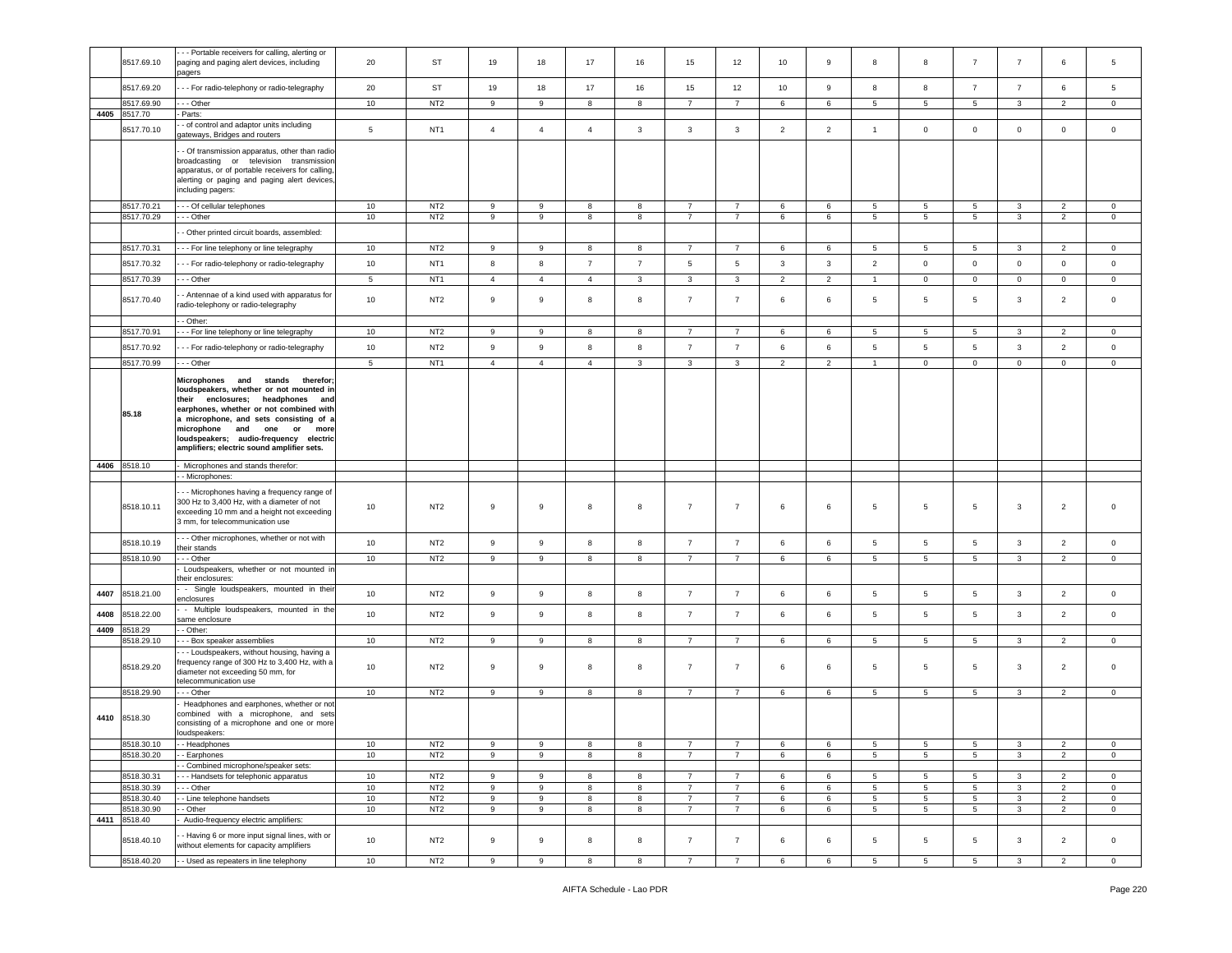|      | 8517.69.10            | - - Portable receivers for calling, alerting or<br>paging and paging alert devices, including<br>pagers                                                                                                                                                                                                                                   | 20               | ST              | 19               | 18               | 17             | 16             | 15                               | 12                               | 10             | 9              | 8                    | 8               | $\overline{7}$                    | $\overline{7}$ | 6                                | 5                       |
|------|-----------------------|-------------------------------------------------------------------------------------------------------------------------------------------------------------------------------------------------------------------------------------------------------------------------------------------------------------------------------------------|------------------|-----------------|------------------|------------------|----------------|----------------|----------------------------------|----------------------------------|----------------|----------------|----------------------|-----------------|-----------------------------------|----------------|----------------------------------|-------------------------|
|      | 8517.69.20            | - - For radio-telephony or radio-telegraphy                                                                                                                                                                                                                                                                                               | 20               | ST              | 19               | 18               | 17             | 16             | 15                               | 12                               | 10             | 9              | 8                    | 8               | $\overline{7}$                    | $\overline{7}$ | 6                                | 5                       |
|      | 3517.69.90            | - - Other                                                                                                                                                                                                                                                                                                                                 | 10               | NT <sub>2</sub> | 9                | 9                | 8              | 8              | $\overline{7}$                   | $\overline{7}$                   | 6              | 6              | 5                    | 5               | $5\phantom{.0}$                   | $\mathbf{3}$   | $\overline{2}$                   | $\mathbf 0$             |
| 4405 | 8517.70               | Parts:<br>- of control and adaptor units including                                                                                                                                                                                                                                                                                        |                  |                 |                  |                  |                |                |                                  |                                  |                |                |                      |                 |                                   |                |                                  |                         |
|      | 8517.70.10            | ateways, Bridges and routers                                                                                                                                                                                                                                                                                                              | $\,$ 5 $\,$      | NT <sub>1</sub> | $\overline{4}$   | $\overline{4}$   | $\sqrt{4}$     | $\mathbf{3}$   | $\mathbf{3}$                     | $\mathbf{3}$                     | $\overline{2}$ | $\overline{2}$ | $\mathbf{1}$         | $\mathbf 0$     | $\mathbf 0$                       | $\mathbf 0$    | $\mathbb O$                      | $\mathsf 0$             |
|      |                       | - Of transmission apparatus, other than radio-<br>broadcasting or television transmission<br>apparatus, or of portable receivers for calling,<br>alerting or paging and paging alert devices,<br>including pagers:                                                                                                                        |                  |                 |                  |                  |                |                |                                  |                                  |                |                |                      |                 |                                   |                |                                  |                         |
|      | 8517.70.21            | --- Of cellular telephones<br>- - Other                                                                                                                                                                                                                                                                                                   | 10<br>10         | NT <sub>2</sub> | 9<br>9           | 9<br>9           | 8<br>8         | 8<br>8         | $\overline{7}$<br>$\overline{7}$ | $\overline{7}$<br>$\overline{7}$ | 6<br>6         | 6<br>6         | 5<br>$5\overline{5}$ | 5<br>5          | $5\overline{5}$<br>5 <sub>5</sub> | 3<br>3         | $\overline{2}$<br>$\overline{2}$ | $\circ$<br>$\mathbf{0}$ |
|      | 8517.70.29            | - Other printed circuit boards, assembled:                                                                                                                                                                                                                                                                                                |                  | NT <sub>2</sub> |                  |                  |                |                |                                  |                                  |                |                |                      |                 |                                   |                |                                  |                         |
|      | 8517.70.31            | --- For line telephony or line telegraphy                                                                                                                                                                                                                                                                                                 | 10               | NT <sub>2</sub> | 9                | 9                | 8              | 8              | $\overline{7}$                   | $\overline{7}$                   | 6              | 6              | 5                    | 5               | $5\phantom{.0}$                   | 3              | $\overline{2}$                   | $\mathbf{0}$            |
|      | 8517.70.32            | - - For radio-telephony or radio-telegraphy                                                                                                                                                                                                                                                                                               | 10               | NT <sub>1</sub> | 8                | 8                | $\overline{7}$ | $\overline{7}$ | $5\phantom{.0}$                  | $\overline{5}$                   | 3              | 3              | $\overline{2}$       | $\mathbf 0$     | $\mathbf 0$                       | $\mathsf 0$    | $\mathbf 0$                      | $\mathbf 0$             |
|      | 8517.70.39            | --- Other                                                                                                                                                                                                                                                                                                                                 | 5                | NT <sub>1</sub> | $\overline{4}$   | $\overline{4}$   | $\overline{4}$ | $\mathbf{3}$   | $\mathbf{3}$                     | $\mathbf{3}$                     | $\overline{2}$ | $\overline{2}$ | $\overline{1}$       | $\mathbb O$     | $\circ$                           | $\mathbf 0$    | $\overline{0}$                   | $\mathbf 0$             |
|      |                       |                                                                                                                                                                                                                                                                                                                                           |                  |                 |                  |                  |                |                |                                  |                                  |                |                |                      |                 |                                   |                |                                  |                         |
|      | 8517.70.40            | - Antennae of a kind used with apparatus for<br>adio-telephony or radio-telegraphy                                                                                                                                                                                                                                                        | 10               | NT <sub>2</sub> | $\overline{9}$   | 9                | 8              | 8              | $\overline{7}$                   | $\overline{7}$                   | 6              | 6              | 5                    | 5               | 5                                 | $\mathbf{3}$   | $\overline{2}$                   | $\mathbf 0$             |
|      | 8517.70.91            | - Other:<br>--- For line telephony or line telegraphy                                                                                                                                                                                                                                                                                     | 10               | NT <sub>2</sub> | 9                | 9                | 8              | 8              | $\overline{7}$                   | 7                                | 6              | 6              | 5                    | 5               | 5                                 | 3              | $\overline{2}$                   | $\mathbf 0$             |
|      | 8517.70.92            | - - For radio-telephony or radio-telegraphy                                                                                                                                                                                                                                                                                               | 10               | NT <sub>2</sub> | $\mathsf g$      | $\boldsymbol{9}$ | 8              | 8              | $\overline{7}$                   | $\overline{7}$                   | 6              | 6              | 5                    | 5               | $\sqrt{5}$                        | $\mathbf{3}$   | $\overline{2}$                   | $\mathbf 0$             |
|      | 8517.70.99            | - - - Other                                                                                                                                                                                                                                                                                                                               | $\overline{5}$   | NT <sub>1</sub> | $\overline{4}$   | $\overline{4}$   | $\overline{4}$ | $\mathbf{3}$   | $\mathbf{3}$                     | $\mathbf{3}$                     | $\overline{2}$ | 2              | $\overline{1}$       | $\circ$         | $\mathbf 0$                       | $\mathsf 0$    | $\mathbf 0$                      | $\circ$                 |
|      | 85.18                 | Microphones and<br>stands therefor;<br>loudspeakers, whether or not mounted in<br>their enclosures;<br>headphones and<br>earphones, whether or not combined with<br>a microphone, and sets consisting of a<br>microphone and<br>one<br>or<br>more<br>loudspeakers; audio-frequency electric<br>amplifiers; electric sound amplifier sets. |                  |                 |                  |                  |                |                |                                  |                                  |                |                |                      |                 |                                   |                |                                  |                         |
|      |                       |                                                                                                                                                                                                                                                                                                                                           |                  |                 |                  |                  |                |                |                                  |                                  |                |                |                      |                 |                                   |                |                                  |                         |
|      | 4406 8518.10          | Microphones and stands therefor:                                                                                                                                                                                                                                                                                                          |                  |                 |                  |                  |                |                |                                  |                                  |                |                |                      |                 |                                   |                |                                  |                         |
|      |                       | - Microphones:                                                                                                                                                                                                                                                                                                                            |                  |                 |                  |                  |                |                |                                  |                                  |                |                |                      |                 |                                   |                |                                  |                         |
|      | 8518.10.11            | - - Microphones having a frequency range of<br>300 Hz to 3,400 Hz, with a diameter of not<br>exceeding 10 mm and a height not exceeding<br>3 mm, for telecommunication use                                                                                                                                                                | 10               | NT <sub>2</sub> | 9                | 9                | 8              | 8              | $\overline{7}$                   | $\overline{7}$                   | 6              | 6              | 5                    | 5               | $5\phantom{.0}$                   | $\mathbf{3}$   | $\overline{2}$                   | $\mathbf 0$             |
|      | 8518.10.19            | - - Other microphones, whether or not with<br>heir stands:                                                                                                                                                                                                                                                                                | 10               | NT <sub>2</sub> | 9                | $\boldsymbol{9}$ | 8              | $^{\rm 8}$     | $\overline{7}$                   | $\overline{7}$                   | 6              | 6              | $5\phantom{.0}$      | $5\phantom{.0}$ | $5\phantom{.0}$                   | $\mathbf{3}$   | $\overline{2}$                   | $\mathsf 0$             |
|      | 8518.10.90            | - - Other                                                                                                                                                                                                                                                                                                                                 | 10 <sup>10</sup> | NT <sub>2</sub> | 9                | 9                | 8              | 8              | $\overline{7}$                   | $\overline{7}$                   | 6              | 6              | 5                    | 5               | 5                                 | 3              | 2                                | $\mathbf 0$             |
|      |                       | Loudspeakers, whether or not mounted in<br>heir enclosures:                                                                                                                                                                                                                                                                               |                  |                 |                  |                  |                |                |                                  |                                  |                |                |                      |                 |                                   |                |                                  |                         |
| 4407 | 8518.21.00            | - Single loudspeakers, mounted in their                                                                                                                                                                                                                                                                                                   | 10 <sup>10</sup> | NT <sub>2</sub> | 9                | 9                | 8              | 8              | $\overline{7}$                   | $\overline{7}$                   | 6              | 6              | 5                    | 5               | $5\overline{5}$                   | $\mathbf{3}$   | $\overline{2}$                   | $\circ$                 |
|      |                       | enclosures<br>- Multiple loudspeakers, mounted in the                                                                                                                                                                                                                                                                                     |                  |                 |                  |                  |                |                |                                  |                                  |                |                |                      |                 |                                   |                |                                  |                         |
| 4408 | 8518.22.00            | same enclosure                                                                                                                                                                                                                                                                                                                            | 10 <sup>10</sup> | NT <sub>2</sub> | 9                | 9                | 8              | 8              | $\overline{7}$                   | $\overline{7}$                   | 6              | 6              | $\overline{5}$       | $\sqrt{5}$      | $5\overline{)}$                   | $\mathbf{3}$   | $\overline{2}$                   | $\circ$                 |
| 4409 | 3518.29<br>8518.29.10 | - Other:<br>- - Box speaker assemblies                                                                                                                                                                                                                                                                                                    | 10               | NT <sub>2</sub> | 9                | 9                | 8              | 8              | $\overline{7}$                   | $\overline{7}$                   | 6              | 6              | 5                    | 5               | 5                                 | 3              | 2                                | 0                       |
|      | 8518.29.20            | - - Loudspeakers, without housing, having a<br>requency range of 300 Hz to 3,400 Hz, with a<br>diameter not exceeding 50 mm, for                                                                                                                                                                                                          | 10               | NT <sub>2</sub> | 9                | 9                | 8              | 8              | $\overline{7}$                   | $\overline{7}$                   | 6              | 6              | 5                    | 5               | 5                                 | $\mathbf{3}$   | $\overline{2}$                   | 0                       |
|      | 8518.29.90            | elecommunication use<br>- - Other                                                                                                                                                                                                                                                                                                         | 10               | NT <sub>2</sub> | 9                | 9                | 8              | 8              | $\overline{7}$                   | $\overline{7}$                   | 6              | 6              | 5                    | 5               | $5\overline{5}$                   | $\mathbf{3}$   | $\overline{2}$                   | $\mathbf{0}$            |
|      | 4410 8518.30          | Headphones and earphones, whether or not<br>ombined with a microphone, and sets<br>consisting of a microphone and one or more<br>loudspeakers:                                                                                                                                                                                            |                  |                 |                  |                  |                |                |                                  |                                  |                |                |                      |                 |                                   |                |                                  |                         |
|      | 8518.30.10            | - Headphones                                                                                                                                                                                                                                                                                                                              | 10               | NT <sub>2</sub> | 9                | 9                | 8              | 8              |                                  |                                  | 6              | 6              | 5                    | -5              | 5                                 |                | $\overline{2}$                   | $^{\circ}$              |
|      | 8518.30.20            | - Earphones<br>- Combined microphone/speaker sets:                                                                                                                                                                                                                                                                                        | $10$             | NT <sub>2</sub> | $\boldsymbol{9}$ | $\overline{9}$   | 8              | 8              | $\overline{7}$                   | $\overline{7}$                   | 6              | 6              | 5                    | $\sqrt{5}$      | $\sqrt{5}$                        | 3              | $\overline{2}$                   | $\mathbf 0$             |
|      | 8518.30.31            | --- Handsets for telephonic apparatus                                                                                                                                                                                                                                                                                                     | 10               | NT <sub>2</sub> | 9                | 9                | 8              | 8              | $\overline{7}$                   | $\overline{7}$                   | 6              | 6              | 5                    | 5               | $5\overline{5}$                   | $\mathbf{3}$   | $\overline{2}$                   | $\mathbf 0$             |
|      | 8518.30.39            | - - Other                                                                                                                                                                                                                                                                                                                                 | 10               | NT <sub>2</sub> | $9\,$            | 9                | 8              | 8              | $\overline{7}$                   | $\overline{7}$                   | 6              | 6              | 5                    | $5\phantom{.0}$ | $5\phantom{.0}$                   | $\mathbf{3}$   | $\overline{2}$                   | $\mathsf 0$             |
|      | 8518.30.40            | - Line telephone handsets                                                                                                                                                                                                                                                                                                                 | 10               | NT <sub>2</sub> | 9                | 9                | 8              | 8              | $\overline{7}$                   | $\overline{7}$                   | 6              | 6              | 5                    | $5\overline{5}$ | $5\overline{5}$                   | 3              | $\overline{2}$                   | $\circ$                 |
| 4411 | 8518.30.90<br>8518.40 | - Other<br>Audio-frequency electric amplifiers:                                                                                                                                                                                                                                                                                           | 10               | NT <sub>2</sub> | 9                | 9                | 8              | 8              | $\overline{7}$                   | $\overline{7}$                   | 6              | 6              | 5                    | 5               | $5\overline{5}$                   | 3              | $\overline{2}$                   | $\mathbf{0}$            |
|      | 8518.40.10            | - Having 6 or more input signal lines, with or<br>without elements for capacity amplifiers                                                                                                                                                                                                                                                | 10               | NT <sub>2</sub> | 9                | 9                | 8              | 8              | $\overline{7}$                   | $\overline{7}$                   | 6              | 6              | 5                    | 5               | 5                                 | $\mathbf{3}$   | $\overline{2}$                   | $\circ$                 |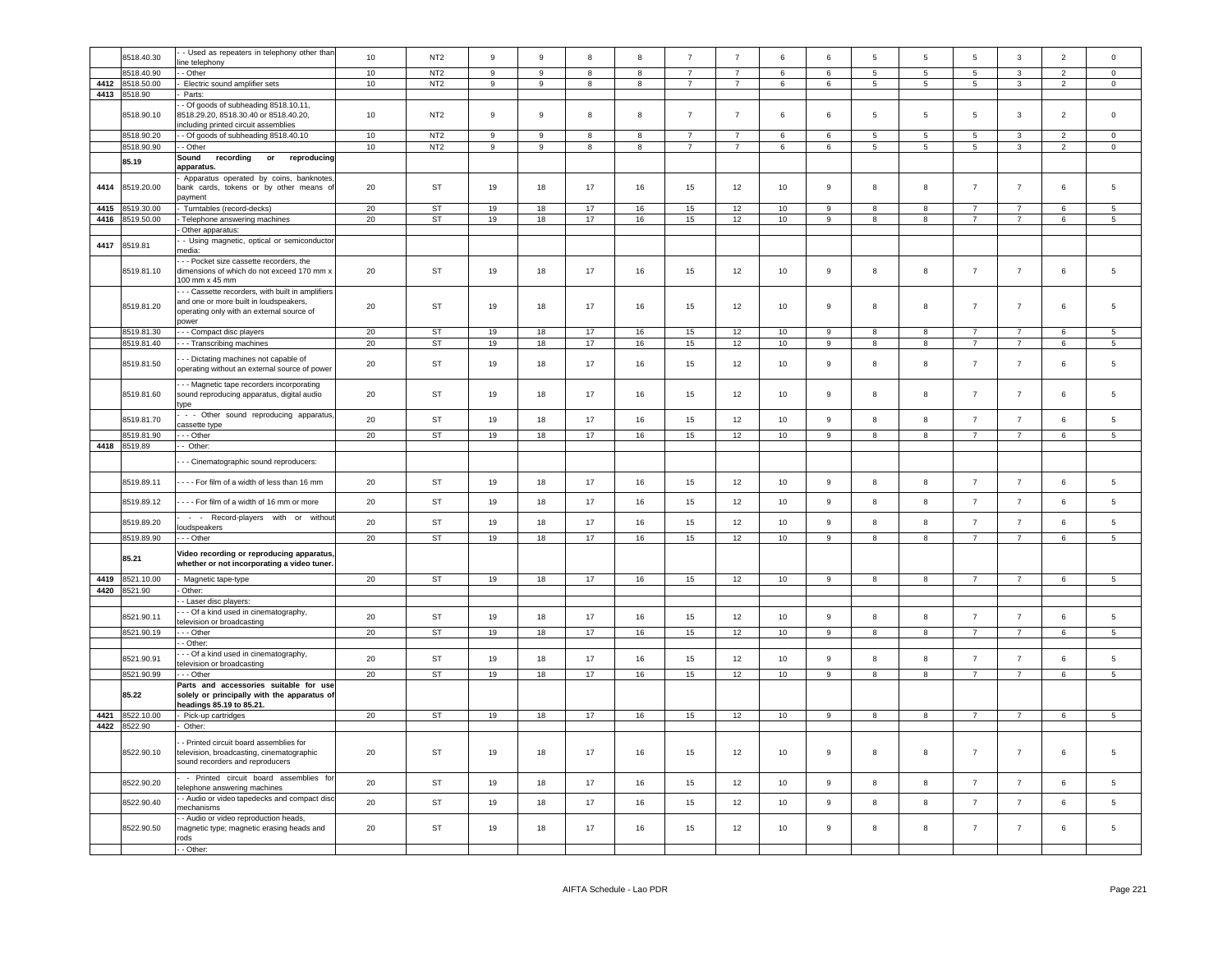|      | 8518.40.30                 | - Used as repeaters in telephony other than<br>ine telephony                                                                            | 10 | NT <sub>2</sub> | 9     | $\mathsf g$      | $\mathbf{R}$ | 8  | $\overline{7}$ | $\overline{7}$ | 6               | 6              | 5               | 5               | $\overline{5}$  | $\mathbf{3}$   | $\overline{2}$           | $\mathbf 0$     |
|------|----------------------------|-----------------------------------------------------------------------------------------------------------------------------------------|----|-----------------|-------|------------------|--------------|----|----------------|----------------|-----------------|----------------|-----------------|-----------------|-----------------|----------------|--------------------------|-----------------|
|      | 8518.40.90                 | - Other                                                                                                                                 | 10 | NT <sub>2</sub> | 9     | 9                | 8            | 8  |                | $\overline{7}$ | 6               | 6              | $5\overline{5}$ | $5^{\circ}$     | 5               | 3              | $\overline{\phantom{0}}$ | $\Omega$        |
| 4412 | 8518.50.00                 | Electric sound amplifier sets                                                                                                           | 10 | NT <sub>2</sub> | 9     | 9                | 8            | 8  | $\overline{7}$ | $\overline{7}$ | 6               | 6              | $\sqrt{5}$      | $5\phantom{.0}$ | $5\overline{5}$ | $\mathbf{3}$   | $\overline{2}$           | $\mathbf 0$     |
| 4413 | 8518.90                    | Parts:                                                                                                                                  |    |                 |       |                  |              |    |                |                |                 |                |                 |                 |                 |                |                          |                 |
|      | 8518.90.10                 | - Of goods of subheading 8518.10.11,<br>8518.29.20, 8518.30.40 or 8518.40.20,<br>including printed circuit assemblies                   | 10 | NT <sub>2</sub> | $\,9$ | $\boldsymbol{9}$ | 8            | 8  | $\overline{7}$ | $\overline{7}$ | 6               | $\bf 6$        | 5               | 5               | 5               | $\mathbf{3}$   | $\overline{2}$           | $\mathsf 0$     |
|      | 8518.90.20                 | - Of goods of subheading 8518.40.10                                                                                                     | 10 | NT <sub>2</sub> | 9     | 9                | 8            | 8  | $\overline{7}$ | $\overline{7}$ | 6               | 6              | 5               | 5               | 5               | 3              | $\overline{2}$           | $\mathbf 0$     |
|      | 8518.90.90                 | - Other                                                                                                                                 | 10 | NT <sub>2</sub> | $\,9$ | $\mathsf g$      | 8            | 8  | $\overline{7}$ | $\overline{7}$ | 6               | 6              | 5               | $5\phantom{.0}$ | $5\phantom{.0}$ | $\mathbf{3}$   | $\overline{2}$           | $\mathbf 0$     |
|      | 85.19                      | recording<br>Sound<br>reproducing<br>or<br>apparatus.                                                                                   |    |                 |       |                  |              |    |                |                |                 |                |                 |                 |                 |                |                          |                 |
| 4414 | 8519.20.00                 | Apparatus operated by coins, banknotes<br>bank cards, tokens or by other means of<br>payment                                            | 20 | <b>ST</b>       | 19    | 18               | 17           | 16 | 15             | 12             | 10 <sup>1</sup> | $\mathsf g$    | 8               | 8               | $\overline{7}$  | $\overline{7}$ | 6                        | 5               |
| 4415 | 8519.30.00                 | Turntables (record-decks)                                                                                                               | 20 | <b>ST</b>       | 19    | 18               | 17           | 16 | 15             | 12             | 10              | $\mathsf g$    | R.              | $\mathbf{g}$    | $\overline{7}$  | $\overline{7}$ | 6                        | 5               |
| 4416 | 8519.50.00                 | Telephone answering machines                                                                                                            | 20 | <b>ST</b>       | 19    | 18               | 17           | 16 | 15             | 12             | 10              | 9              | 8               | 8               | $\overline{7}$  | $\overline{7}$ | 6                        | 5               |
|      |                            | Other apparatus:                                                                                                                        |    |                 |       |                  |              |    |                |                |                 |                |                 |                 |                 |                |                          |                 |
| 4417 | 8519.81                    | - Using magnetic, optical or semiconductor<br>nedia:                                                                                    |    |                 |       |                  |              |    |                |                |                 |                |                 |                 |                 |                |                          |                 |
|      | 8519.81.10                 | - - Pocket size cassette recorders, the<br>dimensions of which do not exceed 170 mm x<br>100 mm x 45 mm                                 | 20 | ST              | 19    | 18               | 17           | 16 | 15             | 12             | 10              | $\mathsf g$    | 8               | 8               | $\overline{7}$  | $\overline{7}$ | 6                        | 5               |
|      | 8519.81.20                 | - - Cassette recorders, with built in amplifiers<br>and one or more built in loudspeakers,<br>operating only with an external source of | 20 | <b>ST</b>       | 19    | 18               | 17           | 16 | 15             | 12             | 10              | $\mathsf g$    | 8               | 8               | $\overline{7}$  | $\overline{7}$ | $\,6\,$                  | 5               |
|      | 8519.81.30                 | power<br>- - - Compact disc players                                                                                                     | 20 | ST              | 19    | 18               | 17           | 16 | 15             | 12             | 10              | 9              | 8               | 8               | $\overline{7}$  | $\overline{7}$ | 6                        | 5               |
|      | 8519.81.40                 | --- Transcribing machines                                                                                                               | 20 | ST              | 19    | 18               | 17           | 16 | 15             | 12             | 10              | 9              | 8               | 8               | $\overline{7}$  | $\overline{7}$ | 6                        | $5\overline{5}$ |
|      | 8519.81.50                 | - - Dictating machines not capable of<br>operating without an external source of power                                                  | 20 | ST              | 19    | 18               | 17           | 16 | 15             | 12             | 10              | $\mathsf g$    | 8               | 8               | $\overline{7}$  | $\overline{7}$ | 6                        | 5               |
|      | 8519.81.60                 | - - Magnetic tape recorders incorporating<br>sound reproducing apparatus, digital audio<br>type                                         | 20 | ST              | 19    | 18               | 17           | 16 | 15             | 12             | 10              | 9              | 8               | 8               | $\overline{7}$  | $\overline{7}$ | 6                        | 5               |
|      | 8519.81.70                 | - - Other sound reproducing apparatus                                                                                                   | 20 | <b>ST</b>       | 19    | 18               | 17           | 16 | 15             | 12             | 10              | $\mathsf g$    | 8               | 8               | $\overline{7}$  | $\overline{7}$ | $\,6\,$                  | 5               |
|      |                            | cassette type                                                                                                                           |    |                 |       |                  |              |    |                |                |                 |                |                 |                 |                 |                |                          |                 |
|      | 8519.81.90<br>4418 8519.89 | - - Other<br>- Other:                                                                                                                   | 20 | ST              | 19    | 18               | 17           | 16 | 15             | 12             | 10 <sup>1</sup> | 9              | 8               | 8               | $\overline{7}$  | $\overline{7}$ | 6                        | 5               |
|      |                            |                                                                                                                                         |    |                 |       |                  |              |    |                |                |                 |                |                 |                 |                 |                |                          |                 |
|      |                            | - - Cinematographic sound reproducers:                                                                                                  |    |                 |       |                  |              |    |                |                |                 |                |                 |                 |                 |                |                          |                 |
|      | 8519.89.11                 | ---- For film of a width of less than 16 mm                                                                                             | 20 | ST              | 19    | 18               | 17           | 16 | 15             | 12             | 10              | 9              | 8               | 8               | $\overline{7}$  | $\overline{7}$ | $\,6\,$                  | $\,$ 5 $\,$     |
|      | 8519.89.12                 | ---- For film of a width of 16 mm or more<br>- - Record-players with or without                                                         | 20 | <b>ST</b>       | 19    | 18               | 17           | 16 | 15             | 12             | 10              | 9              | 8               | 8               | $\overline{7}$  | $\overline{7}$ | 6                        | -5              |
|      | 8519.89.20                 | loudspeakers                                                                                                                            | 20 | <b>ST</b>       | 19    | 18               | 17           | 16 | 15             | 12             | 10              | $\mathsf g$    | 8               | 8               | $\overline{7}$  | $\overline{7}$ | $\,6\,$                  | 5               |
|      | 8519.89.90                 | - - - Other                                                                                                                             | 20 | ST              | 19    | 18               | 17           | 16 | 15             | 12             | 10              | 9              | 8               | 8               | $\overline{7}$  | $\overline{7}$ | 6                        | $5\overline{5}$ |
|      | 85.21                      | Video recording or reproducing apparatus,<br>whether or not incorporating a video tuner.                                                |    |                 |       |                  |              |    |                |                |                 |                |                 |                 |                 |                |                          |                 |
| 4419 | 8521.10.00                 | Magnetic tape-type                                                                                                                      | 20 | ST              | 19    | 18               | 17           | 16 | 15             | 12             | 10              | 9              | 8               | 8               | $\overline{7}$  | $\overline{7}$ | 6                        | 5               |
|      | 4420 8521.90               | Other:                                                                                                                                  |    |                 |       |                  |              |    |                |                |                 |                |                 |                 |                 |                |                          |                 |
|      |                            | - Laser disc players:                                                                                                                   |    |                 |       |                  |              |    |                |                |                 |                |                 |                 |                 |                |                          |                 |
|      | 8521.90.11                 | - - Of a kind used in cinematography,<br>television or broadcasting                                                                     | 20 | ST              | 19    | 18               | 17           | 16 | 15             | 12             | 10              | 9              | 8               | 8               | $\overline{7}$  | $\overline{7}$ | 6                        | 5               |
|      | 8521.90.19                 | - - Other                                                                                                                               | 20 | ST              | 19    | 18               | 17           | 16 | 15             | 12             | 10              | $\overline{a}$ | $\mathbf{R}$    | $\mathbf{g}$    | $\overline{7}$  | $\overline{7}$ | 6                        | $\overline{5}$  |
|      |                            | - Other:                                                                                                                                |    |                 |       |                  |              |    |                |                |                 |                |                 |                 |                 |                |                          |                 |
|      | 8521.90.91                 | - - Of a kind used in cinematography,<br>television or broadcasting                                                                     | 20 | <b>ST</b>       | 19    | 18               | 17           | 16 | 15             | 12             | 10              | $\mathsf g$    | 8               | 8               | $\overline{7}$  | $\overline{7}$ | $6\phantom{.0}$          | 5               |
|      | 8521.90.99                 | - - - Other                                                                                                                             | 20 | <b>ST</b>       | 19    | 18               | 17           | 16 | 15             | 12             | 10              | $\overline{9}$ | 8               | 8               | $\overline{7}$  | $\overline{7}$ | 6                        | 5               |
|      | 85.22                      | Parts and accessories suitable for use<br>solely or principally with the apparatus of<br>eadings 85.19 to 85.21.                        |    |                 |       |                  |              |    |                |                |                 |                |                 |                 |                 |                |                          |                 |
| 4421 | 8522.10.00                 | Pick-up cartridges                                                                                                                      | 20 | <b>ST</b>       | 19    | 18               | 17           | 16 | 15             | 12             | 10              | 9              | 8               | 8               | $\overline{7}$  | $\overline{7}$ | 6                        | 5               |
|      | 4422 8522.90               | Other:                                                                                                                                  |    |                 |       |                  |              |    |                |                |                 |                |                 |                 |                 |                |                          |                 |
|      | 8522.90.10                 | Printed circuit board assemblies for<br>elevision, broadcasting, cinematographic<br>sound recorders and reproducers                     | 20 | ST              | 19    | 18               | 17           | 16 | 15             | 12             | 10              | 9              | 8               | 8               | $\overline{7}$  | $\overline{7}$ | 6                        | 5               |
|      | 8522.90.20                 | - Printed circuit board assemblies for<br>telephone answering machines                                                                  | 20 | <b>ST</b>       | 19    | 18               | 17           | 16 | 15             | 12             | 10              | $\mathsf g$    | 8               | 8               | $\overline{7}$  | $\overline{7}$ | 6                        | 5               |
|      | 8522.90.40                 | - Audio or video tapedecks and compact disc<br>nechanisms                                                                               | 20 | <b>ST</b>       | 19    | 18               | 17           | 16 | 15             | 12             | 10              | 9              | 8               | 8               | $\overline{7}$  | $\overline{7}$ | 6                        | 5               |
|      | 8522.90.50                 | Audio or video reproduction heads,<br>nagnetic type; magnetic erasing heads and<br>rods                                                 | 20 | ST              | 19    | 18               | 17           | 16 | 15             | 12             | 10 <sub>1</sub> | $\mathsf g$    | 8               | 8               | $\overline{7}$  | $\overline{7}$ | $\bf 6$                  | 5               |
|      |                            | - - Other:                                                                                                                              |    |                 |       |                  |              |    |                |                |                 |                |                 |                 |                 |                |                          |                 |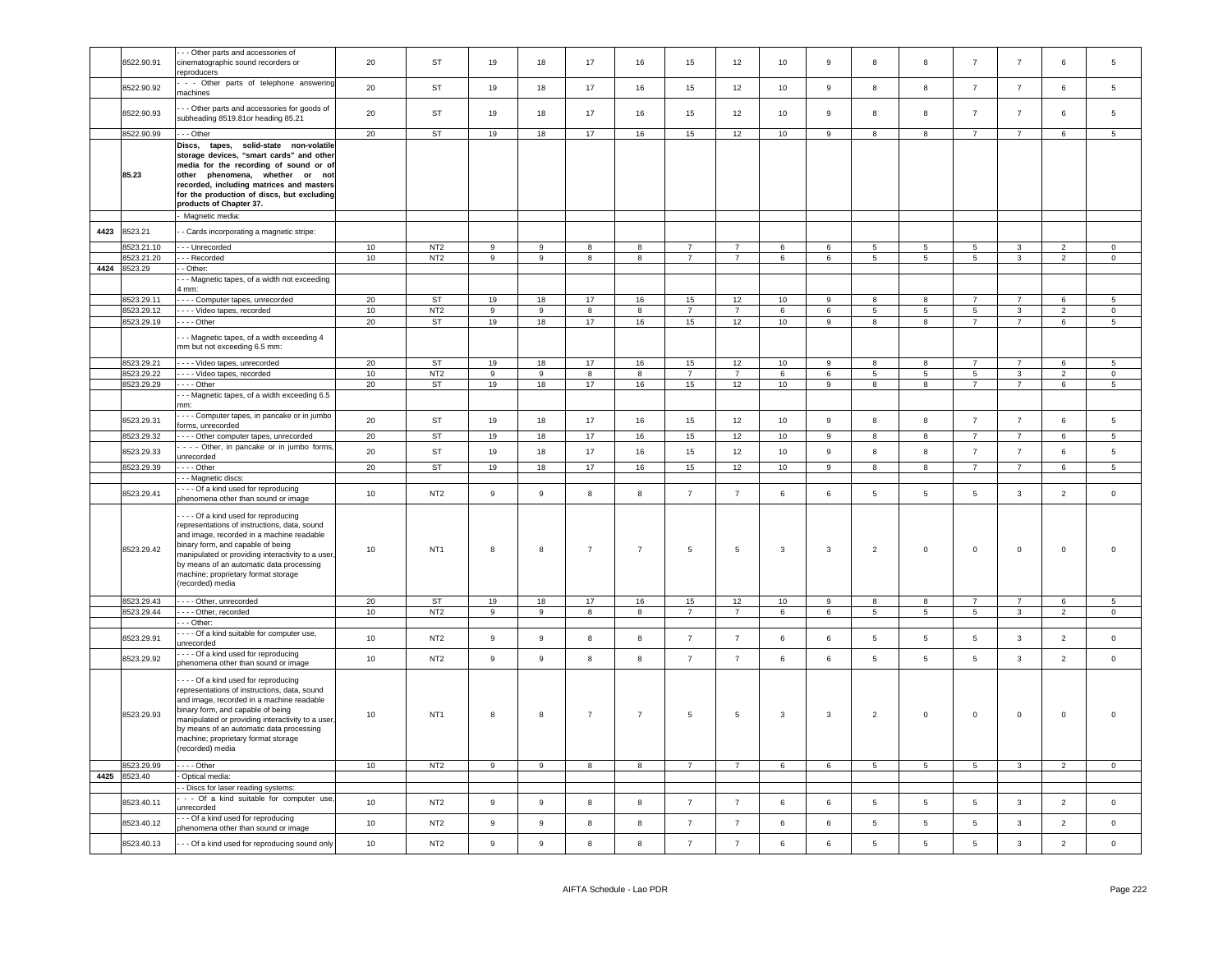|      | 8522.90.91 | - - Other parts and accessories of<br>cinematographic sound recorders or<br>reproducers                                                                                                                                                                                                                                         | 20     | ST              | 19             | 18             | 17                      | 16               | 15              | 12              | 10              | $\mathsf g$      | 8               | 8               | $\overline{7}$  | $\overline{7}$ | 6               | 5               |
|------|------------|---------------------------------------------------------------------------------------------------------------------------------------------------------------------------------------------------------------------------------------------------------------------------------------------------------------------------------|--------|-----------------|----------------|----------------|-------------------------|------------------|-----------------|-----------------|-----------------|------------------|-----------------|-----------------|-----------------|----------------|-----------------|-----------------|
|      | 8522.90.92 | - - Other parts of telephone answering<br>machines                                                                                                                                                                                                                                                                              | 20     | ST              | 19             | 18             | 17                      | 16               | 15              | 12              | 10              | 9                | 8               | 8               | $\overline{7}$  | $\overline{7}$ | 6               | 5               |
|      | 8522.90.93 | - - Other parts and accessories for goods of<br>subheading 8519.81or heading 85.21                                                                                                                                                                                                                                              | 20     | ST              | 19             | 18             | 17                      | 16               | 15              | 12              | 10              | $\boldsymbol{9}$ | 8               | 8               | $\overline{7}$  | $\overline{7}$ | 6               | 5               |
|      | 8522.90.99 | -- Other                                                                                                                                                                                                                                                                                                                        | 20     | ST              | 19             | 18             | 17                      | 16               | 15              | 12              | 10              | 9                | 8               | 8               | $\overline{7}$  | $\overline{7}$ | 6               | 5               |
|      | 85.23      | Discs,<br>tapes, solid-state non-volatile<br>storage devices, "smart cards" and other<br>media for the recording of sound or of<br>other phenomena, whether or not<br>recorded, including matrices and masters<br>for the production of discs, but excluding<br>products of Chapter 37.                                         |        |                 |                |                |                         |                  |                 |                 |                 |                  |                 |                 |                 |                |                 |                 |
| 4423 | 8523.21    | Magnetic media:<br>- Cards incorporating a magnetic stripe:                                                                                                                                                                                                                                                                     |        |                 |                |                |                         |                  |                 |                 |                 |                  |                 |                 |                 |                |                 |                 |
|      | 8523.21.10 |                                                                                                                                                                                                                                                                                                                                 | 10     | NT <sub>2</sub> | 9              | 9              |                         |                  | $\overline{7}$  | $\overline{7}$  | 6               | 6                | 5               | -5              | $5\phantom{.0}$ | 3              | $\overline{2}$  | $\mathbf{0}$    |
|      |            | - - Unrecorded                                                                                                                                                                                                                                                                                                                  |        |                 |                |                | 8                       | 8                | $\overline{7}$  | $\overline{7}$  |                 |                  |                 |                 |                 |                |                 |                 |
|      | 8523.21.20 | - - Recorded                                                                                                                                                                                                                                                                                                                    | 10     | NT <sub>2</sub> | 9              | 9              | 8                       | 8                |                 |                 | 6               | 6                | $5\phantom{.0}$ | $5\phantom{.0}$ | $\overline{5}$  | $\mathbf{3}$   | $\overline{2}$  | $\overline{0}$  |
| 4424 | 8523.29    | - Other:                                                                                                                                                                                                                                                                                                                        |        |                 |                |                |                         |                  |                 |                 |                 |                  |                 |                 |                 |                |                 |                 |
|      |            | - - Magnetic tapes, of a width not exceeding<br>4 mm:                                                                                                                                                                                                                                                                           |        |                 |                |                |                         |                  |                 |                 |                 |                  |                 |                 |                 |                |                 |                 |
|      | 8523.29.11 | ---- Computer tapes, unrecorded                                                                                                                                                                                                                                                                                                 | 20     | <b>ST</b>       | 19             | 18             | 17                      | 16               | 15              | 12              | 10 <sup>1</sup> | 9                | 8               | 8               | $\overline{7}$  | $\overline{7}$ | 6               | $\overline{5}$  |
|      | 8523.29.12 | Video tapes, recorded                                                                                                                                                                                                                                                                                                           | 10     | NT <sub>2</sub> | $\overline{9}$ | $\overline{9}$ | $\overline{\mathbf{8}}$ | $\overline{8}$   | $\overline{7}$  | $\overline{7}$  | 6               | 6                | $\overline{5}$  | $\overline{5}$  | 5               | $\overline{3}$ | $\overline{2}$  | $\overline{0}$  |
|      | 8523.29.19 | $- - -$ Other                                                                                                                                                                                                                                                                                                                   | 20     | ST              | 19             | 18             | 17                      | 16               | 15              | 12              | 10              | 9                | 8               | 8               | $\overline{7}$  | $\overline{7}$ | 6               | 5               |
|      |            | - - Magnetic tapes, of a width exceeding 4<br>mm but not exceeding 6.5 mm:                                                                                                                                                                                                                                                      |        |                 |                |                |                         |                  |                 |                 |                 |                  |                 |                 |                 |                |                 |                 |
|      | 8523.29.21 | Video tapes, unrecorded                                                                                                                                                                                                                                                                                                         | 20     | ST              | 19             | 18             | 17                      | 16               | 15              | 12              | 10              | 9                | 8               | 8               | $\overline{7}$  | $\overline{7}$ | 6               | $5\phantom{.0}$ |
|      | 8523.29.22 | Video tapes, recorded                                                                                                                                                                                                                                                                                                           | 10     | NT <sub>2</sub> | 9              | $\overline{9}$ | 8                       | 8                | $\overline{7}$  | $\overline{7}$  | 6               | $\,6\,$          | $5\overline{5}$ | $\overline{5}$  | $5\phantom{.0}$ | $\mathbf{3}$   | $\overline{2}$  | $\mathbf{0}$    |
|      | 8523.29.29 | $\cdots$ - Other                                                                                                                                                                                                                                                                                                                | 20     | <b>ST</b>       | 19             | 18             | 17                      | 16               | 15              | 12              | 10              | 9                | 8               | 8               | $\overline{7}$  | $\overline{7}$ | 6               | $5\overline{5}$ |
|      |            | - - Magnetic tapes, of a width exceeding 6.5<br>nm:                                                                                                                                                                                                                                                                             |        |                 |                |                |                         |                  |                 |                 |                 |                  |                 |                 |                 |                |                 |                 |
|      | 8523.29.31 | - - - Computer tapes, in pancake or in jumbo<br>forms, unrecorded                                                                                                                                                                                                                                                               | 20     | ST              | 19             | 18             | 17                      | 16               | 15              | 12              | 10              | 9                | 8               | 8               | $\overline{7}$  | $\overline{7}$ | 6               | 5               |
|      | 8523.29.32 | - - - - Other computer tapes, unrecorded                                                                                                                                                                                                                                                                                        | $20\,$ | <b>ST</b>       | 19             | 18             | 17                      | 16               | 15              | 12              | 10              | 9                | 8               | 8               | $\overline{7}$  | $\overline{7}$ | 6               | 5               |
|      | 8523.29.33 | - - - Other, in pancake or in jumbo forms,                                                                                                                                                                                                                                                                                      | 20     | ST              | 19             | 18             | 17                      | 16               | 15              | 12              | 10              | 9                | 8               | 8               | $\overline{7}$  | $\overline{7}$ | $6\overline{6}$ | 5               |
|      |            | unrecorded                                                                                                                                                                                                                                                                                                                      |        |                 |                |                |                         |                  |                 |                 |                 |                  |                 |                 |                 |                |                 |                 |
|      | 8523.29.39 | $- -$ Other                                                                                                                                                                                                                                                                                                                     | 20     | ST              | 19             | 18             | 17                      | 16               | 15              | 12              | 10              | 9                | 8               | 8               | $\overline{7}$  | $\overline{7}$ | 6               | 5               |
|      |            | - - Magnetic discs:                                                                                                                                                                                                                                                                                                             |        |                 |                |                |                         |                  |                 |                 |                 |                  |                 |                 |                 |                |                 |                 |
|      | 8523.29.41 | --- Of a kind used for reproducing<br>phenomena other than sound or image                                                                                                                                                                                                                                                       | 10     | NT <sub>2</sub> | $\mathsf g$    | $\mathsf g$    | 8                       | 8                | $\overline{7}$  | $\overline{7}$  | 6               | 6                | 5               | 5               | $5\phantom{.0}$ | $\mathbf{3}$   | $\overline{2}$  | $\mathsf 0$     |
|      | 8523.29.42 | --- Of a kind used for reproducing<br>representations of instructions, data, sound<br>and image, recorded in a machine readable<br>binary form, and capable of being<br>manipulated or providing interactivity to a user<br>by means of an automatic data processing<br>machine; proprietary format storage<br>(recorded) media | 10     | NT <sub>1</sub> | 8              | $^{\rm 8}$     | $\overline{7}$          | $\overline{7}$   | $\,$ 5 $\,$     | $\,$ 5 $\,$     | 3               | $\mathbf{3}$     | $\overline{2}$  | $\mathsf 0$     | $\mathbf 0$     | $\mathbf 0$    | 0               | $\mathbf 0$     |
|      | 8523.29.43 | Other, unrecorded                                                                                                                                                                                                                                                                                                               | 20     | ST              | 19             | 18             | 17                      | 16               | 15              | 12              | 10              | 9                | 8               | 8               | $\overline{7}$  | $\overline{7}$ | 6               | 5               |
|      | 8523.29.44 | Other, recorded                                                                                                                                                                                                                                                                                                                 | 10     | NT <sub>2</sub> | 9              | 9              | 8                       | 8                | $7\overline{ }$ | 7               | 6               | 6                | 5 <sub>5</sub>  | $5\overline{5}$ | $5\phantom{.0}$ | $\mathbf{3}$   | $\overline{2}$  | $\overline{0}$  |
|      |            | - - Other:                                                                                                                                                                                                                                                                                                                      |        |                 |                |                |                         |                  |                 |                 |                 |                  |                 |                 |                 |                |                 |                 |
|      | 8523.29.91 | - - - Of a kind suitable for computer use,                                                                                                                                                                                                                                                                                      | 10     | NT <sub>2</sub> | $\mathsf g$    | 9              | 8                       | 8                | $\overline{7}$  | $\overline{7}$  | 6               | 6                | $5\phantom{.0}$ | 5               | $5\phantom{.0}$ | $\mathbf{3}$   | $\overline{2}$  | $\mathsf 0$     |
|      |            | unrecorded<br>--- Of a kind used for reproducing                                                                                                                                                                                                                                                                                |        |                 |                |                |                         |                  |                 |                 |                 |                  |                 |                 |                 |                |                 |                 |
|      | 8523.29.92 | phenomena other than sound or image                                                                                                                                                                                                                                                                                             | 10     | NT <sub>2</sub> | 9              | 9              | 8                       | 8                | $\overline{7}$  | $\overline{7}$  | 6               | 6                | $5\phantom{.0}$ | 5               | $5\phantom{.0}$ | $\mathbf{3}$   | $\overline{2}$  | $\mathsf 0$     |
|      | 8523.29.93 | --- Of a kind used for reproducing<br>representations of instructions, data, sound<br>and image, recorded in a machine readable<br>binary form, and capable of being<br>manipulated or providing interactivity to a user<br>by means of an automatic data processing<br>machine; proprietary format storage<br>(recorded) media | 10     | NT <sub>1</sub> | 8              | 8              | $\overline{7}$          | $\overline{7}$   | 5               | $5\phantom{.0}$ | 3               | 3                | $\overline{2}$  | $\mathsf 0$     | $\mathbf 0$     | $\mathbf 0$    | $\mathbf 0$     | $\mathbf 0$     |
|      | 8523.29.99 | $- - -$ Other                                                                                                                                                                                                                                                                                                                   | 10     | NT2             | 9              | 9              | 8                       | $\boldsymbol{8}$ | $\overline{7}$  | $\overline{7}$  | 6               | $\,6\,$          | $5\phantom{.0}$ | $5\phantom{.0}$ | $5\phantom{.0}$ | $\mathbf{3}$   | $\overline{2}$  | $\overline{0}$  |
| 4425 | 8523.40    | Optical media:                                                                                                                                                                                                                                                                                                                  |        |                 |                |                |                         |                  |                 |                 |                 |                  |                 |                 |                 |                |                 |                 |
|      |            | - Discs for laser reading systems:<br>- - Of a kind suitable for computer use                                                                                                                                                                                                                                                   |        |                 |                |                |                         |                  |                 |                 |                 |                  |                 |                 |                 |                |                 |                 |
|      | 8523.40.11 | unrecorded<br>- - Of a kind used for reproducing                                                                                                                                                                                                                                                                                | 10     | NT <sub>2</sub> | 9              | 9              | $\mathbf{g}$            | $\boldsymbol{8}$ | $\overline{7}$  | $\overline{7}$  | 6               | 6                | 5               | 5               | $\,$ 5 $\,$     | $\mathbf{3}$   | 2               | $\mathbf 0$     |
|      | 8523.40.12 | phenomena other than sound or image                                                                                                                                                                                                                                                                                             | 10     | NT <sub>2</sub> | 9              | 9              | 8                       | 8                | $\overline{7}$  | $\overline{7}$  | 6               | 6                | 5               | 5               | 5               | 3              | $\overline{2}$  | $\mathbf 0$     |
|      | 8523.40.13 | - - Of a kind used for reproducing sound only                                                                                                                                                                                                                                                                                   | 10     | NT <sub>2</sub> | 9              | $\mathsf g$    | 8                       | 8                | $\overline{7}$  | $\overline{7}$  | $6\overline{6}$ | 6                | 5               | $\,$ 5 $\,$     | $\sqrt{5}$      | $\mathbf{3}$   | $\overline{2}$  | $\mathsf 0$     |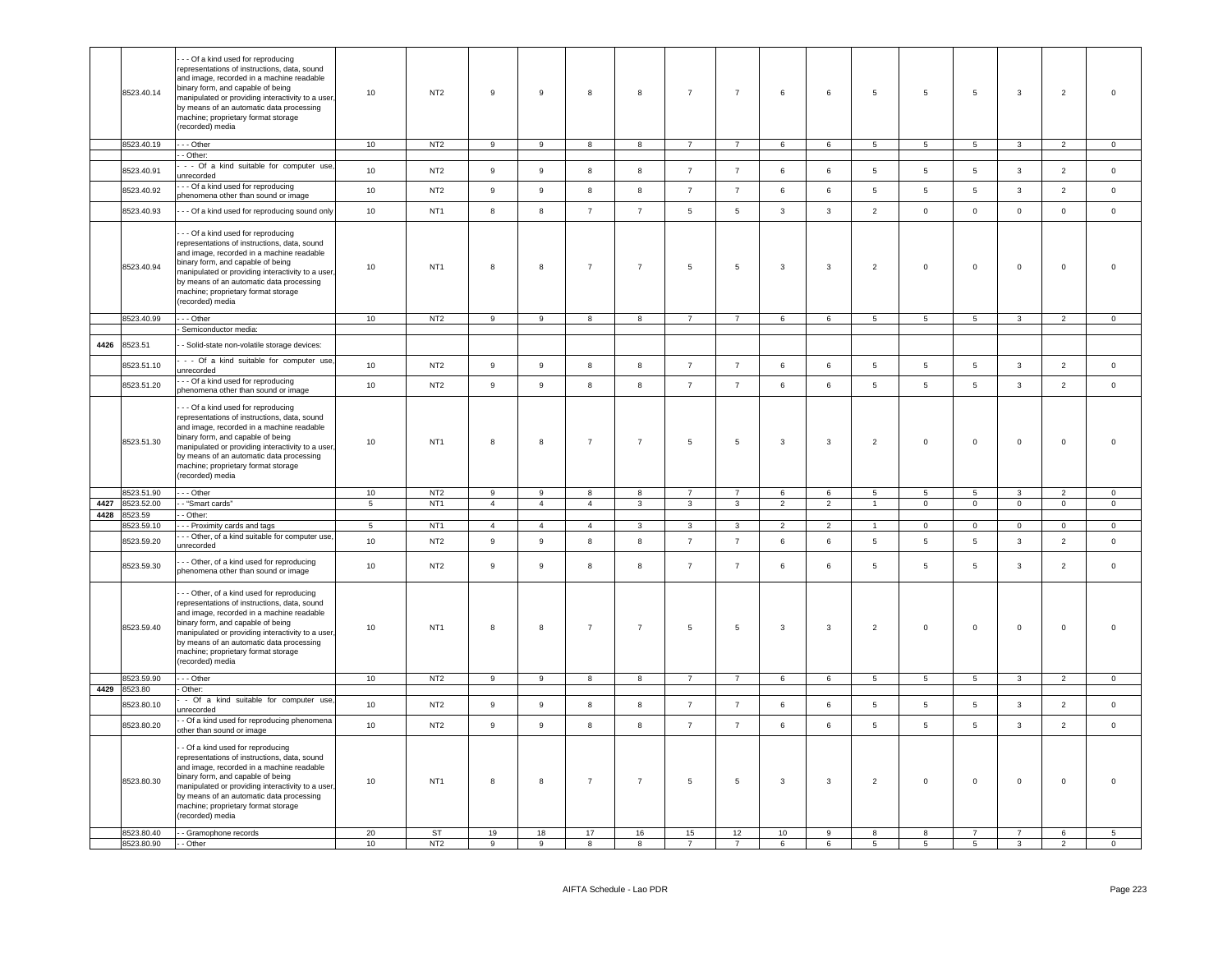|      | 8523.40.14   | - - Of a kind used for reproducing<br>representations of instructions, data, sound<br>and image, recorded in a machine readable<br>binary form, and capable of being<br>manipulated or providing interactivity to a user<br>by means of an automatic data processing<br>machine; proprietary format storage<br>(recorded) media        | 10             | NT <sub>2</sub> | 9                | 9                | 8              | 8                       | $\overline{7}$          | $\overline{7}$  | 6              | 6              | 5              | $5\phantom{.0}$ | 5               | $\mathbf{3}$   | $\overline{2}$ | $\mathsf 0$    |
|------|--------------|----------------------------------------------------------------------------------------------------------------------------------------------------------------------------------------------------------------------------------------------------------------------------------------------------------------------------------------|----------------|-----------------|------------------|------------------|----------------|-------------------------|-------------------------|-----------------|----------------|----------------|----------------|-----------------|-----------------|----------------|----------------|----------------|
|      | 8523.40.19   | --- Other                                                                                                                                                                                                                                                                                                                              | 10             | NT <sub>2</sub> | 9                | 9                | 8              | 8                       | $\overline{7}$          | $\overline{7}$  | 6              | 6              | 5              | 5 <sub>1</sub>  | $5\phantom{.0}$ | $\mathbf{3}$   | $\overline{2}$ | $\mathbf 0$    |
|      |              | - Other:                                                                                                                                                                                                                                                                                                                               |                |                 |                  |                  |                |                         |                         |                 |                |                |                |                 |                 |                |                |                |
|      | 8523.40.91   | - - Of a kind suitable for computer use<br>unrecorded<br>- - Of a kind used for reproducing                                                                                                                                                                                                                                            | 10             | NT <sub>2</sub> | $\boldsymbol{9}$ | $\,$ 9           | 8              | 8                       | $\overline{7}$          | $\overline{7}$  | 6              | 6              | 5              | $5\phantom{.0}$ | $\overline{5}$  | $\mathbf{3}$   | $\overline{2}$ | $\,0\,$        |
|      | 8523.40.92   | phenomena other than sound or image                                                                                                                                                                                                                                                                                                    | 10             | NT <sub>2</sub> | 9                | 9                | 8              | 8                       | $\overline{7}$          | $\overline{7}$  | 6              | 6              | 5              | 5               | 5               | $\mathbf{3}$   | $\overline{2}$ | $\circ$        |
|      | 8523.40.93   | - - Of a kind used for reproducing sound only                                                                                                                                                                                                                                                                                          | 10             | NT <sub>1</sub> | $\bf8$           | $\boldsymbol{8}$ | $\overline{7}$ | $\overline{7}$          | $\overline{5}$          | $5\phantom{.0}$ | $\mathbf{3}$   | $\mathbf{3}$   | $\overline{2}$ | $\mathbf 0$     | $\mathsf 0$     | $\mathsf 0$    | $\mathbf 0$    | $\mathbb O$    |
|      | 8523.40.94   | - - Of a kind used for reproducing<br>representations of instructions, data, sound<br>and image, recorded in a machine readable<br>binary form, and capable of being<br>manipulated or providing interactivity to a user<br>by means of an automatic data processing<br>machine; proprietary format storage<br>(recorded) media        | 10             | NT <sub>1</sub> | 8                | 8                | $\overline{7}$ | $\overline{7}$          | 5                       | $\sqrt{5}$      | 3              | $\mathbf{3}$   | $\overline{2}$ | $\mathsf 0$     | $\mathbf 0$     | $\mathbf{0}$   | $\mathsf 0$    | $\overline{0}$ |
|      | 8523.40.99   | --- Other                                                                                                                                                                                                                                                                                                                              | 10             | NT2             | 9                | 9                | 8              | 8                       | $7^{\circ}$             | $7\overline{ }$ | 6              | 6              | 5 <sub>5</sub> | $5\overline{5}$ | $5\overline{5}$ | $\mathbf{3}$   | $\overline{2}$ | $\overline{0}$ |
|      |              | - Semiconductor media:                                                                                                                                                                                                                                                                                                                 |                |                 |                  |                  |                |                         |                         |                 |                |                |                |                 |                 |                |                |                |
| 4426 | 8523.51      | - Solid-state non-volatile storage devices:                                                                                                                                                                                                                                                                                            |                |                 |                  |                  |                |                         |                         |                 |                |                |                |                 |                 |                |                |                |
|      | 8523.51.10   | - - Of a kind suitable for computer use<br>unrecorded                                                                                                                                                                                                                                                                                  | 10             | NT <sub>2</sub> | 9                | 9                | 8              | 8                       | $\overline{7}$          | $\overline{7}$  | 6              | 6              | 5              | -5              | 5               | $\mathbf{3}$   | $\overline{2}$ | $\circ$        |
|      | 8523.51.20   | - - Of a kind used for reproducing<br>phenomena other than sound or image                                                                                                                                                                                                                                                              | 10             | NT <sub>2</sub> | $\boldsymbol{9}$ | 9                | 8              | 8                       | $\overline{7}$          | $\overline{7}$  | $\,6\,$        | 6              | 5              | $\sqrt{5}$      | $\sqrt{5}$      | $\mathbf{3}$   | $\overline{2}$ | $\mathbb O$    |
|      | 8523.51.30   | - - Of a kind used for reproducing<br>representations of instructions, data, sound<br>and image, recorded in a machine readable<br>binary form, and capable of being<br>manipulated or providing interactivity to a user<br>by means of an automatic data processing<br>machine; proprietary format storage<br>(recorded) media        | 10             | NT <sub>1</sub> | 8                | 8                | $\overline{7}$ | $\overline{7}$          | 5                       | 5               | 3              | $\mathbf{3}$   | $\overline{2}$ | $\mathbf 0$     | $\mathbf 0$     | $\mathbf 0$    | $\mathsf 0$    | $\overline{0}$ |
|      | 8523.51.90   | - - - Other                                                                                                                                                                                                                                                                                                                            | 10             | NT <sub>2</sub> | $\mathbf{Q}$     | 9                | 8              | 8                       | $\overline{7}$          | $\overline{7}$  | 6              | $\epsilon$     | 5              | -5              | $\overline{5}$  | $\mathbf{3}$   | $\overline{2}$ | $\mathbf 0$    |
| 4427 | 3523.52.00   | - "Smart cards"                                                                                                                                                                                                                                                                                                                        | $\overline{5}$ | NT <sub>1</sub> | $\overline{4}$   | $\overline{4}$   | $\overline{4}$ | $\overline{\mathbf{3}}$ | $\overline{\mathbf{3}}$ | $\overline{3}$  | $\overline{2}$ | $\overline{2}$ | $\overline{1}$ | $\overline{0}$  | $\overline{0}$  | $\overline{0}$ | $\overline{0}$ | $\overline{0}$ |
| 4428 | 8523.59      | - Other:                                                                                                                                                                                                                                                                                                                               |                |                 |                  |                  |                |                         |                         |                 |                |                |                |                 |                 |                |                |                |
|      | 8523.59.10   | - - Proximity cards and tags                                                                                                                                                                                                                                                                                                           | $\overline{5}$ | NT <sub>1</sub> | $\overline{4}$   | $\overline{4}$   | $\overline{4}$ | $\overline{3}$          | $\overline{3}$          | $\overline{3}$  | $\overline{2}$ | $\overline{2}$ | $\overline{1}$ | $\mathbf 0$     | $\overline{0}$  | $\mathbf 0$    | $\overline{0}$ | $\overline{0}$ |
|      | 8523.59.20   | - - Other, of a kind suitable for computer use,<br>unrecorded                                                                                                                                                                                                                                                                          | 10             | NT <sub>2</sub> | $\boldsymbol{9}$ | $\,9$            | 8              | 8                       | $\overline{7}$          | $\overline{7}$  | 6              | 6              | 5              | 5               | 5               | $\mathbf{3}$   | $\overline{2}$ | $\,0\,$        |
|      | 8523.59.30   | - - Other, of a kind used for reproducing<br>phenomena other than sound or image                                                                                                                                                                                                                                                       | 10             | NT <sub>2</sub> | 9                | 9                | 8              | 8                       | $\overline{7}$          | $\overline{7}$  | 6              | 6              | 5              | 5               | 5               | 3              | $\overline{2}$ | $\overline{0}$ |
|      | 8523.59.40   | - - Other, of a kind used for reproducing<br>representations of instructions, data, sound<br>and image, recorded in a machine readable<br>binary form, and capable of being<br>manipulated or providing interactivity to a user<br>by means of an automatic data processing<br>machine; proprietary format storage<br>(recorded) media | 10             | NT <sub>1</sub> | 8                | $\boldsymbol{8}$ | $\overline{7}$ | $\overline{7}$          | $\overline{5}$          | $\,$ 5 $\,$     | 3              | $\mathbf{3}$   | $\overline{2}$ | $\mathbf 0$     | $\mathbf 0$     | $\mathbf 0$    | $\mathbf 0$    | $\,$ 0         |
|      | 8523.59.90   | --- Other                                                                                                                                                                                                                                                                                                                              | 10             | NT <sub>2</sub> | 9                | 9                | 8              | 8                       | $\overline{7}$          | $\overline{7}$  | 6              | 6              | 5              | -5              | 5               | 3              | $\overline{2}$ | $\overline{0}$ |
|      | 4429 8523.80 | Other:                                                                                                                                                                                                                                                                                                                                 |                |                 |                  |                  |                |                         |                         |                 |                |                |                |                 |                 |                |                |                |
|      | 8523.80.10   | - Of a kind suitable for computer use<br>inrecorded                                                                                                                                                                                                                                                                                    | 10             | NT <sub>2</sub> | $\mathsf g$      | 9                | 8              | $\bf{8}$                | $\overline{7}$          | $\overline{7}$  | 6              | 6              | 5              | $\overline{5}$  | $5\phantom{.0}$ | $\mathbf{3}$   | $\overline{2}$ | $\mathsf 0$    |
|      | 8523.80.20   | - Of a kind used for reproducing phenomena<br>ther than sound or image                                                                                                                                                                                                                                                                 | 10             | NT <sub>2</sub> | $\boldsymbol{9}$ | $\boldsymbol{9}$ | 8              | 8                       | $\overline{7}$          | $\overline{7}$  | 6              | 6              | $\sqrt{5}$     | $\sqrt{5}$      | $\,$ 5 $\,$     | $\mathbf{3}$   | $\overline{2}$ | $\,0\,$        |
|      | 8523.80.30   | - Of a kind used for reproducing<br>representations of instructions, data, sound<br>and image, recorded in a machine readable<br>binary form, and capable of being<br>manipulated or providing interactivity to a user<br>by means of an automatic data processing<br>machine; proprietary format storage<br>(recorded) media          | 10             | NT <sub>1</sub> | 8                | 8                | $\overline{7}$ | $\overline{7}$          | $\overline{5}$          | 5               | 3              | 3              | $\overline{2}$ | $\mathbf 0$     | $\mathsf 0$     | $\mathbf 0$    | $\mathbf 0$    | $\mathbf 0$    |
|      | 8523.80.40   | - - Gramophone records                                                                                                                                                                                                                                                                                                                 | 20             | ST              | 19               | 18               | 17             | 16                      | 15                      | 12              | 10             | 9              | 8              | 8               | $\overline{7}$  | $\overline{7}$ | 6              | $\overline{5}$ |
|      | 8523.80.90   | - Other                                                                                                                                                                                                                                                                                                                                | 10             | NT <sub>2</sub> | 9                | 9                | 8              | 8                       |                         |                 | 6              | 6              | 5              | 5               | $\overline{5}$  | 3              | $\overline{2}$ | $\mathbf 0$    |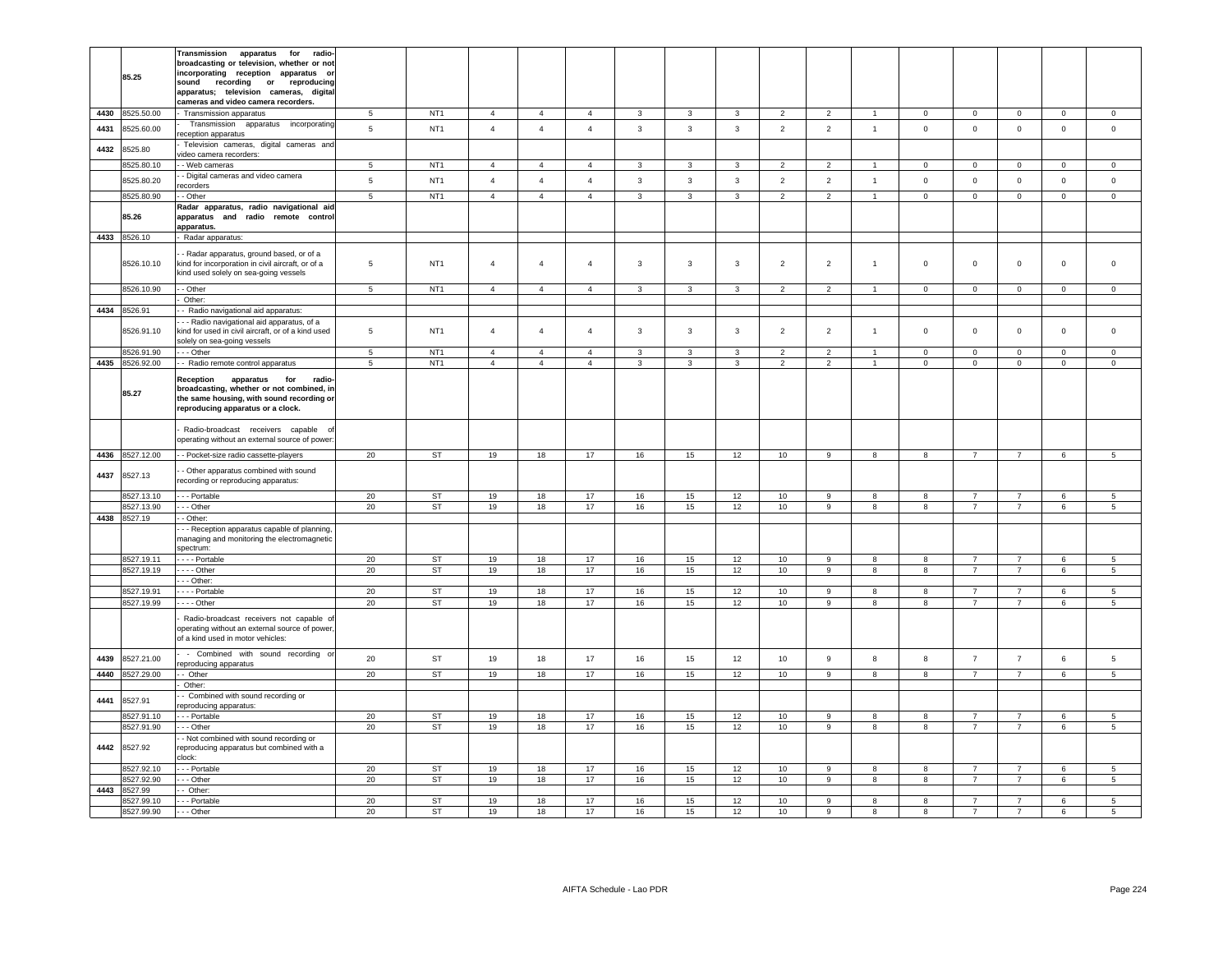|      |                          | Transmission<br>apparatus<br>for<br>radio-                                                                                             |                 |                        |                |                |                |                         |                         |                |                |                |                       |                |                                  |                                  |                |                                |
|------|--------------------------|----------------------------------------------------------------------------------------------------------------------------------------|-----------------|------------------------|----------------|----------------|----------------|-------------------------|-------------------------|----------------|----------------|----------------|-----------------------|----------------|----------------------------------|----------------------------------|----------------|--------------------------------|
|      |                          | broadcasting or television, whether or not                                                                                             |                 |                        |                |                |                |                         |                         |                |                |                |                       |                |                                  |                                  |                |                                |
|      | 85.25                    | incorporating reception apparatus or                                                                                                   |                 |                        |                |                |                |                         |                         |                |                |                |                       |                |                                  |                                  |                |                                |
|      |                          | sound recording or<br>reproducing                                                                                                      |                 |                        |                |                |                |                         |                         |                |                |                |                       |                |                                  |                                  |                |                                |
|      |                          | apparatus; television cameras, digital                                                                                                 |                 |                        |                |                |                |                         |                         |                |                |                |                       |                |                                  |                                  |                |                                |
|      |                          | cameras and video camera recorders.                                                                                                    |                 |                        |                |                |                |                         |                         |                |                |                |                       |                |                                  |                                  |                |                                |
| 4430 | 8525.50.00               | Transmission apparatus                                                                                                                 | 5               | NT <sub>1</sub>        | $\overline{4}$ | $\overline{4}$ | $\overline{4}$ | $\mathbf{3}$            | $\overline{3}$          | $\overline{3}$ | $\overline{2}$ | $\overline{2}$ | $\overline{1}$        | $\Omega$       | $\mathbf 0$                      | $\mathbf 0$                      | $\mathsf 0$    | $\circ$                        |
| 4431 | 8525.60.00               | Transmission<br>apparatus incorporating<br>reception apparatus                                                                         | $5^{\circ}$     | NT <sub>1</sub>        | $\overline{4}$ | $\overline{4}$ | $\overline{4}$ | $\overline{3}$          | $\overline{3}$          | $\overline{3}$ | $\overline{2}$ | $\overline{2}$ | $\overline{1}$        | $\mathbf 0$    | $\mathbf{0}$                     | $\mathbf{0}$                     | $\mathbf{0}$   | $\mathbf 0$                    |
| 4432 | 8525.80                  | Television cameras, digital cameras and<br>video camera recorders:                                                                     |                 |                        |                |                |                |                         |                         |                |                |                |                       |                |                                  |                                  |                |                                |
|      | 8525.80.10               | - Web cameras                                                                                                                          | 5               | NT <sub>1</sub>        | $\overline{4}$ | $\overline{4}$ | $\mathbf{A}$   | $\mathbf{3}$            | $\mathbf{3}$            | $\overline{3}$ | $\overline{2}$ | $\overline{2}$ | $\overline{1}$        | $\mathbf 0$    | $\mathsf 0$                      | $\mathbf 0$                      | $\mathsf 0$    | $\Omega$                       |
|      | 8525.80.20               | - Digital cameras and video camera                                                                                                     | 5               | NT <sub>1</sub>        | $\overline{4}$ | $\overline{4}$ | $\overline{4}$ | $\mathbf{3}$            | $\mathbf{3}$            | $\mathbf{3}$   | $\overline{2}$ | $\overline{2}$ | $\overline{1}$        | $\mathbf 0$    | $\mathbf 0$                      | $\mathbf 0$                      | $\mathsf 0$    | $\mathbf 0$                    |
|      | 8525.80.90               | ecorders<br>- Other                                                                                                                    | $\overline{5}$  | NT <sub>1</sub>        | $\overline{4}$ | $\overline{4}$ | $\overline{4}$ | $\overline{\mathbf{3}}$ | $\overline{\mathbf{3}}$ | $\overline{3}$ | $\overline{2}$ | $\overline{2}$ | $\overline{1}$        | $\overline{0}$ | $\overline{0}$                   | $\overline{0}$                   | $\overline{0}$ | $\overline{0}$                 |
|      |                          | Radar apparatus, radio navigational aid                                                                                                |                 |                        |                |                |                |                         |                         |                |                |                |                       |                |                                  |                                  |                |                                |
|      | 85.26                    | apparatus and radio remote control                                                                                                     |                 |                        |                |                |                |                         |                         |                |                |                |                       |                |                                  |                                  |                |                                |
| 4433 | 8526.10                  | apparatus.<br>Radar apparatus:                                                                                                         |                 |                        |                |                |                |                         |                         |                |                |                |                       |                |                                  |                                  |                |                                |
|      |                          |                                                                                                                                        |                 |                        |                |                |                |                         |                         |                |                |                |                       |                |                                  |                                  |                |                                |
|      | 8526.10.10               | - Radar apparatus, ground based, or of a<br>kind for incorporation in civil aircraft, or of a<br>kind used solely on sea-going vessels | 5               | NT <sub>1</sub>        | $\overline{4}$ | $\overline{4}$ | $\overline{4}$ | 3                       | $\mathbf{3}$            | $\mathbf{3}$   | $\overline{2}$ | $\overline{2}$ | $\overline{1}$        | $\mathsf 0$    | $\mathbf 0$                      | $\mathsf 0$                      | $\mathbf 0$    | $\mathbf 0$                    |
|      | 8526.10.90               | - Other                                                                                                                                | 5               | NT <sub>1</sub>        | $\overline{4}$ | $\overline{4}$ | $\overline{4}$ | $\mathbf{3}$            | $\mathbf{3}$            | $\mathbf{3}$   | $\overline{2}$ | $\overline{2}$ | $\overline{1}$        | $\mathbf 0$    | $\mathsf 0$                      | $\mathbf 0$                      | $\mathbf 0$    | $\mathsf 0$                    |
|      |                          | Other:                                                                                                                                 |                 |                        |                |                |                |                         |                         |                |                |                |                       |                |                                  |                                  |                |                                |
|      | 4434 8526.91             | Radio navigational aid apparatus:                                                                                                      |                 |                        |                |                |                |                         |                         |                |                |                |                       |                |                                  |                                  |                |                                |
|      | 8526.91.10               | - - Radio navigational aid apparatus, of a<br>kind for used in civil aircraft, or of a kind used<br>solely on sea-going vessels        | $\,$ 5 $\,$     | NT <sub>1</sub>        | $\overline{4}$ | $\overline{4}$ | $\overline{4}$ | 3                       | $\mathbf{3}$            | $\mathbf{3}$   | $\overline{2}$ | $\overline{2}$ | $\overline{1}$        | $\mathsf 0$    | $\mathbf 0$                      | $\mathsf 0$                      | $\mathbf 0$    | $\mathbf 0$                    |
|      | 8526.91.90               | - - Other                                                                                                                              | $5\phantom{.0}$ | NT <sub>1</sub>        | $\overline{4}$ | $\overline{4}$ | $\overline{4}$ | 3                       | 3                       | 3              | $\overline{2}$ | $\overline{2}$ | $\overline{1}$        | $^{\circ}$     | $\overline{0}$                   | $\mathbf 0$                      | $\pmb{0}$      | $\mathbf 0$                    |
| 4435 | 8526.92.00               | - Radio remote control apparatus                                                                                                       | $\overline{5}$  | NT <sub>1</sub>        | $\overline{4}$ | $\overline{4}$ | $\overline{4}$ | $\mathbf{3}$            | $\mathbf{3}$            | $\overline{3}$ | $\overline{2}$ | $\overline{2}$ | $\overline{1}$        | $\mathbf 0$    | $\mathbf 0$                      | $\overline{0}$                   | $\mathbf 0$    | $\overline{0}$                 |
|      |                          | Reception<br>apparatus<br>for<br>radio-                                                                                                |                 |                        |                |                |                |                         |                         |                |                |                |                       |                |                                  |                                  |                |                                |
|      | 85.27                    | broadcasting, whether or not combined, in                                                                                              |                 |                        |                |                |                |                         |                         |                |                |                |                       |                |                                  |                                  |                |                                |
|      |                          | the same housing, with sound recording or                                                                                              |                 |                        |                |                |                |                         |                         |                |                |                |                       |                |                                  |                                  |                |                                |
|      |                          | reproducing apparatus or a clock.                                                                                                      |                 |                        |                |                |                |                         |                         |                |                |                |                       |                |                                  |                                  |                |                                |
|      |                          | Radio-broadcast receivers capable                                                                                                      |                 |                        |                |                |                |                         |                         |                |                |                |                       |                |                                  |                                  |                |                                |
|      |                          | operating without an external source of power:                                                                                         |                 |                        |                |                |                |                         |                         |                |                |                |                       |                |                                  |                                  |                |                                |
| 4436 | 8527.12.00               | - - Pocket-size radio cassette-players                                                                                                 | 20              | <b>ST</b>              | 19             | 18             | 17             | 16                      | 15                      | 12             | 10             | 9              | 8                     | 8              | $7^{\circ}$                      | $\overline{7}$                   | 6              | $5\phantom{.0}$                |
|      |                          |                                                                                                                                        |                 |                        |                |                |                |                         |                         |                |                |                |                       |                |                                  |                                  |                |                                |
| 4437 | 8527.13                  | - Other apparatus combined with sound<br>recording or reproducing apparatus:                                                           |                 |                        |                |                |                |                         |                         |                |                |                |                       |                |                                  |                                  |                |                                |
|      | 8527.13.10               | - - - Portable                                                                                                                         | 20              | <b>ST</b>              | 19             | 18             | 17             | 16                      | 15                      | 12             | 10             | 9              | 8                     | 8              | $\overline{7}$                   | $\overline{7}$                   | 6              | $5\phantom{.0}$                |
|      | 8527.13.90               | -- Other                                                                                                                               | 20              | ST                     | 19             | 18             | 17             | 16                      | 15                      | $12\,$         | 10             | 9              | 8                     | 8              | $\overline{7}$                   | $\overline{7}$                   | $\,6\,$        | $5\phantom{.0}$                |
| 4438 | 8527.19                  | - Other:                                                                                                                               |                 |                        |                |                |                |                         |                         |                |                |                |                       |                |                                  |                                  |                |                                |
|      |                          | - - Reception apparatus capable of planning,                                                                                           |                 |                        |                |                |                |                         |                         |                |                |                |                       |                |                                  |                                  |                |                                |
|      |                          | managing and monitoring the electromagnetic                                                                                            |                 |                        |                |                |                |                         |                         |                |                |                |                       |                |                                  |                                  |                |                                |
|      |                          | spectrum:                                                                                                                              |                 |                        |                |                |                |                         |                         |                |                |                |                       |                |                                  |                                  |                |                                |
|      | 8527.19.11<br>8527.19.19 | - - - Portable<br>$- -$ Other                                                                                                          | 20<br>20        | <b>ST</b><br><b>ST</b> | 19<br>19       | 18<br>18       | 17<br>17       | 16<br>16                | 15<br>15                | 12<br>12       | 10<br>10       | 9<br>9         | $\boldsymbol{8}$<br>8 | 8<br>8         | $\overline{7}$<br>$\overline{7}$ | $\overline{7}$<br>$\overline{7}$ | $\,6\,$<br>6   | $\,$ 5 $\,$<br>$5\phantom{.0}$ |
|      |                          | - Other:                                                                                                                               |                 |                        |                |                |                |                         |                         |                |                |                |                       |                |                                  |                                  |                |                                |
|      | 8527.19.91               | - - - Portable                                                                                                                         | 20              | <b>ST</b>              | 19             | 18             | 17             | 16                      | 15                      | 12             | 10             | 9              | 8                     | 8              | $\overline{7}$                   | $\overline{7}$                   | 6              | 5                              |
|      | 8527.19.99               | $- -$ Other                                                                                                                            | 20              | <b>ST</b>              | 19             | 18             | 17             | 16                      | 15                      | 12             | 10             | 9              | 8                     | 8              | $\overline{7}$                   | $\overline{7}$                   | $\,6\,$        | $\sqrt{5}$                     |
|      |                          | Radio-broadcast receivers not capable of                                                                                               |                 |                        |                |                |                |                         |                         |                |                |                |                       |                |                                  |                                  |                |                                |
|      |                          | operating without an external source of power,                                                                                         |                 |                        |                |                |                |                         |                         |                |                |                |                       |                |                                  |                                  |                |                                |
|      |                          | of a kind used in motor vehicles:                                                                                                      |                 |                        |                |                |                |                         |                         |                |                |                |                       |                |                                  |                                  |                |                                |
| 4439 | 8527.21.00               | - Combined with sound recording                                                                                                        | 20              | <b>ST</b>              | 19             | 18             | 17             | 16                      | 15                      | 12             | 10             | 9              | 8                     | 8              | $\overline{7}$                   | $\overline{7}$                   | 6              | 5                              |
|      |                          | eproducing apparatus                                                                                                                   |                 |                        |                |                |                |                         |                         |                |                |                |                       |                |                                  |                                  |                |                                |
| 4440 | 8527.29.00               | - Other                                                                                                                                | 20              | <b>ST</b>              | 19             | 18             | 17             | 16                      | 15                      | 12             | 10             | 9              | 8                     | 8              | $\overline{7}$                   | $\overline{7}$                   | 6              | $5\phantom{.0}$                |
|      |                          | Other:<br>- Combined with sound recording or                                                                                           |                 |                        |                |                |                |                         |                         |                |                |                |                       |                |                                  |                                  |                |                                |
| 4441 | 8527.91                  | eproducing apparatus:                                                                                                                  |                 |                        |                |                |                |                         |                         |                |                |                |                       |                |                                  |                                  |                |                                |
|      | 8527.91.10               | - - Portable                                                                                                                           | 20              | <b>ST</b>              | 19             | 18             | 17             | 16                      | 15                      | 12             | 10             | 9              | 8                     | 8              | $\overline{7}$                   | $\overline{7}$                   | $\,6\,$        | $5\phantom{.0}$                |
|      | 8527.91.90               | - - Other                                                                                                                              | 20              | ST                     | 19             | 18             | 17             | 16                      | 15                      | 12             | 10             | 9              | 8                     | 8              | $\overline{7}$                   | $\overline{7}$                   | $\,6\,$        | $\,$ 5 $\,$                    |
|      |                          | - Not combined with sound recording or                                                                                                 |                 |                        |                |                |                |                         |                         |                |                |                |                       |                |                                  |                                  |                |                                |
| 4442 | 8527.92                  | reproducing apparatus but combined with a<br>clock:                                                                                    |                 |                        |                |                |                |                         |                         |                |                |                |                       |                |                                  |                                  |                |                                |
|      | 8527.92.10               | - - - Portable                                                                                                                         | 20              | <b>ST</b>              | 19             | 18             | 17             | 16                      | 15                      | 12             | 10             | 9              | 8                     | 8              | $\overline{7}$                   | $\overline{7}$                   | $\,6\,$        | $\sqrt{5}$                     |
|      | 8527.92.90               | - - - Other                                                                                                                            | 20              | <b>ST</b>              | 19             | 18             | 17             | 16                      | 15                      | 12             | 10             | 9              | 8                     | 8              | $\overline{7}$                   | $\overline{7}$                   | 6              | $5\overline{5}$                |
| 4443 | 8527.99                  | - Other:                                                                                                                               |                 |                        |                |                |                |                         |                         |                |                |                |                       |                |                                  |                                  |                |                                |
|      | 8527.99.10               | - - Portable                                                                                                                           | 20              | <b>ST</b>              | 19             | 18             | 17             | 16                      | 15                      | 12             | 10             | 9              | 8                     | 8              | $\overline{7}$                   | $\overline{7}$                   | 6              | 5                              |
|      | 8527.99.90               | - - - Other                                                                                                                            | 20              | <b>ST</b>              | 19             | 18             | 17             | 16                      | 15                      | 12             | 10             | 9              | 8                     | 8              | $\overline{7}$                   | $\overline{7}$                   | 6              | 5                              |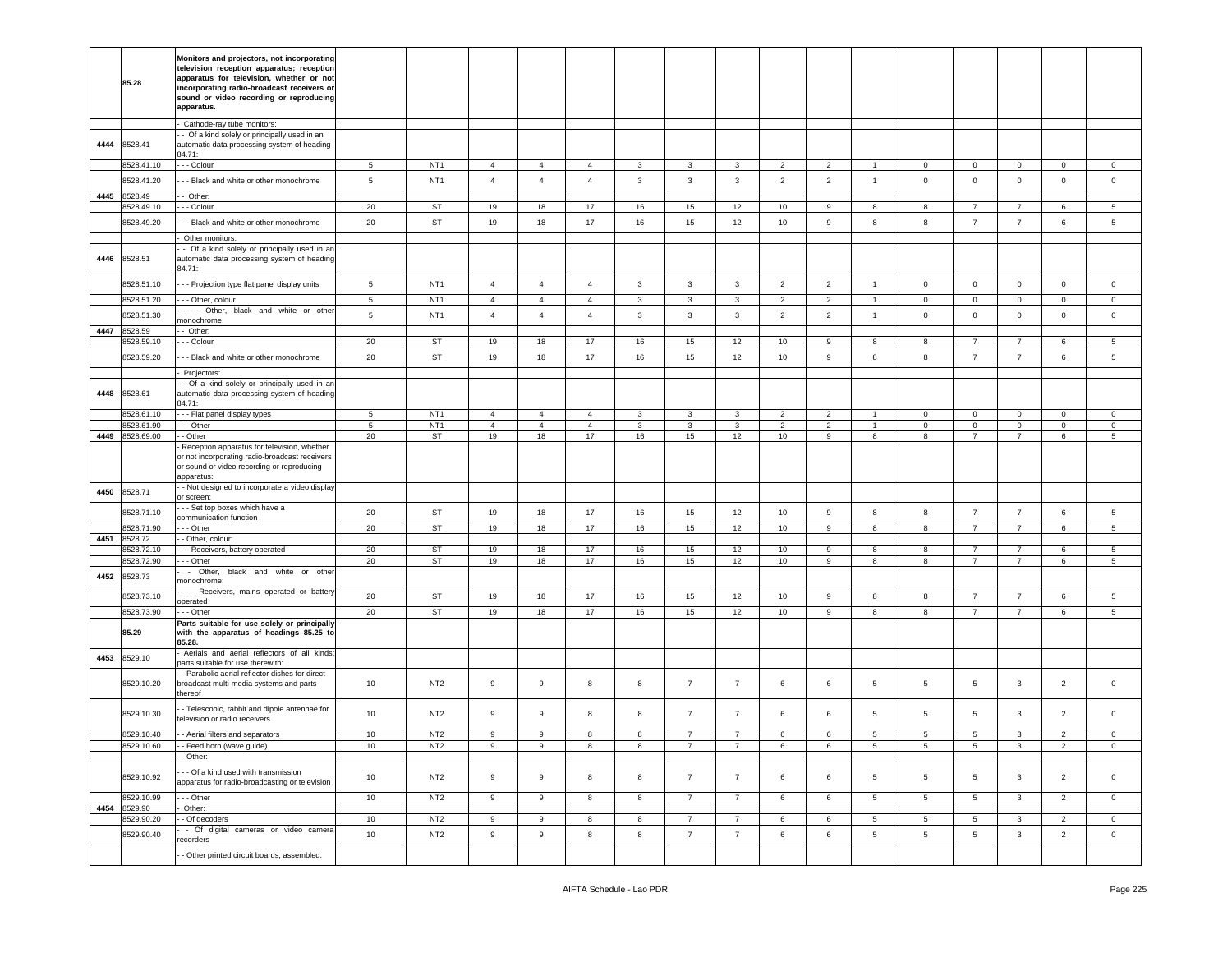|      | 85.28                    | Monitors and projectors, not incorporating<br>television reception apparatus; reception<br>apparatus for television, whether or not<br>incorporating radio-broadcast receivers or<br>sound or video recording or reproducing<br>apparatus. |                 |                 |                |                |                |              |                |                |                |                |                |                 |                     |                                  |                |                      |
|------|--------------------------|--------------------------------------------------------------------------------------------------------------------------------------------------------------------------------------------------------------------------------------------|-----------------|-----------------|----------------|----------------|----------------|--------------|----------------|----------------|----------------|----------------|----------------|-----------------|---------------------|----------------------------------|----------------|----------------------|
|      |                          | Cathode-ray tube monitors:                                                                                                                                                                                                                 |                 |                 |                |                |                |              |                |                |                |                |                |                 |                     |                                  |                |                      |
| 4444 | 8528.41                  | - Of a kind solely or principally used in an<br>automatic data processing system of heading<br>84.71:                                                                                                                                      |                 |                 |                |                |                |              |                |                |                |                |                |                 |                     |                                  |                |                      |
|      | 8528.41.10               | - - - Colour                                                                                                                                                                                                                               | $5\phantom{.0}$ | NT <sub>1</sub> | $\overline{4}$ | $\overline{4}$ | $\overline{4}$ | 3            | 3              | 3              | $\overline{2}$ | $\overline{2}$ | $\overline{1}$ | $\mathbf 0$     | $\mathbf 0$         | $\mathbf{0}$                     | $\overline{0}$ | $\mathbf 0$          |
|      | 8528.41.20               | - - Black and white or other monochrome                                                                                                                                                                                                    | $5\phantom{.0}$ | NT <sub>1</sub> | $\overline{4}$ | $\overline{4}$ | $\overline{4}$ | $\mathbf{3}$ | $\mathbf{3}$   | $\mathbf{3}$   | $\overline{2}$ | $\overline{2}$ | $\overline{1}$ | $\mathbf 0$     | $\mathsf 0$         | $\mathbf 0$                      | $\mathbf 0$    | $\mathsf 0$          |
| 4445 | 8528.49                  | - Other:                                                                                                                                                                                                                                   |                 |                 |                |                |                |              |                |                |                |                |                |                 |                     |                                  |                |                      |
|      | 528.49.10                | - - Colour                                                                                                                                                                                                                                 | 20              | ST              | 19             | 18             | 17             | 16           | 15             | 12             | 10             | 9              | 8              | 8               | $\overline{7}$      | $\overline{7}$                   | 6              | 5                    |
|      | 8528.49.20               | - - Black and white or other monochrome                                                                                                                                                                                                    | 20              | <b>ST</b>       | 19             | 18             | 17             | 16           | 15             | 12             | 10             | 9              | 8              | 8               | $\overline{7}$      | $\overline{7}$                   | 6              | 5                    |
|      |                          | Other monitors:                                                                                                                                                                                                                            |                 |                 |                |                |                |              |                |                |                |                |                |                 |                     |                                  |                |                      |
| 4446 | 8528.51                  | - Of a kind solely or principally used in an<br>automatic data processing system of heading<br>84.71:                                                                                                                                      |                 |                 |                |                |                |              |                |                |                |                |                |                 |                     |                                  |                |                      |
|      | 8528.51.10               | - - Projection type flat panel display units                                                                                                                                                                                               | 5               | NT <sub>1</sub> | $\overline{4}$ | $\overline{4}$ | $\overline{4}$ | 3            | $\mathbf{3}$   | $\mathbf{3}$   | $\overline{2}$ | $\overline{2}$ | $\overline{1}$ | $\mathbf 0$     | $\mathbf 0$         | $\mathbf{0}$                     | $\mathsf 0$    | $\mathsf 0$          |
|      | 8528.51.20               | - - Other, colour                                                                                                                                                                                                                          | $\sqrt{5}$      | NT <sub>1</sub> | $\overline{4}$ | $\overline{4}$ | $\overline{4}$ | 3            | $\mathbf{3}$   | $\mathbf{3}$   | $\overline{2}$ | $\overline{2}$ | $\overline{1}$ | $\mathbf 0$     | $\mathbf 0$         | 0                                | $\pmb{0}$      | $\mathsf 0$          |
|      | 8528.51.30               | - - Other, black and white or other<br>nonochrome                                                                                                                                                                                          | 5               | NT <sub>1</sub> | $\overline{4}$ | $\overline{4}$ | $\overline{4}$ | 3            | 3              | $\mathbf{3}$   | $\overline{2}$ | $\overline{2}$ | $\overline{1}$ | $\mathsf 0$     | $\mathbf 0$         | $\mathbf{0}$                     | $\mathbf 0$    | $\mathbf 0$          |
| 4447 | 8528.59                  | - Other:                                                                                                                                                                                                                                   |                 |                 |                |                |                |              |                |                |                |                |                |                 |                     |                                  |                |                      |
|      | 3528.59.10               | - - Colour                                                                                                                                                                                                                                 | 20              | ST              | 19             | 18             | $17$           | 16           | 15             | 12             | 10             | 9              | 8              | 8               | $\overline{7}$      | $\overline{7}$                   | 6              | $\,$ 5 $\,$          |
|      | 8528.59.20               | - - Black and white or other monochrome                                                                                                                                                                                                    | 20              | <b>ST</b>       | 19             | 18             | 17             | 16           | 15             | 12             | 10             | 9              | 8              | 8               | $\overline{7}$      | $\overline{7}$                   | 6              | 5                    |
|      |                          | Projectors:<br>- Of a kind solely or principally used in an                                                                                                                                                                                |                 |                 |                |                |                |              |                |                |                |                |                |                 |                     |                                  |                |                      |
| 4448 | 8528.61                  | automatic data processing system of heading<br>84.71:                                                                                                                                                                                      |                 |                 |                |                |                |              |                |                |                |                |                |                 |                     |                                  |                |                      |
|      | 8528.61.10               | - - - Flat panel display types                                                                                                                                                                                                             | $5\phantom{.0}$ | NT <sub>1</sub> | $\overline{4}$ | $\overline{4}$ | $\overline{4}$ | 3            | 3              | 3              | $\overline{2}$ | $\overline{2}$ | $\overline{1}$ | $\mathbf 0$     | $\mathbf 0$         | $\mathbf 0$                      | $\mathbf 0$    | $\mathbf 0$          |
|      | 8528.61.90               | - - - Other                                                                                                                                                                                                                                | 5               | NT <sub>1</sub> | $\overline{4}$ | $\overline{4}$ | $\overline{4}$ | $\mathbf{3}$ | $\mathbf{3}$   | $\mathbf{3}$   | 2              | $\overline{2}$ | $\mathbf{1}$   | $\mathbf{0}$    | $\mathbf 0$         | $\mathbf{0}$                     | $\mathsf 0$    | $\mathsf 0$          |
| 4449 | 8528.69.00               | - Other<br>Reception apparatus for television, whether                                                                                                                                                                                     | 20              | ST              | 19             | 18             | 17             | 16           | 15             | 12             | 10             | 9              | 8              | 8               | $\overline{7}$      | $\overline{7}$                   | 6              | $5\phantom{.0}$      |
|      |                          | or not incorporating radio-broadcast receivers<br>or sound or video recording or reproducing<br>apparatus:                                                                                                                                 |                 |                 |                |                |                |              |                |                |                |                |                |                 |                     |                                  |                |                      |
| 4450 | 8528.71                  | - - Not designed to incorporate a video display<br>or screen:                                                                                                                                                                              |                 |                 |                |                |                |              |                |                |                |                |                |                 |                     |                                  |                |                      |
|      | 8528.71.10               | - - Set top boxes which have a<br>communication function                                                                                                                                                                                   | 20              | ST              | 19             | 18             | 17             | 16           | 15             | 12             | 10             | 9              | 8              | 8               | $\overline{7}$      | $\overline{7}$                   | $\,6\,$        | $\,$ 5 $\,$          |
|      | 8528.71.90               | - - Other                                                                                                                                                                                                                                  | 20              | ST              | 19             | 18             | 17             | 16           | 15             | 12             | 10             | 9              | 8              | 8               | $\overline{7}$      | $\overline{7}$                   | 6              | $5\phantom{.0}$      |
| 4451 | 8528.72                  | - Other, colour:                                                                                                                                                                                                                           |                 |                 |                |                |                |              |                |                |                |                |                |                 |                     |                                  |                |                      |
|      | 3528.72.10<br>3528.72.90 | - - Receivers, battery operated<br>- - Other                                                                                                                                                                                               | 20<br>20        | <b>ST</b><br>ST | 19<br>19       | 18<br>18       | 17<br>17       | 16<br>16     | 15<br>15       | 12<br>12       | 10<br>10       | 9<br>9         | 8<br>8         | 8<br>8          | 7<br>$\overline{7}$ | $\overline{7}$<br>$\overline{7}$ | 6<br>6         | $5\overline{5}$<br>5 |
| 4452 | 8528.73                  | - Other, black and white or other                                                                                                                                                                                                          |                 |                 |                |                |                |              |                |                |                |                |                |                 |                     |                                  |                |                      |
|      |                          | nonochrome:<br>- - Receivers, mains operated or battery                                                                                                                                                                                    |                 |                 |                |                |                |              |                |                |                |                |                |                 |                     |                                  |                |                      |
|      | 8528.73.10               | operated                                                                                                                                                                                                                                   | 20              | <b>ST</b>       | 19             | 18             | 17             | 16           | 15             | 12             | 10             | 9              | 8              | 8               | $\overline{7}$      | $\overline{7}$                   | 6              | 5                    |
|      | 8528.73.90               | - - Other<br>Parts suitable for use solely or principally                                                                                                                                                                                  | 20              | ST              | 19             | 18             | 17             | 16           | 15             | 12             | 10             | 9              | 8              | 8               | $\overline{7}$      | $\overline{7}$                   | 6              | $5\phantom{.0}$      |
|      | 85.29                    | with the apparatus of headings 85.25 to<br>85.28.                                                                                                                                                                                          |                 |                 |                |                |                |              |                |                |                |                |                |                 |                     |                                  |                |                      |
| 4453 | 8529.10                  | Aerials and aerial reflectors of all kinds;<br>parts suitable for use therewith:                                                                                                                                                           |                 |                 |                |                |                |              |                |                |                |                |                |                 |                     |                                  |                |                      |
|      | 8529.10.20               | - Parabolic aerial reflector dishes for direct<br>broadcast multi-media systems and parts<br>thereof                                                                                                                                       | 10              | NT <sub>2</sub> | 9              | 9              | 8              | 8            | $\overline{7}$ | $\overline{7}$ | 6              | 6              | 5              | 5               | 5                   | 3                                | $\overline{2}$ | $\mathbf 0$          |
|      | 8529.10.30               | - Telescopic, rabbit and dipole antennae for<br>television or radio receivers                                                                                                                                                              | 10              | NT <sub>2</sub> | 9              | 9              | 8              | 8            | $\overline{7}$ | $\overline{7}$ | 6              | 6              | 5              | 5               | 5                   | 3                                | $\overline{2}$ | $\mathbf 0$          |
|      | 8529.10.40               | - - Aerial filters and separators                                                                                                                                                                                                          | 10              | NT <sub>2</sub> | 9              | 9              | 8              | 8            | $\overline{7}$ | $\overline{7}$ | 6              | 6              | 5              | 5               | 5                   | 3                                | $\overline{2}$ | $\mathbf 0$          |
|      | 8529.10.60               | --Feed horn (wave quide)<br>- Other:                                                                                                                                                                                                       | 10              | NT2             | 9              | 9              | 8              | 8            |                |                | 6              | 6              | 5              | 5               | 5                   | 3                                |                | $\mathbf{0}$         |
|      | 8529.10.92               | - - Of a kind used with transmission<br>apparatus for radio-broadcasting or television                                                                                                                                                     | 10              | NT <sub>2</sub> | $\,9$          | $\mathsf g$    | 8              | 8            | $\overline{7}$ | $\overline{7}$ | 6              | 6              | 5              | 5               | $5^{\circ}$         | $\mathbf{3}$                     | $\overline{2}$ | $\mathbf 0$          |
|      | 8529.10.99               | - - Other                                                                                                                                                                                                                                  | 10              | NT <sub>2</sub> | 9              | 9              | 8              | 8            | $\overline{7}$ | $\overline{7}$ | 6              | 6              | 5              | $5\overline{5}$ | 5                   | $\mathbf{3}$                     | $\overline{2}$ | $\overline{0}$       |
| 4454 | 8529.90                  | Other:                                                                                                                                                                                                                                     |                 |                 |                |                |                |              |                |                |                |                |                |                 |                     |                                  |                |                      |
|      | 8529.90.20               | - Of decoders<br>- Of digital cameras or video camera                                                                                                                                                                                      | 10              | NT <sub>2</sub> | 9              | 9              | 8              | 8            | $\overline{7}$ | $\overline{7}$ | 6              | 6              | 5              | $5\phantom{.0}$ | $5\overline{5}$     | $\mathbf{3}$                     | $\overline{2}$ | $\mathbf 0$          |
|      | 8529.90.40               | recorders                                                                                                                                                                                                                                  | 10              | NT <sub>2</sub> | $\overline{9}$ | $\mathsf g$    | 8              | 8            | $\overline{7}$ | $\overline{7}$ | $6\phantom{a}$ | 6              | 5              | $5^{\circ}$     | $5\phantom{.0}$     | $\mathbf{3}$                     | $\overline{2}$ | $\mathsf 0$          |
|      |                          | - Other printed circuit boards, assembled:                                                                                                                                                                                                 |                 |                 |                |                |                |              |                |                |                |                |                |                 |                     |                                  |                |                      |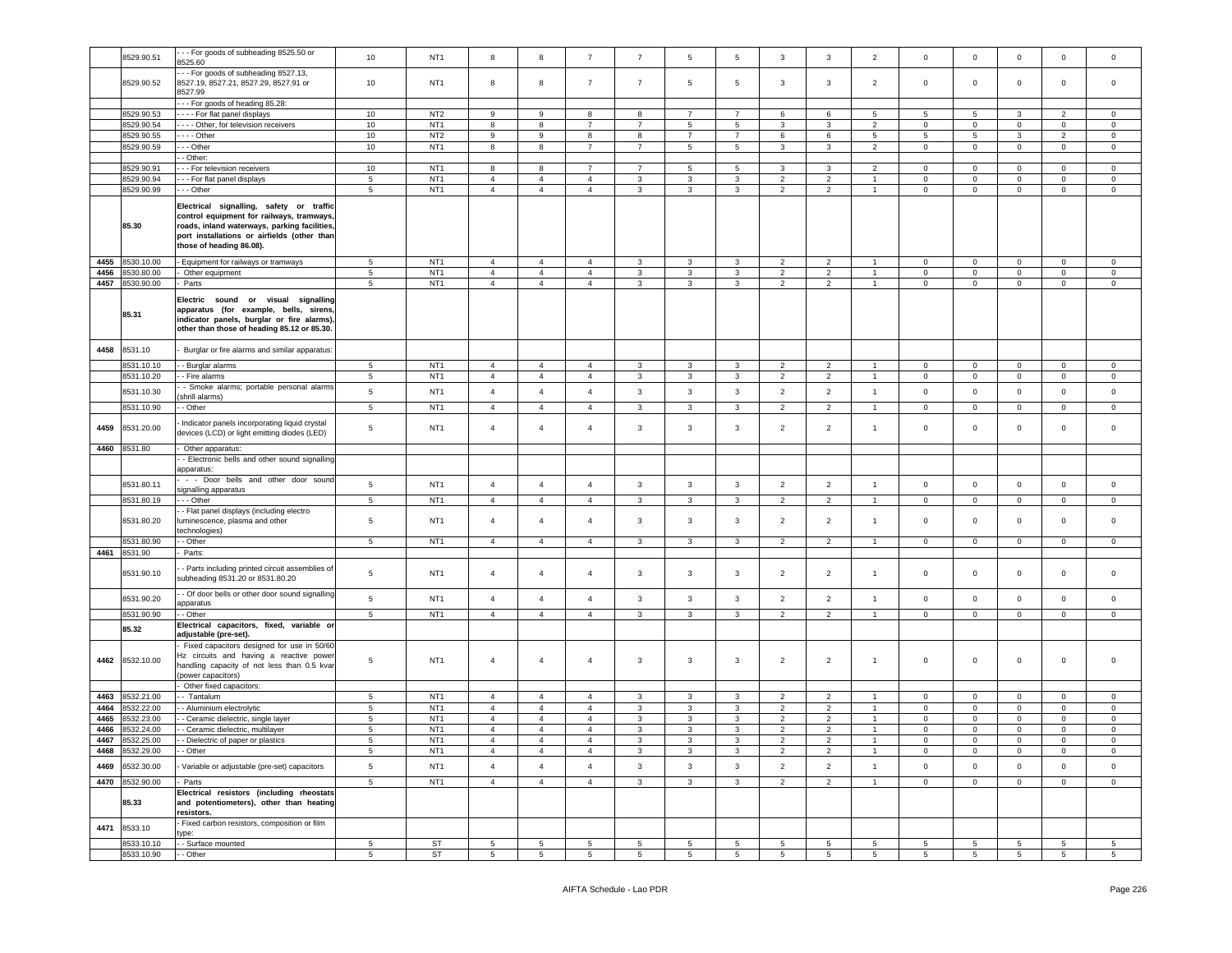|      | 8529.90.51      | - - For goods of subheading 8525.50 or                                    | 10              | NT <sub>1</sub> | 8               | 8               | $\overline{7}$  | $\overline{7}$  | $\overline{5}$          | $5\phantom{.0}$ | 3               | 3              | $\overline{2}$  | $\,0\,$      | $\mathsf 0$     | $\mathbf 0$     | $\mathbf 0$     | $\mathbf 0$    |
|------|-----------------|---------------------------------------------------------------------------|-----------------|-----------------|-----------------|-----------------|-----------------|-----------------|-------------------------|-----------------|-----------------|----------------|-----------------|--------------|-----------------|-----------------|-----------------|----------------|
|      |                 | 525.60                                                                    |                 |                 |                 |                 |                 |                 |                         |                 |                 |                |                 |              |                 |                 |                 |                |
|      |                 | - - For goods of subheading 8527.13,                                      |                 |                 |                 |                 |                 |                 |                         |                 |                 |                |                 |              |                 |                 |                 |                |
|      | 8529.90.52      | 8527.19, 8527.21, 8527.29, 8527.91 or                                     | 10              | NT <sub>1</sub> | 8               | 8               | $\overline{7}$  | $\overline{7}$  | $\overline{5}$          | 5               | 3               | 3              | $\overline{2}$  | $\mathsf 0$  | $\mathbf 0$     | $\mathbf 0$     | $\mathbf 0$     | $\mathbf 0$    |
|      |                 | 8527.99                                                                   |                 |                 |                 |                 |                 |                 |                         |                 |                 |                |                 |              |                 |                 |                 |                |
|      |                 |                                                                           |                 |                 |                 |                 |                 |                 |                         |                 |                 |                |                 |              |                 |                 |                 |                |
|      |                 | -- For goods of heading 85.28:                                            |                 |                 |                 |                 |                 |                 |                         |                 |                 |                |                 |              |                 |                 |                 |                |
|      | 8529.90.53      | For flat panel displays                                                   | 10              | NT <sub>2</sub> | 9               | 9               | 8               | 8               | $\overline{7}$          | 7               | 6               | 6              | 5               | 5            | $5\phantom{.0}$ | 3               | $\overline{2}$  | $\circ$        |
|      | 8529.90.54      | --- Other, for television receivers                                       | 10              | NT <sub>1</sub> | 8               | 8               | $\overline{7}$  | $\overline{7}$  | $5\overline{5}$         | $5\phantom{.0}$ | 3               | 3              | $\overline{2}$  | $\mathbf 0$  | $\overline{0}$  | $\mathbf 0$     | $\overline{0}$  | $\circ$        |
|      | 8529.90.55      | . - - - Other                                                             | 10              | NT <sub>2</sub> | 9               | 9               | 8               | 8               | $\overline{7}$          | $\overline{7}$  | 6               | 6              | 5               | 5            | 5               | 3               | $\overline{2}$  | $\mathbf 0$    |
|      | 3529.90.59      | - - Other                                                                 | 10              | NT <sub>1</sub> | 8               | 8               | $\overline{7}$  | $\overline{7}$  | $5\phantom{.0}$         | $5\phantom{.0}$ | 3               | 3              | $\overline{c}$  | $\mathsf 0$  | $\mathsf 0$     | $\mathbf 0$     | $\mathbf 0$     | $\mathbf 0$    |
|      |                 | - Other:                                                                  |                 |                 |                 |                 |                 |                 |                         |                 |                 |                |                 |              |                 |                 |                 |                |
|      |                 |                                                                           |                 |                 |                 |                 | $\overline{7}$  |                 |                         |                 |                 |                |                 |              |                 |                 |                 |                |
|      | 8529.90.91      | - - For television receivers                                              | 10              | NT <sub>1</sub> | 8               | 8               |                 | $\overline{7}$  | $\,$ 5 $\,$             | 5               | 3               | 3              | $\overline{2}$  | $\mathsf 0$  | $\mathbf 0$     | $\mathbf 0$     | $\mathbf 0$     | 0              |
|      | 3529.90.94      | -- For flat panel displays                                                | $\,$ 5 $\,$     | NT <sub>1</sub> | $\overline{4}$  | $\overline{4}$  | $\overline{4}$  | 3               | 3                       | 3               | $\overline{2}$  | $\overline{2}$ | $\mathbf{1}$    | $\mathbf 0$  | $\circ$         | $\mathbf 0$     | $\mathbf 0$     | $\mathbf 0$    |
|      | 8529.90.99      | - - Other                                                                 | 5               | NT <sub>1</sub> | $\overline{4}$  | $\overline{4}$  | $\overline{4}$  | 3               | 3                       | 3               | $\overline{2}$  | $\overline{2}$ | $\mathbf{1}$    | $\mathbf 0$  | $\overline{0}$  | $\mathbf 0$     | $\mathbf 0$     | $\circ$        |
|      |                 |                                                                           |                 |                 |                 |                 |                 |                 |                         |                 |                 |                |                 |              |                 |                 |                 |                |
|      |                 | Electrical signalling, safety or traffic                                  |                 |                 |                 |                 |                 |                 |                         |                 |                 |                |                 |              |                 |                 |                 |                |
|      |                 | control equipment for railways, tramways                                  |                 |                 |                 |                 |                 |                 |                         |                 |                 |                |                 |              |                 |                 |                 |                |
|      | 85.30           | roads, inland waterways, parking facilities,                              |                 |                 |                 |                 |                 |                 |                         |                 |                 |                |                 |              |                 |                 |                 |                |
|      |                 | port installations or airfields (other than                               |                 |                 |                 |                 |                 |                 |                         |                 |                 |                |                 |              |                 |                 |                 |                |
|      |                 | those of heading 86.08).                                                  |                 |                 |                 |                 |                 |                 |                         |                 |                 |                |                 |              |                 |                 |                 |                |
|      |                 |                                                                           |                 |                 |                 |                 |                 |                 |                         |                 |                 |                |                 |              |                 |                 |                 |                |
| 4455 | 8530.10.00      | Equipment for railways or tramways                                        | 5               | NT <sub>1</sub> | $\overline{4}$  | $\overline{4}$  | $\overline{4}$  | 3               | 3                       | 3               | $\overline{2}$  | 2              |                 | $\mathbf 0$  | $\circ$         | $\mathbf 0$     | $\mathbf 0$     | $\mathbf 0$    |
| 4456 | 3530.80.00      | Other equipment                                                           | $5\phantom{.0}$ | NT <sub>1</sub> | $\overline{4}$  | $\overline{4}$  | $\overline{4}$  | $\mathbf{3}$    | $\mathbf{3}$            | $\mathbf{3}$    | $\overline{2}$  | $\overline{2}$ | -1              | $\mathsf 0$  | $\mathbf 0$     | $\mathbf 0$     | $\mathbf{0}$    | $\mathbf 0$    |
| 4457 | 3530.90.00      | Parts                                                                     | 5               | NT <sub>1</sub> | $\overline{4}$  | $\overline{4}$  | $\overline{4}$  | 3               | 3                       | 3               | $\overline{2}$  | $\overline{2}$ | $\overline{1}$  | $\mathbf 0$  | $\overline{0}$  | $\mathbf 0$     | $\circ$         | $\circ$        |
|      |                 |                                                                           |                 |                 |                 |                 |                 |                 |                         |                 |                 |                |                 |              |                 |                 |                 |                |
|      |                 | Electric sound or visual signalling                                       |                 |                 |                 |                 |                 |                 |                         |                 |                 |                |                 |              |                 |                 |                 |                |
|      | 85.31           | apparatus (for example, bells, sirens                                     |                 |                 |                 |                 |                 |                 |                         |                 |                 |                |                 |              |                 |                 |                 |                |
|      |                 | indicator panels, burglar or fire alarms),                                |                 |                 |                 |                 |                 |                 |                         |                 |                 |                |                 |              |                 |                 |                 |                |
|      |                 | other than those of heading 85.12 or 85.30.                               |                 |                 |                 |                 |                 |                 |                         |                 |                 |                |                 |              |                 |                 |                 |                |
|      |                 |                                                                           |                 |                 |                 |                 |                 |                 |                         |                 |                 |                |                 |              |                 |                 |                 |                |
| 4458 | 8531.10         | Burglar or fire alarms and similar apparatus:                             |                 |                 |                 |                 |                 |                 |                         |                 |                 |                |                 |              |                 |                 |                 |                |
|      | 3531.10.10      | - Burglar alarms                                                          | $5\phantom{.0}$ | NT <sub>1</sub> | $\overline{4}$  | $\overline{4}$  | $\overline{4}$  | 3               | 3                       | 3               | $\overline{2}$  | $\overline{2}$ |                 | $\mathbf 0$  | $\mathbf 0$     | $\mathbf 0$     | $\mathbf 0$     | $\mathbf 0$    |
|      |                 |                                                                           |                 |                 |                 |                 |                 |                 |                         |                 |                 |                |                 |              |                 |                 |                 |                |
|      | 8531.10.20      | - Fire alarms                                                             | 5               | NT <sub>1</sub> | $\overline{4}$  | $\overline{4}$  | $\overline{4}$  | 3               | 3                       | 3               | $\overline{2}$  | $\overline{2}$ | $\mathbf{1}$    | $\mathbf{0}$ | $\overline{0}$  | $\mathbf 0$     | $\mathbf 0$     | $\mathbf{0}$   |
|      | 8531.10.30      | - Smoke alarms; portable personal alarms                                  | $\,$ 5 $\,$     | NT <sub>1</sub> | $\overline{4}$  | $\overline{4}$  | $\overline{4}$  | 3               | $\mathbf{3}$            | $\mathbf{3}$    | $\overline{2}$  | $\overline{2}$ | $\mathbf{1}$    | $\mathbf 0$  | $\mathbf 0$     | $\mathbf 0$     | $\mathsf 0$     | $\mathsf 0$    |
|      |                 | shrill alarms)                                                            |                 |                 |                 |                 |                 |                 |                         |                 |                 |                |                 |              |                 |                 |                 |                |
|      | 3531.10.90      | - Other                                                                   | $\,$ 5 $\,$     | NT <sub>1</sub> | $\overline{4}$  | $\overline{4}$  | $\overline{4}$  | 3               | 3                       | 3               | $\overline{2}$  | $\overline{2}$ | -1              | $\mathsf 0$  | $\mathbf 0$     | $\mathbf 0$     | $\mathsf 0$     | $\mathbf 0$    |
|      |                 | Indicator panels incorporating liquid crystal                             |                 |                 |                 |                 |                 |                 |                         |                 |                 |                |                 |              |                 |                 |                 |                |
| 4459 | 3531.20.00      | devices (LCD) or light emitting diodes (LED)                              | $5\phantom{.0}$ | NT <sub>1</sub> | $\overline{4}$  | $\overline{4}$  | $\overline{4}$  | 3               | 3                       | 3               | $\overline{2}$  | $\overline{2}$ | $\overline{1}$  | $\mathsf 0$  | $\mathsf 0$     | $\mathbf 0$     | $\mathbf 0$     | $\mathbf 0$    |
|      |                 |                                                                           |                 |                 |                 |                 |                 |                 |                         |                 |                 |                |                 |              |                 |                 |                 |                |
| 4460 | 8531.80         | Other apparatus:                                                          |                 |                 |                 |                 |                 |                 |                         |                 |                 |                |                 |              |                 |                 |                 |                |
|      |                 | - Electronic bells and other sound signalling                             |                 |                 |                 |                 |                 |                 |                         |                 |                 |                |                 |              |                 |                 |                 |                |
|      |                 | apparatus:                                                                |                 |                 |                 |                 |                 |                 |                         |                 |                 |                |                 |              |                 |                 |                 |                |
|      |                 | - - Door bells and other door sound                                       |                 |                 |                 |                 |                 |                 |                         |                 |                 |                |                 |              |                 |                 |                 |                |
|      | 8531.80.11      | signalling apparatus                                                      | $\,$ 5 $\,$     | NT <sub>1</sub> | $\overline{4}$  | $\overline{4}$  | $\overline{4}$  | 3               | $\overline{\mathbf{3}}$ | $\mathbf{3}$    | $\overline{2}$  | $\overline{2}$ | $\overline{1}$  | $\mathbf 0$  | $\mathbf 0$     | $\mathbf 0$     | $\mathbf 0$     | $\mathbf 0$    |
|      | 8531.80.19      | - - Other                                                                 | 5               | NT <sub>1</sub> | $\overline{4}$  | $\overline{4}$  | $\overline{4}$  | 3               | 3                       | 3               | $\overline{2}$  | $\overline{2}$ | $\overline{1}$  | $\mathbf 0$  | $\mathbf 0$     | $\mathbf 0$     | $\overline{0}$  | $\mathbf 0$    |
|      |                 |                                                                           |                 |                 |                 |                 |                 |                 |                         |                 |                 |                |                 |              |                 |                 |                 |                |
|      | 8531.80.20      | - Flat panel displays (including electro<br>uminescence, plasma and other | $5\phantom{.0}$ | NT <sub>1</sub> | $\overline{4}$  | $\overline{4}$  | $\overline{4}$  | 3               | 3                       | 3               | $\overline{2}$  | $\overline{2}$ | $\overline{1}$  | $\mathsf 0$  | $\mathbf 0$     | $\mathbf 0$     | $\mathbf 0$     | $\mathbf 0$    |
|      |                 |                                                                           |                 |                 |                 |                 |                 |                 |                         |                 |                 |                |                 |              |                 |                 |                 |                |
|      |                 | echnologies)                                                              |                 |                 |                 |                 |                 |                 |                         |                 |                 |                |                 |              |                 |                 |                 |                |
|      | 8531.80.90      | - Other                                                                   | 5               | NT <sub>1</sub> | $\overline{4}$  | $\overline{4}$  | $\overline{4}$  | 3               | 3                       | $\mathbf{3}$    | $\overline{2}$  | $\overline{2}$ | $\mathbf{1}$    | $\mathbf 0$  | $\mathbf 0$     | $\mathbf 0$     | 0               | $\mathsf 0$    |
| 4461 | 3531.90         | Parts:                                                                    |                 |                 |                 |                 |                 |                 |                         |                 |                 |                |                 |              |                 |                 |                 |                |
|      |                 |                                                                           |                 |                 |                 |                 |                 |                 |                         |                 |                 |                |                 |              |                 |                 |                 |                |
|      | 8531.90.10      | - Parts including printed circuit assemblies of                           | 5               | NT <sub>1</sub> | $\overline{4}$  | $\overline{4}$  | $\overline{4}$  | 3               | 3                       | 3               | $\overline{2}$  | $\overline{2}$ | $\overline{1}$  | $\mathbf 0$  | $\mathsf 0$     | $\mathbf 0$     | $\mathbf 0$     | $\mathbf 0$    |
|      |                 | subheading 8531.20 or 8531.80.20                                          |                 |                 |                 |                 |                 |                 |                         |                 |                 |                |                 |              |                 |                 |                 |                |
|      |                 | - Of door bells or other door sound signalling                            |                 |                 |                 |                 |                 |                 |                         |                 |                 |                |                 |              |                 |                 |                 |                |
|      | 8531.90.20      | apparatus                                                                 | $5\phantom{.0}$ | NT <sub>1</sub> | $\overline{4}$  | $\overline{4}$  | $\overline{4}$  | 3               | 3                       | $\mathbf{3}$    | $\overline{2}$  | $\overline{2}$ | $\overline{1}$  | $\mathbf 0$  | $\mathbf 0$     | $\mathbf 0$     | $\mathbf 0$     | $\mathbf 0$    |
|      | 8531.90.90      | - Other                                                                   | 5               | NT <sub>1</sub> | $\overline{4}$  | $\overline{4}$  | $\overline{4}$  | 3               | 3                       | 3               | $\overline{2}$  | $\overline{2}$ |                 | $\mathbf 0$  | $\mathbf{0}$    | $\mathbf 0$     | $\mathbf{0}$    | $\circ$        |
|      |                 | Electrical capacitors, fixed, variable or                                 |                 |                 |                 |                 |                 |                 |                         |                 |                 |                |                 |              |                 |                 |                 |                |
|      | 85.32           | adjustable (pre-set).                                                     |                 |                 |                 |                 |                 |                 |                         |                 |                 |                |                 |              |                 |                 |                 |                |
|      |                 |                                                                           |                 |                 |                 |                 |                 |                 |                         |                 |                 |                |                 |              |                 |                 |                 |                |
|      |                 | Fixed capacitors designed for use in 50/60                                |                 |                 |                 |                 |                 |                 |                         |                 |                 |                |                 |              |                 |                 |                 |                |
| 4462 | 8532.10.00      | Hz circuits and having a reactive power                                   | $\overline{5}$  | NT <sub>1</sub> | $\overline{4}$  | $\overline{4}$  | $\overline{4}$  | 3               | $\mathbf{3}$            | $\mathbf{3}$    | $\overline{2}$  | $\overline{2}$ | $\overline{1}$  | $\mathbf 0$  | $\mathbf{0}$    | $\mathbf 0$     | 0               | $\mathbf 0$    |
|      |                 | nandling capacity of not less than 0.5 kvar                               |                 |                 |                 |                 |                 |                 |                         |                 |                 |                |                 |              |                 |                 |                 |                |
|      |                 | (power capacitors)                                                        |                 |                 |                 |                 |                 |                 |                         |                 |                 |                |                 |              |                 |                 |                 |                |
|      |                 | Other fixed capacitors:                                                   |                 |                 |                 |                 |                 |                 |                         |                 |                 |                |                 |              |                 |                 |                 |                |
| 4463 | 8532.21.00      | - Tantalum                                                                | 5               | NT <sub>1</sub> | $\overline{4}$  | $\overline{4}$  | $\overline{4}$  | 3               | 3                       | 3               | $\overline{2}$  | $\overline{2}$ | $\overline{1}$  | $\mathbf 0$  | $\mathbf 0$     | $\mathbf 0$     | $\mathbf 0$     | 0              |
| 4464 | 3532.22.00      | - Aluminium electrolytic                                                  | 5               | NT <sub>1</sub> | $\overline{4}$  | $\overline{4}$  | $\overline{4}$  | 3               | 3                       | 3               | $\overline{2}$  | $\overline{2}$ |                 | $\mathbf 0$  | $\mathbf 0$     | $\mathbf 0$     | $\mathbf 0$     | $\mathbf 0$    |
| 4465 | 532.23.00       | - Ceramic dielectric, single layer                                        | 5               | NT <sub>1</sub> | $\overline{4}$  | $\overline{4}$  | $\overline{4}$  | 3               | 3                       | 3               | 2               | $\overline{2}$ | $\overline{1}$  | $\mathbf 0$  | $\mathbf 0$     | $\mathbf 0$     | $\Omega$        | $\mathbf 0$    |
| 4466 | 8532.24.00      | - Ceramic dielectric, multilaver                                          | 5               | NT <sub>1</sub> | $\overline{4}$  | $\overline{4}$  | $\overline{4}$  | 3               | 3                       | 3               | $\overline{2}$  | 2              |                 | $\mathbf 0$  | $\mathbf 0$     | $\mathbf 0$     | $\mathbf 0$     | $\mathbf 0$    |
| 4467 | 8532.25.00      | - Dielectric of paper or plastics                                         | 5               | NT <sub>1</sub> | $\overline{4}$  | $\overline{4}$  | $\overline{4}$  | 3               | з                       | 3               | 2               | 2              |                 | 0            | $\mathbf 0$     | $\mathbf 0$     | 0               | 0              |
| 4468 |                 | $-$ Other                                                                 |                 |                 | $\overline{4}$  | $\overline{4}$  | $\overline{4}$  |                 | 3                       | 3               | $\overline{2}$  | $\overline{2}$ | $\overline{1}$  |              |                 |                 | $\mathbf 0$     | $\mathbf 0$    |
|      | 8532.29.00      |                                                                           | $5\phantom{.0}$ | NT <sub>1</sub> |                 |                 |                 | 3               |                         |                 |                 |                |                 | $\mathbf 0$  | $\mathsf 0$     | $\mathbf 0$     |                 |                |
| 4469 | 8532.30.00      | Variable or adjustable (pre-set) capacitors                               | $\,$ 5 $\,$     | NT <sub>1</sub> | $\overline{4}$  | $\overline{4}$  | $\overline{4}$  | $\mathbf{3}$    | $\mathbf{3}$            | $\mathbf{3}$    | $\overline{2}$  | $\overline{2}$ | $\overline{1}$  | $\mathbf 0$  | $\mathbf 0$     | $\mathbf 0$     | $\circ$         | $\circ$        |
|      | 4470 8532.90.00 | Parts                                                                     | 5               | NT <sub>1</sub> | $\overline{4}$  | $\overline{4}$  | $\overline{4}$  | 3               | 3                       | 3               | $\overline{2}$  | $\overline{2}$ | $\overline{1}$  | $\mathbf 0$  | $\overline{0}$  | $\mathbf 0$     | $\overline{0}$  | $\mathbf 0$    |
|      |                 | Electrical resistors (including rheostats                                 |                 |                 |                 |                 |                 |                 |                         |                 |                 |                |                 |              |                 |                 |                 |                |
|      | 85.33           | and potentiometers), other than heating                                   |                 |                 |                 |                 |                 |                 |                         |                 |                 |                |                 |              |                 |                 |                 |                |
|      |                 | resistors.                                                                |                 |                 |                 |                 |                 |                 |                         |                 |                 |                |                 |              |                 |                 |                 |                |
|      |                 | Fixed carbon resistors, composition or film                               |                 |                 |                 |                 |                 |                 |                         |                 |                 |                |                 |              |                 |                 |                 |                |
| 4471 | 8533.10         | ype:                                                                      |                 |                 |                 |                 |                 |                 |                         |                 |                 |                |                 |              |                 |                 |                 |                |
|      | 8533.10.10      | - Surface mounted                                                         | $5\phantom{.0}$ | ST              | $5\overline{5}$ | $5\overline{5}$ | $5\phantom{.0}$ | $5\overline{5}$ | $5\overline{5}$         | $5\phantom{.0}$ | 5               | 5              | 5               | 5            | $5\overline{5}$ | $5\phantom{.0}$ | $5\overline{5}$ | $5^{\circ}$    |
|      | 8533.10.90      | - Other                                                                   | $\,$ 5 $\,$     | ST              | 5               | $5\overline{5}$ | $5\phantom{.0}$ | $5\overline{5}$ | $5\overline{)}$         | $5\phantom{.0}$ | $5\phantom{.0}$ | 5              | $5\overline{5}$ | 5            | $5\overline{5}$ | $5\phantom{.0}$ | $5\overline{5}$ | 5 <sub>5</sub> |
|      |                 |                                                                           |                 |                 |                 |                 |                 |                 |                         |                 |                 |                |                 |              |                 |                 |                 |                |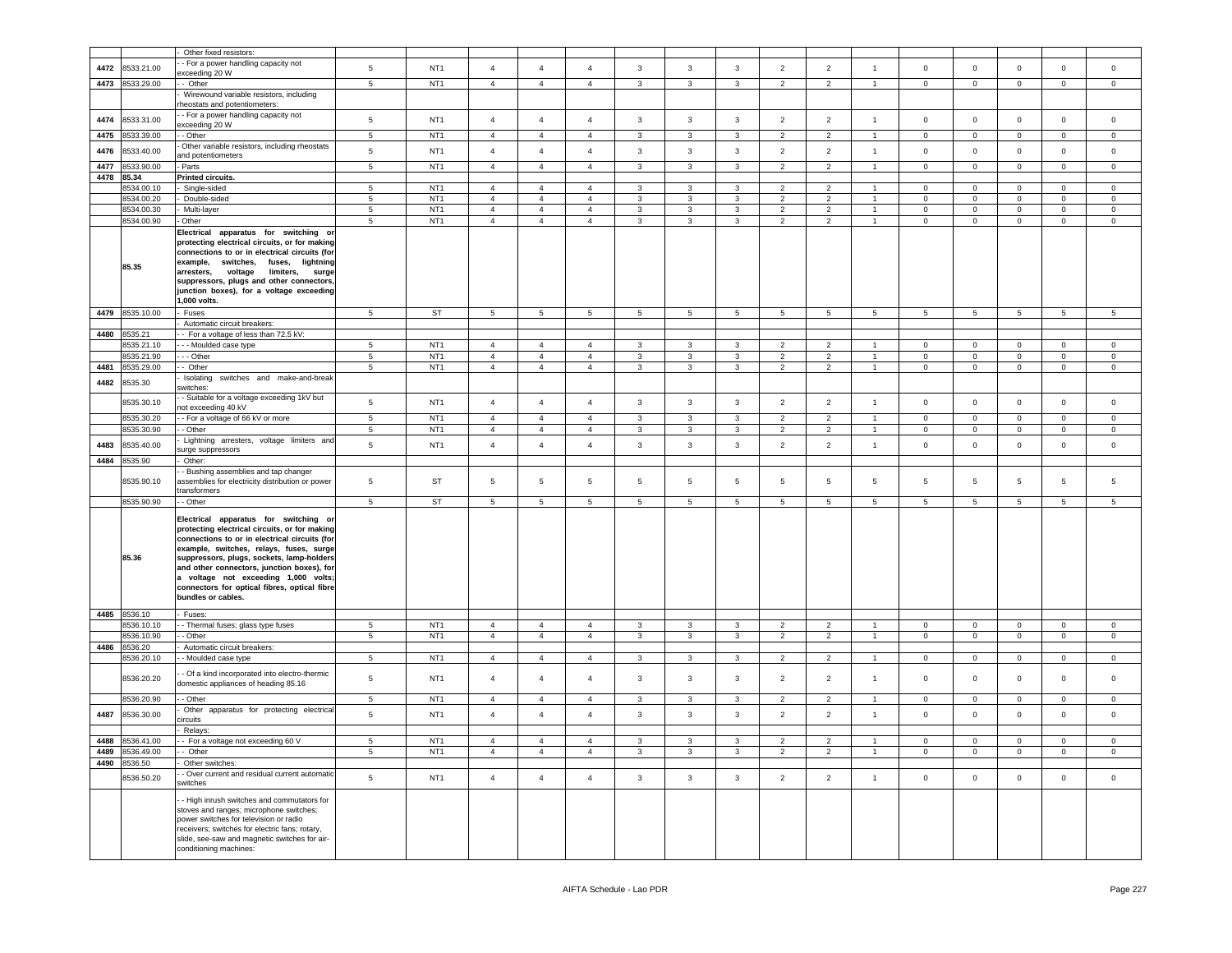|      |                  | Other fixed resistors                                                                                                                                                                                                                                                                                                                                                                       |                 |                 |                |                |                 |                |                |                 |                |                |                |                 |                 |                 |                |                |
|------|------------------|---------------------------------------------------------------------------------------------------------------------------------------------------------------------------------------------------------------------------------------------------------------------------------------------------------------------------------------------------------------------------------------------|-----------------|-----------------|----------------|----------------|-----------------|----------------|----------------|-----------------|----------------|----------------|----------------|-----------------|-----------------|-----------------|----------------|----------------|
|      |                  | - For a power handling capacity not                                                                                                                                                                                                                                                                                                                                                         |                 |                 |                |                |                 |                |                |                 |                |                |                |                 |                 |                 |                |                |
| 4472 | 8533.21.00       | exceeding 20 W                                                                                                                                                                                                                                                                                                                                                                              | 5               | NT <sub>1</sub> | $\overline{4}$ | $\overline{4}$ | $\overline{4}$  | $\mathbf{3}$   | $\mathbf{3}$   | $\mathbf{3}$    | $\overline{2}$ | $\overline{2}$ | $\overline{1}$ | $\mathsf 0$     | $\mathbf{0}$    | $\mathsf 0$     | $\circ$        | $\mathsf 0$    |
| 4473 | 8533.29.00       | - Other                                                                                                                                                                                                                                                                                                                                                                                     | $5\phantom{.0}$ | NT <sub>1</sub> | $\overline{4}$ | $\overline{4}$ | $\overline{4}$  | 3              | 3              | 3               | $\overline{2}$ | $\overline{c}$ | $\mathbf{1}$   | $\mathbf 0$     | $\overline{0}$  | $\mathbf 0$     | $\circ$        | $\circ$        |
|      |                  | Wirewound variable resistors, including<br>rheostats and potentiometers:                                                                                                                                                                                                                                                                                                                    |                 |                 |                |                |                 |                |                |                 |                |                |                |                 |                 |                 |                |                |
|      |                  | - For a power handling capacity not                                                                                                                                                                                                                                                                                                                                                         |                 |                 |                |                |                 |                |                |                 |                |                |                |                 |                 |                 |                |                |
| 4474 | 8533.31.00       | exceeding 20 W                                                                                                                                                                                                                                                                                                                                                                              | 5               | NT <sub>1</sub> | $\overline{4}$ | $\overline{4}$ | $\overline{4}$  | 3              | $\mathbf{3}$   | $\mathbf{3}$    | $\overline{2}$ | $\overline{2}$ | $\mathbf{1}$   | $\mathbf 0$     | $\mathsf 0$     | $\mathbf 0$     | $\mathbf 0$    | $\overline{0}$ |
| 4475 | 8533.39.00       | - Other                                                                                                                                                                                                                                                                                                                                                                                     | $5\phantom{.0}$ | NT <sub>1</sub> | $\overline{4}$ | $\overline{4}$ | $\overline{4}$  | 3              | $\mathbf{3}$   | 3               | $\overline{2}$ | $\overline{c}$ | $\mathbf{1}$   | $\mathbf 0$     | $\overline{0}$  | $\mathbf 0$     | $\mathbf 0$    | $\circ$        |
| 4476 | 3533.40.00       | Other variable resistors, including rheostats                                                                                                                                                                                                                                                                                                                                               | 5               | NT <sub>1</sub> | $\overline{4}$ | $\overline{4}$ | $\overline{4}$  | $\mathbf{3}$   | $\mathbf{3}$   | $\mathbf{3}$    | $\overline{2}$ | $\overline{2}$ | $\overline{1}$ | $\mathsf 0$     | $\mathbf{0}$    | $\mathsf 0$     | $\mathbf 0$    | $\mathbf 0$    |
| 4477 | 3533.90.00       | and potentiometers<br>Parts                                                                                                                                                                                                                                                                                                                                                                 | $\sqrt{5}$      | NT <sub>1</sub> | $\overline{4}$ | $\overline{4}$ | $\overline{4}$  | 3              | $\mathbf{3}$   | 3               | $\overline{2}$ | $\overline{2}$ | $\overline{1}$ | $\pmb{0}$       | $\mathsf 0$     | $\mathbf 0$     | $\mathsf 0$    | $\mathbf 0$    |
| 4478 | 85.34            | Printed circuits.                                                                                                                                                                                                                                                                                                                                                                           |                 |                 |                |                |                 |                |                |                 |                |                |                |                 |                 |                 |                |                |
|      | 8534.00.10       | Single-sided                                                                                                                                                                                                                                                                                                                                                                                | 5               | NT <sub>1</sub> | $\overline{4}$ | $\overline{4}$ | $\overline{4}$  | 3              | 3              | 3               | $\overline{2}$ | $\overline{2}$ | $\mathbf{1}$   | $\mathbf 0$     | $\mathbf 0$     | $\mathbf 0$     | $\mathbf 0$    | $\mathbf 0$    |
|      | 8534.00.20       | Double-sided                                                                                                                                                                                                                                                                                                                                                                                | $\sqrt{5}$      | NT <sub>1</sub> | $\overline{4}$ | $\overline{4}$ | $\overline{4}$  | 3              | $\mathbf{3}$   | $\mathbf{3}$    | $\overline{2}$ | $\overline{2}$ | $\overline{1}$ | $\Omega$        | $\circ$         | $\mathbf 0$     | $\Omega$       | $\mathbf 0$    |
|      | 8534.00.30       | Multi-layer                                                                                                                                                                                                                                                                                                                                                                                 | 5               | NT <sub>1</sub> | $\overline{4}$ | $\overline{4}$ | $\overline{4}$  | 3              | $\mathbf{3}$   | 3               | $\overline{2}$ | $\overline{2}$ | $\overline{1}$ | $\mathbf 0$     | $\circ$         | $\mathbf 0$     | 0              | $\mathbf 0$    |
|      | 8534.00.90       | Other                                                                                                                                                                                                                                                                                                                                                                                       | 5               | NT <sub>1</sub> | $\overline{4}$ | $\overline{4}$ | $\overline{4}$  | 3              | 3              | 3               | $\overline{2}$ | $\overline{2}$ | $\overline{1}$ | $\mathbf 0$     | $\overline{0}$  | $\mathbf 0$     | $\mathbf 0$    | $\mathbf 0$    |
|      | 85.35            | Electrical apparatus for switching or<br>protecting electrical circuits, or for making<br>connections to or in electrical circuits (for<br>example, switches, fuses, lightning<br>voltage<br>arresters,<br>limiters,<br>surge<br>suppressors, plugs and other connectors,<br>junction boxes), for a voltage exceeding<br>1,000 volts.                                                       |                 |                 |                |                |                 |                |                |                 |                |                |                |                 |                 |                 |                |                |
|      | 4479 8535.10.00  | Fuses                                                                                                                                                                                                                                                                                                                                                                                       | $5\phantom{.0}$ | ST              | $\overline{5}$ | $\overline{5}$ | $5\phantom{.0}$ | $\overline{5}$ | $\overline{5}$ | $5\phantom{.0}$ | 5              | 5              | 5              | $5\phantom{.0}$ | $5\phantom{.0}$ | $5\phantom{.0}$ | 5              | 5              |
| 4480 | 8535.21          | Automatic circuit breakers:                                                                                                                                                                                                                                                                                                                                                                 |                 |                 |                |                |                 |                |                |                 |                |                |                |                 |                 |                 |                |                |
|      | 3535.21.10       | - For a voltage of less than 72.5 kV:<br>- - Moulded case type                                                                                                                                                                                                                                                                                                                              | 5               | NT <sub>1</sub> | $\overline{4}$ | $\overline{4}$ | 4               | 3              | $\mathbf{3}$   | 3               | $\overline{2}$ | $\overline{2}$ |                | 0               | $\mathbf 0$     | $\mathbf 0$     | $\mathbf 0$    | $\mathbf 0$    |
|      | 8535.21.90       | - - Other                                                                                                                                                                                                                                                                                                                                                                                   | $5\phantom{.0}$ | NT <sub>1</sub> | $\overline{4}$ | $\overline{4}$ | $\overline{4}$  | 3              | 3              | 3               | $\overline{2}$ | $\overline{2}$ | $\overline{1}$ | $\mathbf 0$     | $\mathbf{0}$    | $\mathbf 0$     | $\mathbf 0$    | $\mathbf{0}$   |
| 4481 | 3535.29.00       | - Other                                                                                                                                                                                                                                                                                                                                                                                     | $\sqrt{5}$      | NT <sub>1</sub> | $\overline{4}$ | $\overline{4}$ | $\overline{4}$  | 3              | $\mathbf{3}$   | $\mathbf{3}$    | $\overline{2}$ | $\overline{2}$ | $\overline{1}$ | $\mathbf 0$     | $\mathbf 0$     | $\mathsf 0$     | $\mathbf 0$    | $\circ$        |
| 4482 | 3535.30          | Isolating<br>switches and make-and-break<br>witches:                                                                                                                                                                                                                                                                                                                                        |                 |                 |                |                |                 |                |                |                 |                |                |                |                 |                 |                 |                |                |
|      | 8535.30.10       | - Suitable for a voltage exceeding 1kV but<br>hot exceeding 40 kV                                                                                                                                                                                                                                                                                                                           | 5               | NT <sub>1</sub> | $\overline{4}$ | $\overline{4}$ | $\overline{4}$  | 3              | $\mathbf{3}$   | $\mathbf{3}$    | $\overline{2}$ | $\overline{2}$ | $\overline{1}$ | $\mathbf 0$     | $\mathsf 0$     | $\mathsf 0$     | $\mathbf 0$    | $\mathbf 0$    |
|      | 8535.30.20       | - For a voltage of 66 kV or more                                                                                                                                                                                                                                                                                                                                                            | 5               | NT <sub>1</sub> | $\overline{4}$ | $\overline{4}$ | $\overline{4}$  | 3              | $\mathbf{3}$   | $\mathbf{3}$    | $\overline{2}$ | $\overline{2}$ | $\overline{1}$ | $\mathbf 0$     | $\mathsf 0$     | $\mathbf 0$     | $\mathbf 0$    | $\mathbf 0$    |
|      | 8535.30.90       | - Other                                                                                                                                                                                                                                                                                                                                                                                     | $\sqrt{5}$      | NT <sub>1</sub> | $\overline{4}$ | $\overline{4}$ | $\overline{4}$  | $\mathbf{3}$   | $\mathbf{3}$   | 3               | $\overline{2}$ | $\overline{c}$ | $\overline{1}$ | $\pmb{0}$       | $\overline{0}$  | $\mathbf 0$     | $\overline{0}$ | $\circ$        |
| 4483 | 8535.40.00       | Lightning arresters, voltage limiters and<br>urge suppressors                                                                                                                                                                                                                                                                                                                               | 5               | NT <sub>1</sub> | $\overline{4}$ | $\overline{4}$ | 4               | 3              | $\mathbf{3}$   | $\mathbf{3}$    | $\overline{2}$ | $\overline{2}$ | $\overline{1}$ | $\mathsf 0$     | $\mathbf{0}$    | $\mathbf 0$     | $\mathbf 0$    | $\mathbf 0$    |
| 4484 | 8535.90          | Other:                                                                                                                                                                                                                                                                                                                                                                                      |                 |                 |                |                |                 |                |                |                 |                |                |                |                 |                 |                 |                |                |
|      | 8535.90.10       | - Bushing assemblies and tap changer<br>assemblies for electricity distribution or power                                                                                                                                                                                                                                                                                                    | 5               | ST              | 5              | 5              | 5               | $\overline{5}$ | 5              | 5               | 5              | 5              | 5              | 5               | 5               | $5\phantom{.0}$ | 5              | -5             |
|      | 8535.90.90       | transformers<br>- Other                                                                                                                                                                                                                                                                                                                                                                     | 5               | <b>ST</b>       | 5              | 5              | 5               | 5              | 5              | 5               | 5              | 5              | 5              | 5               | 5               | 5               | 5              | 5              |
| 4485 | 85.36<br>8536.10 | Electrical apparatus for switching or<br>protecting electrical circuits, or for making<br>connections to or in electrical circuits (for<br>example, switches, relays, fuses, surge<br>suppressors, plugs, sockets, lamp-holders<br>and other connectors, junction boxes), for<br>a voltage not exceeding 1,000 volts;<br>connectors for optical fibres, optical fibre<br>bundles or cables. |                 |                 |                |                |                 |                |                |                 |                |                |                |                 |                 |                 |                |                |
|      | 8536.10.10       | Fuses:<br>- Thermal fuses; glass type fuses                                                                                                                                                                                                                                                                                                                                                 | 5               | NT <sub>1</sub> | $\overline{4}$ | $\overline{4}$ | 4               | 3              | $\mathbf{3}$   | 3               | $\overline{2}$ | $\overline{2}$ | -1             | $\mathbf 0$     | $\mathbf 0$     | $\mathbf 0$     | $\mathbf 0$    | $\circ$        |
|      | 8536.10.90       | - Other                                                                                                                                                                                                                                                                                                                                                                                     | 5               | NT <sub>1</sub> | $\overline{4}$ | $\overline{4}$ | $\overline{4}$  | 3              | 3              | 3               | $\overline{2}$ | $\overline{2}$ | $\overline{1}$ | $\mathbf 0$     | $\overline{0}$  | $\mathbf 0$     | $\mathbf 0$    | $\mathbf{0}$   |
| 4486 | 8536.20          | Automatic circuit breakers:                                                                                                                                                                                                                                                                                                                                                                 |                 |                 |                |                |                 |                |                |                 |                |                |                |                 |                 |                 |                |                |
|      | 8536.20.10       | - Moulded case type                                                                                                                                                                                                                                                                                                                                                                         | 5               | NT <sub>1</sub> | $\overline{4}$ | $\overline{4}$ | 4               | 3              | $\mathbf{3}$   | 3               | $\overline{2}$ | $\overline{2}$ | $\overline{1}$ | $\mathbf 0$     | $\circ$         | $\mathbf 0$     | $\mathbf 0$    | $\mathbf 0$    |
|      | 8536.20.20       | Of a kind incorporated into electro-thermic<br>domestic appliances of heading 85.16                                                                                                                                                                                                                                                                                                         | 5               | NT <sub>1</sub> | $\overline{4}$ | $\overline{4}$ | 4               | 3              | 3              | 3               | $\overline{2}$ | $\overline{2}$ | $\overline{1}$ | $\circ$         | $\mathbf 0$     | $\mathbf 0$     | 0              | 0              |
|      | 8536.20.90       | - Other                                                                                                                                                                                                                                                                                                                                                                                     | 5               | NT <sub>1</sub> | $\overline{4}$ | $\overline{4}$ | 4               | 3              | $\mathbf{3}$   | 3               | $\overline{2}$ | $\overline{2}$ | $\overline{1}$ | $\overline{0}$  | $\mathbf 0$     | $\mathbf 0$     | $\mathbf 0$    | 0              |
| 4487 | 8536.30.00       | Other apparatus for protecting electrical<br>ircuits                                                                                                                                                                                                                                                                                                                                        | 5               | NT <sub>1</sub> | $\overline{4}$ | $\overline{4}$ | $\overline{4}$  | $\mathbf{3}$   | $\mathbf{3}$   | $\mathbf{3}$    | $\overline{2}$ | $\overline{2}$ | $\overline{1}$ | $\mathsf 0$     | $\mathbf{0}$    | $\mathbf 0$     | $\mathbf 0$    | $\circ$        |
|      |                  | Relays:                                                                                                                                                                                                                                                                                                                                                                                     |                 |                 |                |                |                 |                |                |                 |                |                |                |                 |                 |                 |                |                |
|      | 4488 8536.41.00  | - For a voltage not exceeding 60 V                                                                                                                                                                                                                                                                                                                                                          |                 | NT <sub>1</sub> |                |                |                 |                |                |                 |                |                |                |                 |                 |                 |                |                |
|      | 4489 8536.49.00  | -- Other                                                                                                                                                                                                                                                                                                                                                                                    | $5\phantom{.0}$ | NT <sub>1</sub> | $\overline{4}$ | $\overline{4}$ | $\overline{4}$  | $\mathbf{3}$   | $\mathbf{3}$   | $\mathbf{3}$    | $\overline{2}$ | $\overline{2}$ | $\overline{1}$ | $\overline{0}$  | $\overline{0}$  | $\mathsf 0$     | $\overline{0}$ | $\mathbf{0}$   |
|      | 4490 8536.50     | Other switches:                                                                                                                                                                                                                                                                                                                                                                             |                 |                 |                |                |                 |                |                |                 |                |                |                |                 |                 |                 |                |                |
|      | 8536.50.20       | - Over current and residual current automatic<br>switches                                                                                                                                                                                                                                                                                                                                   | $5\phantom{.0}$ | NT <sub>1</sub> | $\overline{4}$ | $\overline{4}$ | $\overline{4}$  | $\mathbf{3}$   | $\mathbf{3}$   | $\mathbf{3}$    | $\overline{2}$ | $\overline{2}$ | $\overline{1}$ | $\mathbf 0$     | $\mathbf{0}$    | $\mathbf 0$     | $\mathbf 0$    | $\overline{0}$ |
|      |                  | - High inrush switches and commutators for<br>stoves and ranges; microphone switches;<br>power switches for television or radio<br>receivers; switches for electric fans; rotary,<br>slide, see-saw and magnetic switches for air-<br>conditioning machines:                                                                                                                                |                 |                 |                |                |                 |                |                |                 |                |                |                |                 |                 |                 |                |                |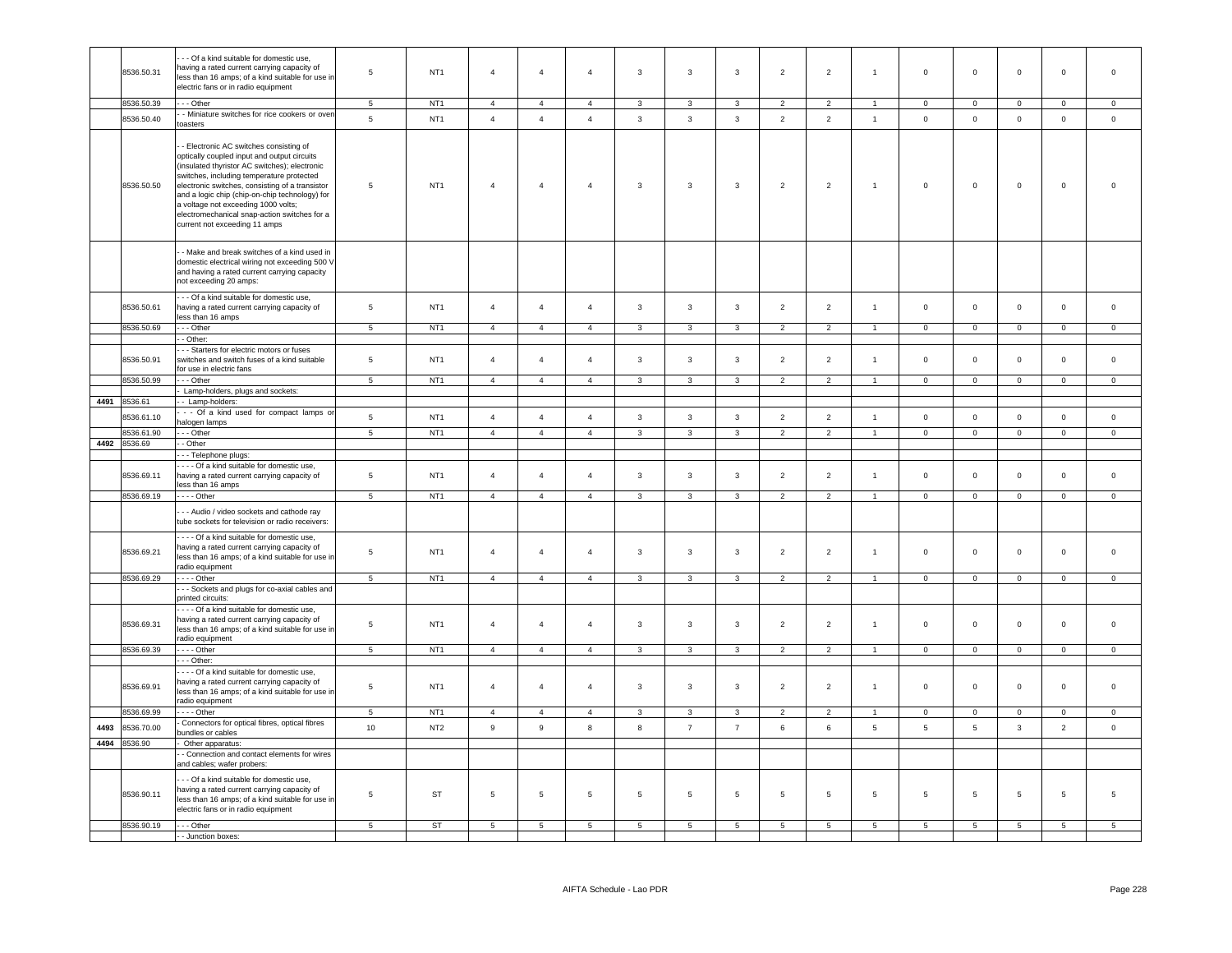|      | 8536.50.31   | - - Of a kind suitable for domestic use,<br>having a rated current carrying capacity of<br>less than 16 amps; of a kind suitable for use in<br>electric fans or in radio equipment                                                                                                                                                                                                                               | 5               | NT <sub>1</sub> | $\overline{4}$  | $\overline{4}$  | $\overline{4}$ | 3                       | 3                       | $\mathbf{3}$            | $\overline{2}$ | $\overline{2}$  | $\overline{1}$       | $\mathsf 0$         | $\mathbf 0$     | $\mathsf 0$    | $\mathbf 0$     | $\mathbf 0$    |
|------|--------------|------------------------------------------------------------------------------------------------------------------------------------------------------------------------------------------------------------------------------------------------------------------------------------------------------------------------------------------------------------------------------------------------------------------|-----------------|-----------------|-----------------|-----------------|----------------|-------------------------|-------------------------|-------------------------|----------------|-----------------|----------------------|---------------------|-----------------|----------------|-----------------|----------------|
|      | 8536.50.39   | - - Other                                                                                                                                                                                                                                                                                                                                                                                                        | $\,$ 5 $\,$     | NT <sub>1</sub> | $\overline{4}$  | $\overline{4}$  | $\overline{4}$ | $\mathbf{3}$            | $\mathbf{3}$            | $\mathbf{3}$            | $\overline{2}$ | $\overline{2}$  | $\overline{1}$       | $\overline{0}$      | $\mathbf 0$     | $\mathbf 0$    | $\overline{0}$  | $\mathbf 0$    |
|      | 8536.50.40   | - Miniature switches for rice cookers or oven<br>toasters                                                                                                                                                                                                                                                                                                                                                        | $\,$ 5 $\,$     | NT <sub>1</sub> | $\overline{4}$  | $\overline{4}$  | $\overline{4}$ | $\mathbf{3}$            | $\mathbf{3}$            | $\mathbf{3}$            | $\overline{2}$ | $\overline{2}$  | $\overline{1}$       | $\mathsf 0$         | $\circ$         | $\mathsf 0$    | $\circ$         | $\circ$        |
|      | 8536.50.50   | - Electronic AC switches consisting of<br>optically coupled input and output circuits<br>(insulated thyristor AC switches); electronic<br>switches, including temperature protected<br>electronic switches, consisting of a transistor<br>and a logic chip (chip-on-chip technology) for<br>a voltage not exceeding 1000 volts;<br>electromechanical snap-action switches for a<br>current not exceeding 11 amps | 5               | NT <sub>1</sub> | $\overline{4}$  | $\overline{4}$  | $\overline{4}$ | $\mathbf{3}$            | $\mathbf{3}$            | $\mathbf{3}$            | $\overline{2}$ | $\overline{2}$  | $\mathbf{1}$         | $\mathsf 0$         | $\mathbf 0$     | $\mathbf 0$    | $\mathsf 0$     | $\Omega$       |
|      |              | - Make and break switches of a kind used in<br>domestic electrical wiring not exceeding 500 V<br>and having a rated current carrying capacity<br>not exceeding 20 amps:                                                                                                                                                                                                                                          |                 |                 |                 |                 |                |                         |                         |                         |                |                 |                      |                     |                 |                |                 |                |
|      | 8536.50.61   | - - Of a kind suitable for domestic use,<br>having a rated current carrying capacity of<br>less than 16 amps                                                                                                                                                                                                                                                                                                     | $\sqrt{5}$      | NT <sub>1</sub> | $\overline{4}$  | $\overline{4}$  | $\overline{4}$ | $\mathbf{3}$            | $\mathbf{3}$            | $\mathbf{3}$            | $\overline{2}$ | $\overline{2}$  | $\overline{1}$       | $\mathbf 0$         | $\mathsf 0$     | $\mathbf 0$    | $\mathsf 0$     | $\mathsf 0$    |
|      | 8536.50.69   | - - Other                                                                                                                                                                                                                                                                                                                                                                                                        | $\overline{5}$  | NT <sub>1</sub> | $\overline{4}$  | $\overline{4}$  | $\overline{4}$ | $\overline{3}$          | $\overline{3}$          | $\overline{3}$          | $\overline{2}$ | $\overline{2}$  |                      | $\overline{0}$      | $\overline{0}$  | $\overline{0}$ | $\overline{0}$  | $\overline{0}$ |
|      | 8536.50.91   | - Other:<br>- - Starters for electric motors or fuses<br>switches and switch fuses of a kind suitable                                                                                                                                                                                                                                                                                                            | $\,$ 5 $\,$     | NT <sub>1</sub> | $\overline{4}$  | $\overline{4}$  | $\overline{4}$ | $\mathbf{3}$            | 3                       | $\mathbf{3}$            | $\overline{2}$ | $\overline{2}$  | $\overline{1}$       | $\mathsf 0$         | $\mathsf 0$     | $\mathsf 0$    | $\mathsf 0$     | $\mathsf 0$    |
|      | 8536.50.99   | for use in electric fans<br>$-$ Other                                                                                                                                                                                                                                                                                                                                                                            | 5               | NT <sub>1</sub> | $\overline{4}$  | $\overline{4}$  | $\overline{4}$ | $\mathbf{3}$            | $\mathbf{3}$            | $\overline{3}$          | 2              | $\overline{2}$  | $\overline{1}$       | $\mathbf{0}$        | $\circ$         | $\Omega$       | $\mathbf 0$     | $\mathbf 0$    |
|      |              | Lamp-holders, plugs and sockets:                                                                                                                                                                                                                                                                                                                                                                                 |                 |                 |                 |                 |                |                         |                         |                         |                |                 |                      |                     |                 |                |                 |                |
|      | 4491 8536.61 | - Lamp-holders:                                                                                                                                                                                                                                                                                                                                                                                                  |                 |                 |                 |                 |                |                         |                         |                         |                |                 |                      |                     |                 |                |                 |                |
|      | 8536.61.10   | - - Of a kind used for compact lamps or<br>halogen lamps                                                                                                                                                                                                                                                                                                                                                         | $\sqrt{5}$      | NT <sub>1</sub> | $\overline{4}$  | $\overline{4}$  | $\overline{4}$ | $\mathbf{3}$            | $\mathbf{3}$            | $\mathbf{3}$            | $\overline{2}$ | $\overline{2}$  | $\overline{1}$       | $\mathbf 0$         | $\mathsf 0$     | $\mathsf 0$    | $\mathsf 0$     | $\mathsf{o}\,$ |
|      | 8536.61.90   | $\cdots$ Other                                                                                                                                                                                                                                                                                                                                                                                                   | $\overline{5}$  | NT <sub>1</sub> | $\overline{4}$  | $\overline{4}$  | $\overline{4}$ | $\overline{\mathbf{3}}$ | $\overline{3}$          | $\overline{3}$          | $\overline{2}$ | $\overline{2}$  | $\overline{1}$       | $\overline{0}$      | $\overline{0}$  | $\overline{0}$ | $\overline{0}$  | $\overline{0}$ |
|      | 4492 8536.69 | - Other                                                                                                                                                                                                                                                                                                                                                                                                          |                 |                 |                 |                 |                |                         |                         |                         |                |                 |                      |                     |                 |                |                 |                |
|      | 8536.69.11   | - - Telephone plugs:<br>Of a kind suitable for domestic use,<br>having a rated current carrying capacity of                                                                                                                                                                                                                                                                                                      | $\,$ 5 $\,$     | NT <sub>1</sub> | $\overline{4}$  | $\overline{4}$  |                |                         |                         | $\mathbf{3}$            | $\overline{2}$ | $\overline{2}$  |                      |                     |                 |                |                 |                |
|      |              | less than 16 amps                                                                                                                                                                                                                                                                                                                                                                                                |                 |                 |                 |                 | $\overline{4}$ | $\overline{3}$          | $\mathbf{3}$            |                         |                |                 | $\overline{1}$       | $\mathbf{0}$        | $\mathbf 0$     | $\mathbf 0$    | $\mathsf 0$     | $\mathsf 0$    |
|      | 8536.69.19   | $\cdots$ - Other                                                                                                                                                                                                                                                                                                                                                                                                 | 5               | NT <sub>1</sub> | $\overline{4}$  | $\overline{4}$  | $\overline{4}$ | 3                       | $\overline{3}$          | 3                       | 2              | $\overline{2}$  |                      | $\mathbf 0$         | $\mathbf 0$     | $\mathbf 0$    | $\Omega$        | $\Omega$       |
|      |              | - - Audio / video sockets and cathode ray<br>tube sockets for television or radio receivers:                                                                                                                                                                                                                                                                                                                     |                 |                 |                 |                 |                |                         |                         |                         |                |                 |                      |                     |                 |                |                 |                |
|      | 8536.69.21   | - - - Of a kind suitable for domestic use,<br>having a rated current carrying capacity of<br>less than 16 amps; of a kind suitable for use in<br>radio equipment                                                                                                                                                                                                                                                 | 5               | NT <sub>1</sub> | $\overline{4}$  | $\overline{4}$  | $\overline{4}$ | 3                       | 3                       | $\mathbf{3}$            | $\overline{2}$ | $\overline{2}$  | $\overline{1}$       | $\mathsf 0$         | $\mathsf 0$     | $\mathsf 0$    | $\mathsf 0$     | $\mathbf 0$    |
|      | 8536.69.29   | $\cdots$ Other                                                                                                                                                                                                                                                                                                                                                                                                   | 5               | NT <sub>1</sub> | $\overline{4}$  | $\overline{4}$  | $\overline{4}$ | $\mathbf{3}$            | $\overline{\mathbf{3}}$ | $\mathbf{3}$            | $\overline{2}$ | $\overline{2}$  | $\overline{1}$       | $\mathbf 0$         | $\circ$         | $\mathsf 0$    | $\circ$         | $\mathbf 0$    |
|      |              | -- Sockets and plugs for co-axial cables and<br>printed circuits:                                                                                                                                                                                                                                                                                                                                                |                 |                 |                 |                 |                |                         |                         |                         |                |                 |                      |                     |                 |                |                 |                |
|      | 8536.69.31   | - - - Of a kind suitable for domestic use,<br>having a rated current carrying capacity of<br>less than 16 amps; of a kind suitable for use in<br>radio equipment                                                                                                                                                                                                                                                 | 5               | NT <sub>1</sub> | $\overline{4}$  | $\overline{4}$  | $\overline{4}$ | $\mathbf{3}$            | 3                       | $\mathbf{3}$            | $\overline{2}$ | $\overline{2}$  | $\overline{1}$       | $\mathsf 0$         | $\mathsf 0$     | $\mathbf 0$    | $\mathsf 0$     | $\mathsf 0$    |
|      | 8536.69.39   | $---$ Other                                                                                                                                                                                                                                                                                                                                                                                                      | 5 <sub>5</sub>  | NT1             | $\overline{4}$  | $\overline{4}$  | $\overline{4}$ | $\mathbf{3}$            | $\overline{\mathbf{3}}$ | $\mathbf{3}$            | 2              | $\overline{2}$  | $\overline{1}$       | $\overline{0}$      | $\overline{0}$  | $\mathbf{0}$   | $\overline{0}$  | $\overline{0}$ |
|      | 8536.69.91   | $\cdot$ - Other:<br>--- Of a kind suitable for domestic use,<br>having a rated current carrying capacity of<br>less than 16 amps; of a kind suitable for use in<br>radio equipment                                                                                                                                                                                                                               | $\sqrt{5}$      | NT <sub>1</sub> | $\overline{4}$  | $\overline{4}$  | $\overline{4}$ | $\mathbf{3}$            | $\mathbf{3}$            | $\mathbf{3}$            | $\overline{2}$ | $\overline{2}$  | $\overline{1}$       | $\mathsf{O}\xspace$ | $\mathsf 0$     | $\mathbf 0$    | $\mathbf{0}$    | $\mathbf 0$    |
|      | 8536.69.99   | $\cdots$ - Other                                                                                                                                                                                                                                                                                                                                                                                                 | 5               | NT <sub>1</sub> | $\overline{4}$  | $\overline{4}$  | $\overline{4}$ | $\mathbf{3}$            | 3                       | $\overline{\mathbf{3}}$ | $\overline{2}$ | $\overline{2}$  | $\blacktriangleleft$ | $\mathbf 0$         | $\overline{0}$  | $\mathbf{0}$   | $\mathbf 0$     | $\mathsf 0$    |
| 4493 | 8536.70.00   | Connectors for optical fibres, optical fibres<br>bundles or cables                                                                                                                                                                                                                                                                                                                                               | 10              | NT <sub>2</sub> | $\mathsf g$     | $\mathsf g$     | 8              | $\boldsymbol{8}$        | $\overline{7}$          | $\overline{7}$          | 6              | 6               | 5                    | 5                   | $5\phantom{.0}$ | $\mathbf{3}$   | $\overline{2}$  | $\mathsf 0$    |
| 4494 | 8536.90      | Other apparatus:                                                                                                                                                                                                                                                                                                                                                                                                 |                 |                 |                 |                 |                |                         |                         |                         |                |                 |                      |                     |                 |                |                 |                |
|      |              | - Connection and contact elements for wires<br>and cables; wafer probers:                                                                                                                                                                                                                                                                                                                                        |                 |                 |                 |                 |                |                         |                         |                         |                |                 |                      |                     |                 |                |                 |                |
|      | 8536.90.11   | - - Of a kind suitable for domestic use,<br>having a rated current carrying capacity of<br>less than 16 amps; of a kind suitable for use in<br>electric fans or in radio equipment                                                                                                                                                                                                                               | 5               | <b>ST</b>       | 5               | 5               | $\overline{5}$ | 5                       | $\overline{5}$          | 5                       | 5              | $5\phantom{.0}$ | 5                    | 5                   | 5               | $\overline{5}$ | 5               | 5              |
|      | 8536.90.19   | $- -$ Other<br>- - Junction boxes:                                                                                                                                                                                                                                                                                                                                                                               | $5\phantom{.0}$ | <b>ST</b>       | $5\phantom{.0}$ | $5\overline{5}$ | -5             | 5                       | 5                       | 5                       | $\sqrt{5}$     | $\,$ 5 $\,$     | -5                   | $5\phantom{.0}$     | $5\phantom{.0}$ | -5             | $5\overline{5}$ | 5              |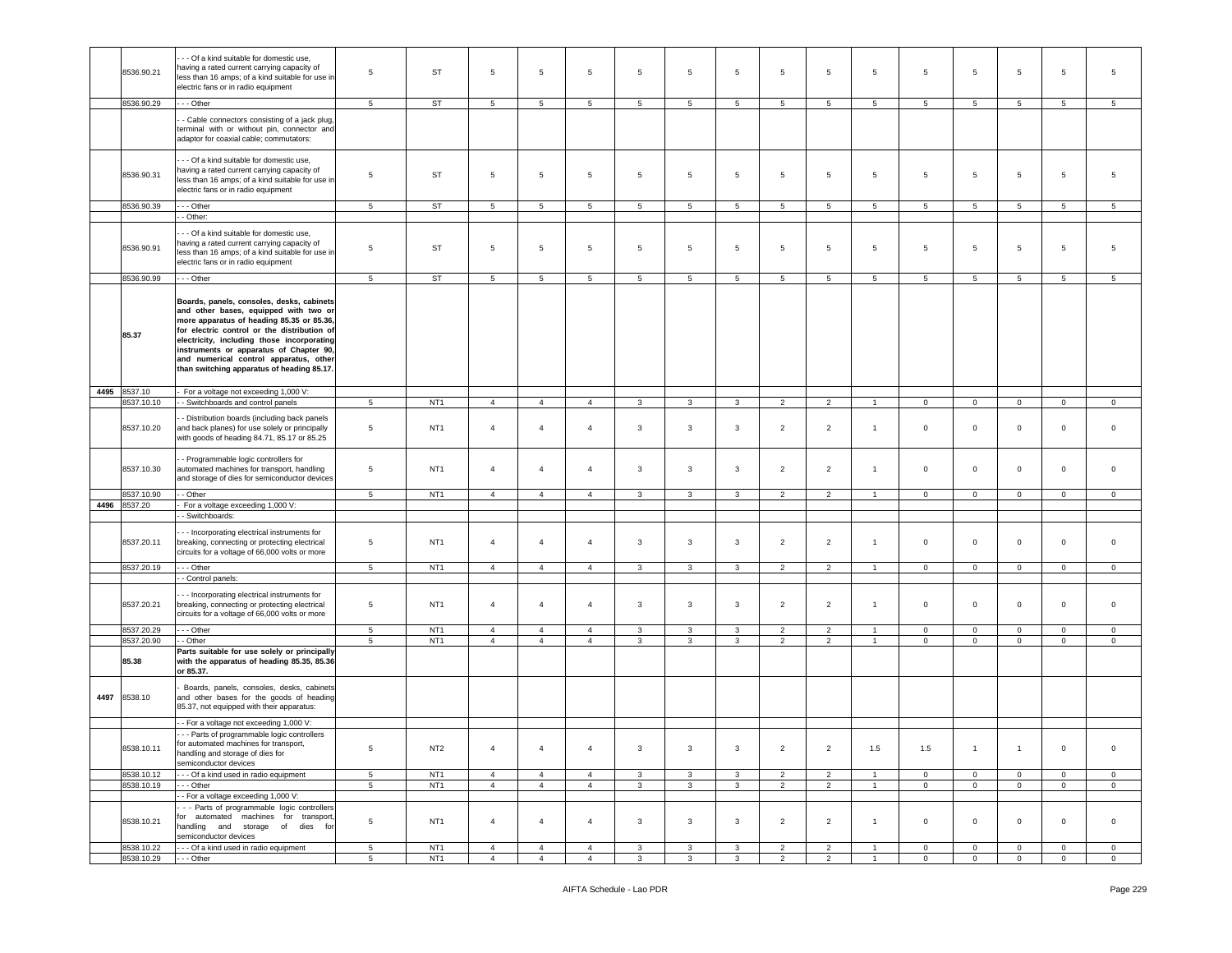|      |                          | - - Of a kind suitable for domestic use,                                                        |                                   |                                    |                                  |                                  |                                  |                              |                              |                              |                                  |                                  |                                  |                                  |                                  |                               |                                |                           |
|------|--------------------------|-------------------------------------------------------------------------------------------------|-----------------------------------|------------------------------------|----------------------------------|----------------------------------|----------------------------------|------------------------------|------------------------------|------------------------------|----------------------------------|----------------------------------|----------------------------------|----------------------------------|----------------------------------|-------------------------------|--------------------------------|---------------------------|
|      | 8536.90.21               | having a rated current carrying capacity of                                                     | 5                                 | ST                                 | 5                                | 5                                | 5                                | 5                            | 5                            | 5                            | 5                                | 5                                | 5                                | 5                                | 5                                | 5                             | 5                              | 5                         |
|      |                          | less than 16 amps; of a kind suitable for use in<br>electric fans or in radio equipment         |                                   |                                    |                                  |                                  |                                  |                              |                              |                              |                                  |                                  |                                  |                                  |                                  |                               |                                |                           |
|      |                          |                                                                                                 |                                   |                                    |                                  |                                  |                                  |                              |                              |                              |                                  |                                  |                                  |                                  |                                  |                               |                                |                           |
|      | 8536.90.29               | - - Other                                                                                       | $\overline{5}$                    | <b>ST</b>                          | 5                                | $5\phantom{.0}$                  | 5                                | 5                            | 5                            | 5                            | 5                                | 5                                | 5                                | $5^{\circ}$                      | 5                                | 5                             | 5                              | 5                         |
|      |                          | - Cable connectors consisting of a jack plug,                                                   |                                   |                                    |                                  |                                  |                                  |                              |                              |                              |                                  |                                  |                                  |                                  |                                  |                               |                                |                           |
|      |                          | terminal with or without pin, connector and<br>adaptor for coaxial cable; commutators:          |                                   |                                    |                                  |                                  |                                  |                              |                              |                              |                                  |                                  |                                  |                                  |                                  |                               |                                |                           |
|      |                          |                                                                                                 |                                   |                                    |                                  |                                  |                                  |                              |                              |                              |                                  |                                  |                                  |                                  |                                  |                               |                                |                           |
|      |                          | - - Of a kind suitable for domestic use,<br>having a rated current carrying capacity of         |                                   |                                    |                                  |                                  |                                  |                              |                              |                              |                                  |                                  |                                  |                                  |                                  |                               |                                |                           |
|      | 8536.90.31               | less than 16 amps; of a kind suitable for use in                                                | 5                                 | ST                                 | 5                                | 5                                | 5                                | 5                            | 5                            | 5                            | 5                                | 5                                | 5                                | 5                                | 5                                | 5                             | 5                              | 5                         |
|      |                          | electric fans or in radio equipment                                                             |                                   |                                    |                                  |                                  |                                  |                              |                              |                              |                                  |                                  |                                  |                                  |                                  |                               |                                |                           |
|      | 8536.90.39               | - - - Other                                                                                     | 5                                 | <b>ST</b>                          | 5                                | $5\phantom{.0}$                  | 5                                | 5                            | 5                            | 5                            | 5                                | 5                                | 5                                | 5                                | 5                                | 5                             | 5                              | 5                         |
|      |                          | - Other:                                                                                        |                                   |                                    |                                  |                                  |                                  |                              |                              |                              |                                  |                                  |                                  |                                  |                                  |                               |                                |                           |
|      |                          | - - Of a kind suitable for domestic use,                                                        |                                   |                                    |                                  |                                  |                                  |                              |                              |                              |                                  |                                  |                                  |                                  |                                  |                               |                                |                           |
|      | 8536.90.91               | having a rated current carrying capacity of                                                     | 5                                 | ST                                 | 5                                | 5                                | 5                                | 5                            | 5                            | $5\phantom{.0}$              | 5                                | $\overline{5}$                   | 5                                | 5                                | 5                                | $5\phantom{.0}$               | 5                              | 5                         |
|      |                          | less than 16 amps; of a kind suitable for use in<br>electric fans or in radio equipment         |                                   |                                    |                                  |                                  |                                  |                              |                              |                              |                                  |                                  |                                  |                                  |                                  |                               |                                |                           |
|      |                          |                                                                                                 |                                   |                                    |                                  |                                  |                                  |                              |                              |                              |                                  |                                  |                                  |                                  |                                  |                               |                                |                           |
|      | 8536.90.99               | -- Other                                                                                        | 5                                 | <b>ST</b>                          | $5\overline{5}$                  | 5                                | $5\overline{)}$                  | 5 <sub>5</sub>               | 5                            | $5\phantom{.0}$              | 5                                | $5\phantom{.0}$                  | 5                                | $5\overline{)}$                  | 5                                | $\sqrt{5}$                    | 5                              | $5\overline{)}$           |
|      |                          | Boards, panels, consoles, desks, cabinets                                                       |                                   |                                    |                                  |                                  |                                  |                              |                              |                              |                                  |                                  |                                  |                                  |                                  |                               |                                |                           |
|      |                          | and other bases, equipped with two or                                                           |                                   |                                    |                                  |                                  |                                  |                              |                              |                              |                                  |                                  |                                  |                                  |                                  |                               |                                |                           |
|      |                          | more apparatus of heading 85.35 or 85.36,<br>for electric control or the distribution of        |                                   |                                    |                                  |                                  |                                  |                              |                              |                              |                                  |                                  |                                  |                                  |                                  |                               |                                |                           |
|      | 85.37                    | electricity, including those incorporating                                                      |                                   |                                    |                                  |                                  |                                  |                              |                              |                              |                                  |                                  |                                  |                                  |                                  |                               |                                |                           |
|      |                          | instruments or apparatus of Chapter 90,                                                         |                                   |                                    |                                  |                                  |                                  |                              |                              |                              |                                  |                                  |                                  |                                  |                                  |                               |                                |                           |
|      |                          | and numerical control apparatus, other<br>than switching apparatus of heading 85.17.            |                                   |                                    |                                  |                                  |                                  |                              |                              |                              |                                  |                                  |                                  |                                  |                                  |                               |                                |                           |
|      |                          |                                                                                                 |                                   |                                    |                                  |                                  |                                  |                              |                              |                              |                                  |                                  |                                  |                                  |                                  |                               |                                |                           |
|      | 4495 8537.10             | For a voltage not exceeding 1,000 V:                                                            |                                   |                                    |                                  |                                  |                                  |                              |                              |                              |                                  |                                  |                                  |                                  |                                  |                               |                                |                           |
|      | 8537.10.10               | - Switchboards and control panels                                                               | $\overline{5}$                    | NT <sub>1</sub>                    | $\overline{4}$                   | $\overline{4}$                   | $\overline{4}$                   | 3                            | 3                            | 3                            | 2                                | 2                                | $\overline{1}$                   | $\mathbf 0$                      | $\overline{0}$                   | $\mathbf{0}$                  | $\mathbf 0$                    | $\mathbf 0$               |
|      |                          | - Distribution boards (including back panels                                                    |                                   |                                    |                                  |                                  |                                  |                              |                              |                              |                                  |                                  |                                  |                                  |                                  |                               |                                |                           |
|      | 8537.10.20               | and back planes) for use solely or principally<br>with goods of heading 84.71, 85.17 or 85.25   | $\overline{5}$                    | NT <sub>1</sub>                    | $\overline{a}$                   | $\overline{4}$                   | $\overline{4}$                   | $\mathbf{3}$                 | 3                            | $\mathbf{3}$                 | $\overline{2}$                   | $\overline{2}$                   | $\overline{1}$                   | $\mathbf 0$                      | $\circ$                          | $\mathsf 0$                   | $\circ$                        | $\circ$                   |
|      |                          |                                                                                                 |                                   |                                    |                                  |                                  |                                  |                              |                              |                              |                                  |                                  |                                  |                                  |                                  |                               |                                |                           |
|      |                          | - Programmable logic controllers for                                                            |                                   |                                    |                                  |                                  |                                  |                              |                              |                              |                                  |                                  |                                  |                                  |                                  |                               |                                |                           |
|      | 8537.10.30               | automated machines for transport, handling<br>and storage of dies for semiconductor devices     | $\overline{5}$                    | NT <sub>1</sub>                    | $\overline{4}$                   | $\overline{4}$                   | $\overline{4}$                   | 3                            | 3                            | $\mathbf{3}$                 | $\overline{2}$                   | $\overline{2}$                   | $\overline{1}$                   | $\mathsf 0$                      | $\mathbf 0$                      | $\mathsf 0$                   | $\mathsf 0$                    | $\mathbf 0$               |
|      |                          | - Other                                                                                         |                                   | NT <sub>1</sub>                    |                                  | $\overline{4}$                   |                                  | $\mathbf{3}$                 |                              |                              |                                  |                                  | $\mathbf{1}$                     |                                  |                                  | $\mathbf 0$                   |                                |                           |
| 4496 | 8537.10.90<br>8537.20    | For a voltage exceeding 1,000 V:                                                                | $5\phantom{.0}$                   |                                    | $\overline{4}$                   |                                  | $\overline{4}$                   |                              | 3                            | 3                            | $\overline{2}$                   | $\overline{2}$                   |                                  | $\mathbf 0$                      | $\mathbf 0$                      |                               | $\mathbf 0$                    | $\mathbf 0$               |
|      |                          | - Switchboards:                                                                                 |                                   |                                    |                                  |                                  |                                  |                              |                              |                              |                                  |                                  |                                  |                                  |                                  |                               |                                |                           |
|      |                          | - - Incorporating electrical instruments for                                                    |                                   |                                    |                                  |                                  |                                  |                              |                              |                              |                                  |                                  |                                  |                                  |                                  |                               |                                |                           |
|      | 8537.20.11               | breaking, connecting or protecting electrical                                                   | 5                                 | NT <sub>1</sub>                    | $\overline{a}$                   | $\overline{4}$                   | $\overline{4}$                   | 3                            | 3                            | 3                            | 2                                | $\overline{2}$                   | $\overline{1}$                   | $\circ$                          | $\mathbf 0$                      | $\mathbf 0$                   | $\circ$                        | $\Omega$                  |
|      |                          | circuits for a voltage of 66,000 volts or more                                                  |                                   |                                    |                                  |                                  |                                  |                              |                              |                              |                                  |                                  |                                  |                                  |                                  |                               |                                |                           |
|      | 8537.20.19               | - - Other                                                                                       | $5\phantom{.0}$                   | NT <sub>1</sub>                    | $\overline{4}$                   | $\overline{4}$                   | $\overline{4}$                   | $\mathbf{3}$                 | 3                            | 3                            | $\overline{2}$                   | $\overline{2}$                   | $\overline{1}$                   | $\overline{0}$                   | $\mathbf 0$                      | $\mathbf 0$                   | $\overline{0}$                 | $\circ$                   |
|      |                          | - Control panels:                                                                               |                                   |                                    |                                  |                                  |                                  |                              |                              |                              |                                  |                                  |                                  |                                  |                                  |                               |                                |                           |
|      |                          | - - Incorporating electrical instruments for                                                    |                                   |                                    |                                  |                                  |                                  |                              |                              |                              |                                  |                                  |                                  |                                  |                                  |                               |                                |                           |
|      | 8537.20.21               | breaking, connecting or protecting electrical<br>circuits for a voltage of 66,000 volts or more | $\overline{5}$                    | NT <sub>1</sub>                    | $\overline{4}$                   | $\overline{4}$                   | $\overline{4}$                   | 3                            | 3                            | 3                            | $\overline{2}$                   | $\overline{2}$                   | $\overline{1}$                   | $\circ$                          | $\mathbf 0$                      | $\mathbf 0$                   | $\mathbf 0$                    | $\mathbf 0$               |
|      |                          |                                                                                                 |                                   |                                    |                                  |                                  |                                  |                              |                              |                              |                                  |                                  |                                  |                                  |                                  |                               |                                |                           |
|      | 8537.20.29<br>8537.20.90 | - - - Other<br>- Other                                                                          | $5\overline{5}$<br>$\overline{5}$ | NT <sub>1</sub><br>NT <sub>1</sub> | $\overline{4}$<br>$\overline{4}$ | $\overline{4}$<br>$\overline{4}$ | $\overline{4}$<br>$\overline{4}$ | $\mathbf{3}$<br>3            | 3<br>$\mathbf{3}$            | $\mathbf{3}$<br>$\mathbf{3}$ | $\overline{2}$<br>$\overline{2}$ | $\overline{2}$<br>$\overline{2}$ | $\overline{1}$<br>$\overline{1}$ | $\overline{0}$<br>$\mathsf 0$    | $\overline{0}$<br>$\mathsf 0$    | $\mathbf 0$<br>$\mathsf 0$    | $\overline{0}$<br>$\mathbf 0$  | $\circ$<br>$\mathbf 0$    |
|      |                          | Parts suitable for use solely or principally                                                    |                                   |                                    |                                  |                                  |                                  |                              |                              |                              |                                  |                                  |                                  |                                  |                                  |                               |                                |                           |
|      | 85.38                    | with the apparatus of heading 85.35, 85.36                                                      |                                   |                                    |                                  |                                  |                                  |                              |                              |                              |                                  |                                  |                                  |                                  |                                  |                               |                                |                           |
|      |                          | or 85.37.                                                                                       |                                   |                                    |                                  |                                  |                                  |                              |                              |                              |                                  |                                  |                                  |                                  |                                  |                               |                                |                           |
|      | 4497 8538.10             | Boards, panels, consoles, desks, cabinets                                                       |                                   |                                    |                                  |                                  |                                  |                              |                              |                              |                                  |                                  |                                  |                                  |                                  |                               |                                |                           |
|      |                          | and other bases for the goods of heading<br>85.37, not equipped with their apparatus:           |                                   |                                    |                                  |                                  |                                  |                              |                              |                              |                                  |                                  |                                  |                                  |                                  |                               |                                |                           |
|      |                          | - For a voltage not exceeding 1,000 V:                                                          |                                   |                                    |                                  |                                  |                                  |                              |                              |                              |                                  |                                  |                                  |                                  |                                  |                               |                                |                           |
|      |                          | -- Parts of programmable logic controllers                                                      |                                   |                                    |                                  |                                  |                                  |                              |                              |                              |                                  |                                  |                                  |                                  |                                  |                               |                                |                           |
|      | 8538.10.11               | or automated machines for transport,                                                            | $\,$ 5 $\,$                       | NT <sub>2</sub>                    | $\overline{4}$                   | $\overline{4}$                   | $\overline{4}$                   | $\mathbf{3}$                 | $\mathbf{3}$                 | $\mathbf{3}$                 | $\overline{2}$                   | $\overline{2}$                   | 1.5                              | 1.5                              | $\overline{1}$                   | $\overline{1}$                | $\overline{0}$                 | $\overline{0}$            |
|      |                          | handling and storage of dies for<br>semiconductor devices                                       |                                   |                                    |                                  |                                  |                                  |                              |                              |                              |                                  |                                  |                                  |                                  |                                  |                               |                                |                           |
|      | 8538.10.12               | --- Of a kind used in radio equipment                                                           | $5\phantom{.0}$                   | NT <sub>1</sub>                    | $\overline{4}$                   | $\overline{4}$                   | $\overline{4}$                   | $\mathbf{3}$                 | 3                            | $\mathbf{3}$                 | $\overline{2}$                   | $\overline{2}$                   | $\overline{1}$                   | $\mathbf 0$                      | $\overline{0}$                   | $\mathbf 0$                   | $\mathbf 0$                    | $\overline{0}$            |
|      | 8538.10.19               | $- -$ Other                                                                                     | $\overline{5}$                    | NT <sub>1</sub>                    | 4                                | $\overline{4}$                   | $\overline{4}$                   | $\mathbf{3}$                 | $\mathbf{3}$                 | $\mathbf{3}$                 | $\overline{2}$                   | $\overline{2}$                   | $\mathbf{1}$                     | $\overline{0}$                   | $\overline{0}$                   | $\mathsf 0$                   | $\circ$                        | $\circ$                   |
|      |                          | - For a voltage exceeding 1,000 V:                                                              |                                   |                                    |                                  |                                  |                                  |                              |                              |                              |                                  |                                  |                                  |                                  |                                  |                               |                                |                           |
|      |                          |                                                                                                 |                                   |                                    |                                  |                                  |                                  |                              |                              |                              |                                  |                                  |                                  |                                  |                                  |                               |                                |                           |
|      |                          | - - Parts of programmable logic controllers                                                     |                                   |                                    |                                  |                                  |                                  |                              |                              |                              |                                  |                                  |                                  |                                  |                                  |                               |                                |                           |
|      | 8538.10.21               | for automated machines for transport,<br>handling and storage of dies for                       | $\,$ 5 $\,$                       | NT <sub>1</sub>                    | $\overline{4}$                   | $\overline{4}$                   | $\overline{4}$                   | $\mathbf{3}$                 | $\mathbf{3}$                 | $\mathbf{3}$                 | $\overline{2}$                   | $\overline{2}$                   | $\overline{1}$                   | $\mathbf 0$                      | $\mathbf{O}$                     | $\mathsf 0$                   | $\overline{0}$                 | $\circ$                   |
|      |                          | semiconductor devices                                                                           |                                   |                                    |                                  |                                  |                                  |                              |                              |                              |                                  |                                  |                                  |                                  |                                  |                               |                                |                           |
|      | 8538.10.22<br>8538.10.29 | --- Of a kind used in radio equipment<br>- - - Other                                            | $5\phantom{.0}$<br>5 <sub>5</sub> | NT <sub>1</sub><br>NT <sub>1</sub> | $\overline{4}$<br>$\overline{4}$ | $\overline{4}$<br>$\overline{4}$ | $\overline{4}$<br>$\overline{4}$ | $\mathbf{3}$<br>$\mathbf{3}$ | $\mathbf{3}$<br>$\mathbf{3}$ | $\mathbf{3}$<br>$\mathbf{3}$ | $\overline{2}$<br>$\overline{2}$ | $\overline{2}$<br>$\overline{2}$ | $\overline{1}$<br>$\mathbf{1}$   | $\overline{0}$<br>$\overline{0}$ | $\overline{0}$<br>$\overline{0}$ | $\mathbf 0$<br>$\overline{0}$ | $\mathbf{0}$<br>$\overline{0}$ | $\circ$<br>$\overline{0}$ |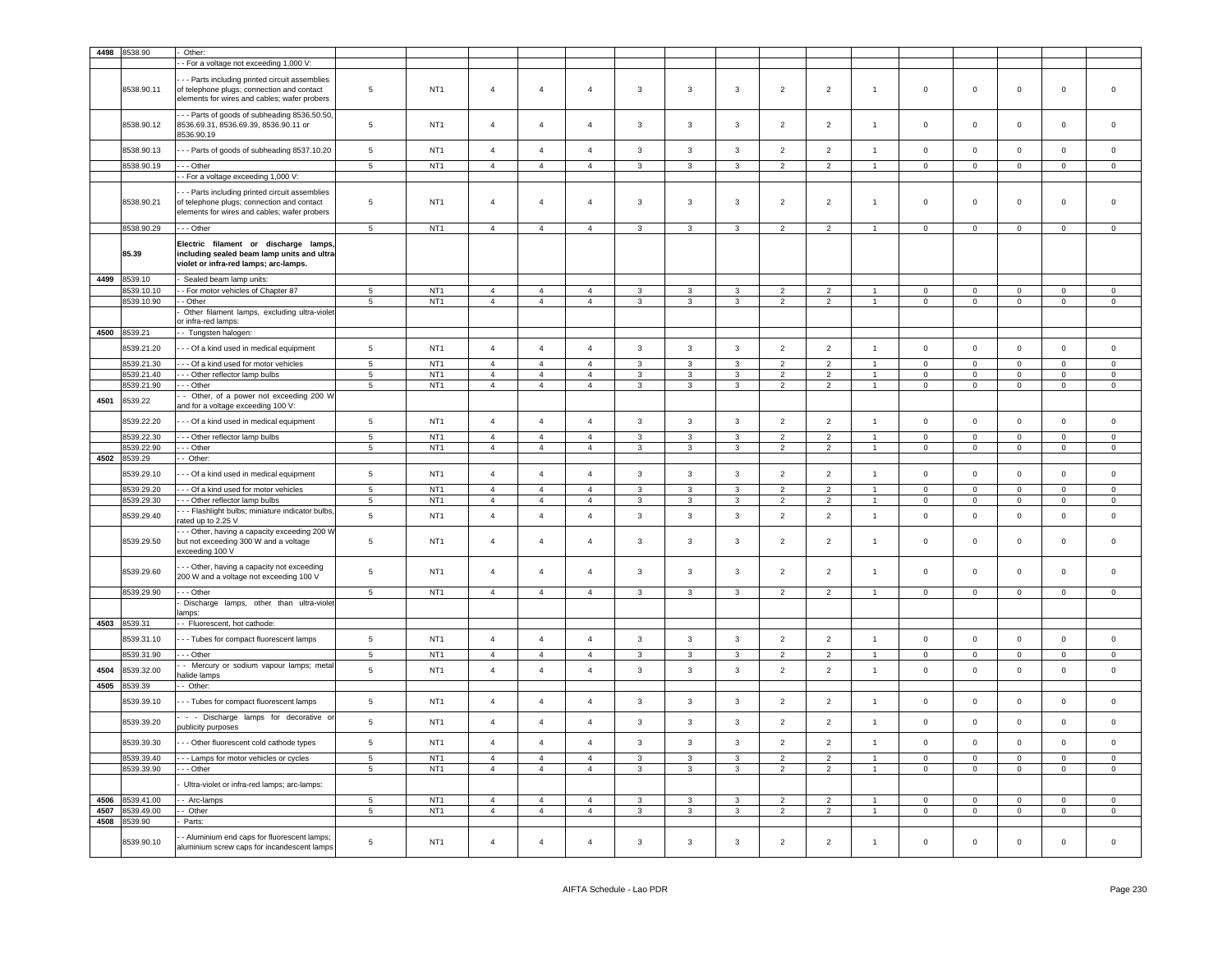| 4498 | 8538.90         | Other:                                                                                                                                       |                 |                 |                |                |                |              |              |                |                          |                |                      |                |              |                |                |                |
|------|-----------------|----------------------------------------------------------------------------------------------------------------------------------------------|-----------------|-----------------|----------------|----------------|----------------|--------------|--------------|----------------|--------------------------|----------------|----------------------|----------------|--------------|----------------|----------------|----------------|
|      |                 | - For a voltage not exceeding 1,000 V:                                                                                                       |                 |                 |                |                |                |              |              |                |                          |                |                      |                |              |                |                |                |
|      |                 |                                                                                                                                              |                 |                 |                |                |                |              |              |                |                          |                |                      |                |              |                |                |                |
|      | 8538.90.11      | - - Parts including printed circuit assemblies<br>of telephone plugs; connection and contact<br>elements for wires and cables; wafer probers | 5               | NT <sub>1</sub> | $\overline{4}$ | $\overline{4}$ | $\overline{4}$ | 3            | 3            | 3              | $\overline{2}$           | $\overline{2}$ | $\mathbf{1}$         | $\mathbf 0$    | $\mathbf 0$  | $\mathbf 0$    | $\mathbf 0$    | $\mathbf 0$    |
|      | 8538.90.12      | -- Parts of goods of subheading 8536.50.50,<br>8536.69.31, 8536.69.39, 8536.90.11 or<br>8536.90.19                                           | $5\phantom{.0}$ | NT <sub>1</sub> | $\overline{4}$ | $\overline{4}$ | $\overline{4}$ | 3            | 3            | 3              | $\overline{2}$           | $\overline{2}$ | $\mathbf{1}$         | $\mathsf 0$    | $\mathbf 0$  | $\mathbf 0$    | $\mathbf 0$    | $\mathsf 0$    |
|      | 8538.90.13      | - - Parts of goods of subheading 8537.10.20                                                                                                  | $5\phantom{.0}$ | NT <sub>1</sub> | $\overline{4}$ | $\overline{4}$ | $\overline{4}$ | 3            | 3            | 3              | $\overline{2}$           | $\overline{2}$ | $\mathbf{1}$         | $\mathbf 0$    | $\mathbf 0$  | $\mathbf 0$    | $\mathbf 0$    | $\mathbf 0$    |
|      | 8538.90.19      | - - Other                                                                                                                                    | 5               | NT <sub>1</sub> | $\overline{4}$ | $\overline{4}$ | $\overline{4}$ | 3            | 3            | 3              | $\overline{2}$           | $\overline{2}$ | $\overline{1}$       | $\mathbf 0$    | $\mathbf 0$  | $\mathbf{0}$   | $\mathbf 0$    | $\mathbf 0$    |
|      |                 | - For a voltage exceeding 1,000 V:                                                                                                           |                 |                 |                |                |                |              |              |                |                          |                |                      |                |              |                |                |                |
|      | 8538.90.21      | - - Parts including printed circuit assemblies<br>of telephone plugs; connection and contact<br>elements for wires and cables; wafer probers | $5\phantom{.0}$ | NT <sub>1</sub> | $\overline{4}$ | $\overline{4}$ | $\overline{4}$ | 3            | 3            | 3              | $\overline{2}$           | $\overline{2}$ | $\overline{1}$       | $\mathbf 0$    | $\mathbf 0$  | $\mathbf 0$    | $\mathbf 0$    | $\mathbf 0$    |
|      | 8538.90.29      | - - Other                                                                                                                                    | 5               | NT <sub>1</sub> | $\overline{4}$ | $\overline{4}$ | $\overline{4}$ | 3            | 3            | 3              | $\overline{2}$           | $\overline{2}$ | $\blacktriangleleft$ | $\mathsf 0$    | $\mathbf 0$  | $\mathbf 0$    | $\mathbf{0}$   | $\mathsf 0$    |
|      | 85.39           | Electric filament or discharge lamps<br>including sealed beam lamp units and ultra-<br>violet or infra-red lamps; arc-lamps.                 |                 |                 |                |                |                |              |              |                |                          |                |                      |                |              |                |                |                |
| 4499 | 8539.10         | Sealed beam lamp units:                                                                                                                      |                 |                 |                |                |                |              |              |                |                          |                |                      |                |              |                |                |                |
|      | 3539.10.10      | - For motor vehicles of Chapter 87                                                                                                           | 5               | NT <sub>1</sub> | $\overline{4}$ | 4              | $\overline{4}$ | 3            | 3            | 3              | $\overline{\phantom{a}}$ | $\overline{2}$ |                      | $^{\circ}$     | $\mathbf 0$  | $\mathbf 0$    | $\mathbf 0$    | $\circ$        |
|      | 8539.10.90      | - Other                                                                                                                                      | 5               | NT <sub>1</sub> | $\overline{4}$ | $\overline{4}$ | $\overline{4}$ | 3            | 3            | 3              | $\overline{2}$           | $\overline{2}$ | $\mathbf{1}$         | $\mathbf 0$    | $\mathbf 0$  | $\mathbf{0}$   | $\mathbf 0$    | $\mathbf{0}$   |
|      |                 | Other filament lamps, excluding ultra-violet<br>or infra-red lamps:                                                                          |                 |                 |                |                |                |              |              |                |                          |                |                      |                |              |                |                |                |
| 4500 | 8539.21         | - Tungsten halogen:                                                                                                                          |                 |                 |                |                |                |              |              |                |                          |                |                      |                |              |                |                |                |
|      | 3539.21.20      | - - Of a kind used in medical equipment                                                                                                      | $5\phantom{.0}$ | NT <sub>1</sub> | $\overline{4}$ | $\overline{4}$ | $\overline{4}$ | 3            | 3            | 3              | $\overline{2}$           | $\overline{2}$ | $\overline{1}$       | $\mathbf 0$    | $\mathbf 0$  | $\mathbf 0$    | $\mathbf{0}$   | $\mathsf 0$    |
|      | 8539.21.30      | -- Of a kind used for motor vehicles                                                                                                         | 5               | NT <sub>1</sub> | $\overline{4}$ | $\overline{4}$ | $\overline{4}$ | 3            | 3            | 3              | $\overline{\phantom{a}}$ | $\overline{2}$ | $\overline{1}$       | $\mathbf 0$    | $\mathbf 0$  | $\mathbf 0$    | $\mathbf 0$    | $\mathbf 0$    |
|      | 3539.21.40      | -- Other reflector lamp bulbs                                                                                                                | $5\phantom{.0}$ | NT <sub>1</sub> | $\overline{4}$ | $\overline{4}$ | $\overline{4}$ | 3            | 3            | 3              | $\overline{2}$           | $\overline{2}$ | $\overline{1}$       | $\mathbf 0$    | $\mathbf 0$  | $\mathbf 0$    | $\mathbf 0$    | $\circ$        |
|      | 8539.21.90      | - - Other                                                                                                                                    | 5               | NT <sub>1</sub> | $\overline{4}$ | $\overline{4}$ | $\overline{4}$ | 3            | 3            | 3              | $\overline{2}$           | $\overline{2}$ | $\mathbf{1}$         | $\overline{0}$ | $\mathbf 0$  | $\mathbf{0}$   | $\mathbf 0$    | $\mathbf{0}$   |
| 4501 | 8539.22         | - Other, of a power not exceeding 200 W<br>and for a voltage exceeding 100 V:                                                                |                 |                 |                |                |                |              |              |                |                          |                |                      |                |              |                |                |                |
|      | 8539.22.20      | --- Of a kind used in medical equipment                                                                                                      | $5\phantom{.0}$ | NT <sub>1</sub> | $\overline{4}$ | $\overline{4}$ | $\overline{4}$ | 3            | 3            | $\mathbf{3}$   | $\overline{2}$           | $\overline{2}$ | $\overline{1}$       | $\mathbf 0$    | $\mathbf 0$  | $\mathbf 0$    | $\mathbf 0$    | $\mathsf 0$    |
|      | 8539.22.30      | --- Other reflector lamp bulbs                                                                                                               | 5               | NT <sub>1</sub> | $\overline{4}$ | $\overline{4}$ | $\overline{4}$ | 3            | 3            | 3              | $\overline{2}$           | $\overline{2}$ | $\overline{1}$       | $\mathbf 0$    | $\mathbf 0$  | $\mathbf 0$    | $\mathbf 0$    | $\mathbf 0$    |
|      | 8539.22.90      | - - Other                                                                                                                                    | $\sqrt{5}$      | NT <sub>1</sub> | $\overline{4}$ | $\overline{4}$ | $\overline{4}$ | 3            | 3            | 3              | $\overline{2}$           | $\overline{2}$ | $\overline{1}$       | $\mathsf 0$    | $\mathbf 0$  | $\mathbf 0$    | $\mathbf 0$    | $\bf 0$        |
| 4502 | 3539.29         | - Other:                                                                                                                                     |                 |                 |                |                |                |              |              |                |                          |                |                      |                |              |                |                |                |
|      | 8539.29.10      | - - Of a kind used in medical equipment                                                                                                      | $5\phantom{.0}$ | NT <sub>1</sub> | $\overline{4}$ | $\overline{4}$ | $\overline{4}$ | 3            | 3            | 3              | $\overline{2}$           | $\overline{2}$ | $\overline{1}$       | $\mathbf 0$    | $\mathbf 0$  | $\mathbf 0$    | $\mathbf 0$    | $\mathsf 0$    |
|      |                 |                                                                                                                                              |                 |                 |                |                |                |              |              |                |                          |                |                      |                |              |                |                |                |
|      | 8539.29.20      | -- Of a kind used for motor vehicles                                                                                                         | 5               | NT <sub>1</sub> | $\overline{4}$ | $\overline{4}$ | $\overline{4}$ | 3            | 3            | 3              | $\overline{2}$           | $\overline{2}$ | $\blacktriangleleft$ | $\mathbf 0$    | $\mathbf 0$  | $\mathbf 0$    | $\mathbf{0}$   | $\bf 0$        |
|      | 8539.29.30      | - - Other reflector lamp bulbs                                                                                                               | $\overline{5}$  | NT <sub>1</sub> | $\overline{4}$ | $\overline{4}$ | $\overline{4}$ | 3            | 3            | 3              | $\overline{2}$           | $\overline{2}$ | -1                   | $\overline{0}$ | $\mathbf 0$  | $\mathbf 0$    | $\mathbf 0$    | $\mathbf 0$    |
|      |                 | -- Flashlight bulbs; miniature indicator bulbs,                                                                                              |                 |                 |                |                |                | 3            | 3            | 3              | $\overline{2}$           | $\overline{2}$ | $\mathbf{1}$         |                |              |                |                |                |
|      | 8539.29.40      | rated up to 2.25 V                                                                                                                           | $5\phantom{.0}$ | NT <sub>1</sub> | $\overline{4}$ | $\overline{4}$ | $\overline{4}$ |              |              |                |                          |                |                      | $\mathbf 0$    | $\mathsf 0$  | $\mathsf 0$    | $\mathbf 0$    | $\mathsf 0$    |
|      | 8539.29.50      | - - Other, having a capacity exceeding 200 W<br>but not exceeding 300 W and a voltage<br>exceeding 100 V                                     | $5\phantom{.0}$ | NT <sub>1</sub> | $\overline{4}$ | $\overline{4}$ | $\overline{4}$ | 3            | 3            | 3              | $\overline{2}$           | $\overline{2}$ | $\overline{1}$       | $\mathbf 0$    | $\mathbf 0$  | $\mathbf 0$    | $\mathbf 0$    | $\mathbf 0$    |
|      | 8539.29.60      | - Other, having a capacity not exceeding<br>200 W and a voltage not exceeding 100 V                                                          | 5               | NT <sub>1</sub> | $\overline{4}$ | 4              | $\overline{4}$ | 3            | 3            | 3              | $\overline{2}$           | $\overline{2}$ | $\mathbf{1}$         | $\mathbf 0$    | $\mathbf 0$  | $\mathbf 0$    | $\mathbf 0$    | $\mathbf 0$    |
|      | 8539.29.90      | - - Other                                                                                                                                    | $5\phantom{.0}$ | NT <sub>1</sub> | $\overline{4}$ | $\overline{4}$ | $\overline{4}$ | $\mathbf{3}$ | 3            | 3              | $\overline{2}$           | $\overline{2}$ | $\mathbf{1}$         | $\mathsf 0$    | $\mathbf 0$  | $\mathbf 0$    | $\mathbf 0$    | $\mathsf 0$    |
|      |                 | Discharge lamps, other than ultra-violet<br>amps:                                                                                            |                 |                 |                |                |                |              |              |                |                          |                |                      |                |              |                |                |                |
| 4503 | 8539.31         | - Fluorescent, hot cathode:                                                                                                                  |                 |                 |                |                |                |              |              |                |                          |                |                      |                |              |                |                |                |
|      | 8539.31.10      | - - Tubes for compact fluorescent lamps                                                                                                      | $\sqrt{5}$      | NT <sub>1</sub> | $\overline{4}$ | $\overline{4}$ | $\overline{4}$ | $\mathbf{3}$ | $\mathbf{3}$ | 3              | $\overline{2}$           | $\overline{2}$ | $\mathbf{1}$         | $\mathbf 0$    | $\mathbf 0$  | $\mathbf 0$    | $\mathbf 0$    | $\mathbf 0$    |
|      | 8539.31.90      | - - Other                                                                                                                                    | $\overline{5}$  | NT <sub>1</sub> | $\overline{4}$ | $\overline{4}$ | $\overline{4}$ | 3            | 3            | $\mathbf{3}$   | $\overline{2}$           | $\overline{2}$ | $\overline{1}$       | $\mathbf 0$    | $\mathbf 0$  | $\mathbf 0$    | $\mathbf 0$    | $\mathbf 0$    |
| 4504 | 8539.32.00      | - Mercury or sodium vapour lamps; metal<br>halide lamps                                                                                      | 5               | NT <sub>1</sub> | $\overline{4}$ | $\overline{4}$ | $\overline{4}$ | 3            | 3            | 3              | 2                        | $\overline{2}$ | $\overline{1}$       | $\mathbf 0$    | $\mathbf 0$  | $\mathbf 0$    | $\mathbf 0$    | $\mathbf 0$    |
| 4505 | 8539.39         | - Other:                                                                                                                                     |                 |                 |                |                |                |              |              |                |                          |                |                      |                |              |                |                |                |
|      | 8539.39.10      | - - Tubes for compact fluorescent lamps                                                                                                      | $5\phantom{.0}$ | NT <sub>1</sub> | $\overline{4}$ | $\overline{4}$ | $\overline{4}$ | 3            | 3            | $\mathbf{3}$   | $\overline{2}$           | $\overline{2}$ | $\overline{1}$       | $\mathbf 0$    | $\mathbf 0$  | $\mathbf 0$    | $\mathbf 0$    | $\mathsf 0$    |
|      | 8539.39.20      | - - Discharge lamps for decorative or<br>publicity purposes                                                                                  | 5               | NT <sub>1</sub> | $\overline{4}$ | $\overline{4}$ | $\overline{4}$ | 3            | 3            | 3              | $\overline{2}$           | $\overline{2}$ | $\mathbf{1}$         | $\mathbf 0$    | $\mathbf 0$  | $\mathsf 0$    | $\mathbf 0$    | $\mathbf 0$    |
|      | 8539.39.30      | - Other fluorescent cold cathode types                                                                                                       | $\sqrt{5}$      | NT <sub>1</sub> |                | 4              | $\overline{4}$ | 3            | $\mathbf{3}$ | $\mathbf{3}$   | $\overline{2}$           | $\overline{2}$ | $\mathbf{1}$         | $\mathbf 0$    | $\mathsf 0$  | $\mathbf 0$    | $\mathbf 0$    | $\mathbf 0$    |
|      | 8539.39.40      | --- Lamps for motor vehicles or cycles                                                                                                       | 5               | NT <sub>1</sub> | $\overline{4}$ | $\overline{4}$ | $\overline{4}$ | 3            | $\mathbf{3}$ | 3              | $\overline{2}$           | $\overline{2}$ | $\mathbf{1}$         | $\mathbf 0$    | $\mathbf{0}$ | $\overline{0}$ | $\mathbf{0}$   | $\mathbf{0}$   |
|      | 8539.39.90      | $\overline{\cdots}$ Other                                                                                                                    | $5\phantom{.0}$ | NT <sub>1</sub> | $\overline{4}$ | $\overline{4}$ | $\overline{4}$ | $\mathbf{3}$ | $\mathbf{3}$ | $\mathbf{3}$   | 2                        | 2              | $\overline{1}$       | $\pmb{0}$      | $\mathbf{0}$ | $\overline{0}$ | $\overline{0}$ | $\overline{0}$ |
|      |                 | Ultra-violet or infra-red lamps; arc-lamps:                                                                                                  |                 |                 |                |                |                |              |              |                |                          |                |                      |                |              |                |                |                |
|      | 4506 8539.41.00 | - Arc-lamps                                                                                                                                  | $5\phantom{.0}$ | NT <sub>1</sub> | $\overline{4}$ | $\overline{4}$ | $\overline{4}$ | 3            | $\mathbf{3}$ | 3              | $\overline{2}$           | $\overline{2}$ | $\mathbf{1}$         | $\mathbf{0}$   | $\mathbf{0}$ | $\overline{0}$ | $\mathbf{0}$   | $\mathbf 0$    |
| 4507 | 8539.49.00      | -- Other                                                                                                                                     | 5               | NT <sub>1</sub> | $\overline{4}$ | $\overline{4}$ | $\overline{4}$ | $\mathbf{3}$ | $\mathbf{3}$ | $\overline{3}$ | 2                        | $\overline{2}$ | $\overline{1}$       | $\mathsf 0$    | $\mathsf 0$  | $\mathbf 0$    | $\overline{0}$ | $\mathbf{0}$   |
| 4508 | 8539.90         | Parts:                                                                                                                                       |                 |                 |                |                |                |              |              |                |                          |                |                      |                |              |                |                |                |
|      | 8539.90.10      | - Aluminium end caps for fluorescent lamps;<br>aluminium screw caps for incandescent lamps                                                   | $\overline{5}$  | NT <sub>1</sub> | $\overline{4}$ | $\overline{4}$ | $\overline{4}$ | $\mathbf{3}$ | 3            | $\mathbf{3}$   | $\overline{2}$           | $\overline{2}$ | $\mathbf{1}$         | $\mathsf 0$    | $\mathbf 0$  | $\mathbf 0$    | $\mathbf 0$    | $\mathbf 0$    |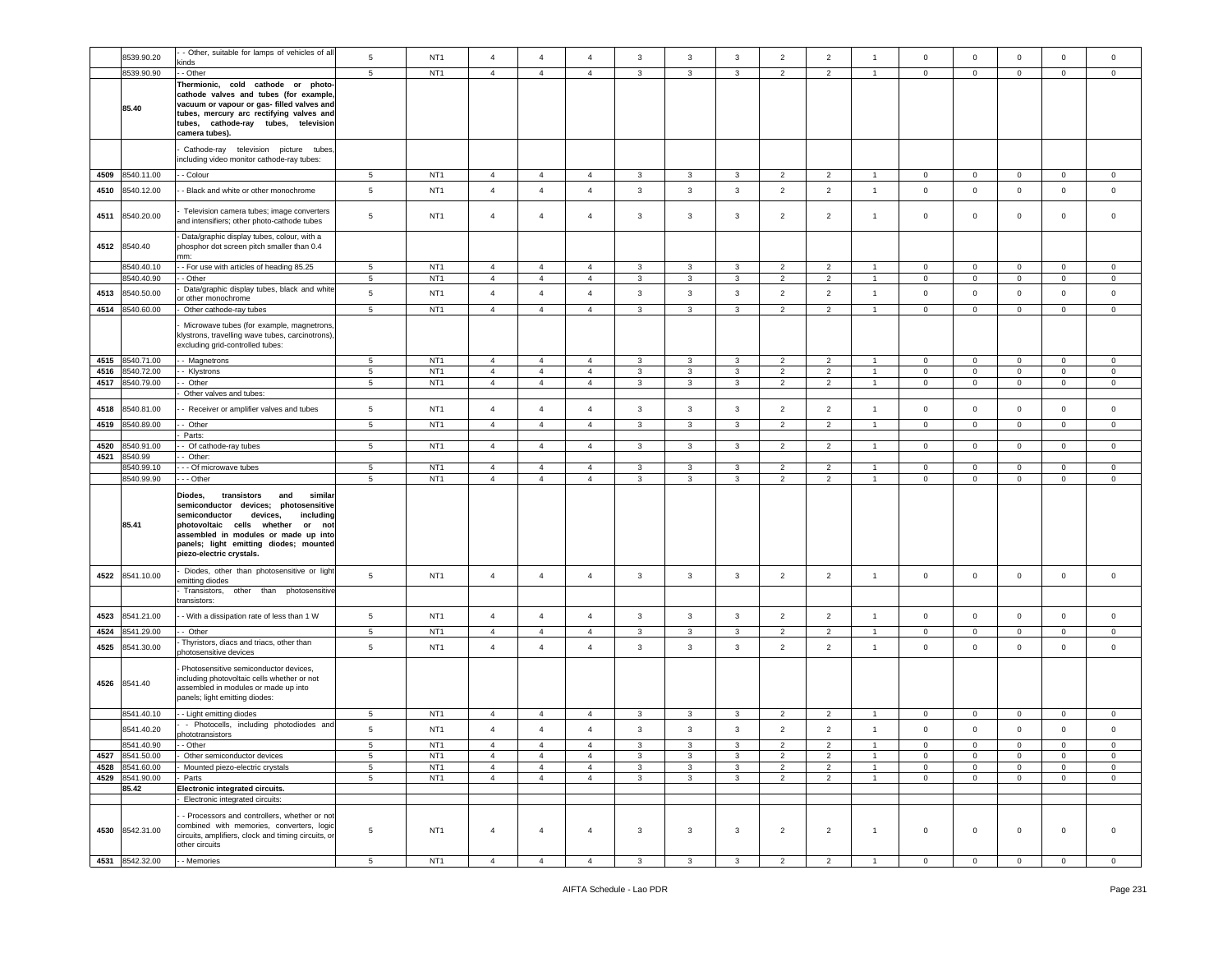|      | 8539.90.20               | - Other, suitable for lamps of vehicles of all<br>kinds                                                                                                                                                                                                                              | 5                    | NT <sub>1</sub>                    | $\overline{4}$                   | $\overline{4}$                   | $\overline{4}$                   | 3                 | 3                       | 3                 | $\overline{2}$                   | $\overline{2}$                   | $\overline{1}$                   | $\mathbf 0$               | $\mathbf 0$                 | $\mathbf 0$                | 0                          | $\mathbf 0$                |
|------|--------------------------|--------------------------------------------------------------------------------------------------------------------------------------------------------------------------------------------------------------------------------------------------------------------------------------|----------------------|------------------------------------|----------------------------------|----------------------------------|----------------------------------|-------------------|-------------------------|-------------------|----------------------------------|----------------------------------|----------------------------------|---------------------------|-----------------------------|----------------------------|----------------------------|----------------------------|
|      | 8539.90.90               | - Other                                                                                                                                                                                                                                                                              | 5                    | NT <sub>1</sub>                    | $\overline{4}$                   | $\overline{4}$                   | $\overline{4}$                   | 3                 | 3                       | 3                 | $\overline{2}$                   | $\overline{2}$                   | $\overline{1}$                   | $\mathbf 0$               | $\overline{0}$              | $\mathbf 0$                | $\mathbf{0}$               | $\circ$                    |
|      | 85.40                    | Thermionic, cold cathode or photo-<br>cathode valves and tubes (for example,<br>vacuum or vapour or gas- filled valves and<br>tubes, mercury arc rectifying valves and<br>tubes, cathode-ray tubes, television<br>camera tubes).                                                     |                      |                                    |                                  |                                  |                                  |                   |                         |                   |                                  |                                  |                                  |                           |                             |                            |                            |                            |
|      |                          | Cathode-ray television picture tubes,<br>including video monitor cathode-ray tubes:                                                                                                                                                                                                  |                      |                                    |                                  |                                  |                                  |                   |                         |                   |                                  |                                  |                                  |                           |                             |                            |                            |                            |
|      | 4509 8540.11.00          | - Colour                                                                                                                                                                                                                                                                             | 5                    | NT <sub>1</sub>                    | $\overline{4}$                   | $\overline{4}$                   | 4                                | 3                 | 3                       | 3                 | $\overline{2}$                   | $\overline{2}$                   |                                  | $\overline{0}$            | $\mathbf{0}$                | $\mathbf 0$                | 0                          | 0                          |
| 4510 | 8540.12.00               | - Black and white or other monochrome                                                                                                                                                                                                                                                | $\sqrt{5}$           | NT <sub>1</sub>                    | $\overline{4}$                   | $\overline{4}$                   | $\overline{4}$                   | $\mathbf{3}$      | $\mathbf{3}$            | $\mathbf{3}$      | $\overline{2}$                   | $\overline{2}$                   | $\mathbf{1}$                     | $\mathbf 0$               | $\mathbf 0$                 | $\mathbf 0$                | $\mathsf 0$                | $\circ$                    |
| 4511 | 8540.20.00               | Television camera tubes; image converters<br>and intensifiers; other photo-cathode tubes                                                                                                                                                                                             | 5                    | NT <sub>1</sub>                    | $\overline{4}$                   | $\overline{4}$                   | $\overline{4}$                   | 3                 | 3                       | 3                 | $\overline{2}$                   | $\overline{2}$                   | $\overline{1}$                   | $\circ$                   | $\mathbf 0$                 | $\mathbf 0$                | 0                          | $\mathbf 0$                |
|      | 4512 8540.40             | Data/graphic display tubes, colour, with a<br>phosphor dot screen pitch smaller than 0.4<br>mm:                                                                                                                                                                                      |                      |                                    |                                  |                                  |                                  |                   |                         |                   |                                  |                                  |                                  |                           |                             |                            |                            |                            |
|      | 8540.40.10               | - - For use with articles of heading 85.25                                                                                                                                                                                                                                           | 5                    | NT <sub>1</sub>                    | $\overline{4}$                   | $\overline{4}$                   | $\overline{4}$                   | 3                 | 3                       | 3                 | $\overline{2}$                   | $\overline{2}$                   | $\overline{1}$                   | $\mathbf 0$               | $\mathbf 0$                 | $\mathbf 0$                | $\mathbf{0}$               | $\mathbf 0$                |
| 4513 | 8540.40.90<br>8540.50.00 | - Other<br>Data/graphic display tubes, black and white                                                                                                                                                                                                                               | 5<br>$5\phantom{.0}$ | NT <sub>1</sub><br>NT <sub>1</sub> | $\overline{4}$<br>$\overline{4}$ | $\overline{4}$<br>$\overline{4}$ | $\overline{4}$<br>$\overline{4}$ | 3<br>$\mathbf{3}$ | 3<br>$\mathbf{3}$       | 3<br>$\mathbf{3}$ | $\overline{2}$<br>$\overline{2}$ | $\overline{2}$<br>$\overline{2}$ | $\overline{1}$<br>$\overline{1}$ | $\overline{0}$<br>$\,0\,$ | $\mathbf{0}$<br>$\mathbf 0$ | $\mathbf 0$<br>$\mathbf 0$ | $\mathbf 0$<br>$\mathbf 0$ | $\mathbf 0$<br>$\mathbf 0$ |
| 4514 | 8540.60.00               | or other monochrome<br>Other cathode-ray tubes                                                                                                                                                                                                                                       | 5                    | NT <sub>1</sub>                    | $\overline{4}$                   | $\overline{4}$                   | $\overline{4}$                   | 3                 | 3                       | 3                 | $\overline{2}$                   | $\overline{2}$                   | $\overline{1}$                   | $\mathbf 0$               | $\mathbf 0$                 | $\mathbf 0$                | $\circ$                    | $\mathbf 0$                |
|      |                          | Microwave tubes (for example, magnetrons,<br>klystrons, travelling wave tubes, carcinotrons),<br>excluding grid-controlled tubes:                                                                                                                                                    |                      |                                    |                                  |                                  |                                  |                   |                         |                   |                                  |                                  |                                  |                           |                             |                            |                            |                            |
| 4515 | 8540.71.00               | - Magnetrons                                                                                                                                                                                                                                                                         | 5                    | NT <sub>1</sub>                    | $\overline{4}$                   | $\overline{4}$                   | $\overline{4}$                   | 3                 | 3                       | 3                 | $\overline{2}$                   | $\overline{2}$                   | $\overline{1}$                   | $\mathbf 0$               | $\mathbf 0$                 | $\mathbf 0$                | $\mathbf{0}$               | $\mathbf 0$                |
| 4516 | 8540.72.00               | - Klystrons                                                                                                                                                                                                                                                                          | 5                    | NT <sub>1</sub>                    | $\overline{4}$                   | $\overline{4}$                   | $\overline{4}$                   | 3                 | 3                       | 3                 | $\overline{2}$                   | $\overline{2}$                   | $\overline{1}$                   | $\mathbf 0$               | $\mathbf{0}$                | $\mathbf 0$                | $\mathbf 0$                | $\mathbf 0$                |
| 4517 | 8540.79.00               | - Other<br>Other valves and tubes:                                                                                                                                                                                                                                                   | $5\phantom{.0}$      | NT <sub>1</sub>                    | $\overline{4}$                   | $\overline{4}$                   | $\overline{4}$                   | $\mathbf{3}$      | $\mathbf{3}$            | 3                 | $\overline{2}$                   | $\overline{2}$                   | $\overline{1}$                   | $\mathbf 0$               | $\mathbf 0$                 | $\mathbf 0$                | $\mathbf 0$                | $\mathbf 0$                |
|      |                          |                                                                                                                                                                                                                                                                                      |                      |                                    |                                  |                                  |                                  |                   |                         |                   |                                  |                                  |                                  |                           |                             |                            |                            |                            |
| 4518 | 8540.81.00               | - Receiver or amplifier valves and tubes                                                                                                                                                                                                                                             | $\sqrt{5}$           | NT <sub>1</sub>                    | $\overline{4}$                   | $\overline{4}$                   | 4                                | $\mathbf{3}$      | $\overline{3}$          | 3                 | $\overline{2}$                   | $\overline{2}$                   | $\overline{1}$                   | $\mathbf 0$               | $\mathbf 0$                 | $\mathbf 0$                | $\mathbf 0$                | $\mathbf 0$                |
| 4519 | 3540.89.00               | - Other                                                                                                                                                                                                                                                                              | 5                    | NT <sub>1</sub>                    | $\overline{4}$                   | $\overline{4}$                   | $\overline{4}$                   | $\mathbf{3}$      | $\mathbf{3}$            | $\mathbf{3}$      | $\overline{2}$                   | $\overline{2}$                   | $\overline{1}$                   | $\mathbf 0$               | $\mathbf 0$                 | $\mathbf 0$                | $\mathbf 0$                | $\circ$                    |
| 4520 | 8540.91.00               | Parts:<br>- Of cathode-ray tubes                                                                                                                                                                                                                                                     | 5                    | NT <sub>1</sub>                    | $\overline{4}$                   | $\overline{4}$                   | 4                                | 3                 | 3                       | 3                 | $\overline{2}$                   | $\overline{2}$                   | $\overline{1}$                   | $\mathbf 0$               | $\mathbf 0$                 | $\mathbf 0$                | $\mathbf{0}$               | $\circ$                    |
|      |                          |                                                                                                                                                                                                                                                                                      |                      |                                    |                                  |                                  |                                  |                   |                         |                   |                                  |                                  |                                  |                           |                             |                            |                            |                            |
|      |                          |                                                                                                                                                                                                                                                                                      |                      |                                    |                                  |                                  |                                  |                   |                         |                   |                                  |                                  |                                  |                           |                             |                            |                            |                            |
| 4521 | 8540.99<br>8540.99.10    | - Other:<br>- - Of microwave tubes                                                                                                                                                                                                                                                   | 5                    | NT <sub>1</sub>                    | $\overline{4}$                   | $\overline{4}$                   | 4                                | 3                 | 3                       | 3                 | $\overline{2}$                   | $\overline{2}$                   |                                  | 0                         | $\mathbf 0$                 | $\mathbf 0$                | 0                          | 0                          |
|      | 8540.99.90               | - - Other                                                                                                                                                                                                                                                                            | $5\phantom{.0}$      | NT <sub>1</sub>                    | $\overline{4}$                   | $\overline{4}$                   | $\overline{4}$                   | 3                 | $\mathbf{3}$            | 3                 | $\overline{2}$                   | $\overline{2}$                   | $\overline{1}$                   | $\mathbf 0$               | $\mathsf 0$                 | $\mathbf 0$                | $\mathbf 0$                | $\mathbf 0$                |
|      | 85.41                    | Diodes,<br>transistors<br>similar<br>and<br>semiconductor devices;<br>photosensitive<br>semiconductor<br>devices,<br>including<br>photovoltaic cells whether<br>or not<br>assembled in modules or made up into<br>panels; light emitting diodes; mounted<br>piezo-electric crystals. |                      |                                    |                                  |                                  |                                  |                   |                         |                   |                                  |                                  |                                  |                           |                             |                            |                            |                            |
| 4522 | 8541.10.00               | Diodes, other than photosensitive or light<br>emitting diodes                                                                                                                                                                                                                        | 5                    | NT <sub>1</sub>                    | $\overline{4}$                   | $\overline{4}$                   | $\overline{4}$                   | $\mathbf{3}$      | $\mathbf{3}$            | 3                 | $\overline{2}$                   | $\overline{2}$                   | $\overline{1}$                   | $\mathbf 0$               | $\mathbf{O}$                | $\mathbf 0$                | $\mathbf 0$                | $\circ$                    |
|      |                          | Transistors,<br>other than photosensitive<br>transistors:                                                                                                                                                                                                                            |                      |                                    |                                  |                                  |                                  |                   |                         |                   |                                  |                                  |                                  |                           |                             |                            |                            |                            |
| 4523 | 8541.21.00               | - With a dissipation rate of less than 1 W                                                                                                                                                                                                                                           | 5                    | NT <sub>1</sub>                    | $\overline{4}$                   | $\overline{4}$                   | $\overline{4}$                   | 3                 | $\overline{\mathbf{3}}$ | $\mathbf{3}$      | $\overline{2}$                   | $\overline{2}$                   | $\overline{1}$                   | $\mathsf 0$               | $\mathbf 0$                 | $\mathbf 0$                | $\mathbf 0$                | $\mathbf 0$                |
| 4524 | 3541.29.00               | - Other                                                                                                                                                                                                                                                                              | 5                    | NT <sub>1</sub>                    | $\overline{4}$                   | $\overline{4}$                   | $\overline{4}$                   | $\mathbf{3}$      | 3                       | 3                 | $\overline{2}$                   | $\overline{2}$                   | -1                               | $\circ$                   | $\mathsf 0$                 | $\mathbf 0$                | $\mathbf 0$                | $\mathsf 0$                |
| 4525 | 8541.30.00               | Thyristors, diacs and triacs, other than<br>chotosensitive devices                                                                                                                                                                                                                   | 5                    | NT <sub>1</sub>                    | $\overline{4}$                   | $\overline{4}$                   | $\overline{4}$                   | $\mathbf{3}$      | 3                       | $\mathbf{3}$      | $\overline{2}$                   | $\overline{2}$                   | $\overline{1}$                   | $\mathsf 0$               | $\mathsf 0$                 | $\mathsf 0$                | $\mathbf 0$                | $\mathsf 0$                |
|      | 4526 8541.40             | Photosensitive semiconductor devices,<br>including photovoltaic cells whether or not<br>assembled in modules or made up into<br>panels; light emitting diodes:                                                                                                                       |                      |                                    |                                  |                                  |                                  |                   |                         |                   |                                  |                                  |                                  |                           |                             |                            |                            |                            |
|      | 8541.40.10               | - Light emitting diodes                                                                                                                                                                                                                                                              | 5                    | NT <sub>1</sub>                    | $\overline{4}$                   | $\overline{4}$                   | $\overline{4}$                   | 3                 | 3                       | 3                 | $\overline{2}$                   | $\overline{2}$                   | $\overline{1}$                   | $\mathbf 0$               | $\mathbf 0$                 | $\mathbf 0$                | $\mathbf 0$                | $\mathbf 0$                |
|      | 8541.40.20               | - Photocells, including photodiodes and                                                                                                                                                                                                                                              | 5                    | NT <sub>1</sub>                    | $\overline{a}$                   | $\overline{4}$                   | $\overline{4}$                   | $\mathbf{3}$      | 3                       | 3                 | $\overline{2}$                   | 2                                | $\overline{1}$                   | $\mathbf 0$               | $\mathbf 0$                 | $\mathbf 0$                | 0                          | $\mathbf 0$                |
|      | 8541.40.90               | phototransistors<br>- Other                                                                                                                                                                                                                                                          | 5                    | NT1                                | $\overline{4}$                   | $\overline{4}$                   | $\overline{4}$                   | 3                 | 3                       |                   |                                  |                                  |                                  | 0                         | 0                           | 0                          | 0                          | $^{\circ}$                 |
| 4527 | 8541.50.00               | Other semiconductor devices                                                                                                                                                                                                                                                          | $5\phantom{.0}$      | NT <sub>1</sub>                    | $\overline{4}$                   | $\overline{4}$                   | $\overline{4}$                   | $\mathbf{3}$      | 3                       | 3                 | $\overline{2}$                   | $\sqrt{2}$                       | $\mathbf{1}$                     | $\mathbf 0$               | $\mathbf 0$                 | $\mathbf 0$                | $\mathbf 0$                | $\mathbf 0$                |
|      | 4528 8541.60.00          | Mounted piezo-electric crystals                                                                                                                                                                                                                                                      | 5                    | NT <sub>1</sub>                    | $\overline{4}$                   | $\overline{4}$                   | $\overline{4}$                   | $\mathbf{3}$      | $\mathbf{3}$            | 3                 | $\overline{2}$                   | $\overline{2}$                   | $\mathbf{1}$                     | $\mathbf 0$               | $\mathbf 0$                 | $\mathbf 0$                | $\mathbf{0}$               | $\circ$                    |
| 4529 | 8541.90.00               | - Parts                                                                                                                                                                                                                                                                              | 5                    | NT <sub>1</sub>                    | $\overline{4}$                   | $\overline{4}$                   | $\overline{4}$                   | $\mathbf{3}$      | 3                       | 3                 | $\overline{2}$                   | $\overline{2}$                   | $\mathbf{1}$                     | $\mathbf 0$               | $\overline{0}$              | $\mathbf{0}$               | $\mathbf{0}$               | $\mathbf{0}$               |
|      | 85.42                    | Electronic integrated circuits.                                                                                                                                                                                                                                                      |                      |                                    |                                  |                                  |                                  |                   |                         |                   |                                  |                                  |                                  |                           |                             |                            |                            |                            |
|      | 4530 8542.31.00          | - Electronic integrated circuits:<br>- Processors and controllers, whether or not<br>combined with memories, converters, logic<br>circuits, amplifiers, clock and timing circuits, or<br>other circuits                                                                              | $\overline{5}$       | NT <sub>1</sub>                    | $\overline{4}$                   | $\overline{4}$                   | 4                                | 3                 | $\mathbf{3}$            | 3                 | $\overline{2}$                   | $\overline{2}$                   | $\overline{1}$                   | $\circ$                   | $\mathbf{0}$                | $\mathbf 0$                | $\mathbf 0$                | $\circ$                    |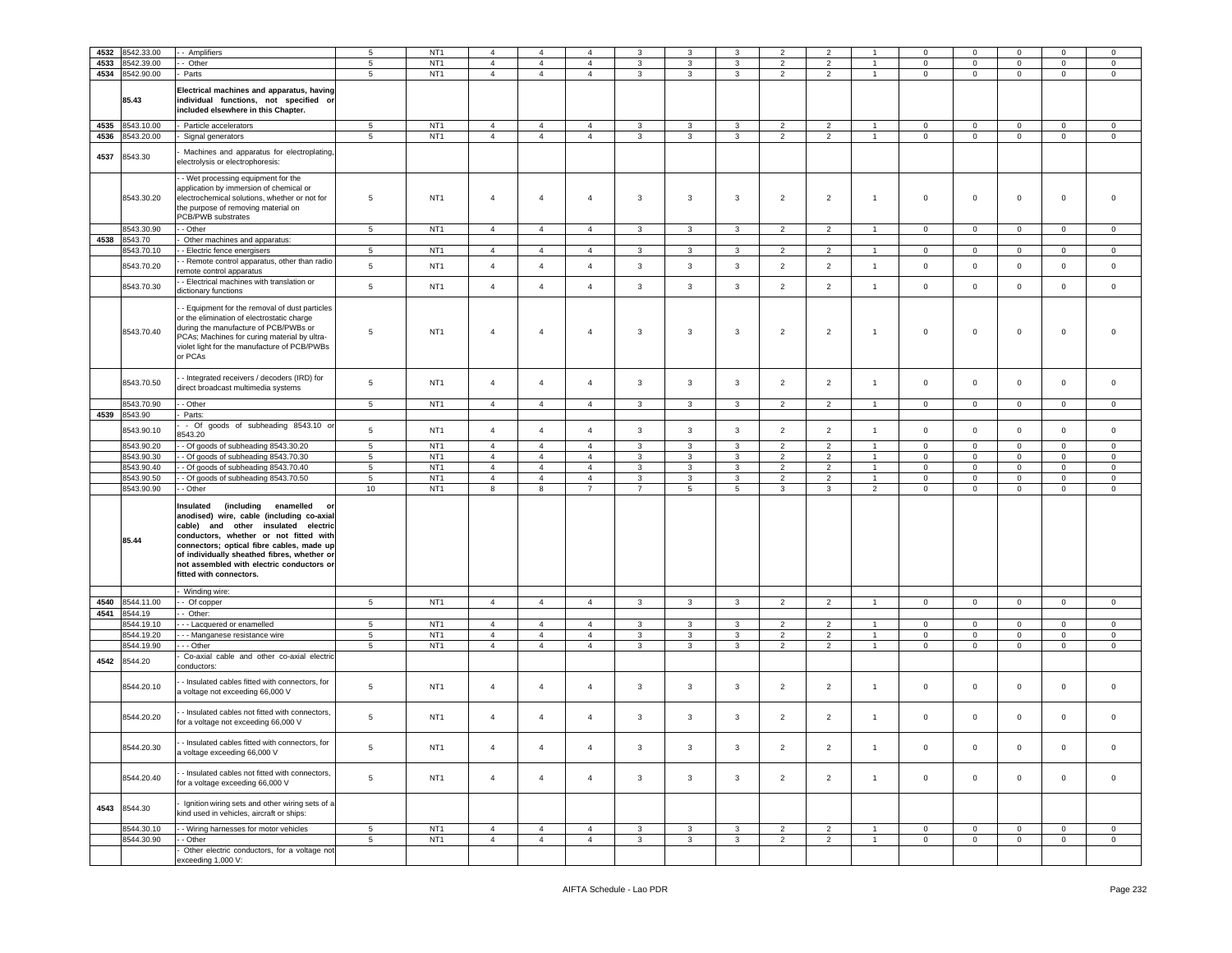| 4532 | 8542.33.00               | - Amplifiers                                                                                                                                                                                                                                                                                                                                | 5                    | NT <sub>1</sub>                    | $\overline{4}$                   | 4                                | $\overline{4}$      |              | 3                 | 3               | $\overline{2}$ | $\overline{2}$      |                | $\mathbf 0$      | $\Omega$         | 0                | $\mathbf 0$                | $\mathbf 0$                |
|------|--------------------------|---------------------------------------------------------------------------------------------------------------------------------------------------------------------------------------------------------------------------------------------------------------------------------------------------------------------------------------------|----------------------|------------------------------------|----------------------------------|----------------------------------|---------------------|--------------|-------------------|-----------------|----------------|---------------------|----------------|------------------|------------------|------------------|----------------------------|----------------------------|
| 4533 | 8542.39.00               | Other                                                                                                                                                                                                                                                                                                                                       | $\sqrt{5}$           | NT <sub>1</sub>                    | $\sqrt{4}$                       | $\overline{4}$                   | $\overline{4}$      | 3            | 3                 | 3               | $\overline{2}$ | $\overline{2}$      | $\overline{1}$ | $\mathbf 0$      | $\mathbf 0$      | $\mathbf 0$      | $\mathbf 0$                | $\mathbf 0$                |
| 4534 | 8542.90.00               | Parts                                                                                                                                                                                                                                                                                                                                       | 5                    | NT <sub>1</sub>                    | $\overline{4}$                   | $\overline{4}$                   | $\overline{4}$      | 3            | 3                 | $\mathbf{3}$    | $\overline{2}$ | $\overline{2}$      | $\overline{1}$ | $\mathbf 0$      | $\mathbf 0$      | $\mathbf 0$      | $\mathbf 0$                | $\mathbf 0$                |
|      | 85.43                    | Electrical machines and apparatus, having<br>individual functions, not specified or<br>included elsewhere in this Chapter.                                                                                                                                                                                                                  |                      |                                    |                                  |                                  |                     |              |                   |                 |                |                     |                |                  |                  |                  |                            |                            |
| 4535 | 8543.10.00               | Particle accelerators                                                                                                                                                                                                                                                                                                                       | $5\overline{5}$      | NT <sub>1</sub>                    | $\overline{4}$                   | $\overline{4}$                   | $\overline{4}$      | 3            | $\mathbf{3}$      | 3               | $\overline{2}$ | $\overline{2}$      | $\overline{1}$ | $\mathbf 0$      | $\mathbf 0$      | $\mathbf 0$      | $\mathbf 0$                | $\mathbf 0$                |
| 4536 | 8543.20.00               | Signal generators                                                                                                                                                                                                                                                                                                                           | $\overline{5}$       | NT <sub>1</sub>                    | $\overline{4}$                   | $\overline{4}$                   | $\overline{4}$      | $\mathbf{3}$ | 3                 | $\mathbf{3}$    | $\overline{2}$ | $\overline{2}$      | $\overline{1}$ | $\mathbf 0$      | $\circ$          | $\mathsf 0$      | $\mathbf 0$                | $\mathsf 0$                |
| 4537 | 8543.30                  | Machines and apparatus for electroplating,<br>electrolysis or electrophoresis:                                                                                                                                                                                                                                                              |                      |                                    |                                  |                                  |                     |              |                   |                 |                |                     |                |                  |                  |                  |                            |                            |
|      | 8543.30.20               | - Wet processing equipment for the<br>application by immersion of chemical or<br>electrochemical solutions, whether or not for<br>the purpose of removing material on<br>PCB/PWB substrates                                                                                                                                                 | 5                    | NT <sub>1</sub>                    | $\overline{4}$                   | $\overline{4}$                   | $\overline{4}$      | 3            | 3                 | 3               | $\overline{2}$ | $\overline{2}$      | $\overline{1}$ | $\mathsf 0$      | $\mathbf 0$      | $\mathbf 0$      | $\mathbf 0$                | $\mathbf 0$                |
|      | 8543.30.90               | - Other                                                                                                                                                                                                                                                                                                                                     | $5\phantom{.0}$      | NT <sub>1</sub>                    | $\overline{4}$                   | $\overline{4}$                   | $\overline{4}$      | 3            | $\mathbf{3}$      | 3               | $\overline{2}$ | $\overline{2}$      | $\overline{1}$ | $\mathbf 0$      | $\mathbf 0$      | $\mathbf 0$      | $\pmb{0}$                  | $\mathsf 0$                |
| 4538 | 8543.70                  | Other machines and apparatus:                                                                                                                                                                                                                                                                                                               |                      |                                    |                                  |                                  |                     |              |                   |                 |                |                     |                |                  |                  |                  |                            |                            |
|      | 8543.70.10               | - Electric fence energisers                                                                                                                                                                                                                                                                                                                 | 5                    | NT <sub>1</sub>                    | $\overline{4}$                   | $\overline{4}$                   | 4                   | 3            | 3                 | 3               | $\overline{2}$ | $\overline{2}$      |                | 0                | 0                | 0                | $\mathbf{0}$               | $\mathsf 0$                |
|      | 8543.70.20               | - Remote control apparatus, other than radio<br>emote control apparatus                                                                                                                                                                                                                                                                     | 5                    | NT <sub>1</sub>                    | $\overline{4}$                   | $\overline{4}$                   | $\overline{4}$      | $\mathbf{3}$ | $\mathbf{3}$      | $\mathbf{3}$    | $\overline{2}$ | $\overline{2}$      | $\mathbf{1}$   | $\mathsf 0$      | $\mathbf 0$      | $\mathbf 0$      | $\mathsf 0$                | $\mathsf 0$                |
|      | 8543.70.30               | - Electrical machines with translation or<br>dictionary functions                                                                                                                                                                                                                                                                           | 5                    | NT <sub>1</sub>                    | $\overline{4}$                   | $\overline{4}$                   | $\overline{4}$      | 3            | 3                 | $\mathbf{3}$    | $\overline{2}$ | $\overline{2}$      | $\mathbf{1}$   | $\mathsf 0$      | $\mathbf 0$      | $\mathbf 0$      | $\mathbf 0$                | $\mathbf 0$                |
|      | 8543.70.40               | - Equipment for the removal of dust particles<br>or the elimination of electrostatic charge<br>during the manufacture of PCB/PWBs or<br>PCAs; Machines for curing material by ultra-<br>violet light for the manufacture of PCB/PWBs<br>or PCAs                                                                                             | 5                    | NT <sub>1</sub>                    | $\overline{4}$                   | $\overline{4}$                   | $\overline{4}$      | 3            | 3                 | 3               | $\overline{2}$ | $\overline{2}$      | $\overline{1}$ | $\mathbf 0$      | $\mathbf 0$      | $\mathbf 0$      | $\mathbf 0$                | $\mathbf 0$                |
|      | 8543.70.50               | - Integrated receivers / decoders (IRD) for<br>direct broadcast multimedia systems                                                                                                                                                                                                                                                          | 5                    | NT <sub>1</sub>                    | $\overline{4}$                   | $\overline{4}$                   | $\overline{4}$      | 3            | 3                 | 3               | $\overline{2}$ | $\overline{2}$      | $\overline{1}$ | $\mathsf 0$      | $\mathbf 0$      | $\mathbf 0$      | $\mathbf 0$                | $\mathbf 0$                |
|      | 3543.70.90               | - Other                                                                                                                                                                                                                                                                                                                                     | $5\phantom{.0}$      | NT <sub>1</sub>                    | $\overline{4}$                   | $\overline{4}$                   | $\overline{4}$      | 3            | 3                 | 3               | $\overline{2}$ | $\overline{2}$      | $\overline{1}$ | $\mathbf 0$      | $\mathbf 0$      | $\mathbf 0$      | $\mathbf 0$                | $\mathbf 0$                |
| 4539 | 8543.90                  | Parts:                                                                                                                                                                                                                                                                                                                                      |                      |                                    |                                  |                                  |                     |              |                   |                 |                |                     |                |                  |                  |                  |                            |                            |
|      | 8543.90.10               | - Of<br>goods of subheading 8543.10 or<br>543.20                                                                                                                                                                                                                                                                                            | 5                    | NT <sub>1</sub>                    | $\overline{4}$                   | $\overline{4}$                   | $\overline{4}$      | $\mathbf{3}$ | $\mathbf{3}$      | $\mathbf{3}$    | $\overline{2}$ | $\overline{2}$      | $\mathbf{1}$   | $\mathsf 0$      | $\mathbf 0$      | $\mathbf 0$      | $\mathbf 0$                | $\,0\,$                    |
|      | 8543.90.20               | - Of goods of subheading 8543.30.20                                                                                                                                                                                                                                                                                                         | 5                    | NT <sub>1</sub>                    | $\overline{4}$                   | $\overline{4}$                   | $\overline{4}$      | 3            | 3                 | 3               | $\overline{2}$ | $\overline{2}$      | $\overline{1}$ | $\mathbf 0$      | $\mathbf 0$      | $\mathbf 0$      | $\mathbf 0$                | $\mathbf 0$                |
|      | 8543.90.30               | - Of goods of subheading 8543.70.30                                                                                                                                                                                                                                                                                                         | 5                    | NT <sub>1</sub>                    | $\overline{4}$                   | $\overline{4}$                   | $\overline{4}$      | 3            | $\mathbf{3}$      | 3               | $\overline{2}$ | $\overline{2}$      | $\overline{1}$ | $\mathbf 0$      | $\mathbf 0$      | $\mathbf 0$      | $\mathbf 0$                | $\mathbf 0$                |
|      | 8543.90.40               | - Of goods of subheading 8543.70.40                                                                                                                                                                                                                                                                                                         | $\sqrt{5}$           | NT <sub>1</sub>                    | $\overline{4}$                   | $\overline{4}$                   | $\overline{4}$      | 3            | 3                 | 3               | $\overline{2}$ | $\mathbf 2$         |                | 0                | $\mathbf 0$      | $\mathbf 0$      | $\mathbf 0$                | $\mathsf 0$                |
|      | 8543.90.50               | - Of goods of subheading 8543.70.50                                                                                                                                                                                                                                                                                                         | 5                    | NT <sub>1</sub>                    | $\overline{4}$                   | $\overline{4}$                   | $\overline{4}$      | 3            | 3                 | 3               | $\overline{2}$ | $\overline{2}$      | 1              | $\mathbf 0$      | $\mathbf 0$      | $\mathbf 0$      | $\mathbf 0$                | $\mathbf 0$                |
|      | 8543.90.90               | - Other                                                                                                                                                                                                                                                                                                                                     | 10                   | NT <sub>1</sub>                    | 8                                | 8                                | $\overline{7}$      | 7            | 5                 | $5\overline{)}$ | 3              | 3                   | $\overline{2}$ | $\mathbf 0$      | $\mathbf{0}$     | 0                | $\mathbf{0}$               | $\mathbf{0}$               |
|      | 85.44                    | Insulated<br>(including<br>enamelled<br>O<br>anodised) wire, cable (including co-axial<br>cable) and other insulated electric<br>conductors, whether or not fitted with<br>connectors; optical fibre cables, made up<br>of individually sheathed fibres, whether or<br>not assembled with electric conductors or<br>fitted with connectors. |                      |                                    |                                  |                                  |                     |              |                   |                 |                |                     |                |                  |                  |                  |                            |                            |
|      |                          | Winding wire:                                                                                                                                                                                                                                                                                                                               |                      |                                    |                                  |                                  |                     |              |                   |                 |                |                     |                |                  |                  |                  |                            |                            |
| 4540 | 8544.11.00               | - Of copper                                                                                                                                                                                                                                                                                                                                 | $5\phantom{.0}$      | NT <sub>1</sub>                    | $\overline{4}$                   | $\overline{4}$                   | $\overline{4}$      | $\mathbf{3}$ | $\mathbf{3}$      | $\mathbf{3}$    | $\overline{2}$ | $\overline{2}$      | $\overline{1}$ | $\mathbf 0$      | $\mathbf 0$      | $\mathbf{O}$     | $\pmb{0}$                  | $\mathbf 0$                |
| 4541 | 8544.19                  | - Other:                                                                                                                                                                                                                                                                                                                                    |                      |                                    |                                  |                                  |                     |              |                   |                 | $\overline{2}$ |                     |                |                  |                  |                  |                            |                            |
|      | 8544.19.10<br>8544.19.20 | -- Lacquered or enamelled<br>- - Manganese resistance wire                                                                                                                                                                                                                                                                                  | 5<br>$5\phantom{.0}$ | NT <sub>1</sub><br>NT <sub>1</sub> | $\overline{4}$<br>$\overline{4}$ | $\overline{4}$<br>$\overline{4}$ | 4<br>$\overline{4}$ | 3<br>3       | 3<br>$\mathbf{3}$ | 3<br>3          | $\overline{2}$ | 2<br>$\overline{2}$ | $\overline{1}$ | 0<br>$\mathbf 0$ | 0<br>$\mathbf 0$ | 0<br>$\mathbf 0$ | $\mathbf 0$<br>$\mathbf 0$ | $\mathbf 0$<br>$\mathsf 0$ |
|      | 8544.19.90               | - - Other                                                                                                                                                                                                                                                                                                                                   | 5                    | NT <sub>1</sub>                    | $\overline{4}$                   | $\overline{4}$                   | $\overline{4}$      | 3            | 3                 | 3               | $\overline{2}$ | $\overline{2}$      | $\overline{1}$ | $\mathbf 0$      | $\mathbf 0$      | $\mathbf 0$      | $\mathbf 0$                | $\mathbf 0$                |
| 4542 | 3544.20                  | Co-axial cable and other co-axial electric<br>onductors:                                                                                                                                                                                                                                                                                    |                      |                                    |                                  |                                  |                     |              |                   |                 |                |                     |                |                  |                  |                  |                            |                            |
|      | 8544.20.10               | - Insulated cables fitted with connectors, for<br>a voltage not exceeding 66,000 V                                                                                                                                                                                                                                                          | 5                    | NT <sub>1</sub>                    | $\overline{4}$                   | $\overline{4}$                   | $\overline{4}$      | 3            | $\mathbf{3}$      | 3               | $\overline{2}$ | $\overline{2}$      | $\overline{1}$ | $\mathsf 0$      | 0                | $\mathbf 0$      | $\pmb{0}$                  | $\mathbf 0$                |
|      | 8544.20.20               | - Insulated cables not fitted with connectors,<br>or a voltage not exceeding 66,000 V                                                                                                                                                                                                                                                       | 5                    | NT <sub>1</sub>                    | $\overline{4}$                   | $\overline{4}$                   | 4                   | 3            | 3                 | 3               | $\overline{2}$ | $\overline{2}$      | $\overline{1}$ | $\mathbf 0$      | 0                | 0                | $\mathbf 0$                | $\mathbf 0$                |
|      | 8544.20.30               | - Insulated cables fitted with connectors, for<br>a voltage exceeding 66,000 V                                                                                                                                                                                                                                                              | $\sqrt{5}$           | NT <sub>1</sub>                    | $\overline{4}$                   | $\overline{4}$                   | $\overline{4}$      | $\mathbf{3}$ | $\mathbf{3}$      | $\mathbf{3}$    | $\overline{2}$ | $\overline{2}$      | $\mathbf{1}$   | $\mathbf{0}$     | $\mathbf 0$      | $\mathsf 0$      | $\mathbf 0$                | $\mathbb O$                |
|      | 8544.20.40               | - Insulated cables not fitted with connectors,<br>for a voltage exceeding 66,000 V                                                                                                                                                                                                                                                          | 5                    | NT <sub>1</sub>                    | $\overline{4}$                   | $\overline{4}$                   | $\overline{4}$      | $\mathbf{3}$ | $\mathbf{3}$      | $\mathbf{3}$    | $\overline{2}$ | $\overline{2}$      | 1              | $\overline{0}$   | $\mathbf 0$      | $\mathbf 0$      | $\mathbf{0}$               | $\mathsf 0$                |
| 4543 | 8544.30                  | Ignition wiring sets and other wiring sets of a<br>kind used in vehicles, aircraft or ships:                                                                                                                                                                                                                                                |                      |                                    |                                  |                                  |                     |              |                   |                 |                |                     |                |                  |                  |                  |                            |                            |
|      | 8544.30.10               | - Wiring harnesses for motor vehicles                                                                                                                                                                                                                                                                                                       | $5\phantom{.0}$      | NT <sub>1</sub>                    | $\overline{4}$                   | $\overline{4}$                   | $\overline{4}$      | $\mathbf{3}$ | $\mathbf{3}$      | $\mathbf{3}$    | $\overline{2}$ | $\overline{2}$      | $\overline{1}$ | $\mathbf{0}$     | $\overline{0}$   | $\mathbf 0$      | $\overline{0}$             | $\overline{0}$             |
|      | 8544.30.90               | - Other                                                                                                                                                                                                                                                                                                                                     | 5 <sub>5</sub>       | NT <sub>1</sub>                    | $\overline{4}$                   | $\overline{4}$                   | $\overline{4}$      | $\mathbf{3}$ | $\mathbf{3}$      | $\mathbf{3}$    | $\overline{2}$ | $\overline{2}$      | $\mathbf{1}$   | $\mathbf{0}$     | $\overline{0}$   | $\mathbf 0$      | $\mathbf{0}$               | $\mathbf{0}$               |
|      |                          | Other electric conductors, for a voltage not<br>exceeding 1,000 V:                                                                                                                                                                                                                                                                          |                      |                                    |                                  |                                  |                     |              |                   |                 |                |                     |                |                  |                  |                  |                            |                            |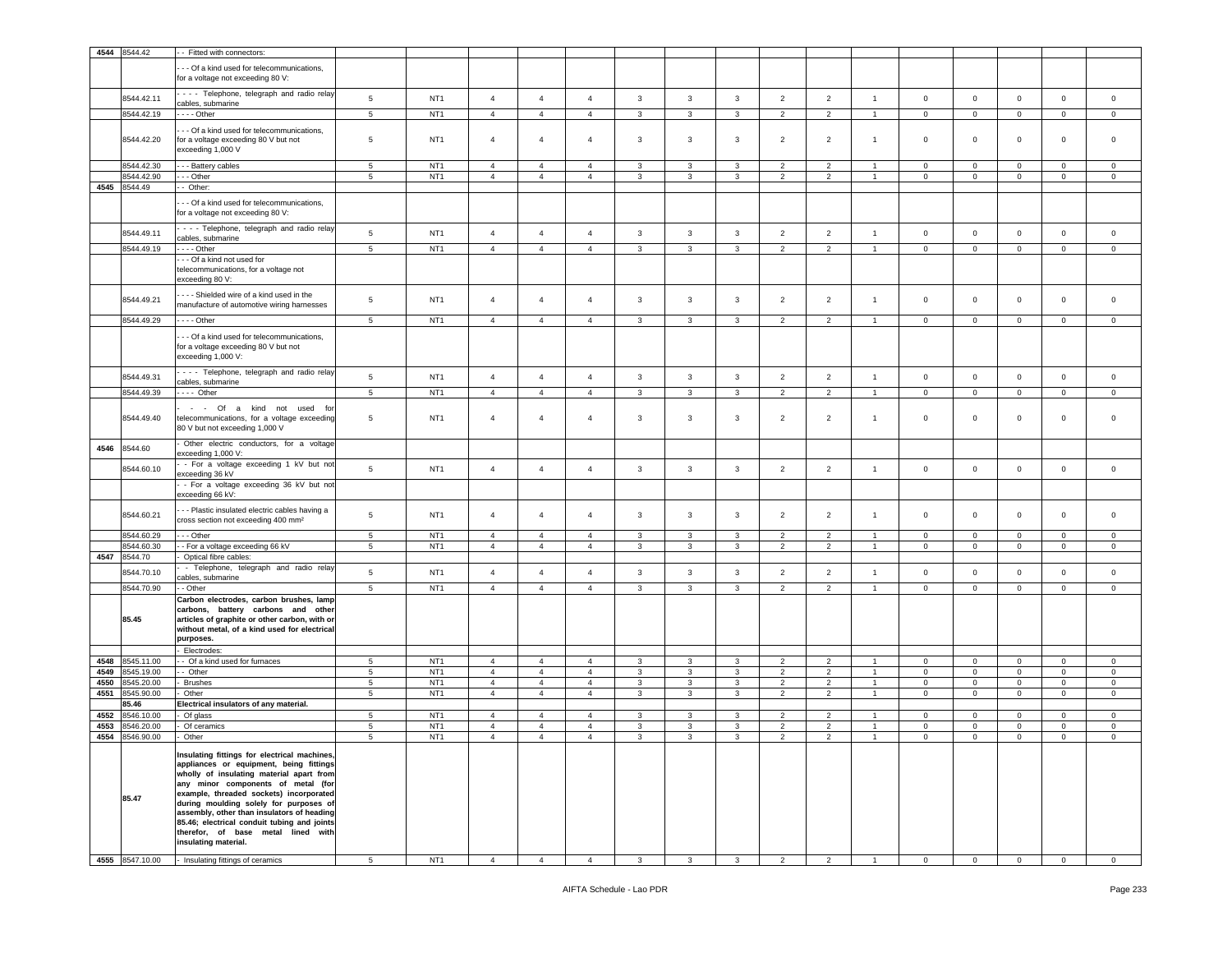| 4544 | 8544.42             | - Fitted with connectors:                                                                                                                                                                                                                                                                                                                                                                                                          |                 |                 |                |                |                |                |              |              |                |                |                |                |                |                |              |             |
|------|---------------------|------------------------------------------------------------------------------------------------------------------------------------------------------------------------------------------------------------------------------------------------------------------------------------------------------------------------------------------------------------------------------------------------------------------------------------|-----------------|-----------------|----------------|----------------|----------------|----------------|--------------|--------------|----------------|----------------|----------------|----------------|----------------|----------------|--------------|-------------|
|      |                     | --- Of a kind used for telecommunications,<br>for a voltage not exceeding 80 V:                                                                                                                                                                                                                                                                                                                                                    |                 |                 |                |                |                |                |              |              |                |                |                |                |                |                |              |             |
|      | 8544.42.11          | - - - - Telephone, telegraph and radio relay<br>cables, submarine                                                                                                                                                                                                                                                                                                                                                                  | $\sqrt{5}$      | NT <sub>1</sub> | $\overline{4}$ | $\overline{4}$ | $\overline{4}$ | $\mathbf{3}$   | $\mathbf{3}$ | $\mathbf{3}$ | $\overline{2}$ | $\overline{2}$ | $\overline{1}$ | $\mathsf 0$    | $\overline{0}$ | $\mathsf 0$    | $\mathsf 0$  | $\mathsf 0$ |
|      | 8544.42.19          | - - - - Other                                                                                                                                                                                                                                                                                                                                                                                                                      | 5               | NT <sub>1</sub> | $\overline{4}$ | $\overline{4}$ | $\overline{4}$ | 3              | 3            | $\mathbf{3}$ | $\overline{2}$ | $\overline{2}$ | $\overline{1}$ | $\mathbf 0$    | $\mathbf{0}$   | $\circ$        | $\mathsf 0$  | $\mathsf 0$ |
|      | 8544.42.20          | - - Of a kind used for telecommunications,<br>for a voltage exceeding 80 V but not<br>exceeding 1,000 V                                                                                                                                                                                                                                                                                                                            | 5               | NT <sub>1</sub> | $\overline{4}$ | $\overline{4}$ | $\overline{4}$ | 3              | 3            | $\mathbf{3}$ | $\overline{2}$ | $\overline{2}$ | $\overline{1}$ | $\mathsf 0$    | $\mathbf 0$    | $\circ$        | $\mathsf 0$  | $\mathsf 0$ |
|      | 8544.42.30          | - - - Battery cables                                                                                                                                                                                                                                                                                                                                                                                                               | 5               | NT <sub>1</sub> | $\overline{4}$ | $\overline{4}$ | $\overline{4}$ | 3              | 3            | 3            | $\overline{2}$ | $\overline{2}$ | $\overline{1}$ | $\mathbf 0$    | $\circ$        | $\mathbf 0$    | $\circ$      | $\mathbf 0$ |
|      | 8544.42.90          | - - - Other                                                                                                                                                                                                                                                                                                                                                                                                                        | 5               | NT <sub>1</sub> | $\overline{4}$ | $\overline{4}$ | $\overline{4}$ | 3              | 3            | $\mathbf{3}$ | $\overline{2}$ | $\overline{2}$ | $\overline{1}$ | $\mathsf 0$    | $\mathbf{0}$   | $\circ$        | $\mathbf 0$  | $\mathbf 0$ |
| 4545 | 8544.49             | - Other:                                                                                                                                                                                                                                                                                                                                                                                                                           |                 |                 |                |                |                |                |              |              |                |                |                |                |                |                |              |             |
|      |                     | - - Of a kind used for telecommunications,<br>for a voltage not exceeding 80 V:                                                                                                                                                                                                                                                                                                                                                    |                 |                 |                |                |                |                |              |              |                |                |                |                |                |                |              |             |
|      | 8544.49.11          | - - - - Telephone, telegraph and radio relay<br>cables, submarine                                                                                                                                                                                                                                                                                                                                                                  | 5               | NT <sub>1</sub> | $\overline{4}$ | $\overline{4}$ | $\overline{4}$ | 3              | 3            | $\mathbf{3}$ | $\overline{2}$ | $\overline{2}$ | $\overline{1}$ | $\mathbf 0$    | $\mathbf 0$    | $\mathbf 0$    | $\mathbf 0$  | $\mathbf 0$ |
|      | 8544.49.19          | - - - - Other                                                                                                                                                                                                                                                                                                                                                                                                                      | 5               | NT <sub>1</sub> | $\overline{4}$ | $\overline{4}$ | $\overline{4}$ | 3              | 3            | $\mathbf{3}$ | $\overline{2}$ | $\overline{2}$ | $\overline{1}$ | $\mathbf 0$    | $\mathbf{0}$   | $\circ$        | $\mathbf 0$  | $\mathbf 0$ |
|      |                     | --- Of a kind not used for<br>telecommunications, for a voltage not<br>exceeding 80 V:                                                                                                                                                                                                                                                                                                                                             |                 |                 |                |                |                |                |              |              |                |                |                |                |                |                |              |             |
|      | 8544.49.21          | --- Shielded wire of a kind used in the<br>manufacture of automotive wiring harnesses                                                                                                                                                                                                                                                                                                                                              | 5               | NT <sub>1</sub> | $\overline{4}$ | $\overline{4}$ | $\overline{4}$ | 3              | 3            | $\mathbf{3}$ | $\overline{2}$ | $\overline{2}$ | $\overline{1}$ | $\circ$        | $\mathbf 0$    | $\circ$        | $\mathbf 0$  | $\mathsf 0$ |
|      | 8544.49.29          | - - - - Other                                                                                                                                                                                                                                                                                                                                                                                                                      | $5\phantom{.0}$ | NT <sub>1</sub> | $\overline{4}$ | $\overline{4}$ | $\overline{4}$ | 3              | $\mathbf{3}$ | $\mathbf{3}$ | $\overline{2}$ | $\overline{2}$ | $\overline{1}$ | $\mathbf 0$    | $\mathbf{0}$   | $\overline{0}$ | $\mathbf 0$  | $\circ$     |
|      |                     | --- Of a kind used for telecommunications,<br>for a voltage exceeding 80 V but not<br>exceeding 1,000 V:                                                                                                                                                                                                                                                                                                                           |                 |                 |                |                |                |                |              |              |                |                |                |                |                |                |              |             |
|      | 8544.49.31          | - - - Telephone, telegraph and radio relay                                                                                                                                                                                                                                                                                                                                                                                         | $\sqrt{5}$      | NT <sub>1</sub> | $\overline{4}$ | $\overline{4}$ | $\overline{4}$ | $\mathbf{3}$   | $\mathbf{3}$ | $\mathbf{3}$ | $\overline{2}$ | $\overline{2}$ | $\overline{1}$ | $\mathbf 0$    | $\mathbf 0$    | $\mathsf 0$    | $\mathsf 0$  | $\mathsf 0$ |
|      | 8544.49.39          | cables, submarine<br>$- - -$ Other                                                                                                                                                                                                                                                                                                                                                                                                 | 5               | NT <sub>1</sub> | $\overline{4}$ | $\overline{4}$ | $\overline{4}$ | $\overline{3}$ | $\mathbf{3}$ | $\mathbf{3}$ | $\overline{2}$ | $\overline{2}$ | $\overline{1}$ | $\mathbf 0$    |                | $\mathbf 0$    | $\mathsf 0$  | $\mathsf 0$ |
|      |                     |                                                                                                                                                                                                                                                                                                                                                                                                                                    |                 |                 |                |                |                |                |              |              |                |                |                |                | $\mathbf 0$    |                |              |             |
|      | 8544.49.40          | - - Of a kind not used<br>fo<br>telecommunications, for a voltage exceeding<br>80 V but not exceeding 1,000 V                                                                                                                                                                                                                                                                                                                      | $\overline{5}$  | NT <sub>1</sub> | $\overline{4}$ | $\overline{4}$ | 4              | 3              | 3            | $\mathbf{3}$ | $\overline{2}$ | $\overline{2}$ | $\overline{1}$ | $\circ$        | 0              | $\mathbf 0$    | $\mathsf 0$  | $\mathbf 0$ |
| 4546 | 8544.60             | Other electric conductors, for a voltage<br>exceeding 1,000 V:                                                                                                                                                                                                                                                                                                                                                                     |                 |                 |                |                |                |                |              |              |                |                |                |                |                |                |              |             |
|      | 8544.60.10          | - For a voltage exceeding 1 kV but not<br>exceeding 36 kV                                                                                                                                                                                                                                                                                                                                                                          | 5               | NT <sub>1</sub> | $\overline{4}$ | $\overline{4}$ | $\overline{4}$ | 3              | 3            | $\mathbf{3}$ | $\overline{2}$ | $\overline{2}$ | $\overline{1}$ | $\mathbf 0$    | $\mathbf 0$    | $\mathbf 0$    | $\mathsf 0$  | $\mathsf 0$ |
|      |                     | - For a voltage exceeding 36 kV but not<br>exceeding 66 kV:                                                                                                                                                                                                                                                                                                                                                                        |                 |                 |                |                |                |                |              |              |                |                |                |                |                |                |              |             |
|      | 8544.60.21          | - - Plastic insulated electric cables having a<br>cross section not exceeding 400 mm <sup>2</sup>                                                                                                                                                                                                                                                                                                                                  | $\overline{5}$  | NT <sub>1</sub> | $\overline{4}$ | $\overline{4}$ | 4              | 3              | 3            | $\mathbf{3}$ | $\overline{2}$ | $\overline{2}$ | $\overline{1}$ | $\circ$        | $\mathbf 0$    | $\mathbf 0$    | $\mathsf 0$  | $\mathsf 0$ |
|      | 8544.60.29          | $- -$ Other                                                                                                                                                                                                                                                                                                                                                                                                                        | $5\phantom{.0}$ | NT <sub>1</sub> | $\overline{4}$ | $\overline{4}$ | $\overline{4}$ | 3              | 3            | 3            | $\overline{2}$ | $\overline{2}$ | $\overline{1}$ | $\mathbf 0$    | $\mathbf{0}$   | $\mathbf{0}$   | $\mathbf 0$  | $\mathbf 0$ |
|      | 3544.60.30          | - - For a voltage exceeding 66 kV                                                                                                                                                                                                                                                                                                                                                                                                  | 5               | NT <sub>1</sub> | $\overline{4}$ | $\overline{4}$ | $\overline{4}$ | 3              | 3            | $\mathbf{3}$ | $\overline{2}$ | $\overline{2}$ | $\overline{1}$ | $\mathbf 0$    | $\mathbf 0$    | $\mathbf 0$    | $\mathbf 0$  | $\mathbf 0$ |
| 4547 | 8544.70             | Optical fibre cables:                                                                                                                                                                                                                                                                                                                                                                                                              |                 |                 |                |                |                |                |              |              |                |                |                |                |                |                |              |             |
|      | 8544.70.10          | - Telephone, telegraph and radio relay<br>cables, submarine                                                                                                                                                                                                                                                                                                                                                                        | $\sqrt{5}$      | NT <sub>1</sub> | $\overline{4}$ | $\overline{4}$ | $\overline{4}$ | $\mathbf{3}$   | $\mathbf{3}$ | $\mathbf{3}$ | $\overline{2}$ | $\overline{2}$ | $\overline{1}$ | $\mathbf 0$    | $\mathbf 0$    | $\mathsf 0$    | $\mathsf 0$  | $\mathsf 0$ |
|      | 8544.70.90          | - Other                                                                                                                                                                                                                                                                                                                                                                                                                            | 5               | NT <sub>1</sub> | $\overline{4}$ | $\overline{4}$ | $\overline{4}$ | $\overline{3}$ | $\mathbf{3}$ | $\mathbf{3}$ | $\overline{2}$ | $\overline{2}$ | $\overline{1}$ | $\mathbf 0$    | $\mathsf 0$    | $\mathbf 0$    | $\mathbf{0}$ | $\mathbf 0$ |
|      | 85.45               | Carbon electrodes, carbon brushes, lamp<br>carbons, battery carbons and other<br>articles of graphite or other carbon, with or<br>without metal, of a kind used for electrical<br>purposes.                                                                                                                                                                                                                                        |                 |                 |                |                |                |                |              |              |                |                |                |                |                |                |              |             |
| 4548 | 8545.11.00          | Electrodes:<br>- Of a kind used for furnaces                                                                                                                                                                                                                                                                                                                                                                                       | 5               | NT <sub>1</sub> | $\overline{4}$ | $\overline{4}$ | 4              | 3              | 3            | 3            | $\overline{2}$ | $\overline{2}$ | $\mathbf{1}$   | $\mathbf 0$    | $\mathbf{0}$   | $\circ$        | $\mathsf 0$  | $\mathsf 0$ |
| 4549 | 3545.19.00          | - Other                                                                                                                                                                                                                                                                                                                                                                                                                            | 5               | NT <sub>1</sub> | $\overline{4}$ | $\overline{4}$ | $\overline{4}$ | 3              | 3            | $\mathbf{3}$ | $\overline{2}$ | $\overline{2}$ | $\overline{1}$ | $\mathbf 0$    | $\mathbf{0}$   | $\mathbf 0$    | $\mathbf 0$  | $\mathbf 0$ |
| 4550 | 3545.20.00          | <b>Brushes</b>                                                                                                                                                                                                                                                                                                                                                                                                                     | $5\phantom{.0}$ | NT <sub>1</sub> | $\overline{a}$ | $\overline{4}$ | $\overline{4}$ | 3              | $\mathbf{3}$ | $\mathbf{3}$ | $\overline{2}$ | $\overline{2}$ | $\overline{1}$ | 0              | $\mathbf 0$    | $\mathsf 0$    | $\mathsf 0$  | $\mathsf 0$ |
| 4551 | 8545.90.00          | Other                                                                                                                                                                                                                                                                                                                                                                                                                              | $5\phantom{.0}$ | NT <sub>1</sub> | $\overline{4}$ | $\overline{4}$ | $\overline{4}$ | $\mathbf{3}$   | $\mathbf{3}$ | $\mathbf{3}$ | $\overline{2}$ | $\overline{2}$ | $\overline{1}$ | $\overline{0}$ | $\mathbf{0}$   | $\mathbf{0}$   | $\mathsf 0$  | $\mathsf 0$ |
|      | 85.46               | Electrical insulators of any material.                                                                                                                                                                                                                                                                                                                                                                                             |                 |                 |                |                |                |                |              |              |                |                |                |                |                |                |              |             |
| 4552 | 3546.10.00          | Of glass                                                                                                                                                                                                                                                                                                                                                                                                                           | 5               | NT <sub>1</sub> | $\overline{4}$ | $\overline{4}$ | $\overline{4}$ | 3              | 3            | 3            | $\overline{2}$ | $\overline{2}$ |                | $\mathbf 0$    | $\mathbf 0$    | $\mathbf 0$    | $\mathbf 0$  | $\mathbf 0$ |
| 4553 | 3546.20.00          | Of ceramics                                                                                                                                                                                                                                                                                                                                                                                                                        | 5               | NT <sub>1</sub> | $\overline{4}$ | $\overline{4}$ | $\overline{4}$ | 3              | $\mathbf{3}$ | 3            | $\overline{2}$ | $\overline{2}$ |                | $\mathbf 0$    | $\mathbf 0$    | $\mathbf 0$    | $\mathbf 0$  | $\mathsf 0$ |
| 4554 | 8546.90.00<br>85.47 | Other<br>Insulating fittings for electrical machines,<br>appliances or equipment, being fittings<br>wholly of insulating material apart from<br>any minor components of metal (for<br>example, threaded sockets) incorporated<br>during moulding solely for purposes of<br>assembly, other than insulators of heading<br>85.46; electrical conduit tubing and joints<br>therefor, of base metal lined with<br>insulating material. | 5               | NT <sub>1</sub> | $\overline{4}$ | $\overline{4}$ | $\overline{4}$ | 3              | 3            | 3            | $\overline{2}$ | $\overline{2}$ | $\overline{1}$ | $\mathsf 0$    | $\mathbf 0$    | $\mathbf 0$    | $\mathbf 0$  | $\mathbf 0$ |
|      | 4555 8547.10.00     | Insulating fittings of ceramics                                                                                                                                                                                                                                                                                                                                                                                                    | $5\phantom{.0}$ | NT <sub>1</sub> | $\overline{4}$ | $\overline{4}$ | $\overline{4}$ | 3              | 3            | $\mathbf{3}$ | $\overline{2}$ | $\overline{2}$ |                | $\mathbf 0$    | $\mathbf{0}$   | $\mathbf 0$    | 0            | $\mathbf 0$ |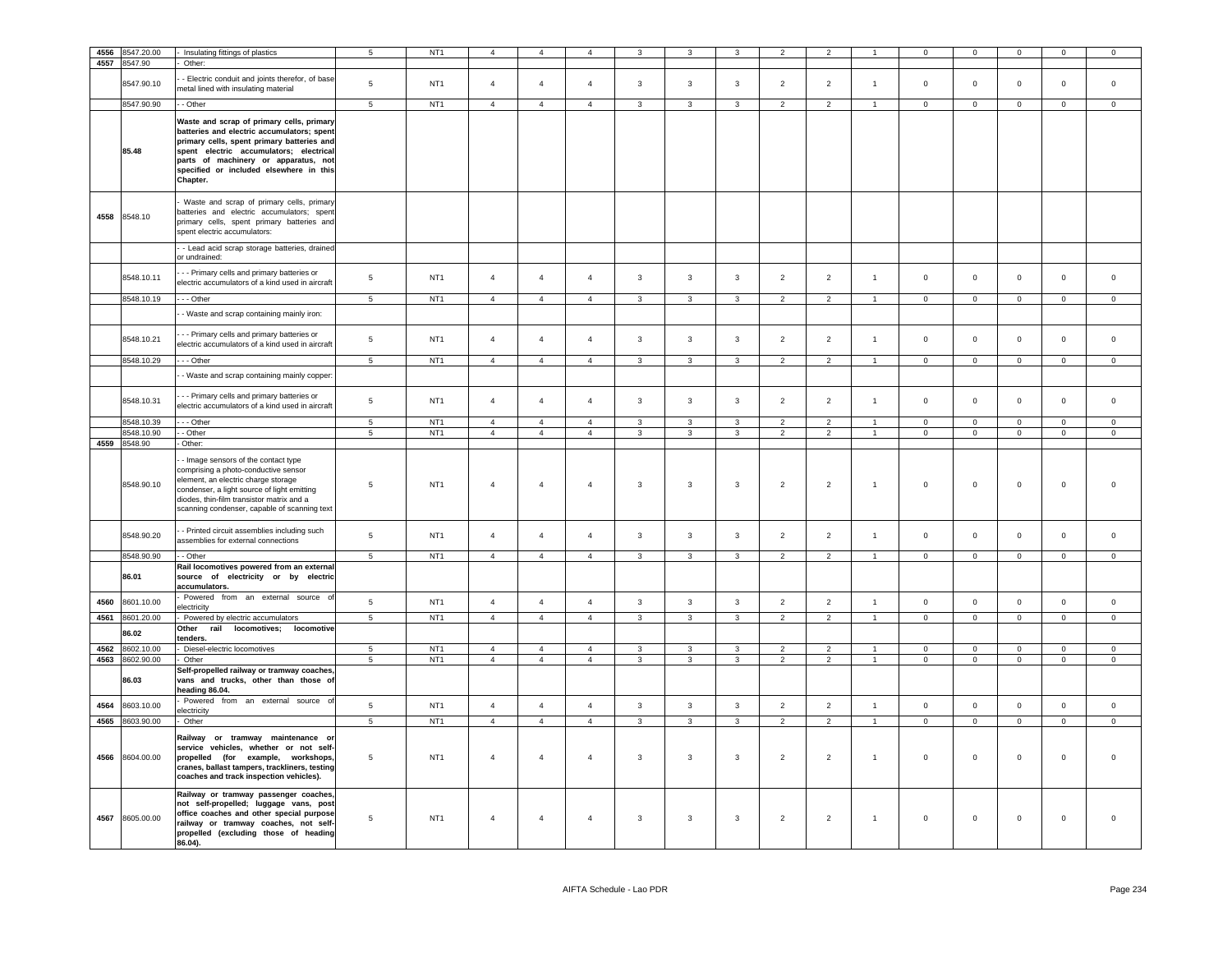| 4556 | 8547.20.00      | Insulating fittings of plastics                                                                                                                                                                                                                                | $5\phantom{.0}$ | NT <sub>1</sub> | $\Delta$       | $\Delta$       |                | $\mathcal{R}$           |                |                | $\overline{2}$ |                |                | $\Omega$       | $\Omega$       | $\Omega$       | $\Omega$            | $\Omega$       |
|------|-----------------|----------------------------------------------------------------------------------------------------------------------------------------------------------------------------------------------------------------------------------------------------------------|-----------------|-----------------|----------------|----------------|----------------|-------------------------|----------------|----------------|----------------|----------------|----------------|----------------|----------------|----------------|---------------------|----------------|
|      | 4557 8547.90    | Other:                                                                                                                                                                                                                                                         |                 |                 |                |                |                |                         |                |                |                |                |                |                |                |                |                     |                |
|      |                 |                                                                                                                                                                                                                                                                |                 |                 |                |                |                |                         |                |                |                |                |                |                |                |                |                     |                |
|      | 8547.90.10      | - Electric conduit and joints therefor, of base                                                                                                                                                                                                                | 5               | NT <sub>1</sub> | $\overline{4}$ | $\overline{4}$ | $\overline{4}$ | $\overline{3}$          | $\overline{3}$ | $\overline{3}$ | 2              | 2              | $\mathbf{1}$   | $\mathbf{0}$   | $\mathbf 0$    | $\mathbf 0$    | $\mathbf{0}$        | $\mathbf 0$    |
|      |                 | netal lined with insulating material                                                                                                                                                                                                                           |                 |                 |                |                |                |                         |                |                |                |                |                |                |                |                |                     |                |
|      | 8547.90.90      | - - Other                                                                                                                                                                                                                                                      | $5\overline{5}$ | NT <sub>1</sub> | $\overline{4}$ | $\overline{4}$ | $\overline{4}$ | $\mathbf{3}$            | $\mathbf{3}$   | $\mathbf{3}$   | 2              | $\overline{2}$ | $\overline{1}$ | $\circ$        | $\overline{0}$ | $\mathbf{0}$   | $\mathbf{0}$        | $\overline{0}$ |
|      |                 | Waste and scrap of primary cells, primary                                                                                                                                                                                                                      |                 |                 |                |                |                |                         |                |                |                |                |                |                |                |                |                     |                |
|      | 85.48           | batteries and electric accumulators; spent<br>primary cells, spent primary batteries and<br>spent electric accumulators; electrical<br>parts of machinery or apparatus, not<br>specified or included elsewhere in this<br>Chapter.                             |                 |                 |                |                |                |                         |                |                |                |                |                |                |                |                |                     |                |
|      | 4558 8548.10    | Waste and scrap of primary cells, primary<br>batteries and electric accumulators; spent<br>primary cells, spent primary batteries and<br>spent electric accumulators:                                                                                          |                 |                 |                |                |                |                         |                |                |                |                |                |                |                |                |                     |                |
|      |                 | - Lead acid scrap storage batteries, drained<br>or undrained:                                                                                                                                                                                                  |                 |                 |                |                |                |                         |                |                |                |                |                |                |                |                |                     |                |
|      | 8548.10.11      | -- Primary cells and primary batteries or<br>electric accumulators of a kind used in aircraft                                                                                                                                                                  | $\sqrt{5}$      | NT <sub>1</sub> | $\overline{4}$ | $\overline{4}$ | $\mathbf{A}$   | $\mathbf{3}$            | $\mathbf{3}$   | $\mathbf{3}$   | $\overline{2}$ | $\overline{2}$ | $\overline{1}$ | $\mathbf 0$    | $\mathsf 0$    | $\mathsf 0$    | $\mathsf 0$         | $\mathsf 0$    |
|      | 8548.10.19      | --- Other                                                                                                                                                                                                                                                      | 5               | NT <sub>1</sub> | $\overline{4}$ | $\overline{4}$ | $\overline{4}$ | $\mathbf{3}$            | 3              | $\overline{3}$ | 2              | 2              | $\overline{1}$ | $\overline{0}$ | $\mathbf{0}$   | $\mathbf 0$    | $\mathbf{0}$        | $\circ$        |
|      |                 | - Waste and scrap containing mainly iron:                                                                                                                                                                                                                      |                 |                 |                |                |                |                         |                |                |                |                |                |                |                |                |                     |                |
|      | 8548.10.21      | - - Primary cells and primary batteries or                                                                                                                                                                                                                     | $\sqrt{5}$      | NT <sub>1</sub> | $\overline{4}$ | $\overline{4}$ | $\overline{4}$ | $\mathbf{3}$            | $\mathbf{3}$   | $\mathbf{3}$   | $\overline{2}$ | $\overline{2}$ | $\overline{1}$ | $\mathsf 0$    | $\mathsf 0$    | $\mathbf 0$    | $\mathsf{O}\xspace$ | $\mathsf 0$    |
|      |                 | electric accumulators of a kind used in aircraft                                                                                                                                                                                                               |                 |                 |                |                |                |                         |                |                |                |                |                |                |                |                |                     |                |
|      | 8548.10.29      | $-$ Other                                                                                                                                                                                                                                                      | $\overline{5}$  | NT <sub>1</sub> | $\overline{4}$ | $\overline{4}$ | $\overline{4}$ | $\overline{\mathbf{3}}$ | $\overline{3}$ | $\overline{3}$ | $\overline{2}$ | $\overline{2}$ |                | $\overline{0}$ | $\overline{0}$ | $\overline{0}$ | $\overline{0}$      | $\overline{0}$ |
|      |                 | - Waste and scrap containing mainly copper:                                                                                                                                                                                                                    |                 |                 |                |                |                |                         |                |                |                |                |                |                |                |                |                     |                |
|      | 8548.10.31      | -- Primary cells and primary batteries or<br>electric accumulators of a kind used in aircraft                                                                                                                                                                  | 5               | NT <sub>1</sub> | $\overline{4}$ | $\overline{4}$ | $\overline{4}$ | $\overline{3}$          | $\mathbf{3}$   | $\mathbf{3}$   | $\overline{2}$ | $\overline{2}$ | $\overline{1}$ | $\mathbf 0$    | $\mathbf 0$    | $\mathbf 0$    | $\mathbf{0}$        | $\mathbf 0$    |
|      | 8548.10.39      | $\cdots$ Other                                                                                                                                                                                                                                                 | $\overline{5}$  | NT <sub>1</sub> | $\overline{4}$ | $\overline{4}$ | $\overline{4}$ | $\mathbf{3}$            | 3              | $\mathbf{3}$   | $\overline{2}$ | $\overline{2}$ |                | $\Omega$       | $\mathbf 0$    | $\Omega$       | $\Omega$            | $\mathsf 0$    |
|      | 8548.10.90      | - Other                                                                                                                                                                                                                                                        | 5               | NT <sub>1</sub> | $\overline{4}$ | $\overline{4}$ | $\overline{4}$ | $\overline{3}$          | 3              | $\overline{3}$ | $\overline{2}$ | 2              | $\overline{1}$ | $\mathbf{0}$   | $\mathbf 0$    | $\mathbf 0$    | $\mathbf{0}$        | $\mathbf 0$    |
|      | 4559 8548.90    | Other:                                                                                                                                                                                                                                                         |                 |                 |                |                |                |                         |                |                |                |                |                |                |                |                |                     |                |
|      | 8548.90.10      | - Image sensors of the contact type<br>comprising a photo-conductive sensor<br>element, an electric charge storage<br>condenser, a light source of light emitting<br>diodes, thin-film transistor matrix and a<br>scanning condenser, capable of scanning text | 5               | NT <sub>1</sub> | $\overline{4}$ | $\overline{4}$ | $\overline{4}$ | $\mathbf{3}$            | $\mathbf{3}$   | $\mathbf{3}$   | $\overline{2}$ | $\overline{2}$ | $\overline{1}$ | $\mathsf 0$    | $^{\circ}$     | $\mathbf 0$    | $\mathbf 0$         | $\Omega$       |
|      | 8548.90.20      | - Printed circuit assemblies including such<br>assemblies for external connections                                                                                                                                                                             | 5               | NT <sub>1</sub> | $\overline{4}$ | $\mathbf{A}$   | $\overline{4}$ | 3                       | $\mathbf{3}$   | 3              | $\overline{2}$ | $\overline{2}$ | $\overline{1}$ | $\mathbf 0$    | $\mathbf 0$    | $\mathbf 0$    | $\mathbf 0$         | $\mathbf 0$    |
|      | 8548.90.90      | - - Other                                                                                                                                                                                                                                                      | 5               | NT <sub>1</sub> | $\overline{4}$ | $\overline{4}$ | $\overline{4}$ | $\mathbf{3}$            | $\mathbf{3}$   | $\mathbf{3}$   | $\overline{2}$ | $\overline{2}$ | $\overline{1}$ | $\mathbf 0$    | $\circ$        | $\mathsf 0$    | $\mathsf 0$         | $\mathsf 0$    |
|      | 86.01           | Rail locomotives powered from an external<br>source of electricity or by electric<br>accumulators.                                                                                                                                                             |                 |                 |                |                |                |                         |                |                |                |                |                |                |                |                |                     |                |
| 4560 | 8601.10.00      | Powered from an external source of<br>electricity                                                                                                                                                                                                              | 5               | NT <sub>1</sub> | $\overline{4}$ | $\overline{4}$ | $\overline{4}$ | $\mathbf{3}$            | $\overline{3}$ | $\overline{3}$ | 2              | 2              | $\overline{1}$ | $\overline{0}$ | $\mathbf{0}$   | $\mathbf 0$    | $\overline{0}$      | $\circ$        |
| 4561 | 8601.20.00      | Powered by electric accumulators                                                                                                                                                                                                                               | $\overline{5}$  | NT <sub>1</sub> | $\overline{4}$ | $\overline{4}$ | $\overline{4}$ | $\overline{\mathbf{3}}$ | $\overline{3}$ | $\overline{3}$ | $\overline{2}$ | $\overline{2}$ | $\mathbf{1}$   | $\overline{0}$ | $\overline{0}$ | $\overline{0}$ | $\overline{0}$      | $\mathsf 0$    |
|      | 86.02           | Other<br>rail<br>locomotives; locomotive<br>tenders.                                                                                                                                                                                                           |                 |                 |                |                |                |                         |                |                |                |                |                |                |                |                |                     |                |
| 4562 | 8602.10.00      | Diesel-electric locomotives                                                                                                                                                                                                                                    | $5\phantom{.0}$ | NT <sub>1</sub> | $\overline{4}$ | $\overline{4}$ | $\overline{4}$ | 3                       | $\mathbf{3}$   | 3              | 2              | 2              | $\overline{1}$ | $\overline{0}$ | $\mathbf 0$    | $\mathsf 0$    | $\circ$             | $\overline{0}$ |
|      | 4563 8602.90.00 | Other                                                                                                                                                                                                                                                          | 5               | NT <sub>1</sub> | $\overline{4}$ | $\overline{4}$ | $\overline{4}$ | 3                       | $\mathbf{3}$   | 3              | $\overline{2}$ | $\overline{2}$ | $\overline{1}$ | $\overline{0}$ | $\overline{0}$ | $\mathbf 0$    | $\circ$             | $\mathbf{0}$   |
|      | 86.03           | Self-propelled railway or tramway coaches,<br>vans and trucks, other than those of<br>heading 86.04.                                                                                                                                                           |                 |                 |                |                |                |                         |                |                |                |                |                |                |                |                |                     |                |
| 4564 | 8603.10.00      | Powered from an external source of<br>electricity                                                                                                                                                                                                              | 5               | NT <sub>1</sub> | $\overline{4}$ | $\overline{4}$ | $\overline{4}$ | $\mathbf{3}$            | $\overline{3}$ | 3              | $\overline{2}$ | $\overline{2}$ | $\mathbf{1}$   | $\mathbf 0$    | $\mathbf 0$    | $\mathbf 0$    | $\mathbf{0}$        | $\mathbf 0$    |
|      | 4565 8603.90.00 | Other                                                                                                                                                                                                                                                          | $5\phantom{.0}$ | NT <sub>1</sub> | $\overline{4}$ | $\overline{4}$ | $\overline{4}$ | $\mathbf{3}$            | $\mathbf{3}$   | 3              | $\overline{2}$ | $\overline{2}$ | $\mathbf{1}$   | $\overline{0}$ | $\overline{0}$ | $\mathbf 0$    | $\mathbf{0}$        | $\overline{0}$ |
| 4566 | 8604.00.00      | Railway or tramway maintenance or<br>service vehicles, whether or not self-<br>propelled (for example, workshops,<br>cranes, ballast tampers, trackliners, testing<br>coaches and track inspection vehicles).                                                  | $\,$ 5 $\,$     | NT <sub>1</sub> | $\overline{4}$ | $\overline{4}$ | $\overline{4}$ | $\mathbf{3}$            | $\mathbf{3}$   | $\mathbf{3}$   | $\overline{2}$ | $\overline{2}$ | $\overline{1}$ | $\mathbf 0$    | $\mathbf 0$    | $\mathsf 0$    | $\mathbf 0$         | $\mathsf 0$    |
| 4567 | 8605.00.00      | Railway or tramway passenger coaches,<br>not self-propelled; luggage vans, post<br>office coaches and other special purpose<br>railway or tramway coaches, not self-<br>propelled (excluding those of heading<br>86.04).                                       | 5               | NT <sub>1</sub> | $\overline{4}$ | $\overline{4}$ | $\overline{4}$ | $\mathbf{3}$            | $\mathbf{3}$   | 3              | $\overline{2}$ | $\overline{2}$ | $\mathbf{1}$   | $\mathbf 0$    | $\mathbf 0$    | $\mathbf 0$    | $\mathsf 0$         | $\Omega$       |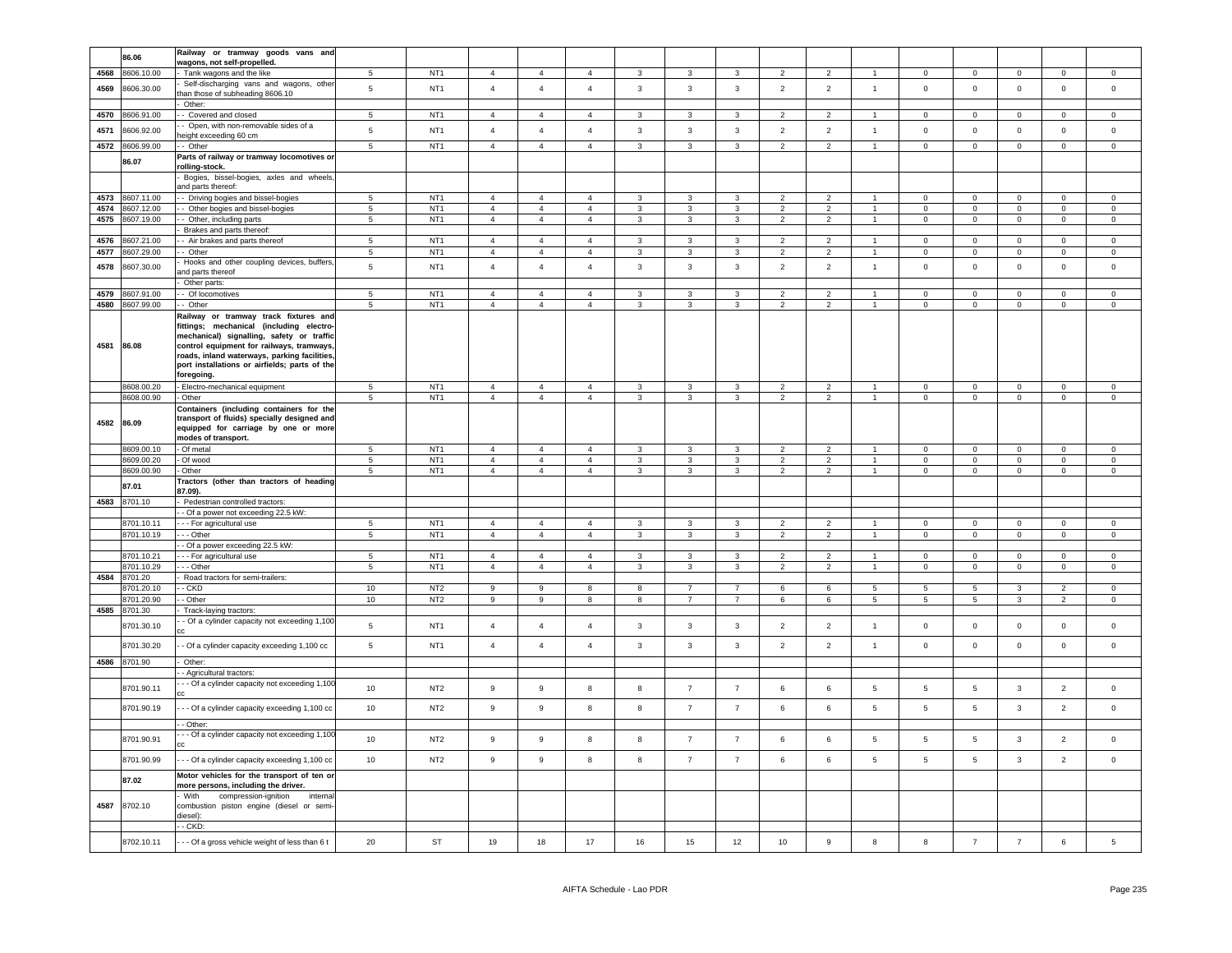|      | 86.06      | Railway or tramway goods vans and              |                 |                 |                  |                  |                |                         |                         |                         |                |                |                 |                 |                 |                |                |                |
|------|------------|------------------------------------------------|-----------------|-----------------|------------------|------------------|----------------|-------------------------|-------------------------|-------------------------|----------------|----------------|-----------------|-----------------|-----------------|----------------|----------------|----------------|
|      |            | wagons, not self-propelled.                    |                 |                 |                  |                  |                |                         |                         |                         |                |                |                 |                 |                 |                |                |                |
| 4568 | 8606.10.00 | Tank wagons and the like                       | 5               | NT <sub>1</sub> | $\mathbf{A}$     | $\overline{4}$   | $\overline{4}$ | $\mathbf{3}$            | 3                       | 3                       | $\mathcal{P}$  | $\mathcal{P}$  |                 | $\Omega$        | $\mathbf 0$     | $\mathbf 0$    | $\overline{0}$ | $\mathbf 0$    |
| 4569 | 8606.30.00 | Self-discharging vans and wagons, othe         | $\overline{5}$  | NT <sub>1</sub> | $\overline{4}$   | $\overline{4}$   | $\overline{4}$ | $\mathbf{3}$            | $\mathbf{3}$            | $\mathbf{3}$            | $\overline{2}$ | $\overline{2}$ | $\overline{1}$  | $\mathsf 0$     | $\mathbf 0$     | $\mathbf 0$    | $\mathsf 0$    | $\mathbf{0}$   |
|      |            | han those of subheading 8606.10                |                 |                 |                  |                  |                |                         |                         |                         |                |                |                 |                 |                 |                |                |                |
|      |            | Other:                                         |                 |                 |                  |                  |                |                         |                         |                         |                |                |                 |                 |                 |                |                |                |
| 4570 | 8606.91.00 | Covered and closed                             | 5               | NT <sub>1</sub> | $\overline{4}$   | $\mathbf{A}$     | $\mathbf{A}$   | $\mathbf{R}$            | $\mathbf{a}$            | $\mathbf{3}$            | $\mathcal{P}$  | $\mathcal{P}$  |                 | $\Omega$        | $\mathsf 0$     | $\mathsf 0$    | $\Omega$       | $\Omega$       |
|      |            | - Open, with non-removable sides of a          |                 |                 |                  |                  |                |                         |                         |                         |                |                |                 |                 |                 |                |                |                |
| 4571 | 8606.92.00 | height exceeding 60 cm                         | 5               | NT <sub>1</sub> | $\overline{4}$   | $\overline{4}$   | $\overline{4}$ | $\mathbf{3}$            | $\mathbf{3}$            | $\mathbf{3}$            | $\overline{2}$ | $\overline{2}$ | $\overline{1}$  | $\mathbf 0$     | $\mathsf 0$     | $\mathsf 0$    | $\mathsf 0$    | $\mathsf 0$    |
|      |            |                                                |                 | NT <sub>1</sub> |                  |                  |                |                         |                         |                         |                |                | $\overline{1}$  |                 |                 |                |                |                |
| 4572 | 8606.99.00 | - Other                                        | $5\phantom{.0}$ |                 | $\overline{4}$   | $\overline{4}$   | $\overline{4}$ | $\mathbf{3}$            | $\mathbf{3}$            | $\mathbf{3}$            | $\overline{2}$ | $\overline{2}$ |                 | $\overline{0}$  | $\overline{0}$  | $\overline{0}$ | $\overline{0}$ | $\mathbf 0$    |
|      | 86.07      | Parts of railway or tramway locomotives or     |                 |                 |                  |                  |                |                         |                         |                         |                |                |                 |                 |                 |                |                |                |
|      |            | rolling-stock.                                 |                 |                 |                  |                  |                |                         |                         |                         |                |                |                 |                 |                 |                |                |                |
|      |            | Bogies, bissel-bogies, axles and wheels,       |                 |                 |                  |                  |                |                         |                         |                         |                |                |                 |                 |                 |                |                |                |
|      |            | and parts thereof:                             |                 |                 |                  |                  |                |                         |                         |                         |                |                |                 |                 |                 |                |                |                |
| 4573 | 8607.11.00 | - Driving bogies and bissel-bogies             | 5               | NT <sub>1</sub> | $\overline{4}$   | $\overline{4}$   | $\overline{4}$ | $\mathbf{3}$            | $\mathbf{3}$            | $\mathbf{3}$            | $\overline{2}$ | $\overline{2}$ |                 | $\mathbf 0$     | $\mathsf 0$     | $\mathbf 0$    | $\mathsf 0$    | $\mathsf 0$    |
| 4574 | 8607.12.00 | - Other bogies and bissel-bogies               | $5\phantom{.0}$ | NT <sub>1</sub> | $\overline{4}$   | $\overline{4}$   | $\overline{4}$ | 3                       | $\mathbf{3}$            | 3                       | $\overline{2}$ | $\overline{2}$ |                 | $\mathsf 0$     | $\mathbf 0$     | $\mathbf 0$    | $\pmb{0}$      | $\mathsf 0$    |
| 4575 | 8607.19.00 | - Other, including parts                       | 5               | NT <sub>1</sub> | $\overline{4}$   | $\overline{4}$   | $\overline{4}$ | $\mathbf{3}$            | $\mathbf{3}$            | $\mathbf{3}$            | $\overline{2}$ | $\overline{2}$ | $\overline{1}$  | $\mathbf 0$     | $\mathsf 0$     | $\mathbf 0$    | $\mathsf 0$    | $\mathsf 0$    |
|      |            | Brakes and parts thereof:                      |                 |                 |                  |                  |                |                         |                         |                         |                |                |                 |                 |                 |                |                |                |
| 4576 | 8607.21.00 | - Air brakes and parts thereof                 | 5               | NT <sub>1</sub> | $\overline{4}$   | $\overline{4}$   | $\overline{4}$ | $\mathbf{3}$            | $\mathbf{3}$            | $\mathbf{3}$            | $\overline{2}$ | $\overline{2}$ |                 | $\mathbf 0$     | $\mathsf 0$     | $^{\circ}$     | $\mathbf 0$    | $\mathsf 0$    |
| 4577 | 8607.29.00 | - Other                                        | $\overline{5}$  | NT <sub>1</sub> | $\overline{4}$   | $\overline{4}$   | $\overline{4}$ | 3                       | 3                       | 3                       | $\overline{2}$ | $\overline{2}$ |                 | $\mathbf 0$     | $\mathsf 0$     | $\mathbf 0$    | $\mathbf 0$    | $\mathsf 0$    |
|      |            |                                                |                 |                 |                  |                  |                |                         |                         |                         |                |                |                 |                 |                 |                |                |                |
| 4578 | 8607.30.00 | Hooks and other coupling devices, buffers,     | $\,$ 5 $\,$     | NT <sub>1</sub> | $\overline{4}$   | $\overline{4}$   | $\overline{4}$ | $\mathbf{3}$            | $\overline{\mathbf{3}}$ | 3                       | $\overline{2}$ | $\overline{2}$ | $\overline{1}$  | $\mathbf 0$     | $\mathsf 0$     | $\mathsf 0$    | $\pmb{0}$      | $\mathsf 0$    |
|      |            | and parts thereof                              |                 |                 |                  |                  |                |                         |                         |                         |                |                |                 |                 |                 |                |                |                |
|      |            | Other parts:                                   |                 |                 |                  |                  |                |                         |                         |                         |                |                |                 |                 |                 |                |                |                |
| 4579 | 8607.91.00 | - Of locomotives                               | 5               | NT <sub>1</sub> | $\overline{4}$   | $\overline{4}$   | $\overline{4}$ | 3                       | 3                       | $\overline{3}$          | 2              | $\overline{2}$ |                 | $\Omega$        | $\mathbf 0$     | $\Omega$       | $\mathbf 0$    | $\Omega$       |
| 4580 | 8607.99.00 | Other                                          | $\overline{5}$  | NT <sub>1</sub> | $\overline{4}$   | $\overline{4}$   | $\overline{4}$ | $\overline{\mathbf{3}}$ | $\overline{3}$          | $\overline{\mathbf{3}}$ | $\overline{2}$ | $\overline{2}$ | $\overline{1}$  | $\overline{0}$  | $\overline{0}$  | $\mathbf 0$    | $\overline{0}$ | $\overline{0}$ |
|      |            | Railway or tramway track fixtures and          |                 |                 |                  |                  |                |                         |                         |                         |                |                |                 |                 |                 |                |                |                |
|      |            | fittings; mechanical (including electro-       |                 |                 |                  |                  |                |                         |                         |                         |                |                |                 |                 |                 |                |                |                |
|      |            | mechanical) signalling, safety or traffic      |                 |                 |                  |                  |                |                         |                         |                         |                |                |                 |                 |                 |                |                |                |
| 4581 | 86.08      | control equipment for railways, tramways,      |                 |                 |                  |                  |                |                         |                         |                         |                |                |                 |                 |                 |                |                |                |
|      |            | roads, inland waterways, parking facilities,   |                 |                 |                  |                  |                |                         |                         |                         |                |                |                 |                 |                 |                |                |                |
|      |            | port installations or airfields; parts of the  |                 |                 |                  |                  |                |                         |                         |                         |                |                |                 |                 |                 |                |                |                |
|      |            | foregoing.                                     |                 |                 |                  |                  |                |                         |                         |                         |                |                |                 |                 |                 |                |                |                |
|      | 8608.00.20 | - Electro-mechanical equipment                 | 5               | NT <sub>1</sub> | $\overline{4}$   | $\overline{4}$   | $\overline{4}$ | 3                       | 3                       | 3                       | $\overline{2}$ | $\overline{2}$ | $\overline{1}$  | $\mathbf 0$     | $\mathbf 0$     | $\mathbf 0$    | $\mathbf 0$    | $\mathbf{0}$   |
|      |            |                                                | 5               |                 | $\overline{4}$   | $\overline{4}$   | $\overline{4}$ | $\mathbf{3}$            | $\mathbf{3}$            | $\overline{\mathbf{3}}$ | $\overline{2}$ | $\overline{2}$ | $\overline{1}$  | $\mathbf 0$     | $\overline{0}$  |                |                | $\mathbb O$    |
|      | 8608.00.90 | - Other                                        |                 | NT <sub>1</sub> |                  |                  |                |                         |                         |                         |                |                |                 |                 |                 | $\mathbf 0$    | $\overline{0}$ |                |
|      |            | Containers (including containers for the       |                 |                 |                  |                  |                |                         |                         |                         |                |                |                 |                 |                 |                |                |                |
|      | 4582 86.09 | transport of fluids) specially designed and    |                 |                 |                  |                  |                |                         |                         |                         |                |                |                 |                 |                 |                |                |                |
|      |            | equipped for carriage by one or more           |                 |                 |                  |                  |                |                         |                         |                         |                |                |                 |                 |                 |                |                |                |
|      |            | modes of transport.                            |                 |                 |                  |                  |                |                         |                         |                         |                |                |                 |                 |                 |                |                |                |
|      | 8609.00.10 | - Of metal                                     | 5               | NT <sub>1</sub> | $\overline{4}$   | $\overline{4}$   | $\overline{4}$ | 3                       | $\mathbf{3}$            | 3                       | $\overline{2}$ | $\overline{2}$ | $\overline{1}$  | $\mathbf 0$     | $\circ$         | $\mathbf 0$    | $\circ$        | $\mathbf 0$    |
|      | 8609.00.20 | - Of wood                                      | 5               | NT <sub>1</sub> | $\overline{4}$   | $\overline{4}$   | $\overline{4}$ | $\mathbf{3}$            | $\mathbf{3}$            | $\mathbf{3}$            | $\overline{2}$ | $\overline{2}$ | $\overline{1}$  | $\mathbf 0$     | $\mathbf 0$     | $\mathbf 0$    | $\mathbf 0$    | $\circ$        |
|      | 8609.00.90 | - Other                                        | 5               | NT <sub>1</sub> | $\overline{4}$   | $\overline{4}$   | $\overline{4}$ | $\mathbf{3}$            | $\mathbf{3}$            | $\mathbf{3}$            | $\overline{2}$ | $\overline{2}$ | $\mathbf{1}$    | $\mathbf 0$     | $\circ$         | $\mathsf 0$    | $\mathbf{0}$   | $\overline{0}$ |
|      |            | Tractors (other than tractors of heading       |                 |                 |                  |                  |                |                         |                         |                         |                |                |                 |                 |                 |                |                |                |
|      | 87.01      | 87.09).                                        |                 |                 |                  |                  |                |                         |                         |                         |                |                |                 |                 |                 |                |                |                |
| 4583 | 8701.10    | Pedestrian controlled tractors:                |                 |                 |                  |                  |                |                         |                         |                         |                |                |                 |                 |                 |                |                |                |
|      |            |                                                |                 |                 |                  |                  |                |                         |                         |                         |                |                |                 |                 |                 |                |                |                |
|      | 8701.10.11 |                                                |                 |                 |                  |                  |                |                         |                         |                         |                |                |                 |                 |                 |                |                |                |
|      |            | - Of a power not exceeding 22.5 kW:            |                 |                 |                  |                  |                |                         |                         |                         |                |                |                 |                 |                 |                |                |                |
|      |            | - - For agricultural use                       | 5               | NT <sub>1</sub> | $\overline{4}$   | $\overline{4}$   | $\overline{4}$ | $\mathbf{3}$            | $\overline{3}$          | $\mathbf{3}$            | $\overline{2}$ | $\overline{2}$ | $\overline{1}$  | $\mathbf 0$     | $\mathbf 0$     | $\overline{0}$ | $\Omega$       | $\overline{0}$ |
|      | 8701.10.19 | $\cdots$ Other                                 | $\sqrt{5}$      | NT <sub>1</sub> | $\overline{4}$   | $\overline{4}$   | $\overline{4}$ | $\mathbf{3}$            | $\overline{\mathbf{3}}$ | $\mathbf{3}$            | $\overline{2}$ | $\overline{2}$ | 1               | $\mathsf 0$     | $\overline{0}$  | $\overline{0}$ | $\circ$        | $\overline{0}$ |
|      |            | - Of a power exceeding 22.5 kW:                |                 |                 |                  |                  |                |                         |                         |                         |                |                |                 |                 |                 |                |                |                |
|      | 8701.10.21 | - - For agricultural use                       | $5\phantom{.0}$ | NT1             | $\overline{4}$   | $\overline{4}$   | $\overline{4}$ | $\mathbf{3}$            | $\mathbf{3}$            | $\mathbf{3}$            | 2              | $\overline{2}$ | $\mathbf{1}$    | $\mathbf{0}$    | $\mathbf{0}$    | $\overline{0}$ | $\circ$        | $\circ$        |
|      | 8701.10.29 | -- Other                                       | $\overline{5}$  | NT1             | $\overline{4}$   | $\overline{4}$   | $\overline{4}$ | $\mathbf{3}$            | $\mathbf{3}$            | $\mathbf{3}$            | $\overline{2}$ | $\overline{2}$ | $\mathbf{1}$    | $\overline{0}$  | $\mathbf 0$     | $\mathbf 0$    | $\overline{0}$ | $\mathbf 0$    |
| 4584 | 8701.20    | Road tractors for semi-trailers:               |                 |                 |                  |                  |                |                         |                         |                         |                |                |                 |                 |                 |                |                |                |
|      | 3701.20.10 | - CKD                                          | 10              | NT <sub>2</sub> | 9                | 9                | 8              | 8                       | $\overline{7}$          | $\overline{7}$          | 6              | 6              | $5\overline{5}$ | 5               | $5\overline{5}$ | $\mathbf{3}$   | $\overline{2}$ | $\mathbf 0$    |
|      | 3701.20.90 | - Other                                        | 10              | NT <sub>2</sub> | 9                | 9                | 8              | 8                       | $\overline{7}$          | $\overline{7}$          | 6              | 6              | $5\phantom{.0}$ | $5\phantom{.0}$ | $5\phantom{.0}$ | $\mathbf{3}$   | $\overline{2}$ | $\mathsf 0$    |
| 4585 |            |                                                |                 |                 |                  |                  |                |                         |                         |                         |                |                |                 |                 |                 |                |                |                |
|      | 8701.30    | Track-laying tractors:                         |                 |                 |                  |                  |                |                         |                         |                         |                |                |                 |                 |                 |                |                |                |
|      | 8701.30.10 | - Of a cylinder capacity not exceeding 1,100   | $5\phantom{.0}$ | NT <sub>1</sub> | $\overline{4}$   | $\overline{4}$   | $\overline{4}$ | $\mathbf{3}$            | $\mathbf{3}$            | 3                       | $\overline{2}$ | $\overline{2}$ | $\overline{1}$  | $\mathbf 0$     | $\mathbf 0$     | $\mathbf 0$    | $\mathbf 0$    | $\mathbf 0$    |
|      |            |                                                |                 |                 |                  |                  |                |                         |                         |                         |                |                |                 |                 |                 |                |                |                |
|      | 8701.30.20 | - Of a cylinder capacity exceeding 1,100 cc    | $5\phantom{.0}$ | NT <sub>1</sub> | $\overline{4}$   | $\overline{4}$   | $\overline{4}$ | $\mathbf{3}$            | $\overline{\mathbf{3}}$ | $\mathbf{3}$            | $\overline{2}$ | $\overline{2}$ | $\overline{1}$  | $\pmb{0}$       | $\mathsf 0$     | $\mathbf 0$    | $\pmb{0}$      | $\mathsf 0$    |
|      |            |                                                |                 |                 |                  |                  |                |                         |                         |                         |                |                |                 |                 |                 |                |                |                |
| 4586 | 8701.90    | Other:                                         |                 |                 |                  |                  |                |                         |                         |                         |                |                |                 |                 |                 |                |                |                |
|      |            | Agricultural tractors:                         |                 |                 |                  |                  |                |                         |                         |                         |                |                |                 |                 |                 |                |                |                |
|      | 8701.90.11 | - - Of a cylinder capacity not exceeding 1,100 | 10              | NT <sub>2</sub> | $\boldsymbol{9}$ | 9                | 8              | 8                       | $\overline{7}$          | $\overline{7}$          | 6              | 6              | $5\phantom{.0}$ | 5               | 5               | $\mathbf{3}$   | $\overline{2}$ | $\mathsf 0$    |
|      |            |                                                |                 |                 |                  |                  |                |                         |                         |                         |                |                |                 |                 |                 |                |                |                |
|      | 8701.90.19 | - - Of a cylinder capacity exceeding 1,100 cc  | 10              | NT <sub>2</sub> | 9                | 9                | 8              | 8                       | $\overline{7}$          | $\overline{7}$          | 6              | 6              | $5\phantom{.0}$ | 5               | $5\phantom{.0}$ | $\mathbf{3}$   | $\overline{2}$ | $\mathsf 0$    |
|      |            |                                                |                 |                 |                  |                  |                |                         |                         |                         |                |                |                 |                 |                 |                |                |                |
|      |            | $-$ Other:                                     |                 |                 |                  |                  |                |                         |                         |                         |                |                |                 |                 |                 |                |                |                |
|      |            | - - Of a cylinder capacity not exceeding 1,100 |                 |                 |                  |                  |                |                         |                         |                         |                |                |                 |                 |                 |                |                |                |
|      | 8701.90.91 |                                                | 10 <sup>1</sup> | NT <sub>2</sub> | $\boldsymbol{9}$ | $\boldsymbol{9}$ | 8              | 8                       | $\overline{7}$          | $\overline{7}$          | 6              | 6              | $\overline{5}$  | 5               | $5\phantom{.0}$ | $\mathbf{3}$   | $\overline{2}$ | $\mathsf 0$    |
|      |            |                                                |                 |                 |                  |                  |                |                         |                         |                         |                |                |                 |                 |                 |                |                |                |
|      | 8701.90.99 | - - Of a cylinder capacity exceeding 1,100 cc  | 10              | NT <sub>2</sub> | $\boldsymbol{9}$ | 9                | 8              | $\bf8$                  | $\overline{7}$          | $\overline{7}$          | 6              | 6              | $\,$ 5 $\,$     | 5               | $\sqrt{5}$      | $\mathbf{3}$   | $\overline{2}$ | $\mathsf{O}$   |
|      | 87.02      | Motor vehicles for the transport of ten or     |                 |                 |                  |                  |                |                         |                         |                         |                |                |                 |                 |                 |                |                |                |
|      |            | more persons, including the driver.            |                 |                 |                  |                  |                |                         |                         |                         |                |                |                 |                 |                 |                |                |                |
|      |            | - With<br>compression-ignition<br>interna      |                 |                 |                  |                  |                |                         |                         |                         |                |                |                 |                 |                 |                |                |                |
| 4587 | 8702.10    | combustion piston engine (diesel or semi-      |                 |                 |                  |                  |                |                         |                         |                         |                |                |                 |                 |                 |                |                |                |
|      |            | liesel):                                       |                 |                 |                  |                  |                |                         |                         |                         |                |                |                 |                 |                 |                |                |                |
|      |            | $-CKD$ :                                       |                 |                 |                  |                  |                |                         |                         |                         |                |                |                 |                 |                 |                |                |                |
|      | 8702.10.11 | - - Of a gross vehicle weight of less than 6 t | 20              | ST              | 19               | 18               | 17             | 16                      | 15                      | 12                      | 10             | 9              | 8               | 8               | $\overline{7}$  | $\overline{7}$ | 6              | 5              |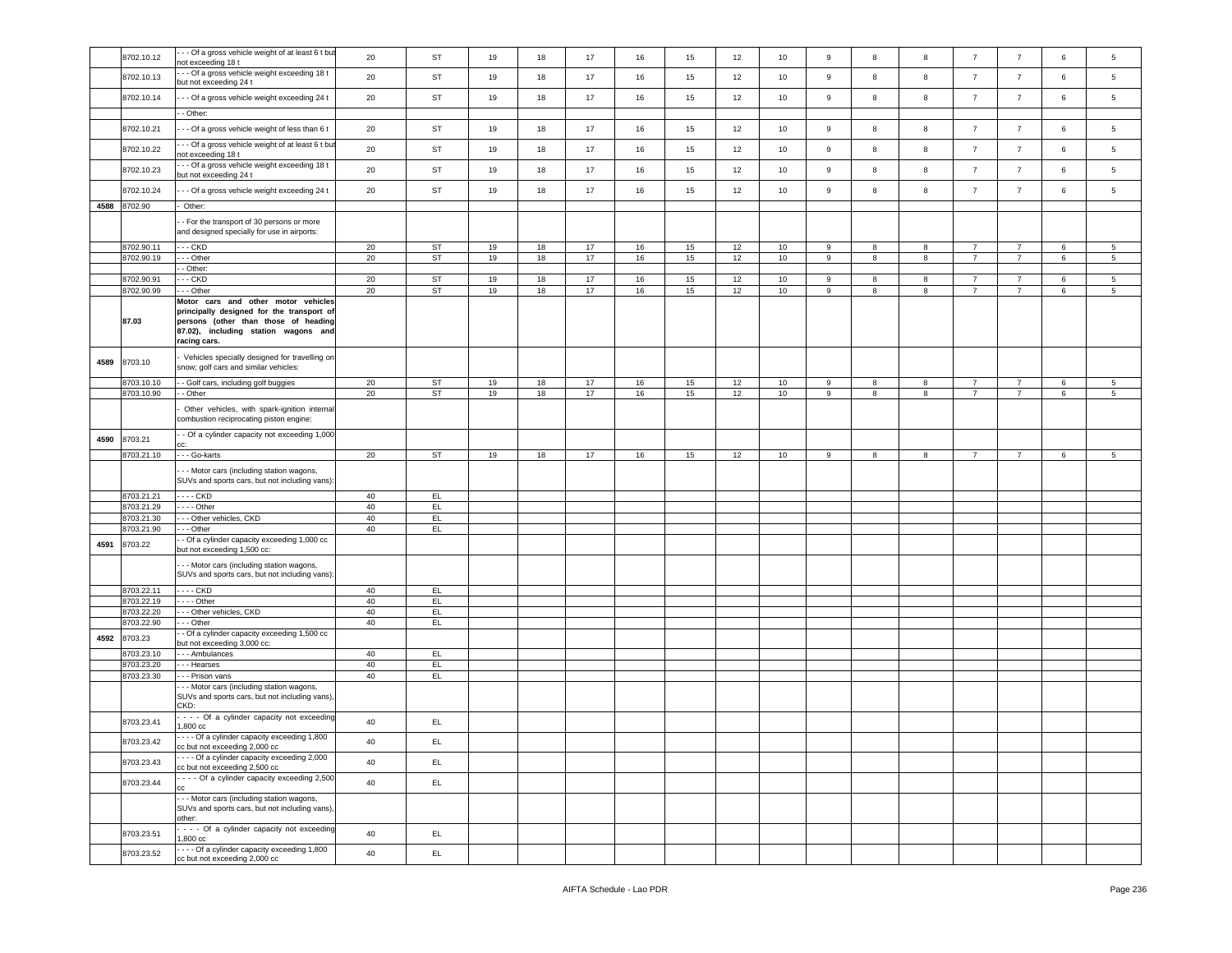|      | 8702.10.12 | - - Of a gross vehicle weight of at least 6 t but                                           | 20       | ST        | 19 | 18 | 17 | 16 | 15 | 12 | 10 | $\boldsymbol{9}$ | 8 | 8 | $\overline{7}$ | $\overline{7}$ | 6 | 5               |
|------|------------|---------------------------------------------------------------------------------------------|----------|-----------|----|----|----|----|----|----|----|------------------|---|---|----------------|----------------|---|-----------------|
|      |            | not exceeding 18 t                                                                          |          |           |    |    |    |    |    |    |    |                  |   |   |                |                |   |                 |
|      | 8702.10.13 | - - Of a gross vehicle weight exceeding 18 t                                                | 20       | ST        | 19 | 18 | 17 | 16 | 15 | 12 | 10 | 9                | 8 | 8 | $\overline{7}$ | $\overline{7}$ | 6 | $5\phantom{.0}$ |
|      |            | but not exceeding 24 t                                                                      |          |           |    |    |    |    |    |    |    |                  |   |   |                |                |   |                 |
|      | 8702.10.14 | - - Of a gross vehicle weight exceeding 24 t                                                | 20       | ST        | 19 | 18 | 17 | 16 | 15 | 12 | 10 | 9                | 8 | 8 | $\overline{7}$ | $\overline{7}$ | 6 | 5               |
|      |            | - Other:                                                                                    |          |           |    |    |    |    |    |    |    |                  |   |   |                |                |   |                 |
|      |            |                                                                                             |          |           |    |    |    |    |    |    |    |                  |   |   |                |                |   |                 |
|      | 8702.10.21 | - - Of a gross vehicle weight of less than 6 t                                              | 20       | ST        | 19 | 18 | 17 | 16 | 15 | 12 | 10 | 9                | 8 | 8 | $\overline{7}$ | $\overline{7}$ | 6 | 5               |
|      |            | - - Of a gross vehicle weight of at least 6 t but                                           |          |           |    |    |    |    |    |    |    |                  |   |   |                |                |   |                 |
|      | 8702.10.22 | not exceeding 18 t                                                                          | 20       | ST        | 19 | 18 | 17 | 16 | 15 | 12 | 10 | 9                | 8 | 8 | $\overline{7}$ | $\overline{7}$ | 6 | 5               |
|      |            | - - Of a gross vehicle weight exceeding 18 t                                                |          |           |    |    |    |    |    |    |    |                  |   |   |                |                |   |                 |
|      | 8702.10.23 | but not exceeding 24 t                                                                      | 20       | ST        | 19 | 18 | 17 | 16 | 15 | 12 | 10 | $\mathsf g$      | 8 | 8 | $\overline{7}$ | $\overline{7}$ | 6 | 5               |
|      |            |                                                                                             |          |           |    |    |    |    |    |    |    |                  |   |   |                |                |   |                 |
|      | 8702.10.24 | - - Of a gross vehicle weight exceeding 24 t                                                | 20       | ST        | 19 | 18 | 17 | 16 | 15 | 12 | 10 | $\boldsymbol{9}$ | 8 | 8 | $\overline{7}$ | $\overline{7}$ | 6 | $5\phantom{.0}$ |
| 4588 | 8702.90    | Other:                                                                                      |          |           |    |    |    |    |    |    |    |                  |   |   |                |                |   |                 |
|      |            |                                                                                             |          |           |    |    |    |    |    |    |    |                  |   |   |                |                |   |                 |
|      |            | - For the transport of 30 persons or more<br>and designed specially for use in airports:    |          |           |    |    |    |    |    |    |    |                  |   |   |                |                |   |                 |
|      |            |                                                                                             |          |           |    |    |    |    |    |    |    |                  |   |   |                |                |   |                 |
|      | 8702.90.11 | . CKD                                                                                       | 20       | <b>ST</b> | 19 | 18 | 17 | 16 | 15 | 12 | 10 | 9                | 8 | 8 | $\overline{7}$ | $\overline{7}$ | 6 | 5               |
|      | 8702.90.19 | --- Other                                                                                   | 20       | ST        | 19 | 18 | 17 | 16 | 15 | 12 | 10 | 9                | 8 | 8 | $\overline{7}$ | $\overline{7}$ | 6 | 5               |
|      |            | - Other:                                                                                    |          |           |    |    |    |    |    |    |    |                  |   |   |                |                |   |                 |
|      | 8702.90.91 | $-$ CKD                                                                                     | 20       | <b>ST</b> | 19 | 18 | 17 | 16 | 15 | 12 | 10 | 9                | 8 | 8 | $\overline{7}$ | $\overline{7}$ | 6 | 5               |
|      | 8702.90.99 | - - Other                                                                                   | 20       | ST        | 19 | 18 | 17 | 16 | 15 | 12 | 10 | $9\,$            | 8 | 8 | $\overline{7}$ | $\overline{7}$ | 6 | 5               |
|      |            | Motor cars and other motor vehicles                                                         |          |           |    |    |    |    |    |    |    |                  |   |   |                |                |   |                 |
|      |            | principally designed for the transport of                                                   |          |           |    |    |    |    |    |    |    |                  |   |   |                |                |   |                 |
|      | 87.03      | persons (other than those of heading                                                        |          |           |    |    |    |    |    |    |    |                  |   |   |                |                |   |                 |
|      |            | 87.02), including station wagons and                                                        |          |           |    |    |    |    |    |    |    |                  |   |   |                |                |   |                 |
|      |            | racing cars.                                                                                |          |           |    |    |    |    |    |    |    |                  |   |   |                |                |   |                 |
|      |            |                                                                                             |          |           |    |    |    |    |    |    |    |                  |   |   |                |                |   |                 |
| 4589 | 8703.10    | Vehicles specially designed for travelling on<br>snow; golf cars and similar vehicles:      |          |           |    |    |    |    |    |    |    |                  |   |   |                |                |   |                 |
|      |            |                                                                                             |          |           |    |    |    |    |    |    |    |                  |   |   |                |                |   |                 |
|      | 8703.10.10 | - Golf cars, including golf buggies                                                         | 20       | ST        | 19 | 18 | 17 | 16 | 15 | 12 | 10 | 9                | 8 | 8 | $\overline{7}$ | $\overline{7}$ | 6 | 5               |
|      | 8703.10.90 | - Other                                                                                     | 20       | ST        | 19 | 18 | 17 | 16 | 15 | 12 | 10 | 9                | 8 | 8 | $\overline{7}$ | $\overline{7}$ | 6 | $5^{\circ}$     |
|      |            |                                                                                             |          |           |    |    |    |    |    |    |    |                  |   |   |                |                |   |                 |
|      |            | Other vehicles, with spark-ignition internal                                                |          |           |    |    |    |    |    |    |    |                  |   |   |                |                |   |                 |
|      |            | combustion reciprocating piston engine:                                                     |          |           |    |    |    |    |    |    |    |                  |   |   |                |                |   |                 |
| 4590 | 8703.21    | - Of a cylinder capacity not exceeding 1,000                                                |          |           |    |    |    |    |    |    |    |                  |   |   |                |                |   |                 |
|      |            |                                                                                             |          |           |    |    |    |    |    |    |    |                  |   |   |                |                |   |                 |
|      | 8703.21.10 | - - - Go-karts                                                                              | 20       | ST        | 19 | 18 | 17 | 16 | 15 | 12 | 10 | 9                | 8 | 8 | $\overline{7}$ | $\overline{7}$ | 6 | -5              |
|      |            |                                                                                             |          |           |    |    |    |    |    |    |    |                  |   |   |                |                |   |                 |
|      |            |                                                                                             |          |           |    |    |    |    |    |    |    |                  |   |   |                |                |   |                 |
|      |            | - - Motor cars (including station wagons,                                                   |          |           |    |    |    |    |    |    |    |                  |   |   |                |                |   |                 |
|      |            | SUVs and sports cars, but not including vans):                                              |          |           |    |    |    |    |    |    |    |                  |   |   |                |                |   |                 |
|      | 8703.21.21 | - - - - CKD                                                                                 | 40       | EL        |    |    |    |    |    |    |    |                  |   |   |                |                |   |                 |
|      | 3703.21.29 | $- -$ - Other                                                                               | 40       | EL        |    |    |    |    |    |    |    |                  |   |   |                |                |   |                 |
|      | 3703.21.30 | - - Other vehicles, CKD                                                                     | 40       | EL.       |    |    |    |    |    |    |    |                  |   |   |                |                |   |                 |
|      | 8703.21.90 | - - Other                                                                                   | 40       | EL.       |    |    |    |    |    |    |    |                  |   |   |                |                |   |                 |
|      |            |                                                                                             |          |           |    |    |    |    |    |    |    |                  |   |   |                |                |   |                 |
| 4591 | 8703.22    | - Of a cylinder capacity exceeding 1,000 cc<br>but not exceeding 1,500 cc:                  |          |           |    |    |    |    |    |    |    |                  |   |   |                |                |   |                 |
|      |            |                                                                                             |          |           |    |    |    |    |    |    |    |                  |   |   |                |                |   |                 |
|      |            | - - Motor cars (including station wagons,                                                   |          |           |    |    |    |    |    |    |    |                  |   |   |                |                |   |                 |
|      |            | SUVs and sports cars, but not including vans):                                              |          |           |    |    |    |    |    |    |    |                  |   |   |                |                |   |                 |
|      | 8703.22.11 | - - - - CKD                                                                                 | 40       | EL.       |    |    |    |    |    |    |    |                  |   |   |                |                |   |                 |
|      | 3703.22.19 | $- -$ - Other                                                                               | 40       | EL        |    |    |    |    |    |    |    |                  |   |   |                |                |   |                 |
|      | 3703.22.20 | - - - Other vehicles, CKD                                                                   | 40       | EL        |    |    |    |    |    |    |    |                  |   |   |                |                |   |                 |
|      | 8703.22.90 | - - Other                                                                                   | 40       | EL.       |    |    |    |    |    |    |    |                  |   |   |                |                |   |                 |
|      |            |                                                                                             |          |           |    |    |    |    |    |    |    |                  |   |   |                |                |   |                 |
| 4592 | 8703.23    | - Of a cylinder capacity exceeding 1,500 cc<br>out not exceeding 3,000 cc:                  |          |           |    |    |    |    |    |    |    |                  |   |   |                |                |   |                 |
|      | 3703.23.10 | -- Ambulances                                                                               | 40       | EL        |    |    |    |    |    |    |    |                  |   |   |                |                |   |                 |
|      | 8703.23.20 | - - Hearses                                                                                 |          | EL.       |    |    |    |    |    |    |    |                  |   |   |                |                |   |                 |
|      |            | - - Prison vans                                                                             | 40<br>40 | EL        |    |    |    |    |    |    |    |                  |   |   |                |                |   |                 |
|      | 8703.23.30 |                                                                                             |          |           |    |    |    |    |    |    |    |                  |   |   |                |                |   |                 |
|      |            | - - Motor cars (including station wagons,<br>SUVs and sports cars, but not including vans), |          |           |    |    |    |    |    |    |    |                  |   |   |                |                |   |                 |
|      |            | CKD:                                                                                        |          |           |    |    |    |    |    |    |    |                  |   |   |                |                |   |                 |
|      |            | - - - Of a cylinder capacity not exceeding                                                  |          |           |    |    |    |    |    |    |    |                  |   |   |                |                |   |                 |
|      | 8703.23.41 | 1,800 cc                                                                                    | 40       | EL.       |    |    |    |    |    |    |    |                  |   |   |                |                |   |                 |
|      |            | - - - - Of a cylinder capacity exceeding 1,800                                              |          |           |    |    |    |    |    |    |    |                  |   |   |                |                |   |                 |
|      | 8703.23.42 | cc but not exceeding 2,000 cc                                                               | 40       | EL        |    |    |    |    |    |    |    |                  |   |   |                |                |   |                 |
|      |            | - - - - Of a cylinder capacity exceeding 2,000                                              |          |           |    |    |    |    |    |    |    |                  |   |   |                |                |   |                 |
|      | 8703.23.43 | cc but not exceeding 2,500 cc                                                               | 40       | EL.       |    |    |    |    |    |    |    |                  |   |   |                |                |   |                 |
|      |            | - - - Of a cylinder capacity exceeding 2,500                                                |          |           |    |    |    |    |    |    |    |                  |   |   |                |                |   |                 |
|      | 8703.23.44 |                                                                                             | 40       | EL.       |    |    |    |    |    |    |    |                  |   |   |                |                |   |                 |
|      |            | - - - Motor cars (including station wagons,                                                 |          |           |    |    |    |    |    |    |    |                  |   |   |                |                |   |                 |
|      |            | SUVs and sports cars, but not including vans),                                              |          |           |    |    |    |    |    |    |    |                  |   |   |                |                |   |                 |
|      |            | other:                                                                                      |          |           |    |    |    |    |    |    |    |                  |   |   |                |                |   |                 |
|      |            | - - - Of a cylinder capacity not exceeding                                                  |          |           |    |    |    |    |    |    |    |                  |   |   |                |                |   |                 |
|      | 8703.23.51 | .800 <sub>cc</sub>                                                                          | 40       | EL.       |    |    |    |    |    |    |    |                  |   |   |                |                |   |                 |
|      | 8703.23.52 | - - - Of a cylinder capacity exceeding 1,800<br>cc but not exceeding 2,000 cc               | 40       | EL.       |    |    |    |    |    |    |    |                  |   |   |                |                |   |                 |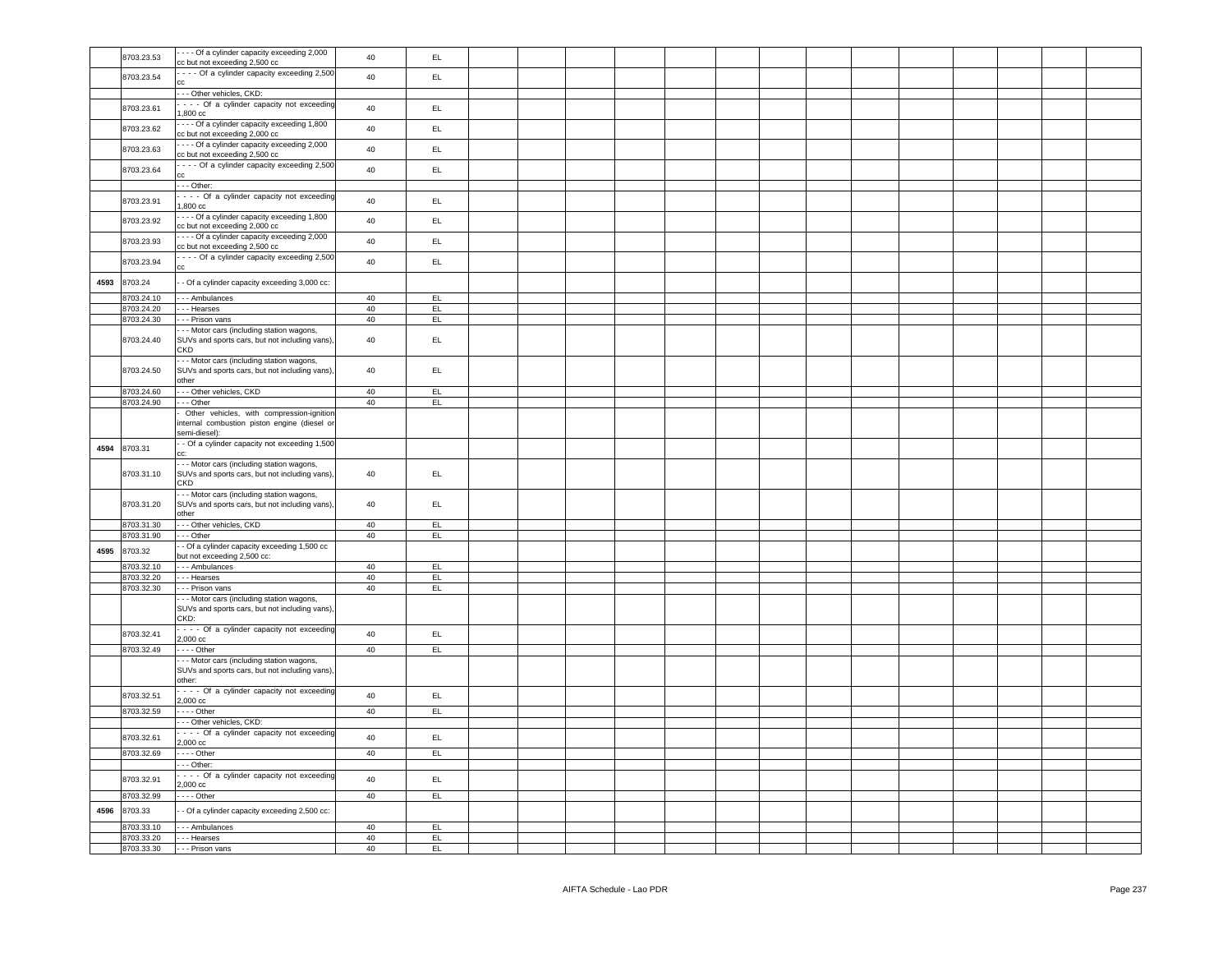|      | 8703.23.53 | --- Of a cylinder capacity exceeding 2,000<br>cc but not exceeding 2,500 cc              | 40 | EL.             |  |  |  |  |  |  |  |
|------|------------|------------------------------------------------------------------------------------------|----|-----------------|--|--|--|--|--|--|--|
|      |            |                                                                                          |    |                 |  |  |  |  |  |  |  |
|      | 8703.23.54 | - - - - Of a cylinder capacity exceeding 2,500                                           | 40 | EL              |  |  |  |  |  |  |  |
|      |            |                                                                                          |    |                 |  |  |  |  |  |  |  |
|      |            | --- Other vehicles, CKD:                                                                 |    |                 |  |  |  |  |  |  |  |
|      | 8703.23.61 | - - - Of a cylinder capacity not exceeding                                               | 40 | EL.             |  |  |  |  |  |  |  |
|      |            | $1,800$ $cc$                                                                             |    |                 |  |  |  |  |  |  |  |
|      | 8703.23.62 | - - - Of a cylinder capacity exceeding 1,800                                             | 40 | EL.             |  |  |  |  |  |  |  |
|      |            | cc but not exceeding 2,000 cc                                                            |    |                 |  |  |  |  |  |  |  |
|      | 8703.23.63 | - - - Of a cylinder capacity exceeding 2,000                                             | 40 | EL.             |  |  |  |  |  |  |  |
|      |            | cc but not exceeding 2,500 cc                                                            |    |                 |  |  |  |  |  |  |  |
|      | 8703.23.64 | - - - Of a cylinder capacity exceeding 2,500                                             | 40 | $\mathsf{EL}$   |  |  |  |  |  |  |  |
|      |            |                                                                                          |    |                 |  |  |  |  |  |  |  |
|      |            | $--$ Other:                                                                              |    |                 |  |  |  |  |  |  |  |
|      | 8703.23.91 | - - - Of a cylinder capacity not exceeding                                               | 40 | EL.             |  |  |  |  |  |  |  |
|      |            | 1,800 cc                                                                                 |    |                 |  |  |  |  |  |  |  |
|      |            | - - - Of a cylinder capacity exceeding 1,800                                             |    | EL              |  |  |  |  |  |  |  |
|      | 8703.23.92 | cc but not exceeding 2,000 cc                                                            | 40 |                 |  |  |  |  |  |  |  |
|      |            | --- Of a cylinder capacity exceeding 2,000                                               |    |                 |  |  |  |  |  |  |  |
|      | 8703.23.93 | cc but not exceeding 2,500 cc                                                            | 40 | EL.             |  |  |  |  |  |  |  |
|      |            | - - - Of a cylinder capacity exceeding 2,500                                             |    |                 |  |  |  |  |  |  |  |
|      | 8703.23.94 |                                                                                          | 40 | EL              |  |  |  |  |  |  |  |
|      |            |                                                                                          |    |                 |  |  |  |  |  |  |  |
| 4593 | 8703.24    | - Of a cylinder capacity exceeding 3,000 cc:                                             |    |                 |  |  |  |  |  |  |  |
|      | 8703.24.10 | - - - Ambulances                                                                         | 40 | EL.             |  |  |  |  |  |  |  |
|      | 8703.24.20 | - - - Hearses                                                                            | 40 | EL              |  |  |  |  |  |  |  |
|      | 8703.24.30 | - - Prison vans                                                                          | 40 | EL              |  |  |  |  |  |  |  |
|      |            |                                                                                          |    |                 |  |  |  |  |  |  |  |
|      | 8703.24.40 | - Motor cars (including station wagons,<br>SUVs and sports cars, but not including vans) | 40 | EL              |  |  |  |  |  |  |  |
|      |            | CKD                                                                                      |    |                 |  |  |  |  |  |  |  |
|      |            | - - Motor cars (including station wagons,                                                |    |                 |  |  |  |  |  |  |  |
|      | 8703.24.50 | SUVs and sports cars, but not including vans),                                           | 40 | $\mathsf{EL}$   |  |  |  |  |  |  |  |
|      |            | other                                                                                    |    |                 |  |  |  |  |  |  |  |
|      | 8703.24.60 | Other vehicles, CKD                                                                      | 40 | EL <sub>1</sub> |  |  |  |  |  |  |  |
|      | 8703.24.90 | - - Other                                                                                | 40 | EL              |  |  |  |  |  |  |  |
|      |            |                                                                                          |    |                 |  |  |  |  |  |  |  |
|      |            | Other vehicles, with compression-ignition                                                |    |                 |  |  |  |  |  |  |  |
|      |            | internal combustion piston engine (diesel or                                             |    |                 |  |  |  |  |  |  |  |
|      |            | semi-diesel):                                                                            |    |                 |  |  |  |  |  |  |  |
| 4594 | 8703.31    | - Of a cylinder capacity not exceeding 1,500                                             |    |                 |  |  |  |  |  |  |  |
|      |            |                                                                                          |    |                 |  |  |  |  |  |  |  |
|      |            | - - Motor cars (including station wagons,                                                |    |                 |  |  |  |  |  |  |  |
|      | 8703.31.10 | SUVs and sports cars, but not including vans),                                           | 40 | EL              |  |  |  |  |  |  |  |
|      |            | <b>CKD</b>                                                                               |    |                 |  |  |  |  |  |  |  |
|      |            | - - Motor cars (including station wagons,                                                |    |                 |  |  |  |  |  |  |  |
|      | 8703.31.20 | SUVs and sports cars, but not including vans)                                            | 40 | EL              |  |  |  |  |  |  |  |
|      |            | other                                                                                    |    |                 |  |  |  |  |  |  |  |
|      | 8703.31.30 | --- Other vehicles, CKD                                                                  | 40 | EL              |  |  |  |  |  |  |  |
|      | 8703.31.90 | - - Other                                                                                | 40 | EL              |  |  |  |  |  |  |  |
| 4595 | 8703.32    | - Of a cylinder capacity exceeding 1,500 cc                                              |    |                 |  |  |  |  |  |  |  |
|      |            | but not exceeding 2,500 cc:                                                              |    |                 |  |  |  |  |  |  |  |
|      | 8703.32.10 | - - - Ambulances                                                                         | 40 | EL              |  |  |  |  |  |  |  |
|      | 8703.32.20 | - - - Hearses                                                                            | 40 | EL              |  |  |  |  |  |  |  |
|      | 8703.32.30 | - - - Prison vans                                                                        | 40 | EL              |  |  |  |  |  |  |  |
|      |            | - - Motor cars (including station wagons,                                                |    |                 |  |  |  |  |  |  |  |
|      |            | SUVs and sports cars, but not including vans),                                           |    |                 |  |  |  |  |  |  |  |
|      |            | CKD:                                                                                     |    |                 |  |  |  |  |  |  |  |
|      | 8703.32.41 | - - - Of a cylinder capacity not exceeding                                               | 40 | EL.             |  |  |  |  |  |  |  |
|      |            | 2,000 cc                                                                                 |    |                 |  |  |  |  |  |  |  |
|      | 8703.32.49 | . - - - Other                                                                            | 40 | EL              |  |  |  |  |  |  |  |
|      |            | - - Motor cars (including station wagons,                                                |    |                 |  |  |  |  |  |  |  |
|      |            | SUVs and sports cars, but not including vans)                                            |    |                 |  |  |  |  |  |  |  |
|      |            | other:                                                                                   |    |                 |  |  |  |  |  |  |  |
|      | 8703.32.51 | - - - Of a cylinder capacity not exceeding                                               | 40 | EL              |  |  |  |  |  |  |  |
|      |            | 2,000 cc                                                                                 |    |                 |  |  |  |  |  |  |  |
|      | 8703.32.59 | $---$ Other                                                                              | 40 | EL              |  |  |  |  |  |  |  |
|      |            | --- Other vehicles, CKD:                                                                 |    |                 |  |  |  |  |  |  |  |
|      | 8703.32.61 | - - - Of a cylinder capacity not exceeding                                               | 40 | EL.             |  |  |  |  |  |  |  |
|      |            | 2,000 cc                                                                                 |    |                 |  |  |  |  |  |  |  |
|      | 8703.32.69 | $\cdots$ - Other                                                                         | 40 | EL.             |  |  |  |  |  |  |  |
|      |            | - - - Other:                                                                             |    |                 |  |  |  |  |  |  |  |
|      |            | - - - Of a cylinder capacity not exceeding                                               |    |                 |  |  |  |  |  |  |  |
|      | 8703.32.91 | 2,000 cc                                                                                 | 40 | EL              |  |  |  |  |  |  |  |
|      | 8703.32.99 | $\cdots$ - Other                                                                         | 40 | EL              |  |  |  |  |  |  |  |
|      |            |                                                                                          |    |                 |  |  |  |  |  |  |  |
| 4596 | 8703.33    | - Of a cylinder capacity exceeding 2,500 cc:                                             |    |                 |  |  |  |  |  |  |  |
|      | 8703.33.10 | - - - Ambulances                                                                         | 40 | EL.             |  |  |  |  |  |  |  |
|      | 8703.33.20 | - - - Hearses                                                                            | 40 | EL.             |  |  |  |  |  |  |  |
|      | 8703.33.30 | - - - Prison vans                                                                        | 40 | EL              |  |  |  |  |  |  |  |
|      |            |                                                                                          |    |                 |  |  |  |  |  |  |  |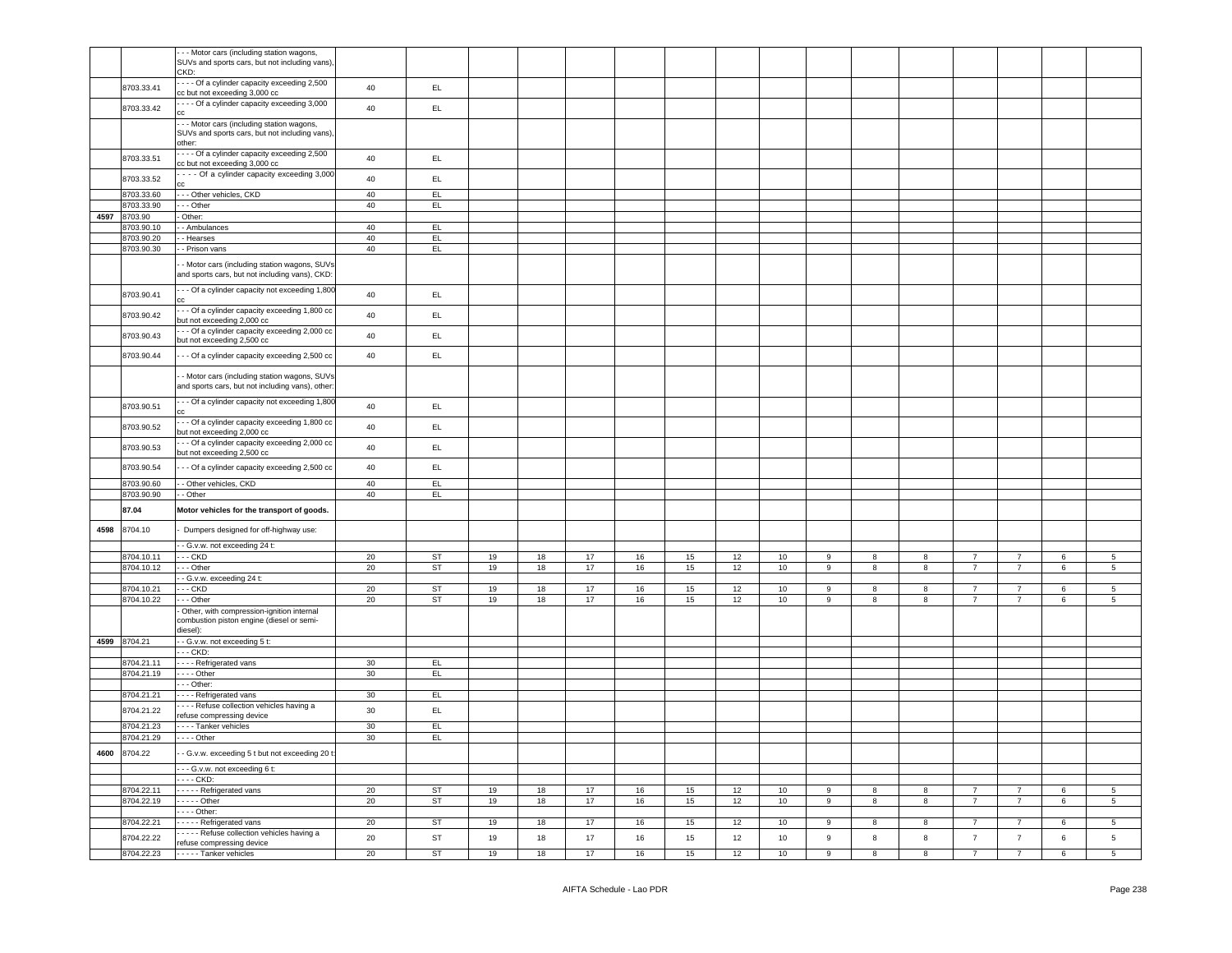|      |              | -- Motor cars (including station wagons,         |                 |           |    |    |    |    |    |    |    |       |   |   |                |                |   |                 |
|------|--------------|--------------------------------------------------|-----------------|-----------|----|----|----|----|----|----|----|-------|---|---|----------------|----------------|---|-----------------|
|      |              | SUVs and sports cars, but not including vans),   |                 |           |    |    |    |    |    |    |    |       |   |   |                |                |   |                 |
|      |              | CKD:                                             |                 |           |    |    |    |    |    |    |    |       |   |   |                |                |   |                 |
|      | 8703.33.41   | - - - Of a cylinder capacity exceeding 2,500     | 40              | EL.       |    |    |    |    |    |    |    |       |   |   |                |                |   |                 |
|      |              | cc but not exceeding 3,000 cc                    |                 |           |    |    |    |    |    |    |    |       |   |   |                |                |   |                 |
|      | 8703.33.42   | - - - Of a cylinder capacity exceeding 3,000     | 40              | EL.       |    |    |    |    |    |    |    |       |   |   |                |                |   |                 |
|      |              |                                                  |                 |           |    |    |    |    |    |    |    |       |   |   |                |                |   |                 |
|      |              | -- Motor cars (including station wagons,         |                 |           |    |    |    |    |    |    |    |       |   |   |                |                |   |                 |
|      |              | SUVs and sports cars, but not including vans),   |                 |           |    |    |    |    |    |    |    |       |   |   |                |                |   |                 |
|      |              | other:                                           |                 |           |    |    |    |    |    |    |    |       |   |   |                |                |   |                 |
|      | 8703.33.51   | - - - Of a cylinder capacity exceeding 2,500     | 40              | EL.       |    |    |    |    |    |    |    |       |   |   |                |                |   |                 |
|      |              | cc but not exceeding 3,000 cc                    |                 |           |    |    |    |    |    |    |    |       |   |   |                |                |   |                 |
|      | 8703.33.52   | - - - Of a cylinder capacity exceeding 3,000     | 40              | EL        |    |    |    |    |    |    |    |       |   |   |                |                |   |                 |
|      |              |                                                  |                 |           |    |    |    |    |    |    |    |       |   |   |                |                |   |                 |
|      | 8703.33.60   | - - Other vehicles, CKD                          | 40              | EL        |    |    |    |    |    |    |    |       |   |   |                |                |   |                 |
|      | 3703.33.90   | - - Other                                        | 40              | EL.       |    |    |    |    |    |    |    |       |   |   |                |                |   |                 |
| 4597 | 8703.90      | - Other:                                         |                 |           |    |    |    |    |    |    |    |       |   |   |                |                |   |                 |
|      | 8703.90.10   | - Ambulances                                     | 40              | EL        |    |    |    |    |    |    |    |       |   |   |                |                |   |                 |
|      | 8703.90.20   | - Hearses                                        | 40              | EL.       |    |    |    |    |    |    |    |       |   |   |                |                |   |                 |
|      | 8703.90.30   | - Prison vans                                    | 40              | EL.       |    |    |    |    |    |    |    |       |   |   |                |                |   |                 |
|      |              |                                                  |                 |           |    |    |    |    |    |    |    |       |   |   |                |                |   |                 |
|      |              | - Motor cars (including station wagons, SUVs     |                 |           |    |    |    |    |    |    |    |       |   |   |                |                |   |                 |
|      |              | and sports cars, but not including vans), CKD:   |                 |           |    |    |    |    |    |    |    |       |   |   |                |                |   |                 |
|      |              | - - Of a cylinder capacity not exceeding 1,800   |                 |           |    |    |    |    |    |    |    |       |   |   |                |                |   |                 |
|      | 8703.90.41   |                                                  | 40              | EL.       |    |    |    |    |    |    |    |       |   |   |                |                |   |                 |
|      |              | - - Of a cylinder capacity exceeding 1,800 cc    |                 |           |    |    |    |    |    |    |    |       |   |   |                |                |   |                 |
|      | 8703.90.42   | but not exceeding 2,000 cc                       | 40              | EL.       |    |    |    |    |    |    |    |       |   |   |                |                |   |                 |
|      |              | - - Of a cylinder capacity exceeding 2,000 cc    |                 |           |    |    |    |    |    |    |    |       |   |   |                |                |   |                 |
|      | 8703.90.43   | but not exceeding 2,500 cc                       | 40              | EL.       |    |    |    |    |    |    |    |       |   |   |                |                |   |                 |
|      |              |                                                  |                 |           |    |    |    |    |    |    |    |       |   |   |                |                |   |                 |
|      | 8703.90.44   | - - Of a cylinder capacity exceeding 2,500 cc    | 40              | EL        |    |    |    |    |    |    |    |       |   |   |                |                |   |                 |
|      |              |                                                  |                 |           |    |    |    |    |    |    |    |       |   |   |                |                |   |                 |
|      |              | - Motor cars (including station wagons, SUVs     |                 |           |    |    |    |    |    |    |    |       |   |   |                |                |   |                 |
|      |              | and sports cars, but not including vans), other: |                 |           |    |    |    |    |    |    |    |       |   |   |                |                |   |                 |
|      |              | - - Of a cylinder capacity not exceeding 1,800   |                 |           |    |    |    |    |    |    |    |       |   |   |                |                |   |                 |
|      | 8703.90.51   |                                                  | 40              | EL.       |    |    |    |    |    |    |    |       |   |   |                |                |   |                 |
|      |              | - - Of a cylinder capacity exceeding 1,800 cc    |                 |           |    |    |    |    |    |    |    |       |   |   |                |                |   |                 |
|      | 8703.90.52   | but not exceeding 2,000 cc                       | 40              | EL.       |    |    |    |    |    |    |    |       |   |   |                |                |   |                 |
|      |              | - - Of a cylinder capacity exceeding 2,000 cc    |                 |           |    |    |    |    |    |    |    |       |   |   |                |                |   |                 |
|      | 8703.90.53   | but not exceeding 2,500 cc                       | 40              | EL        |    |    |    |    |    |    |    |       |   |   |                |                |   |                 |
|      |              |                                                  |                 |           |    |    |    |    |    |    |    |       |   |   |                |                |   |                 |
|      |              |                                                  |                 |           |    |    |    |    |    |    |    |       |   |   |                |                |   |                 |
|      | 8703.90.54   | - - Of a cylinder capacity exceeding 2,500 cc    | 40              | EL.       |    |    |    |    |    |    |    |       |   |   |                |                |   |                 |
|      |              |                                                  |                 |           |    |    |    |    |    |    |    |       |   |   |                |                |   |                 |
|      | 8703.90.60   | - Other vehicles, CKD                            | 40              | EL        |    |    |    |    |    |    |    |       |   |   |                |                |   |                 |
|      | 8703.90.90   | - Other                                          | 40              | EL        |    |    |    |    |    |    |    |       |   |   |                |                |   |                 |
|      | 87.04        | Motor vehicles for the transport of goods.       |                 |           |    |    |    |    |    |    |    |       |   |   |                |                |   |                 |
|      |              |                                                  |                 |           |    |    |    |    |    |    |    |       |   |   |                |                |   |                 |
| 4598 | 8704.10      | Dumpers designed for off-highway use:            |                 |           |    |    |    |    |    |    |    |       |   |   |                |                |   |                 |
|      |              |                                                  |                 |           |    |    |    |    |    |    |    |       |   |   |                |                |   |                 |
|      |              | - G.v.w. not exceeding 24 t:                     |                 |           |    |    |    |    |    |    |    |       |   |   |                |                |   |                 |
|      | 8704.10.11   | $-$ CKD                                          | 20              | ST        | 19 | 18 | 17 | 16 | 15 | 12 | 10 | 9     | 8 | 8 | $\overline{7}$ | $\overline{7}$ | 6 | 5               |
|      | 3704.10.12   | - - Other                                        | 20              | <b>ST</b> | 19 | 18 | 17 | 16 | 15 | 12 | 10 | 9     | 8 | 8 | $\overline{7}$ | $\overline{7}$ | 6 | $5\phantom{.0}$ |
|      |              | - G.v.w. exceeding 24 t:                         |                 |           |    |    |    |    |    |    |    |       |   |   |                |                |   |                 |
|      | 8704.10.21   | $-$ CKD                                          | 20              | ST        | 19 | 18 | 17 | 16 | 15 | 12 | 10 | 9     | 8 | 8 | $\overline{7}$ | $\overline{7}$ | 6 | $5\overline{5}$ |
|      | 8704.10.22   | - - Other                                        | 20              | ST        | 19 | 18 | 17 | 16 | 15 | 12 | 10 | 9     | 8 | 8 | $\overline{7}$ | $\overline{7}$ | 6 | 5 <sub>5</sub>  |
|      |              | Other, with compression-ignition internal        |                 |           |    |    |    |    |    |    |    |       |   |   |                |                |   |                 |
|      |              | combustion piston engine (diesel or semi-        |                 |           |    |    |    |    |    |    |    |       |   |   |                |                |   |                 |
|      |              | diesel):                                         |                 |           |    |    |    |    |    |    |    |       |   |   |                |                |   |                 |
|      | 4599 8704.21 | - - G.v.w. not exceeding 5 t:                    |                 |           |    |    |    |    |    |    |    |       |   |   |                |                |   |                 |
|      |              | $-$ - $CKD$ :                                    |                 |           |    |    |    |    |    |    |    |       |   |   |                |                |   |                 |
|      | 3704.21.11   | - - - - Refrigerated vans                        | 30              | EL.       |    |    |    |    |    |    |    |       |   |   |                |                |   |                 |
|      | 8704.21.19   | $\cdots$ - Other                                 | 30 <sup>2</sup> | EL        |    |    |    |    |    |    |    |       |   |   |                |                |   |                 |
|      |              | - - - Other:                                     |                 |           |    |    |    |    |    |    |    |       |   |   |                |                |   |                 |
|      | 8704.21.21   | - - - - Refrigerated vans                        | 30              | EL.       |    |    |    |    |    |    |    |       |   |   |                |                |   |                 |
|      | 8704.21.22   | --- Refuse collection vehicles having a          | 30              | EL        |    |    |    |    |    |    |    |       |   |   |                |                |   |                 |
|      |              | refuse compressing device                        |                 |           |    |    |    |    |    |    |    |       |   |   |                |                |   |                 |
|      | 8704.21.23   | - - - - Tanker vehicles                          | 30              | EL.       |    |    |    |    |    |    |    |       |   |   |                |                |   |                 |
|      | 8704.21.29   | - - - - Other                                    | 30              | EL.       |    |    |    |    |    |    |    |       |   |   |                |                |   |                 |
| 4600 | 8704.22      | - G.v.w. exceeding 5 t but not exceeding 20 t:   |                 |           |    |    |    |    |    |    |    |       |   |   |                |                |   |                 |
|      |              |                                                  |                 |           |    |    |    |    |    |    |    |       |   |   |                |                |   |                 |
|      |              | --- G.v.w. not exceeding 6 t:                    |                 |           |    |    |    |    |    |    |    |       |   |   |                |                |   |                 |
|      |              | --- CKD:                                         |                 |           |    |    |    |    |    |    |    |       |   |   |                |                |   |                 |
|      | 8704.22.11   | - - - - - Refrigerated vans                      | 20              | ST        | 19 | 18 | 17 | 16 | 15 | 12 | 10 | 9     | 8 | 8 | $\overline{7}$ | $\overline{7}$ | 6 | 5               |
|      | 8704.22.19   | $---$ Other                                      | 20              | <b>ST</b> | 19 | 18 | 17 | 16 | 15 | 12 | 10 | $\,9$ | 8 | 8 | $\overline{7}$ | $\overline{7}$ | 6 | $5\overline{5}$ |
|      |              | $---$ Other:                                     |                 |           |    |    |    |    |    |    |    |       |   |   |                |                |   |                 |
|      | 8704.22.21   | ----- Refrigerated vans                          | 20              | <b>ST</b> | 19 | 18 | 17 | 16 | 15 | 12 | 10 | 9     | 8 | 8 | $\overline{7}$ | $\overline{7}$ | 6 | 5 <sub>5</sub>  |
|      |              | ----- Refuse collection vehicles having a        |                 |           |    |    |    |    |    |    |    |       |   |   |                |                |   |                 |
|      | 8704.22.22   | refuse compressing device                        | $20\,$          | ST        | 19 | 18 | 17 | 16 | 15 | 12 | 10 | $\,9$ | 8 | 8 | $\overline{7}$ | 7              | 6 | 5 <sub>5</sub>  |
|      | 8704.22.23   | - - - - - Tanker vehicles                        | 20              | <b>ST</b> | 19 | 18 | 17 | 16 | 15 | 12 | 10 | 9     | 8 | 8 | $\overline{7}$ | $\overline{7}$ | 6 | 5 <sub>5</sub>  |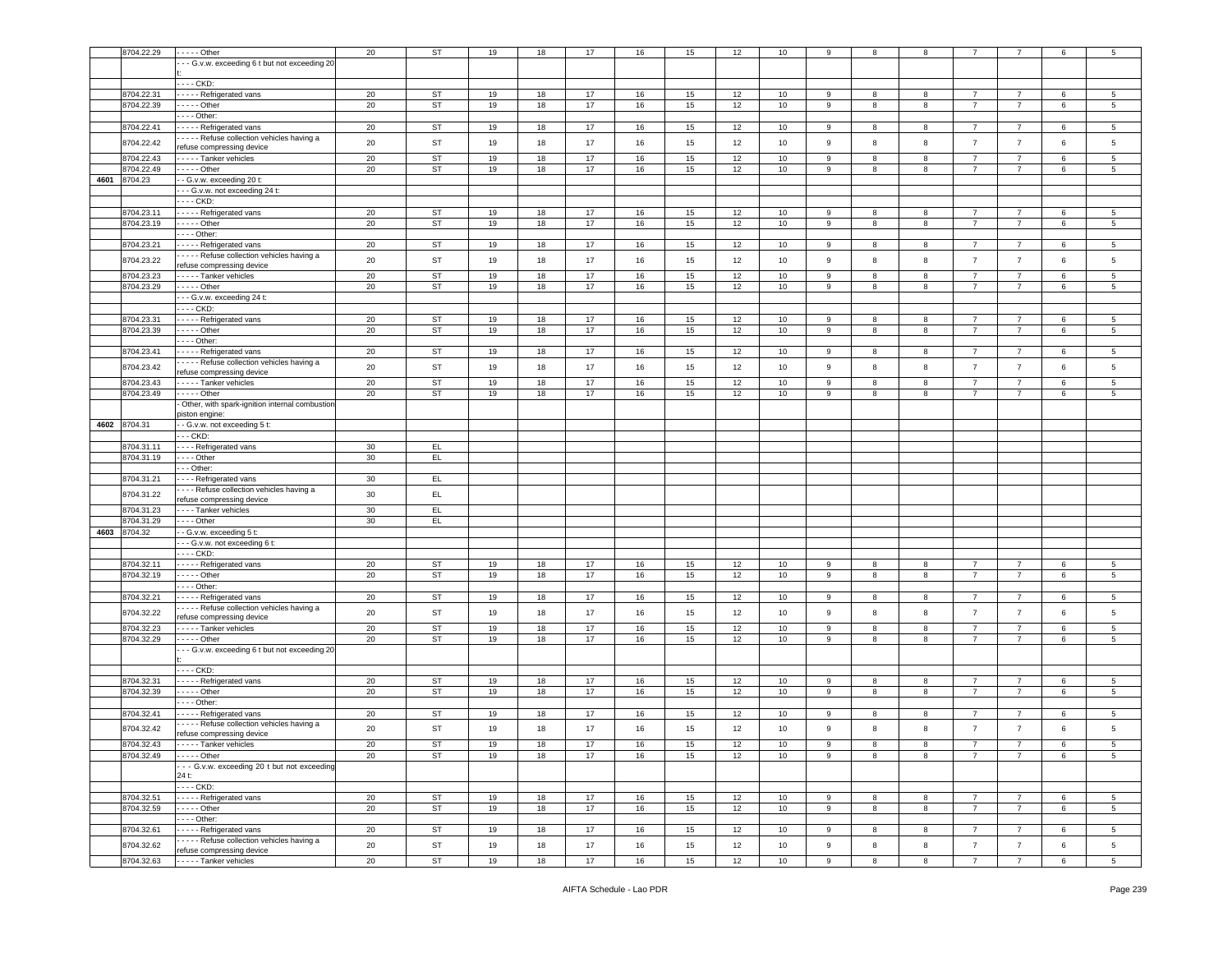|      | 8704.22.29 | . - - - - Other                                | 20     | <b>ST</b> | 19 | 18 | 17     | 16 | 15 | 12 | 10 |                  | 8                | 8 |                |                | 6 |                 |
|------|------------|------------------------------------------------|--------|-----------|----|----|--------|----|----|----|----|------------------|------------------|---|----------------|----------------|---|-----------------|
|      |            | -- G.v.w. exceeding 6 t but not exceeding 20   |        |           |    |    |        |    |    |    |    |                  |                  |   |                |                |   |                 |
|      |            |                                                |        |           |    |    |        |    |    |    |    |                  |                  |   |                |                |   |                 |
|      |            | --- CKD:                                       |        |           |    |    |        |    |    |    |    |                  |                  |   |                |                |   |                 |
|      |            |                                                |        |           |    |    |        |    |    |    |    |                  |                  |   |                |                |   |                 |
|      | 8704.22.31 | Refrigerated vans                              | 20     | ST        | 19 | 18 | 17     | 16 | 15 | 12 | 10 | 9                | 8                | 8 | $\overline{7}$ | $\overline{7}$ | 6 | 5               |
|      | 8704.22.39 | $- - -$ Other                                  | 20     | <b>ST</b> | 19 | 18 | 17     | 16 | 15 | 12 | 10 | 9                | 8                | 8 | $\overline{7}$ | $\overline{7}$ | 6 | $5\overline{5}$ |
|      |            | - - - Other:                                   |        |           |    |    |        |    |    |    |    |                  |                  |   |                |                |   |                 |
|      | 8704.22.41 | Refrigerated vans                              | 20     | <b>ST</b> | 19 | 18 | 17     | 16 | 15 | 12 | 10 | 9                | 8                | 8 | $\overline{7}$ | $\overline{7}$ | 6 | 5               |
|      | 8704.22.42 | - - - - Refuse collection vehicles having a    | 20     | ST        | 19 | 18 | $17$   | 16 | 15 | 12 | 10 | 9                | 8                | 8 | $\overline{7}$ | $\overline{7}$ | 6 | 5               |
|      |            | efuse compressing device                       |        |           |    |    |        |    |    |    |    |                  |                  |   |                |                |   |                 |
|      | 8704.22.43 | - - - - Tanker vehicles                        | 20     | <b>ST</b> | 19 | 18 | $17$   | 16 | 15 | 12 | 10 | 9                | 8                | 8 | $\overline{7}$ | $\overline{7}$ | 6 | 5               |
|      | 8704.22.49 | $- - -$ Other                                  | 20     | <b>ST</b> | 19 | 18 | 17     | 16 | 15 | 12 | 10 | 9                | 8                | 8 | $\overline{7}$ | $\overline{7}$ | 6 | 5               |
| 4601 | 8704.23    | - G.v.w. exceeding 20 t:                       |        |           |    |    |        |    |    |    |    |                  |                  |   |                |                |   |                 |
|      |            | -- G.v.w. not exceeding 24 t:                  |        |           |    |    |        |    |    |    |    |                  |                  |   |                |                |   |                 |
|      |            | --- CKD:                                       |        |           |    |    |        |    |    |    |    |                  |                  |   |                |                |   |                 |
|      |            |                                                |        |           |    |    |        |    |    |    |    |                  |                  |   |                |                |   |                 |
|      | 8704.23.11 | ---- Refrigerated vans                         | 20     | ST        | 19 | 18 | 17     | 16 | 15 | 12 | 10 | 9                | 8                | 8 | 7              | -7             | 6 | 5               |
|      | 8704.23.19 | $- - -$ Other                                  | 20     | <b>ST</b> | 19 | 18 | 17     | 16 | 15 | 12 | 10 | $\boldsymbol{9}$ | 8                | 8 | $\overline{7}$ | $\overline{7}$ | 6 | 5               |
|      |            | --- Other:                                     |        |           |    |    |        |    |    |    |    |                  |                  |   |                |                |   |                 |
|      | 8704.23.21 | Refrigerated vans                              | 20     | ST        | 19 | 18 | 17     | 16 | 15 | 12 | 10 | 9                | 8                | 8 | $\overline{7}$ | $\overline{7}$ | 6 | 5               |
|      | 8704.23.22 | - - - - Refuse collection vehicles having a    | 20     | ST        | 19 | 18 | 17     | 16 | 15 | 12 | 10 | 9                | 8                | 8 | $\overline{7}$ | $\overline{7}$ | 6 | 5               |
|      |            | efuse compressing device                       |        |           |    |    |        |    |    |    |    |                  |                  |   |                |                |   |                 |
|      | 8704.23.23 | Tanker vehicles                                | 20     | ST        | 19 | 18 | 17     | 16 | 15 | 12 | 10 | 9                | 8                | 8 | $\overline{7}$ | $\overline{7}$ | 6 | 5               |
|      | 8704.23.29 | $- - -$ Other                                  | 20     | <b>ST</b> | 19 | 18 | 17     | 16 | 15 | 12 | 10 | 9                | 8                | 8 | $\overline{7}$ | $\overline{7}$ | 6 | 5               |
|      |            | - - G.v.w. exceeding 24 t:                     |        |           |    |    |        |    |    |    |    |                  |                  |   |                |                |   |                 |
|      |            | --- CKD:                                       |        |           |    |    |        |    |    |    |    |                  |                  |   |                |                |   |                 |
|      | 8704.23.31 | Refrigerated vans                              | 20     | ST        | 19 | 18 | 17     | 16 | 15 | 12 | 10 | 9                | 8                | 8 | $\overline{7}$ | $\overline{7}$ | 6 | 5               |
|      | 8704.23.39 | . - - - - Other                                | 20     | <b>ST</b> | 19 | 18 | 17     | 16 | 15 | 12 | 10 | 9                | 8                | 8 | $\overline{7}$ | $\overline{7}$ | 6 | 5               |
|      |            |                                                |        |           |    |    |        |    |    |    |    |                  |                  |   |                |                |   |                 |
|      |            | $- -$ Other:                                   |        |           |    |    |        |    |    |    |    |                  |                  |   |                |                |   |                 |
|      | 8704.23.41 | ---- Refrigerated vans                         | 20     | ST        | 19 | 18 | 17     | 16 | 15 | 12 | 10 | 9                | 8                | 8 | $\overline{7}$ | $\overline{7}$ | 6 | 5               |
|      | 8704.23.42 | - - - - Refuse collection vehicles having a    | 20     | ST        | 19 | 18 | 17     | 16 | 15 | 12 | 10 | 9                | 8                | 8 | $\overline{7}$ | $\overline{7}$ | 6 | $\overline{5}$  |
|      |            | refuse compressing device                      |        |           |    |    |        |    |    |    |    |                  |                  |   |                |                |   |                 |
|      | 8704.23.43 | - - - - Tanker vehicles                        | 20     | ST        | 19 | 18 | $17$   | 16 | 15 | 12 | 10 | 9                | 8                | 8 | $\overline{7}$ | $\overline{7}$ | 6 | 5               |
|      | 8704.23.49 | $- - -$ Other                                  | 20     | ST        | 19 | 18 | 17     | 16 | 15 | 12 | 10 | $\boldsymbol{9}$ | 8                | 8 | $\overline{7}$ | $\overline{7}$ | 6 | 5               |
|      |            | Other, with spark-ignition internal combustion |        |           |    |    |        |    |    |    |    |                  |                  |   |                |                |   |                 |
|      |            | iston engine:                                  |        |           |    |    |        |    |    |    |    |                  |                  |   |                |                |   |                 |
| 4602 | 8704.31    | - G.v.w. not exceeding 5 t:                    |        |           |    |    |        |    |    |    |    |                  |                  |   |                |                |   |                 |
|      |            | $ CKD$ :                                       |        |           |    |    |        |    |    |    |    |                  |                  |   |                |                |   |                 |
|      | 8704.31.11 | - - - Refrigerated vans                        | 30     | EL        |    |    |        |    |    |    |    |                  |                  |   |                |                |   |                 |
|      | 8704.31.19 | $- -$ Other                                    | 30     | EL        |    |    |        |    |    |    |    |                  |                  |   |                |                |   |                 |
|      |            | - - Other:                                     |        |           |    |    |        |    |    |    |    |                  |                  |   |                |                |   |                 |
|      | 8704.31.21 | --- Refrigerated vans                          | 30     | EL.       |    |    |        |    |    |    |    |                  |                  |   |                |                |   |                 |
|      |            |                                                |        |           |    |    |        |    |    |    |    |                  |                  |   |                |                |   |                 |
|      | 8704.31.22 | ---- Refuse collection vehicles having a       | 30     | EL        |    |    |        |    |    |    |    |                  |                  |   |                |                |   |                 |
|      |            | efuse compressing device                       |        |           |    |    |        |    |    |    |    |                  |                  |   |                |                |   |                 |
|      | 8704.31.23 | Tanker vehicles                                | 30     | EL        |    |    |        |    |    |    |    |                  |                  |   |                |                |   |                 |
|      | 8704.31.29 | $- -$ Other                                    | $30\,$ | EL.       |    |    |        |    |    |    |    |                  |                  |   |                |                |   |                 |
| 4603 | 8704.32    | - G.v.w. exceeding 5 t:                        |        |           |    |    |        |    |    |    |    |                  |                  |   |                |                |   |                 |
|      |            | - - G.v.w. not exceeding 6 t:                  |        |           |    |    |        |    |    |    |    |                  |                  |   |                |                |   |                 |
|      |            | . - CKD:                                       |        |           |    |    |        |    |    |    |    |                  |                  |   |                |                |   |                 |
|      | 8704.32.11 | ---- Refrigerated vans                         | 20     | ST        | 19 | 18 | 17     | 16 | 15 | 12 | 10 | 9                | 8                | 8 | $\overline{7}$ | $\overline{7}$ | 6 | 5               |
|      | 8704.32.19 | $- - -$ Other                                  | 20     | <b>ST</b> | 19 | 18 | 17     | 16 | 15 | 12 | 10 | 9                | 8                | 8 | $\overline{7}$ | $\overline{7}$ | 6 | 5               |
|      |            | - - - Other:                                   |        |           |    |    |        |    |    |    |    |                  |                  |   |                |                |   |                 |
|      | 8704.32.21 | - - - - Refrigerated vans                      | 20     | <b>ST</b> | 19 | 18 | 17     | 16 | 15 | 12 | 10 | 9                | 8                | 8 | $\overline{7}$ | $\overline{7}$ | 6 | 5               |
|      |            | - - - - Refuse collection vehicles having a    |        |           |    |    |        |    |    |    |    |                  |                  |   |                |                |   |                 |
|      | 8704.32.22 | refuse compressing device                      | 20     | <b>ST</b> | 19 | 18 | 17     | 16 | 15 | 12 | 10 | 9                | 8                | 8 | $\overline{7}$ | $\overline{7}$ | 6 | 5               |
|      | 8704.32.23 | Tanker vehicles                                | 20     | ST        | 19 | 18 | 17     | 16 | 15 | 12 | 10 | 9                | 8                | 8 | $\overline{7}$ | $\overline{7}$ | 6 | 5               |
|      |            |                                                |        |           |    |    |        |    |    |    |    |                  |                  |   | $\overline{7}$ | $\overline{7}$ |   |                 |
|      | 8704.32.29 | $---$ Other                                    | 20     | ST        | 19 | 18 | 17     | 16 | 15 | 12 | 10 | 9                | 8                | 8 |                |                | 6 | 5               |
|      |            | - - G.v.w. exceeding 6 t but not exceeding 20  |        |           |    |    |        |    |    |    |    |                  |                  |   |                |                |   |                 |
|      |            |                                                |        |           |    |    |        |    |    |    |    |                  |                  |   |                |                |   |                 |
|      |            | --- CKD:                                       |        |           |    |    |        |    |    |    |    |                  |                  |   |                |                |   |                 |
|      | 8704.32.31 | - - - - Refrigerated vans                      | 20     | ST        | 19 | 18 | 17     | 16 | 15 | 12 | 10 | 9                | 8                | 8 | $\overline{7}$ | $\overline{7}$ | 6 | 5               |
|      | 8704.32.39 | $\cdots$ - - Other                             | 20     | ST        | 19 | 18 | 17     | 16 | 15 | 12 | 10 | 9                | 8                | 8 | $\overline{7}$ | $\overline{7}$ | 6 | 5               |
|      |            | --- Other:                                     |        |           |    |    |        |    |    |    |    |                  |                  |   |                |                |   |                 |
|      | 8704.32.41 | - - - - Refrigerated vans                      | 20     | ST        | 19 | 18 | 17     | 16 | 15 | 12 | 10 | 9                | 8                | 8 | $\overline{7}$ | $\overline{7}$ | 6 | $5\phantom{.0}$ |
|      |            | - - - - Refuse collection vehicles having a    |        |           |    |    |        |    |    |    |    |                  |                  |   |                |                |   |                 |
|      | 8704.32.42 | refuse compressing device                      | 20     | ST        | 19 | 18 | 17     | 16 | 15 | 12 | 10 | 9                | 8                | 8 | $\overline{7}$ | $\overline{7}$ | 6 | 5               |
|      | 8704.32.43 | Tanker vehicles                                | 20     | ST        | 19 | 18 | 17     | 16 | 15 | 12 | 10 | 9                | 8                | 8 |                |                | 6 | 5               |
|      | 8704.32.49 | $- - -$ Other                                  | 20     | <b>ST</b> | 19 | 18 | 17     | 16 | 15 | 12 | 10 | $\mathsf g$      | 8                | 8 | $\overline{7}$ | $\overline{7}$ | 6 | 5               |
|      |            | - - G.v.w. exceeding 20 t but not exceeding    |        |           |    |    |        |    |    |    |    |                  |                  |   |                |                |   |                 |
|      |            | 24 t:                                          |        |           |    |    |        |    |    |    |    |                  |                  |   |                |                |   |                 |
|      |            |                                                |        |           |    |    |        |    |    |    |    |                  |                  |   |                |                |   |                 |
|      |            | $\cdots$ CKD:                                  |        |           |    |    |        |    |    |    |    |                  |                  |   |                |                |   |                 |
|      | 8704.32.51 | ---- Refrigerated vans                         | 20     | <b>ST</b> | 19 | 18 | 17     | 16 | 15 | 12 | 10 | $\boldsymbol{9}$ | $\boldsymbol{8}$ | 8 | $\overline{7}$ | $\overline{7}$ | 6 | $5\phantom{.0}$ |
|      | 8704.32.59 | $\cdots$ - Other                               | 20     | ST        | 19 | 18 | 17     | 16 | 15 | 12 | 10 | 9                | 8                | 8 | $\overline{7}$ | $\overline{7}$ | 6 | $5\overline{5}$ |
|      |            | $\cdots$ Other:                                |        |           |    |    |        |    |    |    |    |                  |                  |   |                |                |   |                 |
|      | 8704.32.61 | - - - - Refrigerated vans                      | 20     | <b>ST</b> | 19 | 18 | $17\,$ | 16 | 15 | 12 | 10 | 9                | 8                | 8 | $\overline{7}$ | $\overline{7}$ | 6 | 5               |
|      |            | - - - - Refuse collection vehicles having a    | 20     | ST        |    |    |        |    |    |    |    |                  |                  |   |                | $\overline{7}$ |   |                 |
|      | 8704.32.62 | refuse compressing device                      |        |           | 19 | 18 | 17     | 16 | 15 | 12 | 10 | 9                | 8                | 8 | $\overline{7}$ |                | 6 | $5\overline{)}$ |
|      | 8704.32.63 | Tanker vehicles                                | 20     | ST        | 19 | 18 | 17     | 16 | 15 | 12 | 10 | $\boldsymbol{9}$ | 8                | 8 | $\overline{7}$ | $\overline{7}$ | 6 | $5^{\circ}$     |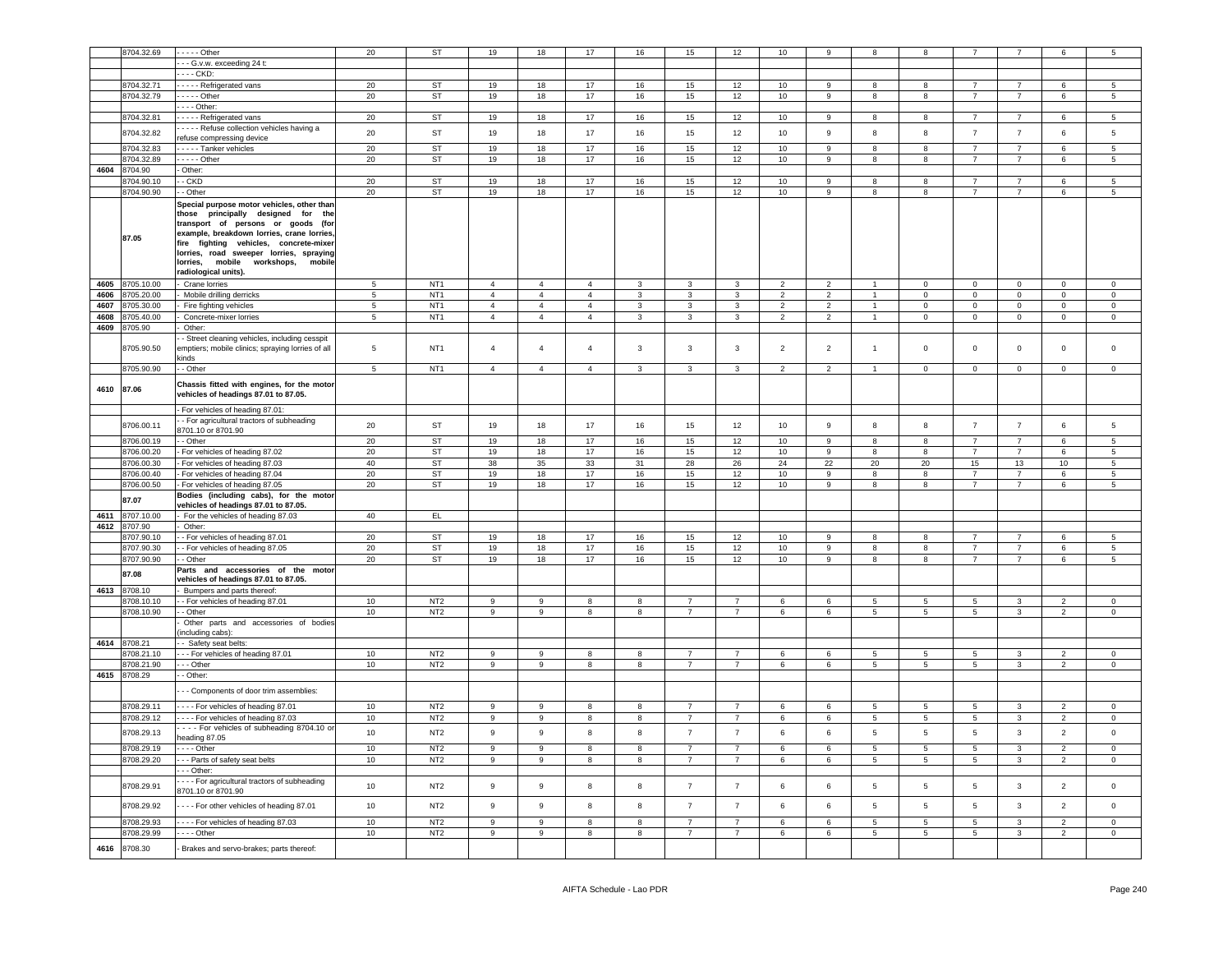|            | 8704.32.69 | $- - -$ Other                                                                                                                                                                                                                                                                                                                | 20              | <b>ST</b>       | 19             | 18             | 17             | 16               | 15              | 12             | 10              | 9              |                 | 8               |                 |                |                | 5               |
|------------|------------|------------------------------------------------------------------------------------------------------------------------------------------------------------------------------------------------------------------------------------------------------------------------------------------------------------------------------|-----------------|-----------------|----------------|----------------|----------------|------------------|-----------------|----------------|-----------------|----------------|-----------------|-----------------|-----------------|----------------|----------------|-----------------|
|            |            |                                                                                                                                                                                                                                                                                                                              |                 |                 |                |                |                |                  |                 |                |                 |                |                 |                 |                 |                |                |                 |
|            |            | - - G.v.w. exceeding 24 t:                                                                                                                                                                                                                                                                                                   |                 |                 |                |                |                |                  |                 |                |                 |                |                 |                 |                 |                |                |                 |
|            |            | --- CKD:                                                                                                                                                                                                                                                                                                                     |                 |                 |                |                |                |                  |                 |                |                 |                |                 |                 |                 |                |                |                 |
|            | 8704.32.71 | - - - - Refrigerated vans                                                                                                                                                                                                                                                                                                    | 20              | ST              | 19             | 18             | 17             | 16               | 15              | 12             | 10              | 9              | 8               | 8               | $\overline{7}$  | $\overline{7}$ | 6              | 5               |
|            | 8704.32.79 | $- - -$ Other                                                                                                                                                                                                                                                                                                                | 20              | ST              | 19             | 18             | 17             | 16               | 15              | 12             | 10 <sub>1</sub> | 9              | 8               | 8               | $\overline{7}$  | $\overline{7}$ | 6              | $5\overline{)}$ |
|            |            | $--$ Other:                                                                                                                                                                                                                                                                                                                  |                 |                 |                |                |                |                  |                 |                |                 |                |                 |                 |                 |                |                |                 |
|            | 8704.32.81 | ----- Refrigerated vans                                                                                                                                                                                                                                                                                                      | 20              | ST              | 19             | 18             | 17             | 16               | 15              | 12             | 10              | 9              | 8               | 8               | 7               | 7              | 6              | 5               |
|            |            | - - - - Refuse collection vehicles having a                                                                                                                                                                                                                                                                                  |                 |                 |                |                |                |                  |                 |                |                 |                |                 |                 |                 |                |                |                 |
|            | 8704.32.82 | refuse compressing device                                                                                                                                                                                                                                                                                                    | 20              | ST              | 19             | 18             | 17             | 16               | 15              | 12             | 10 <sub>1</sub> | 9              | 8               | 8               | $\overline{7}$  | $\overline{7}$ | 6              | 5               |
|            | 8704.32.83 | - - - - Tanker vehicles                                                                                                                                                                                                                                                                                                      | 20              | ST              | 19             | 18             | 17             | 16               | 15              | 12             | 10              | 9              | 8               | 8               | $\overline{7}$  | $\overline{7}$ | 6              | 5               |
|            | 8704.32.89 | $\cdots$ - - Other                                                                                                                                                                                                                                                                                                           | 20              | ST              | 19             | 18             | $17$           | 16               | 15              | 12             | 10 <sub>1</sub> | 9              | 8               | 8               | $\overline{7}$  | $\overline{7}$ | 6              | 5               |
|            | 8704.90    | Other:                                                                                                                                                                                                                                                                                                                       |                 |                 |                |                |                |                  |                 |                |                 |                |                 |                 |                 |                |                |                 |
| 4604       |            |                                                                                                                                                                                                                                                                                                                              |                 |                 |                |                |                |                  |                 |                |                 |                |                 |                 |                 |                |                |                 |
|            | 8704.90.10 | - CKD                                                                                                                                                                                                                                                                                                                        | 20              | ST              | 19             | 18             | 17             | 16               | 15              | 12             | 10              | 9              | 8               | 8               | $\overline{7}$  | $\overline{7}$ | 6              | 5               |
|            | 8704.90.90 | - Other                                                                                                                                                                                                                                                                                                                      | 20              | ST              | 19             | 18             | 17             | 16               | 15              | 12             | 10              | 9              | 8               | 8               | $\overline{7}$  | $\overline{7}$ | 6              | 5               |
|            | 87.05      | Special purpose motor vehicles, other than<br>those principally designed for the<br>transport of persons or goods (for<br>example, breakdown lorries, crane lorries,<br>fire fighting vehicles, concrete-mixer<br>lorries, road sweeper lorries, spraying<br>lorries, mobile<br>workshops,<br>mobile<br>radiological units). |                 |                 |                |                |                |                  |                 |                |                 |                |                 |                 |                 |                |                |                 |
| 4605       | 8705.10.00 | Crane lorries                                                                                                                                                                                                                                                                                                                | 5               | NT <sub>1</sub> | $\overline{4}$ | $\overline{4}$ | $\overline{4}$ | $\mathbf{3}$     | $\mathbf{3}$    | $\mathbf{3}$   | $\overline{2}$  | $\overline{2}$ | $\mathbf{1}$    | $\mathbf 0$     | $\mathbf 0$     | $\mathbf 0$    | $\mathbf 0$    | $\mathbf 0$     |
| 4606       | 8705.20.00 | Mobile drilling derricks                                                                                                                                                                                                                                                                                                     | 5               | NT <sub>1</sub> | $\overline{4}$ | $\overline{4}$ | $\overline{4}$ | 3                | 3               | 3              | $\overline{2}$  | $\overline{2}$ | $\mathbf{1}$    | 0               | 0               | $\mathbf 0$    | 0              | $\mathbf 0$     |
| 4607       | 8705.30.00 | Fire fighting vehicles                                                                                                                                                                                                                                                                                                       | 5               | NT <sub>1</sub> | $\overline{4}$ | $\overline{4}$ | $\overline{4}$ | 3                | 3               | $\mathbf{3}$   | 2               | $\overline{2}$ | $\mathbf{1}$    | 0               | $\mathbf 0$     | $\mathbf 0$    | $\mathbf 0$    | $\mathbf 0$     |
| 4608       | 8705.40.00 | Concrete-mixer lorries                                                                                                                                                                                                                                                                                                       | $5\phantom{.0}$ | NT <sub>1</sub> | $\overline{4}$ | $\overline{4}$ | $\overline{4}$ | 3                | 3               | $\mathbf{3}$   | $\overline{c}$  | $\overline{2}$ | $\mathbf{1}$    | 0               | $\mathbf 0$     | $\mathbf 0$    | $\mathbf{0}$   | $\mathbf 0$     |
| 4609       | 8705.90    | Other:                                                                                                                                                                                                                                                                                                                       |                 |                 |                |                |                |                  |                 |                |                 |                |                 |                 |                 |                |                |                 |
|            | 8705.90.50 | - Street cleaning vehicles, including cesspit<br>emptiers; mobile clinics; spraying lorries of all<br>kinds                                                                                                                                                                                                                  | $\overline{5}$  | NT <sub>1</sub> | $\overline{4}$ | $\overline{4}$ | $\overline{4}$ | 3                | 3               | 3              | 2               | $\overline{2}$ | $\mathbf{1}$    | 0               | 0               | $\mathbf 0$    | 0              | $\mathbf 0$     |
|            | 8705.90.90 | - Other                                                                                                                                                                                                                                                                                                                      | $\overline{5}$  | NT <sub>1</sub> | $\overline{4}$ | $\overline{4}$ | $\overline{4}$ | 3                | 3               | $\mathbf{3}$   | $\overline{2}$  | $\overline{2}$ |                 | $\mathbf 0$     | $\mathbf 0$     | $\mathbf 0$    | $\mathbf 0$    | $\mathbf 0$     |
| 4610 87.06 |            | Chassis fitted with engines, for the motor<br>vehicles of headings 87.01 to 87.05.                                                                                                                                                                                                                                           |                 |                 |                |                |                |                  |                 |                |                 |                |                 |                 |                 |                |                |                 |
|            |            | For vehicles of heading 87.01:                                                                                                                                                                                                                                                                                               |                 |                 |                |                |                |                  |                 |                |                 |                |                 |                 |                 |                |                |                 |
|            |            | - For agricultural tractors of subheading                                                                                                                                                                                                                                                                                    |                 |                 |                |                |                |                  |                 |                |                 |                |                 |                 |                 |                |                |                 |
|            | 8706.00.11 | 3701.10 or 8701.90                                                                                                                                                                                                                                                                                                           | 20              | ST              | 19             | 18             | 17             | 16               | 15              | 12             | 10              | 9              | 8               | 8               | $\overline{7}$  | $\overline{7}$ | 6              | 5               |
|            | 8706.00.19 | - Other                                                                                                                                                                                                                                                                                                                      | 20              | ST              | 19             | 18             | 17             | 16               | 15              | 12             | 10              | 9              | 8               | 8               | $\overline{7}$  | $\overline{7}$ | 6              | 5               |
|            |            |                                                                                                                                                                                                                                                                                                                              | 20              |                 |                |                |                |                  |                 |                |                 |                |                 |                 |                 |                |                |                 |
|            | 8706.00.20 | For vehicles of heading 87.02                                                                                                                                                                                                                                                                                                |                 | ST              | 19             | 18             | 17             | 16               | 15              | 12             | 10              | 9              | 8               | 8               | $\overline{7}$  | $\overline{7}$ | 6              | 5               |
|            | 8706.00.30 | For vehicles of heading 87.03                                                                                                                                                                                                                                                                                                | 40              | ST              | 38             | 35             | 33             | 31               | 28              | 26             | 24              | 22             | 20              | 20              | 15              | 13             | 10             | 5               |
|            | 8706.00.40 | For vehicles of heading 87.04                                                                                                                                                                                                                                                                                                | 20              | ST              | 19             | 18             | 17             | 16               | 15              | 12             | 10              | 9              | 8               | 8               | $\overline{7}$  | $\overline{7}$ | 6              | $5^{\circ}$     |
|            | 8706.00.50 | For vehicles of heading 87.05                                                                                                                                                                                                                                                                                                | 20              | <b>ST</b>       | 19             | 18             | 17             | 16               | 15              | 12             | 10              | 9              | 8               | 8               | $\overline{7}$  | $\overline{7}$ | 6              | 5               |
|            | 87.07      | Bodies (including cabs), for the motor                                                                                                                                                                                                                                                                                       |                 |                 |                |                |                |                  |                 |                |                 |                |                 |                 |                 |                |                |                 |
|            |            | vehicles of headings 87.01 to 87.05.                                                                                                                                                                                                                                                                                         |                 |                 |                |                |                |                  |                 |                |                 |                |                 |                 |                 |                |                |                 |
| 4611       | 8707.10.00 | For the vehicles of heading 87.03                                                                                                                                                                                                                                                                                            | 40              | EL.             |                |                |                |                  |                 |                |                 |                |                 |                 |                 |                |                |                 |
| 4612       | 8707.90    | Other:                                                                                                                                                                                                                                                                                                                       |                 |                 |                |                |                |                  |                 |                |                 |                |                 |                 |                 |                |                |                 |
|            | 8707.90.10 | - For vehicles of heading 87.01                                                                                                                                                                                                                                                                                              | 20              | ST              | 19             | 18             | 17             | 16               | 15              | 12             | 10              | 9              | 8               | 8               | 7               | $\overline{7}$ | 6              | 5               |
|            |            |                                                                                                                                                                                                                                                                                                                              |                 |                 |                |                | 17             |                  |                 | 12             |                 | 9              |                 | 8               | $\overline{7}$  | $\overline{7}$ | 6              |                 |
|            | 8707.90.30 | - For vehicles of heading 87.05                                                                                                                                                                                                                                                                                              | 20              | ST              | 19             | 18             |                | 16               | 15              |                | 10              |                | 8               |                 |                 |                |                | $5^{\circ}$     |
|            | 8707.90.90 | - Other                                                                                                                                                                                                                                                                                                                      | 20              | ST              | 19             | 18             | 17             | 16               | 15              | 12             | 10              | 9              | 8               | 8               | $\overline{7}$  | $\overline{7}$ | 6              | 5               |
|            | 87.08      | Parts and accessories of the motor                                                                                                                                                                                                                                                                                           |                 |                 |                |                |                |                  |                 |                |                 |                |                 |                 |                 |                |                |                 |
|            |            | vehicles of headings 87.01 to 87.05.                                                                                                                                                                                                                                                                                         |                 |                 |                |                |                |                  |                 |                |                 |                |                 |                 |                 |                |                |                 |
| 4613       | 8708.10    | Bumpers and parts thereof:                                                                                                                                                                                                                                                                                                   |                 |                 |                |                |                |                  |                 |                |                 |                |                 |                 |                 |                |                |                 |
|            | 8708.10.10 | - For vehicles of heading 87.01                                                                                                                                                                                                                                                                                              | 10              | NT <sub>2</sub> | 9              | 9              | 8              | 8                | $\overline{7}$  | $\overline{7}$ | 6               | 6              | $5\phantom{.0}$ | 5               | $5\overline{)}$ | $\mathbf{3}$   | $\overline{2}$ | 0               |
|            | 8708.10.90 | - Other                                                                                                                                                                                                                                                                                                                      | 10              | NT <sub>2</sub> | 9              | 9              | 8              | 8                | $\overline{7}$  | $\overline{7}$ | 6               | 6              | 5               | 5               | $5\overline{ }$ | 3              | $\overline{2}$ | $\mathbf 0$     |
|            |            | Other parts and accessories of bodies                                                                                                                                                                                                                                                                                        |                 |                 |                |                |                |                  |                 |                |                 |                |                 |                 |                 |                |                |                 |
|            |            | including cabs):                                                                                                                                                                                                                                                                                                             |                 |                 |                |                |                |                  |                 |                |                 |                |                 |                 |                 |                |                |                 |
| 4614       | 8708.21    | - Safety seat belts:                                                                                                                                                                                                                                                                                                         |                 |                 |                |                |                |                  |                 |                |                 |                |                 |                 |                 |                |                |                 |
|            | 8708.21.10 | - - For vehicles of heading 87.01                                                                                                                                                                                                                                                                                            | 10              | NT <sub>2</sub> | 9              | 9              | 8              | 8                | $\overline{7}$  | $\overline{7}$ | 6               | 6              | 5               | 5               | 5               | 3              | $\overline{2}$ | 0               |
|            | 8708.21.90 | - - Other                                                                                                                                                                                                                                                                                                                    | 10              | NT <sub>2</sub> | 9              | 9              | 8              | 8                | $7\overline{ }$ | $\overline{7}$ | 6               | 6              | $5\overline{5}$ | $5\overline{5}$ | $5\overline{5}$ | $\mathbf{3}$   | $\overline{2}$ | $\mathbf 0$     |
| 4615       | 8708.29    | - Other:                                                                                                                                                                                                                                                                                                                     |                 |                 |                |                |                |                  |                 |                |                 |                |                 |                 |                 |                |                |                 |
|            |            | - - Components of door trim assemblies:                                                                                                                                                                                                                                                                                      |                 |                 |                |                |                |                  |                 |                |                 |                |                 |                 |                 |                |                |                 |
|            | 8708.29.11 | ---- For vehicles of heading 87.01                                                                                                                                                                                                                                                                                           | 10              | NT <sub>2</sub> | 9              | 9              | 8              | 8                | $\overline{7}$  | $\overline{7}$ | 6               | 6              | 5               | 5               | 5               | $\mathbf{3}$   | $\overline{2}$ | $\mathbf 0$     |
|            | 8708.29.12 | --- For vehicles of heading 87.03                                                                                                                                                                                                                                                                                            | 10              | NT <sub>2</sub> | 9              | 9              | 8              | 8                | $\overline{7}$  | $\overline{7}$ | 6               | 6              | 5               | 5               | 5               | 3              | $\overline{2}$ | $\mathbf 0$     |
|            |            | - - - For vehicles of subheading 8704.10 or                                                                                                                                                                                                                                                                                  | 10              |                 |                |                |                |                  |                 | $\overline{7}$ |                 |                |                 |                 |                 |                |                |                 |
|            | 8708.29.13 | heading 87.05                                                                                                                                                                                                                                                                                                                |                 | NT <sub>2</sub> | 9              | 9              | 8              | 8                | $\overline{7}$  |                | 6               | 6              | 5               | $\overline{5}$  | $5\phantom{.0}$ | $\mathbf{3}$   | $\overline{2}$ | $\mathsf 0$     |
|            | 8708.29.19 | $- -$ Other                                                                                                                                                                                                                                                                                                                  | 10              | NT <sub>2</sub> | 9              | 9              | 8              | 8                | $\overline{7}$  | $\overline{7}$ | 6               | 6              | 5               | 5               | $5\overline{ }$ | 3              | $\overline{2}$ | $\mathbf{0}$    |
|            | 8708.29.20 | - - Parts of safety seat belts                                                                                                                                                                                                                                                                                               | 10              | NT <sub>2</sub> | 9              | 9              | 8              | 8                | $\overline{7}$  | $\overline{7}$ | 6               | 6              | $5\phantom{.0}$ | 5               | $5\overline{5}$ | $\mathbf{3}$   | $\overline{2}$ | $\circ$         |
|            |            | - - Other:                                                                                                                                                                                                                                                                                                                   |                 |                 |                |                |                |                  |                 |                |                 |                |                 |                 |                 |                |                |                 |
|            | 8708.29.91 | - - - For agricultural tractors of subheading<br>8701.10 or 8701.90                                                                                                                                                                                                                                                          | 10              | NT <sub>2</sub> | 9              | 9              | 8              | 8                | $\overline{7}$  | $\overline{7}$ | 6               | 6              | $\,$ 5 $\,$     | 5               | 5               | $\mathbf{3}$   | $\overline{2}$ | $\mathbf 0$     |
|            | 8708.29.92 | --- For other vehicles of heading 87.01                                                                                                                                                                                                                                                                                      | 10              | NT <sub>2</sub> | 9              | 9              | 8              | $\boldsymbol{8}$ | $\overline{7}$  | $\overline{7}$ | 6               | 6              | 5               | $\sqrt{5}$      | $5\phantom{.0}$ | $\mathbf{3}$   | $\overline{2}$ | $\mathsf 0$     |
|            | 8708.29.93 | --- For vehicles of heading 87.03                                                                                                                                                                                                                                                                                            | 10              | NT <sub>2</sub> | 9              | 9              | 8              | 8                | $\overline{7}$  | $\overline{7}$ | 6               | 6              | 5               | 5               | $5\overline{ }$ | $\mathbf{3}$   | $\overline{2}$ | $\mathbf 0$     |
|            | 8708.29.99 | $\cdots$ - Other                                                                                                                                                                                                                                                                                                             | 10              | NT <sub>2</sub> | 9              | 9              | 8              | 8                | $\overline{7}$  | $\overline{7}$ | 6               | 6              | $5\overline{5}$ | $5\overline{5}$ | $5\overline{5}$ | $\mathbf{3}$   | $\overline{2}$ | $\circ$         |
| 4616       | 8708.30    | Brakes and servo-brakes; parts thereof:                                                                                                                                                                                                                                                                                      |                 |                 |                |                |                |                  |                 |                |                 |                |                 |                 |                 |                |                |                 |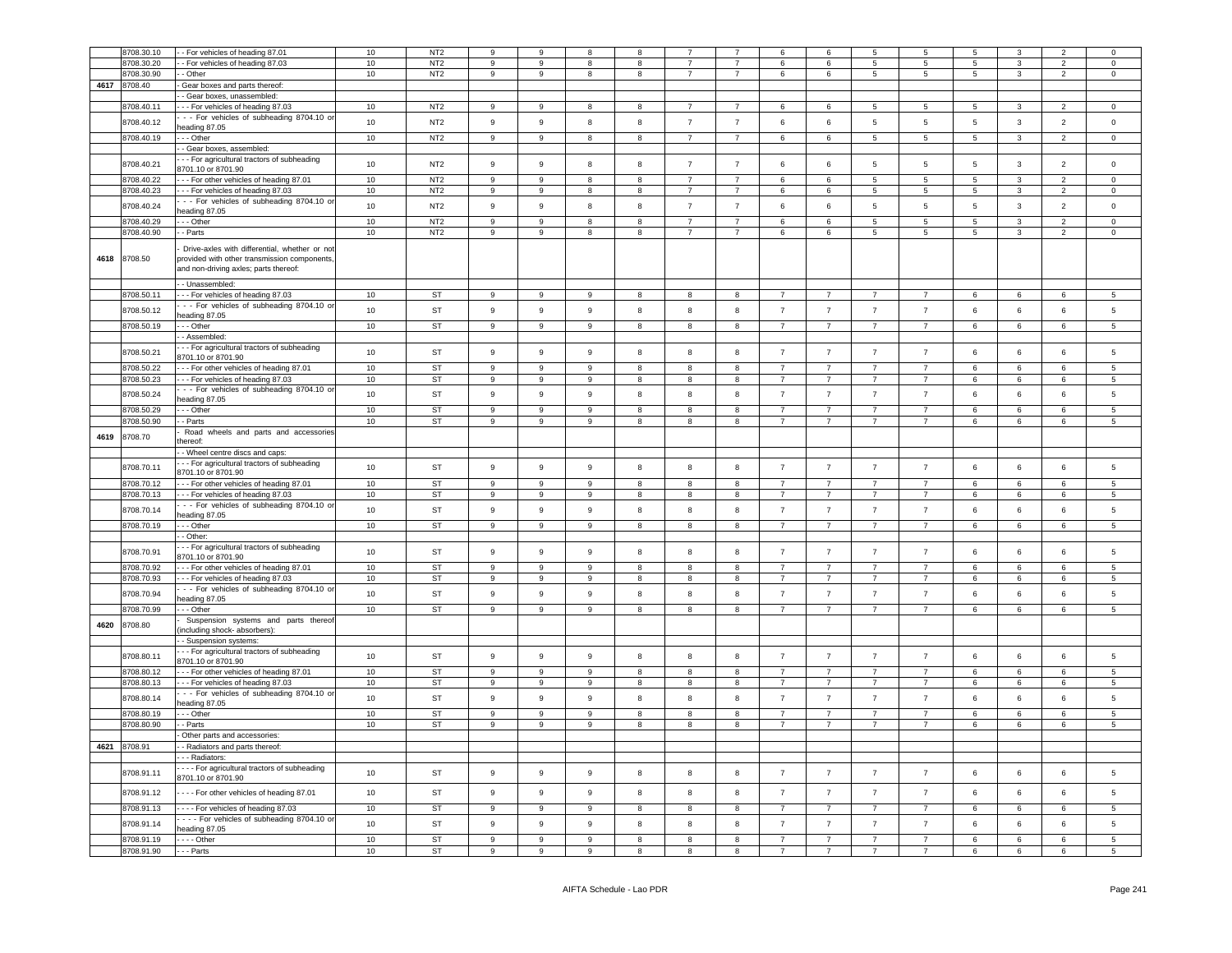|      | 3708.30.10               | - For vehicles of heading 87.01               | $10\,$ | NT <sub>2</sub> |                  | 9                |                  | 8              |                 |                         | 6               | 6              | 5               | 5              | $\overline{5}$  | 3               |                 |                     |
|------|--------------------------|-----------------------------------------------|--------|-----------------|------------------|------------------|------------------|----------------|-----------------|-------------------------|-----------------|----------------|-----------------|----------------|-----------------|-----------------|-----------------|---------------------|
|      | 3708.30.20               | - For vehicles of heading 87.03               | 10     | N <sub>T2</sub> | 9                | 9                | 8                | 8              | $\overline{7}$  | $\overline{7}$          | $6\overline{6}$ | 6              | $\overline{5}$  | $\overline{5}$ | $\overline{5}$  | $\mathbf{3}$    | $\overline{2}$  | $\mathsf{O}\xspace$ |
|      | 3708.30.90               | - Other                                       | 10     | NT <sub>2</sub> | $\overline{9}$   | 9                | 8                | 8              | $\overline{7}$  | $\overline{7}$          | 6               | 6              | $5\phantom{.0}$ | 5              | $5\phantom{.0}$ | $\mathbf{3}$    | $\overline{2}$  | $\mathsf 0$         |
|      |                          |                                               |        |                 |                  |                  |                  |                |                 |                         |                 |                |                 |                |                 |                 |                 |                     |
| 4617 | 8708.40                  | Gear boxes and parts thereof:                 |        |                 |                  |                  |                  |                |                 |                         |                 |                |                 |                |                 |                 |                 |                     |
|      |                          | - Gear boxes, unassembled                     |        |                 |                  |                  |                  |                |                 |                         |                 |                |                 |                |                 |                 |                 |                     |
|      | 3708.40.11               | - - For vehicles of heading 87.03             | 10     | NT <sub>2</sub> | 9                | 9                | R                | 8              | $\overline{7}$  | $\overline{7}$          | 6               | $6\phantom{1}$ | 5               | 5              | 5               | $\mathbf{3}$    | $\mathcal{P}$   | $\Omega$            |
|      |                          | - - For vehicles of subheading 8704.10 or     |        |                 |                  |                  | 8                | 8              |                 |                         |                 |                |                 |                |                 |                 |                 |                     |
|      | 8708.40.12               | eading 87.05                                  | 10     | NT <sub>2</sub> | 9                | 9                |                  |                | $\overline{7}$  | $\overline{7}$          | 6               | $\,6\,$        | $5\phantom{.0}$ | 5              | 5               | $\mathbf{3}$    | $\overline{2}$  | $\mathsf{O}\xspace$ |
|      | 8708.40.19               | - - Other                                     | 10     | NT <sub>2</sub> | 9                | 9                | 8                | 8              | $7\overline{ }$ | $\overline{7}$          | 6               | 6              | $5\overline{5}$ | 5              | $5\overline{5}$ | $\mathbf{3}$    | $\overline{2}$  | $\mathbf 0$         |
|      |                          | - Gear boxes, assembled:                      |        |                 |                  |                  |                  |                |                 |                         |                 |                |                 |                |                 |                 |                 |                     |
|      |                          |                                               |        |                 |                  |                  |                  |                |                 |                         |                 |                |                 |                |                 |                 |                 |                     |
|      | 8708.40.21               | - - For agricultural tractors of subheading   | 10     | NT <sub>2</sub> | $\overline{9}$   | 9                | 8                | 8              | $\overline{7}$  | $\overline{7}$          | $6\overline{6}$ | $\,6\,$        | $5\phantom{.0}$ | 5              | 5               | $\overline{3}$  | $\overline{2}$  | $\mathsf{O}\xspace$ |
|      |                          | 3701.10 or 8701.90                            |        |                 |                  |                  |                  |                |                 |                         |                 |                |                 |                |                 |                 |                 |                     |
|      | 8708.40.22               | - - For other vehicles of heading 87.01       | 10     | NT <sub>2</sub> | $\overline{9}$   | 9                | 8                | 8              | $\overline{7}$  | $\overline{7}$          | 6               | $\,6\,$        | $5\phantom{.0}$ | 5              | 5               | $\mathbf{3}$    | $\overline{2}$  | $\mathsf{O}\xspace$ |
|      | 8708.40.23               | -- For vehicles of heading 87.03              | 10     | NT <sub>2</sub> | $\overline{9}$   | 9                | 8                | 8              | $\overline{7}$  | $\overline{7}$          | 6               | 6              | $5\phantom{.0}$ | 5              | $5\phantom{.0}$ | $\mathbf{3}$    | $\overline{2}$  | $\mathbf 0$         |
|      | 8708.40.24               | - - For vehicles of subheading 8704.10 or     | 10     | NT <sub>2</sub> | 9                | 9                | 8                | 8              | $\overline{7}$  | $\overline{7}$          | 6               | 6              | $5\phantom{.0}$ | 5              | 5               | $\mathbf{3}$    | $\overline{2}$  | $\mathsf 0$         |
|      |                          | eading 87.05                                  |        |                 |                  |                  |                  |                |                 |                         |                 |                |                 |                |                 |                 |                 |                     |
|      | 8708.40.29               | -- Other                                      | 10     | NT <sub>2</sub> | 9                | 9                | 8                | 8              | $\overline{7}$  | $\overline{7}$          | 6               | $\,6$          | $\overline{5}$  | 5              | $\,$ 5 $\,$     | $\mathbf{3}$    | $\overline{2}$  | $\mathsf{O}\xspace$ |
|      | 8708.40.90               | - Parts                                       | 10     | NT <sub>2</sub> | $\boldsymbol{9}$ | $\boldsymbol{9}$ | 8                | 8              | $\overline{7}$  | $\overline{7}$          | 6               | $\,6\,$        | $\overline{5}$  | 5              | $5\phantom{.0}$ | $\mathbf{3}$    | $\overline{2}$  | $\mathbf 0$         |
|      |                          |                                               |        |                 |                  |                  |                  |                |                 |                         |                 |                |                 |                |                 |                 |                 |                     |
|      |                          | Drive-axles with differential, whether or not |        |                 |                  |                  |                  |                |                 |                         |                 |                |                 |                |                 |                 |                 |                     |
|      | 4618 8708.50             | provided with other transmission components.  |        |                 |                  |                  |                  |                |                 |                         |                 |                |                 |                |                 |                 |                 |                     |
|      |                          | and non-driving axles; parts thereof:         |        |                 |                  |                  |                  |                |                 |                         |                 |                |                 |                |                 |                 |                 |                     |
|      |                          |                                               |        |                 |                  |                  |                  |                |                 |                         |                 |                |                 |                |                 |                 |                 |                     |
|      |                          | - Unassembled:                                |        |                 |                  |                  |                  |                |                 |                         |                 |                |                 |                |                 |                 |                 |                     |
|      | 8708.50.11               | --- For vehicles of heading 87.03             | 10     | ST              | 9                | 9                | 9                | 8              | 8               | 8                       | $\overline{7}$  | $\overline{7}$ | $\overline{7}$  | $\overline{7}$ | 6               | 6               | 6               | 5                   |
|      | 8708.50.12               | - - For vehicles of subheading 8704.10 or     | 10     | <b>ST</b>       | 9                | $\overline{9}$   | 9                | 8              | 8               | 8                       | $\overline{7}$  | $\overline{7}$ | $\overline{7}$  | $\overline{7}$ | 6               | $6\phantom{a}$  | 6               | $5\phantom{.0}$     |
|      |                          | eading 87.05                                  |        |                 |                  |                  |                  |                |                 |                         |                 |                |                 |                |                 |                 |                 |                     |
|      | 8708.50.19               | - - Other                                     | 10     | <b>ST</b>       | $\overline{9}$   | 9                | 9                | 8              | 8               | 8                       | $\overline{7}$  | $\overline{7}$ | $\overline{7}$  | $\overline{7}$ | 6               | $6\phantom{.}6$ | $6\phantom{.}$  | 5                   |
|      |                          | - Assembled:                                  |        |                 |                  |                  |                  |                |                 |                         |                 |                |                 |                |                 |                 |                 |                     |
|      |                          | - - For agricultural tractors of subheading   |        |                 |                  |                  |                  |                |                 |                         |                 |                |                 |                |                 |                 |                 |                     |
|      | 8708.50.21               | 3701.10 or 8701.90                            | 10     | ST              | 9                | 9                | 9                | 8              | 8               | 8                       | $\overline{7}$  | $\overline{7}$ | $\overline{7}$  | $\overline{7}$ | 6               | 6               | 6               | 5                   |
|      |                          |                                               |        |                 |                  |                  |                  |                |                 |                         |                 |                |                 |                |                 |                 |                 |                     |
|      | 8708.50.22               | - - For other vehicles of heading 87.01       | 10     | ST              | 9                | 9                | 9                | 8              | 8               | 8                       | $\overline{7}$  | $\overline{7}$ | $\overline{7}$  | $\overline{7}$ | 6               | $\,6\,$         | 6               | 5                   |
|      | 8708.50.23               | -- For vehicles of heading 87.03              | 10     | ST              | 9                | 9                | 9                | 8              | 8               | 8                       | $\overline{7}$  | $\overline{7}$ | $\overline{7}$  | $\overline{7}$ | 6               | 6               | 6               | 5                   |
|      | 8708.50.24               | - - For vehicles of subheading 8704.10 or     | 10     | <b>ST</b>       | 9                | 9                | 9                | 8              | 8               | 8                       | $\overline{7}$  | $\overline{7}$ | $\overline{7}$  | $\overline{7}$ | 6               | 6               | 6               | 5                   |
|      |                          | eading 87.05                                  |        |                 |                  |                  |                  |                |                 |                         |                 |                |                 |                |                 |                 |                 |                     |
|      | 8708.50.29               | - - Other                                     | 10     | <b>ST</b>       | 9                | $\overline{9}$   | 9                | $\mathbf{g}$   | $\mathbf{g}$    | $\mathbf{g}$            | $\overline{7}$  | $\overline{7}$ | $\overline{7}$  | $\overline{7}$ | 6               | 6               | $6\overline{6}$ | $\overline{5}$      |
|      | 3708.50.90               | - Parts                                       | 10     | ST              | $\overline{9}$   | 9                | 9                | 8              | 8               | 8                       | $\overline{7}$  | $\overline{7}$ | $\overline{7}$  | $\overline{7}$ | 6               | $6\phantom{.}6$ | 6               | 5                   |
|      |                          | Road wheels and parts and accessories         |        |                 |                  |                  |                  |                |                 |                         |                 |                |                 |                |                 |                 |                 |                     |
| 4619 | 8708.70                  | thereof:                                      |        |                 |                  |                  |                  |                |                 |                         |                 |                |                 |                |                 |                 |                 |                     |
|      |                          | - Wheel centre discs and caps:                |        |                 |                  |                  |                  |                |                 |                         |                 |                |                 |                |                 |                 |                 |                     |
|      |                          | - - For agricultural tractors of subheading   |        |                 |                  |                  |                  |                |                 |                         |                 |                |                 |                |                 |                 |                 |                     |
|      | 8708.70.11               | 8701.10 or 8701.90                            | 10     | ST              | $\mathsf g$      | $\mathsf g$      | $\boldsymbol{9}$ | 8              | 8               | 8                       | $\overline{7}$  | $\overline{7}$ | $\overline{7}$  | $\overline{7}$ | 6               | $6\phantom{a}$  | 6               | 5                   |
|      |                          |                                               |        | <b>ST</b>       |                  |                  |                  |                |                 |                         |                 |                |                 |                |                 |                 |                 |                     |
|      | 8708.70.12               | - - For other vehicles of heading 87.01       | 10     |                 | $\overline{9}$   | 9                | $\mathsf g$      | 8              | 8               | 8                       | $\overline{7}$  | $\overline{7}$ | $\overline{7}$  | $\overline{7}$ | 6               | 6               | 6               | 5                   |
|      | 8708.70.13               | - - For vehicles of heading 87.03             | 10     | <b>ST</b>       | 9                | $\overline{9}$   | 9                | 8              | 8               | 8                       | $\overline{7}$  | $\overline{7}$ | $\overline{7}$  | $\overline{7}$ | 6               | 6               | 6               | 5                   |
|      | 8708.70.14               | - - For vehicles of subheading 8704.10 or     | 10     | ST              | 9                | 9                | $\mathsf g$      | 8              | 8               | 8                       | $\overline{7}$  | $\overline{7}$ | $\overline{7}$  | $\overline{7}$ | 6               | 6               | 6               | 5                   |
|      |                          | heading 87.05                                 |        |                 |                  |                  |                  |                |                 |                         |                 |                |                 |                |                 |                 |                 |                     |
|      | 8708.70.19               | - - Other                                     | 10     | ST              | 9                | 9                | 9                | 8              | 8               | 8                       | $\overline{7}$  | $\overline{7}$ | $\overline{7}$  | $\overline{7}$ | 6               | $\,6\,$         | 6               | 5                   |
|      |                          | - Other:                                      |        |                 |                  |                  |                  |                |                 |                         |                 |                |                 |                |                 |                 |                 |                     |
|      |                          | - - For agricultural tractors of subheading   |        |                 |                  |                  |                  |                |                 |                         |                 |                |                 |                |                 |                 |                 |                     |
|      | 8708.70.91               | 8701.10 or 8701.90                            | 10     | <b>ST</b>       | $_{9}$           | 9                | 9                | 8              | $\mathbf{g}$    | 8                       | $\overline{7}$  | $\overline{7}$ | $\overline{7}$  | $\overline{7}$ | 6               | $\,6\,$         | $6\overline{6}$ | 5                   |
|      | 8708.70.92               | -- For other vehicles of heading 87.01        | 10     | <b>ST</b>       | $\mathbf{q}$     | 9                | 9                | 8              | 8               | 8                       | $\overline{7}$  | $\overline{7}$ | $\overline{7}$  | $\overline{7}$ | 6               | $6\phantom{.}6$ | 6               | 5                   |
|      | 8708.70.93               | -- For vehicles of heading 87.03              | 10     | ST              | 9                | 9                | 9                | 8              | 8               | 8                       | $\overline{7}$  | $\overline{7}$ | $\overline{7}$  | $\overline{7}$ | 6               | 6               | 6               | $5^{\circ}$         |
|      |                          | - - For vehicles of subheading 8704.10 or     |        |                 |                  |                  |                  |                |                 |                         |                 |                |                 |                |                 |                 |                 |                     |
|      | 8708.70.94               |                                               | 10     | <b>ST</b>       | 9                | 9                | 9                | 8              | 8               | 8                       | $\overline{7}$  | $\overline{7}$ | $\overline{7}$  | $\overline{7}$ | 6               | 6               | 6               | 5                   |
|      |                          | heading 87.05                                 |        |                 |                  |                  |                  |                |                 |                         |                 |                |                 |                |                 |                 |                 |                     |
|      | 8708.70.99               | --- Other                                     | 10     | ST              | 9                | 9                | 9                | 8              | 8               | 8                       | $\overline{7}$  | $\overline{7}$ | $\overline{7}$  | $\overline{7}$ | 6               | $\,6\,$         | 6               | $5\phantom{.0}$     |
| 4620 | 8708.80                  | Suspension systems and parts thereof          |        |                 |                  |                  |                  |                |                 |                         |                 |                |                 |                |                 |                 |                 |                     |
|      |                          | ncluding shock- absorbers):                   |        |                 |                  |                  |                  |                |                 |                         |                 |                |                 |                |                 |                 |                 |                     |
|      |                          | Suspension systems:                           |        |                 |                  |                  |                  |                |                 |                         |                 |                |                 |                |                 |                 |                 |                     |
|      | 8708.80.11               | - - For agricultural tractors of subheading   | 10     | ST              | 9                | 9                | $\mathsf g$      | 8              | 8               | 8                       | $\overline{7}$  | $\overline{7}$ | $\overline{7}$  | $\overline{7}$ | 6               | $6\phantom{.}6$ | 6               | 5                   |
|      |                          | 8701.10 or 8701.90                            |        |                 |                  |                  |                  |                |                 |                         |                 |                |                 |                |                 |                 |                 |                     |
|      | 8708.80.12               | --- For other vehicles of heading 87.01       | 10     | <b>ST</b>       | $\overline{9}$   | $\mathbf{Q}$     | $\boldsymbol{9}$ | 8              | 8               | 8                       | $\overline{7}$  | $\overline{7}$ | $\overline{7}$  | $\overline{7}$ | $6\overline{6}$ | 6               | $\epsilon$      | 5                   |
|      | 8708.80.13               | - - For vehicles of heading 87.03             | 10     | ST              | 9                | 9                | 9                | 8              | 8               | 8                       | $\overline{7}$  | $\overline{7}$ | $\overline{7}$  | $\overline{7}$ | 6               | $\,6\,$         | -6              | 5                   |
|      |                          | - - For vehicles of subheading 8704.10 or     |        |                 |                  |                  |                  |                |                 |                         |                 |                |                 |                |                 |                 |                 |                     |
|      | 8708.80.14               | eading 87.05                                  | 10     | <b>ST</b>       | 9                | 9                | $\overline{9}$   | 8              | 8               | $\bf{8}$                | $\overline{7}$  | $\overline{7}$ | $\overline{7}$  | $\overline{7}$ | 6               | $\,6\,$         | 6               | 5                   |
|      | 8708.80.19               | - - Other                                     | 10     | ST              | 9                | 9                | 9                | 8              | 8               | 8                       | $\overline{7}$  | $\overline{7}$ | $\overline{7}$  | $\overline{7}$ | 6               | 6               | 6               | 5                   |
|      |                          |                                               |        |                 | 9                | 9                | 9                | 8              | 8               | 8                       | $\overline{7}$  | $\overline{7}$ | $\overline{7}$  | $\overline{7}$ | 6               | 6               | 6               | $5^{\circ}$         |
|      | 8708.80.90               | - - Parts                                     | 10     | ST              |                  |                  |                  |                |                 |                         |                 |                |                 |                |                 |                 |                 |                     |
|      |                          | Other parts and accessories                   |        |                 |                  |                  |                  |                |                 |                         |                 |                |                 |                |                 |                 |                 |                     |
| 4621 | 8708.91                  | - Radiators and parts thereof:                |        |                 |                  |                  |                  |                |                 |                         |                 |                |                 |                |                 |                 |                 |                     |
|      |                          | - - Radiators:                                |        |                 |                  |                  |                  |                |                 |                         |                 |                |                 |                |                 |                 |                 |                     |
|      |                          | --- For agricultural tractors of subheading   |        |                 |                  |                  |                  |                |                 | 8                       | $\overline{7}$  |                |                 | $\overline{7}$ |                 | $\,6\,$         |                 |                     |
|      | 8708.91.11               | 8701.10 or 8701.90                            | 10     | ST              | 9                | 9                | 9                | 8              | 8               |                         |                 | $\overline{7}$ | $\overline{7}$  |                | 6               |                 | 6               | 5                   |
|      |                          |                                               |        |                 |                  |                  |                  |                |                 |                         |                 |                |                 |                |                 |                 |                 |                     |
|      | 8708.91.12               | --- For other vehicles of heading 87.01       | 10     | <b>ST</b>       | $\overline{9}$   | 9                | $\boldsymbol{9}$ | 8              | 8               | 8                       | $\overline{7}$  | $\overline{7}$ | $\overline{7}$  | $\overline{7}$ | 6               | 6               | 6               | 5                   |
|      | 8708.91.13               | --- For vehicles of heading 87.03             | 10     | ST              | 9                | $\boldsymbol{9}$ | 9                | 8              | 8               | 8                       | $\overline{7}$  | $\overline{7}$ | $\overline{7}$  | $\overline{7}$ | 6               | $\,6\,$         | 6               | 5                   |
|      |                          | - - - For vehicles of subheading 8704.10 or   |        |                 |                  |                  |                  |                |                 |                         |                 |                |                 |                |                 |                 |                 |                     |
|      | 8708.91.14               |                                               | 10     | ST              | 9                | 9                | 9                | 8              | 8               | 8                       | $\overline{7}$  | $\overline{7}$ | $\overline{7}$  | $\overline{7}$ | 6               | $\,6\,$         | 6               | 5                   |
|      |                          | heading 87.05<br>$---Other$                   | 10     | <b>ST</b>       | 9                | $\overline{9}$   | $\overline{9}$   | $\overline{8}$ | $\mathbf{g}$    |                         | $\overline{7}$  | $\overline{7}$ | $\overline{7}$  | $\overline{7}$ |                 | 6               |                 | 5                   |
|      |                          |                                               |        |                 |                  |                  |                  |                |                 | $\overline{\mathbf{8}}$ |                 |                |                 |                | $6\overline{6}$ |                 | 6               |                     |
|      | 8708.91.19<br>8708.91.90 | - - - Parts                                   | 10     | <b>ST</b>       | $\mathsf q$      | $\mathsf{Q}$     | 9                | $\mathbf{R}$   | $\mathbf{R}$    | 8                       | $\overline{7}$  | $\overline{7}$ | $\overline{7}$  | $\overline{7}$ | 6               | 6               |                 | $5^{\circ}$         |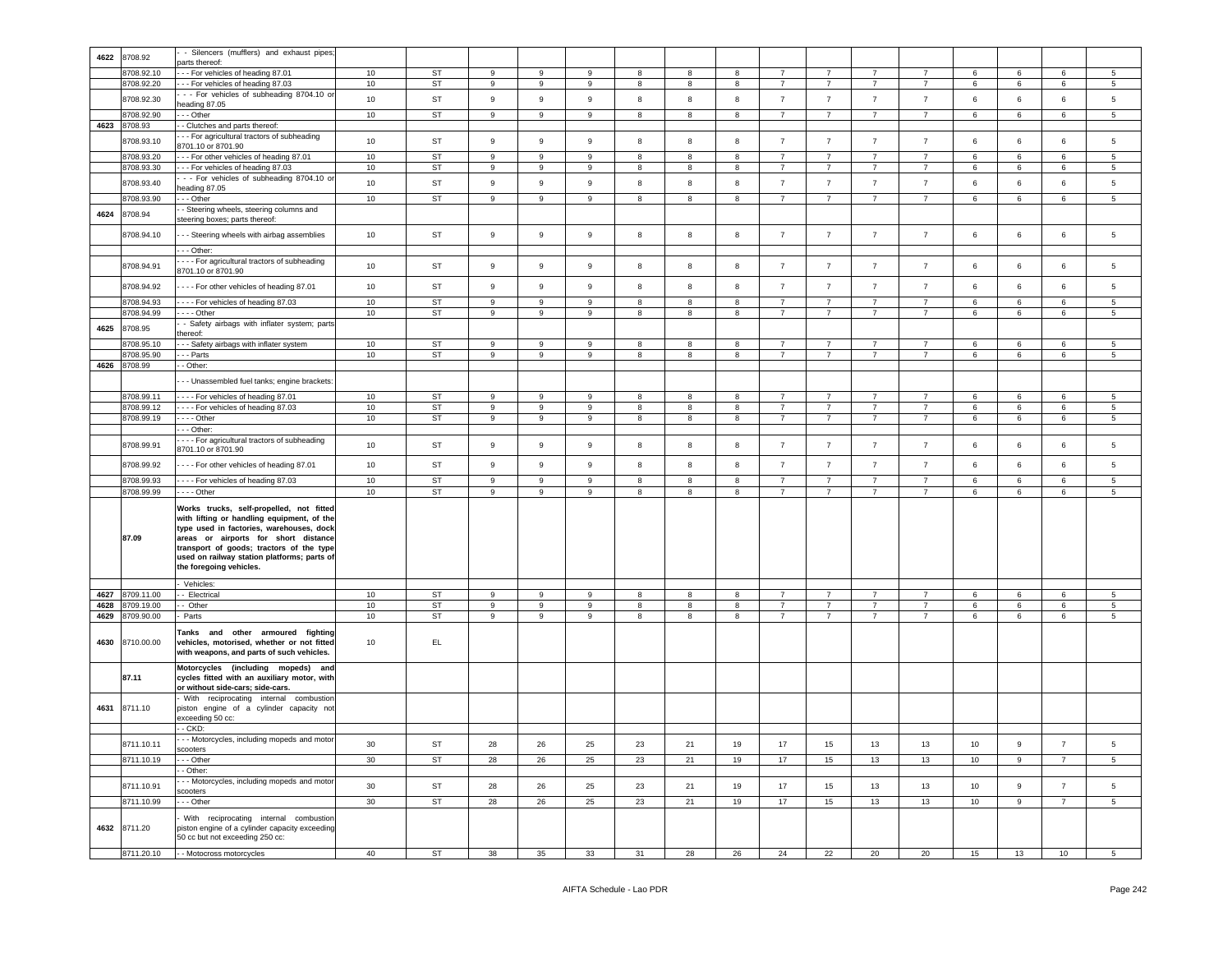| 4622 | 8708.92      | - Silencers (mufflers) and exhaust pipes;                                                                                                                                                                                                                                                        |                  |           |                  |                  |    |    |    |            |                |                |                |                |         |             |                |                 |
|------|--------------|--------------------------------------------------------------------------------------------------------------------------------------------------------------------------------------------------------------------------------------------------------------------------------------------------|------------------|-----------|------------------|------------------|----|----|----|------------|----------------|----------------|----------------|----------------|---------|-------------|----------------|-----------------|
|      |              | parts thereof:                                                                                                                                                                                                                                                                                   |                  |           |                  |                  |    |    |    |            |                |                |                |                |         |             |                |                 |
|      | 8708.92.10   | - - For vehicles of heading 87.01                                                                                                                                                                                                                                                                | 10               | ST        | 9                | 9                | 9  | 8  | 8  | 8          | $\overline{7}$ | $\overline{7}$ | $\overline{7}$ | $\overline{7}$ | 6       | 6           | 6              | 5               |
|      | 8708.92.20   | -- For vehicles of heading 87.03                                                                                                                                                                                                                                                                 | 10               | <b>ST</b> | $\boldsymbol{9}$ | 9                | 9  | 8  | 8  | 8          | $\overline{7}$ | $\overline{7}$ | $\overline{7}$ | $\overline{7}$ | 6       | 6           | 6              | 5               |
|      | 8708.92.30   | - - For vehicles of subheading 8704.10 or                                                                                                                                                                                                                                                        | 10 <sup>10</sup> | <b>ST</b> | 9                | 9                | 9  | 8  | 8  | 8          | $\overline{7}$ | $\overline{7}$ | $\overline{7}$ | $\overline{7}$ | 6       | 6           | 6              | 5               |
|      |              | eading 87.05                                                                                                                                                                                                                                                                                     |                  |           |                  |                  |    |    |    |            |                |                |                |                |         |             |                |                 |
|      | 8708.92.90   | - - Other                                                                                                                                                                                                                                                                                        | 10               | ST        | 9                | 9                | 9  | 8  | 8  | 8          | $\overline{7}$ | $\overline{7}$ | $\overline{7}$ | $\overline{7}$ | 6       | 6           | 6              | 5               |
| 4623 | 8708.93      | - Clutches and parts thereof:                                                                                                                                                                                                                                                                    |                  |           |                  |                  |    |    |    |            |                |                |                |                |         |             |                |                 |
|      |              | - - For agricultural tractors of subheading                                                                                                                                                                                                                                                      |                  |           |                  |                  |    |    |    |            |                |                |                |                |         |             |                |                 |
|      | 8708.93.10   | 3701.10 or 8701.90                                                                                                                                                                                                                                                                               | 10               | <b>ST</b> | 9                | 9                | 9  | 8  | 8  | 8          | $\overline{7}$ | $\overline{7}$ | $\overline{7}$ | $\overline{7}$ | 6       | 6           | 6              | 5               |
|      | 8708.93.20   |                                                                                                                                                                                                                                                                                                  | 10               | <b>ST</b> | 9                | 9                | 9  | 8  | 8  |            |                | $\overline{7}$ | $\overline{7}$ | $\overline{7}$ |         |             |                | 5               |
|      |              | - - For other vehicles of heading 87.01                                                                                                                                                                                                                                                          |                  |           |                  |                  |    |    |    | 8          | $\overline{7}$ |                |                |                | 6       | 6           | 6              |                 |
|      | 8708.93.30   | - - For vehicles of heading 87.03                                                                                                                                                                                                                                                                | 10               | ST        | 9                | 9                | 9  | 8  | 8  | 8          | $\overline{7}$ | $\overline{7}$ | $\overline{7}$ | $\overline{7}$ | 6       | 6           | 6              | 5               |
|      | 8708.93.40   | - - For vehicles of subheading 8704.10 or                                                                                                                                                                                                                                                        | 10               | <b>ST</b> | 9                | 9                | 9  | 8  | 8  | 8          | $\overline{7}$ | $\overline{7}$ | $\overline{7}$ | $\overline{7}$ | 6       | 6           | 6              | 5               |
|      |              | eading 87.05                                                                                                                                                                                                                                                                                     |                  |           |                  |                  |    |    |    |            |                |                |                |                |         |             |                |                 |
|      | 8708.93.90   | - - Other                                                                                                                                                                                                                                                                                        | 10               | ST        | 9                | 9                | 9  | 8  | 8  | 8          | $\overline{7}$ | $\overline{7}$ | $\overline{7}$ | $\overline{7}$ | 6       | 6           | 6              | 5               |
| 4624 | 8708.94      | - Steering wheels, steering columns and                                                                                                                                                                                                                                                          |                  |           |                  |                  |    |    |    |            |                |                |                |                |         |             |                |                 |
|      |              | steering boxes; parts thereof:                                                                                                                                                                                                                                                                   |                  |           |                  |                  |    |    |    |            |                |                |                |                |         |             |                |                 |
|      | 8708.94.10   | - - Steering wheels with airbag assemblies                                                                                                                                                                                                                                                       | 10               | <b>ST</b> | 9                | 9                | 9  | 8  | 8  | 8          | $\overline{7}$ | $\overline{7}$ | $\overline{7}$ | $\overline{7}$ | 6       | 6           | 6              | 5               |
|      |              |                                                                                                                                                                                                                                                                                                  |                  |           |                  |                  |    |    |    |            |                |                |                |                |         |             |                |                 |
|      |              | - - Other:                                                                                                                                                                                                                                                                                       |                  |           |                  |                  |    |    |    |            |                |                |                |                |         |             |                |                 |
|      | 8708.94.91   | - - - For agricultural tractors of subheading                                                                                                                                                                                                                                                    | 10               | ST        | 9                | 9                | 9  | 8  | 8  | 8          | $\overline{7}$ | $\overline{7}$ | $\overline{7}$ | $\overline{7}$ | 6       | 6           | 6              | 5               |
|      |              | 8701.10 or 8701.90                                                                                                                                                                                                                                                                               |                  |           |                  |                  |    |    |    |            |                |                |                |                |         |             |                |                 |
|      | 8708.94.92   | ---- For other vehicles of heading 87.01                                                                                                                                                                                                                                                         | 10               | ST        | 9                | 9                | 9  | 8  | 8  | $^{\rm 8}$ | $\overline{7}$ | $\overline{7}$ | $\overline{7}$ | $\overline{7}$ | 6       | $\,6\,$     | 6              | 5               |
|      |              |                                                                                                                                                                                                                                                                                                  |                  |           |                  |                  |    |    |    |            |                |                |                |                |         |             |                |                 |
|      | 8708.94.93   | ---- For vehicles of heading 87.03                                                                                                                                                                                                                                                               | 10               | ST        | 9                | 9                | 9  | 8  | 8  | 8          | $\overline{7}$ | $\overline{7}$ | $\overline{7}$ | $\overline{7}$ | 6       | 6           | 6              | 5               |
|      | 8708.94.99   | . - - - Other                                                                                                                                                                                                                                                                                    | 10               | ST        | 9                | 9                | 9  | 8  | 8  | 8          | $\overline{7}$ | $\overline{7}$ | $\overline{7}$ | $\overline{7}$ | 6       | 6           | 6              | 5               |
|      | 8708.95      | - Safety airbags with inflater system; parts                                                                                                                                                                                                                                                     |                  |           |                  |                  |    |    |    |            |                |                |                |                |         |             |                |                 |
| 4625 |              | hereof:                                                                                                                                                                                                                                                                                          |                  |           |                  |                  |    |    |    |            |                |                |                |                |         |             |                |                 |
|      | 3708.95.10   | - - Safety airbags with inflater system                                                                                                                                                                                                                                                          | 10               | <b>ST</b> | 9                | 9                | 9  | 8  | 8  | 8          | $\overline{7}$ | $\overline{7}$ | $\overline{7}$ | $\overline{7}$ | 6       | 6           | 6              | 5               |
|      | 8708.95.90   | - - Parts                                                                                                                                                                                                                                                                                        | 10               | ST        | 9                | 9                | 9  | 8  | 8  | 8          | $\overline{7}$ | $\overline{7}$ | $\overline{7}$ | $\overline{7}$ | 6       | 6           | 6              | 5               |
| 4626 | 8708.99      | - Other:                                                                                                                                                                                                                                                                                         |                  |           |                  |                  |    |    |    |            |                |                |                |                |         |             |                |                 |
|      |              |                                                                                                                                                                                                                                                                                                  |                  |           |                  |                  |    |    |    |            |                |                |                |                |         |             |                |                 |
|      |              | - - Unassembled fuel tanks; engine brackets:                                                                                                                                                                                                                                                     |                  |           |                  |                  |    |    |    |            |                |                |                |                |         |             |                |                 |
|      | 8708.99.11   | ---- For vehicles of heading 87.01                                                                                                                                                                                                                                                               | 10               | ST        | $9\,$            | 9                | 9  | 8  | 8  | 8          | $\overline{7}$ | $\overline{7}$ | $\overline{7}$ | $\overline{7}$ | 6       | 6           | 6              | 5               |
|      | 8708.99.12   | - - - - For vehicles of heading 87.03                                                                                                                                                                                                                                                            | 10               | ST        | 9                | 9                | 9  | 8  | 8  | 8          | $\overline{7}$ | $\overline{7}$ | $\overline{7}$ | 7              | 6       | 6           | 6              | 5               |
|      | 8708.99.19   | - Other                                                                                                                                                                                                                                                                                          | 10               | ST        | 9                | 9                | 9  | 8  | 8  | 8          | $\overline{7}$ | $\overline{7}$ | $\overline{7}$ | $\overline{7}$ | 6       | 6           | 6              | 5               |
|      |              |                                                                                                                                                                                                                                                                                                  |                  |           |                  |                  |    |    |    |            |                |                |                |                |         |             |                |                 |
|      |              | - - Other:                                                                                                                                                                                                                                                                                       |                  |           |                  |                  |    |    |    |            |                |                |                |                |         |             |                |                 |
|      | 8708.99.91   | - - - For agricultural tractors of subheading                                                                                                                                                                                                                                                    | 10               | ST        | 9                | 9                | 9  | 8  | 8  | 8          | $\overline{7}$ | $\overline{7}$ | $\overline{7}$ | $\overline{7}$ | 6       | 6           | 6              | 5               |
|      |              | 8701.10 or 8701.90                                                                                                                                                                                                                                                                               |                  |           |                  |                  |    |    |    |            |                |                |                |                |         |             |                |                 |
|      | 8708.99.92   | ---- For other vehicles of heading 87.01                                                                                                                                                                                                                                                         | 10               | ST        | 9                | 9                | 9  | 8  | 8  | 8          | $\overline{7}$ | $\overline{7}$ | $\overline{7}$ | $\overline{7}$ | 6       | 6           | 6              | 5               |
|      |              |                                                                                                                                                                                                                                                                                                  |                  |           |                  |                  |    |    |    |            |                |                |                |                |         |             |                |                 |
|      | 8708.99.93   | ---- For vehicles of heading 87.03                                                                                                                                                                                                                                                               | 10               | <b>ST</b> | $9\,$            | 9                | 9  | 8  | 8  | 8          | $\overline{7}$ | $\overline{7}$ | $\overline{7}$ | $\overline{7}$ | $\,6\,$ | 6           | 6              | 5               |
|      | 8708.99.99   | $- - -$ Other                                                                                                                                                                                                                                                                                    | 10               | ST        | 9                | $\boldsymbol{9}$ | 9  | 8  | 8  | $^{\rm 8}$ | $\overline{7}$ | $\overline{7}$ | $\overline{7}$ | $\overline{7}$ | 6       | 6           | 6              | 5               |
|      | 87.09        | Works trucks, self-propelled, not fitted<br>with lifting or handling equipment, of the<br>type used in factories, warehouses, dock<br>areas or airports for short distance<br>transport of goods; tractors of the type<br>used on railway station platforms; parts of<br>the foregoing vehicles. |                  |           |                  |                  |    |    |    |            |                |                |                |                |         |             |                |                 |
|      |              | Vehicles:                                                                                                                                                                                                                                                                                        |                  |           |                  |                  |    |    |    |            |                |                |                |                |         |             |                |                 |
| 4627 | 8709.11.00   | - Electrical                                                                                                                                                                                                                                                                                     | 10               | <b>ST</b> | 9                | 9                | 9  | 8  | 8  | 8          | 7              | 7              | 7              | 7              | 6       | 6           | 6              | 5               |
| 4628 | 3709.19.00   | - Other                                                                                                                                                                                                                                                                                          | 10               | ST        | 9                | 9                | 9  | 8  | 8  | 8          | $\overline{7}$ | $\overline{7}$ | $\overline{7}$ | $\overline{7}$ | 6       | 6           | 6              | 5               |
| 4629 | 8709.90.00   | Parts                                                                                                                                                                                                                                                                                            | 10               | ST        | 9                | $\mathsf g$      | 9  | 8  | 8  | 8          | $\overline{7}$ | $\overline{7}$ | $\overline{7}$ | $\overline{7}$ | 6       | 6           | 6              | 5               |
| 4630 | 8710.00.00   | Tanks and other armoured fighting<br>vehicles, motorised, whether or not fitted<br>with weapons, and parts of such vehicles.                                                                                                                                                                     | 10               | EL.       |                  |                  |    |    |    |            |                |                |                |                |         |             |                |                 |
|      | 87.11        | Motorcycles (including mopeds) and<br>cycles fitted with an auxiliary motor, with<br>or without side-cars; side-cars.                                                                                                                                                                            |                  |           |                  |                  |    |    |    |            |                |                |                |                |         |             |                |                 |
|      | 4631 8711.10 | With reciprocating internal combustion<br>piston engine of a cylinder capacity not<br>exceeding 50 cc:                                                                                                                                                                                           |                  |           |                  |                  |    |    |    |            |                |                |                |                |         |             |                |                 |
|      |              | - CKD:                                                                                                                                                                                                                                                                                           |                  |           |                  |                  |    |    |    |            |                |                |                |                |         |             |                |                 |
|      | 8711.10.11   | - - Motorcycles, including mopeds and motor                                                                                                                                                                                                                                                      |                  | ST        | 28               | 26               | 25 | 23 | 21 | 19         | 17             |                | 13             | 13             | 10      | 9           |                | 5               |
|      |              | scooters                                                                                                                                                                                                                                                                                         | 30               |           |                  |                  |    |    |    |            |                | 15             |                |                |         |             |                |                 |
|      | 8711.10.19   | -- Other                                                                                                                                                                                                                                                                                         | 30               | ST        | 28               | 26               | 25 | 23 | 21 | 19         | 17             | 15             | 13             | 13             | 10      | $\mathsf g$ | $\overline{7}$ | $5\phantom{.0}$ |
|      |              | - Other:                                                                                                                                                                                                                                                                                         |                  |           |                  |                  |    |    |    |            |                |                |                |                |         |             |                |                 |
|      | 8711.10.91   | - - Motorcycles, including mopeds and motor                                                                                                                                                                                                                                                      |                  | ST        | 28               |                  |    |    | 21 |            | 17             |                |                |                |         | $\mathsf g$ | $\overline{7}$ |                 |
|      |              | scooters                                                                                                                                                                                                                                                                                         | 30               |           |                  | 26               | 25 | 23 |    | 19         |                | 15             | 13             | 13             | 10      |             |                | 5               |
|      | 8711.10.99   | - - Other                                                                                                                                                                                                                                                                                        | 30 <sup>°</sup>  | ST        | 28               | 26               | 25 | 23 | 21 | 19         | 17             | 15             | 13             | 13             | 10      | $\mathsf g$ | $\overline{7}$ | $5\phantom{.0}$ |
|      | 4632 8711.20 | With reciprocating internal combustion<br>biston engine of a cylinder capacity exceeding<br>50 cc but not exceeding 250 cc:                                                                                                                                                                      |                  |           |                  |                  |    |    |    |            |                |                |                |                |         |             |                |                 |
|      | 8711.20.10   | - - Motocross motorcycles                                                                                                                                                                                                                                                                        | 40               | ST        | 38               | 35               | 33 | 31 | 28 | 26         | 24             | 22             | 20             | 20             | 15      | 13          | 10             | 5 <sub>5</sub>  |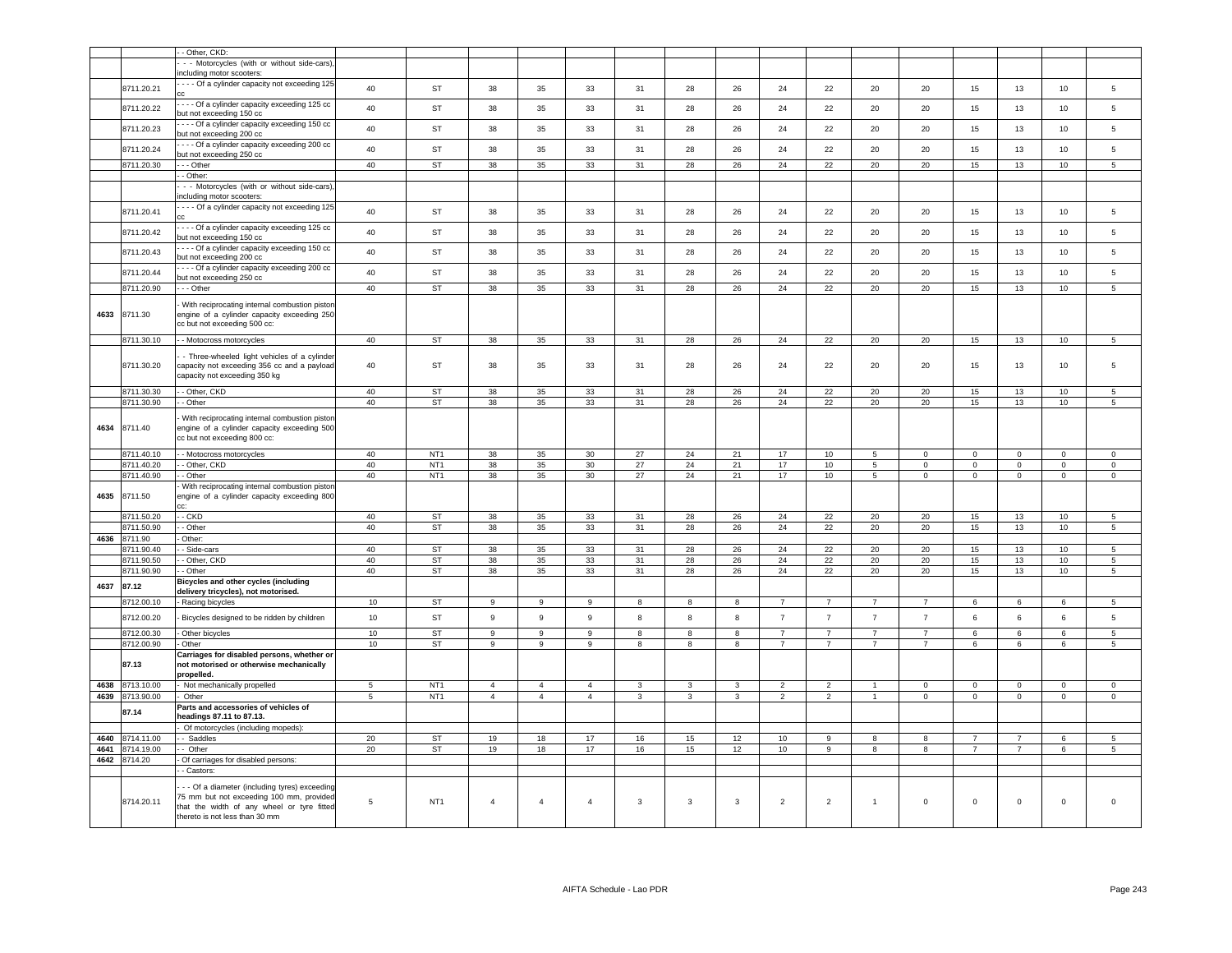|      |                          | - Other, CKD:                                                                                                                           |                |                        |                     |                |                     |              |        |              |                                  |                                  |                                  |                                  |                |                |             |                     |
|------|--------------------------|-----------------------------------------------------------------------------------------------------------------------------------------|----------------|------------------------|---------------------|----------------|---------------------|--------------|--------|--------------|----------------------------------|----------------------------------|----------------------------------|----------------------------------|----------------|----------------|-------------|---------------------|
|      |                          | - - Motorcycles (with or without side-cars).                                                                                            |                |                        |                     |                |                     |              |        |              |                                  |                                  |                                  |                                  |                |                |             |                     |
|      |                          | including motor scooters:                                                                                                               |                |                        |                     |                |                     |              |        |              |                                  |                                  |                                  |                                  |                |                |             |                     |
|      | 8711.20.21               | - - - Of a cylinder capacity not exceeding 125                                                                                          | 40             | <b>ST</b>              | 38                  | 35             | 33                  | 31           | 28     | 26           | 24                               | 22                               | 20                               | 20                               | 15             | 13             | 10          | 5                   |
|      | 8711.20.22               | --- Of a cylinder capacity exceeding 125 cc<br>but not exceeding 150 cc                                                                 | 40             | ST                     | 38                  | 35             | 33                  | 31           | 28     | 26           | 24                               | 22                               | 20                               | 20                               | 15             | 13             | 10          | 5                   |
|      | 8711.20.23               | --- Of a cylinder capacity exceeding 150 cc<br>but not exceeding 200 cc                                                                 | 40             | ST                     | 38                  | 35             | 33                  | 31           | 28     | 26           | 24                               | 22                               | 20                               | 20                               | 15             | 13             | 10          | 5                   |
|      | 8711.20.24               | ---- Of a cylinder capacity exceeding 200 cc<br>but not exceeding 250 cc                                                                | 40             | <b>ST</b>              | 38                  | 35             | 33                  | 31           | 28     | 26           | 24                               | 22                               | 20                               | 20                               | 15             | 13             | 10          | 5                   |
|      | 8711.20.30               | -- Other                                                                                                                                | 40             | ST                     | 38                  | 35             | 33                  | 31           | 28     | 26           | 24                               | 22                               | 20                               | 20                               | 15             | 13             | 10          | $5\phantom{.0}$     |
|      |                          | - Other:                                                                                                                                |                |                        |                     |                |                     |              |        |              |                                  |                                  |                                  |                                  |                |                |             |                     |
|      |                          | - - Motorcycles (with or without side-cars).<br>ncluding motor scooters:                                                                |                |                        |                     |                |                     |              |        |              |                                  |                                  |                                  |                                  |                |                |             |                     |
|      | 8711.20.41               | --- Of a cylinder capacity not exceeding 125                                                                                            | 40             | ST                     | 38                  | 35             | 33                  | 31           | 28     | 26           | 24                               | 22                               | 20                               | 20                               | 15             | 13             | 10          | 5                   |
|      | 8711.20.42               | --- Of a cylinder capacity exceeding 125 cc<br>out not exceeding 150 cc                                                                 | 40             | ST                     | 38                  | 35             | 33                  | 31           | 28     | 26           | 24                               | 22                               | 20                               | 20                               | 15             | 13             | 10          | 5                   |
|      | 8711.20.43               | --- Of a cylinder capacity exceeding 150 cc<br>but not exceeding 200 cc                                                                 | 40             | ST                     | 38                  | 35             | 33                  | 31           | 28     | 26           | 24                               | 22                               | 20                               | 20                               | 15             | 13             | 10          | 5                   |
|      | 8711.20.44               | --- Of a cylinder capacity exceeding 200 cc<br>but not exceeding 250 cc                                                                 | 40             | ST                     | 38                  | 35             | 33                  | 31           | 28     | 26           | 24                               | 22                               | 20                               | 20                               | 15             | 13             | 10          | 5                   |
|      | 8711.20.90               | - - - Other                                                                                                                             | 40             | ST                     | 38                  | 35             | 33                  | 31           | 28     | 26           | 24                               | 22                               | 20                               | 20                               | 15             | 13             | 10          | 5                   |
| 4633 | 8711.30                  | With reciprocating internal combustion piston<br>engine of a cylinder capacity exceeding 250<br>cc but not exceeding 500 cc:            |                |                        |                     |                |                     |              |        |              |                                  |                                  |                                  |                                  |                |                |             |                     |
|      | 8711.30.10               | - - Motocross motorcycles                                                                                                               | 40             | <b>ST</b>              | 38                  | 35             | 33                  | 31           | 28     | 26           | 24                               | 22                               | 20                               | 20                               | 15             | 13             | 10          | $\overline{5}$      |
|      | 8711.30.20               | - Three-wheeled light vehicles of a cylinder<br>capacity not exceeding 356 cc and a payload<br>capacity not exceeding 350 kg            | 40             | ST                     | 38                  | 35             | 33                  | 31           | 28     | 26           | 24                               | 22                               | 20                               | 20                               | 15             | 13             | 10          | 5                   |
|      | 8711.30.30               | - - Other, CKD                                                                                                                          | 40             | <b>ST</b>              | 38                  | 35             | 33                  | 31           | 28     | 26           | 24                               | 22                               | 20                               | 20                               | 15             | 13             | 10          | 5                   |
|      | 3711.30.90               | - Other                                                                                                                                 | 40             | <b>ST</b>              | 38                  | 35             | 33                  | 31           | 28     | 26           | 24                               | 22                               | 20                               | 20                               | 15             | 13             | 10          | 5                   |
| 4634 | 8711.40                  | With reciprocating internal combustion piston<br>engine of a cylinder capacity exceeding 500<br>cc but not exceeding 800 cc:            |                |                        |                     |                |                     |              |        |              |                                  |                                  |                                  |                                  |                |                |             |                     |
|      | 8711.40.10               | - - Motocross motorcycles                                                                                                               | 40             | NT <sub>1</sub>        | 38                  | 35             | 30                  | 27           | 24     | 21           | 17                               | 10 <sub>1</sub>                  | $5\phantom{.0}$                  | $\mathsf 0$                      | $\mathbf 0$    | $\mathsf 0$    | $\mathsf 0$ | $\mathsf 0$         |
|      | 8711.40.20               | - - Other, CKD                                                                                                                          | 40             | NT <sub>1</sub>        | 38                  | 35             | 30                  | 27           | 24     | 21           | 17                               | 10                               | $5\phantom{.0}$                  | $\mathsf 0$                      | $\mathsf 0$    | $\mathsf 0$    | $\Omega$    | $\Omega$            |
|      | 8711.40.90               | - - Other                                                                                                                               | 40             | NT <sub>1</sub>        | 38                  | 35             | $30\,$              | 27           | 24     | 21           | 17                               | 10                               | $5\phantom{.0}$                  | $\mathsf 0$                      | $\mathsf 0$    | $\mathbf 0$    | $\mathbf 0$ | $\mathsf 0$         |
| 4635 | 8711.50                  | With reciprocating internal combustion pistor<br>engine of a cylinder capacity exceeding 800<br>CC:                                     |                |                        |                     |                |                     |              |        |              |                                  |                                  |                                  |                                  |                |                |             |                     |
|      | 8711.50.20               | - - CKD                                                                                                                                 | 40             | ST                     | 38                  | 35             | 33                  | 31           | 28     | 26           | 24                               | 22                               | 20                               | 20                               | 15             | 13             | 10          | 5                   |
|      | 8711.50.90               | - Other                                                                                                                                 | 40             | ST                     | 38                  | 35             | 33                  | 31           | 28     | 26           | 24                               | 22                               | 20                               | 20                               | 15             | 13             | 10          | 5                   |
| 4636 | 8711.90                  | Other:                                                                                                                                  |                |                        |                     |                |                     |              |        |              |                                  |                                  |                                  |                                  |                |                |             |                     |
|      | 3711.90.40               | - Side-cars                                                                                                                             | 40             | <b>ST</b>              | 38                  | 35             | 33                  | 31           | 28     | 26           | 24                               | 22                               | 20                               | 20                               | 15             | 13             | 10          | $5^{\circ}$         |
|      | 3711.90.50               | - Other, CKD                                                                                                                            | 40             | <b>ST</b>              | 38                  | 35             | 33                  | 31           | 28     | 26           | 24                               | 22                               | 20                               | 20                               | 15             | 13             | 10          | 5                   |
|      | 9711.90.90               | - Other                                                                                                                                 | 40             | <b>ST</b>              | 38                  | 35             | 33                  | 31           | 28     | 26           | 24                               | 22                               | 20                               | 20                               | 15             | 13             | 10          | $\overline{5}$      |
| 4637 | 87.12                    | Bicycles and other cycles (including<br>delivery tricycles), not motorised.                                                             |                |                        |                     |                |                     |              |        |              |                                  |                                  |                                  | $\overline{7}$                   |                |                |             |                     |
|      | 3712.00.10               | - Racing bicycles                                                                                                                       | 10             | ST                     | 9                   | 9              | 9                   | 8            | 8      | 8            | $\overline{7}$                   | $\overline{7}$                   | $\overline{7}$                   |                                  | 6              | 6              | 6           | 5                   |
|      | 8712.00.20<br>3712.00.30 | Bicycles designed to be ridden by children<br>- Other bicycles                                                                          | 10<br>10       | <b>ST</b><br><b>ST</b> | $\overline{9}$<br>9 | 9<br>9         | $\overline{9}$<br>9 | 8<br>8       | 8<br>8 | 8<br>8       | $\overline{7}$<br>$\overline{7}$ | $\overline{7}$<br>$\overline{7}$ | $\overline{7}$<br>$\overline{7}$ | $\overline{7}$<br>$\overline{7}$ | 6<br>6         | 6<br>6         | 6<br>6      | 5<br>5              |
|      | 3712.00.90               | - Other                                                                                                                                 | 10             | <b>ST</b>              | 9                   | 9              | 9                   | 8            | 8      | 8            | $\overline{7}$                   | $\overline{7}$                   | $\overline{7}$                   | $\overline{7}$                   | 6              | 6              | 6           | 5                   |
|      | 87.13                    | Carriages for disabled persons, whether or<br>not motorised or otherwise mechanically<br>propelled.                                     |                |                        |                     |                |                     |              |        |              |                                  |                                  |                                  |                                  |                |                |             |                     |
| 4638 | 3713.10.00               | - Not mechanically propelled                                                                                                            | $\overline{5}$ | NT <sub>1</sub>        | $\overline{4}$      | $\overline{4}$ | $\overline{4}$      | 3            | 3      | $\mathbf{3}$ | $\overline{2}$                   | $\overline{2}$                   |                                  | $\Omega$                         | $\mathbf 0$    | $\Omega$       | $\Omega$    | $\Omega$            |
| 4639 | 8713.90.00               | Other                                                                                                                                   | 5              | NT <sub>1</sub>        | $\overline{4}$      | $\overline{4}$ | $\overline{4}$      | $\mathbf{3}$ | 3      | $\mathbf{3}$ | $\overline{2}$                   | $\overline{2}$                   | $\overline{1}$                   | $\mathbf 0$                      | $\mathbf 0$    | $\mathbf 0$    | $\mathbf 0$ | $\mathsf 0$         |
|      | 87.14                    | Parts and accessories of vehicles of<br>headings 87.11 to 87.13.                                                                        |                |                        |                     |                |                     |              |        |              |                                  |                                  |                                  |                                  |                |                |             |                     |
| 4640 | 3714.11.00               | Of motorcycles (including mopeds):<br>- Saddles                                                                                         | 20             | <b>ST</b>              | 19                  | 18             | 17                  | 16           | 15     | 12           | 10                               | 9                                | 8                                | 8                                | $\overline{7}$ | $\overline{7}$ | 6           | 5                   |
| 4641 | 3714.19.00               | Other                                                                                                                                   | 20             | <b>ST</b>              | 19                  | 18             | 17                  | 16           | 15     | 12           | 10                               | 9                                | 8                                | 8                                | $\overline{7}$ | $\overline{7}$ | 6           | 5                   |
| 4642 | 8714.20                  | Of carriages for disabled persons:                                                                                                      |                |                        |                     |                |                     |              |        |              |                                  |                                  |                                  |                                  |                |                |             |                     |
|      |                          | - Castors:                                                                                                                              |                |                        |                     |                |                     |              |        |              |                                  |                                  |                                  |                                  |                |                |             |                     |
|      | 8714.20.11               | - - Of a diameter (including tyres) exceeding<br>75 mm but not exceeding 100 mm, provided<br>that the width of any wheel or tyre fitted | 5              | NT <sub>1</sub>        | $\overline{4}$      | $\overline{4}$ | $\overline{4}$      | $\mathbf{3}$ | 3      | $\mathbf{3}$ | $\overline{2}$                   | $\overline{2}$                   | $\overline{1}$                   | $\mathbf 0$                      | $\mathbf 0$    | $\mathbf 0$    | $\mathbf 0$ | $\mathsf{O}\xspace$ |
|      |                          | thereto is not less than 30 mm                                                                                                          |                |                        |                     |                |                     |              |        |              |                                  |                                  |                                  |                                  |                |                |             |                     |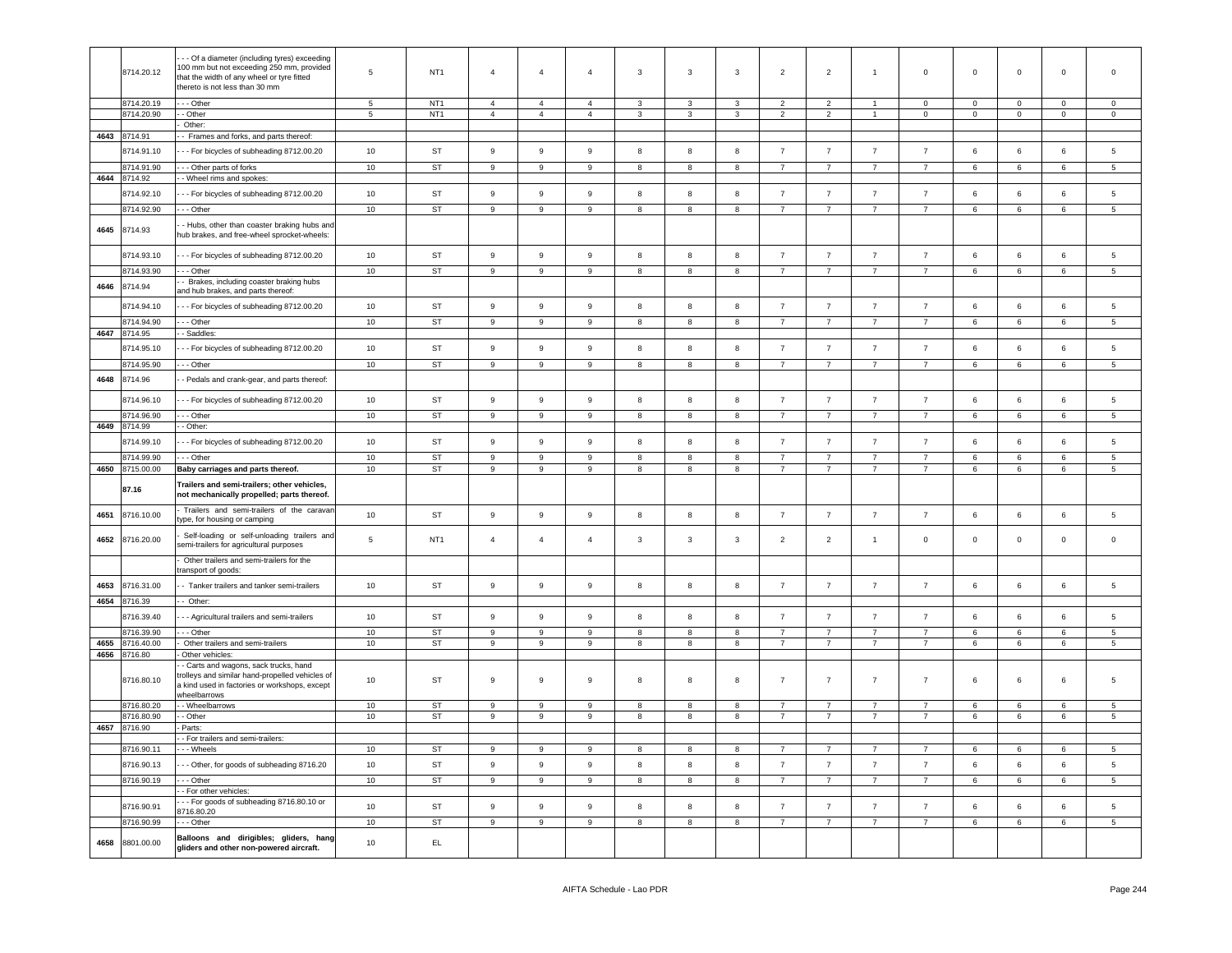|      | 8714.20.12               | - - Of a diameter (including tyres) exceeding<br>100 mm but not exceeding 250 mm, provided<br>that the width of any wheel or tyre fitted<br>thereto is not less than 30 mm | 5                   | NT <sub>1</sub> | $\overline{4}$   | $\overline{4}$                   | $\overline{4}$   | 3                 | 3                       | 3                       | $\overline{2}$                   | $\overline{2}$                  | $\overline{1}$                   | $\mathsf 0$                      | $\overline{0}$  | $\mathbf 0$ | $\mathbf 0$ | $\mathbf 0$     |
|------|--------------------------|----------------------------------------------------------------------------------------------------------------------------------------------------------------------------|---------------------|-----------------|------------------|----------------------------------|------------------|-------------------|-------------------------|-------------------------|----------------------------------|---------------------------------|----------------------------------|----------------------------------|-----------------|-------------|-------------|-----------------|
|      | 8714.20.19               | - - Other                                                                                                                                                                  | 5<br>$\overline{5}$ | NT <sub>1</sub> | $\overline{4}$   | $\overline{4}$<br>$\overline{4}$ | $\overline{4}$   | 3<br>$\mathbf{3}$ | 3                       | 3<br>$\mathbf{3}$       | $\overline{2}$<br>$\overline{2}$ | $\overline{2}$<br>$\mathcal{P}$ | $\overline{1}$                   | $\mathsf 0$                      | $\mathbf 0$     | $\mathbf 0$ | $\mathbf 0$ | $\mathbf 0$     |
|      | 8714.20.90               | - Other<br>Other:                                                                                                                                                          |                     | NT <sub>1</sub> | $\overline{4}$   |                                  | $\overline{4}$   |                   | 3                       |                         |                                  |                                 |                                  | $\mathsf 0$                      | $\mathbf 0$     | $\mathbf 0$ | $\mathsf 0$ | $\mathsf 0$     |
|      | 4643 8714.91             | - Frames and forks, and parts thereof:                                                                                                                                     |                     |                 |                  |                                  |                  |                   |                         |                         |                                  |                                 |                                  |                                  |                 |             |             |                 |
|      |                          |                                                                                                                                                                            |                     | ST              | $\boldsymbol{9}$ | 9                                | $\boldsymbol{9}$ | 8                 | 8                       | 8                       | $\overline{7}$                   | $\overline{7}$                  | $\overline{7}$                   | $\overline{7}$                   |                 |             | 6           |                 |
|      | 8714.91.10               | - - For bicycles of subheading 8712.00.20                                                                                                                                  | 10                  |                 |                  |                                  |                  |                   |                         |                         |                                  |                                 |                                  |                                  | 6               | 6           |             | 5               |
| 4644 | 8714.91.90<br>8714.92    | - Other parts of forks<br>- Wheel rims and spokes:                                                                                                                         | 10                  | ST              | $\mathsf g$      | 9                                | $\boldsymbol{9}$ | $\mathbf{8}$      | $\mathbf{g}$            | 8                       | $\overline{7}$                   | $\overline{7}$                  | $\overline{7}$                   | $\overline{7}$                   | 6               | 6           | 6           | 5               |
|      |                          |                                                                                                                                                                            |                     |                 |                  |                                  |                  |                   |                         |                         |                                  |                                 |                                  |                                  |                 |             |             |                 |
|      | 8714.92.10               | - - For bicycles of subheading 8712.00.20                                                                                                                                  | 10                  | ST              | $\mathsf g$      | $\mathsf g$                      | $\boldsymbol{9}$ | 8                 | 8                       | 8                       | $\overline{7}$                   | $\overline{7}$                  | $\overline{7}$                   | $\overline{7}$                   | $\,6\,$         | 6           | 6           | 5               |
|      | 8714.92.90               | - - Other                                                                                                                                                                  | 10                  | ST              | $\boldsymbol{9}$ | 9                                | 9                | $\boldsymbol{8}$  | 8                       | 8                       | $\overline{7}$                   | $\overline{7}$                  | $\overline{7}$                   | $\overline{7}$                   | 6               | 6           | 6           | $5\phantom{.0}$ |
| 4645 | 8714.93                  | - Hubs, other than coaster braking hubs and<br>hub brakes, and free-wheel sprocket-wheels:                                                                                 |                     |                 |                  |                                  |                  |                   |                         |                         |                                  |                                 |                                  |                                  |                 |             |             |                 |
|      | 8714.93.10               | --- For bicycles of subheading 8712.00.20                                                                                                                                  | 10                  | ST              | 9                | 9                                | $\boldsymbol{9}$ | 8                 | 8                       | 8                       | $\overline{7}$                   | $\overline{7}$                  | $\overline{7}$                   | $\overline{7}$                   | 6               | 6           | 6           | 5               |
|      | 8714.93.90               | $-$ Other                                                                                                                                                                  | 10                  | <b>ST</b>       | 9                | $\mathsf g$                      | $\mathsf g$      | 8                 | 8                       | 8                       | $\overline{7}$                   | $\overline{7}$                  | $\overline{7}$                   | $\overline{7}$                   | 6               | 6           | 6           | 5               |
| 4646 | 8714.94                  | - Brakes, including coaster braking hubs                                                                                                                                   |                     |                 |                  |                                  |                  |                   |                         |                         |                                  |                                 |                                  |                                  |                 |             |             |                 |
|      |                          | and hub brakes, and parts thereof:                                                                                                                                         |                     |                 |                  |                                  |                  |                   |                         |                         |                                  |                                 |                                  |                                  |                 |             |             |                 |
|      | 8714.94.10               | - - For bicycles of subheading 8712.00.20                                                                                                                                  | 10                  | ST              | 9                | 9                                | 9                | 8                 | 8                       | 8                       | $\overline{7}$                   | $\overline{7}$                  | $\overline{7}$                   | $\overline{7}$                   | 6               | 6           | 6           | 5               |
|      | 8714.94.90               | - - Other                                                                                                                                                                  | 10                  | ST              | 9                | $\boldsymbol{9}$                 | $\boldsymbol{9}$ | 8                 | 8                       | 8                       | $\overline{7}$                   | $\overline{7}$                  | $\overline{7}$                   | $\overline{7}$                   | 6               | 6           | 6           | 5               |
| 4647 | 8714.95                  | - Saddles:                                                                                                                                                                 |                     |                 |                  |                                  |                  |                   |                         |                         |                                  |                                 |                                  |                                  |                 |             |             |                 |
|      | 8714.95.10               | - - For bicycles of subheading 8712.00.20                                                                                                                                  | 10                  | ST              | $\mathsf g$      | $\boldsymbol{9}$                 | $\boldsymbol{9}$ | 8                 | 8                       | 8                       | $\overline{7}$                   | $\overline{7}$                  | $\overline{7}$                   | $\overline{7}$                   | 6               | 6           | 6           | 5               |
|      | 8714.95.90               | - - Other                                                                                                                                                                  | 10                  | <b>ST</b>       | $\boldsymbol{9}$ | $\overline{9}$                   | $\boldsymbol{9}$ | $\boldsymbol{8}$  | $\overline{\mathbf{8}}$ | $\overline{\mathbf{8}}$ | $\overline{7}$                   | $\overline{7}$                  | $\overline{7}$                   | $\overline{7}$                   | $6\overline{6}$ | $\,6\,$     | 6           | 5               |
| 4648 | 8714.96                  | - Pedals and crank-gear, and parts thereof:                                                                                                                                |                     |                 |                  |                                  |                  |                   |                         |                         |                                  |                                 |                                  |                                  |                 |             |             |                 |
|      |                          |                                                                                                                                                                            |                     |                 |                  |                                  |                  |                   |                         |                         |                                  |                                 |                                  |                                  |                 |             |             |                 |
|      | 8714.96.10<br>8714.96.90 | - - For bicycles of subheading 8712.00.20<br>- - Other                                                                                                                     | 10                  | ST              | 9                | 9                                | 9<br>9           | 8                 | 8                       | 8                       | $\overline{7}$<br>$\overline{7}$ | $\overline{7}$                  | $\overline{7}$<br>$\overline{7}$ | $\overline{7}$<br>$\overline{7}$ | 6               | 6           | 6<br>6      | 5               |
|      | 4649 8714.99             | - Other:                                                                                                                                                                   | 10                  | ST              | 9                | 9                                |                  | 8                 | 8                       | 8                       |                                  | $\overline{7}$                  |                                  |                                  | 6               | 6           |             | $5\phantom{.0}$ |
|      |                          |                                                                                                                                                                            |                     |                 |                  |                                  |                  |                   |                         |                         |                                  |                                 |                                  |                                  |                 |             |             |                 |
|      | 8714.99.10               | - - For bicycles of subheading 8712.00.20                                                                                                                                  | 10                  | ST              | 9                | $\mathsf g$                      | $\boldsymbol{9}$ | 8                 | 8                       | 8                       | $\overline{7}$                   | $\overline{7}$                  | $\overline{7}$                   | $\overline{7}$                   | 6               | 6           | 6           | 5               |
|      | 8714.99.90               | - - Other                                                                                                                                                                  | 10                  | <b>ST</b>       | $\overline{9}$   | 9                                | $\boldsymbol{9}$ | 8                 | 8                       | 8                       | $\overline{7}$                   | $\overline{7}$                  | $\overline{7}$                   | $\overline{7}$                   | 6               | 6           | 6           | 5               |
|      |                          |                                                                                                                                                                            |                     |                 |                  |                                  |                  |                   |                         |                         |                                  |                                 |                                  |                                  |                 |             |             |                 |
| 4650 | 8715.00.00               | Baby carriages and parts thereof.                                                                                                                                          | 10                  | <b>ST</b>       | 9                | 9                                | 9                | 8                 | 8                       | 8                       | $\overline{7}$                   | $\overline{7}$                  | $\overline{7}$                   | $\overline{7}$                   | 6               | 6           | 6           | 5               |
|      | 87.16                    | Trailers and semi-trailers; other vehicles,<br>not mechanically propelled; parts thereof.                                                                                  |                     |                 |                  |                                  |                  |                   |                         |                         |                                  |                                 |                                  |                                  |                 |             |             |                 |
| 4651 | 8716.10.00               | Trailers and semi-trailers of the caravan<br>type, for housing or camping                                                                                                  | 10                  | ST              | 9                | $\boldsymbol{9}$                 | 9                | 8                 | 8                       | 8                       | $\overline{7}$                   | $\overline{7}$                  | $\overline{7}$                   | $\overline{7}$                   | 6               | 6           | 6           | 5               |
| 4652 | 8716.20.00               | Self-loading or self-unloading trailers and<br>semi-trailers for agricultural purposes                                                                                     | $\,$ 5 $\,$         | NT <sub>1</sub> | $\overline{4}$   | $\overline{4}$                   | $\overline{4}$   | $\mathbf{3}$      | 3                       | $\mathbf{3}$            | $\overline{2}$                   | $\overline{2}$                  | $\overline{1}$                   | $\mathsf 0$                      | $\mathsf 0$     | $\mathsf 0$ | $\mathsf 0$ | $\mathsf 0$     |
|      |                          | Other trailers and semi-trailers for the                                                                                                                                   |                     |                 |                  |                                  |                  |                   |                         |                         |                                  |                                 |                                  |                                  |                 |             |             |                 |
|      |                          | ransport of goods:                                                                                                                                                         | 10                  |                 | $\mathsf g$      | 9                                | $\boldsymbol{9}$ | 8                 | 8                       | 8                       |                                  | $\overline{7}$                  | $\overline{7}$                   | $\overline{7}$                   | 6               | 6           | 6           | 5               |
| 4653 | 8716.31.00               | - Tanker trailers and tanker semi-trailers                                                                                                                                 |                     | ST              |                  |                                  |                  |                   |                         |                         | $\overline{7}$                   |                                 |                                  |                                  |                 |             |             |                 |
|      | 4654 8716.39             | - Other:                                                                                                                                                                   |                     |                 |                  |                                  |                  |                   |                         |                         |                                  |                                 |                                  |                                  |                 |             |             |                 |
|      | 8716.39.40               | - - Agricultural trailers and semi-trailers                                                                                                                                | 10                  | ST              | $\boldsymbol{9}$ | 9                                | $\boldsymbol{9}$ | 8                 | 8                       | 8                       | $\overline{7}$                   | $\overline{7}$                  | $\overline{7}$                   | $\overline{7}$                   | 6               | $\,6\,$     | 6           | $5^{\circ}$     |
|      | 3716.39.90               | - - Other                                                                                                                                                                  | 10                  | <b>ST</b>       | $\overline{9}$   | 9                                | 9                | 8                 | 8                       | 8                       | $\overline{7}$                   | $\overline{7}$                  | $\overline{7}$                   | $\overline{7}$                   | 6               | 6           | 6           | 5               |
| 4655 | 3716.40.00               | Other trailers and semi-trailers                                                                                                                                           | 10                  | <b>ST</b>       | 9                | 9                                | $\boldsymbol{9}$ | 8                 | 8                       | 8                       | $\overline{7}$                   | $\overline{7}$                  | $\overline{7}$                   | $\overline{7}$                   | 6               | 6           | 6           | 5               |
| 4656 | 8716.80<br>8716.80.10    | Other vehicles:<br>- Carts and wagons, sack trucks, hand<br>rolleys and similar hand-propelled vehicles of<br>a kind used in factories or workshops, except                | 10                  | ST              | 9                | 9                                | 9                | 8                 | 8                       | 8                       | $\overline{7}$                   | $\overline{7}$                  | $\overline{7}$                   | $\overline{7}$                   | 6               | 6           | 6           | 5               |
|      |                          | wheelbarrows                                                                                                                                                               |                     |                 |                  |                                  |                  |                   |                         |                         |                                  |                                 |                                  |                                  |                 |             |             |                 |
|      | 8716.80.20               | - Wheelbarrows                                                                                                                                                             | 10                  | ST              | 9                | 9                                | 9                | 8                 | 8                       | 8                       | $\overline{7}$                   | $\overline{7}$                  | $\overline{7}$                   | $\overline{7}$                   | 6               | 6           | 6           | 5               |
| 4657 | 8716.80.90<br>8716.90    | - Other<br>Parts:                                                                                                                                                          | 10                  | ST              | 9                | 9                                | 9                | 8                 | 8                       | 8                       | $\overline{7}$                   | $\overline{7}$                  | $7^{\circ}$                      | $\overline{7}$                   | 6               | 6           | 6           | $5\overline{5}$ |
|      |                          | - For trailers and semi-trailers:                                                                                                                                          |                     |                 |                  |                                  |                  |                   |                         |                         |                                  |                                 |                                  |                                  |                 |             |             |                 |
|      | 8716.90.11               | Wheels                                                                                                                                                                     | 10                  | <b>ST</b>       | 9                | 9                                | 9                | 8                 | 8                       | 8                       | $\overline{7}$                   | $\overline{7}$                  | $\overline{7}$                   | $\overline{7}$                   | 6               | 6           | 6           | 5               |
|      | 8716.90.13               | - - Other, for goods of subheading 8716.20                                                                                                                                 | 10                  | ST              | 9                | 9                                | 9                | $\boldsymbol{8}$  | 8                       | 8                       | $\overline{7}$                   | $\overline{7}$                  | $\overline{7}$                   | $\overline{7}$                   | 6               | 6           | 6           | 5               |
|      | 8716.90.19               | - - Other                                                                                                                                                                  | 10                  | ST              | 9                | 9                                | $\boldsymbol{9}$ | $\boldsymbol{8}$  | 8                       | 8                       | $\overline{7}$                   | $\overline{7}$                  | 7                                | $\overline{7}$                   | 6               | 6           | 6           | $5\phantom{.0}$ |
|      |                          | - For other vehicles:                                                                                                                                                      |                     |                 |                  |                                  |                  |                   |                         |                         |                                  |                                 |                                  |                                  |                 |             |             |                 |
|      | 8716.90.91               | -- For goods of subheading 8716.80.10 or<br>8716.80.20                                                                                                                     | 10                  | ST              | $\mathsf g$      | $\mathsf g$                      | $\boldsymbol{9}$ | $\boldsymbol{8}$  | 8                       | 8                       | $\overline{7}$                   | $\overline{7}$                  | $\overline{7}$                   | $\overline{7}$                   | 6               | 6           | 6           | 5               |
|      | 8716.90.99               | - - Other                                                                                                                                                                  | 10                  | ST              | 9                | $\boldsymbol{9}$                 | $\boldsymbol{9}$ | 8                 | 8                       | 8                       | $\overline{7}$                   | $\overline{7}$                  | $\overline{7}$                   | $\overline{7}$                   | 6               | 6           | 6           | $5\phantom{.0}$ |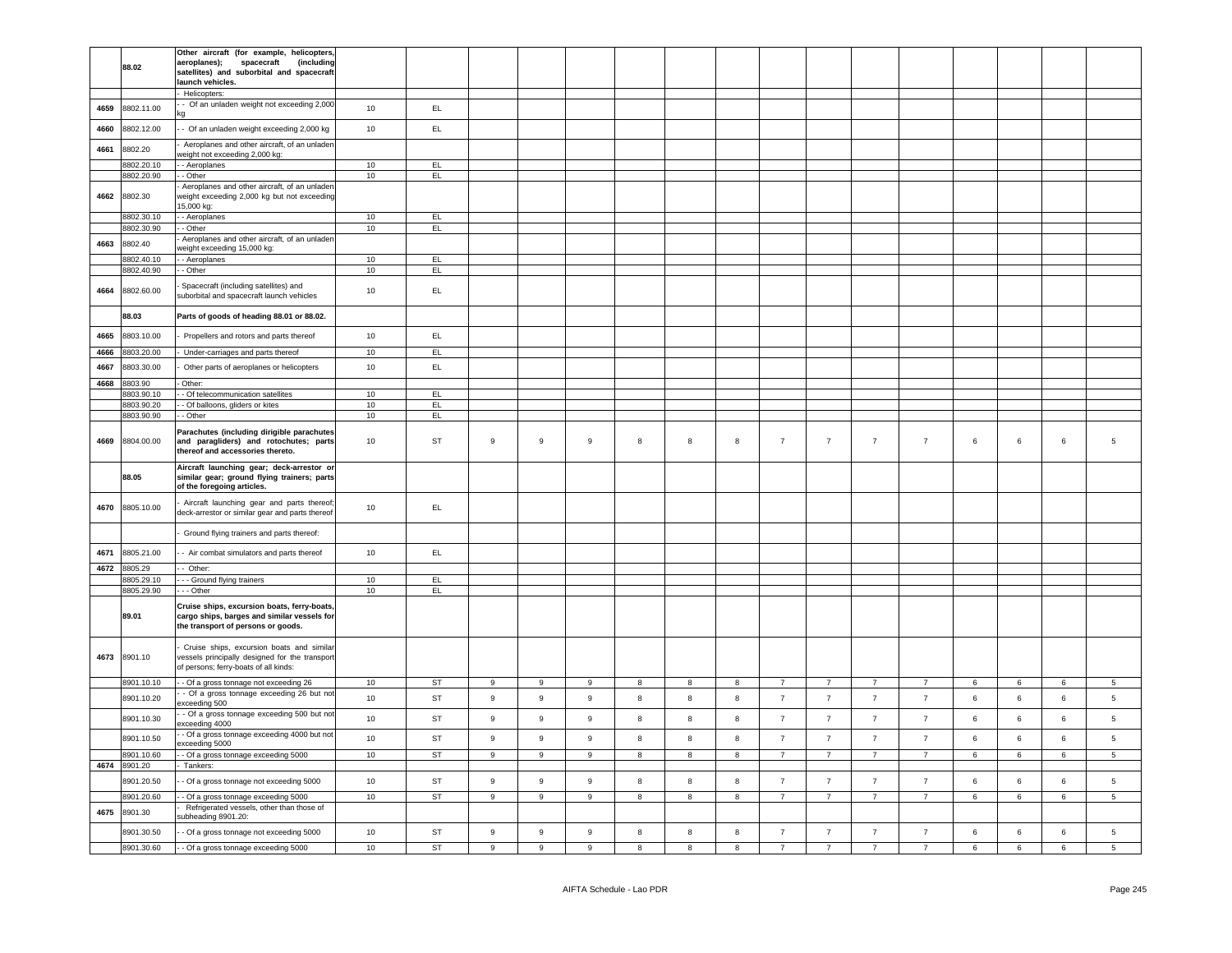|      |              | Other aircraft (for example, helicopters        |        |           |                  |                  |                  |            |              |   |                |                |                |                |                |   |                |                 |
|------|--------------|-------------------------------------------------|--------|-----------|------------------|------------------|------------------|------------|--------------|---|----------------|----------------|----------------|----------------|----------------|---|----------------|-----------------|
|      | 88.02        | aeroplanes);<br>(including<br>spacecraft        |        |           |                  |                  |                  |            |              |   |                |                |                |                |                |   |                |                 |
|      |              | satellites) and suborbital and spacecraft       |        |           |                  |                  |                  |            |              |   |                |                |                |                |                |   |                |                 |
|      |              | launch vehicles.                                |        |           |                  |                  |                  |            |              |   |                |                |                |                |                |   |                |                 |
|      |              |                                                 |        |           |                  |                  |                  |            |              |   |                |                |                |                |                |   |                |                 |
|      |              | Helicopters:                                    |        |           |                  |                  |                  |            |              |   |                |                |                |                |                |   |                |                 |
| 4659 | 8802.11.00   | - Of an unladen weight not exceeding 2,000      | 10     | EL.       |                  |                  |                  |            |              |   |                |                |                |                |                |   |                |                 |
|      |              |                                                 |        |           |                  |                  |                  |            |              |   |                |                |                |                |                |   |                |                 |
|      |              |                                                 |        |           |                  |                  |                  |            |              |   |                |                |                |                |                |   |                |                 |
| 4660 | 8802.12.00   | - Of an unladen weight exceeding 2,000 kg       | 10     | EL.       |                  |                  |                  |            |              |   |                |                |                |                |                |   |                |                 |
|      |              | Aeroplanes and other aircraft, of an unlader    |        |           |                  |                  |                  |            |              |   |                |                |                |                |                |   |                |                 |
| 4661 | 8802.20      | veight not exceeding 2,000 kg:                  |        |           |                  |                  |                  |            |              |   |                |                |                |                |                |   |                |                 |
|      |              |                                                 |        |           |                  |                  |                  |            |              |   |                |                |                |                |                |   |                |                 |
|      | 8802.20.10   | - Aeroplanes                                    | 10     | EL        |                  |                  |                  |            |              |   |                |                |                |                |                |   |                |                 |
|      | 8802.20.90   | Other                                           | 10     | EL        |                  |                  |                  |            |              |   |                |                |                |                |                |   |                |                 |
|      |              | Aeroplanes and other aircraft, of an unlader    |        |           |                  |                  |                  |            |              |   |                |                |                |                |                |   |                |                 |
| 4662 | 8802.30      | veight exceeding 2,000 kg but not exceeding     |        |           |                  |                  |                  |            |              |   |                |                |                |                |                |   |                |                 |
|      |              | 5,000 kg:                                       |        |           |                  |                  |                  |            |              |   |                |                |                |                |                |   |                |                 |
|      |              |                                                 |        |           |                  |                  |                  |            |              |   |                |                |                |                |                |   |                |                 |
|      | 8802.30.10   | - Aeroplanes                                    | 10     | EL.       |                  |                  |                  |            |              |   |                |                |                |                |                |   |                |                 |
|      | 8802.30.90   | - Other                                         | 10     | EL        |                  |                  |                  |            |              |   |                |                |                |                |                |   |                |                 |
|      |              | Aeroplanes and other aircraft, of an unlader    |        |           |                  |                  |                  |            |              |   |                |                |                |                |                |   |                |                 |
| 4663 | 8802.40      | eight exceeding 15,000 kg:                      |        |           |                  |                  |                  |            |              |   |                |                |                |                |                |   |                |                 |
|      | 8802.40.10   |                                                 |        |           |                  |                  |                  |            |              |   |                |                |                |                |                |   |                |                 |
|      |              | - Aeroplanes                                    | 10     | EL.       |                  |                  |                  |            |              |   |                |                |                |                |                |   |                |                 |
|      | 8802.40.90   | - Other                                         | 10     | EL        |                  |                  |                  |            |              |   |                |                |                |                |                |   |                |                 |
|      |              |                                                 |        |           |                  |                  |                  |            |              |   |                |                |                |                |                |   |                |                 |
| 4664 | 8802.60.00   | Spacecraft (including satellites) and           | $10$   | EL        |                  |                  |                  |            |              |   |                |                |                |                |                |   |                |                 |
|      |              | suborbital and spacecraft launch vehicles       |        |           |                  |                  |                  |            |              |   |                |                |                |                |                |   |                |                 |
|      |              |                                                 |        |           |                  |                  |                  |            |              |   |                |                |                |                |                |   |                |                 |
|      | 88.03        | Parts of goods of heading 88.01 or 88.02.       |        |           |                  |                  |                  |            |              |   |                |                |                |                |                |   |                |                 |
|      |              |                                                 |        |           |                  |                  |                  |            |              |   |                |                |                |                |                |   |                |                 |
| 4665 | 8803.10.00   | Propellers and rotors and parts thereof         | 10     | EL.       |                  |                  |                  |            |              |   |                |                |                |                |                |   |                |                 |
|      |              |                                                 |        |           |                  |                  |                  |            |              |   |                |                |                |                |                |   |                |                 |
| 4666 | 8803.20.00   | Under-carriages and parts thereof               | 10     | EL.       |                  |                  |                  |            |              |   |                |                |                |                |                |   |                |                 |
|      |              |                                                 |        |           |                  |                  |                  |            |              |   |                |                |                |                |                |   |                |                 |
| 4667 | 8803.30.00   | Other parts of aeroplanes or helicopters        | 10     | EL.       |                  |                  |                  |            |              |   |                |                |                |                |                |   |                |                 |
| 4668 | 8803.90      | Other:                                          |        |           |                  |                  |                  |            |              |   |                |                |                |                |                |   |                |                 |
|      |              |                                                 |        |           |                  |                  |                  |            |              |   |                |                |                |                |                |   |                |                 |
|      | 8803.90.10   | - Of telecommunication satellites               | 10     | EL        |                  |                  |                  |            |              |   |                |                |                |                |                |   |                |                 |
|      | 8803.90.20   | - Of balloons, gliders or kites                 | 10     | EL        |                  |                  |                  |            |              |   |                |                |                |                |                |   |                |                 |
|      | 8803.90.90   | - Other                                         | 10     | EL        |                  |                  |                  |            |              |   |                |                |                |                |                |   |                |                 |
|      |              |                                                 |        |           |                  |                  |                  |            |              |   |                |                |                |                |                |   |                |                 |
|      |              | Parachutes (including dirigible parachutes      |        |           |                  |                  |                  |            |              |   |                |                |                |                |                |   |                |                 |
| 4669 | 8804.00.00   | and paragliders) and rotochutes; parts          | 10     | ST        | 9                | 9                | $\boldsymbol{9}$ | $^{\rm 8}$ | 8            | 8 | $\overline{7}$ | $\overline{7}$ | $\overline{7}$ | $\overline{7}$ | $\,6\,$        | 6 | 6              | $\,$ 5 $\,$     |
|      |              | thereof and accessories thereto.                |        |           |                  |                  |                  |            |              |   |                |                |                |                |                |   |                |                 |
|      |              |                                                 |        |           |                  |                  |                  |            |              |   |                |                |                |                |                |   |                |                 |
|      |              | Aircraft launching gear; deck-arrestor or       |        |           |                  |                  |                  |            |              |   |                |                |                |                |                |   |                |                 |
|      | 88.05        | similar gear; ground flying trainers; parts     |        |           |                  |                  |                  |            |              |   |                |                |                |                |                |   |                |                 |
|      |              | of the foregoing articles.                      |        |           |                  |                  |                  |            |              |   |                |                |                |                |                |   |                |                 |
|      |              |                                                 |        |           |                  |                  |                  |            |              |   |                |                |                |                |                |   |                |                 |
|      |              | Aircraft launching gear and parts thereof       |        |           |                  |                  |                  |            |              |   |                |                |                |                |                |   |                |                 |
| 4670 | 8805.10.00   | deck-arrestor or similar gear and parts thereof | 10     | EL.       |                  |                  |                  |            |              |   |                |                |                |                |                |   |                |                 |
|      |              |                                                 |        |           |                  |                  |                  |            |              |   |                |                |                |                |                |   |                |                 |
|      |              |                                                 |        |           |                  |                  |                  |            |              |   |                |                |                |                |                |   |                |                 |
|      |              | Ground flying trainers and parts thereof:       |        |           |                  |                  |                  |            |              |   |                |                |                |                |                |   |                |                 |
|      |              |                                                 |        |           |                  |                  |                  |            |              |   |                |                |                |                |                |   |                |                 |
| 4671 | 8805.21.00   | - Air combat simulators and parts thereof       | 10     | EL.       |                  |                  |                  |            |              |   |                |                |                |                |                |   |                |                 |
|      |              |                                                 |        |           |                  |                  |                  |            |              |   |                |                |                |                |                |   |                |                 |
| 4672 | 8805.29      | - Other:                                        |        |           |                  |                  |                  |            |              |   |                |                |                |                |                |   |                |                 |
|      | 8805.29.10   | - - Ground flying trainers                      | 10     | EL        |                  |                  |                  |            |              |   |                |                |                |                |                |   |                |                 |
|      | 8805.29.90   | - - Other                                       | 10     | EL        |                  |                  |                  |            |              |   |                |                |                |                |                |   |                |                 |
|      |              |                                                 |        |           |                  |                  |                  |            |              |   |                |                |                |                |                |   |                |                 |
|      |              | Cruise ships, excursion boats, ferry-boats      |        |           |                  |                  |                  |            |              |   |                |                |                |                |                |   |                |                 |
|      | 89.01        | cargo ships, barges and similar vessels for     |        |           |                  |                  |                  |            |              |   |                |                |                |                |                |   |                |                 |
|      |              | the transport of persons or goods.              |        |           |                  |                  |                  |            |              |   |                |                |                |                |                |   |                |                 |
|      |              |                                                 |        |           |                  |                  |                  |            |              |   |                |                |                |                |                |   |                |                 |
|      |              | Cruise ships, excursion boats and similar       |        |           |                  |                  |                  |            |              |   |                |                |                |                |                |   |                |                 |
|      |              |                                                 |        |           |                  |                  |                  |            |              |   |                |                |                |                |                |   |                |                 |
| 4673 | 8901.10      | vessels principally designed for the transport  |        |           |                  |                  |                  |            |              |   |                |                |                |                |                |   |                |                 |
|      |              | of persons; ferry-boats of all kinds:           |        |           |                  |                  |                  |            |              |   |                |                |                |                |                |   |                |                 |
|      | 8901.10.10   |                                                 |        |           |                  |                  |                  |            |              |   | $\overline{7}$ |                |                |                |                |   |                |                 |
|      |              | - Of a gross tonnage not exceeding 26           | 10     | ST        | $\boldsymbol{9}$ | $\mathsf g$      | 9                | 8          | $\bf8$       | 8 |                | $\overline{7}$ | $\overline{7}$ | $\overline{7}$ | 6              | 6 | $\,$ 6 $\,$    | $\overline{5}$  |
|      | 8901.10.20   | - Of a gross tonnage exceeding 26 but not       | 10     | ST        | $\boldsymbol{9}$ | $\mathsf g$      | 9                | 8          | 8            | 8 | $\overline{7}$ | $\overline{7}$ | $\overline{7}$ | $\overline{7}$ | 6              | 6 | $6\phantom{a}$ | 5               |
|      |              | xceeding 500                                    |        |           |                  |                  |                  |            |              |   |                |                |                |                |                |   |                |                 |
|      |              | - Of a gross tonnage exceeding 500 but not      | 10     | <b>ST</b> | $\boldsymbol{9}$ | $\boldsymbol{9}$ | 9                |            |              | 8 | $\overline{7}$ | $\overline{7}$ | $\overline{7}$ | $\overline{7}$ |                | 6 | $\,6\,$        |                 |
|      | 8901.10.30   | xceeding 4000                                   |        |           |                  |                  |                  | 8          | 8            |   |                |                |                |                | $\,6\,$        |   |                | $\,$ 5 $\,$     |
|      |              | - Of a gross tonnage exceeding 4000 but not     |        |           |                  |                  |                  |            |              |   |                |                |                |                |                |   |                |                 |
|      | 8901.10.50   | xceeding 5000                                   | $10$   | <b>ST</b> | 9                | $\mathsf g$      | $\boldsymbol{9}$ | 8          | 8            | 8 | $\overline{7}$ | $\overline{7}$ | $\overline{7}$ | $\overline{7}$ | 6              | 6 | 6              | $\,$ 5 $\,$     |
|      |              |                                                 |        |           |                  |                  |                  |            |              |   |                |                |                |                |                |   |                |                 |
|      | 8901.10.60   | Of a gross tonnage exceeding 5000               | 10     | ST        | 9                | 9                | 9                | 8          | 8            | 8 | $\overline{7}$ | $\overline{7}$ | $\overline{7}$ | $\overline{7}$ | 6              | 6 | 6              | $5\overline{5}$ |
|      | 4674 8901.20 | Tankers:                                        |        |           |                  |                  |                  |            |              |   |                |                |                |                |                |   |                |                 |
|      |              |                                                 |        |           |                  |                  |                  |            |              |   |                |                |                | $\overline{7}$ |                |   |                |                 |
|      | 8901.20.50   | Of a gross tonnage not exceeding 5000           | $10\,$ | ST        | $\boldsymbol{9}$ | $\boldsymbol{9}$ | $\boldsymbol{9}$ | 8          | $^{\rm 8}$   | 8 | $\overline{7}$ | $\overline{7}$ | $\overline{7}$ |                | $\,6\,$        | 6 | $\,6\,$        | $5\phantom{.0}$ |
|      | 8901.20.60   | - Of a gross tonnage exceeding 5000             | 10     | ST        | 9                | 9                | $\boldsymbol{9}$ | 8          | 8            | 8 | $\overline{7}$ | $\overline{7}$ | $\overline{7}$ | $\overline{7}$ | 6              | 6 | 6              | $5\phantom{.0}$ |
|      |              |                                                 |        |           |                  |                  |                  |            |              |   |                |                |                |                |                |   |                |                 |
| 4675 | 8901.30      | Refrigerated vessels, other than those of       |        |           |                  |                  |                  |            |              |   |                |                |                |                |                |   |                |                 |
|      |              | ubheading 8901.20:                              |        |           |                  |                  |                  |            |              |   |                |                |                |                |                |   |                |                 |
|      | 8901.30.50   | - Of a gross tonnage not exceeding 5000         | 10     | <b>ST</b> | 9                | 9                | 9                | $^{\rm 8}$ | 8            | 8 | $\overline{7}$ | $\overline{7}$ | $\overline{7}$ | $\overline{7}$ | 6              | 6 | $\,6\,$        | $\,$ 5 $\,$     |
|      |              |                                                 |        |           |                  |                  |                  |            |              |   |                |                |                |                |                |   |                |                 |
|      |              |                                                 |        | <b>ST</b> | $\overline{9}$   | 9                | 9                | 8          | $\mathbf{R}$ | 8 | $\overline{7}$ | $\overline{7}$ | $\overline{7}$ | $\overline{7}$ | $6\phantom{1}$ | 6 | $\kappa$       | 5               |
|      | 8901.30.60   | - Of a gross tonnage exceeding 5000             | 10     |           |                  |                  |                  |            |              |   |                |                |                |                |                |   |                |                 |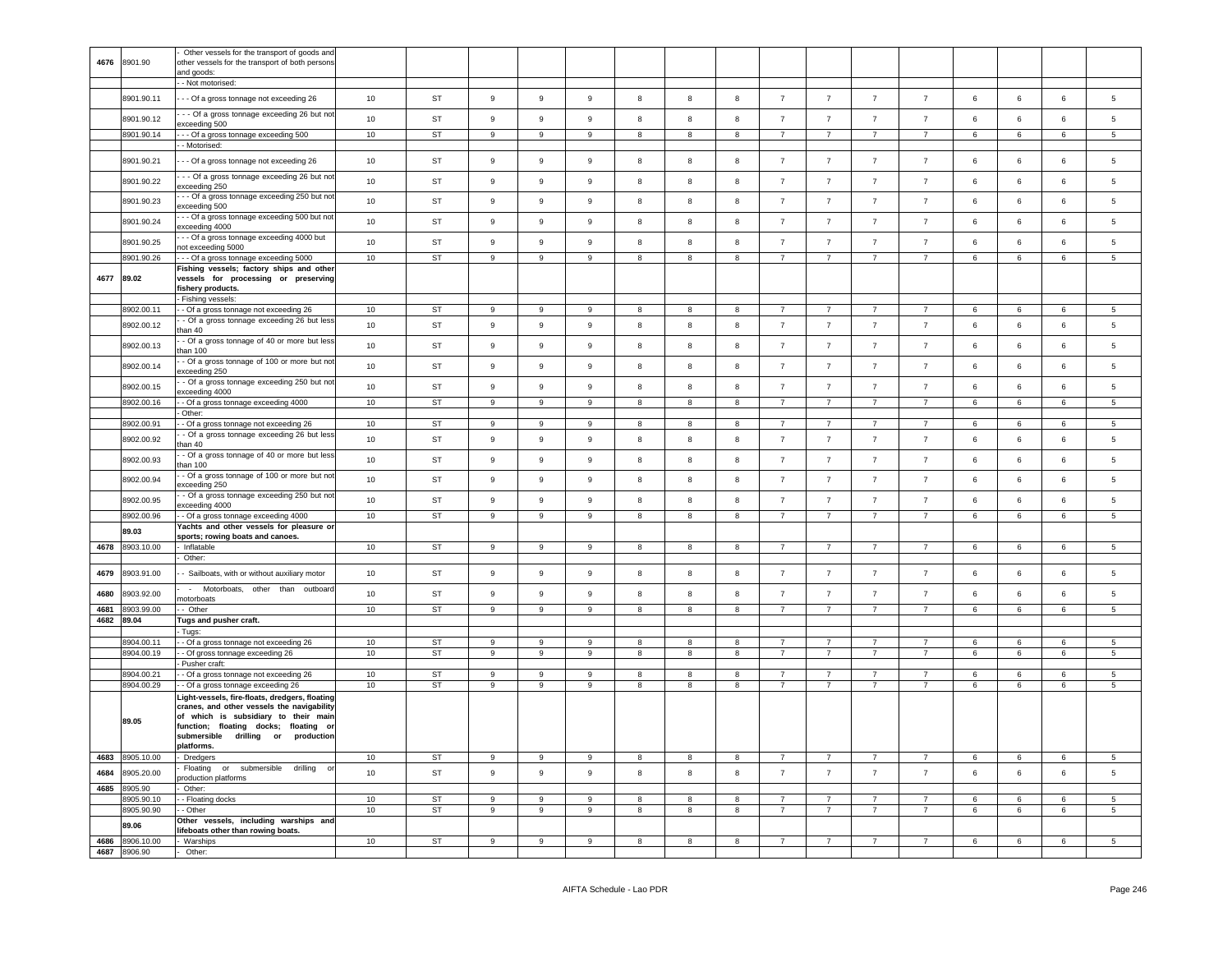|      |                 | Other vessels for the transport of goods and                                                                                                                                    |        |           |                |                  |                  |                         |                         |                         |                |                  |                |                |                 |                 |                 |                 |
|------|-----------------|---------------------------------------------------------------------------------------------------------------------------------------------------------------------------------|--------|-----------|----------------|------------------|------------------|-------------------------|-------------------------|-------------------------|----------------|------------------|----------------|----------------|-----------------|-----------------|-----------------|-----------------|
| 4676 | 8901.90         | other vessels for the transport of both persons<br>and goods:                                                                                                                   |        |           |                |                  |                  |                         |                         |                         |                |                  |                |                |                 |                 |                 |                 |
|      |                 | - Not motorised:                                                                                                                                                                |        |           |                |                  |                  |                         |                         |                         |                |                  |                |                |                 |                 |                 |                 |
|      | 8901.90.11      | - - Of a gross tonnage not exceeding 26                                                                                                                                         | 10     | <b>ST</b> | $\overline{9}$ | $\mathsf g$      | 9                | 8                       | 8                       | 8                       | $\overline{7}$ | $\overline{7}$   | $\overline{7}$ | $\overline{7}$ | 6               | 6               | 6               | 5               |
|      | 8901.90.12      | - - Of a gross tonnage exceeding 26 but no<br>xceeding 500                                                                                                                      | 10     | <b>ST</b> | $_{9}$         | $_{9}$           | 9                | 8                       | 8                       | 8                       | $\overline{7}$ | $\overline{7}$   | $\overline{7}$ | $\overline{7}$ | $\,6\,$         | 6               | $6\overline{6}$ | 5               |
|      | 8901.90.14      | - - Of a gross tonnage exceeding 500                                                                                                                                            | 10     | <b>ST</b> | 9              | $\mathsf g$      | 9                | 8                       | 8                       | 8                       | $\overline{7}$ | $\overline{7}$   | $\overline{7}$ | $\overline{7}$ | 6               | 6               | 6               | 5               |
|      |                 | - Motorised:                                                                                                                                                                    |        |           |                |                  |                  |                         |                         |                         |                |                  |                |                |                 |                 |                 |                 |
|      | 8901.90.21      | - - Of a gross tonnage not exceeding 26                                                                                                                                         | 10     | ST        | 9              | 9                | 9                | 8                       | 8                       | 8                       | $\overline{7}$ | $\overline{7}$   | $\overline{7}$ | $\overline{7}$ | 6               | 6               | 6               | 5               |
|      | 8901.90.22      | - - Of a gross tonnage exceeding 26 but no<br>xceeding 250                                                                                                                      | 10     | <b>ST</b> | 9              | $\mathsf g$      | 9                | 8                       | 8                       | 8                       | $\overline{7}$ | $\overline{7}$   | $\overline{7}$ | $\overline{7}$ | 6               | 6               | 6               | 5               |
|      | 8901.90.23      | - - Of a gross tonnage exceeding 250 but not<br>xceeding 500                                                                                                                    | 10     | <b>ST</b> | $\,9$          | $\mathsf g$      | 9                | 8                       | 8                       | 8                       | $\overline{7}$ | $\overline{7}$   | $\overline{7}$ | $\overline{7}$ | $\,6\,$         | $\,6\,$         | 6               | 5               |
|      | 8901.90.24      | - - Of a gross tonnage exceeding 500 but not<br>xceeding 4000                                                                                                                   | 10     | <b>ST</b> | $\overline{9}$ | $\mathsf g$      | $\mathsf g$      | 8                       | 8                       | 8                       | $\overline{7}$ | $\overline{7}$   | $\overline{7}$ | $\overline{7}$ | 6               | 6               | 6               | 5               |
|      | 8901.90.25      | - - Of a gross tonnage exceeding 4000 but<br>not exceeding 5000                                                                                                                 | 10     | <b>ST</b> | 9              | $\boldsymbol{9}$ | 9                | 8                       | 8                       | 8                       | $\overline{7}$ | $\overline{7}$   | $\overline{7}$ | $\overline{7}$ | 6               | 6               | 6               | 5               |
|      | 8901.90.26      | - - Of a gross tonnage exceeding 5000                                                                                                                                           | 10     | <b>ST</b> | $\overline{9}$ | $\overline{9}$   | $\overline{9}$   | $\overline{\mathbf{8}}$ | 8                       | $\overline{8}$          | $\overline{7}$ | $\overline{7}$   | $\overline{7}$ | $\overline{7}$ | $6\overline{6}$ | 6               | 6               | $\overline{5}$  |
| 4677 | 89.02           | Fishing vessels; factory ships and other<br>vessels for processing or preserving<br>ishery products.                                                                            |        |           |                |                  |                  |                         |                         |                         |                |                  |                |                |                 |                 |                 |                 |
|      |                 | Fishing vessels:                                                                                                                                                                |        |           |                |                  |                  |                         |                         |                         |                |                  |                |                |                 |                 |                 |                 |
|      | 8902.00.11      | - Of a gross tonnage not exceeding 26                                                                                                                                           | 10     | ST        | 9              | 9                | 9                | 8                       | 8                       | 8                       | $\overline{7}$ | $\overline{7}$   | $\overline{7}$ | $\overline{7}$ | 6               | 6               | 6               | $5^{\circ}$     |
|      | 8902.00.12      | - Of a gross tonnage exceeding 26 but less<br>han 40                                                                                                                            | 10     | <b>ST</b> | 9              | 9                | 9                | 8                       | 8                       | 8                       | $\overline{7}$ | $\overline{7}$   | $\overline{7}$ | $\overline{7}$ | 6               | $\,6\,$         | 6               | 5               |
|      | 8902.00.13      | - Of a gross tonnage of 40 or more but less<br>han 100                                                                                                                          | 10     | ST        | 9              | 9                | 9                | 8                       | 8                       | 8                       | $\overline{7}$ | $\overline{7}$   | $\overline{7}$ | $\overline{7}$ | 6               | 6               | 6               | 5               |
|      | 8902.00.14      | - Of a gross tonnage of 100 or more but no<br>xceeding 250                                                                                                                      | 10     | <b>ST</b> | 9              | $\boldsymbol{9}$ | 9                | 8                       | 8                       | 8                       | $\overline{7}$ | $\overline{7}$   | $\overline{7}$ | $\overline{7}$ | 6               | $\,6\,$         | 6               | 5               |
|      | 8902.00.15      | - Of a gross tonnage exceeding 250 but not<br>xceeding 4000                                                                                                                     | 10     | <b>ST</b> | 9              | $\boldsymbol{9}$ | 9                | 8                       | 8                       | 8                       | $\overline{7}$ | $\overline{7}$   | $\overline{7}$ | $\overline{7}$ | 6               | 6               | 6               | 5               |
|      | 8902.00.16      | - Of a gross tonnage exceeding 4000                                                                                                                                             | 10     | <b>ST</b> | $\overline{9}$ | $\overline{9}$   | $\boldsymbol{9}$ | 8                       | 8                       | $\overline{\mathbf{8}}$ | $\overline{7}$ | $\overline{7}$   | $\overline{7}$ | $\overline{7}$ | $6\overline{6}$ | $\,6\,$         | $6\phantom{.0}$ | $5\phantom{.0}$ |
|      | 8902.00.91      | Other:<br>Of a gross tonnage not exceeding 26                                                                                                                                   | 10     | ST        | $\,9$          | $\boldsymbol{9}$ | 9                | 8                       | $\bf8$                  | 8                       | $\overline{7}$ | $\overline{7}$   | $\overline{7}$ | $\overline{7}$ | 6               | 6               | 6               | 5               |
|      | 8902.00.92      | - Of a gross tonnage exceeding 26 but less                                                                                                                                      | 10     | <b>ST</b> | $\overline{9}$ | $\mathsf g$      | 9                | 8                       | 8                       | 8                       | $\overline{7}$ | $\overline{7}$   | $\overline{7}$ | $\overline{7}$ | $6\phantom{a}$  | 6               | $\,6\,$         | 5               |
|      | 8902.00.93      | an 40<br>- Of a gross tonnage of 40 or more but less                                                                                                                            | 10     | ST        | 9              | $\boldsymbol{9}$ | 9                | 8                       | 8                       | 8                       | $\overline{7}$ | $\overline{7}$   | $\overline{7}$ | $\overline{7}$ | 6               | 6               | 6               | 5               |
|      | 8902.00.94      | han 100<br>- Of a gross tonnage of 100 or more but no<br>xceeding 250                                                                                                           | 10     | <b>ST</b> | $\overline{9}$ | $\mathsf g$      | 9                | 8                       | 8                       | 8                       | $\overline{7}$ | $\overline{7}$   | $\overline{7}$ | $\overline{7}$ | 6               | 6               | 6               | 5               |
|      | 8902.00.95      | - Of a gross tonnage exceeding 250 but not<br>xceeding 4000                                                                                                                     | 10     | <b>ST</b> | $\overline{9}$ | $\mathsf g$      | 9                | 8                       | 8                       | 8                       | $\overline{7}$ | $\boldsymbol{7}$ | $\overline{7}$ | $\overline{7}$ | $\,6\,$         | $\,6\,$         | $6\phantom{.0}$ | 5               |
|      | 8902.00.96      | - Of a gross tonnage exceeding 4000                                                                                                                                             | 10     | <b>ST</b> | $\overline{9}$ | $\overline{9}$   | $\overline{9}$   | $\overline{8}$          | $\overline{\mathbf{8}}$ | $\overline{8}$          | $\overline{7}$ | $\overline{7}$   | $\overline{7}$ | $\overline{7}$ | 6               | $6\overline{6}$ | 6               | $\overline{5}$  |
|      | 89.03           | fachts and other vessels for pleasure or<br>sports; rowing boats and canoes.                                                                                                    |        |           |                |                  |                  |                         |                         |                         |                |                  |                |                |                 |                 |                 |                 |
| 4678 | 8903.10.00      | Inflatable                                                                                                                                                                      | $10\,$ | ST        | 9              | 9                | 9                | 8                       | 8                       | 8                       | $\overline{7}$ | $\overline{7}$   | $\overline{7}$ | $\overline{7}$ | 6               | 6               | 6               | 5               |
|      |                 | Other:                                                                                                                                                                          |        |           |                |                  |                  |                         |                         |                         |                |                  |                |                |                 |                 |                 |                 |
| 4679 | 8903.91.00      | - Sailboats, with or without auxiliary motor                                                                                                                                    | 10     | <b>ST</b> | $\,9$          | $\mathsf g$      | $\boldsymbol{9}$ | 8                       | $\boldsymbol{8}$        | 8                       | $\overline{7}$ | $\overline{7}$   | $\overline{7}$ | $\overline{7}$ | $\,6\,$         | 6               | 6               | 5               |
| 4680 | 8903.92.00      | - Motorboats, other than outboard<br>notorboats                                                                                                                                 | 10     | <b>ST</b> | $\overline{9}$ | $\mathsf g$      | 9                | 8                       | 8                       | 8                       | $\overline{7}$ | $\overline{7}$   | $\overline{7}$ | $\overline{7}$ | 6               | 6               | 6               | 5               |
|      | 4681 8903.99.00 | - Other                                                                                                                                                                         | 10     | ST        | 9              | 9                | 9                | 8                       | 8                       | 8                       | $\overline{7}$ | $\overline{7}$   | $\overline{7}$ | $\overline{7}$ | 6               | 6               | 6               | 5               |
|      | 4682 89.04      | Tugs and pusher craft.                                                                                                                                                          |        |           |                |                  |                  |                         |                         |                         |                |                  |                |                |                 |                 |                 |                 |
|      | 8904.00.11      | Tugs:<br>- Of a gross tonnage not exceeding 26                                                                                                                                  | 10     | ST        | 9              | 9                | 9                | 8                       | 8                       | 8                       | $\overline{7}$ | $\overline{7}$   | $\overline{7}$ | $\overline{7}$ | 6               | 6               | 6               | $5\phantom{.0}$ |
|      | 8904.00.19      | - Of gross tonnage exceeding 26                                                                                                                                                 | 10     | <b>ST</b> | 9              | 9                | 9                | 8                       | 8                       | 8                       | $\overline{7}$ | $\overline{7}$   | $\overline{7}$ | $\overline{7}$ | 6               | 6               | 6               | 5               |
|      |                 | Pusher craft:                                                                                                                                                                   |        |           |                |                  |                  |                         |                         |                         |                |                  |                |                |                 |                 |                 |                 |
|      | 8904.00.21      | - Of a gross tonnage not exceeding 26                                                                                                                                           | 10     | <b>ST</b> | 9              | 9                | -9               | 8                       | 8                       | 8                       | $\overline{7}$ | $\overline{7}$   | $\overline{7}$ | $\overline{7}$ | 6               | 6               | 6               | $5 -$           |
|      | 8904.00.29      | - Of a gross tonnage exceeding 26<br>ight-vessels, fire-floats, dredgers, floating                                                                                              | 10     | <b>ST</b> | 9              | 9                | 9                | 8                       | 8                       | 8                       | $\overline{7}$ | $\overline{7}$   | $\overline{7}$ | $\overline{7}$ | 6               | 6               | 6               | 5               |
|      | 89.05           | cranes, and other vessels the navigability<br>of which is subsidiary to their main<br>function; floating docks; floating or<br>submersible drilling or production<br>platforms. |        |           |                |                  |                  |                         |                         |                         |                |                  |                |                |                 |                 |                 |                 |
| 4683 | 8905.10.00      | Dredgers                                                                                                                                                                        | 10     | ST        | 9              | 9                | $\mathsf g$      | 8                       | 8                       | 8                       | $\overline{7}$ | $\overline{7}$   | $\overline{7}$ | $\overline{7}$ | 6               | 6               | 6               | 5               |
| 4684 | 8905.20.00      | Floating<br>or submersible<br>drilling<br>$\Omega$                                                                                                                              | 10     | ST        | 9              | $\boldsymbol{9}$ | 9                | 8                       | 8                       | 8                       | $\overline{7}$ | $\overline{7}$   | $\overline{7}$ | $\overline{7}$ | 6               | $\,6\,$         | 6               | 5               |
| 4685 | 8905.90         | roduction platforms<br>Other:                                                                                                                                                   |        |           |                |                  |                  |                         |                         |                         |                |                  |                |                |                 |                 |                 |                 |
|      | 8905.90.10      | - Floating docks                                                                                                                                                                | 10     | <b>ST</b> | 9              | 9                | 9                | 8                       | 8                       | 8                       | $\overline{7}$ | 7                | 7              | $\overline{7}$ | 6               | 6               | 6               | $5\phantom{.0}$ |
|      | 8905.90.90      | - Other                                                                                                                                                                         | 10     | <b>ST</b> | $\overline{9}$ | 9                | $\mathsf g$      | 8                       | 8                       | $\overline{\mathbf{8}}$ | $\overline{7}$ | $\overline{7}$   | $\overline{7}$ | $\overline{7}$ | 6               | $\,6\,$         | 6               | 5               |
|      | 89.06           | Other vessels, including warships and<br>ifeboats other than rowing boats.                                                                                                      |        |           |                |                  |                  |                         |                         |                         |                |                  |                |                |                 |                 |                 |                 |
| 4686 | 8906.10.00      | Warships                                                                                                                                                                        | 10     | ST        | 9              | 9                | 9                | 8                       | 8                       | 8                       | $\overline{7}$ |                  |                | $\overline{7}$ | 6               | 6               | 6               | 5               |
|      | 4687 8906.90    | Other:                                                                                                                                                                          |        |           |                |                  |                  |                         |                         |                         |                |                  |                |                |                 |                 |                 |                 |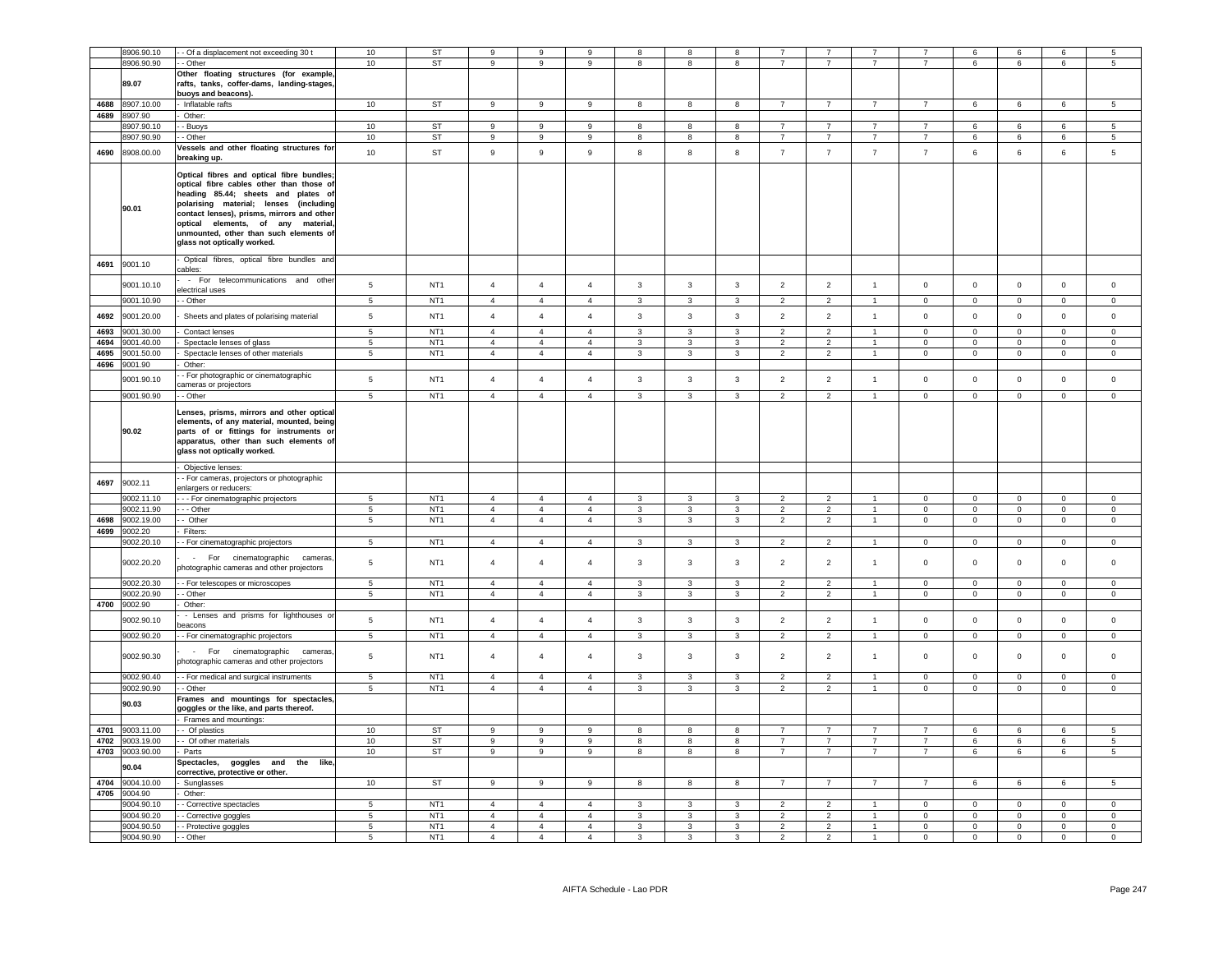|      | 8906.90.10 | - - Of a displacement not exceeding 30 t   | 10              | <b>ST</b>       | 9              | 9              | 9                | 8                       | 8                       | 8                       |                |                |                      |                     | 6                   | 6              | 6              | 5               |
|------|------------|--------------------------------------------|-----------------|-----------------|----------------|----------------|------------------|-------------------------|-------------------------|-------------------------|----------------|----------------|----------------------|---------------------|---------------------|----------------|----------------|-----------------|
|      | 3906.90.90 | - - Other                                  | 10              | <b>ST</b>       | 9              | 9              | 9                | 8                       | 8                       | 8                       | $\overline{7}$ | $\overline{7}$ | $\overline{7}$       | $\overline{7}$      | 6                   | 6              | 6              | 5.              |
|      |            |                                            |                 |                 |                |                |                  |                         |                         |                         |                |                |                      |                     |                     |                |                |                 |
|      |            | Other floating structures (for example     |                 |                 |                |                |                  |                         |                         |                         |                |                |                      |                     |                     |                |                |                 |
|      | 89.07      | rafts, tanks, coffer-dams, landing-stages, |                 |                 |                |                |                  |                         |                         |                         |                |                |                      |                     |                     |                |                |                 |
|      |            | buoys and beacons).                        |                 |                 |                |                |                  |                         |                         |                         |                |                |                      |                     |                     |                |                |                 |
| 4688 | 8907.10.00 | Inflatable rafts                           | 10              | ST              | 9              | $\,9$          | 9                | 8                       | 8                       | 8                       | $\overline{7}$ | $\overline{7}$ | $\overline{7}$       | $\overline{7}$      | 6                   | 6              | 6              | 5               |
| 4689 | 8907.90    | Other:                                     |                 |                 |                |                |                  |                         |                         |                         |                |                |                      |                     |                     |                |                |                 |
|      | 907.90.10  | - Buoys                                    | 10              | ST              | 9              | 9              | 9                | 8                       | 8                       | 8                       | $\overline{7}$ | $\overline{7}$ | 7                    | $\overline{7}$      | 6                   | 6              | 6              | $5\phantom{.0}$ |
|      | 3907.90.90 | - Other                                    | 10              | ST              | 9              | 9              | 9                | 8                       | $\boldsymbol{8}$        | 8                       | $\overline{7}$ | $\overline{7}$ | $\overline{7}$       | $\overline{7}$      | 6                   | 6              | 6              | $5\phantom{.0}$ |
|      |            | Vessels and other floating structures for  |                 |                 |                |                |                  |                         |                         |                         |                |                |                      |                     |                     |                |                |                 |
| 4690 | 8908.00.00 | breaking up.                               | 10              | ST              | 9              | 9              | $\boldsymbol{9}$ | 8                       | 8                       | 8                       | $\overline{7}$ | $\overline{7}$ | $\overline{7}$       | $\overline{7}$      | 6                   | $\,6\,$        | 6              | 5               |
|      |            |                                            |                 |                 |                |                |                  |                         |                         |                         |                |                |                      |                     |                     |                |                |                 |
|      |            | Optical fibres and optical fibre bundles;  |                 |                 |                |                |                  |                         |                         |                         |                |                |                      |                     |                     |                |                |                 |
|      |            | optical fibre cables other than those of   |                 |                 |                |                |                  |                         |                         |                         |                |                |                      |                     |                     |                |                |                 |
|      |            | heading 85.44; sheets and plates of        |                 |                 |                |                |                  |                         |                         |                         |                |                |                      |                     |                     |                |                |                 |
|      |            | polarising material; lenses (including     |                 |                 |                |                |                  |                         |                         |                         |                |                |                      |                     |                     |                |                |                 |
|      | 90.01      | contact lenses), prisms, mirrors and other |                 |                 |                |                |                  |                         |                         |                         |                |                |                      |                     |                     |                |                |                 |
|      |            | optical elements, of any material,         |                 |                 |                |                |                  |                         |                         |                         |                |                |                      |                     |                     |                |                |                 |
|      |            | unmounted, other than such elements of     |                 |                 |                |                |                  |                         |                         |                         |                |                |                      |                     |                     |                |                |                 |
|      |            | glass not optically worked.                |                 |                 |                |                |                  |                         |                         |                         |                |                |                      |                     |                     |                |                |                 |
|      |            |                                            |                 |                 |                |                |                  |                         |                         |                         |                |                |                      |                     |                     |                |                |                 |
| 4691 | 9001.10    | Optical fibres, optical fibre bundles and  |                 |                 |                |                |                  |                         |                         |                         |                |                |                      |                     |                     |                |                |                 |
|      |            | cables:                                    |                 |                 |                |                |                  |                         |                         |                         |                |                |                      |                     |                     |                |                |                 |
|      |            | - For telecommunications and other         |                 |                 |                |                |                  |                         |                         |                         |                |                | $\overline{1}$       |                     |                     |                |                |                 |
|      | 9001.10.10 | electrical uses                            | 5               | NT <sub>1</sub> | $\overline{4}$ | $\overline{a}$ | $\overline{4}$   | $\mathbf{3}$            | $\mathbf{3}$            | 3                       | $\overline{2}$ | $\overline{2}$ |                      | 0                   | $\mathsf 0$         | $\mathbf 0$    | $\pmb{0}$      | $\mathbf 0$     |
|      | 9001.10.90 | - Other                                    | $\overline{5}$  | NT <sub>1</sub> | $\overline{4}$ | $\overline{4}$ | $\overline{4}$   | $\mathbf{3}$            | $\overline{\mathbf{3}}$ | $\overline{\mathbf{3}}$ | $\overline{2}$ | $\overline{2}$ | $\overline{1}$       | $\mathbf 0$         | $\mathsf 0$         | $\mathbf 0$    | $\overline{0}$ | $\mathsf 0$     |
|      |            |                                            |                 |                 |                |                |                  |                         |                         |                         |                |                |                      |                     |                     |                |                |                 |
| 4692 | 9001.20.00 | Sheets and plates of polarising material   | $\,$ 5 $\,$     | NT <sub>1</sub> | $\overline{4}$ | $\overline{4}$ | $\overline{4}$   | $\mathbf{3}$            | $\mathbf{3}$            | $\mathbf{3}$            | $\overline{2}$ | $\overline{2}$ | $\overline{1}$       | $\mathbf 0$         | $\mathbf 0$         | $\mathbf 0$    | $\mathbf 0$    | $\mathsf 0$     |
| 4693 | 9001.30.00 | Contact lenses                             | $\overline{5}$  | NT1             | $\overline{4}$ | $\overline{4}$ | $\overline{4}$   | $\mathbf{3}$            | $\mathbf{3}$            | $\overline{\mathbf{3}}$ | $\overline{2}$ | $\overline{2}$ | $\blacktriangleleft$ | $\Omega$            | $\Omega$            | $\Omega$       | $\Omega$       | $\Omega$        |
| 4694 |            |                                            |                 |                 | $\overline{4}$ | $\overline{4}$ | $\overline{4}$   | 3                       | 3                       |                         | $\mathcal{P}$  | $\overline{2}$ | $\mathbf{1}$         | $\Omega$            |                     |                | $\Omega$       | $\Omega$        |
|      | 9001.40.00 | Spectacle lenses of glass                  | 5               | NT <sub>1</sub> |                |                |                  |                         |                         | 3                       |                |                |                      |                     | $\mathsf 0$         | $^{\circ}$     |                |                 |
| 4695 | 9001.50.00 | Spectacle lenses of other materials        | $5\overline{5}$ | NT <sub>1</sub> | $\mathbf{A}$   | $\overline{4}$ | $\mathbf{A}$     | $\mathbf{3}$            | $\mathbf{3}$            | $\overline{3}$          | $\overline{2}$ | $\overline{2}$ | $\overline{1}$       | $\mathsf{O}\xspace$ | $\mathbf 0$         | $\mathbf 0$    | $\circ$        | $\mathbf 0$     |
| 4696 | 9001.90    | Other:                                     |                 |                 |                |                |                  |                         |                         |                         |                |                |                      |                     |                     |                |                |                 |
|      | 9001.90.10 | - For photographic or cinematographic      | 5               | NT <sub>1</sub> | $\overline{4}$ | $\overline{4}$ | $\overline{4}$   | $\overline{3}$          | $\mathbf{3}$            | $\overline{3}$          | $\overline{2}$ | $\overline{2}$ | $\overline{1}$       | $\mathbf{0}$        | $\mathbf{0}$        | $\mathbf 0$    | $\mathbf 0$    | $\mathbf 0$     |
|      |            | cameras or projectors                      |                 |                 |                |                |                  |                         |                         |                         |                |                |                      |                     |                     |                |                |                 |
|      | 9001.90.90 | - Other                                    | $\overline{5}$  | NT <sub>1</sub> | $\overline{4}$ | $\overline{4}$ | $\overline{4}$   | $\overline{3}$          | $\overline{3}$          | $\overline{3}$          | $\overline{2}$ | $\overline{2}$ |                      | $\mathbf 0$         | $\mathbf 0$         | $\mathsf 0$    | $\mathbf 0$    | $\mathbf 0$     |
|      |            |                                            |                 |                 |                |                |                  |                         |                         |                         |                |                |                      |                     |                     |                |                |                 |
|      |            | Lenses, prisms, mirrors and other optical  |                 |                 |                |                |                  |                         |                         |                         |                |                |                      |                     |                     |                |                |                 |
|      |            | elements, of any material, mounted, being  |                 |                 |                |                |                  |                         |                         |                         |                |                |                      |                     |                     |                |                |                 |
|      | 90.02      | parts of or fittings for instruments or    |                 |                 |                |                |                  |                         |                         |                         |                |                |                      |                     |                     |                |                |                 |
|      |            | apparatus, other than such elements of     |                 |                 |                |                |                  |                         |                         |                         |                |                |                      |                     |                     |                |                |                 |
|      |            | glass not optically worked.                |                 |                 |                |                |                  |                         |                         |                         |                |                |                      |                     |                     |                |                |                 |
|      |            |                                            |                 |                 |                |                |                  |                         |                         |                         |                |                |                      |                     |                     |                |                |                 |
|      |            | Objective lenses:                          |                 |                 |                |                |                  |                         |                         |                         |                |                |                      |                     |                     |                |                |                 |
| 4697 | 9002.11    | - For cameras, projectors or photographic  |                 |                 |                |                |                  |                         |                         |                         |                |                |                      |                     |                     |                |                |                 |
|      |            | enlargers or reducers:                     |                 |                 |                |                |                  |                         |                         |                         |                |                |                      |                     |                     |                |                |                 |
|      | 9002.11.10 | - - For cinematographic projectors         | 5               | NT <sub>1</sub> | $\overline{4}$ | $\overline{4}$ | $\overline{4}$   | $\mathbf{3}$            | 3                       | 3                       | $\overline{2}$ | $\overline{2}$ | $\overline{1}$       | $\mathbf 0$         | $\mathbf 0$         | $\mathbf 0$    | $\mathbf 0$    | $\mathbf 0$     |
|      | 9002.11.90 | - - Other                                  | $5\phantom{.0}$ | NT <sub>1</sub> | $\overline{4}$ | $\overline{4}$ | $\overline{4}$   | $\mathbf{3}$            | $\mathbf{3}$            | $\mathbf{3}$            | $\overline{2}$ | $\overline{2}$ | $\blacktriangleleft$ | 0                   | $\mathbf 0$         | $\mathbf 0$    | $\mathsf 0$    | $\mathbf 0$     |
| 4698 | 9002.19.00 | - Other                                    | 5               | NT <sub>1</sub> | $\overline{4}$ | $\overline{4}$ | $\overline{4}$   | $\mathbf{3}$            | $\mathbf{3}$            | $\mathbf{3}$            | $\overline{2}$ | $\overline{2}$ | $\mathbf{1}$         | $\mathbf 0$         | $\mathsf{O}\xspace$ | $\mathbf 0$    | $\mathsf 0$    | $\mathsf 0$     |
| 4699 | 9002.20    | Filters:                                   |                 |                 |                |                |                  |                         |                         |                         |                |                |                      |                     |                     |                |                |                 |
|      | 002.20.10  | - For cinematographic projectors           | $\,$ 5 $\,$     | NT <sub>1</sub> | $\overline{4}$ | $\overline{4}$ | $\overline{4}$   | $\mathbf{3}$            | $\mathbf{3}$            | $\mathbf{3}$            | $\overline{2}$ | $\overline{2}$ | $\overline{1}$       | $\mathbf 0$         | 0                   | $\mathsf 0$    | $\mathsf 0$    | $\mathbf 0$     |
|      |            |                                            |                 |                 |                |                |                  |                         |                         |                         |                |                |                      |                     |                     |                |                |                 |
|      | 9002.20.20 | - For cinematographic cameras              | $5\phantom{.0}$ | NT <sub>1</sub> | $\overline{4}$ | $\overline{4}$ | $\overline{4}$   | $\mathbf{3}$            | 3                       | 3                       | $\overline{2}$ | $\overline{2}$ | $\overline{1}$       | $\mathbf 0$         | $\mathsf 0$         | $\,0\,$        | $\mathsf 0$    | $\mathsf 0$     |
|      |            | photographic cameras and other projectors  |                 |                 |                |                |                  |                         |                         |                         |                |                |                      |                     |                     |                |                |                 |
|      | 9002.20.30 | - For telescopes or microscopes            | 5               | NT <sub>1</sub> | $\overline{4}$ | $\overline{4}$ | $\overline{4}$   | 3                       | 3                       | $\mathbf{3}$            | $\overline{2}$ | $\overline{2}$ |                      | $\mathsf 0$         | $\mathbf 0$         | $\mathsf 0$    | $\mathsf 0$    | $\mathsf 0$     |
|      | 9002.20.90 | - Other                                    | $\overline{5}$  | NT <sub>1</sub> | $\overline{4}$ | $\overline{4}$ | $\overline{4}$   | $\overline{\mathbf{3}}$ | $\overline{3}$          | $\overline{\mathbf{3}}$ | $\overline{2}$ | $\overline{2}$ | $\overline{1}$       | $\overline{0}$      | $\overline{0}$      | $\overline{0}$ | $\overline{0}$ | $\overline{0}$  |
|      |            |                                            |                 |                 |                |                |                  |                         |                         |                         |                |                |                      |                     |                     |                |                |                 |
| 4700 | 9002.90    | Other:                                     |                 |                 |                |                |                  |                         |                         |                         |                |                |                      |                     |                     |                |                |                 |
|      | 9002.90.10 | - Lenses and prisms for lighthouses or     | $\,$ 5 $\,$     | NT <sub>1</sub> | $\overline{4}$ | $\overline{4}$ | $\overline{4}$   | $\mathbf{3}$            | $\mathbf{3}$            | $\mathbf{3}$            | $\overline{2}$ | $\overline{2}$ | $\overline{1}$       | $\mathsf 0$         | $\mathsf 0$         | $\mathbf 0$    | $\mathsf 0$    | $\mathsf 0$     |
|      |            | eacons                                     |                 |                 |                |                |                  |                         |                         |                         |                |                |                      |                     |                     |                |                |                 |
|      | 9002.90.20 | - For cinematographic projectors           | 5               | NT <sub>1</sub> | $\overline{4}$ | $\overline{4}$ | $\overline{4}$   | $\mathbf{3}$            | $\mathbf{3}$            | $\mathbf{3}$            | $\overline{2}$ | $\overline{2}$ |                      | $\mathbf 0$         | 0                   | $\mathbf 0$    | $\mathsf 0$    | $\Omega$        |
|      |            | - For cinematographic<br>cameras           |                 |                 |                |                |                  |                         |                         |                         |                |                |                      |                     |                     |                |                |                 |
|      | 9002.90.30 |                                            | $\,$ 5 $\,$     | NT <sub>1</sub> | $\overline{4}$ | $\overline{4}$ | $\overline{4}$   | 3                       | 3                       | 3                       | $\overline{2}$ | $\overline{2}$ | $\blacktriangleleft$ | $\mathsf 0$         | 0                   | $\mathbf 0$    | $\mathsf 0$    | $\mathbf 0$     |
|      |            | photographic cameras and other projectors  |                 |                 |                |                |                  |                         |                         |                         |                |                |                      |                     |                     |                |                |                 |
|      | 9002.90.40 | - For medical and surgical instruments     | -5              | NT <sub>1</sub> | $\overline{4}$ | $\overline{4}$ | $\overline{4}$   | 3                       | 3                       | 3                       | 2              | $\overline{2}$ | $\overline{1}$       | $\mathbf{0}$        | $\mathbf{0}$        | $\overline{0}$ | $\Omega$       | $\mathbf{0}$    |
|      | 9002.90.90 | - Other                                    | $5\phantom{.0}$ | NT <sub>1</sub> | $\overline{4}$ | $\overline{4}$ | $\overline{4}$   | $\mathbf{3}$            | $\mathbf{3}$            | $\mathbf{3}$            | $\overline{2}$ | $\overline{2}$ | $\mathbf{1}$         | $\overline{0}$      | $\overline{0}$      | $\overline{0}$ | $\mathbf 0$    | $\mathbf 0$     |
|      |            | Frames and mountings for spectacles,       |                 |                 |                |                |                  |                         |                         |                         |                |                |                      |                     |                     |                |                |                 |
|      | 90.03      | goggles or the like, and parts thereof.    |                 |                 |                |                |                  |                         |                         |                         |                |                |                      |                     |                     |                |                |                 |
|      |            | Frames and mountings:                      |                 |                 |                |                |                  |                         |                         |                         |                |                |                      |                     |                     |                |                |                 |
| 4701 | 9003.11.00 | - Of plastics                              | 10              | <b>ST</b>       | 9              | 9              | 9                | 8                       | 8                       |                         |                | $\overline{7}$ |                      | $\overline{7}$      | 6                   |                | 6              | 5               |
|      |            |                                            |                 |                 |                |                |                  |                         |                         | 8                       | $\overline{7}$ |                | $\overline{7}$       |                     |                     | 6              |                |                 |
| 4702 | 9003.19.00 | - Of other materials                       | 10              | ST              | $\overline{9}$ | $\overline{9}$ | 9                | 8                       | $\overline{\mathbf{8}}$ | $\overline{\mathbf{8}}$ | $\overline{7}$ | $\overline{7}$ | $\overline{7}$       | $\overline{7}$      | $6\overline{6}$     | 6              | 6              | 5               |
| 4703 | 9003.90.00 | Parts                                      | 10              | <b>ST</b>       | 9              | 9              | $\boldsymbol{9}$ | $\boldsymbol{8}$        | $\boldsymbol{8}$        | $^{\rm 8}$              | $\overline{7}$ | $\overline{7}$ | $\overline{7}$       | $\overline{7}$      | 6                   | $\,6\,$        | 6              | $\sqrt{5}$      |
|      | 90.04      | Spectacles, goggles and the like           |                 |                 |                |                |                  |                         |                         |                         |                |                |                      |                     |                     |                |                |                 |
|      |            | corrective, protective or other.           |                 |                 |                |                |                  |                         |                         |                         |                |                |                      |                     |                     |                |                |                 |
| 4704 | 9004.10.00 | Sunglasses                                 | 10              | <b>ST</b>       | 9              | 9              | 9                | 8                       | 8                       | 8                       | $\overline{7}$ | $\overline{7}$ | $\overline{7}$       | $\overline{7}$      | 6                   | 6              | 6              | 5               |
| 4705 | 9004.90    | Other:                                     |                 |                 |                |                |                  |                         |                         |                         |                |                |                      |                     |                     |                |                |                 |
|      | 9004.90.10 | - Corrective spectacles                    | 5               | NT <sub>1</sub> | $\overline{4}$ | $\overline{4}$ | $\overline{4}$   | 3                       | 3                       | $\mathbf{3}$            | $\overline{2}$ | $\overline{2}$ |                      | $\mathbf 0$         | $\mathsf 0$         | $\mathsf 0$    | $\mathsf 0$    | $\mathsf 0$     |
|      | 9004.90.20 |                                            |                 | NT <sub>1</sub> | $\overline{4}$ | $\overline{4}$ |                  | 3                       |                         |                         | $\overline{2}$ |                | $\overline{1}$       | $\Omega$            |                     | $\Omega$       | $\Omega$       | $\mathbf 0$     |
|      |            | - Corrective goggles                       | 5               |                 |                |                | $\overline{4}$   |                         | $\mathbf{3}$            | $\mathbf{3}$            |                | $\overline{2}$ |                      |                     | 0                   |                |                |                 |
|      | 9004.90.50 | - Protective goggles                       | $\overline{5}$  | NT <sub>1</sub> | $\overline{4}$ | $\overline{4}$ | $\overline{4}$   | $\mathbf{3}$            | $\mathbf{3}$            | $\mathbf{3}$            | $\overline{2}$ | $\overline{2}$ | $\mathbf{1}$         | $\mathsf 0$         | $\mathsf 0$         | $\mathbf 0$    | $\mathbf 0$    | $\mathsf 0$     |
|      | 9004.90.90 | - Other                                    | 5               | NT1             | $\overline{4}$ | $\overline{4}$ | $\overline{4}$   | 3                       | $\overline{3}$          | 3                       | $\overline{2}$ | $\overline{2}$ | $\overline{1}$       | $\mathbf{0}$        | $\mathbf 0$         | $\mathbf 0$    | $\Omega$       | $\Omega$        |
|      |            |                                            |                 |                 |                |                |                  |                         |                         |                         |                |                |                      |                     |                     |                |                |                 |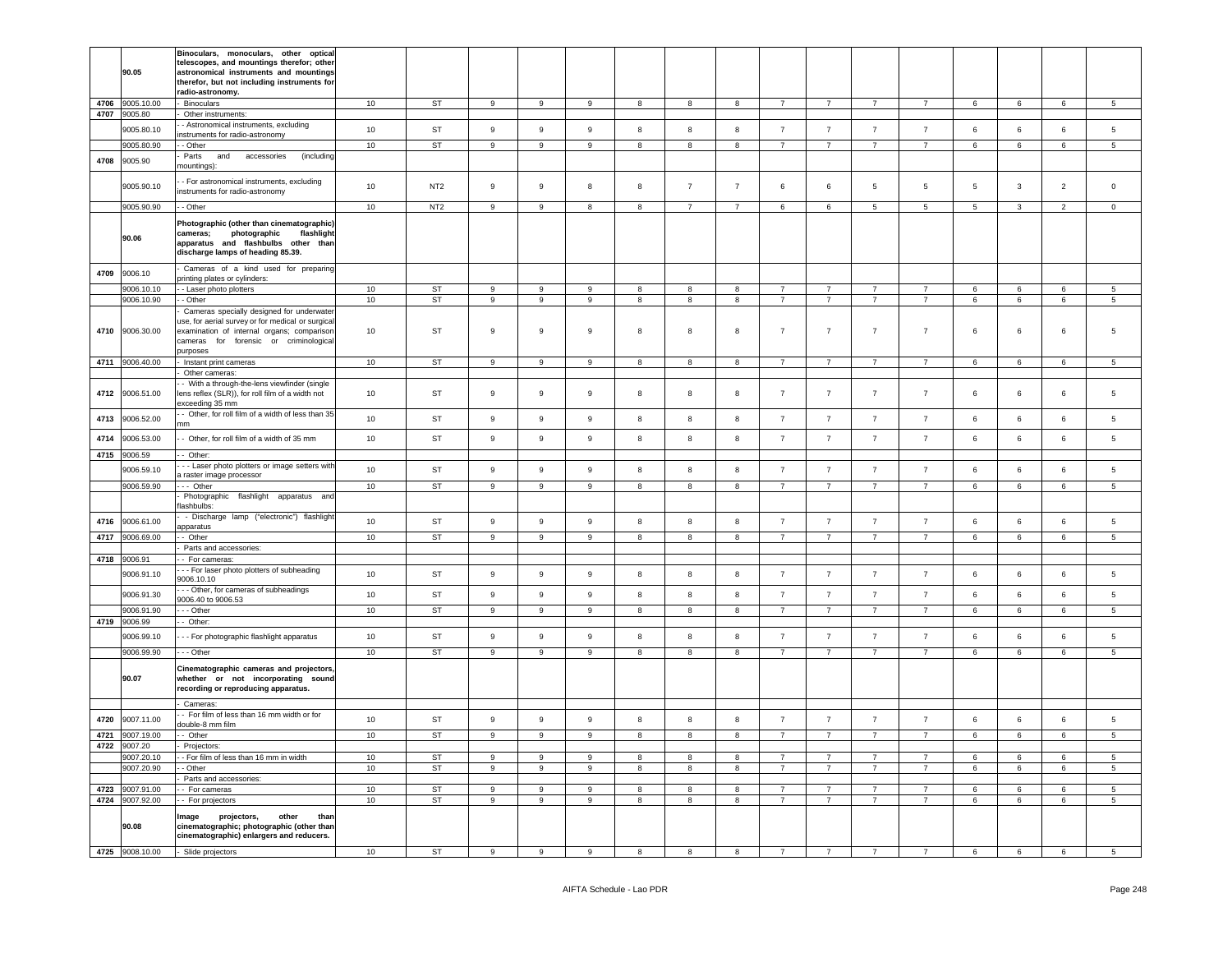|              | 90.05                      | Binoculars, monoculars, other optical<br>telescopes, and mountings therefor; other<br>astronomical instruments and mountings<br>therefor, but not including instruments for<br>radio-astronomy. |        |                 |                  |                  |                  |   |                         |                         |                |                |                |                 |   |                 |                 |                 |
|--------------|----------------------------|-------------------------------------------------------------------------------------------------------------------------------------------------------------------------------------------------|--------|-----------------|------------------|------------------|------------------|---|-------------------------|-------------------------|----------------|----------------|----------------|-----------------|---|-----------------|-----------------|-----------------|
| 4706<br>4707 | 9005.10.00<br>9005.80      | Binoculars                                                                                                                                                                                      | 10     | ST              | $\boldsymbol{9}$ | 9                | 9                | 8 | 8                       | 8                       | $\overline{7}$ | $\overline{7}$ | $\overline{7}$ | $\overline{7}$  | 6 | 6               | $\,6\,$         | $5\phantom{.0}$ |
|              | 9005.80.10                 | Other instruments:<br>- Astronomical instruments, excluding                                                                                                                                     | $10$   | <b>ST</b>       | $\boldsymbol{9}$ | $\mathsf g$      | $\boldsymbol{9}$ | 8 | 8                       | 8                       | $\overline{7}$ | $\overline{7}$ | $\overline{7}$ | $\overline{7}$  | 6 | 6               | $\,6\,$         | $\sqrt{5}$      |
|              | 9005.80.90                 | nstruments for radio-astronomy                                                                                                                                                                  | 10     | <b>ST</b>       | $\overline{9}$   | 9                | $\overline{9}$   | 8 | $\overline{\mathbf{8}}$ | $\overline{8}$          | $\overline{7}$ | $\overline{7}$ | $\overline{7}$ | $\overline{7}$  | 6 | $6\overline{6}$ | $6\overline{6}$ | $\overline{5}$  |
| 4708         | 9005.90                    | - Other<br>Parts<br>and accessories<br>(including                                                                                                                                               |        |                 |                  |                  |                  |   |                         |                         |                |                |                |                 |   |                 |                 |                 |
|              |                            | nountings):                                                                                                                                                                                     |        |                 |                  |                  |                  |   |                         |                         |                |                |                |                 |   |                 |                 |                 |
|              | 9005.90.10                 | - For astronomical instruments, excluding<br>instruments for radio-astronomy                                                                                                                    | $10$   | NT <sub>2</sub> | 9                | 9                | 8                | 8 | $\overline{7}$          | $\overline{7}$          | 6              | 6              | 5              | 5               | 5 | $\mathbf{3}$    | $\overline{2}$  | $\mathbf 0$     |
|              | 9005.90.90                 | - Other                                                                                                                                                                                         | 10     | NT <sub>2</sub> | $\overline{9}$   | 9                | 8                | 8 | $\overline{7}$          | $\overline{7}$          | 6              | 6              | $\overline{5}$ | $5\phantom{.0}$ | 5 | $\mathbf{3}$    | $\overline{2}$  | $\overline{0}$  |
|              | 90.06                      | Photographic (other than cinematographic)<br>photographic<br>flashlight<br>cameras;<br>apparatus and flashbulbs other than<br>discharge lamps of heading 85.39.                                 |        |                 |                  |                  |                  |   |                         |                         |                |                |                |                 |   |                 |                 |                 |
| 4709         | 9006.10                    | Cameras of a kind used for preparing<br>printing plates or cylinders:                                                                                                                           |        |                 |                  |                  |                  |   |                         |                         |                |                |                |                 |   |                 |                 |                 |
|              | 9006.10.10                 | - Laser photo plotters                                                                                                                                                                          | 10     | ST              | 9                | 9                | 9                | 8 | 8                       | 8                       | $\overline{7}$ | $\overline{7}$ | $\overline{7}$ | $\overline{7}$  | 6 | 6               | 6               | $5\overline{5}$ |
|              | 9006.10.90                 | - Other<br>Cameras specially designed for underwater                                                                                                                                            | 10     | <b>ST</b>       | $\overline{9}$   | 9                | 9                | 8 | $\boldsymbol{8}$        | $\overline{\mathbf{8}}$ | $\overline{7}$ | $\overline{7}$ | $\overline{7}$ | $\overline{7}$  | 6 | 6               | 6               | $\overline{5}$  |
| 4710         | 9006.30.00                 | ise, for aerial survey or for medical or surgical<br>examination of internal organs; comparison<br>cameras for forensic or criminological<br>purposes                                           | $10$   | <b>ST</b>       | $\boldsymbol{9}$ | 9                | $\boldsymbol{9}$ | 8 | 8                       | 8                       | $\overline{7}$ | $\overline{7}$ | $\overline{7}$ | $\overline{7}$  | 6 | 6               | $\,6$           | 5               |
|              | 4711 9006.40.00            | Instant print cameras                                                                                                                                                                           | 10     | <b>ST</b>       | $\overline{9}$   | $\overline{9}$   | $\overline{9}$   | 8 | $\overline{\mathbf{8}}$ | $\overline{\mathbf{8}}$ | $\overline{7}$ | $\overline{7}$ | $\overline{7}$ | $\overline{7}$  | 6 | $6\overline{6}$ | $6\overline{6}$ | $\overline{5}$  |
|              |                            | Other cameras                                                                                                                                                                                   |        |                 |                  |                  |                  |   |                         |                         |                |                |                |                 |   |                 |                 |                 |
| 4712         | 9006.51.00                 | - With a through-the-lens viewfinder (single<br>lens reflex (SLR)), for roll film of a width not<br>xceeding 35 mm                                                                              | 10     | <b>ST</b>       | 9                | 9                | 9                | 8 | 8                       | 8                       | $\overline{7}$ | $\overline{7}$ | $\overline{7}$ | $\overline{7}$  | 6 | 6               | $\,6\,$         | 5               |
| 4713         | 9006.52.00                 | - Other, for roll film of a width of less than 35<br>mm                                                                                                                                         | 10     | <b>ST</b>       | $\boldsymbol{9}$ | 9                | 9                | 8 | $\bf8$                  | 8                       | $\overline{7}$ | $\overline{7}$ | $\overline{7}$ | $\overline{7}$  | 6 | 6               | $\,6\,$         | $\sqrt{5}$      |
| 4714         | 9006.53.00                 | - Other, for roll film of a width of 35 mm                                                                                                                                                      | 10     | <b>ST</b>       | 9                | 9                | $\mathsf g$      | 8 | 8                       | 8                       | $\overline{7}$ | $\overline{7}$ | $\overline{7}$ | $\overline{7}$  | 6 | 6               | $\,6\,$         | $\,$ 5 $\,$     |
| 4715         | 9006.59                    | - Other:                                                                                                                                                                                        |        |                 |                  |                  |                  |   |                         |                         |                |                |                |                 |   |                 |                 |                 |
|              | 9006.59.10                 | - - Laser photo plotters or image setters with                                                                                                                                                  | 10     | <b>ST</b>       | $\boldsymbol{9}$ | 9                | 9                | 8 | 8                       | 8                       | $\overline{7}$ | $\overline{7}$ | $\overline{7}$ | $\overline{7}$  | 6 | 6               | $\,6\,$         | $\,$ 5 $\,$     |
|              | 9006.59.90                 | a raster image processor<br>- Other                                                                                                                                                             | 10     | <b>ST</b>       | 9                | 9                | 9                | 8 | 8                       | 8                       | $\overline{7}$ | $\overline{7}$ | $\overline{7}$ | $\overline{7}$  | 6 | 6               | 6               | 5               |
|              |                            | Photographic flashlight apparatus and<br>lashbulbs:                                                                                                                                             |        |                 |                  |                  |                  |   |                         |                         |                |                |                |                 |   |                 |                 |                 |
| 4716         | 9006.61.00                 | - Discharge lamp ("electronic") flashlight<br>apparatus                                                                                                                                         | 10     | ST              | $\boldsymbol{9}$ | 9                | $\mathsf g$      | 8 | 8                       | $\boldsymbol{8}$        | $\overline{7}$ | $\overline{7}$ | $\overline{7}$ | $\overline{7}$  | 6 | 6               | $\,6\,$         | $\,$ 5 $\,$     |
| 4717         | 9006.69.00                 | - Other                                                                                                                                                                                         | 10     | ST              | 9                | 9                | 9                | 8 | $\boldsymbol{8}$        | 8                       | $\overline{7}$ | $7^{\circ}$    | $\overline{7}$ | $\overline{7}$  | 6 | 6               | $\,6\,$         | $5\phantom{.0}$ |
| 4718         | 9006.91                    | Parts and accessories:<br>- For cameras:                                                                                                                                                        |        |                 |                  |                  |                  |   |                         |                         |                |                |                |                 |   |                 |                 |                 |
|              | 9006.91.10                 | - - For laser photo plotters of subheading                                                                                                                                                      | 10     | <b>ST</b>       | $\boldsymbol{9}$ | 9                | 9                | 8 | 8                       | 8                       | $\overline{7}$ | $\overline{7}$ | $\overline{7}$ | $\overline{7}$  | 6 | 6               | $\,6\,$         | $\sqrt{5}$      |
|              |                            | 9006.10.10<br>- - Other, for cameras of subheadings                                                                                                                                             |        |                 |                  |                  |                  |   |                         |                         |                |                |                |                 |   |                 |                 |                 |
|              | 9006.91.30                 | 9006.40 to 9006.53                                                                                                                                                                              | $10$   | <b>ST</b>       | $\boldsymbol{9}$ | $\boldsymbol{9}$ | 9                | 8 | 8                       | 8                       | $\overline{7}$ | $\overline{7}$ | $\overline{7}$ | $\overline{7}$  | 6 | 6               | $\,6\,$         | 5               |
|              | 9006.91.90<br>4719 9006.99 | - - Other<br>- Other:                                                                                                                                                                           | $10$   | <b>ST</b>       | $_{9}$           | 9                | $\overline{9}$   | 8 | 8                       | 8                       | $\overline{7}$ | $\overline{7}$ | $\overline{7}$ | $\overline{7}$  | 6 | 6               | $\,6\,$         | $5\overline{5}$ |
|              | 9006.99.10                 | - - For photographic flashlight apparatus                                                                                                                                                       | 10     | <b>ST</b>       | $\boldsymbol{9}$ | $\boldsymbol{9}$ | $\mathsf g$      | 8 | 8                       | 8                       | $\overline{7}$ | $\overline{7}$ | $\overline{7}$ | $\overline{7}$  | 6 | 6               | $\,6\,$         | $\overline{5}$  |
|              | 9006.99.90                 | -- Other                                                                                                                                                                                        | 10     | ST              | 9                | 9                | 9                | 8 | 8                       | 8                       | $\overline{7}$ | $\overline{7}$ | $\overline{7}$ | $\overline{7}$  | 6 | 6               | 6               | $5\phantom{.0}$ |
|              | 90.07                      | Cinematographic cameras and projectors,<br>whether or not incorporating sound<br>recording or reproducing apparatus.                                                                            |        |                 |                  |                  |                  |   |                         |                         |                |                |                |                 |   |                 |                 |                 |
|              |                            | Cameras:<br>- For film of less than 16 mm width or for                                                                                                                                          |        |                 |                  |                  |                  |   |                         |                         |                |                |                |                 |   |                 |                 |                 |
| 4720         | 9007.11.00                 | louble-8 mm film                                                                                                                                                                                | 10     | <b>ST</b>       | $\boldsymbol{9}$ | 9                | $\mathsf g$      | 8 | 8                       | 8                       | $\overline{7}$ | $\overline{7}$ | $\overline{7}$ | $\overline{7}$  | 6 | 6               | $\,6\,$         | $\,$ 5 $\,$     |
| 4721<br>4722 | 9007.19.00<br>9007.20      | - Other<br>Projectors:                                                                                                                                                                          | 10     | <b>ST</b>       | $\overline{9}$   | 9                | 9                | 8 | $\boldsymbol{8}$        | $\overline{\mathbf{8}}$ | $\overline{7}$ | $\overline{7}$ | $\overline{7}$ | $\overline{7}$  | 6 | $6\overline{6}$ | 6               | $\overline{5}$  |
|              | 9007.20.10                 | - For film of less than 16 mm in width                                                                                                                                                          | 10     | <b>ST</b>       | 9                | $\mathsf g$      | $\mathsf g$      | 8 | 8                       | 8                       | $\overline{7}$ | $\overline{7}$ | $\overline{7}$ | $\overline{7}$  | 6 | 6               | 6               | $5\phantom{.0}$ |
|              | 9007.20.90                 | - Other                                                                                                                                                                                         | 10     | <b>ST</b>       | $\overline{9}$   | $\overline{9}$   | $\overline{9}$   | 8 | $\overline{8}$          | $\overline{8}$          | $\overline{7}$ | $\overline{7}$ | 7              | $\overline{7}$  | 6 | $6\overline{6}$ | 6               | $\overline{5}$  |
| 4723         | 9007.91.00                 | Parts and accessories:<br>- For cameras                                                                                                                                                         | $10\,$ | ST              | 9                | 9                | 9                | 8 | 8                       | 8                       | $\overline{7}$ | $\overline{7}$ | $\overline{7}$ | $\overline{7}$  | 6 | 6               | $\,6\,$         | $\sqrt{5}$      |
|              | 4724 9007.92.00            | - For projectors                                                                                                                                                                                | 10     | <b>ST</b>       | $\overline{9}$   | $\overline{9}$   | $\overline{9}$   | 8 | 8                       | $\overline{\mathbf{8}}$ | $\overline{7}$ | $\overline{7}$ | $\overline{7}$ | $\overline{7}$  | 6 | $6\overline{6}$ | 6               | $\overline{5}$  |
|              | 90.08                      | projectors,<br>other<br>Image<br>than<br>cinematographic; photographic (other than<br>cinematographic) enlargers and reducers.                                                                  |        |                 |                  |                  |                  |   |                         |                         |                |                |                |                 |   |                 |                 |                 |
|              | 4725 9008.10.00            | - Slide projectors                                                                                                                                                                              | 10     | <b>ST</b>       | 9                | 9                | 9                | 8 | 8                       | $\overline{\mathbf{8}}$ | $\overline{7}$ | 7              |                |                 | 6 | $6\overline{6}$ | 6               | 5               |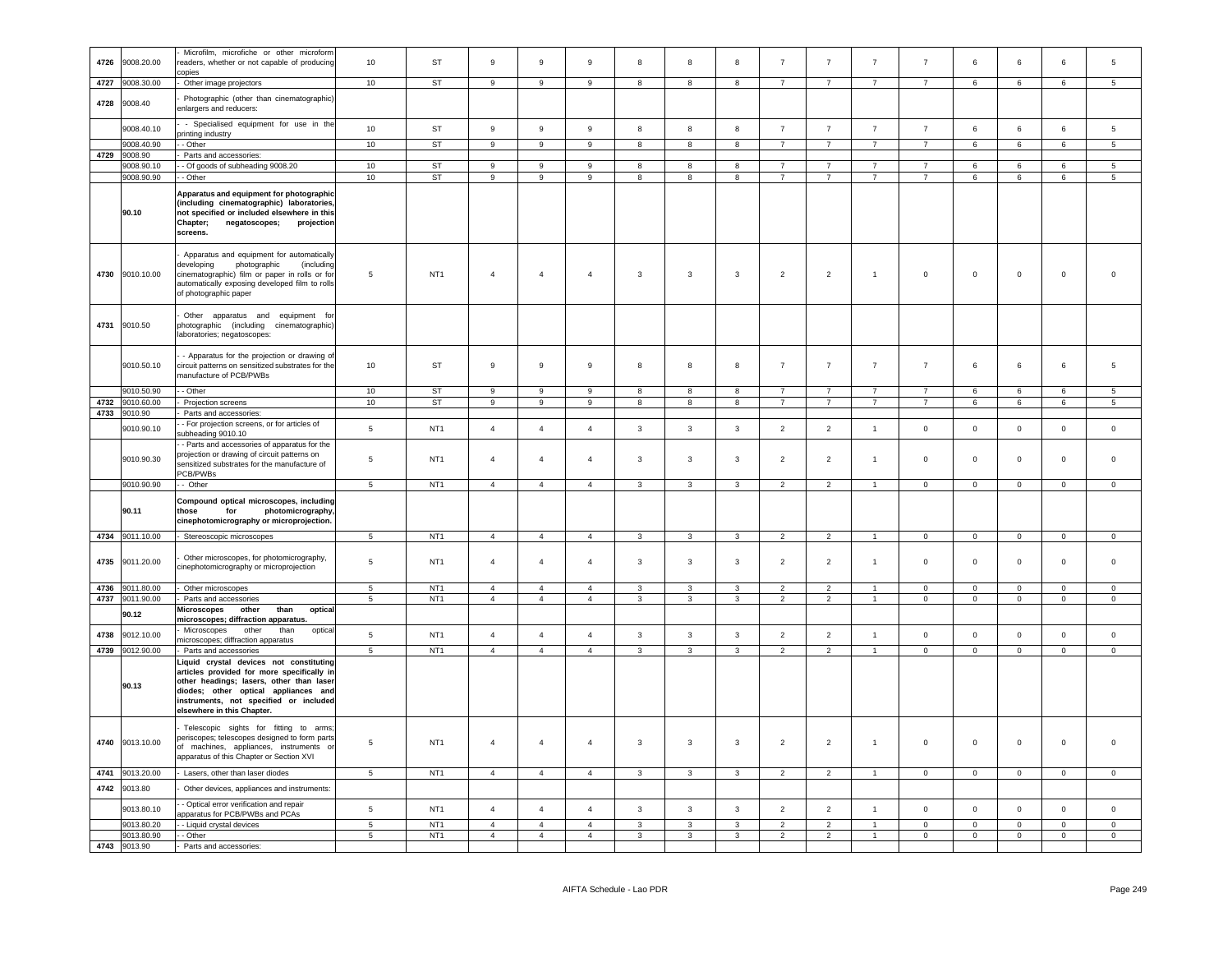|      |                 | Microfilm, microfiche or other microform                                                                                                                                                                                                          |                 |                 |                  |                  |                  |                         |                         |                |                |                |                |                |                |                |                |                 |
|------|-----------------|---------------------------------------------------------------------------------------------------------------------------------------------------------------------------------------------------------------------------------------------------|-----------------|-----------------|------------------|------------------|------------------|-------------------------|-------------------------|----------------|----------------|----------------|----------------|----------------|----------------|----------------|----------------|-----------------|
| 4726 | 9008.20.00      | readers, whether or not capable of producing                                                                                                                                                                                                      | 10              | ST              | $\boldsymbol{9}$ | $\mathsf g$      | 9                | 8                       | 8                       | 8              | $\overline{7}$ | $\overline{7}$ | $\overline{7}$ | $\overline{7}$ | 6              | 6              | 6              | 5               |
|      |                 | copies                                                                                                                                                                                                                                            |                 |                 |                  |                  |                  |                         |                         |                |                |                |                |                |                |                |                |                 |
| 4727 | 9008.30.00      | Other image projectors                                                                                                                                                                                                                            | 10              | ST              | 9                | 9                | 9                | 8                       | 8                       | 8              | $\overline{7}$ | $\overline{7}$ | $\overline{7}$ | $\overline{7}$ | 6              | 6              | 6              | $5\overline{5}$ |
|      |                 |                                                                                                                                                                                                                                                   |                 |                 |                  |                  |                  |                         |                         |                |                |                |                |                |                |                |                |                 |
| 4728 | 9008.40         | Photographic (other than cinematographic)<br>enlargers and reducers:                                                                                                                                                                              |                 |                 |                  |                  |                  |                         |                         |                |                |                |                |                |                |                |                |                 |
|      | 9008.40.10      | - Specialised equipment for use in the<br>printing industry                                                                                                                                                                                       | 10              | ST              | 9                | $\boldsymbol{9}$ | $\boldsymbol{9}$ | 8                       | 8                       | 8              | $\overline{7}$ | $\overline{7}$ | $\overline{7}$ | $\overline{7}$ | 6              | 6              | $\,6\,$        | $5\overline{5}$ |
|      | 9008.40.90      | - Other                                                                                                                                                                                                                                           | 10              | ST              | $\overline{9}$   | 9                | 9                | 8                       | 8                       | 8              | $\overline{7}$ | $\overline{7}$ | $\overline{7}$ | $\overline{7}$ | 6              | 6              | 6              | $\overline{5}$  |
|      | 4729 9008.90    | Parts and accessories:                                                                                                                                                                                                                            |                 |                 |                  |                  |                  |                         |                         |                |                |                |                |                |                |                |                |                 |
|      | 9008.90.10      | - Of goods of subheading 9008.20                                                                                                                                                                                                                  | 10              | <b>ST</b>       | 9                | 9                | 9                | 8                       | 8                       | 8              | $\overline{7}$ | $\overline{7}$ | $\overline{7}$ | $\overline{7}$ | 6              | 6              | 6              | 5               |
|      | 9008.90.90      | - Other                                                                                                                                                                                                                                           | 10              | ST              | $\boldsymbol{9}$ | 9                | 9                | 8                       | 8                       | 8              | $\overline{7}$ | $\overline{7}$ | $\overline{7}$ | $\overline{7}$ | 6              | 6              | $\,6\,$        | $\overline{5}$  |
|      |                 | Apparatus and equipment for photographic                                                                                                                                                                                                          |                 |                 |                  |                  |                  |                         |                         |                |                |                |                |                |                |                |                |                 |
|      | 90.10           | (including cinematographic) laboratories,<br>not specified or included elsewhere in this<br>Chapter;<br>negatoscopes;<br>projection<br>screens.                                                                                                   |                 |                 |                  |                  |                  |                         |                         |                |                |                |                |                |                |                |                |                 |
|      | 4730 9010.10.00 | Apparatus and equipment for automatically<br>developing<br>photographic<br><i>(including</i><br>cinematographic) film or paper in rolls or for<br>automatically exposing developed film to rolls<br>of photographic paper                         | 5               | NT <sub>1</sub> | $\overline{4}$   | $\overline{4}$   | $\overline{4}$   | 3                       | $\overline{\mathbf{3}}$ | 3              | $\overline{2}$ | $\overline{2}$ | $\mathbf{1}$   | $\,0\,$        | $\mathbf 0$    | $\mathbf 0$    | $\mathbf 0$    | $\overline{0}$  |
|      | 4731 9010.50    | Other apparatus and equipment for<br>photographic (including cinematographic)<br>aboratories; negatoscopes:                                                                                                                                       |                 |                 |                  |                  |                  |                         |                         |                |                |                |                |                |                |                |                |                 |
|      | 9010.50.10      | - Apparatus for the projection or drawing of<br>circuit patterns on sensitized substrates for the<br>nanufacture of PCB/PWBs                                                                                                                      | 10              | ST              | 9                | 9                | $\boldsymbol{9}$ | 8                       | 8                       | 8              | $\overline{7}$ | $\overline{7}$ | $\overline{7}$ | $\overline{7}$ | 6              | 6              | $\,6\,$        | $\overline{5}$  |
|      | 9010.50.90      | - - Other                                                                                                                                                                                                                                         | 10              | <b>ST</b>       | $\overline{9}$   | $\mathsf g$      | 9                | $\mathbf{g}$            | $\mathbf{g}$            | 8              | $\overline{7}$ | $\overline{7}$ | $\overline{7}$ | $\overline{7}$ | 6              | 6              | 6              | 5               |
| 4732 | 9010.60.00      | Projection screens                                                                                                                                                                                                                                | 10              | ST              | 9                | 9                | $\mathsf g$      | 8                       | 8                       | 8              | $\overline{7}$ | $\overline{7}$ | $\overline{7}$ | $\overline{7}$ | 6              | 6              | 6              | $5\overline{5}$ |
| 4733 | 9010.90         | Parts and accessories:                                                                                                                                                                                                                            |                 |                 |                  |                  |                  |                         |                         |                |                |                |                |                |                |                |                |                 |
|      | 9010.90.10      | - For projection screens, or for articles of<br>subheading 9010.10                                                                                                                                                                                | $\sqrt{5}$      | NT <sub>1</sub> | $\sqrt{4}$       | $\overline{4}$   | $\overline{4}$   | $\mathbf{3}$            | $\overline{\mathbf{3}}$ | $\mathbf{3}$   | $\overline{2}$ | $\overline{2}$ | $\mathbf{1}$   | $\mathsf 0$    | $\mathsf 0$    | $\mathsf 0$    | $\mathsf 0$    | $\,$ 0          |
|      | 9010.90.30      | - Parts and accessories of apparatus for the<br>projection or drawing of circuit patterns on<br>sensitized substrates for the manufacture of<br>PCB/PWBs                                                                                          | $5\phantom{.0}$ | NT <sub>1</sub> | $\overline{4}$   | $\overline{4}$   | $\overline{4}$   | $\mathbf{3}$            | $\overline{3}$          | $\mathbf{3}$   | $\overline{2}$ | $\overline{2}$ | $\mathbf{1}$   | $\mathsf 0$    | $\mathsf 0$    | $\mathbf 0$    | $\mathsf 0$    | $\mathsf 0$     |
|      | 9010.90.90      | - Other                                                                                                                                                                                                                                           | 5               | NT <sub>1</sub> | $\overline{4}$   | $\overline{4}$   | $\overline{4}$   | $\mathbf{3}$            | $\mathbf{3}$            | 3              | $\overline{2}$ | $\overline{2}$ | $\overline{1}$ | $\overline{0}$ | $\overline{0}$ | $\overline{0}$ | $\mathbf 0$    | $\mathbf 0$     |
|      | 90.11           | Compound optical microscopes, including<br>photomicrography,<br>those<br>for<br>cinephotomicrography or microprojection.                                                                                                                          |                 |                 |                  |                  |                  |                         |                         |                |                |                |                |                |                |                |                |                 |
|      | 4734 9011.10.00 | - Stereoscopic microscopes                                                                                                                                                                                                                        | $5\overline{5}$ | NT <sub>1</sub> | $\overline{4}$   | $\overline{4}$   | $\overline{4}$   | $\mathbf{3}$            | $\mathbf{3}$            | $\mathbf{3}$   | $\overline{2}$ | $\overline{2}$ | $\overline{1}$ | $\overline{0}$ | $\overline{0}$ | $\overline{0}$ | $\overline{0}$ | $\overline{0}$  |
|      |                 | Other microscopes, for photomicrography,                                                                                                                                                                                                          | $5\phantom{.0}$ | NT <sub>1</sub> | $\overline{4}$   | $\overline{4}$   | $\overline{4}$   | $\mathbf{3}$            | $\overline{3}$          | $\mathbf{3}$   |                |                | $\overline{1}$ | $\mathsf 0$    |                | $\mathbf 0$    | $\mathbf 0$    | $\mathsf 0$     |
| 4735 | 9011.20.00      | cinephotomicrography or microprojection                                                                                                                                                                                                           |                 |                 |                  |                  |                  |                         |                         |                | $\overline{2}$ | $\overline{2}$ |                |                | $^{\circ}$     |                |                |                 |
| 4736 | 9011.80.00      | Other microscopes                                                                                                                                                                                                                                 | 5               | NT <sub>1</sub> | $\overline{4}$   | $\overline{4}$   | $\overline{4}$   | $\mathbf{3}$            | $\overline{3}$          | $\mathbf{3}$   | $\overline{2}$ | $\overline{2}$ | $\overline{1}$ | $\mathsf 0$    | $\mathsf 0$    | $\mathbf 0$    | $\mathsf 0$    | $\mathsf 0$     |
|      | 4737 9011.90.00 | Parts and accessories                                                                                                                                                                                                                             | $\,$ 5 $\,$     | NT <sub>1</sub> | $\overline{4}$   | $\overline{4}$   | $\overline{4}$   | 3                       | $\mathbf{3}$            | $\mathbf{3}$   | $\overline{2}$ | $\overline{2}$ | $\overline{1}$ | $\mathsf 0$    | $\mathbf 0$    | $\mathbf 0$    | $\pmb{0}$      | $\overline{0}$  |
|      | 90.12           | Microscopes<br>other<br>than<br>optical<br>microscopes; diffraction apparatus.                                                                                                                                                                    |                 |                 |                  |                  |                  |                         |                         |                |                |                |                |                |                |                |                |                 |
| 4738 | 9012.10.00      | other<br>Microscopes<br>than<br>optical<br>nicroscopes; diffraction apparatus                                                                                                                                                                     | $5\phantom{.0}$ | NT <sub>1</sub> | $\overline{4}$   | $\overline{4}$   | $\overline{4}$   | $\mathbf{3}$            | $\overline{3}$          | $\mathbf{3}$   | $\overline{2}$ | $\overline{2}$ | $\overline{1}$ | $\mathsf 0$    | $\mathsf 0$    | $\mathbf 0$    | $\mathbf 0$    | $\mathsf 0$     |
|      | 4739 9012.90.00 | - Parts and accessories                                                                                                                                                                                                                           | 5               | NT <sub>1</sub> | $\overline{4}$   | $\overline{4}$   | $\overline{4}$   | $\mathbf{3}$            | $\mathbf{3}$            | $\mathbf{3}$   | $\overline{2}$ | $\overline{2}$ | $\overline{1}$ | $\mathbf 0$    | $\mathbf{0}$   | $\mathbf{0}$   | $\mathbf{0}$   | $\mathbf 0$     |
|      | 90.13           | Liquid crystal devices not constituting<br>articles provided for more specifically in<br>other headings; lasers, other than laser<br>diodes; other optical appliances and<br>instruments, not specified or included<br>elsewhere in this Chapter. |                 |                 |                  |                  |                  |                         |                         |                |                |                |                |                |                |                |                |                 |
| 4740 | 9013.10.00      | Telescopic sights for fitting to arms;<br>periscopes; telescopes designed to form parts<br>of machines, appliances, instruments or<br>apparatus of this Chapter or Section XVI                                                                    | 5               | NT <sub>1</sub> | $\overline{4}$   | $\overline{4}$   | $\overline{4}$   | 3                       | 3                       | 3              | $\overline{2}$ | $\overline{2}$ | $\mathbf{1}$   | $\mathsf 0$    | $\mathbf 0$    | $\mathbf{0}$   | $\mathbf 0$    | $\overline{0}$  |
| 4741 | 9013.20.00      | - Lasers, other than laser diodes                                                                                                                                                                                                                 | $5\phantom{.0}$ | NT <sub>1</sub> | $\overline{4}$   | $\overline{4}$   | $\overline{4}$   | $\mathbf{3}$            | $\mathbf{3}$            | $\mathbf{3}$   | $\overline{2}$ | $\overline{2}$ | $\overline{1}$ | $\overline{0}$ | $\overline{0}$ | $\mathbf 0$    | $\mathbf 0$    | $\mathbf 0$     |
|      |                 |                                                                                                                                                                                                                                                   |                 |                 |                  |                  |                  |                         |                         |                |                |                |                |                |                |                |                |                 |
| 4742 | 9013.80         | Other devices, appliances and instruments:<br>- Optical error verification and repair                                                                                                                                                             |                 |                 |                  |                  |                  |                         |                         |                |                |                |                |                |                |                |                |                 |
|      | 9013.80.10      | apparatus for PCB/PWBs and PCAs                                                                                                                                                                                                                   | 5               | NT <sub>1</sub> | $\overline{4}$   | $\overline{4}$   | $\overline{4}$   | $\mathbf{3}$            | $\overline{3}$          | $\mathbf{3}$   | $\overline{2}$ | $\overline{2}$ | $\overline{1}$ | $\mathbf 0$    | $\mathbf 0$    | $\mathsf 0$    | $\mathsf 0$    | $\,0\,$         |
|      | 9013.80.20      | - Liquid crystal devices                                                                                                                                                                                                                          | $\overline{5}$  | NT <sub>1</sub> | $\overline{4}$   | $\overline{4}$   | $\mathbf{A}$     | $\mathbf{3}$            | 3                       | $\mathbf{R}$   | $\overline{2}$ | $\overline{2}$ |                | $\mathsf 0$    | $\mathsf 0$    | $\mathsf 0$    | $\mathbf 0$    | $\mathsf 0$     |
|      | 9013.80.90      | - - Other                                                                                                                                                                                                                                         | $\overline{5}$  | NT <sub>1</sub> | $\overline{4}$   | $\overline{4}$   | $\overline{4}$   | $\overline{\mathbf{3}}$ | $\overline{\mathbf{3}}$ | $\overline{3}$ | $\overline{2}$ | $\overline{2}$ | $\overline{1}$ | $\overline{0}$ | $\overline{0}$ | $\overline{0}$ | $\overline{0}$ | $\overline{0}$  |
|      | 4743 9013.90    | - Parts and accessories:                                                                                                                                                                                                                          |                 |                 |                  |                  |                  |                         |                         |                |                |                |                |                |                |                |                |                 |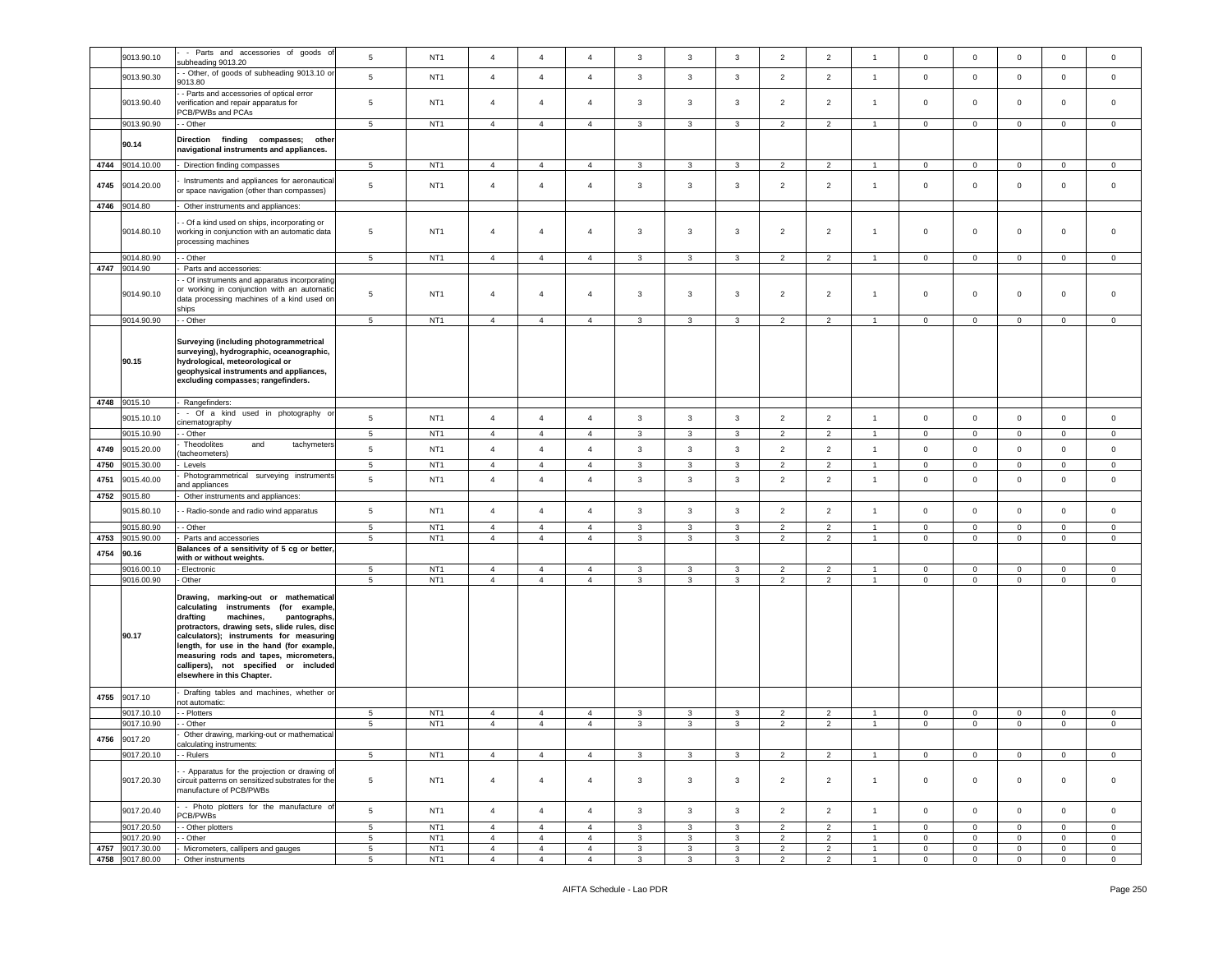|      | 9013.90.10               | - Parts and accessories of goods of<br>subheading 9013.20                                                                                                                                                                                                                                                                                                                       | $\sqrt{5}$                       | NT <sub>1</sub>                    | $\overline{4}$                   | $\overline{4}$                   | $\overline{4}$                   | $\mathbf{3}$      | $\mathbf{3}$                 | $\mathbf{3}$ | $\overline{2}$                   | $\overline{2}$                   | $\overline{1}$                   | $\mathsf 0$                 | $\mathsf 0$                 | $\mathsf 0$                | $\mathsf 0$                  | $\mathsf 0$                |
|------|--------------------------|---------------------------------------------------------------------------------------------------------------------------------------------------------------------------------------------------------------------------------------------------------------------------------------------------------------------------------------------------------------------------------|----------------------------------|------------------------------------|----------------------------------|----------------------------------|----------------------------------|-------------------|------------------------------|--------------|----------------------------------|----------------------------------|----------------------------------|-----------------------------|-----------------------------|----------------------------|------------------------------|----------------------------|
|      | 9013.90.30               | - Other, of goods of subheading 9013.10 or                                                                                                                                                                                                                                                                                                                                      | $\sqrt{5}$                       | NT <sub>1</sub>                    | $\overline{4}$                   | $\overline{4}$                   | $\overline{4}$                   | $\mathbf{3}$      | $\mathbf{3}$                 | $\mathbf{3}$ | $\overline{2}$                   | $\overline{2}$                   | $\overline{1}$                   | $\mathbf 0$                 | $\mathbf 0$                 | $\mathbf 0$                | $\mathbf 0$                  | $\mathsf 0$                |
|      |                          | 9013.80                                                                                                                                                                                                                                                                                                                                                                         |                                  |                                    |                                  |                                  |                                  |                   |                              |              |                                  |                                  |                                  |                             |                             |                            |                              |                            |
|      | 9013.90.40               | - Parts and accessories of optical error<br>verification and repair apparatus for<br>PCB/PWBs and PCAs                                                                                                                                                                                                                                                                          | $5\phantom{.0}$                  | NT <sub>1</sub>                    | $\overline{4}$                   | $\overline{4}$                   | $\overline{4}$                   | 3                 | 3                            | 3            | $\overline{2}$                   | $\overline{2}$                   | $\overline{1}$                   | $\mathbf 0$                 | $\mathbf 0$                 | $\mathbf 0$                | $\mathsf 0$                  | $\Omega$                   |
|      | 9013.90.90               | - Other                                                                                                                                                                                                                                                                                                                                                                         | $5\phantom{.0}$                  | NT <sub>1</sub>                    | $\overline{4}$                   | $\overline{4}$                   | $\overline{4}$                   | $\mathbf{3}$      | 3                            | 3            | $\overline{2}$                   | $\overline{2}$                   | $\overline{1}$                   | $\mathbf 0$                 | $\overline{0}$              | $\mathbf 0$                | $\mathbf 0$                  | $\mathbf 0$                |
|      | 90.14                    | Direction finding compasses; other<br>navigational instruments and appliances.                                                                                                                                                                                                                                                                                                  |                                  |                                    |                                  |                                  |                                  |                   |                              |              |                                  |                                  |                                  |                             |                             |                            |                              |                            |
|      | 4744 9014.10.00          | Direction finding compasses                                                                                                                                                                                                                                                                                                                                                     | $5\phantom{.0}$                  | NT <sub>1</sub>                    | $\overline{4}$                   | $\overline{4}$                   | $\overline{4}$                   | 3                 | 3                            | $\mathbf{3}$ | $\overline{2}$                   | $\overline{2}$                   |                                  | $\mathbf 0$                 | $\mathbf 0$                 | $\mathbf 0$                | $\mathbf{0}$                 | $\mathbf 0$                |
| 4745 | 9014.20.00               | Instruments and appliances for aeronautical<br>or space navigation (other than compasses)                                                                                                                                                                                                                                                                                       | $5\phantom{.0}$                  | NT <sub>1</sub>                    | $\overline{4}$                   | $\overline{4}$                   | $\overline{4}$                   | 3                 | 3                            | 3            | $\overline{2}$                   | $\overline{2}$                   | $\overline{1}$                   | $\circ$                     | $\mathbf{0}$                | $\mathbf 0$                | 0                            | $\mathbf 0$                |
| 4746 | 9014.80                  | Other instruments and appliances:                                                                                                                                                                                                                                                                                                                                               |                                  |                                    |                                  |                                  |                                  |                   |                              |              |                                  |                                  |                                  |                             |                             |                            |                              |                            |
|      | 9014.80.10               | - Of a kind used on ships, incorporating or<br>working in conjunction with an automatic data<br>processing machines                                                                                                                                                                                                                                                             | 5                                | NT <sub>1</sub>                    | $\overline{4}$                   | $\overline{4}$                   | $\overline{4}$                   | 3                 | 3                            | 3            | $\overline{2}$                   | $\overline{2}$                   | $\overline{1}$                   | $\mathbf 0$                 | $\mathbf 0$                 | $\mathbf 0$                | 0                            | $\mathbf 0$                |
|      | 9014.80.90               | - - Other                                                                                                                                                                                                                                                                                                                                                                       | $\sqrt{5}$                       | NT <sub>1</sub>                    | $\overline{4}$                   | $\overline{4}$                   | $\overline{4}$                   | $\mathbf{3}$      | $\mathbf{3}$                 | 3            | $\overline{2}$                   | $\overline{2}$                   | $\overline{1}$                   | $\mathbf 0$                 | $\mathbf 0$                 | $\mathbf 0$                | $\mathbf{0}$                 | $\mathbf 0$                |
|      | 4747 9014.90             | Parts and accessories:                                                                                                                                                                                                                                                                                                                                                          |                                  |                                    |                                  |                                  |                                  |                   |                              |              |                                  |                                  |                                  |                             |                             |                            |                              |                            |
|      | 9014.90.10               | - Of instruments and apparatus incorporating<br>or working in conjunction with an automatic<br>data processing machines of a kind used on<br>ships                                                                                                                                                                                                                              | $5\phantom{.0}$                  | NT <sub>1</sub>                    | $\overline{4}$                   | $\overline{4}$                   | $\overline{4}$                   | 3                 | 3                            | 3            | $\overline{2}$                   | $\overline{2}$                   | $\overline{1}$                   | $\mathbf 0$                 | $\mathsf 0$                 | $\,0\,$                    | $\mathsf 0$                  | $\mathsf 0$                |
|      | 9014.90.90               | - - Other                                                                                                                                                                                                                                                                                                                                                                       | 5 <sub>5</sub>                   | NT <sub>1</sub>                    | $\overline{4}$                   | $\overline{4}$                   | $\overline{4}$                   | $\mathbf{3}$      | $\mathbf{3}$                 | $\mathbf{3}$ | $\overline{2}$                   | $\overline{2}$                   | $\mathbf{1}$                     | $\overline{0}$              | $\overline{0}$              | $\overline{0}$             | $\overline{0}$               | $\overline{0}$             |
|      | 90.15                    | Surveying (including photogrammetrical<br>surveying), hydrographic, oceanographic,<br>hydrological, meteorological or<br>geophysical instruments and appliances,<br>excluding compasses; rangefinders.                                                                                                                                                                          |                                  |                                    |                                  |                                  |                                  |                   |                              |              |                                  |                                  |                                  |                             |                             |                            |                              |                            |
| 4748 | 9015.10                  | Rangefinders:                                                                                                                                                                                                                                                                                                                                                                   |                                  |                                    |                                  |                                  |                                  |                   |                              |              |                                  |                                  |                                  |                             |                             |                            |                              |                            |
|      | 9015.10.10               | - Of a kind used in photography or                                                                                                                                                                                                                                                                                                                                              | $5\phantom{.0}$                  | NT <sub>1</sub>                    | $\overline{4}$                   | $\overline{4}$                   | $\overline{4}$                   | 3                 | 3                            | 3            | $\overline{2}$                   | $\overline{2}$                   | $\overline{1}$                   | $\mathbf 0$                 | $\mathsf 0$                 | $\mathbf 0$                | $\mathbf 0$                  | $\mathbf 0$                |
|      | 9015.10.90               | cinematography<br>- Other                                                                                                                                                                                                                                                                                                                                                       | 5                                | NT <sub>1</sub>                    | $\overline{4}$                   | $\overline{4}$                   | $\overline{4}$                   | 3                 | 3                            | $\mathbf{3}$ | $\overline{2}$                   | $\overline{2}$                   | $\overline{1}$                   | $\mathbf{0}$                | $\mathbf 0$                 | $\mathbf 0$                | $\mathbf 0$                  | $\mathbf 0$                |
|      |                          | Theodolites<br>and<br>tachymeters                                                                                                                                                                                                                                                                                                                                               |                                  |                                    |                                  |                                  |                                  |                   |                              |              |                                  |                                  |                                  |                             |                             |                            |                              |                            |
| 4749 | 9015.20.00               | tacheometers)                                                                                                                                                                                                                                                                                                                                                                   | $\sqrt{5}$                       | NT <sub>1</sub>                    | $\sqrt{4}$                       | $\overline{4}$                   | $\overline{4}$                   | 3                 | $\mathbf{3}$                 | $\mathbf{3}$ | $\overline{2}$                   | $\overline{2}$                   | $\mathbf{1}$                     | $\mathbf 0$                 | $\mathbf 0$                 | $\mathbf 0$                | $\mathbf 0$                  | $\mathsf 0$                |
| 4750 | 9015.30.00               | Levels                                                                                                                                                                                                                                                                                                                                                                          | $5\phantom{.0}$                  | NT <sub>1</sub>                    | $\overline{4}$                   | $\overline{4}$                   | $\overline{4}$                   | 3                 | 3                            | 3            | $\overline{2}$                   | $\overline{2}$                   |                                  | $\mathbf 0$                 | $\mathsf 0$                 | $\,0\,$                    | $\mathsf 0$                  | $\mathbf 0$                |
| 4751 | 9015.40.00               | Photogrammetrical surveying instruments<br>and appliances                                                                                                                                                                                                                                                                                                                       | $\sqrt{5}$                       | NT <sub>1</sub>                    | $\overline{4}$                   | $\overline{4}$                   | $\overline{4}$                   | $\mathbf{3}$      | $\mathbf{3}$                 | $\mathbf{3}$ | $\overline{2}$                   | $\overline{2}$                   | $\mathbf{1}$                     | $\mathbf 0$                 | $\mathbf 0$                 | $\mathsf 0$                | $\mathsf 0$                  | $\mathbf 0$                |
| 4752 | 9015.80                  | Other instruments and appliances:                                                                                                                                                                                                                                                                                                                                               |                                  |                                    |                                  |                                  |                                  |                   |                              |              |                                  |                                  |                                  |                             |                             |                            |                              |                            |
|      | 9015.80.10               | - Radio-sonde and radio wind apparatus                                                                                                                                                                                                                                                                                                                                          | $5\phantom{.0}$                  | NT <sub>1</sub>                    | $\overline{4}$                   | $\overline{4}$                   | $\overline{4}$                   | 3                 | 3                            | 3            | $\overline{2}$                   | $\overline{2}$                   | $\overline{1}$                   | $\mathbf 0$                 | $\mathbf 0$                 | $\mathbf 0$                | $\mathbf 0$                  | $\mathbf 0$                |
| 4753 | 9015.80.90<br>9015.90.00 | - Other<br>Parts and accessories                                                                                                                                                                                                                                                                                                                                                | 5<br>5                           | NT <sub>1</sub><br>NT <sub>1</sub> | $\overline{4}$<br>$\overline{4}$ | $\overline{4}$<br>$\overline{4}$ | $\overline{4}$<br>$\overline{4}$ | 3<br>3            | $\overline{\mathbf{3}}$<br>3 | 3<br>3       | $\overline{2}$<br>2              | $\overline{2}$<br>$\overline{2}$ | $\mathbf{1}$<br>$\overline{1}$   | $\mathbf{0}$<br>$\mathsf 0$ | $\mathbf 0$<br>$\mathbf 0$  | $\mathbf 0$<br>0           | $\mathbf 0$<br>$\mathbf 0$   | $\mathbf 0$<br>$\mathbf 0$ |
|      |                          | Balances of a sensitivity of 5 cg or better,                                                                                                                                                                                                                                                                                                                                    |                                  |                                    |                                  |                                  |                                  |                   |                              |              |                                  |                                  |                                  |                             |                             |                            |                              |                            |
| 4754 | 90.16                    | with or without weights.                                                                                                                                                                                                                                                                                                                                                        |                                  |                                    |                                  |                                  |                                  |                   |                              |              |                                  |                                  |                                  |                             |                             |                            |                              |                            |
|      | 9016.00.10               | - Electronic                                                                                                                                                                                                                                                                                                                                                                    | 5                                | NT <sub>1</sub>                    | $\overline{4}$                   | $\overline{4}$                   | $\overline{4}$                   | 3                 | $\overline{\mathbf{3}}$      | 3            | $\overline{2}$                   | $\overline{2}$                   | $\overline{1}$                   | $\mathbf{0}$                | $\mathbf 0$                 | $\mathbf 0$                | $\mathbf 0$                  | $\mathbf 0$                |
|      | 9016.00.90               | Other                                                                                                                                                                                                                                                                                                                                                                           | $\overline{5}$                   | NT <sub>1</sub>                    | $\overline{4}$                   | $\overline{4}$                   | $\overline{4}$                   | 3                 | $\mathbf{3}$                 | 3            | $\overline{2}$                   | $\overline{2}$                   | $\overline{1}$                   | $\mathsf 0$                 | $\mathsf 0$                 | $\mathbf 0$                | $\mathbf 0$                  | $\mathsf 0$                |
|      | 90.17                    | Drawing, marking-out or mathematical<br>calculating instruments (for example,<br>drafting<br>machines,<br>pantographs,<br>protractors, drawing sets, slide rules, disc<br>calculators); instruments for measuring<br>length, for use in the hand (for example,<br>measuring rods and tapes, micrometers,<br>callipers), not specified or included<br>elsewhere in this Chapter. |                                  |                                    |                                  |                                  |                                  |                   |                              |              |                                  |                                  |                                  |                             |                             |                            |                              |                            |
| 4755 | 9017.10                  | Drafting tables and machines, whether or<br>not automatic:                                                                                                                                                                                                                                                                                                                      |                                  |                                    |                                  |                                  |                                  |                   |                              |              |                                  |                                  |                                  |                             |                             |                            |                              |                            |
|      | 9017.10.10               | - - Plotters                                                                                                                                                                                                                                                                                                                                                                    | 5                                | NT <sub>1</sub>                    | $\overline{4}$                   | $\overline{4}$                   | $\overline{4}$                   | $\mathbf{3}$      | 3                            | 3            | $\overline{2}$                   | $\overline{2}$                   |                                  | $\mathbf{0}$                | 0                           | $\mathbf 0$                | $\mathbf{0}$                 | $\mathbf{0}$               |
|      | 9017.10.90               | - Other                                                                                                                                                                                                                                                                                                                                                                         | 5                                | NT <sub>1</sub>                    | $\overline{4}$                   | $\overline{4}$                   | $\overline{4}$                   | 3                 | 3                            | $\mathbf{3}$ | $\overline{2}$                   | $\overline{2}$                   | $\overline{1}$                   | $\mathbf 0$                 | $\mathsf 0$                 | $\mathbf 0$                | $\mathbf 0$                  | $\circ$                    |
|      | 4756 9017.20             | Other drawing, marking-out or mathematical<br>calculating instruments:                                                                                                                                                                                                                                                                                                          |                                  |                                    |                                  |                                  |                                  |                   |                              |              |                                  |                                  |                                  |                             |                             |                            |                              |                            |
|      | 9017.20.10               | - - Rulers                                                                                                                                                                                                                                                                                                                                                                      | 5                                | NT <sub>1</sub>                    | $\overline{4}$                   | $\overline{4}$                   | $\overline{4}$                   | 3                 | 3                            | 3            | $\overline{2}$                   | $\overline{2}$                   |                                  | $\mathbf 0$                 | $\mathbf{0}$                | $\mathbf 0$                | $\mathbf 0$                  | $\mathbf{0}$               |
|      | 9017.20.30               | - Apparatus for the projection or drawing of<br>circuit patterns on sensitized substrates for the<br>nanufacture of PCB/PWBs                                                                                                                                                                                                                                                    | $\sqrt{5}$                       | NT <sub>1</sub>                    | $\overline{4}$                   | $\overline{4}$                   | $\overline{4}$                   | $\mathbf{3}$      | $\mathbf{3}$                 | $\mathbf{3}$ | $\overline{2}$                   | $\overline{2}$                   | $\mathbf{1}$                     | $\circ$                     | $\mathbf{0}$                | $\mathbf 0$                | $\mathbf 0$                  | $\mathbf 0$                |
|      | 9017.20.40               | - Photo plotters for the manufacture of<br>PCB/PWBs                                                                                                                                                                                                                                                                                                                             | $\overline{5}$<br>$\overline{5}$ | NT <sub>1</sub>                    | $\overline{4}$<br>$\overline{4}$ | $\overline{4}$<br>$\overline{4}$ | $\overline{4}$                   | $\mathbf{3}$      | $\mathbf{3}$                 | $\mathbf{3}$ | $\overline{2}$                   | $\overline{2}$                   | $\overline{1}$<br>$\overline{1}$ | $\mathbf 0$<br>$\mathbf 0$  | $\mathbf 0$                 | $\mathsf 0$                | $\mathbf 0$                  | $\mathbf 0$                |
|      | 9017.20.50<br>9017.20.90 | - Other plotters<br>- Other                                                                                                                                                                                                                                                                                                                                                     | $\sqrt{5}$                       | NT <sub>1</sub><br>NT <sub>1</sub> | $\overline{4}$                   | $\overline{4}$                   | $\overline{4}$<br>$\overline{4}$ | $\mathbf{3}$<br>3 | $\mathbf{3}$<br>3            | 3<br>3       | $\overline{2}$<br>$\overline{2}$ | $\overline{2}$<br>$\overline{2}$ | $\overline{1}$                   | $\mathbf{0}$                | $\mathbf 0$<br>$\mathbf{0}$ | $\mathsf 0$<br>$\mathbf 0$ | $\mathbf{0}$<br>$\mathbf{0}$ | $\mathbf 0$<br>$\mathbf 0$ |
| 4757 | 9017.30.00               | Micrometers, callipers and gauges                                                                                                                                                                                                                                                                                                                                               | $5\phantom{.0}$                  | NT <sub>1</sub>                    | $\overline{4}$                   | $\overline{4}$                   | $\overline{4}$                   | $\mathbf{3}$      | $\mathbf{3}$                 | $\mathbf{3}$ | $\overline{2}$                   | $\overline{2}$                   | $\overline{1}$                   | $\mathbf{0}$                | $\mathbf 0$                 | $\mathbf 0$                | $\mathbf{0}$                 | $\overline{0}$             |
|      | 4758 9017.80.00          | Other instruments                                                                                                                                                                                                                                                                                                                                                               | $\sqrt{5}$                       | NT <sub>1</sub>                    | $\overline{4}$                   | $\overline{4}$                   | $\overline{4}$                   | $\mathbf{3}$      | $\mathbf{3}$                 | $\mathbf{3}$ | $\overline{2}$                   | $\overline{2}$                   | 1                                | $\mathbf 0$                 | $\mathbf 0$                 | $\mathbf 0$                | $\mathbf 0$                  | $\mathbf 0$                |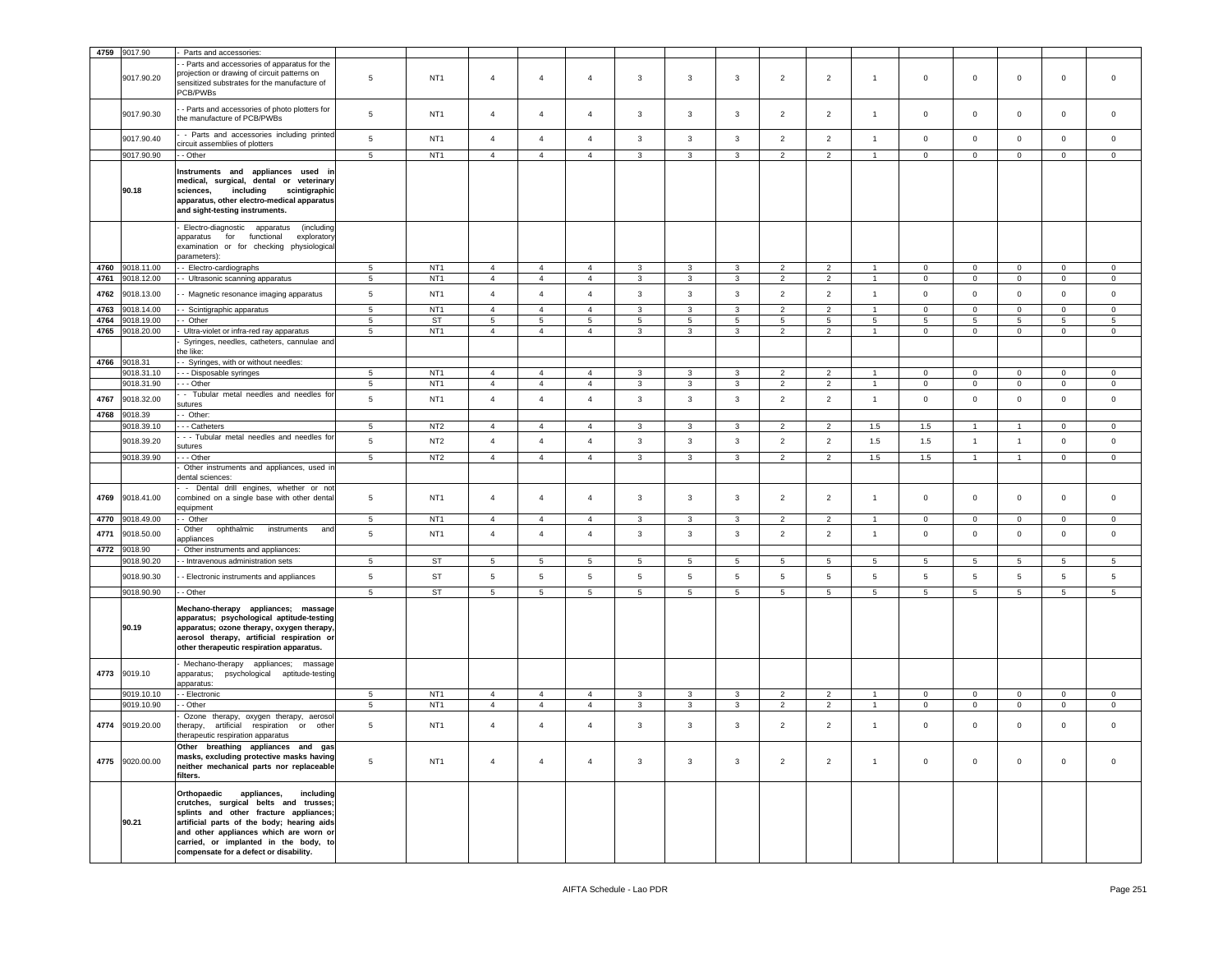|              | 4759 9017.90          | Parts and accessories:                                                                                                                                                                                                                                                                                |                 |                 |                |                 |                |                |              |                 |                 |                |                |              |                     |                |                 |             |
|--------------|-----------------------|-------------------------------------------------------------------------------------------------------------------------------------------------------------------------------------------------------------------------------------------------------------------------------------------------------|-----------------|-----------------|----------------|-----------------|----------------|----------------|--------------|-----------------|-----------------|----------------|----------------|--------------|---------------------|----------------|-----------------|-------------|
|              | 9017.90.20            | - Parts and accessories of apparatus for the<br>projection or drawing of circuit patterns on<br>sensitized substrates for the manufacture of                                                                                                                                                          | $5\phantom{.0}$ | NT <sub>1</sub> | $\overline{4}$ | $\overline{4}$  | $\overline{4}$ | $\mathbf{3}$   | 3            | $\mathbf{3}$    | $\overline{2}$  | $\overline{2}$ | $\overline{1}$ | $\mathbf 0$  | $\overline{0}$      | $\mathbf 0$    | $\mathbf 0$     | $\mathbf 0$ |
|              | 9017.90.30            | PCB/PWBs<br>- Parts and accessories of photo plotters for<br>the manufacture of PCB/PWBs                                                                                                                                                                                                              | $\,$ 5          | NT <sub>1</sub> | $\overline{4}$ | $\overline{4}$  | $\overline{4}$ | 3              | 3            | 3               | $\overline{2}$  | $\overline{2}$ | $\overline{1}$ | $\mathbf 0$  | $\mathbf 0$         | $\mathbf 0$    | $\mathsf 0$     | $\circ$     |
|              | 9017.90.40            | - Parts and accessories including printed<br>circuit assemblies of plotters                                                                                                                                                                                                                           | $\,$ 5          | NT <sub>1</sub> | $\overline{4}$ | $\overline{4}$  | $\overline{4}$ | $\mathbf{3}$   | 3            | 3               | $\overline{2}$  | $\overline{2}$ | $\overline{1}$ | $\mathbf 0$  | $\mathbf 0$         | $\mathbf 0$    | $\mathsf 0$     | $\mathbf 0$ |
|              | 9017.90.90            | - Other                                                                                                                                                                                                                                                                                               | 5               | NT <sub>1</sub> | $\overline{4}$ | $\overline{4}$  | $\overline{4}$ | 3              | 3            | $\mathbf{3}$    | $\overline{2}$  | $\overline{2}$ | $\overline{1}$ | $\mathbf{0}$ | $\mathbf 0$         | $\mathbf 0$    | $\mathbf{0}$    | $\mathbf 0$ |
|              | 90.18                 | Instruments and appliances used in<br>medical, surgical, dental or veterinary<br>sciences,<br>including<br>scintigraphic<br>apparatus, other electro-medical apparatus<br>and sight-testing instruments.                                                                                              |                 |                 |                |                 |                |                |              |                 |                 |                |                |              |                     |                |                 |             |
|              |                       | (including<br>Electro-diagnostic apparatus<br>for functional<br>exploratory<br>apparatus<br>examination or for checking physiological<br>parameters):                                                                                                                                                 |                 |                 |                |                 |                |                |              |                 |                 |                |                |              |                     |                |                 |             |
| 4760         | 9018.11.00            | - Electro-cardiographs                                                                                                                                                                                                                                                                                | $5\phantom{.0}$ | NT <sub>1</sub> | $\overline{4}$ | $\overline{4}$  | $\overline{4}$ | 3              | 3            | 3               | $\overline{2}$  | $\overline{2}$ |                | $\mathbf 0$  | $\mathbf 0$         | $\mathbf 0$    | $\mathbf 0$     | $\mathbf 0$ |
| 4761         | 9018.12.00            | - Ultrasonic scanning apparatus                                                                                                                                                                                                                                                                       | 5               | NT <sub>1</sub> | $\overline{4}$ | $\overline{4}$  | $\overline{4}$ | $\mathbf{3}$   | 3            | 3               | $\overline{2}$  | $\overline{2}$ |                | $\mathbf{0}$ | $\mathbf{0}$        | $\mathbf 0$    | $\mathbf 0$     | $\mathbf 0$ |
| 4762         | 9018.13.00            | - Magnetic resonance imaging apparatus                                                                                                                                                                                                                                                                | $\,$ 5 $\,$     | NT <sub>1</sub> | $\overline{4}$ | $\overline{4}$  | $\overline{4}$ | $\mathbf{3}$   | $\mathbf{3}$ | $\mathbf{3}$    | $\overline{2}$  | $\overline{2}$ | $\overline{1}$ | $\mathbf 0$  | $\overline{0}$      | $\mathbf 0$    | $\mathsf 0$     | $\mathsf 0$ |
| 4763         | 9018.14.00            | - Scintigraphic apparatus                                                                                                                                                                                                                                                                             | $5\phantom{.0}$ | NT <sub>1</sub> | $\overline{4}$ | $\overline{4}$  | $\overline{4}$ | 3              | 3            | $\mathbf{3}$    | 2               | $\overline{2}$ |                | $\mathbf 0$  | $\mathbf 0$         | $\mathbf 0$    | $\mathbf 0$     | $\mathbf 0$ |
| 4764         | 9018.19.00            | - Other                                                                                                                                                                                                                                                                                               | 5               | ST              | 5              | 5               | 5              | 5              | 5            | 5               | 5               | 5              | 5              | 5            | 5                   | 5              | 5               | 5           |
| 4765         | 9018.20.00            | Ultra-violet or infra-red ray apparatus<br>Syringes, needles, catheters, cannulae and                                                                                                                                                                                                                 | $\,$ 5 $\,$     | NT <sub>1</sub> | $\overline{4}$ | $\overline{4}$  | $\overline{4}$ | 3              | $\mathbf{3}$ | $\mathbf{3}$    | $\overline{2}$  | $\overline{2}$ |                | $\mathbf 0$  | $\mathsf{O}\xspace$ | $\mathsf 0$    | $\mathbf 0$     | 0           |
|              |                       | the like:                                                                                                                                                                                                                                                                                             |                 |                 |                |                 |                |                |              |                 |                 |                |                |              |                     |                |                 |             |
| 4766         | 9018.31               | - Syringes, with or without needles:                                                                                                                                                                                                                                                                  |                 |                 |                |                 |                |                |              |                 |                 |                |                |              |                     |                |                 |             |
|              | 9018.31.10            | - - Disposable syringes                                                                                                                                                                                                                                                                               | $\overline{5}$  | NT <sub>1</sub> | $\overline{4}$ | $\overline{4}$  | $\overline{4}$ | 3              | 3            | $\mathbf{3}$    | $\overline{2}$  | $\overline{2}$ |                | $\mathbf 0$  | $\mathbf 0$         | 0              | $\mathbf 0$     | 0           |
|              | 9018.31.90            | - - Other                                                                                                                                                                                                                                                                                             | $5\phantom{.0}$ | NT <sub>1</sub> | $\overline{4}$ | $\overline{4}$  | $\overline{4}$ | $\mathbf{3}$   | 3            | $\mathbf{3}$    | $\overline{2}$  | $\overline{2}$ |                | $\mathbf 0$  | $\mathbf 0$         | $\mathsf 0$    | $\mathbf{0}$    | $\mathbf 0$ |
| 4767         | 9018.32.00            | - Tubular metal needles and needles for<br>sutures                                                                                                                                                                                                                                                    | $5\phantom{.0}$ | NT <sub>1</sub> | $\overline{4}$ | $\overline{4}$  | $\overline{4}$ | 3              | 3            | 3               | $\overline{2}$  | $\overline{2}$ | $\overline{1}$ | $\mathbf 0$  | $\mathbf 0$         | $\mathbf 0$    | $\mathbf 0$     | $\mathbf 0$ |
| 4768         | 9018.39               | - Other:                                                                                                                                                                                                                                                                                              |                 |                 |                |                 |                |                |              |                 |                 |                |                |              |                     |                |                 |             |
|              | 9018.39.10            | - - Catheters                                                                                                                                                                                                                                                                                         | $\overline{5}$  | NT <sub>2</sub> | $\overline{4}$ | $\overline{4}$  | $\overline{4}$ | 3              | 3            | $\mathbf{3}$    | $\overline{2}$  | $\overline{2}$ | 1.5            | 1.5          | -1                  |                | $\mathbf 0$     | $\mathbf 0$ |
|              | 9018.39.20            | - - Tubular metal needles and needles for                                                                                                                                                                                                                                                             | $5\phantom{.0}$ | NT <sub>2</sub> | $\overline{4}$ | $\overline{4}$  | $\overline{4}$ | $\mathbf{3}$   | 3            | $\mathbf{3}$    | $\overline{2}$  | $\overline{2}$ | 1.5            | 1.5          | $\overline{1}$      | $\mathbf{1}$   | $\mathbf 0$     | $\mathbf 0$ |
|              | 9018.39.90            | sutures<br>- - Other                                                                                                                                                                                                                                                                                  | $\,$ 5 $\,$     | NT <sub>2</sub> | $\overline{4}$ | $\overline{4}$  | $\overline{4}$ | 3              | $\mathbf{3}$ | $\mathbf{3}$    | $\overline{2}$  | $\overline{2}$ | 1.5            | $1.5\,$      | $\mathbf{1}$        | $\overline{1}$ | $\mathbf 0$     | $\mathsf 0$ |
|              |                       | Other instruments and appliances, used in                                                                                                                                                                                                                                                             |                 |                 |                |                 |                |                |              |                 |                 |                |                |              |                     |                |                 |             |
|              |                       | dental sciences:<br>- Dental drill engines, whether or not                                                                                                                                                                                                                                            |                 |                 |                |                 |                |                |              |                 |                 |                |                |              |                     |                |                 |             |
| 4769         | 9018.41.00            | combined on a single base with other dental<br>equipment                                                                                                                                                                                                                                              | $5\phantom{.0}$ | NT <sub>1</sub> | $\overline{4}$ | $\overline{4}$  | $\overline{4}$ | 3              | 3            | $\mathbf{3}$    | $\overline{2}$  | $\overline{2}$ | $\overline{1}$ | $\circ$      | $\mathbf{0}$        | $\mathbf 0$    | $\mathbf 0$     | $\mathbf 0$ |
| 4770         | 9018.49.00            | - Other                                                                                                                                                                                                                                                                                               | $5\phantom{.0}$ | NT <sub>1</sub> | $\overline{4}$ | $\overline{4}$  | $\overline{4}$ | $\mathbf{3}$   | 3            | $\mathbf{3}$    | $\overline{2}$  | $\overline{2}$ | $\mathbf{1}$   | $\mathbf 0$  | $\mathbf{0}$        | $\mathbf 0$    | $\mathbf{0}$    | $\mathbf 0$ |
| 4771<br>4772 | 9018.50.00            | Other<br>ophthalmic<br>instruments<br>and<br>appliances                                                                                                                                                                                                                                               | $5\phantom{.0}$ | NT <sub>1</sub> | $\overline{4}$ | $\overline{4}$  | $\overline{4}$ | $\mathbf{3}$   | $\mathbf{3}$ | $\mathbf{3}$    | $\overline{2}$  | $\overline{2}$ | $\mathbf{1}$   | $\mathbf 0$  | $\mathbf{0}$        | $\mathsf 0$    | $\mathbf 0$     | $\mathbf 0$ |
|              | 9018.90<br>9018.90.20 | Other instruments and appliances:<br>- Intravenous administration sets                                                                                                                                                                                                                                | $5\phantom{.0}$ | ST              | 5              | $5\phantom{.0}$ | 5              | 5              | 5            | $5\phantom{.0}$ | 5               | 5              | 5              | 5            | 5                   | 5              | 5               | 5           |
|              | 9018.90.30            | - Electronic instruments and appliances                                                                                                                                                                                                                                                               | $\sqrt{5}$      | <b>ST</b>       | 5              | $5\phantom{.0}$ | 5              | $\overline{5}$ | 5            | 5               | 5               | 5              | 5              | 5            | $5\phantom{.0}$     | 5              | 5               | 5           |
|              | 9018.90.90            | - Other                                                                                                                                                                                                                                                                                               | $5\phantom{.0}$ | ST              | $\sqrt{5}$     | 5               | 5              | 5              | 5            | $\,$ 5 $\,$     | $5\phantom{.0}$ | 5              | 5              | 5            | $5\phantom{.0}$     | 5              | $5\phantom{.0}$ | 5           |
|              | 90.19                 | Mechano-therapy appliances; massage<br>apparatus; psychological aptitude-testing<br>apparatus; ozone therapy, oxygen therapy,<br>aerosol therapy, artificial respiration or<br>other therapeutic respiration apparatus.                                                                               |                 |                 |                |                 |                |                |              |                 |                 |                |                |              |                     |                |                 |             |
|              | 4773 9019.10          | Mechano-therapy appliances;<br>massage<br>psychological aptitude-testing<br>apparatus;<br>apparatus:                                                                                                                                                                                                  |                 |                 |                |                 |                |                |              |                 |                 |                |                |              |                     |                |                 |             |
|              | 9019.10.10            | - - Electronic                                                                                                                                                                                                                                                                                        | $5\phantom{.0}$ | NT <sub>1</sub> | $\overline{4}$ | $\overline{4}$  | $\overline{4}$ | $\mathbf{3}$   | 3            | 3               | 2               | 2              | $\overline{1}$ | $\mathbf{0}$ | $\mathbf{0}$        | $\mathbf 0$    | $\circ$         | $\circ$     |
|              | 9019.10.90            | - Other                                                                                                                                                                                                                                                                                               | $\overline{5}$  | NT <sub>1</sub> | $\overline{4}$ | $\overline{4}$  | $\overline{4}$ | 3              | 3            | 3               | $\overline{2}$  | $\overline{2}$ |                | $\mathbf 0$  | $\mathbf 0$         | $\mathbf 0$    | $\mathbf 0$     | $\mathbf 0$ |
|              | 4774 9019.20.00       | Ozone therapy, oxygen therapy, aeroso<br>therapy, artificial respiration or other<br>therapeutic respiration apparatus                                                                                                                                                                                | 5               | NT <sub>1</sub> | $\overline{a}$ | $\overline{4}$  | $\overline{4}$ | 3              | 3            | 3               | 2               | $\overline{2}$ |                | $\mathbf 0$  | 0                   | 0              | $\mathbf 0$     | $\Omega$    |
|              | 4775 9020.00.00       | Other breathing appliances and gas<br>masks, excluding protective masks having<br>neither mechanical parts nor replaceable<br>filters.                                                                                                                                                                | 5               | NT <sub>1</sub> | $\overline{4}$ | $\overline{4}$  | $\overline{4}$ | 3              | 3            | 3               | $\overline{2}$  | $\overline{2}$ | $\mathbf{1}$   | $\circ$      | $\mathbf 0$         | $\mathbf 0$    | $\mathbf 0$     | 0           |
|              | 90.21                 | Orthopaedic<br>appliances,<br>including<br>crutches, surgical belts and trusses;<br>splints and other fracture appliances;<br>artificial parts of the body; hearing aids<br>and other appliances which are worn or<br>carried, or implanted in the body, to<br>compensate for a defect or disability. |                 |                 |                |                 |                |                |              |                 |                 |                |                |              |                     |                |                 |             |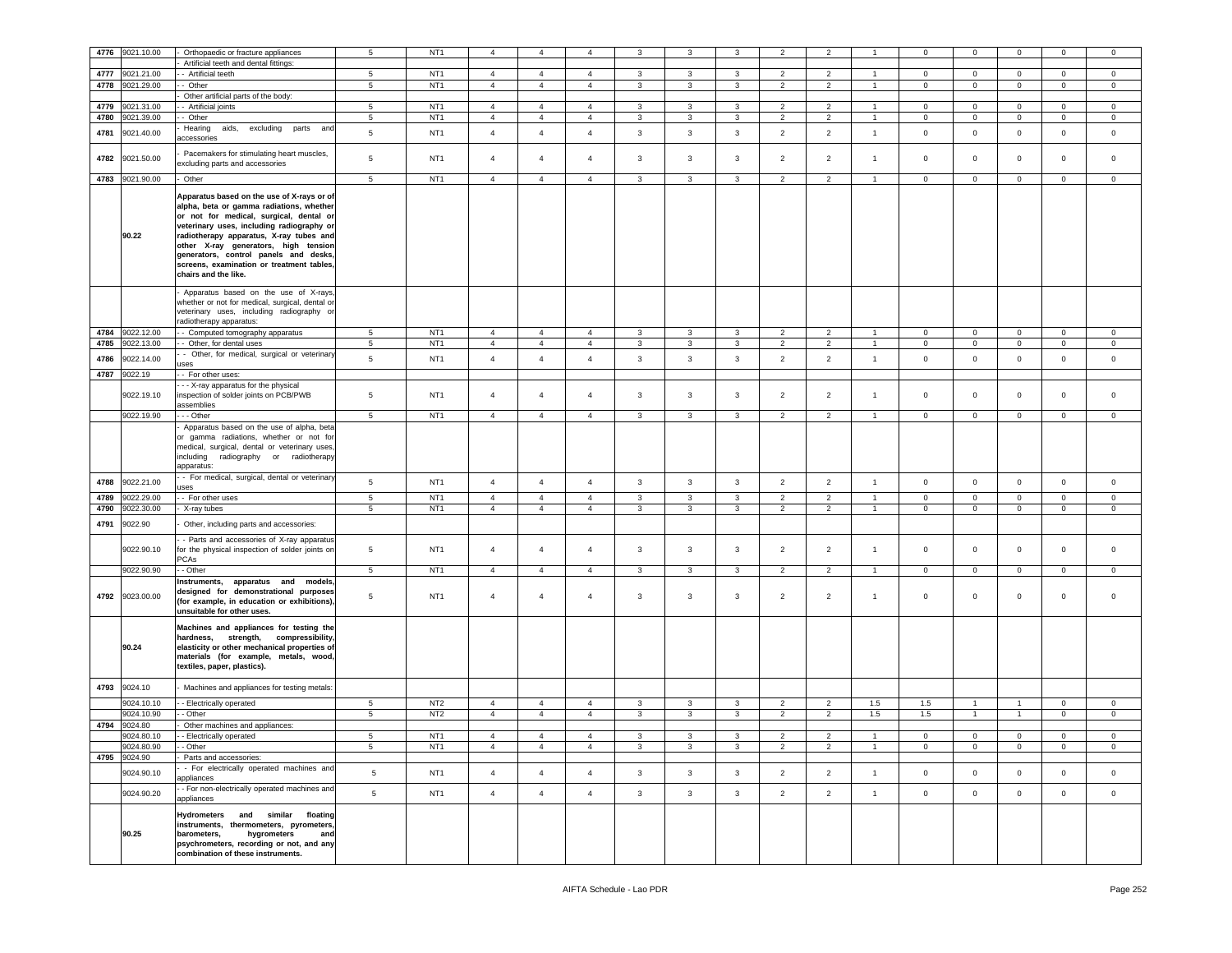| 4776 | 9021.10.00 | Orthopaedic or fracture appliances                                                                                                                                                                                                                                                                                                                                              | 5               | NT <sub>1</sub> | $\overline{4}$ | $\overline{4}$ | $\overline{4}$ | 3            | 3            | 3            | $\overline{2}$ | $\overline{2}$ |                | $^{\circ}$     | $\mathbf 0$    | $\mathsf 0$  | $\mathbf 0$    | 0              |
|------|------------|---------------------------------------------------------------------------------------------------------------------------------------------------------------------------------------------------------------------------------------------------------------------------------------------------------------------------------------------------------------------------------|-----------------|-----------------|----------------|----------------|----------------|--------------|--------------|--------------|----------------|----------------|----------------|----------------|----------------|--------------|----------------|----------------|
|      |            | Artificial teeth and dental fittings:                                                                                                                                                                                                                                                                                                                                           |                 |                 |                |                |                |              |              |              |                |                |                |                |                |              |                |                |
| 4777 | 9021.21.00 | - Artificial teeth                                                                                                                                                                                                                                                                                                                                                              | 5               | NT <sub>1</sub> | $\overline{4}$ | $\overline{4}$ | $\overline{4}$ | $\mathbf{3}$ | 3            | 3            | $\overline{2}$ | $\overline{2}$ | $\mathbf{1}$   | $\pmb{0}$      | $\mathbf 0$    | $\mathbf 0$  | $\mathsf 0$    | $\mathbf 0$    |
| 4778 | 9021.29.00 | - Other                                                                                                                                                                                                                                                                                                                                                                         | 5               | NT <sub>1</sub> | $\overline{4}$ | $\overline{4}$ | $\overline{4}$ | $\mathbf{3}$ | $\mathbf{3}$ | $\mathbf{3}$ | $\overline{2}$ | $\overline{2}$ | $\overline{1}$ | $\circ$        | $\mathsf 0$    | $\mathbf 0$  | $\mathbf 0$    | $\circ$        |
|      |            | Other artificial parts of the body:                                                                                                                                                                                                                                                                                                                                             |                 |                 |                |                |                |              |              |              |                |                |                |                |                |              |                |                |
| 4779 | 9021.31.00 | - Artificial joints                                                                                                                                                                                                                                                                                                                                                             | 5               | NT <sub>1</sub> | $\overline{4}$ | $\overline{4}$ | $\overline{4}$ | 3            | $\mathbf{3}$ | $\mathbf{3}$ | $\overline{2}$ | $\overline{2}$ | $\overline{1}$ | $\mathbf 0$    | $\mathbf{0}$   | $\mathbf 0$  | $\mathbf{0}$   | $\mathbf{0}$   |
| 4780 | 9021.39.00 | - Other                                                                                                                                                                                                                                                                                                                                                                         | 5               | NT <sub>1</sub> | $\overline{4}$ | $\overline{4}$ | $\overline{4}$ | 3            | 3            | 3            | $\overline{2}$ | $\overline{2}$ | $\mathbf{1}$   | $\mathbf 0$    | $\mathbf 0$    | $\mathbf 0$  | $\mathbf 0$    | $\mathbf{0}$   |
|      |            | Hearing<br>aids, excluding<br>parts and                                                                                                                                                                                                                                                                                                                                         |                 |                 |                |                |                |              |              |              |                |                |                |                |                |              |                |                |
| 4781 | 9021.40.00 | accessories                                                                                                                                                                                                                                                                                                                                                                     | 5               | NT <sub>1</sub> | $\overline{4}$ | $\overline{4}$ | $\overline{4}$ | $\mathbf{3}$ | $\mathbf{3}$ | $\mathbf{3}$ | $\overline{2}$ | $\overline{2}$ | $\mathbf{1}$   | $\mathbf 0$    | $\circ$        | $\mathsf 0$  | $\mathbf 0$    | $\circ$        |
| 4782 | 9021.50.00 | Pacemakers for stimulating heart muscles,<br>excluding parts and accessories                                                                                                                                                                                                                                                                                                    | 5               | NT <sub>1</sub> | $\overline{4}$ | $\overline{4}$ | $\overline{4}$ | 3            | 3            | 3            | $\overline{2}$ | $\overline{2}$ | $\overline{1}$ | $\mathbf 0$    | $\circ$        | $\mathbf 0$  | $\mathbf 0$    | $\mathbf 0$    |
| 4783 | 9021.90.00 | Other                                                                                                                                                                                                                                                                                                                                                                           | $5\phantom{.0}$ | NT <sub>1</sub> | $\overline{4}$ | $\overline{4}$ | $\overline{4}$ | $\mathbf{3}$ | $\mathbf{3}$ | $\mathbf{3}$ | $\overline{2}$ | $\overline{2}$ | $\mathbf{1}$   | $\mathbf 0$    | $\overline{0}$ | $\mathbf 0$  | $\mathbf{0}$   | $\overline{0}$ |
|      | 90.22      | Apparatus based on the use of X-rays or of<br>alpha, beta or gamma radiations, whether<br>or not for medical, surgical, dental or<br>veterinary uses, including radiography or<br>radiotherapy apparatus, X-ray tubes and<br>other X-ray generators, high tension<br>generators, control panels and desks,<br>screens, examination or treatment tables.<br>chairs and the like. |                 |                 |                |                |                |              |              |              |                |                |                |                |                |              |                |                |
|      |            | Apparatus based on the use of X-rays<br>whether or not for medical, surgical, dental or<br>veterinary uses, including radiography or                                                                                                                                                                                                                                            |                 |                 |                |                |                |              |              |              |                |                |                |                |                |              |                |                |
|      |            | radiotherapy apparatus:                                                                                                                                                                                                                                                                                                                                                         |                 |                 |                |                |                |              |              |              |                |                |                |                |                |              |                |                |
| 4784 | 9022.12.00 | - Computed tomography apparatus                                                                                                                                                                                                                                                                                                                                                 | 5               | NT <sub>1</sub> | $\overline{4}$ | $\overline{4}$ | $\overline{4}$ | 3            | 3            | 3            | $\overline{2}$ | $\overline{2}$ |                | $\mathbf 0$    | $\mathbf 0$    | $\mathbf 0$  | $\mathbf{0}$   | $\mathbf 0$    |
| 4785 | 9022.13.00 | - Other, for dental uses                                                                                                                                                                                                                                                                                                                                                        | $5^{\circ}$     | NT <sub>1</sub> | $\overline{4}$ | $\overline{4}$ | $\overline{4}$ | 3            | 3            | 3            | $\overline{2}$ | $\overline{2}$ | $\overline{1}$ | $\mathbf 0$    | $\mathbf{0}$   | $\mathbf 0$  | $\mathbf 0$    | $\mathbf 0$    |
| 4786 | 9022.14.00 | - Other, for medical, surgical or veterinary<br>uses                                                                                                                                                                                                                                                                                                                            | 5               | NT <sub>1</sub> | $\overline{a}$ | $\overline{4}$ | $\overline{4}$ | $\mathbf{3}$ | $\mathbf{3}$ | $\mathbf{3}$ | $\overline{2}$ | $\overline{2}$ | $\mathbf{1}$   | $\mathbf 0$    | $\circ$        | $\mathbf 0$  | $\mathbf{0}$   | $\mathsf 0$    |
| 4787 | 9022.19    | - For other uses:                                                                                                                                                                                                                                                                                                                                                               |                 |                 |                |                |                |              |              |              |                |                |                |                |                |              |                |                |
|      | 9022.19.10 | - - X-ray apparatus for the physical<br>inspection of solder joints on PCB/PWB                                                                                                                                                                                                                                                                                                  | 5               | NT <sub>1</sub> | $\overline{4}$ | $\overline{4}$ | $\overline{4}$ | 3            | 3            | 3            | $\overline{2}$ | $\overline{2}$ | $\mathbf{1}$   | $\circ$        | $\mathbf 0$    | $\mathbf 0$  | $\mathbf 0$    | $\mathbf 0$    |
|      |            | assemblies                                                                                                                                                                                                                                                                                                                                                                      |                 |                 |                |                |                |              |              |              |                |                |                |                |                |              |                |                |
|      | 9022.19.90 | - - Other<br>Apparatus based on the use of alpha, beta                                                                                                                                                                                                                                                                                                                          | 5               | NT <sub>1</sub> | $\overline{4}$ | $\overline{4}$ | $\overline{4}$ | 3            | 3            | 3            | $\overline{2}$ | $\overline{2}$ | $\overline{1}$ | $\mathbf 0$    | $\mathbf 0$    | $\mathbf 0$  | $\mathbf 0$    | $\circ$        |
|      |            | or gamma radiations, whether or not for<br>medical, surgical, dental or veterinary uses,<br>including radiography or radiotherapy<br>apparatus:                                                                                                                                                                                                                                 |                 |                 |                |                |                |              |              |              |                |                |                |                |                |              |                |                |
| 4788 | 9022.21.00 | - For medical, surgical, dental or veterinary<br>uses                                                                                                                                                                                                                                                                                                                           | 5               | NT <sub>1</sub> | $\overline{4}$ | $\overline{4}$ | $\overline{4}$ | $\mathbf{3}$ | $\mathbf{3}$ | $\mathbf{3}$ | $\overline{2}$ | $\overline{2}$ | $\overline{1}$ | $\mathbf 0$    | $\circ$        | $\mathsf 0$  | $\mathbf{0}$   | $\circ$        |
| 4789 | 9022.29.00 | - For other uses                                                                                                                                                                                                                                                                                                                                                                | $5\phantom{.0}$ | NT <sub>1</sub> | $\overline{4}$ | $\overline{4}$ | $\overline{4}$ | $\mathbf{3}$ | $\mathbf{3}$ | $\mathbf{3}$ | 2              | 2              | $\overline{1}$ | $\mathbf 0$    | $\circ$        | $\mathbf 0$  | $\overline{0}$ | $\overline{0}$ |
| 4790 | 9022.30.00 | X-ray tubes                                                                                                                                                                                                                                                                                                                                                                     | $5\phantom{.0}$ | NT <sub>1</sub> | $\overline{4}$ | $\overline{4}$ | $\overline{4}$ | 3            | 3            | 3            | $\overline{2}$ | $\overline{2}$ | $\overline{1}$ | $\mathbf 0$    | $\mathbf 0$    | $\mathbf 0$  | 0              | 0              |
| 4791 | 9022.90    | Other, including parts and accessories:                                                                                                                                                                                                                                                                                                                                         |                 |                 |                |                |                |              |              |              |                |                |                |                |                |              |                |                |
|      | 9022.90.10 | - Parts and accessories of X-ray apparatus<br>for the physical inspection of solder joints on<br>PCAs                                                                                                                                                                                                                                                                           | 5               | NT <sub>1</sub> | $\overline{4}$ | $\overline{4}$ | $\overline{4}$ | 3            | 3            | 3            | $\overline{2}$ | $\overline{2}$ | $\overline{1}$ | $\mathbf 0$    | $\mathbf{0}$   | $\mathbf 0$  | $\mathbf 0$    | $\mathbf 0$    |
|      | 9022.90.90 | - Other                                                                                                                                                                                                                                                                                                                                                                         | 5               | NT <sub>1</sub> | $\overline{4}$ | $\overline{4}$ | $\overline{4}$ | $\mathbf{3}$ | 3            | 3            | $\overline{2}$ | $\overline{2}$ | $\overline{1}$ | $\mathbf 0$    | $\mathbf 0$    | $\mathbf 0$  | $\mathbf{0}$   | $\circ$        |
| 4792 | 9023.00.00 | Instruments, apparatus and models,<br>designed for demonstrational purposes<br>(for example, in education or exhibitions),<br>unsuitable for other uses.                                                                                                                                                                                                                        | 5               | NT <sub>1</sub> | $\overline{4}$ | $\overline{4}$ | $\overline{4}$ | 3            | 3            | 3            | $\overline{2}$ | $\overline{2}$ | $\overline{1}$ | $\circ$        | $\mathbf{O}$   | $\mathbf 0$  | $\mathbf 0$    | $\mathbf 0$    |
|      | 90.24      | Machines and appliances for testing the<br>hardness, strength, compressibility,<br>elasticity or other mechanical properties of<br>materials (for example, metals, wood,<br>textiles, paper, plastics).                                                                                                                                                                         |                 |                 |                |                |                |              |              |              |                |                |                |                |                |              |                |                |
| 4793 | 9024.10    | Machines and appliances for testing metals:                                                                                                                                                                                                                                                                                                                                     |                 |                 |                |                |                |              |              |              |                |                |                |                |                |              |                |                |
|      | 9024.10.10 | - Electrically operated                                                                                                                                                                                                                                                                                                                                                         | 5               | NT <sub>2</sub> | $\overline{4}$ | $\overline{4}$ | $\overline{4}$ | $\mathbf{3}$ | 3            | 3            | $\overline{2}$ | $\overline{2}$ | 1.5            | 1.5            | $\overline{1}$ | $\mathbf{1}$ | $\mathbf{0}$   | $\mathbf{0}$   |
|      | 9024.10.90 | - Other                                                                                                                                                                                                                                                                                                                                                                         | $5\phantom{.0}$ | NT <sub>2</sub> | $\overline{4}$ | $\overline{4}$ | $\overline{4}$ | 3            | $\mathbf{3}$ | $\mathbf{3}$ | $\overline{2}$ | $\overline{2}$ | 1.5            | 1.5            | $\overline{1}$ | $\mathbf{1}$ | $\mathbf 0$    | $\mathbf{0}$   |
| 4794 | 9024.80    | Other machines and appliances:                                                                                                                                                                                                                                                                                                                                                  |                 |                 |                |                |                |              |              |              |                |                |                |                |                |              |                |                |
|      | 9024.80.10 | - Electrically operated                                                                                                                                                                                                                                                                                                                                                         | $5^{\circ}$     | NT <sub>1</sub> | $\overline{4}$ | $\overline{4}$ | $\overline{4}$ | 3            | 3            | 3            | $\overline{2}$ | $\overline{2}$ | $\overline{1}$ | 0              | $\mathbf 0$    | $\mathbf 0$  | $\mathbf 0$    | $\mathbf 0$    |
|      | 9024.80.90 | - Other                                                                                                                                                                                                                                                                                                                                                                         | 5               | NT1             | $\overline{4}$ | $\overline{4}$ | $\overline{4}$ | 3            | 3            | 3            | $\overline{2}$ | $\overline{2}$ | $\overline{1}$ | $\overline{0}$ | $\overline{0}$ | $\mathbf 0$  | $\overline{0}$ | $\overline{0}$ |
| 4795 | 9024.90    | Parts and accessories:                                                                                                                                                                                                                                                                                                                                                          |                 |                 |                |                |                |              |              |              |                |                |                |                |                |              |                |                |
|      | 9024.90.10 | - For electrically operated machines and<br>appliances                                                                                                                                                                                                                                                                                                                          | 5               | NT <sub>1</sub> | $\overline{4}$ | $\overline{4}$ | $\overline{4}$ | 3            | 3            | $\mathbf{3}$ | $\overline{2}$ | $\overline{2}$ | $\mathbf{1}$   | $\circ$        | $\mathbf{O}$   | $\mathsf 0$  | $\mathbf 0$    | $\mathbf 0$    |
|      | 9024.90.20 | - For non-electrically operated machines and<br>appliances                                                                                                                                                                                                                                                                                                                      | $\sqrt{5}$      | NT <sub>1</sub> | $\overline{4}$ | $\overline{4}$ | $\overline{4}$ | 3            | 3            | $\mathbf{3}$ | $\overline{2}$ | $\overline{2}$ | $\mathbf{1}$   | $\mathsf 0$    | $\mathbf 0$    | $\mathsf 0$  | $\mathbf{0}$   | $\mathbf{0}$   |
|      | 90.25      | Hydrometers and similar floating<br>instruments, thermometers, pyrometers,<br>hygrometers<br>barometers,<br>and<br>psychrometers, recording or not, and any<br>combination of these instruments.                                                                                                                                                                                |                 |                 |                |                |                |              |              |              |                |                |                |                |                |              |                |                |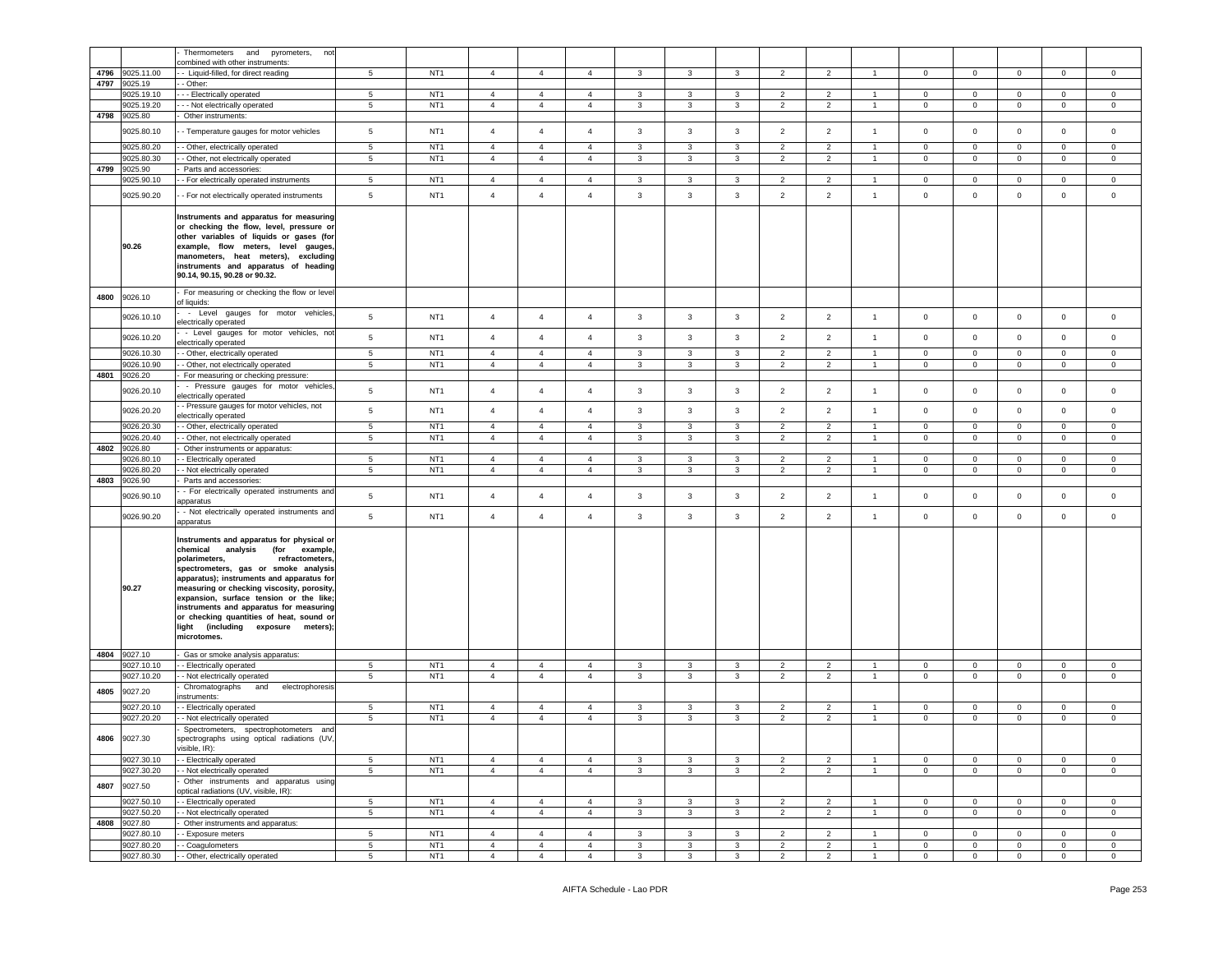|      |                          | Thermometers<br>and pyrometers,<br>not                                                                                                                                                                                                                                                                                                                                                                                                        |                      |                                    |                                  |                                  |                                  |                   |                   |                   |                                  |                              |                                  |                             |                             |                            |                             |                                |
|------|--------------------------|-----------------------------------------------------------------------------------------------------------------------------------------------------------------------------------------------------------------------------------------------------------------------------------------------------------------------------------------------------------------------------------------------------------------------------------------------|----------------------|------------------------------------|----------------------------------|----------------------------------|----------------------------------|-------------------|-------------------|-------------------|----------------------------------|------------------------------|----------------------------------|-----------------------------|-----------------------------|----------------------------|-----------------------------|--------------------------------|
|      |                          | combined with other instruments:                                                                                                                                                                                                                                                                                                                                                                                                              |                      |                                    |                                  |                                  |                                  |                   |                   |                   |                                  |                              |                                  |                             |                             |                            |                             |                                |
| 4796 | 9025.11.00               | - Liquid-filled, for direct reading                                                                                                                                                                                                                                                                                                                                                                                                           | 5                    | NT <sub>1</sub>                    | $\overline{4}$                   | $\overline{4}$                   | $\overline{4}$                   | $\mathbf{3}$      | 3                 | 3                 | $\overline{2}$                   | $\overline{2}$               |                                  | $\mathbf 0$                 | $\mathbf{0}$                | $\mathbf 0$                | $\mathbf 0$                 | $\mathbf 0$                    |
| 4797 | 9025.19<br>9025.19.10    | - Other:<br>- - Electrically operated                                                                                                                                                                                                                                                                                                                                                                                                         | 5                    | NT <sub>1</sub>                    | $\overline{4}$                   | $\overline{4}$                   | 4                                | 3                 | 3                 | 3                 | $\overline{2}$                   | $\overline{2}$               | -1.                              | $\mathsf 0$                 | $\mathbf{O}$                | $\mathbf 0$                | 0                           | $\mathbf 0$                    |
|      | 9025.19.20               | - - Not electrically operated                                                                                                                                                                                                                                                                                                                                                                                                                 | 5                    | NT <sub>1</sub>                    | $\overline{4}$                   | $\overline{4}$                   | $\overline{4}$                   | $\mathbf{3}$      | $\mathbf{3}$      | 3                 | $\overline{2}$                   | $\overline{2}$               | $\overline{1}$                   | $\overline{0}$              | $\mathbf{0}$                | $\mathbf 0$                | $\mathbf{0}$                | $\mathbf 0$                    |
| 4798 | 9025.80                  | Other instruments:                                                                                                                                                                                                                                                                                                                                                                                                                            |                      |                                    |                                  |                                  |                                  |                   |                   |                   |                                  |                              |                                  |                             |                             |                            |                             |                                |
|      | 9025.80.10               | - Temperature gauges for motor vehicles                                                                                                                                                                                                                                                                                                                                                                                                       | 5                    | NT <sub>1</sub>                    | $\overline{4}$                   | $\overline{4}$                   | $\overline{4}$                   | 3                 | $\mathbf{3}$      | 3                 | $\overline{2}$                   | $\overline{2}$               | $\overline{1}$                   | $\mathbf 0$                 | $\mathbf{0}$                | $\mathbf 0$                | $\mathbf 0$                 | $\mathbf 0$                    |
|      |                          |                                                                                                                                                                                                                                                                                                                                                                                                                                               |                      |                                    |                                  |                                  |                                  |                   |                   |                   |                                  |                              |                                  |                             |                             |                            |                             |                                |
|      | 9025.80.20<br>9025.80.30 | - Other, electrically operated                                                                                                                                                                                                                                                                                                                                                                                                                | 5<br>$5\phantom{.0}$ | NT <sub>1</sub><br>NT <sub>1</sub> | $\overline{4}$<br>$\overline{4}$ | $\overline{4}$<br>$\overline{4}$ | $\overline{4}$<br>$\overline{4}$ | 3<br>$\mathbf{3}$ | 3<br>$\mathbf{3}$ | 3<br>3            | $\overline{2}$<br>$\overline{2}$ | $\overline{2}$<br>$\sqrt{2}$ | $\overline{1}$<br>$\overline{1}$ | $\mathbf 0$<br>$\mathbf 0$  | $\mathbf 0$<br>$\mathbf 0$  | $\mathbf 0$<br>$\mathbf 0$ | $\mathbf 0$<br>$\mathbf 0$  | 0<br>$\mathsf 0$               |
| 4799 | 9025.90                  | - Other, not electrically operated<br>Parts and accessories:                                                                                                                                                                                                                                                                                                                                                                                  |                      |                                    |                                  |                                  |                                  |                   |                   |                   |                                  |                              |                                  |                             |                             |                            |                             |                                |
|      | 9025.90.10               | - For electrically operated instruments                                                                                                                                                                                                                                                                                                                                                                                                       | 5                    | NT <sub>1</sub>                    | $\overline{4}$                   | $\overline{4}$                   | $\overline{4}$                   | 3                 | 3                 | 3                 | $\overline{2}$                   | $\overline{2}$               | $\overline{1}$                   | $\mathbf 0$                 | $\mathbf{0}$                | $\mathbf{0}$               | $\mathbf 0$                 | $\mathbf 0$                    |
|      | 9025.90.20               | - For not electrically operated instruments                                                                                                                                                                                                                                                                                                                                                                                                   | $\sqrt{5}$           | NT <sub>1</sub>                    | $\overline{4}$                   | $\overline{4}$                   | $\overline{4}$                   | $\mathbf{3}$      | $\mathbf{3}$      | $\mathbf{3}$      | $\overline{2}$                   | $\overline{2}$               | $\mathbf{1}$                     | $\,0\,$                     | $\mathbf 0$                 | $\mathbf 0$                | $\mathbf 0$                 | $\mathbf 0$                    |
|      | 90.26                    | Instruments and apparatus for measuring<br>or checking the flow, level, pressure or<br>other variables of liquids or gases (for<br>example, flow meters, level gauges,<br>manometers, heat meters), excluding<br>instruments and apparatus of heading<br>90.14, 90.15, 90.28 or 90.32.                                                                                                                                                        |                      |                                    |                                  |                                  |                                  |                   |                   |                   |                                  |                              |                                  |                             |                             |                            |                             |                                |
| 4800 | 9026.10                  | For measuring or checking the flow or level<br>of liquids:                                                                                                                                                                                                                                                                                                                                                                                    |                      |                                    |                                  |                                  |                                  |                   |                   |                   |                                  |                              |                                  |                             |                             |                            |                             |                                |
|      | 9026.10.10               | - Level gauges for motor vehicles,<br>electrically operated                                                                                                                                                                                                                                                                                                                                                                                   | 5                    | NT <sub>1</sub>                    | $\overline{4}$                   | $\overline{4}$                   | 4                                | 3                 | $\mathbf{3}$      | 3                 | $\overline{2}$                   | $\overline{2}$               | $\overline{1}$                   | $\circ$                     | $\mathbf 0$                 | $\mathbf 0$                | $\mathbf{0}$                | $\mathbf 0$                    |
|      | 9026.10.20               | - Level gauges for motor vehicles, not<br>electrically operated                                                                                                                                                                                                                                                                                                                                                                               | 5                    | NT <sub>1</sub>                    | $\overline{4}$                   | $\overline{4}$                   | $\overline{4}$                   | $\mathbf{3}$      | $\mathbf{3}$      | $\mathbf{3}$      | $\overline{2}$                   | $\overline{2}$               | $\overline{1}$                   | $\mathbf 0$                 | $\mathbf 0$                 | $\mathsf 0$                | $\mathsf 0$                 | $\mathbf 0$                    |
|      | 9026.10.30<br>9026.10.90 | - Other, electrically operated<br>- Other, not electrically operated                                                                                                                                                                                                                                                                                                                                                                          | 5<br>$5\phantom{.0}$ | NT <sub>1</sub><br>NT <sub>1</sub> | $\overline{4}$<br>$\overline{4}$ | $\overline{4}$<br>$\overline{4}$ | $\overline{4}$<br>4              | 3<br>3            | 3<br>3            | 3<br>3            | $\overline{2}$<br>$\overline{2}$ | 2<br>$\overline{2}$          | $\overline{1}$<br>$\overline{1}$ | $\overline{0}$<br>0         | $\mathbf{0}$<br>$\mathbf 0$ | $\circ$<br>$\mathbf 0$     | $\mathbf{0}$<br>$\mathbf 0$ | $\circ$<br>$\mathbf 0$         |
|      | 4801 9026.20             | For measuring or checking pressure:                                                                                                                                                                                                                                                                                                                                                                                                           |                      |                                    |                                  |                                  |                                  |                   |                   |                   |                                  |                              |                                  |                             |                             |                            |                             |                                |
|      | 9026.20.10               | - Pressure gauges for motor vehicles,<br>electrically operated                                                                                                                                                                                                                                                                                                                                                                                | 5                    | NT <sub>1</sub>                    | $\overline{4}$                   | $\overline{4}$                   | $\overline{4}$                   | 3                 | $\mathbf{3}$      | 3                 | $\overline{2}$                   | $\overline{2}$               | $\overline{1}$                   | $\mathbf 0$                 | $\mathbf 0$                 | $\mathbf 0$                | $\mathbf 0$                 | $\mathbf 0$                    |
|      | 9026.20.20               | - Pressure gauges for motor vehicles, not<br>electrically operated                                                                                                                                                                                                                                                                                                                                                                            | $\sqrt{5}$           | NT <sub>1</sub>                    | $\overline{4}$                   | $\overline{4}$                   | 4                                | 3                 | $\mathbf{3}$      | 3                 | $\overline{2}$                   | $\overline{2}$               | $\overline{1}$                   | $\circ$                     | $\mathbf 0$                 | $\mathbf 0$                | $\mathbf{0}$                | $\mathbf 0$                    |
|      | 9026.20.30               | - Other, electrically operated                                                                                                                                                                                                                                                                                                                                                                                                                | $5\phantom{.0}$      | NT <sub>1</sub>                    | $\overline{4}$                   | $\overline{4}$                   | 4                                | 3                 | 3                 | 3                 | $\overline{2}$                   | $\overline{2}$               | -1                               | $\mathbf{0}$                | $\overline{0}$              | $\mathbf 0$                | $\mathbf{0}$                | $\mathbf{0}$                   |
|      | 9026.20.40               | - Other, not electrically operated                                                                                                                                                                                                                                                                                                                                                                                                            | 5                    | NT <sub>1</sub>                    | $\overline{4}$                   | $\overline{4}$                   | $\overline{4}$                   | 3                 | 3                 | $\mathbf{3}$      | 2                                | 2                            | $\overline{1}$                   | $\mathbf 0$                 | $\mathbf{O}$                | $\mathbf 0$                | $\mathbf{0}$                | $\mathbf 0$                    |
| 4802 | 9026.80                  | Other instruments or apparatus:                                                                                                                                                                                                                                                                                                                                                                                                               |                      |                                    |                                  |                                  |                                  |                   |                   |                   |                                  |                              |                                  |                             |                             |                            |                             |                                |
|      | 9026.80.10               |                                                                                                                                                                                                                                                                                                                                                                                                                                               |                      |                                    |                                  |                                  |                                  |                   |                   |                   |                                  |                              |                                  |                             |                             |                            |                             |                                |
|      |                          | - Electrically operated                                                                                                                                                                                                                                                                                                                                                                                                                       | 5                    | NT <sub>1</sub>                    | $\overline{4}$                   | $\overline{4}$                   | $\overline{4}$                   | $\mathbf{3}$      | 3                 | 3                 | $\overline{2}$                   | $\overline{2}$               | $\mathbf{1}$                     | $\overline{0}$              | $\overline{0}$              | $\overline{0}$             | $\overline{0}$              | $\mathbf{0}$                   |
|      | 9026.80.20               | - Not electrically operated                                                                                                                                                                                                                                                                                                                                                                                                                   | 5                    | NT <sub>1</sub>                    | $\overline{4}$                   | $\overline{4}$                   | $\overline{4}$                   | 3                 | $\mathbf{3}$      | $\mathbf{3}$      | 2                                | 2                            | $\mathbf{1}$                     | $\overline{0}$              | $\overline{0}$              | $\mathbf 0$                | $\mathbf{0}$                | $\mathbf 0$                    |
| 4803 | 9026.90<br>9026.90.10    | Parts and accessories:<br>- For electrically operated instruments and                                                                                                                                                                                                                                                                                                                                                                         | $\sqrt{5}$           | NT <sub>1</sub>                    | $\overline{4}$                   | $\overline{4}$                   | $\overline{4}$                   | $\mathbf{3}$      | $\mathbf{3}$      | $\mathbf{3}$      | $\overline{2}$                   | $\overline{2}$               | $\overline{1}$                   | $\mathbf 0$                 | $\circ$                     | $\mathbf 0$                | $\mathsf 0$                 | $\mathbf 0$                    |
|      | 9026.90.20               | apparatus<br>- Not electrically operated instruments and<br>apparatus                                                                                                                                                                                                                                                                                                                                                                         | 5                    | NT <sub>1</sub>                    | $\overline{4}$                   | $\overline{4}$                   | $\overline{4}$                   | $\mathbf{3}$      | $\mathbf{3}$      | 3                 | $\overline{2}$                   | $\overline{2}$               | $\mathbf{1}$                     | $\mathbf 0$                 | $\overline{0}$              | $\mathsf 0$                | $\mathbf 0$                 | $\mathbf 0$                    |
|      | 90.27                    | Instruments and apparatus for physical or<br>analysis (for example,<br>chemical<br>polarimeters,<br>refractometers,<br>spectrometers, gas or smoke analysis<br>apparatus); instruments and apparatus for<br>measuring or checking viscosity, porosity,<br>expansion, surface tension or the like;<br>instruments and apparatus for measuring<br>or checking quantities of heat, sound or<br>light (including exposure meters);<br>microtomes. |                      |                                    |                                  |                                  |                                  |                   |                   |                   |                                  |                              |                                  |                             |                             |                            |                             |                                |
|      | 4804 9027.10             | Gas or smoke analysis apparatus:                                                                                                                                                                                                                                                                                                                                                                                                              |                      |                                    |                                  |                                  |                                  |                   |                   |                   |                                  |                              |                                  |                             |                             |                            |                             |                                |
|      | 9027.10.10               | - Electrically operated                                                                                                                                                                                                                                                                                                                                                                                                                       | 5                    | NT <sub>1</sub>                    | $\overline{4}$<br>$\overline{4}$ | $\overline{4}$<br>$\overline{4}$ | $\overline{4}$<br>$\overline{4}$ | 3                 | $\mathbf{3}$<br>3 | 3<br>$\mathbf{3}$ | $\overline{2}$<br>$\overline{2}$ | $\overline{2}$<br>2          | $\mathbf{1}$<br>$\overline{1}$   | $\mathbf 0$<br>$\mathbf 0$  | $\overline{0}$<br>$\circ$   | $\mathbf 0$<br>$\mathbf 0$ | $\mathbf 0$<br>$\mathbf 0$  | $\mathbf 0$<br>$\mathbf 0$     |
| 4805 | 9027.10.20<br>9027.20    | - Not electrically operated<br>Chromatographs<br>and<br>electrophoresis<br>nstruments:                                                                                                                                                                                                                                                                                                                                                        | 5                    | NT <sub>1</sub>                    |                                  |                                  |                                  | $\mathbf{3}$      |                   |                   |                                  |                              |                                  |                             |                             |                            |                             |                                |
|      | 9027.20.10               | - Electrically operated                                                                                                                                                                                                                                                                                                                                                                                                                       | 5                    | NT <sub>1</sub>                    | $\overline{4}$                   | $\overline{4}$                   | 4                                | 3                 | 3                 | 3                 | $\overline{2}$                   | $\overline{2}$               |                                  | $\mathbf 0$                 | $\mathbf 0$                 | $\mathbf 0$                | $\mathbf 0$                 | $\mathbf 0$                    |
|      | 9027.20.20               | - Not electrically operated                                                                                                                                                                                                                                                                                                                                                                                                                   | $\sqrt{5}$           | NT <sub>1</sub>                    | $\overline{4}$                   | $\overline{4}$                   | $\overline{4}$                   | $\mathbf{3}$      | 3                 | 3                 | $\overline{2}$                   | $\overline{2}$               | $\overline{1}$                   | $\mathsf 0$                 | $\mathbf 0$                 | $\mathbf 0$                | 0                           | $\mathsf 0$                    |
|      | 4806 9027.30             | Spectrometers, spectrophotometers and<br>spectrographs using optical radiations (UV,                                                                                                                                                                                                                                                                                                                                                          |                      |                                    |                                  |                                  |                                  |                   |                   |                   |                                  |                              |                                  |                             |                             |                            |                             |                                |
|      | 9027.30.10               | visible, IR):<br>- - Electrically operated                                                                                                                                                                                                                                                                                                                                                                                                    | 5                    | NT <sub>1</sub>                    | $\overline{4}$                   | $\overline{4}$                   | $\overline{4}$                   | 3                 | 3                 | 3                 | $\overline{2}$                   | 2                            | $\overline{1}$                   | $\mathbf{0}$                | $\mathbf 0$                 | $\mathbf 0$                | $\mathbf{0}$                | $\circ$                        |
|      | 9027.30.20               | - Not electrically operated                                                                                                                                                                                                                                                                                                                                                                                                                   | 5                    | NT <sub>1</sub>                    | $\overline{4}$                   | $\overline{4}$                   | 4                                | 3                 | 3                 | 3                 | $\overline{2}$                   | $\overline{2}$               | $\overline{1}$                   | $\mathbf 0$                 | $\circ$                     | $\mathbf 0$                | $\mathbf{0}$                | $\mathbf 0$                    |
| 4807 | 9027.50                  | Other instruments and apparatus using<br>optical radiations (UV, visible, IR):                                                                                                                                                                                                                                                                                                                                                                |                      |                                    |                                  |                                  |                                  |                   |                   |                   |                                  |                              |                                  |                             |                             |                            |                             |                                |
|      | 9027.50.10               | - Electrically operated                                                                                                                                                                                                                                                                                                                                                                                                                       | 5                    | NT <sub>1</sub>                    | $\overline{4}$                   | $\overline{4}$                   | $\overline{4}$                   | $\mathbf{3}$      | 3                 | 3                 | 2                                | 2                            | $\overline{1}$                   | $\mathbf{0}$                | $\overline{0}$              | $\circ$                    | $\overline{0}$              | $\circ$                        |
|      | 9027.50.20               | - Not electrically operated                                                                                                                                                                                                                                                                                                                                                                                                                   | $\sqrt{5}$           | NT <sub>1</sub>                    | $\overline{4}$                   | $\overline{4}$                   | $\overline{4}$                   | 3                 | 3                 | 3                 | $\overline{2}$                   | $\overline{2}$               | $\overline{1}$                   | $\mathbf 0$                 | $\mathbf 0$                 | $\mathbf 0$                | $\mathbf 0$                 | $\mathbf 0$                    |
|      | 4808 9027.80             | Other instruments and apparatus:                                                                                                                                                                                                                                                                                                                                                                                                              |                      |                                    |                                  |                                  |                                  |                   |                   |                   |                                  |                              |                                  |                             |                             |                            |                             |                                |
|      | 9027.80.10<br>9027.80.20 | - Exposure meters<br>- Coaquiometers                                                                                                                                                                                                                                                                                                                                                                                                          | 5<br>$5\phantom{.0}$ | NT <sub>1</sub><br>NT <sub>1</sub> | $\overline{4}$<br>$\overline{4}$ | $\overline{4}$<br>$\overline{4}$ | $\overline{4}$<br>4              | $\mathbf{3}$<br>3 | $\mathbf{3}$<br>3 | $\mathbf{3}$<br>3 | 2<br>$\overline{2}$              | 2<br>$\overline{2}$          | $\overline{1}$<br>$\overline{1}$ | $\mathbf{0}$<br>$\mathbf 0$ | $\mathbf{0}$<br>$\mathbf 0$ | $\circ$<br>$\mathbf 0$     | $\overline{0}$<br>0         | $\overline{0}$<br>$\mathbf{0}$ |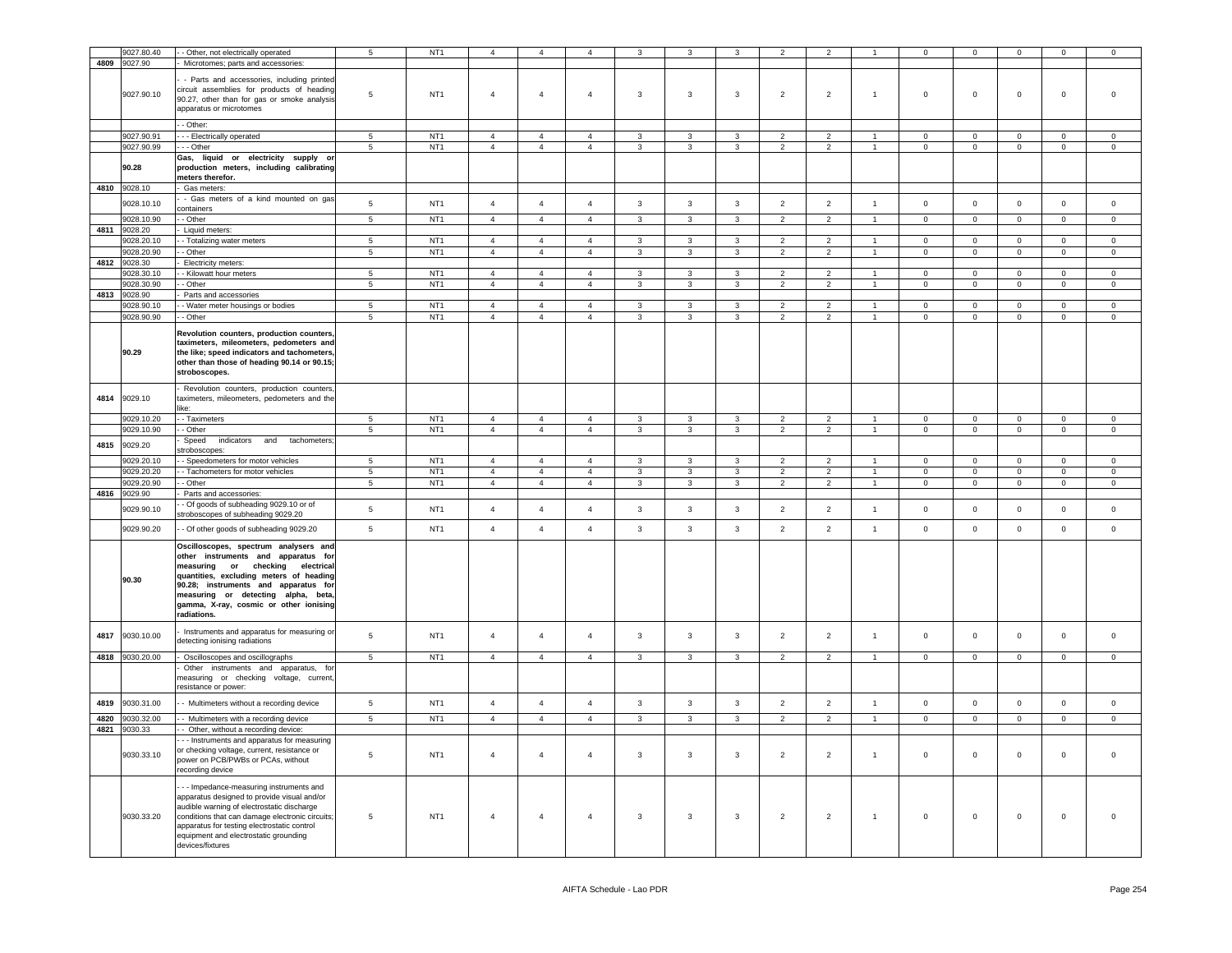|      | 9027.80.40      | - Other, not electrically operated                        | $\overline{5}$  | NT <sub>1</sub> | $\boldsymbol{\Delta}$ | $\overline{4}$ | $\overline{4}$ | 3                       |                         |                | $\overline{2}$ | $\overline{2}$ |                      | $\Omega$            | $\Omega$       | $\Omega$            | $\Omega$       | $\Omega$            |
|------|-----------------|-----------------------------------------------------------|-----------------|-----------------|-----------------------|----------------|----------------|-------------------------|-------------------------|----------------|----------------|----------------|----------------------|---------------------|----------------|---------------------|----------------|---------------------|
| 4809 | 9027.90         | Microtomes; parts and accessories:                        |                 |                 |                       |                |                |                         |                         |                |                |                |                      |                     |                |                     |                |                     |
|      |                 |                                                           |                 |                 |                       |                |                |                         |                         |                |                |                |                      |                     |                |                     |                |                     |
|      |                 | - Parts and accessories, including printed                |                 |                 |                       |                |                |                         |                         |                |                |                |                      |                     |                |                     |                |                     |
|      |                 | circuit assemblies for products of heading                |                 |                 |                       |                |                |                         |                         |                |                |                |                      |                     |                |                     |                |                     |
|      | 9027.90.10      | 90.27, other than for gas or smoke analysis               | 5               | NT <sub>1</sub> | $\overline{4}$        | $\overline{4}$ | $\overline{4}$ | $\mathbf{3}$            | $\mathbf{3}$            | $\mathbf{3}$   | $\overline{2}$ | $\overline{2}$ | $\overline{1}$       | $\mathsf 0$         | $\mathsf 0$    | $\mathsf{O}\xspace$ | $\mathbf 0$    | $\mathsf 0$         |
|      |                 | apparatus or microtomes                                   |                 |                 |                       |                |                |                         |                         |                |                |                |                      |                     |                |                     |                |                     |
|      |                 |                                                           |                 |                 |                       |                |                |                         |                         |                |                |                |                      |                     |                |                     |                |                     |
|      |                 | - Other:                                                  |                 |                 |                       |                |                |                         |                         |                |                |                |                      |                     |                |                     |                |                     |
|      | 9027.90.91      | - - Electrically operated                                 | 5               | NT <sub>1</sub> | $\overline{4}$        | $\overline{4}$ | $\overline{4}$ | $\mathbf{3}$            | 3                       | 3              | $\overline{2}$ | $\overline{2}$ |                      | $\mathsf{O}\xspace$ | $\mathsf 0$    | $\mathsf 0$         | $\mathsf 0$    | $\mathsf{O}\xspace$ |
|      | 9027.90.99      | - - Other                                                 | $\overline{5}$  | NT <sub>1</sub> | $\overline{4}$        | $\overline{4}$ | $\overline{4}$ | $\mathbf{3}$            | 3                       | $\mathbf{3}$   | $\overline{2}$ | $\overline{2}$ | $\overline{1}$       | $\mathbf 0$         | $\mathbf{0}$   | $\mathsf 0$         | $\circ$        | $\mathbf 0$         |
|      |                 | Gas, liquid or electricity supply or                      |                 |                 |                       |                |                |                         |                         |                |                |                |                      |                     |                |                     |                |                     |
|      | 90.28           | production meters, including calibrating                  |                 |                 |                       |                |                |                         |                         |                |                |                |                      |                     |                |                     |                |                     |
|      |                 | meters therefor.                                          |                 |                 |                       |                |                |                         |                         |                |                |                |                      |                     |                |                     |                |                     |
|      | 4810 9028.10    | Gas meters:                                               |                 |                 |                       |                |                |                         |                         |                |                |                |                      |                     |                |                     |                |                     |
|      |                 | - Gas meters of a kind mounted on gas                     |                 |                 |                       |                |                |                         |                         |                |                |                |                      |                     |                |                     |                |                     |
|      | 9028.10.10      | containers                                                | $\overline{5}$  | NT <sub>1</sub> | $\overline{4}$        | $\overline{4}$ | $\overline{4}$ | $\mathbf{3}$            | $\mathbf{3}$            | $\mathbf{3}$   | $\overline{2}$ | $\overline{2}$ | $\mathbf{1}$         | $\mathsf 0$         | $\mathsf 0$    | $\mathsf 0$         | $\mathsf 0$    | $\mathsf 0$         |
|      | 9028.10.90      | - Other                                                   | $5\overline{5}$ | NT <sub>1</sub> | $\overline{4}$        | $\overline{4}$ | $\overline{4}$ | $\mathbf{3}$            | $\mathbf{3}$            | $\mathbf{3}$   | $\overline{2}$ | $\overline{2}$ | $\blacktriangleleft$ | $\mathbf 0$         | $\overline{0}$ | $\mathsf 0$         | $\circ$        | $\mathbf 0$         |
|      |                 |                                                           |                 |                 |                       |                |                |                         |                         |                |                |                |                      |                     |                |                     |                |                     |
|      | 4811 9028.20    | Liquid meters:                                            |                 |                 |                       |                |                |                         |                         |                |                |                |                      |                     |                |                     |                |                     |
|      | 9028.20.10      | - Totalizing water meters                                 | 5               | NT <sub>1</sub> | $\overline{4}$        | $\overline{a}$ | $\overline{4}$ | 3                       | 3                       | $\mathcal{R}$  | $\mathcal{P}$  | $\mathcal{P}$  |                      | $\mathbf 0$         | $\circ$        | $\mathbf 0$         | $\mathbf 0$    | $\mathbf 0$         |
|      | 9028.20.90      | - Other                                                   | 5               | NT <sub>1</sub> | $\overline{4}$        | $\overline{4}$ | $\overline{4}$ | $\mathbf{3}$            | 3                       | 3              | $\overline{2}$ | $\overline{2}$ | $\overline{1}$       | $\mathbf 0$         | $\mathbf{0}$   | $\mathbf{O}$        | $\mathbf{0}$   | $\circ$             |
| 4812 | 9028.30         | Electricity meters:                                       |                 |                 |                       |                |                |                         |                         |                |                |                |                      |                     |                |                     |                |                     |
|      | 9028.30.10      | - Kilowatt hour meters                                    | 5               | NT <sub>1</sub> | $\overline{4}$        | $\overline{4}$ | $\overline{4}$ | $\mathbf{R}$            | 3                       | $\mathbf{R}$   | $\mathcal{P}$  | $\mathcal{P}$  |                      | $\Omega$            | $\Omega$       | $\Omega$            | $\Omega$       | $\Omega$            |
|      | 9028.30.90      | - Other                                                   | 5               | NT <sub>1</sub> | $\overline{4}$        | $\overline{4}$ | $\overline{4}$ | $\mathbf{3}$            | $\mathbf{3}$            | $\mathbf{3}$   | $\overline{2}$ | $\overline{2}$ | $\blacktriangleleft$ | $\mathbf 0$         | $\mathbf{0}$   | $\mathsf 0$         | $\mathbf 0$    | $\mathbf 0$         |
| 4813 | 9028.90         | Parts and accessories                                     |                 |                 |                       |                |                |                         |                         |                |                |                |                      |                     |                |                     |                |                     |
|      | 9028.90.10      | - Water meter housings or bodies                          | $5\overline{5}$ | NT <sub>1</sub> | $\overline{4}$        | $\overline{4}$ | $\overline{4}$ | $\mathbf{3}$            | $\mathbf{3}$            | $\mathbf{3}$   | $\overline{2}$ | $\overline{2}$ | $\mathbf{1}$         | $\circ$             | $\mathbf{0}$   | $\mathsf 0$         | $\mathbf 0$    | $\mathbf 0$         |
|      | 9028.90.90      | - Other                                                   | 5               | NT <sub>1</sub> | $\overline{4}$        | $\overline{4}$ | $\overline{4}$ | $\mathbf{3}$            | $\mathbf{3}$            | $\mathbf{3}$   | $\overline{2}$ | $\overline{2}$ | $\blacktriangleleft$ | $\Omega$            | $\mathbf{0}$   | $\mathsf 0$         | $\mathbf 0$    | $\overline{0}$      |
|      |                 |                                                           |                 |                 |                       |                |                |                         |                         |                |                |                |                      |                     |                |                     |                |                     |
|      |                 | Revolution counters, production counters,                 |                 |                 |                       |                |                |                         |                         |                |                |                |                      |                     |                |                     |                |                     |
|      |                 | taximeters, mileometers, pedometers and                   |                 |                 |                       |                |                |                         |                         |                |                |                |                      |                     |                |                     |                |                     |
|      | 90.29           | the like; speed indicators and tachometers,               |                 |                 |                       |                |                |                         |                         |                |                |                |                      |                     |                |                     |                |                     |
|      |                 | other than those of heading 90.14 or 90.15;               |                 |                 |                       |                |                |                         |                         |                |                |                |                      |                     |                |                     |                |                     |
|      |                 | stroboscopes.                                             |                 |                 |                       |                |                |                         |                         |                |                |                |                      |                     |                |                     |                |                     |
|      |                 |                                                           |                 |                 |                       |                |                |                         |                         |                |                |                |                      |                     |                |                     |                |                     |
|      |                 | Revolution counters, production counters,                 |                 |                 |                       |                |                |                         |                         |                |                |                |                      |                     |                |                     |                |                     |
| 4814 | 9029.10         | taximeters, mileometers, pedometers and the               |                 |                 |                       |                |                |                         |                         |                |                |                |                      |                     |                |                     |                |                     |
|      |                 | like:                                                     |                 |                 |                       |                |                |                         |                         |                |                |                |                      |                     |                |                     |                |                     |
|      | 9029.10.20      | - Taximeters                                              | $5\overline{5}$ | NT <sub>1</sub> | $\overline{4}$        | $\overline{4}$ | $\overline{4}$ | $\mathbf{3}$            | 3                       | $\mathbf{3}$   | $\overline{2}$ | $\overline{2}$ | $\overline{1}$       | $\overline{0}$      | $\overline{0}$ | $\mathbf 0$         | $\overline{0}$ | $\mathbf 0$         |
|      | 9029.10.90      | - Other                                                   | 5               | NT1             | $\overline{4}$        | $\overline{4}$ | $\overline{4}$ | $\mathbf{3}$            | $\mathbf{3}$            | $\mathbf{3}$   | $\overline{2}$ | $\overline{2}$ | $\mathbf{1}$         | $\mathbf{0}$        | $\overline{0}$ | $\mathbf{0}$        | $\overline{0}$ | $\circ$             |
|      |                 | Speed<br>indicators and<br>tachometers                    |                 |                 |                       |                |                |                         |                         |                |                |                |                      |                     |                |                     |                |                     |
| 4815 | 9029.20         | stroboscopes:                                             |                 |                 |                       |                |                |                         |                         |                |                |                |                      |                     |                |                     |                |                     |
|      | 9029.20.10      | - Speedometers for motor vehicles                         | $5\overline{5}$ | NT <sub>1</sub> | $\overline{4}$        | $\overline{4}$ | $\overline{4}$ | $\mathbf{3}$            | $\mathbf{3}$            | $\mathbf{3}$   | $\overline{2}$ | $\overline{2}$ | $\mathbf{1}$         | $\Omega$            | $\Omega$       | $\mathsf 0$         | $\circ$        | $\Omega$            |
|      | 9029.20.20      | - Tachometers for motor vehicles                          | $\overline{5}$  | NT1             | $\overline{4}$        | $\overline{4}$ | $\overline{4}$ | $\overline{3}$          | $\overline{3}$          | $\overline{3}$ | $\overline{2}$ | $\overline{2}$ | $\mathbf{1}$         | $\mathbf 0$         | $\overline{0}$ | $\overline{0}$      | $\overline{0}$ | $\overline{0}$      |
|      | 9029.20.90      | - Other                                                   | $5\phantom{.0}$ | NT <sub>1</sub> | $\overline{4}$        | $\overline{4}$ | $\overline{4}$ | $\mathbf{3}$            | $\mathbf{3}$            | $\mathbf{3}$   | $\overline{2}$ | $\overline{2}$ | $\overline{1}$       | $\mathbf 0$         | $\mathbf{0}$   | $\mathsf{O}\xspace$ | $\circ$        | $\mathbf 0$         |
| 4816 | 9029.90         |                                                           |                 |                 |                       |                |                |                         |                         |                |                |                |                      |                     |                |                     |                |                     |
|      |                 | Parts and accessories:                                    |                 |                 |                       |                |                |                         |                         |                |                |                |                      |                     |                |                     |                |                     |
|      | 9029.90.10      | - Of goods of subheading 9029.10 or of                    | $\sqrt{5}$      | NT <sub>1</sub> | $\overline{4}$        | $\overline{4}$ | $\overline{4}$ | $\mathbf{3}$            | $\mathbf{3}$            | $\mathbf{3}$   | $\overline{2}$ | $\overline{2}$ | $\mathbf{1}$         | $\mathbf 0$         | $\mathbf 0$    | $\mathsf{O}\xspace$ | $\mathbf 0$    | $\mathsf 0$         |
|      |                 | stroboscopes of subheading 9029.20                        |                 |                 |                       |                |                |                         |                         |                |                |                |                      |                     |                |                     |                |                     |
|      | 9029.90.20      | - Of other goods of subheading 9029.20                    | 5               | NT <sub>1</sub> | $\overline{4}$        | $\overline{4}$ | $\overline{4}$ | $\mathbf{3}$            | $\mathbf{3}$            | $\mathbf{3}$   | $\overline{2}$ | $\overline{2}$ | $\overline{1}$       | $\mathsf 0$         | $\mathsf 0$    | $\mathsf{O}\xspace$ | $\mathbf 0$    | $\mathsf 0$         |
|      |                 |                                                           |                 |                 |                       |                |                |                         |                         |                |                |                |                      |                     |                |                     |                |                     |
|      |                 | Oscilloscopes, spectrum analysers and                     |                 |                 |                       |                |                |                         |                         |                |                |                |                      |                     |                |                     |                |                     |
|      |                 | other instruments and apparatus for                       |                 |                 |                       |                |                |                         |                         |                |                |                |                      |                     |                |                     |                |                     |
|      |                 | measuring or checking electrical                          |                 |                 |                       |                |                |                         |                         |                |                |                |                      |                     |                |                     |                |                     |
|      | 90.30           | quantities, excluding meters of heading                   |                 |                 |                       |                |                |                         |                         |                |                |                |                      |                     |                |                     |                |                     |
|      |                 | 90.28; instruments and apparatus for                      |                 |                 |                       |                |                |                         |                         |                |                |                |                      |                     |                |                     |                |                     |
|      |                 |                                                           |                 |                 |                       |                |                |                         |                         |                |                |                |                      |                     |                |                     |                |                     |
|      |                 | measuring or detecting alpha, beta,                       |                 |                 |                       |                |                |                         |                         |                |                |                |                      |                     |                |                     |                |                     |
|      |                 | gamma, X-ray, cosmic or other ionising                    |                 |                 |                       |                |                |                         |                         |                |                |                |                      |                     |                |                     |                |                     |
|      |                 | radiations.                                               |                 |                 |                       |                |                |                         |                         |                |                |                |                      |                     |                |                     |                |                     |
|      |                 |                                                           |                 |                 |                       |                |                |                         |                         |                |                |                |                      |                     |                |                     |                |                     |
| 4817 | 9030.10.00      | Instruments and apparatus for measuring or                | 5               | NT <sub>1</sub> | $\overline{4}$        | $\overline{4}$ | $\overline{4}$ | $\mathbf{3}$            | $\mathbf{3}$            | $\mathbf{3}$   | $\overline{2}$ | $\overline{2}$ | $\mathbf{1}$         | $\mathsf 0$         | $\mathsf 0$    | $\mathbf 0$         | $\mathbf 0$    | $\mathbf 0$         |
|      |                 | detecting ionising radiations                             |                 |                 |                       |                |                |                         |                         |                |                |                |                      |                     |                |                     |                |                     |
|      | 4818 9030.20.00 |                                                           | 5 <sub>5</sub>  | NT <sub>1</sub> | $\overline{4}$        | $\overline{4}$ | 4              | $3^{\circ}$             | $\overline{\mathbf{3}}$ | $\overline{3}$ | $\overline{2}$ | $\overline{2}$ | $\overline{1}$       | $\overline{0}$      | $\overline{0}$ | $\overline{0}$      | $\overline{0}$ | $\overline{0}$      |
|      |                 | - Oscilloscopes and oscillographs                         |                 |                 |                       |                |                |                         |                         |                |                |                |                      |                     |                |                     |                |                     |
|      |                 | Other instruments and apparatus, for                      |                 |                 |                       |                |                |                         |                         |                |                |                |                      |                     |                |                     |                |                     |
|      |                 | measuring or checking voltage, current,                   |                 |                 |                       |                |                |                         |                         |                |                |                |                      |                     |                |                     |                |                     |
|      |                 | resistance or power:                                      |                 |                 |                       |                |                |                         |                         |                |                |                |                      |                     |                |                     |                |                     |
| 4819 | 9030.31.00      | - Multimeters without a recording device                  | $5\phantom{.0}$ | NT <sub>1</sub> | $\overline{4}$        | $\overline{4}$ | $\overline{4}$ | $\mathbf{3}$            | $\mathbf{3}$            | 3              | $\overline{2}$ | $\overline{2}$ | $\mathbf{1}$         | $\pmb{0}$           | $\mathsf 0$    | $\mathsf 0$         | $\,0\,$        | $\mathbf 0$         |
|      |                 |                                                           |                 |                 |                       |                |                |                         |                         |                |                |                | $\overline{1}$       |                     |                |                     |                |                     |
| 4820 | 9030.32.00      | - Multimeters with a recording device                     | $\overline{5}$  | NT <sub>1</sub> | $\overline{4}$        | $\overline{4}$ | $\overline{4}$ | $\overline{\mathbf{3}}$ | $\overline{\mathbf{3}}$ | $\overline{3}$ | $\overline{2}$ | $\overline{2}$ |                      | $\overline{0}$      | $\overline{0}$ | $\overline{0}$      | $\overline{0}$ | $\overline{0}$      |
| 4821 | 9030.33         | - Other, without a recording device:                      |                 |                 |                       |                |                |                         |                         |                |                |                |                      |                     |                |                     |                |                     |
|      |                 | - - Instruments and apparatus for measuring               |                 |                 |                       |                |                |                         |                         |                |                |                |                      |                     |                |                     |                |                     |
|      |                 | or checking voltage, current, resistance or               | 5               | NT <sub>1</sub> | $\overline{4}$        | $\overline{4}$ | $\overline{4}$ |                         | 3                       |                |                |                | $\overline{1}$       |                     | $\mathsf 0$    |                     |                | $\mathbf 0$         |
|      | 9030.33.10      | power on PCB/PWBs or PCAs, without                        |                 |                 |                       |                |                | $\mathbf{3}$            |                         | $\mathbf{3}$   | $\overline{2}$ | $\overline{2}$ |                      | $\mathbf 0$         |                | $\mathsf{O}\xspace$ | $\,0\,$        |                     |
|      |                 | recording device                                          |                 |                 |                       |                |                |                         |                         |                |                |                |                      |                     |                |                     |                |                     |
|      |                 |                                                           |                 |                 |                       |                |                |                         |                         |                |                |                |                      |                     |                |                     |                |                     |
|      |                 | - - Impedance-measuring instruments and                   |                 |                 |                       |                |                |                         |                         |                |                |                |                      |                     |                |                     |                |                     |
|      |                 | apparatus designed to provide visual and/or               |                 |                 |                       |                |                |                         |                         |                |                |                |                      |                     |                |                     |                |                     |
|      |                 | audible warning of electrostatic discharge                |                 |                 |                       |                |                |                         |                         |                |                |                |                      |                     |                |                     |                |                     |
|      | 9030.33.20      | conditions that can damage electronic circuits;           | 5               | NT <sub>1</sub> | $\overline{4}$        | $\overline{4}$ | $\overline{4}$ | 3                       | 3                       | 3              | $\overline{2}$ | $\overline{2}$ | $\mathbf{1}$         | $\mathbf 0$         | $\mathbf 0$    | $\mathbf 0$         | $\,0\,$        | $\Omega$            |
|      |                 | apparatus for testing electrostatic control               |                 |                 |                       |                |                |                         |                         |                |                |                |                      |                     |                |                     |                |                     |
|      |                 | equipment and electrostatic grounding<br>devices/fixtures |                 |                 |                       |                |                |                         |                         |                |                |                |                      |                     |                |                     |                |                     |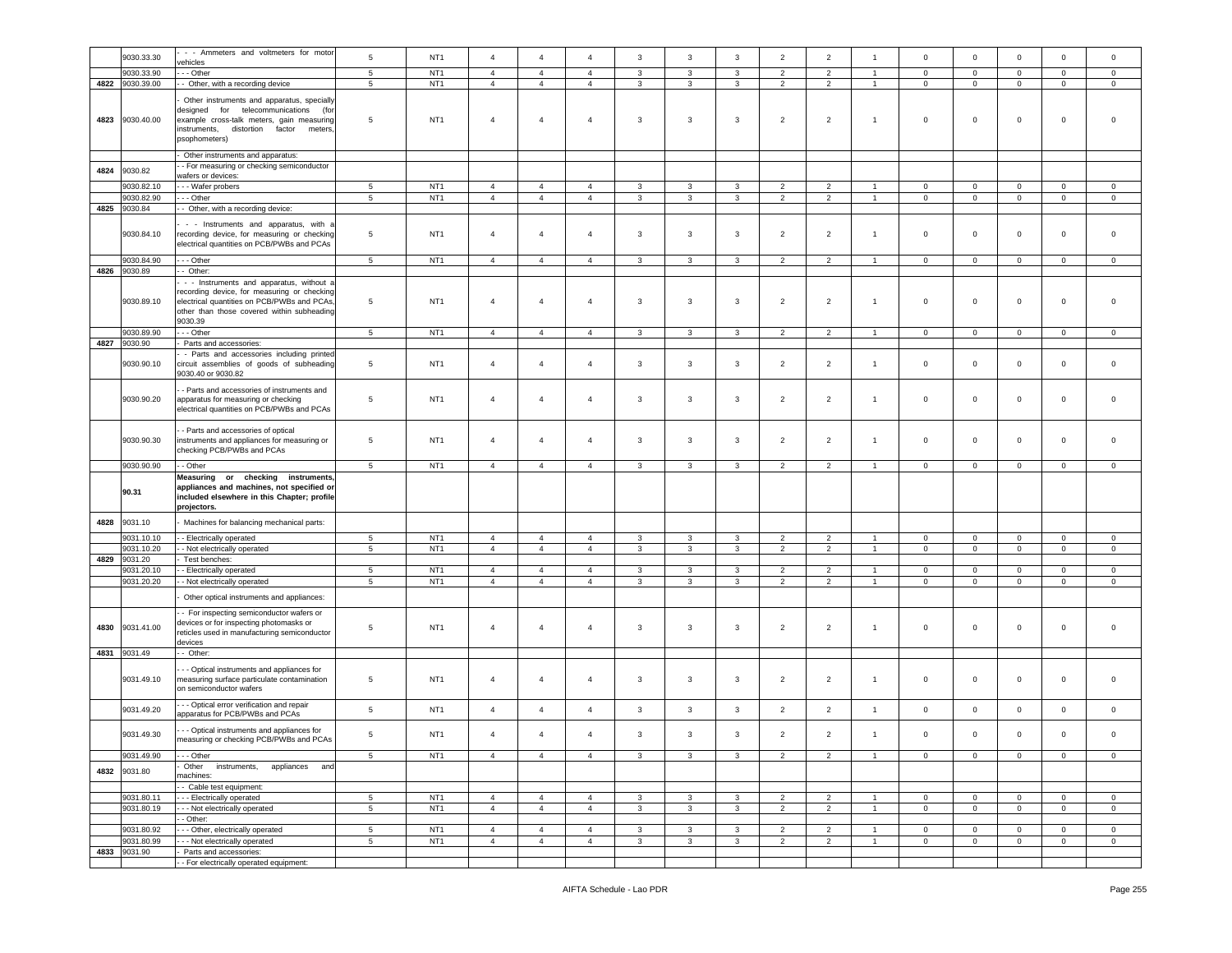|      |                       | - - Ammeters and voltmeters for motor                                                                                                                                                               |                 |                 |                                  |                                  |                                  |              |              |              |                |                |                |                              |                               |                              |                             |                            |
|------|-----------------------|-----------------------------------------------------------------------------------------------------------------------------------------------------------------------------------------------------|-----------------|-----------------|----------------------------------|----------------------------------|----------------------------------|--------------|--------------|--------------|----------------|----------------|----------------|------------------------------|-------------------------------|------------------------------|-----------------------------|----------------------------|
|      | 9030.33.30            | vehicles                                                                                                                                                                                            | 5               | NT <sub>1</sub> | $\overline{4}$                   | $\overline{4}$                   | $\overline{4}$                   | $\mathbf{3}$ | 3            | 3            | $\overline{2}$ | $\overline{2}$ | $\overline{1}$ | $\mathsf 0$                  | $\mathbf 0$                   | $\mathbf 0$                  | $\mathbf 0$                 | $\mathbf 0$                |
|      | 9030.33.90            | - - Other                                                                                                                                                                                           | 5               | NT <sub>1</sub> | $\overline{4}$                   | $\overline{4}$                   | $\overline{4}$                   | 3            | 3            | 3            | $\overline{2}$ | $\overline{2}$ | $\overline{1}$ | $\mathbf 0$                  | $\mathbf 0$                   | $\mathbf 0$                  | $\mathbf 0$                 | $\mathbf 0$                |
| 4822 | 9030.39.00            | - Other, with a recording device                                                                                                                                                                    | $\,$ 5 $\,$     | NT <sub>1</sub> | $\overline{4}$                   | $\overline{4}$                   | $\overline{4}$                   | $\mathbf{3}$ | $\mathbf{3}$ | $\mathbf{3}$ | $\overline{2}$ | $\overline{2}$ | $\overline{1}$ | $\mathbf 0$                  | $\mathsf{O}\xspace$           | $\mathsf 0$                  | $\mathbf 0$                 | $\mathbf 0$                |
| 4823 | 9030.40.00            | Other instruments and apparatus, specially<br>designed<br>for telecommunications (for<br>example cross-talk meters, gain measuring<br>distortion factor<br>instruments,<br>meters.<br>psophometers) | 5               | NT <sub>1</sub> | $\overline{4}$                   | $\overline{4}$                   | $\overline{4}$                   | 3            | 3            | 3            | $\overline{2}$ | $\overline{2}$ | $\overline{1}$ | $\mathsf 0$                  | 0                             | $\mathbf 0$                  | $\mathbf 0$                 | $\mathbf 0$                |
|      |                       | Other instruments and apparatus:                                                                                                                                                                    |                 |                 |                                  |                                  |                                  |              |              |              |                |                |                |                              |                               |                              |                             |                            |
| 4824 | 9030.82               | - For measuring or checking semiconductor                                                                                                                                                           |                 |                 |                                  |                                  |                                  |              |              |              |                |                |                |                              |                               |                              |                             |                            |
|      |                       | wafers or devices:                                                                                                                                                                                  |                 |                 |                                  |                                  |                                  |              |              |              |                |                |                |                              |                               |                              |                             |                            |
|      | 9030.82.10            | -- Wafer probers                                                                                                                                                                                    | $\sqrt{5}$      | NT <sub>1</sub> | $\overline{4}$                   | $\overline{4}$                   | $\overline{4}$                   | 3            | 3            | $\mathbf{3}$ | $\overline{2}$ | $\overline{2}$ | $\overline{1}$ | 0                            | $\mathbf 0$                   | $\mathbf{0}$                 | $\mathbf 0$                 | $\mathbf 0$                |
| 4825 | 9030.82.90<br>9030.84 | --- Other                                                                                                                                                                                           | $\sqrt{5}$      | NT <sub>1</sub> | $\overline{4}$                   | $\overline{4}$                   | $\overline{4}$                   | $\mathbf{3}$ | $\mathbf{3}$ | $\mathbf{3}$ | $\overline{2}$ | $\overline{2}$ | 1              | $\overline{0}$               | $\overline{0}$                | $\overline{0}$               | $\overline{0}$              | $\overline{0}$             |
|      | 9030.84.10            | - Other, with a recording device:<br>- - Instruments and apparatus, with a<br>recording device, for measuring or checking<br>electrical quantities on PCB/PWBs and PCAs                             | 5               | NT <sub>1</sub> | $\overline{4}$                   | $\overline{4}$                   | $\overline{4}$                   | 3            | 3            | 3            | $\overline{2}$ | $\overline{2}$ | $\overline{1}$ | $\mathsf 0$                  | $\mathbf 0$                   | $\mathbf 0$                  | $\mathbf 0$                 | $\mathbf 0$                |
|      | 9030.84.90            | - - Other                                                                                                                                                                                           | 5               | NT <sub>1</sub> | $\overline{4}$                   | $\overline{4}$                   | $\overline{4}$                   | 3            | 3            | $\mathbf{3}$ | 2              | $\overline{2}$ | $\overline{1}$ | $\mathbf{0}$                 | $\mathbf 0$                   | $\mathbf{0}$                 | $\mathbf 0$                 | $\mathbf{0}$               |
| 4826 | 9030.89               | - Other:                                                                                                                                                                                            |                 |                 |                                  |                                  |                                  |              |              |              |                |                |                |                              |                               |                              |                             |                            |
|      | 9030.89.10            | - - Instruments and apparatus, without a<br>recording device, for measuring or checking<br>electrical quantities on PCB/PWBs and PCAs,<br>other than those covered within subheading<br>9030.39     | 5               | NT <sub>1</sub> | $\overline{4}$                   | $\overline{4}$                   | $\overline{4}$                   | $\mathbf{3}$ | 3            | 3            | $\overline{2}$ | $\overline{2}$ | $\overline{1}$ | $\mathsf 0$                  | 0                             | $\mathbf 0$                  | $\mathbf 0$                 | $\mathbf 0$                |
|      | 9030.89.90            | - - Other                                                                                                                                                                                           | $5\phantom{.0}$ | NT <sub>1</sub> | $\overline{4}$                   | $\overline{4}$                   | $\overline{4}$                   | $\mathbf{3}$ | 3            | 3            | $\overline{2}$ | $\overline{2}$ | $\mathbf{1}$   | $\circ$                      | $\mathbf 0$                   | $\mathbf 0$                  | $\mathbf 0$                 | $\overline{0}$             |
| 4827 | 9030.90               | Parts and accessories:                                                                                                                                                                              |                 |                 |                                  |                                  |                                  |              |              |              |                |                |                |                              |                               |                              |                             |                            |
|      | 9030.90.10            | - Parts and accessories including printed<br>circuit assemblies of goods of subheading<br>9030.40 or 9030.82                                                                                        | 5               | NT <sub>1</sub> | $\overline{4}$                   | $\overline{4}$                   | $\overline{4}$                   | 3            | 3            | 3            | $\overline{2}$ | $\overline{2}$ | $\mathbf{1}$   | $\mathsf 0$                  | $\mathbf{0}$                  | $\mathbf 0$                  | $\pmb{0}$                   | $\mathsf 0$                |
|      | 9030.90.20            | - Parts and accessories of instruments and<br>apparatus for measuring or checking<br>electrical quantities on PCB/PWBs and PCAs                                                                     | 5               | NT <sub>1</sub> | $\overline{4}$                   | $\overline{4}$                   | $\overline{4}$                   | 3            | $\mathbf{3}$ | 3            | $\overline{2}$ | $\overline{2}$ | $\overline{1}$ | $\mathsf 0$                  | $\mathbf{0}$                  | $\mathbf 0$                  | $\pmb{0}$                   | $\mathbf 0$                |
|      | 9030.90.30            | - Parts and accessories of optical<br>instruments and appliances for measuring or<br>checking PCB/PWBs and PCAs                                                                                     | 5               | NT <sub>1</sub> | $\overline{4}$                   | $\overline{4}$                   | $\overline{4}$                   | 3            | $\mathbf{3}$ | $\mathbf{3}$ | $\overline{2}$ | $\overline{2}$ | $\mathbf{1}$   | $\mathsf 0$                  | $\mathbf 0$                   | $\mathbf 0$                  | $\mathbf 0$                 | $\mathsf 0$                |
|      |                       |                                                                                                                                                                                                     |                 |                 |                                  |                                  |                                  |              |              |              |                |                |                |                              |                               |                              |                             |                            |
|      | 9030.90.90            | - Other                                                                                                                                                                                             | 5               | NT <sub>1</sub> | $\overline{4}$                   | $\overline{4}$                   | $\overline{4}$                   | $\mathbf{3}$ | $\mathbf{3}$ | $\mathbf{3}$ | $\overline{2}$ | $\overline{2}$ | $\overline{1}$ | $\mathbf 0$                  | $\mathbf 0$                   | $\mathbf 0$                  | $\mathbf 0$                 | $\mathbf 0$                |
|      | 90.31                 | Measuring or checking instruments,<br>appliances and machines, not specified or<br>included elsewhere in this Chapter; profile<br>projectors.                                                       |                 |                 |                                  |                                  |                                  |              |              |              |                |                |                |                              |                               |                              |                             |                            |
| 4828 | 9031.10               | Machines for balancing mechanical parts:                                                                                                                                                            |                 |                 |                                  |                                  |                                  |              |              |              |                |                |                |                              |                               |                              |                             |                            |
|      |                       |                                                                                                                                                                                                     |                 |                 |                                  |                                  |                                  |              |              |              |                |                |                |                              |                               |                              |                             |                            |
|      | 9031.10.10            | - Electrically operated                                                                                                                                                                             | $5\phantom{.0}$ | NT <sub>1</sub> | $\overline{4}$                   | $\overline{4}$                   | $\overline{4}$                   | 3            | 3            | 3            | $\overline{2}$ | $\overline{2}$ | $\overline{1}$ | $\mathbf 0$                  | $\mathbf 0$                   | $\mathbf{0}$                 | $\mathbf 0$                 | $\mathbf 0$                |
|      | 9031.10.20            | - Not electrically operated                                                                                                                                                                         | 5               | NT <sub>1</sub> | $\overline{4}$                   | $\overline{4}$                   | $\overline{4}$                   | 3            | 3            | 3            | $\overline{2}$ | $\overline{2}$ | $\overline{1}$ | $\mathbf 0$                  | $\mathbf 0$                   | $\mathbf 0$                  | $\mathbf 0$                 | $\mathbf 0$                |
| 4829 | 9031.20               | Test benches:                                                                                                                                                                                       |                 |                 |                                  |                                  |                                  |              |              |              |                |                |                |                              |                               |                              |                             |                            |
|      | 9031.20.10            | - Electrically operated                                                                                                                                                                             | 5               | NT <sub>1</sub> | $\overline{4}$                   | $\overline{4}$                   | $\overline{4}$                   | $\mathbf{3}$ | 3            | 3            | $\overline{2}$ | $\overline{2}$ | $\overline{1}$ | 0                            | $\mathbf 0$                   | $\mathbf 0$                  | $\mathbf 0$                 | $\mathbf 0$                |
|      | 9031.20.20            | - Not electrically operated                                                                                                                                                                         | $5\phantom{.0}$ | NT <sub>1</sub> | $\overline{4}$                   | $\overline{4}$                   | $\overline{4}$                   | 3            | 3            | 3            | $\overline{2}$ | $\overline{2}$ | $\overline{1}$ | $\mathbf 0$                  | $\mathbf 0$                   | $\mathbf 0$                  | $\mathbf 0$                 | $\mathbf 0$                |
|      |                       | Other optical instruments and appliances:                                                                                                                                                           |                 |                 |                                  |                                  |                                  |              |              |              |                |                |                |                              |                               |                              |                             |                            |
| 4830 | 9031.41.00            | - For inspecting semiconductor wafers or<br>devices or for inspecting photomasks or<br>reticles used in manufacturing semiconductor<br>devices                                                      | 5               | NT1             | $\overline{4}$                   | $\overline{4}$                   | $\overline{4}$                   | 3            | $\mathbf{3}$ | 3            | $\overline{2}$ | $\overline{2}$ | $\mathbf{1}$   | $\mathbf 0$                  | 0                             | $\mathbf 0$                  | $\pmb{0}$                   | $\mathbf 0$                |
| 4831 | 9031.49               | - Other:                                                                                                                                                                                            |                 |                 |                                  |                                  |                                  |              |              |              |                |                |                |                              |                               |                              |                             |                            |
|      | 9031.49.10            | - - Optical instruments and appliances for<br>measuring surface particulate contamination<br>on semiconductor wafers                                                                                | 5               | NT <sub>1</sub> | $\overline{4}$                   | 4                                | $\overline{4}$                   | 3            | 3            | 3            | $\overline{2}$ | $\overline{2}$ | $\overline{1}$ | $\mathbf 0$                  | 0                             | 0                            | $\mathbf 0$                 | $\mathbf 0$                |
|      | 9031.49.20            | --- Optical error verification and repair<br>apparatus for PCB/PWBs and PCAs                                                                                                                        | $\sqrt{5}$      | NT <sub>1</sub> | $\overline{4}$                   | $\overline{4}$                   | $\overline{4}$                   | $\mathbf{3}$ | 3            | $\mathbf{3}$ | $\overline{2}$ | $\overline{2}$ | $\overline{1}$ | $\mathsf 0$                  | $\mathsf 0$                   | $\mathbf 0$                  | $\mathbf 0$                 | $\,0\,$                    |
|      | 9031.49.30            | - - Optical instruments and appliances for<br>neasuring or checking PCB/PWBs and PCAs                                                                                                               | 5               | NT <sub>1</sub> | $\overline{4}$                   | $\overline{4}$                   | $\overline{4}$                   | 3            | 3            | $\mathbf{3}$ | $\overline{2}$ | $\overline{2}$ | $\mathbf{1}$   | $\mathsf 0$                  | 0                             | $\mathbf 0$                  | $\mathbf 0$                 | $\mathbf 0$                |
|      | 9031.49.90            | - - Other                                                                                                                                                                                           | 5               | NT <sub>1</sub> | $\overline{4}$                   | $\overline{4}$                   | $\overline{4}$                   | 3            | 3            | 3            | $\overline{2}$ | $\overline{2}$ | $\overline{1}$ | $\mathbf 0$                  | $\mathbf 0$                   | $\mathbf 0$                  | $\mathbf 0$                 | $\mathsf 0$                |
| 4832 | 9031.80               | Other instruments, appliances<br>and                                                                                                                                                                |                 |                 |                                  |                                  |                                  |              |              |              |                |                |                |                              |                               |                              |                             |                            |
|      |                       | nachines:                                                                                                                                                                                           |                 |                 |                                  |                                  |                                  |              |              |              |                |                |                |                              |                               |                              |                             |                            |
|      |                       | - Cable test equipment:                                                                                                                                                                             |                 |                 |                                  |                                  |                                  |              |              |              |                |                | $\overline{1}$ |                              |                               |                              |                             |                            |
|      | 9031.80.11            | - - Electrically operated                                                                                                                                                                           | $5\phantom{.0}$ | NT <sub>1</sub> | $\overline{4}$<br>$\overline{4}$ | $\overline{4}$<br>$\overline{4}$ | $\overline{4}$<br>$\overline{4}$ | 3            | $\mathbf{3}$ | $\mathbf{3}$ | $\overline{2}$ | $\overline{2}$ | $\mathbf{1}$   | $\mathbf{0}$<br>$\mathbf{0}$ | $\mathbf 0$<br>$\overline{0}$ | $\mathbf{0}$<br>$\mathbf{0}$ | $\mathbf 0$<br>$\mathbf{0}$ | $\mathbb O$<br>$\mathbf 0$ |
|      | 9031.80.19            | --- Not electrically operated<br>- Other:                                                                                                                                                           | $5\phantom{.0}$ | NT <sub>1</sub> |                                  |                                  |                                  | $\mathbf{3}$ | 3            | 3            | $\overline{2}$ | $\overline{2}$ |                |                              |                               |                              |                             |                            |
|      | 9031.80.92            | - - Other, electrically operated                                                                                                                                                                    | $5\phantom{.0}$ | NT <sub>1</sub> | $\overline{4}$                   | $\overline{4}$                   | $\overline{4}$                   | $\mathbf{3}$ | $\mathbf{3}$ | $\mathbf{3}$ | $\overline{2}$ | $\overline{2}$ | $\overline{1}$ | $\mathbf 0$                  | $\mathbf 0$                   | $\mathbf 0$                  | $\mathbf 0$                 | $\mathsf 0$                |
|      | 9031.80.99            | --- Not electrically operated                                                                                                                                                                       | $5\phantom{.0}$ | NT <sub>1</sub> | $\overline{4}$                   | $\overline{4}$                   | $\overline{4}$                   | $\mathbf{3}$ | 3            | 3            | $\overline{2}$ | $\overline{2}$ | $\mathbf{1}$   | $\overline{0}$               | $\overline{0}$                | $\mathbf 0$                  | $\mathbf 0$                 | $\overline{0}$             |
|      | 4833 9031.90          | Parts and accessories:                                                                                                                                                                              |                 |                 |                                  |                                  |                                  |              |              |              |                |                |                |                              |                               |                              |                             |                            |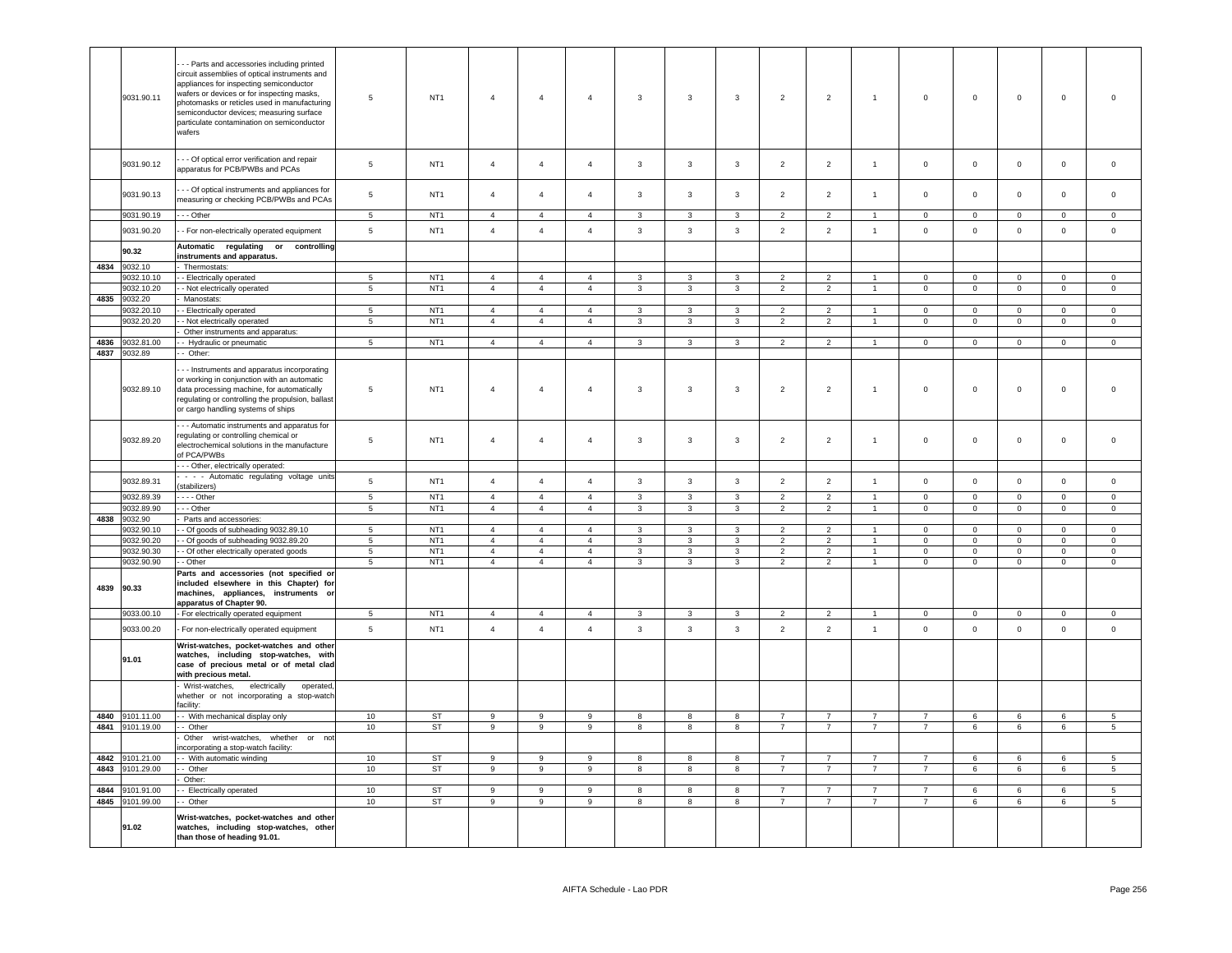|      |                          | - Parts and accessories including printed                                                                                                                                                                                                                                                  |                     |                                    |                                  |                                  |                                  |                                           |                                |                                         |                     |                                  |                                |                                |                           |                               |                          |                         |
|------|--------------------------|--------------------------------------------------------------------------------------------------------------------------------------------------------------------------------------------------------------------------------------------------------------------------------------------|---------------------|------------------------------------|----------------------------------|----------------------------------|----------------------------------|-------------------------------------------|--------------------------------|-----------------------------------------|---------------------|----------------------------------|--------------------------------|--------------------------------|---------------------------|-------------------------------|--------------------------|-------------------------|
|      | 9031.90.11               | circuit assemblies of optical instruments and<br>appliances for inspecting semiconductor<br>wafers or devices or for inspecting masks,<br>photomasks or reticles used in manufacturing<br>semiconductor devices; measuring surface<br>particulate contamination on semiconductor<br>wafers | 5                   | NT <sub>1</sub>                    | $\overline{4}$                   | $\overline{4}$                   | $\overline{4}$                   | $\overline{3}$                            | $\mathbf{3}$                   | $\overline{3}$                          | 2                   | $\overline{2}$                   | $\overline{1}$                 | $\circ$                        | $\mathbf 0$               | $\mathbf 0$                   | $\mathbf{0}$             | $\Omega$                |
|      | 9031.90.12               | - - Of optical error verification and repair<br>apparatus for PCB/PWBs and PCAs                                                                                                                                                                                                            | 5                   | NT <sub>1</sub>                    | $\overline{4}$                   | $\overline{4}$                   | $\overline{4}$                   | $\mathbf{3}$                              | $\mathbf{3}$                   | $\mathbf{3}$                            | $\overline{2}$      | $\overline{2}$                   | $\mathbf{1}$                   | $\mathsf 0$                    | $\mathsf 0$               | $\mathsf 0$                   | $\mathsf 0$              | $\mathsf 0$             |
|      | 9031.90.13               | - - Of optical instruments and appliances for<br>measuring or checking PCB/PWBs and PCAs                                                                                                                                                                                                   | 5                   | NT <sub>1</sub>                    | $\overline{4}$                   | $\overline{4}$                   | $\overline{4}$                   | $\mathbf{3}$                              | $\mathbf{3}$                   | 3                                       | 2                   | $\overline{2}$                   | $\overline{1}$                 | $\mathsf 0$                    | $\circ$                   | $\mathbf 0$                   | $\mathbf 0$              | $\mathsf 0$             |
|      | 9031.90.19               | - - Other                                                                                                                                                                                                                                                                                  | $\,$ 5 $\,$         | NT <sub>1</sub>                    | $\sqrt{4}$                       | $\overline{4}$                   | $\sqrt{4}$                       | $\mathbf{3}$                              | $\mathbf{3}$                   | $\mathbf{3}$                            | $\overline{2}$      | $\overline{2}$                   | $\overline{1}$                 | $\mathbf 0$                    | $\mathbf 0$               | $\mathbf 0$                   | $\mathsf 0$              | $\mathbf 0$             |
|      | 9031.90.20               | - For non-electrically operated equipment                                                                                                                                                                                                                                                  | $\,$ 5 $\,$         | NT <sub>1</sub>                    | $\overline{4}$                   | $\overline{4}$                   | $\overline{4}$                   | $\mathbf{3}$                              | $\mathbf{3}$                   | $\mathbf{3}$                            | $\overline{2}$      | $\overline{2}$                   | $\mathbf{1}$                   | $\mathsf 0$                    | $\mathbf 0$               | $\mathbf 0$                   | $\mathsf 0$              | $\mathsf{O}\xspace$     |
|      | 90.32                    | Automatic<br>regulating or<br>controlling                                                                                                                                                                                                                                                  |                     |                                    |                                  |                                  |                                  |                                           |                                |                                         |                     |                                  |                                |                                |                           |                               |                          |                         |
| 4834 | 9032.10                  | instruments and apparatus.<br>Thermostats                                                                                                                                                                                                                                                  |                     |                                    |                                  |                                  |                                  |                                           |                                |                                         |                     |                                  |                                |                                |                           |                               |                          |                         |
|      | 9032.10.10               | - Electrically operated                                                                                                                                                                                                                                                                    | 5                   | NT <sub>1</sub>                    | $\overline{4}$                   | $\overline{4}$                   | $\overline{4}$                   | 3                                         | 3                              | 3                                       | $\overline{2}$      | $\overline{2}$                   |                                | $\mathbf{0}$                   | $\mathbf{0}$              | $\Omega$                      | $\mathbf{0}$             | $\mathbf 0$             |
|      | 9032.10.20               | - Not electrically operated                                                                                                                                                                                                                                                                | 5                   | NT <sub>1</sub>                    | $\overline{4}$                   | $\overline{4}$                   | $\overline{4}$                   | $\overline{3}$                            | $\overline{3}$                 | $\overline{3}$                          | $\overline{2}$      | 2                                | $\overline{1}$                 | $\circ$                        | $\mathbf 0$               | $\mathbf{0}$                  | $\mathbf{0}$             | $\mathbf{0}$            |
| 4835 | 9032.20                  | Manostats:                                                                                                                                                                                                                                                                                 |                     |                                    |                                  |                                  |                                  |                                           |                                |                                         |                     |                                  |                                |                                |                           |                               |                          |                         |
|      | 9032.20.10               | - Electrically operated                                                                                                                                                                                                                                                                    | 5                   | NT <sub>1</sub>                    | $\overline{4}$                   | $\overline{4}$                   | $\mathbf{A}$                     | $\mathbf{3}$                              | $\mathbf{3}$                   | $\mathbf{3}$                            | $\overline{2}$      | $\overline{2}$                   | $\overline{1}$                 | $\Omega$                       | $\overline{0}$            | $\mathsf 0$                   | $\mathbf 0$              | $\overline{0}$          |
|      | 9032.20.20               | - Not electrically operated                                                                                                                                                                                                                                                                | 5                   | NT <sub>1</sub>                    | $\overline{4}$                   | $\overline{4}$                   | $\overline{4}$                   | $\mathbf{3}$                              | $\overline{3}$                 | $\overline{3}$                          | $\overline{2}$      | $\overline{2}$                   | $\overline{1}$                 | $\overline{0}$                 | $\overline{0}$            | $\mathsf 0$                   | $\circ$                  | $\circ$                 |
| 4836 | 9032.81.00               | Other instruments and apparatus:<br>- Hydraulic or pneumatic                                                                                                                                                                                                                               | $\overline{5}$      | NT <sub>1</sub>                    | $\overline{4}$                   | $\overline{4}$                   | $\overline{4}$                   | $\overline{3}$                            | $\overline{3}$                 | $\overline{3}$                          | $\overline{2}$      | $\overline{2}$                   | $\overline{1}$                 | $\overline{0}$                 | $\overline{0}$            | $\overline{0}$                | $\overline{0}$           | $\mathsf 0$             |
| 4837 | 9032.89                  | - Other:                                                                                                                                                                                                                                                                                   |                     |                                    |                                  |                                  |                                  |                                           |                                |                                         |                     |                                  |                                |                                |                           |                               |                          |                         |
|      |                          |                                                                                                                                                                                                                                                                                            |                     |                                    |                                  |                                  |                                  |                                           |                                |                                         |                     |                                  |                                |                                |                           |                               |                          |                         |
|      | 9032.89.10               | - - Instruments and apparatus incorporating<br>or working in conjunction with an automatic<br>data processing machine, for automatically<br>regulating or controlling the propulsion, ballast<br>or cargo handling systems of ships                                                        | 5                   | NT <sub>1</sub>                    | $\overline{4}$                   | $\overline{4}$                   | $\overline{4}$                   | 3                                         | 3                              | 3                                       | $\overline{2}$      | $\overline{2}$                   | $\overline{1}$                 | $\mathbf 0$                    | $\mathbf 0$               | $\mathbf 0$                   | $\mathbf 0$              | $\mathbf 0$             |
|      | 9032.89.20               | - - Automatic instruments and apparatus for<br>regulating or controlling chemical or<br>electrochemical solutions in the manufacture<br>of PCA/PWBs                                                                                                                                        | 5                   | NT <sub>1</sub>                    | $\overline{4}$                   | $\overline{4}$                   | $\sqrt{4}$                       | $\mathbf{3}$                              | $\mathbf{3}$                   | $\mathbf{3}$                            | $\overline{2}$      | $\overline{2}$                   | $\overline{1}$                 | $\mathsf{O}\xspace$            | $\mathbf 0$               | $\mathbf 0$                   | $\mathsf 0$              | $\mathsf 0$             |
|      |                          | --- Other, electrically operated:                                                                                                                                                                                                                                                          |                     |                                    |                                  |                                  |                                  |                                           |                                |                                         |                     |                                  |                                |                                |                           |                               |                          |                         |
|      | 9032.89.31               | - - - Automatic regulating voltage units                                                                                                                                                                                                                                                   | $\,$ 5 $\,$         | NT <sub>1</sub>                    | $\overline{4}$                   | $\overline{4}$                   | $\overline{4}$                   | $\mathbf{3}$                              | $\mathbf{3}$                   | $\mathbf{3}$                            | $\overline{2}$      | $\overline{2}$                   | $\mathbf{1}$                   | $\mathsf 0$                    | $\mathsf 0$               | $\mathsf 0$                   | $\mathsf 0$              | $\mathsf 0$             |
|      | 9032.89.39               | (stabilizers)<br>$- -$ Other                                                                                                                                                                                                                                                               | $\overline{5}$      | NT <sub>1</sub>                    | $\overline{4}$                   | $\overline{4}$                   | $\overline{4}$                   | 3                                         | 3                              | 3                                       | $\overline{2}$      | $\overline{2}$                   |                                | $\mathbf 0$                    | $\mathsf 0$               | $\mathbf 0$                   | $\mathbf 0$              | $\mathbf 0$             |
|      | 9032.89.90               | - - Other                                                                                                                                                                                                                                                                                  | $\overline{5}$      | NT <sub>1</sub>                    | $\overline{4}$                   | $\overline{4}$                   | $\overline{4}$                   | $\mathbf{R}$                              | $\mathbf{3}$                   | $\mathbf{3}$                            | $\overline{2}$      | $\overline{2}$                   |                                | $\mathsf 0$                    | $\mathbf 0$               | $\mathsf 0$                   | $\mathbf 0$              | $\mathsf 0$             |
| 4838 | 9032.90                  | Parts and accessories:                                                                                                                                                                                                                                                                     |                     |                                    |                                  |                                  |                                  |                                           |                                |                                         |                     |                                  |                                |                                |                           |                               |                          |                         |
|      | 9032.90.10               | - Of goods of subheading 9032.89.10                                                                                                                                                                                                                                                        | 5                   | NT <sub>1</sub>                    | $\overline{4}$                   | $\overline{4}$                   | $\overline{a}$                   | $\mathbf{R}$                              | 3                              | 3                                       | $\overline{2}$      | $\mathcal{P}$                    |                                | $\mathbf{0}$                   | $\mathbf 0$               | $\mathbf 0$                   | $\mathbf{0}$             | $\Omega$                |
|      | 9032.90.20               | - Of goods of subheading 9032.89.20                                                                                                                                                                                                                                                        | $\sqrt{5}$          | NT <sub>1</sub>                    | $\overline{4}$                   | $\overline{4}$                   | $\overline{4}$                   | $\mathbf{3}$                              | $\overline{3}$                 | $\mathbf{3}$                            | $\overline{2}$      | 2                                | $\overline{1}$                 | $\mathbf{0}$                   | $\mathbf 0$               | $\mathsf 0$                   | $\mathbf{0}$             | $\Omega$                |
|      | 9032.90.30<br>9032.90.90 | - Of other electrically operated goods<br>- Other                                                                                                                                                                                                                                          | 5<br>$\overline{5}$ | NT <sub>1</sub><br>NT <sub>1</sub> | $\overline{4}$<br>$\overline{4}$ | $\overline{4}$<br>$\overline{4}$ | $\overline{4}$<br>$\overline{4}$ | $\overline{3}$<br>$\overline{\mathbf{3}}$ | $\mathbf{3}$<br>$\overline{3}$ | $\mathbf{3}$<br>$\overline{\mathbf{3}}$ | 2<br>$\overline{2}$ | $\overline{2}$<br>$\overline{2}$ | $\mathbf{1}$<br>$\overline{1}$ | $\mathbf{0}$<br>$\overline{0}$ | $\circ$<br>$\overline{0}$ | $\mathsf 0$<br>$\overline{0}$ | $\mathbf{0}$<br>$\Omega$ | $\mathbf 0$<br>$\Omega$ |
| 4839 | 90.33                    | Parts and accessories (not specified or<br>included elsewhere in this Chapter) for<br>machines, appliances, instruments or<br>apparatus of Chapter 90.                                                                                                                                     |                     |                                    |                                  |                                  |                                  |                                           |                                |                                         |                     |                                  |                                |                                |                           |                               |                          |                         |
|      | 9033.00.10               | - For electrically operated equipment                                                                                                                                                                                                                                                      | 5                   | NT <sub>1</sub>                    | $\overline{4}$                   | $\overline{4}$                   | $\overline{4}$                   | $\mathbf{3}$                              | $\mathbf{3}$                   | 3                                       | $\overline{2}$      | $\overline{2}$                   | $\overline{1}$                 | $\overline{0}$                 | $\overline{0}$            | $\mathbf{0}$                  | $\overline{0}$           | $\overline{0}$          |
|      | 9033.00.20               | For non-electrically operated equipment                                                                                                                                                                                                                                                    | 5                   | NT <sub>1</sub>                    | $\overline{4}$                   | $\overline{4}$                   | $\overline{4}$                   | $\mathbf{3}$                              | $\mathbf{3}$                   | $\mathbf{3}$                            | $\overline{2}$      | $\overline{2}$                   | $\overline{1}$                 | $\mathbf 0$                    | $\mathbf 0$               | $\mathbf 0$                   | $\mathsf 0$              | $\mathsf 0$             |
|      | 91.01                    | Wrist-watches, pocket-watches and other<br>watches, including stop-watches, with<br>case of precious metal or of metal clad<br>with precious metal.                                                                                                                                        |                     |                                    |                                  |                                  |                                  |                                           |                                |                                         |                     |                                  |                                |                                |                           |                               |                          |                         |
|      |                          | Wrist-watches,<br>electrically<br>operated<br>whether or not incorporating a stop-watch<br>facility:                                                                                                                                                                                       |                     |                                    |                                  |                                  |                                  |                                           |                                |                                         |                     |                                  |                                |                                |                           |                               |                          |                         |
|      | 4840 9101.11.00          | - With mechanical display only                                                                                                                                                                                                                                                             | 10 <sup>10</sup>    | ST                                 | 9                                | 9                                | 9                                | 8                                         | 8                              | 8                                       | $\overline{7}$      | $\overline{7}$                   | $7^{\circ}$                    | $\overline{7}$                 | 6                         | 6                             | 6                        | $5^{\circ}$             |
|      | 4841 9101.19.00          | - Other<br>whether or not                                                                                                                                                                                                                                                                  | 10                  | <b>ST</b>                          | 9                                | 9                                | 9                                | 8                                         | 8                              | 8                                       | $\overline{7}$      | $\overline{7}$                   | $7^{\circ}$                    | $\overline{7}$                 | 6                         | 6                             | 6                        | 5                       |
|      |                          | Other wrist-watches,<br>ncorporating a stop-watch facility:                                                                                                                                                                                                                                |                     |                                    |                                  |                                  |                                  |                                           |                                |                                         |                     |                                  |                                |                                |                           |                               |                          |                         |
|      | 4842 9101.21.00          | - With automatic winding                                                                                                                                                                                                                                                                   | 10                  | ST                                 | $\overline{9}$                   | 9                                | 9                                | 8                                         | 8                              | 8                                       | $\overline{7}$      | $\overline{7}$                   | $\overline{7}$                 | $\overline{7}$                 | 6                         | 6                             | $6\overline{6}$          | 5                       |
|      | 4843 9101.29.00          | - Other<br>Other:                                                                                                                                                                                                                                                                          | 10                  | <b>ST</b>                          | $\overline{9}$                   | $\overline{9}$                   | 9                                | 8                                         | $\overline{\mathbf{8}}$        | $\overline{8}$                          | 7                   | $\overline{7}$                   | $\overline{7}$                 | $\overline{7}$                 | 6                         | 6                             | 6                        | $\overline{5}$          |
| 4844 | 9101.91.00               | - Electrically operated                                                                                                                                                                                                                                                                    | 10                  | ST                                 | 9                                | 9                                | 9                                | 8                                         | 8                              | 8                                       | $\overline{7}$      | $\overline{7}$                   | $\overline{7}$                 | $\overline{7}$                 | 6                         | 6                             | 6                        | $5\phantom{.0}$         |
|      | 4845 9101.99.00          | - Other                                                                                                                                                                                                                                                                                    | 10                  | ST                                 | 9                                | 9                                | 9                                | 8                                         | 8                              | 8                                       | $\overline{7}$      | $\overline{7}$                   | 7                              | $\overline{7}$                 | 6                         | 6                             | 6                        | $5\phantom{.0}$         |
|      | 91.02                    | Wrist-watches, pocket-watches and other<br>watches, including stop-watches, other<br>than those of heading 91.01.                                                                                                                                                                          |                     |                                    |                                  |                                  |                                  |                                           |                                |                                         |                     |                                  |                                |                                |                           |                               |                          |                         |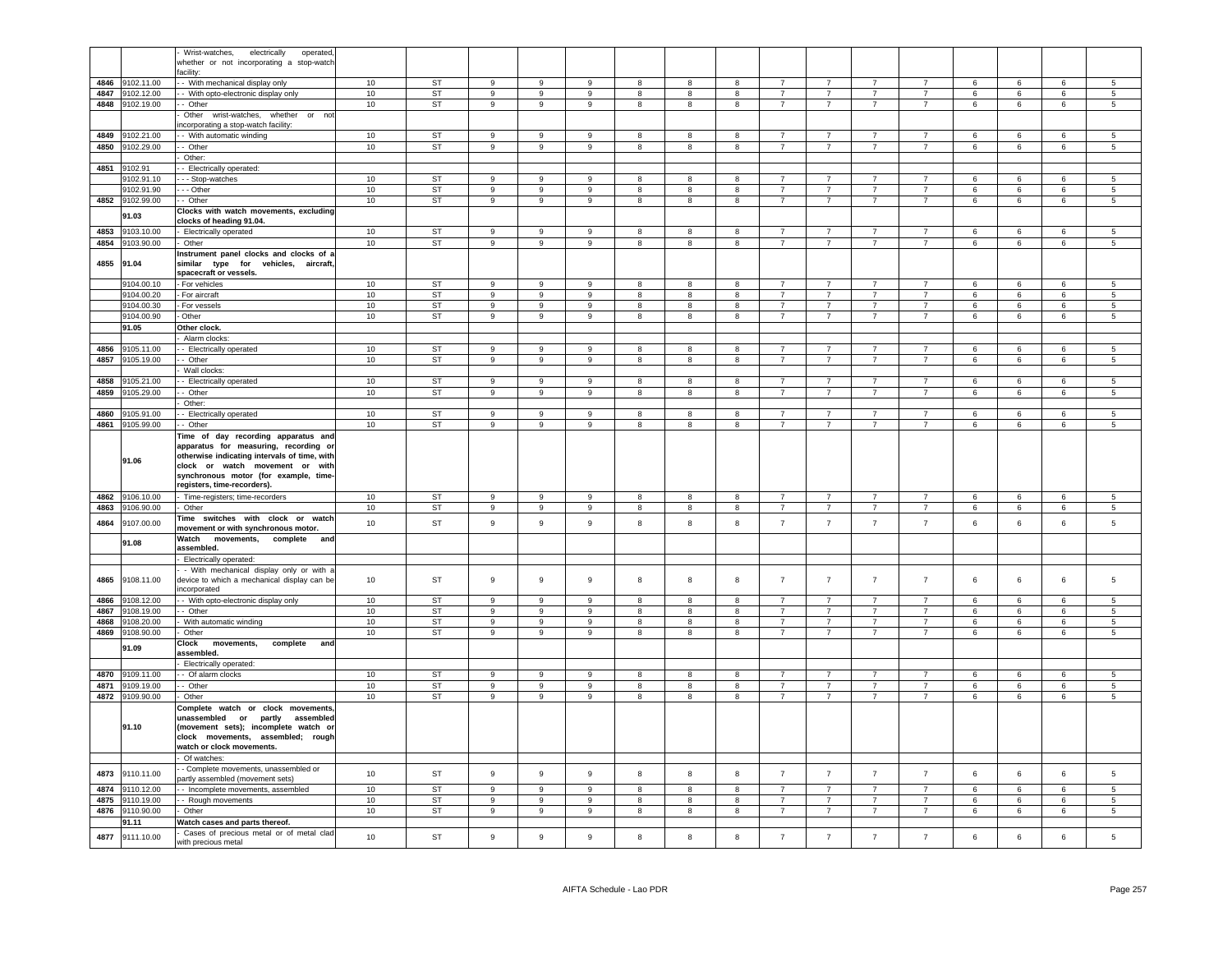|      |                 | Wrist-watches,<br>electrically<br>operated                      |                  |           |                  |                  |                  |                         |                         |                         |                 |                |                |                |                 |                 |                 |                          |
|------|-----------------|-----------------------------------------------------------------|------------------|-----------|------------------|------------------|------------------|-------------------------|-------------------------|-------------------------|-----------------|----------------|----------------|----------------|-----------------|-----------------|-----------------|--------------------------|
|      |                 | whether or not incorporating a stop-watch                       |                  |           |                  |                  |                  |                         |                         |                         |                 |                |                |                |                 |                 |                 |                          |
|      |                 | acility:                                                        |                  |           |                  |                  |                  |                         |                         |                         |                 |                |                |                |                 |                 |                 |                          |
| 4846 | 9102.11.00      | - With mechanical display only                                  | 10               | <b>ST</b> | $\boldsymbol{9}$ | 9                | 9                | 8                       | 8                       | 8                       | $\overline{7}$  | $\overline{7}$ | $\overline{7}$ | $\overline{7}$ | $\,6\,$         | $\,6\,$         | $\,6\,$         | $5\phantom{.0}$          |
|      |                 |                                                                 | 10               | <b>ST</b> | $\overline{9}$   | $\overline{9}$   | 9                |                         | 8                       | $\overline{\mathbf{8}}$ | $\overline{7}$  | $\overline{7}$ | $\overline{7}$ | $\overline{7}$ | $6\overline{6}$ | 6               | 6               | $\overline{5}$           |
| 4847 | 9102.12.00      | - With opto-electronic display only                             |                  |           |                  |                  |                  | 8                       |                         |                         |                 |                |                |                |                 |                 |                 |                          |
| 4848 | 9102.19.00      | - Other                                                         | 10               | <b>ST</b> | $\overline{9}$   | $\overline{9}$   | 9                | 8                       | $\boldsymbol{8}$        | $\overline{\mathbf{8}}$ | $\overline{7}$  | $\overline{7}$ | $\overline{7}$ | $\overline{7}$ | $6\overline{6}$ | $\,6\,$         | 6               | $5\overline{5}$          |
|      |                 | Other wrist-watches, whether or                                 |                  |           |                  |                  |                  |                         |                         |                         |                 |                |                |                |                 |                 |                 |                          |
|      |                 | ncorporating a stop-watch facility:                             |                  |           |                  |                  |                  |                         |                         |                         |                 |                |                |                |                 |                 |                 |                          |
| 4849 | 102.21.00       | With automatic winding                                          | 10               | <b>ST</b> | 9                | $\mathsf g$      | 9                | 8                       | $\mathbf{g}$            | 8                       | $\overline{7}$  | $\overline{7}$ | $\overline{7}$ | $\overline{7}$ | 6               | 6               | 6               | 5                        |
| 4850 | 9102.29.00      | - Other                                                         | 10               | <b>ST</b> | $\mathsf g$      | 9                | $\mathsf g$      | 8                       | 8                       | 8                       | $\overline{7}$  | $\overline{7}$ | $\overline{7}$ | $\overline{7}$ | 6               | 6               | 6               | 5                        |
|      |                 |                                                                 |                  |           |                  |                  |                  |                         |                         |                         |                 |                |                |                |                 |                 |                 |                          |
|      |                 | Other:                                                          |                  |           |                  |                  |                  |                         |                         |                         |                 |                |                |                |                 |                 |                 |                          |
| 4851 | 9102.91         | - Electrically operated:                                        |                  |           |                  |                  |                  |                         |                         |                         |                 |                |                |                |                 |                 |                 |                          |
|      | 9102.91.10      | - - Stop-watches                                                | 10               | <b>ST</b> | 9                | 9                | 9                | 8                       | 8                       | 8                       | $\overline{7}$  | $\overline{7}$ | $\overline{7}$ | $\overline{7}$ | 6               | 6               | 6               | 5                        |
|      | 9102.91.90      | - - Other                                                       | 10               | <b>ST</b> | $\boldsymbol{9}$ | 9                | $\overline{9}$   | $\bf8$                  | 8                       | 8                       | $\overline{7}$  | $\overline{7}$ | $\overline{7}$ | $\overline{7}$ | $\,6\,$         | 6               | $\,6\,$         | 5                        |
| 4852 | 9102.99.00      | - Other                                                         | 10               | <b>ST</b> | $\overline{9}$   | $\overline{9}$   | $\overline{9}$   | $\overline{\mathbf{8}}$ | 8                       | $\overline{8}$          | $\overline{7}$  | $\overline{7}$ | $\overline{7}$ | $\overline{7}$ | $6\overline{6}$ | $6\overline{6}$ | 6               | 5                        |
|      |                 |                                                                 |                  |           |                  |                  |                  |                         |                         |                         |                 |                |                |                |                 |                 |                 |                          |
|      | 91.03           | Clocks with watch movements, excluding                          |                  |           |                  |                  |                  |                         |                         |                         |                 |                |                |                |                 |                 |                 |                          |
|      |                 | clocks of heading 91.04.                                        |                  |           |                  |                  |                  |                         |                         |                         |                 |                |                |                |                 |                 |                 |                          |
| 4853 | 9103.10.00      | Electrically operated                                           | 10 <sub>1</sub>  | ST        | 9                | $\overline{9}$   | 9                | 8                       | 8                       | 8                       | $\overline{7}$  | $\overline{7}$ | $\overline{7}$ | $\overline{7}$ | 6               | 6               | 6               | 5                        |
| 4854 | 9103.90.00      | Other                                                           | 10               | ST        | 9                | 9                | $\mathsf g$      | 8                       | 8                       | 8                       | $\overline{7}$  | $\overline{7}$ | $\overline{7}$ | $\overline{7}$ | 6               | $\,6\,$         | 6               | 5                        |
|      |                 | Instrument panel clocks and clocks of a                         |                  |           |                  |                  |                  |                         |                         |                         |                 |                |                |                |                 |                 |                 |                          |
| 4855 | 91.04           |                                                                 |                  |           |                  |                  |                  |                         |                         |                         |                 |                |                |                |                 |                 |                 |                          |
|      |                 | similar type for vehicles, aircraft,                            |                  |           |                  |                  |                  |                         |                         |                         |                 |                |                |                |                 |                 |                 |                          |
|      |                 | spacecraft or vessels.                                          |                  |           |                  |                  |                  |                         |                         |                         |                 |                |                |                |                 |                 |                 |                          |
|      | 9104.00.10      | For vehicles                                                    | 10               | <b>ST</b> | $\overline{9}$   | 9                | $\mathsf g$      | 8                       | 8                       | 8                       | $\overline{7}$  | $\overline{7}$ | $\overline{7}$ | $\overline{7}$ | 6               | $\,6\,$         | $6\phantom{.}$  | 5                        |
|      | 9104.00.20      | For aircraft                                                    | 10               | <b>ST</b> | $\overline{9}$   | $\overline{9}$   | $\overline{9}$   | $\overline{\mathbf{8}}$ | $\overline{\mathbf{8}}$ | $\overline{\mathbf{8}}$ | $\overline{7}$  | $\overline{7}$ | $\overline{7}$ | $\overline{7}$ | $6\overline{6}$ | $6\overline{6}$ | 6               | $\overline{5}$           |
|      | 9104.00.30      | For vessels                                                     | 10               | <b>ST</b> | $\overline{9}$   | $\overline{9}$   | $\boldsymbol{9}$ | 8                       | 8                       | 8                       | $\overline{7}$  | $\overline{7}$ | 7              | $\overline{7}$ | 6               | 6               | 6               | $\overline{\phantom{a}}$ |
|      | 9104.00.90      | Other                                                           | 10               | ST        | 9                | 9                | $\mathsf g$      | 8                       | 8                       | 8                       | $\overline{7}$  | $\overline{7}$ | $7^{\circ}$    | $\overline{7}$ | $6\phantom{.0}$ | $\,$ 6 $\,$     | $6\phantom{.0}$ | $\overline{5}$           |
|      |                 |                                                                 |                  |           |                  |                  |                  |                         |                         |                         |                 |                |                |                |                 |                 |                 |                          |
|      | 91.05           | Other clock.                                                    |                  |           |                  |                  |                  |                         |                         |                         |                 |                |                |                |                 |                 |                 |                          |
|      |                 | Alarm clocks:                                                   |                  |           |                  |                  |                  |                         |                         |                         |                 |                |                |                |                 |                 |                 |                          |
| 4856 | 9105.11.00      | - Electrically operated                                         | 10 <sup>10</sup> | <b>ST</b> | 9                | 9                | -9               | 8                       | 8                       | 8                       | $\overline{7}$  | $\overline{7}$ | $\overline{7}$ | $\overline{7}$ | 6               | 6               | 6               | 5                        |
|      | 4857 9105.19.00 | - Other                                                         | 10               | <b>ST</b> | 9                | 9                | $\boldsymbol{9}$ | $\boldsymbol{8}$        | 8                       | 8                       | $\overline{7}$  | $\overline{7}$ | $7^{\circ}$    | $\overline{7}$ | 6               | 6               | 6               | 5                        |
|      |                 | Wall clocks:                                                    |                  |           |                  |                  |                  |                         |                         |                         |                 |                |                |                |                 |                 |                 |                          |
|      |                 |                                                                 |                  |           |                  |                  |                  |                         |                         |                         |                 |                |                |                |                 |                 |                 |                          |
| 4858 | 9105.21.00      | - Electrically operated                                         | 10               | ST        | 9                | 9                | 9                | 8                       | 8                       | 8                       | $\overline{7}$  | $\overline{7}$ | $\overline{7}$ | $\overline{7}$ | 6               | 6               | 6               | 5                        |
| 4859 | 9105.29.00      | - Other                                                         | 10               | <b>ST</b> | 9                | 9                | 9                | 8                       | 8                       | 8                       | $\overline{7}$  | $\overline{7}$ | $\overline{7}$ | $\overline{7}$ | 6               | 6               | 6               | 5                        |
|      |                 | Other:                                                          |                  |           |                  |                  |                  |                         |                         |                         |                 |                |                |                |                 |                 |                 |                          |
| 4860 | 9105.91.00      | - Electrically operated                                         | 10 <sup>10</sup> | ST        | $\mathsf g$      | 9                | 9                | 8                       | 8                       | 8                       | $\overline{7}$  | $\overline{7}$ | $\overline{7}$ | $\overline{7}$ | 6               | 6               | 6               | 5                        |
|      |                 |                                                                 | 10               |           |                  |                  |                  |                         |                         |                         | $\overline{7}$  | $\overline{7}$ | $\overline{7}$ | $\overline{7}$ |                 |                 |                 |                          |
|      | 4861 9105.99.00 | - Other                                                         |                  | ST        | 9                | 9                | 9                | 8                       | 8                       | 8                       |                 |                |                |                | 6               | 6               | 6               | $5^{\circ}$              |
|      |                 | Time of day recording apparatus and                             |                  |           |                  |                  |                  |                         |                         |                         |                 |                |                |                |                 |                 |                 |                          |
|      |                 | apparatus for measuring, recording or                           |                  |           |                  |                  |                  |                         |                         |                         |                 |                |                |                |                 |                 |                 |                          |
|      | 91.06           | otherwise indicating intervals of time, with                    |                  |           |                  |                  |                  |                         |                         |                         |                 |                |                |                |                 |                 |                 |                          |
|      |                 | clock or watch movement or with                                 |                  |           |                  |                  |                  |                         |                         |                         |                 |                |                |                |                 |                 |                 |                          |
|      |                 | synchronous motor (for example, time-                           |                  |           |                  |                  |                  |                         |                         |                         |                 |                |                |                |                 |                 |                 |                          |
|      |                 | registers, time-recorders).                                     |                  |           |                  |                  |                  |                         |                         |                         |                 |                |                |                |                 |                 |                 |                          |
| 4862 |                 |                                                                 | 10               | <b>ST</b> | $\boldsymbol{9}$ | 9                | 9                |                         |                         | 8                       | $\overline{7}$  | $\overline{7}$ | $\overline{7}$ | $\overline{7}$ | 6               |                 |                 | 5                        |
|      | 9106.10.00      | Time-registers; time-recorders                                  |                  |           |                  |                  |                  | 8                       | 8                       |                         |                 |                |                |                |                 | 6               | 6               |                          |
| 4863 | 9106.90.00      | Other                                                           | 10               | <b>ST</b> | $\overline{9}$   | $\overline{9}$   | $\mathsf g$      | $\boldsymbol{8}$        | $\boldsymbol{8}$        | $\overline{\mathbf{8}}$ | $\overline{7}$  | $\overline{7}$ | $\overline{7}$ | $\overline{7}$ | $6\overline{6}$ | $6\overline{6}$ | $\,6\,$         | $\overline{\phantom{a}}$ |
| 4864 | 9107.00.00      | Time switches with clock or watch                               | 10               | ST        | 9                | $\mathsf g$      | 9                | 8                       | 8                       | 8                       | $\overline{7}$  |                |                |                |                 |                 | 6               | $\sqrt{5}$               |
|      |                 | movement or with synchronous motor.                             |                  |           |                  |                  |                  |                         |                         |                         |                 |                |                |                |                 |                 |                 |                          |
|      |                 | Watch<br>movements, complete and                                |                  |           |                  |                  |                  |                         |                         |                         |                 | $\overline{7}$ | $\overline{7}$ | $\overline{7}$ | 6               | $\,6\,$         |                 |                          |
|      | 91.08           | assembled.                                                      |                  |           |                  |                  |                  |                         |                         |                         |                 |                |                |                |                 |                 |                 |                          |
|      |                 |                                                                 |                  |           |                  |                  |                  |                         |                         |                         |                 |                |                |                |                 |                 |                 |                          |
|      |                 |                                                                 |                  |           |                  |                  |                  |                         |                         |                         |                 |                |                |                |                 |                 |                 |                          |
|      |                 | Electrically operated:                                          |                  |           |                  |                  |                  |                         |                         |                         |                 |                |                |                |                 |                 |                 |                          |
| 4865 |                 | - With mechanical display only or with a                        |                  |           |                  |                  |                  |                         |                         |                         |                 |                |                |                |                 |                 |                 |                          |
|      | 9108.11.00      | device to which a mechanical display can be                     | 10               | ST        | $\boldsymbol{9}$ | $\mathsf g$      | 9                | 8                       | 8                       | 8                       | $\overline{7}$  | $\overline{7}$ | $\overline{7}$ | $\overline{7}$ | 6               | 6               | 6               | 5                        |
|      |                 | ncorporated                                                     |                  |           |                  |                  |                  |                         |                         |                         |                 |                |                |                |                 |                 |                 |                          |
| 4866 | 9108.12.00      |                                                                 | 10               | ST        | $\,9$            | $\mathsf g$      | $\mathsf g$      | 8                       | 8                       | 8                       | $\overline{7}$  | $\overline{7}$ | $\overline{7}$ | $\overline{7}$ | 6               | 6               | 6               | 5                        |
|      |                 | - With opto-electronic display only                             |                  |           |                  |                  |                  |                         |                         |                         |                 |                |                | $\overline{7}$ |                 |                 | 6               |                          |
| 4867 | 9108.19.00      | - Other                                                         | 10               | <b>ST</b> | $\mathsf g$      | $\mathsf g$      | 9                | 8                       | 8                       | 8                       | $\overline{7}$  | $\overline{7}$ | $\overline{7}$ |                | 6               | 6               |                 | 5                        |
| 4868 | 9108.20.00      | With automatic winding                                          | 10               | ST        | $\,9$            | $\mathsf g$      | $\mathsf g$      | 8                       | 8                       | 8                       | $\overline{7}$  | $\overline{7}$ | $\overline{7}$ | $\overline{7}$ | 6               | $\,6\,$         | 6               | 5                        |
|      | 4869 9108.90.00 | Other                                                           | 10               | <b>ST</b> | $\overline{9}$   | $\overline{9}$   | 9                | $\overline{8}$          | $\overline{\mathbf{8}}$ | $\overline{8}$          | $\overline{7}$  | $\overline{7}$ | $\overline{7}$ | $\overline{7}$ | 6               | 6               | $6^{\circ}$     | 5                        |
|      |                 | Clock<br>movements,<br>complete<br>and                          |                  |           |                  |                  |                  |                         |                         |                         |                 |                |                |                |                 |                 |                 |                          |
|      | 91.09           | ssembled.                                                       |                  |           |                  |                  |                  |                         |                         |                         |                 |                |                |                |                 |                 |                 |                          |
|      |                 |                                                                 |                  |           |                  |                  |                  |                         |                         |                         |                 |                |                |                |                 |                 |                 |                          |
|      |                 | Electrically operated:                                          |                  |           |                  |                  |                  |                         |                         |                         |                 |                |                |                |                 |                 |                 |                          |
| 4870 | 9109.11.00      | - Of alarm clocks                                               | 10               | ST        | $\boldsymbol{9}$ | $\boldsymbol{9}$ | 9                | 8                       | 8                       | 8                       | $\overline{7}$  | $\overline{7}$ | $\overline{7}$ | $\overline{7}$ | 6               | 6               | 6               | $5\overline{5}$          |
| 4871 | 9109.19.00      | - Other                                                         | $10$             | ST        | $\boldsymbol{9}$ | $\boldsymbol{9}$ | $\boldsymbol{9}$ | 8                       | 8                       | 8                       | $\overline{7}$  | $\overline{7}$ | $\overline{7}$ | $\overline{7}$ | $\,6\,$         | $\,6\,$         | 6               | $\sqrt{5}$               |
| 4872 | 9109.90.00      | Other                                                           | 10               | ST        | $\boldsymbol{9}$ | 9                | $\mathsf g$      | 8                       | 8                       | 8                       | $\overline{7}$  | $\overline{7}$ | $\overline{7}$ | $\overline{7}$ | 6               | 6               | 6               | 5                        |
|      |                 | Complete watch or clock movements,                              |                  |           |                  |                  |                  |                         |                         |                         |                 |                |                |                |                 |                 |                 |                          |
|      |                 | unassembled or<br>partly<br>assembled                           |                  |           |                  |                  |                  |                         |                         |                         |                 |                |                |                |                 |                 |                 |                          |
|      |                 |                                                                 |                  |           |                  |                  |                  |                         |                         |                         |                 |                |                |                |                 |                 |                 |                          |
|      | 91.10           | (movement sets); incomplete watch or                            |                  |           |                  |                  |                  |                         |                         |                         |                 |                |                |                |                 |                 |                 |                          |
|      |                 | clock movements, assembled; rough                               |                  |           |                  |                  |                  |                         |                         |                         |                 |                |                |                |                 |                 |                 |                          |
|      |                 | watch or clock movements.                                       |                  |           |                  |                  |                  |                         |                         |                         |                 |                |                |                |                 |                 |                 |                          |
|      |                 | Of watches:                                                     |                  |           |                  |                  |                  |                         |                         |                         |                 |                |                |                |                 |                 |                 |                          |
|      |                 | Complete movements, unassembled or                              |                  |           |                  |                  |                  |                         |                         |                         |                 |                |                |                |                 |                 |                 |                          |
| 4873 | 9110.11.00      | partly assembled (movement sets)                                | 10               | ST        | 9                | $\boldsymbol{9}$ | 9                | 8                       | 8                       | 8                       | $\overline{7}$  | $\overline{7}$ | $\overline{7}$ | $\overline{7}$ | 6               | 6               | 6               | 5                        |
| 4874 | 9110.12.00      |                                                                 | 10               | ST        | 9                | 9                | 9                | 8                       | 8                       | 8                       | $\overline{7}$  | $\overline{7}$ | $\overline{7}$ | $\overline{7}$ | 6               | 6               | 6               | -5                       |
|      |                 | - Incomplete movements, assembled                               |                  |           |                  |                  |                  |                         |                         |                         |                 |                |                |                |                 |                 |                 |                          |
| 4875 | 9110.19.00      | - Rough movements                                               | 10               | ST        | 9                | 9                | 9                | 8                       | 8                       | 8                       | $7\overline{ }$ | $\overline{7}$ | $\overline{7}$ | $\overline{7}$ | 6               | 6               | 6               | $5\overline{5}$          |
| 4876 | 9110.90.00      | Other                                                           | 10               | ST        | 9                | 9                | 9                | 8                       | 8                       | 8                       | $\overline{7}$  | $\overline{7}$ | $\overline{7}$ | $\overline{7}$ | 6               | 6               | 6               | 5                        |
|      | 91.11           | Watch cases and parts thereof.                                  |                  |           |                  |                  |                  |                         |                         |                         |                 |                |                |                |                 |                 |                 |                          |
| 4877 | 9111.10.00      | Cases of precious metal or of metal clad<br>with precious metal | 10               | <b>ST</b> | $\overline{9}$   | $\mathsf g$      | 9                | 8                       | 8                       | 8                       | $\overline{7}$  | $\overline{7}$ | $\overline{7}$ | $\overline{7}$ | 6               | 6               | $\,6\,$         | 5                        |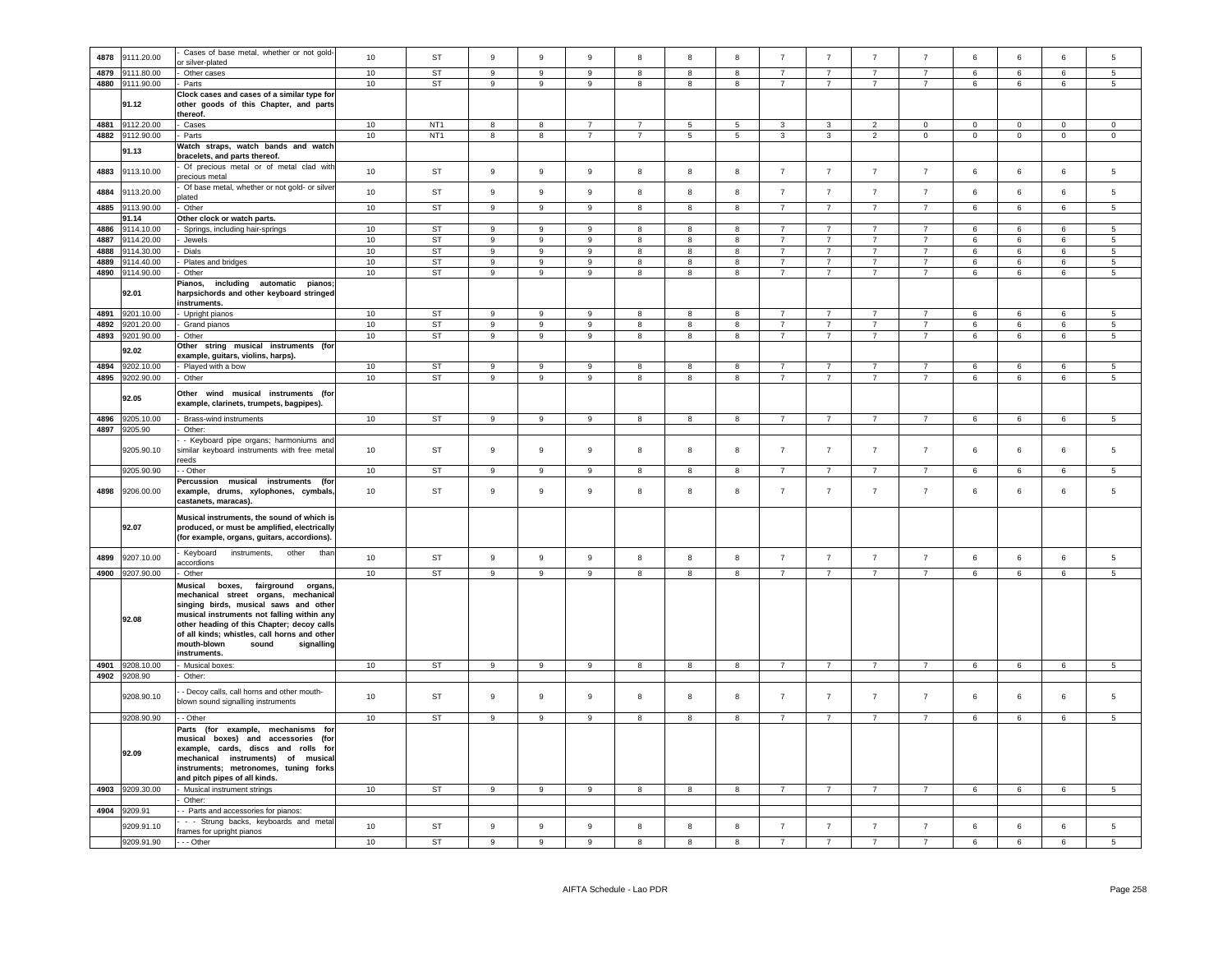| 4878 | 9111.20.00      | Cases of base metal, whether or not gold-<br>or silver-plated | 10     | <b>ST</b>       | 9                | 9                | $\mathbf{9}$     | 8                       | $\mathbf{g}$            | 8                       | $\overline{7}$ | $\overline{7}$ | $\overline{7}$ | $\overline{7}$ | 6               | 6               | $6\phantom{1}$  | 5               |
|------|-----------------|---------------------------------------------------------------|--------|-----------------|------------------|------------------|------------------|-------------------------|-------------------------|-------------------------|----------------|----------------|----------------|----------------|-----------------|-----------------|-----------------|-----------------|
| 4879 | 111.80.00       | Other cases                                                   | 10     | <b>ST</b>       | $\mathsf g$      | $\overline{9}$   | $\overline{9}$   | 8                       | 8                       | $\overline{8}$          | $\overline{7}$ | $\overline{7}$ | $\overline{7}$ | $\overline{7}$ | 6               | $6\overline{6}$ | 6               | $\overline{5}$  |
|      |                 |                                                               |        |                 |                  |                  |                  |                         |                         |                         |                |                |                |                |                 |                 |                 |                 |
| 4880 | 9111.90.00      | Parts                                                         | 10     | ST              | $\mathsf g$      | 9                | 9                | 8                       | 8                       | 8                       | $\overline{7}$ | $\overline{7}$ | $\overline{7}$ | $\overline{7}$ | 6               | 6               | 6               | 5               |
|      |                 | Clock cases and cases of a similar type for                   |        |                 |                  |                  |                  |                         |                         |                         |                |                |                |                |                 |                 |                 |                 |
|      | 91.12           | other goods of this Chapter, and parts                        |        |                 |                  |                  |                  |                         |                         |                         |                |                |                |                |                 |                 |                 |                 |
|      |                 | thereof.                                                      |        |                 |                  |                  |                  |                         |                         |                         |                |                |                |                |                 |                 |                 |                 |
| 4881 | 9112.20.00      | Cases                                                         | 10     | NT <sub>1</sub> | 8                | 8                | $\overline{7}$   | $\overline{7}$          | 5                       | 5 <sub>5</sub>          | 3              | 3              | $\overline{2}$ | 0              | $\Omega$        | $\mathbf 0$     | $\overline{0}$  | $\overline{0}$  |
| 4882 | 9112.90.00      |                                                               | 10     | NT <sub>1</sub> | 8                | $^{\rm 8}$       | $\overline{7}$   | $\overline{7}$          | $\sqrt{5}$              | $\overline{5}$          | $\mathbf{3}$   | $\mathbf{3}$   | $\overline{2}$ |                | $\overline{0}$  | $\mathsf 0$     | $\overline{0}$  | $\overline{0}$  |
|      |                 | Parts                                                         |        |                 |                  |                  |                  |                         |                         |                         |                |                |                | $\mathbf{0}$   |                 |                 |                 |                 |
|      | 91.13           | Watch straps, watch bands and watch                           |        |                 |                  |                  |                  |                         |                         |                         |                |                |                |                |                 |                 |                 |                 |
|      |                 | bracelets, and parts thereof.                                 |        |                 |                  |                  |                  |                         |                         |                         |                |                |                |                |                 |                 |                 |                 |
| 4883 | 9113.10.00      | Of precious metal or of metal clad with                       | 10     | ST              | $\mathsf g$      | 9                | 9                | 8                       | 8                       | 8                       | $\overline{7}$ | $\overline{7}$ | $\overline{7}$ | $\overline{7}$ | 6               | 6               | $\,6\,$         | $\sqrt{5}$      |
|      |                 | recious metal                                                 |        |                 |                  |                  |                  |                         |                         |                         |                |                |                |                |                 |                 |                 |                 |
|      |                 | Of base metal, whether or not gold- or silver                 | $10$   | <b>ST</b>       | $\boldsymbol{9}$ | $\mathsf g$      | $\boldsymbol{9}$ | 8                       | 8                       | $\bf8$                  | $\overline{7}$ | $\bf 7$        | $\overline{7}$ | $\overline{7}$ | $\,6\,$         | 6               | $\,6\,$         |                 |
| 4884 | 9113.20.00      | lated                                                         |        |                 |                  |                  |                  |                         |                         |                         |                |                |                |                |                 |                 |                 | $\sqrt{5}$      |
| 4885 | 9113.90.00      | Other                                                         | 10     | <b>ST</b>       | $\overline{9}$   | $\overline{9}$   | $\overline{9}$   | $\overline{8}$          | $\overline{8}$          | $\overline{8}$          | $\overline{7}$ | $\overline{7}$ | $\overline{7}$ | $\overline{7}$ | 6               | 6               | 6               | $\overline{5}$  |
|      | 91.14           | Other clock or watch parts.                                   |        |                 |                  |                  |                  |                         |                         |                         |                |                |                |                |                 |                 |                 |                 |
| 4886 | 9114.10.00      | Springs, including hair-springs                               | 10     | <b>ST</b>       | $\overline{9}$   | $\overline{9}$   | $\overline{9}$   | $\overline{8}$          | $\overline{\mathbf{8}}$ | $\overline{8}$          | $\overline{7}$ | $\overline{7}$ | $\overline{7}$ | $\overline{7}$ | 6               | $6\overline{6}$ | 6               | $\overline{5}$  |
|      |                 |                                                               |        |                 |                  |                  |                  |                         |                         |                         | $\overline{7}$ |                | $\overline{7}$ | $\overline{7}$ |                 |                 |                 |                 |
| 4887 | 9114.20.00      | Jewels                                                        | 10     | <b>ST</b>       | $\overline{9}$   | $\overline{9}$   | $\overline{9}$   | $\overline{8}$          | $\overline{\mathbf{8}}$ | $\overline{\mathbf{8}}$ |                | $\overline{7}$ |                |                | $6\overline{6}$ | $6\overline{6}$ | $\,6\,$         | $\overline{5}$  |
| 4888 | 114.30.00       | Dials                                                         | 10     | <b>ST</b>       | $\overline{9}$   | $\overline{9}$   | $\overline{9}$   | $\overline{\mathbf{8}}$ | 8                       | $\overline{\mathbf{8}}$ | $\overline{7}$ | $\overline{7}$ | $\overline{7}$ | $\overline{7}$ | 6               | $6\overline{6}$ | $\,6\,$         | $\overline{5}$  |
| 4889 | 9114.40.00      | Plates and bridges                                            | 10     | <b>ST</b>       | $\boldsymbol{9}$ | $\overline{9}$   | 9                | 8                       | 8                       | $\overline{8}$          | $\overline{7}$ | $\overline{7}$ | $\overline{7}$ | $\overline{7}$ | 6               | $6\overline{6}$ | $\,6\,$         | $\overline{5}$  |
| 4890 | 9114.90.00      | Other                                                         | $10\,$ | <b>ST</b>       | $\boldsymbol{9}$ | $\overline{9}$   | 9                | 8                       | 8                       | $\overline{\mathbf{8}}$ | $\overline{7}$ | $\overline{7}$ | $\overline{7}$ | $\overline{7}$ | 6               | $6\overline{6}$ | $\,6\,$         | $5\phantom{.0}$ |
|      |                 | Pianos,<br>including automatic pianos;                        |        |                 |                  |                  |                  |                         |                         |                         |                |                |                |                |                 |                 |                 |                 |
|      | 92.01           | harpsichords and other keyboard stringed                      |        |                 |                  |                  |                  |                         |                         |                         |                |                |                |                |                 |                 |                 |                 |
|      |                 | instruments.                                                  |        |                 |                  |                  |                  |                         |                         |                         |                |                |                |                |                 |                 |                 |                 |
| 4891 | 9201.10.00      | Upright pianos                                                | 10     | ST              | $\mathsf g$      | 9                | 9                | 8                       | 8                       | 8                       | $\overline{7}$ | $\overline{7}$ | $\overline{7}$ | $\overline{7}$ | 6               | 6               | 6               | 5               |
|      |                 |                                                               |        |                 |                  |                  | 9                |                         |                         |                         | $\overline{7}$ | $\overline{7}$ | $\overline{7}$ | $\overline{7}$ |                 |                 |                 |                 |
| 4892 | 3201.20.00      | Grand pianos                                                  | 10     | ST              | $\mathsf g$      | 9                |                  | 8                       | 8                       | 8                       |                |                |                |                | 6               | 6               | 6               | 5               |
| 4893 | 9201.90.00      | Other                                                         | 10     | ST              | $\boldsymbol{9}$ | $\boldsymbol{9}$ | 9                | 8                       | $^{\rm 8}$              | 8                       | $\overline{7}$ | $\overline{7}$ | $\overline{7}$ | $\overline{7}$ | 6               | 6               | $\,6\,$         | $5\phantom{.0}$ |
|      | 92.02           | Other string musical instruments (for                         |        |                 |                  |                  |                  |                         |                         |                         |                |                |                |                |                 |                 |                 |                 |
|      |                 | example, guitars, violins, harps).                            |        |                 |                  |                  |                  |                         |                         |                         |                |                |                |                |                 |                 |                 |                 |
| 4894 | 9202.10.00      | Played with a bow                                             | 10     | ST              | 9                | 9                | 9                | 8                       | 8                       | 8                       | $\overline{7}$ | $\overline{7}$ | $\overline{7}$ | $\overline{7}$ | 6               | 6               | 6               | $5\phantom{.0}$ |
|      | 4895 9202.90.00 | Other                                                         | 10     | <b>ST</b>       | 9                | $\boldsymbol{9}$ | 9                | 8                       | $^{\rm 8}$              | 8                       | $\overline{7}$ | $\overline{7}$ | $\overline{7}$ | $\overline{7}$ | 6               | 6               | $\,6\,$         | $\sqrt{5}$      |
|      |                 |                                                               |        |                 |                  |                  |                  |                         |                         |                         |                |                |                |                |                 |                 |                 |                 |
|      | 92.05           | Other wind musical instruments (for                           |        |                 |                  |                  |                  |                         |                         |                         |                |                |                |                |                 |                 |                 |                 |
|      |                 | example, clarinets, trumpets, bagpipes).                      |        |                 |                  |                  |                  |                         |                         |                         |                |                |                |                |                 |                 |                 |                 |
|      |                 |                                                               |        |                 |                  |                  |                  |                         |                         |                         |                |                |                |                |                 |                 |                 |                 |
| 4896 | 9205.10.00      | Brass-wind instruments                                        | 10     | <b>ST</b>       | 9                | 9                | 9                | 8                       | 8                       | 8                       | $\overline{7}$ | $\overline{7}$ | $\overline{7}$ | $\overline{7}$ | 6               | 6               | 6               | 5               |
| 4897 | 9205.90         | Other:                                                        |        |                 |                  |                  |                  |                         |                         |                         |                |                |                |                |                 |                 |                 |                 |
|      |                 | - Keyboard pipe organs; harmoniums and                        |        |                 |                  |                  |                  |                         |                         |                         |                |                |                |                |                 |                 |                 |                 |
|      | 9205.90.10      | similar keyboard instruments with free metal                  | 10     | ST              | 9                | 9                | 9                | 8                       | 8                       | 8                       | $\overline{7}$ | $\overline{7}$ | $\overline{7}$ | $\overline{7}$ | 6               | 6               | 6               | 5               |
|      |                 | eeds                                                          |        |                 |                  |                  |                  |                         |                         |                         |                |                |                |                |                 |                 |                 |                 |
|      | 9205.90.90      | - Other                                                       | 10     | <b>ST</b>       | $\overline{9}$   | $\overline{9}$   | $\overline{9}$   | $\overline{8}$          | $\overline{\mathbf{8}}$ | $\overline{\mathbf{8}}$ | $\overline{7}$ | $\overline{7}$ | $\overline{7}$ | $\overline{7}$ | 6               | $6\overline{6}$ | $6\overline{6}$ | $\overline{5}$  |
|      |                 | Percussion musical instruments (for                           |        |                 |                  |                  |                  |                         |                         |                         |                |                |                |                |                 |                 |                 |                 |
| 4898 | 9206.00.00      | example, drums, xylophones, cymbals,                          | 10     | ST              | 9                | 9                | $\overline{9}$   | 8                       | 8                       | 8                       | $\overline{7}$ | $\overline{7}$ | $\overline{7}$ | $\overline{7}$ | 6               | 6               | $\,6$           | 5               |
|      |                 | castanets, maracas).                                          |        |                 |                  |                  |                  |                         |                         |                         |                |                |                |                |                 |                 |                 |                 |
|      |                 |                                                               |        |                 |                  |                  |                  |                         |                         |                         |                |                |                |                |                 |                 |                 |                 |
|      |                 | Musical instruments, the sound of which is                    |        |                 |                  |                  |                  |                         |                         |                         |                |                |                |                |                 |                 |                 |                 |
|      | 92.07           | produced, or must be amplified, electrically                  |        |                 |                  |                  |                  |                         |                         |                         |                |                |                |                |                 |                 |                 |                 |
|      |                 | (for example, organs, guitars, accordions).                   |        |                 |                  |                  |                  |                         |                         |                         |                |                |                |                |                 |                 |                 |                 |
|      |                 |                                                               |        |                 |                  |                  |                  |                         |                         |                         |                |                |                |                |                 |                 |                 |                 |
| 4899 | 9207.10.00      | Keyboard<br>instruments,<br>other<br>thar                     | 10     | ST              | 9                | 9                | 9                | 8                       | 8                       | 8                       | $\overline{7}$ | $\overline{7}$ | $\overline{7}$ | $\overline{7}$ | 6               | 6               | 6               | 5               |
|      |                 | accordions                                                    |        |                 |                  |                  |                  |                         |                         |                         |                |                |                |                |                 |                 |                 |                 |
| 4900 | 9207.90.00      | Other                                                         | 10     | <b>ST</b>       | $\boldsymbol{9}$ | $\mathsf g$      | $\overline{9}$   | 8                       | 8                       | $\overline{8}$          | $\overline{7}$ | $\overline{7}$ | $\overline{7}$ | $\overline{7}$ | 6               | $6\overline{6}$ | $6\overline{6}$ | $\overline{5}$  |
|      |                 | Musical<br>boxes,<br>fairground<br>organs                     |        |                 |                  |                  |                  |                         |                         |                         |                |                |                |                |                 |                 |                 |                 |
|      |                 | mechanical street organs, mechanical                          |        |                 |                  |                  |                  |                         |                         |                         |                |                |                |                |                 |                 |                 |                 |
|      |                 | singing birds, musical saws and other                         |        |                 |                  |                  |                  |                         |                         |                         |                |                |                |                |                 |                 |                 |                 |
|      |                 | musical instruments not falling within any                    |        |                 |                  |                  |                  |                         |                         |                         |                |                |                |                |                 |                 |                 |                 |
|      | 92.08           | other heading of this Chapter; decoy calls                    |        |                 |                  |                  |                  |                         |                         |                         |                |                |                |                |                 |                 |                 |                 |
|      |                 | of all kinds; whistles, call horns and other                  |        |                 |                  |                  |                  |                         |                         |                         |                |                |                |                |                 |                 |                 |                 |
|      |                 | mouth-blown<br>sound<br>signalling                            |        |                 |                  |                  |                  |                         |                         |                         |                |                |                |                |                 |                 |                 |                 |
|      |                 | instruments.                                                  |        |                 |                  |                  |                  |                         |                         |                         |                |                |                |                |                 |                 |                 |                 |
|      |                 |                                                               |        |                 |                  |                  |                  |                         |                         |                         |                |                |                |                |                 |                 |                 |                 |
| 4901 | 9208.10.00      | Musical boxes:                                                | 10     | ST              | $\boldsymbol{9}$ | $\mathsf g$      | $\boldsymbol{9}$ | 8                       | 8                       | 8                       | $\overline{7}$ | $\overline{7}$ | $\overline{7}$ | $\overline{7}$ | 6               | 6               | $\,6\,$         | $5\overline{5}$ |
| 4902 | 9208.90         | Other:                                                        |        |                 |                  |                  |                  |                         |                         |                         |                |                |                |                |                 |                 |                 |                 |
|      |                 | - Decoy calls, call horns and other mouth-                    |        |                 |                  |                  |                  |                         |                         |                         |                |                |                |                |                 |                 |                 |                 |
|      | 9208.90.10      | blown sound signalling instruments                            | 10     | ST              | 9                | $\mathsf g$      | 9                | 8                       | 8                       | $\boldsymbol{8}$        | $\overline{7}$ | $\overline{7}$ | $\overline{7}$ | $\overline{7}$ | 6               | 6               | $\,6\,$         | 5               |
|      |                 |                                                               |        |                 |                  |                  |                  |                         |                         |                         |                |                |                |                |                 |                 |                 |                 |
|      | 9208.90.90      | - Other                                                       | 10     | <b>ST</b>       | $\overline{9}$   | $\overline{9}$   | $\overline{9}$   | $\overline{8}$          | $\overline{\mathbf{8}}$ | $\overline{\mathbf{8}}$ | $\overline{7}$ | $\overline{7}$ | $\overline{7}$ | $\overline{7}$ | 6               | $6\overline{6}$ | $6\overline{6}$ | $\overline{5}$  |
|      |                 | Parts (for example,<br>mechanisms for                         |        |                 |                  |                  |                  |                         |                         |                         |                |                |                |                |                 |                 |                 |                 |
|      |                 | musical boxes) and accessories (for                           |        |                 |                  |                  |                  |                         |                         |                         |                |                |                |                |                 |                 |                 |                 |
|      |                 | example, cards, discs and rolls for                           |        |                 |                  |                  |                  |                         |                         |                         |                |                |                |                |                 |                 |                 |                 |
|      | 92.09           | mechanical instruments) of musical                            |        |                 |                  |                  |                  |                         |                         |                         |                |                |                |                |                 |                 |                 |                 |
|      |                 | instruments; metronomes, tuning forks                         |        |                 |                  |                  |                  |                         |                         |                         |                |                |                |                |                 |                 |                 |                 |
|      |                 | and pitch pipes of all kinds.                                 |        |                 |                  |                  |                  |                         |                         |                         |                |                |                |                |                 |                 |                 |                 |
|      |                 |                                                               |        |                 |                  |                  |                  |                         |                         |                         |                |                |                |                |                 |                 |                 |                 |
| 4903 | 9209.30.00      | Musical instrument strings                                    | 10     | <b>ST</b>       | 9                | 9                | 9                | 8                       | 8                       | 8                       | $\overline{7}$ | $\overline{7}$ | $\overline{7}$ | $\overline{7}$ | 6               | 6               | 6               | $5\phantom{.0}$ |
|      |                 | Other:                                                        |        |                 |                  |                  |                  |                         |                         |                         |                |                |                |                |                 |                 |                 |                 |
| 4904 | 9209.91         | - Parts and accessories for pianos:                           |        |                 |                  |                  |                  |                         |                         |                         |                |                |                |                |                 |                 |                 |                 |
|      | 9209.91.10      | - - Strung backs, keyboards and metal                         | 10     | ST              | $\boldsymbol{9}$ | 9                | 9                | 8                       | $^{\rm 8}$              | 8                       | $\overline{7}$ | $\overline{7}$ | $\overline{7}$ | $\overline{7}$ |                 | 6               | $\,6\,$         | $\,$ 5 $\,$     |
|      |                 | frames for upright pianos                                     |        |                 |                  |                  |                  |                         |                         |                         |                |                |                |                | 6               |                 |                 |                 |
|      | 9209.91.90      | --- Other                                                     | 10     | <b>ST</b>       | $\mathbf{9}$     | 9                | 9                | 8                       | $\mathbf{g}$            | 8                       | $\overline{7}$ | $\overline{7}$ | $\overline{z}$ | $\overline{z}$ | 6               | 6               | $\,6\,$         | 5               |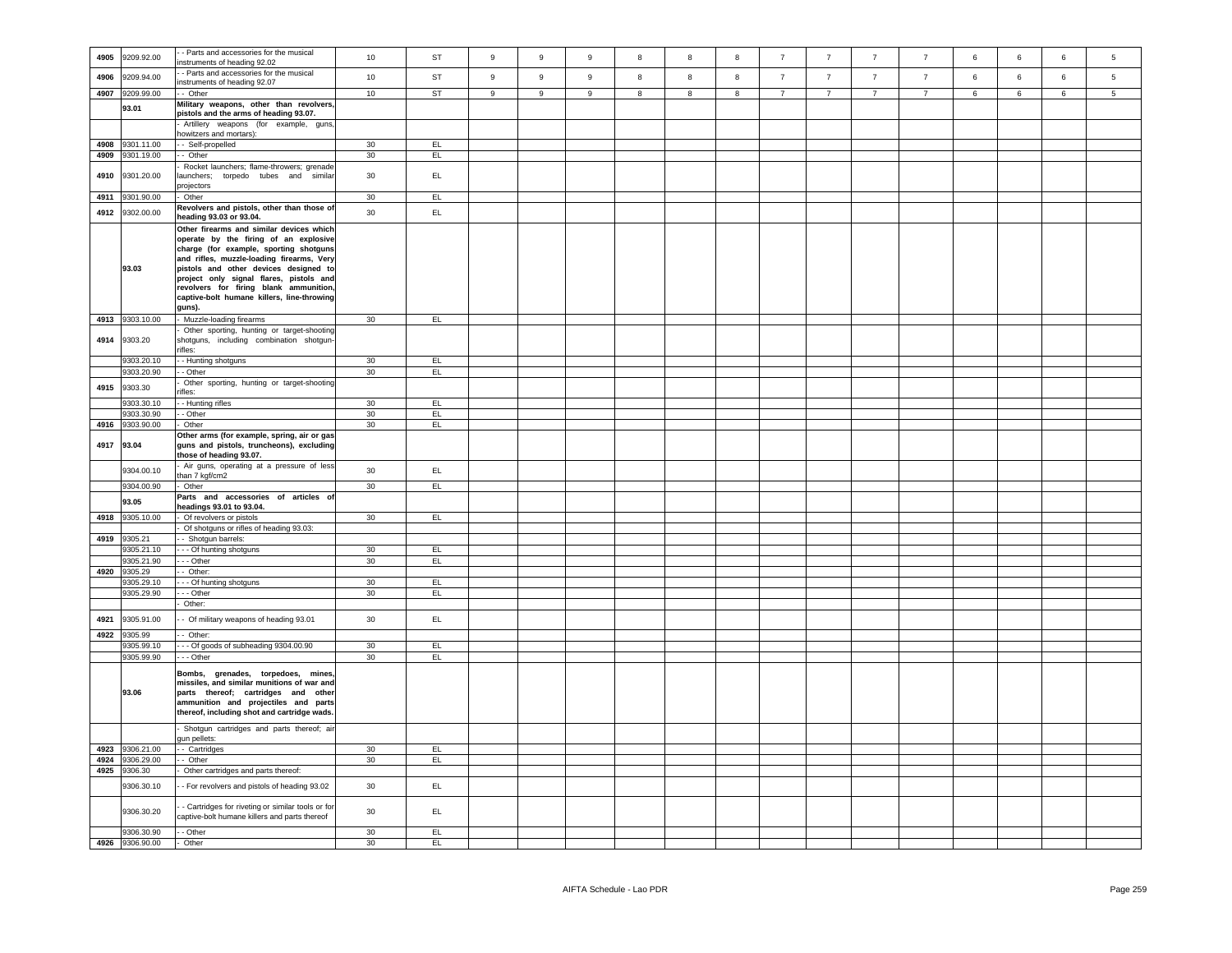| 4905 | 9209.92.00      | - Parts and accessories for the musical                                           | $10$   | ST             | $\boldsymbol{9}$ | 9              | $\boldsymbol{9}$ | 8 | 8 | 8 | $\overline{7}$ | $\overline{7}$ | $\overline{7}$ | $\overline{7}$ | 6 | $\,6\,$ | $\,6\,$ | 5              |
|------|-----------------|-----------------------------------------------------------------------------------|--------|----------------|------------------|----------------|------------------|---|---|---|----------------|----------------|----------------|----------------|---|---------|---------|----------------|
|      |                 | nstruments of heading 92.02                                                       |        |                |                  |                |                  |   |   |   |                |                |                |                |   |         |         |                |
| 4906 | 9209.94.00      | - Parts and accessories for the musical                                           | 10     | <b>ST</b>      | 9                | $\overline{9}$ | $\boldsymbol{9}$ | 8 | 8 | 8 | $\overline{7}$ | $\overline{7}$ | $\overline{7}$ | $\overline{7}$ | 6 | 6       | 6       | 5              |
|      |                 | nstruments of heading 92.07                                                       |        |                |                  |                |                  |   |   |   |                |                |                |                |   |         |         |                |
| 4907 | 9209.99.00      | - Other                                                                           | 10     | ST             | 9                | 9              | 9                | 8 | 8 | 8 | $7^{\circ}$    | $7^{\circ}$    | $\overline{7}$ | $\overline{7}$ | 6 | 6       | 6       | 5 <sub>5</sub> |
|      | 93.01           | Military weapons, other than revolvers,                                           |        |                |                  |                |                  |   |   |   |                |                |                |                |   |         |         |                |
|      |                 | pistols and the arms of heading 93.07.                                            |        |                |                  |                |                  |   |   |   |                |                |                |                |   |         |         |                |
|      |                 | Artillery weapons (for example, guns,                                             |        |                |                  |                |                  |   |   |   |                |                |                |                |   |         |         |                |
|      |                 | owitzers and mortars):                                                            |        |                |                  |                |                  |   |   |   |                |                |                |                |   |         |         |                |
| 4908 | 9301.11.00      | - Self-propelled                                                                  | 30     | EL             |                  |                |                  |   |   |   |                |                |                |                |   |         |         |                |
|      | 4909 9301.19.00 | - Other                                                                           | 30     | EL <sub></sub> |                  |                |                  |   |   |   |                |                |                |                |   |         |         |                |
|      |                 | Rocket launchers; flame-throwers; grenade                                         |        |                |                  |                |                  |   |   |   |                |                |                |                |   |         |         |                |
| 4910 | 9301.20.00      | aunchers; torpedo tubes and similar                                               | 30     | EL             |                  |                |                  |   |   |   |                |                |                |                |   |         |         |                |
|      |                 | projectors                                                                        |        |                |                  |                |                  |   |   |   |                |                |                |                |   |         |         |                |
| 4911 | 9301.90.00      | Other                                                                             | 30     | EL.            |                  |                |                  |   |   |   |                |                |                |                |   |         |         |                |
| 4912 | 9302.00.00      | Revolvers and pistols, other than those of                                        | 30     | EL.            |                  |                |                  |   |   |   |                |                |                |                |   |         |         |                |
|      |                 | eading 93.03 or 93.04.                                                            |        |                |                  |                |                  |   |   |   |                |                |                |                |   |         |         |                |
|      |                 | Other firearms and similar devices which                                          |        |                |                  |                |                  |   |   |   |                |                |                |                |   |         |         |                |
|      |                 | operate by the firing of an explosive                                             |        |                |                  |                |                  |   |   |   |                |                |                |                |   |         |         |                |
|      |                 | charge (for example, sporting shotguns                                            |        |                |                  |                |                  |   |   |   |                |                |                |                |   |         |         |                |
|      |                 | and rifles, muzzle-loading firearms, Very                                         |        |                |                  |                |                  |   |   |   |                |                |                |                |   |         |         |                |
|      | 93.03           | pistols and other devices designed to                                             |        |                |                  |                |                  |   |   |   |                |                |                |                |   |         |         |                |
|      |                 | project only signal flares, pistols and<br>revolvers for firing blank ammunition, |        |                |                  |                |                  |   |   |   |                |                |                |                |   |         |         |                |
|      |                 | captive-bolt humane killers, line-throwing                                        |        |                |                  |                |                  |   |   |   |                |                |                |                |   |         |         |                |
|      |                 |                                                                                   |        |                |                  |                |                  |   |   |   |                |                |                |                |   |         |         |                |
|      |                 | guns).                                                                            |        |                |                  |                |                  |   |   |   |                |                |                |                |   |         |         |                |
|      | 4913 9303.10.00 | Muzzle-loading firearms                                                           | 30     | EL.            |                  |                |                  |   |   |   |                |                |                |                |   |         |         |                |
| 4914 | 9303.20         | Other sporting, hunting or target-shooting                                        |        |                |                  |                |                  |   |   |   |                |                |                |                |   |         |         |                |
|      |                 | shotguns, including combination shotgun-<br>ifles:                                |        |                |                  |                |                  |   |   |   |                |                |                |                |   |         |         |                |
|      | 9303.20.10      | - Hunting shotguns                                                                | 30     | EL             |                  |                |                  |   |   |   |                |                |                |                |   |         |         |                |
|      | 9303.20.90      | - Other                                                                           | 30     | EL             |                  |                |                  |   |   |   |                |                |                |                |   |         |         |                |
|      |                 | Other sporting, hunting or target-shooting                                        |        |                |                  |                |                  |   |   |   |                |                |                |                |   |         |         |                |
| 4915 | 9303.30         | ifles:                                                                            |        |                |                  |                |                  |   |   |   |                |                |                |                |   |         |         |                |
|      | 9303.30.10      | - Hunting rifles                                                                  | 30     | EL             |                  |                |                  |   |   |   |                |                |                |                |   |         |         |                |
|      | 9303.30.90      | - Other                                                                           | 30     | EL             |                  |                |                  |   |   |   |                |                |                |                |   |         |         |                |
|      | 4916 9303.90.00 | Other                                                                             | 30     | EL.            |                  |                |                  |   |   |   |                |                |                |                |   |         |         |                |
|      |                 | Other arms (for example, spring, air or gas                                       |        |                |                  |                |                  |   |   |   |                |                |                |                |   |         |         |                |
|      | 4917 93.04      | guns and pistols, truncheons), excluding                                          |        |                |                  |                |                  |   |   |   |                |                |                |                |   |         |         |                |
|      |                 | those of heading 93.07.                                                           |        |                |                  |                |                  |   |   |   |                |                |                |                |   |         |         |                |
|      |                 | Air guns, operating at a pressure of less                                         |        |                |                  |                |                  |   |   |   |                |                |                |                |   |         |         |                |
|      | 9304.00.10      | han 7 kgf/cm2                                                                     | 30     | EL.            |                  |                |                  |   |   |   |                |                |                |                |   |         |         |                |
|      | 9304.00.90      | Other                                                                             | 30     | EL.            |                  |                |                  |   |   |   |                |                |                |                |   |         |         |                |
|      |                 | Parts and accessories of articles of                                              |        |                |                  |                |                  |   |   |   |                |                |                |                |   |         |         |                |
|      | 93.05           | eadings 93.01 to 93.04.                                                           |        |                |                  |                |                  |   |   |   |                |                |                |                |   |         |         |                |
|      | 4918 9305.10.00 | Of revolvers or pistols                                                           | 30     | EL             |                  |                |                  |   |   |   |                |                |                |                |   |         |         |                |
|      |                 | Of shotguns or rifles of heading 93.03:                                           |        |                |                  |                |                  |   |   |   |                |                |                |                |   |         |         |                |
|      | 4919 9305.21    | - Shotgun barrels:                                                                |        |                |                  |                |                  |   |   |   |                |                |                |                |   |         |         |                |
|      | 9305.21.10      | - - Of hunting shotguns                                                           | 30     | EL             |                  |                |                  |   |   |   |                |                |                |                |   |         |         |                |
|      | 9305.21.90      | - - Other                                                                         | 30     | EL             |                  |                |                  |   |   |   |                |                |                |                |   |         |         |                |
|      | 4920 9305.29    | $-$ Other:                                                                        |        |                |                  |                |                  |   |   |   |                |                |                |                |   |         |         |                |
|      | 9305.29.10      | - Of hunting shotguns                                                             | 30     | EL             |                  |                |                  |   |   |   |                |                |                |                |   |         |         |                |
|      | 9305.29.90      | - - Other                                                                         | 30     | EL             |                  |                |                  |   |   |   |                |                |                |                |   |         |         |                |
|      |                 | Other:                                                                            |        |                |                  |                |                  |   |   |   |                |                |                |                |   |         |         |                |
|      |                 |                                                                                   |        |                |                  |                |                  |   |   |   |                |                |                |                |   |         |         |                |
| 4921 | 9305.91.00      | - Of military weapons of heading 93.01                                            | 30     | EL.            |                  |                |                  |   |   |   |                |                |                |                |   |         |         |                |
| 4922 | 9305.99         | Other:                                                                            |        |                |                  |                |                  |   |   |   |                |                |                |                |   |         |         |                |
|      | 9305.99.10      | - - Of goods of subheading 9304.00.90                                             | $30\,$ | EL             |                  |                |                  |   |   |   |                |                |                |                |   |         |         |                |
|      | 9305.99.90      | - - Other                                                                         | 30     | EL <sub></sub> |                  |                |                  |   |   |   |                |                |                |                |   |         |         |                |
|      |                 |                                                                                   |        |                |                  |                |                  |   |   |   |                |                |                |                |   |         |         |                |
|      |                 | Bombs, grenades, torpedoes, mines<br>missiles, and similar munitions of war and   |        |                |                  |                |                  |   |   |   |                |                |                |                |   |         |         |                |
|      | 93.06           | parts thereof; cartridges and other                                               |        |                |                  |                |                  |   |   |   |                |                |                |                |   |         |         |                |
|      |                 | ammunition and projectiles and parts                                              |        |                |                  |                |                  |   |   |   |                |                |                |                |   |         |         |                |
|      |                 | thereof, including shot and cartridge wads.                                       |        |                |                  |                |                  |   |   |   |                |                |                |                |   |         |         |                |
|      |                 |                                                                                   |        |                |                  |                |                  |   |   |   |                |                |                |                |   |         |         |                |
|      |                 | Shotgun cartridges and parts thereof; air                                         |        |                |                  |                |                  |   |   |   |                |                |                |                |   |         |         |                |
|      |                 | jun pellets:                                                                      |        |                |                  |                |                  |   |   |   |                |                |                |                |   |         |         |                |
| 4923 | 9306.21.00      | - Cartridges                                                                      | 30     | EL             |                  |                |                  |   |   |   |                |                |                |                |   |         |         |                |
| 4924 | 9306.29.00      | - Other                                                                           | 30     | $\mathsf{EL}$  |                  |                |                  |   |   |   |                |                |                |                |   |         |         |                |
| 4925 | 9306.30         | Other cartridges and parts thereof:                                               |        |                |                  |                |                  |   |   |   |                |                |                |                |   |         |         |                |
|      | 9306.30.10      | - For revolvers and pistols of heading 93.02                                      | 30     | EL.            |                  |                |                  |   |   |   |                |                |                |                |   |         |         |                |
|      |                 |                                                                                   |        |                |                  |                |                  |   |   |   |                |                |                |                |   |         |         |                |
|      |                 | - Cartridges for riveting or similar tools or for                                 |        |                |                  |                |                  |   |   |   |                |                |                |                |   |         |         |                |
|      | 9306.30.20      | captive-bolt humane killers and parts thereof                                     | 30     | EL.            |                  |                |                  |   |   |   |                |                |                |                |   |         |         |                |
|      |                 |                                                                                   |        |                |                  |                |                  |   |   |   |                |                |                |                |   |         |         |                |
|      | 9306.30.90      | - Other                                                                           | 30     | EL             |                  |                |                  |   |   |   |                |                |                |                |   |         |         |                |
|      | 4926 9306.90.00 | Other                                                                             | 30     | EL.            |                  |                |                  |   |   |   |                |                |                |                |   |         |         |                |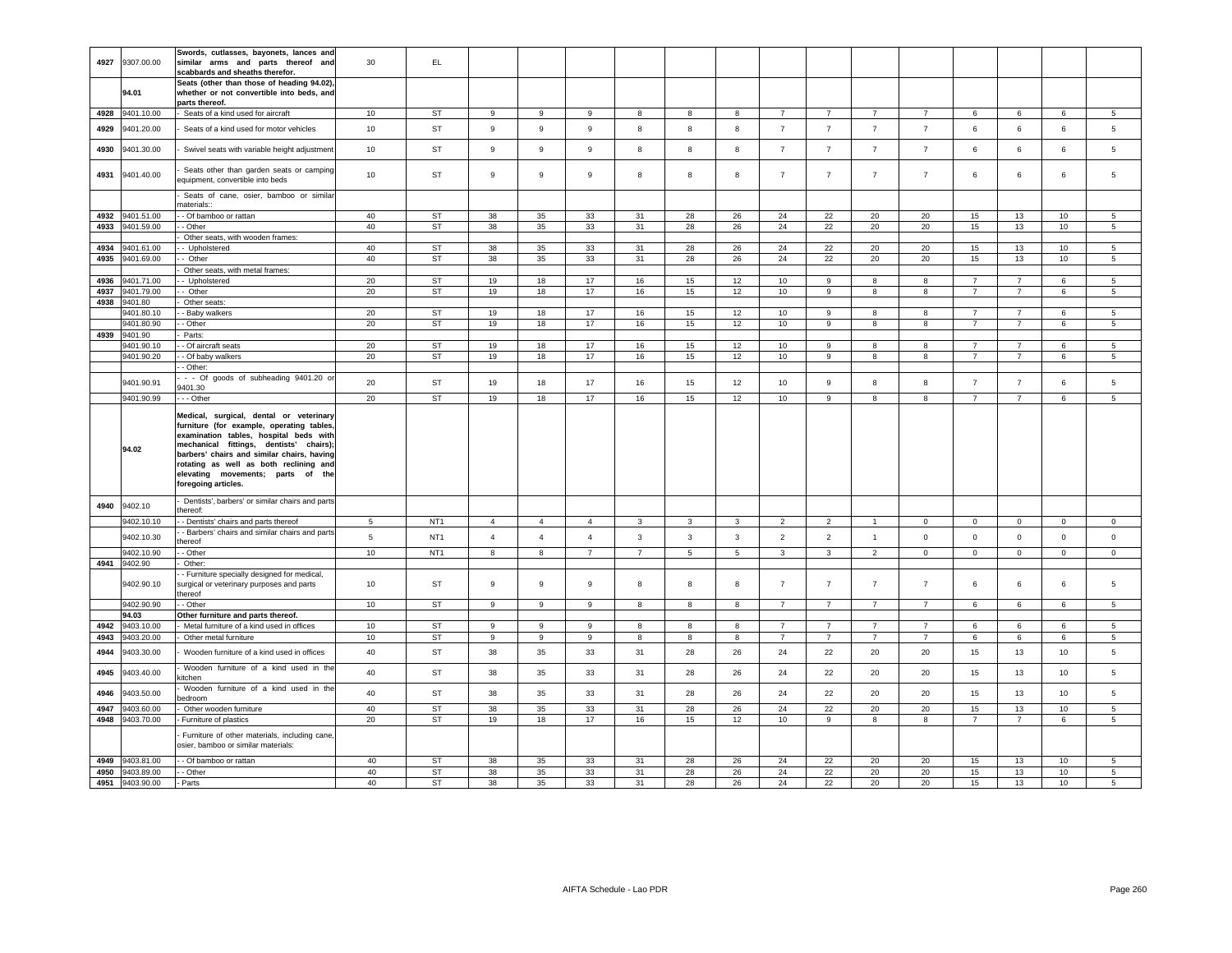| 4927 | 9307.00.00      | Swords, cutlasses, bayonets, lances and<br>similar arms and parts thereof and<br>scabbards and sheaths therefor.                                                                                                                                                                                                             | 30              | EL.             |                |                  |                  |                |              |    |                |                |                |                |                |                |             |                 |
|------|-----------------|------------------------------------------------------------------------------------------------------------------------------------------------------------------------------------------------------------------------------------------------------------------------------------------------------------------------------|-----------------|-----------------|----------------|------------------|------------------|----------------|--------------|----|----------------|----------------|----------------|----------------|----------------|----------------|-------------|-----------------|
|      | 94.01           | Seats (other than those of heading 94.02),<br>whether or not convertible into beds, and<br>parts thereof.                                                                                                                                                                                                                    |                 |                 |                |                  |                  |                |              |    |                |                |                |                |                |                |             |                 |
| 4928 | 9401.10.00      | Seats of a kind used for aircraft                                                                                                                                                                                                                                                                                            | 10              | <b>ST</b>       | 9              | 9                | 9                | 8              | 8            | 8  | $\overline{7}$ | $\overline{7}$ |                |                | 6              | 6              | 6           | 5               |
| 4929 | 9401.20.00      | Seats of a kind used for motor vehicles                                                                                                                                                                                                                                                                                      | 10              | <b>ST</b>       | 9              | $\mathsf g$      | 9                | 8              | 8            | 8  | $\overline{7}$ | $\overline{7}$ | $\overline{7}$ | $\overline{7}$ | 6              | 6              | 6           | 5               |
| 4930 | 9401.30.00      | Swivel seats with variable height adjustment                                                                                                                                                                                                                                                                                 | 10              | ST              | $\,9$          | $\boldsymbol{9}$ | $\boldsymbol{9}$ | 8              | 8            | 8  | $\overline{7}$ | $\overline{7}$ | $\overline{7}$ | $\overline{7}$ | $\,6\,$        | $\,6\,$        | 6           | 5               |
| 4931 | 9401.40.00      | Seats other than garden seats or camping<br>equipment, convertible into beds                                                                                                                                                                                                                                                 | 10              | <b>ST</b>       | $\overline{9}$ | $\mathsf g$      | 9                | 8              | 8            | 8  | $\overline{7}$ | $\overline{7}$ | $\overline{7}$ | $\overline{7}$ | 6              | 6              | 6           | 5               |
|      |                 | Seats of cane, osier, bamboo or similar<br>naterials::                                                                                                                                                                                                                                                                       |                 |                 |                |                  |                  |                |              |    |                |                |                |                |                |                |             |                 |
| 4932 | 9401.51.00      | - Of bamboo or rattan                                                                                                                                                                                                                                                                                                        | 40              | ST              | 38             | 35               | 33               | 31             | 28           | 26 | 24             | 22             | 20             | 20             | 15             | 13             | 10          | 5               |
| 4933 | 9401.59.00      | - Other                                                                                                                                                                                                                                                                                                                      | 40              | ST              | 38             | $35\,$           | 33               | 31             | 28           | 26 | 24             | $22\,$         | 20             | 20             | 15             | 13             | 10          | $5\phantom{.0}$ |
|      |                 | Other seats, with wooden frames:                                                                                                                                                                                                                                                                                             |                 |                 |                |                  |                  |                |              |    |                |                |                |                |                |                |             |                 |
| 4934 | 9401.61.00      | - Upholstered                                                                                                                                                                                                                                                                                                                | 40              | <b>ST</b>       | 38             | 35               | 33               | 31             | 28           | 26 | 24             | 22             | 20             | 20             | 15             | 13             | 10          | 5               |
| 4935 | 9401.69.00      | - Other                                                                                                                                                                                                                                                                                                                      | 40              | ST              | 38             | 35               | 33               | 31             | 28           | 26 | 24             | 22             | 20             | 20             | 15             | 13             | 10          | 5               |
|      |                 | Other seats, with metal frames:                                                                                                                                                                                                                                                                                              |                 |                 |                |                  |                  |                |              |    |                |                |                |                |                |                |             |                 |
| 4936 | 9401.71.00      | Upholstered                                                                                                                                                                                                                                                                                                                  | 20              | <b>ST</b>       | 19             | 18               | 17               | 16             | 15           | 12 | 10             | 9              | 8              | 8              | $\overline{7}$ | $\overline{7}$ | 6           | 5               |
| 4937 | 9401.79.00      | - Other                                                                                                                                                                                                                                                                                                                      | 20              | <b>ST</b>       | 19             | 18               | 17               | 16             | 15           | 12 | 10             | 9              | 8              | 8              | $\overline{7}$ | $\overline{7}$ | 6           | 5               |
| 4938 | 9401.80         | Other seats                                                                                                                                                                                                                                                                                                                  |                 |                 |                |                  |                  |                |              |    |                |                |                |                |                |                |             |                 |
|      | 9401.80.10      | Baby walkers                                                                                                                                                                                                                                                                                                                 | 20              | <b>ST</b>       | 19             | 18               | 17               | 16             | 15           | 12 | 10             | 9              | $\mathbf{R}$   | 8              | $\overline{7}$ | $\overline{7}$ | 6           | 5               |
|      | 9401.80.90      | Other                                                                                                                                                                                                                                                                                                                        | $20\,$          | <b>ST</b>       | 19             | 18               | 17               | $16\,$         | 15           | 12 | $10$           | 9              | 8              | 8              | $\overline{7}$ | $\overline{7}$ | 6           | 5               |
| 4939 | 9401.90         | Parts:                                                                                                                                                                                                                                                                                                                       |                 |                 |                |                  |                  |                |              |    |                |                |                |                |                |                |             |                 |
|      | 9401.90.10      | Of aircraft seats                                                                                                                                                                                                                                                                                                            | 20              | <b>ST</b>       | 19             | 18               | 17               | 16             | 15           | 12 | 10             | 9              | 8              | 8              | $\overline{7}$ | $\overline{7}$ | 6           | 5               |
|      | 9401.90.20      | - Of baby walkers                                                                                                                                                                                                                                                                                                            | 20              | <b>ST</b>       | 19             | 18               | 17               | 16             | 15           | 12 | 10             | 9              | 8              | 8              | $\overline{7}$ | $\overline{7}$ | 6           | $5\overline{5}$ |
|      |                 | - Other:                                                                                                                                                                                                                                                                                                                     |                 |                 |                |                  |                  |                |              |    |                |                |                |                |                |                |             |                 |
|      | 9401.90.91      | - - Of goods of subheading 9401.20 or<br>9401.30                                                                                                                                                                                                                                                                             | 20              | <b>ST</b>       | 19             | 18               | 17               | 16             | 15           | 12 | 10             | 9              | 8              | 8              | $\overline{7}$ | $\overline{7}$ | 6           | 5               |
|      | 9401.90.99      | - - Other                                                                                                                                                                                                                                                                                                                    | 20              | <b>ST</b>       | 19             | 18               | 17               | 16             | 15           | 12 | 10             | 9              | 8              | 8              | $\overline{7}$ | $\overline{7}$ | 6           | 5               |
|      | 94.02           | Medical, surgical, dental or veterinary<br>furniture (for example, operating tables<br>examination tables, hospital beds with<br>mechanical fittings, dentists' chairs);<br>barbers' chairs and similar chairs, having<br>rotating as well as both reclining and<br>elevating movements; parts of the<br>foregoing articles. |                 |                 |                |                  |                  |                |              |    |                |                |                |                |                |                |             |                 |
| 4940 | 9402.10         | Dentists', barbers' or similar chairs and parts<br>hereof:                                                                                                                                                                                                                                                                   |                 |                 |                |                  |                  |                |              |    |                |                |                |                |                |                |             |                 |
|      | 9402.10.10      | - Dentists' chairs and parts thereof                                                                                                                                                                                                                                                                                         | $5^{\circ}$     | NT <sub>1</sub> | $\overline{4}$ | $\overline{4}$   | $\overline{4}$   | 3              | 3            | 3  | $\overline{2}$ | $\overline{2}$ | $\overline{1}$ | $\mathbf 0$    | $\mathbf 0$    | $\mathbf 0$    | 0           | $\mathbf 0$     |
|      | 9402.10.30      | - Barbers' chairs and similar chairs and parts<br>hereof                                                                                                                                                                                                                                                                     | $5\phantom{.0}$ | NT <sub>1</sub> | $\overline{4}$ | $\overline{4}$   | $\overline{4}$   | $\mathbf{3}$   | $\mathbf{3}$ | 3  | $\overline{2}$ | $\overline{2}$ | $\mathbf{1}$   | $\mathbf 0$    | $\mathbf 0$    | $\mathbf 0$    | $\mathbf 0$ | $\mathbf 0$     |
|      | 9402.10.90      | Other                                                                                                                                                                                                                                                                                                                        | 10              | NT <sub>1</sub> | 8              | 8                | $\overline{7}$   | $\overline{7}$ | 5            | 5  | 3              | 3              | 2              | $\Omega$       | $\mathbf{0}$   | $\circ$        | $\mathbf 0$ | $\mathbf 0$     |
| 4941 | 9402.90         | Other:                                                                                                                                                                                                                                                                                                                       |                 |                 |                |                  |                  |                |              |    |                |                |                |                |                |                |             |                 |
|      | 9402.90.10      | - Furniture specially designed for medical,<br>surgical or veterinary purposes and parts<br>hereof                                                                                                                                                                                                                           | 10              | ST              | 9              | 9                | 9                | 8              | 8            | 8  | $\overline{7}$ | $\overline{7}$ | $\overline{7}$ | $\overline{7}$ | 6              | 6              | 6           | 5               |
|      | 9402.90.90      | Other                                                                                                                                                                                                                                                                                                                        | 10 <sub>1</sub> | <b>ST</b>       | $\,9$          | 9                | $\mathsf g$      | 8              | 8            | 8  | $\overline{7}$ | $\overline{7}$ | $\overline{7}$ | $\overline{7}$ | 6              | 6              | 6           | 5               |
|      | 94.03           | Other furniture and parts thereof.                                                                                                                                                                                                                                                                                           |                 |                 |                |                  |                  |                |              |    |                |                |                |                |                |                |             |                 |
| 4942 | 9403.10.00      | Metal furniture of a kind used in offices                                                                                                                                                                                                                                                                                    | 10              | ST              | 9              | 9                | 9                | 8              | 8            | 8  | $\overline{7}$ | 7              | 7              | $\overline{7}$ | 6              | 6              | 6           | 5               |
| 4943 | 9403.20.00      | Other metal furniture                                                                                                                                                                                                                                                                                                        | 10              | <b>ST</b>       | 9              | 9                | 9                | 8              | 8            | 8  | $\overline{7}$ | $\overline{7}$ | $\overline{7}$ | $\overline{7}$ | 6              | 6              | 6           | 5               |
| 4944 | 9403.30.00      | Wooden furniture of a kind used in offices                                                                                                                                                                                                                                                                                   | 40              | <b>ST</b>       | 38             | 35               | 33               | 31             | 28           | 26 | 24             | 22             | 20             | 20             | 15             | 13             | 10          | 5               |
| 4945 | 9403.40.00      | Wooden furniture of a kind used in the<br>itchen                                                                                                                                                                                                                                                                             | 40              | <b>ST</b>       | 38             | 35               | 33               | 31             | 28           | 26 | 24             | 22             | 20             | 20             | 15             | 13             | 10          | 5               |
| 4946 | 9403.50.00      | Wooden furniture of a kind used in the<br>edroom                                                                                                                                                                                                                                                                             | 40              | ST              | 38             | 35               | 33               | 31             | 28           | 26 | 24             | 22             | 20             | 20             | 15             | 13             | 10          | 5               |
| 4947 | 9403.60.00      | Other wooden furniture                                                                                                                                                                                                                                                                                                       | 40              | <b>ST</b>       | 38             | 35               | 33               | 31             | 28           | 26 | 24             | 22             | 20             | 20             | 15             | 13             | 10          | 5               |
|      | 4948 9403.70.00 | Furniture of plastics                                                                                                                                                                                                                                                                                                        | 20              | <b>ST</b>       | 19             | 18               | 17               | 16             | 15           | 12 | 10             | 9              | 8              | 8              | $\overline{7}$ | $\overline{7}$ | 6           | 5               |
|      |                 | Furniture of other materials, including cane,<br>osier, bamboo or similar materials:                                                                                                                                                                                                                                         |                 |                 |                |                  |                  |                |              |    |                |                |                |                |                |                |             |                 |
|      | 4949 9403.81.00 | - Of bamboo or rattan                                                                                                                                                                                                                                                                                                        | 40              | <b>ST</b>       | 38             | 35               | 33               | 31             | 28           | 26 | 24             | 22             | 20             | 20             | 15             | 13             | 10          | 5               |
|      | 4950 9403.89.00 | Other                                                                                                                                                                                                                                                                                                                        | 40              | <b>ST</b>       | 38             | 35               | 33               | 31             | 28           | 26 | 24             | 22             | 20             | 20             | 15             | 13             | 10          | 5               |
|      | 4951 9403.90.00 | Parts                                                                                                                                                                                                                                                                                                                        | 40              | <b>ST</b>       | 38             | 35               | 33               | 31             | 28           | 26 | 24             | 22             | 20             | 20             | 15             | 13             | 10          | 5               |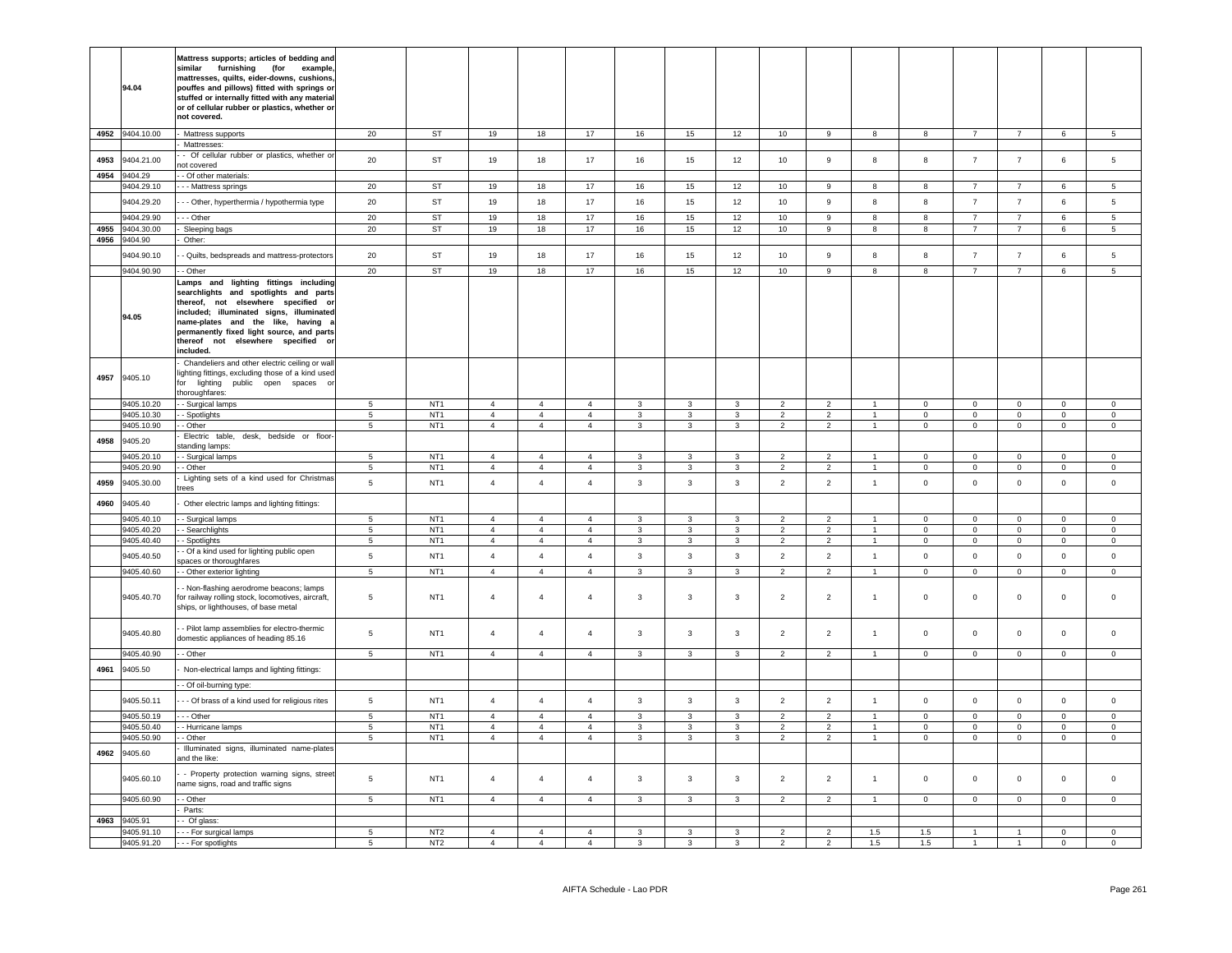|      | 94.04                    | Mattress supports; articles of bedding and<br>furnishing<br>similar<br>(for example<br>mattresses, quilts, eider-downs, cushions,<br>pouffes and pillows) fitted with springs or<br>stuffed or internally fitted with any material<br>or of cellular rubber or plastics, whether or<br>not covered.   |                              |                                    |                                  |                                  |                                  |                              |                              |                              |                                  |                                  |                                  |                          |                               |                               |                               |                                 |
|------|--------------------------|-------------------------------------------------------------------------------------------------------------------------------------------------------------------------------------------------------------------------------------------------------------------------------------------------------|------------------------------|------------------------------------|----------------------------------|----------------------------------|----------------------------------|------------------------------|------------------------------|------------------------------|----------------------------------|----------------------------------|----------------------------------|--------------------------|-------------------------------|-------------------------------|-------------------------------|---------------------------------|
| 4952 | 9404.10.00               | Mattress supports                                                                                                                                                                                                                                                                                     | 20                           | ST                                 | 19                               | 18                               | 17                               | 16                           | 15                           | 12                           | 10                               | 9                                | 8                                | $\mathbf{g}$             | $\overline{7}$                | $\overline{7}$                | $6\overline{6}$               | $\overline{5}$                  |
|      |                          | Mattresses:<br>- Of cellular rubber or plastics, whether or                                                                                                                                                                                                                                           |                              |                                    |                                  |                                  |                                  |                              |                              |                              |                                  |                                  |                                  |                          |                               |                               |                               |                                 |
| 4953 | 9404.21.00               | not covered                                                                                                                                                                                                                                                                                           | 20                           | <b>ST</b>                          | 19                               | 18                               | 17                               | 16                           | 15                           | 12                           | 10                               | 9                                | 8                                | 8                        | $\overline{7}$                | $\overline{7}$                | 6                             | 5                               |
| 4954 | 9404.29<br>9404.29.10    | - Of other materials:<br>--- Mattress springs                                                                                                                                                                                                                                                         | 20                           | ST                                 | 19                               | 18                               | 17                               | 16                           | 15                           | 12                           | 10                               | 9                                | 8                                | 8                        | $\overline{7}$                | $\overline{7}$                | 6                             | 5                               |
|      | 9404.29.20               | - - Other, hyperthermia / hypothermia type                                                                                                                                                                                                                                                            | 20                           | ST                                 | 19                               | 18                               | 17                               | 16                           | 15                           | 12                           | 10                               | 9                                | 8                                | 8                        | $\overline{7}$                | $\overline{7}$                | 6                             | $5\phantom{.0}$                 |
|      | 9404.29.90               | - - Other                                                                                                                                                                                                                                                                                             | 20                           | ST                                 | 19                               | 18                               | 17                               | 16                           | 15                           | 12                           | 10                               | 9                                | 8                                | 8                        | $\overline{7}$                | $\overline{7}$                | 6                             | -5                              |
| 4955 | 9404.30.00               | Sleeping bags                                                                                                                                                                                                                                                                                         | 20                           | ST                                 | 19                               | 18                               | 17                               | $16\,$                       | 15                           | 12                           | $10\,$                           | 9                                | 8                                | 8                        | $\overline{7}$                | $\overline{7}$                | 6                             | $\overline{5}$                  |
| 4956 | 9404.90                  | Other:                                                                                                                                                                                                                                                                                                |                              |                                    |                                  |                                  |                                  |                              |                              |                              |                                  |                                  |                                  |                          |                               |                               |                               |                                 |
|      | 9404.90.10               | - Quilts, bedspreads and mattress-protectors                                                                                                                                                                                                                                                          | 20                           | <b>ST</b>                          | 19                               | 18                               | 17                               | 16                           | 15                           | 12                           | 10                               | 9                                | 8                                | 8                        | $\overline{7}$                | $\overline{7}$                | 6                             | 5                               |
|      | 9404.90.90               | - Other                                                                                                                                                                                                                                                                                               | 20                           | <b>ST</b>                          | 19                               | 18                               | 17                               | 16                           | 15                           | 12                           | $10$                             | 9                                | 8                                | 8                        | $\overline{7}$                | $\overline{7}$                | 6                             | $\overline{5}$                  |
|      | 94.05                    | Lamps and lighting fittings including<br>searchlights and spotlights and parts<br>thereof, not elsewhere specified or<br>included; illuminated signs, illuminated<br>name-plates and the like, having<br>permanently fixed light source, and parts<br>thereof not elsewhere specified or<br>included. |                              |                                    |                                  |                                  |                                  |                              |                              |                              |                                  |                                  |                                  |                          |                               |                               |                               |                                 |
| 4957 | 9405.10                  | Chandeliers and other electric ceiling or wall<br>lighting fittings, excluding those of a kind used<br>for lighting public open spaces o<br>thoroughfares:                                                                                                                                            |                              |                                    |                                  |                                  |                                  |                              |                              |                              |                                  |                                  |                                  |                          |                               |                               |                               |                                 |
|      | 9405.10.20<br>9405.10.30 | - Surgical lamps<br>- Spotlights                                                                                                                                                                                                                                                                      | $\overline{5}$<br>$\sqrt{5}$ | NT <sub>1</sub><br>NT <sub>1</sub> | $\overline{4}$<br>$\overline{4}$ | $\overline{4}$<br>$\overline{4}$ | $\overline{4}$<br>$\overline{4}$ | $\mathbf{3}$<br>$\mathbf{3}$ | $\mathbf{3}$<br>$\mathbf{3}$ | $\mathbf{3}$<br>$\mathbf{3}$ | $\overline{2}$<br>$\overline{2}$ | $\overline{2}$<br>$\overline{2}$ | $\overline{1}$<br>$\overline{1}$ | $\Omega$<br>$\mathbf 0$  | $\overline{0}$<br>$\mathbf 0$ | $\overline{0}$<br>$\mathbf 0$ | $\overline{0}$<br>$\mathsf 0$ | $\Omega$<br>$\mathsf{O}\xspace$ |
|      | 9405.10.90               | - Other                                                                                                                                                                                                                                                                                               | $\overline{5}$               | NT <sub>1</sub>                    | $\overline{4}$                   | $\overline{4}$                   | $\overline{4}$                   | $\overline{3}$               | $\overline{3}$               | $\overline{3}$               | $\overline{2}$                   | $\overline{2}$                   | $\overline{1}$                   | $\Omega$                 | $\overline{0}$                | $\overline{0}$                | $\overline{0}$                | $\overline{0}$                  |
| 4958 | 9405.20                  | Electric table, desk, bedside or floor<br>standing lamps:                                                                                                                                                                                                                                             |                              |                                    |                                  |                                  |                                  |                              |                              |                              |                                  |                                  |                                  |                          |                               |                               |                               |                                 |
|      | 9405.20.10               | - Surgical lamps                                                                                                                                                                                                                                                                                      | $5\phantom{.0}$              | NT <sub>1</sub>                    | $\overline{a}$                   | $\overline{4}$                   | $\overline{4}$                   | $\mathbf{3}$                 | 3                            | 3                            | $\overline{\phantom{a}}$         | $\overline{2}$                   | $\mathbf{1}$                     | $\Omega$                 | $\Omega$                      | $\overline{0}$                | $\Omega$                      | $\Omega$                        |
| 4959 | 9405.20.90<br>9405.30.00 | - Other<br>Lighting sets of a kind used for Christmas                                                                                                                                                                                                                                                 | 5<br>$\,$ 5 $\,$             | NT <sub>1</sub><br>NT <sub>1</sub> | $\overline{4}$<br>$\overline{4}$ | $\overline{4}$<br>$\overline{4}$ | $\overline{4}$<br>$\overline{4}$ | $\mathbf{3}$<br>3            | $\mathbf{3}$<br>$\mathbf{3}$ | $\mathbf{3}$<br>3            | $\overline{2}$<br>$\overline{2}$ | $\overline{2}$<br>$\overline{2}$ | $\overline{1}$<br>$\mathbf{1}$   | $\Omega$<br>$\mathsf 0$  | $\mathbf 0$<br>$\mathbf 0$    | $\mathbf 0$<br>$\mathbf 0$    | $\Omega$<br>$\mathbf 0$       | $\Omega$<br>$\circ$             |
| 4960 | 9405.40                  | rees<br>Other electric lamps and lighting fittings:                                                                                                                                                                                                                                                   |                              |                                    |                                  |                                  |                                  |                              |                              |                              |                                  |                                  |                                  |                          |                               |                               |                               |                                 |
|      | 9405.40.10               | - Surgical lamps                                                                                                                                                                                                                                                                                      | $\sqrt{5}$                   | NT <sub>1</sub>                    | $\overline{4}$                   | $\overline{4}$                   |                                  | 3                            |                              |                              | 2                                |                                  | $\overline{1}$                   |                          |                               | $\mathbf 0$                   |                               |                                 |
|      | 9405.40.20               | - Searchlights                                                                                                                                                                                                                                                                                        | 5                            | NT <sub>1</sub>                    | $\overline{4}$                   | $\overline{4}$                   | $\overline{4}$<br>$\overline{4}$ | 3                            | 3<br>3                       | $\mathbf{3}$<br>3            | $\overline{2}$                   | $\overline{2}$<br>$\overline{2}$ | $\mathbf{1}$                     | $\pmb{0}$<br>$\mathsf 0$ | $\mathbf 0$<br>$\mathsf 0$    | $\mathbf 0$                   | $\mathbf 0$<br>$\mathsf 0$    | $\mathbf 0$<br>$\mathsf 0$      |
|      | 9405.40.40               | - Spotlights                                                                                                                                                                                                                                                                                          | 5                            | NT <sub>1</sub>                    | $\overline{4}$                   | $\overline{4}$                   | $\overline{4}$                   | $\mathbf{3}$                 | $\mathbf{3}$                 | $\mathbf{3}$                 | $\overline{2}$                   | $\overline{2}$                   | $\mathbf{1}$                     | $\Omega$                 | $\mathsf 0$                   | $\circ$                       | $\Omega$                      | $\mathsf 0$                     |
|      | 9405.40.50               | - Of a kind used for lighting public open<br>paces or thoroughfares                                                                                                                                                                                                                                   | $\sqrt{5}$                   | NT <sub>1</sub>                    | $\overline{4}$                   | $\overline{4}$                   | $\overline{4}$                   | $\mathbf{3}$                 | $\mathbf{3}$                 | $\mathbf{3}$                 | $\overline{2}$                   | $\overline{2}$                   | $\mathbf{1}$                     | $\mathsf 0$              | $\mathbf 0$                   | $\mathbf 0$                   | $\mathsf 0$                   | $\mathsf 0$                     |
|      | 9405.40.60               | - Other exterior lighting                                                                                                                                                                                                                                                                             | $\sqrt{5}$                   | NT <sub>1</sub>                    | $\overline{4}$                   | $\overline{4}$                   | $\overline{4}$                   | $\mathbf{3}$                 | $\mathbf{3}$                 | $\mathbf{3}$                 | $\overline{2}$                   | $\overline{2}$                   | $\overline{1}$                   | $\mathbf 0$              | $\mathbf 0$                   | $\overline{0}$                | $\mathsf 0$                   | $\mathsf 0$                     |
|      | 9405.40.70               | - Non-flashing aerodrome beacons; lamps<br>for railway rolling stock, locomotives, aircraft,<br>ships, or lighthouses, of base metal                                                                                                                                                                  | 5                            | NT <sub>1</sub>                    | $\overline{4}$                   | $\overline{4}$                   | $\overline{4}$                   | $\mathbf{3}$                 | $\mathbf{3}$                 | $\mathbf{3}$                 | $\overline{2}$                   | $\overline{2}$                   | $\mathbf{1}$                     | $\mathsf 0$              | $\mathbf 0$                   | $\mathbf 0$                   | $\mathsf 0$                   | $\mathsf 0$                     |
|      | 9405.40.80               | - Pilot lamp assemblies for electro-thermic<br>domestic appliances of heading 85.16                                                                                                                                                                                                                   | $\sqrt{5}$                   | NT <sub>1</sub>                    | $\overline{4}$                   | $\overline{4}$                   | $\overline{4}$                   | $\mathbf{3}$                 | $\mathbf{3}$                 | $\mathbf{3}$                 | $\overline{2}$                   | $\overline{2}$                   | $\mathbf{1}$                     | $\mathsf 0$              | $\mathbf 0$                   | $\mathbf 0$                   | $\mathsf 0$                   | $\mathsf 0$                     |
|      | 9405.40.90               | - Other                                                                                                                                                                                                                                                                                               | $\sqrt{5}$                   | NT <sub>1</sub>                    | $\overline{4}$                   | $\overline{4}$                   | $\overline{4}$                   | $\mathbf{3}$                 | $\mathbf{3}$                 | $\mathbf{3}$                 | $\overline{2}$                   | $\overline{2}$                   | $\mathbf{1}$                     | $\mathbf 0$              | $\mathbf 0$                   | $\mathbf 0$                   | $\mathsf{O}\xspace$           | $\mathbf 0$                     |
| 4961 | 9405.50                  | Non-electrical lamps and lighting fittings:<br>- Of oil-burning type:                                                                                                                                                                                                                                 |                              |                                    |                                  |                                  |                                  |                              |                              |                              |                                  |                                  |                                  |                          |                               |                               |                               |                                 |
|      | 9405.50.11               |                                                                                                                                                                                                                                                                                                       | 5                            | NT <sub>1</sub>                    | $\overline{4}$                   | $\overline{4}$                   | $\overline{4}$                   | $\overline{3}$               | $\overline{3}$               | $\overline{3}$               | $\overline{2}$                   | $\overline{2}$                   | $\mathbf{1}$                     | $\mathbf{0}$             | $\mathbf{0}$                  | $\mathbf{0}$                  | $\mathbf{0}$                  | $\mathbf 0$                     |
|      | 9405.50.19               | - - Of brass of a kind used for religious rites<br>- - Other                                                                                                                                                                                                                                          | $\overline{5}$               | NT <sub>1</sub>                    | $\overline{4}$                   | $\overline{4}$                   | $\overline{4}$                   | $\mathbf{3}$                 | $\mathbf{3}$                 | $\mathbf{3}$                 | $\overline{2}$                   | $\overline{2}$                   | $\overline{1}$                   | $\mathbf 0$              | $\mathsf 0$                   | $\mathbf 0$                   | $\mathsf 0$                   | $\mathsf 0$                     |
|      | 9405.50.40               | Hurricane lamps                                                                                                                                                                                                                                                                                       | 5                            | NT <sub>1</sub>                    | $\overline{4}$                   | $\overline{4}$                   | $\overline{4}$                   | $\mathbf{3}$                 | 3                            | $\overline{3}$               | $\overline{2}$                   | 2                                | $\overline{1}$                   | $\Omega$                 | $\mathbf 0$                   | $\mathbf 0$                   | $\Omega$                      | $\circ$                         |
|      | 9405.50.90               | Other                                                                                                                                                                                                                                                                                                 | 5                            | NT <sub>1</sub>                    | $\overline{4}$                   | $\overline{4}$                   | $\overline{4}$                   | $\mathbf{3}$                 | $\mathbf{3}$                 | $\overline{3}$               | $\overline{2}$                   | $\overline{2}$                   | $\mathbf{1}$                     | $\mathbf 0$              | $\mathsf 0$                   | $\mathbf 0$                   | $\mathsf 0$                   | $\mathsf 0$                     |
| 4962 | 9405.60                  | Illuminated signs, illuminated name-plates<br>and the like:                                                                                                                                                                                                                                           |                              |                                    |                                  |                                  |                                  |                              |                              |                              |                                  |                                  |                                  |                          |                               |                               |                               |                                 |
|      | 9405.60.10               | - Property protection warning signs, street<br>name signs, road and traffic signs                                                                                                                                                                                                                     | 5                            | NT <sub>1</sub>                    | $\overline{4}$                   | $\overline{4}$                   | $\overline{4}$                   | 3                            | $\mathbf{3}$                 | 3                            | $\overline{2}$                   | 2                                | $\overline{1}$                   | $\overline{0}$           | $\mathbf 0$                   | $\mathbf 0$                   | $\Omega$                      | $\Omega$                        |
|      | 9405.60.90               | - Other                                                                                                                                                                                                                                                                                               | 5                            | NT <sub>1</sub>                    | $\overline{4}$                   | $\overline{4}$                   | $\overline{4}$                   | $\mathbf{3}$                 | 3                            | $\mathbf{3}$                 | $\overline{2}$                   | $\overline{2}$                   | $\mathbf{1}$                     | $\mathsf 0$              | $\mathsf 0$                   | $\mathbf 0$                   | $\mathsf 0$                   | $\mathsf 0$                     |
| 4963 | 9405.91                  | Parts:<br>Of glass:                                                                                                                                                                                                                                                                                   |                              |                                    |                                  |                                  |                                  |                              |                              |                              |                                  |                                  |                                  |                          |                               |                               |                               |                                 |
|      | 9405.91.10               | - - For surgical lamps                                                                                                                                                                                                                                                                                | 5                            | NT <sub>2</sub>                    | $\overline{4}$                   | $\overline{4}$                   | $\overline{4}$                   | 3                            | 3                            | 3                            | $\overline{2}$                   | $\overline{2}$                   | 1.5                              | 1.5                      |                               |                               | $\Omega$                      | $\Omega$                        |
|      | 9405.91.20               | --- For spotlights                                                                                                                                                                                                                                                                                    | 5                            | NT <sub>2</sub>                    | $\overline{4}$                   | $\overline{4}$                   | $\overline{4}$                   | 3                            | 3                            | 3                            | $\overline{2}$                   | $\overline{2}$                   | 1.5                              | 1.5                      | $\mathbf{1}$                  |                               | $\mathbf 0$                   | $\mathsf 0$                     |
|      |                          |                                                                                                                                                                                                                                                                                                       |                              |                                    |                                  |                                  |                                  |                              |                              |                              |                                  |                                  |                                  |                          |                               |                               |                               |                                 |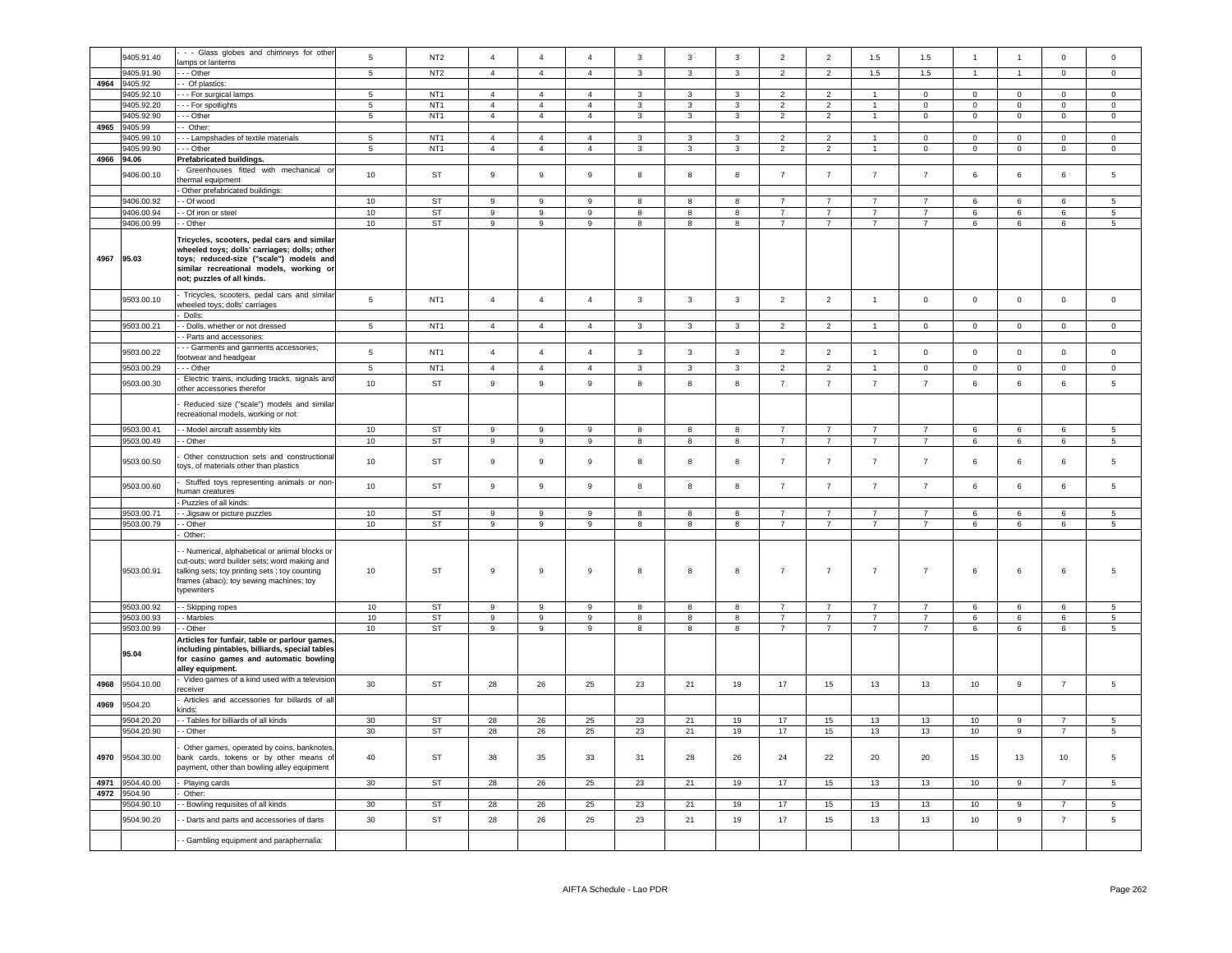|      | 9405.91.40 | - - Glass globes and chimneys for other                                                                                                                                                                         | $\,$ 5 $\,$     | NT <sub>2</sub> | $\overline{a}$   | $\overline{4}$   | $\overline{a}$   | $\mathbf{3}$            | $\mathbf{3}$            | $\mathbf{3}$            | $\overline{2}$ | $\overline{2}$ | 1.5                  | 1.5            | $\overline{1}$  | $\overline{1}$   | $\mathsf 0$    | $\Omega$            |
|------|------------|-----------------------------------------------------------------------------------------------------------------------------------------------------------------------------------------------------------------|-----------------|-----------------|------------------|------------------|------------------|-------------------------|-------------------------|-------------------------|----------------|----------------|----------------------|----------------|-----------------|------------------|----------------|---------------------|
|      |            | amps or lanterns                                                                                                                                                                                                |                 |                 |                  |                  |                  |                         |                         |                         |                |                |                      |                |                 |                  |                |                     |
|      | 9405.91.90 | - - Other                                                                                                                                                                                                       | 5               | NT <sub>2</sub> | $\overline{4}$   | $\overline{4}$   | $\overline{4}$   | $\overline{\mathbf{3}}$ | $\mathbf{3}$            | $\overline{3}$          | $\overline{2}$ | $\overline{2}$ | 1.5                  | 1.5            | $\mathbf{1}$    | $\overline{1}$   | $\overline{0}$ | $\Omega$            |
| 4964 | 9405.92    | - Of plastics:                                                                                                                                                                                                  |                 |                 |                  |                  |                  |                         |                         |                         |                |                |                      |                |                 |                  |                |                     |
|      | 9405.92.10 |                                                                                                                                                                                                                 | $\overline{5}$  | NT <sub>1</sub> | $\overline{4}$   | $\overline{4}$   | $\overline{4}$   | 3                       | 3                       | $\mathbf{3}$            | $\overline{2}$ | $\overline{2}$ |                      | $\Omega$       | $\mathbf 0$     | $\mathbf 0$      | $\Omega$       | $\Omega$            |
|      |            | - - For surgical lamps                                                                                                                                                                                          |                 |                 |                  |                  |                  |                         |                         |                         |                |                |                      |                |                 |                  |                |                     |
|      | 9405.92.20 | - - For spotlights                                                                                                                                                                                              | $\overline{5}$  | NT <sub>1</sub> | $\overline{4}$   | $\overline{4}$   | $\overline{4}$   | 3                       | $\mathbf{3}$            | $\mathbf{3}$            | $\overline{2}$ | $\overline{2}$ | $\blacksquare$       | $\mathsf 0$    | $\mathbf 0$     | $\mathsf 0$      | $\mathsf 0$    | $\mathbf 0$         |
|      | 9405.92.90 | - - Other                                                                                                                                                                                                       | $\overline{5}$  | NT <sub>1</sub> | $\overline{4}$   | $\overline{4}$   | $\overline{4}$   | 3                       | $\mathbf{3}$            | $\mathbf{3}$            | $\overline{2}$ | $\overline{2}$ | $\mathbf{1}$         | $\mathsf 0$    | $\mathbf 0$     | $\mathsf 0$      | $\mathsf 0$    | $\mathsf 0$         |
| 4965 | 9405.99    | - Other:                                                                                                                                                                                                        |                 |                 |                  |                  |                  |                         |                         |                         |                |                |                      |                |                 |                  |                |                     |
|      | 9405.99.10 | - - Lampshades of textile materials                                                                                                                                                                             | $\overline{5}$  | NT <sub>1</sub> | $\overline{4}$   | $\overline{4}$   | $\overline{4}$   | 3                       | 3                       | $\mathbf{3}$            | $\overline{2}$ | $\overline{2}$ | $\ddot{\phantom{0}}$ | $\Omega$       | $\mathbf 0$     | $\mathsf 0$      | $\Omega$       | $\mathsf{O}\xspace$ |
|      |            |                                                                                                                                                                                                                 |                 |                 |                  |                  |                  |                         |                         |                         |                |                |                      |                |                 |                  |                |                     |
|      | 405.99.90  | - - Other                                                                                                                                                                                                       | $\overline{5}$  | NT <sub>1</sub> | $\overline{4}$   | $\overline{4}$   | $\Delta$         | $\mathbf{3}$            | $\mathbf{3}$            | $\mathbf{3}$            | $\overline{2}$ | $\overline{2}$ | $\blacktriangleleft$ | $\mathsf 0$    | $\mathbf 0$     | $\mathsf 0$      | $\mathsf 0$    | $\mathsf 0$         |
| 4966 | 94.06      | Prefabricated buildings.                                                                                                                                                                                        |                 |                 |                  |                  |                  |                         |                         |                         |                |                |                      |                |                 |                  |                |                     |
|      |            | Greenhouses fitted with mechanical or                                                                                                                                                                           |                 |                 |                  |                  |                  |                         |                         |                         |                |                |                      |                |                 |                  |                |                     |
|      | 9406.00.10 | hermal equipment                                                                                                                                                                                                | 10              | <b>ST</b>       | $\mathsf g$      | 9                | 9                | 8                       | 8                       | 8                       | $\overline{7}$ | $\overline{7}$ | $\overline{7}$       | $\overline{7}$ | 6               | $\,6\,$          | 6              | 5                   |
|      |            | Other prefabricated buildings:                                                                                                                                                                                  |                 |                 |                  |                  |                  |                         |                         |                         |                |                |                      |                |                 |                  |                |                     |
|      |            |                                                                                                                                                                                                                 |                 |                 | 9                |                  | 9                | 8                       | 8                       |                         | $\overline{7}$ | $\overline{7}$ | $\overline{7}$       | $\overline{7}$ |                 |                  | 6              |                     |
|      | 9406.00.92 | - Of wood                                                                                                                                                                                                       | 10              | ST              |                  | 9                |                  |                         |                         | 8                       |                |                |                      |                | 6               | 6                |                | 5                   |
|      | 9406.00.94 | - Of iron or steel                                                                                                                                                                                              | 10              | ST              | 9                | 9                | 9                | 8                       | 8                       | 8                       | $\overline{7}$ | $\overline{7}$ | $\overline{7}$       | $\overline{7}$ | 6               | 6                | 6              | $5\overline{5}$     |
|      | 9406.00.99 | - Other                                                                                                                                                                                                         | 10              | ST              | 9                | 9                | 9                | 8                       | 8                       | 8                       | $\overline{7}$ | $\overline{7}$ | $\overline{7}$       | $\overline{7}$ | 6               | 6                | 6              | 5 <sub>5</sub>      |
| 4967 | 95.03      | Tricycles, scooters, pedal cars and similar<br>wheeled toys; dolls' carriages; dolls; other<br>toys; reduced-size ("scale") models and<br>similar recreational models, working or<br>not; puzzles of all kinds. |                 |                 |                  |                  |                  |                         |                         |                         |                |                |                      |                |                 |                  |                |                     |
|      | 9503.00.10 | Tricycles, scooters, pedal cars and similar                                                                                                                                                                     | 5               | NT <sub>1</sub> | $\overline{4}$   | $\overline{4}$   | $\overline{4}$   | $\overline{3}$          | $\overline{3}$          | $\overline{3}$          | 2              | 2              | $\overline{1}$       | $\circ$        | $\mathbf 0$     | $\mathbf{0}$     | $\mathbf{0}$   | $\mathbf 0$         |
|      |            | wheeled toys; dolls' carriages<br>Dolls:                                                                                                                                                                        |                 |                 |                  |                  |                  |                         |                         |                         |                |                |                      |                |                 |                  |                |                     |
|      | 9503.00.21 | - Dolls, whether or not dressed                                                                                                                                                                                 | $5^{\circ}$     | NT <sub>1</sub> | $\overline{4}$   | $\overline{4}$   | $\overline{4}$   | $\overline{3}$          | 3                       | $\mathbf{3}$            | $\overline{2}$ | $\overline{2}$ |                      | $\Omega$       | $\Omega$        | $\Omega$         | $\Omega$       | $\Omega$            |
|      |            | - Parts and accessories                                                                                                                                                                                         |                 |                 |                  |                  |                  |                         |                         |                         |                |                |                      |                |                 |                  |                |                     |
|      |            | - - Garments and garments accessories;                                                                                                                                                                          |                 |                 |                  |                  |                  |                         |                         |                         |                |                |                      |                |                 |                  |                |                     |
|      | 9503.00.22 | ootwear and headgear                                                                                                                                                                                            | $5\phantom{.0}$ | NT <sub>1</sub> | $\overline{4}$   | $\overline{4}$   | $\overline{4}$   | $\mathbf{3}$            | 3                       | $\mathbf{3}$            | $\overline{2}$ | $\overline{2}$ | $\mathbf{1}$         | $\mathsf 0$    | $\mathbf 0$     | $\mathsf 0$      | $\mathsf 0$    | $\mathbf 0$         |
|      | 9503.00.29 | - - Other                                                                                                                                                                                                       | $\sqrt{5}$      | NT <sub>1</sub> | $\overline{4}$   | $\overline{4}$   | $\overline{4}$   | $\mathbf{3}$            | 3                       | $\mathbf{3}$            | $\overline{2}$ | $\overline{2}$ | $\overline{1}$       | $^{\circ}$     | $\mathbf{0}$    | $\overline{0}$   | $\mathbf 0$    | $\mathbf{0}$        |
|      |            |                                                                                                                                                                                                                 |                 |                 |                  |                  |                  |                         |                         |                         |                |                |                      |                |                 |                  |                |                     |
|      | 9503.00.30 | Electric trains, including tracks, signals and<br>other accessories therefor                                                                                                                                    | $10$            | <b>ST</b>       | 9                | $\boldsymbol{9}$ | $\boldsymbol{9}$ | 8                       | 8                       | 8                       | $\overline{7}$ | $\overline{7}$ | $\overline{7}$       | $\overline{7}$ | 6               | 6                | 6              | 5                   |
|      |            | Reduced size ("scale") models and similar                                                                                                                                                                       |                 |                 |                  |                  |                  |                         |                         |                         |                |                |                      |                |                 |                  |                |                     |
|      |            | recreational models, working or not:                                                                                                                                                                            |                 |                 |                  |                  |                  |                         |                         |                         |                |                |                      |                |                 |                  |                |                     |
|      | 9503.00.41 | - Model aircraft assembly kits                                                                                                                                                                                  | 10              | ST              | 9                | -9               | -9               | 8                       | 8                       | $\boldsymbol{8}$        | $\overline{7}$ | $\overline{7}$ | $\overline{7}$       | $\overline{7}$ | 6               | 6                | $\epsilon$     | $5^{\circ}$         |
|      | 9503.00.49 | - Other                                                                                                                                                                                                         | 10              | ST              | $\overline{9}$   | 9                | $\boldsymbol{9}$ | $^{\rm 8}$              | 8                       | $\overline{\mathbf{8}}$ | $\overline{7}$ | $\overline{7}$ | $\overline{7}$       | $\overline{7}$ | $6\overline{6}$ | $6\overline{6}$  | 6              | 5 <sub>5</sub>      |
|      |            |                                                                                                                                                                                                                 |                 |                 |                  |                  |                  |                         |                         |                         |                |                |                      |                |                 |                  |                |                     |
|      | 9503.00.50 | Other construction sets and constructional<br>oys, of materials other than plastics                                                                                                                             | 10              | ST              | $\boldsymbol{9}$ | $\boldsymbol{9}$ | 9                | 8                       | 8                       | 8                       | $\overline{7}$ | $\overline{7}$ | $\overline{7}$       | $\overline{7}$ | 6               | $\,6\,$          | 6              | $\overline{5}$      |
|      | 9503.00.60 | Stuffed toys representing animals or non-                                                                                                                                                                       | 10              | <b>ST</b>       | 9                | $\mathsf g$      | $_{9}$           | 8                       | 8                       | $\boldsymbol{8}$        | $\overline{7}$ | $\overline{7}$ | $\overline{7}$       | $\overline{7}$ | 6               | 6                | 6              | 5                   |
|      |            | uman creatures                                                                                                                                                                                                  |                 |                 |                  |                  |                  |                         |                         |                         |                |                |                      |                |                 |                  |                |                     |
|      |            | Puzzles of all kinds:                                                                                                                                                                                           |                 |                 |                  |                  |                  |                         |                         |                         |                |                |                      |                |                 |                  |                |                     |
|      | 9503.00.71 | - Jigsaw or picture puzzles                                                                                                                                                                                     | 10              | <b>ST</b>       | 9                | 9                | 9                | 8                       | 8                       | 8                       | $\overline{7}$ | $\overline{7}$ | $\overline{7}$       | $\overline{7}$ | 6               | 6                | 6              | 5                   |
|      | 9503.00.79 | - Other                                                                                                                                                                                                         | 10              | ST              | $\overline{9}$   | $\overline{9}$   | $\overline{9}$   | $\overline{\mathbf{8}}$ | $\overline{\mathbf{8}}$ | $\overline{\mathbf{8}}$ | $\overline{7}$ | $\overline{7}$ | $\overline{7}$       | $\overline{7}$ | $6\overline{6}$ | $6\overline{6}$  | 6              | $\overline{5}$      |
|      |            | Other:                                                                                                                                                                                                          |                 |                 |                  |                  |                  |                         |                         |                         |                |                |                      |                |                 |                  |                |                     |
|      | 9503.00.91 | Numerical, alphabetical or animal blocks or<br>cut-outs; word builder sets; word making and<br>talking sets; toy printing sets ; toy counting<br>frames (abaci); toy sewing machines; toy<br>typewriters        | 10              | ST              | 9                | 9                | 9                | 8                       | 8                       | 8                       | $\overline{7}$ | $\overline{7}$ | $\overline{7}$       | $\overline{7}$ | 6               | $\,6\,$          | 6              | 5                   |
|      | 9503.00.92 | - Skipping ropes                                                                                                                                                                                                | 10              | <b>ST</b>       | 9                | 9                | $\mathbf{g}$     | 8                       | 8                       | $\mathbf{g}$            | $\overline{7}$ | $\overline{7}$ | $\overline{7}$       | $\overline{7}$ | 6               | 6                | 6              | $5^{\circ}$         |
|      | 9503.00.93 | - Marbles                                                                                                                                                                                                       | 10              | <b>ST</b>       | 9                | 9                | $\mathbf{9}$     | 8                       | 8                       | 8                       | $\overline{7}$ | $\overline{7}$ | $\overline{7}$       | $\overline{7}$ | 6               | 6                | 6              | 5                   |
|      | 9503.00.99 | - Other                                                                                                                                                                                                         | 10              | <b>ST</b>       | 9                | $\overline{9}$   | $\mathbf{9}$     | 8                       | 8                       | 8                       | $\overline{7}$ | $\overline{7}$ | $\overline{7}$       | $\overline{7}$ | 6               | 6                | 6              | 5                   |
|      | 95.04      | Articles for funfair, table or parlour games<br>including pintables, billiards, special tables<br>for casino games and automatic bowling<br>alley equipment.                                                    |                 |                 |                  |                  |                  |                         |                         |                         |                |                |                      |                |                 |                  |                |                     |
| 4968 | 9504.10.00 | Video games of a kind used with a television                                                                                                                                                                    | 30              | ST              | 28               | 26               | 25               | 23                      | 21                      | 19                      | 17             | 15             | 13                   | 13             | 10              | $\boldsymbol{9}$ | $\overline{7}$ | $\,$ 5 $\,$         |
| 4969 | 9504.20    | eceiver<br>Articles and accessories for billards of all<br>kinds:                                                                                                                                               |                 |                 |                  |                  |                  |                         |                         |                         |                |                |                      |                |                 |                  |                |                     |
|      | 9504.20.20 | - Tables for billiards of all kinds                                                                                                                                                                             | 30              | <b>ST</b>       | 28               | 26               | 25               | 23                      | 21                      | 19                      | 17             | 15             | 13                   | 13             | 10              | $\overline{9}$   | $\overline{7}$ | -5                  |
|      |            |                                                                                                                                                                                                                 |                 |                 |                  |                  |                  |                         |                         |                         |                |                |                      |                |                 |                  |                |                     |
|      | 9504.20.90 | - Other                                                                                                                                                                                                         | 30              | ST              | 28               | 26               | 25               | 23                      | 21                      | 19                      | $17\,$         | 15             | 13                   | $13\,$         | $10$            | $\boldsymbol{9}$ | $\overline{7}$ | 5                   |
| 4970 | 9504.30.00 | Other games, operated by coins, banknotes<br>bank cards, tokens or by other means of<br>payment, other than bowling alley equipment                                                                             | 40              | ST              | 38               | 35               | 33               | 31                      | 28                      | 26                      | 24             | 22             | 20                   | 20             | 15              | 13               | 10             | $\overline{5}$      |
| 4971 | 9504.40.00 | Playing cards                                                                                                                                                                                                   | 30              | ST              | 28               | 26               | 25               | 23                      | 21                      | 19                      | 17             | 15             | 13                   | 13             | 10              | 9                | $\overline{7}$ | -5                  |
| 4972 | 9504.90    | Other:                                                                                                                                                                                                          |                 |                 |                  |                  |                  |                         |                         |                         |                |                |                      |                |                 |                  |                |                     |
|      | 9504.90.10 | - Bowling requisites of all kinds                                                                                                                                                                               | 30              | ST              | 28               | 26               | 25               | 23                      | 21                      | 19                      | 17             | 15             | 13                   | 13             | 10              | 9                | $\overline{7}$ | $5\overline{5}$     |
|      | 9504.90.20 | - Darts and parts and accessories of darts                                                                                                                                                                      | 30              | ST              | 28               | 26               | 25               | 23                      | 21                      | 19                      | 17             | 15             | 13                   | 13             | 10              | $\mathsf g$      | $\overline{7}$ | $\,$ 5 $\,$         |
|      |            | Gambling equipment and paraphernalia:                                                                                                                                                                           |                 |                 |                  |                  |                  |                         |                         |                         |                |                |                      |                |                 |                  |                |                     |
|      |            |                                                                                                                                                                                                                 |                 |                 |                  |                  |                  |                         |                         |                         |                |                |                      |                |                 |                  |                |                     |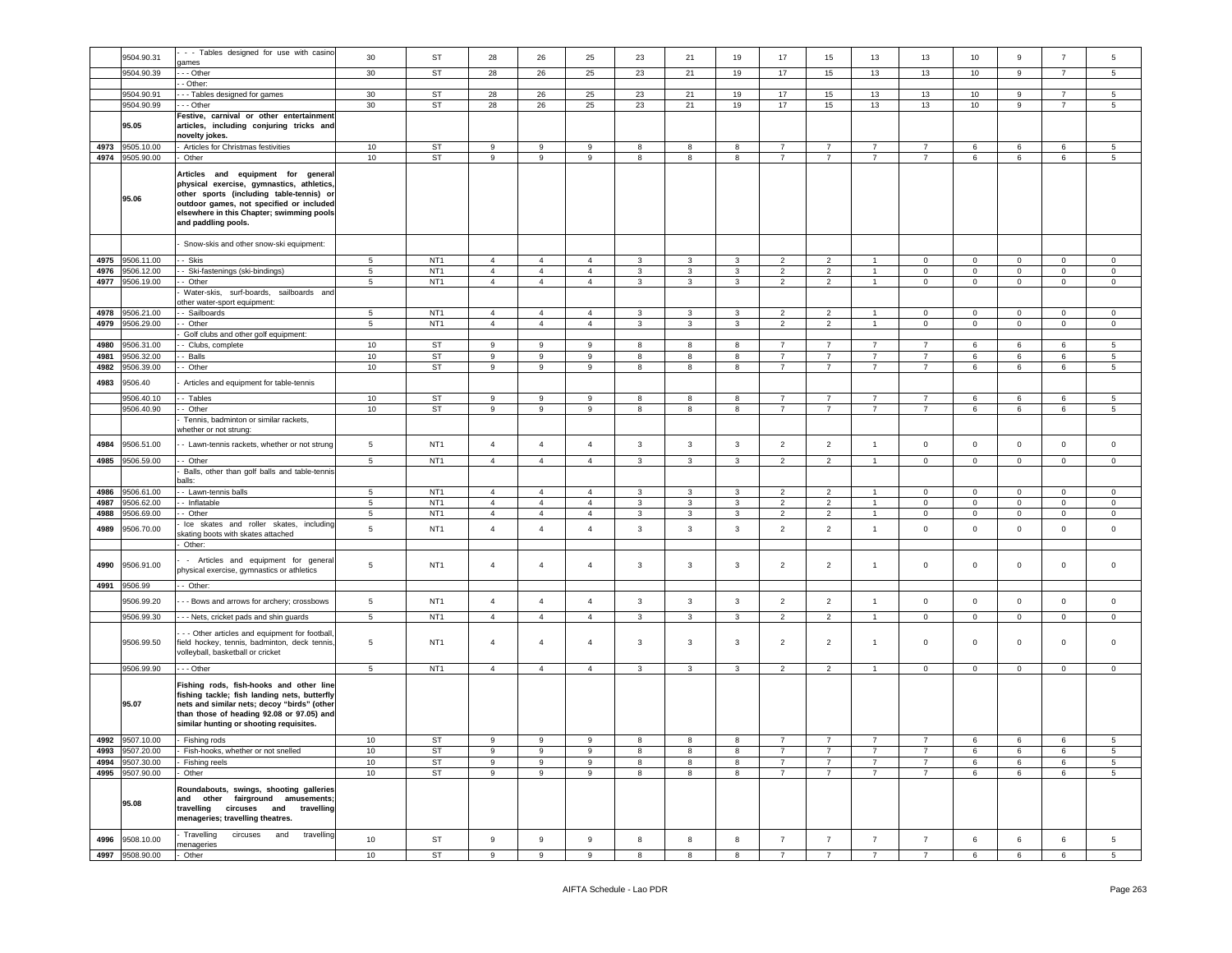|      | 9504.90.31      | - - Tables designed for use with casino                                                                                                                                                                                                     | 30              | ST              | 28               | 26             | 25             | 23           | 21           | 19           | 17             | 15             | 13             | 13             | 10             | 9            | $\overline{7}$ | 5                   |
|------|-----------------|---------------------------------------------------------------------------------------------------------------------------------------------------------------------------------------------------------------------------------------------|-----------------|-----------------|------------------|----------------|----------------|--------------|--------------|--------------|----------------|----------------|----------------|----------------|----------------|--------------|----------------|---------------------|
|      |                 | ames                                                                                                                                                                                                                                        |                 |                 |                  |                |                |              |              |              |                |                |                |                |                |              |                |                     |
|      | 9504.90.39      | - - Other                                                                                                                                                                                                                                   | 30              | ST              | 28               | 26             | 25             | 23           | 21           | 19           | 17             | 15             | 13             | 13             | 10             | 9            | $\overline{7}$ | 5                   |
|      |                 | - Other:                                                                                                                                                                                                                                    |                 |                 |                  |                |                |              |              |              |                |                |                |                |                |              |                |                     |
|      | 9504.90.91      | --- Tables designed for games                                                                                                                                                                                                               | 30              | ST              | 28               | 26             | 25             | 23           | 21           | 19           | 17             | 15             | 13             | 13             | 10             | 9            | 7              | 5                   |
|      | 9504.90.99      | --- Other                                                                                                                                                                                                                                   | 30 <sup>°</sup> | ST              | 28               | 26             | 25             | 23           | 21           | 19           | 17             | 15             | 13             | 13             | 10             | 9            | $\overline{7}$ | $5^{\circ}$         |
|      | 95.05           | Festive, carnival or other entertainment<br>articles, including conjuring tricks and<br>novelty jokes.                                                                                                                                      |                 |                 |                  |                |                |              |              |              |                |                |                |                |                |              |                |                     |
| 4973 | 9505.10.00      | Articles for Christmas festivities                                                                                                                                                                                                          | 10              | ST              | 9                | 9              | 9              | 8            | 8            | 8            | $\overline{7}$ | $\overline{7}$ | $\overline{7}$ | $\overline{7}$ | 6              | 6            | 6              | 5                   |
|      | 4974 9505.90.00 | Other                                                                                                                                                                                                                                       | 10              | ST              | 9                | 9              | 9              | 8            | 8            | 8            | $\overline{7}$ | $\overline{7}$ | $\overline{7}$ | $\overline{7}$ | 6              | 6            | 6              | $5^{\circ}$         |
|      | 95.06           | Articles and equipment for general<br>physical exercise, gymnastics, athletics,<br>other sports (including table-tennis) or<br>outdoor games, not specified or included<br>elsewhere in this Chapter; swimming pools<br>and paddling pools. |                 |                 |                  |                |                |              |              |              |                |                |                |                |                |              |                |                     |
|      |                 | Snow-skis and other snow-ski equipment:                                                                                                                                                                                                     |                 |                 |                  |                |                |              |              |              |                |                |                |                |                |              |                |                     |
| 4975 | 9506.11.00      | Skis                                                                                                                                                                                                                                        | 5               | NT <sub>1</sub> | $\overline{4}$   | $\overline{4}$ | $\overline{4}$ | 3            | 3            | 3            | $\overline{2}$ | $\overline{2}$ | $\overline{1}$ | $\mathbf 0$    | $\mathbf 0$    | $\mathbf 0$  | $\mathbf 0$    | $\mathbf 0$         |
| 4976 | 9506.12.00      | Ski-fastenings (ski-bindings)                                                                                                                                                                                                               | $\,$ 5 $\,$     | NT <sub>1</sub> | $\overline{4}$   | $\overline{4}$ | $\overline{4}$ | $\mathbf{3}$ | $\mathbf{3}$ | $\mathbf{3}$ | $\overline{2}$ | $\overline{2}$ |                | $\mathbf 0$    | $\mathsf 0$    | $\mathbf 0$  | $\mathsf 0$    | $\mathsf{O}\xspace$ |
| 4977 | 9506.19.00      | - Other                                                                                                                                                                                                                                     | $5\phantom{.0}$ | NT <sub>1</sub> | $\overline{4}$   | $\overline{4}$ | $\overline{4}$ | 3            | 3            | $\mathbf{3}$ | $\overline{2}$ | $\overline{2}$ | $\mathbf{1}$   | $\mathbf 0$    | $\mathbf{0}$   | $\mathbf 0$  | $\mathbf 0$    | $\circ$             |
|      |                 | Water-skis, surf-boards, sailboards and                                                                                                                                                                                                     |                 |                 |                  |                |                |              |              |              |                |                |                |                |                |              |                |                     |
|      |                 | other water-sport equipment:                                                                                                                                                                                                                |                 |                 |                  |                |                |              |              |              |                |                |                |                |                |              |                |                     |
| 4978 | 9506.21.00      | - Sailboards                                                                                                                                                                                                                                | $\,$ 5 $\,$     | NT <sub>1</sub> | $\overline{4}$   | $\overline{4}$ | $\overline{4}$ | $\mathbf{3}$ | 3            | $\mathbf{3}$ | $\overline{2}$ | $\overline{2}$ | $\overline{1}$ | $\mathsf 0$    | $\mathbf 0$    | $\mathbf 0$  | $\mathbf 0$    | $\mathsf 0$         |
| 4979 | 9506.29.00      | - Other                                                                                                                                                                                                                                     | $5\phantom{.0}$ | NT <sub>1</sub> | $\overline{4}$   | $\overline{4}$ | $\overline{4}$ | 3            | 3            | $\mathbf{3}$ | $\overline{2}$ | $\overline{2}$ | $\overline{1}$ | $\mathbf 0$    | $\mathbf{0}$   | $\mathbf 0$  | $\mathbf 0$    | $\mathbf 0$         |
|      |                 | Golf clubs and other golf equipment:                                                                                                                                                                                                        |                 |                 |                  |                |                |              |              |              |                |                |                |                |                |              |                |                     |
| 4980 | 9506.31.00      | Clubs, complete                                                                                                                                                                                                                             | 10              | ST              | 9                | 9              | 9              | 8            | 8            | 8            | $\overline{7}$ | $\overline{7}$ | $\overline{7}$ | $\overline{7}$ | 6              | 6            | 6              | 5                   |
| 4981 | 9506.32.00      | Balls                                                                                                                                                                                                                                       | 10              | ST              | 9                | 9              | 9              | 8            | 8            | 8            | $\overline{7}$ | $\overline{7}$ | $\overline{7}$ | $\overline{7}$ | 6              | 6            | 6              | 5                   |
| 4982 | 9506.39.00      | - Other                                                                                                                                                                                                                                     | 10              | ST              | 9                | 9              | 9              | 8            | 8            | 8            | $\overline{7}$ | 7              | $\overline{7}$ | 7              | 6              | 6            | 6              | 5                   |
| 4983 | 9506.40         | Articles and equipment for table-tennis                                                                                                                                                                                                     |                 |                 |                  |                |                |              |              |              |                |                |                |                |                |              |                |                     |
|      |                 |                                                                                                                                                                                                                                             |                 |                 |                  |                |                |              |              |              |                | $\overline{7}$ | $\overline{7}$ | $\overline{7}$ |                |              |                |                     |
|      | 9506.40.10      | - Tables                                                                                                                                                                                                                                    | 10              | ST              | 9                | 9              | 9              | 8            | 8            | 8            | $\overline{7}$ |                |                |                | 6              | 6            | 6              | 5                   |
|      | 9506.40.90      | - Other                                                                                                                                                                                                                                     | 10              | ST              | 9                | 9              | 9              | 8            | 8            | 8            | $\overline{7}$ | $\overline{7}$ | $\overline{7}$ | 7              | 6              | 6            | 6              | 5                   |
|      |                 | Tennis, badminton or similar rackets,<br>whether or not strung:                                                                                                                                                                             |                 |                 |                  |                |                |              |              |              |                |                |                |                |                |              |                |                     |
| 4984 | 9506.51.00      | - Lawn-tennis rackets, whether or not strung                                                                                                                                                                                                | $5\phantom{.0}$ | NT <sub>1</sub> | $\overline{4}$   | $\overline{4}$ | $\overline{4}$ | 3            | $\mathbf{3}$ | $\mathbf{3}$ | $\overline{2}$ | $\overline{2}$ | $\overline{1}$ | $\mathbf 0$    | $\overline{0}$ | $\mathbf 0$  | $\mathbf 0$    | $\mathbf 0$         |
| 4985 | 9506.59.00      | - - Other                                                                                                                                                                                                                                   | $5\phantom{.0}$ | NT <sub>1</sub> | $\overline{4}$   | $\overline{4}$ | $\overline{4}$ | $\mathbf{3}$ | $\mathbf{3}$ | $\mathbf{3}$ | $\overline{2}$ | $\overline{2}$ | $\overline{1}$ | $\mathbf 0$    | $\mathbf{0}$   | $\mathbf{0}$ | $\mathbf 0$    | $\mathbf 0$         |
|      |                 | Balls, other than golf balls and table-tennis                                                                                                                                                                                               |                 |                 |                  |                |                |              |              |              |                |                |                |                |                |              |                |                     |
|      |                 | balls:                                                                                                                                                                                                                                      |                 |                 |                  |                |                |              |              |              |                |                |                |                |                |              |                |                     |
| 4986 | 9506.61.00      | - Lawn-tennis balls                                                                                                                                                                                                                         | $5\phantom{.0}$ | NT <sub>1</sub> | $\overline{4}$   | $\overline{4}$ | $\overline{4}$ | 3            | 3            | $\mathbf{3}$ | $\overline{2}$ | $\overline{2}$ |                | $\mathbf 0$    | $\mathbf 0$    | $\mathsf 0$  | $\mathbf 0$    | $\mathbf 0$         |
| 4987 | 9506.62.00      | - Inflatable                                                                                                                                                                                                                                | 5               | NT <sub>1</sub> | $\overline{4}$   | $\overline{4}$ | $\overline{4}$ | 3            | 3            | 3            | $\overline{2}$ | $\overline{2}$ | $\overline{1}$ | $\mathbf 0$    | 0              | $\mathbf{0}$ | 0              | 0                   |
| 4988 | 9506.69.00      | - Other                                                                                                                                                                                                                                     | 5               | NT <sub>1</sub> | $\overline{4}$   | $\overline{4}$ | $\overline{4}$ | $\mathbf{3}$ | $\mathbf{3}$ | $\mathbf{3}$ | $\overline{2}$ | $\overline{2}$ | $\overline{1}$ | $\mathbf 0$    | $\mathbf 0$    | $\mathbf 0$  | $\mathbf 0$    | $\mathbf 0$         |
| 4989 | 9506.70.00      | Ice skates and roller skates, including<br>skating boots with skates attached<br>Other:                                                                                                                                                     | 5               | NT <sub>1</sub> | $\overline{4}$   | $\overline{4}$ | $\overline{4}$ | $\mathbf{3}$ | 3            | $\mathbf{3}$ | $\overline{2}$ | $\overline{2}$ | $\mathbf{1}$   | $\mathsf 0$    | $\mathbf 0$    | $\mathbf 0$  | $\mathbf 0$    | $\mathbf 0$         |
|      |                 |                                                                                                                                                                                                                                             |                 |                 |                  |                |                |              |              |              |                |                |                |                |                |              |                |                     |
| 4990 | 9506.91.00      | - Articles and equipment for general<br>physical exercise, gymnastics or athletics                                                                                                                                                          | 5               | NT <sub>1</sub> | $\overline{4}$   | $\overline{4}$ | $\overline{4}$ | 3            | 3            | $\mathbf{3}$ | $\overline{2}$ | $\overline{2}$ | $\mathbf{1}$   | $\mathsf 0$    | $\mathbf 0$    | $\mathbf 0$  | $\mathbf 0$    | $\mathsf 0$         |
|      | 4991 9506.99    | - Other:                                                                                                                                                                                                                                    |                 |                 |                  |                |                |              |              |              |                |                |                |                |                |              |                |                     |
|      | 9506.99.20      | - Bows and arrows for archery; crossbows                                                                                                                                                                                                    | $5\phantom{.0}$ | NT <sub>1</sub> | $\overline{4}$   | $\overline{4}$ | $\overline{4}$ | $\mathbf{3}$ | $\mathbf{3}$ | $\mathbf{3}$ | $\overline{2}$ | $\overline{2}$ | $\overline{1}$ | $\mathsf 0$    | $\mathbf 0$    | $\mathbf 0$  | $\mathbf 0$    | $\mathsf 0$         |
|      | 9506.99.30      | - - Nets, cricket pads and shin guards                                                                                                                                                                                                      | $5\phantom{.0}$ | NT <sub>1</sub> | $\overline{4}$   | $\overline{4}$ | $\overline{4}$ | $\mathbf{3}$ | 3            | $\mathbf{3}$ | $\overline{2}$ | $\overline{2}$ | $\overline{1}$ | $\mathbf 0$    | $\overline{0}$ | $\mathbf 0$  | $\mathbf 0$    | $\mathsf 0$         |
|      | 9506.99.50      | - - Other articles and equipment for football<br>field hockey, tennis, badminton, deck tennis,<br>volleyball, basketball or cricket                                                                                                         | 5               | NT <sub>1</sub> | $\overline{4}$   | $\overline{4}$ | $\overline{4}$ | 3            | 3            | $\mathbf{3}$ | $\overline{2}$ | $\overline{2}$ | $\overline{1}$ | $\mathsf 0$    | $\mathbf 0$    | $\mathsf 0$  | $\mathbf 0$    | $\mathbf 0$         |
|      | 9506.99.90      | - - - Other                                                                                                                                                                                                                                 | $5^{\circ}$     | NT <sub>1</sub> | $\overline{4}$   | $\overline{4}$ | $\overline{4}$ | 3            | 3            | 3            | $\overline{2}$ | $\overline{2}$ | $\overline{1}$ | $\mathbf 0$    | $\mathbf{0}$   | $\mathbf{0}$ | $\mathbf 0$    | $\mathbf 0$         |
|      | 95.07           | Fishing rods, fish-hooks and other line<br>fishing tackle; fish landing nets, butterfly<br>nets and similar nets; decoy "birds" (other<br>than those of heading 92.08 or 97.05) and<br>similar hunting or shooting requisites.              |                 |                 |                  |                |                |              |              |              |                |                |                |                |                |              |                |                     |
|      | 4992 9507.10.00 | - Fishing rods                                                                                                                                                                                                                              | 10              | <b>ST</b>       | 9                | 9              | 9              |              |              | 8            |                |                |                |                | 6              | 6            | 6              | 5                   |
| 4993 | 9507.20.00      | - Fish-hooks, whether or not snelled                                                                                                                                                                                                        | 10              | ST              | 9                | 9              | 9              | 8            | 8            | 8            | $\overline{7}$ | $\overline{7}$ | $\overline{7}$ | $\overline{7}$ | 6              | 6            | 6              | 5                   |
|      | 4994 9507.30.00 | Fishing reels                                                                                                                                                                                                                               | 10              | <b>ST</b>       | 9                | 9              | 9              | 8            | 8            | 8            | $\overline{7}$ | $\overline{7}$ | $\overline{7}$ | $\overline{7}$ | 6              | 6            | 6              | 5                   |
|      | 4995 9507.90.00 | Other                                                                                                                                                                                                                                       | 10              | <b>ST</b>       | 9                | 9              | 9              | 8            | 8            | 8            | $\overline{7}$ | $\overline{7}$ | $\overline{7}$ | $\overline{7}$ | 6              | 6            | 6              | $5^{\circ}$         |
|      | 95.08           | Roundabouts, swings, shooting galleries<br>and other fairground amusements;<br>travelling circuses and<br>travelling<br>menageries; travelling theatres.                                                                                    |                 |                 |                  |                |                |              |              |              |                |                |                |                |                |              |                |                     |
| 4996 | 9508.10.00      | Travelling<br>circuses<br>and<br>travelling<br>menageries                                                                                                                                                                                   | 10              | ST              | $\boldsymbol{9}$ | 9              | 9              | 8            | 8            | 8            | $\overline{7}$ | $\overline{7}$ | $\overline{7}$ | $\overline{7}$ | 6              | 6            | $\,6\,$        | $5\overline{)}$     |
|      | 4997 9508.90.00 | Other                                                                                                                                                                                                                                       | 10              | <b>ST</b>       | 9                | 9              | 9              | 8            | 8            | 8            | $\overline{7}$ | $\overline{7}$ | $\overline{7}$ | $\overline{7}$ | 6              | 6            | 6              | 5                   |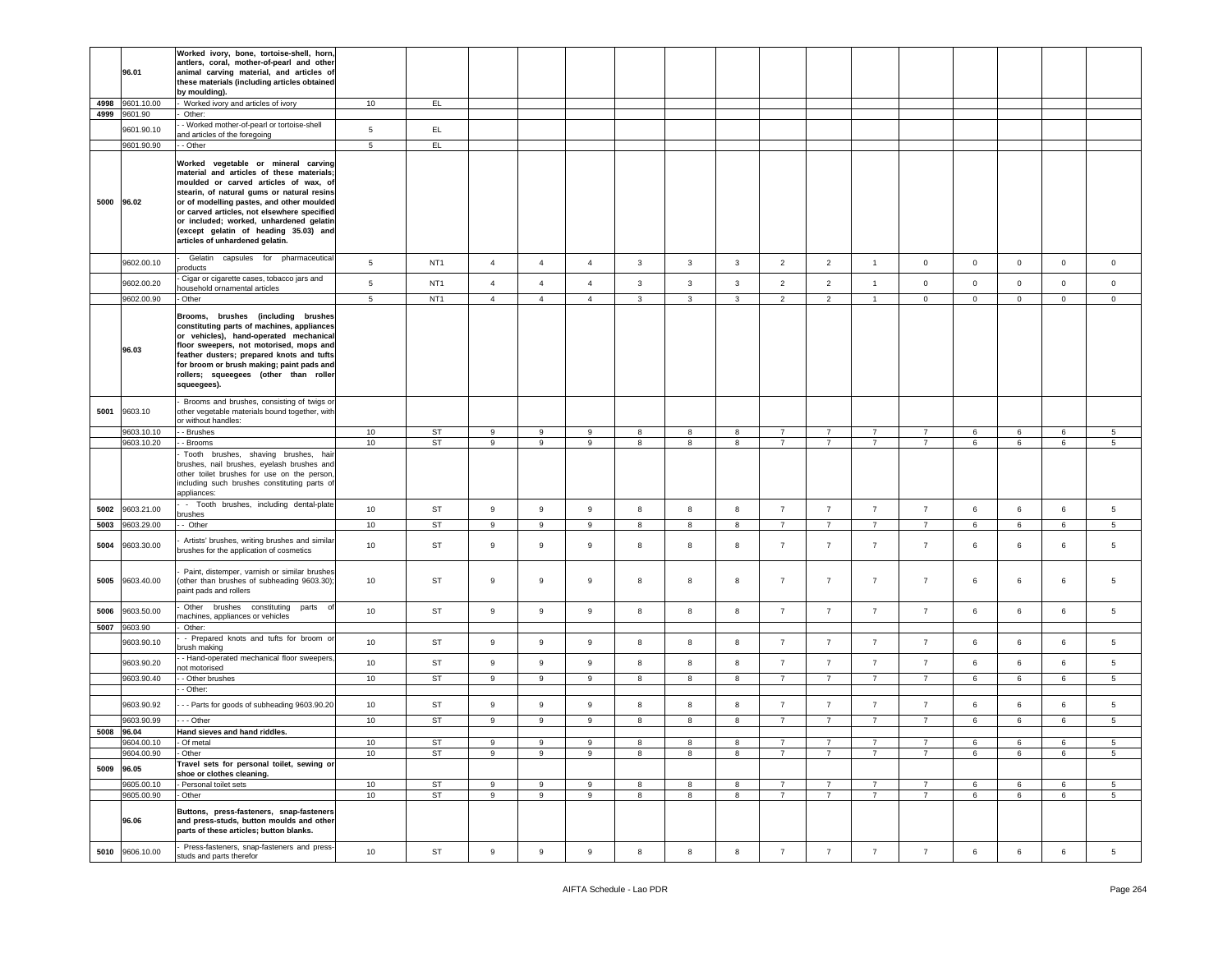|      |                         | Worked ivory, bone, tortoise-shell, horn,      |                 |                 |                  |                  |                  |              |              |              |                |                |                 |                |             |              |             |                 |
|------|-------------------------|------------------------------------------------|-----------------|-----------------|------------------|------------------|------------------|--------------|--------------|--------------|----------------|----------------|-----------------|----------------|-------------|--------------|-------------|-----------------|
|      |                         | antlers, coral, mother-of-pearl and other      |                 |                 |                  |                  |                  |              |              |              |                |                |                 |                |             |              |             |                 |
|      | 96.01                   | animal carving material, and articles of       |                 |                 |                  |                  |                  |              |              |              |                |                |                 |                |             |              |             |                 |
|      |                         | these materials (including articles obtained   |                 |                 |                  |                  |                  |              |              |              |                |                |                 |                |             |              |             |                 |
|      |                         | by moulding).                                  |                 |                 |                  |                  |                  |              |              |              |                |                |                 |                |             |              |             |                 |
| 4998 | 9601.10.00              | Worked ivory and articles of ivory             | 10              | EL.             |                  |                  |                  |              |              |              |                |                |                 |                |             |              |             |                 |
|      | 4999 9601.90            | Other:                                         |                 |                 |                  |                  |                  |              |              |              |                |                |                 |                |             |              |             |                 |
|      |                         |                                                |                 |                 |                  |                  |                  |              |              |              |                |                |                 |                |             |              |             |                 |
|      | 9601.90.10              | - Worked mother-of-pearl or tortoise-shell     | $5\phantom{.0}$ | EL.             |                  |                  |                  |              |              |              |                |                |                 |                |             |              |             |                 |
|      |                         | and articles of the foregoing                  |                 |                 |                  |                  |                  |              |              |              |                |                |                 |                |             |              |             |                 |
|      | 9601.90.90              | - Other                                        | $\overline{5}$  | EL              |                  |                  |                  |              |              |              |                |                |                 |                |             |              |             |                 |
|      |                         |                                                |                 |                 |                  |                  |                  |              |              |              |                |                |                 |                |             |              |             |                 |
|      |                         | Worked vegetable or mineral carving            |                 |                 |                  |                  |                  |              |              |              |                |                |                 |                |             |              |             |                 |
|      |                         | material and articles of these materials;      |                 |                 |                  |                  |                  |              |              |              |                |                |                 |                |             |              |             |                 |
|      |                         | moulded or carved articles of wax, of          |                 |                 |                  |                  |                  |              |              |              |                |                |                 |                |             |              |             |                 |
|      |                         | stearin, of natural gums or natural resins     |                 |                 |                  |                  |                  |              |              |              |                |                |                 |                |             |              |             |                 |
|      | 5000 96.02              | or of modelling pastes, and other moulded      |                 |                 |                  |                  |                  |              |              |              |                |                |                 |                |             |              |             |                 |
|      |                         | or carved articles, not elsewhere specified    |                 |                 |                  |                  |                  |              |              |              |                |                |                 |                |             |              |             |                 |
|      |                         | or included; worked, unhardened gelatin        |                 |                 |                  |                  |                  |              |              |              |                |                |                 |                |             |              |             |                 |
|      |                         | (except gelatin of heading 35.03) and          |                 |                 |                  |                  |                  |              |              |              |                |                |                 |                |             |              |             |                 |
|      |                         |                                                |                 |                 |                  |                  |                  |              |              |              |                |                |                 |                |             |              |             |                 |
|      |                         | articles of unhardened gelatin.                |                 |                 |                  |                  |                  |              |              |              |                |                |                 |                |             |              |             |                 |
|      |                         | Gelatin capsules for pharmaceutical            |                 |                 |                  |                  |                  |              |              |              |                |                |                 |                |             |              |             |                 |
|      | 9602.00.10              | products                                       | $5\phantom{.0}$ | NT <sub>1</sub> | $\overline{4}$   | $\overline{4}$   | $\overline{4}$   | $\mathbf{3}$ | 3            | $\mathbf{3}$ | $\overline{2}$ | $\overline{2}$ | $\overline{1}$  | $\circ$        | $\mathbf 0$ | $\mathbf{0}$ | $\mathbf 0$ | $\mathbf 0$     |
|      |                         |                                                |                 |                 |                  |                  |                  |              |              |              |                |                |                 |                |             |              |             |                 |
|      | 9602.00.20              | Cigar or cigarette cases, tobacco jars and     | 5               | NT <sub>1</sub> | $\overline{4}$   | $\overline{4}$   | $\overline{4}$   | $\mathbf{3}$ | $\mathbf{3}$ | 3            | $\overline{2}$ | $\overline{2}$ | $\overline{1}$  | $\mathsf 0$    | $\mathbf 0$ | 0            | $\mathsf 0$ | $\mathsf 0$     |
|      |                         | nousehold ornamental articles                  |                 |                 |                  |                  |                  |              |              |              |                |                |                 |                |             |              |             |                 |
|      | 9602.00.90              | Other                                          | 5               | NT <sub>1</sub> | $\overline{4}$   | $\overline{4}$   | $\overline{4}$   | $\mathbf{3}$ | $\mathbf{3}$ | $\mathbf{3}$ | $\overline{2}$ | $\overline{2}$ | $\overline{1}$  | $\mathsf 0$    | $\mathsf 0$ | 0            | $\mathbf 0$ | $\,0\,$         |
|      |                         |                                                |                 |                 |                  |                  |                  |              |              |              |                |                |                 |                |             |              |             |                 |
|      |                         | Brooms, brushes (including brushes             |                 |                 |                  |                  |                  |              |              |              |                |                |                 |                |             |              |             |                 |
|      |                         | constituting parts of machines, appliances     |                 |                 |                  |                  |                  |              |              |              |                |                |                 |                |             |              |             |                 |
|      |                         | or vehicles), hand-operated mechanical         |                 |                 |                  |                  |                  |              |              |              |                |                |                 |                |             |              |             |                 |
|      |                         | floor sweepers, not motorised, mops and        |                 |                 |                  |                  |                  |              |              |              |                |                |                 |                |             |              |             |                 |
|      | 96.03                   | feather dusters; prepared knots and tufts      |                 |                 |                  |                  |                  |              |              |              |                |                |                 |                |             |              |             |                 |
|      |                         | for broom or brush making; paint pads and      |                 |                 |                  |                  |                  |              |              |              |                |                |                 |                |             |              |             |                 |
|      |                         | rollers; squeegees (other than roller          |                 |                 |                  |                  |                  |              |              |              |                |                |                 |                |             |              |             |                 |
|      |                         | squeegees).                                    |                 |                 |                  |                  |                  |              |              |              |                |                |                 |                |             |              |             |                 |
|      |                         |                                                |                 |                 |                  |                  |                  |              |              |              |                |                |                 |                |             |              |             |                 |
|      |                         | Brooms and brushes, consisting of twigs or     |                 |                 |                  |                  |                  |              |              |              |                |                |                 |                |             |              |             |                 |
| 5001 | 9603.10                 | other vegetable materials bound together, with |                 |                 |                  |                  |                  |              |              |              |                |                |                 |                |             |              |             |                 |
|      |                         | or without handles:                            |                 |                 |                  |                  |                  |              |              |              |                |                |                 |                |             |              |             |                 |
|      |                         |                                                |                 |                 |                  |                  |                  |              |              |              |                |                |                 |                |             |              |             |                 |
|      | 9603.10.10              | - Brushes                                      | 10              | ST              | 9                | 9                | 9                | 8            | 8            | 8            | $\overline{7}$ | $\overline{7}$ | $\overline{7}$  | 7              | 6           | 6            | 6           | 5               |
|      | 9603.10.20              | - Brooms                                       | 10              | ST              | 9                | 9                | 9                | 8            | 8            | 8            | $\overline{7}$ | $\overline{7}$ | $\overline{7}$  | $\overline{7}$ | 6           | 6            | 6           | $5\phantom{.0}$ |
|      |                         | Tooth brushes, shaving brushes, hair           |                 |                 |                  |                  |                  |              |              |              |                |                |                 |                |             |              |             |                 |
|      |                         | brushes, nail brushes, eyelash brushes and     |                 |                 |                  |                  |                  |              |              |              |                |                |                 |                |             |              |             |                 |
|      |                         | other toilet brushes for use on the person,    |                 |                 |                  |                  |                  |              |              |              |                |                |                 |                |             |              |             |                 |
|      |                         | including such brushes constituting parts of   |                 |                 |                  |                  |                  |              |              |              |                |                |                 |                |             |              |             |                 |
|      |                         | appliances:                                    |                 |                 |                  |                  |                  |              |              |              |                |                |                 |                |             |              |             |                 |
|      |                         | - Tooth brushes, including dental-plate        |                 |                 |                  |                  |                  |              |              |              |                |                |                 |                |             |              |             |                 |
| 5002 | 9603.21.00              | orushes                                        | 10              | ST              | $\boldsymbol{9}$ | $\mathsf g$      | 9                | 8            | 8            | 8            | $\overline{7}$ | $\overline{7}$ | $\overline{7}$  | $\overline{7}$ | 6           | 6            | $\,6\,$     | $\sqrt{5}$      |
|      | 9603.29.00              | - Other                                        | 10              | ST              |                  |                  |                  |              | 8            |              | $\overline{7}$ | $\overline{7}$ |                 |                |             |              |             | $5\overline{5}$ |
| 5003 |                         |                                                |                 |                 |                  |                  |                  |              |              | 8            |                |                |                 |                |             |              |             |                 |
|      |                         | Artists' brushes, writing brushes and similar  |                 |                 | 9                | 9                | 9                | 8            |              |              |                |                | $7\overline{ }$ | $\overline{7}$ | 6           | 6            | 6           |                 |
| 5004 | 9603.30.00              |                                                |                 |                 |                  |                  |                  |              |              |              |                |                |                 |                |             |              |             |                 |
|      |                         |                                                | 10              | ST              | 9                | $\mathsf g$      | 9                | 8            | 8            | 8            | $\overline{7}$ | $\overline{7}$ | $\overline{7}$  | $\overline{7}$ | 6           | 6            | 6           | $5\phantom{.0}$ |
|      |                         | brushes for the application of cosmetics       |                 |                 |                  |                  |                  |              |              |              |                |                |                 |                |             |              |             |                 |
|      |                         |                                                |                 |                 |                  |                  |                  |              |              |              |                |                |                 |                |             |              |             |                 |
|      |                         | Paint, distemper, varnish or similar brushes   |                 |                 |                  |                  |                  |              |              |              |                |                |                 |                |             |              |             |                 |
| 5005 | 9603.40.00              | (other than brushes of subheading 9603.30);    | 10              | ST              | 9                | $\,9$            | 9                | 8            | 8            | 8            | $\overline{7}$ | $\overline{7}$ | $\overline{7}$  | $\overline{7}$ | 6           | 6            | $\,6\,$     | 5               |
|      |                         | paint pads and rollers                         |                 |                 |                  |                  |                  |              |              |              |                |                |                 |                |             |              |             |                 |
|      |                         |                                                |                 |                 |                  |                  |                  |              |              |              |                |                |                 |                |             |              |             |                 |
| 5006 | 9603.50.00              | Other<br>brushes constituting parts<br>- of    | 10              | ST              | $\boldsymbol{9}$ | $\boldsymbol{9}$ | $\mathsf g$      | 8            | 8            | 8            | $\overline{7}$ | $\overline{7}$ | $\overline{7}$  | $\overline{7}$ | 6           | 6            | 6           | $5\phantom{.0}$ |
|      |                         | nachines, appliances or vehicles               |                 |                 |                  |                  |                  |              |              |              |                |                |                 |                |             |              |             |                 |
| 5007 | 9603.90                 | Other:                                         |                 |                 |                  |                  |                  |              |              |              |                |                |                 |                |             |              |             |                 |
|      | 9603.90.10              | - Prepared knots and tufts for broom or        | 10              | <b>ST</b>       | 9                | $\mathsf g$      | 9                | 8            | 8            | 8            | $\overline{7}$ | $\overline{7}$ | $\overline{7}$  | $\overline{7}$ | 6           | 6            | 6           | 5               |
|      |                         | brush making                                   |                 |                 |                  |                  |                  |              |              |              |                |                |                 |                |             |              |             |                 |
|      |                         | - Hand-operated mechanical floor sweepers      |                 |                 |                  |                  |                  |              |              |              |                |                |                 |                |             |              |             |                 |
|      | 9603.90.20              | ot motorised                                   | 10              | ST              | 9                | $\,9$            | 9                | 8            | 8            | 8            | $\overline{7}$ | $\overline{7}$ | $\overline{7}$  | $\overline{7}$ | 6           | 6            | $\,6\,$     | 5               |
|      | 9603.90.40              | - Other brushes                                | 10              | <b>ST</b>       | 9                | 9                | 9                | 8            | 8            | 8            | $\overline{7}$ | $\overline{7}$ | $\overline{7}$  | $\overline{7}$ | 6           | 6            | 6           | 5               |
|      |                         | - Other:                                       |                 |                 |                  |                  |                  |              |              |              |                |                |                 |                |             |              |             |                 |
|      |                         |                                                |                 |                 |                  |                  |                  |              |              |              |                |                |                 |                |             |              |             |                 |
|      | 9603.90.92              | - - Parts for goods of subheading 9603.90.20   | 10              | ST              | $\boldsymbol{9}$ | $\boldsymbol{9}$ | $\boldsymbol{9}$ | $\bf8$       | 8            | 8            | $\overline{7}$ | $\overline{7}$ | $\overline{7}$  | $\overline{7}$ | $\,6\,$     | 6            | $\,6\,$     | $\sqrt{5}$      |
|      |                         |                                                |                 |                 |                  |                  |                  |              |              |              |                |                |                 |                |             |              |             |                 |
|      | 9603.90.99              | - - Other                                      | 10              | <b>ST</b>       | 9                | 9                | 9                | 8            | 8            | 8            | $\overline{7}$ | $\overline{7}$ | $\overline{7}$  | $\overline{7}$ | 6           | 6            | 6           | 5               |
|      | 5008 96.04              | Hand sieves and hand riddles.                  |                 |                 |                  |                  |                  |              |              |              |                |                |                 |                |             |              |             |                 |
|      | $\frac{1}{100}$ 4.00.10 | Of meta                                        | 10              | ST              |                  |                  |                  |              |              |              |                |                |                 |                |             |              |             |                 |
|      | 9604.00.90              | - Other                                        | 10              | ST              | 9                | 9                | 9                | 8            | 8            | 8            | $\overline{7}$ | $\overline{7}$ | $\overline{7}$  | $\overline{7}$ | 6           | 6            | 6           | 5               |
|      |                         |                                                |                 |                 |                  |                  |                  |              |              |              |                |                |                 |                |             |              |             |                 |
| 5009 | 96.05                   | Travel sets for personal toilet, sewing or     |                 |                 |                  |                  |                  |              |              |              |                |                |                 |                |             |              |             |                 |
|      |                         | shoe or clothes cleaning.                      |                 |                 |                  |                  |                  |              |              |              |                |                |                 |                |             |              |             |                 |
|      | 9605.00.10              | - Personal toilet sets                         | 10              | ST              | 9                | $\boldsymbol{9}$ | 9                | 8            | 8            | 8            | $\overline{7}$ | $\overline{7}$ | $\overline{7}$  | $\overline{7}$ | 6           | 6            | 6           | $\sqrt{5}$      |
|      | 9605.00.90              | - Other                                        | 10              | <b>ST</b>       | $\,9$            | 9                | $\mathsf g$      | 8            | 8            | 8            | $\overline{7}$ | $\overline{7}$ | $\overline{7}$  | $\overline{7}$ | 6           | 6            | 6           | 5 <sub>5</sub>  |
|      |                         |                                                |                 |                 |                  |                  |                  |              |              |              |                |                |                 |                |             |              |             |                 |
|      |                         | Buttons, press-fasteners, snap-fasteners       |                 |                 |                  |                  |                  |              |              |              |                |                |                 |                |             |              |             |                 |
|      | 96.06                   | and press-studs, button moulds and other       |                 |                 |                  |                  |                  |              |              |              |                |                |                 |                |             |              |             |                 |
|      |                         | parts of these articles; button blanks.        |                 |                 |                  |                  |                  |              |              |              |                |                |                 |                |             |              |             |                 |
| 5010 | 9606.10.00              | Press-fasteners, snap-fasteners and press-     | 10              | ST              | $9\,$            | $\boldsymbol{9}$ | $\boldsymbol{9}$ | 8            | 8            | 8            | 7              | $\overline{7}$ | $7\overline{ }$ | $\overline{7}$ | 6           | 6            | 6           | 5 <sub>5</sub>  |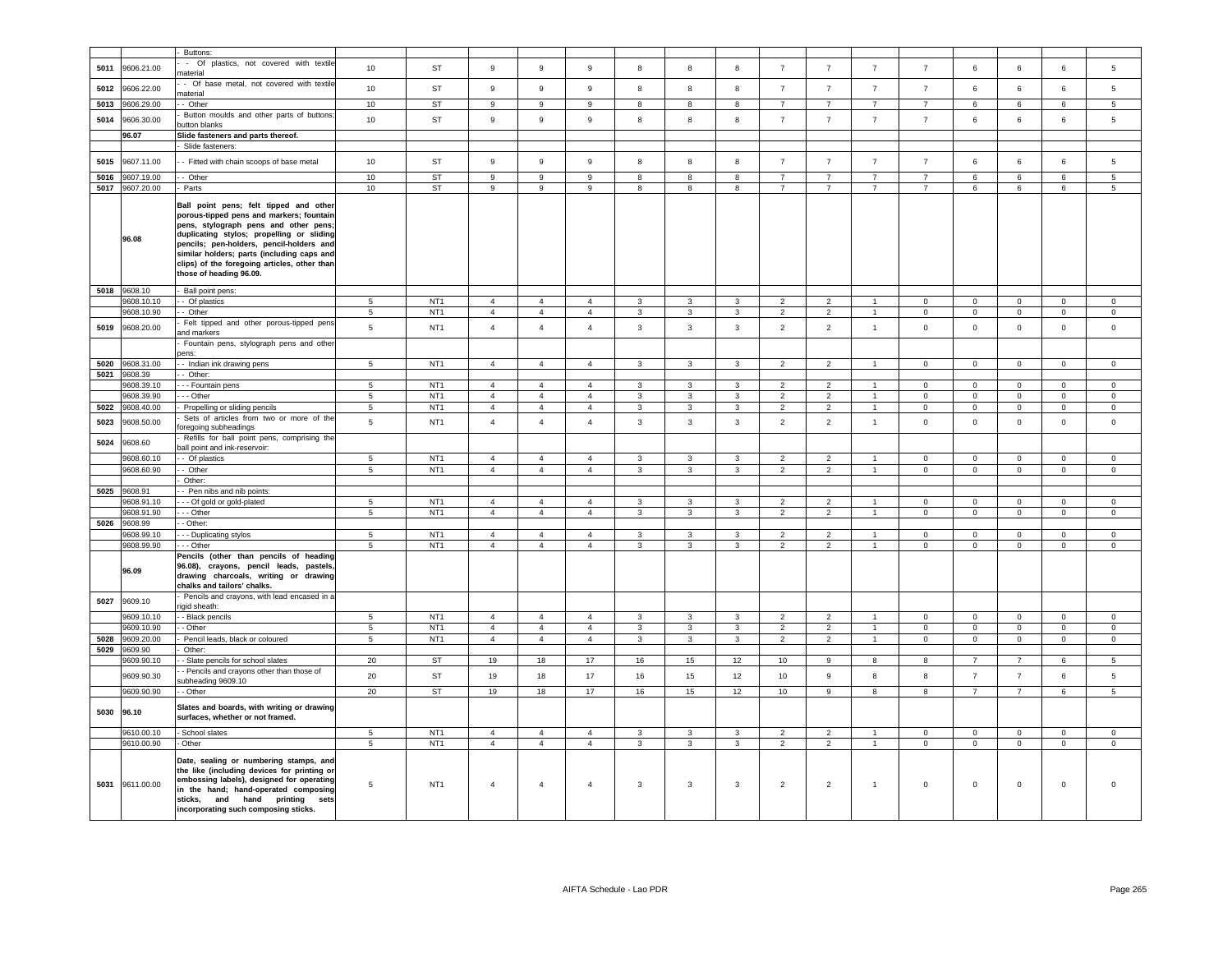| 5011<br>5012<br>5013<br>5014<br>5015<br>5016 | 9606.21.00<br>9606.22.00<br>9606.29.00<br>9606.30.00<br>96.07<br>9607.11.00 | Buttons:<br>- Of plastics, not covered with textile<br>naterial<br>- Of base metal, not covered with textile<br>naterial<br>- Other<br>Button moulds and other parts of buttons                                                                                                                                                                        | 10<br>10<br>10                   | ST<br>ST                           | 9<br>9                           | $\overline{9}$                   | $\boldsymbol{9}$                 | 8                              | 8                                | 8                              | $\overline{7}$                   | $\overline{7}$                   | $\overline{7}$                   | $\overline{7}$          | 6                                | 6                          | 6                                | 5                                  |
|----------------------------------------------|-----------------------------------------------------------------------------|--------------------------------------------------------------------------------------------------------------------------------------------------------------------------------------------------------------------------------------------------------------------------------------------------------------------------------------------------------|----------------------------------|------------------------------------|----------------------------------|----------------------------------|----------------------------------|--------------------------------|----------------------------------|--------------------------------|----------------------------------|----------------------------------|----------------------------------|-------------------------|----------------------------------|----------------------------|----------------------------------|------------------------------------|
|                                              |                                                                             |                                                                                                                                                                                                                                                                                                                                                        |                                  |                                    |                                  |                                  |                                  |                                |                                  |                                |                                  |                                  |                                  |                         |                                  |                            |                                  |                                    |
|                                              |                                                                             |                                                                                                                                                                                                                                                                                                                                                        |                                  |                                    |                                  |                                  |                                  |                                |                                  |                                |                                  |                                  |                                  |                         |                                  |                            |                                  |                                    |
|                                              |                                                                             |                                                                                                                                                                                                                                                                                                                                                        |                                  |                                    |                                  | $\overline{9}$                   | $\boldsymbol{9}$                 | 8                              | 8                                | 8                              | $\overline{7}$                   | $\overline{7}$                   | $\overline{7}$                   | $\overline{7}$          | 6                                | 6                          | 6                                | 5                                  |
|                                              |                                                                             |                                                                                                                                                                                                                                                                                                                                                        |                                  | <b>ST</b>                          | 9                                | 9                                | 9                                | 8                              | 8                                | 8                              | $\overline{7}$                   | $\overline{7}$                   | $\overline{7}$                   | $\overline{7}$          | 6                                | 6                          | 6                                | 5                                  |
|                                              |                                                                             | utton blanks                                                                                                                                                                                                                                                                                                                                           | 10                               | ST                                 | $\mathsf g$                      | 9                                | $\boldsymbol{9}$                 | 8                              | 8                                | 8                              | $\overline{7}$                   | $\overline{7}$                   | $\overline{7}$                   | $\overline{7}$          | 6                                | 6                          | 6                                | 5                                  |
|                                              |                                                                             | Slide fasteners and parts thereof.<br>Slide fasteners:                                                                                                                                                                                                                                                                                                 |                                  |                                    |                                  |                                  |                                  |                                |                                  |                                |                                  |                                  |                                  |                         |                                  |                            |                                  |                                    |
|                                              |                                                                             |                                                                                                                                                                                                                                                                                                                                                        |                                  |                                    |                                  |                                  |                                  |                                |                                  |                                |                                  |                                  |                                  |                         |                                  |                            |                                  |                                    |
|                                              |                                                                             | - Fitted with chain scoops of base metal                                                                                                                                                                                                                                                                                                               | 10                               | <b>ST</b>                          | 9                                | 9                                | 9                                | 8                              | 8                                | 8                              | $\overline{7}$                   | $\overline{7}$                   | $\overline{7}$                   | $\overline{7}$          | 6                                | 6                          | 6                                | 5                                  |
|                                              | 9607.19.00                                                                  | - Other                                                                                                                                                                                                                                                                                                                                                | 10                               | <b>ST</b>                          | 9                                | 9                                | 9                                | 8                              | 8                                | 8                              | $\overline{7}$                   | $\overline{7}$                   | $\overline{7}$                   | $\overline{7}$          | 6                                | 6                          | 6                                | 5                                  |
| 5018 9608.10                                 | 5017 9607.20.00<br>96.08                                                    | Parts<br>Ball point pens; felt tipped and other<br>porous-tipped pens and markers; fountain<br>pens, stylograph pens and other pens;<br>duplicating stylos; propelling or sliding<br>pencils; pen-holders, pencil-holders and<br>similar holders; parts (including caps and<br>clips) of the foregoing articles, other than<br>those of heading 96.09. | 10                               | <b>ST</b>                          | $\mathsf g$                      | $\overline{9}$                   | 9                                | 8                              | 8                                | 8                              | $\overline{7}$                   | $\overline{7}$                   | $\overline{7}$                   | $\overline{7}$          | 6                                | 6                          | 6                                | 5                                  |
|                                              | 608.10.10                                                                   | Ball point pens:<br>Of plastics                                                                                                                                                                                                                                                                                                                        |                                  | NT <sub>1</sub>                    | $\overline{4}$                   | $\overline{4}$                   | $\overline{4}$                   | $\mathbf{3}$                   | 3                                |                                | $\overline{2}$                   | $\overline{2}$                   | $\overline{1}$                   | $\mathbf 0$             |                                  |                            | $\mathsf 0$                      |                                    |
|                                              | 9608.10.90                                                                  | - Other                                                                                                                                                                                                                                                                                                                                                | 5<br>5                           | NT <sub>1</sub>                    | $\overline{4}$                   | $\overline{4}$                   | $\overline{4}$                   | 3                              | 3                                | 3<br>3                         | $\overline{2}$                   | $\overline{2}$                   | $\overline{1}$                   | $\mathbf 0$             | $\mathbf 0$<br>$\mathbf 0$       | $\mathsf 0$<br>$\mathsf 0$ | $\mathbf 0$                      | $\mathbf 0$<br>$\mathsf 0$         |
| 5019                                         | 9608.20.00                                                                  | Felt tipped and other porous-tipped pens<br>ind markers                                                                                                                                                                                                                                                                                                | 5                                | NT <sub>1</sub>                    | $\overline{4}$                   | $\overline{4}$                   | $\overline{4}$                   | $\mathbf{3}$                   | $\mathbf{3}$                     | $\mathbf{3}$                   | $\overline{2}$                   | $\overline{2}$                   | $\mathbf{1}$                     | $\mathbf 0$             | $\mathbf 0$                      | $\mathsf 0$                | $\mathbf 0$                      | $\mathsf 0$                        |
|                                              |                                                                             | Fountain pens, stylograph pens and other<br>ens:                                                                                                                                                                                                                                                                                                       |                                  |                                    |                                  |                                  |                                  |                                |                                  |                                |                                  |                                  |                                  |                         |                                  |                            |                                  |                                    |
| 5020                                         | 9608.31.00                                                                  | - Indian ink drawing pens                                                                                                                                                                                                                                                                                                                              | 5                                | NT <sub>1</sub>                    | $\overline{4}$                   | $\overline{4}$                   | $\overline{4}$                   | 3                              | 3                                | 3                              | $\overline{2}$                   | $\overline{2}$                   | $\overline{1}$                   | $\mathbf 0$             | $\mathbf 0$                      | $\overline{\mathbf{0}}$    | $\mathbf 0$                      | $\mathbf 0$                        |
| 5021                                         | 9608.39                                                                     | Other:                                                                                                                                                                                                                                                                                                                                                 |                                  |                                    |                                  |                                  |                                  |                                |                                  |                                |                                  |                                  |                                  |                         |                                  |                            |                                  |                                    |
|                                              | 9608.39.10                                                                  | - - Fountain pens                                                                                                                                                                                                                                                                                                                                      | 5                                | NT <sub>1</sub>                    | $\overline{4}$                   | $\overline{4}$                   | $\overline{4}$                   | $\mathbf{3}$                   | 3                                | 3                              | $\overline{2}$                   | $\overline{2}$                   | $\mathbf{1}$                     | $\Omega$                | $\Omega$                         | $\overline{0}$             | $\Omega$                         | $\Omega$                           |
|                                              | 9608.39.90                                                                  | - - Other                                                                                                                                                                                                                                                                                                                                              | 5                                | NT <sub>1</sub>                    | $\overline{4}$                   | $\overline{4}$                   | $\overline{4}$                   | 3                              | 3                                | 3                              | 2                                | $\overline{2}$                   | $\mathbf{1}$                     | $\mathbf 0$             | $\mathbf 0$                      | $\overline{0}$             | $\mathbf 0$                      | $\mathbf{0}$                       |
| 5022                                         | 9608.40.00                                                                  | Propelling or sliding pencils<br>Sets of articles from two or more of the                                                                                                                                                                                                                                                                              | 5                                | NT <sub>1</sub>                    | $\overline{4}$                   | $\overline{4}$                   | $\overline{4}$                   | $\mathbf{3}$                   | 3                                | 3                              | $\overline{2}$                   | $\overline{2}$                   | $\overline{1}$                   | $\mathbf 0$             | $\mathbf{0}$                     | $\overline{0}$             | $\mathbf 0$                      | $\mathbf{0}$                       |
| 5023                                         | 9608.50.00                                                                  | pregoing subheadings<br>Refills for ball point pens, comprising the                                                                                                                                                                                                                                                                                    | $\,$ 5 $\,$                      | NT <sub>1</sub>                    | $\sqrt{4}$                       | $\overline{4}$                   | $\sqrt{4}$                       | $\mathbf{3}$                   | $_{\rm 3}$                       | $\mathbf{3}$                   | $\overline{2}$                   | $\overline{2}$                   | $\mathbf{1}$                     | $\mathsf{O}\xspace$     | $\mathsf 0$                      | $\,0\,$                    | $\mathsf 0$                      | $\,0\,$                            |
| 5024                                         | 9608.60<br>9608.60.10                                                       | all point and ink-reservoir:<br>- Of plastics                                                                                                                                                                                                                                                                                                          | 5                                | NT <sub>1</sub>                    | $\overline{4}$                   | $\overline{4}$                   | $\overline{4}$                   | 3                              | 3                                | 3                              | $\overline{2}$                   | $\overline{2}$                   | $\overline{1}$                   | $\mathbf 0$             | $\mathbf 0$                      | $\mathbf 0$                | $\mathbf 0$                      | $\mathsf 0$                        |
|                                              | 9608.60.90                                                                  | - Other                                                                                                                                                                                                                                                                                                                                                | $5\phantom{.0}$                  | NT <sub>1</sub>                    | $\overline{4}$                   | $\overline{4}$                   | $\overline{4}$                   | $\mathbf{3}$                   | 3                                | 3                              | $\overline{2}$                   | $\overline{2}$                   | $\mathbf{1}$                     | $\mathbf{0}$            | $\mathbf{0}$                     | $\overline{0}$             | $\mathbf 0$                      | $\mathbf{0}$                       |
|                                              |                                                                             | Other:                                                                                                                                                                                                                                                                                                                                                 |                                  |                                    |                                  |                                  |                                  |                                |                                  |                                |                                  |                                  |                                  |                         |                                  |                            |                                  |                                    |
| 5025 9608.91                                 |                                                                             | - Pen nibs and nib points:                                                                                                                                                                                                                                                                                                                             |                                  |                                    |                                  |                                  |                                  |                                |                                  |                                |                                  |                                  |                                  |                         |                                  |                            |                                  |                                    |
|                                              | 9608.91.10                                                                  | - - Of gold or gold-plated                                                                                                                                                                                                                                                                                                                             | $5^{\circ}$                      | NT <sub>1</sub>                    | $\overline{4}$                   | $\overline{4}$                   | $\overline{4}$                   | 3                              | 3                                | 3                              | $\overline{2}$                   | $\overline{2}$                   |                                  | $\Omega$                | $\Omega$                         | $\Omega$                   | $\Omega$                         | $\Omega$                           |
|                                              | 9608.91.90                                                                  | - - Other                                                                                                                                                                                                                                                                                                                                              | $\overline{5}$                   | NT <sub>1</sub>                    | $\overline{4}$                   | $\overline{4}$                   | $\overline{4}$                   | 3                              | 3                                | 3                              | $\overline{2}$                   | $\overline{2}$                   |                                  | $\mathbf{0}$            | $\mathbf 0$                      | $\mathbf 0$                | $\mathbf{0}$                     | $\mathbf 0$                        |
| 5026                                         | 9608.99                                                                     | - Other:                                                                                                                                                                                                                                                                                                                                               |                                  |                                    |                                  |                                  |                                  |                                |                                  |                                |                                  |                                  |                                  |                         |                                  |                            |                                  |                                    |
|                                              | 9608.99.10<br>9608.99.90                                                    | - - Duplicating stylos<br>- - Other                                                                                                                                                                                                                                                                                                                    | $\overline{5}$<br>5              | NT <sub>1</sub><br>NT <sub>1</sub> | $\overline{4}$<br>$\overline{4}$ | $\overline{4}$<br>$\overline{4}$ | $\mathbf{A}$<br>$\overline{4}$   | $\overline{3}$<br>$\mathbf{3}$ | $\mathbf{R}$<br>$\mathbf{3}$     | $\overline{3}$<br>$\mathbf{3}$ | $\overline{2}$<br>$\overline{2}$ | $\mathcal{D}$<br>$\overline{2}$  | $\overline{1}$<br>$\mathbf{1}$   | $\Omega$<br>$\mathbf 0$ | $\mathbf 0$<br>$\mathbf 0$       | $\mathsf 0$<br>$\mathsf 0$ | $\Omega$<br>$\mathsf 0$          | $\mathsf 0$<br>$\mathsf{O}\xspace$ |
|                                              | 96.09                                                                       | Pencils (other than pencils of heading<br>96.08), crayons, pencil leads, pastels,<br>drawing charcoals, writing or drawing<br>chalks and tailors' chalks.                                                                                                                                                                                              |                                  |                                    |                                  |                                  |                                  |                                |                                  |                                |                                  |                                  |                                  |                         |                                  |                            |                                  |                                    |
| 5027                                         | 9609.10                                                                     | Pencils and crayons, with lead encased in a<br>igid sheath:                                                                                                                                                                                                                                                                                            |                                  |                                    |                                  |                                  |                                  |                                |                                  |                                |                                  |                                  |                                  |                         |                                  |                            |                                  |                                    |
|                                              | 9609.10.10                                                                  | - Black pencils                                                                                                                                                                                                                                                                                                                                        | 5                                | NT <sub>1</sub>                    | $\overline{4}$                   | $\overline{4}$                   | $\overline{4}$                   | $\overline{3}$                 | 3                                | $\overline{3}$                 | $\overline{2}$                   | $\overline{2}$                   | $\overline{1}$                   | $\Omega$                | $\mathbf 0$                      | $\mathbf 0$                | $\mathbf{0}$                     | $\Omega$                           |
| 5028                                         | 9609.10.90<br>9609.20.00                                                    | - Other<br>Pencil leads, black or coloured                                                                                                                                                                                                                                                                                                             | $\overline{5}$<br>$\overline{5}$ | NT <sub>1</sub><br>NT <sub>1</sub> | $\overline{4}$<br>$\overline{4}$ | $\overline{4}$<br>$\overline{4}$ | $\overline{4}$<br>$\overline{4}$ | 3<br>$\overline{\mathbf{3}}$   | $\overline{3}$<br>$\overline{3}$ | 3<br>$\overline{\mathbf{3}}$   | $\overline{2}$<br>$\overline{2}$ | $\overline{2}$<br>$\overline{2}$ | $\overline{1}$<br>$\overline{1}$ | 0<br>$\mathbf 0$        | $\overline{0}$<br>$\overline{0}$ | $\mathbf 0$<br>$\mathbf 0$ | $\overline{0}$<br>$\overline{0}$ | $\mathbf 0$<br>$\overline{0}$      |
| 5029                                         | 9609.90                                                                     | Other:                                                                                                                                                                                                                                                                                                                                                 |                                  |                                    |                                  |                                  |                                  |                                |                                  |                                |                                  |                                  |                                  |                         |                                  |                            |                                  |                                    |
|                                              | 9609.90.10                                                                  | - Slate pencils for school slates                                                                                                                                                                                                                                                                                                                      | 20                               | ST                                 | 19                               | 18                               | 17                               | 16                             | 15                               | 12                             | 10                               | $\mathsf g$                      | 8                                | 8                       | $\overline{7}$                   | $\overline{7}$             | 6                                | $5^{\circ}$                        |
|                                              | 9609.90.30                                                                  | - Pencils and crayons other than those of<br>ubheading 9609.10                                                                                                                                                                                                                                                                                         | 20                               | ST                                 | 19                               | 18                               | 17                               | 16                             | 15                               | 12                             | 10                               | 9                                | 8                                | 8                       | $\overline{7}$                   | $\overline{7}$             | 6                                | 5                                  |
|                                              | 9609.90.90                                                                  | - Other                                                                                                                                                                                                                                                                                                                                                | 20                               | ST                                 | 19                               | 18                               | 17                               | 16                             | 15                               | 12                             | 10                               | 9                                | 8                                | 8                       | $\overline{7}$                   | $\overline{7}$             | 6                                | 5                                  |
| 5030                                         | 96.10                                                                       | Slates and boards, with writing or drawing<br>surfaces, whether or not framed.                                                                                                                                                                                                                                                                         |                                  |                                    |                                  |                                  |                                  |                                |                                  |                                |                                  |                                  |                                  |                         |                                  |                            |                                  |                                    |
|                                              | 9610.00.10                                                                  | School slates                                                                                                                                                                                                                                                                                                                                          | $\overline{5}$                   | NT <sub>1</sub>                    | $\overline{4}$                   | $\overline{4}$                   | $\overline{4}$                   | 3                              | $\mathbf{3}$                     | 3                              | $\overline{2}$                   | $\overline{2}$                   | $\mathbf{1}$                     | 0                       | $\mathbf 0$                      | $\mathbf{0}$               | $\mathbf 0$                      | $\circ$                            |
|                                              | 9610.00.90                                                                  | Other                                                                                                                                                                                                                                                                                                                                                  | 5                                | NT <sub>1</sub>                    | $\overline{4}$                   | $\overline{4}$                   | $\overline{4}$                   | $\mathbf{3}$                   | $\mathbf{3}$                     | $\mathbf{3}$                   | $\overline{2}$                   | $\overline{2}$                   | $\mathbf{1}$                     | $\mathbf 0$             | $\mathbf 0$                      | $\mathsf 0$                | $\mathsf 0$                      | $\mathsf 0$                        |
| 5031                                         | 9611.00.00                                                                  | Date, sealing or numbering stamps, and<br>the like (including devices for printing or<br>embossing labels), designed for operating<br>in the hand; hand-operated composing<br>and hand printing sets<br>sticks,<br>incorporating such composing sticks.                                                                                                | 5                                | NT <sub>1</sub>                    | $\overline{4}$                   | $\overline{4}$                   | $\overline{4}$                   | 3                              | $\mathbf{3}$                     | $\mathbf{3}$                   | $\overline{2}$                   | $\overline{2}$                   | $\mathbf{1}$                     | $\mathbf 0$             | $\mathbf 0$                      | $\mathbf 0$                | $\mathsf 0$                      |                                    |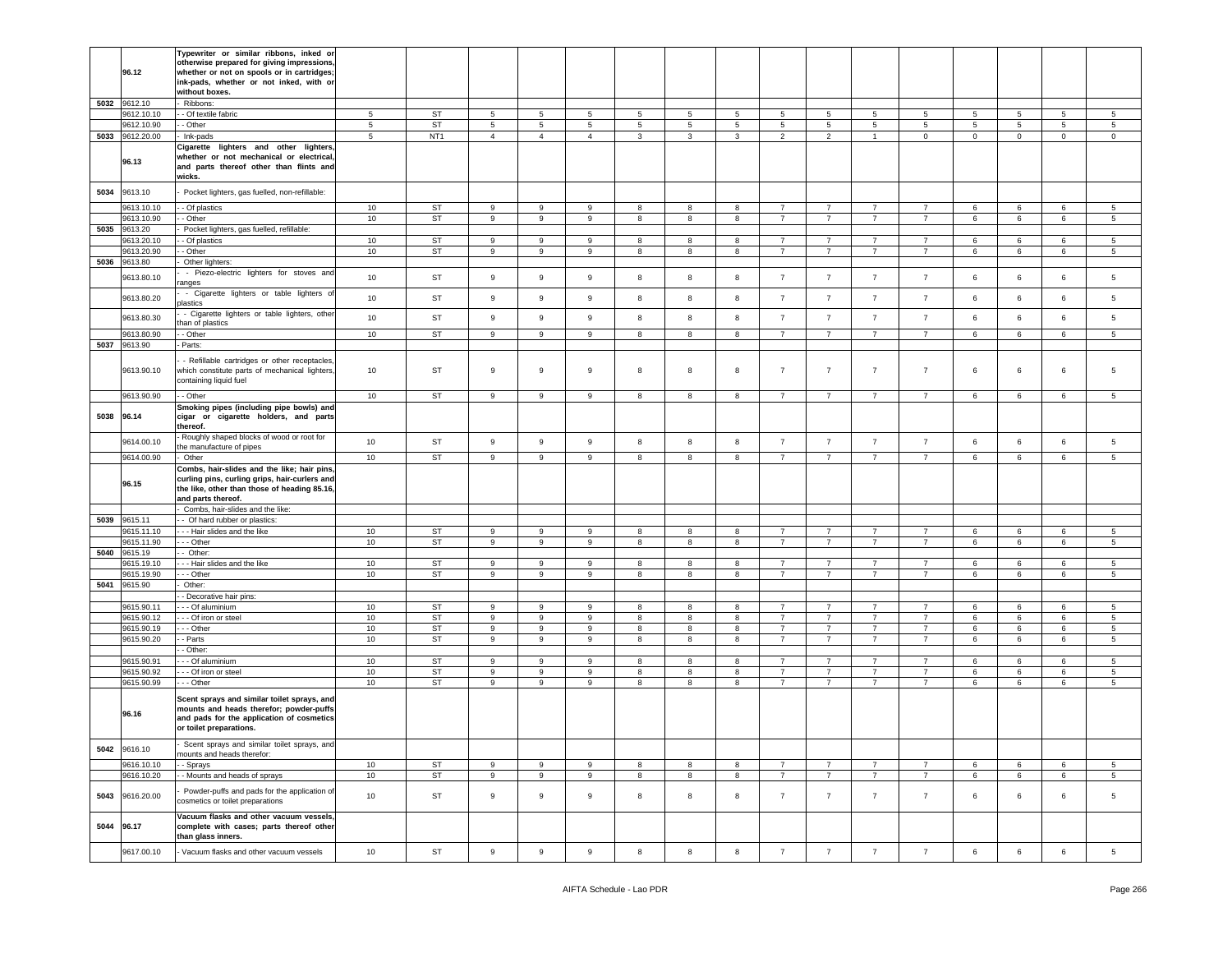|      | 96.12                    | Typewriter or similar ribbons, inked or<br>otherwise prepared for giving impressions,<br>whether or not on spools or in cartridges;<br>ink-pads, whether or not inked, with or<br>without boxes. |            |                 |                  |                |                  |                  |                |        |                |                                  |                |                                  |             |             |                 |                  |
|------|--------------------------|--------------------------------------------------------------------------------------------------------------------------------------------------------------------------------------------------|------------|-----------------|------------------|----------------|------------------|------------------|----------------|--------|----------------|----------------------------------|----------------|----------------------------------|-------------|-------------|-----------------|------------------|
| 5032 | 9612.10                  | Ribbons:                                                                                                                                                                                         |            |                 |                  |                |                  |                  |                |        |                |                                  |                |                                  |             |             |                 |                  |
|      | 9612.10.10               | - Of textile fabric                                                                                                                                                                              | 5          | ST              | 5                | 5              | 5                | 5                | 5              | 5      | 5              | 5                                | 5              | 5                                | 5           | 5           | 5               | 5                |
|      | 9612.10.90               | - Other                                                                                                                                                                                          | $\sqrt{5}$ | <b>ST</b>       | $\,$ 5           | $\sqrt{5}$     | 5                | $\sqrt{5}$       | $\overline{5}$ | 5      | $\,$ 5 $\,$    | 5                                | 5              | 5                                | 5           | 5           | 5               | $\overline{5}$   |
| 5033 | 9612.20.00               | Ink-pads                                                                                                                                                                                         | 5          | NT <sub>1</sub> | $\overline{4}$   | $\overline{4}$ | $\overline{4}$   | 3                | 3              | 3      | $\overline{2}$ | $\overline{2}$                   | $\overline{1}$ | $\mathbf 0$                      | $\mathbf 0$ | $\mathbf 0$ | $\mathbf 0$     | $\mathsf 0$      |
|      | 96.13                    | Cigarette lighters and other lighters.<br>whether or not mechanical or electrical,<br>and parts thereof other than flints and<br>wicks.                                                          |            |                 |                  |                |                  |                  |                |        |                |                                  |                |                                  |             |             |                 |                  |
| 5034 | 9613.10                  | Pocket lighters, gas fuelled, non-refillable:                                                                                                                                                    |            |                 |                  |                |                  |                  |                |        |                |                                  |                |                                  |             |             |                 |                  |
|      | 9613.10.10               | - Of plastics                                                                                                                                                                                    | 10         | ST              | 9                | 9              | 9                | 8                | 8              | 8      | $\overline{7}$ | $\overline{7}$                   | 7              | 7                                | 6           | 6           | 6               | 5                |
|      | 9613.10.90               | - Other                                                                                                                                                                                          | 10         | <b>ST</b>       | 9                | 9              | 9                | $\boldsymbol{8}$ | 8              | 8      | $\overline{7}$ | $\overline{7}$                   | $\overline{7}$ | $\overline{7}$                   | 6           | 6           | $\,6\,$         | $\,$ 5 $\,$      |
| 5035 | 9613.20                  | Pocket lighters, gas fuelled, refillable:                                                                                                                                                        |            |                 |                  |                |                  |                  |                |        |                |                                  |                |                                  |             |             |                 |                  |
|      | 9613.20.10               | - Of plastics                                                                                                                                                                                    | 10         | ST              | 9                | 9              | 9                | 8                | 8              | 8      | 7              | $\overline{7}$                   | 7              | 7                                | 6           | 6           | 6               | 5                |
|      | 9613.20.90               | - Other                                                                                                                                                                                          | 10         | <b>ST</b>       | $\boldsymbol{9}$ | 9              | 9                | 8                | 8              | 8      | $\overline{7}$ | $\overline{7}$                   | $\overline{7}$ | $\overline{7}$                   | 6           | 6           | $\,6\,$         | $5\phantom{.0}$  |
| 5036 | 9613.80                  | Other lighters:                                                                                                                                                                                  |            |                 |                  |                |                  |                  |                |        |                |                                  |                |                                  |             |             |                 |                  |
|      | 9613.80.10               | - Piezo-electric lighters for stoves and<br>anges                                                                                                                                                | 10         | ST              | $\,9$            | 9              | 9                | 8                | 8              | 8      | $\overline{7}$ | $\overline{7}$                   | $\overline{7}$ | $\overline{7}$                   | 6           | 6           | 6               | 5                |
|      | 9613.80.20               | - Cigarette lighters or table lighters o<br>plastics                                                                                                                                             | 10         | ST              | $\boldsymbol{9}$ | 9              | 9                | 8                | 8              | 8      | $\overline{7}$ | $\overline{7}$                   | $\overline{7}$ | $\overline{7}$                   | 6           | 6           | $\,6\,$         | $\overline{5}$   |
|      | 9613.80.30               | - Cigarette lighters or table lighters, other<br>han of plastics                                                                                                                                 | 10         | ST              | 9                | $\mathsf g$    | 9                | 8                | 8              | 8      | $\overline{7}$ | $\overline{7}$                   | $\overline{7}$ | $\overline{7}$                   | 6           | 6           | 6               | 5                |
|      | 9613.80.90               | - Other                                                                                                                                                                                          | 10         | ST              | 9                | 9              | 9                | 8                | 8              | 8      | $\overline{7}$ | $\overline{7}$                   | 7              | 7                                | 6           | 6           | 6               | 5                |
| 5037 | 9613.90                  | Parts:                                                                                                                                                                                           |            |                 |                  |                |                  |                  |                |        |                |                                  |                |                                  |             |             |                 |                  |
|      | 9613.90.10               | - Refillable cartridges or other receptacles,<br>which constitute parts of mechanical lighters,<br>containing liquid fuel                                                                        | 10         | ST              | 9                | 9              | 9                | 8                | 8              | 8      | $\overline{7}$ | $\overline{7}$                   | $\overline{7}$ | $\overline{7}$                   | 6           | 6           | 6               | 5                |
|      | 9613.90.90               | - Other                                                                                                                                                                                          | 10         | ST              | 9                | 9              | 9                | 8                | 8              | 8      | $\overline{7}$ | $\overline{7}$                   | $\overline{7}$ | $\overline{7}$                   | 6           | 6           | $\,6\,$         | $\sqrt{5}$       |
| 5038 | 96.14                    | Smoking pipes (including pipe bowls) and<br>cigar or cigarette holders, and parts<br>thereof.                                                                                                    |            |                 |                  |                |                  |                  |                |        |                |                                  |                |                                  |             |             |                 |                  |
|      | 9614.00.10               | Roughly shaped blocks of wood or root for<br>he manufacture of pipes                                                                                                                             | 10         | ST              | $\boldsymbol{9}$ | 9              | 9                | 8                | 8              | 8      | $\overline{7}$ | $\overline{7}$                   | $\overline{7}$ | $\overline{7}$                   | 6           | 6           | $\,6\,$         | $5\phantom{.0}$  |
|      | 9614.00.90               | Other                                                                                                                                                                                            | 10         | ST              | 9                | 9              | 9                | 8                | 8              | 8      | $\overline{7}$ | $\overline{7}$                   | $\overline{7}$ | $\overline{7}$                   | 6           | 6           | 6               | 5                |
|      |                          | Combs, hair-slides and the like; hair pins,                                                                                                                                                      |            |                 |                  |                |                  |                  |                |        |                |                                  |                |                                  |             |             |                 |                  |
|      | 96.15                    | curling pins, curling grips, hair-curlers and<br>the like, other than those of heading 85.16,<br>and parts thereof.                                                                              |            |                 |                  |                |                  |                  |                |        |                |                                  |                |                                  |             |             |                 |                  |
|      |                          | Combs, hair-slides and the like:                                                                                                                                                                 |            |                 |                  |                |                  |                  |                |        |                |                                  |                |                                  |             |             |                 |                  |
| 5039 | 9615.11                  | - Of hard rubber or plastics:                                                                                                                                                                    |            |                 |                  |                |                  |                  |                |        |                |                                  |                |                                  |             |             |                 |                  |
|      | 9615.11.10               | -- Hair slides and the like                                                                                                                                                                      | 10         | ST              | 9                | 9              | 9                | 8                | 8              | 8      | $\overline{7}$ | $\overline{7}$                   | $\overline{7}$ | $\overline{7}$                   | 6           | 6           | 6               | 5                |
|      | 9615.11.90               | - - Other                                                                                                                                                                                        | 10         | ST              | 9                | 9              | 9                | 8                | 8              | 8      | $\overline{7}$ | $\overline{7}$                   | $\overline{7}$ | $\overline{7}$                   | 6           | 6           | 6               | 5                |
| 5040 | 9615.19                  | - Other:                                                                                                                                                                                         |            |                 |                  |                |                  |                  |                |        |                |                                  |                |                                  |             |             |                 |                  |
|      | 9615.19.10               | --- Hair slides and the like                                                                                                                                                                     | 10         | ST              | 9                | 9              | 9                | 8                | 8              | 8      | $\overline{7}$ | $\overline{7}$                   | $\overline{7}$ | $\overline{7}$                   | 6           | 6           | 6               | 5                |
|      | 9615.19.90               | - - Other                                                                                                                                                                                        | 10         | ST              | 9                | 9              | 9                | 8                | 8              | 8      | $\overline{7}$ | $\overline{7}$                   | $\overline{7}$ | $\overline{7}$                   | 6           | 6           | 6               | 5                |
|      | 5041 9615.90             | Other:                                                                                                                                                                                           |            |                 |                  |                |                  |                  |                |        |                |                                  |                |                                  |             |             |                 |                  |
|      |                          | - Decorative hair pins:                                                                                                                                                                          |            |                 |                  |                |                  |                  |                |        |                |                                  |                |                                  |             |             |                 |                  |
|      | 9615.90.11               | - - Of aluminium                                                                                                                                                                                 | 10         | ST              | 9                | 9              | 9                | 8                | 8              | 8      | $\overline{7}$ | $\overline{7}$                   | 7              | 7                                | 6           | 6           | 6               | 5                |
|      | 9615.90.12               | - - Of iron or steel                                                                                                                                                                             | 10         | ST              | $\boldsymbol{9}$ | 9              | $\boldsymbol{9}$ | 8                | 8              | 8      | $\overline{7}$ | $\overline{7}$                   | $\overline{7}$ | $\overline{7}$                   | 6           | 6           | $\,6\,$         | $5\overline{5}$  |
|      | 9615.90.19               | - - Other                                                                                                                                                                                        | 10         | ST              | 9                | 9              | 9                | 8                | 8              | 8      | $\overline{7}$ | $\overline{7}$                   | $\overline{7}$ | $\overline{7}$<br>$\overline{7}$ | 6           | 6           | 6               | 5                |
|      | 9615.90.20               | - Parts<br>- Other:                                                                                                                                                                              | 10         | ST              | 9                | 9              | 9                | 8                | 8              | 8      | $\overline{7}$ | $\overline{7}$                   | $\overline{7}$ |                                  | 6           | 6           | 6               | 5                |
|      |                          | - - Of aluminium                                                                                                                                                                                 |            |                 | 9                |                |                  |                  |                |        | $\overline{7}$ |                                  | $\overline{7}$ | $\overline{7}$                   |             |             |                 |                  |
|      | 9615.90.91<br>9615.90.92 | - - Of iron or steel                                                                                                                                                                             | 10<br>10   | ST<br><b>ST</b> | 9                | 9<br>9         | 9<br>9           | 8<br>8           | 8<br>8         | 8<br>8 | $\overline{7}$ | $\overline{7}$<br>$\overline{7}$ | $\overline{7}$ | $\overline{7}$                   | 6<br>6      | 6<br>6      | 6<br>$\,6\,$    | 5<br>$\,$ 5 $\,$ |
|      |                          |                                                                                                                                                                                                  |            |                 |                  |                |                  |                  |                |        |                |                                  |                | $\overline{7}$                   |             |             |                 |                  |
|      | 9615.90.99<br>96.16      | - - Other<br>Scent sprays and similar toilet sprays, and<br>mounts and heads therefor; powder-puffs<br>and pads for the application of cosmetics<br>or toilet preparations.                      | 10         | <b>ST</b>       | 9                | 9              | 9                | 8                | 8              | 8      | $\overline{7}$ | $\overline{7}$                   | $\overline{7}$ |                                  | 6           | 6           | 6               | $5\overline{)}$  |
|      | 5042 9616.10             | Scent sprays and similar toilet sprays, and<br>nounts and heads therefor:                                                                                                                        |            |                 |                  |                |                  |                  |                |        |                |                                  |                |                                  |             |             |                 |                  |
|      | 9616.10.10               | - Sprays                                                                                                                                                                                         | 10         | ST              | 9                | 9              | 9                | 8                | 8              | 8      | $\overline{7}$ | $\overline{7}$                   | $\overline{7}$ | $7^{\circ}$                      | 6           | 6           | $\,6\,$         | $5\overline{5}$  |
|      | 9616.10.20               | - Mounts and heads of sprays                                                                                                                                                                     | 10         | ST              | 9                | 9              | 9                | 8                | 8              | 8      | $\overline{7}$ | $\overline{7}$                   | $\overline{7}$ | $7\overline{ }$                  | 6           | 6           | 6               | $5\overline{5}$  |
| 5043 | 9616.20.00               | Powder-puffs and pads for the application of<br>cosmetics or toilet preparations                                                                                                                 | 10         | ST              | $\boldsymbol{9}$ | $\mathsf g$    | $\mathsf g$      | 8                | 8              | 8      | $\overline{7}$ | $\overline{7}$                   | $\overline{7}$ | $\overline{7}$                   | 6           | 6           | $6\phantom{.0}$ | 5                |
|      | 5044 96.17<br>9617.00.10 | Vacuum flasks and other vacuum vessels,<br>complete with cases; parts thereof other<br>than glass inners.<br>Vacuum flasks and other vacuum vessels                                              | 10         | ST              | $\boldsymbol{9}$ | $\mathsf g$    | $\mathsf g$      | 8                | 8              | 8      | $\overline{7}$ | $\overline{7}$                   | $\overline{7}$ | $\overline{7}$                   | 6           | 6           | $\,6\,$         | $5\overline{5}$  |